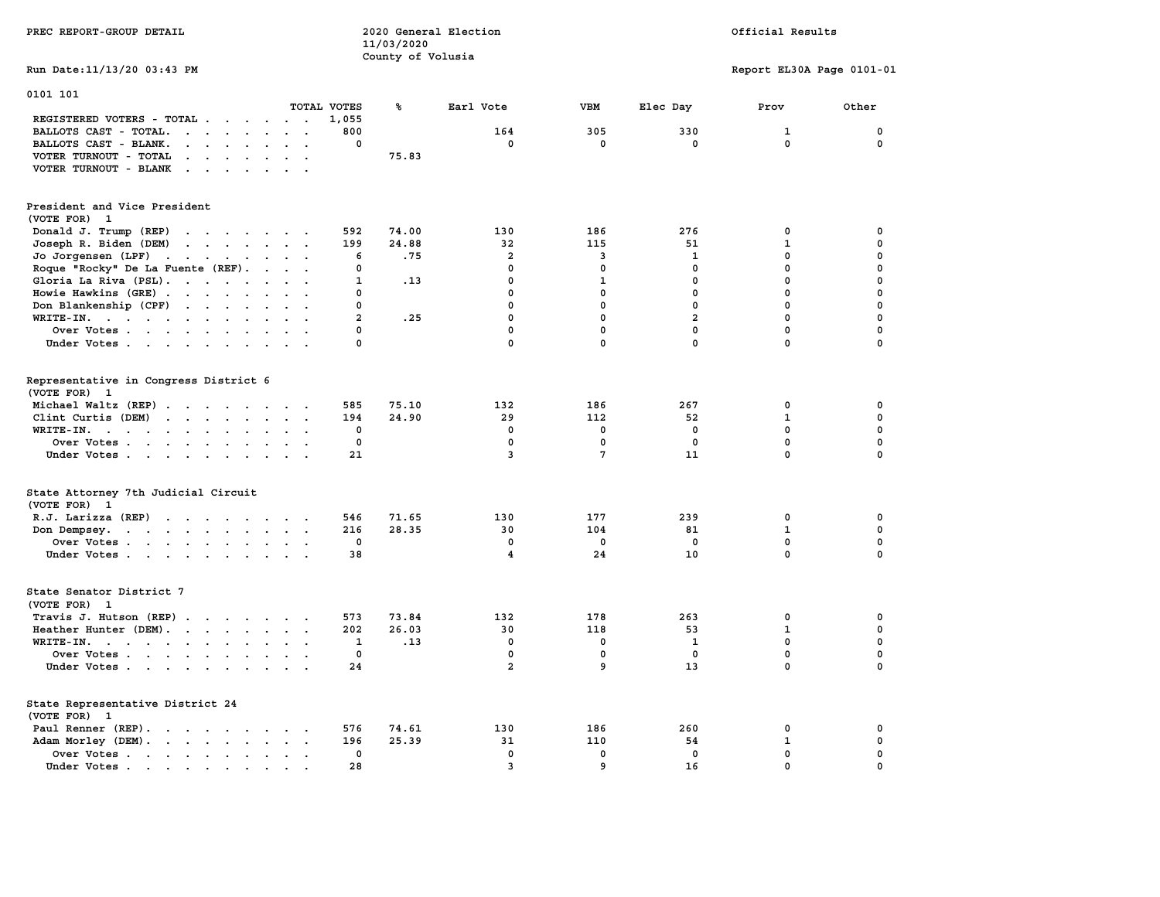| PREC REPORT-GROUP DETAIL                                                                                                                                                                                                                                   |                                                        | 11/03/2020        | 2020 General Election                  | Official Results |                   |                            |             |
|------------------------------------------------------------------------------------------------------------------------------------------------------------------------------------------------------------------------------------------------------------|--------------------------------------------------------|-------------------|----------------------------------------|------------------|-------------------|----------------------------|-------------|
|                                                                                                                                                                                                                                                            |                                                        | County of Volusia |                                        |                  |                   |                            |             |
| Run Date: 11/13/20 03:43 PM                                                                                                                                                                                                                                |                                                        |                   |                                        |                  |                   | Report EL30A Page 0101-01  |             |
| 0101 101                                                                                                                                                                                                                                                   |                                                        |                   |                                        |                  |                   |                            |             |
|                                                                                                                                                                                                                                                            | TOTAL VOTES                                            | ℁                 | Earl Vote                              | <b>VBM</b>       | Elec Day          | Prov                       | Other       |
| REGISTERED VOTERS - TOTAL                                                                                                                                                                                                                                  | 1,055                                                  |                   |                                        |                  |                   |                            |             |
| BALLOTS CAST - TOTAL.<br>$\mathbf{r}$ . The set of the set of the set of the set of the set of the set of the set of the set of the set of the set of the set of the set of the set of the set of the set of the set of the set of the set of the set of t | 800                                                    |                   | 164                                    | 305              | 330               | $\mathbf{1}$               | $\mathbf 0$ |
| BALLOTS CAST - BLANK.<br>$\begin{array}{cccccccccccccc} \bullet & \bullet & \bullet & \bullet & \bullet & \bullet & \bullet & \bullet & \bullet & \bullet & \bullet \end{array}$                                                                           | 0                                                      |                   | 0                                      | 0                | 0                 | $\mathbf 0$                | 0           |
| VOTER TURNOUT - TOTAL<br>the contract of the contract of the contract of                                                                                                                                                                                   |                                                        | 75.83             |                                        |                  |                   |                            |             |
| VOTER TURNOUT - BLANK                                                                                                                                                                                                                                      |                                                        |                   |                                        |                  |                   |                            |             |
| President and Vice President                                                                                                                                                                                                                               |                                                        |                   |                                        |                  |                   |                            |             |
| (VOTE FOR) 1                                                                                                                                                                                                                                               |                                                        |                   |                                        |                  |                   |                            |             |
| Donald J. Trump (REP)<br>the contract of the contract of the contract of                                                                                                                                                                                   | 592                                                    | 74.00             | 130                                    | 186              | 276               | 0                          | 0           |
|                                                                                                                                                                                                                                                            | 199                                                    | 24.88             | 32                                     | 115              | 51                | $\mathbf 1$                | 0           |
| Joseph R. Biden (DEM)<br>the contract of the contract of the contract of                                                                                                                                                                                   |                                                        |                   | $\overline{a}$                         |                  |                   | $\mathbf 0$                | $\mathbf 0$ |
| Jo Jorgensen (LPF)                                                                                                                                                                                                                                         | 6                                                      | .75               |                                        | 3                | 1                 |                            |             |
| Roque "Rocky" De La Fuente (REF).                                                                                                                                                                                                                          | 0                                                      |                   | $\mathbf 0$                            | $\mathbf 0$      | $\mathbf 0$       | $\mathbf 0$                | $\mathbf 0$ |
| Gloria La Riva (PSL).                                                                                                                                                                                                                                      | $\mathbf{1}$                                           | .13               | $\mathbf 0$                            | $\mathbf{1}$     | $\mathbf 0$       | 0                          | $\mathbf 0$ |
| Howie Hawkins (GRE)                                                                                                                                                                                                                                        | 0<br>$\mathbf{r}$ $\mathbf{r}$<br>$\ddot{\phantom{a}}$ |                   | 0                                      | 0                | 0                 | $\pmb{0}$                  | $\pmb{0}$   |
| Don Blankenship (CPF)                                                                                                                                                                                                                                      | $\Omega$                                               |                   | $\mathbf 0$                            | $\mathbf 0$      | $\mathbf{0}$      | $\mathbf 0$                | $\mathbf 0$ |
| $WRITE-IN.$<br>$\ddot{\phantom{0}}$                                                                                                                                                                                                                        | $\overline{a}$<br>$\sim$ $\sim$                        | .25               | $\mathbf 0$                            | $\mathbf 0$      | $\overline{a}$    | $\mathbf 0$                | $\mathbf 0$ |
| Over Votes                                                                                                                                                                                                                                                 | $\Omega$                                               |                   | $\mathbf 0$                            | $\mathbf 0$      | $\mathbf{0}$      | $\mathbf 0$                | $\mathbf 0$ |
| Under Votes<br>$\cdot$ $\cdot$ $\cdot$                                                                                                                                                                                                                     | $\Omega$                                               |                   | $\mathbf 0$                            | $\mathbf 0$      | $\mathbf 0$       | $\mathbf 0$                | $\mathbf 0$ |
|                                                                                                                                                                                                                                                            |                                                        |                   |                                        |                  |                   |                            |             |
| Representative in Congress District 6<br>(VOTE FOR) 1                                                                                                                                                                                                      |                                                        |                   |                                        |                  |                   |                            |             |
| Michael Waltz (REP)                                                                                                                                                                                                                                        | 585                                                    | 75.10             | 132                                    | 186              | 267               | 0                          | 0           |
| Clint Curtis (DEM)                                                                                                                                                                                                                                         | 194                                                    | 24.90             | 29                                     | 112              | 52                | $\mathbf{1}$               | $\mathbf 0$ |
| WRITE-IN.<br>the contract of the contract of the contract of the contract of the contract of the contract of the contract of                                                                                                                               | 0<br>$\mathbf{z} = \mathbf{z} + \mathbf{z}$ .          |                   | $\Omega$                               | $\mathbf 0$      | $\mathbf 0$       | $\Omega$                   | $\mathbf 0$ |
| Over Votes                                                                                                                                                                                                                                                 | 0                                                      |                   | $\mathbf 0$                            | $\mathbf 0$      | $\mathbf 0$       | $\mathbf 0$                | $\mathbf 0$ |
| Under Votes                                                                                                                                                                                                                                                | 21                                                     |                   | 3                                      | $7\phantom{.0}$  | 11                | $\mathbf 0$                | $\Omega$    |
|                                                                                                                                                                                                                                                            |                                                        |                   |                                        |                  |                   |                            |             |
| State Attorney 7th Judicial Circuit                                                                                                                                                                                                                        |                                                        |                   |                                        |                  |                   |                            |             |
| (VOTE FOR) 1                                                                                                                                                                                                                                               |                                                        |                   |                                        |                  |                   |                            |             |
| R.J. Larizza $(REF)$                                                                                                                                                                                                                                       | 546                                                    | 71.65             | 130                                    | 177              | 239               | 0                          | 0           |
| Don Dempsey.                                                                                                                                                                                                                                               | 216                                                    | 28.35             | 30                                     | 104              | 81                | $\mathbf{1}$               | $\mathbf 0$ |
| Over Votes                                                                                                                                                                                                                                                 | 0                                                      |                   | 0                                      | 0                | $^{\circ}$        | $\mathbf 0$                | $\mathbf 0$ |
| Under Votes                                                                                                                                                                                                                                                | 38                                                     |                   | 4                                      | 24               | 10                | $\mathbf 0$                | $\mathbf 0$ |
|                                                                                                                                                                                                                                                            |                                                        |                   |                                        |                  |                   |                            |             |
| State Senator District 7                                                                                                                                                                                                                                   |                                                        |                   |                                        |                  |                   |                            |             |
| (VOTE FOR) 1                                                                                                                                                                                                                                               |                                                        |                   |                                        |                  |                   |                            |             |
| Travis J. Hutson (REP)                                                                                                                                                                                                                                     | 573<br>$\sim$                                          | 73.84             | 132                                    | 178              | 263               | 0                          | 0           |
| Heather Hunter (DEM).                                                                                                                                                                                                                                      | 202                                                    | 26.03             | 30                                     | 118              | 53                | $\mathbf{1}$               | $\mathbf 0$ |
| WRITE-IN.                                                                                                                                                                                                                                                  | 1                                                      | .13               | 0                                      | 0                | 1                 | $\mathbf{0}$               | $\mathbf 0$ |
| Over Votes                                                                                                                                                                                                                                                 | $\mathbf 0$                                            |                   | $\mathbf 0$                            | $\mathbf 0$      | $\mathbf 0$       | $\mathbf 0$                | $\mathbf 0$ |
| Under Votes                                                                                                                                                                                                                                                | 24                                                     |                   | $\overline{a}$                         | 9                | 13                | 0                          | $\mathbf 0$ |
| State Representative District 24                                                                                                                                                                                                                           |                                                        |                   |                                        |                  |                   |                            |             |
| (VOTE FOR) 1                                                                                                                                                                                                                                               |                                                        |                   |                                        |                  |                   |                            |             |
| Paul Renner (REP).                                                                                                                                                                                                                                         | 576                                                    | 74.61             | 130                                    | 186              | 260               | 0                          | 0           |
|                                                                                                                                                                                                                                                            | 196                                                    | 25.39             | 31                                     | 110              | 54                | 1                          | 0           |
| Adam Morley (DEM).                                                                                                                                                                                                                                         |                                                        |                   |                                        |                  |                   |                            | $\mathbf 0$ |
| Over Votes                                                                                                                                                                                                                                                 | 0<br>28                                                |                   | $\mathbf 0$<br>$\overline{\mathbf{3}}$ | $\mathbf 0$<br>9 | $\mathbf 0$<br>16 | $\mathbf 0$<br>$\mathbf 0$ | $\mathbf 0$ |
| Under Votes                                                                                                                                                                                                                                                | $\sim$                                                 |                   |                                        |                  |                   |                            |             |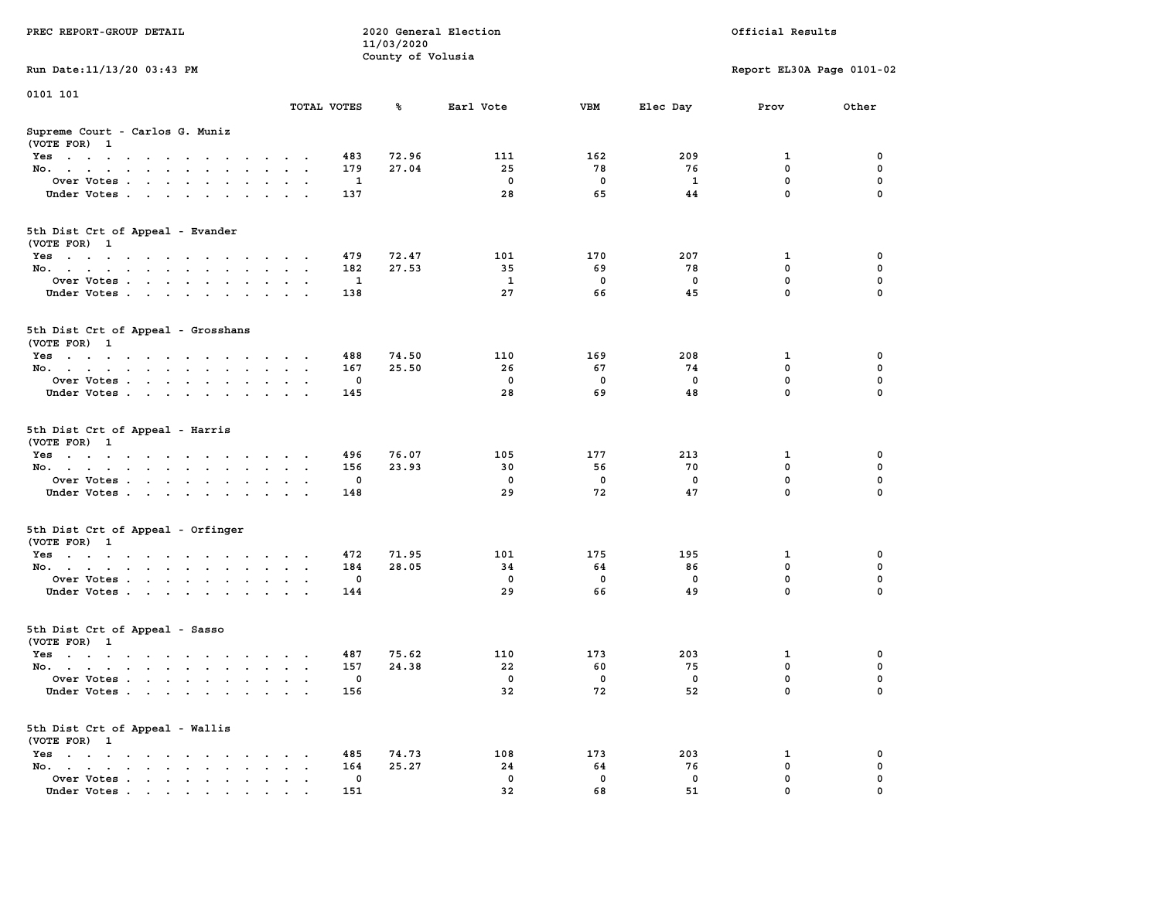| PREC REPORT-GROUP DETAIL                                                                                                                                                                                                                 |              | 11/03/2020        | 2020 General Election | Official Results |             |                           |             |
|------------------------------------------------------------------------------------------------------------------------------------------------------------------------------------------------------------------------------------------|--------------|-------------------|-----------------------|------------------|-------------|---------------------------|-------------|
| Run Date: 11/13/20 03:43 PM                                                                                                                                                                                                              |              | County of Volusia |                       |                  |             | Report EL30A Page 0101-02 |             |
|                                                                                                                                                                                                                                          |              |                   |                       |                  |             |                           |             |
| 0101 101                                                                                                                                                                                                                                 | TOTAL VOTES  | ℁                 | Earl Vote             | VBM              | Elec Day    | Prov                      | Other       |
| Supreme Court - Carlos G. Muniz<br>(VOTE FOR) 1                                                                                                                                                                                          |              |                   |                       |                  |             |                           |             |
| Yes                                                                                                                                                                                                                                      | 483          | 72.96             | 111                   | 162              | 209         | 1                         | 0           |
| No.                                                                                                                                                                                                                                      | 179          | 27.04             | 25                    | 78               | 76          | $\mathbf 0$               | $\mathbf 0$ |
| Over Votes                                                                                                                                                                                                                               | 1            |                   | $\mathbf 0$           | 0                | 1           | 0                         | 0           |
| Under Votes                                                                                                                                                                                                                              | 137          |                   | 28                    | 65               | 44          | $\mathbf 0$               | $\Omega$    |
| 5th Dist Crt of Appeal - Evander<br>(VOTE FOR) 1                                                                                                                                                                                         |              |                   |                       |                  |             |                           |             |
| Yes                                                                                                                                                                                                                                      | 479          | 72.47             | 101                   | 170              | 207         | 1                         | 0           |
| No.                                                                                                                                                                                                                                      | 182          | 27.53             | 35                    | 69               | 78          | $\mathbf 0$               | 0           |
| Over Votes                                                                                                                                                                                                                               | 1            |                   | 1                     | 0                | $\mathbf 0$ | 0                         | $\mathbf 0$ |
| Under Votes                                                                                                                                                                                                                              | 138          |                   | 27                    | 66               | 45          | $\mathbf 0$               | 0           |
| 5th Dist Crt of Appeal - Grosshans<br>(VOTE FOR) 1                                                                                                                                                                                       |              |                   |                       |                  |             |                           |             |
| Yes                                                                                                                                                                                                                                      | 488          | 74.50             | 110                   | 169              | 208         | 1                         | 0           |
| No.                                                                                                                                                                                                                                      | 167          | 25.50             | 26                    | 67               | 74          | 0                         | 0           |
| Over Votes                                                                                                                                                                                                                               | $\mathbf{0}$ |                   | $^{\circ}$            | 0                | $^{\circ}$  | $\mathbf 0$               | 0           |
| Under Votes                                                                                                                                                                                                                              | 145          |                   | 28                    | 69               | 48          | $\mathbf 0$               | 0           |
| 5th Dist Crt of Appeal - Harris<br>(VOTE FOR) 1                                                                                                                                                                                          |              |                   |                       |                  |             |                           |             |
| Yes                                                                                                                                                                                                                                      | 496          | 76.07             | 105                   | 177              | 213         | 1                         | 0           |
| No.                                                                                                                                                                                                                                      | 156          | 23.93             | 30                    | 56               | 70          | $\mathbf 0$               | 0           |
| Over Votes                                                                                                                                                                                                                               | 0            |                   | $\mathbf 0$           | 0                | 0           | 0                         | 0           |
| Under Votes                                                                                                                                                                                                                              | 148          |                   | 29                    | 72               | 47          | $\mathbf 0$               | $\Omega$    |
| 5th Dist Crt of Appeal - Orfinger<br>(VOTE FOR) 1                                                                                                                                                                                        |              |                   |                       |                  |             |                           |             |
| Yes                                                                                                                                                                                                                                      | 472          | 71.95             | 101                   | 175              | 195         | 1                         | 0           |
| No.                                                                                                                                                                                                                                      | 184          | 28.05             | 34                    | 64               | 86          | $\mathbf 0$               | 0           |
| Over Votes                                                                                                                                                                                                                               | 0            |                   | $\mathbf 0$           | 0                | $\mathbf 0$ | 0                         | 0           |
| Under Votes                                                                                                                                                                                                                              | 144          |                   | 29                    | 66               | 49          | $\mathbf 0$               | $\Omega$    |
| 5th Dist Crt of Appeal - Sasso<br>(VOTE FOR) 1                                                                                                                                                                                           |              |                   |                       |                  |             |                           |             |
| Yes<br>$\mathbf{r}$ . The contribution of the contribution of the contribution of the contribution of the contribution of the contribution of the contribution of the contribution of the contribution of the contribution of the contri | 487          | 75.62             | 110                   | 173              | 203         | 1                         | 0           |
| No.                                                                                                                                                                                                                                      | 157          | 24.38             | 22                    | 60               | 75          | 0                         | 0           |
| Over Votes                                                                                                                                                                                                                               | $\mathbf 0$  |                   | $^{\circ}$            | 0                | 0           | $\mathbf 0$               | 0           |
| Under Votes                                                                                                                                                                                                                              | 156          |                   | 32                    | 72               | 52          | 0                         | 0           |
| 5th Dist Crt of Appeal - Wallis<br>(VOTE FOR) 1                                                                                                                                                                                          |              |                   |                       |                  |             |                           |             |
| $Yes \cdot \cdot \cdot \cdot \cdot \cdot \cdot \cdot$                                                                                                                                                                                    | 485          | 74.73             | 108                   | 173              | 203         | 1                         | 0           |
| No.<br>$\ddot{\phantom{a}}$<br>$\bullet$                                                                                                                                                                                                 | 164          | 25.27             | 24                    | 64               | 76          | $\mathbf 0$               | 0           |
| Over Votes<br>Under Votes.                                                                                                                                                                                                               | 0<br>151     |                   | 0<br>32               | 0<br>68          | 0<br>51     | $\mathbf 0$<br>$\Omega$   | 0           |
|                                                                                                                                                                                                                                          |              |                   |                       |                  |             |                           |             |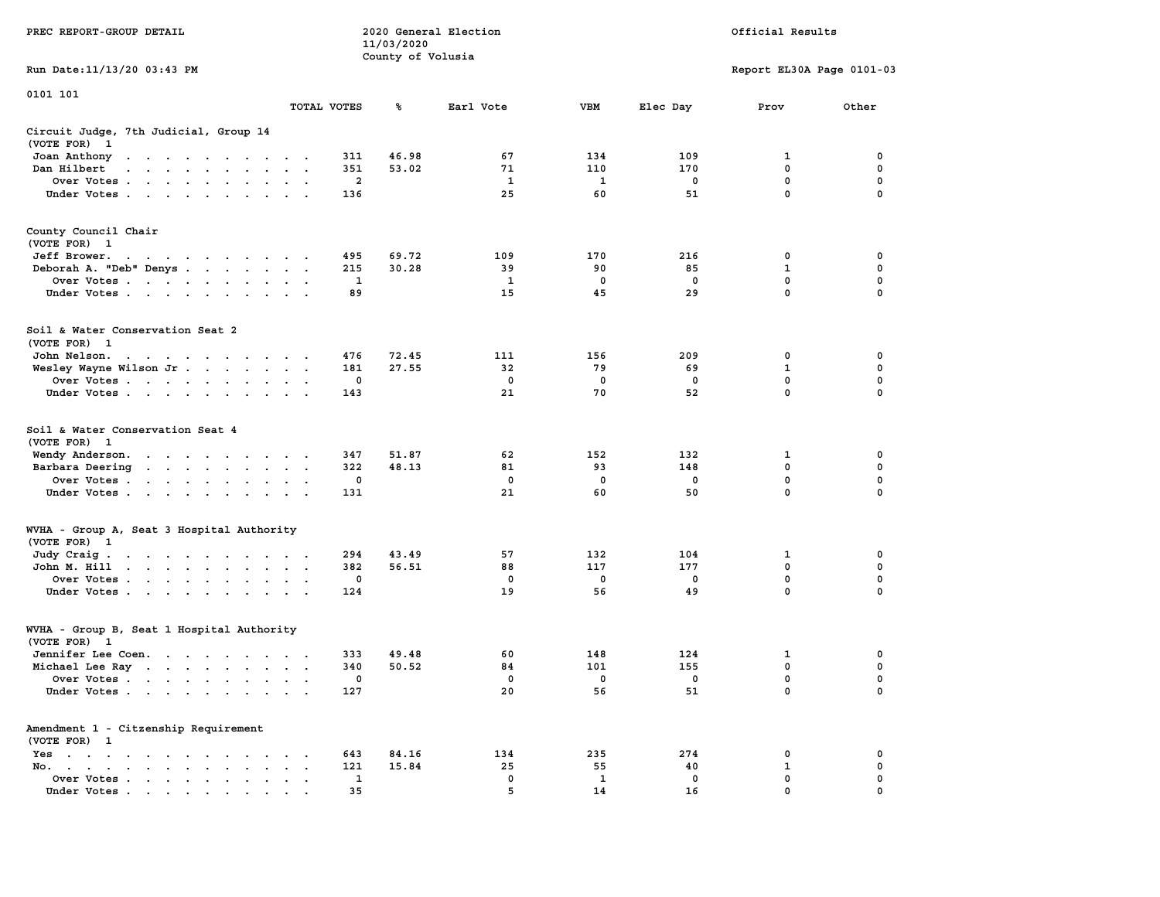|                                                                                                                                    |                                                            | 11/03/2020        |              |              |             |                           |             |
|------------------------------------------------------------------------------------------------------------------------------------|------------------------------------------------------------|-------------------|--------------|--------------|-------------|---------------------------|-------------|
|                                                                                                                                    |                                                            | County of Volusia |              |              |             |                           |             |
| Run Date:11/13/20 03:43 PM                                                                                                         |                                                            |                   |              |              |             | Report EL30A Page 0101-03 |             |
| 0101 101                                                                                                                           |                                                            |                   |              |              |             |                           |             |
|                                                                                                                                    | TOTAL VOTES                                                | ℁                 | Earl Vote    | <b>VBM</b>   | Elec Day    | Prov                      | Other       |
| Circuit Judge, 7th Judicial, Group 14                                                                                              |                                                            |                   |              |              |             |                           |             |
| (VOTE FOR)<br>$\mathbf{1}$                                                                                                         |                                                            |                   |              |              |             |                           |             |
| Joan Anthony<br>the contract of the contract of the                                                                                | 311<br>.                                                   | 46.98             | 67           | 134          | 109         | 1                         | 0           |
| Dan Hilbert<br>$\sim$<br>and the contract of the contract of                                                                       | 351<br>$\sim$                                              | 53.02             | 71           | 110          | 170         | 0                         | 0           |
| Over Votes<br>$\sim$<br>$\cdot$                                                                                                    | $\overline{a}$<br>$\ddot{\phantom{a}}$                     |                   | $\mathbf{1}$ | $\mathbf{1}$ | $\mathbf 0$ | $\mathbf 0$               | $\mathbf 0$ |
| Under Votes                                                                                                                        | 136                                                        |                   | 25           | 60           | 51          | 0                         | 0           |
| County Council Chair                                                                                                               |                                                            |                   |              |              |             |                           |             |
| (VOTE FOR) 1                                                                                                                       |                                                            |                   |              |              |             |                           |             |
| Jeff Brower.                                                                                                                       | 495                                                        | 69.72             | 109          | 170          | 216         | 0                         | 0           |
| the contract of the contract of the con-<br>Deborah A. "Deb" Denys                                                                 | 215<br>$\sim$ $\sim$                                       | 30.28             | 39           | 90           | 85          | 1                         | $\mathbf 0$ |
|                                                                                                                                    | $\mathbf{1}$                                               |                   | 1            | $\mathbf 0$  | $\mathbf 0$ | $\mathbf 0$               | $\mathbf 0$ |
| Over Votes<br>$\ddot{\phantom{a}}$                                                                                                 | 89                                                         |                   | 15           | 45           | 29          | $\mathbf{0}$              | $\mathbf 0$ |
| Under Votes<br>$\overline{\phantom{a}}$                                                                                            | $\cdot$ $\cdot$                                            |                   |              |              |             |                           |             |
| Soil & Water Conservation Seat 2                                                                                                   |                                                            |                   |              |              |             |                           |             |
| (VOTE FOR) 1                                                                                                                       |                                                            |                   |              |              |             |                           |             |
| John Nelson.<br>the contract of the contract of the<br>$\sim$<br>$\ddot{\phantom{0}}$                                              | 476                                                        | 72.45             | 111          | 156          | 209         | 0                         | 0           |
| Wesley Wayne Wilson Jr<br>$\ddot{\phantom{a}}$                                                                                     | 181<br>$\ddot{\phantom{a}}$<br>$\blacksquare$ .            | 27.55             | 32           | 79           | 69          | 1                         | 0           |
| Over Votes                                                                                                                         | 0<br>$\ddot{\phantom{a}}$                                  |                   | $\Omega$     | 0            | $^{\circ}$  | $\mathbf{0}$              | $\mathbf 0$ |
| Under Votes<br>$\cdot$                                                                                                             | 143<br>$\cdot$                                             |                   | 21           | 70           | 52          | 0                         | 0           |
| Soil & Water Conservation Seat 4<br>(VOTE FOR)<br>$\mathbf{1}$                                                                     |                                                            |                   |              |              |             |                           |             |
| Wendy Anderson.<br>the contract of the contract of the                                                                             | 347<br>$\cdot$ $\cdot$                                     | 51.87             | 62           | 152          | 132         | 1                         | 0           |
| Barbara Deering<br>$\mathcal{A}=\mathcal{A}=\mathcal{A}=\mathcal{A}=\mathcal{A}$ .<br>$\ddot{\phantom{0}}$<br>$\ddot{\phantom{a}}$ | 322<br>$\ddot{\phantom{a}}$<br>$\ddot{\phantom{a}}$        | 48.13             | 81           | 93           | 148         | 0                         | 0           |
| Over Votes<br>$\cdot$                                                                                                              | 0                                                          |                   | 0            | 0            | $\mathbf 0$ | $\mathbf 0$               | $\mathbf 0$ |
| Under Votes<br>$\cdot$                                                                                                             | 131                                                        |                   | 21           | 60           | 50          | $\mathbf 0$               | $\mathbf 0$ |
| WVHA - Group A, Seat 3 Hospital Authority                                                                                          |                                                            |                   |              |              |             |                           |             |
| (VOTE FOR) 1                                                                                                                       |                                                            |                   |              |              |             |                           |             |
| Judy Craig.<br>the contract of the contract of the                                                                                 | 294                                                        | 43.49             | 57           | 132          | 104         | 1                         | 0           |
| the contract of the contract of<br>John M. Hill<br>$\ddot{\phantom{0}}$<br>$\ddot{\phantom{a}}$                                    | 382<br>$\bullet$<br>$\ddot{\phantom{a}}$                   | 56.51             | 88           | 117          | 177         | 0                         | 0           |
| Over Votes<br>$\blacksquare$ .                                                                                                     | 0<br>$\cdot$                                               |                   | 0            | 0            | 0           | 0                         | 0           |
| Under Votes<br>$\ddot{\phantom{a}}$<br>$\ddot{\phantom{a}}$                                                                        | 124                                                        |                   | 19           | 56           | 49          | $\mathbf 0$               | 0           |
| WVHA - Group B, Seat 1 Hospital Authority                                                                                          |                                                            |                   |              |              |             |                           |             |
| (VOTE FOR)<br>- 1                                                                                                                  |                                                            |                   |              |              |             |                           |             |
| Jennifer Lee Coen.                                                                                                                 | 333                                                        | 49.48             | 60           | 148          | 124         | 1                         | 0           |
| Michael Lee Ray                                                                                                                    | 340<br>$\mathbf{z} = \mathbf{z} + \mathbf{z} + \mathbf{z}$ | 50.52             | 84           | 101          | 155         | 0                         | 0           |
| Over Votes<br>$\sim$<br>$\ddot{\phantom{a}}$                                                                                       | 0<br>$\bullet$<br>$\ddot{\phantom{a}}$                     |                   | 0            | 0            | 0           | 0                         | 0           |
| Under Votes                                                                                                                        | 127                                                        |                   | 20           | 56           | 51          | $\mathbf{0}$              | $\mathbf 0$ |
| Amendment 1 - Citzenship Requirement                                                                                               |                                                            |                   |              |              |             |                           |             |
| (VOTE FOR) 1                                                                                                                       |                                                            |                   |              |              |             |                           |             |
| $Yes \t . \t .$<br>$\bullet$<br>$\ddot{\phantom{0}}$<br>$\ddot{\phantom{1}}$<br>$\sim$<br>$\cdot$<br>$\cdot$<br>$\cdot$            | 643                                                        | 84.16             | 134          | 235          | 274         | 0                         | 0           |
| No.<br>the contract of the contract of the<br>$\mathbf{r} = \mathbf{r}$                                                            | 121                                                        | 15.84             | 25           | 55           | 40          | 1                         | 0           |
| Over Votes<br>$\ddot{\phantom{a}}$<br>$\blacksquare$ .<br>$\bullet$                                                                | 1                                                          |                   | $\mathbf 0$  | 1            | $\mathbf 0$ | 0                         | 0           |
| Under Votes, , , , , , ,<br>$\sim$                                                                                                 | 35                                                         |                   | 5            | 14           | 16          | $\Omega$                  | $\mathbf 0$ |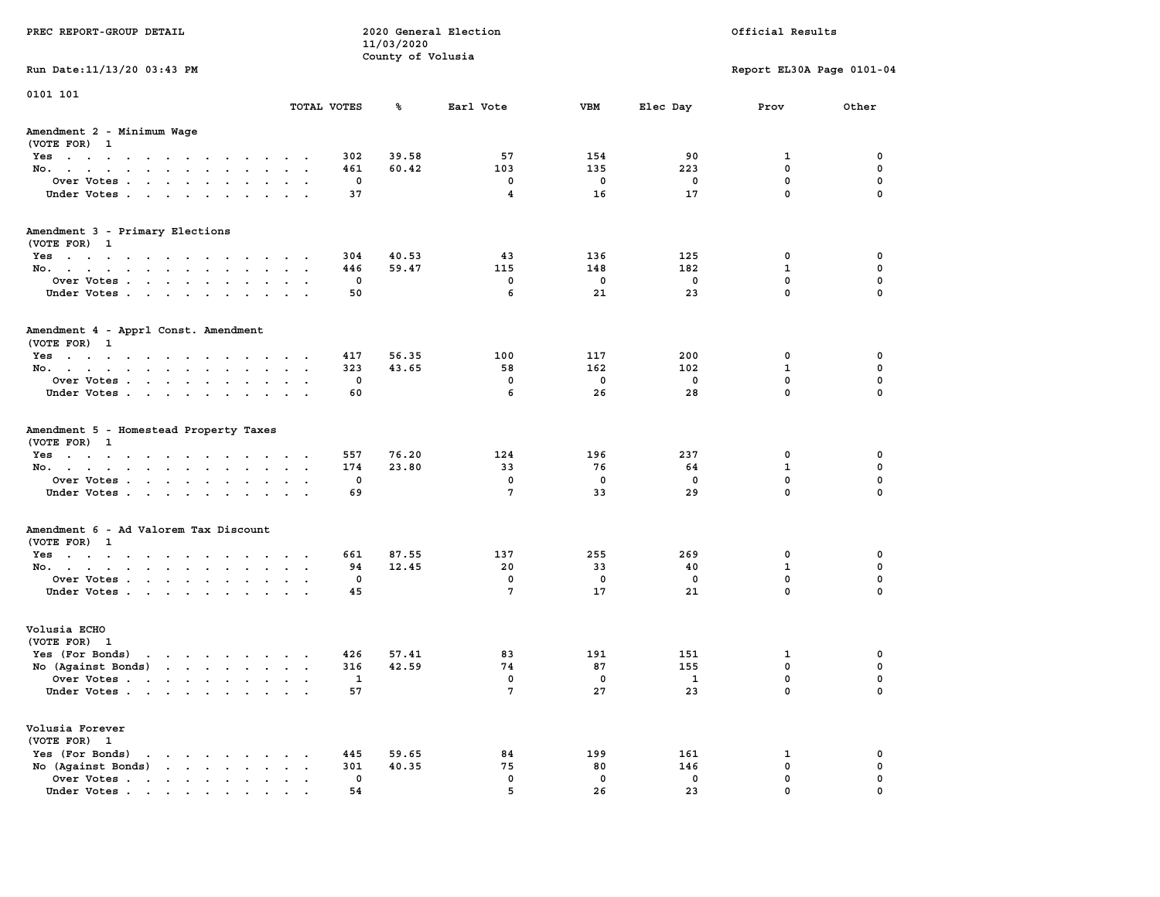| PREC REPORT-GROUP DETAIL                                                                       |                       | 11/03/2020        | 2020 General Election             | Official Results     |                                |                                                 |                         |
|------------------------------------------------------------------------------------------------|-----------------------|-------------------|-----------------------------------|----------------------|--------------------------------|-------------------------------------------------|-------------------------|
|                                                                                                |                       | County of Volusia |                                   |                      |                                |                                                 |                         |
| Run Date: 11/13/20 03:43 PM                                                                    |                       |                   |                                   |                      |                                | Report EL30A Page 0101-04                       |                         |
| 0101 101                                                                                       |                       |                   |                                   |                      |                                |                                                 |                         |
|                                                                                                | TOTAL VOTES           | ℁                 | Earl Vote                         | <b>VBM</b>           | Elec Day                       | Prov                                            | Other                   |
| Amendment 2 - Minimum Wage<br>(VOTE FOR) 1                                                     |                       |                   |                                   |                      |                                |                                                 |                         |
| Yes                                                                                            | 302                   | 39.58             | 57                                | 154                  | 90                             | 1                                               | 0                       |
| No.                                                                                            | 461                   | 60.42             | 103                               | 135                  | 223                            | $\mathbf 0$                                     | $\mathbf 0$             |
| Over Votes.                                                                                    | 0                     |                   | 0                                 | 0                    | 0                              | $\mathbf 0$                                     | 0                       |
| Under Votes                                                                                    | 37                    |                   | 4                                 | 16                   | 17                             | $\mathbf 0$                                     | $\Omega$                |
| Amendment 3 - Primary Elections                                                                |                       |                   |                                   |                      |                                |                                                 |                         |
| (VOTE FOR) 1                                                                                   |                       |                   |                                   |                      |                                |                                                 |                         |
| Yes                                                                                            | 304<br>446            | 40.53<br>59.47    | 43<br>115                         | 136<br>148           | 125<br>182                     | 0<br>$\mathbf{1}$                               | 0<br>0                  |
| No.<br>Over Votes                                                                              | 0                     |                   | 0                                 | 0                    | $\mathbf 0$                    | $\mathbf 0$                                     | $\mathbf 0$             |
| Under Votes                                                                                    | 50                    |                   | 6                                 | 21                   | 23                             | $\mathbf{0}$                                    | $\Omega$                |
|                                                                                                |                       |                   |                                   |                      |                                |                                                 |                         |
| Amendment 4 - Apprl Const. Amendment<br>(VOTE FOR) 1                                           |                       |                   |                                   |                      |                                |                                                 |                         |
| Yes                                                                                            | 417                   | 56.35             | 100                               | 117                  | 200                            | 0                                               | 0                       |
| No.                                                                                            | 323                   | 43.65             | 58                                | 162                  | 102                            | 1                                               | 0                       |
| Over Votes                                                                                     | 0                     |                   | $\mathbf 0$                       | $\mathbf 0$          | $\mathbf 0$                    | 0                                               | $\mathbf 0$             |
| Under Votes                                                                                    | 60                    |                   | 6                                 | 26                   | 28                             | $\mathbf 0$                                     | $\mathbf 0$             |
| (VOTE FOR) 1<br>Yes<br>No.<br>Over Votes<br>Under Votes                                        | 557<br>174<br>0<br>69 | 76.20<br>23.80    | 124<br>33<br>0<br>$7\phantom{.0}$ | 196<br>76<br>0<br>33 | 237<br>64<br>0<br>29           | 0<br>$\mathbf{1}$<br>$\mathbf 0$<br>$\mathbf 0$ | 0<br>0<br>0<br>$\Omega$ |
| Amendment 6 - Ad Valorem Tax Discount                                                          |                       |                   |                                   |                      |                                |                                                 |                         |
| (VOTE FOR) 1                                                                                   |                       |                   |                                   |                      |                                |                                                 |                         |
| Yes                                                                                            | 661                   | 87.55             | 137                               | 255                  | 269                            | 0                                               | 0                       |
| No.                                                                                            | 94                    | 12.45             | 20                                | 33                   | 40                             | $\mathbf{1}$                                    | 0                       |
| Over Votes                                                                                     | 0                     |                   | $\mathbf 0$                       | 0                    | 0                              | $\mathbf 0$                                     | 0                       |
| Under Votes                                                                                    | 45                    |                   | 7                                 | 17                   | 21                             | 0                                               | $\Omega$                |
| Volusia ECHO                                                                                   |                       |                   |                                   |                      |                                |                                                 |                         |
| (VOTE FOR) 1                                                                                   |                       |                   |                                   |                      |                                |                                                 |                         |
| Yes (For Bonds) $\cdots$ $\cdots$ $\cdots$ $\cdots$                                            | 426                   | 57.41             | 83                                | 191                  | 151                            | 1<br>$\mathbf 0$                                | 0<br>0                  |
| No (Against Bonds)                                                                             | 316                   | 42.59             | 74<br>$\mathbf 0$                 | 87<br>0              | 155                            | $\mathbf{0}$                                    | $\mathbf 0$             |
| Over Votes<br>Under Votes                                                                      | $\mathbf{1}$<br>57    |                   | 7                                 | 27                   | $\overline{\phantom{0}}$<br>23 | 0                                               | 0                       |
| Volusia Forever                                                                                |                       |                   |                                   |                      |                                |                                                 |                         |
| (VOTE FOR) 1<br>Yes (For Bonds)                                                                |                       |                   |                                   |                      |                                |                                                 |                         |
| $\mathbf{r}$ , $\mathbf{r}$ , $\mathbf{r}$ , $\mathbf{r}$ , $\mathbf{r}$<br>No (Against Bonds) | 445<br>301            | 59.65<br>40.35    | 84<br>75                          | 199<br>80            | 161<br>146                     | 1<br>$\mathbf 0$                                | 0<br>$\mathbf 0$        |
| Over Votes                                                                                     | 0                     |                   | $\mathbf 0$                       | $\mathbf 0$          | 0                              | 0                                               | 0                       |
| Under Votes                                                                                    | 54                    |                   | 5                                 | 26                   | 23                             | 0                                               |                         |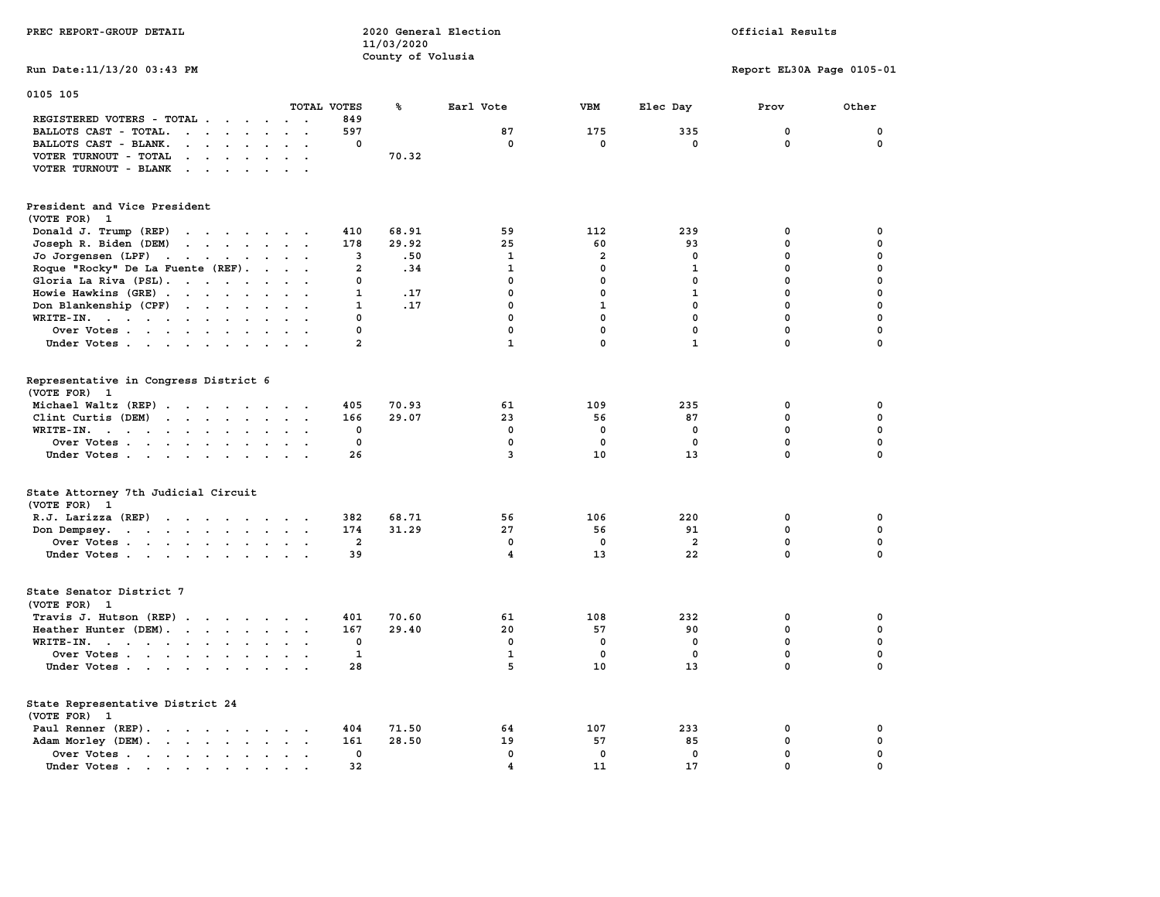|                                                                                                                                                                                                                                                                           |                                          |                       | County of Volusia |                         |                   |                               |                           |                  |
|---------------------------------------------------------------------------------------------------------------------------------------------------------------------------------------------------------------------------------------------------------------------------|------------------------------------------|-----------------------|-------------------|-------------------------|-------------------|-------------------------------|---------------------------|------------------|
| Run Date: 11/13/20 03:43 PM                                                                                                                                                                                                                                               |                                          |                       |                   |                         |                   |                               | Report EL30A Page 0105-01 |                  |
| 0105 105                                                                                                                                                                                                                                                                  |                                          |                       |                   |                         |                   |                               |                           |                  |
|                                                                                                                                                                                                                                                                           |                                          | TOTAL VOTES           | ጜ                 | Earl Vote               | VBM               | Elec Day                      | Prov                      | Other            |
| REGISTERED VOTERS - TOTAL .<br>$\sim$ $\sim$<br>$\sim$                                                                                                                                                                                                                    |                                          | 849                   |                   |                         |                   |                               |                           |                  |
| BALLOTS CAST - TOTAL.<br>$\mathbf{r}$ , $\mathbf{r}$<br>$\ddot{\phantom{a}}$<br>$\sim$                                                                                                                                                                                    | $\mathbf{r}$<br>$\overline{\phantom{a}}$ | 597<br>0              |                   | 87<br>0                 | 175<br>0          | 335<br>0                      | 0<br>$\mathbf 0$          | 0<br>0           |
| BALLOTS CAST - BLANK.<br>$\cdot$ $\cdot$ $\cdot$<br>$\ddot{\phantom{a}}$<br>$\sim$                                                                                                                                                                                        |                                          |                       |                   |                         |                   |                               |                           |                  |
| VOTER TURNOUT - TOTAL<br><b>Service Control</b><br>$\ddot{\phantom{a}}$                                                                                                                                                                                                   |                                          |                       | 70.32             |                         |                   |                               |                           |                  |
| VOTER TURNOUT - BLANK<br>$\sim$ $\sim$ $\sim$ $\sim$<br>$\ddot{\phantom{a}}$                                                                                                                                                                                              |                                          |                       |                   |                         |                   |                               |                           |                  |
| President and Vice President                                                                                                                                                                                                                                              |                                          |                       |                   |                         |                   |                               |                           |                  |
| (VOTE FOR) 1                                                                                                                                                                                                                                                              |                                          |                       |                   |                         |                   |                               |                           |                  |
| Donald J. Trump (REP)<br>$\cdot$ $\cdot$ $\cdot$ $\cdot$ $\cdot$ $\cdot$                                                                                                                                                                                                  | $\cdot$                                  | 410                   | 68.91             | 59                      | 112               | 239                           | 0                         | 0                |
| Joseph R. Biden (DEM)<br>$\mathbf{r}$ , and $\mathbf{r}$ , and $\mathbf{r}$                                                                                                                                                                                               |                                          | 178                   | 29.92             | 25                      | 60                | 93                            | $\mathbf 0$               | 0                |
| Jo Jorgensen (LPF)<br>$\mathcal{A}=\mathcal{A}=\mathcal{A}=\mathcal{A}=\mathcal{A}$<br>$\ddot{\phantom{a}}$                                                                                                                                                               |                                          | 3                     | .50               | 1                       | 2                 | 0                             | $\mathbf 0$               | 0                |
| Roque "Rocky" De La Fuente (REF).<br>$\ddot{\phantom{a}}$                                                                                                                                                                                                                 |                                          | $\overline{a}$        | .34               | 1                       | $\mathbf 0$       | 1                             | 0                         | 0                |
| Gloria La Riva (PSL).                                                                                                                                                                                                                                                     |                                          | 0                     |                   | 0                       | 0                 | 0                             | 0                         | 0                |
| Howie Hawkins (GRE)<br>$\sim$                                                                                                                                                                                                                                             |                                          | 1                     | .17               | 0                       | 0                 | 1                             | 0                         | 0                |
| Don Blankenship (CPF)<br>$\mathcal{L}(\mathcal{A})$ , and $\mathcal{A}(\mathcal{A})$<br>$\bullet$<br>$\bullet$<br>$\bullet$                                                                                                                                               |                                          | 1                     | .17               | $\mathbf{0}$            | $\mathbf{1}$      | $\mathbf{0}$                  | $\mathbf 0$               | $\mathbf 0$      |
| WRITE-IN.<br>$\ddot{\phantom{a}}$                                                                                                                                                                                                                                         |                                          | 0                     |                   | 0                       | $\mathbf 0$       | $\mathbf 0$                   | $\mathbf 0$               | 0                |
| Over Votes                                                                                                                                                                                                                                                                |                                          | $\mathbf 0$           |                   | $\mathbf 0$             | $\mathbf 0$       | $\mathbf 0$                   | $\mathbf 0$               | $\mathbf 0$      |
| Under Votes<br>$\ddot{\phantom{a}}$                                                                                                                                                                                                                                       | $\cdot$                                  | $\overline{a}$        |                   | $\mathbf{1}$            | $\mathbf 0$       | $\mathbf{1}$                  | $\mathbf 0$               | 0                |
| Representative in Congress District 6<br>(VOTE FOR) 1                                                                                                                                                                                                                     |                                          |                       |                   |                         |                   |                               |                           |                  |
| Michael Waltz (REP)<br>$\overline{\phantom{a}}$<br>$\overline{\phantom{a}}$                                                                                                                                                                                               |                                          | 405                   | 70.93             | 61                      | 109               | 235                           | 0                         | 0                |
| Clint Curtis (DEM)<br>$\sim$                                                                                                                                                                                                                                              | $\ddot{\phantom{0}}$                     | 166                   | 29.07             | 23                      | 56                | 87                            | $\mathbf 0$               | $\mathbf 0$      |
| $WRITE-IN.$<br>$\ddot{\phantom{a}}$<br>$\ddot{\phantom{a}}$<br>$\ddot{\phantom{a}}$                                                                                                                                                                                       | $\cdot$                                  | 0                     |                   | $\mathbf 0$             | 0                 | 0                             | $\mathbf 0$               | 0                |
| Over Votes<br>$\ddot{\phantom{a}}$<br>$\ddot{\phantom{a}}$                                                                                                                                                                                                                |                                          | 0                     |                   | $\mathbf 0$             | $\mathbf 0$       | $\mathbf 0$                   | $\mathbf 0$               | $\mathbf 0$      |
| Under Votes                                                                                                                                                                                                                                                               |                                          | 26                    |                   | 3                       | 10                | 13                            | $\Omega$                  | $\mathbf 0$      |
| State Attorney 7th Judicial Circuit                                                                                                                                                                                                                                       |                                          |                       |                   |                         |                   |                               |                           |                  |
| (VOTE FOR) 1                                                                                                                                                                                                                                                              |                                          |                       |                   | 56                      |                   |                               | $\mathbf 0$               |                  |
| R.J. Larizza (REP)                                                                                                                                                                                                                                                        |                                          | 382                   | 68.71             |                         | 106               | 220                           |                           | 0                |
| Don Dempsey.<br>$\mathbf{r}$ . The contract of the contract of the contract of the contract of the contract of the contract of the contract of the contract of the contract of the contract of the contract of the contract of the contract of th<br>$\ddot{\phantom{0}}$ |                                          | 174<br>$\overline{a}$ | 31.29             | 27<br>$\mathbf{0}$      | 56<br>$\mathbf 0$ | 91                            | 0<br>$\mathbf 0$          | 0<br>$\mathbf 0$ |
| Over Votes                                                                                                                                                                                                                                                                |                                          |                       |                   | $\overline{\mathbf{4}}$ |                   | $\overline{\mathbf{2}}$<br>22 | $\mathbf 0$               | $\mathbf 0$      |
| Under Votes<br>$\ddot{\phantom{a}}$                                                                                                                                                                                                                                       |                                          | 39                    |                   |                         | 13                |                               |                           |                  |
| State Senator District 7<br>(VOTE FOR) 1                                                                                                                                                                                                                                  |                                          |                       |                   |                         |                   |                               |                           |                  |
| Travis J. Hutson (REP).<br>$\cdots$<br>$\sim$                                                                                                                                                                                                                             |                                          | 401                   | 70.60             | 61                      | 108               | 232                           | 0                         | 0                |
| Heather Hunter (DEM).                                                                                                                                                                                                                                                     |                                          | 167                   | 29.40             | 20                      | 57                | 90                            | $\mathbf 0$               | $\mathbf 0$      |
| WRITE-IN.<br>the contract of the contract of the<br>$\sim$<br>$\overline{a}$<br>$\overline{a}$                                                                                                                                                                            |                                          | 0                     |                   | $\mathbf 0$             | 0                 | 0                             | $\mathbf 0$               | 0                |
| Over Votes<br>$\sim$                                                                                                                                                                                                                                                      |                                          | 1                     |                   | $\mathbf{1}$            | 0                 | 0                             | $\mathbf 0$               | 0                |
| Under Votes<br>$\overline{\phantom{a}}$                                                                                                                                                                                                                                   |                                          | 28                    |                   | 5                       | 10                | 13                            | 0                         | $\Omega$         |
| State Representative District 24<br>(VOTE FOR) 1                                                                                                                                                                                                                          |                                          |                       |                   |                         |                   |                               |                           |                  |
| Paul Renner (REP).                                                                                                                                                                                                                                                        |                                          | 404                   | 71.50             | 64                      | 107               | 233                           | 0                         | 0                |
|                                                                                                                                                                                                                                                                           |                                          | 161                   | 28.50             | 19                      | 57                | 85                            | $\mathbf 0$               | 0                |
| Adam Morley (DEM).<br>$\sim$<br>$\ddot{\phantom{a}}$<br>Over Votes.                                                                                                                                                                                                       |                                          | $\mathbf 0$           |                   | $\mathbf{0}$            | $\mathbf{0}$      | $\mathbf{0}$                  | $\mathbf 0$               | $\mathbf 0$      |
| $\mathbf{r}$ , and $\mathbf{r}$ , and $\mathbf{r}$<br>$\ddot{\phantom{a}}$<br>$\ddot{\phantom{a}}$<br>Under Votes.                                                                                                                                                        |                                          | 32                    |                   | 4                       | 11                | 17                            | $\Omega$                  | $\Omega$         |
| $\sim$ $\sim$ $\sim$ $\sim$ $\sim$<br>$\bullet$<br>$\bullet$                                                                                                                                                                                                              |                                          |                       |                   |                         |                   |                               |                           |                  |

**PREC REPORT-GROUP DETAIL COMPUTER CONSUMING A LOCAL PRECIST CONSUMING A LOCAL RESULTS OF A LOCAL PRECIST** 

 **11/03/2020**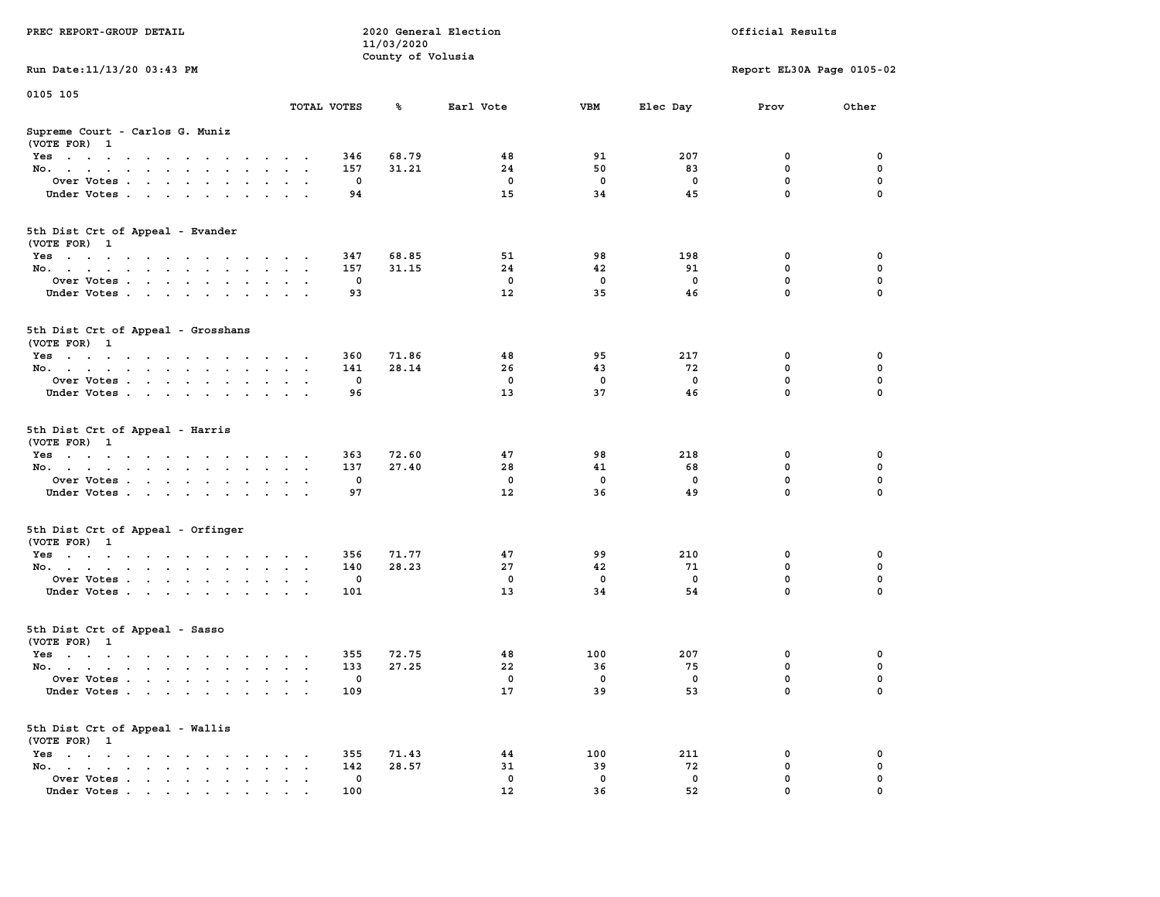|                                                                                                                                                |                                              |             | 11/03/2020        |             |             |              |                           |             |
|------------------------------------------------------------------------------------------------------------------------------------------------|----------------------------------------------|-------------|-------------------|-------------|-------------|--------------|---------------------------|-------------|
|                                                                                                                                                |                                              |             | County of Volusia |             |             |              |                           |             |
| Run Date: 11/13/20 03:43 PM                                                                                                                    |                                              |             |                   |             |             |              | Report EL30A Page 0105-02 |             |
| 0105 105                                                                                                                                       |                                              |             |                   |             |             |              |                           |             |
|                                                                                                                                                |                                              | TOTAL VOTES | ℁                 | Earl Vote   | <b>VBM</b>  | Elec Day     | Prov                      | Other       |
|                                                                                                                                                |                                              |             |                   |             |             |              |                           |             |
| Supreme Court - Carlos G. Muniz<br>(VOTE FOR) 1                                                                                                |                                              |             |                   |             |             |              |                           |             |
| $Yes \cdot \cdot \cdot \cdot \cdot \cdot \cdot \cdot \cdot$<br>$\ddot{\phantom{1}}$<br><b>Contract Contract</b>                                | $\sim$ $\sim$                                | 346         | 68.79             | 48          | 91          | 207          | 0                         | 0           |
| No.<br>$\sim$ 100 $\sim$<br>$\mathbf{r}$<br>$\sim$<br>$\sim$                                                                                   |                                              | 157         | 31.21             | 24          | 50          | 83           | 0                         | 0           |
| Over Votes<br>$\ddot{\phantom{a}}$<br>$\ddot{\phantom{a}}$<br>$\cdot$                                                                          | $\sim$                                       | $\mathbf 0$ |                   | $\mathbf 0$ | $\mathbf 0$ | $\mathbf 0$  | $\mathbf 0$               | $\mathbf 0$ |
| Under Votes<br>$\ddot{\phantom{a}}$                                                                                                            | $\cdot$ .                                    | 94          |                   | 15          | 34          | 45           | $\mathbf 0$               | $\mathbf 0$ |
|                                                                                                                                                |                                              |             |                   |             |             |              |                           |             |
| 5th Dist Crt of Appeal - Evander<br>(VOTE FOR) 1                                                                                               |                                              |             |                   |             |             |              |                           |             |
| Yes                                                                                                                                            | $\cdot$                                      | 347         | 68.85             | 51          | 98          | 198          | 0                         | 0           |
| No.<br>$\sim$                                                                                                                                  | $\sim$ $\sim$                                | 157         | 31.15             | 24          | 42          | 91           | 0                         | 0           |
| Over Votes<br>$\ddot{\phantom{0}}$<br>$\ddot{\phantom{a}}$<br>$\ddot{\phantom{1}}$<br>$\ddot{\phantom{1}}$                                     |                                              | 0           |                   | $\mathbf 0$ | 0           | 0            | 0                         | $\pmb{0}$   |
| Under Votes<br>$\sim$ $\sim$<br>$\overline{\phantom{a}}$                                                                                       |                                              | 93          |                   | 12          | 35          | 46           | $\mathbf 0$               | $\mathbf 0$ |
|                                                                                                                                                |                                              |             |                   |             |             |              |                           |             |
| 5th Dist Crt of Appeal - Grosshans<br>(VOTE FOR) 1                                                                                             |                                              |             |                   |             |             |              |                           |             |
| $Yes \cdot \cdot \cdot \cdot \cdot \cdot \cdot \cdot$<br>$\sim$ $\sim$<br>$\ddot{\phantom{1}}$                                                 | $\cdot$                                      | 360         | 71.86             | 48          | 95          | 217          | 0                         | 0           |
| No.<br>$\ddot{\phantom{0}}$<br>$\bullet$<br>$\bullet$<br>$\blacksquare$                                                                        | $\cdot$<br>$\bullet$                         | 141         | 28.14             | 26          | 43          | 72           | $\mathbf 0$               | $\mathbf 0$ |
| Over Votes                                                                                                                                     | $\ddot{\phantom{a}}$                         | $\mathbf 0$ |                   | $\mathbf 0$ | $\mathbf 0$ | 0            | 0                         | 0           |
| Under Votes<br>$\sim$ $\sim$<br>$\sim$<br>$\ddot{\phantom{1}}$<br>$\ddot{\phantom{a}}$                                                         | $\mathbf{A}$                                 | 96          |                   | 13          | 37          | 46           | $\mathbf 0$               | $\mathbf 0$ |
|                                                                                                                                                |                                              |             |                   |             |             |              |                           |             |
| 5th Dist Crt of Appeal - Harris<br>(VOTE FOR) 1                                                                                                |                                              |             |                   |             |             |              |                           |             |
| Yes                                                                                                                                            | $\sim$                                       | 363         | 72.60             | 47          | 98          | 218          | 0                         | 0           |
| No.<br>$\sim$<br>$\sim$<br>$\ddot{\phantom{a}}$<br>$\cdot$                                                                                     | $\ddot{\phantom{a}}$<br>$\ddot{\phantom{a}}$ | 137         | 27.40             | 28          | 41          | 68           | 0                         | 0           |
| Over Votes                                                                                                                                     |                                              | $\mathbf 0$ |                   | $\mathbf 0$ | $\mathbf 0$ | $\mathbf 0$  | $\mathbf 0$               | $\mathbf 0$ |
| Under Votes<br>$\ddot{\phantom{0}}$<br>$\ddot{\phantom{a}}$<br>$\ddot{\phantom{a}}$<br>$\sim$                                                  |                                              | 97          |                   | 12          | 36          | 49           | $\mathbf 0$               | $\mathbf 0$ |
|                                                                                                                                                |                                              |             |                   |             |             |              |                           |             |
| 5th Dist Crt of Appeal - Orfinger<br>(VOTE FOR) 1                                                                                              |                                              |             |                   |             |             |              |                           |             |
| Yes                                                                                                                                            |                                              | 356         | 71.77             | 47          | 99          | 210          | $\mathbf 0$               | $\mathbf 0$ |
| No.<br>$\sim$                                                                                                                                  | $\sim$ $\sim$                                | 140         | 28.23             | 27          | 42          | 71           | $\mathbf 0$               | $\mathbf 0$ |
| Over Votes<br>$\cdot$                                                                                                                          | $\cdot$<br>$\ddot{\phantom{a}}$              | $\mathbf 0$ |                   | $\mathbf 0$ | $\mathbf 0$ | $\mathbf 0$  | $\mathbf 0$               | 0           |
| Under Votes                                                                                                                                    |                                              | 101         |                   | 13          | 34          | 54           | $\mathbf 0$               | 0           |
|                                                                                                                                                |                                              |             |                   |             |             |              |                           |             |
| 5th Dist Crt of Appeal - Sasso                                                                                                                 |                                              |             |                   |             |             |              |                           |             |
| (VOTE FOR) 1                                                                                                                                   |                                              |             |                   |             |             |              | 0                         | 0           |
| Yes                                                                                                                                            | $\sim$ $\sim$                                | 355         | 72.75             | 48          | 100         | 207          |                           |             |
| No.<br>$\cdot$ $\cdot$ $\cdot$ $\cdot$                                                                                                         | $\sim$ $\sim$                                | 133         | 27.25             | 22          | 36          | 75           | 0                         | $\mathbf 0$ |
| Over Votes .<br>$\cdot$ $\cdot$ $\cdot$<br>$\sim$<br>$\ddot{\phantom{a}}$<br>$\ddot{\phantom{a}}$<br>$\ddot{\phantom{a}}$                      | $\sim$<br>$\ddot{\phantom{a}}$               | 0           |                   | $\mathbf 0$ | $\mathbf 0$ | $\mathbf{o}$ | $\mathbf 0$               | $\mathbf 0$ |
| Under Votes                                                                                                                                    |                                              | 109         |                   | 17          | 39          | 53           | $\mathbf 0$               | $\mathbf 0$ |
| 5th Dist Crt of Appeal - Wallis                                                                                                                |                                              |             |                   |             |             |              |                           |             |
| (VOTE FOR) 1                                                                                                                                   |                                              |             |                   |             |             |              |                           |             |
| $Yes \t . \t .$<br>the contract of the contract of<br>$\blacksquare$ .<br>$\sim$<br>$\ddot{\phantom{1}}$                                       |                                              | 355         | 71.43             | 44          | 100         | 211          | 0                         | 0           |
| No.<br>$\mathcal{A}=\mathcal{A}=\mathcal{A}=\mathcal{A}=\mathcal{A}=\mathcal{A}$ .<br>$\cdots$<br>$\ddot{\phantom{a}}$<br>$\bullet$<br>$\cdot$ | $\ddot{\phantom{a}}$                         | 142         | 28.57             | 31          | 39          | 72           | $\mathbf 0$               | 0           |
| Over Votes .<br>$\mathcal{L}(\mathcal{A})$ , and $\mathcal{L}(\mathcal{A})$<br>$\sim$ $\sim$ $\sim$<br>$\blacksquare$ .<br>$\bullet$           | $\ddot{\phantom{a}}$                         | 0           |                   | $\mathbf 0$ | 0           | 0            | 0                         | $\mathbf 0$ |
| Under Votes<br>$\mathbf{r}$ , and $\mathbf{r}$ , and $\mathbf{r}$ , and $\mathbf{r}$                                                           |                                              | 100         |                   | 12          | 36          | 52           | 0                         | $\mathbf 0$ |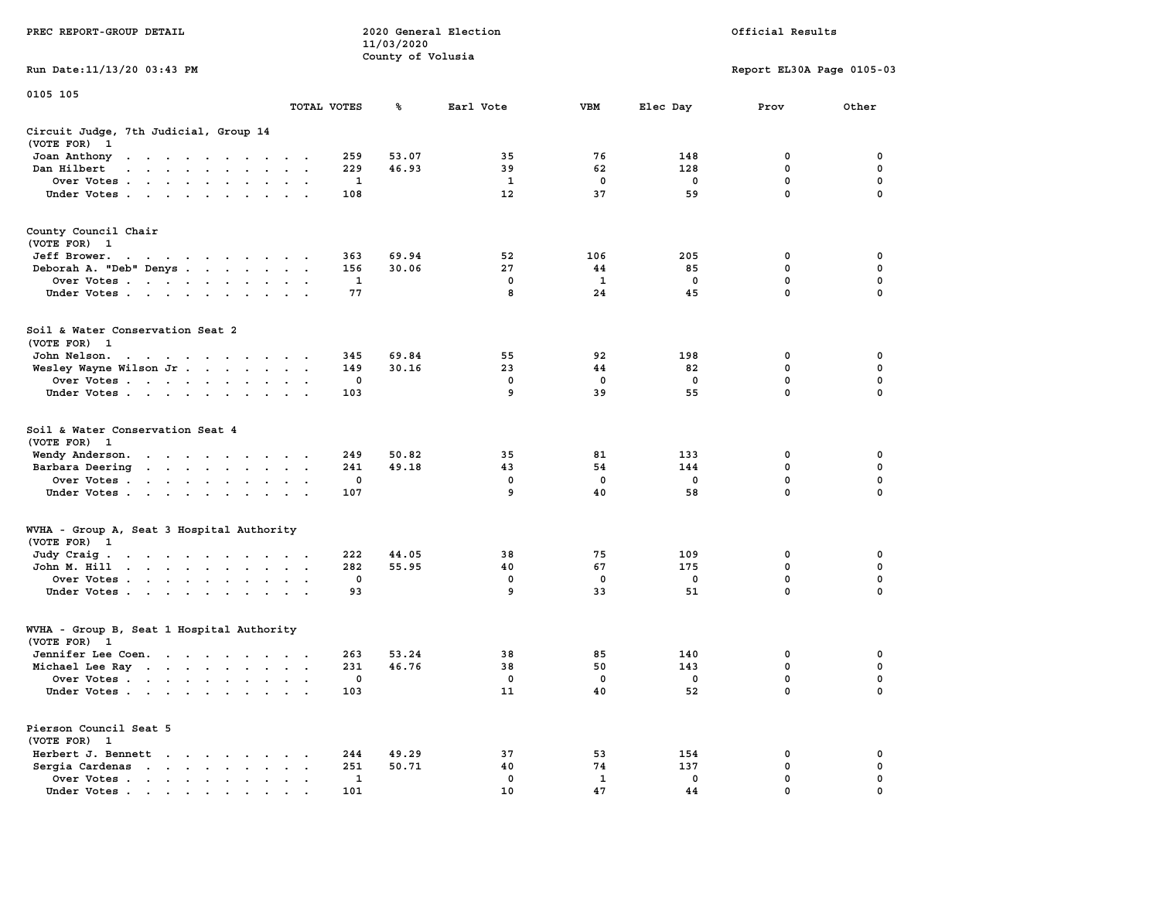|                                                                                                                                                                                                                                               |                                              | 11/03/2020        |                   |             |             |                           |             |
|-----------------------------------------------------------------------------------------------------------------------------------------------------------------------------------------------------------------------------------------------|----------------------------------------------|-------------------|-------------------|-------------|-------------|---------------------------|-------------|
|                                                                                                                                                                                                                                               |                                              | County of Volusia |                   |             |             |                           |             |
| Run Date: 11/13/20 03:43 PM                                                                                                                                                                                                                   |                                              |                   |                   |             |             | Report EL30A Page 0105-03 |             |
|                                                                                                                                                                                                                                               |                                              |                   |                   |             |             |                           |             |
| 0105 105                                                                                                                                                                                                                                      |                                              |                   |                   |             |             |                           |             |
|                                                                                                                                                                                                                                               | TOTAL VOTES                                  | ℁                 | Earl Vote         | <b>VBM</b>  | Elec Day    | Prov                      | Other       |
|                                                                                                                                                                                                                                               |                                              |                   |                   |             |             |                           |             |
|                                                                                                                                                                                                                                               |                                              |                   |                   |             |             |                           |             |
| Circuit Judge, 7th Judicial, Group 14                                                                                                                                                                                                         |                                              |                   |                   |             |             |                           |             |
| (VOTE FOR)<br>- 1                                                                                                                                                                                                                             |                                              |                   |                   |             |             |                           |             |
| Joan Anthony<br>. The contract of the contract of the contract of the contract of the contract of the contract of the contract of the contract of the contract of the contract of the contract of the contract of the contract of the contrac | 259                                          | 53.07             | 35                | 76          | 148         | $\mathbf 0$               | $\mathbf 0$ |
| Dan Hilbert<br>.                                                                                                                                                                                                                              | 229                                          | 46.93             | 39                | 62          | 128         | $\mathbf 0$               | $\mathbf 0$ |
| Over Votes                                                                                                                                                                                                                                    | 1<br>$\bullet$                               |                   | $\mathbf{1}$      | $\mathbf 0$ | $\mathbf 0$ | $\mathbf 0$               | $\mathbf 0$ |
| Under Votes                                                                                                                                                                                                                                   | 108                                          |                   | $12 \overline{ }$ | 37          | 59          | $\mathbf 0$               | 0           |
|                                                                                                                                                                                                                                               |                                              |                   |                   |             |             |                           |             |
|                                                                                                                                                                                                                                               |                                              |                   |                   |             |             |                           |             |
| County Council Chair                                                                                                                                                                                                                          |                                              |                   |                   |             |             |                           |             |
| (VOTE FOR) 1                                                                                                                                                                                                                                  |                                              |                   |                   |             |             |                           |             |
| Jeff Brower.                                                                                                                                                                                                                                  | 363                                          | 69.94             | 52                | 106         | 205         | $\mathbf 0$               | 0           |
| and a series of the contract of the                                                                                                                                                                                                           |                                              |                   |                   |             |             |                           |             |
| Deborah A. "Deb" Denys                                                                                                                                                                                                                        | 156                                          | 30.06             | 27                | 44          | 85          | $\mathbf 0$               | $\mathbf 0$ |
| Over Votes                                                                                                                                                                                                                                    | 1                                            |                   | $\mathbf 0$       | 1           | $\mathbf 0$ | 0                         | $\mathbf 0$ |
| Under Votes                                                                                                                                                                                                                                   | 77                                           |                   | 8                 | 24          | 45          | $\mathbf 0$               | 0           |
|                                                                                                                                                                                                                                               |                                              |                   |                   |             |             |                           |             |
|                                                                                                                                                                                                                                               |                                              |                   |                   |             |             |                           |             |
| Soil & Water Conservation Seat 2                                                                                                                                                                                                              |                                              |                   |                   |             |             |                           |             |
| (VOTE FOR) 1                                                                                                                                                                                                                                  |                                              |                   |                   |             |             |                           |             |
| John Nelson.<br>the contract of the contract of the contract of the contract of the contract of the contract of the contract of                                                                                                               | 345                                          | 69.84             | 55                | 92          | 198         | 0                         | 0           |
| Wesley Wayne Wilson Jr                                                                                                                                                                                                                        | 149                                          | 30.16             | 23                | 44          | 82          | $\mathbf{0}$              | $\mathbf 0$ |
|                                                                                                                                                                                                                                               | $\mathbf 0$                                  |                   | $\mathbf 0$       | $\mathbf 0$ | $\mathbf 0$ | $\mathbf 0$               | $\mathbf 0$ |
| Over Votes                                                                                                                                                                                                                                    |                                              |                   |                   |             |             |                           |             |
| Under Votes                                                                                                                                                                                                                                   | 103                                          |                   | 9                 | 39          | 55          | $\mathbf 0$               | 0           |
|                                                                                                                                                                                                                                               |                                              |                   |                   |             |             |                           |             |
|                                                                                                                                                                                                                                               |                                              |                   |                   |             |             |                           |             |
| Soil & Water Conservation Seat 4                                                                                                                                                                                                              |                                              |                   |                   |             |             |                           |             |
| (VOTE FOR)<br>$\mathbf{1}$                                                                                                                                                                                                                    |                                              |                   |                   |             |             |                           |             |
| Wendy Anderson.                                                                                                                                                                                                                               | 249<br>$\cdot$                               | 50.82             | 35                | 81          | 133         | $\mathbf 0$               | 0           |
| Barbara Deering                                                                                                                                                                                                                               | 241                                          | 49.18             | 43                | 54          | 144         | $\mathbf 0$               | $\mathbf 0$ |
| Over Votes                                                                                                                                                                                                                                    | 0                                            |                   | 0                 | $\mathbf 0$ | $\mathbf 0$ | $\mathbf 0$               | $\mathbf 0$ |
|                                                                                                                                                                                                                                               | 107                                          |                   | 9                 | 40          | 58          | $\mathbf 0$               | 0           |
| Under Votes                                                                                                                                                                                                                                   |                                              |                   |                   |             |             |                           |             |
|                                                                                                                                                                                                                                               |                                              |                   |                   |             |             |                           |             |
|                                                                                                                                                                                                                                               |                                              |                   |                   |             |             |                           |             |
| WVHA - Group A, Seat 3 Hospital Authority                                                                                                                                                                                                     |                                              |                   |                   |             |             |                           |             |
| (VOTE FOR)<br>$\mathbf{1}$                                                                                                                                                                                                                    |                                              |                   |                   |             |             |                           |             |
| Judy Craig.<br>the contract of the contract of the contract of the contract of the contract of the contract of the contract of                                                                                                                | 222                                          | 44.05             | 38                | 75          | 109         | $\mathbf 0$               | $\mathbf 0$ |
| John M. Hill                                                                                                                                                                                                                                  | 282<br>$\sim$<br>$\bullet$                   | 55.95             | 40                | 67          | 175         | $\mathbf 0$               | $\mathbf 0$ |
| Over Votes                                                                                                                                                                                                                                    | $\mathbf 0$                                  |                   | $\mathbf 0$       | $\mathbf 0$ | $\mathbf 0$ | $\mathbf 0$               | $\mathbf 0$ |
| Under Votes<br>$\sim 100$<br>$\ddot{\phantom{a}}$                                                                                                                                                                                             | 93                                           |                   | 9                 | 33          | 51          | $\mathbf 0$               | 0           |
|                                                                                                                                                                                                                                               |                                              |                   |                   |             |             |                           |             |
|                                                                                                                                                                                                                                               |                                              |                   |                   |             |             |                           |             |
|                                                                                                                                                                                                                                               |                                              |                   |                   |             |             |                           |             |
| WVHA - Group B, Seat 1 Hospital Authority                                                                                                                                                                                                     |                                              |                   |                   |             |             |                           |             |
| (VOTE FOR)<br>$\mathbf{1}$                                                                                                                                                                                                                    |                                              |                   |                   |             |             |                           |             |
| Jennifer Lee Coen.                                                                                                                                                                                                                            | 263                                          | 53.24             | 38                | 85          | 140         | $\mathbf 0$               | $\mathbf 0$ |
| Michael Lee Ray                                                                                                                                                                                                                               | 231                                          | 46.76             | 38                | 50          | 143         | $\mathbf 0$               | $\mathbf 0$ |
| Over Votes                                                                                                                                                                                                                                    | 0<br>$\ddot{\phantom{1}}$<br>$\,$ .          |                   | $\mathbf 0$       | $\mathbf 0$ | $\mathbf 0$ | $\mathbf 0$               | $\mathbf 0$ |
| Under Votes                                                                                                                                                                                                                                   | 103                                          |                   | 11                | 40          | 52          | $\mathbf{0}$              | $\Omega$    |
|                                                                                                                                                                                                                                               |                                              |                   |                   |             |             |                           |             |
|                                                                                                                                                                                                                                               |                                              |                   |                   |             |             |                           |             |
| Pierson Council Seat 5                                                                                                                                                                                                                        |                                              |                   |                   |             |             |                           |             |
|                                                                                                                                                                                                                                               |                                              |                   |                   |             |             |                           |             |
| (VOTE FOR) 1                                                                                                                                                                                                                                  |                                              |                   |                   |             |             |                           |             |
| Herbert J. Bennett                                                                                                                                                                                                                            | 244<br>$\cdot$                               | 49.29             | 37                | 53          | 154         | 0                         | 0           |
| Sergia Cardenas<br>$\sim$ $\sim$ $\sim$                                                                                                                                                                                                       | 251<br>$\sim$                                | 50.71             | 40                | 74          | 137         | 0                         | 0           |
| Over Votes<br>$\sim$<br>$\bullet$<br>$\bullet$                                                                                                                                                                                                | $\ddot{\phantom{a}}$<br>$\ddot{\phantom{a}}$ | 1                 | $\mathbf 0$       | 1           | 0           | 0                         | 0           |
| Under Votes                                                                                                                                                                                                                                   | 101                                          |                   | 10                | 47          | 44          | $\Omega$                  | $\Omega$    |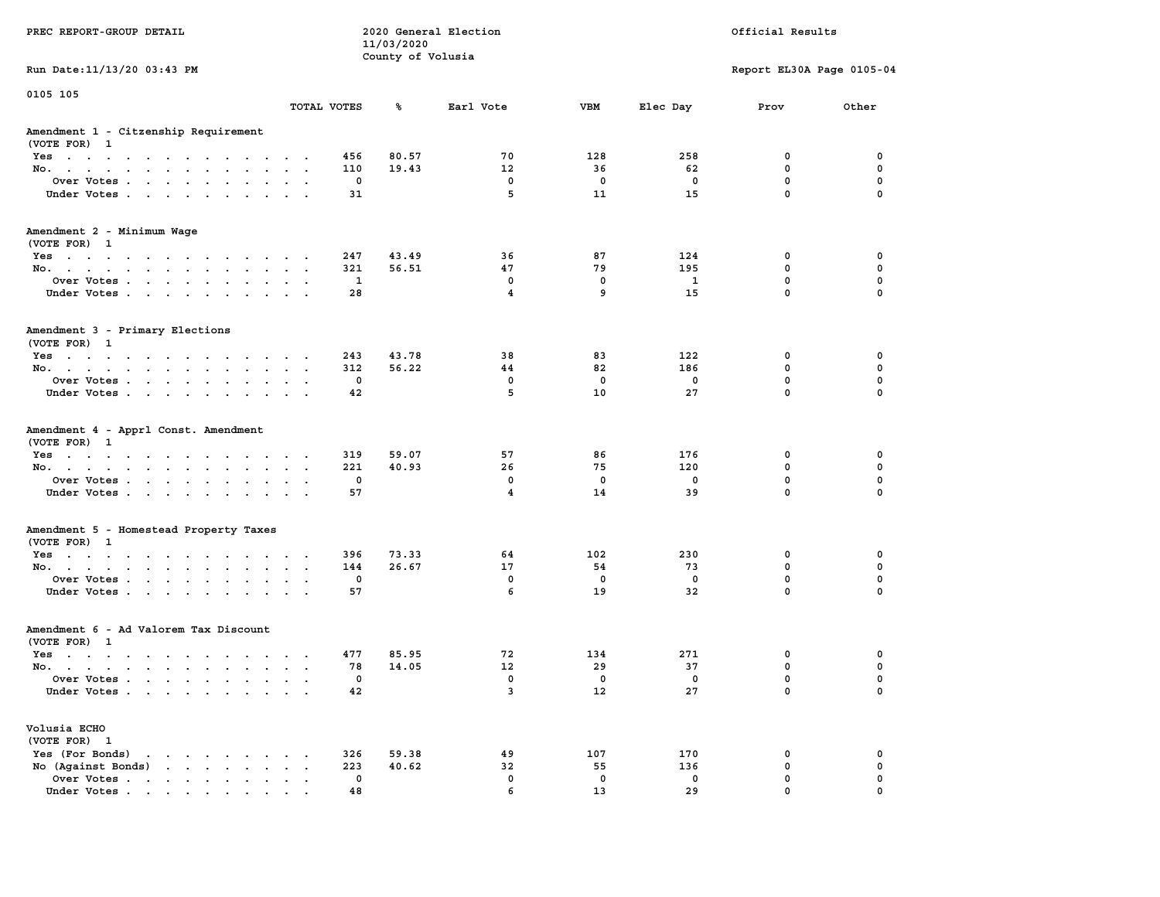|                                                                                     |                                          |             | 11/03/2020        |                         |             |              |                           |             |
|-------------------------------------------------------------------------------------|------------------------------------------|-------------|-------------------|-------------------------|-------------|--------------|---------------------------|-------------|
|                                                                                     |                                          |             | County of Volusia |                         |             |              |                           |             |
| Run Date: 11/13/20 03:43 PM                                                         |                                          |             |                   |                         |             |              | Report EL30A Page 0105-04 |             |
| 0105 105                                                                            |                                          |             |                   |                         |             |              |                           |             |
|                                                                                     |                                          | TOTAL VOTES | ℁                 | Earl Vote               | <b>VBM</b>  | Elec Day     | Prov                      | Other       |
| Amendment 1 - Citzenship Requirement                                                |                                          |             |                   |                         |             |              |                           |             |
| (VOTE FOR) 1                                                                        |                                          |             |                   |                         |             |              |                           |             |
| Yes                                                                                 |                                          | 456         | 80.57             | 70                      | 128         | 258          | 0                         | 0           |
| No.                                                                                 | $\sim$                                   | 110         | 19.43             | 12                      | 36          | 62           | $\mathbf{0}$              | 0           |
| Over Votes                                                                          | $\cdot$ $\cdot$<br>$\sim$                | 0           |                   | 0                       | 0           | 0            | $\mathbf 0$               | $\mathbf 0$ |
| Under Votes                                                                         |                                          | 31          |                   | 5                       | 11          | 15           | $\mathbf 0$               | $\mathbf 0$ |
| Amendment 2 - Minimum Wage<br>(VOTE FOR) 1                                          |                                          |             |                   |                         |             |              |                           |             |
| Yes                                                                                 |                                          | 247         | 43.49             | 36                      | 87          | 124          | 0                         | 0           |
| No.                                                                                 | $\cdot$ $\cdot$ $\cdot$                  | 321         | 56.51             | 47                      | 79          | 195          | $\mathbf 0$               | $\mathbf 0$ |
| Over Votes<br>$\ddot{\phantom{0}}$<br>$\sim$                                        | $\ddot{\phantom{a}}$                     | 1           |                   | 0                       | 0           | $\mathbf{1}$ | $\mathbf 0$               | $\mathbf 0$ |
| Under Votes                                                                         | $\cdots$                                 | 28          |                   | 4                       | 9           | 15           | $\Omega$                  | $\Omega$    |
| Amendment 3 - Primary Elections                                                     |                                          |             |                   |                         |             |              |                           |             |
| (VOTE FOR) 1                                                                        |                                          |             |                   |                         |             |              |                           |             |
| Yes<br>$\cdots$                                                                     | $\overline{\phantom{a}}$                 | 243         | 43.78             | 38                      | 83          | 122          | 0                         | 0           |
| No.<br>$\mathbf{u} = \mathbf{u} \cdot \mathbf{u}$<br>$\ddot{\phantom{a}}$<br>$\sim$ | $\ddot{\phantom{a}}$<br>$\sim$ $\sim$    | 312         | 56.22             | 44                      | 82          | 186          | $\mathbf 0$               | $\mathbf 0$ |
| Over Votes                                                                          |                                          | $\mathbf 0$ |                   | $\mathbf 0$             | $\mathbf 0$ | $\mathbf 0$  | $\mathbf 0$               | $\mathbf 0$ |
| Under Votes<br>$\cdot$                                                              | $\cdot$ $\cdot$                          | 42          |                   | 5                       | 10          | 27           | $\mathbf 0$               | $\mathbf 0$ |
| Amendment 4 - Apprl Const. Amendment                                                |                                          |             |                   |                         |             |              |                           |             |
| (VOTE FOR) 1<br>Yes                                                                 |                                          | 319         | 59.07             | 57                      | 86          | 176          | 0                         | 0           |
| No.<br>$\ddot{\phantom{0}}$<br>$\bullet$                                            | $\ddot{\phantom{0}}$<br>$\blacksquare$ . | 221         | 40.93             | 26                      | 75          | 120          | $\mathbf 0$               | $\mathbf 0$ |
| Over Votes                                                                          |                                          | $\mathbf 0$ |                   | $\mathbf 0$             | $\mathbf 0$ | $\mathbf 0$  | $\mathbf 0$               | $\mathbf 0$ |
| Under Votes<br>$\sim$                                                               | $\sim$ $\sim$                            | 57          |                   | $\overline{\mathbf{4}}$ | 14          | 39           | $\mathbf 0$               | $\mathbf 0$ |
|                                                                                     |                                          |             |                   |                         |             |              |                           |             |
| Amendment 5 - Homestead Property Taxes<br>(VOTE FOR) 1                              |                                          |             |                   |                         |             |              |                           |             |
|                                                                                     |                                          | 396         | 73.33             | 64                      | 102         | 230          | 0                         | $\mathbf 0$ |
| Yes<br>No.                                                                          |                                          | 144         | 26.67             | 17                      | 54          | 73           | $\mathbf 0$               | $\mathbf 0$ |
| Over Votes<br>$\sim$<br>$\sim$                                                      | $\sim$<br>$\sim$                         | 0           |                   | 0                       | 0           | 0            | $\mathbf 0$               | 0           |
| Under Votes                                                                         |                                          | 57          |                   | 6                       | 19          | 32           | $\mathbf{0}$              | $\Omega$    |
|                                                                                     |                                          |             |                   |                         |             |              |                           |             |
| Amendment 6 - Ad Valorem Tax Discount                                               |                                          |             |                   |                         |             |              |                           |             |
| (VOTE FOR) 1                                                                        |                                          |             |                   |                         |             |              |                           |             |
| $Yes \t . \t .$<br>$\cdots$                                                         | $\sim$ $\sim$ $\sim$ $\sim$ $\sim$       | 477         | 85.95             | 72                      | 134         | 271          | $\mathbf 0$               | $\mathbf 0$ |
| No.                                                                                 | $\cdot$ $\cdot$ $\cdot$                  | 78          | 14.05             | 12                      | 29          | 37           | $\mathbf 0$               | $\mathbf 0$ |
| Over Votes<br>$\sim$                                                                | $\sim$                                   | 0           |                   | $\mathbf 0$             | $\mathbf 0$ | $\mathbf 0$  | $\mathbf 0$               | $\mathbf 0$ |
| Under Votes                                                                         |                                          | 42          |                   | 3                       | 12          | 27           | $\mathbf{0}$              | $\Omega$    |
| Volusia ECHO                                                                        |                                          |             |                   |                         |             |              |                           |             |
| (VOTE FOR) 1                                                                        |                                          |             |                   |                         |             |              |                           |             |
| Yes (For Bonds)<br>the contract of the contract of<br>$\sim$                        | $\sim$                                   | 326         | 59.38             | 49                      | 107         | 170          | 0                         | 0           |
| No (Against Bonds)                                                                  | $\cdots$                                 | 223         | 40.62             | 32                      | 55          | 136          | 0                         | $\mathbf 0$ |
| Over Votes                                                                          | $\cdot$ $\cdot$ $\cdot$ $\cdot$          | 0           |                   | $\mathbf 0$             | $\mathbf 0$ | $\mathbf 0$  | $\mathbf 0$               | $\mathbf 0$ |
| Under Votes<br>.                                                                    |                                          | 48          |                   | 6                       | 13          | 29           | $\mathbf 0$               | $\mathbf 0$ |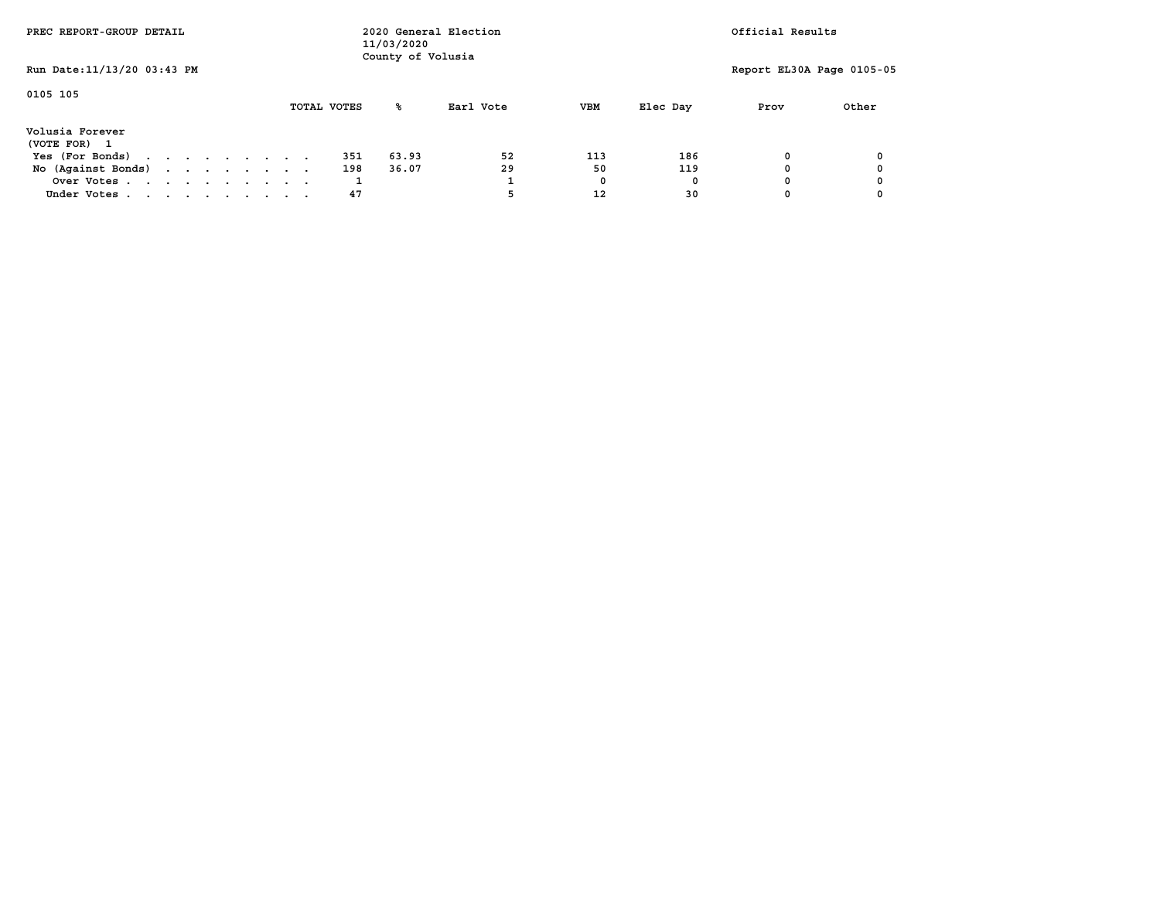| PREC REPORT-GROUP DETAIL                       |  |  |  |  |  | 11/03/2020<br>County of Volusia | 2020 General Election | Official Results |       |           |            |          |                           |       |
|------------------------------------------------|--|--|--|--|--|---------------------------------|-----------------------|------------------|-------|-----------|------------|----------|---------------------------|-------|
| Run Date: 11/13/20 03:43 PM                    |  |  |  |  |  |                                 |                       |                  |       |           |            |          | Report EL30A Page 0105-05 |       |
| 0105 105                                       |  |  |  |  |  |                                 |                       | TOTAL VOTES      | °≈    | Earl Vote | <b>VBM</b> | Elec Day | Prov                      | Other |
|                                                |  |  |  |  |  |                                 |                       |                  |       |           |            |          |                           |       |
| Volusia Forever                                |  |  |  |  |  |                                 |                       |                  |       |           |            |          |                           |       |
| (VOTE FOR)                                     |  |  |  |  |  |                                 |                       |                  |       |           |            |          |                           |       |
| Yes (For Bonds)                                |  |  |  |  |  |                                 |                       | 351              | 63.93 | 52        | 113        | 186      | 0                         |       |
| No $(Aqaint$ Bonds) $\ldots$ $\ldots$ $\ldots$ |  |  |  |  |  |                                 |                       | 198              | 36.07 | 29        | 50         | 119      |                           |       |
| Over Votes                                     |  |  |  |  |  |                                 |                       |                  |       |           | 0          |          |                           |       |
| Under Votes                                    |  |  |  |  |  |                                 |                       | 47               |       | 5         | 12         | 30       |                           |       |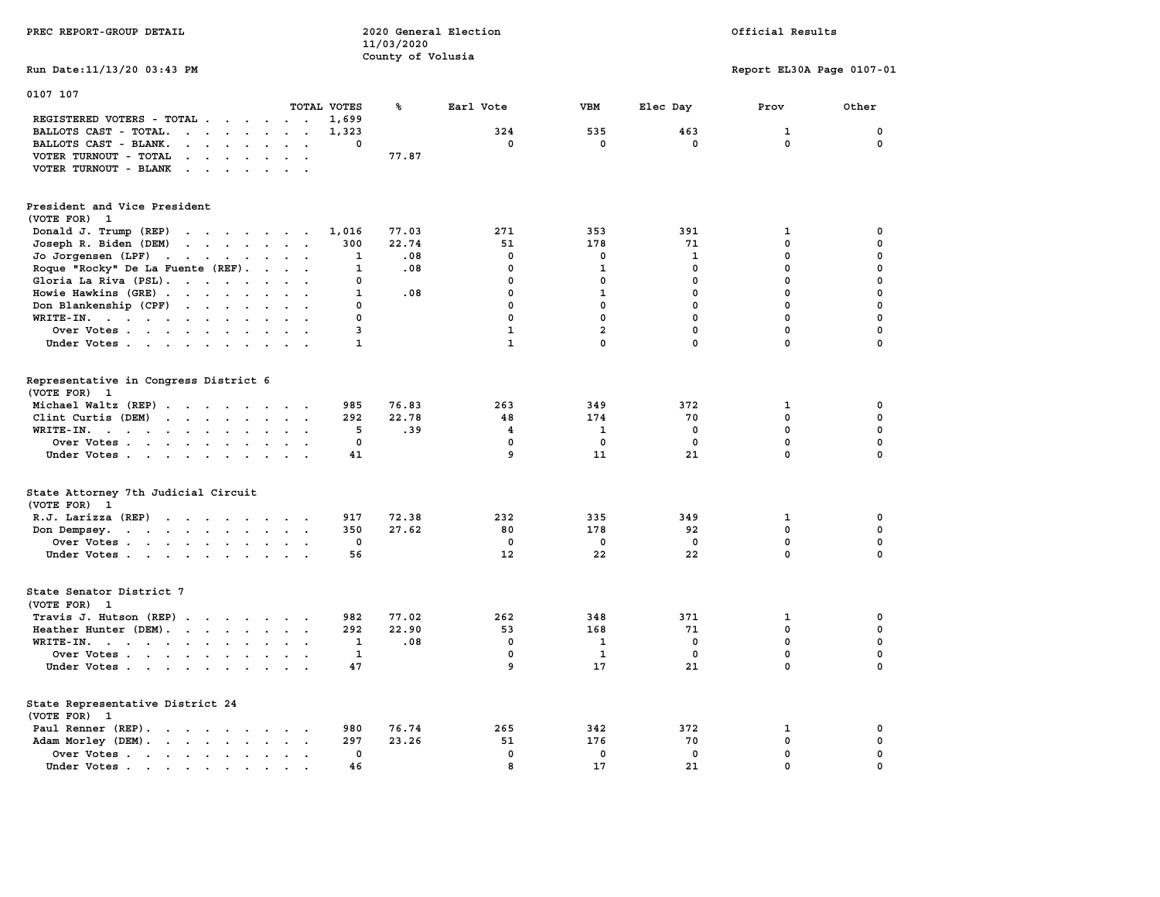| PREC REPORT-GROUP DETAIL                                                                                                                         |              | 2020 General Election<br>11/03/2020<br>County of Volusia |              |                | Official Results |                           |             |  |
|--------------------------------------------------------------------------------------------------------------------------------------------------|--------------|----------------------------------------------------------|--------------|----------------|------------------|---------------------------|-------------|--|
| Run Date: 11/13/20 03:43 PM                                                                                                                      |              |                                                          |              |                |                  | Report EL30A Page 0107-01 |             |  |
| 0107 107<br>TOTAL VOTES                                                                                                                          |              | ℁                                                        | Earl Vote    | VBM            | Elec Day         | Prov                      | Other       |  |
| REGISTERED VOTERS - TOTAL                                                                                                                        | 1,699        |                                                          |              |                |                  |                           |             |  |
| BALLOTS CAST - TOTAL.<br>$\sim$ $\sim$ $\sim$ $\sim$ $\sim$ $\sim$<br>$\ddot{\phantom{a}}$                                                       | 1,323        |                                                          | 324          | 535            | 463              | $\mathbf{1}$              | 0           |  |
| BALLOTS CAST - BLANK.<br>$\mathbf{r} = \mathbf{r} - \mathbf{r} = \mathbf{r} - \mathbf{r}$<br>$\ddot{\phantom{a}}$<br>$\ddot{\phantom{0}}$        | 0            |                                                          | 0            | $\mathbf 0$    | 0                | $\mathbf 0$               | 0           |  |
| VOTER TURNOUT - TOTAL<br>$\mathbf{r}$ , and $\mathbf{r}$ , and $\mathbf{r}$<br>$\sim$                                                            |              | 77.87                                                    |              |                |                  |                           |             |  |
| VOTER TURNOUT - BLANK<br>$\cdots$                                                                                                                |              |                                                          |              |                |                  |                           |             |  |
|                                                                                                                                                  |              |                                                          |              |                |                  |                           |             |  |
| President and Vice President<br>(VOTE FOR) 1                                                                                                     |              |                                                          |              |                |                  |                           |             |  |
| Donald J. Trump (REP)<br>the contract of the contract of the                                                                                     | 1,016        | 77.03                                                    | 271          | 353            | 391              | 1                         | 0           |  |
| Joseph R. Biden (DEM)<br>$\mathcal{A}=\mathcal{A}=\mathcal{A}=\mathcal{A}=\mathcal{A}=\mathcal{A}=\mathcal{A}$                                   | 300          | 22.74                                                    | 51           | 178            | 71               | 0                         | $\mathbf 0$ |  |
| Jo Jorgensen (LPF) $\cdots$ $\cdots$ $\cdots$                                                                                                    | 1            | .08                                                      | $\mathbf 0$  | $\mathbf 0$    | $\mathbf{1}$     | $\mathbf 0$               | 0           |  |
| Roque "Rocky" De La Fuente (REF).<br>$\ddot{\phantom{a}}$ .<br>$\sim$<br>$\ddot{\phantom{a}}$                                                    | 1            | .08                                                      | $\mathbf 0$  | $\mathbf{1}$   | $\mathbf 0$      | $\mathbf 0$               | 0           |  |
| Gloria La Riva (PSL).<br>$\sim$<br>$\ddot{\phantom{0}}$                                                                                          | 0            |                                                          | $\mathbf 0$  | $\mathbf 0$    | $\mathbf 0$      | $\mathbf 0$               | 0           |  |
| Howie Hawkins (GRE)<br>$\bullet$                                                                                                                 | 1            | .08                                                      | 0            | 1              | 0                | $\mathbf 0$               | 0           |  |
| Don Blankenship (CPF)<br>$\sim$<br>$\sim$ $\sim$                                                                                                 | 0            |                                                          | 0            | $\mathbf 0$    | $\mathbf 0$      | 0                         | $\mathbf 0$ |  |
| WRITE-IN.<br>$\ddot{\phantom{a}}$<br>$\ddot{\phantom{a}}$<br>$\ddot{\phantom{a}}$<br>$\mathbf{r}$                                                | 0            |                                                          | 0            | 0              | $\mathbf 0$      | $\mathbf 0$               | $\mathbf 0$ |  |
| Over Votes                                                                                                                                       | 3            |                                                          | $\mathbf{1}$ | $\overline{a}$ | 0                | $\mathbf 0$               | $\mathbf 0$ |  |
| Under Votes                                                                                                                                      | 1            |                                                          | $\mathbf{1}$ | $\mathbf 0$    | $\mathbf{0}$     | $\mathbf 0$               | $\Omega$    |  |
|                                                                                                                                                  |              |                                                          |              |                |                  |                           |             |  |
| Representative in Congress District 6<br>(VOTE FOR) 1                                                                                            |              |                                                          |              |                |                  |                           |             |  |
| Michael Waltz (REP)                                                                                                                              | 985          | 76.83                                                    | 263          | 349            | 372              | 1                         | 0           |  |
| Clint Curtis (DEM)<br>$\sim$ $\sim$                                                                                                              | 292          | 22.78                                                    | 48           | 174            | 70               | $\mathbf 0$               | $\mathbf 0$ |  |
| WRITE-IN.                                                                                                                                        | 5            | .39                                                      | 4            | 1              | 0                | $\mathbf 0$               | $\mathbf 0$ |  |
| Over Votes<br>$\sim$<br>$\bullet$                                                                                                                | 0            |                                                          | $\mathbf 0$  | 0              | $\mathbf 0$      | 0                         | $\pmb{0}$   |  |
| Under Votes                                                                                                                                      | 41           |                                                          | 9            | 11             | 21               | $\mathbf 0$               | $\Omega$    |  |
|                                                                                                                                                  |              |                                                          |              |                |                  |                           |             |  |
| State Attorney 7th Judicial Circuit<br>(VOTE FOR) 1                                                                                              |              |                                                          |              |                |                  |                           |             |  |
| R.J. Larizza $(REP)$                                                                                                                             | 917          | 72.38                                                    | 232          | 335            | 349              | 1                         | 0           |  |
| Don Dempsey.<br>the contract of the contract of the contract of the contract of the contract of the contract of the contract of<br>$\sim$ $\sim$ | 350          | 27.62                                                    | 80           | 178            | 92               | $\mathbf 0$               | $\mathbf 0$ |  |
| Over Votes<br>$\sim$ $\sim$                                                                                                                      | $\mathbf 0$  |                                                          | $\mathbf 0$  | 0              | 0                | 0                         | 0           |  |
| Under Votes                                                                                                                                      | 56           |                                                          | 12           | 22             | 22               | $\Omega$                  | $\mathbf 0$ |  |
| State Senator District 7                                                                                                                         |              |                                                          |              |                |                  |                           |             |  |
| (VOTE FOR) 1                                                                                                                                     |              |                                                          |              |                |                  |                           |             |  |
| Travis J. Hutson (REP)                                                                                                                           | 982          | 77.02                                                    | 262          | 348            | 371              | 1                         | 0           |  |
| Heather Hunter (DEM).<br>$\ddot{\phantom{0}}$                                                                                                    | 292          | 22.90                                                    | 53           | 168            | 71               | 0                         | 0           |  |
| WRITE-IN.<br>$\ddot{\phantom{0}}$                                                                                                                | $\mathbf{1}$ | .08                                                      | $\mathbf 0$  | 1              | $\mathbf 0$      | $\mathbf 0$               | $\mathbf 0$ |  |
| Over Votes<br>$\sim$ $\sim$                                                                                                                      | 1            |                                                          | $\mathbf 0$  | 1              | $\mathbf 0$      | $\mathbf 0$               | 0           |  |
| $\sim$                                                                                                                                           | 47           |                                                          | 9            | 17             | 21               | $\mathbf 0$               | $\mathbf 0$ |  |
| Under Votes<br>$\sim$ $\sim$ $\sim$                                                                                                              |              |                                                          |              |                |                  |                           |             |  |
| State Representative District 24                                                                                                                 |              |                                                          |              |                |                  |                           |             |  |
| (VOTE FOR) 1                                                                                                                                     |              |                                                          |              |                |                  |                           |             |  |
| Paul Renner (REP).                                                                                                                               | 980          | 76.74                                                    | 265          | 342            | 372              | 1                         | 0           |  |
| Adam Morley (DEM).                                                                                                                               | 297          | 23.26                                                    | 51           | 176            | 70               | $\mathbf 0$               | $\mathbf 0$ |  |
| Over Votes<br>$\ddot{\phantom{0}}$<br>$\cdot$                                                                                                    | 0            |                                                          | $\mathbf 0$  | $\mathbf 0$    | $\mathbf 0$      | $\mathbf 0$               | $\mathbf 0$ |  |
| Under Votes<br>$\sim$                                                                                                                            | 46           |                                                          | 8            | 17             | 21               | 0                         | 0           |  |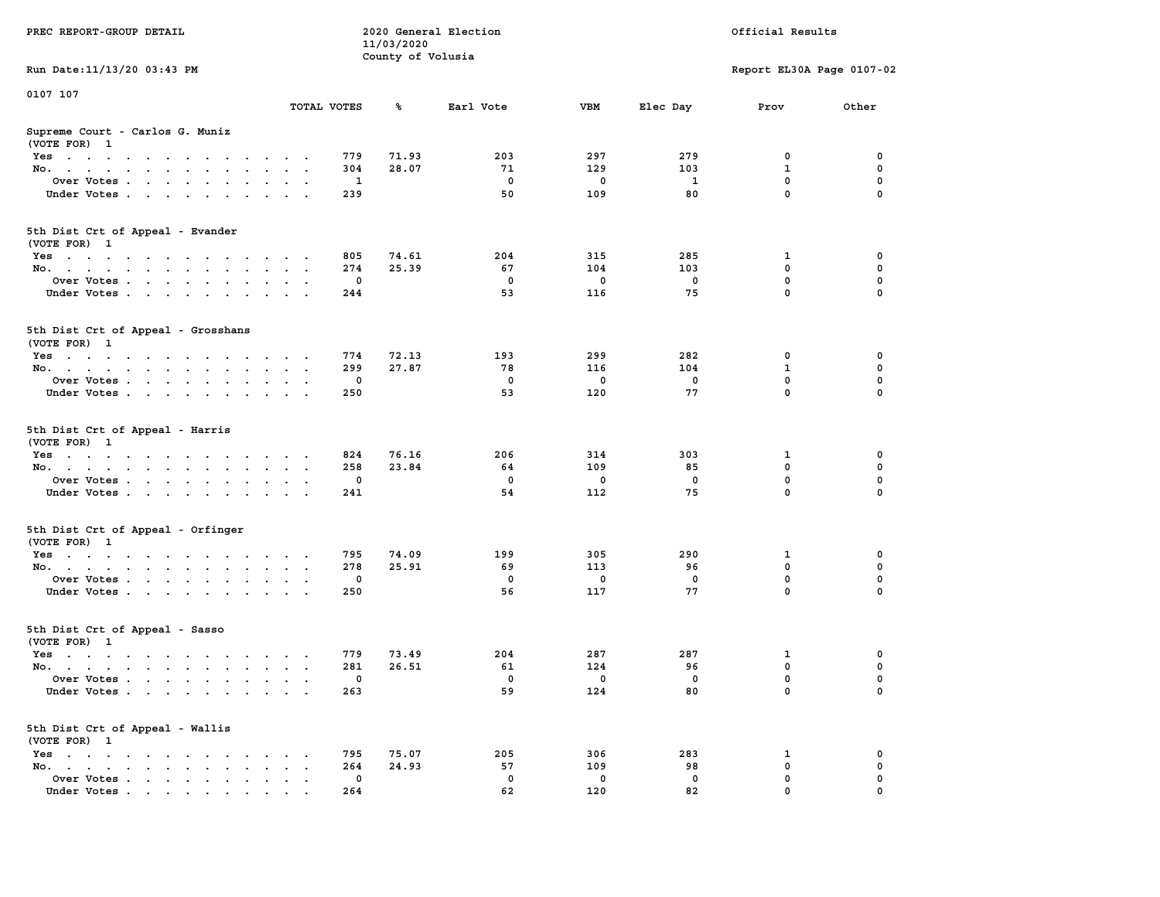| PREC REPORT-GROUP DETAIL                                                                                               |                             | 11/03/2020        | 2020 General Election | Official Results |             |                           |          |
|------------------------------------------------------------------------------------------------------------------------|-----------------------------|-------------------|-----------------------|------------------|-------------|---------------------------|----------|
| Run Date: 11/13/20 03:43 PM                                                                                            |                             | County of Volusia |                       |                  |             | Report EL30A Page 0107-02 |          |
| 0107 107                                                                                                               |                             |                   |                       |                  |             |                           |          |
|                                                                                                                        | TOTAL VOTES                 | ℁                 | Earl Vote             | VBM              | Elec Day    | Prov                      | Other    |
| Supreme Court - Carlos G. Muniz<br>(VOTE FOR) 1                                                                        |                             |                   |                       |                  |             |                           |          |
| Yes                                                                                                                    | 779                         | 71.93             | 203                   | 297              | 279         | 0                         | 0        |
| No.                                                                                                                    | 304                         | 28.07             | 71                    | 129              | 103         | $\mathbf{1}$              | 0        |
| Over Votes                                                                                                             | 1                           |                   | $\mathbf 0$           | 0                | 1           | $\mathbf 0$               | 0        |
| Under Votes                                                                                                            | 239                         |                   | 50                    | 109              | 80          | $\mathbf 0$               | $\Omega$ |
| 5th Dist Crt of Appeal - Evander<br>(VOTE FOR) 1                                                                       |                             |                   |                       |                  |             |                           |          |
| Yes                                                                                                                    | 805                         | 74.61             | 204                   | 315              | 285         | 1                         | 0        |
| No.                                                                                                                    | 274                         | 25.39             | 67                    | 104              | 103         | $\mathbf 0$               | 0        |
| Over Votes                                                                                                             | 0                           |                   | $\mathbf 0$           | 0                | 0           | $\mathbf 0$               | 0        |
| Under Votes                                                                                                            | 244                         |                   | 53                    | 116              | 75          | $\mathbf 0$               | 0        |
| 5th Dist Crt of Appeal - Grosshans<br>(VOTE FOR) 1                                                                     |                             |                   |                       |                  |             |                           |          |
| Yes                                                                                                                    | 774                         | 72.13             | 193                   | 299              | 282         | 0                         | 0        |
| No.                                                                                                                    | 299                         | 27.87             | 78                    | 116              | 104         | 1                         | 0        |
| Over Votes                                                                                                             | $\mathbf{0}$                |                   | $\mathbf 0$           | 0                | $\mathbf 0$ | $\mathbf 0$               | 0        |
| Under Votes                                                                                                            | 250                         |                   | 53                    | 120              | 77          | $\mathbf 0$               | 0        |
| 5th Dist Crt of Appeal - Harris<br>(VOTE FOR) 1                                                                        |                             |                   |                       |                  |             |                           |          |
| Yes                                                                                                                    | 824                         | 76.16             | 206                   | 314              | 303         | 1                         | 0        |
| No.                                                                                                                    | 258                         | 23.84             | 64                    | 109              | 85          | $\mathbf 0$               | 0        |
| Over Votes                                                                                                             | 0                           |                   | $\mathbf 0$           | 0                | 0           | $\mathbf 0$               | 0        |
| Under Votes                                                                                                            | 241                         |                   | 54                    | 112              | 75          | $\mathbf 0$               | $\Omega$ |
| 5th Dist Crt of Appeal - Orfinger<br>(VOTE FOR) 1                                                                      |                             |                   |                       |                  |             |                           |          |
| Yes                                                                                                                    | 795                         | 74.09             | 199                   | 305              | 290         | 1                         | 0        |
| No.                                                                                                                    | 278                         | 25.91             | 69                    | 113              | 96          | $\mathbf 0$               | 0        |
| Over Votes                                                                                                             | 0                           |                   | $\mathbf 0$           | 0                | 0           | 0                         | 0        |
| Under Votes                                                                                                            | 250                         |                   | 56                    | 117              | 77          | $\mathbf 0$               | $\Omega$ |
| 5th Dist Crt of Appeal - Sasso<br>(VOTE FOR) 1                                                                         |                             |                   |                       |                  |             |                           |          |
| Yes<br>the contract of the contract of the contract of the contract of the contract of the contract of the contract of | 779                         | 73.49             | 204                   | 287              | 287         | 1                         | 0        |
| No.                                                                                                                    | 281                         | 26.51             | 61                    | 124              | 96          | 0                         | 0        |
| Over Votes                                                                                                             | $\mathbf 0$                 |                   | 0                     | 0                | 0           | $\mathbf 0$               | 0        |
| Under Votes                                                                                                            | 263                         |                   | 59                    | 124              | 80          | 0                         | 0        |
| 5th Dist Crt of Appeal - Wallis<br>(VOTE FOR) 1                                                                        |                             |                   |                       |                  |             |                           |          |
| $Yes \cdot \cdot \cdot \cdot \cdot \cdot \cdot \cdot \cdot$                                                            | 795                         | 75.07             | 205                   | 306              | 283         | 1                         | 0        |
| No.<br>$\ddot{\phantom{a}}$                                                                                            | 264<br>$\ddot{\phantom{a}}$ | 24.93             | 57                    | 109              | 98          | $\mathbf 0$               | 0        |
| Over Votes                                                                                                             | 0                           |                   | 0                     | 0                | 0           | 0                         | 0        |
| Under Votes                                                                                                            | 264                         |                   | 62                    | 120              | 82          | $\mathbf 0$               |          |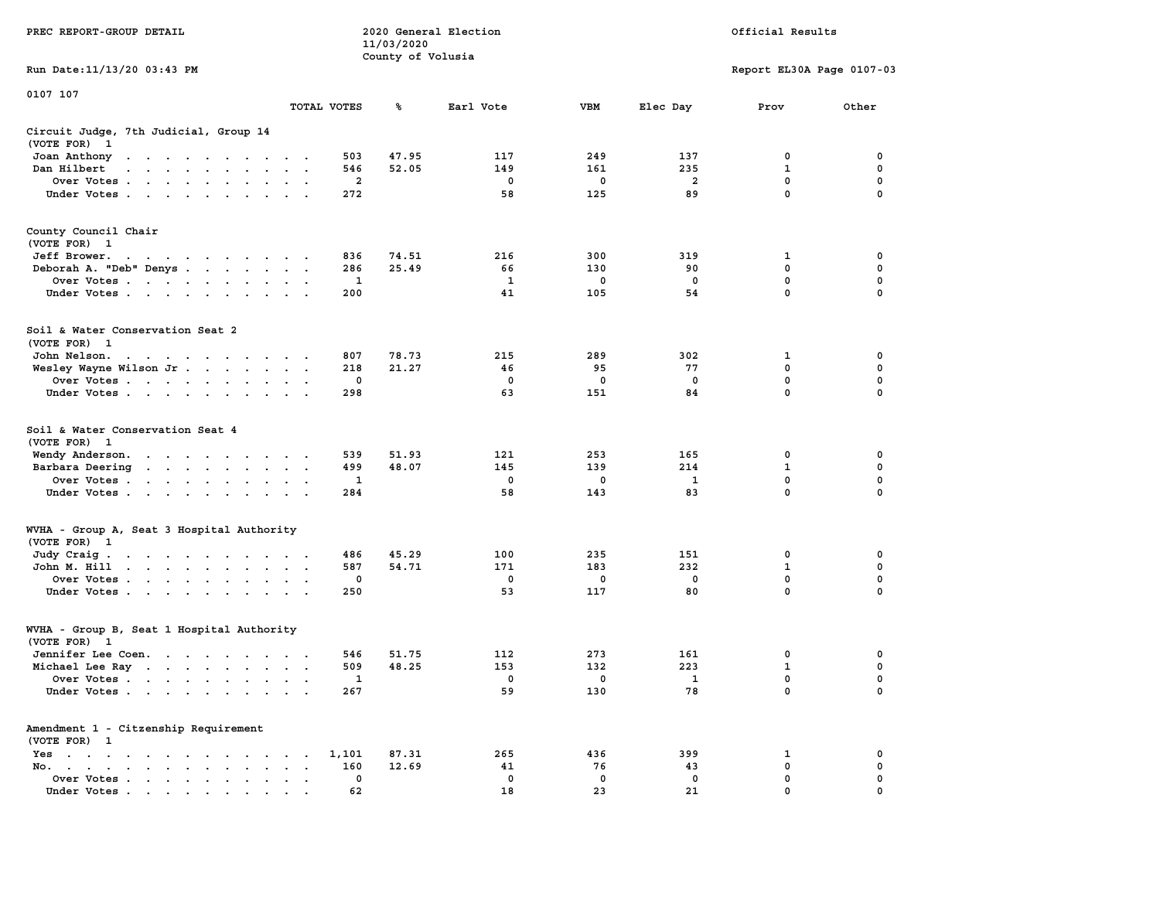|                                                                                                                                                                                                                                                  |                                     |             | 11/03/2020        |                           |                   |                   |                            |             |
|--------------------------------------------------------------------------------------------------------------------------------------------------------------------------------------------------------------------------------------------------|-------------------------------------|-------------|-------------------|---------------------------|-------------------|-------------------|----------------------------|-------------|
| Run Date:11/13/20 03:43 PM                                                                                                                                                                                                                       |                                     |             | County of Volusia | Report EL30A Page 0107-03 |                   |                   |                            |             |
|                                                                                                                                                                                                                                                  |                                     |             |                   |                           |                   |                   |                            |             |
| 0107 107                                                                                                                                                                                                                                         |                                     | TOTAL VOTES | ℁                 | Earl Vote                 | <b>VBM</b>        | Elec Day          | Prov                       | Other       |
|                                                                                                                                                                                                                                                  |                                     |             |                   |                           |                   |                   |                            |             |
| Circuit Judge, 7th Judicial, Group 14<br>(VOTE FOR)<br>-1                                                                                                                                                                                        |                                     |             |                   |                           |                   |                   |                            |             |
| Joan Anthony<br>the contract of the contract of the<br>$\cdot$                                                                                                                                                                                   |                                     | 503         | 47.95             | 117                       | 249               | 137               | 0                          | 0           |
| Dan Hilbert<br>$\sim$<br>$\sim$<br>$\sim 10$<br>$\mathbf{a} = \mathbf{a} \cdot \mathbf{a}$<br>$\sim$                                                                                                                                             |                                     | 546         | 52.05             | 149                       | 161               | 235               | 1                          | $\mathbf 0$ |
| Over Votes                                                                                                                                                                                                                                       | $\cdot$<br>$\overline{\phantom{a}}$ | 2           |                   | 0                         | 0                 | $\overline{a}$    | $\mathbf 0$                | $\mathbf 0$ |
| Under Votes<br>$\bullet$                                                                                                                                                                                                                         | $\ddot{\phantom{a}}$                | 272         |                   | 58                        | 125               | 89                | 0                          | $\mathbf 0$ |
| County Council Chair<br>(VOTE FOR) 1                                                                                                                                                                                                             |                                     |             |                   |                           |                   |                   |                            |             |
| Jeff Brower.<br>$\sim$ $\sim$<br>the company of the company of the company of                                                                                                                                                                    |                                     | 836         | 74.51             | 216                       | 300               | 319               | 1                          | 0           |
| Deborah A. "Deb" Denys                                                                                                                                                                                                                           |                                     | 286         | 25.49             | 66                        | 130               | 90                | 0                          | 0           |
| Over Votes<br>$\sim$                                                                                                                                                                                                                             | $\bullet$                           | 1           |                   | 1                         | $\mathbf 0$       | $\mathbf 0$       | $\mathbf 0$                | $\mathbf 0$ |
| Under Votes<br>$\ddot{\phantom{0}}$                                                                                                                                                                                                              | <b>Contract Contract</b>            | 200         |                   | 41                        | 105               | 54                | $\mathbf 0$                | 0           |
| Soil & Water Conservation Seat 2<br>(VOTE FOR) 1                                                                                                                                                                                                 |                                     |             |                   |                           |                   |                   |                            |             |
| John Nelson.<br>the contract of the contract of the<br>$\sim$                                                                                                                                                                                    |                                     | 807         | 78.73             | 215                       | 289               | 302               | 1                          | 0           |
| Wesley Wayne Wilson Jr                                                                                                                                                                                                                           | $\sim$ $\sim$                       | 218         | 21.27             | 46                        | 95                | 77                | 0                          | $\mathbf 0$ |
| Over Votes<br>$\ddot{\phantom{a}}$                                                                                                                                                                                                               |                                     | 0           |                   | 0                         | 0                 | $\mathbf 0$       | $\mathbf 0$                | $\mathbf 0$ |
| Under Votes<br>$\ddot{\phantom{a}}$                                                                                                                                                                                                              |                                     | 298         |                   | 63                        | 151               | 84                | $\mathbf{0}$               | $\mathbf 0$ |
| Soil & Water Conservation Seat 4<br>(VOTE FOR)<br>$\overline{\phantom{0}}$                                                                                                                                                                       |                                     |             |                   |                           |                   |                   |                            |             |
| Wendy Anderson.<br>$\cdots$<br>$\sim$                                                                                                                                                                                                            |                                     | 539         | 51.93             | 121                       | 253               | 165               | 0                          | 0           |
| Barbara Deering<br>$\mathcal{A}=\mathcal{A}=\mathcal{A}=\mathcal{A}=\mathcal{A}$ .<br>$\ddot{\phantom{0}}$<br>$\bullet$                                                                                                                          | $\cdot$<br>$\ddot{\phantom{0}}$     | 499         | 48.07             | 145                       | 139               | 214               | $\mathbf{1}$               | $\mathbf 0$ |
| Over Votes                                                                                                                                                                                                                                       | $\ddot{\phantom{a}}$                | 1           |                   | 0                         | 0                 | $\mathbf{1}$      | 0                          | 0           |
| Under Votes<br>$\cdot$                                                                                                                                                                                                                           | $\cdot$                             | 284         |                   | 58                        | 143               | 83                | 0                          | 0           |
| WVHA - Group A, Seat 3 Hospital Authority                                                                                                                                                                                                        |                                     |             |                   |                           |                   |                   |                            |             |
| (VOTE FOR)<br>$\mathbf{1}$                                                                                                                                                                                                                       |                                     |             |                   |                           |                   |                   |                            |             |
| Judy Craig.<br>$\mathbf{r}$ . The contract of the contract of the contract of the contract of the contract of the contract of the contract of the contract of the contract of the contract of the contract of the contract of the contract of th |                                     | 486         | 45.29             | 100                       | 235               | 151               | 0                          | 0           |
| John M. Hill<br>$\begin{array}{cccccccccccccc} \bullet & \bullet & \bullet & \bullet & \bullet & \bullet & \bullet & \bullet & \bullet & \bullet \end{array}$<br>$\ddot{\phantom{a}}$<br>$\bullet$                                               | $\bullet$ .<br>$\ddot{\phantom{1}}$ | 587         | 54.71             | 171                       | 183               | 232               | $\mathbf 1$<br>$\mathbf 0$ | 0           |
| Over Votes                                                                                                                                                                                                                                       | $\cdot$ .                           | 0           |                   | 0                         | 0                 | $\mathbf 0$       |                            | $\mathbf 0$ |
| Under Votes<br>$\ddot{\phantom{0}}$<br>$\cdot$<br>$\ddot{\phantom{a}}$                                                                                                                                                                           |                                     | 250         |                   | 53                        | 117               | 80                | $\mathbf 0$                | $\mathbf 0$ |
| WVHA - Group B, Seat 1 Hospital Authority<br>(VOTE FOR)<br>$\overline{\mathbf{1}}$                                                                                                                                                               |                                     |             |                   |                           |                   |                   |                            |             |
|                                                                                                                                                                                                                                                  |                                     | 546         | 51.75             | 112                       | 273               | 161               | 0                          | $\mathbf 0$ |
| Jennifer Lee Coen.                                                                                                                                                                                                                               |                                     | 509         | 48.25             | 153                       | 132               | 223               | $\mathbf{1}$               | $\mathbf 0$ |
| Michael Lee Ray                                                                                                                                                                                                                                  |                                     | 1           |                   | 0                         | 0                 | $\mathbf{1}$      | $\mathbf 0$                | $\mathbf 0$ |
| Over Votes<br>$\ddot{\phantom{a}}$<br>$\cdot$<br>Under Votes                                                                                                                                                                                     | $\cdot$                             | 267         |                   | 59                        | 130               | 78                | 0                          | 0           |
| Amendment 1 - Citzenship Requirement                                                                                                                                                                                                             |                                     |             |                   |                           |                   |                   |                            |             |
| (VOTE FOR) 1                                                                                                                                                                                                                                     |                                     |             |                   |                           |                   |                   |                            |             |
| Yes<br>$\ddot{\phantom{0}}$<br>$\ddot{\phantom{0}}$<br>$\ddot{\phantom{0}}$<br>$\bullet$<br>$\ddot{\phantom{0}}$<br>$\cdot$<br>$\cdot$<br>$\bullet$<br>$\cdot$                                                                                   | $\ddot{\phantom{0}}$                | 1,101       | 87.31             | 265                       | 436               | 399               | 1<br>0                     | 0<br>0      |
| No.<br>$\bullet$ . In the case of the case of the $\bullet$<br>$\bullet$ . $\bullet$ .                                                                                                                                                           | $\bullet$                           | 160<br>0    | 12.69             | 41<br>$\mathbf 0$         | 76<br>$\mathbf 0$ | 43<br>$\mathbf 0$ | 0                          | 0           |
| Over Votes<br>$\sim$ $\sim$<br>$\bullet$<br>$\ddot{\phantom{1}}$ .<br>$\bullet$<br>Under Votes, , , , , , ,                                                                                                                                      |                                     | 62          |                   | 18                        | 23                | 21                | $\Omega$                   | $\mathbf 0$ |
|                                                                                                                                                                                                                                                  |                                     |             |                   |                           |                   |                   |                            |             |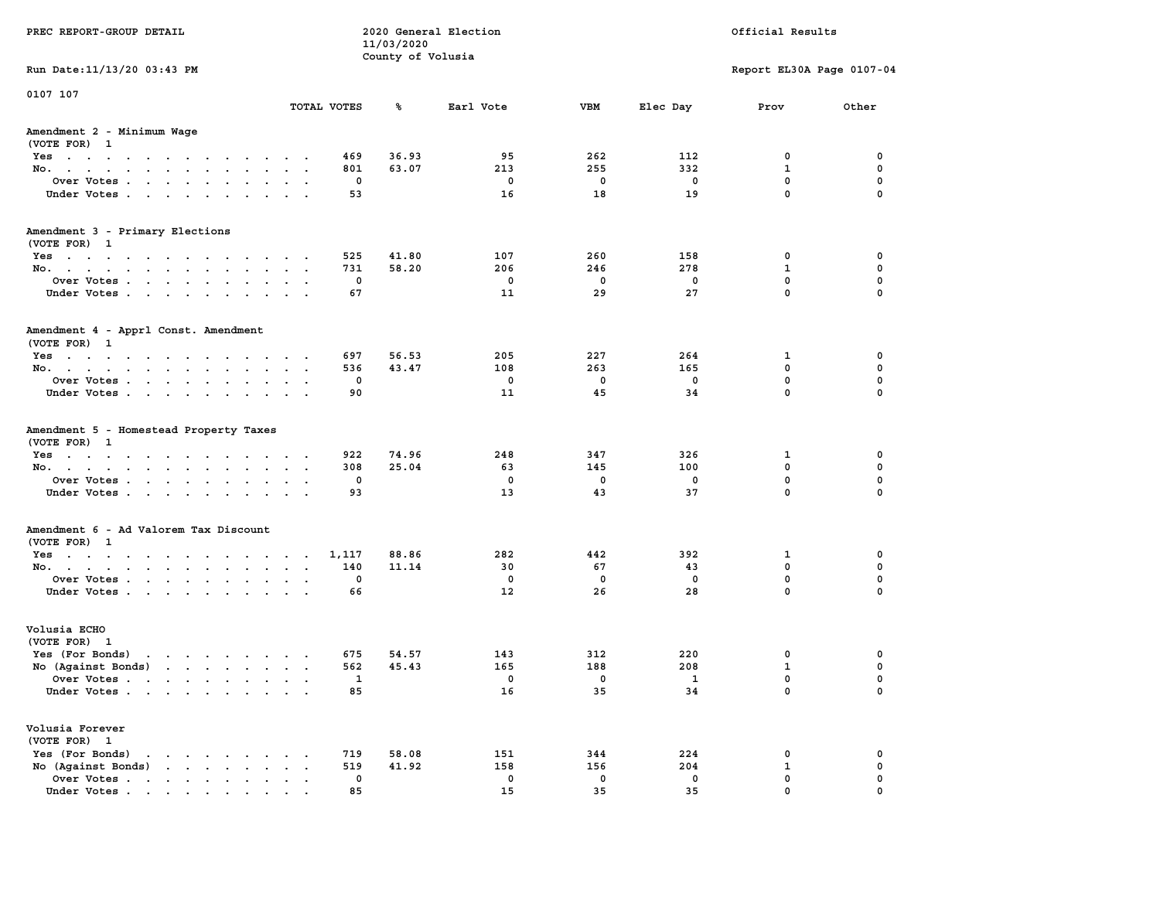| PREC REPORT-GROUP DETAIL                                                                                                                                                                                                                             |                      |             | 11/03/2020        | 2020 General Election | Official Results  |                   |                             |               |
|------------------------------------------------------------------------------------------------------------------------------------------------------------------------------------------------------------------------------------------------------|----------------------|-------------|-------------------|-----------------------|-------------------|-------------------|-----------------------------|---------------|
| Run Date: 11/13/20 03:43 PM                                                                                                                                                                                                                          |                      |             | County of Volusia |                       |                   |                   | Report EL30A Page 0107-04   |               |
|                                                                                                                                                                                                                                                      |                      |             |                   |                       |                   |                   |                             |               |
| 0107 107                                                                                                                                                                                                                                             |                      | TOTAL VOTES | ℁                 | Earl Vote             | <b>VBM</b>        | Elec Day          | Prov                        | Other         |
| Amendment 2 - Minimum Wage<br>(VOTE FOR) 1                                                                                                                                                                                                           |                      |             |                   |                       |                   |                   |                             |               |
| Yes                                                                                                                                                                                                                                                  |                      | 469         | 36.93             | 95                    | 262               | 112               | 0                           | 0             |
| No.                                                                                                                                                                                                                                                  |                      | 801         | 63.07             | 213                   | 255               | 332               | $\mathbf{1}$                | 0             |
| Over Votes                                                                                                                                                                                                                                           |                      | 0           |                   | 0                     | $\mathbf 0$       | 0                 | $\mathbf 0$                 | 0             |
| Under Votes                                                                                                                                                                                                                                          |                      | 53          |                   | 16                    | 18                | 19                | $\mathbf 0$                 | $\mathbf 0$   |
| Amendment 3 - Primary Elections                                                                                                                                                                                                                      |                      |             |                   |                       |                   |                   |                             |               |
| (VOTE FOR) 1                                                                                                                                                                                                                                         |                      |             |                   |                       |                   |                   |                             |               |
| Yes                                                                                                                                                                                                                                                  |                      | 525         | 41.80             | 107                   | 260               | 158               | 0                           | 0             |
| No.                                                                                                                                                                                                                                                  |                      | 731         | 58.20             | 206                   | 246               | 278               | 1                           | 0             |
| Over Votes                                                                                                                                                                                                                                           |                      | 0           |                   | 0                     | $\mathbf 0$       | $\mathbf 0$       | $\mathbf 0$<br>$\Omega$     | 0             |
| Under Votes                                                                                                                                                                                                                                          |                      | 67          |                   | 11                    | 29                | 27                |                             | 0             |
| Amendment 4 - Apprl Const. Amendment                                                                                                                                                                                                                 |                      |             |                   |                       |                   |                   |                             |               |
| (VOTE FOR) 1                                                                                                                                                                                                                                         |                      |             |                   |                       |                   |                   |                             |               |
| Yes                                                                                                                                                                                                                                                  |                      | 697         | 56.53             | 205                   | 227               | 264               | 1                           | 0             |
| No.                                                                                                                                                                                                                                                  |                      | 536         | 43.47             | 108                   | 263               | 165               | $^{\circ}$                  | 0             |
| Over Votes                                                                                                                                                                                                                                           |                      | 0           |                   | 0<br>11               | $^{\circ}$<br>45  | $\mathbf 0$<br>34 | $\mathbf{0}$<br>$\mathbf 0$ | 0<br>0        |
| Under Votes                                                                                                                                                                                                                                          |                      | 90          |                   |                       |                   |                   |                             |               |
| Amendment 5 - Homestead Property Taxes                                                                                                                                                                                                               |                      |             |                   |                       |                   |                   |                             |               |
| (VOTE FOR) 1                                                                                                                                                                                                                                         |                      |             |                   |                       |                   |                   |                             |               |
| Yes                                                                                                                                                                                                                                                  |                      | 922         | 74.96             | 248                   | 347               | 326               | 1                           | 0             |
| No.                                                                                                                                                                                                                                                  |                      | 308         | 25.04             | 63                    | 145               | 100               | 0                           | 0             |
| Over Votes                                                                                                                                                                                                                                           |                      | 0           |                   | 0                     | 0                 | 0                 | $\mathbf 0$                 | 0             |
| Under Votes                                                                                                                                                                                                                                          |                      | 93          |                   | 13                    | 43                | 37                | $\mathbf 0$                 | $\Omega$      |
| Amendment 6 - Ad Valorem Tax Discount                                                                                                                                                                                                                |                      |             |                   |                       |                   |                   |                             |               |
| (VOTE FOR) 1                                                                                                                                                                                                                                         |                      |             |                   |                       |                   |                   |                             |               |
| Yes                                                                                                                                                                                                                                                  |                      | 1,117       | 88.86             | 282                   | 442               | 392               | 1                           | 0             |
| No.                                                                                                                                                                                                                                                  |                      | 140         | 11.14             | 30                    | 67                | 43                | 0                           | 0             |
| Over Votes                                                                                                                                                                                                                                           |                      | 0           |                   | 0                     | $\mathbf 0$       | 0                 | 0<br>$\Omega$               | 0             |
| Under Votes                                                                                                                                                                                                                                          |                      | 66          |                   | 12                    | 26                | 28                |                             | $\Omega$      |
| Volusia ECHO                                                                                                                                                                                                                                         |                      |             |                   |                       |                   |                   |                             |               |
| (VOTE FOR) 1                                                                                                                                                                                                                                         |                      |             |                   |                       |                   |                   |                             |               |
| Yes (For Bonds)                                                                                                                                                                                                                                      |                      | 675         | 54.57             | 143                   | 312               | 220               | 0                           | 0             |
| No (Aqainst Bonds)                                                                                                                                                                                                                                   |                      | 562         | 45.43             | 165                   | 188               | 208               | $\mathbf{1}$                | 0             |
| Over Votes .<br>the contract of the contract of the contract of the contract of the contract of the contract of the contract of                                                                                                                      |                      | 1           |                   | 0                     | 0                 | 1                 | $\mathbf{0}$                | 0             |
| Under Votes                                                                                                                                                                                                                                          |                      | 85          |                   | 16                    | 35                | 34                | 0                           | 0             |
| Volusia Forever                                                                                                                                                                                                                                      |                      |             |                   |                       |                   |                   |                             |               |
| (VOTE FOR) 1                                                                                                                                                                                                                                         |                      |             |                   |                       |                   |                   |                             |               |
| Yes (For Bonds)<br>$\mathbf{r}$ . The set of the set of the set of the set of the set of the set of the set of the set of the set of the set of the set of the set of the set of the set of the set of the set of the set of the set of the set of t |                      | 719         | 58.08             | 151                   | 344               | 224               | 0                           | 0             |
| No (Against Bonds)                                                                                                                                                                                                                                   | $\ddot{\phantom{0}}$ | 519         | 41.92             | 158                   | 156               | 204               | $\mathbf{1}$                | $\mathbf 0$   |
| Over Votes<br>Under Votes.                                                                                                                                                                                                                           |                      | 0<br>85     |                   | 0<br>15               | $\mathbf 0$<br>35 | 0<br>35           | $\mathbf 0$<br>$\Omega$     | 0<br>$\Omega$ |
|                                                                                                                                                                                                                                                      |                      |             |                   |                       |                   |                   |                             |               |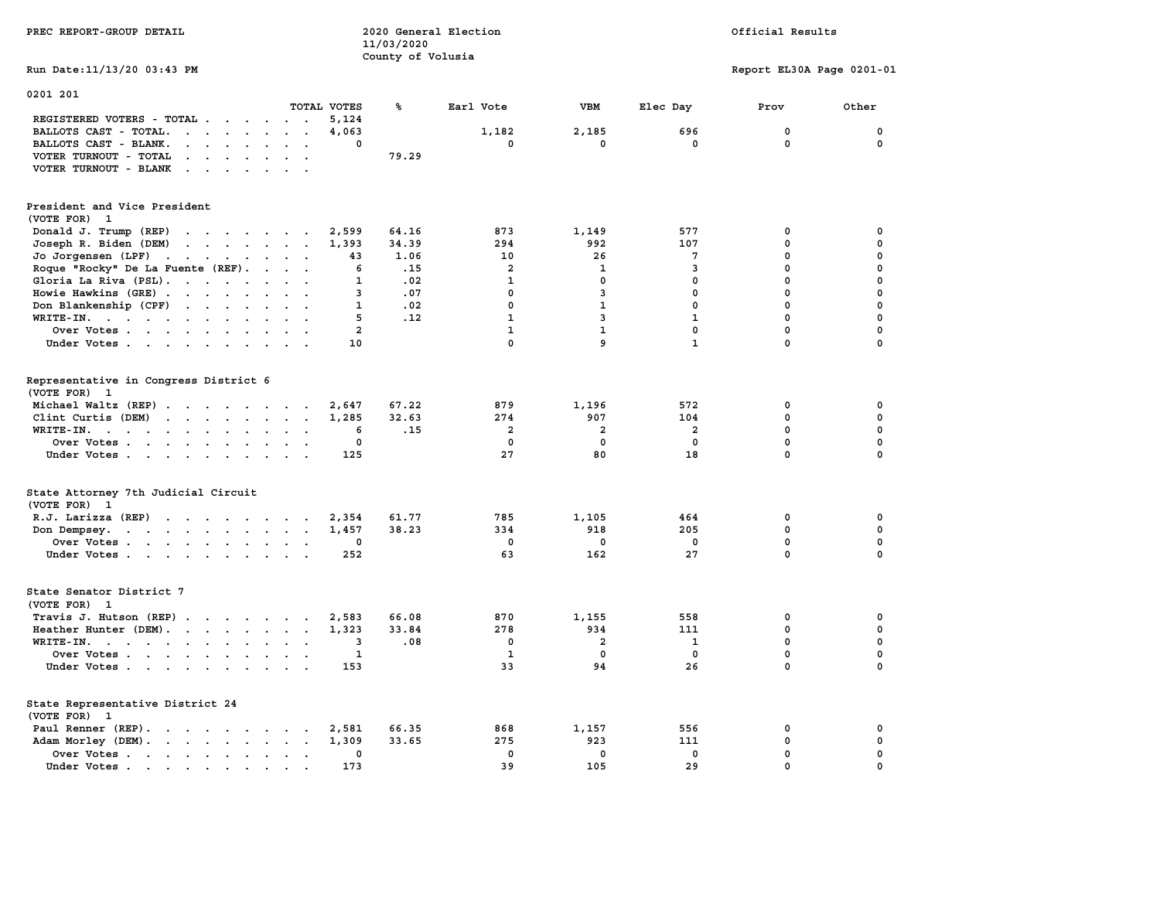| PREC REPORT-GROUP DETAIL                                                                                                                                                  |                                                                                       | 11/03/2020<br>County of Volusia | 2020 General Election                                       |                                                     |                                       | Official Results                                               |                                                     |
|---------------------------------------------------------------------------------------------------------------------------------------------------------------------------|---------------------------------------------------------------------------------------|---------------------------------|-------------------------------------------------------------|-----------------------------------------------------|---------------------------------------|----------------------------------------------------------------|-----------------------------------------------------|
| Run Date: 11/13/20 03:43 PM                                                                                                                                               |                                                                                       |                                 |                                                             |                                                     |                                       | Report EL30A Page 0201-01                                      |                                                     |
| 0201 201                                                                                                                                                                  | TOTAL VOTES                                                                           | ℁                               | Earl Vote                                                   | <b>VBM</b>                                          | Elec Day                              | Prov                                                           | Other                                               |
| REGISTERED VOTERS - TOTAL .<br>$\overline{\phantom{a}}$<br>$\ddot{\phantom{a}}$                                                                                           | 5,124<br>$\sim$ $\sim$                                                                |                                 |                                                             |                                                     |                                       |                                                                |                                                     |
| BALLOTS CAST - TOTAL.<br>$\cdot$ $\cdot$ $\cdot$ $\cdot$ $\cdot$ $\cdot$ $\cdot$                                                                                          | 4,063                                                                                 |                                 | 1,182                                                       | 2,185                                               | 696                                   | $\mathbf 0$                                                    | 0                                                   |
| BALLOTS CAST - BLANK.<br>$\ddot{\phantom{a}}$<br>$\mathbf{A}^{\text{in}}$ , and $\mathbf{A}^{\text{in}}$ , and $\mathbf{A}^{\text{in}}$<br>$\ddot{\phantom{0}}$           | 0<br>$\sim$<br>$\sim$                                                                 |                                 | 0                                                           | 0                                                   | 0                                     | $\mathbf{0}$                                                   | 0                                                   |
| VOTER TURNOUT - TOTAL<br>$\mathbf{L}^{\text{max}}$ , and $\mathbf{L}^{\text{max}}$<br>$\sim$<br>$\bullet$<br>VOTER TURNOUT - BLANK<br>$\cdot$ $\cdot$<br>$\sim$<br>$\sim$ |                                                                                       | 79.29                           |                                                             |                                                     |                                       |                                                                |                                                     |
| President and Vice President<br>(VOTE FOR) 1                                                                                                                              |                                                                                       |                                 |                                                             |                                                     |                                       |                                                                |                                                     |
| Donald J. Trump (REP)<br>the contract of the contract of the                                                                                                              | 2,599                                                                                 | 64.16                           | 873                                                         | 1,149                                               | 577                                   | 0                                                              | 0                                                   |
| Joseph R. Biden (DEM)<br>$\cdots$                                                                                                                                         | 1,393                                                                                 | 34.39                           | 294                                                         | 992                                                 | 107                                   | 0                                                              | $\mathbf 0$                                         |
| Jo Jorgensen (LPF)                                                                                                                                                        | 43                                                                                    | 1.06                            | 10                                                          | 26                                                  | $7\phantom{.0}$                       | $\mathbf 0$                                                    | $\mathbf 0$                                         |
| Roque "Rocky" De La Fuente (REF).                                                                                                                                         | $\cdots$<br>6                                                                         | .15                             | $\overline{a}$                                              | $\mathbf{1}$                                        | 3                                     | $\mathbf 0$                                                    | 0                                                   |
| Gloria La Riva (PSL).                                                                                                                                                     | 1                                                                                     | .02                             | $\mathbf{1}$                                                | $\mathbf 0$                                         | $\mathbf 0$                           | $\mathbf 0$                                                    | $\mathbf 0$                                         |
| Howie Hawkins (GRE)                                                                                                                                                       | 3                                                                                     | .07                             | 0                                                           | 3                                                   | 0                                     | $\mathbf 0$                                                    | $\mathbf 0$                                         |
| Don Blankenship (CPF)                                                                                                                                                     | 1                                                                                     | .02                             | 0                                                           | $\mathbf{1}$                                        | 0                                     | $\mathbf{0}$                                                   | $\mathbf 0$                                         |
| WRITE-IN.                                                                                                                                                                 | 5                                                                                     | .12                             | $\mathbf{1}$                                                | 3                                                   | $\mathbf{1}$                          | $\mathbf 0$                                                    | $\mathbf 0$                                         |
| Over Votes<br>$\sim$                                                                                                                                                      | $\overline{a}$                                                                        |                                 | $\mathbf{1}$                                                | $\mathbf{1}$                                        | $\mathbf 0$                           | $\mathbf 0$                                                    | $\mathbf 0$                                         |
| Under Votes                                                                                                                                                               | 10                                                                                    |                                 | $\mathbf 0$                                                 | 9                                                   | $\mathbf{1}$                          | $\mathbf 0$                                                    | $\mathbf 0$                                         |
| Representative in Congress District 6<br>(VOTE FOR) 1<br>Michael Waltz (REP)<br>Clint Curtis (DEM)<br>WRITE-IN.<br>Over Votes<br>Under Votes                              | 2,647<br>$\ddot{\phantom{a}}$<br>1,285<br>6<br>$\sim$<br>$\sim$<br>0<br>125<br>$\sim$ | 67.22<br>32.63<br>.15           | 879<br>274<br>$\overline{\mathbf{2}}$<br>$\mathbf{0}$<br>27 | 1,196<br>907<br>$\overline{a}$<br>$\mathbf 0$<br>80 | 572<br>104<br>2<br>$\mathbf{0}$<br>18 | 0<br>$\mathbf 0$<br>$\mathbf 0$<br>$\mathbf{0}$<br>$\mathbf 0$ | 0<br>$\mathbf 0$<br>0<br>$\mathbf 0$<br>$\mathbf 0$ |
| State Attorney 7th Judicial Circuit<br>(VOTE FOR) 1                                                                                                                       |                                                                                       | 61.77                           | 785                                                         |                                                     | 464                                   | $\mathbf{0}$                                                   | 0                                                   |
| R.J. Larizza (REP)<br>Don Dempsey.                                                                                                                                        | 2,354<br>1,457                                                                        | 38.23                           | 334                                                         | 1,105<br>918                                        | 205                                   | $\mathbf{0}$                                                   | $\mathbf 0$                                         |
| Over Votes                                                                                                                                                                | 0<br>$\ddot{\phantom{0}}$                                                             |                                 | $\mathbf 0$                                                 | $\mathbf 0$                                         | $\mathbf 0$                           | $\mathbf 0$                                                    | $\mathbf 0$                                         |
| Under Votes                                                                                                                                                               | 252                                                                                   |                                 | 63                                                          | 162                                                 | 27                                    | $\mathbf 0$                                                    | $\mathbf 0$                                         |
| State Senator District 7<br>(VOTE FOR) 1                                                                                                                                  |                                                                                       |                                 |                                                             |                                                     |                                       |                                                                |                                                     |
| Travis J. Hutson (REP)                                                                                                                                                    | 2,583                                                                                 | 66.08                           | 870                                                         | 1,155                                               | 558                                   | $\mathbf 0$                                                    | 0                                                   |
| Heather Hunter (DEM).                                                                                                                                                     | 1,323                                                                                 | 33.84                           | 278                                                         | 934                                                 | 111                                   | $\mathbf 0$                                                    | $\mathbf 0$                                         |
| WRITE-IN.<br>$\sim$                                                                                                                                                       | 3                                                                                     | .08                             | 0                                                           | $\overline{\mathbf{2}}$                             | 1                                     | $\mathbf 0$                                                    | 0                                                   |
| Over Votes                                                                                                                                                                | 1                                                                                     |                                 | 1                                                           | $\mathbf 0$                                         | 0                                     | $\mathbf 0$                                                    | $\mathbf 0$                                         |
| Under Votes                                                                                                                                                               | 153<br>$\sim$ $\sim$                                                                  |                                 | 33                                                          | 94                                                  | 26                                    | $\mathbf 0$                                                    | $\mathbf 0$                                         |
| State Representative District 24<br>(VOTE FOR) 1                                                                                                                          |                                                                                       |                                 |                                                             |                                                     |                                       |                                                                |                                                     |
| Paul Renner (REP).                                                                                                                                                        | 2,581                                                                                 | 66.35                           | 868                                                         | 1,157                                               | 556                                   | 0                                                              | 0                                                   |
| Adam Morley (DEM).                                                                                                                                                        | $\sim$<br>$\ddot{\phantom{a}}$<br>1,309                                               | 33.65                           | 275                                                         | 923                                                 | 111                                   | $\mathbf 0$                                                    | $\pmb{0}$                                           |
| Over Votes                                                                                                                                                                | $\mathbf 0$<br><b>Contract Contract Street</b>                                        |                                 | $\mathbf 0$                                                 | $\mathbf 0$                                         | $\mathbf 0$                           | $\mathbf{0}$                                                   | $\mathbf 0$                                         |
| Under Votes.<br>$\sim$ $\sim$ $\sim$ $\sim$ $\sim$ $\sim$                                                                                                                 | 173                                                                                   |                                 | 39                                                          | 105                                                 | 29                                    | $\mathbf{0}$                                                   | $\mathbf 0$                                         |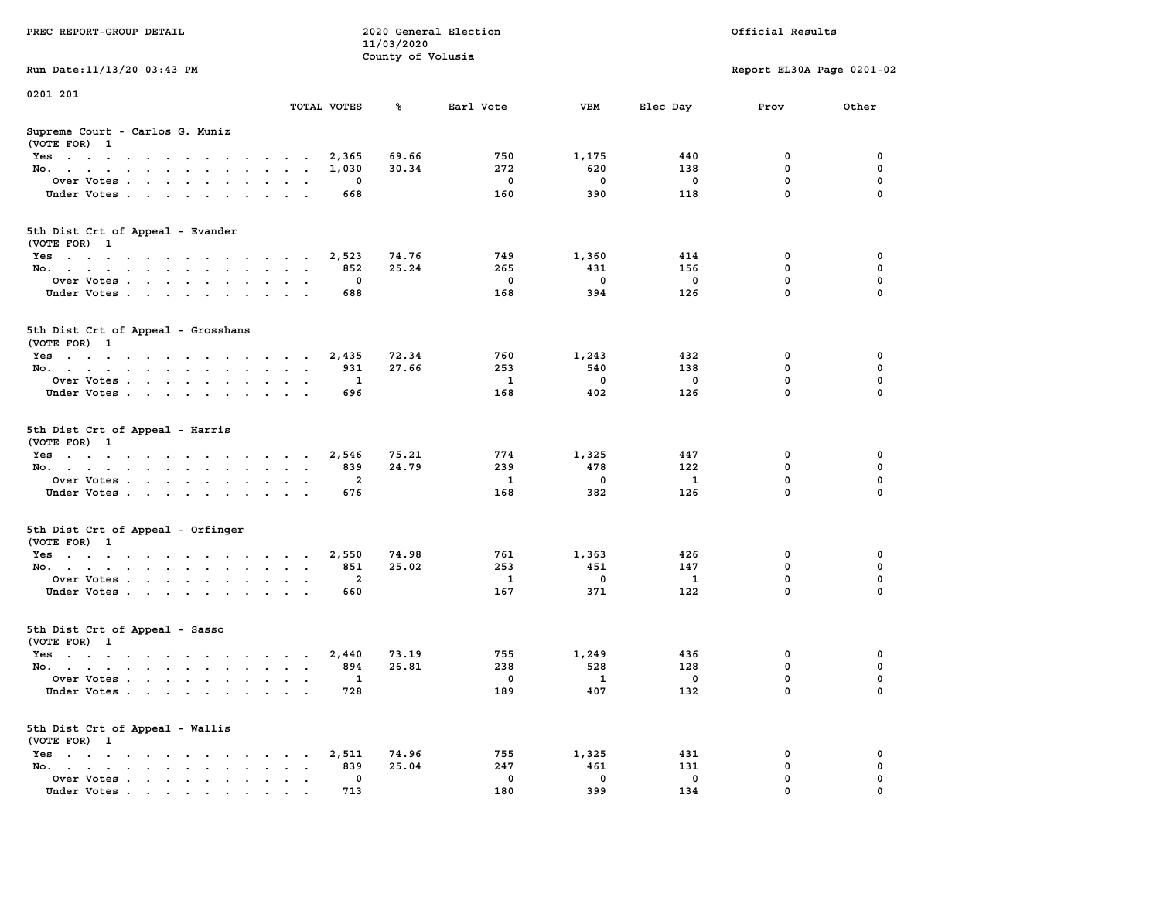| PREC REPORT-GROUP DETAIL                                                                   |                      |                                       | 11/03/2020<br>County of Volusia | 2020 General Election  |                                 | Official Results                  |                             |                                      |  |
|--------------------------------------------------------------------------------------------|----------------------|---------------------------------------|---------------------------------|------------------------|---------------------------------|-----------------------------------|-----------------------------|--------------------------------------|--|
| Run Date: 11/13/20 03:43 PM                                                                |                      |                                       |                                 |                        |                                 |                                   | Report EL30A Page 0201-02   |                                      |  |
| 0201 201                                                                                   |                      | TOTAL VOTES                           | %ะ                              | Earl Vote              | VBM                             | Elec Day                          | Prov                        | Other                                |  |
| Supreme Court - Carlos G. Muniz                                                            |                      |                                       |                                 |                        |                                 |                                   |                             |                                      |  |
| (VOTE FOR) 1                                                                               |                      |                                       |                                 |                        |                                 |                                   |                             |                                      |  |
| Yes                                                                                        |                      | 2,365                                 | 69.66                           | 750                    | 1,175                           | 440                               | 0                           | 0                                    |  |
| No.                                                                                        |                      | 1,030                                 | 30.34                           | 272                    | 620                             | 138                               | $\mathbf 0$                 | 0                                    |  |
| Over Votes                                                                                 |                      | $\Omega$                              |                                 | $^{\circ}$             | $\Omega$                        | $\mathbf 0$                       | $\mathbf{0}$                | $\mathbf 0$                          |  |
| Under Votes                                                                                |                      | 668                                   |                                 | 160                    | 390                             | 118                               | $\mathbf{0}$                | $\mathbf 0$                          |  |
| 5th Dist Crt of Appeal - Evander<br>(VOTE FOR) 1                                           |                      |                                       |                                 |                        |                                 |                                   |                             |                                      |  |
| Yes                                                                                        |                      | 2,523                                 | 74.76                           | 749                    | 1,360                           | 414                               | 0                           | 0                                    |  |
| No.                                                                                        |                      | 852                                   | 25.24                           | 265                    | 431                             | 156                               | 0                           | $\mathbf 0$                          |  |
| Over Votes                                                                                 |                      | 0                                     |                                 | 0                      | $\mathbf{0}$                    | $\mathbf 0$                       | $\mathbf 0$                 | $\mathbf 0$                          |  |
| Under Votes                                                                                |                      | 688                                   |                                 | 168                    | 394                             | 126                               | $\Omega$                    | $\Omega$                             |  |
|                                                                                            |                      |                                       |                                 |                        |                                 |                                   |                             |                                      |  |
| 5th Dist Crt of Appeal - Grosshans<br>(VOTE FOR) 1                                         |                      |                                       |                                 |                        |                                 |                                   |                             |                                      |  |
| Yes                                                                                        |                      | 2,435                                 | 72.34                           | 760                    | 1,243                           | 432                               | 0                           | 0                                    |  |
| No.                                                                                        |                      | 931                                   | 27.66                           | 253                    | 540                             | 138                               | $^{\circ}$                  | 0                                    |  |
| Over Votes                                                                                 |                      | 1                                     |                                 | 1                      | $\mathbf{0}$                    | $\mathbf 0$                       | $\mathbf{0}$                | $\mathbf 0$                          |  |
| Under Votes                                                                                |                      | 696                                   |                                 | 168                    | 402                             | 126                               | $\Omega$                    | $\mathbf 0$                          |  |
| 5th Dist Crt of Appeal - Harris<br>(VOTE FOR) 1<br>Yes<br>No.<br>Over Votes<br>Under Votes |                      | 2,546<br>839<br>$\overline{2}$<br>676 | 75.21<br>24.79                  | 774<br>239<br>1<br>168 | 1,325<br>478<br>$\Omega$<br>382 | 447<br>122<br><sup>1</sup><br>126 | 0<br>0<br>0<br>$\mathbf{0}$ | 0<br>0<br>$\mathbf 0$<br>$\mathbf 0$ |  |
| 5th Dist Crt of Appeal - Orfinger<br>(VOTE FOR) 1                                          |                      |                                       |                                 |                        |                                 |                                   |                             |                                      |  |
| Yes                                                                                        |                      | 2,550                                 | 74.98                           | 761                    | 1,363                           | 426                               | 0                           | 0                                    |  |
| No.                                                                                        |                      | 851                                   | 25.02                           | 253                    | 451                             | 147                               | 0                           | $\mathbf 0$                          |  |
| Over Votes                                                                                 |                      | $\overline{a}$                        |                                 | 1                      | $\mathbf 0$                     | $\mathbf{1}$                      | 0                           | 0                                    |  |
| Under Votes                                                                                |                      | 660                                   |                                 | 167                    | 371                             | 122                               | $\Omega$                    | $\Omega$                             |  |
| 5th Dist Crt of Appeal - Sasso<br>(VOTE FOR) 1                                             |                      |                                       |                                 |                        |                                 |                                   |                             |                                      |  |
| Yes                                                                                        |                      | 2,440                                 | 73.19                           | 755                    | 1,249                           | 436                               | 0                           | 0                                    |  |
| No.                                                                                        |                      | 894                                   | 26.81                           | 238                    | 528                             | 128                               | 0                           | $\mathbf 0$                          |  |
| Over Votes                                                                                 | $\sim$ $\sim$ $\sim$ | 1                                     |                                 | $\mathbf 0$            | 1                               | 0                                 | 0                           | 0                                    |  |
| Under Votes                                                                                |                      | 728                                   |                                 | 189                    | 407                             | 132                               | 0                           | 0                                    |  |
| 5th Dist Crt of Appeal - Wallis<br>(VOTE FOR) 1                                            |                      |                                       |                                 |                        |                                 |                                   |                             |                                      |  |
| $Yes \cdot \cdot \cdot \cdot \cdot$                                                        |                      | 2,511                                 | 74.96                           | 755                    | 1,325                           | 431                               | 0                           | 0                                    |  |
| No.                                                                                        |                      | 839                                   | 25.04                           | 247                    | 461                             | 131                               | 0                           | 0                                    |  |
| Over Votes                                                                                 |                      | $\mathbf 0$                           |                                 | 0                      | $\mathbf 0$                     | 0                                 | 0                           | 0                                    |  |
| Under Votes                                                                                |                      | 713                                   |                                 | 180                    | 399                             | 134                               | $\mathbf{0}$                | 0                                    |  |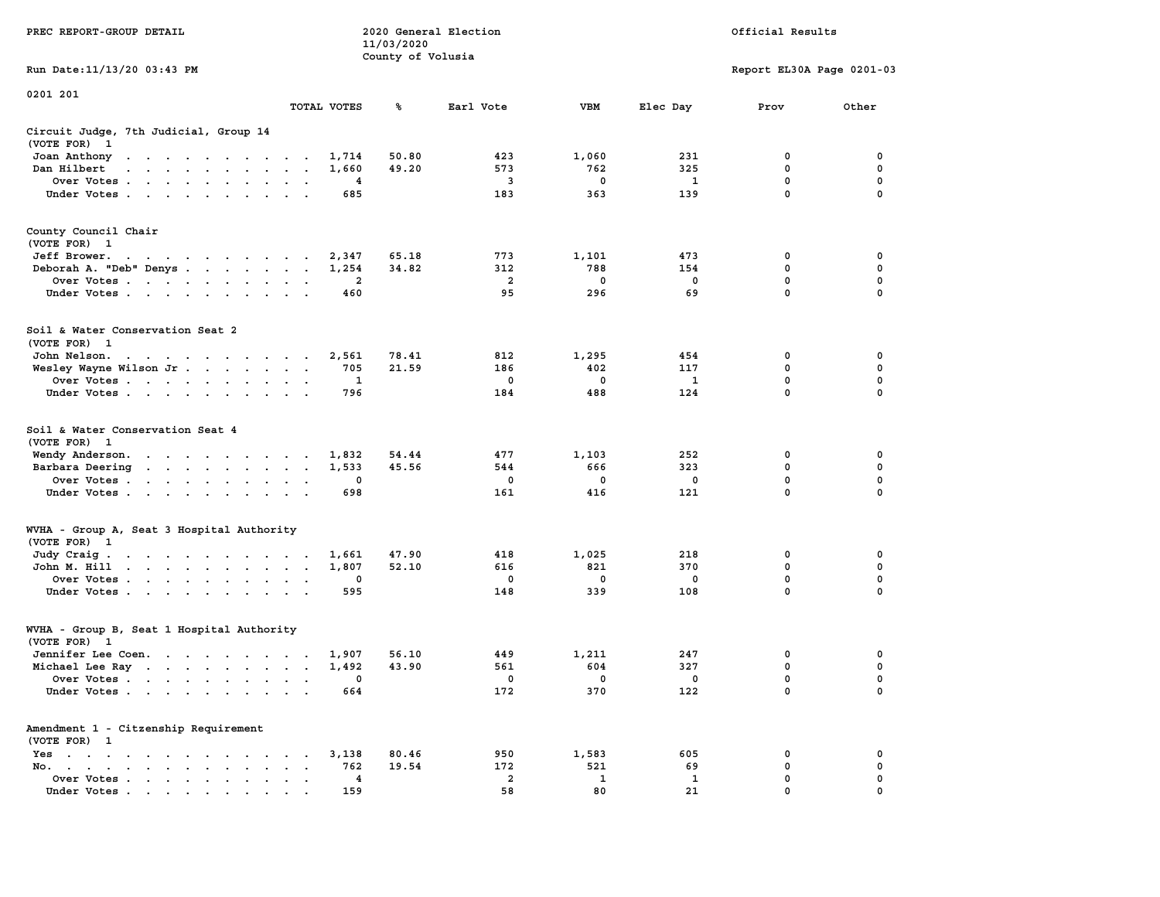| PREC REPORT-GROUP DETAIL                                                                                                                                                                                                                          |                | 11/03/2020        | 2020 General Election |                    | Official Results         |                           |             |  |
|---------------------------------------------------------------------------------------------------------------------------------------------------------------------------------------------------------------------------------------------------|----------------|-------------------|-----------------------|--------------------|--------------------------|---------------------------|-------------|--|
| Run Date: 11/13/20 03:43 PM                                                                                                                                                                                                                       |                | County of Volusia |                       |                    |                          | Report EL30A Page 0201-03 |             |  |
| 0201 201                                                                                                                                                                                                                                          |                |                   |                       |                    |                          |                           |             |  |
|                                                                                                                                                                                                                                                   | TOTAL VOTES    | ℁                 | Earl Vote             | VBM                | Elec Day                 | Prov                      | Other       |  |
| Circuit Judge, 7th Judicial, Group 14<br>(VOTE FOR) 1                                                                                                                                                                                             |                |                   |                       |                    |                          |                           |             |  |
| Joan Anthony<br>the contract of the contract of the contract of                                                                                                                                                                                   | 1,714          | 50.80             | 423                   | 1,060              | 231                      | 0                         | 0           |  |
| Dan Hilbert<br>$\mathbf{r}$ . The state of the state $\mathbf{r}$ is the state of the state $\mathbf{r}$                                                                                                                                          | 1,660          | 49.20             | 573                   | 762                | 325                      | 0                         | 0           |  |
| Over Votes                                                                                                                                                                                                                                        | 4              |                   | 3                     | 0                  | $\mathbf{1}$             | $\mathbf 0$               | $\mathbf 0$ |  |
| Under Votes                                                                                                                                                                                                                                       | 685            |                   | 183                   | 363                | 139                      | $\mathbf 0$               | $\Omega$    |  |
| County Council Chair<br>(VOTE FOR) 1                                                                                                                                                                                                              |                |                   |                       |                    |                          |                           |             |  |
| Jeff Brower.<br>the contract of the contract of the con-                                                                                                                                                                                          | 2,347          | 65.18             | 773                   | 1,101              | 473                      | 0                         | 0           |  |
| Deborah A. "Deb" Denys                                                                                                                                                                                                                            | 1,254          | 34.82             | 312                   | 788                | 154                      | $\mathbf 0$               | 0           |  |
| Over Votes                                                                                                                                                                                                                                        | 2              |                   | $\overline{a}$        | 0                  | 0                        | 0                         | 0           |  |
| Under Votes                                                                                                                                                                                                                                       | 460            |                   | 95                    | 296                | 69                       | $\mathbf 0$               | $\mathbf 0$ |  |
| Soil & Water Conservation Seat 2<br>(VOTE FOR) 1                                                                                                                                                                                                  |                |                   |                       |                    |                          |                           |             |  |
| John Nelson.<br>$\mathbf{r}$ . The set of the set of the set of the set of the set of the set of the set of the set of the set of the set of the set of the set of the set of the set of the set of the set of the set of the set of the set of t | 2,561          | 78.41             | 812                   | 1,295              | 454                      | 0                         | 0           |  |
| Wesley Wayne Wilson Jr                                                                                                                                                                                                                            | 705            | 21.59             | 186                   | 402                | 117                      | 0                         | 0           |  |
| Over Votes                                                                                                                                                                                                                                        | 1              |                   | $\mathbf 0$           | $\mathbf 0$        | 1                        | $\mathbf 0$               | 0           |  |
| Under Votes                                                                                                                                                                                                                                       | 796            |                   | 184                   | 488                | 124                      | 0                         | $\Omega$    |  |
| Soil & Water Conservation Seat 4                                                                                                                                                                                                                  |                |                   |                       |                    |                          |                           |             |  |
| (VOTE FOR) 1                                                                                                                                                                                                                                      |                |                   |                       |                    |                          |                           |             |  |
| Wendy Anderson.<br>Barbara Deering                                                                                                                                                                                                                | 1,832<br>1,533 | 54.44<br>45.56    | 477<br>544            | 1,103<br>666       | 252<br>323               | 0<br>0                    | 0<br>0      |  |
| Over Votes                                                                                                                                                                                                                                        | 0              |                   | 0                     | 0                  | 0                        | $\mathbf 0$               | 0           |  |
| Under Votes                                                                                                                                                                                                                                       | 698            |                   | 161                   | 416                | 121                      | 0                         | $\Omega$    |  |
| WVHA - Group A, Seat 3 Hospital Authority                                                                                                                                                                                                         |                |                   |                       |                    |                          |                           |             |  |
| (VOTE FOR) 1                                                                                                                                                                                                                                      |                |                   |                       |                    |                          |                           |             |  |
| Judy Craig.                                                                                                                                                                                                                                       | 1,661          | 47.90             | 418                   | 1,025              | 218                      | 0                         | 0           |  |
| John M. Hill                                                                                                                                                                                                                                      | 1,807          | 52.10             | 616                   | 821                | 370                      | $\mathbf 0$               | $\mathbf 0$ |  |
| Over Votes                                                                                                                                                                                                                                        | 0              |                   | $\mathbf 0$           | 0                  | $\mathbf{o}$             | 0                         | 0           |  |
| Under Votes                                                                                                                                                                                                                                       | 595            |                   | 148                   | 339                | 108                      | $\mathbf 0$               | $\Omega$    |  |
| WVHA - Group B, Seat 1 Hospital Authority<br>(VOTE FOR) 1                                                                                                                                                                                         |                |                   |                       |                    |                          |                           |             |  |
| Jennifer Lee Coen.                                                                                                                                                                                                                                | 1,907          | 56.10             | 449                   | 1,211              | 247                      | 0                         | 0           |  |
| Michael Lee Ray                                                                                                                                                                                                                                   | 1,492          | 43.90             | 561                   | 604                | 327                      | 0                         | 0           |  |
| Over Votes, $\overline{a}$ , $\overline{a}$ , $\overline{a}$ , $\overline{a}$ , $\overline{a}$ , $\overline{a}$ , $\overline{a}$ , $\overline{a}$ , $\overline{a}$ , $\overline{a}$ , $\overline{a}$ , $\overline{a}$                             |                |                   | $\mathbf 0$           | $^{\circ}$         | $\overline{\phantom{0}}$ | 0                         | 0           |  |
| Under Votes                                                                                                                                                                                                                                       | 664            |                   | 172                   | 370                | 122                      | 0                         | 0           |  |
| Amendment 1 - Citzenship Requirement<br>(VOTE FOR) 1                                                                                                                                                                                              |                |                   |                       |                    |                          |                           |             |  |
| $Yes \cdot \cdot \cdot \cdot \cdot \cdot \cdot \cdot \cdot$                                                                                                                                                                                       | 3,138          | 80.46             | 950                   | 1,583              | 605                      | 0                         | 0           |  |
| No.<br>$\sim$<br>$\bullet$                                                                                                                                                                                                                        | 762            | 19.54             | 172                   | 521                | 69                       | 0                         | 0           |  |
| Over Votes                                                                                                                                                                                                                                        | 4<br>159       |                   | $\overline{a}$<br>58  | $\mathbf{1}$<br>80 | $\mathbf{1}$<br>21       | 0<br>n                    | 0           |  |
| Under Votes.                                                                                                                                                                                                                                      |                |                   |                       |                    |                          |                           |             |  |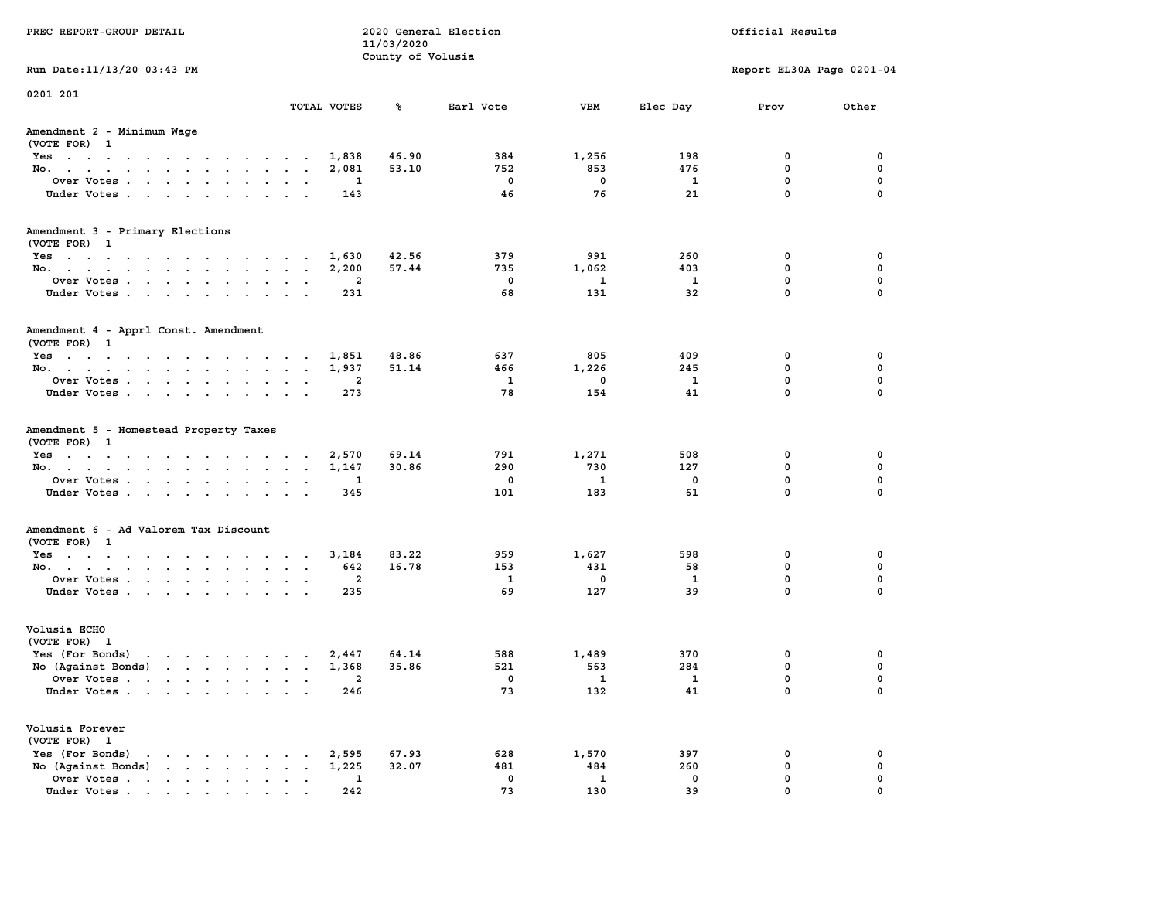| PREC REPORT-GROUP DETAIL                                      |                                                            | 11/03/2020<br>County of Volusia | 2020 General Election    |                          |                         | Official Results          |              |
|---------------------------------------------------------------|------------------------------------------------------------|---------------------------------|--------------------------|--------------------------|-------------------------|---------------------------|--------------|
| Run Date: 11/13/20 03:43 PM                                   |                                                            |                                 |                          |                          |                         | Report EL30A Page 0201-04 |              |
| 0201 201                                                      | TOTAL VOTES                                                | ℁                               | Earl Vote                | <b>VBM</b>               | Elec Day                | Prov                      | Other        |
| Amendment 2 - Minimum Wage<br>(VOTE FOR) 1                    |                                                            |                                 |                          |                          |                         |                           |              |
| Yes 1,838                                                     |                                                            | 46.90                           | 384                      | 1,256                    | 198                     | 0                         | $\mathbf 0$  |
| No.                                                           | 2,081                                                      | 53.10                           | 752                      | 853                      | 476                     | $\mathbf 0$               | 0            |
| Over Votes                                                    | $\overline{\phantom{a}}$                                   |                                 | $\overline{\mathbf{0}}$  | $\overline{\mathbf{0}}$  | $\overline{\mathbf{1}}$ | $\mathbf 0$               | $\mathbf 0$  |
| Under Votes                                                   | 143                                                        |                                 | 46                       | 76                       | 21                      | $\Omega$                  | $\Omega$     |
| Amendment 3 - Primary Elections                               |                                                            |                                 |                          |                          |                         |                           |              |
| (VOTE FOR) 1<br>Yes                                           | 1,630                                                      | 42.56                           | 379                      | 991                      | 260                     | $\mathbf 0$               | 0            |
| No.                                                           | 2,200                                                      | 57.44                           | 735                      | 1,062                    | 403                     | $\mathbf 0$               | 0            |
| Over Votes                                                    | $\overline{\phantom{a}}$                                   |                                 | $\overline{\phantom{0}}$ | $\overline{\mathbf{1}}$  | $\overline{\mathbf{1}}$ | 0                         | 0            |
| Under Votes                                                   | 231                                                        |                                 | 68                       | 131                      | 32                      | $\mathbf 0$               | 0            |
| Amendment 4 - Apprl Const. Amendment<br>(VOTE FOR) 1          |                                                            |                                 |                          |                          |                         |                           |              |
| Yes                                                           | 1,851                                                      | 48.86                           | 637                      | 805                      | 409                     | 0                         | 0            |
| No.                                                           | 1,937                                                      | 51.14                           | 466                      | 1,226                    | 245                     | $\mathbf 0$               | 0            |
| Over Votes                                                    | $\overline{a}$                                             |                                 | $\overline{\mathbf{1}}$  | $\overline{\phantom{0}}$ | $\mathbf{1}$            | $\mathbf 0$               | $\mathbf 0$  |
| Under Votes                                                   | 273                                                        |                                 | 78                       | 154                      | 41                      | $\mathbf 0$               | $\Omega$     |
| Amendment 5 - Homestead Property Taxes<br>(VOTE FOR) 1<br>Yes | 2,570                                                      | 69.14                           | 791                      | 1,271                    | 508                     | 0                         | 0            |
| No.                                                           | 1,147                                                      | 30.86                           | 290                      | 730                      | 127                     | 0                         | 0            |
| Over Votes                                                    | $\mathbf{1}$                                               |                                 | $\overline{\mathbf{0}}$  | $\mathbf{1}$             | $\mathbf 0$             | $\mathbf 0$               | $\mathbf 0$  |
| Under Votes                                                   | 345                                                        |                                 | 101                      | 183                      | 61                      | $\mathbf{0}$              | $\Omega$     |
| Amendment 6 - Ad Valorem Tax Discount<br>(VOTE FOR) 1         |                                                            |                                 |                          |                          |                         |                           |              |
| Yes                                                           | 3,184                                                      | 83.22                           | 959                      | 1,627                    | 598                     | $\mathbf 0$               | 0            |
| No.                                                           | 642                                                        | 16.78                           | 153                      | 431                      | 58                      | $^{\circ}$                | 0            |
| Over Votes                                                    | $\overline{\phantom{a}}$                                   |                                 | $\mathbf{1}$             | $\overline{\mathbf{0}}$  | $\mathbf{1}$            | 0                         | 0            |
| Under Votes                                                   | 235                                                        |                                 | 69                       | 127                      | 39                      | $\mathbf 0$               | $\mathbf{0}$ |
| Volusia ECHO<br>(VOTE FOR) 1                                  |                                                            |                                 |                          |                          |                         |                           |              |
| Yes (For Bonds) $\cdots$ $\cdots$ $\cdots$ $\cdots$           | 2,447                                                      | 64.14                           | 588                      | 1,489                    | 370                     | 0                         | 0            |
| No (Against Bonds)                                            | 1,368                                                      | 35.86                           | 521                      | 563                      | 284                     | 0                         | 0            |
| Over Votes                                                    | $\overline{\phantom{a}}$                                   |                                 | $\overline{\mathbf{0}}$  | $\overline{\mathbf{1}}$  | $\overline{\mathbf{1}}$ | $\mathbf 0$               | $\mathbf 0$  |
| Under Votes                                                   | 246                                                        |                                 | 73                       | 132                      | 41                      | $\mathbf 0$               | $\mathbf{0}$ |
| Volusia Forever<br>(VOTE FOR) 1                               |                                                            |                                 |                          |                          |                         |                           |              |
| Yes (For Bonds) $\cdots$ $\cdots$ $\cdots$ $\cdots$           | 2,595                                                      | 67.93                           | 628                      | 1,570                    | 397                     | $\mathbf 0$               | 0            |
| No $(Against Bonds)$                                          | 1,225                                                      | 32.07                           | 481                      | 484                      | 260                     | $\mathbf 0$               | 0            |
| Over Votes                                                    | $\overline{\phantom{a}}$<br>$\sim$<br>$\ddot{\phantom{a}}$ |                                 | $\mathbf 0$              | $\mathbf{1}$             | $\mathbf 0$             | $\mathbf 0$               | $\mathbf 0$  |
|                                                               | 2.42                                                       |                                 | 73                       | 130                      | 39                      | $\Omega$                  | $\Omega$     |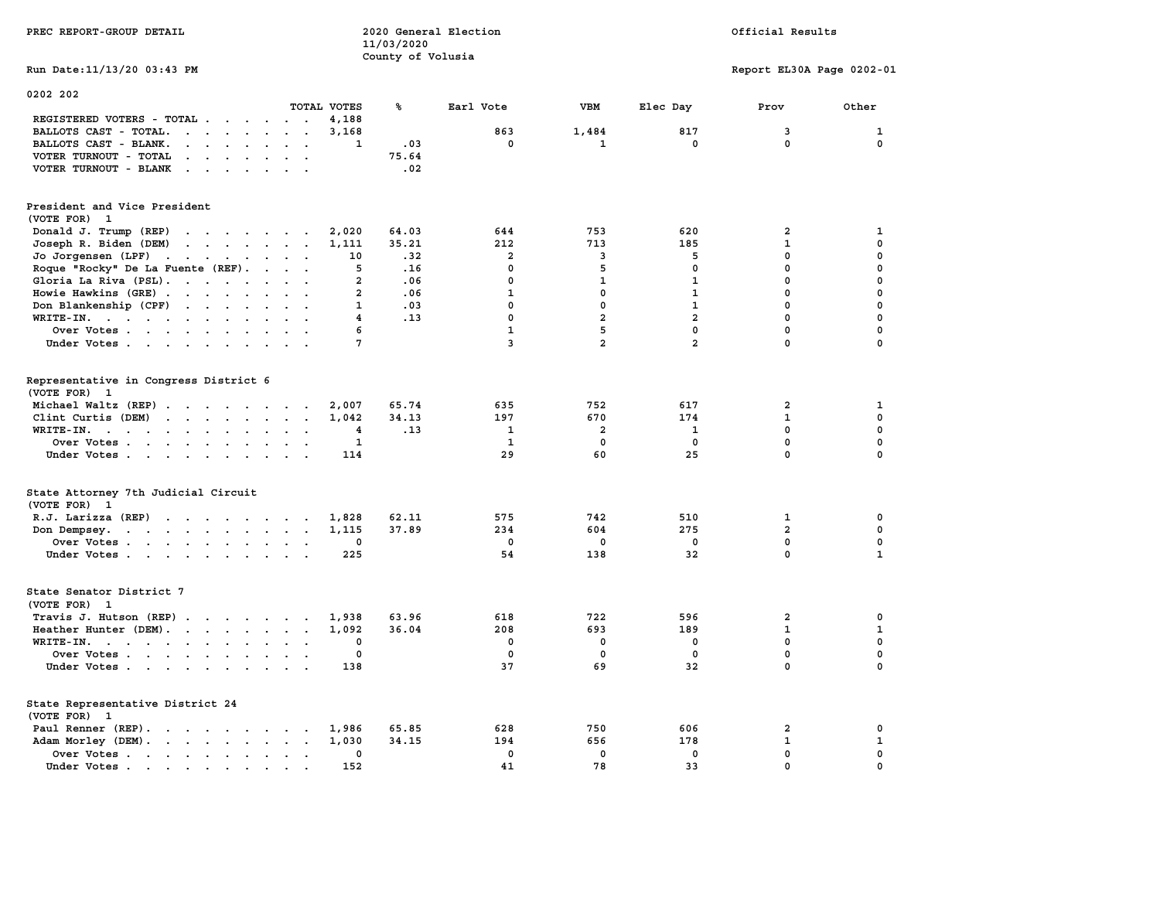|                                                                                                                                                                                            |                                                      |              | 11/03/2020        |                |                |                |                           |              |
|--------------------------------------------------------------------------------------------------------------------------------------------------------------------------------------------|------------------------------------------------------|--------------|-------------------|----------------|----------------|----------------|---------------------------|--------------|
|                                                                                                                                                                                            |                                                      |              | County of Volusia |                |                |                |                           |              |
| Run Date:11/13/20 03:43 PM                                                                                                                                                                 |                                                      |              |                   |                |                |                | Report EL30A Page 0202-01 |              |
| 0202 202                                                                                                                                                                                   |                                                      |              |                   |                |                |                |                           |              |
|                                                                                                                                                                                            |                                                      | TOTAL VOTES  | %                 | Earl Vote      | <b>VBM</b>     | Elec Day       | Prov                      | Other        |
| REGISTERED VOTERS - TOTAL .<br>$\sim$<br>$\overline{\phantom{a}}$                                                                                                                          |                                                      | 4,188        |                   |                |                |                |                           |              |
| BALLOTS CAST - TOTAL.<br>$\mathbf{z} = \mathbf{z}$ .<br>$\ddot{\phantom{a}}$<br>$\ddot{\phantom{a}}$<br>$\cdot$                                                                            | $\ddot{\phantom{a}}$<br>$\ddot{\phantom{a}}$         | 3,168        |                   | 863            | 1,484          | 817            | 3                         | 1            |
| BALLOTS CAST - BLANK.<br>$\sim$<br>$\sim$<br>$\ddot{\phantom{a}}$                                                                                                                          |                                                      | 1            | .03               | 0              | 1              | 0              | 0                         | $\mathbf 0$  |
| VOTER TURNOUT - TOTAL<br>$\overline{\phantom{a}}$<br>$\sim$                                                                                                                                |                                                      |              | 75.64             |                |                |                |                           |              |
| VOTER TURNOUT - BLANK<br>$\mathcal{A}=\mathcal{A}=\mathcal{A}$ .<br>$\ddot{\phantom{a}}$<br>$\bullet$                                                                                      |                                                      |              | .02               |                |                |                |                           |              |
|                                                                                                                                                                                            |                                                      |              |                   |                |                |                |                           |              |
| President and Vice President<br>(VOTE FOR)<br>$\mathbf{1}$                                                                                                                                 |                                                      |              |                   |                |                |                |                           |              |
| Donald J. Trump (REP)<br>$\begin{array}{cccccccccccccc} \bullet & \bullet & \bullet & \bullet & \bullet & \bullet & \bullet & \bullet & \bullet & \bullet & \bullet & \bullet \end{array}$ |                                                      | 2,020        | 64.03             | 644            | 753            | 620            | 2                         | 1            |
| Joseph R. Biden (DEM)<br>$\mathbf{r}$ , $\mathbf{r}$ , $\mathbf{r}$<br>$\ddot{\phantom{a}}$<br>$\ddot{\phantom{a}}$                                                                        | $\ddot{\phantom{a}}$                                 | 1,111        | 35.21             | 212            | 713            | 185            | $\mathbf 1$               | $\pmb{0}$    |
| Jo Jorgensen (LPF)<br>$\sim$ 100 $\sim$ 100 $\sim$<br>$\cdot$<br>$\overline{\phantom{a}}$                                                                                                  |                                                      | 10           | .32               | 2              | 3              | 5              | $\mathbf 0$               | $\mathbf 0$  |
| Roque "Rocky" De La Fuente (REF).<br>$\mathbf{r}$                                                                                                                                          |                                                      | 5            | .16               | 0              | 5              | 0              | $\mathbf 0$               | 0            |
|                                                                                                                                                                                            |                                                      | $\mathbf{2}$ | .06               | 0              |                | $\mathbf{1}$   | $\mathbf 0$               | 0            |
| Gloria La Riva (PSL).<br>$\sim$ $\sim$ $\sim$ $\sim$<br>$\cdot$                                                                                                                            |                                                      |              |                   |                | 1              |                |                           |              |
| Howie Hawkins (GRE).<br>$\ddot{\phantom{a}}$<br>$\sim$<br>$\ddot{\phantom{a}}$<br>$\overline{\phantom{a}}$                                                                                 |                                                      | 2            | .06               | 1              | 0              | 1              | 0                         | $\mathbf 0$  |
| Don Blankenship (CPF)<br>$\cdots$<br>$\sim$<br>$\sim$                                                                                                                                      | $\sim$                                               | 1            | .03               | 0              | $\mathbf 0$    | $\mathbf{1}$   | 0                         | $\mathbf 0$  |
| WRITE-IN.<br>$\mathcal{A}=\mathcal{A}=\mathcal{A}=\mathcal{A}=\mathcal{A}=\mathcal{A}$ .<br>$\blacksquare$<br>$\bullet$                                                                    |                                                      | 4            | .13               | $\mathbf 0$    | $\overline{a}$ | $\overline{a}$ | $\mathbf 0$               | 0            |
| Over Votes<br>$\sim$                                                                                                                                                                       |                                                      | 6            |                   | 1              | 5              | 0              | 0                         | $\mathbf 0$  |
| Under Votes                                                                                                                                                                                | $\cdot$                                              | 7            |                   | $\overline{3}$ | $\overline{a}$ | $\overline{a}$ | 0                         | $\Omega$     |
| Representative in Congress District 6<br>(VOTE FOR)<br>$\mathbf{1}$                                                                                                                        |                                                      |              |                   |                |                |                |                           |              |
| Michael Waltz (REP).<br>$\sim$ $\sim$ $\sim$ $\sim$ $\sim$<br>$\sim 100$<br>$\ddot{\phantom{a}}$                                                                                           |                                                      | 2,007        | 65.74             | 635            | 752            | 617            | 2                         | 1            |
| Clint Curtis (DEM)<br>$\sim$<br>$\cdot$ $\cdot$ $\cdot$ $\cdot$<br>$\ddot{\phantom{a}}$<br>$\sim$                                                                                          | $\overline{\phantom{a}}$<br>$\overline{\phantom{a}}$ | 1,042        | 34.13             | 197            | 670            | 174            | $\mathbf{1}$              | 0            |
| WRITE-IN.<br>$\sim$<br>$\ddot{\phantom{a}}$<br>$\ddot{\phantom{a}}$<br>$\ddot{\phantom{a}}$                                                                                                |                                                      | 4            | .13               | 1              | 2              | 1              | 0                         | $\pmb{0}$    |
| Over Votes                                                                                                                                                                                 |                                                      | 1            |                   | 1              | 0              | $\mathbf 0$    | $\mathbf 0$               | $\mathbf 0$  |
| Under Votes<br>$\sim$<br>$\sim$                                                                                                                                                            | $\sim$ $\sim$                                        | 114          |                   | 29             | 60             | 25             | $\mathbf 0$               | $\mathbf 0$  |
| State Attorney 7th Judicial Circuit                                                                                                                                                        |                                                      |              |                   |                |                |                |                           |              |
| (VOTE FOR) 1                                                                                                                                                                               |                                                      |              |                   |                |                |                |                           |              |
| R.J. Larizza (REP)<br>$\ddot{\phantom{0}}$<br>$\sim$ $\sim$ $\sim$ $\sim$ $\sim$<br><b>Contract Contract</b>                                                                               | $\overline{\phantom{a}}$<br>$\overline{\phantom{a}}$ | 1,828        | 62.11             | 575            | 742            | 510            | 1                         | 0            |
| Don Dempsey.<br>$\mathbf{r} = \mathbf{r} + \mathbf{r} + \mathbf{r} + \mathbf{r}$<br>$\sim$ $\sim$<br>$\bullet$                                                                             | $\bullet$                                            | 1,115        | 37.89             | 234            | 604            | 275            | $\overline{\mathbf{2}}$   | $\mathbf 0$  |
| Over Votes<br>$\ddot{\phantom{a}}$<br>$\bullet$                                                                                                                                            | $\bullet$<br>$\bullet$                               | 0            |                   | 0              | 0              | $\mathbf 0$    | $\mathbf 0$               | 0            |
| Under Votes                                                                                                                                                                                | $\ddot{\phantom{a}}$                                 | 225          |                   | 54             | 138            | 32             | $\mathbf 0$               | $\mathbf{1}$ |
|                                                                                                                                                                                            |                                                      |              |                   |                |                |                |                           |              |
| State Senator District 7<br>(VOTE FOR)<br>- 1                                                                                                                                              |                                                      |              |                   |                |                |                |                           |              |
| Travis J. Hutson (REP)<br>$\ddot{\phantom{a}}$                                                                                                                                             |                                                      | 1,938        | 63.96             | 618            | 722            | 596            | $\mathbf{2}$              | 0            |
| Heather Hunter (DEM).<br>$\sim$                                                                                                                                                            | $\ddot{\phantom{a}}$<br>$\sim$                       | 1,092        | 36.04             | 208            | 693            | 189            | 1                         | 1            |
| WRITE-IN.<br>$\mathcal{A}=\mathcal{A}=\mathcal{A}=\mathcal{A}=\mathcal{A}=\mathcal{A}$ .<br>$\sim$<br>$\blacksquare$<br>$\bullet$                                                          |                                                      | 0            |                   | 0              | 0              | $\mathbf 0$    | $\mathbf{0}$              | $\mathbf 0$  |
| Over Votes<br>$\ddot{\phantom{a}}$                                                                                                                                                         |                                                      | 0            |                   | 0              | $\mathbf 0$    | $\mathbf 0$    | $\mathbf 0$               | 0            |
| Under Votes<br>$\cdot$                                                                                                                                                                     | $\overline{a}$                                       | 138          |                   | 37             | 69             | 32             | $\mathbf 0$               | $\mathbf 0$  |
| State Representative District 24                                                                                                                                                           |                                                      |              |                   |                |                |                |                           |              |
| (VOTE FOR)<br>$\mathbf{1}$                                                                                                                                                                 |                                                      |              |                   |                |                |                |                           |              |
| Paul Renner (REP).                                                                                                                                                                         |                                                      | 1,986        | 65.85             | 628            | 750            | 606            | $\mathbf{2}$              | 0            |
| Adam Morley (DEM).<br>$\cdots$                                                                                                                                                             |                                                      | 1,030        | 34.15             | 194            | 656            | 178            | $\mathbf 1$               | 1            |
| Over Votes<br>$\ddot{\phantom{0}}$                                                                                                                                                         |                                                      | 0            |                   | 0              | 0              | 0              | 0                         | $\pmb{0}$    |
| Under Votes.<br>$\ddot{\phantom{a}}$<br>$\cdot$                                                                                                                                            |                                                      | 152          |                   | 41             | 78             | 33             | $\mathbf 0$               | $\mathbf 0$  |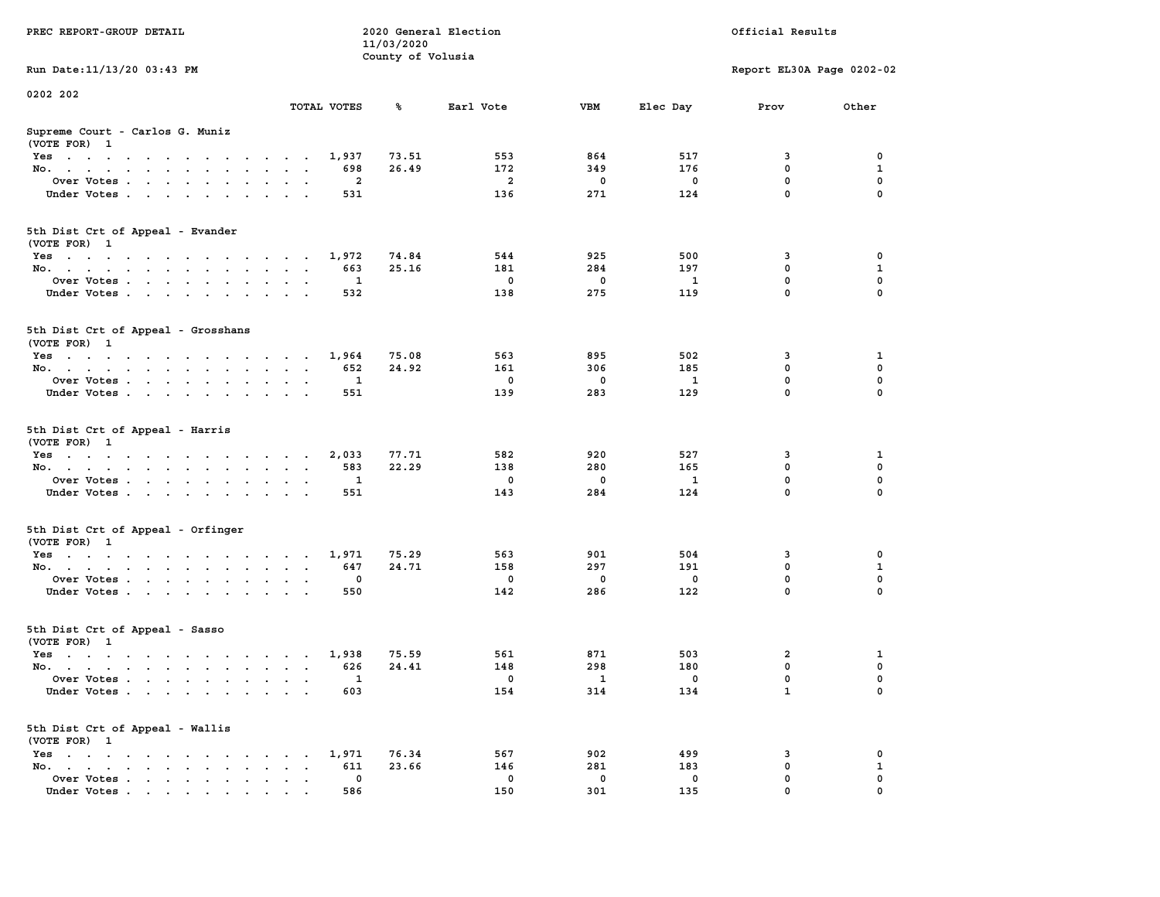|                                                                                                        |                                                         | 11/03/2020        |                |             |              |                           |              |
|--------------------------------------------------------------------------------------------------------|---------------------------------------------------------|-------------------|----------------|-------------|--------------|---------------------------|--------------|
|                                                                                                        |                                                         | County of Volusia |                |             |              |                           |              |
| Run Date: 11/13/20 03:43 PM                                                                            |                                                         |                   |                |             |              | Report EL30A Page 0202-02 |              |
| 0202 202                                                                                               |                                                         |                   |                |             |              |                           |              |
|                                                                                                        | TOTAL VOTES                                             | ℁                 | Earl Vote      | <b>VBM</b>  | Elec Day     | Prov                      | Other        |
| Supreme Court - Carlos G. Muniz                                                                        |                                                         |                   |                |             |              |                           |              |
| (VOTE FOR) 1                                                                                           |                                                         |                   |                |             |              |                           |              |
| Yes                                                                                                    | 1,937                                                   | 73.51             | 553            | 864         | 517          | 3                         | 0            |
| No.<br>$\cdot$ $\cdot$ $\cdot$<br>$\sim$                                                               | 698<br>$\sim$                                           | 26.49             | 172            | 349         | 176          | 0                         | $\mathbf 1$  |
| Over Votes                                                                                             | 2<br>$\sim$                                             |                   | $\overline{a}$ | $\mathbf 0$ | 0            | $\pmb{0}$                 | 0            |
| Under Votes<br>$\ddot{\phantom{a}}$                                                                    | 531<br>$\ddot{\phantom{a}}$                             |                   | 136            | 271         | 124          | $\mathbf 0$               | $\Omega$     |
|                                                                                                        |                                                         |                   |                |             |              |                           |              |
| 5th Dist Crt of Appeal - Evander                                                                       |                                                         |                   |                |             |              |                           |              |
| (VOTE FOR) 1                                                                                           |                                                         |                   |                |             |              |                           |              |
| Yes                                                                                                    | 1,972                                                   | 74.84             | 544            | 925         | 500          | 3                         | 0            |
| No.                                                                                                    | 663                                                     | 25.16             | 181            | 284         | 197          | $\mathbf 0$               | ${\bf 1}$    |
| Over Votes                                                                                             | 1                                                       |                   | $^{\circ}$     | $^{\circ}$  | 1            | $\mathbf 0$               | $\mathbf 0$  |
| Under Votes                                                                                            | 532                                                     |                   | 138            | 275         | 119          | $\mathbf 0$               | $\mathbf 0$  |
|                                                                                                        |                                                         |                   |                |             |              |                           |              |
| 5th Dist Crt of Appeal - Grosshans                                                                     |                                                         |                   |                |             |              |                           |              |
| (VOTE FOR) 1                                                                                           |                                                         |                   |                |             |              |                           |              |
| Yes                                                                                                    | 1,964                                                   | 75.08             | 563            | 895         | 502          | 3                         | 1            |
| No.                                                                                                    | 652                                                     | 24.92             | 161            | 306         | 185          | $\mathbf 0$               | $\mathbf 0$  |
| Over Votes<br>$\sim$                                                                                   | $\mathbf{1}$<br>$\ddot{\phantom{a}}$                    |                   | $\mathbf 0$    | $\mathbf 0$ | $\mathbf{1}$ | $\mathbf 0$               | $\mathbf 0$  |
| Under Votes                                                                                            | 551                                                     |                   | 139            | 283         | 129          | $\mathbf 0$               | 0            |
|                                                                                                        |                                                         |                   |                |             |              |                           |              |
| 5th Dist Crt of Appeal - Harris<br>(VOTE FOR) 1                                                        |                                                         |                   |                |             |              |                           |              |
| Yes                                                                                                    | 2,033                                                   | 77.71             | 582            | 920         | 527          | 3                         | 1            |
| No.<br>$\sim$                                                                                          | 583<br>$\sim$<br>$\sim$<br>$\ddot{\phantom{0}}$         | 22.29             | 138            | 280         | 165          | $\mathbf 0$               | $\mathbf 0$  |
| Over Votes.                                                                                            | 1                                                       |                   | $\mathbf 0$    | $\mathbf 0$ | 1            | $\mathbf 0$               | $\mathbf 0$  |
| Under Votes<br>$\sim$                                                                                  | 551<br>$\sim$ $\sim$                                    |                   | 143            | 284         | 124          | $\mathbf 0$               | 0            |
| 5th Dist Crt of Appeal - Orfinger                                                                      |                                                         |                   |                |             |              |                           |              |
| (VOTE FOR) 1                                                                                           |                                                         |                   |                |             |              |                           |              |
| Yes                                                                                                    | 1,971                                                   | 75.29             | 563            | 901         | 504          | 3                         | 0            |
| No.                                                                                                    | 647<br><b>Contract Contract Contract</b>                | 24.71             | 158            | 297         | 191          | $\mathbf 0$               | $\mathbf{1}$ |
| Over Votes                                                                                             | 0<br>$\bullet$<br>$\ddot{\phantom{a}}$<br>$\sim$        |                   | $\mathbf 0$    | 0           | 0            | $\mathbf 0$               | $\mathbf 0$  |
| Under Votes                                                                                            | 550<br>$\cdot$ $\cdot$                                  |                   | 142            | 286         | 122          | $\mathbf 0$               | 0            |
| 5th Dist Crt of Appeal - Sasso                                                                         |                                                         |                   |                |             |              |                           |              |
| (VOTE FOR) 1                                                                                           |                                                         |                   |                |             |              |                           |              |
| Yes                                                                                                    | 1,938                                                   | 75.59             | 561            | 871         | 503          | $\overline{\mathbf{2}}$   | 1            |
| No.                                                                                                    | 626                                                     | 24.41             | 148            | 298         | 180          | $\mathbf 0$               | $\mathbf 0$  |
| Over Votes<br>$\ddot{\phantom{0}}$                                                                     | 1<br>$\bullet$<br>$\sim$<br>$\overline{\phantom{a}}$    |                   | 0              | 1           | 0            | 0                         | 0            |
| Under Votes                                                                                            | 603                                                     |                   | 154            | 314         | 134          | $\mathbf{1}$              | $\Omega$     |
| 5th Dist Crt of Appeal - Wallis<br>(VOTE FOR) 1                                                        |                                                         |                   |                |             |              |                           |              |
| $Yes \t . \t .$<br>the contract of the contract of the con-                                            | 1,971                                                   | 76.34             | 567            | 902         | 499          | 3                         | $\mathbf 0$  |
| No.<br>$\mathbf{r}$ , and $\mathbf{r}$ , and $\mathbf{r}$ , and $\mathbf{r}$<br>$\mathbf{r}$<br>$\sim$ | 611<br>$\bullet$<br>$\mathbf{r}$                        | 23.66             | 146            | 281         | 183          | $\mathbf 0$               | $\mathbf{1}$ |
| Over Votes<br>$\ddot{\phantom{a}}$                                                                     | $\mathbf 0$<br>$\sim$<br>$\sim$<br>$\ddot{\phantom{a}}$ |                   | $\mathbf 0$    | $\mathbf 0$ | $\mathbf 0$  | $\mathbf 0$               | 0            |
| Under Votes                                                                                            | 586                                                     |                   | 150            | 301         | 135          | $\mathbf 0$               | $\mathbf 0$  |
|                                                                                                        |                                                         |                   |                |             |              |                           |              |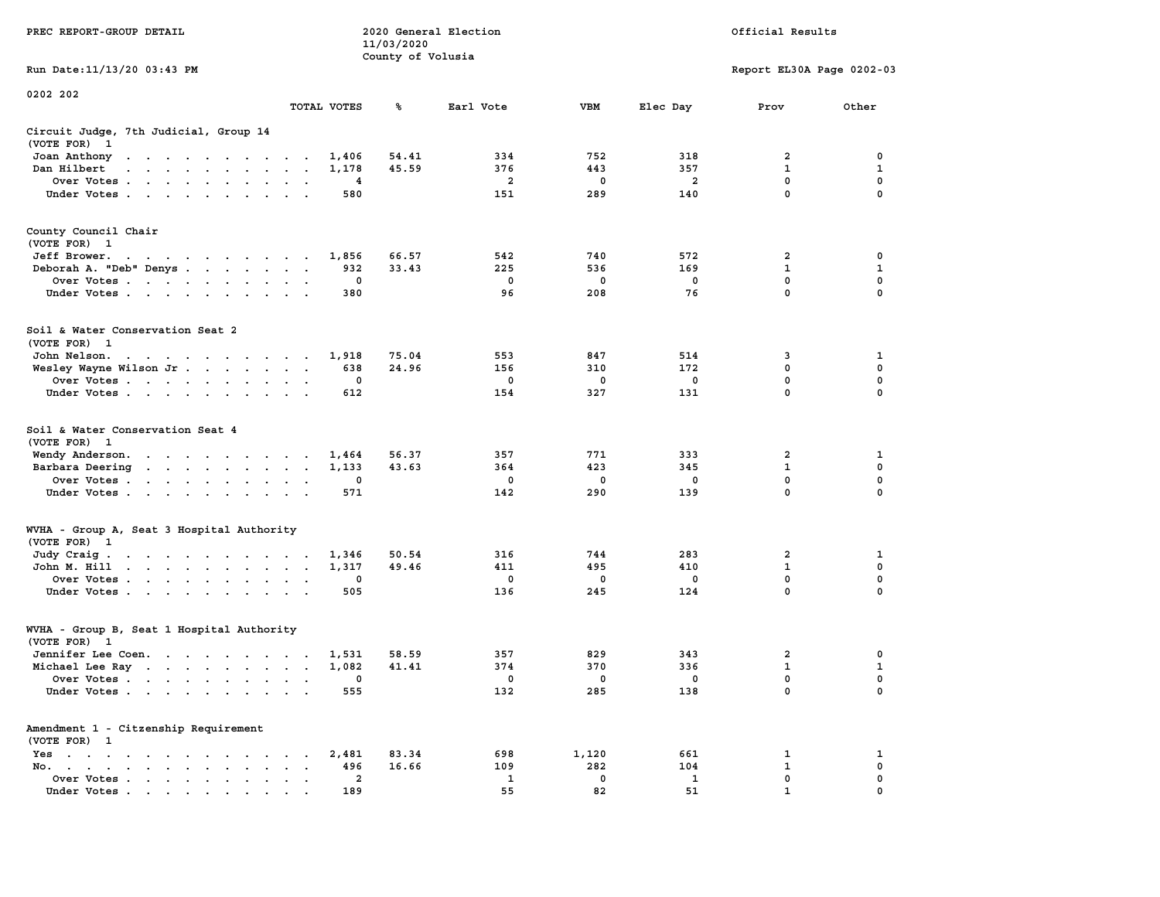|                                                                                                                                                                                                                                                                          |                                                           | 11/03/2020        |                |             |                |                           |              |
|--------------------------------------------------------------------------------------------------------------------------------------------------------------------------------------------------------------------------------------------------------------------------|-----------------------------------------------------------|-------------------|----------------|-------------|----------------|---------------------------|--------------|
|                                                                                                                                                                                                                                                                          |                                                           | County of Volusia |                |             |                |                           |              |
| Run Date:11/13/20 03:43 PM                                                                                                                                                                                                                                               |                                                           |                   |                |             |                | Report EL30A Page 0202-03 |              |
| 0202 202                                                                                                                                                                                                                                                                 |                                                           |                   |                |             |                |                           |              |
|                                                                                                                                                                                                                                                                          | TOTAL VOTES                                               | ℁                 | Earl Vote      | <b>VBM</b>  | Elec Day       | Prov                      | Other        |
| Circuit Judge, 7th Judicial, Group 14                                                                                                                                                                                                                                    |                                                           |                   |                |             |                |                           |              |
| (VOTE FOR)<br>$\mathbf{1}$                                                                                                                                                                                                                                               |                                                           |                   |                |             |                |                           |              |
| Joan Anthony<br>the contract of the contract of the con-                                                                                                                                                                                                                 | 1,406<br>$\sim$                                           | 54.41             | 334            | 752         | 318            | 2                         | 0            |
| Dan Hilbert<br>$\ddot{\phantom{a}}$<br>$\mathbf{r}$ . The set of the set of the set of the set of the set of the set of the set of the set of the set of the set of the set of the set of the set of the set of the set of the set of the set of the set of the set of t | 1,178<br>$\overline{\phantom{a}}$<br>$\sim$               | 45.59             | 376            | 443         | 357            | $\mathbf{1}$              | 1            |
| Over Votes.<br>$\mathcal{A}$ . The set of the set of $\mathcal{A}$<br>$\cdot$                                                                                                                                                                                            | 4<br>$\ddot{\phantom{a}}$                                 |                   | $\overline{a}$ | $\mathbf 0$ | $\overline{a}$ | $\mathbf 0$               | $\mathbf 0$  |
| Under Votes<br>$\cdot$                                                                                                                                                                                                                                                   | 580<br>$\overline{a}$                                     |                   | 151            | 289         | 140            | $\mathbf 0$               | $\mathbf 0$  |
| County Council Chair                                                                                                                                                                                                                                                     |                                                           |                   |                |             |                |                           |              |
| (VOTE FOR) 1                                                                                                                                                                                                                                                             |                                                           |                   |                |             |                |                           |              |
| Jeff Brower.<br>the contract of the contract of the con-                                                                                                                                                                                                                 | 1,856                                                     | 66.57             | 542            | 740         | 572            | 2                         | 0            |
| Deborah A. "Deb" Denys                                                                                                                                                                                                                                                   | 932<br>$\overline{\phantom{a}}$<br>$\sim$                 | 33.43             | 225            | 536         | 169            | $\mathbf 1$               | $\mathbf{1}$ |
| Over Votes<br><b>Contract Contract</b><br>$\ddot{\phantom{a}}$<br>$\sim$                                                                                                                                                                                                 | 0                                                         |                   | 0              | 0           | 0              | 0                         | 0            |
| Under Votes<br>$\overline{\phantom{a}}$                                                                                                                                                                                                                                  | 380                                                       |                   | 96             | 208         | 76             | $\Omega$                  | $\mathbf 0$  |
|                                                                                                                                                                                                                                                                          |                                                           |                   |                |             |                |                           |              |
| Soil & Water Conservation Seat 2                                                                                                                                                                                                                                         |                                                           |                   |                |             |                |                           |              |
| (VOTE FOR) 1                                                                                                                                                                                                                                                             |                                                           |                   |                |             |                |                           |              |
| John Nelson.<br>the contract of the contract of the contract of the contract of the contract of the contract of the contract of                                                                                                                                          | 1,918                                                     | 75.04             | 553            | 847         | 514            | 3                         | 1            |
| Wesley Wayne Wilson Jr<br>$\bullet$                                                                                                                                                                                                                                      | 638<br>$\bullet$<br>$\ddot{\phantom{1}}$                  | 24.96             | 156            | 310         | 172            | $\mathbf 0$               | $\mathbf 0$  |
| Over Votes                                                                                                                                                                                                                                                               | 0<br>$\cdot$                                              |                   | 0              | 0           | 0              | $\mathbf 0$               | $\mathbf 0$  |
| Under Votes<br>$\ddot{\phantom{0}}$                                                                                                                                                                                                                                      | 612                                                       |                   | 154            | 327         | 131            | 0                         | $\mathbf 0$  |
| Soil & Water Conservation Seat 4<br>(VOTE FOR)<br>$\mathbf{1}$                                                                                                                                                                                                           |                                                           |                   |                |             |                |                           |              |
| Wendy Anderson.<br>the contract of the contract of the                                                                                                                                                                                                                   | 1,464                                                     | 56.37             | 357            | 771         | 333            | 2                         | 1            |
| Barbara Deering<br>$\sim$<br>$\bullet$                                                                                                                                                                                                                                   | 1,133<br>$\bullet$<br>$\bullet$                           | 43.63             | 364            | 423         | 345            | $\mathbf 1$               | $\mathbf 0$  |
| Over Votes                                                                                                                                                                                                                                                               | 0                                                         |                   | 0              | 0           | $\mathbf 0$    | 0                         | $\mathbf 0$  |
| Under Votes<br>$\ddot{\phantom{0}}$<br>$\bullet$                                                                                                                                                                                                                         | 571                                                       |                   | 142            | 290         | 139            | 0                         | 0            |
| WVHA - Group A, Seat 3 Hospital Authority                                                                                                                                                                                                                                |                                                           |                   |                |             |                |                           |              |
| (VOTE FOR) 1                                                                                                                                                                                                                                                             |                                                           |                   |                |             |                |                           |              |
| Judy Craig.<br>the contract of the contract of the contract of the contract of the contract of the contract of the contract of                                                                                                                                           | 1,346                                                     | 50.54             | 316            | 744         | 283            | $\overline{2}$            | 1            |
| $\mathcal{A}$ , and $\mathcal{A}$ , and $\mathcal{A}$ , and $\mathcal{A}$ , and $\mathcal{A}$<br>John M. Hill                                                                                                                                                            | 1,317<br>$\bullet$<br>$\bullet$                           | 49.46             | 411            | 495         | 410            | $\mathbf{1}$              | $\mathbf 0$  |
| Over Votes<br>$\ddot{\phantom{0}}$<br>$\bullet$                                                                                                                                                                                                                          | 0<br>$\bullet$                                            |                   | 0              | 0           | $\mathbf 0$    | $\mathbf 0$               | $\mathbf 0$  |
| Under Votes<br>$\ddot{\phantom{0}}$<br>$\cdot$                                                                                                                                                                                                                           | 505<br>$\cdot$                                            |                   | 136            | 245         | 124            | 0                         | 0            |
| WVHA - Group B, Seat 1 Hospital Authority                                                                                                                                                                                                                                |                                                           |                   |                |             |                |                           |              |
| (VOTE FOR)<br>$\mathbf{1}$                                                                                                                                                                                                                                               |                                                           |                   |                |             |                |                           |              |
| Jennifer Lee Coen.                                                                                                                                                                                                                                                       | 1,531<br>$\sim$                                           | 58.59             | 357            | 829         | 343            | $\overline{2}$            | 0            |
| Michael Lee Ray                                                                                                                                                                                                                                                          | 1,082<br>$\ddot{\phantom{a}}$<br>$\overline{\phantom{a}}$ | 41.41             | 374            | 370         | 336            | 1                         | $\mathbf{1}$ |
| Over Votes<br>$\ddot{\phantom{a}}$<br>$\cdot$                                                                                                                                                                                                                            | 0<br>$\ddot{\phantom{a}}$<br>$\ddot{\phantom{a}}$         |                   | 0              | 0           | $\mathbf 0$    | $\mathbf 0$               | $\mathbf 0$  |
| Under Votes                                                                                                                                                                                                                                                              | 555                                                       |                   | 132            | 285         | 138            | $\mathbf{0}$              | $\mathbf 0$  |
| Amendment 1 - Citzenship Requirement                                                                                                                                                                                                                                     |                                                           |                   |                |             |                |                           |              |
| (VOTE FOR) 1                                                                                                                                                                                                                                                             |                                                           |                   |                |             |                |                           |              |
| $Yes \t . \t .$<br>$\bullet$<br>$\mathbf{r} = \mathbf{r} + \mathbf{r} + \mathbf{r} + \mathbf{r}$<br>$\sim$<br>$\bullet$<br>$\sim$ $\sim$                                                                                                                                 | 2,481                                                     | 83.34             | 698            | 1,120       | 661            | 1                         | 1            |
| No.<br>$\ddot{\phantom{a}}$<br>$\bullet$ . In the case of the case of the $\bullet$<br>$\bullet$ . $\bullet$ .                                                                                                                                                           | 496<br>$\cdot$                                            | 16.66             | 109            | 282         | 104            | $\mathbf{1}$              | 0            |
| Over Votes<br>$\bullet$                                                                                                                                                                                                                                                  | $\overline{\mathbf{2}}$<br>$\blacksquare$<br>$\cdot$      |                   | 1              | 0           | 1              | $\mathbf{0}$              | $\mathbf 0$  |
| Under Votes                                                                                                                                                                                                                                                              | 189                                                       |                   | 55             | 82          | 51             | $\mathbf{1}$              | $\mathbf 0$  |

**PREC REPORT-GROUP DETAIL 2020 General Election Official Results**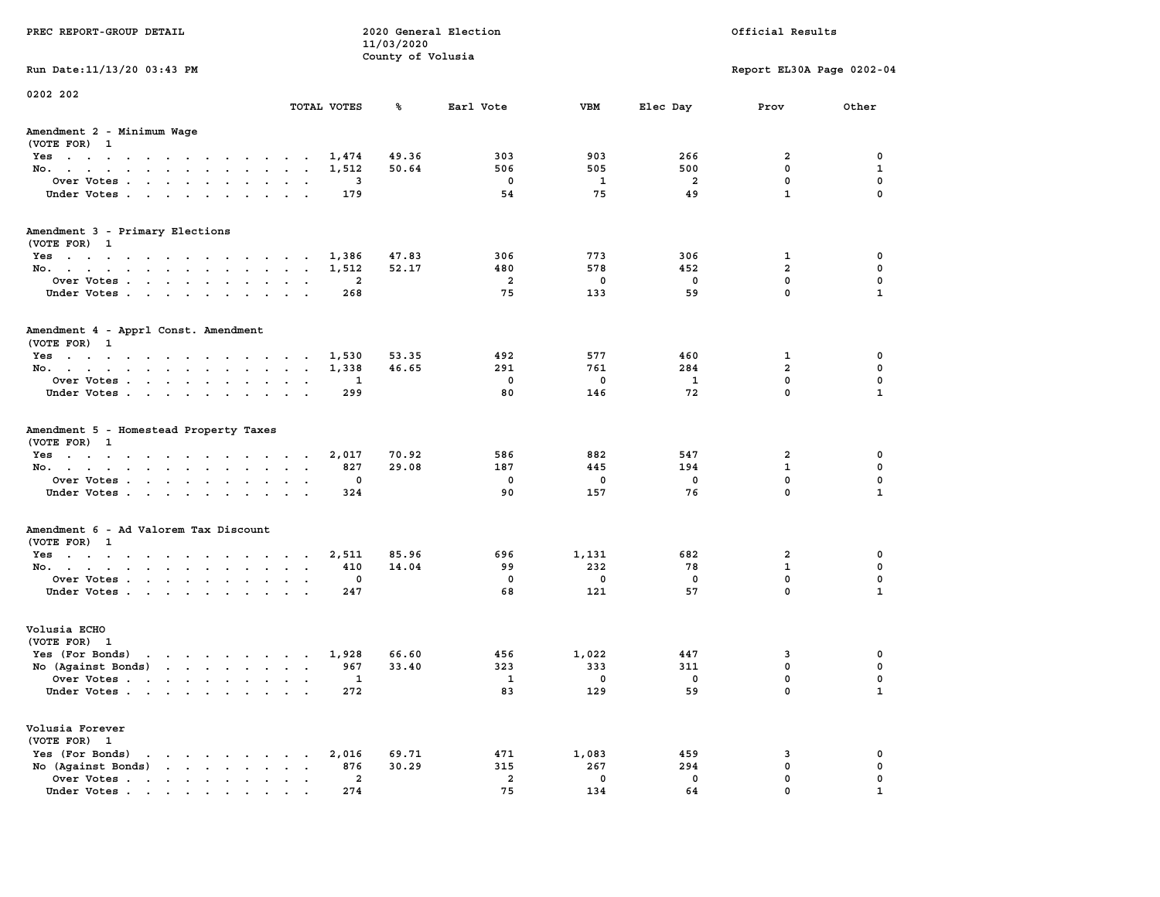| PREC REPORT-GROUP DETAIL                                                                                                                                                                                                                             |                 |                | 11/03/2020<br>County of Volusia | 2020 General Election |             |                         | Official Results              |                  |
|------------------------------------------------------------------------------------------------------------------------------------------------------------------------------------------------------------------------------------------------------|-----------------|----------------|---------------------------------|-----------------------|-------------|-------------------------|-------------------------------|------------------|
| Run Date: 11/13/20 03:43 PM                                                                                                                                                                                                                          |                 |                |                                 |                       |             |                         | Report EL30A Page 0202-04     |                  |
| 0202 202                                                                                                                                                                                                                                             |                 | TOTAL VOTES    | ℁                               | Earl Vote             | VBM         | Elec Day                | Prov                          | Other            |
|                                                                                                                                                                                                                                                      |                 |                |                                 |                       |             |                         |                               |                  |
| Amendment 2 - Minimum Wage<br>(VOTE FOR) 1                                                                                                                                                                                                           |                 |                |                                 |                       |             |                         |                               |                  |
| Yes                                                                                                                                                                                                                                                  |                 | 1,474          | 49.36                           | 303                   | 903         | 266                     | 2                             | 0                |
| No.                                                                                                                                                                                                                                                  |                 | 1,512          | 50.64                           | 506                   | 505         | 500                     | 0                             | 1                |
| Over Votes                                                                                                                                                                                                                                           |                 | 3              |                                 | $\mathbf 0$           | 1           | $\overline{\mathbf{2}}$ | $\mathbf 0$                   | 0                |
| Under Votes                                                                                                                                                                                                                                          |                 | 179            |                                 | 54                    | 75          | 49                      | $\mathbf{1}$                  | $\mathbf 0$      |
| Amendment 3 - Primary Elections                                                                                                                                                                                                                      |                 |                |                                 |                       |             |                         |                               |                  |
| (VOTE FOR) 1                                                                                                                                                                                                                                         |                 |                |                                 |                       |             |                         |                               |                  |
| Yes                                                                                                                                                                                                                                                  |                 | 1,386          | 47.83                           | 306                   | 773         | 306                     | 1                             | 0                |
| No.                                                                                                                                                                                                                                                  |                 | 1,512<br>2     | 52.17                           | 480<br>$\overline{a}$ | 578<br>0    | 452<br>0                | $\overline{a}$<br>$\mathbf 0$ | 0<br>$\mathbf 0$ |
| Over Votes<br>Under Votes                                                                                                                                                                                                                            |                 | 268            |                                 | 75                    | 133         | 59                      | $\mathbf 0$                   | $\mathbf{1}$     |
|                                                                                                                                                                                                                                                      |                 |                |                                 |                       |             |                         |                               |                  |
| Amendment 4 - Apprl Const. Amendment                                                                                                                                                                                                                 |                 |                |                                 |                       |             |                         |                               |                  |
| (VOTE FOR) 1                                                                                                                                                                                                                                         |                 |                |                                 |                       |             |                         |                               |                  |
| Yes<br>No.                                                                                                                                                                                                                                           |                 | 1,530<br>1,338 | 53.35<br>46.65                  | 492<br>291            | 577<br>761  | 460<br>284              | 1<br>$\overline{a}$           | 0<br>0           |
| Over Votes                                                                                                                                                                                                                                           |                 | 1              |                                 | $\mathbf 0$           | 0           | $\mathbf{1}$            | $\mathbf 0$                   | $\mathbf 0$      |
| Under Votes                                                                                                                                                                                                                                          |                 | 299            |                                 | 80                    | 146         | 72                      | $\mathbf{0}$                  | $\mathbf{1}$     |
| Amendment 5 - Homestead Property Taxes                                                                                                                                                                                                               |                 |                |                                 |                       |             |                         |                               |                  |
| (VOTE FOR) 1                                                                                                                                                                                                                                         |                 |                |                                 |                       |             |                         |                               |                  |
| Yes                                                                                                                                                                                                                                                  |                 | 2,017          | 70.92                           | 586                   | 882         | 547                     | 2                             | 0                |
| No.                                                                                                                                                                                                                                                  |                 | 827            | 29.08                           | 187                   | 445         | 194                     | 1                             | 0                |
| Over Votes                                                                                                                                                                                                                                           |                 | 0              |                                 | 0                     | 0           | 0                       | 0                             | $\mathbf 0$      |
| Under Votes                                                                                                                                                                                                                                          |                 | 324            |                                 | 90                    | 157         | 76                      | $\mathbf 0$                   | $\mathbf{1}$     |
| Amendment 6 - Ad Valorem Tax Discount                                                                                                                                                                                                                |                 |                |                                 |                       |             |                         |                               |                  |
| (VOTE FOR) 1                                                                                                                                                                                                                                         |                 |                |                                 |                       |             |                         |                               |                  |
| Yes                                                                                                                                                                                                                                                  |                 | 2,511          | 85.96                           | 696                   | 1,131       | 682                     | 2                             | 0                |
| No.                                                                                                                                                                                                                                                  |                 | 410            | 14.04                           | 99                    | 232         | 78                      | $\mathbf{1}$                  | 0                |
| Over Votes                                                                                                                                                                                                                                           |                 | 0              |                                 | $\mathbf 0$           | 0           | 0                       | $\mathbf 0$                   | $\mathbf 0$      |
| Under Votes                                                                                                                                                                                                                                          |                 | 247            |                                 | 68                    | 121         | 57                      | $\mathbf 0$                   | $\mathbf{1}$     |
| Volusia ECHO                                                                                                                                                                                                                                         |                 |                |                                 |                       |             |                         |                               |                  |
| (VOTE FOR) 1                                                                                                                                                                                                                                         |                 |                |                                 |                       |             |                         |                               |                  |
| Yes (For Bonds) $\cdots$ $\cdots$ $\cdots$ $\cdots$                                                                                                                                                                                                  |                 | 1,928          | 66.60                           | 456                   | 1,022       | 447                     | 3                             | 0                |
| No (Against Bonds)                                                                                                                                                                                                                                   |                 | 967            | 33.40                           | 323                   | 333         | 311                     | $\mathbf 0$                   | 0                |
| Over Votes<br>.                                                                                                                                                                                                                                      |                 | $\mathbf{1}$   |                                 | $\mathbf{1}$          | $\mathbf 0$ | $\mathbf 0$             | $\mathbf 0$                   | 0                |
| Under Votes                                                                                                                                                                                                                                          |                 | 272            |                                 | 83                    | 129         | 59                      | 0                             | $\mathbf{1}$     |
| Volusia Forever<br>(VOTE FOR) 1                                                                                                                                                                                                                      |                 |                |                                 |                       |             |                         |                               |                  |
| Yes (For Bonds)<br>$\mathbf{r}$ . The set of the set of the set of the set of the set of the set of the set of the set of the set of the set of the set of the set of the set of the set of the set of the set of the set of the set of the set of t |                 | 2,016          | 69.71                           | 471                   | 1,083       | 459                     | 3                             | 0                |
| No (Against Bonds)                                                                                                                                                                                                                                   | $\cdot$ $\cdot$ | 876            | 30.29                           | 315                   | 267         | 294                     | $\mathbf{0}$                  | 0                |
| Over Votes                                                                                                                                                                                                                                           |                 | $\overline{a}$ |                                 | $\overline{a}$        | $\mathbf 0$ | 0                       | $\mathbf 0$                   | 0                |
| Under Votes                                                                                                                                                                                                                                          |                 | 274            |                                 | 75                    | 134         | 64                      | $\Omega$                      |                  |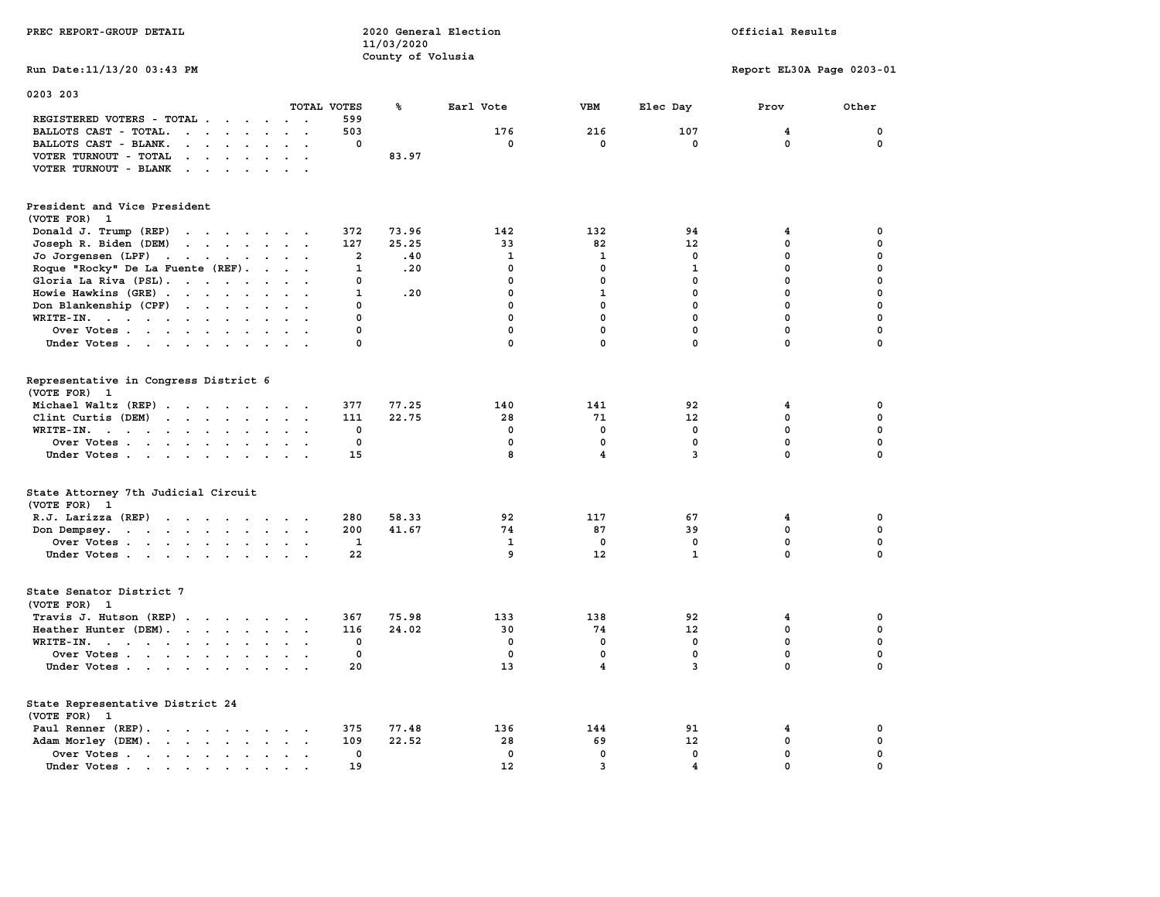|                                                                                                                                                                                                                                                                                           | 11/03/2020        |              |                         |                         |                           |             |
|-------------------------------------------------------------------------------------------------------------------------------------------------------------------------------------------------------------------------------------------------------------------------------------------|-------------------|--------------|-------------------------|-------------------------|---------------------------|-------------|
|                                                                                                                                                                                                                                                                                           | County of Volusia |              |                         |                         |                           |             |
| Run Date: 11/13/20 03:43 PM                                                                                                                                                                                                                                                               |                   |              |                         |                         | Report EL30A Page 0203-01 |             |
|                                                                                                                                                                                                                                                                                           |                   |              |                         |                         |                           |             |
| 0203 203                                                                                                                                                                                                                                                                                  |                   |              |                         |                         |                           |             |
| TOTAL VOTES                                                                                                                                                                                                                                                                               | ℁                 | Earl Vote    | VBM                     | Elec Day                | Prov                      | Other       |
|                                                                                                                                                                                                                                                                                           |                   |              |                         |                         |                           |             |
| REGISTERED VOTERS - TOTAL<br>599                                                                                                                                                                                                                                                          |                   |              |                         |                         |                           |             |
| 503<br>BALLOTS CAST - TOTAL.<br>$\begin{array}{cccccccccccccc} \bullet & \bullet & \bullet & \bullet & \bullet & \bullet & \bullet & \bullet & \bullet & \bullet & \bullet & \bullet \end{array}$                                                                                         |                   | 176          | 216                     | 107                     | 4                         | 0           |
| 0<br>BALLOTS CAST - BLANK.<br>$\mathbf{r}$ , $\mathbf{r}$ , $\mathbf{r}$ , $\mathbf{r}$ , $\mathbf{r}$                                                                                                                                                                                    |                   | $\Omega$     | $\mathbf 0$             | $\mathbf 0$             | $\mathbf 0$               | $\mathbf 0$ |
| VOTER TURNOUT - TOTAL<br>$\cdot$ $\cdot$ $\cdot$ $\cdot$                                                                                                                                                                                                                                  | 83.97             |              |                         |                         |                           |             |
| VOTER TURNOUT - BLANK                                                                                                                                                                                                                                                                     |                   |              |                         |                         |                           |             |
|                                                                                                                                                                                                                                                                                           |                   |              |                         |                         |                           |             |
|                                                                                                                                                                                                                                                                                           |                   |              |                         |                         |                           |             |
| President and Vice President                                                                                                                                                                                                                                                              |                   |              |                         |                         |                           |             |
| (VOTE FOR) 1                                                                                                                                                                                                                                                                              |                   |              |                         |                         |                           |             |
| Donald J. Trump (REP)<br>372<br>$\mathbf{r}$ , and $\mathbf{r}$ , and $\mathbf{r}$ , and $\mathbf{r}$                                                                                                                                                                                     | 73.96             | 142          | 132                     | 94                      | 4                         | 0           |
|                                                                                                                                                                                                                                                                                           | 25.25             | 33           |                         |                         | 0                         | $\mathbf 0$ |
| 127<br>Joseph R. Biden (DEM)<br>$\cdot$ $\cdot$ $\cdot$ $\cdot$ $\cdot$ $\cdot$ $\cdot$ $\cdot$                                                                                                                                                                                           |                   |              | 82                      | 12                      |                           |             |
| Jo Jorgensen (LPF)<br>2<br>the contract of the contract of the contract of the contract of the contract of the contract of the contract of                                                                                                                                                | .40               | $\mathbf{1}$ | 1                       | $\mathbf{0}$            | $\mathbf{0}$              | $\Omega$    |
| Roque "Rocky" De La Fuente (REF).<br>1                                                                                                                                                                                                                                                    | .20               | $\mathbf 0$  | $\mathbf 0$             | 1                       | 0                         | $\mathbf 0$ |
| Gloria La Riva (PSL).<br>0                                                                                                                                                                                                                                                                |                   | $\mathbf 0$  | $\mathbf 0$             | $\mathbf{0}$            | $\mathbf{0}$              | $\mathbf 0$ |
| $\mathbf 1$<br>Howie Hawkins (GRE)                                                                                                                                                                                                                                                        | .20               | $\mathbf 0$  | $\mathbf{1}$            | 0                       | $\pmb{0}$                 | $\pmb{0}$   |
| Don Blankenship (CPF)<br>0                                                                                                                                                                                                                                                                |                   | $\mathbf 0$  | $\mathbf 0$             | $\mathbf 0$             | $\mathbf 0$               | $\mathbf 0$ |
| $\Omega$<br>WRITE-IN.<br>$\cdot$ $\cdot$ $\cdot$                                                                                                                                                                                                                                          |                   | $\mathbf 0$  | $\mathbf 0$             | $\mathbf{0}$            | $\mathbf{0}$              | $\mathbf 0$ |
| $\Omega$<br>Over Votes                                                                                                                                                                                                                                                                    |                   | $\mathbf 0$  | $\mathbf 0$             | $\mathbf 0$             | $\mathbf{0}$              | $\mathbf 0$ |
| Under Votes<br>$\Omega$                                                                                                                                                                                                                                                                   |                   | $\mathbf 0$  | $\mathbf 0$             | $\mathbf 0$             | $\mathbf 0$               | $\mathbf 0$ |
|                                                                                                                                                                                                                                                                                           |                   |              |                         |                         |                           |             |
|                                                                                                                                                                                                                                                                                           |                   |              |                         |                         |                           |             |
|                                                                                                                                                                                                                                                                                           |                   |              |                         |                         |                           |             |
| Representative in Congress District 6                                                                                                                                                                                                                                                     |                   |              |                         |                         |                           |             |
| (VOTE FOR) 1                                                                                                                                                                                                                                                                              |                   |              |                         |                         |                           |             |
| Michael Waltz (REP)<br>377                                                                                                                                                                                                                                                                | 77.25             | 140          | 141                     | 92                      | 4                         | 0           |
| Clint Curtis (DEM)<br>111<br>$\mathbf{r}$ . The set of the set of the set of the set of the set of the set of the set of the set of the set of the set of the set of the set of the set of the set of the set of the set of the set of the set of the set of t<br>$\cdot$ $\cdot$ $\cdot$ | 22.75             | 28           | 71                      | 12                      | $\mathbf{0}$              | $\mathbf 0$ |
| $\mathbf 0$<br>$WRITE-IN.$<br>$\cdots$<br>$\sim$                                                                                                                                                                                                                                          |                   | 0            | $\mathbf 0$             | $\mathbf 0$             | $\mathbf 0$               | $\mathbf 0$ |
| 0<br>Over Votes                                                                                                                                                                                                                                                                           |                   | $\mathbf{0}$ | $\mathbf 0$             | $\mathbf 0$             | $\mathbf 0$               | $\mathbf 0$ |
| 15<br>Under Votes                                                                                                                                                                                                                                                                         |                   | 8            | $\overline{\mathbf{4}}$ | 3                       | $\mathbf 0$               | $\mathbf 0$ |
|                                                                                                                                                                                                                                                                                           |                   |              |                         |                         |                           |             |
|                                                                                                                                                                                                                                                                                           |                   |              |                         |                         |                           |             |
| State Attorney 7th Judicial Circuit                                                                                                                                                                                                                                                       |                   |              |                         |                         |                           |             |
| (VOTE FOR) 1                                                                                                                                                                                                                                                                              |                   |              |                         |                         |                           |             |
| R.J. Larizza (REP)<br>280                                                                                                                                                                                                                                                                 | 58.33             | 92           | 117                     | 67                      | 4                         | 0           |
| 200                                                                                                                                                                                                                                                                                       | 41.67             | 74           | 87                      | 39                      | $\mathbf{0}$              | $\mathbf 0$ |
| Don Dempsey.<br>$\mathbf{z} = \mathbf{z} + \mathbf{z}$ .                                                                                                                                                                                                                                  |                   |              |                         |                         |                           |             |
| Over Votes<br>1                                                                                                                                                                                                                                                                           |                   | 1            | $\mathbf 0$             | 0                       | 0                         | $\mathbf 0$ |
| 22<br>Under Votes                                                                                                                                                                                                                                                                         |                   | 9            | 12                      | $\mathbf{1}$            | $\Omega$                  | $\Omega$    |
|                                                                                                                                                                                                                                                                                           |                   |              |                         |                         |                           |             |
|                                                                                                                                                                                                                                                                                           |                   |              |                         |                         |                           |             |
| State Senator District 7                                                                                                                                                                                                                                                                  |                   |              |                         |                         |                           |             |
| (VOTE FOR) 1                                                                                                                                                                                                                                                                              |                   |              |                         |                         |                           |             |
| Travis J. Hutson (REP)<br>367                                                                                                                                                                                                                                                             | 75.98             | 133          | 138                     | 92                      | 4                         | $\mathbf 0$ |
| Heather Hunter (DEM).<br>116                                                                                                                                                                                                                                                              | 24.02             | 30           | 74                      | 12                      | 0                         | $\mathbf 0$ |
| 0<br>WRITE-IN.<br>$\ddotsc$                                                                                                                                                                                                                                                               |                   | $\mathbf 0$  | $\mathbf 0$             | $\mathbf 0$             | $\mathbf 0$               | $\mathbf 0$ |
| 0<br>Over Votes                                                                                                                                                                                                                                                                           |                   | $\mathbf 0$  | $\mathbf 0$             | $\mathbf 0$             | $\mathbf 0$               | $\mathbf 0$ |
|                                                                                                                                                                                                                                                                                           |                   | 13           | 4                       | $\overline{3}$          | 0                         | $\mathbf 0$ |
| Under Votes<br>20                                                                                                                                                                                                                                                                         |                   |              |                         |                         |                           |             |
|                                                                                                                                                                                                                                                                                           |                   |              |                         |                         |                           |             |
| State Representative District 24                                                                                                                                                                                                                                                          |                   |              |                         |                         |                           |             |
| (VOTE FOR) 1                                                                                                                                                                                                                                                                              |                   |              |                         |                         |                           |             |
| Paul Renner (REP).<br>375                                                                                                                                                                                                                                                                 | 77.48             | 136          | 144                     | 91                      | 4                         | 0           |
| Adam Morley (DEM).<br>109                                                                                                                                                                                                                                                                 | 22.52             | 28           | 69                      | 12                      | 0                         | $\mathbf 0$ |
| Over Votes<br>0<br>$\mathbf{z} = \mathbf{z}$ .<br>$\sim$                                                                                                                                                                                                                                  |                   | $\mathbf 0$  | 0                       | $\mathbf{0}$            | $\mathbf{0}$              | $\pmb{0}$   |
| 19<br>Under Votes                                                                                                                                                                                                                                                                         |                   | 12           | 3                       | $\overline{\mathbf{4}}$ | $\mathbf 0$               | $\mathbf 0$ |
| $\sim$                                                                                                                                                                                                                                                                                    |                   |              |                         |                         |                           |             |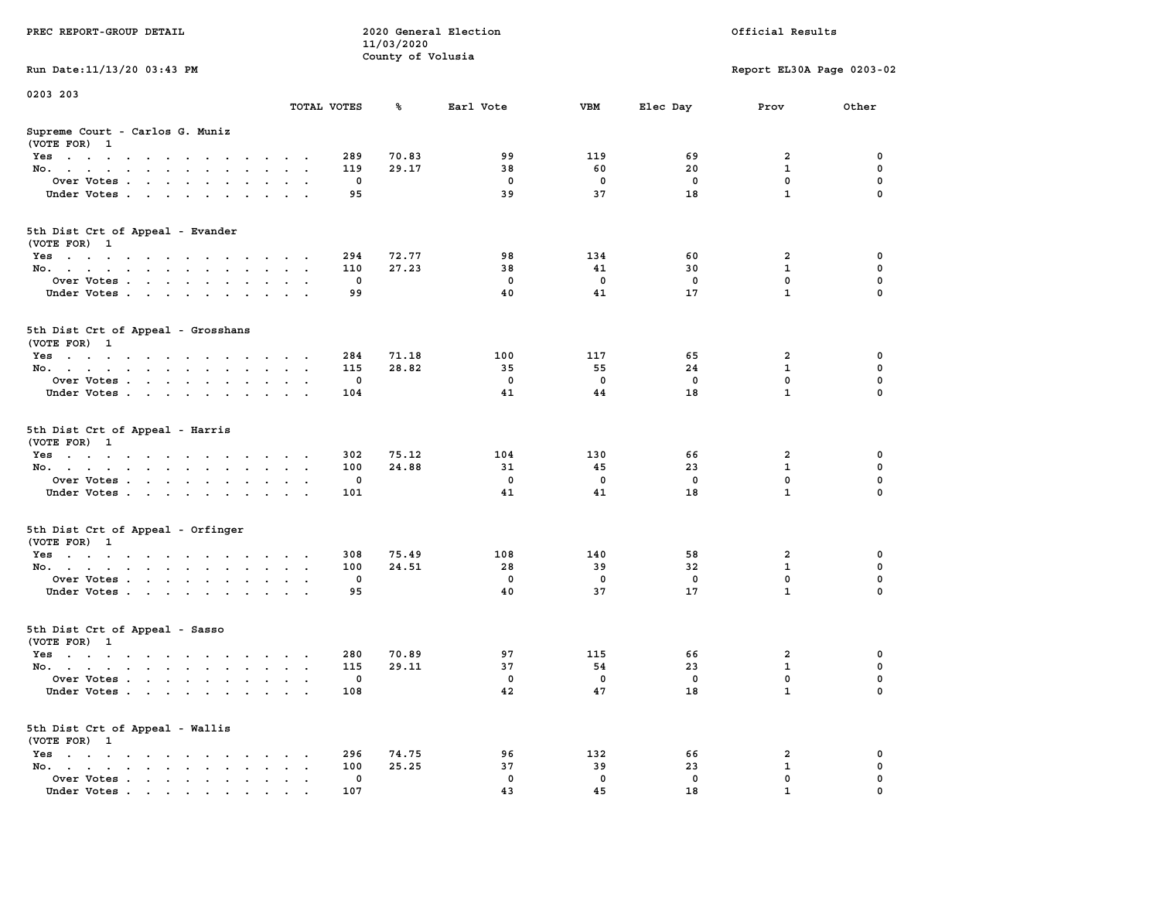|                                                                                                                                                             |                                     |             | 11/03/2020        |              |                   |                   |                           |             |
|-------------------------------------------------------------------------------------------------------------------------------------------------------------|-------------------------------------|-------------|-------------------|--------------|-------------------|-------------------|---------------------------|-------------|
|                                                                                                                                                             |                                     |             | County of Volusia |              |                   |                   |                           |             |
| Run Date: 11/13/20 03:43 PM                                                                                                                                 |                                     |             |                   |              |                   |                   | Report EL30A Page 0203-02 |             |
| 0203 203                                                                                                                                                    |                                     |             |                   |              |                   |                   |                           |             |
|                                                                                                                                                             |                                     | TOTAL VOTES | ℁                 | Earl Vote    | <b>VBM</b>        | Elec Day          | Prov                      | Other       |
| Supreme Court - Carlos G. Muniz<br>(VOTE FOR) 1                                                                                                             |                                     |             |                   |              |                   |                   |                           |             |
| Yes<br>$\sim$<br>$\cdot$                                                                                                                                    | $\sim$ $\sim$                       | 289         | 70.83             | 99           | 119               | 69                | $\overline{2}$            | 0           |
| No.<br>$\sim 10^{-11}$<br>$\mathbf{a} = \mathbf{a} \cdot \mathbf{a}$<br>$\sim$<br>$\overline{a}$                                                            |                                     | 119         | 29.17             | 38           | 60                | 20                | 1                         | $\mathbf 0$ |
| Over Votes                                                                                                                                                  | $\sim$                              | 0           |                   | $\mathbf{o}$ | $\mathbf 0$       | $\mathbf 0$       | $\mathbf 0$               | $\mathbf 0$ |
| Under Votes<br>$\sim$ $\sim$<br>$\ddot{\phantom{a}}$                                                                                                        | $\sim$                              | 95          |                   | 39           | 37                | 18                | $\mathbf{1}$              | $\mathbf 0$ |
| 5th Dist Crt of Appeal - Evander<br>(VOTE FOR) 1                                                                                                            |                                     |             |                   |              |                   |                   |                           |             |
| Yes<br>the contract of the contract of the contract of the contract of the contract of the contract of the contract of                                      |                                     | 294         | 72.77             | 98           | 134               | 60                | $\overline{a}$            | 0           |
| No.<br>$\sim$<br>$\sim$                                                                                                                                     |                                     | 110         | 27.23             | 38           | 41                | 30                | $\mathbf{1}$              | 0           |
| Over Votes                                                                                                                                                  |                                     | $\mathbf 0$ |                   | $\mathbf 0$  | $\mathbf 0$       | $\mathbf 0$       | $\mathbf 0$               | $\mathbf 0$ |
| Under Votes<br>$\ddot{\phantom{0}}$                                                                                                                         | $\cdot$ .                           | 99          |                   | 40           | 41                | 17                | $\mathbf{1}$              | 0           |
|                                                                                                                                                             |                                     |             |                   |              |                   |                   |                           |             |
| 5th Dist Crt of Appeal - Grosshans<br>(VOTE FOR) 1                                                                                                          |                                     |             |                   |              |                   |                   |                           |             |
| Yes                                                                                                                                                         | $\sim$                              | 284         | 71.18             | 100          | 117               | 65                | 2                         | 0           |
| No.<br>$\sim$                                                                                                                                               |                                     | 115         | 28.82             | 35           | 55                | 24                | $\mathbf{1}$              | $\mathbf 0$ |
| Over Votes<br>$\sim$<br>$\cdot$ $\cdot$<br>$\ddot{\phantom{a}}$                                                                                             | $\ddot{\phantom{a}}$                | 0           |                   | $\mathbf 0$  | $\mathbf 0$       | 0                 | $\mathbf 0$               | $\mathbf 0$ |
| Under Votes                                                                                                                                                 |                                     | 104         |                   | 41           | 44                | 18                | $\mathbf{1}$              | $\mathbf 0$ |
| 5th Dist Crt of Appeal - Harris<br>(VOTE FOR) 1                                                                                                             |                                     |             |                   |              |                   |                   |                           |             |
| Yes<br>$\sim$ $\sim$<br>$\sim$                                                                                                                              | $\cdot$                             | 302         | 75.12             | 104          | 130               | 66                | $\overline{2}$            | 0           |
| No.<br>$\bullet$<br>$\ddot{\phantom{a}}$<br>$\ddot{\phantom{a}}$                                                                                            | $\cdot$<br>$\ddot{\phantom{a}}$     | 100         | 24.88             | 31           | 45                | 23                | $\mathbf{1}$              | $\mathbf 0$ |
| Over Votes                                                                                                                                                  |                                     | $\mathbf 0$ |                   | $\mathbf 0$  | $\mathbf 0$       | $\mathbf 0$       | 0                         | 0           |
| Under Votes<br>$\sim$                                                                                                                                       | $\sim$ $\sim$                       | 101         |                   | 41           | 41                | 18                | $\mathbf{1}$              | 0           |
| 5th Dist Crt of Appeal - Orfinger                                                                                                                           |                                     |             |                   |              |                   |                   |                           |             |
| (VOTE FOR) 1                                                                                                                                                |                                     | 308         | 75.49             | 108          |                   |                   | 2                         | 0           |
| Yes                                                                                                                                                         |                                     | 100         | 24.51             | 28           | 140<br>39         | 58<br>32          | $\mathbf{1}$              | 0           |
| No.<br><b>Contract Contract</b><br>$\sim$                                                                                                                   | $\bullet$ .<br>$\ddot{\phantom{a}}$ | $\mathbf 0$ |                   | $\mathbf 0$  | $\Omega$          | 0                 | $\mathbf 0$               | $\mathbf 0$ |
| Over Votes                                                                                                                                                  |                                     | 95          |                   | 40           | 37                | 17                | $\mathbf{1}$              | $\mathbf 0$ |
| Under Votes<br>$\sim$<br>$\ddot{\phantom{a}}$                                                                                                               |                                     |             |                   |              |                   |                   |                           |             |
| 5th Dist Crt of Appeal - Sasso<br>(VOTE FOR) 1                                                                                                              |                                     |             |                   |              |                   |                   |                           |             |
| Yes                                                                                                                                                         |                                     | 280         | 70.89             | 97           | 115               | 66                | $\overline{2}$            | $\mathbf 0$ |
| No.                                                                                                                                                         | $\ddot{\phantom{0}}$                | 115         | 29.11             | 37           | 54                | 23                | $\mathbf{1}$              | $\mathbf 0$ |
| Over Votes.<br>$\mathbf{u} = \mathbf{u} + \mathbf{u}$ . The $\mathbf{u}$<br>$\ddot{\phantom{0}}$<br>$\ddot{\phantom{a}}$<br>$\ddot{\phantom{a}}$<br>$\cdot$ | $\sim$                              | $\mathbf 0$ |                   | $\mathbf 0$  | $\mathbf 0$       | $\mathbf 0$       | $\mathbf 0$               | 0           |
| Under Votes                                                                                                                                                 |                                     | 108         |                   | 42           | 47                | 18                | $\mathbf{1}$              | 0           |
| 5th Dist Crt of Appeal - Wallis<br>(VOTE FOR) 1                                                                                                             |                                     |             |                   |              |                   |                   |                           |             |
|                                                                                                                                                             |                                     |             |                   |              |                   |                   |                           |             |
| $Yes \cdot \cdot \cdot \cdot \cdot \cdot \cdot \cdot \cdot \cdot$<br>$\cdot$                                                                                | $\cdot$                             | 296         | 74.75             | 96<br>37     | 132               | 66                | 2<br>$\mathbf{1}$         | 0<br>0      |
| No.<br>the contract of the contract of the<br>$\bullet$                                                                                                     |                                     | 100<br>0    | 25.25             | $\mathbf 0$  | 39<br>$\mathbf 0$ | 23<br>$\mathbf 0$ | 0                         | 0           |
| Over Votes.<br>$\mathcal{L}^{\text{max}}$ , and $\mathcal{L}^{\text{max}}$<br>$\sim$<br>$\bullet$<br>$\bullet$<br>Under Votes, , , , , ,                    | $\ddot{\phantom{a}}$                | 107         |                   | 43           | 45                | 18                | $\mathbf{1}$              | $\Omega$    |
|                                                                                                                                                             |                                     |             |                   |              |                   |                   |                           |             |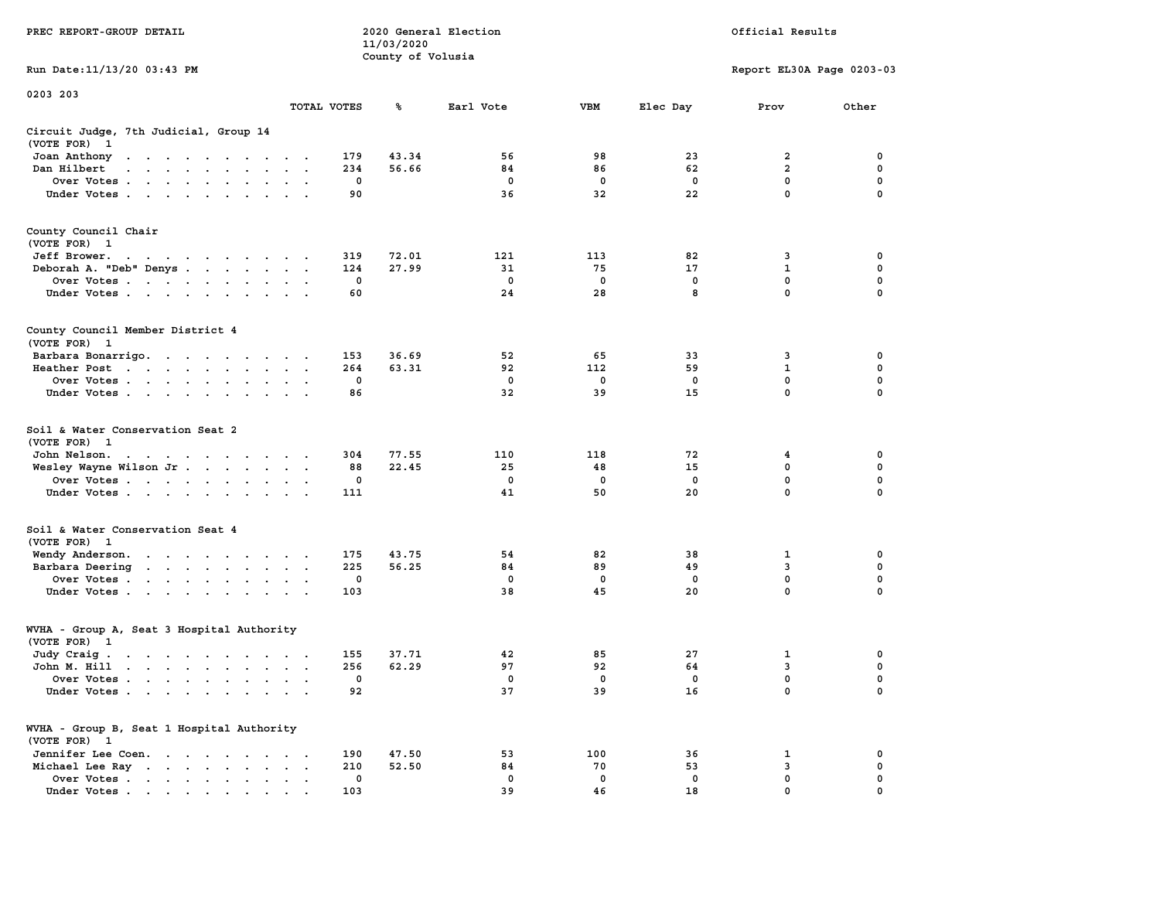| PREC REPORT-GROUP DETAIL                                                                                                        |                          | 11/03/2020        | 2020 General Election |                   | Official Results  |                           |             |  |
|---------------------------------------------------------------------------------------------------------------------------------|--------------------------|-------------------|-----------------------|-------------------|-------------------|---------------------------|-------------|--|
|                                                                                                                                 |                          | County of Volusia |                       |                   |                   |                           |             |  |
| Run Date: 11/13/20 03:43 PM                                                                                                     |                          |                   |                       |                   |                   | Report EL30A Page 0203-03 |             |  |
| 0203 203                                                                                                                        |                          |                   |                       |                   |                   |                           |             |  |
|                                                                                                                                 | TOTAL VOTES              | ጜ                 | Earl Vote             | VBM               | Elec Day          | Prov                      | Other       |  |
| Circuit Judge, 7th Judicial, Group 14<br>(VOTE FOR) 1                                                                           |                          |                   |                       |                   |                   |                           |             |  |
| Joan Anthony                                                                                                                    | 179                      | 43.34             | 56                    | 98                | 23                | 2                         | 0           |  |
| Dan Hilbert<br>and the company of the company of the                                                                            | 234                      | 56.66             | 84                    | 86                | 62                | $\overline{a}$            | $\mathbf 0$ |  |
| Over Votes                                                                                                                      | 0                        |                   | 0                     | $\mathbf 0$       | 0                 | 0                         | 0           |  |
| Under Votes                                                                                                                     | 90                       |                   | 36                    | 32                | 22                | $\mathbf 0$               | $\Omega$    |  |
|                                                                                                                                 |                          |                   |                       |                   |                   |                           |             |  |
| County Council Chair<br>(VOTE FOR) 1                                                                                            |                          |                   |                       |                   |                   |                           |             |  |
| Jeff Brower.<br>the contract of the contract of the contract of the contract of the contract of the contract of the contract of | 319                      | 72.01             | 121                   | 113               | 82                | 3                         | 0           |  |
| Deborah A. "Deb" Denys                                                                                                          | 124                      | 27.99             | 31                    | 75                | 17                | 1                         | 0           |  |
| Over Votes                                                                                                                      | 0                        |                   | 0                     | $\mathbf 0$       | $\mathbf 0$       | 0                         | $\mathbf 0$ |  |
| Under Votes                                                                                                                     | 60                       |                   | 24                    | 28                | 8                 | $\mathbf{0}$              | 0           |  |
| County Council Member District 4<br>(VOTE FOR) 1                                                                                |                          |                   |                       |                   |                   |                           |             |  |
| Barbara Bonarrigo.                                                                                                              | 153                      | 36.69             | 52                    | 65                | 33                | 3                         | 0           |  |
| Heather Post                                                                                                                    | 264                      | 63.31             | 92                    | 112               | 59                | 1                         | 0           |  |
| Over Votes                                                                                                                      | 0                        |                   | $^{\circ}$            | $\mathbf 0$       | 0                 | $\mathbf{0}$              | $\mathbf 0$ |  |
| Under Votes                                                                                                                     | 86                       |                   | 32                    | 39                | 15                | $\mathbf 0$               | 0           |  |
|                                                                                                                                 |                          |                   |                       |                   |                   |                           |             |  |
| Soil & Water Conservation Seat 2                                                                                                |                          |                   |                       |                   |                   |                           |             |  |
| (VOTE FOR) 1                                                                                                                    |                          |                   |                       |                   |                   |                           |             |  |
| John Nelson.<br>the contract of the contract of the contract of                                                                 | 304<br>88                | 77.55<br>22.45    | 110<br>25             | 118<br>48         | 72<br>15          | 4<br>$\mathbf 0$          | 0<br>0      |  |
| Wesley Wayne Wilson Jr.<br>Over Votes                                                                                           | 0                        |                   | 0                     | 0                 | 0                 | 0                         | 0           |  |
| Under Votes                                                                                                                     | 111                      |                   | 41                    | 50                | 20                | $\mathbf 0$               | $\Omega$    |  |
|                                                                                                                                 |                          |                   |                       |                   |                   |                           |             |  |
| Soil & Water Conservation Seat 4                                                                                                |                          |                   |                       |                   |                   |                           |             |  |
| (VOTE FOR) 1                                                                                                                    |                          |                   |                       |                   |                   |                           |             |  |
| Wendy Anderson.                                                                                                                 | 175                      | 43.75             | 54                    | 82                | 38                | 1                         | 0           |  |
| Barbara Deering                                                                                                                 | 225<br>0                 | 56.25             | 84<br>0               | 89<br>$\mathbf 0$ | 49<br>$\mathbf 0$ | 3<br>0                    | 0<br>0      |  |
| Over Votes<br>Under Votes                                                                                                       | 103                      |                   | 38                    | 45                | 20                | $\mathbf{0}$              | 0           |  |
|                                                                                                                                 |                          |                   |                       |                   |                   |                           |             |  |
| WVHA - Group A, Seat 3 Hospital Authority<br>(VOTE FOR) 1                                                                       |                          |                   |                       |                   |                   |                           |             |  |
| Judy Craig.                                                                                                                     | 155                      | 37.71             | 42                    | 85                | 27                | 1                         | 0           |  |
| John M. Hill                                                                                                                    | 256                      | 62.29             | 97                    | 92                | 64                | 3                         | 0           |  |
| Over Votes                                                                                                                      | 0                        |                   | $^{\circ}$            | 0                 | 0                 | $\mathbf{0}$              | 0           |  |
| Under Votes                                                                                                                     | 92                       |                   | 37                    | 39                | 16                | 0                         | 0           |  |
| WVHA - Group B, Seat 1 Hospital Authority                                                                                       |                          |                   |                       |                   |                   |                           |             |  |
| (VOTE FOR) 1                                                                                                                    |                          |                   |                       |                   |                   |                           |             |  |
| Jennifer Lee Coen.                                                                                                              | 190                      | 47.50             | 53                    | 100               | 36                | 1                         | 0           |  |
| Michael Lee Ray                                                                                                                 | 210<br>$\sim$<br>$\cdot$ | 52.50             | 84                    | 70                | 53                | 3                         | 0           |  |
| Over Votes                                                                                                                      | 0                        |                   | 0                     | 0                 | 0                 | 0                         | 0           |  |
| Under Votes, , , , , ,                                                                                                          | 103                      |                   | 39                    | 46                | 18                | $\mathbf{0}$              |             |  |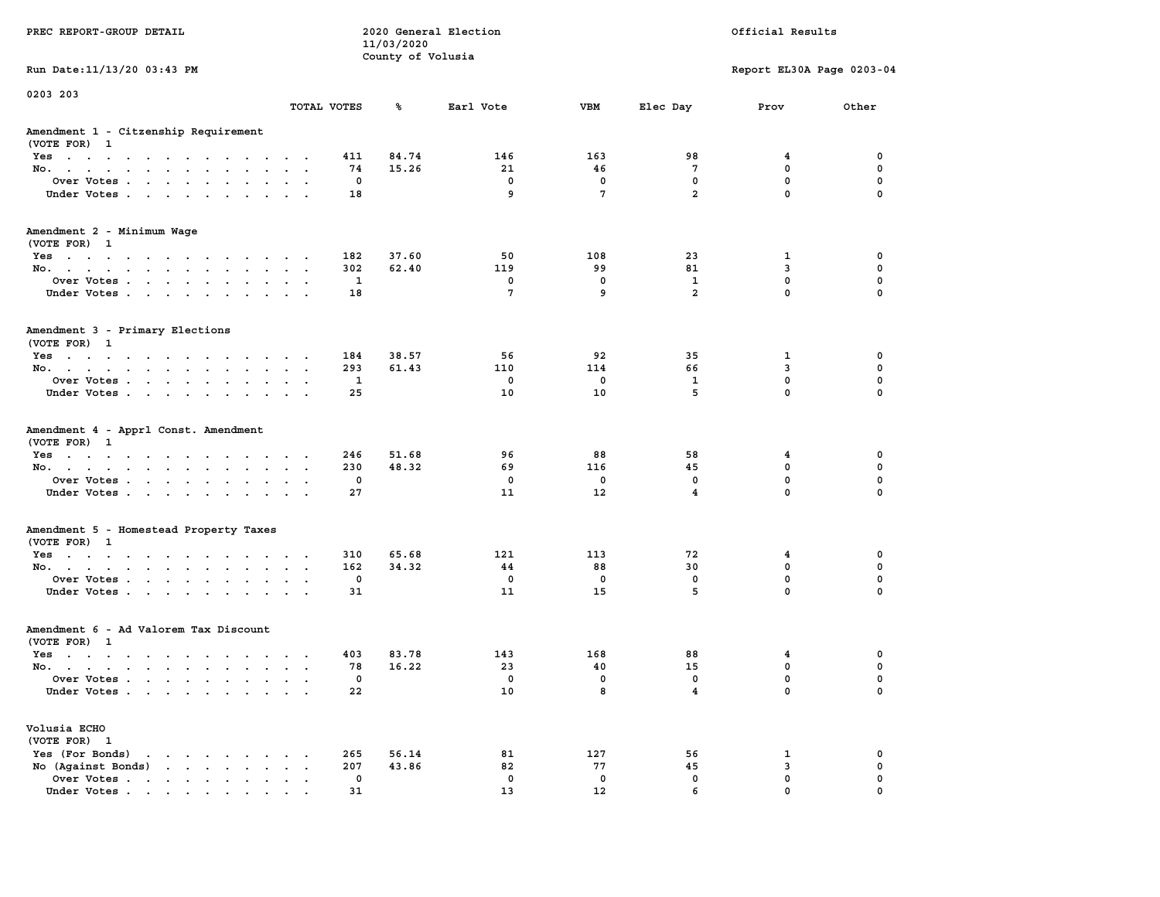|                                                               |                                                 | 11/03/2020        |              |                   |                         |                            |                  |
|---------------------------------------------------------------|-------------------------------------------------|-------------------|--------------|-------------------|-------------------------|----------------------------|------------------|
|                                                               |                                                 | County of Volusia |              |                   |                         |                            |                  |
| Run Date: 11/13/20 03:43 PM                                   |                                                 |                   |              |                   |                         | Report EL30A Page 0203-04  |                  |
| 0203 203                                                      |                                                 |                   |              |                   |                         |                            |                  |
|                                                               | TOTAL VOTES                                     | ℁                 | Earl Vote    | <b>VBM</b>        | Elec Day                | Prov                       | Other            |
| Amendment 1 - Citzenship Requirement                          |                                                 |                   |              |                   |                         |                            |                  |
| (VOTE FOR) 1                                                  |                                                 |                   |              |                   |                         |                            |                  |
| Yes                                                           | 411                                             | 84.74             | 146          | 163               | 98                      | 4                          | 0                |
| No.                                                           | 74<br>$\sim$                                    | 15.26             | 21           | 46                | 7                       | 0                          | 0                |
| Over Votes                                                    | 0<br>$\sim$ $\sim$<br>$\sim$                    |                   | 0            | 0                 | $\mathbf 0$             | $\mathbf 0$                | $\mathbf 0$      |
| Under Votes                                                   | 18                                              |                   | 9            | $\overline{7}$    | $\overline{a}$          | $\mathbf 0$                | $\mathbf 0$      |
| Amendment 2 - Minimum Wage<br>(VOTE FOR) 1                    |                                                 |                   |              |                   |                         |                            |                  |
| Yes                                                           | 182                                             | 37.60             | 50           | 108               | 23                      | 1                          | 0                |
| No.                                                           | 302<br>$\cdot$ $\cdot$ $\cdot$                  | 62.40             | 119          | 99                | 81                      | 3                          | $\mathbf 0$      |
| Over Votes<br>$\ddot{\phantom{0}}$<br>$\sim$                  | 1<br>$\ddot{\phantom{a}}$                       |                   | 0            | 0                 | $\mathbf{1}$            | $\mathbf 0$                | $\mathbf 0$      |
| Under Votes                                                   | 18<br>$\cdots$                                  |                   | 7            | 9                 | $\overline{a}$          | $\Omega$                   | $\Omega$         |
| Amendment 3 - Primary Elections                               |                                                 |                   |              |                   |                         |                            |                  |
| (VOTE FOR) 1                                                  |                                                 |                   |              |                   |                         |                            |                  |
| Yes<br>$\sim$ $\sim$ $\sim$ $\sim$ $\sim$                     | 184<br>$\overline{\phantom{a}}$                 | 38.57             | 56           | 92                | 35                      | 1                          | 0                |
| No.<br>$\sim$ $\sim$ $\sim$<br>$\ddot{\phantom{a}}$<br>$\sim$ | 293<br>$\ddot{\phantom{a}}$<br>$\sim$ $\sim$    | 61.43             | 110          | 114               | 66                      | 3                          | $\mathbf 0$      |
| Over Votes                                                    | $\mathbf{1}$                                    |                   | $\mathbf 0$  | $\mathbf 0$       | $\mathbf{1}$            | $\mathbf 0$                | $\mathbf 0$      |
| Under Votes<br>$\cdot$                                        | 25<br>$\cdot$ $\cdot$                           |                   | 10           | 10                | 5                       | $\mathbf 0$                | $\mathbf 0$      |
| Amendment 4 - Apprl Const. Amendment                          |                                                 |                   |              |                   |                         |                            |                  |
| (VOTE FOR) 1                                                  | 246                                             | 51.68             | 96           | 88                | 58                      | 4                          | 0                |
| Yes<br>No.<br>$\bullet$<br>$\bullet$                          | 230<br>$\ddot{\phantom{0}}$<br>$\blacksquare$ . | 48.32             | 69           | 116               | 45                      | $\mathbf 0$                | $\mathbf 0$      |
| Over Votes                                                    | $\mathbf 0$                                     |                   | $\mathbf{0}$ | $\mathbf 0$       | $\mathbf{0}$            | $\mathbf{0}$               | $\mathbf 0$      |
| Under Votes<br>$\sim$                                         | 27<br>$\sim$ $\sim$                             |                   | 11           | 12                | $\overline{\mathbf{4}}$ | $\mathbf{0}$               | $\mathbf 0$      |
|                                                               |                                                 |                   |              |                   |                         |                            |                  |
| Amendment 5 - Homestead Property Taxes                        |                                                 |                   |              |                   |                         |                            |                  |
| (VOTE FOR) 1                                                  |                                                 |                   |              |                   |                         |                            |                  |
| Yes                                                           | 310                                             | 65.68             | 121          | 113               | 72                      | 4                          | $\mathbf 0$      |
| No.                                                           | 162                                             | 34.32             | 44           | 88                | 30                      | $\mathbf 0$<br>$\mathbf 0$ | $\mathbf 0$<br>0 |
| Over Votes<br>$\sim$<br>$\sim$                                | 0<br>$\bullet$<br>$\sim$<br>31                  |                   | 0<br>11      | $\mathbf 0$<br>15 | 0<br>5                  | $\mathbf{0}$               | $\Omega$         |
| Under Votes                                                   |                                                 |                   |              |                   |                         |                            |                  |
| Amendment 6 - Ad Valorem Tax Discount                         |                                                 |                   |              |                   |                         |                            |                  |
| (VOTE FOR) 1                                                  |                                                 |                   |              |                   |                         |                            |                  |
| Yes<br>$\sim$ $\sim$ $\sim$ $\sim$ $\sim$                     | 403                                             | 83.78             | 143          | 168               | 88                      | $\overline{\mathbf{4}}$    | $\mathbf 0$      |
| No.                                                           | 78<br>$\cdot$ $\cdot$ $\cdot$                   | 16.22             | 23           | 40                | 15                      | $\mathbf 0$                | $\mathbf 0$      |
| Over Votes<br>$\sim$                                          | $\mathbf 0$<br>$\sim$                           |                   | $\mathbf 0$  | 0                 | 0                       | $\mathbf 0$                | $\mathbf 0$      |
| Under Votes                                                   | 22                                              |                   | 10           | 8                 | $\overline{\mathbf{4}}$ | $\mathbf{0}$               | $\Omega$         |
| Volusia ECHO                                                  |                                                 |                   |              |                   |                         |                            |                  |
| (VOTE FOR) 1                                                  |                                                 |                   |              |                   |                         |                            |                  |
| Yes (For Bonds)<br>the contract of the contract of the        | 265<br>$\sim$                                   | 56.14             | 81           | 127               | 56                      | 1                          | 0                |
| No (Against Bonds)                                            | 207<br>$\cdots$                                 | 43.86             | 82           | 77                | 45                      | 3                          | 0                |
| Over Votes                                                    | 0<br>$\cdot$ $\cdot$ $\cdot$ $\cdot$            |                   | $\mathbf 0$  | $\mathbf 0$       | $\mathbf 0$             | $\mathbf 0$                | $\mathbf 0$      |
| Under Votes                                                   | 31                                              |                   | 13           | 12                | 6                       | $\mathbf{0}$               | $\mathbf 0$      |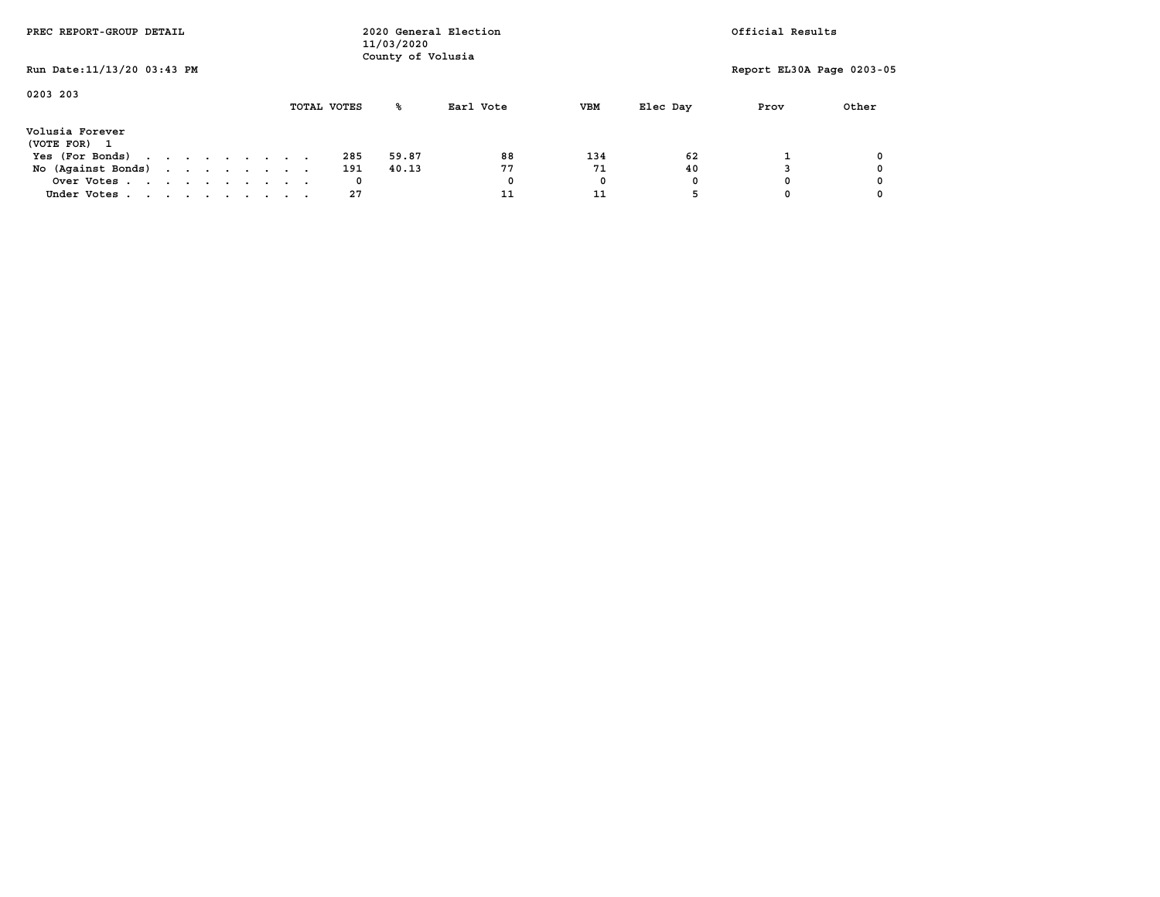| PREC REPORT-GROUP DETAIL    |  |  |  | 2020 General Election<br>11/03/2020<br>County of Volusia |  |  |             |       |           | Official Results |          |                           |       |
|-----------------------------|--|--|--|----------------------------------------------------------|--|--|-------------|-------|-----------|------------------|----------|---------------------------|-------|
| Run Date: 11/13/20 03:43 PM |  |  |  |                                                          |  |  |             |       |           |                  |          | Report EL30A Page 0203-05 |       |
| 0203 203                    |  |  |  |                                                          |  |  | TOTAL VOTES | °≈    | Earl Vote | <b>VBM</b>       | Elec Day | Prov                      | Other |
| Volusia Forever             |  |  |  |                                                          |  |  |             |       |           |                  |          |                           |       |
| (VOTE FOR)                  |  |  |  |                                                          |  |  |             |       |           |                  |          |                           |       |
| Yes (For Bonds)             |  |  |  |                                                          |  |  | 285         | 59.87 | 88        | 134              | 62       |                           |       |
| No (Against Bonds)          |  |  |  |                                                          |  |  | 191         | 40.13 | 77        | 71               | 40       |                           |       |
| Over Votes                  |  |  |  |                                                          |  |  | 0           |       | 0         | 0                | $\Omega$ |                           |       |
| Under Votes                 |  |  |  |                                                          |  |  | 27          |       | 11        | 11               |          |                           |       |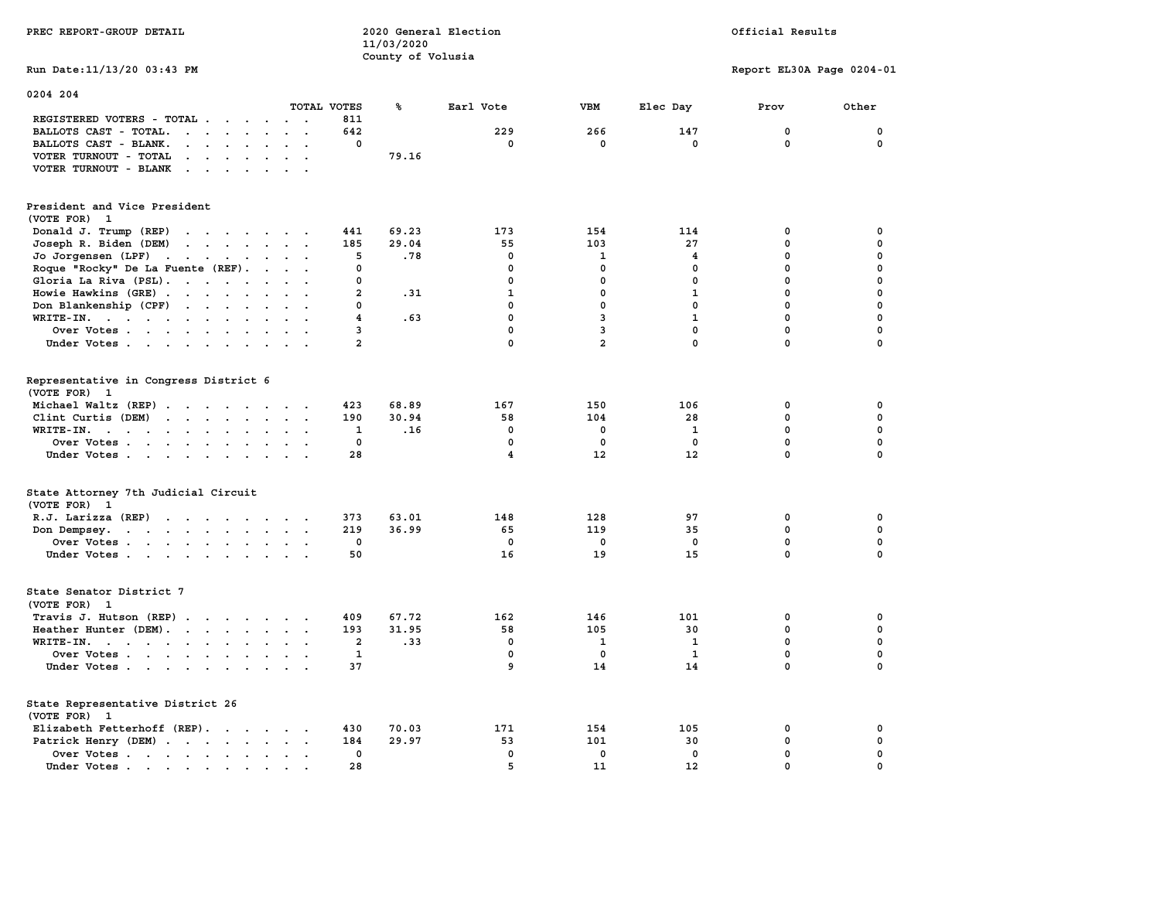|                                                                                                                           |                                              |                         | County of Volusia |                         |                |              |                           |             |
|---------------------------------------------------------------------------------------------------------------------------|----------------------------------------------|-------------------------|-------------------|-------------------------|----------------|--------------|---------------------------|-------------|
| Run Date: 11/13/20 03:43 PM                                                                                               |                                              |                         |                   |                         |                |              | Report EL30A Page 0204-01 |             |
| 0204 204                                                                                                                  |                                              |                         |                   |                         |                |              |                           |             |
|                                                                                                                           | TOTAL VOTES                                  |                         | ℁                 | Earl Vote               | VBM            | Elec Day     | Prov                      | Other       |
| REGISTERED VOTERS - TOTAL .<br>$\sim$                                                                                     |                                              | 811                     |                   |                         |                |              |                           |             |
| BALLOTS CAST - TOTAL.<br>$\sim$<br>$\ddot{\phantom{a}}$<br>$\overline{a}$<br>$\ddot{\phantom{a}}$<br>$\ddot{\phantom{a}}$ | $\ddot{\phantom{a}}$<br>$\ddot{\phantom{a}}$ | 642                     |                   | 229                     | 266            | 147          | 0                         | 0           |
| BALLOTS CAST - BLANK.<br>$\ddot{\phantom{0}}$<br>$\overline{a}$                                                           |                                              | 0                       |                   | 0                       | $\mathbf 0$    | 0            | $\mathbf 0$               | 0           |
| VOTER TURNOUT - TOTAL<br>$\sim 100$ km s $^{-1}$                                                                          |                                              |                         | 79.16             |                         |                |              |                           |             |
| VOTER TURNOUT - BLANK<br>$\cdots$ $\cdots$<br>$\ddot{\phantom{a}}$                                                        |                                              |                         |                   |                         |                |              |                           |             |
| President and Vice President                                                                                              |                                              |                         |                   |                         |                |              |                           |             |
| (VOTE FOR) 1                                                                                                              |                                              |                         |                   |                         |                |              |                           |             |
| Donald J. Trump (REP)<br>$\mathcal{A}$ , and $\mathcal{A}$ , and $\mathcal{A}$                                            | $\sim$                                       | 441                     | 69.23             | 173                     | 154            | 114          | 0                         | 0           |
| Joseph R. Biden (DEM)<br>$\mathbf{r}$ , $\mathbf{r}$ , $\mathbf{r}$ , $\mathbf{r}$ , $\mathbf{r}$                         |                                              | 185                     | 29.04             | 55                      | 103            | 27           | $\mathbf 0$               | 0           |
| Jo Jorgensen (LPF)<br>$\mathcal{A}$ , and $\mathcal{A}$ , and $\mathcal{A}$<br>$\ddot{\phantom{a}}$                       |                                              | 5                       | .78               | $\mathbf 0$             | $\mathbf 1$    | 4            | 0                         | $\mathbf 0$ |
| Roque "Rocky" De La Fuente (REF).<br>$\sim$                                                                               |                                              | $\mathbf 0$             |                   | $\mathbf 0$             | $\mathbf 0$    | $\Omega$     | 0                         | $\mathbf 0$ |
| Gloria La Riva (PSL).                                                                                                     |                                              | $\mathbf 0$             |                   | 0                       | $\mathbf 0$    | $\mathbf 0$  | $\mathbf 0$               | $\mathbf 0$ |
| Howie Hawkins (GRE)<br>$\ddot{\phantom{a}}$                                                                               |                                              | $\overline{a}$          | .31               | $\mathbf{1}$            | $\mathbf 0$    | $\mathbf{1}$ | 0                         | $\mathbf 0$ |
| Don Blankenship (CPF)<br>$\mathcal{L}(\mathcal{A})$ and $\mathcal{A}(\mathcal{A})$ .<br>$\bullet$<br>$\cdot$              |                                              | $\mathbf 0$             |                   | $\mathbf{0}$            | $\mathbf 0$    | $\mathbf{0}$ | 0                         | $\mathbf 0$ |
| WRITE-IN.<br>$\ddot{\phantom{a}}$                                                                                         |                                              | 4                       | .63               | $\mathbf 0$             | 3              | $\mathbf{1}$ | $\mathbf 0$               | $\mathbf 0$ |
| Over Votes                                                                                                                |                                              | 3                       |                   | $\mathbf{0}$            | 3              | $\mathbf{0}$ | $\mathbf 0$               | $\mathbf 0$ |
| Under Votes<br>$\ddot{\phantom{a}}$                                                                                       |                                              | $\overline{a}$          |                   | $\mathbf 0$             | $\overline{a}$ | $\mathbf 0$  | $\mathbf 0$               | $\mathbf 0$ |
|                                                                                                                           |                                              |                         |                   |                         |                |              |                           |             |
| Representative in Congress District 6<br>(VOTE FOR) 1                                                                     |                                              |                         |                   |                         |                |              |                           |             |
| Michael Waltz (REP).<br><b>Contract Contract Street</b><br>$\overline{\phantom{a}}$<br>$\overline{\phantom{a}}$           |                                              | 423                     | 68.89             | 167                     | 150            | 106          | 0                         | 0           |
| Clint Curtis (DEM)<br>$\cdot$ $\cdot$ $\cdot$ $\cdot$<br>$\sim$<br>$\overline{a}$                                         |                                              | 190                     | 30.94             | 58                      | 104            | 28           | $\mathbf 0$               | 0           |
| $WRITE-IN.$<br>$\sim$<br>$\ddot{\phantom{a}}$                                                                             |                                              | 1                       | .16               | 0                       | 0              | 1            | $\mathbf 0$               | 0           |
| Over Votes<br>$\sim$<br>$\sim$                                                                                            |                                              | 0                       |                   | 0                       | 0              | $\mathbf 0$  | $\mathbf 0$               | 0           |
| Under Votes                                                                                                               |                                              | 28                      |                   | $\overline{\mathbf{4}}$ | 12             | 12           | 0                         | $\mathbf 0$ |
|                                                                                                                           |                                              |                         |                   |                         |                |              |                           |             |
| State Attorney 7th Judicial Circuit                                                                                       |                                              |                         |                   |                         |                |              |                           |             |
| (VOTE FOR) 1                                                                                                              |                                              |                         |                   |                         |                |              |                           |             |
| R.J. Larizza (REP)                                                                                                        |                                              | 373                     | 63.01             | 148                     | 128            | 97           | 0                         | 0           |
| Don Dempsey.                                                                                                              |                                              | 219                     | 36.99             | 65                      | 119            | 35           | 0<br>$\mathbf 0$          | 0           |
| Over Votes                                                                                                                |                                              | 0                       |                   | 0                       | 0              | 0            |                           | 0           |
| Under Votes<br>$\ddot{\phantom{a}}$                                                                                       |                                              | 50                      |                   | 16                      | 19             | 15           | $\mathbf 0$               | $\mathbf 0$ |
| State Senator District 7<br>(VOTE FOR) 1                                                                                  |                                              |                         |                   |                         |                |              |                           |             |
| Travis J. Hutson (REP).<br>$\mathcal{L}(\mathbf{z})$ , and $\mathcal{L}(\mathbf{z})$ , and<br>$\sim$                      |                                              | 409                     | 67.72             | 162                     | 146            | 101          | 0                         | 0           |
| Heather Hunter (DEM).                                                                                                     |                                              | 193                     | 31.95             | 58                      | 105            | 30           | 0                         | $\pmb{0}$   |
| WRITE-IN.<br>the contract of the contract of the<br>$\ddot{\phantom{a}}$<br>$\sim$<br>$\overline{\phantom{a}}$            |                                              | $\overline{\mathbf{2}}$ | .33               | $\mathbf 0$             | 1              | $\mathbf{1}$ | $\mathbf 0$               | $\mathbf 0$ |
| Over Votes<br>$\sim$                                                                                                      |                                              | $\mathbf{1}$            |                   | $\mathbf 0$             | 0              | 1            | $\mathbf 0$               | $\mathbf 0$ |
| Under Votes                                                                                                               |                                              | 37                      |                   | 9                       | 14             | 14           | 0                         | $\Omega$    |
| State Representative District 26                                                                                          |                                              |                         |                   |                         |                |              |                           |             |
| (VOTE FOR) 1                                                                                                              |                                              |                         |                   |                         |                |              |                           |             |
| Elizabeth Fetterhoff (REP).                                                                                               |                                              | 430                     | 70.03             | 171                     | 154            | 105          | 0                         | 0           |
| Patrick Henry (DEM)                                                                                                       |                                              | 184                     | 29.97             | 53                      | 101            | 30           | $\mathbf 0$               | 0           |
| Over Votes .<br>$\cdots$<br>$\ddot{\phantom{a}}$                                                                          | $\ddot{\phantom{a}}$                         | $\mathbf 0$             |                   | $\mathbf{0}$            | $\mathbf{0}$   | $\mathbf{0}$ | $\mathbf 0$               | $\mathbf 0$ |
| Under Votes.<br>$\mathcal{A}=\mathcal{A}=\mathcal{A}=\mathcal{A}=\mathcal{A}$<br>$\bullet$                                |                                              | 28                      |                   | 5                       | 11             | 12           | $\Omega$                  | $\Omega$    |

**PREC REPORT-GROUP DETAIL COMPUTER CONSUMING A LOCAL PRECIST CONSUMING A LOCAL RESULTS OF A LOCAL PRECIST** 

 **11/03/2020**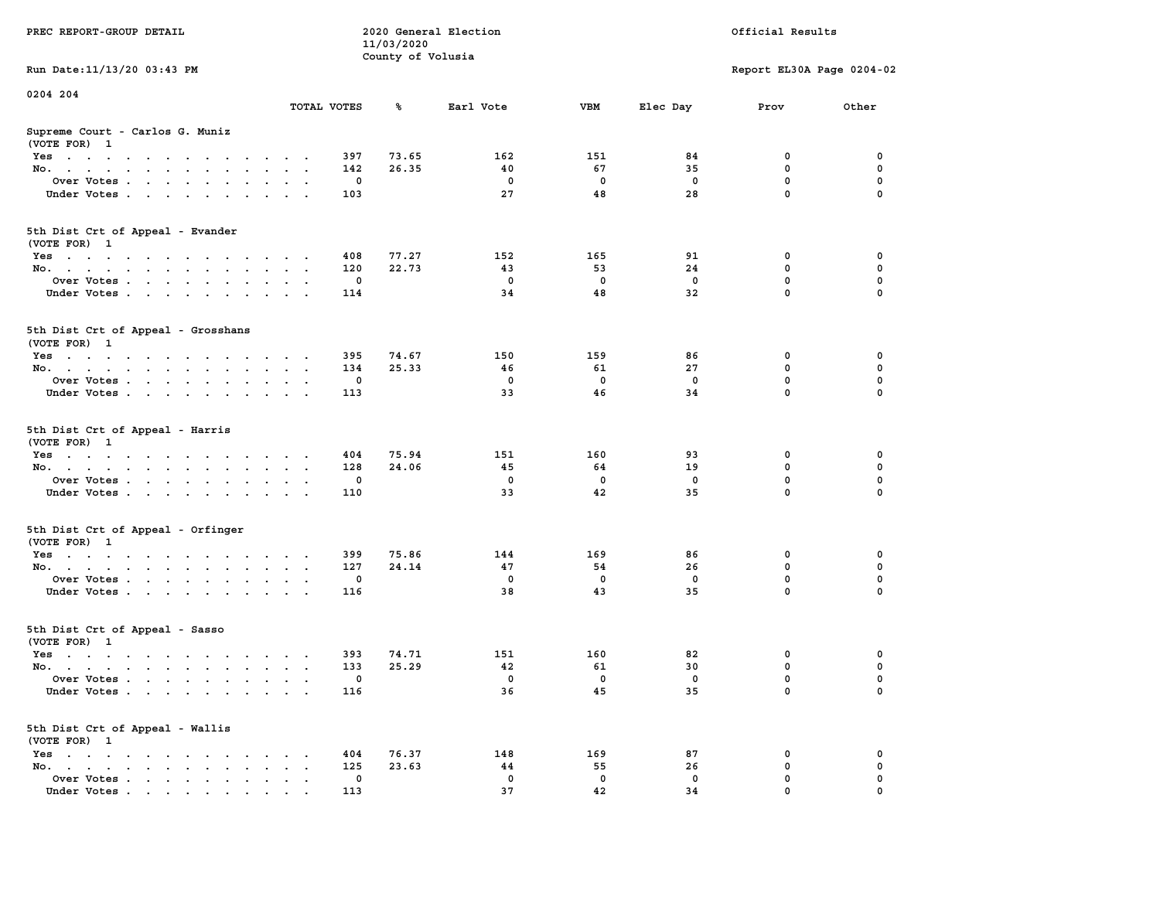| PREC REPORT-GROUP DETAIL                                                                                               |               | 11/03/2020<br>County of Volusia | 2020 General Election | Official Results |          |                           |          |
|------------------------------------------------------------------------------------------------------------------------|---------------|---------------------------------|-----------------------|------------------|----------|---------------------------|----------|
| Run Date: 11/13/20 03:43 PM                                                                                            |               |                                 |                       |                  |          | Report EL30A Page 0204-02 |          |
| 0204 204                                                                                                               |               |                                 |                       |                  |          |                           |          |
|                                                                                                                        | TOTAL VOTES   | ℁                               | Earl Vote             | VBM              | Elec Day | Prov                      | Other    |
| Supreme Court - Carlos G. Muniz<br>(VOTE FOR) 1                                                                        |               |                                 |                       |                  |          |                           |          |
| Yes                                                                                                                    |               | 73.65<br>397                    | 162                   | 151              | 84       | 0                         | 0        |
| No.                                                                                                                    | $\sim$ $\sim$ | 26.35<br>142                    | 40                    | 67               | 35       | $\mathbf 0$               | 0        |
| Over Votes                                                                                                             |               | 0                               | 0                     | 0                | 0        | 0                         | 0        |
| Under Votes                                                                                                            |               | 103                             | 27                    | 48               | 28       | $\mathbf 0$               | $\Omega$ |
| 5th Dist Crt of Appeal - Evander<br>(VOTE FOR) 1                                                                       |               |                                 |                       |                  |          |                           |          |
| Yes                                                                                                                    |               | 77.27<br>408                    | 152                   | 165              | 91       | 0                         | 0        |
| No.                                                                                                                    | $\sim$ $\sim$ | 120<br>22.73                    | 43                    | 53               | 24       | 0                         | 0        |
| Over Votes                                                                                                             |               | 0                               | $\mathbf 0$           | $\mathbf 0$      | 0        | $\mathbf 0$               | 0        |
| Under Votes                                                                                                            |               | 114                             | 34                    | 48               | 32       | $\mathbf 0$               | 0        |
| 5th Dist Crt of Appeal - Grosshans<br>(VOTE FOR) 1                                                                     |               |                                 |                       |                  |          |                           |          |
| Yes<br>والمتناول والمتناول والتواطئ والمتناول والتواطئ والمناور                                                        |               | 395<br>74.67                    | 150                   | 159              | 86       | 0                         | 0        |
| No.                                                                                                                    | $\sim$        | 134<br>25.33                    | 46                    | 61               | 27       | 0                         | 0        |
| Over Votes                                                                                                             | $\bullet$     | 0                               | 0                     | 0                | $\Omega$ | $\mathbf 0$               | 0        |
| Under Votes                                                                                                            |               | 113                             | 33                    | 46               | 34       | 0                         | 0        |
| 5th Dist Crt of Appeal - Harris<br>(VOTE FOR) 1                                                                        |               |                                 |                       |                  |          |                           |          |
| Yes                                                                                                                    |               | 75.94<br>404<br>24.06<br>128    | 151<br>45             | 160<br>64        | 93<br>19 | 0<br>$\mathbf 0$          | 0<br>0   |
| No.<br>Over Votes                                                                                                      | $\ddotsc$     | 0                               | 0                     | 0                | 0        | 0                         | 0        |
| Under Votes                                                                                                            |               | 110                             | 33                    | 42               | 35       | 0                         | $\Omega$ |
|                                                                                                                        |               |                                 |                       |                  |          |                           |          |
| 5th Dist Crt of Appeal - Orfinger<br>(VOTE FOR) 1                                                                      |               |                                 |                       |                  |          |                           |          |
| Yes                                                                                                                    |               | 75.86<br>399                    | 144                   | 169              | 86       | 0                         | 0        |
| No.                                                                                                                    | $\cdot$ .     | 127<br>24.14                    | 47                    | 54               | 26       | 0                         | 0        |
| Over Votes                                                                                                             |               | 0<br>116                        | 0<br>38               | 0<br>43          | 0<br>35  | 0<br>$\mathbf 0$          | 0<br>0   |
| Under Votes                                                                                                            |               |                                 |                       |                  |          |                           |          |
| 5th Dist Crt of Appeal - Sasso<br>(VOTE FOR) 1                                                                         |               |                                 |                       |                  |          |                           |          |
| Yes<br>the contract of the contract of the contract of the contract of the contract of the contract of the contract of |               | 393<br>74.71                    | 151                   | 160              | 82       | 0                         | 0        |
| No.                                                                                                                    | $\sim$ $\sim$ | 133<br>25.29                    | 42                    | 61               | 30       | 0                         | 0        |
| Over Votes                                                                                                             |               | 0                               | 0                     | 0                | 0        | 0                         | $\Omega$ |
| Under Votes                                                                                                            |               | 116                             | 36                    | 45               | 35       | 0                         | 0        |
| 5th Dist Crt of Appeal - Wallis<br>(VOTE FOR) 1                                                                        |               |                                 |                       |                  |          |                           |          |
| $Yes \cdot \cdot \cdot \cdot \cdot \cdot$                                                                              |               | 404<br>76.37                    | 148                   | 169              | 87       | 0<br>$\mathbf 0$          | 0        |
| No.<br>$\ddot{\phantom{a}}$<br>Over Votes                                                                              |               | 125<br>23.63<br>0               | 44<br>0               | 55<br>0          | 26<br>0  | 0                         | 0<br>0   |
| Under Votes                                                                                                            |               | 113                             | 37                    | 42               | 34       | 0                         |          |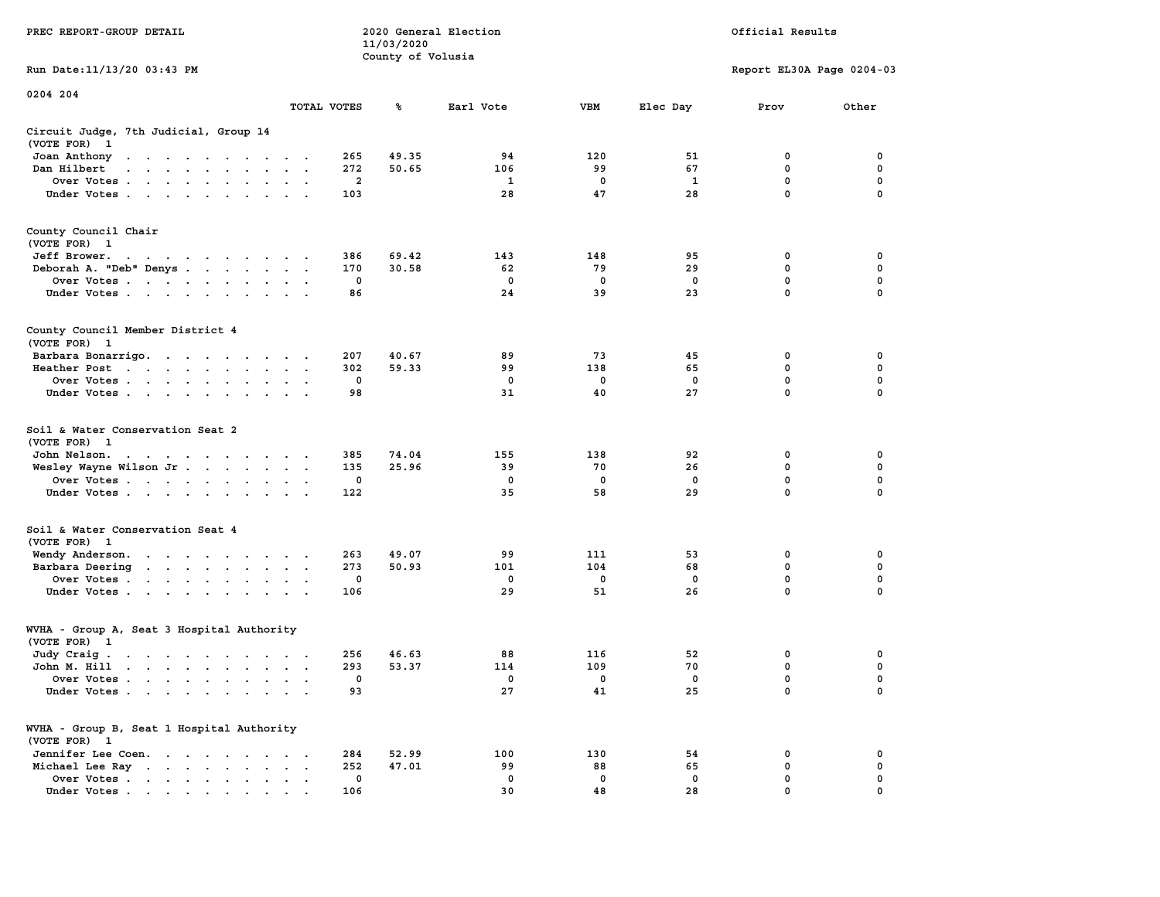| PREC REPORT-GROUP DETAIL                                                                                                                       |                                                     | 2020 General Election<br>11/03/2020 |             | Official Results |             |                           |             |  |
|------------------------------------------------------------------------------------------------------------------------------------------------|-----------------------------------------------------|-------------------------------------|-------------|------------------|-------------|---------------------------|-------------|--|
|                                                                                                                                                |                                                     | County of Volusia                   |             |                  |             |                           |             |  |
| Run Date: 11/13/20 03:43 PM                                                                                                                    |                                                     |                                     |             |                  |             | Report EL30A Page 0204-03 |             |  |
| 0204 204                                                                                                                                       |                                                     |                                     |             |                  |             |                           |             |  |
|                                                                                                                                                | TOTAL VOTES                                         | ℁                                   | Earl Vote   | VBM              | Elec Day    | Prov                      | Other       |  |
| Circuit Judge, 7th Judicial, Group 14<br>(VOTE FOR) 1                                                                                          |                                                     |                                     |             |                  |             |                           |             |  |
| Joan Anthony                                                                                                                                   | 265                                                 | 49.35                               | 94          | 120              | 51          | 0                         | 0           |  |
| Dan Hilbert<br>and a series of the contract of the                                                                                             | 272                                                 | 50.65                               | 106         | 99               | 67          | $\mathbf 0$               | $\mathbf 0$ |  |
| Over Votes                                                                                                                                     | 2                                                   |                                     | 1           | 0                | 1           | 0                         | 0           |  |
| Under Votes                                                                                                                                    | 103                                                 |                                     | 28          | 47               | 28          | $\mathbf 0$               | $\Omega$    |  |
| County Council Chair<br>(VOTE FOR) 1                                                                                                           |                                                     |                                     |             |                  |             |                           |             |  |
| Jeff Brower.<br>the contract of the contract of the contract of the contract of the contract of the contract of the contract of                | 386                                                 | 69.42                               | 143         | 148              | 95          | 0                         | 0           |  |
| Deborah A. "Deb" Denys                                                                                                                         | 170                                                 | 30.58                               | 62          | 79               | 29          | 0                         | 0           |  |
| Over Votes                                                                                                                                     | 0                                                   |                                     | 0           | 0                | $\mathbf 0$ | $\mathbf 0$               | $\mathbf 0$ |  |
| Under Votes                                                                                                                                    | 86                                                  |                                     | 24          | 39               | 23          | $\mathbf{0}$              | 0           |  |
| County Council Member District 4<br>(VOTE FOR) 1                                                                                               |                                                     |                                     |             |                  |             |                           |             |  |
| Barbara Bonarrigo.                                                                                                                             | 207                                                 | 40.67                               | 89          | 73               | 45          | 0                         | 0           |  |
| Heather Post                                                                                                                                   | 302                                                 | 59.33                               | 99          | 138              | 65          | 0                         | 0           |  |
| Over Votes                                                                                                                                     | 0                                                   |                                     | $^{\circ}$  | 0                | 0           | $\mathbf 0$               | 0           |  |
| Under Votes                                                                                                                                    | 98                                                  |                                     | 31          | 40               | 27          | $\mathbf 0$               | 0           |  |
| Soil & Water Conservation Seat 2<br>(VOTE FOR) 1<br>John Nelson.<br>the contract of the contract of the contract of<br>Wesley Wayne Wilson Jr. | 385<br>135                                          | 74.04<br>25.96                      | 155<br>39   | 138<br>70        | 92<br>26    | 0<br>$\mathbf 0$          | 0<br>0      |  |
| Over Votes                                                                                                                                     | 0                                                   |                                     | 0           | 0                | 0           | 0                         | 0           |  |
| Under Votes                                                                                                                                    | 122                                                 |                                     | 35          | 58               | 29          | $\mathbf 0$               | $\Omega$    |  |
| Soil & Water Conservation Seat 4<br>(VOTE FOR) 1                                                                                               |                                                     |                                     |             |                  |             |                           |             |  |
| Wendy Anderson.                                                                                                                                | 263                                                 | 49.07                               | 99          | 111              | 53          | 0                         | 0           |  |
| Barbara Deering                                                                                                                                | 273                                                 | 50.93                               | 101         | 104              | 68          | 0                         | 0           |  |
| Over Votes                                                                                                                                     | 0                                                   |                                     | 0           | $\mathbf 0$      | 0           | 0                         | 0           |  |
| Under Votes                                                                                                                                    | 106                                                 |                                     | 29          | 51               | 26          | $\mathbf{0}$              | 0           |  |
| WVHA - Group A, Seat 3 Hospital Authority<br>(VOTE FOR) 1                                                                                      |                                                     |                                     |             |                  |             |                           |             |  |
| Judy Craig.                                                                                                                                    | 256                                                 | 46.63                               | 88          | 116              | 52          | 0                         | 0           |  |
| John M. Hill                                                                                                                                   | 293                                                 | 53.37                               | 114         | 109              | 70          | $\mathbf 0$               | 0           |  |
| Over Votes                                                                                                                                     | 0                                                   |                                     | 0           | 0                | 0           | $\mathbf{0}$              | 0           |  |
| Under Votes                                                                                                                                    | 93                                                  |                                     | 27          | 41               | 25          | 0                         | 0           |  |
| WVHA - Group B, Seat 1 Hospital Authority<br>(VOTE FOR) 1                                                                                      |                                                     |                                     |             |                  |             |                           |             |  |
| Jennifer Lee Coen.                                                                                                                             | 284<br>$\sim$                                       | 52.99                               | 100         | 130              | 54          | 0                         | 0           |  |
| Michael Lee Ray<br>$\ddot{\phantom{a}}$                                                                                                        | 252<br>$\ddot{\phantom{0}}$<br>$\ddot{\phantom{a}}$ | 47.01                               | 99          | 88               | 65          | 0                         | 0           |  |
| Over Votes                                                                                                                                     | 0                                                   |                                     | $\mathbf 0$ | 0                | 0<br>28     | 0<br>$\Omega$             | 0           |  |
| Under Votes.                                                                                                                                   | 106                                                 |                                     | 30          | 48               |             |                           |             |  |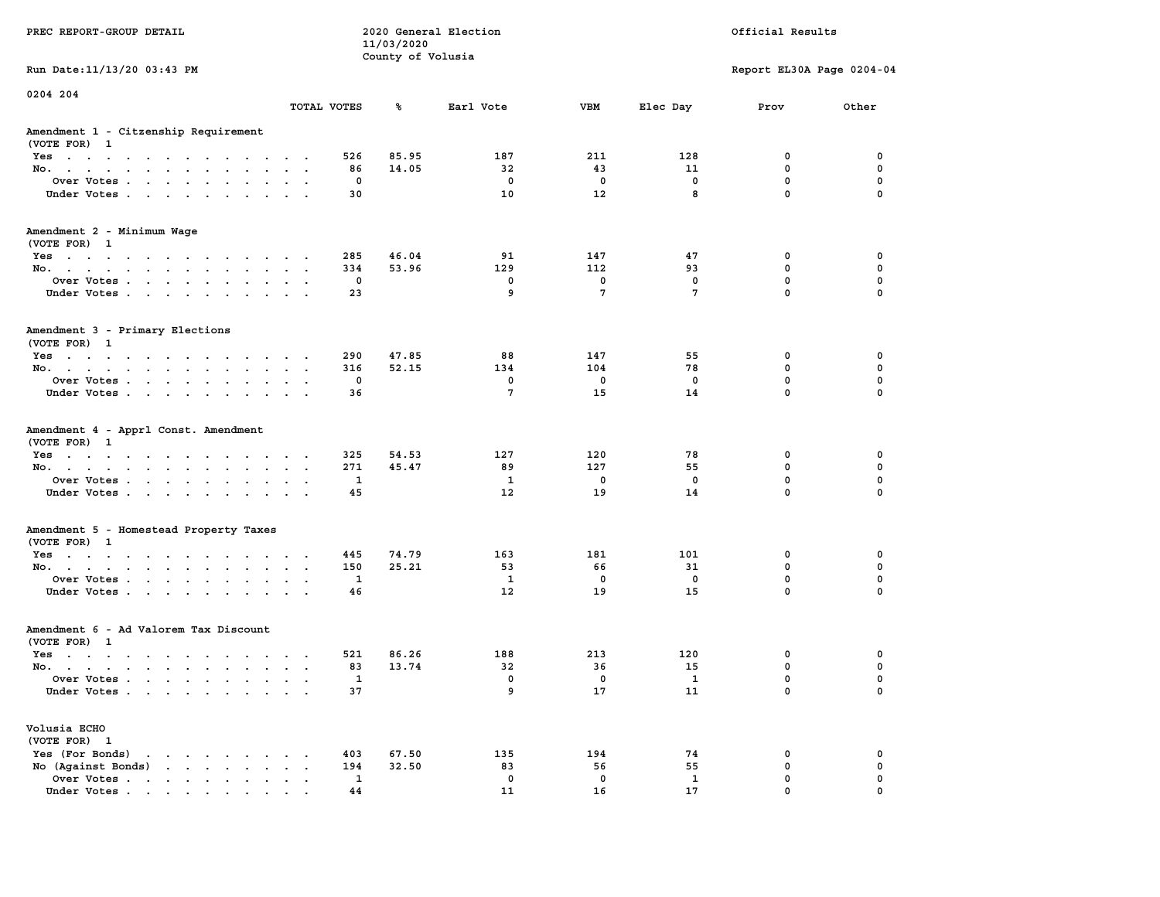|                                                                                                                                |                                                                      |             | 11/03/2020        |                   |                         |              |                           |             |  |
|--------------------------------------------------------------------------------------------------------------------------------|----------------------------------------------------------------------|-------------|-------------------|-------------------|-------------------------|--------------|---------------------------|-------------|--|
|                                                                                                                                |                                                                      |             | County of Volusia |                   |                         |              |                           |             |  |
| Run Date: 11/13/20 03:43 PM                                                                                                    |                                                                      |             |                   |                   |                         |              | Report EL30A Page 0204-04 |             |  |
| 0204 204                                                                                                                       |                                                                      |             |                   |                   |                         |              |                           |             |  |
|                                                                                                                                |                                                                      | TOTAL VOTES | ℁                 | Earl Vote         | <b>VBM</b>              | Elec Day     | Prov                      | Other       |  |
| Amendment 1 - Citzenship Requirement                                                                                           |                                                                      |             |                   |                   |                         |              |                           |             |  |
| (VOTE FOR) 1                                                                                                                   |                                                                      |             |                   |                   |                         |              |                           |             |  |
| Yes                                                                                                                            |                                                                      | 526         | 85.95             | 187               | 211                     | 128          | 0                         | 0           |  |
| No.                                                                                                                            | $\sim$                                                               | 86          | 14.05             | 32                | 43                      | 11           | $\mathbf 0$               | $\mathbf 0$ |  |
| Over Votes                                                                                                                     |                                                                      | 0           |                   | $\mathbf 0$       | $\mathbf 0$             | 0            | $\mathbf 0$               | 0           |  |
| Under Votes                                                                                                                    |                                                                      | 30          |                   | 10                | 12                      | 8            | $\mathbf 0$               | $\mathbf 0$ |  |
| Amendment 2 - Minimum Wage                                                                                                     |                                                                      |             |                   |                   |                         |              |                           |             |  |
| (VOTE FOR) 1                                                                                                                   |                                                                      |             |                   |                   |                         |              |                           |             |  |
| Yes                                                                                                                            |                                                                      | 285         | 46.04             | 91                | 147                     | 47           | 0                         | 0           |  |
| No.<br>$\cdot$ $\cdot$ $\cdot$                                                                                                 | $\sim$                                                               | 334         | 53.96             | 129               | 112                     | 93           | 0                         | 0           |  |
| Over Votes                                                                                                                     |                                                                      | $\mathbf 0$ |                   | $\mathbf{0}$      | $\mathbf{0}$            | $\mathbf{0}$ | $\mathbf{0}$              | $\mathbf 0$ |  |
| Under Votes                                                                                                                    | $\mathbf{a}$ , and $\mathbf{a}$ , and $\mathbf{a}$                   | 23          |                   | 9                 | $7\phantom{.0}$         | 7            | $\mathbf{0}$              | $\Omega$    |  |
|                                                                                                                                |                                                                      |             |                   |                   |                         |              |                           |             |  |
| Amendment 3 - Primary Elections                                                                                                |                                                                      |             |                   |                   |                         |              |                           |             |  |
| (VOTE FOR) 1                                                                                                                   |                                                                      |             |                   |                   |                         |              |                           |             |  |
| Yes                                                                                                                            |                                                                      | 290         | 47.85             | 88                | 147                     | 55           | 0                         | 0           |  |
| No.                                                                                                                            |                                                                      | 316         | 52.15             | 134               | 104                     | 78           | $\mathbf 0$               | $\mathbf 0$ |  |
| Over Votes<br>$\sim$ $\sim$                                                                                                    | $\sim$ $\sim$                                                        | 0           |                   | $\mathbf 0$       | $\mathbf 0$             | $\mathbf 0$  | $\mathbf 0$               | $\mathbf 0$ |  |
| Under Votes                                                                                                                    |                                                                      | 36          |                   | $7\phantom{.0}$   | 15                      | 14           | $\mathbf{0}$              | $\mathbf 0$ |  |
| Amendment 4 - Apprl Const. Amendment                                                                                           |                                                                      |             |                   |                   |                         |              |                           |             |  |
| (VOTE FOR) 1                                                                                                                   |                                                                      |             |                   |                   |                         |              |                           |             |  |
| Yes<br>$\sim$ $\sim$ $\sim$ $\sim$ $\sim$                                                                                      | $\sim$                                                               | 325         | 54.53             | 127               | 120                     | 78           | 0                         | $\mathbf 0$ |  |
| No.<br>$\sim$                                                                                                                  | $\mathbf{A}$<br>$\cdot$ $\cdot$                                      | 271         | 45.47             | 89                | 127                     | 55           | $\mathbf 0$               | $\mathbf 0$ |  |
| Over Votes                                                                                                                     |                                                                      | 1           |                   | $\mathbf{1}$      | $\overline{\mathbf{0}}$ | $\mathbf 0$  | $\mathbf 0$               | $\mathbf 0$ |  |
| Under Votes                                                                                                                    | $\sim$ $\sim$ $\sim$ $\sim$ $\sim$                                   | 45          |                   | $12 \overline{ }$ | 19                      | 14           | 0                         | $\mathbf 0$ |  |
| Amendment 5 - Homestead Property Taxes                                                                                         |                                                                      |             |                   |                   |                         |              |                           |             |  |
| (VOTE FOR) 1                                                                                                                   |                                                                      |             |                   |                   |                         |              |                           |             |  |
| Yes                                                                                                                            |                                                                      | 445         | 74.79             | 163               | 181                     | 101          | 0                         | 0           |  |
| No.<br>$\sim$                                                                                                                  | $\ddot{\phantom{a}}$<br>$\ddot{\phantom{0}}$<br>$\ddot{\phantom{a}}$ | 150         | 25.21             | 53                | 66                      | 31           | 0                         | $\pmb{0}$   |  |
| Over Votes                                                                                                                     |                                                                      | $\mathbf 1$ |                   | $\mathbf{1}$      | $\mathbf 0$             | $\mathbf 0$  | $\mathbf 0$               | $\mathbf 0$ |  |
| Under Votes<br>$\mathcal{A}=\mathcal{A}=\mathcal{A}$ .<br>$\ddot{\phantom{0}}$                                                 | $\sim$                                                               | 46          |                   | 12                | 19                      | 15           | $\mathbf{0}$              | $\Omega$    |  |
| Amendment 6 - Ad Valorem Tax Discount                                                                                          |                                                                      |             |                   |                   |                         |              |                           |             |  |
| (VOTE FOR) 1                                                                                                                   |                                                                      |             |                   |                   |                         |              |                           |             |  |
| Yes                                                                                                                            |                                                                      | 521         | 86.26             | 188               | 213                     | 120          | 0                         | 0           |  |
| No.                                                                                                                            |                                                                      | 83          | 13.74             | 32                | 36                      | 15           | $\mathbf 0$               | 0           |  |
| Over Votes<br>$\sim$                                                                                                           | $\cdot$ $\cdot$<br>$\ddot{\phantom{a}}$                              | 1           |                   | 0                 | 0                       | $\mathbf{1}$ | $\mathbf 0$               | 0           |  |
| Under Votes                                                                                                                    |                                                                      | 37          |                   | 9                 | 17                      | 11           | 0                         | $\Omega$    |  |
| Volusia ECHO                                                                                                                   |                                                                      |             |                   |                   |                         |              |                           |             |  |
| (VOTE FOR) 1                                                                                                                   |                                                                      |             |                   |                   |                         |              |                           |             |  |
| Yes (For Bonds)                                                                                                                | $\sim$                                                               | 403         | 67.50             | 135               | 194                     | 74           | 0                         | 0           |  |
| No (Against Bonds)                                                                                                             | $\bullet$ .<br><br><br><br><br><br><br><br><br><br><br><br>          | 194         | 32.50             | 83                | 56                      | 55           | 0                         | $\mathbf 0$ |  |
| Over Votes<br>$\ddot{\phantom{a}}$                                                                                             | $\ddot{\phantom{a}}$<br>$\ddot{\phantom{a}}$<br>$\ddot{\phantom{a}}$ | 1           |                   | 0                 | 0                       | 1            | $\mathbf 0$               | $\mathbf 0$ |  |
| Under Votes<br>the contract of the contract of the contract of the contract of the contract of the contract of the contract of |                                                                      | 44          |                   | 11                | 16                      | 17           | $\mathbf{0}$              | $\mathbf 0$ |  |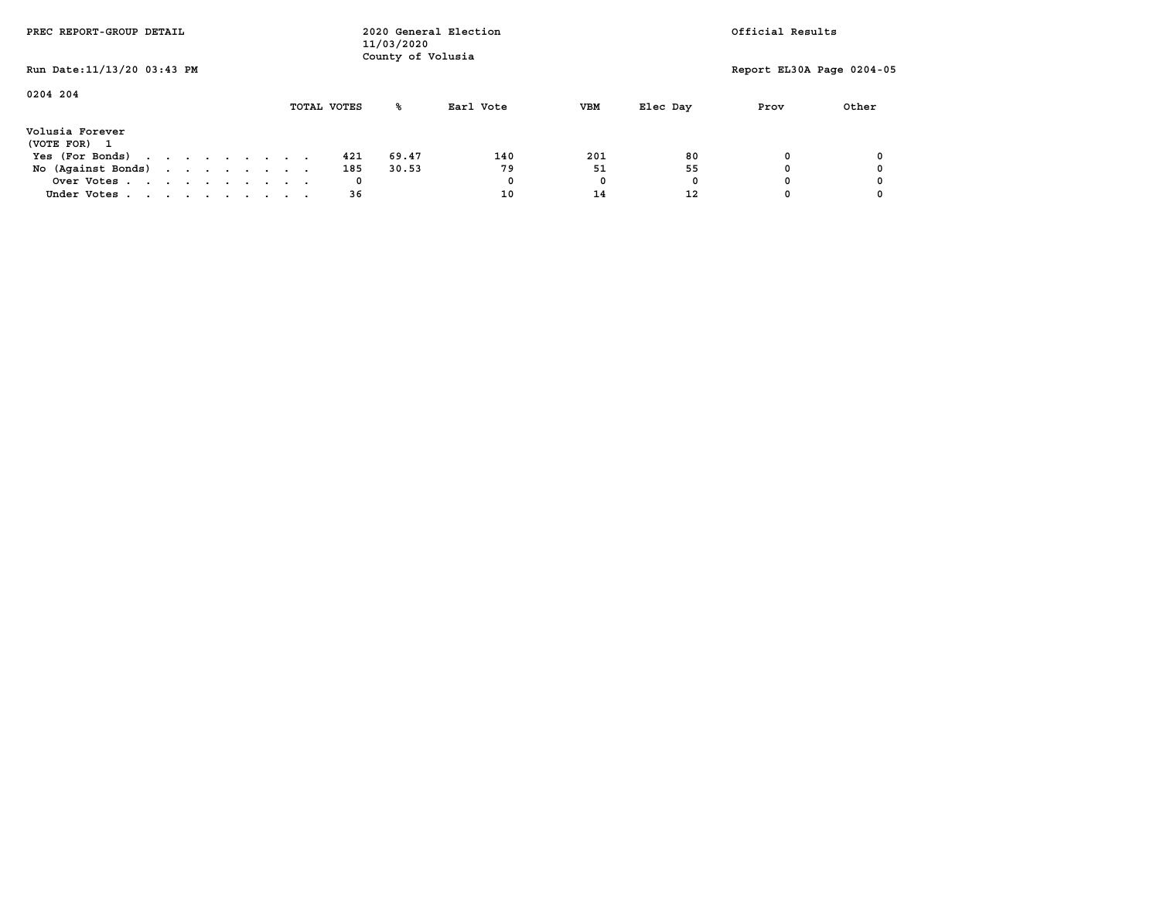| PREC REPORT-GROUP DETAIL                                  |  |  | 2020 General Election<br>11/03/2020<br>County of Volusia |  |  |             |       |           | Official Results |          |                           |       |  |
|-----------------------------------------------------------|--|--|----------------------------------------------------------|--|--|-------------|-------|-----------|------------------|----------|---------------------------|-------|--|
| Run Date: 11/13/20 03:43 PM                               |  |  |                                                          |  |  |             |       |           |                  |          | Report EL30A Page 0204-05 |       |  |
| 0204 204                                                  |  |  |                                                          |  |  | TOTAL VOTES | ℁     | Earl Vote | <b>VBM</b>       | Elec Day | Prov                      | Other |  |
| Volusia Forever<br>(VOTE FOR)<br>$\overline{\phantom{a}}$ |  |  |                                                          |  |  |             |       |           |                  |          |                           |       |  |
| Yes (For Bonds)                                           |  |  |                                                          |  |  | 421         | 69.47 | 140       | 201              | 80       | O                         |       |  |
| No (Against Bonds)                                        |  |  |                                                          |  |  | 185         | 30.53 | 79        | 51               | 55       |                           |       |  |
| Over Votes                                                |  |  |                                                          |  |  | 0           |       | 0         | 0                | 0        |                           |       |  |
| Under Votes                                               |  |  |                                                          |  |  | 36          |       | 10        | 14               | 12       |                           |       |  |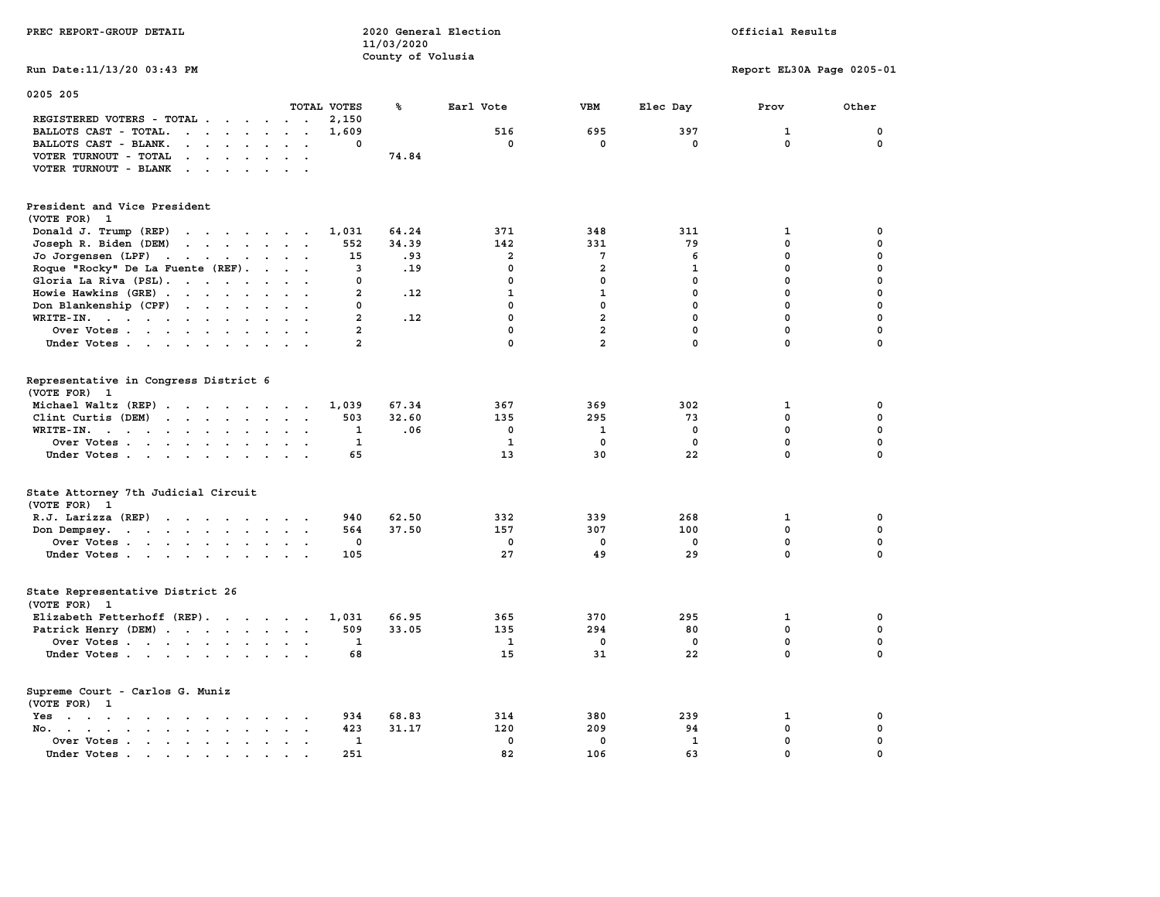| PREC REPORT-GROUP DETAIL                                                                                                                                                                                                                                                                                                                                                                                                                                                                                                                                                                                                                                               |                                                    | 2020 General Election<br>11/03/2020 |                                                 |                                      | Official Results                    |                                                     |                                           |  |
|------------------------------------------------------------------------------------------------------------------------------------------------------------------------------------------------------------------------------------------------------------------------------------------------------------------------------------------------------------------------------------------------------------------------------------------------------------------------------------------------------------------------------------------------------------------------------------------------------------------------------------------------------------------------|----------------------------------------------------|-------------------------------------|-------------------------------------------------|--------------------------------------|-------------------------------------|-----------------------------------------------------|-------------------------------------------|--|
| Run Date: 11/13/20 03:43 PM                                                                                                                                                                                                                                                                                                                                                                                                                                                                                                                                                                                                                                            |                                                    | County of Volusia                   |                                                 |                                      |                                     | Report EL30A Page 0205-01                           |                                           |  |
| 0205 205                                                                                                                                                                                                                                                                                                                                                                                                                                                                                                                                                                                                                                                               |                                                    |                                     |                                                 |                                      |                                     |                                                     |                                           |  |
| TOTAL VOTES                                                                                                                                                                                                                                                                                                                                                                                                                                                                                                                                                                                                                                                            |                                                    | ℁                                   | Earl Vote                                       | <b>VBM</b>                           | Elec Day                            | Prov                                                | Other                                     |  |
| REGISTERED VOTERS - TOTAL .<br>$\cdots$<br>$\sim$ $\sim$                                                                                                                                                                                                                                                                                                                                                                                                                                                                                                                                                                                                               | 2,150                                              |                                     |                                                 |                                      |                                     |                                                     |                                           |  |
| BALLOTS CAST - TOTAL.<br>$\ddot{\phantom{a}}$<br>$\cdot$ $\cdot$                                                                                                                                                                                                                                                                                                                                                                                                                                                                                                                                                                                                       | 1,609                                              |                                     | 516                                             | 695<br>0                             | 397                                 | $\mathbf{1}$<br>$\mathbf 0$                         | 0<br>$\mathbf 0$                          |  |
| BALLOTS CAST - BLANK.<br>$\cdot$ $\cdot$ $\cdot$ $\cdot$ $\cdot$ $\cdot$<br>$\sim$ $\sim$                                                                                                                                                                                                                                                                                                                                                                                                                                                                                                                                                                              | 0                                                  |                                     | 0                                               |                                      | 0                                   |                                                     |                                           |  |
| VOTER TURNOUT - TOTAL<br><b>Contract Contract</b><br>$\bullet$ .<br>$\sim$<br>$\mathbf{r}$<br>$\overline{\phantom{a}}$                                                                                                                                                                                                                                                                                                                                                                                                                                                                                                                                                 |                                                    | 74.84                               |                                                 |                                      |                                     |                                                     |                                           |  |
| VOTER TURNOUT - BLANK<br>$\cdot$ $\cdot$ $\cdot$ $\cdot$                                                                                                                                                                                                                                                                                                                                                                                                                                                                                                                                                                                                               |                                                    |                                     |                                                 |                                      |                                     |                                                     |                                           |  |
| President and Vice President<br>(VOTE FOR) 1                                                                                                                                                                                                                                                                                                                                                                                                                                                                                                                                                                                                                           |                                                    |                                     |                                                 |                                      |                                     |                                                     |                                           |  |
| Donald J. Trump (REP)<br>the contract of the contract of the                                                                                                                                                                                                                                                                                                                                                                                                                                                                                                                                                                                                           | 1,031                                              | 64.24                               | 371                                             | 348                                  | 311                                 | 1                                                   | 0                                         |  |
| Joseph R. Biden (DEM)<br>$\mathbf{r}$ , $\mathbf{r}$ , $\mathbf{r}$ , $\mathbf{r}$ , $\mathbf{r}$ , $\mathbf{r}$                                                                                                                                                                                                                                                                                                                                                                                                                                                                                                                                                       | 552                                                | 34.39                               | 142                                             | 331                                  | 79                                  | $\mathbf 0$                                         | $\mathbf 0$                               |  |
| Jo Jorgensen (LPF)<br>and the contract of the contract of<br>$\ddot{\phantom{a}}$                                                                                                                                                                                                                                                                                                                                                                                                                                                                                                                                                                                      | 15                                                 | .93                                 | $\overline{a}$                                  | 7                                    | 6                                   | $\mathbf 0$                                         | $\mathbf 0$                               |  |
| Roque "Rocky" De La Fuente (REF).<br>$\ddot{\phantom{1}}$<br>$\ddot{\phantom{a}}$                                                                                                                                                                                                                                                                                                                                                                                                                                                                                                                                                                                      | 3                                                  | .19                                 | 0                                               | $\overline{\mathbf{2}}$              | $\mathbf{1}$                        | $\pmb{0}$                                           | $\mathbf 0$                               |  |
| Gloria La Riva (PSL).<br>$\cdot$ $\cdot$                                                                                                                                                                                                                                                                                                                                                                                                                                                                                                                                                                                                                               | 0                                                  |                                     | 0                                               | $\mathbf 0$                          | $\mathbf 0$                         | $\mathbf 0$                                         | $\mathbf 0$                               |  |
| Howie Hawkins (GRE)<br>$\ddot{\phantom{a}}$                                                                                                                                                                                                                                                                                                                                                                                                                                                                                                                                                                                                                            | $\overline{a}$                                     | .12                                 | $\mathbf{1}$                                    | $\mathbf{1}$                         | $\mathbf 0$                         | $\mathbf 0$                                         | $\mathbf 0$                               |  |
| Don Blankenship (CPF)<br>$\cdots$                                                                                                                                                                                                                                                                                                                                                                                                                                                                                                                                                                                                                                      | 0                                                  |                                     | 0                                               | $\mathbf 0$                          | $\mathbf 0$                         | $\mathbf 0$                                         | $\mathbf 0$                               |  |
| $WRITE-IN.$<br>$\overline{a}$                                                                                                                                                                                                                                                                                                                                                                                                                                                                                                                                                                                                                                          | $\overline{a}$                                     | .12                                 | 0                                               | $\overline{a}$                       | $\mathbf 0$                         | $\mathbf 0$                                         | $\mathbf 0$                               |  |
| Over Votes<br>$\sim$ $\sim$                                                                                                                                                                                                                                                                                                                                                                                                                                                                                                                                                                                                                                            | $\mathbf{2}$                                       |                                     | 0                                               | $\overline{a}$                       | 0                                   | 0                                                   | $\mathbf 0$                               |  |
| Under Votes<br>$\sim$                                                                                                                                                                                                                                                                                                                                                                                                                                                                                                                                                                                                                                                  | $\overline{a}$                                     |                                     | 0                                               | $\overline{a}$                       | $\mathbf 0$                         | 0                                                   | $\Omega$                                  |  |
| Representative in Congress District 6<br>(VOTE FOR) 1<br>Michael Waltz (REP)<br>Clint Curtis (DEM)<br>$\mathbf{r}$ . The contract of the contract of the contract of the contract of the contract of the contract of the contract of the contract of the contract of the contract of the contract of the contract of the contract of th<br>$\ddotsc$<br>WRITE-IN.<br>$\ddot{\phantom{0}}$<br>Over Votes.<br>$\mathbf{r}$ . The contract of the contract of the contract of the contract of the contract of the contract of the contract of the contract of the contract of the contract of the contract of the contract of the contract of th<br>Under Votes<br>$\sim$ | 1,039<br>503<br>$\mathbf{1}$<br>$\mathbf{1}$<br>65 | 67.34<br>32.60<br>.06               | 367<br>135<br>$\mathbf 0$<br>$\mathbf{1}$<br>13 | 369<br>295<br>1<br>$\mathbf 0$<br>30 | 302<br>73<br>0<br>$\mathbf 0$<br>22 | 1<br>$\mathbf 0$<br>$\mathbf 0$<br>$\mathbf 0$<br>0 | 0<br>$\mathbf 0$<br>0<br>$\mathbf 0$<br>0 |  |
| State Attorney 7th Judicial Circuit<br>(VOTE FOR) 1                                                                                                                                                                                                                                                                                                                                                                                                                                                                                                                                                                                                                    |                                                    |                                     |                                                 |                                      |                                     |                                                     |                                           |  |
| R.J. Larizza (REP)                                                                                                                                                                                                                                                                                                                                                                                                                                                                                                                                                                                                                                                     | 940                                                | 62.50                               | 332                                             | 339                                  | 268                                 | 1                                                   | 0                                         |  |
| Don Dempsey.<br>the contract of the contract of the contract of                                                                                                                                                                                                                                                                                                                                                                                                                                                                                                                                                                                                        | 564                                                | 37.50                               | 157                                             | 307                                  | 100                                 | $\mathbf 0$                                         | $\mathbf 0$                               |  |
| Over Votes                                                                                                                                                                                                                                                                                                                                                                                                                                                                                                                                                                                                                                                             | 0                                                  |                                     | 0                                               | $\mathbf 0$                          | $\mathbf 0$                         | $\mathbf 0$                                         | 0                                         |  |
| Under Votes                                                                                                                                                                                                                                                                                                                                                                                                                                                                                                                                                                                                                                                            | 105                                                |                                     | 27                                              | 49                                   | 29                                  | $\mathbf 0$                                         | $\Omega$                                  |  |
| State Representative District 26<br>(VOTE FOR) 1                                                                                                                                                                                                                                                                                                                                                                                                                                                                                                                                                                                                                       |                                                    |                                     |                                                 |                                      |                                     |                                                     |                                           |  |
| Elizabeth Fetterhoff (REP).                                                                                                                                                                                                                                                                                                                                                                                                                                                                                                                                                                                                                                            | 1,031                                              | 66.95                               | 365                                             | 370                                  | 295                                 | 1                                                   | 0                                         |  |
| Patrick Henry (DEM)                                                                                                                                                                                                                                                                                                                                                                                                                                                                                                                                                                                                                                                    | 509                                                | 33.05                               | 135                                             | 294                                  | 80                                  | $\mathbf 0$                                         | $\mathbf 0$                               |  |
| Over Votes<br>$\sim$                                                                                                                                                                                                                                                                                                                                                                                                                                                                                                                                                                                                                                                   | $\mathbf{1}$                                       |                                     | 1                                               | $\mathbf 0$                          | $\mathbf 0$                         | $\mathbf 0$                                         | $\mathbf 0$                               |  |
| Under Votes                                                                                                                                                                                                                                                                                                                                                                                                                                                                                                                                                                                                                                                            | 68                                                 |                                     | 15                                              | 31                                   | 22                                  | $\mathbf 0$                                         | $\mathbf 0$                               |  |
| Supreme Court - Carlos G. Muniz<br>(VOTE FOR) 1                                                                                                                                                                                                                                                                                                                                                                                                                                                                                                                                                                                                                        |                                                    |                                     |                                                 |                                      |                                     |                                                     |                                           |  |
| Yes                                                                                                                                                                                                                                                                                                                                                                                                                                                                                                                                                                                                                                                                    | 934                                                | 68.83                               | 314                                             | 380                                  | 239                                 | 1                                                   | 0                                         |  |
| No.<br>$\sim$<br>$\sim$                                                                                                                                                                                                                                                                                                                                                                                                                                                                                                                                                                                                                                                | 423                                                | 31.17                               | 120                                             | 209                                  | 94                                  | 0                                                   | 0                                         |  |
| Over Votes<br>$\ddot{\phantom{a}}$                                                                                                                                                                                                                                                                                                                                                                                                                                                                                                                                                                                                                                     | $\mathbf{1}$                                       |                                     | $\mathbf 0$                                     | $\mathbf 0$                          | $\mathbf{1}$                        | $\mathbf 0$                                         | $\mathbf 0$                               |  |
| Under Votes.<br>$\bullet$<br>$\bullet$                                                                                                                                                                                                                                                                                                                                                                                                                                                                                                                                                                                                                                 | 251                                                |                                     | 82                                              | 106                                  | 63                                  | $\Omega$                                            | $\Omega$                                  |  |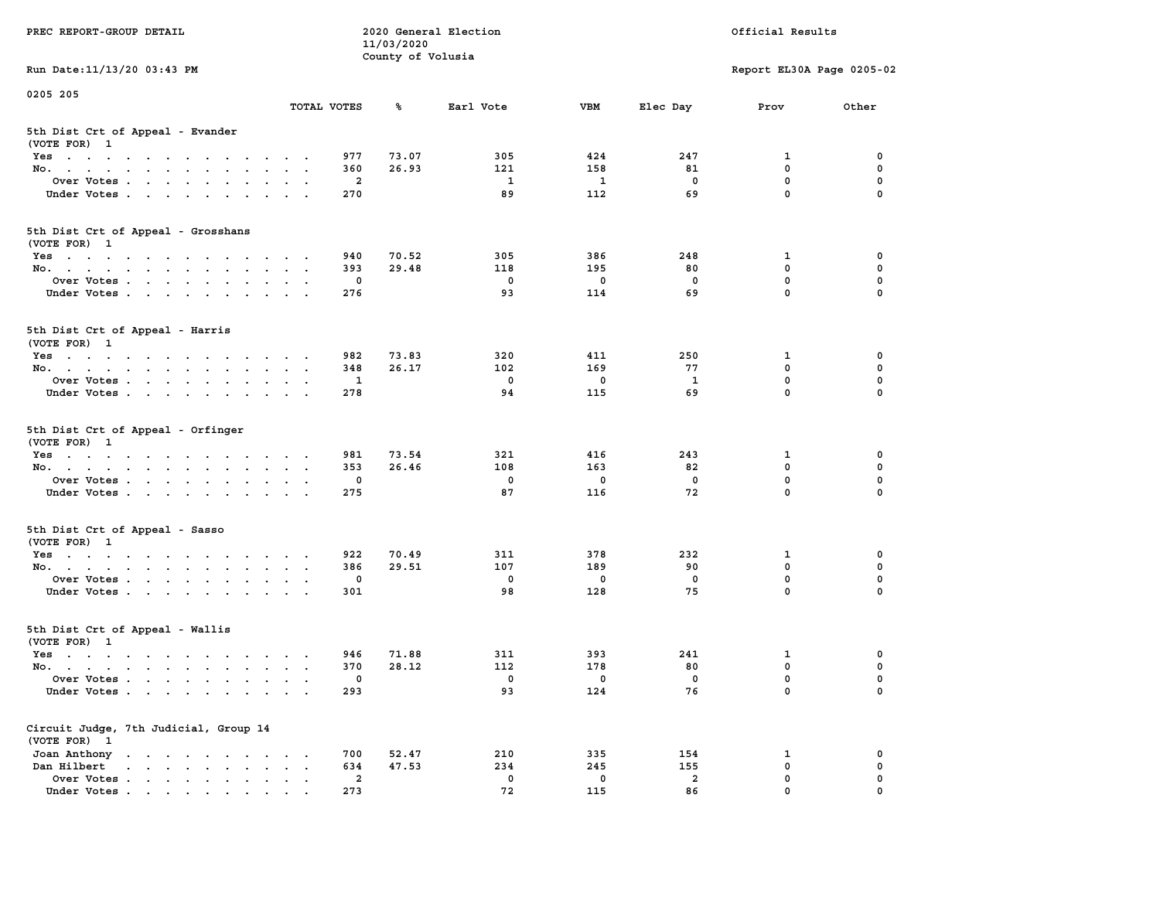| PREC REPORT-GROUP DETAIL                                                                                               |                                                                      | 11/03/2020            | 2020 General Election | Official Results   |                      |                            |          |  |
|------------------------------------------------------------------------------------------------------------------------|----------------------------------------------------------------------|-----------------------|-----------------------|--------------------|----------------------|----------------------------|----------|--|
| Run Date: 11/13/20 03:43 PM                                                                                            |                                                                      |                       | County of Volusia     |                    |                      | Report EL30A Page 0205-02  |          |  |
| 0205 205                                                                                                               |                                                                      |                       |                       |                    |                      |                            |          |  |
|                                                                                                                        | TOTAL VOTES                                                          | ℁                     | Earl Vote             | <b>VBM</b>         | Elec Day             | Prov                       | Other    |  |
| 5th Dist Crt of Appeal - Evander<br>(VOTE FOR) 1                                                                       |                                                                      |                       |                       |                    |                      |                            |          |  |
| Yes                                                                                                                    |                                                                      | 977                   | 73.07<br>305          | 424                | 247                  | 1                          | 0        |  |
| No.                                                                                                                    |                                                                      | 360                   | 26.93<br>121          | 158                | 81                   | $\mathbf 0$                | 0        |  |
| Over Votes                                                                                                             |                                                                      | 2                     | $\mathbf{1}$          | 1                  | 0                    | $\mathbf 0$                | 0        |  |
| Under Votes                                                                                                            |                                                                      | 270                   | 89                    | 112                | 69                   | $\mathbf 0$                | $\Omega$ |  |
| 5th Dist Crt of Appeal - Grosshans<br>(VOTE FOR) 1                                                                     |                                                                      |                       |                       |                    |                      |                            |          |  |
| Yes                                                                                                                    |                                                                      | 940                   | 70.52<br>305          | 386                | 248                  | 1                          | 0        |  |
| No.                                                                                                                    |                                                                      | 393                   | 29.48<br>118          | 195                | 80                   | $\mathbf 0$                | 0        |  |
| Over Votes                                                                                                             |                                                                      | 0                     | $\mathbf 0$           | $\mathbf 0$        | $\mathbf 0$          | $\mathbf 0$                | 0        |  |
| Under Votes                                                                                                            |                                                                      | 276                   | 93                    | 114                | 69                   | $\mathbf 0$                | 0        |  |
| 5th Dist Crt of Appeal - Harris<br>(VOTE FOR) 1                                                                        |                                                                      |                       |                       |                    |                      |                            |          |  |
| Yes                                                                                                                    |                                                                      | 982                   | 73.83<br>320          | 411                | 250                  | 1                          | 0        |  |
| No.                                                                                                                    |                                                                      | 348                   | 26.17<br>102          | 169                | 77                   | $^{\circ}$                 | 0        |  |
| Over Votes                                                                                                             |                                                                      | 1                     | $\mathbf 0$           | 0                  | 1                    | $\mathbf 0$                | 0        |  |
| Under Votes                                                                                                            |                                                                      | 278                   | 94                    | 115                | 69                   | $\mathbf 0$                | 0        |  |
| 5th Dist Crt of Appeal - Orfinger<br>(VOTE FOR) 1                                                                      |                                                                      |                       |                       |                    |                      |                            |          |  |
| Yes                                                                                                                    |                                                                      | 981                   | 73.54<br>321          | 416                | 243                  | 1                          | 0        |  |
| No.                                                                                                                    |                                                                      | 353                   | 26.46<br>108          | 163                | 82                   | $\mathbf 0$                | 0        |  |
| Over Votes                                                                                                             |                                                                      | 0                     | 0                     | 0                  | 0                    | $\mathbf 0$<br>$\mathbf 0$ | 0        |  |
| Under Votes                                                                                                            |                                                                      | 275                   | 87                    | 116                | 72                   |                            | $\Omega$ |  |
| 5th Dist Crt of Appeal - Sasso<br>(VOTE FOR) 1                                                                         |                                                                      |                       |                       |                    |                      |                            |          |  |
| Yes                                                                                                                    |                                                                      | 922                   | 70.49<br>311          | 378                | 232                  | 1                          | 0        |  |
| No.                                                                                                                    |                                                                      | 386                   | 29.51<br>107          | 189                | 90                   | $\mathbf 0$                | 0        |  |
| Over Votes                                                                                                             |                                                                      | 0                     | $\mathbf 0$           | $\mathbf 0$        | 0                    | $\mathbf 0$                | 0        |  |
| Under Votes                                                                                                            |                                                                      | 301                   | 98                    | 128                | 75                   | $\mathbf 0$                | $\Omega$ |  |
| 5th Dist Crt of Appeal - Wallis<br>(VOTE FOR) 1                                                                        |                                                                      |                       |                       |                    |                      |                            |          |  |
| Yes<br>the contract of the contract of the contract of the contract of the contract of the contract of the contract of |                                                                      | 946                   | 71.88<br>311          | 393                | 241                  | 1                          | 0        |  |
| No.                                                                                                                    |                                                                      | 370                   | 28.12<br>112          | 178                | 80                   | $\mathbf 0$                | 0        |  |
| Over Votes                                                                                                             |                                                                      | 0                     | 0                     | 0                  | 0                    | $\mathbf 0$                | 0        |  |
| Under Votes                                                                                                            |                                                                      | 293                   | 93                    | 124                | 76                   | 0                          | 0        |  |
| Circuit Judge, 7th Judicial, Group 14<br>(VOTE FOR) 1                                                                  |                                                                      |                       |                       |                    |                      |                            |          |  |
| Joan Anthony                                                                                                           |                                                                      | 700                   | 52.47<br>210          | 335                | 154                  | 1                          | 0        |  |
| Dan Hilbert<br>$\cdot$ $\cdot$ $\cdot$ $\cdot$ $\cdot$ $\cdot$ $\cdot$ $\cdot$                                         | $\ddot{\phantom{a}}$<br>$\ddot{\phantom{a}}$<br>$\ddot{\phantom{1}}$ | 634                   | 47.53<br>234          | 245                | 155                  | $\mathbf 0$                | 0        |  |
| Over Votes<br>Under Votes                                                                                              |                                                                      | $\overline{a}$<br>273 | 0<br>72               | $\mathbf 0$<br>115 | $\overline{a}$<br>86 | 0<br>0                     | 0        |  |
|                                                                                                                        |                                                                      |                       |                       |                    |                      |                            |          |  |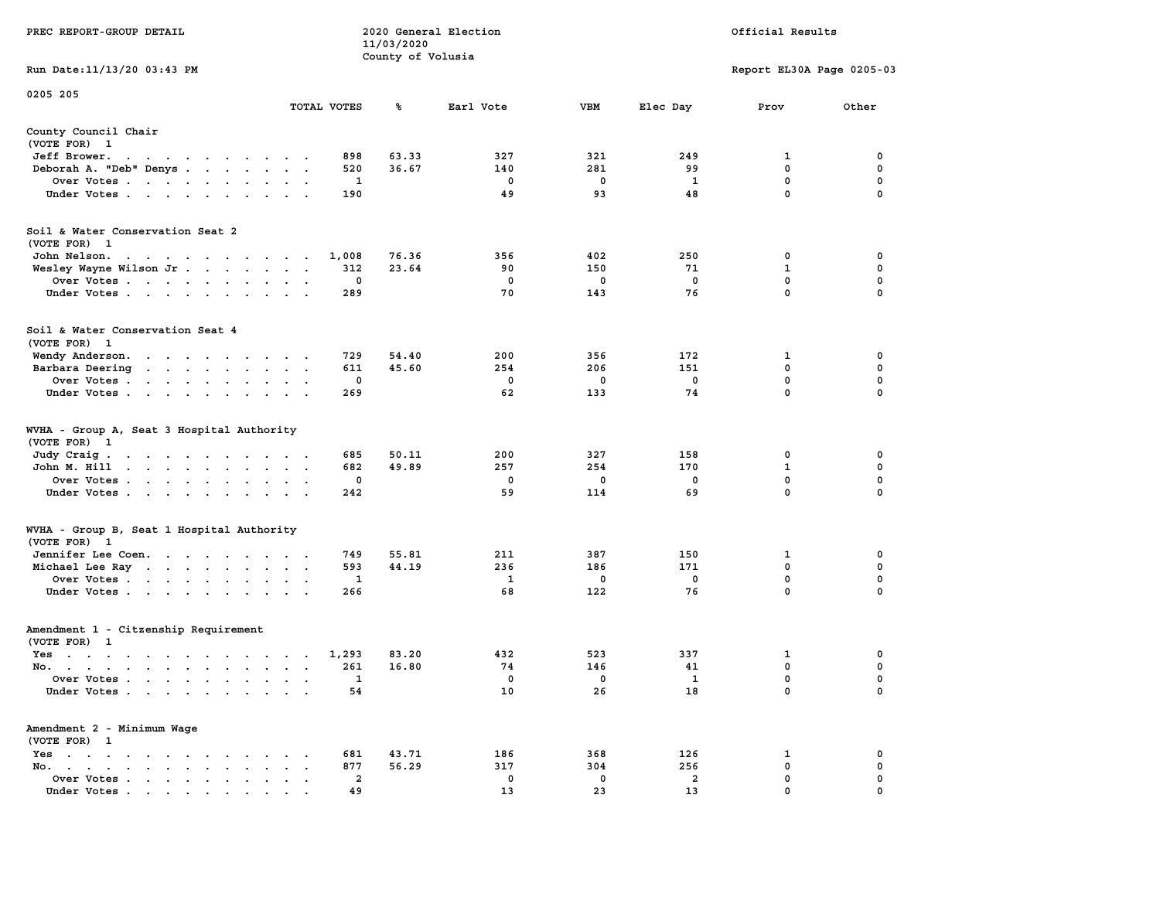|                                                                                                                                                                                                                                                                           |                                                                         | 11/03/2020        |             |             |                |                           |             |  |
|---------------------------------------------------------------------------------------------------------------------------------------------------------------------------------------------------------------------------------------------------------------------------|-------------------------------------------------------------------------|-------------------|-------------|-------------|----------------|---------------------------|-------------|--|
| Run Date:11/13/20 03:43 PM                                                                                                                                                                                                                                                |                                                                         | County of Volusia |             |             |                | Report EL30A Page 0205-03 |             |  |
|                                                                                                                                                                                                                                                                           |                                                                         |                   |             |             |                |                           |             |  |
| 0205 205                                                                                                                                                                                                                                                                  | TOTAL VOTES                                                             | ℁                 | Earl Vote   | <b>VBM</b>  | Elec Day       | Prov                      | Other       |  |
| County Council Chair                                                                                                                                                                                                                                                      |                                                                         |                   |             |             |                |                           |             |  |
| (VOTE FOR) 1                                                                                                                                                                                                                                                              |                                                                         |                   |             |             |                |                           |             |  |
| Jeff Brower.<br>$\ddot{\phantom{0}}$<br>$\ddot{\phantom{0}}$<br>$\ddot{\phantom{0}}$<br>$\sim$ $\sim$ $\sim$ $\sim$ $\sim$<br>$\cdot$                                                                                                                                     | 898                                                                     | 63.33             | 327         | 321         | 249            | 1                         | 0           |  |
| Deborah A. "Deb" Denys                                                                                                                                                                                                                                                    | 520<br>$\ddot{\phantom{a}}$<br>$\cdot$                                  | 36.67             | 140         | 281         | 99             | $\mathbf 0$               | $\mathbf 0$ |  |
| Over Votes                                                                                                                                                                                                                                                                | $\ddot{\phantom{1}}$                                                    | 1                 | 0           | 0           | -1             | $\mathbf 0$               | $\mathbf 0$ |  |
| Under Votes                                                                                                                                                                                                                                                               | 190                                                                     |                   | 49          | 93          | 48             | $\mathbf 0$               | 0           |  |
| Soil & Water Conservation Seat 2                                                                                                                                                                                                                                          |                                                                         |                   |             |             |                |                           |             |  |
| (VOTE FOR) 1                                                                                                                                                                                                                                                              |                                                                         |                   |             |             |                |                           |             |  |
| John Nelson.<br>the contract of the contract of the contract of the contract of the contract of the contract of the contract of                                                                                                                                           | 1,008                                                                   | 76.36             | 356         | 402         | 250            | 0                         | 0           |  |
| Wesley Wayne Wilson Jr<br>$\sim$                                                                                                                                                                                                                                          | 312                                                                     | 23.64             | 90          | 150         | 71             | $\mathbf{1}$              | $\pmb{0}$   |  |
| Over Votes                                                                                                                                                                                                                                                                | $\sim$                                                                  | 0                 | $\mathbf 0$ | $\mathbf 0$ | $\mathbf 0$    | $\mathbf 0$               | $\pmb{0}$   |  |
| Under Votes<br>$\ddot{\phantom{a}}$                                                                                                                                                                                                                                       | 289<br>$\bullet$                                                        |                   | 70          | 143         | 76             | $\mathbf 0$               | 0           |  |
| Soil & Water Conservation Seat 4<br>(VOTE FOR) 1                                                                                                                                                                                                                          |                                                                         |                   |             |             |                |                           |             |  |
| Wendy Anderson.<br>the contract of the contract of the contract of the contract of the contract of the contract of the contract of                                                                                                                                        | 729                                                                     | 54.40             | 200         | 356         | 172            | 1                         | $\mathbf 0$ |  |
| Barbara Deering<br>$\mathbf{r}$ . The set of the set of the set of the set of the set of the set of the set of the set of the set of the set of the set of the set of the set of the set of the set of the set of the set of the set of the set of t                      | 611<br>$\ddot{\phantom{a}}$<br>$\mathbf{r}$<br>$\overline{\phantom{a}}$ | 45.60             | 254         | 206         | 151            | 0                         | $\mathbf 0$ |  |
| Over Votes<br>$\ddot{\phantom{a}}$                                                                                                                                                                                                                                        |                                                                         | 0                 | 0           | 0           | $\mathbf 0$    | 0                         | $\mathbf 0$ |  |
| Under Votes<br>$\sim$                                                                                                                                                                                                                                                     | 269<br>$\cdot$ $\cdot$                                                  |                   | 62          | 133         | 74             | $\Omega$                  | 0           |  |
| WVHA - Group A, Seat 3 Hospital Authority<br>(VOTE FOR) 1                                                                                                                                                                                                                 |                                                                         |                   |             |             |                |                           |             |  |
| Judy Craig.<br>the contract of the contract of<br>$\sim$                                                                                                                                                                                                                  | 685                                                                     | 50.11             | 200         | 327         | 158            | 0                         | 0           |  |
| John M. Hill<br>$\mathbf{r}$ . The set of the set of the set of the set of the set of the set of the set of the set of the set of the set of the set of the set of the set of the set of the set of the set of the set of the set of the set of t<br>$\ddot{\phantom{0}}$ | 682<br>$\bullet$<br>$\bullet$<br>$\ddot{\phantom{1}}$                   | 49.89             | 257         | 254         | 170            | $\mathbf{1}$              | $\mathbf 0$ |  |
| Over Votes<br>$\ddot{\phantom{0}}$                                                                                                                                                                                                                                        | $\ddot{\phantom{a}}$<br>$\bullet$                                       | 0                 | 0           | 0           | 0              | 0                         | $\mathbf 0$ |  |
| Under Votes<br>$\cdot$                                                                                                                                                                                                                                                    | 242<br>$\cdot$ $\cdot$                                                  |                   | 59          | 114         | 69             | 0                         | 0           |  |
| WVHA - Group B, Seat 1 Hospital Authority<br>(VOTE FOR)<br>$\mathbf{1}$                                                                                                                                                                                                   |                                                                         |                   |             |             |                |                           |             |  |
| Jennifer Lee Coen.                                                                                                                                                                                                                                                        | 749                                                                     | 55.81             | 211         | 387         | 150            | 1                         | 0           |  |
| Michael Lee Ray                                                                                                                                                                                                                                                           | 593<br>$\bullet$<br>$\sim$<br>$\ddot{\phantom{0}}$                      | 44.19             | 236         | 186         | 171            | 0                         | 0           |  |
| Over Votes                                                                                                                                                                                                                                                                | $\sim$ $\sim$                                                           | 1                 | 1           | 0           | 0              | $\mathbf 0$               | 0           |  |
| Under Votes<br>$\ddot{\phantom{1}}$                                                                                                                                                                                                                                       | 266                                                                     |                   | 68          | 122         | 76             | $\mathbf 0$               | $\mathbf 0$ |  |
| Amendment 1 - Citzenship Requirement                                                                                                                                                                                                                                      |                                                                         |                   |             |             |                |                           |             |  |
| (VOTE FOR) 1                                                                                                                                                                                                                                                              |                                                                         |                   |             |             |                |                           |             |  |
| $Yes \t . \t .$<br>the contract of the contract of the contract of the contract of the contract of                                                                                                                                                                        | 1,293<br>$\sim$ $\sim$ $\sim$                                           | 83.20             | 432         | 523         | 337            | 1                         | 0           |  |
| No.<br>$\sim$                                                                                                                                                                                                                                                             | 261<br>$\mathbf{r}$<br>$\sim$<br>$\ddot{\phantom{a}}$                   | 16.80             | 74          | 146         | 41             | 0                         | $\mathbf 0$ |  |
| Over Votes.<br><b>Contract Contract</b><br>$\sim$ $-$<br>$\mathbf{A}$<br>$\blacksquare$<br>$\bullet$                                                                                                                                                                      | $\overline{a}$<br>$\ddot{\phantom{a}}$                                  | 1                 | 0           | 0           | 1              | 0                         | 0           |  |
| Under Votes                                                                                                                                                                                                                                                               | 54<br>$\sim$                                                            |                   | 10          | 26          | 18             | $\mathbf{0}$              | $\mathbf 0$ |  |
| Amendment 2 - Minimum Wage<br>(VOTE FOR) 1                                                                                                                                                                                                                                |                                                                         |                   |             |             |                |                           |             |  |
| $Yes \t . \t .$<br>$\bullet$<br>$\mathbf{r}$ , and $\mathbf{r}$ , and $\mathbf{r}$<br>$\sim$ $\sim$<br>$\cdot$                                                                                                                                                            | 681                                                                     | 43.71             | 186         | 368         | 126            | 1                         | 0           |  |
| No.<br>$\bullet$ .<br><br><br><br><br><br><br><br><br><br><br><br><br><br><br>$\bullet$ .<br><br><br><br><br><br><br><br><br><br>$\cdot$                                                                                                                                  | 877                                                                     | 56.29             | 317         | 304         | 256            | $\mathbf 0$               | 0           |  |
| Over Votes<br>$\ddot{\phantom{0}}$<br>$\ddot{\phantom{a}}$                                                                                                                                                                                                                | $\ddot{\phantom{a}}$                                                    | $\overline{a}$    | $\mathbf 0$ | $\mathbf 0$ | $\overline{a}$ | $\mathbf{0}$              | $\mathbf 0$ |  |
| Under Votes                                                                                                                                                                                                                                                               | 49                                                                      |                   | 13          | 23          | 13             | $\mathbf{0}$              | $\mathbf 0$ |  |

**PREC REPORT-GROUP DETAIL 2020 General Election Official Results**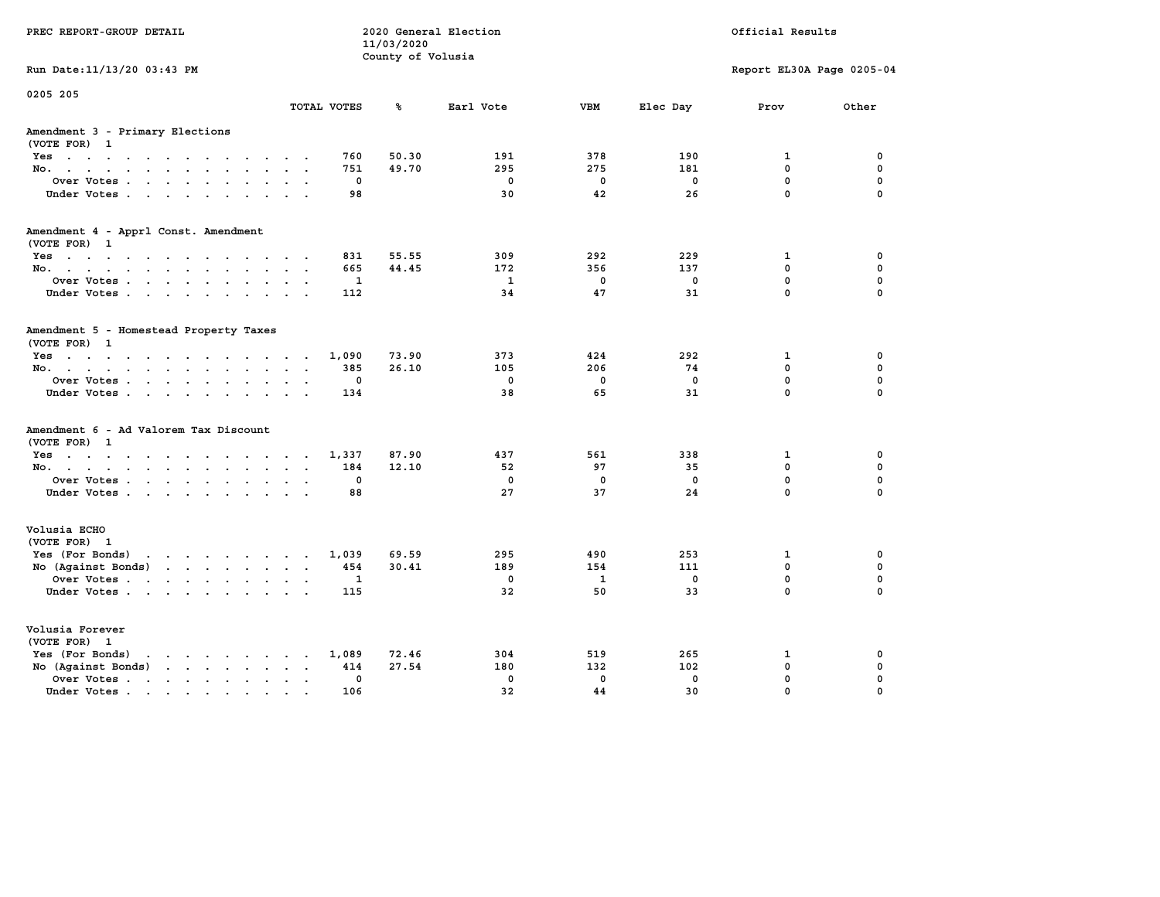| PREC REPORT-GROUP DETAIL                                                                                                                                                                                                                             | Official Results<br>2020 General Election<br>11/03/2020<br>County of Volusia |                |              |              |              |                           |             |
|------------------------------------------------------------------------------------------------------------------------------------------------------------------------------------------------------------------------------------------------------|------------------------------------------------------------------------------|----------------|--------------|--------------|--------------|---------------------------|-------------|
| Run Date: 11/13/20 03:43 PM                                                                                                                                                                                                                          |                                                                              |                |              |              |              | Report EL30A Page 0205-04 |             |
| 0205 205                                                                                                                                                                                                                                             | TOTAL VOTES                                                                  | ℁              | Earl Vote    | <b>VBM</b>   | Elec Day     | Prov                      | Other       |
| Amendment 3 - Primary Elections<br>(VOTE FOR) 1                                                                                                                                                                                                      |                                                                              |                |              |              |              |                           |             |
| Yes                                                                                                                                                                                                                                                  | 760                                                                          | 50.30          | 191          | 378          | 190          | $\mathbf{1}$              | $\mathbf 0$ |
| No.                                                                                                                                                                                                                                                  | 751                                                                          | 49.70          | 295          | 275          | 181          | 0                         | 0           |
| Over Votes                                                                                                                                                                                                                                           | $\mathbf 0$                                                                  |                | $\mathbf 0$  | $\mathbf 0$  | $\mathbf 0$  | 0                         | $\mathbf 0$ |
| Under Votes                                                                                                                                                                                                                                          | 98                                                                           |                | 30           | 42           | 26           | 0                         | 0           |
| Amendment 4 - Apprl Const. Amendment                                                                                                                                                                                                                 |                                                                              |                |              |              |              |                           |             |
| (VOTE FOR) 1<br>Yes                                                                                                                                                                                                                                  | 831                                                                          | 55.55          | 309          | 292          | 229          | 1                         | 0           |
| No.                                                                                                                                                                                                                                                  | 665                                                                          | 44.45          | 172          | 356          | 137          | 0                         | 0           |
| Over Votes                                                                                                                                                                                                                                           | $\mathbf{1}$                                                                 |                | $\mathbf{1}$ | $\mathbf{0}$ | $\mathbf{0}$ | 0                         | $\mathbf 0$ |
| Under Votes.                                                                                                                                                                                                                                         | 112                                                                          |                | 34           | 47           | 31           | 0                         | 0           |
|                                                                                                                                                                                                                                                      |                                                                              |                |              |              |              |                           |             |
| Amendment 5 - Homestead Property Taxes<br>(VOTE FOR) 1                                                                                                                                                                                               |                                                                              |                |              |              |              |                           |             |
| $Yes \cdot \cdot \cdot \cdot \cdot \cdot \cdot \cdot \cdot \cdot \cdot \cdot \cdot \cdot$                                                                                                                                                            | 1,090                                                                        | 73.90          | 373          | 424          | 292          | 1                         | 0           |
| No.                                                                                                                                                                                                                                                  | 385                                                                          | 26.10          | 105          | 206          | 74           | 0                         | $\mathbf 0$ |
| Over Votes                                                                                                                                                                                                                                           | $\mathbf 0$                                                                  |                | $\mathbf 0$  | $\mathbf 0$  | $\mathbf 0$  | 0                         | $\mathbf 0$ |
| Under Votes.                                                                                                                                                                                                                                         | 134                                                                          |                | 38           | 65           | 31           | 0                         | $\mathbf 0$ |
| Amendment 6 - Ad Valorem Tax Discount                                                                                                                                                                                                                |                                                                              |                |              |              |              |                           |             |
| (VOTE FOR) 1                                                                                                                                                                                                                                         |                                                                              |                |              |              |              |                           |             |
| $Yes \cdot \cdot \cdot \cdot \cdot \cdot \cdot \cdot \cdot \cdot \cdot \cdot \cdot \cdot$<br>No.                                                                                                                                                     | 1,337<br>184                                                                 | 87.90<br>12.10 | 437<br>52    | 561<br>97    | 338<br>35    | 1<br>0                    | 0<br>0      |
| Over Votes                                                                                                                                                                                                                                           | $\mathbf 0$                                                                  |                | $\mathbf 0$  | $\mathbf 0$  | $\mathbf 0$  | 0                         | $\mathbf 0$ |
| Under Votes                                                                                                                                                                                                                                          | 88                                                                           |                | 27           | 37           | 24           | 0                         | 0           |
|                                                                                                                                                                                                                                                      |                                                                              |                |              |              |              |                           |             |
| Volusia ECHO<br>(VOTE FOR) 1                                                                                                                                                                                                                         |                                                                              |                |              |              |              |                           |             |
| $\mathbf{r}$ . The set of the set of the set of the set of the set of the set of the set of the set of the set of the set of the set of the set of the set of the set of the set of the set of the set of the set of the set of t<br>Yes (For Bonds) | 1,039                                                                        | 69.59          | 295          | 490          | 253          | $\mathbf{1}$              | $\mathbf 0$ |
| No (Against Bonds)                                                                                                                                                                                                                                   | 454                                                                          | 30.41          | 189          | 154          | 111          | 0                         | 0           |
| Over Votes                                                                                                                                                                                                                                           | $\mathbf{1}$                                                                 |                | $\mathbf 0$  | $\mathbf{1}$ | $\mathbf 0$  | 0                         | $\mathbf 0$ |
| Under Votes.                                                                                                                                                                                                                                         | 115                                                                          |                | 32           | 50           | 33           | 0                         | $\mathbf 0$ |
| Volusia Forever                                                                                                                                                                                                                                      |                                                                              |                |              |              |              |                           |             |
| (VOTE FOR) 1                                                                                                                                                                                                                                         |                                                                              |                |              |              |              |                           |             |
| Yes (For Bonds)<br>$\mathbf{r}$ , $\mathbf{r}$ , $\mathbf{r}$ , $\mathbf{r}$ , $\mathbf{r}$ , $\mathbf{r}$                                                                                                                                           | 1,089                                                                        | 72.46          | 304          | 519          | 265          | 1                         | $\mathbf 0$ |
| No (Against Bonds)<br>$\mathbf{r}$                                                                                                                                                                                                                   | 414                                                                          | 27.54          | 180          | 132          | 102          | $\mathbf 0$               | 0           |
| Over Votes .<br>the contract of the contract of the contract of the contract of the contract of the contract of the contract of                                                                                                                      | $\mathbf 0$                                                                  |                | $\mathbf{0}$ | $\mathbf{0}$ | $\mathbf{0}$ | 0                         | 0           |
| Under Votes                                                                                                                                                                                                                                          | 106                                                                          |                | 32           | 44           | 30           | 0                         | 0           |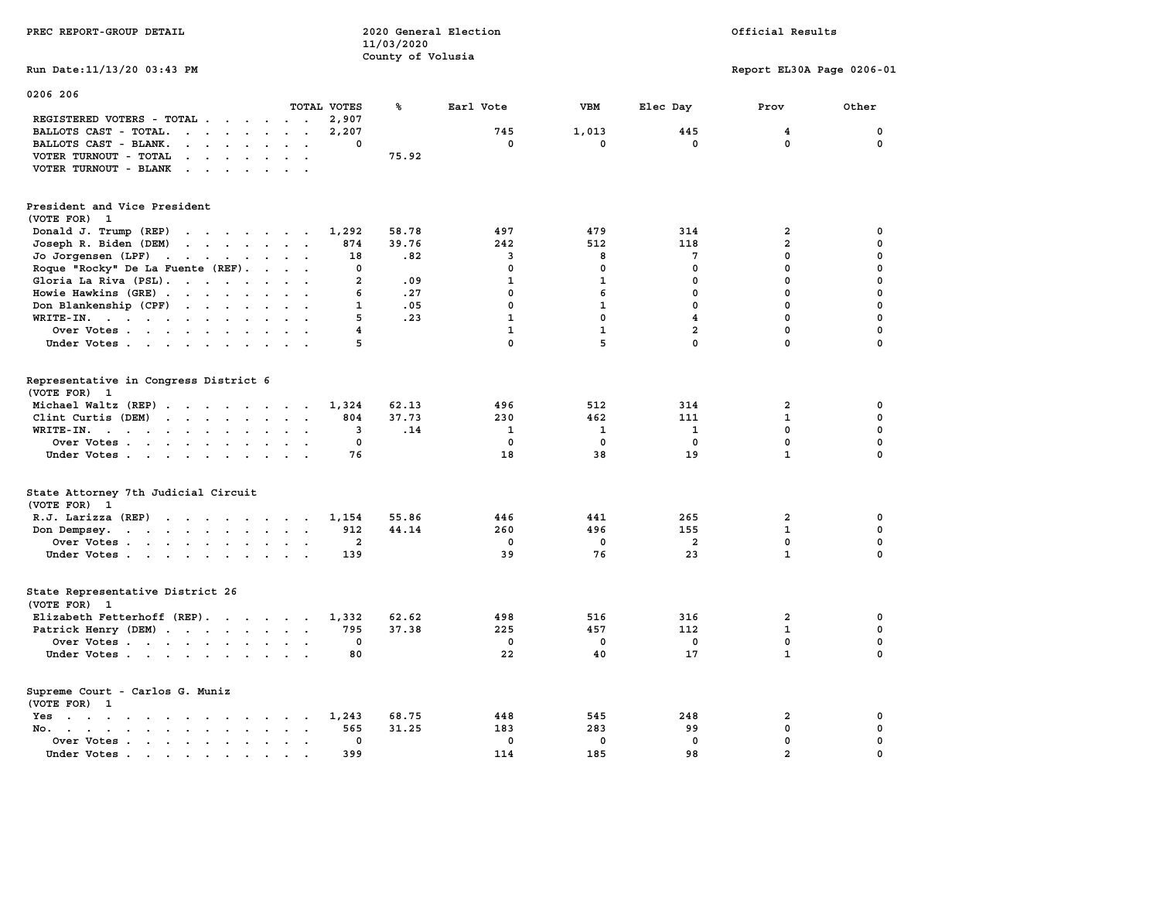| PREC REPORT-GROUP DETAIL                                                                                                                                                                                                                                   |                                        | 11/03/2020        | 2020 General Election |              |                 | Official Results          |              |  |
|------------------------------------------------------------------------------------------------------------------------------------------------------------------------------------------------------------------------------------------------------------|----------------------------------------|-------------------|-----------------------|--------------|-----------------|---------------------------|--------------|--|
| Run Date: 11/13/20 03:43 PM                                                                                                                                                                                                                                |                                        | County of Volusia |                       |              |                 | Report EL30A Page 0206-01 |              |  |
| 0206 206                                                                                                                                                                                                                                                   | TOTAL VOTES                            | ℁                 | Earl Vote             | <b>VBM</b>   |                 | Prov                      | Other        |  |
| REGISTERED VOTERS - TOTAL                                                                                                                                                                                                                                  | 2,907<br>$\sim$ $\sim$                 |                   |                       |              | Elec Day        |                           |              |  |
| BALLOTS CAST - TOTAL.<br>$\cdots$                                                                                                                                                                                                                          | 2,207                                  |                   | 745                   | 1,013        | 445             | $\overline{4}$            | $\mathbf 0$  |  |
| BALLOTS CAST - BLANK.<br>$\cdot$                                                                                                                                                                                                                           | $\mathbf{0}$                           |                   | $\mathbf{0}$          | $\mathbf{0}$ | $\mathbf{0}$    | $\mathbf{0}$              | 0            |  |
| VOTER TURNOUT - TOTAL<br>$\mathbf{r}$ , and $\mathbf{r}$ , and $\mathbf{r}$                                                                                                                                                                                |                                        | 75.92             |                       |              |                 |                           |              |  |
| VOTER TURNOUT - BLANK                                                                                                                                                                                                                                      |                                        |                   |                       |              |                 |                           |              |  |
| President and Vice President<br>(VOTE FOR) 1                                                                                                                                                                                                               |                                        |                   |                       |              |                 |                           |              |  |
| Donald J. Trump (REP)                                                                                                                                                                                                                                      | 1,292                                  | 58.78             | 497                   | 479          | 314             | $\overline{2}$            | 0            |  |
| Joseph R. Biden (DEM)<br>$\mathbf{r}$ . The set of the set of the set of the set of the set of the set of the set of the set of the set of the set of the set of the set of the set of the set of the set of the set of the set of the set of the set of t | 874                                    | 39.76             | 242                   | 512          | 118             | $\overline{a}$            | 0            |  |
| Jo Jorgensen (LPF)                                                                                                                                                                                                                                         | 18                                     | .82               | 3                     | 8            | $7\phantom{.0}$ | $\mathbf 0$               | $\mathbf 0$  |  |
| Roque "Rocky" De La Fuente (REF).                                                                                                                                                                                                                          | $\mathbf{0}$                           |                   | $\mathbf{0}$          | $\mathbf 0$  | 0               | $\mathbf 0$               | 0            |  |
| Gloria La Riva (PSL).                                                                                                                                                                                                                                      | $\overline{a}$                         | .09               | $\mathbf{1}$          | $\mathbf{1}$ | $\Omega$        | $\mathbf 0$               | $\mathbf 0$  |  |
| Howie Hawkins (GRE)                                                                                                                                                                                                                                        | 6                                      | .27               | $\mathbf{0}$          | 6            | $\mathbf{0}$    | $\mathbf 0$               | 0            |  |
| Don Blankenship (CPF)                                                                                                                                                                                                                                      | $\mathbf{1}$                           | .05               | $\mathbf{0}$          | $\mathbf{1}$ | $\mathbf 0$     | $\mathbf{0}$              | $\Omega$     |  |
| WRITE-IN.                                                                                                                                                                                                                                                  | 5<br>$\cdot$ $\cdot$                   | .23               | $\mathbf{1}$          | $\mathbf 0$  | $\overline{4}$  | $\mathbf{0}$              | $\mathbf 0$  |  |
| Over Votes                                                                                                                                                                                                                                                 | 4                                      |                   | $\mathbf{1}$          | $\mathbf{1}$ | $\overline{2}$  | $\mathbf 0$               | 0            |  |
| Under Votes                                                                                                                                                                                                                                                | 5                                      |                   | $\Omega$              | 5            | $\Omega$        | $\Omega$                  | $\mathbf{0}$ |  |
|                                                                                                                                                                                                                                                            |                                        |                   |                       |              |                 |                           |              |  |
| Representative in Congress District 6                                                                                                                                                                                                                      |                                        |                   |                       |              |                 |                           |              |  |
| (VOTE FOR) 1                                                                                                                                                                                                                                               |                                        |                   |                       |              |                 |                           |              |  |
| Michael Waltz (REP)                                                                                                                                                                                                                                        | 1,324                                  | 62.13             | 496                   | 512          | 314             | $\overline{2}$            | 0            |  |
| Clint Curtis (DEM)                                                                                                                                                                                                                                         | 804                                    | 37.73             | 230                   | 462          | 111             | $\mathbf{1}$              | 0            |  |
| WRITE-IN.                                                                                                                                                                                                                                                  | 3                                      | .14               | 1                     | $\mathbf{1}$ | 1               | $\mathbf 0$               | 0            |  |
| Over Votes                                                                                                                                                                                                                                                 | $\mathbf 0$<br>$\sim$ $\sim$           |                   | $\mathbf{0}$          | $\mathbf{0}$ | $^{\circ}$      | 0                         | 0            |  |
| Under Votes                                                                                                                                                                                                                                                | 76                                     |                   | 18                    | 38           | 19              | $\mathbf{1}$              | $\mathbf 0$  |  |
| State Attorney 7th Judicial Circuit<br>(VOTE FOR) 1                                                                                                                                                                                                        |                                        |                   |                       |              |                 |                           |              |  |
| R.J. Larizza (REP)                                                                                                                                                                                                                                         | 1,154                                  | 55.86             | 446                   | 441          | 265             | $\overline{a}$            | 0            |  |
| Don Dempsey.                                                                                                                                                                                                                                               | 912                                    | 44.14             | 260                   | 496          | 155             | $\mathbf{1}$              | $\mathbf 0$  |  |
| Over Votes                                                                                                                                                                                                                                                 | $\overline{a}$                         |                   | $^{\circ}$            | 0            | $\overline{a}$  | $\mathbf{0}$              | 0            |  |
| Under Votes                                                                                                                                                                                                                                                | 139                                    |                   | 39                    | 76           | 23              | $\mathbf{1}$              | $\mathbf 0$  |  |
| State Representative District 26<br>(VOTE FOR)<br>$\mathbf{1}$                                                                                                                                                                                             |                                        |                   |                       |              |                 |                           |              |  |
| Elizabeth Fetterhoff (REP).                                                                                                                                                                                                                                | 1,332                                  | 62.62             | 498                   | 516          | 316             | $\overline{a}$            | 0            |  |
| Patrick Henry (DEM)                                                                                                                                                                                                                                        | 795                                    | 37.38             | 225                   | 457          | 112             | $\mathbf{1}$              | 0            |  |
| Over Votes                                                                                                                                                                                                                                                 | $\mathbf 0$                            |                   | $\mathbf 0$           | $\mathbf 0$  | $\mathbf 0$     | $\mathbf 0$               | 0            |  |
| Under Votes                                                                                                                                                                                                                                                | 80                                     |                   | 22                    | 40           | 17              | $\mathbf{1}$              | $\mathbf 0$  |  |
| Supreme Court - Carlos G. Muniz<br>(VOTE FOR) 1                                                                                                                                                                                                            |                                        |                   |                       |              |                 |                           |              |  |
| Yes<br>the contract of the contract of the contract of the contract of the contract of the contract of the contract of                                                                                                                                     | 1,243                                  | 68.75             | 448                   | 545          | 248             | $\overline{a}$            | 0            |  |
| $\mathbf{r}$ , $\mathbf{r}$ , $\mathbf{r}$ , $\mathbf{r}$ , $\mathbf{r}$ , $\mathbf{r}$ , $\mathbf{r}$<br>No. .                                                                                                                                            | 565<br>$\sim$                          | 31.25             | 183                   | 283          | 99              | $\mathbf 0$               | 0            |  |
| Over Votes                                                                                                                                                                                                                                                 | $\mathbf 0$<br>$\sim 100$ km s $^{-1}$ |                   | $\mathbf{0}$          | $\mathbf 0$  | $\mathbf 0$     | $\mathbf 0$               | 0            |  |
| Under Votes.<br>the contract of the contract of the contract of the contract of the contract of the contract of the contract of                                                                                                                            | 399                                    |                   | 114                   | 185          | 98              | $\overline{2}$            | $\mathbf{0}$ |  |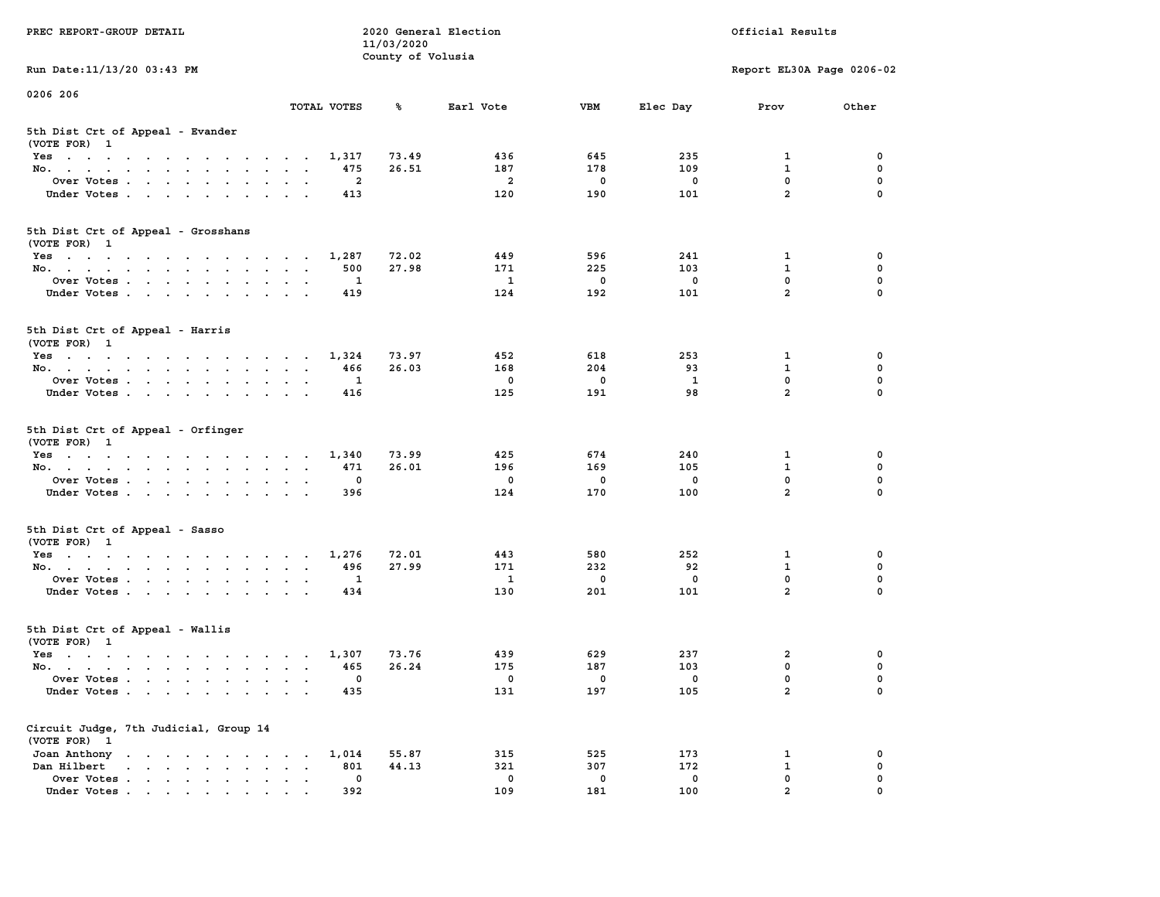| PREC REPORT-GROUP DETAIL                                                                                               |                               | 11/03/2020        | 2020 General Election |             |             | Official Results          |             |
|------------------------------------------------------------------------------------------------------------------------|-------------------------------|-------------------|-----------------------|-------------|-------------|---------------------------|-------------|
| Run Date: 11/13/20 03:43 PM                                                                                            |                               | County of Volusia |                       |             |             | Report EL30A Page 0206-02 |             |
| 0206 206                                                                                                               |                               |                   |                       |             |             |                           |             |
|                                                                                                                        | TOTAL VOTES                   | ℁                 | Earl Vote             | <b>VBM</b>  | Elec Day    | Prov                      | Other       |
| 5th Dist Crt of Appeal - Evander<br>(VOTE FOR) 1                                                                       |                               |                   |                       |             |             |                           |             |
| Yes                                                                                                                    | 1,317                         | 73.49             | 436                   | 645         | 235         | 1                         | 0           |
| No.                                                                                                                    | 475                           | 26.51             | 187                   | 178         | 109         | $\mathbf{1}$              | 0           |
| Over Votes                                                                                                             | 2                             |                   | $\overline{a}$        | 0           | 0           | $\mathbf 0$               | 0           |
| Under Votes                                                                                                            | 413                           |                   | 120                   | 190         | 101         | $\overline{a}$            | $\Omega$    |
| 5th Dist Crt of Appeal - Grosshans<br>(VOTE FOR) 1                                                                     |                               |                   |                       |             |             |                           |             |
| Yes                                                                                                                    | 1,287                         | 72.02             | 449                   | 596         | 241         | 1                         | 0           |
| No.                                                                                                                    | 500                           | 27.98             | 171                   | 225         | 103         | $\mathbf{1}$              | 0           |
| Over Votes                                                                                                             | 1                             |                   | $\mathbf{1}$          | $\mathbf 0$ | $\mathbf 0$ | 0                         | 0           |
| Under Votes                                                                                                            | 419                           |                   | 124                   | 192         | 101         | $\overline{a}$            | 0           |
| 5th Dist Crt of Appeal - Harris<br>(VOTE FOR) 1                                                                        |                               |                   |                       |             |             |                           |             |
| $Yes \cdot \cdot \cdot \cdot \cdot \cdot \cdot \cdot \cdot \cdot \cdot \cdot \cdot$                                    | 1,324                         | 73.97             | 452                   | 618         | 253         | 1                         | 0           |
| No.                                                                                                                    | 466                           | 26.03             | 168                   | 204         | 93          | $\mathbf{1}$              | $\mathbf 0$ |
| Over Votes                                                                                                             | 1                             |                   | 0                     | 0           | 1           | $\mathbf{0}$              | 0           |
| Under Votes                                                                                                            | 416                           |                   | 125                   | 191         | 98          | $\overline{a}$            | 0           |
| 5th Dist Crt of Appeal - Orfinger<br>(VOTE FOR) 1                                                                      |                               |                   |                       |             |             |                           |             |
| Yes                                                                                                                    | 1,340                         | 73.99             | 425                   | 674         | 240         | 1                         | 0           |
| No.                                                                                                                    | 471                           | 26.01             | 196                   | 169         | 105         | $\mathbf{1}$              | 0           |
| Over Votes                                                                                                             | 0                             |                   | $\mathbf 0$           | 0           | 0           | $\mathbf 0$               | 0           |
| Under Votes                                                                                                            | 396                           |                   | 124                   | 170         | 100         | $\overline{a}$            | $\Omega$    |
| 5th Dist Crt of Appeal - Sasso<br>(VOTE FOR) 1                                                                         |                               |                   |                       |             |             |                           |             |
| Yes                                                                                                                    | 1,276                         | 72.01             | 443                   | 580         | 252         | 1                         | 0           |
| No.                                                                                                                    | 496                           | 27.99             | 171                   | 232         | 92          | 1                         | 0           |
| Over Votes                                                                                                             | 1                             |                   | $\mathbf{1}$          | $\mathbf 0$ | 0           | 0                         | 0           |
| Under Votes                                                                                                            | 434                           |                   | 130                   | 201         | 101         | $\overline{a}$            | $\Omega$    |
| 5th Dist Crt of Appeal - Wallis<br>(VOTE FOR) 1                                                                        |                               |                   |                       |             |             |                           |             |
| Yes<br>the contract of the contract of the contract of the contract of the contract of the contract of the contract of | 1,307                         | 73.76             | 439                   | 629         | 237         | 2                         | 0           |
| No.                                                                                                                    | 465                           | 26.24             | 175                   | 187         | 103         | $\mathbf 0$               | 0           |
| Over Votes                                                                                                             | 0                             |                   | 0                     | 0           | 0           | $\mathbf 0$               | 0           |
| Under Votes                                                                                                            | 435                           |                   | 131                   | 197         | 105         | $\mathbf{2}$              | 0           |
| Circuit Judge, 7th Judicial, Group 14<br>(VOTE FOR) 1                                                                  |                               |                   |                       |             |             |                           |             |
| Joan Anthony                                                                                                           | 1,014                         | 55.87             | 315                   | 525         | 173         | 1                         | 0           |
| Dan Hilbert<br>and a series of the series of the series of                                                             | 801<br>$\bullet$<br>$\bullet$ | 44.13             | 321                   | 307         | 172         | 1                         | 0           |
| Over Votes                                                                                                             | $\mathbf 0$                   |                   | 0                     | 0           | 0           | $\mathbf 0$               | 0           |
| Under Votes                                                                                                            | 392                           |                   | 109                   | 181         | 100         | $\overline{a}$            | 0           |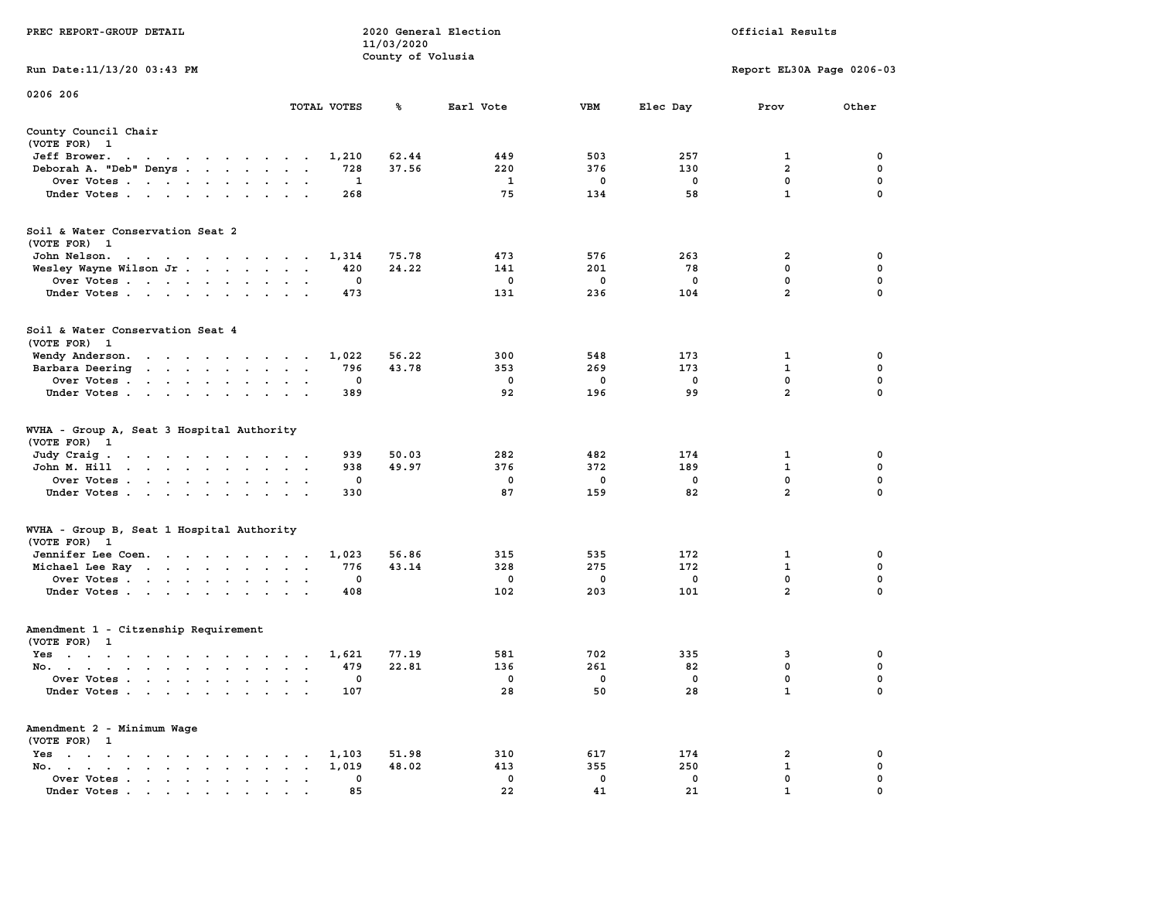|                                                                                                                                                                                                        |                                                                         | 11/03/2020        |             |             |             |                           |             |
|--------------------------------------------------------------------------------------------------------------------------------------------------------------------------------------------------------|-------------------------------------------------------------------------|-------------------|-------------|-------------|-------------|---------------------------|-------------|
|                                                                                                                                                                                                        |                                                                         | County of Volusia |             |             |             |                           |             |
| Run Date:11/13/20 03:43 PM                                                                                                                                                                             |                                                                         |                   |             |             |             | Report EL30A Page 0206-03 |             |
| 0206 206                                                                                                                                                                                               |                                                                         |                   |             |             |             |                           |             |
|                                                                                                                                                                                                        | TOTAL VOTES                                                             | ℁                 | Earl Vote   | <b>VBM</b>  | Elec Day    | Prov                      | Other       |
| County Council Chair<br>(VOTE FOR) 1                                                                                                                                                                   |                                                                         |                   |             |             |             |                           |             |
| Jeff Brower.<br>$\sim$ $\sim$<br>$\begin{array}{cccccccccccccc} \bullet & \bullet & \bullet & \bullet & \bullet & \bullet & \bullet & \bullet & \bullet & \bullet \end{array}$<br>$\ddot{\phantom{0}}$ | 1,210                                                                   | 62.44             | 449         | 503         | 257         | 1                         | 0           |
| Deborah A. "Deb" Denys                                                                                                                                                                                 | 728                                                                     | 37.56             | 220         | 376         | 130         | $\overline{a}$            | 0           |
| Over Votes                                                                                                                                                                                             | 1<br>$\sim$<br>$\ddot{\phantom{a}}$<br>$\overline{\phantom{a}}$         |                   | 1           | 0           | $\mathbf 0$ | $\mathbf 0$               | $\mathbf 0$ |
| Under Votes<br>$\sim$                                                                                                                                                                                  | 268<br>$\bullet$<br>$\sim$                                              |                   | 75          | 134         | 58          | $\mathbf{1}$              | $\mathbf 0$ |
| Soil & Water Conservation Seat 2<br>(VOTE FOR) 1                                                                                                                                                       |                                                                         |                   |             |             |             |                           |             |
| John Nelson.<br>the contract of the contract of the contract of the contract of the contract of the contract of the contract of                                                                        | 1,314                                                                   | 75.78             | 473         | 576         | 263         | $\overline{a}$            | $\mathbf 0$ |
| Wesley Wayne Wilson Jr                                                                                                                                                                                 | 420<br>$\overline{\phantom{a}}$<br>$\sim$                               | 24.22             | 141         | 201         | 78          | 0                         | $\mathbf 0$ |
| Over Votes                                                                                                                                                                                             | 0<br>$\bullet$<br>$\ddot{\phantom{a}}$                                  |                   | $\mathbf 0$ | $\mathbf 0$ | $\mathbf 0$ | $\mathbf 0$               | $\mathbf 0$ |
| Under Votes<br>$\sim$                                                                                                                                                                                  | 473<br>$\ddot{\phantom{0}}$<br>$\ddot{\phantom{a}}$                     |                   | 131         | 236         | 104         | $\overline{2}$            | 0           |
| Soil & Water Conservation Seat 4<br>(VOTE FOR) 1                                                                                                                                                       |                                                                         |                   |             |             |             |                           |             |
| Wendy Anderson.                                                                                                                                                                                        | 1,022                                                                   | 56.22             | 300         | 548         | 173         | 1                         | 0           |
| Barbara Deering<br>the contract of the contract of the contract of                                                                                                                                     | 796<br>$\ddot{\phantom{a}}$<br>$\cdot$                                  | 43.78             | 353         | 269         | 173         | $\mathbf 1$               | 0           |
| Over Votes.<br>$\sim$ $\sim$<br>$\mathcal{A}^{\mathcal{A}}$ and $\mathcal{A}^{\mathcal{A}}$<br>$\blacksquare$<br>$\ddot{\phantom{a}}$                                                                  | 0                                                                       |                   | 0           | 0           | $\mathbf 0$ | 0                         | $\pmb{0}$   |
| Under Votes<br>$\ddot{\phantom{0}}$                                                                                                                                                                    | 389                                                                     |                   | 92          | 196         | 99          | $\overline{2}$            | $\mathbf 0$ |
| WVHA - Group A, Seat 3 Hospital Authority<br>(VOTE FOR)<br>$\mathbf{1}$                                                                                                                                |                                                                         |                   |             |             |             |                           |             |
| Judy Craig.<br>the contract of the contract of<br>$\sim$ $\sim$                                                                                                                                        | 939<br>$\sim$ $\sim$                                                    | 50.03             | 282         | 482         | 174         | 1                         | 0           |
| John M. Hill<br>$\mathbf{r} = \mathbf{r} - \mathbf{r} = \mathbf{r} - \mathbf{r} = \mathbf{r} - \mathbf{r}$<br>$\ddot{\phantom{0}}$                                                                     | 938<br>$\ddot{\phantom{a}}$<br>$\ddot{\phantom{a}}$<br>$\blacksquare$ . | 49.97             | 376         | 372         | 189         | 1                         | 0           |
| Over Votes                                                                                                                                                                                             | 0<br>$\sim$<br>$\cdot$                                                  |                   | 0           | 0           | $\mathbf 0$ | 0                         | $\mathbf 0$ |
| Under Votes<br>$\cdot$                                                                                                                                                                                 | 330<br>$\sim$<br>$\ddot{\phantom{0}}$                                   |                   | 87          | 159         | 82          | $\overline{a}$            | $\mathbf 0$ |
| WVHA - Group B, Seat 1 Hospital Authority<br>(VOTE FOR)<br>$\mathbf{1}$                                                                                                                                |                                                                         |                   |             |             |             |                           |             |
| Jennifer Lee Coen.                                                                                                                                                                                     | 1,023                                                                   | 56.86             | 315         | 535         | 172         | 1                         | 0           |
| Michael Lee Ray                                                                                                                                                                                        | 776<br>$\bullet$<br>$\bullet$<br>$\ddot{\phantom{1}}$                   | 43.14             | 328         | 275         | 172         | $\mathbf{1}$              | $\mathbf 0$ |
| Over Votes                                                                                                                                                                                             | $\mathbf 0$<br>$\bullet$                                                |                   | 0           | 0           | $\mathbf 0$ | $\mathbf{0}$              | $\mathbf 0$ |
| Under Votes<br>$\ddot{\phantom{a}}$                                                                                                                                                                    | 408<br>$\ddot{\phantom{a}}$                                             |                   | 102         | 203         | 101         | $\overline{a}$            | $\mathbf 0$ |
| Amendment 1 - Citzenship Requirement                                                                                                                                                                   |                                                                         |                   |             |             |             |                           |             |
| (VOTE FOR) 1                                                                                                                                                                                           |                                                                         |                   |             |             |             |                           |             |
| $Yes \t . \t .$<br>the contract of the contract of the contract of the contract of the contract of                                                                                                     | 1,621<br>$\sim$<br>$\cdot$ .                                            | 77.19             | 581         | 702         | 335         | 3                         | 0           |
| No.<br>$\sim$                                                                                                                                                                                          | 479<br>$\cdot$<br>$\overline{\phantom{a}}$<br>$\ddot{\phantom{a}}$      | 22.81             | 136         | 261         | 82          | 0                         | 0           |
| Over Votes .<br>$\mathbf{r}$ . The set of $\mathbf{r}$<br>$\sim$ $-$<br>$\ddot{\phantom{a}}$<br>$\blacksquare$<br>$\ddot{\phantom{a}}$                                                                 | 0<br>$\ddot{\phantom{a}}$<br>$\ddot{\phantom{a}}$<br>$\cdot$            |                   | 0           | 0           | $\mathbf 0$ | $\mathbf 0$               | 0           |
| Under Votes                                                                                                                                                                                            | 107<br>$\cdot$ .                                                        |                   | 28          | 50          | 28          | $\mathbf 1$               | 0           |
| Amendment 2 - Minimum Wage<br>(VOTE FOR) 1                                                                                                                                                             |                                                                         |                   |             |             |             |                           |             |
| $Yes \t . \t .$<br>$\bullet$<br>$\ddot{\phantom{0}}$<br>$\ddot{\phantom{0}}$<br>$\sim$<br>$\sim$ $\sim$<br>$\ddot{\phantom{a}}$                                                                        | 1,103<br>$\bullet$                                                      | 51.98             | 310         | 617         | 174         | 2                         | 0           |
| No.<br>$\bullet$ . In the case of the case of $\bullet$<br>$\bullet$ .<br><br><br><br><br><br><br><br><br>$\bullet$<br>$\cdot$                                                                         | 1,019<br>$\bullet$                                                      | 48.02             | 413         | 355         | 250         | 1                         | $\mathbf 0$ |
| Over Votes<br>$\blacksquare$ .<br>$\bullet$                                                                                                                                                            | 0<br>$\bullet$<br>$\ddot{\phantom{a}}$<br>$\bullet$                     |                   | 0           | 0           | 0           | $\mathbf 0$               | $\mathbf 0$ |
| Under Votes                                                                                                                                                                                            | 85                                                                      |                   | 22          | 41          | 21          | $\mathbf{1}$              | $\mathbf 0$ |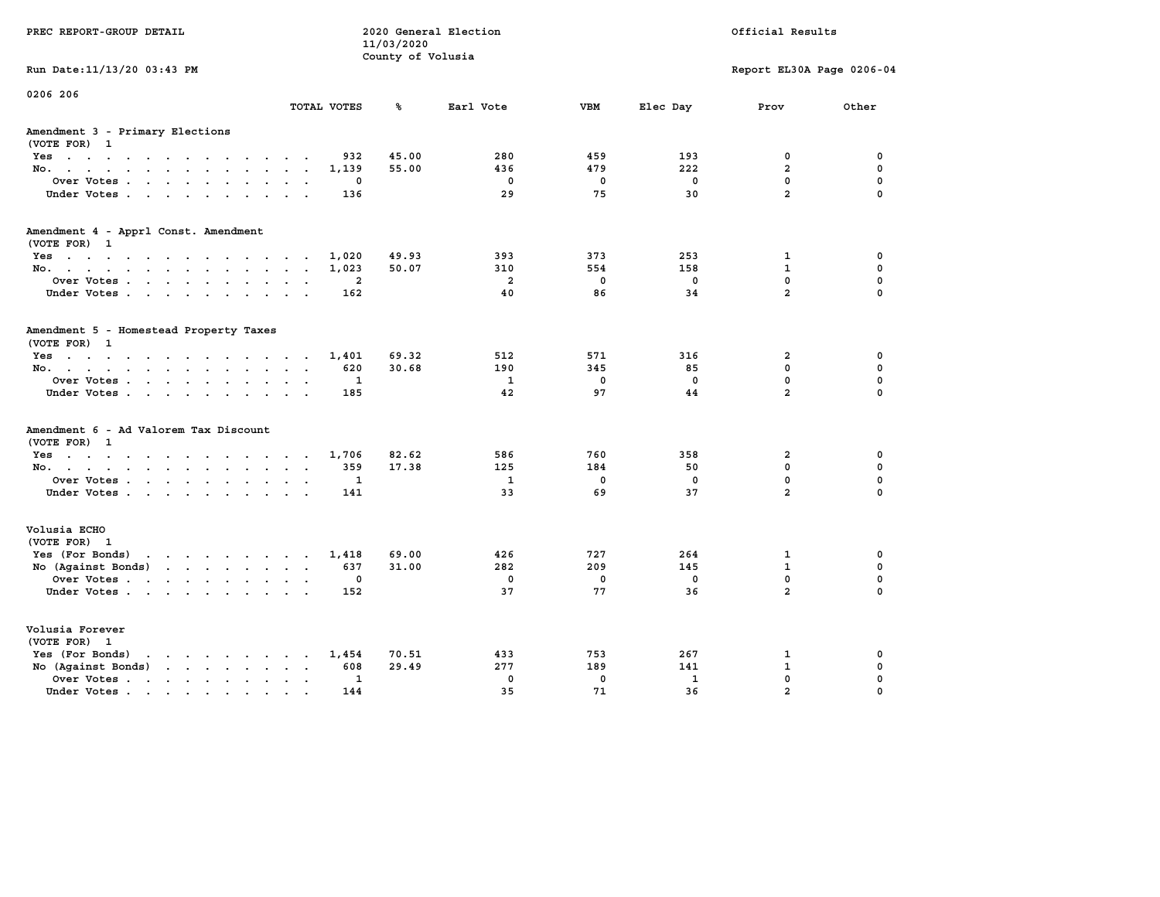| PREC REPORT-GROUP DETAIL                                                                                                                                                                                                                             |                         |              | 11/03/2020<br>County of Volusia | 2020 General Election |             |              | Official Results          |             |
|------------------------------------------------------------------------------------------------------------------------------------------------------------------------------------------------------------------------------------------------------|-------------------------|--------------|---------------------------------|-----------------------|-------------|--------------|---------------------------|-------------|
| Run Date: 11/13/20 03:43 PM                                                                                                                                                                                                                          |                         |              |                                 |                       |             |              | Report EL30A Page 0206-04 |             |
| 0206 206                                                                                                                                                                                                                                             |                         | TOTAL VOTES  | ℁                               | Earl Vote             | <b>VBM</b>  | Elec Day     | Prov                      | Other       |
| Amendment 3 - Primary Elections<br>(VOTE FOR) 1                                                                                                                                                                                                      |                         |              |                                 |                       |             |              |                           |             |
| Yes                                                                                                                                                                                                                                                  |                         | 932          | 45.00                           | 280                   | 459         | 193          | 0                         | 0           |
| No.                                                                                                                                                                                                                                                  |                         | 1,139        | 55.00                           | 436                   | 479         | 222          | $\overline{a}$            | $\mathbf 0$ |
| Over Votes                                                                                                                                                                                                                                           |                         | 0            |                                 | $\mathbf 0$           | 0           | 0            | $\mathbf 0$               | $\mathbf 0$ |
| Under Votes                                                                                                                                                                                                                                          |                         | 136          |                                 | 29                    | 75          | 30           | $\overline{a}$            | $\Omega$    |
| Amendment 4 - Apprl Const. Amendment                                                                                                                                                                                                                 |                         |              |                                 |                       |             |              |                           |             |
| (VOTE FOR) 1<br>Yes                                                                                                                                                                                                                                  |                         | 1,020        | 49.93                           | 393                   | 373         | 253          | $\mathbf{1}$              | 0           |
| No.                                                                                                                                                                                                                                                  |                         | 1,023        | 50.07                           | 310                   | 554         | 158          | $\mathbf{1}$              | $\mathbf 0$ |
| Over Votes                                                                                                                                                                                                                                           |                         | 2            |                                 | $\overline{a}$        | $\mathbf 0$ | $\mathbf 0$  | $\mathbf 0$               | $\mathbf 0$ |
| Under Votes                                                                                                                                                                                                                                          |                         | 162          |                                 | 40                    | 86          | 34           | $\overline{a}$            | $\Omega$    |
| Amendment 5 - Homestead Property Taxes<br>(VOTE FOR) 1                                                                                                                                                                                               |                         |              |                                 |                       |             |              |                           |             |
| Yes                                                                                                                                                                                                                                                  |                         | 1,401        | 69.32                           | 512                   | 571         | 316          | $\overline{a}$            | 0           |
| No.                                                                                                                                                                                                                                                  | $\cdot$ $\cdot$ $\cdot$ | 620          | 30.68                           | 190                   | 345         | 85           | 0                         | $\mathbf 0$ |
| Over Votes                                                                                                                                                                                                                                           | $\sim$ $\sim$           | 1            |                                 | 1                     | $\mathbf 0$ | $\mathbf 0$  | $\mathbf 0$               | $\mathbf 0$ |
| Under Votes                                                                                                                                                                                                                                          |                         | 185          |                                 | 42                    | 97          | 44           | $\overline{a}$            | $\Omega$    |
| Amendment 6 - Ad Valorem Tax Discount<br>(VOTE FOR) 1                                                                                                                                                                                                |                         |              |                                 |                       |             |              |                           |             |
| $Yes \cdot \cdot \cdot \cdot \cdot \cdot \cdot \cdot \cdot \cdot \cdot \cdot$                                                                                                                                                                        |                         | 1,706        | 82.62                           | 586                   | 760         | 358          | $\overline{a}$            | 0           |
| No.                                                                                                                                                                                                                                                  |                         | 359          | 17.38                           | 125                   | 184         | 50           | 0                         | 0           |
| Over Votes                                                                                                                                                                                                                                           |                         | 1            |                                 | $\mathbf{1}$          | 0           | 0            | $\mathbf 0$               | $\mathbf 0$ |
| Under Votes                                                                                                                                                                                                                                          |                         | 141          |                                 | 33                    | 69          | 37           | $\overline{a}$            | $\Omega$    |
| Volusia ECHO<br>(VOTE FOR) 1                                                                                                                                                                                                                         |                         |              |                                 |                       |             |              |                           |             |
| Yes (For Bonds) $\cdots$ $\cdots$ $\cdots$ $\cdots$                                                                                                                                                                                                  |                         | 1,418        | 69.00                           | 426                   | 727         | 264          | $\mathbf{1}$              | 0           |
| No (Against Bonds)                                                                                                                                                                                                                                   |                         | 637          | 31.00                           | 282                   | 209         | 145          | $\mathbf{1}$              | $\mathbf 0$ |
| Over Votes                                                                                                                                                                                                                                           | $\sim$ $\sim$           | 0            |                                 | $\mathbf 0$           | 0           | 0            | $\mathbf 0$               | $\mathbf 0$ |
| Under Votes                                                                                                                                                                                                                                          |                         | 152          |                                 | 37                    | 77          | 36           | $\overline{a}$            | $\Omega$    |
| Volusia Forever<br>(VOTE FOR) 1                                                                                                                                                                                                                      |                         |              |                                 |                       |             |              |                           |             |
| Yes (For Bonds)<br>$\mathbf{r}$ . The contract of the contract of the contract of the contract of the contract of the contract of the contract of the contract of the contract of the contract of the contract of the contract of the contract of th |                         | 1,454        | 70.51                           | 433                   | 753         | 267          | 1                         | 0           |
| No (Against Bonds)                                                                                                                                                                                                                                   | $\cdot$ $\cdot$         | 608          | 29.49                           | 277                   | 189         | 141          | $\mathbf{1}$              | $\mathbf 0$ |
| Over Votes.<br>the contract of the contract of                                                                                                                                                                                                       | $\ddot{\phantom{0}}$    | $\mathbf{1}$ |                                 | $\mathbf 0$           | $\mathbf 0$ | $\mathbf{1}$ | $\mathbf 0$               | $\mathbf 0$ |
| Under Votes                                                                                                                                                                                                                                          | $\cdot$ $\cdot$         | 144          |                                 | 35                    | 71          | 36           | $\overline{a}$            | $\Omega$    |
|                                                                                                                                                                                                                                                      |                         |              |                                 |                       |             |              |                           |             |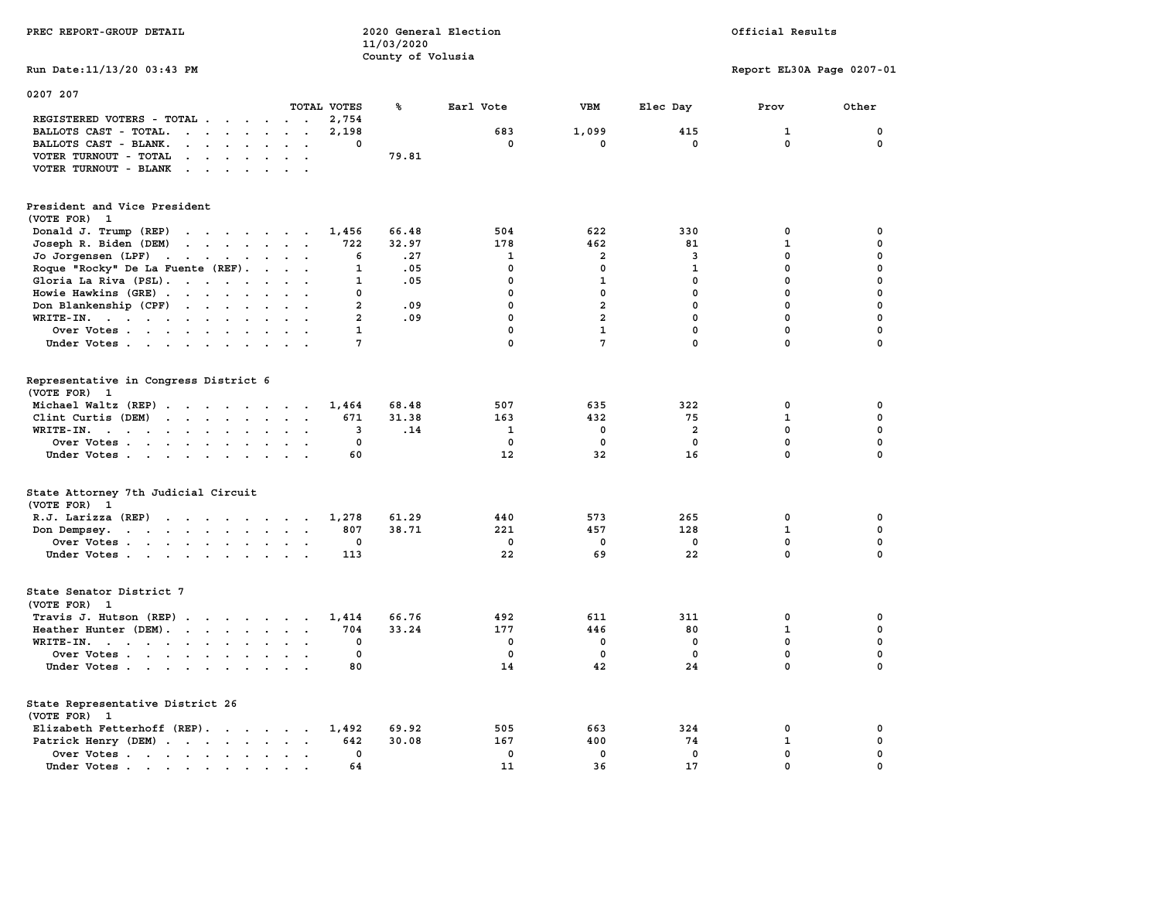| PREC REPORT-GROUP DETAIL                                                                                                        |                                    | 11/03/2020<br>County of Volusia | 2020 General Election | Official Results |              |                           |              |  |
|---------------------------------------------------------------------------------------------------------------------------------|------------------------------------|---------------------------------|-----------------------|------------------|--------------|---------------------------|--------------|--|
| Run Date: 11/13/20 03:43 PM                                                                                                     |                                    |                                 |                       |                  |              | Report EL30A Page 0207-01 |              |  |
| 0207 207                                                                                                                        | TOTAL VOTES                        | ℁                               | Earl Vote             | VBM              | Elec Day     | Prov                      | Other        |  |
| REGISTERED VOTERS - TOTAL                                                                                                       | 2,754                              |                                 |                       |                  |              |                           |              |  |
| BALLOTS CAST - TOTAL.<br>$\cdots$                                                                                               | 2,198<br>$\mathbf{L} = \mathbf{L}$ |                                 | 683                   | 1,099            | 415          | ${\bf 1}$                 | $\mathbf 0$  |  |
| BALLOTS CAST - BLANK.<br>$\mathbf{r}$ , $\mathbf{r}$ , $\mathbf{r}$ , $\mathbf{r}$ , $\mathbf{r}$                               | $\ddot{\phantom{1}}$<br>$\Omega$   |                                 | $\mathbf{0}$          | 0                | $\mathbf{0}$ | $\mathbf 0$               | $\mathbf{0}$ |  |
| VOTER TURNOUT - TOTAL<br>$\mathbf{r}$ , $\mathbf{r}$ , $\mathbf{r}$ , $\mathbf{r}$<br>$\ddot{\phantom{a}}$                      | $\sim$                             | 79.81                           |                       |                  |              |                           |              |  |
| VOTER TURNOUT - BLANK                                                                                                           |                                    |                                 |                       |                  |              |                           |              |  |
| President and Vice President<br>(VOTE FOR) 1                                                                                    |                                    |                                 |                       |                  |              |                           |              |  |
| Donald J. Trump (REP)                                                                                                           | 1,456                              | 66.48                           | 504                   | 622              | 330          | 0                         | $\mathbf 0$  |  |
| Joseph R. Biden (DEM)                                                                                                           | 722                                | 32.97                           | 178                   | 462              | 81           | $\mathbf 1$               | $\mathbf 0$  |  |
| Jo Jorgensen (LPF)                                                                                                              | 6                                  | .27                             | $\mathbf{1}$          | $\overline{a}$   | 3            | 0                         | 0            |  |
| Roque "Rocky" De La Fuente (REF).                                                                                               | $\mathbf{1}$                       | .05                             | $\Omega$              | $\mathbf{0}$     | $\mathbf{1}$ | $\mathbf{0}$              | $\mathbf 0$  |  |
| Gloria La Riva (PSL).                                                                                                           | 1                                  | .05                             | $\mathbf 0$           | $\mathbf{1}$     | $\mathbf{0}$ | $\mathbf 0$               | $\mathbf 0$  |  |
| Howie Hawkins (GRE)                                                                                                             | $\mathbf 0$                        |                                 | $\mathbf{0}$          | $\mathbf{0}$     | $\mathbf{0}$ | $\mathbf 0$               | $\mathbf 0$  |  |
|                                                                                                                                 | $\overline{a}$                     | .09                             | $\mathbf 0$           | $\overline{a}$   | $\mathbf{0}$ | $\mathbf 0$               | $\mathbf 0$  |  |
| Don Blankenship (CPF)                                                                                                           | $\overline{a}$                     | .09                             | $\Omega$              | $\overline{2}$   | $\Omega$     | $\mathbf 0$               | $\mathbf 0$  |  |
| WRITE-IN.                                                                                                                       | $\cdot$ .<br>$\mathbf{1}$          |                                 | $\mathbf{0}$          | $\mathbf{1}$     | $\mathbf{0}$ | $\mathbf 0$               | $\mathbf 0$  |  |
| Over Votes<br>Under Votes                                                                                                       | 7                                  |                                 | $\mathbf 0$           | $7\phantom{.0}$  | $\mathbf{0}$ | $\mathbf 0$               | $\mathbf 0$  |  |
|                                                                                                                                 |                                    |                                 |                       |                  |              |                           |              |  |
| Representative in Congress District 6<br>(VOTE FOR) 1                                                                           |                                    |                                 |                       |                  |              |                           |              |  |
| Michael Waltz (REP)                                                                                                             | 1,464                              | 68.48                           | 507                   | 635              | 322          | $\mathbf 0$               | $\mathbf 0$  |  |
| Clint Curtis (DEM)                                                                                                              | 671                                | 31.38                           | 163                   | 432              | 75           | $\mathbf{1}$              | $\mathbf 0$  |  |
| WRITE-IN.                                                                                                                       | 3<br>$\sim$ $\sim$                 | .14                             | 1                     | 0                | 2            | 0                         | 0            |  |
| Over Votes                                                                                                                      | 0<br>$\sim$                        |                                 | $\mathbf 0$           | 0                | 0            | $\mathbf 0$               | $\mathbf 0$  |  |
| Under Votes                                                                                                                     | 60                                 |                                 | 12                    | 32               | 16           | $\mathbf 0$               | 0            |  |
| State Attorney 7th Judicial Circuit<br>(VOTE FOR) 1                                                                             |                                    |                                 |                       |                  |              |                           |              |  |
| R.J. Larizza (REP)                                                                                                              | 1,278                              | 61.29                           | 440                   | 573              | 265          | $\mathbf 0$               | 0            |  |
| Don Dempsey.<br>the contract of the contract of the contract of the contract of the contract of the contract of the contract of | 807                                | 38.71                           | 221                   | 457              | 128          | $\mathbf 1$               | $\mathbf 0$  |  |
| Over Votes                                                                                                                      | 0                                  |                                 | $\mathbf 0$           | 0                | 0            | 0                         | 0            |  |
| Under Votes                                                                                                                     | 113                                |                                 | 22                    | 69               | 22           | $\mathbf 0$               | $\mathbf 0$  |  |
| State Senator District 7<br>(VOTE FOR) 1                                                                                        |                                    |                                 |                       |                  |              |                           |              |  |
| Travis J. Hutson (REP)                                                                                                          | 1,414                              | 66.76                           | 492                   | 611              | 311          | 0                         | 0            |  |
| Heather Hunter (DEM).                                                                                                           | 704                                | 33.24                           | 177                   | 446              | 80           | $\mathbf{1}$              | $\mathbf 0$  |  |
| WRITE-IN.                                                                                                                       | 0                                  |                                 | 0                     | $\mathbf 0$      | $\mathbf 0$  | 0                         | $\mathbf 0$  |  |
| Over Votes                                                                                                                      | $\mathbf 0$                        |                                 | $\mathbf 0$           | $\mathbf 0$      | $\mathbf 0$  | 0                         | $\mathbf 0$  |  |
| Under Votes                                                                                                                     | 80                                 |                                 | 14                    | 42               | 24           | $\mathbf 0$               | $\mathbf 0$  |  |
| State Representative District 26<br>(VOTE FOR) 1                                                                                |                                    |                                 |                       |                  |              |                           |              |  |
| Elizabeth Fetterhoff (REP).                                                                                                     | 1,492                              | 69.92                           | 505                   | 663              | 324          | 0                         | 0            |  |
| Patrick Henry (DEM)                                                                                                             | 642                                | 30.08                           | 167                   | 400              | 74           | 1                         | 0            |  |
| Over Votes                                                                                                                      | $\mathbf{0}$                       |                                 | $\mathbf{0}$          | $\mathbf{0}$     | $\mathbf{0}$ | $\mathbf 0$               | $\mathbf 0$  |  |
| Under Votes                                                                                                                     | 64<br>$\sim$                       |                                 | 11                    | 36               | 17           | $\mathbf 0$               | $\mathbf 0$  |  |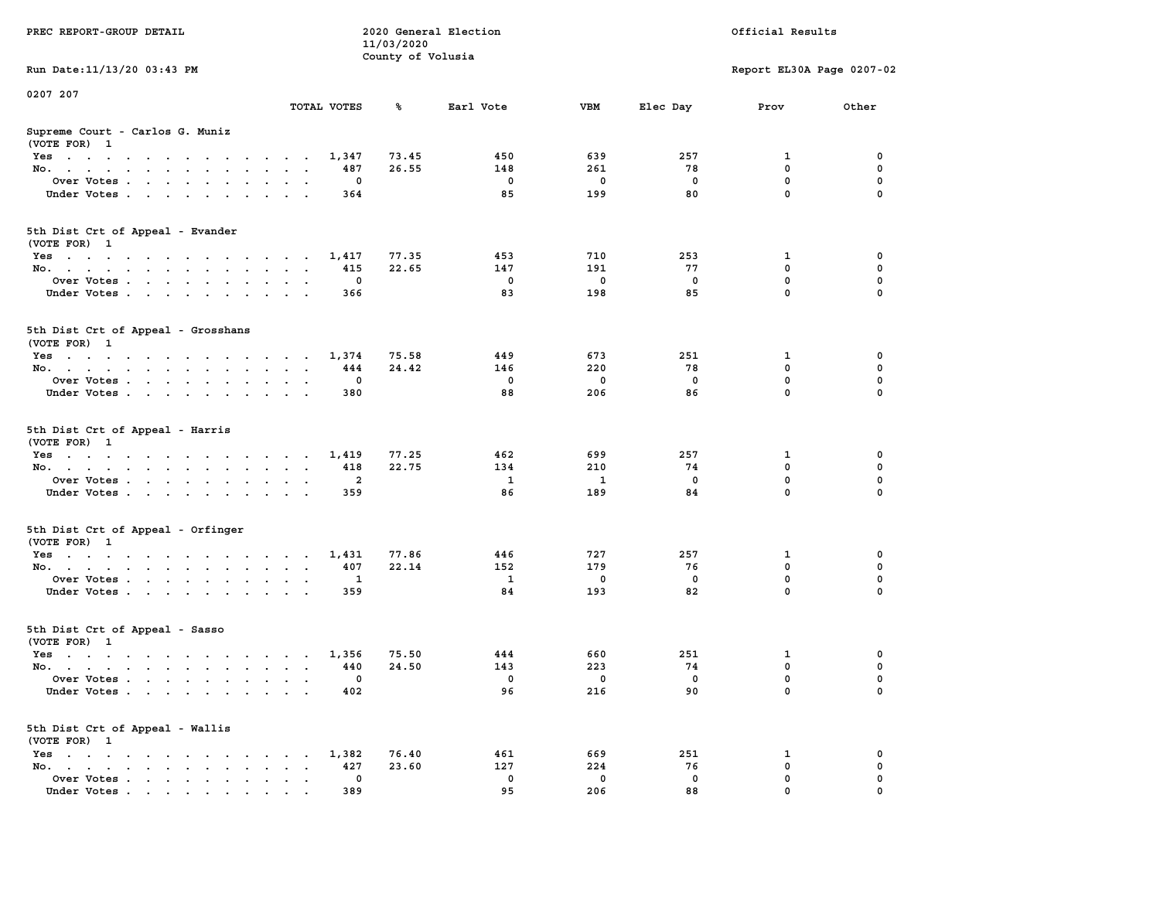| PREC REPORT-GROUP DETAIL                                                                                               |                                      | 11/03/2020        | 2020 General Election |     |              | Official Results          |             |
|------------------------------------------------------------------------------------------------------------------------|--------------------------------------|-------------------|-----------------------|-----|--------------|---------------------------|-------------|
| Run Date: 11/13/20 03:43 PM                                                                                            |                                      | County of Volusia |                       |     |              | Report EL30A Page 0207-02 |             |
|                                                                                                                        |                                      |                   |                       |     |              |                           |             |
| 0207 207                                                                                                               | TOTAL VOTES                          | ℁                 | Earl Vote             | VBM | Elec Day     | Prov                      | Other       |
| Supreme Court - Carlos G. Muniz<br>(VOTE FOR) 1                                                                        |                                      |                   |                       |     |              |                           |             |
| Yes                                                                                                                    | 1,347                                | 73.45             | 450                   | 639 | 257          | 1                         | 0           |
| No.                                                                                                                    | 487                                  | 26.55             | 148                   | 261 | 78           | $\mathbf 0$               | 0           |
| Over Votes.                                                                                                            | 0                                    |                   | $\mathbf 0$           | 0   | 0            | $\mathbf 0$               | 0           |
| Under Votes                                                                                                            | 364                                  |                   | 85                    | 199 | 80           | $\mathbf 0$               | $\Omega$    |
| 5th Dist Crt of Appeal - Evander<br>(VOTE FOR) 1                                                                       |                                      |                   |                       |     |              |                           |             |
| Yes                                                                                                                    | 1,417                                | 77.35             | 453                   | 710 | 253          | 1                         | 0           |
| No.                                                                                                                    | 415                                  | 22.65             | 147                   | 191 | 77           | $\mathbf 0$               | 0           |
| Over Votes                                                                                                             | 0                                    |                   | $\mathbf 0$           | 0   | $\mathbf 0$  | 0                         | $\mathbf 0$ |
| Under Votes                                                                                                            | 366                                  |                   | 83                    | 198 | 85           | $\mathbf 0$               | 0           |
| 5th Dist Crt of Appeal - Grosshans<br>(VOTE FOR) 1                                                                     |                                      |                   |                       |     |              |                           |             |
| Yes                                                                                                                    | 1,374                                | 75.58             | 449                   | 673 | 251          | 1                         | 0           |
| No.                                                                                                                    | 444                                  | 24.42             | 146                   | 220 | 78           | 0                         | 0           |
| Over Votes                                                                                                             | 0                                    |                   | $\mathbf 0$           | 0   | $^{\circ}$   | $\mathbf 0$               | 0           |
| Under Votes                                                                                                            | 380                                  |                   | 88                    | 206 | 86           | $\mathbf 0$               | 0           |
| 5th Dist Crt of Appeal - Harris<br>(VOTE FOR) 1                                                                        |                                      |                   |                       |     |              |                           |             |
| Yes                                                                                                                    | 1,419                                | 77.25             | 462                   | 699 | 257          | 1                         | 0           |
| No.                                                                                                                    | 418                                  | 22.75             | 134                   | 210 | 74           | $\mathbf 0$               | 0           |
| Over Votes                                                                                                             | $\overline{2}$                       |                   | $\mathbf{1}$          | 1   | 0            | $\mathbf 0$               | 0           |
| Under Votes                                                                                                            | 359                                  |                   | 86                    | 189 | 84           | $\mathbf 0$               | $\Omega$    |
| 5th Dist Crt of Appeal - Orfinger<br>(VOTE FOR) 1                                                                      |                                      |                   |                       |     |              |                           |             |
| Yes                                                                                                                    | 1,431                                | 77.86             | 446                   | 727 | 257          | 1                         | 0           |
| No.                                                                                                                    | 407                                  | 22.14             | 152                   | 179 | 76           | $\mathbf 0$               | 0           |
| Over Votes                                                                                                             | 1                                    |                   | <sup>1</sup>          | 0   | 0            | 0                         | $\mathbf 0$ |
| Under Votes                                                                                                            | 359                                  |                   | 84                    | 193 | 82           | $\mathbf 0$               | $\Omega$    |
| 5th Dist Crt of Appeal - Sasso<br>(VOTE FOR) 1                                                                         |                                      |                   |                       |     |              |                           |             |
| Yes<br>the contract of the contract of the contract of the contract of the contract of the contract of the contract of | 1,356                                | 75.50             | 444                   | 660 | 251          | 1                         | 0           |
| No.                                                                                                                    | 440                                  | 24.50             | 143                   | 223 | 74           | 0                         | 0           |
| Over Votes                                                                                                             | 0                                    |                   | $^{\circ}$            | 0   | $\mathbf{0}$ | $\mathbf 0$               | 0           |
| Under Votes                                                                                                            | 402                                  |                   | 96                    | 216 | 90           | 0                         | 0           |
| 5th Dist Crt of Appeal - Wallis<br>(VOTE FOR) 1                                                                        |                                      |                   |                       |     |              |                           |             |
| $Yes \cdot \cdot \cdot \cdot \cdot \cdot \cdot \cdot \cdot$                                                            | 1,382<br>$\sim$ $\sim$ $\sim$ $\sim$ | 76.40             | 461                   | 669 | 251          | 1                         | 0           |
| No.<br>$\sim$                                                                                                          | 427<br>$\ddot{\phantom{a}}$          | 23.60             | 127                   | 224 | 76           | $\mathbf 0$               | 0           |
| Over Votes                                                                                                             | 0                                    |                   | 0                     | 0   | 0            | 0                         | 0           |
| Under Votes                                                                                                            | 389                                  |                   | 95                    | 206 | 88           | 0                         |             |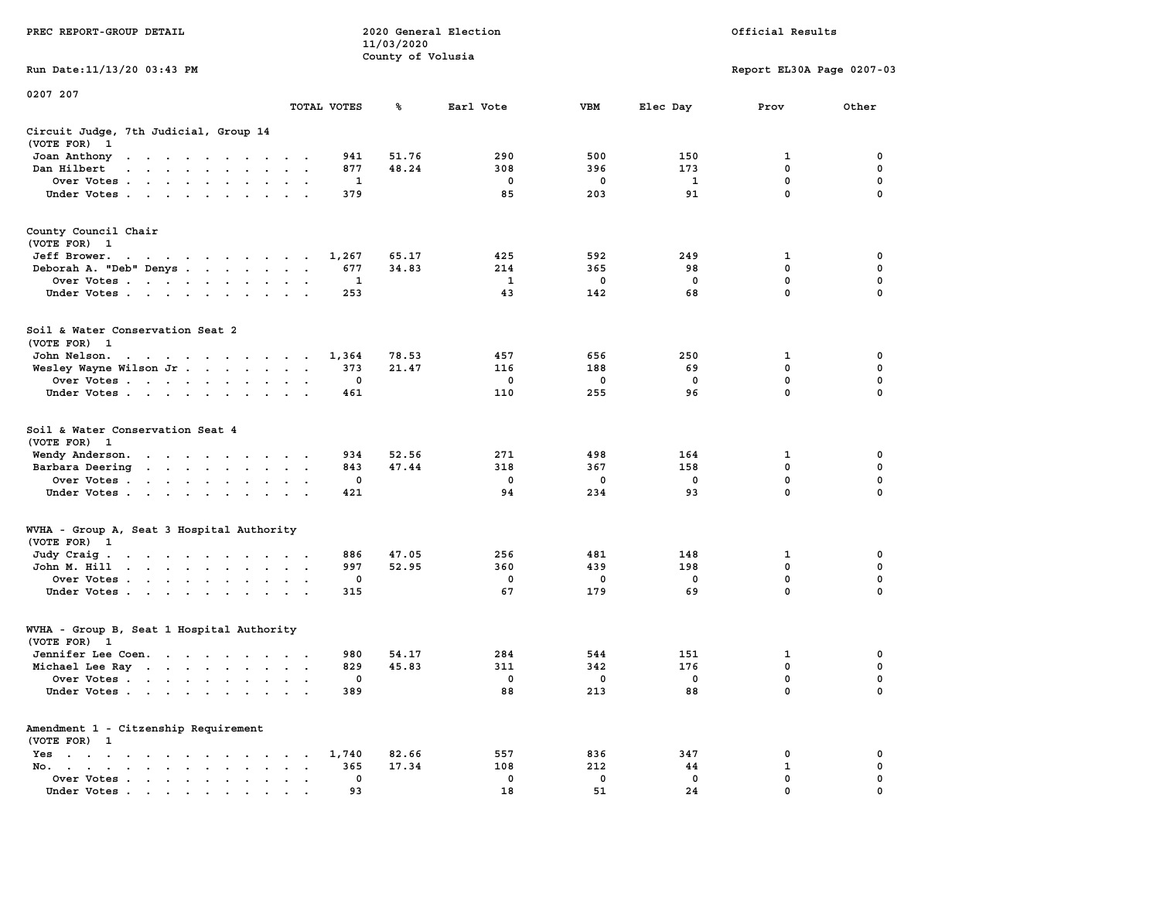|                                                                                                                                                                                                                                                |                                                                      |             | 11/03/2020        |             |             |              |                           |             |
|------------------------------------------------------------------------------------------------------------------------------------------------------------------------------------------------------------------------------------------------|----------------------------------------------------------------------|-------------|-------------------|-------------|-------------|--------------|---------------------------|-------------|
|                                                                                                                                                                                                                                                |                                                                      |             | County of Volusia |             |             |              |                           |             |
| Run Date:11/13/20 03:43 PM                                                                                                                                                                                                                     |                                                                      |             |                   |             |             |              | Report EL30A Page 0207-03 |             |
| 0207 207                                                                                                                                                                                                                                       |                                                                      |             |                   |             |             |              |                           |             |
|                                                                                                                                                                                                                                                |                                                                      | TOTAL VOTES | ℁                 | Earl Vote   | <b>VBM</b>  | Elec Day     | Prov                      | Other       |
| Circuit Judge, 7th Judicial, Group 14                                                                                                                                                                                                          |                                                                      |             |                   |             |             |              |                           |             |
| (VOTE FOR)<br>$\mathbf{1}$                                                                                                                                                                                                                     |                                                                      |             |                   |             |             |              |                           |             |
| Joan Anthony<br>the contract of the contract of the con-                                                                                                                                                                                       |                                                                      | 941         | 51.76             | 290         | 500         | 150          | 1                         | 0           |
| Dan Hilbert<br>$\ddot{\phantom{a}}$<br>$\mathbf{r}$ . The set of the set of the set of $\mathbf{r}$                                                                                                                                            | $\sim$                                                               | 877         | 48.24             | 308         | 396         | 173          | 0                         | 0           |
| Over Votes.<br>$\sim$ $\sim$ $\sim$ $\sim$ $\sim$ $\sim$<br>$\overline{\phantom{a}}$                                                                                                                                                           | $\ddot{\phantom{a}}$<br>$\ddot{\phantom{a}}$                         | 1           |                   | $\mathbf 0$ | $\mathbf 0$ | $\mathbf{1}$ | $\mathbf 0$               | $\mathbf 0$ |
| Under Votes                                                                                                                                                                                                                                    | $\cdot$<br>$\cdot$                                                   | 379         |                   | 85          | 203         | 91           | 0                         | $\mathbf 0$ |
| County Council Chair                                                                                                                                                                                                                           |                                                                      |             |                   |             |             |              |                           |             |
| (VOTE FOR) 1                                                                                                                                                                                                                                   |                                                                      |             |                   |             |             |              |                           |             |
| Jeff Brower.<br>the contract of the contract of the con-                                                                                                                                                                                       |                                                                      | 1,267       | 65.17             | 425         | 592         | 249          | 1                         | 0           |
| Deborah A. "Deb" Denys                                                                                                                                                                                                                         | $\sim$<br>$\overline{\phantom{a}}$<br>$\sim$                         | 677         | 34.83             | 214         | 365         | 98           | 0                         | 0           |
|                                                                                                                                                                                                                                                |                                                                      | 1           |                   | 1           | 0           | $\mathbf 0$  | 0                         | 0           |
| Over Votes<br>$\sim$<br>$\ddot{\phantom{0}}$<br>$\blacksquare$<br>$\ddot{\phantom{0}}$                                                                                                                                                         |                                                                      |             |                   | 43          | 142         |              | $\mathbf{0}$              | $\mathbf 0$ |
| Under Votes<br>$\ddot{\phantom{a}}$                                                                                                                                                                                                            |                                                                      | 253         |                   |             |             | 68           |                           |             |
| Soil & Water Conservation Seat 2                                                                                                                                                                                                               |                                                                      |             |                   |             |             |              |                           |             |
| (VOTE FOR) 1                                                                                                                                                                                                                                   |                                                                      |             |                   |             |             |              |                           |             |
| John Nelson.<br>the contract of the contract of the contract of the contract of the contract of the contract of the contract of the contract of the contract of the contract of the contract of the contract of the contract of the contract o | $\cdot$ $\cdot$                                                      | 1,364       | 78.53             | 457         | 656         | 250          | 1                         | 0           |
| Wesley Wayne Wilson Jr                                                                                                                                                                                                                         | $\bullet$<br>$\bullet$<br>$\cdot$                                    | 373         | 21.47             | 116         | 188         | 69           | $\mathbf 0$               | $\mathbf 0$ |
| Over Votes                                                                                                                                                                                                                                     | $\cdot$<br>$\ddot{\phantom{a}}$                                      | 0           |                   | 0           | 0           | $\mathbf 0$  | $\mathbf 0$               | 0           |
| Under Votes<br>$\bullet$                                                                                                                                                                                                                       |                                                                      | 461         |                   | 110         | 255         | 96           | 0                         | $\mathbf 0$ |
| Soil & Water Conservation Seat 4<br>(VOTE FOR)<br>$\mathbf{1}$                                                                                                                                                                                 |                                                                      |             |                   |             |             |              |                           |             |
| Wendy Anderson.<br>the contract of the contract of the                                                                                                                                                                                         | $\sim$                                                               | 934         | 52.56             | 271         | 498         | 164          | 1                         | 0           |
| Barbara Deering<br>$\cdots$<br>$\sim$                                                                                                                                                                                                          | $\ddot{\phantom{a}}$<br>$\ddot{\phantom{a}}$<br>$\ddot{\phantom{1}}$ | 843         | 47.44             | 318         | 367         | 158          | 0                         | 0           |
| Over Votes                                                                                                                                                                                                                                     |                                                                      | 0           |                   | 0           | 0           | $\mathbf 0$  | 0                         | $\mathbf 0$ |
| Under Votes<br>$\sim$<br>$\cdot$                                                                                                                                                                                                               |                                                                      | 421         |                   | 94          | 234         | 93           | 0                         | 0           |
| WVHA - Group A, Seat 3 Hospital Authority                                                                                                                                                                                                      |                                                                      |             |                   |             |             |              |                           |             |
| (VOTE FOR) 1                                                                                                                                                                                                                                   |                                                                      |             |                   |             |             |              |                           |             |
| Judy Craig.<br>the contract of the contract of the con-                                                                                                                                                                                        |                                                                      | 886         | 47.05             | 256         | 481         | 148          | $\mathbf 1$               | $\mathbf 0$ |
| the contract of the contract of the<br>John M. Hill                                                                                                                                                                                            | $\ddot{\phantom{0}}$<br>$\ddot{\phantom{a}}$<br>$\ddot{\phantom{0}}$ | 997         | 52.95             | 360         | 439         | 198          | 0                         | $\mathbf 0$ |
| Over Votes<br>$\ddot{\phantom{0}}$                                                                                                                                                                                                             | $\bullet$<br>$\bullet$                                               | $\mathbf 0$ |                   | 0           | 0           | $\mathbf 0$  | 0                         | 0           |
| Under Votes<br>$\sim$                                                                                                                                                                                                                          | $\cdot$ $\cdot$ $\cdot$                                              | 315         |                   | 67          | 179         | 69           | $\mathbf 0$               | 0           |
| WVHA - Group B, Seat 1 Hospital Authority                                                                                                                                                                                                      |                                                                      |             |                   |             |             |              |                           |             |
| (VOTE FOR)<br>$\mathbf{1}$                                                                                                                                                                                                                     |                                                                      |             |                   |             |             |              |                           |             |
| Jennifer Lee Coen.                                                                                                                                                                                                                             |                                                                      | 980         | 54.17             | 284         | 544         | 151          | 1                         | 0           |
| Michael Lee Ray                                                                                                                                                                                                                                | $\sim$<br>$\cdot$ .                                                  | 829         | 45.83             | 311         | 342         | 176          | 0                         | $\mathbf 0$ |
| Over Votes<br>$\ddot{\phantom{a}}$                                                                                                                                                                                                             | $\ddot{\phantom{0}}$<br>$\cdot$<br>$\overline{\phantom{a}}$          | $\mathbf 0$ |                   | 0           | 0           | $\mathbf 0$  | $\mathbf 0$               | $\mathbf 0$ |
| Under Votes                                                                                                                                                                                                                                    |                                                                      | 389         |                   | 88          | 213         | 88           | $\mathbf{0}$              | $\mathbf 0$ |
| Amendment 1 - Citzenship Requirement                                                                                                                                                                                                           |                                                                      |             |                   |             |             |              |                           |             |
| (VOTE FOR) 1<br>$Yes \t . \t .$                                                                                                                                                                                                                |                                                                      | 1,740       | 82.66             | 557         | 836         | 347          | 0                         | 0           |
| $\bullet$<br>$\sim$ $\sim$<br><b>Contract Contract</b><br>$\ddot{\phantom{a}}$<br>$\blacksquare$<br>No.<br>$\ddot{\phantom{a}}$                                                                                                                | $\bullet$<br>$\ddot{\phantom{a}}$                                    | 365         | 17.34             | 108         | 212         | 44           | 1                         | 0           |
| $\bullet \qquad \bullet \qquad \bullet \qquad \bullet \qquad \bullet \qquad \bullet$<br>$\mathbf{r} = \mathbf{r}$                                                                                                                              |                                                                      | 0           |                   | 0           | 0           | $\mathbf 0$  | 0                         | $\mathbf 0$ |
| Over Votes<br>$\bullet$<br>Under Votes                                                                                                                                                                                                         | $\blacksquare$<br>$\ddot{\phantom{a}}$                               | 93          |                   | 18          | 51          | 24           | $\mathbf{0}$              | $\mathbf 0$ |
|                                                                                                                                                                                                                                                |                                                                      |             |                   |             |             |              |                           |             |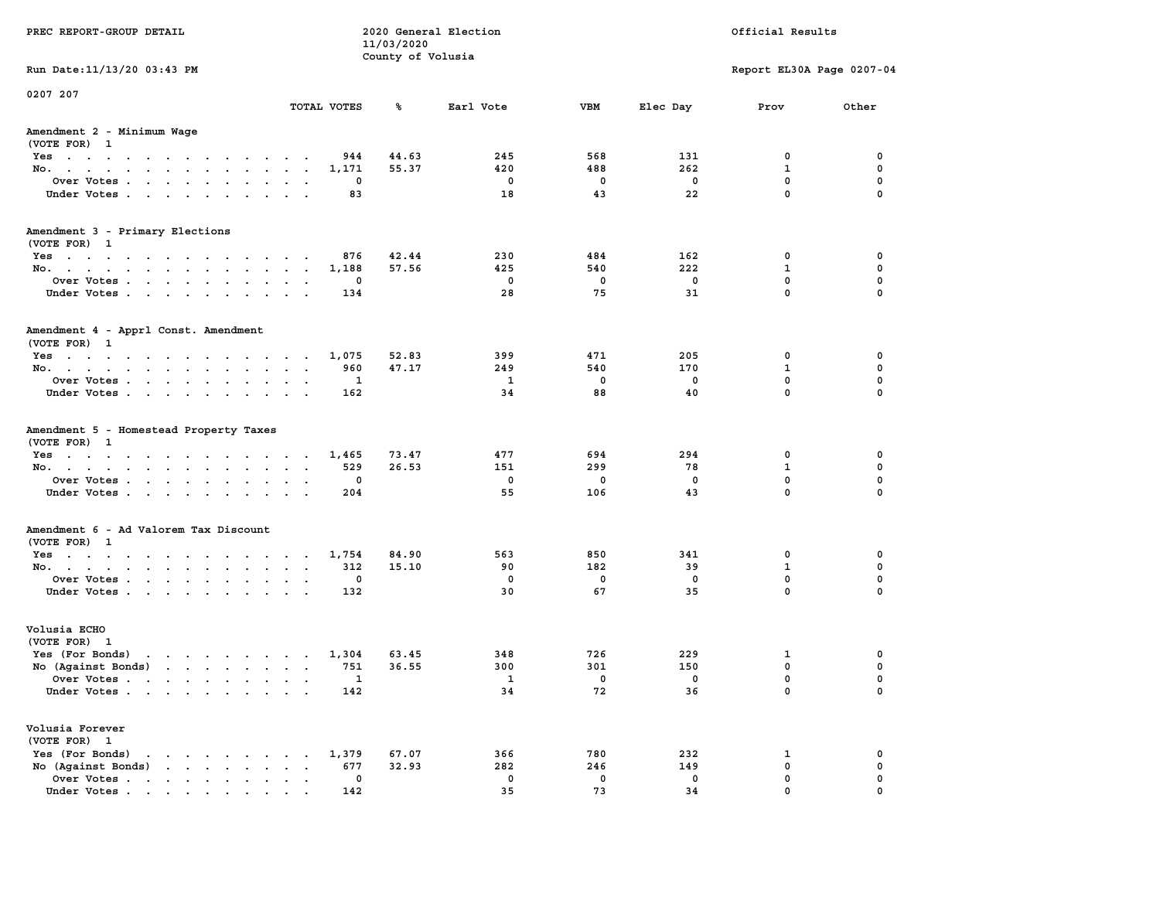| PREC REPORT-GROUP DETAIL                                                                                                           |                      | 2020 General Election<br>11/03/2020<br>County of Volusia |                               |                               |             | Official Results             |                            |
|------------------------------------------------------------------------------------------------------------------------------------|----------------------|----------------------------------------------------------|-------------------------------|-------------------------------|-------------|------------------------------|----------------------------|
| Run Date: 11/13/20 03:43 PM                                                                                                        |                      |                                                          |                               |                               |             | Report EL30A Page 0207-04    |                            |
| 0207 207                                                                                                                           |                      |                                                          |                               |                               |             |                              |                            |
|                                                                                                                                    | TOTAL VOTES          | %ะ                                                       | Earl Vote                     | VBM                           | Elec Day    | Prov                         | Other                      |
| Amendment 2 - Minimum Wage<br>(VOTE FOR) 1                                                                                         |                      |                                                          |                               |                               |             |                              |                            |
| Yes                                                                                                                                | 944                  | 44.63                                                    | 245                           | 568                           | 131         | 0                            | 0                          |
| No.                                                                                                                                | 1,171                | 55.37                                                    | 420                           | 488                           | 262         | 1                            | 0                          |
| Over Votes                                                                                                                         | 0                    |                                                          | $\mathbf 0$                   | $\mathbf 0$                   | 0           | 0                            | 0                          |
| Under Votes                                                                                                                        | 83                   |                                                          | 18                            | 43                            | 22          | $\mathbf{0}$                 | $\mathbf 0$                |
| Amendment 3 - Primary Elections                                                                                                    |                      |                                                          |                               |                               |             |                              |                            |
| (VOTE FOR) 1                                                                                                                       |                      |                                                          |                               |                               |             |                              |                            |
| Yes                                                                                                                                | 876                  | 42.44                                                    | 230                           | 484                           | 162         | 0                            | 0                          |
| No.                                                                                                                                | 1,188                | 57.56                                                    | 425                           | 540                           | 222         | $\mathbf{1}$                 | 0                          |
| Over Votes<br>Under Votes                                                                                                          | 0<br>134             |                                                          | $\overline{\mathbf{0}}$<br>28 | $\overline{\mathbf{0}}$<br>75 | 0<br>31     | $\mathbf 0$<br>$\mathbf 0$   | $\mathbf 0$<br>$\mathbf 0$ |
|                                                                                                                                    |                      |                                                          |                               |                               |             |                              |                            |
| Amendment 4 - Apprl Const. Amendment                                                                                               |                      |                                                          |                               |                               |             |                              |                            |
| (VOTE FOR) 1                                                                                                                       |                      |                                                          |                               |                               |             |                              |                            |
| Yes                                                                                                                                | 1,075                | 52.83                                                    | 399                           | 471                           | 205         | 0                            | 0                          |
| No.                                                                                                                                | 960                  | 47.17                                                    | 249                           | 540                           | 170         | $\mathbf{1}$                 | 0                          |
| Over Votes                                                                                                                         | 1                    |                                                          | $\overline{1}$                | $\mathbf 0$                   | $\mathbf 0$ | $\mathbf{0}$<br>$\mathbf{0}$ | $\mathbf 0$<br>$\mathbf 0$ |
| Under Votes                                                                                                                        | 162                  |                                                          | 34                            | 88                            | 40          |                              |                            |
| Amendment 5 - Homestead Property Taxes                                                                                             |                      |                                                          |                               |                               |             |                              |                            |
| (VOTE FOR) 1                                                                                                                       |                      |                                                          |                               |                               |             |                              |                            |
| Yes                                                                                                                                | 1,465                | 73.47<br>26.53                                           | 477<br>151                    | 694<br>299                    | 294<br>78   | 0<br>1                       | 0<br>0                     |
| No.<br>Over Votes                                                                                                                  | 529<br>0             |                                                          | $\mathbf 0$                   | 0                             | $\mathbf 0$ | 0                            | $\mathbf 0$                |
| Under Votes                                                                                                                        | 204                  |                                                          | 55                            | 106                           | 43          | $\mathbf{0}$                 | $\mathbf 0$                |
|                                                                                                                                    |                      |                                                          |                               |                               |             |                              |                            |
| Amendment 6 - Ad Valorem Tax Discount                                                                                              |                      |                                                          |                               |                               |             |                              |                            |
| (VOTE FOR) 1                                                                                                                       |                      |                                                          |                               |                               |             |                              |                            |
| Yes                                                                                                                                | 1,754                | 84.90                                                    | 563                           | 850                           | 341         | 0                            | 0                          |
| No.                                                                                                                                | 312                  | 15.10                                                    | 90                            | 182                           | 39          | $\mathbf{1}$                 | 0                          |
| Over Votes                                                                                                                         | 0                    |                                                          | $\mathbf 0$                   | $\mathbf 0$<br>67             | 0           | $\mathbf 0$<br>$\mathbf 0$   | $\mathbf 0$<br>$\mathbf 0$ |
| Under Votes                                                                                                                        | 132                  |                                                          | 30                            |                               | 35          |                              |                            |
| Volusia ECHO                                                                                                                       |                      |                                                          |                               |                               |             |                              |                            |
| (VOTE FOR) 1                                                                                                                       |                      |                                                          |                               |                               |             |                              |                            |
| Yes (For Bonds)<br>the contract of the contract of the contract of the contract of the contract of the contract of the contract of | 1,304                | 63.45                                                    | 348                           | 726                           | 229         | 1                            | 0                          |
| No (Against Bonds)                                                                                                                 | 751                  | 36.55                                                    | 300                           | 301                           | 150         | $\mathbf 0$                  | 0                          |
| Over Votes<br>the contract of the contract of the contract of the contract of the contract of the contract of the contract of      | 1                    |                                                          | $\mathbf{1}$                  | $\overline{\phantom{0}}$      | $\mathbf 0$ | $\mathbf 0$                  | 0                          |
| Under Votes                                                                                                                        | 142                  |                                                          | 34                            | 72                            | 36          | 0                            | $\mathbf 0$                |
| Volusia Forever<br>(VOTE FOR) 1                                                                                                    |                      |                                                          |                               |                               |             |                              |                            |
| Yes (For Bonds)<br>$\mathbf{r}$ , and $\mathbf{r}$ , and $\mathbf{r}$ , and $\mathbf{r}$                                           | 1,379                | 67.07                                                    | 366                           | 780                           | 232         | 1                            | 0                          |
| No (Against Bonds)                                                                                                                 | 677<br>$\sim$ $\sim$ | 32.93                                                    | 282                           | 246                           | 149         | 0                            | 0                          |
| Over Votes                                                                                                                         | 0                    |                                                          | 0                             | $\mathbf 0$                   | 0           | 0                            | 0                          |
| Under Votes.                                                                                                                       | 142                  |                                                          | 35                            | 73                            | 34          | $\Omega$                     | <sup>0</sup>               |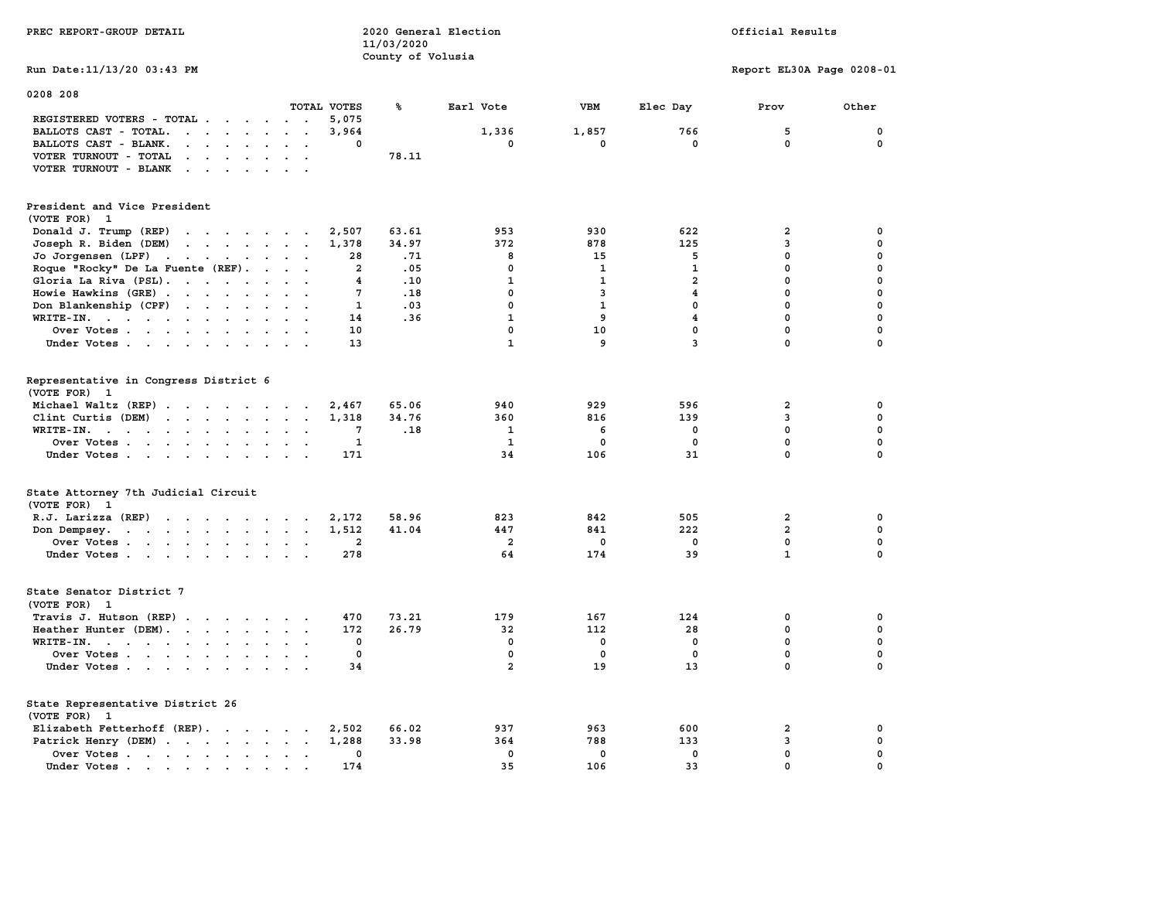| PREC REPORT-GROUP DETAIL                                                                                                        |                                  | 11/03/2020<br>County of Volusia | 2020 General Election | Official Results |                |                           |              |  |
|---------------------------------------------------------------------------------------------------------------------------------|----------------------------------|---------------------------------|-----------------------|------------------|----------------|---------------------------|--------------|--|
| Run Date: 11/13/20 03:43 PM                                                                                                     |                                  |                                 |                       |                  |                | Report EL30A Page 0208-01 |              |  |
| 0208 208                                                                                                                        | TOTAL VOTES                      |                                 |                       | VBM              |                |                           |              |  |
| REGISTERED VOTERS - TOTAL                                                                                                       | 5,075                            | %                               | Earl Vote             |                  | Elec Day       | Prov                      | Other        |  |
| BALLOTS CAST - TOTAL.<br>$\cdots$                                                                                               | 3,964<br>$\sim$ $\sim$           |                                 | 1,336                 | 1,857            | 766            | 5                         | $\mathbf 0$  |  |
| BALLOTS CAST - BLANK.<br>$\mathbf{r}$ , and $\mathbf{r}$ , and $\mathbf{r}$                                                     | $\ddot{\phantom{0}}$<br>$\Omega$ |                                 | $\mathbf{0}$          | 0                | $\mathbf{0}$   | $\mathbf 0$               | $\mathbf{0}$ |  |
| $\ddot{\phantom{a}}$                                                                                                            |                                  | 78.11                           |                       |                  |                |                           |              |  |
| VOTER TURNOUT - TOTAL<br>$\mathbf{r}$ , $\mathbf{r}$ , $\mathbf{r}$ , $\mathbf{r}$<br>VOTER TURNOUT - BLANK                     |                                  |                                 |                       |                  |                |                           |              |  |
| President and Vice President<br>(VOTE FOR) 1                                                                                    |                                  |                                 |                       |                  |                |                           |              |  |
| Donald J. Trump (REP)                                                                                                           | 2,507                            | 63.61                           | 953                   | 930              | 622            | $\overline{\mathbf{2}}$   | $\mathbf 0$  |  |
| Joseph R. Biden (DEM)                                                                                                           | 1,378                            | 34.97                           | 372                   | 878              | 125            | 3                         | $\mathbf 0$  |  |
| Jo Jorgensen (LPF)                                                                                                              | 28                               | .71                             | 8                     | 15               | 5              | 0                         | 0            |  |
|                                                                                                                                 | $\overline{a}$                   | .05                             | $\Omega$              | $\mathbf{1}$     | $\mathbf{1}$   | $\mathbf{0}$              | $\mathbf 0$  |  |
| Roque "Rocky" De La Fuente (REF).<br>Gloria La Riva (PSL).                                                                      | 4                                | .10                             | $\mathbf{1}$          | $\mathbf{1}$     | $\overline{a}$ | $\mathbf 0$               | $\mathbf 0$  |  |
|                                                                                                                                 | $7\phantom{.0}$                  |                                 | $\mathbf{0}$          | 3                | $\overline{4}$ | $\mathbf 0$               | $\mathbf 0$  |  |
| Howie Hawkins (GRE)                                                                                                             | $\cdot$ $\cdot$                  | .18                             | $\mathbf 0$           |                  |                |                           |              |  |
| Don Blankenship (CPF)                                                                                                           | $\mathbf{1}$                     | .03                             |                       | $\mathbf{1}$     | $\mathbf{0}$   | 0                         | $\mathbf 0$  |  |
| WRITE-IN.                                                                                                                       | 14<br>$\sim$                     | .36                             | $\mathbf{1}$          | 9                | $\overline{a}$ | $\mathbf 0$               | $\mathbf 0$  |  |
| Over Votes                                                                                                                      | 10                               |                                 | $\mathbf{0}$          | 10               | $\mathbf{0}$   | $\mathbf 0$               | $\mathbf 0$  |  |
| Under Votes                                                                                                                     | 13                               |                                 | $\mathbf{1}$          | 9                | $\overline{3}$ | $\mathbf 0$               | $\mathbf 0$  |  |
| Representative in Congress District 6<br>(VOTE FOR) 1                                                                           |                                  |                                 |                       |                  |                |                           |              |  |
| Michael Waltz (REP)                                                                                                             | 2,467                            | 65.06                           | 940                   | 929              | 596            | $\overline{a}$            | $\mathbf 0$  |  |
| Clint Curtis (DEM)                                                                                                              | 1,318                            | 34.76                           | 360                   | 816              | 139            | 3                         | $\mathbf 0$  |  |
| WRITE-IN.<br>the contract of the contract of the contract of the contract of the contract of the contract of the contract of    | 7<br>$\ddot{\phantom{0}}$        | .18                             | 1                     | 6                | 0              | 0                         | 0            |  |
| Over Votes                                                                                                                      | 1<br>$\mathbf{r}$                |                                 | $\mathbf{1}$          | 0                | 0              | $\mathbf 0$               | $\mathbf 0$  |  |
| Under Votes                                                                                                                     | 171                              |                                 | 34                    | 106              | 31             | $\mathbf 0$               | 0            |  |
| State Attorney 7th Judicial Circuit<br>(VOTE FOR) 1                                                                             |                                  |                                 |                       |                  |                |                           |              |  |
| R.J. Larizza $(REP)$                                                                                                            | 2,172                            | 58.96                           | 823                   | 842              | 505            | $\mathbf{2}$              | 0            |  |
| Don Dempsey.<br>the contract of the contract of the contract of the contract of the contract of the contract of the contract of | 1,512                            | 41.04                           | 447                   | 841              | 222            | $\overline{\mathbf{2}}$   | $\mathbf 0$  |  |
| Over Votes                                                                                                                      | 2                                |                                 | $\overline{a}$        | 0                | 0              | 0                         | 0            |  |
| Under Votes                                                                                                                     | 278                              |                                 | 64                    | 174              | 39             | $\mathbf{1}$              | $\mathbf 0$  |  |
| State Senator District 7<br>(VOTE FOR) 1                                                                                        |                                  |                                 |                       |                  |                |                           |              |  |
| Travis J. Hutson (REP)                                                                                                          | 470                              | 73.21                           | 179                   | 167              | 124            | 0                         | 0            |  |
| Heather Hunter (DEM).                                                                                                           | 172                              | 26.79                           | 32                    | 112              | 28             | $\mathbf 0$               | $\mathbf 0$  |  |
| $WRITE-IN.$<br>$\sim$ $\sim$                                                                                                    | $\mathbf 0$                      |                                 | $\mathbf 0$           | $\mathbf 0$      | $\mathbf 0$    | 0                         | $\mathbf 0$  |  |
| Over Votes                                                                                                                      | $\mathbf 0$                      |                                 | $\mathbf 0$           | $\mathbf 0$      | $\mathbf 0$    | 0                         | $\mathbf 0$  |  |
| Under Votes                                                                                                                     | 34                               |                                 | $\overline{2}$        | 19               | 13             | $\mathbf 0$               | $\mathbf 0$  |  |
| State Representative District 26<br>(VOTE FOR) 1                                                                                |                                  |                                 |                       |                  |                |                           |              |  |
| Elizabeth Fetterhoff (REP).                                                                                                     | 2,502                            | 66.02                           | 937                   | 963              | 600            | 2                         | 0            |  |
| Patrick Henry (DEM)                                                                                                             | 1,288                            | 33.98                           | 364                   | 788              | 133            | 3                         | 0            |  |
| Over Votes                                                                                                                      | $\mathbf 0$                      |                                 | $\mathbf{0}$          | $\Omega$         | $\mathbf{0}$   | $\mathbf 0$               | $\mathbf 0$  |  |
| Under Votes                                                                                                                     | 174<br>$\sim$                    |                                 | 35                    | 106              | 33             | $\mathbf 0$               | $\mathbf 0$  |  |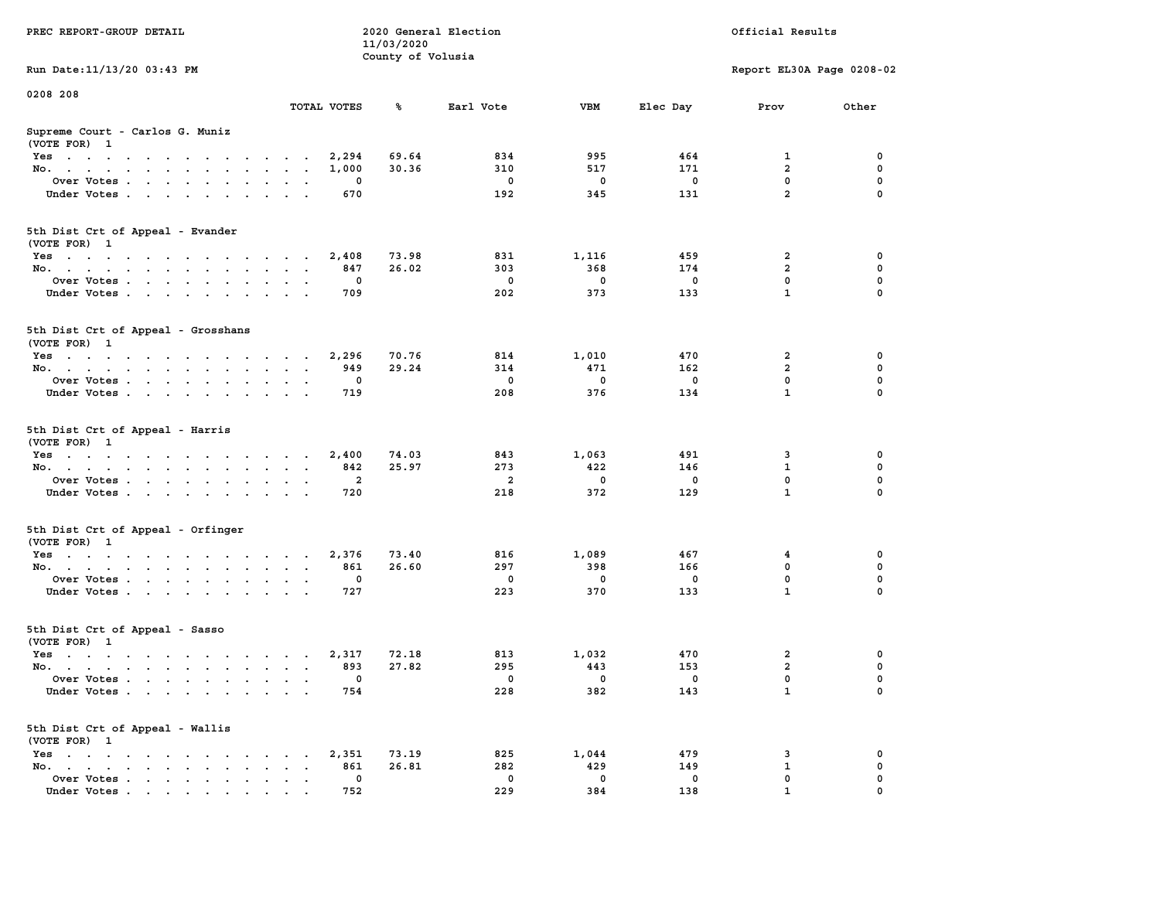| PREC REPORT-GROUP DETAIL                                                                   |                      |                          | 11/03/2020        | 2020 General Election                        |                                    |                                  | Official Results                                 |                            |
|--------------------------------------------------------------------------------------------|----------------------|--------------------------|-------------------|----------------------------------------------|------------------------------------|----------------------------------|--------------------------------------------------|----------------------------|
| Run Date: 11/13/20 03:43 PM                                                                |                      |                          | County of Volusia |                                              |                                    |                                  | Report EL30A Page 0208-02                        |                            |
| 0208 208                                                                                   |                      |                          |                   |                                              |                                    |                                  |                                                  |                            |
|                                                                                            |                      | TOTAL VOTES              | ℁                 | Earl Vote                                    | VBM                                | Elec Day                         | Prov                                             | Other                      |
| Supreme Court - Carlos G. Muniz<br>(VOTE FOR) 1                                            |                      |                          |                   |                                              |                                    |                                  |                                                  |                            |
| Yes 2,294                                                                                  |                      |                          | 69.64             | 834                                          | 995                                | 464                              | $\mathbf{1}$                                     | 0                          |
| No.                                                                                        |                      | 1,000                    | 30.36             | 310                                          | 517                                | 171                              | $\overline{2}$                                   | 0                          |
| Over Votes                                                                                 |                      | 0                        |                   | $\overline{\mathbf{0}}$                      | $\overline{\mathbf{0}}$            | $\mathbf 0$                      | $\mathbf 0$                                      | 0                          |
| Under Votes                                                                                |                      | 670                      |                   | 192                                          | 345                                | 131                              | $\overline{2}$                                   | $\mathbf 0$                |
| 5th Dist Crt of Appeal - Evander                                                           |                      |                          |                   |                                              |                                    |                                  |                                                  |                            |
| (VOTE FOR) 1                                                                               |                      |                          |                   | 831                                          |                                    | 459                              | 2                                                | 0                          |
| Yes<br>No.                                                                                 |                      | 2,408<br>847             | 73.98<br>26.02    | 303                                          | 1,116<br>368                       | 174                              | $\overline{2}$                                   | 0                          |
| Over Votes                                                                                 |                      | 0                        |                   | $\overline{\phantom{0}}$                     | $\overline{\mathbf{0}}$            | $\mathbf 0$                      | $\mathbf 0$                                      | 0                          |
| Under Votes                                                                                |                      | 709                      |                   | 202                                          | 373                                | 133                              | $\mathbf{1}$                                     | $\mathbf 0$                |
| 5th Dist Crt of Appeal - Grosshans<br>(VOTE FOR) 1                                         |                      |                          |                   |                                              |                                    |                                  |                                                  |                            |
| $Yes \cdot \cdot \cdot \cdot \cdot \cdot \cdot \cdot \cdot \cdot \cdot \cdot \cdot$        |                      | 2,296                    | 70.76             | 814                                          | 1,010                              | 470                              | 2                                                | 0                          |
| No.                                                                                        |                      | 949                      | 29.24             | 314                                          | 471                                | 162                              | $\overline{a}$                                   | 0                          |
| Over Votes                                                                                 |                      | 0                        |                   | $\overline{\phantom{0}}$                     | $\overline{\mathbf{0}}$            | $\mathbf 0$                      | $\mathbf{0}$                                     | 0                          |
| Under Votes                                                                                |                      | 719                      |                   | 208                                          | 376                                | 134                              | $\mathbf{1}$                                     | $\mathbf 0$                |
| 5th Dist Crt of Appeal - Harris<br>(VOTE FOR) 1<br>Yes<br>No.<br>Over Votes<br>Under Votes |                      | 2,400<br>842<br>2<br>720 | 74.03<br>25.97    | 843<br>273<br>$\overline{\mathbf{2}}$<br>218 | 1,063<br>422<br>$\mathbf 0$<br>372 | 491<br>146<br>$\mathbf 0$<br>129 | 3<br>$\mathbf{1}$<br>$\mathbf 0$<br>$\mathbf{1}$ | 0<br>0<br>0<br>$\mathbf 0$ |
| 5th Dist Crt of Appeal - Orfinger<br>(VOTE FOR) 1                                          |                      |                          |                   |                                              |                                    |                                  |                                                  |                            |
| Yes                                                                                        |                      | 2,376                    | 73.40             | 816                                          | 1,089                              | 467                              | 4                                                | 0                          |
| No.                                                                                        |                      | 861                      | 26.60             | 297                                          | 398                                | 166                              | $\mathbf 0$                                      | 0                          |
| Over Votes                                                                                 |                      | $\mathbf 0$              |                   | $\overline{\phantom{0}}$                     | $\mathbf{0}$                       | $\mathbf 0$                      | $\mathbf 0$                                      | 0                          |
| Under Votes                                                                                |                      | 727                      |                   | 223                                          | 370                                | 133                              | $\mathbf{1}$                                     | $\mathbf 0$                |
| 5th Dist Crt of Appeal - Sasso<br>(VOTE FOR) 1                                             |                      |                          |                   |                                              |                                    |                                  |                                                  |                            |
| $Yes \cdot \cdot \cdot \cdot \cdot \cdot \cdot \cdot \cdot \cdot \cdot \cdot \cdot$        |                      | 2,317                    | 72.18             | 813                                          | 1,032                              | 470                              | 2                                                | 0                          |
| No.                                                                                        |                      | 893                      | 27.82             | 295                                          | 443                                | 153                              | $\overline{a}$                                   | 0                          |
| Over Votes                                                                                 |                      | $\mathbf 0$              |                   | $\overline{\phantom{0}}$                     | $\overline{\phantom{0}}$           | $\overline{\mathbf{0}}$          | $\mathbf 0$                                      | 0                          |
| Under Votes                                                                                |                      | 754                      |                   | 228                                          | 382                                | 143                              | $\mathbf{1}$                                     | $\mathbf 0$                |
| 5th Dist Crt of Appeal - Wallis<br>(VOTE FOR) 1                                            |                      |                          |                   |                                              |                                    |                                  |                                                  |                            |
| Yes.                                                                                       |                      | 2,351                    | 73.19             | 825                                          | 1,044                              | 479                              | 3                                                | 0                          |
| No.                                                                                        | $\ddot{\phantom{a}}$ | 861                      | 26.81             | 282                                          | 429                                | 149                              | 1                                                | 0                          |
| Over Votes                                                                                 |                      | 0                        |                   | $\mathbf 0$                                  | $\mathbf 0$                        | $\mathbf 0$                      | 0                                                | 0                          |
| Under Votes                                                                                |                      | 752                      |                   | 229                                          | 384                                | 138                              |                                                  |                            |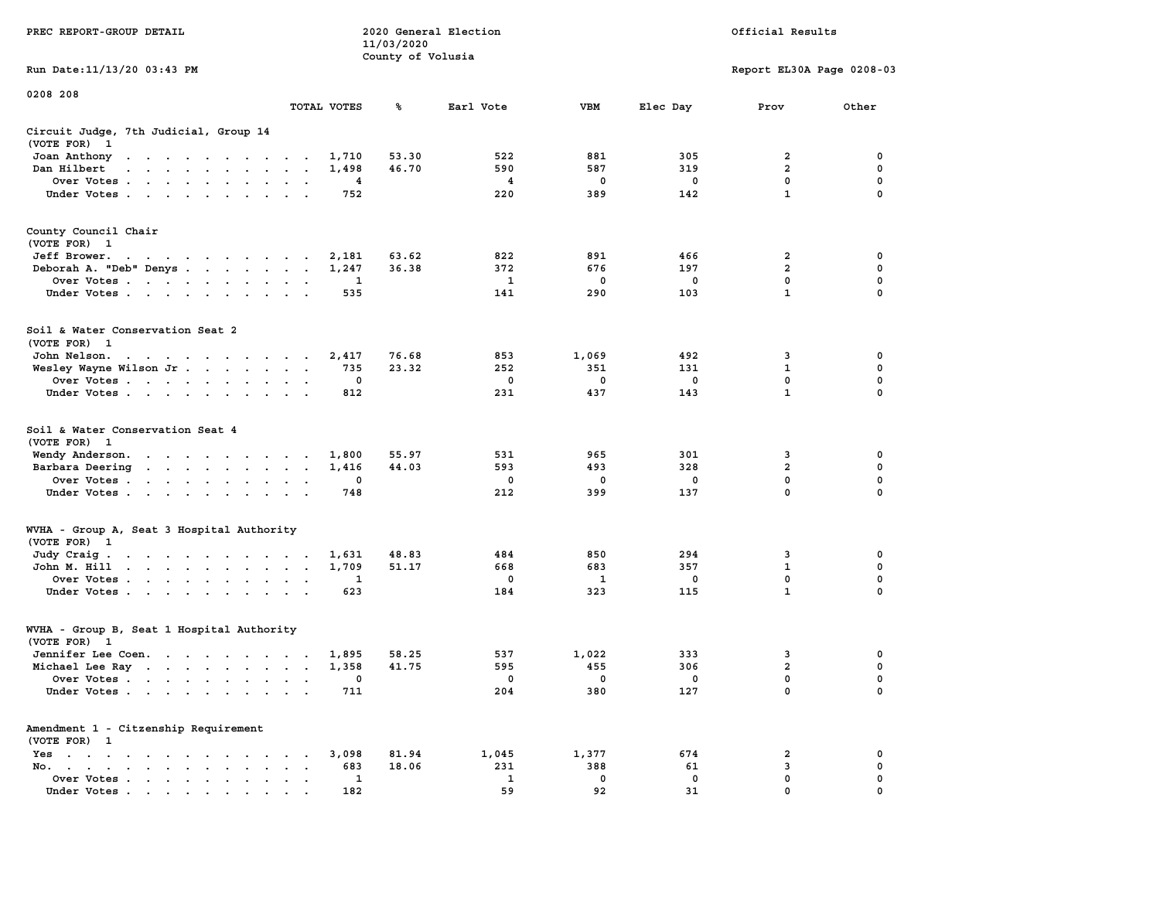|                                                                                                                                                                                                                                                      |                                                                     | 11/03/2020        |             |             |             |                           |             |
|------------------------------------------------------------------------------------------------------------------------------------------------------------------------------------------------------------------------------------------------------|---------------------------------------------------------------------|-------------------|-------------|-------------|-------------|---------------------------|-------------|
|                                                                                                                                                                                                                                                      |                                                                     | County of Volusia |             |             |             |                           |             |
| Run Date: 11/13/20 03:43 PM                                                                                                                                                                                                                          |                                                                     |                   |             |             |             | Report EL30A Page 0208-03 |             |
| 0208 208                                                                                                                                                                                                                                             |                                                                     |                   |             |             |             |                           |             |
|                                                                                                                                                                                                                                                      | TOTAL VOTES                                                         | ℁                 | Earl Vote   | <b>VBM</b>  | Elec Day    | Prov                      | Other       |
| Circuit Judge, 7th Judicial, Group 14                                                                                                                                                                                                                |                                                                     |                   |             |             |             |                           |             |
| (VOTE FOR)<br>$\mathbf{1}$                                                                                                                                                                                                                           |                                                                     |                   |             |             |             |                           |             |
| Joan Anthony<br>the contract of the contract of the con-                                                                                                                                                                                             | 1,710<br>$\sim$ $\sim$                                              | 53.30             | 522         | 881         | 305         | 2                         | 0           |
| Dan Hilbert<br>$\sim$<br>$\cdots$<br>$\sim$                                                                                                                                                                                                          | 1,498<br>$\overline{\phantom{a}}$<br>$\overline{\phantom{a}}$       | 46.70             | 590         | 587         | 319         | $\overline{2}$            | 0           |
| Over Votes .<br>$\mathcal{A}=\mathcal{A}=\mathcal{A}=\mathcal{A}=\mathcal{A}=\mathcal{A}$<br>$\ddot{\phantom{a}}$                                                                                                                                    | 4<br>$\mathbf{r}$<br>$\ddot{\phantom{a}}$                           |                   | 4           | $\mathbf 0$ | $\mathbf 0$ | 0                         | $\mathbf 0$ |
| Under Votes                                                                                                                                                                                                                                          | 752<br>$\ddot{\phantom{a}}$<br>$\sim$<br>$\sim$                     |                   | 220         | 389         | 142         | $\mathbf{1}$              | $\mathbf 0$ |
| County Council Chair                                                                                                                                                                                                                                 |                                                                     |                   |             |             |             |                           |             |
| (VOTE FOR) 1                                                                                                                                                                                                                                         |                                                                     |                   |             |             |             |                           |             |
| Jeff Brower.<br>and a series of the contract of the                                                                                                                                                                                                  | 2,181                                                               | 63.62             | 822         | 891         | 466         | 2                         | 0           |
| Deborah A. "Deb" Denys.                                                                                                                                                                                                                              | 1,247<br>$\bullet$<br>$\sim$                                        | 36.38             | 372         | 676         | 197         | $\overline{a}$            | 0           |
| Over Votes<br>$\sim$<br>$\ddot{\phantom{1}}$<br>$\blacksquare$<br>$\mathbf{r}$                                                                                                                                                                       | 1<br>$\overline{a}$<br>$\overline{\phantom{a}}$                     |                   | 1           | 0           | 0           | 0                         | 0           |
| Under Votes<br>$\bullet$ . $\bullet$<br>$\ddot{\phantom{a}}$                                                                                                                                                                                         | 535<br>$\ddot{\phantom{a}}$                                         |                   | 141         | 290         | 103         | $\mathbf{1}$              | $\mathbf 0$ |
|                                                                                                                                                                                                                                                      |                                                                     |                   |             |             |             |                           |             |
| Soil & Water Conservation Seat 2                                                                                                                                                                                                                     |                                                                     |                   |             |             |             |                           |             |
| (VOTE FOR) 1                                                                                                                                                                                                                                         |                                                                     |                   |             |             |             |                           |             |
| John Nelson.<br>$\mathcal{A}=\mathcal{A}=\mathcal{A}=\mathcal{A}=\mathcal{A}=\mathcal{A}=\mathcal{A}$ .<br>$\sim$                                                                                                                                    | 2,417<br>$\sim$<br>$\cdot$                                          | 76.68             | 853         | 1,069       | 492         | 3                         | 0           |
| Wesley Wayne Wilson Jr<br>$\ddot{\phantom{0}}$                                                                                                                                                                                                       | 735<br>$\bullet$<br>$\bullet$<br>$\ddot{\phantom{1}}$               | 23.32             | 252         | 351         | 131         | $\mathbf{1}$              | 0           |
| Over Votes                                                                                                                                                                                                                                           | 0<br>$\cdot$<br>$\bullet$                                           |                   | 0           | 0           | 0           | 0                         | 0           |
| Under Votes<br>$\sim$<br>$\sim$<br>$\ddot{\phantom{0}}$                                                                                                                                                                                              | 812<br>$\mathbf{r}$<br>$\ddot{\phantom{a}}$                         |                   | 231         | 437         | 143         | $\mathbf 1$               | $\mathbf 0$ |
| Soil & Water Conservation Seat 4                                                                                                                                                                                                                     |                                                                     |                   |             |             |             |                           |             |
| (VOTE FOR)<br>$\mathbf{1}$                                                                                                                                                                                                                           |                                                                     |                   |             |             |             |                           |             |
| Wendy Anderson.<br>the contract of the contract of the                                                                                                                                                                                               | 1,800                                                               | 55.97<br>44.03    | 531         | 965         | 301<br>328  | 3<br>$\overline{a}$       | 0<br>0      |
| Barbara Deering<br>$\ddot{\phantom{a}}$<br>$\sim$ $\sim$<br>$\mathcal{A}^{\mathcal{A}}$ , and $\mathcal{A}^{\mathcal{A}}$ , and $\mathcal{A}^{\mathcal{A}}$<br>$\ddot{\phantom{0}}$                                                                  | 1,416<br>$\ddot{\phantom{a}}$<br>$\bullet$<br>$\bullet$             |                   | 593         | 493         | $\mathbf 0$ | $\mathbf 0$               | $\mathbf 0$ |
| Over Votes .<br>$\mathbf{r}$ . The contract of the contract of the contract of the contract of the contract of the contract of the contract of the contract of the contract of the contract of the contract of the contract of the contract of th    | 0                                                                   |                   | 0<br>212    | 0           | 137         | 0                         | 0           |
| Under Votes.<br>$\sim 100$ $\sim$<br>$\sim$<br>$\ddot{\phantom{a}}$<br>$\bullet$<br>$\ddot{\phantom{a}}$                                                                                                                                             | 748                                                                 |                   |             | 399         |             |                           |             |
| WVHA - Group A, Seat 3 Hospital Authority                                                                                                                                                                                                            |                                                                     |                   |             |             |             |                           |             |
| (VOTE FOR) 1                                                                                                                                                                                                                                         |                                                                     |                   |             |             |             |                           |             |
| Judy Craig.<br>the contract of the contract of the contract of the contract of the contract of the contract of the contract of                                                                                                                       | 1,631                                                               | 48.83             | 484         | 850         | 294         | 3                         | 0           |
| $\mathbf{r}$ , and $\mathbf{r}$ , and $\mathbf{r}$ , and $\mathbf{r}$<br>John M. Hill                                                                                                                                                                | 1,709<br>$\bullet$<br>$\blacksquare$<br>$\ddot{\phantom{0}}$        | 51.17             | 668         | 683         | 357         | $\mathbf{1}$              | 0           |
| Over Votes .<br><b>Contract Contract</b><br>$\sim$<br>$\ddot{\phantom{0}}$<br>$\blacksquare$                                                                                                                                                         | 1<br>$\cdot$<br>$\bullet$                                           |                   | $\mathbf 0$ | 1           | 0           | 0                         | 0           |
| Under Votes<br>$\ddot{\phantom{0}}$<br>$\cdot$                                                                                                                                                                                                       | 623<br>$\cdot$<br>$\cdot$                                           |                   | 184         | 323         | 115         | $\mathbf{1}$              | 0           |
| WVHA - Group B, Seat 1 Hospital Authority                                                                                                                                                                                                            |                                                                     |                   |             |             |             |                           |             |
| (VOTE FOR)<br>$\mathbf{1}$                                                                                                                                                                                                                           |                                                                     |                   |             |             |             |                           |             |
| Jennifer Lee Coen.<br>the contract of the contract of the contract of the contract of the contract of the contract of the contract of                                                                                                                | 1,895<br>$\sim$                                                     | 58.25             | 537         | 1,022       | 333         | 3                         | 0           |
| Michael Lee Ray                                                                                                                                                                                                                                      | 1,358<br>$\ddot{\phantom{a}}$<br>$\overline{\phantom{a}}$           | 41.75             | 595         | 455         | 306         | $\overline{a}$            | $\mathbf 0$ |
| Over Votes<br>$\sim$<br>$\cdots$<br>$\ddot{\phantom{0}}$                                                                                                                                                                                             | 0<br>$\ddot{\phantom{a}}$<br>$\overline{\phantom{a}}$<br>$\cdot$    |                   | 0           | 0           | 0           | 0                         | $\mathbf 0$ |
| Under Votes<br>$\cdot$                                                                                                                                                                                                                               | 711<br>$\cdot$<br>$\cdot$ .                                         |                   | 204         | 380         | 127         | $\mathbf{0}$              | $\mathbf 0$ |
| Amendment 1 - Citzenship Requirement                                                                                                                                                                                                                 |                                                                     |                   |             |             |             |                           |             |
| (VOTE FOR) 1                                                                                                                                                                                                                                         |                                                                     |                   |             |             |             |                           |             |
| Yes<br>$\sim$<br>$\bullet$<br>$\ddot{\phantom{0}}$<br>$\sim$<br>$\sim$<br>$\ddot{\phantom{a}}$<br>$\ddot{\phantom{a}}$<br>$\bullet$                                                                                                                  | 3,098<br>$\cdot$                                                    | 81.94             | 1,045       | 1,377       | 674         | $\overline{\mathbf{2}}$   | 0           |
| No.<br>$\bullet$ .<br><br><br><br><br><br><br><br><br><br><br><br><br><br><br><br>$\bullet$ . $\bullet$                                                                                                                                              | 683<br>$\cdot$                                                      | 18.06             | 231         | 388         | 61          | 3                         | 0           |
| Over Votes<br>$\ddot{\phantom{0}}$<br>$\bullet$                                                                                                                                                                                                      | 1<br>$\blacksquare$<br>$\ddot{\phantom{a}}$<br>$\ddot{\phantom{0}}$ |                   | 1           | $\mathbf 0$ | $\mathbf 0$ | $\mathbf 0$               | $\mathbf 0$ |
| Under Votes<br>$\mathbf{a}$ and $\mathbf{a}$ are a set of the set of the set of the set of the set of the set of the set of the set of the set of the set of the set of the set of the set of the set of the set of the set of the set of the set of | 182                                                                 |                   | 59          | 92          | 31          | $\mathbf{0}$              | $\mathbf 0$ |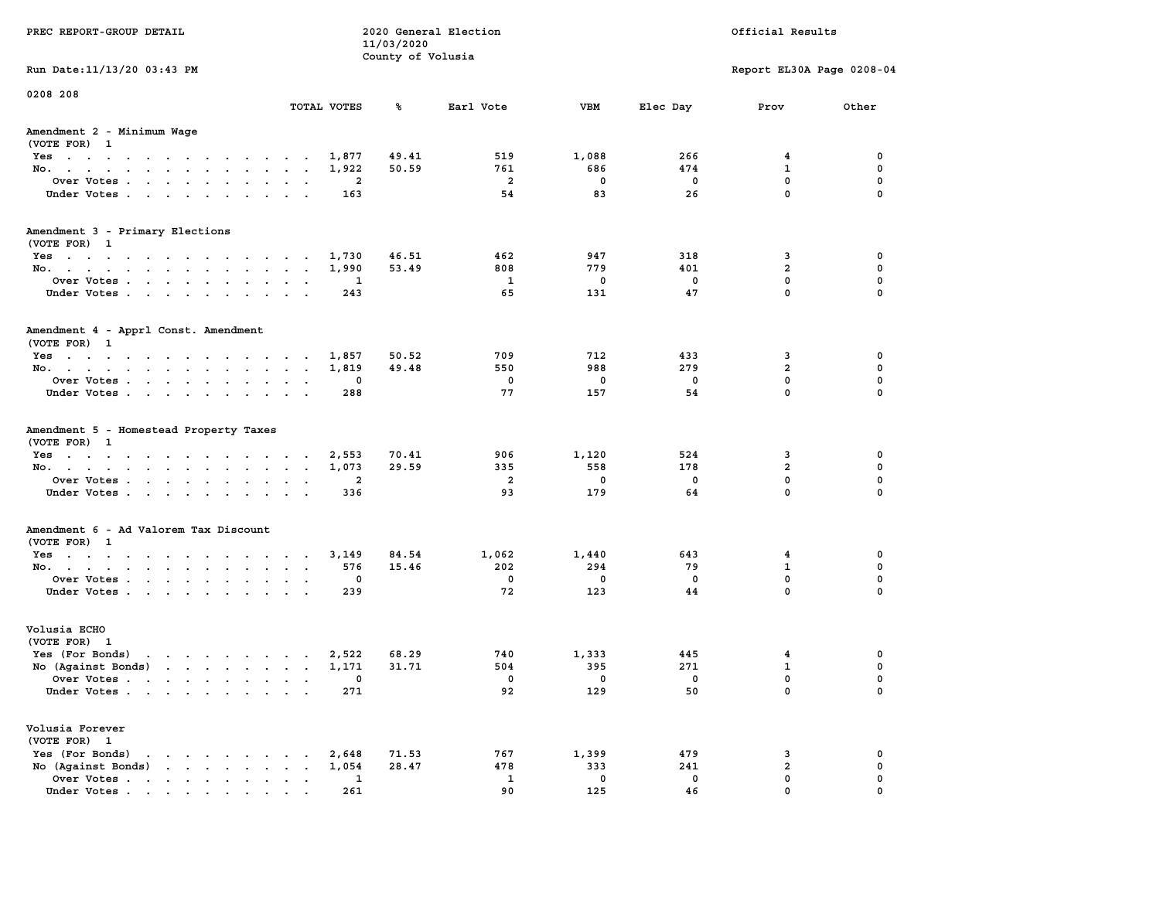| PREC REPORT-GROUP DETAIL                                                                                                                                                                                                                             |                               | 11/03/2020        | 2020 General Election |             |                         | Official Results          |             |
|------------------------------------------------------------------------------------------------------------------------------------------------------------------------------------------------------------------------------------------------------|-------------------------------|-------------------|-----------------------|-------------|-------------------------|---------------------------|-------------|
| Run Date: 11/13/20 03:43 PM                                                                                                                                                                                                                          |                               | County of Volusia |                       |             |                         | Report EL30A Page 0208-04 |             |
| 0208 208                                                                                                                                                                                                                                             |                               |                   |                       |             |                         |                           |             |
|                                                                                                                                                                                                                                                      | TOTAL VOTES                   | ℁                 | Earl Vote             | <b>VBM</b>  | Elec Day                | Prov                      | Other       |
| Amendment 2 - Minimum Wage<br>(VOTE FOR) 1                                                                                                                                                                                                           |                               |                   |                       |             |                         |                           |             |
| Yes 1,877                                                                                                                                                                                                                                            |                               | 49.41             | 519                   | 1,088       | 266                     | 4                         | 0           |
| No.                                                                                                                                                                                                                                                  | 1,922                         | 50.59             | 761                   | 686         | 474                     | 1                         | 0           |
| Over Votes                                                                                                                                                                                                                                           | $\overline{\mathbf{2}}$       |                   | $\overline{a}$        | $\mathbf 0$ | $\mathbf 0$             | 0                         | 0           |
| Under Votes                                                                                                                                                                                                                                          | 163                           |                   | 54                    | 83          | 26                      | $\mathbf{0}$              | $\mathbf 0$ |
| Amendment 3 - Primary Elections                                                                                                                                                                                                                      |                               |                   |                       |             |                         |                           |             |
| (VOTE FOR) 1                                                                                                                                                                                                                                         |                               |                   |                       |             |                         |                           |             |
| Yes                                                                                                                                                                                                                                                  | 1,730                         | 46.51             | 462                   | 947         | 318                     | 3                         | 0           |
| No.                                                                                                                                                                                                                                                  | 1,990                         | 53.49             | 808                   | 779         | 401                     | $\overline{a}$            | 0           |
| Over Votes                                                                                                                                                                                                                                           | 1                             |                   | 1                     | $\mathbf 0$ | $\mathbf 0$             | 0                         | $\mathbf 0$ |
| Under Votes                                                                                                                                                                                                                                          | 243                           |                   | 65                    | 131         | 47                      | $\mathbf{0}$              | $\mathbf 0$ |
| Amendment 4 - Apprl Const. Amendment<br>(VOTE FOR) 1                                                                                                                                                                                                 |                               |                   |                       |             |                         |                           |             |
| Yes                                                                                                                                                                                                                                                  | 1,857                         | 50.52             | 709                   | 712         | 433                     | 3                         | 0           |
| No.                                                                                                                                                                                                                                                  | 1,819                         | 49.48             | 550                   | 988         | 279                     | $\overline{a}$            | 0           |
| Over Votes.                                                                                                                                                                                                                                          | 0                             |                   | $\mathbf 0$           | $\mathbf 0$ | $\mathbf 0$             | $\mathbf{0}$              | 0           |
| Under Votes                                                                                                                                                                                                                                          | 288                           |                   | 77                    | 157         | 54                      | $\mathbf{0}$              | $\mathbf 0$ |
| Amendment 5 - Homestead Property Taxes<br>(VOTE FOR) 1                                                                                                                                                                                               |                               |                   |                       |             |                         |                           |             |
| Yes 2,553                                                                                                                                                                                                                                            |                               | 70.41             | 906                   | 1,120       | 524                     | 3                         | 0           |
| No.                                                                                                                                                                                                                                                  | 1,073                         | 29.59             | 335                   | 558         | 178                     | $\overline{2}$            | 0           |
| Over Votes                                                                                                                                                                                                                                           | $\overline{\mathbf{2}}$       |                   | $\overline{a}$        | $\mathbf 0$ | $\mathbf 0$             | $\mathbf 0$               | $\mathbf 0$ |
| Under Votes                                                                                                                                                                                                                                          | 336                           |                   | 93                    | 179         | 64                      | $\mathbf{0}$              | $\mathbf 0$ |
| Amendment 6 - Ad Valorem Tax Discount                                                                                                                                                                                                                |                               |                   |                       |             |                         |                           |             |
| (VOTE FOR) 1<br>Yes                                                                                                                                                                                                                                  | 3,149                         | 84.54             | 1,062                 | 1,440       | 643                     | $\overline{4}$            | 0           |
|                                                                                                                                                                                                                                                      | 576                           | 15.46             | 202                   | 294         | 79                      | $\mathbf{1}$              | 0           |
| No.<br>Over Votes                                                                                                                                                                                                                                    | 0                             |                   | 0                     | $\mathbf 0$ | $\mathbf 0$             | 0                         | 0           |
| Under Votes                                                                                                                                                                                                                                          | 239                           |                   | 72                    | 123         | 44                      | $\mathbf{0}$              | $\mathbf 0$ |
|                                                                                                                                                                                                                                                      |                               |                   |                       |             |                         |                           |             |
| Volusia ECHO<br>(VOTE FOR) 1                                                                                                                                                                                                                         |                               |                   |                       |             |                         |                           |             |
| $\mathbf{r}$ . The contract of the contract of the contract of the contract of the contract of the contract of the contract of the contract of the contract of the contract of the contract of the contract of the contract of th<br>Yes (For Bonds) | 2,522                         | 68.29             | 740                   | 1,333       | 445                     | 4                         | 0           |
| No (Against Bonds)                                                                                                                                                                                                                                   | 1,171                         | 31.71             | 504                   | 395         | 271                     | $\mathbf{1}$              | 0           |
| Over Votes                                                                                                                                                                                                                                           | . 0                           |                   | $\mathbf 0$           | $\mathbf 0$ | $\overline{\mathbf{0}}$ | $\mathbf 0$               | 0           |
| Under Votes                                                                                                                                                                                                                                          | 271                           |                   | 92                    | 129         | 50                      | 0                         | 0           |
| Volusia Forever                                                                                                                                                                                                                                      |                               |                   |                       |             |                         |                           |             |
| (VOTE FOR) 1                                                                                                                                                                                                                                         |                               |                   |                       |             |                         |                           |             |
| Yes (For Bonds)<br>$\mathbf{r}$ , $\mathbf{r}$ , $\mathbf{r}$ , $\mathbf{r}$ , $\mathbf{r}$ , $\mathbf{r}$                                                                                                                                           | 2,648                         | 71.53             | 767                   | 1,399       | 479                     | 3                         | 0           |
| No (Against Bonds)                                                                                                                                                                                                                                   | 1,054<br>$\ddot{\phantom{a}}$ | 28.47             | 478                   | 333         | 241                     | $\mathbf{2}$              | 0           |
| Over Votes                                                                                                                                                                                                                                           | $\mathbf{1}$                  |                   | 1                     | $\mathbf 0$ | $\mathbf 0$             | 0                         | 0           |
| Under Votes.                                                                                                                                                                                                                                         | 261                           |                   | 90                    | 125         | 46                      | $\Omega$                  | $\Omega$    |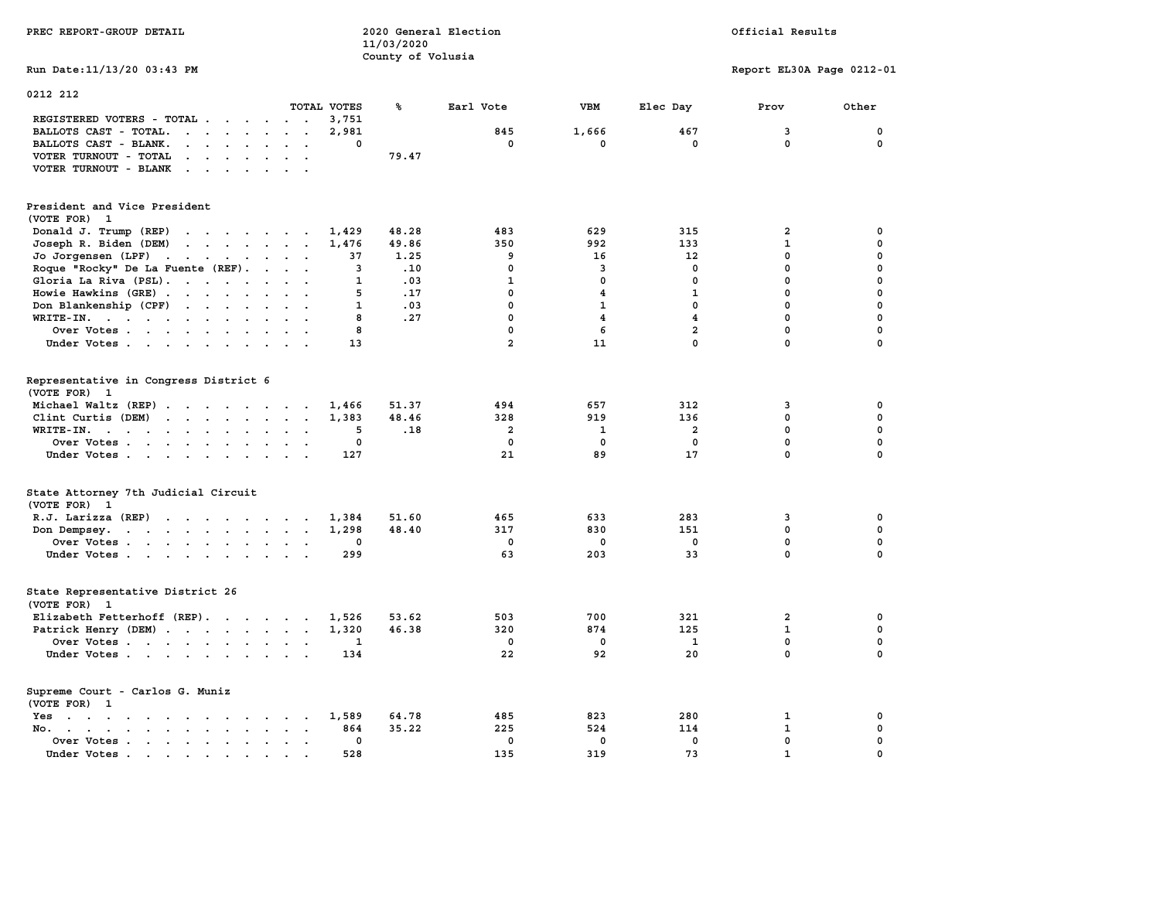| PREC REPORT-GROUP DETAIL                                                                                                                                                                                                                                                                            |                           | 11/03/2020        | 2020 General Election | Official Results        |                         |                           |              |  |
|-----------------------------------------------------------------------------------------------------------------------------------------------------------------------------------------------------------------------------------------------------------------------------------------------------|---------------------------|-------------------|-----------------------|-------------------------|-------------------------|---------------------------|--------------|--|
| Run Date: 11/13/20 03:43 PM                                                                                                                                                                                                                                                                         |                           | County of Volusia |                       |                         |                         | Report EL30A Page 0212-01 |              |  |
| 0212 212                                                                                                                                                                                                                                                                                            |                           |                   |                       |                         |                         |                           |              |  |
|                                                                                                                                                                                                                                                                                                     | TOTAL VOTES               | ℁                 | Earl Vote             | <b>VBM</b>              | Elec Day                | Prov                      | Other        |  |
| REGISTERED VOTERS - TOTAL .<br>$\cdots$                                                                                                                                                                                                                                                             | 3,751<br>2,981            |                   | 845                   |                         | 467                     | 3                         | 0            |  |
| BALLOTS CAST - TOTAL.<br>$\mathbf{r}$<br>BALLOTS CAST - BLANK.<br>$\mathbf{r}$ . The set of the set of the set of the set of the set of the set of the set of the set of the set of the set of the set of the set of the set of the set of the set of the set of the set of the set of the set of t | 0                         |                   | $\mathbf{0}$          | 1,666<br>$\mathbf 0$    | $\mathbf{0}$            | $\mathbf{0}$              | $\mathbf 0$  |  |
| VOTER TURNOUT - TOTAL<br>$\begin{array}{cccccccccccccc} \bullet & \bullet & \bullet & \bullet & \bullet & \bullet & \bullet & \bullet & \bullet \end{array}$                                                                                                                                        |                           | 79.47             |                       |                         |                         |                           |              |  |
| VOTER TURNOUT - BLANK                                                                                                                                                                                                                                                                               |                           |                   |                       |                         |                         |                           |              |  |
|                                                                                                                                                                                                                                                                                                     |                           |                   |                       |                         |                         |                           |              |  |
| President and Vice President<br>(VOTE FOR) 1                                                                                                                                                                                                                                                        |                           |                   |                       |                         |                         |                           |              |  |
| Donald J. Trump (REP)                                                                                                                                                                                                                                                                               | 1,429                     | 48.28             | 483                   | 629                     | 315                     | $\overline{2}$            | 0            |  |
| $\cdots$<br>Joseph R. Biden (DEM)                                                                                                                                                                                                                                                                   | 1,476                     | 49.86             | 350                   | 992                     | 133                     | $\mathbf{1}$              | 0            |  |
| Jo Jorgensen (LPF)                                                                                                                                                                                                                                                                                  | 37                        | 1.25              | 9                     | 16                      | 12                      | 0                         | 0            |  |
| Roque "Rocky" De La Fuente (REF).                                                                                                                                                                                                                                                                   | 3                         | .10               | 0                     | 3                       | 0                       | 0                         | 0            |  |
| Gloria La Riva (PSL).                                                                                                                                                                                                                                                                               | $\mathbf{1}$              | .03               | $\mathbf{1}$          | $\mathbf 0$             | $\mathbf 0$             | 0                         | 0            |  |
| Howie Hawkins (GRE)                                                                                                                                                                                                                                                                                 | 5                         | .17               | $\mathbf{0}$          | $\overline{\mathbf{4}}$ | $\mathbf{1}$            | $\mathbf 0$               | 0            |  |
| Don Blankenship (CPF)                                                                                                                                                                                                                                                                               | 1                         | .03               | $\mathbf{0}$          | $\mathbf{1}$            | $\mathbf{0}$            | $\mathbf 0$               | 0            |  |
| WRITE-IN.                                                                                                                                                                                                                                                                                           | 8                         | .27               | $\mathbf{0}$          | $\overline{\mathbf{4}}$ | $\overline{\mathbf{4}}$ | $\mathbf 0$               | $\mathbf{0}$ |  |
| Over Votes                                                                                                                                                                                                                                                                                          | 8                         |                   | $\mathbf{0}$          | 6                       | $\overline{a}$          | 0                         | $\mathbf 0$  |  |
| Under Votes                                                                                                                                                                                                                                                                                         | 13                        |                   | $\overline{a}$        | 11                      | $\Omega$                | $\Omega$                  | 0            |  |
|                                                                                                                                                                                                                                                                                                     |                           |                   |                       |                         |                         |                           |              |  |
| Representative in Congress District 6                                                                                                                                                                                                                                                               |                           |                   |                       |                         |                         |                           |              |  |
| (VOTE FOR) 1                                                                                                                                                                                                                                                                                        |                           |                   |                       |                         |                         |                           |              |  |
| Michael Waltz (REP)                                                                                                                                                                                                                                                                                 | 1,466                     | 51.37             | 494                   | 657                     | 312                     | 3                         | 0            |  |
| Clint Curtis (DEM)                                                                                                                                                                                                                                                                                  | 1,383                     | 48.46             | 328                   | 919                     | 136                     | 0                         | 0            |  |
| WRITE-IN.<br>$\mathbf{r}$ . The contract of the contract of the contract of the contract of the contract of the contract of the contract of the contract of the contract of the contract of the contract of the contract of the contract of th<br>$\ddot{\phantom{a}}$                              | 5<br>$\ddot{\phantom{a}}$ | .18               | $\overline{2}$        | 1                       | $\overline{2}$          | $\mathbf 0$               | 0            |  |
| Over Votes                                                                                                                                                                                                                                                                                          | $\mathbf 0$               |                   | $\mathbf 0$           | $\mathbf 0$             | $\mathbf{0}$            | $\mathbf 0$               | $\mathbf{0}$ |  |
| Under Votes                                                                                                                                                                                                                                                                                         | 127                       |                   | 21                    | 89                      | 17                      | 0                         | 0            |  |
| State Attorney 7th Judicial Circuit<br>(VOTE FOR) 1                                                                                                                                                                                                                                                 |                           |                   |                       |                         |                         |                           |              |  |
| $R.J.$ Larizza $(REP)$                                                                                                                                                                                                                                                                              | 1,384<br>$\sim$           | 51.60             | 465                   | 633                     | 283                     | 3                         | 0            |  |
| Don Dempsey.                                                                                                                                                                                                                                                                                        | 1,298                     | 48.40             | 317                   | 830                     | 151                     | $\Omega$                  | $\mathbf 0$  |  |
| Over Votes                                                                                                                                                                                                                                                                                          | 0<br>$\ddot{\phantom{a}}$ |                   | 0                     | $\mathbf 0$             | $\mathbf 0$             | $\mathbf 0$               | $\mathbf 0$  |  |
| Under Votes                                                                                                                                                                                                                                                                                         | 299                       |                   | 63                    | 203                     | 33                      | $\mathbf 0$               | $\mathbf{0}$ |  |
|                                                                                                                                                                                                                                                                                                     |                           |                   |                       |                         |                         |                           |              |  |
| State Representative District 26<br>(VOTE FOR)<br>$\mathbf{1}$                                                                                                                                                                                                                                      |                           |                   |                       |                         |                         |                           |              |  |
| Elizabeth Fetterhoff (REP).                                                                                                                                                                                                                                                                         | 1,526                     | 53.62             | 503                   | 700                     | 321                     | $\overline{a}$            | 0            |  |
| Patrick Henry (DEM)                                                                                                                                                                                                                                                                                 | 1,320                     | 46.38             | 320                   | 874                     | 125                     | $\mathbf{1}$              | 0            |  |
| Over Votes                                                                                                                                                                                                                                                                                          | 1                         |                   | $\mathbf 0$           | $\mathbf 0$             | 1                       | 0                         | 0            |  |
| Under Votes                                                                                                                                                                                                                                                                                         | 134                       |                   | 22                    | 92                      | 20                      | $\mathbf 0$               | 0            |  |
|                                                                                                                                                                                                                                                                                                     |                           |                   |                       |                         |                         |                           |              |  |
| Supreme Court - Carlos G. Muniz<br>(VOTE FOR) 1                                                                                                                                                                                                                                                     |                           |                   |                       |                         |                         |                           |              |  |
| Yes<br>the contract of the contract of the contract of the contract of the contract of the contract of the contract of                                                                                                                                                                              | 1,589                     | 64.78             | 485                   | 823                     | 280                     | 1                         | 0            |  |
| No.<br>$\mathbf{r}$ , $\mathbf{r}$ , $\mathbf{r}$ , $\mathbf{r}$ , $\mathbf{r}$ , $\mathbf{r}$<br>$\sim$<br>$\sim$<br><b>Contract</b><br>$\sim$                                                                                                                                                     | 864<br>$\sim$             | 35.22             | 225                   | 524                     | 114                     | $\mathbf{1}$              | 0            |  |
| Over Votes                                                                                                                                                                                                                                                                                          | $\mathbf 0$               |                   | $\mathbf 0$           | $\mathbf 0$             | $\mathbf 0$             | $\mathbf 0$               | $\mathbf 0$  |  |
| Under Votes.<br>the contract of the contract of the contract of the contract of the contract of the contract of the contract of                                                                                                                                                                     | 528                       |                   | 135                   | 319                     | 73                      | $\mathbf{1}$              | 0            |  |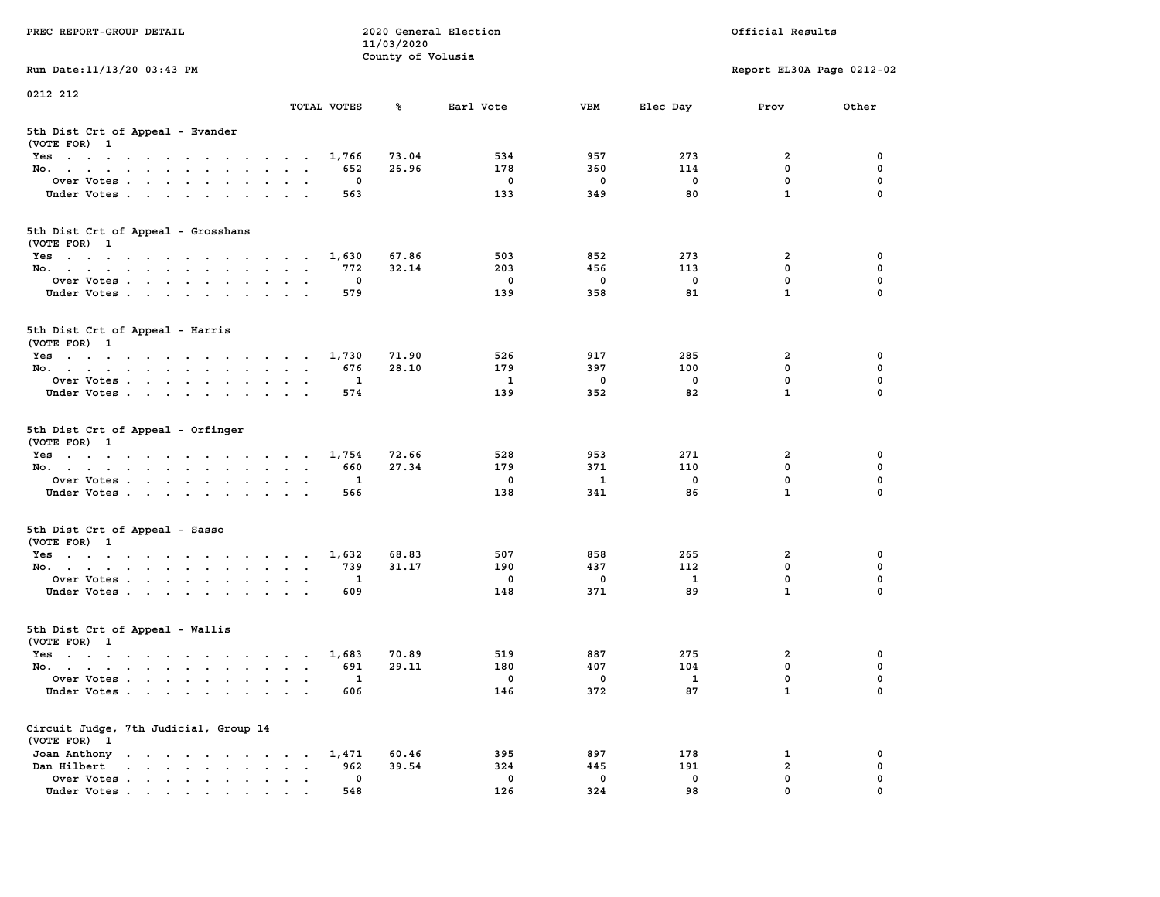| PREC REPORT-GROUP DETAIL                                                                                               |                                                       | 11/03/2020        | 2020 General Election |             | Official Results         |                           |             |  |  |
|------------------------------------------------------------------------------------------------------------------------|-------------------------------------------------------|-------------------|-----------------------|-------------|--------------------------|---------------------------|-------------|--|--|
| Run Date: 11/13/20 03:43 PM                                                                                            |                                                       | County of Volusia |                       |             |                          | Report EL30A Page 0212-02 |             |  |  |
| 0212 212                                                                                                               |                                                       |                   |                       |             |                          |                           |             |  |  |
|                                                                                                                        | TOTAL VOTES                                           | ℁                 | Earl Vote             | <b>VBM</b>  | Elec Day                 | Prov                      | Other       |  |  |
| 5th Dist Crt of Appeal - Evander<br>(VOTE FOR) 1                                                                       |                                                       |                   |                       |             |                          |                           |             |  |  |
| Yes                                                                                                                    | 1,766                                                 | 73.04             | 534                   | 957         | 273                      | 2                         | 0           |  |  |
| No.                                                                                                                    | 652                                                   | 26.96             | 178                   | 360         | 114                      | $\mathbf 0$               | 0           |  |  |
| Over Votes                                                                                                             | 0                                                     |                   | 0                     | 0           | 0                        | $\mathbf 0$               | 0           |  |  |
| Under Votes                                                                                                            | 563                                                   |                   | 133                   | 349         | 80                       | $\mathbf{1}$              | $\Omega$    |  |  |
| 5th Dist Crt of Appeal - Grosshans<br>(VOTE FOR) 1                                                                     |                                                       |                   |                       |             |                          |                           |             |  |  |
| Yes                                                                                                                    | 1,630                                                 | 67.86             | 503                   | 852         | 273                      | 2                         | 0           |  |  |
| No.                                                                                                                    | 772                                                   | 32.14             | 203                   | 456         | 113                      | $\mathbf 0$               | 0           |  |  |
| Over Votes                                                                                                             | 0                                                     |                   | $\mathbf 0$           | $\mathbf 0$ | $\mathbf 0$              | $\mathbf 0$               | 0           |  |  |
| Under Votes                                                                                                            | 579                                                   |                   | 139                   | 358         | 81                       | $\mathbf{1}$              | 0           |  |  |
| 5th Dist Crt of Appeal - Harris<br>(VOTE FOR) 1                                                                        |                                                       |                   |                       |             |                          |                           |             |  |  |
| Yes                                                                                                                    | 1,730                                                 | 71.90             | 526                   | 917         | 285                      | $\mathbf{2}$              | 0           |  |  |
| No.                                                                                                                    | 676                                                   | 28.10             | 179                   | 397         | 100                      | $\Omega$                  | $\mathbf 0$ |  |  |
| Over Votes                                                                                                             | 1                                                     |                   | 1                     | $\mathbf 0$ | $\mathbf 0$              | $\mathbf 0$               | 0           |  |  |
| Under Votes                                                                                                            | 574                                                   |                   | 139                   | 352         | 82                       | $\mathbf{1}$              | 0           |  |  |
| 5th Dist Crt of Appeal - Orfinger<br>(VOTE FOR) 1                                                                      |                                                       |                   |                       |             |                          |                           |             |  |  |
| Yes                                                                                                                    | 1,754                                                 | 72.66             | 528                   | 953         | 271                      | 2                         | 0           |  |  |
| No.                                                                                                                    | 660                                                   | 27.34             | 179                   | 371         | 110                      | $\mathbf 0$               | 0           |  |  |
| Over Votes                                                                                                             | 1                                                     |                   | 0                     | 1           | 0                        | $\mathbf 0$               | 0           |  |  |
| Under Votes                                                                                                            | 566                                                   |                   | 138                   | 341         | 86                       | $\mathbf{1}$              | $\Omega$    |  |  |
| 5th Dist Crt of Appeal - Sasso<br>(VOTE FOR) 1                                                                         |                                                       |                   |                       |             |                          |                           |             |  |  |
| Yes                                                                                                                    | 1,632                                                 | 68.83             | 507                   | 858         | 265                      | 2                         | 0           |  |  |
| No.                                                                                                                    | 739                                                   | 31.17             | 190                   | 437         | 112                      | $\mathbf 0$               | 0           |  |  |
| Over Votes                                                                                                             | 1                                                     |                   | 0                     | 0           | $\mathbf{1}$             | $\mathbf 0$               | 0           |  |  |
| Under Votes                                                                                                            | 609                                                   |                   | 148                   | 371         | 89                       | $\mathbf{1}$              | $\Omega$    |  |  |
| 5th Dist Crt of Appeal - Wallis<br>(VOTE FOR) 1                                                                        |                                                       |                   |                       |             |                          |                           |             |  |  |
| Yes<br>the contract of the contract of the contract of the contract of the contract of the contract of the contract of | 1,683                                                 | 70.89             | 519                   | 887         | 275                      | 2                         | 0           |  |  |
| No.                                                                                                                    | 691                                                   | 29.11             | 180                   | 407         | 104                      | $\mathbf 0$               | 0           |  |  |
| Over Votes                                                                                                             | $\mathbf{1}$                                          |                   | 0                     | 0           | $\overline{\phantom{0}}$ | $\mathbf 0$               | 0           |  |  |
| Under Votes.                                                                                                           | 606                                                   |                   | 146                   | 372         | 87                       | $\mathbf{1}$              | 0           |  |  |
| Circuit Judge, 7th Judicial, Group 14<br>(VOTE FOR) 1                                                                  |                                                       |                   |                       |             |                          |                           |             |  |  |
| Joan Anthony                                                                                                           | 1,471                                                 | 60.46             | 395                   | 897         | 178                      | 1                         | 0           |  |  |
| Dan Hilbert<br>and a state of the state of the state of the                                                            | 962<br>$\ddot{\phantom{a}}$<br>$\bullet$<br>$\bullet$ | 39.54             | 324                   | 445         | 191                      | $\overline{a}$            | 0           |  |  |
| Over Votes.                                                                                                            | 0                                                     |                   | 0                     | $\mathbf 0$ | 0                        | $\mathbf 0$               | 0           |  |  |
| Under Votes                                                                                                            | 548                                                   |                   | 126                   | 324         | 98                       | $\mathbf 0$               | 0           |  |  |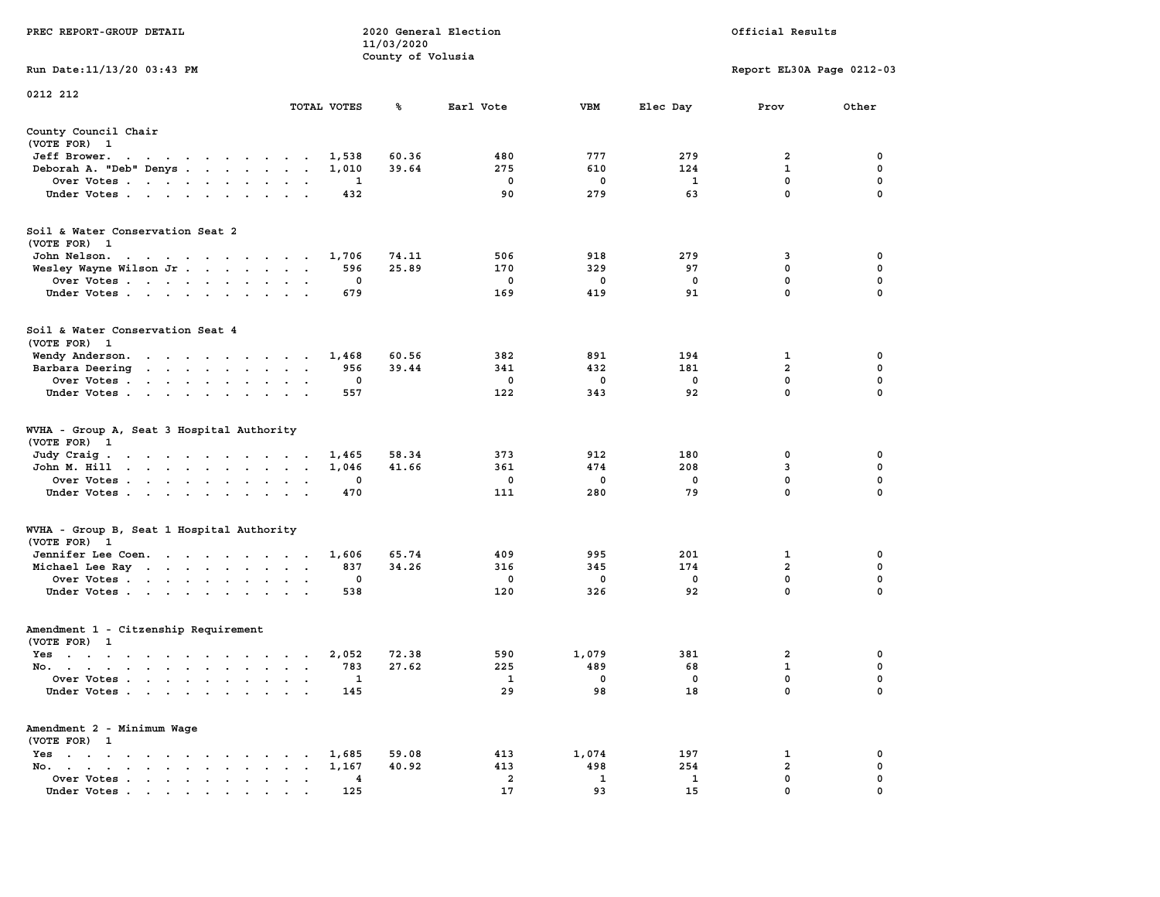|                                                                                                                                                                                                                                                       |                                                                 | 11/03/2020<br>County of Volusia |                |              |                   |                           |                            |
|-------------------------------------------------------------------------------------------------------------------------------------------------------------------------------------------------------------------------------------------------------|-----------------------------------------------------------------|---------------------------------|----------------|--------------|-------------------|---------------------------|----------------------------|
| Run Date:11/13/20 03:43 PM                                                                                                                                                                                                                            |                                                                 |                                 |                |              |                   | Report EL30A Page 0212-03 |                            |
| 0212 212                                                                                                                                                                                                                                              |                                                                 |                                 |                |              |                   |                           |                            |
|                                                                                                                                                                                                                                                       | TOTAL VOTES                                                     | ℁                               | Earl Vote      | VBM          | Elec Day          | Prov                      | Other                      |
| County Council Chair<br>(VOTE FOR) 1                                                                                                                                                                                                                  |                                                                 |                                 |                |              |                   |                           |                            |
| Jeff Brower.<br>$\mathcal{A}=\mathcal{A}=\mathcal{A}=\mathcal{A}=\mathcal{A}$ .<br>$\sim$ $\sim$<br>$\bullet$                                                                                                                                         | 1,538                                                           | 60.36                           | 480            | 777          | 279               | $\overline{2}$            | 0                          |
| Deborah A. "Deb" Denys                                                                                                                                                                                                                                | 1,010<br>$\bullet$                                              | 39.64                           | 275            | 610          | 124               | $\mathbf{1}$              | $\mathbf 0$                |
| Over Votes                                                                                                                                                                                                                                            | 1<br>$\bullet$<br>$\blacksquare$<br>$\cdot$                     |                                 | 0              | 0            | 1                 | 0                         | 0                          |
| Under Votes                                                                                                                                                                                                                                           | 432                                                             |                                 | 90             | 279          | 63                | $\mathbf{0}$              | 0                          |
| Soil & Water Conservation Seat 2                                                                                                                                                                                                                      |                                                                 |                                 |                |              |                   |                           |                            |
| (VOTE FOR) 1                                                                                                                                                                                                                                          |                                                                 |                                 |                |              |                   |                           |                            |
| John Nelson.<br>$\mathbf{a}$ and $\mathbf{a}$ are a set of the set of the set of the set of the set of the set of the set of the set of the set of the set of the set of the set of the set of the set of the set of the set of the set of the set of | 1,706                                                           | 74.11                           | 506            | 918          | 279               | 3                         | 0                          |
| Wesley Wayne Wilson Jr                                                                                                                                                                                                                                | 596                                                             | 25.89                           | 170            | 329          | 97                | 0                         | $\mathbf 0$                |
| Over Votes                                                                                                                                                                                                                                            | 0<br>$\overline{\phantom{a}}$                                   |                                 | 0              | 0            | 0                 | $\mathbf 0$               | $\mathbf 0$                |
| Under Votes<br>$\ddot{\phantom{a}}$                                                                                                                                                                                                                   | 679<br>$\ddot{\phantom{a}}$                                     |                                 | 169            | 419          | 91                | $\mathbf 0$               | $\mathbf 0$                |
| Soil & Water Conservation Seat 4<br>(VOTE FOR) 1                                                                                                                                                                                                      |                                                                 |                                 |                |              |                   |                           |                            |
| Wendy Anderson.<br>the contract of the contract of the                                                                                                                                                                                                | 1,468                                                           | 60.56                           | 382            | 891          | 194               | 1                         | 0                          |
| Barbara Deering                                                                                                                                                                                                                                       | 956<br>$\sim$<br>$\sim$<br>$\sim$                               | 39.44                           | 341            | 432          | 181               | $\overline{2}$            | $\mathbf 0$                |
| Over Votes<br>$\ddot{\phantom{a}}$                                                                                                                                                                                                                    | 0                                                               |                                 | 0              | 0            | $\mathbf 0$       | 0                         | $\mathbf 0$                |
| Under Votes<br>$\sim$                                                                                                                                                                                                                                 | 557<br>$\sim$                                                   |                                 | 122            | 343          | 92                | $\mathbf{0}$              | $\mathbf 0$                |
| WVHA - Group A, Seat 3 Hospital Authority<br>(VOTE FOR) 1                                                                                                                                                                                             |                                                                 |                                 |                |              |                   |                           |                            |
| Judy Craig.<br>the contract of the contract of the                                                                                                                                                                                                    | 1,465<br>$\sim$                                                 | 58.34                           | 373            | 912          | 180               | 0                         | 0                          |
| John M. Hill<br>the contract of the contract of the                                                                                                                                                                                                   | 1,046<br>$\bullet$<br>$\bullet$<br>$\ddot{\phantom{a}}$         | 41.66                           | 361            | 474          | 208               | 3                         | $\mathbf 0$                |
| Over Votes<br>$\sim$                                                                                                                                                                                                                                  | $\mathbf 0$                                                     |                                 | $\mathbf 0$    | $\mathbf 0$  | $\mathbf 0$       | $\mathbf{0}$              | $\mathbf 0$                |
| Under Votes<br>$\ddot{\phantom{a}}$                                                                                                                                                                                                                   | 470<br>$\ddot{\phantom{a}}$                                     |                                 | 111            | 280          | 79                | $\mathbf{0}$              | 0                          |
| WVHA - Group B, Seat 1 Hospital Authority                                                                                                                                                                                                             |                                                                 |                                 |                |              |                   |                           |                            |
| (VOTE FOR)<br>- 1                                                                                                                                                                                                                                     |                                                                 |                                 |                |              |                   |                           |                            |
| Jennifer Lee Coen.                                                                                                                                                                                                                                    | 1,606<br>837                                                    | 65.74<br>34.26                  | 409<br>316     | 995<br>345   | 201<br>174        | 1<br>$\overline{a}$       | 0<br>$\mathbf 0$           |
| Michael Lee Ray                                                                                                                                                                                                                                       | $\sim$ $\sim$ $\sim$<br>$\ddot{\phantom{a}}$<br>$\mathbf 0$     |                                 | 0              | 0            | $\mathbf 0$       | $\mathbf{0}$              | $\mathbf 0$                |
| Over Votes<br>Under Votes                                                                                                                                                                                                                             | 538                                                             |                                 | 120            | 326          | 92                | $\mathbf{0}$              | $\mathbf 0$                |
| $\ddot{\phantom{a}}$<br>$\cdot$                                                                                                                                                                                                                       |                                                                 |                                 |                |              |                   |                           |                            |
| Amendment 1 - Citzenship Requirement                                                                                                                                                                                                                  |                                                                 |                                 |                |              |                   |                           |                            |
| (VOTE FOR) 1                                                                                                                                                                                                                                          |                                                                 |                                 |                |              |                   |                           |                            |
| Yes                                                                                                                                                                                                                                                   | 2,052                                                           | 72.38                           | 590            | 1,079        | 381               | $\overline{2}$            | $\mathbf 0$                |
| No.                                                                                                                                                                                                                                                   | 783<br>$\sim$ $\sim$<br>$\sim$                                  | 27.62                           | 225            | 489          | 68                | $\mathbf{1}$              | $\mathbf 0$                |
| Over Votes<br>$\ddot{\phantom{a}}$<br>Under Votes                                                                                                                                                                                                     | 1<br>$\mathbf{r}$<br>$\cdot$<br>145                             |                                 | 1<br>29        | 0<br>98      | $\mathbf 0$<br>18 | 0<br>$\mathbf{0}$         | $\mathbf 0$<br>$\mathbf 0$ |
| Amendment 2 - Minimum Wage                                                                                                                                                                                                                            |                                                                 |                                 |                |              |                   |                           |                            |
| (VOTE FOR) 1                                                                                                                                                                                                                                          |                                                                 |                                 |                |              |                   |                           |                            |
| $Yes \t . \t .$<br>$\mathbf{u} = \mathbf{u} + \mathbf{u} + \mathbf{u} + \mathbf{u} + \mathbf{u} + \mathbf{u} + \mathbf{u}$<br>$\sim$ $\sim$                                                                                                           | 1,685<br>$\cdot$                                                | 59.08<br>40.92                  | 413<br>413     | 1,074<br>498 | 197<br>254        | 1<br>$\overline{a}$       | 0<br>0                     |
| No.<br>the contract of the contract of the contract of the contract of the contract of the contract of the contract of<br>$\mathbf{r} = \mathbf{r}$<br>$\cdot$                                                                                        | 1,167<br>$\bullet$                                              |                                 | $\overline{a}$ | $\mathbf{1}$ | $\mathbf{1}$      | $\mathbf{0}$              | $\mathbf 0$                |
| Over Votes<br>$\ddot{\phantom{a}}$<br>Under Votes                                                                                                                                                                                                     | 4<br>$\blacksquare$<br>$\bullet$<br>$\ddot{\phantom{a}}$<br>125 |                                 | 17             | 93           | 15                | $\mathbf{0}$              | $\mathbf 0$                |
|                                                                                                                                                                                                                                                       |                                                                 |                                 |                |              |                   |                           |                            |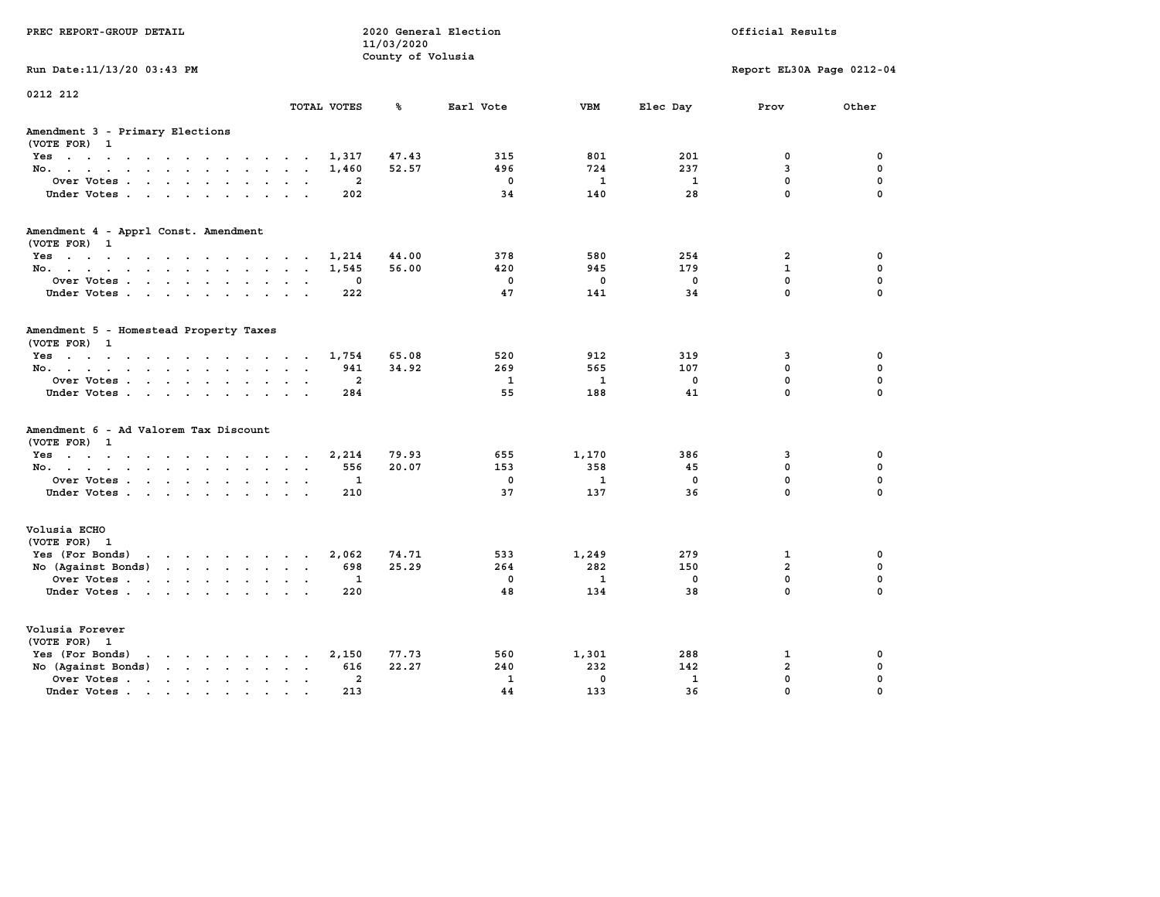| PREC REPORT-GROUP DETAIL                                                                                                                                                                                                                             |                         |                | 11/03/2020<br>County of Volusia | 2020 General Election |              |              | Official Results          |             |
|------------------------------------------------------------------------------------------------------------------------------------------------------------------------------------------------------------------------------------------------------|-------------------------|----------------|---------------------------------|-----------------------|--------------|--------------|---------------------------|-------------|
| Run Date: 11/13/20 03:43 PM                                                                                                                                                                                                                          |                         |                |                                 |                       |              |              | Report EL30A Page 0212-04 |             |
| 0212 212                                                                                                                                                                                                                                             |                         | TOTAL VOTES    | ℁                               | Earl Vote             | <b>VBM</b>   | Elec Day     | Prov                      | Other       |
| Amendment 3 - Primary Elections<br>(VOTE FOR) 1                                                                                                                                                                                                      |                         |                |                                 |                       |              |              |                           |             |
| Yes                                                                                                                                                                                                                                                  |                         | 1,317          | 47.43                           | 315                   | 801          | 201          | 0                         | 0           |
| No.                                                                                                                                                                                                                                                  |                         | 1,460          | 52.57                           | 496                   | 724          | 237          | 3                         | $\mathbf 0$ |
| Over Votes                                                                                                                                                                                                                                           |                         | 2              |                                 | $\mathbf 0$           | $\mathbf{1}$ | $\mathbf{1}$ | $\mathbf 0$               | $\mathbf 0$ |
| Under Votes                                                                                                                                                                                                                                          |                         | 202            |                                 | 34                    | 140          | 28           | $\mathbf 0$               | $\Omega$    |
| Amendment 4 - Apprl Const. Amendment                                                                                                                                                                                                                 |                         |                |                                 |                       |              |              |                           |             |
| (VOTE FOR) 1<br>Yes                                                                                                                                                                                                                                  |                         | 1,214          | 44.00                           | 378                   | 580          | 254          | $\overline{a}$            | 0           |
| No.                                                                                                                                                                                                                                                  |                         | 1,545          | 56.00                           | 420                   | 945          | 179          | 1                         | $\mathbf 0$ |
| Over Votes                                                                                                                                                                                                                                           |                         | 0              |                                 | $\mathbf 0$           | $\mathbf 0$  | $\mathbf 0$  | $\mathbf 0$               | $\mathbf 0$ |
| Under Votes                                                                                                                                                                                                                                          |                         | 222            |                                 | 47                    | 141          | 34           | $\mathbf 0$               | $\Omega$    |
| Amendment 5 - Homestead Property Taxes<br>(VOTE FOR) 1                                                                                                                                                                                               |                         |                |                                 |                       |              |              |                           |             |
| Yes                                                                                                                                                                                                                                                  |                         | 1,754          | 65.08                           | 520                   | 912          | 319          | 3                         | 0           |
| No.                                                                                                                                                                                                                                                  | $\cdot$ $\cdot$ $\cdot$ | 941            | 34.92                           | 269                   | 565          | 107          | 0                         | $\mathbf 0$ |
| Over Votes                                                                                                                                                                                                                                           | $\sim$ $\sim$           | $\mathbf{2}$   |                                 | $\mathbf{1}$          | $\mathbf{1}$ | $\mathbf 0$  | $\mathbf 0$               | $\mathbf 0$ |
| Under Votes                                                                                                                                                                                                                                          |                         | 284            |                                 | 55                    | 188          | 41           | $\mathbf 0$               | $\Omega$    |
| Amendment 6 - Ad Valorem Tax Discount<br>(VOTE FOR) 1                                                                                                                                                                                                |                         |                |                                 |                       |              |              |                           |             |
| $Yes \cdot \cdot \cdot \cdot \cdot \cdot \cdot \cdot \cdot \cdot \cdot \cdot$                                                                                                                                                                        |                         | 2,214          | 79.93                           | 655                   | 1,170        | 386          | 3                         | 0           |
| No.                                                                                                                                                                                                                                                  |                         | 556            | 20.07                           | 153                   | 358          | 45           | 0                         | 0           |
| Over Votes                                                                                                                                                                                                                                           |                         | $\mathbf 1$    |                                 | $\mathbf 0$           | $\mathbf{1}$ | 0            | $\mathbf 0$               | $\mathbf 0$ |
| Under Votes                                                                                                                                                                                                                                          |                         | 210            |                                 | 37                    | 137          | 36           | $\Omega$                  | $\Omega$    |
| Volusia ECHO<br>(VOTE FOR) 1                                                                                                                                                                                                                         |                         |                |                                 |                       |              |              |                           |             |
| Yes (For Bonds) $\cdots$ $\cdots$ $\cdots$ $\cdots$                                                                                                                                                                                                  |                         | 2,062          | 74.71                           | 533                   | 1,249        | 279          | $\mathbf{1}$              | 0           |
| No (Against Bonds)                                                                                                                                                                                                                                   |                         | 698            | 25.29                           | 264                   | 282          | 150          | $\overline{a}$            | $\mathbf 0$ |
| Over Votes                                                                                                                                                                                                                                           | $\sim$ $\sim$           | 1              |                                 | $\mathbf 0$           | $\mathbf{1}$ | 0            | $\mathbf 0$               | $\mathbf 0$ |
| Under Votes                                                                                                                                                                                                                                          |                         | 220            |                                 | 48                    | 134          | 38           | $\Omega$                  | $\Omega$    |
| Volusia Forever<br>(VOTE FOR) 1                                                                                                                                                                                                                      |                         |                |                                 |                       |              |              |                           |             |
| Yes (For Bonds)<br>$\mathbf{r}$ . The contract of the contract of the contract of the contract of the contract of the contract of the contract of the contract of the contract of the contract of the contract of the contract of the contract of th |                         | 2,150          | 77.73                           | 560                   | 1,301        | 288          | 1                         | 0           |
| No (Against Bonds)                                                                                                                                                                                                                                   | $\cdot$ $\cdot$         | 616            | 22.27                           | 240                   | 232          | 142          | $\overline{a}$            | $\mathbf 0$ |
| Over Votes.<br>the contract of the contract of                                                                                                                                                                                                       | $\ddot{\phantom{0}}$    | $\overline{a}$ |                                 | $\mathbf{1}$          | $\mathbf 0$  | $\mathbf{1}$ | $\mathbf 0$               | $\mathbf 0$ |
| Under Votes                                                                                                                                                                                                                                          | $\cdot$ $\cdot$         | 213            |                                 | 44                    | 133          | 36           | $\Omega$                  | $\Omega$    |
|                                                                                                                                                                                                                                                      |                         |                |                                 |                       |              |              |                           |             |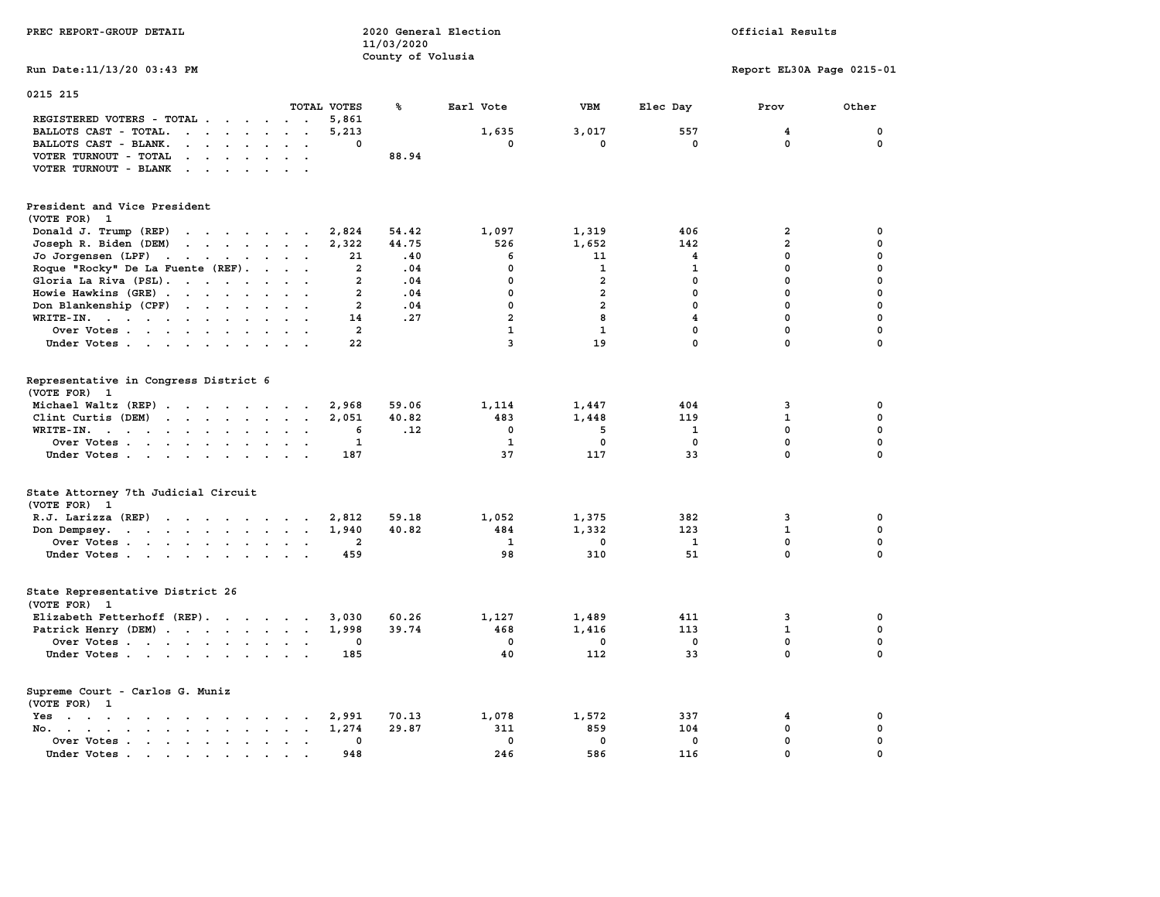| PREC REPORT-GROUP DETAIL                                                                                                                                                  |                                                    | 11/03/2020                      | 2020 General Election |                                        | Official Results                |                            |                                                     |                                 |  |
|---------------------------------------------------------------------------------------------------------------------------------------------------------------------------|----------------------------------------------------|---------------------------------|-----------------------|----------------------------------------|---------------------------------|----------------------------|-----------------------------------------------------|---------------------------------|--|
| Run Date: 11/13/20 03:43 PM                                                                                                                                               |                                                    |                                 | County of Volusia     |                                        |                                 |                            | Report EL30A Page 0215-01                           |                                 |  |
| 0215 215                                                                                                                                                                  |                                                    |                                 |                       |                                        |                                 |                            |                                                     |                                 |  |
|                                                                                                                                                                           | TOTAL VOTES                                        | ℁                               |                       | Earl Vote                              | VBM                             | Elec Day                   | Prov                                                | Other                           |  |
| REGISTERED VOTERS - TOTAL                                                                                                                                                 |                                                    | 5,861                           |                       |                                        |                                 |                            |                                                     |                                 |  |
| BALLOTS CAST - TOTAL.<br>$\cdot$ $\cdot$ $\cdot$ $\cdot$ $\cdot$ $\cdot$ $\cdot$ $\cdot$                                                                                  |                                                    | 5,213                           |                       | 1,635                                  | 3,017                           | 557                        | 4                                                   | 0                               |  |
| BALLOTS CAST - BLANK.<br>$\mathbf{r}$ . The set of $\mathbf{r}$<br>$\ddot{\phantom{0}}$                                                                                   | $\overline{\phantom{a}}$                           | 0                               |                       | 0                                      | 0                               | 0                          | $\mathbf 0$                                         | $\mathbf 0$                     |  |
| VOTER TURNOUT - TOTAL<br>$\mathbf{r}$ , $\mathbf{r}$ , $\mathbf{r}$ , $\mathbf{r}$ , $\mathbf{r}$ , $\mathbf{r}$                                                          |                                                    |                                 | 88.94                 |                                        |                                 |                            |                                                     |                                 |  |
| VOTER TURNOUT - BLANK<br>$\cdot$ $\cdot$ $\cdot$ $\cdot$ $\cdot$<br>$\ddot{\phantom{a}}$                                                                                  | $\ddot{\phantom{a}}$                               |                                 |                       |                                        |                                 |                            |                                                     |                                 |  |
| President and Vice President<br>(VOTE FOR)<br>$\mathbf{1}$                                                                                                                |                                                    |                                 |                       |                                        |                                 |                            |                                                     |                                 |  |
| Donald J. Trump (REP)<br>$\mathbf{r}$ , and $\mathbf{r}$ , and $\mathbf{r}$ , and $\mathbf{r}$                                                                            |                                                    | 2,824                           | 54.42                 | 1,097                                  | 1,319                           | 406                        | $\overline{\mathbf{2}}$                             | 0                               |  |
| Joseph R. Biden (DEM)<br>$\cdot$ $\cdot$ $\cdot$ $\cdot$ $\cdot$ $\cdot$ $\cdot$ $\cdot$                                                                                  |                                                    | 2,322                           | 44.75                 | 526                                    | 1,652                           | 142                        | $\overline{a}$                                      | $\mathbf 0$                     |  |
| Jo Jorgensen (LPF)<br>the contract of the contract of the                                                                                                                 |                                                    | 21                              | .40                   | 6                                      | 11                              | 4                          | $\mathbf{0}$                                        | $\mathbf 0$                     |  |
| Roque "Rocky" De La Fuente (REF).<br>$\ddot{\phantom{a}}$                                                                                                                 | $\cdot$ .                                          | $\mathbf{2}$                    | .04                   | 0                                      | $\mathbf{1}$                    | $\mathbf 1$                | $\Omega$                                            | $\mathbf 0$                     |  |
| Gloria La Riva (PSL).                                                                                                                                                     |                                                    | $\overline{a}$                  | .04                   | 0                                      | $\overline{a}$                  | $\mathbf 0$                | $\mathbf 0$                                         | $\mathbf 0$                     |  |
| Howie Hawkins (GRE)                                                                                                                                                       | $\cdot$ $\cdot$ $\cdot$                            | $\overline{2}$                  | .04                   | 0                                      | $\overline{a}$                  | $\mathbf 0$                | $\mathbf 0$                                         | 0                               |  |
| Don Blankenship (CPF)<br>$\mathcal{A}=\mathcal{A}=\mathcal{A}=\mathcal{A}$ .<br>$\mathbf{r}$                                                                              | $\cdot$ .                                          | $\overline{a}$                  | .04                   | 0                                      | $\overline{a}$                  | $\mathbf 0$                | $\mathbf{0}$                                        | $\mathbf 0$                     |  |
| WRITE-IN.                                                                                                                                                                 |                                                    | 14                              | .27                   | $\overline{a}$                         | 8                               | $\overline{\mathbf{4}}$    | $\mathbf 0$                                         | $\mathbf 0$                     |  |
| Over Votes                                                                                                                                                                | $\sim$ $\sim$                                      | 2                               |                       | $\mathbf{1}$                           | $\mathbf{1}$                    | $\mathbf 0$                | $\mathbf 0$                                         | $\mathbf 0$                     |  |
| Under Votes                                                                                                                                                               |                                                    | 22                              |                       | $\overline{3}$                         | 19                              | $\mathbf 0$                | $\mathbf{0}$                                        | $\mathbf 0$                     |  |
| Representative in Congress District 6<br>(VOTE FOR) 1<br>Michael Waltz (REP)<br>Clint Curtis (DEM)<br>$\mathbf{r}$<br>WRITE-IN.<br>Over Votes<br>$\bullet$<br>Under Votes | $\ddotsc$<br>$\sim$ $\sim$<br>$\ddot{\phantom{a}}$ | 2,968<br>2,051<br>6<br>1<br>187 | 59.06<br>40.82<br>.12 | 1,114<br>483<br>$\mathbf 0$<br>1<br>37 | 1,447<br>1,448<br>5<br>0<br>117 | 404<br>119<br>1<br>0<br>33 | 3<br>$\mathbf 1$<br>$\mathbf 0$<br>$\mathbf 0$<br>0 | 0<br>0<br>0<br>0<br>$\mathbf 0$ |  |
| State Attorney 7th Judicial Circuit<br>(VOTE FOR)<br>$\mathbf{1}$                                                                                                         |                                                    |                                 |                       |                                        |                                 |                            |                                                     |                                 |  |
| R.J. Larizza (REP)<br>the contract of the contract of the contract of the contract of the contract of the contract of the contract of                                     |                                                    | 2,812                           | 59.18                 | 1,052                                  | 1,375                           | 382                        | 3                                                   | 0                               |  |
| Don Dempsey.                                                                                                                                                              | $\overline{\phantom{a}}$                           | 1,940                           | 40.82                 | 484                                    | 1,332                           | 123                        | $\mathbf{1}$                                        | $\mathbf 0$                     |  |
| Over Votes                                                                                                                                                                | $\sim$ $\sim$                                      | 2                               |                       | 1                                      | 0                               | 1                          | $\mathbf 0$                                         | $\mathbf 0$                     |  |
| Under Votes                                                                                                                                                               | $\sim$ $\sim$                                      | 459                             |                       | 98                                     | 310                             | 51                         | 0                                                   | $\mathbf 0$                     |  |
| State Representative District 26<br>(VOTE FOR)<br>$\mathbf{1}$                                                                                                            |                                                    |                                 |                       |                                        |                                 |                            |                                                     |                                 |  |
| Elizabeth Fetterhoff (REP).                                                                                                                                               |                                                    | 3,030                           | 60.26                 | 1,127                                  | 1,489                           | 411                        | 3                                                   | 0                               |  |
| Patrick Henry (DEM)                                                                                                                                                       |                                                    | 1,998                           | 39.74                 | 468                                    | 1,416                           | 113                        | $\mathbf 1$                                         | $\mathbf 0$                     |  |
| Over Votes                                                                                                                                                                |                                                    | 0                               |                       | $\mathbf 0$                            | 0                               | $\mathbf 0$                | $\mathbf 0$                                         | $\mathbf 0$                     |  |
| Under Votes                                                                                                                                                               |                                                    | 185                             |                       | 40                                     | 112                             | 33                         | $\mathbf{0}$                                        | $\mathbf 0$                     |  |
| Supreme Court - Carlos G. Muniz<br>(VOTE FOR) 1                                                                                                                           |                                                    |                                 |                       |                                        |                                 |                            |                                                     |                                 |  |
| Yes<br>the contract of the contract of the contract of the contract of the contract of the contract of the contract of                                                    |                                                    | 2,991                           | 70.13                 | 1,078                                  | 1,572                           | 337                        | 4                                                   | 0                               |  |
| No.<br>$\cdot$ $\cdot$ $\cdot$ $\cdot$ $\cdot$ $\cdot$ $\cdot$<br>$\sim$                                                                                                  | $\sim$                                             | 1,274                           | 29.87                 | 311                                    | 859                             | 104                        | 0                                                   | 0                               |  |
| Over Votes<br>$\bullet$                                                                                                                                                   | $\ddot{\phantom{a}}$                               | 0                               |                       | $\mathbf 0$                            | $\mathbf 0$                     | $\mathbf 0$                | $\mathbf 0$                                         | $\mathbf 0$                     |  |
| Under Votes<br>$\blacksquare$                                                                                                                                             |                                                    | 948                             |                       | 246                                    | 586                             | 116                        | $\mathbf 0$                                         | $\mathbf 0$                     |  |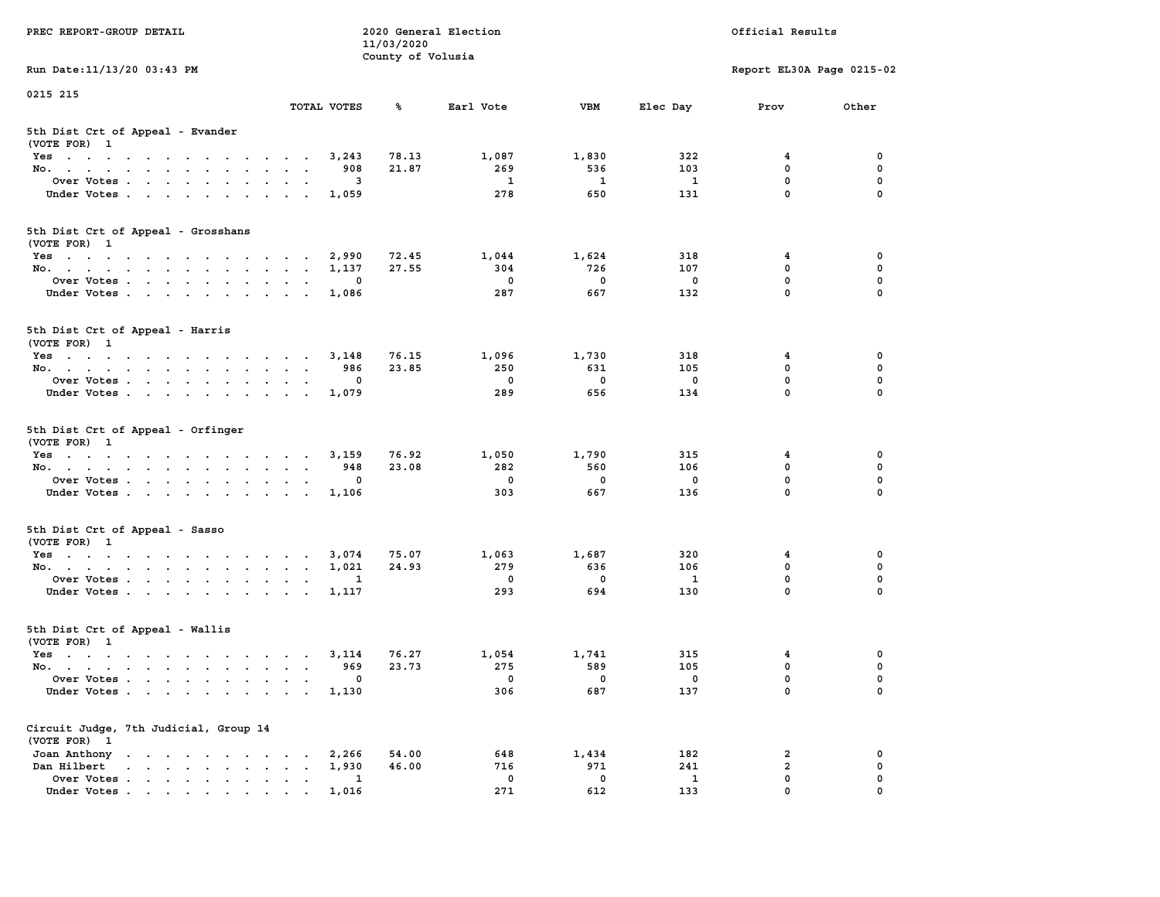| PREC REPORT-GROUP DETAIL                                                                                                                        | 2020 General Election<br>Official Results<br>11/03/2020<br>County of Volusia |       |                 |              |                         |                           |                  |  |
|-------------------------------------------------------------------------------------------------------------------------------------------------|------------------------------------------------------------------------------|-------|-----------------|--------------|-------------------------|---------------------------|------------------|--|
| Run Date:11/13/20 03:43 PM                                                                                                                      |                                                                              |       |                 |              |                         | Report EL30A Page 0215-02 |                  |  |
| 0215 215                                                                                                                                        | TOTAL VOTES                                                                  | ℁     | Earl Vote       | VBM          | Elec Day                | Prov                      | Other            |  |
| 5th Dist Crt of Appeal - Evander<br>(VOTE FOR) 1                                                                                                |                                                                              |       |                 |              |                         |                           |                  |  |
| Yes                                                                                                                                             | 3,243                                                                        | 78.13 | 1,087           | 1,830        | 322                     | $\overline{\mathbf{4}}$   | $\mathbf 0$      |  |
| No.                                                                                                                                             | 908                                                                          | 21.87 | 269             | 536          | 103                     | 0                         | $\mathbf 0$      |  |
| Over Votes<br>$\ddot{\phantom{0}}$                                                                                                              | 3                                                                            |       | $\mathbf{1}$    | $\mathbf{1}$ | $\mathbf{1}$            | 0                         | 0                |  |
| Under Votes<br>$\sim$<br>$\sim$                                                                                                                 | 1,059<br>$\sim$                                                              |       | 278             | 650          | 131                     | $\mathbf 0$               | $\mathbf 0$      |  |
| 5th Dist Crt of Appeal - Grosshans<br>(VOTE FOR) 1                                                                                              |                                                                              |       |                 |              |                         |                           |                  |  |
| Yes                                                                                                                                             | 2,990                                                                        | 72.45 | 1,044           | 1,624        | 318                     | 4                         | 0                |  |
| No.                                                                                                                                             | 1,137                                                                        | 27.55 | 304             | 726          | 107                     | 0                         | $\mathbf 0$      |  |
| Over Votes                                                                                                                                      | 0                                                                            |       | $\mathbf 0$     | $\mathbf 0$  | $\mathbf 0$             | $\mathbf 0$               | $\mathbf 0$      |  |
| Under Votes<br>$\sim$ $\sim$<br>$\sim$<br>$\blacksquare$<br>$\bullet$                                                                           | 1,086                                                                        |       | 287             | 667          | 132                     | $\mathbf 0$               | $\mathbf 0$      |  |
| 5th Dist Crt of Appeal - Harris<br>(VOTE FOR) 1                                                                                                 |                                                                              |       |                 |              |                         |                           |                  |  |
| Yes                                                                                                                                             | 3,148                                                                        | 76.15 | 1,096           | 1,730        | 318                     | 4                         | 0                |  |
| No.                                                                                                                                             | 986                                                                          | 23.85 | 250             | 631          | 105                     | 0                         | 0                |  |
| Over Votes                                                                                                                                      | 0<br>$\bullet$<br>$\blacksquare$ .<br>$\ddot{\phantom{a}}$                   |       | 0               | 0            | 0                       | 0                         | 0                |  |
| Under Votes                                                                                                                                     | 1,079                                                                        |       | 289             | 656          | 134                     | $\mathbf{0}$              | $\mathbf 0$      |  |
| 5th Dist Crt of Appeal - Orfinger<br>(VOTE FOR) 1                                                                                               |                                                                              |       |                 |              |                         |                           |                  |  |
| Yes                                                                                                                                             | 3,159                                                                        | 76.92 | 1,050           | 1,790        | 315                     | 4                         | 0                |  |
| No.<br>$\cdots$<br>$\ddot{\phantom{a}}$                                                                                                         | 948                                                                          | 23.08 | 282             | 560          | 106                     | $\mathbf 0$               | $\pmb{0}$        |  |
| Over Votes                                                                                                                                      | 0<br>$\bullet$ .<br>$\overline{\phantom{a}}$                                 |       | $\mathbf 0$     | $\mathbf 0$  | $\overline{\mathbf{0}}$ | $\mathbf 0$               | $\mathbf 0$      |  |
| Under Votes<br>$\sim$                                                                                                                           | 1,106<br>$\bullet$<br>$\bullet$                                              |       | 303             | 667          | 136                     | 0                         | 0                |  |
| 5th Dist Crt of Appeal - Sasso<br>(VOTE FOR) 1                                                                                                  |                                                                              |       |                 |              |                         |                           |                  |  |
| Yes                                                                                                                                             | 3,074                                                                        | 75.07 | 1,063           | 1,687        | 320                     | 4                         | 0                |  |
| No.                                                                                                                                             | 1,021<br>$\sim$                                                              | 24.93 | 279             | 636          | 106                     | $\mathbf 0$               | $\mathbf 0$      |  |
| Over Votes<br>$\ddot{\phantom{0}}$                                                                                                              | 1                                                                            |       | $\mathbf 0$     | $\mathbf 0$  | $\mathbf{1}$            | $\mathbf 0$               | $\mathbf 0$      |  |
| Under Votes                                                                                                                                     | 1,117                                                                        |       | 293             | 694          | 130                     | $\mathbf{0}$              | $\mathbf 0$      |  |
| 5th Dist Crt of Appeal - Wallis<br>(VOTE FOR) 1                                                                                                 |                                                                              |       |                 |              |                         |                           |                  |  |
| Yes                                                                                                                                             | 3,114                                                                        | 76.27 | 1,054           | 1,741        | 315                     | 4                         | 0                |  |
| No.                                                                                                                                             | 969                                                                          | 23.73 | 275             | 589          | 105                     | $\mathbf 0$               | $\mathbf 0$      |  |
| Over Votes<br>Under Votes<br>$\ddot{\phantom{0}}$<br>$\ddot{\phantom{0}}$                                                                       | 0<br>$\bullet$<br>1,130<br>$\sim$<br>$\cdot$<br>$\ddot{\phantom{a}}$         |       | $\Omega$<br>306 | 0<br>687     | $\Omega$<br>137         | $\mathbf 0$<br>0          | $\mathbf 0$<br>0 |  |
| Circuit Judge, 7th Judicial, Group 14                                                                                                           |                                                                              |       |                 |              |                         |                           |                  |  |
| (VOTE FOR) 1<br>Joan Anthony<br>the contract of the contract of the contract of the contract of the contract of the contract of the contract of | 2,266                                                                        | 54.00 | 648             | 1,434        | 182                     | 2                         | 0                |  |
| Dan Hilbert<br>and a series and a series of the                                                                                                 | 1,930                                                                        | 46.00 | 716             | 971          | 241                     | $\overline{a}$            | 0                |  |
| Over Votes<br>$\ddot{\phantom{a}}$                                                                                                              | 1<br>$\ddot{\phantom{0}}$<br>$\bullet$<br>$\bullet$                          |       | $\mathbf 0$     | $\mathbf 0$  | 1                       | $\mathbf 0$               | $\mathbf 0$      |  |
| Under Votes.                                                                                                                                    | 1,016                                                                        |       | 271             | 612          | 133                     | $\mathbf{0}$              | $\mathbf 0$      |  |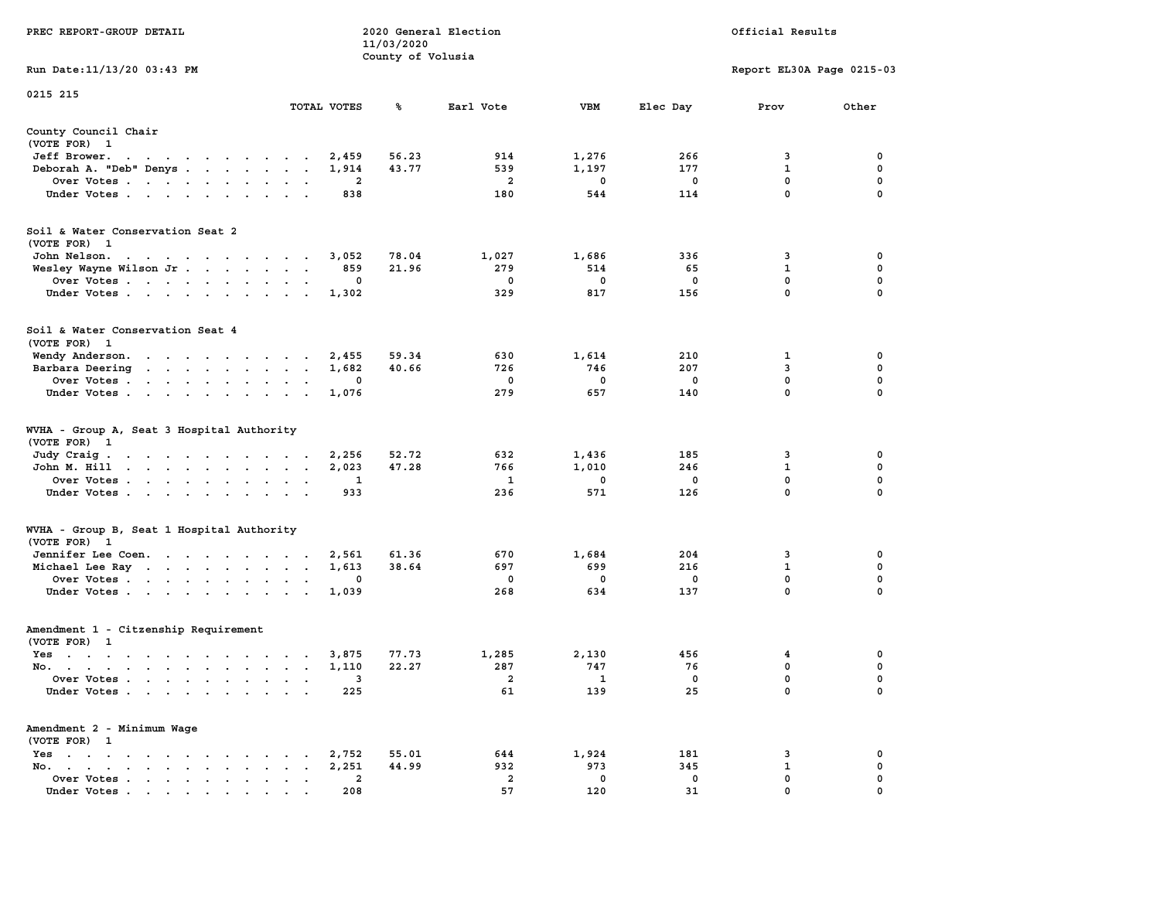| PREC REPORT-GROUP DETAIL                                                                                               |                      |                | 11/03/2020<br>County of Volusia | 2020 General Election | Official Results         |                         |                           |             |  |
|------------------------------------------------------------------------------------------------------------------------|----------------------|----------------|---------------------------------|-----------------------|--------------------------|-------------------------|---------------------------|-------------|--|
| Run Date: 11/13/20 03:43 PM                                                                                            |                      |                |                                 |                       |                          |                         | Report EL30A Page 0215-03 |             |  |
| 0215 215                                                                                                               |                      | TOTAL VOTES    | ℁                               | Earl Vote             | <b>VBM</b>               | Elec Day                | Prov                      | Other       |  |
| County Council Chair                                                                                                   |                      |                |                                 |                       |                          |                         |                           |             |  |
| (VOTE FOR) 1                                                                                                           |                      |                |                                 |                       |                          |                         |                           |             |  |
| Jeff Brower.                                                                                                           |                      | 2,459          | 56.23                           | 914                   | 1,276                    | 266                     | 3                         | 0           |  |
| Deborah A. "Deb" Denys                                                                                                 |                      | 1,914          | 43.77                           | 539                   | 1,197                    | 177                     | $\mathbf{1}$              | 0           |  |
| Over Votes                                                                                                             |                      | 2              |                                 | 2                     | 0                        | 0                       | 0                         | 0           |  |
| Under Votes                                                                                                            |                      | 838            |                                 | 180                   | 544                      | 114                     | 0                         | $\Omega$    |  |
| Soil & Water Conservation Seat 2<br>(VOTE FOR) 1                                                                       |                      |                |                                 |                       |                          |                         |                           |             |  |
| John Nelson.                                                                                                           |                      |                | 78.04                           | 1,027                 | 1,686                    | 336                     | 3                         | 0           |  |
| Wesley Wayne Wilson Jr                                                                                                 |                      | 3,052<br>859   | 21.96                           | 279                   | 514                      | 65                      | $\mathbf 1$               | $\mathbf 0$ |  |
| Over Votes                                                                                                             |                      | 0              |                                 | 0                     | $\mathbf 0$              | $\mathbf 0$             | 0                         | 0           |  |
| Under Votes                                                                                                            |                      | 1,302          |                                 | 329                   | 817                      | 156                     | 0                         | 0           |  |
|                                                                                                                        |                      |                |                                 |                       |                          |                         |                           |             |  |
| Soil & Water Conservation Seat 4<br>(VOTE FOR) 1                                                                       |                      |                |                                 |                       |                          |                         |                           |             |  |
| Wendy Anderson.                                                                                                        |                      | 2,455          | 59.34                           | 630                   | 1,614                    | 210                     | 1                         | 0           |  |
| Barbara Deering                                                                                                        |                      | 1,682          | 40.66                           | 726                   | 746                      | 207                     | 3                         | 0           |  |
| Over Votes                                                                                                             |                      | 0              |                                 | 0                     | 0                        | 0                       | 0                         | 0           |  |
| Under Votes                                                                                                            |                      | 1,076          |                                 | 279                   | 657                      | 140                     | 0                         | $\Omega$    |  |
| WVHA - Group A, Seat 3 Hospital Authority                                                                              |                      |                |                                 |                       |                          |                         |                           |             |  |
| (VOTE FOR) 1                                                                                                           |                      |                | 52.72                           | 632                   | 1,436                    | 185                     | 3                         | 0           |  |
| Judy Craig.<br>John M. Hill                                                                                            |                      | 2,256<br>2,023 | 47.28                           | 766                   | 1,010                    | 246                     | $\mathbf{1}$              | 0           |  |
| Over Votes                                                                                                             |                      | 1              |                                 | 1                     | 0                        | 0                       | 0                         | $\mathbf 0$ |  |
| Under Votes                                                                                                            |                      | 933            |                                 | 236                   | 571                      | 126                     | 0                         | 0           |  |
|                                                                                                                        |                      |                |                                 |                       |                          |                         |                           |             |  |
| WVHA - Group B, Seat 1 Hospital Authority<br>(VOTE FOR)<br>- 1                                                         |                      |                |                                 |                       |                          |                         |                           |             |  |
| Jennifer Lee Coen.                                                                                                     |                      | 2,561          | 61.36                           | 670                   | 1,684                    | 204                     | 3                         | 0           |  |
| Michael Lee Ray                                                                                                        |                      | 1,613          | 38.64                           | 697                   | 699                      | 216                     | $\mathbf 1$               | $\mathbf 0$ |  |
| Over Votes                                                                                                             |                      | 0              |                                 | 0                     | 0                        | 0                       | 0                         | 0           |  |
| Under Votes                                                                                                            |                      | 1,039          |                                 | 268                   | 634                      | 137                     | 0                         | 0           |  |
| Amendment 1 - Citzenship Requirement                                                                                   |                      |                |                                 |                       |                          |                         |                           |             |  |
| (VOTE FOR) 1                                                                                                           |                      |                |                                 |                       |                          |                         |                           |             |  |
| the contract of the contract of the contract of the contract of the contract of the contract of the contract of<br>Yes |                      | 3,875          | 77.73                           | 1,285                 | 2,130                    | 456                     | 4                         | 0           |  |
| No.                                                                                                                    |                      | 1,110          | 22.27                           | 287                   | 747                      | 76                      | 0                         | $\mathbf 0$ |  |
| Over Votes                                                                                                             |                      | $\mathbf{3}$   |                                 | $\overline{a}$        | $\overline{\phantom{a}}$ | $\overline{\mathbf{0}}$ | $\Omega$                  | $\Omega$    |  |
| Under Votes                                                                                                            |                      | 225            |                                 | 61                    | 139                      | 25                      | 0                         | 0           |  |
| Amendment 2 - Minimum Wage                                                                                             |                      |                |                                 |                       |                          |                         |                           |             |  |
| (VOTE FOR) 1                                                                                                           |                      |                |                                 |                       |                          |                         |                           |             |  |
| Yes                                                                                                                    |                      | 2,752          | 55.01                           | 644                   | 1,924                    | 181                     | 3                         | 0           |  |
| No.                                                                                                                    | $\ddot{\phantom{0}}$ | 2,251          | 44.99                           | 932                   | 973                      | 345                     | 1                         | 0           |  |
| Over Votes                                                                                                             |                      | 2              |                                 | $\overline{a}$        | 0                        | 0                       | 0                         | 0           |  |
| Under Votes.                                                                                                           |                      | 208            |                                 | 57                    | 120                      | 31                      | 0                         |             |  |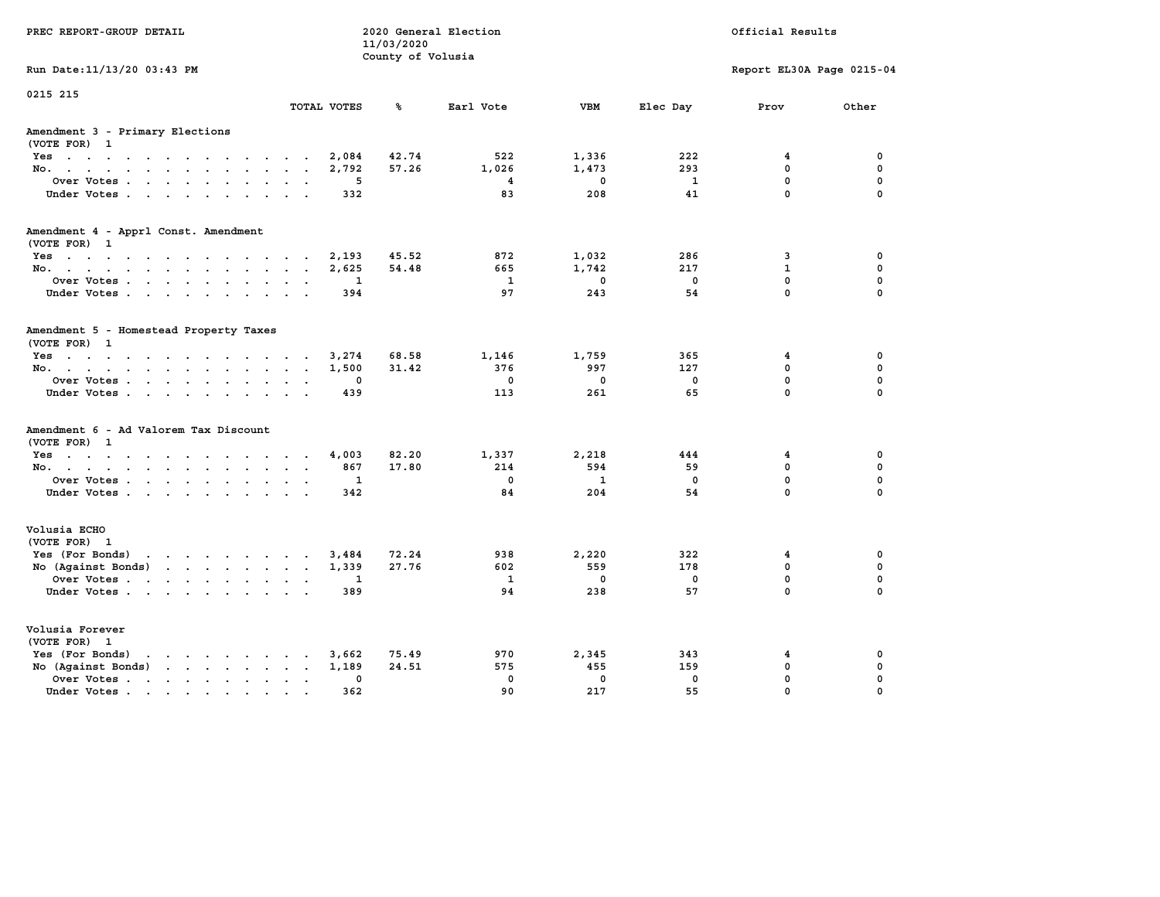| PREC REPORT-GROUP DETAIL                                                                 |                           |                                 | 2020 General Election |              |              | Official Results          |              |  |
|------------------------------------------------------------------------------------------|---------------------------|---------------------------------|-----------------------|--------------|--------------|---------------------------|--------------|--|
|                                                                                          |                           | 11/03/2020<br>County of Volusia |                       |              |              |                           |              |  |
| Run Date: 11/13/20 03:43 PM                                                              |                           |                                 |                       |              |              | Report EL30A Page 0215-04 |              |  |
|                                                                                          |                           |                                 |                       |              |              |                           |              |  |
| 0215 215                                                                                 |                           |                                 |                       |              |              |                           |              |  |
|                                                                                          | TOTAL VOTES               | ℁                               | Earl Vote             | <b>VBM</b>   | Elec Day     | Prov                      | Other        |  |
| Amendment 3 - Primary Elections                                                          |                           |                                 |                       |              |              |                           |              |  |
| (VOTE FOR) 1                                                                             |                           |                                 |                       |              |              |                           |              |  |
| Yes                                                                                      | 2,084<br>$\sim$           | 42.74                           | 522                   | 1,336        | 222          | 4                         | 0            |  |
| No.                                                                                      | 2,792<br>$\cdot$ $\cdot$  | 57.26                           | 1,026                 | 1,473        | 293          | $\mathbf{0}$              | 0            |  |
| Over Votes                                                                               | 5                         |                                 | 4                     | $\mathbf{0}$ | $\mathbf{1}$ | $\mathbf 0$               | $\mathbf 0$  |  |
| Under Votes                                                                              | 332                       |                                 | 83                    | 208          | 41           | $\mathbf 0$               | $\mathbf 0$  |  |
| Amendment 4 - Apprl Const. Amendment                                                     |                           |                                 |                       |              |              |                           |              |  |
| (VOTE FOR) 1                                                                             |                           |                                 |                       |              |              |                           |              |  |
| Yes                                                                                      | 2,193                     | 45.52                           | 872                   | 1,032        | 286          | 3                         | $\mathbf 0$  |  |
| No.                                                                                      | 2,625                     | 54.48                           | 665                   | 1,742        | 217          | $\mathbf{1}$              | 0            |  |
| Over Votes.                                                                              | $\mathbf{1}$              |                                 | 1                     | $\mathbf{0}$ | $\mathbf{0}$ | $\mathbf 0$               | $\mathbf 0$  |  |
| Under Votes                                                                              | 394                       |                                 | 97                    | 243          | 54           | $\mathbf 0$               | $\mathbf{0}$ |  |
| Amendment 5 - Homestead Property Taxes                                                   |                           |                                 |                       |              |              |                           |              |  |
| (VOTE FOR) 1                                                                             |                           |                                 |                       |              |              |                           |              |  |
| Yes                                                                                      | 3,274                     | 68.58                           | 1,146                 | 1,759        | 365          | 4                         | $\mathbf 0$  |  |
| No.                                                                                      | 1,500<br>$\sim$ $\sim$    | 31.42                           | 376                   | 997          | 127          | $\mathbf 0$               | $\mathbf 0$  |  |
| Over Votes                                                                               | $\mathbf{0}$              |                                 | $\mathbf{0}$          | $\mathbf{0}$ | $^{\circ}$   | $\mathbf 0$               | $\mathbf 0$  |  |
| Under Votes.                                                                             | 439                       |                                 | 113                   | 261          | 65           | $\Omega$                  | $\mathbf{0}$ |  |
| Amendment 6 - Ad Valorem Tax Discount                                                    |                           |                                 |                       |              |              |                           |              |  |
| (VOTE FOR) 1                                                                             |                           |                                 |                       |              |              |                           |              |  |
| Yes                                                                                      | 4,003                     | 82.20                           | 1,337                 | 2,218        | 444          | 4                         | 0            |  |
| No.                                                                                      | 867                       | 17.80                           | 214                   | 594          | 59           | $\mathbf 0$               | 0            |  |
| Over Votes                                                                               | 1                         |                                 | $\mathbf{0}$          | $\mathbf{1}$ | $\mathbf 0$  | $\mathbf 0$               | 0            |  |
| Under Votes                                                                              | 342                       |                                 | 84                    | 204          | 54           | $\mathbf 0$               | 0            |  |
| Volusia ECHO                                                                             |                           |                                 |                       |              |              |                           |              |  |
| (VOTE FOR) 1                                                                             |                           |                                 |                       |              |              |                           |              |  |
| Yes (For Bonds)<br>$\mathbf{r}$ , and $\mathbf{r}$ , and $\mathbf{r}$ , and $\mathbf{r}$ | 3,484                     | 72.24                           | 938                   | 2,220        | 322          | 4                         | $\mathbf 0$  |  |
| No (Against Bonds)                                                                       | 1,339                     | 27.76                           | 602                   | 559          | 178          | $\mathbf{0}$              | $\mathbf 0$  |  |
| Over Votes                                                                               | 1<br>$\cdot$ $\cdot$      |                                 | $\mathbf{1}$          | $\mathbf 0$  | $\mathbf 0$  | $\mathbf 0$<br>$\Omega$   | 0            |  |
| Under Votes                                                                              | 389                       |                                 | 94                    | 238          | 57           |                           | 0            |  |
| Volusia Forever                                                                          |                           |                                 |                       |              |              |                           |              |  |
| (VOTE FOR) 1                                                                             |                           |                                 |                       |              |              |                           |              |  |
| $\mathbf{r}$ , and $\mathbf{r}$ , and $\mathbf{r}$ , and $\mathbf{r}$<br>Yes (For Bonds) | 3,662                     | 75.49                           | 970                   | 2,345        | 343          | 4                         | 0            |  |
| No (Against Bonds)                                                                       | 1,189<br>$\cdot$ $\cdot$  | 24.51                           | 575                   | 455          | 159          | $\mathbf 0$               | $\mathbf 0$  |  |
| Over Votes                                                                               | 0<br>$\ddot{\phantom{0}}$ |                                 | $\mathbf 0$           | $\mathbf{0}$ | 0            | $\mathbf 0$               | 0            |  |
| Under Votes                                                                              | 362                       |                                 | 90                    | 217          | 55           | $\mathbf 0$               | 0            |  |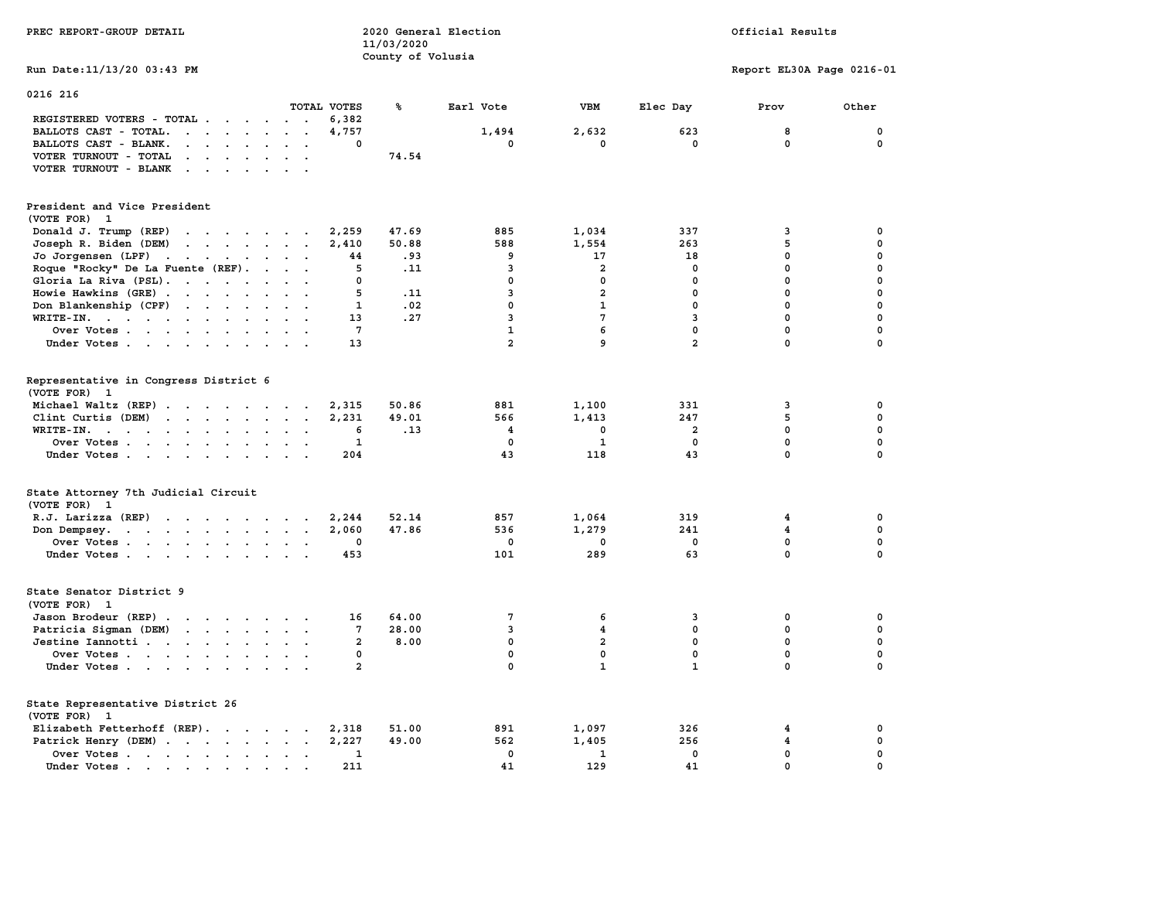| PREC REPORT-GROUP DETAIL                                                                                                                                                                                                                                |                   | 11/03/2020        | 2020 General Election | Official Results      |                         |                           |                  |
|---------------------------------------------------------------------------------------------------------------------------------------------------------------------------------------------------------------------------------------------------------|-------------------|-------------------|-----------------------|-----------------------|-------------------------|---------------------------|------------------|
| Run Date: 11/13/20 03:43 PM                                                                                                                                                                                                                             |                   | County of Volusia |                       |                       |                         | Report EL30A Page 0216-01 |                  |
| 0216 216                                                                                                                                                                                                                                                |                   |                   |                       |                       |                         |                           |                  |
|                                                                                                                                                                                                                                                         | TOTAL VOTES       | ℁                 | Earl Vote             | <b>VBM</b>            | Elec Day                | Prov                      | Other            |
| REGISTERED VOTERS - TOTAL                                                                                                                                                                                                                               | 6,382             |                   |                       |                       |                         |                           |                  |
| BALLOTS CAST - TOTAL.<br>$\sim$<br>$\ddot{\phantom{a}}$                                                                                                                                                                                                 | 4,757<br>$\Omega$ |                   | 1,494<br>$\mathbf 0$  | 2,632<br>$\mathbf{0}$ | 623<br>$\mathbf 0$      | 8<br>$\mathbf 0$          | 0<br>$\mathbf 0$ |
| BALLOTS CAST - BLANK.<br>$\cdot$ $\cdot$ $\cdot$ $\cdot$ $\cdot$                                                                                                                                                                                        |                   |                   |                       |                       |                         |                           |                  |
| VOTER TURNOUT - TOTAL<br>$\sim$<br>$\cdot$ $\cdot$                                                                                                                                                                                                      |                   | 74.54             |                       |                       |                         |                           |                  |
| VOTER TURNOUT - BLANK<br>$\mathbf{r}$ , $\mathbf{r}$ , $\mathbf{r}$ , $\mathbf{r}$                                                                                                                                                                      |                   |                   |                       |                       |                         |                           |                  |
| President and Vice President                                                                                                                                                                                                                            |                   |                   |                       |                       |                         |                           |                  |
| (VOTE FOR)<br>$\mathbf{1}$                                                                                                                                                                                                                              |                   |                   |                       |                       |                         |                           |                  |
| Donald J. Trump (REP)<br>$\cdots$                                                                                                                                                                                                                       | 2,259             | 47.69             | 885                   | 1,034                 | 337                     | 3                         | 0                |
| Joseph R. Biden (DEM)<br>$\mathbf{r}$ , $\mathbf{r}$ , $\mathbf{r}$ , $\mathbf{r}$ , $\mathbf{r}$                                                                                                                                                       | 2,410             | 50.88             | 588                   | 1,554                 | 263                     | 5                         | 0                |
| Jo Jorgensen (LPF)<br>$\mathbf{r}$ . The contract of the contract of the contract of the contract of the contract of the contract of the contract of the contract of the contract of the contract of the contract of the contract of the contract of th | 44                | .93               | 9                     | 17                    | 18                      | 0                         | 0                |
| Roque "Rocky" De La Fuente (REF).                                                                                                                                                                                                                       | 5                 | .11               | 3                     | $\overline{a}$        | 0                       | 0                         | 0                |
| Gloria La Riva (PSL).<br>$\sim$ $\sim$                                                                                                                                                                                                                  | 0                 |                   | $\mathbf 0$           | $\mathbf 0$           | $\mathbf 0$             | $\mathbf 0$               | $\mathbf 0$      |
| Howie Hawkins (GRE)                                                                                                                                                                                                                                     | 5                 | .11               | 3                     | $\overline{a}$        | $\mathbf 0$             | $\mathbf{0}$              | $\mathbf 0$      |
| Don Blankenship (CPF)<br>$\cdot$ $\cdot$ $\cdot$ $\cdot$                                                                                                                                                                                                | 1                 | .02               | 0                     | $\mathbf{1}$          | $\mathbf 0$             | $\mathbf 0$               | $\mathbf 0$      |
| WRITE-IN.                                                                                                                                                                                                                                               | 13                | .27               | 3                     | $7\phantom{.0}$       | 3                       | $\mathbf 0$               | $\mathbf 0$      |
| Over Votes<br>$\ddot{\phantom{a}}$<br>$\sim$                                                                                                                                                                                                            | $7\phantom{.0}$   |                   | $\mathbf{1}$          | 6                     | $\mathbf 0$             | $\mathbf 0$               | 0                |
| Under Votes                                                                                                                                                                                                                                             | 13                |                   | $\overline{a}$        | 9                     | $\overline{a}$          | $\mathbf 0$               | $\mathbf 0$      |
|                                                                                                                                                                                                                                                         |                   |                   |                       |                       |                         |                           |                  |
| Representative in Congress District 6<br>(VOTE FOR) 1                                                                                                                                                                                                   |                   |                   |                       |                       |                         |                           |                  |
| Michael Waltz (REP)                                                                                                                                                                                                                                     | 2,315             | 50.86             | 881                   | 1,100                 | 331                     | 3                         | 0                |
| Clint Curtis (DEM)                                                                                                                                                                                                                                      | 2,231             | 49.01             | 566                   | 1,413                 | 247                     | 5                         | 0                |
| WRITE-IN.<br>the contract of the contract of the contract of the contract of the contract of<br>$\sim$<br>$\ddot{\phantom{a}}$<br>$\sim$<br>$\overline{\phantom{a}}$                                                                                    | 6                 | .13               | 4                     | 0                     | $\overline{\mathbf{2}}$ | $\mathbf 0$               | 0                |
| Over Votes                                                                                                                                                                                                                                              | 1                 |                   | 0                     | 1                     | $\mathbf 0$             | $\mathbf 0$               | $\mathbf 0$      |
| Under Votes                                                                                                                                                                                                                                             | 204               |                   | 43                    | 118                   | 43                      | 0                         | 0                |
| State Attorney 7th Judicial Circuit<br>(VOTE FOR) 1                                                                                                                                                                                                     |                   |                   |                       |                       |                         |                           |                  |
| R.J. Larizza (REP)                                                                                                                                                                                                                                      | 2,244             | 52.14             | 857                   | 1,064                 | 319                     | 4                         | 0                |
| Don Dempsey.<br>the contract of the contract of the contract of                                                                                                                                                                                         | 2,060             | 47.86             | 536                   | 1,279                 | 241                     | 4                         | 0                |
| Over Votes                                                                                                                                                                                                                                              | 0                 |                   | 0                     | 0                     | 0                       | $\mathbf 0$               | $\mathbf 0$      |
| Under Votes<br>$\sim$ $\sim$ $\sim$                                                                                                                                                                                                                     | 453               |                   | 101                   | 289                   | 63                      | $\mathbf 0$               | $\mathbf 0$      |
| State Senator District 9<br>(VOTE FOR) 1                                                                                                                                                                                                                |                   |                   |                       |                       |                         |                           |                  |
| Jason Brodeur (REP)                                                                                                                                                                                                                                     | 16                | 64.00             | 7                     | 6                     | 3                       | 0                         | 0                |
| Patricia Sigman (DEM)<br>the contract of the contract of the                                                                                                                                                                                            | 7                 | 28.00             | 3                     | 4                     | $\mathbf 0$             | 0                         | 0                |
| Jestine Iannotti                                                                                                                                                                                                                                        | $\mathbf{2}$      | 8.00              | $\mathbf 0$           | $\overline{2}$        | $\mathbf 0$             | $\mathbf{0}$              | 0                |
| Over Votes                                                                                                                                                                                                                                              | 0                 |                   | 0                     | $\mathbf 0$           | $\mathbf 0$             | $\mathbf 0$               | $\mathbf 0$      |
| Under Votes                                                                                                                                                                                                                                             | $\overline{a}$    |                   | $\mathbf 0$           | $\mathbf{1}$          | $\mathbf{1}$            | $\mathbf 0$               | $\mathbf 0$      |
| State Representative District 26                                                                                                                                                                                                                        |                   |                   |                       |                       |                         |                           |                  |
| (VOTE FOR)<br>- 1                                                                                                                                                                                                                                       |                   |                   |                       |                       |                         |                           |                  |
| Elizabeth Fetterhoff (REP).                                                                                                                                                                                                                             | 2,318             | 51.00             | 891                   | 1,097                 | 326                     | 4                         | 0                |
| Patrick Henry (DEM)                                                                                                                                                                                                                                     | 2,227             | 49.00             | 562                   | 1,405                 | 256                     | 4                         | 0                |
| Over Votes                                                                                                                                                                                                                                              | 1                 |                   | $\mathbf 0$           | $\mathbf{1}$          | $\mathbf 0$             | $\mathbf 0$               | $\mathbf 0$      |
| Under Votes.                                                                                                                                                                                                                                            | 211               |                   | 41                    | 129                   | 41                      | $\mathbf 0$               | $\mathbf 0$      |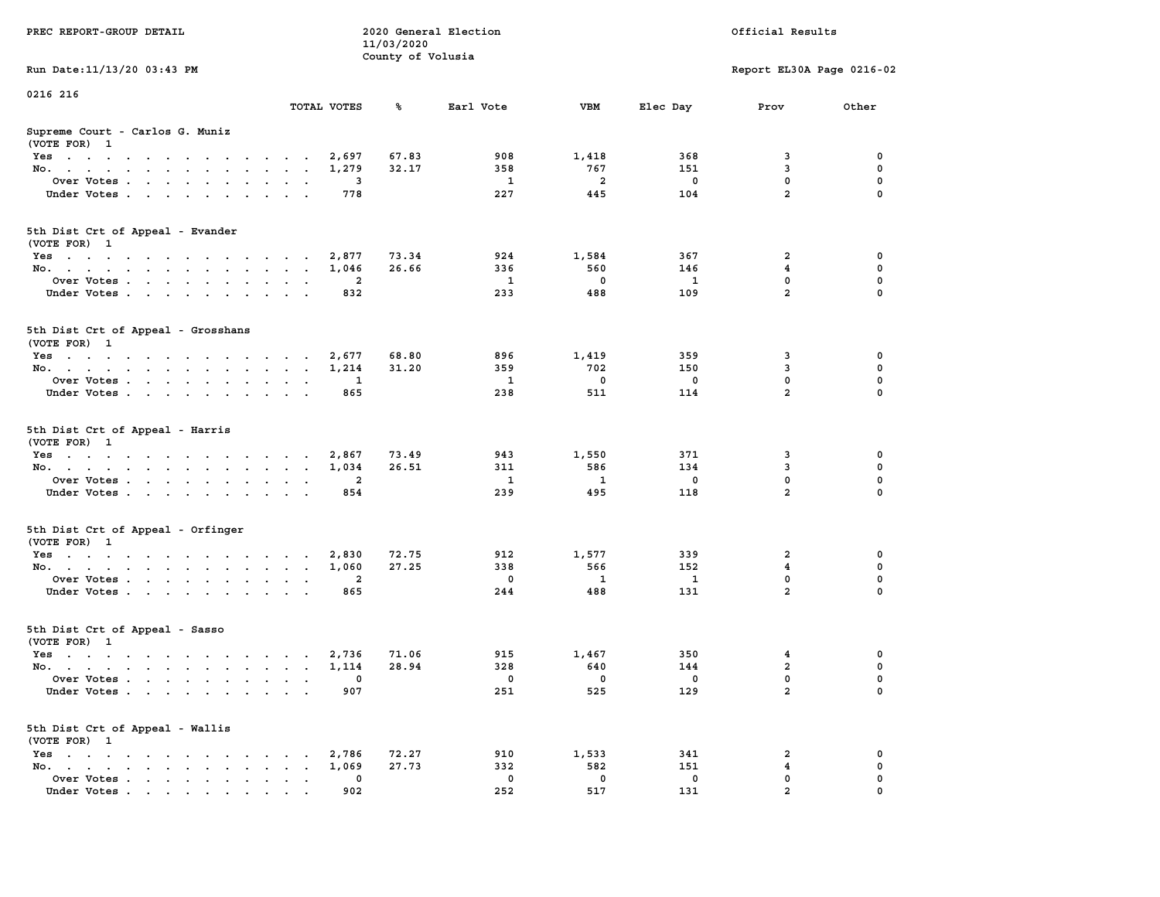| PREC REPORT-GROUP DETAIL                           |                         | 11/03/2020<br>County of Volusia | 2020 General Election    |                         |                         | Official Results          |             |
|----------------------------------------------------|-------------------------|---------------------------------|--------------------------|-------------------------|-------------------------|---------------------------|-------------|
| Run Date: 11/13/20 03:43 PM                        |                         |                                 |                          |                         |                         | Report EL30A Page 0216-02 |             |
| 0216 216                                           |                         |                                 |                          |                         |                         |                           |             |
|                                                    | TOTAL VOTES             | ℁                               | Earl Vote                | <b>VBM</b>              | Elec Day                | Prov                      | Other       |
| Supreme Court - Carlos G. Muniz<br>(VOTE FOR) 1    |                         |                                 |                          |                         |                         |                           |             |
| Yes                                                | 2,697                   | 67.83                           | 908                      | 1,418                   | 368                     | 3                         | 0           |
| No.                                                | 1,279                   | 32.17                           | 358                      | 767                     | 151                     | 3                         | 0           |
| Over Votes                                         | 3                       |                                 | $\mathbf{1}$             | $\overline{2}$          | $^{\circ}$              | 0                         | 0           |
| Under Votes                                        | 778                     |                                 | 227                      | 445                     | 104                     | $\overline{a}$            | $\mathbf 0$ |
| 5th Dist Crt of Appeal - Evander<br>(VOTE FOR) 1   |                         |                                 |                          |                         |                         |                           |             |
| Yes                                                | 2,877                   | 73.34                           | 924                      | 1,584                   | 367                     | 2                         | 0           |
| No.                                                | 1,046                   | 26.66                           | 336                      | 560                     | 146                     | 4                         | 0           |
| Over Votes                                         | $\overline{2}$          |                                 | $\mathbf{1}$             | $\overline{0}$          | 1                       | $\mathbf 0$               | 0           |
| Under Votes                                        | 832                     |                                 | 233                      | 488                     | 109                     | $\overline{a}$            | $\mathbf 0$ |
| 5th Dist Crt of Appeal - Grosshans<br>(VOTE FOR) 1 |                         |                                 |                          |                         |                         |                           |             |
| Yes                                                | 2,677                   | 68.80                           | 896                      | 1,419                   | 359                     | 3                         | 0           |
| No.                                                | 1,214                   | 31.20                           | 359                      | 702                     | 150                     | 3                         | 0           |
| Over Votes                                         | 1                       |                                 | $\mathbf{1}$             | $\overline{\mathbf{0}}$ | $\mathbf 0$             | $\mathbf 0$               | 0           |
| Under Votes                                        | 865                     |                                 | 238                      | 511                     | 114                     | $\overline{a}$            | $\mathbf 0$ |
| 5th Dist Crt of Appeal - Harris<br>(VOTE FOR) 1    |                         |                                 |                          |                         |                         |                           |             |
| Yes                                                | 2,867                   | 73.49                           | 943                      | 1,550                   | 371<br>134              | 3<br>3                    | 0           |
| No.                                                | 1,034<br>$\overline{a}$ | 26.51                           | 311<br><sup>1</sup>      | 586<br>$\mathbf{1}$     | $\mathbf 0$             | 0                         | 0<br>0      |
| Over Votes<br>Under Votes                          | 854                     |                                 | 239                      | 495                     | 118                     | $\overline{a}$            | $\mathbf 0$ |
|                                                    |                         |                                 |                          |                         |                         |                           |             |
| 5th Dist Crt of Appeal - Orfinger<br>(VOTE FOR) 1  |                         |                                 |                          |                         |                         |                           |             |
| Yes                                                | 2,830                   | 72.75                           | 912                      | 1,577                   | 339                     | 2                         | 0           |
| No.                                                | 1,060                   | 27.25                           | 338                      | 566                     | 152                     | $\overline{4}$            | 0           |
| Over Votes                                         | $\overline{2}$          |                                 | $\overline{\mathbf{0}}$  | $\mathbf{1}$            | <b>1</b>                | 0                         | 0           |
| Under Votes                                        | 865                     |                                 | 244                      | 488                     | 131                     | $\overline{a}$            | $\mathbf 0$ |
| 5th Dist Crt of Appeal - Sasso<br>(VOTE FOR) 1     |                         |                                 |                          |                         |                         |                           |             |
| Yes                                                | 2,736                   | 71.06                           | 915                      | 1,467                   | 350                     | 4                         | 0           |
| No.                                                | 1,114                   | 28.94                           | 328                      | 640                     | 144                     | $\mathbf{2}$              | 0           |
| Over Votes                                         | $\sim$ 0                |                                 | $\overline{\phantom{0}}$ | $\overline{0}$          | $\overline{\mathbf{0}}$ | $\Omega$                  | $\Omega$    |
| Under Votes                                        | 907                     |                                 | 251                      | 525                     | 129                     | $\mathbf{2}$              | 0           |
| 5th Dist Crt of Appeal - Wallis<br>(VOTE FOR) 1    |                         |                                 |                          |                         |                         |                           |             |
| Yes                                                | 2,786                   | 72.27                           | 910                      | 1,533                   | 341                     | 2                         | 0           |
| No.                                                | 1,069                   | 27.73                           | 332                      | 582                     | 151                     | 4                         | 0           |
| Over Votes                                         | 0                       |                                 | $\mathbf 0$              | $\overline{\mathbf{0}}$ | 0                       | 0                         | 0           |
| Under Votes                                        | 902                     |                                 | 252                      | 517                     | 131                     | $\overline{2}$            |             |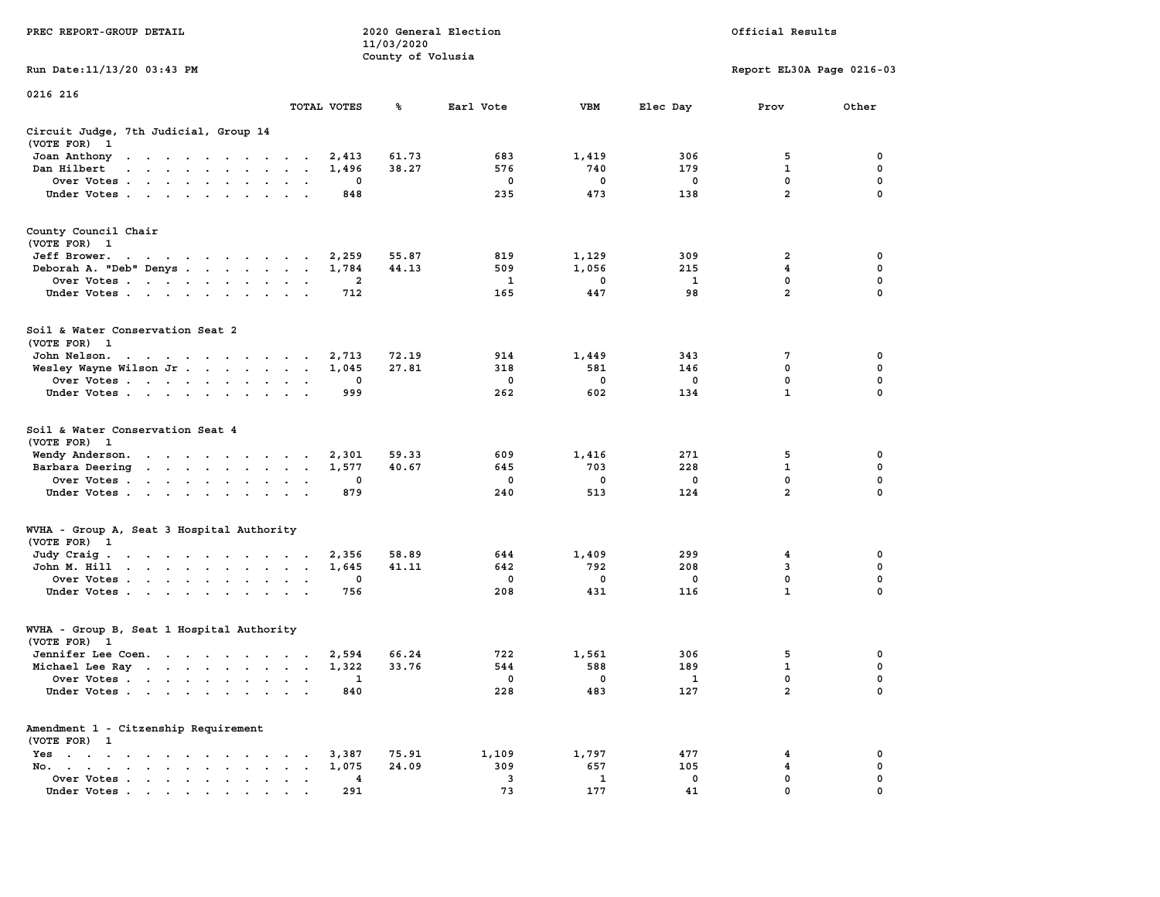| PREC REPORT-GROUP DETAIL                                                                                 | 2020 General Election<br>Official Results<br>11/03/2020<br>County of Volusia |             |       |                    |              |                         |                           |                  |
|----------------------------------------------------------------------------------------------------------|------------------------------------------------------------------------------|-------------|-------|--------------------|--------------|-------------------------|---------------------------|------------------|
| Run Date: 11/13/20 03:43 PM                                                                              |                                                                              |             |       |                    |              |                         | Report EL30A Page 0216-03 |                  |
| 0216 216                                                                                                 |                                                                              |             |       |                    |              |                         |                           |                  |
|                                                                                                          |                                                                              | TOTAL VOTES | ℁     | Earl Vote          | VBM          | Elec Day                | Prov                      | Other            |
| Circuit Judge, 7th Judicial, Group 14<br>(VOTE FOR) 1                                                    |                                                                              |             |       |                    |              |                         |                           |                  |
| Joan Anthony                                                                                             |                                                                              | 2,413       | 61.73 | 683                | 1,419        | 306                     | 5                         | 0                |
| Dan Hilbert<br>$\mathbf{r}$ . The state of the state $\mathbf{r}$ is the state of the state $\mathbf{r}$ |                                                                              | 1,496       | 38.27 | 576                | 740          | 179                     | 1                         | 0                |
| Over Votes                                                                                               |                                                                              | 0           |       | 0                  | 0            | 0                       | $\mathbf 0$               | $\mathbf 0$      |
| Under Votes                                                                                              |                                                                              | 848         |       | 235                | 473          | 138                     | $\overline{a}$            | $\Omega$         |
| County Council Chair<br>(VOTE FOR) 1                                                                     |                                                                              |             |       |                    |              |                         |                           |                  |
| Jeff Brower.<br>the contract of the contract of the con-                                                 |                                                                              | 2,259       | 55.87 | 819                | 1,129        | 309                     | 2                         | 0                |
| Deborah A. "Deb" Denys                                                                                   |                                                                              | 1,784       | 44.13 | 509                | 1,056        | 215                     | 4                         | 0                |
| Over Votes                                                                                               |                                                                              | 2           |       | 1                  | 0            | $\mathbf{1}$            | 0                         | 0                |
| Under Votes                                                                                              |                                                                              | 712         |       | 165                | 447          | 98                      | $\overline{a}$            | $\mathbf 0$      |
| Soil & Water Conservation Seat 2<br>(VOTE FOR) 1                                                         |                                                                              |             |       |                    |              |                         |                           |                  |
| John Nelson.                                                                                             |                                                                              | 2,713       | 72.19 | 914                | 1,449        | 343                     | 7                         | 0                |
| Wesley Wayne Wilson Jr                                                                                   |                                                                              | 1,045       | 27.81 | 318                | 581          | 146                     | 0                         | 0                |
| Over Votes.                                                                                              |                                                                              | 0           |       | $\mathbf 0$        | $\mathbf 0$  | 0                       | 0                         | 0                |
| Under Votes                                                                                              |                                                                              | 999         |       | 262                | 602          | 134                     | $\mathbf{1}$              | $\Omega$         |
| Soil & Water Conservation Seat 4                                                                         |                                                                              |             |       |                    |              |                         |                           |                  |
| (VOTE FOR) 1<br>Wendy Anderson.                                                                          |                                                                              | 2,301       | 59.33 | 609                | 1,416        | 271                     | 5                         | 0                |
| Barbara Deering                                                                                          |                                                                              | 1,577       | 40.67 | 645                | 703          | 228                     | 1                         | 0                |
| Over Votes                                                                                               |                                                                              | 0           |       | 0                  | 0            | 0                       | $\mathbf 0$               | 0                |
| Under Votes                                                                                              |                                                                              | 879         |       | 240                | 513          | 124                     | $\overline{a}$            | $\Omega$         |
| WVHA - Group A, Seat 3 Hospital Authority                                                                |                                                                              |             |       |                    |              |                         |                           |                  |
| (VOTE FOR) 1                                                                                             |                                                                              |             |       |                    |              |                         |                           |                  |
| Judy Craig.                                                                                              |                                                                              | 2,356       | 58.89 | 644                | 1,409        | 299                     | 4<br>3                    | 0<br>$\mathbf 0$ |
| John M. Hill<br>Over Votes                                                                               |                                                                              | 1,645<br>0  | 41.11 | 642<br>$\mathbf 0$ | 792<br>0     | 208<br>0                | 0                         | 0                |
| Under Votes                                                                                              |                                                                              | 756         |       | 208                | 431          | 116                     | $\mathbf{1}$              | $\Omega$         |
| WVHA - Group B, Seat 1 Hospital Authority<br>(VOTE FOR) 1                                                |                                                                              |             |       |                    |              |                         |                           |                  |
| Jennifer Lee Coen.                                                                                       |                                                                              | 2,594       | 66.24 | 722                | 1,561        | 306                     | 5                         | 0                |
| Michael Lee Ray                                                                                          |                                                                              | 1,322       | 33.76 | 544                | 588          | 189                     | $\mathbf{1}$              | 0                |
| Over Votes, , , , , , , , , , , 1                                                                        |                                                                              |             |       | $\mathbf 0$        | $\mathbf 0$  | $\overline{\mathbf{1}}$ | 0                         | 0                |
| Under Votes                                                                                              |                                                                              | 840         |       | 228                | 483          | 127                     | $\mathbf{2}$              | 0                |
| Amendment 1 - Citzenship Requirement<br>(VOTE FOR) 1                                                     |                                                                              |             |       |                    |              |                         |                           |                  |
| $Yes \cdot \cdot \cdot \cdot \cdot \cdot \cdot \cdot \cdot \cdot$<br>$\sim$                              |                                                                              | 3,387       | 75.91 | 1,109              | 1,797        | 477                     | 4                         | 0                |
| No.<br>$\sim$ $\sim$                                                                                     |                                                                              | 1,075       | 24.09 | 309                | 657          | 105                     | 4                         | 0                |
| Over Votes                                                                                               |                                                                              | 4           |       | 3                  | $\mathbf{1}$ | 0                       | 0                         | 0                |
| Under Votes.                                                                                             |                                                                              | 291         |       | 73                 | 177          | 41                      | <sup>0</sup>              |                  |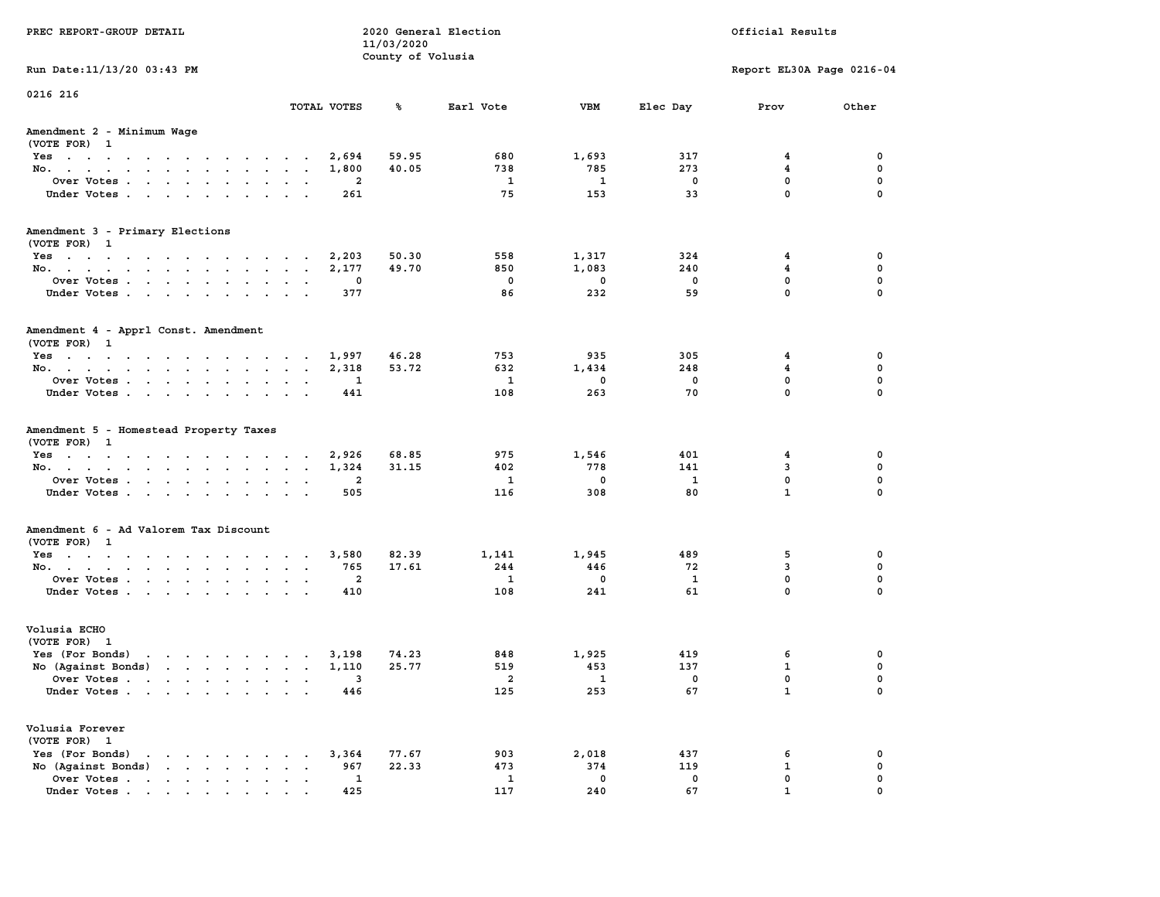| PREC REPORT-GROUP DETAIL                                                                |                | 11/03/2020<br>County of Volusia | 2020 General Election |                     |                   | Official Results          |               |
|-----------------------------------------------------------------------------------------|----------------|---------------------------------|-----------------------|---------------------|-------------------|---------------------------|---------------|
| Run Date: 11/13/20 03:43 PM                                                             |                |                                 |                       |                     |                   | Report EL30A Page 0216-04 |               |
| 0216 216                                                                                | TOTAL VOTES    | %                               | Earl Vote             | VBM                 | Elec Day          | Prov                      | Other         |
| Amendment 2 - Minimum Wage                                                              |                |                                 |                       |                     |                   |                           |               |
| (VOTE FOR) 1                                                                            |                |                                 |                       |                     |                   |                           |               |
| Yes                                                                                     | 2,694          | 59.95                           | 680                   | 1,693               | 317               | 4                         | 0             |
| No.                                                                                     | 1,800          | 40.05                           | 738                   | 785                 | 273               | $\overline{\mathbf{4}}$   | 0             |
| Over Votes                                                                              | $\overline{2}$ |                                 | 1                     | 1                   | $\mathbf 0$       | $\mathbf{0}$              | 0             |
| Under Votes                                                                             | 261            |                                 | 75                    | 153                 | 33                | $\mathbf{0}$              | $\mathbf 0$   |
| Amendment 3 - Primary Elections                                                         |                |                                 |                       |                     |                   |                           |               |
| (VOTE FOR) 1                                                                            |                |                                 |                       |                     |                   |                           |               |
| Yes                                                                                     | 2,203          | 50.30                           | 558                   | 1,317               | 324               | 4                         | 0             |
| No.                                                                                     | 2,177          | 49.70                           | 850                   | 1,083               | 240               | 4                         | 0             |
| Over Votes                                                                              | 0              |                                 | 0<br>86               | 0<br>232            | $\mathbf 0$<br>59 | $\mathbf 0$<br>$\Omega$   | 0<br>$\Omega$ |
| Under Votes                                                                             | 377            |                                 |                       |                     |                   |                           |               |
| Amendment 4 - Apprl Const. Amendment                                                    |                |                                 |                       |                     |                   |                           |               |
| (VOTE FOR) 1                                                                            |                |                                 |                       |                     |                   |                           |               |
| $Yes.$                                                                                  | 1,997          | 46.28                           | 753                   | 935                 | 305               | $\overline{4}$            | 0             |
| No.                                                                                     | 2,318          | 53.72                           | 632                   | 1,434<br>$^{\circ}$ | 248               | 4<br>$\mathbf 0$          | 0<br>0        |
| Over Votes<br>Under Votes                                                               | 1<br>441       |                                 | 1<br>108              | 263                 | $\mathbf 0$<br>70 | $\Omega$                  | $\mathbf 0$   |
|                                                                                         |                |                                 |                       |                     |                   |                           |               |
| Amendment 5 - Homestead Property Taxes<br>(VOTE FOR) 1                                  |                |                                 |                       |                     |                   |                           |               |
| Yes                                                                                     | 2,926          | 68.85                           | 975                   | 1,546               | 401               | 4                         | 0             |
| No.                                                                                     | 1,324          | 31.15                           | 402                   | 778                 | 141               | $\mathbf{3}$              | 0             |
| Over Votes                                                                              | $\overline{2}$ |                                 | 1                     | $^{\circ}$          | 1                 | $\mathbf{0}$              | $\mathbf 0$   |
| Under Votes                                                                             | 505            |                                 | 116                   | 308                 | 80                | $\mathbf{1}$              | $\mathbf 0$   |
| Amendment 6 - Ad Valorem Tax Discount                                                   |                |                                 |                       |                     |                   |                           |               |
| (VOTE FOR) 1                                                                            |                |                                 |                       |                     |                   |                           |               |
| Yes                                                                                     | 3,580          | 82.39                           | 1,141                 | 1,945               | 489               | 5                         | 0             |
| No.                                                                                     | 765            | 17.61                           | 244                   | 446                 | 72                | 3                         | 0             |
| Over Votes                                                                              | $\overline{2}$ |                                 | 1                     | $\mathbf 0$         | $\mathbf{1}$      | $\mathbf 0$               | 0             |
| Under Votes                                                                             | 410            |                                 | 108                   | 241                 | 61                | $\Omega$                  | $\Omega$      |
| Volusia ECHO                                                                            |                |                                 |                       |                     |                   |                           |               |
| (VOTE FOR) 1                                                                            |                |                                 |                       |                     |                   |                           |               |
| Yes (For Bonds)                                                                         | 3,198          | 74.23                           | 848                   | 1,925               | 419               | 6                         | 0             |
| No (Against Bonds)                                                                      | 1,110          | 25.77                           | 519                   | 453                 | 137               | $\mathbf{1}$              | 0             |
| Over Votes<br>$\sim$                                                                    | 3              |                                 | 2                     | 1                   | 0                 | 0                         | 0             |
| Under Votes                                                                             | 446            |                                 | 125                   | 253                 | 67                | $\mathbf{1}$              | 0             |
| Volusia Forever                                                                         |                |                                 |                       |                     |                   |                           |               |
| (VOTE FOR) 1                                                                            |                |                                 |                       |                     |                   |                           |               |
| Yes (For Bonds)<br>$\cdot$ $\cdot$ $\cdot$ $\cdot$ $\cdot$ $\cdot$ $\cdot$              | 3,364          | 77.67                           | 903                   | 2,018               | 437               | 6                         | 0             |
| No (Against Bonds)<br>$\mathbf{r}$ , $\mathbf{r}$ , $\mathbf{r}$ , $\mathbf{r}$         | 967            | 22.33                           | 473                   | 374                 | 119               | $\mathbf{1}$              | 0             |
| Over Votes.<br>$\mathbf{r}$ , $\mathbf{r}$ , $\mathbf{r}$ , $\mathbf{r}$ , $\mathbf{r}$ | 1              |                                 | $\mathbf{1}$          | $\mathbf 0$         | 0                 | 0                         | 0             |
| Under Votes.                                                                            | 425            |                                 | 117                   | 240                 | 67                | $\mathbf{1}$              | 0             |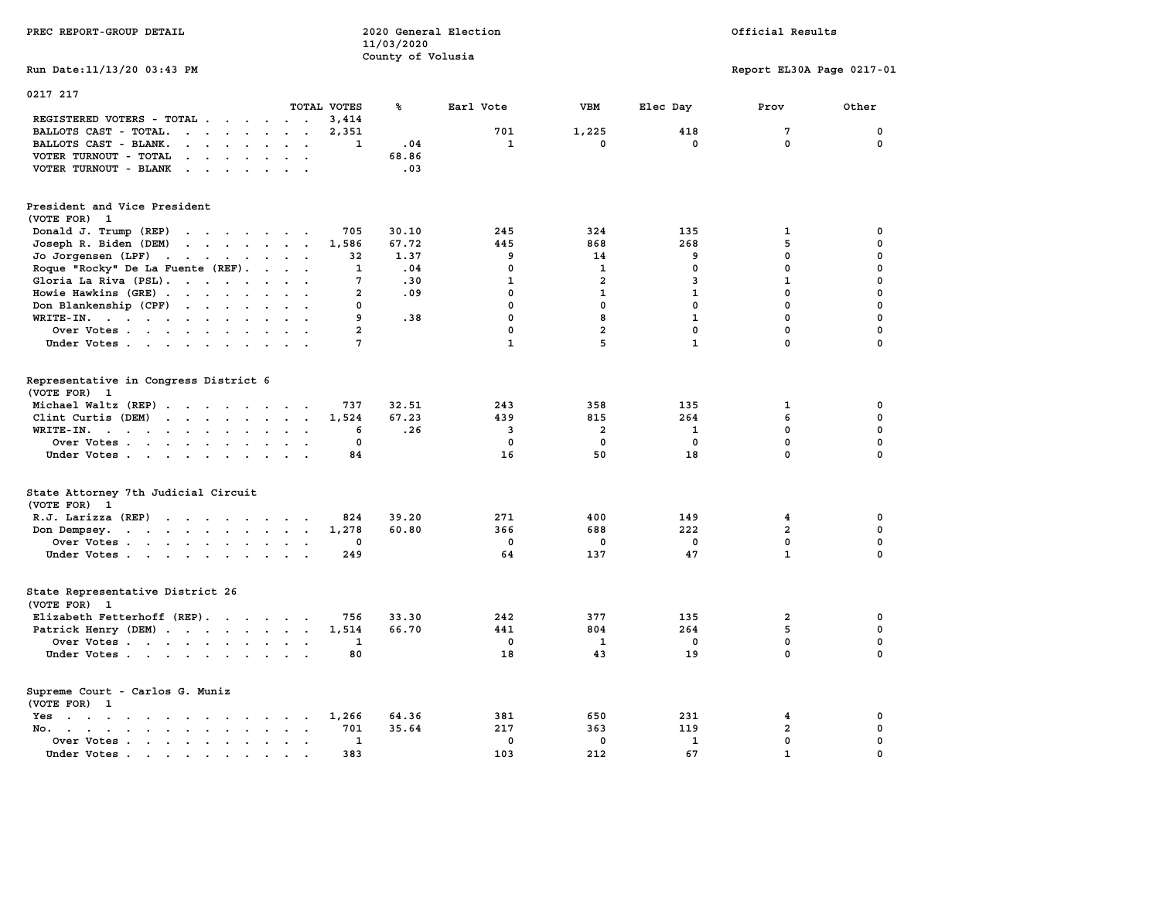| PREC REPORT-GROUP DETAIL                                                                                                                                                                                   |                              | 2020 General Election<br>11/03/2020<br>County of Volusia |                                      | Official Results                                  |                                      |                                                      |                                                  |
|------------------------------------------------------------------------------------------------------------------------------------------------------------------------------------------------------------|------------------------------|----------------------------------------------------------|--------------------------------------|---------------------------------------------------|--------------------------------------|------------------------------------------------------|--------------------------------------------------|
| Run Date: 11/13/20 03:43 PM                                                                                                                                                                                |                              |                                                          |                                      |                                                   |                                      | Report EL30A Page 0217-01                            |                                                  |
| 0217 217                                                                                                                                                                                                   |                              |                                                          |                                      |                                                   |                                      |                                                      |                                                  |
| TOTAL VOTES                                                                                                                                                                                                |                              | ℁                                                        | Earl Vote                            | <b>VBM</b>                                        | Elec Day                             | Prov                                                 | Other                                            |
| REGISTERED VOTERS - TOTAL .<br>$\cdot$ $\cdot$<br>$\sim$<br>$\ddot{\phantom{1}}$<br>$\sim$                                                                                                                 | 3,414                        |                                                          |                                      |                                                   |                                      |                                                      |                                                  |
| BALLOTS CAST - TOTAL.<br>$\cdot$ $\cdot$ $\cdot$ $\cdot$<br>$\sim$<br>$\ddot{\phantom{a}}$<br><b>Contract</b>                                                                                              | 2,351                        |                                                          | 701<br>$\mathbf{1}$                  | 1,225<br>$\mathbf 0$                              | 418<br>$\mathbf 0$                   | 7<br>$\mathbf 0$                                     | 0<br>0                                           |
| BALLOTS CAST - BLANK.<br>$\sim$<br>$\mathbf{r}$ , $\mathbf{r}$ , $\mathbf{r}$<br>$\sim$<br>$\ddot{\phantom{a}}$<br>$\ddot{\phantom{a}}$                                                                    | 1                            | .04                                                      |                                      |                                                   |                                      |                                                      |                                                  |
| VOTER TURNOUT - TOTAL<br>$\cdot$ $\cdot$ $\cdot$ $\cdot$ $\cdot$                                                                                                                                           |                              | 68.86                                                    |                                      |                                                   |                                      |                                                      |                                                  |
| VOTER TURNOUT - BLANK<br>$\sim$<br>$\cdot$                                                                                                                                                                 |                              | .03                                                      |                                      |                                                   |                                      |                                                      |                                                  |
| President and Vice President<br>(VOTE FOR) 1                                                                                                                                                               |                              |                                                          |                                      |                                                   |                                      |                                                      |                                                  |
| Donald J. Trump (REP)                                                                                                                                                                                      | 705                          | 30.10                                                    | 245                                  | 324                                               | 135                                  | 1                                                    | 0                                                |
| Joseph R. Biden (DEM)<br>$\mathbf{r}$ , $\mathbf{r}$ , $\mathbf{r}$ , $\mathbf{r}$ , $\mathbf{r}$ , $\mathbf{r}$                                                                                           | 1,586                        | 67.72                                                    | 445                                  | 868                                               | 268                                  | 5                                                    | 0                                                |
| Jo Jorgensen (LPF)                                                                                                                                                                                         | 32                           | 1.37                                                     | 9                                    | 14                                                | 9                                    | 0                                                    | 0                                                |
| Roque "Rocky" De La Fuente (REF).<br>$\cdots$                                                                                                                                                              | 1                            | .04                                                      | $\mathbf 0$                          | $\mathbf{1}$                                      | $\mathbf 0$                          | $\mathbf 0$                                          | 0                                                |
| Gloria La Riva (PSL).                                                                                                                                                                                      | 7                            | .30                                                      | $\mathbf{1}$                         | $\overline{2}$                                    | 3                                    | $\mathbf{1}$                                         | $\mathbf 0$                                      |
| Howie Hawkins (GRE)<br>$\sim$<br>$\sim$                                                                                                                                                                    | $\overline{2}$               | .09                                                      | $\mathbf{0}$                         | $\mathbf{1}$                                      | $\mathbf{1}$                         | $\mathbf 0$                                          | $\mathbf 0$                                      |
| Don Blankenship (CPF)                                                                                                                                                                                      | $\mathbf 0$                  |                                                          | $\mathbf 0$                          | $\mathbf 0$                                       | $\mathbf 0$                          | $\mathbf 0$                                          | $\mathbf 0$                                      |
| WRITE-IN.                                                                                                                                                                                                  | 9                            | .38                                                      | $\Omega$                             | 8                                                 | $\mathbf{1}$                         | $\Omega$                                             | $\mathbf 0$                                      |
| Over Votes<br>$\sim$                                                                                                                                                                                       | $\mathbf{2}$                 |                                                          | $\mathbf 0$                          | $\overline{a}$                                    | $\mathbf 0$                          | $\mathbf 0$                                          | $\mathbf 0$                                      |
| Under Votes                                                                                                                                                                                                | 7                            |                                                          | $\mathbf{1}$                         | 5                                                 | $\mathbf{1}$                         | $\mathbf 0$                                          | $\Omega$                                         |
| Representative in Congress District 6<br>(VOTE FOR) 1<br>Michael Waltz (REP)<br>Clint Curtis (DEM)<br>WRITE-IN.<br>$\sim$<br>$\ddot{\phantom{a}}$<br>$\overline{\phantom{a}}$<br>Over Votes<br>Under Votes | 737<br>1,524<br>6<br>0<br>84 | 32.51<br>67.23<br>.26                                    | 243<br>439<br>3<br>$\mathbf 0$<br>16 | 358<br>815<br>$\overline{a}$<br>$\mathbf 0$<br>50 | 135<br>264<br>1<br>$\mathbf 0$<br>18 | $\mathbf{1}$<br>6<br>$\mathbf 0$<br>$\mathbf 0$<br>0 | 0<br>$\mathbf 0$<br>0<br>$\mathbf 0$<br>$\Omega$ |
| State Attorney 7th Judicial Circuit<br>(VOTE FOR) 1                                                                                                                                                        |                              |                                                          |                                      |                                                   |                                      |                                                      |                                                  |
| R.J. Larizza (REP)                                                                                                                                                                                         | 824                          | 39.20                                                    | 271                                  | 400                                               | 149                                  | 4                                                    | 0                                                |
| Don Dempsey.                                                                                                                                                                                               | 1,278                        | 60.80                                                    | 366                                  | 688                                               | 222                                  | $\overline{a}$                                       | $\mathbf 0$                                      |
| Over Votes                                                                                                                                                                                                 | 0                            |                                                          | $\mathbf 0$                          | 0                                                 | 0                                    | 0                                                    | 0                                                |
| Under Votes                                                                                                                                                                                                | 249                          |                                                          | 64                                   | 137                                               | 47                                   | $\mathbf{1}$                                         | $\mathbf 0$                                      |
| State Representative District 26<br>(VOTE FOR) 1                                                                                                                                                           |                              |                                                          |                                      |                                                   |                                      |                                                      |                                                  |
| Elizabeth Fetterhoff (REP).                                                                                                                                                                                | 756                          | 33.30                                                    | 242                                  | 377                                               | 135                                  | 2                                                    | 0                                                |
| Patrick Henry (DEM)                                                                                                                                                                                        | 1,514                        | 66.70                                                    | 441                                  | 804                                               | 264                                  | 5                                                    | $\mathbf 0$                                      |
| Over Votes                                                                                                                                                                                                 | 1                            |                                                          | $\mathbf 0$                          | $\mathbf{1}$                                      | $\mathbf 0$                          | $\mathbf 0$                                          | $\mathbf 0$                                      |
| Under Votes                                                                                                                                                                                                | 80                           |                                                          | 18                                   | 43                                                | 19                                   | $\mathbf 0$                                          | $\Omega$                                         |
| Supreme Court - Carlos G. Muniz<br>(VOTE FOR) 1                                                                                                                                                            |                              |                                                          |                                      |                                                   |                                      |                                                      |                                                  |
| Yes                                                                                                                                                                                                        | 1,266                        | 64.36                                                    | 381                                  | 650                                               | 231                                  | 4                                                    | 0                                                |
| No.                                                                                                                                                                                                        | 701                          | 35.64                                                    | 217                                  | 363                                               | 119                                  | $\overline{a}$                                       | 0                                                |
| Over Votes<br>$\ddot{\phantom{1}}$<br>$\ddot{\phantom{a}}$<br>$\ddot{\phantom{0}}$                                                                                                                         | 1                            |                                                          | $^{\circ}$                           | $\mathbf{0}$                                      | $\mathbf{1}$                         | $\mathbf 0$                                          | $\mathbf 0$                                      |
| Under Votes.<br>$\mathcal{L}(\mathbf{r})$ , and $\mathcal{L}(\mathbf{r})$ , and<br>$\sim$                                                                                                                  | 383                          |                                                          | 103                                  | 212                                               | 67                                   | $\mathbf{1}$                                         | $\mathbf 0$                                      |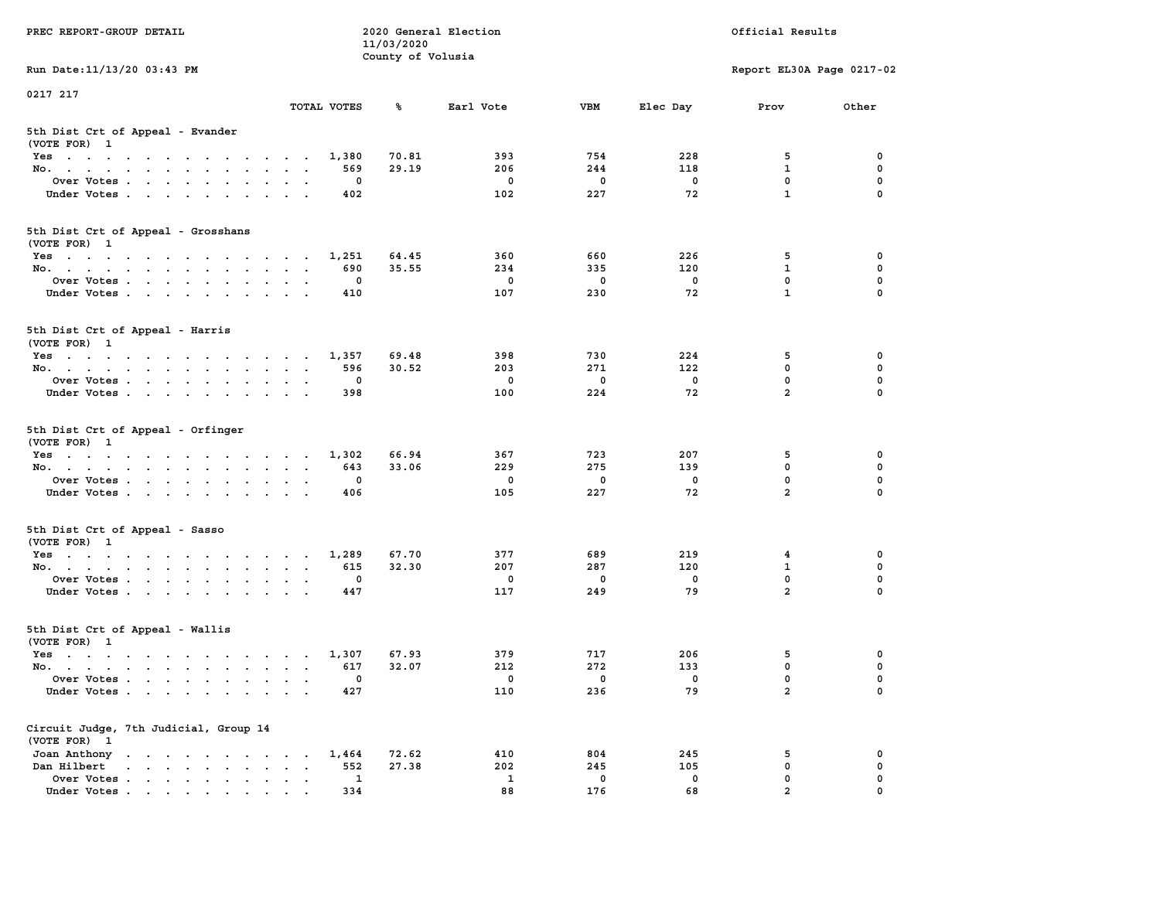| PREC REPORT-GROUP DETAIL                                                                                               |                                                     | 11/03/2020        | 2020 General Election  |                                  | Official Results      |                                         |                         |  |  |
|------------------------------------------------------------------------------------------------------------------------|-----------------------------------------------------|-------------------|------------------------|----------------------------------|-----------------------|-----------------------------------------|-------------------------|--|--|
|                                                                                                                        |                                                     | County of Volusia |                        |                                  |                       |                                         |                         |  |  |
| Run Date: 11/13/20 03:43 PM                                                                                            |                                                     |                   |                        |                                  |                       | Report EL30A Page 0217-02               |                         |  |  |
| 0217 217                                                                                                               |                                                     |                   |                        |                                  |                       |                                         |                         |  |  |
|                                                                                                                        | TOTAL VOTES                                         | ጜ                 | Earl Vote              | VBM                              | Elec Day              | Prov                                    | Other                   |  |  |
| 5th Dist Crt of Appeal - Evander<br>(VOTE FOR) 1                                                                       |                                                     |                   |                        |                                  |                       |                                         |                         |  |  |
| Yes                                                                                                                    | 1,380                                               | 70.81             | 393                    | 754                              | 228                   | 5                                       | 0                       |  |  |
| No.                                                                                                                    | 569                                                 | 29.19             | 206                    | 244                              | 118                   | $\mathbf{1}$                            | $\mathbf 0$             |  |  |
| Over Votes                                                                                                             | 0                                                   |                   | 0                      | $\mathbf 0$                      | 0                     | 0                                       | 0                       |  |  |
| Under Votes                                                                                                            | 402                                                 |                   | 102                    | 227                              | 72                    | $\mathbf{1}$                            | $\Omega$                |  |  |
| 5th Dist Crt of Appeal - Grosshans<br>(VOTE FOR) 1                                                                     |                                                     |                   |                        |                                  |                       |                                         |                         |  |  |
| Yes                                                                                                                    | 1,251                                               | 64.45             | 360                    | 660                              | 226                   | 5                                       | 0                       |  |  |
| No.                                                                                                                    | 690                                                 | 35.55             | 234                    | 335                              | 120                   | $\mathbf{1}$                            | 0                       |  |  |
| Over Votes                                                                                                             | 0                                                   |                   | 0                      | $\mathbf 0$                      | $\mathbf 0$           | 0                                       | $\mathbf 0$             |  |  |
| Under Votes                                                                                                            | 410                                                 |                   | 107                    | 230                              | 72                    | $\mathbf{1}$                            | 0                       |  |  |
| 5th Dist Crt of Appeal - Harris<br>(VOTE FOR) 1                                                                        |                                                     |                   |                        |                                  |                       |                                         |                         |  |  |
| $Yes \cdot \cdot \cdot \cdot \cdot \cdot \cdot \cdot \cdot \cdot \cdot \cdot \cdot$                                    | 1,357                                               | 69.48             | 398                    | 730                              | 224                   | 5                                       | 0                       |  |  |
| No.                                                                                                                    | 596                                                 | 30.52             | 203                    | 271                              | 122                   | $\mathbf 0$                             | 0                       |  |  |
| Over Votes                                                                                                             | 0                                                   |                   | 0                      | $\mathbf 0$                      | $\mathbf 0$           | $\mathbf 0$                             | 0                       |  |  |
| Under Votes                                                                                                            | 398                                                 |                   | 100                    | 224                              | 72                    | $\overline{a}$                          | 0                       |  |  |
| 5th Dist Crt of Appeal - Orfinger<br>(VOTE FOR) 1<br>Yes<br>No.<br>Over Votes<br>Under Votes                           | 1,302<br>643<br>0<br>406                            | 66.94<br>33.06    | 367<br>229<br>0<br>105 | 723<br>275<br>$\mathbf 0$<br>227 | 207<br>139<br>0<br>72 | 5<br>$\mathbf 0$<br>0<br>$\overline{a}$ | 0<br>0<br>0<br>$\Omega$ |  |  |
| 5th Dist Crt of Appeal - Sasso<br>(VOTE FOR) 1                                                                         |                                                     |                   |                        |                                  |                       |                                         |                         |  |  |
| Yes                                                                                                                    | 1,289                                               | 67.70             | 377                    | 689                              | 219                   | 4<br>$\mathbf{1}$                       | 0<br>0                  |  |  |
| No.<br>Over Votes                                                                                                      | 615<br>0                                            | 32.30             | 207<br>0               | 287<br>$\mathbf 0$               | 120<br>$\mathbf 0$    | 0                                       | $\mathbf 0$             |  |  |
| Under Votes                                                                                                            | 447                                                 |                   | 117                    | 249                              | 79                    | $\overline{a}$                          | $\Omega$                |  |  |
| 5th Dist Crt of Appeal - Wallis<br>(VOTE FOR) 1                                                                        |                                                     |                   |                        |                                  |                       |                                         |                         |  |  |
| Yes<br>the contract of the contract of the contract of the contract of the contract of the contract of the contract of | 1,307                                               | 67.93             | 379                    | 717                              | 206                   | 5                                       | 0                       |  |  |
| No.                                                                                                                    | 617                                                 | 32.07             | 212                    | 272                              | 133                   | 0                                       | $\mathbf 0$             |  |  |
| Over Votes<br>Under Votes                                                                                              | 0<br>427                                            |                   | 0<br>110               | 0<br>236                         | 0<br>79               | $\mathbf{0}$<br>$\overline{\mathbf{2}}$ | 0<br>0                  |  |  |
| Circuit Judge, 7th Judicial, Group 14<br>(VOTE FOR) 1<br>Joan Anthony                                                  | 1,464<br>$\ddot{\phantom{1}}$                       | 72.62             | 410                    | 804                              | 245                   | 5                                       | 0                       |  |  |
| Dan Hilbert                                                                                                            | 552<br>$\ddot{\phantom{a}}$<br>$\ddot{\phantom{a}}$ | 27.38             | 202                    | 245                              | 105                   | 0                                       | 0                       |  |  |
| Over Votes .<br>$\mathbf{r}$                                                                                           | 1                                                   |                   | 1                      | 0                                | 0                     | 0                                       | 0                       |  |  |
| Under Votes                                                                                                            | 334                                                 |                   | 88                     | 176                              | 68                    | $\overline{a}$                          |                         |  |  |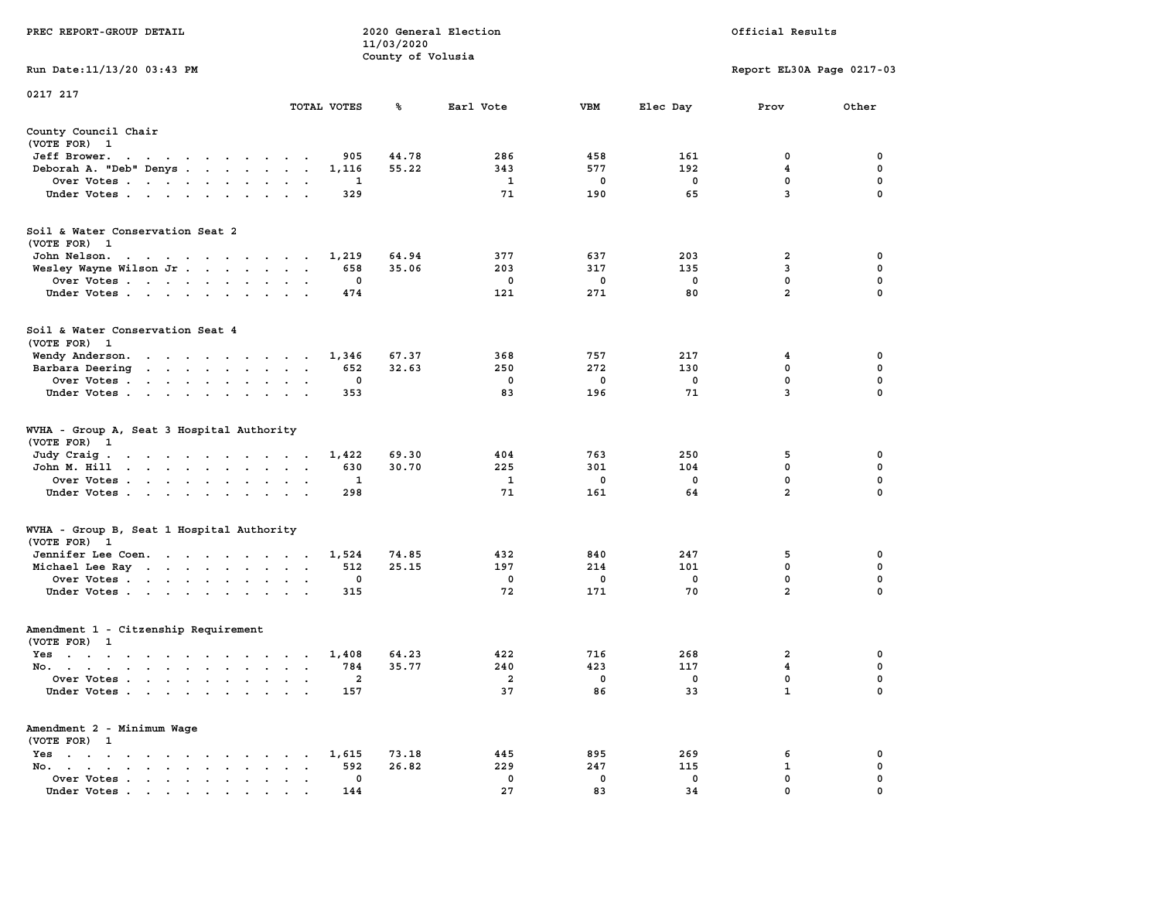|                                                                                                                                                                         |                                                                             | 11/03/2020        |                         |              |             |                           |             |
|-------------------------------------------------------------------------------------------------------------------------------------------------------------------------|-----------------------------------------------------------------------------|-------------------|-------------------------|--------------|-------------|---------------------------|-------------|
| Run Date: 11/13/20 03:43 PM                                                                                                                                             |                                                                             | County of Volusia |                         |              |             | Report EL30A Page 0217-03 |             |
| 0217 217                                                                                                                                                                |                                                                             |                   |                         |              |             |                           |             |
|                                                                                                                                                                         | TOTAL VOTES                                                                 | ℁                 | Earl Vote               | <b>VBM</b>   | Elec Day    | Prov                      | Other       |
| County Council Chair<br>(VOTE FOR) 1                                                                                                                                    |                                                                             |                   |                         |              |             |                           |             |
| Jeff Brower.<br>$\blacksquare$ .<br>$\sim$ $\sim$<br>$\blacksquare$ .<br>$\sim$                                                                                         | 905<br>$\cdot$                                                              | 44.78             | 286                     | 458          | 161         | $\mathbf 0$               | 0           |
| Deborah A. "Deb" Denys                                                                                                                                                  | 1,116<br>$\ddot{\phantom{a}}$<br>$\ddot{\phantom{a}}$                       | 55.22             | 343                     | 577          | 192         | $\overline{\mathbf{4}}$   | $\mathbf 0$ |
| Over Votes                                                                                                                                                              | 1<br>$\ddot{\phantom{a}}$<br>$\ddot{\phantom{1}}$                           |                   | $\mathbf{1}$            | 0            | $\mathbf 0$ | 0                         | $\mathbf 0$ |
| Under Votes                                                                                                                                                             | 329<br>$\cdot$ $\cdot$                                                      |                   | 71                      | 190          | 65          | 3                         | $\mathbf 0$ |
| Soil & Water Conservation Seat 2<br>(VOTE FOR) 1                                                                                                                        |                                                                             |                   |                         |              |             |                           |             |
| John Nelson.<br>the contract of the contract of the contract of the contract of the contract of the contract of the contract of                                         | 1,219                                                                       | 64.94             | 377                     | 637          | 203         | $\overline{a}$            | 0           |
| Wesley Wayne Wilson Jr                                                                                                                                                  | 658                                                                         | 35.06             | 203                     | 317          | 135         | 3                         | $\pmb{0}$   |
| Over Votes                                                                                                                                                              | 0                                                                           |                   | $\mathbf 0$             | $\mathbf 0$  | $\mathbf 0$ | $\mathbf 0$               | $\mathbf 0$ |
| Under Votes                                                                                                                                                             | $\sim$<br>$\cdot$<br>474                                                    |                   | 121                     | 271          | 80          | $\overline{a}$            | $\mathbf 0$ |
| $\ddot{\phantom{0}}$                                                                                                                                                    | $\ddot{\phantom{a}}$<br>$\cdot$                                             |                   |                         |              |             |                           |             |
| Soil & Water Conservation Seat 4<br>(VOTE FOR) 1                                                                                                                        |                                                                             |                   |                         |              |             |                           |             |
| Wendy Anderson.<br>the contract of the contract of the con-                                                                                                             | 1,346                                                                       | 67.37             | 368                     | 757          | 217         | $\overline{\mathbf{4}}$   | $\mathbf 0$ |
| Barbara Deering<br>$\mathbf{r}$ , and $\mathbf{r}$ , and $\mathbf{r}$ , and $\mathbf{r}$                                                                                | 652<br>$\sim$<br>$\mathbf{r}$<br>$\sim$                                     | 32.63             | 250                     | 272          | 130         | 0                         | $\mathbf 0$ |
| Over Votes.<br>$\sim$ $\sim$ $\sim$ $\sim$<br>$\overline{\phantom{a}}$<br>$\ddot{\phantom{a}}$                                                                          | $\mathbf 0$                                                                 |                   | $\mathbf 0$             | 0            | $\mathbf 0$ | $\mathbf 0$               | $\mathbf 0$ |
| Under Votes<br>$\ddot{\phantom{a}}$                                                                                                                                     | 353                                                                         |                   | 83                      | 196          | 71          | 3                         | $\mathbf 0$ |
| WVHA - Group A, Seat 3 Hospital Authority<br>(VOTE FOR)<br>$\mathbf{1}$                                                                                                 |                                                                             |                   |                         |              |             |                           |             |
| Judy Craig.<br>the contract of the contract of                                                                                                                          | 1,422<br>$\sim$ $\sim$ $\sim$ $\sim$ $\sim$                                 | 69.30             | 404                     | 763          | 250         | 5                         | $\mathbf 0$ |
| John M. Hill<br>$\begin{array}{cccccccccccccc} \bullet & \bullet & \bullet & \bullet & \bullet & \bullet & \bullet & \bullet & \bullet & \bullet \end{array}$<br>$\sim$ | 630<br>$\ddot{\phantom{a}}$<br>$\ddot{\phantom{a}}$<br>$\cdot$              | 30.70             | 225                     | 301          | 104         | 0                         | $\mathbf 0$ |
| Over Votes                                                                                                                                                              | 1<br>$\ddot{\phantom{a}}$                                                   |                   | $\mathbf{1}$            | $\mathbf 0$  | $\mathbf 0$ | 0                         | $\mathbf 0$ |
| Under Votes<br>$\cdot$                                                                                                                                                  | 298<br>$\cdot$<br>$\cdot$                                                   |                   | 71                      | 161          | 64          | $\overline{a}$            | $\mathbf 0$ |
| WVHA - Group B, Seat 1 Hospital Authority<br>(VOTE FOR)<br>$\mathbf{1}$                                                                                                 |                                                                             |                   |                         |              |             |                           |             |
| Jennifer Lee Coen.                                                                                                                                                      | 1,524                                                                       | 74.85             | 432                     | 840          | 247         | 5                         | 0           |
| Michael Lee Ray                                                                                                                                                         | 512<br>$\bullet$<br>$\ddot{\phantom{a}}$<br>$\ddot{\phantom{a}}$            | 25.15             | 197                     | 214          | 101         | 0                         | $\mathbf 0$ |
| Over Votes                                                                                                                                                              | $\mathbf 0$<br>$\bullet$<br>$\bullet$                                       |                   | $\mathbf 0$             | $\mathbf{0}$ | $\mathbf 0$ | $\mathbf{0}$              | $\mathbf 0$ |
| Under Votes<br>$\ddot{\phantom{a}}$                                                                                                                                     | 315<br>$\ddot{\phantom{a}}$<br>$\mathbf{r}$                                 |                   | 72                      | 171          | 70          | $\overline{a}$            | $\mathbf 0$ |
| Amendment 1 - Citzenship Requirement<br>(VOTE FOR) 1                                                                                                                    |                                                                             |                   |                         |              |             |                           |             |
| $Yes \t . \t .$                                                                                                                                                         | 1,408                                                                       | 64.23             | 422                     | 716          | 268         | $\overline{2}$            | 0           |
| the contract of the contract of the contract of the contract of the contract of the contract of the contract of                                                         | 784<br>$\sim$ $\sim$                                                        | 35.77             | 240                     | 423          | 117         | $\overline{\mathbf{4}}$   | $\mathbf 0$ |
| No.<br>$\overline{\phantom{a}}$                                                                                                                                         | $\overline{a}$                                                              |                   | $\overline{\mathbf{2}}$ | $\mathbf 0$  | $\mathbf 0$ | $\mathbf 0$               | $\mathbf 0$ |
| Over Votes.<br>$\sim$ $\sim$<br>$\sim$ $\sim$<br>$\ddot{\phantom{a}}$<br>$\ddot{\phantom{a}}$<br>Under Votes                                                            | $\ddot{\phantom{a}}$<br>$\ddot{\phantom{a}}$<br>$\cdot$<br>157<br>$\cdot$ . |                   | 37                      | 86           | 33          | $\mathbf{1}$              | $\mathbf 0$ |
| Amendment 2 - Minimum Wage                                                                                                                                              |                                                                             |                   |                         |              |             |                           |             |
| (VOTE FOR) 1                                                                                                                                                            |                                                                             |                   |                         |              |             |                           |             |
| $Yes \t . \t .$<br>$\blacksquare$<br>$\cdots$<br>the contract of the contract of the                                                                                    | 1,615                                                                       | 73.18             | 445                     | 895          | 269         | 6                         | $\mathbf 0$ |
| No.<br>$\cdot$ $\cdot$ $\cdot$ $\cdot$ $\cdot$<br>$\bullet$<br>$\cdot$                                                                                                  | 592<br>$\cdot$                                                              | 26.82             | 229                     | 247          | 115         | $\mathbf{1}$              | 0           |
| Over Votes<br>$\ddot{\phantom{a}}$                                                                                                                                      | 0<br>$\ddot{\phantom{a}}$<br>$\ddot{\phantom{1}}$<br>$\bullet$              |                   | $\mathbf 0$             | $\mathbf 0$  | $\mathbf 0$ | $\mathbf 0$               | $\mathbf 0$ |
| Under Votes                                                                                                                                                             | 144                                                                         |                   | 27                      | 83           | 34          | 0                         | $\mathbf 0$ |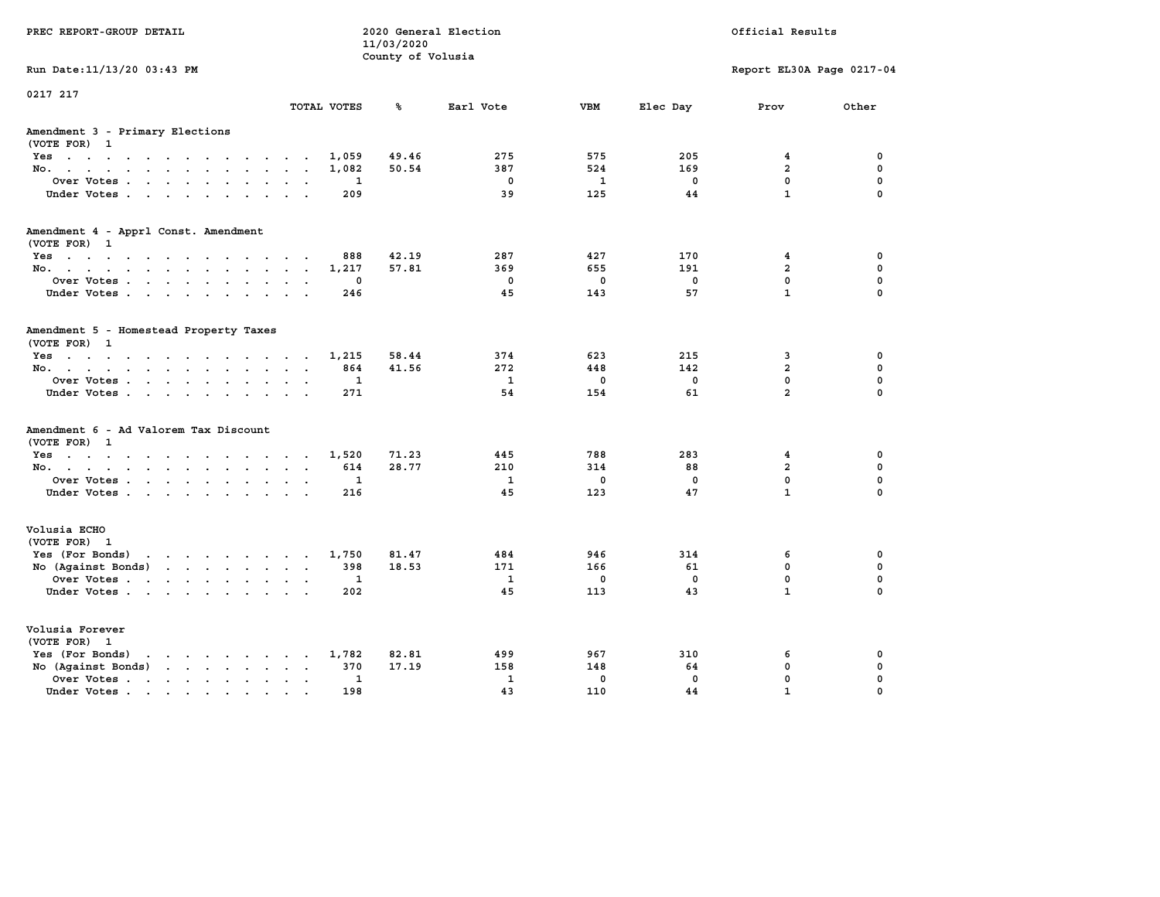| PREC REPORT-GROUP DETAIL                                                                                                                                                                                                                             |                                    | 11/03/2020<br>County of Volusia | 2020 General Election |              |              | Official Results          |             |
|------------------------------------------------------------------------------------------------------------------------------------------------------------------------------------------------------------------------------------------------------|------------------------------------|---------------------------------|-----------------------|--------------|--------------|---------------------------|-------------|
| Run Date: 11/13/20 03:43 PM                                                                                                                                                                                                                          |                                    |                                 |                       |              |              | Report EL30A Page 0217-04 |             |
| 0217 217                                                                                                                                                                                                                                             | TOTAL VOTES                        | ℁                               | Earl Vote             | <b>VBM</b>   | Elec Day     | Prov                      | Other       |
| Amendment 3 - Primary Elections<br>(VOTE FOR) 1                                                                                                                                                                                                      |                                    |                                 |                       |              |              |                           |             |
| Yes                                                                                                                                                                                                                                                  | 1,059                              | 49.46                           | 275                   | 575          | 205          | 4                         | 0           |
| No.                                                                                                                                                                                                                                                  | 1,082                              | 50.54                           | 387                   | 524          | 169          | $\overline{a}$            | $\mathbf 0$ |
| Over Votes                                                                                                                                                                                                                                           | 1                                  |                                 | $\mathbf 0$           | 1            | $\mathbf 0$  | $\mathbf{0}$              | $\mathbf 0$ |
| Under Votes.                                                                                                                                                                                                                                         | 209                                |                                 | 39                    | 125          | 44           | $\mathbf{1}$              | $\mathbf 0$ |
| Amendment 4 - Apprl Const. Amendment                                                                                                                                                                                                                 |                                    |                                 |                       |              |              |                           |             |
| (VOTE FOR) 1<br>Yes                                                                                                                                                                                                                                  | 888                                | 42.19                           | 287                   | 427          | 170          | 4                         | 0           |
| No.                                                                                                                                                                                                                                                  | 1,217                              | 57.81                           | 369                   | 655          | 191          | $\overline{a}$            | $\mathbf 0$ |
| Over Votes                                                                                                                                                                                                                                           | 0<br>$\sim$ $\sim$                 |                                 | $\Omega$              | $^{\circ}$   | $\mathbf{0}$ | $\mathbf{0}$              | $\mathbf 0$ |
| Under Votes                                                                                                                                                                                                                                          | 246                                |                                 | 45                    | 143          | 57           | $\mathbf{1}$              | $\Omega$    |
| Amendment 5 - Homestead Property Taxes<br>(VOTE FOR) 1<br>Yes                                                                                                                                                                                        | 1,215                              | 58.44                           | 374                   | 623          | 215          | 3                         | 0           |
| No.                                                                                                                                                                                                                                                  | 864                                | 41.56                           | 272                   | 448          | 142          | $\overline{a}$            | 0           |
| Over Votes                                                                                                                                                                                                                                           | 1                                  |                                 | $\mathbf{1}$          | $\mathbf 0$  | $\mathbf 0$  | $\mathbf 0$               | $\mathbf 0$ |
| Under Votes                                                                                                                                                                                                                                          | 271                                |                                 | 54                    | 154          | 61           | $\overline{a}$            | $\Omega$    |
| Amendment 6 - Ad Valorem Tax Discount<br>(VOTE FOR) 1                                                                                                                                                                                                |                                    |                                 |                       |              |              |                           |             |
| Yes                                                                                                                                                                                                                                                  | 1,520                              | 71.23                           | 445                   | 788          | 283          | 4                         | 0           |
| No.                                                                                                                                                                                                                                                  | 614                                | 28.77                           | 210                   | 314          | 88           | $\overline{a}$            | $\mathbf 0$ |
| Over Votes                                                                                                                                                                                                                                           | 1                                  |                                 | $\mathbf{1}$          | 0            | $\mathbf 0$  | 0                         | $\mathbf 0$ |
| Under Votes                                                                                                                                                                                                                                          | 216                                |                                 | 45                    | 123          | 47           | $\mathbf{1}$              | $\mathbf 0$ |
| Volusia ECHO<br>(VOTE FOR) 1                                                                                                                                                                                                                         |                                    |                                 |                       |              |              |                           |             |
| Yes (For Bonds) $\cdots$ $\cdots$ $\cdots$ $\cdots$                                                                                                                                                                                                  | 1,750                              | 81.47                           | 484                   | 946          | 314          | 6                         | $\mathbf 0$ |
| No (Against Bonds)                                                                                                                                                                                                                                   | 398                                | 18.53                           | 171                   | 166          | 61           | $\mathbf{0}$              | $\mathbf 0$ |
| Over Votes                                                                                                                                                                                                                                           | 1                                  |                                 | 1                     | $\mathbf 0$  | $\mathbf 0$  | $\mathbf{0}$              | $\mathbf 0$ |
| Under Votes                                                                                                                                                                                                                                          | 202                                |                                 | 45                    | 113          | 43           | $\mathbf{1}$              | $\Omega$    |
| Volusia Forever<br>(VOTE FOR) 1                                                                                                                                                                                                                      |                                    |                                 |                       |              |              |                           |             |
| Yes (For Bonds)<br>$\mathbf{r}$ . The set of the set of the set of the set of the set of the set of the set of the set of the set of the set of the set of the set of the set of the set of the set of the set of the set of the set of the set of t | 1,782                              | 82.81                           | 499                   | 967          | 310          | 6                         | 0           |
| No (Against Bonds)                                                                                                                                                                                                                                   | $\sim$ $\sim$ $\sim$ $\sim$<br>370 | 17.19                           | 158                   | 148          | 64           | $\mathbf 0$               | $\mathbf 0$ |
| Over Votes.<br>the contract of the contract of the                                                                                                                                                                                                   | 1<br>$\sim$ $\sim$                 |                                 | $\mathbf{1}$          | $\mathbf{0}$ | $\mathbf{0}$ | $\mathbf 0$               | $\mathbf 0$ |
| Under Votes.                                                                                                                                                                                                                                         | 198                                |                                 | 43                    | 110          | 44           | $\mathbf{1}$              | $\Omega$    |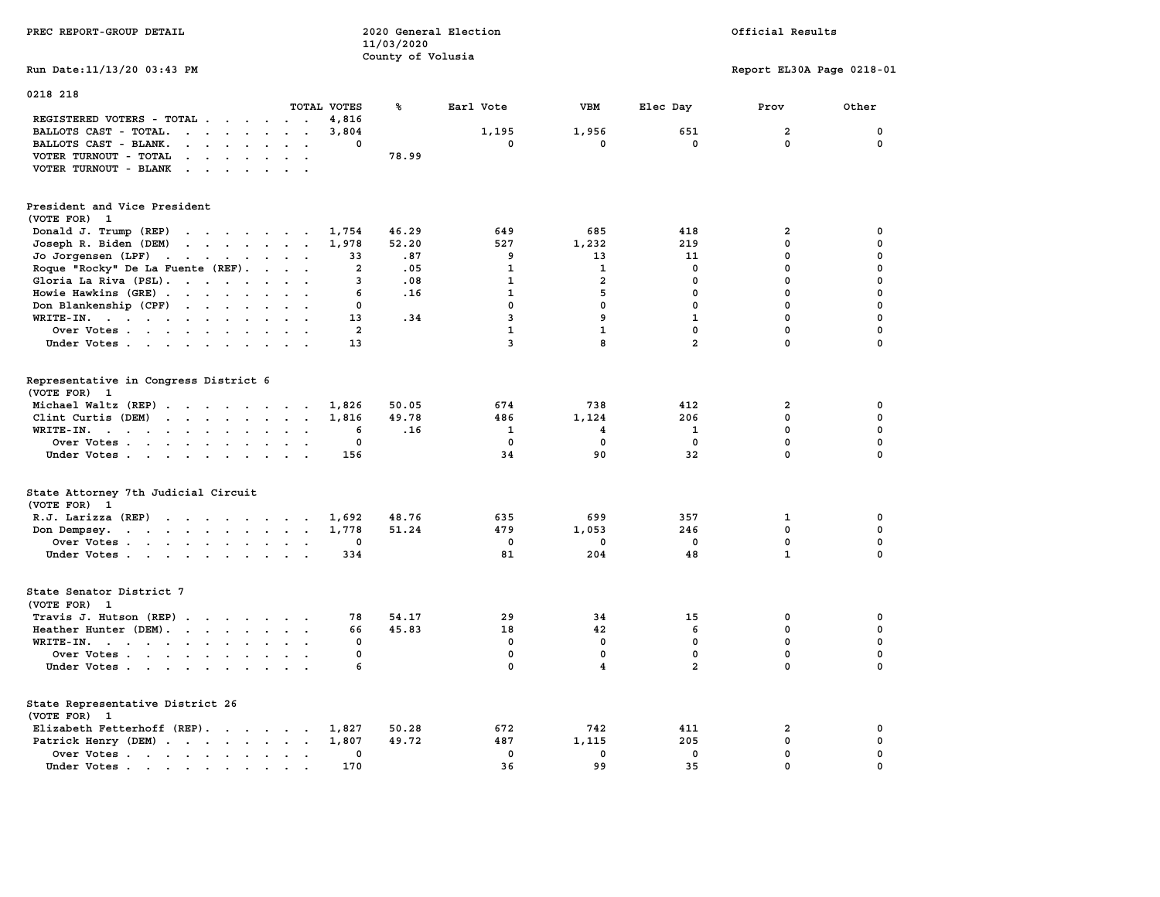| PREC REPORT-GROUP DETAIL                                                                                                                                                                                                                                   |                           | 11/03/2020<br>County of Volusia | 2020 General Election |                    |                | Official Results          |                             |
|------------------------------------------------------------------------------------------------------------------------------------------------------------------------------------------------------------------------------------------------------------|---------------------------|---------------------------------|-----------------------|--------------------|----------------|---------------------------|-----------------------------|
| Run Date: 11/13/20 03:43 PM                                                                                                                                                                                                                                |                           |                                 |                       |                    |                | Report EL30A Page 0218-01 |                             |
| 0218 218                                                                                                                                                                                                                                                   |                           |                                 |                       |                    |                |                           |                             |
|                                                                                                                                                                                                                                                            | TOTAL VOTES               | ℁                               | Earl Vote             | VBM                | Elec Day       | Prov                      | Other                       |
| REGISTERED VOTERS - TOTAL                                                                                                                                                                                                                                  | 4,816<br>$\sim$ $\sim$    |                                 |                       |                    |                |                           |                             |
| BALLOTS CAST - TOTAL.                                                                                                                                                                                                                                      | 3,804<br>$\cdot$ $\cdot$  |                                 | 1,195                 | 1,956              | 651            | $\overline{\mathbf{2}}$   | $\mathbf 0$                 |
| BALLOTS CAST - BLANK.<br>$\cdot$ $\cdot$ $\cdot$ $\cdot$ $\cdot$                                                                                                                                                                                           | $\Omega$                  |                                 | $\mathbf{0}$          | $\mathbf{0}$       | $\mathbf{0}$   | $\Omega$                  | $\mathbf 0$                 |
| VOTER TURNOUT - TOTAL<br>$\cdot$ $\cdot$ $\cdot$ $\cdot$                                                                                                                                                                                                   |                           | 78.99                           |                       |                    |                |                           |                             |
| VOTER TURNOUT - BLANK<br>$\sim$ $\sim$ $\sim$ $\sim$ $\sim$                                                                                                                                                                                                |                           |                                 |                       |                    |                |                           |                             |
| President and Vice President                                                                                                                                                                                                                               |                           |                                 |                       |                    |                |                           |                             |
| (VOTE FOR) 1                                                                                                                                                                                                                                               |                           |                                 |                       |                    |                |                           |                             |
| Donald J. Trump (REP)<br>the contract of the contract of the contract of the contract of the contract of the contract of the contract of the contract of the contract of the contract of the contract of the contract of the contract of the contract o    | 1,754                     | 46.29                           | 649                   | 685                | 418            | 2                         | 0                           |
| Joseph R. Biden (DEM)<br>$\mathbf{r}$ . The set of the set of the set of the set of the set of the set of the set of the set of the set of the set of the set of the set of the set of the set of the set of the set of the set of the set of the set of t | 1,978                     | 52.20                           | 527                   | 1,232              | 219            | $\mathbf{0}$              | 0                           |
| Jo Jorgensen (LPF)<br>the contract of the contract of the contract of the contract of the contract of                                                                                                                                                      | 33                        | .87                             | 9                     | 13                 | 11             | 0                         | 0                           |
|                                                                                                                                                                                                                                                            |                           |                                 |                       |                    |                | $\mathbf{0}$              | $\mathbf 0$                 |
| Roque "Rocky" De La Fuente (REF).                                                                                                                                                                                                                          | $\overline{\mathbf{2}}$   | .05                             | 1                     | 1                  | 0              |                           |                             |
| Gloria La Riva (PSL).                                                                                                                                                                                                                                      | 3                         | .08                             | $\mathbf{1}$          | $\overline{2}$     | $\mathbf 0$    | $\mathbf 0$               | $\mathbf 0$                 |
| Howie Hawkins (GRE)                                                                                                                                                                                                                                        | 6                         | .16                             | $\mathbf{1}$          | 5                  | $\mathbf{0}$   | $\mathbf{0}$              | $\mathbf 0$                 |
| Don Blankenship (CPF)                                                                                                                                                                                                                                      | $\mathbf 0$               |                                 | $\mathbf 0$           | 0                  | $\mathbf 0$    | $\mathbf 0$               | $\mathbf 0$                 |
| WRITE-IN.                                                                                                                                                                                                                                                  | 13                        | .34                             | 3                     | 9                  | $\mathbf{1}$   | $\mathbf 0$               | $\mathbf 0$                 |
| Over Votes                                                                                                                                                                                                                                                 | $\overline{2}$<br>$\sim$  |                                 | $\mathbf{1}$          | $\mathbf{1}$       | $\mathbf 0$    | $\mathbf 0$               | $\mathbf 0$                 |
| Under Votes                                                                                                                                                                                                                                                | 13                        |                                 | 3                     | 8                  | $\overline{a}$ | $\mathbf 0$               | $\mathbf 0$                 |
|                                                                                                                                                                                                                                                            |                           |                                 |                       |                    |                |                           |                             |
| Representative in Congress District 6<br>(VOTE FOR) 1                                                                                                                                                                                                      |                           |                                 |                       |                    |                |                           |                             |
| Michael Waltz (REP)                                                                                                                                                                                                                                        | 1,826                     | 50.05                           | 674                   | 738                | 412            | $\mathbf{2}$              | 0                           |
| Clint Curtis (DEM)<br>$\mathbf{r}$ , and $\mathbf{r}$ , and $\mathbf{r}$ , and $\mathbf{r}$                                                                                                                                                                | 1,816                     | 49.78                           | 486                   | 1,124              | 206            | $\mathbf{0}$              | 0                           |
| WRITE-IN.<br>$\mathbf{r}$ , $\mathbf{r}$ , $\mathbf{r}$ , $\mathbf{r}$ , $\mathbf{r}$<br>$\sim$                                                                                                                                                            | 6<br>$\ddot{\phantom{a}}$ | .16                             | 1                     | 4                  | 1              | $\mathbf 0$               | $\mathbf 0$                 |
| Over Votes                                                                                                                                                                                                                                                 | 0                         |                                 | 0                     | $\mathbf 0$        | $\mathbf{0}$   | 0                         | 0                           |
|                                                                                                                                                                                                                                                            | 156                       |                                 | 34                    | 90                 | 32             | 0                         | $\mathbf 0$                 |
| Under Votes                                                                                                                                                                                                                                                |                           |                                 |                       |                    |                |                           |                             |
| State Attorney 7th Judicial Circuit                                                                                                                                                                                                                        |                           |                                 |                       |                    |                |                           |                             |
| (VOTE FOR) 1                                                                                                                                                                                                                                               |                           |                                 |                       |                    |                |                           |                             |
| R.J. Larizza $(REP)$                                                                                                                                                                                                                                       | 1,692                     | 48.76                           | 635                   | 699                | 357            | 1                         | 0                           |
| Don Dempsey.<br>the contract of the contract of the con-                                                                                                                                                                                                   | 1,778                     | 51.24                           | 479                   | 1,053              | 246            | $\mathbf 0$               | $\mathbf 0$                 |
| Over Votes.                                                                                                                                                                                                                                                | 0                         |                                 | 0                     | 0                  | 0              | 0                         | 0                           |
| Under Votes                                                                                                                                                                                                                                                | 334                       |                                 | 81                    | 204                | 48             | $\mathbf{1}$              | $\mathbf 0$                 |
|                                                                                                                                                                                                                                                            |                           |                                 |                       |                    |                |                           |                             |
| State Senator District 7                                                                                                                                                                                                                                   |                           |                                 |                       |                    |                |                           |                             |
| (VOTE FOR) 1                                                                                                                                                                                                                                               |                           |                                 |                       |                    |                |                           |                             |
| Travis J. Hutson (REP)                                                                                                                                                                                                                                     | 78                        | 54.17                           | 29                    | 34                 | 15             | 0                         | 0                           |
| Heather Hunter (DEM).                                                                                                                                                                                                                                      | 66                        | 45.83                           | 18                    | 42                 | 6              | $^{\circ}$                | $\mathbf 0$                 |
| WRITE-IN.                                                                                                                                                                                                                                                  | $\Omega$                  |                                 | $\mathbf{0}$          | $\mathbf 0$        | $\mathbf 0$    | $\mathbf{0}$              | $\mathbf 0$                 |
| Over Votes                                                                                                                                                                                                                                                 | $\mathbf{0}$              |                                 | $\mathbf{0}$          | $\mathbf{0}$       | $\mathbf{0}$   | $\mathbf{0}$              | $\mathbf{0}$                |
| Under Votes                                                                                                                                                                                                                                                | 6                         |                                 | $\mathbf{0}$          | $\overline{4}$     | $\overline{2}$ | $\mathbf 0$               | $\mathbf 0$                 |
|                                                                                                                                                                                                                                                            |                           |                                 |                       |                    |                |                           |                             |
| State Representative District 26<br>(VOTE FOR) 1                                                                                                                                                                                                           |                           |                                 |                       |                    |                |                           |                             |
| Elizabeth Fetterhoff (REP).                                                                                                                                                                                                                                | 1,827                     | 50.28                           | 672                   | 742                | 411            | $\overline{\mathbf{2}}$   | 0                           |
|                                                                                                                                                                                                                                                            |                           | 49.72                           | 487                   |                    |                | $\mathbf 0$               | $\mathbf 0$                 |
| Patrick Henry (DEM)                                                                                                                                                                                                                                        | 1,807                     |                                 |                       | 1,115              | 205            |                           |                             |
| Over Votes                                                                                                                                                                                                                                                 | $\mathbf{0}$              |                                 | $\mathbf{0}$          | $\mathbf{0}$<br>99 | $\Omega$       | $\mathbf{0}$              | $\mathbf{0}$<br>$\mathbf 0$ |
| Under Votes                                                                                                                                                                                                                                                | 170                       |                                 | 36                    |                    | 35             | $\mathbf 0$               |                             |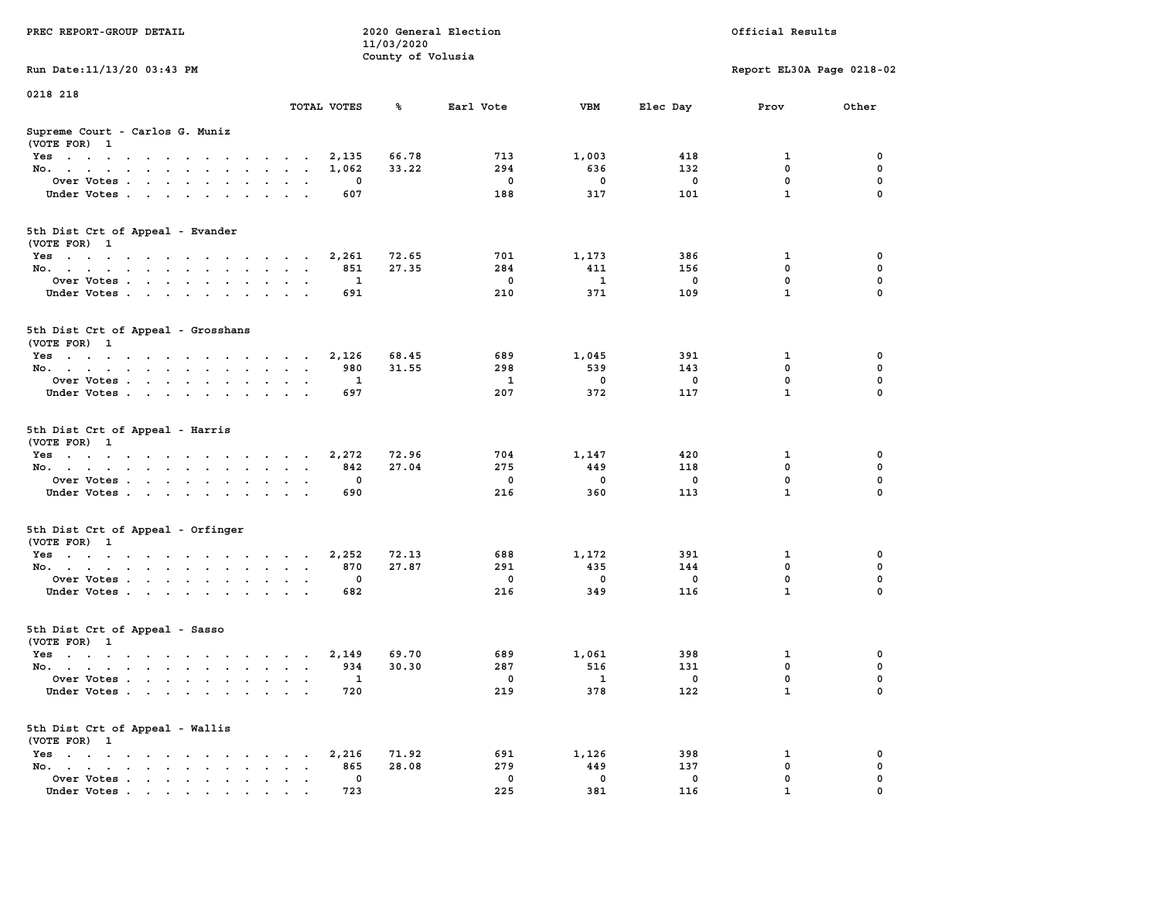| PREC REPORT-GROUP DETAIL                                                                                                                                                                                                                 |                                  | 11/03/2020<br>County of Volusia | 2020 General Election |                          |                | Official Results            |               |
|------------------------------------------------------------------------------------------------------------------------------------------------------------------------------------------------------------------------------------------|----------------------------------|---------------------------------|-----------------------|--------------------------|----------------|-----------------------------|---------------|
| Run Date: 11/13/20 03:43 PM                                                                                                                                                                                                              |                                  |                                 |                       |                          |                | Report EL30A Page 0218-02   |               |
| 0218 218                                                                                                                                                                                                                                 | TOTAL VOTES                      | ℁                               | Earl Vote             | <b>VBM</b>               | Elec Day       | Prov                        | Other         |
| Supreme Court - Carlos G. Muniz<br>(VOTE FOR) 1                                                                                                                                                                                          |                                  |                                 |                       |                          |                |                             |               |
| Yes                                                                                                                                                                                                                                      | 2,135                            | 66.78                           | 713                   | 1,003                    | 418            | 1                           | 0             |
| No.                                                                                                                                                                                                                                      | 1,062                            | 33.22                           | 294                   | 636                      | 132            | 0                           | 0             |
| Over Votes                                                                                                                                                                                                                               | 0<br>$\sim$ $\sim$               |                                 | 0                     | 0                        | 0              | $\mathbf 0$                 | $\mathbf 0$   |
| Under Votes                                                                                                                                                                                                                              | 607                              |                                 | 188                   | 317                      | 101            | $\mathbf{1}$                | $\Omega$      |
| 5th Dist Crt of Appeal - Evander<br>(VOTE FOR) 1                                                                                                                                                                                         |                                  |                                 |                       |                          |                |                             |               |
| Yes                                                                                                                                                                                                                                      | 2,261                            | 72.65                           | 701                   | 1,173                    | 386            | 1                           | 0             |
| No.                                                                                                                                                                                                                                      | 851<br>$\sim$ $\sim$             | 27.35                           | 284                   | 411                      | 156            | 0                           | $\mathbf 0$   |
| Over Votes                                                                                                                                                                                                                               | 1<br>$\sim$ $\sim$ $\sim$        |                                 | 0                     | $\mathbf{1}$             | 0              | 0                           | 0             |
| Under Votes                                                                                                                                                                                                                              | 691                              |                                 | 210                   | 371                      | 109            | $\mathbf{1}$                | 0             |
| 5th Dist Crt of Appeal - Grosshans<br>(VOTE FOR) 1                                                                                                                                                                                       |                                  |                                 |                       |                          |                |                             |               |
| Yes                                                                                                                                                                                                                                      | 2,126                            | 68.45                           | 689                   | 1,045                    | 391            | 1                           | 0             |
| No.                                                                                                                                                                                                                                      | 980                              | 31.55                           | 298                   | 539                      | 143            | 0                           | 0             |
| Over Votes                                                                                                                                                                                                                               | 1                                |                                 | 1                     | 0                        | 0              | 0                           | 0             |
| Under Votes                                                                                                                                                                                                                              | 697                              |                                 | 207                   | 372                      | 117            | $\mathbf{1}$                | $\Omega$      |
| 5th Dist Crt of Appeal - Harris<br>(VOTE FOR) 1                                                                                                                                                                                          |                                  |                                 |                       |                          |                |                             |               |
| Yes                                                                                                                                                                                                                                      | 2,272                            | 72.96                           | 704                   | 1,147                    | 420            | 1                           | 0             |
| No.                                                                                                                                                                                                                                      | 842                              | 27.04                           | 275                   | 449                      | 118            | 0                           | 0             |
| Over Votes                                                                                                                                                                                                                               | 0                                |                                 | 0                     | 0                        | 0              | $\mathbf 0$<br>$\mathbf{1}$ | 0<br>0        |
| Under Votes                                                                                                                                                                                                                              | 690                              |                                 | 216                   | 360                      | 113            |                             |               |
| 5th Dist Crt of Appeal - Orfinger<br>(VOTE FOR) 1                                                                                                                                                                                        |                                  |                                 |                       |                          |                |                             |               |
| Yes                                                                                                                                                                                                                                      | 2,252                            | 72.13                           | 688                   | 1,172                    | 391            | 1                           | 0             |
| No.                                                                                                                                                                                                                                      | 870<br>$\sim$ $\sim$             | 27.87                           | 291                   | 435                      | 144            | 0                           | $\mathbf 0$   |
| Over Votes<br>Under Votes                                                                                                                                                                                                                | 0<br>$\ddot{\phantom{1}}$<br>682 |                                 | 0<br>216              | 0<br>349                 | 0<br>116       | 0<br>$\mathbf{1}$           | 0<br>$\Omega$ |
| 5th Dist Crt of Appeal - Sasso                                                                                                                                                                                                           |                                  |                                 |                       |                          |                |                             |               |
| (VOTE FOR) 1                                                                                                                                                                                                                             |                                  |                                 |                       |                          |                |                             |               |
| $\mathbf{r}$ . The set of the set of the set of the set of the set of the set of the set of the set of the set of the set of the set of the set of the set of the set of the set of the set of the set of the set of the set of t<br>Yes | 2,149                            | 69.70                           | 689                   | 1,061                    | 398            | 1                           | 0             |
| No.                                                                                                                                                                                                                                      | 934                              | 30.30                           | 287                   | 516                      | 131            | 0                           | $\mathbf 0$   |
| Over Votes .                                                                                                                                                                                                                             | $\overline{\phantom{a}}$         |                                 | 0                     | $\overline{\phantom{a}}$ | $\overline{0}$ | $\Omega$                    | $\Omega$      |
| Under Votes                                                                                                                                                                                                                              | 720                              |                                 | 219                   | 378                      | 122            | $\mathbf{1}$                | 0             |
| 5th Dist Crt of Appeal - Wallis<br>(VOTE FOR) 1                                                                                                                                                                                          |                                  |                                 |                       |                          |                |                             |               |
| Yes                                                                                                                                                                                                                                      | 2,216                            | 71.92                           | 691                   | 1,126                    | 398            | 1                           | 0             |
| No.<br>$\mathbf{r} = \mathbf{r}$<br>$\sim$                                                                                                                                                                                               | 865<br>0                         | 28.08                           | 279<br>0              | 449<br>0                 | 137            | 0<br>0                      | 0<br>0        |
| Over Votes<br>Under Votes.                                                                                                                                                                                                               | 723                              |                                 | 225                   | 381                      | 0<br>116       | 1                           |               |
|                                                                                                                                                                                                                                          |                                  |                                 |                       |                          |                |                             |               |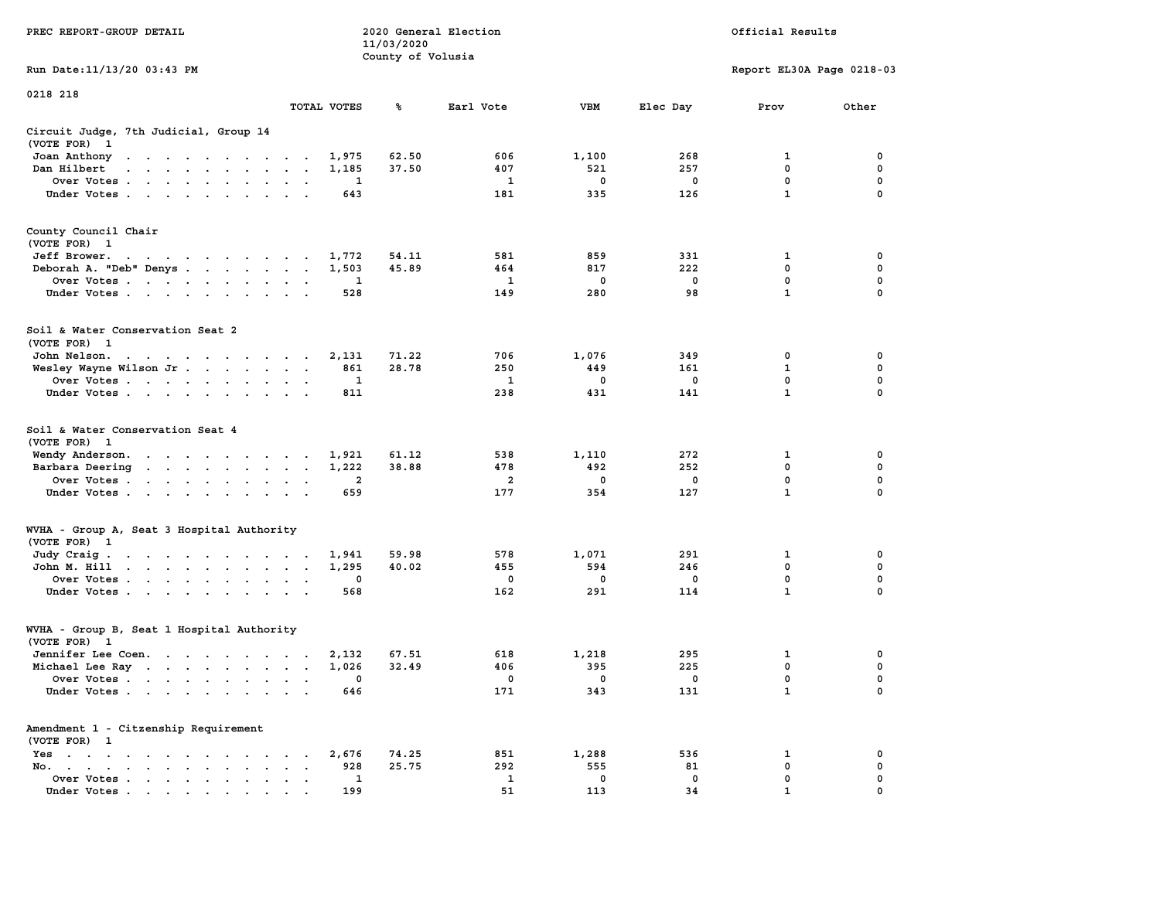| PREC REPORT-GROUP DETAIL                                                                                 |                         | 11/03/2020<br>County of Volusia | 2020 General Election |              |             | Official Results          |                  |
|----------------------------------------------------------------------------------------------------------|-------------------------|---------------------------------|-----------------------|--------------|-------------|---------------------------|------------------|
| Run Date: 11/13/20 03:43 PM                                                                              |                         |                                 |                       |              |             | Report EL30A Page 0218-03 |                  |
| 0218 218                                                                                                 |                         |                                 |                       |              |             |                           |                  |
|                                                                                                          | TOTAL VOTES             | ℁                               | Earl Vote             | VBM          | Elec Day    | Prov                      | Other            |
| Circuit Judge, 7th Judicial, Group 14<br>(VOTE FOR) 1                                                    |                         |                                 |                       |              |             |                           |                  |
| Joan Anthony                                                                                             | 1,975                   | 62.50                           | 606                   | 1,100        | 268         | 1                         | 0                |
| Dan Hilbert<br>the contract of the contract of the con-                                                  | 1,185                   | 37.50                           | 407                   | 521          | 257         | $\mathbf 0$               | 0                |
| Over Votes                                                                                               | 1                       |                                 | 1<br>181              | 0<br>335     | 0<br>126    | 0<br>$\mathbf{1}$         | 0<br>$\Omega$    |
| Under Votes                                                                                              | 643                     |                                 |                       |              |             |                           |                  |
| County Council Chair<br>(VOTE FOR) 1                                                                     |                         |                                 |                       |              |             |                           |                  |
| Jeff Brower.                                                                                             | 1,772                   | 54.11                           | 581                   | 859          | 331         | 1                         | 0                |
| Deborah A. "Deb" Denys                                                                                   | 1,503                   | 45.89                           | 464                   | 817          | 222         | 0                         | 0                |
| Over Votes                                                                                               | -1                      |                                 | 1                     | $\mathbf 0$  | $\mathbf 0$ | 0                         | $\mathbf 0$      |
| Under Votes                                                                                              | 528                     |                                 | 149                   | 280          | 98          | $\mathbf{1}$              | 0                |
| Soil & Water Conservation Seat 2<br>(VOTE FOR) 1                                                         |                         |                                 |                       |              |             |                           |                  |
| John Nelson.                                                                                             | 2,131                   | 71.22                           | 706                   | 1,076        | 349         | 0                         | 0                |
| Wesley Wayne Wilson Jr.                                                                                  | 861                     | 28.78                           | 250                   | 449          | 161         | 1                         | 0                |
| Over Votes                                                                                               | 1                       |                                 | 1                     | 0            | $^{\circ}$  | $\mathbf 0$               | 0                |
| Under Votes                                                                                              | 811                     |                                 | 238                   | 431          | 141         | $\mathbf{1}$              | $\Omega$         |
| Soil & Water Conservation Seat 4<br>(VOTE FOR) 1                                                         |                         |                                 |                       |              |             |                           |                  |
| Wendy Anderson.                                                                                          | 1,921<br>1,222          | 61.12<br>38.88                  | 538<br>478            | 1,110<br>492 | 272<br>252  | 1<br>$\mathbf 0$          | 0<br>$\mathbf 0$ |
| Barbara Deering<br>Over Votes                                                                            | $\overline{\mathbf{2}}$ |                                 | $\overline{a}$        | 0            | 0           | 0                         | 0                |
| Under Votes                                                                                              | 659                     |                                 | 177                   | 354          | 127         | $\mathbf{1}$              | $\Omega$         |
| WVHA - Group A, Seat 3 Hospital Authority                                                                |                         |                                 |                       |              |             |                           |                  |
| (VOTE FOR) 1                                                                                             |                         |                                 |                       |              |             |                           |                  |
| Judy Craig.                                                                                              | 1,941                   | 59.98                           | 578                   | 1,071        | 291         | 1                         | 0                |
| John M. Hill                                                                                             | 1,295                   | 40.02                           | 455                   | 594          | 246         | 0                         | 0                |
| Over Votes<br>Under Votes                                                                                | 0<br>568                |                                 | $\mathbf 0$<br>162    | 0<br>291     | 0<br>114    | 0<br>$\mathbf{1}$         | $\mathbf 0$<br>0 |
| WVHA - Group B, Seat 1 Hospital Authority                                                                |                         |                                 |                       |              |             |                           |                  |
| (VOTE FOR) 1                                                                                             |                         |                                 |                       |              |             |                           |                  |
| Jennifer Lee Coen.                                                                                       | 2,132                   | 67.51                           | 618                   | 1,218        | 295         | 1                         | 0                |
| Michael Lee Ray                                                                                          | 1,026                   | 32.49                           | 406                   | 395          | 225         | 0                         | 0                |
| Over Votes<br>Under Votes.<br>$\cdot$ $\cdot$ $\cdot$<br>$\sim$                                          | 0<br>646                |                                 | 0<br>171              | 0<br>343     | 0<br>131    | 0<br>$\mathbf{1}$         | 0<br>0           |
|                                                                                                          |                         |                                 |                       |              |             |                           |                  |
| Amendment 1 - Citzenship Requirement<br>(VOTE FOR) 1                                                     |                         |                                 |                       |              |             |                           |                  |
| $Yes \t . \t .$<br>$\sim$ $\sim$ $\sim$ $\sim$<br>$\cdot$                                                | 2,676                   | 74.25                           | 851                   | 1,288        | 536         | 1                         | 0                |
| $No.$ $\cdot$ $\cdot$ $\cdot$<br>$\ddot{\phantom{a}}$<br>$\cdot$ $\cdot$ $\cdot$<br>$\ddot{\phantom{a}}$ | 928                     | 25.75                           | 292                   | 555          | 81          | 0                         | 0                |
| Over Votes.<br>$\mathbf{r}$ , $\mathbf{r}$ , $\mathbf{r}$ , $\mathbf{r}$ , $\mathbf{r}$<br>Under Votes   | 1<br>199                |                                 | 1<br>51               | 0<br>113     | 0<br>34     | 0                         | 0                |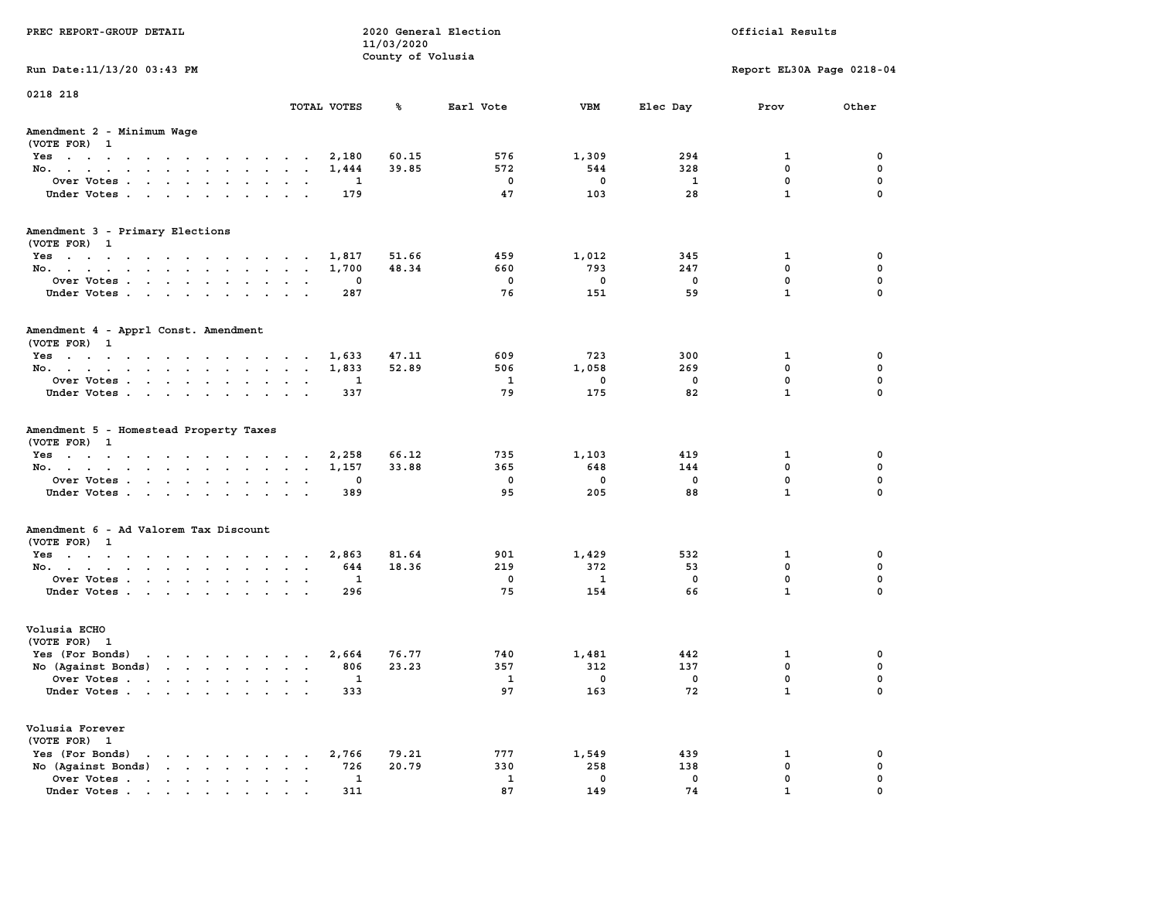| PREC REPORT-GROUP DETAIL                                                        |                          | 11/03/2020<br>County of Volusia | 2020 General Election |              |              | Official Results          |              |
|---------------------------------------------------------------------------------|--------------------------|---------------------------------|-----------------------|--------------|--------------|---------------------------|--------------|
| Run Date: 11/13/20 03:43 PM                                                     |                          |                                 |                       |              |              | Report EL30A Page 0218-04 |              |
| 0218 218                                                                        | TOTAL VOTES              | %                               | Earl Vote             | VBM          | Elec Day     | Prov                      | Other        |
|                                                                                 |                          |                                 |                       |              |              |                           |              |
| Amendment 2 - Minimum Wage<br>(VOTE FOR) 1                                      |                          |                                 |                       |              |              |                           |              |
| Yes                                                                             | 2,180                    | 60.15                           | 576                   | 1,309        | 294          | 1                         | 0            |
| No.                                                                             | 1,444                    | 39.85                           | 572                   | 544          | 328          | $\mathbf{0}$              | $\mathbf 0$  |
| Over Votes                                                                      | 1                        |                                 | $^{\circ}$            | $^{\circ}$   | $\mathbf{1}$ | 0                         | $\mathbf 0$  |
| Under Votes                                                                     | 179                      |                                 | 47                    | 103          | 28           | $\mathbf{1}$              | $\mathbf 0$  |
| Amendment 3 - Primary Elections                                                 |                          |                                 |                       |              |              |                           |              |
| (VOTE FOR) 1                                                                    |                          |                                 |                       |              |              |                           |              |
| Yes                                                                             | 1,817                    | 51.66                           | 459                   | 1,012        | 345          | 1                         | 0            |
| No.                                                                             | 1,700                    | 48.34                           | 660                   | 793          | 247          | 0                         | 0            |
| Over Votes                                                                      | 0                        |                                 | $\mathbf 0$           | $\mathbf 0$  | $\mathbf 0$  | $\mathbf 0$               | $\mathbf 0$  |
| Under Votes                                                                     | 287                      |                                 | 76                    | 151          | 59           | $\mathbf{1}$              | $\mathbf 0$  |
| Amendment 4 - Apprl Const. Amendment                                            |                          |                                 |                       |              |              |                           |              |
| (VOTE FOR) 1                                                                    |                          |                                 |                       |              |              |                           |              |
| Yes                                                                             | 1,633                    | 47.11                           | 609                   | 723          | 300          | 1                         | 0            |
| No.                                                                             | 1,833                    | 52.89                           | 506                   | 1,058        | 269          | 0                         | $\mathbf 0$  |
| Over Votes                                                                      | 1                        |                                 | 1                     | $\mathbf 0$  | $\mathbf 0$  | $\mathbf 0$               | $\mathbf 0$  |
| Under Votes                                                                     | 337                      |                                 | 79                    | 175          | 82           | $\mathbf{1}$              | $\mathbf 0$  |
| Amendment 5 - Homestead Property Taxes<br>(VOTE FOR) 1                          |                          |                                 |                       |              |              |                           |              |
| Yes                                                                             | 2,258                    | 66.12                           | 735                   | 1,103        | 419          | 1                         | 0            |
| No.                                                                             | 1,157                    | 33.88                           | 365                   | 648          | 144          | $\mathbf 0$               | 0            |
| Over Votes                                                                      | 0                        |                                 | $^{\circ}$            | $^{\circ}$   | $^{\circ}$   | $\mathbf{0}$              | $\mathbf 0$  |
| Under Votes                                                                     | 389                      |                                 | 95                    | 205          | 88           | $\mathbf{1}$              | $\mathbf 0$  |
| Amendment 6 - Ad Valorem Tax Discount                                           |                          |                                 |                       |              |              |                           |              |
| (VOTE FOR) 1                                                                    |                          |                                 |                       |              |              |                           |              |
| Yes                                                                             | 2,863                    | 81.64                           | 901                   | 1,429        | 532          | 1                         | 0            |
| No.                                                                             | 644                      | 18.36                           | 219                   | 372          | 53           | $\mathbf{0}$              | 0            |
| Over Votes                                                                      | 1                        |                                 | 0                     | $\mathbf{1}$ | 0            | $\mathbf 0$               | 0            |
| Under Votes.                                                                    | 296                      |                                 | 75                    | 154          | 66           | $\mathbf{1}$              | $\mathbf{0}$ |
| Volusia ECHO                                                                    |                          |                                 |                       |              |              |                           |              |
| (VOTE FOR) 1                                                                    |                          |                                 |                       |              |              |                           |              |
| and a series of the contract of the<br>Yes (For Bonds)                          | 2,664                    | 76.77                           | 740                   | 1,481        | 442          | 1                         | 0            |
| No (Against Bonds)                                                              | 806                      | 23.23                           | 357                   | 312          | 137          | $\mathbf 0$               | $\mathbf 0$  |
| Over Votes                                                                      | 1<br>$\bullet$<br>$\sim$ |                                 | 1                     | 0            | 0            | 0                         | 0            |
| Under Votes                                                                     | 333                      |                                 | 97                    | 163          | 72           | $\mathbf 1$               | 0            |
| Volusia Forever                                                                 |                          |                                 |                       |              |              |                           |              |
| (VOTE FOR) 1                                                                    |                          |                                 |                       |              |              |                           |              |
| Yes (For Bonds)<br>$\mathbf{r}$ , $\mathbf{r}$ , $\mathbf{r}$ , $\mathbf{r}$    | 2,766                    | 79.21                           | 777                   | 1,549        | 439          | 1                         | 0            |
| $\mathbf{r}$ , $\mathbf{r}$ , $\mathbf{r}$ , $\mathbf{r}$<br>No (Against Bonds) | 726                      | 20.79                           | 330                   | 258          | 138          | 0                         | 0            |
| Over Votes .<br>$\cdots$                                                        | $\mathbf{1}$             |                                 | $\mathbf{1}$          | $\mathbf 0$  | 0            | $\mathbf{0}$              | $\mathbf{0}$ |
|                                                                                 |                          |                                 |                       |              |              |                           |              |
| Under Votes                                                                     | 311                      |                                 | 87                    | 149          | 74           | 1                         | $\Omega$     |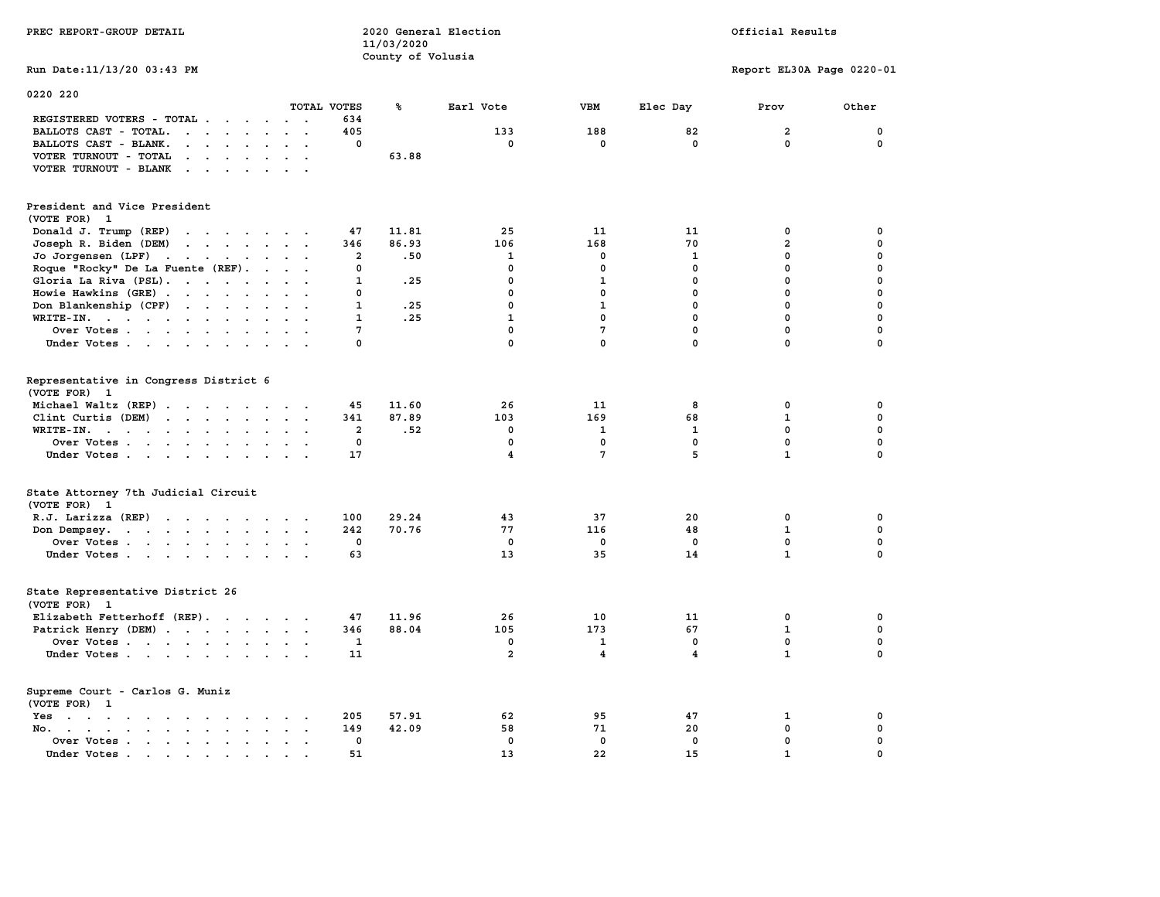|                                                                                                                                         |                      |                | County of Volusia |                |                 |             |                              |                  |
|-----------------------------------------------------------------------------------------------------------------------------------------|----------------------|----------------|-------------------|----------------|-----------------|-------------|------------------------------|------------------|
| Run Date: 11/13/20 03:43 PM                                                                                                             |                      |                |                   |                |                 |             | Report EL30A Page 0220-01    |                  |
| 0220 220                                                                                                                                |                      |                |                   |                |                 |             |                              |                  |
|                                                                                                                                         |                      | TOTAL VOTES    | ℁                 | Earl Vote      | <b>VBM</b>      | Elec Day    | Prov                         | Other            |
| REGISTERED VOTERS - TOTAL .<br>$\cdot$ $\cdot$<br>$\ddot{\phantom{a}}$                                                                  | $\cdot$ .            | 634            |                   |                |                 |             |                              |                  |
| BALLOTS CAST - TOTAL.<br>$\cdots$ $\cdots$<br>$\ddot{\phantom{a}}$<br>$\sim$                                                            | $\ddot{\phantom{0}}$ | 405            |                   | 133            | 188             | 82          | $\mathbf{2}$                 | $\mathbf 0$      |
| BALLOTS CAST - BLANK.<br>$\sim$<br>$\sim$                                                                                               |                      | 0              |                   | $\Omega$       | $\mathbf{0}$    | $\mathbf 0$ | $\Omega$                     | $\mathbf 0$      |
| VOTER TURNOUT - TOTAL<br>$\cdot$ $\cdot$ $\cdot$ $\cdot$ $\cdot$                                                                        |                      |                | 63.88             |                |                 |             |                              |                  |
| VOTER TURNOUT - BLANK<br>$\sim$ $\sim$ $\sim$ $\sim$ $\sim$<br>$\bullet$                                                                |                      |                |                   |                |                 |             |                              |                  |
| President and Vice President<br>(VOTE FOR) 1                                                                                            |                      |                |                   |                |                 |             |                              |                  |
|                                                                                                                                         |                      |                |                   |                |                 |             |                              |                  |
| Donald J. Trump (REP)                                                                                                                   |                      | 47<br>346      | 11.81<br>86.93    | 25<br>106      | 11<br>168       | 11<br>70    | 0<br>$\overline{\mathbf{2}}$ | 0<br>$\mathbf 0$ |
| Joseph R. Biden (DEM)<br>$\cdot$                                                                                                        |                      |                |                   | 1              | 0               | 1           | 0                            | $\mathbf{0}$     |
| Jo Jorgensen (LPF).<br><b>Contract Contract</b><br>$\bullet$ .<br><br><br>$\bullet$ .<br>$\bullet$<br>Roque "Rocky" De La Fuente (REF). |                      | 2<br>0         | .50               | 0              | 0               | 0           | $\mathbf 0$                  | $\mathbf 0$      |
| $\sim$                                                                                                                                  |                      | 1              | .25               | 0              | $\mathbf{1}$    | 0           | $\mathbf 0$                  | $\mathbf 0$      |
| Gloria La Riva (PSL).<br>$\sim$ $\sim$                                                                                                  | $\cdot$ .            | 0              |                   | 0              | $\mathbf{0}$    | 0           | $\mathbf 0$                  | $\mathbf 0$      |
| Howie Hawkins (GRE).<br>Don Blankenship (CPF)                                                                                           |                      | $\mathbf{1}$   | .25               | $\mathbf 0$    | $\mathbf{1}$    | 0           | $\mathbf 0$                  | $\mathbf 0$      |
| $\cdots$<br>$\sim$                                                                                                                      |                      |                |                   | $\mathbf{1}$   | $\mathbf 0$     | 0           | $\mathbf 0$                  | $\mathbf 0$      |
| WRITE-IN.<br>$\sim$                                                                                                                     |                      | 1<br>7         | .25               | 0              | $7\phantom{.0}$ | 0           | $\mathbf 0$                  | $\mathbf 0$      |
| Over Votes<br>$\sim$ $\sim$<br>Under Votes                                                                                              |                      | 0              |                   | 0              | $\mathbf{0}$    | 0           | 0                            | $\mathbf 0$      |
|                                                                                                                                         |                      |                |                   |                |                 |             |                              |                  |
| Representative in Congress District 6<br>(VOTE FOR) 1                                                                                   |                      |                |                   |                |                 |             |                              |                  |
| Michael Waltz (REP)                                                                                                                     |                      | 45             | 11.60             | 26             | 11              | 8           | 0                            | 0                |
| Clint Curtis (DEM)<br>$\mathbf{r}$<br>$\sim$                                                                                            |                      | 341            | 87.89             | 103            | 169             | 68          | 1                            | 0                |
| WRITE-IN.<br>$\cdots$<br><b>Contract Contract</b><br>$\ddot{\phantom{a}}$                                                               |                      | $\overline{2}$ | .52               | $\mathbf{0}$   | $\mathbf{1}$    | 1           | $\mathbf{0}$                 | $\mathbf 0$      |
| Over Votes<br>$\ddot{\phantom{a}}$                                                                                                      |                      | 0              |                   | 0              | $\mathbf 0$     | $\mathbf 0$ | $\mathbf 0$                  | $\mathbf 0$      |
| Under Votes                                                                                                                             |                      | 17             |                   | 4              | 7               | 5           | $\mathbf{1}$                 | $\mathbf 0$      |
| State Attorney 7th Judicial Circuit<br>(VOTE FOR) 1                                                                                     |                      |                |                   |                |                 |             |                              |                  |
| $R.J.$ Larizza $(REP)$                                                                                                                  |                      | 100            | 29.24             | 43             | 37              | 20          | 0                            | $\mathbf 0$      |
| Don Dempsey.<br>the contract of the contract of the contract of the contract of the contract of                                         | $\sim$ $\sim$        | 242            | 70.76             | 77             | 116             | 48          | 1                            | 0                |
| Over Votes                                                                                                                              |                      | 0              |                   | 0              | 0               | 0           | $\mathbf 0$                  | $\mathbf 0$      |
| Under Votes                                                                                                                             | $\sim$ $\sim$        | 63             |                   | 13             | 35              | 14          | $\mathbf{1}$                 | $\mathbf 0$      |
| State Representative District 26<br>(VOTE FOR) 1                                                                                        |                      |                |                   |                |                 |             |                              |                  |
| Elizabeth Fetterhoff (REP).                                                                                                             |                      | 47             | 11.96             | 26             | 10              | 11          | 0                            | 0                |
| Patrick Henry (DEM)                                                                                                                     |                      | 346            | 88.04             | 105            | 173             | 67          | $\mathbf{1}$                 | $\mathbf 0$      |
| Over Votes                                                                                                                              |                      | 1              |                   | $\mathbf{0}$   | 1               | 0           | $\mathbf{0}$                 | 0                |
| Under Votes                                                                                                                             |                      | 11             |                   | $\overline{a}$ | 4               | 4           | $\mathbf{1}$                 | $\mathbf 0$      |
| Supreme Court - Carlos G. Muniz<br>(VOTE FOR) 1                                                                                         |                      |                |                   |                |                 |             |                              |                  |
| Yes<br>$\cdots$<br><b>Contract Contract Contract</b>                                                                                    |                      | 205            | 57.91             | 62             | 95              | 47          | 1                            | $\mathbf 0$      |
| No.<br>$\cdot$ $\cdot$ $\cdot$ $\cdot$ $\cdot$                                                                                          |                      | 149            | 42.09             | 58             | 71              | 20          | 0                            | 0                |
| Over Votes<br>$\ddot{\phantom{a}}$<br>$\ddot{\phantom{1}}$                                                                              |                      | 0              |                   | $\mathbf 0$    | $\mathbf 0$     | $\mathbf 0$ | $\mathbf 0$                  | $\mathbf 0$      |
|                                                                                                                                         |                      | 51             |                   | 13             | 2.2             | 15          | п.                           | $\Omega$         |

**PREC REPORT-GROUP DETAIL 2020 General Election** 

 **11/03/2020**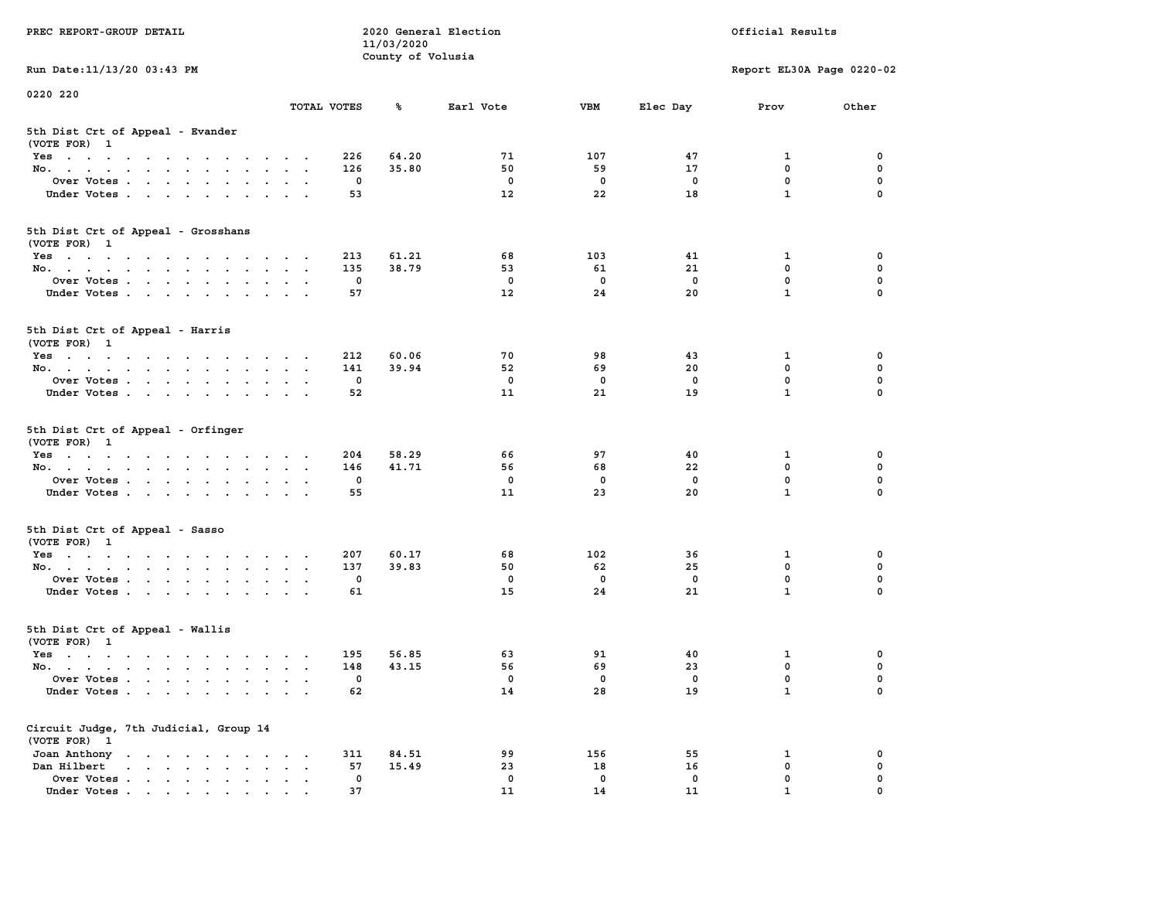| PREC REPORT-GROUP DETAIL                                               |                                                           |             | 11/03/2020        | 2020 General Election |              | Official Results |                           |             |  |  |
|------------------------------------------------------------------------|-----------------------------------------------------------|-------------|-------------------|-----------------------|--------------|------------------|---------------------------|-------------|--|--|
| Run Date: 11/13/20 03:43 PM                                            |                                                           |             | County of Volusia |                       |              |                  | Report EL30A Page 0220-02 |             |  |  |
| 0220 220                                                               |                                                           |             |                   |                       |              |                  |                           |             |  |  |
|                                                                        | TOTAL VOTES                                               |             | ℁                 | Earl Vote             | <b>VBM</b>   | Elec Day         | Prov                      | Other       |  |  |
| 5th Dist Crt of Appeal - Evander<br>(VOTE FOR) 1                       |                                                           |             |                   |                       |              |                  |                           |             |  |  |
| Yes                                                                    |                                                           | 226         | 64.20             | 71                    | 107          | 47               | 1                         | 0           |  |  |
| No.                                                                    |                                                           | 126         | 35.80             | 50                    | 59           | 17               | $\mathbf 0$               | 0           |  |  |
| Over Votes                                                             |                                                           | 0           |                   | 0                     | $\mathbf 0$  | 0                | $\mathbf 0$               | 0           |  |  |
| Under Votes                                                            |                                                           | 53          |                   | 12                    | 22           | 18               | $\mathbf{1}$              | $\Omega$    |  |  |
| 5th Dist Crt of Appeal - Grosshans<br>(VOTE FOR) 1                     |                                                           |             |                   |                       |              |                  |                           |             |  |  |
| Yes                                                                    |                                                           | 213         | 61.21             | 68                    | 103          | 41               | 1                         | 0           |  |  |
| No.                                                                    |                                                           | 135         | 38.79             | 53                    | 61           | 21               | $\mathbf 0$               | 0           |  |  |
| Over Votes                                                             |                                                           | 0           |                   | $\mathbf 0$           | $\mathbf 0$  | $\mathbf 0$      | $\mathbf 0$               | $\mathbf 0$ |  |  |
| Under Votes                                                            |                                                           | 57          |                   | $12 \overline{ }$     | 24           | 20               | $\mathbf{1}$              | 0           |  |  |
| 5th Dist Crt of Appeal - Harris<br>(VOTE FOR) 1                        |                                                           |             |                   |                       |              |                  |                           |             |  |  |
| Yes                                                                    |                                                           | 212         | 60.06             | 70                    | 98           | 43               | 1                         | 0           |  |  |
| No.                                                                    |                                                           | 141         | 39.94             | 52                    | 69           | 20               | $^{\circ}$                | $\mathbf 0$ |  |  |
| Over Votes                                                             |                                                           | 0           |                   | $^{\circ}$            | $\mathbf 0$  | $\mathbf 0$      | $\mathbf{0}$              | 0           |  |  |
| Under Votes                                                            |                                                           | 52          |                   | 11                    | 21           | 19               | $\mathbf{1}$              | 0           |  |  |
| 5th Dist Crt of Appeal - Orfinger<br>(VOTE FOR) 1                      |                                                           |             |                   |                       |              |                  |                           |             |  |  |
| Yes                                                                    |                                                           | 204         | 58.29             | 66                    | 97           | 40               | 1                         | 0           |  |  |
| No.                                                                    |                                                           | 146         | 41.71             | 56                    | 68           | 22               | $\mathbf 0$               | 0           |  |  |
| Over Votes                                                             |                                                           | 0           |                   | 0                     | 0            | 0                | $\mathbf 0$               | 0           |  |  |
| Under Votes                                                            |                                                           | 55          |                   | 11                    | 23           | 20               | $\mathbf{1}$              | $\Omega$    |  |  |
| 5th Dist Crt of Appeal - Sasso<br>(VOTE FOR) 1                         |                                                           |             |                   |                       |              |                  |                           |             |  |  |
| Yes                                                                    |                                                           | 207         | 60.17             | 68                    | 102          | 36               | 1                         | 0           |  |  |
| No.                                                                    |                                                           | 137         | 39.83             | 50                    | 62           | 25               | $\mathbf 0$               | 0           |  |  |
| Over Votes                                                             |                                                           | 0           |                   | 0                     | $\mathbf 0$  | $\mathbf 0$      | 0                         | 0           |  |  |
| Under Votes                                                            |                                                           | 61          |                   | 15                    | 24           | 21               | $\mathbf{1}$              | $\Omega$    |  |  |
| 5th Dist Crt of Appeal - Wallis<br>(VOTE FOR) 1                        |                                                           |             |                   |                       |              |                  |                           |             |  |  |
| Yes<br>$\mathbf{r}$ . The state of the state of the state $\mathbf{r}$ |                                                           | 195         | 56.85             | 63                    | 91           | 40               | 1                         | 0           |  |  |
| No.                                                                    |                                                           | 148         | 43.15             | 56                    | 69           | 23               | 0                         | 0           |  |  |
| Over Votes                                                             |                                                           | 0           |                   | 0                     | $\mathbf{0}$ | 0                | $\mathbf 0$               | 0           |  |  |
| Under Votes.                                                           |                                                           | 62          |                   | 14                    | 28           | 19               | $\mathbf{1}$              | 0           |  |  |
| Circuit Judge, 7th Judicial, Group 14<br>(VOTE FOR) 1                  |                                                           |             |                   |                       |              |                  |                           |             |  |  |
| Joan Anthony                                                           |                                                           | 311         | 84.51             | 99                    | 156          | 55               | 1                         | 0           |  |  |
| Dan Hilbert<br>and a series of the series of                           | $\ddot{\phantom{a}}$<br>$\bullet$<br>$\ddot{\phantom{1}}$ | 57          | 15.49             | 23                    | 18           | 16               | $\mathbf 0$               | 0           |  |  |
| Over Votes.                                                            |                                                           | $\mathbf 0$ |                   | 0                     | $\mathbf 0$  | 0                | 0                         | 0           |  |  |
| Under Votes.                                                           |                                                           | 37          |                   | 11                    | 14           | 11               | $\mathbf{1}$              |             |  |  |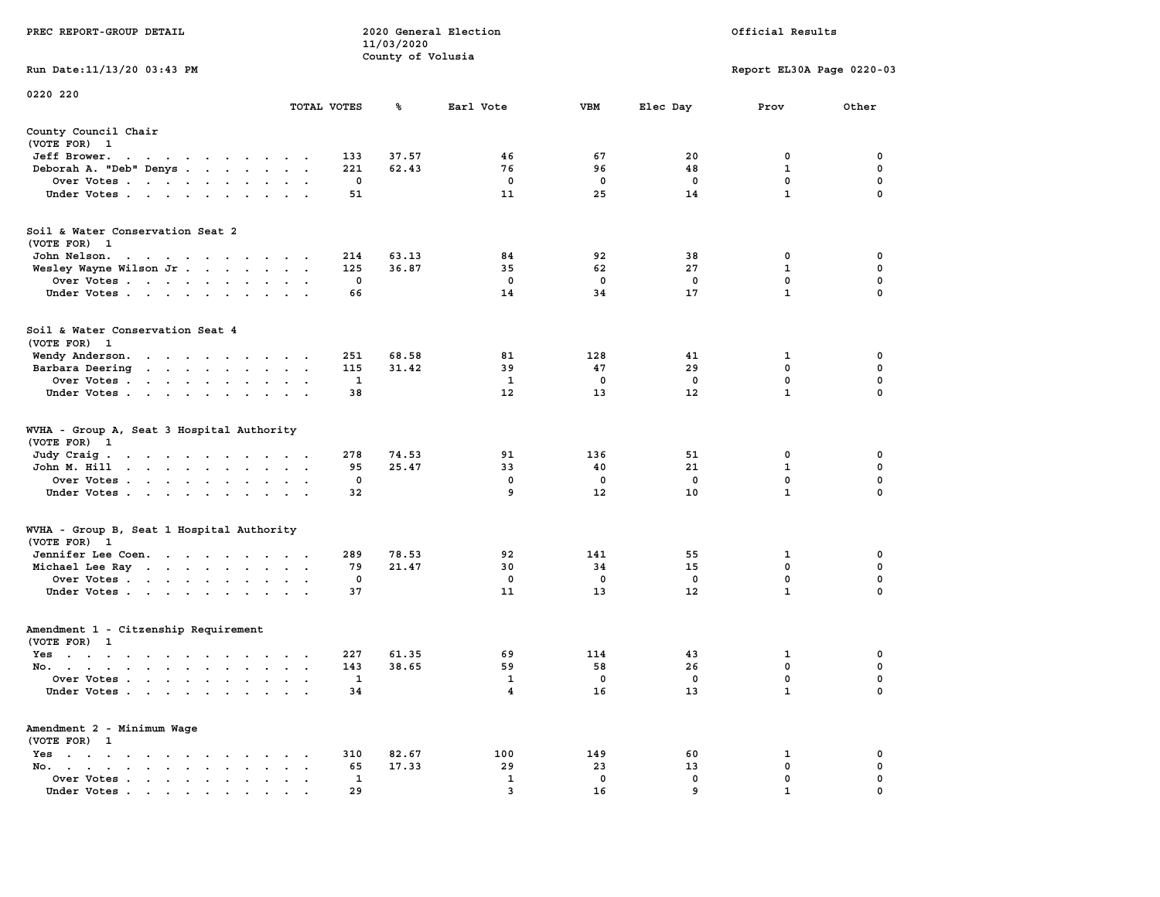|                                                                           |                                                                | 11/03/2020        |                              |                   |                  |                           |                  |
|---------------------------------------------------------------------------|----------------------------------------------------------------|-------------------|------------------------------|-------------------|------------------|---------------------------|------------------|
|                                                                           |                                                                | County of Volusia |                              |                   |                  |                           |                  |
| Run Date: 11/13/20 03:43 PM                                               |                                                                |                   |                              |                   |                  | Report EL30A Page 0220-03 |                  |
| 0220 220                                                                  |                                                                |                   |                              |                   |                  |                           |                  |
|                                                                           | TOTAL VOTES                                                    | ℁                 | Earl Vote                    | <b>VBM</b>        | Elec Day         | Prov                      | Other            |
| County Council Chair                                                      |                                                                |                   |                              |                   |                  |                           |                  |
| (VOTE FOR) 1                                                              |                                                                |                   |                              |                   |                  |                           |                  |
| Jeff Brower.<br>the contract of the contract of the con-                  | 133                                                            | 37.57             | 46                           | 67                | 20               | 0                         | 0                |
| Deborah A. "Deb" Denys                                                    | 221                                                            | 62.43             | 76                           | 96                | 48               | 1                         | 0                |
| Over Votes                                                                | $\mathbf 0$                                                    |                   | $\mathbf 0$                  | $\mathbf 0$       | $\mathbf 0$      | $\mathbf 0$               | $\mathbf 0$      |
| Under Votes                                                               | 51                                                             |                   | 11                           | 25                | 14               | $\mathbf{1}$              | $\Omega$         |
|                                                                           |                                                                |                   |                              |                   |                  |                           |                  |
| Soil & Water Conservation Seat 2                                          |                                                                |                   |                              |                   |                  |                           |                  |
| (VOTE FOR) 1                                                              |                                                                |                   |                              |                   |                  |                           |                  |
| John Nelson.<br>design and a series of the series                         | 214                                                            | 63.13             | 84                           | 92                | 38               | 0                         | 0                |
| Wesley Wayne Wilson Jr                                                    | 125                                                            | 36.87             | 35                           | 62                | 27               | $\mathbf{1}$              | $\mathbf 0$      |
| Over Votes                                                                | $\mathbf 0$                                                    |                   | $\mathbf 0$                  | $\mathbf 0$       | $\mathbf 0$      | $\mathbf 0$               | $\mathbf 0$      |
| Under Votes                                                               | 66                                                             |                   | 14                           | 34                | 17               | $\mathbf{1}$              | $\mathbf 0$      |
|                                                                           |                                                                |                   |                              |                   |                  |                           |                  |
| Soil & Water Conservation Seat 4                                          |                                                                |                   |                              |                   |                  |                           |                  |
| (VOTE FOR) 1                                                              |                                                                |                   |                              |                   |                  |                           |                  |
| Wendy Anderson.                                                           | 251                                                            | 68.58             | 81                           | 128               | 41               | 1                         | 0                |
| Barbara Deering                                                           | 115                                                            | 31.42             | 39                           | 47                | 29               | $\mathbf 0$               | $\mathbf 0$      |
| Over Votes                                                                | 1                                                              |                   | 1                            | $^{\circ}$        | $^{\circ}$       | $\mathbf 0$               | $\mathbf 0$      |
| Under Votes                                                               | 38                                                             |                   | 12                           | 13                | 12               | $\mathbf{1}$              | 0                |
|                                                                           |                                                                |                   |                              |                   |                  |                           |                  |
| WVHA - Group A, Seat 3 Hospital Authority                                 |                                                                |                   |                              |                   |                  |                           |                  |
| (VOTE FOR) 1                                                              |                                                                |                   |                              |                   |                  |                           |                  |
| Judy Craig.<br>the contract of the contract of the con-                   | 278                                                            | 74.53             | 91                           | 136               | 51               | 0                         | 0                |
| John M. Hill                                                              | 95<br><b>Contract Contract</b><br>$\overline{\phantom{a}}$     | 25.47             | 33                           | 40                | 21               | $\mathbf{1}$              | $\mathbf 0$      |
| Over Votes.                                                               | 0                                                              |                   | $\mathbf 0$                  | 0                 | $\mathbf 0$      | $\mathbf 0$               | $\mathbf 0$      |
| Under Votes                                                               | 32                                                             |                   | 9                            | $12 \overline{ }$ | 10               | $\mathbf{1}$              | 0                |
|                                                                           |                                                                |                   |                              |                   |                  |                           |                  |
| WVHA - Group B, Seat 1 Hospital Authority                                 |                                                                |                   |                              |                   |                  |                           |                  |
| (VOTE FOR) 1                                                              |                                                                | 78.53             | 92                           | 141               |                  |                           | 0                |
| Jennifer Lee Coen.                                                        | 289                                                            |                   |                              |                   | 55               | 1                         |                  |
| Michael Lee Ray                                                           | 79<br>$\mathbf{0}$                                             | 21.47             | 30<br>$^{\circ}$             | 34<br>$^{\circ}$  | 15<br>$^{\circ}$ | 0<br>$\mathbf 0$          | 0<br>$\mathbf 0$ |
| Over Votes                                                                |                                                                |                   |                              | 13                | 12               | $\mathbf{1}$              | $\mathbf 0$      |
| Under Votes                                                               | 37                                                             |                   | 11                           |                   |                  |                           |                  |
| Amendment 1 - Citzenship Requirement                                      |                                                                |                   |                              |                   |                  |                           |                  |
| (VOTE FOR) 1                                                              |                                                                |                   |                              |                   |                  |                           |                  |
|                                                                           | 227                                                            | 61.35             | 69                           | 114               | 43               | 1                         | 0                |
| Yes<br>No.                                                                | 143                                                            | 38.65             | 59                           | 58                | 26               | 0                         | 0                |
|                                                                           |                                                                |                   |                              |                   |                  |                           |                  |
| Over Votes                                                                | 1<br>$\sim 100$ km s $^{-1}$<br>$\overline{\phantom{a}}$<br>34 |                   | 1<br>$\overline{\mathbf{4}}$ | 0<br>16           | 0<br>13          | 0<br>$\mathbf{1}$         | 0<br>$\mathbf 0$ |
| Under Votes                                                               |                                                                |                   |                              |                   |                  |                           |                  |
| Amendment 2 - Minimum Wage                                                |                                                                |                   |                              |                   |                  |                           |                  |
| (VOTE FOR) 1                                                              |                                                                |                   |                              |                   |                  |                           |                  |
| $Yes \cdot \cdot \cdot \cdot \cdot \cdot \cdot \cdot \cdot$<br>$\cdot$    | 310                                                            | 82.67             | 100                          | 149               | 60               | 1                         | 0                |
| No.<br>the contract of the contract of the con-<br>$\bullet$<br>$\bullet$ | 65                                                             | 17.33             | 29                           | 23                | 13               | $\mathbf 0$               | $\mathbf 0$      |
| Over Votes<br>$\ddot{\phantom{0}}$<br>$\bullet$<br>$\bullet$              | 1<br>$\bullet$                                                 |                   | 1                            | $\mathbf 0$       | $\mathbf{0}$     | 0                         | 0                |
| Under Votes, , , , , , , ,                                                | 29                                                             |                   | 3                            | 16                | 9                | $\mathbf{1}$              | $\Omega$         |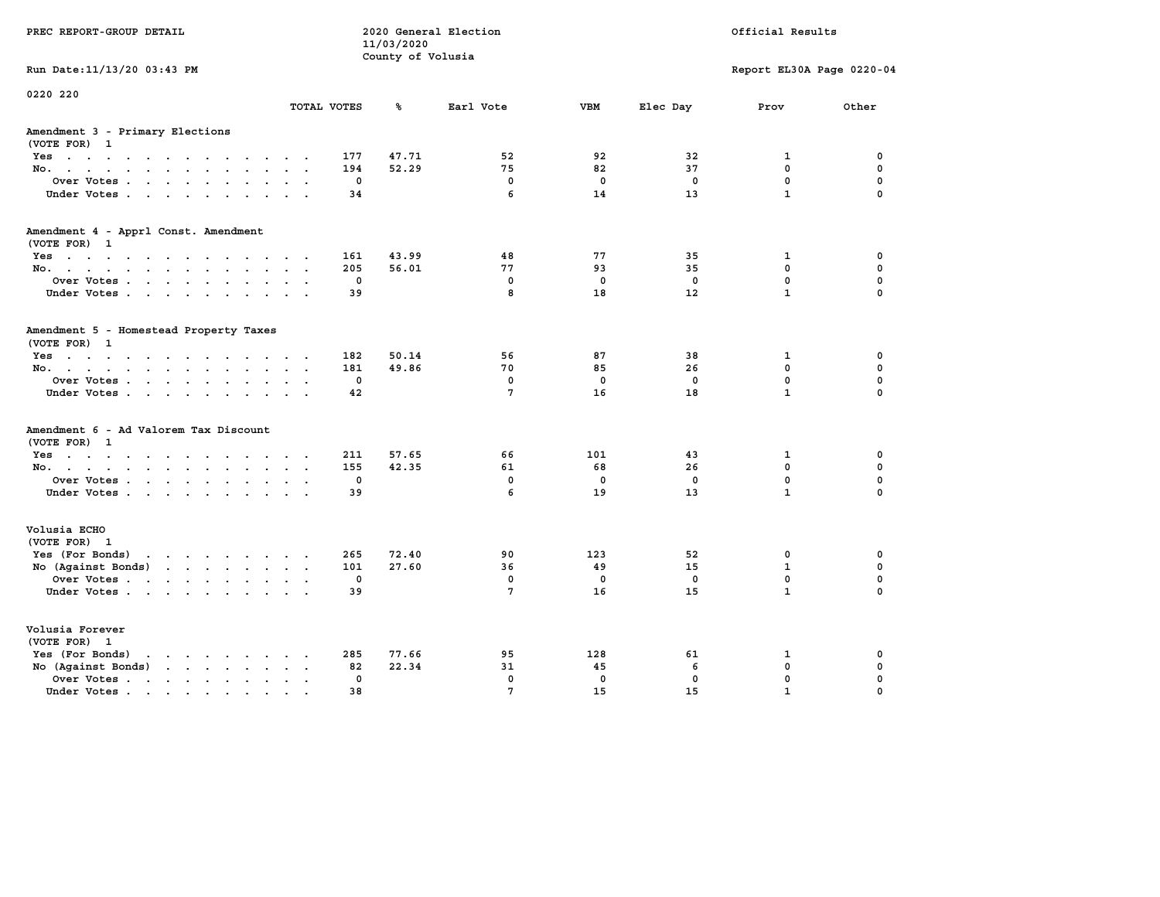|                                                                                                                                                                                                                                                                                    |                      |              | 11/03/2020        |                 |              |              |                           |             |
|------------------------------------------------------------------------------------------------------------------------------------------------------------------------------------------------------------------------------------------------------------------------------------|----------------------|--------------|-------------------|-----------------|--------------|--------------|---------------------------|-------------|
|                                                                                                                                                                                                                                                                                    |                      |              | County of Volusia |                 |              |              |                           |             |
| Run Date: 11/13/20 03:43 PM                                                                                                                                                                                                                                                        |                      |              |                   |                 |              |              | Report EL30A Page 0220-04 |             |
| 0220 220                                                                                                                                                                                                                                                                           |                      |              |                   |                 |              |              |                           |             |
|                                                                                                                                                                                                                                                                                    |                      | TOTAL VOTES  | ℁                 | Earl Vote       | <b>VBM</b>   | Elec Day     | Prov                      | Other       |
| Amendment 3 - Primary Elections<br>(VOTE FOR) 1                                                                                                                                                                                                                                    |                      |              |                   |                 |              |              |                           |             |
| Yes                                                                                                                                                                                                                                                                                | $\sim$ $\sim$        | 177          | 47.71             | 52              | 92           | 32           | 1                         | 0           |
| No.                                                                                                                                                                                                                                                                                | $\sim$ $\sim$        | 194          | 52.29             | 75              | 82           | 37           | 0                         | 0           |
| Over Votes                                                                                                                                                                                                                                                                         |                      | $\mathbf{0}$ |                   | $\mathbf 0$     | $\mathbf 0$  | $\mathbf{0}$ | $\mathbf{0}$              | $\mathbf 0$ |
| Under Votes                                                                                                                                                                                                                                                                        |                      | 34           |                   | 6               | 14           | 13           | $\mathbf{1}$              | $\Omega$    |
| Amendment 4 - Apprl Const. Amendment<br>(VOTE FOR)<br>-1                                                                                                                                                                                                                           |                      |              |                   |                 |              |              |                           |             |
| Yes                                                                                                                                                                                                                                                                                |                      | 161          | 43.99             | 48              | 77           | 35           | 1                         | 0           |
| No.<br>$\ddot{\phantom{a}}$<br>$\sim$<br>$\ddot{\phantom{a}}$                                                                                                                                                                                                                      |                      | 205          | 56.01             | 77              | 93           | 35           | 0                         | $\mathbf 0$ |
| Over Votes                                                                                                                                                                                                                                                                         | $\sim$               | 0            |                   | $\mathbf 0$     | $\mathbf{0}$ | $\mathbf 0$  | $\mathbf 0$               | $\mathbf 0$ |
| Under Votes                                                                                                                                                                                                                                                                        | $\sim$<br>$\sim$     | 39           |                   | 8               | 18           | 12           | $\mathbf{1}$              | 0           |
|                                                                                                                                                                                                                                                                                    |                      |              |                   |                 |              |              |                           |             |
| Amendment 5 - Homestead Property Taxes<br>(VOTE FOR) 1                                                                                                                                                                                                                             |                      |              |                   |                 |              |              |                           |             |
| $Yes \cdot \cdot \cdot \cdot \cdot \cdot$<br>$\sim$ $\sim$<br>$\sim$                                                                                                                                                                                                               |                      | 182          | 50.14             | 56              | 87           | 38           | $\mathbf{1}$              | 0           |
| No.                                                                                                                                                                                                                                                                                | $\ddot{\phantom{0}}$ | 181          | 49.86             | 70              | 85           | 26           | 0                         | 0           |
| Over Votes.                                                                                                                                                                                                                                                                        |                      | 0            |                   | $\mathbf 0$     | $\mathbf 0$  | $\mathbf 0$  | 0                         | 0           |
| Under Votes                                                                                                                                                                                                                                                                        |                      | 42           |                   | 7               | 16           | 18           | $\mathbf{1}$              | $\Omega$    |
| Amendment 6 - Ad Valorem Tax Discount<br>(VOTE FOR) 1                                                                                                                                                                                                                              |                      |              |                   |                 |              |              |                           |             |
| Yes                                                                                                                                                                                                                                                                                |                      | 211          | 57.65             | 66              | 101          | 43           | $\mathbf{1}$              | 0           |
| No.<br>$\sim$ $\sim$                                                                                                                                                                                                                                                               | $\sim$ $\sim$        | 155          | 42.35             | 61              | 68           | 26           | 0                         | 0           |
| Over Votes                                                                                                                                                                                                                                                                         |                      | 0            |                   | $\mathbf 0$     | 0            | 0            | 0                         | 0           |
| Under Votes                                                                                                                                                                                                                                                                        | $\cdot$              | 39           |                   | 6               | 19           | 13           | $\mathbf{1}$              | $\Omega$    |
| Volusia ECHO<br>(VOTE FOR) 1                                                                                                                                                                                                                                                       |                      |              |                   |                 |              |              |                           |             |
| Yes (For Bonds)<br>the contract of the contract of the contract of the contract of the contract of the contract of the contract of                                                                                                                                                 |                      | 265          | 72.40             | 90              | 123          | 52           | 0                         | 0           |
| No (Against Bonds)<br>$\mathbf{r}$ , $\mathbf{r}$ , $\mathbf{r}$ , $\mathbf{r}$ , $\mathbf{r}$ , $\mathbf{r}$                                                                                                                                                                      |                      | 101          | 27.60             | 36              | 49           | 15           | $\mathbf{1}$              | 0           |
| Over Votes                                                                                                                                                                                                                                                                         |                      | $\mathbf 0$  |                   | $\mathbf 0$     | $\mathbf 0$  | $\mathbf 0$  | $\mathbf 0$               | 0           |
| Under Votes                                                                                                                                                                                                                                                                        |                      | 39           |                   | $7\phantom{.0}$ | 16           | 15           | $\mathbf{1}$              | $\Omega$    |
| Volusia Forever<br>(VOTE FOR)<br>1                                                                                                                                                                                                                                                 |                      |              |                   |                 |              |              |                           |             |
| Yes (For Bonds)<br>in the contract of the contract of the contract of the contract of the contract of the contract of the contract of the contract of the contract of the contract of the contract of the contract of the contract of the contrac<br>$\bullet$                     |                      | 285          | 77.66             | 95              | 128          | 61           | 1                         | 0           |
| No (Against Bonds)<br>$\cdot$ $\cdot$ $\cdot$ $\cdot$<br>$\ddot{\phantom{a}}$                                                                                                                                                                                                      |                      | 82           | 22.34             | 31              | 45           | 6            | 0                         | 0           |
| Over Votes.<br>$\mathbf{r}$ . The set of the set of the set of the set of the set of the set of the set of the set of the set of the set of the set of the set of the set of the set of the set of the set of the set of the set of the set of t<br>$\ddot{\phantom{a}}$<br>$\sim$ | $\bullet$            | $\mathbf 0$  |                   | $\mathbf 0$     | $\mathbf 0$  | $\mathbf 0$  | $\mathbf 0$               | $\mathbf 0$ |
| Under Votes                                                                                                                                                                                                                                                                        |                      | 38           |                   | $\overline{7}$  | 15           | 15           | $\mathbf{1}$              | $\Omega$    |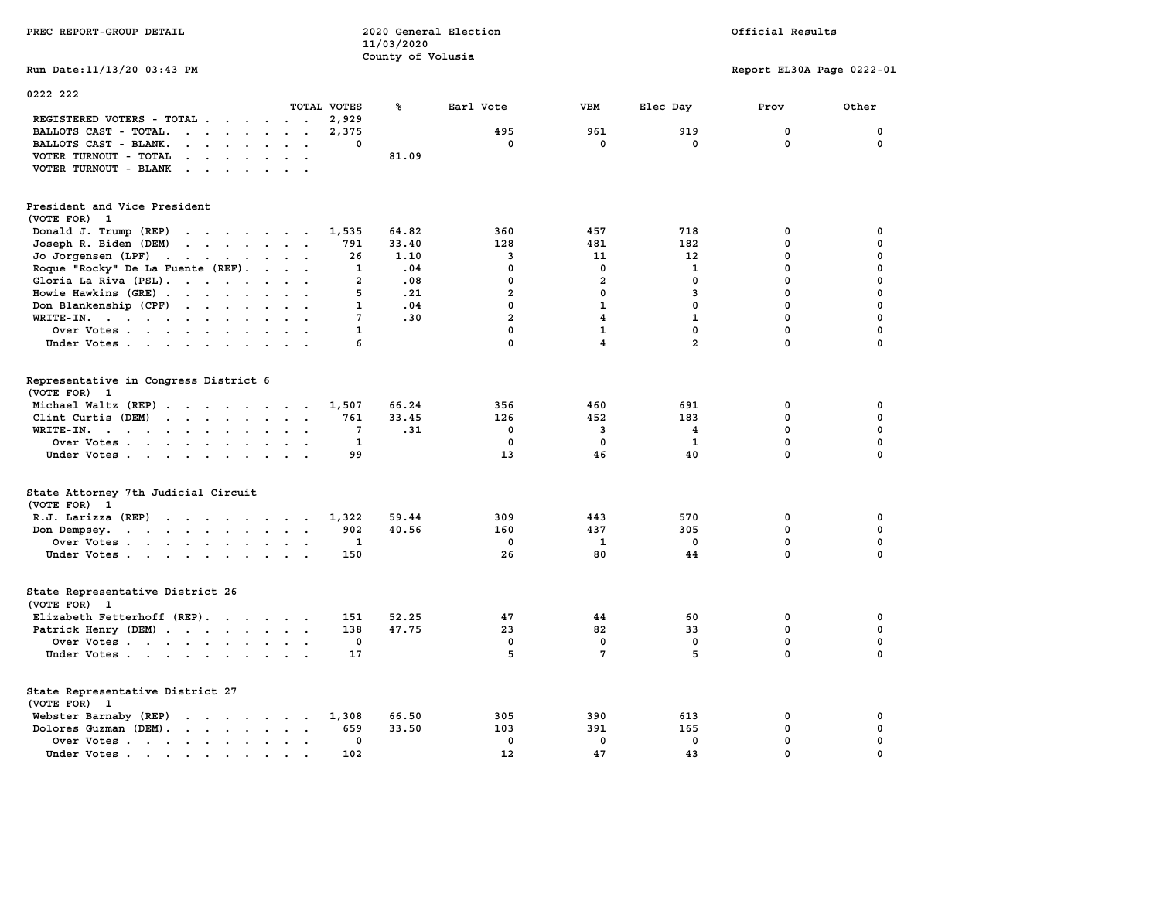| PREC REPORT-GROUP DETAIL                                                                                                     |                | 11/03/2020        | 2020 General Election | Official Results   |                |                           |                             |  |
|------------------------------------------------------------------------------------------------------------------------------|----------------|-------------------|-----------------------|--------------------|----------------|---------------------------|-----------------------------|--|
|                                                                                                                              |                | County of Volusia |                       |                    |                |                           |                             |  |
| Run Date: 11/13/20 03:43 PM                                                                                                  |                |                   |                       |                    |                | Report EL30A Page 0222-01 |                             |  |
| 0222 222                                                                                                                     |                |                   |                       |                    |                |                           |                             |  |
|                                                                                                                              | TOTAL VOTES    | ℁                 | Earl Vote             | <b>VBM</b>         | Elec Day       | Prov                      | Other                       |  |
| REGISTERED VOTERS - TOTAL .<br>$\cdots$                                                                                      | 2,929          |                   |                       |                    |                |                           |                             |  |
| BALLOTS CAST - TOTAL.<br>$\cdots$                                                                                            | 2,375          |                   | 495                   | 961                | 919            | $\mathbf{0}$              | 0                           |  |
| BALLOTS CAST - BLANK.                                                                                                        | 0              |                   | $\mathbf 0$           | 0                  | $\mathbf 0$    | 0                         | 0                           |  |
| VOTER TURNOUT - TOTAL<br>$\mathbf{r}$ , $\mathbf{r}$ , $\mathbf{r}$ , $\mathbf{r}$ , $\mathbf{r}$                            |                | 81.09             |                       |                    |                |                           |                             |  |
| VOTER TURNOUT - BLANK                                                                                                        |                |                   |                       |                    |                |                           |                             |  |
| President and Vice President<br>(VOTE FOR) 1                                                                                 |                |                   |                       |                    |                |                           |                             |  |
| Donald J. Trump (REP)                                                                                                        | 1,535          | 64.82             | 360                   | 457                | 718            | 0                         | 0                           |  |
| Joseph R. Biden (DEM)                                                                                                        | 791            | 33.40             | 128                   | 481                | 182            | 0                         | 0                           |  |
| Jo Jorgensen (LPF)                                                                                                           | 26             | 1.10              | 3                     | 11                 | 12             | 0                         | 0                           |  |
| Roque "Rocky" De La Fuente (REF).                                                                                            | 1              | .04               | $\mathbf 0$           | $\mathbf 0$        | 1              | 0                         | 0                           |  |
| Gloria La Riva (PSL).                                                                                                        | $\overline{2}$ | .08               | $\mathbf 0$           | $\overline{a}$     | 0              | $\mathbf 0$               | 0                           |  |
| Howie Hawkins (GRE)                                                                                                          | 5              | .21               | $\overline{a}$        | 0                  | 3              | 0                         | 0                           |  |
| Don Blankenship (CPF)                                                                                                        | 1              | .04               | $\mathbf 0$           | $\mathbf{1}$       | 0              | $\mathbf 0$               | 0                           |  |
| WRITE-IN.                                                                                                                    | 7              | .30               | $\overline{a}$        | 4                  | $\mathbf{1}$   | 0                         | 0                           |  |
| Over Votes                                                                                                                   | $\mathbf{1}$   |                   | $\mathbf 0$           | $\mathbf{1}$       | $\mathbf 0$    | 0                         | 0                           |  |
| Under Votes                                                                                                                  | 6              |                   | $\mathbf{0}$          | 4                  | $\overline{a}$ | 0                         | 0                           |  |
| Representative in Congress District 6<br>(VOTE FOR) 1                                                                        |                |                   |                       |                    |                |                           |                             |  |
| Michael Waltz (REP)                                                                                                          | 1,507          | 66.24             | 356                   | 460                | 691            | 0                         | 0                           |  |
| Clint Curtis (DEM)                                                                                                           | 761            | 33.45             | 126                   | 452                | 183            | $\mathbf 0$               | 0                           |  |
| WRITE-IN.<br>the contract of the contract of the contract of the contract of the contract of the contract of the contract of | 7              | .31               | 0                     | 3                  | 4              | 0<br>$\mathbf 0$          | $\mathbf 0$<br>$\mathbf{0}$ |  |
| Over Votes                                                                                                                   | 1              |                   | $\mathbf{0}$<br>13    | $\mathbf{0}$<br>46 | 1<br>40        | 0                         | $\mathbf 0$                 |  |
| Under Votes                                                                                                                  | 99             |                   |                       |                    |                |                           |                             |  |
| State Attorney 7th Judicial Circuit<br>(VOTE FOR) 1                                                                          |                |                   |                       |                    |                |                           |                             |  |
| R.J. Larizza (REP)                                                                                                           | 1,322          | 59.44             | 309                   | 443                | 570            | 0                         | 0                           |  |
| Don Dempsey.<br>the contract of the contract of the contract of                                                              | 902            | 40.56             | 160                   | 437                | 305            | 0                         | $\mathbf 0$                 |  |
| Over Votes                                                                                                                   | $\mathbf{1}$   |                   | $\mathbf 0$           | 1                  | 0              | 0                         | 0                           |  |
| Under Votes                                                                                                                  | 150            |                   | 26                    | 80                 | 44             | 0                         | $\mathbf 0$                 |  |
| State Representative District 26<br>(VOTE FOR) 1                                                                             |                |                   |                       |                    |                |                           |                             |  |
| Elizabeth Fetterhoff (REP).                                                                                                  | 151            | 52.25             | 47                    | 44                 | 60             | 0                         | 0                           |  |
| Patrick Henry (DEM)                                                                                                          | 138            | 47.75             | 23                    | 82                 | 33             | 0                         | 0                           |  |
| Over Votes                                                                                                                   | 0              |                   | $\mathbf 0$           | $\mathbf 0$        | $\mathbf 0$    | $\mathbf 0$               | 0                           |  |
| Under Votes                                                                                                                  | 17             |                   | 5                     | 7                  | 5              | $\mathbf 0$               | $\mathbf{0}$                |  |
| State Representative District 27<br>(VOTE FOR) 1                                                                             |                |                   |                       |                    |                |                           |                             |  |
| Webster Barnaby (REP)                                                                                                        | 1,308          | 66.50             | 305                   | 390                | 613            | 0                         | 0                           |  |
| Dolores Guzman (DEM).                                                                                                        | 659            | 33.50             | 103                   | 391                | 165            | 0                         | 0                           |  |
| Over Votes                                                                                                                   | $\mathbf 0$    |                   | $\mathbf{0}$          | $\mathbf{0}$       | $\mathbf{0}$   | 0                         | $\mathbf 0$                 |  |
| Under Votes                                                                                                                  | 102            |                   | 12                    | 47                 | 43             | $\mathbf 0$               | 0                           |  |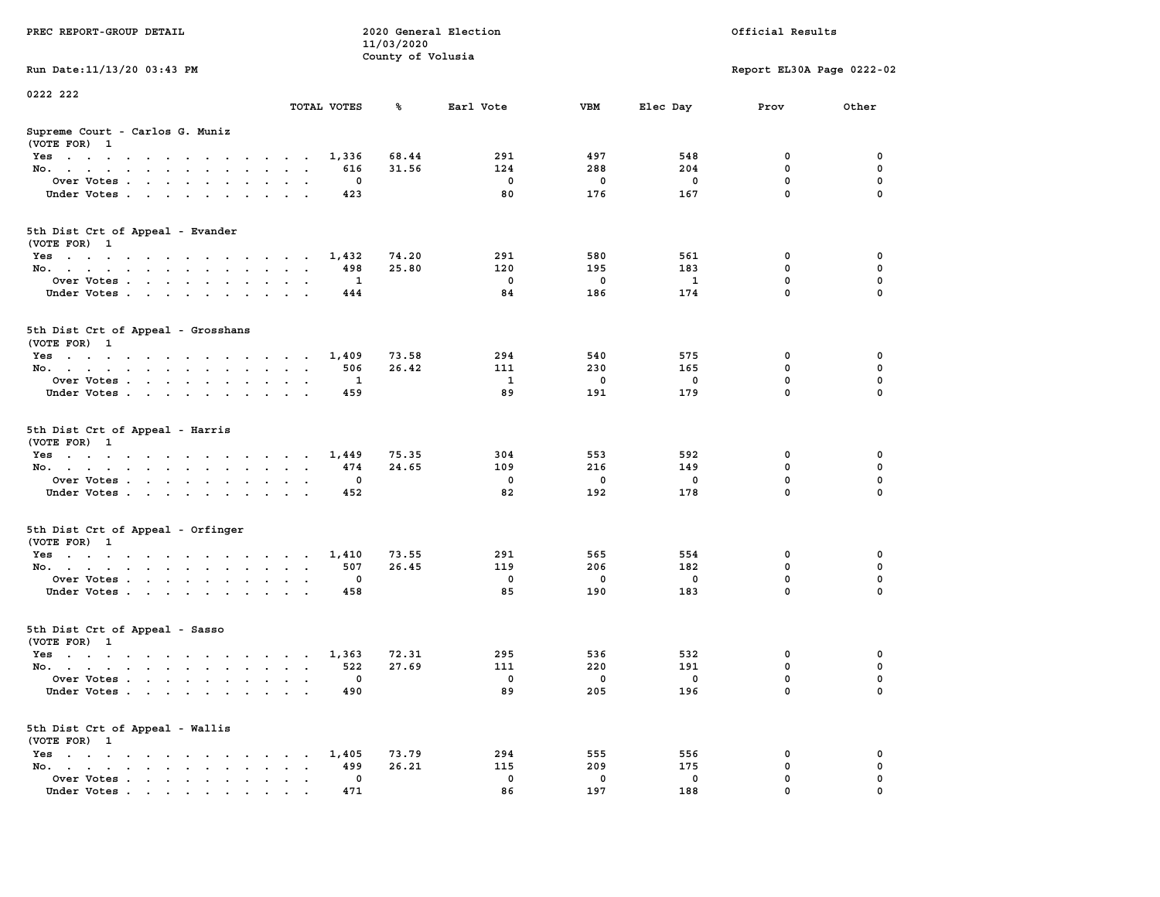| PREC REPORT-GROUP DETAIL                                    |                                          | 11/03/2020        | 2020 General Election |     |              | Official Results          |          |
|-------------------------------------------------------------|------------------------------------------|-------------------|-----------------------|-----|--------------|---------------------------|----------|
| Run Date: 11/13/20 03:43 PM                                 |                                          | County of Volusia |                       |     |              | Report EL30A Page 0222-02 |          |
|                                                             |                                          |                   |                       |     |              |                           |          |
| 0222 222                                                    | TOTAL VOTES                              | ℁                 | Earl Vote             | VBM | Elec Day     | Prov                      | Other    |
| Supreme Court - Carlos G. Muniz<br>(VOTE FOR) 1             |                                          |                   |                       |     |              |                           |          |
| Yes                                                         | 1,336                                    | 68.44             | 291                   | 497 | 548          | 0                         | 0        |
| No.                                                         | 616                                      | 31.56             | 124                   | 288 | 204          | $\mathbf 0$               | 0        |
| Over Votes.                                                 | 0                                        |                   | $\mathbf 0$           | 0   | 0            | $\mathbf 0$               | 0        |
| Under Votes                                                 | 423                                      |                   | 80                    | 176 | 167          | $\mathbf 0$               | $\Omega$ |
| 5th Dist Crt of Appeal - Evander<br>(VOTE FOR) 1            |                                          |                   |                       |     |              |                           |          |
| Yes                                                         | 1,432                                    | 74.20             | 291                   | 580 | 561          | 0                         | 0        |
| No.                                                         | 498                                      | 25.80             | 120                   | 195 | 183          | $\mathbf 0$               | 0        |
| Over Votes                                                  | 1                                        |                   | $\mathbf 0$           | 0   | $\mathbf{1}$ | $\mathbf 0$               | 0        |
| Under Votes                                                 | 444                                      |                   | 84                    | 186 | 174          | $\mathbf 0$               | 0        |
| 5th Dist Crt of Appeal - Grosshans<br>(VOTE FOR) 1          |                                          |                   |                       |     |              |                           |          |
| Yes                                                         | 1,409                                    | 73.58             | 294                   | 540 | 575          | 0                         | 0        |
| No.                                                         | 506                                      | 26.42             | 111                   | 230 | 165          | 0                         | 0        |
| Over Votes                                                  | 1                                        |                   | 1                     | 0   | 0            | $\mathbf 0$               | 0        |
| Under Votes                                                 | 459                                      |                   | 89                    | 191 | 179          | $\mathbf 0$               | 0        |
| 5th Dist Crt of Appeal - Harris<br>(VOTE FOR) 1             |                                          |                   |                       |     |              |                           |          |
| Yes                                                         | 1,449                                    | 75.35             | 304                   | 553 | 592          | 0                         | 0        |
| No.                                                         | 474                                      | 24.65             | 109                   | 216 | 149          | $\mathbf 0$               | 0        |
| Over Votes                                                  | 0                                        |                   | $\mathbf 0$           | 0   | 0            | $\mathbf 0$               | 0        |
| Under Votes                                                 | 452                                      |                   | 82                    | 192 | 178          | $\mathbf 0$               | $\Omega$ |
| 5th Dist Crt of Appeal - Orfinger<br>(VOTE FOR) 1           |                                          |                   |                       |     |              |                           |          |
| Yes                                                         | 1,410                                    | 73.55             | 291                   | 565 | 554          | 0                         | 0        |
| No.                                                         | 507                                      | 26.45             | 119                   | 206 | 182          | $\mathbf 0$               | 0        |
| Over Votes                                                  | 0                                        |                   | $\mathbf 0$           | 0   | $\mathbf 0$  | 0                         | 0        |
| Under Votes                                                 | 458                                      |                   | 85                    | 190 | 183          | $\mathbf 0$               | $\Omega$ |
| 5th Dist Crt of Appeal - Sasso<br>(VOTE FOR) 1              |                                          |                   |                       |     |              |                           |          |
| Yes                                                         | 1,363                                    | 72.31             | 295                   | 536 | 532          | 0                         | 0        |
| No.                                                         | 522                                      | 27.69             | 111                   | 220 | 191          | 0                         | 0        |
| Over Votes                                                  | 0                                        |                   | $^{\circ}$            | 0   | 0            | $\mathbf 0$               | 0        |
| Under Votes.                                                | 490                                      |                   | 89                    | 205 | 196          | 0                         | 0        |
| 5th Dist Crt of Appeal - Wallis<br>(VOTE FOR) 1             |                                          |                   |                       |     |              |                           |          |
| $Yes \cdot \cdot \cdot \cdot \cdot \cdot \cdot \cdot \cdot$ | 1,405<br>$\cdot$ $\cdot$ $\cdot$ $\cdot$ | 73.79             | 294                   | 555 | 556          | 0                         | 0        |
| No.<br>$\ddot{\phantom{0}}$                                 | 499<br>$\bullet$                         | 26.21             | 115                   | 209 | 175          | $\mathbf 0$               | 0        |
| Over Votes                                                  | 0                                        |                   | 0                     | 0   | 0            | 0                         | 0        |
| Under Votes                                                 | 471                                      |                   | 86                    | 197 | 188          | 0                         | 0        |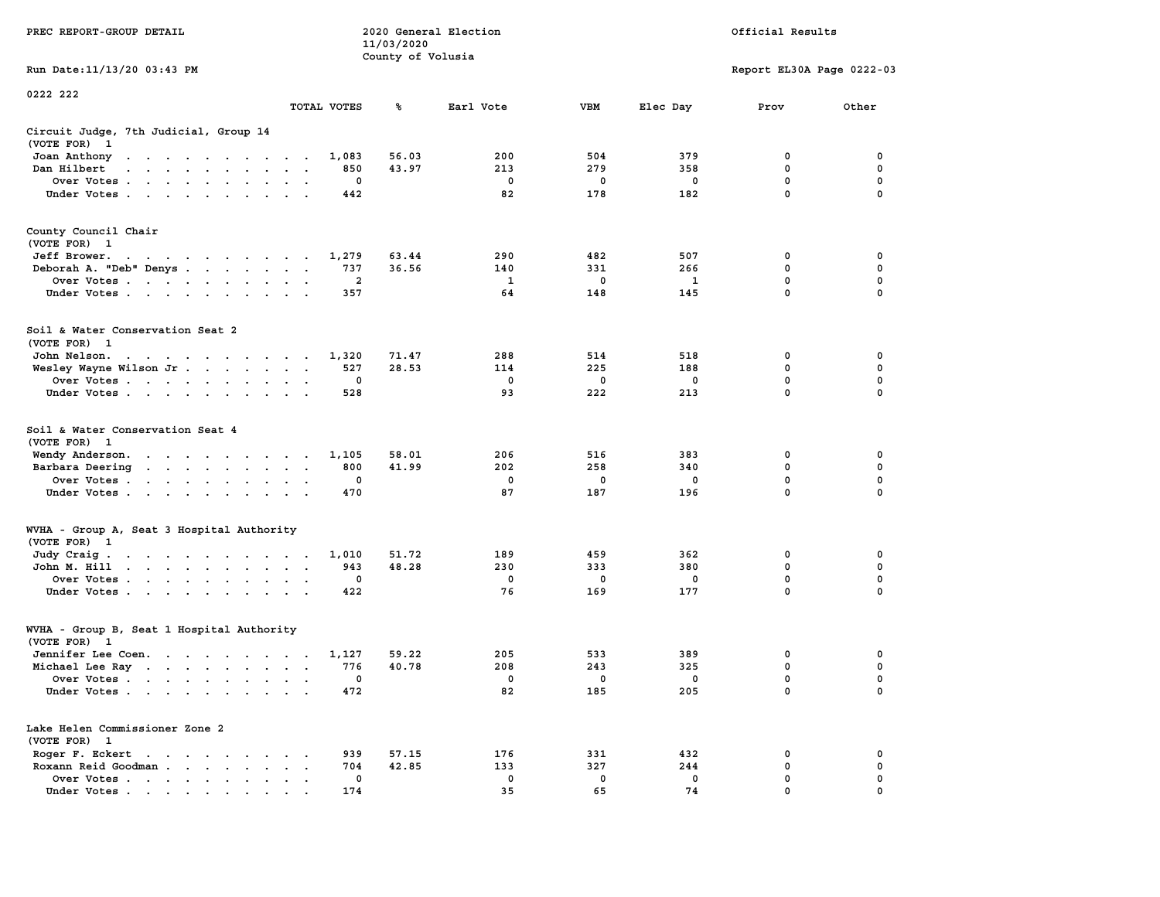|                                                                                                                                                                                                                                                  |                                                     | 11/03/2020        |             |              |             |                           |                  |
|--------------------------------------------------------------------------------------------------------------------------------------------------------------------------------------------------------------------------------------------------|-----------------------------------------------------|-------------------|-------------|--------------|-------------|---------------------------|------------------|
|                                                                                                                                                                                                                                                  |                                                     | County of Volusia |             |              |             |                           |                  |
| Run Date:11/13/20 03:43 PM                                                                                                                                                                                                                       |                                                     |                   |             |              |             | Report EL30A Page 0222-03 |                  |
| 0222 222                                                                                                                                                                                                                                         |                                                     |                   |             |              |             |                           |                  |
|                                                                                                                                                                                                                                                  | TOTAL VOTES                                         | ℁                 | Earl Vote   | <b>VBM</b>   | Elec Day    | Prov                      | Other            |
| Circuit Judge, 7th Judicial, Group 14<br>(VOTE FOR)<br>- 1                                                                                                                                                                                       |                                                     |                   |             |              |             |                           |                  |
| Joan Anthony<br>the contract of the contract of the contract of the contract of the contract of the contract of the contract of                                                                                                                  | 1,083                                               | 56.03             | 200         | 504          | 379         | 0                         | 0                |
| Dan Hilbert<br>$\overline{\phantom{a}}$<br>$\sim$<br>$\mathbf{r}$ , $\mathbf{r}$ , $\mathbf{r}$<br>$\sim$                                                                                                                                        | 850                                                 | 43.97             | 213         | 279          | 358         | 0                         | 0                |
| Over Votes<br>$\ddot{\phantom{a}}$                                                                                                                                                                                                               | 0                                                   |                   | $\mathbf 0$ | 0            | $\mathbf 0$ | $\mathbf 0$               | 0                |
| Under Votes<br>$\ddot{\phantom{0}}$<br>$\bullet$                                                                                                                                                                                                 | 442                                                 |                   | 82          | 178          | 182         | $\mathbf 0$               | 0                |
| County Council Chair<br>(VOTE FOR) 1                                                                                                                                                                                                             |                                                     |                   |             |              |             |                           |                  |
| Jeff Brower.<br>$\mathbf{a}$ . The second contribution of the second contribution $\mathbf{a}$                                                                                                                                                   | 1,279                                               | 63.44             | 290         | 482          | 507         | 0                         | 0                |
| Deborah A. "Deb" Denys                                                                                                                                                                                                                           | 737<br>$\mathbf{A}$<br>$\sim$                       | 36.56             | 140         | 331          | 266         | 0                         | 0                |
| Over Votes<br>$\sim$<br>$\cdot$                                                                                                                                                                                                                  | $\overline{2}$<br>$\ddot{\phantom{a}}$              |                   | 1           | 0            | 1           | 0                         | $\mathbf 0$      |
| Under Votes                                                                                                                                                                                                                                      | 357<br>$\sim$ $\sim$ $\sim$                         |                   | 64          | 148          | 145         | $\mathbf{0}$              | $\mathbf 0$      |
| Soil & Water Conservation Seat 2<br>(VOTE FOR) 1                                                                                                                                                                                                 |                                                     |                   |             |              |             |                           |                  |
| John Nelson.<br>the contract of the contract of the                                                                                                                                                                                              | 1,320                                               | 71.47             | 288         | 514          | 518         | 0                         | 0                |
| Wesley Wayne Wilson Jr<br>$\bullet$                                                                                                                                                                                                              | 527<br>$\bullet$<br>$\blacksquare$                  | 28.53             | 114         | 225          | 188         | $\mathbf 0$               | $\mathbf 0$      |
| Over Votes<br>$\ddot{\phantom{0}}$                                                                                                                                                                                                               | $\mathbf 0$                                         |                   | $\mathbf 0$ | $\mathbf 0$  | $\mathbf 0$ | $\mathbf 0$               | $\mathbf 0$      |
| Under Votes<br>$\sim$                                                                                                                                                                                                                            | 528<br>$\sim$                                       |                   | 93          | 222          | 213         | $\mathbf 0$               | $\mathbf 0$      |
| Soil & Water Conservation Seat 4<br>(VOTE FOR)<br>- 1                                                                                                                                                                                            |                                                     |                   |             |              |             |                           |                  |
| Wendy Anderson.<br>. The contract of the contract of the contract of the contract of the contract of the contract of the contract of the contract of the contract of the contract of the contract of the contract of the contract of the contrac | 1,105                                               | 58.01             | 206         | 516          | 383         | 0                         | 0                |
| Barbara Deering<br>the contract of the contract of the<br>$\ddot{\phantom{a}}$                                                                                                                                                                   | 800<br>$\ddot{\phantom{a}}$<br>$\ddot{\phantom{a}}$ | 41.99             | 202         | 258          | 340         | $\mathbf 0$               | $\mathbf 0$      |
| Over Votes                                                                                                                                                                                                                                       | 0<br>$\cdot$                                        |                   | 0           | 0            | $\mathbf 0$ | 0                         | $\mathbf 0$      |
| Under Votes<br>$\cdot$<br>$\cdot$                                                                                                                                                                                                                | 470                                                 |                   | 87          | 187          | 196         | 0                         | 0                |
| WVHA - Group A, Seat 3 Hospital Authority<br>(VOTE FOR) 1                                                                                                                                                                                        |                                                     |                   |             |              |             |                           |                  |
| Judy Craig.<br>the contract of the contract of the con-                                                                                                                                                                                          | 1,010                                               | 51.72             | 189         | 459          | 362         | 0                         | 0                |
| John M. Hill<br>$\mathcal{A}$ . The set of the set of the set of $\mathcal{A}$<br>$\bullet$                                                                                                                                                      | 943<br>$\bullet$<br>$\ddot{\phantom{a}}$            | 48.28             | 230         | 333          | 380         | 0                         | 0                |
| Over Votes<br>$\sim$<br>$\bullet$                                                                                                                                                                                                                | 0<br>$\bullet$                                      |                   | $\Omega$    | $\mathbf{0}$ | $^{\circ}$  | 0                         | $\mathbf 0$      |
| Under Votes<br>$\ddot{\phantom{a}}$<br>$\cdot$                                                                                                                                                                                                   | 422                                                 |                   | 76          | 169          | 177         | $\mathbf 0$               | 0                |
| WVHA - Group B, Seat 1 Hospital Authority<br>(VOTE FOR)<br>$\overline{\mathbf{1}}$                                                                                                                                                               |                                                     |                   |             |              |             |                           |                  |
| Jennifer Lee Coen.                                                                                                                                                                                                                               | 1,127                                               | 59.22             | 205         | 533          | 389         | 0                         | 0                |
| Michael Lee Ray                                                                                                                                                                                                                                  | 776                                                 | 40.78             | 208         | 243          | 325         | 0                         | $\mathbf 0$      |
|                                                                                                                                                                                                                                                  | 0                                                   |                   | 0           | 0            | 0           | $\mathbf 0$               | 0                |
| Over Votes<br>$\sim$<br>$\ddot{\phantom{a}}$<br>Under Votes                                                                                                                                                                                      | $\cdot$<br>$\overline{\phantom{a}}$<br>472          |                   | 82          | 185          | 205         | 0                         | $\mathbf 0$      |
| Lake Helen Commissioner Zone 2                                                                                                                                                                                                                   |                                                     |                   |             |              |             |                           |                  |
| (VOTE FOR) 1                                                                                                                                                                                                                                     |                                                     |                   |             |              |             |                           |                  |
| Roger F. Eckert<br>$\cdots$<br>$\sim 100$ km s $^{-1}$                                                                                                                                                                                           | 939                                                 | 57.15             | 176         | 331          | 432         | 0                         | 0<br>$\mathbf 0$ |
| Roxann Reid Goodman<br>$\cdot$                                                                                                                                                                                                                   | 704<br>$\ddot{\phantom{a}}$                         | 42.85             | 133         | 327          | 244         | 0<br>$\mathbf{0}$         | $\mathbf 0$      |
| Over Votes<br>$\bullet$                                                                                                                                                                                                                          | 0<br>$\ddot{\phantom{a}}$                           |                   | 0<br>35     | 0<br>65      | 0<br>74     | $\mathbf{0}$              | $\mathbf 0$      |
| Under Votes                                                                                                                                                                                                                                      | 174                                                 |                   |             |              |             |                           |                  |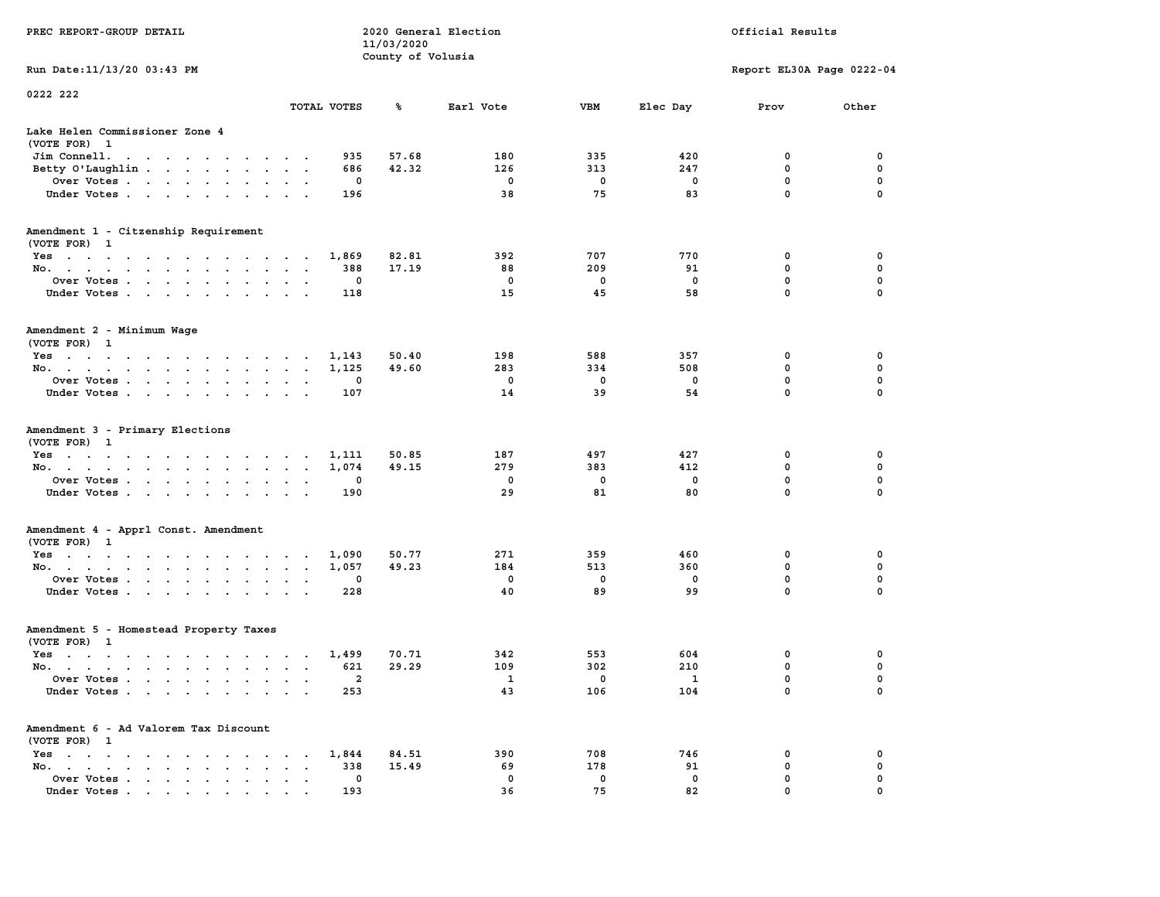| PREC REPORT-GROUP DETAIL                                                                                               |           |             | 11/03/2020<br>County of Volusia | 2020 General Election |          |                         | Official Results          |               |
|------------------------------------------------------------------------------------------------------------------------|-----------|-------------|---------------------------------|-----------------------|----------|-------------------------|---------------------------|---------------|
| Run Date: 11/13/20 03:43 PM                                                                                            |           |             |                                 |                       |          |                         | Report EL30A Page 0222-04 |               |
| 0222 222                                                                                                               |           |             |                                 |                       |          |                         |                           |               |
|                                                                                                                        |           | TOTAL VOTES | ℁                               | Earl Vote             | VBM      | Elec Day                | Prov                      | Other         |
| Lake Helen Commissioner Zone 4<br>(VOTE FOR) 1                                                                         |           |             |                                 |                       |          |                         |                           |               |
| Jim Connell.<br>the contract of the contract of the con-                                                               |           | 935         | 57.68                           | 180                   | 335      | 420                     | 0                         | 0             |
| Betty O'Laughlin                                                                                                       |           | 686         | 42.32                           | 126                   | 313      | 247                     | $\mathbf 0$               | 0             |
| Over Votes.<br>Under Votes                                                                                             |           | 0<br>196    |                                 | 0<br>38               | 0<br>75  | 0<br>83                 | 0<br>$\mathbf 0$          | 0<br>$\Omega$ |
|                                                                                                                        |           |             |                                 |                       |          |                         |                           |               |
| Amendment 1 - Citzenship Requirement<br>(VOTE FOR) 1                                                                   |           |             |                                 |                       |          |                         |                           |               |
| Yes                                                                                                                    |           | 1,869       | 82.81                           | 392                   | 707      | 770                     | 0                         | 0             |
| No.                                                                                                                    |           | 388         | 17.19                           | 88                    | 209      | 91                      | 0                         | 0             |
| Over Votes                                                                                                             |           | 0           |                                 | 0                     | 0        | 0                       | $\mathbf 0$               | 0             |
| Under Votes                                                                                                            |           | 118         |                                 | 15                    | 45       | 58                      | $\mathbf 0$               | 0             |
| Amendment 2 - Minimum Wage<br>(VOTE FOR) 1                                                                             |           |             |                                 |                       |          |                         |                           |               |
| Yes<br>the contract of the contract of the contract of                                                                 |           | 1,143       | 50.40                           | 198                   | 588      | 357                     | 0                         | 0             |
| No.                                                                                                                    |           | 1,125       | 49.60                           | 283                   | 334      | 508                     | 0                         | 0             |
| Over Votes                                                                                                             | $\bullet$ | 0           |                                 | 0                     | 0        | $\Omega$                | $\mathbf 0$               | 0             |
| Under Votes                                                                                                            |           | 107         |                                 | 14                    | 39       | 54                      | 0                         | 0             |
| Amendment 3 - Primary Elections<br>(VOTE FOR) 1                                                                        |           |             |                                 |                       |          |                         |                           |               |
| Yes                                                                                                                    |           | 1,111       | 50.85                           | 187                   | 497      | 427                     | 0                         | 0             |
| No.                                                                                                                    |           | 1,074       | 49.15                           | 279<br>0              | 383<br>0 | 412<br>0                | $\mathbf 0$<br>0          | 0<br>0        |
| Over Votes<br>Under Votes                                                                                              |           | 0<br>190    |                                 | 29                    | 81       | 80                      | 0                         | $\Omega$      |
|                                                                                                                        |           |             |                                 |                       |          |                         |                           |               |
| Amendment 4 - Apprl Const. Amendment<br>(VOTE FOR) 1                                                                   |           |             |                                 |                       |          |                         |                           |               |
| Yes                                                                                                                    |           | 1,090       | 50.77                           | 271                   | 359      | 460                     | 0                         | 0             |
| No.                                                                                                                    |           | 1,057       | 49.23                           | 184                   | 513      | 360                     | 0                         | 0             |
| Over Votes                                                                                                             |           | 0           |                                 | $\mathbf 0$<br>40     | 0<br>89  | 0                       | 0<br>$\mathbf 0$          | 0<br>0        |
| Under Votes                                                                                                            |           | 228         |                                 |                       |          | 99                      |                           |               |
| Amendment 5 - Homestead Property Taxes<br>(VOTE FOR) 1                                                                 |           |             |                                 |                       |          |                         |                           |               |
| Yes<br>the contract of the contract of the contract of the contract of the contract of the contract of the contract of |           | 1,499       | 70.71                           | 342                   | 553      | 604                     | 0                         | 0             |
| No.                                                                                                                    |           | 621         | 29.29                           | 109                   | 302      | 210                     | 0                         | 0             |
| Over Votes                                                                                                             |           | 2           |                                 | 1                     | 0        | $\overline{\mathbf{1}}$ | 0                         | $\Omega$      |
| Under Votes                                                                                                            |           | 253         |                                 | 43                    | 106      | 104                     | 0                         | 0             |
| Amendment 6 - Ad Valorem Tax Discount<br>(VOTE FOR) 1                                                                  |           |             |                                 |                       |          |                         |                           |               |
| $Yes \t . \t . \t .$<br>$\cdots$<br>$\cdot$                                                                            |           | 1,844       | 84.51                           | 390                   | 708      | 746                     | 0                         | 0             |
| No.<br>$\mathbf{r}$ , $\mathbf{r}$ , $\mathbf{r}$ , $\mathbf{r}$<br>$\sim$<br>$\ddot{\phantom{a}}$<br>$\bullet$        | $\cdot$   | 338         | 15.49                           | 69                    | 178      | 91                      | 0                         | 0             |
| Over Votes<br>$\sim$                                                                                                   |           | 0           |                                 | 0                     | 0        | 0                       | 0                         | 0             |
| Under Votes                                                                                                            |           | 193         |                                 | 36                    | 75       | 82                      | 0                         | 0             |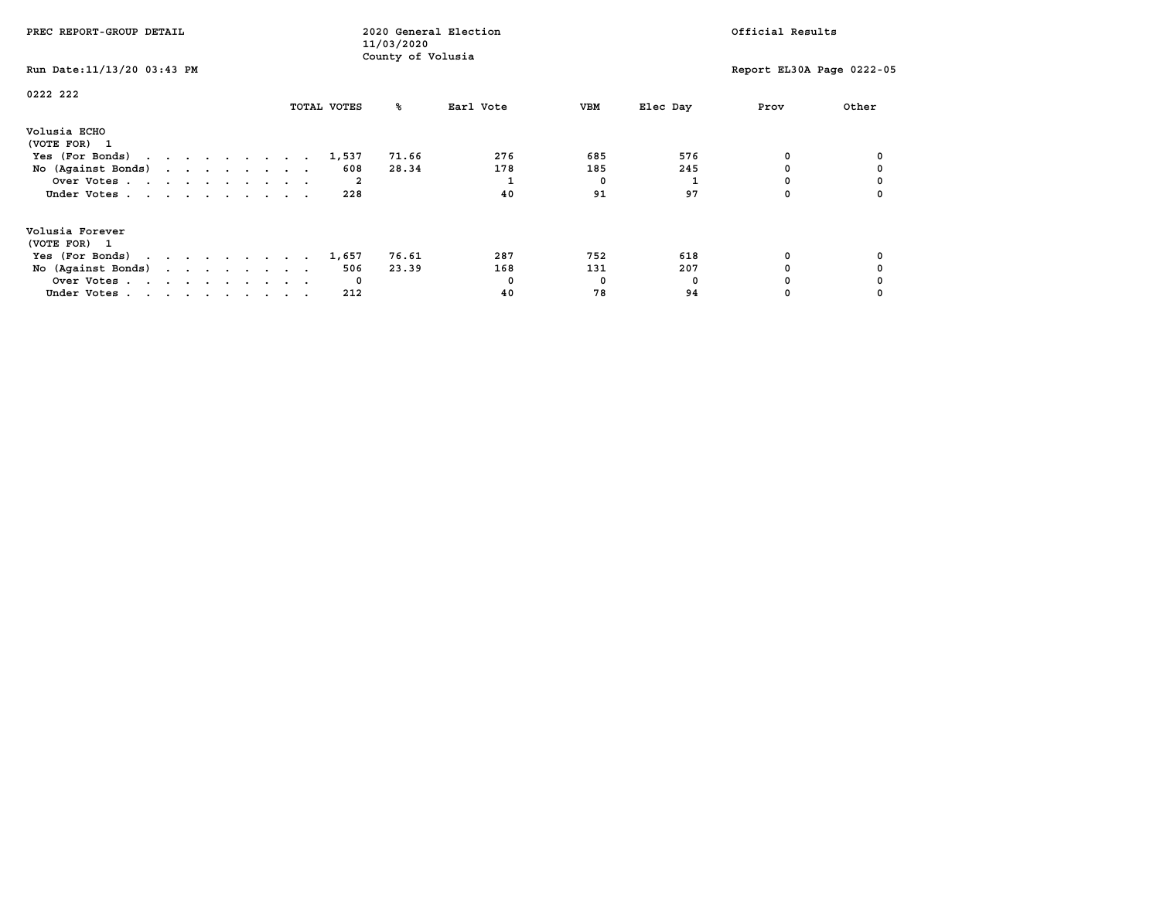| PREC REPORT-GROUP DETAIL                            |  |  |  |  |             | 11/03/2020        | 2020 General Election |            |          | Official Results          |       |
|-----------------------------------------------------|--|--|--|--|-------------|-------------------|-----------------------|------------|----------|---------------------------|-------|
| Run Date: 11/13/20 03:43 PM                         |  |  |  |  |             | County of Volusia |                       |            |          | Report EL30A Page 0222-05 |       |
| 0222 222                                            |  |  |  |  | TOTAL VOTES | °≈                | Earl Vote             | VBM        | Elec Day | Prov                      | Other |
| Volusia ECHO<br>(VOTE FOR) 1                        |  |  |  |  |             |                   |                       |            |          |                           |       |
| Yes (For Bonds) $\cdots$ $\cdots$ $\cdots$ $\cdots$ |  |  |  |  | 1,537       | 71.66             | 276                   | 685        | 576      | 0                         |       |
| No (Against Bonds)                                  |  |  |  |  | 608         | 28.34             | 178                   | 185        | 245      |                           |       |
| Over Votes                                          |  |  |  |  | 2           |                   |                       | $^{\circ}$ |          |                           |       |
| Under Votes                                         |  |  |  |  | 228         |                   | 40                    | 91         | 97       |                           |       |
| Volusia Forever                                     |  |  |  |  |             |                   |                       |            |          |                           |       |
| (VOTE FOR) 1                                        |  |  |  |  |             |                   | 287                   | 752        | 618      |                           |       |
| Yes (For Bonds)                                     |  |  |  |  | 1,657       | 76.61             |                       |            |          |                           |       |
| No (Against Bonds)                                  |  |  |  |  | 506         | 23.39             | 168                   | 131        | 207      |                           |       |
| Over Votes                                          |  |  |  |  | $\mathbf 0$ |                   |                       | 0          | n        |                           |       |
| Under Votes                                         |  |  |  |  | 212         |                   | 40                    | 78         | 94       |                           |       |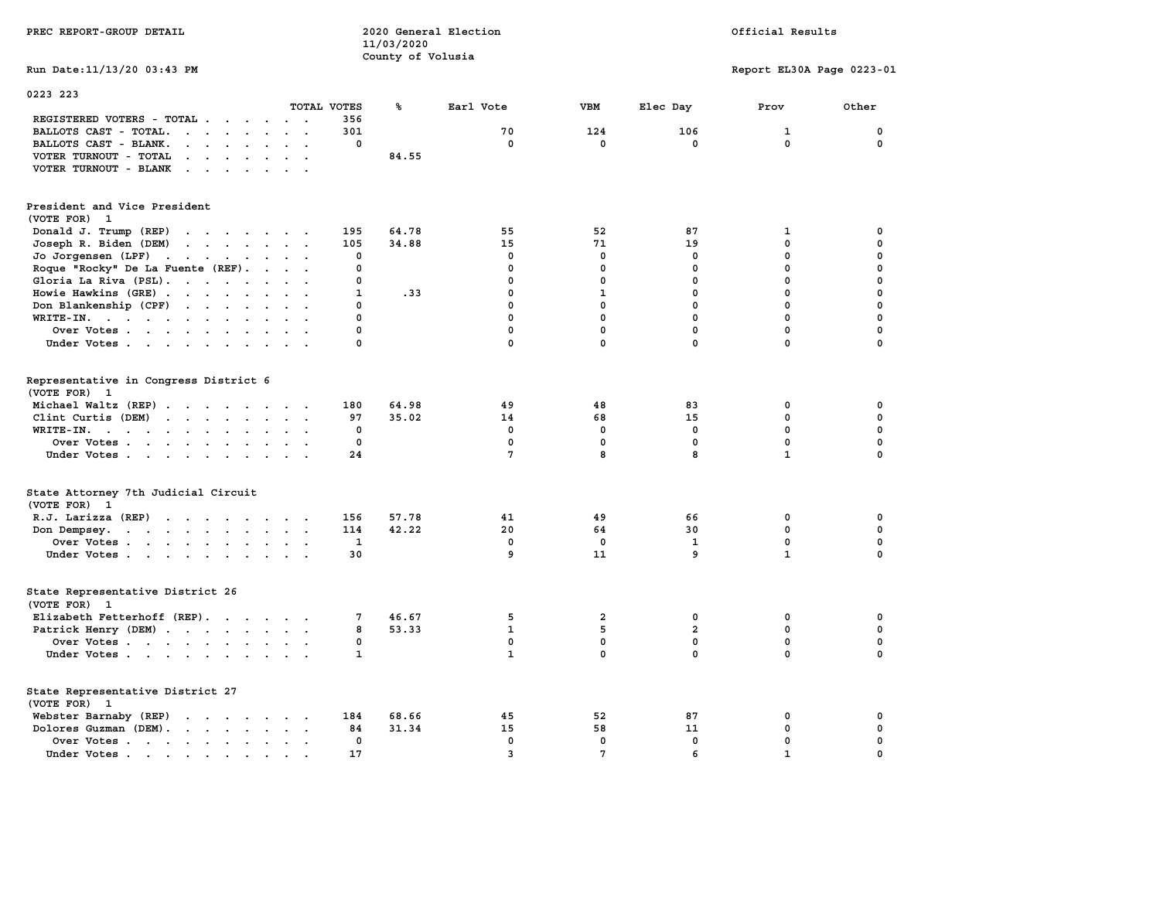|                                                                                                                |                         |             | County of Volusia |              |              |                |                           |              |
|----------------------------------------------------------------------------------------------------------------|-------------------------|-------------|-------------------|--------------|--------------|----------------|---------------------------|--------------|
| Run Date: 11/13/20 03:43 PM                                                                                    |                         |             |                   |              |              |                | Report EL30A Page 0223-01 |              |
| 0223 223                                                                                                       |                         |             |                   |              |              |                |                           |              |
|                                                                                                                |                         | TOTAL VOTES | ℁                 | Earl Vote    | <b>VBM</b>   | Elec Day       | Prov                      | Other        |
| REGISTERED VOTERS - TOTAL<br>$\overline{\phantom{a}}$                                                          | $\cdot$ .               | 356         |                   |              |              |                |                           |              |
| BALLOTS CAST - TOTAL.<br>$\cdots$                                                                              |                         | 301         |                   | 70           | 124          | 106            | 1                         | $\mathbf 0$  |
| BALLOTS CAST - BLANK.<br>$\mathcal{L}^{\text{max}}$ , where $\mathcal{L}^{\text{max}}$<br>$\ddot{\phantom{0}}$ |                         | 0           |                   | 0            | $\mathbf{0}$ | $\mathbf{0}$   | $\mathbf{0}$              | $\mathbf 0$  |
| VOTER TURNOUT - TOTAL<br>$\sim$ $\sim$ $\sim$ $\sim$ $\sim$                                                    |                         |             | 84.55             |              |              |                |                           |              |
| VOTER TURNOUT - BLANK<br>$\ddot{\phantom{0}}$                                                                  |                         |             |                   |              |              |                |                           |              |
| President and Vice President                                                                                   |                         |             |                   |              |              |                |                           |              |
| (VOTE FOR) 1                                                                                                   |                         |             |                   |              |              |                |                           |              |
| Donald J. Trump (REP)<br>the contract of the contract of the                                                   |                         | 195         | 64.78             | 55           | 52           | 87             | 1                         | 0            |
| Joseph R. Biden (DEM)<br>and the contract of the contract of the                                               |                         | 105         | 34.88             | 15           | 71           | 19             | $\mathbf{0}$              | $\mathbf 0$  |
| Jo Jorgensen (LPF)<br>$\blacksquare$                                                                           |                         | 0           |                   | 0            | $^{\circ}$   | 0              | $\Omega$                  | 0            |
| Roque "Rocky" De La Fuente (REF).                                                                              | $\cdot$ $\cdot$ $\cdot$ | 0           |                   | 0            | 0            | $\mathbf 0$    | $\mathbf 0$               | 0            |
| Gloria La Riva (PSL).<br>$\cdots$                                                                              |                         | 0           |                   | 0            | 0            | 0              | 0                         | 0            |
| Howie Hawkins (GRE)                                                                                            |                         | 1           | .33               | 0            | $\mathbf{1}$ | $\mathbf 0$    | $\mathbf{0}$              | $\mathbf 0$  |
| Don Blankenship (CPF)                                                                                          |                         | 0           |                   | $\mathbf 0$  | $\mathbf{0}$ | $\mathbf 0$    | $\mathbf 0$               | $\mathbf 0$  |
| WRITE-IN.<br>$\sim$                                                                                            |                         | 0           |                   | 0            | $\mathbf 0$  | $\mathbf 0$    | $\mathbf 0$               | $\mathbf 0$  |
| Over Votes                                                                                                     |                         | 0           |                   | 0            | $\mathbf 0$  | $\mathbf 0$    | $\mathbf{0}$              | $\mathbf 0$  |
| Under Votes<br>$\ddot{\phantom{1}}$                                                                            |                         | 0           |                   | $\mathbf 0$  | $\mathbf 0$  | $\mathbf 0$    | $\mathbf 0$               | 0            |
| Representative in Congress District 6<br>(VOTE FOR) 1                                                          |                         |             |                   |              |              |                |                           |              |
| Michael Waltz (REP)                                                                                            |                         | 180         | 64.98             | 49           | 48           | 83             | 0                         | 0            |
| Clint Curtis (DEM)                                                                                             |                         | 97          | 35.02             | 14           | 68           | 15             | 0                         | 0            |
| WRITE-IN.                                                                                                      |                         | 0           |                   | $^{\circ}$   | 0            | $\mathbf 0$    | $\mathbf{0}$              | 0            |
| Over Votes<br>$\ddot{\phantom{0}}$                                                                             |                         | $\mathbf 0$ |                   | 0            | $\mathbf 0$  | $\mathbf 0$    | $\mathbf 0$               | 0            |
| Under Votes                                                                                                    |                         | 24          |                   | 7            | 8            | 8              | $\mathbf{1}$              | $\mathbf 0$  |
| State Attorney 7th Judicial Circuit<br>(VOTE FOR) 1                                                            |                         |             |                   |              |              |                |                           |              |
| R.J. Larizza (REP)                                                                                             |                         | 156         | 57.78             | 41           | 49           | 66             | 0                         | 0            |
| Don Dempsey.                                                                                                   |                         | 114         | 42.22             | 20           | 64           | 30             | 0                         | 0            |
| Over Votes                                                                                                     |                         | 1           |                   | 0            | 0            | 1              | $\mathbf 0$               | 0            |
| Under Votes                                                                                                    | $\sim$ $\sim$           | 30          |                   | 9            | 11           | 9              | $\mathbf{1}$              | $\mathbf 0$  |
| State Representative District 26<br>(VOTE FOR) 1                                                               |                         |             |                   |              |              |                |                           |              |
| Elizabeth Fetterhoff (REP).                                                                                    |                         | 7           | 46.67             | 5            | 2            | 0              | 0                         | 0            |
| Patrick Henry (DEM)                                                                                            |                         | 8           | 53.33             | $\mathbf{1}$ | 5            | $\overline{a}$ | $\mathbf 0$               | $\mathbf 0$  |
| Over Votes                                                                                                     |                         | 0           |                   | $^{\circ}$   | 0            | 0              | 0                         | $\mathbf 0$  |
| Under Votes                                                                                                    |                         | 1           |                   | $\mathbf{1}$ | $\mathbf 0$  | $\mathbf 0$    | $\mathbf 0$               | $\mathbf 0$  |
| State Representative District 27<br>(VOTE FOR) 1                                                               |                         |             |                   |              |              |                |                           |              |
| Webster Barnaby (REP)                                                                                          |                         | 184         | 68.66             | 45           | 52           | 87             | 0                         | $\mathbf 0$  |
| Dolores Guzman (DEM).                                                                                          |                         | 84          | 31.34             | 15           | 58           | 11             | 0                         | 0            |
| Over Votes<br>$\ddot{\phantom{a}}$                                                                             |                         | 0           |                   | $\mathbf 0$  | $\mathbf 0$  | $\mathbf 0$    | $\mathbf{0}$              | $\mathbf 0$  |
| Under Votes                                                                                                    |                         | 17          |                   | 3            | 7            | 6              | $\mathbf{1}$              | <sup>0</sup> |

**PREC REPORT-GROUP DETAIL COMPUTER CONSUMING A LOCAL PREC** REPORT-GROUP DETAIL

 **11/03/2020**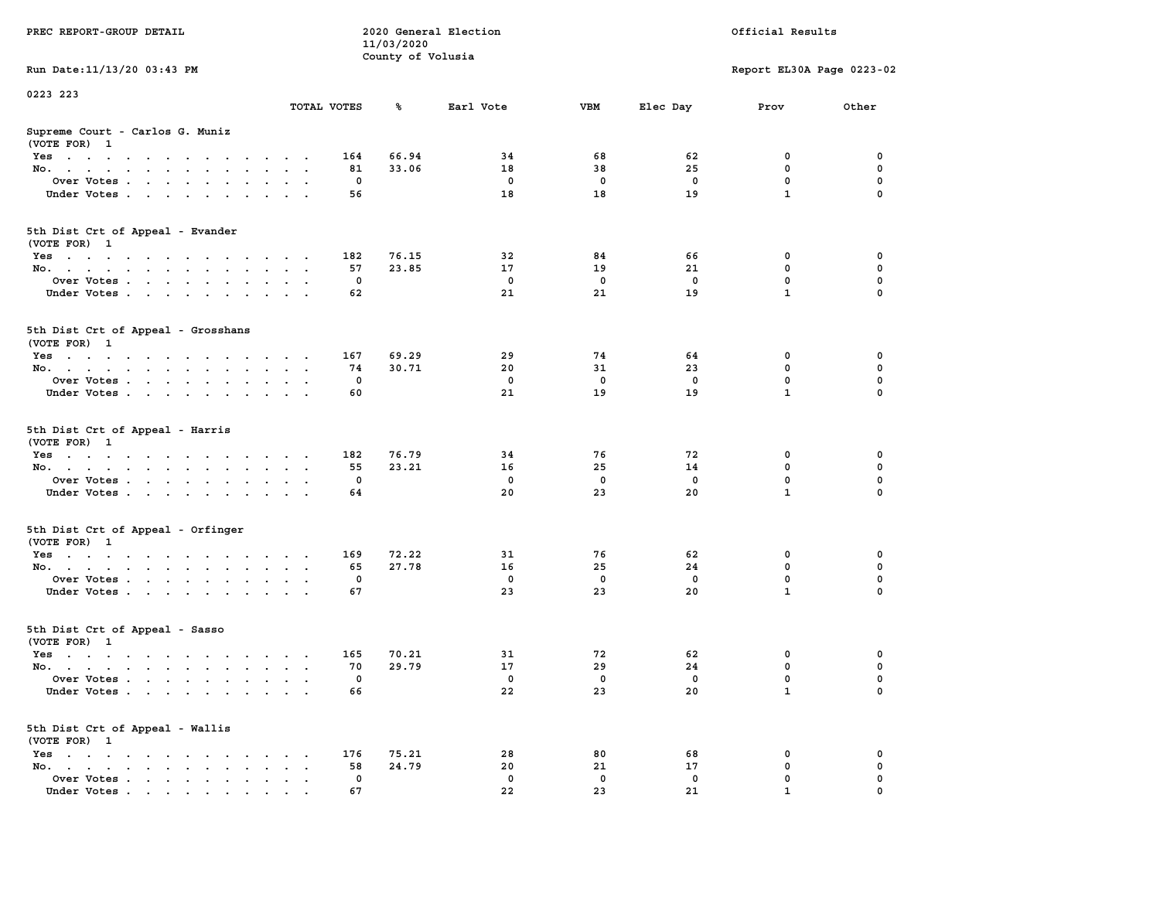|                                                                                                                                                             |                                              |             | 11/03/2020        |             |             |             |                           |             |
|-------------------------------------------------------------------------------------------------------------------------------------------------------------|----------------------------------------------|-------------|-------------------|-------------|-------------|-------------|---------------------------|-------------|
|                                                                                                                                                             |                                              |             | County of Volusia |             |             |             |                           |             |
| Run Date: 11/13/20 03:43 PM                                                                                                                                 |                                              |             |                   |             |             |             | Report EL30A Page 0223-02 |             |
| 0223 223                                                                                                                                                    |                                              |             |                   |             |             |             |                           |             |
|                                                                                                                                                             |                                              | TOTAL VOTES | ℁                 | Earl Vote   | <b>VBM</b>  | Elec Day    | Prov                      | Other       |
| Supreme Court - Carlos G. Muniz                                                                                                                             |                                              |             |                   |             |             |             |                           |             |
| (VOTE FOR) 1                                                                                                                                                |                                              |             |                   |             |             |             |                           |             |
| Yes<br>$\bullet$                                                                                                                                            |                                              | 164         | 66.94             | 34          | 68          | 62          | 0                         | 0           |
| No.<br>$\sim$<br>$\cdot$<br>$\sim$                                                                                                                          |                                              | 81          | 33.06             | 18          | 38          | 25          | 0                         | 0           |
| Over Votes<br>$\ddot{\phantom{1}}$                                                                                                                          | $\sim$                                       | 0           |                   | $^{\circ}$  | $^{\circ}$  | $^{\circ}$  | $\mathbf{0}$              | 0           |
| Under Votes<br>$\blacksquare$ .                                                                                                                             | $\sim$ $\sim$                                | 56          |                   | 18          | 18          | 19          | $\mathbf{1}$              | $\mathbf 0$ |
|                                                                                                                                                             |                                              |             |                   |             |             |             |                           |             |
| 5th Dist Crt of Appeal - Evander<br>(VOTE FOR) 1                                                                                                            |                                              |             |                   |             |             |             |                           |             |
| Yes                                                                                                                                                         |                                              | 182         | 76.15             | 32          | 84          | 66          | 0                         | 0           |
| No.                                                                                                                                                         | $\sim$ $\sim$                                | 57          | 23.85             | 17          | 19          | 21          | $\mathbf 0$               | 0           |
| Over Votes<br>$\sim$<br>$\cdot$ $\cdot$<br>$\cdot$                                                                                                          | $\ddot{\phantom{a}}$                         | 0           |                   | 0           | 0           | 0           | 0                         | $\pmb{0}$   |
| Under Votes<br>$\sim$                                                                                                                                       |                                              | 62          |                   | 21          | 21          | 19          | $\mathbf{1}$              | 0           |
|                                                                                                                                                             |                                              |             |                   |             |             |             |                           |             |
| 5th Dist Crt of Appeal - Grosshans                                                                                                                          |                                              |             |                   |             |             |             |                           |             |
| (VOTE FOR) 1                                                                                                                                                |                                              |             |                   |             |             |             |                           |             |
| Yes                                                                                                                                                         |                                              | 167         | 69.29             | 29          | 74          | 64          | 0                         | 0           |
| No.<br>$\ddot{\phantom{0}}$<br>$\blacksquare$ .<br>$\ddot{\phantom{a}}$                                                                                     | $\ddot{\phantom{a}}$<br>$\ddot{\phantom{a}}$ | 74          | 30.71             | 20          | 31          | 23          | $\mathbf{0}$              | $\mathbf 0$ |
| Over Votes<br>$\sim$                                                                                                                                        |                                              | $\mathbf 0$ |                   | $\mathbf 0$ | $\mathbf 0$ | $\mathbf 0$ | $\mathbf 0$               | $\mathbf 0$ |
| Under Votes<br>$\sim$                                                                                                                                       |                                              | 60          |                   | 21          | 19          | 19          | $\mathbf{1}$              | 0           |
| 5th Dist Crt of Appeal - Harris<br>(VOTE FOR) 1                                                                                                             |                                              |             |                   |             |             |             |                           |             |
| Yes                                                                                                                                                         | $\cdot$ .                                    | 182         | 76.79             | 34          | 76          | 72          | 0                         | 0           |
| No.<br>$\sim$ $-$<br>$\sim$<br>$\ddot{\phantom{0}}$<br>$\ddot{\phantom{0}}$                                                                                 | $\mathbf{a} = \mathbf{a}$                    | 55          | 23.21             | 16          | 25          | 14          | 0                         | 0           |
| Over Votes                                                                                                                                                  |                                              | 0           |                   | $\mathbf 0$ | 0           | 0           | $\mathbf 0$               | 0           |
| Under Votes<br>$\sim$<br>$\ddot{\phantom{a}}$<br>$\overline{\phantom{a}}$<br>$\ddot{\phantom{a}}$                                                           |                                              | 64          |                   | 20          | 23          | 20          | $\mathbf{1}$              | $\mathbf 0$ |
| 5th Dist Crt of Appeal - Orfinger                                                                                                                           |                                              |             |                   |             |             |             |                           |             |
| (VOTE FOR) 1                                                                                                                                                |                                              |             |                   |             |             |             |                           |             |
| Yes                                                                                                                                                         |                                              | 169         | 72.22             | 31          | 76          | 62          | $\mathbf 0$               | 0           |
| No.<br>$\sim$                                                                                                                                               | $\sim$ $\sim$                                | 65          | 27.78             | 16          | 25          | 24          | $\mathbf 0$               | $\mathbf 0$ |
| Over Votes<br>$\ddot{\phantom{0}}$                                                                                                                          | $\ddot{\phantom{a}}$                         | $\mathbf 0$ |                   | $\mathbf 0$ | $\mathbf 0$ | $\mathbf 0$ | $\mathbf 0$               | 0           |
| Under Votes                                                                                                                                                 | <b>Contract Contract Contract</b>            | 67          |                   | 23          | 23          | 20          | $\mathbf{1}$              | 0           |
| 5th Dist Crt of Appeal - Sasso<br>(VOTE FOR) 1                                                                                                              |                                              |             |                   |             |             |             |                           |             |
| Yes                                                                                                                                                         | $\cdot$ $\cdot$                              | 165         | 70.21             | 31          | 72          | 62          | 0                         | 0           |
| No.<br>$\sim$                                                                                                                                               | $\cdot$ .                                    | 70          | 29.79             | 17          | 29          | 24          | $\mathbf 0$               | $\mathbf 0$ |
| Over Votes .<br>$\cdots$<br>$\sim$<br>$\cdot$<br>$\ddot{\phantom{a}}$<br>$\ddot{\phantom{a}}$                                                               | $\cdot$<br>$\bullet$                         | 0           |                   | $\mathbf 0$ | $\mathbf 0$ | 0           | $\mathbf 0$               | 0           |
| Under Votes                                                                                                                                                 |                                              | 66          |                   | 22          | 23          | 20          | $\mathbf{1}$              | $\mathbf 0$ |
| 5th Dist Crt of Appeal - Wallis                                                                                                                             |                                              |             |                   |             |             |             |                           |             |
| (VOTE FOR) 1                                                                                                                                                |                                              |             |                   |             |             |             |                           |             |
| $Yes \t . \t .$<br>the contract of the contract of the<br>$\sim$ $\sim$<br>$\sim$                                                                           |                                              | 176         | 75.21             | 28          | 80          | 68          | 0                         | 0           |
| No.<br>the contract of the contract of the contract of the contract of the contract of the contract of the contract of<br>$\ddot{\phantom{a}}$<br>$\bullet$ | $\ddot{\phantom{a}}$                         | 58          | 24.79             | 20          | 21          | 17          | $\mathbf 0$               | 0           |
| Over Votes .<br>$\mathcal{L}(\mathcal{A})$ , and $\mathcal{L}(\mathcal{A})$<br>$\sim$ $\sim$ $\sim$<br>$\blacksquare$ .<br>$\blacksquare$                   | $\ddot{\phantom{a}}$                         | 0           |                   | $\mathbf 0$ | 0           | 0           | $\mathbf 0$               | $\mathbf 0$ |
| Under Votes<br>$\mathbf{r}$ , and $\mathbf{r}$ , and $\mathbf{r}$ , and $\mathbf{r}$                                                                        |                                              | 67          |                   | 22          | 23          | 21          | $\mathbf{1}$              | $\mathbf 0$ |

**PREC REPORT-GROUP DETAIL COMPUTER CONSUMING A LOCAL PREC** REPORT-GROUP DETAIL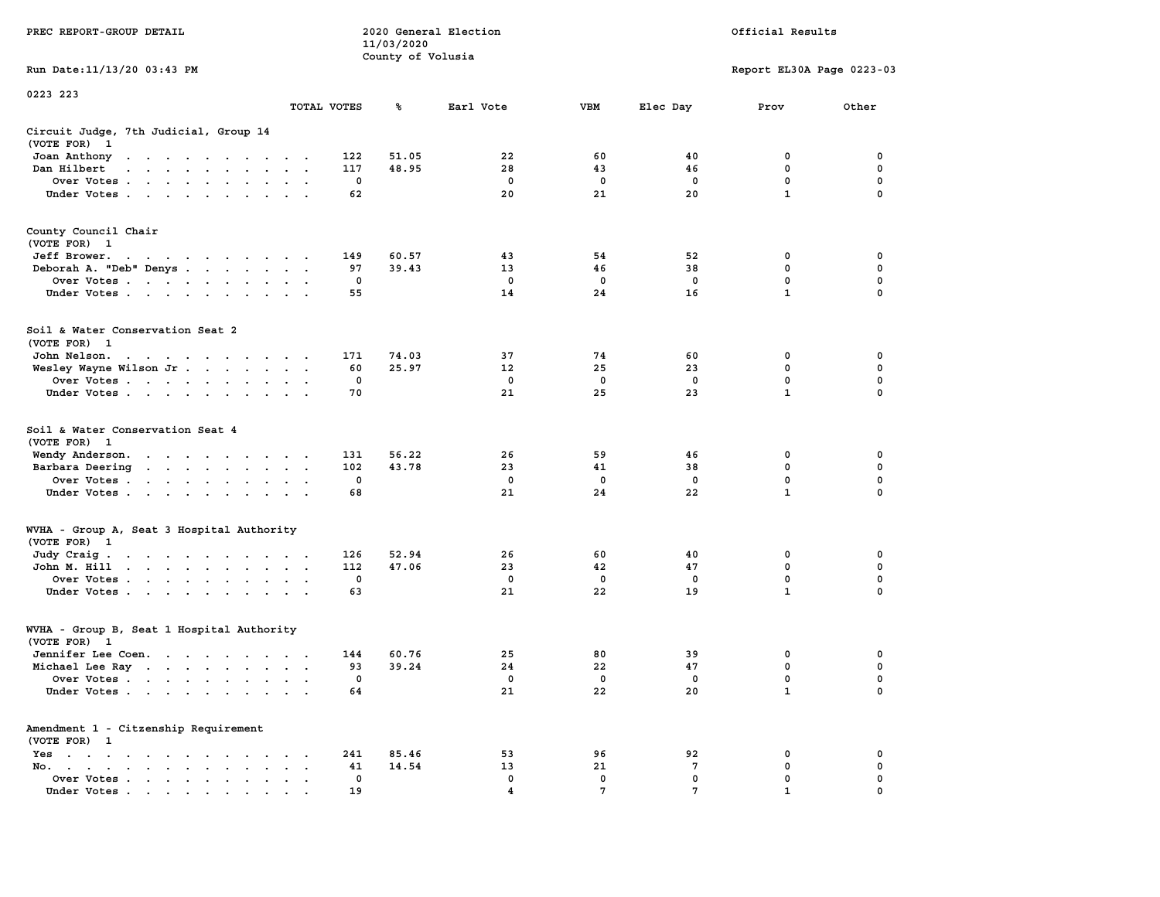|                                                                                                                                                                                                                                              |                      |             | 11/03/2020        |                  |                    |                |                           |             |
|----------------------------------------------------------------------------------------------------------------------------------------------------------------------------------------------------------------------------------------------|----------------------|-------------|-------------------|------------------|--------------------|----------------|---------------------------|-------------|
|                                                                                                                                                                                                                                              |                      |             | County of Volusia |                  |                    |                |                           |             |
| Run Date: 11/13/20 03:43 PM                                                                                                                                                                                                                  |                      |             |                   |                  |                    |                | Report EL30A Page 0223-03 |             |
| 0223 223                                                                                                                                                                                                                                     |                      |             |                   |                  |                    |                |                           |             |
|                                                                                                                                                                                                                                              | TOTAL VOTES          |             | ℁                 | Earl Vote        | <b>VBM</b>         | Elec Day       | Prov                      | Other       |
|                                                                                                                                                                                                                                              |                      |             |                   |                  |                    |                |                           |             |
| Circuit Judge, 7th Judicial, Group 14<br>(VOTE FOR)<br>$\mathbf{1}$                                                                                                                                                                          |                      |             |                   |                  |                    |                |                           |             |
| Joan Anthony<br>the contract of the contract of<br>$\sim$ $\sim$                                                                                                                                                                             |                      | 122         | 51.05             | 22               | 60                 | 40             | 0                         | $\mathbf 0$ |
| Dan Hilbert<br>and a series and a series of the series of the series of the series of the series of the series of the series of the series of the series of the series of the series of the series of the series of the series of the series |                      | 117         | 48.95             | 28               | 43                 | 46             | 0                         | $\mathbf 0$ |
| Over Votes                                                                                                                                                                                                                                   | $\ddot{\phantom{a}}$ | $\mathbf 0$ |                   | $\mathbf 0$      | $\mathbf 0$        | $\mathbf 0$    | $\mathbf 0$               | $\mathbf 0$ |
| Under Votes                                                                                                                                                                                                                                  |                      | 62          |                   | 20               | 21                 | 20             | $\mathbf{1}$              | $\Omega$    |
|                                                                                                                                                                                                                                              |                      |             |                   |                  |                    |                |                           |             |
|                                                                                                                                                                                                                                              |                      |             |                   |                  |                    |                |                           |             |
| County Council Chair<br>(VOTE FOR) 1                                                                                                                                                                                                         |                      |             |                   |                  |                    |                |                           |             |
| Jeff Brower.                                                                                                                                                                                                                                 |                      | 149         | 60.57             | 43               | 54                 | 52             | 0                         | 0           |
| Deborah A. "Deb" Denys                                                                                                                                                                                                                       |                      | 97          | 39.43             | 13 <sup>1</sup>  | 46                 | 38             | 0                         | 0           |
| Over Votes                                                                                                                                                                                                                                   |                      | 0           |                   | 0                | 0                  | 0              | 0                         | $\mathbf 0$ |
| Under Votes                                                                                                                                                                                                                                  |                      | 55          |                   | 14               | 24                 | 16             | $\mathbf{1}$              | 0           |
|                                                                                                                                                                                                                                              |                      |             |                   |                  |                    |                |                           |             |
|                                                                                                                                                                                                                                              |                      |             |                   |                  |                    |                |                           |             |
| Soil & Water Conservation Seat 2                                                                                                                                                                                                             |                      |             |                   |                  |                    |                |                           |             |
| (VOTE FOR) 1                                                                                                                                                                                                                                 |                      |             |                   |                  |                    |                |                           |             |
| John Nelson.<br>the contract of the contract of the con-                                                                                                                                                                                     |                      | 171         | 74.03             | 37               | 74                 | 60             | 0<br>0                    | 0<br>0      |
| Wesley Wayne Wilson Jr                                                                                                                                                                                                                       |                      | 60<br>0     | 25.97             | 12<br>$^{\circ}$ | 25<br>$\mathbf{0}$ | 23<br>$\Omega$ | $\mathbf{0}$              | $\mathbf 0$ |
| Over Votes<br>Under Votes                                                                                                                                                                                                                    |                      | 70          |                   | 21               | 25                 | 23             | $\mathbf{1}$              | $\Omega$    |
|                                                                                                                                                                                                                                              |                      |             |                   |                  |                    |                |                           |             |
| Soil & Water Conservation Seat 4                                                                                                                                                                                                             |                      |             |                   |                  |                    |                |                           |             |
| (VOTE FOR) 1                                                                                                                                                                                                                                 |                      |             |                   |                  |                    |                |                           |             |
| Wendy Anderson.                                                                                                                                                                                                                              |                      | 131         | 56.22             | 26               | 59                 | 46             | 0                         | 0           |
| Barbara Deering                                                                                                                                                                                                                              |                      | 102         | 43.78             | 23               | 41                 | 38             | $\mathbf 0$               | $\mathbf 0$ |
| Over Votes                                                                                                                                                                                                                                   | $\sim$               | $\mathbf 0$ |                   | $\mathbf 0$      | $\mathbf 0$        | $\mathbf 0$    | 0                         | $\mathbf 0$ |
| Under Votes                                                                                                                                                                                                                                  |                      | 68          |                   | 21               | 24                 | 22             | $\mathbf{1}$              | $\mathbf 0$ |
|                                                                                                                                                                                                                                              |                      |             |                   |                  |                    |                |                           |             |
| WVHA - Group A, Seat 3 Hospital Authority                                                                                                                                                                                                    |                      |             |                   |                  |                    |                |                           |             |
| (VOTE FOR) 1                                                                                                                                                                                                                                 |                      |             |                   |                  |                    |                |                           |             |
| Judy Craig.                                                                                                                                                                                                                                  |                      | 126         | 52.94             | 26               | 60                 | 40             | 0                         | 0           |
| John M. Hill                                                                                                                                                                                                                                 |                      | 112         | 47.06             | 23               | 42                 | 47             | 0                         | $\mathbf 0$ |
| Over Votes                                                                                                                                                                                                                                   |                      | 0           |                   | $\mathbf 0$      | $\mathbf 0$        | $\mathbf 0$    | 0                         | $\mathbf 0$ |
| Under Votes                                                                                                                                                                                                                                  |                      | 63          |                   | 21               | 22                 | 19             | $\mathbf{1}$              | 0           |
|                                                                                                                                                                                                                                              |                      |             |                   |                  |                    |                |                           |             |
| WVHA - Group B, Seat 1 Hospital Authority                                                                                                                                                                                                    |                      |             |                   |                  |                    |                |                           |             |
| (VOTE FOR) 1                                                                                                                                                                                                                                 |                      |             |                   |                  |                    |                |                           |             |
| Jennifer Lee Coen.                                                                                                                                                                                                                           |                      | 144         | 60.76             | 25               | 80                 | 39             | 0                         | 0           |
| Michael Lee Ray                                                                                                                                                                                                                              |                      | 93          | 39.24             | 24               | 22                 | 47             | 0                         | $\mathbf 0$ |
| Over Votes                                                                                                                                                                                                                                   |                      | $\mathbf 0$ |                   | $\mathbf 0$      | $\mathbf{0}$       | $\Omega$       | 0                         | $\mathbf 0$ |
| Under Votes                                                                                                                                                                                                                                  |                      | 64          |                   | 21               | 22                 | 20             | $\mathbf{1}$              | 0           |
|                                                                                                                                                                                                                                              |                      |             |                   |                  |                    |                |                           |             |
| Amendment 1 - Citzenship Requirement                                                                                                                                                                                                         |                      |             |                   |                  |                    |                |                           |             |
| (VOTE FOR) 1                                                                                                                                                                                                                                 |                      |             |                   |                  |                    |                |                           |             |
| Yes<br>$\cdot$ $\cdot$                                                                                                                                                                                                                       | $\sim$ $\sim$        | 241         | 85.46             | 53               | 96                 | 92             | 0                         | 0           |
| No.<br>$\sim$ $\sim$                                                                                                                                                                                                                         |                      | 41          | 14.54             | 13               | 21                 | 7              | 0                         | 0           |
| Over Votes<br>$\ddot{\phantom{a}}$<br>$\sim$<br>$\overline{a}$                                                                                                                                                                               |                      | 0           |                   | $\mathbf 0$      | 0                  | 0              | 0                         | 0           |
| Under Votes<br>the contract of the contract of the contract of the contract of the contract of the contract of the contract of                                                                                                               |                      | 19          |                   | 4                | 7                  | 7              | 1                         | $\Omega$    |

**PREC REPORT-GROUP DETAIL COMPUTER CONSUMING A LOCAL PREC** REPORT-GROUP DETAIL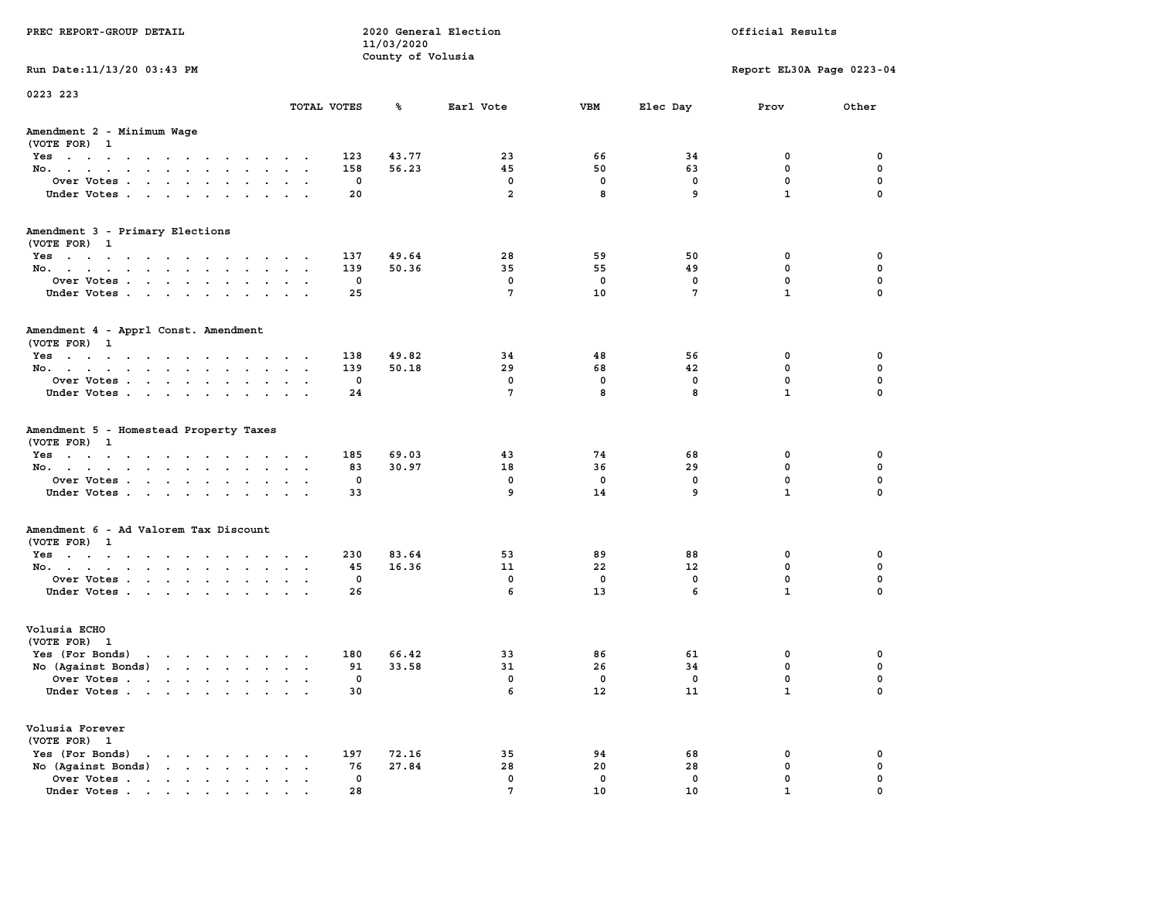| PREC REPORT-GROUP DETAIL                                                                                                           |               |              | 11/03/2020        | 2020 General Election |         |                 | Official Results          |               |
|------------------------------------------------------------------------------------------------------------------------------------|---------------|--------------|-------------------|-----------------------|---------|-----------------|---------------------------|---------------|
| Run Date: 11/13/20 03:43 PM                                                                                                        |               |              | County of Volusia |                       |         |                 | Report EL30A Page 0223-04 |               |
| 0223 223                                                                                                                           |               |              |                   |                       |         |                 |                           |               |
|                                                                                                                                    | TOTAL VOTES   |              | ℁                 | Earl Vote             | VBM     | Elec Day        | Prov                      | Other         |
| Amendment 2 - Minimum Wage<br>(VOTE FOR) 1                                                                                         |               |              |                   |                       |         |                 |                           |               |
| Yes                                                                                                                                |               | 123          | 43.77             | 23                    | 66      | 34              | 0                         | 0             |
| No.                                                                                                                                |               | 158          | 56.23             | 45                    | 50      | 63              | $\mathbf 0$               | 0             |
| Over Votes                                                                                                                         |               | 0            |                   | 0<br>$\overline{2}$   | 0<br>8  | 0<br>9          | 0<br>$\mathbf{1}$         | 0<br>$\Omega$ |
| Under Votes                                                                                                                        |               | 20           |                   |                       |         |                 |                           |               |
| Amendment 3 - Primary Elections<br>(VOTE FOR) 1                                                                                    |               |              |                   |                       |         |                 |                           |               |
| Yes                                                                                                                                |               | 137          | 49.64             | 28                    | 59      | 50              | 0                         | 0             |
| No.                                                                                                                                |               | 139          | 50.36             | 35                    | 55      | 49              | 0                         | 0             |
| Over Votes                                                                                                                         |               | 0            |                   | 0                     | 0       | 0               | $\mathbf 0$               | 0             |
| Under Votes                                                                                                                        |               | 25           |                   | $7\phantom{.0}$       | 10      | $7\phantom{.0}$ | $\mathbf{1}$              | 0             |
| Amendment 4 - Apprl Const. Amendment<br>(VOTE FOR) 1                                                                               |               |              |                   |                       |         |                 |                           |               |
| Yes                                                                                                                                |               | 138          | 49.82             | 34                    | 48      | 56              | 0                         | 0             |
| No.                                                                                                                                | $\sim$        | 139          | 50.18             | 29                    | 68      | 42              | 0                         | 0             |
| Over Votes                                                                                                                         |               | 0            |                   | 0                     | 0       | 0               | $\mathbf 0$               | 0             |
| Under Votes                                                                                                                        | $\cdot$       | 24           |                   | 7                     | 8       | 8               | $\mathbf{1}$              | 0             |
| Amendment 5 - Homestead Property Taxes<br>(VOTE FOR) 1                                                                             |               |              |                   |                       |         |                 |                           |               |
| Yes                                                                                                                                |               | 185          | 69.03             | 43                    | 74      | 68              | 0                         | 0             |
| No.                                                                                                                                | $\sim$ $\sim$ | 83<br>0      | 30.97             | 18<br>0               | 36<br>0 | 29<br>0         | $\mathbf 0$<br>0          | 0<br>0        |
| Over Votes<br>Under Votes                                                                                                          |               | 33           |                   | 9                     | 14      | 9               | $\mathbf{1}$              | $\Omega$      |
|                                                                                                                                    | $\sim$ $\sim$ |              |                   |                       |         |                 |                           |               |
| Amendment 6 - Ad Valorem Tax Discount<br>(VOTE FOR) 1                                                                              |               |              |                   |                       |         |                 |                           |               |
| Yes                                                                                                                                |               | 230          | 83.64             | 53                    | 89      | 88              | 0                         | 0             |
| No.                                                                                                                                |               | 45           | 16.36             | 11                    | 22      | 12              | 0                         | 0             |
| Over Votes                                                                                                                         |               | 0            |                   | 0                     | 0       | 0               | 0                         | 0             |
| Under Votes                                                                                                                        |               | 26           |                   | 6                     | 13      | 6               | $\mathbf{1}$              | 0             |
| Volusia ECHO<br>(VOTE FOR) 1                                                                                                       |               |              |                   |                       |         |                 |                           |               |
| Yes (For Bonds)<br>the contract of the contract of the contract of the contract of the contract of the contract of the contract of |               | 180          | 66.42             | 33                    | 86      | 61              | 0                         | 0             |
| No (Against Bonds)                                                                                                                 |               | 91           | 33.58             | 31                    | 26      | 34              | 0                         | 0             |
| Over Votes<br>the contract of the contract of the contract of the contract of the contract of the contract of the contract of      |               | $\mathbf{0}$ |                   | 0                     | 0       | $^{\circ}$      | 0                         | $\Omega$      |
| Under Votes                                                                                                                        |               | 30           |                   | 6                     | 12      | 11              | $\mathbf{1}$              | 0             |
| Volusia Forever<br>(VOTE FOR) 1                                                                                                    |               |              |                   |                       |         |                 |                           |               |
| Yes (For Bonds)<br>$\sim$ $\sim$ $\sim$ $\sim$                                                                                     |               | 197          | 72.16             | 35                    | 94      | 68              | 0                         | 0             |
| No (Against Bonds)<br>and a state of the state<br>$\ddot{\phantom{a}}$                                                             |               | 76           | 27.84             | 28                    | 20      | 28              | 0                         | 0             |
| Over Votes .<br>$\cdot$ $\cdot$ $\cdot$ $\cdot$ $\cdot$<br>$\ddot{\phantom{a}}$                                                    |               | $\mathbf 0$  |                   | 0                     | 0       | $\mathbf 0$     | 0                         | 0             |
| Under Votes                                                                                                                        |               | 28           |                   | $7\phantom{.0}$       | 10      | 10              | $\mathbf{1}$              | $\Omega$      |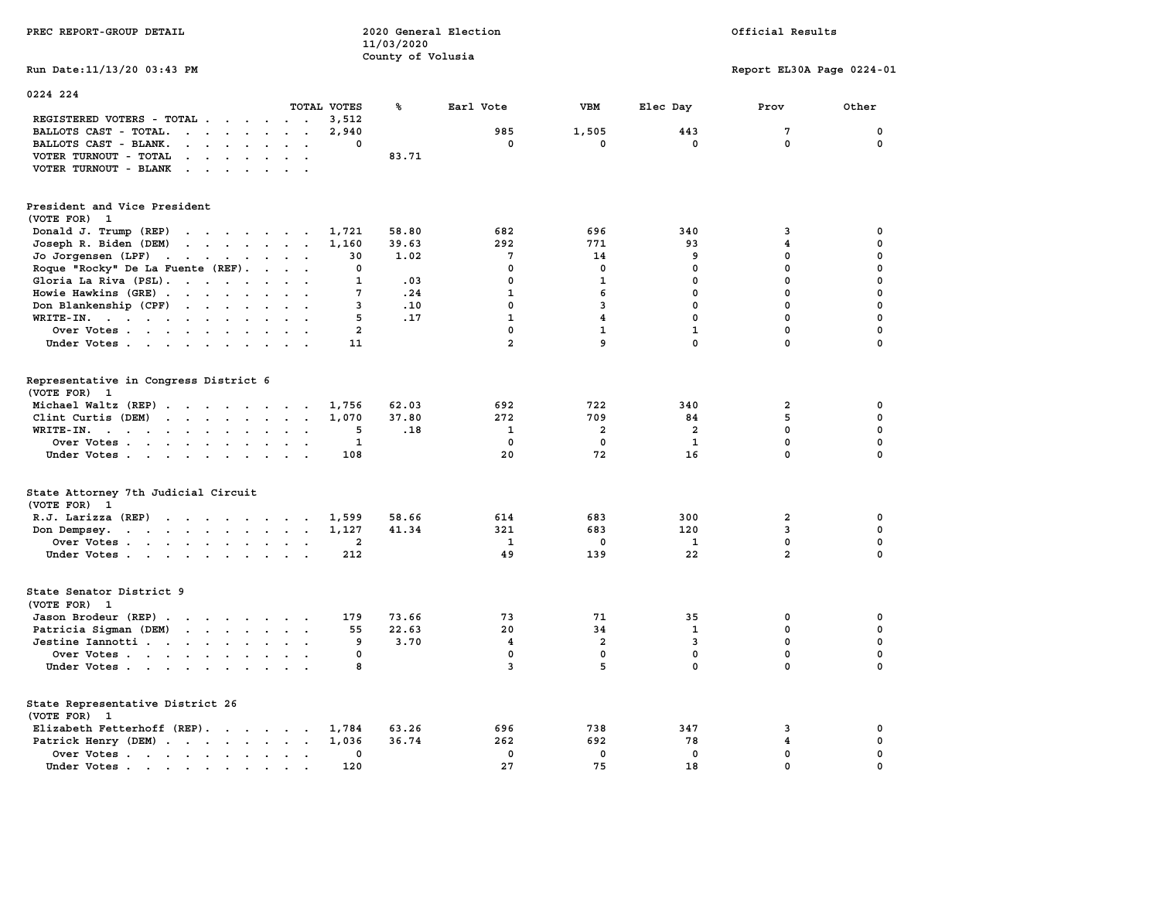| PREC REPORT-GROUP DETAIL                                                                                                        |                           | 11/03/2020<br>County of Volusia | 2020 General Election   |                         |                | Official Results          |             |
|---------------------------------------------------------------------------------------------------------------------------------|---------------------------|---------------------------------|-------------------------|-------------------------|----------------|---------------------------|-------------|
| Run Date: 11/13/20 03:43 PM                                                                                                     |                           |                                 |                         |                         |                | Report EL30A Page 0224-01 |             |
| 0224 224                                                                                                                        | TOTAL VOTES               | ℁                               | Earl Vote               | VBM                     | Elec Day       | Prov                      | Other       |
| REGISTERED VOTERS - TOTAL                                                                                                       | 3,512                     |                                 |                         |                         |                |                           |             |
| BALLOTS CAST - TOTAL.<br>$\cdots$                                                                                               | 2,940<br>$\sim$ $\sim$    |                                 | 985                     | 1,505                   | 443            | $7\phantom{.0}$           | $\mathbf 0$ |
| BALLOTS CAST - BLANK.<br>$\mathbf{r}$ , and $\mathbf{r}$ , and $\mathbf{r}$                                                     | 0<br>$\ddot{\phantom{0}}$ |                                 | $\mathbf 0$             | $\mathbf 0$             | $\mathbf 0$    | $\mathbf 0$               | $\mathbf 0$ |
| VOTER TURNOUT - TOTAL<br><b>Contract Contract</b><br>$\sim$                                                                     |                           | 83.71                           |                         |                         |                |                           |             |
| VOTER TURNOUT - BLANK                                                                                                           |                           |                                 |                         |                         |                |                           |             |
| President and Vice President                                                                                                    |                           |                                 |                         |                         |                |                           |             |
| (VOTE FOR) 1                                                                                                                    |                           |                                 |                         |                         |                |                           |             |
| Donald J. Trump (REP)                                                                                                           | 1,721                     | 58.80                           | 682                     | 696                     | 340            | 3                         | $\mathbf 0$ |
| Joseph R. Biden (DEM)                                                                                                           | 1,160                     | 39.63                           | 292                     | 771                     | 93             | $\overline{\mathbf{4}}$   | $\mathbf 0$ |
| Jo Jorgensen (LPF)                                                                                                              | 30                        | 1.02                            | $7\phantom{.0}$         | 14                      | 9              | $\mathbf 0$               | $\mathbf 0$ |
| Roque "Rocky" De La Fuente (REF).                                                                                               | $\mathbf 0$               |                                 | $\mathbf{0}$            | $\mathbf{0}$            | $\mathbf{0}$   | $\mathbf 0$               | $\mathbf 0$ |
| Gloria La Riva (PSL).                                                                                                           | $\mathbf{1}$              | .03                             | $\mathbf 0$             | $\mathbf{1}$            | $\mathbf 0$    | 0                         | $\mathbf 0$ |
| Howie Hawkins (GRE)                                                                                                             | 7                         | .24                             | $\mathbf{1}$            | 6                       | $^{\circ}$     | $\mathbf 0$               | 0           |
| Don Blankenship (CPF)                                                                                                           | 3                         | .10                             | $\mathbf 0$             | 3                       | $\mathbf{0}$   | $\mathbf 0$               | $\mathbf 0$ |
| WRITE-IN.                                                                                                                       | 5<br>$\sim$ $\sim$        | .17                             | $\mathbf{1}$            | $\overline{4}$          | $\mathbf{0}$   | $\mathbf 0$               | $\mathbf 0$ |
| Over Votes                                                                                                                      | $\overline{a}$            |                                 | $\mathbf 0$             | $\mathbf{1}$            | $\mathbf{1}$   | 0                         | $\mathbf 0$ |
| Under Votes                                                                                                                     | 11                        |                                 | $\overline{2}$          | 9                       | $\mathbf{0}$   | $\mathbf{0}$              | $\mathbf 0$ |
| Representative in Congress District 6<br>(VOTE FOR) 1                                                                           |                           |                                 |                         |                         |                |                           |             |
| Michael Waltz (REP)                                                                                                             | 1,756                     | 62.03                           | 692                     | 722                     | 340            | 2                         | 0           |
| Clint Curtis (DEM)                                                                                                              | 1,070                     | 37.80                           | 272                     | 709                     | 84             | 5                         | 0           |
| WRITE-IN.<br>$\mathbf{r}$ , and $\mathbf{r}$ , and $\mathbf{r}$ , and $\mathbf{r}$                                              | 5<br>$\sim$ $\sim$        | .18                             | 1                       | $\overline{\mathbf{2}}$ | $\overline{2}$ | $\mathbf 0$               | $\mathbf 0$ |
| Over Votes                                                                                                                      | $\mathbf{1}$              |                                 | $\mathbf 0$             | $\mathbf 0$             | 1              | 0                         | 0           |
| Under Votes                                                                                                                     | 108                       |                                 | 20                      | 72                      | 16             | $\mathbf 0$               | $\mathbf 0$ |
| State Attorney 7th Judicial Circuit<br>(VOTE FOR) 1                                                                             |                           |                                 |                         |                         |                |                           |             |
| R.J. Larizza (REP)                                                                                                              | 1,599                     | 58.66                           | 614                     | 683                     | 300            | $\mathbf{2}$              | 0           |
| Don Dempsey.<br>the contract of the contract of the contract of the contract of the contract of the contract of the contract of | 1,127                     | 41.34                           | 321                     | 683                     | 120            | 3                         | 0           |
| Over Votes                                                                                                                      | $\overline{2}$            |                                 | 1                       | 0                       | <b>1</b>       | 0                         | $\mathbf 0$ |
| Under Votes                                                                                                                     | 212                       |                                 | 49                      | 139                     | 22             | $\overline{a}$            | $\mathbf 0$ |
| State Senator District 9<br>(VOTE FOR) 1                                                                                        |                           |                                 |                         |                         |                |                           |             |
| Jason Brodeur (REP)                                                                                                             | 179                       | 73.66                           | 73                      | 71                      | 35             | 0                         | $\mathbf 0$ |
| Patricia Sigman (DEM)                                                                                                           | 55                        | 22.63                           | 20                      | 34                      | $\mathbf{1}$   | $\mathbf 0$               | $\mathbf 0$ |
| Jestine Iannotti                                                                                                                | 9                         | 3.70                            | $\overline{\mathbf{4}}$ | $\overline{\mathbf{2}}$ | 3              | 0                         | $\mathbf 0$ |
| Over Votes                                                                                                                      | 0                         |                                 | $^{\circ}$              | $\mathbf{0}$            | $^{\circ}$     | $\mathbf 0$               | $\mathbf 0$ |
| Under Votes                                                                                                                     | 8                         |                                 | $\overline{3}$          | 5                       | $\mathbf 0$    | $\mathbf 0$               | $\mathbf 0$ |
| State Representative District 26<br>(VOTE FOR) 1                                                                                |                           |                                 |                         |                         |                |                           |             |
| Elizabeth Fetterhoff (REP).                                                                                                     | 1,784                     | 63.26                           | 696                     | 738                     | 347            | 3                         | 0           |
| Patrick Henry (DEM)                                                                                                             | 1,036                     | 36.74                           | 262                     | 692                     | 78             | 4                         | $\mathbf 0$ |
| Over Votes                                                                                                                      | 0                         |                                 | $\mathbf 0$             | $\mathbf 0$             | $\mathbf 0$    | $\mathbf 0$               | $\mathbf 0$ |
| Under Votes                                                                                                                     | 120                       |                                 | 27                      | 75                      | 18             | $\mathbf 0$               | $\mathbf 0$ |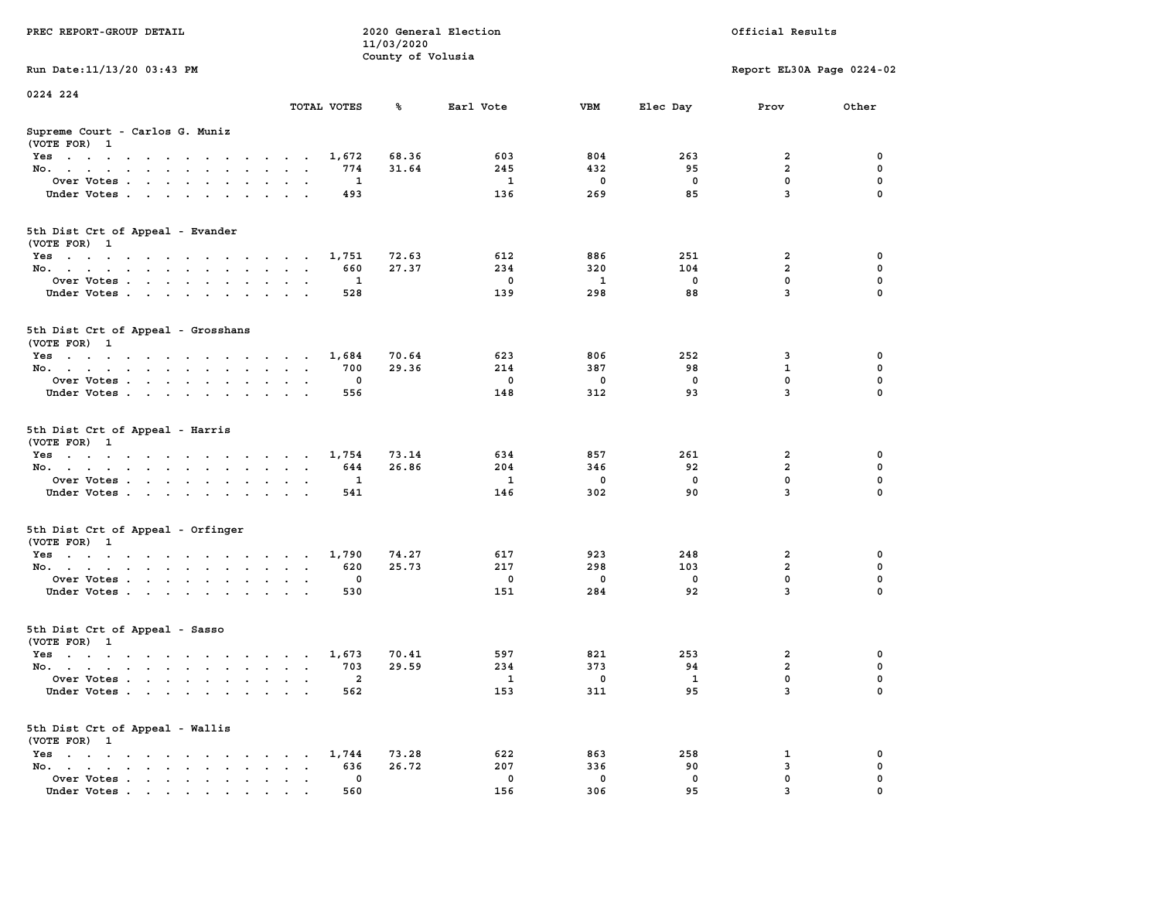|                                                                                                                                    |                                                                             | 11/03/2020        |                            |                           |                          |                                                 |                                 |
|------------------------------------------------------------------------------------------------------------------------------------|-----------------------------------------------------------------------------|-------------------|----------------------------|---------------------------|--------------------------|-------------------------------------------------|---------------------------------|
|                                                                                                                                    |                                                                             | County of Volusia |                            |                           |                          |                                                 |                                 |
| Run Date: 11/13/20 03:43 PM                                                                                                        |                                                                             |                   |                            |                           |                          | Report EL30A Page 0224-02                       |                                 |
| 0224 224                                                                                                                           |                                                                             |                   |                            |                           |                          |                                                 |                                 |
|                                                                                                                                    | TOTAL VOTES                                                                 | ℁                 | Earl Vote                  | <b>VBM</b>                | Elec Day                 | Prov                                            | Other                           |
| Supreme Court - Carlos G. Muniz<br>(VOTE FOR) 1                                                                                    |                                                                             |                   |                            |                           |                          |                                                 |                                 |
| Yes                                                                                                                                | 1,672                                                                       | 68.36             | 603                        | 804                       | 263                      | $\overline{\mathbf{2}}$                         | 0                               |
| No.<br>$\ddot{\phantom{a}}$<br>$\sim$                                                                                              | 774                                                                         | 31.64             | 245                        | 432                       | 95                       | $\overline{a}$                                  | $\mathbf 0$                     |
| Over Votes                                                                                                                         | 1<br>$\,$ .                                                                 |                   | $\mathbf{1}$               | 0                         | $\mathbf 0$              | 0                                               | $\mathbf 0$                     |
| Under Votes<br>$\sim 100$ km s $^{-1}$                                                                                             | 493<br>$\sim$                                                               |                   | 136                        | 269                       | 85                       | 3                                               | $\Omega$                        |
|                                                                                                                                    |                                                                             |                   |                            |                           |                          |                                                 |                                 |
| 5th Dist Crt of Appeal - Evander<br>(VOTE FOR) 1                                                                                   |                                                                             |                   |                            |                           |                          |                                                 |                                 |
| Yes                                                                                                                                | 1,751                                                                       | 72.63             | 612                        | 886                       | 251                      | $\overline{2}$                                  | 0                               |
| No.                                                                                                                                | 660                                                                         | 27.37             | 234                        | 320                       | 104                      | $\overline{a}$                                  | $\mathbf 0$                     |
| Over Votes<br>$\cdot$                                                                                                              | 1<br>$\sim$<br>$\sim$                                                       |                   | $\mathbf 0$                | 1                         | 0                        | $\mathbf 0$                                     | $\mathbf 0$                     |
| Under Votes                                                                                                                        | 528                                                                         |                   | 139                        | 298                       | 88                       | 3                                               | $\mathbf 0$                     |
|                                                                                                                                    |                                                                             |                   |                            |                           |                          |                                                 |                                 |
| 5th Dist Crt of Appeal - Grosshans<br>(VOTE FOR) 1                                                                                 |                                                                             |                   |                            |                           |                          |                                                 |                                 |
| Yes                                                                                                                                | 1,684                                                                       | 70.64             | 623                        | 806                       | 252                      | 3                                               | 0                               |
| No.                                                                                                                                | 700<br>$\sim$<br>$\cdot$ .                                                  | 29.36             | 214                        | 387                       | 98                       | $\mathbf{1}$                                    | $\mathbf 0$                     |
| Over Votes                                                                                                                         | $\mathbf 0$<br>$\cdot$                                                      |                   | $\mathbf 0$                | $\mathbf 0$               | $\mathbf 0$              | 0                                               | $\mathbf 0$                     |
| Under Votes                                                                                                                        | 556                                                                         |                   | 148                        | 312                       | 93                       | 3                                               | 0                               |
| 5th Dist Crt of Appeal - Harris<br>(VOTE FOR) 1<br>Yes<br>No.<br>$\ddot{\phantom{a}}$<br>Over Votes.                               | 1,754<br>644<br>$\ddot{\phantom{a}}$<br>$\sim$<br>$\ddot{\phantom{a}}$<br>1 | 73.14<br>26.86    | 634<br>204<br>$\mathbf{1}$ | 857<br>346<br>$\mathbf 0$ | 261<br>92<br>$\mathbf 0$ | $\overline{2}$<br>$\overline{a}$<br>$\mathbf 0$ | 0<br>$\mathbf 0$<br>$\mathbf 0$ |
| Under Votes<br>$\cdot$                                                                                                             | 541<br>$\cdot$                                                              |                   | 146                        | 302                       | 90                       | 3                                               | $\mathbf 0$                     |
|                                                                                                                                    |                                                                             |                   |                            |                           |                          |                                                 |                                 |
| 5th Dist Crt of Appeal - Orfinger<br>(VOTE FOR) 1                                                                                  |                                                                             |                   |                            |                           |                          |                                                 |                                 |
| Yes                                                                                                                                | 1,790                                                                       | 74.27             | 617                        | 923                       | 248                      | $\overline{\mathbf{2}}$                         | 0                               |
| No.                                                                                                                                | 620<br><b>Contract Contract Contract</b>                                    | 25.73             | 217                        | 298                       | 103                      | $\overline{a}$                                  | $\mathbf 0$                     |
| Over Votes                                                                                                                         | $\mathbf{0}$<br>$\bullet$<br>$\ddot{\phantom{1}}$                           |                   | $^{\circ}$                 | $\Omega$                  | $^{\circ}$               | $\mathbf 0$                                     | $\Omega$                        |
| Under Votes                                                                                                                        | 530<br>$\sim$ 100 $\mu$<br>$\sim$ $\sim$                                    |                   | 151                        | 284                       | 92                       | 3                                               | $\Omega$                        |
| 5th Dist Crt of Appeal - Sasso<br>(VOTE FOR) 1                                                                                     |                                                                             |                   |                            |                           |                          |                                                 |                                 |
| Yes                                                                                                                                | 1,673                                                                       | 70.41             | 597                        | 821                       | 253                      | $\overline{\mathbf{2}}$                         | $\mathbf 0$                     |
| No.                                                                                                                                | 703                                                                         | 29.59             | 234                        | 373                       | 94                       | $\overline{a}$                                  | $\mathbf 0$                     |
| Over Votes<br>$\cdot$ $\cdot$ $\cdot$<br>$\cdot$                                                                                   | $\overline{a}$<br>$\cdot$<br>$\ddot{\phantom{1}}$                           |                   | 1                          | $\mathbf 0$               | $\mathbf{1}$             | $\mathbf 0$                                     | $\mathbf 0$                     |
| Under Votes                                                                                                                        | 562                                                                         |                   | 153                        | 311                       | 95                       | 3                                               | $\mathbf 0$                     |
| 5th Dist Crt of Appeal - Wallis<br>(VOTE FOR) 1                                                                                    |                                                                             |                   |                            |                           |                          |                                                 |                                 |
| $Yes \t . \t .$<br>the contract of the contract of the contract of the contract of the contract of the contract of the contract of | 1,744                                                                       | 73.28             | 622                        | 863                       | 258                      | 1                                               | 0                               |
| No.<br>the contract of the contract of the con-<br>$\ddot{\phantom{a}}$                                                            | 636<br>$\bullet$<br>$\cdot$ $\cdot$                                         | 26.72             | 207                        | 336                       | 90                       | 3                                               | $\mathbf 0$                     |
| Over Votes<br>$\sim$<br>$\ddot{\phantom{a}}$                                                                                       | $\mathbf{0}$<br>$\blacksquare$<br>$\bullet$<br>$\blacksquare$               |                   | $^{\circ}$                 | $\mathbf 0$               | 0                        | $\mathbf 0$                                     | 0                               |
| Under Votes<br>$\mathbf{r}$ , and $\mathbf{r}$ , and $\mathbf{r}$ , and $\mathbf{r}$ , and $\mathbf{r}$                            | 560                                                                         |                   | 156                        | 306                       | 95                       | $\overline{\mathbf{3}}$                         | $\mathbf 0$                     |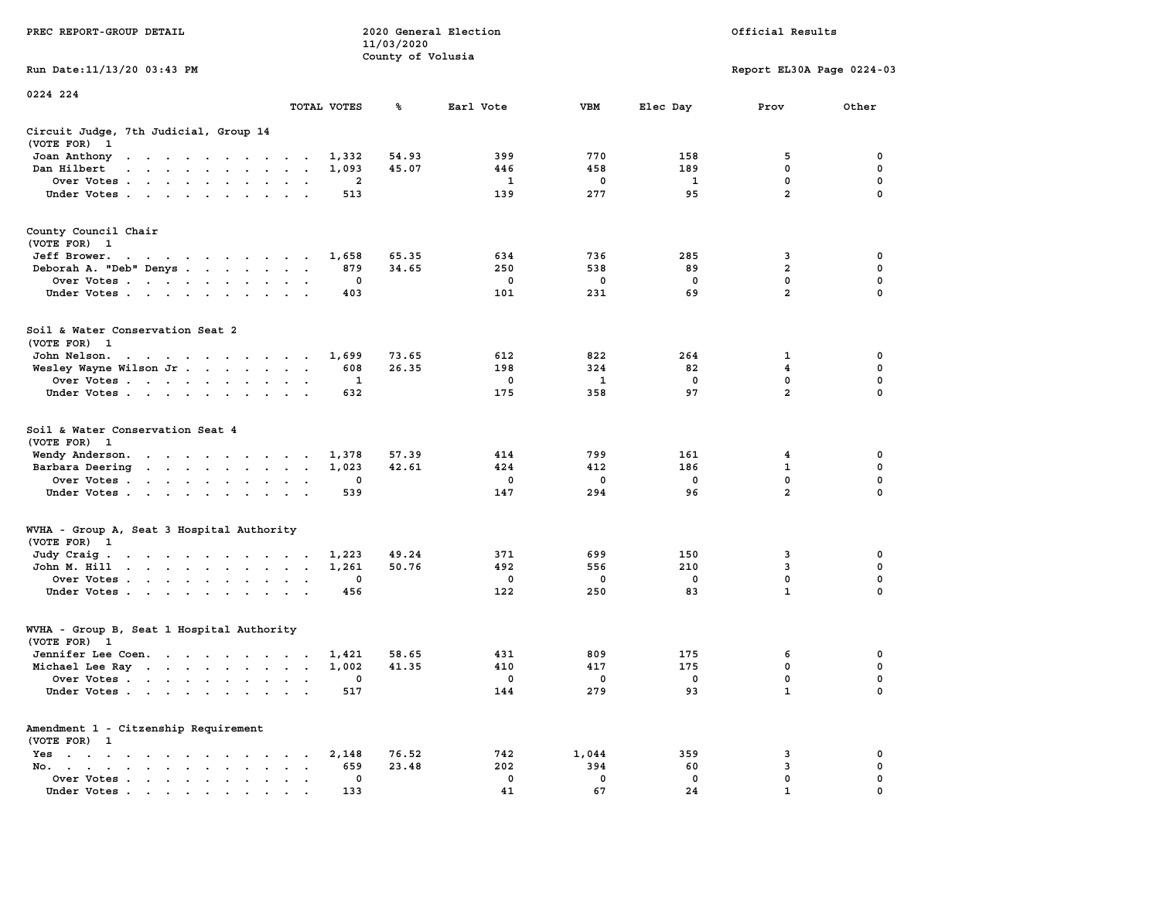| PREC REPORT-GROUP DETAIL                                                                                                                                                                                                                          |              | 11/03/2020<br>County of Volusia | 2020 General Election |             |            | Official Results          |                  |
|---------------------------------------------------------------------------------------------------------------------------------------------------------------------------------------------------------------------------------------------------|--------------|---------------------------------|-----------------------|-------------|------------|---------------------------|------------------|
| Run Date: 11/13/20 03:43 PM                                                                                                                                                                                                                       |              |                                 |                       |             |            | Report EL30A Page 0224-03 |                  |
| 0224 224                                                                                                                                                                                                                                          |              |                                 |                       |             |            |                           |                  |
|                                                                                                                                                                                                                                                   | TOTAL VOTES  | ℁                               | Earl Vote             | VBM         | Elec Day   | Prov                      | Other            |
| Circuit Judge, 7th Judicial, Group 14<br>(VOTE FOR) 1                                                                                                                                                                                             |              |                                 |                       |             |            |                           |                  |
| Joan Anthony                                                                                                                                                                                                                                      | 1,332        | 54.93                           | 399                   | 770         | 158        | 5                         | 0                |
| Dan Hilbert<br>the contract of the contract of the con-                                                                                                                                                                                           | 1,093        | 45.07                           | 446                   | 458         | 189        | $\mathbf 0$               | 0                |
| Over Votes<br>Under Votes                                                                                                                                                                                                                         | 2<br>513     |                                 | 1<br>139              | 0<br>277    | 1<br>95    | 0<br>$\overline{2}$       | 0<br>$\Omega$    |
|                                                                                                                                                                                                                                                   |              |                                 |                       |             |            |                           |                  |
| County Council Chair<br>(VOTE FOR) 1                                                                                                                                                                                                              |              |                                 |                       |             |            |                           |                  |
| Jeff Brower.                                                                                                                                                                                                                                      | 1,658        | 65.35                           | 634                   | 736         | 285        | 3                         | 0                |
| Deborah A. "Deb" Denys                                                                                                                                                                                                                            | 879          | 34.65                           | 250                   | 538         | 89         | $\overline{2}$            | 0                |
| Over Votes                                                                                                                                                                                                                                        | 0            |                                 | $\mathbf 0$           | $\mathbf 0$ | 0          | $\mathbf 0$               | 0                |
| Under Votes                                                                                                                                                                                                                                       | 403          |                                 | 101                   | 231         | 69         | $\overline{2}$            | 0                |
| Soil & Water Conservation Seat 2<br>(VOTE FOR) 1                                                                                                                                                                                                  |              |                                 |                       |             |            |                           |                  |
| John Nelson.                                                                                                                                                                                                                                      | 1,699        | 73.65                           | 612                   | 822         | 264        | 1                         | 0                |
| Wesley Wayne Wilson Jr.                                                                                                                                                                                                                           | 608          | 26.35                           | 198                   | 324         | 82         | 4                         | 0                |
| Over Votes                                                                                                                                                                                                                                        | 1            |                                 | 0                     | 1           | $^{\circ}$ | $\mathbf 0$               | 0                |
| Under Votes                                                                                                                                                                                                                                       | 632          |                                 | 175                   | 358         | 97         | $\overline{a}$            | $\Omega$         |
| Soil & Water Conservation Seat 4<br>(VOTE FOR) 1                                                                                                                                                                                                  |              |                                 |                       |             |            |                           |                  |
| Wendy Anderson.                                                                                                                                                                                                                                   | 1,378        | 57.39                           | 414                   | 799         | 161        | 4                         | 0                |
| Barbara Deering                                                                                                                                                                                                                                   | 1,023<br>0   | 42.61                           | 424<br>0              | 412<br>0    | 186<br>0   | $\mathbf{1}$<br>0         | $\mathbf 0$<br>0 |
| Over Votes<br>Under Votes                                                                                                                                                                                                                         | 539          |                                 | 147                   | 294         | 96         | $\overline{2}$            | $\Omega$         |
|                                                                                                                                                                                                                                                   |              |                                 |                       |             |            |                           |                  |
| WVHA - Group A, Seat 3 Hospital Authority<br>(VOTE FOR) 1                                                                                                                                                                                         |              |                                 |                       |             |            |                           |                  |
| Judy Craig.                                                                                                                                                                                                                                       | 1,223        | 49.24                           | 371                   | 699         | 150        | 3                         | 0                |
| John M. Hill                                                                                                                                                                                                                                      | 1,261        | 50.76                           | 492                   | 556         | 210        | 3<br>0                    | 0<br>$\mathbf 0$ |
| Over Votes<br>Under Votes                                                                                                                                                                                                                         | 0<br>456     |                                 | $\mathbf 0$<br>122    | 0<br>250    | 0<br>83    | $\mathbf{1}$              | 0                |
| WVHA - Group B, Seat 1 Hospital Authority<br>(VOTE FOR) 1                                                                                                                                                                                         |              |                                 |                       |             |            |                           |                  |
| Jennifer Lee Coen.                                                                                                                                                                                                                                | 1,421        | 58.65                           | 431                   | 809         | 175        | 6                         | 0                |
| Michael Lee Ray                                                                                                                                                                                                                                   | 1,002        | 41.35                           | 410                   | 417         | 175        | 0                         | 0                |
| Over Votes                                                                                                                                                                                                                                        | 0            |                                 | 0                     | 0           | 0          | 0                         | 0                |
| Under Votes.<br>$\mathbf{r}$ . The contract of the contract of the contract of the contract of the contract of the contract of the contract of the contract of the contract of the contract of the contract of the contract of the contract of th | 517          |                                 | 144                   | 279         | 93         | $\mathbf{1}$              | 0                |
| Amendment 1 - Citzenship Requirement                                                                                                                                                                                                              |              |                                 |                       |             |            |                           |                  |
| (VOTE FOR) 1<br>$Yes \t . \t . \t .$                                                                                                                                                                                                              |              | 76.52                           | 742                   | 1,044       | 359        | 3                         | 0                |
| No.<br>$\mathbf{r}$ , $\mathbf{r}$ , $\mathbf{r}$ , $\mathbf{r}$ , $\mathbf{r}$<br>$\ddot{\phantom{a}}$<br>$\bullet$                                                                                                                              | 2,148<br>659 | 23.48                           | 202                   | 394         | 60         | 3                         | 0                |
| Over Votes                                                                                                                                                                                                                                        | 0            |                                 | 0                     | 0           | 0          | 0                         | 0                |
| Under Votes                                                                                                                                                                                                                                       | 133          |                                 | 41                    | 67          | 24         | 1                         |                  |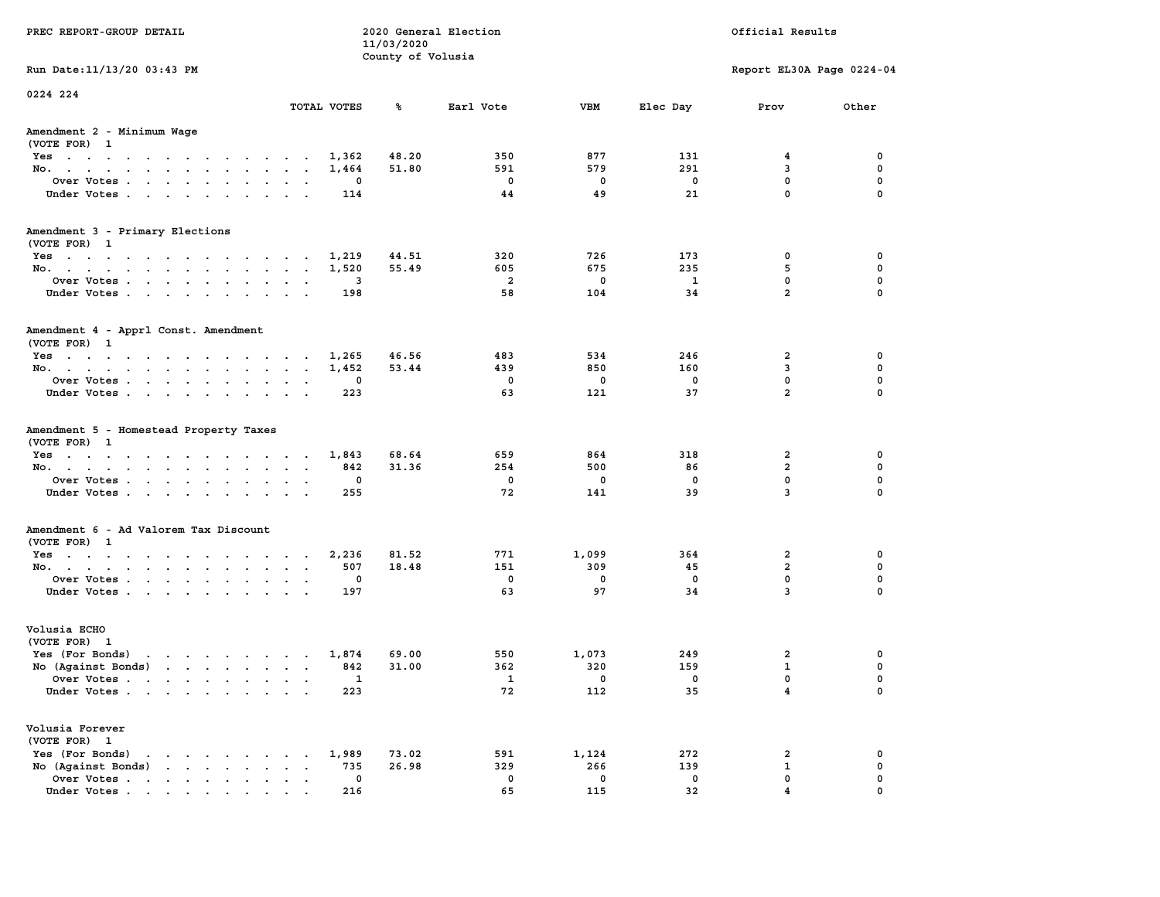| PREC REPORT-GROUP DETAIL                                      |                                                     | 2020 General Election<br>11/03/2020 |                         |                    |                   | Official Results          |             |
|---------------------------------------------------------------|-----------------------------------------------------|-------------------------------------|-------------------------|--------------------|-------------------|---------------------------|-------------|
| Run Date: 11/13/20 03:43 PM                                   |                                                     | County of Volusia                   |                         |                    |                   | Report EL30A Page 0224-04 |             |
| 0224 224                                                      |                                                     |                                     |                         |                    |                   |                           |             |
|                                                               | TOTAL VOTES                                         | ℁                                   | Earl Vote               | VBM                | Elec Day          | Prov                      | Other       |
| Amendment 2 - Minimum Wage<br>(VOTE FOR) 1                    |                                                     |                                     |                         |                    |                   |                           |             |
| Yes                                                           | 1,362                                               | 48.20                               | 350                     | 877                | 131               | 4                         | 0           |
| No.                                                           | 1,464                                               | 51.80                               | 591                     | 579                | 291               | 3                         | 0           |
| Over Votes                                                    | 0                                                   |                                     | $\mathbf 0$             | $\mathbf 0$        | $\mathbf 0$       | $\mathbf 0$               | 0           |
| Under Votes                                                   | 114                                                 |                                     | 44                      | 49                 | 21                | $\mathbf 0$               | $\mathbf 0$ |
| Amendment 3 - Primary Elections                               |                                                     |                                     |                         |                    |                   |                           |             |
| (VOTE FOR) 1                                                  |                                                     |                                     |                         |                    |                   |                           |             |
| Yes                                                           | 1,219<br>1,520                                      | 44.51<br>55.49                      | 320<br>605              | 726<br>675         | 173<br>235        | 0<br>5                    | 0<br>0      |
| No.<br>Over Votes                                             | 3                                                   |                                     | $\overline{\mathbf{2}}$ | $\mathbf 0$        | 1                 | $\mathbf 0$               | 0           |
| Under Votes                                                   | 198                                                 |                                     | 58                      | 104                | 34                | $\overline{a}$            | $\mathbf 0$ |
|                                                               |                                                     |                                     |                         |                    |                   |                           |             |
| Amendment 4 - Apprl Const. Amendment<br>(VOTE FOR) 1          |                                                     |                                     |                         |                    |                   |                           |             |
| Yes                                                           | 1,265                                               | 46.56                               | 483                     | 534                | 246               | 2                         | 0           |
| No.                                                           | 1,452                                               | 53.44                               | 439                     | 850                | 160               | 3                         | 0           |
| Over Votes                                                    | 0                                                   |                                     | $\Omega$                | $\mathbf 0$        | $\mathbf 0$       | $\mathbf{0}$              | $\mathbf 0$ |
| Under Votes                                                   | 223                                                 |                                     | 63                      | 121                | 37                | $\overline{a}$            | $\mathbf 0$ |
| Amendment 5 - Homestead Property Taxes<br>(VOTE FOR) 1<br>Yes | 1,843                                               | 68.64                               | 659                     | 864                | 318               | 2                         | 0           |
| No.                                                           | 842                                                 | 31.36                               | 254                     | 500                | 86                | $\overline{2}$            | 0           |
| Over Votes                                                    | 0                                                   |                                     | $\mathbf 0$             | $\mathbf 0$        | 0                 | $\mathbf 0$               | 0           |
| Under Votes                                                   | 255                                                 |                                     | 72                      | 141                | 39                | $\overline{3}$            | $\Omega$    |
| Amendment 6 - Ad Valorem Tax Discount                         |                                                     |                                     |                         |                    |                   |                           |             |
| (VOTE FOR) 1                                                  |                                                     |                                     |                         |                    |                   |                           |             |
| Yes                                                           | 2,236                                               | 81.52                               | 771                     | 1,099              | 364               | 2<br>$\overline{2}$       | 0           |
| No.<br>Over Votes                                             | 507<br>0                                            | 18.48                               | 151<br>$\mathbf 0$      | 309<br>$\mathbf 0$ | 45<br>$\mathbf 0$ | $\mathbf 0$               | 0<br>0      |
| Under Votes                                                   | 197                                                 |                                     | 63                      | 97                 | 34                | $\overline{3}$            | $\Omega$    |
| Volusia ECHO                                                  |                                                     |                                     |                         |                    |                   |                           |             |
| (VOTE FOR) 1                                                  |                                                     |                                     |                         |                    |                   |                           |             |
| Yes (For Bonds) $\cdots$ $\cdots$ $\cdots$ $\cdots$           | 1,874                                               | 69.00                               | 550                     | 1,073              | 249               | 2                         | 0           |
| No $(Against Bonds)$                                          | 842                                                 | 31.00                               | 362                     | 320                | 159               | $\mathbf{1}$              | 0           |
| Over Votes                                                    | $\mathbf{1}$                                        |                                     | $\mathbf{1}$            | 0                  | 0                 | $\mathbf{0}$              | $\mathbf 0$ |
| Under Votes                                                   | 223                                                 |                                     | 72                      | 112                | 35                | $\overline{\mathbf{4}}$   | 0           |
| Volusia Forever                                               |                                                     |                                     |                         |                    |                   |                           |             |
| (VOTE FOR) 1<br>$\mathbf{r}$                                  | 1,989                                               | 73.02                               | 591                     |                    | 272               | 2                         | 0           |
| Yes (For Bonds)<br>No (Against Bonds)                         | 735<br>$\ddot{\phantom{a}}$<br>$\ddot{\phantom{0}}$ | 26.98                               | 329                     | 1,124<br>266       | 139               | $\mathbf{1}$              | $\mathbf 0$ |
| Over Votes                                                    | 0                                                   |                                     | 0                       | 0                  | $\mathbf 0$       | $\mathbf{0}$              | 0           |
| Under Votes                                                   | 216                                                 |                                     | 65                      | 115                | 32                | 4                         | $\Omega$    |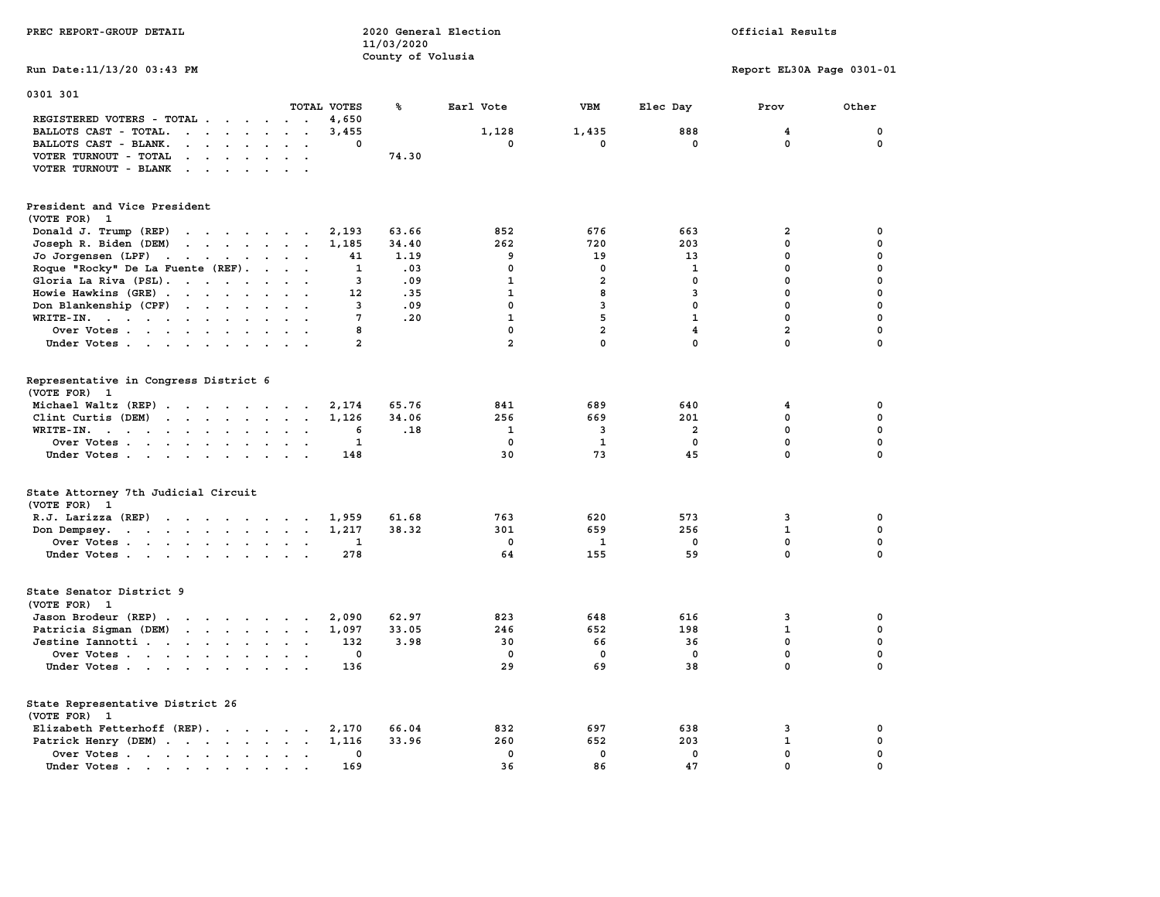| PREC REPORT-GROUP DETAIL                                                                                                        |                           | 11/03/2020<br>County of Volusia | 2020 General Election |                         | Official Results        |                           |             |  |
|---------------------------------------------------------------------------------------------------------------------------------|---------------------------|---------------------------------|-----------------------|-------------------------|-------------------------|---------------------------|-------------|--|
| Run Date: 11/13/20 03:43 PM                                                                                                     |                           |                                 |                       |                         |                         | Report EL30A Page 0301-01 |             |  |
| 0301 301                                                                                                                        | TOTAL VOTES               | ℁                               | Earl Vote             | VBM                     | Elec Day                | Prov                      | Other       |  |
| REGISTERED VOTERS - TOTAL                                                                                                       | 4,650                     |                                 |                       |                         |                         |                           |             |  |
| BALLOTS CAST - TOTAL.<br>$\cdots$                                                                                               | 3,455                     |                                 | 1,128                 | 1,435                   | 888                     | 4                         | $\mathbf 0$ |  |
| BALLOTS CAST - BLANK.<br>$\mathbf{r}$ , and $\mathbf{r}$ , and $\mathbf{r}$                                                     | 0<br>$\ddot{\phantom{0}}$ |                                 | $\mathbf 0$           | $\mathbf 0$             | $\mathbf 0$             | $\mathbf 0$               | $\mathbf 0$ |  |
| VOTER TURNOUT - TOTAL<br><b>Contract Contract</b><br>$\ddot{\phantom{0}}$<br>$\ddot{\phantom{a}}$                               |                           | 74.30                           |                       |                         |                         |                           |             |  |
| VOTER TURNOUT - BLANK                                                                                                           |                           |                                 |                       |                         |                         |                           |             |  |
| President and Vice President                                                                                                    |                           |                                 |                       |                         |                         |                           |             |  |
| (VOTE FOR) 1                                                                                                                    |                           |                                 |                       |                         |                         |                           |             |  |
| Donald J. Trump (REP)                                                                                                           | 2,193                     | 63.66                           | 852                   | 676                     | 663                     | 2                         | $\mathbf 0$ |  |
| Joseph R. Biden (DEM)                                                                                                           | 1,185                     | 34.40                           | 262                   | 720                     | 203                     | $\mathbf 0$               | $\mathbf 0$ |  |
| Jo Jorgensen (LPF)                                                                                                              | 41                        | 1.19                            | 9                     | 19                      | 13                      | $\mathbf 0$               | $\mathbf 0$ |  |
| Roque "Rocky" De La Fuente (REF).                                                                                               | $\mathbf{1}$              | .03                             | $\mathbf{0}$          | $\Omega$                | $\mathbf{1}$            | $\mathbf 0$               | $\mathbf 0$ |  |
| Gloria La Riva (PSL).                                                                                                           | 3                         | .09                             | $\mathbf{1}$          | $\overline{\mathbf{2}}$ | $\mathbf 0$             | 0                         | $\mathbf 0$ |  |
| Howie Hawkins (GRE)                                                                                                             | 12                        | .35                             | $\mathbf{1}$          | 8                       | 3                       | $\mathbf 0$               | 0           |  |
| Don Blankenship (CPF)                                                                                                           | $\overline{3}$            | .09                             | $\mathbf 0$           | 3                       | $\mathbf 0$             | $\mathbf 0$               | $\mathbf 0$ |  |
| WRITE-IN.                                                                                                                       | 7                         | .20                             | $\mathbf{1}$          | 5                       | $\mathbf{1}$            | $\mathbf 0$               | $\mathbf 0$ |  |
| Over Votes                                                                                                                      | 8                         |                                 | $\mathbf 0$           | $\overline{a}$          | $\overline{4}$          | $\overline{\mathbf{2}}$   | $\mathbf 0$ |  |
| Under Votes                                                                                                                     | $\overline{2}$            |                                 | $\overline{2}$        | $\mathbf{0}$            | $\mathbf 0$             | $\mathbf{0}$              | $\mathbf 0$ |  |
| Representative in Congress District 6<br>(VOTE FOR)<br>$\mathbf{1}$                                                             |                           |                                 |                       |                         |                         |                           |             |  |
| Michael Waltz (REP)                                                                                                             | 2,174                     | 65.76                           | 841                   | 689                     | 640                     | 4                         | 0           |  |
| Clint Curtis (DEM)                                                                                                              | 1,126                     | 34.06                           | 256                   | 669                     | 201                     | 0                         | 0           |  |
| WRITE-IN.<br>$\mathbf{r}$ , $\mathbf{r}$ , $\mathbf{r}$ , $\mathbf{r}$ , $\mathbf{r}$<br>$\sim$ $\sim$                          | 6<br>$\sim$               | .18                             | 1                     | 3                       | $\overline{\mathbf{2}}$ | $\mathbf 0$               | $\mathbf 0$ |  |
| Over Votes                                                                                                                      | $\mathbf{1}$              |                                 | $\mathbf 0$           | $\mathbf{1}$            | $\mathbf 0$             | 0                         | $\pmb{0}$   |  |
| Under Votes                                                                                                                     | 148                       |                                 | 30                    | 73                      | 45                      | $\mathbf 0$               | $\mathbf 0$ |  |
| State Attorney 7th Judicial Circuit<br>(VOTE FOR) 1                                                                             |                           |                                 |                       |                         |                         |                           |             |  |
| R.J. Larizza (REP)                                                                                                              | 1,959                     | 61.68                           | 763                   | 620                     | 573                     | 3                         | 0           |  |
| Don Dempsey.<br>the contract of the contract of the contract of the contract of the contract of the contract of the contract of | 1,217                     | 38.32                           | 301                   | 659                     | 256                     | $\mathbf 1$               | 0           |  |
| Over Votes                                                                                                                      | 1                         |                                 | $\mathbf 0$           | 1                       | 0                       | 0                         | $\mathbf 0$ |  |
| Under Votes                                                                                                                     | 278                       |                                 | 64                    | 155                     | 59                      | $\mathbf 0$               | $\mathbf 0$ |  |
| State Senator District 9<br>(VOTE FOR) 1                                                                                        |                           |                                 |                       |                         |                         |                           |             |  |
| Jason Brodeur (REP)                                                                                                             | 2,090<br>$\sim$           | 62.97                           | 823                   | 648                     | 616                     | 3                         | $\mathbf 0$ |  |
| Patricia Sigman (DEM)                                                                                                           | 1,097                     | 33.05                           | 246                   | 652                     | 198                     | $\mathbf{1}$              | $\mathbf 0$ |  |
| Jestine Iannotti                                                                                                                | 132                       | 3.98                            | 30                    | 66                      | 36                      | 0                         | $\mathbf 0$ |  |
| Over Votes                                                                                                                      | $\Omega$                  |                                 | $^{\circ}$            | $^{\circ}$              | $^{\circ}$              | $\mathbf 0$               | $\mathbf 0$ |  |
| Under Votes                                                                                                                     | 136                       |                                 | 29                    | 69                      | 38                      | $\mathbf 0$               | $\mathbf 0$ |  |
| State Representative District 26<br>(VOTE FOR) 1                                                                                |                           |                                 |                       |                         |                         |                           |             |  |
| Elizabeth Fetterhoff (REP).                                                                                                     | 2,170                     | 66.04                           | 832                   | 697                     | 638                     | 3                         | 0           |  |
| Patrick Henry (DEM)                                                                                                             | 1,116                     | 33.96                           | 260                   | 652                     | 203                     | $\mathbf{1}$              | $\mathbf 0$ |  |
| Over Votes                                                                                                                      | 0                         |                                 | $\mathbf 0$           | $\mathbf 0$             | $\mathbf 0$             | $\mathbf 0$               | $\mathbf 0$ |  |
| Under Votes                                                                                                                     | 169                       |                                 | 36                    | 86                      | 47                      | $\mathbf 0$               | $\mathbf 0$ |  |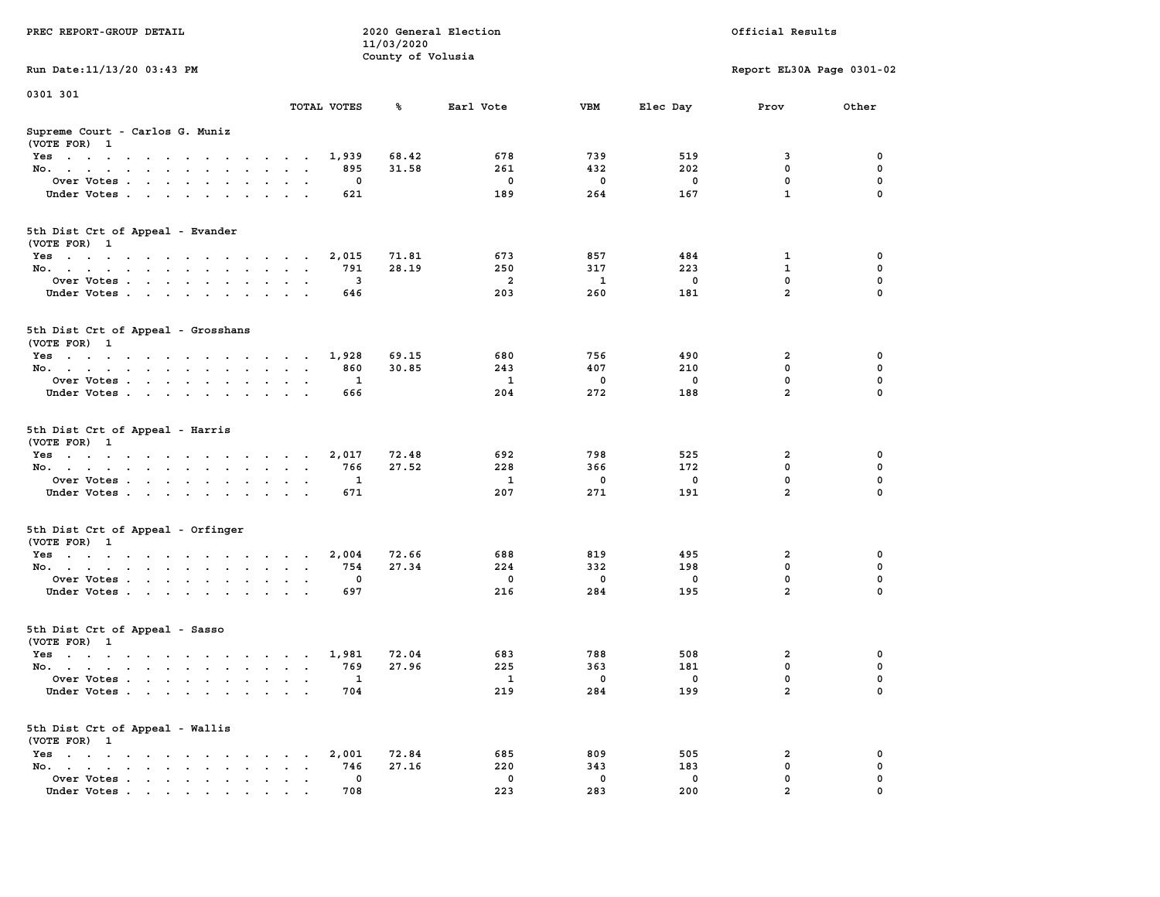|                                                                                                         |                                                               | 11/03/2020        |                |              |              |                           |             |
|---------------------------------------------------------------------------------------------------------|---------------------------------------------------------------|-------------------|----------------|--------------|--------------|---------------------------|-------------|
|                                                                                                         |                                                               | County of Volusia |                |              |              |                           |             |
| Run Date: 11/13/20 03:43 PM                                                                             |                                                               |                   |                |              |              | Report EL30A Page 0301-02 |             |
| 0301 301                                                                                                |                                                               |                   |                |              |              |                           |             |
|                                                                                                         | TOTAL VOTES                                                   | ร                 | Earl Vote      | <b>VBM</b>   | Elec Day     | Prov                      | Other       |
|                                                                                                         |                                                               |                   |                |              |              |                           |             |
| Supreme Court - Carlos G. Muniz<br>(VOTE FOR) 1                                                         |                                                               |                   |                |              |              |                           |             |
| $Yes \cdot \cdot \cdot \cdot \cdot \cdot \cdot \cdot \cdot$<br>$\ddot{\phantom{1}}$                     | 1,939<br>$\sim$ $\sim$<br>$\sim$                              | 68.42             | 678            | 739          | 519          | 3                         | 0           |
| No.<br>$\cdot$<br>$\cdot$                                                                               | 895                                                           | 31.58             | 261            | 432          | 202          | $\mathbf 0$               | $\mathbf 0$ |
| Over Votes                                                                                              | 0<br>$\ddot{\phantom{0}}$                                     |                   | $\mathbf 0$    | $\mathbf 0$  | 0            | 0                         | 0           |
| Under Votes<br>$\sim$ $\sim$                                                                            | 621<br>$\sim$<br>$\cdot$                                      |                   | 189            | 264          | 167          | $\mathbf{1}$              | 0           |
|                                                                                                         |                                                               |                   |                |              |              |                           |             |
| 5th Dist Crt of Appeal - Evander                                                                        |                                                               |                   |                |              |              |                           |             |
| (VOTE FOR) 1                                                                                            |                                                               |                   |                |              |              |                           |             |
| Yes                                                                                                     | 2,015                                                         | 71.81             | 673            | 857          | 484          | 1                         | 0           |
| No.<br>$\sim$                                                                                           | 791<br>$\sim$<br>$\sim$                                       | 28.19             | 250            | 317          | 223          | $\mathbf{1}$              | 0           |
| Over Votes                                                                                              | $\overline{\mathbf{3}}$                                       |                   | $\overline{a}$ | $\mathbf{1}$ | $\mathbf{0}$ | 0                         | $\mathbf 0$ |
| Under Votes<br>$\sim 100$                                                                               | 646<br>$\sim$<br>$\overline{\phantom{a}}$                     |                   | 203            | 260          | 181          | $\overline{2}$            | $\Omega$    |
|                                                                                                         |                                                               |                   |                |              |              |                           |             |
| 5th Dist Crt of Appeal - Grosshans                                                                      |                                                               |                   |                |              |              |                           |             |
| (VOTE FOR) 1                                                                                            |                                                               |                   |                |              |              |                           |             |
| Yes                                                                                                     | 1,928                                                         | 69.15             | 680            | 756          | 490          | $\overline{\mathbf{2}}$   | 0           |
| No.                                                                                                     | 860                                                           | 30.85             | 243            | 407          | 210          | $\mathbf 0$               | $\mathbf 0$ |
| Over Votes<br>$\ddot{\phantom{a}}$                                                                      | $\mathbf{1}$<br>$\cdot$ $\cdot$                               |                   | $\mathbf{1}$   | $\mathbf 0$  | $\mathbf 0$  | $\mathbf 0$               | $\mathbf 0$ |
| Under Votes                                                                                             | 666                                                           |                   | 204            | 272          | 188          | $\overline{a}$            | $\mathbf 0$ |
|                                                                                                         |                                                               |                   |                |              |              |                           |             |
| 5th Dist Crt of Appeal - Harris<br>(VOTE FOR) 1                                                         |                                                               |                   |                |              |              |                           |             |
| Yes                                                                                                     | 2,017                                                         | 72.48             | 692            | 798          | 525          | $\overline{a}$            | $\mathbf 0$ |
| No.<br>$\ddot{\phantom{a}}$                                                                             | 766<br>$\ddot{\phantom{a}}$<br>$\cdot$ $\cdot$                | 27.52             | 228            | 366          | 172          | $\mathbf 0$               | 0           |
| Over Votes                                                                                              | 1                                                             |                   | $\mathbf{1}$   | $\mathbf 0$  | $\mathbf 0$  | $\mathbf 0$               | 0           |
| Under Votes                                                                                             | 671                                                           |                   | 207            | 271          | 191          | $\overline{a}$            | 0           |
|                                                                                                         |                                                               |                   |                |              |              |                           |             |
| 5th Dist Crt of Appeal - Orfinger<br>(VOTE FOR) 1                                                       |                                                               |                   |                |              |              |                           |             |
| Yes                                                                                                     | 2,004                                                         | 72.66             | 688            | 819          | 495          | 2                         | 0           |
| No.<br>$\ddot{\phantom{a}}$                                                                             | 754<br>$\ddot{\phantom{a}}$<br>$\sim$<br>$\ddot{\phantom{a}}$ | 27.34             | 224            | 332          | 198          | $\mathbf 0$               | $\mathbf 0$ |
| Over Votes                                                                                              | $\mathbf 0$<br><b>Contract Contract</b>                       |                   | $\mathbf 0$    | $\mathbf 0$  | $\mathbf 0$  | 0                         | 0           |
| Under Votes<br>$\ddot{\phantom{0}}$<br>$\sim$                                                           | 697<br>$\ddot{\phantom{a}}$                                   |                   | 216            | 284          | 195          | $\overline{a}$            | $\Omega$    |
|                                                                                                         |                                                               |                   |                |              |              |                           |             |
| 5th Dist Crt of Appeal - Sasso                                                                          |                                                               |                   |                |              |              |                           |             |
| (VOTE FOR) 1                                                                                            |                                                               |                   |                |              |              |                           |             |
| Yes                                                                                                     | 1,981                                                         | 72.04             | 683            | 788          | 508          | $\overline{\mathbf{2}}$   | 0           |
| No.                                                                                                     | 769                                                           | 27.96             | 225            | 363          | 181          | 0                         | 0           |
| Over Votes<br>$\ddot{\phantom{a}}$                                                                      | 1<br>$\ddot{\phantom{a}}$<br>$\ddot{\phantom{a}}$<br>$\cdot$  |                   | 1              | 0            | 0            | 0                         | $\mathbf 0$ |
| Under Votes                                                                                             | 704                                                           |                   | 219            | 284          | 199          | $\overline{a}$            | $\Omega$    |
|                                                                                                         |                                                               |                   |                |              |              |                           |             |
| 5th Dist Crt of Appeal - Wallis<br>(VOTE FOR) 1                                                         |                                                               |                   |                |              |              |                           |             |
| $Yes \t . \t .$<br>the contract of the contract of the con-                                             | 2,001                                                         | 72.84             | 685            | 809          | 505          | 2                         | 0           |
| No.<br>the contract of the contract of the con-<br>$\ddot{\phantom{a}}$<br>$\cdot$                      | 746<br>$\cdot$ $\cdot$                                        | 27.16             | 220            | 343          | 183          | 0                         | $\mathbf 0$ |
| Over Votes<br>$\sim$<br>$\ddot{\phantom{a}}$<br>$\,$ .                                                  | $\mathbf{0}$<br>$\ddot{\phantom{a}}$<br>$\ddot{\phantom{a}}$  |                   | $^{\circ}$     | 0            | 0            | $\mathbf 0$               | 0           |
| Under Votes<br>$\mathbf{r}$ , and $\mathbf{r}$ , and $\mathbf{r}$ , and $\mathbf{r}$ , and $\mathbf{r}$ | 708                                                           |                   | 223            | 283          | 200          | $\overline{a}$            | $\mathbf 0$ |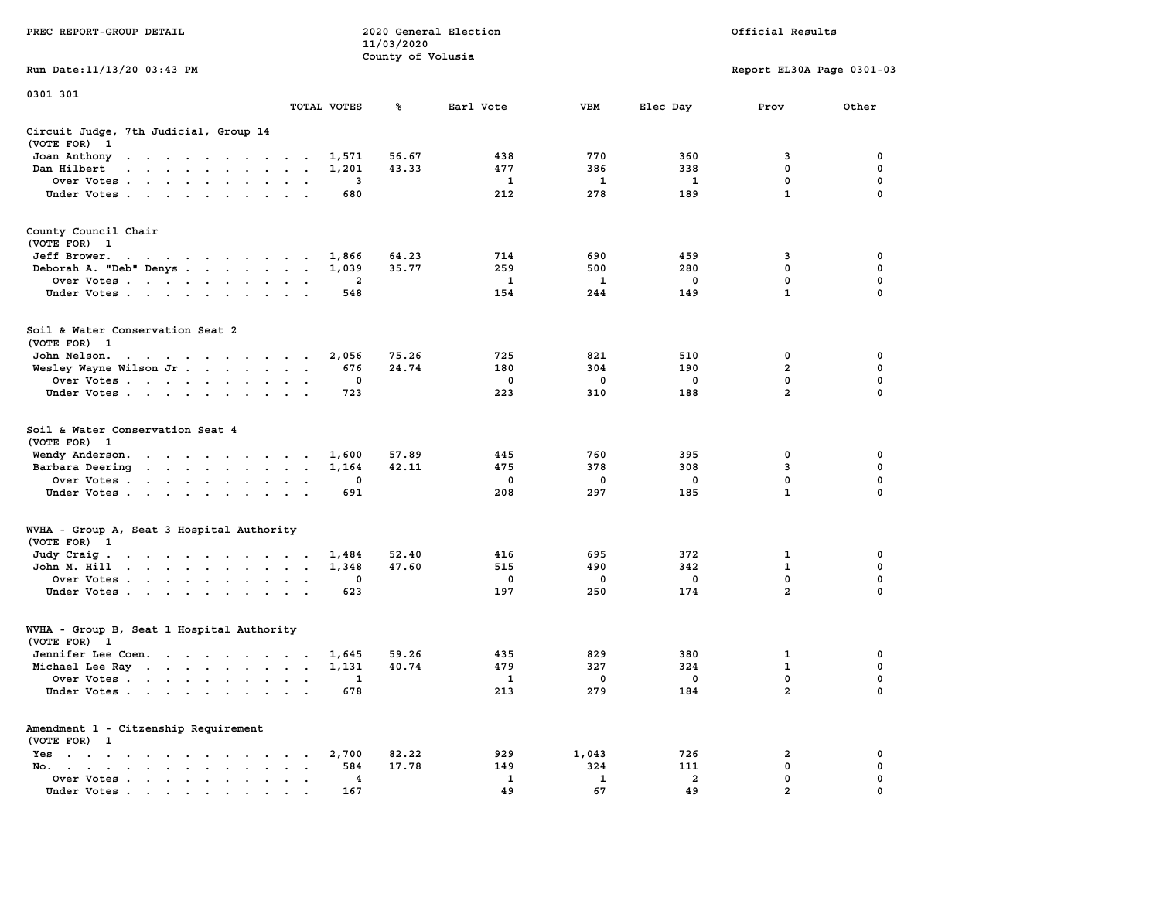|                                                                                                                                                                                                                                                      |                                              | 11/03/2020        |              |             |                         |                           |             |
|------------------------------------------------------------------------------------------------------------------------------------------------------------------------------------------------------------------------------------------------------|----------------------------------------------|-------------------|--------------|-------------|-------------------------|---------------------------|-------------|
|                                                                                                                                                                                                                                                      |                                              | County of Volusia |              |             |                         |                           |             |
| Run Date:11/13/20 03:43 PM                                                                                                                                                                                                                           |                                              |                   |              |             |                         | Report EL30A Page 0301-03 |             |
| 0301 301                                                                                                                                                                                                                                             |                                              |                   |              |             |                         |                           |             |
|                                                                                                                                                                                                                                                      | TOTAL VOTES                                  | ℁                 | Earl Vote    | <b>VBM</b>  | Elec Day                | Prov                      | Other       |
| Circuit Judge, 7th Judicial, Group 14                                                                                                                                                                                                                |                                              |                   |              |             |                         |                           |             |
| (VOTE FOR)<br>$\mathbf{1}$                                                                                                                                                                                                                           |                                              |                   |              |             |                         |                           |             |
| Joan Anthony<br>$\mathbf{r}$ . The contribution of the contribution of the contribution of the contribution of the contribution of the contribution of the contribution of the contribution of the contribution of the contribution of the contri    | 1,571                                        | 56.67             | 438          | 770         | 360                     | 3                         | 0           |
| Dan Hilbert<br>$\sim$                                                                                                                                                                                                                                | 1,201<br>$\overline{\phantom{a}}$            | 43.33             | 477          | 386         | 338                     | 0                         | 0           |
| Over Votes<br>$\cdot$                                                                                                                                                                                                                                | 3<br>$\cdot$                                 |                   | $\mathbf{1}$ | 1           | $\mathbf{1}$            | $\mathbf 0$               | $\mathbf 0$ |
| Under Votes                                                                                                                                                                                                                                          | 680<br>$\overline{\phantom{a}}$              |                   | 212          | 278         | 189                     | $\mathbf{1}$              | 0           |
|                                                                                                                                                                                                                                                      |                                              |                   |              |             |                         |                           |             |
| County Council Chair                                                                                                                                                                                                                                 |                                              |                   |              |             |                         |                           |             |
| (VOTE FOR) 1                                                                                                                                                                                                                                         |                                              |                   |              |             |                         |                           |             |
| Jeff Brower.<br>the contract of the contract of the                                                                                                                                                                                                  | 1,866                                        | 64.23             | 714          | 690         | 459                     | 3                         | 0           |
| Deborah A. "Deb" Denys                                                                                                                                                                                                                               | 1,039<br>$\cdot$<br>$\ddot{\phantom{a}}$     | 35.77             | 259          | 500         | 280                     | 0                         | $\mathbf 0$ |
| Over Votes<br>$\cdot$<br>$\cdot$                                                                                                                                                                                                                     | $\mathbf{2}$                                 |                   | 1            | 1           | 0                       | 0                         | $\mathbf 0$ |
| Under Votes<br>$\sim$<br>$\sim$                                                                                                                                                                                                                      | 548                                          |                   | 154          | 244         | 149                     | $\mathbf{1}$              | $\mathbf 0$ |
|                                                                                                                                                                                                                                                      |                                              |                   |              |             |                         |                           |             |
| Soil & Water Conservation Seat 2                                                                                                                                                                                                                     |                                              |                   |              |             |                         |                           |             |
| (VOTE FOR) 1                                                                                                                                                                                                                                         |                                              |                   |              |             |                         |                           |             |
| John Nelson.<br>$\mathbf{r}$ . The contract of the contract of the contract of the contract of the contract of the contract of the contract of the contract of the contract of the contract of the contract of the contract of the contract of th    | 2,056<br>$\cdot$ $\cdot$                     | 75.26             | 725          | 821         | 510                     | 0                         | 0           |
| Wesley Wayne Wilson Jr<br>$\bullet$                                                                                                                                                                                                                  | 676<br>$\bullet$<br>$\ddot{\phantom{1}}$     | 24.74             | 180          | 304         | 190                     | $\overline{a}$            | $\mathbf 0$ |
| Over Votes<br>$\ddot{\phantom{a}}$                                                                                                                                                                                                                   | $\mathbf 0$                                  |                   | $\mathbf 0$  | $\mathbf 0$ | $\mathbf 0$             | $\mathbf 0$               | $\mathbf 0$ |
| Under Votes<br>$\ddot{\phantom{1}}$                                                                                                                                                                                                                  | 723                                          |                   | 223          | 310         | 188                     | $\overline{2}$            | 0           |
|                                                                                                                                                                                                                                                      |                                              |                   |              |             |                         |                           |             |
| Soil & Water Conservation Seat 4                                                                                                                                                                                                                     |                                              |                   |              |             |                         |                           |             |
| (VOTE FOR)<br>$\mathbf{1}$                                                                                                                                                                                                                           |                                              |                   |              |             |                         |                           |             |
| Wendy Anderson.<br>$\mathbf{r}$ . The contract of the contract of the contract of the contract of the contract of the contract of the contract of the contract of the contract of the contract of the contract of the contract of the contract of th | 1,600                                        | 57.89             | 445          | 760         | 395                     | 0                         | $\mathbf 0$ |
| Barbara Deering<br>the contract of the contract of the<br>$\bullet$                                                                                                                                                                                  | 1,164<br>$\bullet$<br>$\ddot{\phantom{a}}$   | 42.11             | 475          | 378         | 308                     | 3                         | 0           |
| Over Votes<br>$\cdot$                                                                                                                                                                                                                                | 0<br>$\cdot$                                 |                   | 0            | 0           | 0                       | 0                         | 0           |
| Under Votes<br>$\ddot{\phantom{a}}$<br>$\ddot{\phantom{a}}$                                                                                                                                                                                          | 691                                          |                   | 208          | 297         | 185                     | $\mathbf{1}$              | 0           |
|                                                                                                                                                                                                                                                      |                                              |                   |              |             |                         |                           |             |
| WVHA - Group A, Seat 3 Hospital Authority                                                                                                                                                                                                            |                                              |                   |              |             |                         |                           |             |
| (VOTE FOR) 1                                                                                                                                                                                                                                         |                                              |                   |              |             |                         |                           |             |
| Judy Craig.<br>$\mathbf{r}$ . The contract of the contract of the contract of the contract of the contract of the contract of the contract of the contract of the contract of the contract of the contract of the contract of the contract of th     | 1,484<br>$\cdot$ $\cdot$                     | 52.40             | 416          | 695         | 372                     | 1                         | 0           |
| John M. Hill<br>$\mathbf{r}$ , and $\mathbf{r}$ , and $\mathbf{r}$ , and $\mathbf{r}$<br>$\ddot{\phantom{a}}$<br>$\bullet$                                                                                                                           | 1,348<br>$\bullet$<br>$\bullet$              | 47.60             | 515          | 490         | 342                     | $\mathbf 1$               | $\pmb{0}$   |
| Over Votes<br>$\ddot{\phantom{0}}$                                                                                                                                                                                                                   | $\mathbf 0$                                  |                   | 0            | 0           | $\mathbf 0$             | $\Omega$                  | $\mathbf 0$ |
| Under Votes<br>$\bullet$                                                                                                                                                                                                                             | 623                                          |                   | 197          | 250         | 174                     | $\overline{2}$            | 0           |
|                                                                                                                                                                                                                                                      |                                              |                   |              |             |                         |                           |             |
| WVHA - Group B, Seat 1 Hospital Authority                                                                                                                                                                                                            |                                              |                   |              |             |                         |                           |             |
| (VOTE FOR)<br>$\mathbf{1}$                                                                                                                                                                                                                           |                                              |                   |              |             |                         |                           |             |
| Jennifer Lee Coen.                                                                                                                                                                                                                                   | 1,645<br>$\sim$                              | 59.26             | 435          | 829         | 380                     | $\mathbf{1}$              | $\mathbf 0$ |
| Michael Lee Ray                                                                                                                                                                                                                                      | 1,131<br>$\blacksquare$ .                    | 40.74             | 479          | 327         | 324                     | $\mathbf{1}$              | $\mathbf 0$ |
| Over Votes<br>$\ddot{\phantom{0}}$<br>$\bullet$                                                                                                                                                                                                      | 1<br>$\bullet$                               |                   | 1            | 0           | $\mathbf 0$             | $\mathbf 0$               | 0           |
| Under Votes<br>$\sim$ $\sim$<br>$\ddot{\phantom{a}}$                                                                                                                                                                                                 | 678<br>$\sim$                                |                   | 213          | 279         | 184                     | $\overline{2}$            | $\mathbf 0$ |
| Amendment 1 - Citzenship Requirement                                                                                                                                                                                                                 |                                              |                   |              |             |                         |                           |             |
| (VOTE FOR) 1                                                                                                                                                                                                                                         |                                              |                   |              |             |                         |                           |             |
| $Yes \t . \t .$<br>$\cdot$<br>$\sim$ $\sim$ $\sim$ $\sim$ $\sim$<br>$\sim$<br>$\ddot{\phantom{a}}$                                                                                                                                                   | 2,700<br>$\cdot$<br>$\overline{\phantom{a}}$ | 82.22             | 929          | 1,043       | 726                     | $\overline{a}$            | 0           |
| No.<br>the contract of the contract of the contract of the contract of the contract of the contract of the contract of                                                                                                                               | 584                                          | 17.78             | 149          | 324         | 111                     | 0                         | 0           |
| Over Votes .<br>$\sim$ $\sim$ $\sim$<br>$\sim$<br>$\bullet$<br>$\blacksquare$<br>$\bullet$                                                                                                                                                           | 4<br>$\bullet$                               |                   | 1            | 1           | $\overline{\mathbf{2}}$ | 0                         | 0           |
| Under Votes<br>.                                                                                                                                                                                                                                     | 167                                          |                   | 49           | 67          | 49                      | $\overline{2}$            | $\Omega$    |

**PREC REPORT-GROUP DETAIL 2020 General Election Official Results**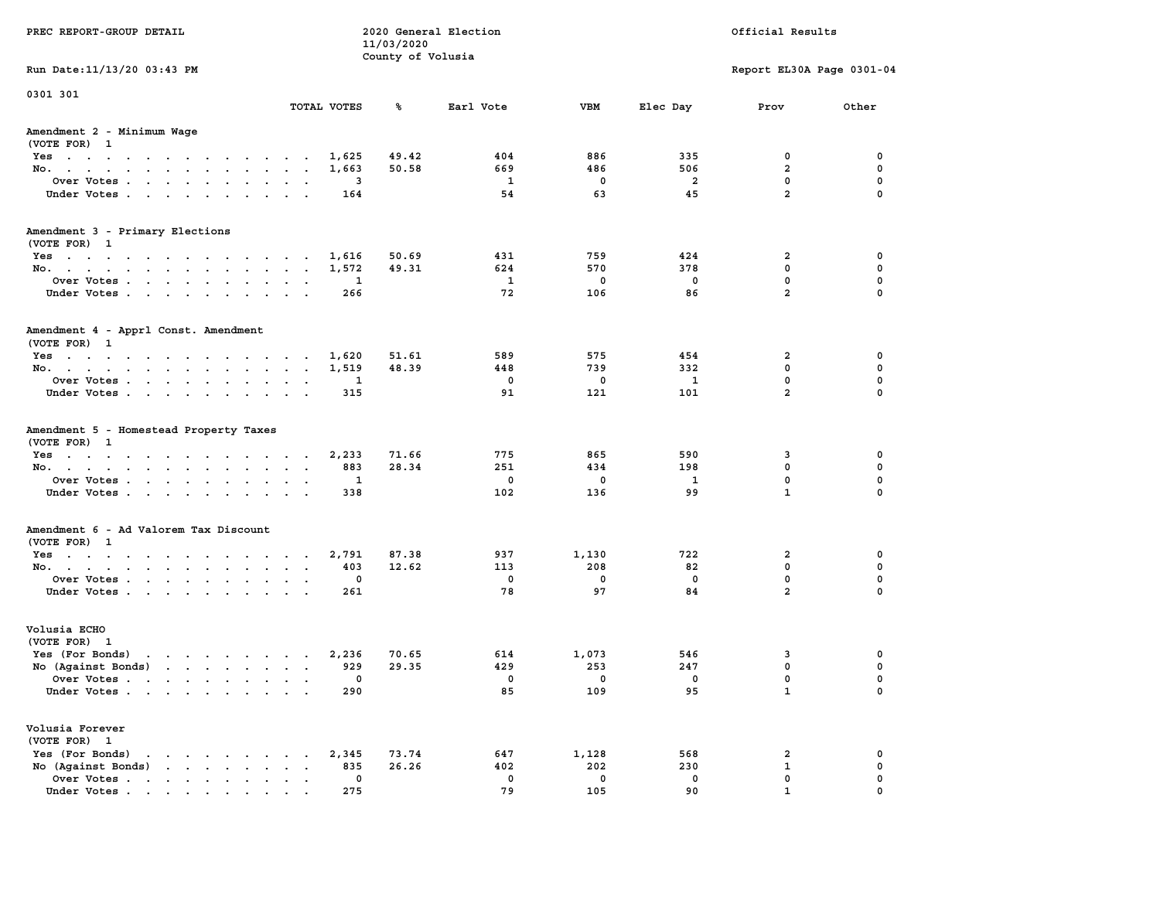| PREC REPORT-GROUP DETAIL                                                                                                                                                                                                                             | 2020 General Election<br>Official Results<br>11/03/2020 |                   |                 |                           |                         |                           |                       |
|------------------------------------------------------------------------------------------------------------------------------------------------------------------------------------------------------------------------------------------------------|---------------------------------------------------------|-------------------|-----------------|---------------------------|-------------------------|---------------------------|-----------------------|
| Run Date: 11/13/20 03:43 PM                                                                                                                                                                                                                          |                                                         | County of Volusia |                 |                           |                         | Report EL30A Page 0301-04 |                       |
| 0301 301                                                                                                                                                                                                                                             |                                                         |                   |                 |                           |                         |                           |                       |
|                                                                                                                                                                                                                                                      | TOTAL VOTES                                             | ℁                 | Earl Vote       | <b>VBM</b>                | Elec Day                | Prov                      | Other                 |
| Amendment 2 - Minimum Wage<br>(VOTE FOR) 1                                                                                                                                                                                                           |                                                         |                   |                 |                           |                         |                           |                       |
| Yes 1,625                                                                                                                                                                                                                                            |                                                         | 49.42             | 404             | 886                       | 335                     | 0                         | 0                     |
| No.                                                                                                                                                                                                                                                  | 1,663                                                   | 50.58             | 669             | 486                       | 506                     | $\overline{a}$            | 0                     |
| Over Votes                                                                                                                                                                                                                                           | 3                                                       |                   | 1               | $\mathbf 0$               | $\overline{a}$          | 0                         | 0                     |
| Under Votes                                                                                                                                                                                                                                          | 164                                                     |                   | 54              | 63                        | 45                      | $\overline{a}$            | $\mathbf 0$           |
| Amendment 3 - Primary Elections                                                                                                                                                                                                                      |                                                         |                   |                 |                           |                         |                           |                       |
| (VOTE FOR) 1                                                                                                                                                                                                                                         |                                                         |                   |                 |                           |                         |                           |                       |
| Yes                                                                                                                                                                                                                                                  | 1,616                                                   | 50.69             | 431             | 759                       | 424                     | $\overline{a}$            | 0                     |
| No.                                                                                                                                                                                                                                                  | 1,572                                                   | 49.31             | 624             | 570                       | 378                     | $\mathbf 0$               | 0                     |
| Over Votes                                                                                                                                                                                                                                           | 1                                                       |                   | 1               | $\mathbf 0$               | $\mathbf 0$             | 0                         | $\mathbf 0$           |
| Under Votes                                                                                                                                                                                                                                          | 266                                                     |                   | 72              | 106                       | 86                      | $\overline{a}$            | $\mathbf 0$           |
| Amendment 4 - Apprl Const. Amendment<br>(VOTE FOR) 1                                                                                                                                                                                                 |                                                         |                   |                 |                           |                         |                           |                       |
| Yes                                                                                                                                                                                                                                                  | 1,620                                                   | 51.61             | 589             | 575                       | 454                     | 2                         | 0                     |
| No.                                                                                                                                                                                                                                                  | 1,519                                                   | 48.39             | 448             | 739                       | 332                     | $\mathbf 0$               | 0                     |
| Over Votes                                                                                                                                                                                                                                           | 1                                                       |                   | $\mathbf 0$     | $\mathbf 0$               | 1                       | $\mathbf 0$               | 0                     |
| Under Votes                                                                                                                                                                                                                                          | 315                                                     |                   | 91              | 121                       | 101                     | $\overline{a}$            | $\mathbf 0$           |
| Amendment 5 - Homestead Property Taxes<br>(VOTE FOR) 1<br>Yes<br>No.<br>Over Votes                                                                                                                                                                   | 2,233<br>883<br>1                                       | 71.66<br>28.34    | 775<br>251<br>0 | 865<br>434<br>$\mathbf 0$ | 590<br>198<br>1         | 3<br>0<br>$\mathbf 0$     | 0<br>0<br>$\mathbf 0$ |
| Under Votes                                                                                                                                                                                                                                          | 338                                                     |                   | 102             | 136                       | 99                      | $\mathbf{1}$              | $\mathbf 0$           |
| Amendment 6 - Ad Valorem Tax Discount<br>(VOTE FOR) 1                                                                                                                                                                                                |                                                         |                   |                 |                           |                         |                           |                       |
| Yes                                                                                                                                                                                                                                                  | 2,791                                                   | 87.38             | 937             | 1,130                     | 722                     | $\mathbf{2}$              | 0                     |
| No.                                                                                                                                                                                                                                                  | 403                                                     | 12.62             | 113             | 208                       | 82                      | $\mathbf 0$               | 0                     |
| Over Votes                                                                                                                                                                                                                                           | 0                                                       |                   | 0               | $\mathbf 0$               | $\mathbf 0$             | 0                         | 0                     |
| Under Votes                                                                                                                                                                                                                                          | 261                                                     |                   | 78              | 97                        | 84                      | $\overline{a}$            | $\mathbf 0$           |
| Volusia ECHO<br>(VOTE FOR) 1                                                                                                                                                                                                                         |                                                         |                   |                 |                           |                         |                           |                       |
| $\mathbf{r}$ , $\mathbf{r}$ , $\mathbf{r}$ , $\mathbf{r}$ , $\mathbf{r}$ , $\mathbf{r}$<br>Yes (For Bonds)                                                                                                                                           | 2,236                                                   | 70.65             | 614             | 1,073                     | 546                     | 3                         | 0                     |
| No (Against Bonds)                                                                                                                                                                                                                                   | 929                                                     | 29.35             | 429             | 253                       | 247                     | 0                         | 0                     |
| Over Votes<br>$\mathbf{r}$ , and $\mathbf{r}$ , and $\mathbf{r}$ , and $\mathbf{r}$ , and $\mathbf{r}$                                                                                                                                               | $^{\circ}$                                              |                   | $\mathbf 0$     | $\mathbf 0$               | $\overline{\mathbf{0}}$ | 0                         | 0                     |
| Under Votes                                                                                                                                                                                                                                          | 290                                                     |                   | 85              | 109                       | 95                      | $\mathbf{1}$              | 0                     |
| Volusia Forever<br>(VOTE FOR) 1                                                                                                                                                                                                                      |                                                         |                   |                 |                           |                         |                           |                       |
| Yes (For Bonds)<br>$\mathbf{r}$ . The set of the set of the set of the set of the set of the set of the set of the set of the set of the set of the set of the set of the set of the set of the set of the set of the set of the set of the set of t | 2,345                                                   | 73.74             | 647             | 1,128                     | 568                     | 2                         | 0                     |
| No (Against Bonds)<br>$\mathbf{r}$ . The set of $\mathbf{r}$                                                                                                                                                                                         | 835<br>$\ddot{\phantom{a}}$                             | 26.26             | 402             | 202                       | 230                     | 1                         | 0                     |
| Over Votes                                                                                                                                                                                                                                           | $\mathbf 0$                                             |                   | $\mathbf 0$     | $\mathbf 0$               | $\mathbf 0$             | 0                         | 0                     |
| Under Votes.                                                                                                                                                                                                                                         | 275                                                     |                   | 79              | 105                       | 90                      |                           |                       |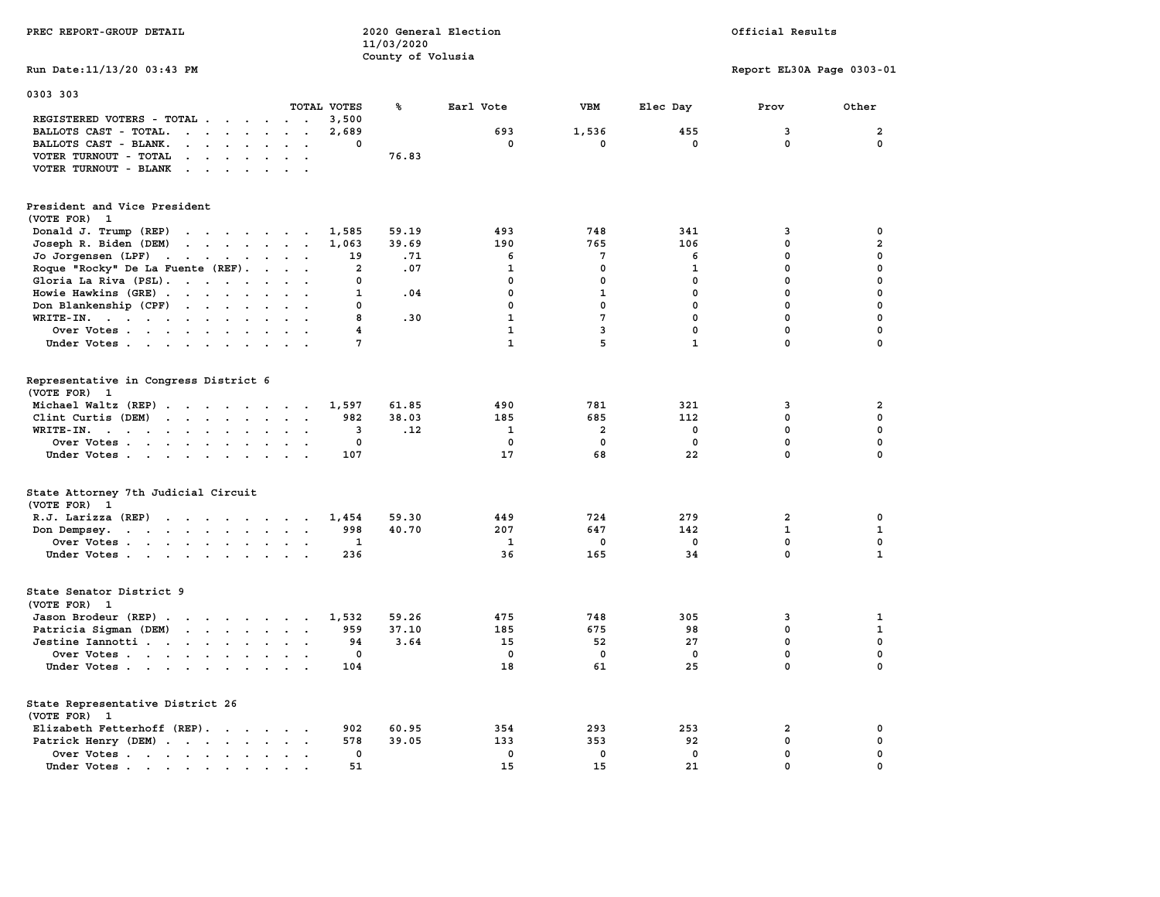| PREC REPORT-GROUP DETAIL                                                                                                                      | 2020 General Election<br>11/03/2020<br>County of Volusia |              |                         | Official Results |                           |                |  |
|-----------------------------------------------------------------------------------------------------------------------------------------------|----------------------------------------------------------|--------------|-------------------------|------------------|---------------------------|----------------|--|
| Run Date: 11/13/20 03:43 PM                                                                                                                   |                                                          |              |                         |                  | Report EL30A Page 0303-01 |                |  |
| 0303 303<br>TOTAL VOTES                                                                                                                       | ℁                                                        | Earl Vote    | <b>VBM</b>              | Elec Day         | Prov                      | Other          |  |
| REGISTERED VOTERS - TOTAL .<br>$\cdots$                                                                                                       | 3,500                                                    |              |                         |                  |                           |                |  |
| BALLOTS CAST - TOTAL.<br>$\cdots$<br>$\ddot{\phantom{a}}$<br>$\overline{\phantom{a}}$                                                         | 2,689                                                    | 693          | 1,536                   | 455              | 3                         | $\mathbf{2}$   |  |
| BALLOTS CAST - BLANK.<br>$\cdot$ $\cdot$ $\cdot$ $\cdot$ $\cdot$<br>$\ddot{\phantom{a}}$<br>$\ddot{\phantom{a}}$                              | 0                                                        | 0            | 0                       | $\mathbf 0$      | $\mathbf{0}$              | $\mathbf{0}$   |  |
| VOTER TURNOUT - TOTAL<br>$\mathbf{r}$ , $\mathbf{r}$ , $\mathbf{r}$ , $\mathbf{r}$ , $\mathbf{r}$<br>$\sim$ $\sim$                            | 76.83                                                    |              |                         |                  |                           |                |  |
| VOTER TURNOUT - BLANK<br>$\mathbf{r}$ , $\mathbf{r}$ , $\mathbf{r}$ , $\mathbf{r}$ , $\mathbf{r}$                                             |                                                          |              |                         |                  |                           |                |  |
| President and Vice President                                                                                                                  |                                                          |              |                         |                  |                           |                |  |
| (VOTE FOR) 1                                                                                                                                  |                                                          |              |                         |                  |                           |                |  |
| Donald J. Trump (REP)<br>the contract of the contract of the                                                                                  | 59.19<br>1,585                                           | 493          | 748                     | 341              | 3                         | 0              |  |
| Joseph R. Biden (DEM)<br>the contract of the contract of the                                                                                  | 1,063<br>39.69                                           | 190          | 765                     | 106              | 0                         | $\overline{a}$ |  |
| Jo Jorgensen $(LPF)$                                                                                                                          | .71<br>19                                                | 6            | $7\phantom{.0}$         | 6                | 0                         | $\mathbf 0$    |  |
| Roque "Rocky" De La Fuente (REF).<br>$\sim$ $\sim$ $\sim$ $\sim$                                                                              | $\overline{a}$<br>.07                                    | $\mathbf{1}$ | $\mathbf 0$             | $\mathbf{1}$     | 0                         | 0              |  |
| Gloria La Riva (PSL).                                                                                                                         | 0                                                        | $\mathbf 0$  | $\mathbf 0$             | $\mathbf 0$      | $\mathbf 0$               | 0              |  |
| Howie Hawkins (GRE)<br>$\sim$<br>$\ddot{\phantom{a}}$                                                                                         | 1<br>.04                                                 | 0            | $\mathbf{1}$            | 0                | $\mathbf 0$               | $\mathbf 0$    |  |
| Don Blankenship (CPF)<br>$\sim$ $\sim$                                                                                                        | 0                                                        | 0            | $\mathbf 0$             | $\mathbf 0$      | 0                         | $\mathbf 0$    |  |
| $WRITE-IN.$<br>$\ddot{\phantom{a}}$<br>$\ddot{\phantom{a}}$<br>$\overline{a}$                                                                 | 8<br>.30                                                 | $\mathbf{1}$ | $\overline{7}$          | $\mathbf 0$      | $\mathbf 0$               | $\mathbf 0$    |  |
| Over Votes                                                                                                                                    | $\overline{4}$                                           | $\mathbf{1}$ | 3                       | $\mathbf 0$      | $\mathbf 0$               | $\mathbf 0$    |  |
| Under Votes                                                                                                                                   | 7                                                        | $\mathbf{1}$ | 5                       | $\mathbf{1}$     | $\mathbf 0$               | $\mathbf 0$    |  |
|                                                                                                                                               |                                                          |              |                         |                  |                           |                |  |
| Representative in Congress District 6<br>(VOTE FOR) 1                                                                                         |                                                          |              |                         |                  |                           |                |  |
| Michael Waltz (REP)                                                                                                                           | 61.85<br>1,597                                           | 490          | 781                     | 321              | 3                         | 2              |  |
| Clint Curtis (DEM)                                                                                                                            | 982<br>38.03                                             | 185          | 685                     | 112              | $\mathbf 0$               | $\mathbf 0$    |  |
| WRITE-IN.<br>the contract of the contract of the contract of the contract of the contract of the contract of the contract of<br>$\sim$ $\sim$ | .12<br>3                                                 | 1            | $\overline{\mathbf{2}}$ | $\mathbf 0$      | $\mathbf 0$               | $\mathbf 0$    |  |
| Over Votes<br>$\blacksquare$<br>$\cdot$                                                                                                       | 0                                                        | 0            | 0                       | 0                | 0                         | $\pmb{0}$      |  |
| Under Votes                                                                                                                                   | 107                                                      | 17           | 68                      | 22               | $\mathbf 0$               | $\Omega$       |  |
|                                                                                                                                               |                                                          |              |                         |                  |                           |                |  |
| State Attorney 7th Judicial Circuit<br>(VOTE FOR) 1                                                                                           |                                                          |              |                         |                  |                           |                |  |
| R.J. Larizza $(REP)$                                                                                                                          | 59.30<br>1,454                                           | 449          | 724                     | 279              | 2                         | 0              |  |
| Don Dempsey.<br>the contract of the contract of the contract of the contract of the contract of the contract of the contract of               | 998<br>40.70                                             | 207          | 647                     | 142              | $\mathbf{1}$              | $\mathbf 1$    |  |
| Over Votes                                                                                                                                    | $\mathbf{1}$                                             | 1            | 0                       | 0                | 0                         | 0              |  |
| Under Votes                                                                                                                                   | 236                                                      | 36           | 165                     | 34               | $\Omega$                  | $\mathbf{1}$   |  |
|                                                                                                                                               |                                                          |              |                         |                  |                           |                |  |
| State Senator District 9<br>(VOTE FOR) 1                                                                                                      |                                                          |              |                         |                  |                           |                |  |
| Jason Brodeur (REP)<br>$\sim$                                                                                                                 | 1,532<br>59.26                                           | 475          | 748                     | 305              | 3                         | 1              |  |
| Patricia Sigman (DEM)<br>the contract of the contract of the contract of                                                                      | 37.10<br>959                                             | 185          | 675                     | 98               | 0                         | $\mathbf{1}$   |  |
| Jestine Iannotti                                                                                                                              | 94<br>3.64                                               | 15           | 52                      | 27               | $\mathbf 0$               | $\mathbf 0$    |  |
| Over Votes<br>$\sim$ $\sim$ $\sim$                                                                                                            | 0                                                        | 0            | 0                       | 0                | 0                         | $\mathbf 0$    |  |
| Under Votes                                                                                                                                   | 104                                                      | 18           | 61                      | 25               | 0                         | $\Omega$       |  |
|                                                                                                                                               |                                                          |              |                         |                  |                           |                |  |
| State Representative District 26<br>(VOTE FOR) 1                                                                                              |                                                          |              |                         |                  |                           |                |  |
|                                                                                                                                               | 902<br>60.95                                             | 354          | 293                     | 253              | $\overline{\mathbf{2}}$   | 0              |  |
| Elizabeth Fetterhoff (REP).                                                                                                                   | 578                                                      | 133          | 353                     |                  | $\mathbf 0$               | $\mathbf 0$    |  |
| Patrick Henry (DEM)                                                                                                                           | 39.05                                                    |              |                         | 92               |                           |                |  |
| Over Votes<br>$\ddot{\phantom{a}}$                                                                                                            | $\mathbf 0$                                              | $\mathbf 0$  | $\mathbf 0$             | $\mathbf 0$      | 0                         | $\mathbf 0$    |  |
| Under Votes                                                                                                                                   | 51                                                       | 15           | 15                      | 21               | 0                         | 0              |  |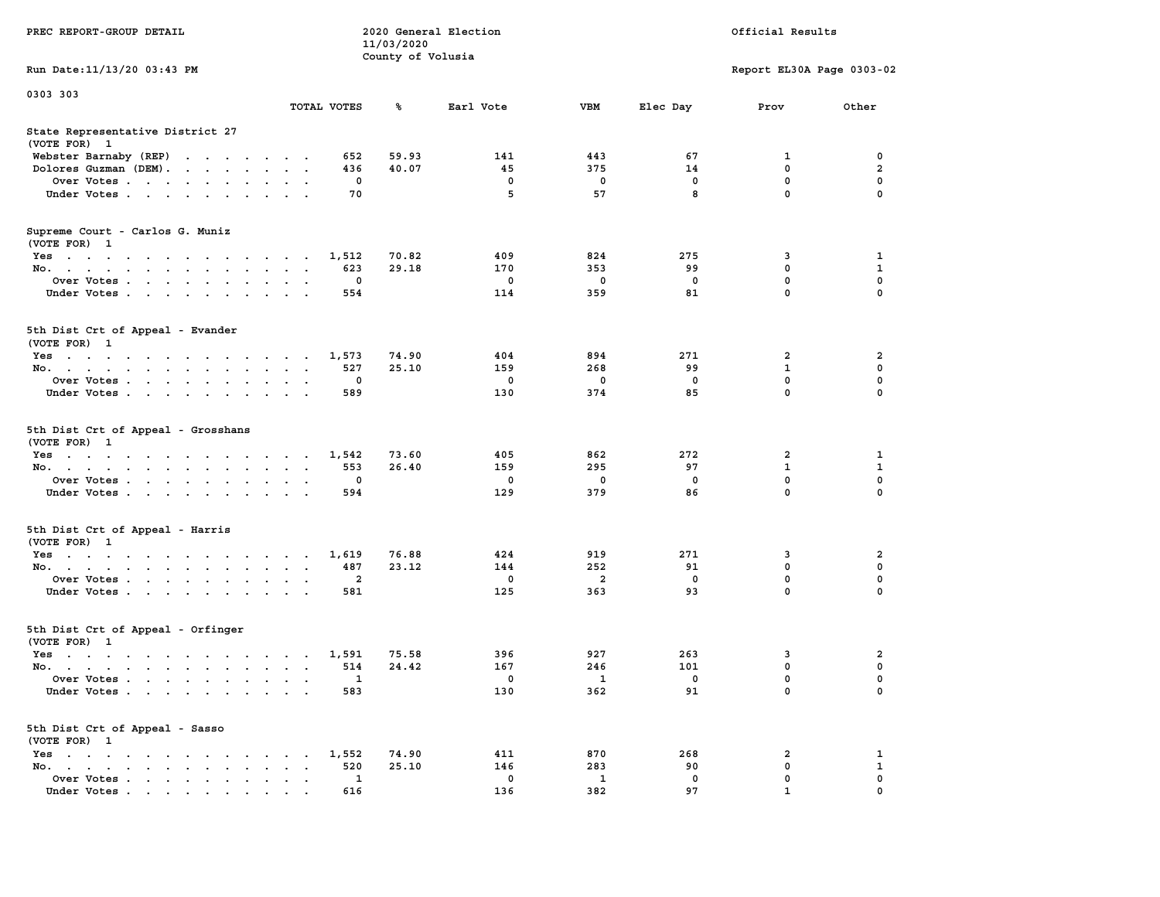|                                                                                                                                                                                                                                                            |                                                                | 11/03/2020        |             |             |                           |                  |                         |
|------------------------------------------------------------------------------------------------------------------------------------------------------------------------------------------------------------------------------------------------------------|----------------------------------------------------------------|-------------------|-------------|-------------|---------------------------|------------------|-------------------------|
| Run Date:11/13/20 03:43 PM                                                                                                                                                                                                                                 |                                                                | County of Volusia |             |             | Report EL30A Page 0303-02 |                  |                         |
| 0303 303                                                                                                                                                                                                                                                   |                                                                |                   |             |             |                           |                  |                         |
|                                                                                                                                                                                                                                                            | TOTAL VOTES                                                    | ℁                 | Earl Vote   | <b>VBM</b>  | Elec Day                  | Prov             | Other                   |
| State Representative District 27<br>(VOTE FOR) 1                                                                                                                                                                                                           |                                                                |                   |             |             |                           |                  |                         |
| Webster Barnaby (REP)<br>$\mathbf{r}$ . The contract of the contract of the contract of the contract of the contract of the contract of the contract of the contract of the contract of the contract of the contract of the contract of the contract of th | 652                                                            | 59.93             | 141         | 443         | 67                        | 1                | 0                       |
| Dolores Guzman (DEM).<br>$\cdot$ $\cdot$ $\cdot$<br>$\sim$                                                                                                                                                                                                 | 436                                                            | 40.07             | 45          | 375         | 14                        | $\mathbf 0$      | $\overline{\mathbf{2}}$ |
| Over Votes<br>$\sim$ $\sim$ $\sim$ $\sim$ $\sim$ $\sim$                                                                                                                                                                                                    | 0<br>$\bullet$                                                 |                   | $\mathbf 0$ | $\mathbf 0$ | $\mathbf 0$               | $\mathbf 0$      | $\mathbf 0$             |
| Under Votes<br>$\sim$                                                                                                                                                                                                                                      | 70<br>$\bullet$                                                |                   | 5           | 57          | 8                         | $\mathbf 0$      | $\mathbf 0$             |
| Supreme Court - Carlos G. Muniz<br>(VOTE FOR) 1                                                                                                                                                                                                            |                                                                |                   |             |             |                           |                  |                         |
| Yes                                                                                                                                                                                                                                                        | 1,512                                                          | 70.82             | 409         | 824         | 275                       | 3                | 1                       |
| No.<br>$\sim$                                                                                                                                                                                                                                              | 623<br>$\sim$<br>$\mathbf{r}$<br>$\sim$                        | 29.18             | 170         | 353         | 99                        | 0                | 1                       |
| Over Votes<br>$\sim$<br>$\ddot{\phantom{a}}$<br>$\ddot{\phantom{a}}$                                                                                                                                                                                       | 0<br>$\ddot{\phantom{a}}$<br>$\ddot{\phantom{a}}$              |                   | 0           | 0           | $\mathbf 0$               | 0                | $\mathbf 0$             |
| Under Votes<br>$\cdot$                                                                                                                                                                                                                                     | 554<br>$\ddot{\phantom{a}}$<br>$\overline{a}$<br>$\sim$        |                   | 114         | 359         | 81                        | $\mathbf{0}$     | $\mathbf 0$             |
| 5th Dist Crt of Appeal - Evander<br>(VOTE FOR) 1                                                                                                                                                                                                           |                                                                |                   |             |             |                           |                  |                         |
| Yes                                                                                                                                                                                                                                                        | 1,573<br>$\sim$ $\sim$                                         | 74.90             | 404         | 894         | 271                       | 2                | $\overline{\mathbf{2}}$ |
| No.<br>$\bullet$<br>$\bullet$                                                                                                                                                                                                                              | 527                                                            | 25.10             | 159         | 268         | 99                        | $\mathbf{1}$     | $\mathbf 0$             |
| Over Votes<br>$\blacksquare$<br>$\bullet$                                                                                                                                                                                                                  | $\mathbf 0$                                                    |                   | $\mathbf 0$ | 0           | $\mathbf 0$               | 0                | $\mathbf 0$             |
| Under Votes<br>$\mathbf{r} = \mathbf{r}$<br>$\cdot$                                                                                                                                                                                                        | 589<br>$\overline{a}$                                          |                   | 130         | 374         | 85                        | $\mathbf 0$      | $\mathbf 0$             |
| 5th Dist Crt of Appeal - Grosshans<br>(VOTE FOR) 1                                                                                                                                                                                                         |                                                                |                   |             |             |                           |                  |                         |
| $Yes \t . \t .$<br>$\mathcal{A}=\mathcal{A}=\mathcal{A}=\mathcal{A}=\mathcal{A}=\mathcal{A}$                                                                                                                                                               | 1,542                                                          | 73.60             | 405         | 862         | 272                       | $\overline{2}$   | 1                       |
| No.<br>$\ddot{\phantom{a}}$<br>$\ddot{\phantom{a}}$<br>$\ddot{\phantom{a}}$<br>$\ddot{\phantom{a}}$                                                                                                                                                        | 553<br>$\ddot{\phantom{1}}$<br>$\ddot{\phantom{a}}$<br>$\cdot$ | 26.40             | 159         | 295         | 97                        | $\mathbf{1}$     | $\mathbf{1}$            |
| Over Votes                                                                                                                                                                                                                                                 | 0<br>$\mathbf{r}$<br>$\ddot{\phantom{a}}$                      |                   | 0           | 0           | $\mathbf 0$               | $\mathbf 0$      | $\mathbf 0$             |
| Under Votes<br>$\sim$<br>$\cdot$<br>$\cdot$<br>$\cdot$                                                                                                                                                                                                     | 594                                                            |                   | 129         | 379         | 86                        | $\mathbf 0$      | 0                       |
| 5th Dist Crt of Appeal - Harris<br>(VOTE FOR) 1                                                                                                                                                                                                            |                                                                |                   |             |             |                           |                  |                         |
| Yes                                                                                                                                                                                                                                                        | 1,619                                                          | 76.88             | 424         | 919         | 271                       | 3                | $\overline{\mathbf{2}}$ |
| No.<br>$\sim$<br>$\ddot{\phantom{0}}$                                                                                                                                                                                                                      | 487<br>$\bullet$<br>$\bullet$<br>$\bullet$                     | 23.12             | 144         | 252         | 91                        | 0                | 0                       |
| Over Votes<br>$\ddot{\phantom{a}}$<br>$\blacksquare$ .                                                                                                                                                                                                     | $\overline{\mathbf{2}}$<br>$\bullet$<br>$\bullet$              |                   | $^{\circ}$  | 2           | $^{\circ}$                | $\mathbf 0$      | $\mathbf 0$             |
| Under Votes<br>$\ddot{\phantom{0}}$<br>$\overline{\phantom{a}}$                                                                                                                                                                                            | 581<br>$\cdot$<br>$\overline{a}$                               |                   | 125         | 363         | 93                        | $\mathbf 0$      | 0                       |
| 5th Dist Crt of Appeal - Orfinger<br>(VOTE FOR) 1                                                                                                                                                                                                          |                                                                |                   |             |             |                           |                  |                         |
| $Yes \t . \t .$<br>the contract of the contract of the contract of the contract of the contract of the contract of the contract of                                                                                                                         | 1,591                                                          | 75.58             | 396         | 927         | 263                       | 3                | $\overline{\mathbf{2}}$ |
| No.<br>$\ddot{\phantom{a}}$<br>Over Votes.                                                                                                                                                                                                                 | 514<br>$\sim$ $\sim$<br>$\sim$<br>1                            | 24.42             | 167<br>0    | 246<br>1    | 101<br>$\mathbf 0$        | 0<br>$\mathbf 0$ | $\mathbf 0$<br>0        |
| $\sim$ $\sim$<br>$\mathbf{L}$<br>$\ddot{\phantom{a}}$<br>$\cdot$<br>Under Votes                                                                                                                                                                            | $\cdot$<br>$\ddot{\phantom{a}}$<br>$\ddot{\phantom{a}}$<br>583 |                   | 130         | 362         | 91                        | $\mathbf 0$      | $\mathbf 0$             |
| 5th Dist Crt of Appeal - Sasso<br>(VOTE FOR) 1                                                                                                                                                                                                             |                                                                |                   |             |             |                           |                  |                         |
| $Yes \t . \t .$<br>$\mathbf{a}$ . The contribution of the contribution of $\mathbf{a}$<br>$\sim$ $\sim$                                                                                                                                                    | 1,552                                                          | 74.90             | 411         | 870         | 268                       | 2                | 1                       |
| No.<br>$\mathbf{a}$ . The second contribution of the second contribution $\mathbf{a}$<br>$\mathbf{r} = \mathbf{r}$<br>$\bullet$                                                                                                                            | 520<br>$\cdot$                                                 | 25.10             | 146         | 283         | 90                        | $\mathbf 0$      | $\mathbf{1}$            |
| Over Votes<br>$\bullet$                                                                                                                                                                                                                                    | 1<br>$\blacksquare$<br>$\ddot{\phantom{a}}$<br>$\cdot$         |                   | 0           | 1           | $\mathbf 0$               | $\mathbf{0}$     | $\mathbf 0$             |
| Under Votes.                                                                                                                                                                                                                                               | 616                                                            |                   | 136         | 382         | 97                        | $\mathbf{1}$     | $\mathbf 0$             |

**PREC REPORT-GROUP DETAIL 2020 General Election Official Results**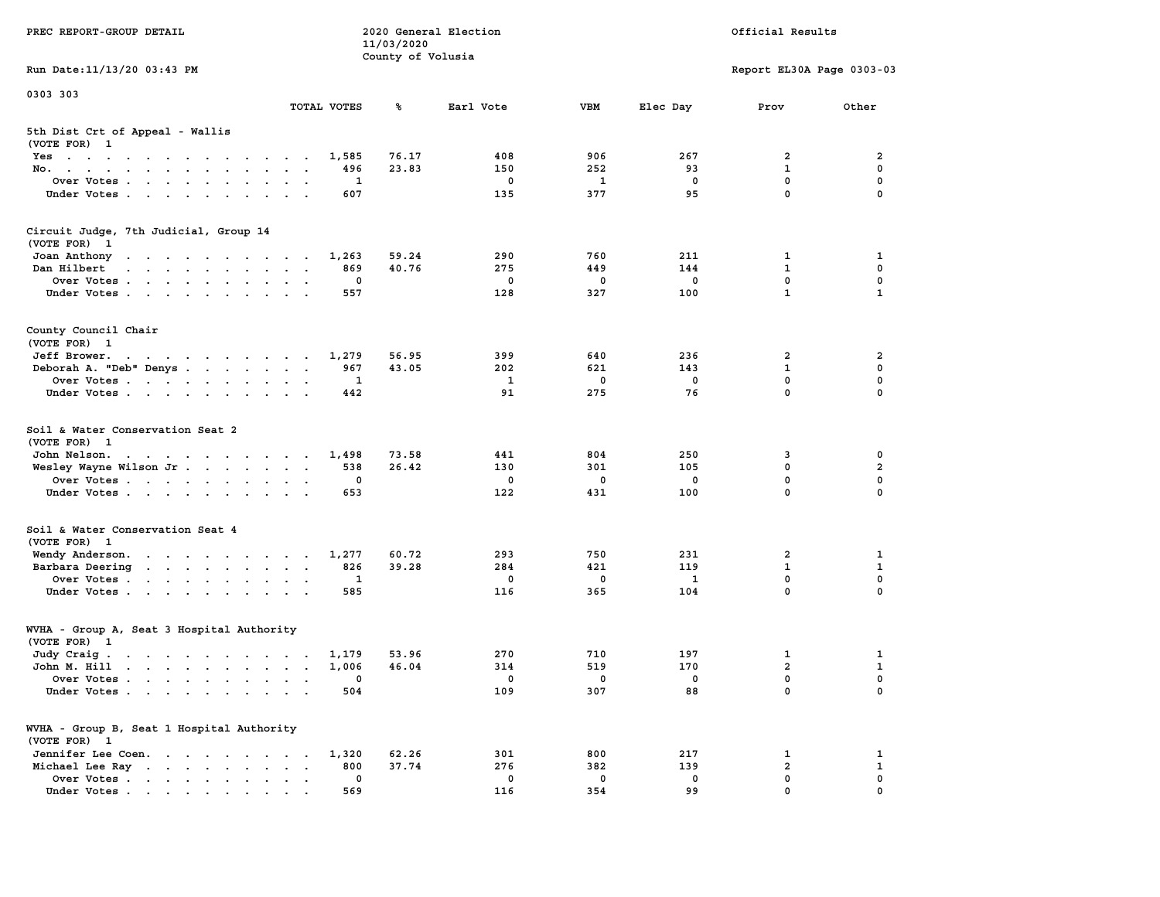| PREC REPORT-GROUP DETAIL                                                                                                                                                                                                                      |                      |             | 11/03/2020<br>County of Volusia | 2020 General Election |          |            | Official Results          |                  |
|-----------------------------------------------------------------------------------------------------------------------------------------------------------------------------------------------------------------------------------------------|----------------------|-------------|---------------------------------|-----------------------|----------|------------|---------------------------|------------------|
| Run Date: 11/13/20 03:43 PM                                                                                                                                                                                                                   |                      |             |                                 |                       |          |            | Report EL30A Page 0303-03 |                  |
| 0303 303                                                                                                                                                                                                                                      |                      |             |                                 |                       |          |            |                           |                  |
|                                                                                                                                                                                                                                               |                      | TOTAL VOTES | ℁                               | Earl Vote             | VBM      | Elec Day   | Prov                      | Other            |
| 5th Dist Crt of Appeal - Wallis<br>(VOTE FOR) 1                                                                                                                                                                                               |                      |             |                                 |                       |          |            |                           |                  |
| Yes                                                                                                                                                                                                                                           |                      | 1,585       | 76.17                           | 408                   | 906      | 267        | 2                         | 2                |
| No.                                                                                                                                                                                                                                           | $\sim$ $\sim$ $\sim$ | 496         | 23.83                           | 150                   | 252      | 93         | $\mathbf{1}$              | $\mathbf 0$      |
| Over Votes<br>Under Votes                                                                                                                                                                                                                     |                      | 1<br>607    |                                 | 0<br>135              | 1<br>377 | 0<br>95    | 0<br>$\mathbf 0$          | 0<br>$\Omega$    |
|                                                                                                                                                                                                                                               | $\sim$ $\sim$        |             |                                 |                       |          |            |                           |                  |
| Circuit Judge, 7th Judicial, Group 14<br>(VOTE FOR) 1                                                                                                                                                                                         |                      |             |                                 |                       |          |            |                           |                  |
| Joan Anthony<br>the contract of the contract of the con-                                                                                                                                                                                      |                      | 1,263       | 59.24                           | 290                   | 760      | 211        | 1                         | 1                |
| Dan Hilbert<br>design and a state of the state of the state of the state of the state of the state of the state of the state of the state of the state of the state of the state of the state of the state of the state of the state of the s |                      | 869         | 40.76                           | 275                   | 449      | 144        | $\mathbf{1}$              | 0                |
| Over Votes                                                                                                                                                                                                                                    |                      | 0           |                                 | 0                     | 0        | 0          | 0                         | $\mathbf 0$      |
| Under Votes                                                                                                                                                                                                                                   |                      | 557         |                                 | 128                   | 327      | 100        | $\mathbf{1}$              | 1                |
| County Council Chair<br>(VOTE FOR) 1                                                                                                                                                                                                          |                      |             |                                 |                       |          |            |                           |                  |
| Jeff Brower.<br>the contract of the contract of the contract of the contract of the contract of the contract of the contract of                                                                                                               |                      | 1,279       | 56.95                           | 399                   | 640      | 236        | 2                         | 2                |
| Deborah A. "Deb" Denys                                                                                                                                                                                                                        |                      | 967         | 43.05                           | 202                   | 621      | 143        | 1                         | 0                |
| Over Votes                                                                                                                                                                                                                                    | $\sim$ $\sim$        | 1           |                                 | 1                     | 0        | $^{\circ}$ | $\mathbf 0$               | 0                |
| Under Votes                                                                                                                                                                                                                                   |                      | 442         |                                 | 91                    | 275      | 76         | $\mathbf 0$               | 0                |
| Soil & Water Conservation Seat 2<br>(VOTE FOR) 1                                                                                                                                                                                              |                      |             |                                 |                       |          |            |                           |                  |
| John Nelson.<br>the contract of the contract of the contract of                                                                                                                                                                               |                      | 1,498       | 73.58                           | 441                   | 804      | 250        | 3                         | 0                |
| Wesley Wayne Wilson Jr                                                                                                                                                                                                                        |                      | 538         | 26.42                           | 130                   | 301      | 105        | $\mathbf 0$               | $\mathbf{2}$     |
| Over Votes                                                                                                                                                                                                                                    |                      | 0<br>653    |                                 | 0<br>122              | 0<br>431 | 0<br>100   | 0<br>0                    | 0<br>$\Omega$    |
| Under Votes                                                                                                                                                                                                                                   |                      |             |                                 |                       |          |            |                           |                  |
| Soil & Water Conservation Seat 4<br>(VOTE FOR) 1                                                                                                                                                                                              |                      |             |                                 |                       |          |            |                           |                  |
| Wendy Anderson.                                                                                                                                                                                                                               |                      | 1,277       | 60.72                           | 293                   | 750      | 231        | 2                         | 1                |
| Barbara Deering                                                                                                                                                                                                                               |                      | 826         | 39.28                           | 284                   | 421      | 119        | 1                         | 1                |
| Over Votes                                                                                                                                                                                                                                    |                      | 1           |                                 | 0                     | 0        | <b>1</b>   | 0<br>$\mathbf 0$          | $\mathbf 0$<br>0 |
| Under Votes                                                                                                                                                                                                                                   |                      | 585         |                                 | 116                   | 365      | 104        |                           |                  |
| WVHA - Group A, Seat 3 Hospital Authority<br>(VOTE FOR) 1                                                                                                                                                                                     |                      |             |                                 |                       |          |            |                           |                  |
| Judy Craig.                                                                                                                                                                                                                                   |                      | 1,179       | 53.96                           | 270                   | 710      | 197        | 1                         | 1                |
| John M. Hill                                                                                                                                                                                                                                  |                      | 1,006       | 46.04                           | 314                   | 519      | 170        | $\overline{\mathbf{2}}$   | 1                |
| Over Votes                                                                                                                                                                                                                                    |                      | 0           |                                 | 0                     | 0        | 0          | 0                         | 0                |
| Under Votes                                                                                                                                                                                                                                   |                      | 504         |                                 | 109                   | 307      | 88         | 0                         | 0                |
| WVHA - Group B, Seat 1 Hospital Authority<br>(VOTE FOR) 1                                                                                                                                                                                     |                      |             |                                 |                       |          |            |                           |                  |
| Jennifer Lee Coen.                                                                                                                                                                                                                            |                      | 1,320       | 62.26                           | 301                   | 800      | 217        | 1                         | 1                |
| Michael Lee Ray<br>$\ddot{\phantom{1}}$                                                                                                                                                                                                       | $\sim$               | 800         | 37.74                           | 276                   | 382      | 139        | $\overline{\mathbf{2}}$   | 1                |
| Over Votes<br>Under Votes                                                                                                                                                                                                                     |                      | 0<br>569    |                                 | 0<br>116              | 0<br>354 | 0<br>99    | 0<br>0                    | 0<br>$\Omega$    |
|                                                                                                                                                                                                                                               |                      |             |                                 |                       |          |            |                           |                  |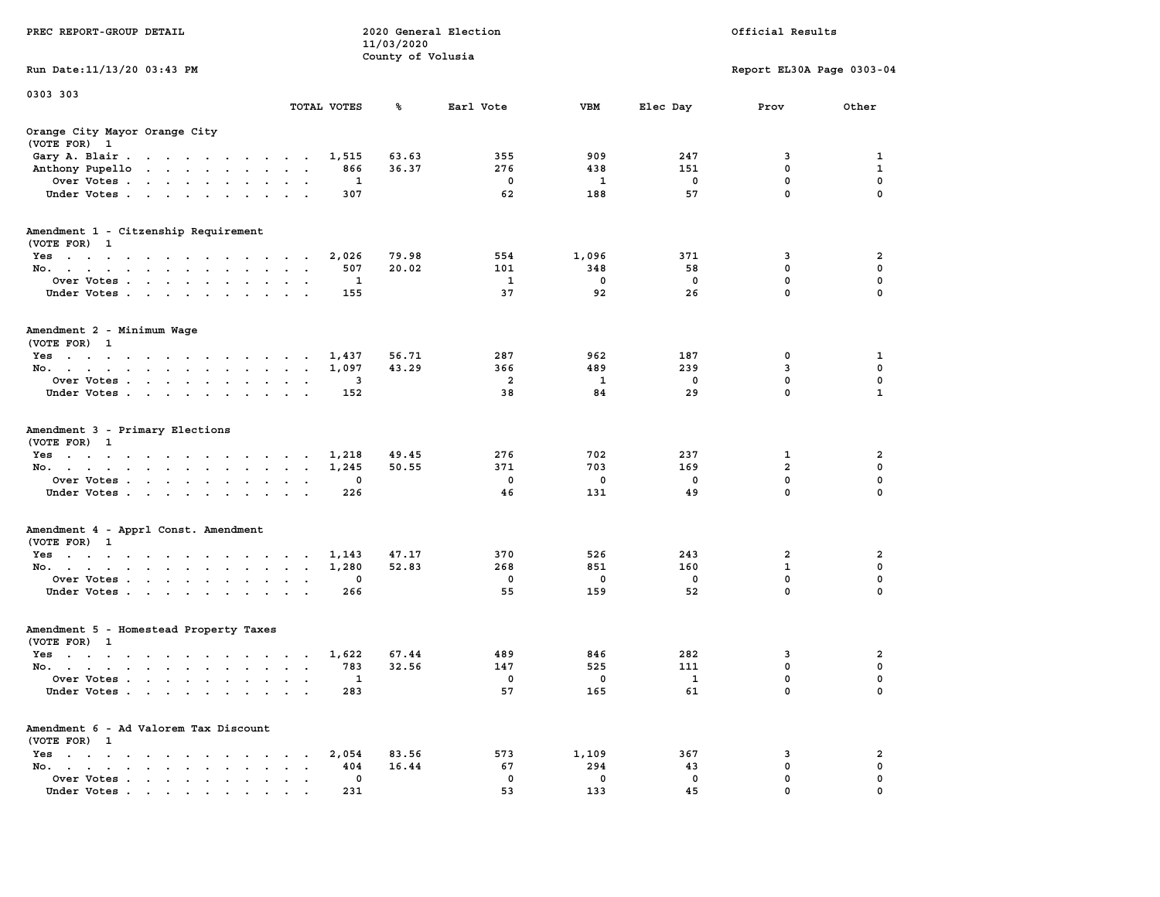| PREC REPORT-GROUP DETAIL                                                                                               |                        |            | 11/03/2020<br>County of Volusia | 2020 General Election |             |                               | Official Results          |               |
|------------------------------------------------------------------------------------------------------------------------|------------------------|------------|---------------------------------|-----------------------|-------------|-------------------------------|---------------------------|---------------|
| Run Date: 11/13/20 03:43 PM                                                                                            |                        |            |                                 |                       |             |                               | Report EL30A Page 0303-04 |               |
| 0303 303                                                                                                               |                        |            |                                 |                       |             |                               |                           |               |
|                                                                                                                        | TOTAL VOTES            |            | ℁                               | Earl Vote             | VBM         | Elec Day                      | Prov                      | Other         |
| Orange City Mayor Orange City<br>(VOTE FOR) 1                                                                          |                        |            |                                 |                       |             |                               |                           |               |
| Gary A. Blair                                                                                                          |                        | 1,515      | 63.63                           | 355                   | 909         | 247                           | 3                         | 1             |
| Anthony Pupello                                                                                                        |                        | 866        | 36.37                           | 276                   | 438         | 151                           | $\mathbf 0$               | 1             |
| Over Votes                                                                                                             |                        | 1<br>307   |                                 | 0<br>62               | 1<br>188    | 0<br>57                       | 0<br>$\mathbf 0$          | 0<br>$\Omega$ |
| Under Votes                                                                                                            |                        |            |                                 |                       |             |                               |                           |               |
| Amendment 1 - Citzenship Requirement<br>(VOTE FOR) 1                                                                   |                        |            |                                 |                       |             |                               |                           |               |
| Yes                                                                                                                    |                        | 2,026      | 79.98                           | 554                   | 1,096       | 371                           | 3                         | 2             |
| No.                                                                                                                    |                        | 507        | 20.02                           | 101                   | 348         | 58                            | 0                         | 0             |
| Over Votes                                                                                                             |                        | 1          |                                 | 1                     | $\mathbf 0$ | $\mathbf 0$                   | $\mathbf 0$               | $\mathbf 0$   |
| Under Votes                                                                                                            |                        | 155        |                                 | 37                    | 92          | 26                            | $\mathbf 0$               | 0             |
| Amendment 2 - Minimum Wage<br>(VOTE FOR) 1                                                                             |                        |            |                                 |                       |             |                               |                           |               |
| Yes<br>the contract of the contract of the contract of                                                                 |                        | 1,437      | 56.71                           | 287                   | 962         | 187                           | 0                         | 1             |
| No.                                                                                                                    |                        | 1,097      | 43.29                           | 366                   | 489         | 239                           | 3                         | 0             |
| Over Votes                                                                                                             | $\bullet$<br>$\bullet$ | 3          |                                 | 2                     | 1           | $^{\circ}$                    | $\mathbf 0$               | 0             |
| Under Votes                                                                                                            |                        | 152        |                                 | 38                    | 84          | 29                            | 0                         | $\mathbf{1}$  |
| Amendment 3 - Primary Elections<br>(VOTE FOR) 1<br>Yes                                                                 |                        | 1,218      | 49.45                           | 276                   | 702         | 237                           | 1                         | 2             |
| No.                                                                                                                    |                        | 1,245      | 50.55                           | 371                   | 703         | 169                           | $\overline{\mathbf{2}}$   | $\mathbf 0$   |
| Over Votes                                                                                                             |                        | 0          |                                 | $\mathbf 0$           | 0           | 0                             | 0                         | 0             |
| Under Votes                                                                                                            |                        | 226        |                                 | 46                    | 131         | 49                            | 0                         | $\Omega$      |
| Amendment 4 - Apprl Const. Amendment                                                                                   |                        |            |                                 |                       |             |                               |                           |               |
| (VOTE FOR) 1                                                                                                           |                        |            |                                 |                       |             |                               |                           |               |
| Yes                                                                                                                    |                        | 1,143      | 47.17<br>52.83                  | 370<br>268            | 526<br>851  | 243<br>160                    | 2<br>$\mathbf 1$          | 2<br>0        |
| No.<br>Over Votes                                                                                                      | $\sim$ $\sim$          | 1,280<br>0 |                                 | 0                     | 0           | 0                             | 0                         | $\mathbf 0$   |
| Under Votes                                                                                                            |                        | 266        |                                 | 55                    | 159         | 52                            | $\mathbf 0$               | 0             |
| Amendment 5 - Homestead Property Taxes<br>(VOTE FOR) 1                                                                 |                        |            |                                 |                       |             |                               |                           |               |
| Yes<br>the contract of the contract of the contract of the contract of the contract of the contract of the contract of |                        | 1,622      | 67.44                           | 489                   | 846         | 282                           | 3                         | 2             |
| No.                                                                                                                    |                        | 783        | 32.56                           | 147                   | 525         | 111                           | 0                         | 0             |
| Over Votes<br>Under Votes.                                                                                             |                        | 1<br>283   |                                 | 0<br>57               | 0<br>165    | $\overline{\mathbf{1}}$<br>61 | 0<br>0                    | 0<br>0        |
|                                                                                                                        |                        |            |                                 |                       |             |                               |                           |               |
| Amendment 6 - Ad Valorem Tax Discount<br>(VOTE FOR) 1                                                                  |                        |            |                                 |                       |             |                               |                           |               |
| $Yes \t . \t .$<br><b>Contract Contract Contract</b><br>$\sim$<br>$\sim$                                               |                        | 2,054      | 83.56                           | 573                   | 1,109       | 367                           | 3                         | 2             |
| No.<br>$\sim$<br>$\mathbf{r}$ , $\mathbf{r}$ , $\mathbf{r}$<br>$\sim$<br>$\ddot{\phantom{0}}$                          |                        | 404        | 16.44                           | 67                    | 294         | 43                            | 0                         | 0             |
| Over Votes.<br>$\cdot$ $\cdot$ $\cdot$ $\cdot$ $\cdot$ $\cdot$                                                         |                        | 0          |                                 | 0<br>53               | 0           | 0<br>45                       | 0<br>0                    | 0<br>$\Omega$ |
| Under Votes.                                                                                                           |                        | 231        |                                 |                       | 133         |                               |                           |               |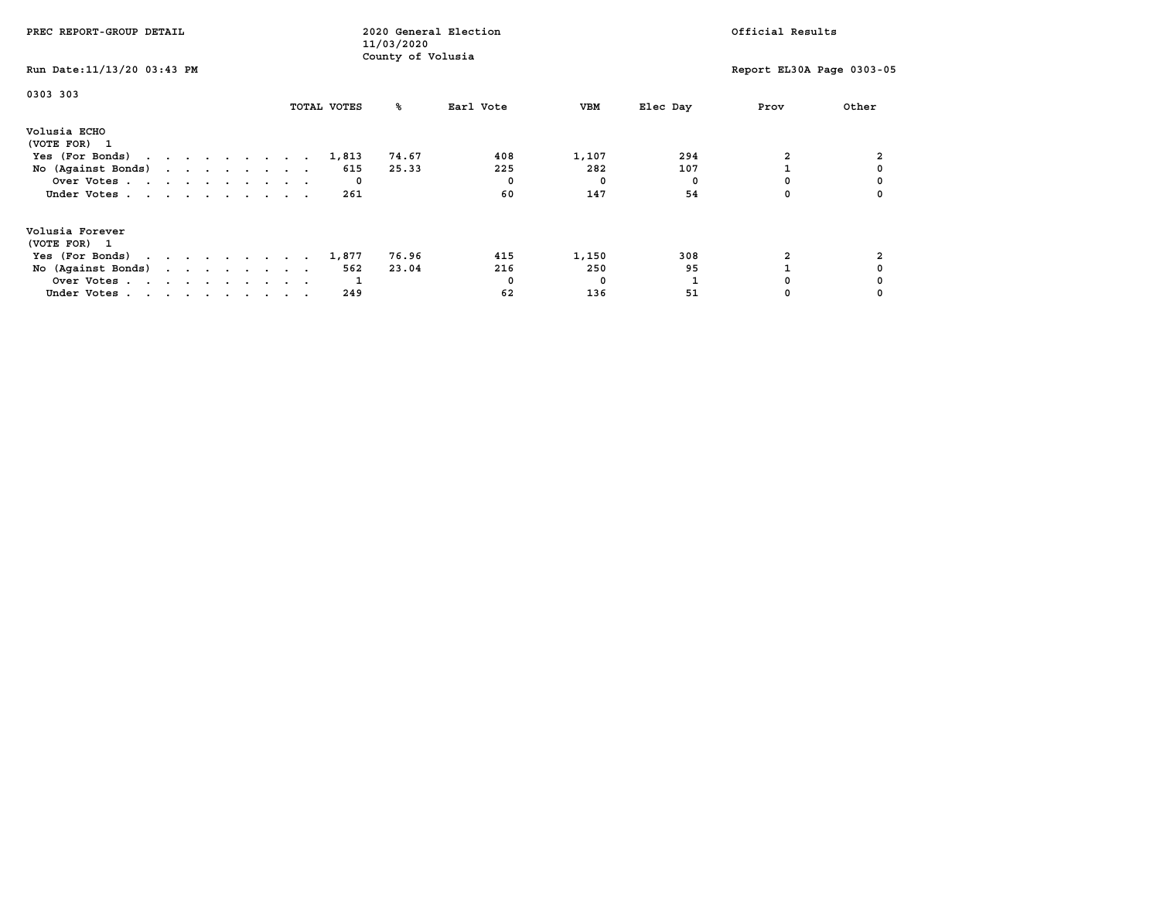| PREC REPORT-GROUP DETAIL                            |  |  |  |  | 2020 General Election<br>11/03/2020 |  |             |                   |           |     |       | Official Results |     |      |  |                           |
|-----------------------------------------------------|--|--|--|--|-------------------------------------|--|-------------|-------------------|-----------|-----|-------|------------------|-----|------|--|---------------------------|
| Run Date: 11/13/20 03:43 PM                         |  |  |  |  |                                     |  |             | County of Volusia |           |     |       |                  |     |      |  | Report EL30A Page 0303-05 |
| 0303 303                                            |  |  |  |  |                                     |  | TOTAL VOTES | °≈                | Earl Vote |     | VBM   | Elec Day         |     | Prov |  | Other                     |
| Volusia ECHO<br>(VOTE FOR) 1                        |  |  |  |  |                                     |  |             |                   |           |     |       |                  |     |      |  |                           |
| Yes (For Bonds) $\cdots$ $\cdots$ $\cdots$ $\cdots$ |  |  |  |  |                                     |  | 1,813       | 74.67             |           | 408 | 1,107 |                  | 294 |      |  |                           |
| No (Against Bonds)                                  |  |  |  |  |                                     |  | 615         | 25.33             |           | 225 | 282   |                  | 107 |      |  |                           |
| Over Votes                                          |  |  |  |  |                                     |  | 0           |                   |           |     | 0     |                  |     |      |  |                           |
| Under Votes                                         |  |  |  |  |                                     |  | 261         |                   |           | 60  | 147   |                  | 54  |      |  |                           |
| Volusia Forever<br>(VOTE FOR) 1                     |  |  |  |  |                                     |  |             |                   |           |     |       |                  |     |      |  |                           |
| Yes (For Bonds)                                     |  |  |  |  |                                     |  | 1,877       | 76.96             |           | 415 | 1,150 |                  | 308 |      |  |                           |
| No (Against Bonds)                                  |  |  |  |  |                                     |  | 562         | 23.04             |           | 216 | 250   |                  | 95  |      |  |                           |
| Over Votes                                          |  |  |  |  |                                     |  |             |                   |           |     | 0     |                  |     |      |  |                           |
| Under Votes                                         |  |  |  |  |                                     |  | 249         |                   |           | 62  | 136   |                  | 51  |      |  |                           |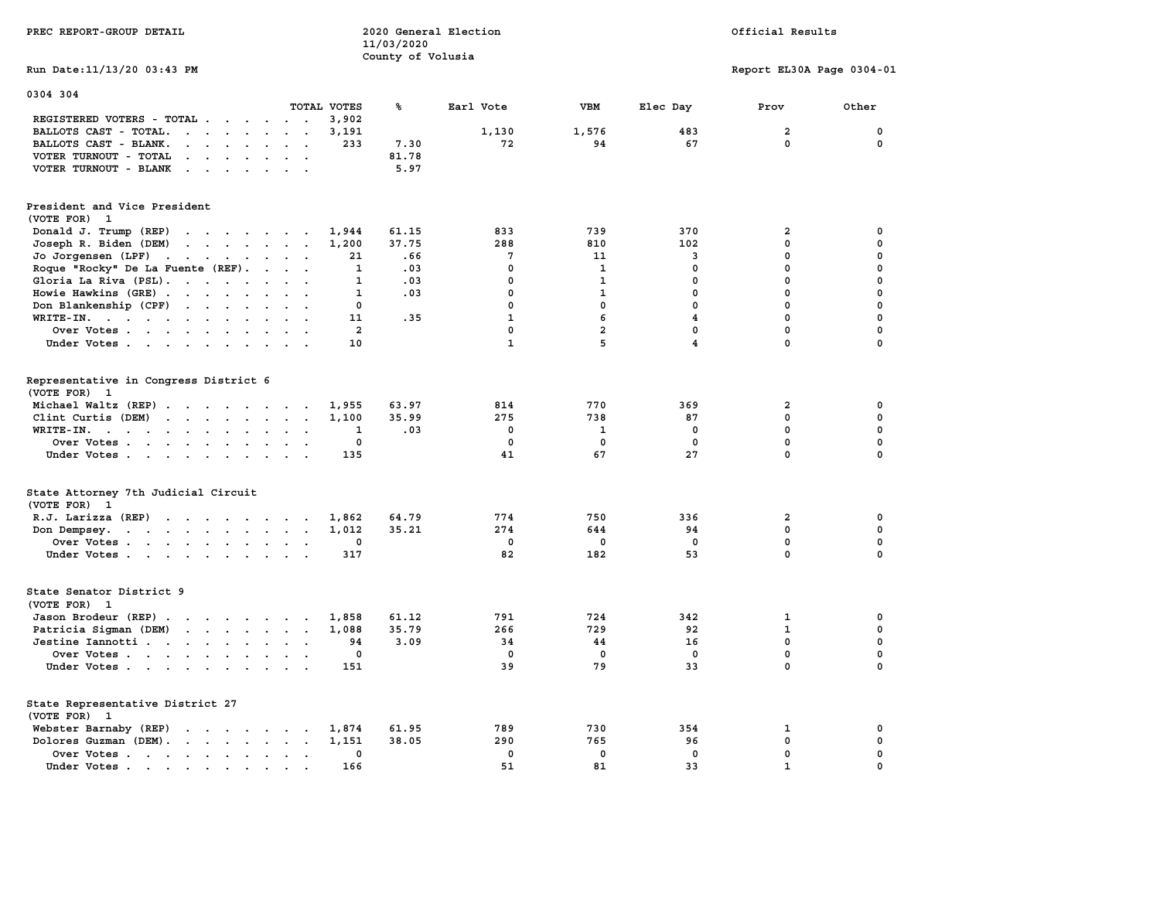| PREC REPORT-GROUP DETAIL                                                                                                                                                                                                                                   |                                                               | 11/03/2020            | 2020 General Election                   |                                 | Official Results                       |                                                    |                  |  |  |
|------------------------------------------------------------------------------------------------------------------------------------------------------------------------------------------------------------------------------------------------------------|---------------------------------------------------------------|-----------------------|-----------------------------------------|---------------------------------|----------------------------------------|----------------------------------------------------|------------------|--|--|
| Run Date: 11/13/20 03:43 PM                                                                                                                                                                                                                                |                                                               | County of Volusia     |                                         |                                 |                                        | Report EL30A Page 0304-01                          |                  |  |  |
| 0304 304                                                                                                                                                                                                                                                   | TOTAL VOTES                                                   | ℁                     | Earl Vote                               | <b>VBM</b>                      | Elec Day                               | Prov                                               | Other            |  |  |
| REGISTERED VOTERS - TOTAL                                                                                                                                                                                                                                  | 3,902                                                         |                       |                                         |                                 |                                        |                                                    |                  |  |  |
| BALLOTS CAST - TOTAL.<br>$\cdots$                                                                                                                                                                                                                          | 3,191                                                         |                       | 1,130                                   | 1,576                           | 483                                    | $\overline{a}$                                     | 0                |  |  |
| BALLOTS CAST - BLANK.<br>$\mathbf{r} = \mathbf{r} - \mathbf{r} = \mathbf{r} - \mathbf{r}$                                                                                                                                                                  | 233<br>$\cdot$ $\cdot$                                        | 7.30                  | 72                                      | 94                              | 67                                     | $\mathbf{0}$                                       | 0                |  |  |
| VOTER TURNOUT - TOTAL<br>$\mathbf{r}$ , $\mathbf{r}$ , $\mathbf{r}$ , $\mathbf{r}$ , $\mathbf{r}$ , $\mathbf{r}$                                                                                                                                           |                                                               | 81.78                 |                                         |                                 |                                        |                                                    |                  |  |  |
| VOTER TURNOUT - BLANK<br>the contract of the contract of the contract of the contract of the contract of                                                                                                                                                   |                                                               | 5.97                  |                                         |                                 |                                        |                                                    |                  |  |  |
| President and Vice President<br>(VOTE FOR) 1                                                                                                                                                                                                               |                                                               |                       |                                         |                                 |                                        |                                                    |                  |  |  |
| Donald J. Trump (REP)<br>$\mathbf{r}$ . The contract of the contract of the contract of the contract of the contract of the contract of the contract of the contract of the contract of the contract of the contract of the contract of the contract of th | 1,944                                                         | 61.15                 | 833                                     | 739                             | 370                                    | $\overline{a}$                                     | 0                |  |  |
| Joseph R. Biden (DEM)<br>the contract of the contract of the contract of the contract of the contract of the contract of the contract of                                                                                                                   | 1,200                                                         | 37.75                 | 288                                     | 810                             | 102                                    | $\mathbf 0$                                        | 0                |  |  |
| Jo Jorgensen (LPF)                                                                                                                                                                                                                                         | 21                                                            | .66                   | 7                                       | 11                              | 3                                      | 0                                                  | 0                |  |  |
| Roque "Rocky" De La Fuente (REF).                                                                                                                                                                                                                          | $\mathbf{1}$                                                  | .03                   | 0                                       | 1                               | $^{\circ}$                             | $\mathbf 0$                                        | 0                |  |  |
| Gloria La Riva (PSL).                                                                                                                                                                                                                                      | 1                                                             | .03                   | $\mathbf 0$                             | $\mathbf{1}$                    | $\mathbf 0$                            | $\mathbf 0$                                        | $\mathbf 0$      |  |  |
| Howie Hawkins (GRE)<br>$\cdot$ $\cdot$                                                                                                                                                                                                                     | $\sim$ $\sim$<br>1                                            | .03                   | 0                                       | 1                               | 0                                      | 0                                                  | 0                |  |  |
| Don Blankenship (CPF)                                                                                                                                                                                                                                      | $\mathbf{0}$                                                  |                       | $\mathbf 0$                             | 0                               | $\mathbf{0}$                           | 0                                                  | 0                |  |  |
| WRITE-IN.                                                                                                                                                                                                                                                  | 11<br>$\ddot{\phantom{a}}$                                    | .35                   | $\mathbf{1}$                            | 6                               | $\overline{4}$                         | $\mathbf 0$                                        | 0                |  |  |
| Over Votes                                                                                                                                                                                                                                                 | $\overline{a}$                                                |                       | $\mathbf{0}$                            | $\overline{a}$                  | $\mathbf 0$                            | $\mathbf 0$                                        | $\mathbf 0$      |  |  |
| Under Votes<br>$\sim$ $\sim$                                                                                                                                                                                                                               | 10                                                            |                       | $\mathbf{1}$                            | 5                               | $\overline{\mathbf{4}}$                | $\mathbf 0$                                        | $\mathbf 0$      |  |  |
| Representative in Congress District 6<br>(VOTE FOR) 1<br>Michael Waltz (REP)<br>Clint Curtis (DEM) $\cdots$ $\cdots$ $\cdots$<br>WRITE-IN.<br>the contract of the contract of the<br>Over Votes                                                            | 1,955<br>1,100<br>1<br>$\mathbf{L}=\mathbf{L}$<br>$\mathbf 0$ | 63.97<br>35.99<br>.03 | 814<br>275<br>$^{\circ}$<br>$\mathbf 0$ | 770<br>738<br>$\mathbf{1}$<br>0 | 369<br>87<br>$^{\circ}$<br>$\mathbf 0$ | $\overline{a}$<br>0<br>$\mathbf{0}$<br>$\mathbf 0$ | 0<br>0<br>0<br>0 |  |  |
| Under Votes                                                                                                                                                                                                                                                | 135<br>$\cdots$                                               |                       | 41                                      | 67                              | 27                                     | $\mathbf{0}$                                       | $\mathbf 0$      |  |  |
| State Attorney 7th Judicial Circuit<br>(VOTE FOR) 1                                                                                                                                                                                                        |                                                               |                       |                                         |                                 |                                        |                                                    |                  |  |  |
| R.J. Larizza (REP)                                                                                                                                                                                                                                         | 1,862                                                         | 64.79                 | 774                                     | 750                             | 336                                    | $\overline{a}$                                     | 0                |  |  |
| Don Dempsey.                                                                                                                                                                                                                                               | 1,012                                                         | 35.21                 | 274                                     | 644                             | 94                                     | $\mathbf 0$                                        | 0                |  |  |
| Over Votes                                                                                                                                                                                                                                                 | $\mathbf{0}$                                                  |                       | $^{\circ}$                              | 0                               | $^{\circ}$                             | $\mathbf 0$                                        | 0                |  |  |
| Under Votes                                                                                                                                                                                                                                                | 317                                                           |                       | 82                                      | 182                             | 53                                     | $\mathbf{0}$                                       | $\mathbf 0$      |  |  |
| State Senator District 9<br>(VOTE FOR) 1                                                                                                                                                                                                                   |                                                               |                       |                                         |                                 |                                        |                                                    |                  |  |  |
| Jason Brodeur (REP)                                                                                                                                                                                                                                        | 1,858                                                         | 61.12                 | 791                                     | 724                             | 342                                    | $\mathbf{1}$                                       | 0                |  |  |
| Patricia Sigman (DEM)                                                                                                                                                                                                                                      | 1,088                                                         | 35.79                 | 266                                     | 729                             | 92                                     | $\mathbf{1}$                                       | 0                |  |  |
| Jestine Iannotti                                                                                                                                                                                                                                           | 94                                                            | 3.09                  | 34                                      | 44                              | 16                                     | $\mathbf 0$                                        | 0                |  |  |
| Over Votes                                                                                                                                                                                                                                                 | 0<br>$\sim$ $\sim$                                            |                       | $\mathbf 0$                             | 0                               | $\mathbf 0$                            | $\mathbf 0$                                        | 0                |  |  |
| Under Votes                                                                                                                                                                                                                                                | 151                                                           |                       | 39                                      | 79                              | 33                                     | $\mathbf 0$                                        | $\mathbf 0$      |  |  |
| State Representative District 27<br>(VOTE FOR) 1                                                                                                                                                                                                           |                                                               |                       |                                         |                                 |                                        |                                                    |                  |  |  |
| Webster Barnaby (REP)                                                                                                                                                                                                                                      | 1,874                                                         | 61.95                 | 789                                     | 730                             | 354                                    | $\mathbf{1}$                                       | 0                |  |  |
| Dolores Guzman (DEM).                                                                                                                                                                                                                                      | 1,151                                                         | 38.05                 | 290                                     | 765                             | 96                                     | 0                                                  | 0                |  |  |
| Over Votes                                                                                                                                                                                                                                                 | 0<br>$\sim$<br>$\overline{a}$                                 |                       | 0                                       | $\mathbf 0$                     | $\mathbf 0$                            | 0                                                  | 0                |  |  |
| Under Votes                                                                                                                                                                                                                                                | 166<br>$\sim$ $\sim$ $\sim$                                   |                       | 51                                      | 81                              | 33                                     | $\mathbf{1}$                                       | 0                |  |  |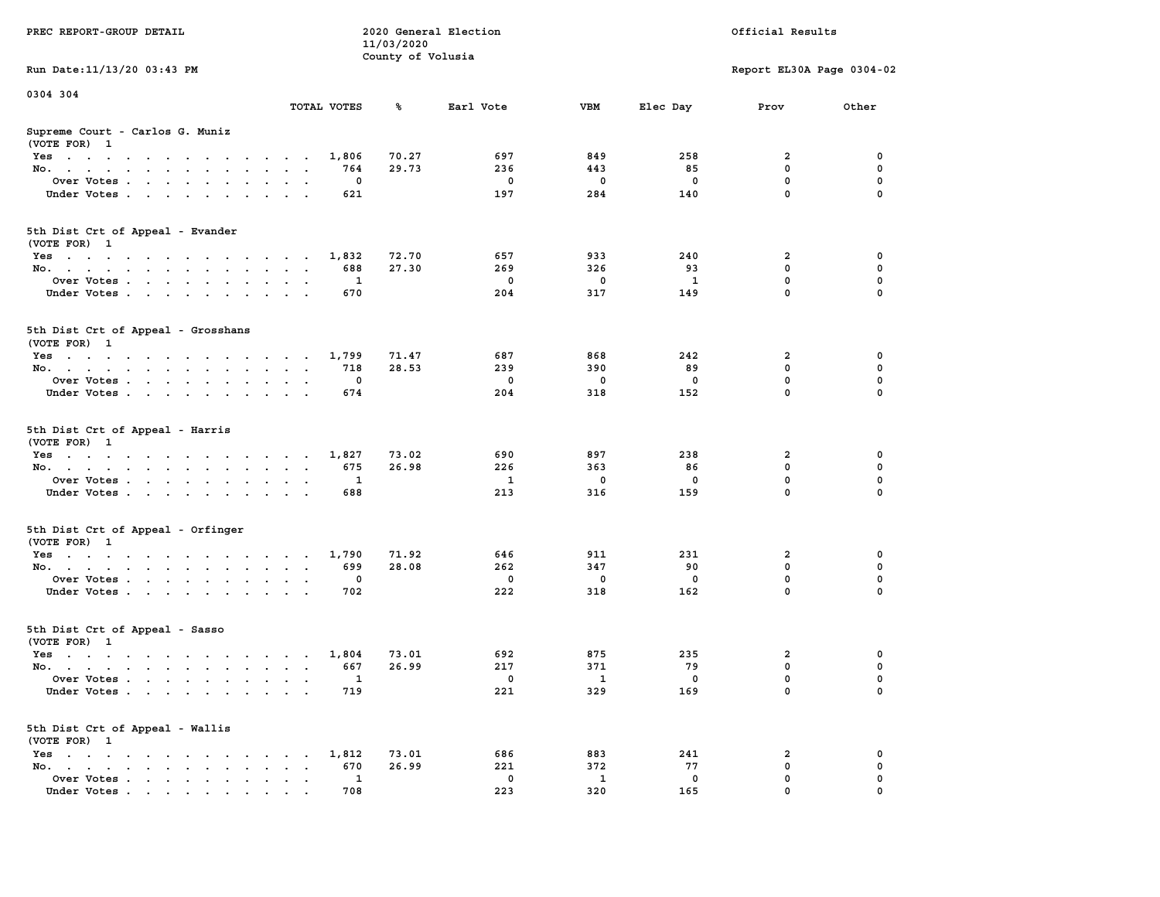| PREC REPORT-GROUP DETAIL                                                                                               |                                      | 11/03/2020        | 2020 General Election |                          |                    | Official Results          |          |
|------------------------------------------------------------------------------------------------------------------------|--------------------------------------|-------------------|-----------------------|--------------------------|--------------------|---------------------------|----------|
| Run Date: 11/13/20 03:43 PM                                                                                            |                                      | County of Volusia |                       |                          |                    | Report EL30A Page 0304-02 |          |
|                                                                                                                        |                                      |                   |                       |                          |                    |                           |          |
| 0304 304                                                                                                               | TOTAL VOTES                          | ℁                 | Earl Vote             | VBM                      | Elec Day           | Prov                      | Other    |
| Supreme Court - Carlos G. Muniz<br>(VOTE FOR) 1                                                                        |                                      |                   |                       |                          |                    |                           |          |
| Yes                                                                                                                    | 1,806                                | 70.27             | 697                   | 849                      | 258                | 2                         | 0        |
| No.                                                                                                                    | 764                                  | 29.73             | 236                   | 443                      | 85                 | $\mathbf 0$               | 0        |
| Over Votes.                                                                                                            | 0                                    |                   | 0                     | 0                        | 0                  | $\mathbf 0$               | 0        |
| Under Votes                                                                                                            | 621                                  |                   | 197                   | 284                      | 140                | $\mathbf 0$               | $\Omega$ |
| 5th Dist Crt of Appeal - Evander<br>(VOTE FOR) 1                                                                       |                                      |                   |                       |                          |                    |                           |          |
| Yes                                                                                                                    | 1,832                                | 72.70             | 657                   | 933                      | 240                | 2                         | 0        |
| No.                                                                                                                    | 688                                  | 27.30             | 269                   | 326                      | 93                 | $\mathbf 0$               | 0        |
| Over Votes                                                                                                             | 1                                    |                   | $\mathbf 0$           | 0                        | $\mathbf{1}$       | $\mathbf 0$               | 0        |
| Under Votes                                                                                                            | 670                                  |                   | 204                   | 317                      | 149                | $\mathbf 0$               | 0        |
| 5th Dist Crt of Appeal - Grosshans<br>(VOTE FOR) 1                                                                     |                                      |                   |                       |                          |                    |                           |          |
| $Yes \cdot \cdot \cdot \cdot \cdot \cdot \cdot \cdot \cdot \cdot \cdot \cdot \cdot$                                    | 1,799                                | 71.47             | 687                   | 868                      | 242                | 2                         | 0        |
| No.                                                                                                                    | 718                                  | 28.53             | 239                   | 390                      | 89                 | 0                         | 0        |
| Over Votes                                                                                                             | 0                                    |                   | $\mathbf 0$           | 0                        | 0                  | $\mathbf 0$               | 0        |
| Under Votes                                                                                                            | 674                                  |                   | 204                   | 318                      | 152                | $\mathbf 0$               | 0        |
| 5th Dist Crt of Appeal - Harris<br>(VOTE FOR) 1                                                                        |                                      |                   |                       |                          |                    |                           |          |
| Yes                                                                                                                    | 1,827                                | 73.02             | 690                   | 897                      | 238                | 2                         | 0        |
| No.                                                                                                                    | 675                                  | 26.98             | 226                   | 363                      | 86                 | $\mathbf 0$               | 0        |
| Over Votes                                                                                                             | 1                                    |                   | 1                     | 0                        | 0                  | $\mathbf 0$               | 0        |
| Under Votes                                                                                                            | 688                                  |                   | 213                   | 316                      | 159                | $\mathbf 0$               | $\Omega$ |
| 5th Dist Crt of Appeal - Orfinger<br>(VOTE FOR) 1                                                                      |                                      |                   |                       |                          |                    |                           |          |
| Yes                                                                                                                    | 1,790                                | 71.92             | 646                   | 911                      | 231                | 2                         | 0        |
| No.                                                                                                                    | 699                                  | 28.08             | 262                   | 347                      | 90                 | $\mathbf 0$               | 0        |
| Over Votes                                                                                                             | 0                                    |                   | $\mathbf 0$           | 0                        | 0                  | 0                         | 0        |
| Under Votes                                                                                                            | 702                                  |                   | 222                   | 318                      | 162                | $\mathbf 0$               | $\Omega$ |
| 5th Dist Crt of Appeal - Sasso<br>(VOTE FOR) 1                                                                         |                                      |                   |                       |                          |                    |                           |          |
| Yes<br>the contract of the contract of the contract of the contract of the contract of the contract of the contract of | 1,804                                | 73.01             | 692                   | 875                      | 235                | 2                         | 0        |
| No.                                                                                                                    | 667                                  | 26.99             | 217                   | 371                      | 79                 | 0                         | 0        |
| Over Votes.                                                                                                            | $\mathbf{1}$                         |                   | $^{\circ}$            | $\overline{\phantom{a}}$ | 0                  | $\mathbf 0$               | 0        |
| Under Votes                                                                                                            | 719                                  |                   | 221                   | 329                      | 169                | 0                         | 0        |
| 5th Dist Crt of Appeal - Wallis<br>(VOTE FOR) 1                                                                        |                                      |                   |                       |                          |                    |                           |          |
| $Yes \cdot \cdot \cdot \cdot \cdot \cdot \cdot \cdot \cdot$                                                            | 1,812<br>$\sim$ $\sim$ $\sim$ $\sim$ | 73.01             | 686                   | 883                      | 241                | 2                         | 0        |
| No.<br>$\sim$                                                                                                          | 670<br>$\ddot{\phantom{a}}$          | 26.99             | 221                   | 372                      | 77                 | $\mathbf 0$               | 0        |
| Over Votes<br>Under Votes                                                                                              | 1<br>708                             |                   | 0<br>223              | 1<br>320                 | $\mathbf 0$<br>165 | 0<br>0                    | 0        |
|                                                                                                                        |                                      |                   |                       |                          |                    |                           |          |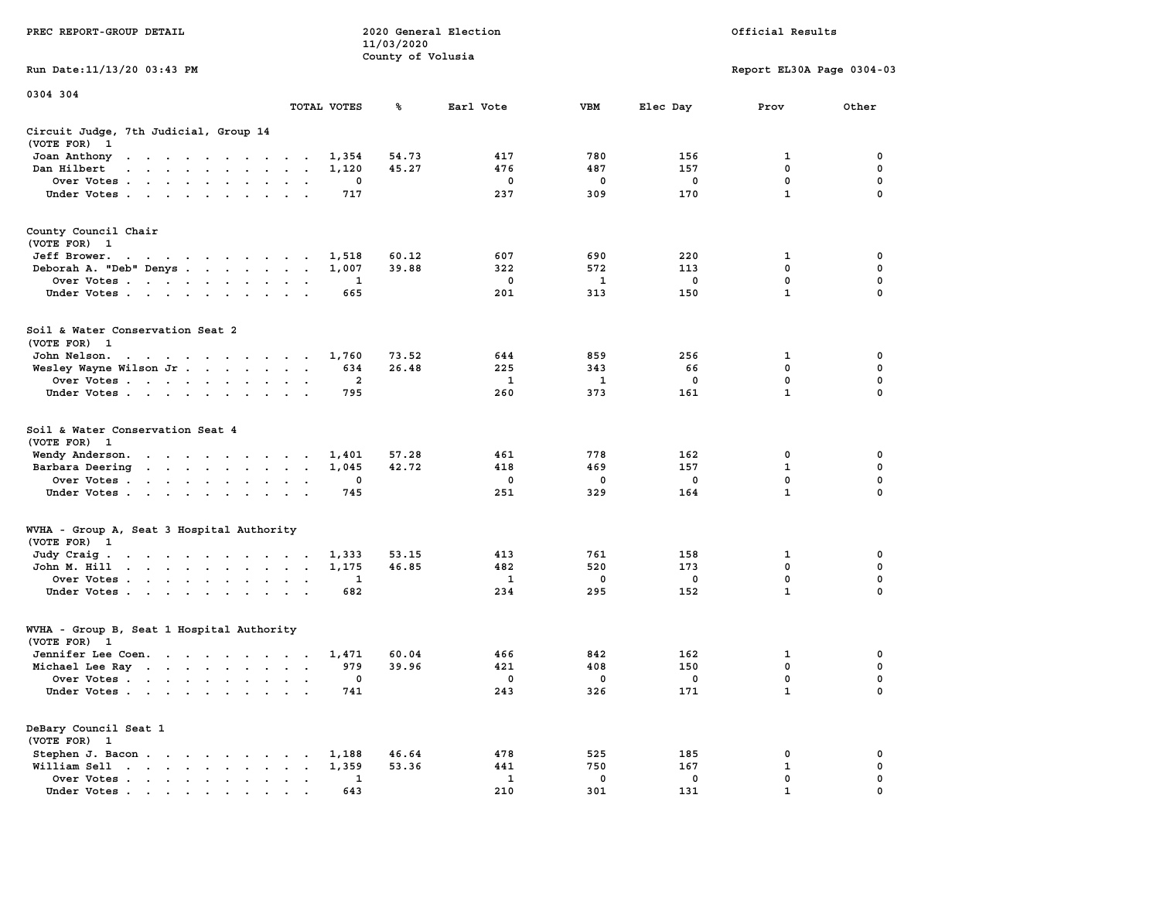|                                                                                                                                                                                                                                                            |                                                                  | 11/03/2020        |           |            |              |                           |             |
|------------------------------------------------------------------------------------------------------------------------------------------------------------------------------------------------------------------------------------------------------------|------------------------------------------------------------------|-------------------|-----------|------------|--------------|---------------------------|-------------|
|                                                                                                                                                                                                                                                            |                                                                  | County of Volusia |           |            |              |                           |             |
| Run Date:11/13/20 03:43 PM                                                                                                                                                                                                                                 |                                                                  |                   |           |            |              | Report EL30A Page 0304-03 |             |
| 0304 304                                                                                                                                                                                                                                                   |                                                                  |                   |           |            |              |                           |             |
|                                                                                                                                                                                                                                                            | TOTAL VOTES                                                      | ℁                 | Earl Vote | <b>VBM</b> | Elec Day     | Prov                      | Other       |
| Circuit Judge, 7th Judicial, Group 14                                                                                                                                                                                                                      |                                                                  |                   |           |            |              |                           |             |
| (VOTE FOR)<br>$\mathbf{1}$                                                                                                                                                                                                                                 |                                                                  |                   |           |            |              |                           |             |
| Joan Anthony<br>the contract of the contract of the contract of the contract of the contract of the contract of the contract of                                                                                                                            | 1,354                                                            | 54.73             | 417       | 780        | 156          | 1                         | 0           |
| Dan Hilbert<br>$\mathbf{r}$ . The set of the set of the set of the set of the set of the set of the set of the set of the set of the set of the set of the set of the set of the set of the set of the set of the set of the set of the set of t<br>$\sim$ | 1,120<br>$\overline{a}$<br>$\overline{\phantom{a}}$              | 45.27             | 476       | 487        | 157          | 0                         | 0           |
| Over Votes<br>$\overline{\phantom{a}}$                                                                                                                                                                                                                     | 0<br>$\cdot$<br>$\overline{\phantom{a}}$                         |                   | 0         | 0          | $\mathbf 0$  | $\mathbf 0$               | $\mathbf 0$ |
| Under Votes                                                                                                                                                                                                                                                | 717<br>$\cdot$<br>$\overline{a}$                                 |                   | 237       | 309        | 170          | $\mathbf{1}$              | 0           |
| County Council Chair                                                                                                                                                                                                                                       |                                                                  |                   |           |            |              |                           |             |
| (VOTE FOR) 1                                                                                                                                                                                                                                               |                                                                  |                   |           |            |              |                           |             |
| Jeff Brower.                                                                                                                                                                                                                                               | 1,518                                                            | 60.12             | 607       | 690        | 220          | 1                         | 0           |
| the contract of the contract of the con-                                                                                                                                                                                                                   | 1,007<br>$\cdot$<br>$\ddot{\phantom{a}}$                         | 39.88             | 322       | 572        | 113          | 0                         | $\mathbf 0$ |
| Deborah A. "Deb" Denys                                                                                                                                                                                                                                     | 1                                                                |                   | 0         |            | $\mathbf 0$  | $\mathbf 0$               | $\mathbf 0$ |
| Over Votes<br>$\sim$ $\sim$<br>$\overline{\phantom{a}}$<br>$\ddot{\phantom{a}}$                                                                                                                                                                            | $\cdot$                                                          |                   | 201       | 1          | 150          | $\mathbf{1}$              | $\mathbf 0$ |
| Under Votes<br>$\ddot{\phantom{a}}$                                                                                                                                                                                                                        | 665                                                              |                   |           | 313        |              |                           |             |
| Soil & Water Conservation Seat 2                                                                                                                                                                                                                           |                                                                  |                   |           |            |              |                           |             |
| (VOTE FOR) 1                                                                                                                                                                                                                                               |                                                                  |                   |           |            |              |                           |             |
| John Nelson.<br>the contract of the contract of the                                                                                                                                                                                                        | 1,760<br>$\sim$                                                  | 73.52             | 644       | 859        | 256          | 1                         | 0           |
| Wesley Wayne Wilson Jr                                                                                                                                                                                                                                     | 634<br>$\ddot{\phantom{a}}$<br>$\cdot$<br>$\blacksquare$         | 26.48             | 225       | 343        | 66           | 0                         | 0           |
| Over Votes<br>$\ddot{\phantom{0}}$                                                                                                                                                                                                                         | $\overline{2}$<br>$\cdot$                                        |                   | 1         | 1          | $^{\circ}$   | $\mathbf{0}$              | $\mathbf 0$ |
| Under Votes<br>$\cdot$                                                                                                                                                                                                                                     | 795                                                              |                   | 260       | 373        | 161          | $\mathbf{1}$              | 0           |
| Soil & Water Conservation Seat 4<br>(VOTE FOR)<br>- 1<br>Wendy Anderson.                                                                                                                                                                                   | 1,401                                                            | 57.28             | 461       | 778        | 162          | 0                         | 0           |
| $\mathcal{A}=\mathcal{A}=\mathcal{A}=\mathcal{A}=\mathcal{A}=\mathcal{A}=\mathcal{A}=\mathcal{A}$<br>Barbara Deering<br>$\mathcal{A}=\mathcal{A}=\mathcal{A}=\mathcal{A}=\mathcal{A}$ .                                                                    | 1,045<br>$\ddot{\phantom{a}}$<br>$\cdot$<br>$\ddot{\phantom{a}}$ | 42.72             | 418       | 469        | 157          | 1                         | 0           |
| $\sim$<br>Over Votes                                                                                                                                                                                                                                       | 0                                                                |                   | 0         | 0          | $\mathbf{o}$ | $\mathbf 0$               | $\mathbf 0$ |
| Under Votes                                                                                                                                                                                                                                                | $\cdot$<br>745                                                   |                   | 251       | 329        | 164          | $\mathbf{1}$              | $\mathbf 0$ |
| $\cdot$<br>$\cdot$                                                                                                                                                                                                                                         |                                                                  |                   |           |            |              |                           |             |
| WVHA - Group A, Seat 3 Hospital Authority                                                                                                                                                                                                                  |                                                                  |                   |           |            |              |                           |             |
| (VOTE FOR) 1                                                                                                                                                                                                                                               |                                                                  |                   |           |            |              |                           |             |
| Judy Craig.<br>the contract of the contract of the                                                                                                                                                                                                         | 1,333                                                            | 53.15             | 413       | 761        | 158          | 1                         | 0           |
| $\mathbf{u} = \mathbf{u} + \mathbf{u} + \mathbf{u} + \mathbf{u} + \mathbf{u} + \mathbf{u}$<br>John M. Hill<br>$\sim$                                                                                                                                       | 1,175<br>$\bullet$<br>$\bullet$<br>$\ddot{\phantom{a}}$          | 46.85             | 482       | 520        | 173          | 0                         | 0           |
| Over Votes<br>$\blacksquare$                                                                                                                                                                                                                               | 1                                                                |                   | 1         | 0          | $^{\circ}$   | 0                         | 0           |
| Under Votes<br>$\blacksquare$ .<br>$\ddot{\phantom{a}}$                                                                                                                                                                                                    | 682                                                              |                   | 234       | 295        | 152          | $\mathbf{1}$              | 0           |
| WVHA - Group B, Seat 1 Hospital Authority                                                                                                                                                                                                                  |                                                                  |                   |           |            |              |                           |             |
| (VOTE FOR)<br>- 1                                                                                                                                                                                                                                          |                                                                  |                   |           |            |              |                           |             |
| Jennifer Lee Coen.                                                                                                                                                                                                                                         | 1,471                                                            | 60.04             | 466       | 842        | 162          | 1                         | 0           |
| Michael Lee Ray                                                                                                                                                                                                                                            | 979<br>$\bullet$<br>$\sim$<br>$\ddot{\phantom{0}}$               | 39.96             | 421       | 408        | 150          | 0                         | 0           |
| Over Votes<br>$\blacksquare$ .                                                                                                                                                                                                                             | 0<br>$\bullet$<br>$\bullet$                                      |                   | 0         | 0          | 0            | 0                         | 0           |
| Under Votes                                                                                                                                                                                                                                                | 741                                                              |                   | 243       | 326        | 171          | 1                         | $\mathbf 0$ |
| DeBary Council Seat 1                                                                                                                                                                                                                                      |                                                                  |                   |           |            |              |                           |             |
| (VOTE FOR) 1                                                                                                                                                                                                                                               |                                                                  |                   |           |            |              |                           |             |
| Stephen J. Bacon.<br>$\ddot{\phantom{a}}$<br><b>Contract Contract</b><br>$\bullet$                                                                                                                                                                         | 1,188                                                            | 46.64             | 478       | 525        | 185          | 0                         | 0           |
| William Sell<br>$\begin{array}{cccccccccccccc} \bullet & \bullet & \bullet & \bullet & \bullet & \bullet & \bullet & \bullet & \bullet & \bullet \end{array}$<br>$\ddot{\phantom{0}}$                                                                      | 1,359<br>$\bullet$                                               | 53.36             | 441       | 750        | 167          | 1                         | 0           |
| Over Votes<br>$\bullet$<br>$\blacksquare$ .<br>$\bullet$                                                                                                                                                                                                   | 1<br>$\bullet$<br>$\bullet$<br>$\bullet$                         |                   | 1         | 0          | $\mathbf 0$  | 0                         | 0           |
| Under Votes                                                                                                                                                                                                                                                | 643<br>$\sim$                                                    |                   | 210       | 301        | 131          | $\mathbf{1}$              | $\Omega$    |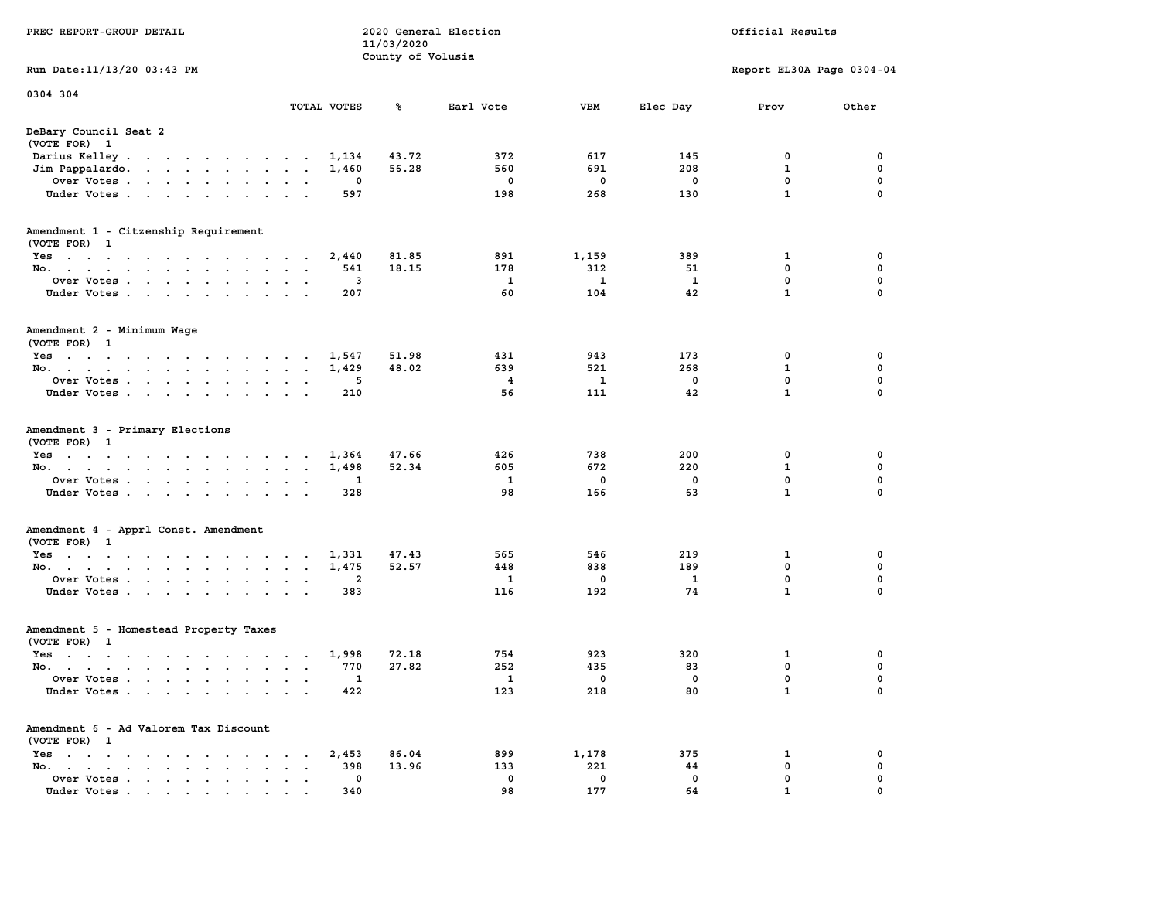| PREC REPORT-GROUP DETAIL                                                                                                                 |                                           | 11/03/2020<br>County of Volusia | 2020 General Election |              | Official Results |                           |                  |  |  |
|------------------------------------------------------------------------------------------------------------------------------------------|-------------------------------------------|---------------------------------|-----------------------|--------------|------------------|---------------------------|------------------|--|--|
| Run Date: 11/13/20 03:43 PM                                                                                                              |                                           |                                 |                       |              |                  | Report EL30A Page 0304-04 |                  |  |  |
| 0304 304                                                                                                                                 |                                           |                                 |                       |              |                  |                           |                  |  |  |
|                                                                                                                                          | TOTAL VOTES                               | ℁                               | Earl Vote             | VBM          | Elec Day         | Prov                      | Other            |  |  |
| DeBary Council Seat 2<br>(VOTE FOR) 1                                                                                                    |                                           |                                 |                       |              |                  |                           |                  |  |  |
| Darius Kelley                                                                                                                            | 1,134                                     | 43.72                           | 372                   | 617          | 145              | 0                         | 0                |  |  |
| Jim Pappalardo.<br>the contract of the contract of the                                                                                   | 1,460                                     | 56.28                           | 560                   | 691          | 208              | $\mathbf{1}$              | 0                |  |  |
| Over Votes                                                                                                                               |                                           | 0                               | 0                     | 0            | 0                | 0                         | 0                |  |  |
| Under Votes                                                                                                                              | $\cdot$ $\cdot$                           | 597                             | 198                   | 268          | 130              | $\mathbf{1}$              | $\Omega$         |  |  |
| Amendment 1 - Citzenship Requirement<br>(VOTE FOR) 1                                                                                     |                                           |                                 |                       |              |                  |                           |                  |  |  |
| Yes                                                                                                                                      | 2,440                                     | 81.85                           | 891                   | 1,159        | 389              | 1                         | 0                |  |  |
| No.                                                                                                                                      |                                           | 18.15<br>541                    | 178                   | 312          | 51               | 0                         | 0                |  |  |
| Over Votes                                                                                                                               |                                           | 3                               | 1                     | $\mathbf{1}$ | 1                | 0                         | 0                |  |  |
| Under Votes                                                                                                                              |                                           | 207                             | 60                    | 104          | 42               | $\mathbf{1}$              | 0                |  |  |
| Amendment 2 - Minimum Wage<br>(VOTE FOR) 1                                                                                               |                                           |                                 |                       |              |                  |                           |                  |  |  |
| Yes<br>the contract of the contract of the contract of                                                                                   | 1,547                                     | 51.98                           | 431                   | 943          | 173              | 0                         | 0                |  |  |
| No.                                                                                                                                      | 1,429                                     | 48.02                           | 639                   | 521          | 268              | 1                         | 0                |  |  |
| Over Votes                                                                                                                               | $\bullet$<br>$\bullet$                    | 5                               | 4                     | 1            | $^{\circ}$       | $\mathbf 0$               | 0                |  |  |
| Under Votes                                                                                                                              |                                           | 210                             | 56                    | 111          | 42               | $\mathbf{1}$              | 0                |  |  |
| Amendment 3 - Primary Elections<br>(VOTE FOR) 1                                                                                          |                                           |                                 |                       |              |                  |                           |                  |  |  |
| Yes<br>No.                                                                                                                               | 1,364<br>1,498<br>$\mathbf{a}=\mathbf{a}$ | 47.66<br>52.34                  | 426<br>605            | 738<br>672   | 200<br>220       | 0<br>$\mathbf 1$          | 0<br>0           |  |  |
| Over Votes                                                                                                                               |                                           | 1                               | 1                     | 0            | 0                | 0                         | 0                |  |  |
| Under Votes                                                                                                                              | $\sim$ $\sim$                             | 328                             | 98                    | 166          | 63               | $\mathbf{1}$              | $\Omega$         |  |  |
|                                                                                                                                          |                                           |                                 |                       |              |                  |                           |                  |  |  |
| Amendment 4 - Apprl Const. Amendment<br>(VOTE FOR) 1                                                                                     |                                           |                                 |                       |              |                  |                           |                  |  |  |
| Yes                                                                                                                                      | 1,331                                     | 47.43                           | 565                   | 546          | 219              | 1                         | 0                |  |  |
| No.<br>Over Votes                                                                                                                        | 1,475<br>$\sim$ $\sim$<br>$\sim$ $\sim$   | 52.57<br>2                      | 448<br>1              | 838<br>0     | 189<br>1         | 0<br>0                    | 0<br>$\mathbf 0$ |  |  |
| Under Votes                                                                                                                              |                                           | 383                             | 116                   | 192          | 74               | $\mathbf{1}$              | 0                |  |  |
| Amendment 5 - Homestead Property Taxes<br>(VOTE FOR) 1                                                                                   |                                           |                                 |                       |              |                  |                           |                  |  |  |
| Yes<br>the contract of the contract of the contract of the contract of the contract of the contract of the contract of                   | 1,998                                     | 72.18                           | 754                   | 923          | 320              | 1                         | 0                |  |  |
| No.                                                                                                                                      |                                           | 770<br>27.82                    | 252                   | 435          | 83               | 0                         | 0                |  |  |
| Over Votes                                                                                                                               |                                           | 1                               | 1                     | 0            | 0                | 0                         | $\Omega$         |  |  |
| Under Votes.<br>the contract of the contract of the contract of the contract of the contract of the contract of the contract of          |                                           | 422                             | 123                   | 218          | 80               | $\mathbf 1$               | 0                |  |  |
| Amendment 6 - Ad Valorem Tax Discount                                                                                                    |                                           |                                 |                       |              |                  |                           |                  |  |  |
| (VOTE FOR) 1<br>$Yes \t . \t . \t .$<br>$\sim$                                                                                           | 2,453                                     | 86.04                           | 899                   | 1,178        | 375              | 1                         | 0                |  |  |
| $\sim$ $\sim$<br>$\sim$ $\sim$<br>No.<br>$\ddot{\phantom{0}}$<br>$\cdot$ $\cdot$ $\cdot$<br>$\ddot{\phantom{a}}$<br>$\ddot{\phantom{a}}$ |                                           | 398<br>13.96                    | 133                   | 221          | 44               | 0                         | 0                |  |  |
| Over Votes                                                                                                                               |                                           | 0                               | 0                     | 0            | 0                | 0                         | 0                |  |  |
| Under Votes.                                                                                                                             |                                           | 340                             | 98                    | 177          | 64               |                           |                  |  |  |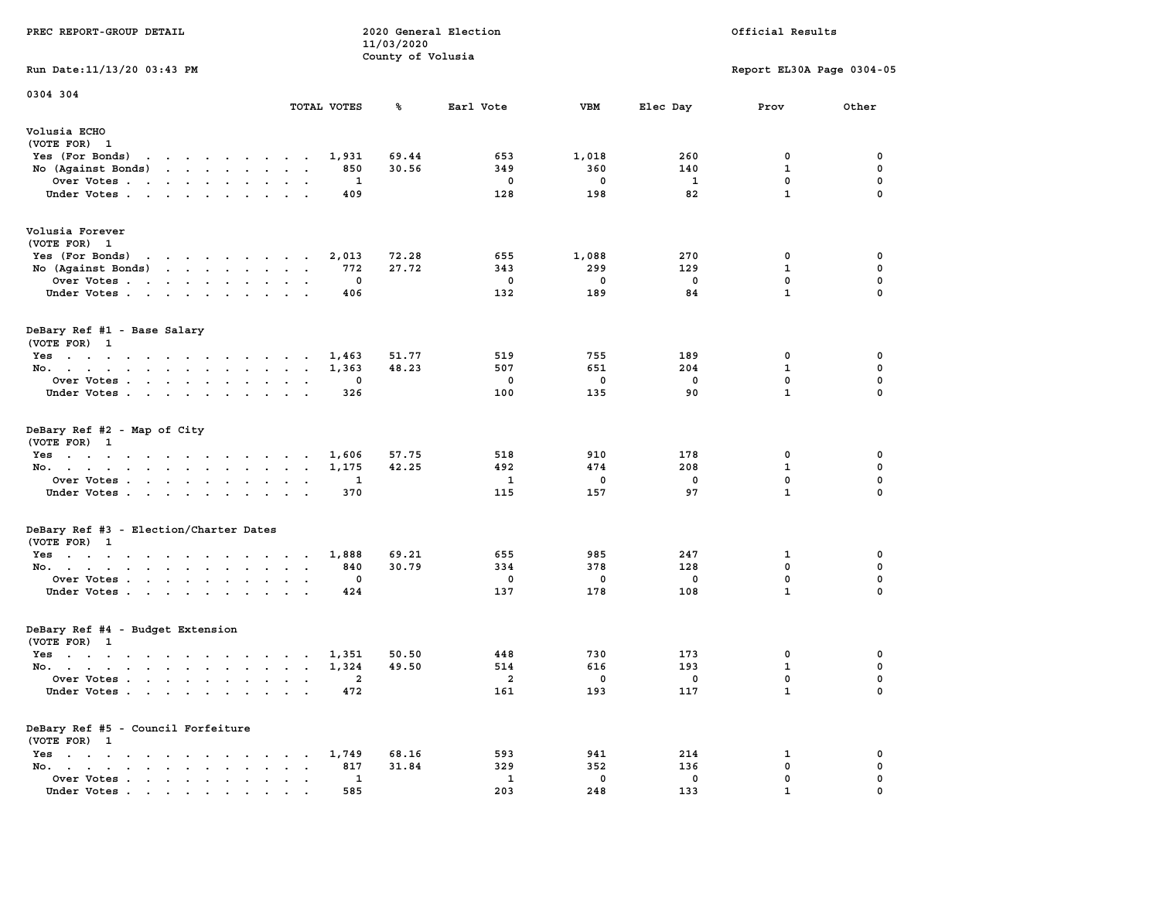| PREC REPORT-GROUP DETAIL                                                                                                                                                                                                                                                |                            | 11/03/2020<br>County of Volusia | 2020 General Election             | Official Results                 |                                 |                                                  |                                                |  |
|-------------------------------------------------------------------------------------------------------------------------------------------------------------------------------------------------------------------------------------------------------------------------|----------------------------|---------------------------------|-----------------------------------|----------------------------------|---------------------------------|--------------------------------------------------|------------------------------------------------|--|
| Run Date: 11/13/20 03:43 PM                                                                                                                                                                                                                                             |                            |                                 |                                   |                                  |                                 | Report EL30A Page 0304-05                        |                                                |  |
| 0304 304                                                                                                                                                                                                                                                                |                            |                                 |                                   |                                  |                                 |                                                  |                                                |  |
|                                                                                                                                                                                                                                                                         | TOTAL VOTES                | ጜ                               | Earl Vote                         | <b>VBM</b>                       | Elec Day                        | Prov                                             | Other                                          |  |
| Volusia ECHO<br>(VOTE FOR) 1                                                                                                                                                                                                                                            |                            |                                 |                                   |                                  |                                 |                                                  |                                                |  |
| Yes (For Bonds) $\cdots$ $\cdots$ $\cdots$ $\cdots$                                                                                                                                                                                                                     | 1,931                      | 69.44                           | 653                               | 1,018                            | 260                             | 0                                                | 0                                              |  |
| No (Against Bonds)                                                                                                                                                                                                                                                      | 850                        | 30.56                           | 349                               | 360                              | 140                             | $\mathbf{1}$                                     | $\mathbf 0$                                    |  |
| Over Votes                                                                                                                                                                                                                                                              | 1                          |                                 | $\mathbf 0$                       | $\mathbf 0$                      | $\mathbf{1}$                    | 0<br>$\mathbf{1}$                                | $\mathbf 0$<br>$\mathbf 0$                     |  |
| Under Votes                                                                                                                                                                                                                                                             | 409                        |                                 | 128                               | 198                              | 82                              |                                                  |                                                |  |
| Volusia Forever                                                                                                                                                                                                                                                         |                            |                                 |                                   |                                  |                                 |                                                  |                                                |  |
| (VOTE FOR) 1                                                                                                                                                                                                                                                            |                            |                                 |                                   |                                  |                                 |                                                  |                                                |  |
| and the contract of the contract of the contract of the contract of the contract of the contract of the contract of the contract of the contract of the contract of the contract of the contract of the contract of the contra<br>Yes (For Bonds)<br>No (Against Bonds) | 2,013                      | 72.28<br>27.72                  | 655                               | 1,088<br>299                     | 270<br>129                      | 0<br>$\mathbf{1}$                                | 0<br>0                                         |  |
| Over Votes                                                                                                                                                                                                                                                              | 772<br>0                   |                                 | 343<br>0                          | $\Omega$                         | 0                               | 0                                                | 0                                              |  |
| Under Votes                                                                                                                                                                                                                                                             | 406                        |                                 | 132                               | 189                              | 84                              | $\mathbf{1}$                                     | 0                                              |  |
|                                                                                                                                                                                                                                                                         |                            |                                 |                                   |                                  |                                 |                                                  |                                                |  |
| DeBary Ref #1 - Base Salary<br>(VOTE FOR) 1                                                                                                                                                                                                                             |                            |                                 |                                   |                                  |                                 |                                                  |                                                |  |
| Yes                                                                                                                                                                                                                                                                     | 1,463                      | 51.77                           | 519                               | 755                              | 189                             | 0                                                | 0                                              |  |
| No.                                                                                                                                                                                                                                                                     | 1,363                      | 48.23                           | 507                               | 651                              | 204                             | $\mathbf{1}$                                     | 0                                              |  |
| Over Votes                                                                                                                                                                                                                                                              | 0                          |                                 | 0                                 | $\mathbf 0$                      | $\mathbf 0$                     | $\mathbf 0$                                      | $\mathbf 0$                                    |  |
| Under Votes                                                                                                                                                                                                                                                             | 326                        |                                 | 100                               | 135                              | 90                              | $\mathbf{1}$                                     | $\mathbf 0$                                    |  |
| DeBary Ref #2 - Map of City<br>(VOTE FOR) 1<br>Yes<br>No.<br>Over Votes<br>Under Votes                                                                                                                                                                                  | 1,606<br>1,175<br>1<br>370 | 57.75<br>42.25                  | 518<br>492<br>$\mathbf{1}$<br>115 | 910<br>474<br>$\mathbf 0$<br>157 | 178<br>208<br>$\mathbf 0$<br>97 | 0<br>$\mathbf{1}$<br>$\mathbf 0$<br>$\mathbf{1}$ | 0<br>$\mathbf 0$<br>$\mathbf 0$<br>$\mathbf 0$ |  |
|                                                                                                                                                                                                                                                                         |                            |                                 |                                   |                                  |                                 |                                                  |                                                |  |
| DeBary Ref #3 - Election/Charter Dates<br>(VOTE FOR) 1                                                                                                                                                                                                                  |                            |                                 |                                   |                                  |                                 |                                                  |                                                |  |
| Yes                                                                                                                                                                                                                                                                     | 1,888                      | 69.21                           | 655                               | 985                              | 247                             | $\mathbf{1}$                                     | 0                                              |  |
| No.                                                                                                                                                                                                                                                                     | 840                        | 30.79                           | 334                               | 378                              | 128                             | 0                                                | 0                                              |  |
| Over Votes                                                                                                                                                                                                                                                              | 0                          |                                 | 0                                 | $\Omega$                         | 0                               | 0                                                | 0                                              |  |
| Under Votes                                                                                                                                                                                                                                                             | 424                        |                                 | 137                               | 178                              | 108                             | $\mathbf{1}$                                     | $\mathbf 0$                                    |  |
| DeBary Ref #4 - Budget Extension                                                                                                                                                                                                                                        |                            |                                 |                                   |                                  |                                 |                                                  |                                                |  |
| (VOTE FOR) 1                                                                                                                                                                                                                                                            |                            |                                 |                                   |                                  |                                 |                                                  |                                                |  |
| $Yes \cdot \cdot \cdot \cdot \cdot \cdot \cdot \cdot \cdot \cdot \cdot \cdot \cdot$                                                                                                                                                                                     | 1,351                      | 50.50                           | 448                               | 730                              | 173                             | 0                                                | 0                                              |  |
| No.                                                                                                                                                                                                                                                                     | 1,324                      | 49.50                           | 514                               | 616                              | 193                             | $\mathbf{1}$                                     | 0                                              |  |
| Over Votes                                                                                                                                                                                                                                                              | -2                         |                                 | $\overline{a}$                    | $\mathbf 0$                      | $\mathbf 0$                     | $\mathbf 0$                                      | $\mathbf 0$                                    |  |
| Under Votes                                                                                                                                                                                                                                                             | 472                        |                                 | 161                               | 193                              | 117                             | $\mathbf{1}$                                     | $\mathbf 0$                                    |  |
| DeBary Ref #5 - Council Forfeiture<br>(VOTE FOR) 1                                                                                                                                                                                                                      |                            |                                 |                                   |                                  |                                 |                                                  |                                                |  |
| Yes                                                                                                                                                                                                                                                                     | 1,749                      | 68.16                           | 593                               | 941                              | 214                             | 1                                                | 0                                              |  |
| No.                                                                                                                                                                                                                                                                     | 817                        | 31.84                           | 329                               | 352                              | 136                             | 0                                                | 0                                              |  |
| Over Votes                                                                                                                                                                                                                                                              | 1                          |                                 | $\mathbf{1}$                      | $\mathbf 0$                      | $\mathbf 0$                     | 0                                                | $\mathbf 0$                                    |  |
| Under Votes                                                                                                                                                                                                                                                             | 585                        |                                 | 203                               | 248                              | 133                             | $\mathbf{1}$                                     | $\mathbf 0$                                    |  |
|                                                                                                                                                                                                                                                                         |                            |                                 |                                   |                                  |                                 |                                                  |                                                |  |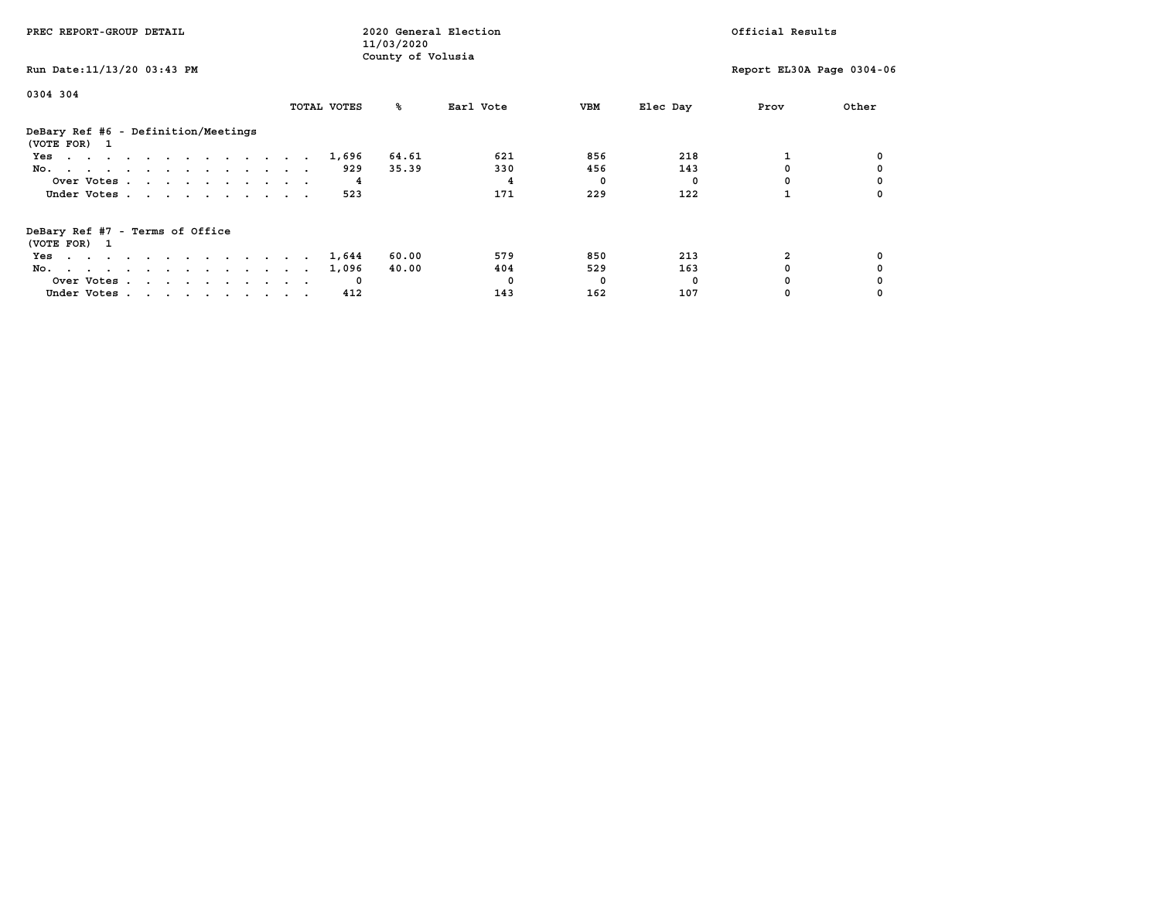| PREC REPORT-GROUP DETAIL                            |             | 2020 General Election<br>11/03/2020 |           | Official Results |          |                           |       |
|-----------------------------------------------------|-------------|-------------------------------------|-----------|------------------|----------|---------------------------|-------|
| Run Date: 11/13/20 03:43 PM                         |             | County of Volusia                   |           |                  |          | Report EL30A Page 0304-06 |       |
| 0304 304                                            | TOTAL VOTES | ‱                                   | Earl Vote | VBM              | Elec Day | Prov                      | Other |
|                                                     |             |                                     |           |                  |          |                           |       |
| DeBary Ref #6 - Definition/Meetings<br>(VOTE FOR) 1 |             |                                     |           |                  |          |                           |       |
| Yes                                                 | 1,696       | 64.61                               | 621       | 856              | 218      |                           |       |
| No.                                                 | 929         | 35.39                               | 330       | 456              | 143      |                           |       |
| Over Votes                                          |             |                                     |           | 0                | $\Omega$ |                           |       |
| Under Votes                                         | 523         |                                     | 171       | 229              | 122      |                           |       |
| DeBary Ref #7 - Terms of Office<br>(VOTE FOR) 1     |             |                                     |           |                  |          |                           |       |
| Yes                                                 | 1,644       | 60.00                               | 579       | 850              | 213      |                           |       |
| No.                                                 | 1,096       | 40.00                               | 404       | 529              | 163      |                           |       |
| Over Votes                                          |             |                                     | $\Omega$  | 0                | $\Omega$ |                           |       |
| Under Votes                                         | 412         |                                     | 143       | 162              | 107      |                           |       |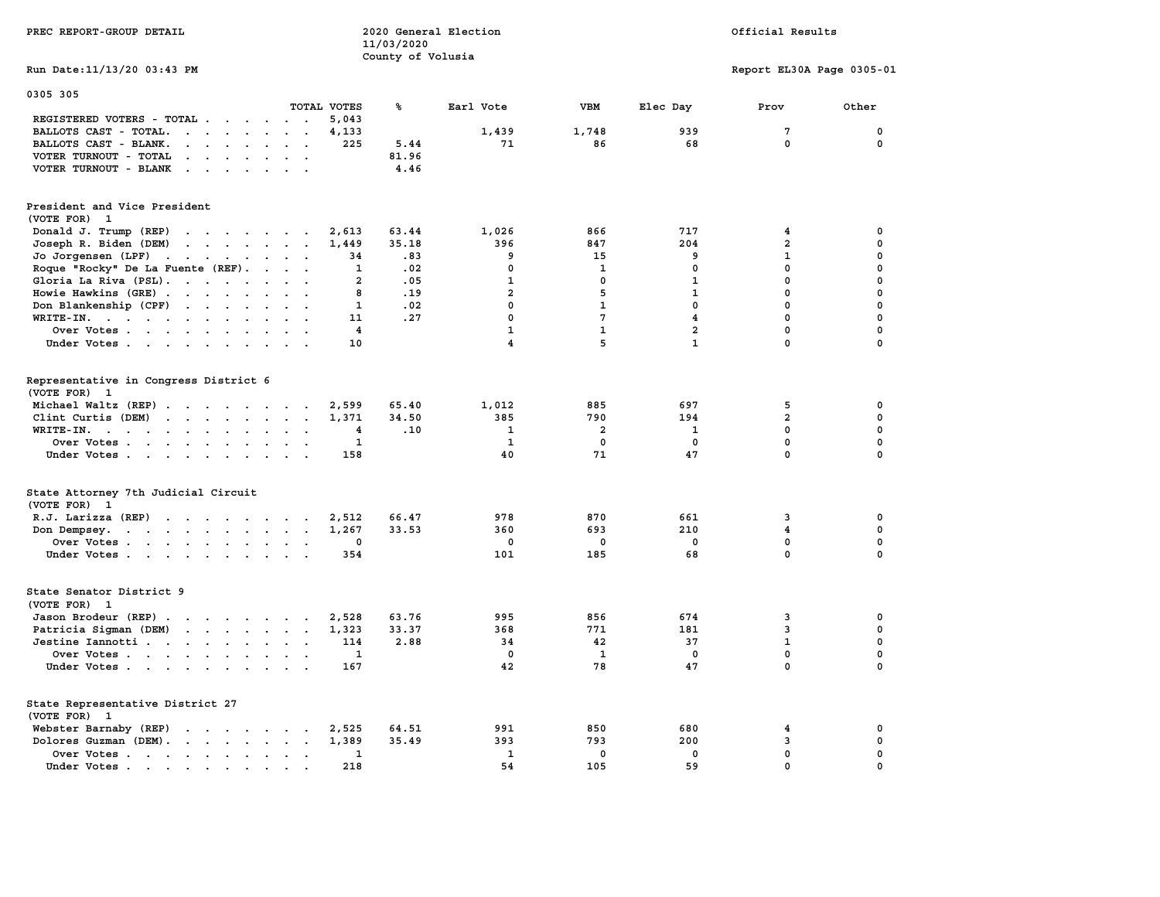| PREC REPORT-GROUP DETAIL                                                                                                                                                                                 |                                                    | 11/03/2020<br>County of Volusia | 2020 General Election | Official Results        |                |                           |             |  |
|----------------------------------------------------------------------------------------------------------------------------------------------------------------------------------------------------------|----------------------------------------------------|---------------------------------|-----------------------|-------------------------|----------------|---------------------------|-------------|--|
| Run Date: 11/13/20 03:43 PM                                                                                                                                                                              |                                                    |                                 |                       |                         |                | Report EL30A Page 0305-01 |             |  |
| 0305 305                                                                                                                                                                                                 | TOTAL VOTES                                        | ℁                               | Earl Vote             | VBM                     | Elec Day       | Prov                      | Other       |  |
| REGISTERED VOTERS - TOTAL                                                                                                                                                                                | 5,043                                              |                                 |                       |                         |                |                           |             |  |
| BALLOTS CAST - TOTAL.<br>$\mathbf{r}$ . The set of $\mathbf{r}$                                                                                                                                          | 4,133<br>$\sim$ $\sim$                             |                                 | 1,439                 | 1,748                   | 939            | $\overline{7}$            | 0           |  |
| BALLOTS CAST - BLANK.<br>$\begin{array}{cccccccccccccccccc} \bullet & \bullet & \bullet & \bullet & \bullet & \bullet & \bullet & \bullet & \bullet & \bullet & \bullet & \bullet & \bullet \end{array}$ | 225                                                | 5.44                            | 71                    | 86                      | 68             | $\mathbf 0$               | $\pmb{0}$   |  |
| VOTER TURNOUT - TOTAL<br>$\begin{array}{cccccccccccccc} \bullet & \bullet & \bullet & \bullet & \bullet & \bullet & \bullet & \bullet & \bullet \end{array}$                                             | $\sim$ $\sim$                                      | 81.96                           |                       |                         |                |                           |             |  |
| VOTER TURNOUT - BLANK<br>the contract of the contract of the contract of the contract of the contract of                                                                                                 |                                                    | 4.46                            |                       |                         |                |                           |             |  |
| President and Vice President<br>(VOTE FOR) 1                                                                                                                                                             |                                                    |                                 |                       |                         |                |                           |             |  |
| Donald J. Trump (REP)<br>the contract of the contract of                                                                                                                                                 | 2,613                                              | 63.44                           | 1,026                 | 866                     | 717            | $\overline{\mathbf{4}}$   | 0           |  |
| Joseph R. Biden (DEM)                                                                                                                                                                                    | 1,449                                              | 35.18                           | 396                   | 847                     | 204            | $\overline{a}$            | $\mathbf 0$ |  |
| Jo Jorgensen (LPF)                                                                                                                                                                                       | 34                                                 | .83                             | 9                     | 15                      | 9              | $\mathbf{1}$              | 0           |  |
| Roque "Rocky" De La Fuente (REF).                                                                                                                                                                        | $\mathbf{1}$<br>$\sim$ $\sim$ $\sim$ $\sim$ $\sim$ | .02                             | $\mathbf 0$           | $\mathbf{1}$            | $\mathbf{0}$   | $\mathbf{0}$              | 0           |  |
| Gloria La Riva (PSL).                                                                                                                                                                                    | 2                                                  | .05                             | $\mathbf{1}$          | $\mathbf 0$             | 1              | 0                         | 0           |  |
| Howie Hawkins (GRE)                                                                                                                                                                                      | 8                                                  | .19                             | $\overline{a}$        | 5                       | $\mathbf{1}$   | $^{\circ}$                | 0           |  |
| Don Blankenship (CPF)                                                                                                                                                                                    | $\mathbf{1}$                                       | .02                             | $\mathbf 0$           | $\mathbf{1}$            | $\mathbf 0$    | $\mathbf{0}$              | 0           |  |
|                                                                                                                                                                                                          | 11                                                 | .27                             | $\mathbf{0}$          | $7\phantom{.0}$         | $\overline{4}$ | $\mathbf{0}$              | $\mathbf 0$ |  |
| WRITE-IN.                                                                                                                                                                                                |                                                    |                                 | $\mathbf{1}$          | $\mathbf{1}$            | $\overline{a}$ | $\mathbf 0$               | 0           |  |
| Over Votes                                                                                                                                                                                               | $\overline{4}$                                     |                                 | $\overline{4}$        | 5                       | $\mathbf{1}$   | $\mathbf{0}$              | 0           |  |
| Under Votes                                                                                                                                                                                              | 10                                                 |                                 |                       |                         |                |                           |             |  |
| Representative in Congress District 6<br>(VOTE FOR) 1                                                                                                                                                    |                                                    |                                 |                       |                         |                |                           |             |  |
| Michael Waltz (REP)                                                                                                                                                                                      | 2,599                                              | 65.40                           | 1,012                 | 885                     | 697            | 5                         | 0           |  |
| Clint Curtis (DEM)                                                                                                                                                                                       | 1,371                                              | 34.50                           | 385                   | 790                     | 194            | $\overline{2}$            | 0           |  |
| WRITE-IN.<br>$\mathbf{r}$ , and $\mathbf{r}$ , and $\mathbf{r}$ , and $\mathbf{r}$                                                                                                                       | 4                                                  | .10                             | $\mathbf{1}$          | $\overline{\mathbf{2}}$ | 1              | $\mathbf 0$               | 0           |  |
| Over Votes                                                                                                                                                                                               | 1                                                  |                                 | 1                     | $\mathbf 0$             | 0              | 0                         | 0           |  |
| Under Votes                                                                                                                                                                                              | 158                                                |                                 | 40                    | 71                      | 47             | $\mathbf 0$               | 0           |  |
| State Attorney 7th Judicial Circuit<br>(VOTE FOR) 1                                                                                                                                                      |                                                    |                                 |                       |                         |                |                           |             |  |
| R.J. Larizza (REP)                                                                                                                                                                                       | 2,512<br>$\cdot$ $\cdot$                           | 66.47                           | 978                   | 870                     | 661            | 3                         | 0           |  |
| the contract of the contract of the contract of the contract of the contract of the contract of the contract of<br>Don Dempsey.                                                                          | 1,267                                              | 33.53                           | 360                   | 693                     | 210            | $\overline{\mathbf{4}}$   | 0           |  |
| Over Votes                                                                                                                                                                                               | 0<br>$\sim$                                        |                                 | 0                     | 0                       | 0              | 0                         | 0           |  |
| Under Votes.                                                                                                                                                                                             | 354                                                |                                 | 101                   | 185                     | 68             | $\mathbf{0}$              | $\mathbf 0$ |  |
| State Senator District 9<br>(VOTE FOR) 1                                                                                                                                                                 |                                                    |                                 |                       |                         |                |                           |             |  |
| Jason Brodeur (REP)                                                                                                                                                                                      | 2,528                                              | 63.76                           | 995                   | 856                     | 674            | 3                         | 0           |  |
| Patricia Sigman (DEM)                                                                                                                                                                                    | 1,323                                              | 33.37                           | 368                   | 771                     | 181            | $\overline{3}$            | 0           |  |
| Jestine Iannotti                                                                                                                                                                                         | 114                                                | 2.88                            | 34                    | 42                      | 37             | $\mathbf{1}$              | 0           |  |
| Over Votes                                                                                                                                                                                               | 1                                                  |                                 | 0                     | 1                       | $^{\circ}$     | $\mathbf 0$               | 0           |  |
| Under Votes                                                                                                                                                                                              | 167                                                |                                 | 42                    | 78                      | 47             | $\mathbf 0$               | $\mathbf 0$ |  |
| State Representative District 27<br>(VOTE FOR) 1                                                                                                                                                         |                                                    |                                 |                       |                         |                |                           |             |  |
| Webster Barnaby (REP)                                                                                                                                                                                    | 2,525                                              | 64.51                           | 991                   | 850                     | 680            | 4                         | 0           |  |
| Dolores Guzman (DEM).                                                                                                                                                                                    | 1,389                                              | 35.49                           | 393                   | 793                     | 200            | 3                         | 0           |  |
| Over Votes                                                                                                                                                                                               | 1                                                  |                                 | $\mathbf{1}$          | $\mathbf 0$             | $\mathbf 0$    | $\mathbf 0$               | 0           |  |
| Under Votes                                                                                                                                                                                              | 218<br>$\sim$                                      |                                 | 54                    | 105                     | 59             | $\mathbf 0$               | 0           |  |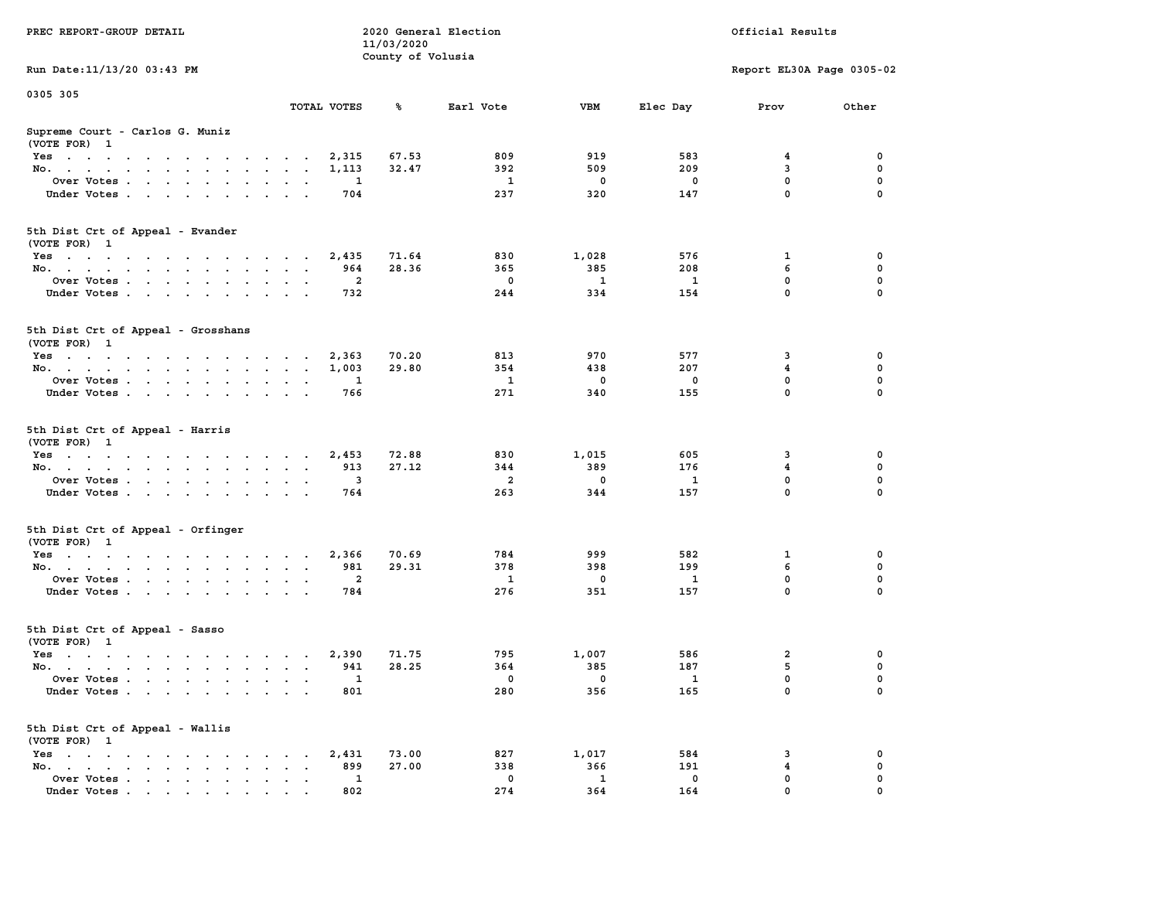| PREC REPORT-GROUP DETAIL                           |                                             | 11/03/2020        | 2020 General Election |                     | Official Results |                           |             |  |
|----------------------------------------------------|---------------------------------------------|-------------------|-----------------------|---------------------|------------------|---------------------------|-------------|--|
| Run Date: 11/13/20 03:43 PM                        |                                             | County of Volusia |                       |                     |                  | Report EL30A Page 0305-02 |             |  |
| 0305 305                                           |                                             |                   |                       |                     |                  |                           |             |  |
|                                                    | TOTAL VOTES                                 | ℁                 | Earl Vote             | VBM                 | Elec Day         | Prov                      | Other       |  |
| Supreme Court - Carlos G. Muniz<br>(VOTE FOR) 1    |                                             |                   |                       |                     |                  |                           |             |  |
| Yes                                                | 2,315                                       | 67.53             | 809                   | 919                 | 583              | 4                         | 0           |  |
| No.                                                | 1,113                                       | 32.47             | 392                   | 509                 | 209              | 3                         | 0           |  |
| Over Votes                                         | 1                                           |                   | 1                     | 0                   | 0                | $\mathbf 0$               | 0           |  |
| Under Votes                                        | 704                                         |                   | 237                   | 320                 | 147              | $\mathbf 0$               | $\Omega$    |  |
| 5th Dist Crt of Appeal - Evander<br>(VOTE FOR) 1   |                                             |                   |                       |                     |                  |                           |             |  |
| Yes                                                | 2,435                                       | 71.64             | 830                   | 1,028               | 576              | 1                         | 0           |  |
| No.                                                | 964                                         | 28.36             | 365                   | 385                 | 208              | 6                         | 0           |  |
| Over Votes                                         | 2                                           |                   | 0                     | 1                   | $\mathbf{1}$     | $\mathbf 0$               | $\mathbf 0$ |  |
| Under Votes                                        | 732                                         |                   | 244                   | 334                 | 154              | $\mathbf 0$               | 0           |  |
| 5th Dist Crt of Appeal - Grosshans<br>(VOTE FOR) 1 |                                             |                   |                       |                     |                  |                           |             |  |
| Yes                                                | 2,363                                       | 70.20             | 813                   | 970                 | 577              | 3                         | 0           |  |
| No.                                                | 1,003                                       | 29.80             | 354                   | 438                 | 207              | $\overline{\mathbf{4}}$   | 0           |  |
| Over Votes                                         | 1                                           |                   | $\mathbf{1}$          | $\mathbf 0$         | 0                | $\mathbf 0$               | $\mathbf 0$ |  |
| Under Votes                                        | 766                                         |                   | 271                   | 340                 | 155              | $\mathbf{0}$              | 0           |  |
| 5th Dist Crt of Appeal - Harris<br>(VOTE FOR) 1    |                                             |                   |                       |                     |                  |                           |             |  |
| Yes                                                | 2,453                                       | 72.88             | 830                   | 1,015               | 605              | 3                         | 0           |  |
| No.                                                | 913                                         | 27.12             | 344                   | 389                 | 176              | 4                         | 0           |  |
| Over Votes                                         | 3                                           |                   | $\overline{a}$        | 0                   | 1                | $\mathbf 0$               | 0           |  |
| Under Votes                                        | 764                                         |                   | 263                   | 344                 | 157              | $\mathbf 0$               | $\Omega$    |  |
| 5th Dist Crt of Appeal - Orfinger<br>(VOTE FOR) 1  |                                             |                   |                       |                     |                  |                           |             |  |
| Yes                                                | 2,366                                       | 70.69             | 784                   | 999                 | 582              | 1                         | 0           |  |
| No.                                                | 981                                         | 29.31             | 378                   | 398                 | 199              | 6                         | 0           |  |
| Over Votes                                         | 2                                           |                   | 1                     | $\mathbf 0$         | 1                | 0                         | 0           |  |
| Under Votes                                        | 784                                         |                   | 276                   | 351                 | 157              | $\mathbf 0$               | $\Omega$    |  |
| 5th Dist Crt of Appeal - Sasso<br>(VOTE FOR) 1     |                                             |                   |                       |                     |                  |                           |             |  |
| Yes                                                | 2,390<br>$\sim$<br>$\overline{\phantom{a}}$ | 71.75             | 795                   | 1,007               | 586              | 2                         | 0           |  |
| No.                                                | 941                                         | 28.25             | 364                   | 385                 | 187              | 5                         | 0           |  |
| Over Votes                                         | 1                                           |                   | 0                     | $\mathbf 0$         | $\mathbf{1}$     | 0                         | 0           |  |
| Under Votes                                        | 801                                         |                   | 280                   | 356                 | 165              | 0                         | $\mathbf 0$ |  |
| 5th Dist Crt of Appeal - Wallis<br>(VOTE FOR) 1    |                                             |                   |                       |                     |                  |                           |             |  |
| Yes<br>$\sim$ $\sim$                               | 2,431<br>$\ddot{\phantom{0}}$               | 73.00             | 827                   | 1,017               | 584              | 3                         | 0<br>0      |  |
| No.<br>Over Votes                                  | 899<br>1                                    | 27.00             | 338<br>$\mathbf 0$    | 366<br>$\mathbf{1}$ | 191<br>0         | 4<br>$\mathbf 0$          | 0           |  |
| Under Votes.                                       | 802                                         |                   | 274                   | 364                 | 164              | O                         |             |  |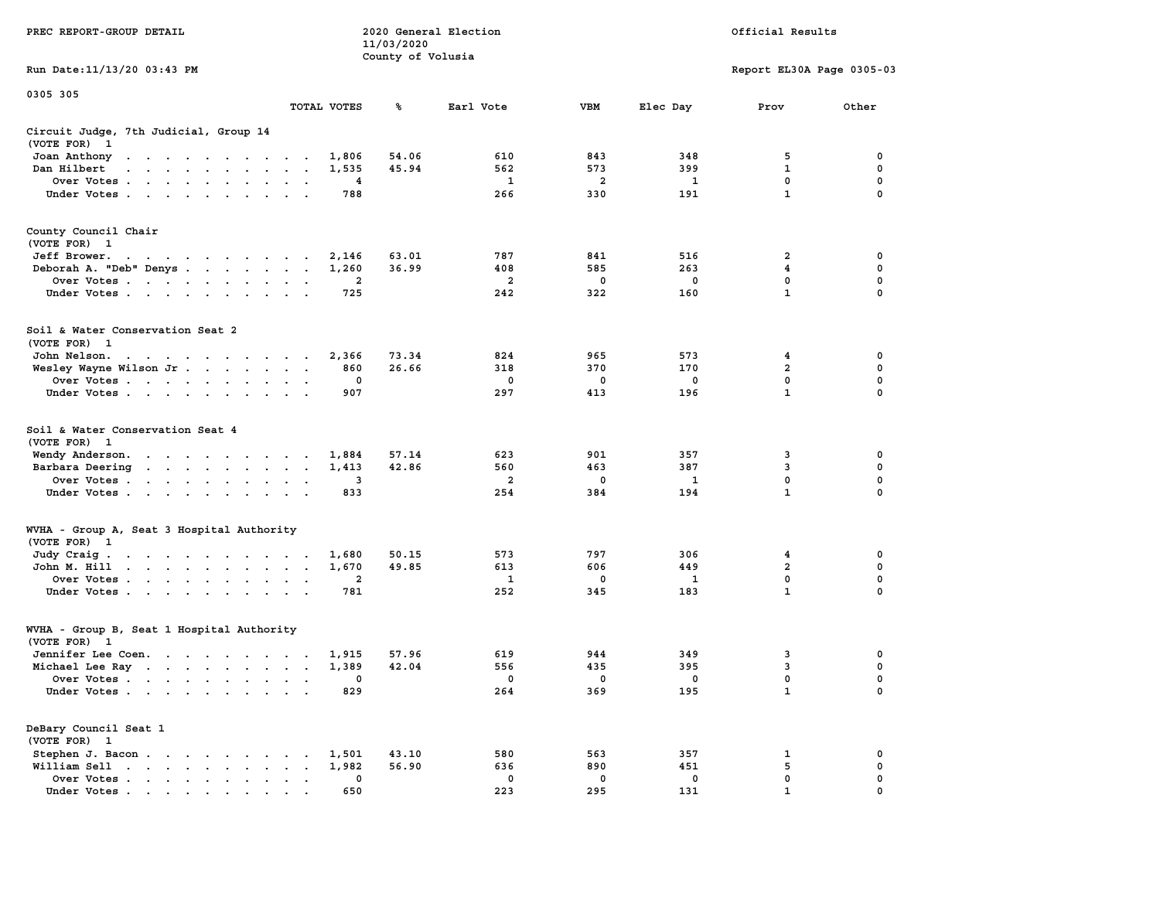|                                                                                                                                                                                                                                                            |                                                           | 11/03/2020        |              |                |              |                           |             |
|------------------------------------------------------------------------------------------------------------------------------------------------------------------------------------------------------------------------------------------------------------|-----------------------------------------------------------|-------------------|--------------|----------------|--------------|---------------------------|-------------|
|                                                                                                                                                                                                                                                            |                                                           | County of Volusia |              |                |              |                           |             |
| Run Date:11/13/20 03:43 PM                                                                                                                                                                                                                                 |                                                           |                   |              |                |              | Report EL30A Page 0305-03 |             |
| 0305 305                                                                                                                                                                                                                                                   |                                                           |                   |              |                |              |                           |             |
|                                                                                                                                                                                                                                                            | TOTAL VOTES                                               | ℁                 | Earl Vote    | <b>VBM</b>     | Elec Day     | Prov                      | Other       |
| Circuit Judge, 7th Judicial, Group 14<br>(VOTE FOR)<br>$\mathbf{1}$                                                                                                                                                                                        |                                                           |                   |              |                |              |                           |             |
| Joan Anthony<br>the contract of the contract of the con-                                                                                                                                                                                                   | 1,806                                                     | 54.06             | 610          | 843            | 348          | 5                         | 0           |
| Dan Hilbert<br>$\mathbf{r}$ . The set of the set of the set of the set of the set of the set of the set of the set of the set of the set of the set of the set of the set of the set of the set of the set of the set of the set of the set of t<br>$\sim$ | 1,535<br>$\overline{\phantom{a}}$<br>$\sim$               | 45.94             | 562          | 573            | 399          | $\mathbf{1}$              | 0           |
| Over Votes.<br>$\sim$ . The second contract of the second contract of the $\sim$<br>$\overline{\phantom{a}}$                                                                                                                                               | 4<br>$\cdot$                                              |                   | $\mathbf{1}$ | $\overline{a}$ | $\mathbf{1}$ | $\mathbf 0$               | $\mathbf 0$ |
| Under Votes                                                                                                                                                                                                                                                | 788<br>$\ddot{\phantom{a}}$<br>$\mathbf{r}$               |                   | 266          | 330            | 191          | $\mathbf{1}$              | $\mathbf 0$ |
| County Council Chair<br>(VOTE FOR) 1                                                                                                                                                                                                                       |                                                           |                   |              |                |              |                           |             |
| Jeff Brower.<br>the contract of the contract of the con-                                                                                                                                                                                                   | 2,146                                                     | 63.01             | 787          | 841            | 516          | 2                         | 0           |
| Deborah A. "Deb" Denys                                                                                                                                                                                                                                     | 1,260<br>$\bullet$<br>$\sim$                              | 36.99             | 408          | 585            | 263          | 4                         | 0           |
| Over Votes<br>$\sim$<br>$\ddot{\phantom{0}}$<br>$\blacksquare$<br>$\ddot{\phantom{0}}$                                                                                                                                                                     | 2                                                         |                   | 2            | 0              | 0            | 0                         | 0           |
| Under Votes<br>$\ddot{\phantom{a}}$                                                                                                                                                                                                                        | 725                                                       |                   | 242          | 322            | 160          | $\mathbf{1}$              | $\mathbf 0$ |
| Soil & Water Conservation Seat 2<br>(VOTE FOR) 1                                                                                                                                                                                                           |                                                           |                   |              |                |              |                           |             |
| John Nelson.<br>the contract of the contract of the contract of the contract of the contract of the contract of the contract of the contract of the contract of the contract of the contract of the contract of the contract of the contract o             | 2,366<br>$\cdot$ $\cdot$                                  | 73.34             | 824          | 965            | 573          | 4                         | 0           |
| Wesley Wayne Wilson Jr                                                                                                                                                                                                                                     | 860<br>$\bullet$<br>$\bullet$<br>$\cdot$                  | 26.66             | 318          | 370            | 170          | $\overline{a}$            | $\mathbf 0$ |
| Over Votes                                                                                                                                                                                                                                                 | 0<br>$\cdot$<br>$\ddot{\phantom{a}}$                      |                   | 0            | 0              | $\mathbf 0$  | 0                         | 0           |
| Under Votes<br>$\bullet$                                                                                                                                                                                                                                   | 907                                                       |                   | 297          | 413            | 196          | $\mathbf 1$               | $\mathbf 0$ |
| Soil & Water Conservation Seat 4<br>(VOTE FOR)<br>$\mathbf{1}$                                                                                                                                                                                             |                                                           |                   |              |                |              |                           |             |
| Wendy Anderson.<br>the contract of the contract of the                                                                                                                                                                                                     | 1,884                                                     | 57.14             | 623          | 901            | 357          | 3                         | 0           |
| Barbara Deering<br>$\sim$                                                                                                                                                                                                                                  | 1,413<br>$\bullet$<br>$\bullet$<br>$\bullet$              | 42.86             | 560          | 463            | 387          | 3                         | 0           |
| Over Votes                                                                                                                                                                                                                                                 | 3                                                         |                   | 2            | 0              | 1            | 0                         | $\mathbf 0$ |
| Under Votes<br>$\bullet$<br>$\cdot$                                                                                                                                                                                                                        | 833                                                       |                   | 254          | 384            | 194          | $\mathbf{1}$              | 0           |
| WVHA - Group A, Seat 3 Hospital Authority<br>(VOTE FOR) 1                                                                                                                                                                                                  |                                                           |                   |              |                |              |                           |             |
| Judy Craig.<br>the contract of the contract of the contract of the contract of the contract of the contract of the contract of                                                                                                                             | 1,680                                                     | 50.15             | 573          | 797            | 306          | $\overline{\mathbf{4}}$   | $\mathbf 0$ |
| $\mathcal{A}$ . The set of the set of the set of the set of the set of the set of the set of the set of the set of the set of the set of the set of the set of the set of the set of the set of the set of the set of the set of t<br>John M. Hill         | 1,670<br>$\bullet$<br>$\bullet$                           | 49.85             | 613          | 606            | 449          | $\overline{2}$            | $\mathbf 0$ |
| Over Votes<br>$\ddot{\phantom{0}}$                                                                                                                                                                                                                         | $\overline{\mathbf{2}}$<br>$\bullet$<br>$\bullet$         |                   | 1            | 0              | 1            | 0                         | 0           |
| Under Votes<br>$\ddot{\phantom{0}}$                                                                                                                                                                                                                        | 781<br>$\cdot$<br>$\sim$                                  |                   | 252          | 345            | 183          | $\mathbf{1}$              | 0           |
| WVHA - Group B, Seat 1 Hospital Authority                                                                                                                                                                                                                  |                                                           |                   |              |                |              |                           |             |
| (VOTE FOR)<br>$\mathbf{1}$                                                                                                                                                                                                                                 |                                                           |                   |              |                |              |                           |             |
| Jennifer Lee Coen.                                                                                                                                                                                                                                         | 1,915<br>$\sim$                                           | 57.96             | 619          | 944            | 349          | 3                         | 0           |
| Michael Lee Ray                                                                                                                                                                                                                                            | 1,389<br>$\ddot{\phantom{a}}$<br>$\overline{\phantom{a}}$ | 42.04             | 556          | 435            | 395          | 3                         | $\mathbf 0$ |
| Over Votes<br>$\ddot{\phantom{a}}$                                                                                                                                                                                                                         | 0<br>$\ddot{\phantom{a}}$<br>$\cdot$<br>$\cdot$           |                   | 0            | 0              | 0            | $\mathbf 0$               | $\mathbf 0$ |
| Under Votes                                                                                                                                                                                                                                                | 829<br>$\sim$                                             |                   | 264          | 369            | 195          | $\mathbf{1}$              | $\mathbf 0$ |
| DeBary Council Seat 1<br>(VOTE FOR) 1                                                                                                                                                                                                                      |                                                           |                   |              |                |              |                           |             |
| Stephen J. Bacon<br>$\sim$                                                                                                                                                                                                                                 | 1,501                                                     | 43.10             | 580          | 563            | 357          | 1                         | 0           |
| William Sell<br>and a series of the series of<br>$\blacksquare$ .                                                                                                                                                                                          | 1,982<br>$\bullet$                                        | 56.90             | 636          | 890            | 451          | 5                         | 0           |
| Over Votes<br>$\bullet$                                                                                                                                                                                                                                    | 0<br>$\,$ .<br>$\bullet$<br>$\ddot{\phantom{a}}$          |                   | 0            | 0              | 0            | $\mathbf 0$               | $\mathbf 0$ |
| Under Votes                                                                                                                                                                                                                                                | 650                                                       |                   | 223          | 295            | 131          | $\mathbf{1}$              | 0           |

**PREC REPORT-GROUP DETAIL 2020 General Election Official Results**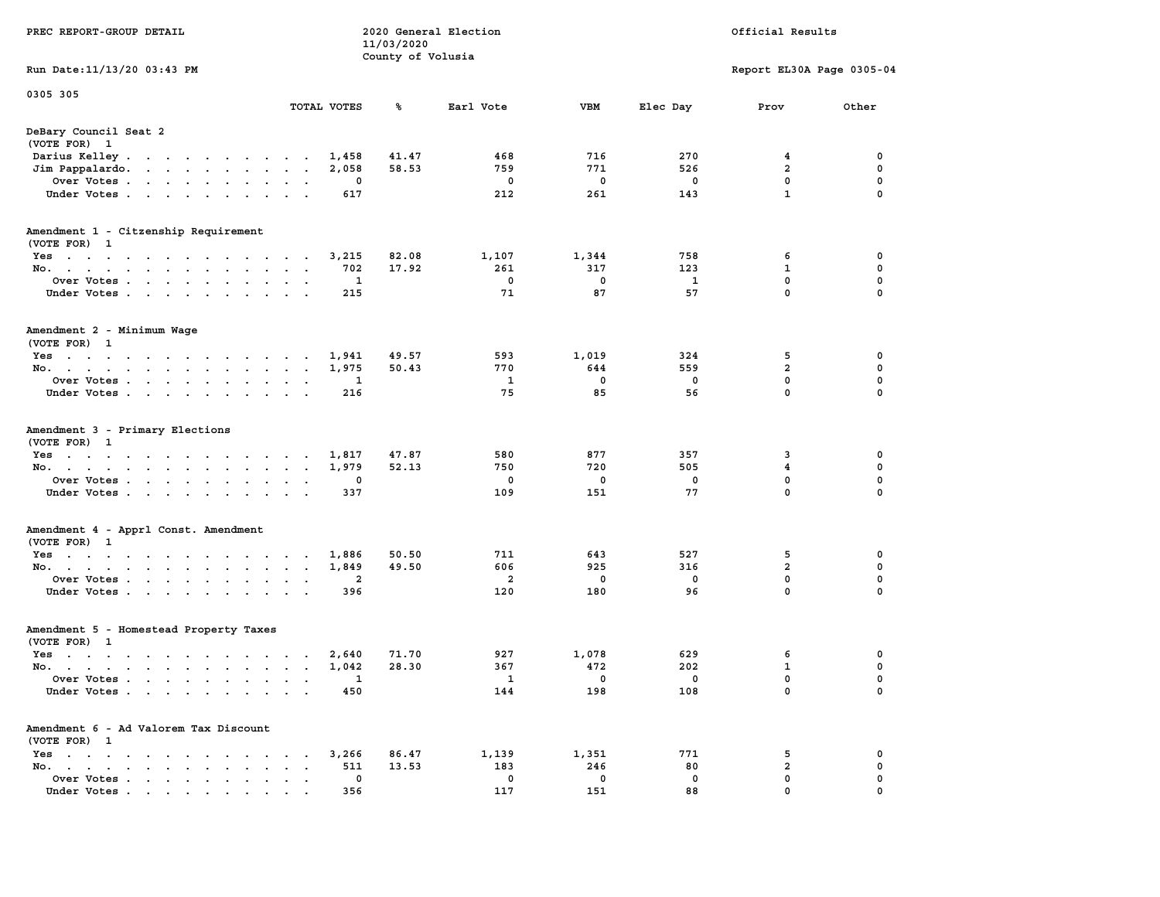| PREC REPORT-GROUP DETAIL                                                                                               |                                         | 11/03/2020        | 2020 General Election |             | Official Results |                              |                  |  |  |
|------------------------------------------------------------------------------------------------------------------------|-----------------------------------------|-------------------|-----------------------|-------------|------------------|------------------------------|------------------|--|--|
| Run Date: 11/13/20 03:43 PM                                                                                            |                                         | County of Volusia |                       |             |                  | Report EL30A Page 0305-04    |                  |  |  |
| 0305 305                                                                                                               |                                         |                   |                       |             |                  |                              |                  |  |  |
|                                                                                                                        | TOTAL VOTES                             | ℁                 | Earl Vote             | VBM         | Elec Day         | Prov                         | Other            |  |  |
| DeBary Council Seat 2<br>(VOTE FOR) 1                                                                                  |                                         |                   |                       |             |                  |                              |                  |  |  |
| Darius Kelley                                                                                                          | 1,458                                   | 41.47             | 468                   | 716         | 270              | 4                            | 0                |  |  |
| Jim Pappalardo.<br>the contract of the contract of the                                                                 | 2,058                                   | 58.53             | 759                   | 771         | 526              | $\overline{\mathbf{2}}$      | 0                |  |  |
| Over Votes                                                                                                             |                                         | 0                 | 0                     | 0<br>261    | 0                | 0<br>$\mathbf{1}$            | 0<br>$\Omega$    |  |  |
| Under Votes                                                                                                            | $\cdot$ $\cdot$                         | 617               | 212                   |             | 143              |                              |                  |  |  |
| Amendment 1 - Citzenship Requirement<br>(VOTE FOR) 1                                                                   |                                         |                   |                       |             |                  |                              |                  |  |  |
| Yes                                                                                                                    | 3,215                                   | 82.08             | 1,107                 | 1,344       | 758              | 6                            | 0                |  |  |
| No.                                                                                                                    | $\sim$ $\sim$                           | 702<br>17.92      | 261                   | 317         | 123              | 1                            | 0                |  |  |
| Over Votes                                                                                                             |                                         | $\mathbf{1}$      | $\mathbf 0$           | $\mathbf 0$ | 1                | 0                            | 0                |  |  |
| Under Votes                                                                                                            |                                         | 215               | 71                    | 87          | 57               | $\mathbf 0$                  | 0                |  |  |
| Amendment 2 - Minimum Wage<br>(VOTE FOR) 1                                                                             |                                         |                   |                       |             |                  |                              |                  |  |  |
| Yes<br>the contract of the contract of the contract of                                                                 |                                         | 1,941<br>49.57    | 593                   | 1,019       | 324              | 5                            | 0                |  |  |
| No.                                                                                                                    | 1,975<br>$\sim$<br>$\ddot{\phantom{a}}$ | 50.43             | 770                   | 644         | 559              | $\overline{\mathbf{2}}$      | 0                |  |  |
| Over Votes                                                                                                             | $\bullet$<br>$\bullet$                  | 1                 | 1                     | 0           | $^{\circ}$       | $\mathbf 0$                  | 0                |  |  |
| Under Votes                                                                                                            |                                         | 216               | 75                    | 85          | 56               | 0                            | 0                |  |  |
| Amendment 3 - Primary Elections<br>(VOTE FOR) 1                                                                        |                                         |                   |                       |             |                  |                              |                  |  |  |
| Yes                                                                                                                    | 1,817                                   | 47.87             | 580                   | 877         | 357              | 3                            | 0                |  |  |
| No.                                                                                                                    | 1,979<br>$\sim$ $\sim$ $\sim$           | 52.13             | 750                   | 720         | 505              | $\overline{\mathbf{4}}$      | 0                |  |  |
| Over Votes                                                                                                             |                                         | 0                 | 0<br>109              | 0<br>151    | 0<br>77          | 0<br>0                       | 0<br>$\Omega$    |  |  |
| Under Votes                                                                                                            |                                         | 337               |                       |             |                  |                              |                  |  |  |
| Amendment 4 - Apprl Const. Amendment<br>(VOTE FOR) 1                                                                   |                                         |                   |                       |             |                  |                              |                  |  |  |
| Yes                                                                                                                    | 1,886                                   | 50.50             | 711                   | 643         | 527              | 5                            | 0                |  |  |
| No.                                                                                                                    | 1,849<br>$\sim$ $\sim$                  | 49.50             | 606                   | 925         | 316              | $\overline{\mathbf{2}}$<br>0 | 0<br>$\mathbf 0$ |  |  |
| Over Votes<br>Under Votes                                                                                              | $\sim$ $\sim$                           | 2<br>396          | 2<br>120              | 0<br>180    | 0<br>96          | $\mathbf 0$                  | 0                |  |  |
| Amendment 5 - Homestead Property Taxes                                                                                 |                                         |                   |                       |             |                  |                              |                  |  |  |
| (VOTE FOR) 1                                                                                                           |                                         |                   |                       |             |                  |                              |                  |  |  |
| Yes<br>the contract of the contract of the contract of the contract of the contract of the contract of the contract of | 2,640                                   | 71.70             | 927                   | 1,078       | 629              | 6                            | 0                |  |  |
| No.                                                                                                                    | 1,042                                   | 28.30             | 367                   | 472         | 202              | $\mathbf{1}$                 | 0                |  |  |
| Over Votes                                                                                                             |                                         | 1                 | 1                     | 0           | 0                | 0                            | $\Omega$         |  |  |
| Under Votes.<br>the contract of the contract of the contract of the contract of the contract of                        |                                         | 450               | 144                   | 198         | 108              | 0                            | 0                |  |  |
| Amendment 6 - Ad Valorem Tax Discount<br>(VOTE FOR) 1                                                                  |                                         |                   |                       |             |                  |                              |                  |  |  |
| $Yes \t . \t . \t .$<br>$\sim$ $\sim$ $\sim$<br>$\sim$<br>$\cdot$ $\cdot$<br>$\cdot$                                   |                                         | 86.47<br>3,266    | 1,139                 | 1,351       | 771              | 5                            | 0                |  |  |
| No.<br>$\mathbf{r}$ , $\mathbf{r}$ , $\mathbf{r}$<br>$\sim$<br>$\sim$<br>$\bullet$<br>$\overline{a}$                   | $\cdot$                                 | 511<br>13.53      | 183                   | 246         | 80               | $\overline{\mathbf{2}}$      | 0                |  |  |
| Over Votes.<br>$\mathbf{r}$ , $\mathbf{r}$ , $\mathbf{r}$ , $\mathbf{r}$                                               |                                         | 0                 | 0                     | 0           | 0                | 0                            | 0                |  |  |
| Under Votes                                                                                                            |                                         | 356               | 117                   | 151         | 88               | 0                            | 0                |  |  |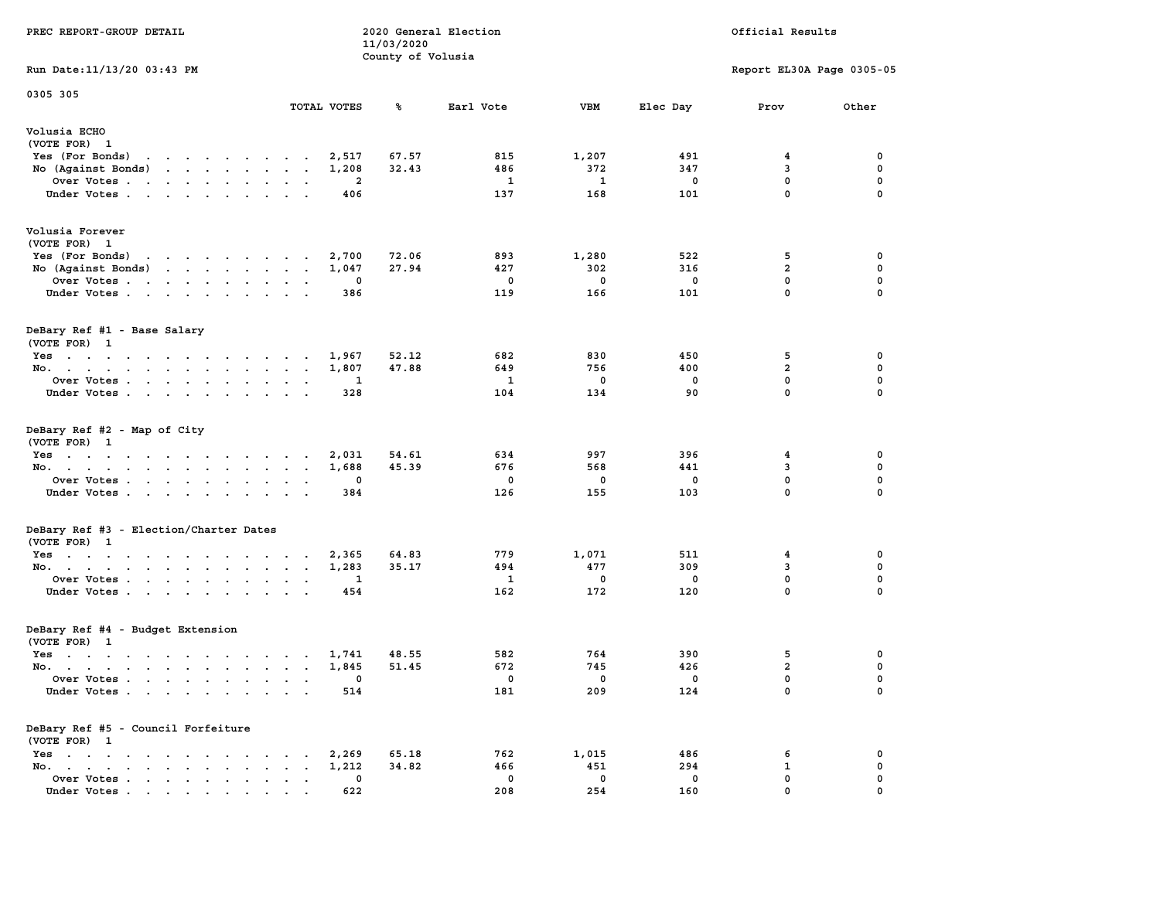| PREC REPORT-GROUP DETAIL                            |                               | 2020 General Election<br>11/03/2020<br>County of Volusia |                          |                         |                          |                           | Official Results |
|-----------------------------------------------------|-------------------------------|----------------------------------------------------------|--------------------------|-------------------------|--------------------------|---------------------------|------------------|
| Run Date: 11/13/20 03:43 PM                         |                               |                                                          |                          |                         |                          | Report EL30A Page 0305-05 |                  |
| 0305 305                                            |                               |                                                          |                          |                         |                          |                           |                  |
|                                                     | TOTAL VOTES                   | %                                                        | Earl Vote                | <b>VBM</b>              | Elec Day                 | Prov                      | Other            |
| Volusia ECHO<br>(VOTE FOR) 1                        |                               |                                                          |                          |                         |                          |                           |                  |
| Yes (For Bonds) $\cdots$ $\cdots$ $\cdots$ $\cdots$ | 2,517                         | 67.57                                                    | 815                      | 1,207                   | 491                      | 4                         | 0                |
| No (Against Bonds)                                  | 1,208                         | 32.43                                                    | 486                      | 372                     | 347                      | 3                         | 0                |
| Over Votes                                          | 2                             |                                                          | -1                       | 1                       | 0                        | 0                         | 0                |
| Under Votes                                         | 406                           |                                                          | 137                      | 168                     | 101                      | $\mathbf{0}$              | 0                |
| Volusia Forever                                     |                               |                                                          |                          |                         |                          |                           |                  |
| (VOTE FOR) 1                                        |                               |                                                          |                          |                         |                          |                           |                  |
| Yes (For Bonds) $\cdots$ $\cdots$ $\cdots$ $\cdots$ | 2,700                         | 72.06                                                    | 893                      | 1,280                   | 522                      | 5                         | 0                |
| No (Against Bonds)                                  | 1,047                         | 27.94                                                    | 427                      | 302                     | 316                      | $\overline{a}$            | 0                |
| Over Votes                                          | $\mathbf 0$                   |                                                          | 0                        | $\mathbf{0}$            | 0                        | $\mathbf{0}$              | 0                |
| Under Votes                                         | 386                           |                                                          | 119                      | 166                     | 101                      | $\mathbf{0}$              | $\mathbf{0}$     |
| DeBary Ref #1 - Base Salary<br>(VOTE FOR) 1         |                               |                                                          |                          |                         |                          |                           |                  |
| Yes                                                 | 1,967                         | 52.12                                                    | 682                      | 830                     | 450                      | 5                         | 0                |
| No.                                                 | 1,807                         | 47.88                                                    | 649                      | 756                     | 400                      | $\overline{a}$            | 0                |
| Over Votes                                          | 1                             |                                                          | $\mathbf{1}$             | 0                       | $\mathbf 0$              | 0                         | 0                |
| Under Votes                                         | 328                           |                                                          | 104                      | 134                     | 90                       | 0                         | $\mathbf 0$      |
| DeBary Ref #2 - Map of City<br>(VOTE FOR) 1<br>Yes  | 2,031                         | 54.61                                                    | 634                      | 997                     | 396                      | 4                         | 0                |
| No.                                                 | 1,688                         | 45.39                                                    | 676                      | 568                     | 441                      | 3                         | 0                |
| Over Votes                                          | 0                             |                                                          | 0                        | 0                       | 0                        | 0                         | 0                |
| Under Votes                                         | 384                           |                                                          | 126                      | 155                     | 103                      | $\mathbf{0}$              | 0                |
| DeBary Ref #3 - Election/Charter Dates              |                               |                                                          |                          |                         |                          |                           |                  |
| (VOTE FOR) 1                                        |                               |                                                          |                          |                         |                          |                           |                  |
| Yes                                                 | 2,365                         | 64.83                                                    | 779                      | 1,071                   | 511                      | 4                         | 0                |
| No.                                                 | 1,283                         | 35.17                                                    | 494                      | 477                     | 309                      | 3                         | 0                |
| Over Votes                                          | 1                             |                                                          | 1                        | $^{\circ}$              | 0                        | 0                         | 0                |
| Under Votes                                         | 454                           |                                                          | 162                      | 172                     | 120                      | $\mathbf{0}$              | 0                |
| DeBary Ref #4 - Budget Extension<br>(VOTE FOR) 1    |                               |                                                          |                          |                         |                          |                           |                  |
| Yes 1,741                                           |                               | 48.55                                                    | 582                      | 764                     | 390                      | 5                         | 0                |
| No. 1,845                                           |                               | 51.45                                                    | 672                      | 745                     | 426                      | $\overline{a}$            | $\mathbf 0$      |
| Over Votes                                          |                               |                                                          | $\overline{\phantom{0}}$ | $\overline{\mathbf{0}}$ | $\overline{\phantom{0}}$ | $\Omega$                  | 0                |
| Under Votes                                         | 514                           |                                                          | 181                      | 209                     | 124                      | $\mathbf 0$               | 0                |
| DeBary Ref #5 - Council Forfeiture                  |                               |                                                          |                          |                         |                          |                           |                  |
| (VOTE FOR) 1                                        |                               |                                                          |                          |                         |                          |                           |                  |
| Yes                                                 | 2,269                         | 65.18                                                    | 762                      | 1,015                   | 486                      | 6                         | 0                |
| No.                                                 | 1,212<br>$\ddot{\phantom{a}}$ | 34.82                                                    | 466                      | 451                     | 294                      | $\mathbf{1}$              | 0                |
| Over Votes                                          | 0                             |                                                          | 0                        | $\mathbf 0$             | 0                        | 0                         | 0                |
| Under Votes.                                        | 622                           |                                                          | 208                      | 254                     | 160                      |                           |                  |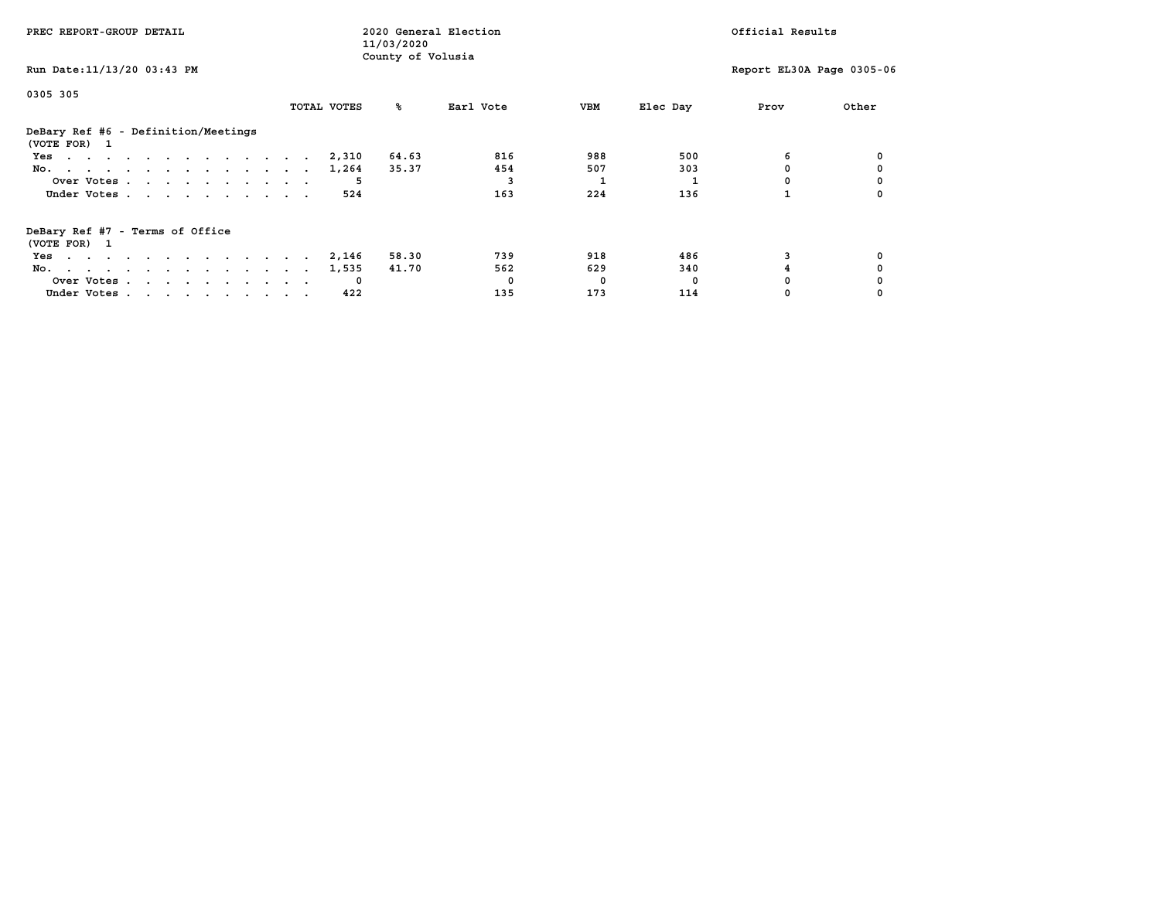| PREC REPORT-GROUP DETAIL                            |             | 2020 General Election<br>11/03/2020 |           | Official Results |          |                           |       |
|-----------------------------------------------------|-------------|-------------------------------------|-----------|------------------|----------|---------------------------|-------|
| Run Date: 11/13/20 03:43 PM                         |             | County of Volusia                   |           |                  |          | Report EL30A Page 0305-06 |       |
| 0305 305                                            | TOTAL VOTES | ‱                                   | Earl Vote | VBM              | Elec Day | Prov                      | Other |
|                                                     |             |                                     |           |                  |          |                           |       |
| DeBary Ref #6 - Definition/Meetings<br>(VOTE FOR) 1 |             |                                     |           |                  |          |                           |       |
| Yes                                                 | 2,310       | 64.63                               | 816       | 988              | 500      | 6                         |       |
| No.                                                 | 1,264       | 35.37                               | 454       | 507              | 303      |                           |       |
| Over Votes                                          |             |                                     |           |                  |          |                           |       |
| Under Votes                                         | 524         |                                     | 163       | 224              | 136      |                           |       |
| DeBary Ref #7 - Terms of Office<br>(VOTE FOR) 1     |             |                                     |           |                  |          |                           |       |
| Yes                                                 | 2,146       | 58.30                               | 739       | 918              | 486      |                           |       |
| No.                                                 | 1,535       | 41.70                               | 562       | 629              | 340      |                           |       |
| Over Votes                                          |             |                                     | $\Omega$  | 0                | 0        |                           |       |
| Under Votes                                         | 422         |                                     | 135       | 173              | 114      |                           |       |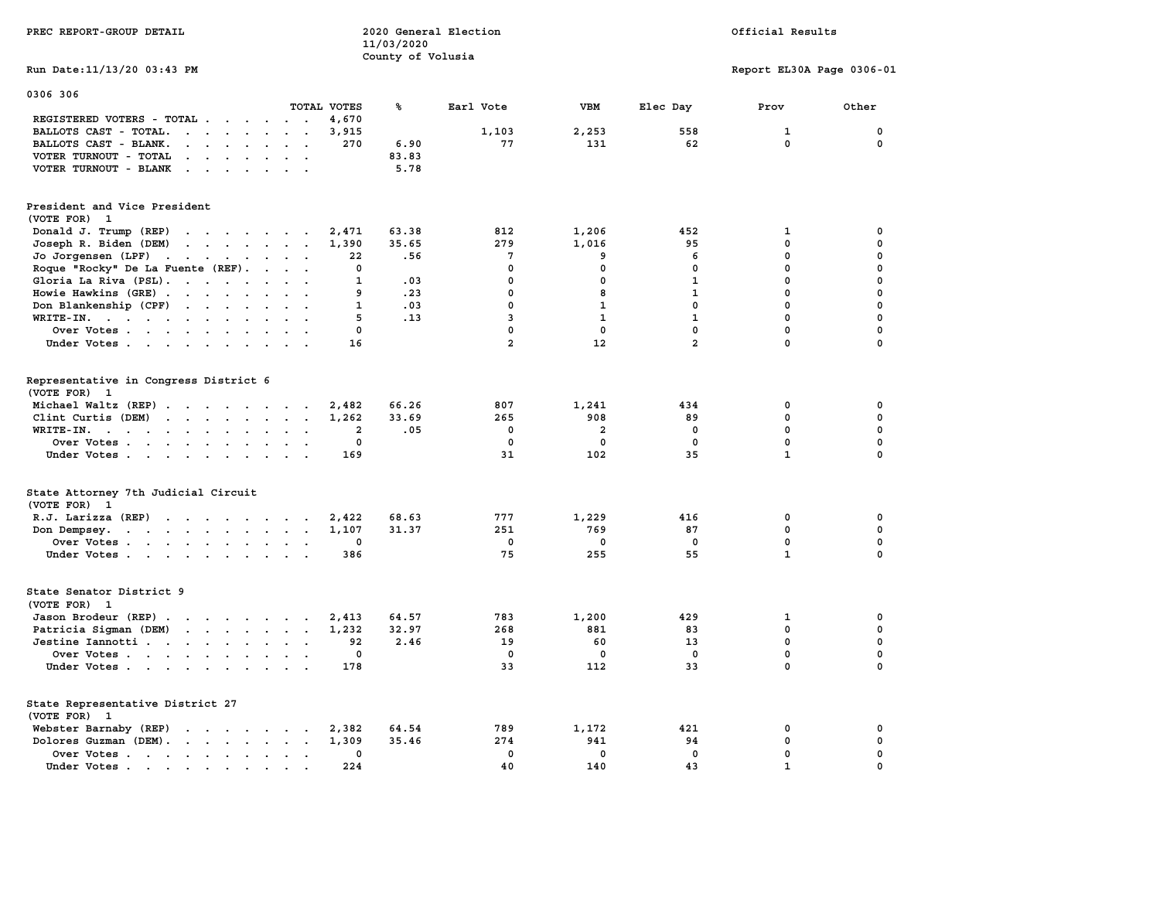| PREC REPORT-GROUP DETAIL                                                                                                                                                                                                                                   |                                          | 11/03/2020<br>County of Volusia | 2020 General Election |                |                | Official Results          |             |
|------------------------------------------------------------------------------------------------------------------------------------------------------------------------------------------------------------------------------------------------------------|------------------------------------------|---------------------------------|-----------------------|----------------|----------------|---------------------------|-------------|
| Run Date: 11/13/20 03:43 PM                                                                                                                                                                                                                                |                                          |                                 |                       |                |                | Report EL30A Page 0306-01 |             |
| 0306 306                                                                                                                                                                                                                                                   | TOTAL VOTES                              | ℁                               | Earl Vote             | <b>VBM</b>     | Elec Day       | Prov                      | Other       |
| REGISTERED VOTERS - TOTAL .                                                                                                                                                                                                                                | 4,670<br>$\sim$ $\sim$                   |                                 |                       |                |                |                           |             |
| BALLOTS CAST - TOTAL.<br>$\cdot$ $\cdot$ $\cdot$ $\cdot$ $\cdot$                                                                                                                                                                                           | 3,915                                    |                                 | 1,103                 | 2,253          | 558            | $\mathbf{1}$              | $\mathbf 0$ |
| BALLOTS CAST - BLANK.<br>$\ddot{\phantom{a}}$                                                                                                                                                                                                              | 270<br>$\sim$                            | 6.90                            | 77                    | 131            | 62             | $\mathbf 0$               | 0           |
| VOTER TURNOUT - TOTAL<br>$\sim$ $\sim$ $\sim$<br>$\sim$ $\sim$                                                                                                                                                                                             |                                          | 83.83                           |                       |                |                |                           |             |
| VOTER TURNOUT - BLANK<br>$\mathbf{r}$ . The contract of the contract of the contract of the contract of the contract of the contract of the contract of the contract of the contract of the contract of the contract of the contract of the contract of th |                                          | 5.78                            |                       |                |                |                           |             |
| President and Vice President<br>(VOTE FOR) 1                                                                                                                                                                                                               |                                          |                                 |                       |                |                |                           |             |
| Donald J. Trump (REP)<br>the contract of the contract of the                                                                                                                                                                                               | 2,471                                    | 63.38                           | 812                   | 1,206          | 452            | 1                         | 0           |
| Joseph R. Biden (DEM)<br>$\cdots$                                                                                                                                                                                                                          | 1,390                                    | 35.65                           | 279                   | 1,016          | 95             | $\mathbf 0$               | $\mathbf 0$ |
| Jo Jorgensen (LPF)                                                                                                                                                                                                                                         | 22                                       | .56                             | $7\phantom{.0}$       | 9              | 6              | $\mathbf 0$               | $\mathbf 0$ |
| Roque "Rocky" De La Fuente (REF).<br>$\sim 10^{-11}$                                                                                                                                                                                                       | $\mathbf 0$<br>$\ddot{\phantom{0}}$      |                                 | $\mathbf{0}$          | $\mathbf 0$    | $\mathbf{0}$   | 0                         | $\mathbf 0$ |
| Gloria La Riva (PSL).                                                                                                                                                                                                                                      | $\mathbf{1}$<br><b>Service</b>           | .03                             | $\mathbf 0$           | 0              | $\mathbf{1}$   | 0                         | $\mathbf 0$ |
| Howie Hawkins (GRE)                                                                                                                                                                                                                                        | 9<br>$\mathbf{r}$                        | .23                             | $\mathbf 0$           | 8              | 1              | $\mathbf{0}$              | 0           |
| Don Blankenship (CPF)                                                                                                                                                                                                                                      | $\mathbf{1}$                             | .03                             | $\mathbf{0}$          | $\mathbf{1}$   | $\mathbf{0}$   | $\mathbf 0$               | $\mathbf 0$ |
| WRITE-IN.                                                                                                                                                                                                                                                  | 5<br>$\sim$                              | .13                             | $\overline{3}$        | $\mathbf{1}$   | $\mathbf{1}$   | $\mathbf{0}$              | $\mathbf 0$ |
| Over Votes                                                                                                                                                                                                                                                 | $\mathbf 0$                              |                                 | $\mathbf 0$           | $\mathbf 0$    | $\mathbf 0$    | 0                         | $\mathbf 0$ |
| Under Votes                                                                                                                                                                                                                                                | 16                                       |                                 | $\overline{2}$        | 12             | $\overline{2}$ | $\mathbf 0$               | $\mathbf 0$ |
|                                                                                                                                                                                                                                                            |                                          |                                 |                       |                |                |                           |             |
| Representative in Congress District 6<br>(VOTE FOR) 1                                                                                                                                                                                                      |                                          |                                 |                       |                |                |                           |             |
| Michael Waltz (REP)                                                                                                                                                                                                                                        | 2,482                                    | 66.26                           | 807                   | 1,241          | 434            | 0                         | 0           |
| Clint Curtis (DEM)<br>$\cdots$                                                                                                                                                                                                                             | 1,262                                    | 33.69                           | 265                   | 908            | 89             | 0                         | 0           |
| WRITE-IN.<br>$\mathbf{r}$ , $\mathbf{r}$ , $\mathbf{r}$ , $\mathbf{r}$ , $\mathbf{r}$ , $\mathbf{r}$<br>$\sim$ $\sim$                                                                                                                                      | $\overline{\mathbf{2}}$<br>$\sim$ $\sim$ | .05                             | $\mathbf 0$           | $\overline{a}$ | 0              | 0                         | $\mathbf 0$ |
| Over Votes<br>$\sim$                                                                                                                                                                                                                                       | $\mathbf 0$                              |                                 | $\mathbf 0$           | $\mathbf 0$    | $\mathbf 0$    | 0                         | 0           |
| Under Votes                                                                                                                                                                                                                                                | 169<br>$\cdot$ $\cdot$                   |                                 | 31                    | 102            | 35             | $\mathbf{1}$              | $\mathbf 0$ |
| State Attorney 7th Judicial Circuit<br>(VOTE FOR) 1                                                                                                                                                                                                        |                                          |                                 |                       |                |                |                           |             |
| R.J. Larizza (REP)                                                                                                                                                                                                                                         | 2,422                                    | 68.63                           | 777                   | 1,229          | 416            | 0                         | 0           |
| Don Dempsey.<br>the contract of the contract of the contract of the contract of the contract of the contract of the contract of                                                                                                                            | 1,107<br>$\sim$ $\sim$                   | 31.37                           | 251                   | 769            | 87             | 0                         | 0           |
| Over Votes<br>$\sim$                                                                                                                                                                                                                                       | 0                                        |                                 | $\mathbf 0$           | 0              | 0              | $\mathbf 0$               | $\mathbf 0$ |
| Under Votes                                                                                                                                                                                                                                                | 386                                      |                                 | 75                    | 255            | 55             | $\mathbf{1}$              | $\mathbf 0$ |
| State Senator District 9<br>(VOTE FOR) 1                                                                                                                                                                                                                   |                                          |                                 |                       |                |                |                           |             |
| Jason Brodeur (REP)                                                                                                                                                                                                                                        | 2,413<br>$\ddot{\phantom{0}}$            | 64.57                           | 783                   | 1,200          | 429            | $\mathbf 1$               | $\mathbf 0$ |
| Patricia Sigman (DEM)                                                                                                                                                                                                                                      | 1,232                                    | 32.97                           | 268                   | 881            | 83             | 0                         | $\mathbf 0$ |
| Jestine Iannotti                                                                                                                                                                                                                                           | 92                                       | 2.46                            | 19                    | 60             | 13             | 0                         | $\mathbf 0$ |
| Over Votes                                                                                                                                                                                                                                                 | 0<br>$\cdot$ .                           |                                 | $\Omega$              | $\Omega$       | 0              | 0                         | $\mathbf 0$ |
| Under Votes                                                                                                                                                                                                                                                | 178<br>$\cdot$ .                         |                                 | 33                    | 112            | 33             | $\mathbf 0$               | $\mathbf 0$ |
| State Representative District 27<br>(VOTE FOR) 1                                                                                                                                                                                                           |                                          |                                 |                       |                |                |                           |             |
| Webster Barnaby (REP)                                                                                                                                                                                                                                      | 2,382                                    | 64.54                           | 789                   | 1,172          | 421            | 0                         | 0           |
| Dolores Guzman (DEM).                                                                                                                                                                                                                                      | 1,309                                    | 35.46                           | 274                   | 941            | 94             | $\mathbf 0$               | $\mathbf 0$ |
| Over Votes                                                                                                                                                                                                                                                 | 0<br>$\sim$<br>$\ddot{\phantom{a}}$      |                                 | $\mathbf 0$           | $\mathbf 0$    | $\mathbf 0$    | 0                         | $\mathbf 0$ |
| Under Votes                                                                                                                                                                                                                                                | 224<br>$\sim$<br>$\sim$                  |                                 | 40                    | 140            | 43             | $\mathbf{1}$              | $\mathbf 0$ |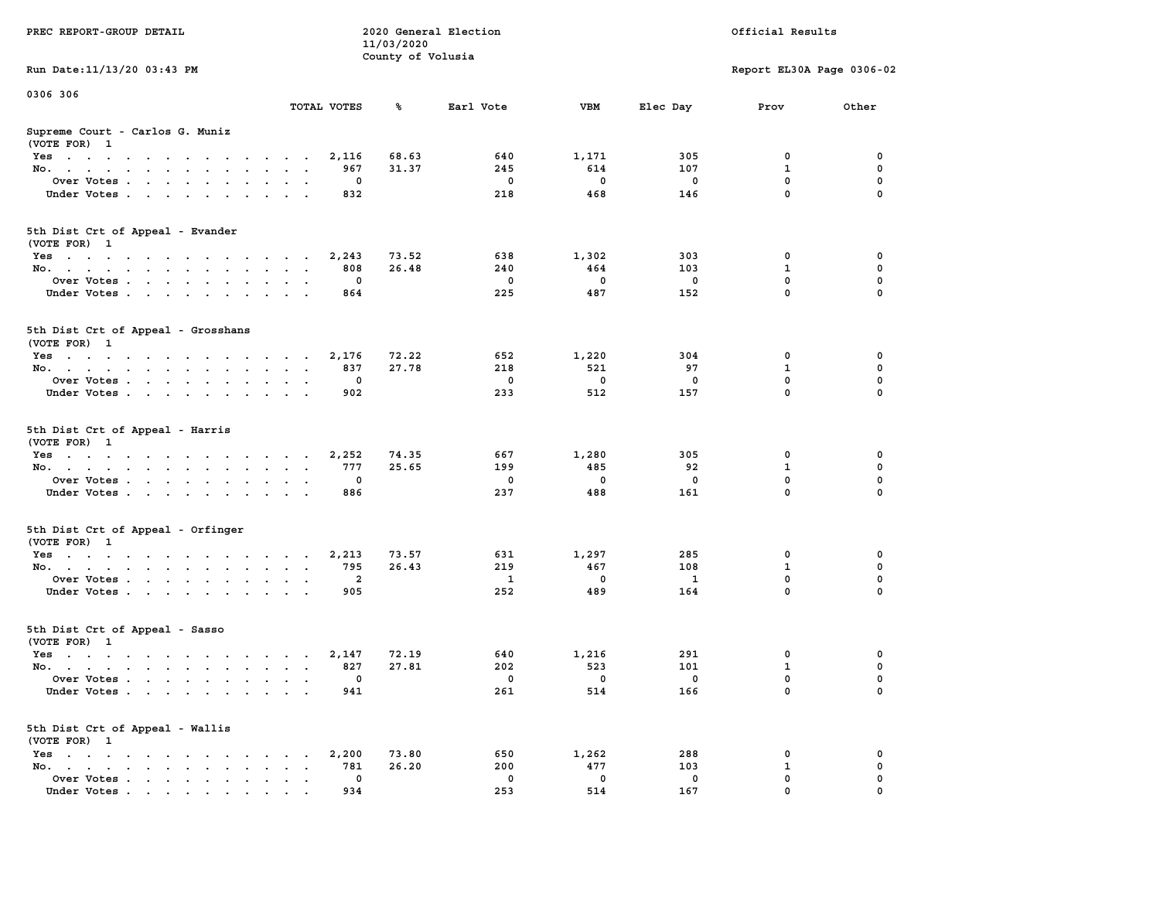| PREC REPORT-GROUP DETAIL                           |                      |              | 11/03/2020        | 2020 General Election           | Official Results        |                         |                           |             |
|----------------------------------------------------|----------------------|--------------|-------------------|---------------------------------|-------------------------|-------------------------|---------------------------|-------------|
| Run Date: 11/13/20 03:43 PM                        |                      |              | County of Volusia |                                 |                         |                         | Report EL30A Page 0306-02 |             |
| 0306 306                                           |                      |              |                   |                                 |                         |                         |                           |             |
|                                                    |                      | TOTAL VOTES  | ℁                 | Earl Vote                       | VBM                     | Elec Day                | Prov                      | Other       |
| Supreme Court - Carlos G. Muniz<br>(VOTE FOR) 1    |                      |              |                   |                                 |                         |                         |                           |             |
| Yes                                                |                      | 2,116        | 68.63             | 640                             | 1,171                   | 305                     | 0                         | 0           |
| No.                                                |                      | 967          | 31.37             | 245                             | 614                     | 107                     | $\mathbf{1}$              | 0           |
| Over Votes                                         |                      | 0            |                   | $\overline{\phantom{0}}$        | $\mathbf 0$             | $\mathbf 0$             | $\mathbf 0$               | 0           |
| Under Votes                                        |                      | 832          |                   | 218                             | 468                     | 146                     | $\mathbf{0}$              | $\mathbf 0$ |
| 5th Dist Crt of Appeal - Evander                   |                      |              |                   |                                 |                         |                         |                           |             |
| (VOTE FOR) 1                                       |                      |              |                   | 638                             |                         |                         |                           | 0           |
| Yes<br>No.                                         |                      | 2,243<br>808 | 73.52<br>26.48    | 240                             | 1,302<br>464            | 303<br>103              | 0<br>$\mathbf{1}$         | 0           |
| Over Votes                                         |                      | 0            |                   | 0                               | $\overline{\mathbf{0}}$ | $\mathbf 0$             | $\mathbf 0$               | 0           |
| Under Votes                                        |                      | 864          |                   | 225                             | 487                     | 152                     | 0                         | $\mathbf 0$ |
|                                                    |                      |              |                   |                                 |                         |                         |                           |             |
| 5th Dist Crt of Appeal - Grosshans<br>(VOTE FOR) 1 |                      |              |                   |                                 |                         |                         |                           |             |
| Yes                                                |                      | 2,176        | 72.22             | 652                             | 1,220                   | 304                     | 0                         | 0           |
| No.                                                |                      | 837          | 27.78             | 218                             | 521                     | 97                      | $\mathbf{1}$              | 0           |
| Over Votes                                         |                      | 0            |                   | $\overline{\phantom{0}}$        | $\overline{\mathbf{0}}$ | $\mathbf 0$             | $\mathbf{0}$              | 0           |
| Under Votes                                        |                      | 902          |                   | 233                             | 512                     | 157                     | $\mathbf{0}$              | $\mathbf 0$ |
| 5th Dist Crt of Appeal - Harris<br>(VOTE FOR) 1    |                      |              |                   |                                 |                         |                         |                           |             |
| Yes                                                |                      | 2,252        | 74.35             | 667                             | 1,280                   | 305                     | 0<br>$\mathbf{1}$         | 0           |
| No.                                                |                      | 777<br>0     | 25.65             | 199<br>$\overline{\phantom{0}}$ | 485<br>$\mathbf 0$      | 92<br>$\mathbf 0$       | $\mathbf 0$               | 0<br>0      |
| Over Votes                                         |                      | 886          |                   | 237                             | 488                     | 161                     | $\mathbf{0}$              | $\mathbf 0$ |
| Under Votes                                        |                      |              |                   |                                 |                         |                         |                           |             |
| 5th Dist Crt of Appeal - Orfinger<br>(VOTE FOR) 1  |                      |              |                   |                                 |                         |                         |                           |             |
| Yes                                                |                      | 2,213        | 73.57             | 631                             | 1,297                   | 285                     | 0                         | 0           |
| No.                                                |                      | 795          | 26.43             | 219                             | 467                     | 108                     | $\mathbf{1}$              | 0           |
| Over Votes                                         |                      | 2            |                   | $\mathbf{1}$                    | $\mathbf{0}$            | $\mathbf{1}$            | $\mathbf 0$               | 0           |
| Under Votes                                        |                      | 905          |                   | 252                             | 489                     | 164                     | $\mathbf{0}$              | $\mathbf 0$ |
| 5th Dist Crt of Appeal - Sasso<br>(VOTE FOR) 1     |                      |              |                   |                                 |                         |                         |                           |             |
| Yes                                                |                      | 2,147        | 72.19             | 640                             | 1,216                   | 291                     | 0                         | 0           |
| No.                                                |                      | 827          | 27.81             | 202                             | 523                     | 101                     | $\mathbf{1}$              | 0           |
| Over Votes                                         |                      | $\mathbf 0$  |                   | $\overline{\phantom{0}}$        | $\overline{\mathbf{0}}$ | $\overline{\mathbf{0}}$ | $\mathbf 0$               | 0           |
| Under Votes                                        |                      | 941          |                   | 261                             | 514                     | 166                     | 0                         | $\mathbf 0$ |
| 5th Dist Crt of Appeal - Wallis<br>(VOTE FOR) 1    |                      |              |                   |                                 |                         |                         |                           |             |
| Yes                                                |                      | 2,200        | 73.80             | 650                             | 1,262                   | 288                     | 0                         | 0           |
| No.                                                | $\ddot{\phantom{0}}$ | 781          | 26.20             | 200                             | 477                     | 103                     | 1                         | 0           |
| Over Votes                                         |                      | 0            |                   | $\overline{\mathbf{0}}$         | $\mathbf 0$             | $\mathbf 0$             | 0                         | 0           |
| Under Votes                                        |                      | 934          |                   | 253                             | 514                     | 167                     | $\Omega$                  | $\Omega$    |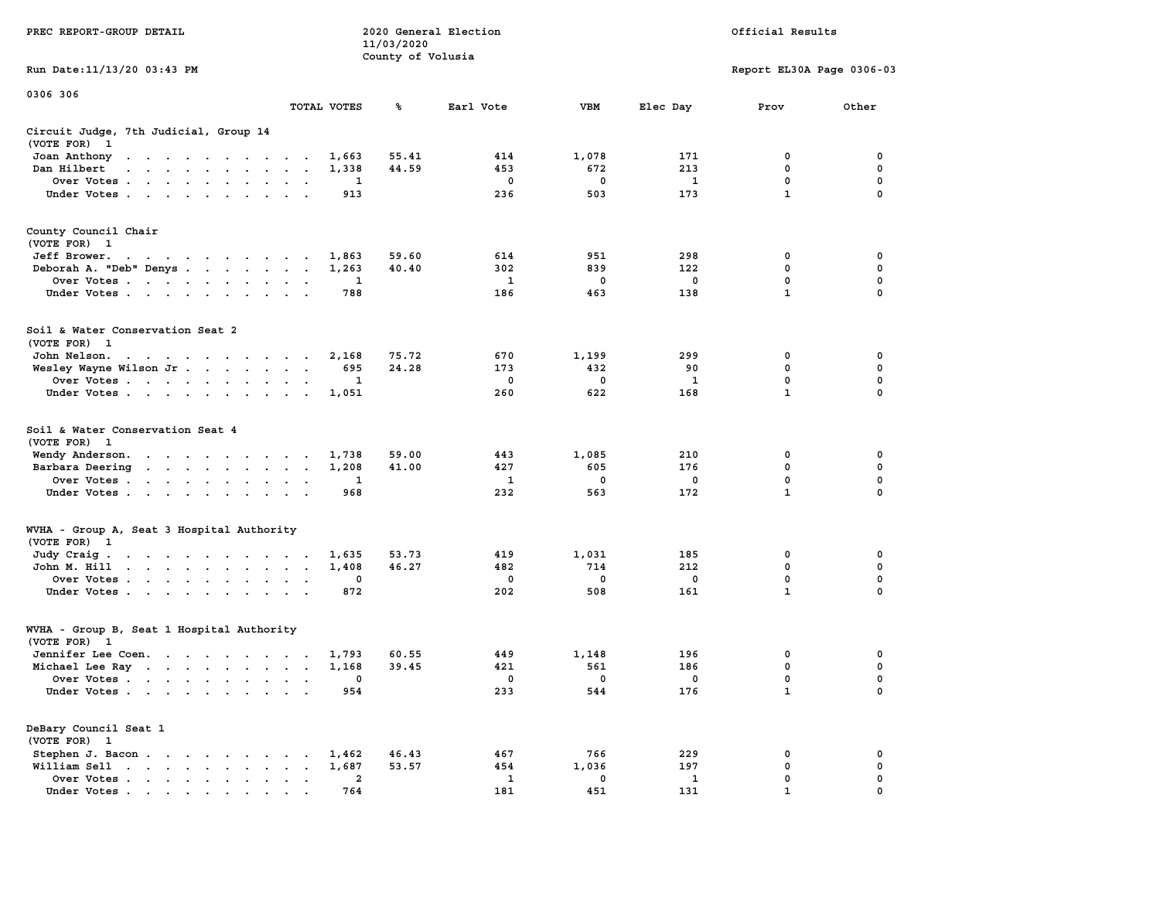| PREC REPORT-GROUP DETAIL                                                                                                                                                                                                                           |                | 11/03/2020<br>County of Volusia | 2020 General Election |                    | Official Results    |                           |                  |  |
|----------------------------------------------------------------------------------------------------------------------------------------------------------------------------------------------------------------------------------------------------|----------------|---------------------------------|-----------------------|--------------------|---------------------|---------------------------|------------------|--|
| Run Date: 11/13/20 03:43 PM                                                                                                                                                                                                                        |                |                                 |                       |                    |                     | Report EL30A Page 0306-03 |                  |  |
| 0306 306                                                                                                                                                                                                                                           |                |                                 |                       |                    |                     |                           |                  |  |
|                                                                                                                                                                                                                                                    | TOTAL VOTES    | ℁                               | Earl Vote             | VBM                | Elec Day            | Prov                      | Other            |  |
| Circuit Judge, 7th Judicial, Group 14<br>(VOTE FOR) 1                                                                                                                                                                                              |                |                                 |                       |                    |                     |                           |                  |  |
| Joan Anthony                                                                                                                                                                                                                                       | 1,663          | 55.41                           | 414                   | 1,078              | 171                 | 0                         | 0                |  |
| Dan Hilbert<br>the contract of the contract of the con-                                                                                                                                                                                            | 1,338          | 44.59                           | 453                   | 672                | 213                 | $\mathbf 0$               | 0                |  |
| Over Votes                                                                                                                                                                                                                                         |                | 1                               | $\mathbf 0$<br>236    | 0<br>503           | $\mathbf{1}$<br>173 | 0<br>$\mathbf{1}$         | 0<br>$\Omega$    |  |
| Under Votes                                                                                                                                                                                                                                        | 913            |                                 |                       |                    |                     |                           |                  |  |
| County Council Chair<br>(VOTE FOR) 1                                                                                                                                                                                                               |                |                                 |                       |                    |                     |                           |                  |  |
| Jeff Brower.                                                                                                                                                                                                                                       | 1,863          | 59.60                           | 614                   | 951                | 298                 | 0                         | 0                |  |
| Deborah A. "Deb" Denys                                                                                                                                                                                                                             | 1,263          | 40.40                           | 302                   | 839                | 122                 | 0                         | 0                |  |
| Over Votes                                                                                                                                                                                                                                         |                | 1                               | <b>1</b>              | $\mathbf 0$        | 0                   | 0                         | $\mathbf 0$      |  |
| Under Votes                                                                                                                                                                                                                                        | 788            |                                 | 186                   | 463                | 138                 | $\mathbf{1}$              | 0                |  |
| Soil & Water Conservation Seat 2<br>(VOTE FOR) 1                                                                                                                                                                                                   |                |                                 |                       |                    |                     |                           |                  |  |
| John Nelson.                                                                                                                                                                                                                                       | 2,168          | 75.72                           | 670                   | 1,199              | 299                 | 0                         | 0                |  |
| Wesley Wayne Wilson Jr.                                                                                                                                                                                                                            | 695            | 24.28                           | 173                   | 432                | 90                  | 0                         | 0                |  |
| Over Votes                                                                                                                                                                                                                                         |                | 1                               | 0                     | 0                  | 1                   | $\mathbf 0$               | 0                |  |
| Under Votes                                                                                                                                                                                                                                        | 1,051          |                                 | 260                   | 622                | 168                 | $\mathbf{1}$              | $\Omega$         |  |
| Soil & Water Conservation Seat 4<br>(VOTE FOR) 1                                                                                                                                                                                                   |                |                                 |                       |                    |                     |                           |                  |  |
| Wendy Anderson.                                                                                                                                                                                                                                    | 1,738<br>1,208 | 59.00<br>41.00                  | 443<br>427            | 1,085<br>605       | 210<br>176          | 0<br>$\mathbf 0$          | 0<br>$\mathbf 0$ |  |
| Barbara Deering<br>Over Votes                                                                                                                                                                                                                      |                | 1                               | 1                     | 0                  | 0                   | 0                         | 0                |  |
| Under Votes                                                                                                                                                                                                                                        | 968            |                                 | 232                   | 563                | 172                 | $\mathbf{1}$              | $\Omega$         |  |
| WVHA - Group A, Seat 3 Hospital Authority                                                                                                                                                                                                          |                |                                 |                       |                    |                     |                           |                  |  |
| (VOTE FOR) 1                                                                                                                                                                                                                                       |                |                                 |                       |                    |                     |                           |                  |  |
| Judy Craig.                                                                                                                                                                                                                                        | 1,635          | 53.73                           | 419                   | 1,031              | 185                 | 0                         | 0                |  |
| John M. Hill<br>Over Votes                                                                                                                                                                                                                         | 1,408          | 46.27<br>0                      | 482<br>$\mathbf 0$    | 714<br>$\mathbf 0$ | 212<br>0            | 0<br>0                    | 0<br>$\mathbf 0$ |  |
| Under Votes                                                                                                                                                                                                                                        | 872            |                                 | 202                   | 508                | 161                 | $\mathbf{1}$              | 0                |  |
| WVHA - Group B, Seat 1 Hospital Authority<br>(VOTE FOR) 1                                                                                                                                                                                          |                |                                 |                       |                    |                     |                           |                  |  |
| Jennifer Lee Coen.                                                                                                                                                                                                                                 | 1,793          | 60.55                           | 449                   | 1,148              | 196                 | 0                         | 0                |  |
| Michael Lee Ray                                                                                                                                                                                                                                    | 1,168          | 39.45                           | 421                   | 561                | 186                 | 0                         | 0                |  |
| Over Votes                                                                                                                                                                                                                                         |                | 0                               | 0                     | 0                  | 0                   | 0                         | 0                |  |
| Under Votes .<br>$\mathbf{r}$ . The set of the set of the set of the set of the set of the set of the set of the set of the set of the set of the set of the set of the set of the set of the set of the set of the set of the set of the set of t | 954            |                                 | 233                   | 544                | 176                 | $\mathbf 1$               | 0                |  |
| DeBary Council Seat 1<br>(VOTE FOR) 1                                                                                                                                                                                                              |                |                                 |                       |                    |                     |                           |                  |  |
| Stephen J. Bacon                                                                                                                                                                                                                                   | 1,462          | 46.43                           | 467                   | 766                | 229                 | 0                         | 0                |  |
| William Sell                                                                                                                                                                                                                                       | 1,687          | 53.57                           | 454                   | 1,036              | 197                 | 0                         | 0                |  |
| $\cdot$ $\cdot$ $\cdot$ $\cdot$ $\cdot$ $\cdot$ $\cdot$<br>Over Votes .<br>Under Votes.                                                                                                                                                            | 764            | $\mathbf{2}$                    | $\mathbf{1}$<br>181   | 0<br>451           | 1<br>131            | 0                         | 0                |  |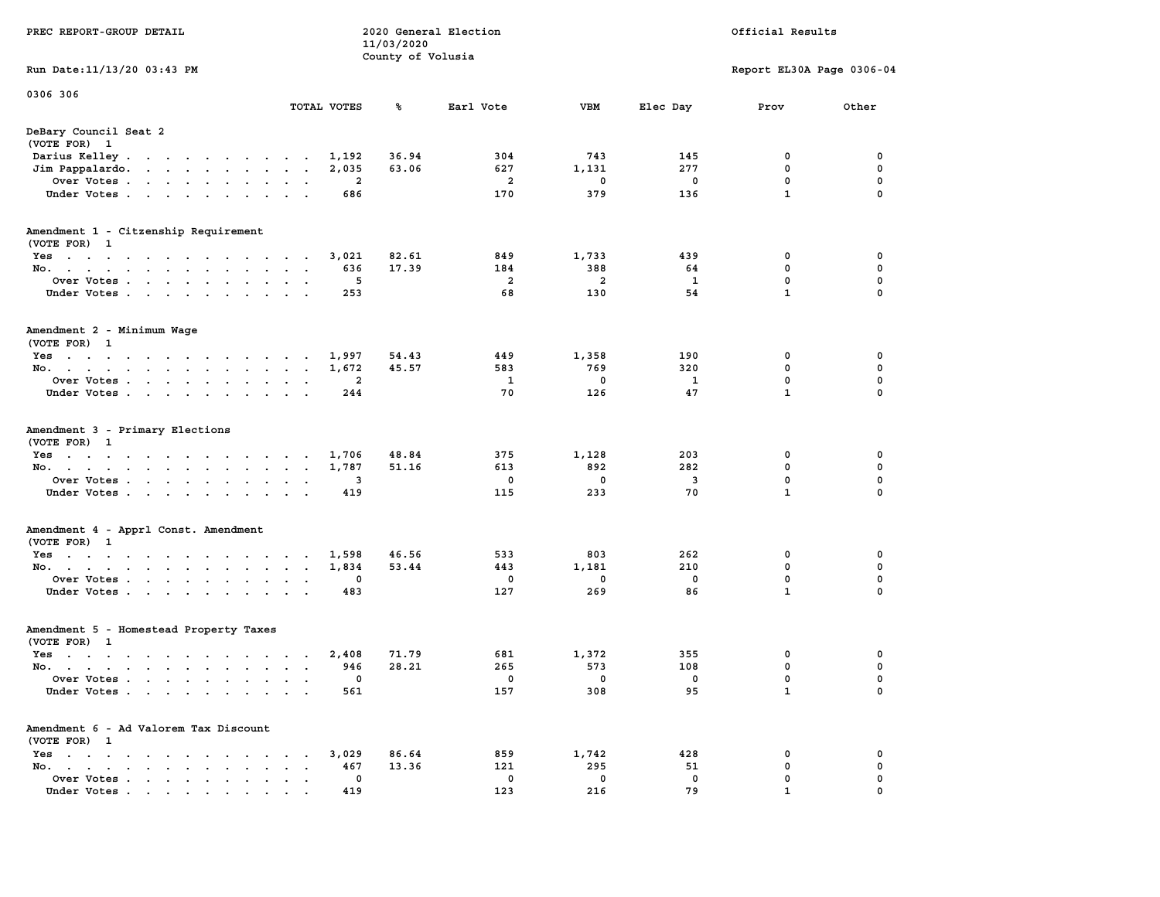| PREC REPORT-GROUP DETAIL                                           |                           | 11/03/2020<br>County of Volusia | 2020 General Election |                       |            | Official Results            |                          |
|--------------------------------------------------------------------|---------------------------|---------------------------------|-----------------------|-----------------------|------------|-----------------------------|--------------------------|
| Run Date:11/13/20 03:43 PM                                         |                           |                                 |                       |                       |            | Report EL30A Page 0306-04   |                          |
| 0306 306                                                           | TOTAL VOTES               | ℁                               | Earl Vote             | VBM                   | Elec Day   | Prov                        | Other                    |
| DeBary Council Seat 2                                              |                           |                                 |                       |                       |            |                             |                          |
| (VOTE FOR) 1                                                       |                           |                                 |                       |                       |            |                             |                          |
| Darius Kelley                                                      | 1,192                     | 36.94                           | 304                   | 743                   | 145        | 0                           | 0                        |
| Jim Pappalardo.                                                    | 2,035                     | 63.06                           | 627                   | 1,131                 | 277        | 0                           | 0                        |
| Over Votes                                                         | 2<br>$\ddot{\phantom{a}}$ |                                 | 2                     | 0                     | 0          | 0                           | 0                        |
| Under Votes                                                        | 686                       |                                 | 170                   | 379                   | 136        | $\mathbf{1}$                | $\mathbf 0$              |
| Amendment 1 - Citzenship Requirement                               |                           |                                 |                       |                       |            |                             |                          |
| (VOTE FOR) 1                                                       |                           |                                 |                       |                       |            |                             |                          |
| Yes                                                                | 3,021                     | 82.61                           | 849                   | 1,733                 | 439        | 0                           | 0                        |
| No.                                                                | 636<br>5                  | 17.39                           | 184<br>$\overline{a}$ | 388<br>$\overline{a}$ | 64<br>1    | 0<br>0                      | $\mathbf 0$<br>$\pmb{0}$ |
| Over Votes<br>Under Votes                                          | 253                       |                                 | 68                    | 130                   | 54         | $\mathbf{1}$                | 0                        |
|                                                                    |                           |                                 |                       |                       |            |                             |                          |
| Amendment 2 - Minimum Wage                                         |                           |                                 |                       |                       |            |                             |                          |
| (VOTE FOR) 1                                                       |                           |                                 |                       |                       |            |                             |                          |
| Yes<br>No.                                                         | 1,997                     | 54.43<br>45.57                  | 449<br>583            | 1,358<br>769          | 190<br>320 | 0<br>0                      | 0<br>0                   |
|                                                                    | 1,672<br>$\sim$           |                                 |                       |                       |            |                             | $\pmb{0}$                |
| Over Votes<br>Under Votes                                          | 2<br>244                  |                                 | 1<br>70               | 0<br>126              | 1<br>47    | $\mathbf 0$<br>$\mathbf{1}$ | 0                        |
|                                                                    |                           |                                 |                       |                       |            |                             |                          |
| Amendment 3 - Primary Elections                                    |                           |                                 |                       |                       |            |                             |                          |
| (VOTE FOR) 1                                                       |                           |                                 |                       |                       |            |                             |                          |
| Yes                                                                | 1,706<br>$\sim$           | 48.84                           | 375                   | 1,128                 | 203        | 0                           | 0                        |
| No.                                                                | 1,787                     | 51.16                           | 613                   | 892                   | 282        | 0                           | 0                        |
| Over Votes<br>$\sim$ $\sim$                                        | 3                         |                                 | 0                     | 0                     | 3<br>70    | 0<br>$\mathbf{1}$           | 0<br>$\mathbf 0$         |
| Under Votes                                                        | 419                       |                                 | 115                   | 233                   |            |                             |                          |
| Amendment 4 - Apprl Const. Amendment                               |                           |                                 |                       |                       |            |                             |                          |
| (VOTE FOR) 1                                                       |                           |                                 |                       |                       |            |                             |                          |
| Yes                                                                | 1,598                     | 46.56                           | 533                   | 803                   | 262        | 0                           | 0                        |
| No.                                                                | 1,834                     | 53.44                           | 443                   | 1,181                 | 210        | 0                           | 0                        |
| Over Votes                                                         | 0<br>$\bullet$            |                                 | 0                     | 0                     | 0          | 0                           | 0                        |
| Under Votes                                                        | 483                       |                                 | 127                   | 269                   | 86         | $\mathbf{1}$                | 0                        |
| Amendment 5 - Homestead Property Taxes                             |                           |                                 |                       |                       |            |                             |                          |
| (VOTE FOR) 1                                                       |                           |                                 |                       |                       |            |                             |                          |
| Yes                                                                | 2,408                     | 71.79                           | 681                   | 1,372                 | 355        | 0                           | 0                        |
| No.                                                                | 946<br>$\sim$ $\sim$      | 28.21                           | 265                   | 573                   | 108        | 0                           | 0                        |
| Over Votes                                                         | 0                         |                                 | 0                     | 0                     | 0          | 0                           | 0                        |
| Under Votes                                                        | 561                       |                                 | 157                   | 308                   | 95         | $\mathbf{1}$                | 0                        |
| Amendment 6 - Ad Valorem Tax Discount                              |                           |                                 |                       |                       |            |                             |                          |
| (VOTE FOR) 1                                                       |                           |                                 |                       |                       |            |                             |                          |
| $Yes \cdot \cdot \cdot \cdot \cdot \cdot \cdot$<br><b>Contract</b> | 3,029                     | 86.64                           | 859                   | 1,742                 | 428        | 0                           | 0                        |
| No.                                                                | 467                       | 13.36                           | 121                   | 295                   | 51         | 0                           | 0                        |
| Over Votes                                                         | 0                         |                                 | 0                     | 0                     | 0          | 0                           | 0                        |
| Under Votes                                                        | 419                       |                                 | 123                   | 216                   | 79         | $\mathbf{1}$                | $\mathbf 0$              |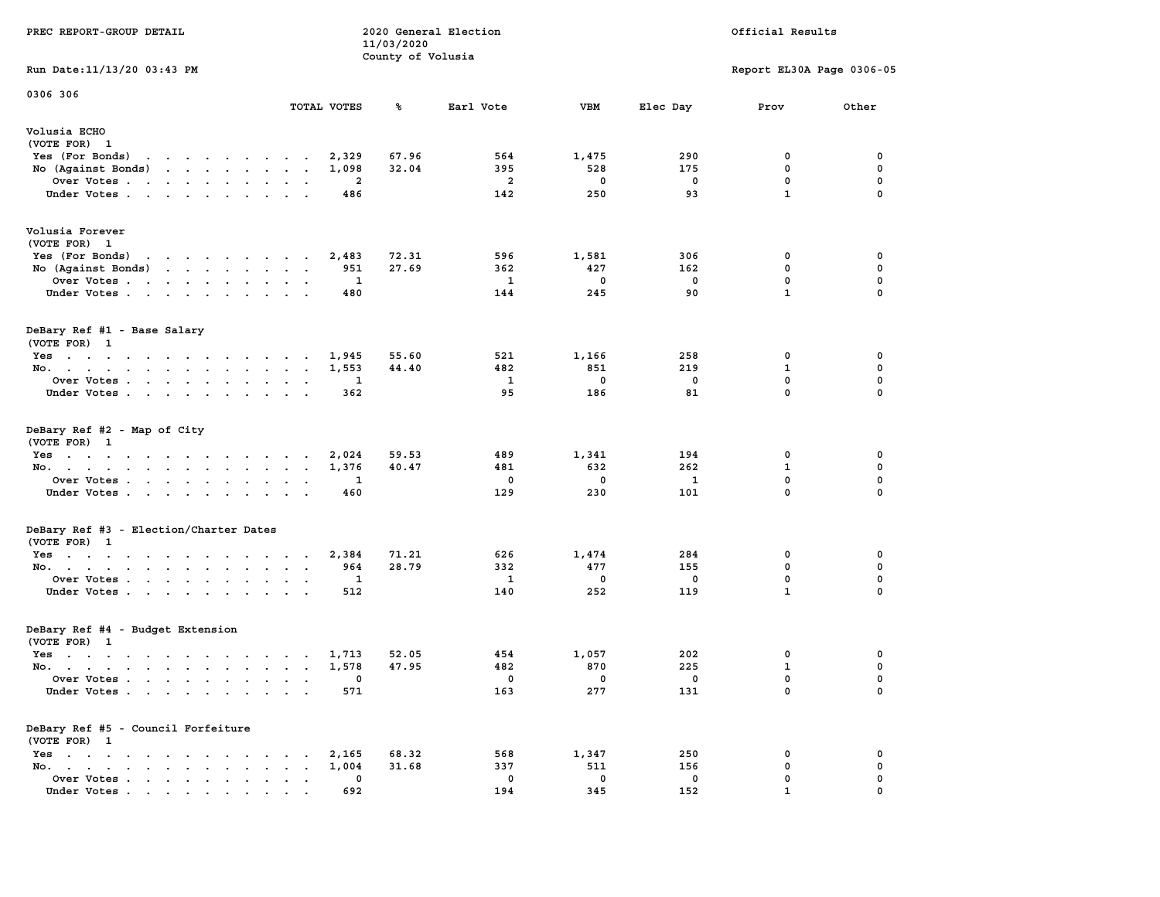| PREC REPORT-GROUP DETAIL                            |                               | 11/03/2020<br>County of Volusia | 2020 General Election    |                          |                          | Official Results            |                   |
|-----------------------------------------------------|-------------------------------|---------------------------------|--------------------------|--------------------------|--------------------------|-----------------------------|-------------------|
| Run Date: 11/13/20 03:43 PM                         |                               |                                 |                          |                          |                          | Report EL30A Page 0306-05   |                   |
| 0306 306                                            |                               |                                 |                          |                          |                          |                             |                   |
|                                                     | TOTAL VOTES                   | %                               | Earl Vote                | <b>VBM</b>               | Elec Day                 | Prov                        | Other             |
| Volusia ECHO<br>(VOTE FOR) 1                        |                               |                                 |                          |                          |                          |                             |                   |
| Yes (For Bonds) $\cdots$ $\cdots$ $\cdots$ $\cdots$ | 2,329                         | 67.96                           | 564                      | 1,475                    | 290                      | 0                           | 0                 |
| No (Against Bonds)                                  | 1,098                         | 32.04                           | 395                      | 528                      | 175                      | 0                           | 0                 |
| Over Votes                                          | 2                             |                                 | $\overline{2}$           | $\mathbf 0$              | 0                        | 0                           | 0                 |
| Under Votes                                         | 486                           |                                 | 142                      | 250                      | 93                       | $\mathbf{1}$                | 0                 |
| Volusia Forever                                     |                               |                                 |                          |                          |                          |                             |                   |
| (VOTE FOR) 1                                        |                               |                                 |                          |                          |                          |                             |                   |
| Yes (For Bonds) $\cdots$ $\cdots$ $\cdots$ $\cdots$ | 2,483                         | 72.31                           | 596                      | 1,581                    | 306                      | 0                           | 0                 |
| No (Against Bonds)                                  | 951                           | 27.69                           | 362                      | 427                      | 162                      | 0                           | 0                 |
| Over Votes                                          | $\mathbf{1}$                  |                                 | $\mathbf{1}$             | $\mathbf{0}$             | $\mathbf{0}$             | $\mathbf{0}$                | 0                 |
| Under Votes                                         | 480                           |                                 | 144                      | 245                      | 90                       | $\mathbf{1}$                | $\mathbf{0}$      |
| DeBary Ref #1 - Base Salary                         |                               |                                 |                          |                          |                          |                             |                   |
| (VOTE FOR) 1                                        |                               |                                 |                          |                          |                          |                             |                   |
| $Yes. 1,945$                                        |                               | 55.60                           | 521                      | 1,166                    | 258                      | 0                           | 0                 |
| No.                                                 | 1,553                         | 44.40                           | 482                      | 851                      | 219                      | $\mathbf{1}$                | $\mathbf 0$       |
| Over Votes<br>Under Votes                           | 1<br>362                      |                                 | $\mathbf{1}$<br>95       | $\mathbf 0$<br>186       | $\mathbf 0$<br>81        | $\mathbf 0$<br>$\mathbf{0}$ | 0<br>$\mathbf{0}$ |
|                                                     |                               |                                 |                          |                          |                          |                             |                   |
| DeBary Ref #2 - Map of City                         |                               |                                 |                          |                          |                          |                             |                   |
| (VOTE FOR) 1                                        |                               |                                 |                          |                          |                          |                             |                   |
| Yes                                                 | 2,024                         | 59.53                           | 489                      | 1,341                    | 194                      | 0                           | 0                 |
| No.                                                 | 1,376                         | 40.47                           | 481                      | 632                      | 262                      | 1                           | 0                 |
| Over Votes                                          | 1                             |                                 | 0                        | $\mathbf{0}$             | 1                        | 0                           | 0                 |
| Under Votes                                         | 460                           |                                 | 129                      | 230                      | 101                      | $\mathbf{0}$                | 0                 |
| DeBary Ref #3 - Election/Charter Dates              |                               |                                 |                          |                          |                          |                             |                   |
| (VOTE FOR) 1                                        |                               |                                 |                          |                          |                          |                             |                   |
| Yes                                                 | 2,384                         | 71.21                           | 626                      | 1,474                    | 284                      | 0                           | 0                 |
| No.                                                 | 964                           | 28.79                           | 332                      | 477                      | 155                      | 0                           | 0                 |
| Over Votes                                          | 1                             |                                 | 1                        | $^{\circ}$               | 0                        | 0                           | 0                 |
| Under Votes                                         | 512                           |                                 | 140                      | 252                      | 119                      | $\mathbf{1}$                | 0                 |
| DeBary Ref #4 - Budget Extension                    |                               |                                 |                          |                          |                          |                             |                   |
| (VOTE FOR) 1                                        |                               |                                 |                          |                          |                          |                             |                   |
| Yes 1,713                                           |                               | 52.05                           | 454                      | 1,057                    | 202                      | 0                           | 0                 |
| No. 1,578                                           |                               | 47.95                           | 482                      | 870                      | 225                      | $\mathbf{1}$                | $\mathbf 0$       |
| Over Votes                                          |                               |                                 | $\overline{\phantom{0}}$ | $\overline{\phantom{0}}$ | $\overline{\phantom{0}}$ | $\mathbf{0}$<br>0           | 0<br>0            |
| Under Votes                                         | 571                           |                                 | 163                      | 277                      | 131                      |                             |                   |
| DeBary Ref #5 - Council Forfeiture                  |                               |                                 |                          |                          |                          |                             |                   |
| (VOTE FOR) 1                                        |                               |                                 |                          |                          |                          |                             |                   |
| Yes                                                 | 2,165                         | 68.32                           | 568                      | 1,347                    | 250                      | 0                           | 0                 |
| No.<br>Over Votes                                   | 1,004<br>$\ddot{\phantom{a}}$ | 31.68                           | 337<br>0                 | 511<br>$\mathbf 0$       | 156<br>0                 | 0<br>0                      | 0<br>0            |
| Under Votes.                                        | 0<br>692                      |                                 | 194                      | 345                      | 152                      |                             |                   |
|                                                     |                               |                                 |                          |                          |                          |                             |                   |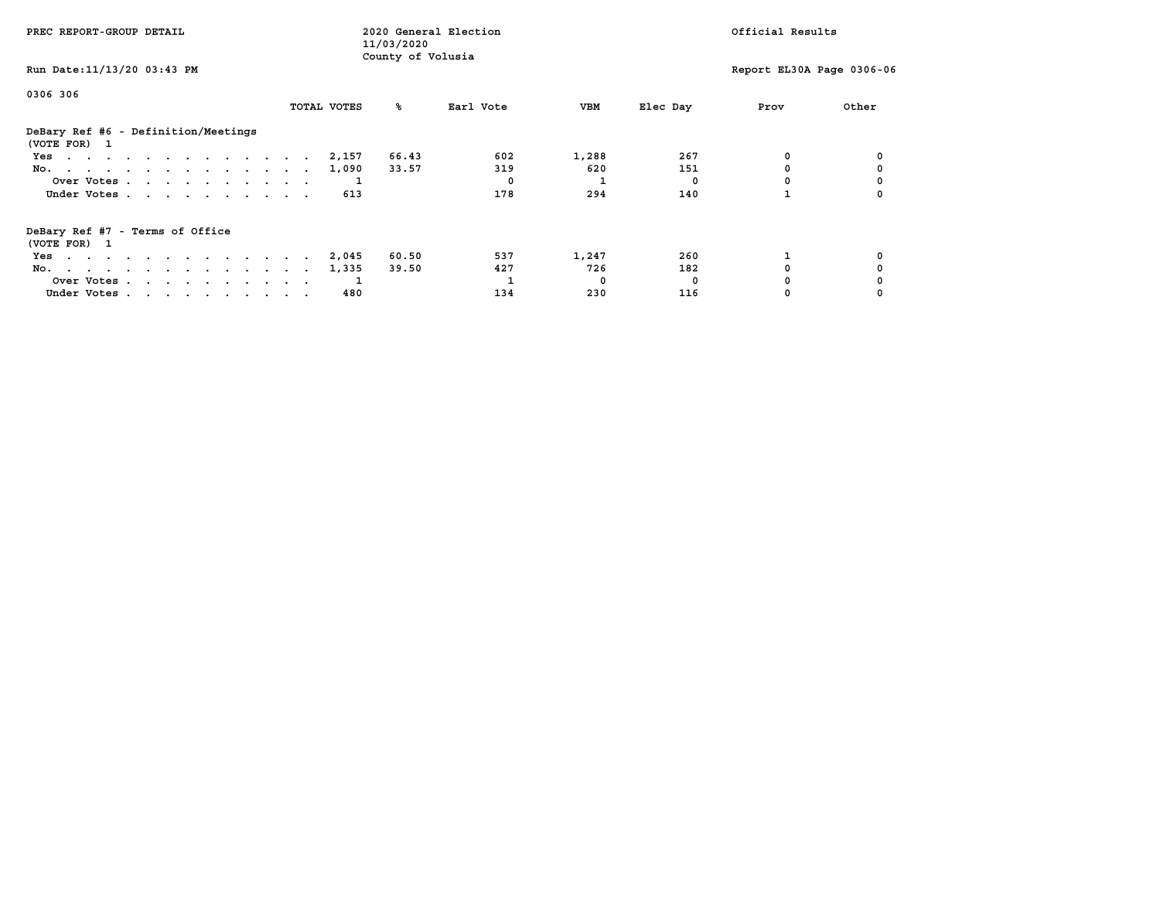| PREC REPORT-GROUP DETAIL                            |             | 2020 General Election<br>11/03/2020 |           |       |          | Official Results          |       |
|-----------------------------------------------------|-------------|-------------------------------------|-----------|-------|----------|---------------------------|-------|
| Run Date: 11/13/20 03:43 PM                         |             | County of Volusia                   |           |       |          | Report EL30A Page 0306-06 |       |
| 0306 306                                            | TOTAL VOTES | ‱                                   | Earl Vote | VBM   | Elec Day | Prov                      | Other |
|                                                     |             |                                     |           |       |          |                           |       |
| DeBary Ref #6 - Definition/Meetings<br>(VOTE FOR) 1 |             |                                     |           |       |          |                           |       |
| Yes                                                 | 2,157       | 66.43                               | 602       | 1,288 | 267      | 0                         |       |
| No.                                                 | 1,090       | 33.57                               | 319       | 620   | 151      |                           |       |
| Over Votes                                          |             |                                     |           |       |          |                           |       |
| Under Votes                                         | 613         |                                     | 178       | 294   | 140      |                           |       |
| DeBary Ref #7 - Terms of Office<br>(VOTE FOR) 1     |             |                                     |           |       |          |                           |       |
| Yes                                                 | 2,045       | 60.50                               | 537       | 1,247 | 260      |                           |       |
| No.                                                 | 1,335       | 39.50                               | 427       | 726   | 182      |                           |       |
| Over Votes                                          |             |                                     |           | 0     | $\Omega$ |                           |       |
| Under Votes                                         | 480         |                                     | 134       | 230   | 116      |                           |       |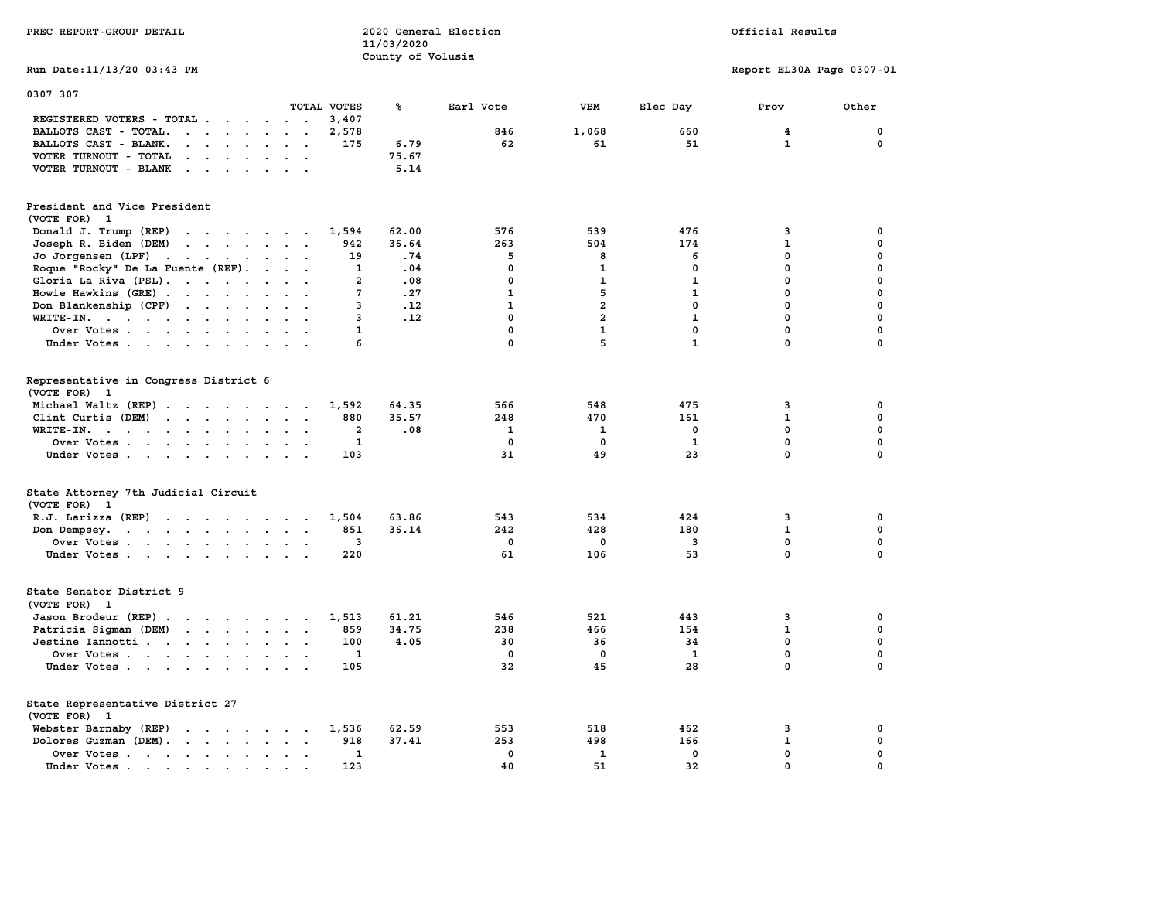| PREC REPORT-GROUP DETAIL                                                                                                                                                                                                                                            | 2020 General Election<br>Official Results<br>11/03/2020<br>County of Volusia |       |              |                |              |                           |             |  |  |  |  |
|---------------------------------------------------------------------------------------------------------------------------------------------------------------------------------------------------------------------------------------------------------------------|------------------------------------------------------------------------------|-------|--------------|----------------|--------------|---------------------------|-------------|--|--|--|--|
| Run Date: 11/13/20 03:43 PM                                                                                                                                                                                                                                         |                                                                              |       |              |                |              | Report EL30A Page 0307-01 |             |  |  |  |  |
| 0307 307                                                                                                                                                                                                                                                            | TOTAL VOTES                                                                  | ℁     | Earl Vote    | <b>VBM</b>     | Elec Day     | Prov                      | Other       |  |  |  |  |
| REGISTERED VOTERS - TOTAL .<br><u>in a community of the set of the set of the set of the set of the set of the set of the set of the set of the set of the set of the set of the set of the set of the set of the set of the set of the set of the set of the s</u> | 3,407                                                                        |       |              |                |              |                           |             |  |  |  |  |
| BALLOTS CAST - TOTAL.<br>$\mathbf{r}$ . The set of $\mathbf{r}$                                                                                                                                                                                                     | 2,578<br>$\sim 10$ $\sim$                                                    |       | 846          | 1,068          | 660          | $\overline{4}$            | $\mathbf 0$ |  |  |  |  |
| BALLOTS CAST - BLANK.<br>$\cdot$ $\cdot$ $\cdot$ $\cdot$ $\cdot$ $\cdot$ $\cdot$ $\cdot$                                                                                                                                                                            | 175                                                                          | 6.79  | 62           | 61             | 51           | $\mathbf{1}$              | $\mathbf 0$ |  |  |  |  |
| VOTER TURNOUT - TOTAL<br>$\sim$<br>$\mathbf{r}$ , $\mathbf{r}$ , $\mathbf{r}$ , $\mathbf{r}$                                                                                                                                                                        | $\ddot{\phantom{0}}$                                                         | 75.67 |              |                |              |                           |             |  |  |  |  |
| VOTER TURNOUT - BLANK<br>$\mathbf{r}$ . The contract of the contract of the contract of the contract of the contract of the contract of the contract of the contract of the contract of the contract of the contract of the contract of the contract of th          |                                                                              | 5.14  |              |                |              |                           |             |  |  |  |  |
| President and Vice President<br>(VOTE FOR) 1                                                                                                                                                                                                                        |                                                                              |       |              |                |              |                           |             |  |  |  |  |
| Donald J. Trump (REP)<br>the contract of the contract of the                                                                                                                                                                                                        | 1,594                                                                        | 62.00 | 576          | 539            | 476          | 3                         | 0           |  |  |  |  |
| Joseph R. Biden (DEM)                                                                                                                                                                                                                                               | 942                                                                          | 36.64 | 263          | 504            | 174          | $\mathbf{1}$              | 0           |  |  |  |  |
| Jo Jorgensen (LPF)                                                                                                                                                                                                                                                  | 19                                                                           | .74   | 5            | 8              | 6            | $\mathbf 0$               | 0           |  |  |  |  |
| Roque "Rocky" De La Fuente (REF).                                                                                                                                                                                                                                   | $\sim$ $\sim$ $\sim$ $\sim$ $\sim$<br>$\mathbf{1}$                           | .04   | $\mathbf{0}$ | $\mathbf{1}$   | $\mathbf{0}$ | $\mathbf{0}$              | 0           |  |  |  |  |
| Gloria La Riva (PSL).                                                                                                                                                                                                                                               | $\overline{a}$                                                               | .08   | $\mathbf 0$  | $\mathbf{1}$   | $\mathbf{1}$ | $\mathbf 0$               | 0           |  |  |  |  |
| Howie Hawkins (GRE)                                                                                                                                                                                                                                                 | 7                                                                            | .27   | $\mathbf{1}$ | 5              | $\mathbf{1}$ | $\mathbf 0$               | 0           |  |  |  |  |
| Don Blankenship (CPF)                                                                                                                                                                                                                                               | 3                                                                            | .12   | $\mathbf{1}$ | $\overline{a}$ | $\mathbf{0}$ | $\mathbf{0}$              | 0           |  |  |  |  |
| WRITE-IN.                                                                                                                                                                                                                                                           | $\overline{\mathbf{3}}$                                                      | .12   | $\mathbf{0}$ | $\overline{a}$ | $\mathbf{1}$ | $\mathbf{0}$              | 0           |  |  |  |  |
| Over Votes.                                                                                                                                                                                                                                                         | $\mathbf{1}$                                                                 |       | $\mathbf 0$  | $\mathbf{1}$   | $\mathbf 0$  | $\mathbf 0$               | 0           |  |  |  |  |
| Under Votes                                                                                                                                                                                                                                                         | 6                                                                            |       | $\mathbf 0$  | 5              | $\mathbf{1}$ | $\mathbf 0$               | 0           |  |  |  |  |
| Representative in Congress District 6<br>(VOTE FOR) 1                                                                                                                                                                                                               |                                                                              |       |              |                |              |                           |             |  |  |  |  |
| Michael Waltz (REP)                                                                                                                                                                                                                                                 | 1,592                                                                        | 64.35 | 566          | 548            | 475          | 3                         | 0           |  |  |  |  |
| Clint Curtis (DEM)                                                                                                                                                                                                                                                  | 880                                                                          | 35.57 | 248          | 470            | 161          | $\mathbf{1}$              | 0           |  |  |  |  |
| WRITE-IN.<br>the contract of the contract of the contract of the contract of the contract of the contract of the contract of                                                                                                                                        | $\mathbf{2}$                                                                 | .08   | $\mathbf{1}$ | 1              | 0            | $\mathbf{0}$              | 0           |  |  |  |  |
| Over Votes<br>$\sim$                                                                                                                                                                                                                                                | $\mathbf{1}$                                                                 |       | 0            | 0              | 1            | $\mathbf 0$               | 0           |  |  |  |  |
| Under Votes                                                                                                                                                                                                                                                         | 103                                                                          |       | 31           | 49             | 23           | $\mathbf 0$               | 0           |  |  |  |  |
| State Attorney 7th Judicial Circuit<br>(VOTE FOR) 1                                                                                                                                                                                                                 |                                                                              |       |              |                |              |                           |             |  |  |  |  |
| R.J. Larizza (REP)                                                                                                                                                                                                                                                  | 1,504                                                                        | 63.86 | 543          | 534            | 424          | 3                         | 0           |  |  |  |  |
| Don Dempsey.<br>the contract of the contract of the contract of the contract of the contract of the contract of the contract of                                                                                                                                     | 851                                                                          | 36.14 | 242          | 428            | 180          | $\mathbf{1}$              | 0           |  |  |  |  |
| Over Votes                                                                                                                                                                                                                                                          | 3                                                                            |       | 0            | $\mathbf 0$    | 3            | 0                         | 0           |  |  |  |  |
| Under Votes                                                                                                                                                                                                                                                         | 220                                                                          |       | 61           | 106            | 53           | $\mathbf 0$               | 0           |  |  |  |  |
| State Senator District 9<br>(VOTE FOR) 1                                                                                                                                                                                                                            |                                                                              |       |              |                |              |                           |             |  |  |  |  |
| Jason Brodeur (REP)                                                                                                                                                                                                                                                 | 1,513                                                                        | 61.21 | 546          | 521            | 443          | 3                         | 0           |  |  |  |  |
| Patricia Sigman (DEM)                                                                                                                                                                                                                                               | 859                                                                          | 34.75 | 238          | 466            | 154          | $\mathbf{1}$              | 0           |  |  |  |  |
| Jestine Iannotti                                                                                                                                                                                                                                                    | 100                                                                          | 4.05  | 30           | 36             | 34           | $\mathbf{0}$              | 0           |  |  |  |  |
| Over Votes                                                                                                                                                                                                                                                          | 1                                                                            |       | $\mathbf 0$  | $\mathbf 0$    | $\mathbf{1}$ | $\mathbf 0$               | 0           |  |  |  |  |
| Under Votes                                                                                                                                                                                                                                                         | 105                                                                          |       | 32           | 45             | 28           | $\mathbf 0$               | 0           |  |  |  |  |
| State Representative District 27<br>(VOTE FOR) 1                                                                                                                                                                                                                    |                                                                              |       |              |                |              |                           |             |  |  |  |  |
| Webster Barnaby (REP)                                                                                                                                                                                                                                               | 1,536                                                                        | 62.59 | 553          | 518            | 462          | 3                         | 0           |  |  |  |  |
| Dolores Guzman (DEM).                                                                                                                                                                                                                                               | 918                                                                          | 37.41 | 253          | 498            | 166          | $\mathbf{1}$              | 0           |  |  |  |  |
| Over Votes                                                                                                                                                                                                                                                          | 1                                                                            |       | 0            | 1              | 0            | 0                         | 0           |  |  |  |  |
| Under Votes                                                                                                                                                                                                                                                         | 123                                                                          |       | 40           | 51             | 32           | 0                         | 0           |  |  |  |  |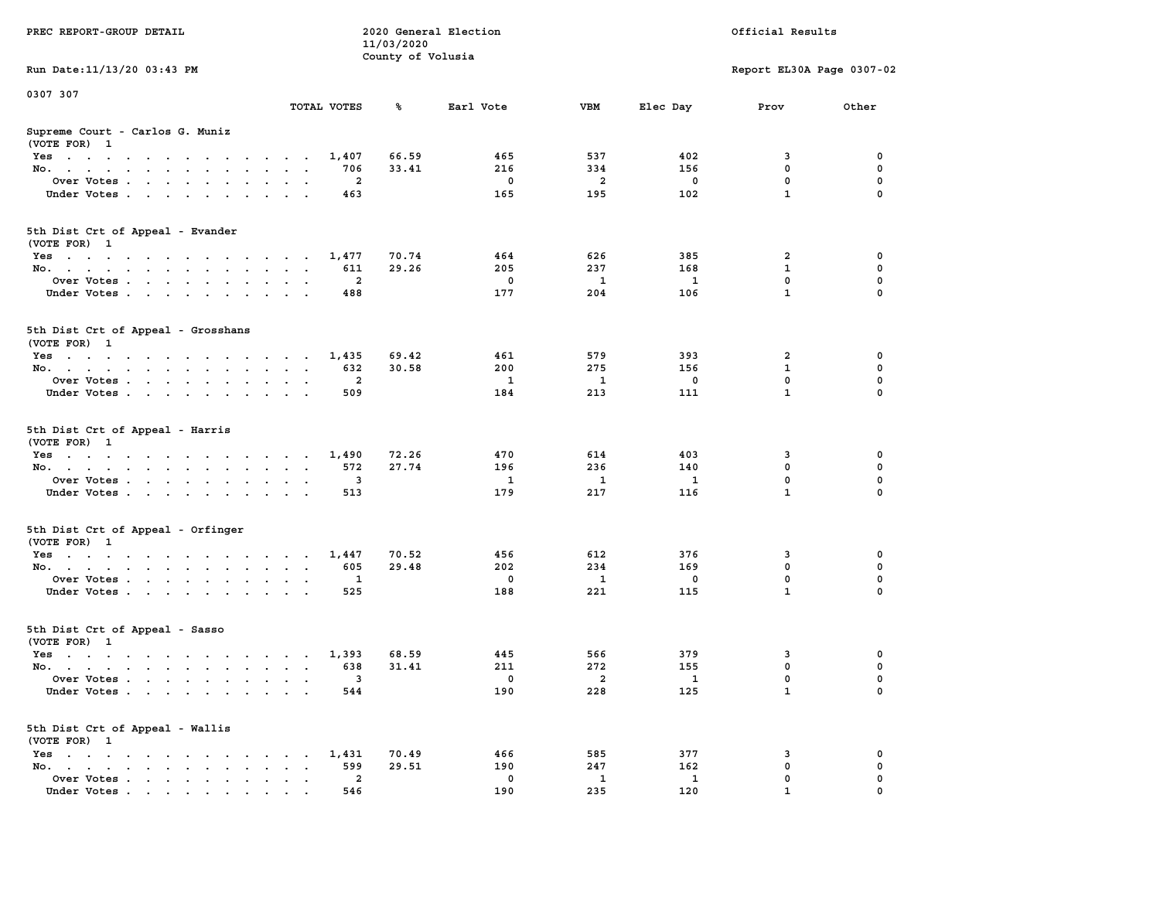| PREC REPORT-GROUP DETAIL                                                                                               |                             | 11/03/2020        | 2020 General Election |                     |                          | Official Results          |               |
|------------------------------------------------------------------------------------------------------------------------|-----------------------------|-------------------|-----------------------|---------------------|--------------------------|---------------------------|---------------|
| Run Date: 11/13/20 03:43 PM                                                                                            |                             | County of Volusia |                       |                     |                          | Report EL30A Page 0307-02 |               |
| 0307 307                                                                                                               |                             |                   |                       |                     |                          |                           |               |
|                                                                                                                        | TOTAL VOTES                 | ℁                 | Earl Vote             | VBM                 | Elec Day                 | Prov                      | Other         |
| Supreme Court - Carlos G. Muniz<br>(VOTE FOR) 1                                                                        |                             |                   |                       |                     |                          |                           |               |
| Yes                                                                                                                    | 1,407                       | 66.59             | 465                   | 537                 | 402                      | 3                         | 0             |
| No.                                                                                                                    | 706                         | 33.41             | 216                   | 334                 | 156                      | $\mathbf 0$               | 0             |
| Over Votes.                                                                                                            | 2                           |                   | 0                     | 2                   | 0                        | 0                         | 0             |
| Under Votes                                                                                                            | 463                         |                   | 165                   | 195                 | 102                      | $\mathbf{1}$              | $\Omega$      |
| 5th Dist Crt of Appeal - Evander<br>(VOTE FOR) 1                                                                       |                             |                   |                       |                     |                          |                           |               |
| Yes                                                                                                                    | 1,477                       | 70.74             | 464                   | 626                 | 385                      | 2                         | 0             |
| No.                                                                                                                    | 611                         | 29.26             | 205                   | 237                 | 168                      | 1                         | 0             |
| Over Votes                                                                                                             | $\overline{2}$              |                   | $\mathbf 0$           | - 1                 | $\mathbf{1}$             | 0                         | 0             |
| Under Votes                                                                                                            | 488                         |                   | 177                   | 204                 | 106                      | $\mathbf{1}$              | 0             |
| 5th Dist Crt of Appeal - Grosshans<br>(VOTE FOR) 1                                                                     |                             |                   |                       |                     |                          |                           |               |
| Yes                                                                                                                    | 1,435                       | 69.42             | 461                   | 579                 | 393                      | 2                         | 0             |
| No.                                                                                                                    | 632                         | 30.58             | 200                   | 275                 | 156                      | 1                         | 0             |
| Over Votes                                                                                                             | 2                           |                   | 1                     | 1                   | 0                        | $\mathbf 0$               | 0             |
| Under Votes                                                                                                            | 509                         |                   | 184                   | 213                 | 111                      | $\mathbf{1}$              | 0             |
| 5th Dist Crt of Appeal - Harris<br>(VOTE FOR) 1                                                                        |                             |                   |                       |                     |                          |                           |               |
| Yes                                                                                                                    | 1,490                       | 72.26             | 470                   | 614                 | 403                      | 3                         | 0             |
| No.                                                                                                                    | 572                         | 27.74             | 196                   | 236                 | 140                      | $\mathbf 0$               | 0             |
| Over Votes                                                                                                             | 3                           |                   | 1                     | 1                   | 1                        | 0<br>$\mathbf{1}$         | 0<br>$\Omega$ |
| Under Votes                                                                                                            | 513                         |                   | 179                   | 217                 | 116                      |                           |               |
| 5th Dist Crt of Appeal - Orfinger<br>(VOTE FOR) 1                                                                      |                             |                   |                       |                     |                          |                           |               |
| Yes                                                                                                                    | 1,447                       | 70.52             | 456                   | 612                 | 376                      | 3                         | 0             |
| No.                                                                                                                    | 605                         | 29.48             | 202                   | 234                 | 169                      | $\mathbf 0$               | 0             |
| Over Votes                                                                                                             | 1                           |                   | $\mathbf 0$<br>188    | $\mathbf{1}$<br>221 | 0                        | 0<br>$\mathbf{1}$         | 0<br>$\Omega$ |
| Under Votes                                                                                                            | 525                         |                   |                       |                     | 115                      |                           |               |
| 5th Dist Crt of Appeal - Sasso<br>(VOTE FOR) 1                                                                         |                             |                   |                       |                     |                          |                           |               |
| Yes<br>the contract of the contract of the contract of the contract of the contract of the contract of the contract of | 1,393                       | 68.59             | 445                   | 566                 | 379                      | 3                         | 0             |
| No.                                                                                                                    | 638                         | 31.41             | 211                   | 272                 | 155                      | 0                         | 0             |
| Over Votes                                                                                                             | 3                           |                   | 0                     | 2                   | $\overline{\phantom{a}}$ | $\mathbf 0$               | 0             |
| Under Votes.                                                                                                           | 544                         |                   | 190                   | 228                 | 125                      | $\mathbf{1}$              | 0             |
| 5th Dist Crt of Appeal - Wallis<br>(VOTE FOR) 1                                                                        |                             |                   |                       |                     |                          |                           |               |
| Yes                                                                                                                    | 1,431                       | 70.49             | 466                   | 585                 | 377                      | 3                         | 0             |
| No.<br>$\sim$                                                                                                          | 599<br>$\ddot{\phantom{a}}$ | 29.51             | 190                   | 247                 | 162                      | $\mathbf 0$               | 0             |
| Over Votes.<br>Under Votes                                                                                             | 2<br>546                    |                   | 0<br>190              | 1<br>235            | $\mathbf{1}$<br>120      | 0<br>$\mathbf{1}$         | 0<br>0        |
|                                                                                                                        |                             |                   |                       |                     |                          |                           |               |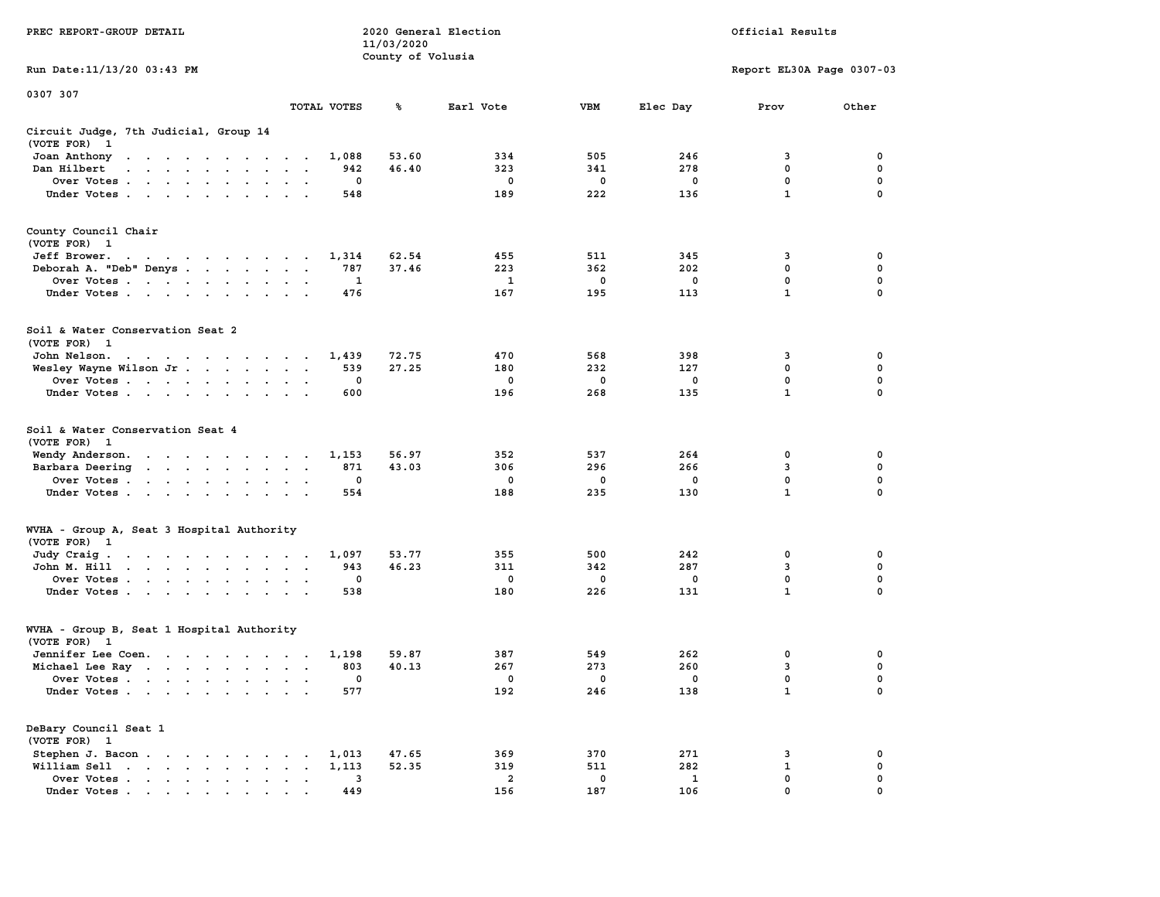|                                                                                                                                                                                                                                                      |                                                        | 11/03/2020        |                |             |             |                           |             |
|------------------------------------------------------------------------------------------------------------------------------------------------------------------------------------------------------------------------------------------------------|--------------------------------------------------------|-------------------|----------------|-------------|-------------|---------------------------|-------------|
|                                                                                                                                                                                                                                                      |                                                        | County of Volusia |                |             |             |                           |             |
| Run Date:11/13/20 03:43 PM                                                                                                                                                                                                                           |                                                        |                   |                |             |             | Report EL30A Page 0307-03 |             |
| 0307 307                                                                                                                                                                                                                                             |                                                        |                   |                |             |             |                           |             |
|                                                                                                                                                                                                                                                      | TOTAL VOTES                                            | ℁                 | Earl Vote      | <b>VBM</b>  | Elec Day    | Prov                      | Other       |
| Circuit Judge, 7th Judicial, Group 14                                                                                                                                                                                                                |                                                        |                   |                |             |             |                           |             |
| (VOTE FOR)<br>$\mathbf{1}$                                                                                                                                                                                                                           |                                                        |                   |                |             |             |                           |             |
| Joan Anthony<br>the contract of the contract of the contract of the contract of the contract of the contract of the contract of                                                                                                                      | 1,088                                                  | 53.60             | 334            | 505         | 246         | 3                         | 0           |
| Dan Hilbert<br>$\sim$ $\sim$ $\sim$ $\sim$<br>$\sim$<br>$\sim$                                                                                                                                                                                       | 942<br>$\sim$<br>$\sim$                                | 46.40             | 323            | 341         | 278         | 0                         | 0           |
| Over Votes.<br>$\sim$ $\sim$ $\sim$ $\sim$ $\sim$ $\sim$ $\sim$<br>$\ddot{\phantom{a}}$                                                                                                                                                              | 0<br>$\cdot$                                           |                   | $\mathbf 0$    | $\mathbf 0$ | $\mathbf 0$ | $\mathbf 0$               | $\mathbf 0$ |
| Under Votes                                                                                                                                                                                                                                          | 548<br>$\ddot{\phantom{a}}$<br>$\ddot{\phantom{a}}$    |                   | 189            | 222         | 136         | $\mathbf{1}$              | $\mathbf 0$ |
| County Council Chair                                                                                                                                                                                                                                 |                                                        |                   |                |             |             |                           |             |
| (VOTE FOR) 1                                                                                                                                                                                                                                         |                                                        |                   |                |             |             |                           |             |
| Jeff Brower.<br>the contract of the contract of the con-                                                                                                                                                                                             | 1,314                                                  | 62.54             | 455            | 511         | 345         | 3                         | 0           |
| Deborah A. "Deb" Denys                                                                                                                                                                                                                               | 787<br>$\overline{\phantom{a}}$<br>$\bullet$<br>$\sim$ | 37.46             | 223            | 362         | 202         | $\mathbf 0$               | 0           |
| Over Votes<br>$\sim$<br>$\mathbf{r}$<br>$\ddot{\phantom{0}}$<br>$\ddot{\phantom{a}}$                                                                                                                                                                 | 1                                                      |                   | 1              | 0           | $\mathbf 0$ | 0                         | 0           |
| Under Votes<br>$\ddot{\phantom{a}}$                                                                                                                                                                                                                  | 476                                                    |                   | 167            | 195         | 113         | $\mathbf{1}$              | $\mathbf 0$ |
|                                                                                                                                                                                                                                                      |                                                        |                   |                |             |             |                           |             |
| Soil & Water Conservation Seat 2                                                                                                                                                                                                                     |                                                        |                   |                |             |             |                           |             |
| (VOTE FOR) 1                                                                                                                                                                                                                                         |                                                        |                   |                |             |             |                           |             |
| John Nelson.<br>the contract of the contract of the<br>$\sim$                                                                                                                                                                                        | 1,439<br>$\cdot$ $\cdot$                               | 72.75             | 470            | 568         | 398         | 3                         | 0           |
| Wesley Wayne Wilson Jr<br>$\mathcal{L}_{\mathbf{r}}$                                                                                                                                                                                                 | 539<br>$\bullet$<br>$\bullet$<br>$\ddot{\phantom{a}}$  | 27.25             | 180            | 232         | 127         | $\mathbf 0$               | $\mathbf 0$ |
| Over Votes                                                                                                                                                                                                                                           | 0<br>$\cdot$<br>$\bullet$                              |                   | 0              | 0           | $\mathbf 0$ | $\mathbf 0$               | 0           |
| Under Votes<br>$\cdot$                                                                                                                                                                                                                               | 600                                                    |                   | 196            | 268         | 135         | $\mathbf 1$               | $\mathbf 0$ |
| Soil & Water Conservation Seat 4<br>(VOTE FOR)<br>$\mathbf{1}$                                                                                                                                                                                       |                                                        |                   |                |             |             |                           |             |
| Wendy Anderson.<br>$\mathbf{r}$ . The contract of the contract of the contract of the contract of the contract of the contract of the contract of the contract of the contract of the contract of the contract of the contract of the contract of th | 1,153                                                  | 56.97             | 352            | 537         | 264         | 0                         | 0           |
| Barbara Deering<br>$\sim 100$ km s $^{-1}$<br>$\sim 10^{-1}$ and $\sim 10^{-1}$<br>$\ddot{\phantom{0}}$<br>$\ddot{\phantom{0}}$                                                                                                                      | 871<br>$\bullet$<br>$\bullet$<br>$\ddot{\phantom{1}}$  | 43.03             | 306            | 296         | 266         | 3                         | 0           |
| Over Votes .<br>$\mathbf{r}$ . The contract of the contract of the contract of the contract of the contract of the contract of the contract of the contract of the contract of the contract of the contract of the contract of the contract of th    | 0<br>$\cdot$                                           |                   | 0              | 0           | $\mathbf 0$ | 0                         | $\mathbf 0$ |
| Under Votes<br>$\bullet$<br>$\cdot$                                                                                                                                                                                                                  | 554                                                    |                   | 188            | 235         | 130         | $\mathbf{1}$              | 0           |
| WVHA - Group A, Seat 3 Hospital Authority                                                                                                                                                                                                            |                                                        |                   |                |             |             |                           |             |
| (VOTE FOR) 1                                                                                                                                                                                                                                         |                                                        |                   |                |             |             |                           |             |
| Judy Craig.<br>the contract of the contract of the contract of the contract of the contract of the contract of the contract of                                                                                                                       | 1,097                                                  | 53.77             | 355            | 500         | 242         | $\mathbf 0$               | $\mathbf 0$ |
| John M. Hill                                                                                                                                                                                                                                         | 943<br>$\bullet$<br>$\bullet$<br>$\blacksquare$        | 46.23             | 311            | 342         | 287         | 3                         | $\mathbf 0$ |
| Over Votes<br>$\ddot{\phantom{1}}$                                                                                                                                                                                                                   | $\mathbf 0$<br>$\bullet$<br>$\bullet$                  |                   | 0              | 0           | 0           | 0                         | 0           |
| Under Votes<br>$\ddot{\phantom{0}}$                                                                                                                                                                                                                  | 538<br>$\cdot$<br>$\sim$                               |                   | 180            | 226         | 131         | $\mathbf{1}$              | 0           |
| WVHA - Group B, Seat 1 Hospital Authority                                                                                                                                                                                                            |                                                        |                   |                |             |             |                           |             |
| (VOTE FOR)<br>$\mathbf{1}$                                                                                                                                                                                                                           |                                                        |                   |                |             |             |                           |             |
| Jennifer Lee Coen.<br>the contract of the contract of the contract of the contract of the contract of the contract of the contract of                                                                                                                | 1,198                                                  | 59.87             | 387            | 549         | 262         | 0                         | 0           |
| Michael Lee Ray                                                                                                                                                                                                                                      | 803<br>$\sim$<br>$\cdot$ .                             | 40.13             | 267            | 273         | 260         | 3                         | $\mathbf 0$ |
| Over Votes<br>$\ddot{\phantom{a}}$                                                                                                                                                                                                                   | 0<br>$\ddot{\phantom{a}}$<br>$\cdot$<br>$\cdot$        |                   | 0              | 0           | $\mathbf 0$ | $\mathbf 0$               | $\mathbf 0$ |
| Under Votes                                                                                                                                                                                                                                          | 577                                                    |                   | 192            | 246         | 138         | $\mathbf{1}$              | $\mathbf 0$ |
| DeBary Council Seat 1                                                                                                                                                                                                                                |                                                        |                   |                |             |             |                           |             |
| (VOTE FOR) 1                                                                                                                                                                                                                                         |                                                        |                   |                |             |             |                           |             |
| Stephen J. Bacon.<br>$\sim$ $\sim$<br><b>Contract Contract Service</b><br>$\ddot{\phantom{0}}$                                                                                                                                                       | 1,013                                                  | 47.65             | 369            | 370         | 271         | 3                         | 0           |
| William Sell<br>$\begin{array}{cccccccccccccc} \bullet & \bullet & \bullet & \bullet & \bullet & \bullet & \bullet & \bullet & \bullet & \bullet \end{array}$<br>$\blacksquare$ .                                                                    | 1,113<br>$\bullet$                                     | 52.35             | 319            | 511         | 282         | $\mathbf{1}$              | 0           |
| Over Votes<br>$\bullet$                                                                                                                                                                                                                              | 3<br>$\bullet$<br>$\ddot{\phantom{a}}$<br>$\,$ .       |                   | $\overline{2}$ | 0           | 1           | $\mathbf 0$               | $\mathbf 0$ |
| Under Votes                                                                                                                                                                                                                                          | 449                                                    |                   | 156            | 187         | 106         | $\mathbf{0}$              | $\mathbf 0$ |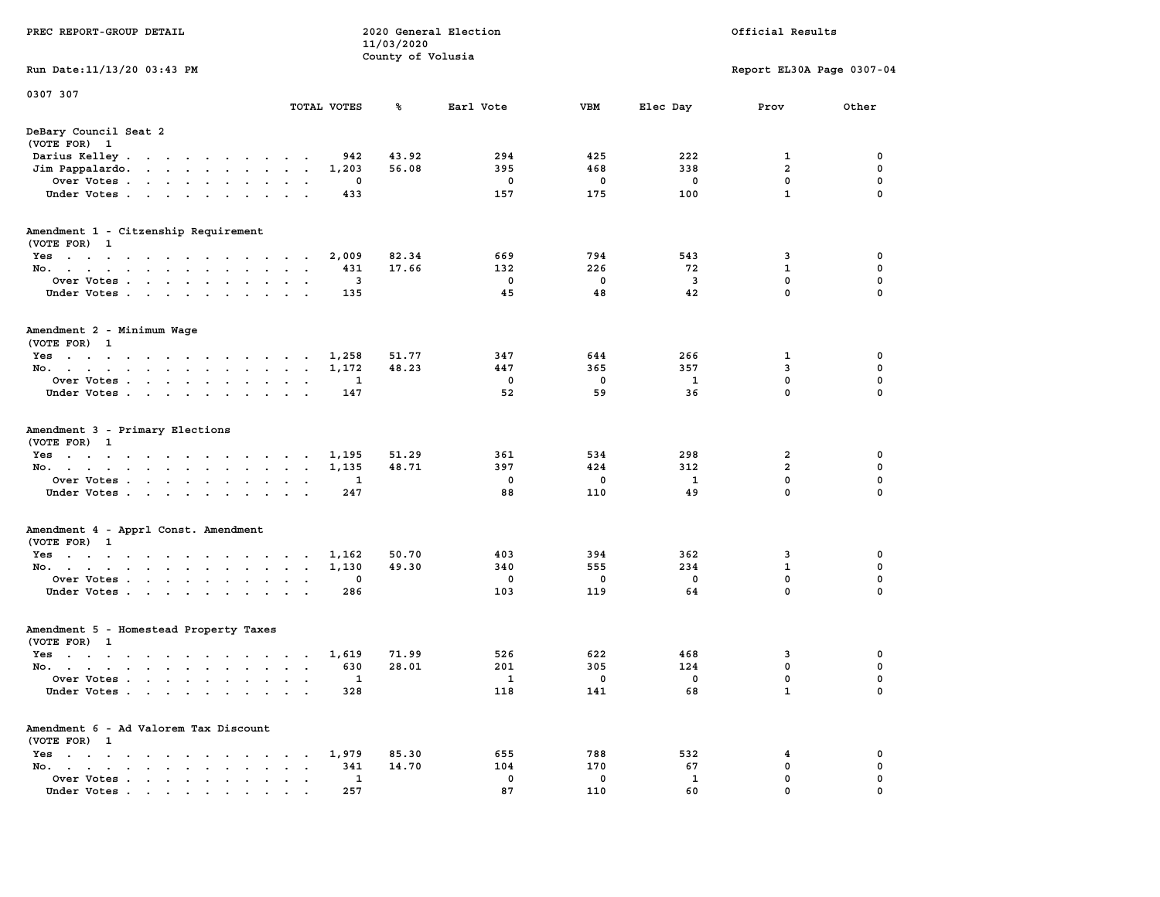| PREC REPORT-GROUP DETAIL                                                                                                                                                                                  |                                      | 2020 General Election<br>11/03/2020<br>County of Volusia |            |             |           | Official Results             |               |
|-----------------------------------------------------------------------------------------------------------------------------------------------------------------------------------------------------------|--------------------------------------|----------------------------------------------------------|------------|-------------|-----------|------------------------------|---------------|
| Run Date: 11/13/20 03:43 PM                                                                                                                                                                               |                                      |                                                          |            |             |           | Report EL30A Page 0307-04    |               |
| 0307 307                                                                                                                                                                                                  |                                      |                                                          |            |             |           |                              |               |
|                                                                                                                                                                                                           | TOTAL VOTES                          | ℁                                                        | Earl Vote  | VBM         | Elec Day  | Prov                         | Other         |
| DeBary Council Seat 2<br>(VOTE FOR) 1                                                                                                                                                                     |                                      |                                                          |            |             |           |                              |               |
| Darius Kelley                                                                                                                                                                                             | 942                                  | 43.92                                                    | 294        | 425         | 222       | 1                            | 0             |
| Jim Pappalardo.<br>the contract of the contract of the                                                                                                                                                    | 1,203                                | 56.08                                                    | 395        | 468         | 338       | $\overline{\mathbf{2}}$      | 0             |
| Over Votes                                                                                                                                                                                                | 0                                    |                                                          | 0          | 0           | 0         | 0<br>$\mathbf{1}$            | 0<br>$\Omega$ |
| Under Votes                                                                                                                                                                                               | 433                                  |                                                          | 157        | 175         | 100       |                              |               |
| Amendment 1 - Citzenship Requirement<br>(VOTE FOR) 1                                                                                                                                                      |                                      |                                                          |            |             |           |                              |               |
| Yes                                                                                                                                                                                                       | 2,009                                | 82.34                                                    | 669        | 794         | 543       | 3                            | 0             |
| No.                                                                                                                                                                                                       | 431                                  | 17.66                                                    | 132        | 226         | 72        | $\mathbf{1}$                 | 0             |
| Over Votes                                                                                                                                                                                                | 3                                    |                                                          | 0          | $\mathbf 0$ | 3         | 0                            | 0             |
| Under Votes                                                                                                                                                                                               | 135                                  |                                                          | 45         | 48          | 42        | $\mathbf 0$                  | 0             |
| Amendment 2 - Minimum Wage<br>(VOTE FOR) 1                                                                                                                                                                |                                      |                                                          |            |             |           |                              |               |
| Yes<br>the contract of the contract of the contract of                                                                                                                                                    | 1,258                                | 51.77                                                    | 347        | 644         | 266       | 1                            | 0             |
| No.                                                                                                                                                                                                       | 1,172<br>$\sim$<br>$\bullet$         | 48.23                                                    | 447        | 365         | 357       | 3                            | 0             |
| Over Votes                                                                                                                                                                                                | 1<br>$\bullet$<br>$\bullet$          |                                                          | 0          | 0           | 1         | $\mathbf 0$                  | 0             |
| Under Votes                                                                                                                                                                                               | 147                                  |                                                          | 52         | 59          | 36        | 0                            | 0             |
| Amendment 3 - Primary Elections<br>(VOTE FOR) 1                                                                                                                                                           |                                      |                                                          |            |             |           |                              |               |
| Yes                                                                                                                                                                                                       | 1,195                                | 51.29                                                    | 361        | 534         | 298       | 2                            | 0             |
| No.                                                                                                                                                                                                       | 1,135<br>$\mathbf{a}=\mathbf{a}$     | 48.71                                                    | 397        | 424         | 312       | $\overline{\mathbf{2}}$<br>0 | 0<br>0        |
| Over Votes<br>Under Votes                                                                                                                                                                                 | 1<br>247                             |                                                          | 0<br>88    | 0<br>110    | 1<br>49   | 0                            | $\Omega$      |
|                                                                                                                                                                                                           |                                      |                                                          |            |             |           |                              |               |
| Amendment 4 - Apprl Const. Amendment<br>(VOTE FOR) 1                                                                                                                                                      |                                      |                                                          |            |             |           |                              |               |
| Yes                                                                                                                                                                                                       | 1,162                                | 50.70                                                    | 403        | 394         | 362       | 3                            | 0             |
| No.                                                                                                                                                                                                       | 1,130<br>$\sim$ $\sim$               | 49.30                                                    | 340<br>0   | 555<br>0    | 234<br>0  | $\mathbf 1$<br>0             | 0<br>0        |
| Over Votes<br>Under Votes                                                                                                                                                                                 | 0<br>$\sim$ $\sim$<br>286            |                                                          | 103        | 119         | 64        | $\mathbf 0$                  | 0             |
| Amendment 5 - Homestead Property Taxes<br>(VOTE FOR) 1                                                                                                                                                    |                                      |                                                          |            |             |           |                              |               |
| Yes<br>the contract of the contract of the contract of the contract of the contract of the contract of the contract of                                                                                    | 1,619                                | 71.99                                                    | 526        | 622         | 468       | 3                            | 0             |
| No.                                                                                                                                                                                                       | 630                                  | 28.01                                                    | 201        | 305         | 124       | 0                            | 0             |
| Over Votes                                                                                                                                                                                                | 1                                    |                                                          | 1          | 0           | 0         | 0                            | $\Omega$      |
| Under Votes                                                                                                                                                                                               | 328                                  |                                                          | 118        | 141         | 68        | $\mathbf 1$                  | 0             |
| Amendment 6 - Ad Valorem Tax Discount                                                                                                                                                                     |                                      |                                                          |            |             |           |                              |               |
| (VOTE FOR) 1                                                                                                                                                                                              |                                      |                                                          |            |             |           |                              |               |
| $Yes \t . \t . \t .$<br>$\sim$ $\sim$ $\sim$ $\sim$<br>$\sim$ $\sim$<br>$\cdot$ $\cdot$<br>$\cdot$<br>No.<br>$\cdot$ $\cdot$ $\cdot$ $\cdot$<br>$\ddot{\phantom{0}}$<br>$\ddot{\phantom{a}}$<br>$\bullet$ | 1,979<br>341<br>$\ddot{\phantom{a}}$ | 85.30<br>14.70                                           | 655<br>104 | 788<br>170  | 532<br>67 | 4<br>0                       | 0<br>0        |
| Over Votes                                                                                                                                                                                                | 1                                    |                                                          | 0          | 0           | 1         | 0                            | 0             |
| Under Votes                                                                                                                                                                                               | 257                                  |                                                          | 87         | 110         | 60        | 0                            | 0             |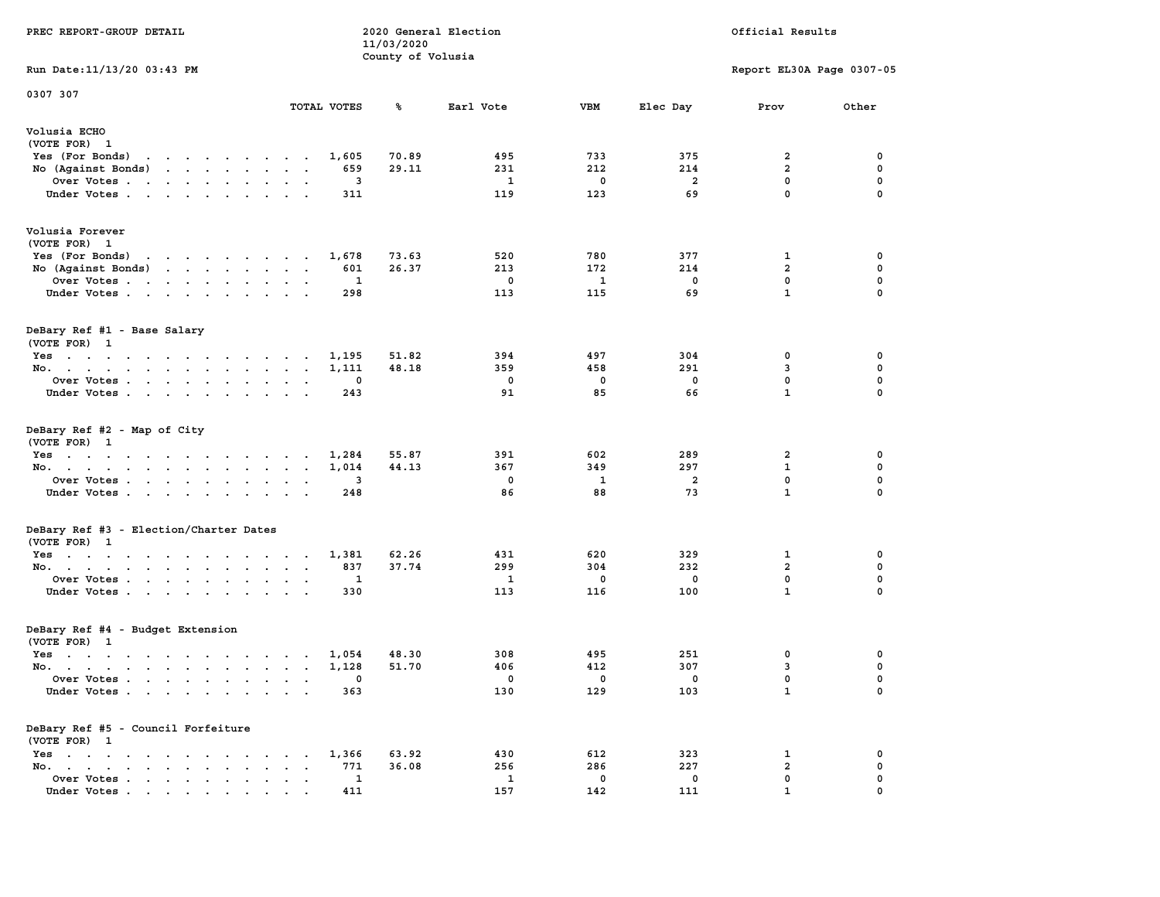| PREC REPORT-GROUP DETAIL                                                                                                           |                        |          | 11/03/2020<br>County of Volusia | 2020 General Election |          |            | Official Results          |             |
|------------------------------------------------------------------------------------------------------------------------------------|------------------------|----------|---------------------------------|-----------------------|----------|------------|---------------------------|-------------|
| Run Date: 11/13/20 03:43 PM                                                                                                        |                        |          |                                 |                       |          |            | Report EL30A Page 0307-05 |             |
| 0307 307                                                                                                                           | TOTAL VOTES            |          | ℁                               | Earl Vote             | VBM      | Elec Day   | Prov                      | Other       |
| Volusia ECHO<br>(VOTE FOR) 1                                                                                                       |                        |          |                                 |                       |          |            |                           |             |
| Yes (For Bonds)<br>the contract of the contract of the                                                                             |                        | 1,605    | 70.89                           | 495                   | 733      | 375        | 2                         | 0           |
| No (Against Bonds)<br>the contract of the contract of the                                                                          |                        | 659      | 29.11                           | 231                   | 212      | 214        | $\overline{\mathbf{2}}$   | 0           |
| Over Votes.<br>the contract of the contract of the contract of the contract of the contract of                                     |                        | 3        |                                 | 1                     | 0        | 2          | 0                         | 0           |
| Under Votes                                                                                                                        | $\cdot$ $\cdot$        | 311      |                                 | 119                   | 123      | 69         | $\mathbf 0$               | $\Omega$    |
| Volusia Forever<br>(VOTE FOR) 1                                                                                                    |                        |          |                                 |                       |          |            |                           |             |
| Yes (For Bonds)<br>the contract of the contract of the contract of the contract of the contract of the contract of the contract of |                        | 1,678    | 73.63                           | 520                   | 780      | 377        | 1                         | 0           |
| No (Against Bonds)                                                                                                                 |                        | 601      | 26.37                           | 213                   | 172      | 214        | $\overline{a}$            | 0           |
| Over Votes                                                                                                                         |                        | 1        |                                 | 0                     | 1        | 0          | 0                         | 0           |
| Under Votes                                                                                                                        |                        | 298      |                                 | 113                   | 115      | 69         | $\mathbf{1}$              | 0           |
| DeBary Ref #1 - Base Salary<br>(VOTE FOR) 1                                                                                        |                        |          |                                 |                       |          |            |                           |             |
| Yes<br>the contract of the contract of the contract of                                                                             |                        | 1,195    | 51.82                           | 394                   | 497      | 304        | 0                         | 0           |
| No.                                                                                                                                |                        | 1,111    | 48.18                           | 359                   | 458      | 291        | 3                         | 0           |
| Over Votes.<br>the contract of the contract of the contract of the contract of the contract of the contract of the contract of     | $\bullet$<br>$\bullet$ | 0        |                                 | 0                     | 0        | $^{\circ}$ | $\mathbf 0$               | 0           |
| Under Votes                                                                                                                        |                        | 243      |                                 | 91                    | 85       | 66         | $\mathbf{1}$              | 0           |
| DeBary Ref #2 - Map of City<br>(VOTE FOR) 1                                                                                        |                        |          |                                 |                       |          |            |                           |             |
| Yes                                                                                                                                |                        | 1,284    | 55.87                           | 391                   | 602      | 289        | 2                         | 0           |
| No.                                                                                                                                | $\sim$ $\sim$ $\sim$   | 1,014    | 44.13                           | 367                   | 349      | 297        | $\mathbf{1}$              | 0           |
| Over Votes                                                                                                                         |                        | 3        |                                 | 0                     | 1        | 2          | 0                         | 0           |
| Under Votes                                                                                                                        |                        | 248      |                                 | 86                    | 88       | 73         | $\mathbf{1}$              | $\Omega$    |
| DeBary Ref #3 - Election/Charter Dates<br>(VOTE FOR) 1                                                                             |                        |          |                                 |                       |          |            |                           |             |
| Yes                                                                                                                                |                        | 1,381    | 62.26                           | 431                   | 620      | 329        | 1                         | 0           |
| No.                                                                                                                                | $\ddot{\phantom{1}}$   | 837      | 37.74                           | 299                   | 304      | 232        | $\overline{\mathbf{2}}$   | 0           |
| Over Votes                                                                                                                         | $\sim$ $\sim$          | 1        |                                 | 1                     | 0        | 0          | 0                         | $\mathbf 0$ |
| Under Votes                                                                                                                        |                        | 330      |                                 | 113                   | 116      | 100        | $\mathbf{1}$              | 0           |
| DeBary Ref #4 - Budget Extension<br>(VOTE FOR) 1                                                                                   |                        |          |                                 |                       |          |            |                           |             |
| Yes<br>the contract of the contract of the contract of the contract of the contract of the contract of the contract of             |                        | 1,054    | 48.30                           | 308                   | 495      | 251        | 0                         | 0           |
| No.                                                                                                                                |                        | 1,128    | 51.70                           | 406                   | 412      | 307        | 3                         | 0           |
| Over Votes                                                                                                                         |                        | 0        |                                 | 0                     | 0        | 0          | 0                         | $\Omega$    |
| Under Votes                                                                                                                        |                        | 363      |                                 | 130                   | 129      | 103        | $\mathbf{1}$              | 0           |
| DeBary Ref #5 - Council Forfeiture<br>(VOTE FOR) 1                                                                                 |                        |          |                                 |                       |          |            |                           |             |
| $Yes \t . \t . \t .$<br><b>Contract Contract Contract</b><br><b>Contract</b>                                                       |                        | 1,366    | 63.92                           | 430                   | 612      | 323        | 1                         | 0           |
| No.<br>$\ddot{\phantom{a}}$<br>$\bullet$                                                                                           |                        | 771      | 36.08                           | 256                   | 286      | 227        | $\overline{\mathbf{2}}$   | 0           |
| Over Votes<br>Under Votes                                                                                                          |                        | 1<br>411 |                                 | 1<br>157              | 0<br>142 | 0<br>111   | 0<br>1                    | 0           |
|                                                                                                                                    |                        |          |                                 |                       |          |            |                           |             |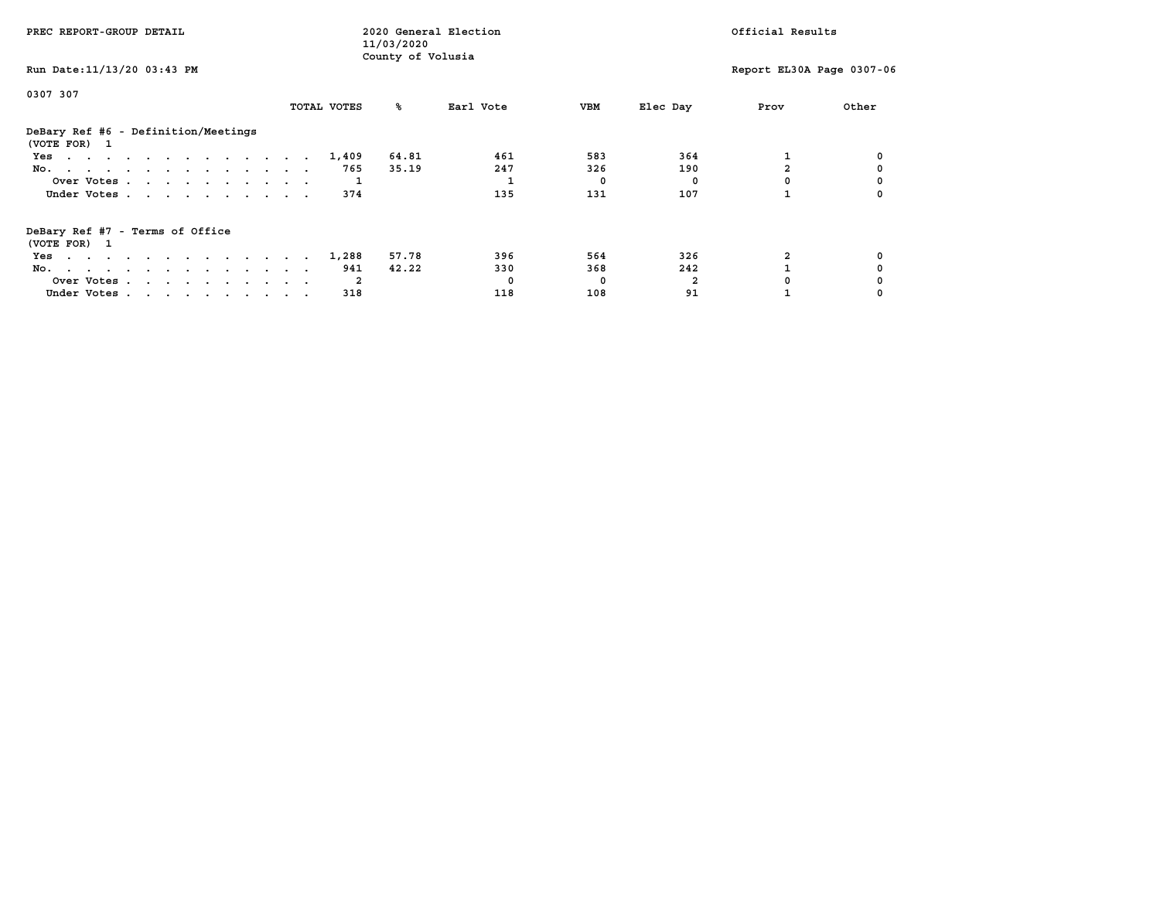| PREC REPORT-GROUP DETAIL                            |             | 2020 General Election<br>11/03/2020 |           |            |          | Official Results          |       |
|-----------------------------------------------------|-------------|-------------------------------------|-----------|------------|----------|---------------------------|-------|
| Run Date: 11/13/20 03:43 PM                         |             | County of Volusia                   |           |            |          | Report EL30A Page 0307-06 |       |
| 0307 307                                            |             |                                     |           |            |          |                           |       |
|                                                     | TOTAL VOTES | ‱                                   | Earl Vote | <b>VBM</b> | Elec Day | Prov                      | Other |
| DeBary Ref #6 - Definition/Meetings<br>(VOTE FOR) 1 |             |                                     |           |            |          |                           |       |
| Yes                                                 | 1,409       | 64.81                               | 461       | 583        | 364      |                           |       |
| No.                                                 | 765         | 35.19                               | 247       | 326        | 190      |                           |       |
| Over Votes                                          |             |                                     |           | 0          | 0        |                           |       |
| Under Votes                                         | 374         |                                     | 135       | 131        | 107      |                           |       |
| DeBary Ref #7 - Terms of Office<br>(VOTE FOR) 1     |             |                                     |           |            |          |                           |       |
| Yes                                                 | 1,288       | 57.78                               | 396       | 564        | 326      |                           |       |
| No.                                                 | 941         | 42.22                               | 330       | 368        | 242      |                           |       |
| Over Votes                                          | -2          |                                     | $\Omega$  | 0          |          |                           |       |
| Under Votes                                         | 318         |                                     | 118       | 108        | 91       |                           |       |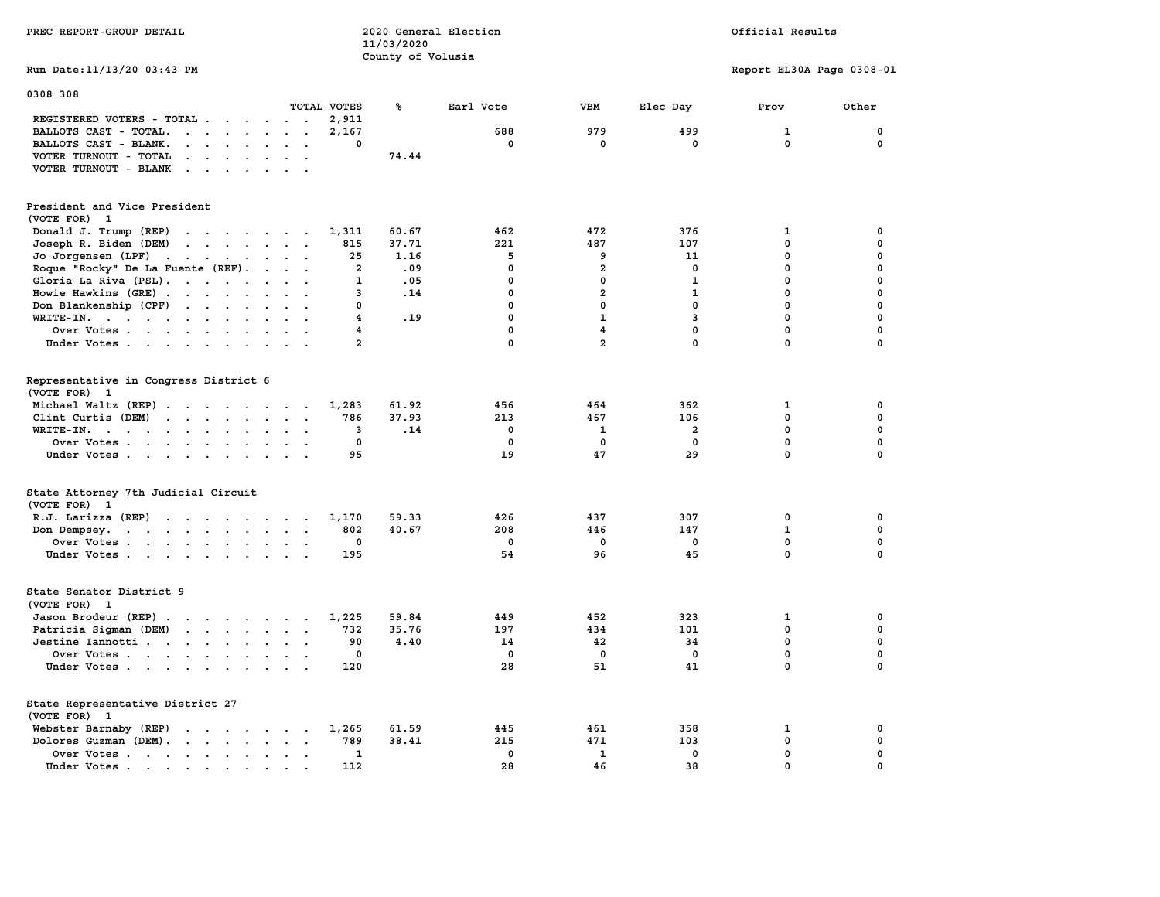| PREC REPORT-GROUP DETAIL                                                                                                                                                                                                                                    |                         | 2020 General Election<br>11/03/2020 |             |                         |                         | Official Results          |             |
|-------------------------------------------------------------------------------------------------------------------------------------------------------------------------------------------------------------------------------------------------------------|-------------------------|-------------------------------------|-------------|-------------------------|-------------------------|---------------------------|-------------|
|                                                                                                                                                                                                                                                             |                         | County of Volusia                   |             |                         |                         |                           |             |
| Run Date: 11/13/20 03:43 PM                                                                                                                                                                                                                                 |                         |                                     |             |                         |                         | Report EL30A Page 0308-01 |             |
| 0308 308                                                                                                                                                                                                                                                    |                         |                                     |             |                         |                         |                           |             |
|                                                                                                                                                                                                                                                             | TOTAL VOTES             | ℁                                   | Earl Vote   | VBM                     | Elec Day                | Prov                      | Other       |
| REGISTERED VOTERS - TOTAL                                                                                                                                                                                                                                   | 2,911                   |                                     | 688         | 979                     | 499                     | $\mathbf{1}$              | $\mathbf 0$ |
| BALLOTS CAST - TOTAL.<br>$\mathbf{r}$                                                                                                                                                                                                                       | 2,167<br>0              |                                     | 0           | 0                       | 0                       | 0                         | 0           |
| BALLOTS CAST - BLANK.<br>$\ddot{\phantom{a}}$<br>$\cdot$ $\cdot$                                                                                                                                                                                            |                         | 74.44                               |             |                         |                         |                           |             |
| VOTER TURNOUT - TOTAL<br>$\mathbf{r}$ , $\mathbf{r}$ , $\mathbf{r}$ , $\mathbf{r}$ , $\mathbf{r}$<br>$\sim$ $\sim$                                                                                                                                          |                         |                                     |             |                         |                         |                           |             |
| VOTER TURNOUT - BLANK<br>$\sim$ $\sim$ $\sim$ $\sim$<br>$\sim$<br>$\sim$                                                                                                                                                                                    |                         |                                     |             |                         |                         |                           |             |
|                                                                                                                                                                                                                                                             |                         |                                     |             |                         |                         |                           |             |
| President and Vice President<br>(VOTE FOR) 1                                                                                                                                                                                                                |                         |                                     |             |                         |                         |                           |             |
| Donald J. Trump (REP)<br>$\mathcal{A}$ . The set of the set of the set of the set of the set of the set of the set of the set of the set of the set of the set of the set of the set of the set of the set of the set of the set of the set of the set of t | 1,311                   | 60.67                               | 462         | 472                     | 376                     | 1                         | 0           |
| Joseph R. Biden (DEM)<br>$\mathbf{r}$ , $\mathbf{r}$ , $\mathbf{r}$ , $\mathbf{r}$ , $\mathbf{r}$<br>$\cdot$ .                                                                                                                                              | 815                     | 37.71                               | 221         | 487                     | 107                     | 0                         | 0           |
| Jo Jorgensen (LPF)                                                                                                                                                                                                                                          | 25                      | 1.16                                | 5           | 9                       | 11                      | 0                         | 0           |
| the contract of the contract of the<br>$\sim$                                                                                                                                                                                                               | $\overline{\mathbf{2}}$ | .09                                 | $\mathbf 0$ | $\overline{\mathbf{2}}$ | $\mathbf 0$             | $\mathbf 0$               | $\mathbf 0$ |
| Roque "Rocky" De La Fuente (REF).<br>$\ddot{\phantom{a}}$                                                                                                                                                                                                   |                         |                                     |             |                         |                         |                           | $\mathbf 0$ |
| Gloria La Riva (PSL).<br>$\sim$                                                                                                                                                                                                                             | 1                       | .05                                 | 0           | $\mathbf 0$             | $\mathbf{1}$            | $\mathbf 0$               |             |
| Howie Hawkins (GRE)<br>$\sim$<br>$\ddot{\phantom{a}}$                                                                                                                                                                                                       | 3                       | .14                                 | 0           | 2                       | 1                       | 0                         | $\pmb{0}$   |
| Don Blankenship (CPF)<br>$\sim$                                                                                                                                                                                                                             | 0                       |                                     | 0           | 0                       | $\mathbf{0}$            | $\mathbf 0$               | $\mathbf 0$ |
| $\texttt{WRTTE-IN.}$<br>$\ddot{\phantom{0}}$<br>$\ddot{\phantom{a}}$<br>$\ddot{\phantom{a}}$                                                                                                                                                                | 4                       | .19                                 | 0           | $\mathbf{1}$            | 3                       | $\mathbf 0$               | $\mathbf 0$ |
| Over Votes                                                                                                                                                                                                                                                  | 4                       |                                     | $\mathbf 0$ | 4                       | $\mathbf 0$             | $\mathbf 0$               | $\mathbf 0$ |
| Under Votes                                                                                                                                                                                                                                                 | $\overline{\mathbf{2}}$ |                                     | 0           | $\overline{\mathbf{2}}$ | 0                       | $\pmb{0}$                 | $\mathbf 0$ |
| Representative in Congress District 6<br>(VOTE FOR) 1                                                                                                                                                                                                       |                         |                                     |             |                         |                         |                           |             |
| Michael Waltz (REP)                                                                                                                                                                                                                                         | 1,283                   | 61.92                               | 456         | 464                     | 362                     | 1                         | 0           |
| Clint Curtis $(DEM)$<br>$\ddot{\phantom{a}}$                                                                                                                                                                                                                | 786                     | 37.93                               | 213         | 467                     | 106                     | $\mathbf 0$               | $\mathbf 0$ |
| $\texttt{WRTTE-IN.}$<br>$\bullet$<br>$\blacksquare$                                                                                                                                                                                                         | 3                       | .14                                 | $\mathbf 0$ | $\mathbf{1}$            | $\overline{\mathbf{2}}$ | $\mathbf 0$               | 0           |
| Over Votes<br>$\sim$ $\sim$<br>$\bullet$                                                                                                                                                                                                                    | 0                       |                                     | $\mathbf 0$ | 0                       | $\mathbf 0$             | $\mathbf 0$               | 0           |
| Under Votes<br>$\cdot$ $\cdot$                                                                                                                                                                                                                              | 95                      |                                     | 19          | 47                      | 29                      | $\mathbf 0$               | $\mathbf 0$ |
| State Attorney 7th Judicial Circuit<br>(VOTE FOR) 1                                                                                                                                                                                                         |                         |                                     |             |                         |                         |                           |             |
| R.J. Larizza $(REF)$                                                                                                                                                                                                                                        | 1,170                   | 59.33                               | 426         | 437                     | 307                     | 0                         | 0           |
| Don Dempsey.<br>the contract of the contract of the<br>$\sim$ $\sim$                                                                                                                                                                                        | 802                     | 40.67                               | 208         | 446                     | 147                     | 1                         | $\mathbf 0$ |
| Over Votes                                                                                                                                                                                                                                                  | 0                       |                                     | $\mathbf 0$ | 0                       | 0                       | 0                         | $\mathbf 0$ |
| Under Votes                                                                                                                                                                                                                                                 | 195                     |                                     | 54          | 96                      | 45                      | $\mathbf 0$               | $\Omega$    |
| State Senator District 9<br>(VOTE FOR) 1                                                                                                                                                                                                                    |                         |                                     |             |                         |                         |                           |             |
| Jason Brodeur (REP)                                                                                                                                                                                                                                         | 1,225                   | 59.84                               | 449         | 452                     | 323                     | 1                         | 0           |
| Patricia Sigman (DEM)<br>and the contract of the contract of<br>$\sim$ $\sim$                                                                                                                                                                               | 732                     | 35.76                               | 197         | 434                     | 101                     | $\mathbf 0$               | $\mathbf 0$ |
| Jestine Iannotti                                                                                                                                                                                                                                            | 90                      | 4.40                                | 14          | 42                      | 34                      | $\mathbf 0$               | 0           |
| Over Votes<br>$\ddot{\phantom{0}}$                                                                                                                                                                                                                          | 0                       |                                     | $\mathbf 0$ | $\mathbf 0$             | $\mathbf 0$             | $\mathbf 0$               | 0           |
| Under Votes<br>$\cdot$ .                                                                                                                                                                                                                                    | 120                     |                                     | 28          | 51                      | 41                      | 0                         | 0           |
| State Representative District 27<br>(VOTE FOR) 1                                                                                                                                                                                                            |                         |                                     |             |                         |                         |                           |             |
| Webster Barnaby (REP)<br>the contract of the contract of the                                                                                                                                                                                                | 1,265                   | 61.59                               | 445         | 461                     | 358                     | 1                         | 0           |
| Dolores Guzman (DEM).<br>$\sim$                                                                                                                                                                                                                             | 789                     | 38.41                               | 215         | 471                     | 103                     | 0                         | 0           |
| Over Votes<br>$\ddot{\phantom{0}}$<br>$\cdot$                                                                                                                                                                                                               | $\mathbf{1}$            |                                     | $\mathbf 0$ | $\mathbf{1}$            | $\mathbf 0$             | $\mathbf 0$               | $\mathbf 0$ |
| Under Votes<br>$\sim$                                                                                                                                                                                                                                       | 112                     |                                     | 28          | 46                      | 38                      | 0                         | 0           |
|                                                                                                                                                                                                                                                             |                         |                                     |             |                         |                         |                           |             |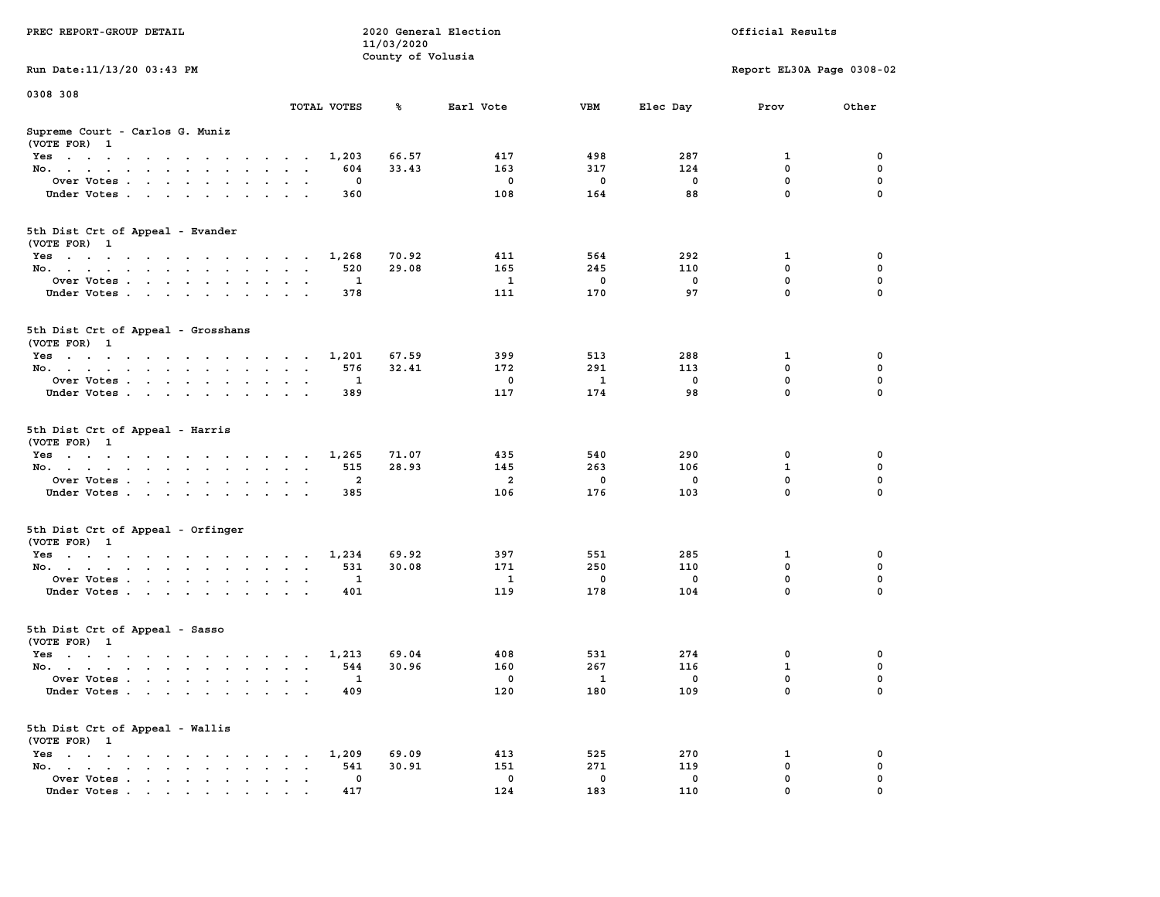|                                                                                                                                                                                                                                                  |                                                               | 11/03/2020        |                |              |              |                           |              |
|--------------------------------------------------------------------------------------------------------------------------------------------------------------------------------------------------------------------------------------------------|---------------------------------------------------------------|-------------------|----------------|--------------|--------------|---------------------------|--------------|
|                                                                                                                                                                                                                                                  |                                                               | County of Volusia |                |              |              |                           |              |
| Run Date: 11/13/20 03:43 PM                                                                                                                                                                                                                      |                                                               |                   |                |              |              | Report EL30A Page 0308-02 |              |
| 0308 308                                                                                                                                                                                                                                         |                                                               |                   |                |              |              |                           |              |
|                                                                                                                                                                                                                                                  | TOTAL VOTES                                                   | ℁                 | Earl Vote      | VBM          | Elec Day     | Prov                      | Other        |
| Supreme Court - Carlos G. Muniz<br>(VOTE FOR) 1                                                                                                                                                                                                  |                                                               |                   |                |              |              |                           |              |
| Yes                                                                                                                                                                                                                                              | 1,203                                                         | 66.57             | 417            | 498          | 287          | 1                         | 0            |
| No.<br>$\sim$ $\sim$                                                                                                                                                                                                                             | 604                                                           | 33.43             | 163            | 317          | 124          | $\mathbf 0$               | $\mathbf 0$  |
| Over Votes                                                                                                                                                                                                                                       | $\mathbf 0$                                                   |                   | $\mathbf 0$    | $\mathbf 0$  | $\mathbf 0$  | $\mathbf 0$               | $\mathbf 0$  |
| Under Votes<br>$\mathcal{A}^{\mathcal{A}}$ and $\mathcal{A}^{\mathcal{A}}$                                                                                                                                                                       | 360                                                           |                   | 108            | 164          | 88           | $\mathbf 0$               | $\mathbf 0$  |
| 5th Dist Crt of Appeal - Evander<br>(VOTE FOR) 1                                                                                                                                                                                                 |                                                               |                   |                |              |              |                           |              |
| Yes                                                                                                                                                                                                                                              | 1,268                                                         | 70.92             | 411            | 564          | 292          | 1                         | 0            |
| No.                                                                                                                                                                                                                                              | 520                                                           | 29.08             | 165            | 245          | 110          | $\mathbf 0$               | 0            |
| Over Votes                                                                                                                                                                                                                                       | $\mathbf{1}$<br>$\ddot{\phantom{1}}$                          |                   | $\mathbf{1}$   | $\mathbf 0$  | $\mathbf 0$  | $\mathbf 0$               | $\mathbf 0$  |
| Under Votes                                                                                                                                                                                                                                      | 378                                                           |                   | 111            | 170          | 97           | $\mathbf 0$               | 0            |
| 5th Dist Crt of Appeal - Grosshans<br>(VOTE FOR) 1                                                                                                                                                                                               |                                                               |                   |                |              |              |                           |              |
| Yes                                                                                                                                                                                                                                              | 1,201                                                         | 67.59             | 399            | 513          | 288          | 1                         | 0            |
| No.                                                                                                                                                                                                                                              | 576<br>$\sim$<br>$\sim$ $\sim$                                | 32.41             | 172            | 291          | 113          | $\mathbf 0$               | $\mathbf{0}$ |
| Over Votes                                                                                                                                                                                                                                       | $\mathbf{1}$<br>$\ddot{\phantom{a}}$<br>$\sim$                |                   | $\mathbf 0$    | $\mathbf{1}$ | $\mathbf 0$  | $\mathbf 0$               | $\mathbf 0$  |
| Under Votes                                                                                                                                                                                                                                      | 389                                                           |                   | 117            | 174          | 98           | $\mathbf 0$               | 0            |
| 5th Dist Crt of Appeal - Harris<br>(VOTE FOR) 1                                                                                                                                                                                                  | 1,265                                                         | 71.07             | 435            | 540          | 290          | 0                         | 0            |
| Yes<br>No.<br>$\ddot{\phantom{0}}$                                                                                                                                                                                                               | 515<br>$\sim$<br>$\ddot{\phantom{0}}$<br>$\ddot{\phantom{a}}$ | 28.93             | 145            | 263          | 106          | $\mathbf{1}$              | $\mathbf 0$  |
| Over Votes.                                                                                                                                                                                                                                      | $\overline{2}$                                                |                   | $\overline{a}$ | 0            | 0            | $\mathbf 0$               | 0            |
|                                                                                                                                                                                                                                                  |                                                               |                   |                |              |              | $\mathbf 0$               | 0            |
| Under Votes<br>$\sim$                                                                                                                                                                                                                            | 385<br>$\cdot$ $\cdot$                                        |                   | 106            | 176          | 103          |                           |              |
| 5th Dist Crt of Appeal - Orfinger<br>(VOTE FOR) 1                                                                                                                                                                                                |                                                               |                   |                |              |              |                           |              |
| Yes                                                                                                                                                                                                                                              | 1,234                                                         | 69.92             | 397            | 551          | 285          | 1                         | 0            |
| No.<br>$\sim$                                                                                                                                                                                                                                    | 531<br>$\sim$<br>$\sim$<br>$\ddot{\phantom{0}}$               | 30.08             | 171            | 250          | 110          | $\mathbf 0$               | $\mathbf 0$  |
| Over Votes                                                                                                                                                                                                                                       | $\mathbf{1}$<br>$\bullet$<br>$\cdot$ .                        |                   | $\mathbf{1}$   | $\Omega$     | $\mathbf{0}$ | $\mathbf 0$               | $\mathbf 0$  |
| Under Votes                                                                                                                                                                                                                                      | 401<br>$\sim$<br>$\sim$ $\sim$ $\sim$                         |                   | 119            | 178          | 104          | $\mathbf 0$               | $\mathbf 0$  |
| 5th Dist Crt of Appeal - Sasso<br>(VOTE FOR) 1                                                                                                                                                                                                   |                                                               |                   |                |              |              |                           |              |
| Yes                                                                                                                                                                                                                                              | 1,213                                                         | 69.04             | 408            | 531          | 274          | 0                         | $\mathbf 0$  |
| No.                                                                                                                                                                                                                                              | 544                                                           | 30.96             | 160            | 267          | 116          | $\mathbf{1}$              | $\mathbf 0$  |
| Over Votes<br>$\ddot{\phantom{a}}$                                                                                                                                                                                                               | 1<br>$\ddot{\phantom{a}}$<br>$\cdot$<br>$\cdot$               |                   | $\mathbf 0$    | 1            | 0            | $\mathbf 0$               | $\mathbf 0$  |
| Under Votes                                                                                                                                                                                                                                      | 409                                                           |                   | 120            | 180          | 109          | $\Omega$                  | $\Omega$     |
| 5th Dist Crt of Appeal - Wallis<br>(VOTE FOR) 1                                                                                                                                                                                                  |                                                               |                   |                |              |              |                           |              |
| $Yes \t . \t .$<br>the contract of the contract of the contract of the contract of the contract of the contract of the contract of                                                                                                               | 1,209                                                         | 69.09             | 413            | 525          | 270          | 1                         | 0            |
| No.<br>the contract of the contract of the con-<br>$\ddot{\phantom{a}}$                                                                                                                                                                          | 541<br>$\bullet$<br>$\cdot$ $\cdot$                           | 30.91             | 151            | 271          | 119          | $\mathbf 0$               | $\mathbf 0$  |
| Over Votes<br>$\sim$<br>$\ddot{\phantom{a}}$                                                                                                                                                                                                     | $\mathbf{0}$<br>$\blacksquare$<br>$\bullet$<br>$\blacksquare$ |                   | $^{\circ}$     | 0            | 0            | $\mathbf 0$               | $\mathbf 0$  |
| Under Votes<br>$\mathbf{r}$ . The contract of the contract of the contract of the contract of the contract of the contract of the contract of the contract of the contract of the contract of the contract of the contract of the contract of th | 417                                                           |                   | 124            | 183          | 110          | $\mathbf 0$               | $\mathbf 0$  |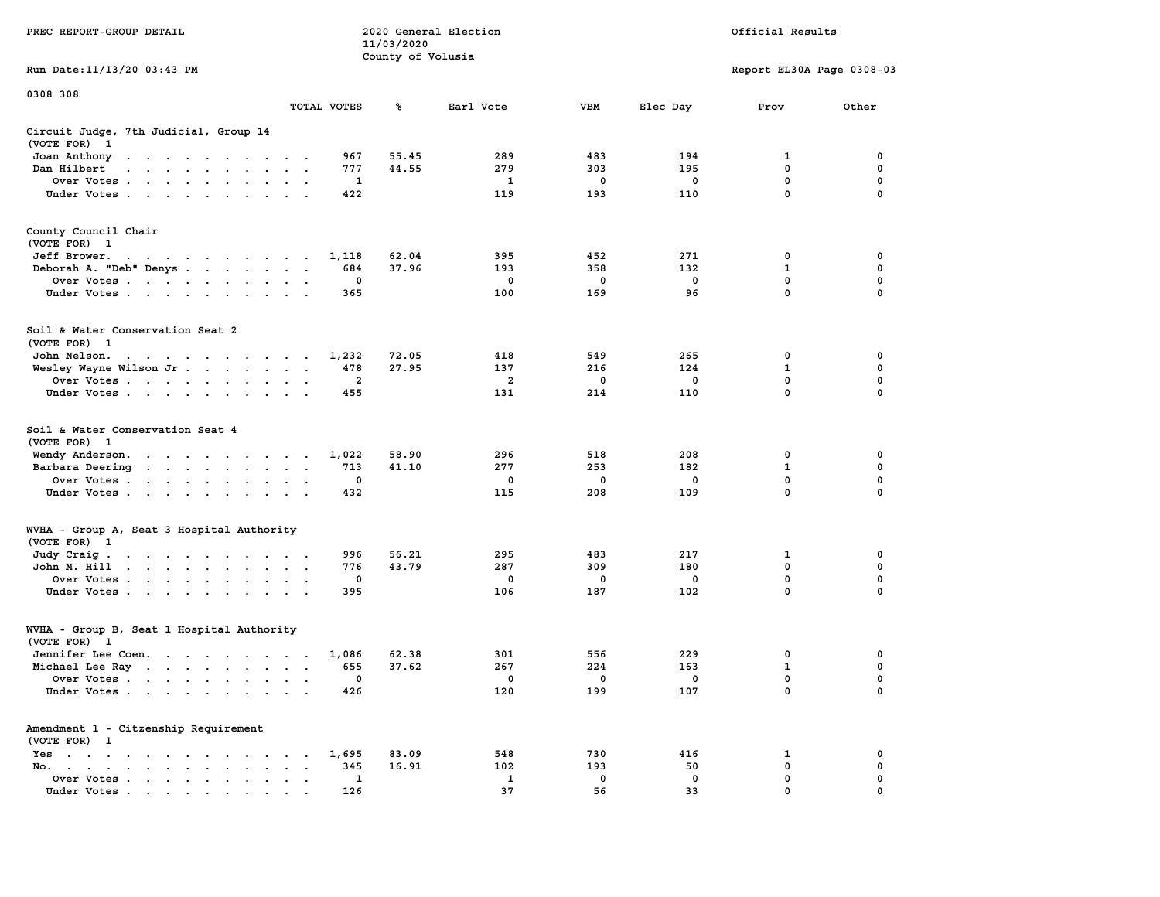|                                                                                                                                                                                                                                                      |                                                                   | 11/03/2020        |                |             |             |                           |                  |
|------------------------------------------------------------------------------------------------------------------------------------------------------------------------------------------------------------------------------------------------------|-------------------------------------------------------------------|-------------------|----------------|-------------|-------------|---------------------------|------------------|
|                                                                                                                                                                                                                                                      |                                                                   | County of Volusia |                |             |             |                           |                  |
| Run Date:11/13/20 03:43 PM                                                                                                                                                                                                                           |                                                                   |                   |                |             |             | Report EL30A Page 0308-03 |                  |
| 0308 308                                                                                                                                                                                                                                             |                                                                   |                   |                |             |             |                           |                  |
|                                                                                                                                                                                                                                                      | TOTAL VOTES                                                       | ℁                 | Earl Vote      | <b>VBM</b>  | Elec Day    | Prov                      | Other            |
| Circuit Judge, 7th Judicial, Group 14                                                                                                                                                                                                                |                                                                   |                   |                |             |             |                           |                  |
| (VOTE FOR)<br>$\mathbf{1}$                                                                                                                                                                                                                           |                                                                   |                   |                |             |             |                           |                  |
| Joan Anthony<br>the contract of the contract of the                                                                                                                                                                                                  | 967<br>$\sim$                                                     | 55.45             | 289            | 483         | 194         | 1                         | 0                |
| Dan Hilbert<br>$\ddot{\phantom{a}}$<br>$\mathbf{r}$ . The set of the set of $\mathbf{r}$                                                                                                                                                             | 777<br>$\sim$<br>$\sim$                                           | 44.55             | 279            | 303         | 195         | 0                         | 0                |
| Over Votes.<br>and the contract of the contract of<br>$\overline{\phantom{a}}$                                                                                                                                                                       | 1<br>$\cdot$                                                      |                   | $\mathbf{1}$   | $\mathbf 0$ | $\mathbf 0$ | $\mathbf 0$               | $\mathbf 0$      |
| Under Votes                                                                                                                                                                                                                                          | 422<br>$\cdot$<br>$\ddot{\phantom{a}}$                            |                   | 119            | 193         | 110         | 0                         | $\mathbf 0$      |
| County Council Chair                                                                                                                                                                                                                                 |                                                                   |                   |                |             |             |                           |                  |
| (VOTE FOR) 1                                                                                                                                                                                                                                         |                                                                   |                   |                |             |             |                           |                  |
| Jeff Brower.                                                                                                                                                                                                                                         | 1,118                                                             | 62.04             | 395            | 452         | 271         | 0                         | 0                |
| the contract of the contract of the con-                                                                                                                                                                                                             | $\overline{\phantom{a}}$                                          | 37.96             |                | 358         | 132         | 1                         | 0                |
| Deborah A. "Deb" Denys                                                                                                                                                                                                                               | 684<br>$\sim$<br>$\sim$                                           |                   | 193            |             |             |                           |                  |
| Over Votes<br>$\sim$<br>$\sim$<br>$\bullet$<br>$\ddot{\phantom{1}}$                                                                                                                                                                                  | 0                                                                 |                   | 0              | 0           | 0           | 0<br>$\mathbf{0}$         | 0<br>$\mathbf 0$ |
| Under Votes<br>$\bullet$ . $\bullet$ .<br>$\ddot{\phantom{a}}$                                                                                                                                                                                       | 365                                                               |                   | 100            | 169         | 96          |                           |                  |
| Soil & Water Conservation Seat 2                                                                                                                                                                                                                     |                                                                   |                   |                |             |             |                           |                  |
| (VOTE FOR) 1                                                                                                                                                                                                                                         |                                                                   |                   |                |             |             |                           |                  |
| John Nelson.<br>$\mathcal{A}=\mathcal{A}=\mathcal{A}=\mathcal{A}=\mathcal{A}=\mathcal{A}=\mathcal{A}=\mathcal{A}$ .                                                                                                                                  | 1,232<br>$\cdot$ $\cdot$                                          | 72.05             | 418            | 549         | 265         | 0                         | 0                |
| Wesley Wayne Wilson Jr<br>$\ddot{\phantom{a}}$                                                                                                                                                                                                       | 478<br>$\bullet$<br>$\bullet$<br>$\ddot{\phantom{a}}$             | 27.95             | 137            | 216         | 124         | $\mathbf{1}$              | $\mathbf 0$      |
| Over Votes                                                                                                                                                                                                                                           | $\overline{\mathbf{2}}$<br>$\cdot$<br>$\bullet$                   |                   | $\overline{a}$ | 0           | 0           | 0                         | 0                |
| Under Votes<br>$\cdot$                                                                                                                                                                                                                               | 455                                                               |                   | 131            | 214         | 110         | 0                         | $\mathbf 0$      |
| Soil & Water Conservation Seat 4<br>(VOTE FOR)<br>$\mathbf{1}$                                                                                                                                                                                       |                                                                   |                   |                |             |             |                           |                  |
| Wendy Anderson.<br>$\mathbf{r}$ . The contract of the contract of the contract of the contract of the contract of the contract of the contract of the contract of the contract of the contract of the contract of the contract of the contract of th | 1,022                                                             | 58.90             | 296            | 518         | 208         | 0                         | 0                |
| Barbara Deering<br>$\sim 10^{-1}$ and $\sim 10^{-1}$<br>$\sim 100$ km s $^{-1}$<br>$\ddot{\phantom{0}}$<br>$\ddot{\phantom{0}}$                                                                                                                      | 713<br>$\bullet$<br>$\bullet$<br>$\cdot$                          | 41.10             | 277            | 253         | 182         | $\mathbf 1$               | 0                |
| Over Votes .<br>$\mathbf{r}$ . The contract of the contract of the contract of the contract of the contract of the contract of the contract of the contract of the contract of the contract of the contract of the contract of the contract of th    | $\mathbf 0$<br>$\cdot$                                            |                   | 0              | 0           | $\mathbf 0$ | 0                         | $\mathbf 0$      |
| Under Votes<br>$\cdot$<br>$\cdot$                                                                                                                                                                                                                    | 432                                                               |                   | 115            | 208         | 109         | 0                         | 0                |
| WVHA - Group A, Seat 3 Hospital Authority                                                                                                                                                                                                            |                                                                   |                   |                |             |             |                           |                  |
| (VOTE FOR) 1                                                                                                                                                                                                                                         |                                                                   |                   |                |             |             |                           |                  |
| Judy Craig.<br>$\mathbf{a}$ . The second contribution of the second contribution $\mathbf{a}$                                                                                                                                                        | 996                                                               | 56.21             | 295            | 483         | 217         | $\mathbf 1$               | $\mathbf 0$      |
| $\mathcal{A}$ . The set of the set of the set of $\mathcal{A}$<br>John M. Hill                                                                                                                                                                       | 776<br>$\ddot{\phantom{a}}$<br>$\cdot$<br>$\ddot{\phantom{1}}$    | 43.79             | 287            | 309         | 180         | 0                         | $\mathbf 0$      |
| Over Votes<br>$\ddot{\phantom{1}}$                                                                                                                                                                                                                   | $\mathbf 0$<br>$\bullet$<br>$\bullet$                             |                   | 0              | 0           | 0           | 0                         | 0                |
| Under Votes<br>$\ddot{\phantom{0}}$                                                                                                                                                                                                                  | 395<br>$\cdot$<br>$\cdots$                                        |                   | 106            | 187         | 102         | $\mathbf 0$               | 0                |
| WVHA - Group B, Seat 1 Hospital Authority                                                                                                                                                                                                            |                                                                   |                   |                |             |             |                           |                  |
| (VOTE FOR)<br>$\mathbf{1}$                                                                                                                                                                                                                           |                                                                   |                   |                |             |             |                           |                  |
| Jennifer Lee Coen.<br>the contract of the contract of the contract of the contract of the contract of the contract of the contract of                                                                                                                | 1,086                                                             | 62.38             | 301            | 556         | 229         | 0                         | 0                |
| Michael Lee Ray                                                                                                                                                                                                                                      | 655<br>$\sim$<br>$\ddot{\phantom{a}}$<br>$\overline{\phantom{a}}$ | 37.62             | 267            | 224         | 163         | 1                         | $\mathbf 0$      |
| Over Votes<br>$\sim$<br>$\ddot{\phantom{a}}$                                                                                                                                                                                                         | $\mathbf 0$<br>$\ddot{\phantom{a}}$                               |                   | 0              | 0           | 0           | $\mathbf 0$               | $\mathbf 0$      |
| Under Votes<br>$\sim$                                                                                                                                                                                                                                | $\cdot$<br>$\cdot$<br>426<br>$\cdot$ $\cdot$ $\cdot$              |                   | 120            | 199         | 107         | $\mathbf{0}$              | $\mathbf 0$      |
| Amendment 1 - Citzenship Requirement                                                                                                                                                                                                                 |                                                                   |                   |                |             |             |                           |                  |
| (VOTE FOR) 1                                                                                                                                                                                                                                         |                                                                   |                   |                |             |             |                           |                  |
| Yes<br>$\sim$<br>$\bullet$<br>$\ddot{\phantom{0}}$<br>$\sim$<br>$\sim$ $\sim$<br>$\ddot{\phantom{a}}$<br>$\blacksquare$                                                                                                                              | 1,695<br>$\bullet$                                                | 83.09             | 548            | 730         | 416         | 1                         | 0                |
| No.<br>$\ddot{\phantom{a}}$<br>$\bullet$ .<br><br><br><br><br><br><br><br><br><br><br><br><br><br><br><br>$\mathbf{r} = \mathbf{r}$                                                                                                                  | 345<br>$\ddot{\phantom{a}}$                                       | 16.91             | 102            | 193         | 50          | 0                         | 0                |
| Over Votes<br>$\bullet$                                                                                                                                                                                                                              | 1<br>$\blacksquare$<br>$\ddot{\phantom{a}}$                       |                   | 1              | 0           | $\mathbf 0$ | $\mathbf 0$               | $\mathbf 0$      |
| Under Votes                                                                                                                                                                                                                                          | 126                                                               |                   | 37             | 56          | 33          | $\mathbf{0}$              | $\mathbf 0$      |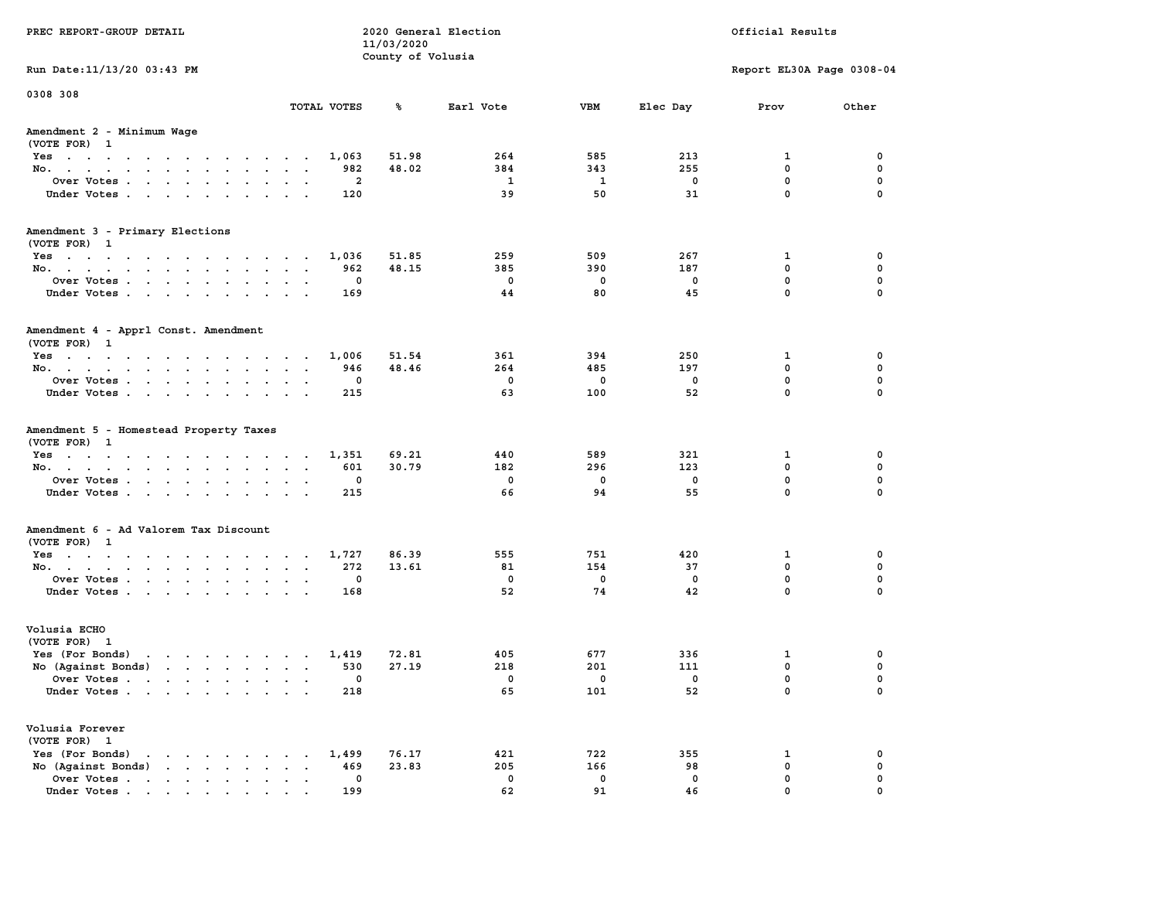| PREC REPORT-GROUP DETAIL                                                                                                                                                                                                                             |                             | 11/03/2020        | 2020 General Election   |                 |                 | Official Results          |             |
|------------------------------------------------------------------------------------------------------------------------------------------------------------------------------------------------------------------------------------------------------|-----------------------------|-------------------|-------------------------|-----------------|-----------------|---------------------------|-------------|
|                                                                                                                                                                                                                                                      |                             | County of Volusia |                         |                 |                 |                           |             |
| Run Date: 11/13/20 03:43 PM                                                                                                                                                                                                                          |                             |                   |                         |                 |                 | Report EL30A Page 0308-04 |             |
| 0308 308                                                                                                                                                                                                                                             |                             |                   |                         |                 |                 |                           |             |
|                                                                                                                                                                                                                                                      | TOTAL VOTES                 | ጜ                 | Earl Vote               | VBM             | Elec Day        | Prov                      | Other       |
| Amendment 2 - Minimum Wage<br>(VOTE FOR) 1                                                                                                                                                                                                           |                             |                   |                         |                 |                 |                           |             |
| Yes                                                                                                                                                                                                                                                  | 1,063                       | 51.98             | 264                     | 585             | 213             | 1                         | 0           |
| No.                                                                                                                                                                                                                                                  | 982                         | 48.02             | 384                     | 343             | 255             | $\mathbf 0$               | $\mathbf 0$ |
| Over Votes.                                                                                                                                                                                                                                          | 2                           |                   | $\mathbf{1}$            | 1               | 0               | $\mathbf 0$               | 0           |
| Under Votes                                                                                                                                                                                                                                          | 120                         |                   | 39                      | 50              | 31              | $\mathbf 0$               | $\mathbf 0$ |
| Amendment 3 - Primary Elections                                                                                                                                                                                                                      |                             |                   |                         |                 |                 |                           |             |
| (VOTE FOR) 1                                                                                                                                                                                                                                         |                             |                   |                         |                 |                 |                           |             |
| Yes<br>No.                                                                                                                                                                                                                                           | 1,036<br>962                | 51.85<br>48.15    | 259<br>385              | 509<br>390      | 267<br>187      | 1<br>0                    | 0<br>0      |
| Over Votes                                                                                                                                                                                                                                           | 0                           |                   | $\overline{\mathbf{0}}$ | 0               | 0               | $\mathbf 0$               | $\mathbf 0$ |
| Under Votes                                                                                                                                                                                                                                          | 169                         |                   | 44                      | 80              | 45              | $\Omega$                  | $\mathbf 0$ |
|                                                                                                                                                                                                                                                      |                             |                   |                         |                 |                 |                           |             |
| Amendment 4 - Apprl Const. Amendment<br>(VOTE FOR) 1                                                                                                                                                                                                 |                             |                   |                         |                 |                 |                           |             |
| $Yes \cdot \cdot \cdot \cdot \cdot \cdot \cdot \cdot \cdot \cdot \cdot \cdot \cdot \cdot$                                                                                                                                                            | 1,006                       | 51.54             | 361                     | 394             | 250             | 1                         | 0           |
| No.                                                                                                                                                                                                                                                  | 946                         | 48.46             | 264                     | 485             | 197             | 0                         | 0           |
| Over Votes                                                                                                                                                                                                                                           | 0                           |                   | $\mathbf 0$             | 0               | 0               | $\mathbf 0$               | $\mathbf 0$ |
| Under Votes                                                                                                                                                                                                                                          | 215                         |                   | 63                      | 100             | 52              | $\mathbf 0$               | $\mathbf 0$ |
| Amendment 5 - Homestead Property Taxes<br>(VOTE FOR) 1<br>Yes<br>No.<br>Over Votes                                                                                                                                                                   | 1,351<br>601<br>0           | 69.21<br>30.79    | 440<br>182<br>0         | 589<br>296<br>0 | 321<br>123<br>0 | 1<br>$\mathbf 0$<br>0     | 0<br>0<br>0 |
| Under Votes                                                                                                                                                                                                                                          | 215                         |                   | 66                      | 94              | 55              | $\mathbf 0$               | $\Omega$    |
| Amendment 6 - Ad Valorem Tax Discount                                                                                                                                                                                                                |                             |                   |                         |                 |                 |                           |             |
| (VOTE FOR) 1                                                                                                                                                                                                                                         |                             |                   |                         |                 |                 |                           |             |
| Yes                                                                                                                                                                                                                                                  | 1,727                       | 86.39             | 555                     | 751             | 420             | 1                         | 0           |
| No.                                                                                                                                                                                                                                                  | 272                         | 13.61             | 81                      | 154             | 37              | $\mathbf 0$               | 0           |
| Over Votes                                                                                                                                                                                                                                           | 0                           |                   | 0                       | 0               | 0               | 0                         | 0           |
| Under Votes                                                                                                                                                                                                                                          | 168                         |                   | 52                      | 74              | 42              | $\Omega$                  | $\Omega$    |
| Volusia ECHO<br>(VOTE FOR) 1                                                                                                                                                                                                                         |                             |                   |                         |                 |                 |                           |             |
| Yes (For Bonds)<br>$\mathbf{r}$ . The set of the set of the set of the set of the set of the set of the set of the set of the set of the set of the set of the set of the set of the set of the set of the set of the set of the set of the set of t | 1,419                       | 72.81             | 405                     | 677             | 336             | 1                         | 0           |
| No (Against Bonds)                                                                                                                                                                                                                                   | 530                         | 27.19             | 218                     | 201             | 111             | 0                         | 0           |
| Over Votes.<br>the contract of the contract of the contract of the contract of the contract of the contract of the contract of                                                                                                                       | 0                           |                   | 0                       | 0               | 0               | $\Omega$                  | $\mathbf 0$ |
| Under Votes                                                                                                                                                                                                                                          | 218                         |                   | 65                      | 101             | 52              | 0                         | 0           |
| Volusia Forever<br>(VOTE FOR) 1                                                                                                                                                                                                                      |                             |                   |                         |                 |                 |                           |             |
| Yes (For Bonds)<br>$\mathbf{r}$ , $\mathbf{r}$ , $\mathbf{r}$ , $\mathbf{r}$ , $\mathbf{r}$                                                                                                                                                          | 1,499                       | 76.17             | 421                     | 722             | 355             | 1                         | 0           |
| $\mathbf{r}$ , $\mathbf{r}$ , $\mathbf{r}$ , $\mathbf{r}$ , $\mathbf{r}$<br>No (Against Bonds)                                                                                                                                                       | 469<br>$\ddot{\phantom{a}}$ | 23.83             | 205                     | 166             | 98              | $\mathbf 0$               | $\mathbf 0$ |
| Over Votes                                                                                                                                                                                                                                           | 0                           |                   | 0                       | 0               | 0               | $\mathbf 0$               | 0           |
| Under Votes                                                                                                                                                                                                                                          | 199                         |                   | 62                      | 91              | 46              | $\Omega$                  | $\Omega$    |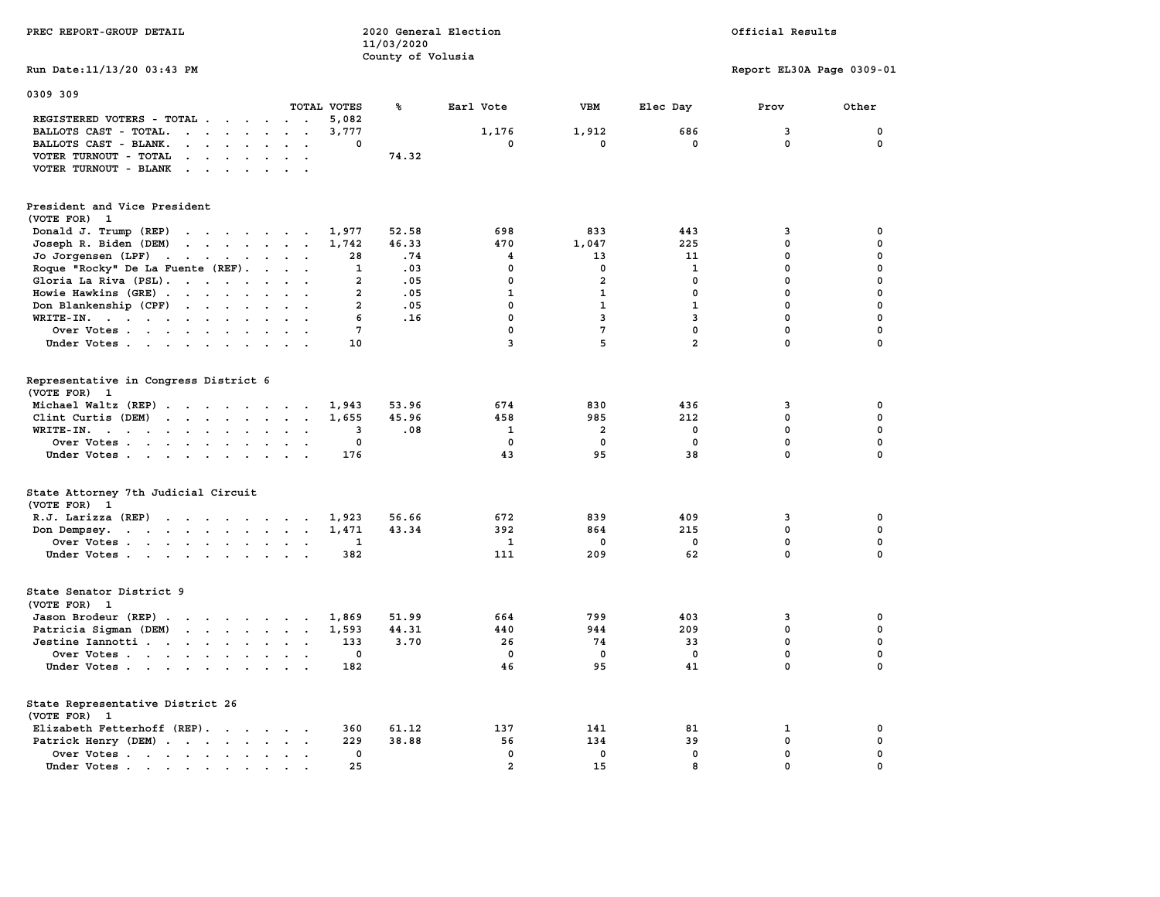| PREC REPORT-GROUP DETAIL                                                                                                                                                                                                                                   |                                                       | 2020 General Election<br>Official Results<br>11/03/2020<br>County of Volusia |                |                |                |                           |              |  |  |
|------------------------------------------------------------------------------------------------------------------------------------------------------------------------------------------------------------------------------------------------------------|-------------------------------------------------------|------------------------------------------------------------------------------|----------------|----------------|----------------|---------------------------|--------------|--|--|
| Run Date: 11/13/20 03:43 PM                                                                                                                                                                                                                                |                                                       |                                                                              |                |                |                | Report EL30A Page 0309-01 |              |  |  |
| 0309 309                                                                                                                                                                                                                                                   |                                                       |                                                                              |                |                |                |                           |              |  |  |
|                                                                                                                                                                                                                                                            | TOTAL VOTES                                           | ℁                                                                            | Earl Vote      | VBM            | Elec Day       | Prov                      | Other        |  |  |
| REGISTERED VOTERS - TOTAL                                                                                                                                                                                                                                  | 5,082<br>$\sim$ $\sim$                                |                                                                              |                |                |                |                           |              |  |  |
| BALLOTS CAST - TOTAL.                                                                                                                                                                                                                                      | 3,777<br>$\ddot{\phantom{0}}$<br>$\ddot{\phantom{0}}$ |                                                                              | 1,176          | 1,912          | 686            | 3                         | $\mathbf 0$  |  |  |
| BALLOTS CAST - BLANK.<br>$\mathbf{r}$ , $\mathbf{r}$ , $\mathbf{r}$ , $\mathbf{r}$ , $\mathbf{r}$                                                                                                                                                          | $\Omega$                                              |                                                                              | $\mathbf{0}$   | $\mathbf{0}$   | $\mathbf{0}$   | $\Omega$                  | $\mathbf 0$  |  |  |
| VOTER TURNOUT - TOTAL<br>$\cdot$ $\cdot$ $\cdot$ $\cdot$                                                                                                                                                                                                   |                                                       | 74.32                                                                        |                |                |                |                           |              |  |  |
| VOTER TURNOUT - BLANK<br>$\sim$ $\sim$ $\sim$ $\sim$ $\sim$                                                                                                                                                                                                |                                                       |                                                                              |                |                |                |                           |              |  |  |
| President and Vice President                                                                                                                                                                                                                               |                                                       |                                                                              |                |                |                |                           |              |  |  |
| (VOTE FOR) 1                                                                                                                                                                                                                                               |                                                       |                                                                              |                |                |                |                           |              |  |  |
| Donald J. Trump (REP)<br>$\mathbf{r}$ . The contract of the contract of the contract of the contract of the contract of the contract of the contract of the contract of the contract of the contract of the contract of the contract of the contract of th | 1,977                                                 | 52.58                                                                        | 698            | 833            | 443            | 3                         | 0            |  |  |
| Joseph R. Biden (DEM)<br>$\mathbf{r}$ . The set of the set of the set of the set of the set of the set of the set of the set of the set of the set of the set of the set of the set of the set of the set of the set of the set of the set of the set of t | 1,742                                                 | 46.33                                                                        | 470            | 1,047          | 225            | $\mathbf 0$               | 0            |  |  |
| Jo Jorgensen (LPF)<br>the contract of the contract of the contract of the contract of the contract of                                                                                                                                                      | 28                                                    | .74                                                                          | 4              | 13             | 11             | 0                         | 0            |  |  |
| Roque "Rocky" De La Fuente (REF).                                                                                                                                                                                                                          | 1                                                     | .03                                                                          | $\mathbf 0$    | 0              | 1              | $\mathbf{0}$              | $\mathbf 0$  |  |  |
| Gloria La Riva (PSL).                                                                                                                                                                                                                                      | $\overline{a}$                                        | .05                                                                          | $\mathbf 0$    | $\overline{a}$ | $\mathbf 0$    | $\mathbf 0$               | $\mathbf 0$  |  |  |
| Howie Hawkins (GRE)                                                                                                                                                                                                                                        | $\overline{a}$                                        | .05                                                                          | $\mathbf{1}$   | $\mathbf{1}$   | $\mathbf{0}$   | $\mathbf{0}$              | $\mathbf 0$  |  |  |
| Don Blankenship (CPF)                                                                                                                                                                                                                                      | $\overline{a}$                                        | .05                                                                          | $\mathbf 0$    | $\mathbf{1}$   | $\mathbf{1}$   | $\mathbf 0$               | $\mathbf 0$  |  |  |
| WRITE-IN.                                                                                                                                                                                                                                                  | 6                                                     | .16                                                                          | $\mathbf 0$    | 3              | $\mathbf{3}$   | $\mathbf 0$               | $\mathbf 0$  |  |  |
| Over Votes                                                                                                                                                                                                                                                 | $7\phantom{.0}$                                       |                                                                              | $\mathbf 0$    | $\overline{7}$ | $\mathbf 0$    | $\mathbf 0$               | $\mathbf 0$  |  |  |
| Under Votes                                                                                                                                                                                                                                                | 10                                                    |                                                                              | 3              | 5              | $\overline{a}$ | $\mathbf 0$               | $\mathbf 0$  |  |  |
|                                                                                                                                                                                                                                                            |                                                       |                                                                              |                |                |                |                           |              |  |  |
| Representative in Congress District 6                                                                                                                                                                                                                      |                                                       |                                                                              |                |                |                |                           |              |  |  |
| (VOTE FOR) 1                                                                                                                                                                                                                                               |                                                       |                                                                              |                |                |                |                           |              |  |  |
| Michael Waltz (REP)                                                                                                                                                                                                                                        | 1,943                                                 | 53.96                                                                        | 674            | 830            | 436            | 3                         | 0            |  |  |
| Clint Curtis (DEM)<br>$\mathbf{r}$ . The set of the set of the set of the set of the set of the set of the set of the set of the set of the set of the set of the set of the set of the set of the set of the set of the set of the set of the set of t    | 1,655                                                 | 45.96                                                                        | 458            | 985            | 212            | 0                         | 0            |  |  |
| WRITE-IN.<br>$\mathbf{r}$ , $\mathbf{r}$ , $\mathbf{r}$ , $\mathbf{r}$ , $\mathbf{r}$<br>$\sim$                                                                                                                                                            | 3<br>$\mathbf{r}$<br>$\ddot{\phantom{a}}$             | .08                                                                          | 1              | 2              | 0              | $\mathbf 0$               | $\mathbf 0$  |  |  |
| Over Votes                                                                                                                                                                                                                                                 | 0<br>$\sim$ $\sim$                                    |                                                                              | 0              | 0              | $\Omega$       | 0                         | 0            |  |  |
| Under Votes                                                                                                                                                                                                                                                | 176                                                   |                                                                              | 43             | 95             | 38             | 0                         | 0            |  |  |
| State Attorney 7th Judicial Circuit                                                                                                                                                                                                                        |                                                       |                                                                              |                |                |                |                           |              |  |  |
| (VOTE FOR) 1                                                                                                                                                                                                                                               |                                                       |                                                                              |                |                |                |                           |              |  |  |
| R.J. Larizza $(REP)$                                                                                                                                                                                                                                       | 1,923                                                 | 56.66                                                                        | 672            | 839            | 409            | 3                         | 0            |  |  |
| Don Dempsey.<br>the contract of the contract of the con-                                                                                                                                                                                                   | 1,471                                                 | 43.34                                                                        | 392            | 864            | 215            | $\mathbf 0$               | $\mathbf 0$  |  |  |
| Over Votes.                                                                                                                                                                                                                                                | 1                                                     |                                                                              | -1             | 0              | 0              | 0                         | 0            |  |  |
| Under Votes                                                                                                                                                                                                                                                | 382                                                   |                                                                              | 111            | 209            | 62             | 0                         | $\mathbf 0$  |  |  |
|                                                                                                                                                                                                                                                            |                                                       |                                                                              |                |                |                |                           |              |  |  |
| State Senator District 9                                                                                                                                                                                                                                   |                                                       |                                                                              |                |                |                |                           |              |  |  |
| (VOTE FOR) 1                                                                                                                                                                                                                                               |                                                       |                                                                              |                |                |                |                           |              |  |  |
| Jason Brodeur (REP)                                                                                                                                                                                                                                        | 1,869                                                 | 51.99                                                                        | 664            | 799            | 403            | 3                         | 0            |  |  |
| Patricia Sigman (DEM)                                                                                                                                                                                                                                      | 1,593                                                 | 44.31                                                                        | 440            | 944            | 209            | $^{\circ}$                | 0            |  |  |
| Jestine Iannotti                                                                                                                                                                                                                                           | 133<br>$\sim$ $\sim$                                  | 3.70                                                                         | 26             | 74             | 33             | $\mathbf{0}$              | $\mathbf 0$  |  |  |
| Over Votes                                                                                                                                                                                                                                                 | $\mathbf{0}$                                          |                                                                              | $\Omega$       | $\mathbf{0}$   | $\mathbf{0}$   | $\mathbf{0}$              | $\mathbf{0}$ |  |  |
| Under Votes                                                                                                                                                                                                                                                | 182                                                   |                                                                              | 46             | 95             | 41             | 0                         | $\mathbf 0$  |  |  |
| State Representative District 26                                                                                                                                                                                                                           |                                                       |                                                                              |                |                |                |                           |              |  |  |
| (VOTE FOR) 1                                                                                                                                                                                                                                               |                                                       |                                                                              |                |                |                |                           |              |  |  |
| Elizabeth Fetterhoff (REP).                                                                                                                                                                                                                                | 360                                                   | 61.12                                                                        | 137            | 141            | 81             | 1                         | 0            |  |  |
| Patrick Henry (DEM)                                                                                                                                                                                                                                        | 229                                                   | 38.88                                                                        | 56             | 134            | 39             | $\mathbf 0$               | $\mathbf 0$  |  |  |
| Over Votes                                                                                                                                                                                                                                                 | $\Omega$                                              |                                                                              | $\mathbf{0}$   | $\mathbf{0}$   | $\Omega$       | $\mathbf{0}$              | $\mathbf{0}$ |  |  |
| Under Votes                                                                                                                                                                                                                                                | 25                                                    |                                                                              | $\overline{a}$ | 15             | 8              | $\mathbf{0}$              | $\mathbf 0$  |  |  |
|                                                                                                                                                                                                                                                            |                                                       |                                                                              |                |                |                |                           |              |  |  |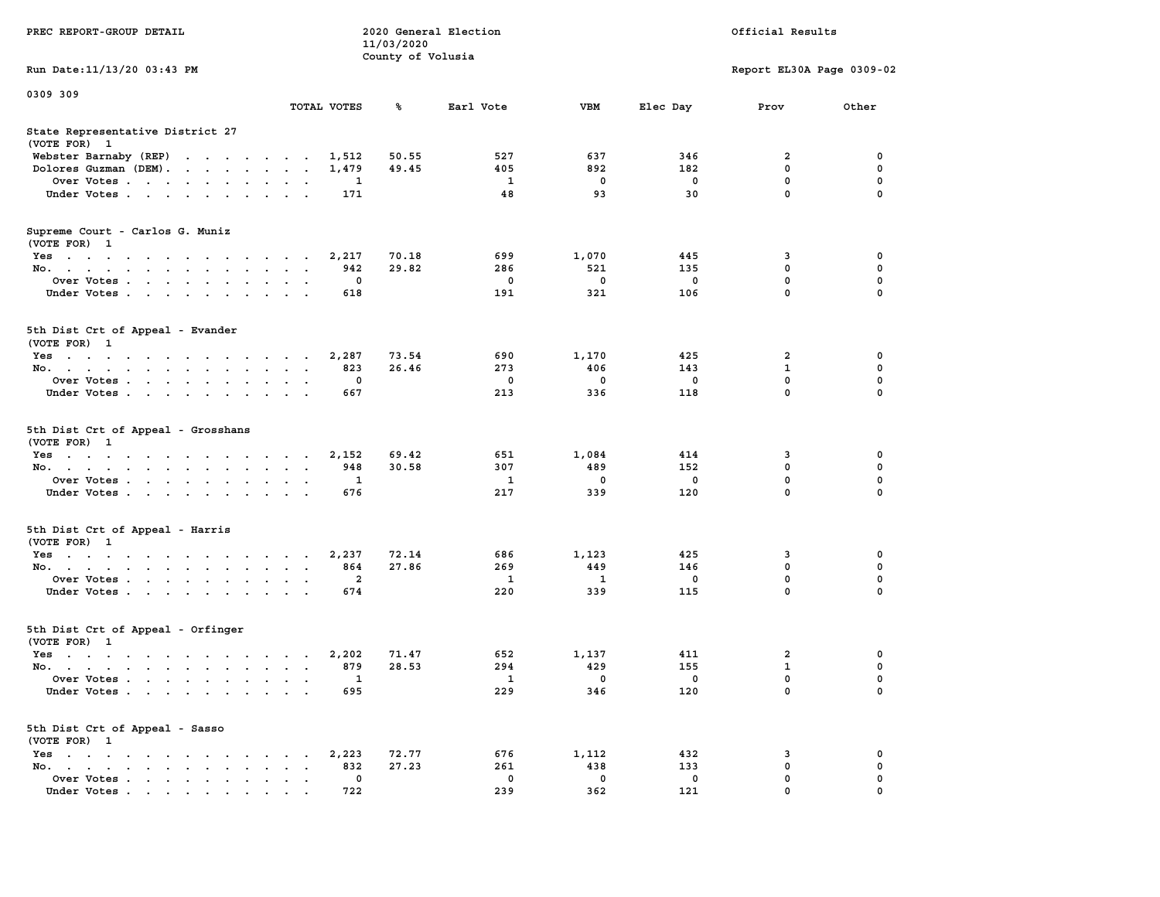| PREC REPORT-GROUP DETAIL                           |                                   | 11/03/2020        | 2020 General Election |                    |             | Official Results          |             |
|----------------------------------------------------|-----------------------------------|-------------------|-----------------------|--------------------|-------------|---------------------------|-------------|
| Run Date: 11/13/20 03:43 PM                        |                                   | County of Volusia |                       |                    |             | Report EL30A Page 0309-02 |             |
| 0309 309                                           |                                   |                   |                       |                    |             |                           |             |
|                                                    | TOTAL VOTES                       | ℁                 | Earl Vote             | VBM                | Elec Day    | Prov                      | Other       |
| State Representative District 27<br>(VOTE FOR) 1   |                                   |                   |                       |                    |             |                           |             |
| Webster Barnaby (REP)                              | 1,512                             | 50.55             | 527                   | 637                | 346         | 2                         | 0           |
| Dolores Guzman (DEM).                              | 1,479                             | 49.45             | 405                   | 892                | 182         | 0                         | 0           |
| Over Votes                                         | 1                                 |                   | 1                     | 0                  | 0           | 0                         | $\mathbf 0$ |
| Under Votes                                        | 171                               |                   | 48                    | 93                 | 30          | 0                         | $\Omega$    |
| Supreme Court - Carlos G. Muniz<br>(VOTE FOR) 1    |                                   |                   |                       |                    |             |                           |             |
| Yes                                                | 2,217                             | 70.18             | 699                   | 1,070              | 445         | 3                         | 0           |
| No.                                                | 942<br>$\sim$ $\sim$              | 29.82             | 286                   | 521                | 135         | 0                         | $\mathbf 0$ |
| Over Votes                                         | 0                                 |                   | 0                     | 0                  | 0           | 0                         | 0           |
| Under Votes                                        | 618                               |                   | 191                   | 321                | 106         | 0                         | 0           |
| 5th Dist Crt of Appeal - Evander<br>(VOTE FOR) 1   |                                   |                   |                       |                    |             |                           |             |
| Yes                                                | 2,287                             | 73.54             | 690                   | 1,170              | 425         | 2                         | 0           |
| No.                                                | 823                               | 26.46             | 273                   | 406                | 143         | 1                         | $\mathbf 0$ |
| Over Votes                                         | 0<br>$\ddot{\phantom{1}}$         |                   | $\mathbf 0$           | 0                  | $\mathbf 0$ | 0                         | 0           |
| Under Votes                                        | 667                               |                   | 213                   | 336                | 118         | 0                         | $\Omega$    |
| 5th Dist Crt of Appeal - Grosshans<br>(VOTE FOR) 1 |                                   |                   |                       |                    |             |                           |             |
| Yes                                                | 2,152                             | 69.42             | 651                   | 1,084              | 414         | 3                         | 0           |
| No.                                                | 948                               | 30.58             | 307                   | 489                | 152         | 0                         | 0           |
| Over Votes                                         | 1                                 |                   | 1                     | 0                  | 0           | $\mathbf 0$               | 0           |
| Under Votes                                        | 676                               |                   | 217                   | 339                | 120         | 0                         | $\Omega$    |
| 5th Dist Crt of Appeal - Harris<br>(VOTE FOR) 1    |                                   |                   |                       |                    |             |                           |             |
| Yes                                                | 2,237                             | 72.14             | 686                   | 1,123              | 425         | 3                         | 0           |
| No.                                                | 864<br>$\ddot{\phantom{0}}$       | 27.86             | 269                   | 449                | 146         | 0                         | $\mathbf 0$ |
| Over Votes                                         | 2                                 |                   | 1                     | 1                  | 0           | 0                         | 0           |
| Under Votes                                        | 674                               |                   | 220                   | 339                | 115         | 0                         | $\Omega$    |
| 5th Dist Crt of Appeal - Orfinger<br>(VOTE FOR) 1  |                                   |                   |                       |                    |             |                           |             |
| Yes                                                | 2,202<br>$\sim$ $\sim$<br>$\cdot$ | 71.47             | 652                   | 1,137              | 411         | 2                         | 0           |
| No.                                                | 879                               | 28.53             | 294                   | 429                | 155         | $\mathbf{1}$              | 0           |
| Over Votes                                         | -1                                |                   | $\mathbf{1}$          | $\mathbf 0$        | $\mathbf 0$ | 0                         | 0           |
| Under Votes                                        | 695                               |                   | 229                   | 346                | 120         | 0                         | $\mathbf 0$ |
| 5th Dist Crt of Appeal - Sasso<br>(VOTE FOR) 1     |                                   |                   |                       |                    |             |                           |             |
| Yes                                                | 2,223                             | 72.77             | 676                   | 1,112              | 432         | 3                         | 0           |
| No.<br>Over Votes                                  | 832<br>0                          | 27.23             | 261<br>0              | 438<br>$\mathbf 0$ | 133<br>0    | 0<br>0                    | 0<br>0      |
| Under Votes                                        | 722                               |                   | 239                   | 362                | 121         | $\Omega$                  |             |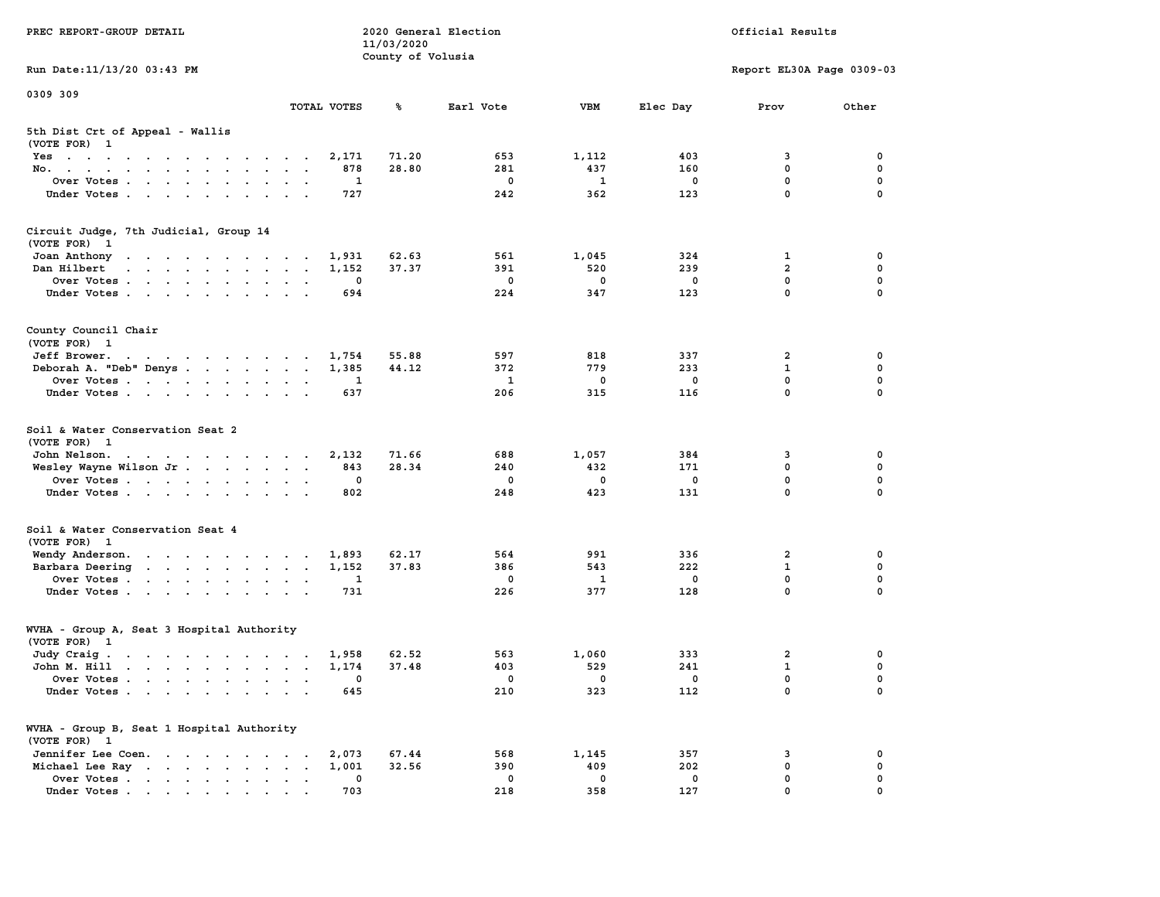| PREC REPORT-GROUP DETAIL                                                                                                        |                                   | 11/03/2020<br>County of Volusia | 2020 General Election |             |             | Official Results          |             |
|---------------------------------------------------------------------------------------------------------------------------------|-----------------------------------|---------------------------------|-----------------------|-------------|-------------|---------------------------|-------------|
| Run Date: 11/13/20 03:43 PM                                                                                                     |                                   |                                 |                       |             |             | Report EL30A Page 0309-03 |             |
| 0309 309                                                                                                                        |                                   |                                 |                       |             |             |                           |             |
|                                                                                                                                 | TOTAL VOTES                       | ℁                               | Earl Vote             | <b>VBM</b>  | Elec Day    | Prov                      | Other       |
| 5th Dist Crt of Appeal - Wallis<br>(VOTE FOR) 1                                                                                 |                                   |                                 |                       |             |             |                           |             |
| Yes                                                                                                                             | 2,171                             | 71.20                           | 653                   | 1,112       | 403         | 3                         | 0           |
| No.<br>Over Votes                                                                                                               | 878<br>1                          | 28.80                           | 281<br>$\mathbf 0$    | 437<br>1    | 160<br>0    | 0<br>0                    | 0<br>0      |
| Under Votes                                                                                                                     | 727                               |                                 | 242                   | 362         | 123         | $\mathbf 0$               | $\mathbf 0$ |
|                                                                                                                                 |                                   |                                 |                       |             |             |                           |             |
| Circuit Judge, 7th Judicial, Group 14<br>(VOTE FOR) 1                                                                           |                                   |                                 |                       |             |             |                           |             |
| Joan Anthony<br>the contract of the contract of the con-                                                                        | 1,931                             | 62.63                           | 561                   | 1,045       | 324         | 1                         | 0           |
| Dan Hilbert<br>$\mathbf{r}$ , and $\mathbf{r}$ , and $\mathbf{r}$ , and $\mathbf{r}$                                            | 1,152                             | 37.37                           | 391                   | 520         | 239         | $\overline{\mathbf{2}}$   | 0           |
| Over Votes                                                                                                                      | 0<br>$\ddot{\phantom{a}}$         |                                 | $\mathbf 0$           | 0           | 0           | 0                         | 0           |
| Under Votes                                                                                                                     | 694                               |                                 | 224                   | 347         | 123         | $\mathbf 0$               | $\mathbf 0$ |
| County Council Chair<br>(VOTE FOR) 1                                                                                            |                                   |                                 |                       |             |             |                           |             |
| Jeff Brower.<br>the contract of the contract of the contract of the contract of the contract of the contract of the contract of | 1,754                             | 55.88                           | 597                   | 818         | 337         | 2                         | 0           |
| Deborah A. "Deb" Denys                                                                                                          | 1,385                             | 44.12                           | 372                   | 779         | 233         | 1                         | 0           |
| Over Votes                                                                                                                      | 1                                 |                                 | -1                    | $\mathbf 0$ | 0           | $\mathbf 0$               | 0           |
| Under Votes                                                                                                                     | 637                               |                                 | 206                   | 315         | 116         | 0                         | 0           |
| Soil & Water Conservation Seat 2<br>(VOTE FOR) 1                                                                                |                                   |                                 |                       |             |             |                           |             |
| John Nelson.                                                                                                                    | 2,132                             | 71.66                           | 688                   | 1,057       | 384         | 3                         | 0           |
| Wesley Wayne Wilson Jr.                                                                                                         | 843                               | 28.34                           | 240                   | 432         | 171         | 0                         | 0           |
| Over Votes                                                                                                                      | 0                                 |                                 | $\mathbf 0$           | 0           | 0           | 0                         | 0           |
| Under Votes                                                                                                                     | 802                               |                                 | 248                   | 423         | 131         | $\mathbf 0$               | 0           |
| Soil & Water Conservation Seat 4<br>(VOTE FOR) 1                                                                                |                                   |                                 |                       |             |             |                           |             |
| Wendy Anderson.                                                                                                                 | 1,893                             | 62.17                           | 564                   | 991         | 336         | 2                         | 0           |
| Barbara Deering                                                                                                                 | 1,152                             | 37.83                           | 386                   | 543         | 222         | $\mathbf 1$               | 0           |
| Over Votes                                                                                                                      | 1                                 |                                 | $\mathbf 0$           | 1           | 0           | 0                         | 0           |
| Under Votes                                                                                                                     | 731                               |                                 | 226                   | 377         | 128         | $\mathbf 0$               | $\mathbf 0$ |
| WVHA - Group A, Seat 3 Hospital Authority<br>(VOTE FOR) 1                                                                       |                                   |                                 |                       |             |             |                           |             |
| Judy Craig.                                                                                                                     | 1,958<br>$\overline{\phantom{a}}$ | 62.52                           | 563                   | 1,060       | 333         | 2                         | 0           |
| John M. Hill                                                                                                                    | 1,174                             | 37.48                           | 403                   | 529         | 241         | $\mathbf{1}$              | 0           |
| Over Votes $\cdots$ $\cdots$ $\cdots$ $\cdots$ $\cdots$                                                                         | 0                                 |                                 | $\mathbf 0$           | $\mathbf 0$ | $\mathbf 0$ | $\mathbf 0$               | 0           |
| Under Votes                                                                                                                     | 645                               |                                 | 210                   | 323         | 112         | 0                         | 0           |
| WVHA - Group B, Seat 1 Hospital Authority<br>(VOTE FOR) 1                                                                       |                                   |                                 |                       |             |             |                           |             |
| Jennifer Lee Coen.                                                                                                              | 2,073                             | 67.44                           | 568                   | 1,145       | 357         | 3                         | 0           |
| Michael Lee Ray                                                                                                                 | 1,001                             | 32.56                           | 390                   | 409         | 202         | 0                         | 0           |
| Over Votes                                                                                                                      | 0                                 |                                 | $\mathbf 0$           | 0           | $\mathbf 0$ | 0                         | 0           |
| Under Votes                                                                                                                     | 703                               |                                 | 218                   | 358         | 127         | $\Omega$                  | $\Omega$    |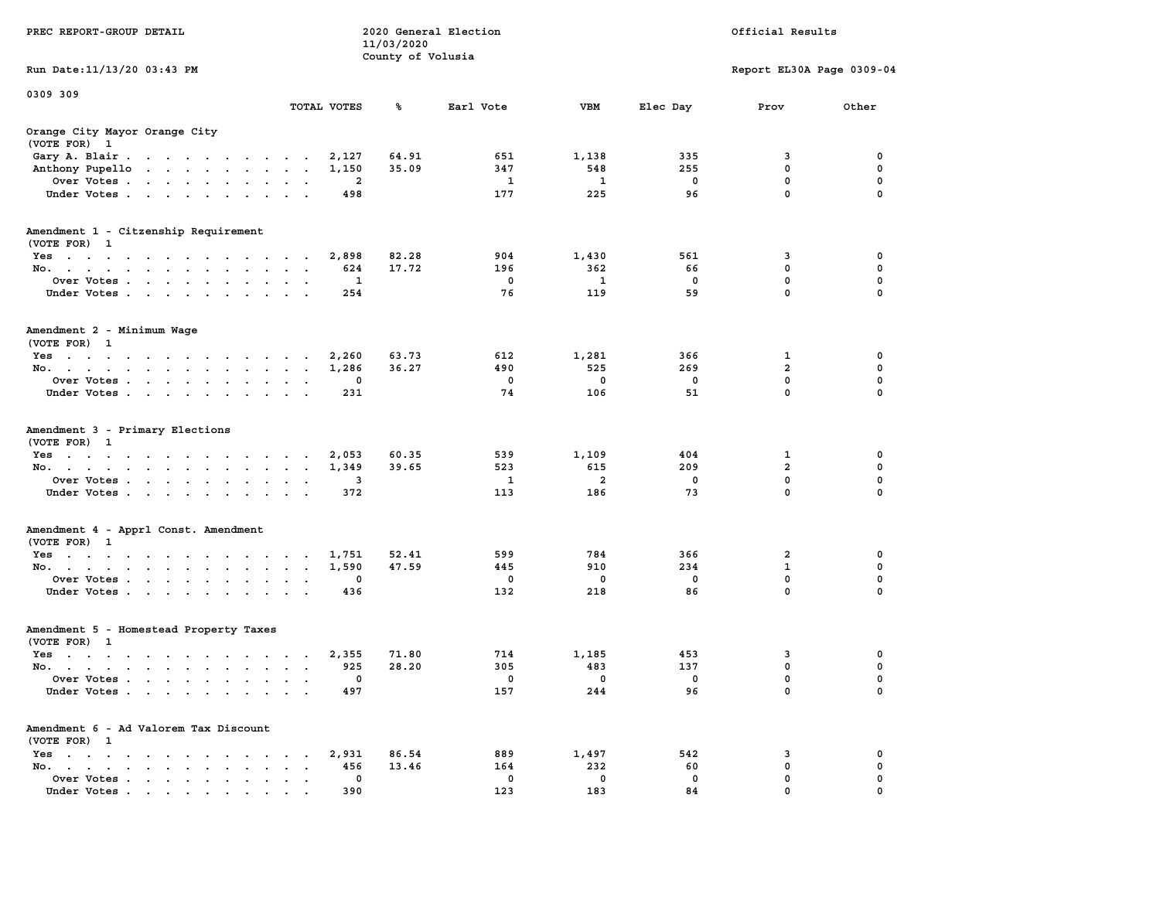| PREC REPORT-GROUP DETAIL                               |             | 11/03/2020<br>County of Volusia | 2020 General Election |                |                | Official Results          |          |  |
|--------------------------------------------------------|-------------|---------------------------------|-----------------------|----------------|----------------|---------------------------|----------|--|
| Run Date: 11/13/20 03:43 PM                            |             |                                 |                       |                |                | Report EL30A Page 0309-04 |          |  |
| 0309 309                                               | TOTAL VOTES | ጜ                               | Earl Vote             | VBM            | Elec Day       | Prov                      | Other    |  |
| Orange City Mayor Orange City<br>(VOTE FOR) 1          |             |                                 |                       |                |                |                           |          |  |
| Gary A. Blair                                          | 2,127       | 64.91                           | 651                   | 1,138          | 335            | 3                         | 0        |  |
| Anthony Pupello                                        | 1,150       | 35.09                           | 347                   | 548            | 255            | 0                         | 0        |  |
| Over Votes                                             | 2           |                                 | <b>1</b>              | 1              | 0              | 0                         | 0        |  |
| Under Votes                                            | 498         |                                 | 177                   | 225            | 96             | $\mathbf 0$               | 0        |  |
| Amendment 1 - Citzenship Requirement<br>(VOTE FOR) 1   |             |                                 |                       |                |                |                           |          |  |
| Yes                                                    | 2,898       | 82.28                           | 904                   | 1,430          | 561            | 3                         | 0        |  |
| No.                                                    | 624         | 17.72                           | 196                   | 362            | 66             | $\mathbf 0$               | 0        |  |
| Over Votes                                             | 1           |                                 | 0                     | 1              | $\mathbf 0$    | $\mathbf 0$               | 0        |  |
| Under Votes                                            | 254         |                                 | 76                    | 119            | 59             | $\mathbf 0$               | 0        |  |
| Amendment 2 - Minimum Wage<br>(VOTE FOR) 1             |             |                                 |                       |                |                |                           |          |  |
| Yes                                                    | 2,260       | 63.73                           | 612                   | 1,281          | 366            | $\mathbf 1$               | 0        |  |
| No.                                                    | 1,286       | 36.27                           | 490                   | 525            | 269            | $\overline{a}$            | 0        |  |
| Over Votes                                             | 0           |                                 | 0                     | 0              | 0              | $\mathbf 0$               | 0        |  |
| Under Votes.                                           | 231         |                                 | 74                    | 106            | 51             | $\mathbf{0}$              | 0        |  |
| Amendment 3 - Primary Elections<br>(VOTE FOR) 1        |             |                                 |                       |                |                |                           |          |  |
| Yes                                                    | 2,053       | 60.35                           | 539                   | 1,109          | 404            | 1                         | 0        |  |
| No.                                                    | 1,349       | 39.65                           | 523                   | 615            | 209            | $\overline{a}$            | 0        |  |
| Over Votes                                             | 3           |                                 | 1                     | $\overline{a}$ | 0              | 0                         | 0        |  |
| Under Votes                                            | 372         |                                 | 113                   | 186            | 73             | $\mathbf 0$               | $\Omega$ |  |
| Amendment 4 - Apprl Const. Amendment<br>(VOTE FOR) 1   |             |                                 |                       |                |                |                           |          |  |
| Yes                                                    | 1,751       | 52.41                           | 599                   | 784            | 366            | 2                         | 0        |  |
| No.                                                    | 1,590       | 47.59                           | 445                   | 910            | 234            | $\mathbf{1}$              | 0        |  |
| Over Votes<br>Under Votes                              | 0<br>436    |                                 | 0<br>132              | 0<br>218       | 0<br>86        | 0<br>0                    | 0<br>0   |  |
| Amendment 5 - Homestead Property Taxes<br>(VOTE FOR) 1 |             |                                 |                       |                |                |                           |          |  |
| Yes                                                    | 2,355       | 71.80                           | 714                   | 1,185          | 453            | 3                         | 0        |  |
| No.                                                    | 925         | 28.20                           | 305                   | 483            | 137            | 0                         | 0        |  |
| Over Votes                                             | $\Omega$    |                                 | $\Omega$              | $\overline{0}$ | $\overline{0}$ | $\Omega$                  | $\Omega$ |  |
| Under Votes                                            | 497         |                                 | 157                   | 244            | 96             | 0                         | 0        |  |
| Amendment 6 - Ad Valorem Tax Discount<br>(VOTE FOR) 1  |             |                                 |                       |                |                |                           |          |  |
| Yes                                                    | 2,931       | 86.54                           | 889                   | 1,497          | 542            | 3                         | 0        |  |
| No.                                                    | 456         | 13.46                           | 164                   | 232            | 60             | 0                         | 0        |  |
| Over Votes                                             | 0           |                                 | 0                     | 0              | 0              | 0                         | 0<br>0   |  |
| Under Votes                                            | 390         |                                 | 123                   | 183            | 84             | 0                         |          |  |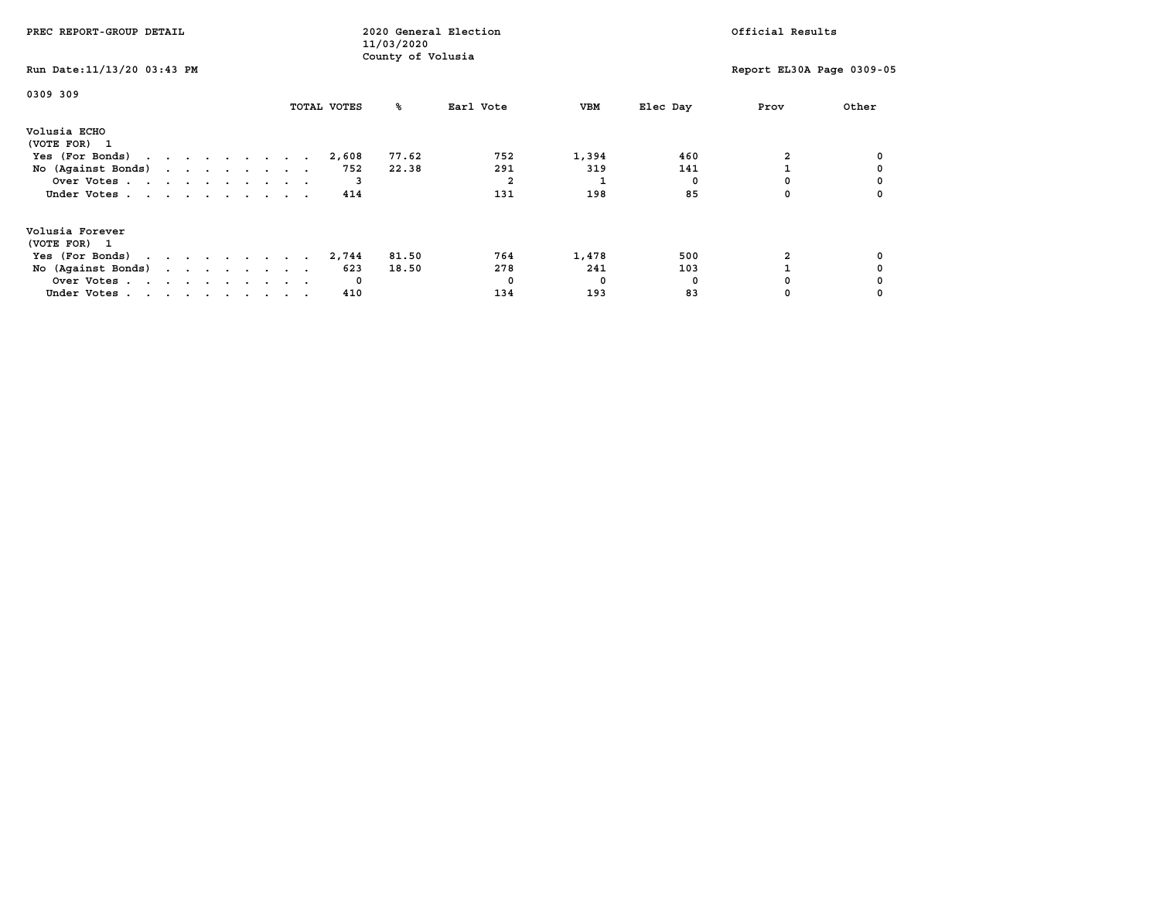| PREC REPORT-GROUP DETAIL                            |  |  |  |  |             | 11/03/2020        | 2020 General Election |       |          | Official Results |                           |
|-----------------------------------------------------|--|--|--|--|-------------|-------------------|-----------------------|-------|----------|------------------|---------------------------|
| Run Date: 11/13/20 03:43 PM                         |  |  |  |  |             | County of Volusia |                       |       |          |                  | Report EL30A Page 0309-05 |
| 0309 309                                            |  |  |  |  | TOTAL VOTES | ‱                 | Earl Vote             | VBM   | Elec Day | Prov             | Other                     |
| Volusia ECHO<br>(VOTE FOR) 1                        |  |  |  |  |             |                   |                       |       |          |                  |                           |
| Yes (For Bonds) $\cdots$ $\cdots$ $\cdots$ $\cdots$ |  |  |  |  | 2,608       | 77.62             | 752                   | 1,394 | 460      |                  |                           |
| No (Against Bonds)                                  |  |  |  |  | 752         | 22.38             | 291                   | 319   | 141      |                  |                           |
| Over Votes                                          |  |  |  |  |             |                   |                       |       |          |                  |                           |
| Under Votes                                         |  |  |  |  | 414         |                   | 131                   | 198   | 85       |                  |                           |
| Volusia Forever                                     |  |  |  |  |             |                   |                       |       |          |                  |                           |
| (VOTE FOR) 1                                        |  |  |  |  | 2,744       | 81.50             | 764                   | 1,478 | 500      |                  |                           |
| Yes (For Bonds) $\cdots$ $\cdots$ $\cdots$ $\cdots$ |  |  |  |  |             |                   |                       |       |          |                  |                           |
| No (Against Bonds)                                  |  |  |  |  | 623         | 18.50             | 278                   | 241   | 103      |                  |                           |
| Over Votes                                          |  |  |  |  | $\mathbf 0$ |                   |                       | 0     | n        |                  |                           |
| Under Votes                                         |  |  |  |  | 410         |                   | 134                   | 193   | 83       |                  |                           |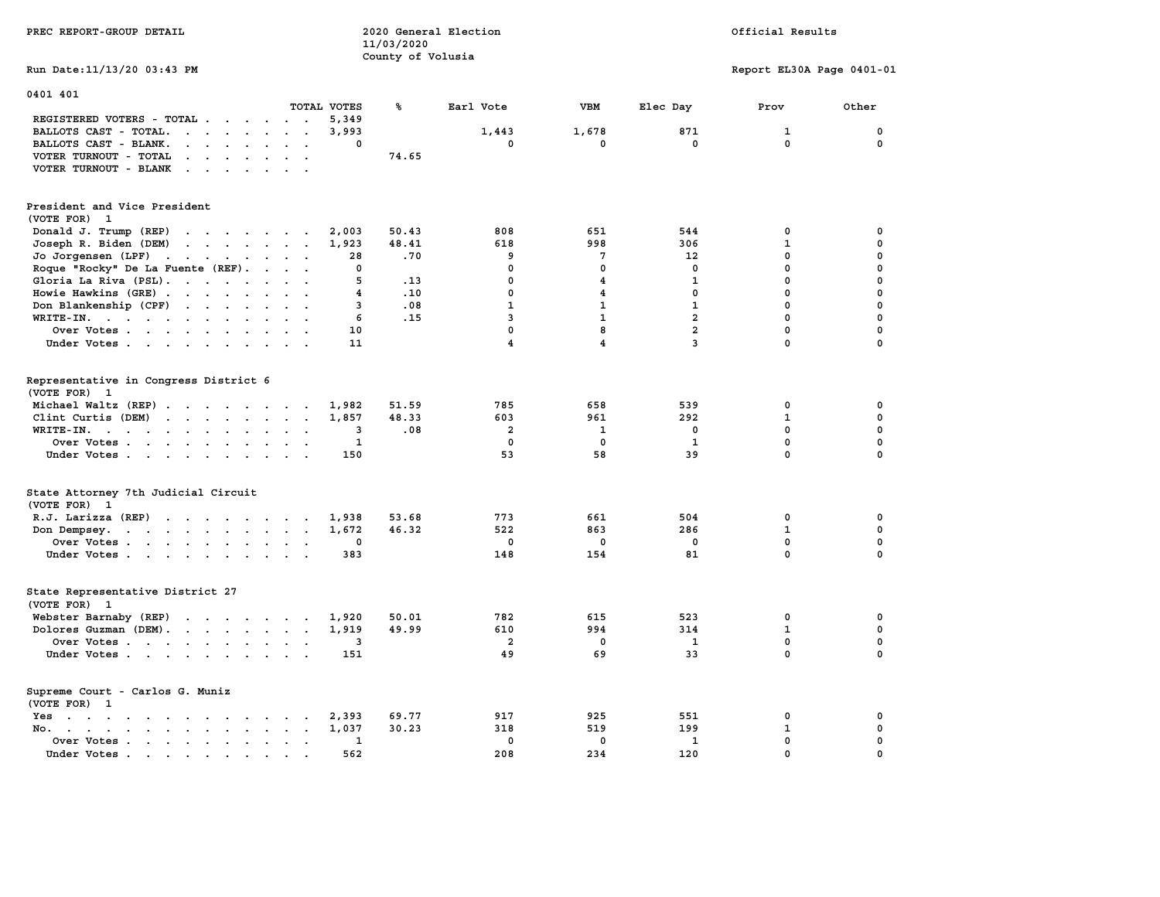| PREC REPORT-GROUP DETAIL                                                                                                                                                                                                                                   |                                     | 11/03/2020<br>County of Volusia | 2020 General Election   | Official Results        |                |                           |             |  |
|------------------------------------------------------------------------------------------------------------------------------------------------------------------------------------------------------------------------------------------------------------|-------------------------------------|---------------------------------|-------------------------|-------------------------|----------------|---------------------------|-------------|--|
| Run Date: 11/13/20 03:43 PM                                                                                                                                                                                                                                |                                     |                                 |                         |                         |                | Report EL30A Page 0401-01 |             |  |
| 0401 401                                                                                                                                                                                                                                                   | TOTAL VOTES                         | ℁                               |                         | VBM                     |                |                           |             |  |
| REGISTERED VOTERS - TOTAL                                                                                                                                                                                                                                  | 5,349                               |                                 | Earl Vote               |                         | Elec Day       | Prov                      | Other       |  |
| BALLOTS CAST - TOTAL.<br>$\mathbf{r}$ . The set of the set of the set of $\mathbf{r}$                                                                                                                                                                      | 3,993                               |                                 | 1,443                   | 1,678                   | 871            | 1                         | 0           |  |
| BALLOTS CAST - BLANK.<br>$\begin{array}{cccccccccccccc} \bullet & \bullet & \bullet & \bullet & \bullet & \bullet & \bullet & \bullet & \bullet \end{array}$                                                                                               | 0                                   |                                 | 0                       | $^{\circ}$              | $\mathbf 0$    | 0                         | $^{\circ}$  |  |
| VOTER TURNOUT - TOTAL<br>$\mathbf{r}$ . The set of the set of the set of the set of the set of the set of the set of the set of the set of the set of the set of the set of the set of the set of the set of the set of the set of the set of the set of t |                                     | 74.65                           |                         |                         |                |                           |             |  |
| VOTER TURNOUT - BLANK                                                                                                                                                                                                                                      |                                     |                                 |                         |                         |                |                           |             |  |
| President and Vice President<br>(VOTE FOR) 1                                                                                                                                                                                                               |                                     |                                 |                         |                         |                |                           |             |  |
| Donald J. Trump (REP)                                                                                                                                                                                                                                      | 2,003                               | 50.43                           | 808                     | 651                     | 544            | 0                         | $\mathbf 0$ |  |
| $\mathbf{r}$<br>Joseph R. Biden (DEM)                                                                                                                                                                                                                      | 1,923                               | 48.41                           | 618                     | 998                     | 306            | $\mathbf{1}$              | $\mathbf 0$ |  |
| Jo Jorgensen (LPF)                                                                                                                                                                                                                                         | 28                                  | .70                             | 9                       | $7\phantom{.0}$         | 12             | $\mathbf{0}$              | $\mathbf 0$ |  |
| Roque "Rocky" De La Fuente (REF).                                                                                                                                                                                                                          | 0                                   |                                 | 0                       | $\mathbf{0}$            | $\mathbf 0$    | $\mathbf 0$               | $\mathbf 0$ |  |
| Gloria La Riva (PSL).                                                                                                                                                                                                                                      | 5                                   | .13                             | $\mathbf 0$             | $\overline{\mathbf{4}}$ | $\mathbf{1}$   | $\mathbf 0$               | $\mathbf 0$ |  |
| Howie Hawkins (GRE)                                                                                                                                                                                                                                        | 4                                   | .10                             | $\mathbf 0$             | $\overline{\mathbf{4}}$ | $\mathbf 0$    | $\mathbf 0$               | $\mathbf 0$ |  |
| Don Blankenship (CPF)                                                                                                                                                                                                                                      | 3                                   | .08                             | $\mathbf{1}$            | $\mathbf{1}$            | $\mathbf{1}$   | $\mathbf 0$               | $\mathbf 0$ |  |
| WRITE-IN.                                                                                                                                                                                                                                                  | 6                                   | .15                             | 3                       | $\mathbf{1}$            | $\overline{a}$ | $\mathbf 0$               | $\mathbf 0$ |  |
| Over Votes                                                                                                                                                                                                                                                 | 10                                  |                                 | $\mathbf 0$             | 8                       | $\overline{a}$ | $\mathbf 0$               | $\mathbf 0$ |  |
| Under Votes                                                                                                                                                                                                                                                | 11                                  |                                 | $\overline{\mathbf{4}}$ | 4                       | $\overline{3}$ | $\mathbf 0$               | $\mathbf 0$ |  |
|                                                                                                                                                                                                                                                            |                                     |                                 |                         |                         |                |                           |             |  |
| Representative in Congress District 6                                                                                                                                                                                                                      |                                     |                                 |                         |                         |                |                           |             |  |
| (VOTE FOR) 1                                                                                                                                                                                                                                               |                                     |                                 |                         |                         |                |                           |             |  |
| Michael Waltz (REP)                                                                                                                                                                                                                                        | 1,982                               | 51.59                           | 785                     | 658                     | 539            | $\mathbf 0$               | $\mathbf 0$ |  |
| Clint Curtis (DEM)                                                                                                                                                                                                                                         | 1,857                               | 48.33                           | 603                     | 961                     | 292            | $\mathbf{1}$              | $\mathbf 0$ |  |
| WRITE-IN.<br>$\mathbf{r}$                                                                                                                                                                                                                                  | 3                                   | .08                             | $\overline{2}$          | $\mathbf{1}$            | 0              | 0                         | $\mathbf 0$ |  |
| Over Votes                                                                                                                                                                                                                                                 | 1                                   |                                 | 0                       | $^{\circ}$              | 1              | $\mathbf 0$               | $\mathbf 0$ |  |
| Under Votes                                                                                                                                                                                                                                                | 150                                 |                                 | 53                      | 58                      | 39             | $\mathbf{0}$              | $\mathbf 0$ |  |
| State Attorney 7th Judicial Circuit<br>(VOTE FOR) 1                                                                                                                                                                                                        |                                     |                                 |                         |                         |                |                           |             |  |
| $R.J.$ Larizza $(REP)$                                                                                                                                                                                                                                     | 1,938                               | 53.68                           | 773                     | 661                     | 504            | 0                         | $\mathbf 0$ |  |
| Don Dempsey.                                                                                                                                                                                                                                               | 1,672                               | 46.32                           | 522                     | 863                     | 286            | $\mathbf{1}$              | $\mathbf 0$ |  |
| Over Votes                                                                                                                                                                                                                                                 | 0                                   |                                 | 0                       | $\mathbf 0$             | 0              | 0                         | 0           |  |
| Under Votes                                                                                                                                                                                                                                                | 383                                 |                                 | 148                     | 154                     | 81             | $\mathbf 0$               | $\mathbf 0$ |  |
| State Representative District 27<br>(VOTE FOR)<br>$\mathbf{1}$                                                                                                                                                                                             |                                     |                                 |                         |                         |                |                           |             |  |
| Webster Barnaby (REP)                                                                                                                                                                                                                                      | 1,920                               | 50.01                           | 782                     | 615                     | 523            | 0                         | 0           |  |
| Dolores Guzman (DEM).                                                                                                                                                                                                                                      | 1,919                               | 49.99                           | 610                     | 994                     | 314            | $\mathbf{1}$              | $\mathbf 0$ |  |
| Over Votes                                                                                                                                                                                                                                                 | 3                                   |                                 | $\overline{a}$          | $\Omega$                | 1              | 0                         | 0           |  |
| Under Votes                                                                                                                                                                                                                                                | 151                                 |                                 | 49                      | 69                      | 33             | $\mathbf{0}$              | $\mathbf 0$ |  |
| Supreme Court - Carlos G. Muniz<br>(VOTE FOR) 1                                                                                                                                                                                                            |                                     |                                 |                         |                         |                |                           |             |  |
| the contract of the contract of the contract of the contract of the contract of the contract of the contract of<br>Yes                                                                                                                                     | 2,393                               | 69.77                           | 917                     | 925                     | 551            | $\mathbf 0$               | $\mathbf 0$ |  |
| No. .<br>$\mathbf{r}$ , and $\mathbf{r}$ , and $\mathbf{r}$ , and $\mathbf{r}$ , and $\mathbf{r}$<br>$\sim$                                                                                                                                                | 1,037<br>$\sim$                     | 30.23                           | 318                     | 519                     | 199            | 1                         | $\mathbf 0$ |  |
| Over Votes                                                                                                                                                                                                                                                 | 1<br>$\sim$<br>$\ddot{\phantom{a}}$ |                                 | $\mathbf 0$             | $\mathbf 0$             | 1              | $\mathbf 0$               | $\mathbf 0$ |  |
| Under Votes.<br>. The contract of the contract of the contract of the contract of the contract of the contract of the contract of the contract of the contract of the contract of the contract of the contract of the contract of the contrac              | 562                                 |                                 | 208                     | 234                     | 120            | $\mathbf 0$               | $\mathbf 0$ |  |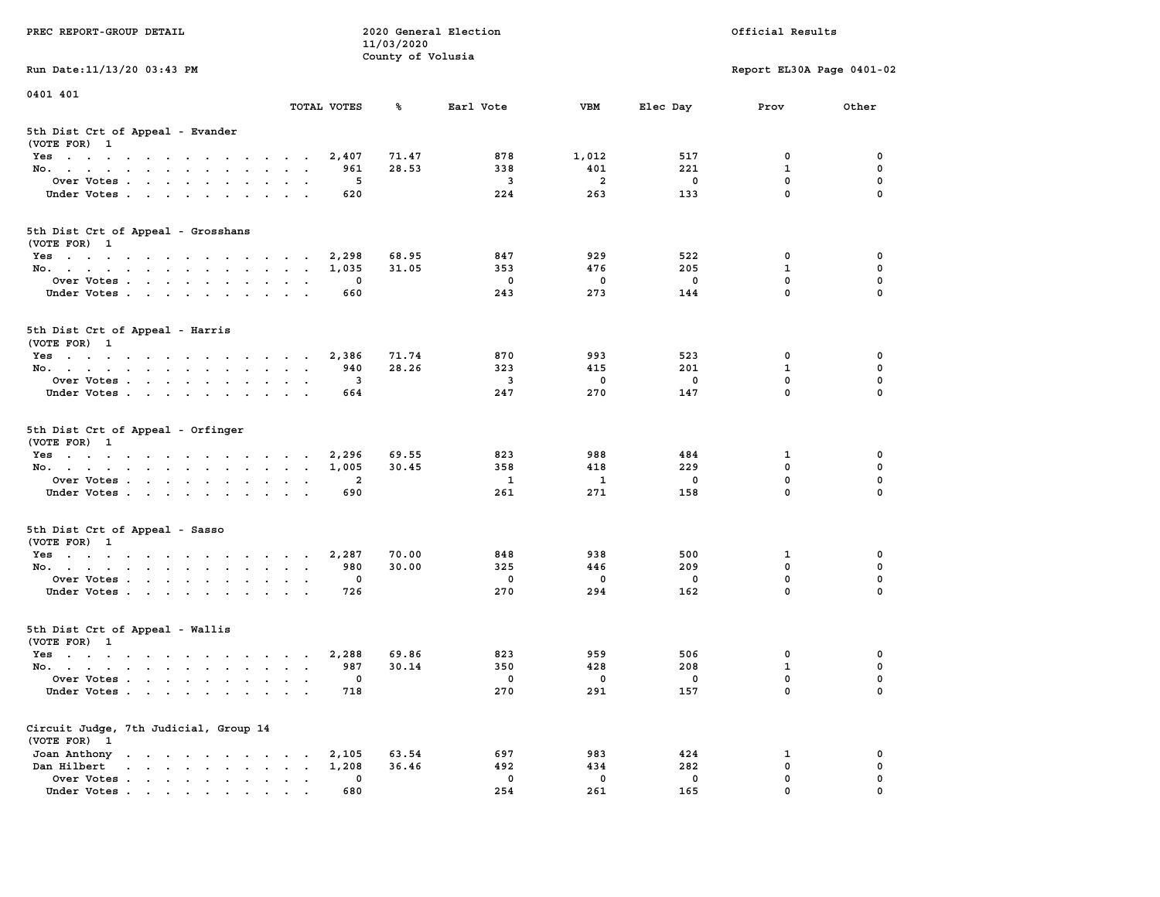| PREC REPORT-GROUP DETAIL                                                                                               |                                                                               | 11/03/2020        | 2020 General Election |                    |                    | Official Results           |                         |
|------------------------------------------------------------------------------------------------------------------------|-------------------------------------------------------------------------------|-------------------|-----------------------|--------------------|--------------------|----------------------------|-------------------------|
|                                                                                                                        |                                                                               | County of Volusia |                       |                    |                    |                            |                         |
| Run Date: 11/13/20 03:43 PM                                                                                            |                                                                               |                   |                       |                    |                    | Report EL30A Page 0401-02  |                         |
| 0401 401                                                                                                               |                                                                               |                   |                       |                    |                    |                            |                         |
|                                                                                                                        | TOTAL VOTES                                                                   | ጜ                 | Earl Vote             | VBM                | Elec Day           | Prov                       | Other                   |
| 5th Dist Crt of Appeal - Evander<br>(VOTE FOR) 1                                                                       |                                                                               |                   |                       |                    |                    |                            |                         |
| Yes                                                                                                                    | 2,407                                                                         | 71.47             | 878                   | 1,012              | 517                | 0                          | 0                       |
| No.                                                                                                                    | 961                                                                           | 28.53             | 338                   | 401                | 221                | $\mathbf{1}$               | $\mathbf 0$             |
| Over Votes                                                                                                             | 5                                                                             |                   | 3                     | $\overline{a}$     | $\mathbf 0$<br>133 | $\mathbf 0$<br>$\mathbf 0$ | 0<br>$\Omega$           |
| Under Votes                                                                                                            | 620                                                                           |                   | 224                   | 263                |                    |                            |                         |
| 5th Dist Crt of Appeal - Grosshans<br>(VOTE FOR) 1                                                                     |                                                                               |                   |                       |                    |                    |                            |                         |
| Yes                                                                                                                    | 2,298                                                                         | 68.95             | 847                   | 929                | 522                | 0                          | 0                       |
| No.                                                                                                                    | 1,035                                                                         | 31.05             | 353                   | 476                | 205                | 1                          | 0                       |
| Over Votes                                                                                                             | 0                                                                             |                   | 0                     | $\mathbf 0$        | $\mathbf 0$        | 0                          | $\mathbf 0$             |
| Under Votes                                                                                                            | 660                                                                           |                   | 243                   | 273                | 144                | $\mathbf{0}$               | 0                       |
| 5th Dist Crt of Appeal - Harris<br>(VOTE FOR) 1                                                                        |                                                                               |                   |                       |                    |                    |                            |                         |
| $Yes \cdot \cdot \cdot \cdot \cdot \cdot \cdot \cdot \cdot \cdot \cdot \cdot \cdot$                                    | 2,386                                                                         | 71.74             | 870                   | 993                | 523                | 0                          | 0                       |
| No.                                                                                                                    | 940                                                                           | 28.26             | 323                   | 415                | 201                | 1                          | 0                       |
| Over Votes                                                                                                             | 3<br>$\,$ .                                                                   |                   | 3                     | 0                  | 0                  | $\mathbf{0}$               | 0                       |
| Under Votes                                                                                                            | 664                                                                           |                   | 247                   | 270                | 147                | $\mathbf 0$                | 0                       |
| 5th Dist Crt of Appeal - Orfinger<br>(VOTE FOR) 1                                                                      |                                                                               |                   |                       |                    |                    |                            |                         |
| Yes                                                                                                                    | 2,296                                                                         | 69.55             | 823                   | 988                | 484                | 1<br>$\mathbf 0$           | 0                       |
| No.<br>Over Votes                                                                                                      | 1,005<br>$\overline{2}$                                                       | 30.45             | 358<br>1              | 418<br>1           | 229<br>0           | 0                          | 0<br>0                  |
| Under Votes                                                                                                            | 690                                                                           |                   | 261                   | 271                | 158                | $\mathbf 0$                | $\Omega$                |
|                                                                                                                        |                                                                               |                   |                       |                    |                    |                            |                         |
| 5th Dist Crt of Appeal - Sasso<br>(VOTE FOR) 1                                                                         |                                                                               |                   |                       |                    |                    |                            |                         |
| Yes                                                                                                                    | 2,287                                                                         | 70.00             | 848                   | 938                | 500                | 1                          | 0                       |
| No.                                                                                                                    | 980                                                                           | 30.00             | 325                   | 446                | 209                | $\mathbf 0$                | 0                       |
| Over Votes<br>Under Votes                                                                                              | 0<br>726                                                                      |                   | 0<br>270              | $\mathbf 0$<br>294 | $\mathbf 0$<br>162 | 0<br>$\mathbf{0}$          | $\mathbf 0$<br>$\Omega$ |
|                                                                                                                        |                                                                               |                   |                       |                    |                    |                            |                         |
| 5th Dist Crt of Appeal - Wallis<br>(VOTE FOR) 1                                                                        |                                                                               |                   |                       |                    |                    |                            |                         |
| Yes<br>the contract of the contract of the contract of the contract of the contract of the contract of the contract of | 2,288                                                                         | 69.86             | 823                   | 959                | 506                | 0                          | 0                       |
| No.                                                                                                                    | 987                                                                           | 30.14             | 350                   | 428                | 208                | $\mathbf{1}$               | $\mathbf 0$             |
| Over Votes                                                                                                             | 0                                                                             |                   | 0                     | 0                  | 0                  | $\mathbf{0}$               | 0                       |
| Under Votes                                                                                                            | 718                                                                           |                   | 270                   | 291                | 157                | 0                          | 0                       |
| Circuit Judge, 7th Judicial, Group 14<br>(VOTE FOR) 1                                                                  |                                                                               |                   |                       |                    |                    |                            |                         |
| Joan Anthony<br>the contract of the contract of the contract of the contract of the contract of                        | 2,105<br>$\ddot{\phantom{0}}$                                                 | 63.54             | 697                   | 983                | 424                | 1                          | 0                       |
| $\mathbf{r}$ , and $\mathbf{r}$ , and $\mathbf{r}$ , and $\mathbf{r}$<br>Dan Hilbert                                   | 1,208<br>$\ddot{\phantom{a}}$<br>$\ddot{\phantom{a}}$<br>$\ddot{\phantom{0}}$ | 36.46             | 492                   | 434                | 282                | $\mathbf 0$                | 0                       |
| Over Votes.<br>$\mathbf{r}$                                                                                            | 0                                                                             |                   | 0                     | 0                  | 0                  | 0                          | 0                       |
| Under Votes                                                                                                            | 680                                                                           |                   | 254                   | 261                | 165                | $\mathbf{0}$               | 0                       |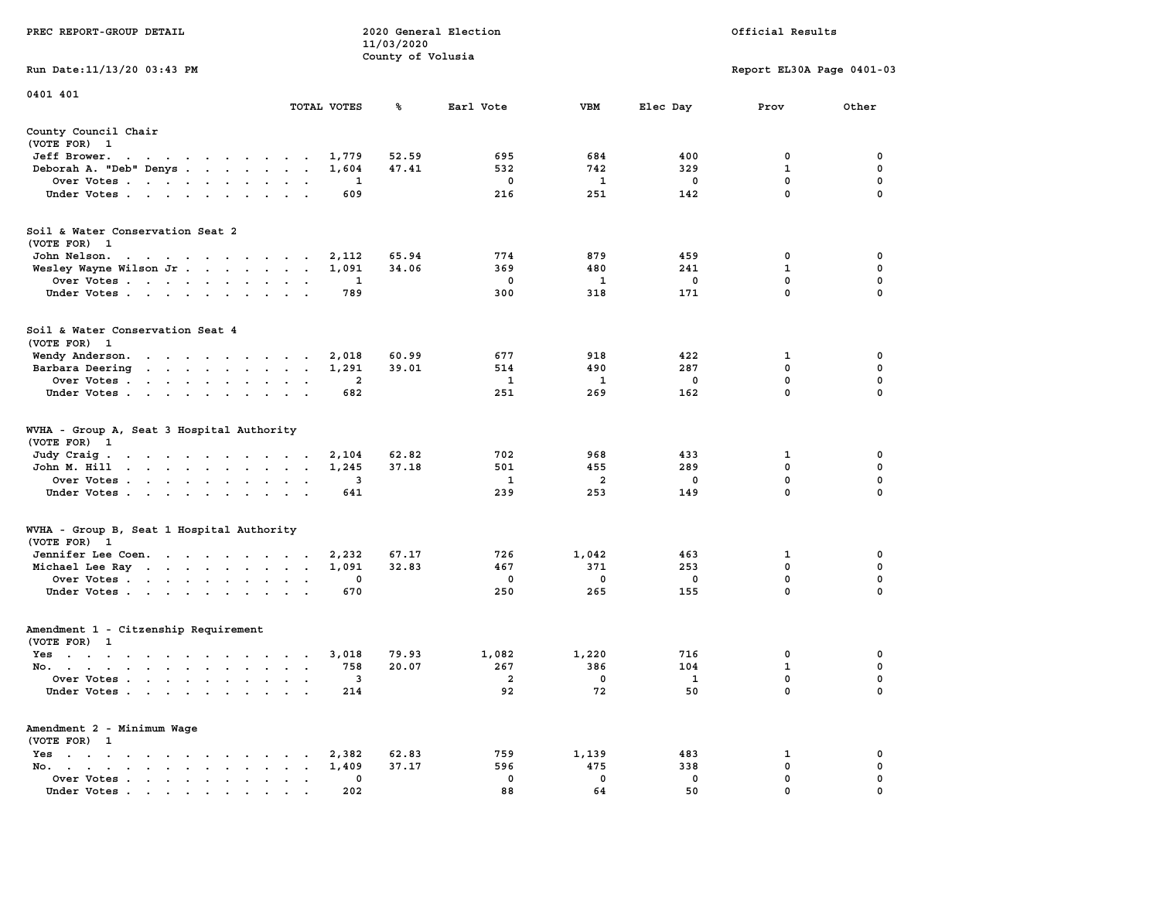|                                                                                                                                                                                                        |                                                                                 | 11/03/2020        |             |                |             |                           |             |
|--------------------------------------------------------------------------------------------------------------------------------------------------------------------------------------------------------|---------------------------------------------------------------------------------|-------------------|-------------|----------------|-------------|---------------------------|-------------|
|                                                                                                                                                                                                        |                                                                                 | County of Volusia |             |                |             |                           |             |
| Run Date:11/13/20 03:43 PM                                                                                                                                                                             |                                                                                 |                   |             |                |             | Report EL30A Page 0401-03 |             |
| 0401 401                                                                                                                                                                                               |                                                                                 |                   |             |                |             |                           |             |
|                                                                                                                                                                                                        | TOTAL VOTES                                                                     | ℁                 | Earl Vote   | <b>VBM</b>     | Elec Day    | Prov                      | Other       |
| County Council Chair<br>(VOTE FOR) 1                                                                                                                                                                   |                                                                                 |                   |             |                |             |                           |             |
| Jeff Brower.<br>$\sim$ $\sim$<br>$\begin{array}{cccccccccccccc} \bullet & \bullet & \bullet & \bullet & \bullet & \bullet & \bullet & \bullet & \bullet & \bullet \end{array}$<br>$\ddot{\phantom{0}}$ | 1,779                                                                           | 52.59             | 695         | 684            | 400         | 0                         | 0           |
| Deborah A. "Deb" Denys                                                                                                                                                                                 | 1,604<br>$\overline{a}$<br>$\mathbf{r}$                                         | 47.41             | 532         | 742            | 329         | 1                         | 0           |
| Over Votes                                                                                                                                                                                             | 1<br>$\ddot{\phantom{a}}$<br>$\overline{\phantom{a}}$                           |                   | 0           | 1              | $\mathbf 0$ | $\mathbf 0$               | $\mathbf 0$ |
| Under Votes<br>$\sim$                                                                                                                                                                                  | 609<br>$\bullet$                                                                |                   | 216         | 251            | 142         | $\mathbf 0$               | $\mathbf 0$ |
| Soil & Water Conservation Seat 2<br>(VOTE FOR) 1                                                                                                                                                       |                                                                                 |                   |             |                |             |                           |             |
| John Nelson.<br>the contract of the contract of the contract of the contract of the contract of the contract of the contract of                                                                        | 2,112                                                                           | 65.94             | 774         | 879            | 459         | $\mathbf{0}$              | $\mathbf 0$ |
| Wesley Wayne Wilson Jr                                                                                                                                                                                 | 1,091<br>$\overline{\phantom{a}}$<br>$\sim$                                     | 34.06             | 369         | 480            | 241         | $\mathbf{1}$              | $\mathbf 0$ |
| Over Votes                                                                                                                                                                                             | $\mathbf{1}$<br>$\bullet$<br>$\cdot$                                            |                   | $\mathbf 0$ | 1              | $\mathbf 0$ | $\mathbf{0}$              | $\mathbf 0$ |
| Under Votes                                                                                                                                                                                            | 789<br>$\sim$<br>$\sim$ $\sim$                                                  |                   | 300         | 318            | 171         | 0                         | 0           |
| Soil & Water Conservation Seat 4<br>(VOTE FOR) 1                                                                                                                                                       |                                                                                 |                   |             |                |             |                           |             |
| Wendy Anderson.                                                                                                                                                                                        | 2,018<br>$\cdot$                                                                | 60.99             | 677         | 918            | 422         | 1                         | 0           |
| Barbara Deering<br>$\mathbf{r}$ , and $\mathbf{r}$ , and $\mathbf{r}$ , and $\mathbf{r}$                                                                                                               | 1,291<br>$\cdot$<br>$\overline{\phantom{a}}$                                    | 39.01             | 514         | 490            | 287         | 0                         | 0           |
| Over Votes.<br>$\sim$ $\sim$<br>$\sim$ $\sim$<br>$\ddot{\phantom{a}}$<br>$\ddot{\phantom{a}}$                                                                                                          | 2                                                                               |                   | 1           | 1              | $\mathbf 0$ | 0                         | $\pmb{0}$   |
| Under Votes<br>$\ddot{\phantom{1}}$                                                                                                                                                                    | 682                                                                             |                   | 251         | 269            | 162         | $\Omega$                  | $\mathbf 0$ |
| WVHA - Group A, Seat 3 Hospital Authority<br>(VOTE FOR)<br>$\mathbf{1}$                                                                                                                                |                                                                                 |                   |             |                |             |                           |             |
| Judy Craig.<br>the contract of the contract of<br>$\sim 100$ km s $^{-1}$                                                                                                                              | 2,104<br>$\sim$ $\sim$ $\sim$                                                   | 62.82             | 702         | 968            | 433         | 1                         | 0           |
| John M. Hill<br>$\begin{array}{cccccccccccccc} \bullet & \bullet & \bullet & \bullet & \bullet & \bullet & \bullet & \bullet & \bullet & \bullet \end{array}$<br>$\sim$ $-$                            | 1,245<br>$\ddot{\phantom{a}}$<br>$\cdot$<br>$\cdot$                             | 37.18             | 501         | 455            | 289         | 0                         | 0           |
| Over Votes                                                                                                                                                                                             | 3<br>$\mathbf{r}$<br>$\cdot$                                                    |                   | 1           | $\overline{2}$ | 0           | 0                         | $\mathbf 0$ |
| Under Votes<br>$\cdot$                                                                                                                                                                                 | 641<br>$\ddot{\phantom{a}}$<br>$\ddot{\phantom{a}}$                             |                   | 239         | 253            | 149         | 0                         | $\mathbf 0$ |
| WVHA - Group B, Seat 1 Hospital Authority<br>(VOTE FOR)<br>$\mathbf{1}$                                                                                                                                |                                                                                 |                   |             |                |             |                           |             |
| Jennifer Lee Coen.                                                                                                                                                                                     | 2,232                                                                           | 67.17             | 726         | 1,042          | 463         | 1                         | 0           |
| Michael Lee Ray                                                                                                                                                                                        | 1,091<br>$\ddot{\phantom{a}}$<br>$\bullet$<br>$\cdot$                           | 32.83             | 467         | 371            | 253         | $\mathbf 0$               | $\mathbf 0$ |
| Over Votes                                                                                                                                                                                             | $\mathbf 0$<br>$\bullet$                                                        |                   | 0           | $\Omega$       | $\mathbf 0$ | $\mathbf 0$               | $\mathbf 0$ |
| Under Votes<br>$\ddot{\phantom{a}}$                                                                                                                                                                    | 670<br>$\ddot{\phantom{a}}$                                                     |                   | 250         | 265            | 155         | $\mathbf 0$               | $\mathbf 0$ |
| Amendment 1 - Citzenship Requirement                                                                                                                                                                   |                                                                                 |                   |             |                |             |                           |             |
| (VOTE FOR) 1                                                                                                                                                                                           |                                                                                 |                   |             |                |             |                           |             |
| $Yes \t . \t .$<br>the contract of the contract of the                                                                                                                                                 | 3,018<br>$\cdot$ $\cdot$ $\cdot$                                                | 79.93             | 1,082       | 1,220          | 716         | 0                         | 0           |
| No.<br>$\sim$                                                                                                                                                                                          | 758<br>$\ddot{\phantom{a}}$<br>$\overline{\phantom{a}}$<br>$\ddot{\phantom{a}}$ | 20.07             | 267         | 386            | 104         | $\mathbf 1$               | 0           |
| Over Votes .<br>$\mathbf{r}$ . The set of $\mathbf{r}$<br>$\sim$<br>$\ddot{\phantom{a}}$<br>$\ddot{\phantom{a}}$<br>$\ddot{\phantom{a}}$                                                               | 3<br>$\ddot{\phantom{a}}$<br>$\cdot$                                            |                   | 2           | 0              | 1           | $\mathbf 0$               | $\mathbf 0$ |
| Under Votes                                                                                                                                                                                            | 214                                                                             |                   | 92          | 72             | 50          | 0                         | 0           |
| Amendment 2 - Minimum Wage<br>(VOTE FOR) 1                                                                                                                                                             |                                                                                 |                   |             |                |             |                           |             |
| $Yes \t . \t .$<br>$\bullet$<br>$\sim$ $\sim$<br>$\sim$<br>$\sim$ $\sim$<br>$\cdot$                                                                                                                    | 2,382                                                                           | 62.83             | 759         | 1,139          | 483         | 1                         | 0           |
| No.<br>$\bullet$ . In the case of the case of $\bullet$<br>$\bullet$ .<br><br><br><br><br><br><br><br><br><br>$\bullet$<br>$\cdot$                                                                     | 1,409<br>$\bullet$                                                              | 37.17             | 596         | 475            | 338         | 0                         | $\mathbf 0$ |
| Over Votes<br>$\bullet$<br>$\blacksquare$ .                                                                                                                                                            | 0<br>$\bullet$<br>$\ddot{\phantom{a}}$<br>$\ddot{\phantom{a}}$                  |                   | 0           | 0              | 0           | $\mathbf{0}$              | $\mathbf 0$ |
| Under Votes.                                                                                                                                                                                           | 202                                                                             |                   | 88          | 64             | 50          | $\mathbf{0}$              | $\mathbf 0$ |

**PREC REPORT-GROUP DETAIL 2020 General Election Official Results**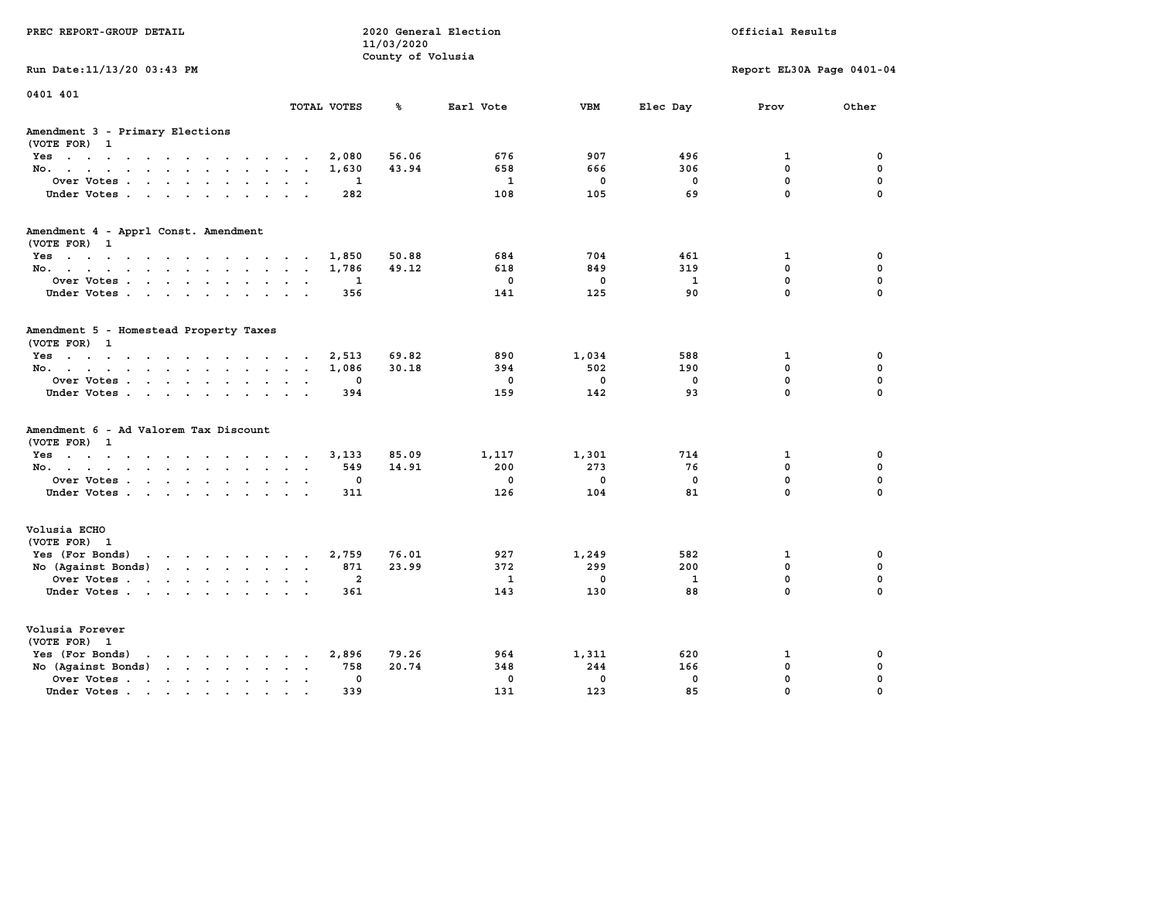| PREC REPORT-GROUP DETAIL                                                                                                                                                                                                                                                 |                                                 | 11/03/2020<br>County of Volusia | 2020 General Election |             |              | Official Results          |             |
|--------------------------------------------------------------------------------------------------------------------------------------------------------------------------------------------------------------------------------------------------------------------------|-------------------------------------------------|---------------------------------|-----------------------|-------------|--------------|---------------------------|-------------|
| Run Date: 11/13/20 03:43 PM                                                                                                                                                                                                                                              |                                                 |                                 |                       |             |              | Report EL30A Page 0401-04 |             |
| 0401 401                                                                                                                                                                                                                                                                 | TOTAL VOTES                                     | ℁                               | Earl Vote             | <b>VBM</b>  | Elec Day     | Prov                      | Other       |
| Amendment 3 - Primary Elections<br>(VOTE FOR) 1                                                                                                                                                                                                                          |                                                 |                                 |                       |             |              |                           |             |
| Yes                                                                                                                                                                                                                                                                      | 2,080                                           | 56.06                           | 676                   | 907         | 496          | $\mathbf{1}$              | 0           |
| No.                                                                                                                                                                                                                                                                      | 1,630                                           | 43.94                           | 658                   | 666         | 306          | $\mathbf{0}$              | $\mathbf 0$ |
| Over Votes                                                                                                                                                                                                                                                               | 1<br>$\sim$ $\sim$ $\sim$                       |                                 | $\mathbf{1}$          | $\mathbf 0$ | 0            | $\mathbf 0$               | $\mathbf 0$ |
| Under Votes.                                                                                                                                                                                                                                                             | 282                                             |                                 | 108                   | 105         | 69           | $\mathbf 0$               | $\Omega$    |
| Amendment 4 - Apprl Const. Amendment                                                                                                                                                                                                                                     |                                                 |                                 |                       |             |              |                           |             |
| (VOTE FOR) 1<br>Yes                                                                                                                                                                                                                                                      | 1,850                                           | 50.88                           | 684                   | 704         | 461          | $\mathbf{1}$              | 0           |
| No.                                                                                                                                                                                                                                                                      | 1,786                                           | 49.12                           | 618                   | 849         | 319          | 0                         | $\mathbf 0$ |
| Over Votes                                                                                                                                                                                                                                                               | 1                                               |                                 | $\mathbf 0$           | 0           | $\mathbf{1}$ | $\mathbf 0$               | $\mathbf 0$ |
| Under Votes.                                                                                                                                                                                                                                                             | 356                                             |                                 | 141                   | 125         | 90           | $\mathbf 0$               | $\Omega$    |
| Amendment 5 - Homestead Property Taxes<br>(VOTE FOR) 1                                                                                                                                                                                                                   |                                                 |                                 |                       |             |              |                           |             |
| $Yes.$                                                                                                                                                                                                                                                                   | 2,513                                           | 69.82                           | 890                   | 1,034       | 588          | 1                         | 0           |
| No.                                                                                                                                                                                                                                                                      | 1,086                                           | 30.18                           | 394                   | 502         | 190          | 0                         | $\mathbf 0$ |
| Over Votes                                                                                                                                                                                                                                                               | 0                                               |                                 | $\mathbf 0$           | $\mathbf 0$ | $\mathbf 0$  | $\mathbf 0$               | $\mathbf 0$ |
| Under Votes                                                                                                                                                                                                                                                              | 394                                             |                                 | 159                   | 142         | 93           | $\mathbf 0$               | $\Omega$    |
| Amendment 6 - Ad Valorem Tax Discount<br>(VOTE FOR) 1                                                                                                                                                                                                                    |                                                 |                                 |                       |             |              |                           |             |
| $Yes \cdot \cdot \cdot \cdot \cdot \cdot \cdot \cdot \cdot \cdot \cdot \cdot$                                                                                                                                                                                            | 3,133                                           | 85.09                           | 1,117                 | 1,301       | 714          | 1                         | 0           |
| No.                                                                                                                                                                                                                                                                      | 549<br>$\cdot$ $\cdot$ $\cdot$                  | 14.91                           | 200                   | 273         | 76           | 0                         | $\mathbf 0$ |
| Over Votes                                                                                                                                                                                                                                                               | 0                                               |                                 | $\mathbf 0$           | $\mathbf 0$ | $\mathbf 0$  | $\mathbf 0$               | $\mathbf 0$ |
| Under Votes.                                                                                                                                                                                                                                                             | 311                                             |                                 | 126                   | 104         | 81           | $\mathbf 0$               | $\Omega$    |
| Volusia ECHO<br>(VOTE FOR) 1                                                                                                                                                                                                                                             |                                                 |                                 |                       |             |              |                           |             |
| Yes (For Bonds)<br>the contract of the contract of the contract of the contract of the contract of the contract of the contract of                                                                                                                                       | 2,759                                           | 76.01                           | 927                   | 1,249       | 582          | 1                         | 0           |
| No (Against Bonds)                                                                                                                                                                                                                                                       | 871                                             | 23.99                           | 372                   | 299         | 200          | $\mathbf{0}$              | 0           |
| Over Votes                                                                                                                                                                                                                                                               | $\overline{\mathbf{2}}$<br>$\ddot{\phantom{a}}$ |                                 | $\mathbf{1}$          | $\mathbf 0$ | $\mathbf{1}$ | $\mathbf 0$               | $\mathbf 0$ |
| Under Votes                                                                                                                                                                                                                                                              | 361<br>$\cdot$ $\cdot$                          |                                 | 143                   | 130         | 88           | $\Omega$                  | $\Omega$    |
| Volusia Forever<br>(VOTE FOR) 1                                                                                                                                                                                                                                          |                                                 |                                 |                       |             |              |                           |             |
| Yes (For Bonds)<br>$\mathbf{r}$ , $\mathbf{r}$ , $\mathbf{r}$ , $\mathbf{r}$ , $\mathbf{r}$ , $\mathbf{r}$                                                                                                                                                               | 2,896                                           | 79.26                           | 964                   | 1,311       | 620          | 1                         | 0           |
| No (Against Bonds)                                                                                                                                                                                                                                                       | 758<br>$\ddotsc$<br>$\sim$                      | 20.74                           | 348                   | 244         | 166          | 0                         | $\mathbf 0$ |
| Over Votes.<br>$\mathbf{r}$ . The set of the set of the set of the set of the set of the set of the set of the set of the set of the set of the set of the set of the set of the set of the set of the set of the set of the set of the set of t<br>$\ddot{\phantom{a}}$ | 0<br>$\bullet$<br>$\ddot{\phantom{a}}$          |                                 | $\mathbf 0$           | $\mathbf 0$ | $\mathbf 0$  | 0                         | $\mathbf 0$ |
| Under Votes                                                                                                                                                                                                                                                              | 339<br>$\ddot{\phantom{a}}$                     |                                 | 131                   | 123         | 85           | 0                         | $\Omega$    |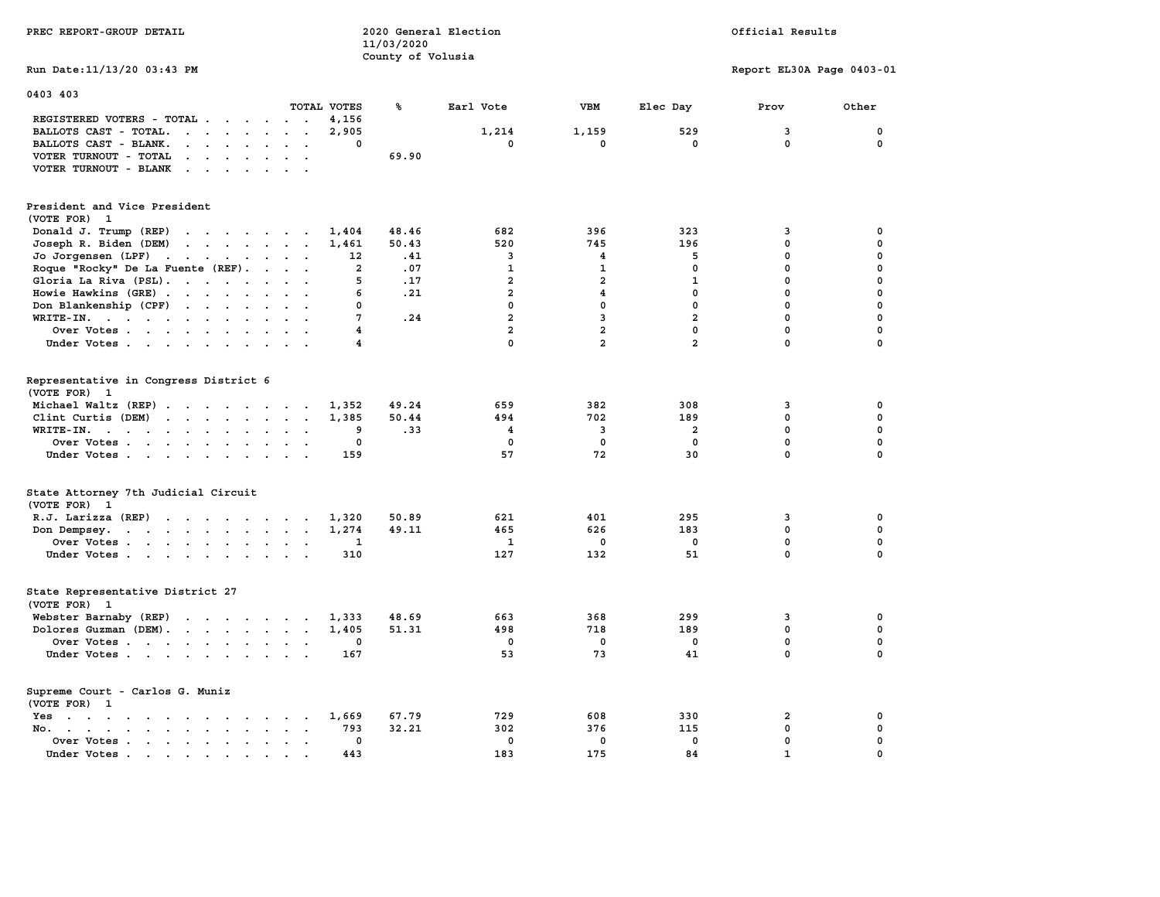| PREC REPORT-GROUP DETAIL                                                                                                                                                                                                                                   |                      | 11/03/2020<br>County of Volusia | 2020 General Election |                         |                | Official Results          |             |
|------------------------------------------------------------------------------------------------------------------------------------------------------------------------------------------------------------------------------------------------------------|----------------------|---------------------------------|-----------------------|-------------------------|----------------|---------------------------|-------------|
| Run Date: 11/13/20 03:43 PM                                                                                                                                                                                                                                |                      |                                 |                       |                         |                | Report EL30A Page 0403-01 |             |
| 0403 403                                                                                                                                                                                                                                                   | TOTAL VOTES          | ℁                               |                       | VBM                     |                |                           |             |
| REGISTERED VOTERS - TOTAL                                                                                                                                                                                                                                  | 4,156                |                                 | Earl Vote             |                         | Elec Day       | Prov                      | Other       |
| BALLOTS CAST - TOTAL.<br>$\mathbf{r}$ . The set of the set of the set of the set of the set of the set of the set of the set of the set of the set of the set of the set of the set of the set of the set of the set of the set of the set of the set of t | 2,905                |                                 | 1,214                 | 1,159                   | 529            | 3                         | 0           |
| BALLOTS CAST - BLANK.<br>$\begin{array}{cccccccccccccc} \bullet & \bullet & \bullet & \bullet & \bullet & \bullet & \bullet & \bullet & \bullet \end{array}$                                                                                               |                      | 0                               | 0                     | $\mathbf{0}$            | $\mathbf 0$    | $\mathbf 0$               | $^{\circ}$  |
| VOTER TURNOUT - TOTAL<br>$\mathbf{r}$ . The set of the set of the set of the set of the set of the set of the set of the set of the set of the set of the set of the set of the set of the set of the set of the set of the set of the set of the set of t |                      | 69.90                           |                       |                         |                |                           |             |
| VOTER TURNOUT - BLANK<br>$\mathbf{r}$ . The set of the set of $\mathbf{r}$                                                                                                                                                                                 |                      |                                 |                       |                         |                |                           |             |
| President and Vice President<br>(VOTE FOR) 1                                                                                                                                                                                                               |                      |                                 |                       |                         |                |                           |             |
| Donald J. Trump (REP)                                                                                                                                                                                                                                      | 1,404                | 48.46                           | 682                   | 396                     | 323            | 3                         | $\mathbf 0$ |
| $\mathbf{r}$<br>Joseph R. Biden (DEM)                                                                                                                                                                                                                      | 1,461                | 50.43                           | 520                   | 745                     | 196            | $\mathbf 0$               | $\mathbf 0$ |
| Jo Jorgensen (LPF)                                                                                                                                                                                                                                         | 12                   | .41                             | 3                     | $\overline{\mathbf{4}}$ | 5              | $\Omega$                  | $\mathbf 0$ |
| Roque "Rocky" De La Fuente (REF).                                                                                                                                                                                                                          |                      | $\overline{a}$<br>.07           | $\mathbf{1}$          | $\mathbf{1}$            | $\mathbf 0$    | $\mathbf 0$               | $\mathbf 0$ |
| Gloria La Riva (PSL).                                                                                                                                                                                                                                      |                      | 5<br>.17                        | $\overline{a}$        | $\overline{a}$          | $\mathbf{1}$   | $\mathbf 0$               | $\mathbf 0$ |
| Howie Hawkins (GRE)                                                                                                                                                                                                                                        |                      | 6<br>.21                        | $\overline{a}$        | $\overline{\mathbf{4}}$ | $\mathbf 0$    | $\mathbf 0$               | $\mathbf 0$ |
| Don Blankenship (CPF)                                                                                                                                                                                                                                      |                      | 0                               | $\mathbf 0$           | $\mathbf 0$             | $\mathbf 0$    | $\mathbf 0$               | $\mathbf 0$ |
| WRITE-IN.                                                                                                                                                                                                                                                  |                      | 7<br>.24                        | $\overline{a}$        | $\overline{3}$          | $\overline{a}$ | $\mathbf 0$               | $\mathbf 0$ |
| Over Votes                                                                                                                                                                                                                                                 |                      | 4                               | $\overline{a}$        | $\overline{a}$          | $\mathbf 0$    | $\mathbf 0$               | $\mathbf 0$ |
| Under Votes                                                                                                                                                                                                                                                |                      | 4                               | $\mathbf 0$           | $\overline{a}$          | $\overline{a}$ | $\mathbf 0$               | $\mathbf 0$ |
|                                                                                                                                                                                                                                                            |                      |                                 |                       |                         |                |                           |             |
| Representative in Congress District 6                                                                                                                                                                                                                      |                      |                                 |                       |                         |                |                           |             |
| (VOTE FOR) 1                                                                                                                                                                                                                                               |                      |                                 |                       |                         |                |                           |             |
| Michael Waltz (REP)                                                                                                                                                                                                                                        | 1,352                | 49.24                           | 659                   | 382                     | 308            | 3                         | $\mathbf 0$ |
| Clint Curtis (DEM)                                                                                                                                                                                                                                         | 1,385                | 50.44                           | 494                   | 702                     | 189            | $\mathbf{0}$              | $\mathbf 0$ |
| WRITE-IN.<br>the contract of the contract of the contract of the contract of the contract of the contract of the contract of                                                                                                                               |                      | .33<br>9                        | $\overline{4}$        | $\overline{3}$          | $\overline{a}$ | $\mathbf{0}$              | $\mathbf 0$ |
| Over Votes                                                                                                                                                                                                                                                 |                      | 0                               | 0                     | $\Omega$                | 0              | $\mathbf 0$               | $\mathbf 0$ |
| Under Votes                                                                                                                                                                                                                                                | 159                  |                                 | 57                    | 72                      | 30             | $\mathbf{0}$              | $\mathbf 0$ |
| State Attorney 7th Judicial Circuit<br>(VOTE FOR) 1                                                                                                                                                                                                        |                      |                                 |                       |                         |                |                           |             |
| R.J. Larizza $(REF)$                                                                                                                                                                                                                                       | 1,320                | 50.89                           | 621                   | 401                     | 295            | 3                         | $\mathbf 0$ |
| Don Dempsey.                                                                                                                                                                                                                                               | 1,274                | 49.11                           | 465                   | 626                     | 183            | $\mathbf 0$               | $\mathbf 0$ |
| Over Votes                                                                                                                                                                                                                                                 |                      | 1                               | 1                     | $\mathbf 0$             | 0              | 0                         | 0           |
| Under Votes                                                                                                                                                                                                                                                | 310                  |                                 | 127                   | 132                     | 51             | $\mathbf 0$               | $\mathbf 0$ |
| State Representative District 27<br>(VOTE FOR)<br>$\mathbf{1}$                                                                                                                                                                                             |                      |                                 |                       |                         |                |                           |             |
| Webster Barnaby (REP)                                                                                                                                                                                                                                      | 1,333                | 48.69                           | 663                   | 368                     | 299            | 3                         | 0           |
| Dolores Guzman (DEM).                                                                                                                                                                                                                                      | 1,405                | 51.31                           | 498                   | 718                     | 189            | $\mathbf 0$               | $\mathbf 0$ |
| Over Votes                                                                                                                                                                                                                                                 |                      | 0                               | $^{\circ}$            | $\Omega$                | 0              | $\mathbf 0$               | 0           |
| Under Votes                                                                                                                                                                                                                                                | 167                  |                                 | 53                    | 73                      | 41             | $\mathbf{0}$              | $\mathbf 0$ |
| Supreme Court - Carlos G. Muniz<br>(VOTE FOR) 1                                                                                                                                                                                                            |                      |                                 |                       |                         |                |                           |             |
| the contract of the contract of the contract of the contract of the contract of the contract of the contract of<br>Yes                                                                                                                                     | 1,669                | 67.79                           | 729                   | 608                     | 330            | $\overline{\mathbf{2}}$   | $\mathbf 0$ |
| No. .<br>$\mathbf{r}$ , and $\mathbf{r}$ , and $\mathbf{r}$ , and $\mathbf{r}$<br>$\sim$<br>$\sim$<br>$\ddot{\phantom{a}}$                                                                                                                                 | 793                  | 32.21                           | 302                   | 376                     | 115            | $\mathbf 0$               | $\mathbf 0$ |
| Over Votes<br>$\sim$                                                                                                                                                                                                                                       | $\ddot{\phantom{a}}$ | $\mathbf 0$                     | $\mathbf 0$           | $\mathbf 0$             | $\mathbf 0$    | $\mathbf 0$               | $\mathbf 0$ |
| Under Votes.<br>. The contract of the contract of the contract of the contract of the contract of the contract of the contract of the contract of the contract of the contract of the contract of the contract of the contract of the contrac              | 443                  |                                 | 183                   | 175                     | 84             | $\mathbf{1}$              | $\mathbf 0$ |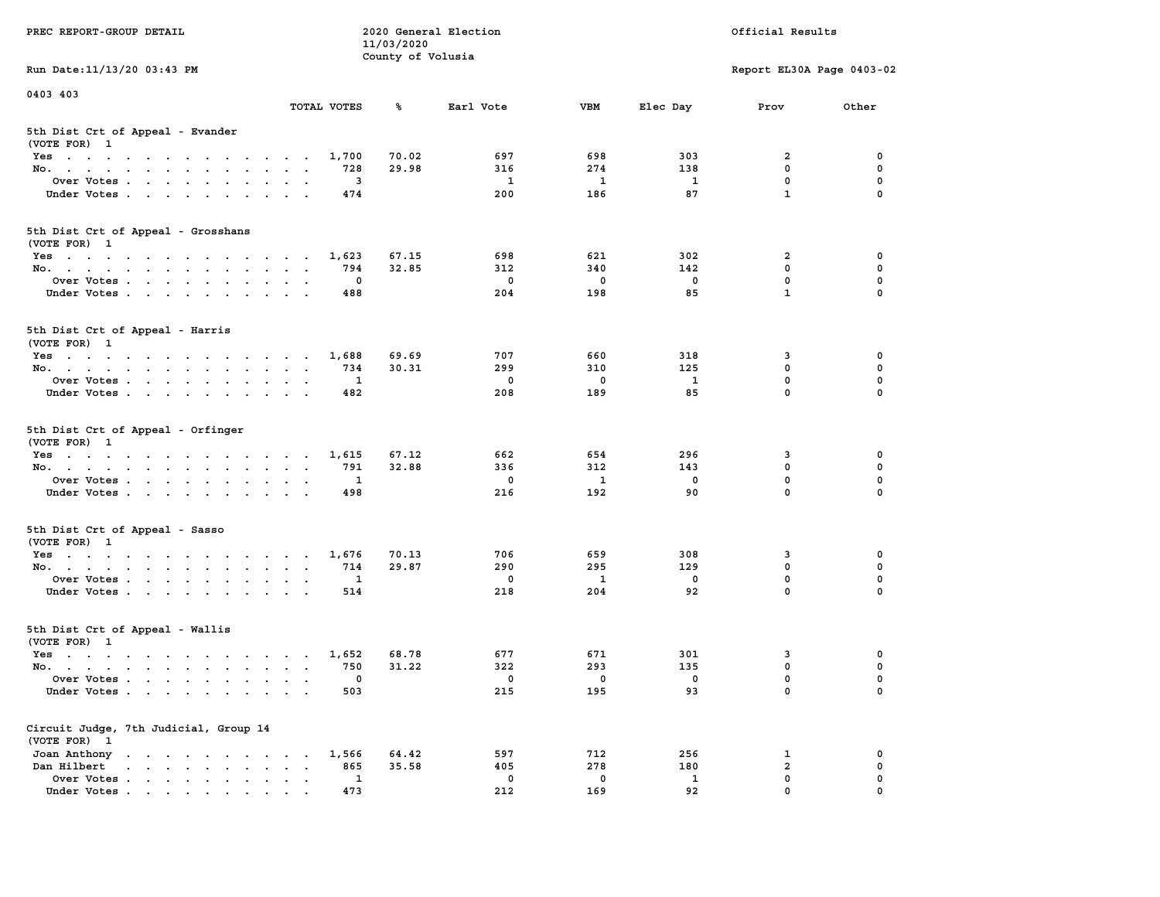| PREC REPORT-GROUP DETAIL                                                                                               |                                          | 11/03/2020        | 2020 General Election |              |              | Official Results          |             |
|------------------------------------------------------------------------------------------------------------------------|------------------------------------------|-------------------|-----------------------|--------------|--------------|---------------------------|-------------|
| Run Date: 11/13/20 03:43 PM                                                                                            |                                          | County of Volusia |                       |              |              | Report EL30A Page 0403-02 |             |
| 0403 403                                                                                                               |                                          |                   |                       |              |              |                           |             |
|                                                                                                                        | TOTAL VOTES                              | ℁                 | Earl Vote             | <b>VBM</b>   | Elec Day     | Prov                      | Other       |
| 5th Dist Crt of Appeal - Evander<br>(VOTE FOR) 1                                                                       |                                          |                   |                       |              |              |                           |             |
| Yes                                                                                                                    | 1,700                                    | 70.02             | 697                   | 698          | 303          | 2                         | 0           |
| No.                                                                                                                    | 728                                      | 29.98             | 316                   | 274          | 138          | $\mathbf 0$               | 0           |
| Over Votes                                                                                                             | 3                                        |                   | 1                     | 1            | 1            | $\mathbf 0$               | 0           |
| Under Votes                                                                                                            | 474                                      |                   | 200                   | 186          | 87           | $\mathbf{1}$              | $\Omega$    |
| 5th Dist Crt of Appeal - Grosshans<br>(VOTE FOR) 1                                                                     |                                          |                   |                       |              |              |                           |             |
| Yes                                                                                                                    | 1,623                                    | 67.15             | 698                   | 621          | 302          | 2                         | 0           |
| No.                                                                                                                    | 794                                      | 32.85             | 312                   | 340          | 142          | $\mathbf 0$               | 0           |
| Over Votes                                                                                                             | 0                                        |                   | $\mathbf 0$           | $\mathbf 0$  | $\mathbf 0$  | $\mathbf 0$               | 0           |
| Under Votes                                                                                                            | 488                                      |                   | 204                   | 198          | 85           | $\mathbf{1}$              | 0           |
| 5th Dist Crt of Appeal - Harris<br>(VOTE FOR) 1                                                                        |                                          |                   |                       |              |              |                           |             |
| $Yes \cdot \cdot \cdot \cdot \cdot \cdot \cdot \cdot \cdot \cdot \cdot \cdot \cdot$                                    | 1,688                                    | 69.69             | 707                   | 660          | 318          | 3                         | 0           |
| No.                                                                                                                    | 734                                      | 30.31             | 299                   | 310          | 125          | 0                         | $\mathbf 0$ |
| Over Votes                                                                                                             | 1                                        |                   | 0                     | 0            | $\mathbf{1}$ | $\mathbf 0$               | 0           |
| Under Votes                                                                                                            | 482                                      |                   | 208                   | 189          | 85           | $\mathbf 0$               | 0           |
| 5th Dist Crt of Appeal - Orfinger<br>(VOTE FOR) 1                                                                      |                                          |                   |                       |              |              |                           |             |
| Yes                                                                                                                    | 1,615                                    | 67.12             | 662                   | 654          | 296          | 3                         | 0           |
| No.                                                                                                                    | 791                                      | 32.88             | 336                   | 312          | 143          | $\mathbf 0$               | 0           |
| Over Votes                                                                                                             | 1                                        |                   | 0                     | 1            | 0            | $\mathbf 0$               | 0           |
| Under Votes                                                                                                            | 498                                      |                   | 216                   | 192          | 90           | $\mathbf 0$               | $\Omega$    |
| 5th Dist Crt of Appeal - Sasso<br>(VOTE FOR) 1                                                                         |                                          |                   |                       |              |              |                           |             |
| Yes                                                                                                                    | 1,676                                    | 70.13             | 706                   | 659          | 308          | 3                         | 0           |
| No.                                                                                                                    | 714                                      | 29.87             | 290                   | 295          | 129          | $\mathbf 0$               | 0           |
| Over Votes                                                                                                             | 1                                        |                   | 0                     | $\mathbf{1}$ | 0            | $\mathbf 0$               | 0           |
| Under Votes                                                                                                            | 514                                      |                   | 218                   | 204          | 92           | $\mathbf 0$               | $\Omega$    |
| 5th Dist Crt of Appeal - Wallis<br>(VOTE FOR) 1                                                                        |                                          |                   |                       |              |              |                           |             |
| Yes<br>the contract of the contract of the contract of the contract of the contract of the contract of the contract of | 1,652                                    | 68.78             | 677                   | 671          | 301          | 3                         | 0           |
| No.                                                                                                                    | 750                                      | 31.22             | 322                   | 293          | 135          | $\mathbf 0$               | 0           |
| Over Votes                                                                                                             | 0                                        |                   | 0                     | 0            | 0            | $\mathbf 0$               | 0           |
| Under Votes.                                                                                                           | 503                                      |                   | 215                   | 195          | 93           | 0                         | 0           |
| Circuit Judge, 7th Judicial, Group 14<br>(VOTE FOR) 1                                                                  |                                          |                   |                       |              |              |                           |             |
| Joan Anthony                                                                                                           | 1,566                                    | 64.42             | 597                   | 712          | 256          | 1                         | 0           |
| Dan Hilbert                                                                                                            | 865<br>$\ddot{\phantom{a}}$<br>$\bullet$ | 35.58             | 405                   | 278          | 180          | $\overline{a}$            | 0           |
| Over Votes                                                                                                             | 1                                        |                   | 0                     | $\mathbf 0$  | $\mathbf{1}$ | $\mathbf 0$               | 0           |
| Under Votes                                                                                                            | 473                                      |                   | 212                   | 169          | 92           | 0                         |             |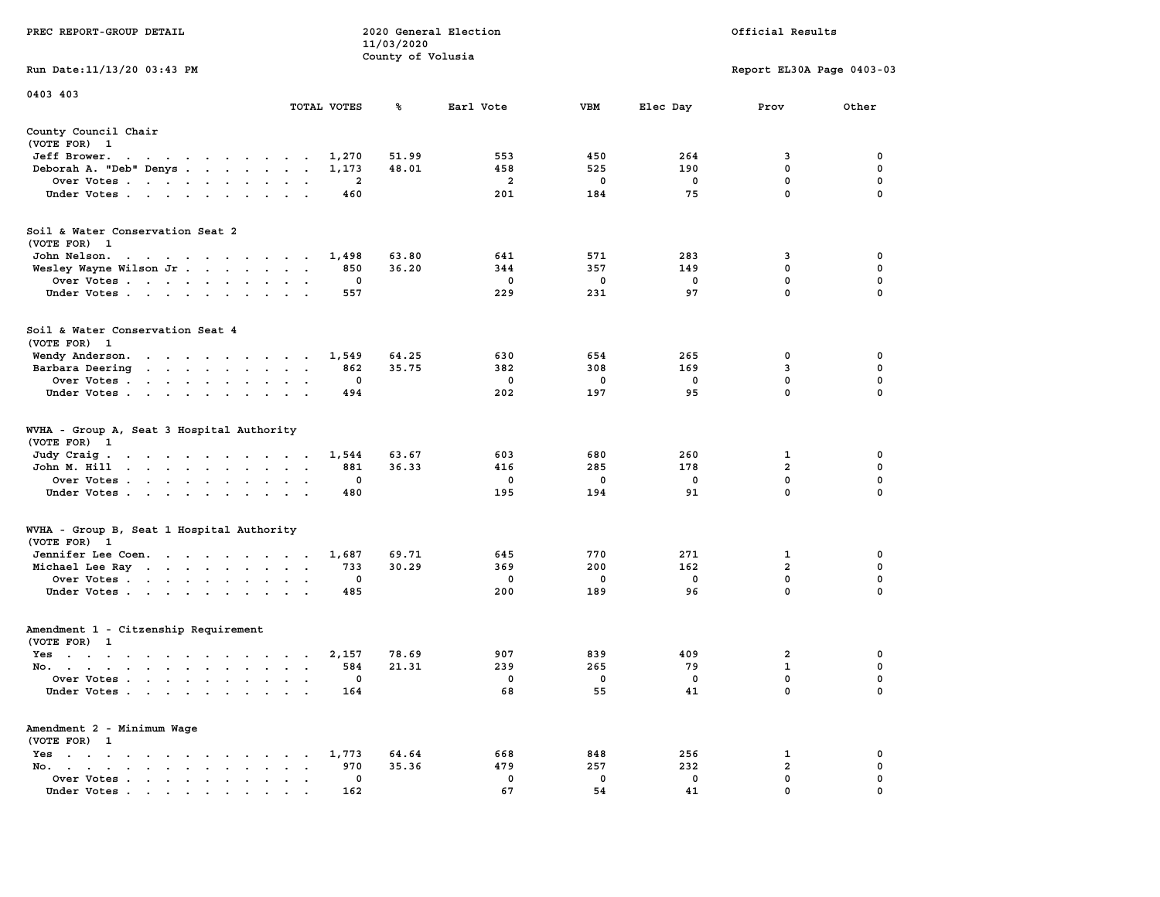|                                                                                                                                                                   |                                                                    | 11/03/2020        |                         |              |             |                           |                  |
|-------------------------------------------------------------------------------------------------------------------------------------------------------------------|--------------------------------------------------------------------|-------------------|-------------------------|--------------|-------------|---------------------------|------------------|
|                                                                                                                                                                   |                                                                    | County of Volusia |                         |              |             |                           |                  |
| Run Date:11/13/20 03:43 PM                                                                                                                                        |                                                                    |                   |                         |              |             | Report EL30A Page 0403-03 |                  |
| 0403 403                                                                                                                                                          |                                                                    |                   |                         |              |             |                           |                  |
|                                                                                                                                                                   | TOTAL VOTES                                                        | ℁                 | Earl Vote               | <b>VBM</b>   | Elec Day    | Prov                      | Other            |
| County Council Chair                                                                                                                                              |                                                                    |                   |                         |              |             |                           |                  |
| (VOTE FOR) 1                                                                                                                                                      |                                                                    |                   |                         |              |             |                           |                  |
| Jeff Brower.<br>$\sim$ $\sim$<br>$\cdots$<br>$\sim$                                                                                                               | 1,270                                                              | 51.99             | 553                     | 450          | 264         | 3                         | 0                |
| Deborah A. "Deb" Denys                                                                                                                                            | 1,173<br>$\overline{\phantom{a}}$                                  | 48.01             | 458                     | 525          | 190         | $\mathbf 0$               | $\mathbf 0$      |
| Over Votes                                                                                                                                                        | 2<br>$\sim$<br>$\cdot$<br>$\overline{\phantom{a}}$                 |                   | $\overline{\mathbf{2}}$ | 0            | $\mathbf 0$ | $\mathbf 0$               | $\pmb{0}$        |
| Under Votes<br>$\sim$                                                                                                                                             | 460<br>$\ddot{\phantom{a}}$                                        |                   | 201                     | 184          | 75          | $\mathbf 0$               | $\mathbf 0$      |
| Soil & Water Conservation Seat 2                                                                                                                                  |                                                                    |                   |                         |              |             |                           |                  |
| (VOTE FOR) 1                                                                                                                                                      |                                                                    |                   |                         |              |             |                           |                  |
| John Nelson.<br>the contract of the contract of the con-                                                                                                          | 1,498                                                              | 63.80             | 641                     | 571          | 283         | 3                         | 0                |
| Wesley Wayne Wilson Jr                                                                                                                                            | 850<br>$\sim$<br>$\ddot{\phantom{0}}$                              | 36.20             | 344                     | 357          | 149         | $\mathbf 0$               | 0                |
| Over Votes<br>$\sim$ $\sim$                                                                                                                                       | $\mathbf 0$<br>$\bullet$<br>$\cdot$                                |                   | 0                       | 0            | 0           | $\mathbf 0$               | $\mathbf 0$      |
| Under Votes                                                                                                                                                       | 557<br>$\cdot$ .<br>$\sim$                                         |                   | 229                     | 231          | 97          | 0                         | 0                |
|                                                                                                                                                                   |                                                                    |                   |                         |              |             |                           |                  |
| Soil & Water Conservation Seat 4                                                                                                                                  |                                                                    |                   |                         |              |             |                           |                  |
| (VOTE FOR) 1                                                                                                                                                      |                                                                    |                   |                         |              |             |                           |                  |
| Wendy Anderson.                                                                                                                                                   | 1,549<br>$\sim$                                                    | 64.25             | 630                     | 654          | 265         | 0                         | 0                |
| Barbara Deering<br>the contract of the contract of                                                                                                                | 862<br>$\ddot{\phantom{a}}$                                        | 35.75             | 382                     | 308          | 169         | 3                         | $\mathbf 0$      |
| Over Votes.<br>$\mathbf{r}$ , $\mathbf{r}$ , $\mathbf{r}$<br>$\ddot{\phantom{a}}$<br>$\ddot{\phantom{a}}$                                                         | $\mathbf 0$                                                        |                   | $\mathbf 0$             | $\mathbf 0$  | $\mathbf 0$ | $\mathbf 0$               | $\mathbf 0$      |
| Under Votes<br>$\cdot$                                                                                                                                            | 494                                                                |                   | 202                     | 197          | 95          | $\mathbf 0$               | $\mathbf 0$      |
| WVHA - Group A, Seat 3 Hospital Authority<br>(VOTE FOR)<br>$\mathbf{1}$                                                                                           |                                                                    |                   |                         |              |             |                           |                  |
| Judy Craig.<br>$\mathbf{u} = \mathbf{u} + \mathbf{u} + \mathbf{u} + \mathbf{u} + \mathbf{u} + \mathbf{u}$                                                         | 1,544<br>$\sim$ $\sim$ $\sim$ $\sim$ $\sim$                        | 63.67             | 603                     | 680          | 260         | 1                         | 0                |
| John M. Hill<br>$\cdot$ $\cdot$ $\cdot$ $\cdot$<br>$\mathbf{A}^{\text{in}}$ , and $\mathbf{A}^{\text{in}}$ , and $\mathbf{A}^{\text{in}}$<br>$\ddot{\phantom{0}}$ | 881<br>$\cdot$<br>$\ddot{\phantom{a}}$<br>$\ddot{\phantom{a}}$     | 36.33             | 416                     | 285          | 178         | $\overline{a}$            | 0                |
| Over Votes                                                                                                                                                        | 0<br>$\ddot{\phantom{a}}$<br>$\ddot{\phantom{a}}$                  |                   | 0                       | 0            | 0           | 0                         | 0                |
| Under Votes<br>$\bullet$                                                                                                                                          | 480<br>$\ddot{\phantom{a}}$                                        |                   | 195                     | 194          | 91          | 0                         | 0                |
| WVHA - Group B, Seat 1 Hospital Authority                                                                                                                         |                                                                    |                   |                         |              |             |                           |                  |
| (VOTE FOR)<br>$\mathbf{1}$                                                                                                                                        |                                                                    |                   |                         |              |             |                           |                  |
| Jennifer Lee Coen.                                                                                                                                                | 1,687                                                              | 69.71             | 645                     | 770          | 271         | 1                         | 0                |
| Michael Lee Ray                                                                                                                                                   | 733<br>$\bullet$<br>$\bullet$<br>$\blacksquare$                    | 30.29             | 369                     | 200          | 162         | $\overline{a}$            | $\mathbf 0$      |
| Over Votes                                                                                                                                                        | $\mathbf 0$<br>$\cdot$                                             |                   | $\mathbf 0$             | $\mathbf{0}$ | $\mathbf 0$ | $\mathbf{0}$              | $\mathbf 0$      |
| Under Votes<br>$\ddot{\phantom{a}}$                                                                                                                               | 485<br>$\cdot$                                                     |                   | 200                     | 189          | 96          | $\mathbf 0$               | $\mathbf 0$      |
| Amendment 1 - Citzenship Requirement                                                                                                                              |                                                                    |                   |                         |              |             |                           |                  |
| (VOTE FOR) 1                                                                                                                                                      |                                                                    |                   |                         |              |             |                           |                  |
| $Yes \t . \t .$<br>the contract of the contract of the contract of the contract of the contract of the contract of the contract of                                | 2,157<br>$\cdot$ .<br>$\sim$                                       | 78.69             | 907                     | 839          | 409         | $\overline{\mathbf{2}}$   | 0                |
| No.<br>$\ddot{\phantom{a}}$                                                                                                                                       | 584<br>$\cdot$<br>$\overline{\phantom{a}}$<br>$\ddot{\phantom{a}}$ | 21.31             | 239                     | 265          | 79          | $\mathbf 1$               | 0                |
| Over Votes .<br>$\sim$ $\sim$<br>$\mathbf{L}$<br>$\ddot{\phantom{a}}$<br>$\ddot{\phantom{a}}$                                                                     | 0<br>$\cdot$<br>$\ddot{\phantom{a}}$<br>$\cdot$                    |                   | 0                       | 0            | 0           | $\mathbf 0$               | $\mathbf 0$      |
| Under Votes                                                                                                                                                       | 164<br>$\sim$<br>$\cdot$ .                                         |                   | 68                      | 55           | 41          | 0                         | 0                |
| Amendment 2 - Minimum Wage                                                                                                                                        |                                                                    |                   |                         |              |             |                           |                  |
| (VOTE FOR) 1                                                                                                                                                      |                                                                    |                   |                         |              | 256         |                           |                  |
| $Yes \t . \t .$<br>$\bullet$<br>$\sim$<br>$\sim$ $\sim$<br>$\ddot{\phantom{a}}$<br>$\sim$<br>$\sim$                                                               | 1,773<br>$\bullet$                                                 | 64.64             | 668<br>479              | 848<br>257   | 232         | 1<br>$\mathbf{2}$         | 0<br>$\mathbf 0$ |
| No.<br>$\bullet$ .<br><br><br><br><br><br><br><br><br><br><br><br><br><br><br>$\sim$<br>$\cdot$                                                                   | 970<br>$\cdot$                                                     | 35.36             |                         |              |             | $\mathbf{0}$              | $\mathbf 0$      |
| Over Votes<br>$\ddot{\phantom{0}}$<br>$\bullet$                                                                                                                   | 0<br>$\bullet$<br>$\ddot{\phantom{a}}$                             |                   | 0<br>67                 | 0<br>54      | 0<br>41     | $\mathbf{0}$              | $\mathbf 0$      |
| Under Votes                                                                                                                                                       | 162                                                                |                   |                         |              |             |                           |                  |

**PREC REPORT-GROUP DETAIL 2020 General Election Official Results**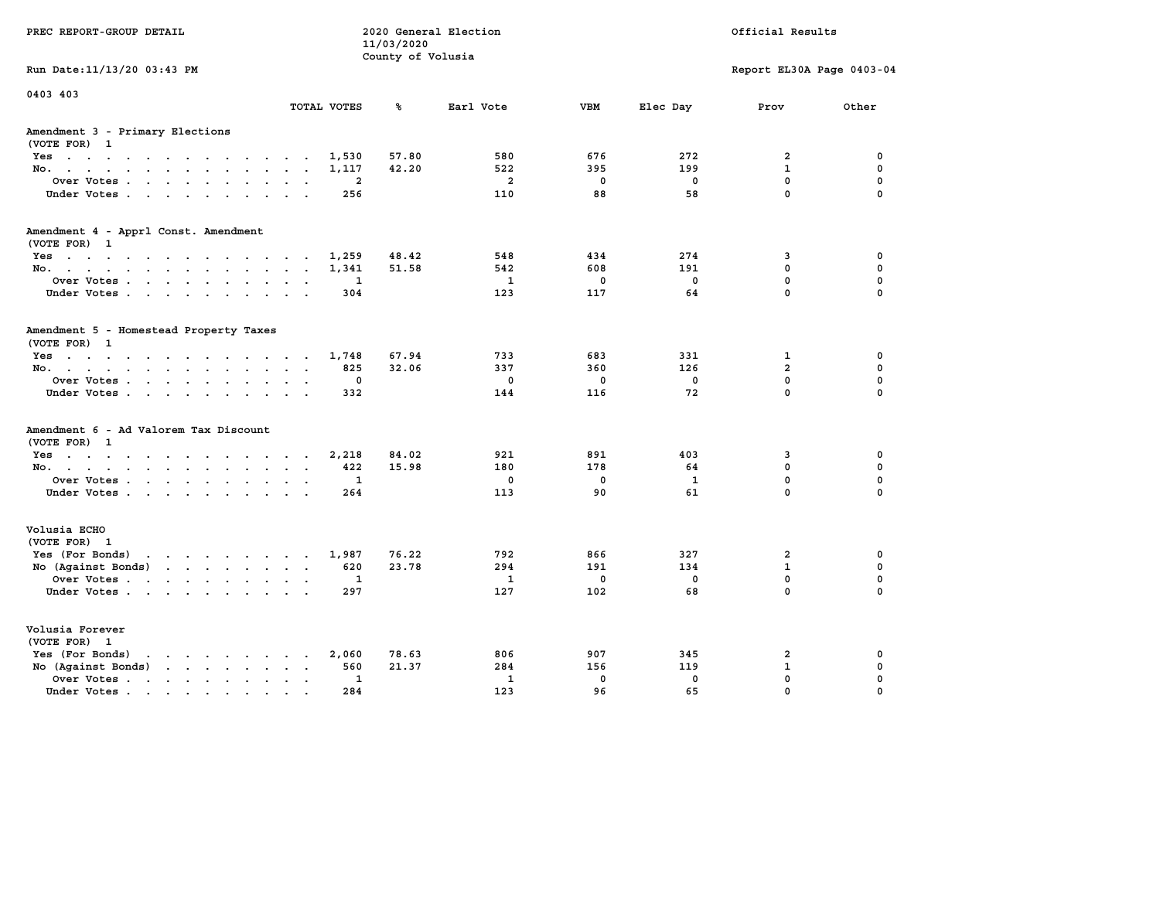| PREC REPORT-GROUP DETAIL                                                                                                                                                                                                                                |             | 11/03/2020<br>County of Volusia | 2020 General Election |             |              | Official Results           |             |
|---------------------------------------------------------------------------------------------------------------------------------------------------------------------------------------------------------------------------------------------------------|-------------|---------------------------------|-----------------------|-------------|--------------|----------------------------|-------------|
| Run Date: 11/13/20 03:43 PM                                                                                                                                                                                                                             |             |                                 |                       |             |              | Report EL30A Page 0403-04  |             |
| 0403 403                                                                                                                                                                                                                                                | TOTAL VOTES | ℁                               | Earl Vote             | <b>VBM</b>  | Elec Day     | Prov                       | Other       |
| Amendment 3 - Primary Elections<br>(VOTE FOR) 1                                                                                                                                                                                                         |             |                                 |                       |             |              |                            |             |
| Yes                                                                                                                                                                                                                                                     | 1,530       | 57.80                           | 580                   | 676         | 272          | $\overline{2}$             | 0           |
| No.                                                                                                                                                                                                                                                     | 1,117       | 42.20                           | 522                   | 395         | 199          | $\mathbf{1}$               | $\mathbf 0$ |
| Over Votes<br>$\bullet$<br>$\ddot{\phantom{a}}$                                                                                                                                                                                                         | 2           |                                 | $\overline{a}$        | 0           | 0            | $\mathbf 0$<br>$\mathbf 0$ | 0           |
| Under Votes.                                                                                                                                                                                                                                            | 256         |                                 | 110                   | 88          | 58           |                            | $\Omega$    |
| Amendment 4 - Apprl Const. Amendment<br>(VOTE FOR) 1                                                                                                                                                                                                    |             |                                 |                       |             |              |                            |             |
| Yes                                                                                                                                                                                                                                                     | 1,259       | 48.42                           | 548                   | 434         | 274          | 3                          | 0           |
| No.                                                                                                                                                                                                                                                     | 1,341       | 51.58                           | 542                   | 608         | 191          | 0                          | $\mathbf 0$ |
| Over Votes<br>$\bullet$<br>$\blacksquare$                                                                                                                                                                                                               | 1           |                                 | $\mathbf{1}$          | $\mathbf 0$ | $\mathbf 0$  | 0                          | $\mathbf 0$ |
| Under Votes.                                                                                                                                                                                                                                            | 304         |                                 | 123                   | 117         | 64           | 0                          | $\Omega$    |
| Amendment 5 - Homestead Property Taxes<br>(VOTE FOR) 1                                                                                                                                                                                                  |             |                                 |                       |             |              |                            |             |
| Yes                                                                                                                                                                                                                                                     | 1,748       | 67.94                           | 733                   | 683         | 331          | $\mathbf{1}$               | 0           |
| No.<br>$\sim$ $\sim$<br>$\ddotsc$                                                                                                                                                                                                                       | 825         | 32.06                           | 337                   | 360         | 126          | $\overline{a}$             | $\mathbf 0$ |
| Over Votes<br>$\ddot{\phantom{a}}$                                                                                                                                                                                                                      | 0           |                                 | $\mathbf 0$           | $\mathbf 0$ | 0            | 0                          | $\mathbf 0$ |
| Under Votes<br><b>Service</b>                                                                                                                                                                                                                           | 332         |                                 | 144                   | 116         | 72           | 0                          | $\Omega$    |
| Amendment 6 - Ad Valorem Tax Discount<br>(VOTE FOR) 1                                                                                                                                                                                                   |             |                                 |                       |             |              |                            |             |
| Yes.                                                                                                                                                                                                                                                    | 2,218       | 84.02                           | 921                   | 891         | 403          | 3                          | 0           |
| No.                                                                                                                                                                                                                                                     | 422         | 15.98                           | 180                   | 178         | 64           | 0                          | 0           |
| Over Votes<br>$\bullet$ .<br>$\blacksquare$                                                                                                                                                                                                             | 1           |                                 | 0                     | $\mathbf 0$ | $\mathbf{1}$ | 0                          | $\mathbf 0$ |
| Under Votes                                                                                                                                                                                                                                             | 264         |                                 | 113                   | 90          | 61           | 0                          | $\Omega$    |
| Volusia ECHO<br>(VOTE FOR) 1                                                                                                                                                                                                                            |             |                                 |                       |             |              |                            |             |
| Yes (For Bonds)<br>the contract of the contract of the contract of the contract of the contract of the contract of the contract of                                                                                                                      | 1,987       | 76.22                           | 792                   | 866         | 327          | $\overline{2}$             | 0           |
| No (Against Bonds)<br>$\mathbf{r}$ . The set of the set of the set of the set of the set of the set of the set of the set of the set of the set of the set of the set of the set of the set of the set of the set of the set of the set of the set of t | 620         | 23.78                           | 294                   | 191         | 134          | $\mathbf{1}$               | $\mathbf 0$ |
| Over Votes<br>$\bullet$<br>$\ddot{\phantom{a}}$                                                                                                                                                                                                         | 1           |                                 | $\mathbf{1}$          | 0           | 0            | $\mathbf 0$                | $\mathbf 0$ |
| Under Votes                                                                                                                                                                                                                                             | 297         |                                 | 127                   | 102         | 68           | 0                          | $\Omega$    |
| Volusia Forever<br>(VOTE FOR) 1                                                                                                                                                                                                                         |             |                                 |                       |             |              |                            |             |
| Yes (For Bonds)<br>$\mathbf{r}$ , and $\mathbf{r}$ , and $\mathbf{r}$ , and $\mathbf{r}$                                                                                                                                                                | 2,060       | 78.63                           | 806                   | 907         | 345          | $\overline{2}$             | 0           |
| No (Against Bonds)<br>$\mathbf{r}$ , $\mathbf{r}$ , $\mathbf{r}$ , $\mathbf{r}$                                                                                                                                                                         | 560         | 21.37                           | 284                   | 156         | 119          | $\mathbf{1}$               | 0           |
| Over Votes .<br>$\mathcal{A}$ . The set of the set of $\mathcal{A}$<br>$\ddot{\phantom{a}}$<br>$\bullet$<br>$\bullet$                                                                                                                                   | 1           |                                 | $\mathbf{1}$          | $\mathbf 0$ | $\mathbf 0$  | 0                          | 0           |
| Under Votes                                                                                                                                                                                                                                             | 284         |                                 | 123                   | 96          | 65           | 0                          | $\Omega$    |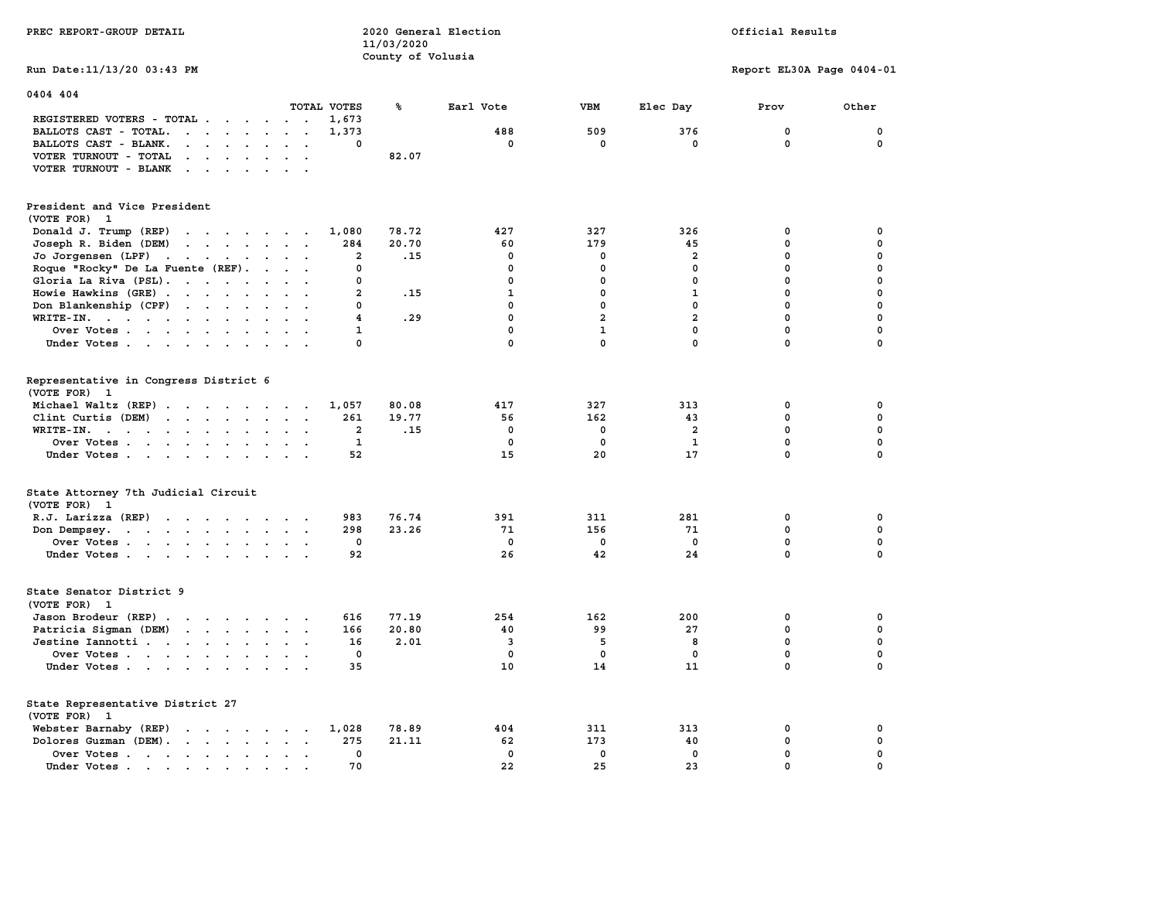|                                                                                                                                                                                                                                                                                     | 11/03/2020        |                         |                |                |                           |             |
|-------------------------------------------------------------------------------------------------------------------------------------------------------------------------------------------------------------------------------------------------------------------------------------|-------------------|-------------------------|----------------|----------------|---------------------------|-------------|
|                                                                                                                                                                                                                                                                                     | County of Volusia |                         |                |                |                           |             |
| Run Date: 11/13/20 03:43 PM                                                                                                                                                                                                                                                         |                   |                         |                |                | Report EL30A Page 0404-01 |             |
|                                                                                                                                                                                                                                                                                     |                   |                         |                |                |                           |             |
| 0404 404                                                                                                                                                                                                                                                                            |                   |                         |                |                |                           |             |
| TOTAL VOTES                                                                                                                                                                                                                                                                         | ℁                 | Earl Vote               | <b>VBM</b>     | Elec Day       | Prov                      | Other       |
| REGISTERED VOTERS - TOTAL<br>1,673                                                                                                                                                                                                                                                  |                   |                         |                |                |                           |             |
| BALLOTS CAST - TOTAL.<br>$\begin{array}{cccccccccccccccccc} \bullet & \bullet & \bullet & \bullet & \bullet & \bullet & \bullet & \bullet & \bullet & \bullet & \bullet & \bullet & \bullet \end{array}$<br>1,373                                                                   |                   | 488                     | 509            | 376            | 0                         | 0           |
| BALLOTS CAST - BLANK.<br>$\mathbf{r}$ , $\mathbf{r}$ , $\mathbf{r}$ , $\mathbf{r}$ , $\mathbf{r}$<br>0                                                                                                                                                                              |                   | 0                       | $\mathbf 0$    | $\mathbf{0}$   | 0                         | $\Omega$    |
| VOTER TURNOUT - TOTAL<br><b>Contract Contract Contract</b>                                                                                                                                                                                                                          | 82.07             |                         |                |                |                           |             |
| $\cdot$ $\cdot$<br>$\ddot{\phantom{a}}$<br>VOTER TURNOUT - BLANK<br>$\cdot$                                                                                                                                                                                                         |                   |                         |                |                |                           |             |
| $\ddot{\phantom{a}}$                                                                                                                                                                                                                                                                |                   |                         |                |                |                           |             |
|                                                                                                                                                                                                                                                                                     |                   |                         |                |                |                           |             |
| President and Vice President                                                                                                                                                                                                                                                        |                   |                         |                |                |                           |             |
| (VOTE FOR) 1                                                                                                                                                                                                                                                                        |                   |                         |                |                |                           |             |
| 1,080<br>Donald J. Trump (REP)<br>$\mathbf{r}$ , $\mathbf{r}$ , $\mathbf{r}$ , $\mathbf{r}$ , $\mathbf{r}$ , $\mathbf{r}$                                                                                                                                                           | 78.72             | 427                     | 327            | 326            | 0                         | 0           |
| Joseph R. Biden (DEM)<br>the contract of the contract of<br>284                                                                                                                                                                                                                     | 20.70             | 60                      | 179            | 45             | 0                         | $\mathbf 0$ |
| Jo Jorgensen (LPF)<br>$\overline{\mathbf{2}}$                                                                                                                                                                                                                                       | .15               | $\mathbf 0$             | 0              | $\overline{a}$ | 0                         | $\mathbf 0$ |
| Roque "Rocky" De La Fuente (REF).<br>0<br>$\cdots$                                                                                                                                                                                                                                  |                   | 0                       | 0              | 0              | 0                         | $\Omega$    |
| Gloria La Riva (PSL).<br>$\Omega$                                                                                                                                                                                                                                                   |                   | $\mathbf 0$             | $\mathbf 0$    | $\mathbf{0}$   | $\mathbf 0$               | $\Omega$    |
| Howie Hawkins (GRE)<br>$\overline{a}$                                                                                                                                                                                                                                               | .15               | $\mathbf{1}$            | $\mathbf 0$    | $\mathbf{1}$   | $\mathbf 0$               | $\mathbf 0$ |
| 0                                                                                                                                                                                                                                                                                   |                   | $\mathbf 0$             | $\mathbf 0$    | $\mathbf{0}$   | $\mathbf{0}$              | $\Omega$    |
| Don Blankenship (CPF) $\cdot \cdot \cdot \cdot \cdot \cdot$<br>4                                                                                                                                                                                                                    | .29               | $\Omega$                | $\overline{a}$ | $\overline{2}$ | $\Omega$                  | $\Omega$    |
| WRITE-IN.<br>$\mathbf{z} = \mathbf{z} + \mathbf{z}$ .                                                                                                                                                                                                                               |                   |                         |                |                |                           | $\mathbf 0$ |
| Over Votes<br>$\mathbf{1}$                                                                                                                                                                                                                                                          |                   | $\mathbf 0$             | $\mathbf{1}$   | $\mathbf{0}$   | $\mathbf 0$               |             |
| Under Votes<br>0                                                                                                                                                                                                                                                                    |                   | $\Omega$                | $\Omega$       | $\Omega$       | $\Omega$                  | $\Omega$    |
|                                                                                                                                                                                                                                                                                     |                   |                         |                |                |                           |             |
| Representative in Congress District 6                                                                                                                                                                                                                                               |                   |                         |                |                |                           |             |
| (VOTE FOR) 1                                                                                                                                                                                                                                                                        |                   |                         |                |                |                           |             |
| Michael Waltz (REP)<br>1,057                                                                                                                                                                                                                                                        | 80.08             | 417                     | 327            | 313            | 0                         | 0           |
| 261<br>Clint Curtis (DEM)<br>$\cdots$                                                                                                                                                                                                                                               | 19.77             | 56                      | 162            | 43             | 0                         | 0           |
| WRITE-IN.<br>$\overline{a}$<br>$\sim$                                                                                                                                                                                                                                               | .15               | $\mathbf 0$             | 0              | $\overline{a}$ | $\mathbf 0$               | $\mathbf 0$ |
| Over Votes<br>1                                                                                                                                                                                                                                                                     |                   | $\mathbf 0$             | $\mathbf 0$    | $\mathbf{1}$   | $\mathbf 0$               | $\mathbf 0$ |
| 52                                                                                                                                                                                                                                                                                  |                   | 15                      | 20             | 17             | $\Omega$                  | $\mathbf 0$ |
| Under Votes                                                                                                                                                                                                                                                                         |                   |                         |                |                |                           |             |
|                                                                                                                                                                                                                                                                                     |                   |                         |                |                |                           |             |
| State Attorney 7th Judicial Circuit                                                                                                                                                                                                                                                 |                   |                         |                |                |                           |             |
| (VOTE FOR) 1                                                                                                                                                                                                                                                                        |                   |                         |                |                |                           |             |
| $R.J.$ Larizza $(REP)$<br>983<br>$\sim$                                                                                                                                                                                                                                             | 76.74             | 391                     | 311            | 281            | $\mathbf 0$               | $\mathbf 0$ |
| 298<br>Don Dempsey.<br>$\mathbf{r}$ . The contract of the contract of the contract of the contract of the contract of the contract of the contract of the contract of the contract of the contract of the contract of the contract of the contract of th<br>$\cdot$ $\cdot$ $\cdot$ | 23.26             | 71                      | 156            | 71             | $\mathbf 0$               | $\mathbf 0$ |
| Over Votes<br>0<br>$\ddot{\phantom{0}}$<br>$\sim$<br>$\sim$<br>$\overline{\phantom{a}}$ .                                                                                                                                                                                           |                   | $\mathbf 0$             | $\mathbf 0$    | 0              | $\mathbf 0$               | $\mathbf 0$ |
| 92<br>Under Votes                                                                                                                                                                                                                                                                   |                   | 26                      | 42             | 24             | $\Omega$                  | $\Omega$    |
|                                                                                                                                                                                                                                                                                     |                   |                         |                |                |                           |             |
|                                                                                                                                                                                                                                                                                     |                   |                         |                |                |                           |             |
| State Senator District 9                                                                                                                                                                                                                                                            |                   |                         |                |                |                           |             |
| (VOTE FOR) 1                                                                                                                                                                                                                                                                        |                   |                         |                |                |                           |             |
| Jason Brodeur (REP)<br>616                                                                                                                                                                                                                                                          | 77.19             | 254                     | 162            | 200            | 0                         | 0           |
| Patricia Sigman (DEM)<br>166                                                                                                                                                                                                                                                        | 20.80             | 40                      | 99             | 27             | 0                         | $\mathbf 0$ |
| Jestine Iannotti<br>16<br>$\ddot{\phantom{a}}$                                                                                                                                                                                                                                      | 2.01              | $\overline{\mathbf{3}}$ | 5              | 8              | $\mathbf{0}$              | $\mathbf 0$ |
| Over Votes<br>0                                                                                                                                                                                                                                                                     |                   | 0                       | $\mathbf 0$    | $\mathbf{0}$   | 0                         | $\Omega$    |
| Under Votes<br>35                                                                                                                                                                                                                                                                   |                   | 10                      | 14             | 11             | $\mathbf 0$               | $\mathbf 0$ |
|                                                                                                                                                                                                                                                                                     |                   |                         |                |                |                           |             |
| State Representative District 27                                                                                                                                                                                                                                                    |                   |                         |                |                |                           |             |
| (VOTE FOR)<br>$\mathbf{1}$                                                                                                                                                                                                                                                          |                   |                         |                |                |                           |             |
| Webster Barnaby (REP)<br>1,028<br>$\mathbf{r}$ . The contract of the contract of the contract of the contract of the contract of the contract of the contract of the contract of the contract of the contract of the contract of the contract of the contract of th                 | 78.89             | 404                     | 311            | 313            | $\mathbf 0$               | 0           |
| Dolores Guzman (DEM).<br>$\cdots$<br>275                                                                                                                                                                                                                                            | 21.11             | 62                      | 173            | 40             | 0                         | $\mathbf 0$ |
| Over Votes<br>0                                                                                                                                                                                                                                                                     |                   | $\mathbf 0$             | $\mathbf 0$    | $\mathbf{0}$   | $\mathbf{0}$              | $\mathbf 0$ |
| 70<br>Under Votes<br>$\sim$                                                                                                                                                                                                                                                         |                   | 22                      | 25             | 23             | $\mathbf 0$               | $\mathbf 0$ |

**PREC REPORT-GROUP DETAIL COMPUTER CONSUMING A LOCAL PREC** REPORT-GROUP DETAIL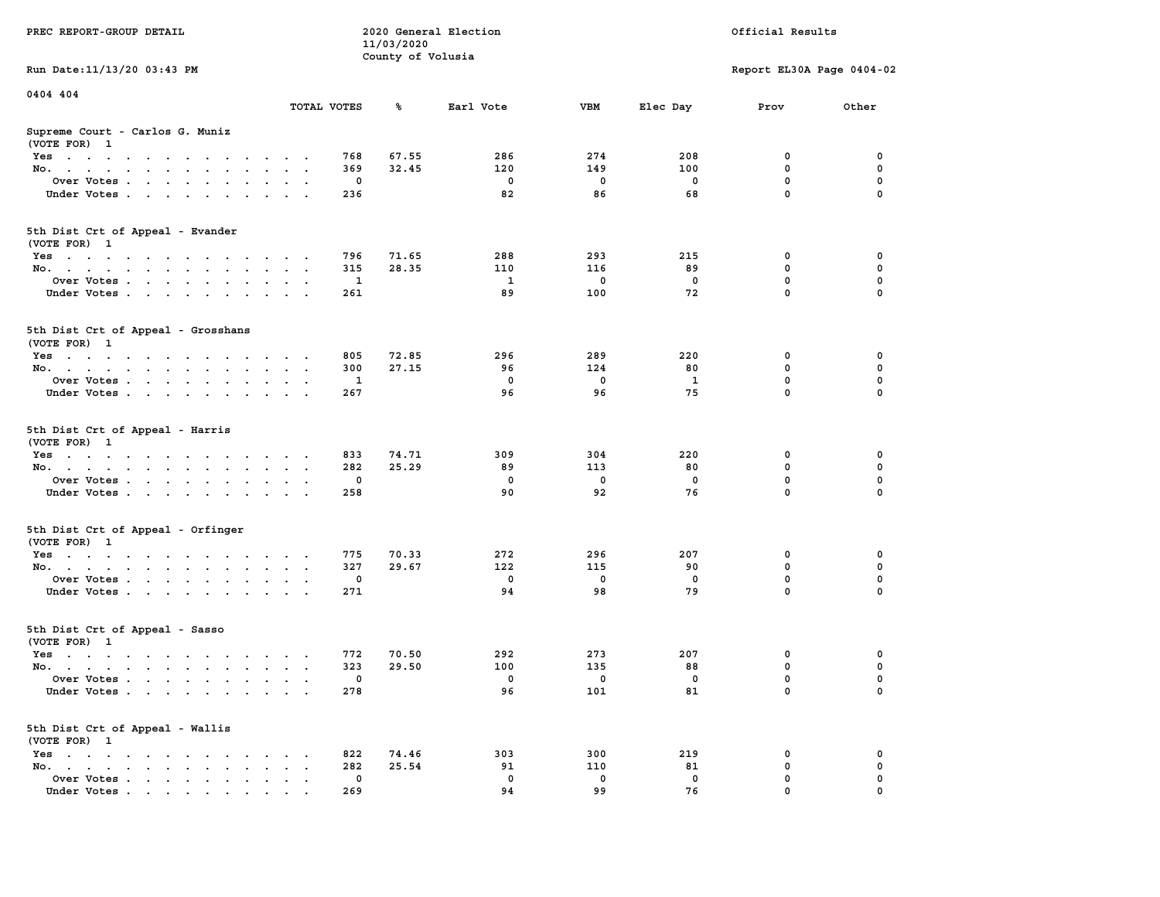| PREC REPORT-GROUP DETAIL                                                                                               |                         |     |                   | 2020 General Election |     |          | Official Results          |             |
|------------------------------------------------------------------------------------------------------------------------|-------------------------|-----|-------------------|-----------------------|-----|----------|---------------------------|-------------|
|                                                                                                                        |                         |     | 11/03/2020        |                       |     |          |                           |             |
| Run Date: 11/13/20 03:43 PM                                                                                            |                         |     | County of Volusia |                       |     |          | Report EL30A Page 0404-02 |             |
| 0404 404                                                                                                               |                         |     |                   |                       |     |          |                           |             |
|                                                                                                                        | TOTAL VOTES             |     | ℁                 | Earl Vote             | VBM | Elec Day | Prov                      | Other       |
| Supreme Court - Carlos G. Muniz<br>(VOTE FOR) 1                                                                        |                         |     |                   |                       |     |          |                           |             |
| Yes                                                                                                                    |                         | 768 | 67.55             | 286                   | 274 | 208      | 0                         | 0           |
| No.                                                                                                                    |                         | 369 | 32.45             | 120                   | 149 | 100      | 0                         | $\mathbf 0$ |
| Over Votes                                                                                                             |                         | 0   |                   | 0                     | 0   | 0        | 0                         | 0           |
| Under Votes                                                                                                            |                         | 236 |                   | 82                    | 86  | 68       | $\mathbf 0$               | $\Omega$    |
| 5th Dist Crt of Appeal - Evander<br>(VOTE FOR) 1                                                                       |                         |     |                   |                       |     |          |                           |             |
| Yes                                                                                                                    |                         | 796 | 71.65             | 288                   | 293 | 215      | 0                         | 0           |
| No.                                                                                                                    |                         | 315 | 28.35             | 110                   | 116 | 89       | 0                         | 0           |
| Over Votes                                                                                                             |                         | 1   |                   | <b>1</b>              | 0   | 0        | 0                         | $\mathbf 0$ |
| Under Votes                                                                                                            |                         | 261 |                   | 89                    | 100 | 72       | 0                         | 0           |
| 5th Dist Crt of Appeal - Grosshans<br>(VOTE FOR) 1                                                                     |                         |     |                   |                       |     |          |                           |             |
| Yes                                                                                                                    |                         | 805 | 72.85             | 296                   | 289 | 220      | 0                         | 0           |
| No.                                                                                                                    |                         | 300 | 27.15             | 96                    | 124 | 80       | 0                         | 0           |
| Over Votes                                                                                                             | $\sim$                  | 1   |                   | 0                     | 0   | 1        | 0                         | $\mathbf 0$ |
| Under Votes.                                                                                                           |                         | 267 |                   | 96                    | 96  | 75       | 0                         | 0           |
|                                                                                                                        |                         |     |                   |                       |     |          |                           |             |
| 5th Dist Crt of Appeal - Harris<br>(VOTE FOR) 1                                                                        |                         |     |                   |                       |     |          |                           |             |
| Yes                                                                                                                    |                         | 833 | 74.71             | 309                   | 304 | 220      | 0                         | 0           |
| No.                                                                                                                    | $\mathbf{a}=\mathbf{a}$ | 282 | 25.29             | 89                    | 113 | 80       | 0                         | 0           |
| Over Votes                                                                                                             |                         | 0   |                   | 0                     | 0   | 0        | 0                         | $\mathbf 0$ |
| Under Votes                                                                                                            |                         | 258 |                   | 90                    | 92  | 76       | $\mathbf 0$               | $\Omega$    |
| 5th Dist Crt of Appeal - Orfinger                                                                                      |                         |     |                   |                       |     |          |                           |             |
| (VOTE FOR) 1                                                                                                           |                         |     |                   |                       |     |          |                           |             |
| Yes                                                                                                                    |                         | 775 | 70.33             | 272                   | 296 | 207      | 0                         | 0           |
| No.                                                                                                                    |                         | 327 | 29.67             | 122                   | 115 | 90       | 0                         | 0           |
| Over Votes                                                                                                             |                         | 0   |                   | 0                     | 0   | 0        | 0<br>0                    | 0           |
| Under Votes                                                                                                            |                         | 271 |                   | 94                    | 98  | 79       |                           | 0           |
| 5th Dist Crt of Appeal - Sasso<br>(VOTE FOR) 1                                                                         |                         |     |                   |                       |     |          |                           |             |
| Yes<br>the contract of the contract of the contract of the contract of the contract of the contract of the contract of |                         | 772 | 70.50             | 292                   | 273 | 207      | 0                         | 0           |
| No.                                                                                                                    |                         | 323 | 29.50             | 100                   | 135 | 88       | 0                         | 0           |
| Over Votes                                                                                                             |                         | 0   |                   | 0                     | 0   | 0        | $\mathbf 0$               | 0           |
| Under Votes                                                                                                            |                         | 278 |                   | 96                    | 101 | 81       | 0                         | 0           |
| 5th Dist Crt of Appeal - Wallis<br>(VOTE FOR) 1                                                                        |                         |     |                   |                       |     |          |                           |             |
| $Yes \cdot \cdot \cdot \cdot \cdot \cdot \cdot$                                                                        |                         | 822 | 74.46             | 303                   | 300 | 219      | 0                         | 0           |
| No.<br>$\bullet$                                                                                                       |                         | 282 | 25.54             | 91                    | 110 | 81       | 0                         | 0           |
| Over Votes                                                                                                             |                         | 0   |                   | 0                     | 0   | 0        | 0                         | 0           |
| Under Votes                                                                                                            |                         | 269 |                   | 94                    | 99  | 76       | $\Omega$                  |             |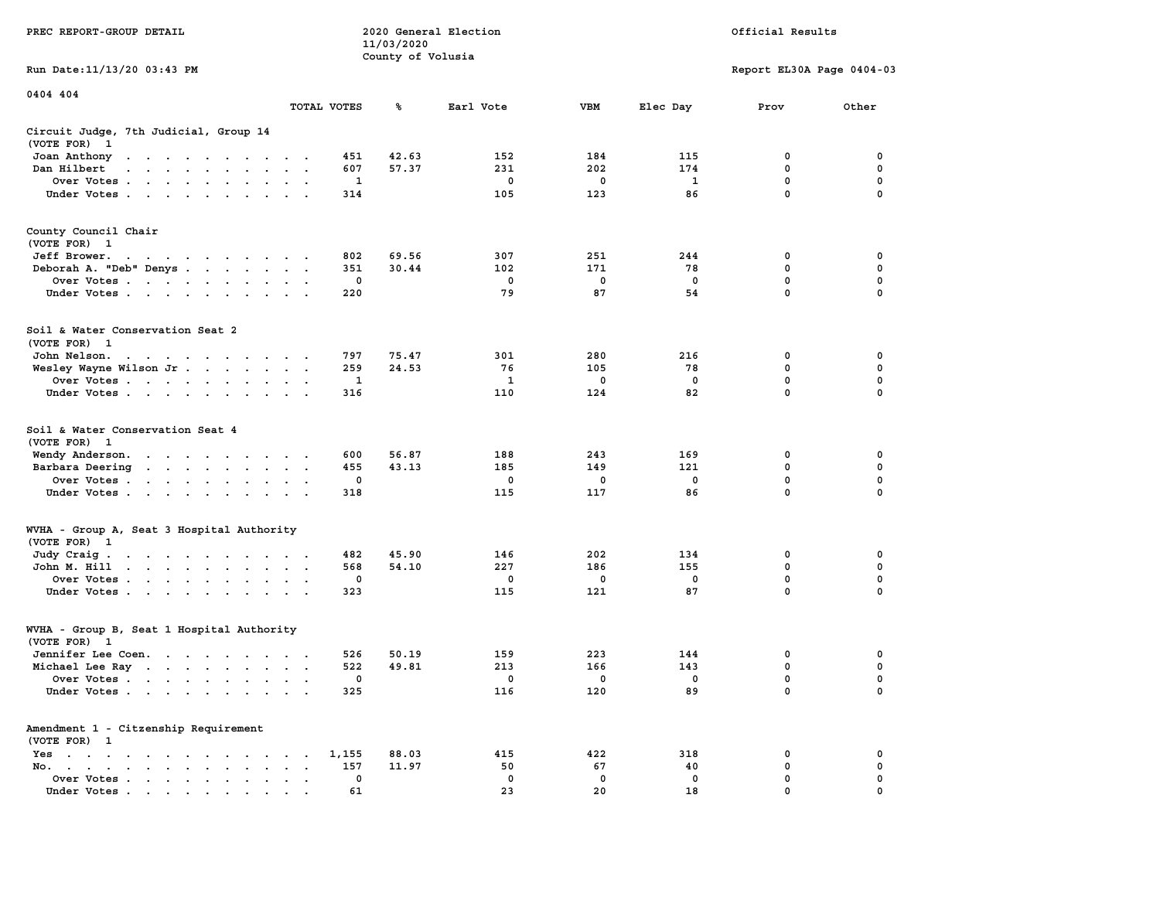|                                                                                                                                                                                                  |                                                                  | 11/03/2020        |                        |                        |                       |                                                |                                                |
|--------------------------------------------------------------------------------------------------------------------------------------------------------------------------------------------------|------------------------------------------------------------------|-------------------|------------------------|------------------------|-----------------------|------------------------------------------------|------------------------------------------------|
|                                                                                                                                                                                                  |                                                                  | County of Volusia |                        |                        |                       |                                                |                                                |
| Run Date: 11/13/20 03:43 PM                                                                                                                                                                      |                                                                  |                   |                        |                        |                       | Report EL30A Page 0404-03                      |                                                |
| 0404 404                                                                                                                                                                                         |                                                                  |                   |                        |                        |                       |                                                |                                                |
|                                                                                                                                                                                                  | TOTAL VOTES                                                      | ℁                 | Earl Vote              | <b>VBM</b>             | Elec Day              | Prov                                           | Other                                          |
| Circuit Judge, 7th Judicial, Group 14<br>(VOTE FOR)<br>$\mathbf{1}$                                                                                                                              |                                                                  |                   |                        |                        |                       |                                                |                                                |
| Joan Anthony<br>the contract of the contract of the con-                                                                                                                                         | 451                                                              | 42.63             | 152                    | 184                    | 115                   | 0                                              | 0                                              |
| Dan Hilbert<br>the contract of the contract of the contract of<br>$\overline{a}$                                                                                                                 | 607                                                              | 57.37             | 231                    | 202                    | 174                   | 0                                              | 0                                              |
| Over Votes                                                                                                                                                                                       | $\mathbf{1}$                                                     |                   | $\mathbf 0$            | $\mathbf 0$            | $\mathbf{1}$          | $\mathbf 0$                                    | 0                                              |
| Under Votes                                                                                                                                                                                      | 314                                                              |                   | 105                    | 123                    | 86                    | $\mathbf 0$                                    | 0                                              |
|                                                                                                                                                                                                  |                                                                  |                   |                        |                        |                       |                                                |                                                |
| County Council Chair<br>(VOTE FOR) 1                                                                                                                                                             |                                                                  |                   |                        |                        |                       |                                                |                                                |
| Jeff Brower.<br>the contract of the contract of the con-                                                                                                                                         | 802                                                              | 69.56             | 307                    | 251                    | 244                   | 0                                              | 0                                              |
| Deborah A. "Deb" Denys                                                                                                                                                                           | 351                                                              | 30.44             | 102                    | 171                    | 78                    | $\mathbf 0$                                    | $\mathbf 0$                                    |
| Over Votes                                                                                                                                                                                       | $\mathbf 0$                                                      |                   | $\mathbf 0$            | $\mathbf 0$            | $\mathbf 0$           | $\mathbf 0$                                    | $\mathbf 0$                                    |
| Under Votes                                                                                                                                                                                      | 220                                                              |                   | 79                     | 87                     | 54                    | $\mathbf 0$                                    | $\mathbf 0$                                    |
|                                                                                                                                                                                                  |                                                                  |                   |                        |                        |                       |                                                |                                                |
| Soil & Water Conservation Seat 2<br>(VOTE FOR) 1                                                                                                                                                 |                                                                  |                   |                        |                        |                       |                                                |                                                |
| John Nelson.<br>$\mathbf{a}$ , and $\mathbf{a}$ , and $\mathbf{a}$ , and $\mathbf{a}$ , and $\mathbf{a}$                                                                                         | 797                                                              | 75.47             | 301                    | 280                    | 216                   | 0                                              | 0                                              |
| Wesley Wayne Wilson Jr.                                                                                                                                                                          | 259                                                              | 24.53             | 76                     | 105                    | 78                    | $\mathbf 0$                                    | 0                                              |
| Over Votes                                                                                                                                                                                       | 1                                                                |                   | 1                      | 0                      | $^{\circ}$            | $\mathbf 0$                                    | $\mathbf 0$                                    |
| Under Votes                                                                                                                                                                                      | 316                                                              |                   | 110                    | 124                    | 82                    | $\mathbf 0$                                    | 0                                              |
| Soil & Water Conservation Seat 4<br>(VOTE FOR)<br>$\mathbf{1}$<br>Wendy Anderson.<br>Barbara Deering<br>the contract of the contract of the<br>Over Votes<br>Under Votes<br>$\sim$ $\sim$ $\sim$ | 600<br>455<br>$\ddot{\phantom{1}}$<br>0<br>318                   | 56.87<br>43.13    | 188<br>185<br>0<br>115 | 243<br>149<br>0<br>117 | 169<br>121<br>0<br>86 | 0<br>$\mathbf 0$<br>$\mathbf 0$<br>$\mathbf 0$ | 0<br>$\mathbf 0$<br>$\mathbf 0$<br>$\mathbf 0$ |
| WVHA - Group A, Seat 3 Hospital Authority<br>(VOTE FOR) 1                                                                                                                                        |                                                                  |                   |                        |                        |                       |                                                |                                                |
| Judy Craig.<br>the contract of the contract of the con-                                                                                                                                          | 482                                                              | 45.90             | 146                    | 202                    | 134                   | 0                                              | 0                                              |
| John M. Hill                                                                                                                                                                                     | 568<br>$\bullet$                                                 | 54.10             | 227                    | 186                    | 155                   | 0                                              | $\mathbf 0$                                    |
| Over Votes                                                                                                                                                                                       | $\mathbf{0}$<br>$\sim$                                           |                   | $^{\circ}$             | $^{\circ}$             | 0                     | $\mathbf 0$                                    | $\mathbf 0$                                    |
| Under Votes                                                                                                                                                                                      | 323                                                              |                   | 115                    | 121                    | 87                    | $\mathbf 0$                                    | 0                                              |
| WVHA - Group B, Seat 1 Hospital Authority<br>(VOTE FOR)<br>$\mathbf{1}$                                                                                                                          |                                                                  |                   |                        |                        |                       |                                                |                                                |
| Jennifer Lee Coen.                                                                                                                                                                               | 526                                                              | 50.19             | 159                    | 223                    | 144                   | 0                                              | 0                                              |
| Michael Lee Ray                                                                                                                                                                                  | 522                                                              | 49.81             | 213                    | 166                    | 143                   | 0                                              | 0                                              |
| Over Votes                                                                                                                                                                                       | $\mathbf{0}$<br>$\ddot{\phantom{0}}$<br>$\overline{\phantom{a}}$ |                   | $^{\circ}$             | 0                      | 0                     | 0                                              | 0                                              |
| Under Votes                                                                                                                                                                                      | 325                                                              |                   | 116                    | 120                    | 89                    | $\mathbf 0$                                    | $\mathbf 0$                                    |
| Amendment 1 - Citzenship Requirement<br>(VOTE FOR) 1                                                                                                                                             |                                                                  |                   |                        |                        |                       |                                                |                                                |
| Yes<br>$\sim$<br>$\begin{array}{cccccccccccccc} \bullet & \bullet & \bullet & \bullet & \bullet & \bullet & \bullet & \bullet & \bullet & \bullet & \bullet \end{array}$<br>$\sim$ $\sim$        | 1,155<br>$\sim$<br>$\ddot{\phantom{a}}$                          | 88.03             | 415                    | 422                    | 318                   | 0                                              | 0                                              |
| No.<br>the contract of the contract of the                                                                                                                                                       | 157<br>$\cdot$                                                   | 11.97             | 50                     | 67                     | 40                    | 0                                              | $\mathbf 0$                                    |
| Over Votes<br>$\ddot{\phantom{0}}$<br>$\bullet$<br>$\bullet$                                                                                                                                     | 0<br>$\bullet$                                                   |                   | $\mathbf{0}$           | $\mathbf 0$            | $\mathbf 0$           | 0                                              | 0                                              |
| Under Votes<br>the contract of the contract of the contract of the contract of the contract of the contract of the contract of                                                                   | 61<br>$\sim$                                                     |                   | 23                     | 20                     | 18                    | $\Omega$                                       | $\Omega$                                       |

**PREC REPORT-GROUP DETAIL COMPUTER SERVICE 2020 General Election**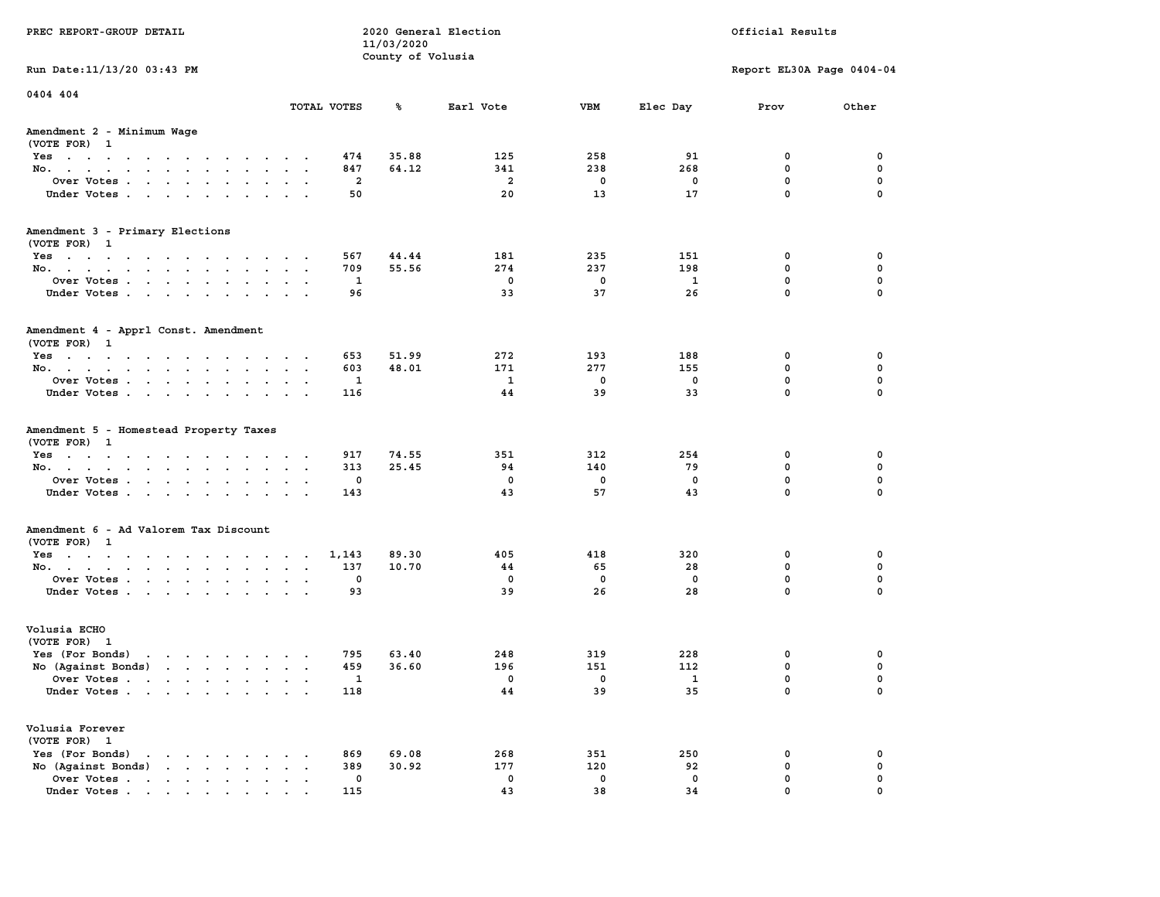| PREC REPORT-GROUP DETAIL                                                                                                                                                                                                                                |                                       |                                 | 2020 General Election   |            |              | Official Results          |             |
|---------------------------------------------------------------------------------------------------------------------------------------------------------------------------------------------------------------------------------------------------------|---------------------------------------|---------------------------------|-------------------------|------------|--------------|---------------------------|-------------|
|                                                                                                                                                                                                                                                         |                                       | 11/03/2020<br>County of Volusia |                         |            |              |                           |             |
| Run Date: 11/13/20 03:43 PM                                                                                                                                                                                                                             |                                       |                                 |                         |            |              | Report EL30A Page 0404-04 |             |
| 0404 404                                                                                                                                                                                                                                                |                                       |                                 |                         |            |              |                           |             |
|                                                                                                                                                                                                                                                         | TOTAL VOTES                           | ጜ                               | Earl Vote               | VBM        | Elec Day     | Prov                      | Other       |
| Amendment 2 - Minimum Wage<br>(VOTE FOR) 1                                                                                                                                                                                                              |                                       |                                 |                         |            |              |                           |             |
| Yes                                                                                                                                                                                                                                                     | 474                                   | 35.88                           | 125                     | 258        | 91           | 0                         | 0           |
| No.                                                                                                                                                                                                                                                     | 847                                   | 64.12                           | 341                     | 238        | 268          | $\mathbf 0$               | $\mathbf 0$ |
| Over Votes                                                                                                                                                                                                                                              |                                       | 2                               | $\overline{a}$          | 0          | 0            | $\mathbf 0$               | 0           |
| Under Votes                                                                                                                                                                                                                                             | 50                                    |                                 | 20                      | 13         | 17           | $\mathbf 0$               | $\Omega$    |
| Amendment 3 - Primary Elections                                                                                                                                                                                                                         |                                       |                                 |                         |            |              |                           |             |
| (VOTE FOR) 1                                                                                                                                                                                                                                            |                                       |                                 |                         |            |              |                           |             |
| Yes                                                                                                                                                                                                                                                     | 567                                   | 44.44<br>55.56                  | 181<br>274              | 235<br>237 | 151<br>198   | 0<br>$\mathbf 0$          | 0<br>0      |
| No.                                                                                                                                                                                                                                                     | 709                                   |                                 | $\overline{\mathbf{0}}$ | 0          | 1            | $\mathbf 0$               | $\mathbf 0$ |
| Over Votes<br>Under Votes                                                                                                                                                                                                                               | 96                                    | 1                               | 33                      | 37         | 26           | $\Omega$                  | $\Omega$    |
|                                                                                                                                                                                                                                                         |                                       |                                 |                         |            |              |                           |             |
| Amendment 4 - Apprl Const. Amendment                                                                                                                                                                                                                    |                                       |                                 |                         |            |              |                           |             |
| (VOTE FOR) 1<br>Yes                                                                                                                                                                                                                                     | 653                                   | 51.99                           | 272                     | 193        | 188          | 0                         | 0           |
| No.                                                                                                                                                                                                                                                     | 603                                   | 48.01                           | 171                     | 277        | 155          | 0                         | 0           |
| Over Votes                                                                                                                                                                                                                                              |                                       | 1                               | 1                       | 0          | 0            | $\mathbf 0$               | $\mathbf 0$ |
| Under Votes                                                                                                                                                                                                                                             | 116                                   |                                 | 44                      | 39         | 33           | $\mathbf 0$               | $\mathbf 0$ |
|                                                                                                                                                                                                                                                         |                                       |                                 |                         |            |              |                           |             |
| Amendment 5 - Homestead Property Taxes<br>(VOTE FOR) 1                                                                                                                                                                                                  |                                       |                                 |                         |            |              |                           |             |
| Yes                                                                                                                                                                                                                                                     | 917                                   | 74.55                           | 351                     | 312        | 254          | 0                         | 0           |
| No.                                                                                                                                                                                                                                                     | 313                                   | 25.45                           | 94                      | 140        | 79           | $\mathbf 0$               | 0           |
| Over Votes                                                                                                                                                                                                                                              |                                       | 0                               | 0                       | 0          | 0            | $\mathbf 0$               | 0           |
| Under Votes                                                                                                                                                                                                                                             | 143                                   |                                 | 43                      | 57         | 43           | $\mathbf 0$               | $\Omega$    |
|                                                                                                                                                                                                                                                         |                                       |                                 |                         |            |              |                           |             |
| Amendment 6 - Ad Valorem Tax Discount                                                                                                                                                                                                                   |                                       |                                 |                         |            |              |                           |             |
| (VOTE FOR) 1                                                                                                                                                                                                                                            |                                       |                                 |                         |            |              |                           |             |
| Yes                                                                                                                                                                                                                                                     | 1,143                                 | 89.30                           | 405                     | 418        | 320          | 0<br>$\mathbf 0$          | 0           |
| No.<br>Over Votes                                                                                                                                                                                                                                       | 137                                   | 10.70<br>0                      | 44<br>0                 | 65<br>0    | 28<br>0      | 0                         | 0<br>0      |
|                                                                                                                                                                                                                                                         |                                       |                                 | 39                      | 26         | 28           | $\Omega$                  | $\Omega$    |
| Under Votes                                                                                                                                                                                                                                             | 93                                    |                                 |                         |            |              |                           |             |
| Volusia ECHO                                                                                                                                                                                                                                            |                                       |                                 |                         |            |              |                           |             |
| (VOTE FOR) 1                                                                                                                                                                                                                                            |                                       |                                 |                         |            |              |                           |             |
| Yes (For Bonds)<br>the contract of the contract of the contract of the contract of the contract of the contract of the contract of                                                                                                                      | 795                                   | 63.40                           | 248                     | 319        | 228          | 0                         | 0           |
| No (Against Bonds)                                                                                                                                                                                                                                      | 459                                   | 36.60                           | 196                     | 151        | 112          | 0                         | 0           |
| Over Votes                                                                                                                                                                                                                                              | $\mathbf{1}$                          |                                 | 0                       | 0          | $\mathbf{1}$ | $\Omega$                  | $\mathbf 0$ |
| Under Votes.                                                                                                                                                                                                                                            | 118                                   |                                 | 44                      | 39         | 35           | 0                         | 0           |
| Volusia Forever                                                                                                                                                                                                                                         |                                       |                                 |                         |            |              |                           |             |
| (VOTE FOR) 1                                                                                                                                                                                                                                            |                                       |                                 |                         |            |              |                           |             |
| Yes (For Bonds)<br>$\mathbf{r}$                                                                                                                                                                                                                         | 869                                   | 69.08                           | 268                     | 351        | 250          | 0                         | 0           |
| $\mathbf{r}$ . The set of the set of the set of the set of the set of the set of the set of the set of the set of the set of the set of the set of the set of the set of the set of the set of the set of the set of the set of t<br>No (Against Bonds) | 389<br>$\sim$<br>$\ddot{\phantom{1}}$ | 30.92                           | 177                     | 120        | 92           | $\mathbf 0$               | $\mathbf 0$ |
| Over Votes                                                                                                                                                                                                                                              |                                       | 0                               | 0                       | 0          | 0            | $\mathbf 0$               | 0           |
| Under Votes.                                                                                                                                                                                                                                            | 115                                   |                                 | 43                      | 38         | 34           | $\mathbf{0}$              | $\mathbf 0$ |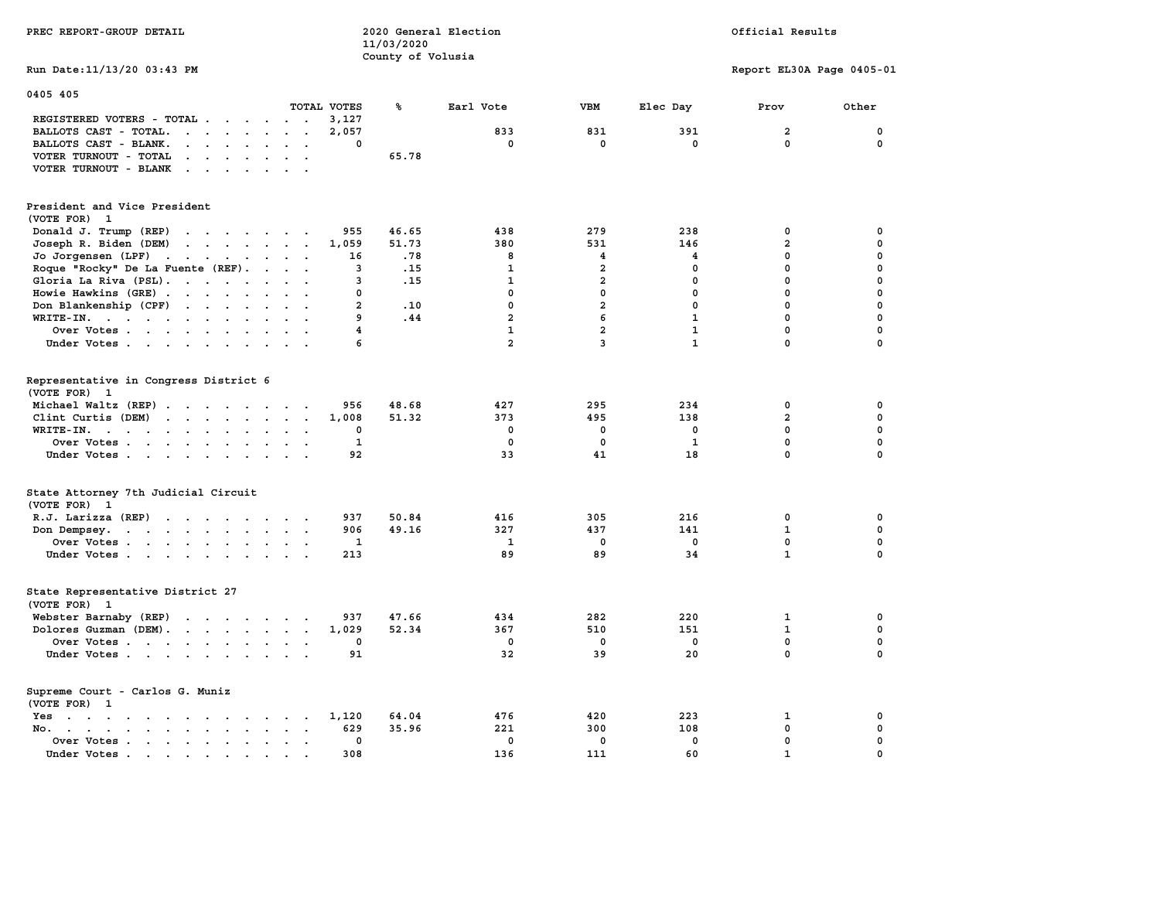| PREC REPORT-GROUP DETAIL                                                                                                                                                                                         |                                               | 11/03/2020        | 2020 General Election |                         | Official Results |                           |              |  |
|------------------------------------------------------------------------------------------------------------------------------------------------------------------------------------------------------------------|-----------------------------------------------|-------------------|-----------------------|-------------------------|------------------|---------------------------|--------------|--|
| Run Date: 11/13/20 03:43 PM                                                                                                                                                                                      |                                               | County of Volusia |                       |                         |                  | Report EL30A Page 0405-01 |              |  |
| 0405 405                                                                                                                                                                                                         |                                               |                   |                       |                         |                  |                           |              |  |
|                                                                                                                                                                                                                  | TOTAL VOTES                                   | ℁                 | Earl Vote             | <b>VBM</b>              | Elec Day         | Prov                      | Other        |  |
| REGISTERED VOTERS - TOTAL .<br>$\cdots$                                                                                                                                                                          | 3,127                                         |                   |                       |                         |                  |                           |              |  |
| BALLOTS CAST - TOTAL.<br>$\mathbf{r}$                                                                                                                                                                            | 2,057                                         |                   | 833                   | 831                     | 391              | $\overline{\mathbf{2}}$   | 0            |  |
| BALLOTS CAST - BLANK.<br>$\mathbf{r}$ , $\mathbf{r}$ , $\mathbf{r}$ , $\mathbf{r}$ , $\mathbf{r}$                                                                                                                | 0                                             |                   | $\mathbf 0$           | $\mathbf 0$             | $\mathbf{0}$     | $\mathbf{0}$              | $\mathbf 0$  |  |
| VOTER TURNOUT - TOTAL<br>$\mathbf{r}$ , and $\mathbf{r}$ , and $\mathbf{r}$                                                                                                                                      |                                               | 65.78             |                       |                         |                  |                           |              |  |
| VOTER TURNOUT - BLANK<br>$\ddot{\phantom{a}}$                                                                                                                                                                    |                                               |                   |                       |                         |                  |                           |              |  |
| President and Vice President<br>(VOTE FOR) 1                                                                                                                                                                     |                                               |                   |                       |                         |                  |                           |              |  |
| Donald J. Trump (REP)                                                                                                                                                                                            | 955                                           | 46.65             | 438                   | 279                     | 238              | 0                         | 0            |  |
| $\cdots$<br>Joseph R. Biden (DEM)                                                                                                                                                                                | 1,059                                         | 51.73             | 380                   | 531                     | 146              | $\overline{a}$            | 0            |  |
| Jo Jorgensen (LPF)                                                                                                                                                                                               | 16                                            | .78               | 8                     | 4                       | 4                | 0                         | 0            |  |
| Roque "Rocky" De La Fuente (REF).                                                                                                                                                                                | 3                                             | .15               | 1                     | $\overline{\mathbf{2}}$ | 0                | 0                         | 0            |  |
| Gloria La Riva (PSL).                                                                                                                                                                                            | 3                                             | .15               | $\mathbf{1}$          | $\overline{a}$          | 0                | 0                         | 0            |  |
| Howie Hawkins (GRE)                                                                                                                                                                                              | 0                                             |                   | $\mathbf{0}$          | $\mathbf 0$             | $\mathbf 0$      | $\mathbf 0$               | 0            |  |
| Don Blankenship (CPF)                                                                                                                                                                                            | $\overline{2}$                                | .10               | $\mathbf{0}$          | $\overline{a}$          | $\mathbf{0}$     | $\mathbf 0$               | 0            |  |
| WRITE-IN.                                                                                                                                                                                                        | 9                                             | .44               | $\overline{a}$        | 6                       | $\mathbf{1}$     | $\mathbf 0$               | $\mathbf{0}$ |  |
| Over Votes                                                                                                                                                                                                       | 4<br>$\sim$                                   |                   | $\mathbf{1}$          | $\overline{\mathbf{2}}$ | $\mathbf{1}$     | 0                         | $\mathbf 0$  |  |
| Under Votes                                                                                                                                                                                                      | 6                                             |                   | $\overline{a}$        | $\overline{3}$          | $\mathbf{1}$     | $\Omega$                  | 0            |  |
| Representative in Congress District 6<br>(VOTE FOR) 1                                                                                                                                                            |                                               |                   |                       |                         |                  |                           |              |  |
| Michael Waltz (REP)                                                                                                                                                                                              | 956                                           | 48.68             | 427                   | 295                     | 234              | 0                         | 0            |  |
| Clint Curtis (DEM)                                                                                                                                                                                               | 1,008                                         | 51.32             | 373                   | 495                     | 138              | $\overline{a}$            | 0            |  |
| WRITE-IN.<br>$\cdots$<br>$\sim$<br>$\ddot{\phantom{a}}$                                                                                                                                                          | 0<br>$\sim$                                   |                   | 0                     | 0                       | 0                | $\mathbf 0$               | 0            |  |
| Over Votes                                                                                                                                                                                                       | $\mathbf 1$<br>$\sim$                         |                   | $\mathbf 0$           | $\mathbf 0$             | 1                | $\mathbf 0$               | 0            |  |
| Under Votes                                                                                                                                                                                                      | 92                                            |                   | 33                    | 41                      | 18               | 0                         | 0            |  |
| State Attorney 7th Judicial Circuit<br>(VOTE FOR) 1                                                                                                                                                              |                                               |                   |                       |                         |                  |                           |              |  |
| $R.J.$ Larizza $(REP)$                                                                                                                                                                                           | 937                                           | 50.84             | 416                   | 305                     | 216              | $\mathbf 0$               | 0            |  |
| Don Dempsey.<br>the contract of the contract of the contract of the contract of the contract of the contract of the contract of                                                                                  | 906                                           | 49.16             | 327                   | 437                     | 141              | $\mathbf{1}$              | $\mathbf 0$  |  |
| Over Votes                                                                                                                                                                                                       | $\mathbf{1}$                                  |                   | 1                     | $\mathbf 0$             | $\mathbf{0}$     | $\mathbf{0}$              | $\mathbf 0$  |  |
| Under Votes                                                                                                                                                                                                      | 213                                           |                   | 89                    | 89                      | 34               | $\mathbf{1}$              | $\mathbf{0}$ |  |
| State Representative District 27<br>(VOTE FOR) 1                                                                                                                                                                 |                                               |                   |                       |                         |                  |                           |              |  |
| Webster Barnaby (REP)                                                                                                                                                                                            | 937                                           | 47.66             | 434                   | 282                     | 220              | $\mathbf{1}$              | 0            |  |
| Dolores Guzman (DEM).                                                                                                                                                                                            | 1,029                                         | 52.34             | 367                   | 510                     | 151              | $\mathbf{1}$              | 0            |  |
| Over Votes                                                                                                                                                                                                       | 0                                             |                   | $\mathbf 0$           | $\mathbf 0$             | $\mathbf 0$      | 0                         | 0            |  |
| Under Votes                                                                                                                                                                                                      | 91                                            |                   | 32                    | 39                      | 20               | $\mathbf 0$               | 0            |  |
| Supreme Court - Carlos G. Muniz<br>(VOTE FOR) 1                                                                                                                                                                  |                                               |                   |                       |                         |                  |                           |              |  |
| Yes<br>the contract of the contract of the contract of the contract of the contract of the contract of the contract of                                                                                           | 1,120                                         | 64.04             | 476                   | 420                     | 223              | 1                         | 0            |  |
| No.<br>$\begin{array}{cccccccccccccc} \bullet & \bullet & \bullet & \bullet & \bullet & \bullet & \bullet & \bullet & \bullet & \bullet & \bullet & \bullet \end{array}$<br>$\sim$<br>$\sim$<br>$\sim$<br>$\sim$ | 629<br>$\ddot{\phantom{a}}$                   | 35.96             | 221                   | 300                     | 108              | 0                         | 0            |  |
| Over Votes                                                                                                                                                                                                       | $\mathbf 0$<br>$\sim$<br>$\ddot{\phantom{a}}$ |                   | $\mathbf 0$           | $\mathbf 0$             | $\mathbf 0$      | $\mathbf 0$               | $\mathbf 0$  |  |
| Under Votes.<br>the contract of the contract of the contract of the contract of the contract of the contract of the contract of                                                                                  | 308                                           |                   | 136                   | 111                     | 60               | $\mathbf{1}$              | 0            |  |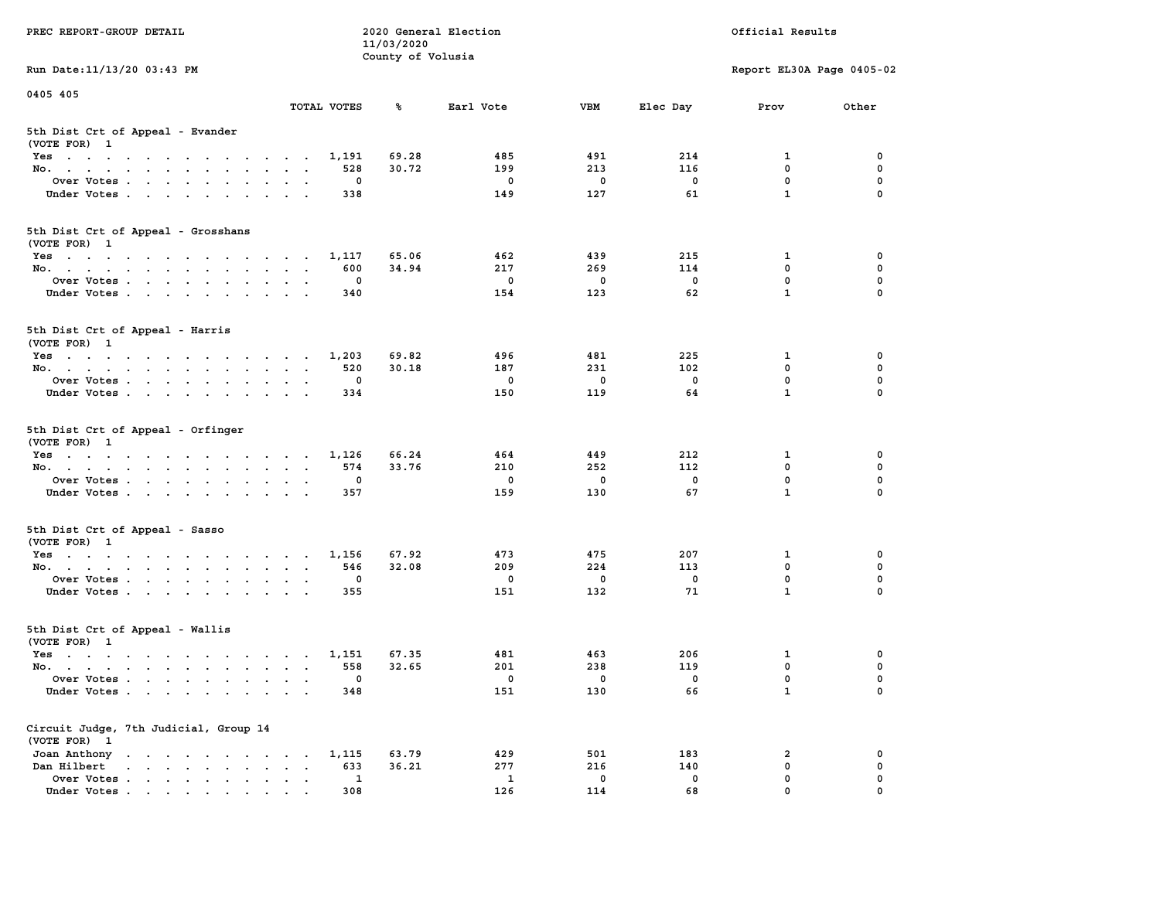| PREC REPORT-GROUP DETAIL                                                                                               |                                          | 11/03/2020        | 2020 General Election |              |             | Official Results          |             |
|------------------------------------------------------------------------------------------------------------------------|------------------------------------------|-------------------|-----------------------|--------------|-------------|---------------------------|-------------|
| Run Date: 11/13/20 03:43 PM                                                                                            |                                          | County of Volusia |                       |              |             | Report EL30A Page 0405-02 |             |
| 0405 405                                                                                                               |                                          |                   |                       |              |             |                           |             |
|                                                                                                                        | TOTAL VOTES                              | ℁                 | Earl Vote             | <b>VBM</b>   | Elec Day    | Prov                      | Other       |
| 5th Dist Crt of Appeal - Evander<br>(VOTE FOR) 1                                                                       |                                          |                   |                       |              |             |                           |             |
| Yes                                                                                                                    | 1,191                                    | 69.28             | 485                   | 491          | 214         | 1                         | 0           |
| No.                                                                                                                    | 528                                      | 30.72             | 199                   | 213          | 116         | $\mathbf 0$               | 0           |
| Over Votes                                                                                                             | 0                                        |                   | 0                     | 0            | 0           | $\mathbf 0$               | 0           |
| Under Votes                                                                                                            | 338                                      |                   | 149                   | 127          | 61          | $\mathbf{1}$              | $\Omega$    |
| 5th Dist Crt of Appeal - Grosshans<br>(VOTE FOR) 1                                                                     |                                          |                   |                       |              |             |                           |             |
| Yes                                                                                                                    | 1,117                                    | 65.06             | 462                   | 439          | 215         | 1                         | 0           |
| No.                                                                                                                    | 600                                      | 34.94             | 217                   | 269          | 114         | $\mathbf 0$               | 0           |
| Over Votes                                                                                                             | 0                                        |                   | $\mathbf 0$           | $\mathbf 0$  | $\mathbf 0$ | $\mathbf 0$               | 0           |
| Under Votes                                                                                                            | 340                                      |                   | 154                   | 123          | 62          | $\mathbf{1}$              | 0           |
| 5th Dist Crt of Appeal - Harris<br>(VOTE FOR) 1                                                                        |                                          |                   |                       |              |             |                           |             |
| Yes                                                                                                                    | 1,203                                    | 69.82             | 496                   | 481          | 225         | 1                         | 0           |
| No.                                                                                                                    | 520                                      | 30.18             | 187                   | 231          | 102         | $^{\circ}$                | $\mathbf 0$ |
| Over Votes                                                                                                             | 0                                        |                   | 0                     | $\mathbf 0$  | $\mathbf 0$ | $\mathbf 0$               | 0           |
| Under Votes                                                                                                            | 334                                      |                   | 150                   | 119          | 64          | $\mathbf{1}$              | 0           |
| 5th Dist Crt of Appeal - Orfinger<br>(VOTE FOR) 1                                                                      |                                          |                   |                       |              |             |                           |             |
| Yes                                                                                                                    | 1,126                                    | 66.24             | 464                   | 449          | 212         | 1                         | 0           |
| No.                                                                                                                    | 574                                      | 33.76             | 210                   | 252          | 112         | $\mathbf 0$               | 0           |
| Over Votes                                                                                                             | 0                                        |                   | 0                     | 0            | 0           | $\mathbf 0$               | 0           |
| Under Votes                                                                                                            | 357                                      |                   | 159                   | 130          | 67          | $\mathbf{1}$              | $\Omega$    |
| 5th Dist Crt of Appeal - Sasso<br>(VOTE FOR) 1                                                                         |                                          |                   |                       |              |             |                           |             |
| Yes                                                                                                                    | 1,156                                    | 67.92             | 473                   | 475          | 207         | 1                         | 0           |
| No.                                                                                                                    | 546                                      | 32.08             | 209                   | 224          | 113         | $\mathbf 0$               | 0           |
| Over Votes                                                                                                             | 0                                        |                   | 0                     | $\mathbf 0$  | 0           | $\mathbf 0$               | 0           |
| Under Votes                                                                                                            | 355                                      |                   | 151                   | 132          | 71          | $\mathbf{1}$              | $\Omega$    |
| 5th Dist Crt of Appeal - Wallis<br>(VOTE FOR) 1                                                                        |                                          |                   |                       |              |             |                           |             |
| Yes<br>the contract of the contract of the contract of the contract of the contract of the contract of the contract of | 1,151                                    | 67.35             | 481                   | 463          | 206         | 1                         | 0           |
| No.                                                                                                                    | 558                                      | 32.65             | 201                   | 238          | 119         | 0                         | 0           |
| Over Votes                                                                                                             | 0                                        |                   | 0                     | $\mathbf{0}$ | 0           | $\mathbf 0$               | 0           |
| Under Votes                                                                                                            | 348                                      |                   | 151                   | 130          | 66          | $\mathbf{1}$              | 0           |
| Circuit Judge, 7th Judicial, Group 14<br>(VOTE FOR) 1                                                                  |                                          |                   |                       |              |             |                           |             |
| Joan Anthony                                                                                                           | 1,115                                    | 63.79             | 429                   | 501          | 183         | 2                         | 0           |
| Dan Hilbert                                                                                                            | 633<br>$\ddot{\phantom{a}}$<br>$\bullet$ | 36.21             | 277                   | 216          | 140         | $\mathbf 0$               | 0           |
| Over Votes.                                                                                                            | $\mathbf{1}$                             |                   | 1                     | 0            | 0           | 0                         | 0           |
| Under Votes                                                                                                            | 308                                      |                   | 126                   | 114          | 68          | 0                         |             |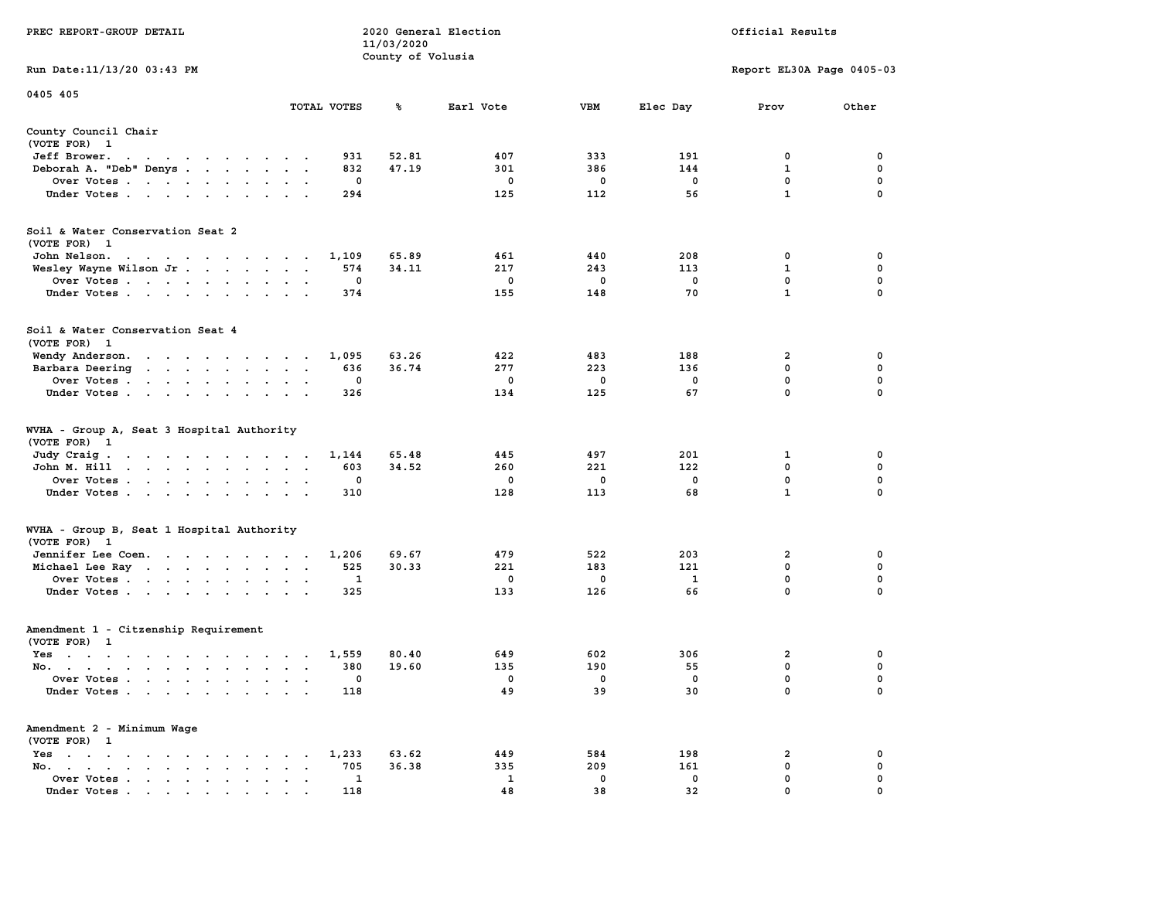|                                                                                                                                                                                                                                                  | 11/03/2020        |              |             |             |                           |             |
|--------------------------------------------------------------------------------------------------------------------------------------------------------------------------------------------------------------------------------------------------|-------------------|--------------|-------------|-------------|---------------------------|-------------|
|                                                                                                                                                                                                                                                  | County of Volusia |              |             |             |                           |             |
| Run Date: 11/13/20 03:43 PM                                                                                                                                                                                                                      |                   |              |             |             | Report EL30A Page 0405-03 |             |
| 0405 405                                                                                                                                                                                                                                         |                   |              |             |             |                           |             |
| TOTAL VOTES                                                                                                                                                                                                                                      | ℁                 | Earl Vote    | <b>VBM</b>  | Elec Day    | Prov                      | Other       |
| County Council Chair                                                                                                                                                                                                                             |                   |              |             |             |                           |             |
| (VOTE FOR) 1                                                                                                                                                                                                                                     |                   |              |             |             |                           |             |
| Jeff Brower.<br>the contract of the contract of the contract of                                                                                                                                                                                  | 931<br>52.81      | 407          | 333         | 191         | 0                         | 0           |
| Deborah A. "Deb" Denys                                                                                                                                                                                                                           | 832<br>47.19      | 301          | 386         | 144         | 1                         | 0           |
| Over Votes                                                                                                                                                                                                                                       | $\mathbf 0$       | $\mathbf 0$  | $\mathbf 0$ | $\mathbf 0$ | $\mathbf 0$               | 0           |
| Under Votes                                                                                                                                                                                                                                      | 294               | 125          | 112         | 56          | $\mathbf{1}$              | $\mathbf 0$ |
|                                                                                                                                                                                                                                                  |                   |              |             |             |                           |             |
| Soil & Water Conservation Seat 2                                                                                                                                                                                                                 |                   |              |             |             |                           |             |
| (VOTE FOR) 1                                                                                                                                                                                                                                     |                   |              |             |             |                           |             |
| John Nelson.<br>the contract of the contract of the contract of the contract of the contract of the contract of the contract of                                                                                                                  | 1,109<br>65.89    | 461          | 440         | 208         | 0                         | 0           |
| Wesley Wayne Wilson Jr.                                                                                                                                                                                                                          | 574<br>34.11      | 217          | 243         | 113         | 1                         | $\mathbf 0$ |
| Over Votes<br>$\sim$ $\sim$                                                                                                                                                                                                                      | 0                 | $\mathbf 0$  | $\mathbf 0$ | $\mathbf 0$ | 0                         | $\mathbf 0$ |
| Under Votes                                                                                                                                                                                                                                      | 374               | 155          | 148         | 70          | $\mathbf{1}$              | $\Omega$    |
|                                                                                                                                                                                                                                                  |                   |              |             |             |                           |             |
| Soil & Water Conservation Seat 4                                                                                                                                                                                                                 |                   |              |             |             |                           |             |
| (VOTE FOR) 1                                                                                                                                                                                                                                     |                   |              |             |             |                           |             |
| Wendy Anderson.<br>the contract of the contract of the contract of the contract of the contract of the contract of the contract of<br>$\ddot{\phantom{1}}$                                                                                       | 63.26<br>1,095    | 422          | 483         | 188         | 2                         | $\mathbf 0$ |
| Barbara Deering                                                                                                                                                                                                                                  | 36.74<br>636      | 277          | 223         | 136         | $\mathbf 0$               | 0           |
| Over Votes<br>$\cdot$ .                                                                                                                                                                                                                          | 0                 | 0            | 0           | $\mathbf 0$ | $\mathbf 0$               | 0           |
| Under Votes<br>$\mathbf{r}$ , $\mathbf{r}$ , $\mathbf{r}$                                                                                                                                                                                        | 326               | 134          | 125         | 67          | $\mathbf 0$               | 0           |
| WVHA - Group A, Seat 3 Hospital Authority<br>(VOTE FOR)<br>$\mathbf{1}$                                                                                                                                                                          |                   |              |             |             |                           |             |
| Judy Craig.<br>the contract of the contract of the contract of the contract of the contract of the contract of the contract of                                                                                                                   | 65.48<br>1,144    | 445          | 497         | 201         | 1                         | 0           |
| John M. Hill<br>$\ddot{\phantom{a}}$<br>$\ddot{\phantom{a}}$<br>$\ddot{\phantom{a}}$<br>$\ddot{\phantom{0}}$                                                                                                                                     | 603<br>34.52      | 260          | 221         | 122         | $\mathbf 0$               | 0           |
| Over Votes                                                                                                                                                                                                                                       | $\mathbf 0$       | $\mathbf 0$  | $\mathbf 0$ | $\mathbf 0$ | $\mathbf 0$               | $\mathbf 0$ |
| Under Votes<br>$\ddot{\phantom{a}}$<br>$\cdot$                                                                                                                                                                                                   | 310               | 128          | 113         | 68          | $\mathbf{1}$              | $\mathbf 0$ |
|                                                                                                                                                                                                                                                  |                   |              |             |             |                           |             |
| WVHA - Group B, Seat 1 Hospital Authority                                                                                                                                                                                                        |                   |              |             |             |                           |             |
| (VOTE FOR) 1                                                                                                                                                                                                                                     |                   |              |             |             |                           |             |
| Jennifer Lee Coen.                                                                                                                                                                                                                               | 1,206<br>69.67    | 479          | 522         | 203         | $\overline{\mathbf{2}}$   | $\mathbf 0$ |
| Michael Lee Ray                                                                                                                                                                                                                                  | 525<br>30.33      | 221          | 183         | 121         | $\mathbf 0$               | $\mathbf 0$ |
| Over Votes<br>$\cdot$<br>$\overline{\phantom{a}}$                                                                                                                                                                                                | 1                 | $\mathbf 0$  | $\mathbf 0$ | 1           | $\mathbf 0$               | 0           |
| Under Votes                                                                                                                                                                                                                                      | 325               | 133          | 126         | 66          | $\mathbf 0$               | 0           |
|                                                                                                                                                                                                                                                  |                   |              |             |             |                           |             |
| Amendment 1 - Citzenship Requirement                                                                                                                                                                                                             |                   |              |             |             |                           |             |
| (VOTE FOR) 1                                                                                                                                                                                                                                     |                   |              |             |             |                           |             |
| Yes                                                                                                                                                                                                                                              | 80.40<br>1,559    | 649          | 602         | 306         | $\overline{a}$            | 0           |
| No.                                                                                                                                                                                                                                              | 380<br>19.60      | 135          | 190         | 55          | $\mathbf 0$               | $\mathbf 0$ |
| Over Votes<br>$\ddot{\phantom{a}}$<br>$\bullet$<br>$\sim$<br>$\sim$                                                                                                                                                                              | $\mathbf 0$       | $\mathbf 0$  | $\mathbf 0$ | $\mathbf 0$ | $\mathbf 0$               | $\mathbf 0$ |
| Under Votes                                                                                                                                                                                                                                      | 118               | 49           | 39          | 30          | $\mathbf 0$               | $\mathbf 0$ |
| Amendment 2 - Minimum Wage                                                                                                                                                                                                                       |                   |              |             |             |                           |             |
| (VOTE FOR) 1                                                                                                                                                                                                                                     |                   |              |             |             |                           |             |
| $Yes \t . \t .$<br>$\mathbf{r}$ , and $\mathbf{r}$ , and $\mathbf{r}$ , and $\mathbf{r}$<br>$\ddot{\phantom{0}}$<br>$\sim$ $\sim$<br>$\ddot{\phantom{0}}$                                                                                        | 1,233<br>63.62    | 449          | 584         | 198         | $\overline{\mathbf{2}}$   | 0           |
| No.<br>$\mathcal{A}=\mathcal{A}=\mathcal{A}=\mathcal{A}=\mathcal{A}=\mathcal{A}=\mathcal{A}=\mathcal{A}$<br>$\ddot{\phantom{a}}$<br>$\bullet$<br>$\overline{\phantom{a}}$                                                                        | 705<br>36.38      | 335          | 209         | 161         | $\mathbf 0$               | $\mathbf 0$ |
| Over Votes<br>$\sim$<br>$\ddot{\phantom{a}}$<br>$\,$ .<br>$\bullet$<br>$\blacksquare$                                                                                                                                                            | 1                 | $\mathbf{1}$ | $\mathbf 0$ | 0           | $\mathbf 0$               | 0           |
| Under Votes<br>$\mathbf{r}$ . The contract of the contract of the contract of the contract of the contract of the contract of the contract of the contract of the contract of the contract of the contract of the contract of the contract of th | 118               | 48           | 38          | 32          | $\mathbf 0$               | $\mathbf 0$ |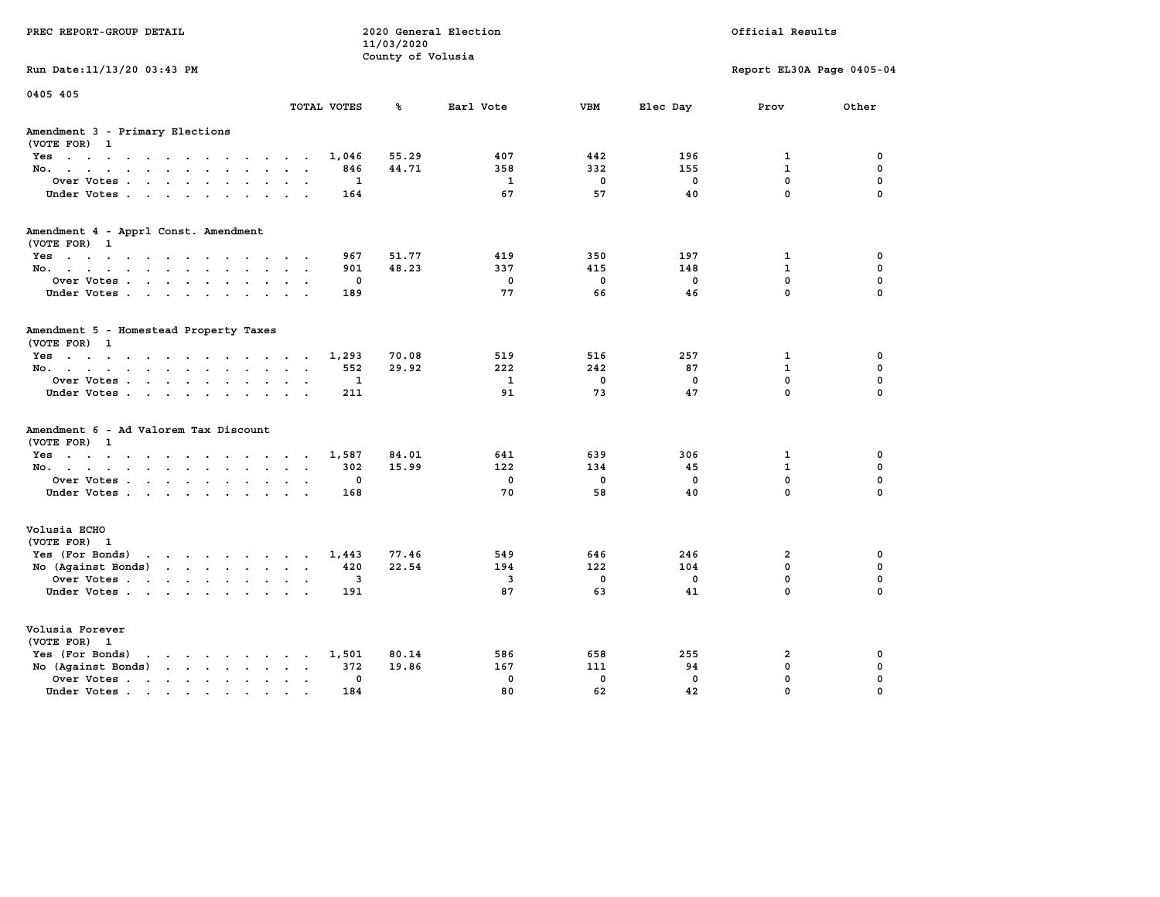| PREC REPORT-GROUP DETAIL                                                                                                                                                                                                                                |             | 11/03/2020<br>County of Volusia | 2020 General Election |             | Official Results |                            |               |
|---------------------------------------------------------------------------------------------------------------------------------------------------------------------------------------------------------------------------------------------------------|-------------|---------------------------------|-----------------------|-------------|------------------|----------------------------|---------------|
| Run Date: 11/13/20 03:43 PM                                                                                                                                                                                                                             |             |                                 |                       |             |                  | Report EL30A Page 0405-04  |               |
| 0405 405                                                                                                                                                                                                                                                | TOTAL VOTES | ℁                               | Earl Vote             | <b>VBM</b>  | Elec Day         | Prov                       | Other         |
| Amendment 3 - Primary Elections<br>(VOTE FOR) 1                                                                                                                                                                                                         |             |                                 |                       |             |                  |                            |               |
| Yes                                                                                                                                                                                                                                                     | 1,046       | 55.29                           | 407                   | 442         | 196              | 1                          | 0             |
| No.<br>$\ddot{\phantom{0}}$                                                                                                                                                                                                                             | 846         | 44.71                           | 358                   | 332         | 155              | $\mathbf{1}$               | $\mathbf 0$   |
| Over Votes<br>$\bullet$<br>$\ddot{\phantom{1}}$<br>Under Votes.                                                                                                                                                                                         | 1<br>164    |                                 | 1<br>67               | 0<br>57     | 0<br>40          | $\mathbf 0$<br>$\mathbf 0$ | 0<br>$\Omega$ |
| Amendment 4 - Apprl Const. Amendment<br>(VOTE FOR) 1                                                                                                                                                                                                    |             |                                 |                       |             |                  |                            |               |
| Yes                                                                                                                                                                                                                                                     | 967         | 51.77                           | 419                   | 350         | 197              | $\mathbf{1}$               | 0             |
| No.                                                                                                                                                                                                                                                     | 901         | 48.23                           | 337                   | 415         | 148              | $\mathbf{1}$               | $\mathbf 0$   |
| Over Votes<br>$\bullet$<br>$\ddot{\phantom{a}}$                                                                                                                                                                                                         | 0           |                                 | $\mathbf 0$           | $\mathbf 0$ | $\mathbf 0$      | 0                          | $\mathbf 0$   |
| Under Votes                                                                                                                                                                                                                                             | 189         |                                 | 77                    | 66          | 46               | $\mathbf 0$                | $\Omega$      |
| Amendment 5 - Homestead Property Taxes<br>(VOTE FOR) 1                                                                                                                                                                                                  |             |                                 |                       |             |                  |                            |               |
| Yes                                                                                                                                                                                                                                                     | 1,293       | 70.08                           | 519                   | 516         | 257              | $\mathbf{1}$               | 0             |
| No.<br>$\sim$ $\sim$<br>$\sim$                                                                                                                                                                                                                          | 552         | 29.92                           | 222                   | 242         | 87               | $\mathbf{1}$               | $\mathbf 0$   |
| Over Votes<br>$\ddot{\phantom{a}}$<br>$\ddot{\phantom{a}}$                                                                                                                                                                                              | 1           |                                 | $\mathbf{1}$          | $\mathbf 0$ | $\mathbf 0$      | 0                          | $\mathbf 0$   |
| Under Votes<br><b>Service</b>                                                                                                                                                                                                                           | 211         |                                 | 91                    | 73          | 47               | 0                          | $\Omega$      |
| Amendment 6 - Ad Valorem Tax Discount<br>(VOTE FOR) 1                                                                                                                                                                                                   |             |                                 |                       |             |                  |                            |               |
| Yes.                                                                                                                                                                                                                                                    | 1,587       | 84.01                           | 641                   | 639         | 306              | 1                          | 0             |
| No.                                                                                                                                                                                                                                                     | 302         | 15.99                           | 122                   | 134         | 45               | $\mathbf{1}$               | 0             |
| Over Votes<br>$\bullet$<br>$\ddot{\phantom{a}}$                                                                                                                                                                                                         | 0           |                                 | $\mathbf 0$           | $\mathbf 0$ | $\mathbf 0$      | 0                          | $\mathbf 0$   |
| Under Votes                                                                                                                                                                                                                                             | 168         |                                 | 70                    | 58          | 40               | 0                          | $\Omega$      |
| Volusia ECHO<br>(VOTE FOR) 1                                                                                                                                                                                                                            |             |                                 |                       |             |                  |                            |               |
| Yes (For Bonds)<br>the contract of the contract of the contract of the contract of the contract of the contract of the contract of                                                                                                                      | 1,443       | 77.46                           | 549                   | 646         | 246              | $\overline{2}$             | 0             |
| No (Against Bonds)<br>$\mathbf{r}$ . The set of the set of the set of the set of the set of the set of the set of the set of the set of the set of the set of the set of the set of the set of the set of the set of the set of the set of the set of t | 420         | 22.54                           | 194                   | 122         | 104              | $\mathbf{0}$               | $\mathbf 0$   |
| Over Votes<br>$\ddot{\phantom{a}}$<br>$\ddot{\phantom{a}}$                                                                                                                                                                                              | 3           |                                 | 3                     | 0           | 0                | 0                          | $\mathbf 0$   |
| Under Votes                                                                                                                                                                                                                                             | 191         |                                 | 87                    | 63          | 41               | 0                          | $\Omega$      |
| Volusia Forever<br>(VOTE FOR) 1                                                                                                                                                                                                                         |             |                                 |                       |             |                  |                            |               |
| Yes (For Bonds)<br>$\mathbf{r}$ , and $\mathbf{r}$ , and $\mathbf{r}$ , and $\mathbf{r}$                                                                                                                                                                | 1,501       | 80.14                           | 586                   | 658         | 255              | $\overline{2}$             | 0             |
| No (Against Bonds)<br>$\mathbf{r}$ , $\mathbf{r}$ , $\mathbf{r}$ , $\mathbf{r}$                                                                                                                                                                         | 372         | 19.86                           | 167                   | 111         | 94               | 0                          | 0             |
| Over Votes .<br>$\mathcal{A}$ . The set of the set of $\mathcal{A}$<br>$\ddot{\phantom{a}}$<br>$\bullet$<br>$\bullet$                                                                                                                                   | 0           |                                 | $\mathbf 0$           | $\mathbf 0$ | $\mathbf 0$      | 0                          | 0             |
| Under Votes                                                                                                                                                                                                                                             | 184         |                                 | 80                    | 62          | 42               | 0                          | $\Omega$      |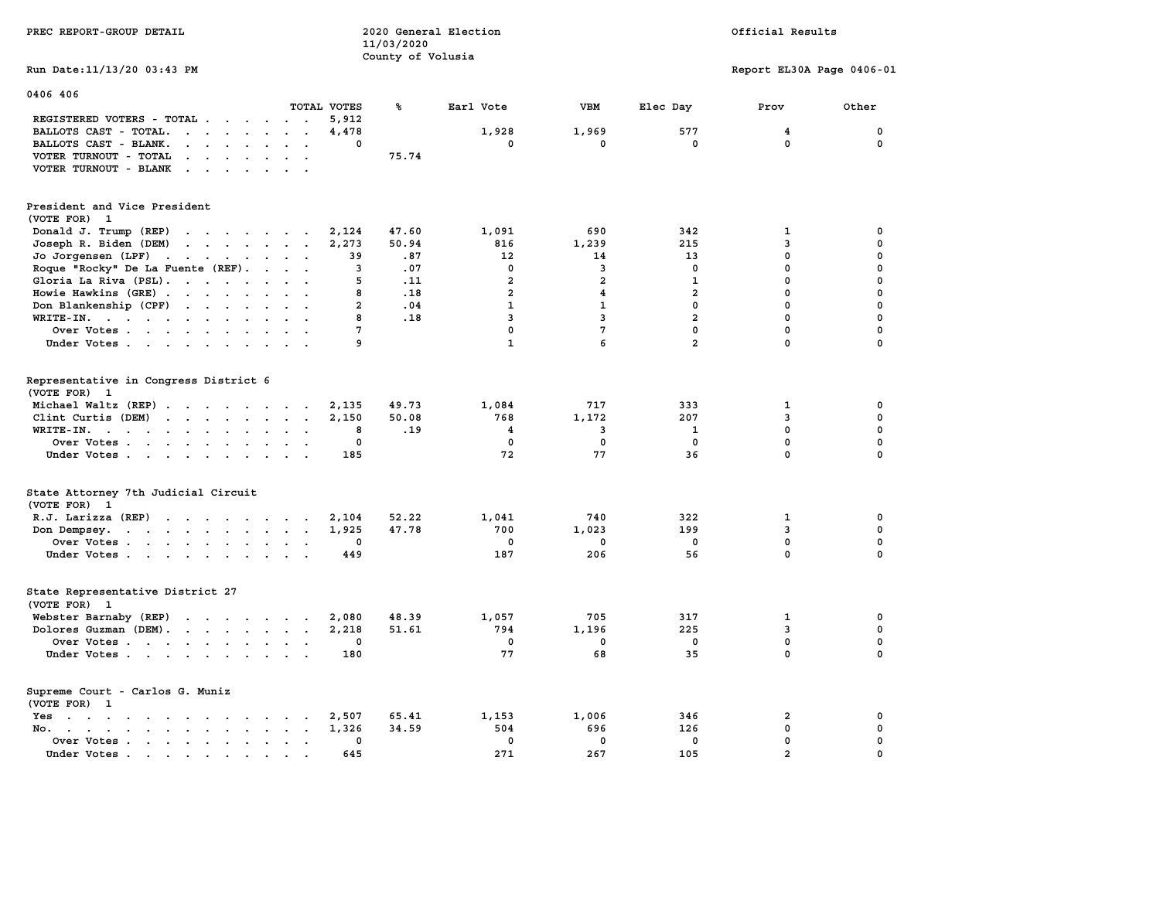| PREC REPORT-GROUP DETAIL                                                                       |                                                       | 11/03/2020        | 2020 General Election   |                         |                | Official Results          |             |  |
|------------------------------------------------------------------------------------------------|-------------------------------------------------------|-------------------|-------------------------|-------------------------|----------------|---------------------------|-------------|--|
| Run Date: 11/13/20 03:43 PM                                                                    |                                                       | County of Volusia |                         |                         |                | Report EL30A Page 0406-01 |             |  |
| 0406 406                                                                                       |                                                       |                   |                         |                         |                |                           |             |  |
|                                                                                                | TOTAL VOTES                                           | ℁                 | Earl Vote               | <b>VBM</b>              | Elec Day       | Prov                      | Other       |  |
| REGISTERED VOTERS - TOTAL                                                                      | 5,912                                                 |                   |                         |                         |                |                           |             |  |
| BALLOTS CAST - TOTAL.<br>$\cdots$                                                              | 4,478                                                 |                   | 1,928                   | 1,969                   | 577            | 4                         | 0           |  |
| BALLOTS CAST - BLANK.<br>$\mathbf{r}$                                                          | $\mathbf 0$<br>$\sim$<br>$\overline{\phantom{a}}$     |                   | 0                       | 0                       | 0              | $\mathbf 0$               | 0           |  |
| VOTER TURNOUT - TOTAL<br>$\sim$ $\sim$ $\sim$ $\sim$<br>$\sim$                                 |                                                       | 75.74             |                         |                         |                |                           |             |  |
| VOTER TURNOUT - BLANK<br>$\mathbf{r}$ . $\mathbf{r}$                                           |                                                       |                   |                         |                         |                |                           |             |  |
| President and Vice President<br>(VOTE FOR) 1                                                   |                                                       |                   |                         |                         |                |                           |             |  |
| Donald J. Trump (REP)                                                                          | 2,124                                                 | 47.60             | 1,091                   | 690                     | 342            | 1                         | 0           |  |
| Joseph R. Biden (DEM)<br>the contract of the contract of                                       | 2,273                                                 | 50.94             | 816                     | 1,239                   | 215            | 3                         | 0           |  |
| Jo Jorgensen (LPF)                                                                             | 39                                                    | .87               | 12                      | 14                      | 13             | $\mathbf 0$               | $\Omega$    |  |
| Roque "Rocky" De La Fuente (REF).<br><b>Contract Contract Contract</b>                         | $\overline{\mathbf{3}}$                               | .07               | $\mathbf{0}$            | $\mathbf{3}$            | $\mathbf{0}$   | $\mathbf 0$               | $\Omega$    |  |
| Gloria La Riva (PSL).                                                                          | 5                                                     | .11               | $\overline{a}$          | $\overline{2}$          | $\mathbf{1}$   | $\mathbf 0$               | 0           |  |
| Howie Hawkins (GRE)                                                                            | 8                                                     | .18               | $\overline{2}$          | $\overline{\mathbf{4}}$ | $\overline{a}$ | $\mathbf{0}$              | 0           |  |
| Don Blankenship (CPF)                                                                          | $\overline{a}$                                        | .04               | $\mathbf{1}$            | $\mathbf{1}$            | $\mathbf 0$    | $\mathbf 0$               | $\mathbf 0$ |  |
| WRITE-IN.                                                                                      | 8                                                     | .18               | 3                       | $\overline{3}$          | $\overline{a}$ | $\mathbf 0$               | 0           |  |
| Over Votes                                                                                     | 7                                                     |                   | $\mathbf 0$             | $\overline{7}$          | $\mathbf 0$    | $\mathbf 0$               | 0           |  |
| Under Votes.                                                                                   | 9                                                     |                   | $\mathbf{1}$            | 6                       | $\overline{a}$ | $\mathbf 0$               | $\mathbf 0$ |  |
|                                                                                                |                                                       |                   |                         |                         |                |                           |             |  |
| Representative in Congress District 6<br>(VOTE FOR) 1                                          |                                                       |                   |                         |                         |                |                           |             |  |
| Michael Waltz (REP)                                                                            | 2,135                                                 | 49.73             | 1,084                   | 717                     | 333            | 1                         | 0           |  |
| Clint Curtis (DEM)                                                                             | 2,150<br><b>Carl Carl</b>                             | 50.08             | 768                     | 1,172                   | 207            | 3                         | 0           |  |
| WRITE-IN.                                                                                      | 8<br>$\mathbf{r}$<br>$\sim$                           | .19               | $\overline{\mathbf{4}}$ | 3                       | $\mathbf{1}$   | $\mathbf{0}$              | 0           |  |
| Over Votes                                                                                     | 0<br>$\overline{\phantom{a}}$                         |                   | $\mathbf 0$             | $\mathbf 0$             | $\mathbf 0$    | $\mathbf 0$               | 0           |  |
| Under Votes                                                                                    | 185                                                   |                   | 72                      | 77                      | 36             | $\mathbf 0$               | 0           |  |
| State Attorney 7th Judicial Circuit                                                            |                                                       |                   |                         |                         |                |                           |             |  |
| (VOTE FOR) 1                                                                                   |                                                       |                   |                         |                         |                |                           |             |  |
| R.J. Larizza (REP)<br>$\mathbf{r}$ , $\mathbf{r}$ , $\mathbf{r}$ , $\mathbf{r}$ , $\mathbf{r}$ | 2,104                                                 | 52.22             | 1,041                   | 740                     | 322            | 1                         | 0           |  |
| Don Dempsey.                                                                                   | 1,925<br>$\ddot{\phantom{0}}$                         | 47.78             | 700                     | 1,023                   | 199            | 3                         | 0           |  |
| Over Votes<br>$\bullet$                                                                        | $\mathbf 0$                                           |                   | $\mathbf{0}$            | $\Omega$                | $\Omega$       | $\mathbf 0$               | 0           |  |
| Under Votes                                                                                    | 449                                                   |                   | 187                     | 206                     | 56             | $\mathbf 0$               | 0           |  |
| State Representative District 27<br>(VOTE FOR) 1                                               |                                                       |                   |                         |                         |                |                           |             |  |
| Webster Barnaby (REP)                                                                          | 2,080                                                 | 48.39             | 1,057                   | 705                     | 317            | 1                         | 0           |  |
| Dolores Guzman (DEM).                                                                          | 2,218<br>$\sim$                                       | 51.61             | 794                     | 1,196                   | 225            | 3                         | 0           |  |
| Over Votes                                                                                     | 0                                                     |                   | $\mathbf 0$             | $\mathbf 0$             | $\mathbf 0$    | $\mathbf 0$               | 0           |  |
| Under Votes.                                                                                   | 180                                                   |                   | 77                      | 68                      | 35             | $\mathbf 0$               | 0           |  |
| Supreme Court - Carlos G. Muniz                                                                |                                                       |                   |                         |                         |                |                           |             |  |
| (VOTE FOR)<br>-1                                                                               |                                                       |                   |                         |                         |                |                           |             |  |
| Yes                                                                                            | 2,507                                                 | 65.41             | 1,153                   | 1,006                   | 346            | $\overline{\mathbf{2}}$   | 0           |  |
| No.                                                                                            | 1,326<br>$\sim$                                       | 34.59             | 504                     | 696                     | 126            | $\mathbf 0$               | 0           |  |
| Over Votes                                                                                     | 0<br>$\ddot{\phantom{a}}$<br>$\overline{\phantom{a}}$ |                   | $\mathbf 0$             | $\mathbf 0$             | $\mathbf 0$    | $\mathbf 0$               | 0           |  |
| Under Votes                                                                                    | 645                                                   |                   | 271                     | 267                     | 105            | $\overline{a}$            | $\Omega$    |  |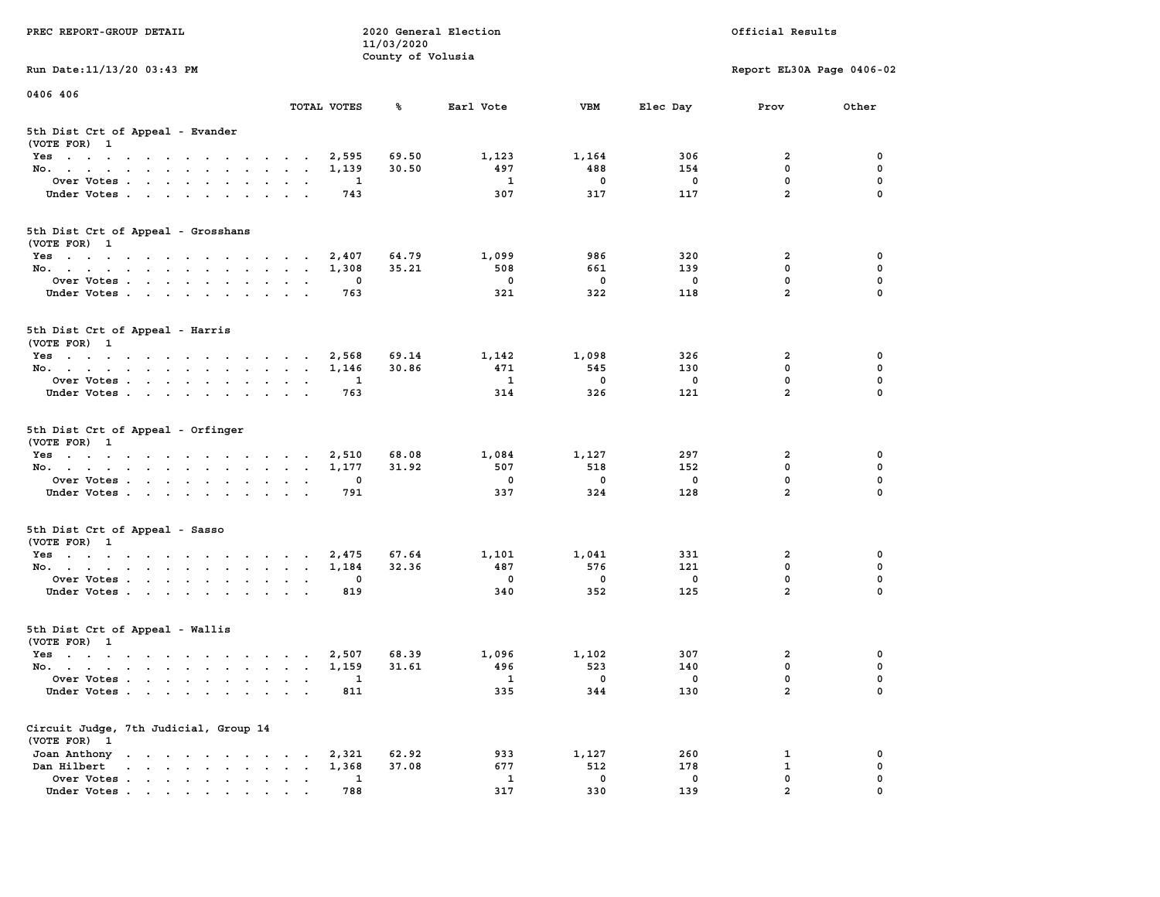| PREC REPORT-GROUP DETAIL                                                                                                                                                                                                                              |             | 11/03/2020<br>County of Volusia | 2020 General Election |             |                         | Official Results          |             |
|-------------------------------------------------------------------------------------------------------------------------------------------------------------------------------------------------------------------------------------------------------|-------------|---------------------------------|-----------------------|-------------|-------------------------|---------------------------|-------------|
| Run Date: 11/13/20 03:43 PM                                                                                                                                                                                                                           |             |                                 |                       |             |                         | Report EL30A Page 0406-02 |             |
| 0406 406                                                                                                                                                                                                                                              | TOTAL VOTES | ℁                               | Earl Vote             | VBM         | Elec Day                | Prov                      | Other       |
| 5th Dist Crt of Appeal - Evander<br>(VOTE FOR) 1                                                                                                                                                                                                      |             |                                 |                       |             |                         |                           |             |
| Yes                                                                                                                                                                                                                                                   | 2,595       | 69.50                           | 1,123                 | 1,164       | 306                     | 2                         | 0           |
| No.                                                                                                                                                                                                                                                   | 1,139       | 30.50                           | 497                   | 488         | 154                     | 0                         | $\mathbf 0$ |
| Over Votes                                                                                                                                                                                                                                            | 1           |                                 | 1                     | $\mathbf 0$ | 0                       | $\mathbf 0$               | $\mathbf 0$ |
| Under Votes                                                                                                                                                                                                                                           | 743         |                                 | 307                   | 317         | 117                     | $\overline{a}$            | $\mathbf 0$ |
| 5th Dist Crt of Appeal - Grosshans<br>(VOTE FOR) 1                                                                                                                                                                                                    |             |                                 |                       |             |                         |                           |             |
| Yes                                                                                                                                                                                                                                                   | 2,407       | 64.79                           | 1,099                 | 986         | 320                     | 2                         | 0           |
| No.                                                                                                                                                                                                                                                   | 1,308       | 35.21                           | 508                   | 661         | 139                     | 0                         | 0           |
| Over Votes                                                                                                                                                                                                                                            | 0           |                                 | 0                     | $\mathbf 0$ | 0                       | 0                         | $\mathbf 0$ |
| Under Votes                                                                                                                                                                                                                                           | 763         |                                 | 321                   | 322         | 118                     | $\overline{a}$            | $\mathbf 0$ |
| 5th Dist Crt of Appeal - Harris<br>(VOTE FOR) 1                                                                                                                                                                                                       |             |                                 |                       |             |                         |                           |             |
| Yes                                                                                                                                                                                                                                                   | 2,568       | 69.14                           | 1,142                 | 1,098       | 326                     | 2                         | 0           |
| No.                                                                                                                                                                                                                                                   | 1,146       | 30.86                           | 471                   | 545         | 130                     | 0                         | 0           |
| Over Votes                                                                                                                                                                                                                                            | 1           |                                 | 1                     | $\mathbf 0$ | 0                       | 0                         | $\mathbf 0$ |
| Under Votes                                                                                                                                                                                                                                           | 763         |                                 | 314                   | 326         | 121                     | $\overline{a}$            | $\mathbf 0$ |
| 5th Dist Crt of Appeal - Orfinger<br>(VOTE FOR) 1                                                                                                                                                                                                     |             |                                 |                       |             |                         |                           |             |
| Yes                                                                                                                                                                                                                                                   | 2,510       | 68.08                           | 1,084                 | 1,127       | 297                     | 2                         | 0           |
| No.                                                                                                                                                                                                                                                   | 1,177       | 31.92                           | 507                   | 518         | 152                     | 0                         | $\mathbf 0$ |
| Over Votes                                                                                                                                                                                                                                            | 0           |                                 | 0                     | 0           | 0                       | 0                         | $\mathbf 0$ |
| Under Votes                                                                                                                                                                                                                                           | 791         |                                 | 337                   | 324         | 128                     | $\overline{a}$            | $\mathbf 0$ |
| 5th Dist Crt of Appeal - Sasso<br>(VOTE FOR) 1                                                                                                                                                                                                        |             |                                 |                       |             |                         |                           |             |
| Yes                                                                                                                                                                                                                                                   | 2,475       | 67.64                           | 1,101                 | 1,041       | 331                     | 2                         | 0           |
| No.                                                                                                                                                                                                                                                   | 1,184       | 32.36                           | 487                   | 576         | 121                     | 0                         | $\mathbf 0$ |
| Over Votes                                                                                                                                                                                                                                            | 0           |                                 | 0                     | 0           | 0                       | 0                         | 0           |
| Under Votes.                                                                                                                                                                                                                                          | 819         |                                 | 340                   | 352         | 125                     | $\overline{a}$            | $\mathbf 0$ |
| 5th Dist Crt of Appeal - Wallis<br>(VOTE FOR) 1                                                                                                                                                                                                       |             |                                 |                       |             |                         |                           |             |
| the contract of the contract of the contract of the contract of the contract of the contract of the contract of<br>Yes                                                                                                                                | 2,507       | 68.39                           | 1,096                 | 1,102       | 307                     | 2                         | $\mathbf 0$ |
| No.                                                                                                                                                                                                                                                   | 1,159       | 31.61                           | 496                   | 523         | 140                     | 0                         | $\mathbf 0$ |
| Over Votes .                                                                                                                                                                                                                                          |             |                                 | -1                    | $\Omega$    | $\overline{\mathbf{0}}$ | $\Omega$                  | 0           |
| Under Votes                                                                                                                                                                                                                                           | 811         |                                 | 335                   | 344         | 130                     | 2                         | 0           |
| Circuit Judge, 7th Judicial, Group 14<br>(VOTE FOR) 1                                                                                                                                                                                                 |             |                                 |                       |             |                         |                           |             |
| Joan Anthony<br>$\mathbf{a}$ and $\mathbf{a}$ are a set of the set of the set of the set of the set of the set of the set of the set of the set of the set of the set of the set of the set of the set of the set of the set of the set of the set of | 2,321       | 62.92                           | 933                   | 1,127       | 260                     | 1                         | 0           |
| Dan Hilbert<br>$\mathbf{r}$ , $\mathbf{r}$ , $\mathbf{r}$ , $\mathbf{r}$ , $\mathbf{r}$                                                                                                                                                               | 1,368       | 37.08                           | 677                   | 512         | 178                     | $\mathbf 1$               | 0           |
| $\mathbf{r}$ , $\mathbf{r}$ , $\mathbf{r}$ , $\mathbf{r}$ , $\mathbf{r}$ , $\mathbf{r}$<br>Over Votes .                                                                                                                                               | 1           |                                 | $\mathbf{1}$          | $\mathbf 0$ | $\mathbf 0$             | 0                         | 0           |
| Under Votes.                                                                                                                                                                                                                                          | 788         |                                 | 317                   | 330         | 139                     | $\overline{2}$            | $\Omega$    |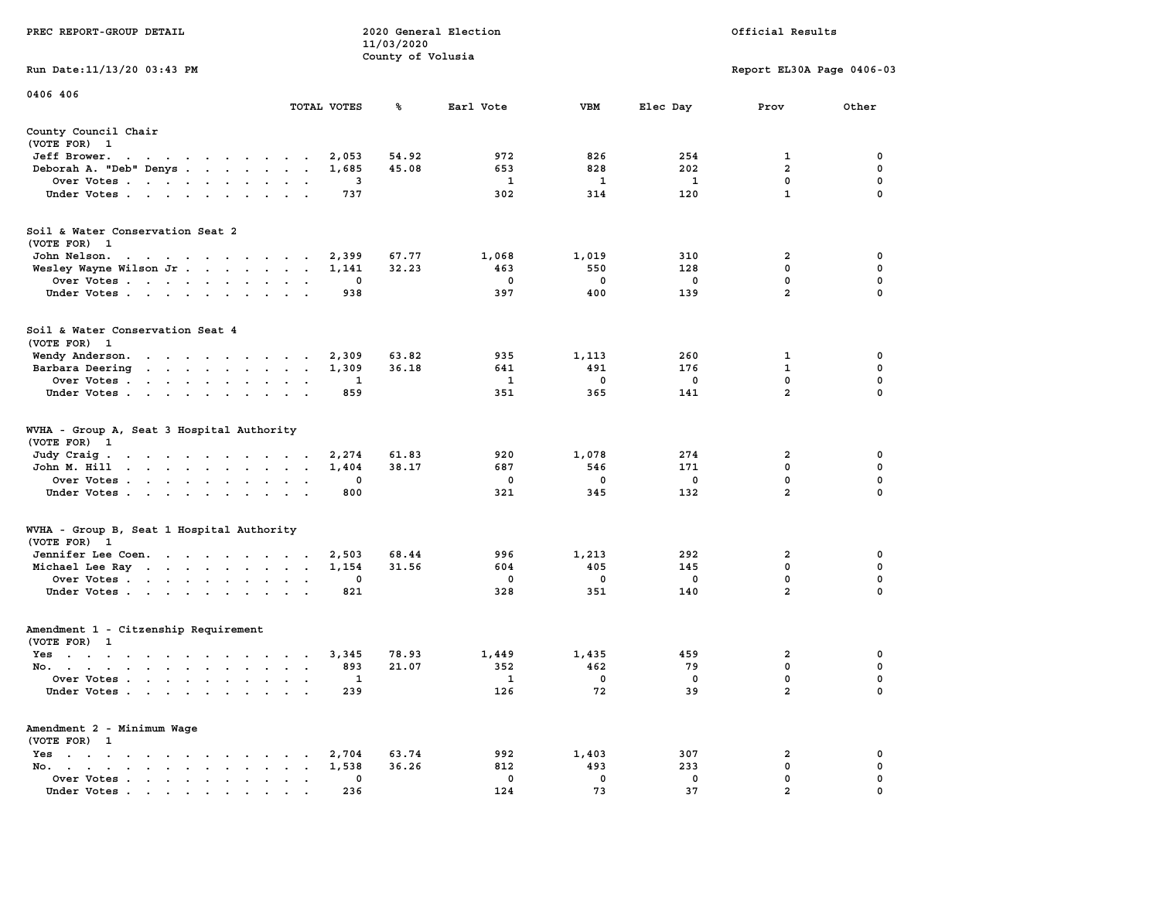|                                                                                                                                                                                                                                                  |                                                                            | 11/03/2020        |              |              |             |                           |                  |
|--------------------------------------------------------------------------------------------------------------------------------------------------------------------------------------------------------------------------------------------------|----------------------------------------------------------------------------|-------------------|--------------|--------------|-------------|---------------------------|------------------|
| Run Date:11/13/20 03:43 PM                                                                                                                                                                                                                       |                                                                            | County of Volusia |              |              |             | Report EL30A Page 0406-03 |                  |
| 0406 406                                                                                                                                                                                                                                         | TOTAL VOTES                                                                | ℁                 | Earl Vote    | <b>VBM</b>   | Elec Day    | Prov                      | Other            |
|                                                                                                                                                                                                                                                  |                                                                            |                   |              |              |             |                           |                  |
| County Council Chair<br>(VOTE FOR) 1                                                                                                                                                                                                             |                                                                            |                   |              |              |             |                           |                  |
| Jeff Brower.<br>$\blacksquare$ .<br>$\sim$ $\sim$<br>$\ddot{\phantom{0}}$<br>$\mathcal{A}=\mathcal{A}=\mathcal{A}=\mathcal{A}=\mathcal{A}=\mathcal{A}=\mathcal{A}$                                                                               | 2,053                                                                      | 54.92             | 972          | 826          | 254         | 1                         | 0                |
| Deborah A. "Deb" Denys                                                                                                                                                                                                                           | 1,685<br>$\overline{\phantom{a}}$<br>$\ddot{\phantom{a}}$                  | 45.08             | 653          | 828          | 202         | $\overline{\mathbf{2}}$   | 0                |
| Over Votes<br>Under Votes                                                                                                                                                                                                                        | 3<br>$\bullet$<br>$\ddot{\phantom{1}}$<br>737<br>$\sim$<br>$\cdot$ $\cdot$ |                   | 1<br>302     | 1<br>314     | 1<br>120    | 0<br>$\mathbf{1}$         | $\mathbf 0$<br>0 |
|                                                                                                                                                                                                                                                  |                                                                            |                   |              |              |             |                           |                  |
| Soil & Water Conservation Seat 2<br>(VOTE FOR) 1                                                                                                                                                                                                 |                                                                            |                   |              |              |             |                           |                  |
| John Nelson.                                                                                                                                                                                                                                     | 2,399                                                                      | 67.77             | 1,068        | 1,019        | 310         | 2                         | 0                |
| Wesley Wayne Wilson Jr                                                                                                                                                                                                                           | 1,141<br>$\overline{a}$                                                    | 32.23             | 463          | 550          | 128         | $\mathbf 0$               | $\pmb{0}$        |
| Over Votes                                                                                                                                                                                                                                       | 0                                                                          |                   | $\mathbf 0$  | $\mathbf 0$  | $\mathbf 0$ | $\mathbf 0$               | $\mathbf 0$      |
| Under Votes<br>$\ddot{\phantom{a}}$                                                                                                                                                                                                              | 938<br>$\cdot$                                                             |                   | 397          | 400          | 139         | $\overline{2}$            | $\mathbf 0$      |
| Soil & Water Conservation Seat 4<br>(VOTE FOR) 1                                                                                                                                                                                                 |                                                                            |                   |              |              |             |                           |                  |
| Wendy Anderson.<br>the contract of the contract of the                                                                                                                                                                                           | 2,309                                                                      | 63.82             | 935          | 1,113        | 260         | 1                         | 0                |
| Barbara Deering                                                                                                                                                                                                                                  | 1,309<br>$\sim$<br>$\sim$<br>$\sim$                                        | 36.18             | 641          | 491          | 176         | 1                         | 0                |
| Over Votes<br>$\cdot$                                                                                                                                                                                                                            | 1                                                                          |                   | 1            | 0            | 0           | 0                         | 0                |
| Under Votes<br>$\ddot{\phantom{a}}$                                                                                                                                                                                                              | 859<br>$\ddot{\phantom{a}}$                                                |                   | 351          | 365          | 141         | $\overline{a}$            | $\mathbf 0$      |
| WVHA - Group A, Seat 3 Hospital Authority<br>(VOTE FOR) 1                                                                                                                                                                                        |                                                                            |                   |              |              |             |                           |                  |
| Judy Craig.<br>$\mathbf{r}$ . The contract of the contract of the contract of the contract of the contract of the contract of the contract of the contract of the contract of the contract of the contract of the contract of the contract of th | 2,274<br>$\sim$                                                            | 61.83             | 920          | 1,078        | 274         | $\overline{\mathbf{2}}$   | 0                |
| John M. Hill<br>the contract of the contract of the contract of                                                                                                                                                                                  | 1,404<br>$\bullet$<br>$\bullet$                                            | 38.17             | 687          | 546          | 171         | $\mathbf{0}$              | $\mathbf 0$      |
| Over Votes<br>$\ddot{\phantom{a}}$                                                                                                                                                                                                               | $\mathbf 0$                                                                |                   | $\mathbf 0$  | $\mathbf 0$  | $\mathbf 0$ | 0                         | $\mathbf 0$      |
| Under Votes<br>$\cdot$                                                                                                                                                                                                                           | 800<br>$\cdot$                                                             |                   | 321          | 345          | 132         | $\overline{a}$            | $\mathbf 0$      |
| WVHA - Group B, Seat 1 Hospital Authority                                                                                                                                                                                                        |                                                                            |                   |              |              |             |                           |                  |
| (VOTE FOR)<br>- 1<br>Jennifer Lee Coen.                                                                                                                                                                                                          | 2,503                                                                      | 68.44             | 996          | 1,213        | 292         | 2                         | 0                |
| Michael Lee Ray                                                                                                                                                                                                                                  | 1,154<br>$\sim$<br>$\bullet$<br>$\,$ .                                     | 31.56             | 604          | 405          | 145         | 0                         | $\mathbf 0$      |
| Over Votes                                                                                                                                                                                                                                       | 0<br>$\sim$                                                                |                   | 0            | 0            | 0           | 0                         | 0                |
| Under Votes<br>$\ddot{\phantom{1}}$<br>$\sim$                                                                                                                                                                                                    | 821                                                                        |                   | 328          | 351          | 140         | $\overline{a}$            | $\mathbf 0$      |
| Amendment 1 - Citzenship Requirement<br>(VOTE FOR) 1                                                                                                                                                                                             |                                                                            |                   |              |              |             |                           |                  |
| $Yes \t . \t .$<br>$\cdots$                                                                                                                                                                                                                      | 3,345<br>$\sim$ $\sim$ $\sim$ $\sim$ $\sim$                                | 78.93             | 1,449        | 1,435        | 459         | $\overline{\mathbf{2}}$   | 0                |
| No.<br>$\sim$                                                                                                                                                                                                                                    | 893<br>$\ddot{\phantom{a}}$<br>$\bullet$<br>$\ddot{\phantom{0}}$           | 21.07             | 352          | 462          | 79          | 0                         | $\mathbf 0$      |
| Over Votes<br>$\ddot{\phantom{a}}$                                                                                                                                                                                                               | 1<br>$\ddot{\phantom{a}}$                                                  |                   | $\mathbf{1}$ | $\mathbf{0}$ | $\Omega$    | $\mathbf{0}$              | $\mathbf 0$      |
| Under Votes<br>$\ddot{\phantom{a}}$                                                                                                                                                                                                              | 239<br>$\sim$<br>$\mathbf{r}$                                              |                   | 126          | 72           | 39          | $\overline{2}$            | 0                |
| Amendment 2 - Minimum Wage<br>(VOTE FOR) 1                                                                                                                                                                                                       |                                                                            |                   |              |              |             |                           |                  |
| $Yes \t . \t .$<br>$\cdot$ $\cdot$ $\cdot$ $\cdot$ $\cdot$ $\cdot$<br>$\sim$                                                                                                                                                                     | 2,704<br>$\cdot$                                                           | 63.74             | 992          | 1,403        | 307         | $\overline{\mathbf{2}}$   | 0                |
| No.<br>$\sim$ $\sim$<br>$\sim$                                                                                                                                                                                                                   | 1,538                                                                      | 36.26             | 812          | 493          | 233         | 0                         | 0                |
| Over Votes .<br>$\sim$ $\sim$<br>$\bullet$<br>$\cdot$<br>$\blacksquare$<br>$\bullet$                                                                                                                                                             | 0<br>$\ddot{\phantom{a}}$                                                  |                   | 0            | 0            | 0           | 0                         | 0                |
| Under Votes                                                                                                                                                                                                                                      | 236                                                                        |                   | 124          | 73           | 37          | $\overline{2}$            | $\Omega$         |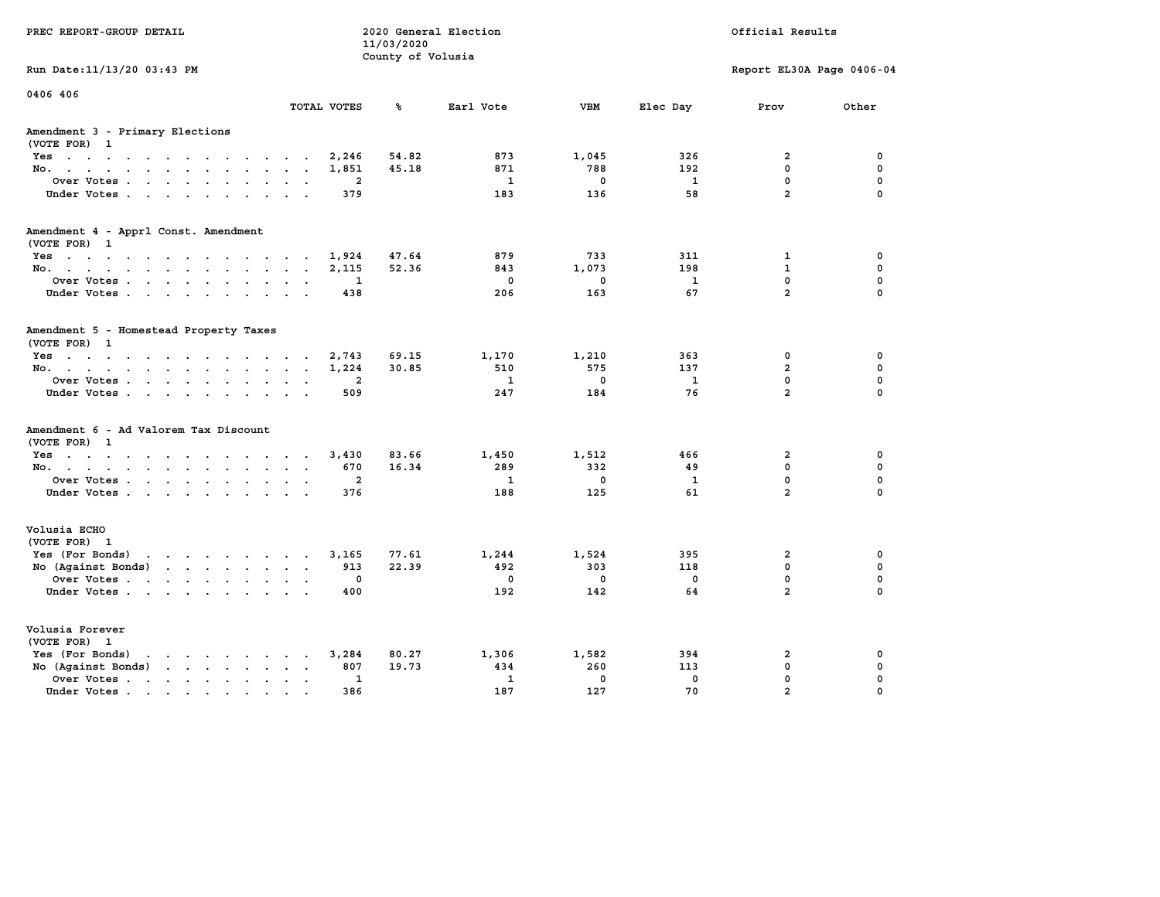| PREC REPORT-GROUP DETAIL                                                                                                                                                                                                                             |                 | 2020 General Election<br>11/03/2020<br>County of Volusia  | Official Results                    |                                     |                                  |                                                                |                                      |
|------------------------------------------------------------------------------------------------------------------------------------------------------------------------------------------------------------------------------------------------------|-----------------|-----------------------------------------------------------|-------------------------------------|-------------------------------------|----------------------------------|----------------------------------------------------------------|--------------------------------------|
| Run Date: 11/13/20 03:43 PM                                                                                                                                                                                                                          |                 |                                                           |                                     |                                     |                                  | Report EL30A Page 0406-04                                      |                                      |
| 0406 406                                                                                                                                                                                                                                             | TOTAL VOTES     | ℁                                                         | Earl Vote                           | <b>VBM</b>                          | Elec Day                         | Prov                                                           | Other                                |
| Amendment 3 - Primary Elections<br>(VOTE FOR) 1                                                                                                                                                                                                      |                 |                                                           |                                     |                                     |                                  |                                                                |                                      |
| Yes                                                                                                                                                                                                                                                  |                 | 54.82<br>2,246                                            | 873                                 | 1,045                               | 326                              | $\overline{a}$                                                 | 0                                    |
| No.                                                                                                                                                                                                                                                  |                 | 1,851<br>45.18                                            | 871                                 | 788                                 | 192                              | 0                                                              | 0                                    |
| Over Votes                                                                                                                                                                                                                                           |                 | $\overline{\mathbf{2}}$                                   | 1                                   | $^{\circ}$                          | 1                                | 0                                                              | 0                                    |
| Under Votes.                                                                                                                                                                                                                                         |                 | 379                                                       | 183                                 | 136                                 | 58                               | $\overline{a}$                                                 | $\mathbf 0$                          |
| Amendment 4 - Apprl Const. Amendment<br>(VOTE FOR) 1                                                                                                                                                                                                 |                 |                                                           |                                     |                                     |                                  |                                                                |                                      |
| Yes                                                                                                                                                                                                                                                  |                 | 1,924<br>47.64                                            | 879                                 | 733                                 | 311                              | $\mathbf{1}$                                                   | 0                                    |
| No.                                                                                                                                                                                                                                                  |                 | 52.36<br>2,115                                            | 843                                 | 1,073                               | 198                              | $\mathbf{1}$                                                   | 0                                    |
| Over Votes                                                                                                                                                                                                                                           |                 | 1                                                         | $^{\circ}$                          | $^{\circ}$                          | 1                                | $\mathbf 0$                                                    | $\mathbf 0$                          |
| Under Votes                                                                                                                                                                                                                                          |                 | 438                                                       | 206                                 | 163                                 | 67                               | $\overline{a}$                                                 | $\mathbf 0$                          |
| Amendment 5 - Homestead Property Taxes<br>(VOTE FOR) 1<br>$Yes.$<br>No.<br>Over Votes<br>Under Votes                                                                                                                                                 |                 | 2,743<br>69.15<br>1,224<br>30.85<br>$\overline{a}$<br>509 | 1,170<br>510<br>$\mathbf{1}$<br>247 | 1,210<br>575<br>$\mathbf{0}$<br>184 | 363<br>137<br>$\mathbf{1}$<br>76 | $\mathbf 0$<br>$\overline{a}$<br>$\mathbf 0$<br>$\overline{2}$ | 0<br>0<br>$\mathbf 0$<br>$\mathbf 0$ |
| Amendment 6 - Ad Valorem Tax Discount<br>(VOTE FOR) 1                                                                                                                                                                                                |                 |                                                           |                                     |                                     |                                  |                                                                |                                      |
| Yes                                                                                                                                                                                                                                                  |                 | 3,430<br>83.66                                            | 1,450                               | 1,512                               | 466                              | $\overline{2}$                                                 | 0                                    |
| No.                                                                                                                                                                                                                                                  |                 | 670<br>16.34                                              | 289                                 | 332                                 | 49                               | $\mathbf{0}$                                                   | $\mathbf 0$                          |
| Over Votes                                                                                                                                                                                                                                           |                 | $\overline{a}$                                            | $\mathbf{1}$                        | $\mathbf 0$                         | $\mathbf{1}$                     | $\mathbf 0$                                                    | 0                                    |
| Under Votes                                                                                                                                                                                                                                          |                 | 376                                                       | 188                                 | 125                                 | 61                               | $\overline{2}$                                                 | $\mathbf 0$                          |
| Volusia ECHO<br>(VOTE FOR) 1                                                                                                                                                                                                                         |                 |                                                           |                                     |                                     |                                  |                                                                |                                      |
| Yes (For Bonds) $\cdots$ $\cdots$ $\cdots$ $\cdots$                                                                                                                                                                                                  |                 | 77.61<br>3,165                                            | 1,244                               | 1,524                               | 395                              | $\overline{\mathbf{2}}$                                        | 0                                    |
| No (Against Bonds)                                                                                                                                                                                                                                   |                 | 913<br>22.39                                              | 492                                 | 303                                 | 118                              | $\mathbf 0$                                                    | 0                                    |
| Over Votes                                                                                                                                                                                                                                           |                 | 0                                                         | $^{\circ}$                          | $\mathbf{0}$                        | $\Omega$                         | $\mathbf 0$                                                    | $\mathbf 0$                          |
| Under Votes                                                                                                                                                                                                                                          |                 | 400                                                       | 192                                 | 142                                 | 64                               | $\overline{2}$                                                 | $\mathbf{0}$                         |
| Volusia Forever<br>(VOTE FOR) 1                                                                                                                                                                                                                      |                 |                                                           |                                     |                                     |                                  |                                                                |                                      |
| Yes (For Bonds)<br>$\mathbf{r}$ . The set of the set of the set of the set of the set of the set of the set of the set of the set of the set of the set of the set of the set of the set of the set of the set of the set of the set of the set of t |                 | 3,284<br>80.27                                            | 1,306                               | 1,582                               | 394                              | $\overline{a}$                                                 | 0                                    |
| No (Against Bonds)                                                                                                                                                                                                                                   |                 | 19.73<br>807                                              | 434                                 | 260                                 | 113                              | $\mathbf 0$                                                    | 0                                    |
|                                                                                                                                                                                                                                                      |                 |                                                           |                                     |                                     |                                  |                                                                |                                      |
| Over Votes                                                                                                                                                                                                                                           | $\cdot$ $\cdot$ | $\mathbf{1}$                                              | $\mathbf{1}$                        | $\Omega$                            | $\mathbf{0}$                     | $\mathbf 0$                                                    | 0                                    |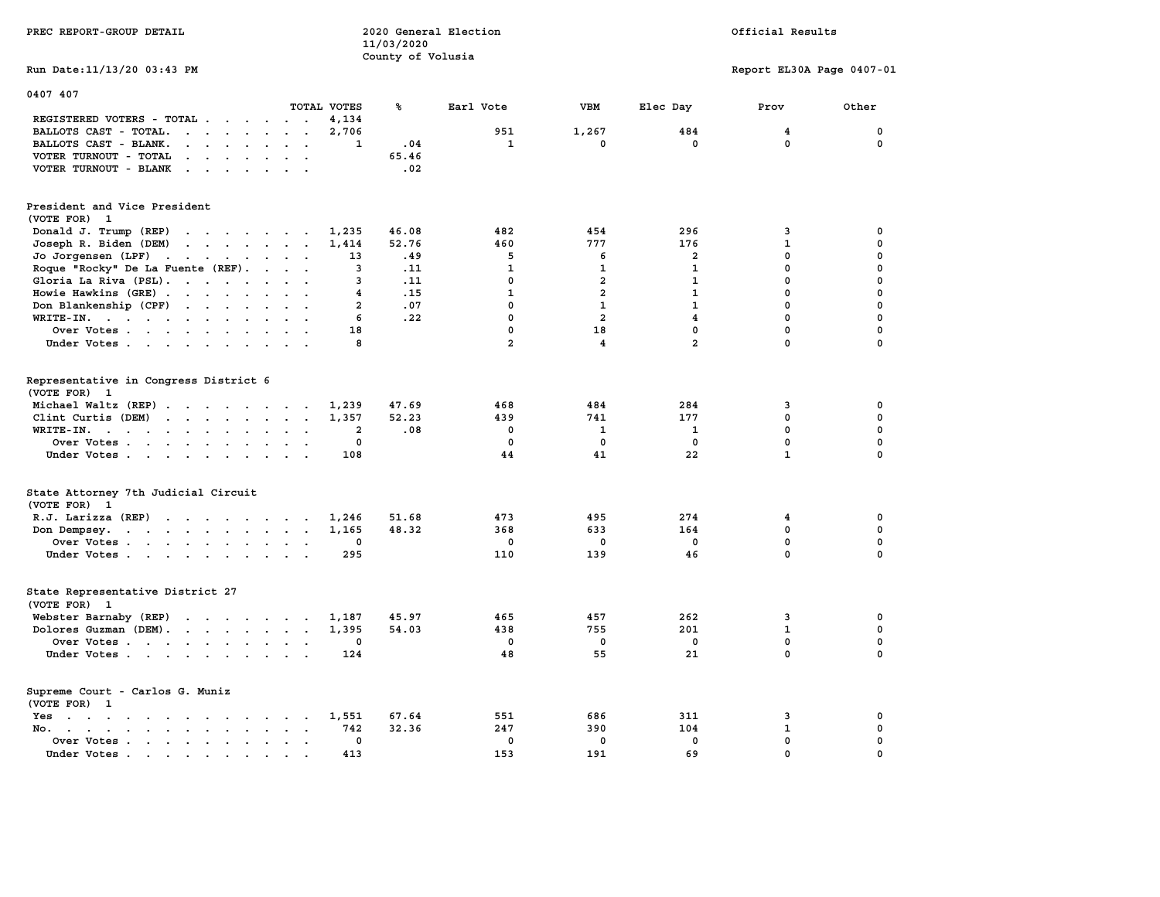| PREC REPORT-GROUP DETAIL                                                                                                                                 | 2020 General Election<br>11/03/2020<br>County of Volusia |                | Official Results        |                         |                           |             |
|----------------------------------------------------------------------------------------------------------------------------------------------------------|----------------------------------------------------------|----------------|-------------------------|-------------------------|---------------------------|-------------|
| Run Date: 11/13/20 03:43 PM                                                                                                                              |                                                          |                |                         |                         | Report EL30A Page 0407-01 |             |
| 0407 407                                                                                                                                                 |                                                          |                |                         |                         |                           |             |
| TOTAL VOTES                                                                                                                                              | ℁                                                        | Earl Vote      | <b>VBM</b>              | Elec Day                | Prov                      | Other       |
| REGISTERED VOTERS - TOTAL .<br>4,134<br>$\sim$ $\sim$<br>$\overline{\phantom{a}}$                                                                        |                                                          |                |                         |                         |                           |             |
| 2,706<br>BALLOTS CAST - TOTAL.<br>$\mathbf{r}$ , $\mathbf{r}$ , $\mathbf{r}$<br>$\ddot{\phantom{a}}$<br>$\sim$ $\sim$<br>$\sim$                          |                                                          | 951            | 1,267                   | 484<br>$\mathbf 0$      | 4<br>$\mathbf 0$          | 0<br>0      |
| BALLOTS CAST - BLANK.<br>$\mathbf{r}$ , $\mathbf{r}$ , $\mathbf{r}$<br>$\ddot{\phantom{a}}$<br>$\bullet$<br>$\ddot{\phantom{a}}$<br>$\ddot{\phantom{a}}$ | 1<br>.04                                                 | $\mathbf{1}$   | 0                       |                         |                           |             |
| VOTER TURNOUT - TOTAL<br>$\cdot$ $\cdot$ $\cdot$ $\cdot$ $\cdot$ $\cdot$                                                                                 | 65.46                                                    |                |                         |                         |                           |             |
| VOTER TURNOUT - BLANK<br>$\sim$<br>$\sim$                                                                                                                | .02                                                      |                |                         |                         |                           |             |
| President and Vice President<br>(VOTE FOR) 1                                                                                                             |                                                          |                |                         |                         |                           |             |
| Donald J. Trump (REP)<br>1,235                                                                                                                           | 46.08                                                    | 482            | 454                     | 296                     | 3                         | 0           |
| Joseph R. Biden (DEM)<br>$\mathcal{A}$ . The set of the set of the set of $\mathcal{A}$<br>1,414                                                         | 52.76                                                    | 460            | 777                     | 176                     | $\mathbf{1}$              | $\mathbf 0$ |
| Jo Jorgensen (LPF)<br>13                                                                                                                                 | .49                                                      | 5              | 6                       | $\overline{a}$          | 0                         | 0           |
| Roque "Rocky" De La Fuente (REF).<br>$\cdot$ $\cdot$ $\cdot$                                                                                             | 3<br>.11                                                 | $\mathbf{1}$   | 1                       | 1                       | $\mathbf 0$               | $\mathbf 0$ |
| Gloria La Riva (PSL).                                                                                                                                    | 3<br>.11                                                 | $\mathbf 0$    | $\overline{a}$          | $\mathbf{1}$            | $\mathbf 0$               | $\mathbf 0$ |
| Howie Hawkins (GRE)<br>$\ddot{\phantom{a}}$<br>$\mathbf{r}$                                                                                              | 4<br>.15                                                 | $\mathbf{1}$   | $\overline{2}$          | $\mathbf{1}$            | $\mathbf 0$               | $\mathbf 0$ |
| Don Blankenship (CPF)                                                                                                                                    | $\mathbf{2}$<br>.07                                      | $\mathbf 0$    | $\mathbf{1}$            | $\mathbf{1}$            | $\pmb{0}$                 | $\mathbf 0$ |
| WRITE-IN.<br>$\sim$ $\sim$                                                                                                                               | 6<br>.22                                                 | $\mathbf{0}$   | $\overline{a}$          | $\overline{\mathbf{4}}$ | $\mathbf 0$               | $\mathbf 0$ |
| Over Votes<br>18<br>$\ddot{\phantom{0}}$                                                                                                                 |                                                          | 0              | 18                      | $\mathbf{0}$            | $\mathbf 0$               | $\mathbf 0$ |
| Under Votes                                                                                                                                              | 8                                                        | $\overline{a}$ | $\overline{\mathbf{4}}$ | $\overline{a}$          | $\mathbf 0$               | $\mathbf 0$ |
|                                                                                                                                                          |                                                          |                |                         |                         |                           |             |
| Representative in Congress District 6<br>(VOTE FOR) 1                                                                                                    |                                                          |                |                         |                         |                           |             |
| Michael Waltz (REP)<br>1,239                                                                                                                             | 47.69                                                    | 468            | 484                     | 284                     | 3                         | 0           |
| Clint Curtis $(DEM)$<br>1,357                                                                                                                            | 52.23                                                    | 439            | 741                     | 177                     | 0                         | 0           |
| $\texttt{WRTTE-IN.}$<br>$\sim$<br>$\ddot{\phantom{a}}$<br>$\ddot{\phantom{a}}$<br>$\ddot{\phantom{a}}$<br>$\ddot{\phantom{a}}$                           | $\overline{\mathbf{2}}$<br>.08                           | 0              | 1                       | 1                       | $\mathbf 0$               | 0           |
| Over Votes                                                                                                                                               | 0                                                        | 0              | 0                       | $\mathbf 0$             | $\mathbf 0$               | 0           |
| Under Votes<br>108<br>$\sim$                                                                                                                             |                                                          | 44             | 41                      | 22                      | $\mathbf{1}$              | 0           |
| State Attorney 7th Judicial Circuit<br>(VOTE FOR) 1                                                                                                      |                                                          |                |                         |                         |                           |             |
| R.J. Larizza (REP)<br>1,246                                                                                                                              | 51.68                                                    | 473            | 495                     | 274                     | 4                         | 0           |
| Don Dempsey.<br>1,165<br>the contract of the contract of the<br>$\sim$ $\sim$                                                                            | 48.32                                                    | 368            | 633                     | 164                     | $\mathbf 0$               | $\mathbf 0$ |
| Over Votes<br>$\cdot$                                                                                                                                    | 0                                                        | $\mathbf 0$    | $\mathbf 0$             | $\mathbf 0$             | $\mathbf 0$               | 0           |
| Under Votes<br>295                                                                                                                                       |                                                          | 110            | 139                     | 46                      | $\mathbf 0$               | $\mathbf 0$ |
| State Representative District 27<br>(VOTE FOR) 1                                                                                                         |                                                          |                |                         |                         |                           |             |
| Webster Barnaby (REP)<br>1,187                                                                                                                           | 45.97                                                    | 465            | 457                     | 262                     | 3                         | 0           |
| Dolores Guzman (DEM).<br>1,395                                                                                                                           | 54.03                                                    | 438            | 755                     | 201                     | $\mathbf 1$               | 0           |
| Over Votes<br>$\ddot{\phantom{a}}$                                                                                                                       | 0                                                        | 0              | 0                       | 0                       | $\mathbf 0$               | $\mathbf 0$ |
| Under Votes<br>124                                                                                                                                       |                                                          | 48             | 55                      | 21                      | $\mathbf 0$               | $\mathbf 0$ |
| Supreme Court - Carlos G. Muniz<br>(VOTE FOR) 1                                                                                                          |                                                          |                |                         |                         |                           |             |
| 1,551<br>Yes                                                                                                                                             | 67.64                                                    | 551            | 686                     | 311                     | 3                         | 0           |
| No.<br>$\ddot{\phantom{a}}$<br>$\sim$<br>742                                                                                                             | 32.36                                                    | 247            | 390                     | 104                     | 1                         | 0           |
| Over Votes<br>$\blacksquare$                                                                                                                             | 0                                                        | $\mathbf 0$    | $\mathbf 0$             | $\mathbf 0$             | $\mathbf 0$               | $\mathbf 0$ |
| 413<br>Under Votes.<br>$\bullet$<br>$\bullet$                                                                                                            |                                                          | 153            | 191                     | 69                      | $\Omega$                  | $\Omega$    |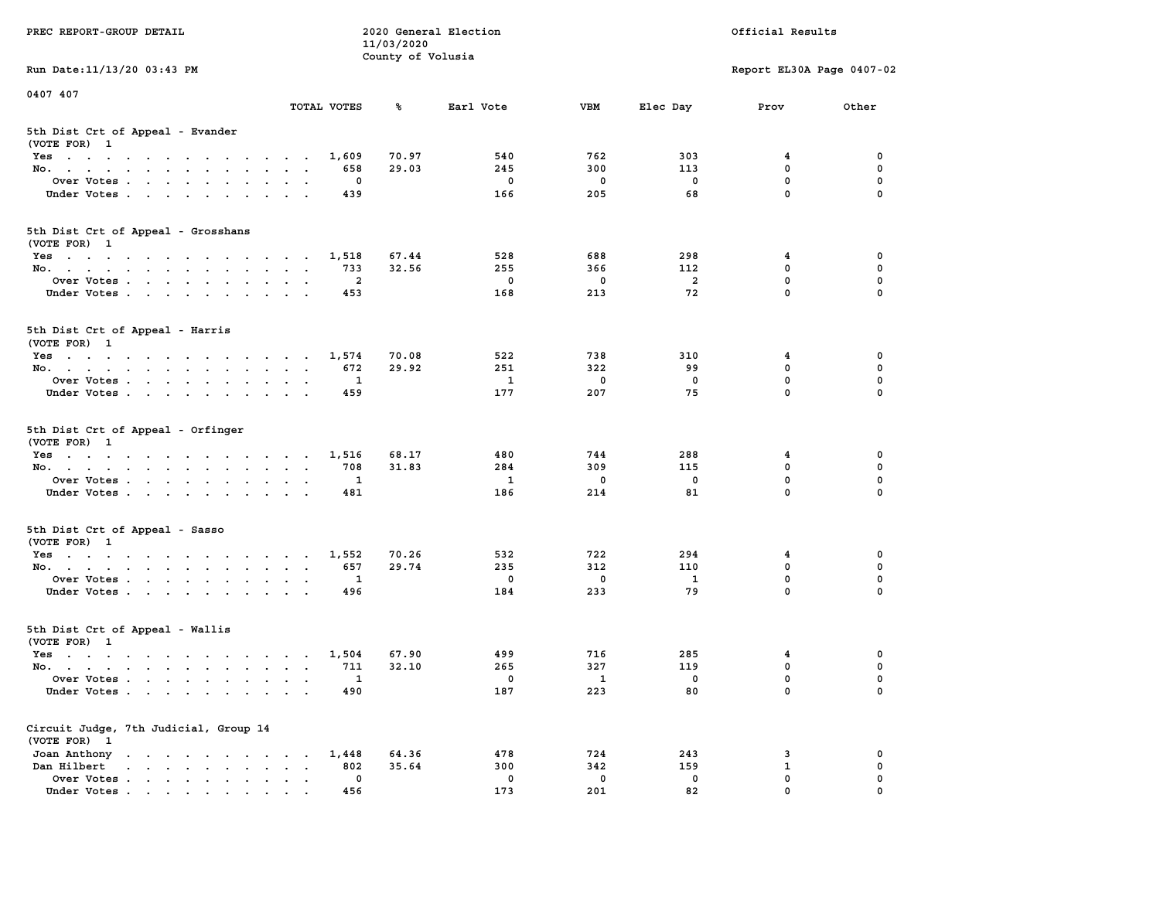| PREC REPORT-GROUP DETAIL                                                                                                                                                         |                                                     | 11/03/2020        | 2020 General Election |                          |                | Official Results          |             |
|----------------------------------------------------------------------------------------------------------------------------------------------------------------------------------|-----------------------------------------------------|-------------------|-----------------------|--------------------------|----------------|---------------------------|-------------|
| Run Date: 11/13/20 03:43 PM                                                                                                                                                      |                                                     | County of Volusia |                       |                          |                | Report EL30A Page 0407-02 |             |
| 0407 407                                                                                                                                                                         |                                                     |                   |                       |                          |                |                           |             |
|                                                                                                                                                                                  | TOTAL VOTES                                         | ℁                 | Earl Vote             | <b>VBM</b>               | Elec Day       | Prov                      | Other       |
| 5th Dist Crt of Appeal - Evander<br>(VOTE FOR) 1                                                                                                                                 |                                                     |                   |                       |                          |                |                           |             |
| Yes                                                                                                                                                                              | 1,609                                               | 70.97             | 540                   | 762                      | 303            | 4                         | 0           |
| No.                                                                                                                                                                              | 658                                                 | 29.03             | 245                   | 300                      | 113            | $\mathbf 0$               | 0           |
| Over Votes                                                                                                                                                                       | 0                                                   |                   | $\mathbf 0$           | 0                        | 0              | $\mathbf 0$               | 0           |
| Under Votes                                                                                                                                                                      | 439                                                 |                   | 166                   | 205                      | 68             | $\mathbf 0$               | $\Omega$    |
| 5th Dist Crt of Appeal - Grosshans<br>(VOTE FOR) 1                                                                                                                               |                                                     |                   |                       |                          |                |                           |             |
| Yes                                                                                                                                                                              | 1,518                                               | 67.44             | 528                   | 688                      | 298            | 4                         | 0           |
| No.                                                                                                                                                                              | 733                                                 | 32.56             | 255                   | 366                      | 112            | $\mathbf 0$               | 0           |
| Over Votes                                                                                                                                                                       | $\overline{2}$                                      |                   | $\mathbf 0$           | $\mathbf 0$              | $\overline{a}$ | $\mathbf 0$               | 0           |
| Under Votes                                                                                                                                                                      | 453                                                 |                   | 168                   | 213                      | 72             | $\mathbf{0}$              | 0           |
| 5th Dist Crt of Appeal - Harris<br>(VOTE FOR) 1                                                                                                                                  |                                                     |                   |                       |                          |                |                           |             |
| $Yes \cdot \cdot \cdot \cdot \cdot \cdot \cdot \cdot \cdot \cdot \cdot \cdot \cdot \cdot$                                                                                        | 1,574                                               | 70.08             | 522                   | 738                      | 310            | 4                         | 0           |
| No.                                                                                                                                                                              | 672                                                 | 29.92             | 251                   | 322                      | 99             | $^{\circ}$                | $\mathbf 0$ |
| Over Votes                                                                                                                                                                       | 1                                                   |                   | 1                     | 0                        | 0              | $\mathbf 0$               | 0           |
| Under Votes                                                                                                                                                                      | 459                                                 |                   | 177                   | 207                      | 75             | $\mathbf 0$               | 0           |
| 5th Dist Crt of Appeal - Orfinger<br>(VOTE FOR) 1                                                                                                                                |                                                     |                   |                       |                          |                |                           |             |
| Yes                                                                                                                                                                              | 1,516                                               | 68.17             | 480                   | 744                      | 288            | 4                         | 0           |
| No.                                                                                                                                                                              | 708                                                 | 31.83             | 284                   | 309                      | 115            | $\mathbf 0$               | 0           |
| Over Votes                                                                                                                                                                       | 1                                                   |                   | $\mathbf{1}$          | 0                        | 0              | $\mathbf 0$               | 0           |
| Under Votes                                                                                                                                                                      | 481                                                 |                   | 186                   | 214                      | 81             | $\mathbf 0$               | $\Omega$    |
| 5th Dist Crt of Appeal - Sasso<br>(VOTE FOR) 1                                                                                                                                   |                                                     |                   |                       |                          |                |                           |             |
| Yes                                                                                                                                                                              | 1,552                                               | 70.26             | 532                   | 722                      | 294            | 4                         | 0           |
| No.                                                                                                                                                                              | 657                                                 | 29.74             | 235                   | 312                      | 110            | $\mathbf 0$               | 0           |
| Over Votes                                                                                                                                                                       | 1                                                   |                   | $\mathbf 0$           | $\mathbf 0$              | 1              | $\mathbf 0$               | 0           |
| Under Votes                                                                                                                                                                      | 496                                                 |                   | 184                   | 233                      | 79             | $\mathbf{0}$              | $\Omega$    |
| 5th Dist Crt of Appeal - Wallis<br>(VOTE FOR) 1                                                                                                                                  |                                                     |                   |                       |                          |                |                           |             |
| Yes<br>the contract of the contract of the contract of the contract of the contract of the contract of the contract of                                                           | 1,504                                               | 67.90             | 499                   | 716                      | 285            | 4                         | 0           |
| No.                                                                                                                                                                              | 711                                                 | 32.10             | 265                   | 327                      | 119            | $\mathbf 0$               | 0           |
| Over Votes                                                                                                                                                                       | $\mathbf{1}$                                        |                   | 0                     | $\overline{\phantom{a}}$ | 0              | $\mathbf 0$               | 0           |
| Under Votes.                                                                                                                                                                     | 490                                                 |                   | 187                   | 223                      | 80             | 0                         | 0           |
| Circuit Judge, 7th Judicial, Group 14<br>(VOTE FOR) 1                                                                                                                            |                                                     |                   |                       |                          |                |                           |             |
| Joan Anthony                                                                                                                                                                     | 1,448                                               | 64.36             | 478                   | 724                      | 243            | 3                         | 0           |
| Dan Hilbert<br>$\begin{array}{cccccccccccccc} \bullet & \bullet & \bullet & \bullet & \bullet & \bullet & \bullet & \bullet & \bullet & \bullet & \bullet & \bullet \end{array}$ | 802<br>$\ddot{\phantom{a}}$<br>$\ddot{\phantom{a}}$ | 35.64             | 300                   | 342                      | 159            | $\mathbf{1}$              | 0           |
| Over Votes                                                                                                                                                                       | 0                                                   |                   | 0                     | 0                        | 0              | $\mathbf 0$               | 0           |
| Under Votes                                                                                                                                                                      | 456                                                 |                   | 173                   | 201                      | 82             | 0                         | O           |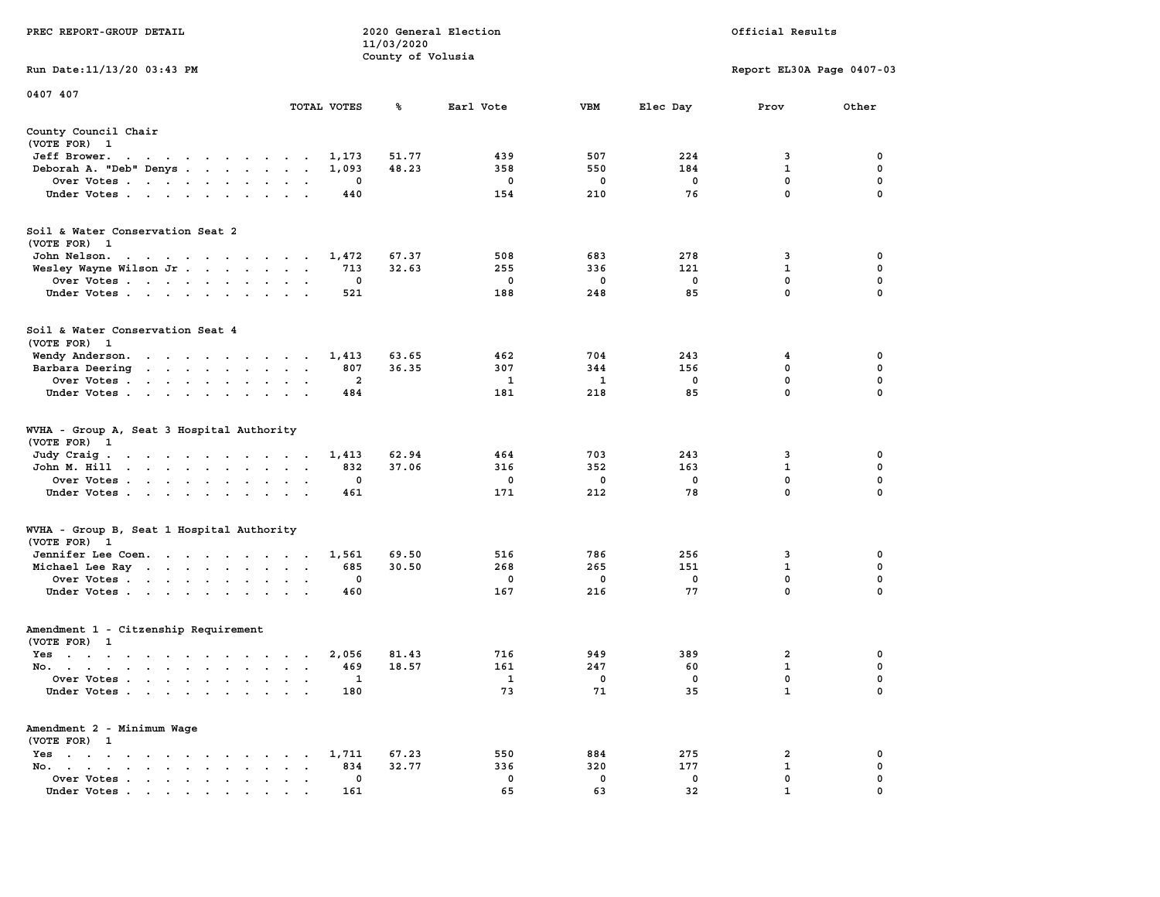|                                                                                                                                                                                                                                                                              |                                                                             | 11/03/2020        |              |                   |                   |                           |                  |
|------------------------------------------------------------------------------------------------------------------------------------------------------------------------------------------------------------------------------------------------------------------------------|-----------------------------------------------------------------------------|-------------------|--------------|-------------------|-------------------|---------------------------|------------------|
| Run Date:11/13/20 03:43 PM                                                                                                                                                                                                                                                   |                                                                             | County of Volusia |              |                   |                   | Report EL30A Page 0407-03 |                  |
|                                                                                                                                                                                                                                                                              |                                                                             |                   |              |                   |                   |                           |                  |
| 0407 407                                                                                                                                                                                                                                                                     | TOTAL VOTES                                                                 | %                 | Earl Vote    | <b>VBM</b>        | Elec Day          | Prov                      | Other            |
|                                                                                                                                                                                                                                                                              |                                                                             |                   |              |                   |                   |                           |                  |
| County Council Chair<br>(VOTE FOR) 1                                                                                                                                                                                                                                         |                                                                             |                   |              |                   |                   |                           |                  |
| Jeff Brower.<br>$\sim$ $\sim$<br>the contract of the contract of the contract of the contract of the contract of the contract of the contract of                                                                                                                             | 1,173                                                                       | 51.77             | 439          | 507               | 224               | 3                         | 0                |
| Deborah A. "Deb" Denys                                                                                                                                                                                                                                                       | 1,093<br>$\cdot$                                                            | 48.23             | 358          | 550               | 184               | $\mathbf{1}$              | 0                |
| Over Votes                                                                                                                                                                                                                                                                   | 0<br>$\bullet$                                                              |                   | 0            | 0                 | $\mathbf 0$       | $\mathbf 0$               | 0                |
| Under Votes<br>$\ddot{\phantom{0}}$                                                                                                                                                                                                                                          | 440<br>$\bullet$                                                            |                   | 154          | 210               | 76                | $\mathbf 0$               | 0                |
| Soil & Water Conservation Seat 2                                                                                                                                                                                                                                             |                                                                             |                   |              |                   |                   |                           |                  |
| (VOTE FOR) 1                                                                                                                                                                                                                                                                 |                                                                             | 67.37             | 508          | 683               | 278               | 3                         | $\mathbf 0$      |
| John Nelson.<br>$\mathbf{a}$ . The state of the state of the state of the state of the state of the state of the state of the state of the state of the state of the state of the state of the state of the state of the state of the state of th<br>Wesley Wayne Wilson Jr. | 1,472<br>713<br>$\sim$<br>$\sim$                                            | 32.63             | 255          | 336               | 121               | $\mathbf{1}$              | 0                |
| Over Votes                                                                                                                                                                                                                                                                   | $\mathbf 0$                                                                 |                   | $\mathbf 0$  | $\mathbf 0$       | $\mathbf 0$       | $\mathbf 0$               | $\mathbf 0$      |
| $\ddot{\phantom{0}}$<br>Under Votes                                                                                                                                                                                                                                          | $\cdot$<br>521<br>$\ddot{\phantom{0}}$<br>$\ddot{\phantom{a}}$              |                   | 188          | 248               | 85                | 0                         | 0                |
|                                                                                                                                                                                                                                                                              |                                                                             |                   |              |                   |                   |                           |                  |
| Soil & Water Conservation Seat 4<br>(VOTE FOR) 1                                                                                                                                                                                                                             |                                                                             |                   |              |                   |                   |                           |                  |
| Wendy Anderson.                                                                                                                                                                                                                                                              | 1,413                                                                       | 63.65             | 462          | 704               | 243               | 4                         | 0                |
| Barbara Deering<br>the contract of the contract of                                                                                                                                                                                                                           | 807<br>$\ddot{\phantom{a}}$                                                 | 36.35             | 307          | 344               | 156               | $\mathbf 0$               | $\mathbf 0$      |
| Over Votes.<br>$\cdot$ $\cdot$ $\cdot$ $\cdot$ $\cdot$<br>$\ddot{\phantom{a}}$<br>$\ddot{\phantom{a}}$                                                                                                                                                                       | 2                                                                           |                   | 1            | 1                 | $\mathbf 0$       | $\mathbf 0$               | $\mathbf 0$      |
| Under Votes<br>$\cdot$                                                                                                                                                                                                                                                       | 484                                                                         |                   | 181          | 218               | 85                | 0                         | $\mathbf 0$      |
| WVHA - Group A, Seat 3 Hospital Authority<br>(VOTE FOR)<br>$\mathbf{1}$                                                                                                                                                                                                      |                                                                             |                   |              |                   |                   |                           |                  |
| Judy Craig.<br>the contract of the contract of                                                                                                                                                                                                                               | 1,413<br>$\sim$ $\sim$ $\sim$ $\sim$ $\sim$                                 | 62.94             | 464          | 703               | 243               | 3                         | 0                |
| John M. Hill<br>$\cdot$ $\cdot$ $\cdot$ $\cdot$ $\cdot$ $\cdot$ $\cdot$<br>$\sim$ $\sim$                                                                                                                                                                                     | 832<br>$\ddot{\phantom{a}}$<br>$\ddot{\phantom{a}}$<br>$\ddot{\phantom{a}}$ | 37.06             | 316          | 352               | 163               | 1                         | 0                |
| Over Votes                                                                                                                                                                                                                                                                   | 0<br>$\sim$<br>$\ddot{\phantom{a}}$                                         |                   | 0            | 0                 | 0                 | 0                         | 0                |
| Under Votes<br>$\cdot$                                                                                                                                                                                                                                                       | 461<br>$\sim$<br>$\bullet$                                                  |                   | 171          | 212               | 78                | 0                         | $\mathbf 0$      |
| WVHA - Group B, Seat 1 Hospital Authority<br>(VOTE FOR)                                                                                                                                                                                                                      |                                                                             |                   |              |                   |                   |                           |                  |
| $\mathbf{1}$<br>Jennifer Lee Coen.                                                                                                                                                                                                                                           | 1,561                                                                       | 69.50             | 516          | 786               | 256               | 3                         | 0                |
| Michael Lee Ray                                                                                                                                                                                                                                                              | 685<br>$\bullet$<br>$\bullet$<br>$\cdot$                                    | 30.50             | 268          | 265               | 151               | $\mathbf{1}$              | $\pmb{0}$        |
| Over Votes                                                                                                                                                                                                                                                                   | $\mathbf 0$<br>$\bullet$                                                    |                   | 0            | 0                 | $\mathbf 0$       | $\mathbf{0}$              | $\mathbf 0$      |
| Under Votes<br>$\bullet$<br>$\ddot{\phantom{1}}$                                                                                                                                                                                                                             | 460                                                                         |                   | 167          | 216               | 77                | 0                         | 0                |
| Amendment 1 - Citzenship Requirement                                                                                                                                                                                                                                         |                                                                             |                   |              |                   |                   |                           |                  |
| (VOTE FOR) 1                                                                                                                                                                                                                                                                 |                                                                             |                   |              |                   |                   |                           |                  |
| $Yes \t . \t .$<br>$\mathbf{r}$ , and $\mathbf{r}$ , and $\mathbf{r}$ , and $\mathbf{r}$                                                                                                                                                                                     | 2,056<br>$\sim$ $\sim$ $\sim$                                               | 81.43             | 716          | 949               | 389               | $\overline{2}$            | 0                |
| No.<br>$\ddot{\phantom{1}}$                                                                                                                                                                                                                                                  | 469<br>$\ddot{\phantom{a}}$<br>$\ddot{\phantom{a}}$<br>$\ddot{\phantom{0}}$ | 18.57             | 161          | 247               | 60                | 1                         | $\mathbf 0$      |
| Over Votes .<br>$\sim$ $\sim$<br>$\sim$<br>$\sim$<br>$\bullet$<br>$\cdot$                                                                                                                                                                                                    | 1<br>$\cdot$<br>$\cdot$                                                     |                   | $\mathbf{1}$ | 0                 | $\mathbf 0$       | 0                         | $\mathbf 0$      |
| Under Votes<br>$\cdot$                                                                                                                                                                                                                                                       | 180<br>$\ddot{\phantom{a}}$                                                 |                   | 73           | 71                | 35                | $\mathbf{1}$              | $\mathbf 0$      |
| Amendment 2 - Minimum Wage                                                                                                                                                                                                                                                   |                                                                             |                   |              |                   |                   |                           |                  |
| (VOTE FOR) 1                                                                                                                                                                                                                                                                 |                                                                             |                   |              |                   |                   |                           |                  |
| $Yes \t . \t .$<br>$\sim$<br>$\cdot$<br>$\bullet$<br>$\cdot$<br>$\bullet$<br>$\cdot$                                                                                                                                                                                         | 1,711                                                                       | 67.23             | 550          | 884               | 275               | 2                         | 0                |
| No.<br>$\sim$ $\sim$ $\sim$ $\sim$<br>$\mathbf{a} = \mathbf{a} \cdot \mathbf{a}$                                                                                                                                                                                             | 834<br>$\bullet$                                                            | 32.77             | 336          | 320               | 177               | $\mathbf{1}$              | 0                |
| Over Votes<br>$\ddot{\phantom{0}}$<br>$\bullet$<br>$\blacksquare$<br>$\bullet$<br>Under Votes, , , , , , ,                                                                                                                                                                   | 0<br>$\bullet$<br>161                                                       |                   | 0<br>65      | $\mathbf 0$<br>63 | $\mathbf 0$<br>32 | 0<br>$\mathbf{1}$         | 0<br>$\mathbf 0$ |
|                                                                                                                                                                                                                                                                              | $\sim$                                                                      |                   |              |                   |                   |                           |                  |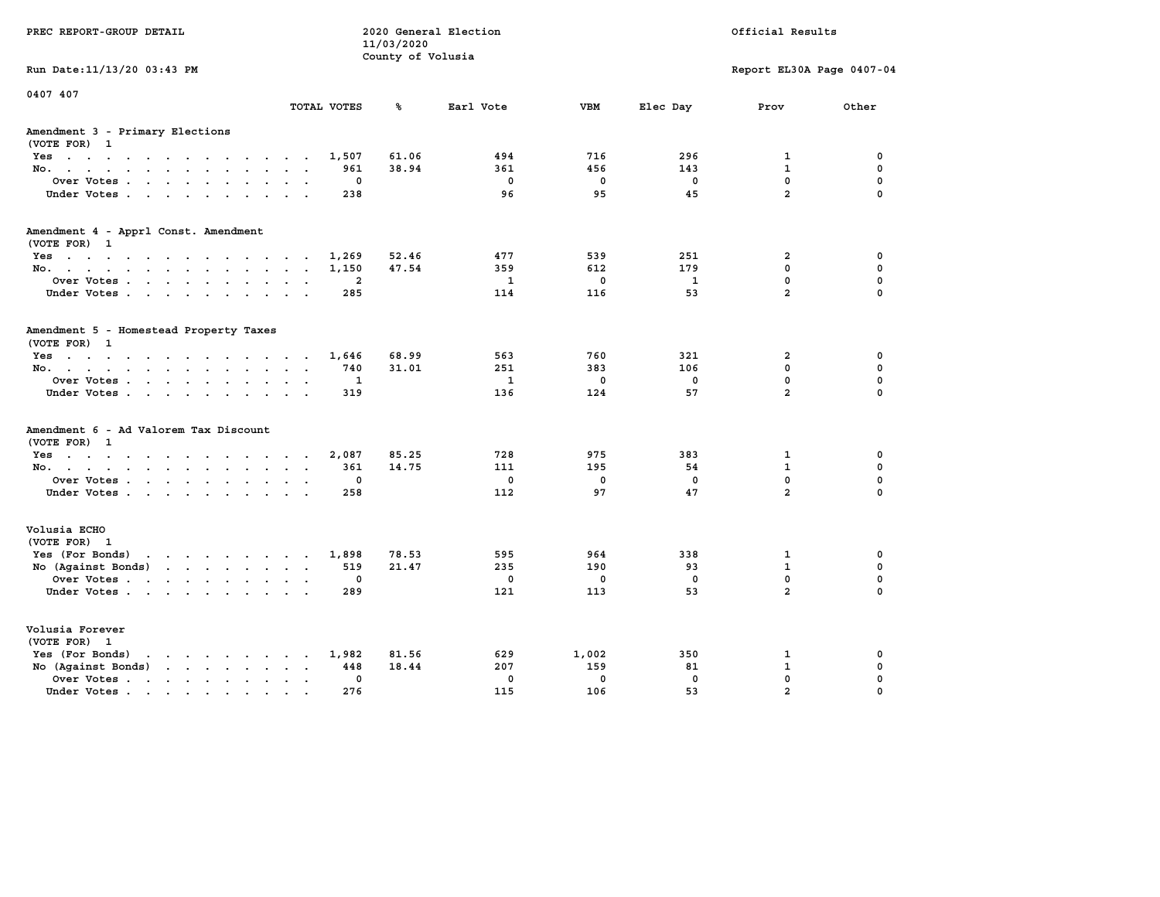| PREC REPORT-GROUP DETAIL                                                                                                                                                                                                                                |                | 11/03/2020<br>County of Volusia | 2020 General Election |             |              | Official Results              |                         |
|---------------------------------------------------------------------------------------------------------------------------------------------------------------------------------------------------------------------------------------------------------|----------------|---------------------------------|-----------------------|-------------|--------------|-------------------------------|-------------------------|
| Run Date: 11/13/20 03:43 PM                                                                                                                                                                                                                             |                |                                 |                       |             |              | Report EL30A Page 0407-04     |                         |
| 0407 407                                                                                                                                                                                                                                                | TOTAL VOTES    | ℁                               | Earl Vote             | <b>VBM</b>  | Elec Day     | Prov                          | Other                   |
| Amendment 3 - Primary Elections<br>(VOTE FOR) 1                                                                                                                                                                                                         |                |                                 |                       |             |              |                               |                         |
| Yes                                                                                                                                                                                                                                                     | 1,507          | 61.06                           | 494                   | 716         | 296          | 1                             | 0                       |
| No.<br>$\ddot{\phantom{1}}$                                                                                                                                                                                                                             | 961            | 38.94                           | 361                   | 456         | 143          | $\mathbf{1}$                  | $\mathbf 0$             |
| Over Votes<br>$\bullet$<br>$\ddot{\phantom{a}}$                                                                                                                                                                                                         | 0              |                                 | $\mathbf 0$           | 0           | 0            | $\mathbf 0$<br>$\overline{a}$ | 0                       |
| Under Votes<br><b>Contract Contract</b>                                                                                                                                                                                                                 | 238            |                                 | 96                    | 95          | 45           |                               | $\Omega$                |
| Amendment 4 - Apprl Const. Amendment<br>(VOTE FOR) 1                                                                                                                                                                                                    |                |                                 |                       |             |              |                               |                         |
| Yes                                                                                                                                                                                                                                                     | 1,269          | 52.46                           | 477                   | 539         | 251          | $\overline{2}$                | 0                       |
| No.                                                                                                                                                                                                                                                     | 1,150          | 47.54                           | 359                   | 612         | 179          | 0                             | $\mathbf 0$             |
| Over Votes<br>$\bullet$<br>$\ddot{\phantom{a}}$                                                                                                                                                                                                         | $\overline{a}$ |                                 | $\mathbf{1}$          | $\mathbf 0$ | $\mathbf{1}$ | $\mathbf 0$                   | $\mathbf 0$             |
| Under Votes                                                                                                                                                                                                                                             | 285            |                                 | 114                   | 116         | 53           | $\overline{a}$                | $\Omega$                |
| Amendment 5 - Homestead Property Taxes<br>(VOTE FOR) 1                                                                                                                                                                                                  |                |                                 |                       |             |              |                               |                         |
| Yes                                                                                                                                                                                                                                                     | 1,646          | 68.99                           | 563                   | 760         | 321          | $\overline{2}$                | 0                       |
| No.<br>$\sim$ $\sim$<br>$\cdot$ .                                                                                                                                                                                                                       | 740            | 31.01                           | 251                   | 383         | 106          | 0                             | $\mathbf 0$             |
| Over Votes<br>$\ddot{\phantom{a}}$                                                                                                                                                                                                                      | 1              |                                 | $\mathbf{1}$          | $\mathbf 0$ | $\mathbf 0$  | 0<br>$\overline{a}$           | $\mathbf 0$<br>$\Omega$ |
| Under Votes<br>$\sim$ $\sim$                                                                                                                                                                                                                            | 319            |                                 | 136                   | 124         | 57           |                               |                         |
| Amendment 6 - Ad Valorem Tax Discount<br>(VOTE FOR) 1                                                                                                                                                                                                   |                |                                 |                       |             |              |                               |                         |
| Yes.                                                                                                                                                                                                                                                    | 2,087          | 85.25                           | 728                   | 975         | 383          | 1                             | 0                       |
| No.                                                                                                                                                                                                                                                     | 361            | 14.75                           | 111                   | 195         | 54           | $\mathbf{1}$                  | 0                       |
| Over Votes<br>$\bullet$<br>$\ddot{\phantom{a}}$                                                                                                                                                                                                         | 0              |                                 | 0                     | $\mathbf 0$ | $\mathbf 0$  | 0                             | $\mathbf 0$             |
| Under Votes                                                                                                                                                                                                                                             | 258            |                                 | 112                   | 97          | 47           | $\overline{a}$                | $\Omega$                |
| Volusia ECHO<br>(VOTE FOR) 1                                                                                                                                                                                                                            |                |                                 |                       |             |              |                               |                         |
| Yes (For Bonds)<br>the contract of the contract of the contract of the contract of the contract of the contract of the contract of                                                                                                                      | 1,898          | 78.53                           | 595                   | 964         | 338          | $\mathbf{1}$                  | 0                       |
| No (Against Bonds)<br>$\mathbf{r}$ . The set of the set of the set of the set of the set of the set of the set of the set of the set of the set of the set of the set of the set of the set of the set of the set of the set of the set of the set of t | 519            | 21.47                           | 235                   | 190         | 93           | $\mathbf{1}$                  | $\mathbf 0$             |
| Over Votes<br>$\bullet$<br>$\ddot{\phantom{a}}$                                                                                                                                                                                                         | 0              |                                 | $\mathbf 0$           | 0           | 0            | $\mathbf 0$                   | $\mathbf 0$             |
| Under Votes                                                                                                                                                                                                                                             | 289            |                                 | 121                   | 113         | 53           | $\overline{a}$                | $\Omega$                |
| Volusia Forever<br>(VOTE FOR) 1                                                                                                                                                                                                                         |                |                                 |                       |             |              |                               |                         |
| Yes (For Bonds)<br>$\mathbf{r}$ , and $\mathbf{r}$ , and $\mathbf{r}$ , and $\mathbf{r}$                                                                                                                                                                | 1,982          | 81.56                           | 629                   | 1,002       | 350          | 1                             | 0                       |
| No (Against Bonds)<br>$\cdot$ $\cdot$ $\cdot$ $\cdot$ $\cdot$                                                                                                                                                                                           | 448            | 18.44                           | 207                   | 159         | 81           | $\mathbf{1}$                  | 0                       |
| Over Votes .<br>$\mathcal{A}$ . The set of the set of $\mathcal{A}$<br>$\ddot{\phantom{a}}$<br>$\bullet$<br>$\bullet$                                                                                                                                   | 0              |                                 | $\mathbf 0$           | $\mathbf 0$ | $\mathbf 0$  | 0                             | 0                       |
| Under Votes                                                                                                                                                                                                                                             | 276            |                                 | 115                   | 106         | 53           | $\overline{a}$                | $\Omega$                |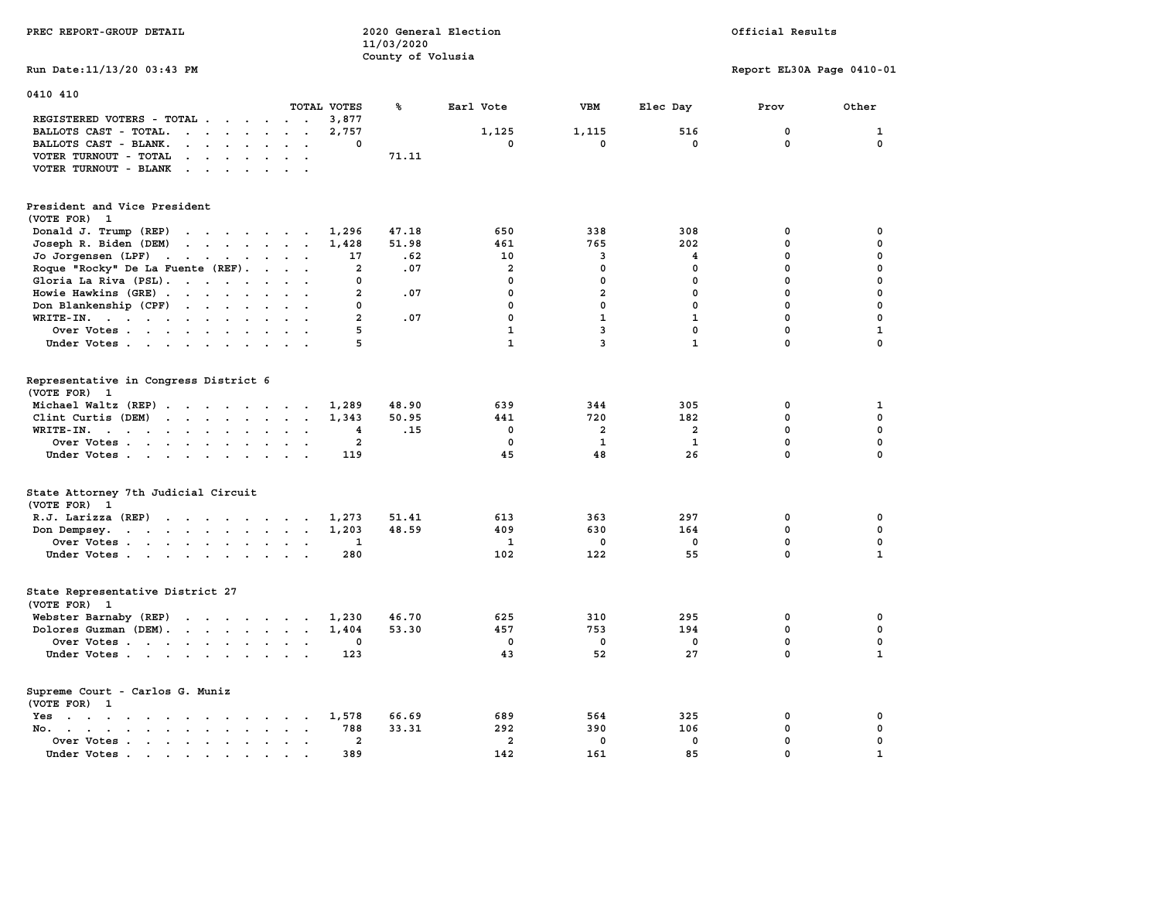| PREC REPORT-GROUP DETAIL                                                                                               |                                                 | 11/03/2020<br>County of Volusia | 2020 General Election |                         |                         | Official Results          |                            |
|------------------------------------------------------------------------------------------------------------------------|-------------------------------------------------|---------------------------------|-----------------------|-------------------------|-------------------------|---------------------------|----------------------------|
| Run Date: 11/13/20 03:43 PM                                                                                            |                                                 |                                 |                       |                         |                         | Report EL30A Page 0410-01 |                            |
| 0410 410                                                                                                               |                                                 |                                 |                       |                         |                         |                           |                            |
|                                                                                                                        | TOTAL VOTES                                     | ℁                               | Earl Vote             | <b>VBM</b>              | Elec Day                | Prov                      | Other                      |
| REGISTERED VOTERS - TOTAL .<br>$\sim$<br>$\sim$<br>$\sim$                                                              | $\cdot$ $\cdot$<br>3,877                        |                                 |                       |                         |                         |                           |                            |
| $\cdots$<br>BALLOTS CAST - TOTAL.                                                                                      | 2,757<br>$\sim$<br>$\Omega$                     |                                 | 1,125<br>$\mathbf 0$  | 1,115<br>$\mathbf 0$    | 516<br>$\mathbf 0$      | 0<br>$\mathbf 0$          | $\mathbf 1$<br>$\mathbf 0$ |
| BALLOTS CAST - BLANK.<br>$\mathbf{r}$ , $\mathbf{r}$ , $\mathbf{r}$ , $\mathbf{r}$                                     | $\overline{\phantom{a}}$                        |                                 |                       |                         |                         |                           |                            |
| VOTER TURNOUT - TOTAL<br>$\cdots$                                                                                      |                                                 | 71.11                           |                       |                         |                         |                           |                            |
| VOTER TURNOUT - BLANK<br>$\cdot$ $\cdot$ $\cdot$                                                                       |                                                 |                                 |                       |                         |                         |                           |                            |
| President and Vice President<br>(VOTE FOR)<br>$\mathbf{1}$                                                             |                                                 |                                 |                       |                         |                         |                           |                            |
| Donald J. Trump (REP)                                                                                                  | 1,296                                           | 47.18                           | 650                   | 338                     | 308                     | 0                         | 0                          |
| Joseph R. Biden (DEM)<br>$\mathbf{r}$ , $\mathbf{r}$ , $\mathbf{r}$ , $\mathbf{r}$ , $\mathbf{r}$ , $\mathbf{r}$       | 1,428                                           | 51.98                           | 461                   | 765                     | 202                     | $\mathbf{0}$              | 0                          |
| Jo Jorgensen (LPF)                                                                                                     | 17                                              | .62                             | 10                    | 3                       | 4                       | 0                         | 0                          |
| Roque "Rocky" De La Fuente (REF).                                                                                      | $\overline{a}$                                  | .07                             | $\overline{2}$        | $\mathbf 0$             | 0                       | $\mathbf{0}$              | $\mathbf 0$                |
| Gloria La Riva (PSL).                                                                                                  | 0                                               |                                 | $\mathbf 0$           | $\mathbf 0$             | $\mathbf 0$             | $\mathbf 0$               | $\mathbf 0$                |
| Howie Hawkins (GRE)                                                                                                    | $\overline{a}$                                  | .07                             | $\mathbf 0$           | $\overline{a}$          | $\mathbf{0}$            | $\mathbf{0}$              | 0                          |
| Don Blankenship (CPF)                                                                                                  | 0                                               |                                 | $\mathbf 0$           | $\mathbf 0$             | $\mathbf 0$             | $\mathbf 0$               | 0                          |
| WRITE-IN.                                                                                                              | $\overline{a}$<br>$\sim$                        | .07                             | $\mathbf 0$           | $\mathbf{1}$            | $\mathbf{1}$            | $\mathbf{0}$              | $\mathbf 0$                |
| Over Votes                                                                                                             | 5<br>$\sim$                                     |                                 | $\mathbf{1}$          | 3                       | $\mathbf{0}$            | $\mathbf{0}$              | $\mathbf{1}$               |
| Under Votes                                                                                                            | 5                                               |                                 | $\mathbf{1}$          | $\overline{3}$          | $\mathbf{1}$            | $\mathbf 0$               | $\mathbf 0$                |
|                                                                                                                        |                                                 |                                 |                       |                         |                         |                           |                            |
| Representative in Congress District 6                                                                                  |                                                 |                                 |                       |                         |                         |                           |                            |
| (VOTE FOR) 1                                                                                                           |                                                 |                                 |                       |                         |                         |                           |                            |
| Michael Waltz (REP)                                                                                                    | 1,289                                           | 48.90                           | 639                   | 344                     | 305                     | 0                         | 1                          |
| Clint Curtis (DEM)                                                                                                     | 1,343                                           | 50.95                           | 441                   | 720                     | 182                     | $\mathbf{0}$              | 0                          |
| WRITE-IN.<br>$\ddot{\phantom{0}}$<br>$\sim$                                                                            | 4<br>$\overline{\phantom{a}}$                   | .15                             | $\mathbf 0$           | $\overline{\mathbf{2}}$ | $\overline{\mathbf{2}}$ | $\mathbf 0$               | $\mathbf 0$                |
| Over Votes                                                                                                             | $\overline{2}$<br>$\sim$ $\sim$                 |                                 | $\mathbf{0}$          | $\mathbf{1}$            | 1                       | $\mathbf 0$               | $\mathbf 0$                |
| Under Votes                                                                                                            | 119                                             |                                 | 45                    | 48                      | 26                      | $\mathbf 0$               | 0                          |
| State Attorney 7th Judicial Circuit<br>(VOTE FOR) 1                                                                    |                                                 |                                 |                       |                         |                         |                           |                            |
| R.J. Larizza (REP)                                                                                                     | 1,273                                           | 51.41                           | 613                   | 363                     | 297                     | $\mathbf 0$               | 0                          |
| Don Dempsey.<br>$\mathbf{r}$ , and $\mathbf{r}$ , and $\mathbf{r}$ , and $\mathbf{r}$ , and $\mathbf{r}$               | 1,203                                           | 48.59                           | 409                   | 630                     | 164                     | $\mathbf{0}$              | $\mathbf 0$                |
| Over Votes                                                                                                             | 1<br>$\cdot$                                    |                                 | $\mathbf{1}$          | $\mathbf 0$             | $\mathbf 0$             | $\mathbf 0$               | 0                          |
| Under Votes                                                                                                            | 280                                             |                                 | 102                   | 122                     | 55                      | $\mathbf{0}$              | $\mathbf{1}$               |
| State Representative District 27<br>(VOTE FOR)<br>$\mathbf{1}$                                                         |                                                 |                                 |                       |                         |                         |                           |                            |
| Webster Barnaby (REP)                                                                                                  | 1,230                                           | 46.70                           | 625                   | 310                     | 295                     | 0                         | 0                          |
| Dolores Guzman (DEM).                                                                                                  | 1,404                                           | 53.30                           | 457                   | 753                     | 194                     | $\mathbf 0$               | $\mathbf 0$                |
| Over Votes                                                                                                             | $\mathbf 0$                                     |                                 | 0                     | 0                       | 0                       | $\mathbf 0$               | $\mathbf 0$                |
| Under Votes                                                                                                            | 123                                             |                                 | 43                    | 52                      | 27                      | $\mathbf 0$               | $\mathbf{1}$               |
| Supreme Court - Carlos G. Muniz<br>(VOTE FOR) 1                                                                        |                                                 |                                 |                       |                         |                         |                           |                            |
| the contract of the contract of the contract of the contract of the contract of the contract of the contract of<br>Yes | 1,578                                           | 66.69                           | 689                   | 564                     | 325                     | $\mathbf 0$               | 0                          |
| No.                                                                                                                    | 788<br>$\sim$ 10 $\pm$                          | 33.31                           | 292                   | 390                     | 106                     | 0                         | 0                          |
| Over Votes                                                                                                             | $\overline{\mathbf{2}}$<br>$\sim$ $\sim$ $\sim$ |                                 | $\overline{a}$        | $\mathbf 0$             | $\mathbf 0$             | $\mathbf 0$               | $\mathbf 0$                |
| Under Votes.<br>$\mathcal{A}=\mathcal{A}=\mathcal{A}=\mathcal{A}=\mathcal{A}=\mathcal{A}$<br>$\bullet$                 | 389                                             |                                 | 142                   | 161                     | 85                      | $\Omega$                  | $\mathbf{1}$               |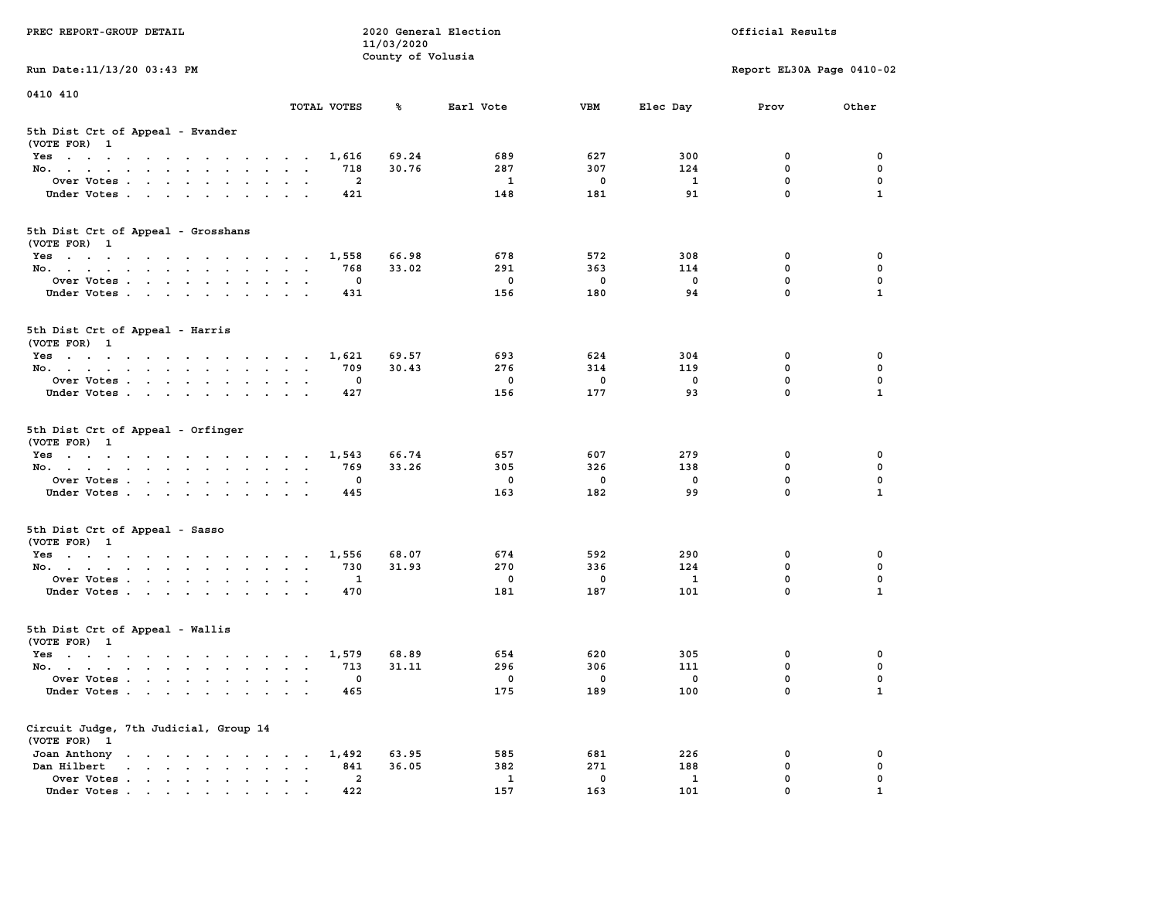| PREC REPORT-GROUP DETAIL                                                                                               |                                                     | 11/03/2020        | 2020 General Election |              |              | Official Results           |              |
|------------------------------------------------------------------------------------------------------------------------|-----------------------------------------------------|-------------------|-----------------------|--------------|--------------|----------------------------|--------------|
| Run Date: 11/13/20 03:43 PM                                                                                            |                                                     | County of Volusia |                       |              |              | Report EL30A Page 0410-02  |              |
| 0410 410                                                                                                               |                                                     |                   |                       |              |              |                            |              |
|                                                                                                                        | TOTAL VOTES                                         | ℁                 | Earl Vote             | <b>VBM</b>   | Elec Day     | Prov                       | Other        |
| 5th Dist Crt of Appeal - Evander<br>(VOTE FOR) 1                                                                       |                                                     |                   |                       |              |              |                            |              |
| Yes                                                                                                                    | 1,616                                               | 69.24             | 689                   | 627          | 300          | 0                          | 0            |
| No.                                                                                                                    | 718                                                 | 30.76             | 287                   | 307          | 124          | $\mathbf 0$                | 0            |
| Over Votes                                                                                                             | 2                                                   |                   | 1                     | 0            | 1            | $\mathbf 0$                | 0            |
| Under Votes                                                                                                            | 421                                                 |                   | 148                   | 181          | 91           | $\mathbf 0$                | $\mathbf{1}$ |
| 5th Dist Crt of Appeal - Grosshans<br>(VOTE FOR) 1                                                                     |                                                     |                   |                       |              |              |                            |              |
| Yes                                                                                                                    | 1,558                                               | 66.98             | 678                   | 572          | 308          | 0                          | 0            |
| No.                                                                                                                    | 768                                                 | 33.02             | 291                   | 363          | 114          | $\mathbf 0$                | 0            |
| Over Votes                                                                                                             | 0                                                   |                   | $\mathbf 0$           | $\mathbf 0$  | $\mathbf 0$  | $\mathbf 0$                | $\mathbf 0$  |
| Under Votes                                                                                                            | 431                                                 |                   | 156                   | 180          | 94           | $\mathbf 0$                | $\mathbf{1}$ |
| 5th Dist Crt of Appeal - Harris<br>(VOTE FOR) 1                                                                        |                                                     |                   |                       |              |              |                            |              |
| Yes                                                                                                                    | 1,621                                               | 69.57             | 693                   | 624          | 304          | 0                          | 0            |
| No.                                                                                                                    | 709                                                 | 30.43             | 276                   | 314          | 119          | 0                          | $\mathbf 0$  |
| Over Votes                                                                                                             | 0                                                   |                   | 0                     | 0            | 0            | $\mathbf 0$                | 0            |
| Under Votes                                                                                                            | 427                                                 |                   | 156                   | 177          | 93           | $\mathbf 0$                | $\mathbf{1}$ |
| 5th Dist Crt of Appeal - Orfinger<br>(VOTE FOR) 1                                                                      |                                                     |                   |                       |              |              |                            |              |
| Yes                                                                                                                    | 1,543                                               | 66.74             | 657                   | 607          | 279          | 0                          | 0            |
| No.                                                                                                                    | 769                                                 | 33.26             | 305                   | 326          | 138          | $\mathbf 0$                | 0            |
| Over Votes                                                                                                             | 0                                                   |                   | 0                     | 0            | 0            | $\mathbf 0$<br>$\mathbf 0$ | 0            |
| Under Votes                                                                                                            | 445                                                 |                   | 163                   | 182          | 99           |                            | $\mathbf{1}$ |
| 5th Dist Crt of Appeal - Sasso<br>(VOTE FOR) 1                                                                         |                                                     |                   |                       |              |              |                            |              |
| Yes                                                                                                                    | 1,556                                               | 68.07             | 674                   | 592          | 290          | 0                          | 0            |
| No.                                                                                                                    | 730                                                 | 31.93             | 270                   | 336          | 124          | $\mathbf 0$                | 0            |
| Over Votes                                                                                                             | 1                                                   |                   | 0                     | 0            | 1            | $\mathbf 0$                | 0            |
| Under Votes                                                                                                            | 470                                                 |                   | 181                   | 187          | 101          | $\mathbf 0$                | $\mathbf{1}$ |
| 5th Dist Crt of Appeal - Wallis<br>(VOTE FOR) 1                                                                        |                                                     |                   |                       |              |              |                            |              |
| Yes<br>the contract of the contract of the contract of the contract of the contract of the contract of the contract of | 1,579                                               | 68.89             | 654                   | 620          | 305          | 0                          | 0            |
| No.                                                                                                                    | 713                                                 | 31.11             | 296                   | 306          | 111          | $\mathbf 0$                | 0            |
| Over Votes                                                                                                             | 0                                                   |                   | 0                     | $\mathbf{0}$ | 0            | $\mathbf 0$                | 0            |
| Under Votes                                                                                                            | 465                                                 |                   | 175                   | 189          | 100          | 0                          | $\mathbf{1}$ |
| Circuit Judge, 7th Judicial, Group 14<br>(VOTE FOR) 1                                                                  |                                                     |                   |                       |              |              |                            |              |
| Joan Anthony                                                                                                           | 1,492                                               | 63.95             | 585                   | 681          | 226          | 0                          | 0            |
| Dan Hilbert<br>$\cdot$ $\cdot$ $\cdot$ $\cdot$ $\cdot$ $\cdot$ $\cdot$ $\cdot$                                         | 841<br>$\ddot{\phantom{a}}$<br>$\ddot{\phantom{a}}$ | 36.05             | 382                   | 271          | 188          | $\mathbf 0$                | 0            |
| Over Votes                                                                                                             | $\mathbf{2}$                                        |                   | $\mathbf{1}$          | $\mathbf 0$  | $\mathbf{1}$ | 0                          | 0            |
| Under Votes                                                                                                            | 422                                                 |                   | 157                   | 163          | 101          | 0                          |              |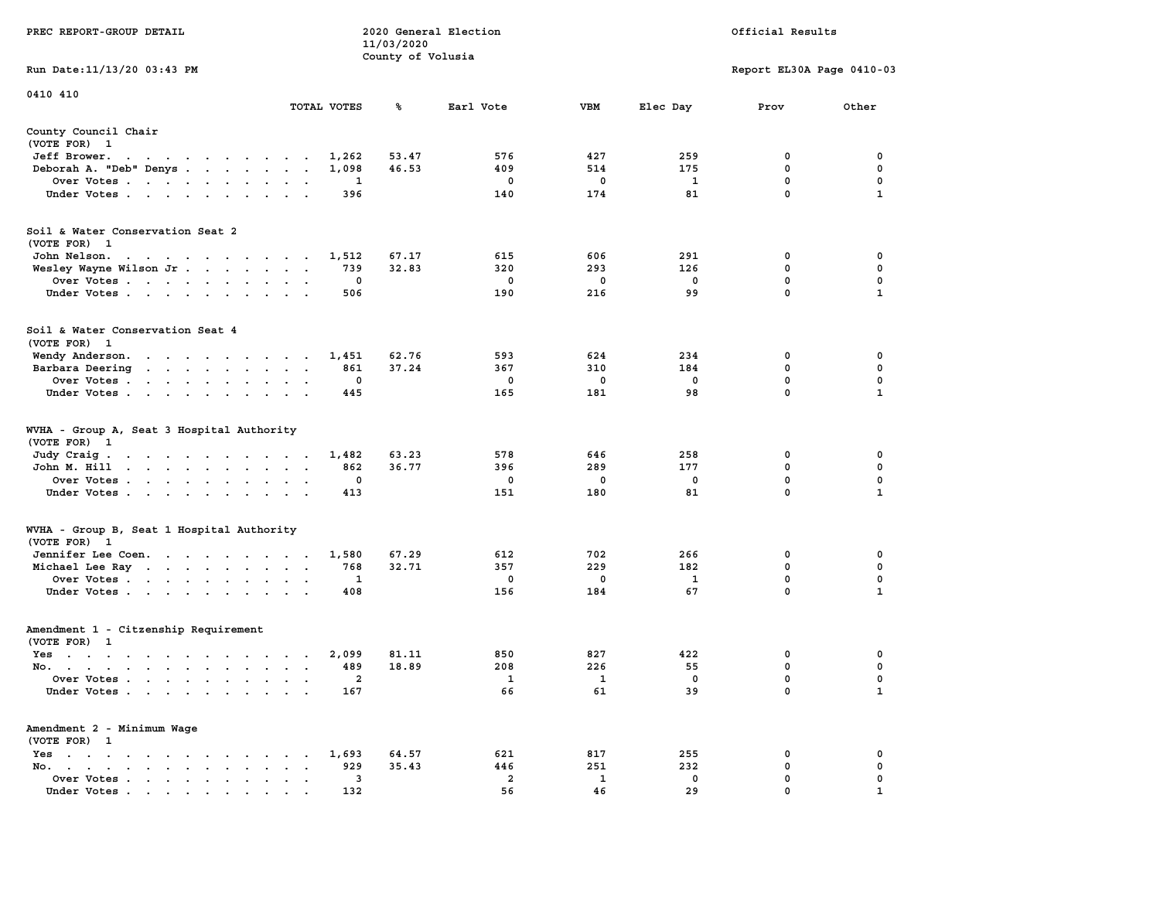|                                                                                                                                                                |                                                                             | 11/03/2020        |                |             |             |                           |              |
|----------------------------------------------------------------------------------------------------------------------------------------------------------------|-----------------------------------------------------------------------------|-------------------|----------------|-------------|-------------|---------------------------|--------------|
| Run Date:11/13/20 03:43 PM                                                                                                                                     |                                                                             | County of Volusia |                |             |             | Report EL30A Page 0410-03 |              |
| 0410 410                                                                                                                                                       | TOTAL VOTES                                                                 |                   |                | <b>VBM</b>  |             |                           |              |
|                                                                                                                                                                |                                                                             | %                 | Earl Vote      |             | Elec Day    | Prov                      | Other        |
| County Council Chair<br>(VOTE FOR) 1                                                                                                                           |                                                                             |                   |                |             |             |                           |              |
| Jeff Brower.<br>$\sim$ $\sim$<br>the contract of the contract of the contract of the contract of the contract of the contract of the contract of               | 1,262                                                                       | 53.47             | 576            | 427         | 259         | 0                         | 0            |
| Deborah A. "Deb" Denys                                                                                                                                         | 1,098<br>$\overline{a}$                                                     | 46.53             | 409            | 514         | 175         | 0                         | $\pmb{0}$    |
| Over Votes                                                                                                                                                     | 1<br>$\bullet$                                                              |                   | $\mathbf 0$    | 0           | 1           | $\mathbf 0$               | 0            |
| Under Votes<br>$\sim$                                                                                                                                          | 396<br>$\blacksquare$                                                       |                   | 140            | 174         | 81          | $\mathbf 0$               | $\mathbf{1}$ |
| Soil & Water Conservation Seat 2<br>(VOTE FOR) 1                                                                                                               |                                                                             |                   |                |             |             |                           |              |
| John Nelson.<br>$\mathbf{u} = \mathbf{u} + \mathbf{u} + \mathbf{u} + \mathbf{u} + \mathbf{u} + \mathbf{u} + \mathbf{u} + \mathbf{u} + \mathbf{u} + \mathbf{u}$ | 1,512                                                                       | 67.17             | 615            | 606         | 291         | 0                         | 0            |
| Wesley Wayne Wilson Jr                                                                                                                                         | 739<br>$\sim$<br>$\sim$<br>$\sim$                                           | 32.83             | 320            | 293         | 126         | 0                         | 0            |
| Over Votes<br>$\overline{\phantom{a}}$                                                                                                                         | 0<br>$\cdot$                                                                |                   | 0              | 0           | 0           | 0                         | $\mathbf 0$  |
| Under Votes<br>$\sim$                                                                                                                                          | 506<br>$\sim$                                                               |                   | 190            | 216         | 99          | $\mathbf{0}$              | $\mathbf{1}$ |
| Soil & Water Conservation Seat 4<br>(VOTE FOR) 1                                                                                                               |                                                                             |                   |                |             |             |                           |              |
| Wendy Anderson.                                                                                                                                                | 1,451                                                                       | 62.76             | 593            | 624         | 234         | 0                         | 0            |
| Barbara Deering                                                                                                                                                | 861<br>$\bullet$<br>$\bullet$<br>$\ddot{\phantom{a}}$                       | 37.24             | 367            | 310         | 184         | $\mathbf 0$               | $\mathbf 0$  |
| Over Votes<br>$\sim$                                                                                                                                           | $\mathbf 0$                                                                 |                   | 0              | $\mathbf 0$ | $\mathbf 0$ | $\mathbf 0$               | 0            |
| Under Votes<br>$\ddot{\phantom{0}}$                                                                                                                            | 445                                                                         |                   | 165            | 181         | 98          | $\mathbf 0$               | $\mathbf{1}$ |
| WVHA - Group A, Seat 3 Hospital Authority<br>(VOTE FOR)<br>$\mathbf{1}$                                                                                        |                                                                             |                   |                |             |             |                           |              |
| Judy Craig.<br>$\mathcal{A}=\mathcal{A}=\mathcal{A}=\mathcal{A}=\mathcal{A}=\mathcal{A}=\mathcal{A}=\mathcal{A}=\mathcal{A}$                                   | 1,482                                                                       | 63.23             | 578            | 646         | 258         | 0                         | 0            |
| John M. Hill<br>$\cdot$ $\cdot$ $\cdot$<br><b>Contract Contract</b><br>$\ddot{\phantom{1}}$                                                                    | 862<br>$\ddot{\phantom{a}}$<br>$\ddot{\phantom{a}}$<br>$\ddot{\phantom{a}}$ | 36.77             | 396            | 289         | 177         | $\mathbf 0$               | $\mathbf 0$  |
| Over Votes                                                                                                                                                     | $\mathbf 0$<br>$\cdot$<br>$\cdot$                                           |                   | 0              | 0           | 0           | 0                         | 0            |
| Under Votes<br>$\cdot$                                                                                                                                         | 413<br>$\cdot$                                                              |                   | 151            | 180         | 81          | 0                         | $\mathbf{1}$ |
| WVHA - Group B, Seat 1 Hospital Authority<br>(VOTE FOR)<br>$\mathbf{1}$                                                                                        |                                                                             |                   |                |             |             |                           |              |
| Jennifer Lee Coen.                                                                                                                                             | 1,580                                                                       | 67.29             | 612            | 702         | 266         | 0                         | 0            |
| Michael Lee Ray                                                                                                                                                | 768<br>$\sim$<br>$\bullet$<br>$\,$ .                                        | 32.71             | 357            | 229         | 182         | 0                         | 0            |
| Over Votes                                                                                                                                                     | 1<br>$\bullet$<br>$\bullet$                                                 |                   | 0              | 0           | 1           | $\mathbf 0$               | $\mathbf 0$  |
| Under Votes<br>$\cdot$                                                                                                                                         | 408<br>$\cdot$<br>$\sim$                                                    |                   | 156            | 184         | 67          | $\mathbf 0$               | 1            |
| Amendment 1 - Citzenship Requirement<br>(VOTE FOR) 1                                                                                                           |                                                                             |                   |                |             |             |                           |              |
| $Yes \t . \t .$<br>the contract of the contract of the contract of the contract of the contract of the contract of the contract of                             | 2,099                                                                       | 81.11             | 850            | 827         | 422         | 0                         | 0            |
| No.<br>$\cdot$                                                                                                                                                 | 489<br>$\mathbf{r}$<br>$\overline{\phantom{a}}$                             | 18.89             | 208            | 226         | 55          | 0                         | $\mathbf 0$  |
| Over Votes .<br>$\mathbf{r}$ . The set of $\mathbf{r}$<br>$\mathbf{L}$<br>$\overline{\phantom{a}}$<br>$\ddot{\phantom{a}}$                                     | 2<br>$\cdot$<br>$\ddot{\phantom{a}}$<br>$\cdot$                             |                   | 1              | 1           | $\mathbf 0$ | $\mathbf 0$               | $\mathbf 0$  |
| Under Votes                                                                                                                                                    | 167                                                                         |                   | 66             | 61          | 39          | $\mathbf 0$               | $\mathbf{1}$ |
| Amendment 2 - Minimum Wage<br>(VOTE FOR) 1                                                                                                                     |                                                                             |                   |                |             |             |                           |              |
| $Yes \t . \t .$<br>$\bullet$<br>$\mathbf{r}$ , and $\mathbf{r}$ , and $\mathbf{r}$<br>$\sim$ $\sim$<br>$\sim$                                                  | 1,693<br>$\bullet$                                                          | 64.57             | 621            | 817         | 255         | 0                         | 0            |
| No.<br>$\sim$ $\sim$<br>$\bullet$ . In the case of the case of $\bullet$<br>$\bullet$ .<br><br><br><br><br><br><br><br>                                        | 929<br>$\ddot{\phantom{a}}$                                                 | 35.43             | 446            | 251         | 232         | 0                         | $\mathbf 0$  |
| Over Votes<br>$\blacksquare$ .<br>$\bullet$                                                                                                                    | 3<br>$\blacksquare$<br>$\ddot{\phantom{a}}$                                 |                   | $\overline{a}$ | 1           | 0           | $\mathbf{0}$              | $\mathbf 0$  |
| Under Votes                                                                                                                                                    | 132                                                                         |                   | 56             | 46          | 29          | $\mathbf{0}$              | 1            |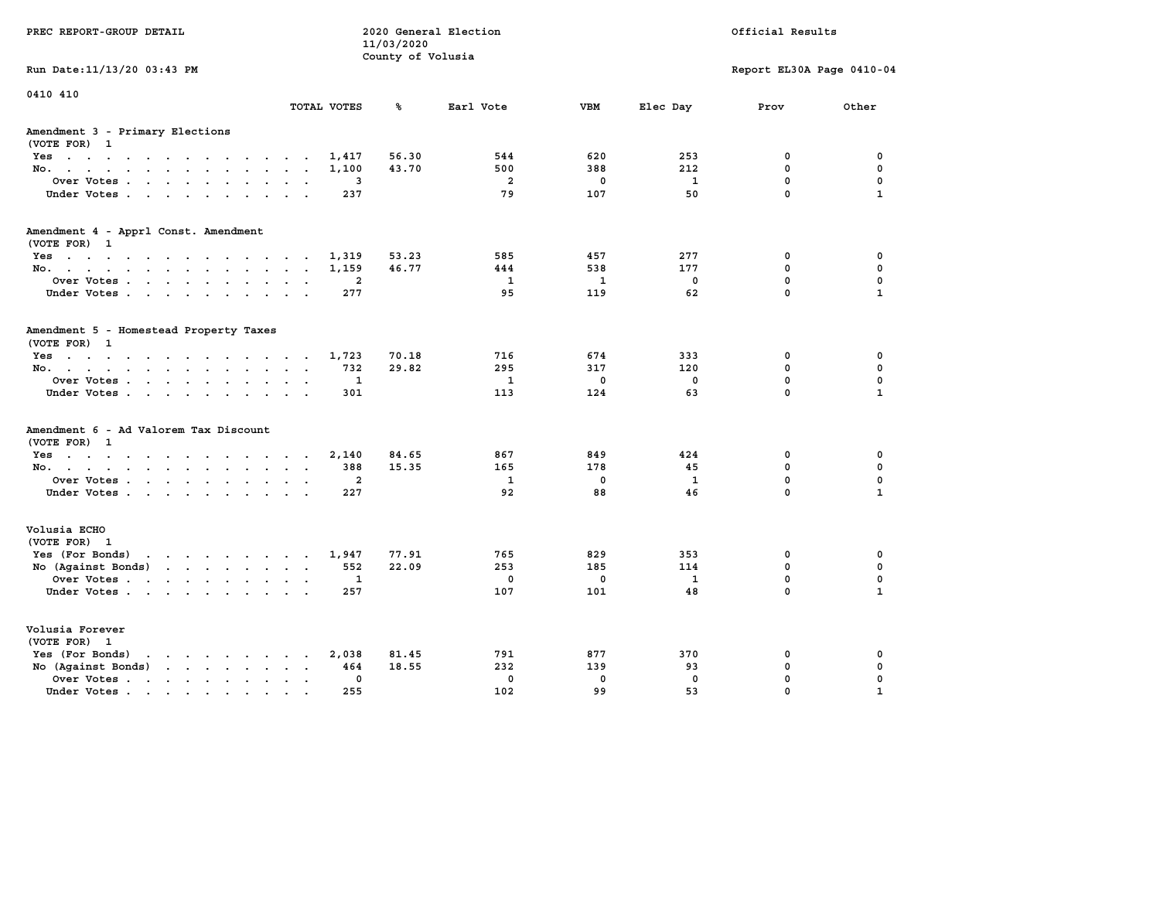|                                                                                          |                                     | 11/03/2020<br>County of Volusia |                     |                    |                    | Official Results          |                             |
|------------------------------------------------------------------------------------------|-------------------------------------|---------------------------------|---------------------|--------------------|--------------------|---------------------------|-----------------------------|
| Run Date: 11/13/20 03:43 PM                                                              |                                     |                                 |                     |                    |                    | Report EL30A Page 0410-04 |                             |
| 0410 410                                                                                 | TOTAL VOTES                         | ℁                               | Earl Vote           | <b>VBM</b>         | Elec Day           | Prov                      | Other                       |
| Amendment 3 - Primary Elections<br>(VOTE FOR) 1                                          |                                     |                                 |                     |                    |                    |                           |                             |
| Yes                                                                                      | 1,417                               | 56.30                           | 544                 | 620                | 253                | 0                         | 0                           |
| No.                                                                                      | 1,100                               | 43.70                           | 500                 | 388                | 212                | 0                         | 0                           |
| Over Votes                                                                               | 3                                   |                                 | $\overline{a}$      | $\mathbf 0$        | $\mathbf{1}$       | $\mathbf 0$               | $\mathbf 0$                 |
| Under Votes.                                                                             | 237                                 |                                 | 79                  | 107                | 50                 | $\mathbf 0$               | $\mathbf{1}$                |
| Amendment 4 - Apprl Const. Amendment                                                     |                                     |                                 |                     |                    |                    |                           |                             |
| (VOTE FOR) 1<br>Yes                                                                      | 1,319                               | 53.23                           | 585                 | 457                | 277                | 0                         | 0                           |
| No.                                                                                      | 1,159                               | 46.77                           | 444                 | 538                | 177                | 0                         | 0                           |
| Over Votes                                                                               | $\mathbf{2}$                        |                                 | $\mathbf{1}$        | $\mathbf{1}$       | 0                  | $\mathbf 0$               | $\mathbf 0$                 |
| Under Votes                                                                              | 277                                 |                                 | 95                  | 119                | 62                 | $\mathbf 0$               | $\mathbf{1}$                |
| Amendment 5 - Homestead Property Taxes<br>(VOTE FOR) 1                                   |                                     |                                 |                     |                    |                    |                           |                             |
| Yes                                                                                      | 1,723                               | 70.18                           | 716                 | 674                | 333                | 0                         | 0                           |
| No.                                                                                      | 732                                 | 29.82                           | 295<br>$\mathbf{1}$ | 317                | 120                | 0<br>$\mathbf 0$          | 0<br>$\mathbf 0$            |
| Over Votes<br>Under Votes.                                                               | 1<br>301                            |                                 | 113                 | $\mathbf 0$<br>124 | 0<br>63            | $\Omega$                  | $\mathbf{1}$                |
| Amendment 6 - Ad Valorem Tax Discount<br>(VOTE FOR) 1                                    |                                     |                                 |                     |                    |                    |                           |                             |
| Yes                                                                                      | 2,140                               | 84.65                           | 867                 | 849                | 424                | 0                         | 0                           |
| No.                                                                                      | 388                                 | 15.35                           | 165                 | 178                | 45                 | 0                         | 0                           |
| Over Votes<br>Under Votes                                                                | $\mathbf{2}$<br>227                 |                                 | $\mathbf{1}$<br>92  | $\mathbf 0$<br>88  | $\mathbf{1}$<br>46 | $\mathbf 0$<br>$\Omega$   | $\mathbf 0$<br>$\mathbf{1}$ |
|                                                                                          |                                     |                                 |                     |                    |                    |                           |                             |
| Volusia ECHO<br>(VOTE FOR) 1                                                             |                                     |                                 |                     |                    |                    |                           |                             |
| Yes (For Bonds)<br>the contract of the contract of the contract of                       | 1,947                               | 77.91                           | 765                 | 829                | 353                | 0                         | 0                           |
| No (Against Bonds)                                                                       | 552                                 | 22.09                           | 253                 | 185                | 114                | $\mathbf{0}$              | 0                           |
| Over Votes                                                                               | 1                                   |                                 | $\mathbf 0$         | $\mathbf 0$        | 1                  | $\mathbf 0$               | $\mathbf 0$                 |
| Under Votes                                                                              | 257                                 |                                 | 107                 | 101                | 48                 | $\Omega$                  | $\mathbf{1}$                |
| Volusia Forever<br>(VOTE FOR) 1                                                          |                                     |                                 |                     |                    |                    |                           |                             |
| Yes (For Bonds)<br>$\mathbf{r}$ , and $\mathbf{r}$ , and $\mathbf{r}$ , and $\mathbf{r}$ | 2,038                               | 81.45                           | 791                 | 877                | 370                | 0                         | 0                           |
| No (Against Bonds)                                                                       | 464                                 | 18.55                           | 232                 | 139                | 93                 | 0                         | 0                           |
| Over Votes.<br>the contract of the contract of the                                       | $\mathbf 0$<br>$\ddot{\phantom{a}}$ |                                 | $\mathbf 0$         | $\mathbf 0$        | $\mathbf 0$        | $\mathbf 0$               | $\mathbf 0$                 |
| Under Votes                                                                              | 255                                 |                                 | 102                 | 99                 | 53                 | $\Omega$                  | $\mathbf{1}$                |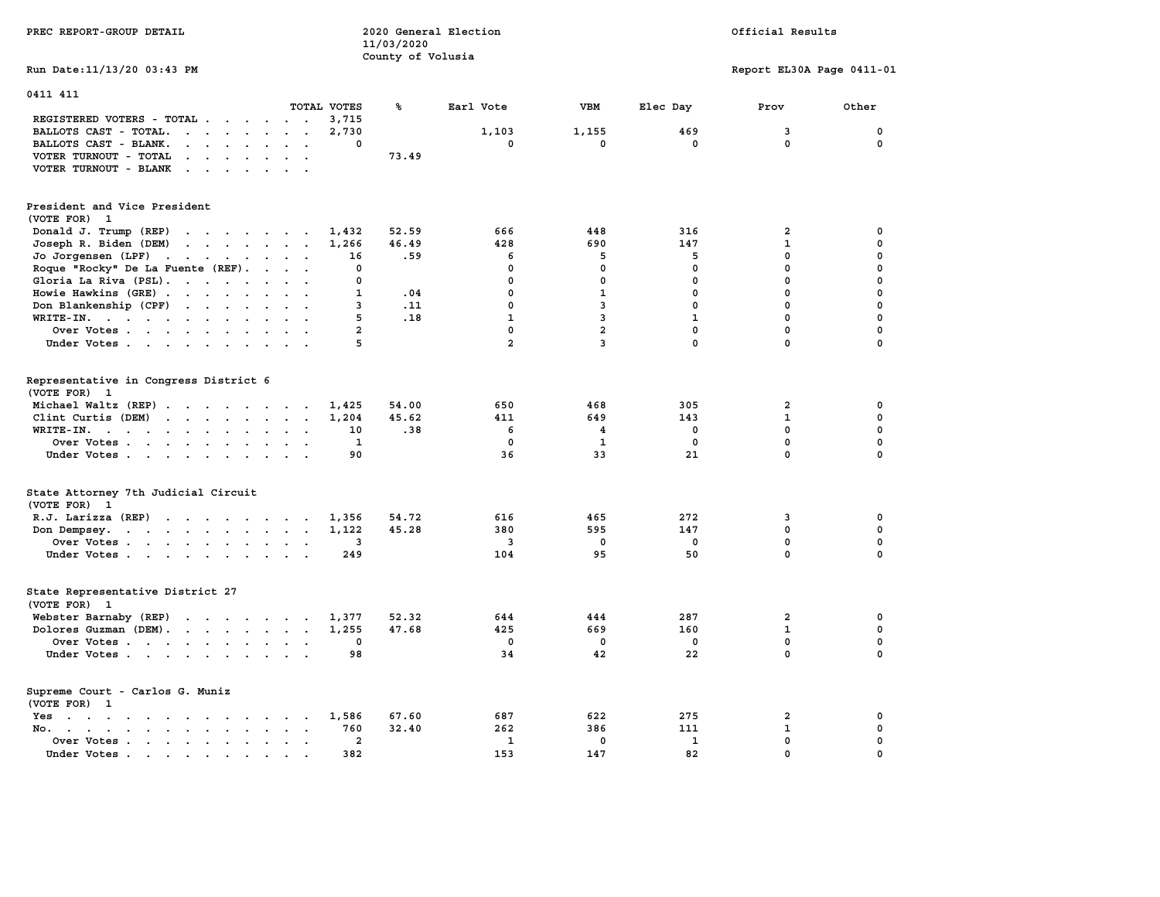| PREC REPORT-GROUP DETAIL                                                                                                                                                                                                                                                         |                                         | 11/03/2020<br>County of Volusia | 2020 General Election |                |              | Official Results          |             |
|----------------------------------------------------------------------------------------------------------------------------------------------------------------------------------------------------------------------------------------------------------------------------------|-----------------------------------------|---------------------------------|-----------------------|----------------|--------------|---------------------------|-------------|
| Run Date: 11/13/20 03:43 PM                                                                                                                                                                                                                                                      |                                         |                                 |                       |                |              | Report EL30A Page 0411-01 |             |
| 0411 411                                                                                                                                                                                                                                                                         |                                         |                                 |                       |                |              |                           |             |
| REGISTERED VOTERS - TOTAL .<br>$\sim$<br>$\sim$<br>$\sim$                                                                                                                                                                                                                        | TOTAL VOTES<br>$\cdot$ $\cdot$<br>3,715 | ℁                               | Earl Vote             | <b>VBM</b>     | Elec Day     | Prov                      | Other       |
| $\cdots$<br>BALLOTS CAST - TOTAL.                                                                                                                                                                                                                                                | 2,730                                   |                                 | 1,103                 | 1,155          | 469          | 3                         | 0           |
| BALLOTS CAST - BLANK.<br>$\cdot$ $\cdot$ $\cdot$ $\cdot$<br>$\sim$                                                                                                                                                                                                               | $\sim$<br>0<br>$\ddot{\phantom{a}}$     |                                 | $\mathbf 0$           | $\mathbf 0$    | $\mathbf 0$  | $\mathbf 0$               | $\mathbf 0$ |
| VOTER TURNOUT - TOTAL<br>$\mathbf{r}$ , $\mathbf{r}$ , $\mathbf{r}$                                                                                                                                                                                                              |                                         | 73.49                           |                       |                |              |                           |             |
| VOTER TURNOUT - BLANK<br>$\sim$                                                                                                                                                                                                                                                  |                                         |                                 |                       |                |              |                           |             |
| President and Vice President<br>(VOTE FOR) 1                                                                                                                                                                                                                                     |                                         |                                 |                       |                |              |                           |             |
| Donald J. Trump (REP)                                                                                                                                                                                                                                                            | 1,432                                   | 52.59                           | 666                   | 448            | 316          | $\overline{\mathbf{2}}$   | 0           |
| Joseph R. Biden (DEM)<br>$\mathbf{r}$ , and $\mathbf{r}$ , and $\mathbf{r}$ , and $\mathbf{r}$                                                                                                                                                                                   | 1,266                                   | 46.49                           | 428                   | 690            | 147          | $\mathbf{1}$              | 0           |
| Jo Jorgensen (LPF)                                                                                                                                                                                                                                                               | 16                                      | .59                             | 6                     | 5              | 5            | 0                         | $\Omega$    |
| Roque "Rocky" De La Fuente (REF).                                                                                                                                                                                                                                                | 0                                       |                                 | 0                     | 0              | 0            | $\mathbf 0$               | $\mathbf 0$ |
| Gloria La Riva (PSL).                                                                                                                                                                                                                                                            | 0                                       |                                 | $\mathbf 0$           | $\mathbf 0$    | $\mathbf{0}$ | $\mathbf{0}$              | 0           |
| Howie Hawkins (GRE)                                                                                                                                                                                                                                                              | $\mathbf{1}$                            | .04                             | $\mathbf 0$           | $\mathbf{1}$   | $\mathbf{0}$ | $\mathbf{0}$              | $\mathbf 0$ |
| Don Blankenship (CPF)                                                                                                                                                                                                                                                            | 3                                       | .11                             | $\mathbf 0$           | 3              | $\mathbf 0$  | $\mathbf{0}$              | $\mathbf 0$ |
| WRITE-IN.                                                                                                                                                                                                                                                                        | 5                                       | .18                             | $\mathbf{1}$          | 3              | $\mathbf{1}$ | $\mathbf 0$               | $\mathbf 0$ |
| Over Votes                                                                                                                                                                                                                                                                       | $\overline{a}$<br>$\sim$                |                                 | $\mathbf 0$           | $\overline{a}$ | $\mathbf 0$  | $\mathbf 0$               | $\mathbf 0$ |
| Under Votes                                                                                                                                                                                                                                                                      | 5                                       |                                 | $\overline{a}$        | $\overline{3}$ | $\mathbf{0}$ | $\Omega$                  | $\mathbf 0$ |
| Representative in Congress District 6<br>(VOTE FOR) 1<br>Michael Waltz (REP)                                                                                                                                                                                                     | 1,425                                   | 54.00                           | 650                   | 468            | 305          | $\mathbf{2}$              | 0           |
| Clint Curtis (DEM)                                                                                                                                                                                                                                                               | 1,204                                   | 45.62                           | 411                   | 649            | 143          | $\mathbf{1}$              | $\mathbf 0$ |
| WRITE-IN.<br>$\mathbf{r}$ . The contract of the contract of the contract of the contract of the contract of the contract of the contract of the contract of the contract of the contract of the contract of the contract of the contract of th<br>$\sim$<br>$\ddot{\phantom{a}}$ | 10<br>$\sim$<br>$\sim$                  | .38                             | 6                     | 4              | 0            | $\mathbf{0}$              | $\mathbf 0$ |
| Over Votes                                                                                                                                                                                                                                                                       | 1<br>$\sim$                             |                                 | $\mathbf 0$           | $\mathbf{1}$   | $\mathbf 0$  | $\mathbf 0$               | $\mathbf 0$ |
| Under Votes                                                                                                                                                                                                                                                                      | 90<br>$\sim$ $\sim$                     |                                 | 36                    | 33             | 21           | $\mathbf{0}$              | 0           |
| State Attorney 7th Judicial Circuit<br>(VOTE FOR) 1                                                                                                                                                                                                                              |                                         |                                 |                       |                |              |                           |             |
| R.J. Larizza $(REP)$                                                                                                                                                                                                                                                             | 1,356                                   | 54.72                           | 616                   | 465            | 272          | 3                         | 0           |
| Don Dempsey.<br>the contract of the contract of the contract of the contract of the contract of the contract of the contract of                                                                                                                                                  | 1,122                                   | 45.28                           | 380                   | 595            | 147          | $\mathbf 0$               | $\mathbf 0$ |
| Over Votes                                                                                                                                                                                                                                                                       | 3                                       |                                 | 3                     | $\mathbf 0$    | 0            | $\mathbf 0$               | $\pmb{0}$   |
| Under Votes                                                                                                                                                                                                                                                                      | 249                                     |                                 | 104                   | 95             | 50           | $\Omega$                  | $\mathbf 0$ |
| State Representative District 27<br>(VOTE FOR)<br>$\mathbf{1}$                                                                                                                                                                                                                   |                                         |                                 |                       |                |              |                           |             |
| Webster Barnaby (REP)                                                                                                                                                                                                                                                            | 1,377                                   | 52.32                           | 644                   | 444            | 287          | $\overline{\mathbf{2}}$   | $\mathbf 0$ |
| Dolores Guzman (DEM).                                                                                                                                                                                                                                                            | 1,255                                   | 47.68                           | 425                   | 669            | 160          | 1                         | 0           |
| Over Votes                                                                                                                                                                                                                                                                       | 0                                       |                                 | $\mathbf{0}$          | $\mathbf{0}$   | $\mathbf{0}$ | $\mathbf{0}$              | $\mathbf 0$ |
| Under Votes                                                                                                                                                                                                                                                                      | 98                                      |                                 | 34                    | 42             | 22           | $\mathbf 0$               | $\mathbf 0$ |
| Supreme Court - Carlos G. Muniz<br>(VOTE FOR) 1                                                                                                                                                                                                                                  |                                         |                                 |                       |                |              |                           |             |
| Yes<br>the contract of the contract of the contract of the contract of the contract of the contract of the contract of                                                                                                                                                           | 1,586                                   | 67.60                           | 687                   | 622            | 275          | $\overline{\mathbf{2}}$   | 0           |
| $\cdot$ $\cdot$ $\cdot$ $\cdot$ $\cdot$ $\cdot$ $\cdot$ $\cdot$<br>No.,<br>$\sim$ $\sim$                                                                                                                                                                                         | 760<br>$\mathcal{L}^{\mathcal{A}}$      | 32.40                           | 262                   | 386            | 111          | $\mathbf{1}$              | 0           |
| Over Votes                                                                                                                                                                                                                                                                       | $\overline{a}$<br>$\ddot{\phantom{0}}$  |                                 | 1                     | $\mathbf 0$    | $\mathbf{1}$ | $\mathbf 0$               | $\mathbf 0$ |
| Under Votes.<br>the contract of the contract of the contract of the contract of the contract of the contract of the contract of                                                                                                                                                  | 382                                     |                                 | 153                   | 147            | 82           | 0                         | $\mathbf 0$ |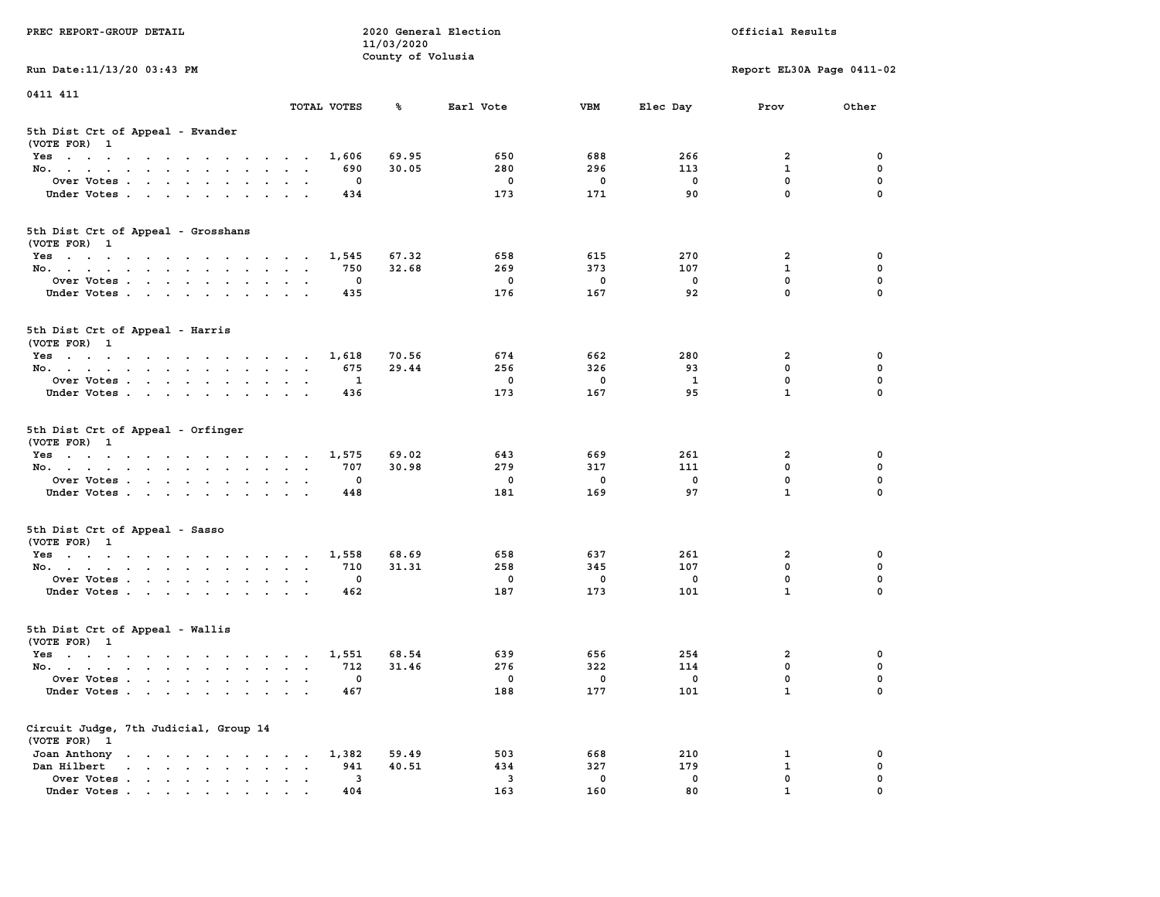| PREC REPORT-GROUP DETAIL                                                                                               |                                                     | 11/03/2020        | 2020 General Election |              |             | Official Results            |             |
|------------------------------------------------------------------------------------------------------------------------|-----------------------------------------------------|-------------------|-----------------------|--------------|-------------|-----------------------------|-------------|
| Run Date: 11/13/20 03:43 PM                                                                                            |                                                     | County of Volusia |                       |              |             | Report EL30A Page 0411-02   |             |
| 0411 411                                                                                                               |                                                     |                   |                       |              |             |                             |             |
|                                                                                                                        | TOTAL VOTES                                         | ℁                 | Earl Vote             | <b>VBM</b>   | Elec Day    | Prov                        | Other       |
| 5th Dist Crt of Appeal - Evander<br>(VOTE FOR) 1                                                                       |                                                     |                   |                       |              |             |                             |             |
| Yes                                                                                                                    | 1,606                                               | 69.95             | 650                   | 688          | 266         | 2                           | 0           |
| No.                                                                                                                    | 690                                                 | 30.05             | 280                   | 296          | 113         | $\mathbf{1}$                | 0           |
| Over Votes                                                                                                             | 0                                                   |                   | 0                     | 0            | 0           | $\mathbf 0$                 | 0           |
| Under Votes                                                                                                            | 434                                                 |                   | 173                   | 171          | 90          | $\mathbf 0$                 | $\Omega$    |
| 5th Dist Crt of Appeal - Grosshans<br>(VOTE FOR) 1                                                                     |                                                     |                   |                       |              |             |                             |             |
| Yes                                                                                                                    | 1,545                                               | 67.32             | 658                   | 615          | 270         | 2                           | 0           |
| No.                                                                                                                    | 750                                                 | 32.68             | 269                   | 373          | 107         | $\mathbf{1}$                | 0           |
| Over Votes                                                                                                             | 0                                                   |                   | $\mathbf 0$           | $\mathbf 0$  | $\mathbf 0$ | 0                           | 0           |
| Under Votes                                                                                                            | 435                                                 |                   | 176                   | 167          | 92          | $\mathbf{0}$                | 0           |
| 5th Dist Crt of Appeal - Harris<br>(VOTE FOR) 1                                                                        |                                                     |                   |                       |              |             |                             |             |
| Yes                                                                                                                    | 1,618                                               | 70.56             | 674                   | 662          | 280         | $\mathbf{2}$                | 0           |
| No.                                                                                                                    | 675                                                 | 29.44             | 256                   | 326          | 93          | $^{\circ}$                  | $\mathbf 0$ |
| Over Votes                                                                                                             | 1                                                   |                   | 0                     | 0            | 1           | $\mathbf 0$                 | 0           |
| Under Votes                                                                                                            | 436                                                 |                   | 173                   | 167          | 95          | $\mathbf{1}$                | 0           |
| 5th Dist Crt of Appeal - Orfinger<br>(VOTE FOR) 1                                                                      |                                                     |                   |                       |              |             |                             |             |
| Yes                                                                                                                    | 1,575                                               | 69.02             | 643                   | 669          | 261         | 2                           | 0           |
| No.                                                                                                                    | 707                                                 | 30.98             | 279                   | 317          | 111         | $\mathbf 0$                 | 0           |
| Over Votes                                                                                                             | 0                                                   |                   | 0                     | 0            | 0           | $\mathbf 0$                 | 0           |
| Under Votes                                                                                                            | 448                                                 |                   | 181                   | 169          | 97          | $\mathbf{1}$                | $\Omega$    |
| 5th Dist Crt of Appeal - Sasso<br>(VOTE FOR) 1                                                                         |                                                     |                   |                       |              |             |                             |             |
| Yes                                                                                                                    | 1,558                                               | 68.69             | 658                   | 637          | 261         | 2                           | 0           |
| No.                                                                                                                    | 710                                                 | 31.31             | 258                   | 345          | 107         | $\mathbf 0$                 | 0           |
| Over Votes                                                                                                             | 0                                                   |                   | $\mathbf 0$           | 0            | 0           | $\mathbf 0$                 | 0           |
| Under Votes                                                                                                            | 462                                                 |                   | 187                   | 173          | 101         | $\mathbf{1}$                | $\Omega$    |
| 5th Dist Crt of Appeal - Wallis<br>(VOTE FOR) 1                                                                        |                                                     |                   |                       |              |             |                             |             |
| Yes<br>the contract of the contract of the contract of the contract of the contract of the contract of the contract of | 1,551                                               | 68.54             | 639                   | 656          | 254         | 2                           | 0           |
| No.                                                                                                                    | 712                                                 | 31.46             | 276                   | 322          | 114         | $\mathbf 0$                 | 0           |
| Over Votes                                                                                                             | 0                                                   |                   | 0                     | $\mathbf{0}$ | 0           | $\mathbf 0$                 | 0           |
| Under Votes.                                                                                                           | 467                                                 |                   | 188                   | 177          | 101         | $\mathbf{1}$                | 0           |
| Circuit Judge, 7th Judicial, Group 14<br>(VOTE FOR) 1                                                                  |                                                     |                   |                       |              |             |                             |             |
| Joan Anthony                                                                                                           | 1,382                                               | 59.49             | 503                   | 668          | 210         | 1                           | 0           |
| Dan Hilbert<br>$\cdot$ $\cdot$ $\cdot$ $\cdot$ $\cdot$ $\cdot$ $\cdot$ $\cdot$                                         | 941<br>$\ddot{\phantom{a}}$<br>$\ddot{\phantom{a}}$ | 40.51             | 434                   | 327          | 179         | $\mathbf{1}$                | 0           |
| Over Votes                                                                                                             | 3                                                   |                   | 3                     | 0            | 0<br>80     | $\mathbf 0$<br>$\mathbf{1}$ | 0           |
| Under Votes                                                                                                            | 404                                                 |                   | 163                   | 160          |             |                             |             |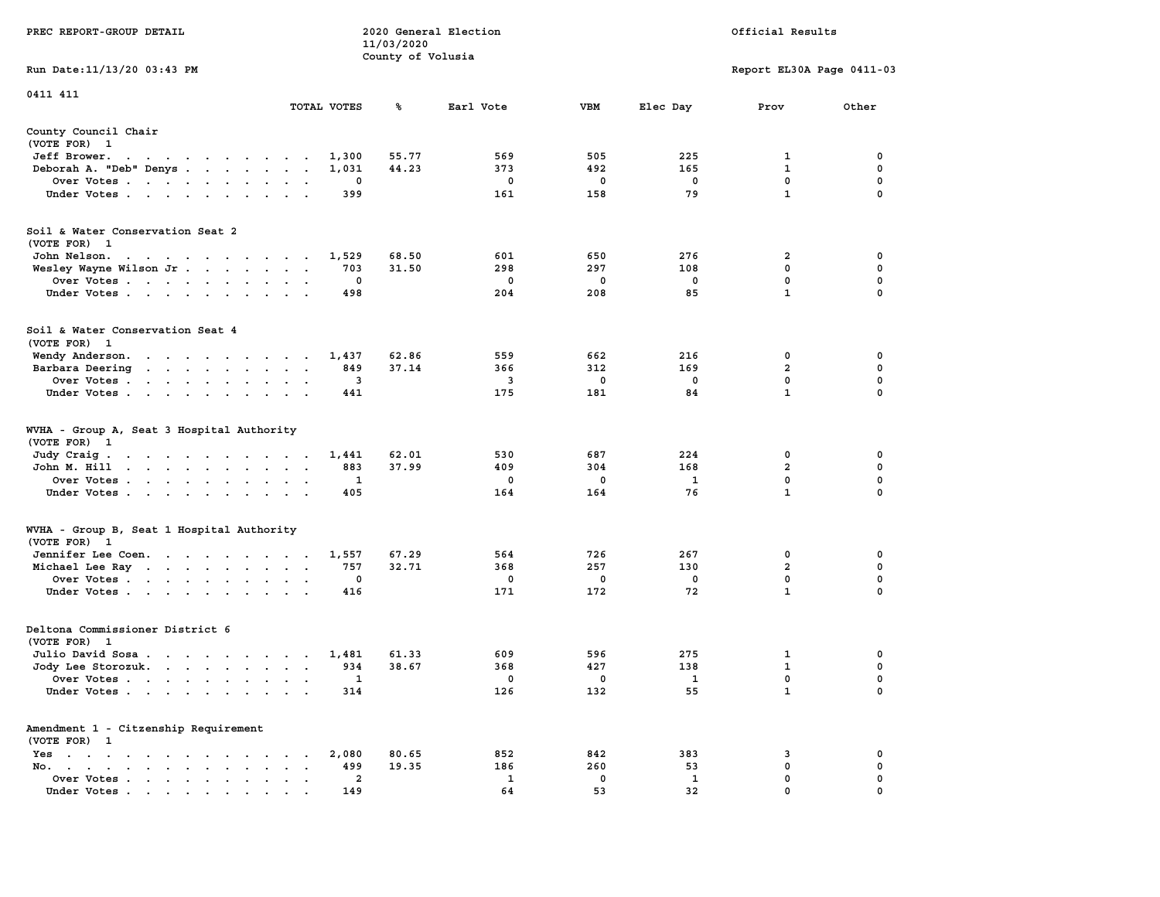|                                                           |                                                 | 11/03/2020        |                         |                     |                    |                             |                         |
|-----------------------------------------------------------|-------------------------------------------------|-------------------|-------------------------|---------------------|--------------------|-----------------------------|-------------------------|
| Run Date: 11/13/20 03:43 PM                               |                                                 | County of Volusia |                         |                     |                    | Report EL30A Page 0411-03   |                         |
|                                                           |                                                 |                   |                         |                     |                    |                             |                         |
| 0411 411                                                  | TOTAL VOTES                                     | ℁                 | Earl Vote               | <b>VBM</b>          | Elec Day           | Prov                        | Other                   |
| County Council Chair                                      |                                                 |                   |                         |                     |                    |                             |                         |
| (VOTE FOR) 1                                              |                                                 |                   |                         |                     |                    |                             |                         |
| Jeff Brower.<br>the contract of the contract of the con-  | 1,300                                           | 55.77             | 569                     | 505                 | 225                | 1                           | $\Omega$                |
| Deborah A. "Deb" Denys                                    | 1,031                                           | 44.23             | 373                     | 492                 | 165                | $\mathbf{1}$                | $\mathbf 0$             |
| Over Votes                                                | 0                                               |                   | $\mathbf 0$             | $\mathbf 0$         | $\mathbf 0$        | $\mathbf 0$                 | $\mathbf 0$             |
| Under Votes                                               | 399                                             |                   | 161                     | 158                 | 79                 | $\mathbf{1}$                | $\mathbf 0$             |
| Soil & Water Conservation Seat 2<br>(VOTE FOR) 1          |                                                 |                   |                         |                     |                    |                             |                         |
| John Nelson.<br>the contract of the contract of the con-  | 1,529                                           | 68.50             | 601                     | 650                 | 276                | 2                           | 0                       |
| Wesley Wayne Wilson Jr.                                   | 703                                             | 31.50             | 298                     | 297                 | 108                | $\mathbf{0}$                | $\mathbf 0$             |
| Over Votes                                                | 0                                               |                   | $\mathbf 0$             | 0                   | $\mathbf 0$        | 0                           | 0                       |
| Under Votes                                               | 498                                             |                   | 204                     | 208                 | 85                 | $\mathbf{1}$                | $\Omega$                |
| Soil & Water Conservation Seat 4                          |                                                 |                   |                         |                     |                    |                             |                         |
| (VOTE FOR) 1                                              |                                                 |                   |                         |                     |                    |                             |                         |
| Wendy Anderson.                                           | 1,437                                           | 62.86             | 559                     | 662                 | 216                | $\mathbf 0$                 | 0                       |
| Barbara Deering                                           | 849                                             | 37.14             | 366                     | 312                 | 169                | $\overline{2}$              | 0                       |
| Over Votes                                                | 3                                               |                   | $\overline{\mathbf{3}}$ | 0                   | $\mathbf 0$        | $\mathbf 0$                 | 0                       |
| Under Votes                                               | 441                                             |                   | 175                     | 181                 | 84                 | $\mathbf{1}$                | $\mathbf 0$             |
| WVHA - Group A, Seat 3 Hospital Authority<br>(VOTE FOR) 1 |                                                 |                   |                         |                     |                    |                             |                         |
| Judy Craig.                                               | 1,441                                           | 62.01             | 530                     | 687                 | 224                | 0                           | 0                       |
| John M. Hill                                              | 883                                             | 37.99             | 409                     | 304                 | 168                | $\overline{2}$              | $\mathbf 0$             |
| Over Votes                                                | $\mathbf{1}$                                    |                   | $\Omega$                | $\mathbf 0$         | $\mathbf{1}$       | $\mathbf 0$                 | $\mathbf 0$             |
| Under Votes                                               | 405<br>$\cdot$ $\cdot$ $\cdot$                  |                   | 164                     | 164                 | 76                 | $\mathbf{1}$                | $\mathbf 0$             |
| WVHA - Group B, Seat 1 Hospital Authority                 |                                                 |                   |                         |                     |                    |                             |                         |
| (VOTE FOR) 1                                              |                                                 | 67.29             | 564                     | 726                 | 267                | $\mathbf{0}$                | 0                       |
| Jennifer Lee Coen.<br>Michael Lee Ray                     | 1,557<br>757                                    | 32.71             | 368                     | 257                 | 130                | $\overline{a}$              | $\mathbf 0$             |
| Over Votes                                                | $\mathbf 0$                                     |                   | $\mathbf 0$             | $\mathbf 0$         | $\mathbf 0$        | $\mathbf 0$                 | 0                       |
| Under Votes                                               | 416                                             |                   | 171                     | 172                 | 72                 | $\mathbf{1}$                | $\mathbf 0$             |
|                                                           |                                                 |                   |                         |                     |                    |                             |                         |
| Deltona Commissioner District 6                           |                                                 |                   |                         |                     |                    |                             |                         |
| (VOTE FOR) 1                                              |                                                 |                   |                         |                     |                    |                             |                         |
| Julio David Sosa                                          | 1,481                                           | 61.33             | 609                     | 596                 | 275                | 1                           | 0                       |
| Jody Lee Storozuk.                                        | 934                                             | 38.67             | 368                     | 427                 | 138                | 1                           | $\mathbf 0$             |
| Over Votes                                                | 1<br>$\sim$ $\sim$<br>314                       |                   | $\mathbf 0$<br>126      | $\mathbf{o}$<br>132 | $\mathbf{1}$<br>55 | $\mathbf 0$<br>$\mathbf{1}$ | $\mathbf 0$<br>$\Omega$ |
| Under Votes                                               |                                                 |                   |                         |                     |                    |                             |                         |
| Amendment 1 - Citzenship Requirement                      |                                                 |                   |                         |                     |                    |                             |                         |
| (VOTE FOR) 1                                              |                                                 |                   |                         |                     |                    |                             |                         |
| Yes<br>No.                                                | 2,080<br>499                                    | 80.65<br>19.35    | 852<br>186              | 842<br>260          | 383<br>53          | 3<br>$\mathbf{0}$           | 0<br>$\mathbf 0$        |
| the contract of the contract of the                       | $\sim$ $-$<br>$\cdot$ $\cdot$<br>$\overline{2}$ |                   | 1                       | $^{\circ}$          | $\mathbf{1}$       | $\mathbf{0}$                | $\mathbf 0$             |
| Over Votes<br>Under Votes                                 | $\bullet$<br>$\sim$ $\sim$<br>149               |                   | 64                      | 53                  | 32                 | $\mathbf{0}$                | $\mathbf 0$             |
|                                                           |                                                 |                   |                         |                     |                    |                             |                         |

**PREC REPORT-GROUP DETAIL COMPUTER CONSUMING A LOCAL PREC** REPORT-GROUP DETAIL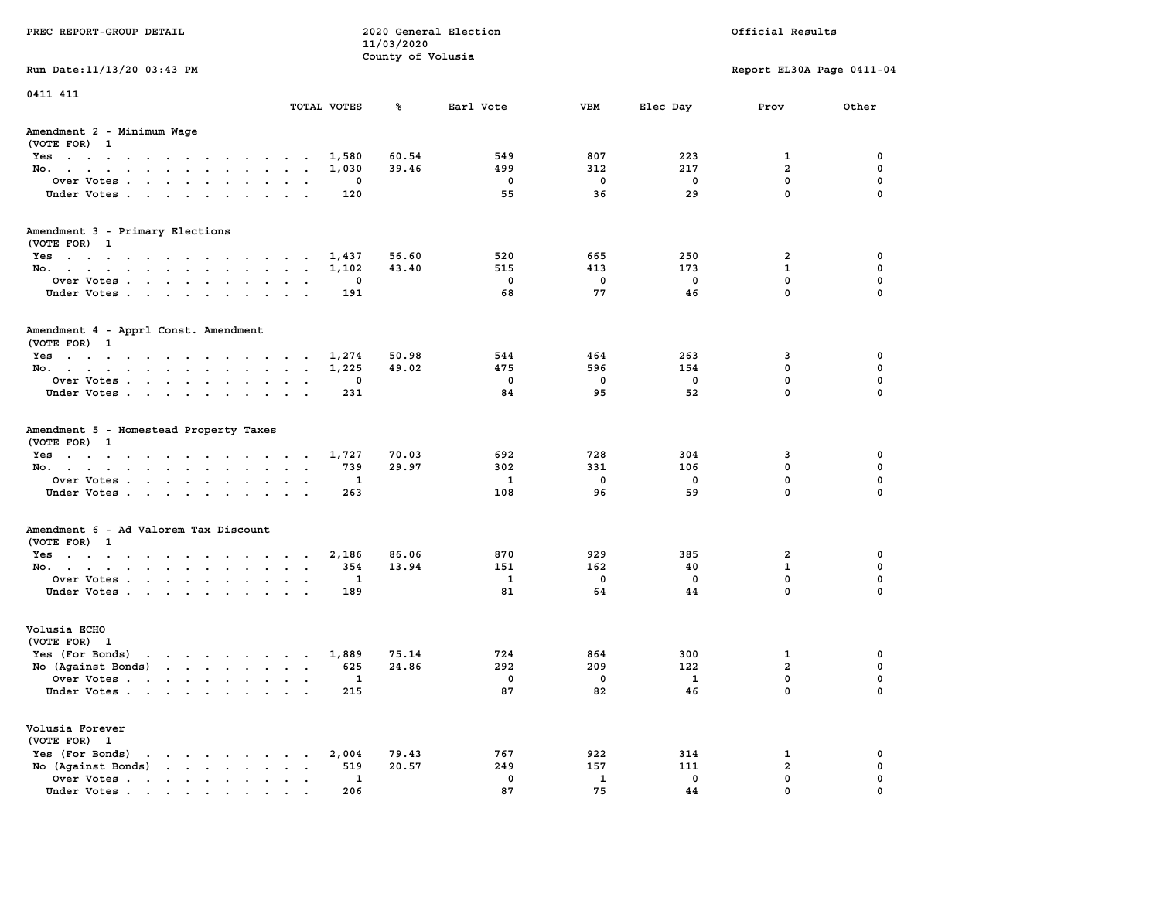| PREC REPORT-GROUP DETAIL                                                                                                                                                                                                                             |                             | 11/03/2020        | 2020 General Election   |              |              | Official Results          |             |
|------------------------------------------------------------------------------------------------------------------------------------------------------------------------------------------------------------------------------------------------------|-----------------------------|-------------------|-------------------------|--------------|--------------|---------------------------|-------------|
| Run Date: 11/13/20 03:43 PM                                                                                                                                                                                                                          |                             | County of Volusia |                         |              |              | Report EL30A Page 0411-04 |             |
|                                                                                                                                                                                                                                                      |                             |                   |                         |              |              |                           |             |
| 0411 411                                                                                                                                                                                                                                             | TOTAL VOTES                 | ጜ                 | Earl Vote               | VBM          | Elec Day     | Prov                      | Other       |
| Amendment 2 - Minimum Wage<br>(VOTE FOR) 1                                                                                                                                                                                                           |                             |                   |                         |              |              |                           |             |
| Yes                                                                                                                                                                                                                                                  | 1,580                       | 60.54             | 549                     | 807          | 223          | 1                         | 0           |
| No.                                                                                                                                                                                                                                                  | 1,030                       | 39.46             | 499                     | 312          | 217          | $\overline{a}$            | $\mathbf 0$ |
| Over Votes                                                                                                                                                                                                                                           | 0                           |                   | 0                       | 0            | 0            | $\mathbf 0$               | 0           |
| Under Votes                                                                                                                                                                                                                                          | 120                         |                   | 55                      | 36           | 29           | $\mathbf 0$               | $\Omega$    |
| Amendment 3 - Primary Elections                                                                                                                                                                                                                      |                             |                   |                         |              |              |                           |             |
| (VOTE FOR) 1                                                                                                                                                                                                                                         |                             |                   |                         |              |              |                           |             |
| Yes<br>No.                                                                                                                                                                                                                                           | 1,437<br>1,102              | 56.60<br>43.40    | 520<br>515              | 665<br>413   | 250<br>173   | 2<br>$\mathbf{1}$         | 0<br>0      |
| Over Votes                                                                                                                                                                                                                                           | 0                           |                   | $\overline{\mathbf{0}}$ | $\mathbf 0$  | $\mathbf 0$  | $\mathbf 0$               | $\mathbf 0$ |
| Under Votes                                                                                                                                                                                                                                          | 191                         |                   | 68                      | 77           | 46           | $\mathbf{0}$              | $\Omega$    |
| Amendment 4 - Apprl Const. Amendment<br>(VOTE FOR) 1                                                                                                                                                                                                 |                             |                   |                         |              |              |                           |             |
| Yes                                                                                                                                                                                                                                                  | 1,274                       | 50.98             | 544                     | 464          | 263          | 3                         | 0           |
| No.                                                                                                                                                                                                                                                  | 1,225                       | 49.02             | 475                     | 596          | 154          | 0                         | 0           |
| Over Votes                                                                                                                                                                                                                                           | 0                           |                   | $\mathbf 0$             | 0            | 0            | $\mathbf 0$               | $\mathbf 0$ |
| Under Votes                                                                                                                                                                                                                                          | 231                         |                   | 84                      | 95           | 52           | $\mathbf 0$               | $\mathbf 0$ |
| Amendment 5 - Homestead Property Taxes<br>(VOTE FOR) 1                                                                                                                                                                                               |                             |                   |                         |              |              |                           |             |
| Yes                                                                                                                                                                                                                                                  | 1,727                       | 70.03             | 692                     | 728          | 304          | 3                         | 0           |
| No.                                                                                                                                                                                                                                                  | 739                         | 29.97             | 302                     | 331          | 106          | $\mathbf 0$               | 0           |
| Over Votes                                                                                                                                                                                                                                           | 1                           |                   | <b>1</b>                | 0            | 0            | $\mathbf 0$               | 0           |
| Under Votes                                                                                                                                                                                                                                          | 263                         |                   | 108                     | 96           | 59           | $\mathbf 0$               | $\Omega$    |
| Amendment 6 - Ad Valorem Tax Discount<br>(VOTE FOR) 1                                                                                                                                                                                                |                             |                   |                         |              |              |                           |             |
| Yes                                                                                                                                                                                                                                                  | 2,186                       | 86.06             | 870                     | 929          | 385          | 2                         | 0           |
| No.                                                                                                                                                                                                                                                  | 354                         | 13.94             | 151                     | 162          | 40           | $\mathbf{1}$              | 0           |
| Over Votes                                                                                                                                                                                                                                           | 1                           |                   | 1                       | 0            | 0            | $\mathbf 0$               | 0           |
| Under Votes                                                                                                                                                                                                                                          | 189                         |                   | 81                      | 64           | 44           | $\Omega$                  | $\Omega$    |
| Volusia ECHO<br>(VOTE FOR) 1                                                                                                                                                                                                                         |                             |                   |                         |              |              |                           |             |
| Yes (For Bonds)<br>$\mathbf{r}$ . The set of the set of the set of the set of the set of the set of the set of the set of the set of the set of the set of the set of the set of the set of the set of the set of the set of the set of the set of t | 1,889                       | 75.14             | 724                     | 864          | 300          | 1                         | 0           |
| No (Against Bonds)                                                                                                                                                                                                                                   | 625                         | 24.86             | 292                     | 209          | 122          | $\overline{a}$            | 0           |
| Over Votes<br>the contract of the contract of the contract of the contract of the contract of the contract of the contract of<br>$\bullet$                                                                                                           | 1                           |                   | 0                       | 0            | $\mathbf{1}$ | $\Omega$                  | $\mathbf 0$ |
| Under Votes                                                                                                                                                                                                                                          | 215                         |                   | 87                      | 82           | 46           | 0                         | 0           |
| Volusia Forever<br>(VOTE FOR) 1                                                                                                                                                                                                                      |                             |                   |                         |              |              |                           |             |
| Yes (For Bonds)<br>$\cdot$ $\cdot$ $\cdot$ $\cdot$ $\cdot$ $\cdot$                                                                                                                                                                                   | 2,004                       | 79.43             | 767                     | 922          | 314          | 1                         | 0           |
| $\mathbf{r}$ , $\mathbf{r}$ , $\mathbf{r}$ , $\mathbf{r}$<br>No (Against Bonds)                                                                                                                                                                      | 519<br>$\ddot{\phantom{a}}$ | 20.57             | 249                     | 157          | 111          | $\overline{2}$            | $\mathbf 0$ |
| Over Votes.<br>$\mathbf{r}$                                                                                                                                                                                                                          | 1                           |                   | 0                       | $\mathbf{1}$ | 0            | $\mathbf 0$               | 0<br>O      |
| Under Votes                                                                                                                                                                                                                                          | 206                         |                   | 87                      | 75           | 44           | $\mathbf{0}$              |             |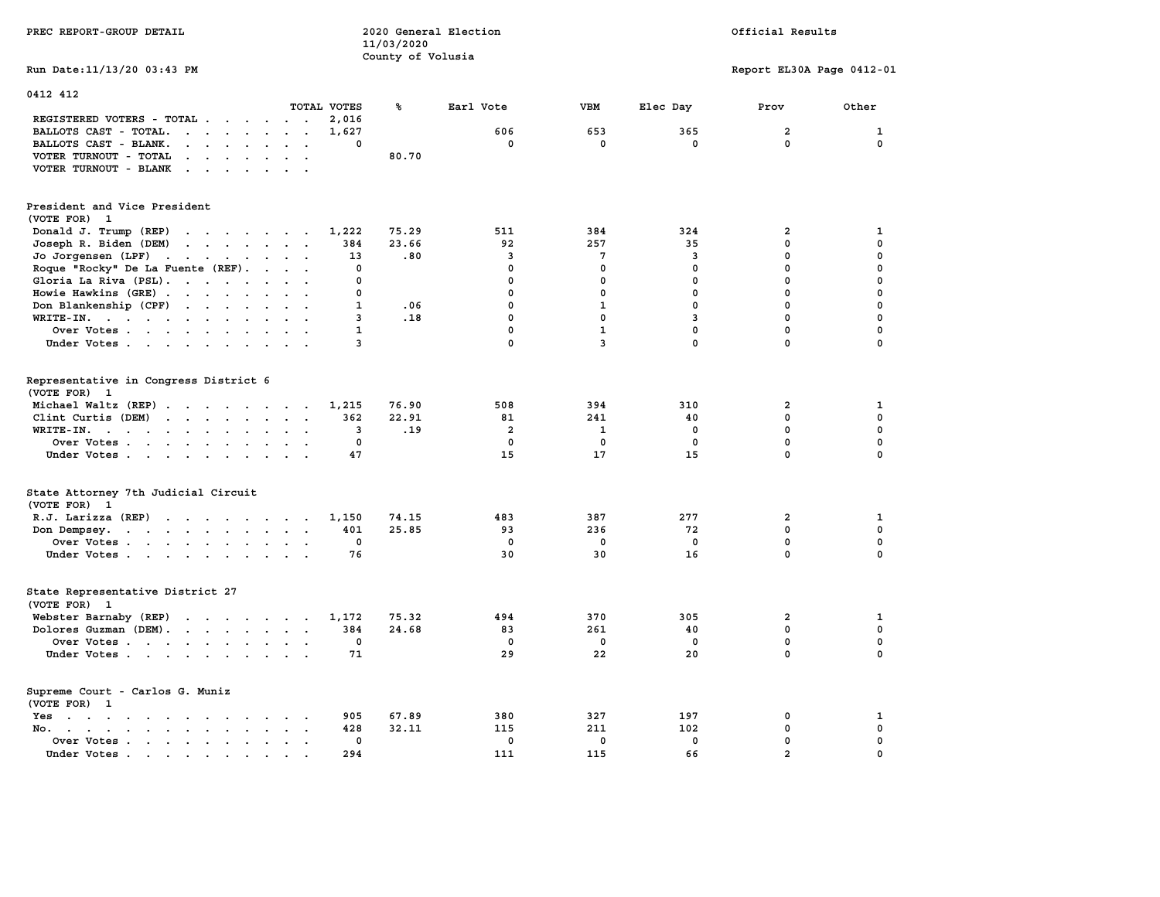| PREC REPORT-GROUP DETAIL                                                                                                                                                                                                                                   |                                        | 11/03/2020            | 2020 General Election                             |                                                 |                                               | Official Results                                                           |                                                               |
|------------------------------------------------------------------------------------------------------------------------------------------------------------------------------------------------------------------------------------------------------------|----------------------------------------|-----------------------|---------------------------------------------------|-------------------------------------------------|-----------------------------------------------|----------------------------------------------------------------------------|---------------------------------------------------------------|
| Run Date: 11/13/20 03:43 PM                                                                                                                                                                                                                                |                                        | County of Volusia     |                                                   |                                                 |                                               | Report EL30A Page 0412-01                                                  |                                                               |
| 0412 412                                                                                                                                                                                                                                                   |                                        |                       |                                                   |                                                 |                                               |                                                                            |                                                               |
|                                                                                                                                                                                                                                                            | TOTAL VOTES                            | ℁                     | Earl Vote                                         | <b>VBM</b>                                      | Elec Day                                      | Prov                                                                       | Other                                                         |
| REGISTERED VOTERS - TOTAL                                                                                                                                                                                                                                  | 2,016                                  |                       |                                                   |                                                 |                                               |                                                                            |                                                               |
| BALLOTS CAST - TOTAL.<br>$\cdots$                                                                                                                                                                                                                          | 1,627                                  |                       | 606                                               | 653                                             | 365                                           | $\overline{a}$                                                             | $\mathbf 1$                                                   |
| BALLOTS CAST - BLANK.<br>$\mathbf{r}$ . The set of the set of the set of the set of the set of the set of the set of the set of the set of the set of the set of the set of the set of the set of the set of the set of the set of the set of the set of t | 0                                      |                       | $\mathbf 0$                                       | $\mathbf 0$                                     | $\mathbf 0$                                   | $\mathbf 0$                                                                | $\mathbf 0$                                                   |
| VOTER TURNOUT - TOTAL<br>$\cdots$                                                                                                                                                                                                                          |                                        | 80.70                 |                                                   |                                                 |                                               |                                                                            |                                                               |
| VOTER TURNOUT - BLANK                                                                                                                                                                                                                                      |                                        |                       |                                                   |                                                 |                                               |                                                                            |                                                               |
| President and Vice President                                                                                                                                                                                                                               |                                        |                       |                                                   |                                                 |                                               |                                                                            |                                                               |
| (VOTE FOR) 1                                                                                                                                                                                                                                               |                                        |                       |                                                   |                                                 |                                               |                                                                            |                                                               |
| Donald J. Trump (REP)<br>the contract of the contract of the                                                                                                                                                                                               | 1,222                                  | 75.29                 | 511                                               | 384                                             | 324                                           | $\overline{2}$                                                             | 1                                                             |
| Joseph R. Biden (DEM)<br>$\mathbf{r}$ . The contract of the contract of the contract of the contract of the contract of the contract of the contract of the contract of the contract of the contract of the contract of the contract of the contract of th | 384                                    | 23.66                 | 92                                                | 257                                             | 35                                            | $\mathbf 0$                                                                | $\mathbf 0$                                                   |
| Jo Jorgensen $(LPF)$                                                                                                                                                                                                                                       | 13                                     | .80                   | 3                                                 | $7\phantom{.0}$                                 | 3                                             | $\mathbf 0$                                                                | $\mathbf 0$                                                   |
| Roque "Rocky" De La Fuente (REF).<br>$\mathbf{r}$ . The set of $\mathbf{r}$                                                                                                                                                                                | 0                                      |                       | $\mathbf 0$                                       | $\mathbf 0$                                     | $\mathbf 0$                                   | $\mathbf 0$                                                                | $\mathbf 0$                                                   |
| Gloria La Riva (PSL).                                                                                                                                                                                                                                      | 0                                      |                       | $\mathbf 0$                                       | $\mathbf 0$                                     | $\mathbf 0$                                   | $\mathbf 0$                                                                | $\mathbf 0$                                                   |
| Howie Hawkins (GRE)                                                                                                                                                                                                                                        | 0                                      |                       | $\mathbf{0}$                                      | $\mathbf 0$                                     | 0                                             | $\mathbf 0$                                                                | $\mathbf 0$                                                   |
| Don Blankenship (CPF)                                                                                                                                                                                                                                      | $\mathbf{1}$                           | .06                   | $\mathbf 0$                                       | $\mathbf{1}$                                    | $\mathbf 0$                                   | $\mathbf 0$                                                                | $\mathbf 0$                                                   |
| WRITE-IN.<br>$\cdot$ $\cdot$ $\cdot$                                                                                                                                                                                                                       | 3                                      | .18                   | $\mathbf 0$                                       | $\mathbf 0$                                     | 3                                             | $\mathbf 0$                                                                | $\mathbf 0$                                                   |
| Over Votes                                                                                                                                                                                                                                                 | $\mathbf{1}$                           |                       | $\mathbf{0}$                                      | $\mathbf{1}$                                    | 0                                             | $\mathbf 0$                                                                | $\mathbf 0$                                                   |
| Under Votes                                                                                                                                                                                                                                                | 3                                      |                       | $\mathbf{0}$                                      | $\overline{3}$                                  | $\mathbf{0}$                                  | $\mathbf 0$                                                                | $\Omega$                                                      |
| Representative in Congress District 6<br>(VOTE FOR) 1<br>Michael Waltz (REP)<br>Clint Curtis (DEM)<br>WRITE-IN.<br>$\mathbf{r}$ , and $\mathbf{r}$ , and $\mathbf{r}$ , and $\mathbf{r}$ , and $\mathbf{r}$<br>Over Votes<br>Under Votes<br>$\cdots$       | 1,215<br>362<br>3<br>$\mathbf 0$<br>47 | 76.90<br>22.91<br>.19 | 508<br>81<br>$\overline{a}$<br>$\mathbf{0}$<br>15 | 394<br>241<br>$\mathbf{1}$<br>$\mathbf 0$<br>17 | 310<br>40<br>$\mathbf 0$<br>$\mathbf 0$<br>15 | $\overline{2}$<br>$\mathbf 0$<br>$\mathbf 0$<br>$\mathbf 0$<br>$\mathbf 0$ | 1<br>$\mathbf 0$<br>$\mathbf 0$<br>$\mathbf 0$<br>$\mathbf 0$ |
| State Attorney 7th Judicial Circuit<br>(VOTE FOR) 1                                                                                                                                                                                                        |                                        |                       |                                                   |                                                 |                                               |                                                                            |                                                               |
| R.J. Larizza (REP)                                                                                                                                                                                                                                         | 1,150                                  | 74.15                 | 483                                               | 387                                             | 277                                           | $\overline{a}$                                                             | 1                                                             |
| Don Dempsey.                                                                                                                                                                                                                                               | 401                                    | 25.85                 | 93                                                | 236                                             | 72                                            | $\mathbf{0}$                                                               | $\mathbf 0$                                                   |
| Over Votes                                                                                                                                                                                                                                                 | 0                                      |                       | 0                                                 | 0                                               | 0                                             | $\mathbf 0$                                                                | $\mathbf 0$                                                   |
| Under Votes                                                                                                                                                                                                                                                | 76                                     |                       | 30                                                | 30                                              | 16                                            | $\mathbf 0$                                                                | $\Omega$                                                      |
| State Representative District 27<br>(VOTE FOR) 1                                                                                                                                                                                                           |                                        |                       |                                                   |                                                 |                                               |                                                                            |                                                               |
| Webster Barnaby (REP)                                                                                                                                                                                                                                      | 1,172                                  | 75.32                 | 494                                               | 370                                             | 305                                           | $\overline{2}$                                                             | 1                                                             |
| Dolores Guzman (DEM).                                                                                                                                                                                                                                      | 384                                    | 24.68                 | 83                                                | 261                                             | 40                                            | $\mathbf 0$                                                                | 0                                                             |
| Over Votes                                                                                                                                                                                                                                                 | 0                                      |                       | $\mathbf 0$                                       | 0                                               | 0                                             | $\mathbf 0$                                                                | $\mathbf 0$                                                   |
| Under Votes                                                                                                                                                                                                                                                | 71                                     |                       | 29                                                | 22                                              | 20                                            | $\mathbf 0$                                                                | $\mathbf 0$                                                   |
| Supreme Court - Carlos G. Muniz<br>(VOTE FOR) 1                                                                                                                                                                                                            |                                        |                       |                                                   |                                                 |                                               |                                                                            |                                                               |
| Yes                                                                                                                                                                                                                                                        | 905                                    | 67.89                 | 380                                               | 327                                             | 197                                           | 0                                                                          | 1                                                             |
| No. .<br>$\mathbf{r}$ , $\mathbf{r}$ , $\mathbf{r}$ , $\mathbf{r}$ , $\mathbf{r}$ , $\mathbf{r}$ , $\mathbf{r}$                                                                                                                                            | 428                                    | 32.11                 | 115                                               | 211                                             | 102                                           | $\mathbf 0$                                                                | $\mathbf 0$                                                   |
| Over Votes<br>$\mathbf{a} = \mathbf{a}$<br>$\sim$                                                                                                                                                                                                          | $\mathbf 0$                            |                       | $\mathbf 0$                                       | $\mathbf 0$                                     | $\mathbf 0$                                   | $\mathbf 0$                                                                | $\mathbf 0$                                                   |
| Under Votes.                                                                                                                                                                                                                                               | 294                                    |                       | 111                                               | 115                                             | 66                                            | $\overline{a}$                                                             | $\mathbf 0$                                                   |
| the contract of the contract of the contract of the contract of the contract of the contract of the contract of                                                                                                                                            |                                        |                       |                                                   |                                                 |                                               |                                                                            |                                                               |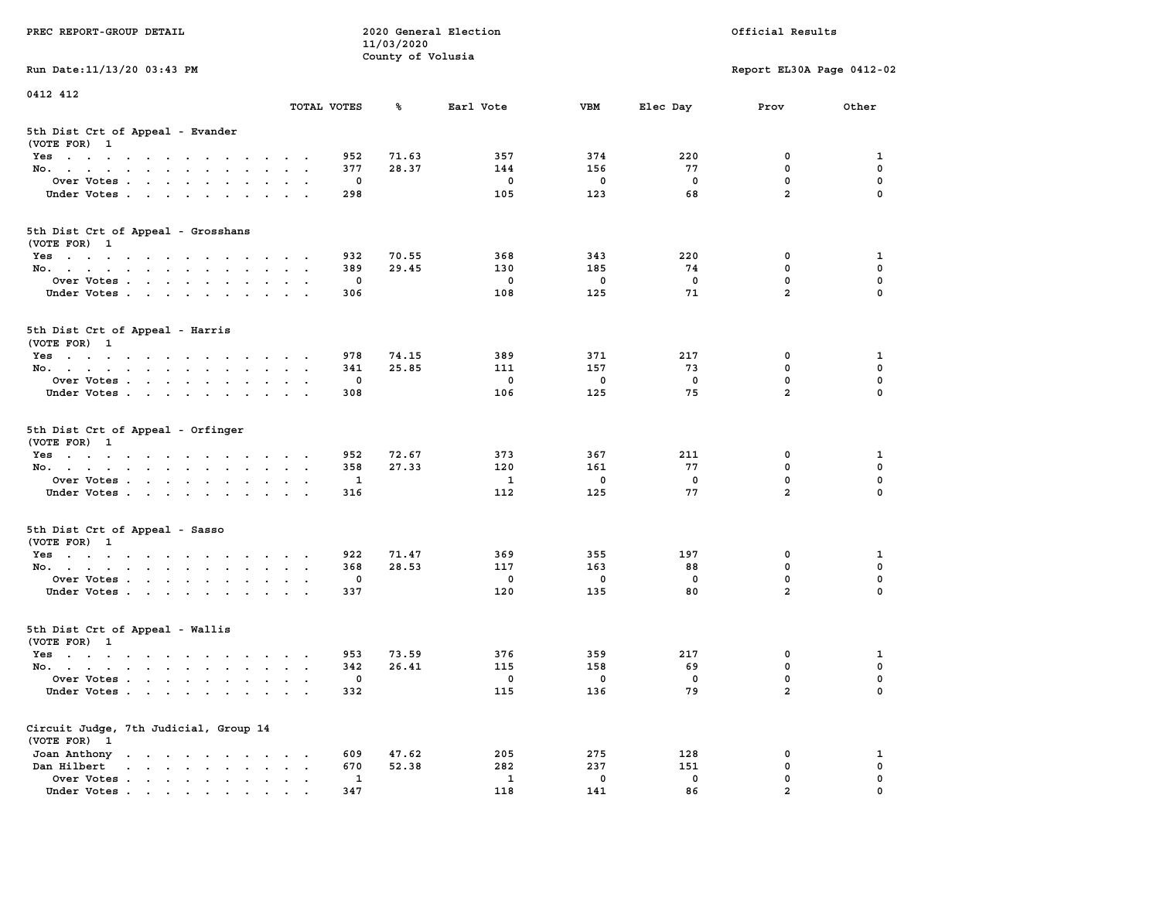| PREC REPORT-GROUP DETAIL                                                                                               |                                                           |              | 11/03/2020        | 2020 General Election |             |             | Official Results              |               |
|------------------------------------------------------------------------------------------------------------------------|-----------------------------------------------------------|--------------|-------------------|-----------------------|-------------|-------------|-------------------------------|---------------|
| Run Date: 11/13/20 03:43 PM                                                                                            |                                                           |              | County of Volusia |                       |             |             | Report EL30A Page 0412-02     |               |
| 0412 412                                                                                                               |                                                           |              |                   |                       |             |             |                               |               |
|                                                                                                                        | TOTAL VOTES                                               |              | ℁                 | Earl Vote             | <b>VBM</b>  | Elec Day    | Prov                          | Other         |
| 5th Dist Crt of Appeal - Evander<br>(VOTE FOR) 1                                                                       |                                                           |              |                   |                       |             |             |                               |               |
| Yes                                                                                                                    |                                                           | 952          | 71.63             | 357                   | 374         | 220         | 0                             | 1             |
| No.                                                                                                                    |                                                           | 377          | 28.37             | 144                   | 156         | 77          | $\mathbf 0$                   | 0             |
| Over Votes                                                                                                             |                                                           | 0            |                   | 0                     | 0           | 0           | $\mathbf 0$                   | 0             |
| Under Votes                                                                                                            |                                                           | 298          |                   | 105                   | 123         | 68          | $\overline{a}$                | $\Omega$      |
| 5th Dist Crt of Appeal - Grosshans<br>(VOTE FOR) 1                                                                     |                                                           |              |                   |                       |             |             |                               |               |
| Yes                                                                                                                    |                                                           | 932          | 70.55             | 368                   | 343         | 220         | 0                             | 1             |
| No.                                                                                                                    |                                                           | 389          | 29.45             | 130                   | 185         | 74          | $\mathbf 0$                   | 0             |
| Over Votes                                                                                                             |                                                           | 0            |                   | 0                     | $\mathbf 0$ | $\mathbf 0$ | $\mathbf 0$                   | 0             |
| Under Votes                                                                                                            |                                                           | 306          |                   | 108                   | 125         | 71          | $\overline{a}$                | 0             |
| 5th Dist Crt of Appeal - Harris<br>(VOTE FOR) 1                                                                        |                                                           |              |                   |                       |             |             |                               |               |
| Yes                                                                                                                    |                                                           | 978          | 74.15             | 389                   | 371         | 217         | 0                             | 1             |
| No.                                                                                                                    |                                                           | 341          | 25.85             | 111                   | 157         | 73          | 0                             | $\mathbf 0$   |
| Over Votes                                                                                                             |                                                           | 0            |                   | 0                     | 0           | 0           | $\mathbf 0$                   | 0             |
| Under Votes                                                                                                            |                                                           | 308          |                   | 106                   | 125         | 75          | $\overline{a}$                | 0             |
| 5th Dist Crt of Appeal - Orfinger<br>(VOTE FOR) 1                                                                      |                                                           |              |                   |                       |             |             |                               |               |
| Yes                                                                                                                    |                                                           | 952          | 72.67             | 373                   | 367         | 211         | 0                             | 1             |
| No.                                                                                                                    |                                                           | 358          | 27.33             | 120                   | 161         | 77          | $\mathbf 0$                   | 0             |
| Over Votes                                                                                                             |                                                           | 1            |                   | 1                     | 0           | 0           | $\mathbf 0$<br>$\overline{a}$ | 0             |
| Under Votes                                                                                                            |                                                           | 316          |                   | 112                   | 125         | 77          |                               | $\Omega$      |
| 5th Dist Crt of Appeal - Sasso<br>(VOTE FOR) 1                                                                         |                                                           |              |                   |                       |             |             |                               |               |
| Yes                                                                                                                    |                                                           | 922          | 71.47             | 369                   | 355         | 197         | 0                             | 1             |
| No.                                                                                                                    |                                                           | 368          | 28.53             | 117                   | 163         | 88          | $\mathbf 0$                   | 0             |
| Over Votes                                                                                                             |                                                           | 0            |                   | 0                     | $\mathbf 0$ | 0           | $\mathbf 0$                   | 0             |
| Under Votes                                                                                                            |                                                           | 337          |                   | 120                   | 135         | 80          | $\overline{a}$                | $\Omega$      |
| 5th Dist Crt of Appeal - Wallis<br>(VOTE FOR) 1                                                                        |                                                           |              |                   |                       |             |             |                               |               |
| Yes<br>the contract of the contract of the contract of the contract of the contract of the contract of the contract of |                                                           | 953          | 73.59             | 376                   | 359         | 217         | 0                             | 1             |
| No.                                                                                                                    |                                                           | 342          | 26.41             | 115                   | 158         | 69          | $\mathbf 0$                   | 0             |
| Over Votes                                                                                                             |                                                           | 0            |                   | 0                     | 0           | 0           | $\mathbf 0$                   | 0             |
| Under Votes                                                                                                            |                                                           | 332          |                   | 115                   | 136         | 79          | $\mathbf{2}$                  | 0             |
| Circuit Judge, 7th Judicial, Group 14<br>(VOTE FOR) 1                                                                  |                                                           |              |                   |                       |             |             |                               |               |
| Joan Anthony                                                                                                           | $\ddot{\phantom{0}}$<br>$\sim$ 100 $\pm$                  | 609          | 47.62             | 205                   | 275         | 128         | 0                             | 1             |
| Dan Hilbert<br>$\cdot$ $\cdot$ $\cdot$ $\cdot$ $\cdot$ $\cdot$ $\cdot$ $\cdot$                                         | $\ddot{\phantom{a}}$<br>$\bullet$<br>$\ddot{\phantom{1}}$ | 670          | 52.38             | 282                   | 237         | 151         | $\mathbf 0$                   | 0             |
| Over Votes                                                                                                             |                                                           | $\mathbf{1}$ |                   | $\mathbf{1}$          | 0           | 0<br>86     | 0<br>$\overline{a}$           | 0<br>$\Omega$ |
| Under Votes                                                                                                            |                                                           | 347          |                   | 118                   | 141         |             |                               |               |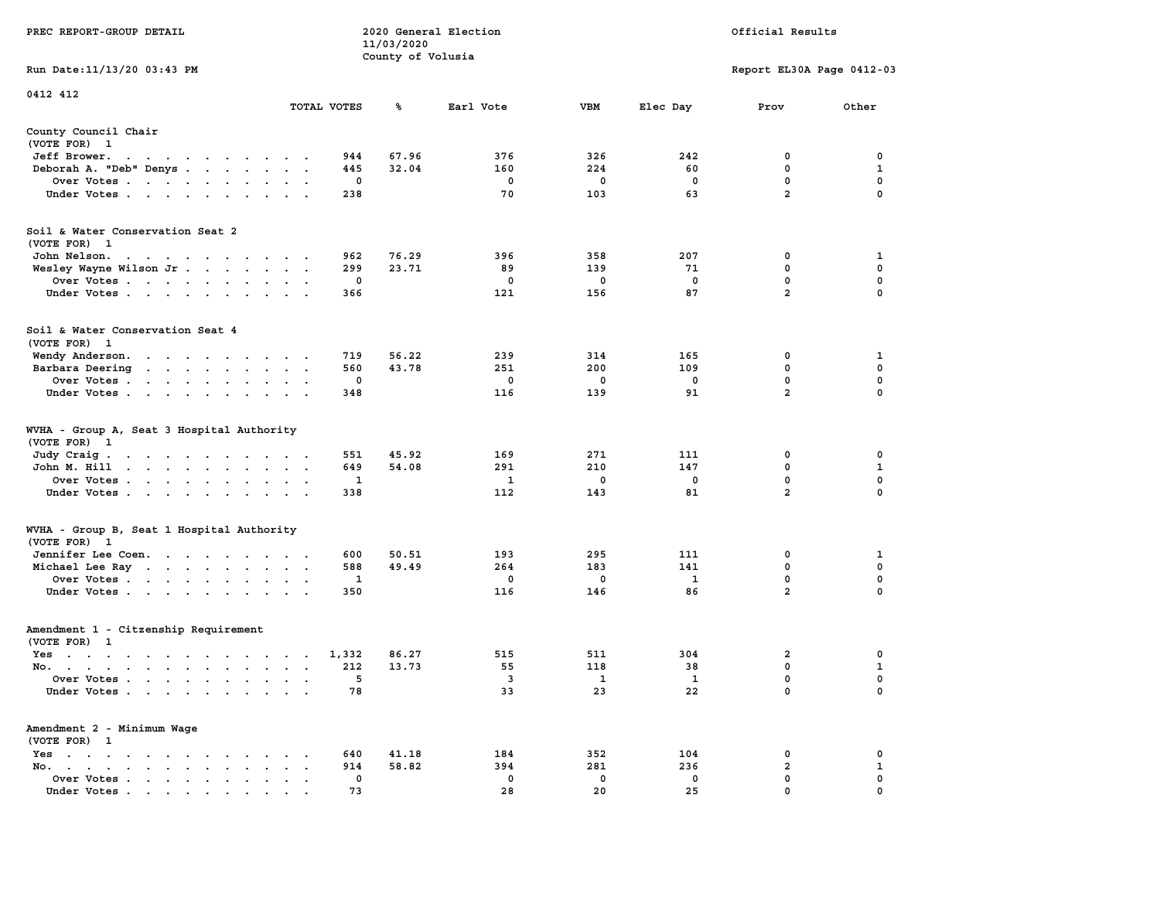|                                                                                                                                                                                                                                                                                      |                                                    | 11/03/2020        |              |             |              |                           |              |
|--------------------------------------------------------------------------------------------------------------------------------------------------------------------------------------------------------------------------------------------------------------------------------------|----------------------------------------------------|-------------------|--------------|-------------|--------------|---------------------------|--------------|
|                                                                                                                                                                                                                                                                                      |                                                    | County of Volusia |              |             |              |                           |              |
| Run Date: 11/13/20 03:43 PM                                                                                                                                                                                                                                                          |                                                    |                   |              |             |              | Report EL30A Page 0412-03 |              |
|                                                                                                                                                                                                                                                                                      |                                                    |                   |              |             |              |                           |              |
| 0412 412                                                                                                                                                                                                                                                                             |                                                    |                   |              |             |              |                           |              |
|                                                                                                                                                                                                                                                                                      | TOTAL VOTES                                        | ℁                 | Earl Vote    | <b>VBM</b>  | Elec Day     | Prov                      | Other        |
|                                                                                                                                                                                                                                                                                      |                                                    |                   |              |             |              |                           |              |
| County Council Chair                                                                                                                                                                                                                                                                 |                                                    |                   |              |             |              |                           |              |
| (VOTE FOR) 1                                                                                                                                                                                                                                                                         |                                                    |                   |              |             |              |                           |              |
| Jeff Brower.<br>$\sim$                                                                                                                                                                                                                                                               | 944                                                | 67.96             | 376          | 326         | 242          | 0                         | 0            |
| $\sim$ $\sim$<br>$\ddot{\phantom{0}}$<br>$\cdots$<br>Deborah A. "Deb" Denys                                                                                                                                                                                                          | 445                                                | 32.04             | 160          | 224         | 60           | $\mathbf 0$               | $\mathbf{1}$ |
|                                                                                                                                                                                                                                                                                      | 0                                                  |                   |              |             | 0            | 0                         | 0            |
| Over Votes                                                                                                                                                                                                                                                                           |                                                    |                   | 0            | 0           |              | $\overline{a}$            |              |
| Under Votes                                                                                                                                                                                                                                                                          | 238                                                |                   | 70           | 103         | 63           |                           | 0            |
|                                                                                                                                                                                                                                                                                      |                                                    |                   |              |             |              |                           |              |
|                                                                                                                                                                                                                                                                                      |                                                    |                   |              |             |              |                           |              |
| Soil & Water Conservation Seat 2                                                                                                                                                                                                                                                     |                                                    |                   |              |             |              |                           |              |
| (VOTE FOR) 1                                                                                                                                                                                                                                                                         |                                                    |                   |              |             |              |                           |              |
| John Nelson.<br>the contract of the contract of the con-                                                                                                                                                                                                                             | 962                                                | 76.29             | 396          | 358         | 207          | 0                         | 1            |
| Wesley Wayne Wilson Jr.                                                                                                                                                                                                                                                              | 299                                                | 23.71             | 89           | 139         | 71           | 0                         | 0            |
| Over Votes                                                                                                                                                                                                                                                                           | $\Omega$                                           |                   | $\mathbf{0}$ | $\mathbf 0$ | $\mathbf{0}$ | $\mathbf 0$               | $\mathbf 0$  |
| Under Votes                                                                                                                                                                                                                                                                          | 366                                                |                   | 121          | 156         | 87           | $\overline{a}$            | $\Omega$     |
|                                                                                                                                                                                                                                                                                      |                                                    |                   |              |             |              |                           |              |
|                                                                                                                                                                                                                                                                                      |                                                    |                   |              |             |              |                           |              |
| Soil & Water Conservation Seat 4                                                                                                                                                                                                                                                     |                                                    |                   |              |             |              |                           |              |
| (VOTE FOR) 1                                                                                                                                                                                                                                                                         |                                                    |                   |              |             |              |                           |              |
| Wendy Anderson.                                                                                                                                                                                                                                                                      | 719                                                | 56.22             | 239          | 314         | 165          | 0                         | 1            |
| Barbara Deering                                                                                                                                                                                                                                                                      | 560                                                | 43.78             | 251          | 200         | 109          | $\mathbf 0$               | $\mathbf 0$  |
| Over Votes<br>$\cdot$                                                                                                                                                                                                                                                                | $\mathbf 0$<br>$\sim$ $\sim$                       |                   | $\mathbf 0$  | $\mathbf 0$ | $\mathbf 0$  | $\mathbf 0$               | $\mathbf 0$  |
| Under Votes                                                                                                                                                                                                                                                                          | 348                                                |                   | 116          | 139         | 91           | $\overline{a}$            | $\mathbf 0$  |
|                                                                                                                                                                                                                                                                                      |                                                    |                   |              |             |              |                           |              |
|                                                                                                                                                                                                                                                                                      |                                                    |                   |              |             |              |                           |              |
| WVHA - Group A, Seat 3 Hospital Authority                                                                                                                                                                                                                                            |                                                    |                   |              |             |              |                           |              |
| (VOTE FOR) 1                                                                                                                                                                                                                                                                         |                                                    |                   |              |             |              |                           |              |
| Judy Craig.<br>the contract of the contract of the contract of the contract of the contract of the contract of the contract of                                                                                                                                                       | 551                                                | 45.92             | 169          | 271         | 111          | $\mathbf 0$               | $\mathbf 0$  |
| John M. Hill                                                                                                                                                                                                                                                                         | 649<br>$\mathcal{L}^{\text{max}}$ , and<br>$\cdot$ | 54.08             | 291          | 210         | 147          | $\mathbf 0$               | $\mathbf{1}$ |
| Over Votes                                                                                                                                                                                                                                                                           | $\mathbf{1}$                                       |                   | $\mathbf{1}$ | $\mathbf 0$ | $\mathbf 0$  | $\mathbf 0$               | 0            |
| Under Votes                                                                                                                                                                                                                                                                          | 338                                                |                   | 112          | 143         | 81           | $\overline{a}$            | 0            |
|                                                                                                                                                                                                                                                                                      |                                                    |                   |              |             |              |                           |              |
|                                                                                                                                                                                                                                                                                      |                                                    |                   |              |             |              |                           |              |
| WVHA - Group B, Seat 1 Hospital Authority                                                                                                                                                                                                                                            |                                                    |                   |              |             |              |                           |              |
| (VOTE FOR) 1                                                                                                                                                                                                                                                                         |                                                    |                   |              |             |              |                           |              |
| Jennifer Lee Coen.                                                                                                                                                                                                                                                                   | 600                                                | 50.51             | 193          | 295         | 111          | 0                         | 1            |
| Michael Lee Ray                                                                                                                                                                                                                                                                      | 588<br>$\blacksquare$                              | 49.49             | 264          | 183         | 141          | $\mathbf 0$               | $\mathbf 0$  |
| Over Votes                                                                                                                                                                                                                                                                           | 1                                                  |                   | $\mathbf 0$  | $\mathbf 0$ | 1            | $\mathbf 0$               | 0            |
| Under Votes                                                                                                                                                                                                                                                                          | 350<br>$\sim$                                      |                   | 116          | 146         | 86           | $\overline{a}$            | $\Omega$     |
|                                                                                                                                                                                                                                                                                      |                                                    |                   |              |             |              |                           |              |
|                                                                                                                                                                                                                                                                                      |                                                    |                   |              |             |              |                           |              |
| Amendment 1 - Citzenship Requirement                                                                                                                                                                                                                                                 |                                                    |                   |              |             |              |                           |              |
| (VOTE FOR) 1                                                                                                                                                                                                                                                                         |                                                    |                   |              |             |              |                           |              |
| Yes                                                                                                                                                                                                                                                                                  | 1,332                                              | 86.27             | 515          | 511         | 304          | $\overline{\mathbf{2}}$   | 0            |
| No.                                                                                                                                                                                                                                                                                  | 212                                                | 13.73             | 55           | 118         | 38           | 0                         | $\mathbf 1$  |
| Over Votes<br>$\cdot$<br>$\bullet$                                                                                                                                                                                                                                                   | 5<br>$\cdot$<br>$\ddot{\phantom{a}}$               |                   | 3            | 1           | 1            | 0                         | $\mathbf 0$  |
| Under Votes                                                                                                                                                                                                                                                                          | 78                                                 |                   | 33           | 23          | 22           | $\mathbf 0$               | $\Omega$     |
|                                                                                                                                                                                                                                                                                      |                                                    |                   |              |             |              |                           |              |
|                                                                                                                                                                                                                                                                                      |                                                    |                   |              |             |              |                           |              |
| Amendment 2 - Minimum Wage                                                                                                                                                                                                                                                           |                                                    |                   |              |             |              |                           |              |
| (VOTE FOR) 1                                                                                                                                                                                                                                                                         |                                                    |                   |              |             |              |                           |              |
| $Yes \t . \t .$<br>$\begin{array}{cccccccccccccc} \bullet & \bullet & \bullet & \bullet & \bullet & \bullet & \bullet & \bullet & \bullet & \bullet \end{array}$<br>$\ddot{\phantom{a}}$                                                                                             | 640                                                | 41.18             | 184          | 352         | 104          | 0                         | 0            |
| No.<br>$\sim$<br>the contract of the contract of the contract of the contract of the contract of the contract of the contract of the contract of the contract of the contract of the contract of the contract of the contract of the contract o<br>$\ddot{\phantom{a}}$<br>$\bullet$ | 914                                                | 58.82             | 394          | 281         | 236          | $\overline{a}$            | $\mathbf{1}$ |
| Over Votes<br>$\sim$<br>$\ddot{\phantom{a}}$<br>$\blacksquare$                                                                                                                                                                                                                       | $\mathbf{0}$<br>$\ddot{\phantom{a}}$               |                   | $^{\circ}$   | 0           | 0            | $\mathbf 0$               | $\mathbf 0$  |
| Under Votes<br>$\mathbf{r}$ , and $\mathbf{r}$ , and $\mathbf{r}$ , and $\mathbf{r}$ , and $\mathbf{r}$                                                                                                                                                                              | 73                                                 |                   | 28           | 20          | 25           | $\mathbf 0$               | $\mathbf 0$  |
|                                                                                                                                                                                                                                                                                      |                                                    |                   |              |             |              |                           |              |

**PREC REPORT-GROUP DETAIL COMPUTER SERVICE 2020 General Election**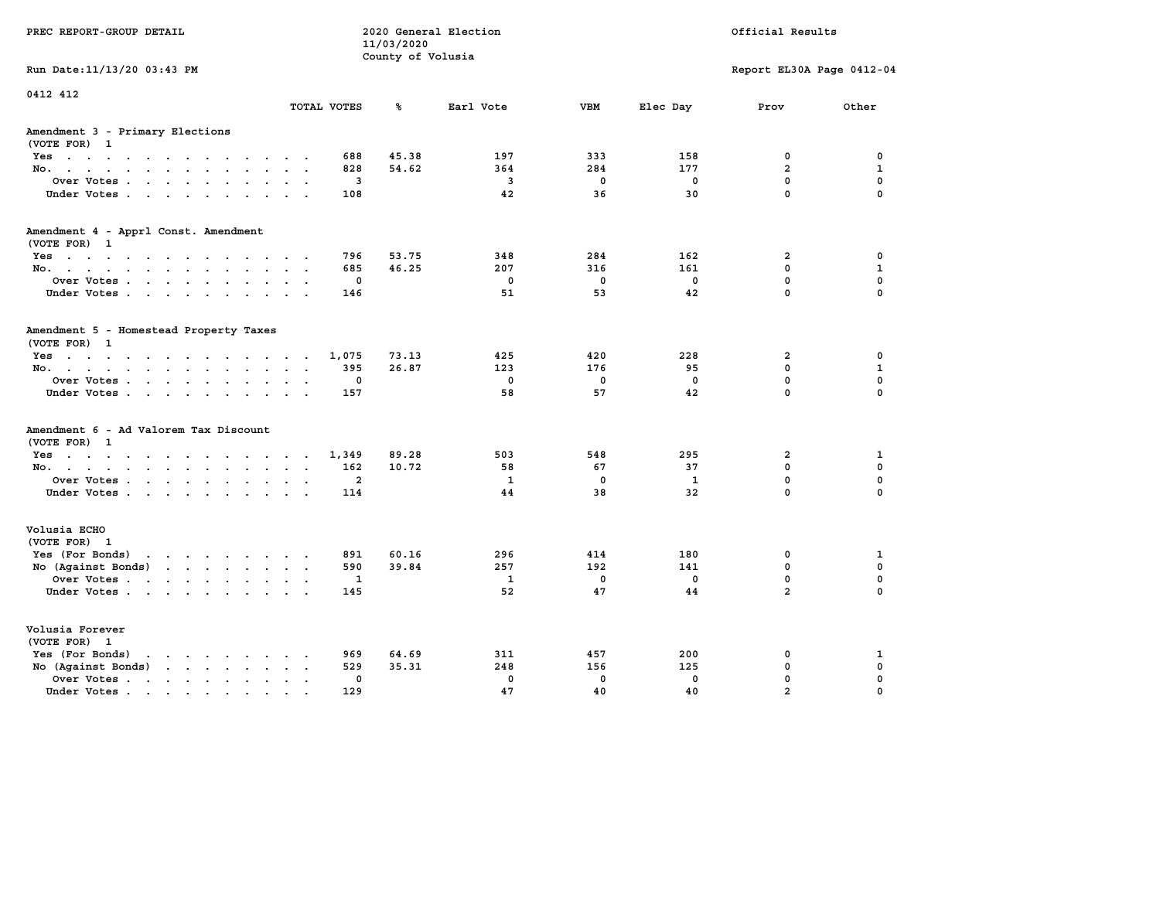| PREC REPORT-GROUP DETAIL                                                                                                           |              | 11/03/2020<br>County of Volusia | 2020 General Election   |             |              | Official Results          |              |
|------------------------------------------------------------------------------------------------------------------------------------|--------------|---------------------------------|-------------------------|-------------|--------------|---------------------------|--------------|
| Run Date: 11/13/20 03:43 PM                                                                                                        |              |                                 |                         |             |              | Report EL30A Page 0412-04 |              |
| 0412 412                                                                                                                           | TOTAL VOTES  | ℁                               | Earl Vote               | <b>VBM</b>  | Elec Day     | Prov                      | Other        |
| Amendment 3 - Primary Elections<br>(VOTE FOR) 1                                                                                    |              |                                 |                         |             |              |                           |              |
| Yes                                                                                                                                | 688          | 45.38                           | 197                     | 333         | 158          | 0                         | 0            |
| No.<br>$\sim$                                                                                                                      | 828          | 54.62                           | 364                     | 284         | 177          | $\overline{a}$            | $\mathbf{1}$ |
| Over Votes<br>$\sim$                                                                                                               | 3            |                                 | $\overline{\mathbf{3}}$ | $\mathbf 0$ | $\mathbf 0$  | $\mathbf 0$               | $\mathbf 0$  |
| Under Votes                                                                                                                        | 108          |                                 | 42                      | 36          | 30           | $\mathbf 0$               | $\Omega$     |
| Amendment 4 - Apprl Const. Amendment<br>(VOTE FOR) 1                                                                               |              |                                 |                         |             |              |                           |              |
| Yes                                                                                                                                | 796          | 53.75                           | 348                     | 284         | 162          | $\mathbf{2}$              | 0            |
| No.                                                                                                                                | 685          | 46.25                           | 207                     | 316         | 161          | 0                         | 1            |
| Over Votes<br>$\sim$<br>$\ddot{\phantom{a}}$                                                                                       | $\mathbf 0$  |                                 | $\mathbf 0$             | $\mathbf 0$ | $\mathbf 0$  | 0                         | $\mathbf 0$  |
| Under Votes                                                                                                                        | 146          |                                 | 51                      | 53          | 42           | $\mathbf 0$               | $\Omega$     |
| Amendment 5 - Homestead Property Taxes<br>(VOTE FOR) 1                                                                             |              |                                 |                         |             |              |                           |              |
| Yes                                                                                                                                | 1,075        | 73.13                           | 425                     | 420         | 228          | $\mathbf{2}$              | 0            |
| No.<br>$\ddot{\phantom{a}}$<br>$\mathbf{L}$                                                                                        | 395          | 26.87                           | 123                     | 176         | 95           | 0                         | $\mathbf{1}$ |
| Over Votes<br>$\ddot{\phantom{a}}$                                                                                                 | 0            |                                 | $\mathbf 0$             | $\mathbf 0$ | $\mathbf 0$  | 0                         | $\mathbf 0$  |
| Under Votes<br>$\cdot$ $\cdot$                                                                                                     | 157          |                                 | 58                      | 57          | 42           | 0                         | $\Omega$     |
| Amendment 6 - Ad Valorem Tax Discount<br>(VOTE FOR) 1                                                                              |              |                                 |                         |             |              |                           |              |
| Yes                                                                                                                                | 1,349        | 89.28                           | 503                     | 548         | 295          | $\mathbf{2}$              | 1            |
| No.<br>$\sim$ $\sim$                                                                                                               | 162          | 10.72                           | 58                      | 67          | 37           | 0                         | $\mathbf 0$  |
| Over Votes<br>$\bullet$<br>$\ddot{\phantom{a}}$                                                                                    | $\mathbf{2}$ |                                 | $\mathbf{1}$            | $\mathbf 0$ | $\mathbf{1}$ | 0                         | $\mathbf 0$  |
| Under Votes                                                                                                                        | 114          |                                 | 44                      | 38          | 32           | $\mathbf 0$               | $\Omega$     |
| Volusia ECHO<br>(VOTE FOR) 1                                                                                                       |              |                                 |                         |             |              |                           |              |
| Yes (For Bonds)<br>the contract of the contract of the contract of the contract of the contract of the contract of the contract of | 891          | 60.16                           | 296                     | 414         | 180          | 0                         | 1            |
| No (Against Bonds)<br>$\mathbf{r}$ , $\mathbf{r}$ , $\mathbf{r}$ , $\mathbf{r}$ , $\mathbf{r}$                                     | 590          | 39.84                           | 257                     | 192         | 141          | 0                         | $\mathbf 0$  |
| Over Votes<br>$\ddot{\phantom{a}}$                                                                                                 | 1            |                                 | $\mathbf{1}$            | $\mathbf 0$ | 0            | 0                         | $\mathbf 0$  |
| Under Votes                                                                                                                        | 145          |                                 | 52                      | 47          | 44           | $\overline{a}$            | $\Omega$     |
| Volusia Forever<br>(VOTE FOR) 1                                                                                                    |              |                                 |                         |             |              |                           |              |
| Yes (For Bonds)<br>$\cdot$ $\cdot$ $\cdot$ $\cdot$ $\cdot$ $\cdot$ $\cdot$ $\cdot$                                                 | 969          | 64.69                           | 311                     | 457         | 200          | 0                         | 1            |
| No (Against Bonds)<br>$\cdot$ $\cdot$ $\cdot$ $\cdot$ $\cdot$ $\cdot$                                                              | 529          | 35.31                           | 248                     | 156         | 125          | 0                         | $\mathbf 0$  |
| Over Votes .<br>the contract of the contract of the<br>$\blacksquare$<br>$\bullet$                                                 | 0            |                                 | $\mathbf 0$             | $\mathbf 0$ | $\mathbf 0$  | 0                         | $\mathbf 0$  |
| Under Votes                                                                                                                        | 129          |                                 | 47                      | 40          | 40           | $\overline{a}$            | 0            |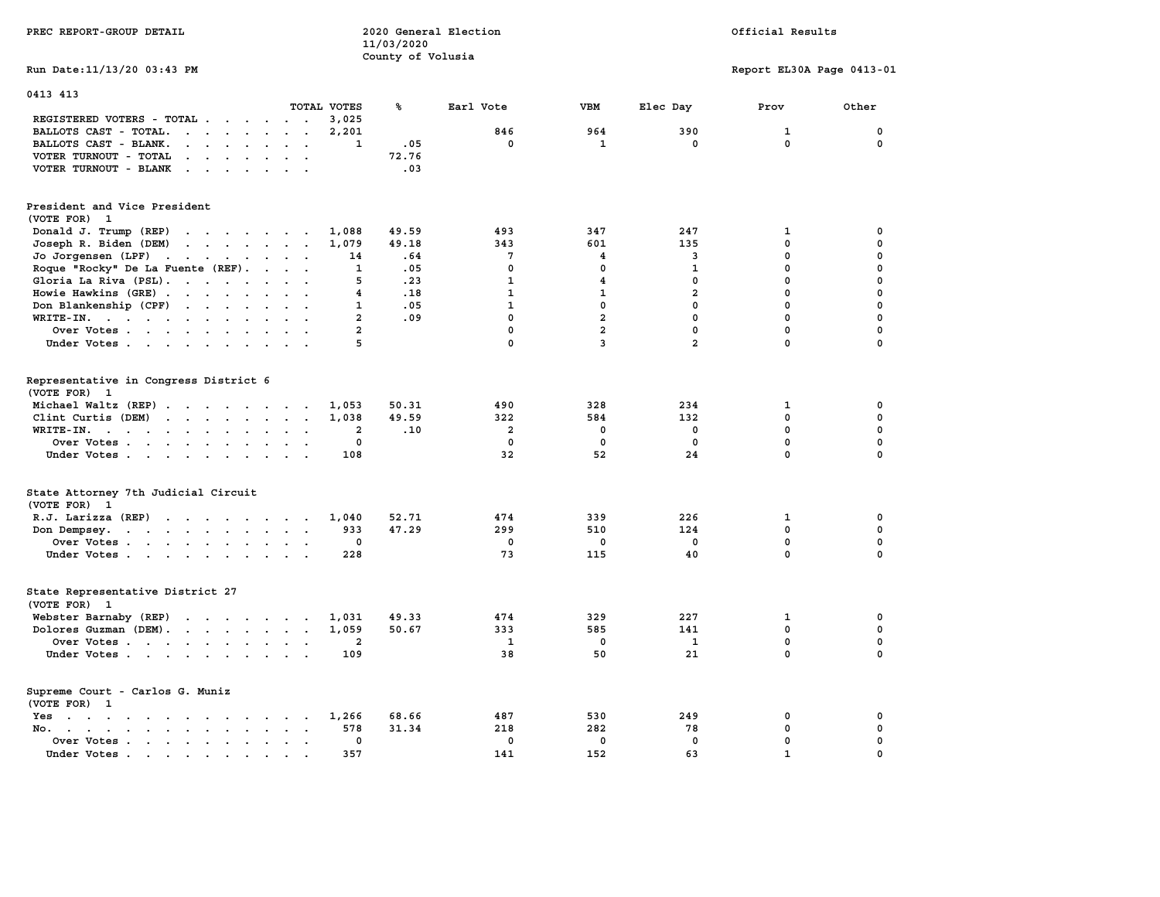|                                                                                                                                                                                                                                                         | 11/03/2020     |                     |                |                |                           |             |
|---------------------------------------------------------------------------------------------------------------------------------------------------------------------------------------------------------------------------------------------------------|----------------|---------------------|----------------|----------------|---------------------------|-------------|
|                                                                                                                                                                                                                                                         |                | County of Volusia   |                |                |                           |             |
| Run Date: 11/13/20 03:43 PM                                                                                                                                                                                                                             |                |                     |                |                | Report EL30A Page 0413-01 |             |
| 0413 413                                                                                                                                                                                                                                                |                |                     |                |                |                           |             |
| TOTAL VOTES                                                                                                                                                                                                                                             | ℁              | Earl Vote           | VBM            | Elec Day       | Prov                      | Other       |
| REGISTERED VOTERS - TOTAL                                                                                                                                                                                                                               | 3,025          |                     |                |                |                           |             |
| BALLOTS CAST - TOTAL.<br>$\begin{array}{cccccccccccccc} \bullet & \bullet & \bullet & \bullet & \bullet & \bullet & \bullet & \bullet & \bullet & \bullet & \bullet & \bullet \end{array}$                                                              | 2,201          | 846                 | 964            | 390            | $\mathbf{1}$              | 0           |
| BALLOTS CAST - BLANK.<br>$\begin{array}{cccccccccccccc} \bullet & \bullet & \bullet & \bullet & \bullet & \bullet & \bullet & \bullet & \bullet \end{array}$<br>$\ddot{\phantom{a}}$                                                                    | $\mathbf{1}$   | .05<br>$\mathbf 0$  | $\mathbf{1}$   | $\mathbf 0$    | 0                         | $\Omega$    |
| VOTER TURNOUT - TOTAL<br>$\cdot$ $\cdot$ $\cdot$ $\cdot$ $\cdot$<br>$\sim$                                                                                                                                                                              |                | 72.76               |                |                |                           |             |
| VOTER TURNOUT - BLANK<br>$\sim 100$ km s $^{-1}$<br>$\cdots$<br>$\sim$                                                                                                                                                                                  |                | .03                 |                |                |                           |             |
| President and Vice President<br>(VOTE FOR) 1                                                                                                                                                                                                            |                |                     |                |                |                           |             |
| Donald J. Trump (REP)<br>$\cdots$                                                                                                                                                                                                                       | 1,088          | 49.59<br>493        | 347            | 247            | 1                         | 0           |
| Joseph R. Biden (DEM)<br>$\cdot$                                                                                                                                                                                                                        | 1,079          | 49.18<br>343        | 601            | 135            | 0                         | $\Omega$    |
| Jo Jorgensen (LPF)<br>$\ddot{\phantom{a}}$<br>$\ddot{\phantom{a}}$                                                                                                                                                                                      | 14             | .64<br>7            | 4              | 3              | 0                         | $\mathbf 0$ |
| Roque "Rocky" De La Fuente (REF).                                                                                                                                                                                                                       | 1              | $\mathbf 0$<br>.05  | 0              | $\mathbf 1$    | 0                         | 0           |
|                                                                                                                                                                                                                                                         |                | $\mathbf{1}$        |                | $\mathbf 0$    | 0                         | $\mathbf 0$ |
| Gloria La Riva (PSL).                                                                                                                                                                                                                                   | 5              | .23                 | 4              |                | $\mathbf 0$               | $\mathbf 0$ |
| Howie Hawkins (GRE)<br>$\sim$                                                                                                                                                                                                                           | 4              | $\mathbf{1}$<br>.18 | $\mathbf{1}$   | $\overline{a}$ |                           |             |
| Don Blankenship (CPF)                                                                                                                                                                                                                                   | 1              | .05<br>$\mathbf{1}$ | $\mathbf{0}$   | $\mathbf{0}$   | 0                         | $\mathbf 0$ |
| $WRITE-IN.$<br>$\mathbf{r}$ , $\mathbf{r}$ , $\mathbf{r}$                                                                                                                                                                                               | $\overline{a}$ | .09<br>$\mathbf 0$  | $\overline{a}$ | $\Omega$       | $\mathbf{0}$              | $\mathbf 0$ |
| Over Votes<br>$\ddot{\phantom{a}}$                                                                                                                                                                                                                      | $\overline{2}$ | $\mathbf 0$         | $\overline{a}$ | $\mathbf 0$    | $\mathbf 0$               | 0           |
| Under Votes                                                                                                                                                                                                                                             | 5              | $\mathbf 0$         | 3              | $\overline{a}$ | 0                         | $\Omega$    |
| Representative in Congress District 6<br>(VOTE FOR) 1                                                                                                                                                                                                   |                |                     |                |                |                           |             |
| Michael Waltz (REP)                                                                                                                                                                                                                                     | 1,053          | 50.31<br>490        | 328            | 234            | 1                         | 0           |
| Clint Curtis (DEM)                                                                                                                                                                                                                                      | 1,038          | 49.59<br>322        | 584            | 132            | 0                         | 0           |
| WRITE-IN.                                                                                                                                                                                                                                               | 2              | .10<br>2            | 0              | 0              | 0                         | 0           |
| Over Votes<br>$\ddot{\phantom{0}}$                                                                                                                                                                                                                      | 0              | $\mathbf{0}$        | $\mathbf{0}$   | $\mathbf{0}$   | $\mathbf{0}$              | $\mathbf 0$ |
| Under Votes<br>$\sim$<br>$\sim$                                                                                                                                                                                                                         | 108            | 32                  | 52             | 24             | $\mathbf 0$               | $\mathbf 0$ |
| State Attorney 7th Judicial Circuit<br>(VOTE FOR) 1                                                                                                                                                                                                     |                |                     |                |                |                           |             |
| R.J. Larizza (REP)<br>$\mathbf{r}$ . The contract of the contract of the contract of the contract of the contract of the contract of the contract of the contract of the contract of the contract of the contract of the contract of the contract of th | 1,040          | 474<br>52.71        | 339            | 226            | $\mathbf 1$               | 0           |
| Don Dempsey.<br>the contract of the contract of the contract of the contract of the contract of the contract of the contract of                                                                                                                         | 933            | 47.29<br>299        | 510            | 124            | $\mathbf 0$               | 0           |
| Over Votes<br>$\ddot{\phantom{a}}$<br>$\sim$                                                                                                                                                                                                            | 0              | 0                   | 0              | 0              | $\mathbf 0$               | 0           |
| Under Votes                                                                                                                                                                                                                                             | 228            | 73                  | 115            | 40             | 0                         | $\Omega$    |
| State Representative District 27<br>(VOTE FOR) 1                                                                                                                                                                                                        |                |                     |                |                |                           |             |
| Webster Barnaby (REP)<br>$\cdots$                                                                                                                                                                                                                       | 1,031          | 474<br>49.33        | 329            | 227            | 1                         | 0           |
| Dolores Guzman (DEM).                                                                                                                                                                                                                                   | 1,059          | 50.67<br>333        | 585            | 141            | $\mathbf 0$               | $\mathbf 0$ |
| Over Votes                                                                                                                                                                                                                                              | $\overline{a}$ | 1                   | $\mathbf 0$    | $\mathbf 1$    | 0                         | $\mathbf 0$ |
| Under Votes<br>$\sim$ $\sim$                                                                                                                                                                                                                            | 109            | 38                  | 50             | 21             | 0                         | $\Omega$    |
|                                                                                                                                                                                                                                                         |                |                     |                |                |                           |             |
| Supreme Court - Carlos G. Muniz<br>(VOTE FOR) 1                                                                                                                                                                                                         |                |                     |                |                |                           |             |
| $Yes \cdot \cdot \cdot \cdot \cdot \cdot \cdot \cdot \cdot$<br>$\sim$ $\sim$ $\sim$                                                                                                                                                                     | 1,266          | 68.66<br>487        | 530            | 249            | 0                         | 0           |
| No.<br>$\begin{array}{cccccccccccccc} \bullet & \bullet & \bullet & \bullet & \bullet & \bullet & \bullet & \bullet & \bullet & \bullet \end{array}$<br>$\sim$                                                                                          | 578            | 31.34<br>218        | 282            | 78             | 0                         | 0           |
| Over Votes<br>$\blacksquare$ .<br>$\bullet$                                                                                                                                                                                                             | 0              | 0                   | 0              | 0              | $\mathbf 0$               | $\mathbf 0$ |
| Under Votes<br>in the state of the state of the state of the state of the state of the state of the state of the state of the                                                                                                                           | 357            | 141                 | 152            | 63             | $\mathbf{1}$              | $\Omega$    |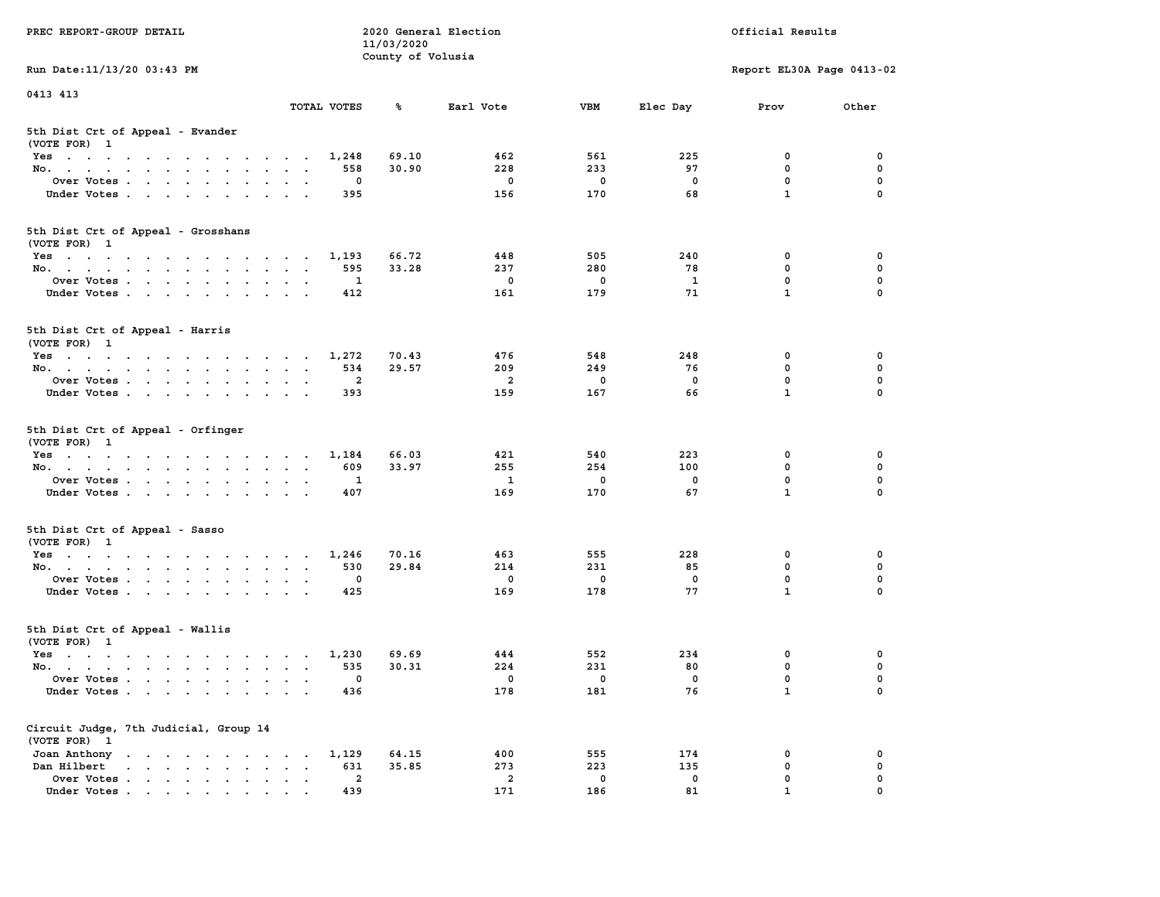| PREC REPORT-GROUP DETAIL                                                                                               |                                                                  | 11/03/2020        | 2020 General Election          |                    |              | Official Results            |               |
|------------------------------------------------------------------------------------------------------------------------|------------------------------------------------------------------|-------------------|--------------------------------|--------------------|--------------|-----------------------------|---------------|
| Run Date: 11/13/20 03:43 PM                                                                                            |                                                                  | County of Volusia |                                |                    |              | Report EL30A Page 0413-02   |               |
| 0413 413                                                                                                               |                                                                  |                   |                                |                    |              |                             |               |
|                                                                                                                        | TOTAL VOTES                                                      | ℁                 | Earl Vote                      | <b>VBM</b>         | Elec Day     | Prov                        | Other         |
| 5th Dist Crt of Appeal - Evander<br>(VOTE FOR) 1                                                                       |                                                                  |                   |                                |                    |              |                             |               |
| Yes                                                                                                                    | 1,248                                                            | 69.10             | 462                            | 561                | 225          | 0                           | 0             |
| No.                                                                                                                    | 558                                                              | 30.90             | 228                            | 233                | 97           | $\mathbf 0$                 | 0             |
| Over Votes                                                                                                             | 0                                                                |                   | $\mathbf 0$                    | 0                  | 0            | $\mathbf 0$                 | 0             |
| Under Votes                                                                                                            | 395                                                              |                   | 156                            | 170                | 68           | $\mathbf{1}$                | $\Omega$      |
| 5th Dist Crt of Appeal - Grosshans<br>(VOTE FOR) 1                                                                     |                                                                  |                   |                                |                    |              |                             |               |
| Yes                                                                                                                    | 1,193                                                            | 66.72             | 448                            | 505                | 240          | 0                           | 0             |
| No.                                                                                                                    | 595                                                              | 33.28             | 237                            | 280                | 78           | $\mathbf 0$                 | 0             |
| Over Votes                                                                                                             | 1                                                                |                   | $\mathbf 0$                    | $\mathbf 0$        | $\mathbf{1}$ | $\mathbf 0$                 | $\mathbf 0$   |
| Under Votes                                                                                                            | 412                                                              |                   | 161                            | 179                | 71           | $\mathbf{1}$                | 0             |
| 5th Dist Crt of Appeal - Harris<br>(VOTE FOR) 1                                                                        |                                                                  |                   |                                |                    |              |                             |               |
| Yes                                                                                                                    | 1,272                                                            | 70.43             | 476                            | 548                | 248          | 0                           | 0             |
| No.                                                                                                                    | 534                                                              | 29.57             | 209                            | 249                | 76           | $^{\circ}$                  | $\mathbf 0$   |
| Over Votes                                                                                                             | $\mathbf{2}$                                                     |                   | 2                              | $\mathbf 0$        | 0            | $\mathbf 0$                 | 0             |
| Under Votes                                                                                                            | 393                                                              |                   | 159                            | 167                | 66           | $\mathbf{1}$                | 0             |
| 5th Dist Crt of Appeal - Orfinger<br>(VOTE FOR) 1                                                                      |                                                                  |                   |                                |                    |              |                             |               |
| Yes                                                                                                                    | 1,184                                                            | 66.03             | 421                            | 540                | 223          | 0                           | 0             |
| No.                                                                                                                    | 609                                                              | 33.97             | 255                            | 254                | 100          | $\mathbf 0$                 | 0             |
| Over Votes                                                                                                             | 1                                                                |                   | $\mathbf{1}$<br>169            | 0<br>170           | 0<br>67      | $\mathbf 0$<br>$\mathbf{1}$ | 0<br>$\Omega$ |
| Under Votes                                                                                                            | 407                                                              |                   |                                |                    |              |                             |               |
| 5th Dist Crt of Appeal - Sasso<br>(VOTE FOR) 1                                                                         |                                                                  |                   |                                |                    |              |                             |               |
| Yes                                                                                                                    | 1,246                                                            | 70.16             | 463                            | 555                | 228          | 0                           | 0             |
| No.                                                                                                                    | 530<br>0                                                         | 29.84             | 214<br>$\mathbf 0$             | 231<br>$\mathbf 0$ | 85           | $\mathbf 0$<br>$\mathbf 0$  | 0<br>0        |
| Over Votes<br>Under Votes                                                                                              | 425                                                              |                   | 169                            | 178                | 0<br>77      | $\mathbf{1}$                | $\Omega$      |
|                                                                                                                        |                                                                  |                   |                                |                    |              |                             |               |
| 5th Dist Crt of Appeal - Wallis<br>(VOTE FOR) 1                                                                        |                                                                  |                   |                                |                    |              |                             |               |
| Yes<br>the contract of the contract of the contract of the contract of the contract of the contract of the contract of | 1,230                                                            | 69.69             | 444                            | 552                | 234          | 0                           | 0             |
| No.                                                                                                                    | 535                                                              | 30.31             | 224                            | 231                | 80           | $\mathbf 0$                 | 0             |
| Over Votes                                                                                                             | 0                                                                |                   | 0                              | $\mathbf{0}$       | 0<br>76      | 0<br>$\mathbf{1}$           | 0<br>0        |
| Under Votes                                                                                                            | 436                                                              |                   | 178                            | 181                |              |                             |               |
| Circuit Judge, 7th Judicial, Group 14<br>(VOTE FOR) 1                                                                  |                                                                  |                   |                                |                    |              |                             |               |
| Joan Anthony                                                                                                           | 1,129                                                            | 64.15             | 400                            | 555                | 174          | 0                           | 0             |
| Dan Hilbert                                                                                                            | 631<br>$\ddot{\phantom{a}}$<br>$\ddot{\phantom{a}}$<br>$\bullet$ | 35.85             | 273                            | 223                | 135          | $\mathbf 0$                 | 0             |
| Over Votes<br>Under Votes                                                                                              | $\mathbf{2}$<br>439                                              |                   | $\overline{\mathbf{2}}$<br>171 | $\mathbf 0$<br>186 | 0<br>81      | 0<br>$\mathbf{1}$           | 0             |
|                                                                                                                        |                                                                  |                   |                                |                    |              |                             |               |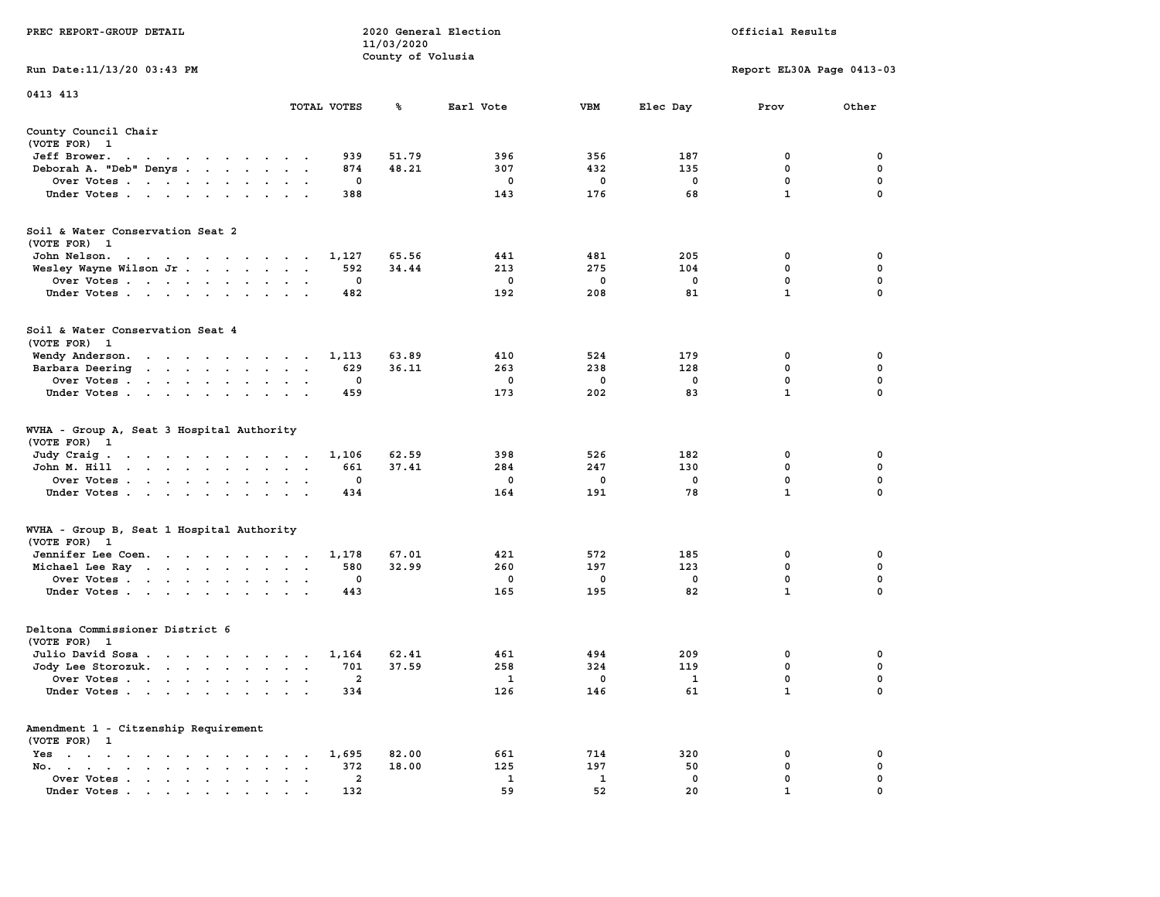|                                                                                                                                        |                                                             | 11/03/2020        |             |             |             |                           |             |
|----------------------------------------------------------------------------------------------------------------------------------------|-------------------------------------------------------------|-------------------|-------------|-------------|-------------|---------------------------|-------------|
|                                                                                                                                        |                                                             | County of Volusia |             |             |             |                           |             |
| Run Date:11/13/20 03:43 PM                                                                                                             |                                                             |                   |             |             |             | Report EL30A Page 0413-03 |             |
| 0413 413                                                                                                                               |                                                             |                   |             |             |             |                           |             |
|                                                                                                                                        | TOTAL VOTES                                                 | ℁                 | Earl Vote   | <b>VBM</b>  | Elec Day    | Prov                      | Other       |
| County Council Chair<br>(VOTE FOR) 1                                                                                                   |                                                             |                   |             |             |             |                           |             |
| Jeff Brower.<br>$\sim$ $\sim$<br>$\ddot{\phantom{0}}$<br>$\mathbf{a}$ and $\mathbf{a}$ and $\mathbf{a}$                                | $\sim$ $\sim$ $\sim$                                        | 939<br>51.79      | 396         | 356         | 187         | 0                         | 0           |
| Deborah A. "Deb" Denys<br>$\ddot{\phantom{a}}$                                                                                         |                                                             | 874<br>48.21      | 307         | 432         | 135         | 0                         | 0           |
| Over Votes                                                                                                                             | $\overline{\phantom{a}}$                                    | 0                 | 0           | 0           | $\mathbf 0$ | 0                         | $\mathbf 0$ |
| Under Votes<br>$\sim$                                                                                                                  | $\bullet$                                                   | 388               | 143         | 176         | 68          | $\mathbf{1}$              | $\mathbf 0$ |
| Soil & Water Conservation Seat 2<br>(VOTE FOR) 1                                                                                       |                                                             |                   |             |             |             |                           |             |
| John Nelson.<br>the contract of the contract of the contract of the contract of the contract of the contract of the contract of        |                                                             | 65.56<br>1,127    | 441         | 481         | 205         | $\mathbf 0$               | $\mathbf 0$ |
| Wesley Wayne Wilson Jr.                                                                                                                | $\overline{\phantom{a}}$<br>$\sim$                          | 592<br>34.44      | 213         | 275         | 104         | 0                         | $\mathbf 0$ |
| Over Votes                                                                                                                             | $\bullet$<br>$\cdot$                                        | $\mathbf 0$       | $\mathbf 0$ | $\mathbf 0$ | $\mathbf 0$ | $\mathbf{0}$              | $\mathbf 0$ |
| Under Votes<br>$\sim$                                                                                                                  | $\ddot{\phantom{0}}$<br>$\ddot{\phantom{a}}$                | 482               | 192         | 208         | 81          | $\mathbf{1}$              | 0           |
| Soil & Water Conservation Seat 4<br>(VOTE FOR) 1                                                                                       |                                                             |                   |             |             |             |                           |             |
| Wendy Anderson.                                                                                                                        |                                                             | 1,113<br>63.89    | 410         | 524         | 179         | 0                         | 0           |
| Barbara Deering<br>the contract of the contract of the                                                                                 | $\ddot{\phantom{a}}$<br>$\cdot$<br>$\overline{\phantom{a}}$ | 629<br>36.11      | 263         | 238         | 128         | 0                         | 0           |
| Over Votes .<br>$\sim$ $\sim$<br>$\mathcal{A}^{\mathcal{A}}$ and $\mathcal{A}^{\mathcal{A}}$<br>$\blacksquare$<br>$\ddot{\phantom{a}}$ |                                                             | 0                 | 0           | 0           | $\mathbf 0$ | 0                         | $\pmb{0}$   |
| Under Votes<br>$\ddot{\phantom{1}}$                                                                                                    |                                                             | 459               | 173         | 202         | 83          | $\mathbf{1}$              | $\mathbf 0$ |
| WVHA - Group A, Seat 3 Hospital Authority<br>(VOTE FOR)<br>$\mathbf{1}$                                                                |                                                             |                   |             |             |             |                           |             |
| Judy Craig.<br>the contract of the contract of                                                                                         | $\sim$ $\sim$ $\sim$ $\sim$ $\sim$                          | 1,106<br>62.59    | 398         | 526         | 182         | 0                         | 0           |
| John M. Hill<br>$\mathbf{r} = \mathbf{r} - \mathbf{r} = \mathbf{r} - \mathbf{r} = \mathbf{r} - \mathbf{r}$<br>$\sim$ $\sim$            | $\ddot{\phantom{a}}$<br>$\ddot{\phantom{a}}$<br>$\,$ .      | 661<br>37.41      | 284         | 247         | 130         | 0                         | 0           |
| Over Votes                                                                                                                             | $\mathbf{r}$<br>$\cdot$                                     | 0                 | 0           | 0           | $\mathbf 0$ | 0                         | $\mathbf 0$ |
| Under Votes<br>$\cdot$                                                                                                                 | $\cdot$<br>$\cdot$                                          | 434               | 164         | 191         | 78          | $\mathbf{1}$              | $\mathbf 0$ |
| WVHA - Group B, Seat 1 Hospital Authority<br>(VOTE FOR)<br>$\mathbf{1}$                                                                |                                                             |                   |             |             |             |                           |             |
| Jennifer Lee Coen.                                                                                                                     |                                                             | 67.01<br>1,178    | 421         | 572         | 185         | $\mathbf 0$               | 0           |
| Michael Lee Ray                                                                                                                        | $\bullet$<br>$\bullet$<br>$\ddot{\phantom{1}}$              | 580<br>32.99      | 260         | 197         | 123         | 0                         | $\mathbf 0$ |
| Over Votes                                                                                                                             | $\bullet$                                                   | $\mathbf 0$       | 0           | 0           | $\mathbf 0$ | $\mathbf 0$               | $\mathbf 0$ |
| Under Votes<br>$\ddot{\phantom{a}}$                                                                                                    | $\ddot{\phantom{a}}$                                        | 443               | 165         | 195         | 82          | $\mathbf{1}$              | 0           |
| Deltona Commissioner District 6                                                                                                        |                                                             |                   |             |             |             |                           |             |
| (VOTE FOR)<br>$\mathbf{1}$                                                                                                             |                                                             |                   |             |             |             |                           |             |
| Julio David Sosa                                                                                                                       |                                                             | 1,164<br>62.41    | 461         | 494         | 209         | 0                         | 0           |
| Jody Lee Storozuk.                                                                                                                     | $\sim$<br>$\cdot$ .                                         | 701<br>37.59      | 258         | 324         | 119         | 0                         | 0           |
| Over Votes<br>$\ddot{\phantom{a}}$                                                                                                     | $\cdot$<br>$\ddot{\phantom{a}}$<br>$\ddot{\phantom{a}}$     | 2                 | 1           | 0           | 1           | 0                         | 0           |
| Under Votes                                                                                                                            |                                                             | 334               | 126         | 146         | 61          | $\mathbf 1$               | 0           |
| Amendment 1 - Citzenship Requirement<br>(VOTE FOR) 1                                                                                   |                                                             |                   |             |             |             |                           |             |
| $Yes \t . \t .$<br>$\bullet$<br>$\mathbf{r} = \mathbf{r} + \mathbf{r} + \mathbf{r} + \mathbf{r}$<br>$\sim$<br>$\cdot$                  | $\bullet$                                                   | 82.00<br>1,695    | 661         | 714         | 320         | 0                         | 0           |
| No.<br>$\bullet$ . In the case of the case of the $\bullet$<br>$\mathbf{a} = \mathbf{a} \cdot \mathbf{a}$<br>$\cdot$                   | $\cdot$                                                     | 372<br>18.00      | 125         | 197         | 50          | 0                         | 0           |
| Over Votes<br>$\bullet$                                                                                                                | $\blacksquare$<br>$\cdot$                                   | 2                 | 1           | 1           | $\mathbf 0$ | $\mathbf 0$               | $\mathbf 0$ |
| Under Votes                                                                                                                            |                                                             | 132               | 59          | 52          | 20          | $\mathbf{1}$              | 0           |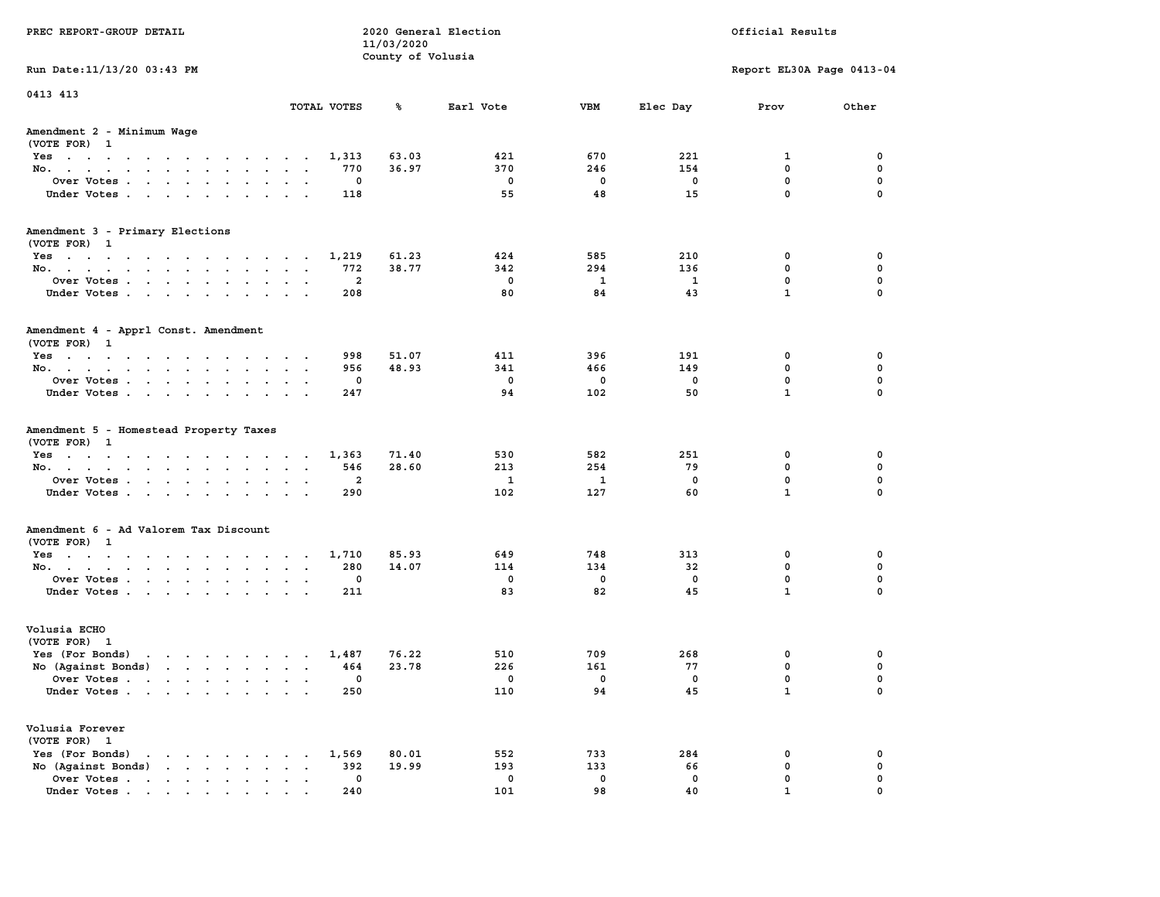| PREC REPORT-GROUP DETAIL                                                                                                                                                                                                                                |                             | 11/03/2020        | 2020 General Election |                 |                | Official Results                                |                         |
|---------------------------------------------------------------------------------------------------------------------------------------------------------------------------------------------------------------------------------------------------------|-----------------------------|-------------------|-----------------------|-----------------|----------------|-------------------------------------------------|-------------------------|
|                                                                                                                                                                                                                                                         |                             | County of Volusia |                       |                 |                |                                                 |                         |
| Run Date: 11/13/20 03:43 PM                                                                                                                                                                                                                             |                             |                   |                       |                 |                | Report EL30A Page 0413-04                       |                         |
| 0413 413                                                                                                                                                                                                                                                |                             |                   |                       |                 |                |                                                 |                         |
|                                                                                                                                                                                                                                                         | TOTAL VOTES                 | ጜ                 | Earl Vote             | VBM             | Elec Day       | Prov                                            | Other                   |
| Amendment 2 - Minimum Wage<br>(VOTE FOR) 1                                                                                                                                                                                                              |                             |                   |                       |                 |                |                                                 |                         |
| Yes                                                                                                                                                                                                                                                     | 1,313                       | 63.03             | 421                   | 670             | 221            | 1                                               | 0                       |
| No.                                                                                                                                                                                                                                                     | 770                         | 36.97             | 370                   | 246             | 154            | $\mathbf 0$                                     | $\mathbf 0$             |
| Over Votes                                                                                                                                                                                                                                              | 0                           |                   | 0                     | 0               | 0              | $\mathbf 0$                                     | 0                       |
| Under Votes                                                                                                                                                                                                                                             | 118                         |                   | 55                    | 48              | 15             | $\mathbf 0$                                     | $\mathbf 0$             |
| Amendment 3 - Primary Elections                                                                                                                                                                                                                         |                             |                   |                       |                 |                |                                                 |                         |
| (VOTE FOR) 1                                                                                                                                                                                                                                            |                             | 61.23             | 424                   | 585             | 210            |                                                 | 0                       |
| Yes<br>No.                                                                                                                                                                                                                                              | 1,219<br>772                | 38.77             | 342                   | 294             | 136            | 0<br>$\mathbf 0$                                | 0                       |
| Over Votes                                                                                                                                                                                                                                              | $\overline{2}$              |                   | $\mathbf 0$           | 1               | 1              | $\mathbf 0$                                     | $\mathbf 0$             |
| Under Votes                                                                                                                                                                                                                                             | 208                         |                   | 80                    | 84              | 43             | $\mathbf{1}$                                    | $\Omega$                |
|                                                                                                                                                                                                                                                         |                             |                   |                       |                 |                |                                                 |                         |
| Amendment 4 - Apprl Const. Amendment<br>(VOTE FOR) 1                                                                                                                                                                                                    |                             |                   |                       |                 |                |                                                 |                         |
| Yes                                                                                                                                                                                                                                                     | 998                         | 51.07             | 411                   | 396             | 191            | 0                                               | 0                       |
| No.                                                                                                                                                                                                                                                     | 956                         | 48.93             | 341                   | 466             | 149            | 0                                               | 0                       |
| Over Votes                                                                                                                                                                                                                                              | 0                           |                   | $\mathbf 0$           | 0               | 0              | $\mathbf 0$                                     | $\mathbf 0$             |
| Under Votes                                                                                                                                                                                                                                             | 247                         |                   | 94                    | 102             | 50             | $\mathbf{1}$                                    | $\mathbf 0$             |
| (VOTE FOR) 1<br>Yes<br>No.<br>Over Votes                                                                                                                                                                                                                | 1,363<br>546<br>2           | 71.40<br>28.60    | 530<br>213<br>1       | 582<br>254<br>1 | 251<br>79<br>0 | 0<br>$\mathbf 0$<br>$\mathbf 0$<br>$\mathbf{1}$ | 0<br>0<br>0<br>$\Omega$ |
| Under Votes                                                                                                                                                                                                                                             | 290                         |                   | 102                   | 127             | 60             |                                                 |                         |
| Amendment 6 - Ad Valorem Tax Discount<br>(VOTE FOR) 1                                                                                                                                                                                                   |                             |                   |                       |                 |                |                                                 |                         |
| Yes                                                                                                                                                                                                                                                     | 1,710                       | 85.93             | 649                   | 748             | 313            | 0                                               | 0                       |
| No.                                                                                                                                                                                                                                                     | 280                         | 14.07             | 114                   | 134             | 32             | $\mathbf 0$                                     | 0                       |
| Over Votes                                                                                                                                                                                                                                              | 0                           |                   | $\mathbf 0$           | 0               | 0              | $\mathbf 0$                                     | 0                       |
| Under Votes                                                                                                                                                                                                                                             | 211                         |                   | 83                    | 82              | 45             | $\mathbf{1}$                                    | $\Omega$                |
| Volusia ECHO<br>(VOTE FOR) 1                                                                                                                                                                                                                            |                             |                   |                       |                 |                |                                                 |                         |
| Yes (For Bonds)<br>$\mathbf{r}$ . The set of the set of the set of the set of the set of the set of the set of the set of the set of the set of the set of the set of the set of the set of the set of the set of the set of the set of the set of t    | 1,487                       | 76.22             | 510                   | 709             | 268            | 0                                               | 0                       |
| No (Against Bonds)                                                                                                                                                                                                                                      | 464                         | 23.78             | 226                   | 161             | 77             | 0                                               | 0                       |
| Over Votes.<br>the contract of the contract of the contract of the contract of the contract of the contract of the contract of                                                                                                                          | 0                           |                   | 0                     | 0               | 0              | $\Omega$                                        | $\mathbf 0$             |
| Under Votes                                                                                                                                                                                                                                             | 250                         |                   | 110                   | 94              | 45             | $\mathbf{1}$                                    | 0                       |
| Volusia Forever<br>(VOTE FOR) 1                                                                                                                                                                                                                         |                             |                   |                       |                 |                |                                                 |                         |
| Yes (For Bonds)                                                                                                                                                                                                                                         | 1,569                       | 80.01             | 552                   | 733             | 284            | 0                                               | 0                       |
| $\mathbf{r}$ . The set of the set of the set of the set of the set of the set of the set of the set of the set of the set of the set of the set of the set of the set of the set of the set of the set of the set of the set of t<br>No (Against Bonds) | 392<br>$\ddot{\phantom{a}}$ | 19.99             | 193                   | 133             | 66             | $\mathbf 0$                                     | $\mathbf 0$             |
| Over Votes                                                                                                                                                                                                                                              | 0                           |                   | 0                     | 0               | 0              | $\mathbf 0$                                     | 0                       |
| Under Votes                                                                                                                                                                                                                                             | 240                         |                   | 101                   | 98              | 40             | 1                                               | $\Omega$                |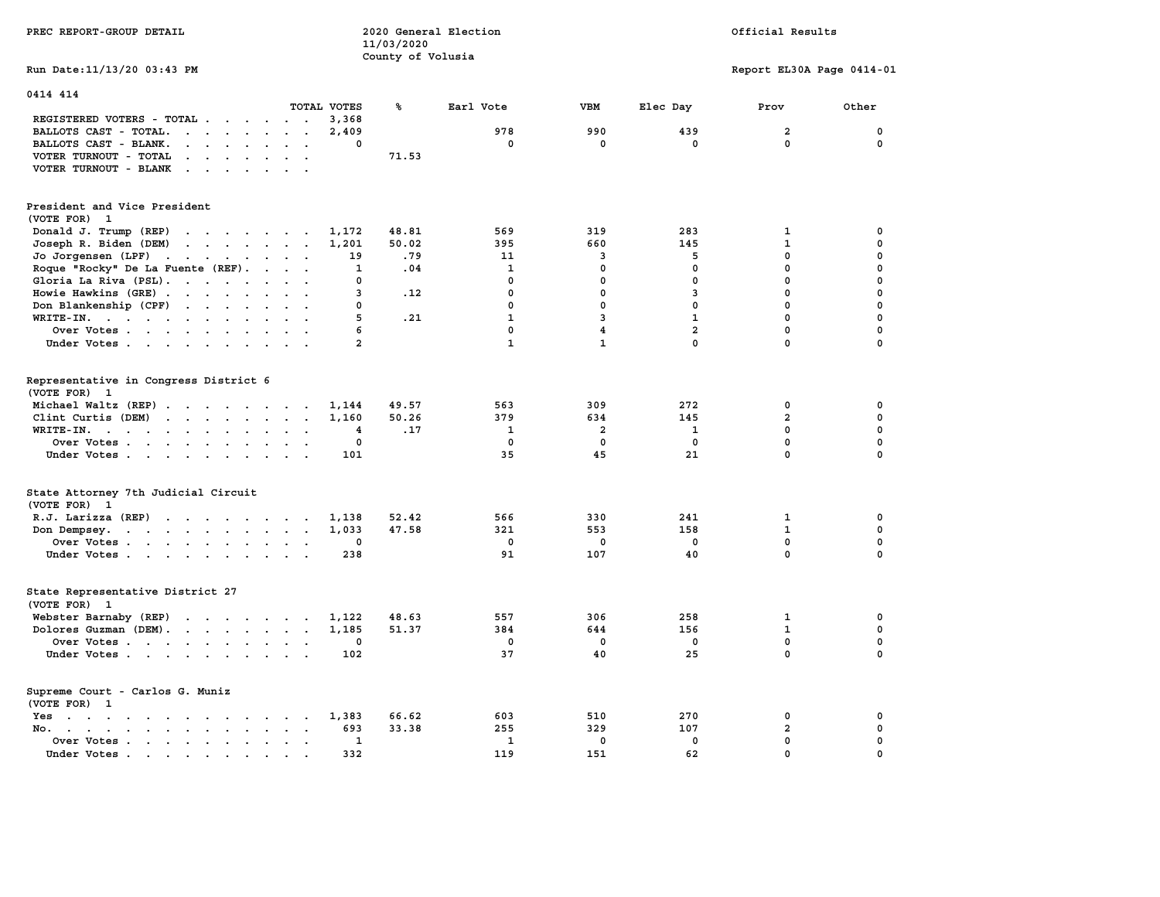| PREC REPORT-GROUP DETAIL                                                                                                                         |                | 11/03/2020        | 2020 General Election        |                         |                              | Official Results             |                            |
|--------------------------------------------------------------------------------------------------------------------------------------------------|----------------|-------------------|------------------------------|-------------------------|------------------------------|------------------------------|----------------------------|
|                                                                                                                                                  |                | County of Volusia |                              |                         |                              |                              |                            |
| Run Date: 11/13/20 03:43 PM                                                                                                                      |                |                   |                              |                         |                              | Report EL30A Page 0414-01    |                            |
| 0414 414                                                                                                                                         |                |                   |                              |                         |                              |                              |                            |
|                                                                                                                                                  | TOTAL VOTES    | ℁                 | Earl Vote                    | <b>VBM</b>              | Elec Day                     | Prov                         | Other                      |
| REGISTERED VOTERS - TOTAL                                                                                                                        | 3,368          |                   |                              |                         |                              |                              |                            |
| BALLOTS CAST - TOTAL.<br>$\cdots$                                                                                                                | 2,409          |                   | 978                          | 990                     | 439                          | $\overline{a}$               | $\mathbf 0$                |
| BALLOTS CAST - BLANK.<br>$\mathbf{r}$ , $\mathbf{r}$ , $\mathbf{r}$ , $\mathbf{r}$ , $\mathbf{r}$                                                | 0              |                   | $\mathbf 0$                  | $\mathbf 0$             | $\mathbf 0$                  | $\mathbf 0$                  | $\mathbf 0$                |
| VOTER TURNOUT - TOTAL<br>$\cdots$                                                                                                                |                | 71.53             |                              |                         |                              |                              |                            |
| VOTER TURNOUT - BLANK                                                                                                                            |                |                   |                              |                         |                              |                              |                            |
| President and Vice President<br>(VOTE FOR) 1                                                                                                     |                |                   |                              |                         |                              |                              |                            |
| Donald J. Trump (REP)<br>the contract of the contract of the                                                                                     | 1,172          | 48.81             | 569                          | 319                     | 283                          | 1                            | $\mathbf 0$                |
| $\mathbf{r}$ , $\mathbf{r}$ , $\mathbf{r}$ , $\mathbf{r}$ , $\mathbf{r}$<br>Joseph R. Biden (DEM)                                                | 1,201          | 50.02             | 395                          | 660                     | 145                          | $\mathbf{1}$                 | $\mathbf 0$                |
| Jo Jorgensen (LPF)                                                                                                                               | 19             | .79               | 11                           | $\overline{\mathbf{3}}$ | 5                            | $\mathbf 0$                  | $\mathbf 0$                |
| Roque "Rocky" De La Fuente (REF).                                                                                                                | 1              | .04               | $\mathbf{1}$                 | $\mathbf 0$             | $\mathbf{0}$                 | $\mathbf 0$                  | $\mathbf 0$                |
| Gloria La Riva (PSL).                                                                                                                            | 0              |                   | $\mathbf 0$                  | $\mathbf 0$             | $\mathbf 0$                  | 0                            | $\mathbf 0$                |
| Howie Hawkins (GRE)                                                                                                                              | 3              | .12               | $\mathbf 0$                  | $\mathbf 0$             | 3                            | 0                            | $\mathbf 0$                |
| Don Blankenship (CPF)                                                                                                                            | $\Omega$       |                   | $\mathbf 0$                  | $\mathbf 0$             | $\mathbf 0$                  | 0                            | $\mathbf 0$                |
| WRITE-IN.<br>$\cdots$                                                                                                                            | 5              | .21               | $\mathbf{1}$                 | 3                       | $\mathbf{1}$                 | $\mathbf 0$                  | $\mathbf 0$                |
| Over Votes                                                                                                                                       | 6              |                   | $\mathbf{0}$                 | $\overline{\mathbf{4}}$ | $\overline{a}$               | $\mathbf 0$                  | $\mathbf 0$                |
| Under Votes                                                                                                                                      | $\overline{a}$ |                   | $\mathbf{1}$                 | $\mathbf{1}$            | $\Omega$                     | 0                            | $\Omega$                   |
|                                                                                                                                                  |                |                   |                              |                         |                              |                              |                            |
| Representative in Congress District 6                                                                                                            |                |                   |                              |                         |                              |                              |                            |
| (VOTE FOR) 1                                                                                                                                     |                |                   |                              |                         |                              |                              |                            |
| Michael Waltz (REP)                                                                                                                              | 1,144          | 49.57             | 563                          | 309                     | 272                          | $\mathbf 0$                  | $\mathbf 0$                |
| Clint Curtis (DEM)                                                                                                                               | 1,160          | 50.26             | 379                          | 634                     | 145                          | $\overline{a}$               | $\mathbf 0$                |
| WRITE-IN.<br>$\ddot{\phantom{a}}$                                                                                                                | 4              | .17               | $\mathbf{1}$<br>$\mathbf{0}$ | $\overline{2}$          | $\mathbf{1}$<br>$\mathbf{0}$ | $\mathbf 0$<br>$\mathbf{0}$  | $\mathbf 0$<br>$\mathbf 0$ |
| Over Votes                                                                                                                                       | 0              |                   | 35                           | $\mathbf 0$<br>45       | 21                           | 0                            | $\mathbf 0$                |
| Under Votes                                                                                                                                      | 101            |                   |                              |                         |                              |                              |                            |
| State Attorney 7th Judicial Circuit                                                                                                              |                |                   |                              |                         |                              |                              |                            |
| (VOTE FOR) 1                                                                                                                                     |                |                   |                              |                         |                              |                              |                            |
| $R.J.$ Larizza $(REP)$                                                                                                                           | 1,138          | 52.42             | 566                          | 330                     | 241                          | 1                            | 0                          |
| Don Dempsey.                                                                                                                                     | 1,033          | 47.58             | 321                          | 553                     | 158                          | $\mathbf{1}$<br>$\mathbf{0}$ | $\mathbf 0$                |
| Over Votes                                                                                                                                       | 0              |                   | 0<br>91                      | 0<br>107                | 0<br>40                      | $\Omega$                     | $\mathbf 0$<br>$\Omega$    |
| Under Votes                                                                                                                                      | 238            |                   |                              |                         |                              |                              |                            |
| State Representative District 27                                                                                                                 |                |                   |                              |                         |                              |                              |                            |
| (VOTE FOR) 1                                                                                                                                     |                | 48.63             | 557                          | 306                     | 258                          | 1                            | 0                          |
| Webster Barnaby (REP)                                                                                                                            | 1,122          |                   | 384                          |                         |                              | $\mathbf{1}$                 | $\mathbf 0$                |
| Dolores Guzman (DEM).                                                                                                                            | 1,185<br>0     | 51.37             | 0                            | 644<br>0                | 156<br>0                     | $\mathbf 0$                  | $\mathbf 0$                |
| Over Votes<br>Under Votes                                                                                                                        | 102            |                   | 37                           | 40                      | 25                           | $\mathbf 0$                  | $\Omega$                   |
|                                                                                                                                                  |                |                   |                              |                         |                              |                              |                            |
| Supreme Court - Carlos G. Muniz                                                                                                                  |                |                   |                              |                         |                              |                              |                            |
| (VOTE FOR) 1                                                                                                                                     |                |                   |                              |                         |                              |                              |                            |
| Yes                                                                                                                                              | 1,383          | 66.62             | 603                          | 510                     | 270                          | $\mathbf 0$                  | 0                          |
| $No.$<br>the contract of the contract of the contract of the contract of the contract of the contract of the contract of<br>$\sim$               | 693            | 33.38             | 255                          | 329                     | 107                          | $\overline{2}$               | $\mathbf 0$                |
| Over Votes<br>$\mathbf{z} = \mathbf{z} + \mathbf{z} + \mathbf{z}$                                                                                | $\mathbf{1}$   |                   | $\mathbf{1}$                 | $\mathbf 0$             | $\mathbf 0$                  | $\mathbf 0$                  | $\mathbf 0$                |
| Under Votes.<br>the contract of the contract of the contract of the contract of the contract of the contract of the contract of<br>$\sim$ $\sim$ | 332            |                   | 119                          | 151                     | 62                           | $\mathbf 0$                  | $\mathbf 0$                |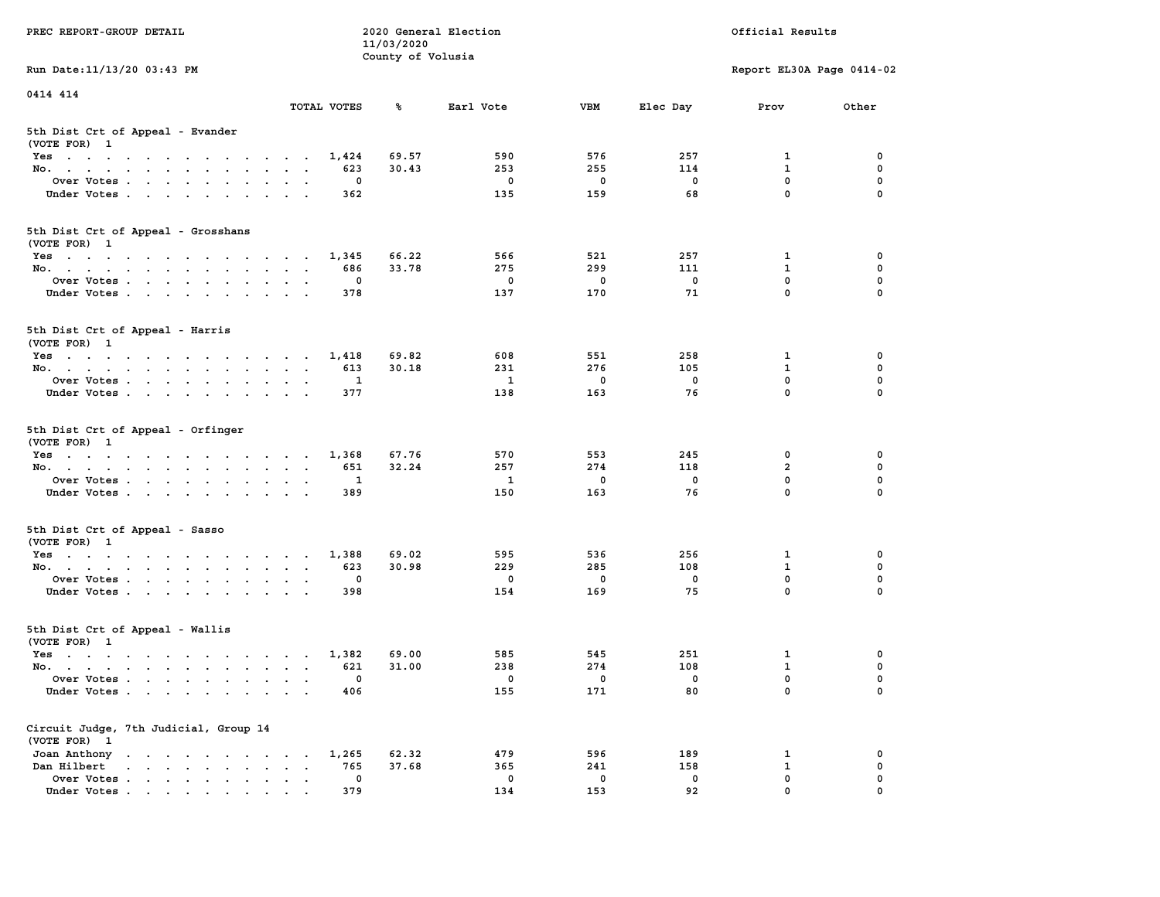|                                                                                                                                                                                                                                               |                                                                               | 11/03/2020        |              |             |             |                           |             |
|-----------------------------------------------------------------------------------------------------------------------------------------------------------------------------------------------------------------------------------------------|-------------------------------------------------------------------------------|-------------------|--------------|-------------|-------------|---------------------------|-------------|
|                                                                                                                                                                                                                                               |                                                                               | County of Volusia |              |             |             |                           |             |
| Run Date: 11/13/20 03:43 PM                                                                                                                                                                                                                   |                                                                               |                   |              |             |             | Report EL30A Page 0414-02 |             |
|                                                                                                                                                                                                                                               |                                                                               |                   |              |             |             |                           |             |
| 0414 414                                                                                                                                                                                                                                      |                                                                               |                   |              |             |             |                           |             |
|                                                                                                                                                                                                                                               | TOTAL VOTES                                                                   | ℁                 | Earl Vote    | <b>VBM</b>  | Elec Day    | Prov                      | Other       |
|                                                                                                                                                                                                                                               |                                                                               |                   |              |             |             |                           |             |
| 5th Dist Crt of Appeal - Evander                                                                                                                                                                                                              |                                                                               |                   |              |             |             |                           |             |
| (VOTE FOR) 1                                                                                                                                                                                                                                  |                                                                               |                   |              |             |             |                           |             |
| Yes                                                                                                                                                                                                                                           | 1,424                                                                         | 69.57             | 590          | 576         | 257         | 1                         | 0           |
| No.<br>$\sim$<br>$\sim$<br>$\mathbf{r}$                                                                                                                                                                                                       | 623                                                                           | 30.43             | 253          | 255         | 114         | 1                         | 0           |
| Over Votes                                                                                                                                                                                                                                    | $\mathbf{o}$                                                                  |                   | $\mathbf 0$  | $\mathbf 0$ | $\mathbf 0$ | $\mathbf 0$               | $\mathbf 0$ |
| Under Votes                                                                                                                                                                                                                                   | 362<br>$\sim$<br>$\sim$ $\sim$                                                |                   | 135          | 159         | 68          | $\mathbf 0$               | $\Omega$    |
|                                                                                                                                                                                                                                               |                                                                               |                   |              |             |             |                           |             |
|                                                                                                                                                                                                                                               |                                                                               |                   |              |             |             |                           |             |
| 5th Dist Crt of Appeal - Grosshans                                                                                                                                                                                                            |                                                                               |                   |              |             |             |                           |             |
| (VOTE FOR) 1                                                                                                                                                                                                                                  |                                                                               |                   |              |             |             |                           |             |
| Yes                                                                                                                                                                                                                                           | 1,345                                                                         | 66.22             | 566          | 521         | 257         | $\mathbf{1}$              | $\mathbf 0$ |
| No.                                                                                                                                                                                                                                           | 686                                                                           | 33.78             | 275          | 299         | 111         | $\mathbf{1}$              | $\mathbf 0$ |
| Over Votes                                                                                                                                                                                                                                    | $\mathbf{0}$                                                                  |                   | $\mathbf 0$  | $\mathbf 0$ | $\Omega$    | $\mathbf{0}$              | $\mathbf 0$ |
| Under Votes                                                                                                                                                                                                                                   | 378                                                                           |                   | 137          | 170         | 71          | $\mathbf 0$               | $\Omega$    |
|                                                                                                                                                                                                                                               |                                                                               |                   |              |             |             |                           |             |
|                                                                                                                                                                                                                                               |                                                                               |                   |              |             |             |                           |             |
| 5th Dist Crt of Appeal - Harris                                                                                                                                                                                                               |                                                                               |                   |              |             |             |                           |             |
| (VOTE FOR) 1                                                                                                                                                                                                                                  |                                                                               |                   |              |             |             |                           |             |
| Yes                                                                                                                                                                                                                                           | 1,418                                                                         | 69.82             | 608          | 551         | 258         | 1                         | 0           |
| No.                                                                                                                                                                                                                                           | 613                                                                           | 30.18             | 231          | 276         | 105         | $\mathbf{1}$              | $\mathbf 0$ |
| Over Votes<br>$\bullet$                                                                                                                                                                                                                       | 1<br>$\sim$                                                                   |                   | $\mathbf{1}$ | $\mathbf 0$ | $\mathbf 0$ | 0                         | $\mathbf 0$ |
| Under Votes                                                                                                                                                                                                                                   | 377                                                                           |                   | 138          | 163         | 76          | $\Omega$                  | $\Omega$    |
|                                                                                                                                                                                                                                               |                                                                               |                   |              |             |             |                           |             |
|                                                                                                                                                                                                                                               |                                                                               |                   |              |             |             |                           |             |
| 5th Dist Crt of Appeal - Orfinger                                                                                                                                                                                                             |                                                                               |                   |              |             |             |                           |             |
| (VOTE FOR) 1                                                                                                                                                                                                                                  |                                                                               |                   |              |             |             |                           |             |
| Yes                                                                                                                                                                                                                                           | 1,368                                                                         | 67.76             | 570          | 553         | 245         | 0                         | 0           |
| No.                                                                                                                                                                                                                                           | 651<br>$\sim$<br>$\sim$ $\sim$ $\sim$                                         | 32.24             | 257          | 274         | 118         | $\overline{a}$            | $\mathbf 0$ |
| Over Votes                                                                                                                                                                                                                                    | 1                                                                             |                   | $\mathbf{1}$ | $\mathbf 0$ | $\mathbf 0$ | $\mathbf 0$               | $\mathbf 0$ |
| Under Votes                                                                                                                                                                                                                                   | 389                                                                           |                   | 150          | 163         | 76          | $\mathbf 0$               | $\mathbf 0$ |
|                                                                                                                                                                                                                                               |                                                                               |                   |              |             |             |                           |             |
| 5th Dist Crt of Appeal - Sasso                                                                                                                                                                                                                |                                                                               |                   |              |             |             |                           |             |
| (VOTE FOR) 1                                                                                                                                                                                                                                  |                                                                               |                   |              |             |             |                           |             |
| Yes                                                                                                                                                                                                                                           | 1,388                                                                         | 69.02             | 595          | 536         | 256         | $\mathbf{1}$              | $\mathbf 0$ |
| No.<br>$\bullet$                                                                                                                                                                                                                              | 623<br>$\sim$ $\sim$<br>$\ddot{\phantom{0}}$                                  | 30.98             | 229          | 285         | 108         | $\mathbf{1}$              | $\mathbf 0$ |
| Over Votes                                                                                                                                                                                                                                    | $\mathbf 0$<br>$\ddot{\phantom{0}}$<br>$\sim$ $\sim$                          |                   | $\mathbf{0}$ | $\mathbf 0$ | $\mathbf 0$ | $\mathbf{0}$              | $\Omega$    |
| Under Votes<br>$\cdot$ $\cdot$                                                                                                                                                                                                                | 398<br>$\sim$                                                                 |                   | 154          | 169         | 75          | $\mathbf 0$               | $\Omega$    |
|                                                                                                                                                                                                                                               |                                                                               |                   |              |             |             |                           |             |
|                                                                                                                                                                                                                                               |                                                                               |                   |              |             |             |                           |             |
| 5th Dist Crt of Appeal - Wallis                                                                                                                                                                                                               |                                                                               |                   |              |             |             |                           |             |
| (VOTE FOR) 1                                                                                                                                                                                                                                  |                                                                               |                   |              |             |             |                           |             |
| Yes                                                                                                                                                                                                                                           | 1,382                                                                         | 69.00             | 585          | 545         | 251         | 1                         | 0           |
| No.                                                                                                                                                                                                                                           | 621                                                                           | 31.00             | 238          | 274         | 108         | $\mathbf{1}$              | 0           |
| Over Votes<br>$\sim 10^{-1}$                                                                                                                                                                                                                  | 0<br>$\ddot{\phantom{a}}$<br>$\ddot{\phantom{a}}$<br>$\overline{\phantom{a}}$ |                   | $\mathbf 0$  | $\mathbf 0$ | $\mathbf 0$ | $\mathbf 0$               | $\mathbf 0$ |
| Under Votes                                                                                                                                                                                                                                   | 406                                                                           |                   | 155          | 171         | 80          | $\Omega$                  | $\Omega$    |
|                                                                                                                                                                                                                                               |                                                                               |                   |              |             |             |                           |             |
|                                                                                                                                                                                                                                               |                                                                               |                   |              |             |             |                           |             |
| Circuit Judge, 7th Judicial, Group 14                                                                                                                                                                                                         |                                                                               |                   |              |             |             |                           |             |
| (VOTE FOR) 1                                                                                                                                                                                                                                  |                                                                               |                   |              |             |             |                           |             |
| Joan Anthony<br>the contract of the contract of the contract of                                                                                                                                                                               | 1,265                                                                         | 62.32             | 479          | 596         | 189         | 1                         | 0           |
| Dan Hilbert<br>and a series of the control of the series of the series of the series of the series of the series of the series of the series of the series of the series of the series of the series of the series of the series of the serie | 765<br>$\bullet$ . $\bullet$                                                  | 37.68             | 365          | 241         | 158         | $\mathbf{1}$              | $\mathbf 0$ |
| Over Votes<br>$\bullet$                                                                                                                                                                                                                       | 0<br>$\blacksquare$<br>$\blacksquare$<br>$\ddot{\phantom{a}}$                 |                   | 0            | $\mathbf 0$ | 0           | $\mathbf 0$               | $\mathbf 0$ |
| Under Votes                                                                                                                                                                                                                                   | 379                                                                           |                   | 134          | 153         | 92          | $\mathbf 0$               | $\mathbf 0$ |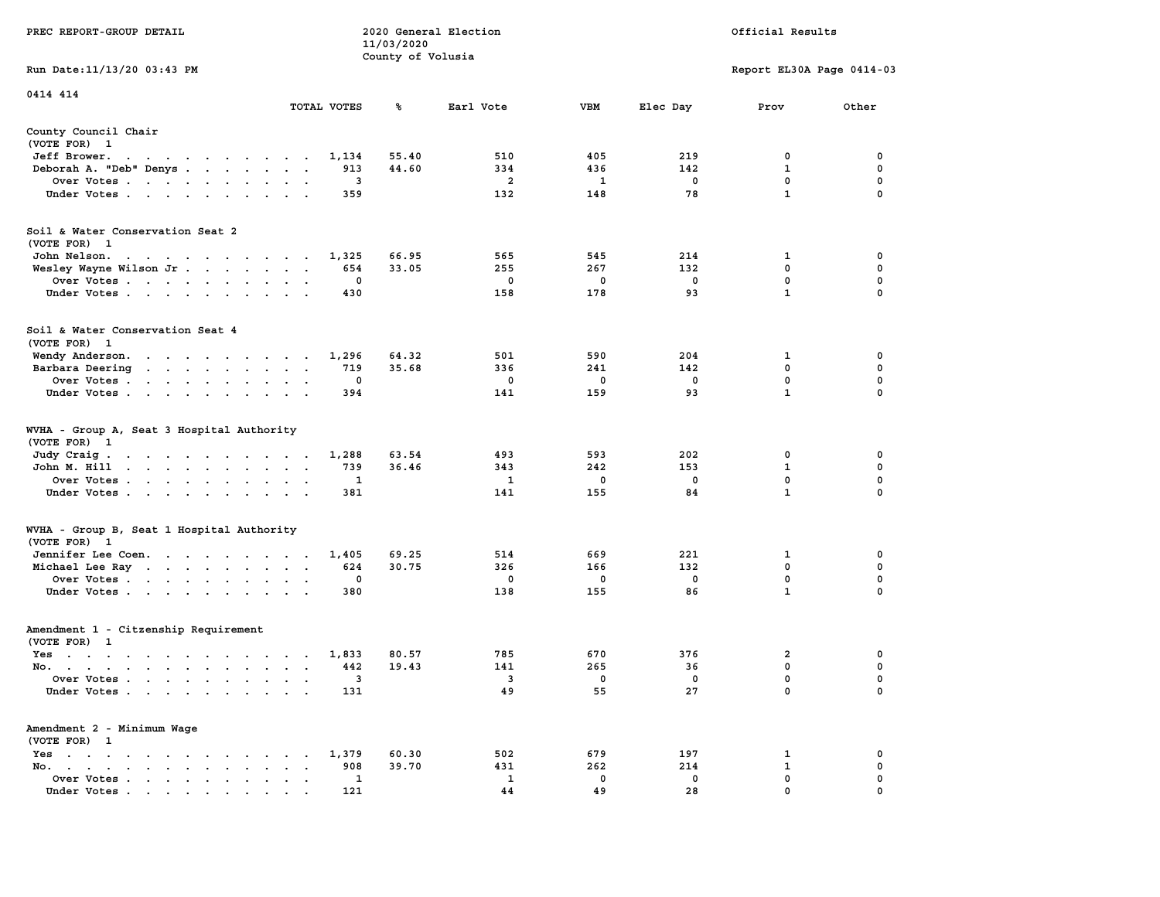|                                                                                                                                                      |                                                        | 11/03/2020        |                   |              |                   |                           |                  |
|------------------------------------------------------------------------------------------------------------------------------------------------------|--------------------------------------------------------|-------------------|-------------------|--------------|-------------------|---------------------------|------------------|
|                                                                                                                                                      |                                                        | County of Volusia |                   |              |                   |                           |                  |
| Run Date: 11/13/20 03:43 PM                                                                                                                          |                                                        |                   |                   |              |                   | Report EL30A Page 0414-03 |                  |
| 0414 414                                                                                                                                             |                                                        |                   |                   |              |                   |                           |                  |
|                                                                                                                                                      | TOTAL VOTES                                            | ℁                 | Earl Vote         | <b>VBM</b>   | Elec Day          | Prov                      | Other            |
|                                                                                                                                                      |                                                        |                   |                   |              |                   |                           |                  |
| County Council Chair                                                                                                                                 |                                                        |                   |                   |              |                   |                           |                  |
| (VOTE FOR) 1                                                                                                                                         |                                                        |                   |                   |              |                   |                           |                  |
| Jeff Brower.<br>the contract of the contract of the con-                                                                                             | 1,134                                                  | 55.40             | 510               | 405          | 219               | 0                         | 0                |
| Deborah A. "Deb" Denys                                                                                                                               | 913                                                    | 44.60             | 334               | 436          | 142               | 1                         | 0                |
| Over Votes                                                                                                                                           | 3<br>$\cdot$                                           |                   | $\overline{a}$    | $\mathbf{1}$ | $\mathbf 0$       | $\mathbf 0$               | 0                |
| Under Votes                                                                                                                                          | 359                                                    |                   | 132               | 148          | 78                | $\mathbf{1}$              | $\Omega$         |
|                                                                                                                                                      |                                                        |                   |                   |              |                   |                           |                  |
| Soil & Water Conservation Seat 2                                                                                                                     |                                                        |                   |                   |              |                   |                           |                  |
| (VOTE FOR) 1                                                                                                                                         |                                                        |                   |                   |              |                   |                           |                  |
| John Nelson.<br>design and a series of the series of                                                                                                 | 1,325                                                  | 66.95             | 565               | 545          | 214               | 1                         | 0                |
| Wesley Wayne Wilson Jr                                                                                                                               | 654                                                    | 33.05             | 255               | 267          | 132               | $\mathbf 0$               | $\mathbf 0$      |
| Over Votes                                                                                                                                           | $\mathbf 0$<br>$\sim$ $\sim$                           |                   | $\mathbf 0$       | $\mathbf 0$  | $\mathbf 0$       | $\mathbf 0$               | $\mathbf 0$      |
| Under Votes                                                                                                                                          | 430                                                    |                   | 158               | 178          | 93                | $\mathbf{1}$              | $\mathbf 0$      |
|                                                                                                                                                      |                                                        |                   |                   |              |                   |                           |                  |
| Soil & Water Conservation Seat 4                                                                                                                     |                                                        |                   |                   |              |                   |                           |                  |
| (VOTE FOR) 1                                                                                                                                         |                                                        |                   |                   |              |                   |                           |                  |
| Wendy Anderson.                                                                                                                                      | 1,296<br>$\ddot{\phantom{1}}$                          | 64.32             | 501               | 590          | 204               | 1                         | 0                |
| Barbara Deering                                                                                                                                      | 719<br>$\bullet$ . $\bullet$                           | 35.68             | 336               | 241          | 142               | $\mathbf 0$               | $\mathbf 0$      |
| Over Votes                                                                                                                                           | $\mathbf{0}$<br>$\sim$ $\sim$                          |                   | $^{\circ}$        | $^{\circ}$   | $^{\circ}$        | $\mathbf 0$               | 0                |
| Under Votes                                                                                                                                          | 394                                                    |                   | 141               | 159          | 93                | $\mathbf{1}$              | 0                |
|                                                                                                                                                      |                                                        |                   |                   |              |                   |                           |                  |
| WVHA - Group A, Seat 3 Hospital Authority                                                                                                            |                                                        |                   |                   |              |                   |                           |                  |
| (VOTE FOR)<br>$\mathbf{1}$                                                                                                                           |                                                        |                   |                   |              |                   |                           |                  |
| Judy Craig.<br>the contract of the contract of the con-                                                                                              | 1,288                                                  | 63.54             | 493               | 593          | 202               | 0                         | 0                |
| John M. Hill<br>$\sim$ $\sim$<br>$\sim$                                                                                                              | 739<br>$\sim$ $\sim$<br>$\overline{\phantom{a}}$       | 36.46             | 343               | 242          | 153               | $\mathbf{1}$              | $\mathbf 0$      |
| Over Votes                                                                                                                                           | 1                                                      |                   | 1                 | 0            | 0                 | $\mathbf 0$               | $\mathbf 0$      |
| Under Votes<br>$\cdot$<br>$\cdot$                                                                                                                    | 381                                                    |                   | 141               | 155          | 84                | $\mathbf{1}$              | $\mathbf 0$      |
|                                                                                                                                                      |                                                        |                   |                   |              |                   |                           |                  |
| WVHA - Group B, Seat 1 Hospital Authority                                                                                                            |                                                        |                   |                   |              |                   |                           |                  |
| (VOTE FOR) 1                                                                                                                                         |                                                        | 69.25             | 514               | 669          | 221               |                           | 0                |
| Jennifer Lee Coen.                                                                                                                                   | 1,405                                                  |                   |                   |              |                   | 1                         |                  |
| Michael Lee Ray                                                                                                                                      | 624<br>$\sim$ $\sim$<br>$\blacksquare$<br>$\mathbf{0}$ | 30.75             | 326<br>$^{\circ}$ | 166          | 132<br>$^{\circ}$ | 0<br>$\mathbf 0$          | 0<br>$\mathbf 0$ |
| Over Votes                                                                                                                                           | $\ddot{\phantom{0}}$                                   |                   |                   | 0            | 86                | $\mathbf{1}$              | $\mathbf 0$      |
| Under Votes                                                                                                                                          | 380<br>$\sim$                                          |                   | 138               | 155          |                   |                           |                  |
| Amendment 1 - Citzenship Requirement                                                                                                                 |                                                        |                   |                   |              |                   |                           |                  |
| (VOTE FOR) 1                                                                                                                                         |                                                        |                   |                   |              |                   |                           |                  |
|                                                                                                                                                      | 1,833                                                  | 80.57             | 785               | 670          | 376               | $\overline{\mathbf{2}}$   | 0                |
| Yes                                                                                                                                                  |                                                        |                   |                   |              |                   |                           |                  |
| No.                                                                                                                                                  | 442                                                    | 19.43             | 141               | 265          | 36                | 0                         | 0                |
| Over Votes<br>$\sim$<br>$\bullet$                                                                                                                    | 3<br>$\overline{a}$<br>$\overline{\phantom{a}}$        |                   | 3                 | 0            | 0                 | 0<br>$\mathbf 0$          | $\mathbf 0$      |
| Under Votes                                                                                                                                          | 131                                                    |                   | 49                | 55           | 27                |                           | $\mathbf 0$      |
| Amendment 2 - Minimum Wage                                                                                                                           |                                                        |                   |                   |              |                   |                           |                  |
| (VOTE FOR) 1                                                                                                                                         |                                                        |                   |                   |              |                   |                           |                  |
| $Yes \t . \t .$<br><b>Contract Contract</b><br>$\ddot{\phantom{0}}$<br>$\sim$ $\sim$ $\sim$<br>$\ddot{\phantom{a}}$<br>$\ddot{\phantom{a}}$          | 1,379                                                  | 60.30             | 502               | 679          | 197               | 1                         | 0                |
| No.<br>the contract of the contract of the contract of the contract of the contract of the contract of the contract of<br>$\sim$ $\sim$<br>$\bullet$ | 908                                                    | 39.70             | 431               | 262          | 214               | $\mathbf{1}$              | $\mathbf 0$      |
| Over Votes<br>$\sim$<br>$\bullet$<br>$\bullet$                                                                                                       | 1<br>$\bullet$<br>$\ddot{\phantom{a}}$                 |                   | 1                 | $\mathbf 0$  | 0                 | 0                         | 0                |
| Under Votes<br>the contract of the contract of the contract of the contract of the contract of the contract of the contract of                       | 121                                                    |                   | 44                | 49           | 28                | $\Omega$                  | $\Omega$         |
|                                                                                                                                                      |                                                        |                   |                   |              |                   |                           |                  |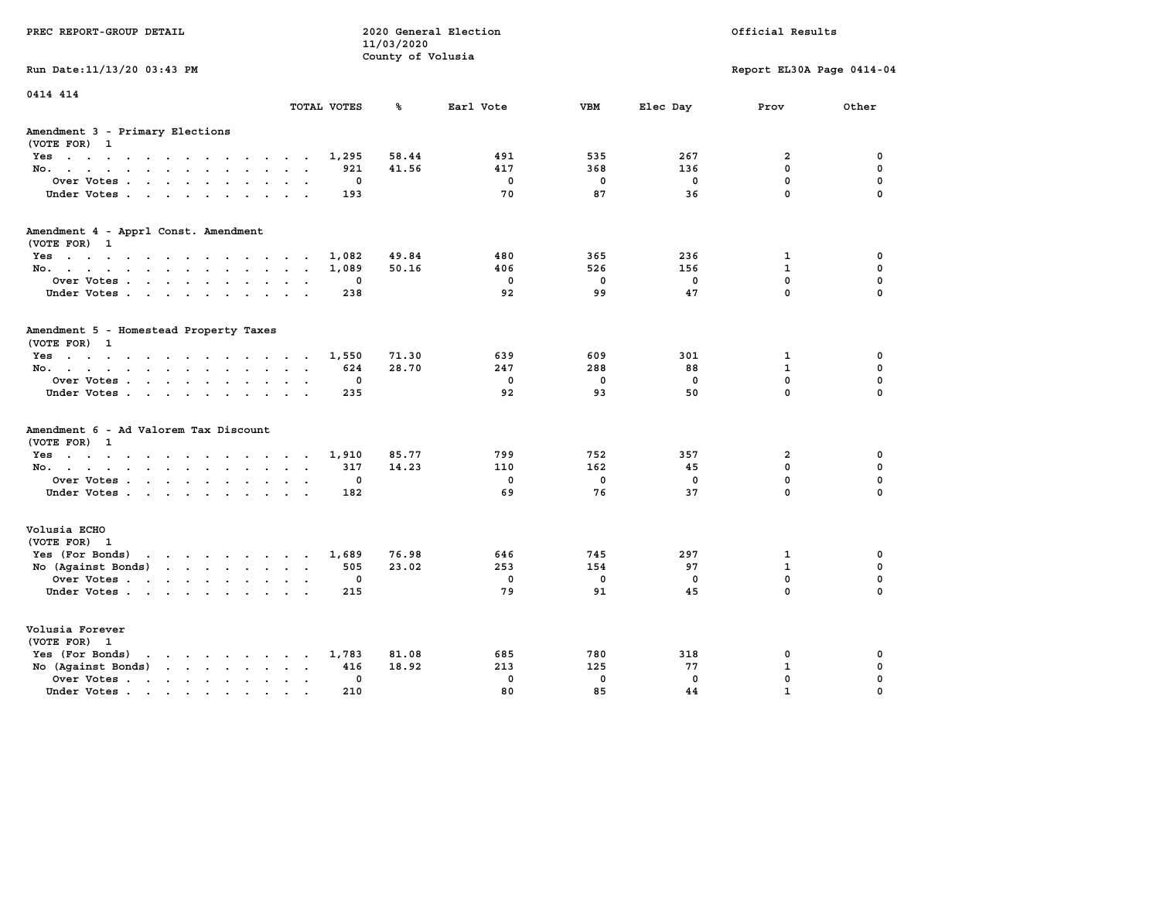| PREC REPORT-GROUP DETAIL                                                    |             | 11/03/2020<br>County of Volusia | 2020 General Election |             | Official Results |                            |                         |  |
|-----------------------------------------------------------------------------|-------------|---------------------------------|-----------------------|-------------|------------------|----------------------------|-------------------------|--|
| Run Date: 11/13/20 03:43 PM                                                 |             |                                 |                       |             |                  | Report EL30A Page 0414-04  |                         |  |
| 0414 414                                                                    | TOTAL VOTES | ℁                               | Earl Vote             | <b>VBM</b>  | Elec Day         | Prov                       | Other                   |  |
| Amendment 3 - Primary Elections<br>(VOTE FOR) 1                             |             |                                 |                       |             |                  |                            |                         |  |
| Yes                                                                         | 1,295       | 58.44                           | 491                   | 535         | 267              | $\overline{2}$             | 0                       |  |
| No.<br>$\ddotsc$                                                            | 921         | 41.56                           | 417                   | 368         | 136              | 0                          | $\mathbf 0$             |  |
| Over Votes<br>$\ddot{\phantom{0}}$<br>$\ddot{\phantom{a}}$                  | 0           |                                 | $\mathbf 0$           | $\mathbf 0$ | $\mathbf 0$      | $\mathbf 0$                | 0                       |  |
| Under Votes<br>$\cdot$ $\cdot$                                              | 193         |                                 | 70                    | 87          | 36               | 0                          | $\Omega$                |  |
| Amendment 4 - Apprl Const. Amendment<br>(VOTE FOR) 1                        |             |                                 |                       |             |                  |                            |                         |  |
| Yes                                                                         | 1,082       | 49.84                           | 480                   | 365         | 236              | 1                          | 0                       |  |
| No.                                                                         | 1,089       | 50.16                           | 406                   | 526         | 156              | $\mathbf{1}$               | $\mathbf 0$             |  |
| Over Votes<br>$\bullet$<br>$\bullet$                                        | 0           |                                 | $\mathbf 0$           | $\mathbf 0$ | $\mathbf 0$      | $\mathbf 0$                | $\mathbf 0$             |  |
| Under Votes                                                                 | 238         |                                 | 92                    | 99          | 47               | $\mathbf 0$                | $\Omega$                |  |
| Amendment 5 - Homestead Property Taxes<br>(VOTE FOR) 1                      |             |                                 |                       |             |                  |                            |                         |  |
| Yes                                                                         | 1,550       | 71.30                           | 639                   | 609         | 301              | 1                          | 0                       |  |
| No.<br>$\sim$ $\sim$<br>$\cdot$ .                                           | 624         | 28.70                           | 247                   | 288         | 88               | $\mathbf{1}$               | $\mathbf 0$             |  |
| Over Votes<br>$\ddot{\phantom{a}}$<br>$\bullet$<br>$\overline{\phantom{a}}$ | 0           |                                 | $\mathbf 0$           | $\mathbf 0$ | $\mathbf 0$      | $\mathbf 0$<br>$\mathbf 0$ | $\mathbf 0$<br>$\Omega$ |  |
| Under Votes<br>$\sim$<br>$\sim$                                             | 235         |                                 | 92                    | 93          | 50               |                            |                         |  |
| Amendment 6 - Ad Valorem Tax Discount<br>(VOTE FOR)<br>1                    |             |                                 |                       |             |                  |                            |                         |  |
| Yes                                                                         | 1,910       | 85.77                           | 799                   | 752         | 357              | 2                          | 0                       |  |
| No.                                                                         | 317         | 14.23                           | 110                   | 162         | 45               | $\mathbf{0}$               | $\mathbf 0$             |  |
| Over Votes<br>$\ddot{\phantom{a}}$<br>$\bullet$                             | 0           |                                 | $\mathbf 0$           | $\mathbf 0$ | 0                | 0                          | 0                       |  |
| Under Votes                                                                 | 182         |                                 | 69                    | 76          | 37               | $\mathbf 0$                | $\Omega$                |  |
| Volusia ECHO<br>(VOTE FOR) 1                                                |             |                                 |                       |             |                  |                            |                         |  |
| Yes (For Bonds) $\cdots$ $\cdots$ $\cdots$ $\cdots$                         | 1,689       | 76.98                           | 646                   | 745         | 297              | $\mathbf{1}$               | 0                       |  |
| No (Against Bonds)                                                          | 505         | 23.02                           | 253                   | 154         | 97               | $\mathbf{1}$               | $\mathbf 0$             |  |
| Over Votes<br>$\ddot{\phantom{a}}$<br>$\sim$                                | 0           |                                 | $\mathbf 0$           | $\mathbf 0$ | 0                | $\mathbf 0$                | $\mathbf 0$             |  |
| Under Votes                                                                 | 215         |                                 | 79                    | 91          | 45               | $\mathbf 0$                | $\Omega$                |  |
| Volusia Forever<br>(VOTE FOR) 1                                             |             |                                 |                       |             |                  |                            |                         |  |
| Yes (For Bonds)<br>$\cdots$<br>$\ddot{\phantom{0}}$                         | 1,783       | 81.08                           | 685                   | 780         | 318              | 0                          | 0                       |  |
| $\cdots$<br>No (Against Bonds)                                              | 416         | 18.92                           | 213                   | 125         | 77               | $\mathbf{1}$               | $\mathbf 0$             |  |
| Over Votes .<br>and the contract of the contract of the<br>$\blacksquare$   | 0           |                                 | $\mathbf 0$           | $\mathbf 0$ | $\mathbf{0}$     | 0                          | 0                       |  |
| Under Votes<br>$\sim$                                                       | 210         |                                 | 80                    | 85          | 44               | $\mathbf{1}$               | 0                       |  |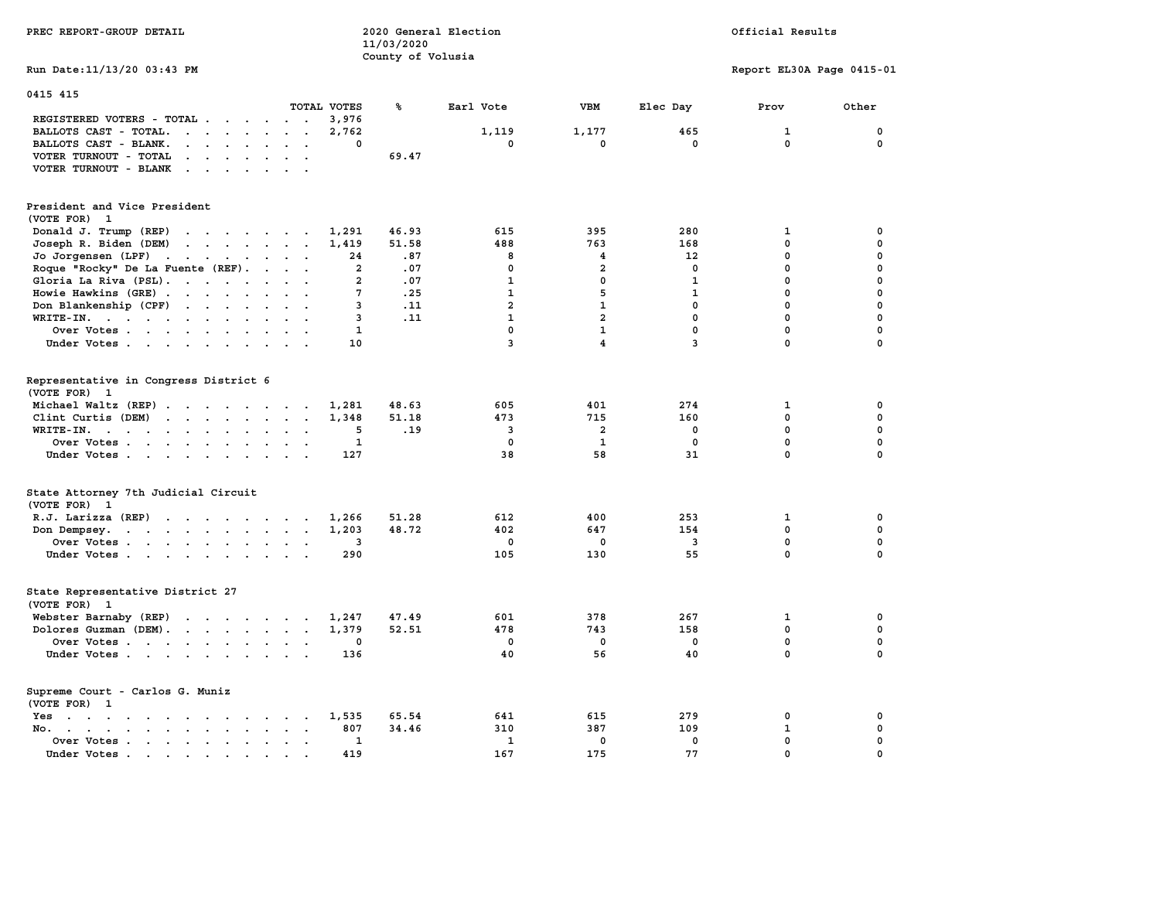| PREC REPORT-GROUP DETAIL                                                                                                                                                                                      |                                                       | 11/03/2020<br>County of Volusia | 2020 General Election |                         |                    | Official Results          |             |
|---------------------------------------------------------------------------------------------------------------------------------------------------------------------------------------------------------------|-------------------------------------------------------|---------------------------------|-----------------------|-------------------------|--------------------|---------------------------|-------------|
| Run Date: 11/13/20 03:43 PM                                                                                                                                                                                   |                                                       |                                 |                       |                         |                    | Report EL30A Page 0415-01 |             |
| 0415 415                                                                                                                                                                                                      |                                                       |                                 |                       |                         |                    |                           |             |
|                                                                                                                                                                                                               | TOTAL VOTES                                           | ℁                               | Earl Vote             | <b>VBM</b>              | Elec Day           | Prov                      | Other       |
| REGISTERED VOTERS - TOTAL .<br>$\sim$<br>$\sim$<br>$\sim$                                                                                                                                                     | $\cdot$ $\cdot$<br>3,976<br>2,762                     |                                 |                       |                         |                    |                           | 0           |
| BALLOTS CAST - TOTAL.<br>$\cdots$<br>BALLOTS CAST - BLANK.<br>$\mathbf{r}$ , $\mathbf{r}$ , $\mathbf{r}$                                                                                                      | $\mathbf 0$<br>$\sim$<br>$\overline{\phantom{a}}$     |                                 | 1,119<br>$\mathbf 0$  | 1,177<br>$\mathbf 0$    | 465<br>$\mathbf 0$ | 1<br>$\mathbf 0$          | $\mathbf 0$ |
| $\cdot$                                                                                                                                                                                                       |                                                       |                                 |                       |                         |                    |                           |             |
| VOTER TURNOUT - TOTAL<br>$\mathbf{r}$ , $\mathbf{r}$ , $\mathbf{r}$ , $\mathbf{r}$                                                                                                                            |                                                       | 69.47                           |                       |                         |                    |                           |             |
| VOTER TURNOUT - BLANK<br>$\cdot$ $\cdot$ $\cdot$<br>$\sim$                                                                                                                                                    |                                                       |                                 |                       |                         |                    |                           |             |
| President and Vice President<br>(VOTE FOR) 1                                                                                                                                                                  |                                                       |                                 |                       |                         |                    |                           |             |
| Donald J. Trump (REP)                                                                                                                                                                                         | 1,291                                                 | 46.93                           | 615                   | 395                     | 280                | 1                         | 0           |
| Joseph R. Biden (DEM)<br>$\mathbf{r}$ , and $\mathbf{r}$ , and $\mathbf{r}$ , and $\mathbf{r}$                                                                                                                | 1,419                                                 | 51.58                           | 488                   | 763                     | 168                | $\mathbf{0}$              | 0           |
| Jo Jorgensen (LPF)                                                                                                                                                                                            | 24                                                    | .87                             | 8                     | 4                       | 12                 | 0                         | $\Omega$    |
| Roque "Rocky" De La Fuente (REF).                                                                                                                                                                             | $\overline{2}$                                        | .07                             | $\mathbf{0}$          | $\overline{2}$          | 0                  | $\mathbf 0$               | $\mathbf 0$ |
| Gloria La Riva (PSL).                                                                                                                                                                                         | $\overline{2}$                                        | .07                             | $\mathbf{1}$          | $\mathbf{0}$            | $\mathbf{1}$       | $\mathbf{0}$              | 0           |
| Howie Hawkins (GRE)                                                                                                                                                                                           | 7                                                     | .25                             | $\mathbf{1}$          | 5                       | $\mathbf{1}$       | $\mathbf{0}$              | 0           |
| Don Blankenship (CPF)                                                                                                                                                                                         | 3                                                     | .11                             | $\overline{a}$        | $\mathbf{1}$            | $\mathbf{0}$       | $\mathbf{0}$              | $\mathbf 0$ |
| WRITE-IN.                                                                                                                                                                                                     | 3                                                     | .11                             | $\mathbf{1}$          | $\overline{a}$          | $\mathbf 0$        | $\mathbf 0$               | $\mathbf 0$ |
|                                                                                                                                                                                                               | 1<br>$\mathbf{r}$                                     |                                 | $\mathbf 0$           | $\mathbf{1}$            | $\mathbf 0$        | $\mathbf 0$               | $\mathbf 0$ |
| Over Votes                                                                                                                                                                                                    |                                                       |                                 | $\overline{3}$        | $\overline{\mathbf{4}}$ | $\overline{3}$     | $\Omega$                  | $\mathbf 0$ |
| Under Votes                                                                                                                                                                                                   | 10                                                    |                                 |                       |                         |                    |                           |             |
| Representative in Congress District 6                                                                                                                                                                         |                                                       |                                 |                       |                         |                    |                           |             |
| (VOTE FOR) 1                                                                                                                                                                                                  |                                                       |                                 |                       |                         |                    |                           |             |
| Michael Waltz (REP)                                                                                                                                                                                           | 1,281                                                 | 48.63                           | 605                   | 401                     | 274                | 1                         | 0           |
| Clint Curtis (DEM)                                                                                                                                                                                            | 1,348                                                 | 51.18                           | 473                   | 715                     | 160                | $\mathbf 0$               | $\mathbf 0$ |
| WRITE-IN.<br>$\mathbf{r}$ , and $\mathbf{r}$ , and $\mathbf{r}$ , and $\mathbf{r}$<br>$\mathbf{r}$<br>$\ddot{\phantom{a}}$                                                                                    | 5<br>$\sim$                                           | .19                             | 3                     | $\overline{2}$          | 0                  | $\mathbf{0}$              | $\mathbf 0$ |
| Over Votes                                                                                                                                                                                                    | $\mathbf{1}$<br>$\mathbf{r}$                          |                                 | $\mathbf 0$           | $\mathbf{1}$            | $\mathbf 0$        | $\mathbf 0$               | $\mathbf 0$ |
| Under Votes                                                                                                                                                                                                   | 127<br>$\sim$ $\sim$                                  |                                 | 38                    | 58                      | 31                 | $\mathbf{0}$              | 0           |
| State Attorney 7th Judicial Circuit<br>(VOTE FOR) 1                                                                                                                                                           |                                                       |                                 |                       |                         |                    |                           |             |
| $R.J.$ Larizza $(REP)$                                                                                                                                                                                        | 1,266<br>$\sim$                                       | 51.28                           | 612                   | 400                     | 253                | 1                         | 0           |
| Don Dempsey.<br>the contract of the contract of the contract of the contract of the contract of the contract of the contract of                                                                               | 1,203<br>$\sim$                                       | 48.72                           | 402                   | 647                     | 154                | $\mathbf 0$               | $\mathbf 0$ |
| Over Votes                                                                                                                                                                                                    | 3                                                     |                                 | $\mathbf 0$           | 0                       | 3                  | $\mathbf 0$               | $\pmb{0}$   |
| Under Votes                                                                                                                                                                                                   | 290                                                   |                                 | 105                   | 130                     | 55                 | $\mathbf 0$               | $\mathbf 0$ |
|                                                                                                                                                                                                               |                                                       |                                 |                       |                         |                    |                           |             |
| State Representative District 27<br>(VOTE FOR)<br>$\mathbf{1}$                                                                                                                                                |                                                       |                                 |                       |                         |                    |                           |             |
| Webster Barnaby (REP)                                                                                                                                                                                         | 1,247                                                 | 47.49                           | 601                   | 378                     | 267                | 1                         | $\mathbf 0$ |
| Dolores Guzman (DEM).                                                                                                                                                                                         | 1,379                                                 | 52.51                           | 478                   | 743                     | 158                | 0                         | 0           |
| Over Votes                                                                                                                                                                                                    | $\Omega$                                              |                                 | $\mathbf{0}$          | $\mathbf{0}$            | $\mathbf{0}$       | $\mathbf{0}$              | $\mathbf 0$ |
| Under Votes                                                                                                                                                                                                   | 136                                                   |                                 | 40                    | 56                      | 40                 | $\mathbf 0$               | $\mathbf 0$ |
| Supreme Court - Carlos G. Muniz<br>(VOTE FOR) 1                                                                                                                                                               |                                                       |                                 |                       |                         |                    |                           |             |
| Yes                                                                                                                                                                                                           | 1,535                                                 | 65.54                           | 641                   | 615                     | 279                | $\mathbf 0$               | 0           |
| the contract of the contract of the contract of the contract of the contract of the contract of the contract of<br>$\cdot$ $\cdot$ $\cdot$ $\cdot$ $\cdot$ $\cdot$ $\cdot$ $\cdot$<br>No.<br>$\sim$<br>$\sim$ | 807<br>$\sim$                                         | 34.46                           | 310                   | 387                     | 109                | $\mathbf{1}$              | 0           |
| Over Votes                                                                                                                                                                                                    | 1<br>$\ddot{\phantom{a}}$<br>$\overline{\phantom{a}}$ |                                 | $\mathbf{1}$          | $\mathbf 0$             | $\mathbf 0$        | $\mathbf 0$               | $\mathbf 0$ |
| Under Votes.                                                                                                                                                                                                  | 419                                                   |                                 | 167                   | 175                     | 77                 | 0                         | $\mathbf 0$ |
| the contract of the contract of the contract of the contract of the contract of the contract of the contract of                                                                                               |                                                       |                                 |                       |                         |                    |                           |             |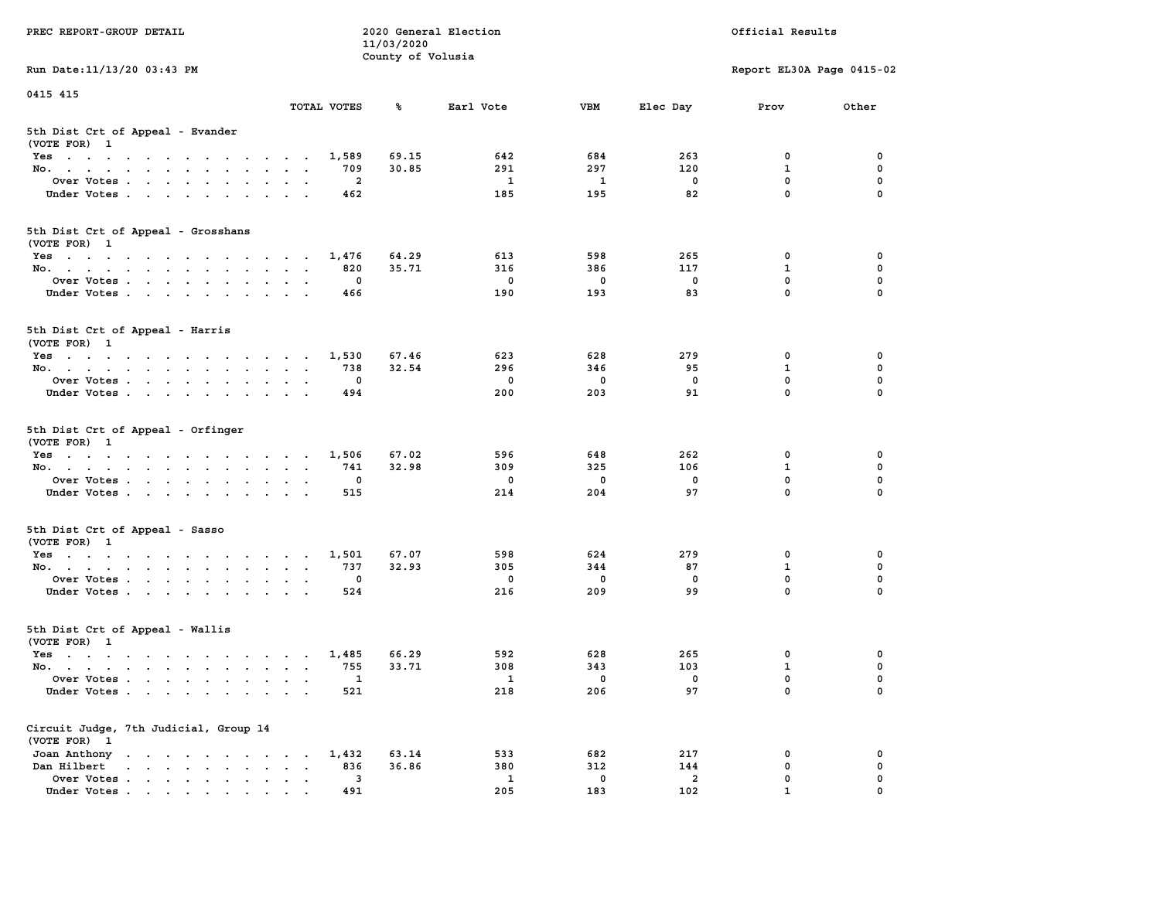| PREC REPORT-GROUP DETAIL                                                                                               |                                               | 11/03/2020        | 2020 General Election |                    | Official Results      |                            |               |  |
|------------------------------------------------------------------------------------------------------------------------|-----------------------------------------------|-------------------|-----------------------|--------------------|-----------------------|----------------------------|---------------|--|
| Run Date: 11/13/20 03:43 PM                                                                                            |                                               | County of Volusia |                       |                    |                       | Report EL30A Page 0415-02  |               |  |
| 0415 415                                                                                                               |                                               |                   |                       |                    |                       |                            |               |  |
|                                                                                                                        | TOTAL VOTES                                   | ℁                 | Earl Vote             | <b>VBM</b>         | Elec Day              | Prov                       | Other         |  |
| 5th Dist Crt of Appeal - Evander<br>(VOTE FOR) 1                                                                       |                                               |                   |                       |                    |                       |                            |               |  |
| Yes                                                                                                                    | 1,589                                         | 69.15             | 642                   | 684                | 263                   | 0                          | 0             |  |
| No.                                                                                                                    | 709                                           | 30.85             | 291                   | 297                | 120                   | $\mathbf{1}$               | 0             |  |
| Over Votes                                                                                                             | 2                                             |                   | $\mathbf{1}$          | 1                  | 0                     | $\mathbf 0$                | 0             |  |
| Under Votes                                                                                                            | 462                                           |                   | 185                   | 195                | 82                    | $\mathbf 0$                | $\Omega$      |  |
| 5th Dist Crt of Appeal - Grosshans<br>(VOTE FOR) 1                                                                     |                                               |                   |                       |                    |                       |                            |               |  |
| Yes                                                                                                                    | 1,476                                         | 64.29             | 613                   | 598                | 265                   | 0                          | 0             |  |
| No.                                                                                                                    | 820                                           | 35.71             | 316                   | 386                | 117                   | $\mathbf{1}$               | 0             |  |
| Over Votes                                                                                                             | 0                                             |                   | $\mathbf 0$           | $\mathbf 0$        | $\mathbf 0$           | $\mathbf 0$                | 0             |  |
| Under Votes                                                                                                            | 466                                           |                   | 190                   | 193                | 83                    | $\mathbf{0}$               | 0             |  |
| 5th Dist Crt of Appeal - Harris<br>(VOTE FOR) 1                                                                        |                                               |                   |                       |                    |                       |                            |               |  |
| Yes                                                                                                                    | 1,530                                         | 67.46             | 623                   | 628                | 279                   | 0                          | 0             |  |
| No.                                                                                                                    | 738                                           | 32.54             | 296                   | 346                | 95                    | $\mathbf{1}$               | 0             |  |
| Over Votes                                                                                                             | 0                                             |                   | $\mathbf 0$           | $\mathbf 0$        | 0                     | $\mathbf{0}$               | 0             |  |
| Under Votes                                                                                                            | 494                                           |                   | 200                   | 203                | 91                    | $\mathbf 0$                | 0             |  |
| 5th Dist Crt of Appeal - Orfinger<br>(VOTE FOR) 1                                                                      |                                               |                   |                       |                    |                       |                            |               |  |
| Yes                                                                                                                    | 1,506                                         | 67.02             | 596                   | 648                | 262                   | 0                          | 0             |  |
| No.                                                                                                                    | 741                                           | 32.98             | 309                   | 325                | 106                   | $\mathbf{1}$               | 0             |  |
| Over Votes                                                                                                             | 0                                             |                   | 0                     | 0                  | 0                     | $\mathbf 0$<br>$\mathbf 0$ | 0<br>$\Omega$ |  |
| Under Votes                                                                                                            | 515                                           |                   | 214                   | 204                | 97                    |                            |               |  |
| 5th Dist Crt of Appeal - Sasso<br>(VOTE FOR) 1                                                                         |                                               |                   |                       |                    |                       |                            |               |  |
| Yes                                                                                                                    | 1,501                                         | 67.07             | 598                   | 624                | 279                   | 0                          | 0             |  |
| No.                                                                                                                    | 737                                           | 32.93             | 305                   | 344                | 87                    | 1                          | 0             |  |
| Over Votes                                                                                                             | 0<br>524                                      |                   | $\mathbf 0$<br>216    | 0<br>209           | $\mathbf 0$<br>99     | 0<br>$\mathbf{0}$          | 0<br>$\Omega$ |  |
| Under Votes                                                                                                            |                                               |                   |                       |                    |                       |                            |               |  |
| 5th Dist Crt of Appeal - Wallis<br>(VOTE FOR) 1                                                                        |                                               |                   |                       |                    |                       |                            |               |  |
| Yes<br>the contract of the contract of the contract of the contract of the contract of the contract of the contract of | 1,485                                         | 66.29             | 592                   | 628                | 265                   | 0                          | 0             |  |
| No.                                                                                                                    | 755                                           | 33.71             | 308                   | 343                | 103                   | $\mathbf{1}$               | 0             |  |
| Over Votes<br>Under Votes                                                                                              | 1<br>521                                      |                   | $\mathbf{1}$<br>218   | 0<br>206           | 0<br>97               | $\mathbf 0$<br>0           | 0<br>0        |  |
|                                                                                                                        |                                               |                   |                       |                    |                       |                            |               |  |
| Circuit Judge, 7th Judicial, Group 14<br>(VOTE FOR) 1                                                                  |                                               |                   |                       |                    |                       |                            |               |  |
| Joan Anthony                                                                                                           | 1,432                                         | 63.14             | 533                   | 682                | 217                   | 0                          | 0             |  |
| Dan Hilbert<br>Over Votes                                                                                              | 836<br>$\ddot{\phantom{a}}$<br>$\bullet$<br>3 | 36.86             | 380<br>$\mathbf{1}$   | 312<br>$\mathbf 0$ | 144<br>$\overline{a}$ | $\mathbf 0$<br>0           | 0<br>0        |  |
| Under Votes                                                                                                            | 491                                           |                   | 205                   | 183                | 102                   | $\mathbf{1}$               |               |  |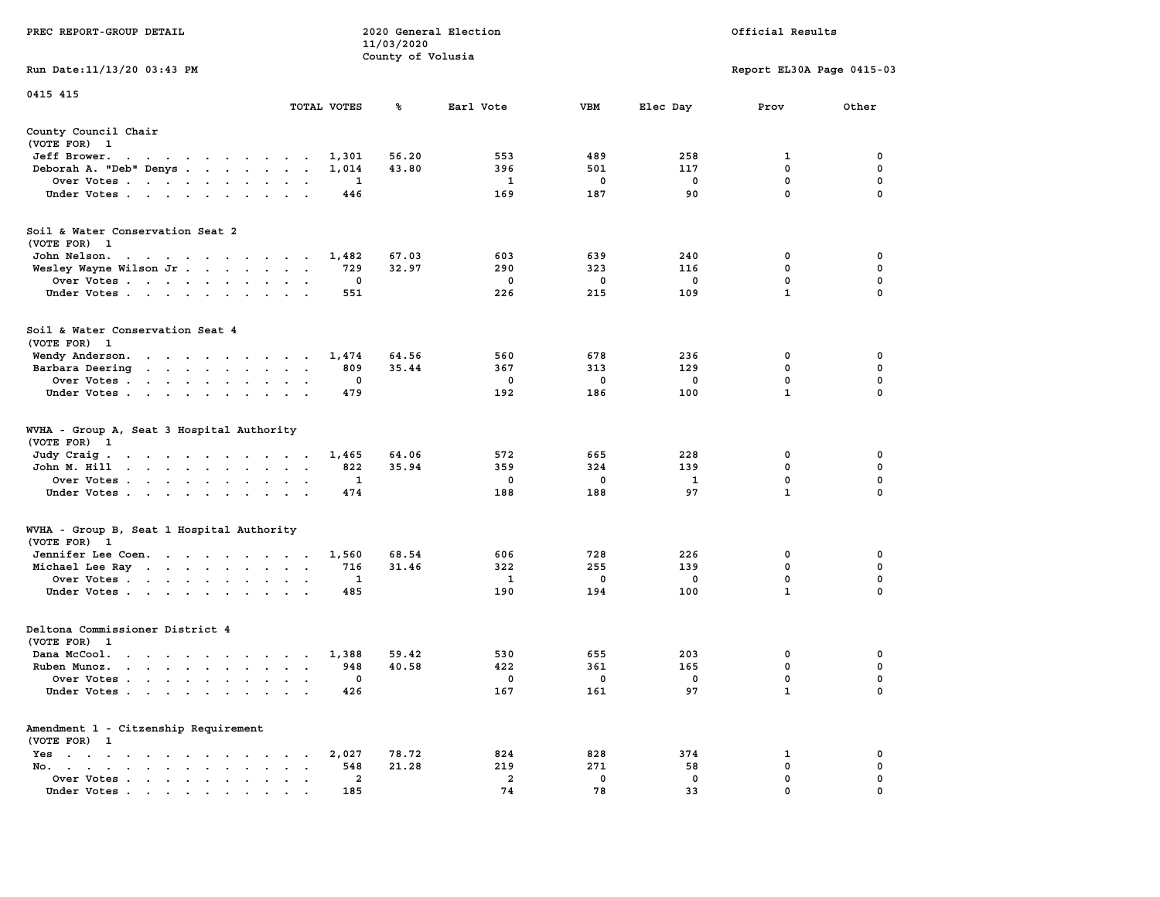|                                                                                                                                                                                                                                                                                     |                                                                             | 11/03/2020        |                         |             |             |                           |             |
|-------------------------------------------------------------------------------------------------------------------------------------------------------------------------------------------------------------------------------------------------------------------------------------|-----------------------------------------------------------------------------|-------------------|-------------------------|-------------|-------------|---------------------------|-------------|
|                                                                                                                                                                                                                                                                                     |                                                                             | County of Volusia |                         |             |             |                           |             |
| Run Date:11/13/20 03:43 PM                                                                                                                                                                                                                                                          |                                                                             |                   |                         |             |             | Report EL30A Page 0415-03 |             |
| 0415 415                                                                                                                                                                                                                                                                            |                                                                             |                   |                         |             |             |                           |             |
|                                                                                                                                                                                                                                                                                     | TOTAL VOTES                                                                 | ℁                 | Earl Vote               | <b>VBM</b>  | Elec Day    | Prov                      | Other       |
| County Council Chair                                                                                                                                                                                                                                                                |                                                                             |                   |                         |             |             |                           |             |
| (VOTE FOR) 1                                                                                                                                                                                                                                                                        |                                                                             |                   |                         |             |             |                           |             |
| Jeff Brower.<br>$\sim$ $\sim$<br>the company of the company of the company of                                                                                                                                                                                                       | 1,301                                                                       | 56.20             | 553                     | 489         | 258         | 1                         | 0           |
| Deborah A. "Deb" Denys                                                                                                                                                                                                                                                              | 1,014<br>$\overline{\phantom{a}}$<br>$\ddot{\phantom{a}}$                   | 43.80             | 396                     | 501         | 117         | 0                         | 0           |
| Over Votes<br>$\ddot{\phantom{a}}$                                                                                                                                                                                                                                                  | 1<br>$\cdot$<br>$\cdot$                                                     |                   | $\mathbf{1}$            | 0           | $\mathbf 0$ | $\mathbf 0$               | $\mathbf 0$ |
| Under Votes                                                                                                                                                                                                                                                                         | 446<br>$\sim$ $\sim$ $\sim$ $\sim$ $\sim$<br>$\sim$                         |                   | 169                     | 187         | 90          | 0                         | 0           |
| Soil & Water Conservation Seat 2                                                                                                                                                                                                                                                    |                                                                             |                   |                         |             |             |                           |             |
| (VOTE FOR) 1                                                                                                                                                                                                                                                                        |                                                                             |                   |                         |             |             |                           |             |
| John Nelson.<br>the contract of the contract of the con-                                                                                                                                                                                                                            | 1,482                                                                       | 67.03             | 603                     | 639         | 240         | 0                         | 0           |
| Wesley Wayne Wilson Jr                                                                                                                                                                                                                                                              | 729<br>$\overline{\phantom{a}}$<br>$\ddot{\phantom{a}}$<br>$\sim$           | 32.97             | 290                     | 323         | 116         | 0                         | $\mathbf 0$ |
| Over Votes<br>$\ddot{\phantom{a}}$                                                                                                                                                                                                                                                  | $\mathbf 0$                                                                 |                   | 0                       | 0           | $\mathbf 0$ | $\mathbf 0$               | $\mathbf 0$ |
| Under Votes<br>$\ddot{\phantom{a}}$                                                                                                                                                                                                                                                 | 551                                                                         |                   | 226                     | 215         | 109         | $\mathbf{1}$              | $\mathbf 0$ |
|                                                                                                                                                                                                                                                                                     |                                                                             |                   |                         |             |             |                           |             |
| Soil & Water Conservation Seat 4                                                                                                                                                                                                                                                    |                                                                             |                   |                         |             |             |                           |             |
| (VOTE FOR)<br>$\mathbf{1}$                                                                                                                                                                                                                                                          |                                                                             |                   |                         |             |             |                           |             |
| Wendy Anderson.<br>the contract of the state of the<br>$\sim 10^{-11}$                                                                                                                                                                                                              | 1,474<br>$\sim$                                                             | 64.56             | 560                     | 678         | 236         | 0                         | 0           |
| Barbara Deering<br>$\mathcal{A}=\mathcal{A}=\mathcal{A}=\mathcal{A}=\mathcal{A}=\mathcal{A}$ .<br>$\ddot{\phantom{0}}$                                                                                                                                                              | 809<br>$\ddot{\phantom{a}}$<br>$\ddot{\phantom{a}}$<br>$\,$ .               | 35.44             | 367                     | 313         | 129         | 0                         | 0           |
| Over Votes .<br>$\mathcal{A}=\mathcal{A}=\mathcal{A}=\mathcal{A}=\mathcal{A}$ .<br>$\ddot{\phantom{a}}$                                                                                                                                                                             | 0<br>$\ddot{\phantom{a}}$                                                   |                   | $\Omega$                | 0           | 0           | $\mathbf{0}$              | $\mathbf 0$ |
| Under Votes<br>$\cdot$                                                                                                                                                                                                                                                              | 479                                                                         |                   | 192                     | 186         | 100         | $\mathbf{1}$              | 0           |
| WVHA - Group A, Seat 3 Hospital Authority<br>(VOTE FOR)<br>$\mathbf{1}$                                                                                                                                                                                                             |                                                                             |                   |                         |             |             |                           |             |
| Judy Craig.<br>the contract of the contract of the con-                                                                                                                                                                                                                             | 1,465                                                                       | 64.06             | 572                     | 665         | 228         | 0<br>0                    | 0<br>0      |
| John M. Hill<br>$\begin{array}{cccccccccccccc} \bullet & \bullet & \bullet & \bullet & \bullet & \bullet & \bullet & \bullet & \bullet & \bullet \end{array}$<br>$\ddot{\phantom{0}}$                                                                                               | 822<br>$\ddot{\phantom{a}}$<br>$\ddot{\phantom{a}}$<br>$\ddot{\phantom{a}}$ | 35.94             | 359                     | 324         | 139         | $\mathbf 0$               | $\mathbf 0$ |
| Over Votes                                                                                                                                                                                                                                                                          | 1<br>$\mathbf{r}$<br>$\cdot$                                                |                   | 0                       | 0           | 1<br>97     | $\mathbf{1}$              | $\mathbf 0$ |
| Under Votes<br>$\cdot$<br>$\cdot$                                                                                                                                                                                                                                                   | 474                                                                         |                   | 188                     | 188         |             |                           |             |
| WVHA - Group B, Seat 1 Hospital Authority                                                                                                                                                                                                                                           |                                                                             |                   |                         |             |             |                           |             |
| (VOTE FOR)<br>$\mathbf{1}$                                                                                                                                                                                                                                                          |                                                                             |                   |                         |             |             |                           |             |
| Jennifer Lee Coen.                                                                                                                                                                                                                                                                  | 1,560                                                                       | 68.54             | 606                     | 728         | 226         | 0                         | 0           |
| Michael Lee Ray                                                                                                                                                                                                                                                                     | 716<br>$\bullet$<br>$\bullet$<br>$\,$ .                                     | 31.46             | 322                     | 255         | 139         | 0                         | 0           |
| Over Votes                                                                                                                                                                                                                                                                          | 1<br>$\cdot$                                                                |                   | 1                       | 0           | $^{\circ}$  | 0<br>$\mathbf{1}$         | 0           |
| Under Votes<br>$\overline{\phantom{a}}$<br>$\ddot{\phantom{a}}$                                                                                                                                                                                                                     | 485<br>$\ddot{\phantom{a}}$                                                 |                   | 190                     | 194         | 100         |                           | 0           |
| Deltona Commissioner District 4                                                                                                                                                                                                                                                     |                                                                             |                   |                         |             |             |                           |             |
| (VOTE FOR)<br>- 1                                                                                                                                                                                                                                                                   |                                                                             |                   |                         |             |             |                           |             |
| Dana McCool.<br>$\sim$<br>$\ddot{\phantom{0}}$<br>$\ddot{\phantom{1}}$<br>$\cdot$ $\cdot$ $\cdot$ $\cdot$                                                                                                                                                                           | 1,388<br>$\ddot{\phantom{a}}$<br>$\cdot$                                    | 59.42             | 530                     | 655         | 203         | 0                         | 0           |
| Ruben Munoz.<br>$\mathbf{r}$ , $\mathbf{r}$ , $\mathbf{r}$ , $\mathbf{r}$ , $\mathbf{r}$<br>$\sim$                                                                                                                                                                                  | 948<br>$\ddot{\phantom{a}}$<br>$\mathbf{r}$                                 | 40.58             | 422                     | 361         | 165         | 0                         | 0           |
| Over Votes.<br><b>Contract Contract</b><br>$\bullet$<br>$\mathbf{r}$<br>$\bullet$<br>$\bullet$                                                                                                                                                                                      | 0<br>$\ddot{\phantom{a}}$<br>$\ddot{\phantom{a}}$                           |                   | 0                       | 0           | 0           | 0                         | 0           |
| Under Votes<br>$\ddot{\phantom{a}}$<br>$\ddot{\phantom{a}}$                                                                                                                                                                                                                         | 426<br>$\ddot{\phantom{a}}$                                                 |                   | 167                     | 161         | 97          | 1                         | $\mathbf 0$ |
| Amendment 1 - Citzenship Requirement                                                                                                                                                                                                                                                |                                                                             |                   |                         |             |             |                           |             |
| (VOTE FOR) 1                                                                                                                                                                                                                                                                        |                                                                             |                   |                         |             |             |                           |             |
| $Yes \t . \t .$<br>$\bullet$<br>$\ddot{\phantom{0}}$<br>$\ddot{\phantom{1}}$<br>$\ddot{\phantom{0}}$<br>$\cdot$<br>$\cdot$<br>$\bullet$                                                                                                                                             | 2,027                                                                       | 78.72             | 824                     | 828         | 374         | 1                         | 0           |
| No.<br>the contract of the contract of the contract of the contract of the contract of the contract of the contract of the contract of the contract of the contract of the contract of the contract of the contract of the contract o<br>$\mathbf{a} = \mathbf{a} \cdot \mathbf{a}$ | 548                                                                         | 21.28             | 219                     | 271         | 58          | 0                         | 0           |
| Over Votes<br>$\sim$<br>$\bullet$<br>$\blacksquare$ .<br>$\bullet$                                                                                                                                                                                                                  | 2                                                                           |                   | $\overline{\mathbf{2}}$ | $\mathbf 0$ | $\mathbf 0$ | 0                         | 0           |
| Under Votes, , , , , , ,                                                                                                                                                                                                                                                            | 185<br>$\sim$                                                               |                   | 74                      | 78          | 33          | $\Omega$                  | $\mathbf 0$ |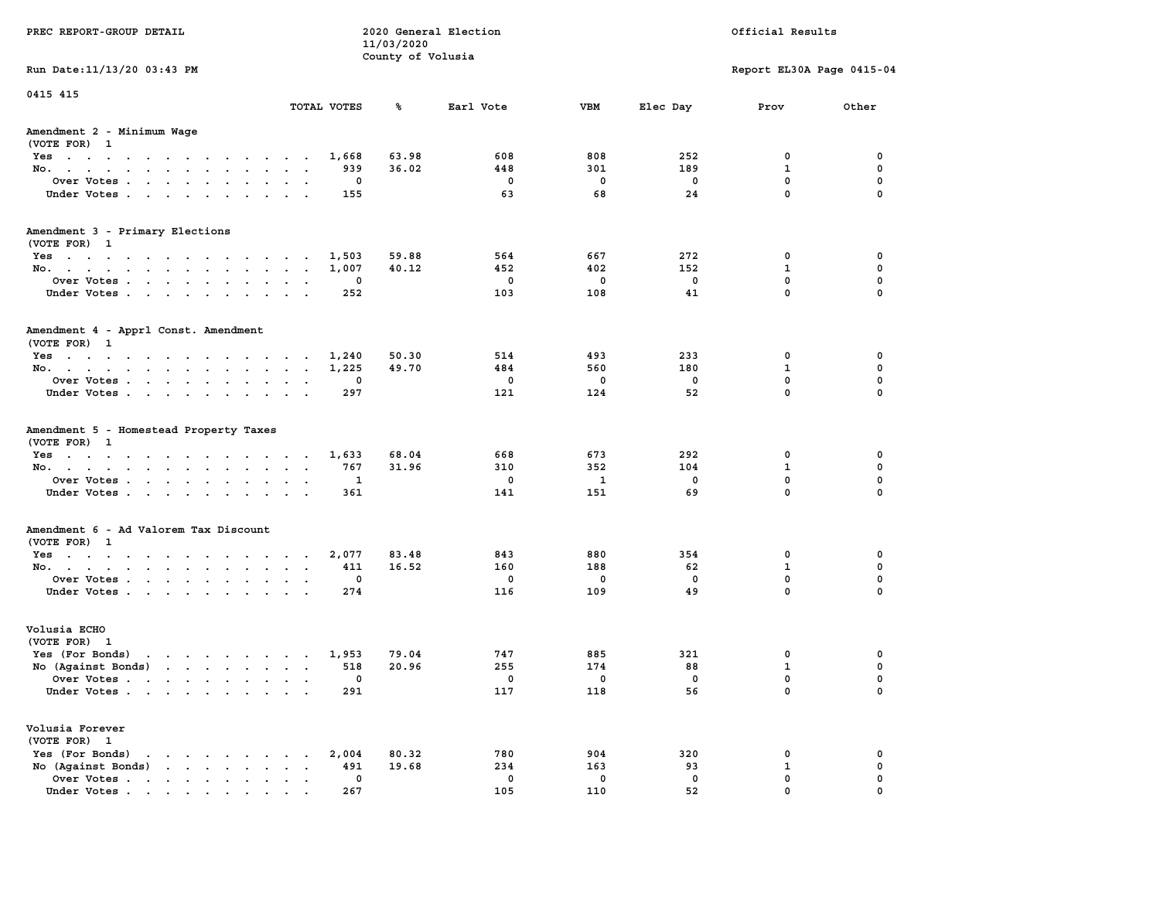| PREC REPORT-GROUP DETAIL                                                                                                                                                                                                                             |                             | 11/03/2020        | 2020 General Election  |                        | Official Results      |                                                |                         |  |
|------------------------------------------------------------------------------------------------------------------------------------------------------------------------------------------------------------------------------------------------------|-----------------------------|-------------------|------------------------|------------------------|-----------------------|------------------------------------------------|-------------------------|--|
|                                                                                                                                                                                                                                                      |                             | County of Volusia |                        |                        |                       |                                                |                         |  |
| Run Date: 11/13/20 03:43 PM                                                                                                                                                                                                                          |                             |                   |                        |                        |                       | Report EL30A Page 0415-04                      |                         |  |
| 0415 415                                                                                                                                                                                                                                             | TOTAL VOTES                 | ጜ                 | Earl Vote              | VBM                    | Elec Day              | Prov                                           | Other                   |  |
|                                                                                                                                                                                                                                                      |                             |                   |                        |                        |                       |                                                |                         |  |
| Amendment 2 - Minimum Wage<br>(VOTE FOR) 1                                                                                                                                                                                                           |                             |                   |                        |                        |                       |                                                |                         |  |
| Yes                                                                                                                                                                                                                                                  | 1,668                       | 63.98             | 608                    | 808                    | 252                   | 0                                              | 0                       |  |
| No.                                                                                                                                                                                                                                                  | 939                         | 36.02             | 448                    | 301                    | 189                   | $\mathbf{1}$                                   | $\mathbf 0$             |  |
| Over Votes                                                                                                                                                                                                                                           | 0                           |                   | 0                      | 0                      | 0                     | $\mathbf 0$                                    | 0                       |  |
| Under Votes                                                                                                                                                                                                                                          | 155                         |                   | 63                     | 68                     | 24                    | $\mathbf 0$                                    | $\Omega$                |  |
| Amendment 3 - Primary Elections                                                                                                                                                                                                                      |                             |                   |                        |                        |                       |                                                |                         |  |
| (VOTE FOR) 1                                                                                                                                                                                                                                         |                             |                   |                        |                        |                       |                                                |                         |  |
| Yes                                                                                                                                                                                                                                                  | 1,503                       | 59.88<br>40.12    | 564<br>452             | 667<br>402             | 272<br>152            | 0<br>1                                         | 0<br>0                  |  |
| No.<br>Over Votes                                                                                                                                                                                                                                    | 1,007<br>0                  |                   | 0                      | 0                      | 0                     | $\mathbf 0$                                    | $\mathbf 0$             |  |
| Under Votes                                                                                                                                                                                                                                          | 252                         |                   | 103                    | 108                    | 41                    | $\Omega$                                       | $\mathbf 0$             |  |
|                                                                                                                                                                                                                                                      |                             |                   |                        |                        |                       |                                                |                         |  |
| Amendment 4 - Apprl Const. Amendment<br>(VOTE FOR) 1                                                                                                                                                                                                 |                             |                   |                        |                        |                       |                                                |                         |  |
| Yes                                                                                                                                                                                                                                                  | 1,240                       | 50.30             | 514                    | 493                    | 233                   | 0                                              | 0                       |  |
| No.                                                                                                                                                                                                                                                  | 1,225                       | 49.70             | 484                    | 560                    | 180                   | 1                                              | 0                       |  |
| Over Votes                                                                                                                                                                                                                                           | 0<br>$\sim$ $\sim$          |                   | 0                      | 0                      | 0                     | $\mathbf{0}$                                   | $\mathbf 0$             |  |
| Under Votes                                                                                                                                                                                                                                          | 297                         |                   | 121                    | 124                    | 52                    | $\Omega$                                       | $\mathbf 0$             |  |
| (VOTE FOR) 1<br>Yes<br>No.<br>Over Votes<br>Under Votes                                                                                                                                                                                              | 1,633<br>767<br>1<br>361    | 68.04<br>31.96    | 668<br>310<br>0<br>141 | 673<br>352<br>1<br>151 | 292<br>104<br>0<br>69 | 0<br>$\mathbf 1$<br>$\mathbf 0$<br>$\mathbf 0$ | 0<br>0<br>0<br>$\Omega$ |  |
| Amendment 6 - Ad Valorem Tax Discount                                                                                                                                                                                                                |                             |                   |                        |                        |                       |                                                |                         |  |
| (VOTE FOR) 1                                                                                                                                                                                                                                         |                             |                   |                        |                        |                       |                                                |                         |  |
| Yes                                                                                                                                                                                                                                                  | 2,077                       | 83.48             | 843                    | 880                    | 354                   | 0                                              | 0                       |  |
| No.                                                                                                                                                                                                                                                  | 411                         | 16.52             | 160                    | 188                    | 62                    | $\mathbf{1}$                                   | 0                       |  |
| Over Votes                                                                                                                                                                                                                                           | 0                           |                   | 0                      | 0                      | 0                     | 0                                              | 0                       |  |
| Under Votes                                                                                                                                                                                                                                          | 274                         |                   | 116                    | 109                    | 49                    | $\Omega$                                       | $\Omega$                |  |
| Volusia ECHO<br>(VOTE FOR) 1                                                                                                                                                                                                                         |                             |                   |                        |                        |                       |                                                |                         |  |
| Yes (For Bonds)<br>$\mathbf{r}$ . The set of the set of the set of the set of the set of the set of the set of the set of the set of the set of the set of the set of the set of the set of the set of the set of the set of the set of the set of t | 1,953                       | 79.04             | 747                    | 885                    | 321                   | 0                                              | 0                       |  |
| No (Against Bonds)                                                                                                                                                                                                                                   | 518                         | 20.96             | 255                    | 174                    | 88                    | $\mathbf{1}$                                   | 0                       |  |
| Over Votes.<br>the contract of the contract of the contract of the contract of the contract of the contract of the contract of                                                                                                                       | 0                           |                   | 0                      | 0                      | 0                     | $\Omega$                                       | $\mathbf 0$             |  |
| Under Votes                                                                                                                                                                                                                                          | 291                         |                   | 117                    | 118                    | 56                    | 0                                              | 0                       |  |
| Volusia Forever                                                                                                                                                                                                                                      |                             |                   |                        |                        |                       |                                                |                         |  |
| (VOTE FOR) 1<br>Yes (For Bonds)<br>$\cdot$ $\cdot$ $\cdot$ $\cdot$ $\cdot$ $\cdot$                                                                                                                                                                   | 2,004                       | 80.32             | 780                    | 904                    | 320                   | 0                                              | 0                       |  |
| $\mathbf{r}$ , $\mathbf{r}$ , $\mathbf{r}$ , $\mathbf{r}$<br>No (Against Bonds)                                                                                                                                                                      | 491<br>$\ddot{\phantom{a}}$ | 19.68             | 234                    | 163                    | 93                    | $\mathbf{1}$                                   | $\mathbf 0$             |  |
| Over Votes                                                                                                                                                                                                                                           | 0                           |                   | 0                      | 0                      | 0                     | $\mathbf 0$                                    | 0                       |  |
| Under Votes                                                                                                                                                                                                                                          | 267                         |                   | 105                    | 110                    | 52                    | $\mathbf{0}$                                   | $\Omega$                |  |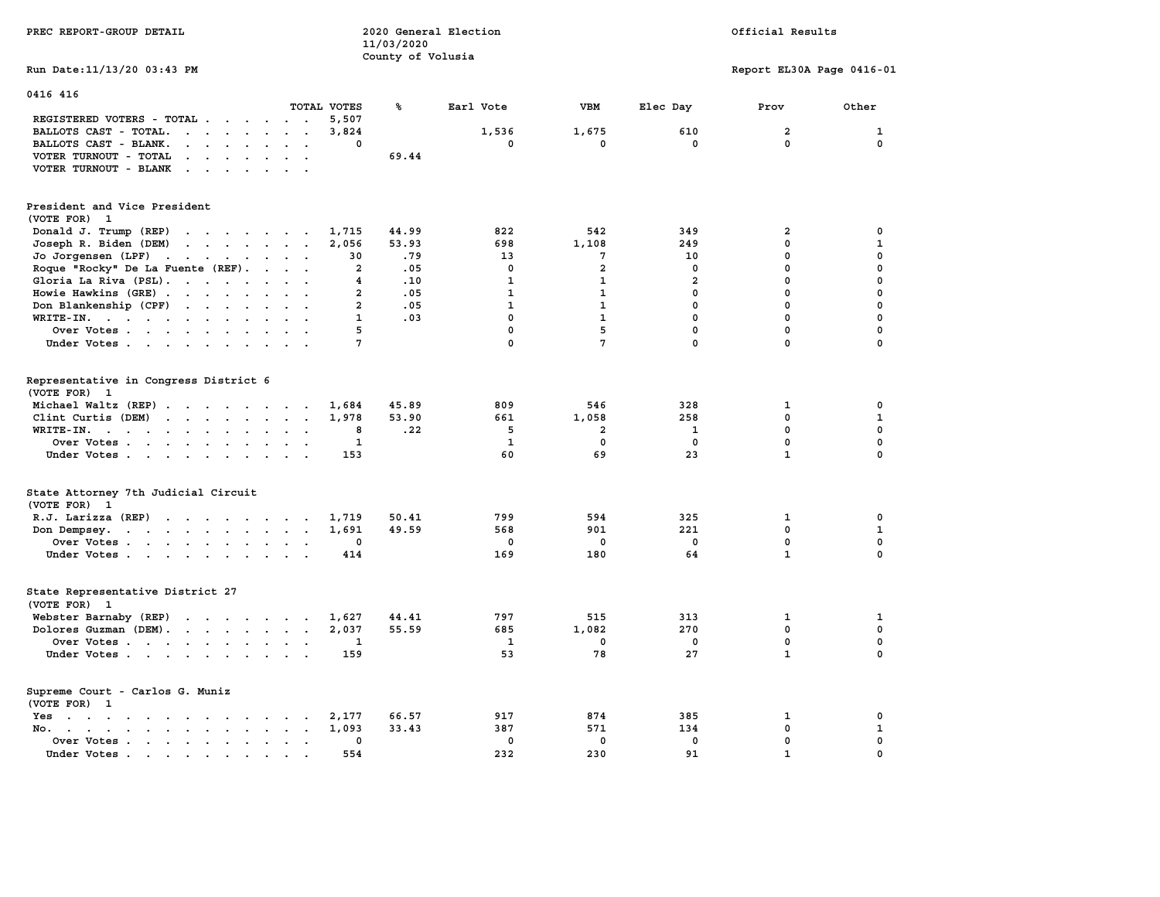| PREC REPORT-GROUP DETAIL                                                                                                                               | 11/03/2020              | 2020 General Election<br>County of Volusia |                | Official Results        |                           |                  |  |
|--------------------------------------------------------------------------------------------------------------------------------------------------------|-------------------------|--------------------------------------------|----------------|-------------------------|---------------------------|------------------|--|
| Run Date: 11/13/20 03:43 PM                                                                                                                            |                         |                                            |                |                         | Report EL30A Page 0416-01 |                  |  |
| 0416 416                                                                                                                                               |                         |                                            |                |                         |                           |                  |  |
| TOTAL VOTES<br>REGISTERED VOTERS - TOTAL .<br>$\ddotsc$<br>$\sim$<br>$\sim$<br>$\cdot$                                                                 | ℁<br>5,507              | Earl Vote                                  | <b>VBM</b>     | Elec Day                | Prov                      | Other            |  |
| BALLOTS CAST - TOTAL.<br>$\mathbf{r}$ , $\mathbf{r}$ , $\mathbf{r}$ , $\mathbf{r}$ , $\mathbf{r}$                                                      | 3,824                   | 1,536                                      | 1,675          | 610                     | $\overline{2}$            | 1                |  |
| BALLOTS CAST - BLANK.<br>$\ddot{\phantom{0}}$<br>$\mathbf{L}$ and $\mathbf{L}$<br>$\ddot{\phantom{a}}$<br>$\ddot{\phantom{a}}$<br>$\overline{a}$       | 0                       | 0                                          | 0              | 0                       | 0                         | $\mathbf 0$      |  |
| VOTER TURNOUT - TOTAL<br>$\mathbf{r}$ , $\mathbf{r}$ , $\mathbf{r}$ , $\mathbf{r}$                                                                     | 69.44                   |                                            |                |                         |                           |                  |  |
| VOTER TURNOUT - BLANK<br>$\cdot$ $\cdot$ $\cdot$                                                                                                       |                         |                                            |                |                         |                           |                  |  |
| President and Vice President<br>(VOTE FOR) 1                                                                                                           |                         |                                            |                |                         |                           |                  |  |
| Donald J. Trump (REP)<br>$\cdots$                                                                                                                      | 44.99<br>1,715          | 822                                        | 542            | 349                     | $\mathbf{2}$              | 0                |  |
| Joseph R. Biden (DEM)<br>$\cdot$ $\cdot$ $\cdot$ $\cdot$ $\cdot$ $\cdot$ $\cdot$ $\cdot$                                                               | 2,056<br>53.93          | 698                                        | 1,108          | 249                     | 0                         | $\mathbf{1}$     |  |
| Jo Jorgensen (LPF)<br>$\cdot$ $\cdot$ $\cdot$ $\cdot$ $\cdot$<br>$\cdot$ $\cdot$ $\cdot$<br>$\ddot{\phantom{0}}$                                       | 30                      | .79<br>13                                  | 7              | 10                      | 0                         | $\mathbf 0$      |  |
| Roque "Rocky" De La Fuente (REF).<br>$\cdot$ $\cdot$ $\cdot$                                                                                           | $\overline{\mathbf{2}}$ | .05<br>$\mathbf{0}$                        | $\overline{a}$ | $\mathbf 0$             | 0                         | $\mathbf 0$      |  |
| Gloria La Riva (PSL).<br>$\sim$ $\sim$                                                                                                                 | 4                       | .10<br>$\mathbf 1$                         | $\mathbf{1}$   | $\overline{\mathbf{2}}$ | 0                         | $\mathbf 0$      |  |
| Howie Hawkins (GRE)<br>$\sim$                                                                                                                          | $\overline{a}$          | .05<br>$\mathbf{1}$                        | $\mathbf{1}$   | $\mathbf 0$             | $\mathbf 0$               | $\mathbf 0$      |  |
| Don Blankenship (CPF)<br><b>Contract Contract Contract Contract</b><br>$\sim$                                                                          | 2                       | .05<br>$\mathbf 1$                         | $\mathbf{1}$   | $\pmb{0}$               | 0                         | $\mathbf 0$      |  |
| WRITE-IN.                                                                                                                                              | $\mathbf{1}$            | $\mathbf 0$<br>.03                         | $\mathbf{1}$   | $\mathbf 0$             | 0                         | $\mathbf 0$      |  |
| Over Votes<br>$\ddot{\phantom{0}}$<br>$\bullet$                                                                                                        | 5                       | $\mathbf 0$                                | 5              | $\mathbf 0$             | 0                         | $\mathbf 0$      |  |
| Under Votes                                                                                                                                            | 7                       | $\mathbf 0$                                | 7              | $\mathbf 0$             | 0                         | $\mathbf 0$      |  |
| Representative in Congress District 6<br>(VOTE FOR) 1<br>Michael Waltz (REP)                                                                           | 45.89<br>1,684          | 809                                        | 546            | 328                     | 1                         | 0                |  |
| Clint Curtis (DEM)                                                                                                                                     | 1,978<br>53.90          | 661                                        | 1,058          | 258                     | 0                         | $\mathbf{1}$     |  |
| WRITE-IN.<br>$\cdots$<br>$\cdot$<br>$\ddot{\phantom{a}}$<br>$\overline{a}$                                                                             | 8                       | .22<br>5                                   | $\overline{2}$ | 1                       | 0                         | $\mathbf 0$      |  |
| Over Votes<br>$\sim$ $\sim$                                                                                                                            | 1                       | $\mathbf{1}$                               | $\mathbf{0}$   | $\Omega$                | 0                         | $\mathbf 0$      |  |
| Under Votes<br>$\sim$                                                                                                                                  | 153                     | 60                                         | 69             | 23                      | $\mathbf{1}$              | $\mathbf 0$      |  |
| State Attorney 7th Judicial Circuit<br>(VOTE FOR)<br>$\overline{\phantom{0}}$                                                                          |                         |                                            |                |                         |                           |                  |  |
| $R.J.$ Larizza $(REP)$                                                                                                                                 | 1,719<br>50.41          | 799                                        | 594            | 325                     | 1                         | 0                |  |
| Don Dempsey.<br>the contract of the contract of the contract of<br>$\sim$                                                                              | 1,691<br>49.59          | 568                                        | 901            | 221                     | $\mathbf 0$               | $\mathbf 1$      |  |
| Over Votes<br>$\ddot{\phantom{a}}$                                                                                                                     | 0                       | 0                                          | $\mathbf 0$    | $\mathbf 0$             | 0<br>$\mathbf{1}$         | $\mathbf 0$<br>0 |  |
| Under Votes<br>$\sim$                                                                                                                                  | 414                     | 169                                        | 180            | 64                      |                           |                  |  |
| State Representative District 27<br>(VOTE FOR)<br>- 1                                                                                                  |                         |                                            |                |                         |                           |                  |  |
| Webster Barnaby (REP)<br>the contract of the contract of the contract of the contract of the contract of the contract of the contract of               | 1,627<br>44.41          | 797                                        | 515            | 313                     | $\mathbf{1}$              | $\mathbf{1}$     |  |
| Dolores Guzman (DEM).                                                                                                                                  | 2,037<br>55.59          | 685                                        | 1,082          | 270                     | 0                         | 0                |  |
| Over Votes                                                                                                                                             | 1                       | $\mathbf{1}$                               | $\mathbf 0$    | $\mathbf 0$             | 0                         | $\mathbf 0$      |  |
| Under Votes<br>$\sim$ $\sim$                                                                                                                           | 159                     | 53                                         | 78             | 27                      | $\mathbf{1}$              | $\mathbf 0$      |  |
| Supreme Court - Carlos G. Muniz<br>(VOTE FOR) 1                                                                                                        |                         |                                            |                |                         |                           |                  |  |
| Yes                                                                                                                                                    | 66.57<br>2,177          | 917                                        | 874            | 385                     | 1                         | $\mathbf 0$      |  |
| No.<br>$\mathbf{r}$ , $\mathbf{r}$ , $\mathbf{r}$ , $\mathbf{r}$ , $\mathbf{r}$ , $\mathbf{r}$<br>$\sim$<br>$\sim$                                     | 1,093<br>33.43          | 387                                        | 571            | 134                     | 0                         | 1                |  |
| Over Votes<br>$\bullet$<br>$\bullet$                                                                                                                   | $\mathbf 0$             | $\mathbf{0}$                               | $\mathbf{0}$   | $\mathbf{0}$            | $\mathbf 0$               | $\mathbf 0$      |  |
| Under Votes.<br>$\begin{array}{cccccccccccccc} \bullet & \bullet & \bullet & \bullet & \bullet & \bullet & \bullet & \bullet \end{array}$<br>$\bullet$ | 554                     | 232                                        | 230            | 91                      | $\mathbf{1}$              | $\Omega$         |  |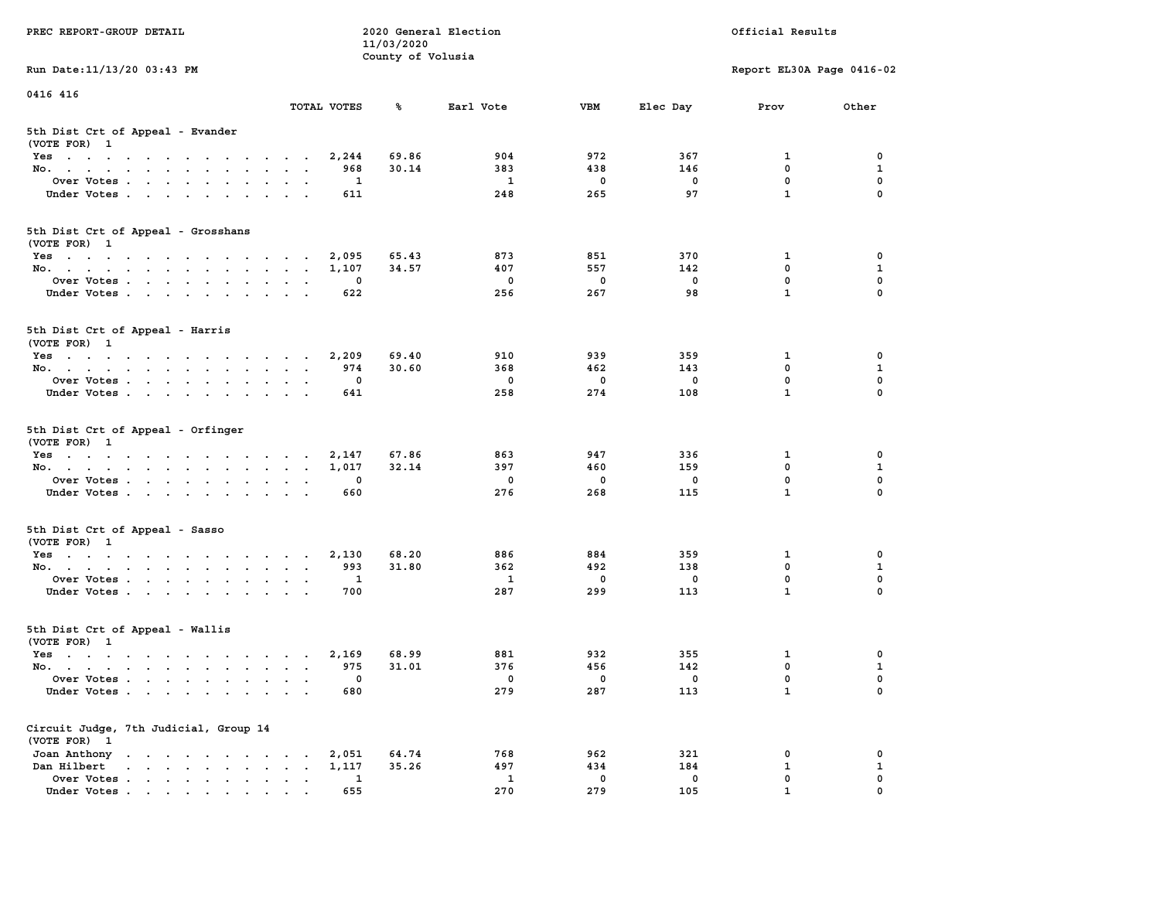|                                                                 |                                                                           | 11/03/2020        |                          |             |             |                           |              |
|-----------------------------------------------------------------|---------------------------------------------------------------------------|-------------------|--------------------------|-------------|-------------|---------------------------|--------------|
|                                                                 |                                                                           | County of Volusia |                          |             |             |                           |              |
| Run Date: 11/13/20 03:43 PM                                     |                                                                           |                   |                          |             |             | Report EL30A Page 0416-02 |              |
| 0416 416                                                        |                                                                           |                   |                          |             |             |                           |              |
|                                                                 | TOTAL VOTES                                                               | ℁                 | Earl Vote                | <b>VBM</b>  | Elec Day    | Prov                      | Other        |
|                                                                 |                                                                           |                   |                          |             |             |                           |              |
| 5th Dist Crt of Appeal - Evander<br>(VOTE FOR) 1                |                                                                           |                   |                          |             |             |                           |              |
| Yes                                                             | 2,244                                                                     | 69.86             | 904                      | 972         | 367         | 1                         | 0            |
| No.<br>$\sim$<br>$\sim$<br>$\mathbf{r}$                         | 968                                                                       | 30.14             | 383                      | 438         | 146         | 0                         | 1            |
| Over Votes                                                      | 1                                                                         |                   | 1                        | $\mathbf 0$ | 0           | $\mathbf 0$               | $\mathbf 0$  |
| Under Votes                                                     | 611<br>$\bullet$<br>$\sim$ $\sim$                                         |                   | 248                      | 265         | 97          | $\mathbf{1}$              | 0            |
|                                                                 |                                                                           |                   |                          |             |             |                           |              |
| 5th Dist Crt of Appeal - Grosshans                              |                                                                           |                   |                          |             |             |                           |              |
| (VOTE FOR) 1                                                    |                                                                           |                   |                          |             |             |                           |              |
| Yes                                                             | 2,095                                                                     | 65.43             | 873                      | 851         | 370         | $\mathbf{1}$              | $\mathbf 0$  |
| No.                                                             | 1,107                                                                     | 34.57             | 407                      | 557         | 142         | $\mathbf{0}$              | $\mathbf{1}$ |
| Over Votes                                                      | $\mathbf{0}$<br>$\sim$ $\sim$                                             |                   | $\mathbf 0$              | $\mathbf 0$ | $\Omega$    | $\mathbf 0$               | $\mathbf 0$  |
| Under Votes                                                     | 622                                                                       |                   | 256                      | 267         | 98          | $\mathbf{1}$              | 0            |
|                                                                 |                                                                           |                   |                          |             |             |                           |              |
| 5th Dist Crt of Appeal - Harris                                 |                                                                           |                   |                          |             |             |                           |              |
| (VOTE FOR) 1                                                    |                                                                           |                   |                          |             |             |                           |              |
| Yes                                                             | 2,209                                                                     | 69.40             | 910                      | 939         | 359         | 1                         | 0            |
| No.                                                             | 974                                                                       | 30.60             | 368                      | 462         | 143         | $\mathbf 0$               | $\mathbf{1}$ |
| Over Votes<br>$\ddot{\phantom{a}}$                              | 0<br>$\ddot{\phantom{a}}$                                                 |                   | $\mathbf 0$              | $\mathbf 0$ | 0           | 0                         | $\mathbf 0$  |
| Under Votes                                                     | 641                                                                       |                   | 258                      | 274         | 108         | $\mathbf{1}$              | $\Omega$     |
|                                                                 |                                                                           |                   |                          |             |             |                           |              |
| 5th Dist Crt of Appeal - Orfinger<br>(VOTE FOR) 1               |                                                                           |                   |                          |             |             |                           |              |
| Yes                                                             | 2,147                                                                     | 67.86             | 863                      | 947         | 336         | 1                         | 0            |
| No.                                                             | 1,017                                                                     | 32.14             | 397                      | 460         | 159         | 0                         | 1            |
| Over Votes                                                      | $\mathbf 0$                                                               |                   | $\overline{\phantom{0}}$ | $\mathbf 0$ | 0           | $\mathbf 0$               | $\mathbf 0$  |
| Under Votes                                                     | 660                                                                       |                   | 276                      | 268         | 115         | $\mathbf{1}$              | $\mathbf 0$  |
| 5th Dist Crt of Appeal - Sasso                                  |                                                                           |                   |                          |             |             |                           |              |
| (VOTE FOR) 1                                                    |                                                                           |                   |                          |             |             |                           |              |
| Yes                                                             | 2,130                                                                     | 68.20             | 886                      | 884         | 359         | $\mathbf{1}$              | $\mathbf 0$  |
| No.<br>$\bullet$ .                                              | 993<br>$\sim$ $\sim$<br>$\ddot{\phantom{1}}$                              | 31.80             | 362                      | 492         | 138         | $\mathbf 0$               | $\mathbf{1}$ |
| Over Votes                                                      | 1<br>$\ddot{\phantom{0}}$<br>$\sim$ $\sim$                                |                   | $\mathbf{1}$             | $\mathbf 0$ | $\mathbf 0$ | $\mathbf{0}$              | $\mathbf 0$  |
| Under Votes                                                     | 700<br>$\cdot$ $\cdot$<br>$\sim$                                          |                   | 287                      | 299         | 113         | $\mathbf{1}$              | $\Omega$     |
|                                                                 |                                                                           |                   |                          |             |             |                           |              |
| 5th Dist Crt of Appeal - Wallis                                 |                                                                           |                   |                          |             |             |                           |              |
| (VOTE FOR) 1                                                    |                                                                           |                   |                          |             |             |                           |              |
| Yes                                                             | 2,169                                                                     | 68.99             | 881                      | 932         | 355         | 1                         | 0            |
| No.                                                             | 975                                                                       | 31.01             | 376                      | 456         | 142         | 0                         | $\mathbf 1$  |
| Over Votes<br>$\sim 10^{-1}$                                    | 0<br>$\ddot{\phantom{a}}$<br>$\ddot{\phantom{a}}$<br>$\ddot{\phantom{1}}$ |                   | $\mathbf 0$              | 0           | 0           | $\mathbf 0$               | $\mathbf 0$  |
| Under Votes                                                     | 680                                                                       |                   | 279                      | 287         | 113         | $\mathbf{1}$              | $\Omega$     |
|                                                                 |                                                                           |                   |                          |             |             |                           |              |
| Circuit Judge, 7th Judicial, Group 14                           |                                                                           |                   |                          |             |             |                           |              |
| (VOTE FOR) 1                                                    |                                                                           |                   |                          |             |             |                           |              |
| Joan Anthony<br>the contract of the contract of the contract of | 2,051                                                                     | 64.74             | 768                      | 962         | 321         | 0                         | 0            |
| Dan Hilbert<br>and a series of the contract of the              | 1,117                                                                     | 35.26             | 497                      | 434         | 184         | $\mathbf{1}$              | ${\bf 1}$    |
| Over Votes<br>$\ddot{\phantom{1}}$ .                            | 1<br>$\ddot{\phantom{0}}$<br>$\bullet$<br>$\blacksquare$                  |                   | 1                        | $\mathbf 0$ | 0           | $\mathbf 0$               | $\mathbf 0$  |
| Under Votes                                                     | 655                                                                       |                   | 270                      | 279         | 105         | $\mathbf{1}$              | $\mathbf 0$  |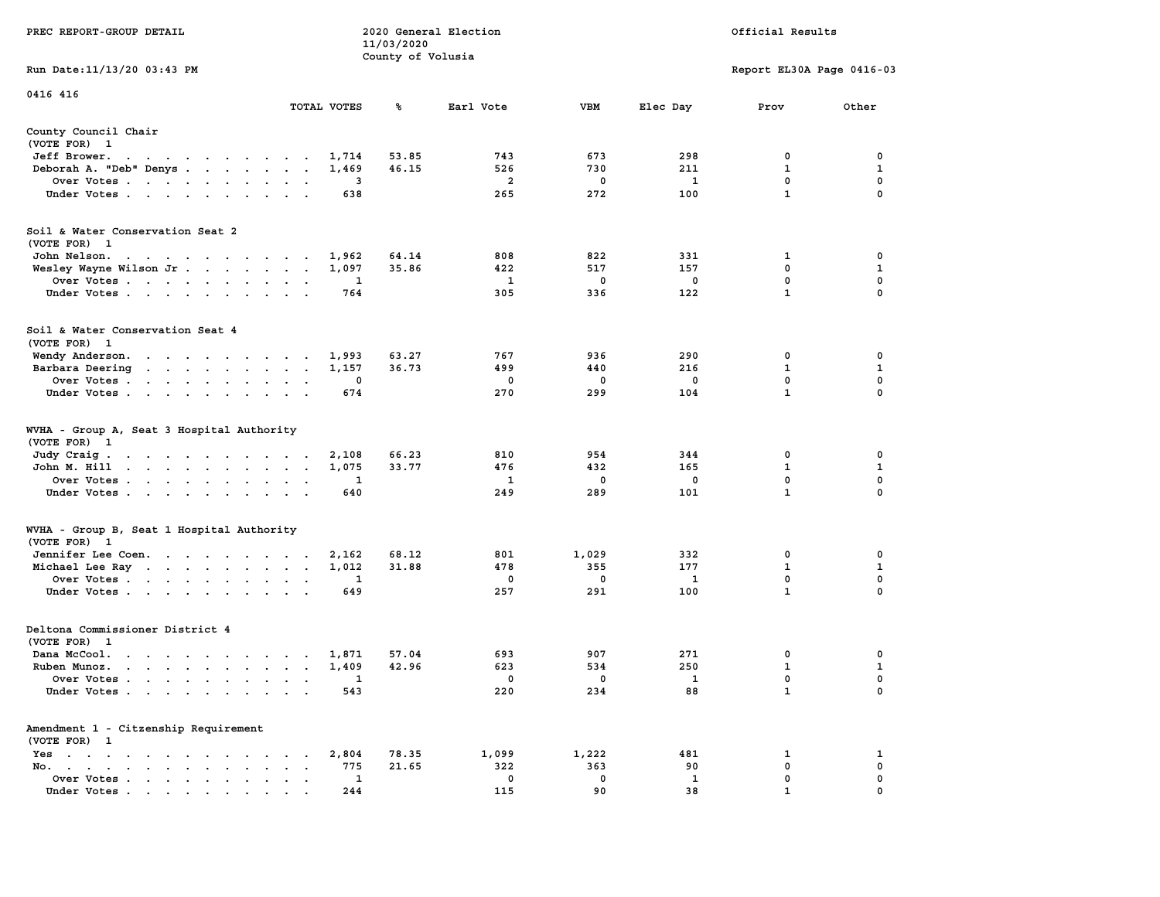|                                                                                                                                                                                                                                                                    |                                                           | 11/03/2020        |                         |            |              |                           |                             |
|--------------------------------------------------------------------------------------------------------------------------------------------------------------------------------------------------------------------------------------------------------------------|-----------------------------------------------------------|-------------------|-------------------------|------------|--------------|---------------------------|-----------------------------|
|                                                                                                                                                                                                                                                                    |                                                           | County of Volusia |                         |            |              |                           |                             |
| Run Date:11/13/20 03:43 PM                                                                                                                                                                                                                                         |                                                           |                   |                         |            |              | Report EL30A Page 0416-03 |                             |
| 0416 416                                                                                                                                                                                                                                                           |                                                           |                   |                         |            |              |                           |                             |
|                                                                                                                                                                                                                                                                    | TOTAL VOTES                                               | ℁                 | Earl Vote               | <b>VBM</b> | Elec Day     | Prov                      | Other                       |
| County Council Chair                                                                                                                                                                                                                                               |                                                           |                   |                         |            |              |                           |                             |
| (VOTE FOR) 1                                                                                                                                                                                                                                                       |                                                           |                   |                         |            |              |                           |                             |
| Jeff Brower.<br>$\sim$ $\sim$<br>$\mathbf{r}$ . The contract of the contract of the contract of the contract of the contract of the contract of the contract of the contract of the contract of the contract of the contract of the contract of the contract of th | 1,714                                                     | 53.85             | 743                     | 673        | 298          | 0                         | 0                           |
| Deborah A. "Deb" Denys                                                                                                                                                                                                                                             | 1,469<br>$\overline{a}$                                   | 46.15             | 526                     | 730        | 211          | $\mathbf 1$               | $\mathbf{1}$                |
| Over Votes                                                                                                                                                                                                                                                         | 3<br>$\bullet$                                            |                   | $\overline{\mathbf{2}}$ | 0          | $\mathbf{1}$ | $\mathbf 0$               | $\mathbf 0$                 |
| Under Votes<br>$\ddot{\phantom{0}}$                                                                                                                                                                                                                                | 638<br>$\bullet$                                          |                   | 265                     | 272        | 100          | $\mathbf{1}$              | 0                           |
| Soil & Water Conservation Seat 2                                                                                                                                                                                                                                   |                                                           |                   |                         |            |              |                           |                             |
| (VOTE FOR) 1                                                                                                                                                                                                                                                       |                                                           |                   |                         |            |              |                           |                             |
| John Nelson.<br>$\mathcal{A}=\mathcal{A}=\mathcal{A}=\mathcal{A}=\mathcal{A}=\mathcal{A}=\mathcal{A}=\mathcal{A}=\mathcal{A}$                                                                                                                                      | 1,962                                                     | 64.14             | 808                     | 822        | 331          | 1                         | 0                           |
| Wesley Wayne Wilson Jr                                                                                                                                                                                                                                             | 1,097<br>$\sim$<br>$\sim$                                 | 35.86             | 422                     | 517        | 157          | 0                         | 1                           |
| Over Votes<br>$\ddot{\phantom{a}}$                                                                                                                                                                                                                                 | 1<br>$\cdot$                                              |                   | 1                       | 0          | $\mathbf 0$  | 0                         | $\mathbf 0$                 |
| Under Votes<br>$\sim$                                                                                                                                                                                                                                              | 764<br>$\ddot{\phantom{a}}$                               |                   | 305                     | 336        | 122          | $\mathbf{1}$              | $\mathbf 0$                 |
| Soil & Water Conservation Seat 4                                                                                                                                                                                                                                   |                                                           |                   |                         |            |              |                           |                             |
| (VOTE FOR) 1                                                                                                                                                                                                                                                       |                                                           |                   |                         |            |              |                           |                             |
| Wendy Anderson.                                                                                                                                                                                                                                                    | 1,993<br>$\sim$                                           | 63.27             | 767                     | 936        | 290          | 0                         | 0                           |
| Barbara Deering                                                                                                                                                                                                                                                    | 1,157<br>$\bullet$<br>$\bullet$                           | 36.73             | 499                     | 440        | 216          | $\mathbf{1}$              | $\mathbf{1}$                |
| Over Votes.<br>$\cdots$<br>$\blacksquare$ .                                                                                                                                                                                                                        | 0                                                         |                   | 0                       | 0          | $\mathbf 0$  | 0                         | $\mathbf 0$                 |
| Under Votes<br>$\ddot{\phantom{0}}$                                                                                                                                                                                                                                | 674                                                       |                   | 270                     | 299        | 104          | $\mathbf{1}$              | $\mathbf 0$                 |
| WVHA - Group A, Seat 3 Hospital Authority<br>(VOTE FOR)<br>$\mathbf{1}$<br>Judy Craig.<br>the contract of the contract of the                                                                                                                                      | 2,108                                                     | 66.23             | 810                     | 954        | 344          | 0                         | 0                           |
| John M. Hill<br>$\mathbf{L} = \mathbf{L} \times \mathbf{L}$<br><b>Contract Contract</b><br>$\sim$                                                                                                                                                                  | 1,075<br>$\ddot{\phantom{a}}$<br>$\cdot$<br>$\cdot$       | 33.77             | 476                     | 432        | 165          | $\mathbf 1$               | $\mathbf{1}$                |
| Over Votes                                                                                                                                                                                                                                                         | 1<br>$\ddot{\phantom{a}}$                                 |                   | 1                       | 0          | $\mathbf 0$  | 0                         | $\mathbf 0$                 |
| Under Votes<br>$\cdot$<br>$\cdot$                                                                                                                                                                                                                                  | 640                                                       |                   | 249                     | 289        | 101          | $\mathbf{1}$              | 0                           |
| WVHA - Group B, Seat 1 Hospital Authority                                                                                                                                                                                                                          |                                                           |                   |                         |            |              |                           |                             |
| (VOTE FOR)<br>$\mathbf{1}$                                                                                                                                                                                                                                         |                                                           |                   |                         |            |              |                           |                             |
| Jennifer Lee Coen.                                                                                                                                                                                                                                                 | 2,162                                                     | 68.12             | 801                     | 1,029      | 332          | 0                         | 0                           |
| Michael Lee Ray                                                                                                                                                                                                                                                    | 1,012<br>$\bullet$<br>$\ddot{\phantom{a}}$                | 31.88             | 478<br>0                | 355<br>0   | 177          | $\mathbf 1$<br>0          | $\mathbf{1}$<br>$\mathbf 0$ |
| Over Votes                                                                                                                                                                                                                                                         | 1<br>$\bullet$<br>$\bullet$<br>649                        |                   | 257                     | 291        | 1<br>100     | $\mathbf{1}$              | 0                           |
| Under Votes<br>$\ddot{\phantom{a}}$                                                                                                                                                                                                                                | $\cdot$<br>$\mathbf{r}$                                   |                   |                         |            |              |                           |                             |
| Deltona Commissioner District 4                                                                                                                                                                                                                                    |                                                           |                   |                         |            |              |                           |                             |
| (VOTE FOR)<br>$\overline{\mathbf{1}}$                                                                                                                                                                                                                              |                                                           |                   |                         |            |              |                           |                             |
| Dana McCool.<br>$\ddot{\phantom{0}}$<br>$\overline{\phantom{a}}$<br>$\sim$<br>$\mathbf{r}$ , $\mathbf{r}$ , $\mathbf{r}$ , $\mathbf{r}$ , $\mathbf{r}$                                                                                                             | 1,871<br>$\cdot$<br>$\lambda$<br>$\overline{\phantom{a}}$ | 57.04             | 693                     | 907        | 271          | 0                         | 0                           |
| Ruben Munoz.<br>$\cdots$<br>$\cdot$                                                                                                                                                                                                                                | 1,409<br>$\ddot{\phantom{a}}$<br>$\mathbf{r}$<br>$\sim$   | 42.96             | 623                     | 534        | 250          | $\mathbf{1}$              | $\mathbf{1}$                |
| Over Votes.<br>$\sim$<br>$\sim$<br>$\sim$<br>$\ddot{\phantom{a}}$<br>$\ddot{\phantom{a}}$<br>$\cdot$                                                                                                                                                               | 1<br>$\cdot$<br>$\ddot{\phantom{a}}$                      |                   | 0                       | 0          | 1            | $\mathbf 0$               | $\mathbf 0$                 |
| Under Votes<br>$\ddot{\phantom{a}}$                                                                                                                                                                                                                                | 543<br>$\sim$<br>$\cdot$                                  |                   | 220                     | 234        | 88           | $\mathbf{1}$              | $\mathbf 0$                 |
| Amendment 1 - Citzenship Requirement<br>(VOTE FOR) 1                                                                                                                                                                                                               |                                                           |                   |                         |            |              |                           |                             |
| $Yes \t . \t .$<br>$\bullet$<br>$\mathbf{r} = \mathbf{r} + \mathbf{r} + \mathbf{r} + \mathbf{r}$<br>$\sim$<br>$\sim$                                                                                                                                               | 2,804<br>$\bullet$                                        | 78.35             | 1,099                   | 1,222      | 481          | 1                         | 1                           |
| No.<br>$\bullet$ . In the case of the case of the $\bullet$<br>$\mathbf{a} = \mathbf{a} \cdot \mathbf{a}$<br>$\cdot$                                                                                                                                               | 775                                                       | 21.65             | 322                     | 363        | 90           | 0                         | 0                           |
| Over Votes<br>$\bullet$                                                                                                                                                                                                                                            | 1<br>$\bullet$<br>$\ddot{\phantom{0}}$                    |                   | 0                       | 0          | 1            | $\mathbf{0}$              | $\mathbf 0$                 |
| Under Votes.                                                                                                                                                                                                                                                       | 244                                                       |                   | 115                     | 90         | 38           | $\mathbf{1}$              | 0                           |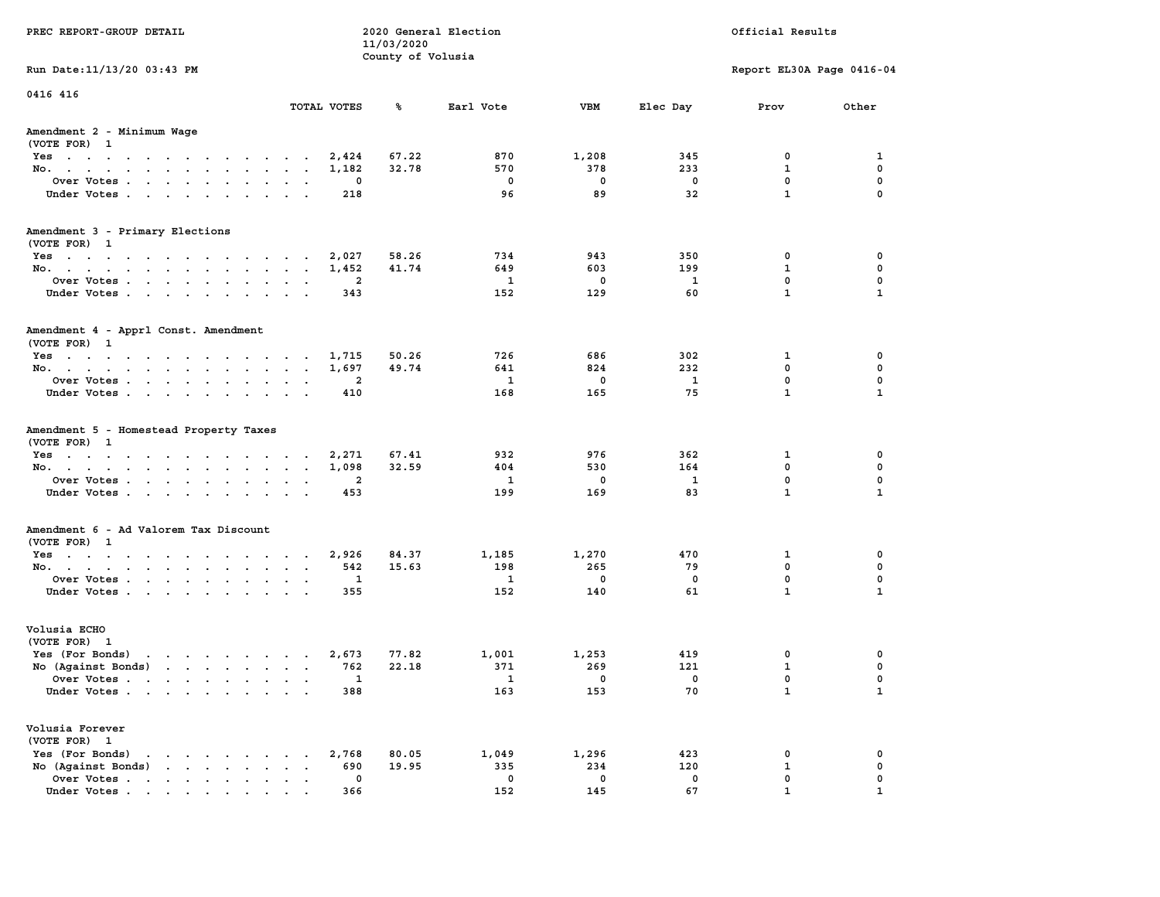| PREC REPORT-GROUP DETAIL                                                                                                                                                                                                                                |                                         | 11/03/2020        | 2020 General Election             |                                  |                         | Official Results                      |                                       |
|---------------------------------------------------------------------------------------------------------------------------------------------------------------------------------------------------------------------------------------------------------|-----------------------------------------|-------------------|-----------------------------------|----------------------------------|-------------------------|---------------------------------------|---------------------------------------|
| Run Date: 11/13/20 03:43 PM                                                                                                                                                                                                                             |                                         | County of Volusia |                                   |                                  |                         | Report EL30A Page 0416-04             |                                       |
| 0416 416                                                                                                                                                                                                                                                |                                         |                   |                                   |                                  |                         |                                       |                                       |
|                                                                                                                                                                                                                                                         | TOTAL VOTES                             | ℁                 | Earl Vote                         | <b>VBM</b>                       | Elec Day                | Prov                                  | Other                                 |
| Amendment 2 - Minimum Wage<br>(VOTE FOR) 1                                                                                                                                                                                                              |                                         |                   |                                   |                                  |                         |                                       |                                       |
| Yes                                                                                                                                                                                                                                                     | 2,424                                   | 67.22             | 870                               | 1,208                            | 345                     | 0                                     | 1                                     |
| No.                                                                                                                                                                                                                                                     | 1,182                                   | 32.78             | 570                               | 378                              | 233                     | $\mathbf{1}$                          | 0                                     |
| Over Votes                                                                                                                                                                                                                                              | 0                                       |                   | $\mathbf 0$                       | $\mathbf 0$                      | $\mathbf 0$             | 0                                     | 0                                     |
| Under Votes                                                                                                                                                                                                                                             | 218                                     |                   | 96                                | 89                               | 32                      | $\mathbf{1}$                          | $\mathbf 0$                           |
|                                                                                                                                                                                                                                                         |                                         |                   |                                   |                                  |                         |                                       |                                       |
| Amendment 3 - Primary Elections                                                                                                                                                                                                                         |                                         |                   |                                   |                                  |                         |                                       |                                       |
| (VOTE FOR) 1                                                                                                                                                                                                                                            |                                         |                   |                                   |                                  |                         |                                       |                                       |
| Yes                                                                                                                                                                                                                                                     | 2,027                                   | 58.26             | 734                               | 943                              | 350                     | 0                                     | 0                                     |
| No.                                                                                                                                                                                                                                                     | 1,452                                   | 41.74             | 649                               | 603                              | 199                     | $\mathbf{1}$                          | 0                                     |
| Over Votes                                                                                                                                                                                                                                              | $\overline{\mathbf{2}}$                 |                   | 1                                 | $\mathbf 0$                      | $\mathbf{1}$            | 0                                     | 0                                     |
| Under Votes                                                                                                                                                                                                                                             | 343                                     |                   | 152                               | 129                              | 60                      | $\mathbf{1}$                          | $\mathbf{1}$                          |
| Amendment 4 - Apprl Const. Amendment<br>(VOTE FOR) 1                                                                                                                                                                                                    |                                         |                   |                                   |                                  |                         |                                       |                                       |
| Yes                                                                                                                                                                                                                                                     | 1,715                                   | 50.26             | 726                               | 686                              | 302                     | $\mathbf{1}$                          | 0                                     |
| No.                                                                                                                                                                                                                                                     | 1,697                                   | 49.74             | 641                               | 824                              | 232                     | 0                                     | 0                                     |
| Over Votes                                                                                                                                                                                                                                              | 2                                       |                   | 1                                 | $\mathbf 0$                      | 1                       | $\mathbf 0$                           | 0                                     |
| Under Votes                                                                                                                                                                                                                                             | 410                                     |                   | 168                               | 165                              | 75                      | $\mathbf{1}$                          | $\mathbf{1}$                          |
| (VOTE FOR) 1<br>Yes 2,271<br>No.<br>Over Votes<br>Under Votes                                                                                                                                                                                           | 1,098<br>$\overline{\mathbf{2}}$<br>453 | 67.41<br>32.59    | 932<br>404<br>$\mathbf{1}$<br>199 | 976<br>530<br>$\mathbf 0$<br>169 | 362<br>164<br>1<br>83   | 1<br>0<br>$\mathbf 0$<br>$\mathbf{1}$ | 0<br>0<br>$\mathbf 0$<br>$\mathbf{1}$ |
| Amendment 6 - Ad Valorem Tax Discount                                                                                                                                                                                                                   |                                         |                   |                                   |                                  |                         |                                       |                                       |
| (VOTE FOR) 1<br>Yes                                                                                                                                                                                                                                     | 2,926                                   | 84.37             | 1,185                             | 1,270                            | 470                     | 1                                     | 0                                     |
| No.                                                                                                                                                                                                                                                     | 542                                     | 15.63             | 198                               | 265                              | 79                      | $\mathbf 0$                           | 0                                     |
| Over Votes                                                                                                                                                                                                                                              | 1                                       |                   | 1                                 | $\mathbf 0$                      | $\mathbf 0$             | 0                                     | 0                                     |
| Under Votes                                                                                                                                                                                                                                             | 355                                     |                   | 152                               | 140                              | 61                      | $\mathbf{1}$                          | $\mathbf{1}$                          |
| Volusia ECHO<br>(VOTE FOR) 1                                                                                                                                                                                                                            |                                         |                   |                                   |                                  |                         |                                       |                                       |
| $\mathbf{r}$ , and $\mathbf{r}$ , and $\mathbf{r}$ , and $\mathbf{r}$ , and $\mathbf{r}$<br>Yes (For Bonds)                                                                                                                                             | 2,673                                   | 77.82             | 1,001                             | 1,253                            | 419                     | 0                                     | 0                                     |
| No (Against Bonds)                                                                                                                                                                                                                                      | 762                                     | 22.18             | 371                               | 269                              | 121                     | $\mathbf{1}$                          | 0                                     |
| Over Votes<br>the contract of the contract of the contract of the contract of the contract of the contract of the contract of                                                                                                                           | 1                                       |                   | $\mathbf{1}$                      | $\mathbf 0$                      | $\overline{\mathbf{0}}$ | 0                                     | 0                                     |
| Under Votes                                                                                                                                                                                                                                             | 388                                     |                   | 163                               | 153                              | 70                      | $\mathbf{1}$                          | $\mathbf{1}$                          |
| Volusia Forever<br>(VOTE FOR) 1                                                                                                                                                                                                                         |                                         |                   |                                   |                                  |                         |                                       |                                       |
| Yes (For Bonds)<br>$\mathbf{r}$ . The contract of the contract of the contract of the contract of the contract of the contract of the contract of the contract of the contract of the contract of the contract of the contract of the contract of th    | 2,768                                   | 80.05             | 1,049                             | 1,296                            | 423                     | 0                                     | 0                                     |
| No (Against Bonds)<br>$\mathbf{r}$ . The contract of the contract of the contract of the contract of the contract of the contract of the contract of the contract of the contract of the contract of the contract of the contract of the contract of th | 690<br>$\sim$                           | 19.95             | 335                               | 234                              | 120                     | 1                                     | 0                                     |
| Over Votes                                                                                                                                                                                                                                              | $\mathbf 0$                             |                   | $\mathbf 0$                       | $\mathbf 0$                      | $\mathbf 0$             | 0                                     | 0                                     |
| Under Votes                                                                                                                                                                                                                                             | 366                                     |                   | 152                               | 145                              | 67                      | 1                                     |                                       |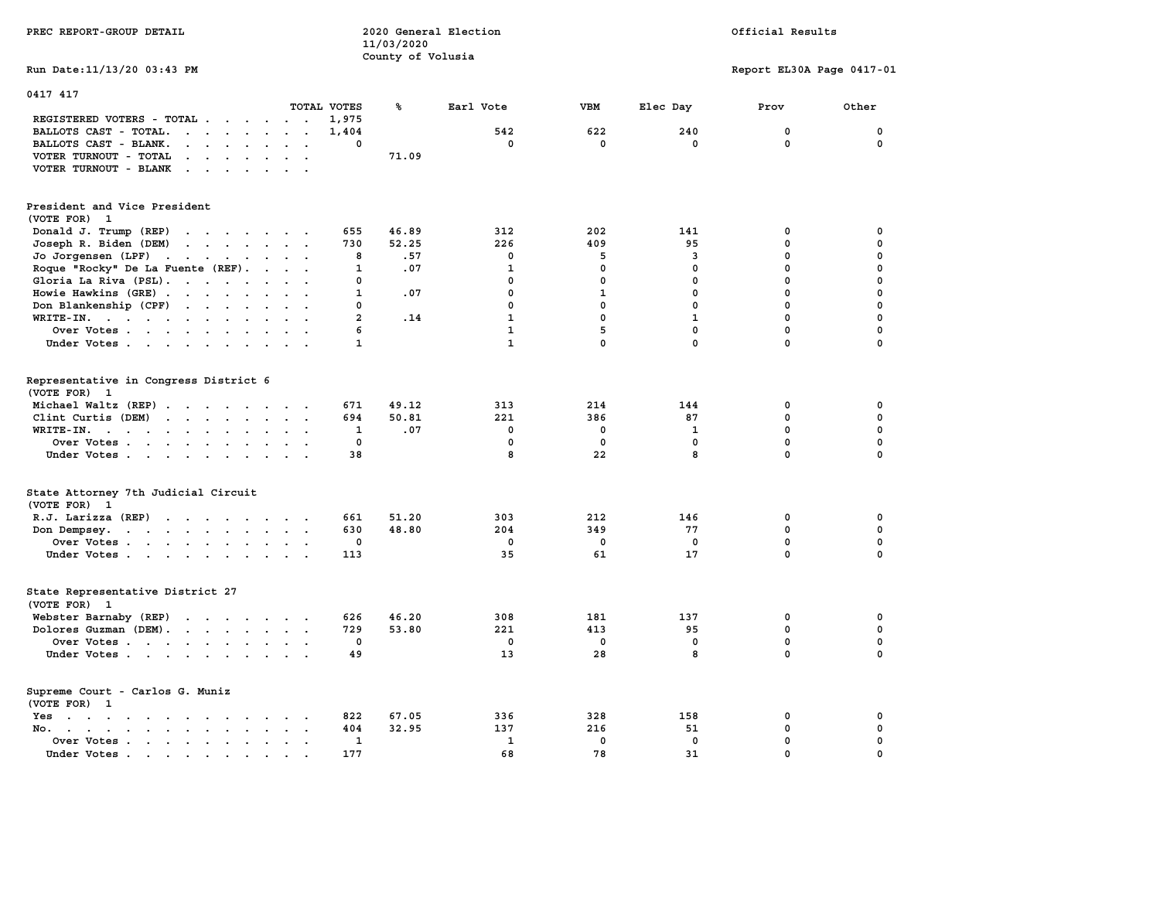| PREC REPORT-GROUP DETAIL                                                                                                                                                                                                                                                                                                                                                                                                                                                                       |                | 11/03/2020        | 2020 General Election |              | Official Results |                           |             |  |
|------------------------------------------------------------------------------------------------------------------------------------------------------------------------------------------------------------------------------------------------------------------------------------------------------------------------------------------------------------------------------------------------------------------------------------------------------------------------------------------------|----------------|-------------------|-----------------------|--------------|------------------|---------------------------|-------------|--|
| Run Date: 11/13/20 03:43 PM                                                                                                                                                                                                                                                                                                                                                                                                                                                                    |                | County of Volusia |                       |              |                  | Report EL30A Page 0417-01 |             |  |
| 0417 417                                                                                                                                                                                                                                                                                                                                                                                                                                                                                       |                |                   |                       |              |                  |                           |             |  |
| TOTAL VOTES                                                                                                                                                                                                                                                                                                                                                                                                                                                                                    |                | ℁                 | Earl Vote             | <b>VBM</b>   | Elec Day         | Prov                      | Other       |  |
| REGISTERED VOTERS - TOTAL .<br>$\cdots$<br>$\sim$ $\sim$ $\sim$                                                                                                                                                                                                                                                                                                                                                                                                                                | 1,975          |                   |                       |              |                  |                           |             |  |
| BALLOTS CAST - TOTAL.<br>$\ddot{\phantom{a}}$<br>$\mathbf{L}$ and $\mathbf{L}$                                                                                                                                                                                                                                                                                                                                                                                                                 | 1,404          |                   | 542                   | 622          | 240              | 0                         | 0           |  |
| BALLOTS CAST - BLANK.<br>$\cdot$ $\cdot$ $\cdot$ $\cdot$ $\cdot$<br>$\ddot{\phantom{0}}$                                                                                                                                                                                                                                                                                                                                                                                                       | 0              |                   | $\mathbf 0$           | $\mathbf 0$  | $\mathbf 0$      | $\mathbf 0$               | $\mathbf 0$ |  |
| VOTER TURNOUT - TOTAL<br>$\cdots$<br>$\bullet$ .<br>$\sim$<br>$\overline{a}$<br>$\overline{\phantom{a}}$                                                                                                                                                                                                                                                                                                                                                                                       |                | 71.09             |                       |              |                  |                           |             |  |
| VOTER TURNOUT - BLANK<br>$\mathcal{L}(\mathcal{L}(\mathcal{L}(\mathcal{L}(\mathcal{L}(\mathcal{L}(\mathcal{L}(\mathcal{L}(\mathcal{L}(\mathcal{L}(\mathcal{L}(\mathcal{L}(\mathcal{L}(\mathcal{L}(\mathcal{L}(\mathcal{L}(\mathcal{L}(\mathcal{L}(\mathcal{L}(\mathcal{L}(\mathcal{L}(\mathcal{L}(\mathcal{L}(\mathcal{L}(\mathcal{L}(\mathcal{L}(\mathcal{L}(\mathcal{L}(\mathcal{L}(\mathcal{L}(\mathcal{L}(\mathcal{L}(\mathcal{L}(\mathcal{L}(\mathcal{L}(\mathcal{L}(\mathcal{$<br>$\sim$ |                |                   |                       |              |                  |                           |             |  |
| President and Vice President<br>(VOTE FOR) 1                                                                                                                                                                                                                                                                                                                                                                                                                                                   |                |                   |                       |              |                  |                           |             |  |
| Donald J. Trump (REP)<br>the contract of the contract of                                                                                                                                                                                                                                                                                                                                                                                                                                       | 655            | 46.89             | 312                   | 202          | 141              | 0                         | 0           |  |
| Joseph R. Biden (DEM)                                                                                                                                                                                                                                                                                                                                                                                                                                                                          | 730            | 52.25             | 226                   | 409          | 95               | $\pmb{0}$                 | $\mathbf 0$ |  |
| Jo Jorgensen (LPF)<br>$\sim$ 100 $\pm$<br><b>Contract Contract Service</b><br>$\ddot{\phantom{1}}$<br>$\ddot{\phantom{a}}$                                                                                                                                                                                                                                                                                                                                                                     | 8              | .57               | $\mathbf 0$           | 5            | 3                | 0                         | $\mathbf 0$ |  |
| Roque "Rocky" De La Fuente (REF).<br>$\ddot{\phantom{a}}$                                                                                                                                                                                                                                                                                                                                                                                                                                      | 1              | .07               | $\mathbf{1}$          | 0            | $\mathbf 0$      | $\mathbf 0$               | $\mathbf 0$ |  |
| Gloria La Riva (PSL).<br>$\ddot{\phantom{1}}$<br>$\sim$                                                                                                                                                                                                                                                                                                                                                                                                                                        | 0              |                   | 0                     | $\mathbf 0$  | $\mathbf 0$      | 0                         | $\mathbf 0$ |  |
| Howie Hawkins (GRE)<br>$\ddot{\phantom{a}}$                                                                                                                                                                                                                                                                                                                                                                                                                                                    | 1              | .07               | 0                     | $\mathbf{1}$ | $\mathbf 0$      | $\mathbf 0$               | 0           |  |
| Don Blankenship (CPF)<br>$\sim$ $\sim$ $\sim$ $\sim$<br>$\sim$                                                                                                                                                                                                                                                                                                                                                                                                                                 | 0              |                   | 0                     | $\mathbf 0$  | $\mathbf 0$      | 0                         | $\mathbf 0$ |  |
| WRITE-IN.                                                                                                                                                                                                                                                                                                                                                                                                                                                                                      | $\overline{a}$ | .14               | $\mathbf{1}$          | $\mathbf 0$  | $\mathbf{1}$     | $\mathbf 0$               | $\mathbf 0$ |  |
| Over Votes<br>$\sim$ $\sim$                                                                                                                                                                                                                                                                                                                                                                                                                                                                    | 6              |                   | $\mathbf{1}$          | 5            | $\mathbf 0$      | 0                         | $\mathbf 0$ |  |
| Under Votes<br><b>Allen</b>                                                                                                                                                                                                                                                                                                                                                                                                                                                                    | $\mathbf{1}$   |                   | $\mathbf{1}$          | $\mathbf 0$  | $\mathbf{0}$     | 0                         | $\Omega$    |  |
|                                                                                                                                                                                                                                                                                                                                                                                                                                                                                                |                |                   |                       |              |                  |                           |             |  |
| Representative in Congress District 6<br>(VOTE FOR) 1                                                                                                                                                                                                                                                                                                                                                                                                                                          |                |                   |                       |              |                  |                           |             |  |
| Michael Waltz (REP)<br>$\sim$<br>$\ddot{\phantom{1}}$                                                                                                                                                                                                                                                                                                                                                                                                                                          | 671            | 49.12             | 313                   | 214          | 144              | 0                         | 0           |  |
| Clint Curtis (DEM)<br>$\cdot$ $\cdot$ $\cdot$<br>$\ddot{\phantom{0}}$                                                                                                                                                                                                                                                                                                                                                                                                                          | 694            | 50.81             | 221                   | 386          | 87               | $\mathbf 0$               | $\mathbf 0$ |  |
| $WRITE-IN.$<br>$\sim$<br>$\ddot{\phantom{a}}$<br>$\ddot{\phantom{a}}$<br>$\ddot{\phantom{a}}$                                                                                                                                                                                                                                                                                                                                                                                                  | 1              | .07               | $\mathbf 0$           | 0            | $\mathbf{1}$     | $\mathbf 0$               | $\mathbf 0$ |  |
| Over Votes.<br>$\cdots$                                                                                                                                                                                                                                                                                                                                                                                                                                                                        | 0              |                   | $\mathbf 0$           | $\mathbf 0$  | $\mathbf{0}$     | $\mathbf 0$               | $\mathbf 0$ |  |
| Under Votes<br>$\overline{\phantom{a}}$                                                                                                                                                                                                                                                                                                                                                                                                                                                        | 38             |                   | 8                     | 22           | 8                | 0                         | 0           |  |
| State Attorney 7th Judicial Circuit<br>(VOTE FOR) 1                                                                                                                                                                                                                                                                                                                                                                                                                                            |                |                   |                       |              |                  |                           |             |  |
| R.J. Larizza (REP)                                                                                                                                                                                                                                                                                                                                                                                                                                                                             | 661            | 51.20             | 303                   | 212          | 146              | 0                         | 0           |  |
| Don Dempsey.<br>the contract of the contract of the contract of                                                                                                                                                                                                                                                                                                                                                                                                                                | 630            | 48.80             | 204                   | 349          | 77               | $\mathbf 0$               | $\mathbf 0$ |  |
| Over Votes                                                                                                                                                                                                                                                                                                                                                                                                                                                                                     | 0              |                   | 0                     | 0            | 0                | $\mathbf 0$               | $\mathbf 0$ |  |
| Under Votes                                                                                                                                                                                                                                                                                                                                                                                                                                                                                    | 113            |                   | 35                    | 61           | 17               | $\Omega$                  | $\mathbf 0$ |  |
| State Representative District 27<br>(VOTE FOR) 1                                                                                                                                                                                                                                                                                                                                                                                                                                               |                |                   |                       |              |                  |                           |             |  |
| Webster Barnaby (REP)<br>the contract of the contract of the contract of the contract of the contract of the contract of the contract of                                                                                                                                                                                                                                                                                                                                                       | 626            | 46.20             | 308                   | 181          | 137              | 0                         | 0           |  |
| Dolores Guzman (DEM).                                                                                                                                                                                                                                                                                                                                                                                                                                                                          | 729            | 53.80             | 221                   | 413          | 95               | 0                         | 0           |  |
| Over Votes                                                                                                                                                                                                                                                                                                                                                                                                                                                                                     | 0              |                   | 0                     | 0            | 0                | $\mathbf 0$               | $\mathbf 0$ |  |
| Under Votes                                                                                                                                                                                                                                                                                                                                                                                                                                                                                    | 49             |                   | 13                    | 28           | 8                | $\mathbf 0$               | $\mathbf 0$ |  |
| Supreme Court - Carlos G. Muniz<br>(VOTE FOR) 1                                                                                                                                                                                                                                                                                                                                                                                                                                                |                |                   |                       |              |                  |                           |             |  |
| Yes<br>the contract of the contract of the contract of the contract of the contract of the contract of the contract of                                                                                                                                                                                                                                                                                                                                                                         | 822            | 67.05             | 336                   | 328          | 158              | 0                         | 0           |  |
| No. .<br>$\mathbf{r}$ , $\mathbf{r}$ , $\mathbf{r}$<br>$\sim$<br>$\sim$                                                                                                                                                                                                                                                                                                                                                                                                                        | 404            | 32.95             | 137                   | 216          | 51               | $\mathbf 0$               | $\mathbf 0$ |  |
| Over Votes<br>$\cdot$<br>$\ddot{\phantom{a}}$                                                                                                                                                                                                                                                                                                                                                                                                                                                  | $\mathbf{1}$   |                   | $\mathbf{1}$          | $\mathbf 0$  | $\mathbf 0$      | $\mathbf 0$               | $\mathbf 0$ |  |
| Under Votes.<br>the contract of the contract of the contract of the contract of the contract of the contract of the contract of                                                                                                                                                                                                                                                                                                                                                                | 177            |                   | 68                    | 78           | 31               | 0                         | $\mathbf 0$ |  |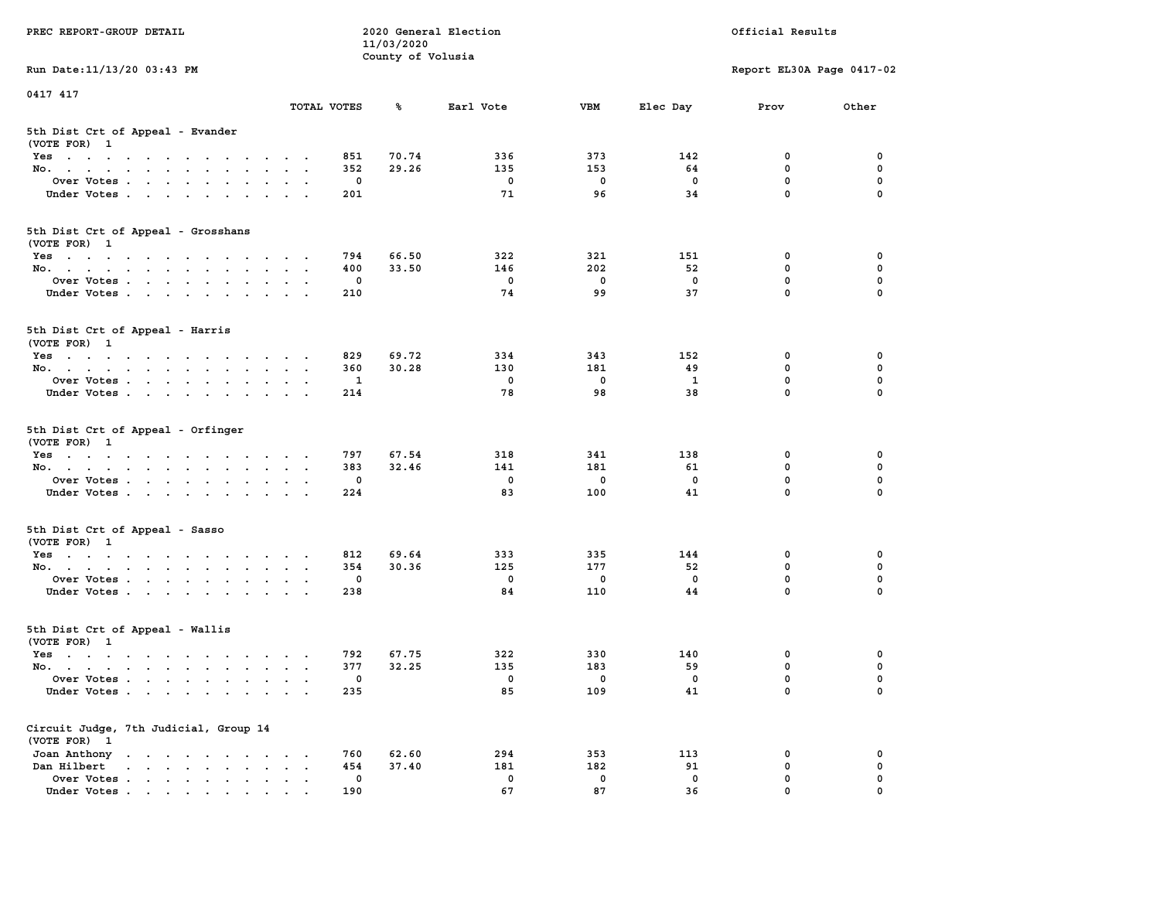| PREC REPORT-GROUP DETAIL                                                                                               |                                                           |                        | 11/03/2020        | 2020 General Election |                        | Official Results     |                                      |                         |  |
|------------------------------------------------------------------------------------------------------------------------|-----------------------------------------------------------|------------------------|-------------------|-----------------------|------------------------|----------------------|--------------------------------------|-------------------------|--|
|                                                                                                                        |                                                           |                        | County of Volusia |                       |                        |                      |                                      |                         |  |
| Run Date: 11/13/20 03:43 PM                                                                                            |                                                           |                        |                   |                       |                        |                      | Report EL30A Page 0417-02            |                         |  |
| 0417 417                                                                                                               |                                                           |                        |                   |                       |                        |                      |                                      |                         |  |
|                                                                                                                        | TOTAL VOTES                                               |                        | ጜ                 | Earl Vote             | VBM                    | Elec Day             | Prov                                 | Other                   |  |
| 5th Dist Crt of Appeal - Evander<br>(VOTE FOR) 1                                                                       |                                                           |                        |                   |                       |                        |                      |                                      |                         |  |
| Yes                                                                                                                    |                                                           | 851                    | 70.74             | 336                   | 373                    | 142                  | 0                                    | 0                       |  |
| No.                                                                                                                    |                                                           | 352                    | 29.26             | 135                   | 153                    | 64                   | $\mathbf 0$                          | $\mathbf 0$             |  |
| Over Votes                                                                                                             |                                                           | 0                      |                   | 0                     | $\mathbf 0$            | $\mathbf 0$          | 0                                    | 0                       |  |
| Under Votes                                                                                                            |                                                           | 201                    |                   | 71                    | 96                     | 34                   | $\mathbf 0$                          | $\Omega$                |  |
| 5th Dist Crt of Appeal - Grosshans<br>(VOTE FOR) 1                                                                     |                                                           |                        |                   |                       |                        |                      |                                      |                         |  |
| Yes                                                                                                                    |                                                           | 794                    | 66.50             | 322                   | 321                    | 151                  | 0                                    | 0                       |  |
| No.                                                                                                                    |                                                           | 400                    | 33.50             | 146                   | 202                    | 52                   | 0                                    | 0                       |  |
| Over Votes                                                                                                             |                                                           | 0                      |                   | 0                     | $\mathbf 0$            | $\mathbf 0$          | $\mathbf 0$                          | $\mathbf 0$             |  |
| Under Votes                                                                                                            |                                                           | 210                    |                   | 74                    | 99                     | 37                   | $\mathbf{0}$                         | 0                       |  |
| 5th Dist Crt of Appeal - Harris<br>(VOTE FOR) 1                                                                        |                                                           |                        |                   |                       |                        |                      |                                      |                         |  |
| Yes                                                                                                                    |                                                           | 829                    | 69.72             | 334                   | 343                    | 152                  | 0                                    | 0                       |  |
| No.                                                                                                                    |                                                           | 360                    | 30.28             | 130                   | 181                    | 49                   | 0                                    | 0                       |  |
| Over Votes                                                                                                             | $\,$ .                                                    | 1                      |                   | 0                     | $\mathbf 0$            | 1                    | $\mathbf 0$                          | 0                       |  |
| Under Votes                                                                                                            |                                                           | 214                    |                   | 78                    | 98                     | 38                   | $\mathbf 0$                          | 0                       |  |
| 5th Dist Crt of Appeal - Orfinger<br>(VOTE FOR) 1<br>Yes<br>No.<br>Over Votes<br>Under Votes                           |                                                           | 797<br>383<br>0<br>224 | 67.54<br>32.46    | 318<br>141<br>0<br>83 | 341<br>181<br>0<br>100 | 138<br>61<br>0<br>41 | 0<br>$\mathbf 0$<br>0<br>$\mathbf 0$ | 0<br>0<br>0<br>$\Omega$ |  |
| 5th Dist Crt of Appeal - Sasso<br>(VOTE FOR) 1                                                                         |                                                           |                        |                   |                       |                        |                      |                                      |                         |  |
| Yes                                                                                                                    |                                                           | 812                    | 69.64             | 333                   | 335                    | 144                  | 0                                    | 0                       |  |
| No.                                                                                                                    |                                                           | 354                    | 30.36             | 125                   | 177                    | 52                   | 0                                    | 0                       |  |
| Over Votes                                                                                                             |                                                           | 0                      |                   | $\mathbf 0$           | $\mathbf 0$            | $\mathbf 0$          | 0                                    | 0                       |  |
| Under Votes                                                                                                            |                                                           | 238                    |                   | 84                    | 110                    | 44                   | $\mathbf{0}$                         | $\Omega$                |  |
| 5th Dist Crt of Appeal - Wallis<br>(VOTE FOR) 1                                                                        |                                                           |                        |                   |                       |                        |                      |                                      |                         |  |
| Yes<br>the contract of the contract of the contract of the contract of the contract of the contract of the contract of |                                                           | 792                    | 67.75             | 322                   | 330                    | 140                  | 0                                    | 0                       |  |
| No.                                                                                                                    |                                                           | 377                    | 32.25             | 135                   | 183                    | 59                   | $\mathbf 0$                          | 0                       |  |
| Over Votes                                                                                                             |                                                           | 0                      |                   | 0                     | 0                      | 0                    | $\mathbf{0}$                         | 0                       |  |
| Under Votes                                                                                                            | $\sim$ $\sim$                                             | 235                    |                   | 85                    | 109                    | 41                   | 0                                    | 0                       |  |
| Circuit Judge, 7th Judicial, Group 14<br>(VOTE FOR) 1                                                                  |                                                           |                        |                   |                       |                        |                      |                                      |                         |  |
| Joan Anthony<br>the contract of the contract of the contract of                                                        |                                                           | 760                    | 62.60             | 294                   | 353                    | 113                  | 0                                    | 0                       |  |
| Dan Hilbert<br>$\mathbf{r}$ , $\mathbf{r}$ , $\mathbf{r}$ , $\mathbf{r}$<br>$\sim$ $\sim$<br>$\bullet$                 | $\ddot{\phantom{a}}$<br>$\ddot{\phantom{a}}$<br>$\bullet$ | 454                    | 37.40             | 181                   | 182                    | 91                   | 0                                    | 0                       |  |
| Over Votes .<br>$\mathbf{r}$ , $\mathbf{r}$ , $\mathbf{r}$ , $\mathbf{r}$ , $\mathbf{r}$                               |                                                           | 0                      |                   | 0                     | 0                      | 0                    | 0                                    | 0                       |  |
| Under Votes                                                                                                            |                                                           | 190                    |                   | 67                    | 87                     | 36                   | 0                                    |                         |  |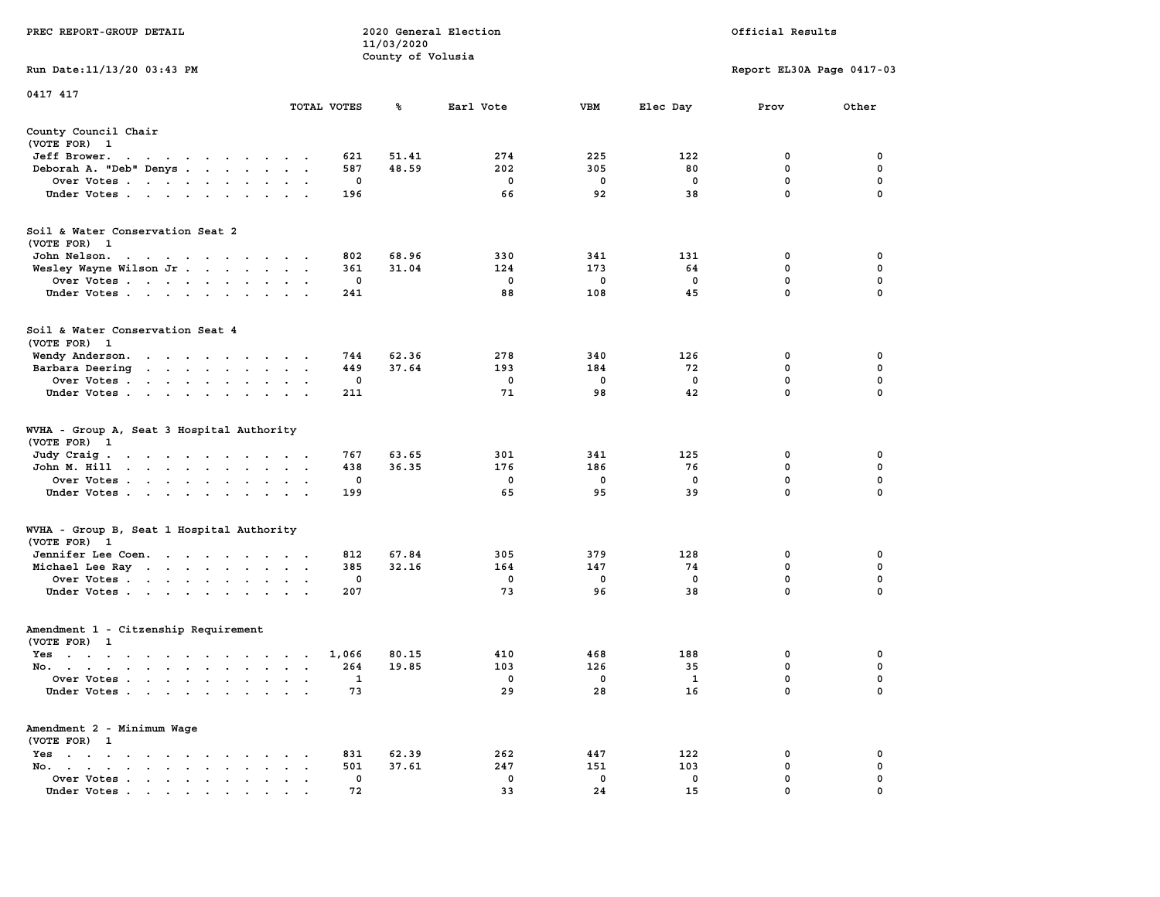| PREC REPORT-GROUP DETAIL                                                                                                                                                                                                                    |               |             | 11/03/2020<br>County of Volusia | 2020 General Election |             |                    | Official Results          |                  |
|---------------------------------------------------------------------------------------------------------------------------------------------------------------------------------------------------------------------------------------------|---------------|-------------|---------------------------------|-----------------------|-------------|--------------------|---------------------------|------------------|
| Run Date: 11/13/20 03:43 PM                                                                                                                                                                                                                 |               |             |                                 |                       |             |                    | Report EL30A Page 0417-03 |                  |
| 0417 417                                                                                                                                                                                                                                    |               |             |                                 |                       |             |                    |                           |                  |
|                                                                                                                                                                                                                                             |               | TOTAL VOTES | ℁                               | Earl Vote             | VBM         | Elec Day           | Prov                      | Other            |
| County Council Chair<br>(VOTE FOR) 1                                                                                                                                                                                                        |               |             |                                 |                       |             |                    |                           |                  |
| Jeff Brower.<br>the contract of the contract of the con-                                                                                                                                                                                    |               | 621         | 51.41                           | 274                   | 225         | 122                | 0                         | 0                |
| Deborah A. "Deb" Denys                                                                                                                                                                                                                      |               | 587         | 48.59                           | 202                   | 305         | 80                 | $\mathbf 0$               | 0                |
| Over Votes                                                                                                                                                                                                                                  |               | 0           |                                 | 0                     | 0           | 0                  | 0                         | 0                |
| Under Votes                                                                                                                                                                                                                                 |               | 196         |                                 | 66                    | 92          | 38                 | $\mathbf 0$               | $\Omega$         |
| Soil & Water Conservation Seat 2<br>(VOTE FOR) 1                                                                                                                                                                                            |               |             |                                 |                       |             |                    |                           |                  |
| John Nelson.                                                                                                                                                                                                                                |               | 802         | 68.96                           | 330                   | 341         | 131                | 0                         | 0                |
| Wesley Wayne Wilson Jr                                                                                                                                                                                                                      |               | 361         | 31.04                           | 124                   | 173         | 64                 | 0                         | 0                |
| Over Votes                                                                                                                                                                                                                                  |               | 0           |                                 | 0                     | $\mathbf 0$ | 0                  | $\mathbf 0$               | 0                |
| Under Votes                                                                                                                                                                                                                                 |               | 241         |                                 | 88                    | 108         | 45                 | $\mathbf 0$               | 0                |
| Soil & Water Conservation Seat 4<br>(VOTE FOR) 1                                                                                                                                                                                            |               |             |                                 |                       |             |                    |                           |                  |
| Wendy Anderson.<br>the contract of the contract of the                                                                                                                                                                                      |               | 744         | 62.36                           | 278                   | 340         | 126                | 0                         | 0                |
| Barbara Deering<br>the contract of the contract of the contract of the contract of the contract of the contract of the contract of                                                                                                          |               | 449         | 37.64                           | 193                   | 184         | 72                 | 0                         | 0                |
| Over Votes                                                                                                                                                                                                                                  |               | 0           |                                 | 0                     | 0           | $\Omega$           | $\mathbf 0$               | 0                |
| Under Votes                                                                                                                                                                                                                                 |               | 211         |                                 | 71                    | 98          | 42                 | 0                         | 0                |
| WVHA - Group A, Seat 3 Hospital Authority<br>(VOTE FOR) 1                                                                                                                                                                                   |               |             |                                 |                       |             |                    |                           |                  |
| Judy Craig.<br>the contract of the contract of the contract of                                                                                                                                                                              |               | 767         | 63.65                           | 301                   | 341         | 125                | 0                         | 0                |
| John M. Hill<br>Over Votes                                                                                                                                                                                                                  | $\sim$ $\sim$ | 438<br>0    | 36.35                           | 176<br>0              | 186<br>0    | 76<br>0            | $\mathbf 0$<br>0          | 0<br>0           |
| Under Votes                                                                                                                                                                                                                                 |               | 199         |                                 | 65                    | 95          | 39                 | 0                         | $\Omega$         |
|                                                                                                                                                                                                                                             |               |             |                                 |                       |             |                    |                           |                  |
| WVHA - Group B, Seat 1 Hospital Authority<br>(VOTE FOR) 1                                                                                                                                                                                   |               |             |                                 |                       |             |                    |                           |                  |
| Jennifer Lee Coen.                                                                                                                                                                                                                          |               | 812         | 67.84                           | 305                   | 379         | 128                | 0                         | 0                |
| Michael Lee Ray<br>Over Votes                                                                                                                                                                                                               |               | 385<br>0    | 32.16                           | 164<br>0              | 147<br>0    | 74<br>0            | 0<br>0                    | 0<br>$\mathbf 0$ |
| Under Votes                                                                                                                                                                                                                                 |               | 207         |                                 | 73                    | 96          | 38                 | $\mathbf 0$               | 0                |
| Amendment 1 - Citzenship Requirement<br>(VOTE FOR) 1                                                                                                                                                                                        |               |             |                                 |                       |             |                    |                           |                  |
| Yes<br>the contract of the contract of the contract of the contract of the contract of the contract of the contract of                                                                                                                      |               | 1,066       | 80.15                           | 410                   | 468         | 188                | 0                         | 0                |
| No.<br><u>in the second contract of the second contract of the second contract of the second contract of the second contract of the second contract of the second contract of the second contract of the second contract of the second </u> |               | 264         | 19.85                           | 103                   | 126         | 35                 | 0                         | 0                |
| Over Votes<br>Under Votes.                                                                                                                                                                                                                  |               | 1<br>73     |                                 | 0<br>29               | 0<br>28     | $\mathbf{1}$<br>16 | 0<br>0                    | $\Omega$<br>0    |
|                                                                                                                                                                                                                                             |               |             |                                 |                       |             |                    |                           |                  |
| Amendment 2 - Minimum Wage<br>(VOTE FOR) 1<br>$Yes \t . \t . \t .$                                                                                                                                                                          |               | 831         | 62.39                           | 262                   | 447         | 122                | 0                         | 0                |
| $\sim$ $\sim$ $\sim$ $\sim$ $\sim$<br>No.<br>$\sim$ $\sim$ $\sim$ $\sim$<br>$\ddot{\phantom{a}}$<br>$\ddot{\phantom{a}}$                                                                                                                    |               | 501         | 37.61                           | 247                   | 151         | 103                | 0                         | 0                |
| Over Votes.<br>$\cdot$ $\cdot$ $\cdot$ $\cdot$                                                                                                                                                                                              |               | 0           |                                 | 0                     | 0           | 0                  | 0                         | 0                |
| Under Votes                                                                                                                                                                                                                                 |               | 72          |                                 | 33                    | 24          | 15                 | 0                         |                  |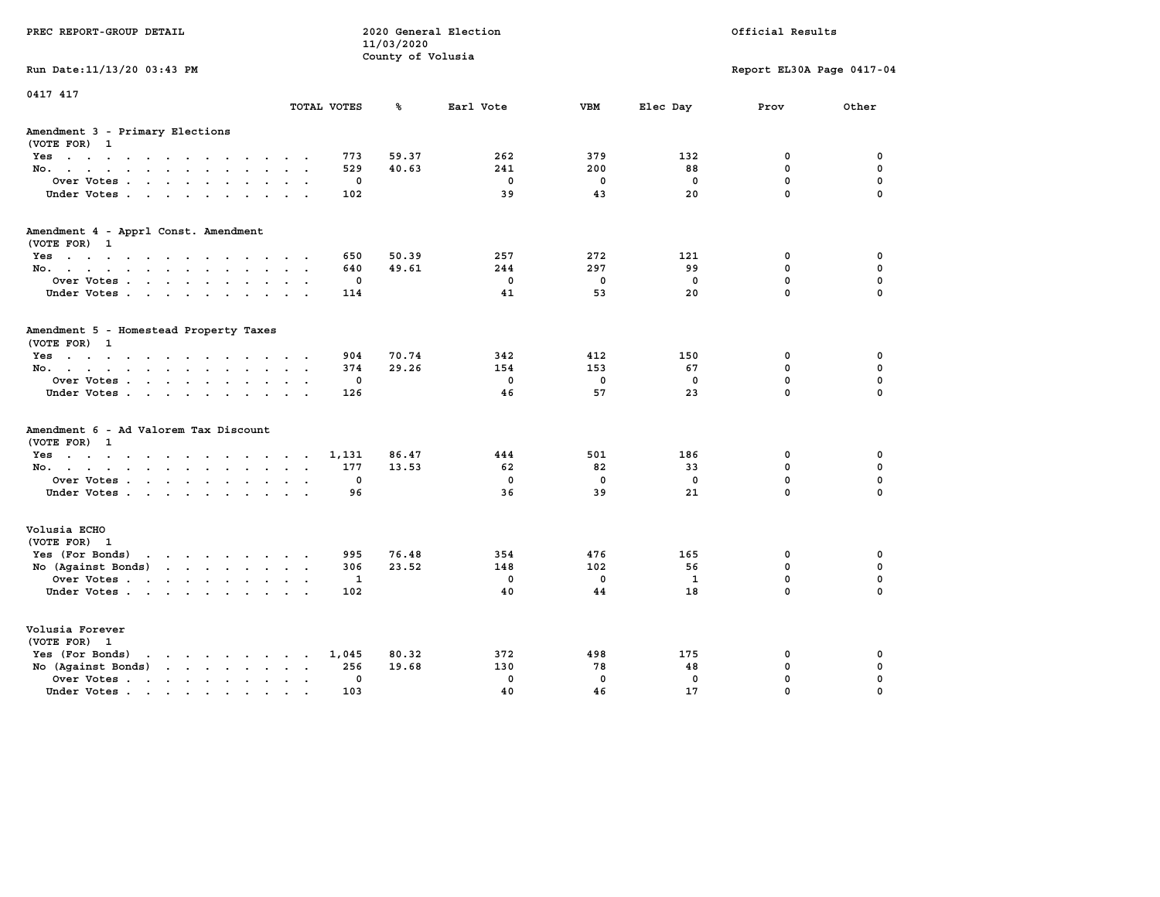| PREC REPORT-GROUP DETAIL                                                                                                           |                             | 11/03/2020<br>County of Volusia | 2020 General Election |             |             | Official Results          |             |
|------------------------------------------------------------------------------------------------------------------------------------|-----------------------------|---------------------------------|-----------------------|-------------|-------------|---------------------------|-------------|
| Run Date: 11/13/20 03:43 PM                                                                                                        |                             |                                 |                       |             |             | Report EL30A Page 0417-04 |             |
| 0417 417                                                                                                                           | TOTAL VOTES                 | ℁                               | Earl Vote             | <b>VBM</b>  | Elec Day    | Prov                      | Other       |
| Amendment 3 - Primary Elections<br>(VOTE FOR) 1                                                                                    |                             |                                 |                       |             |             |                           |             |
| Yes                                                                                                                                |                             | 773<br>59.37                    | 262                   | 379         | 132         | 0                         | 0           |
| No.                                                                                                                                |                             | 529<br>40.63                    | 241                   | 200         | 88          | 0                         | 0           |
| Over Votes                                                                                                                         |                             | 0                               | $\mathbf 0$           | $\mathbf 0$ | 0           | $\mathbf 0$               | $\mathbf 0$ |
| Under Votes                                                                                                                        |                             | 102                             | 39                    | 43          | 20          | $\mathbf 0$               | $\mathbf 0$ |
| Amendment 4 - Apprl Const. Amendment                                                                                               |                             |                                 |                       |             |             |                           |             |
| (VOTE FOR) 1                                                                                                                       |                             | 650<br>50.39                    | 257                   | 272         | 121         | 0                         | 0           |
| Yes<br>No.                                                                                                                         |                             | 640<br>49.61                    | 244                   | 297         | 99          | 0                         | 0           |
| Over Votes                                                                                                                         |                             | 0                               | $\mathbf 0$           | $\mathbf 0$ | 0           | $\mathbf 0$               | $\mathbf 0$ |
| Under Votes                                                                                                                        |                             | 114                             | 41                    | 53          | 20          | $\mathbf 0$               | $\mathbf 0$ |
|                                                                                                                                    |                             |                                 |                       |             |             |                           |             |
| Amendment 5 - Homestead Property Taxes<br>(VOTE FOR) 1                                                                             |                             |                                 |                       |             |             |                           |             |
| Yes                                                                                                                                |                             | 904<br>70.74                    | 342                   | 412         | 150         | 0                         | 0           |
| No.                                                                                                                                |                             | 374<br>29.26                    | 154                   | 153         | 67          | 0                         | 0           |
| Over Votes                                                                                                                         |                             | 0                               | $\mathbf 0$           | $\mathbf 0$ | 0           | $\mathbf 0$               | $\mathbf 0$ |
| Under Votes.                                                                                                                       |                             | 126                             | 46                    | 57          | 23          | $\Omega$                  | $\mathbf 0$ |
| Amendment 6 - Ad Valorem Tax Discount                                                                                              |                             |                                 |                       |             |             |                           |             |
| (VOTE FOR) 1<br>Yes                                                                                                                | 1,131                       | 86.47                           | 444                   | 501         | 186         | 0                         | 0           |
| No.                                                                                                                                |                             | 177<br>13.53                    | 62                    | 82          | 33          | 0                         | 0           |
| Over Votes                                                                                                                         |                             | 0                               | $\mathbf 0$           | $\mathbf 0$ | 0           | $\mathbf 0$               | $\mathbf 0$ |
| Under Votes                                                                                                                        |                             | 96                              | 36                    | 39          | 21          | $\Omega$                  | $\Omega$    |
| Volusia ECHO<br>(VOTE FOR) 1                                                                                                       |                             |                                 |                       |             |             |                           |             |
| Yes (For Bonds)<br>the contract of the contract of the contract of the contract of the contract of the contract of the contract of |                             | 995<br>76.48                    | 354                   | 476         | 165         | 0                         | 0           |
| No (Against Bonds)                                                                                                                 |                             | 306<br>23.52                    | 148                   | 102         | 56          | $\mathbf{0}$              | 0           |
| Over Votes                                                                                                                         |                             | 1                               | $\mathbf 0$           | $\mathbf 0$ | 1           | $\mathbf 0$               | $\mathbf 0$ |
| Under Votes                                                                                                                        |                             | 102                             | 40                    | 44          | 18          | $\Omega$                  | $\Omega$    |
| Volusia Forever<br>(VOTE FOR) 1                                                                                                    |                             |                                 |                       |             |             |                           |             |
| Yes (For Bonds)<br>$\mathbf{r}$ , and $\mathbf{r}$ , and $\mathbf{r}$ , and $\mathbf{r}$                                           | 1,045                       | 80.32                           | 372                   | 498         | 175         | 0                         | 0           |
| No (Against Bonds)                                                                                                                 | $\sim$ $\sim$ $\sim$ $\sim$ | 19.68<br>256                    | 130                   | 78          | 48          | 0                         | 0           |
| Over Votes.<br>the contract of the contract of the                                                                                 | $\sim$ $\sim$               | $\mathbf 0$                     | $\mathbf 0$           | $\mathbf 0$ | $\mathbf 0$ | $\mathbf 0$               | $\mathbf 0$ |
| Under Votes.                                                                                                                       |                             | 103                             | 40                    | 46          | 17          | $\Omega$                  | $\Omega$    |
|                                                                                                                                    |                             |                                 |                       |             |             |                           |             |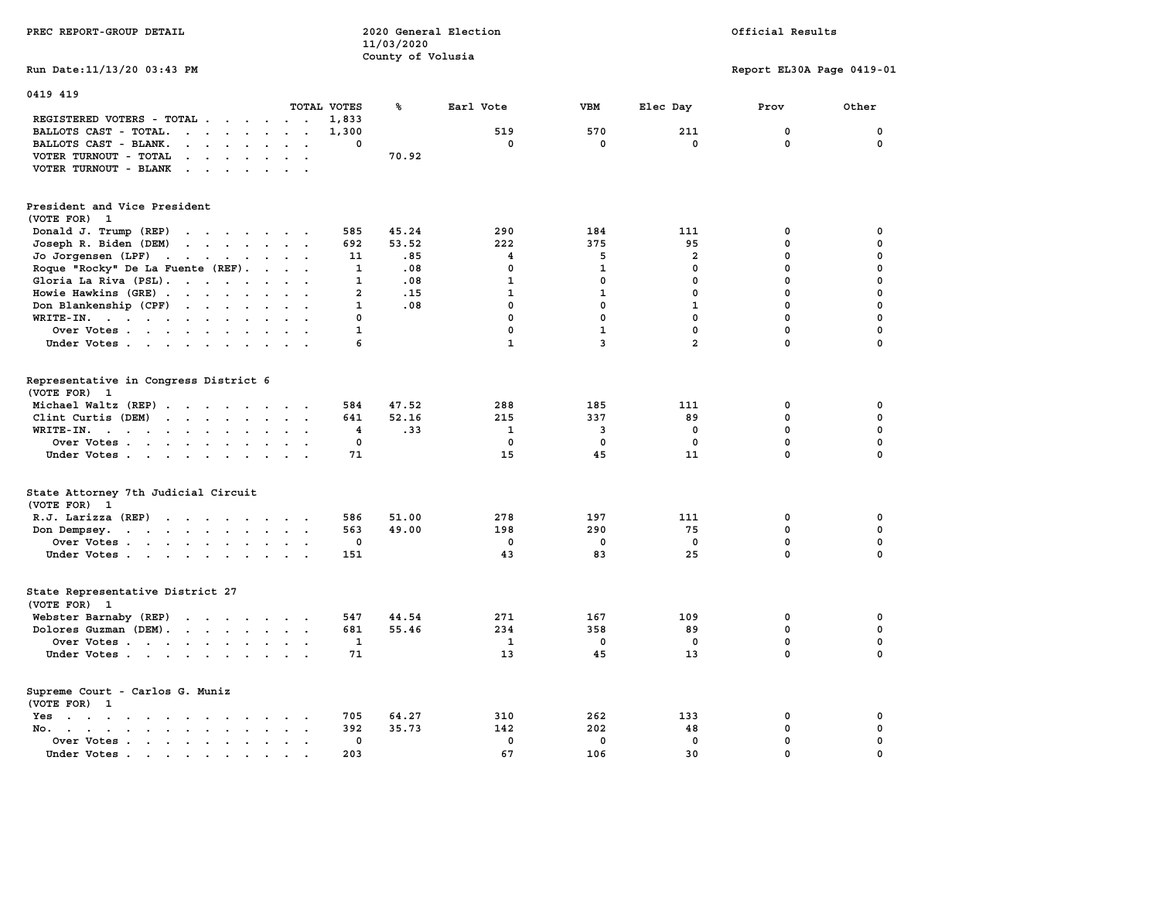| PREC REPORT-GROUP DETAIL                                                                                                                                                                                                                                    |                | 2020 General Election<br>11/03/2020<br>County of Volusia |              |                |                         | Official Results          |             |
|-------------------------------------------------------------------------------------------------------------------------------------------------------------------------------------------------------------------------------------------------------------|----------------|----------------------------------------------------------|--------------|----------------|-------------------------|---------------------------|-------------|
| Run Date: 11/13/20 03:43 PM                                                                                                                                                                                                                                 |                |                                                          |              |                |                         | Report EL30A Page 0419-01 |             |
| 0419 419                                                                                                                                                                                                                                                    |                |                                                          |              |                |                         |                           |             |
| TOTAL VOTES                                                                                                                                                                                                                                                 |                | ℁                                                        | Earl Vote    | <b>VBM</b>     | Elec Day                | Prov                      | Other       |
| REGISTERED VOTERS - TOTAL .<br>$\sim$ $\sim$<br>$\ddot{\phantom{0}}$                                                                                                                                                                                        | 1,833          |                                                          |              |                |                         |                           |             |
| BALLOTS CAST - TOTAL.<br>$\cdot$ $\cdot$ $\cdot$<br>$\sim$ $\sim$<br>$\sim$<br>$\sim$                                                                                                                                                                       | 1,300          |                                                          | 519          | 570            | 211                     | 0<br>$\mathbf 0$          | 0<br>0      |
| BALLOTS CAST - BLANK.<br>$\ddot{\phantom{a}}$<br>$\cdots$<br>$\ddot{\phantom{a}}$<br>$\bullet$                                                                                                                                                              | 0              |                                                          | 0            | 0              | 0                       |                           |             |
| VOTER TURNOUT - TOTAL<br>$\ddot{\phantom{a}}$<br><b>Contract Contract Street</b>                                                                                                                                                                            |                | 70.92                                                    |              |                |                         |                           |             |
| VOTER TURNOUT - BLANK<br>$\sim$<br>$\cdot$                                                                                                                                                                                                                  |                |                                                          |              |                |                         |                           |             |
| President and Vice President<br>(VOTE FOR) 1                                                                                                                                                                                                                |                |                                                          |              |                |                         |                           |             |
| Donald J. Trump (REP)<br>and the contract of the contract of                                                                                                                                                                                                | 585            | 45.24                                                    | 290          | 184            | 111                     | 0                         | 0           |
| Joseph R. Biden (DEM)<br>$\mathcal{A}$ . The set of the set of the set of the set of the set of the set of the set of the set of the set of the set of the set of the set of the set of the set of the set of the set of the set of the set of the set of t | 692            | 53.52                                                    | 222          | 375            | 95                      | $\mathbf 0$               | $\mathbf 0$ |
| Jo Jorgensen (LPF)<br>the contract of the contract of the                                                                                                                                                                                                   | 11             | .85                                                      | 4            | 5              | $\overline{\mathbf{2}}$ | 0                         | $\mathbf 0$ |
| Roque "Rocky" De La Fuente (REF).<br>$\cdot$ .<br>$\sim$                                                                                                                                                                                                    | 1              | .08                                                      | 0            | 1              | 0                       | $\mathbf 0$               | $\mathbf 0$ |
| Gloria La Riva (PSL).                                                                                                                                                                                                                                       | $\mathbf{1}$   | .08                                                      | $\mathbf{1}$ | $\mathbf 0$    | $\mathbf 0$             | $\mathbf 0$               | $\mathbf 0$ |
| Howie Hawkins (GRE)                                                                                                                                                                                                                                         | $\overline{a}$ | .15                                                      | $\mathbf{1}$ | $\mathbf{1}$   | $\mathbf{0}$            | $\mathbf 0$               | $\mathbf 0$ |
| Don Blankenship (CPF)<br>$\ddot{\phantom{a}}$                                                                                                                                                                                                               | $\mathbf{1}$   | .08                                                      | $\mathbf 0$  | $\mathbf 0$    | $\mathbf{1}$            | $\mathbf 0$               | $\mathbf 0$ |
| $\texttt{WRITE-IN.}$<br>$\sim$<br>$\bullet$                                                                                                                                                                                                                 | $\mathbf 0$    |                                                          | $\mathbf 0$  | $\mathbf 0$    | $\mathbf 0$             | $\mathbf 0$               | $\mathbf 0$ |
| Over Votes<br>$\sim$<br>$\ddot{\phantom{a}}$                                                                                                                                                                                                                | 1              |                                                          | $\mathbf 0$  | $\mathbf{1}$   | $\mathbf 0$             | $\mathbf 0$               | $\mathbf 0$ |
| Under Votes                                                                                                                                                                                                                                                 | 6              |                                                          | $\mathbf{1}$ | $\overline{3}$ | $\overline{a}$          | 0                         | $\mathbf 0$ |
|                                                                                                                                                                                                                                                             |                |                                                          |              |                |                         |                           |             |
| Representative in Congress District 6                                                                                                                                                                                                                       |                |                                                          |              |                |                         |                           |             |
| (VOTE FOR) 1                                                                                                                                                                                                                                                |                |                                                          |              |                |                         |                           |             |
| Michael Waltz (REP)<br>$\sim$ $\sim$                                                                                                                                                                                                                        | 584            | 47.52                                                    | 288          | 185            | 111                     | 0                         | 0           |
| Clint Curtis (DEM)                                                                                                                                                                                                                                          | 641            | 52.16                                                    | 215          | 337            | 89                      | 0                         | $\mathbf 0$ |
| WRITE-IN.<br>$\ddot{\phantom{a}}$<br>$\sim$<br>$\sim$<br>$\overline{a}$                                                                                                                                                                                     | 4              | .33                                                      | $\mathbf{1}$ | 3              | 0                       | $\mathbf 0$               | 0           |
| Over Votes                                                                                                                                                                                                                                                  | 0              |                                                          | $\mathbf 0$  | $\mathbf 0$    | $\mathbf 0$             | $\mathbf 0$               | $\mathbf 0$ |
| Under Votes<br>$\sim$                                                                                                                                                                                                                                       | 71             |                                                          | 15           | 45             | 11                      | 0                         | $\Omega$    |
| State Attorney 7th Judicial Circuit<br>(VOTE FOR) 1                                                                                                                                                                                                         |                |                                                          |              |                |                         |                           |             |
| R.J. Larizza (REP)                                                                                                                                                                                                                                          | 586            | 51.00                                                    | 278          | 197            | 111                     | 0                         | 0           |
| Don Dempsey.                                                                                                                                                                                                                                                | 563            | 49.00                                                    | 198          | 290            | 75                      | $\mathbf 0$               | $\mathbf 0$ |
| Over Votes<br>$\ddot{\phantom{a}}$                                                                                                                                                                                                                          | 0              |                                                          | 0            | 0              | 0                       | $\mathbf 0$               | $\mathbf 0$ |
| Under Votes                                                                                                                                                                                                                                                 | 151            |                                                          | 43           | 83             | 25                      | $\mathbf 0$               | $\mathbf 0$ |
| State Representative District 27<br>(VOTE FOR) 1                                                                                                                                                                                                            |                |                                                          |              |                |                         |                           |             |
| Webster Barnaby (REP)<br>the contract of the contract of                                                                                                                                                                                                    | 547            | 44.54                                                    | 271          | 167            | 109                     | 0                         | 0           |
| Dolores Guzman (DEM).                                                                                                                                                                                                                                       | 681            | 55.46                                                    | 234          | 358            | 89                      | 0                         | 0           |
| Over Votes                                                                                                                                                                                                                                                  | 1              |                                                          | 1            | $\mathbf{0}$   | $\mathbf{0}$            | $\mathbf 0$               | $\mathbf 0$ |
| Under Votes<br>$\sim$ $\sim$                                                                                                                                                                                                                                | 71             |                                                          | 13           | 45             | 13                      | 0                         | 0           |
|                                                                                                                                                                                                                                                             |                |                                                          |              |                |                         |                           |             |
| Supreme Court - Carlos G. Muniz<br>(VOTE FOR) 1                                                                                                                                                                                                             |                |                                                          |              |                |                         |                           |             |
| Yes<br>the contract of the contract of the contract of the contract of the contract of the contract of the contract of                                                                                                                                      | 705            | 64.27                                                    | 310          | 262            | 133                     | 0                         | 0           |
| No. .<br>$\sim$ $\sim$ $\sim$ $\sim$<br>$\sim$<br>$\sim$                                                                                                                                                                                                    | 392            | 35.73                                                    | 142          | 202            | 48                      | $\mathbf 0$               | $\mathbf 0$ |
| Over Votes<br>$\cdot$<br>$\ddot{\phantom{a}}$                                                                                                                                                                                                               | 0              |                                                          | $\mathbf 0$  | $\mathbf 0$    | $\mathbf 0$             | $\mathbf 0$               | $\mathbf 0$ |
| Under Votes.<br>the contract of the contract of the contract of the contract of the contract of the contract of the contract of                                                                                                                             | 203            |                                                          | 67           | 106            | 30                      | $\mathbf 0$               | $\mathbf 0$ |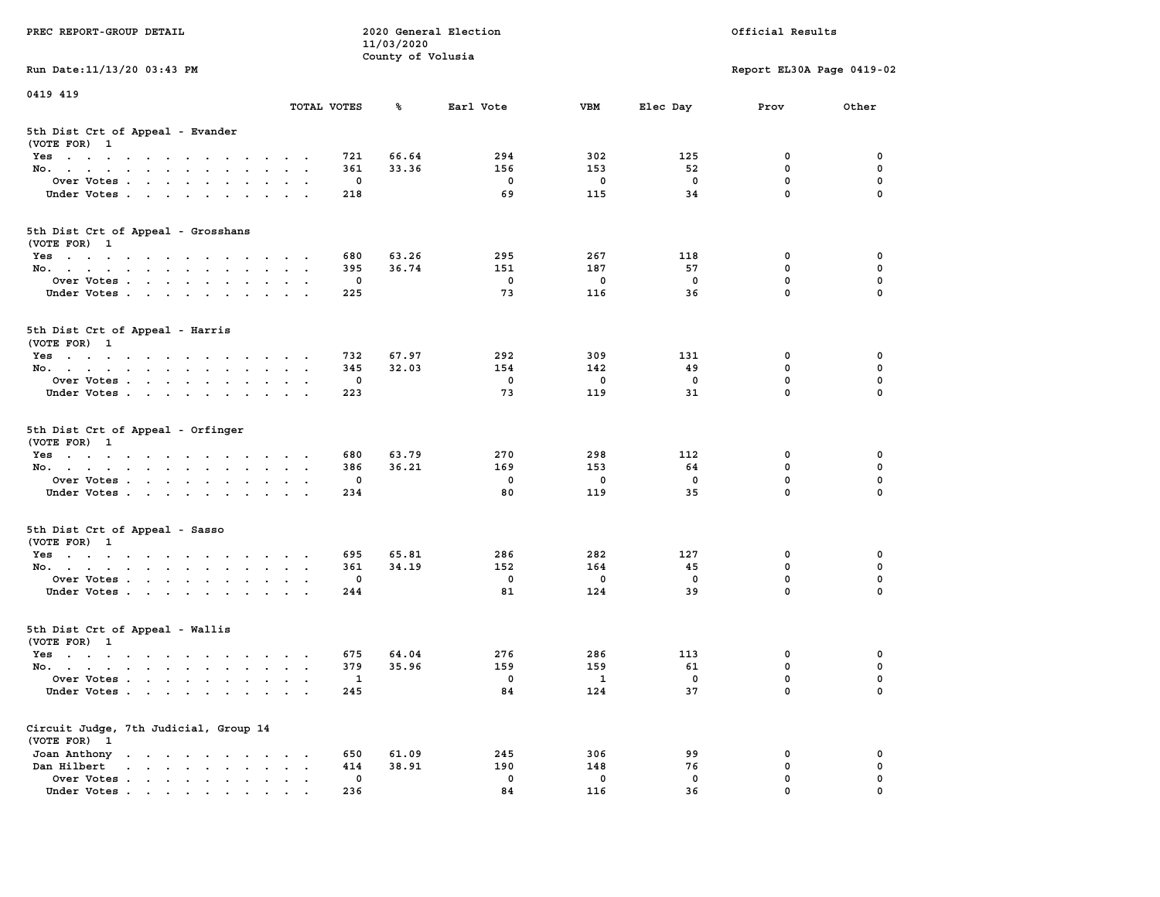| PREC REPORT-GROUP DETAIL                                                                                               |                                                           |                        | 11/03/2020        | 2020 General Election |                        |                      | Official Results                     |                         |
|------------------------------------------------------------------------------------------------------------------------|-----------------------------------------------------------|------------------------|-------------------|-----------------------|------------------------|----------------------|--------------------------------------|-------------------------|
|                                                                                                                        |                                                           |                        | County of Volusia |                       |                        |                      |                                      |                         |
| Run Date: 11/13/20 03:43 PM                                                                                            |                                                           |                        |                   |                       |                        |                      | Report EL30A Page 0419-02            |                         |
| 0419 419                                                                                                               |                                                           |                        |                   |                       |                        |                      |                                      |                         |
|                                                                                                                        | TOTAL VOTES                                               |                        | ጜ                 | Earl Vote             | VBM                    | Elec Day             | Prov                                 | Other                   |
| 5th Dist Crt of Appeal - Evander<br>(VOTE FOR) 1                                                                       |                                                           |                        |                   |                       |                        |                      |                                      |                         |
| Yes                                                                                                                    |                                                           | 721                    | 66.64             | 294                   | 302                    | 125                  | 0                                    | 0                       |
| No.                                                                                                                    |                                                           | 361                    | 33.36             | 156                   | 153                    | 52                   | $\mathbf 0$                          | $\mathbf 0$             |
| Over Votes                                                                                                             |                                                           | 0                      |                   | 0                     | $\mathbf 0$            | $\mathbf 0$          | 0                                    | 0                       |
| Under Votes                                                                                                            |                                                           | 218                    |                   | 69                    | 115                    | 34                   | $\mathbf 0$                          | $\Omega$                |
| 5th Dist Crt of Appeal - Grosshans<br>(VOTE FOR) 1                                                                     |                                                           |                        |                   |                       |                        |                      |                                      |                         |
| Yes                                                                                                                    |                                                           | 680                    | 63.26             | 295                   | 267                    | 118                  | 0                                    | 0                       |
| No.                                                                                                                    |                                                           | 395                    | 36.74             | 151                   | 187                    | 57                   | 0                                    | 0                       |
| Over Votes                                                                                                             |                                                           | 0                      |                   | 0                     | $\mathbf 0$            | $\mathbf 0$          | $\mathbf 0$                          | $\mathbf 0$             |
| Under Votes                                                                                                            |                                                           | 225                    |                   | 73                    | 116                    | 36                   | $\mathbf{0}$                         | 0                       |
| 5th Dist Crt of Appeal - Harris<br>(VOTE FOR) 1                                                                        |                                                           |                        |                   |                       |                        |                      |                                      |                         |
| Yes                                                                                                                    |                                                           | 732                    | 67.97             | 292                   | 309                    | 131                  | 0                                    | 0                       |
| No.                                                                                                                    |                                                           | 345                    | 32.03             | 154                   | 142                    | 49                   | 0                                    | 0                       |
| Over Votes                                                                                                             |                                                           | 0                      |                   | 0                     | 0                      | 0                    | $\mathbf 0$                          | 0                       |
| Under Votes                                                                                                            |                                                           | 223                    |                   | 73                    | 119                    | 31                   | $\mathbf 0$                          | 0                       |
| 5th Dist Crt of Appeal - Orfinger<br>(VOTE FOR) 1<br>Yes<br>No.<br>Over Votes<br>Under Votes                           |                                                           | 680<br>386<br>0<br>234 | 63.79<br>36.21    | 270<br>169<br>0<br>80 | 298<br>153<br>0<br>119 | 112<br>64<br>0<br>35 | 0<br>$\mathbf 0$<br>0<br>$\mathbf 0$ | 0<br>0<br>0<br>$\Omega$ |
| 5th Dist Crt of Appeal - Sasso<br>(VOTE FOR) 1                                                                         |                                                           |                        |                   |                       |                        |                      |                                      |                         |
| Yes                                                                                                                    |                                                           | 695                    | 65.81             | 286                   | 282                    | 127                  | 0                                    | 0                       |
| No.                                                                                                                    |                                                           | 361                    | 34.19             | 152                   | 164                    | 45                   | 0                                    | 0                       |
| Over Votes                                                                                                             |                                                           | 0                      |                   | $\mathbf 0$           | $\mathbf 0$            | 0                    | 0                                    | 0                       |
| Under Votes                                                                                                            |                                                           | 244                    |                   | 81                    | 124                    | 39                   | $\mathbf{0}$                         | $\Omega$                |
| 5th Dist Crt of Appeal - Wallis<br>(VOTE FOR) 1                                                                        |                                                           |                        |                   |                       |                        |                      |                                      |                         |
| Yes<br>the contract of the contract of the contract of the contract of the contract of the contract of the contract of |                                                           | 675                    | 64.04             | 276                   | 286                    | 113                  | 0                                    | 0                       |
| No.                                                                                                                    |                                                           | 379                    | 35.96             | 159                   | 159                    | 61                   | $\mathbf 0$                          | 0                       |
| Over Votes                                                                                                             |                                                           | $\mathbf{1}$           |                   | 0                     | $\mathbf{1}$           | 0                    | $\mathbf{0}$                         | 0                       |
| Under Votes                                                                                                            |                                                           | 245                    |                   | 84                    | 124                    | 37                   | 0                                    | 0                       |
| Circuit Judge, 7th Judicial, Group 14<br>(VOTE FOR) 1                                                                  |                                                           |                        |                   |                       |                        |                      |                                      |                         |
| Joan Anthony                                                                                                           | $\cdot$                                                   | 650                    | 61.09             | 245                   | 306                    | 99                   | 0                                    | 0                       |
| Dan Hilbert<br>$\mathbf{r}$ , and $\mathbf{r}$ , and $\mathbf{r}$ , and $\mathbf{r}$<br>$\sim$                         | $\ddot{\phantom{a}}$<br>$\ddot{\phantom{0}}$<br>$\bullet$ | 414                    | 38.91             | 190                   | 148                    | 76                   | 0                                    | 0                       |
| Over Votes .<br>$\mathbf{r}$                                                                                           |                                                           | 0                      |                   | 0                     | 0                      | 0                    | 0                                    | 0                       |
| Under Votes                                                                                                            |                                                           | 236                    |                   | 84                    | 116                    | 36                   | 0                                    |                         |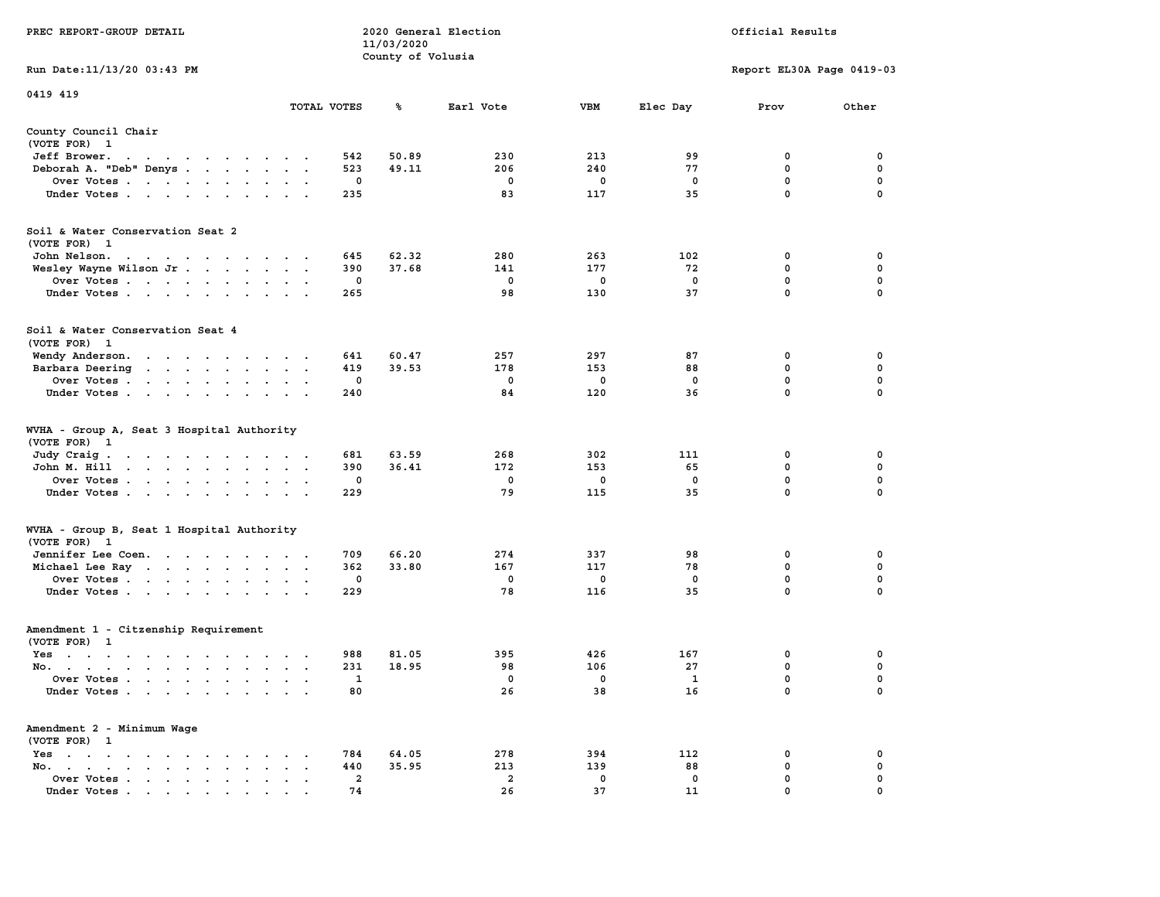|                                                                                                                                    |                                                     |                         | 11/03/2020<br>County of Volusia |                         |             |             |                           |             |
|------------------------------------------------------------------------------------------------------------------------------------|-----------------------------------------------------|-------------------------|---------------------------------|-------------------------|-------------|-------------|---------------------------|-------------|
| Run Date:11/13/20 03:43 PM                                                                                                         |                                                     |                         |                                 |                         |             |             | Report EL30A Page 0419-03 |             |
| 0419 419                                                                                                                           |                                                     |                         |                                 |                         |             |             |                           |             |
|                                                                                                                                    | TOTAL VOTES                                         |                         | ℁                               | Earl Vote               | <b>VBM</b>  | Elec Day    | Prov                      | Other       |
| County Council Chair<br>(VOTE FOR) 1                                                                                               |                                                     |                         |                                 |                         |             |             |                           |             |
| Jeff Brower.<br>$\cdot$ $\cdot$<br>$\bullet$<br>$\bullet$ , $\bullet$ , $\bullet$ , $\bullet$<br>$\ddot{\phantom{a}}$              |                                                     | 542                     | 50.89                           | 230                     | 213         | 99          | $\mathbf 0$               | 0           |
| Deborah A. "Deb" Denys                                                                                                             | $\ddot{\phantom{a}}$                                | 523                     | 49.11                           | 206                     | 240         | 77          | $\mathbf 0$               | $\mathbf 0$ |
| Over Votes<br>$\sim$                                                                                                               | $\ddot{\phantom{a}}$<br>$\bullet$<br>$\blacksquare$ | 0                       |                                 | 0                       | 0           | $\mathbf 0$ | 0                         | $\mathbf 0$ |
| Under Votes                                                                                                                        |                                                     | 235                     |                                 | 83                      | 117         | 35          | $\mathbf 0$               | $\mathbf 0$ |
| Soil & Water Conservation Seat 2                                                                                                   |                                                     |                         |                                 |                         |             |             |                           |             |
| (VOTE FOR)<br>- 1                                                                                                                  |                                                     |                         |                                 |                         |             |             |                           |             |
| John Nelson.                                                                                                                       |                                                     | 645                     | 62.32                           | 280                     | 263         | 102         | 0                         | 0           |
| Wesley Wayne Wilson Jr                                                                                                             |                                                     | 390                     | 37.68                           | 141                     | 177         | 72          | 0                         | 0           |
| Over Votes                                                                                                                         |                                                     | 0                       |                                 | 0                       | 0           | $\mathbf 0$ | 0                         | $\pmb{0}$   |
| Under Votes<br>$\ddot{\phantom{0}}$                                                                                                | $\ddot{\phantom{a}}$                                | 265                     |                                 | 98                      | 130         | 37          | $\mathbf 0$               | 0           |
| Soil & Water Conservation Seat 4<br>(VOTE FOR) 1                                                                                   |                                                     |                         |                                 |                         |             |             |                           |             |
| Wendy Anderson.<br>the contract of the contract of the contract of the contract of the contract of the contract of the contract of |                                                     | 641                     | 60.47                           | 257                     | 297         | 87          | $\mathbf 0$               | 0           |
| Barbara Deering                                                                                                                    | $\sim$<br>$\overline{\phantom{a}}$                  | 419                     | 39.53                           | 178                     | 153         | 88          | $\mathbf 0$               | $\mathbf 0$ |
| Over Votes<br>$\ddot{\phantom{a}}$                                                                                                 | $\cdot$                                             | $\mathbf 0$             |                                 | 0                       | 0           | $\mathbf 0$ | $\mathbf 0$               | $\mathbf 0$ |
| Under Votes<br>$\sim$                                                                                                              | $\cdot$ $\cdot$ $\cdot$                             | 240                     |                                 | 84                      | 120         | 36          | 0                         | 0           |
| WVHA - Group A, Seat 3 Hospital Authority<br>(VOTE FOR)<br>$\mathbf{1}$                                                            |                                                     |                         |                                 |                         |             |             |                           |             |
| Judy Craig.<br>the contract of the contract of the                                                                                 | $\sim$                                              | 681                     | 63.59                           | 268                     | 302         | 111         | 0                         | 0           |
| John M. Hill<br>$\mathcal{A}=\mathcal{A}=\mathcal{A}=\mathcal{A}=\mathcal{A}=\mathcal{A}=\mathcal{A}=\mathcal{A}$                  | $\bullet$<br>$\bullet$                              | 390                     | 36.41                           | 172                     | 153         | 65          | $\mathbf 0$               | 0           |
| Over Votes<br>$\sim$                                                                                                               |                                                     | $\mathbf 0$             |                                 | 0                       | $\mathbf 0$ | $\mathbf 0$ | $\mathbf 0$               | $\mathbf 0$ |
| Under Votes<br>$\cdot$                                                                                                             |                                                     | 229                     |                                 | 79                      | 115         | 35          | $\mathbf 0$               | $\mathbf 0$ |
| WVHA - Group B, Seat 1 Hospital Authority<br>(VOTE FOR)<br>$\mathbf{1}$                                                            |                                                     |                         |                                 |                         |             |             |                           |             |
|                                                                                                                                    |                                                     | 709                     | 66.20                           | 274                     | 337         | 98          | 0                         | 0           |
| Jennifer Lee Coen.<br>Michael Lee Ray                                                                                              |                                                     | 362                     | 33.80                           | 167                     | 117         | 78          | 0                         | 0           |
| Over Votes                                                                                                                         | $\mathbf{a}$ , and $\mathbf{a}$                     | 0                       |                                 | 0                       | 0           | 0           | 0                         | 0           |
| Under Votes<br>$\bullet$                                                                                                           | $\cdot$                                             | 229                     |                                 | 78                      | 116         | 35          | 0                         | 0           |
| Amendment 1 - Citzenship Requirement                                                                                               |                                                     |                         |                                 |                         |             |             |                           |             |
| (VOTE FOR) 1                                                                                                                       |                                                     |                         |                                 |                         |             |             |                           |             |
| $Yes \t . \t .$<br>the contract of the contract of the<br>$\sim$                                                                   | $\cdots$                                            | 988                     | 81.05                           | 395                     | 426         | 167         | 0                         | 0           |
| No.<br>$\sim$ $-$                                                                                                                  | $\sim$ $\sim$<br>$\sim$                             | 231                     | 18.95                           | 98                      | 106         | 27          | 0                         | 0           |
| Over Votes.<br>$\mathcal{L}(\mathcal{A})$ . The contract of $\mathcal{A}(\mathcal{A})$<br>$\blacksquare$<br>$\blacksquare$ .       | $\bullet$<br>$\bullet$                              | 1                       |                                 | 0                       | 0           | 1           | $\mathbf 0$               | $\mathbf 0$ |
| Under Votes                                                                                                                        |                                                     | 80                      |                                 | 26                      | 38          | 16          | 0                         | 0           |
| Amendment 2 - Minimum Wage                                                                                                         |                                                     |                         |                                 |                         |             |             |                           |             |
| (VOTE FOR) 1                                                                                                                       |                                                     |                         |                                 |                         |             |             |                           |             |
| $Yes \t . \t .$<br>$\sim$<br>$\bullet$<br>$\ddot{\phantom{1}}$<br>$\sim$<br>$\sim$<br>$\ddot{\phantom{1}}$<br>$\bullet$            |                                                     | 784                     | 64.05                           | 278                     | 394         | 112         | 0                         | 0           |
| No.<br>$\mathbf{r} = \mathbf{r}$                                                                                                   |                                                     | 440                     | 35.95                           | 213                     | 139         | 88          | 0                         | $\mathbf 0$ |
| Over Votes<br>$\ddot{\phantom{0}}$<br>$\bullet$<br>$\bullet$<br>$\bullet$                                                          |                                                     | $\overline{\mathbf{2}}$ |                                 | $\overline{\mathbf{2}}$ | 0           | $\mathbf 0$ | $\mathbf 0$               | $\mathbf 0$ |
| Under Votes<br>$\sim$                                                                                                              |                                                     | 74                      |                                 | 26                      | 37          | 11          | $\Omega$                  | $\mathbf 0$ |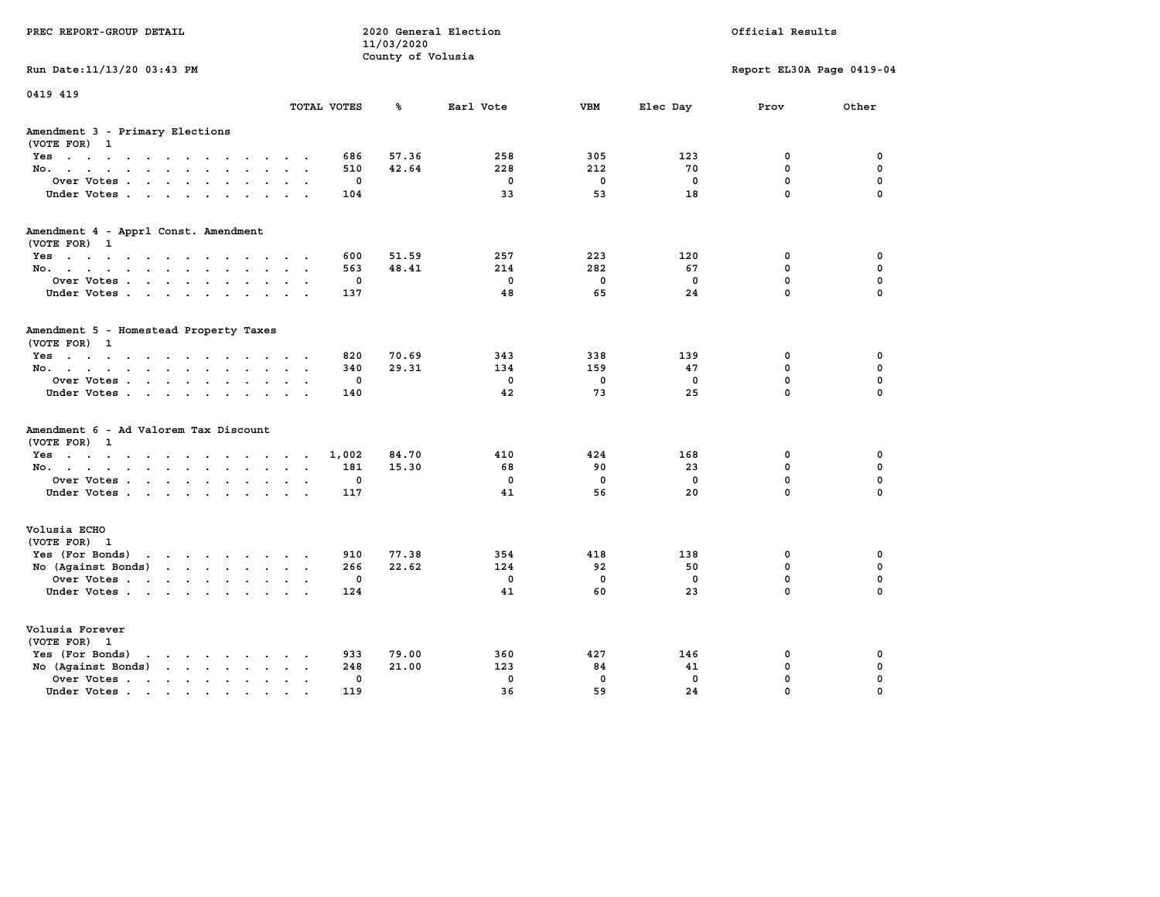| PREC REPORT-GROUP DETAIL                                                                                                           |                                     | 11/03/2020<br>County of Volusia | 2020 General Election |             |             | Official Results          |             |
|------------------------------------------------------------------------------------------------------------------------------------|-------------------------------------|---------------------------------|-----------------------|-------------|-------------|---------------------------|-------------|
| Run Date: 11/13/20 03:43 PM                                                                                                        |                                     |                                 |                       |             |             | Report EL30A Page 0419-04 |             |
| 0419 419                                                                                                                           | TOTAL VOTES                         | ℁                               | Earl Vote             | <b>VBM</b>  | Elec Day    | Prov                      | Other       |
| Amendment 3 - Primary Elections<br>(VOTE FOR) 1                                                                                    |                                     |                                 |                       |             |             |                           |             |
| Yes                                                                                                                                | 686                                 | 57.36                           | 258                   | 305         | 123         | 0                         | 0           |
| No.                                                                                                                                | 510<br>$\sim$                       | 42.64                           | 228                   | 212         | 70          | 0                         | $\mathbf 0$ |
| Over Votes<br>$\sim$                                                                                                               | 0                                   |                                 | $\mathbf 0$           | $\mathbf 0$ | $\mathbf 0$ | 0                         | $\mathbf 0$ |
| Under Votes                                                                                                                        | 104                                 |                                 | 33                    | 53          | 18          | $\mathbf 0$               | $\Omega$    |
| Amendment 4 - Apprl Const. Amendment<br>(VOTE FOR) 1                                                                               |                                     |                                 |                       |             |             |                           |             |
| Yes                                                                                                                                | 600                                 | 51.59                           | 257                   | 223         | 120         | 0                         | 0           |
| No.                                                                                                                                | 563                                 | 48.41                           | 214                   | 282         | 67          | 0                         | $\mathbf 0$ |
| Over Votes<br>$\sim$                                                                                                               | $\mathbf 0$<br>$\ddot{\phantom{a}}$ |                                 | $\mathbf 0$           | $\mathbf 0$ | $\mathbf 0$ | 0                         | $\mathbf 0$ |
| Under Votes                                                                                                                        | 137                                 |                                 | 48                    | 65          | 24          | $\mathbf 0$               | $\Omega$    |
| Amendment 5 - Homestead Property Taxes<br>(VOTE FOR) 1                                                                             |                                     |                                 |                       |             |             |                           |             |
| Yes                                                                                                                                | 820                                 | 70.69                           | 343                   | 338         | 139         | 0                         | 0           |
| No.<br>$\sim$ $\sim$<br>$\sim$                                                                                                     | 340                                 | 29.31                           | 134                   | 159         | 47          | 0                         | $\mathbf 0$ |
| Over Votes<br>$\ddot{\phantom{a}}$                                                                                                 | 0                                   |                                 | $\mathbf 0$           | $\mathbf 0$ | $\mathbf 0$ | 0                         | $\mathbf 0$ |
| Under Votes                                                                                                                        | 140<br><b>Contract Contract</b>     |                                 | 42                    | 73          | 25          | 0                         | $\Omega$    |
| Amendment 6 - Ad Valorem Tax Discount<br>(VOTE FOR) 1                                                                              |                                     |                                 |                       |             |             |                           |             |
| Yes                                                                                                                                | 1,002                               | 84.70                           | 410                   | 424         | 168         | 0                         | 0           |
| No.                                                                                                                                | 181<br>$\sim$ $\sim$                | 15.30                           | 68                    | 90          | 23          | 0                         | $\mathbf 0$ |
| Over Votes<br>$\bullet$                                                                                                            | 0<br>$\ddot{\phantom{a}}$           |                                 | $\mathbf 0$           | $\mathbf 0$ | $\mathbf 0$ | 0                         | $\mathbf 0$ |
| Under Votes                                                                                                                        | 117                                 |                                 | 41                    | 56          | 20          | $\mathbf 0$               | $\Omega$    |
| Volusia ECHO<br>(VOTE FOR) 1                                                                                                       |                                     |                                 |                       |             |             |                           |             |
| Yes (For Bonds)<br>the contract of the contract of the contract of the contract of the contract of the contract of the contract of | 910                                 | 77.38                           | 354                   | 418         | 138         | 0                         | 0           |
| No (Against Bonds)<br>$\mathbf{r}$ , $\mathbf{r}$ , $\mathbf{r}$ , $\mathbf{r}$ , $\mathbf{r}$                                     | 266                                 | 22.62                           | 124                   | 92          | 50          | $\mathbf{0}$              | $\mathbf 0$ |
| Over Votes<br>$\ddot{\phantom{a}}$                                                                                                 | 0                                   |                                 | $\mathbf 0$           | $\mathbf 0$ | $\mathbf 0$ | 0                         | $\mathbf 0$ |
| Under Votes                                                                                                                        | 124                                 |                                 | 41                    | 60          | 23          | 0                         | $\Omega$    |
| Volusia Forever<br>(VOTE FOR) 1                                                                                                    |                                     |                                 |                       |             |             |                           |             |
| Yes (For Bonds)<br>$\cdot$ $\cdot$ $\cdot$ $\cdot$ $\cdot$ $\cdot$ $\cdot$ $\cdot$                                                 | 933                                 | 79.00                           | 360                   | 427         | 146         | 0                         | 0           |
| No (Against Bonds)<br>$\cdot$ $\cdot$ $\cdot$ $\cdot$ $\cdot$ $\cdot$                                                              | 248                                 | 21.00                           | 123                   | 84          | 41          | 0                         | $\mathbf 0$ |
| Over Votes .<br>the contract of the contract of the<br>$\blacksquare$<br>$\bullet$                                                 | $\mathbf 0$                         |                                 | $\mathbf 0$           | $\mathbf 0$ | $\mathbf 0$ | 0                         | 0           |
| Under Votes                                                                                                                        | 119                                 |                                 | 36                    | 59          | 24          | 0                         | $\Omega$    |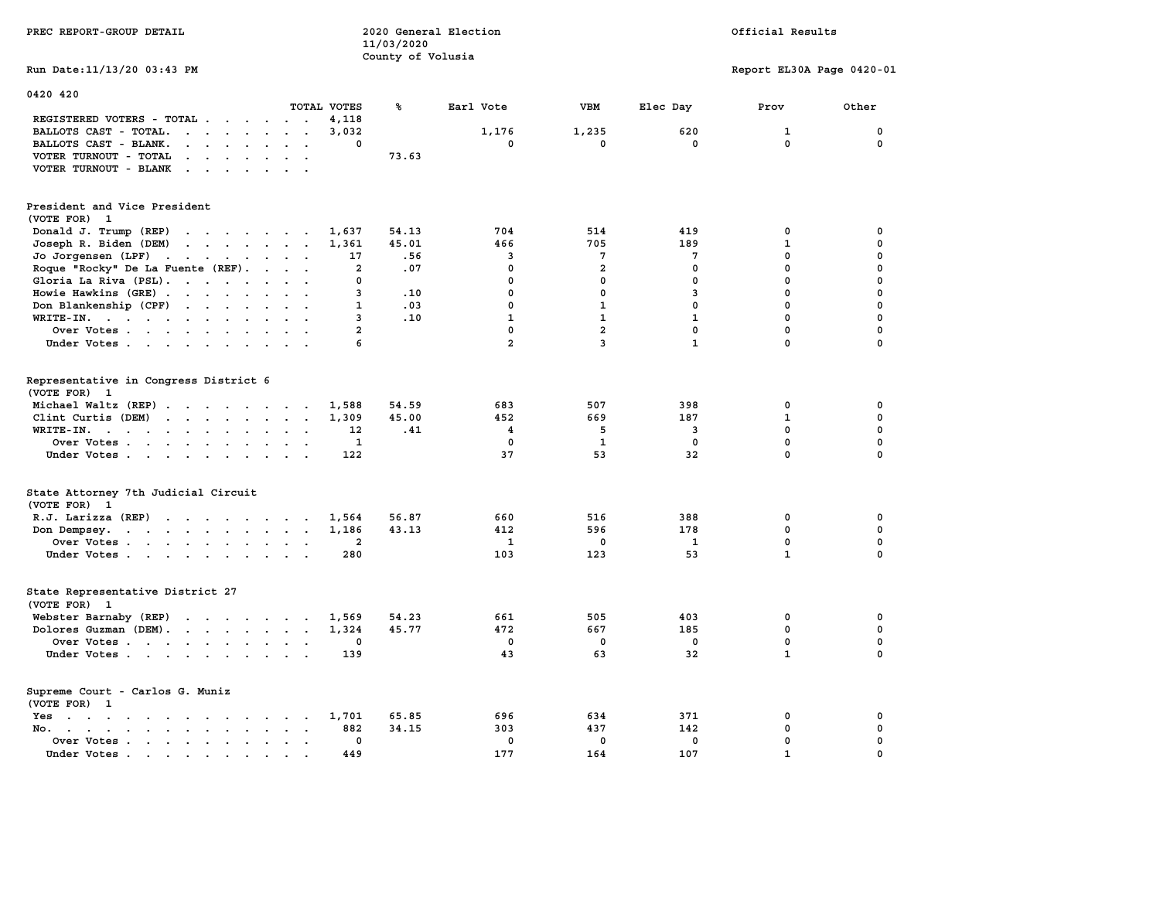| PREC REPORT-GROUP DETAIL                                                                                                                                                                                                                                                                              |                                               | 11/03/2020<br>County of Volusia | 2020 General Election |                         |              | Official Results          |             |
|-------------------------------------------------------------------------------------------------------------------------------------------------------------------------------------------------------------------------------------------------------------------------------------------------------|-----------------------------------------------|---------------------------------|-----------------------|-------------------------|--------------|---------------------------|-------------|
| Run Date: 11/13/20 03:43 PM                                                                                                                                                                                                                                                                           |                                               |                                 |                       |                         |              | Report EL30A Page 0420-01 |             |
| 0420 420                                                                                                                                                                                                                                                                                              |                                               |                                 |                       |                         |              |                           |             |
|                                                                                                                                                                                                                                                                                                       | TOTAL VOTES                                   | ℁                               | Earl Vote             | VBM                     | Elec Day     | Prov                      | Other       |
| REGISTERED VOTERS - TOTAL .<br>$\cdots$<br>BALLOTS CAST - TOTAL.<br>$\mathbf{r}$ . The set of the set of the set of the set of the set of the set of the set of the set of the set of the set of the set of the set of the set of the set of the set of the set of the set of the set of the set of t | 4,118                                         |                                 |                       |                         |              |                           | 0           |
| $\begin{array}{cccccccccccccc} \bullet & \bullet & \bullet & \bullet & \bullet & \bullet & \bullet & \bullet & \bullet \end{array}$                                                                                                                                                                   | 3,032<br>0                                    |                                 | 1,176<br>0            | 1,235<br>$^{\circ}$     | 620<br>0     | 1<br>$\mathbf 0$          | $^{\circ}$  |
| BALLOTS CAST - BLANK.                                                                                                                                                                                                                                                                                 |                                               | 73.63                           |                       |                         |              |                           |             |
| VOTER TURNOUT - TOTAL<br>$\mathbf{r}$ . The set of the set of the set of the set of the set of the set of the set of the set of the set of the set of the set of the set of the set of the set of the set of the set of the set of the set of the set of t                                            |                                               |                                 |                       |                         |              |                           |             |
| VOTER TURNOUT - BLANK<br>$\mathbf{r}$                                                                                                                                                                                                                                                                 |                                               |                                 |                       |                         |              |                           |             |
| President and Vice President<br>(VOTE FOR) 1                                                                                                                                                                                                                                                          |                                               |                                 |                       |                         |              |                           |             |
| Donald J. Trump (REP)                                                                                                                                                                                                                                                                                 | 1,637                                         | 54.13                           | 704                   | 514                     | 419          | 0                         | $\mathbf 0$ |
| $\mathbf{r}$<br>Joseph R. Biden (DEM)                                                                                                                                                                                                                                                                 | 1,361                                         | 45.01                           | 466                   | 705                     | 189          | $\mathbf{1}$              | $\mathbf 0$ |
| Jo Jorgensen (LPF)                                                                                                                                                                                                                                                                                    | 17                                            | .56                             | 3                     | $7\phantom{.0}$         | 7            | $\mathbf{0}$              | $\mathbf 0$ |
| Roque "Rocky" De La Fuente (REF).                                                                                                                                                                                                                                                                     | $\mathbf{2}$                                  | .07                             | 0                     | $\overline{a}$          | $\mathbf 0$  | $\mathbf 0$               | $\mathbf 0$ |
| Gloria La Riva (PSL).                                                                                                                                                                                                                                                                                 | 0                                             |                                 | 0                     | $\mathbf 0$             | $\mathbf 0$  | $\mathbf 0$               | $\mathbf 0$ |
| Howie Hawkins (GRE)                                                                                                                                                                                                                                                                                   | 3                                             | .10                             | $\mathbf 0$           | $\mathbf 0$             | 3            | $\mathbf 0$               | $\mathbf 0$ |
| Don Blankenship (CPF)                                                                                                                                                                                                                                                                                 | 1                                             | .03                             | $\mathbf 0$           | $\mathbf{1}$            | $\mathbf 0$  | $\mathbf 0$               | $\mathbf 0$ |
| WRITE-IN.                                                                                                                                                                                                                                                                                             | 3                                             | .10                             | $\mathbf{1}$          | $\mathbf{1}$            | $\mathbf{1}$ | $\mathbf 0$               | $\mathbf 0$ |
| Over Votes                                                                                                                                                                                                                                                                                            | $\overline{a}$                                |                                 | $\mathbf 0$           | $\overline{a}$          | $\mathbf 0$  | $\mathbf 0$               | $\mathbf 0$ |
|                                                                                                                                                                                                                                                                                                       |                                               |                                 | $\overline{a}$        | $\overline{\mathbf{3}}$ | $\mathbf{1}$ | $\mathbf 0$               | $\mathbf 0$ |
| Under Votes                                                                                                                                                                                                                                                                                           | 6                                             |                                 |                       |                         |              |                           |             |
| Representative in Congress District 6                                                                                                                                                                                                                                                                 |                                               |                                 |                       |                         |              |                           |             |
| (VOTE FOR) 1                                                                                                                                                                                                                                                                                          |                                               |                                 |                       |                         |              |                           |             |
| Michael Waltz (REP)                                                                                                                                                                                                                                                                                   | 1,588                                         | 54.59                           | 683                   | 507                     | 398          | $\mathbf 0$               | $\mathbf 0$ |
| Clint Curtis (DEM)                                                                                                                                                                                                                                                                                    | 1,309                                         | 45.00                           | 452                   | 669                     | 187          | $\mathbf{1}$              | $\mathbf 0$ |
| WRITE-IN.                                                                                                                                                                                                                                                                                             | 12<br>$\mathbf{r}$                            | .41                             | $\overline{4}$        | -5                      | 3            | $\mathbf 0$               | $\mathbf 0$ |
| Over Votes                                                                                                                                                                                                                                                                                            | 1                                             |                                 | 0                     | $\mathbf{1}$            | 0            | $\mathbf 0$               | $\mathbf 0$ |
| Under Votes                                                                                                                                                                                                                                                                                           | 122                                           |                                 | 37                    | 53                      | 32           | $\mathbf{0}$              | $\mathbf 0$ |
| State Attorney 7th Judicial Circuit<br>(VOTE FOR) 1                                                                                                                                                                                                                                                   |                                               |                                 |                       |                         |              |                           |             |
| R.J. Larizza $(REF)$                                                                                                                                                                                                                                                                                  | 1,564                                         | 56.87                           | 660                   | 516                     | 388          | 0                         | $\mathbf 0$ |
| Don Dempsey.                                                                                                                                                                                                                                                                                          | 1,186                                         | 43.13                           | 412                   | 596                     | 178          | $\mathbf 0$               | $\mathbf 0$ |
| Over Votes                                                                                                                                                                                                                                                                                            | $\mathbf{2}$                                  |                                 | 1                     | $\mathbf 0$             | 1            | 0                         | 0           |
| Under Votes                                                                                                                                                                                                                                                                                           | 280                                           |                                 | 103                   | 123                     | 53           | $\mathbf{1}$              | $\mathbf 0$ |
|                                                                                                                                                                                                                                                                                                       |                                               |                                 |                       |                         |              |                           |             |
| State Representative District 27<br>(VOTE FOR)<br>$\mathbf{1}$                                                                                                                                                                                                                                        |                                               |                                 |                       |                         |              |                           |             |
| Webster Barnaby (REP)                                                                                                                                                                                                                                                                                 | 1,569                                         | 54.23                           | 661                   | 505                     | 403          | 0                         | 0           |
| Dolores Guzman (DEM).                                                                                                                                                                                                                                                                                 | 1,324                                         | 45.77                           | 472                   | 667                     | 185          | $\mathbf 0$               | $\mathbf 0$ |
| Over Votes                                                                                                                                                                                                                                                                                            | 0                                             |                                 | 0                     | $\Omega$                | $\mathbf{0}$ | $\mathbf 0$               | 0           |
| Under Votes                                                                                                                                                                                                                                                                                           | 139                                           |                                 | 43                    | 63                      | 32           | $\mathbf{1}$              | $\mathbf 0$ |
| Supreme Court - Carlos G. Muniz<br>(VOTE FOR) 1                                                                                                                                                                                                                                                       |                                               |                                 |                       |                         |              |                           |             |
| the contract of the contract of the contract of the contract of the contract of the contract of the contract of<br>Yes                                                                                                                                                                                | 1,701                                         | 65.85                           | 696                   | 634                     | 371          | 0                         | $\mathbf 0$ |
| No. .<br>$\mathbf{r}$ , and $\mathbf{r}$ , and $\mathbf{r}$ , and $\mathbf{r}$<br>$\sim$<br>$\sim$                                                                                                                                                                                                    | 882<br>$\ddot{\phantom{a}}$                   | 34.15                           | 303                   | 437                     | 142          | $\mathbf 0$               | $\mathbf 0$ |
| Over Votes                                                                                                                                                                                                                                                                                            | $\mathbf 0$<br>$\sim$<br>$\ddot{\phantom{a}}$ |                                 | $\mathbf 0$           | $\mathbf 0$             | $\mathbf 0$  | $\mathbf 0$               | $\mathbf 0$ |
| Under Votes.<br>the contract of the contract of the contract of the contract of the contract of the contract of the contract of                                                                                                                                                                       | 449                                           |                                 | 177                   | 164                     | 107          | $\mathbf{1}$              | $\mathbf 0$ |
|                                                                                                                                                                                                                                                                                                       |                                               |                                 |                       |                         |              |                           |             |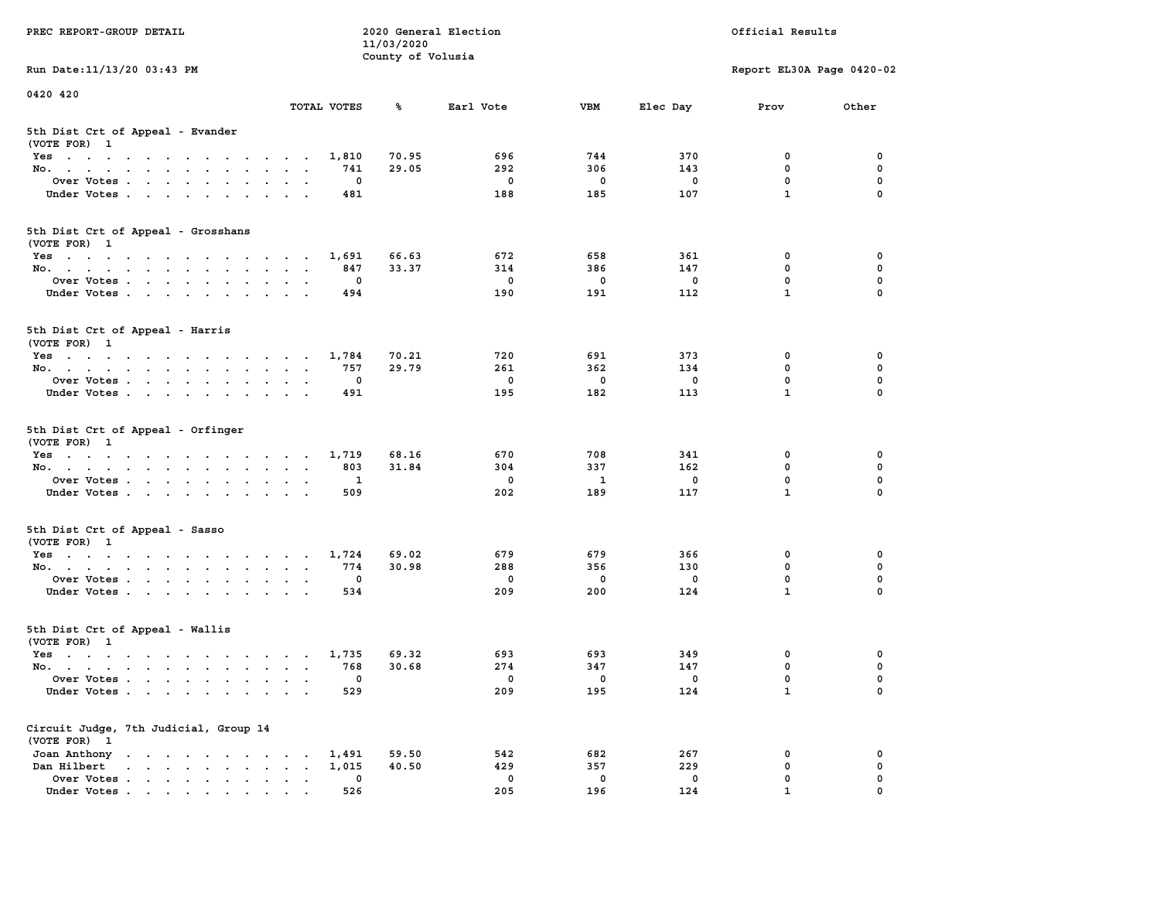| PREC REPORT-GROUP DETAIL                                                                                               |                                            | 11/03/2020        | 2020 General Election |                    |             | Official Results            |               |
|------------------------------------------------------------------------------------------------------------------------|--------------------------------------------|-------------------|-----------------------|--------------------|-------------|-----------------------------|---------------|
| Run Date: 11/13/20 03:43 PM                                                                                            |                                            | County of Volusia |                       |                    |             | Report EL30A Page 0420-02   |               |
| 0420 420                                                                                                               |                                            |                   |                       |                    |             |                             |               |
|                                                                                                                        | TOTAL VOTES                                | ℁                 | Earl Vote             | <b>VBM</b>         | Elec Day    | Prov                        | Other         |
| 5th Dist Crt of Appeal - Evander<br>(VOTE FOR) 1                                                                       |                                            |                   |                       |                    |             |                             |               |
| Yes                                                                                                                    | 1,810                                      | 70.95             | 696                   | 744                | 370         | 0                           | 0             |
| No.                                                                                                                    | 741                                        | 29.05             | 292                   | 306                | 143         | $\mathbf 0$                 | 0             |
| Over Votes                                                                                                             | 0                                          |                   | 0                     | 0                  | 0           | $\mathbf 0$                 | 0             |
| Under Votes                                                                                                            | 481                                        |                   | 188                   | 185                | 107         | $\mathbf{1}$                | $\Omega$      |
| 5th Dist Crt of Appeal - Grosshans<br>(VOTE FOR) 1                                                                     |                                            |                   |                       |                    |             |                             |               |
| Yes                                                                                                                    | 1,691                                      | 66.63             | 672                   | 658                | 361         | 0                           | 0             |
| No.                                                                                                                    | 847                                        | 33.37             | 314                   | 386                | 147         | 0                           | 0             |
| Over Votes                                                                                                             | 0                                          |                   | $\mathbf 0$           | $\mathbf 0$        | $\mathbf 0$ | $\mathbf 0$                 | 0             |
| Under Votes                                                                                                            | 494                                        |                   | 190                   | 191                | 112         | $\mathbf{1}$                | 0             |
| 5th Dist Crt of Appeal - Harris<br>(VOTE FOR) 1                                                                        |                                            |                   |                       |                    |             |                             |               |
| Yes                                                                                                                    | 1,784                                      | 70.21             | 720                   | 691                | 373         | 0                           | 0             |
| No.                                                                                                                    | 757                                        | 29.79             | 261                   | 362                | 134         | $^{\circ}$                  | $\mathbf 0$   |
| Over Votes                                                                                                             | 0                                          |                   | 0                     | 0                  | 0           | $\mathbf 0$                 | 0             |
| Under Votes                                                                                                            | 491                                        |                   | 195                   | 182                | 113         | $\mathbf{1}$                | 0             |
| 5th Dist Crt of Appeal - Orfinger<br>(VOTE FOR) 1                                                                      |                                            |                   |                       |                    |             |                             |               |
| Yes                                                                                                                    | 1,719                                      | 68.16             | 670                   | 708                | 341         | 0                           | 0             |
| No.                                                                                                                    | 803                                        | 31.84             | 304                   | 337                | 162         | $\mathbf 0$                 | 0             |
| Over Votes                                                                                                             | 1<br>509                                   |                   | 0<br>202              | 1<br>189           | 0<br>117    | $\mathbf 0$<br>$\mathbf{1}$ | 0<br>$\Omega$ |
| Under Votes                                                                                                            |                                            |                   |                       |                    |             |                             |               |
| 5th Dist Crt of Appeal - Sasso<br>(VOTE FOR) 1                                                                         |                                            |                   |                       |                    |             |                             |               |
| Yes                                                                                                                    | 1,724                                      | 69.02             | 679                   | 679                | 366         | 0                           | 0             |
| No.                                                                                                                    | 774                                        | 30.98             | 288                   | 356                | 130         | $\mathbf 0$                 | 0             |
| Over Votes<br>Under Votes                                                                                              | 0<br>534                                   |                   | $\mathbf 0$<br>209    | $\mathbf 0$<br>200 | 0<br>124    | $\mathbf 0$<br>$\mathbf{1}$ | 0<br>$\Omega$ |
|                                                                                                                        |                                            |                   |                       |                    |             |                             |               |
| 5th Dist Crt of Appeal - Wallis<br>(VOTE FOR) 1                                                                        |                                            |                   |                       |                    |             |                             |               |
| Yes<br>the contract of the contract of the contract of the contract of the contract of the contract of the contract of | 1,735                                      | 69.32             | 693                   | 693                | 349         | 0                           | 0             |
| No.                                                                                                                    | 768                                        | 30.68             | 274                   | 347                | 147         | $\mathbf 0$                 | 0             |
| Over Votes                                                                                                             | 0                                          |                   | $^{\circ}$            | 0                  | 0           | $\mathbf 0$                 | 0             |
| Under Votes                                                                                                            | 529                                        |                   | 209                   | 195                | 124         | $\mathbf{1}$                | 0             |
| Circuit Judge, 7th Judicial, Group 14<br>(VOTE FOR) 1                                                                  |                                            |                   |                       |                    |             |                             |               |
| Joan Anthony                                                                                                           | 1,491                                      | 59.50             | 542                   | 682                | 267         | 0                           | 0             |
| $\mathbf{r}$ , $\mathbf{r}$ , $\mathbf{r}$ , $\mathbf{r}$ , $\mathbf{r}$ , $\mathbf{r}$<br>Dan Hilbert                 | 1,015<br>$\ddot{\phantom{a}}$<br>$\bullet$ | 40.50             | 429                   | 357                | 229         | $\mathbf 0$                 | 0             |
| Over Votes.<br>Under Votes                                                                                             | 0<br>526                                   |                   | 0<br>205              | $\mathbf 0$<br>196 | 0<br>124    | 0<br>$\mathbf{1}$           | 0<br>$\Omega$ |
|                                                                                                                        |                                            |                   |                       |                    |             |                             |               |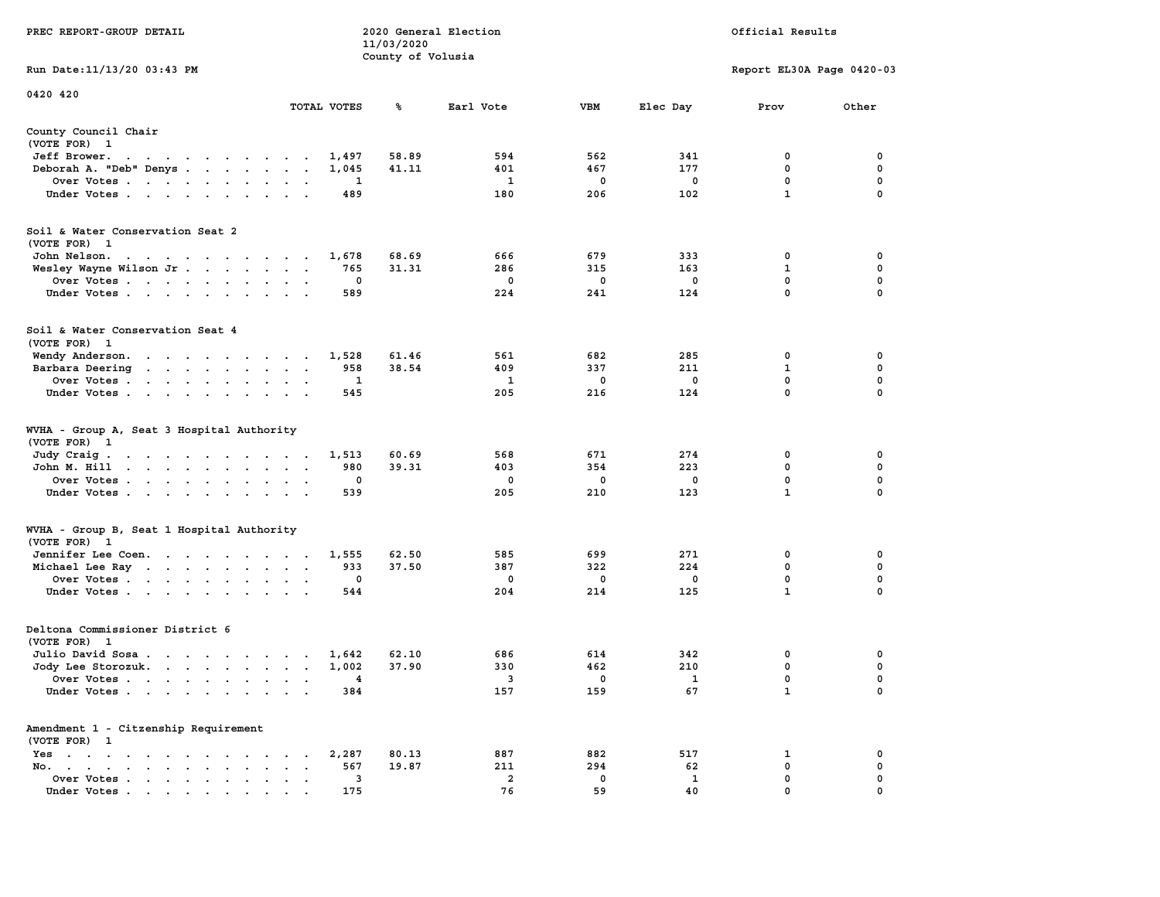|                                                                                                                                                  |                                                                             | 11/03/2020        |                |            |             |                           |             |
|--------------------------------------------------------------------------------------------------------------------------------------------------|-----------------------------------------------------------------------------|-------------------|----------------|------------|-------------|---------------------------|-------------|
| Run Date:11/13/20 03:43 PM                                                                                                                       |                                                                             | County of Volusia |                |            |             | Report EL30A Page 0420-03 |             |
| 0420 420                                                                                                                                         | TOTAL VOTES                                                                 | ℁                 | Earl Vote      | <b>VBM</b> | Elec Day    | Prov                      | Other       |
|                                                                                                                                                  |                                                                             |                   |                |            |             |                           |             |
| County Council Chair<br>(VOTE FOR) 1                                                                                                             |                                                                             |                   |                |            |             |                           |             |
| Jeff Brower.<br>$\sim$ $\sim$<br>the contract of the contract of the contract of the contract of the contract of the contract of the contract of | 1,497                                                                       | 58.89             | 594            | 562        | 341         | 0                         | 0           |
| Deborah A. "Deb" Denys                                                                                                                           | 1,045<br>$\overline{a}$                                                     | 41.11             | 401            | 467        | 177         | 0                         | 0           |
| Over Votes                                                                                                                                       | 1<br>$\bullet$                                                              |                   | 1              | 0          | $\mathbf 0$ | $\mathbf 0$               | 0           |
| Under Votes                                                                                                                                      | 489<br>$\blacksquare$                                                       |                   | 180            | 206        | 102         | $\mathbf{1}$              | 0           |
| Soil & Water Conservation Seat 2<br>(VOTE FOR) 1                                                                                                 |                                                                             |                   |                |            |             |                           |             |
| John Nelson.<br>$\mathbf{a}$ . The second contribution of the second contribution $\mathbf{a}$                                                   | 1,678                                                                       | 68.69             | 666            | 679        | 333         | 0                         | 0           |
| Wesley Wayne Wilson Jr                                                                                                                           | 765<br>$\sim$<br>$\sim$<br>$\sim$                                           | 31.31             | 286            | 315        | 163         | 1                         | 0           |
| Over Votes<br>$\overline{\phantom{a}}$                                                                                                           | 0<br>$\cdot$                                                                |                   | 0              | 0          | $\mathbf 0$ | 0                         | $\mathbf 0$ |
| Under Votes                                                                                                                                      | 589<br>$\sim$                                                               |                   | 224            | 241        | 124         | $\mathbf{0}$              | $\mathbf 0$ |
|                                                                                                                                                  |                                                                             |                   |                |            |             |                           |             |
| Soil & Water Conservation Seat 4                                                                                                                 |                                                                             |                   |                |            |             |                           |             |
| (VOTE FOR) 1                                                                                                                                     |                                                                             |                   |                |            |             |                           |             |
| Wendy Anderson.                                                                                                                                  | 1,528                                                                       | 61.46             | 561            | 682        | 285         | 0                         | 0           |
| Barbara Deering                                                                                                                                  | 958<br>$\bullet$<br>$\bullet$<br>$\ddot{\phantom{a}}$                       | 38.54             | 409            | 337        | 211         | $\mathbf{1}$              | $\mathbf 0$ |
| Over Votes<br>$\blacksquare$                                                                                                                     | $\mathbf{1}$                                                                |                   | 1              | 0          | $\mathbf 0$ | 0                         | $\mathbf 0$ |
| Under Votes<br>$\ddot{\phantom{1}}$                                                                                                              | 545                                                                         |                   | 205            | 216        | 124         | $\mathbf 0$               | $\mathbf 0$ |
| WVHA - Group A, Seat 3 Hospital Authority<br>(VOTE FOR)<br>- 1                                                                                   |                                                                             |                   |                |            |             |                           |             |
| Judy Craig.<br>$\mathbf{u} = \mathbf{u} + \mathbf{u} + \mathbf{u} + \mathbf{u} + \mathbf{u} + \mathbf{u} + \mathbf{u} + \mathbf{u} + \mathbf{u}$ | 1,513                                                                       | 60.69             | 568            | 671        | 274         | 0                         | 0           |
| John M. Hill<br>$\mathbf{r} = \mathbf{r} + \mathbf{r} + \mathbf{r} + \mathbf{r} + \mathbf{r}$<br>$\cdot$                                         | 980<br>$\ddot{\phantom{a}}$<br>$\ddot{\phantom{a}}$<br>$\ddot{\phantom{a}}$ | 39.31             | 403            | 354        | 223         | 0                         | $\mathbf 0$ |
| Over Votes                                                                                                                                       | $\mathbf 0$<br>$\cdot$<br>$\cdot$                                           |                   | 0              | 0          | $\mathbf 0$ | 0                         | $\mathbf 0$ |
| Under Votes<br>$\cdot$                                                                                                                           | 539<br>$\cdot$                                                              |                   | 205            | 210        | 123         | $\mathbf{1}$              | 0           |
| WVHA - Group B, Seat 1 Hospital Authority<br>(VOTE FOR)<br>$\mathbf{1}$                                                                          |                                                                             |                   |                |            |             |                           |             |
| Jennifer Lee Coen.                                                                                                                               | 1,555                                                                       | 62.50             | 585            | 699        | 271         | 0                         | 0           |
| Michael Lee Ray                                                                                                                                  | 933<br>$\bullet$<br>$\bullet$<br>$\ddot{\phantom{a}}$                       | 37.50             | 387            | 322        | 224         | $\mathbf 0$               | 0           |
| Over Votes                                                                                                                                       | 0<br>$\bullet$<br>$\bullet$                                                 |                   | $\Omega$       | 0          | $^{\circ}$  | 0                         | $\mathbf 0$ |
| Under Votes<br>$\cdot$                                                                                                                           | 544<br>$\cdot$<br>$\sim$                                                    |                   | 204            | 214        | 125         | $\mathbf{1}$              | 0           |
| Deltona Commissioner District 6                                                                                                                  |                                                                             |                   |                |            |             |                           |             |
| (VOTE FOR)<br>$\overline{\mathbf{1}}$                                                                                                            |                                                                             |                   |                |            |             |                           |             |
| Julio David Sosa                                                                                                                                 | 1,642<br>$\overline{\phantom{a}}$                                           | 62.10             | 686            | 614        | 342         | 0                         | 0           |
| Jody Lee Storozuk.                                                                                                                               | 1,002                                                                       | 37.90             | 330            | 462        | 210         | 0                         | $\mathbf 0$ |
| Over Votes<br>$\ddot{\phantom{a}}$                                                                                                               | 4<br>$\cdot$<br>$\cdot$<br>$\ddot{\phantom{a}}$                             |                   | 3              | 0          | 1           | $\mathbf 0$               | $\mathbf 0$ |
| Under Votes                                                                                                                                      | 384                                                                         |                   | 157            | 159        | 67          | $\mathbf{1}$              | 0           |
| Amendment 1 - Citzenship Requirement<br>(VOTE FOR) 1                                                                                             |                                                                             |                   |                |            |             |                           |             |
| $Yes \t . \t .$<br>$\bullet$<br>$\bullet$ .<br><br><br><br><br><br><br><br><br><br><br><br><br><br><br><br><br>$\sim$                            | 2,287<br>$\bullet$                                                          | 80.13             | 887            | 882        | 517         | 1                         | 0           |
| No.<br>$\bullet$ . In the case of the case of the $\bullet$<br>$\bullet$ . $\bullet$<br>$\cdot$                                                  | 567<br>$\cdot$                                                              | 19.87             | 211            | 294        | 62          | 0                         | $\mathbf 0$ |
| Over Votes<br>$\bullet$                                                                                                                          | 3<br>$\ddot{\phantom{a}}$<br>$\cdot$                                        |                   | $\overline{a}$ | 0          | 1           | $\mathbf{0}$              | $\mathbf 0$ |
| Under Votes                                                                                                                                      | 175                                                                         |                   | 76             | 59         | 40          | $\mathbf{0}$              | $\mathbf 0$ |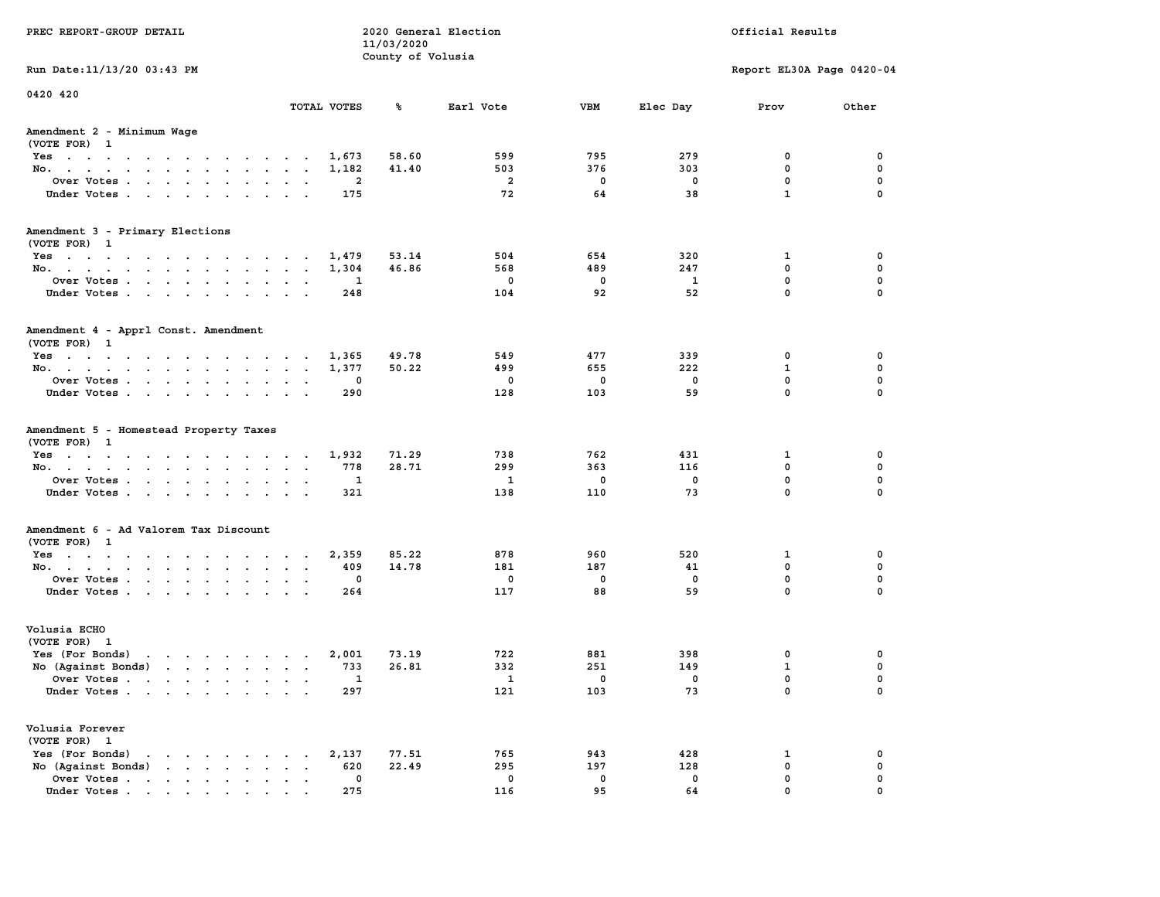| PREC REPORT-GROUP DETAIL                                                                                                                                                                                                                             |                             | 11/03/2020        | 2020 General Election |     |          | Official Results          |             |
|------------------------------------------------------------------------------------------------------------------------------------------------------------------------------------------------------------------------------------------------------|-----------------------------|-------------------|-----------------------|-----|----------|---------------------------|-------------|
| Run Date: 11/13/20 03:43 PM                                                                                                                                                                                                                          |                             | County of Volusia |                       |     |          | Report EL30A Page 0420-04 |             |
|                                                                                                                                                                                                                                                      |                             |                   |                       |     |          |                           |             |
| 0420 420                                                                                                                                                                                                                                             | TOTAL VOTES                 | ጜ                 | Earl Vote             | VBM | Elec Day | Prov                      | Other       |
| Amendment 2 - Minimum Wage<br>(VOTE FOR) 1                                                                                                                                                                                                           |                             |                   |                       |     |          |                           |             |
| Yes                                                                                                                                                                                                                                                  | 1,673                       | 58.60             | 599                   | 795 | 279      | 0                         | 0           |
| No.                                                                                                                                                                                                                                                  | 1,182                       | 41.40             | 503                   | 376 | 303      | $\mathbf 0$               | $\mathbf 0$ |
| Over Votes                                                                                                                                                                                                                                           | 2                           |                   | $\overline{a}$        | 0   | 0        | $\mathbf 0$               | 0           |
| Under Votes                                                                                                                                                                                                                                          | 175                         |                   | 72                    | 64  | 38       | $\mathbf{1}$              | $\mathbf 0$ |
| Amendment 3 - Primary Elections                                                                                                                                                                                                                      |                             |                   |                       |     |          |                           |             |
| (VOTE FOR) 1                                                                                                                                                                                                                                         |                             | 53.14             | 504                   | 654 | 320      |                           | 0           |
| Yes<br>No.                                                                                                                                                                                                                                           | 1,479<br>1,304              | 46.86             | 568                   | 489 | 247      | 1<br>$\mathbf 0$          | 0           |
| Over Votes                                                                                                                                                                                                                                           | 1                           |                   | $\mathbf{0}$          | 0   | 1        | $\mathbf 0$               | $\mathbf 0$ |
| Under Votes                                                                                                                                                                                                                                          | 248                         |                   | 104                   | 92  | 52       | $\Omega$                  | $\Omega$    |
| Amendment 4 - Apprl Const. Amendment<br>(VOTE FOR) 1                                                                                                                                                                                                 |                             |                   |                       |     |          |                           |             |
| $Yes \cdot \cdot \cdot \cdot \cdot \cdot \cdot \cdot \cdot \cdot \cdot \cdot \cdot \cdot$                                                                                                                                                            | 1,365                       | 49.78             | 549                   | 477 | 339      | 0                         | 0           |
| No.                                                                                                                                                                                                                                                  | 1,377                       | 50.22             | 499                   | 655 | 222      | 1                         | 0           |
| Over Votes                                                                                                                                                                                                                                           | 0                           |                   | 0                     | 0   | 0        | $\mathbf{0}$              | $\mathbf 0$ |
| Under Votes                                                                                                                                                                                                                                          | 290                         |                   | 128                   | 103 | 59       | $\mathbf{0}$              | $\mathbf 0$ |
| Amendment 5 - Homestead Property Taxes<br>(VOTE FOR) 1<br>Yes                                                                                                                                                                                        | 1,932                       | 71.29             | 738                   | 762 | 431      | 1                         | 0           |
| No.                                                                                                                                                                                                                                                  | 778                         | 28.71             | 299                   | 363 | 116      | $\mathbf 0$               | 0           |
| Over Votes                                                                                                                                                                                                                                           | 1                           |                   | <b>1</b>              | 0   | 0        | $\mathbf 0$               | 0           |
| Under Votes                                                                                                                                                                                                                                          | 321                         |                   | 138                   | 110 | 73       | $\mathbf 0$               | $\Omega$    |
| Amendment 6 - Ad Valorem Tax Discount                                                                                                                                                                                                                |                             |                   |                       |     |          |                           |             |
| (VOTE FOR) 1                                                                                                                                                                                                                                         |                             |                   |                       |     |          |                           |             |
| Yes                                                                                                                                                                                                                                                  | 2,359                       | 85.22             | 878                   | 960 | 520      | 1                         | 0           |
| No.                                                                                                                                                                                                                                                  | 409                         | 14.78             | 181                   | 187 | 41       | $\mathbf 0$               | 0           |
| Over Votes                                                                                                                                                                                                                                           | 0                           |                   | 0                     | 0   | 0        | 0                         | 0           |
| Under Votes                                                                                                                                                                                                                                          | 264                         |                   | 117                   | 88  | 59       | $\Omega$                  | $\Omega$    |
| Volusia ECHO<br>(VOTE FOR) 1                                                                                                                                                                                                                         |                             |                   |                       |     |          |                           |             |
| Yes (For Bonds)<br>$\mathbf{r}$ . The set of the set of the set of the set of the set of the set of the set of the set of the set of the set of the set of the set of the set of the set of the set of the set of the set of the set of the set of t | 2,001                       | 73.19             | 722                   | 881 | 398      | 0                         | 0           |
| No (Against Bonds)                                                                                                                                                                                                                                   | 733                         | 26.81             | 332                   | 251 | 149      | $\mathbf{1}$              | 0           |
| Over Votes<br>the contract of the contract of the contract of the contract of the contract of the contract of the contract of<br>$\bullet$                                                                                                           | $\overline{\phantom{a}}$    |                   | $\mathbf{1}$          | 0   | 0        | $\Omega$                  | $\mathbf 0$ |
| Under Votes                                                                                                                                                                                                                                          | 297                         |                   | 121                   | 103 | 73       | 0                         | 0           |
| Volusia Forever<br>(VOTE FOR) 1                                                                                                                                                                                                                      |                             |                   |                       |     |          |                           |             |
| Yes (For Bonds)<br>$\cdot$ $\cdot$ $\cdot$ $\cdot$ $\cdot$ $\cdot$                                                                                                                                                                                   | 2,137                       | 77.51             | 765                   | 943 | 428      | 1                         | 0           |
| $\mathbf{r}$ , $\mathbf{r}$ , $\mathbf{r}$ , $\mathbf{r}$<br>No (Against Bonds)                                                                                                                                                                      | 620<br>$\ddot{\phantom{a}}$ | 22.49             | 295                   | 197 | 128      | $\mathbf 0$               | $\mathbf 0$ |
| Over Votes                                                                                                                                                                                                                                           | 0                           |                   | 0                     | 0   | 0        | $\mathbf 0$               | 0           |
| Under Votes                                                                                                                                                                                                                                          | 275                         |                   | 116                   | 95  | 64       | $\Omega$                  | $\Omega$    |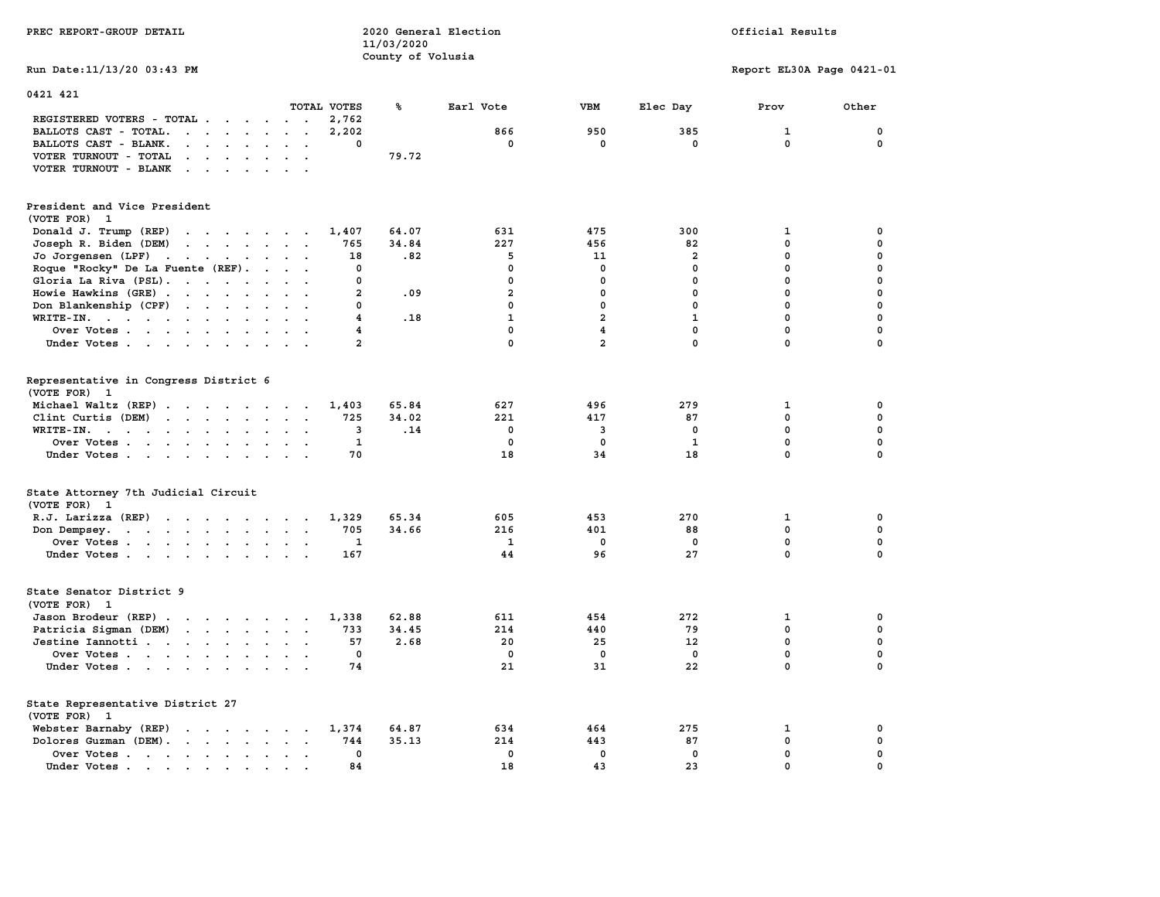| PREC REPORT-GROUP DETAIL                                                                                                                                                                                                                                    |                         | 2020 General Election<br>11/03/2020 |              |                         |                | Official Results          |             |
|-------------------------------------------------------------------------------------------------------------------------------------------------------------------------------------------------------------------------------------------------------------|-------------------------|-------------------------------------|--------------|-------------------------|----------------|---------------------------|-------------|
|                                                                                                                                                                                                                                                             |                         | County of Volusia                   |              |                         |                |                           |             |
| Run Date: 11/13/20 03:43 PM                                                                                                                                                                                                                                 |                         |                                     |              |                         |                | Report EL30A Page 0421-01 |             |
| 0421 421                                                                                                                                                                                                                                                    |                         |                                     |              |                         |                |                           |             |
|                                                                                                                                                                                                                                                             | TOTAL VOTES             | ℁                                   | Earl Vote    | VBM                     | Elec Day       | Prov                      | Other       |
| REGISTERED VOTERS - TOTAL                                                                                                                                                                                                                                   | 2,762                   |                                     |              |                         |                |                           |             |
| BALLOTS CAST - TOTAL.<br>$\mathbf{r}$                                                                                                                                                                                                                       | 2,202                   |                                     | 866          | 950                     | 385            | $\mathbf{1}$              | $\mathbf 0$ |
| BALLOTS CAST - BLANK.<br>$\ddot{\phantom{a}}$<br>$\cdot$ $\cdot$                                                                                                                                                                                            | 0                       |                                     | 0            | 0                       | 0              | 0                         | 0           |
| VOTER TURNOUT - TOTAL<br>$\mathbf{r}$ , $\mathbf{r}$ , $\mathbf{r}$ , $\mathbf{r}$ , $\mathbf{r}$<br>$\sim$ $\sim$                                                                                                                                          |                         | 79.72                               |              |                         |                |                           |             |
| VOTER TURNOUT - BLANK<br>$\sim$ $\sim$ $\sim$ $\sim$<br>$\sim$<br>$\sim$                                                                                                                                                                                    |                         |                                     |              |                         |                |                           |             |
| President and Vice President                                                                                                                                                                                                                                |                         |                                     |              |                         |                |                           |             |
| (VOTE FOR) 1                                                                                                                                                                                                                                                |                         |                                     |              |                         |                |                           |             |
|                                                                                                                                                                                                                                                             | 1,407                   | 64.07                               | 631          | 475                     | 300            | 1                         | 0           |
| Donald J. Trump (REP)<br>$\mathcal{A}$ . The set of the set of the set of the set of the set of the set of the set of the set of the set of the set of the set of the set of the set of the set of the set of the set of the set of the set of the set of t |                         |                                     |              |                         |                |                           |             |
| Joseph R. Biden (DEM)<br>$\mathbf{r}$ , $\mathbf{r}$ , $\mathbf{r}$ , $\mathbf{r}$ , $\mathbf{r}$<br>$\sim$                                                                                                                                                 | 765                     | 34.84                               | 227          | 456                     | 82             | 0                         | 0<br>0      |
| Jo Jorgensen (LPF)<br>the contract of the contract of                                                                                                                                                                                                       | 18                      | .82                                 | 5            | 11                      | $\overline{2}$ | 0                         |             |
| Roque "Rocky" De La Fuente (REF).<br>$\ddot{\phantom{a}}$                                                                                                                                                                                                   | 0                       |                                     | $\mathbf 0$  | $\mathbf 0$             | $\mathbf 0$    | $\mathbf 0$               | $\mathbf 0$ |
| Gloria La Riva (PSL).<br>$\sim$                                                                                                                                                                                                                             | 0                       |                                     | 0            | $\mathbf 0$             | $\mathbf 0$    | $\mathbf 0$               | $\mathbf 0$ |
| Howie Hawkins (GRE)<br>$\sim$<br>$\ddot{\phantom{a}}$                                                                                                                                                                                                       | $\mathbf{2}$            | .09                                 | $\mathbf{2}$ | 0                       | 0              | 0                         | $\pmb{0}$   |
| Don Blankenship (CPF)                                                                                                                                                                                                                                       | 0                       |                                     | 0            | $\mathbf 0$             | $\mathbf 0$    | $\mathbf 0$               | $\mathbf 0$ |
| $\texttt{WRTTE-IN.}$<br>$\cdot$<br>$\ddot{\phantom{a}}$<br>$\ddot{\phantom{a}}$                                                                                                                                                                             | 4                       | .18                                 | $\mathbf{1}$ | $\overline{a}$          | $\mathbf{1}$   | $\mathbf 0$               | $\mathbf 0$ |
| Over Votes                                                                                                                                                                                                                                                  | 4                       |                                     | $\mathbf 0$  | $\overline{\mathbf{4}}$ | $\mathbf{0}$   | $\mathbf 0$               | $\mathbf 0$ |
| Under Votes                                                                                                                                                                                                                                                 | $\overline{\mathbf{2}}$ |                                     | 0            | $\overline{\mathbf{2}}$ | $\mathbf 0$    | $\pmb{0}$                 | $\mathbf 0$ |
| Representative in Congress District 6<br>(VOTE FOR) 1                                                                                                                                                                                                       |                         |                                     |              |                         |                |                           |             |
| Michael Waltz (REP)                                                                                                                                                                                                                                         | 1,403                   | 65.84                               | 627          | 496                     | 279            | 1                         | 0           |
| Clint Curtis $(DEM)$<br>$\ddot{\phantom{a}}$                                                                                                                                                                                                                | 725                     | 34.02                               | 221          | 417                     | 87             | $\mathbf 0$               | $\mathbf 0$ |
| $\texttt{WRTTE-IN.}$<br>$\bullet$<br>$\bullet$ .<br>$\ddot{\phantom{0}}$                                                                                                                                                                                    | 3                       | .14                                 | $\mathbf 0$  | 3                       | $\mathbf 0$    | $\mathbf 0$               | 0           |
| Over Votes<br>$\bullet$<br>$\blacksquare$                                                                                                                                                                                                                   | $\mathbf{1}$            |                                     | $\mathbf 0$  | 0                       | $\mathbf{1}$   | $\mathbf 0$               | 0           |
| Under Votes<br>$\cdot$ $\cdot$                                                                                                                                                                                                                              | 70                      |                                     | 18           | 34                      | 18             | $\mathbf 0$               | $\mathbf 0$ |
| State Attorney 7th Judicial Circuit<br>(VOTE FOR) 1                                                                                                                                                                                                         |                         |                                     |              |                         |                |                           |             |
| R.J. Larizza $(REF)$                                                                                                                                                                                                                                        | 1,329                   | 65.34                               | 605          | 453                     | 270            | 1                         | 0           |
| Don Dempsey.<br>the contract of the contract of the<br>$\sim$ $\sim$                                                                                                                                                                                        | 705                     | 34.66                               | 216          | 401                     | 88             | $\mathbf 0$               | $\mathbf 0$ |
| Over Votes                                                                                                                                                                                                                                                  | 1                       |                                     | 1            | 0                       | 0              | $\mathbf 0$               | $\mathbf 0$ |
| Under Votes                                                                                                                                                                                                                                                 | 167                     |                                     | 44           | 96                      | 27             | $\mathbf 0$               | $\Omega$    |
| State Senator District 9<br>(VOTE FOR) 1                                                                                                                                                                                                                    |                         |                                     |              |                         |                |                           |             |
| Jason Brodeur (REP)                                                                                                                                                                                                                                         | 1,338                   | 62.88                               | 611          | 454                     | 272            | 1                         | 0           |
| Patricia Sigman (DEM)<br>the contract of the contract of<br>$\sim$ $\sim$                                                                                                                                                                                   | 733                     | 34.45                               | 214          | 440                     | 79             | $\mathbf 0$               | $\mathbf 0$ |
| Jestine Iannotti                                                                                                                                                                                                                                            | 57                      | 2.68                                | 20           | 25                      | 12             | $\mathbf 0$               | 0           |
| Over Votes<br>$\ddot{\phantom{0}}$                                                                                                                                                                                                                          | $\mathbf 0$             |                                     | $\mathbf 0$  | $\mathbf 0$             | $\mathbf 0$    | $\mathbf 0$               | 0           |
| Under Votes<br>$\cdot$ .                                                                                                                                                                                                                                    | 74                      |                                     | 21           | 31                      | 22             | 0                         | 0           |
| State Representative District 27<br>(VOTE FOR) 1                                                                                                                                                                                                            |                         |                                     |              |                         |                |                           |             |
| Webster Barnaby (REP)<br>the contract of the contract of the                                                                                                                                                                                                | 1,374                   | 64.87                               | 634          | 464                     | 275            | 1                         | 0           |
| Dolores Guzman (DEM).<br>$\sim$                                                                                                                                                                                                                             | 744                     | 35.13                               | 214          | 443                     | 87             | 0                         | 0           |
| Over Votes                                                                                                                                                                                                                                                  | 0                       |                                     | $\mathbf 0$  | $\mathbf 0$             | $\mathbf 0$    | $\mathbf 0$               | $\mathbf 0$ |
| $\ddot{\phantom{0}}$<br>$\cdot$<br>Under Votes<br>$\sim$                                                                                                                                                                                                    | 84                      |                                     | 18           | 43                      | 23             | 0                         | 0           |
|                                                                                                                                                                                                                                                             |                         |                                     |              |                         |                |                           |             |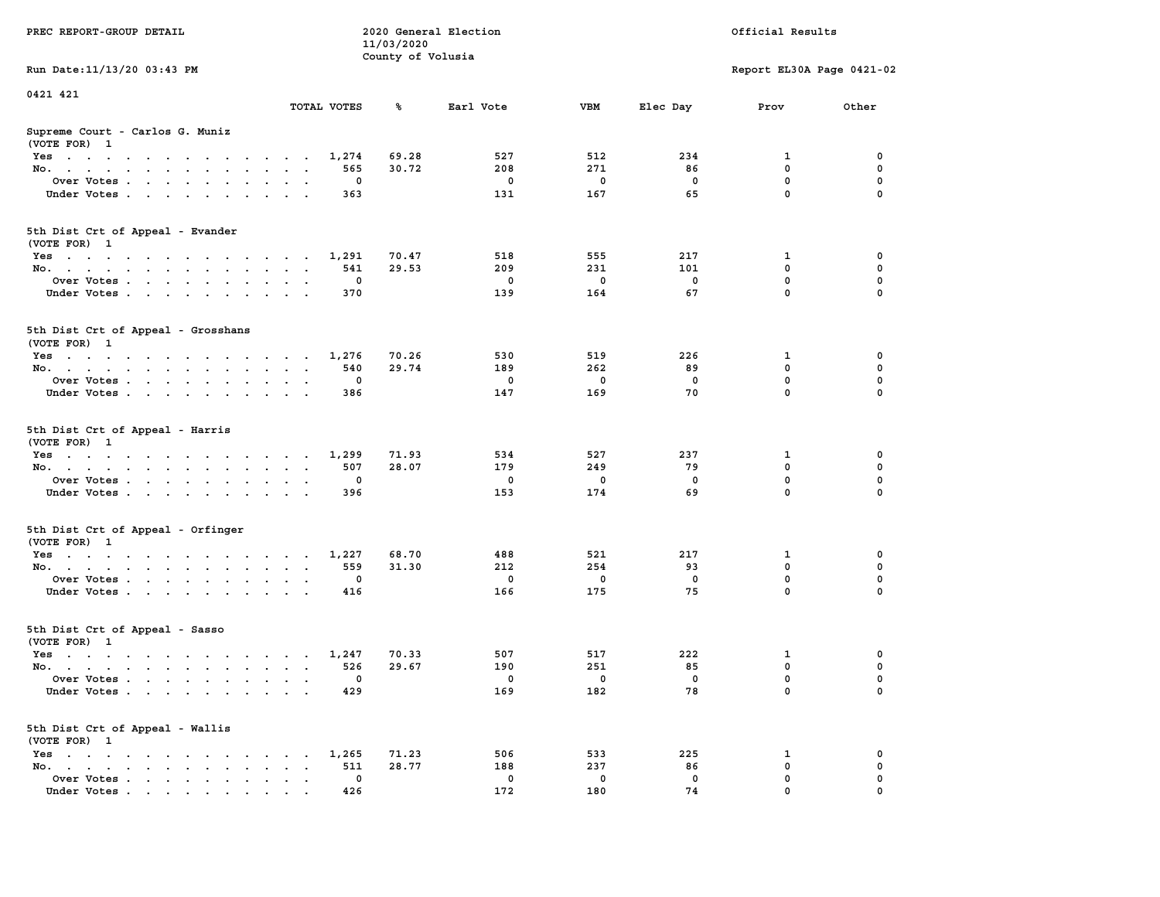|                                                                                                                                                                                                                                                       |                                                                             | 11/03/2020        |             |             |              |                           |             |
|-------------------------------------------------------------------------------------------------------------------------------------------------------------------------------------------------------------------------------------------------------|-----------------------------------------------------------------------------|-------------------|-------------|-------------|--------------|---------------------------|-------------|
|                                                                                                                                                                                                                                                       |                                                                             | County of Volusia |             |             |              |                           |             |
| Run Date: 11/13/20 03:43 PM                                                                                                                                                                                                                           |                                                                             |                   |             |             |              | Report EL30A Page 0421-02 |             |
| 0421 421                                                                                                                                                                                                                                              |                                                                             |                   |             |             |              |                           |             |
|                                                                                                                                                                                                                                                       | TOTAL VOTES                                                                 | ℁                 | Earl Vote   | <b>VBM</b>  | Elec Day     | Prov                      | Other       |
| Supreme Court - Carlos G. Muniz                                                                                                                                                                                                                       |                                                                             |                   |             |             |              |                           |             |
| (VOTE FOR) 1                                                                                                                                                                                                                                          |                                                                             |                   |             |             |              |                           |             |
| Yes                                                                                                                                                                                                                                                   | 1,274                                                                       | 69.28             | 527         | 512         | 234          | 1                         | 0           |
| No.<br>$\ddot{\phantom{a}}$                                                                                                                                                                                                                           | 565<br>$\overline{a}$<br>$\mathbf{r}$                                       | 30.72             | 208         | 271         | 86           | $\mathbf 0$               | 0           |
| Over Votes                                                                                                                                                                                                                                            | 0<br>$\ddot{\phantom{a}}$<br>$\ddot{\phantom{a}}$                           |                   | $\mathbf 0$ | $\mathbf 0$ | $\mathbf 0$  | $\mathbf 0$               | $\mathbf 0$ |
| Under Votes                                                                                                                                                                                                                                           | 363                                                                         |                   | 131         | 167         | 65           | $\mathbf 0$               | 0           |
| 5th Dist Crt of Appeal - Evander<br>(VOTE FOR) 1                                                                                                                                                                                                      |                                                                             |                   |             |             |              |                           |             |
| Yes                                                                                                                                                                                                                                                   | 1,291                                                                       | 70.47             | 518         | 555         | 217          | 1                         | $\mathbf 0$ |
| No.                                                                                                                                                                                                                                                   | 541                                                                         | 29.53             | 209         | 231         | 101          | $\mathbf 0$               | $\mathbf 0$ |
| Over Votes<br>$\sim$                                                                                                                                                                                                                                  | $\mathbf 0$<br>$\ddot{\phantom{a}}$                                         |                   | $\mathbf 0$ | $\mathbf 0$ | $\mathbf 0$  | $\mathbf 0$               | $\mathbf 0$ |
| Under Votes                                                                                                                                                                                                                                           | 370                                                                         |                   | 139         | 164         | 67           | $\mathbf 0$               | $\mathbf 0$ |
|                                                                                                                                                                                                                                                       |                                                                             |                   |             |             |              |                           |             |
| 5th Dist Crt of Appeal - Grosshans<br>(VOTE FOR) 1                                                                                                                                                                                                    |                                                                             |                   |             |             |              |                           |             |
| Yes                                                                                                                                                                                                                                                   | 1,276                                                                       | 70.26             | 530         | 519         | 226          | 1                         | 0           |
| No.<br>$\ddot{\phantom{a}}$                                                                                                                                                                                                                           | 540<br>$\bullet$<br>$\sim$<br>$\ddot{\phantom{a}}$                          | 29.74             | 189         | 262         | 89           | $\mathbf 0$               | 0           |
| Over Votes                                                                                                                                                                                                                                            | $\mathbf 0$<br>$\sim$ $\sim$                                                |                   | $^{\circ}$  | $\Omega$    | $\mathbf{0}$ | $\mathbf 0$               | $\mathbf 0$ |
| Under Votes                                                                                                                                                                                                                                           | 386<br>$\mathbf{a} = \mathbf{a} + \mathbf{a} + \mathbf{a}$ .<br>$\sim$      |                   | 147         | 169         | 70           | $\mathbf 0$               | 0           |
| 5th Dist Crt of Appeal - Harris<br>(VOTE FOR) 1                                                                                                                                                                                                       |                                                                             |                   |             |             |              |                           |             |
| Yes                                                                                                                                                                                                                                                   | 1,299                                                                       | 71.93             | 534         | 527         | 237          | 1                         | 0           |
| No.<br>$\ddot{\phantom{a}}$                                                                                                                                                                                                                           | 507<br>$\ddot{\phantom{a}}$<br>$\ddot{\phantom{a}}$<br>$\ddot{\phantom{a}}$ | 28.07             | 179         | 249         | 79           | $\mathbf 0$               | $\mathbf 0$ |
| Over Votes                                                                                                                                                                                                                                            | $\mathbf 0$                                                                 |                   | $\mathbf 0$ | $\mathbf 0$ | $\mathbf 0$  | $\mathbf 0$               | 0           |
| Under Votes<br>$\mathcal{A}^{\mathcal{A}}$ , and $\mathcal{A}^{\mathcal{A}}$ , and $\mathcal{A}^{\mathcal{A}}$<br>$\ddot{\phantom{a}}$                                                                                                                | 396<br>$\ddot{\phantom{a}}$                                                 |                   | 153         | 174         | 69           | $\mathbf 0$               | $\mathbf 0$ |
| 5th Dist Crt of Appeal - Orfinger<br>(VOTE FOR) 1                                                                                                                                                                                                     |                                                                             |                   |             |             |              |                           |             |
| Yes                                                                                                                                                                                                                                                   | 1,227                                                                       | 68.70             | 488         | 521         | 217          | 1                         | 0           |
| No.                                                                                                                                                                                                                                                   | 559<br>$\sim$ $\sim$ $\sim$ $\sim$ $\sim$                                   | 31.30             | 212         | 254         | 93           | $\mathbf 0$               | $\mathbf 0$ |
| Over Votes<br>$\bullet$                                                                                                                                                                                                                               | 0<br>$\cdot$<br>$\sim$                                                      |                   | $\mathbf 0$ | 0           | $\mathbf 0$  | 0                         | $\mathbf 0$ |
| Under Votes.                                                                                                                                                                                                                                          | 416                                                                         |                   | 166         | 175         | 75           | $\mathbf 0$               | $\mathbf 0$ |
| 5th Dist Crt of Appeal - Sasso<br>(VOTE FOR) 1                                                                                                                                                                                                        |                                                                             |                   |             |             |              |                           |             |
| Yes                                                                                                                                                                                                                                                   | 1,247                                                                       | 70.33             | 507         | 517         | 222          | $\mathbf 1$               | 0           |
| No.<br>$\mathbf{A}^{\text{max}}$ , and $\mathbf{A}^{\text{max}}$                                                                                                                                                                                      | 526<br>$\cdot$ $\cdot$                                                      | 29.67             | 190         | 251         | 85           | $\mathbf 0$               | $\mathbf 0$ |
| Over Votes<br>$\ddot{\phantom{0}}$                                                                                                                                                                                                                    | 0<br>$\cdot$<br>$\ddot{\phantom{a}}$                                        |                   | 0           | 0           | $\mathbf 0$  | $\pmb{0}$                 | $\mathbf 0$ |
| Under Votes                                                                                                                                                                                                                                           | 429                                                                         |                   | 169         | 182         | 78           | $\Omega$                  | $\Omega$    |
| 5th Dist Crt of Appeal - Wallis<br>(VOTE FOR) 1                                                                                                                                                                                                       |                                                                             |                   |             |             |              |                           |             |
| $Yes \t . \t .$<br>$\mathcal{A}$ . The state of the state of the state of the state of the state of the state of the state of the state of the state of the state of the state of the state of the state of the state of the state of the state of th | 1,265                                                                       | 71.23             | 506         | 533         | 225          | 1                         | 0           |
| No.<br>the contract of the contract of the<br>$\mathbf{r}$<br>$\sim$                                                                                                                                                                                  | 511<br>$\bullet$                                                            | 28.77             | 188         | 237         | 86           | $\mathbf 0$               | 0           |
| Over Votes<br>$\ddot{\phantom{a}}$                                                                                                                                                                                                                    | $\mathbf 0$<br>$\ddot{\phantom{a}}$<br>$\sim$<br>$\ddot{\phantom{1}}$       |                   | $\mathbf 0$ | $\mathbf 0$ | $\mathbf 0$  | $\mathbf 0$               | 0           |
| Under Votes                                                                                                                                                                                                                                           | 426                                                                         |                   | 172         | 180         | 74           | $\mathbf 0$               | $\mathbf 0$ |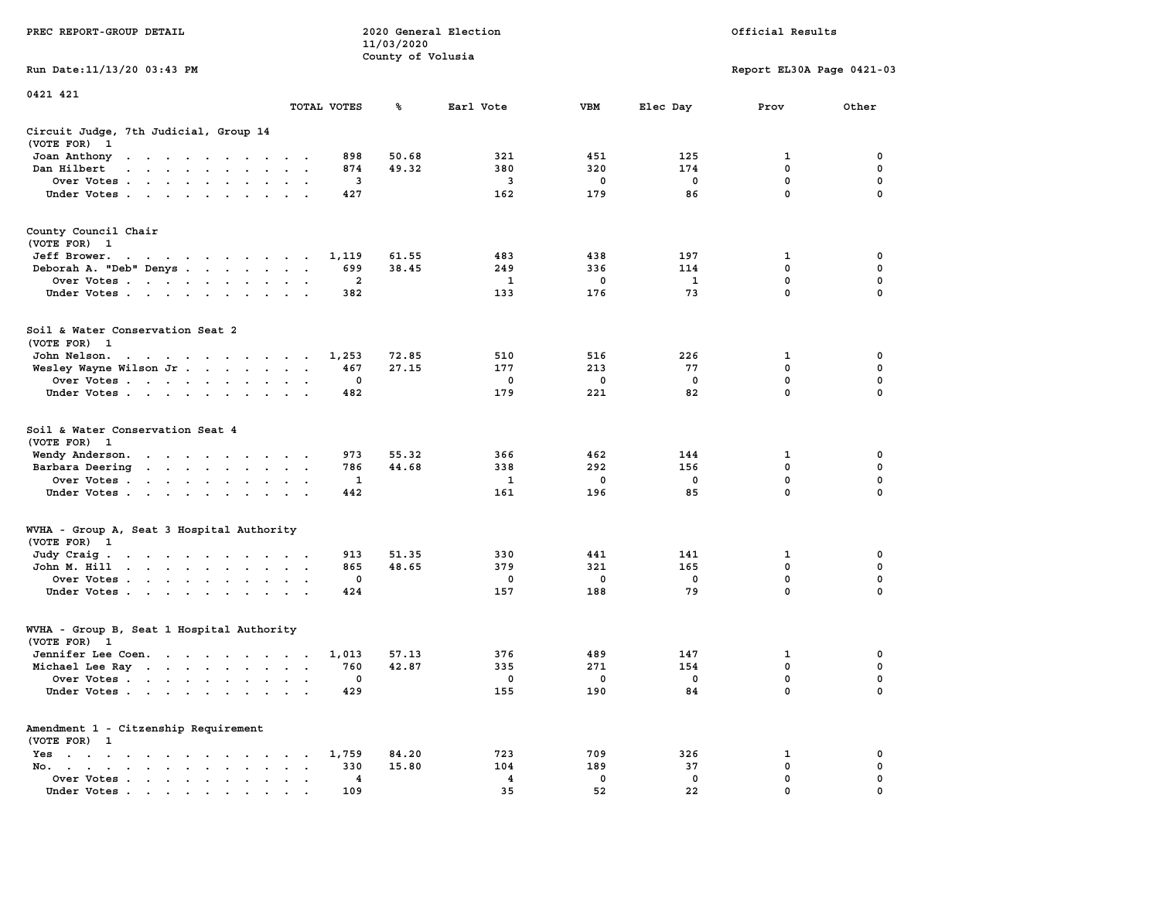|                                                                                                                                                                                                                                                      |                                                            | 11/03/2020        |                |             |              |                           |              |
|------------------------------------------------------------------------------------------------------------------------------------------------------------------------------------------------------------------------------------------------------|------------------------------------------------------------|-------------------|----------------|-------------|--------------|---------------------------|--------------|
|                                                                                                                                                                                                                                                      |                                                            | County of Volusia |                |             |              |                           |              |
| Run Date: 11/13/20 03:43 PM                                                                                                                                                                                                                          |                                                            |                   |                |             |              | Report EL30A Page 0421-03 |              |
| 0421 421                                                                                                                                                                                                                                             |                                                            |                   |                |             |              |                           |              |
|                                                                                                                                                                                                                                                      | TOTAL VOTES                                                | ℁                 | Earl Vote      | <b>VBM</b>  | Elec Day     | Prov                      | Other        |
| Circuit Judge, 7th Judicial, Group 14                                                                                                                                                                                                                |                                                            |                   |                |             |              |                           |              |
| (VOTE FOR)<br>-1                                                                                                                                                                                                                                     |                                                            |                   |                |             |              |                           |              |
| Joan Anthony<br>the contract of the contract of the contract of the contract of the contract of the contract of the contract of                                                                                                                      | 898                                                        | 50.68             | 321            | 451         | 125          | 1                         | 0            |
| Dan Hilbert<br>.                                                                                                                                                                                                                                     | 874                                                        | 49.32             | 380            | 320         | 174          | $\mathbf 0$               | $\mathbf 0$  |
| Over Votes<br>$\sim$ $\sim$ $\sim$                                                                                                                                                                                                                   | 3<br>$\ddot{\phantom{a}}$                                  |                   | 3              | 0           | $\mathbf 0$  | $\mathbf 0$               | $\mathbf 0$  |
| Under Votes                                                                                                                                                                                                                                          | 427                                                        |                   | 162            | 179         | 86           | $\mathbf 0$               | $\mathbf 0$  |
|                                                                                                                                                                                                                                                      |                                                            |                   |                |             |              |                           |              |
| County Council Chair<br>(VOTE FOR) 1                                                                                                                                                                                                                 |                                                            |                   |                |             |              |                           |              |
| Jeff Brower.                                                                                                                                                                                                                                         | 1,119                                                      | 61.55             | 483            | 438         | 197          | 1                         | 0            |
| the contract of the contract of the contract of the contract of the contract of the contract of the contract of                                                                                                                                      | 699                                                        | 38.45             | 249            | 336         | 114          | $\mathbf 0$               | 0            |
| Deborah A. "Deb" Denys                                                                                                                                                                                                                               | $\overline{a}$                                             |                   | $\mathbf{1}$   | $\mathbf 0$ | $\mathbf{1}$ | $\mathbf 0$               | $\mathbf 0$  |
| Over Votes                                                                                                                                                                                                                                           |                                                            |                   | 133            | 176         | 73           | $\mathbf 0$               | $\Omega$     |
| Under Votes                                                                                                                                                                                                                                          | 382                                                        |                   |                |             |              |                           |              |
| Soil & Water Conservation Seat 2<br>(VOTE FOR) 1                                                                                                                                                                                                     |                                                            |                   |                |             |              |                           |              |
| John Nelson.<br>the contract of the contract of the con-                                                                                                                                                                                             | 1,253                                                      | 72.85             | 510            | 516         | 226          | 1                         | 0            |
| Wesley Wayne Wilson Jr                                                                                                                                                                                                                               | 467<br>$\sim$                                              | 27.15             | 177            | 213         | 77           | 0                         | 0            |
| Over Votes                                                                                                                                                                                                                                           | $\mathbf{0}$                                               |                   | $^{\circ}$     | $^{\circ}$  | $^{\circ}$   | $\mathbf 0$               | $\mathbf{0}$ |
| Under Votes                                                                                                                                                                                                                                          | 482                                                        |                   | 179            | 221         | 82           | $\mathbf 0$               | 0            |
|                                                                                                                                                                                                                                                      |                                                            |                   |                |             |              |                           |              |
| Soil & Water Conservation Seat 4<br>(VOTE FOR) 1                                                                                                                                                                                                     |                                                            |                   |                |             |              |                           |              |
| Wendy Anderson.                                                                                                                                                                                                                                      | 973                                                        | 55.32             | 366            | 462         | 144          | 1                         | 0            |
| Barbara Deering                                                                                                                                                                                                                                      | 786                                                        | 44.68             | 338            | 292         | 156          | $\mathbf{0}$              | $\mathbf 0$  |
| Over Votes                                                                                                                                                                                                                                           | 1<br>$\sim$                                                |                   | $\mathbf{1}$   | $\mathbf 0$ | $\mathbf 0$  | 0                         | 0            |
| Under Votes                                                                                                                                                                                                                                          | 442                                                        |                   | 161            | 196         | 85           | $\Omega$                  | $\Omega$     |
| WVHA - Group A, Seat 3 Hospital Authority                                                                                                                                                                                                            |                                                            |                   |                |             |              |                           |              |
| (VOTE FOR)<br>$\mathbf{1}$                                                                                                                                                                                                                           |                                                            |                   |                |             |              |                           |              |
| Judy Craig.                                                                                                                                                                                                                                          | 913                                                        | 51.35             | 330            | 441         | 141          | 1                         | 0            |
| John M. Hill                                                                                                                                                                                                                                         | 865<br>$\ddot{\phantom{a}}$                                | 48.65             | 379            | 321         | 165          | $\mathbf 0$               | $\mathbf 0$  |
| Over Votes                                                                                                                                                                                                                                           | 0                                                          |                   | 0              | 0           | 0            | $\mathbf 0$               | $\mathbf 0$  |
| Under Votes<br>$\cdot$ $\cdot$                                                                                                                                                                                                                       | 424                                                        |                   | 157            | 188         | 79           | $\mathbf 0$               | $\mathbf 0$  |
| WVHA - Group B, Seat 1 Hospital Authority                                                                                                                                                                                                            |                                                            |                   |                |             |              |                           |              |
| (VOTE FOR) 1                                                                                                                                                                                                                                         |                                                            |                   |                |             |              |                           |              |
| Jennifer Lee Coen.                                                                                                                                                                                                                                   | 1,013                                                      | 57.13             | 376            | 489         | 147          | 1                         | $\mathbf 0$  |
| Michael Lee Ray                                                                                                                                                                                                                                      | 760                                                        | 42.87             | 335            | 271         | 154          | $\mathbf 0$               | $\mathbf 0$  |
| Over Votes                                                                                                                                                                                                                                           | $\mathbf 0$<br>$\ddot{\phantom{a}}$<br>$\cdot$             |                   | $\mathbf 0$    | $\mathbf 0$ | $\mathbf 0$  | $\mathbf 0$               | $\mathbf 0$  |
| Under Votes                                                                                                                                                                                                                                          | 429                                                        |                   | 155            | 190         | 84           | $\mathbf 0$               | $\mathbf 0$  |
| Amendment 1 - Citzenship Requirement                                                                                                                                                                                                                 |                                                            |                   |                |             |              |                           |              |
| (VOTE FOR) 1                                                                                                                                                                                                                                         |                                                            |                   |                |             |              |                           |              |
| Yes<br>the contract of the contract of the contract of                                                                                                                                                                                               | 1,759                                                      | 84.20             | 723            | 709         | 326          | $\mathbf 1$               | $\mathbf 0$  |
| No.<br>$\sim$<br>$\ddot{\phantom{0}}$                                                                                                                                                                                                                | 330<br>$\sim$ $\sim$                                       | 15.80             | 104            | 189         | 37           | $\mathbf 0$               | $\mathbf 0$  |
| Over Votes<br>$\bullet$<br>$\bullet$                                                                                                                                                                                                                 | $\overline{\mathbf{4}}$<br>$\cdot$<br>$\ddot{\phantom{0}}$ |                   | $\overline{4}$ | $\mathbf 0$ | $\mathbf 0$  | $\mathbf 0$               | 0            |
| Under Votes<br>$\mathbf{a}$ and $\mathbf{a}$ are a set of the set of the set of the set of the set of the set of the set of the set of the set of the set of the set of the set of the set of the set of the set of the set of the set of the set of | 109                                                        |                   | 35             | 52          | 22           | $\mathbf 0$               | $\mathbf 0$  |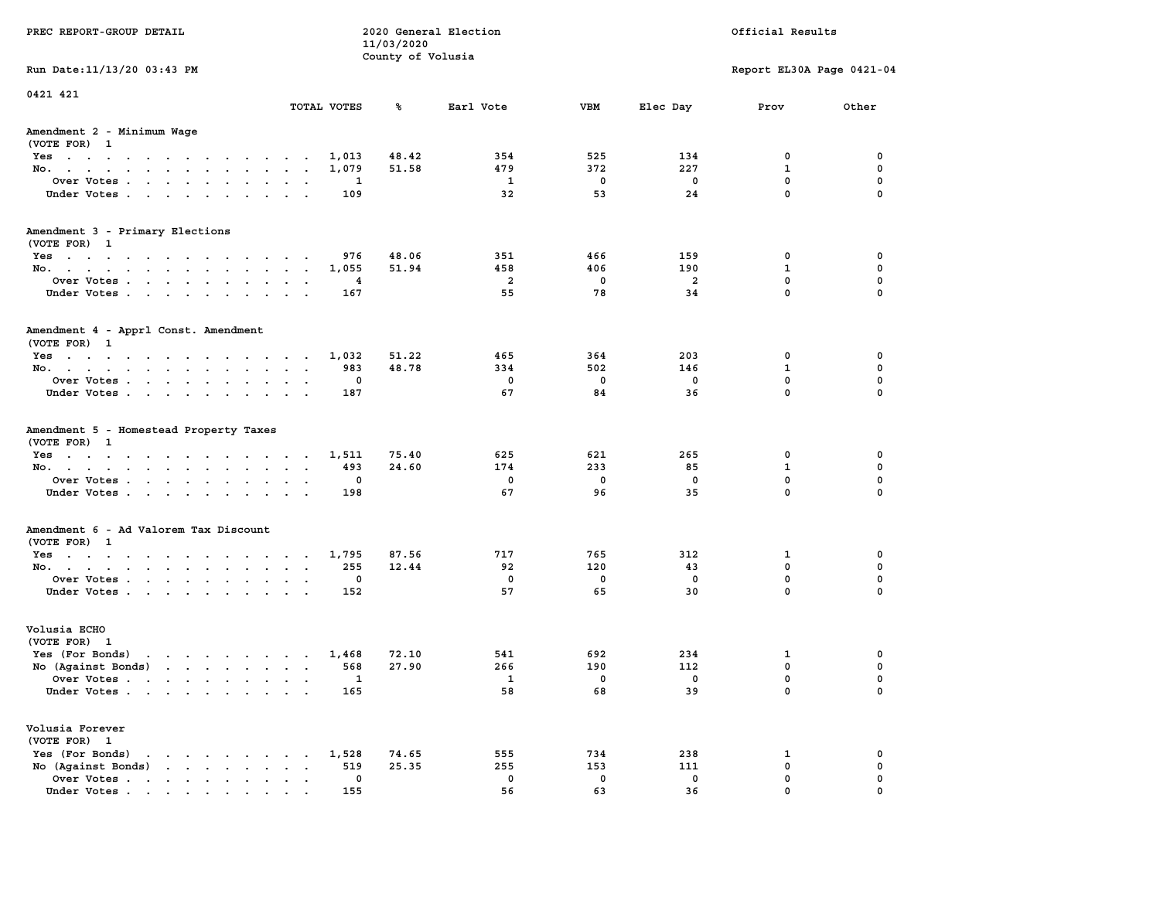| PREC REPORT-GROUP DETAIL                                                                                                                                                                                                                             |                             | 11/03/2020        | 2020 General Election |            |                | Official Results          |             |
|------------------------------------------------------------------------------------------------------------------------------------------------------------------------------------------------------------------------------------------------------|-----------------------------|-------------------|-----------------------|------------|----------------|---------------------------|-------------|
|                                                                                                                                                                                                                                                      |                             | County of Volusia |                       |            |                |                           |             |
| Run Date: 11/13/20 03:43 PM                                                                                                                                                                                                                          |                             |                   |                       |            |                | Report EL30A Page 0421-04 |             |
| 0421 421                                                                                                                                                                                                                                             |                             |                   |                       |            |                |                           |             |
|                                                                                                                                                                                                                                                      | TOTAL VOTES                 | ጜ                 | Earl Vote             | VBM        | Elec Day       | Prov                      | Other       |
| Amendment 2 - Minimum Wage<br>(VOTE FOR) 1                                                                                                                                                                                                           |                             |                   |                       |            |                |                           |             |
| Yes                                                                                                                                                                                                                                                  | 1,013                       | 48.42             | 354                   | 525        | 134            | 0                         | 0           |
| No.                                                                                                                                                                                                                                                  | 1,079                       | 51.58             | 479                   | 372        | 227            | $\mathbf{1}$              | $\mathbf 0$ |
| Over Votes                                                                                                                                                                                                                                           | 1                           |                   | $\mathbf{1}$          | 0          | 0              | $\mathbf 0$               | 0           |
| Under Votes                                                                                                                                                                                                                                          | 109                         |                   | 32                    | 53         | 24             | $\mathbf 0$               | $\mathbf 0$ |
| Amendment 3 - Primary Elections                                                                                                                                                                                                                      |                             |                   |                       |            |                |                           |             |
| (VOTE FOR) 1                                                                                                                                                                                                                                         | 976                         | 48.06             | 351                   | 466        | 159            | 0                         | 0           |
| Yes<br>No.                                                                                                                                                                                                                                           | 1,055                       | 51.94             | 458                   | 406        | 190            | $\mathbf{1}$              | 0           |
| Over Votes                                                                                                                                                                                                                                           | 4                           |                   | $\overline{2}$        | 0          | $\overline{a}$ | $\mathbf 0$               | $\mathbf 0$ |
| Under Votes                                                                                                                                                                                                                                          | 167                         |                   | 55                    | 78         | 34             | $\mathbf{0}$              | $\Omega$    |
| Amendment 4 - Apprl Const. Amendment<br>(VOTE FOR) 1                                                                                                                                                                                                 |                             |                   |                       |            |                |                           |             |
| $Yes \cdot \cdot \cdot \cdot \cdot \cdot \cdot \cdot \cdot \cdot \cdot \cdot \cdot \cdot$                                                                                                                                                            | 1,032                       | 51.22             | 465                   | 364        | 203            | 0                         | 0           |
| No.                                                                                                                                                                                                                                                  | 983                         | 48.78             | 334                   | 502        | 146            | 1                         | 0           |
| Over Votes                                                                                                                                                                                                                                           | 0                           |                   | 0                     | 0          | 0              | $\mathbf{0}$              | $\mathbf 0$ |
| Under Votes                                                                                                                                                                                                                                          | 187                         |                   | 67                    | 84         | 36             | $\mathbf{0}$              | $\mathbf 0$ |
| Amendment 5 - Homestead Property Taxes<br>(VOTE FOR) 1                                                                                                                                                                                               |                             |                   |                       |            |                |                           |             |
| Yes                                                                                                                                                                                                                                                  | 1,511                       | 75.40             | 625<br>174            | 621<br>233 | 265            | 0<br>$\mathbf{1}$         | 0<br>0      |
| No.                                                                                                                                                                                                                                                  | 493<br>0                    | 24.60             | 0                     | 0          | 85<br>0        | $\mathbf 0$               | 0           |
| Over Votes                                                                                                                                                                                                                                           | 198                         |                   | 67                    | 96         | 35             | $\mathbf 0$               | $\Omega$    |
| Under Votes                                                                                                                                                                                                                                          |                             |                   |                       |            |                |                           |             |
| Amendment 6 - Ad Valorem Tax Discount<br>(VOTE FOR) 1                                                                                                                                                                                                |                             |                   |                       |            |                |                           |             |
| Yes                                                                                                                                                                                                                                                  | 1,795                       | 87.56             | 717                   | 765        | 312            | 1                         | 0           |
| No.                                                                                                                                                                                                                                                  | 255                         | 12.44             | 92                    | 120        | 43             | $\mathbf 0$               | 0           |
| Over Votes                                                                                                                                                                                                                                           | 0                           |                   | 0                     | 0          | 0              | 0                         | 0           |
| Under Votes                                                                                                                                                                                                                                          | 152                         |                   | 57                    | 65         | 30             | $\Omega$                  | $\Omega$    |
| Volusia ECHO<br>(VOTE FOR) 1                                                                                                                                                                                                                         |                             |                   |                       |            |                |                           |             |
| Yes (For Bonds)<br>$\mathbf{r}$ . The set of the set of the set of the set of the set of the set of the set of the set of the set of the set of the set of the set of the set of the set of the set of the set of the set of the set of the set of t | 1,468                       | 72.10             | 541                   | 692        | 234            | 1                         | 0           |
| No (Against Bonds)                                                                                                                                                                                                                                   | 568                         | 27.90             | 266                   | 190        | 112            | 0                         | 0           |
| Over Votes.<br>the contract of the contract of the contract of the contract of the contract of the contract of the contract of                                                                                                                       | $\mathbf{1}$                |                   | $\mathbf{1}$          | 0          | 0              | $\Omega$                  | $\mathbf 0$ |
| Under Votes                                                                                                                                                                                                                                          | 165                         |                   | 58                    | 68         | 39             | 0                         | 0           |
| Volusia Forever<br>(VOTE FOR) 1                                                                                                                                                                                                                      |                             |                   |                       |            |                |                           |             |
| Yes (For Bonds)<br>$\cdot$ $\cdot$ $\cdot$ $\cdot$ $\cdot$ $\cdot$                                                                                                                                                                                   | 1,528                       | 74.65             | 555                   | 734        | 238            | 1                         | 0           |
| $\mathbf{r}$ , $\mathbf{r}$ , $\mathbf{r}$ , $\mathbf{r}$<br>No (Against Bonds)                                                                                                                                                                      | 519<br>$\ddot{\phantom{a}}$ | 25.35             | 255                   | 153        | 111            | $\mathbf 0$               | $\mathbf 0$ |
| Over Votes.<br>$\mathbf{r}$ , $\mathbf{r}$ , $\mathbf{r}$ , $\mathbf{r}$ , $\mathbf{r}$                                                                                                                                                              | 0                           |                   | 0                     | 0          | 0              | $\mathbf 0$               | 0           |
| Under Votes                                                                                                                                                                                                                                          | 155                         |                   | 56                    | 63         | 36             | $\Omega$                  |             |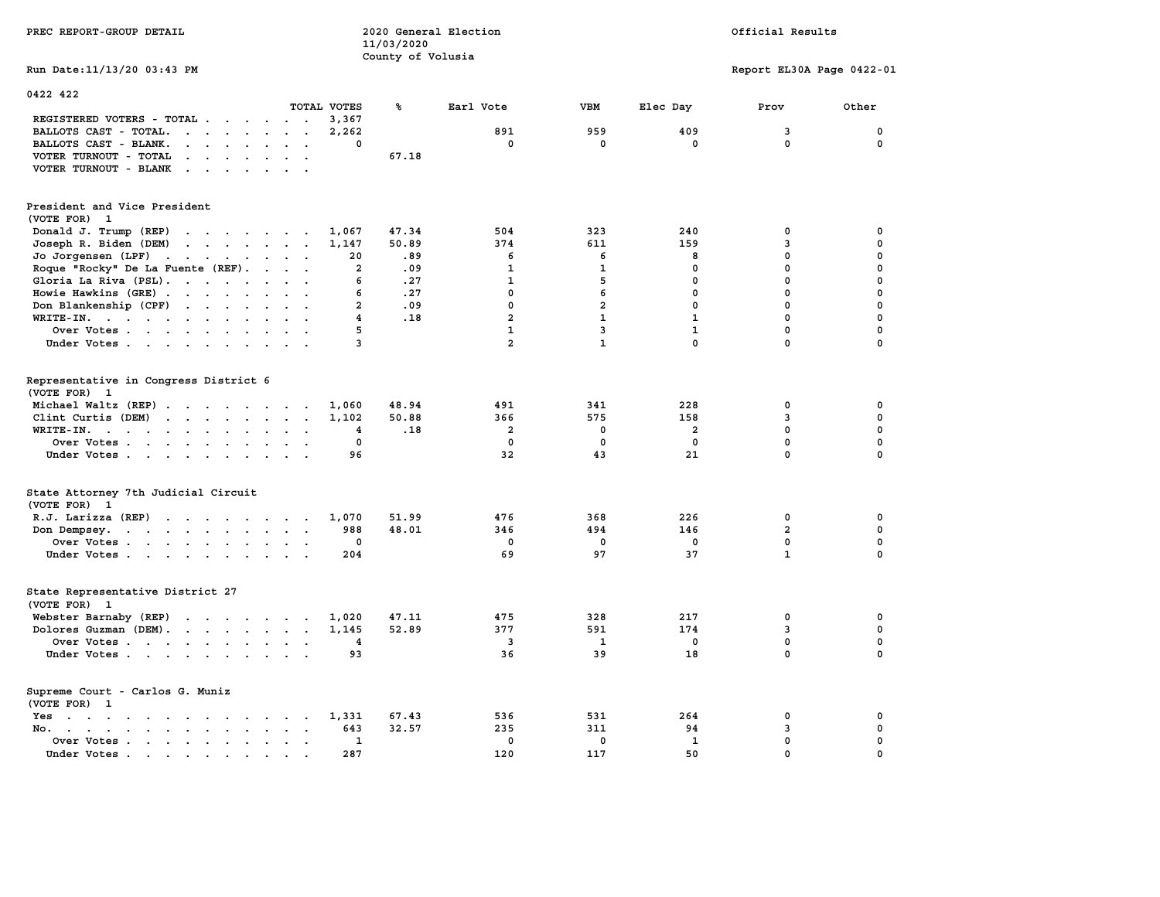| PREC REPORT-GROUP DETAIL                                                                                                     |                    | 11/03/2020        | 2020 General Election   | Official Results   |                    |                           |                             |  |
|------------------------------------------------------------------------------------------------------------------------------|--------------------|-------------------|-------------------------|--------------------|--------------------|---------------------------|-----------------------------|--|
|                                                                                                                              |                    | County of Volusia |                         |                    |                    |                           |                             |  |
| Run Date: 11/13/20 03:43 PM                                                                                                  |                    |                   |                         |                    |                    | Report EL30A Page 0422-01 |                             |  |
| 0422 422                                                                                                                     |                    |                   |                         |                    |                    |                           |                             |  |
|                                                                                                                              | TOTAL VOTES        | ℁                 | Earl Vote               | <b>VBM</b>         | Elec Day           | Prov                      | Other                       |  |
| REGISTERED VOTERS - TOTAL .<br>$\cdots$                                                                                      | 3,367              |                   |                         |                    |                    |                           |                             |  |
| BALLOTS CAST - TOTAL.<br>$\cdots$                                                                                            | 2,262              |                   | 891                     | 959                | 409                | 3                         | 0                           |  |
| BALLOTS CAST - BLANK.<br>$\mathbf{r}$ , $\mathbf{r}$ , $\mathbf{r}$ , $\mathbf{r}$ , $\mathbf{r}$ , $\mathbf{r}$             | 0                  |                   | $\mathbf 0$             | $\mathbf 0$        | $\mathbf 0$        | 0                         | 0                           |  |
| VOTER TURNOUT - TOTAL                                                                                                        |                    | 67.18             |                         |                    |                    |                           |                             |  |
| VOTER TURNOUT - BLANK                                                                                                        |                    |                   |                         |                    |                    |                           |                             |  |
| President and Vice President<br>(VOTE FOR) 1                                                                                 |                    |                   |                         |                    |                    |                           |                             |  |
| Donald J. Trump (REP)                                                                                                        | 1,067              | 47.34             | 504                     | 323                | 240                | 0                         | 0                           |  |
| Joseph R. Biden (DEM)                                                                                                        | 1,147              | 50.89             | 374                     | 611                | 159                | 3                         | 0                           |  |
| Jo Jorgensen (LPF)                                                                                                           | 20                 | .89               | 6                       | 6                  | 8                  | 0                         | 0                           |  |
| Roque "Rocky" De La Fuente (REF).                                                                                            | $\overline{2}$     | .09               | $\mathbf{1}$            | $\mathbf{1}$       | $\mathbf 0$        | 0                         | 0                           |  |
| Gloria La Riva (PSL).                                                                                                        | 6                  | .27               | $\mathbf{1}$            | 5                  | 0                  | $\mathbf 0$               | 0                           |  |
| Howie Hawkins (GRE)                                                                                                          | 6                  | .27               | $\mathbf 0$             | 6                  | $\mathbf 0$        | 0                         | 0                           |  |
| Don Blankenship (CPF)                                                                                                        | $\overline{2}$     | .09               | $\mathbf 0$             | $\overline{a}$     | $\mathbf 0$        | $\mathbf 0$               | 0                           |  |
| WRITE-IN.                                                                                                                    | $\overline{4}$     | .18               | $\overline{a}$          | $\mathbf{1}$       | $\mathbf{1}$       | $\mathbf 0$               | 0                           |  |
| Over Votes.                                                                                                                  | 5                  |                   | $\mathbf{1}$            | 3                  | $\mathbf{1}$       | 0                         | 0                           |  |
| Under Votes                                                                                                                  | 3                  |                   | $\overline{a}$          | $\mathbf{1}$       | $\mathbf{0}$       | 0                         | 0                           |  |
| Representative in Congress District 6<br>(VOTE FOR) 1                                                                        |                    |                   |                         |                    |                    |                           |                             |  |
| Michael Waltz (REP)                                                                                                          | 1,060              | 48.94             | 491                     | 341                | 228                | 0                         | 0                           |  |
| Clint Curtis (DEM)                                                                                                           | 1,102              | 50.88             | 366                     | 575                | 158                | 3                         | 0                           |  |
| WRITE-IN.<br>the contract of the contract of the contract of the contract of the contract of the contract of the contract of | 4<br>$\sim$        | .18               | $\overline{\mathbf{2}}$ | $\mathbf 0$        | $\overline{a}$     | $\mathbf{0}$              | $\mathbf 0$                 |  |
| Over Votes<br>Under Votes                                                                                                    | $\mathbf{0}$<br>96 |                   | $\mathbf 0$<br>32       | $\mathbf{0}$<br>43 | $\mathbf{0}$<br>21 | $\mathbf 0$<br>0          | $\mathbf{0}$<br>$\mathbf 0$ |  |
|                                                                                                                              |                    |                   |                         |                    |                    |                           |                             |  |
| State Attorney 7th Judicial Circuit<br>(VOTE FOR) 1                                                                          |                    |                   |                         |                    |                    |                           |                             |  |
| R.J. Larizza (REP)                                                                                                           | 1,070              | 51.99             | 476                     | 368                | 226                | 0                         | 0                           |  |
| Don Dempsey.<br>the contract of the contract of the contract of                                                              | 988                | 48.01             | 346                     | 494                | 146                | $\overline{a}$            | $\mathbf 0$                 |  |
| Over Votes                                                                                                                   | $\mathbf 0$        |                   | $\mathbf 0$             | $\mathbf 0$        | $\mathbf 0$        | 0                         | 0                           |  |
| Under Votes                                                                                                                  | 204                |                   | 69                      | 97                 | 37                 | $\mathbf{1}$              | $\mathbf 0$                 |  |
| State Representative District 27<br>(VOTE FOR) 1                                                                             |                    |                   |                         |                    |                    |                           |                             |  |
| Webster Barnaby (REP)                                                                                                        | 1,020              | 47.11             | 475                     | 328                | 217                | 0                         | 0                           |  |
| Dolores Guzman (DEM).                                                                                                        | 1,145              | 52.89             | 377                     | 591                | 174                | 3                         | 0                           |  |
| Over Votes                                                                                                                   | 4                  |                   | 3                       | $\mathbf{1}$       | 0                  | $\mathbf 0$               | 0                           |  |
| Under Votes                                                                                                                  | 93                 |                   | 36                      | 39                 | 18                 | $\mathbf 0$               | $\mathbf{0}$                |  |
| Supreme Court - Carlos G. Muniz<br>(VOTE FOR) 1                                                                              |                    |                   |                         |                    |                    |                           |                             |  |
| Yes                                                                                                                          | 1,331              | 67.43             | 536                     | 531                | 264                | 0                         | 0                           |  |
| No.                                                                                                                          | 643                | 32.57             | 235                     | 311                | 94                 | 3                         | 0                           |  |
| Over Votes                                                                                                                   | 1                  |                   | $\mathbf{0}$            | $\mathbf 0$        | $\mathbf{1}$       | 0                         | $\mathbf 0$                 |  |
| Under Votes<br>$\overline{\phantom{a}}$                                                                                      | 287                |                   | 120                     | 117                | 50                 | $\mathbf 0$               | 0                           |  |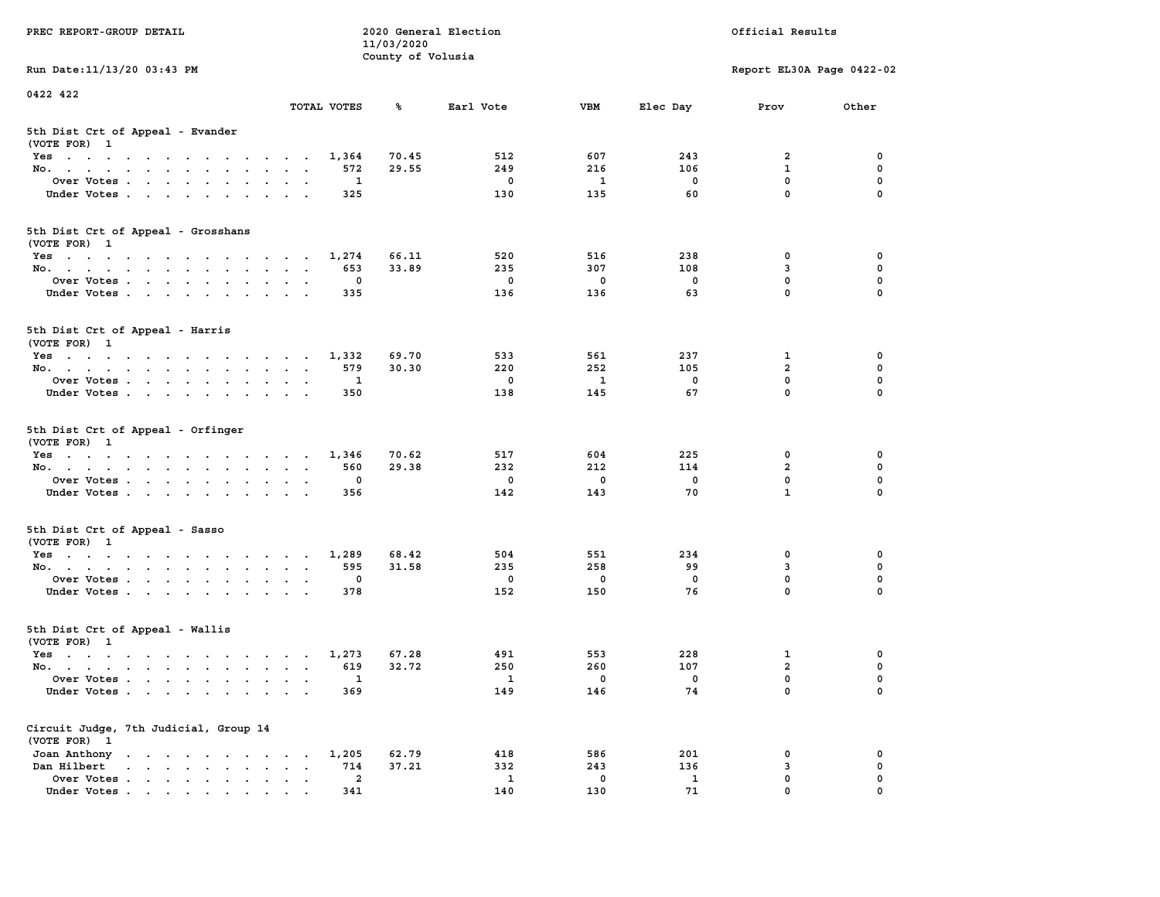| PREC REPORT-GROUP DETAIL                                                                                               |                                                                  | 11/03/2020        | 2020 General Election |                    |                    | Official Results            |               |
|------------------------------------------------------------------------------------------------------------------------|------------------------------------------------------------------|-------------------|-----------------------|--------------------|--------------------|-----------------------------|---------------|
| Run Date: 11/13/20 03:43 PM                                                                                            |                                                                  | County of Volusia |                       |                    |                    | Report EL30A Page 0422-02   |               |
| 0422 422                                                                                                               |                                                                  |                   |                       |                    |                    |                             |               |
|                                                                                                                        | TOTAL VOTES                                                      | ℁                 | Earl Vote             | <b>VBM</b>         | Elec Day           | Prov                        | Other         |
| 5th Dist Crt of Appeal - Evander<br>(VOTE FOR) 1                                                                       |                                                                  |                   |                       |                    |                    |                             |               |
| Yes                                                                                                                    | 1,364                                                            | 70.45             | 512                   | 607                | 243                | 2                           | 0             |
| No.                                                                                                                    | 572                                                              | 29.55             | 249                   | 216                | 106                | $\mathbf{1}$                | 0             |
| Over Votes                                                                                                             | 1                                                                |                   | 0                     | 1                  | 0                  | $\mathbf 0$                 | 0             |
| Under Votes                                                                                                            | 325                                                              |                   | 130                   | 135                | 60                 | $\mathbf 0$                 | $\Omega$      |
| 5th Dist Crt of Appeal - Grosshans<br>(VOTE FOR) 1                                                                     |                                                                  |                   |                       |                    |                    |                             |               |
| Yes                                                                                                                    | 1,274                                                            | 66.11             | 520                   | 516                | 238                | 0                           | 0             |
| No.                                                                                                                    | 653                                                              | 33.89             | 235                   | 307                | 108                | 3                           | 0             |
| Over Votes                                                                                                             | 0                                                                |                   | $\mathbf 0$           | $\mathbf 0$        | $\mathbf 0$        | $\mathbf 0$                 | 0             |
| Under Votes                                                                                                            | 335                                                              |                   | 136                   | 136                | 63                 | $\mathbf{0}$                | 0             |
| 5th Dist Crt of Appeal - Harris<br>(VOTE FOR) 1                                                                        |                                                                  |                   |                       |                    |                    |                             |               |
| $Yes \cdot \cdot \cdot \cdot \cdot \cdot \cdot \cdot \cdot \cdot \cdot \cdot \cdot$                                    | 1,332                                                            | 69.70             | 533                   | 561                | 237                | 1                           | 0             |
| No.                                                                                                                    | 579                                                              | 30.30             | 220                   | 252                | 105                | $\overline{a}$              | $\mathbf 0$   |
| Over Votes                                                                                                             | 1                                                                |                   | $\mathbf 0$           | 1                  | $\mathbf 0$        | $\mathbf{0}$                | 0             |
| Under Votes                                                                                                            | 350                                                              |                   | 138                   | 145                | 67                 | $\mathbf 0$                 | 0             |
| 5th Dist Crt of Appeal - Orfinger<br>(VOTE FOR) 1                                                                      |                                                                  |                   |                       |                    |                    |                             |               |
| Yes                                                                                                                    | 1,346                                                            | 70.62             | 517                   | 604                | 225                | 0                           | 0             |
| No.                                                                                                                    | 560                                                              | 29.38             | 232                   | 212                | 114                | $\overline{\mathbf{2}}$     | 0             |
| Over Votes                                                                                                             | 0                                                                |                   | 0                     | $\mathbf 0$        | 0<br>70            | $\mathbf 0$<br>$\mathbf{1}$ | 0<br>$\Omega$ |
| Under Votes                                                                                                            | 356                                                              |                   | 142                   | 143                |                    |                             |               |
| 5th Dist Crt of Appeal - Sasso<br>(VOTE FOR) 1                                                                         |                                                                  |                   |                       |                    |                    |                             |               |
| Yes                                                                                                                    | 1,289                                                            | 68.42             | 504                   | 551                | 234                | 0                           | 0             |
| No.                                                                                                                    | 595                                                              | 31.58             | 235                   | 258                | 99                 | 3                           | 0             |
| Over Votes                                                                                                             | 0                                                                |                   | 0                     | $\mathbf 0$        | 0                  | $\mathbf 0$<br>$\mathbf 0$  | 0<br>$\Omega$ |
| Under Votes                                                                                                            | 378                                                              |                   | 152                   | 150                | 76                 |                             |               |
| 5th Dist Crt of Appeal - Wallis<br>(VOTE FOR) 1                                                                        |                                                                  |                   |                       |                    |                    |                             |               |
| Yes<br>the contract of the contract of the contract of the contract of the contract of the contract of the contract of | 1,273                                                            | 67.28             | 491                   | 553                | 228                | 1                           | 0             |
| No.                                                                                                                    | 619                                                              | 32.72             | 250                   | 260                | 107                | $\mathbf{2}$                | 0             |
| Over Votes                                                                                                             | 1                                                                |                   | $\mathbf{1}$<br>149   | $\mathbf 0$        | 0<br>74            | $\mathbf 0$<br>0            | 0<br>0        |
| Under Votes                                                                                                            | 369                                                              |                   |                       | 146                |                    |                             |               |
| Circuit Judge, 7th Judicial, Group 14<br>(VOTE FOR) 1                                                                  |                                                                  |                   |                       |                    |                    |                             |               |
| Joan Anthony                                                                                                           | 1,205                                                            | 62.79             | 418                   | 586                | 201                | 0                           | 0             |
| Dan Hilbert<br>$\cdot$ $\cdot$ $\cdot$ $\cdot$ $\cdot$ $\cdot$ $\cdot$ $\cdot$                                         | 714<br>$\ddot{\phantom{a}}$<br>$\ddot{\phantom{a}}$<br>$\bullet$ | 37.21             | 332                   | 243                | 136                | 3                           | 0             |
| Over Votes.<br>Under Votes                                                                                             | $\mathbf{2}$<br>341                                              |                   | $\mathbf{1}$<br>140   | $\mathbf 0$<br>130 | $\mathbf{1}$<br>71 | $\mathbf 0$<br>0            | 0             |
|                                                                                                                        |                                                                  |                   |                       |                    |                    |                             |               |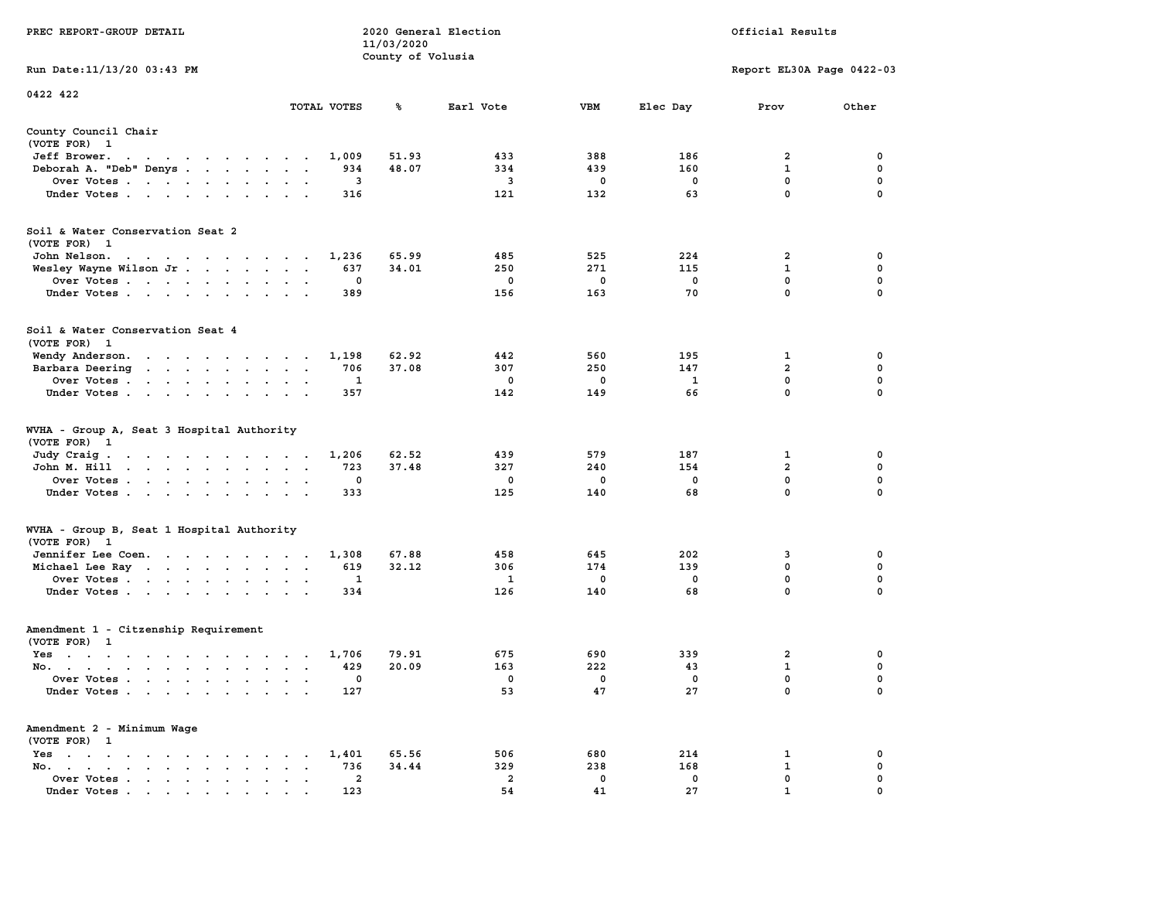|                                                                                                                                |                                                                                  | 11/03/2020        |                         |             |             |                           |             |
|--------------------------------------------------------------------------------------------------------------------------------|----------------------------------------------------------------------------------|-------------------|-------------------------|-------------|-------------|---------------------------|-------------|
|                                                                                                                                |                                                                                  | County of Volusia |                         |             |             |                           |             |
| Run Date:11/13/20 03:43 PM                                                                                                     |                                                                                  |                   |                         |             |             | Report EL30A Page 0422-03 |             |
| 0422 422                                                                                                                       |                                                                                  |                   |                         |             |             |                           |             |
|                                                                                                                                | TOTAL VOTES                                                                      | ℁                 | Earl Vote               | <b>VBM</b>  | Elec Day    | Prov                      | Other       |
| County Council Chair                                                                                                           |                                                                                  |                   |                         |             |             |                           |             |
| (VOTE FOR) 1                                                                                                                   |                                                                                  |                   |                         |             |             |                           |             |
| Jeff Brower.<br>$\sim$ $\sim$<br>the company of the company of the company of                                                  | 1,009                                                                            | 51.93             | 433                     | 388         | 186         | 2                         | 0           |
| Deborah A. "Deb" Denys                                                                                                         | 934<br>$\overline{\phantom{a}}$<br>$\sim$                                        | 48.07             | 334                     | 439         | 160         | $\mathbf{1}$              | 0           |
| Over Votes<br>$\overline{\phantom{a}}$                                                                                         | 3<br>$\cdot$<br>$\cdot$                                                          |                   | $\overline{\mathbf{3}}$ | $\mathbf 0$ | $\mathbf 0$ | $\mathbf 0$               | $\mathbf 0$ |
| Under Votes                                                                                                                    | 316                                                                              |                   | 121                     | 132         | 63          | $\mathbf 0$               | $\mathbf 0$ |
| Soil & Water Conservation Seat 2                                                                                               |                                                                                  |                   |                         |             |             |                           |             |
| (VOTE FOR) 1                                                                                                                   |                                                                                  |                   |                         |             |             |                           |             |
| John Nelson.<br>the contract of the contract of the con-                                                                       | 1,236                                                                            | 65.99             | 485                     | 525         | 224         | 2                         | 0           |
| Wesley Wayne Wilson Jr                                                                                                         | 637<br>$\overline{\phantom{a}}$<br>$\ddot{\phantom{a}}$<br>$\sim$                | 34.01             | 250                     | 271         | 115         | $\mathbf 1$               | 0           |
| Over Votes                                                                                                                     | 0                                                                                |                   | 0                       | 0           | 0           | 0                         | 0           |
| $\bullet$<br>$\ddot{\phantom{1}}$                                                                                              |                                                                                  |                   | 156                     |             | 70          | $\Omega$                  | $\mathbf 0$ |
| Under Votes<br>$\ddot{\phantom{a}}$                                                                                            | 389                                                                              |                   |                         | 163         |             |                           |             |
| Soil & Water Conservation Seat 4                                                                                               |                                                                                  |                   |                         |             |             |                           |             |
| (VOTE FOR) 1                                                                                                                   |                                                                                  |                   |                         |             |             |                           |             |
| Wendy Anderson.<br>$\mathbf{r}$ , and $\mathbf{r}$ , and $\mathbf{r}$ , and $\mathbf{r}$                                       | 1,198<br>$\cdot$ $\cdot$                                                         | 62.92             | 442                     | 560         | 195         | 1                         | 0           |
| Barbara Deering<br>$\mathcal{A}=\mathcal{A}=\mathcal{A}=\mathcal{A}=\mathcal{A}=\mathcal{A}$ .<br>$\ddot{\phantom{0}}$         | 706<br>$\bullet$<br>$\bullet$<br>$\ddot{\phantom{1}}$                            | 37.08             | 307                     | 250         | 147         | $\overline{2}$            | $\mathbf 0$ |
| Over Votes<br>$\sim$ $\sim$                                                                                                    | 1<br>$\cdot$<br>$\bullet$                                                        |                   | 0                       | 0           | 1           | 0                         | $\mathbf 0$ |
| Under Votes<br>$\cdot$                                                                                                         | 357                                                                              |                   | 142                     | 149         | 66          | 0                         | $\mathbf 0$ |
| WVHA - Group A, Seat 3 Hospital Authority<br>(VOTE FOR)<br>$\mathbf{1}$                                                        |                                                                                  |                   |                         |             |             |                           |             |
| Judy Craig.<br>the contract of the contract of the contract of the contract of the contract of the contract of the contract of | 1,206                                                                            | 62.52             | 439                     | 579         | 187         | 1                         | 0           |
| John M. Hill<br>$\mathbf{r}$ , $\mathbf{r}$ , $\mathbf{r}$ , $\mathbf{r}$ , $\mathbf{r}$<br>$\sim$<br>$\ddot{\phantom{a}}$     | 723<br>$\ddot{\phantom{a}}$<br>$\bullet$<br>$\ddot{\phantom{1}}$                 | 37.48             | 327                     | 240         | 154         | $\overline{a}$            | 0           |
| Over Votes                                                                                                                     | $\mathbf 0$<br>$\cdot$<br>$\cdot$                                                |                   | 0                       | 0           | $\mathbf 0$ | $\mathbf 0$               | $\mathbf 0$ |
| Under Votes<br>$\bullet$<br>$\cdot$                                                                                            | 333<br>$\ddot{\phantom{a}}$                                                      |                   | 125                     | 140         | 68          | 0                         | 0           |
| WVHA - Group B, Seat 1 Hospital Authority                                                                                      |                                                                                  |                   |                         |             |             |                           |             |
| (VOTE FOR) 1                                                                                                                   |                                                                                  |                   |                         |             |             |                           |             |
| Jennifer Lee Coen.                                                                                                             | 1,308                                                                            | 67.88             | 458                     | 645         | 202         | 3                         | $\mathbf 0$ |
| Michael Lee Ray                                                                                                                | 619<br>$\bullet$<br>$\ddot{\phantom{1}}$                                         | 32.12             | 306                     | 174         | 139         | 0                         | $\mathbf 0$ |
| Over Votes                                                                                                                     | 1<br>$\bullet$<br>$\bullet$                                                      |                   | 1                       | 0           | $\mathbf 0$ | 0                         | $\mathbf 0$ |
| Under Votes                                                                                                                    | 334                                                                              |                   | 126                     | 140         | 68          | $\mathbf 0$               | 0           |
| Amendment 1 - Citzenship Requirement                                                                                           |                                                                                  |                   |                         |             |             |                           |             |
| (VOTE FOR) 1                                                                                                                   |                                                                                  |                   |                         |             |             |                           |             |
| $Yes \t . \t .$<br>$\sim$ $\sim$ $\sim$ $\sim$<br>$\sim$ $\sim$ $\sim$<br>$\sim$                                               | 1,706<br>$\cdot$ $\cdot$ $\cdot$ $\cdot$                                         | 79.91             | 675                     | 690         | 339         | $\overline{2}$            | 0           |
| No.<br>$\sim$                                                                                                                  | 429<br>$\overline{a}$<br>$\overline{\phantom{a}}$                                | 20.09             | 163                     | 222         | 43          | 1                         | $\mathbf 0$ |
| Over Votes.<br>$\sim$ $\sim$<br>$\sim$ $\sim$<br>$\ddot{\phantom{a}}$<br>$\ddot{\phantom{a}}$                                  | 0<br>$\cdot$<br>$\blacksquare$<br>$\cdot$                                        |                   | 0                       | 0           | $\mathbf 0$ | $\mathbf 0$               | $\mathbf 0$ |
| Under Votes<br>$\overline{\phantom{a}}$                                                                                        | 127                                                                              |                   | 53                      | 47          | 27          | $\mathbf{0}$              | $\mathbf 0$ |
| Amendment 2 - Minimum Wage                                                                                                     |                                                                                  |                   |                         |             |             |                           |             |
| (VOTE FOR) 1                                                                                                                   |                                                                                  |                   |                         |             |             |                           |             |
| $Yes \t . \t .$<br>$\bullet$<br>$\ddot{\phantom{0}}$<br>$\bullet$ . $\bullet$<br>$\ddot{\phantom{0}}$<br>$\cdot$<br>$\sim$     | 1,401                                                                            | 65.56             | 506                     | 680         | 214         | 1                         | 0           |
| No.<br>$\sim$ $\sim$<br>$\bullet$ .<br><br><br><br><br><br><br><br><br><br><br><br><br><br><br>$\sim$                          | 736<br>$\cdot$                                                                   | 34.44             | 329                     | 238         | 168         | $\mathbf{1}$              | 0           |
| Over Votes<br>$\blacksquare$ .<br>$\bullet$                                                                                    | $\overline{2}$<br>$\blacksquare$<br>$\ddot{\phantom{a}}$<br>$\ddot{\phantom{a}}$ |                   | $\overline{2}$          | 0           | $\mathbf 0$ | $\mathbf{0}$              | $\mathbf 0$ |
| Under Votes                                                                                                                    | 123                                                                              |                   | 54                      | 41          | 27          | $\mathbf{1}$              | $\mathbf 0$ |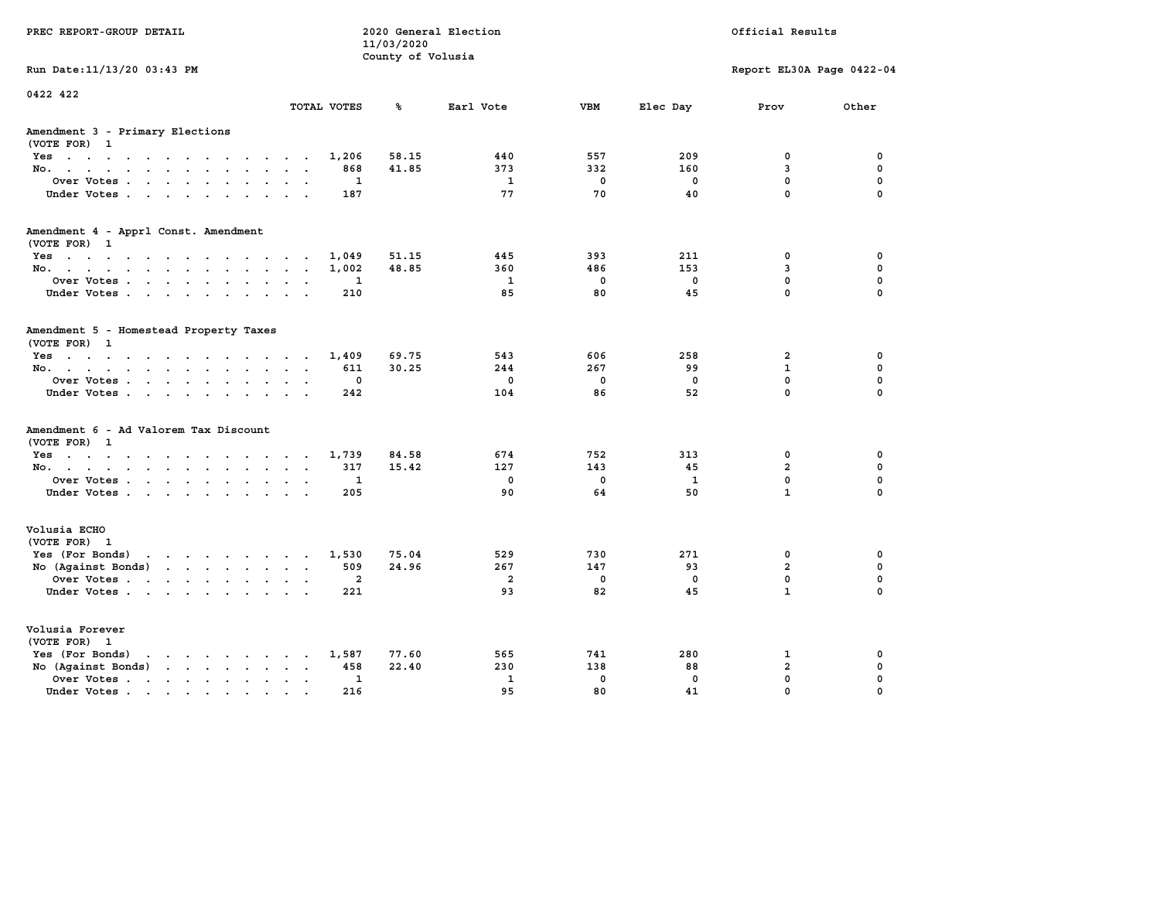| PREC REPORT-GROUP DETAIL                                                                                                                                                                                                                                            |                | 11/03/2020<br>County of Volusia | 2020 General Election |             |             | Official Results           |                         |
|---------------------------------------------------------------------------------------------------------------------------------------------------------------------------------------------------------------------------------------------------------------------|----------------|---------------------------------|-----------------------|-------------|-------------|----------------------------|-------------------------|
| Run Date: 11/13/20 03:43 PM                                                                                                                                                                                                                                         |                |                                 |                       |             |             | Report EL30A Page 0422-04  |                         |
| 0422 422                                                                                                                                                                                                                                                            | TOTAL VOTES    | ℁                               | Earl Vote             | <b>VBM</b>  | Elec Day    | Prov                       | Other                   |
| Amendment 3 - Primary Elections<br>(VOTE FOR) 1                                                                                                                                                                                                                     |                |                                 |                       |             |             |                            |                         |
| Yes                                                                                                                                                                                                                                                                 | 1,206          | 58.15                           | 440                   | 557         | 209         | 0                          | 0                       |
| No.<br>$\ddotsc$                                                                                                                                                                                                                                                    | 868            | 41.85                           | 373                   | 332         | 160         | 3                          | $\mathbf 0$             |
| Over Votes<br>$\ddot{\phantom{0}}$<br>$\ddot{\phantom{a}}$                                                                                                                                                                                                          | 1              |                                 | 1                     | $\mathbf 0$ | $\mathbf 0$ | $\mathbf 0$                | 0                       |
| Under Votes<br>$\cdot$ $\cdot$                                                                                                                                                                                                                                      | 187            |                                 | 77                    | 70          | 40          | 0                          | $\Omega$                |
| Amendment 4 - Apprl Const. Amendment<br>(VOTE FOR) 1                                                                                                                                                                                                                |                |                                 |                       |             |             |                            |                         |
| Yes                                                                                                                                                                                                                                                                 | 1,049          | 51.15                           | 445                   | 393         | 211         | 0                          | 0                       |
| No.                                                                                                                                                                                                                                                                 | 1,002          | 48.85                           | 360                   | 486         | 153         | 3                          | $\mathbf 0$             |
| Over Votes<br>$\bullet$<br>$\bullet$                                                                                                                                                                                                                                | 1              |                                 | 1                     | $\mathbf 0$ | $\mathbf 0$ | $\mathbf 0$                | $\mathbf 0$             |
| Under Votes<br>$\sim$ $\sim$                                                                                                                                                                                                                                        | 210            |                                 | 85                    | 80          | 45          | $\mathbf 0$                | $\Omega$                |
| Amendment 5 - Homestead Property Taxes<br>(VOTE FOR) 1                                                                                                                                                                                                              |                |                                 |                       |             |             |                            |                         |
| Yes                                                                                                                                                                                                                                                                 | 1,409          | 69.75                           | 543                   | 606         | 258         | $\overline{a}$             | 0                       |
| No.<br>$\sim$ $\sim$<br>$\sim$<br>$\sim$                                                                                                                                                                                                                            | 611            | 30.25                           | 244                   | 267         | 99          | $\mathbf{1}$               | $\mathbf 0$             |
| Over Votes<br>$\ddot{\phantom{a}}$<br>$\bullet$<br>$\overline{\phantom{a}}$                                                                                                                                                                                         | 0              |                                 | $\mathbf 0$           | 0           | $\mathbf 0$ | $\mathbf 0$<br>$\mathbf 0$ | $\mathbf 0$<br>$\Omega$ |
| Under Votes                                                                                                                                                                                                                                                         | 242            |                                 | 104                   | 86          | 52          |                            |                         |
| Amendment 6 - Ad Valorem Tax Discount<br>(VOTE FOR)<br>1                                                                                                                                                                                                            |                |                                 |                       |             |             |                            |                         |
| Yes                                                                                                                                                                                                                                                                 | 1,739          | 84.58                           | 674                   | 752         | 313         | 0                          | 0                       |
| No.                                                                                                                                                                                                                                                                 | 317            | 15.42                           | 127                   | 143         | 45          | $\overline{a}$             | $\mathbf 0$             |
| Over Votes<br>$\ddot{\phantom{a}}$<br>$\bullet$                                                                                                                                                                                                                     | 1              |                                 | $\mathbf 0$           | $\mathbf 0$ | 1           | $\mathbf 0$                | 0                       |
| Under Votes                                                                                                                                                                                                                                                         | 205            |                                 | 90                    | 64          | 50          | $\mathbf{1}$               | $\Omega$                |
| Volusia ECHO<br>(VOTE FOR) 1                                                                                                                                                                                                                                        |                |                                 |                       |             |             |                            |                         |
| Yes (For Bonds) $\cdots$ $\cdots$ $\cdots$ $\cdots$                                                                                                                                                                                                                 | 1,530          | 75.04                           | 529                   | 730         | 271         | 0                          | 0                       |
| No (Against Bonds)                                                                                                                                                                                                                                                  | 509            | 24.96                           | 267                   | 147         | 93          | $\overline{a}$             | $\mathbf 0$             |
| Over Votes<br>$\ddot{\phantom{a}}$<br>$\sim$                                                                                                                                                                                                                        | $\overline{a}$ |                                 | $\overline{a}$        | $\mathbf 0$ | $\mathbf 0$ | $\mathbf 0$                | 0                       |
| Under Votes                                                                                                                                                                                                                                                         | 221            |                                 | 93                    | 82          | 45          | $\mathbf{1}$               | $\Omega$                |
| Volusia Forever<br>(VOTE FOR) 1                                                                                                                                                                                                                                     |                |                                 |                       |             |             |                            |                         |
| Yes (For Bonds)<br>$\cdots$<br>$\ddot{\phantom{0}}$<br>$\sim$                                                                                                                                                                                                       | 1,587          | 77.60                           | 565                   | 741         | 280         | 1                          | 0                       |
| $\cdots$<br>No (Against Bonds)                                                                                                                                                                                                                                      | 458            | 22.40                           | 230                   | 138         | 88          | $\mathbf{2}$               | $\mathbf 0$             |
| Over Votes .<br>$\mathbf{r}$ . The contract of the contract of the contract of the contract of the contract of the contract of the contract of the contract of the contract of the contract of the contract of the contract of the contract of th<br>$\blacksquare$ | 1              |                                 | $\mathbf{1}$          | $\mathbf 0$ | $\mathbf 0$ | 0                          | 0                       |
| Under Votes<br>$\sim$                                                                                                                                                                                                                                               | 216            |                                 | 95                    | 80          | 41          | 0                          | 0                       |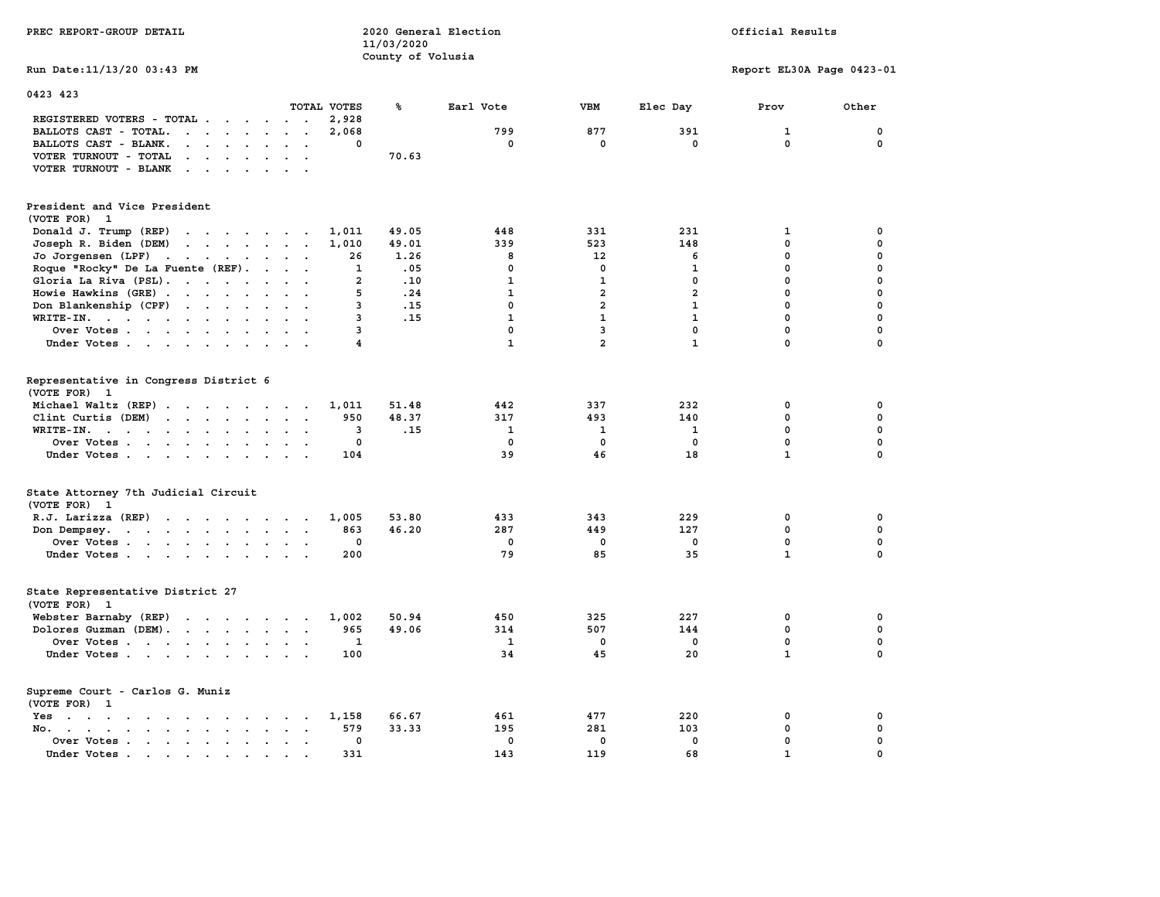| PREC REPORT-GROUP DETAIL                                                                                                                                                      |                    | 2020 General Election<br>11/03/2020<br>County of Volusia |              |                |                | Official Results            |             |
|-------------------------------------------------------------------------------------------------------------------------------------------------------------------------------|--------------------|----------------------------------------------------------|--------------|----------------|----------------|-----------------------------|-------------|
| Run Date: 11/13/20 03:43 PM                                                                                                                                                   |                    |                                                          |              |                |                | Report EL30A Page 0423-01   |             |
| 0423 423                                                                                                                                                                      |                    |                                                          |              |                |                |                             |             |
| TOTAL VOTES                                                                                                                                                                   |                    | ℁                                                        | Earl Vote    | <b>VBM</b>     | Elec Day       | Prov                        | Other       |
| REGISTERED VOTERS - TOTAL .<br>$\cdot$ $\cdot$<br>$\ddot{\phantom{0}}$                                                                                                        | 2,928              |                                                          |              |                |                |                             |             |
| BALLOTS CAST - TOTAL.<br>$\cdot$ $\cdot$ $\cdot$<br>$\sim$ $\sim$<br>$\sim$<br>$\sim$<br>$\sim$                                                                               | 2,068<br>0         |                                                          | 799<br>0     | 877<br>0       | 391<br>0       | $\mathbf{1}$<br>$\mathbf 0$ | 0<br>0      |
| BALLOTS CAST - BLANK.<br>$\bullet$<br>$\cdots$<br>$\ddot{\phantom{a}}$<br>VOTER TURNOUT - TOTAL                                                                               |                    | 70.63                                                    |              |                |                |                             |             |
| $\begin{array}{cccccccccccccc} \bullet & \bullet & \bullet & \bullet & \bullet & \bullet & \bullet & \bullet & \bullet \end{array}$<br>VOTER TURNOUT - BLANK<br>$\sim$ $\sim$ |                    |                                                          |              |                |                |                             |             |
|                                                                                                                                                                               |                    |                                                          |              |                |                |                             |             |
| President and Vice President<br>(VOTE FOR) 1                                                                                                                                  |                    |                                                          |              |                |                |                             |             |
| Donald J. Trump (REP)<br>and the contract of the state of the                                                                                                                 | 1,011              | 49.05                                                    | 448          | 331            | 231            | 1                           | 0           |
| Joseph R. Biden (DEM)<br>$\mathbf{r}$ , $\mathbf{r}$ , $\mathbf{r}$ , $\mathbf{r}$ , $\mathbf{r}$ , $\mathbf{r}$                                                              | 1,010              | 49.01                                                    | 339          | 523            | 148            | 0                           | $\mathbf 0$ |
| Jo Jorgensen $(LPF)$                                                                                                                                                          | 26                 | 1.26                                                     | 8            | 12             | 6              | 0                           | $\mathbf 0$ |
| Roque "Rocky" De La Fuente (REF).<br>$\cdots$ $\cdots$                                                                                                                        | 1                  | .05                                                      | 0            | 0              | 1              | $\mathbf 0$                 | $\mathbf 0$ |
| Gloria La Riva (PSL).                                                                                                                                                         | $\overline{2}$     | .10                                                      | $\mathbf{1}$ | $\mathbf{1}$   | $\mathbf 0$    | $\mathbf 0$                 | $\mathbf 0$ |
| Howie Hawkins (GRE)<br>$\ddot{\phantom{a}}$                                                                                                                                   | 5                  | .24                                                      | $\mathbf{1}$ | $\overline{a}$ | $\overline{a}$ | $\mathbf 0$                 | $\mathbf 0$ |
| Don Blankenship (CPF)<br>$\ddot{\phantom{a}}$                                                                                                                                 | 3                  | .15                                                      | $\mathbf 0$  | $\overline{2}$ | $\mathbf{1}$   | $\mathbf 0$                 | $\mathbf 0$ |
| WRITE-IN.                                                                                                                                                                     | 3                  | .15                                                      | $\mathbf{1}$ | $\mathbf{1}$   | $\mathbf{1}$   | $\mathbf 0$                 | $\mathbf 0$ |
| Over Votes<br>$\ddot{\phantom{a}}$                                                                                                                                            | 3                  |                                                          | $\mathbf 0$  | 3              | $\mathbf 0$    | $\mathbf 0$                 | $\mathbf 0$ |
| Under Votes                                                                                                                                                                   | $\overline{\bf 4}$ |                                                          | $\mathbf{1}$ | $\overline{a}$ | $\mathbf{1}$   | $\mathbf 0$                 | $\Omega$    |
| Representative in Congress District 6<br>(VOTE FOR) 1<br>Michael Waltz (REP)                                                                                                  | 1,011              | 51.48                                                    | 442          | 337            | 232            | 0                           | 0           |
| Clint Curtis (DEM)                                                                                                                                                            | 950                | 48.37                                                    | 317          | 493            | 140            | 0                           | $\mathbf 0$ |
| WRITE-IN.<br>$\ddot{\phantom{a}}$<br>$\ddot{\phantom{a}}$<br>$\sim$<br>$\overline{a}$                                                                                         | 3                  | .15                                                      | 1            | 1              | 1              | $\mathbf 0$                 | $\mathbf 0$ |
| Over Votes                                                                                                                                                                    | 0                  |                                                          | $\mathbf 0$  | $\mathbf 0$    | $\mathbf 0$    | $\mathbf 0$                 | $\mathbf 0$ |
| Under Votes<br>$\sim$                                                                                                                                                         | 104                |                                                          | 39           | 46             | 18             | $\mathbf{1}$                | $\Omega$    |
| State Attorney 7th Judicial Circuit<br>(VOTE FOR) 1                                                                                                                           |                    |                                                          |              |                |                |                             |             |
| R.J. Larizza (REP)                                                                                                                                                            | 1,005              | 53.80                                                    | 433          | 343            | 229            | 0                           | 0           |
| Don Dempsey.<br>$\ddot{\phantom{0}}$                                                                                                                                          | 863                | 46.20                                                    | 287          | 449            | 127            | $\mathbf 0$                 | $\mathbf 0$ |
| Over Votes<br>$\ddot{\phantom{a}}$                                                                                                                                            | 0                  |                                                          | 0            | 0              | 0              | $\mathbf 0$                 | $\mathbf 0$ |
| Under Votes                                                                                                                                                                   | 200                |                                                          | 79           | 85             | 35             | $\mathbf{1}$                | $\mathbf 0$ |
| State Representative District 27<br>(VOTE FOR) 1                                                                                                                              |                    |                                                          |              |                |                |                             |             |
| Webster Barnaby (REP)<br>the contract of the contract of                                                                                                                      | 1,002              | 50.94                                                    | 450          | 325            | 227            | 0                           | 0           |
| Dolores Guzman (DEM).<br>$\sim$ $\sim$                                                                                                                                        | 965                | 49.06                                                    | 314          | 507            | 144            | 0                           | 0           |
| Over Votes<br>$\cdot$ .                                                                                                                                                       | 1                  |                                                          | 1            | $\mathbf{0}$   | $^{\circ}$     | $\mathbf 0$                 | $\mathbf 0$ |
| Under Votes<br>$\sim$ $\sim$                                                                                                                                                  | 100                |                                                          | 34           | 45             | 20             | $\mathbf{1}$                | 0           |
| Supreme Court - Carlos G. Muniz<br>(VOTE FOR) 1                                                                                                                               |                    |                                                          |              |                |                |                             |             |
| Yes<br>the contract of the contract of the contract of the contract of the contract of the contract of the contract of                                                        | 1,158              | 66.67                                                    | 461          | 477            | 220            | 0                           | 0           |
| No. .<br>$\mathbf{r}$ , $\mathbf{r}$ , $\mathbf{r}$<br>$\sim$                                                                                                                 | 579                | 33.33                                                    | 195          | 281            | 103            | $\mathbf 0$                 | $\mathbf 0$ |
| Over Votes<br>$\ddot{\phantom{a}}$<br>$\ddot{\phantom{a}}$<br>$\ddot{\phantom{0}}$                                                                                            | 0                  |                                                          | $\mathbf 0$  | $\mathbf 0$    | $\mathbf 0$    | $\mathbf 0$                 | $\mathbf 0$ |
| Under Votes.<br>the contract of the contract of the contract of the contract of the contract of the contract of the contract of                                               | 331                |                                                          | 143          | 119            | 68             | $\mathbf{1}$                | $\mathbf 0$ |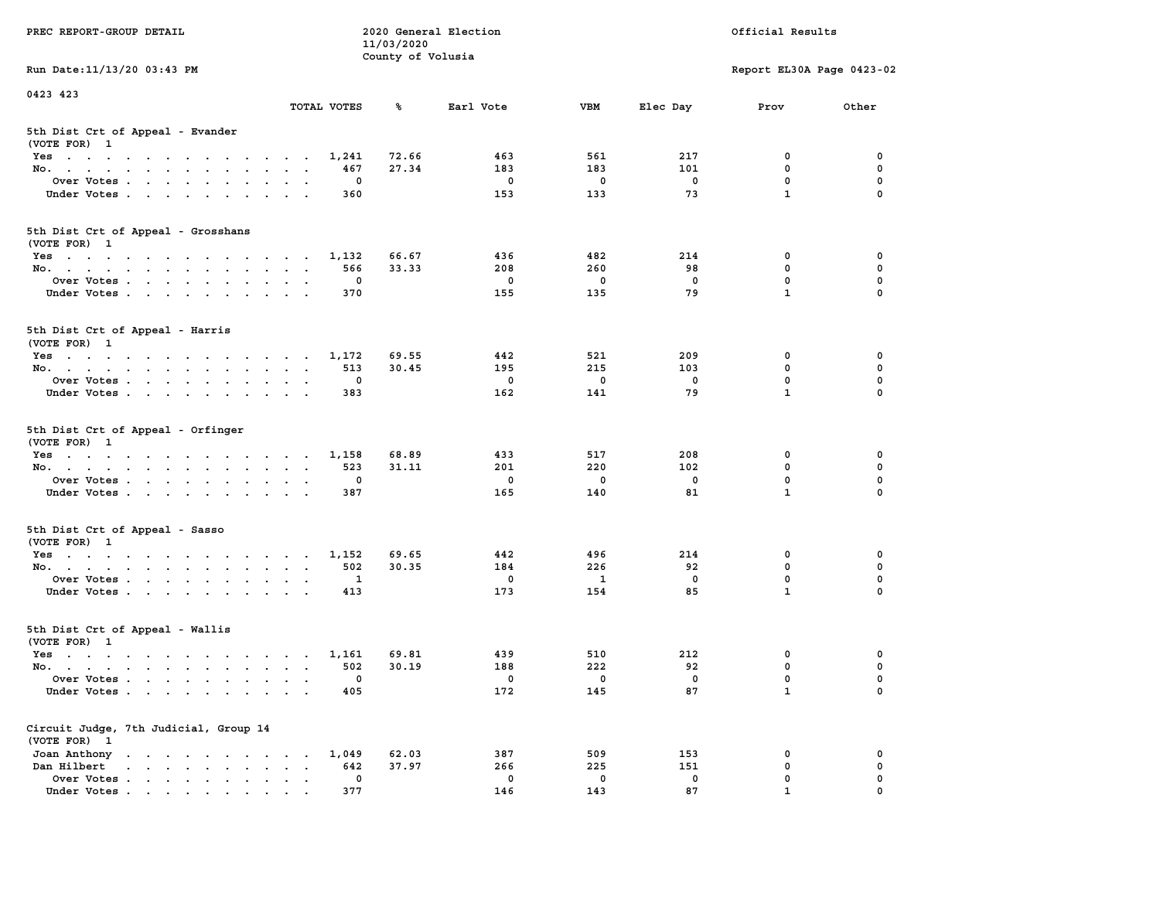|                                                                 |                                                                           | 11/03/2020        |                          |                         |              |                            |                  |
|-----------------------------------------------------------------|---------------------------------------------------------------------------|-------------------|--------------------------|-------------------------|--------------|----------------------------|------------------|
|                                                                 |                                                                           | County of Volusia |                          |                         |              |                            |                  |
| Run Date: 11/13/20 03:43 PM                                     |                                                                           |                   |                          |                         |              | Report EL30A Page 0423-02  |                  |
|                                                                 |                                                                           |                   |                          |                         |              |                            |                  |
| 0423 423                                                        | TOTAL VOTES                                                               | ℁                 | Earl Vote                | <b>VBM</b>              | Elec Day     | Prov                       | Other            |
|                                                                 |                                                                           |                   |                          |                         |              |                            |                  |
| 5th Dist Crt of Appeal - Evander                                |                                                                           |                   |                          |                         |              |                            |                  |
| (VOTE FOR) 1                                                    |                                                                           |                   |                          |                         |              |                            |                  |
| $Yes \t . \t . \t .$<br>$\cdots$                                | 1,241<br>$\cdots$                                                         | 72.66             | 463                      | 561                     | 217          | 0                          | 0                |
| No.                                                             | 467<br>$\ddot{\phantom{a}}$                                               | 27.34             | 183                      | 183                     | 101          | $\mathbf 0$                | $\mathbf 0$      |
| Over Votes                                                      | 0                                                                         |                   | $\mathbf 0$              | 0                       | $\mathbf 0$  | 0                          | 0                |
| Under Votes                                                     | 360<br>$\sim$<br>$\cdot$ $\cdot$                                          |                   | 153                      | 133                     | 73           | $\mathbf{1}$               | 0                |
| 5th Dist Crt of Appeal - Grosshans                              |                                                                           |                   |                          |                         |              |                            |                  |
| (VOTE FOR) 1                                                    |                                                                           |                   |                          |                         |              |                            |                  |
| Yes                                                             | 1,132                                                                     | 66.67             | 436                      | 482                     | 214          | 0                          | 0                |
| No.                                                             | 566<br>$\sim$                                                             | 33.33             | 208                      | 260                     | 98           | 0                          | 0                |
| Over Votes                                                      | $\Omega$                                                                  |                   | $\Omega$                 | $\Omega$                | $\mathbf{0}$ | $\mathbf{0}$               | $\mathbf 0$      |
| Under Votes                                                     | 370                                                                       |                   | 155                      | 135                     | 79           | $\mathbf{1}$               | $\Omega$         |
|                                                                 | $\mathcal{A}=\mathcal{A}=\mathcal{A}=\mathcal{A}$ .                       |                   |                          |                         |              |                            |                  |
| 5th Dist Crt of Appeal - Harris                                 |                                                                           |                   |                          |                         |              |                            |                  |
| (VOTE FOR) 1                                                    |                                                                           |                   |                          |                         |              |                            |                  |
| Yes                                                             | 1,172                                                                     | 69.55             | 442                      | 521                     | 209          | 0                          | 0                |
| No.                                                             | 513                                                                       | 30.45             | 195                      | 215                     | 103          | $\mathbf 0$                | $\mathbf 0$      |
| Over Votes<br>$\sim$<br>$\sim$<br>$\sim$                        | $\mathbf 0$<br>$\sim$<br>$\ddot{\phantom{a}}$                             |                   | $\mathbf 0$              | $\mathbf 0$             | $\mathbf 0$  | $\mathbf 0$                | $\mathbf 0$      |
| Under Votes                                                     | 383                                                                       |                   | 162                      | 141                     | 79           | $\mathbf{1}$               | $\Omega$         |
| 5th Dist Crt of Appeal - Orfinger<br>(VOTE FOR) 1<br>Yes<br>No. | 1,158<br>523<br>$\sim$<br>$\ddot{\phantom{0}}$                            | 68.89<br>31.11    | 433<br>201               | 517<br>220              | 208<br>102   | $\mathbf 0$<br>$\mathbf 0$ | $\mathbf 0$<br>0 |
| Over Votes                                                      | $\mathbf 0$                                                               |                   | $\overline{\phantom{0}}$ | $\mathbf 0$             | $\mathbf 0$  | $\mathbf 0$                | 0                |
| Under Votes                                                     | 387                                                                       |                   | 165                      | 140                     | 81           | $\mathbf{1}$               | 0                |
| 5th Dist Crt of Appeal - Sasso<br>(VOTE FOR) 1                  |                                                                           |                   |                          |                         |              |                            |                  |
| Yes                                                             | 1,152                                                                     | 69.65             | 442                      | 496                     | 214          | 0                          | 0                |
| No.<br>$\sim$ $\sim$ $\sim$<br>$\sim$                           | 502<br>$\ddot{\phantom{a}}$<br>$\sim$ $\sim$                              | 30.35             | 184                      | 226                     | 92           | $\mathbf 0$                | $\mathbf 0$      |
| Over Votes                                                      | 1<br>$\sim$ $\sim$                                                        |                   | $\mathbf 0$              | $\overline{\mathbf{1}}$ | $\mathbf 0$  | $\mathbf{0}$               | $\mathbf 0$      |
| Under Votes<br>$\ddot{\phantom{0}}$                             | 413<br>$\ddot{\phantom{a}}$                                               |                   | 173                      | 154                     | 85           | $\mathbf{1}$               | $\Omega$         |
|                                                                 |                                                                           |                   |                          |                         |              |                            |                  |
| 5th Dist Crt of Appeal - Wallis                                 |                                                                           |                   |                          |                         |              |                            |                  |
| (VOTE FOR) 1                                                    |                                                                           |                   |                          |                         |              |                            |                  |
| Yes                                                             | 1,161                                                                     | 69.81             | 439                      | 510                     | 212          | 0                          | 0                |
| No.                                                             | 502                                                                       | 30.19             | 188                      | 222                     | 92           | 0                          | 0                |
| Over Votes                                                      | 0<br>$\cdot$<br>$\sim$ $\sim$                                             |                   | $\mathbf 0$              | $\mathbf 0$             | 0            | $\mathbf 0$                | $\mathbf 0$      |
| Under Votes                                                     | 405                                                                       |                   | 172                      | 145                     | 87           | $\mathbf{1}$               | $\Omega$         |
| Circuit Judge, 7th Judicial, Group 14<br>(VOTE FOR) 1           |                                                                           |                   |                          |                         |              |                            |                  |
| Joan Anthony<br>the contract of the contract of the contract of | 1,049                                                                     | 62.03             | 387                      | 509                     | 153          | 0                          | 0                |
| Dan Hilbert<br>and a series of the control of the series of     | 642<br>$\cdot$ $\cdot$                                                    | 37.97             | 266                      | 225                     | 151          | 0                          | $\mathbf 0$      |
| Over Votes<br>$\bullet$                                         | 0<br>$\ddot{\phantom{1}}$<br>$\ddot{\phantom{a}}$<br>$\ddot{\phantom{a}}$ |                   | 0                        | $\mathbf 0$             | 0            | $\mathbf 0$                | $\mathbf 0$      |
| Under Votes                                                     | 377                                                                       |                   | 146                      | 143                     | 87           | $\mathbf{1}$               | $\mathbf 0$      |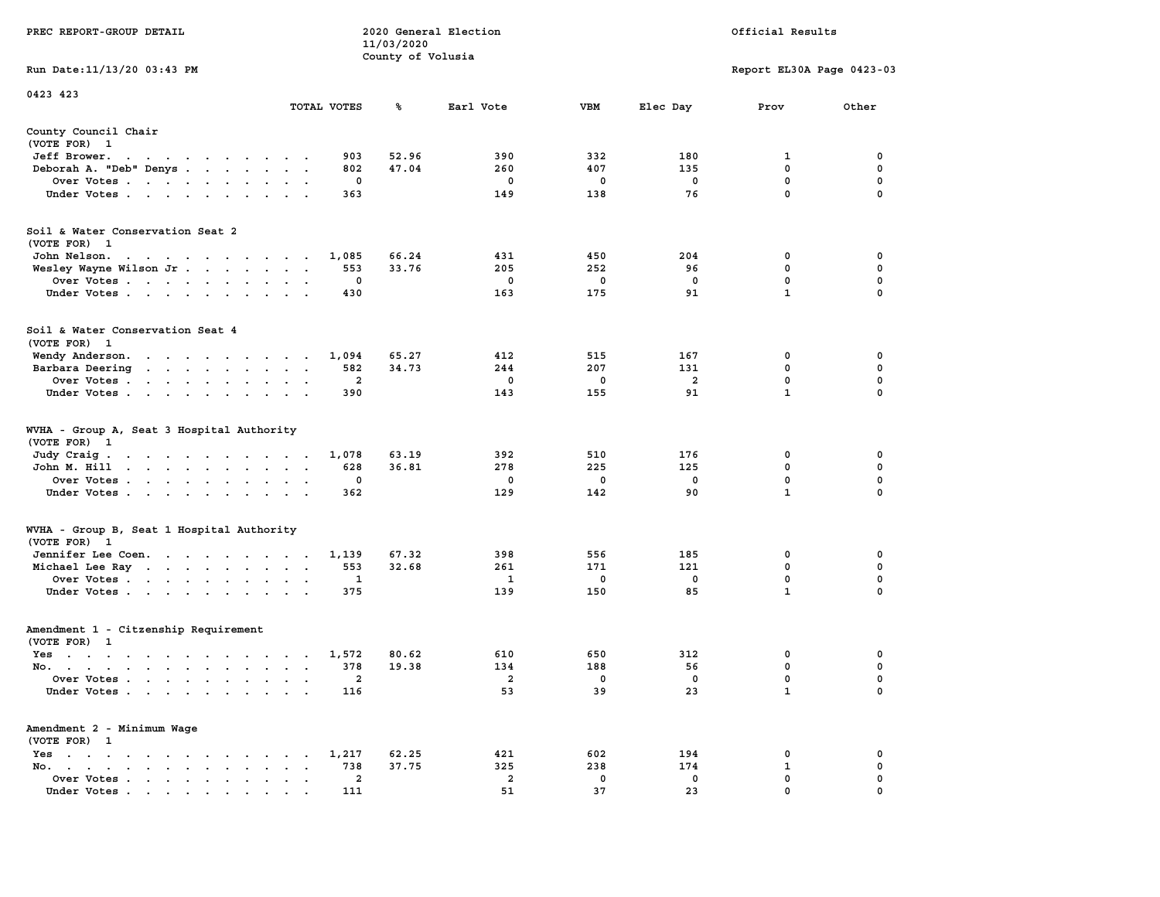|                                                                                                                                                                                                                                                                 |                                                   | 11/03/2020            |                |             |                |                            |                  |
|-----------------------------------------------------------------------------------------------------------------------------------------------------------------------------------------------------------------------------------------------------------------|---------------------------------------------------|-----------------------|----------------|-------------|----------------|----------------------------|------------------|
|                                                                                                                                                                                                                                                                 |                                                   | County of Volusia     |                |             |                |                            |                  |
| Run Date:11/13/20 03:43 PM                                                                                                                                                                                                                                      |                                                   |                       |                |             |                | Report EL30A Page 0423-03  |                  |
| 0423 423                                                                                                                                                                                                                                                        |                                                   |                       |                |             |                |                            |                  |
|                                                                                                                                                                                                                                                                 | TOTAL VOTES                                       | ℁                     | Earl Vote      | <b>VBM</b>  | Elec Day       | Prov                       | Other            |
| County Council Chair                                                                                                                                                                                                                                            |                                                   |                       |                |             |                |                            |                  |
| (VOTE FOR) 1                                                                                                                                                                                                                                                    |                                                   |                       |                |             |                |                            |                  |
| Jeff Brower.<br>$\sim$ $\sim$<br>the contract of the contract of the contract of the contract of the contract of the contract of the contract of the contract of the contract of the contract of the contract of the contract of the contract of the contract o |                                                   | 52.96<br>903          | 390            | 332         | 180            | 1                          | 0                |
| Deborah A. "Deb" Denys                                                                                                                                                                                                                                          | $\ddot{\phantom{a}}$                              | 47.04<br>802          | 260            | 407         | 135            | 0                          | 0                |
| Over Votes                                                                                                                                                                                                                                                      | $\sim$<br>$\bullet$                               | 0                     | 0              | 0           | 0              | $\mathbf{0}$               | 0                |
| Under Votes                                                                                                                                                                                                                                                     |                                                   | 363                   | 149            | 138         | 76             | $\mathbf 0$                | $\mathbf 0$      |
| Soil & Water Conservation Seat 2                                                                                                                                                                                                                                |                                                   |                       |                |             |                |                            |                  |
| (VOTE FOR) 1                                                                                                                                                                                                                                                    |                                                   |                       |                |             |                |                            |                  |
| John Nelson.<br>the contract of the contract of the                                                                                                                                                                                                             | 1,085                                             | 66.24                 | 431            | 450         | 204            | 0                          | 0                |
| Wesley Wayne Wilson Jr                                                                                                                                                                                                                                          | $\ddot{\phantom{a}}$<br>$\mathbf{r}$<br>$\sim$    | 553<br>33.76          | 205            | 252         | 96             | 0                          | $\mathbf 0$      |
| Over Votes<br>$\cdot$                                                                                                                                                                                                                                           |                                                   | 0                     | 0              | 0           | $\mathbf 0$    | 0                          | $\mathbf 0$      |
| Under Votes<br>$\sim$                                                                                                                                                                                                                                           |                                                   | 430                   | 163            | 175         | 91             | $\mathbf{1}$               | $\mathbf 0$      |
|                                                                                                                                                                                                                                                                 |                                                   |                       |                |             |                |                            |                  |
| Soil & Water Conservation Seat 4                                                                                                                                                                                                                                |                                                   |                       |                |             |                |                            |                  |
| (VOTE FOR) 1                                                                                                                                                                                                                                                    |                                                   |                       |                |             |                |                            |                  |
| Wendy Anderson.<br>the contract of the contract of the                                                                                                                                                                                                          | 1,094<br>$\sim$                                   | 65.27                 | 412            | 515         | 167            | 0                          | 0                |
| Barbara Deering<br>the contract of the contract of the                                                                                                                                                                                                          | $\ddot{\phantom{a}}$<br>$\cdot$<br>$\blacksquare$ | 582<br>34.73          | 244            | 207         | 131            | $\mathbf 0$                | $\mathbf 0$      |
| Over Votes<br>$\sim$                                                                                                                                                                                                                                            |                                                   | $\overline{a}$        | $\mathbf 0$    | $\mathbf 0$ | $\overline{a}$ | $\mathbf 0$                | $\mathbf 0$      |
| Under Votes<br>$\cdot$                                                                                                                                                                                                                                          |                                                   | 390                   | 143            | 155         | 91             | $\mathbf{1}$               | 0                |
| WVHA - Group A, Seat 3 Hospital Authority<br>(VOTE FOR)<br>$\mathbf{1}$<br>Judy Craig.                                                                                                                                                                          | 1,078                                             | 63.19                 | 392            | 510         | 176            | 0                          | 0                |
| the contract of the contract of the<br>John M. Hill<br>$\begin{array}{cccccccccccccc} \bullet & \bullet & \bullet & \bullet & \bullet & \bullet & \bullet & \bullet & \bullet & \bullet & \bullet \end{array}$<br>$\ddot{\phantom{0}}$                          | $\bullet$<br>$\bullet$<br>$\ddot{\phantom{a}}$    | 628<br>36.81          | 278            | 225         | 125            | 0                          | 0                |
| Over Votes                                                                                                                                                                                                                                                      | $\sim$<br>$\cdot$                                 | $\mathbf 0$           | 0              | 0           | $\mathbf 0$    | $\mathbf 0$                | 0                |
| Under Votes<br>$\cdot$                                                                                                                                                                                                                                          | $\cdot$                                           | 362                   | 129            | 142         | 90             | $\mathbf{1}$               | $\mathbf 0$      |
|                                                                                                                                                                                                                                                                 |                                                   |                       |                |             |                |                            |                  |
| WVHA - Group B, Seat 1 Hospital Authority                                                                                                                                                                                                                       |                                                   |                       |                |             |                |                            |                  |
| (VOTE FOR) 1                                                                                                                                                                                                                                                    |                                                   |                       |                |             |                |                            |                  |
| Jennifer Lee Coen.                                                                                                                                                                                                                                              | 1,139                                             | 67.32<br>553<br>32.68 | 398<br>261     | 556<br>171  | 185<br>121     | $\mathbf 0$<br>$\mathbf 0$ | 0<br>$\mathbf 0$ |
| Michael Lee Ray                                                                                                                                                                                                                                                 | $\bullet$<br>$\ddot{\phantom{1}}$                 | 1                     | 1              | 0           | 0              | $\mathbf 0$                | $\mathbf 0$      |
| Over Votes<br>Under Votes                                                                                                                                                                                                                                       | $\bullet$<br>$\bullet$<br>$\sim$                  | 375                   | 139            | 150         | 85             | $\mathbf{1}$               | 0                |
| $\sim$ $\sim$                                                                                                                                                                                                                                                   | $\sim$ 40 $\,$                                    |                       |                |             |                |                            |                  |
| Amendment 1 - Citzenship Requirement                                                                                                                                                                                                                            |                                                   |                       |                |             |                |                            |                  |
| (VOTE FOR) 1                                                                                                                                                                                                                                                    |                                                   |                       |                |             |                |                            |                  |
| $Yes \t . \t .$<br>$\sim$ $\sim$ $\sim$ $\sim$<br>the contract of the contract of the contract of the contract of the contract of the contract of the contract of                                                                                               | 1,572                                             | 80.62                 | 610            | 650         | 312            | $\mathbf 0$                | 0                |
| No.<br>$\ddot{\phantom{a}}$                                                                                                                                                                                                                                     | $\mathbf{r}$<br>$\sim$                            | 378<br>19.38          | 134            | 188         | 56             | 0                          | $\mathbf 0$      |
| Over Votes .<br>$\sim$ $\sim$<br>$\sim$ $\sim$<br>$\overline{\phantom{a}}$<br>$\ddot{\phantom{a}}$                                                                                                                                                              | $\cdot$<br>$\cdot$<br>$\ddot{\phantom{a}}$        | $\overline{a}$        | $\overline{a}$ | 0           | $\mathbf 0$    | $\mathbf 0$                | $\mathbf 0$      |
| Under Votes                                                                                                                                                                                                                                                     | $\ddot{\phantom{a}}$                              | 116                   | 53             | 39          | 23             | $\mathbf{1}$               | $\mathbf 0$      |
| Amendment 2 - Minimum Wage                                                                                                                                                                                                                                      |                                                   |                       |                |             |                |                            |                  |
| (VOTE FOR) 1                                                                                                                                                                                                                                                    |                                                   |                       |                |             |                |                            |                  |
| $Yes \t . \t .$<br>$\bullet$<br>$\mathbf{r} = \mathbf{r} + \mathbf{r}$ . The set of $\mathbf{r}$<br>$\sim$ $\sim$<br>$\sim$                                                                                                                                     | 1,217<br>$\bullet$                                | 62.25                 | 421            | 602         | 194            | 0                          | 0                |
| No.<br>$\sim$ $\sim$<br>$\bullet$ .<br><br><br><br><br><br><br><br><br><br><br><br><br><br><br>$\mathbf{a} = \mathbf{a} \cdot \mathbf{a}$<br>$\bullet$                                                                                                          | $\cdot$                                           | 738<br>37.75          | 325            | 238         | 174            | 1                          | 0                |
| Over Votes<br>$\bullet$                                                                                                                                                                                                                                         | $\blacksquare$<br>$\bullet$<br>$\cdot$            | $\overline{2}$        | $\overline{2}$ | 0           | 0              | $\mathbf{0}$               | $\mathbf 0$      |
| Under Votes                                                                                                                                                                                                                                                     |                                                   | 111                   | 51             | 37          | 23             | $\mathbf{0}$               | $\mathbf 0$      |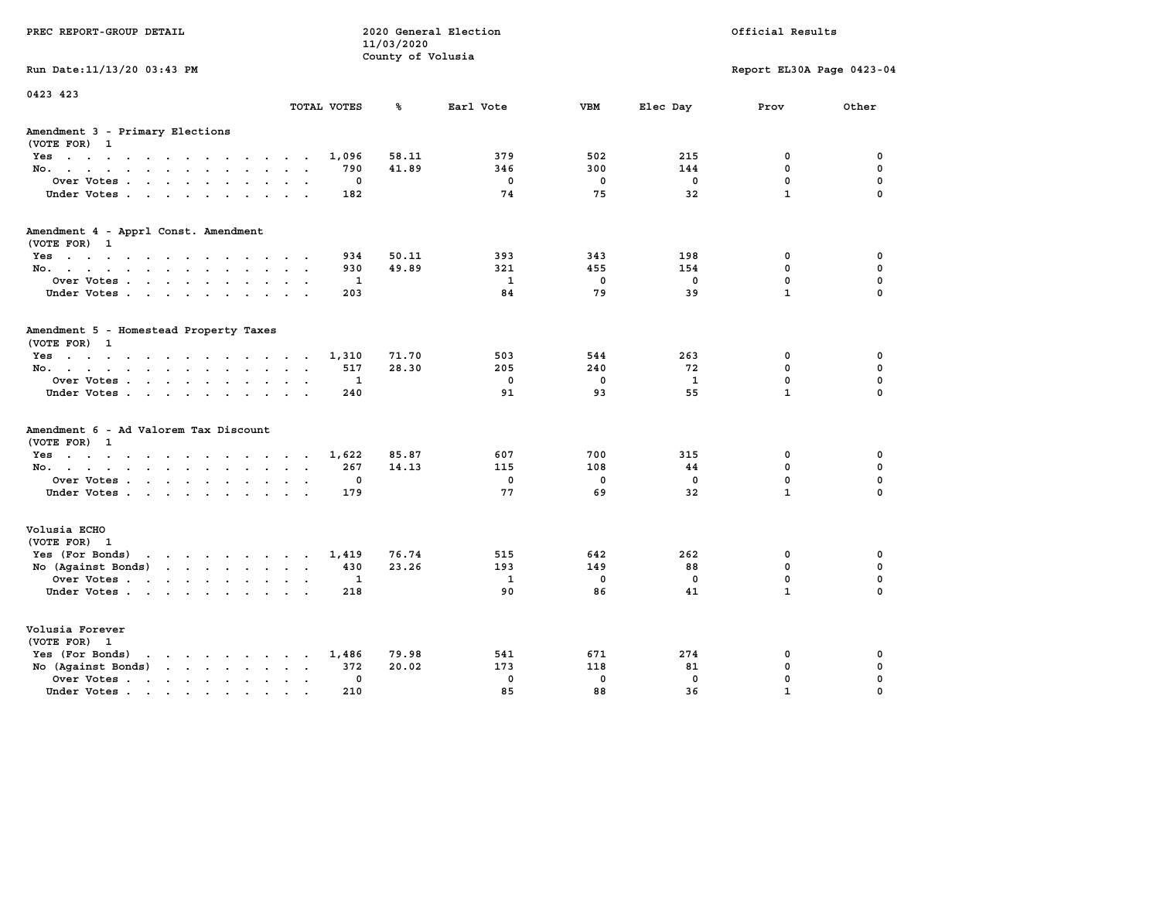| PREC REPORT-GROUP DETAIL                                                                                                                                                                                                                                |             | 11/03/2020<br>County of Volusia | 2020 General Election |                   |                   | Official Results            |                         |
|---------------------------------------------------------------------------------------------------------------------------------------------------------------------------------------------------------------------------------------------------------|-------------|---------------------------------|-----------------------|-------------------|-------------------|-----------------------------|-------------------------|
| Run Date: 11/13/20 03:43 PM                                                                                                                                                                                                                             |             |                                 |                       |                   |                   | Report EL30A Page 0423-04   |                         |
| 0423 423                                                                                                                                                                                                                                                | TOTAL VOTES | ℁                               | Earl Vote             | <b>VBM</b>        | Elec Day          | Prov                        | Other                   |
| Amendment 3 - Primary Elections<br>(VOTE FOR) 1                                                                                                                                                                                                         |             |                                 |                       |                   |                   |                             |                         |
| Yes                                                                                                                                                                                                                                                     | 1,096       | 58.11                           | 379                   | 502               | 215               | 0                           | 0                       |
| No.<br>$\ddotsc$                                                                                                                                                                                                                                        | 790         | 41.89                           | 346                   | 300               | 144               | 0                           | $\mathbf 0$             |
| Over Votes<br>$\bullet$<br>$\ddot{\phantom{1}}$<br>Under Votes<br><b>Contract Contract</b>                                                                                                                                                              | 0<br>182    |                                 | $\mathbf 0$<br>74     | $\mathbf 0$<br>75 | 0<br>32           | $\mathbf 0$<br>$\mathbf{1}$ | 0<br>$\Omega$           |
|                                                                                                                                                                                                                                                         |             |                                 |                       |                   |                   |                             |                         |
| Amendment 4 - Apprl Const. Amendment<br>(VOTE FOR) 1                                                                                                                                                                                                    |             |                                 |                       |                   |                   |                             |                         |
| Yes                                                                                                                                                                                                                                                     | 934         | 50.11                           | 393                   | 343               | 198               | 0                           | 0                       |
| No.                                                                                                                                                                                                                                                     | 930         | 49.89                           | 321                   | 455               | 154               | 0                           | $\mathbf 0$             |
| Over Votes<br>$\sim$ $\sim$<br>$\ddot{\phantom{a}}$<br>Under Votes                                                                                                                                                                                      | 1<br>203    |                                 | $\mathbf{1}$<br>84    | $\mathbf 0$<br>79 | $\mathbf 0$<br>39 | 0<br>$\mathbf{1}$           | $\mathbf 0$<br>$\Omega$ |
|                                                                                                                                                                                                                                                         |             |                                 |                       |                   |                   |                             |                         |
| Amendment 5 - Homestead Property Taxes<br>(VOTE FOR) 1                                                                                                                                                                                                  |             |                                 |                       |                   |                   |                             |                         |
| Yes                                                                                                                                                                                                                                                     | 1,310       | 71.70                           | 503                   | 544               | 263               | 0                           | 0                       |
| No.<br>$\sim$ $\sim$<br>$\sim$                                                                                                                                                                                                                          | 517         | 28.30                           | 205                   | 240               | 72                | 0                           | $\mathbf 0$             |
| Over Votes<br>$\ddot{\phantom{a}}$<br>$\ddot{\phantom{a}}$                                                                                                                                                                                              | 1           |                                 | $\mathbf 0$           | $\mathbf 0$       | $\mathbf{1}$      | 0                           | $\mathbf 0$             |
| Under Votes<br><b>Service</b>                                                                                                                                                                                                                           | 240         |                                 | 91                    | 93                | 55                | $\mathbf{1}$                | $\Omega$                |
| Amendment 6 - Ad Valorem Tax Discount<br>(VOTE FOR) 1                                                                                                                                                                                                   |             |                                 |                       |                   |                   |                             |                         |
| Yes.                                                                                                                                                                                                                                                    | 1,622       | 85.87                           | 607                   | 700               | 315               | 0                           | 0                       |
| No.                                                                                                                                                                                                                                                     | 267         | 14.13                           | 115                   | 108               | 44                | 0                           | $\mathbf 0$             |
| Over Votes<br>$\bullet$<br>$\ddot{\phantom{a}}$                                                                                                                                                                                                         | 0           |                                 | $\mathbf 0$           | $\mathbf 0$       | $\mathbf 0$       | 0                           | $\mathbf 0$             |
| Under Votes                                                                                                                                                                                                                                             | 179         |                                 | 77                    | 69                | 32                | $\mathbf{1}$                | $\Omega$                |
| Volusia ECHO<br>(VOTE FOR) 1                                                                                                                                                                                                                            |             |                                 |                       |                   |                   |                             |                         |
| Yes (For Bonds)<br>the contract of the contract of the contract of the contract of the contract of the contract of the contract of                                                                                                                      | 1,419       | 76.74                           | 515                   | 642               | 262               | 0                           | 0                       |
| No (Against Bonds)<br>$\mathbf{r}$ . The set of the set of the set of the set of the set of the set of the set of the set of the set of the set of the set of the set of the set of the set of the set of the set of the set of the set of the set of t | 430         | 23.26                           | 193                   | 149               | 88                | $\mathbf{0}$                | $\mathbf 0$             |
| Over Votes<br>$\ddot{\phantom{a}}$<br>$\ddot{\phantom{a}}$                                                                                                                                                                                              | 1           |                                 | 1                     | 0                 | 0                 | 0                           | $\mathbf 0$             |
| Under Votes                                                                                                                                                                                                                                             | 218         |                                 | 90                    | 86                | 41                | $\mathbf{1}$                | $\Omega$                |
| Volusia Forever<br>(VOTE FOR) 1                                                                                                                                                                                                                         |             |                                 |                       |                   |                   |                             |                         |
| Yes (For Bonds)<br>$\mathbf{r}$ , and $\mathbf{r}$ , and $\mathbf{r}$ , and $\mathbf{r}$                                                                                                                                                                | 1,486       | 79.98                           | 541                   | 671               | 274               | 0                           | 0                       |
| No (Against Bonds)<br>$\cdot$ $\cdot$ $\cdot$ $\cdot$ $\cdot$                                                                                                                                                                                           | 372         | 20.02                           | 173                   | 118               | 81                | 0                           | 0                       |
| Over Votes .<br>$\mathcal{A}$ . The set of the set of $\mathcal{A}$<br>$\ddot{\phantom{a}}$<br>$\bullet$<br>$\bullet$                                                                                                                                   | 0           |                                 | $\mathbf 0$           | $\mathbf 0$       | $\mathbf 0$       | 0                           | 0                       |
| Under Votes                                                                                                                                                                                                                                             | 210         |                                 | 85                    | 88                | 36                | $\mathbf{1}$                | 0                       |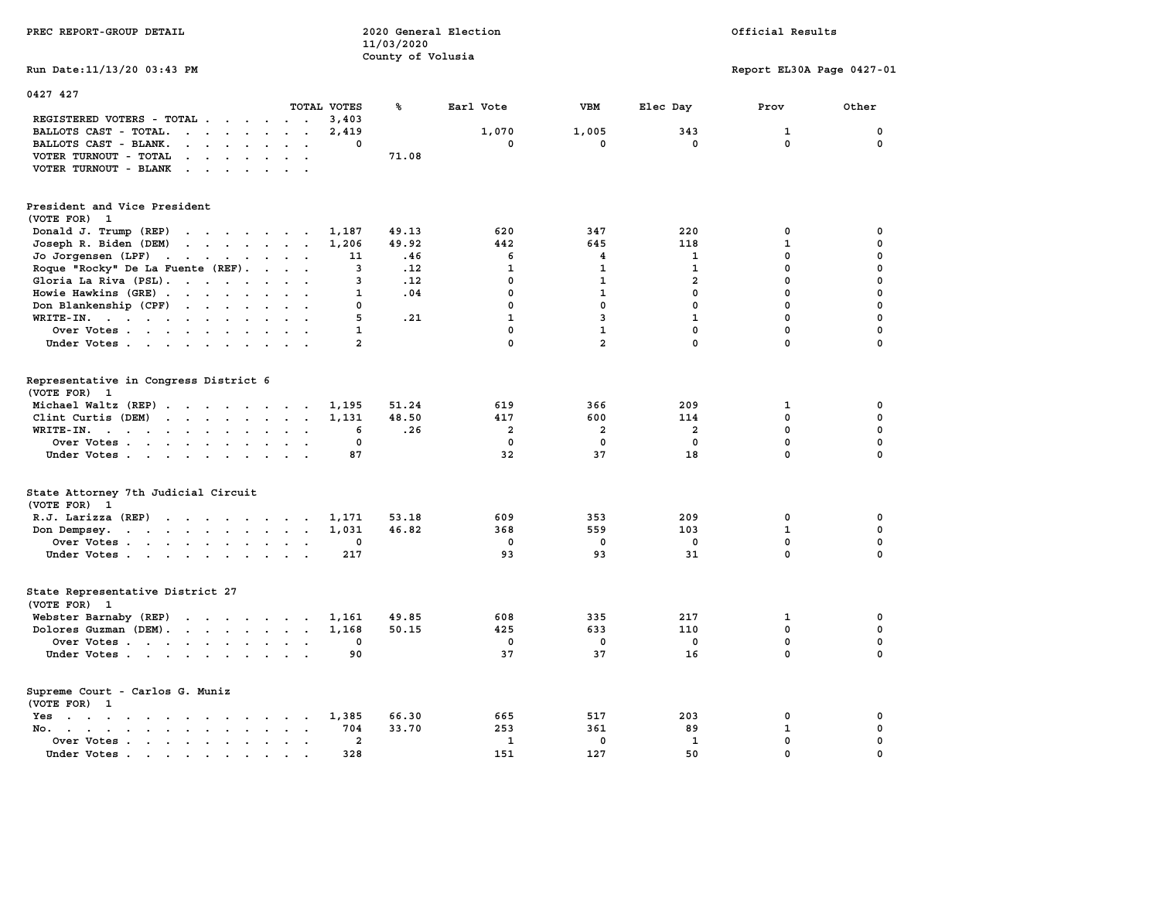| PREC REPORT-GROUP DETAIL                                                                                                                                                                                                                                                                                                                                                                          |                 | 11/03/2020<br>County of Volusia | 2020 General Election |                         |                    | Official Results          |                 |
|---------------------------------------------------------------------------------------------------------------------------------------------------------------------------------------------------------------------------------------------------------------------------------------------------------------------------------------------------------------------------------------------------|-----------------|---------------------------------|-----------------------|-------------------------|--------------------|---------------------------|-----------------|
| Run Date: 11/13/20 03:43 PM                                                                                                                                                                                                                                                                                                                                                                       |                 |                                 |                       |                         |                    | Report EL30A Page 0427-01 |                 |
| 0427 427                                                                                                                                                                                                                                                                                                                                                                                          |                 |                                 |                       |                         |                    |                           |                 |
|                                                                                                                                                                                                                                                                                                                                                                                                   | TOTAL VOTES     | ℁                               | Earl Vote             | VBM                     | Elec Day           | Prov                      | Other           |
| REGISTERED VOTERS - TOTAL                                                                                                                                                                                                                                                                                                                                                                         | 3,403           |                                 |                       |                         |                    |                           |                 |
| BALLOTS CAST - TOTAL.<br>$\mathbf{r}$ . The set of the set of the set of the set of the set of the set of the set of the set of the set of the set of the set of the set of the set of the set of the set of the set of the set of the set of the set of t<br>$\begin{array}{cccccccccccccc} \bullet & \bullet & \bullet & \bullet & \bullet & \bullet & \bullet & \bullet & \bullet \end{array}$ | 2,419<br>$\sim$ | 0                               | 1,070<br>0            | 1,005<br>$\mathbf{0}$   | 343<br>$\mathbf 0$ | 1<br>$\mathbf 0$          | 0<br>$^{\circ}$ |
| BALLOTS CAST - BLANK.<br>VOTER TURNOUT - TOTAL<br>$\mathbf{r}$ . The set of the set of the set of the set of the set of the set of the set of the set of the set of the set of the set of the set of the set of the set of the set of the set of the set of the set of the set of t                                                                                                               |                 | 71.08                           |                       |                         |                    |                           |                 |
| $\mathbf{r}$ . The set of the set of the set of the set of the set of the set of the set of the set of the set of the set of the set of the set of the set of the set of the set of the set of the set of the set of the set of t                                                                                                                                                                 |                 |                                 |                       |                         |                    |                           |                 |
| VOTER TURNOUT - BLANK                                                                                                                                                                                                                                                                                                                                                                             |                 |                                 |                       |                         |                    |                           |                 |
| President and Vice President<br>(VOTE FOR) 1                                                                                                                                                                                                                                                                                                                                                      |                 |                                 |                       |                         |                    |                           |                 |
| Donald J. Trump (REP)                                                                                                                                                                                                                                                                                                                                                                             | 1,187           | 49.13                           | 620                   | 347                     | 220                | 0                         | $\mathbf 0$     |
| Joseph R. Biden (DEM)                                                                                                                                                                                                                                                                                                                                                                             | 1,206           | 49.92                           | 442                   | 645                     | 118                | $\mathbf{1}$              | $\mathbf 0$     |
| Jo Jorgensen (LPF)                                                                                                                                                                                                                                                                                                                                                                                |                 | 11<br>.46                       | 6                     | $\overline{\mathbf{4}}$ | 1                  | $\mathbf{0}$              | $\mathbf 0$     |
| Roque "Rocky" De La Fuente (REF).                                                                                                                                                                                                                                                                                                                                                                 |                 | 3<br>.12                        | $\mathbf{1}$          | $\mathbf{1}$            | $\mathbf{1}$       | $\mathbf 0$               | $\mathbf 0$     |
| Gloria La Riva (PSL).                                                                                                                                                                                                                                                                                                                                                                             |                 | 3<br>.12                        | $\mathbf 0$           | $\mathbf{1}$            | $\overline{a}$     | $\mathbf 0$               | $\mathbf 0$     |
| Howie Hawkins (GRE)                                                                                                                                                                                                                                                                                                                                                                               |                 | $\mathbf{1}$<br>.04             | $\mathbf 0$           | $\mathbf{1}$            | $\mathbf 0$        | $\mathbf 0$               | $\mathbf 0$     |
| Don Blankenship (CPF)                                                                                                                                                                                                                                                                                                                                                                             |                 | 0                               | 0                     | $\mathbf 0$             | $\mathbf 0$        | $\mathbf 0$               | $\mathbf 0$     |
| WRITE-IN.                                                                                                                                                                                                                                                                                                                                                                                         |                 | 5<br>.21                        | $\mathbf{1}$          | $\overline{3}$          | $\mathbf{1}$       | $\mathbf 0$               | $\mathbf 0$     |
| Over Votes                                                                                                                                                                                                                                                                                                                                                                                        |                 | 1                               | $\mathbf 0$           | $\mathbf{1}$            | $\mathbf 0$        | $\mathbf 0$               | $\mathbf 0$     |
| Under Votes                                                                                                                                                                                                                                                                                                                                                                                       |                 | 2                               | $\mathbf 0$           | $\overline{a}$          | $\mathbf 0$        | $\mathbf 0$               | $\mathbf 0$     |
|                                                                                                                                                                                                                                                                                                                                                                                                   |                 |                                 |                       |                         |                    |                           |                 |
| Representative in Congress District 6                                                                                                                                                                                                                                                                                                                                                             |                 |                                 |                       |                         |                    |                           |                 |
| (VOTE FOR) 1                                                                                                                                                                                                                                                                                                                                                                                      |                 |                                 |                       |                         |                    |                           |                 |
| Michael Waltz (REP)                                                                                                                                                                                                                                                                                                                                                                               | 1,195           | 51.24                           | 619                   | 366                     | 209                | $\mathbf{1}$              | $\mathbf 0$     |
| Clint Curtis (DEM)                                                                                                                                                                                                                                                                                                                                                                                | 1,131           | 48.50                           | 417                   | 600                     | 114                | $\mathbf{0}$              | $\mathbf 0$     |
| WRITE-IN.                                                                                                                                                                                                                                                                                                                                                                                         | $\sim$          | .26<br>6                        | $\overline{2}$        | $\overline{2}$          | $\overline{a}$     | $\mathbf{0}$              | $\mathbf 0$     |
| Over Votes                                                                                                                                                                                                                                                                                                                                                                                        |                 | 0                               | 0                     | $\Omega$                | 0                  | $\mathbf 0$               | $\mathbf 0$     |
| Under Votes                                                                                                                                                                                                                                                                                                                                                                                       |                 | 87                              | 32                    | 37                      | 18                 | $\mathbf{0}$              | $\mathbf 0$     |
| State Attorney 7th Judicial Circuit<br>(VOTE FOR) 1                                                                                                                                                                                                                                                                                                                                               |                 |                                 |                       |                         |                    |                           |                 |
| $R.J.$ Larizza $(REP)$                                                                                                                                                                                                                                                                                                                                                                            | 1,171           | 53.18                           | 609                   | 353                     | 209                | 0                         | $\mathbf 0$     |
| Don Dempsey.                                                                                                                                                                                                                                                                                                                                                                                      | 1,031           | 46.82                           | 368                   | 559                     | 103                | $\mathbf{1}$              | $\mathbf 0$     |
| Over Votes                                                                                                                                                                                                                                                                                                                                                                                        |                 | 0                               | 0                     | $\mathbf 0$             | 0                  | 0                         | 0               |
| Under Votes                                                                                                                                                                                                                                                                                                                                                                                       | 217             |                                 | 93                    | 93                      | 31                 | $\mathbf 0$               | $\mathbf 0$     |
|                                                                                                                                                                                                                                                                                                                                                                                                   |                 |                                 |                       |                         |                    |                           |                 |
| State Representative District 27<br>(VOTE FOR)<br>$\mathbf{1}$                                                                                                                                                                                                                                                                                                                                    |                 |                                 |                       |                         |                    |                           |                 |
| Webster Barnaby (REP)                                                                                                                                                                                                                                                                                                                                                                             | 1,161           | 49.85                           | 608                   | 335                     | 217                | 1                         | 0               |
| Dolores Guzman (DEM).                                                                                                                                                                                                                                                                                                                                                                             | 1,168           | 50.15                           | 425                   | 633                     | 110                | $\mathbf 0$               | $\mathbf 0$     |
| Over Votes                                                                                                                                                                                                                                                                                                                                                                                        |                 | 0                               | 0                     | $\Omega$                | 0                  | $\mathbf 0$               | 0               |
| Under Votes                                                                                                                                                                                                                                                                                                                                                                                       |                 | 90                              | 37                    | 37                      | 16                 | $\mathbf{0}$              | $\mathbf 0$     |
| Supreme Court - Carlos G. Muniz<br>(VOTE FOR) 1                                                                                                                                                                                                                                                                                                                                                   |                 |                                 |                       |                         |                    |                           |                 |
| the contract of the contract of the contract of the contract of the contract of the contract of the contract of<br>Yes                                                                                                                                                                                                                                                                            | 1,385           | 66.30                           | 665                   | 517                     | 203                | $\mathbf 0$               | $\mathbf 0$     |
| No. .<br>$\mathbf{r}$ , and $\mathbf{r}$ , and $\mathbf{r}$ , and $\mathbf{r}$                                                                                                                                                                                                                                                                                                                    | 704<br>$\sim$   | 33.70                           | 253                   | 361                     | 89                 | 1                         | $\mathbf 0$     |
| Over Votes                                                                                                                                                                                                                                                                                                                                                                                        |                 | $\overline{a}$                  | 1                     | $\mathbf 0$             | 1                  | $\mathbf 0$               | $\mathbf 0$     |
| Under Votes.<br>. The contract of the contract of the contract of the contract of the contract of the contract of the contract of the contract of the contract of the contract of the contract of the contract of the contract of the contrac                                                                                                                                                     | 328             |                                 | 151                   | 127                     | 50                 | $\mathbf 0$               | $\mathbf 0$     |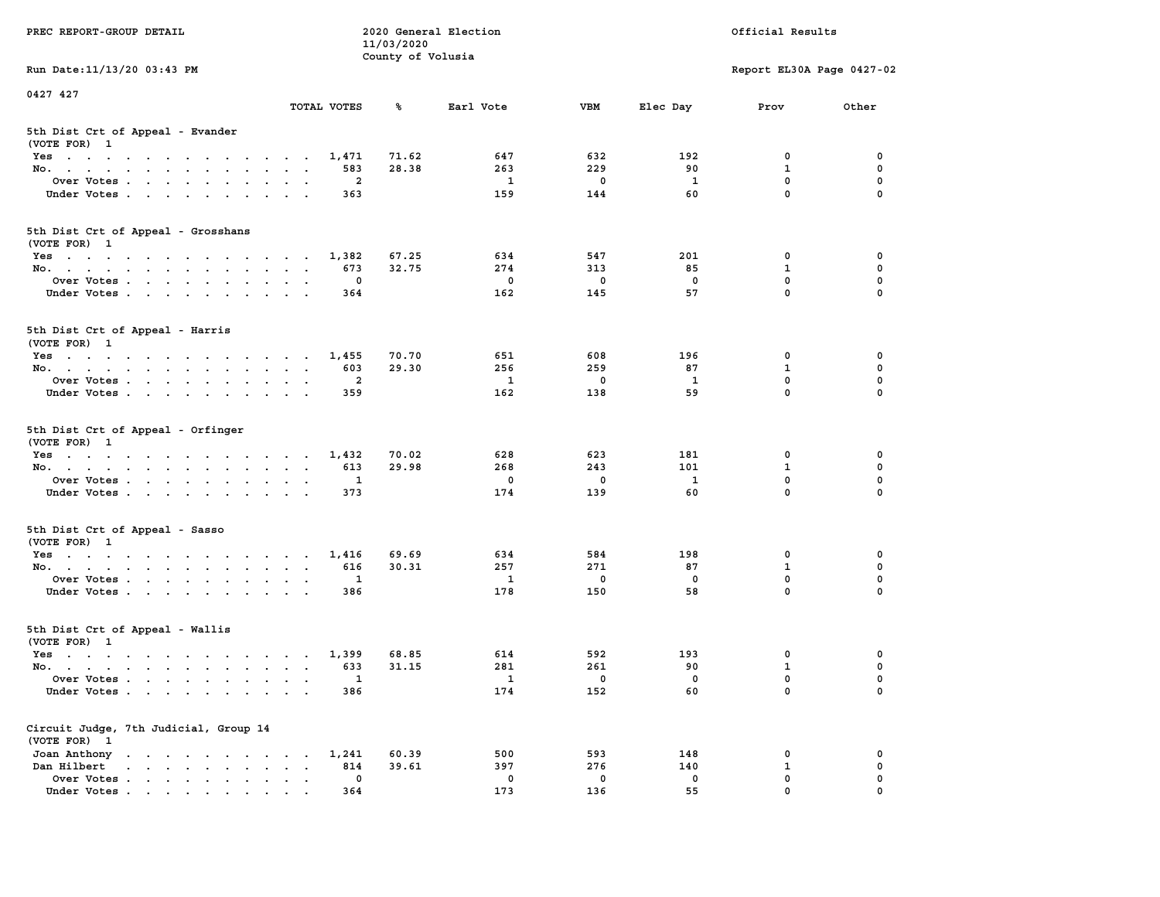| PREC REPORT-GROUP DETAIL                                                                                               |                                          | 11/03/2020        | 2020 General Election   |              | Official Results |                            |             |  |
|------------------------------------------------------------------------------------------------------------------------|------------------------------------------|-------------------|-------------------------|--------------|------------------|----------------------------|-------------|--|
| Run Date: 11/13/20 03:43 PM                                                                                            |                                          | County of Volusia |                         |              |                  | Report EL30A Page 0427-02  |             |  |
| 0427 427                                                                                                               |                                          |                   |                         |              |                  |                            |             |  |
|                                                                                                                        | TOTAL VOTES                              | ℁                 | Earl Vote               | <b>VBM</b>   | Elec Day         | Prov                       | Other       |  |
| 5th Dist Crt of Appeal - Evander<br>(VOTE FOR) 1                                                                       |                                          |                   |                         |              |                  |                            |             |  |
| Yes                                                                                                                    | 1,471                                    | 71.62             | 647                     | 632          | 192              | 0                          | 0           |  |
| No.                                                                                                                    | 583                                      | 28.38             | 263                     | 229          | 90               | $\mathbf{1}$               | 0           |  |
| Over Votes                                                                                                             | 2                                        |                   | $\mathbf{1}$            | 0            | 1                | $\mathbf 0$                | 0           |  |
| Under Votes                                                                                                            | 363                                      |                   | 159                     | 144          | 60               | $\mathbf 0$                | $\Omega$    |  |
| 5th Dist Crt of Appeal - Grosshans<br>(VOTE FOR) 1                                                                     |                                          |                   |                         |              |                  |                            |             |  |
| Yes                                                                                                                    | 1,382                                    | 67.25             | 634                     | 547          | 201              | 0                          | 0           |  |
| No.                                                                                                                    | 673                                      | 32.75             | 274                     | 313          | 85               | 1                          | 0           |  |
| Over Votes                                                                                                             | 0                                        |                   | $\mathbf 0$             | $\mathbf 0$  | $\mathbf 0$      | 0                          | $\mathbf 0$ |  |
| Under Votes                                                                                                            | 364                                      |                   | 162                     | 145          | 57               | $\mathbf{0}$               | 0           |  |
| 5th Dist Crt of Appeal - Harris<br>(VOTE FOR) 1                                                                        |                                          |                   |                         |              |                  |                            |             |  |
| $Yes \cdot \cdot \cdot \cdot \cdot \cdot \cdot \cdot \cdot \cdot \cdot \cdot \cdot$                                    | 1,455                                    | 70.70             | 651                     | 608          | 196              | 0                          | 0           |  |
| No.                                                                                                                    | 603                                      | 29.30             | 256                     | 259          | 87               | $\mathbf{1}$               | $\mathbf 0$ |  |
| Over Votes                                                                                                             | $\mathbf{2}$                             |                   | 1                       | $\mathbf 0$  | 1                | $\mathbf{0}$               | 0           |  |
| Under Votes                                                                                                            | 359                                      |                   | 162                     | 138          | 59               | $\mathbf 0$                | 0           |  |
| 5th Dist Crt of Appeal - Orfinger<br>(VOTE FOR) 1                                                                      |                                          |                   |                         |              |                  |                            |             |  |
| Yes                                                                                                                    | 1,432                                    | 70.02             | 628                     | 623          | 181              | 0                          | 0           |  |
| No.                                                                                                                    | 613                                      | 29.98             | 268                     | 243          | 101              | $\mathbf{1}$               | 0           |  |
| Over Votes                                                                                                             | 1                                        |                   | 0                       | 0            | <b>1</b>         | $\mathbf 0$<br>$\mathbf 0$ | 0           |  |
| Under Votes                                                                                                            | 373                                      |                   | 174                     | 139          | 60               |                            | $\Omega$    |  |
| 5th Dist Crt of Appeal - Sasso<br>(VOTE FOR) 1                                                                         |                                          |                   |                         |              |                  |                            |             |  |
| Yes                                                                                                                    | 1,416                                    | 69.69             | 634                     | 584          | 198              | 0                          | 0           |  |
| No.                                                                                                                    | 616                                      | 30.31             | 257                     | 271          | 87               | 1                          | 0           |  |
| Over Votes                                                                                                             | 1                                        |                   | $\mathbf{1}$            | $\mathbf 0$  | $\mathbf 0$      | 0                          | 0           |  |
| Under Votes                                                                                                            | 386                                      |                   | 178                     | 150          | 58               | $\mathbf{0}$               | $\Omega$    |  |
| 5th Dist Crt of Appeal - Wallis<br>(VOTE FOR) 1                                                                        |                                          |                   |                         |              |                  |                            |             |  |
| Yes<br>the contract of the contract of the contract of the contract of the contract of the contract of the contract of | 1,399                                    | 68.85             | 614                     | 592          | 193              | 0                          | 0           |  |
| No.                                                                                                                    | 633                                      | 31.15             | 281                     | 261          | 90               | $\mathbf{1}$               | 0           |  |
| Over Votes                                                                                                             | 1                                        |                   | $\overline{\mathbf{1}}$ | $\mathbf{0}$ | 0                | $\mathbf 0$                | 0           |  |
| Under Votes                                                                                                            | 386                                      |                   | 174                     | 152          | 60               | 0                          | 0           |  |
| Circuit Judge, 7th Judicial, Group 14<br>(VOTE FOR) 1                                                                  |                                          |                   |                         |              |                  |                            |             |  |
| Joan Anthony                                                                                                           | 1,241                                    | 60.39             | 500                     | 593          | 148              | 0                          | 0           |  |
| Dan Hilbert<br>$\mathbf{r}$ and $\mathbf{r}$ and $\mathbf{r}$ and $\mathbf{r}$ and $\mathbf{r}$                        | 814<br>$\ddot{\phantom{a}}$<br>$\bullet$ | 39.61             | 397                     | 276          | 140              | $\mathbf{1}$               | 0           |  |
| Over Votes                                                                                                             | 0                                        |                   | 0                       | $\mathbf 0$  | 0                | $\mathbf 0$                | 0           |  |
| Under Votes                                                                                                            | 364                                      |                   | 173                     | 136          | 55               | 0                          |             |  |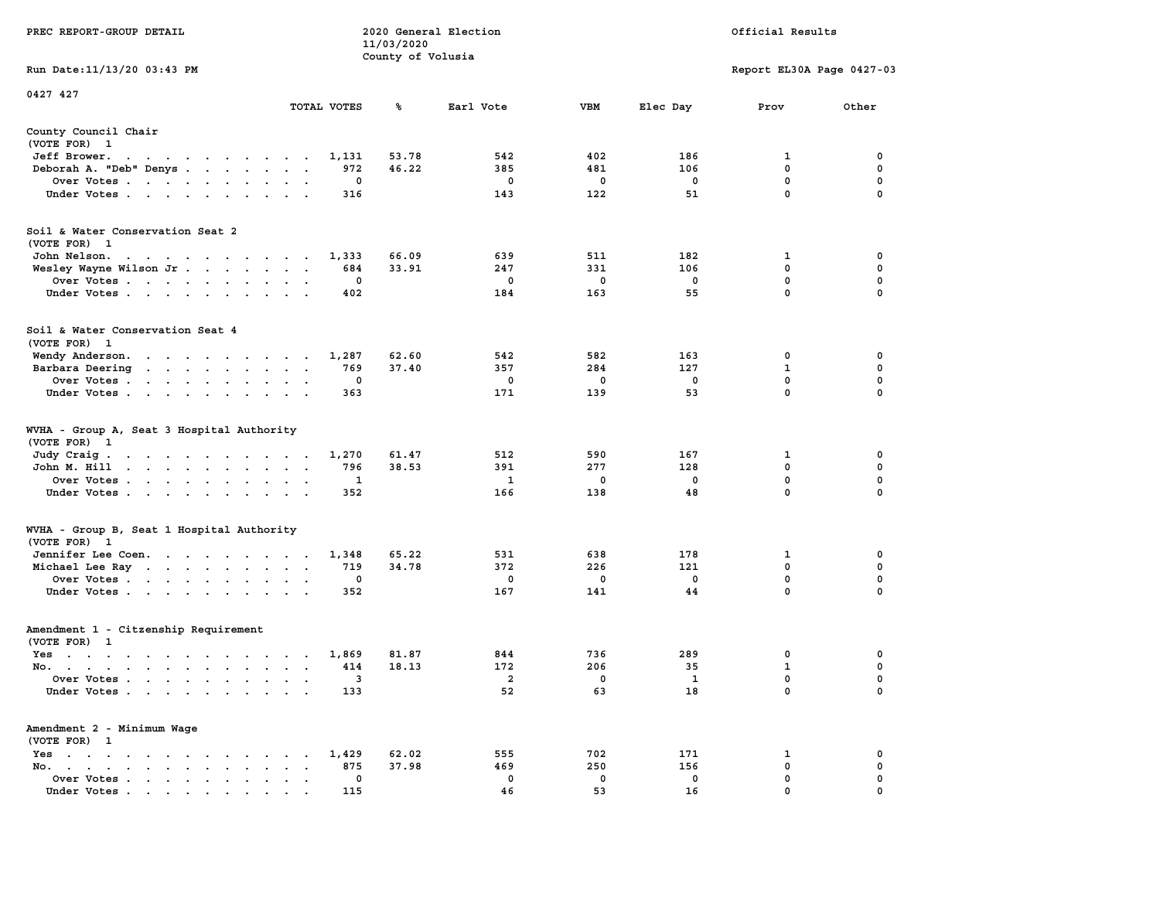|                                                                                                                                                                                                              |                                                                             | 11/03/2020        |             |            |             |                           |                  |
|--------------------------------------------------------------------------------------------------------------------------------------------------------------------------------------------------------------|-----------------------------------------------------------------------------|-------------------|-------------|------------|-------------|---------------------------|------------------|
|                                                                                                                                                                                                              |                                                                             | County of Volusia |             |            |             |                           |                  |
| Run Date:11/13/20 03:43 PM                                                                                                                                                                                   |                                                                             |                   |             |            |             | Report EL30A Page 0427-03 |                  |
| 0427 427                                                                                                                                                                                                     |                                                                             |                   |             |            |             |                           |                  |
|                                                                                                                                                                                                              | TOTAL VOTES                                                                 | %                 | Earl Vote   | <b>VBM</b> | Elec Day    | Prov                      | Other            |
| County Council Chair                                                                                                                                                                                         |                                                                             |                   |             |            |             |                           |                  |
| (VOTE FOR) 1                                                                                                                                                                                                 |                                                                             |                   |             |            |             |                           |                  |
| Jeff Brower.<br>$\sim$ $\sim$<br>the contract of the contract of the contract of the contract of the contract of the contract of the contract of                                                             | 1,131                                                                       | 53.78             | 542         | 402        | 186         | 1                         | 0                |
| Deborah A. "Deb" Denys                                                                                                                                                                                       | 972<br>$\overline{a}$                                                       | 46.22             | 385         | 481        | 106         | $\mathbf 0$               | $\pmb{0}$        |
| Over Votes                                                                                                                                                                                                   | 0<br>$\bullet$                                                              |                   | $\mathbf 0$ | 0          | $\mathbf 0$ | $\mathbf 0$               | 0                |
| Under Votes<br>$\ddot{\phantom{0}}$                                                                                                                                                                          | 316<br>$\ddot{\phantom{a}}$<br>$\cdot$                                      |                   | 143         | 122        | 51          | $\mathbf 0$               | 0                |
| Soil & Water Conservation Seat 2                                                                                                                                                                             |                                                                             |                   |             |            |             |                           |                  |
| (VOTE FOR) 1                                                                                                                                                                                                 |                                                                             |                   |             |            |             |                           |                  |
| John Nelson.<br>$\mathbf{a}$ . The second contribution of the second contribution $\mathbf{a}$                                                                                                               | 1,333                                                                       | 66.09             | 639         | 511        | 182         | 1                         | 0                |
| Wesley Wayne Wilson Jr                                                                                                                                                                                       | 684<br>$\sim$<br>$\sim$<br>$\sim$                                           | 33.91             | 247         | 331        | 106         | 0                         | 0                |
| Over Votes<br>$\overline{\phantom{a}}$                                                                                                                                                                       | 0<br>$\cdot$                                                                |                   | 0           | 0          | $\mathbf 0$ | 0                         | $\mathbf 0$      |
| Under Votes<br>$\sim$                                                                                                                                                                                        | 402<br>$\ddot{\phantom{a}}$                                                 |                   | 184         | 163        | 55          | $\mathbf{0}$              | $\mathbf 0$      |
|                                                                                                                                                                                                              |                                                                             |                   |             |            |             |                           |                  |
| Soil & Water Conservation Seat 4                                                                                                                                                                             |                                                                             |                   |             |            |             |                           |                  |
| (VOTE FOR) 1                                                                                                                                                                                                 |                                                                             |                   |             |            |             |                           |                  |
| Wendy Anderson.                                                                                                                                                                                              | 1,287                                                                       | 62.60             | 542         | 582        | 163         | 0                         | 0                |
| Barbara Deering                                                                                                                                                                                              | 769<br>$\bullet$<br>$\bullet$                                               | 37.40             | 357         | 284        | 127         | $\mathbf{1}$              | $\mathbf 0$      |
| Over Votes<br>$\sim$                                                                                                                                                                                         | $\mathbf 0$                                                                 |                   | 0           | 0          | $\mathbf 0$ | 0                         | $\mathbf 0$      |
| Under Votes<br>$\ddot{\phantom{0}}$                                                                                                                                                                          | 363                                                                         |                   | 171         | 139        | 53          | $\mathbf 0$               | $\mathbf 0$      |
| WVHA - Group A, Seat 3 Hospital Authority<br>(VOTE FOR)<br>- 1                                                                                                                                               |                                                                             |                   |             |            |             |                           |                  |
| Judy Craig.                                                                                                                                                                                                  | 1,270                                                                       | 61.47             | 512         | 590        | 167         | 1                         | 0                |
| $\mathcal{A}=\mathcal{A}=\mathcal{A}=\mathcal{A}=\mathcal{A}=\mathcal{A}=\mathcal{A}=\mathcal{A}=\mathcal{A}$<br>John M. Hill<br>$\cdot$ $\cdot$ $\cdot$<br><b>Contract Contract</b><br>$\ddot{\phantom{1}}$ | 796<br>$\ddot{\phantom{a}}$<br>$\ddot{\phantom{a}}$<br>$\ddot{\phantom{a}}$ | 38.53             | 391         | 277        | 128         | 0                         | $\mathbf 0$      |
| Over Votes                                                                                                                                                                                                   | 1<br>$\cdot$                                                                |                   | 1           | 0          | $\mathbf 0$ | 0                         | $\mathbf 0$      |
| Under Votes<br>$\cdot$                                                                                                                                                                                       | $\cdot$<br>352                                                              |                   | 166         | 138        | 48          | 0                         | 0                |
|                                                                                                                                                                                                              | $\cdot$                                                                     |                   |             |            |             |                           |                  |
| WVHA - Group B, Seat 1 Hospital Authority                                                                                                                                                                    |                                                                             |                   |             |            |             |                           |                  |
| (VOTE FOR)<br>$\mathbf{1}$                                                                                                                                                                                   |                                                                             |                   |             |            |             |                           |                  |
| Jennifer Lee Coen.                                                                                                                                                                                           | 1,348                                                                       | 65.22             | 531         | 638        | 178         | 1                         | 0                |
| Michael Lee Ray                                                                                                                                                                                              | 719<br>$\bullet$<br>$\bullet$<br>$\,$ .                                     | 34.78             | 372         | 226        | 121         | 0<br>$\mathbf 0$          | 0<br>$\mathbf 0$ |
| Over Votes                                                                                                                                                                                                   | 0<br>$\bullet$<br>$\bullet$                                                 |                   | 0           | 0          | $^{\circ}$  | $\mathbf 0$               |                  |
| Under Votes<br>$\cdot$                                                                                                                                                                                       | 352<br>$\cdot$<br>$\sim$                                                    |                   | 167         | 141        | 44          |                           | 0                |
| Amendment 1 - Citzenship Requirement                                                                                                                                                                         |                                                                             |                   |             |            |             |                           |                  |
| (VOTE FOR) 1                                                                                                                                                                                                 |                                                                             |                   |             |            |             |                           |                  |
| $Yes \t . \t .$<br>the contract of the contract of the contract of the contract of the contract of the contract of the contract of                                                                           | 1,869                                                                       | 81.87             | 844         | 736        | 289         | 0                         | 0                |
| No.<br>$\cdot$                                                                                                                                                                                               | 414<br>$\ddot{\phantom{a}}$<br>$\overline{\phantom{a}}$                     | 18.13             | 172         | 206        | 35          | $\mathbf 1$               | $\mathbf 0$      |
| Over Votes .<br>$\mathbf{r}$ . The set of $\mathbf{r}$<br>$\mathbf{L}$<br>$\ddot{\phantom{a}}$<br>$\ddot{\phantom{a}}$                                                                                       | 3<br>$\cdot$<br>$\ddot{\phantom{a}}$<br>$\cdot$                             |                   | 2           | 0          | 1           | $\mathbf 0$               | $\mathbf 0$      |
| Under Votes                                                                                                                                                                                                  | 133<br>$\sim$                                                               |                   | 52          | 63         | 18          | 0                         | 0                |
| Amendment 2 - Minimum Wage                                                                                                                                                                                   |                                                                             |                   |             |            |             |                           |                  |
| (VOTE FOR) 1                                                                                                                                                                                                 |                                                                             |                   |             |            |             |                           |                  |
| $Yes \t . \t .$<br>$\bullet$<br>$\sim$ $\sim$<br>$\sim$ $\sim$<br>$\ddot{\phantom{a}}$<br>$\sim$ 100 $\mu$                                                                                                   | 1,429<br>$\bullet$                                                          | 62.02             | 555         | 702        | 171         | 1                         | 0                |
| No.<br>$\sim$ $\sim$<br>$\bullet$ . In the case of the case of $\bullet$<br>$\bullet$ .<br><br><br><br><br><br><br><br>                                                                                      | 875<br>$\cdot$                                                              | 37.98             | 469         | 250        | 156         | 0                         | $\mathbf 0$      |
| Over Votes<br>$\blacksquare$ .<br>$\bullet$                                                                                                                                                                  | 0<br>$\blacksquare$<br>$\ddot{\phantom{a}}$<br>$\ddot{\phantom{a}}$         |                   | 0           | 0          | 0           | $\mathbf{0}$              | $\mathbf 0$      |
| Under Votes                                                                                                                                                                                                  | 115                                                                         |                   | 46          | 53         | 16          | $\mathbf{0}$              | $\mathbf 0$      |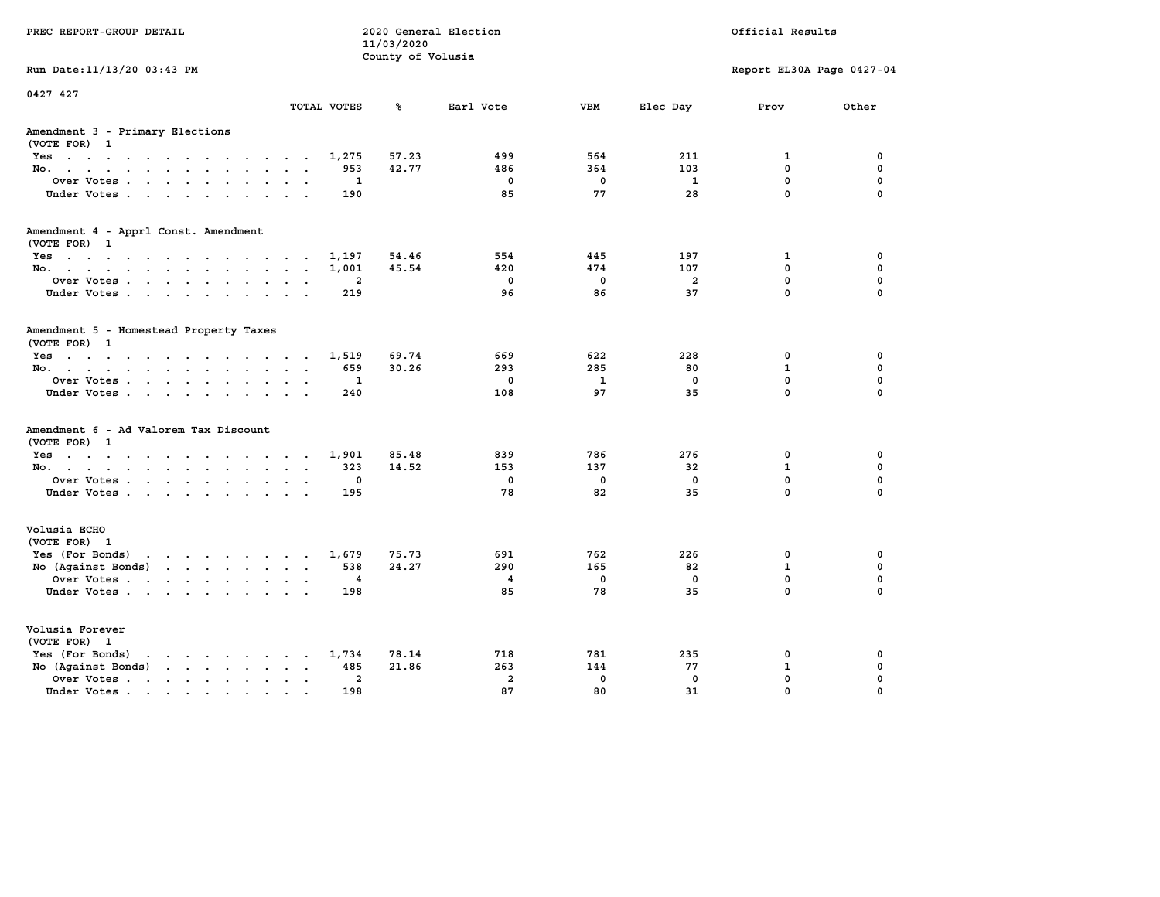| PREC REPORT-GROUP DETAIL                                                                 |               |                | 11/03/2020<br>County of Volusia | 2020 General Election   |                    |                | Official Results          |                            |
|------------------------------------------------------------------------------------------|---------------|----------------|---------------------------------|-------------------------|--------------------|----------------|---------------------------|----------------------------|
| Run Date: 11/13/20 03:43 PM                                                              |               |                |                                 |                         |                    |                | Report EL30A Page 0427-04 |                            |
| 0427 427                                                                                 |               | TOTAL VOTES    | ℁                               | Earl Vote               | <b>VBM</b>         | Elec Day       | Prov                      | Other                      |
| Amendment 3 - Primary Elections<br>(VOTE FOR) 1                                          |               |                |                                 |                         |                    |                |                           |                            |
| Yes                                                                                      |               | 1,275          | 57.23                           | 499                     | 564                | 211            | $\mathbf{1}$              | 0                          |
| No.                                                                                      |               | 953            | 42.77                           | 486                     | 364                | 103            | $^{\circ}$                | 0                          |
| Over Votes                                                                               |               | 1              |                                 | $\mathbf 0$             | $\mathbf 0$        | $\mathbf{1}$   | $\mathbf 0$               | $\mathbf 0$                |
| Under Votes.                                                                             |               | 190            |                                 | 85                      | 77                 | 28             | $\mathbf 0$               | $\mathbf 0$                |
| Amendment 4 - Apprl Const. Amendment                                                     |               |                |                                 |                         |                    |                |                           |                            |
| (VOTE FOR) 1<br>Yes                                                                      |               | 1,197          | 54.46                           | 554                     | 445                | 197            | 1                         | 0                          |
| No.                                                                                      |               | 1,001          | 45.54                           | 420                     | 474                | 107            | $^{\circ}$                | 0                          |
| Over Votes                                                                               |               | $\mathbf{2}$   |                                 | $\mathbf 0$             | $\mathbf 0$        | $\overline{a}$ | $\mathbf 0$               | $\mathbf 0$                |
| Under Votes                                                                              |               | 219            |                                 | 96                      | 86                 | 37             | $\mathbf 0$               | $\mathbf 0$                |
| Amendment 5 - Homestead Property Taxes<br>(VOTE FOR) 1                                   |               |                |                                 |                         |                    |                |                           |                            |
| Yes                                                                                      |               | 1,519          | 69.74                           | 669                     | 622                | 228            | 0                         | 0                          |
| No.                                                                                      |               | 659            | 30.26                           | 293                     | 285                | 80             | $\mathbf{1}$              | 0                          |
| Over Votes<br>Under Votes.                                                               |               | 1<br>240       |                                 | $\mathbf 0$<br>108      | $\mathbf{1}$<br>97 | 0<br>35        | $\mathbf 0$<br>$\Omega$   | $\mathbf 0$<br>$\mathbf 0$ |
|                                                                                          |               |                |                                 |                         |                    |                |                           |                            |
| Amendment 6 - Ad Valorem Tax Discount<br>(VOTE FOR) 1                                    |               |                |                                 |                         |                    |                |                           |                            |
| Yes                                                                                      |               | 1,901          | 85.48                           | 839                     | 786                | 276            | 0                         | 0                          |
| No.                                                                                      |               | 323            | 14.52                           | 153                     | 137                | 32             | 1                         | 0                          |
| Over Votes                                                                               |               | 0              |                                 | $\mathbf 0$             | $\mathbf 0$        | $\mathbf 0$    | $\mathbf 0$               | $\mathbf 0$                |
| Under Votes                                                                              |               | 195            |                                 | 78                      | 82                 | 35             | $\Omega$                  | $\Omega$                   |
| Volusia ECHO<br>(VOTE FOR) 1                                                             |               |                |                                 |                         |                    |                |                           |                            |
| Yes (For Bonds) $\cdots$ $\cdots$ $\cdots$ $\cdots$                                      |               | 1,679          | 75.73                           | 691                     | 762                | 226            | 0                         | 0                          |
| No (Against Bonds)                                                                       |               | 538            | 24.27                           | 290                     | 165                | 82             | $\mathbf{1}$              | 0                          |
| Over Votes                                                                               |               | 4              |                                 | $\overline{\mathbf{4}}$ | $\mathbf 0$        | 0              | $\mathbf 0$               | $\mathbf 0$                |
| Under Votes                                                                              |               | 198            |                                 | 85                      | 78                 | 35             | $\Omega$                  | $\Omega$                   |
| Volusia Forever<br>(VOTE FOR) 1                                                          |               |                |                                 |                         |                    |                |                           |                            |
| Yes (For Bonds)<br>$\mathbf{r}$ , and $\mathbf{r}$ , and $\mathbf{r}$ , and $\mathbf{r}$ |               | 1,734          | 78.14                           | 718                     | 781                | 235            | 0                         | 0                          |
| No (Against Bonds)                                                                       |               | 485            | 21.86                           | 263                     | 144                | 77             | 1                         | 0                          |
| Over Votes.<br>the contract of the contract of the                                       | $\sim$ $\sim$ | $\overline{a}$ |                                 | $\overline{a}$          | $\mathbf 0$        | $\mathbf 0$    | $\mathbf 0$               | $\mathbf 0$                |
| Under Votes                                                                              |               | 198            |                                 | 87                      | 80                 | 31             | $\Omega$                  | $\Omega$                   |
|                                                                                          |               |                |                                 |                         |                    |                |                           |                            |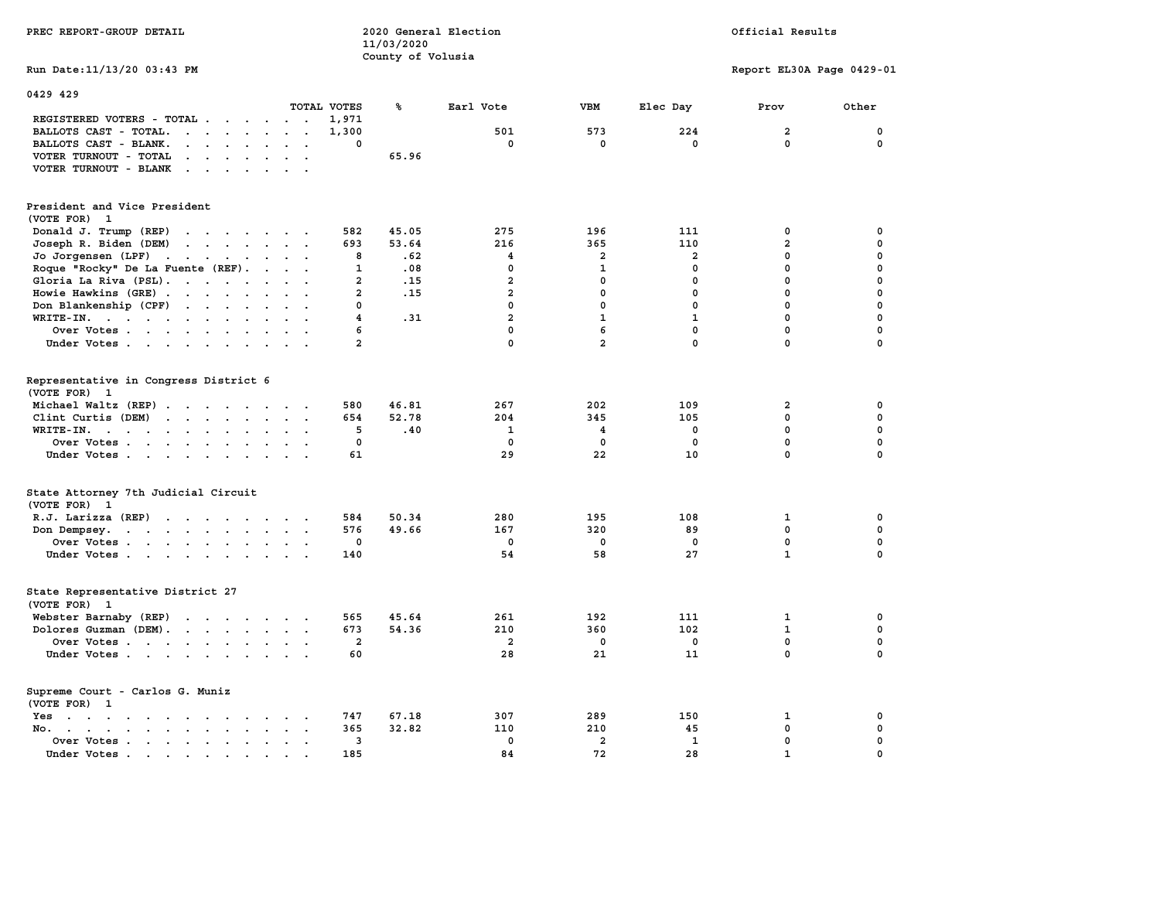| PREC REPORT-GROUP DETAIL                                                                                                                                                                                                                                   |                         | 11/03/2020        | 2020 General Election          |                         |                | Official Results              |                            |
|------------------------------------------------------------------------------------------------------------------------------------------------------------------------------------------------------------------------------------------------------------|-------------------------|-------------------|--------------------------------|-------------------------|----------------|-------------------------------|----------------------------|
|                                                                                                                                                                                                                                                            |                         | County of Volusia |                                |                         |                |                               |                            |
| Run Date: 11/13/20 03:43 PM                                                                                                                                                                                                                                |                         |                   |                                |                         |                | Report EL30A Page 0429-01     |                            |
| 0429 429                                                                                                                                                                                                                                                   |                         |                   |                                |                         |                |                               |                            |
|                                                                                                                                                                                                                                                            | TOTAL VOTES             | ℁                 | Earl Vote                      | <b>VBM</b>              | Elec Day       | Prov                          | Other                      |
| REGISTERED VOTERS - TOTAL                                                                                                                                                                                                                                  | 1,971                   |                   |                                |                         |                |                               |                            |
| BALLOTS CAST - TOTAL.<br>$\cdots$                                                                                                                                                                                                                          | 1,300                   |                   | 501                            | 573                     | 224            | $\overline{a}$                | $\mathbf 0$                |
| BALLOTS CAST - BLANK.<br>$\mathbf{r}$ . The set of the set of the set of the set of the set of the set of the set of the set of the set of the set of the set of the set of the set of the set of the set of the set of the set of the set of the set of t | 0                       |                   | $\mathbf 0$                    | $\mathbf 0$             | $\mathbf 0$    | $\mathbf 0$                   | $\mathbf 0$                |
| VOTER TURNOUT - TOTAL<br>$\cdot$                                                                                                                                                                                                                           |                         | 65.96             |                                |                         |                |                               |                            |
| VOTER TURNOUT - BLANK                                                                                                                                                                                                                                      |                         |                   |                                |                         |                |                               |                            |
| President and Vice President                                                                                                                                                                                                                               |                         |                   |                                |                         |                |                               |                            |
| (VOTE FOR) 1                                                                                                                                                                                                                                               |                         |                   |                                |                         |                |                               |                            |
| Donald J. Trump (REP)<br>the contract of the contract of the                                                                                                                                                                                               | 582                     | 45.05             | 275                            | 196                     | 111            | 0                             | $\mathbf 0$                |
| Joseph R. Biden (DEM)<br>$\mathbf{r}$ , and $\mathbf{r}$ , and $\mathbf{r}$ , and $\mathbf{r}$                                                                                                                                                             | 693                     | 53.64             | 216<br>$\overline{\mathbf{4}}$ | 365<br>$\overline{a}$   | 110            | $\overline{a}$<br>$\mathbf 0$ | $\mathbf 0$<br>$\mathbf 0$ |
| Jo Jorgensen (LPF)                                                                                                                                                                                                                                         | 8                       | .62               |                                |                         | $\overline{2}$ |                               |                            |
| Roque "Rocky" De La Fuente (REF).                                                                                                                                                                                                                          | $\mathbf{1}$            | .08               | $\mathbf 0$                    | $\mathbf{1}$            | $\mathbf{0}$   | $\mathbf 0$                   | $\mathbf 0$                |
| Gloria La Riva (PSL).                                                                                                                                                                                                                                      | $\overline{a}$          | .15               | $\overline{a}$                 | $\mathbf 0$             | 0              | 0                             | $\mathbf 0$                |
| Howie Hawkins (GRE)                                                                                                                                                                                                                                        | $\overline{a}$          | .15               | $\overline{a}$                 | $\mathbf 0$             | $\mathbf 0$    | 0                             | $\mathbf 0$                |
| Don Blankenship (CPF)                                                                                                                                                                                                                                      | $\Omega$                |                   | $\mathbf 0$                    | $\mathbf 0$             | $\mathbf 0$    | 0                             | $\mathbf 0$                |
| WRITE-IN.<br>$\cdot$ $\cdot$ $\cdot$                                                                                                                                                                                                                       | $\overline{\mathbf{4}}$ | .31               | $\overline{a}$                 | $\mathbf{1}$            | $\mathbf{1}$   | $\mathbf 0$                   | $\mathbf 0$                |
| Over Votes                                                                                                                                                                                                                                                 | 6                       |                   | $\mathbf{0}$                   | 6                       | $\mathbf{0}$   | $\mathbf 0$                   | $\mathbf 0$                |
| Under Votes                                                                                                                                                                                                                                                | $\overline{a}$          |                   | $\Omega$                       | $\overline{a}$          | $\Omega$       | 0                             | $\Omega$                   |
| Representative in Congress District 6<br>(VOTE FOR) 1<br>Michael Waltz (REP)                                                                                                                                                                               | 580                     | 46.81             | 267                            | 202                     | 109            | $\overline{2}$                | $\mathbf 0$                |
| Clint Curtis (DEM)                                                                                                                                                                                                                                         | 654                     | 52.78             | 204                            | 345                     | 105            | $\mathbf 0$                   | $\mathbf 0$                |
| WRITE-IN.<br>$\blacksquare$                                                                                                                                                                                                                                | 5                       | .40               | $\mathbf{1}$                   | $\overline{\mathbf{4}}$ | $\mathbf 0$    | $\mathbf 0$                   | $\mathbf 0$                |
| Over Votes                                                                                                                                                                                                                                                 | 0                       |                   | $\mathbf{0}$                   | $\mathbf 0$             | $\mathbf 0$    | $\mathbf{0}$                  | $\mathbf 0$                |
| Under Votes                                                                                                                                                                                                                                                | 61                      |                   | 29                             | 22                      | 10             | 0                             | $\mathbf 0$                |
| State Attorney 7th Judicial Circuit<br>(VOTE FOR) 1                                                                                                                                                                                                        |                         |                   |                                |                         |                |                               |                            |
| R.J. Larizza (REP)                                                                                                                                                                                                                                         | 584                     | 50.34             | 280                            | 195                     | 108            | 1                             | 0                          |
| Don Dempsey.                                                                                                                                                                                                                                               | 576                     | 49.66             | 167                            | 320                     | 89             | $\mathbf{0}$                  | $\mathbf 0$                |
| Over Votes                                                                                                                                                                                                                                                 | 0                       |                   | 0                              | 0                       | 0              | $\mathbf{0}$                  | $\mathbf 0$                |
| Under Votes                                                                                                                                                                                                                                                | 140                     |                   | 54                             | 58                      | 27             | $\mathbf{1}$                  | $\Omega$                   |
| State Representative District 27<br>(VOTE FOR) 1                                                                                                                                                                                                           |                         |                   |                                |                         |                |                               |                            |
| Webster Barnaby (REP)                                                                                                                                                                                                                                      | 565                     | 45.64             | 261                            | 192                     | 111            | 1                             | 0                          |
| Dolores Guzman (DEM).                                                                                                                                                                                                                                      | 673                     | 54.36             | 210                            | 360                     | 102            | $\mathbf{1}$                  | 0                          |
| Over Votes                                                                                                                                                                                                                                                 | $\overline{a}$          |                   | $\overline{a}$                 | 0                       | 0              | $\mathbf 0$                   | $\mathbf 0$                |
| Under Votes                                                                                                                                                                                                                                                | 60                      |                   | 28                             | 21                      | 11             | $\mathbf 0$                   | $\Omega$                   |
| Supreme Court - Carlos G. Muniz<br>(VOTE FOR) 1                                                                                                                                                                                                            |                         |                   |                                |                         |                |                               |                            |
| Yes                                                                                                                                                                                                                                                        | 747                     | 67.18             | 307                            | 289                     | 150            | 1                             | 0                          |
| No.<br>$\sim$ $\sim$                                                                                                                                                                                                                                       | 365                     | 32.82             | 110                            | 210                     | 45             | $\mathbf 0$                   | $\mathbf 0$                |
| Over Votes<br>$\sim$ $\sim$<br>$\overline{\phantom{a}}$                                                                                                                                                                                                    | $\overline{\mathbf{3}}$ |                   | $\mathbf 0$                    | $\overline{a}$          | $\mathbf{1}$   | $\mathbf 0$                   | $\mathbf 0$                |
| Under Votes.                                                                                                                                                                                                                                               | 185                     |                   | 84                             | 72                      | 28             | $\mathbf{1}$                  | $\mathbf 0$                |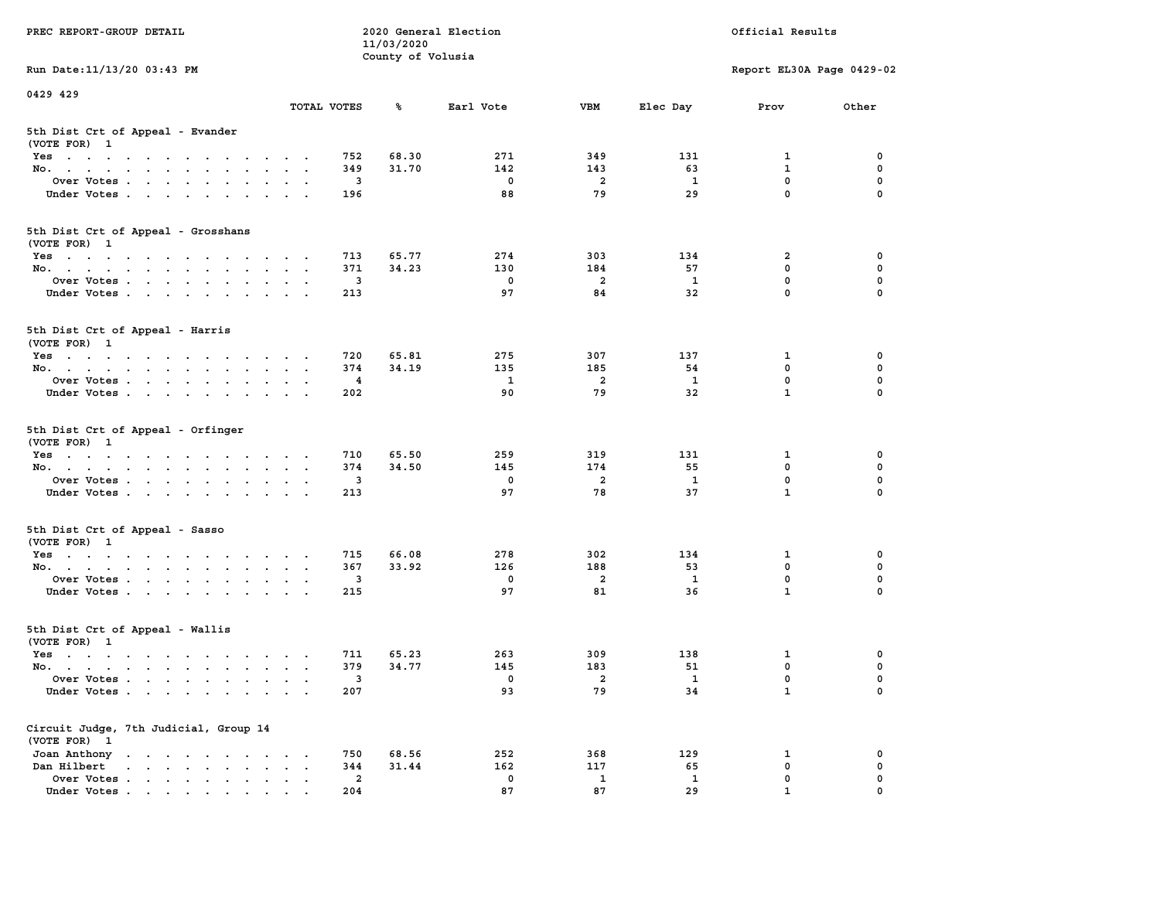| PREC REPORT-GROUP DETAIL                                                                                                                                      |               |                                | 11/03/2020<br>County of Volusia | 2020 General Election |                |                         | Official Results          |               |
|---------------------------------------------------------------------------------------------------------------------------------------------------------------|---------------|--------------------------------|---------------------------------|-----------------------|----------------|-------------------------|---------------------------|---------------|
| Run Date: 11/13/20 03:43 PM                                                                                                                                   |               |                                |                                 |                       |                |                         | Report EL30A Page 0429-02 |               |
| 0429 429                                                                                                                                                      |               |                                |                                 |                       |                |                         |                           |               |
|                                                                                                                                                               | TOTAL VOTES   |                                | ℁                               | Earl Vote             | VBM            | Elec Day                | Prov                      | Other         |
| 5th Dist Crt of Appeal - Evander<br>(VOTE FOR) 1                                                                                                              |               |                                |                                 |                       |                |                         |                           |               |
| Yes                                                                                                                                                           |               | 752                            | 68.30                           | 271                   | 349            | 131                     | 1                         | 0             |
| No.                                                                                                                                                           | $\sim$ $\sim$ | 349                            | 31.70                           | 142                   | 143            | 63                      | $\mathbf{1}$              | 0             |
| Over Votes<br>Under Votes                                                                                                                                     |               | 3<br>196                       |                                 | 0<br>88               | 2<br>79        | <b>1</b><br>29          | 0<br>$\mathbf 0$          | 0<br>$\Omega$ |
|                                                                                                                                                               |               |                                |                                 |                       |                |                         |                           |               |
| 5th Dist Crt of Appeal - Grosshans<br>(VOTE FOR) 1                                                                                                            |               |                                |                                 |                       |                |                         |                           |               |
| Yes                                                                                                                                                           |               | 713                            | 65.77                           | 274                   | 303            | 134                     | 2                         | 0             |
| No.                                                                                                                                                           |               | 371                            | 34.23                           | 130                   | 184            | 57                      | 0                         | 0             |
| Over Votes                                                                                                                                                    |               | 3                              |                                 | $\mathbf 0$           | $\overline{a}$ | 1                       | $\mathbf 0$               | 0             |
| Under Votes                                                                                                                                                   |               | 213                            |                                 | 97                    | 84             | 32                      | $\mathbf 0$               | 0             |
| 5th Dist Crt of Appeal - Harris<br>(VOTE FOR) 1                                                                                                               |               |                                |                                 |                       |                |                         |                           |               |
| Yes<br>والمتناول والمتناول والتواطئ والمتناول والتواطئ والمناور                                                                                               |               | 720                            | 65.81                           | 275                   | 307            | 137                     | 1                         | 0             |
| No.                                                                                                                                                           |               | 374                            | 34.19                           | 135                   | 185            | 54                      | 0                         | 0             |
| Over Votes                                                                                                                                                    | $\bullet$     | 4                              |                                 | 1                     | 2              | <b>1</b>                | $\mathbf 0$               | 0             |
| Under Votes                                                                                                                                                   |               | 202                            |                                 | 90                    | 79             | 32                      | $\mathbf{1}$              | 0             |
| 5th Dist Crt of Appeal - Orfinger<br>(VOTE FOR) 1                                                                                                             |               |                                |                                 |                       |                |                         |                           |               |
| Yes<br>No.                                                                                                                                                    |               | 710<br>374                     | 65.50<br>34.50                  | 259<br>145            | 319<br>174     | 131<br>55               | 1<br>$\mathbf 0$          | 0<br>0        |
| Over Votes                                                                                                                                                    | $\sim$ $\sim$ | 3                              |                                 | 0                     | 2              | 1                       | 0                         | 0             |
| Under Votes                                                                                                                                                   |               | 213                            |                                 | 97                    | 78             | 37                      | $\mathbf{1}$              | $\Omega$      |
|                                                                                                                                                               |               |                                |                                 |                       |                |                         |                           |               |
| 5th Dist Crt of Appeal - Sasso<br>(VOTE FOR) 1                                                                                                                |               |                                | 66.08                           | 278                   | 302            | 134                     |                           | 0             |
| Yes<br>No.                                                                                                                                                    | $\cdot$ .     | 715<br>367                     | 33.92                           | 126                   | 188            | 53                      | 1<br>0                    | 0             |
| Over Votes                                                                                                                                                    |               | 3                              |                                 | 0                     | 2              | 1                       | 0                         | $\mathbf 0$   |
| Under Votes                                                                                                                                                   |               | 215                            |                                 | 97                    | 81             | 36                      | $\mathbf{1}$              | 0             |
| 5th Dist Crt of Appeal - Wallis<br>(VOTE FOR) 1                                                                                                               |               |                                |                                 |                       |                |                         |                           |               |
| Yes<br>the contract of the contract of the contract of the contract of the contract of the contract of the contract of                                        |               | 711                            | 65.23                           | 263                   | 309            | 138                     | 1                         | 0             |
| No.                                                                                                                                                           | $\sim$ $\sim$ | 379                            | 34.77                           | 145                   | 183            | 51                      | 0                         | 0             |
| Over Votes                                                                                                                                                    |               | 3                              |                                 | 0                     | 2              | $\overline{\mathbf{1}}$ | 0                         | $\Omega$      |
| Under Votes.<br>$\begin{array}{cccccccccccccc} \bullet & \bullet & \bullet & \bullet & \bullet & \bullet & \bullet & \bullet & \bullet & \bullet \end{array}$ |               | 207                            |                                 | 93                    | 79             | 34                      | $\mathbf{1}$              | 0             |
| Circuit Judge, 7th Judicial, Group 14<br>(VOTE FOR) 1                                                                                                         |               |                                |                                 |                       |                |                         |                           |               |
| Joan Anthony                                                                                                                                                  |               | 750                            | 68.56                           | 252                   | 368            | 129                     | 1                         | 0             |
| Dan Hilbert<br><b>Contract Contract Contract</b><br>$\sim$<br>$\ddot{\phantom{a}}$<br>$\ddot{\phantom{a}}$<br>$\bullet$                                       |               | 344                            | 31.44                           | 162                   | 117            | 65                      | $\mathbf 0$               | 0             |
| Over Votes .<br>$\cdot$ $\cdot$ $\cdot$ $\cdot$ $\cdot$<br>Under Votes                                                                                        |               | $\overline{\mathbf{2}}$<br>204 |                                 | 0<br>87               | 1<br>87        | 1<br>29                 | 0                         | 0             |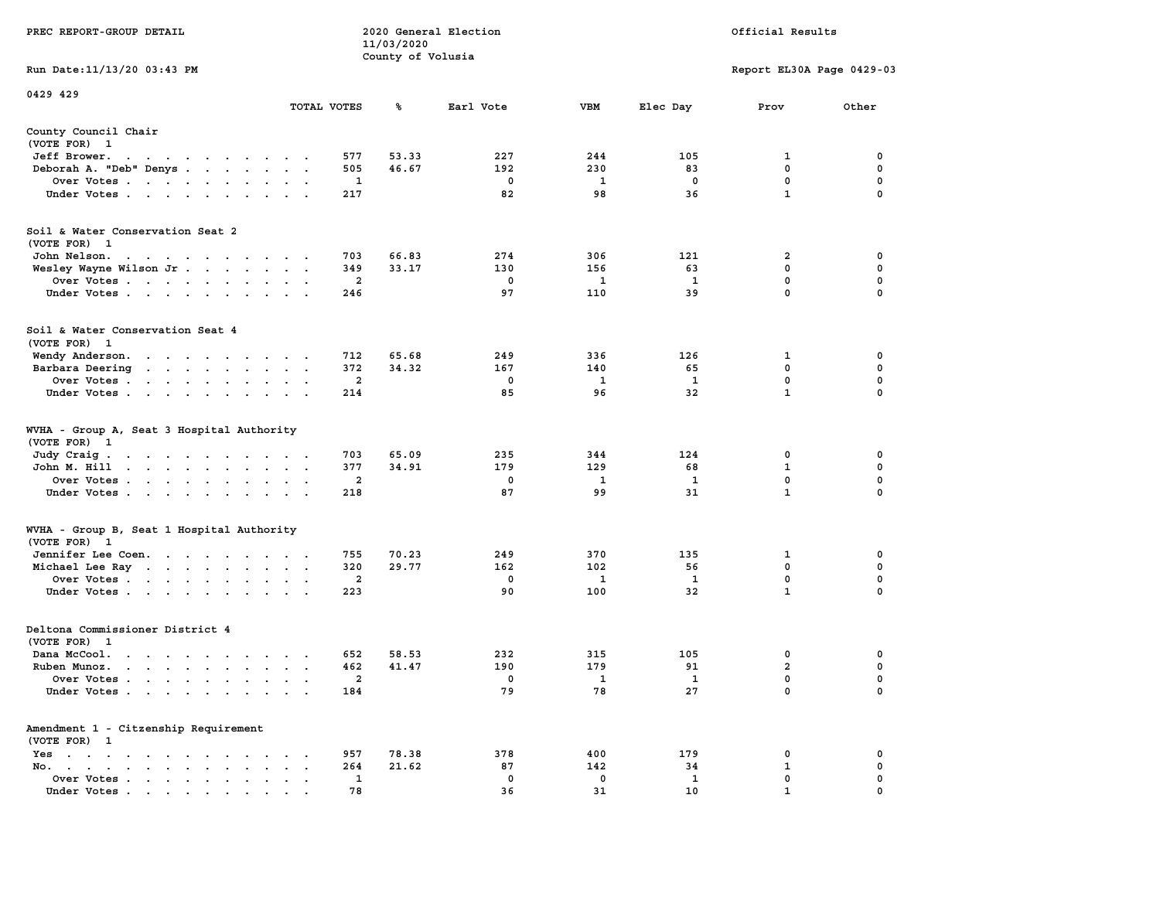|                                                                                                                                 |                      |                         | 11/03/2020        |             |              |              |                             |                  |
|---------------------------------------------------------------------------------------------------------------------------------|----------------------|-------------------------|-------------------|-------------|--------------|--------------|-----------------------------|------------------|
| Run Date: 11/13/20 03:43 PM                                                                                                     |                      |                         | County of Volusia |             |              |              | Report EL30A Page 0429-03   |                  |
| 0429 429                                                                                                                        |                      |                         |                   |             |              |              |                             |                  |
|                                                                                                                                 | TOTAL VOTES          |                         | ℁                 | Earl Vote   | <b>VBM</b>   | Elec Day     | Prov                        | Other            |
| County Council Chair<br>(VOTE FOR) 1                                                                                            |                      |                         |                   |             |              |              |                             |                  |
| Jeff Brower.                                                                                                                    |                      | 577                     | 53.33             | 227         | 244          | 105          | 1                           | 0                |
| Deborah A. "Deb" Denys                                                                                                          |                      | 505                     | 46.67             | 192         | 230          | 83           | $\mathbf{0}$                | $\mathbf 0$      |
| Over Votes                                                                                                                      |                      | 1                       |                   | $\mathbf 0$ | 1            | $\mathbf 0$  | $\mathbf 0$                 | $\mathbf 0$      |
| Under Votes                                                                                                                     |                      | 217                     |                   | 82          | 98           | 36           | $\mathbf{1}$                | $\mathbf 0$      |
| Soil & Water Conservation Seat 2                                                                                                |                      |                         |                   |             |              |              |                             |                  |
| (VOTE FOR) 1                                                                                                                    |                      |                         |                   |             |              |              |                             |                  |
| John Nelson.<br>the contract of the contract of the contract of the contract of the contract of the contract of the contract of |                      | 703                     | 66.83             | 274         | 306          | 121          | 2                           | 0                |
| Wesley Wayne Wilson Jr                                                                                                          |                      | 349                     | 33.17             | 130         | 156          | 63           | $\mathbf 0$                 | $\mathbf 0$      |
| Over Votes                                                                                                                      |                      | $\overline{\mathbf{2}}$ |                   | $\mathbf 0$ | 1            | $\mathbf{1}$ | $\mathbf 0$                 | $\mathbf 0$      |
| Under Votes                                                                                                                     |                      | 246                     |                   | 97          | 110          | 39           | $\mathbf 0$                 | $\Omega$         |
| Soil & Water Conservation Seat 4<br>(VOTE FOR) 1                                                                                |                      |                         |                   |             |              |              |                             |                  |
| Wendy Anderson.                                                                                                                 |                      | 712                     | 65.68             | 249         | 336          | 126          | 1                           | 0                |
| Barbara Deering                                                                                                                 |                      | 372                     | 34.32             | 167         | 140          | 65           | 0                           | 0                |
| Over Votes                                                                                                                      |                      | 2                       |                   | $^{\circ}$  | 1            | 1            | 0                           | 0                |
| Under Votes                                                                                                                     |                      | 214                     |                   | 85          | 96           | 32           | $\mathbf{1}$                | $\mathbf 0$      |
| WVHA - Group A, Seat 3 Hospital Authority<br>(VOTE FOR) 1                                                                       |                      |                         | 65.09             |             |              |              |                             |                  |
| Judy Craig.<br>John M. Hill                                                                                                     |                      | 703<br>377              | 34.91             | 235<br>179  | 344<br>129   | 124<br>68    | $\mathbf 0$<br>$\mathbf{1}$ | 0<br>$\mathbf 0$ |
|                                                                                                                                 |                      |                         |                   | $\mathbf 0$ | $\mathbf{1}$ | $\mathbf{1}$ | $\mathbf 0$                 | $\mathbf 0$      |
| Over Votes                                                                                                                      |                      | $\overline{a}$<br>218   |                   | 87          | 99           | 31           | $\mathbf{1}$                | $\mathbf 0$      |
| Under Votes                                                                                                                     |                      |                         |                   |             |              |              |                             |                  |
| WVHA - Group B, Seat 1 Hospital Authority<br>(VOTE FOR) 1                                                                       |                      |                         |                   |             |              |              |                             |                  |
| Jennifer Lee Coen.                                                                                                              |                      | 755                     | 70.23             | 249         | 370          | 135          | 1                           | 0                |
| Michael Lee Ray                                                                                                                 |                      | 320                     | 29.77             | 162         | 102          | 56           | $\mathbf 0$                 | 0                |
| Over Votes                                                                                                                      |                      | 2                       |                   | $^{\circ}$  | 1            | 1            | $\mathbf{0}$                | $\mathbf 0$      |
| Under Votes                                                                                                                     |                      | 223                     |                   | 90          | 100          | 32           | $\mathbf{1}$                | $\mathbf 0$      |
| Deltona Commissioner District 4<br>(VOTE FOR) 1                                                                                 |                      |                         |                   |             |              |              |                             |                  |
| Dana McCool.<br>the contract of the contract of the contract of the contract of the contract of the contract of the contract of |                      | 652                     | 58.53             | 232         | 315          | 105          | $\mathbf{0}$                | 0                |
| Ruben Munoz.                                                                                                                    |                      | 462                     | 41.47             | 190         | 179          | 91           | $\overline{a}$              | $\mathbf 0$      |
| Over Votes                                                                                                                      |                      | $\overline{2}$          |                   | $\Omega$    | $\mathbf{1}$ | $\mathbf{1}$ | $\mathbf{0}$                | $\mathbf 0$      |
| Under Votes                                                                                                                     |                      | 184                     |                   | 79          | 78           | 27           | $\mathbf{0}$                | $\mathbf 0$      |
| Amendment 1 - Citzenship Requirement                                                                                            |                      |                         |                   |             |              |              |                             |                  |
| (VOTE FOR) 1                                                                                                                    |                      | 957                     | 78.38             | 378         | 400          | 179          | 0                           | 0                |
| Yes<br>No.                                                                                                                      | $\cdot$ .            | 264                     | 21.62             | 87          | 142          | 34           | $\mathbf{1}$                | 0                |
| Over Votes<br>$\sim$ $\sim$ $\sim$                                                                                              | $\ddot{\phantom{a}}$ | 1                       |                   | $\mathbf 0$ | $\mathbf 0$  | 1            | 0                           | 0                |
| Under Votes                                                                                                                     |                      | 78                      |                   | 36          | 31           | 10           | $\mathbf{1}$                | $\Omega$         |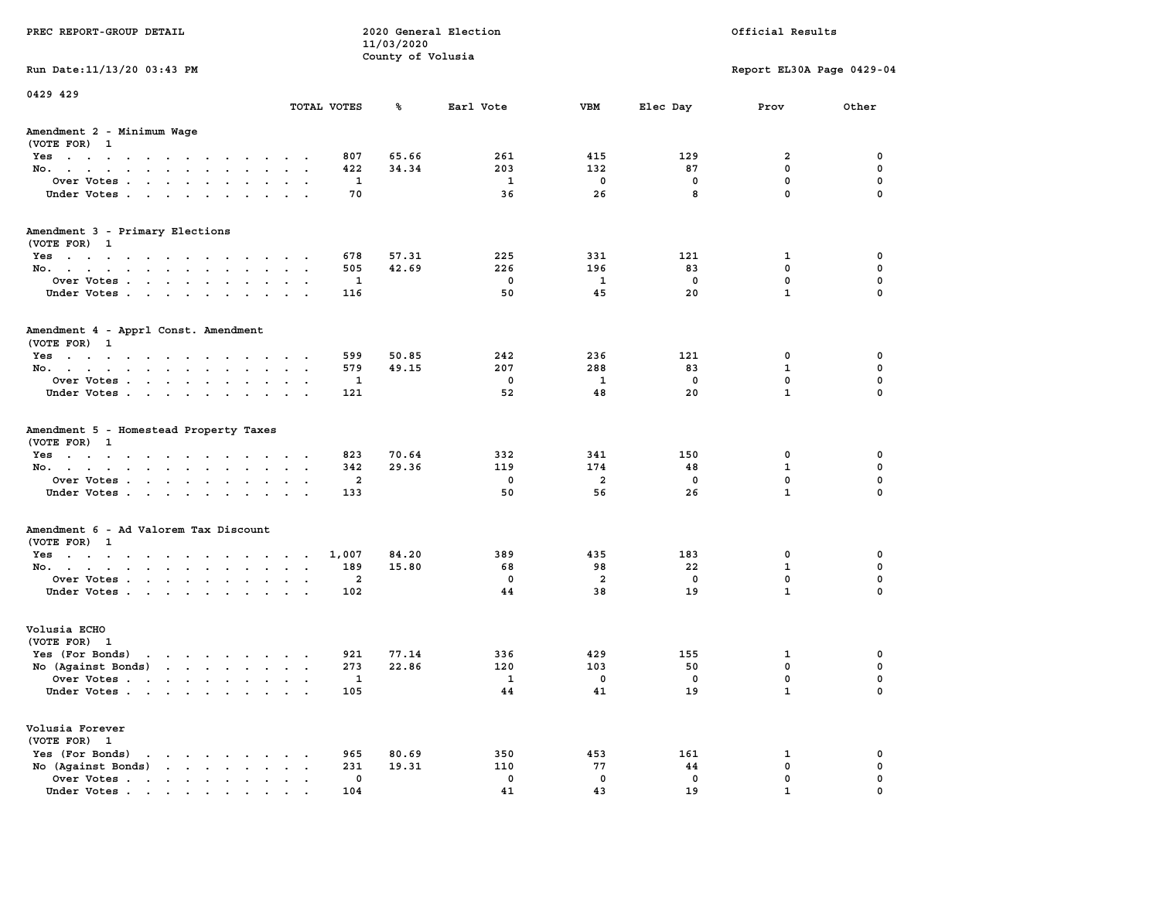| PREC REPORT-GROUP DETAIL                                                                    |                                                     | 11/03/2020        | 2020 General Election   |                |           | Official Results          |             |
|---------------------------------------------------------------------------------------------|-----------------------------------------------------|-------------------|-------------------------|----------------|-----------|---------------------------|-------------|
|                                                                                             |                                                     | County of Volusia |                         |                |           |                           |             |
| Run Date: 11/13/20 03:43 PM                                                                 |                                                     |                   |                         |                |           | Report EL30A Page 0429-04 |             |
| 0429 429                                                                                    | TOTAL VOTES                                         | ጜ                 | Earl Vote               | <b>VBM</b>     | Elec Day  | Prov                      | Other       |
|                                                                                             |                                                     |                   |                         |                |           |                           |             |
| Amendment 2 - Minimum Wage<br>(VOTE FOR) 1                                                  |                                                     |                   |                         |                |           |                           |             |
| Yes                                                                                         | 807                                                 | 65.66             | 261                     | 415            | 129       | 2                         | 0           |
| No.                                                                                         | 422                                                 | 34.34             | 203                     | 132            | 87        | $\mathbf 0$               | $\mathbf 0$ |
| Over Votes                                                                                  | 1                                                   |                   | <b>1</b>                | 0              | 0         | $\mathbf 0$               | 0           |
| Under Votes                                                                                 | 70                                                  |                   | 36                      | 26             | 8         | $\mathbf 0$               | $\mathbf 0$ |
| Amendment 3 - Primary Elections                                                             |                                                     |                   |                         |                |           |                           |             |
| (VOTE FOR) 1                                                                                |                                                     |                   |                         |                |           |                           |             |
| Yes                                                                                         | 678<br>505                                          | 57.31<br>42.69    | 225<br>226              | 331<br>196     | 121<br>83 | 1<br>0                    | 0<br>0      |
| No.<br>Over Votes                                                                           | 1                                                   |                   | $\overline{\mathbf{0}}$ | 1              | 0         | $\mathbf 0$               | $\mathbf 0$ |
| Under Votes                                                                                 | 116                                                 |                   | 50                      | 45             | 20        | $\mathbf{1}$              | $\mathbf 0$ |
|                                                                                             |                                                     |                   |                         |                |           |                           |             |
| Amendment 4 - Apprl Const. Amendment                                                        |                                                     |                   |                         |                |           |                           |             |
| (VOTE FOR) 1<br>Yes                                                                         | 599                                                 | 50.85             | 242                     | 236            | 121       | 0                         | 0           |
| No.                                                                                         | 579                                                 | 49.15             | 207                     | 288            | 83        | 1                         | 0           |
| Over Votes                                                                                  | 1                                                   |                   | 0                       | 1              | 0         | $\mathbf{0}$              | $\mathbf 0$ |
| Under Votes                                                                                 | 121                                                 |                   | 52                      | 48             | 20        | $\mathbf{1}$              | $\mathbf 0$ |
| Amendment 5 - Homestead Property Taxes<br>(VOTE FOR) 1<br>Yes                               | 823                                                 | 70.64             | 332                     | 341            | 150       | 0                         | 0           |
| No.                                                                                         | 342                                                 | 29.36             | 119                     | 174            | 48        | $\mathbf{1}$              | 0           |
| Over Votes                                                                                  | 2                                                   |                   | 0                       | $\overline{2}$ | 0         | $\mathbf 0$               | 0           |
| Under Votes                                                                                 | 133                                                 |                   | 50                      | 56             | 26        | $\mathbf{1}$              | $\Omega$    |
| Amendment 6 - Ad Valorem Tax Discount                                                       |                                                     |                   |                         |                |           |                           |             |
| (VOTE FOR) 1                                                                                |                                                     |                   |                         |                |           |                           |             |
| Yes                                                                                         | 1,007                                               | 84.20             | 389<br>68               | 435<br>98      | 183       | 0<br>$\mathbf{1}$         | 0<br>0      |
| No.<br>Over Votes                                                                           | 189<br>2                                            | 15.80             | 0                       | $\overline{a}$ | 22<br>0   | $\mathbf 0$               | 0           |
| Under Votes                                                                                 | 102                                                 |                   | 44                      | 38             | 19        | $\mathbf{1}$              | $\mathbf 0$ |
|                                                                                             |                                                     |                   |                         |                |           |                           |             |
| Volusia ECHO<br>(VOTE FOR) 1                                                                |                                                     |                   |                         |                |           |                           |             |
| Yes (For Bonds)<br>$\mathbf{r}$                                                             | 921                                                 | 77.14             | 336                     | 429            | 155       | 1                         | 0           |
| No (Against Bonds)                                                                          | 273                                                 | 22.86             | 120                     | 103            | 50        | 0                         | 0           |
| Over Votes                                                                                  | 1                                                   |                   | $\mathbf{1}$            | 0              | 0         | $\Omega$                  | $\mathbf 0$ |
| Under Votes                                                                                 | 105                                                 |                   | 44                      | 41             | 19        | $\mathbf{1}$              | 0           |
| Volusia Forever<br>(VOTE FOR) 1                                                             |                                                     |                   |                         |                |           |                           |             |
| Yes (For Bonds)<br>$\mathbf{r}$ , $\mathbf{r}$ , $\mathbf{r}$ , $\mathbf{r}$ , $\mathbf{r}$ | 965                                                 | 80.69             | 350                     | 453            | 161       | 1                         | 0           |
| No (Against Bonds)                                                                          | 231<br>$\ddot{\phantom{a}}$<br>$\ddot{\phantom{1}}$ | 19.31             | 110                     | 77             | 44        | $\mathbf 0$               | $\mathbf 0$ |
| Over Votes                                                                                  | 0                                                   |                   | 0                       | 0              | 0         | $\mathbf 0$               | 0           |
| Under Votes                                                                                 | 104                                                 |                   | 41                      | 43             | 19        | 1                         | $\Omega$    |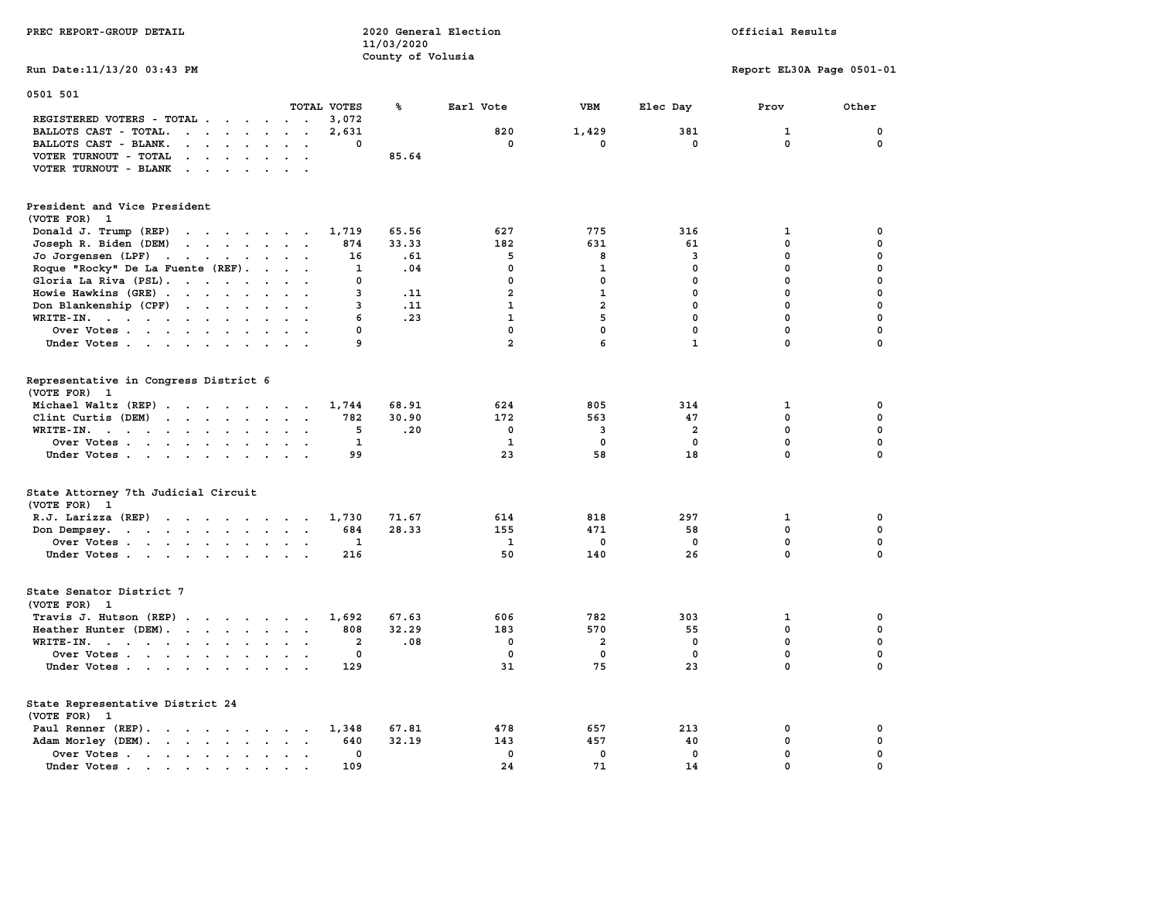| PREC REPORT-GROUP DETAIL                                                                                                                                                                                                                                                                                                                                                                                                                                                               | 2020 General Election<br>11/03/2020<br>County of Volusia |                         |                  |                            | Official Results           |                            |
|----------------------------------------------------------------------------------------------------------------------------------------------------------------------------------------------------------------------------------------------------------------------------------------------------------------------------------------------------------------------------------------------------------------------------------------------------------------------------------------|----------------------------------------------------------|-------------------------|------------------|----------------------------|----------------------------|----------------------------|
| Run Date: 11/13/20 03:43 PM                                                                                                                                                                                                                                                                                                                                                                                                                                                            |                                                          |                         |                  |                            | Report EL30A Page 0501-01  |                            |
| 0501 501<br>TOTAL VOTES                                                                                                                                                                                                                                                                                                                                                                                                                                                                | ℁                                                        | Earl Vote               | <b>VBM</b>       | Elec Day                   | Prov                       | Other                      |
| REGISTERED VOTERS - TOTAL<br>BALLOTS CAST - TOTAL.<br>and the contract of the contract of<br>$\ddot{\phantom{a}}$<br>$\overline{\phantom{a}}$<br>BALLOTS CAST - BLANK.<br>$\cdot$ $\cdot$ $\cdot$ $\cdot$ $\cdot$<br>$\ddot{\phantom{a}}$<br>$\blacksquare$<br>VOTER TURNOUT - TOTAL<br>$\mathbf{r}$ , $\mathbf{r}$ , $\mathbf{r}$ , $\mathbf{r}$ , $\mathbf{r}$<br>$\sim$ $\sim$<br>VOTER TURNOUT - BLANK<br>$\mathbf{r}$ , $\mathbf{r}$ , $\mathbf{r}$ , $\mathbf{r}$ , $\mathbf{r}$ | 3,072<br>2,631<br>0<br>85.64                             | 820<br>0                | 1,429<br>0       | 381<br>0                   | 1<br>$\mathbf{0}$          | 0<br>0                     |
| President and Vice President<br>(VOTE FOR) 1                                                                                                                                                                                                                                                                                                                                                                                                                                           |                                                          |                         |                  |                            |                            |                            |
| Donald J. Trump (REP)<br>the contract of the contract of the<br>Joseph R. Biden (DEM)<br>the contract of the contract of the                                                                                                                                                                                                                                                                                                                                                           | 65.56<br>1,719<br>874<br>33.33                           | 627<br>182              | 775<br>631       | 316<br>61                  | 1<br>0                     | 0<br>$\mathbf 0$           |
| Jo Jorgensen $(LPF)$                                                                                                                                                                                                                                                                                                                                                                                                                                                                   | 16<br>.61                                                | 5                       | 8                | 3                          | 0                          | 0                          |
| Roque "Rocky" De La Fuente (REF).<br>$\sim$ $\sim$<br>$\sim$                                                                                                                                                                                                                                                                                                                                                                                                                           | .04<br>1                                                 | $\mathbf 0$             | $\mathbf{1}$     | $\mathbf 0$                | 0                          | 0                          |
| Gloria La Riva (PSL).                                                                                                                                                                                                                                                                                                                                                                                                                                                                  | 0                                                        | $\mathbf 0$             | $\mathbf 0$      | $\mathbf 0$                | $\mathbf 0$                | 0                          |
| Howie Hawkins (GRE)<br>$\ddot{\phantom{a}}$<br>$\sim$<br>$\mathbf{r}$                                                                                                                                                                                                                                                                                                                                                                                                                  | 3<br>.11                                                 | $\overline{a}$          | $\mathbf{1}$     | 0                          | $\mathbf 0$                | 0                          |
| Don Blankenship (CPF)<br>$\sim$ $\sim$                                                                                                                                                                                                                                                                                                                                                                                                                                                 | 3<br>.11                                                 | 1                       | $\overline{a}$   | $\mathbf 0$                | 0                          | $\mathbf 0$                |
| $WRITE-IN.$<br>$\ddot{\phantom{a}}$<br>$\ddot{\phantom{a}}$<br>$\overline{a}$                                                                                                                                                                                                                                                                                                                                                                                                          | 6<br>.23<br>0                                            | $\mathbf{1}$<br>0       | 5<br>$\mathbf 0$ | $\mathbf 0$<br>$\mathbf 0$ | $\mathbf 0$<br>$\mathbf 0$ | $\mathbf 0$<br>$\mathbf 0$ |
| Over Votes<br>$\sim$ $\sim$ $\sim$                                                                                                                                                                                                                                                                                                                                                                                                                                                     | 9                                                        | $\overline{\mathbf{2}}$ | 6                | $\mathbf{1}$               | $\mathbf 0$                | $\Omega$                   |
| Under Votes                                                                                                                                                                                                                                                                                                                                                                                                                                                                            |                                                          |                         |                  |                            |                            |                            |
| Representative in Congress District 6<br>(VOTE FOR) 1                                                                                                                                                                                                                                                                                                                                                                                                                                  |                                                          |                         |                  |                            |                            |                            |
| Michael Waltz (REP)                                                                                                                                                                                                                                                                                                                                                                                                                                                                    | 68.91<br>1,744                                           | 624                     | 805              | 314                        | 1                          | 0                          |
| Clint Curtis (DEM)                                                                                                                                                                                                                                                                                                                                                                                                                                                                     | 782<br>30.90                                             | 172                     | 563              | 47                         | $\mathbf 0$                | 0                          |
| WRITE-IN.<br>$\sim$ $\sim$                                                                                                                                                                                                                                                                                                                                                                                                                                                             | 5<br>.20                                                 | $\mathbf 0$             | 3                | $\overline{\mathbf{2}}$    | $\mathbf 0$                | $\mathbf 0$                |
| Over Votes<br>$\blacksquare$<br>$\bullet$<br>$\ddot{\phantom{a}}$                                                                                                                                                                                                                                                                                                                                                                                                                      | $\mathbf{1}$                                             | $\mathbf{1}$            | 0                | 0                          | 0                          | $\pmb{0}$                  |
| Under Votes                                                                                                                                                                                                                                                                                                                                                                                                                                                                            | 99                                                       | 23                      | 58               | 18                         | $\mathbf 0$                | $\Omega$                   |
| State Attorney 7th Judicial Circuit<br>(VOTE FOR) 1                                                                                                                                                                                                                                                                                                                                                                                                                                    |                                                          |                         |                  |                            |                            |                            |
| R.J. Larizza (REP)                                                                                                                                                                                                                                                                                                                                                                                                                                                                     | 71.67<br>1,730                                           | 614                     | 818              | 297                        | 1                          | 0                          |
| Don Dempsey.<br>the contract of the contract of the contract of the contract of the contract of the contract of the contract of                                                                                                                                                                                                                                                                                                                                                        | 684<br>28.33                                             | 155                     | 471              | 58                         | $\mathbf 0$                | $\mathbf 0$                |
| Over Votes                                                                                                                                                                                                                                                                                                                                                                                                                                                                             | $\mathbf{1}$                                             | 1                       | 0                | 0                          | 0                          | 0                          |
| Under Votes                                                                                                                                                                                                                                                                                                                                                                                                                                                                            | 216                                                      | 50                      | 140              | 26                         | $\Omega$                   | $\Omega$                   |
| State Senator District 7<br>(VOTE FOR) 1                                                                                                                                                                                                                                                                                                                                                                                                                                               |                                                          |                         |                  |                            |                            |                            |
| Travis J. Hutson (REP)<br>$\overline{\phantom{a}}$                                                                                                                                                                                                                                                                                                                                                                                                                                     | 1,692<br>67.63                                           | 606                     | 782              | 303                        | 1                          | 0                          |
| Heather Hunter (DEM).                                                                                                                                                                                                                                                                                                                                                                                                                                                                  | 32.29<br>808                                             | 183                     | 570              | 55                         | 0                          | 0                          |
| WRITE-IN.                                                                                                                                                                                                                                                                                                                                                                                                                                                                              | $\overline{2}$<br>.08                                    | $\mathbf 0$             | $\mathbf{2}$     | $\mathbf 0$                | $\mathbf 0$                | 0                          |
| Over Votes<br>$\sim$ $\sim$                                                                                                                                                                                                                                                                                                                                                                                                                                                            | 0                                                        | $\mathbf 0$             | $\mathbf 0$      | $\mathbf 0$                | 0                          | 0                          |
| Under Votes                                                                                                                                                                                                                                                                                                                                                                                                                                                                            | 129                                                      | 31                      | 75               | 23                         | 0                          | $\Omega$                   |
| State Representative District 24<br>(VOTE FOR) 1                                                                                                                                                                                                                                                                                                                                                                                                                                       |                                                          |                         |                  |                            |                            |                            |
| Paul Renner (REP).                                                                                                                                                                                                                                                                                                                                                                                                                                                                     | 67.81<br>1,348                                           | 478                     | 657              | 213                        | 0                          | 0                          |
| Adam Morley (DEM).<br>$\ddot{\phantom{a}}$                                                                                                                                                                                                                                                                                                                                                                                                                                             | 32.19<br>640                                             | 143                     | 457              | 40                         | $\mathbf 0$                | $\mathbf 0$                |
| Over Votes<br>$\bullet$<br>$\,$ .                                                                                                                                                                                                                                                                                                                                                                                                                                                      | 0                                                        | $\mathbf 0$             | $\mathbf 0$      | $\mathbf 0$                | 0                          | $\mathbf 0$                |
| Under Votes<br>$\sim$<br>$\sim$                                                                                                                                                                                                                                                                                                                                                                                                                                                        | 109                                                      | 24                      | 71               | 14                         | 0                          | 0                          |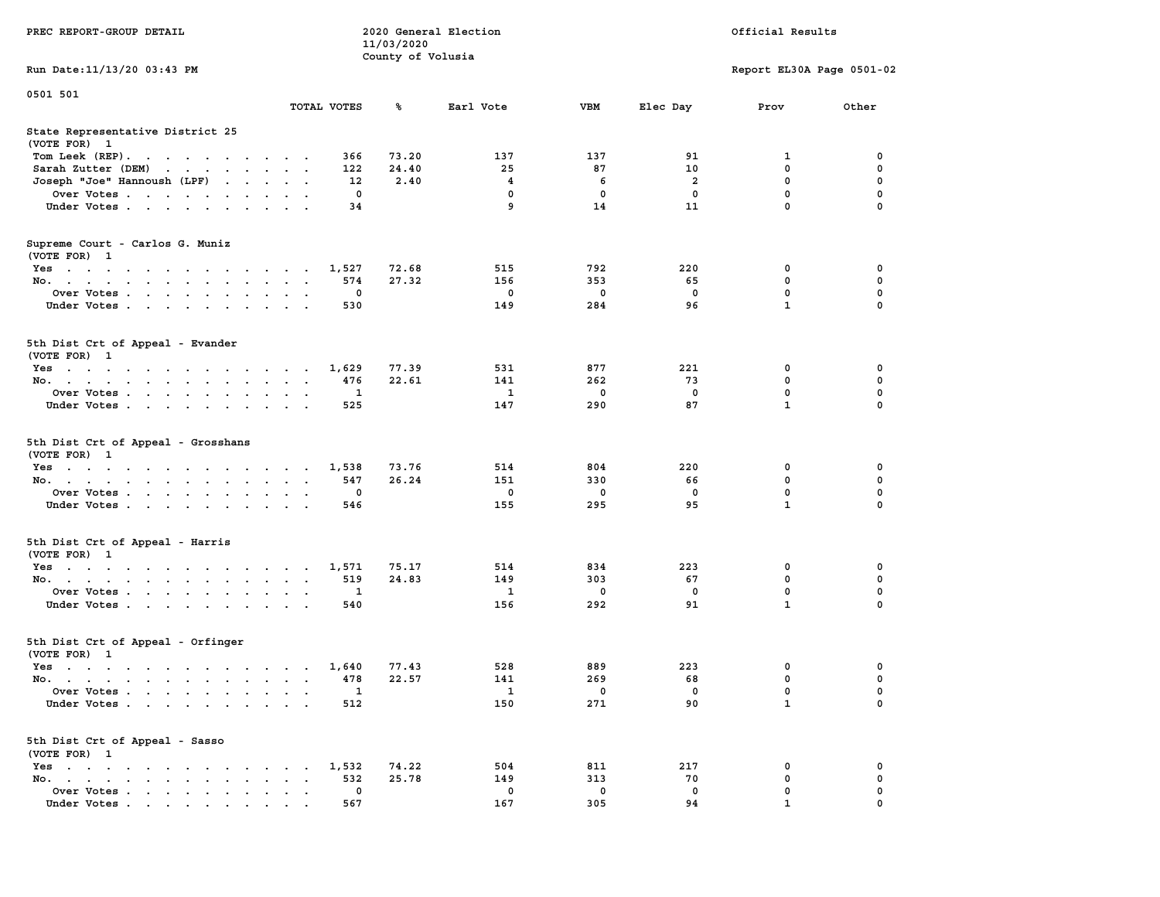|                                                                                               |                                                                                                                 |        |                                              |                      |                          |                                    | 11/03/2020        |                                  |                                  |                                |                                       |                                   |
|-----------------------------------------------------------------------------------------------|-----------------------------------------------------------------------------------------------------------------|--------|----------------------------------------------|----------------------|--------------------------|------------------------------------|-------------------|----------------------------------|----------------------------------|--------------------------------|---------------------------------------|-----------------------------------|
|                                                                                               |                                                                                                                 |        |                                              |                      |                          |                                    | County of Volusia |                                  |                                  |                                |                                       |                                   |
| Run Date: 11/13/20 03:43 PM                                                                   |                                                                                                                 |        |                                              |                      |                          |                                    |                   |                                  |                                  |                                | Report EL30A Page 0501-02             |                                   |
| 0501 501                                                                                      |                                                                                                                 |        |                                              |                      |                          |                                    |                   |                                  |                                  |                                |                                       |                                   |
|                                                                                               |                                                                                                                 |        |                                              |                      |                          | TOTAL VOTES                        | ጜ                 | Earl Vote                        | VBM                              | Elec Day                       | Prov                                  | Other                             |
| State Representative District 25<br>(VOTE FOR) 1                                              |                                                                                                                 |        |                                              |                      |                          |                                    |                   |                                  |                                  |                                |                                       |                                   |
| Tom Leek $(REP)$ .                                                                            |                                                                                                                 |        |                                              |                      |                          | 366                                | 73.20             | 137                              | 137                              | 91                             | 1                                     | 0                                 |
| Sarah Zutter (DEM)                                                                            | and the contract of the con-                                                                                    |        |                                              | $\cdots$             |                          | 122                                | 24.40             | 25                               | 87                               | 10                             | $\mathbf 0$                           | $\mathbf 0$                       |
| Joseph "Joe" Hannoush (LPF)                                                                   |                                                                                                                 |        |                                              |                      |                          | 12                                 | 2.40              | $\overline{\mathbf{4}}$          | 6                                | $\overline{a}$                 | $\mathbf 0$                           | 0                                 |
| Over Votes                                                                                    |                                                                                                                 |        |                                              |                      |                          | 0                                  |                   | 0                                | 0                                | 0                              | $\pmb{0}$                             | $\mathbf 0$                       |
| Under Votes                                                                                   |                                                                                                                 |        |                                              |                      |                          | 34                                 |                   | 9                                | 14                               | 11                             | $\mathbf 0$                           | $\mathbf 0$                       |
|                                                                                               |                                                                                                                 |        |                                              |                      |                          |                                    |                   |                                  |                                  |                                |                                       |                                   |
| Supreme Court - Carlos G. Muniz<br>(VOTE FOR) 1                                               |                                                                                                                 |        |                                              |                      |                          |                                    |                   |                                  |                                  |                                |                                       |                                   |
| Yes                                                                                           |                                                                                                                 |        |                                              |                      | $\sim$                   | 1,527                              | 72.68             | 515                              | 792                              | 220                            | 0                                     | 0                                 |
| No.                                                                                           |                                                                                                                 |        |                                              |                      |                          | 574                                | 27.32             | 156                              | 353                              | 65                             | $\mathbf 0$                           | 0                                 |
| Over Votes                                                                                    |                                                                                                                 |        |                                              |                      |                          | 0                                  |                   | $\mathbf 0$                      | 0                                | $\mathbf 0$                    | $\mathbf 0$                           | $\mathbf 0$                       |
| Under Votes                                                                                   | $\cdot$ $\cdot$ $\cdot$ $\cdot$                                                                                 |        | $\ddot{\phantom{a}}$                         | $\sim$ $\sim$        |                          | 530                                |                   | 149                              | 284                              | 96                             | $\mathbf{1}$                          | 0                                 |
|                                                                                               |                                                                                                                 |        |                                              |                      |                          |                                    |                   |                                  |                                  |                                |                                       |                                   |
| 5th Dist Crt of Appeal - Evander<br>(VOTE FOR) 1                                              |                                                                                                                 |        |                                              |                      |                          |                                    |                   |                                  |                                  |                                |                                       |                                   |
| Yes                                                                                           |                                                                                                                 |        |                                              |                      |                          | 1,629                              | 77.39             | 531                              | 877                              | 221                            | 0                                     | 0                                 |
| No.                                                                                           |                                                                                                                 |        |                                              |                      |                          | 476                                | 22.61             | 141                              | 262                              | 73                             | $\mathbf 0$                           | $\mathbf 0$                       |
| Over Votes                                                                                    |                                                                                                                 |        | $\sim$ $\sim$ $\sim$                         | $\ddot{\phantom{a}}$ | $\ddot{\phantom{a}}$     | 1                                  |                   | 1                                | $\mathbf 0$                      | $\mathbf 0$                    | 0                                     | $\mathbf 0$                       |
| Under Votes                                                                                   |                                                                                                                 |        |                                              |                      |                          | 525                                |                   | 147                              | 290                              | 87                             | $\mathbf{1}$                          | $\mathbf 0$                       |
| 5th Dist Crt of Appeal - Grosshans<br>(VOTE FOR) 1<br>Yes<br>No.<br>Over Votes<br>Under Votes | $\cdot$ $\cdot$ $\cdot$                                                                                         |        |                                              |                      |                          | 1,538<br>547<br>$\mathbf 0$<br>546 | 73.76<br>26.24    | 514<br>151<br>$\mathbf 0$<br>155 | 804<br>330<br>$\mathbf 0$<br>295 | 220<br>66<br>$\mathbf 0$<br>95 | 0<br>0<br>$\mathbf 0$<br>$\mathbf{1}$ | 0<br>0<br>$\mathbf 0$<br>$\Omega$ |
| 5th Dist Crt of Appeal - Harris                                                               |                                                                                                                 |        |                                              |                      |                          |                                    |                   |                                  |                                  |                                |                                       |                                   |
| (VOTE FOR) 1                                                                                  |                                                                                                                 |        |                                              |                      |                          |                                    |                   |                                  |                                  |                                |                                       |                                   |
| Yes                                                                                           |                                                                                                                 |        |                                              |                      | $\overline{\phantom{a}}$ | 1,571                              | 75.17             | 514                              | 834                              | 223                            | 0                                     | 0                                 |
| No.                                                                                           |                                                                                                                 |        |                                              |                      |                          | 519                                | 24.83             | 149                              | 303                              | 67                             | $\mathbf 0$                           | $\mathbf 0$                       |
| Over Votes                                                                                    |                                                                                                                 |        |                                              | $\sim$               |                          | $\mathbf{1}$                       |                   | $\mathbf{1}$                     | $\mathbf 0$                      | $\mathbf 0$                    | $\mathbf 0$                           | $\mathbf 0$                       |
| Under Votes                                                                                   |                                                                                                                 |        |                                              |                      |                          | 540                                |                   | 156                              | 292                              | 91                             | $\mathbf{1}$                          | 0                                 |
| 5th Dist Crt of Appeal - Orfinger<br>(VOTE FOR) 1                                             |                                                                                                                 |        |                                              |                      |                          |                                    |                   |                                  |                                  |                                |                                       |                                   |
| Yes                                                                                           |                                                                                                                 |        |                                              |                      |                          | 1,640                              | 77.43             | 528                              | 889                              | 223                            | 0                                     | 0                                 |
| No.                                                                                           |                                                                                                                 |        | $\sim$<br>$\ddot{\phantom{a}}$               | $\sim$               | $\ddot{\phantom{0}}$     | 478                                | 22.57             | 141                              | 269                              | 68                             | 0                                     | $\mathbf 0$                       |
| Over Votes                                                                                    |                                                                                                                 |        | $\ddot{\phantom{a}}$<br>$\ddot{\phantom{a}}$ |                      | $\sim$                   | 1                                  |                   | 1                                | $\mathbf 0$                      | $\mathbf 0$                    | $\mathbf 0$                           | 0                                 |
| Under Votes                                                                                   |                                                                                                                 |        |                                              |                      |                          | 512                                |                   | 150                              | 271                              | 90                             | $\mathbf{1}$                          | $\Omega$                          |
| 5th Dist Crt of Appeal - Sasso<br>(VOTE FOR) 1                                                |                                                                                                                 |        |                                              |                      |                          |                                    |                   |                                  |                                  |                                |                                       |                                   |
| $Yes \t . \t .$<br>the contract of the contract of the contract of                            |                                                                                                                 |        |                                              |                      |                          | 1,532                              | 74.22             | 504                              | 811                              | 217                            | $\mathbf 0$                           | $\mathbf 0$                       |
| No.<br>design and a series of the con-                                                        |                                                                                                                 |        | $\bullet$<br>$\bullet$                       |                      | $\ddot{\phantom{a}}$     | 532                                | 25.78             | 149                              | 313                              | 70                             | 0                                     | $\mathbf 0$                       |
| Over Votes                                                                                    |                                                                                                                 | $\sim$ | $\ddot{\phantom{a}}$<br>$\ddot{\phantom{a}}$ | $\ddot{\phantom{a}}$ | $\bullet$                | 0                                  |                   | $\mathbf 0$                      | $\mathbf 0$                      | $\mathbf 0$                    | $\mathbf 0$                           | 0                                 |
| Under Votes                                                                                   | the contract of the contract of the contract of the contract of the contract of the contract of the contract of |        | $\bullet$<br>$\sim$ $\sim$                   |                      |                          | 567                                |                   | 167                              | 305                              | 94                             | $\mathbf{1}$                          | 0                                 |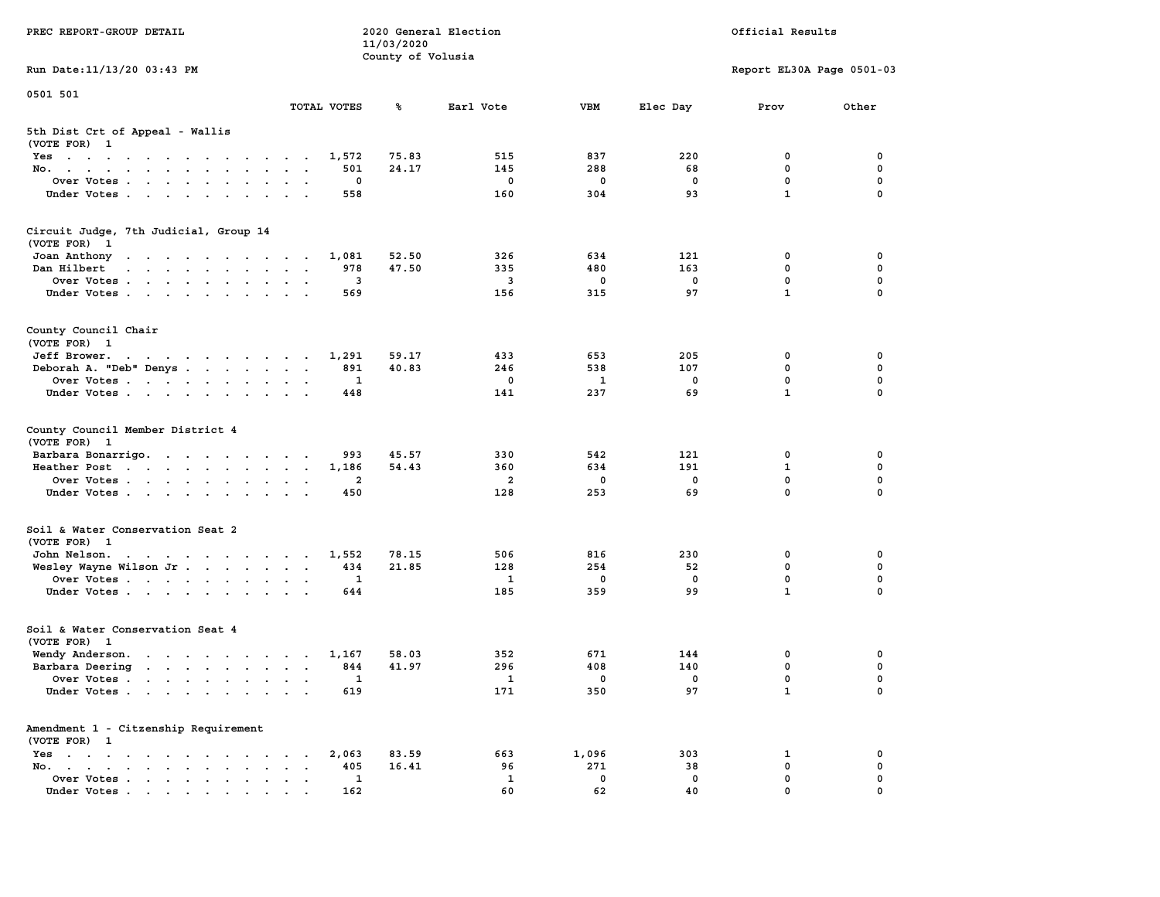| PREC REPORT-GROUP DETAIL                                                                                                        |                                                                                                 | 11/03/2020        | 2020 General Election   |              |             | Official Results            |                  |
|---------------------------------------------------------------------------------------------------------------------------------|-------------------------------------------------------------------------------------------------|-------------------|-------------------------|--------------|-------------|-----------------------------|------------------|
| Run Date: 11/13/20 03:43 PM                                                                                                     |                                                                                                 | County of Volusia |                         |              |             | Report EL30A Page 0501-03   |                  |
| 0501 501                                                                                                                        |                                                                                                 |                   |                         |              |             |                             |                  |
|                                                                                                                                 | TOTAL VOTES                                                                                     | ℁                 | Earl Vote               | <b>VBM</b>   | Elec Day    | Prov                        | Other            |
| 5th Dist Crt of Appeal - Wallis<br>(VOTE FOR) 1                                                                                 |                                                                                                 |                   |                         |              |             |                             |                  |
| Yes                                                                                                                             | 1,572                                                                                           | 75.83             | 515                     | 837          | 220         | 0                           | 0                |
| No.                                                                                                                             | 501                                                                                             | 24.17             | 145                     | 288          | 68          | 0                           | $\mathbf 0$      |
| Over Votes.                                                                                                                     | 0                                                                                               |                   | 0                       | 0            | 0           | $\mathbf 0$<br>$\mathbf{1}$ | 0<br>$\mathbf 0$ |
| Under Votes                                                                                                                     | 558                                                                                             |                   | 160                     | 304          | 93          |                             |                  |
| Circuit Judge, 7th Judicial, Group 14<br>(VOTE FOR) 1                                                                           |                                                                                                 |                   |                         |              |             |                             |                  |
| Joan Anthony<br>the contract of the contract of the con-                                                                        | 1,081                                                                                           | 52.50             | 326                     | 634          | 121         | 0                           | 0                |
| Dan Hilbert<br>the contract of the contract of the contract of the contract of the contract of the contract of the contract of  | 978                                                                                             | 47.50             | 335                     | 480          | 163         | 0                           | 0                |
| Over Votes                                                                                                                      | 3                                                                                               |                   | $\overline{\mathbf{3}}$ | 0            | 0           | $\mathbf 0$                 | $\mathbf 0$      |
| Under Votes                                                                                                                     | 569                                                                                             |                   | 156                     | 315          | 97          | $\mathbf{1}$                | $\Omega$         |
| County Council Chair<br>(VOTE FOR) 1                                                                                            |                                                                                                 |                   |                         |              |             |                             |                  |
| Jeff Brower.<br>the contract of the contract of the contract of the contract of the contract of the contract of the contract of | 1,291                                                                                           | 59.17             | 433                     | 653          | 205         | 0                           | 0                |
| Deborah A. "Deb" Denys                                                                                                          | 891                                                                                             | 40.83             | 246                     | 538          | 107         | 0                           | 0                |
| Over Votes                                                                                                                      | 1                                                                                               |                   | $\mathbf 0$             | 1            | $\mathbf 0$ | $\mathbf{0}$                | $\mathbf 0$      |
| Under Votes                                                                                                                     | 448                                                                                             |                   | 141                     | 237          | 69          | $\mathbf{1}$                | $\mathbf 0$      |
| County Council Member District 4<br>(VOTE FOR) 1                                                                                |                                                                                                 |                   |                         |              |             |                             |                  |
| Barbara Bonarrigo.                                                                                                              | 993                                                                                             | 45.57             | 330                     | 542          | 121         | 0                           | 0                |
| Heather Post                                                                                                                    | 1,186                                                                                           | 54.43             | 360                     | 634          | 191         | $\mathbf{1}$                | $\mathbf 0$      |
| Over Votes                                                                                                                      | $\overline{2}$                                                                                  |                   | $\overline{a}$          | 0            | 0           | $\mathbf 0$                 | $\mathbf 0$      |
| Under Votes                                                                                                                     | 450                                                                                             |                   | 128                     | 253          | 69          | $\mathbf 0$                 | $\Omega$         |
| Soil & Water Conservation Seat 2<br>(VOTE FOR) 1                                                                                |                                                                                                 |                   |                         |              |             |                             |                  |
| John Nelson.                                                                                                                    | 1,552                                                                                           | 78.15             | 506                     | 816          | 230         | 0                           | 0                |
| Wesley Wayne Wilson Jr.                                                                                                         | 434                                                                                             | 21.85             | 128                     | 254          | 52          | 0                           | 0                |
| Over Votes                                                                                                                      | 1                                                                                               |                   | $\mathbf{1}$            | 0            | 0           | $\mathbf 0$                 | 0                |
| Under Votes                                                                                                                     | 644                                                                                             |                   | 185                     | 359          | 99          | $\mathbf{1}$                | $\Omega$         |
| Soil & Water Conservation Seat 4<br>(VOTE FOR) 1                                                                                |                                                                                                 |                   |                         |              |             |                             |                  |
| Wendy Anderson.                                                                                                                 | 1,167                                                                                           | 58.03             | 352                     | 671          | 144         | 0                           | 0                |
| Barbara Deering                                                                                                                 | 844                                                                                             | 41.97             | 296                     | 408          | 140         | $\mathbf 0$                 | 0                |
| Over Votes                                                                                                                      | 1                                                                                               |                   | $\mathbf{1}$            | 0            | 0           | 0                           | $\mathbf 0$      |
| Under Votes                                                                                                                     | 619                                                                                             |                   | 171                     | 350          | 97          | $\mathbf{1}$                | 0                |
| Amendment 1 - Citzenship Requirement                                                                                            |                                                                                                 |                   |                         |              |             |                             |                  |
| (VOTE FOR) 1                                                                                                                    |                                                                                                 |                   |                         |              |             |                             |                  |
| $Yes$<br>No.                                                                                                                    | 2,063<br>$\sim$ $\sim$<br>405<br>$\ddot{\phantom{a}}$<br>$\ddot{\phantom{a}}$<br>$\blacksquare$ | 83.59<br>16.41    | 663<br>96               | 1,096<br>271 | 303<br>38   | 1<br>0                      | 0<br>0           |
| Over Votes.                                                                                                                     | 1                                                                                               |                   | $\mathbf{1}$            | $\mathbf 0$  | 0           | 0                           | 0                |
| Under Votes                                                                                                                     | 162                                                                                             |                   | 60                      | 62           | 40          | 0                           | $\mathbf 0$      |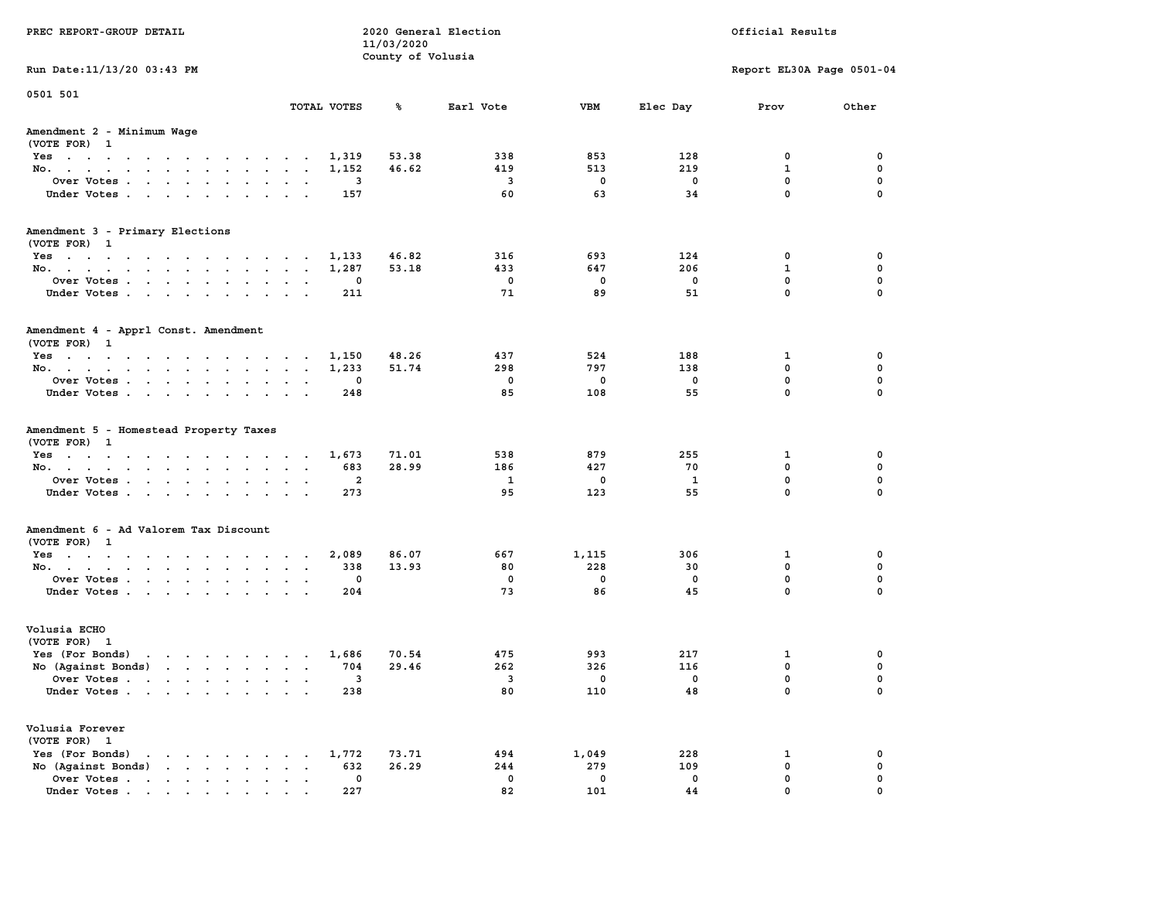| PREC REPORT-GROUP DETAIL                                                                                                        |        |                | 11/03/2020        | 2020 General Election    |             |             | Official Results          |             |
|---------------------------------------------------------------------------------------------------------------------------------|--------|----------------|-------------------|--------------------------|-------------|-------------|---------------------------|-------------|
| Run Date: 11/13/20 03:43 PM                                                                                                     |        |                | County of Volusia |                          |             |             | Report EL30A Page 0501-04 |             |
| 0501 501                                                                                                                        |        |                |                   |                          |             |             |                           |             |
|                                                                                                                                 |        | TOTAL VOTES    | ℁                 | Earl Vote                | <b>VBM</b>  | Elec Day    | Prov                      | Other       |
| Amendment 2 - Minimum Wage<br>(VOTE FOR) 1                                                                                      |        |                |                   |                          |             |             |                           |             |
| Yes                                                                                                                             |        | 1,319          | 53.38             | 338                      | 853         | 128         | 0                         | 0           |
| No.                                                                                                                             |        | 1,152          | 46.62             | 419                      | 513         | 219         | $\mathbf{1}$              | 0           |
| Over Votes                                                                                                                      |        | 3              |                   | $\overline{\mathbf{3}}$  | $\mathbf 0$ | 0           | $\mathbf 0$               | 0           |
| Under Votes                                                                                                                     |        | 157            |                   | 60                       | 63          | 34          | $\mathbf 0$               | $\mathbf 0$ |
| Amendment 3 - Primary Elections                                                                                                 |        |                |                   |                          |             |             |                           |             |
| (VOTE FOR) 1                                                                                                                    |        |                | 46.82             | 316                      | 693         | 124         | 0                         | 0           |
| Yes<br>No.                                                                                                                      |        | 1,133<br>1,287 | 53.18             | 433                      | 647         | 206         | $\mathbf{1}$              | 0           |
| Over Votes                                                                                                                      |        | 0              |                   | 0                        | $\mathbf 0$ | $\mathbf 0$ | $\mathbf 0$               | 0           |
| Under Votes                                                                                                                     |        | 211            |                   | 71                       | 89          | 51          | $\Omega$                  | 0           |
| Amendment 4 - Apprl Const. Amendment<br>(VOTE FOR) 1                                                                            |        |                |                   |                          |             |             |                           |             |
| Yes                                                                                                                             |        | 1,150          | 48.26             | 437                      | 524         | 188         | 1                         | 0           |
| No.                                                                                                                             |        | 1,233          | 51.74             | 298                      | 797         | 138         | $^{\circ}$                | 0           |
| Over Votes                                                                                                                      |        | 0              |                   | 0                        | $\mathbf 0$ | $\mathbf 0$ | $\mathbf{0}$              | 0           |
| Under Votes                                                                                                                     |        | 248            |                   | 85                       | 108         | 55          | $\mathbf 0$               | 0           |
| Amendment 5 - Homestead Property Taxes<br>(VOTE FOR) 1<br>Yes                                                                   |        | 1,673          | 71.01             | 538                      | 879         | 255         | 1                         | 0           |
| No.                                                                                                                             |        | 683            | 28.99             | 186                      | 427         | 70          | $\mathbf 0$               | 0           |
| Over Votes                                                                                                                      |        | 2              |                   | 1                        | $\mathbf 0$ | 1           | $\mathbf 0$               | 0           |
| Under Votes                                                                                                                     |        | 273            |                   | 95                       | 123         | 55          | $\mathbf 0$               | $\Omega$    |
| Amendment 6 - Ad Valorem Tax Discount                                                                                           |        |                |                   |                          |             |             |                           |             |
| (VOTE FOR) 1                                                                                                                    |        |                |                   |                          |             |             |                           |             |
| Yes                                                                                                                             |        | 2,089          | 86.07             | 667                      | 1,115       | 306         | 1                         | 0           |
| No.                                                                                                                             |        | 338            | 13.93             | 80                       | 228         | 30          | 0                         | 0           |
| Over Votes                                                                                                                      |        | 0              |                   | 0                        | $\mathbf 0$ | 0           | $\mathbf 0$               | 0           |
| Under Votes                                                                                                                     |        | 204            |                   | 73                       | 86          | 45          | $\Omega$                  | $\mathbf 0$ |
| Volusia ECHO<br>(VOTE FOR) 1                                                                                                    |        |                |                   |                          |             |             |                           |             |
| Yes (For Bonds) $\cdots$ $\cdots$ $\cdots$ $\cdots$                                                                             |        | 1,686          | 70.54             | 475                      | 993         | 217         | 1                         | 0           |
| No (Against Bonds)                                                                                                              |        | 704            | 29.46             | 262                      | 326         | 116         | $\mathbf 0$               | 0           |
| Over Votes .<br>the contract of the contract of the contract of the contract of the contract of the contract of the contract of |        | 3              |                   | $\overline{\phantom{a}}$ | 0           | 0           | 0                         | $\mathbf 0$ |
| Under Votes                                                                                                                     |        | 238            |                   | 80                       | 110         | 48          | 0                         | 0           |
| Volusia Forever<br>(VOTE FOR) 1                                                                                                 |        |                |                   |                          |             |             |                           |             |
| Yes (For Bonds)                                                                                                                 |        | 1,772          | 73.71             | 494                      | 1,049       | 228         | 1                         | 0           |
| No (Against Bonds)                                                                                                              | $\sim$ | 632            | 26.29             | 244                      | 279         | 109         | $\mathbf 0$               | $\mathbf 0$ |
| Over Votes                                                                                                                      |        | 0              |                   | $\mathbf 0$              | $\mathbf 0$ | 0           | $\mathbf 0$               | 0           |
| Under Votes                                                                                                                     |        | 227            |                   | 82                       | 101         | 44          | $\Omega$                  | $\Omega$    |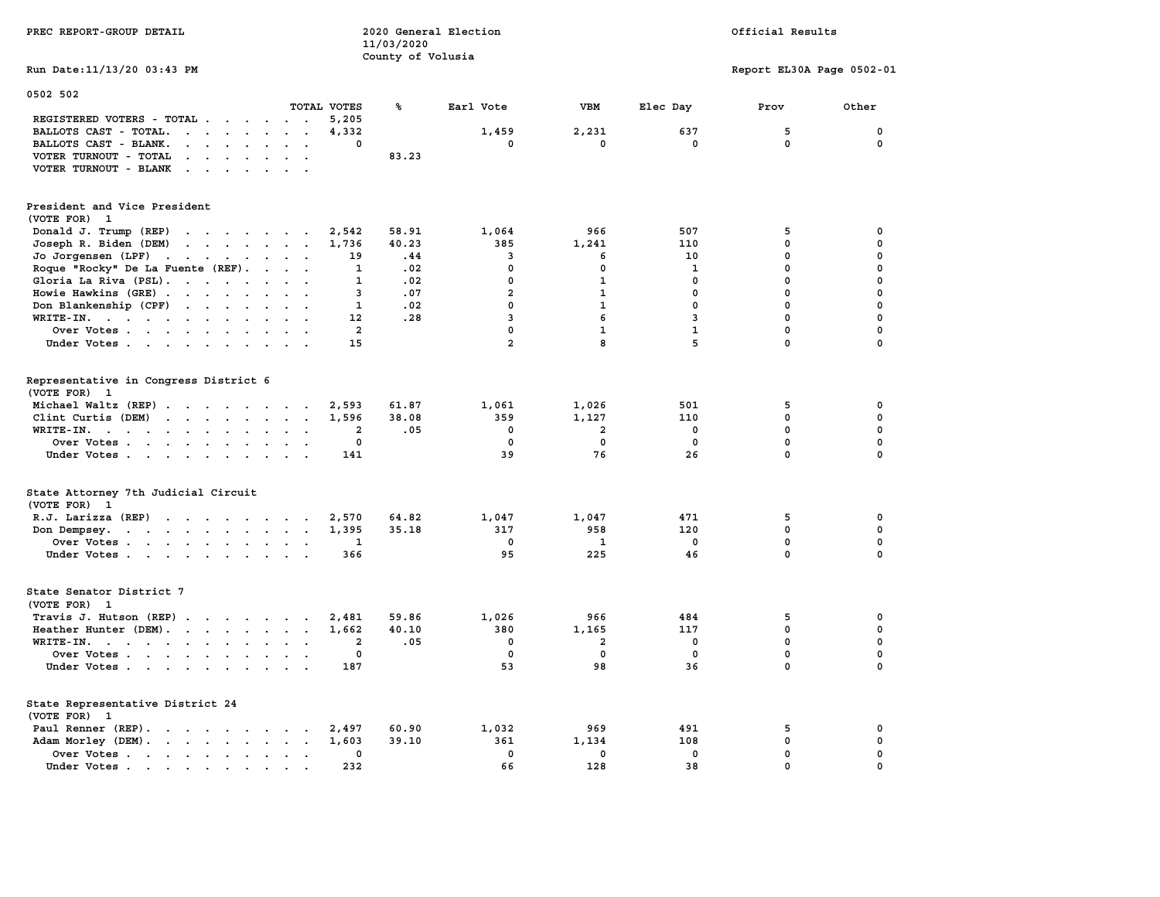| PREC REPORT-GROUP DETAIL                                                                                                                                                                                                                             |                                                          | 11/03/2020        | 2020 General Election   |                         |              | Official Results          |                   |
|------------------------------------------------------------------------------------------------------------------------------------------------------------------------------------------------------------------------------------------------------|----------------------------------------------------------|-------------------|-------------------------|-------------------------|--------------|---------------------------|-------------------|
| Run Date: 11/13/20 03:43 PM                                                                                                                                                                                                                          |                                                          | County of Volusia |                         |                         |              | Report EL30A Page 0502-01 |                   |
| 0502 502                                                                                                                                                                                                                                             |                                                          |                   |                         |                         |              |                           |                   |
|                                                                                                                                                                                                                                                      | TOTAL VOTES                                              | ℁                 | Earl Vote               | VBM                     | Elec Day     | Prov                      | Other             |
| REGISTERED VOTERS - TOTAL                                                                                                                                                                                                                            | 5,205<br>$\sim$ $\sim$ $\sim$<br>4,332                   |                   | 1,459                   | 2,231                   | 637          | 5                         |                   |
| BALLOTS CAST - TOTAL.                                                                                                                                                                                                                                | $\ddot{\phantom{a}}$<br>$\ddot{\phantom{a}}$<br>$\Omega$ |                   | $\mathbf{0}$            | 0                       | $\mathbf{0}$ | $\mathbf 0$               | 0<br>$\mathbf{0}$ |
| BALLOTS CAST - BLANK.<br>$\cdots$                                                                                                                                                                                                                    |                                                          |                   |                         |                         |              |                           |                   |
| VOTER TURNOUT - TOTAL<br>$\mathbf{r}$ , $\mathbf{r}$ , $\mathbf{r}$                                                                                                                                                                                  |                                                          | 83.23             |                         |                         |              |                           |                   |
| VOTER TURNOUT - BLANK                                                                                                                                                                                                                                |                                                          |                   |                         |                         |              |                           |                   |
| President and Vice President<br>(VOTE FOR)<br>- 1                                                                                                                                                                                                    |                                                          |                   |                         |                         |              |                           |                   |
| Donald J. Trump (REP)<br>$\cdots$                                                                                                                                                                                                                    | 2,542                                                    | 58.91             | 1,064                   | 966                     | 507          | 5                         | 0                 |
| Joseph R. Biden (DEM)<br>$\cdots$                                                                                                                                                                                                                    | 1,736                                                    | 40.23             | 385                     | 1,241                   | 110          | $\Omega$                  | $\mathbf 0$       |
| Jo Jorgensen (LPF)<br>the contract of the contract of the contract of the contract of the contract of                                                                                                                                                | 19                                                       | .44               | $\mathbf{3}$            | 6                       | 10           | $\mathbf 0$               | 0                 |
| Roque "Rocky" De La Fuente (REF).                                                                                                                                                                                                                    | 1                                                        | .02               | $\mathbf 0$             | 0                       | 1            | $\mathbf 0$               | 0                 |
| Gloria La Riva (PSL).                                                                                                                                                                                                                                | 1                                                        | .02               | $^{\circ}$              | 1                       | 0            | $\mathbf 0$               | $\mathbf 0$       |
| Howie Hawkins (GRE)                                                                                                                                                                                                                                  | 3                                                        | .07               | $\overline{a}$          | $\mathbf{1}$            | $\mathbf 0$  | $\mathbf 0$               | 0                 |
| Don Blankenship (CPF)<br>$\sim$                                                                                                                                                                                                                      | 1<br>$\sim$                                              | .02               | $\mathbf{0}$            | $\mathbf{1}$            | 0            | 0                         | $\mathbf 0$       |
| WRITE-IN.                                                                                                                                                                                                                                            | 12                                                       | .28               | $\overline{\mathbf{3}}$ | 6                       | 3            | $\mathbf 0$               | $\mathbf 0$       |
| Over Votes<br>$\ddot{\phantom{a}}$                                                                                                                                                                                                                   | $\overline{a}$<br>$\cdot$                                |                   | $\mathbf 0$             | $\mathbf{1}$            | $\mathbf{1}$ | $\mathbf 0$               | 0                 |
| Under Votes                                                                                                                                                                                                                                          | 15                                                       |                   | $\overline{a}$          | 8                       | 5            | $\mathbf 0$               | $\mathbf 0$       |
|                                                                                                                                                                                                                                                      |                                                          |                   |                         |                         |              |                           |                   |
| Representative in Congress District 6<br>(VOTE FOR) 1                                                                                                                                                                                                |                                                          |                   |                         |                         |              |                           |                   |
| Michael Waltz (REP)                                                                                                                                                                                                                                  | 2,593                                                    | 61.87             | 1,061                   | 1,026                   | 501          | 5                         | 0                 |
| Clint Curtis (DEM)<br>and the contract of the contract of the contract of the contract of the contract of the contract of the contract of the contract of the contract of the contract of the contract of the contract of the contract of the contra | 1,596                                                    | 38.08             | 359                     | 1,127                   | 110          | $\mathbf 0$               | 0                 |
| WRITE-IN.<br>the contract of the contract of the contract of the contract of the contract of<br>$\ddot{\phantom{a}}$<br>$\sim$                                                                                                                       | 2<br>$\overline{a}$<br>$\overline{\phantom{a}}$          | .05               | 0                       | 2                       | 0            | $\mathbf 0$               | $\mathbf 0$       |
| Over Votes                                                                                                                                                                                                                                           | 0<br>$\sim$                                              |                   | 0                       | 0                       | 0            | $\mathbf 0$               | $\mathbf 0$       |
| Under Votes                                                                                                                                                                                                                                          | 141                                                      |                   | 39                      | 76                      | 26           | $\mathbf 0$               | 0                 |
| State Attorney 7th Judicial Circuit<br>(VOTE FOR) 1                                                                                                                                                                                                  |                                                          |                   |                         |                         |              |                           |                   |
| R.J. Larizza (REP)                                                                                                                                                                                                                                   | 2,570                                                    | 64.82             | 1,047                   | 1,047                   | 471          | 5                         | 0                 |
| the contract of the contract of the con-<br>Don Dempsey.                                                                                                                                                                                             | 1,395                                                    | 35.18             | 317                     | 958                     | 120          | $\mathbf 0$               | $\mathbf 0$       |
| Over Votes.                                                                                                                                                                                                                                          | 1                                                        |                   | $\mathbf 0$             | 1                       | 0            | $\mathbf 0$               | 0                 |
| Under Votes                                                                                                                                                                                                                                          | 366                                                      |                   | 95                      | 225                     | 46           | $\mathbf 0$               | 0                 |
| State Senator District 7<br>(VOTE FOR) 1                                                                                                                                                                                                             |                                                          |                   |                         |                         |              |                           |                   |
| Travis J. Hutson (REP)                                                                                                                                                                                                                               | 2,481                                                    | 59.86             | 1,026                   | 966                     | 484          | 5                         | 0                 |
| Heather Hunter (DEM).                                                                                                                                                                                                                                | 1,662                                                    | 40.10             | 380                     | 1,165                   | 117          | $\mathbf{0}$              | 0                 |
| WRITE-IN.                                                                                                                                                                                                                                            | $\overline{2}$<br>$\ddot{\phantom{a}}$                   | .05               | $\mathbf 0$             | $\overline{\mathbf{2}}$ | $\mathbf 0$  | $\mathbf 0$               | 0                 |
| Over Votes                                                                                                                                                                                                                                           | 0<br>$\sim$                                              |                   | $\mathbf{0}$            | $\mathbf{0}$            | $^{\circ}$   | $\mathbf{0}$              | $\mathbf 0$       |
| Under Votes                                                                                                                                                                                                                                          | 187<br>$\cdot$ .                                         |                   | 53                      | 98                      | 36           | $\mathbf 0$               | $\mathbf 0$       |
| State Representative District 24<br>(VOTE FOR) 1                                                                                                                                                                                                     |                                                          |                   |                         |                         |              |                           |                   |
| Paul Renner (REP).                                                                                                                                                                                                                                   | 2,497                                                    | 60.90             | 1,032                   | 969                     | 491          | 5                         | 0                 |
| Adam Morley (DEM).                                                                                                                                                                                                                                   | 1,603                                                    | 39.10             | 361                     | 1,134                   | 108          | 0                         | 0                 |
| Over Votes                                                                                                                                                                                                                                           | $\mathbf 0$                                              |                   | $\mathbf{0}$            | $\Omega$                | $\Omega$     | $\mathbf{0}$              | $\mathbf 0$       |
| Under Votes.<br>$\bullet$ .<br><br><br><br><br><br><br><br><br><br><br><br><br><br><br><br>                                                                                                                                                          | 232                                                      |                   | 66                      | 128                     | 38           | $\mathbf 0$               | $\mathbf 0$       |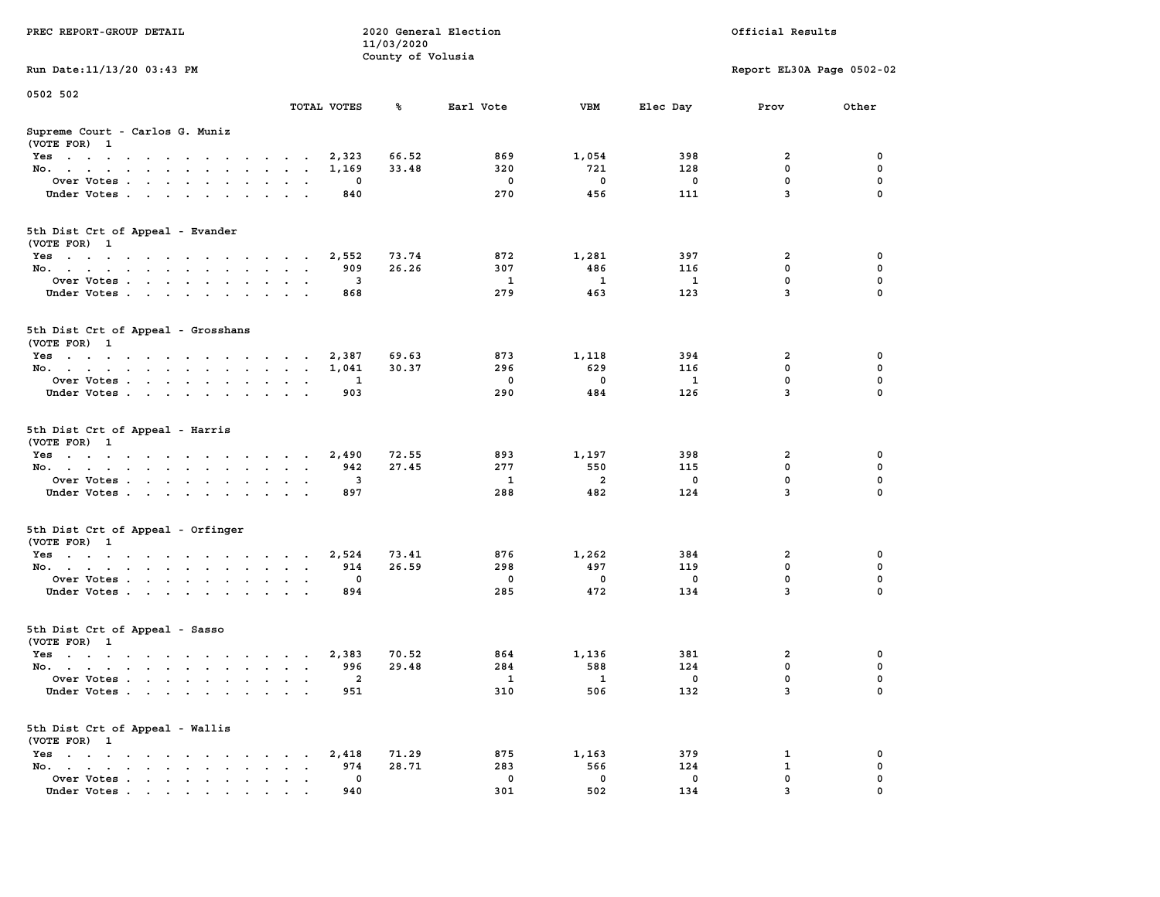| PREC REPORT-GROUP DETAIL                           |                                  | 11/03/2020<br>County of Volusia | 2020 General Election |                    |                          | Official Results          |               |
|----------------------------------------------------|----------------------------------|---------------------------------|-----------------------|--------------------|--------------------------|---------------------------|---------------|
| Run Date: 11/13/20 03:43 PM                        |                                  |                                 |                       |                    |                          | Report EL30A Page 0502-02 |               |
| 0502 502                                           | TOTAL VOTES                      | ℁                               | Earl Vote             | VBM                | Elec Day                 | Prov                      | Other         |
| Supreme Court - Carlos G. Muniz<br>(VOTE FOR) 1    |                                  |                                 |                       |                    |                          |                           |               |
| Yes                                                | 2,323                            | 66.52                           | 869                   | 1,054              | 398                      | 2                         | 0             |
| No.                                                | 1,169<br>$\sim$ $\sim$           | 33.48                           | 320                   | 721                | 128                      | 0                         | 0             |
| Over Votes                                         | 0<br>$\ddot{\phantom{1}}$        |                                 | 0                     | 0                  | 0                        | $\mathbf 0$               | 0             |
| Under Votes.                                       | 840                              |                                 | 270                   | 456                | 111                      | 3                         | $\Omega$      |
| 5th Dist Crt of Appeal - Evander<br>(VOTE FOR) 1   |                                  |                                 |                       |                    |                          |                           |               |
| Yes                                                | 2,552                            | 73.74                           | 872                   | 1,281              | 397                      | 2                         | 0             |
| No.                                                | 909                              | 26.26                           | 307                   | 486                | 116                      | 0                         | $\mathbf 0$   |
| Over Votes                                         | 3<br>$\bullet$                   |                                 | 1                     | 1                  | <b>1</b>                 | 0                         | 0             |
| Under Votes                                        | 868                              |                                 | 279                   | 463                | 123                      | 3                         | $\Omega$      |
| 5th Dist Crt of Appeal - Grosshans<br>(VOTE FOR) 1 |                                  |                                 |                       |                    |                          |                           |               |
| Yes                                                | 2,387                            | 69.63                           | 873                   | 1,118              | 394                      | 2                         | 0             |
| No.                                                | 1,041                            | 30.37                           | 296                   | 629                | 116                      | 0                         | 0             |
| Over Votes                                         | 1                                |                                 | 0                     | 0                  | $\mathbf{1}$             | 0                         | 0             |
| Under Votes                                        | 903<br>$\sim$ $\sim$             |                                 | 290                   | 484                | 126                      | $\overline{3}$            | $\Omega$      |
| 5th Dist Crt of Appeal - Harris<br>(VOTE FOR) 1    |                                  |                                 |                       |                    |                          |                           |               |
| Yes                                                | 2,490                            | 72.55                           | 893                   | 1,197              | 398                      | 2                         | 0             |
| No.                                                | 942<br>$\sim$ $\sim$             | 27.45                           | 277                   | 550                | 115                      | 0                         | 0             |
| Over Votes                                         | 3<br>$\ddot{\phantom{1}}$        |                                 | 1                     | $\overline{a}$     | 0                        | 0                         | 0             |
| Under Votes.                                       | 897                              |                                 | 288                   | 482                | 124                      | 3                         | $\Omega$      |
| 5th Dist Crt of Appeal - Orfinger<br>(VOTE FOR) 1  |                                  |                                 |                       |                    |                          |                           |               |
| Yes                                                | 2,524                            | 73.41                           | 876                   | 1,262              | 384                      | 2                         | 0             |
| No.                                                | 914                              | 26.59                           | 298                   | 497                | 119                      | 0                         | $\mathbf 0$   |
| Over Votes<br>Under Votes                          | 0<br>$\cdot$<br>894              |                                 | 0<br>285              | 0<br>472           | 0<br>134                 | 0<br>3                    | 0<br>$\Omega$ |
| 5th Dist Crt of Appeal - Sasso<br>(VOTE FOR) 1     |                                  |                                 |                       |                    |                          |                           |               |
| Yes                                                | 2,383                            | 70.52                           | 864                   | 1,136              | 381                      | 2                         | 0             |
| No.                                                | 996<br>$\mathbf{a} = \mathbf{a}$ | 29.48                           | 284                   | 588                | 124                      | 0                         | $\mathbf 0$   |
| Over Votes                                         | $\overline{\mathbf{2}}$          |                                 | $\mathbf 1$           | $\mathbf{1}$       | $\overline{\phantom{0}}$ | 0                         | 0             |
| Under Votes                                        | 951                              |                                 | 310                   | 506                | 132                      | 3                         | $\mathbf 0$   |
| 5th Dist Crt of Appeal - Wallis<br>(VOTE FOR) 1    |                                  |                                 |                       |                    |                          |                           |               |
| Yes                                                | 2,418                            | 71.29                           | 875                   | 1,163              | 379                      | 1                         | 0             |
| No.<br>$\ddot{\phantom{0}}$                        | 974<br>$\mathbf 0$               | 28.71                           | 283<br>0              | 566<br>$\mathbf 0$ | 124<br>$\mathbf 0$       | 1<br>0                    | 0<br>0        |
| Over Votes<br>Under Votes                          | 940                              |                                 | 301                   | 502                | 134                      | 3                         | 0             |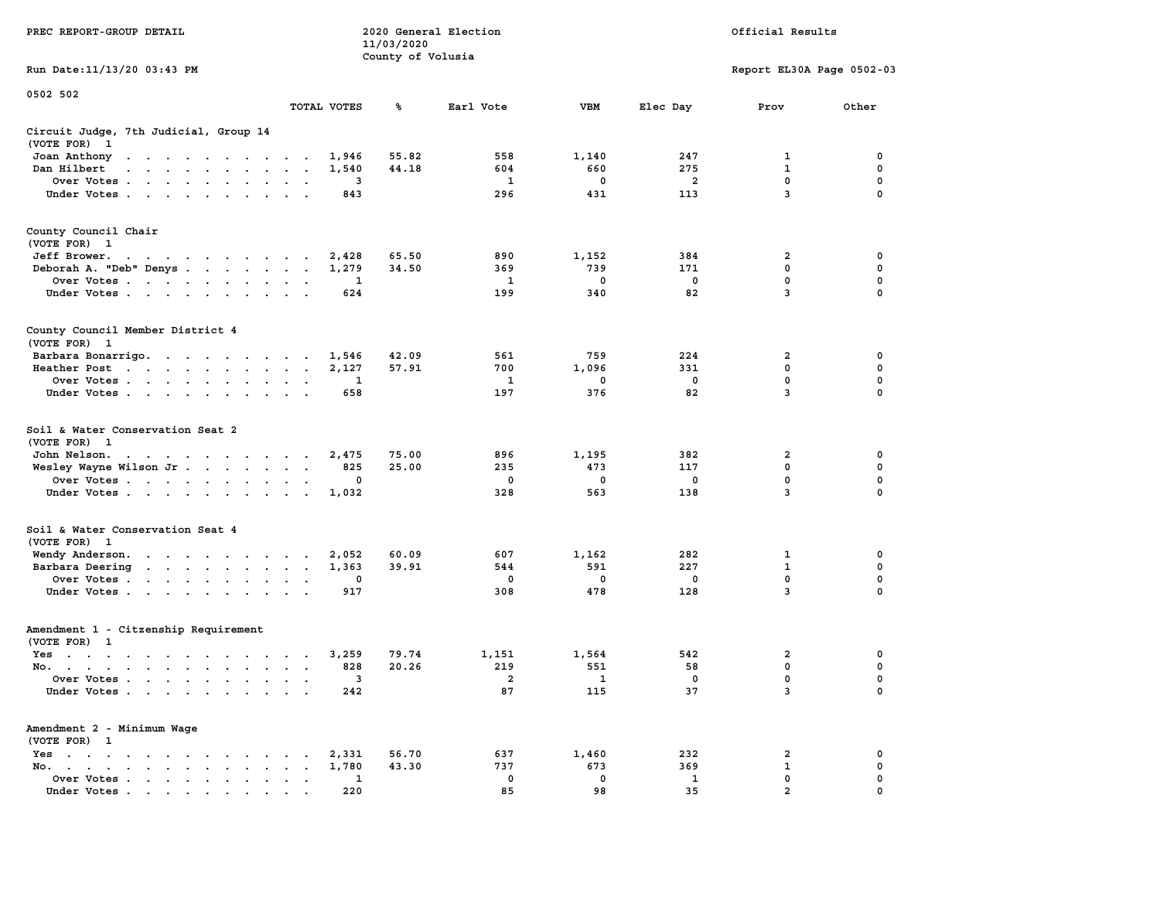| PREC REPORT-GROUP DETAIL                                                                                                               |                    | 11/03/2020<br>County of Volusia | 2020 General Election |                          |            | Official Results          |                  |  |  |
|----------------------------------------------------------------------------------------------------------------------------------------|--------------------|---------------------------------|-----------------------|--------------------------|------------|---------------------------|------------------|--|--|
| Run Date: 11/13/20 03:43 PM                                                                                                            |                    |                                 |                       |                          |            | Report EL30A Page 0502-03 |                  |  |  |
| 0502 502                                                                                                                               |                    |                                 |                       |                          |            |                           |                  |  |  |
|                                                                                                                                        | TOTAL VOTES        | ℁                               | Earl Vote             | VBM                      | Elec Day   | Prov                      | Other            |  |  |
| Circuit Judge, 7th Judicial, Group 14<br>(VOTE FOR) 1                                                                                  |                    |                                 |                       |                          |            |                           |                  |  |  |
| Joan Anthony<br>the contract of the contract of the con-                                                                               | 1,946              | 55.82                           | 558                   | 1,140                    | 247        | 1                         | 0                |  |  |
| Dan Hilbert<br>the contract of the contract of the con-                                                                                | 1,540              | 44.18                           | 604                   | 660                      | 275        | $\mathbf{1}$              | 0                |  |  |
| Over Votes                                                                                                                             | 3<br>843           |                                 | 1<br>296              | 0<br>431                 | 2<br>113   | 0<br>3                    | 0<br>$\Omega$    |  |  |
| Under Votes                                                                                                                            |                    |                                 |                       |                          |            |                           |                  |  |  |
| County Council Chair<br>(VOTE FOR) 1                                                                                                   |                    |                                 |                       |                          |            |                           |                  |  |  |
| Jeff Brower.                                                                                                                           | 2,428              | 65.50                           | 890                   | 1,152                    | 384        | 2                         | 0                |  |  |
| Deborah A. "Deb" Denys                                                                                                                 | 1,279              | 34.50                           | 369                   | 739                      | 171        | 0                         | 0                |  |  |
| Over Votes                                                                                                                             | 1                  |                                 | 1                     | $\mathbf 0$              | 0          | 0                         | 0                |  |  |
| Under Votes.                                                                                                                           | 624                |                                 | 199                   | 340                      | 82         | 3                         | 0                |  |  |
| County Council Member District 4<br>(VOTE FOR) 1                                                                                       |                    |                                 |                       |                          |            |                           |                  |  |  |
| Barbara Bonarrigo.                                                                                                                     | 1,546              | 42.09                           | 561                   | 759                      | 224        | 2                         | 0                |  |  |
| Heather Post                                                                                                                           | 2,127              | 57.91                           | 700                   | 1,096                    | 331        | 0                         | 0                |  |  |
| Over Votes                                                                                                                             | 1<br>$\sim$ $\sim$ |                                 | 1                     | 0                        | $^{\circ}$ | $\mathbf 0$               | 0                |  |  |
| Under Votes                                                                                                                            | 658                |                                 | 197                   | 376                      | 82         | 3                         | 0                |  |  |
| Soil & Water Conservation Seat 2<br>(VOTE FOR) 1                                                                                       |                    |                                 |                       |                          |            |                           |                  |  |  |
| John Nelson.<br>the contract of the contract of the con-                                                                               | 2,475              | 75.00                           | 896                   | 1,195                    | 382        | 2                         | 0                |  |  |
| Wesley Wayne Wilson Jr.                                                                                                                | 825                | 25.00                           | 235                   | 473                      | 117        | $\mathbf 0$               | 0                |  |  |
| Over Votes                                                                                                                             | 0                  |                                 | 0<br>328              | 0<br>563                 | 0<br>138   | 0<br>3                    | 0<br>$\Omega$    |  |  |
| Under Votes                                                                                                                            | 1,032              |                                 |                       |                          |            |                           |                  |  |  |
| Soil & Water Conservation Seat 4<br>(VOTE FOR) 1                                                                                       |                    |                                 |                       |                          |            |                           |                  |  |  |
| Wendy Anderson.                                                                                                                        | 2,052              | 60.09                           | 607                   | 1,162                    | 282        | 1                         | 0                |  |  |
| Barbara Deering                                                                                                                        | 1,363              | 39.91                           | 544                   | 591                      | 227        | $\mathbf 1$               | 0                |  |  |
| Over Votes<br>Under Votes                                                                                                              | 0<br>917           |                                 | 0<br>308              | $\mathbf 0$<br>478       | 0<br>128   | 0<br>3                    | $\mathbf 0$<br>0 |  |  |
| Amendment 1 - Citzenship Requirement                                                                                                   |                    |                                 |                       |                          |            |                           |                  |  |  |
| (VOTE FOR) 1                                                                                                                           |                    |                                 |                       |                          |            |                           |                  |  |  |
| Yes<br>the contract of the contract of the contract of the contract of the contract of the contract of the contract of                 | 3,259              | 79.74                           | 1,151                 | 1,564                    | 542        | 2                         | 0                |  |  |
| No.                                                                                                                                    | 828                | 20.26                           | 219                   | 551                      | 58         | 0                         | 0                |  |  |
| Over Votes                                                                                                                             | 3                  |                                 | 2                     | $\overline{\phantom{a}}$ | 0          | 0                         | 0                |  |  |
| Under Votes.<br>$\mathbf{r}$ , $\mathbf{r}$ , $\mathbf{r}$ , $\mathbf{r}$ , $\mathbf{r}$                                               | 242                |                                 | 87                    | 115                      | 37         | 3                         | 0                |  |  |
| Amendment 2 - Minimum Wage<br>(VOTE FOR) 1                                                                                             |                    |                                 |                       |                          |            |                           |                  |  |  |
| $Yes \t . \t .$<br>$\cdot$<br>$\sim$ $\sim$ $\sim$ $\sim$ $\sim$                                                                       | 2,331              | 56.70                           | 637                   | 1,460                    | 232        | 2                         | 0                |  |  |
| $\mathbf{r}$ . The set of $\mathbf{r}$<br>$No.$ $\cdot$ $\cdot$ $\cdot$<br>$\ddot{\phantom{a}}$<br>$\ddot{\phantom{a}}$<br>Over Votes. | 1,780              | 43.30                           | 737<br>0              | 673<br>0                 | 369        | $\mathbf 1$<br>0          | 0<br>0           |  |  |
| $\cdot$ $\cdot$ $\cdot$ $\cdot$<br>Under Votes                                                                                         | 1<br>220           |                                 | 85                    | 98                       | 1<br>35    | $\mathbf{c}$              |                  |  |  |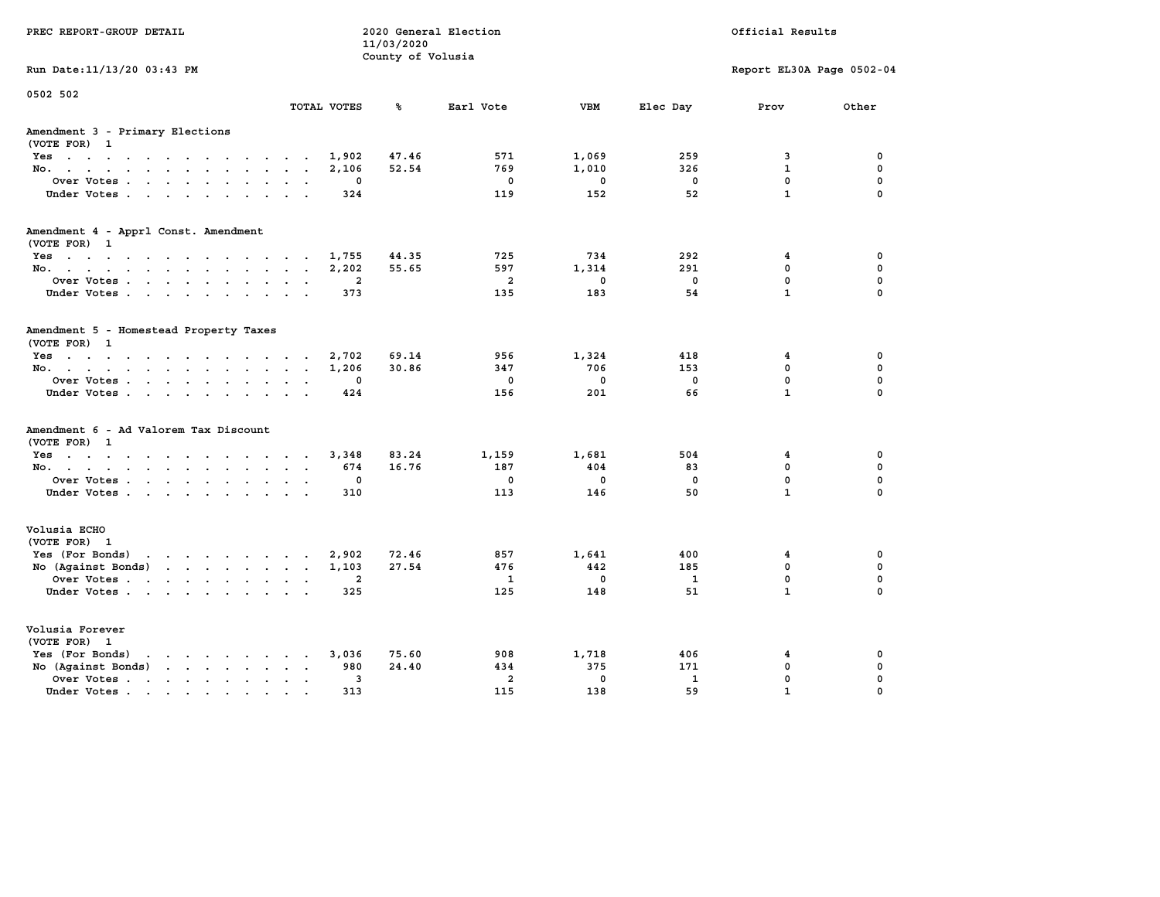| PREC REPORT-GROUP DETAIL                                                                                                                                                                                                          |                | 11/03/2020<br>County of Volusia | 2020 General Election | Official Results |              |                           |              |  |
|-----------------------------------------------------------------------------------------------------------------------------------------------------------------------------------------------------------------------------------|----------------|---------------------------------|-----------------------|------------------|--------------|---------------------------|--------------|--|
| Run Date: 11/13/20 03:43 PM                                                                                                                                                                                                       |                |                                 |                       |                  |              | Report EL30A Page 0502-04 |              |  |
| 0502 502                                                                                                                                                                                                                          | TOTAL VOTES    | ℁                               | Earl Vote             | <b>VBM</b>       | Elec Day     | Prov                      | Other        |  |
| Amendment 3 - Primary Elections<br>(VOTE FOR) 1                                                                                                                                                                                   |                |                                 |                       |                  |              |                           |              |  |
| Yes                                                                                                                                                                                                                               | 1,902          | 47.46                           | 571                   | 1,069            | 259          | 3                         | 0            |  |
| No.                                                                                                                                                                                                                               | 2,106          | 52.54                           | 769                   | 1,010            | 326          | $\mathbf{1}$              | $\mathbf 0$  |  |
| Over Votes                                                                                                                                                                                                                        | $\mathbf 0$    |                                 | $\mathbf 0$           | $\mathbf{0}$     | $\mathbf 0$  | $\mathbf 0$               | $\mathbf 0$  |  |
| Under Votes                                                                                                                                                                                                                       | 324            |                                 | 119                   | 152              | 52           | $\mathbf{1}$              | $\Omega$     |  |
| Amendment 4 - Apprl Const. Amendment                                                                                                                                                                                              |                |                                 |                       |                  |              |                           |              |  |
| (VOTE FOR) 1<br>Yes                                                                                                                                                                                                               | 1,755          | 44.35                           | 725                   | 734              | 292          | $\overline{4}$            | $\mathbf 0$  |  |
| No.                                                                                                                                                                                                                               | 2,202          | 55.65                           | 597                   | 1,314            | 291          | $\mathbf{0}$              | $\mathbf{0}$ |  |
| Over Votes                                                                                                                                                                                                                        | $\overline{a}$ |                                 | $\overline{a}$        | $\Omega$         | $\mathbf{0}$ | $\mathbf{0}$              | $\mathbf{0}$ |  |
| Under Votes                                                                                                                                                                                                                       | 373            |                                 | 135                   | 183              | 54           | $\mathbf{1}$              | $\mathbf 0$  |  |
|                                                                                                                                                                                                                                   |                |                                 |                       |                  |              |                           |              |  |
| Amendment 5 - Homestead Property Taxes<br>(VOTE FOR) 1                                                                                                                                                                            |                |                                 |                       |                  |              |                           |              |  |
| Yes                                                                                                                                                                                                                               | 2,702          | 69.14                           | 956                   | 1,324            | 418          | $\overline{4}$            | $\mathbf 0$  |  |
| No.                                                                                                                                                                                                                               | 1,206          | 30.86                           | 347                   | 706              | 153          | $\mathbf{0}$              | $\mathbf{0}$ |  |
| Over Votes                                                                                                                                                                                                                        | $\mathbf 0$    |                                 | $\Omega$              | $\mathbf{0}$     | $\mathbf{0}$ | $\mathbf{0}$              | $\mathbf 0$  |  |
| Under Votes                                                                                                                                                                                                                       | 424            |                                 | 156                   | 201              | 66           | $\mathbf{1}$              | $\mathbf 0$  |  |
| Amendment 6 - Ad Valorem Tax Discount                                                                                                                                                                                             |                |                                 |                       |                  |              |                           |              |  |
| (VOTE FOR) 1<br>Yes                                                                                                                                                                                                               | 3,348          | 83.24                           | 1,159                 | 1,681            | 504          | $\overline{4}$            | 0            |  |
| No.                                                                                                                                                                                                                               | 674            | 16.76                           | 187                   | 404              | 83           | $\mathbf 0$               | $\mathbf 0$  |  |
| Over Votes                                                                                                                                                                                                                        | 0              |                                 | $\mathbf{0}$          | $\mathbf{0}$     | $\Omega$     | $\mathbf{0}$              | $\mathbf{0}$ |  |
| Under Votes                                                                                                                                                                                                                       | 310            |                                 | 113                   | 146              | 50           | $\mathbf{1}$              | $\mathbf{0}$ |  |
|                                                                                                                                                                                                                                   |                |                                 |                       |                  |              |                           |              |  |
| Volusia ECHO<br>(VOTE FOR) 1                                                                                                                                                                                                      |                |                                 |                       |                  |              |                           |              |  |
| Yes (For Bonds)                                                                                                                                                                                                                   | 2,902          | 72.46                           | 857                   | 1,641            | 400          | $\overline{4}$            | 0            |  |
| No (Against Bonds)                                                                                                                                                                                                                | 1,103          | 27.54                           | 476                   | 442              | 185          | $\mathbf 0$               | $\mathbf 0$  |  |
| Over Votes                                                                                                                                                                                                                        | $\overline{a}$ |                                 | 1                     | $\mathbf{0}$     | $\mathbf{1}$ | $\mathbf{0}$              | $\mathbf 0$  |  |
| Under Votes                                                                                                                                                                                                                       | 325            |                                 | 125                   | 148              | 51           | $\mathbf{1}$              | $\mathbf{0}$ |  |
| Volusia Forever<br>(VOTE FOR) 1                                                                                                                                                                                                   |                |                                 |                       |                  |              |                           |              |  |
| $\mathbf{r}$ . The set of the set of the set of the set of the set of the set of the set of the set of the set of the set of the set of the set of the set of the set of the set of the set of the set of the set of the set of t | 3,036          | 75.60                           | 908                   | 1,718            | 406          | $\overline{4}$            | $\mathbf{0}$ |  |
| Yes (For Bonds)<br>No (Against Bonds)                                                                                                                                                                                             | 980            | 24.40                           | 434                   | 375              | 171          | $\mathbf 0$               | $\mathbf 0$  |  |
| Over Votes                                                                                                                                                                                                                        | 3              |                                 | $\overline{a}$        | $\mathbf{0}$     | $\mathbf{1}$ | $\mathbf 0$               | $\mathbf 0$  |  |
| Under Votes.                                                                                                                                                                                                                      | 313            |                                 | 115                   | 138              | 59           | $\mathbf{1}$              | $\mathbf 0$  |  |
|                                                                                                                                                                                                                                   |                |                                 |                       |                  |              |                           |              |  |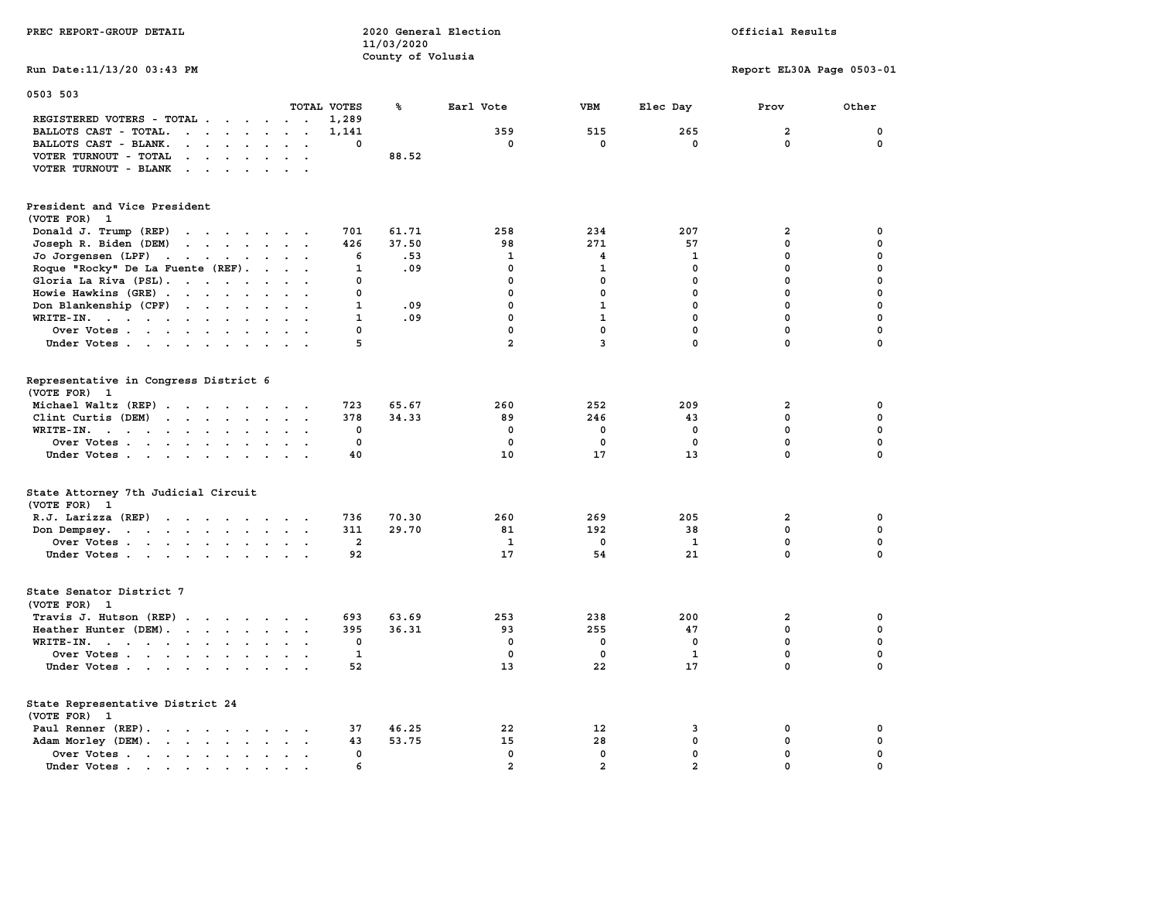| PREC REPORT-GROUP DETAIL                                                                                                                 |                         | 2020 General Election<br>11/03/2020<br>County of Volusia |                |                | Official Results |                           |             |  |
|------------------------------------------------------------------------------------------------------------------------------------------|-------------------------|----------------------------------------------------------|----------------|----------------|------------------|---------------------------|-------------|--|
| Run Date: 11/13/20 03:43 PM                                                                                                              |                         |                                                          |                |                |                  | Report EL30A Page 0503-01 |             |  |
| 0503 503                                                                                                                                 | TOTAL VOTES             | ℁                                                        | Earl Vote      | VBM            | Elec Day         |                           | Other       |  |
| REGISTERED VOTERS - TOTAL                                                                                                                | 1,289                   |                                                          |                |                |                  | Prov                      |             |  |
| BALLOTS CAST - TOTAL.<br>$\mathbf{r}$ , $\mathbf{r}$ , $\mathbf{r}$ , $\mathbf{r}$                                                       | 1,141                   |                                                          | 359            | 515            | 265              | $\overline{a}$            | $\mathbf 0$ |  |
| BALLOTS CAST - BLANK.<br>$\cdot$ $\cdot$ $\cdot$ $\cdot$ $\cdot$ $\cdot$<br>$\ddot{\phantom{a}}$<br>$\ddot{\phantom{0}}$                 | $\mathbf 0$             |                                                          | $\mathbf 0$    | $\mathbf 0$    | $\mathbf 0$      | $\mathbf 0$               | 0           |  |
| VOTER TURNOUT - TOTAL<br>$\mathbf{r}$ , $\mathbf{r}$ , $\mathbf{r}$ , $\mathbf{r}$ , $\mathbf{r}$<br>$\ddotsc$                           |                         | 88.52                                                    |                |                |                  |                           |             |  |
|                                                                                                                                          |                         |                                                          |                |                |                  |                           |             |  |
| VOTER TURNOUT - BLANK                                                                                                                    |                         |                                                          |                |                |                  |                           |             |  |
| President and Vice President                                                                                                             |                         |                                                          |                |                |                  |                           |             |  |
| (VOTE FOR) 1                                                                                                                             |                         |                                                          |                |                |                  |                           |             |  |
| Donald J. Trump (REP)<br>the contract of the contract of the contract of the contract of the contract of the contract of the contract of | 701                     | 61.71                                                    | 258            | 234            | 207              | $\mathbf{2}$              | 0           |  |
| Joseph R. Biden (DEM)<br>$\mathbf{r}$ , and $\mathbf{r}$ , and $\mathbf{r}$ , and $\mathbf{r}$                                           | 426                     | 37.50                                                    | 98             | 271            | 57               | $\mathbf 0$               | $\mathbf 0$ |  |
| Jo Jorgensen (LPF)                                                                                                                       | 6                       | .53                                                      | 1              | 4              | 1                | $\mathbf 0$               | 0           |  |
| Roque "Rocky" De La Fuente (REF).<br>$\blacksquare$<br>$\sim$<br>$\ddot{\phantom{a}}$                                                    | $\mathbf{1}$            | .09                                                      | $\mathbf{0}$   | 1              | 0                | $\mathbf 0$               | $\mathbf 0$ |  |
| Gloria La Riva (PSL).                                                                                                                    | 0                       |                                                          | $\mathbf 0$    | 0              | $\mathbf 0$      | $\mathbf 0$               | $\mathbf 0$ |  |
| Howie Hawkins (GRE)                                                                                                                      | 0                       |                                                          | $\mathbf 0$    | $\mathbf 0$    | $\mathbf 0$      | $\mathbf 0$               | 0           |  |
| Don Blankenship (CPF)<br>$\cdots$                                                                                                        | $\mathbf{1}$            | .09                                                      | $\mathbf{0}$   | $\mathbf{1}$   | $\mathbf 0$      | $\mathbf 0$               | $\mathbf 0$ |  |
| WRITE-IN.<br>$\ddot{\phantom{a}}$                                                                                                        | $\mathbf{1}$            | .09                                                      | $\mathbf{0}$   | $\mathbf{1}$   | $\mathbf{0}$     | $\mathbf 0$               | $\mathbf 0$ |  |
| Over Votes                                                                                                                               | 0                       |                                                          | 0              | $\mathbf 0$    | $\mathbf 0$      | $\mathbf 0$               | $\mathbf 0$ |  |
| Under Votes                                                                                                                              | 5                       |                                                          | $\overline{a}$ | 3              | $\mathbf 0$      | 0                         | 0           |  |
|                                                                                                                                          |                         |                                                          |                |                |                  |                           |             |  |
| Representative in Congress District 6<br>(VOTE FOR) 1                                                                                    |                         |                                                          |                |                |                  |                           |             |  |
| Michael Waltz (REP)                                                                                                                      | 723                     | 65.67                                                    | 260            | 252            | 209              | $\overline{\mathbf{2}}$   | 0           |  |
| Clint Curtis (DEM)                                                                                                                       | 378                     | 34.33                                                    | 89             | 246            | 43               | 0                         | 0           |  |
| WRITE-IN.                                                                                                                                | 0                       |                                                          | 0              | 0              | 0                | $\mathbf 0$               | $\mathbf 0$ |  |
| Over Votes<br>$\bullet$<br>$\sim$                                                                                                        | 0                       |                                                          | 0              | 0              | $\mathbf 0$      | $\pmb{0}$                 | $\pmb{0}$   |  |
| Under Votes<br>$\cdot$ .                                                                                                                 | 40                      |                                                          | 10             | 17             | 13               | $\mathbf 0$               | $\Omega$    |  |
|                                                                                                                                          |                         |                                                          |                |                |                  |                           |             |  |
| State Attorney 7th Judicial Circuit<br>(VOTE FOR) 1                                                                                      |                         |                                                          |                |                |                  |                           |             |  |
| R.J. Larizza (REP)                                                                                                                       | 736                     | 70.30                                                    | 260            | 269            | 205              | 2                         | 0           |  |
| Don Dempsey.                                                                                                                             | 311                     | 29.70                                                    | 81             | 192            | 38               | $\mathbf 0$               | 0           |  |
| Over Votes                                                                                                                               | $\overline{\mathbf{2}}$ |                                                          | 1              | 0              | 1                | 0                         | 0           |  |
| Under Votes                                                                                                                              | 92                      |                                                          | 17             | 54             | 21               | $\mathbf 0$               | $\Omega$    |  |
| State Senator District 7<br>(VOTE FOR) 1                                                                                                 |                         |                                                          |                |                |                  |                           |             |  |
| Travis J. Hutson (REP).                                                                                                                  | 693                     | 63.69                                                    | 253            | 238            | 200              | 2                         | 0           |  |
| Heather Hunter (DEM).                                                                                                                    | 395                     | 36.31                                                    | 93             | 255            | 47               | $\mathbf 0$               | $\mathbf 0$ |  |
| WRITE-IN.<br>$\sim$<br>$\sim$                                                                                                            | 0                       |                                                          | 0              | 0              | 0                | 0                         | $\pmb{0}$   |  |
| Over Votes                                                                                                                               | 1                       |                                                          | $\mathbf 0$    | 0              | $\mathbf{1}$     | $\mathbf 0$               | $\mathbf 0$ |  |
| Under Votes<br>$\ddot{\phantom{0}}$                                                                                                      | 52                      |                                                          | 13             | 22             | 17               | $\mathbf 0$               | $\mathbf 0$ |  |
| State Representative District 24<br>(VOTE FOR) 1                                                                                         |                         |                                                          |                |                |                  |                           |             |  |
| Paul Renner (REP).                                                                                                                       | 37                      | 46.25                                                    | 22             | 12             | 3                | 0                         | 0           |  |
| Adam Morley (DEM).<br>$\sim$                                                                                                             | 43                      | 53.75                                                    | 15             | 28             | 0                | $\mathbf 0$               | $\mathbf 0$ |  |
|                                                                                                                                          | $\mathbf{0}$            |                                                          | $\mathbf{0}$   | $\mathbf{0}$   | $\mathbf 0$      | $\mathbf 0$               | $\mathbf 0$ |  |
| Over Votes<br>$\ddot{\phantom{a}}$<br>$\cdot$ .<br>Under Votes.                                                                          | 6                       |                                                          | $\overline{a}$ | $\overline{a}$ | $\overline{a}$   | $\mathbf 0$               | $\mathbf 0$ |  |
| $\mathcal{A}^{\mathcal{A}}$ , and $\mathcal{A}^{\mathcal{A}}$ , and $\mathcal{A}^{\mathcal{A}}$                                          |                         |                                                          |                |                |                  |                           |             |  |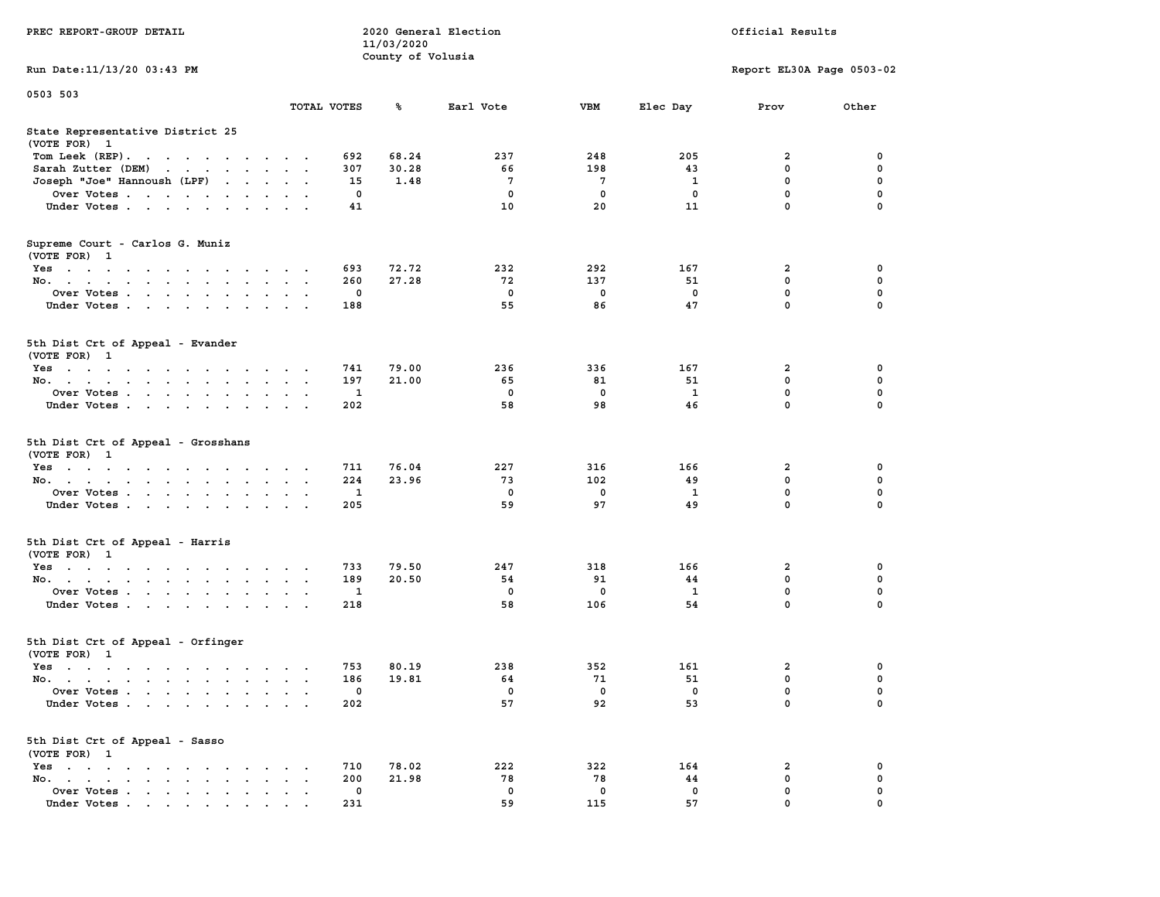|                                                                                                                                                                                                                                                                                         |                                                     | 11/03/2020        |                      |                       |                      |                           |                  |
|-----------------------------------------------------------------------------------------------------------------------------------------------------------------------------------------------------------------------------------------------------------------------------------------|-----------------------------------------------------|-------------------|----------------------|-----------------------|----------------------|---------------------------|------------------|
|                                                                                                                                                                                                                                                                                         |                                                     | County of Volusia |                      |                       |                      |                           |                  |
| Run Date:11/13/20 03:43 PM                                                                                                                                                                                                                                                              |                                                     |                   |                      |                       |                      | Report EL30A Page 0503-02 |                  |
| 0503 503                                                                                                                                                                                                                                                                                |                                                     |                   |                      |                       |                      |                           |                  |
|                                                                                                                                                                                                                                                                                         | TOTAL VOTES                                         | ℁                 | Earl Vote            | <b>VBM</b>            | Elec Day             | Prov                      | Other            |
| State Representative District 25                                                                                                                                                                                                                                                        |                                                     |                   |                      |                       |                      |                           |                  |
| (VOTE FOR) 1                                                                                                                                                                                                                                                                            |                                                     |                   |                      |                       |                      |                           |                  |
| Tom Leek (REP).                                                                                                                                                                                                                                                                         | 692                                                 | 68.24             | 237                  | 248                   | 205                  | 2                         | 0                |
| Sarah Zutter (DEM)<br>$\cdot$ $\cdot$ $\cdot$ $\cdot$ $\cdot$<br>$\sim$                                                                                                                                                                                                                 | 307<br>$\sim$ $\sim$                                | 30.28             | 66                   | 198                   | 43                   | 0                         | 0                |
| Joseph "Joe" Hannoush (LPF)<br>$\ddot{\phantom{0}}$<br>$\sim$                                                                                                                                                                                                                           | 15<br>$\ddot{\phantom{a}}$<br>$\sim$                | 1.48              | 7                    | 7                     | 1                    | 0                         | 0                |
| Over Votes<br>$\cdot$                                                                                                                                                                                                                                                                   | 0                                                   |                   | 0                    | 0                     | 0                    | 0                         | 0                |
| Under Votes<br>$\cdot$                                                                                                                                                                                                                                                                  | 41                                                  |                   | 10                   | 20                    | 11                   | 0                         | $\mathbf 0$      |
| Supreme Court - Carlos G. Muniz                                                                                                                                                                                                                                                         |                                                     |                   |                      |                       |                      |                           |                  |
| (VOTE FOR) 1                                                                                                                                                                                                                                                                            |                                                     |                   |                      |                       |                      |                           |                  |
| $Yes \t . \t .$<br>$\cdots$<br>$\cdot$                                                                                                                                                                                                                                                  | 693                                                 | 72.72             | 232                  | 292                   | 167                  | 2                         | 0                |
| No.                                                                                                                                                                                                                                                                                     | 260<br>$\ddot{\phantom{0}}$<br>$\ddot{\phantom{0}}$ | 27.28             | 72                   | 137                   | 51                   | $\mathbf 0$               | 0                |
| Over Votes<br>$\ddot{\phantom{0}}$                                                                                                                                                                                                                                                      | 0                                                   |                   | 0                    | 0                     | 0                    | 0                         | 0                |
| Under Votes                                                                                                                                                                                                                                                                             | 188<br>$\bullet$<br>$\sim$ $\sim$                   |                   | 55                   | 86                    | 47                   | 0                         | $\mathbf 0$      |
| 5th Dist Crt of Appeal - Evander<br>(VOTE FOR) 1                                                                                                                                                                                                                                        |                                                     |                   |                      |                       |                      |                           |                  |
| Yes                                                                                                                                                                                                                                                                                     | 741                                                 | 79.00             | 236                  | 336                   | 167                  | 2                         | 0                |
| No.<br>$\sim$                                                                                                                                                                                                                                                                           | 197                                                 | 21.00             | 65                   | 81                    | 51                   | 0                         | 0                |
| Over Votes<br>$\sim$                                                                                                                                                                                                                                                                    | 1<br>$\bullet$<br>$\cdot$                           |                   | 0                    | 0                     | 1                    | 0                         | 0                |
| Under Votes                                                                                                                                                                                                                                                                             | 202                                                 |                   | 58                   | 98                    | 46                   | 0                         | 0                |
| 5th Dist Crt of Appeal - Grosshans<br>(VOTE FOR) 1<br>$Yes \t . \t .$<br>$\mathcal{L}(\mathcal{A})$ , and $\mathcal{L}(\mathcal{A})$ , and $\mathcal{L}(\mathcal{A})$<br>$\sim$ $\sim$ $\sim$ $\sim$ $\sim$<br>$\sim$<br>No.<br>$\sim$ $\sim$<br>Over Votes<br>$\bullet$<br>Under Votes | 711<br>$\cdot$<br>224<br>1<br>205                   | 76.04<br>23.96    | 227<br>73<br>0<br>59 | 316<br>102<br>0<br>97 | 166<br>49<br>1<br>49 | 2<br>0<br>0<br>0          | 0<br>0<br>0<br>0 |
| 5th Dist Crt of Appeal - Harris<br>(VOTE FOR) 1                                                                                                                                                                                                                                         |                                                     |                   |                      |                       |                      |                           |                  |
| $Yes \t . \t .$<br>$\cdots$<br>$\bullet$                                                                                                                                                                                                                                                | 733                                                 | 79.50             | 247                  | 318                   | 166                  | 2                         | 0                |
| No.                                                                                                                                                                                                                                                                                     | 189<br>$\bullet$<br>$\cdot$<br>$\cdot$              | 20.50             | 54                   | 91                    | 44                   | 0                         | 0                |
| Over Votes<br>$\sim$                                                                                                                                                                                                                                                                    | 1                                                   |                   | 0                    | 0                     | 1                    | 0                         | 0                |
| Under Votes                                                                                                                                                                                                                                                                             | 218<br>$\bullet$                                    |                   | 58                   | 106                   | 54                   | 0                         | 0                |
| 5th Dist Crt of Appeal - Orfinger<br>(VOTE FOR) 1                                                                                                                                                                                                                                       |                                                     |                   |                      |                       |                      |                           |                  |
| $Yes \t . \t .$<br>$\cdots$                                                                                                                                                                                                                                                             | 753                                                 | 80.19             | 238                  | 352                   | 161                  | 2                         | 0                |
| No.                                                                                                                                                                                                                                                                                     | 186<br>$\cdot$<br>$\cdot$                           | 19.81             | 64                   | 71                    | 51                   | 0                         | 0                |
| Over Votes                                                                                                                                                                                                                                                                              | 0                                                   |                   | $\mathbf 0$          | $\mathbf 0$           | $\mathbf 0$          | 0                         | $\mathbf 0$      |
| Under Votes                                                                                                                                                                                                                                                                             | 202                                                 |                   | 57                   | 92                    | 53                   | 0                         | 0                |
| 5th Dist Crt of Appeal - Sasso<br>(VOTE FOR) 1                                                                                                                                                                                                                                          |                                                     |                   |                      |                       |                      |                           |                  |
| $Yes \cdot \cdot \cdot \cdot \cdot$<br>$\sim$                                                                                                                                                                                                                                           | 710                                                 | 78.02             | 222                  | 322                   | 164                  | 2                         | 0                |
| No.                                                                                                                                                                                                                                                                                     | 200                                                 | 21.98             | 78                   | 78                    | 44                   | 0                         | 0                |
| Over Votes                                                                                                                                                                                                                                                                              | 0                                                   |                   | 0                    | 0                     | $\mathbf 0$          | 0                         | 0                |
| Under Votes                                                                                                                                                                                                                                                                             | 231                                                 |                   | 59                   | 115                   | 57                   | 0                         | 0                |

**PREC REPORT-GROUP DETAIL 2020 General Election Official Results**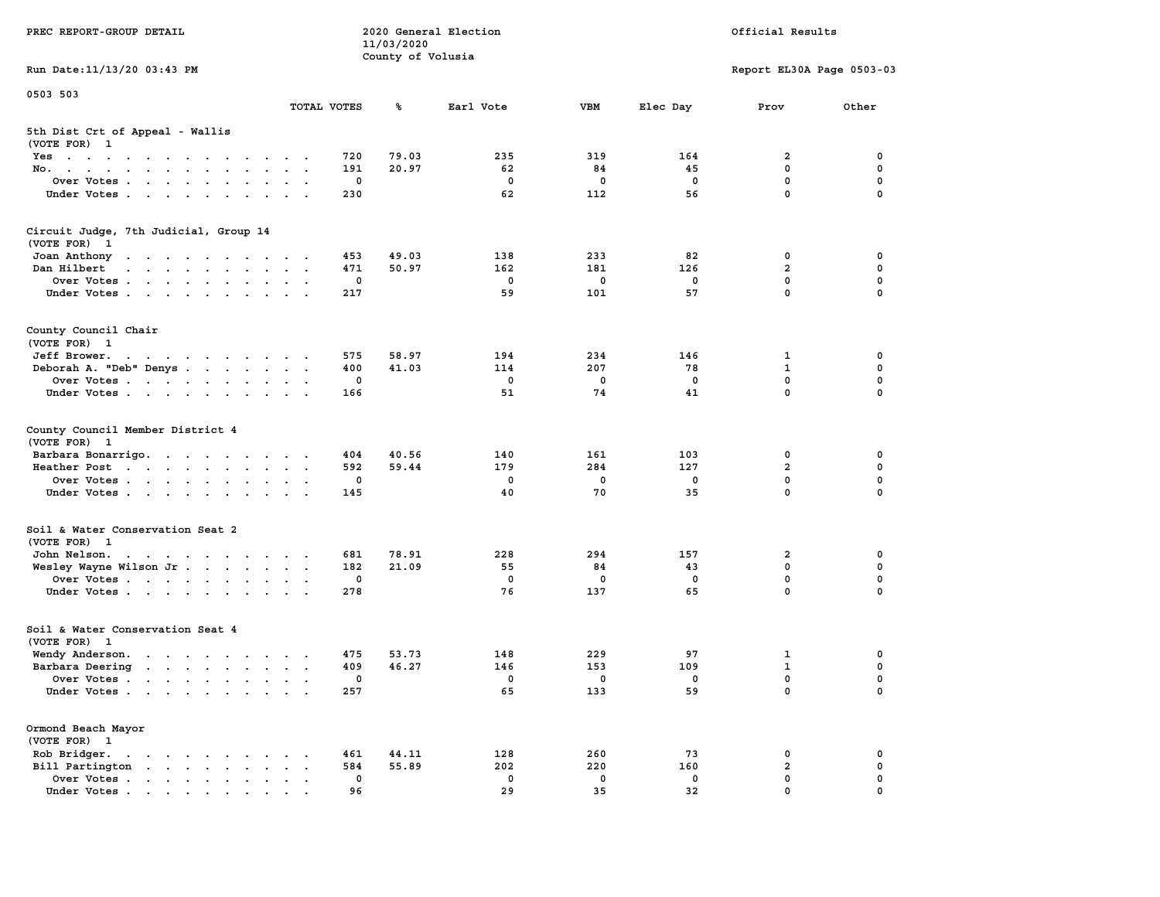| PREC REPORT-GROUP DETAIL                                                                                                                                                                                                                          |                             | 11/03/2020        | 2020 General Election | Official Results  |             |                            |               |  |
|---------------------------------------------------------------------------------------------------------------------------------------------------------------------------------------------------------------------------------------------------|-----------------------------|-------------------|-----------------------|-------------------|-------------|----------------------------|---------------|--|
| Run Date: 11/13/20 03:43 PM                                                                                                                                                                                                                       |                             | County of Volusia |                       |                   |             | Report EL30A Page 0503-03  |               |  |
| 0503 503                                                                                                                                                                                                                                          |                             |                   |                       |                   |             |                            |               |  |
|                                                                                                                                                                                                                                                   | TOTAL VOTES                 | ጜ                 | Earl Vote             | <b>VBM</b>        | Elec Day    | Prov                       | Other         |  |
| 5th Dist Crt of Appeal - Wallis<br>(VOTE FOR) 1                                                                                                                                                                                                   |                             |                   |                       |                   |             |                            |               |  |
| Yes                                                                                                                                                                                                                                               | 720                         | 79.03             | 235                   | 319               | 164         | 2                          | 0             |  |
| No.                                                                                                                                                                                                                                               | 191                         | 20.97             | 62                    | 84                | 45          | $\mathbf 0$                | 0             |  |
| Over Votes                                                                                                                                                                                                                                        | 0                           |                   | 0                     | 0                 | 0           | $\mathbf 0$                | 0             |  |
| Under Votes                                                                                                                                                                                                                                       | 230                         |                   | 62                    | 112               | 56          | $\mathbf 0$                | $\Omega$      |  |
| Circuit Judge, 7th Judicial, Group 14<br>(VOTE FOR)<br>$\mathbf{1}$                                                                                                                                                                               |                             |                   |                       |                   |             |                            |               |  |
| Joan Anthony<br>the contract of the contract of the con-                                                                                                                                                                                          | 453                         | 49.03             | 138                   | 233               | 82          | 0                          | 0             |  |
| Dan Hilbert<br>and a series of the contract of the series of the series of the series of the series of the series of the series of the series of the series of the series of the series of the series of the series of the series of the seri     | 471                         | 50.97             | 162                   | 181               | 126         | $\overline{a}$             | 0             |  |
| Over Votes                                                                                                                                                                                                                                        | 0                           |                   | $\mathbf 0$           | $\mathbf 0$       | $\mathbf 0$ | $\mathbf 0$                | 0             |  |
| Under Votes                                                                                                                                                                                                                                       | 217                         |                   | 59                    | 101               | 57          | $\mathbf{0}$               | 0             |  |
| County Council Chair<br>(VOTE FOR) 1                                                                                                                                                                                                              |                             |                   |                       |                   |             |                            |               |  |
| Jeff Brower.<br>the contract of the contract of the contract of the contract of the contract of the contract of the contract of                                                                                                                   | 575                         | 58.97             | 194                   | 234               | 146         | 1                          | 0             |  |
| Deborah A. "Deb" Denys                                                                                                                                                                                                                            | 400                         | 41.03             | 114                   | 207               | 78          | $\mathbf{1}$               | $\mathbf 0$   |  |
| Over Votes                                                                                                                                                                                                                                        | 0                           |                   | $\mathbf 0$           | $\mathbf 0$       | 0           | $\mathbf{0}$               | 0             |  |
| Under Votes                                                                                                                                                                                                                                       | 166                         |                   | 51                    | 74                | 41          | $\mathbf 0$                | 0             |  |
| County Council Member District 4<br>(VOTE FOR) 1                                                                                                                                                                                                  |                             |                   |                       |                   |             |                            |               |  |
| Barbara Bonarrigo.                                                                                                                                                                                                                                | 404                         | 40.56             | 140                   | 161               | 103         | 0                          | 0             |  |
| Heather Post                                                                                                                                                                                                                                      | 592                         | 59.44             | 179                   | 284               | 127         | $\overline{\mathbf{2}}$    | 0             |  |
| Over Votes                                                                                                                                                                                                                                        | 0                           |                   | 0                     | $\mathbf 0$       | 0           | $\mathbf 0$                | 0             |  |
| Under Votes                                                                                                                                                                                                                                       | 145                         |                   | 40                    | 70                | 35          | $\mathbf 0$                | $\Omega$      |  |
| Soil & Water Conservation Seat 2<br>(VOTE FOR) 1                                                                                                                                                                                                  |                             |                   |                       |                   |             |                            |               |  |
| John Nelson.<br>the contract of the contract of the contract of the contract of the contract of the contract of the contract of                                                                                                                   | 681                         | 78.91             | 228                   | 294               | 157         | 2                          | 0             |  |
| Wesley Wayne Wilson Jr                                                                                                                                                                                                                            | 182                         | 21.09             | 55                    | 84                | 43          | $\mathbf 0$                | 0             |  |
| Over Votes                                                                                                                                                                                                                                        | 0                           |                   | 0                     | 0                 | 0           | $\mathbf 0$                | 0             |  |
| Under Votes                                                                                                                                                                                                                                       | 278                         |                   | 76                    | 137               | 65          | $\mathbf 0$                | 0             |  |
| Soil & Water Conservation Seat 4<br>(VOTE FOR) 1                                                                                                                                                                                                  |                             |                   |                       |                   |             |                            |               |  |
| Wendy Anderson.                                                                                                                                                                                                                                   | 475                         | 53.73             | 148                   | 229               | 97          | 1                          | 0             |  |
| Barbara Deering                                                                                                                                                                                                                                   | 409                         | 46.27             | 146                   | 153               | 109         | $\mathbf{1}$               | 0             |  |
| Over Votes                                                                                                                                                                                                                                        | 0                           |                   | 0                     | $\mathbf 0$       | 0           | $\mathbf 0$                | 0             |  |
| Under Votes.                                                                                                                                                                                                                                      | 257                         |                   | 65                    | 133               | 59          | 0                          | 0             |  |
| Ormond Beach Mayor<br>(VOTE FOR) 1                                                                                                                                                                                                                |                             |                   |                       |                   |             |                            |               |  |
| Rob Bridger.<br>$\mathbf{r}$ . The contract of the contract of the contract of the contract of the contract of the contract of the contract of the contract of the contract of the contract of the contract of the contract of the contract of th | 461                         | 44.11             | 128                   | 260               | 73          | 0                          | 0             |  |
| Bill Partington<br>$\ddot{\phantom{a}}$                                                                                                                                                                                                           | 584<br>$\ddot{\phantom{a}}$ | 55.89             | 202                   | 220               | 160         | $\overline{a}$             | 0             |  |
| Over Votes                                                                                                                                                                                                                                        | 0                           |                   | 0<br>29               | $\mathbf 0$<br>35 | 0<br>32     | $\mathbf 0$<br>$\mathbf 0$ | 0<br>$\Omega$ |  |
| Under Votes                                                                                                                                                                                                                                       | 96                          |                   |                       |                   |             |                            |               |  |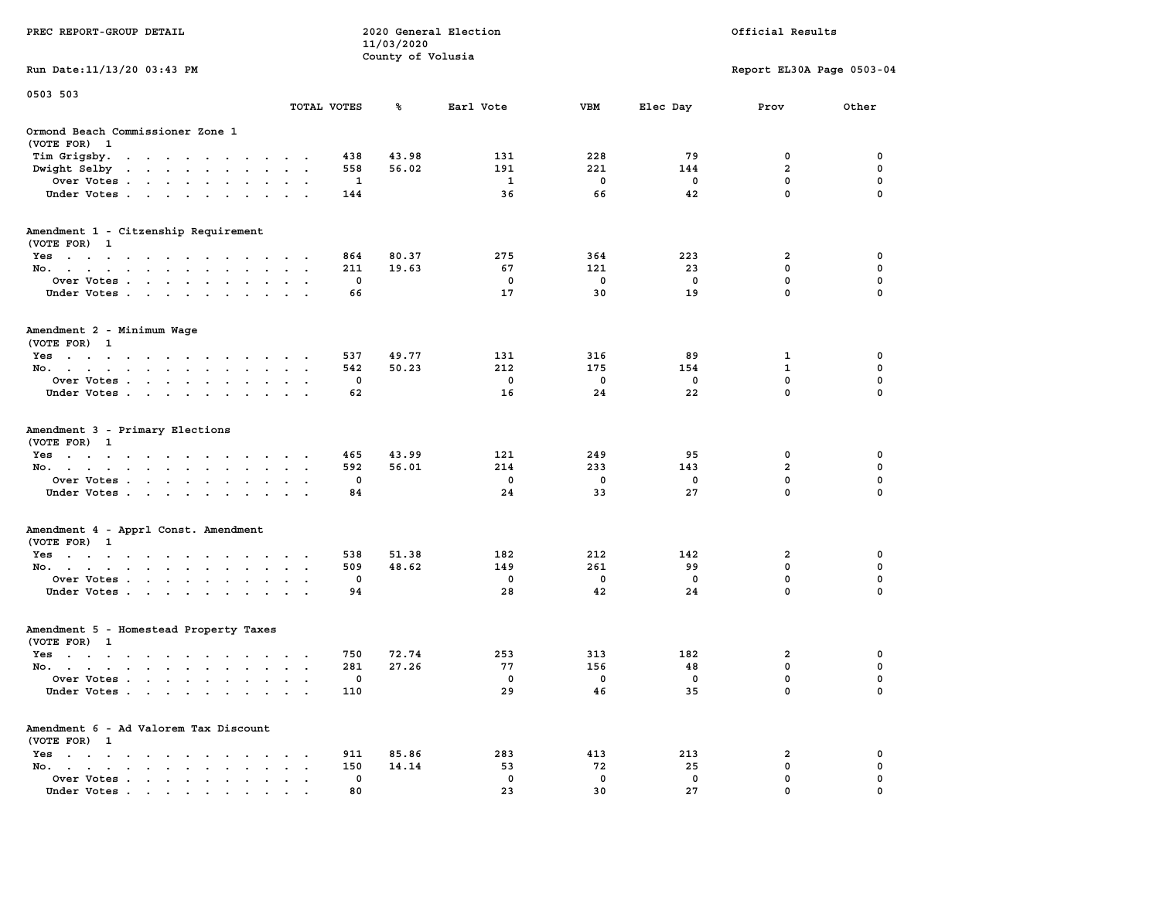| PREC REPORT-GROUP DETAIL                                                                                                                         |                      |            | 11/03/2020        | 2020 General Election |             | Official Results |                              |          |  |  |
|--------------------------------------------------------------------------------------------------------------------------------------------------|----------------------|------------|-------------------|-----------------------|-------------|------------------|------------------------------|----------|--|--|
| Run Date: 11/13/20 03:43 PM                                                                                                                      |                      |            | County of Volusia |                       |             |                  | Report EL30A Page 0503-04    |          |  |  |
| 0503 503                                                                                                                                         |                      |            |                   |                       |             |                  |                              |          |  |  |
|                                                                                                                                                  | TOTAL VOTES          |            | ℁                 | Earl Vote             | VBM         | Elec Day         | Prov                         | Other    |  |  |
| Ormond Beach Commissioner Zone 1<br>(VOTE FOR) 1                                                                                                 |                      |            |                   |                       |             |                  |                              |          |  |  |
| Tim Grigsby.<br>the contract of the contract of the contract of the contract of the contract of the contract of the contract of                  |                      | 438        | 43.98             | 131                   | 228         | 79               | 0                            | 0        |  |  |
| Dwight Selby                                                                                                                                     |                      | 558        | 56.02             | 191                   | 221         | 144              | $\overline{\mathbf{2}}$      | 0        |  |  |
| Over Votes                                                                                                                                       |                      | 1          |                   | 1                     | 0           | 0                | 0                            | 0        |  |  |
| Under Votes                                                                                                                                      | $\sim$ $\sim$        | 144        |                   | 36                    | 66          | 42               | $\mathbf 0$                  | $\Omega$ |  |  |
| Amendment 1 - Citzenship Requirement<br>(VOTE FOR) 1                                                                                             |                      |            |                   |                       |             |                  |                              |          |  |  |
| Yes                                                                                                                                              |                      | 864        | 80.37             | 275                   | 364         | 223              | 2                            | 0        |  |  |
| No.                                                                                                                                              |                      | 211        | 19.63             | 67                    | 121         | 23               | 0                            | 0        |  |  |
| Over Votes                                                                                                                                       |                      | 0          |                   | 0                     | $\mathbf 0$ | 0                | $\mathbf 0$                  | 0        |  |  |
| Under Votes                                                                                                                                      |                      | 66         |                   | 17                    | 30          | 19               | $\mathbf 0$                  | 0        |  |  |
| Amendment 2 - Minimum Wage<br>(VOTE FOR) 1                                                                                                       |                      |            |                   |                       |             |                  |                              |          |  |  |
| Yes<br>والمتناول والمتناول والتواطئ والمتناول والتواطئ والمناور                                                                                  |                      | 537        | 49.77             | 131                   | 316         | 89               | 1                            | 0        |  |  |
| No.                                                                                                                                              |                      | 542        | 50.23             | 212                   | 175         | 154              | 1                            | 0        |  |  |
| Over Votes.<br>the contract of the contract of the contract of the contract of the contract of the contract of the contract of                   |                      | 0          |                   | 0                     | 0           | 0                | $\mathbf 0$                  | 0        |  |  |
| Under Votes                                                                                                                                      |                      | 62         |                   | 16                    | 24          | 22               | 0                            | 0        |  |  |
| Amendment 3 - Primary Elections<br>(VOTE FOR) 1                                                                                                  |                      |            |                   |                       |             |                  |                              |          |  |  |
| Yes                                                                                                                                              |                      | 465        | 43.99             | 121                   | 249         | 95               | 0                            | 0        |  |  |
| No.                                                                                                                                              | $\sim$ $\sim$        | 592<br>0   | 56.01             | 214<br>0              | 233<br>0    | 143<br>0         | $\overline{\mathbf{2}}$<br>0 | 0<br>0   |  |  |
| Over Votes                                                                                                                                       |                      | 84         |                   | 24                    | 33          | 27               | 0                            | $\Omega$ |  |  |
| Under Votes                                                                                                                                      |                      |            |                   |                       |             |                  |                              |          |  |  |
| Amendment 4 - Apprl Const. Amendment<br>(VOTE FOR) 1                                                                                             |                      |            |                   |                       |             |                  |                              |          |  |  |
| Yes                                                                                                                                              |                      | 538        | 51.38             | 182                   | 212         | 142              | 2                            | 0        |  |  |
| No.                                                                                                                                              | $\cdot$ $\cdot$      | 509        | 48.62             | 149                   | 261         | 99               | 0                            | 0        |  |  |
| Over Votes<br>Under Votes                                                                                                                        |                      | 0<br>94    |                   | 0<br>28               | 0<br>42     | 0<br>24          | 0<br>$\mathbf 0$             | 0<br>0   |  |  |
| Amendment 5 - Homestead Property Taxes<br>(VOTE FOR) 1                                                                                           |                      |            |                   |                       |             |                  |                              |          |  |  |
| Yes<br>the contract of the contract of the contract of the contract of the contract of the contract of the contract of                           |                      | 750        | 72.74             | 253                   | 313         | 182              | 2                            | 0        |  |  |
| No.                                                                                                                                              | $\sim$ $\sim$        | 281        | 27.26             | 77                    | 156         | 48               | 0                            | 0        |  |  |
| Over Votes                                                                                                                                       |                      | 0          |                   | 0                     | 0           | 0                | 0                            | $\Omega$ |  |  |
| Under Votes                                                                                                                                      |                      | 110        |                   | 29                    | 46          | 35               | 0                            | 0        |  |  |
| Amendment 6 - Ad Valorem Tax Discount                                                                                                            |                      |            |                   |                       |             |                  |                              |          |  |  |
| (VOTE FOR) 1                                                                                                                                     |                      |            |                   |                       |             |                  |                              |          |  |  |
| $Yes \cdot \cdot \cdot \cdot$<br>$\mathcal{L}(\mathbf{z})$ , and $\mathcal{L}(\mathbf{z})$ , and<br>$\sim$ $\sim$<br>No.<br>$\ddot{\phantom{0}}$ |                      | 911<br>150 | 85.86<br>14.14    | 283<br>53             | 413<br>72   | 213<br>25        | 2<br>0                       | 0<br>0   |  |  |
| $\ddot{\phantom{a}}$<br>$\bullet$<br>Over Votes, , , , , ,                                                                                       | $\ddot{\phantom{a}}$ | 0          |                   | 0                     | 0           | 0                | 0                            | 0        |  |  |
| Under Votes.                                                                                                                                     |                      | 80         |                   | 23                    | 30          | 27               | 0                            |          |  |  |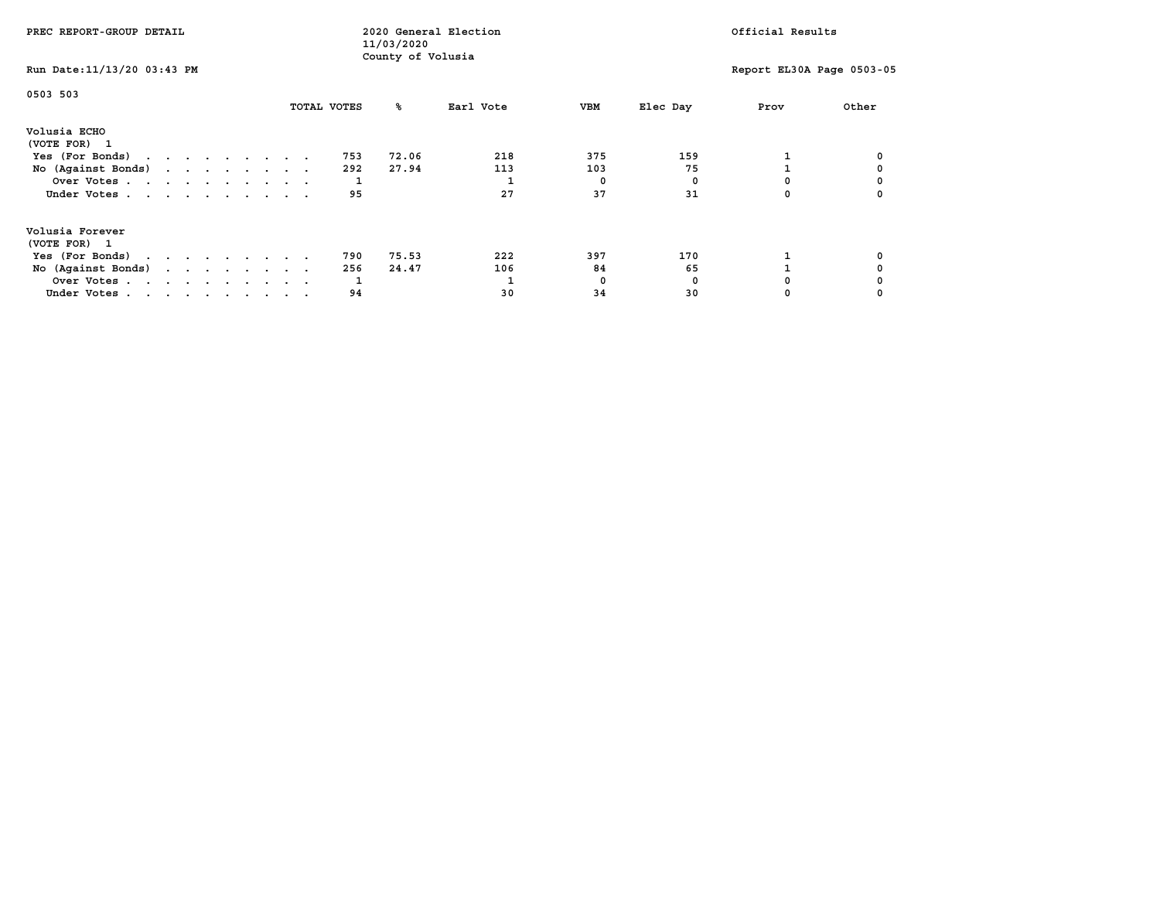| PREC REPORT-GROUP DETAIL                                                                                                                                |  |  |  | 11/03/2020 | 2020 General Election |  |                       | Official Results  |                  |                       |                      |      |                           |
|---------------------------------------------------------------------------------------------------------------------------------------------------------|--|--|--|------------|-----------------------|--|-----------------------|-------------------|------------------|-----------------------|----------------------|------|---------------------------|
| Run Date: 11/13/20 03:43 PM                                                                                                                             |  |  |  |            |                       |  |                       | County of Volusia |                  |                       |                      |      | Report EL30A Page 0503-05 |
| 0503 503                                                                                                                                                |  |  |  |            |                       |  | TOTAL VOTES           | ‱                 | Earl Vote        | VBM                   | Elec Day             | Prov | Other                     |
| Volusia ECHO<br>(VOTE FOR) 1<br>Yes (For Bonds) $\cdots$ $\cdots$ $\cdots$ $\cdots$<br>No (Against Bonds)<br>Over Votes<br>Under Votes                  |  |  |  |            |                       |  | 753<br>292<br>95      | 72.06<br>27.94    | 218<br>113<br>27 | 375<br>103<br>0<br>37 | 159<br>75<br>0<br>31 |      |                           |
| Volusia Forever<br>(VOTE FOR) 1<br>Yes (For Bonds) $\cdot \cdot \cdot \cdot \cdot \cdot \cdot \cdot$<br>No (Against Bonds)<br>Over Votes<br>Under Votes |  |  |  |            |                       |  | 790<br>256<br>1<br>94 | 75.53<br>24.47    | 222<br>106<br>30 | 397<br>84<br>0<br>34  | 170<br>65<br>0<br>30 |      |                           |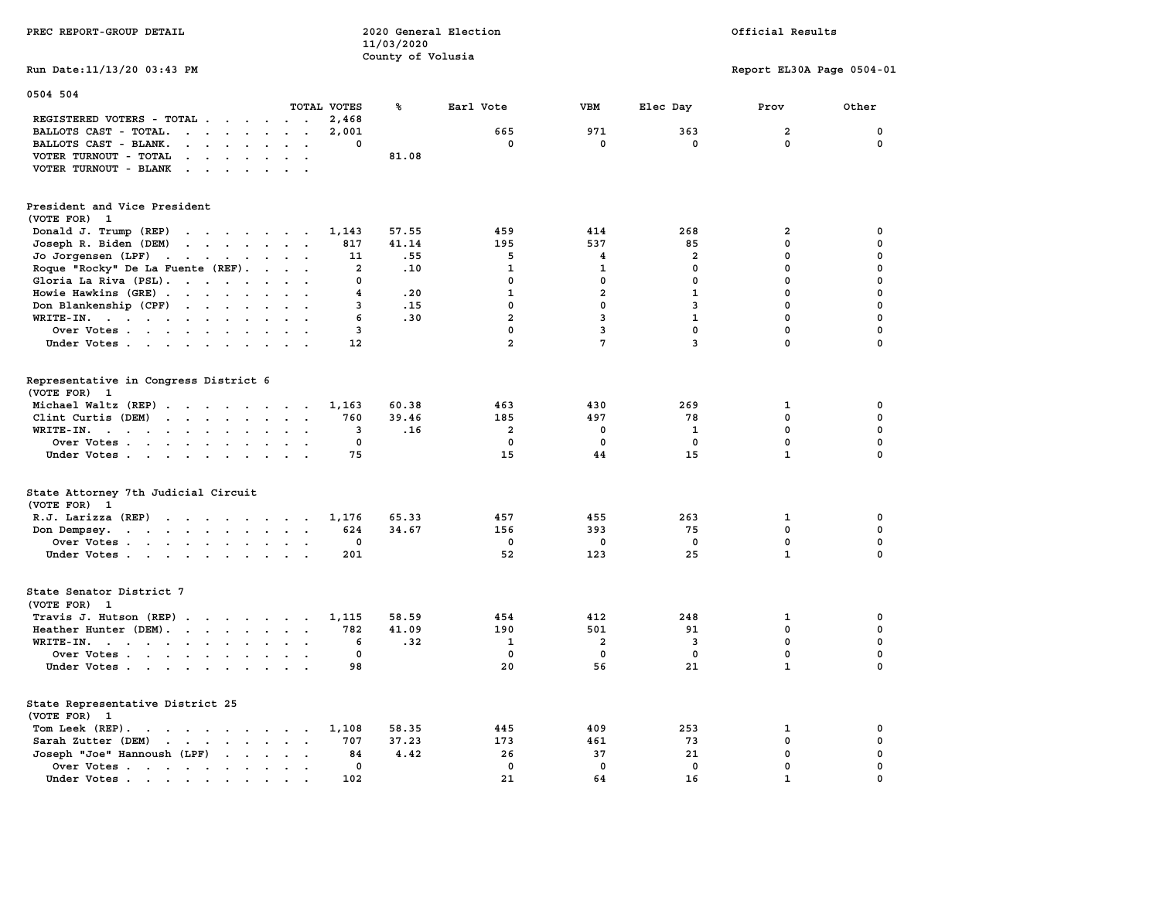| PREC REPORT-GROUP DETAIL                                                                                                                                                                                                                                   |                               | 11/03/2020        | 2020 General Election |                 |                         | Official Results          |             |
|------------------------------------------------------------------------------------------------------------------------------------------------------------------------------------------------------------------------------------------------------------|-------------------------------|-------------------|-----------------------|-----------------|-------------------------|---------------------------|-------------|
| Run Date: 11/13/20 03:43 PM                                                                                                                                                                                                                                |                               | County of Volusia |                       |                 |                         | Report EL30A Page 0504-01 |             |
|                                                                                                                                                                                                                                                            |                               |                   |                       |                 |                         |                           |             |
| 0504 504                                                                                                                                                                                                                                                   |                               |                   |                       |                 |                         |                           |             |
| REGISTERED VOTERS - TOTAL                                                                                                                                                                                                                                  | TOTAL VOTES<br>2,468          | ℁                 | Earl Vote             | <b>VBM</b>      | Elec Day                | Prov                      | Other       |
| BALLOTS CAST - TOTAL.<br>$\mathbf{r}$ . The set of the set of the set of the set of the set of the set of the set of the set of the set of the set of the set of the set of the set of the set of the set of the set of the set of the set of the set of t | 2,001<br>$\sim$               |                   | 665                   | 971             | 363                     | $\overline{2}$            | 0           |
| BALLOTS CAST - BLANK.<br>$\cdot$ $\cdot$ $\cdot$ $\cdot$ $\cdot$<br>$\ddot{\phantom{a}}$                                                                                                                                                                   | $\mathbf 0$<br>$\overline{a}$ |                   | $\mathbf 0$           | $\mathbf 0$     | $\mathbf 0$             | $\mathbf 0$               | $\mathbf 0$ |
| VOTER TURNOUT - TOTAL<br>$\mathbf{r}$ . The contract of the contract of the contract of the contract of the contract of the contract of the contract of the contract of the contract of the contract of the contract of the contract of the contract of th |                               | 81.08             |                       |                 |                         |                           |             |
| VOTER TURNOUT - BLANK                                                                                                                                                                                                                                      | $\sim$                        |                   |                       |                 |                         |                           |             |
|                                                                                                                                                                                                                                                            |                               |                   |                       |                 |                         |                           |             |
| President and Vice President<br>(VOTE FOR)<br>$\mathbf{1}$                                                                                                                                                                                                 |                               |                   |                       |                 |                         |                           |             |
| Donald J. Trump (REP)<br>the contract of the contract of the contract of the contract of the contract of the contract of the contract of                                                                                                                   | 1,143                         | 57.55             | 459                   | 414             | 268                     | $\mathbf{2}$              | 0           |
| Joseph R. Biden (DEM)<br>$\mathbf{r}$ , and $\mathbf{r}$ , and $\mathbf{r}$ , and $\mathbf{r}$                                                                                                                                                             | 817                           | 41.14             | 195                   | 537             | 85                      | $\mathbf 0$               | 0           |
| Jo Jorgensen (LPF)                                                                                                                                                                                                                                         | 11                            | .55               | 5                     | 4               | $\overline{a}$          | $\mathbf 0$               | $\mathbf 0$ |
| Roque "Rocky" De La Fuente (REF).                                                                                                                                                                                                                          | $\overline{\mathbf{2}}$       | .10               | $\mathbf{1}$          | $\mathbf{1}$    | $\mathbf 0$             | $\mathbf 0$               | 0           |
| Gloria La Riva (PSL).                                                                                                                                                                                                                                      | 0                             |                   | $\mathbf 0$           | $\mathbf 0$     | $\mathbf 0$             | $\mathbf 0$               | 0           |
| Howie Hawkins (GRE)                                                                                                                                                                                                                                        | 4                             | .20               | $\mathbf{1}$          | $\overline{2}$  | $\mathbf{1}$            | $\mathbf 0$               | $\mathbf 0$ |
| Don Blankenship (CPF)                                                                                                                                                                                                                                      | 3                             | .15               | $\mathbf 0$           | 0               | 3                       | $\mathbf 0$               | $\mathbf 0$ |
| WRITE-IN.                                                                                                                                                                                                                                                  | 6                             | .30               | $\overline{2}$        | 3               | $\mathbf{1}$            | $\mathbf 0$               | $\mathbf 0$ |
| Over Votes<br>$\sim$                                                                                                                                                                                                                                       | 3                             |                   | $\mathbf 0$           | 3               | $\mathbf 0$             | $\mathbf 0$               | $\mathbf 0$ |
| Under Votes                                                                                                                                                                                                                                                | 12                            |                   | $\overline{a}$        | $7\phantom{.0}$ | $\overline{\mathbf{3}}$ | $\mathbf 0$               | $\mathbf 0$ |
|                                                                                                                                                                                                                                                            |                               |                   |                       |                 |                         |                           |             |
| Representative in Congress District 6<br>(VOTE FOR) 1                                                                                                                                                                                                      |                               |                   |                       |                 |                         |                           |             |
| Michael Waltz (REP)                                                                                                                                                                                                                                        | 1,163                         | 60.38             | 463                   | 430             | 269                     | 1                         | 0           |
| Clint Curtis (DEM)<br>$\cdot$ $\cdot$ $\cdot$ $\cdot$ $\cdot$<br>$\cdot$ $\cdot$                                                                                                                                                                           | 760<br>$\sim$                 | 39.46             | 185                   | 497             | 78                      | 0                         | 0           |
| WRITE-IN.<br>the contract of the contract of the contract of the contract of the contract of the contract of the contract of<br>$\blacksquare$ .<br>$\sim$ 100 $\pm$                                                                                       | 3                             | .16               | 2                     | 0               | 1                       | $\mathbf{0}$              | 0           |
| Over Votes<br>$\sim$ $\sim$                                                                                                                                                                                                                                | 0<br>$\cdot$                  |                   | 0                     | 0               | 0                       | 0                         | 0           |
| Under Votes                                                                                                                                                                                                                                                | 75                            |                   | 15                    | 44              | 15                      | $\mathbf{1}$              | $\mathbf 0$ |
|                                                                                                                                                                                                                                                            |                               |                   |                       |                 |                         |                           |             |
| State Attorney 7th Judicial Circuit<br>(VOTE FOR) 1                                                                                                                                                                                                        |                               |                   |                       |                 |                         |                           |             |
| R.J. Larizza $(REP)$                                                                                                                                                                                                                                       | 1,176                         | 65.33             | 457                   | 455             | 263                     | 1                         | 0           |
| Don Dempsey.                                                                                                                                                                                                                                               | $\ddot{\phantom{1}}$<br>624   | 34.67             | 156                   | 393             | 75                      | $\mathbf 0$               | $\mathbf 0$ |
| Over Votes.                                                                                                                                                                                                                                                | 0                             |                   | 0                     | 0               | 0                       | $\mathbf 0$               | $\mathbf 0$ |
| Under Votes                                                                                                                                                                                                                                                | 201                           |                   | 52                    | 123             | 25                      | $\mathbf{1}$              | $\mathbf 0$ |
|                                                                                                                                                                                                                                                            |                               |                   |                       |                 |                         |                           |             |
| State Senator District 7<br>(VOTE FOR) 1                                                                                                                                                                                                                   |                               |                   |                       |                 |                         |                           |             |
| Travis J. Hutson (REP)                                                                                                                                                                                                                                     | 1,115                         | 58.59             | 454                   | 412             | 248                     | 1                         | 0           |
| Heather Hunter (DEM).                                                                                                                                                                                                                                      | 782                           | 41.09             | 190                   | 501             | 91                      | 0                         | 0           |
| WRITE-IN.                                                                                                                                                                                                                                                  | 6<br>$\sim$ $\sim$            | .32               | 1                     | 2               | 3                       | $\mathbf 0$               | $\mathbf 0$ |
| Over Votes                                                                                                                                                                                                                                                 | 0                             |                   | $\Omega$              | 0               | 0                       | 0                         | 0           |
| Under Votes                                                                                                                                                                                                                                                | 98                            |                   | 20                    | 56              | 21                      | $\mathbf{1}$              | 0           |
|                                                                                                                                                                                                                                                            |                               |                   |                       |                 |                         |                           |             |
| State Representative District 25                                                                                                                                                                                                                           |                               |                   |                       |                 |                         |                           |             |
| (VOTE FOR) 1<br>Tom Leek (REP).                                                                                                                                                                                                                            |                               | 58.35             | 445                   | 409             | 253                     | 1                         | 0           |
| the contract of the contract of the contract of the contract of the contract of the contract of the contract of                                                                                                                                            | 1,108<br>707                  | 37.23             | 173                   | 461             | 73                      | $\mathbf 0$               | 0           |
| Sarah Zutter (DEM)<br>Joseph "Joe" Hannoush (LPF)                                                                                                                                                                                                          | 84<br>$\cdots$                | 4.42              | 26                    | 37              | 21                      | $\mathbf{0}$              | $\mathbf 0$ |
| Over Votes                                                                                                                                                                                                                                                 | $\sim$ $\sim$<br>0            |                   | 0                     | $\mathbf 0$     | $\mathbf 0$             | $\mathbf 0$               | 0           |
| Under Votes                                                                                                                                                                                                                                                | 102                           |                   | 21                    | 64              | 16                      | $\mathbf{1}$              | $\Omega$    |
|                                                                                                                                                                                                                                                            |                               |                   |                       |                 |                         |                           |             |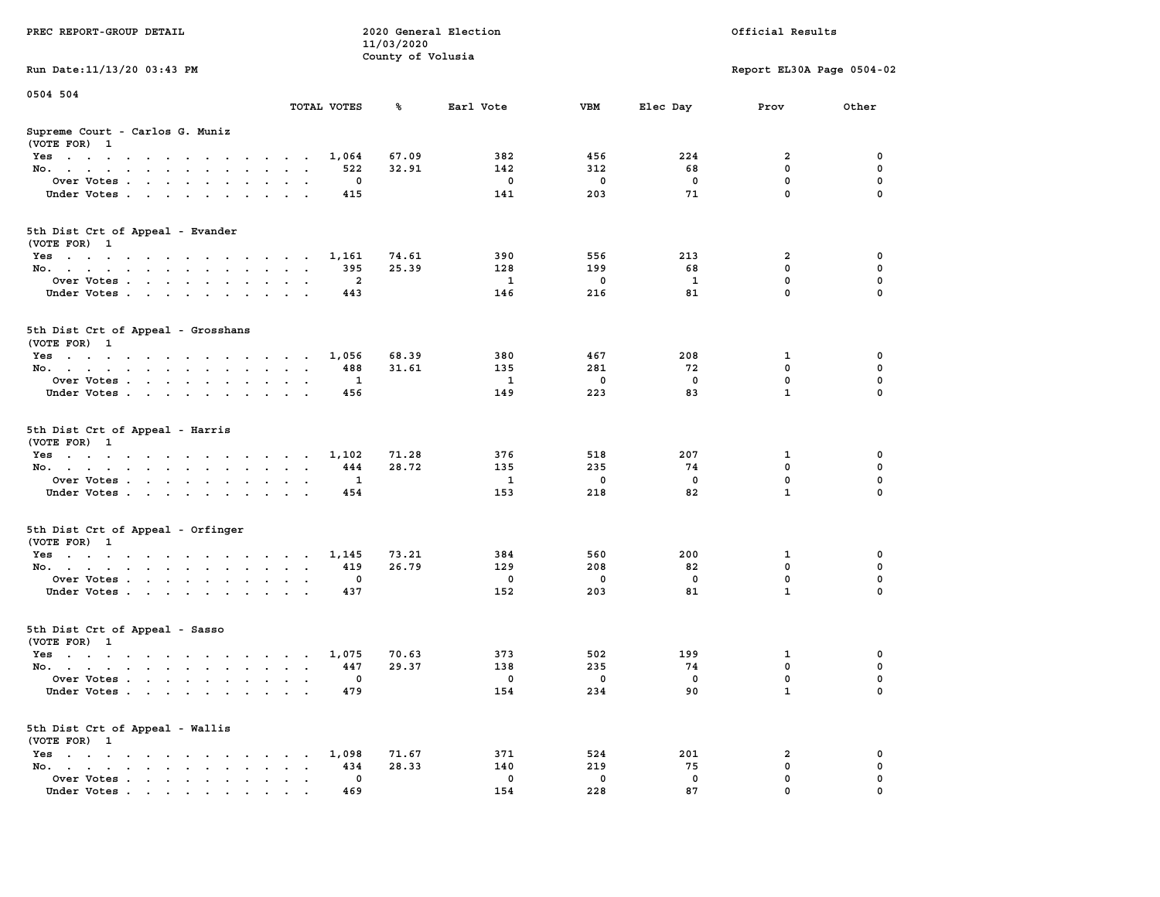|                                                                                                                                              |                                                                       | 11/03/2020        |              |             |              |                           |             |
|----------------------------------------------------------------------------------------------------------------------------------------------|-----------------------------------------------------------------------|-------------------|--------------|-------------|--------------|---------------------------|-------------|
|                                                                                                                                              |                                                                       | County of Volusia |              |             |              |                           |             |
| Run Date: 11/13/20 03:43 PM                                                                                                                  |                                                                       |                   |              |             |              | Report EL30A Page 0504-02 |             |
| 0504 504                                                                                                                                     |                                                                       |                   |              |             |              |                           |             |
|                                                                                                                                              | TOTAL VOTES                                                           | ℁                 | Earl Vote    | VBM         | Elec Day     | Prov                      | Other       |
| Supreme Court - Carlos G. Muniz                                                                                                              |                                                                       |                   |              |             |              |                           |             |
| (VOTE FOR) 1                                                                                                                                 |                                                                       |                   |              |             |              |                           |             |
| Yes                                                                                                                                          | 1,064                                                                 | 67.09             | 382          | 456         | 224          | $\overline{\mathbf{2}}$   | 0           |
| No.<br>$\sim$<br>$\sim$                                                                                                                      | 522                                                                   | 32.91             | 142          | 312         | 68           | $\mathbf 0$               | $\mathbf 0$ |
| Over Votes                                                                                                                                   | $\mathbf 0$                                                           |                   | $^{\circ}$   | $\mathbf 0$ | $\mathbf 0$  | $\mathbf 0$               | $\mathbf 0$ |
| Under Votes<br>$\sim$                                                                                                                        | 415<br>$\ddot{\phantom{a}}$<br>$\ddot{\phantom{a}}$                   |                   | 141          | 203         | 71           | $\mathbf 0$               | $\mathbf 0$ |
|                                                                                                                                              |                                                                       |                   |              |             |              |                           |             |
|                                                                                                                                              |                                                                       |                   |              |             |              |                           |             |
| 5th Dist Crt of Appeal - Evander                                                                                                             |                                                                       |                   |              |             |              |                           |             |
| (VOTE FOR) 1                                                                                                                                 |                                                                       |                   |              |             |              |                           |             |
| Yes                                                                                                                                          | 1,161                                                                 | 74.61             | 390          | 556         | 213          | $\overline{\mathbf{2}}$   | $\mathbf 0$ |
| No.                                                                                                                                          | 395                                                                   | 25.39             | 128          | 199         | 68           | $\mathbf 0$               | 0           |
| Over Votes                                                                                                                                   | $\overline{a}$<br>$\cdot$                                             |                   | $\mathbf{1}$ | $\mathbf 0$ | $\mathbf{1}$ | $\mathbf 0$               | $\mathbf 0$ |
| Under Votes                                                                                                                                  | 443                                                                   |                   | 146          | 216         | 81           | $\mathbf 0$               | 0           |
|                                                                                                                                              |                                                                       |                   |              |             |              |                           |             |
| 5th Dist Crt of Appeal - Grosshans                                                                                                           |                                                                       |                   |              |             |              |                           |             |
| (VOTE FOR) 1                                                                                                                                 |                                                                       |                   |              |             |              |                           |             |
| Yes                                                                                                                                          | 1,056<br>$\overline{\phantom{a}}$                                     | 68.39             | 380          | 467         | 208          | 1                         | 0           |
| No.                                                                                                                                          | 488<br>$\sim$<br>$\cdot$ .                                            | 31.61             | 135          | 281         | 72           | $\Omega$                  | $\mathbf 0$ |
| Over Votes                                                                                                                                   | $\mathbf{1}$<br>$\ddot{\phantom{a}}$                                  |                   | $\mathbf{1}$ | 0           | $\mathbf 0$  | $\mathbf 0$               | 0           |
| Under Votes                                                                                                                                  | 456                                                                   |                   | 149          | 223         | 83           | $\mathbf{1}$              | 0           |
| 5th Dist Crt of Appeal - Harris<br>(VOTE FOR) 1                                                                                              |                                                                       |                   |              |             |              |                           |             |
| Yes                                                                                                                                          | 1,102                                                                 | 71.28             | 376          | 518         | 207          | 1                         | 0           |
| No.<br>$\sim$                                                                                                                                | 444<br>$\ddot{\phantom{a}}$<br>$\sim$<br>$\ddot{\phantom{a}}$         | 28.72             | 135          | 235         | 74           | $\mathbf 0$               | $\mathbf 0$ |
| Over Votes                                                                                                                                   | $\mathbf{1}$                                                          |                   | -1           | $\mathbf 0$ | $\mathbf 0$  | $\mathbf 0$               | $\mathbf 0$ |
| Under Votes<br>$\sim$                                                                                                                        | 454<br>$\ddot{\phantom{a}}$                                           |                   | 153          | 218         | 82           | $\mathbf{1}$              | $\mathbf 0$ |
|                                                                                                                                              |                                                                       |                   |              |             |              |                           |             |
| 5th Dist Crt of Appeal - Orfinger<br>(VOTE FOR) 1                                                                                            |                                                                       |                   |              |             |              |                           |             |
| Yes                                                                                                                                          | 1,145                                                                 | 73.21             | 384          | 560         | 200          | $\mathbf{1}$              | $\mathbf 0$ |
| No.                                                                                                                                          | 419<br>$\mathcal{A}=\mathcal{A}=\mathcal{A}=\mathcal{A}$              | 26.79             | 129          | 208         | 82           | $\mathbf 0$               | $\mathbf 0$ |
| Over Votes<br>$\ddot{\phantom{a}}$                                                                                                           | 0<br>$\ddot{\phantom{a}}$<br>$\mathbf{r}$<br>$\cdot$                  |                   | $\mathbf 0$  | $\mathbf 0$ | $\mathbf 0$  | $\mathbf 0$               | 0           |
| Under Votes                                                                                                                                  | 437                                                                   |                   | 152          | 203         | 81           | $\mathbf{1}$              | 0           |
|                                                                                                                                              |                                                                       |                   |              |             |              |                           |             |
| 5th Dist Crt of Appeal - Sasso                                                                                                               |                                                                       |                   |              |             |              |                           |             |
| (VOTE FOR) 1                                                                                                                                 |                                                                       |                   |              |             |              |                           |             |
| Yes                                                                                                                                          | 1,075                                                                 | 70.63             | 373          | 502         | 199          | 1                         | 0           |
| No.                                                                                                                                          | 447                                                                   | 29.37             | 138          | 235         | 74           | $\mathbf 0$               | 0           |
| Over Votes                                                                                                                                   | 0<br>$\cdot$                                                          |                   | 0            | $\mathbf 0$ | 0            | $\pmb{0}$                 | 0           |
| $\ddot{\phantom{a}}$                                                                                                                         | $\bullet$<br>$\ddot{\phantom{a}}$                                     |                   | 154          | 234         | 90           | $\mathbf{1}$              | $\Omega$    |
| Under Votes                                                                                                                                  | 479                                                                   |                   |              |             |              |                           |             |
| 5th Dist Crt of Appeal - Wallis<br>(VOTE FOR) 1                                                                                              |                                                                       |                   |              |             |              |                           |             |
|                                                                                                                                              |                                                                       |                   |              |             |              |                           |             |
| $Yes \t . \t .$<br>$\mathcal{A}=\mathcal{A}=\mathcal{A}=\mathcal{A}=\mathcal{A}=\mathcal{A}=\mathcal{A}=\mathcal{A}=\mathcal{A}=\mathcal{A}$ | 1,098                                                                 | 71.67             | 371          | 524         | 201          | 2                         | 0           |
| No.<br>the contract of the contract of the<br>$\mathbf{r}$<br>$\sim$                                                                         | 434<br>$\ddot{\phantom{a}}$<br>$\sim$                                 | 28.33             | 140          | 219         | 75           | $\mathbf 0$               | 0           |
| Over Votes<br>$\ddot{\phantom{a}}$                                                                                                           | $\mathbf 0$<br>$\ddot{\phantom{a}}$<br>$\sim$<br>$\ddot{\phantom{1}}$ |                   | $\mathbf 0$  | $\mathbf 0$ | $\mathbf 0$  | $\mathbf 0$               | 0           |
| Under Votes                                                                                                                                  | 469                                                                   |                   | 154          | 228         | 87           | $\mathbf 0$               | $\mathbf 0$ |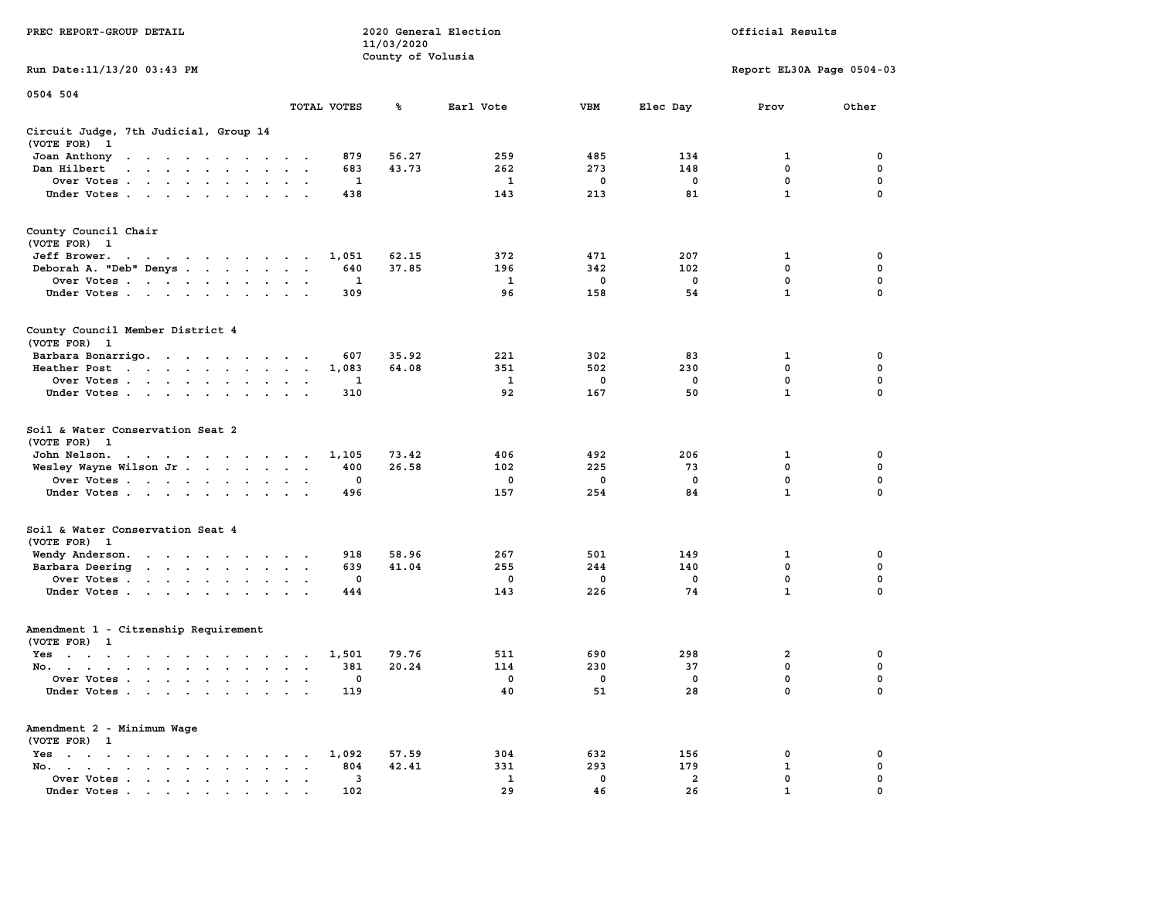|                                                                                                                                               |                                                                  | 11/03/2020        |              |             |                |                           |             |
|-----------------------------------------------------------------------------------------------------------------------------------------------|------------------------------------------------------------------|-------------------|--------------|-------------|----------------|---------------------------|-------------|
|                                                                                                                                               |                                                                  | County of Volusia |              |             |                |                           |             |
| Run Date:11/13/20 03:43 PM                                                                                                                    |                                                                  |                   |              |             |                | Report EL30A Page 0504-03 |             |
| 0504 504                                                                                                                                      |                                                                  |                   |              |             |                |                           |             |
|                                                                                                                                               | TOTAL VOTES                                                      | ℁                 | Earl Vote    | <b>VBM</b>  | Elec Day       | Prov                      | Other       |
| Circuit Judge, 7th Judicial, Group 14                                                                                                         |                                                                  |                   |              |             |                |                           |             |
| (VOTE FOR)<br>$\mathbf{1}$                                                                                                                    |                                                                  |                   |              |             |                |                           |             |
| Joan Anthony<br>the contract of the contract of the                                                                                           | 879<br>$\sim$                                                    | 56.27             | 259          | 485         | 134            | 1                         | 0           |
| Dan Hilbert<br>$\sim$<br>$\sim$                                                                                                               | 683<br>$\sim$<br>$\sim$                                          | 43.73             | 262          | 273         | 148            | 0                         | 0           |
| Over Votes.<br>and the contract of the contract of<br>$\overline{\phantom{a}}$                                                                | 1<br>$\cdot$<br>$\ddot{\phantom{a}}$                             |                   | $\mathbf{1}$ | $\mathbf 0$ | $\mathbf 0$    | $\mathbf 0$               | $\mathbf 0$ |
| Under Votes                                                                                                                                   | 438<br>$\cdot$<br>$\ddot{\phantom{a}}$                           |                   | 143          | 213         | 81             | $\mathbf{1}$              | $\mathbf 0$ |
|                                                                                                                                               |                                                                  |                   |              |             |                |                           |             |
| County Council Chair                                                                                                                          |                                                                  |                   |              |             |                |                           |             |
| (VOTE FOR)<br>$\mathbf{1}$                                                                                                                    |                                                                  |                   |              |             |                |                           |             |
| Jeff Brower.<br>design and a series of the series of                                                                                          | 1,051                                                            | 62.15             | 372          | 471         | 207            | 1                         | 0           |
| Deborah A. "Deb" Denys                                                                                                                        | 640<br>$\bullet$<br>$\overline{\phantom{a}}$<br>$\sim$           | 37.85             | 196          | 342         | 102            | $\mathbf 0$               | 0           |
| Over Votes                                                                                                                                    | 1                                                                |                   | 1            | 0           | 0              | 0                         | 0           |
| $\sim$ $\sim$ $\sim$<br>$\blacksquare$<br>$\sim$<br>Under Votes                                                                               | $\bullet$<br>309                                                 |                   | 96           | 158         | 54             | $\mathbf{1}$              | $\mathbf 0$ |
| $\ddot{\phantom{a}}$                                                                                                                          |                                                                  |                   |              |             |                |                           |             |
| County Council Member District 4                                                                                                              |                                                                  |                   |              |             |                |                           |             |
| (VOTE FOR) 1                                                                                                                                  |                                                                  |                   |              |             |                |                           |             |
| Barbara Bonarrigo.<br>$\sim$                                                                                                                  | 607<br>$\bullet$                                                 | 35.92             | 221          | 302         | 83             | 1                         | 0           |
| Heather Post<br>$\sim 10^{-1}$ km $^{-1}$<br>$\sim$ $\sim$ $\sim$ $\sim$<br>$\ddot{\phantom{0}}$<br>$\bullet$ .<br><br><br>$\bullet$ .        | 1,083<br>$\bullet$<br>$\bullet$<br>$\ddot{\phantom{a}}$          | 64.08             | 351          | 502         | 230            | $\mathbf 0$               | $\mathbf 0$ |
| Over Votes<br>$\sim$                                                                                                                          | 1<br>$\cdot$                                                     |                   | 1            | 0           | 0              | $\mathbf 0$               | 0           |
| Under Votes                                                                                                                                   | $\bullet$<br>310                                                 |                   | 92           | 167         | 50             | $\mathbf{1}$              | $\mathbf 0$ |
| $\ddot{\phantom{0}}$<br>$\ddot{\phantom{1}}$<br>$\bullet$                                                                                     |                                                                  |                   |              |             |                |                           |             |
| Soil & Water Conservation Seat 2<br>(VOTE FOR)<br>$\overline{1}$                                                                              |                                                                  |                   |              |             |                |                           |             |
| John Nelson.                                                                                                                                  | 1,105                                                            | 73.42             | 406          | 492         | 206            | 1                         | 0           |
| the contract of the contract of the<br>Wesley Wayne Wilson Jr                                                                                 | 400                                                              | 26.58             | 102          | 225         | 73             | 0                         | 0           |
|                                                                                                                                               | $\bullet$<br>$\bullet$<br>$\ddot{\phantom{1}}$<br>0              |                   |              | 0           | $\mathbf 0$    | $\mathbf 0$               | $\mathbf 0$ |
| Over Votes                                                                                                                                    | $\ddot{\phantom{a}}$                                             |                   | 0            |             |                | $\mathbf{1}$              | 0           |
| Under Votes<br>$\ddot{\phantom{a}}$<br>$\ddot{\phantom{0}}$                                                                                   | 496                                                              |                   | 157          | 254         | 84             |                           |             |
| Soil & Water Conservation Seat 4                                                                                                              |                                                                  |                   |              |             |                |                           |             |
| (VOTE FOR) 1                                                                                                                                  |                                                                  |                   |              |             |                |                           |             |
| Wendy Anderson.<br>the contract of the contract of the                                                                                        | 918<br>$\cdot$                                                   | 58.96             | 267          | 501         | 149            | $\mathbf{1}$              | $\mathbf 0$ |
| Barbara Deering<br>$\ddot{\phantom{0}}$                                                                                                       | 639<br>$\ddot{\phantom{1}}$<br>$\bullet$<br>$\ddot{\phantom{a}}$ | 41.04             | 255          | 244         | 140            | 0                         | $\mathbf 0$ |
| Over Votes<br>$\ddot{\phantom{a}}$                                                                                                            | $\mathbf 0$<br>$\bullet$<br>$\cdot$                              |                   | 0            | 0           | $\mathbf 0$    | 0                         | 0           |
| Under Votes<br>$\cdot$                                                                                                                        | 444<br>$\cdot$<br>$\ddot{\phantom{a}}$                           |                   | 143          | 226         | 74             | $\mathbf{1}$              | 0           |
|                                                                                                                                               |                                                                  |                   |              |             |                |                           |             |
| Amendment 1 - Citzenship Requirement                                                                                                          |                                                                  |                   |              |             |                |                           |             |
| (VOTE FOR) 1                                                                                                                                  |                                                                  |                   |              |             |                |                           |             |
| $Yes \t . \t .$<br>$\ddot{\phantom{a}}$<br>$\ddot{\phantom{a}}$<br>$\overline{\phantom{a}}$<br>$\sim$ $\sim$ $\sim$<br>$\cdot$ .              | 1,501<br>$\cdot$<br>$\cdot$<br>$\sim$                            | 79.76             | 511          | 690         | 298            | $\overline{2}$            | 0           |
| No.<br>$\cdot$ $\cdot$<br>$\mathbf{r}$                                                                                                        | 381<br>$\overline{a}$<br>$\overline{\phantom{a}}$                | 20.24             | 114          | 230         | 37             | 0                         | $\mathbf 0$ |
| Over Votes.<br>$\sim$<br>$\ddot{\phantom{0}}$<br>$\ddot{\phantom{0}}$<br>$\ddot{\phantom{a}}$<br>$\ddot{\phantom{1}}$<br>$\ddot{\phantom{a}}$ | 0<br>$\cdot$<br>$\ddot{\phantom{a}}$<br>$\cdot$                  |                   | 0            | 0           | $\mathbf 0$    | $\mathbf 0$               | $\mathbf 0$ |
| Under Votes<br>$\ddot{\phantom{a}}$                                                                                                           | 119<br>$\cdot$ .                                                 |                   | 40           | 51          | 28             | $\mathbf{0}$              | $\mathbf 0$ |
| Amendment 2 - Minimum Wage                                                                                                                    |                                                                  |                   |              |             |                |                           |             |
| (VOTE FOR) 1                                                                                                                                  |                                                                  |                   |              |             |                |                           |             |
| Yes<br>$\sim$<br>$\bullet$<br>$\ddot{\phantom{0}}$<br>$\ddot{\phantom{a}}$<br>$\blacksquare$ .<br>$\ddot{\phantom{a}}$<br>$\cdot$<br>$\sim$   | 1,092                                                            | 57.59             | 304          | 632         | 156            | 0                         | 0           |
| No.<br>$\ddot{\phantom{a}}$<br>$\bullet$ .<br><br><br><br><br><br><br><br><br><br><br><br><br><br><br><br>$\sim$<br>$\ddot{\phantom{a}}$      | 804<br>$\cdot$                                                   | 42.41             | 331          | 293         | 179            | 1                         | 0           |
| Over Votes<br>$\blacksquare$ .<br>$\bullet$                                                                                                   | 3<br>$\ddot{\phantom{0}}$<br>$\ddot{\phantom{a}}$<br>$\,$ .      |                   | 1            | 0           | $\overline{a}$ | $\mathbf 0$               | $\mathbf 0$ |
| Under Votes                                                                                                                                   | 102                                                              |                   | 29           | 46          | 26             | $\mathbf{1}$              | $\mathbf 0$ |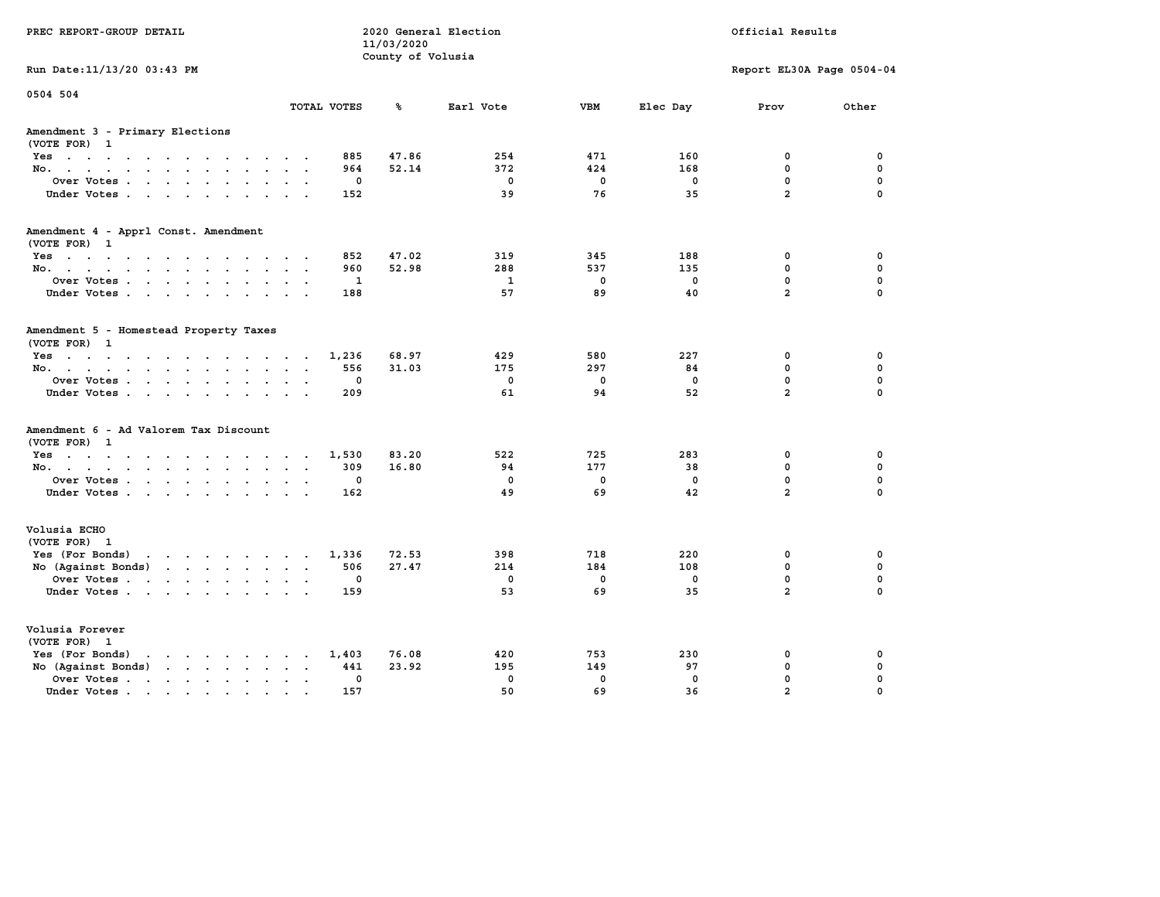| PREC REPORT-GROUP DETAIL                                                                 |                         |             | 2020 General Election<br>11/03/2020<br>County of Volusia |              |             |             | Official Results |                           |  |  |
|------------------------------------------------------------------------------------------|-------------------------|-------------|----------------------------------------------------------|--------------|-------------|-------------|------------------|---------------------------|--|--|
| Run Date: 11/13/20 03:43 PM                                                              |                         |             |                                                          |              |             |             |                  | Report EL30A Page 0504-04 |  |  |
| 0504 504                                                                                 |                         | TOTAL VOTES | ℁                                                        | Earl Vote    | <b>VBM</b>  | Elec Day    | Prov             | Other                     |  |  |
| Amendment 3 - Primary Elections<br>(VOTE FOR) 1                                          |                         |             |                                                          |              |             |             |                  |                           |  |  |
| Yes                                                                                      |                         | 885         | 47.86                                                    | 254          | 471         | 160         | 0                | 0                         |  |  |
| No.                                                                                      |                         | 964         | 52.14                                                    | 372          | 424         | 168         | $\mathbf 0$      | $\mathbf 0$               |  |  |
| Over Votes                                                                               |                         | 0           |                                                          | $\mathbf 0$  | 0           | 0           | $\mathbf 0$      | $\mathbf 0$               |  |  |
| Under Votes                                                                              |                         | 152         |                                                          | 39           | 76          | 35          | $\overline{a}$   | $\Omega$                  |  |  |
| Amendment 4 - Apprl Const. Amendment                                                     |                         |             |                                                          |              |             |             |                  |                           |  |  |
| (VOTE FOR) 1<br>Yes                                                                      |                         | 852         | 47.02                                                    | 319          | 345         | 188         | 0                | 0                         |  |  |
| No.                                                                                      |                         | 960         | 52.98                                                    | 288          | 537         | 135         | 0                | $\mathbf 0$               |  |  |
| Over Votes                                                                               |                         | $\mathbf 1$ |                                                          | $\mathbf{1}$ | $\mathbf 0$ | $\mathbf 0$ | $\mathbf 0$      | $\mathbf 0$               |  |  |
| Under Votes                                                                              |                         | 188         |                                                          | 57           | 89          | 40          | $\overline{a}$   | $\Omega$                  |  |  |
| Amendment 5 - Homestead Property Taxes<br>(VOTE FOR) 1                                   |                         |             |                                                          |              |             |             |                  |                           |  |  |
| Yes                                                                                      |                         | 1,236       | 68.97                                                    | 429          | 580         | 227         | 0                | 0                         |  |  |
| No.                                                                                      | $\cdot$ $\cdot$ $\cdot$ | 556         | 31.03                                                    | 175          | 297         | 84          | 0                | $\mathbf 0$               |  |  |
| Over Votes                                                                               | $\ddot{\phantom{1}}$    | 0           |                                                          | $\mathbf 0$  | $\mathbf 0$ | $\mathbf 0$ | $\mathbf 0$      | $\mathbf 0$               |  |  |
| Under Votes                                                                              |                         | 209         |                                                          | 61           | 94          | 52          | $\overline{a}$   | $\Omega$                  |  |  |
| Amendment 6 - Ad Valorem Tax Discount<br>(VOTE FOR) 1                                    |                         |             |                                                          |              |             |             |                  |                           |  |  |
| $Yes \cdot \cdot \cdot \cdot \cdot \cdot \cdot \cdot \cdot \cdot \cdot \cdot$            |                         | 1,530       | 83.20                                                    | 522          | 725         | 283         | 0                | 0                         |  |  |
| No.                                                                                      |                         | 309         | 16.80                                                    | 94           | 177         | 38          | 0                | $\mathbf 0$               |  |  |
| Over Votes                                                                               |                         | 0           |                                                          | $\mathbf 0$  | 0           | 0           | $\mathbf 0$      | $\mathbf 0$               |  |  |
| Under Votes                                                                              |                         | 162         |                                                          | 49           | 69          | 42          | $\overline{a}$   | $\Omega$                  |  |  |
| Volusia ECHO<br>(VOTE FOR) 1                                                             |                         |             |                                                          |              |             |             |                  |                           |  |  |
| Yes (For Bonds) $\cdots$ $\cdots$ $\cdots$ $\cdots$                                      |                         | 1,336       | 72.53                                                    | 398          | 718         | 220         | 0                | 0                         |  |  |
| No (Against Bonds)                                                                       |                         | 506         | 27.47                                                    | 214          | 184         | 108         | $\mathbf{0}$     | $\mathbf 0$               |  |  |
| Over Votes                                                                               | $\sim$ $\sim$           | 0           |                                                          | $\mathbf 0$  | 0           | 0           | $\mathbf 0$      | $\mathbf 0$               |  |  |
| Under Votes                                                                              |                         | 159         |                                                          | 53           | 69          | 35          | $\overline{a}$   | $\Omega$                  |  |  |
| Volusia Forever<br>(VOTE FOR) 1                                                          |                         |             |                                                          |              |             |             |                  |                           |  |  |
| Yes (For Bonds)<br>$\mathbf{r}$ , and $\mathbf{r}$ , and $\mathbf{r}$ , and $\mathbf{r}$ |                         | 1,403       | 76.08                                                    | 420          | 753         | 230         | 0                | 0                         |  |  |
| No (Against Bonds)                                                                       | $\cdot$ $\cdot$         | 441         | 23.92                                                    | 195          | 149         | 97          | 0                | $\mathbf 0$               |  |  |
| Over Votes.<br>the contract of the contract of                                           | $\sim$                  | 0           |                                                          | $\mathbf 0$  | $\mathbf 0$ | $\mathbf 0$ | $\mathbf 0$      | $\mathbf 0$               |  |  |
| Under Votes                                                                              | $\cdot$ $\cdot$         | 157         |                                                          | 50           | 69          | 36          | $\overline{a}$   | $\Omega$                  |  |  |
|                                                                                          |                         |             |                                                          |              |             |             |                  |                           |  |  |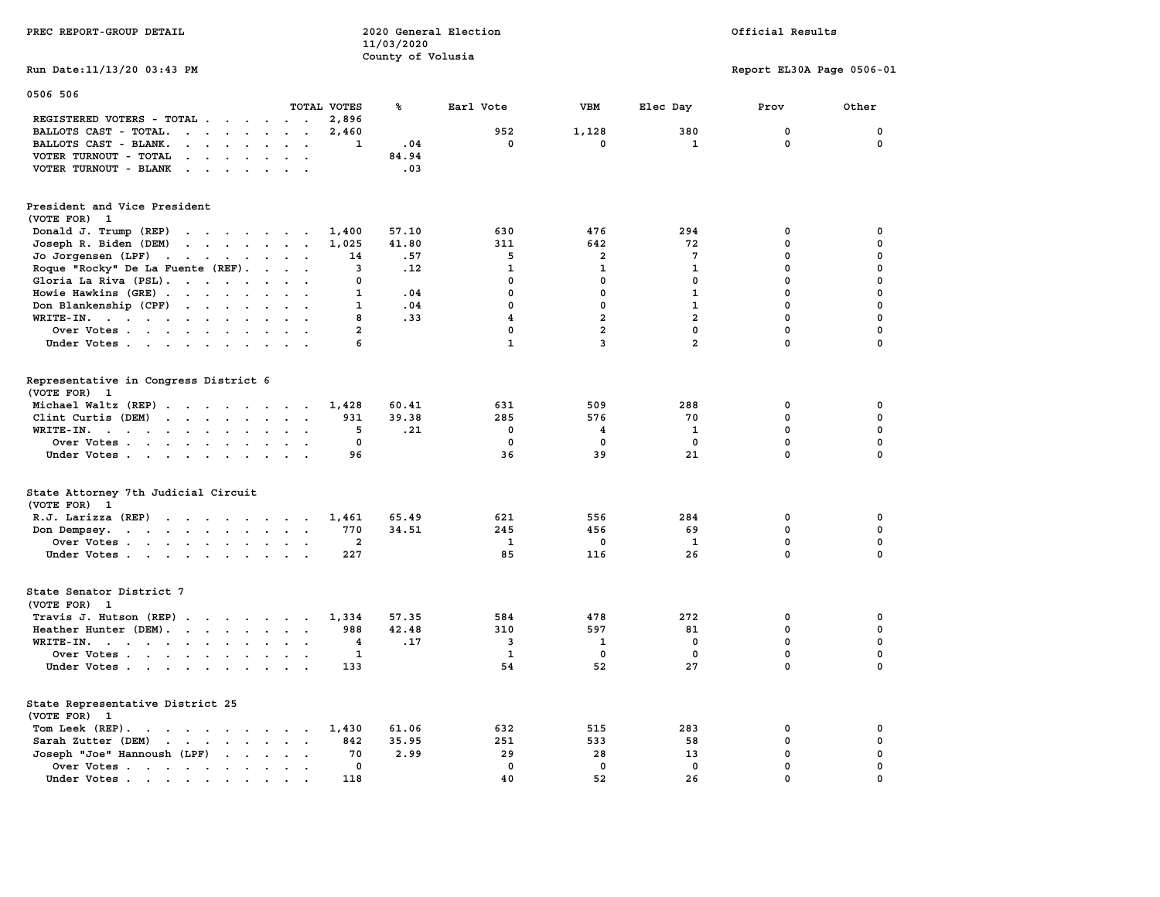| PREC REPORT-GROUP DETAIL                                                                                                                     |                | 2020 General Election<br>11/03/2020 |                         |                |                | Official Results          |             |  |  |
|----------------------------------------------------------------------------------------------------------------------------------------------|----------------|-------------------------------------|-------------------------|----------------|----------------|---------------------------|-------------|--|--|
| Run Date: 11/13/20 03:43 PM                                                                                                                  |                | County of Volusia                   |                         |                |                | Report EL30A Page 0506-01 |             |  |  |
| 0506 506                                                                                                                                     |                |                                     |                         |                |                |                           |             |  |  |
|                                                                                                                                              | TOTAL VOTES    | ጜ                                   | Earl Vote               | VBM            | Elec Day       | Prov                      | Other       |  |  |
| REGISTERED VOTERS - TOTAL                                                                                                                    | 2,896          |                                     |                         |                |                |                           |             |  |  |
| BALLOTS CAST - TOTAL.<br>$\mathbf{r}$                                                                                                        | 2,460          |                                     | 952                     | 1,128          | 380            | $\mathbf 0$               | 0           |  |  |
| BALLOTS CAST - BLANK.<br>$\cdot$ $\cdot$ $\cdot$ $\cdot$                                                                                     | 1              | .04                                 | 0                       | 0              | 1              | 0                         | 0           |  |  |
| VOTER TURNOUT - TOTAL<br>$\cdot$ $\cdot$ $\cdot$ $\cdot$ $\cdot$ $\cdot$<br>$\cdot$ .                                                        |                | 84.94                               |                         |                |                |                           |             |  |  |
| VOTER TURNOUT - BLANK<br>$\cdot$ $\cdot$ $\cdot$ $\cdot$<br>$\sim$<br>$\mathbf{r}$                                                           |                | .03                                 |                         |                |                |                           |             |  |  |
| President and Vice President<br>(VOTE FOR) 1                                                                                                 |                |                                     |                         |                |                |                           |             |  |  |
| Donald J. Trump (REP)<br>the contract of the contract of the                                                                                 | 1,400          | 57.10                               | 630                     | 476            | 294            | 0                         | 0           |  |  |
| Joseph R. Biden (DEM)<br>$\mathcal{A}$ , and $\mathcal{A}$ , and $\mathcal{A}$ , and $\mathcal{A}$                                           | 1,025          | 41.80                               | 311                     | 642            | 72             | 0                         | $\mathbf 0$ |  |  |
| Jo Jorgensen (LPF)<br>the contract of the contract of the<br>$\cdot$ .                                                                       | 14             | .57                                 | 5                       | 2              | 7              | 0                         | 0           |  |  |
| Roque "Rocky" De La Fuente (REF).                                                                                                            | 3              | .12                                 | 1                       | $\mathbf{1}$   | 1              | 0                         | 0           |  |  |
| Gloria La Riva (PSL).<br>$\sim$<br>$\ddot{\phantom{a}}$                                                                                      | 0              |                                     | $\mathbf 0$             | $\mathbf 0$    | 0              | $\mathbf 0$               | 0           |  |  |
| Howie Hawkins (GRE)                                                                                                                          | $\mathbf{1}$   | .04                                 | $\mathbf 0$             | $\mathbf 0$    | $\mathbf{1}$   | $\mathbf 0$               | $\mathbf 0$ |  |  |
| Don Blankenship (CPF)<br>$\ddot{\phantom{a}}$                                                                                                | $\mathbf{1}$   | .04                                 | $\mathbf 0$             | 0              | $\mathbf{1}$   | $\mathbf 0$               | $\mathbf 0$ |  |  |
| WRITE-IN.                                                                                                                                    | 8              | .33                                 | $\overline{\mathbf{4}}$ | $\overline{a}$ | $\overline{a}$ | $\mathbf 0$               | $\mathbf 0$ |  |  |
| Over Votes<br>$\sim$                                                                                                                         | $\overline{a}$ |                                     | $\mathbf 0$             | $\overline{a}$ | $\mathbf{0}$   | $\mathbf 0$               | 0           |  |  |
| Under Votes                                                                                                                                  | 6              |                                     | $\mathbf{1}$            | $\overline{3}$ | $\overline{a}$ | $\mathbf 0$               | 0           |  |  |
| Representative in Congress District 6<br>(VOTE FOR) 1                                                                                        |                |                                     |                         |                |                |                           |             |  |  |
| Michael Waltz (REP)                                                                                                                          | 1,428          | 60.41                               | 631                     | 509            | 288            | 0                         | 0           |  |  |
| Clint Curtis (DEM)<br>$\cdot$ $\cdot$ $\cdot$<br>$\sim$                                                                                      | 931            | 39.38                               | 285                     | 576            | 70             | 0                         | $\pmb{0}$   |  |  |
| WRITE-IN.<br>$\cdot$ .                                                                                                                       | 5              | .21                                 | $\mathbf 0$             | 4              | 1              | $\mathbf 0$               | $\mathbf 0$ |  |  |
| Over Votes                                                                                                                                   | 0              |                                     | $\mathbf 0$             | $\mathbf 0$    | $\mathbf{0}$   | $\mathbf 0$               | 0           |  |  |
| Under Votes                                                                                                                                  | 96             |                                     | 36                      | 39             | 21             | $\mathbf 0$               | $\mathbf 0$ |  |  |
| State Attorney 7th Judicial Circuit<br>(VOTE FOR) 1                                                                                          |                |                                     |                         |                |                |                           |             |  |  |
| R.J. Larizza (REP)                                                                                                                           | 1,461          | 65.49                               | 621                     | 556            | 284            | 0                         | 0           |  |  |
| Don Dempsey.                                                                                                                                 | 770            | 34.51                               | 245                     | 456            | 69             | 0                         | 0           |  |  |
| Over Votes                                                                                                                                   | $\mathbf{2}$   |                                     | 1                       | 0              | $\mathbf{1}$   | $\mathbf 0$               | $\mathbf 0$ |  |  |
| Under Votes<br>$\cdot$ .                                                                                                                     | 227            |                                     | 85                      | 116            | 26             | $\mathbf 0$               | $\mathbf 0$ |  |  |
| State Senator District 7<br>(VOTE FOR) 1                                                                                                     |                |                                     |                         |                |                |                           |             |  |  |
| Travis J. Hutson (REP)                                                                                                                       | 1,334          | 57.35                               | 584                     | 478            | 272            | 0                         | 0           |  |  |
| Heather Hunter (DEM).                                                                                                                        | 988            | 42.48                               | 310                     | 597            | 81             | 0                         | 0           |  |  |
| $WRITE-IN.$<br>$\cdot$ $\cdot$ $\cdot$<br>$\ddot{\phantom{a}}$                                                                               | 4              | .17                                 | 3                       | 1              | 0              | 0                         | $\pmb{0}$   |  |  |
| Over Votes                                                                                                                                   | 1              |                                     | 1                       | 0              | $\mathbf 0$    | $\mathbf 0$               | 0           |  |  |
| Under Votes                                                                                                                                  | 133            |                                     | 54                      | 52             | 27             | $\mathbf 0$               | $\Omega$    |  |  |
| State Representative District 25<br>(VOTE FOR)<br>1                                                                                          |                |                                     |                         |                |                |                           |             |  |  |
| Tom Leek $(REP)$ .                                                                                                                           | 1,430          | 61.06                               | 632                     | 515            | 283            | 0                         | 0           |  |  |
| Sarah Zutter (DEM)<br>the contract of the contract of the contract of                                                                        | 842            | 35.95                               | 251                     | 533            | 58             | 0                         | $\pmb{0}$   |  |  |
| Joseph "Joe" Hannoush (LPF)<br>$\sim$<br>$\ddot{\phantom{a}}$<br>$\ddot{\phantom{a}}$                                                        | 70             | 2.99                                | 29                      | 28             | 13             | 0                         | 0           |  |  |
| Over Votes.<br>$\sim$ $\sim$ $\sim$ $\sim$ $\sim$ $\sim$<br>$\sim$<br>$\ddot{\phantom{a}}$<br>$\bullet$<br>$\bullet$<br>$\ddot{\phantom{a}}$ | 0              |                                     | $\mathbf 0$             | $\mathbf 0$    | $\mathbf 0$    | $\mathbf 0$               | 0           |  |  |
| Under Votes.<br>$\mathbf{a} = \mathbf{a} + \mathbf{a} + \mathbf{a} + \mathbf{a}$                                                             | 118            |                                     | 40                      | 52             | 26             | $\mathbf 0$               | $\mathbf 0$ |  |  |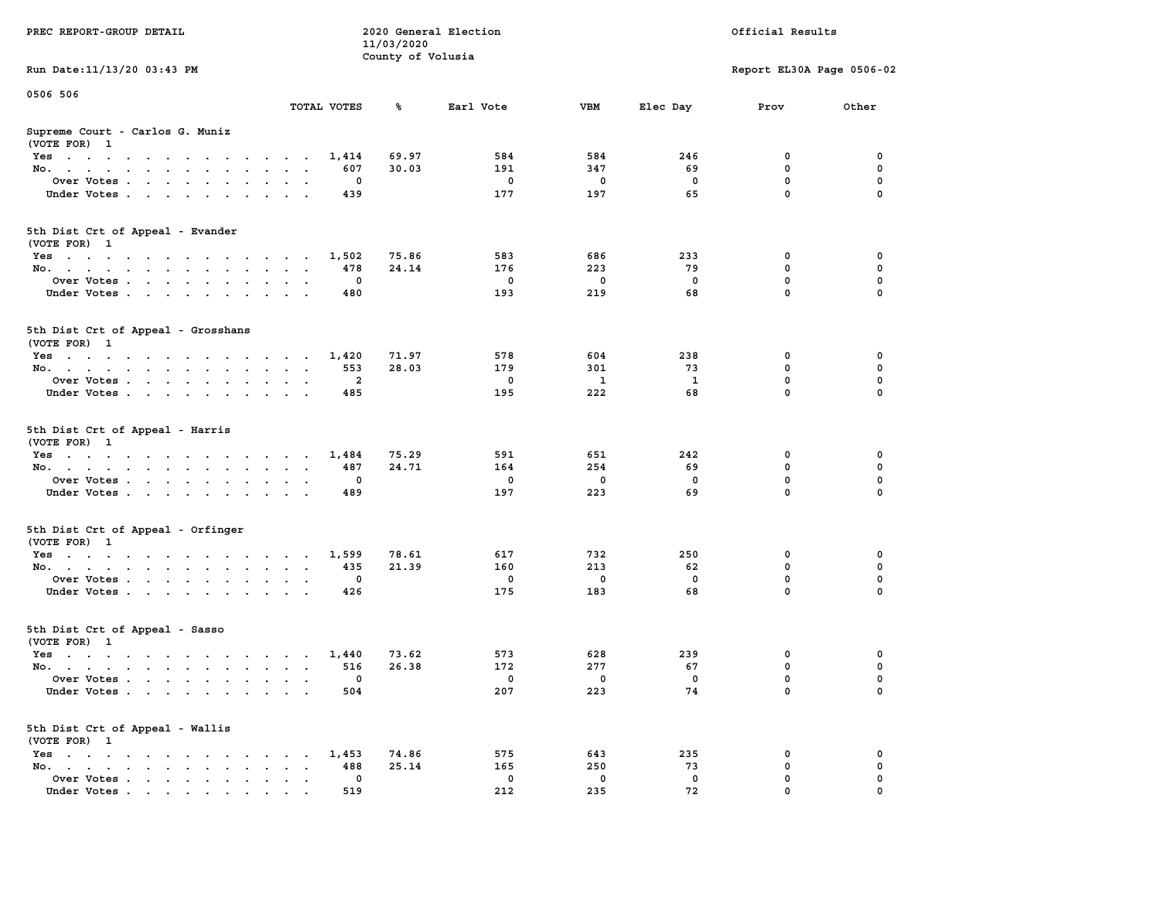| PREC REPORT-GROUP DETAIL                                    |                               | 11/03/2020        | 2020 General Election |             | Official Results |                           |          |  |
|-------------------------------------------------------------|-------------------------------|-------------------|-----------------------|-------------|------------------|---------------------------|----------|--|
| Run Date: 11/13/20 03:43 PM                                 |                               | County of Volusia |                       |             |                  | Report EL30A Page 0506-02 |          |  |
|                                                             |                               |                   |                       |             |                  |                           |          |  |
| 0506 506                                                    | TOTAL VOTES                   | ℁                 | Earl Vote             | VBM         | Elec Day         | Prov                      | Other    |  |
| Supreme Court - Carlos G. Muniz<br>(VOTE FOR) 1             |                               |                   |                       |             |                  |                           |          |  |
| Yes                                                         | 1,414                         | 69.97             | 584                   | 584         | 246              | 0                         | 0        |  |
| No.                                                         | 607                           | 30.03             | 191                   | 347         | 69               | $\mathbf 0$               | 0        |  |
| Over Votes.                                                 | 0                             |                   | 0                     | 0           | 0                | $\mathbf 0$               | 0        |  |
| Under Votes                                                 | 439                           |                   | 177                   | 197         | 65               | $\mathbf 0$               | $\Omega$ |  |
| 5th Dist Crt of Appeal - Evander<br>(VOTE FOR) 1            |                               |                   |                       |             |                  |                           |          |  |
| Yes                                                         | 1,502                         | 75.86             | 583                   | 686         | 233              | 0                         | 0        |  |
| No.                                                         | 478                           | 24.14             | 176                   | 223         | 79               | $\mathbf 0$               | 0        |  |
| Over Votes                                                  | 0                             |                   | $\mathbf 0$           | 0           | $\mathbf 0$      | $\mathbf 0$               | 0        |  |
| Under Votes                                                 | 480                           |                   | 193                   | 219         | 68               | $\mathbf 0$               | 0        |  |
| 5th Dist Crt of Appeal - Grosshans<br>(VOTE FOR) 1          |                               |                   |                       |             |                  |                           |          |  |
| Yes                                                         | 1,420                         | 71.97             | 578                   | 604         | 238              | 0                         | 0        |  |
| No.                                                         | 553                           | 28.03             | 179                   | 301         | 73               | 0                         | 0        |  |
| Over Votes                                                  | 2                             |                   | $\mathbf 0$           | 1           | 1                | $\mathbf 0$               | 0        |  |
| Under Votes                                                 | 485                           |                   | 195                   | 222         | 68               | $\mathbf 0$               | 0        |  |
| 5th Dist Crt of Appeal - Harris<br>(VOTE FOR) 1             |                               |                   |                       |             |                  |                           |          |  |
| Yes                                                         | 1,484                         | 75.29             | 591                   | 651         | 242              | 0                         | 0        |  |
| No.                                                         | 487                           | 24.71             | 164                   | 254         | 69               | $\mathbf 0$               | 0        |  |
| Over Votes                                                  | 0                             |                   | $\mathbf 0$           | $\mathbf 0$ | 0                | $\mathbf 0$               | 0        |  |
| Under Votes                                                 | 489                           |                   | 197                   | 223         | 69               | $\mathbf 0$               | $\Omega$ |  |
| 5th Dist Crt of Appeal - Orfinger<br>(VOTE FOR) 1           |                               |                   |                       |             |                  |                           |          |  |
| Yes                                                         | 1,599                         | 78.61             | 617                   | 732         | 250              | 0                         | 0        |  |
| No.                                                         | 435                           | 21.39             | 160                   | 213         | 62               | $\mathbf 0$               | 0        |  |
| Over Votes                                                  | 0                             |                   | $\mathbf 0$           | $\mathbf 0$ | 0                | 0                         | 0        |  |
| Under Votes                                                 | 426                           |                   | 175                   | 183         | 68               | $\mathbf 0$               | $\Omega$ |  |
| 5th Dist Crt of Appeal - Sasso<br>(VOTE FOR) 1              |                               |                   |                       |             |                  |                           |          |  |
| Yes                                                         | 1,440                         | 73.62             | 573                   | 628         | 239              | 0                         | 0        |  |
| No.                                                         | 516                           | 26.38             | 172                   | 277         | 67               | 0                         | 0        |  |
| Over Votes                                                  | 0                             |                   | $^{\circ}$            | 0           | 0                | 0                         | 0        |  |
| Under Votes                                                 | 504                           |                   | 207                   | 223         | 74               | 0                         | 0        |  |
| 5th Dist Crt of Appeal - Wallis<br>(VOTE FOR) 1             |                               |                   |                       |             |                  |                           |          |  |
| $Yes \cdot \cdot \cdot \cdot \cdot \cdot \cdot \cdot \cdot$ | 1,453<br><b>Service</b> State | 74.86             | 575                   | 643         | 235              | 0                         | 0        |  |
| No.<br>$\ddot{\phantom{0}}$                                 | 488<br>$\bullet$              | 25.14             | 165                   | 250         | 73               | $\mathbf 0$               | 0        |  |
| Over Votes<br>Under Votes                                   | 0<br>519                      |                   | 0<br>212              | 0<br>235    | 0<br>72          | 0<br>0                    | 0        |  |
|                                                             |                               |                   |                       |             |                  |                           |          |  |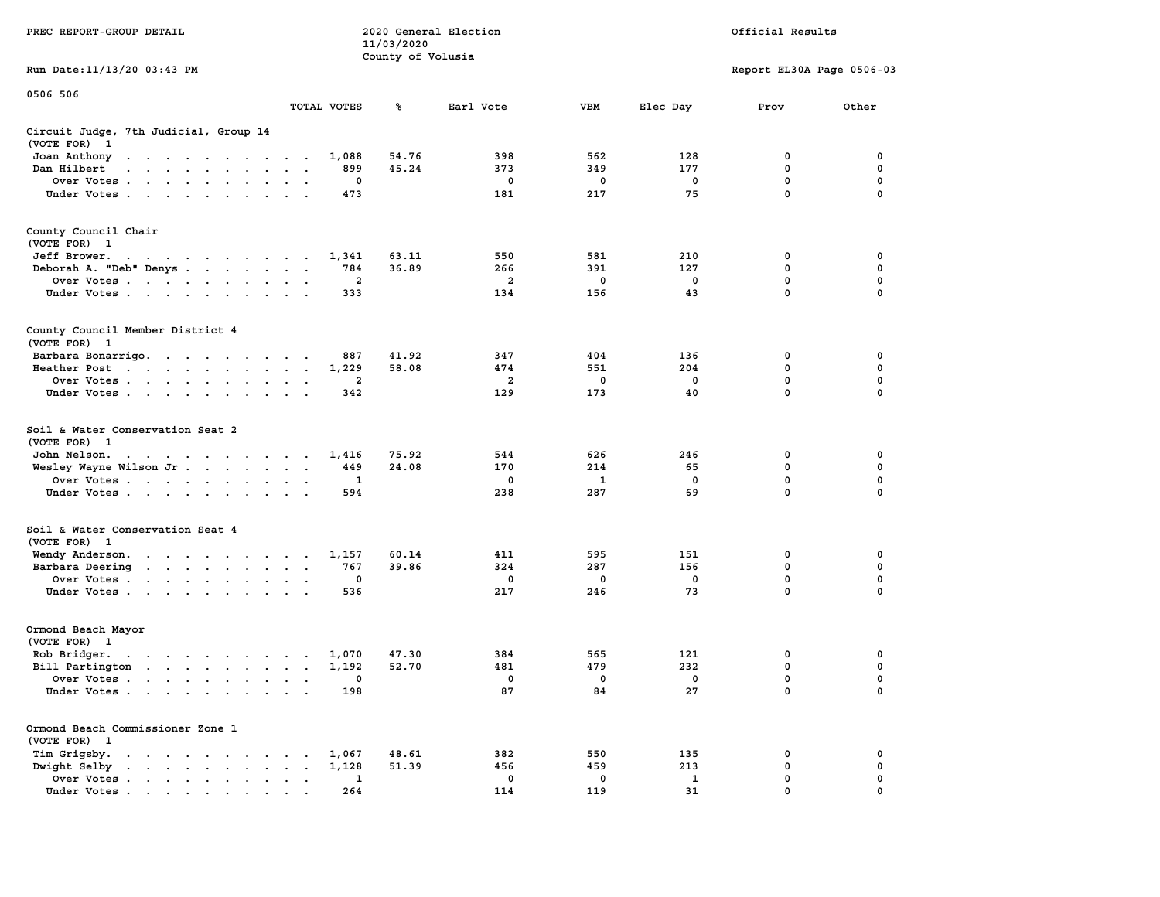|                                                                                                                                                                                                                                                            |                                                                    | 11/03/2020        |                         |             |             |                           |               |  |  |
|------------------------------------------------------------------------------------------------------------------------------------------------------------------------------------------------------------------------------------------------------------|--------------------------------------------------------------------|-------------------|-------------------------|-------------|-------------|---------------------------|---------------|--|--|
|                                                                                                                                                                                                                                                            |                                                                    | County of Volusia |                         |             |             |                           |               |  |  |
| Run Date:11/13/20 03:43 PM                                                                                                                                                                                                                                 |                                                                    |                   |                         |             |             | Report EL30A Page 0506-03 |               |  |  |
| 0506 506                                                                                                                                                                                                                                                   |                                                                    |                   |                         |             |             |                           |               |  |  |
|                                                                                                                                                                                                                                                            | TOTAL VOTES                                                        | ℁                 | Earl Vote               | <b>VBM</b>  | Elec Day    | Prov                      | Other         |  |  |
| Circuit Judge, 7th Judicial, Group 14                                                                                                                                                                                                                      |                                                                    |                   |                         |             |             |                           |               |  |  |
| (VOTE FOR)<br>$\mathbf{1}$                                                                                                                                                                                                                                 |                                                                    |                   |                         |             |             |                           |               |  |  |
| Joan Anthony                                                                                                                                                                                                                                               | 1,088                                                              | 54.76             | 398                     | 562         | 128         | $\mathbf 0$               | 0             |  |  |
| Dan Hilbert<br>$\mathbf{r}$ . The set of the set of the set of the set of the set of the set of the set of the set of the set of the set of the set of the set of the set of the set of the set of the set of the set of the set of the set of t<br>$\sim$ | 899<br>$\sim$<br>$\overline{a}$                                    | 45.24             | 373                     | 349         | 177         | $\mathbf 0$               | 0             |  |  |
| Over Votes .<br>$\cdots$<br>$\sim$ $\sim$                                                                                                                                                                                                                  | 0<br>$\cdot$<br>$\cdot$                                            |                   | 0                       | 0           | $\mathbf 0$ | $\mathbf 0$               | $\mathbf 0$   |  |  |
| Under Votes                                                                                                                                                                                                                                                | 473<br>$\cdot$                                                     |                   | 181                     | 217         | 75          | $\mathbf 0$               | 0             |  |  |
| County Council Chair                                                                                                                                                                                                                                       |                                                                    |                   |                         |             |             |                           |               |  |  |
| (VOTE FOR)<br>- 1                                                                                                                                                                                                                                          |                                                                    |                   |                         |             |             |                           |               |  |  |
| Jeff Brower.                                                                                                                                                                                                                                               | 1,341                                                              | 63.11             | 550                     | 581         | 210         | 0                         | 0             |  |  |
| Deborah A. "Deb" Denys                                                                                                                                                                                                                                     | 784<br>$\ddot{\phantom{a}}$<br>$\sim$                              | 36.89             | 266                     | 391         | 127         | $\mathbf 0$               | 0             |  |  |
| Over Votes<br>$\ddot{\phantom{a}}$                                                                                                                                                                                                                         | $\mathbf{2}$<br>$\cdot$                                            |                   | $\overline{\mathbf{2}}$ | 0           | 0           | 0                         | $\pmb{0}$     |  |  |
| Under Votes<br>$\sim$                                                                                                                                                                                                                                      | 333<br>$\cdot$ $\cdot$                                             |                   | 134                     | 156         | 43          | $\mathbf 0$               | 0             |  |  |
|                                                                                                                                                                                                                                                            |                                                                    |                   |                         |             |             |                           |               |  |  |
| County Council Member District 4                                                                                                                                                                                                                           |                                                                    |                   |                         |             |             |                           |               |  |  |
| (VOTE FOR) 1                                                                                                                                                                                                                                               |                                                                    |                   |                         |             |             |                           |               |  |  |
| Barbara Bonarrigo.                                                                                                                                                                                                                                         | 887<br>$\sim$                                                      | 41.92             | 347                     | 404         | 136         | 0                         | 0             |  |  |
| Heather Post<br>$\sim 10^{-1}$ km s $^{-1}$<br>$\sim$ $\sim$ $\sim$ $\sim$ $\sim$ $\sim$ $\sim$                                                                                                                                                            | 1,229<br>$\bullet$<br>$\bullet$                                    | 58.08             | 474                     | 551         | 204         | $\mathbf 0$               | $\mathbf 0$   |  |  |
| Over Votes<br>$\sim$                                                                                                                                                                                                                                       | 2                                                                  |                   | $\overline{a}$          | $\mathbf 0$ | $\mathbf 0$ | $\mathbf 0$               | $\mathbf 0$   |  |  |
| Under Votes<br>$\sim$ $\sim$<br>$\ddot{\phantom{a}}$                                                                                                                                                                                                       | 342                                                                |                   | 129                     | 173         | 40          | 0                         | 0             |  |  |
| Soil & Water Conservation Seat 2<br>(VOTE FOR)<br>$\mathbf{1}$                                                                                                                                                                                             |                                                                    |                   |                         |             |             |                           |               |  |  |
| John Nelson.<br>$\mathcal{A}$ . The second contribution of the second contribution $\mathcal{A}$                                                                                                                                                           | 1,416<br>$\ddot{\phantom{0}}$                                      | 75.92             | 544                     | 626         | 246         | 0                         | $\mathbf 0$   |  |  |
| Wesley Wayne Wilson Jr                                                                                                                                                                                                                                     | 449<br>$\bullet$<br>$\bullet$<br>$\ddot{\phantom{1}}$              | 24.08             | 170                     | 214         | 65          | 0                         | 0             |  |  |
| Over Votes                                                                                                                                                                                                                                                 | 1<br>$\cdot$<br>$\ddot{\phantom{a}}$                               |                   | 0                       | 1           | $\mathbf 0$ | $\mathbf 0$               | 0             |  |  |
| Under Votes<br>$\overline{\phantom{a}}$<br>$\cdot$                                                                                                                                                                                                         | 594                                                                |                   | 238                     | 287         | 69          | 0                         | 0             |  |  |
| Soil & Water Conservation Seat 4                                                                                                                                                                                                                           |                                                                    |                   |                         |             |             |                           |               |  |  |
| (VOTE FOR) 1                                                                                                                                                                                                                                               |                                                                    |                   |                         |             |             |                           |               |  |  |
| Wendy Anderson.<br>$\mathbf{r}$ . The contract of the contract of the contract of the contract of the contract of the contract of the contract of the contract of the contract of the contract of the contract of the contract of the contract of th       | 1,157                                                              | 60.14             | 411                     | 595         | 151         | 0                         | 0             |  |  |
| Barbara Deering<br>$\mathcal{A}=\mathcal{A}=\mathcal{A}=\mathcal{A}=\mathcal{A}=\mathcal{A}$ .<br>$\ddot{\phantom{a}}$                                                                                                                                     | 767<br>$\ddot{\phantom{0}}$<br>$\bullet$<br>$\ddot{\phantom{1}}$   | 39.86             | 324                     | 287         | 156         | 0                         | 0             |  |  |
| Over Votes<br>$\ddot{\phantom{0}}$                                                                                                                                                                                                                         | $\mathbf 0$<br>$\bullet$                                           |                   | 0                       | 0           | $\mathbf 0$ | $\mathbf 0$               | 0             |  |  |
| Under Votes<br>$\ddot{\phantom{0}}$<br>$\ddot{\phantom{a}}$                                                                                                                                                                                                | 536                                                                |                   | 217                     | 246         | 73          | $\mathbf 0$               | 0             |  |  |
| Ormond Beach Mayor                                                                                                                                                                                                                                         |                                                                    |                   |                         |             |             |                           |               |  |  |
| (VOTE FOR)<br>$\mathbf{1}$                                                                                                                                                                                                                                 |                                                                    |                   |                         |             |             |                           |               |  |  |
| Rob Bridger.<br>the contract of the contract of the<br>$\bullet$                                                                                                                                                                                           | 1,070<br>$\sim$                                                    | 47.30             | 384                     | 565         | 121         | 0                         | $\mathbf 0$   |  |  |
| Bill Partington                                                                                                                                                                                                                                            | 1,192<br>$\blacksquare$ .                                          | 52.70             | 481                     | 479         | 232         | $\mathbf 0$               | 0             |  |  |
| Over Votes .<br>$\cdots$<br>$\ddot{\phantom{a}}$                                                                                                                                                                                                           | 0<br>$\bullet$<br>$\cdot$                                          |                   | 0                       | 0           | $\mathbf 0$ | $\mathbf 0$               | 0             |  |  |
| Under Votes<br>$\ddot{\phantom{0}}$                                                                                                                                                                                                                        | 198<br>$\sim$<br>$\sim$                                            |                   | 87                      | 84          | 27          | $\mathbf 0$               | $\mathbf 0$   |  |  |
| Ormond Beach Commissioner Zone 1                                                                                                                                                                                                                           |                                                                    |                   |                         |             |             |                           |               |  |  |
| (VOTE FOR) 1                                                                                                                                                                                                                                               |                                                                    |                   |                         |             |             |                           |               |  |  |
| Tim Grigsby.<br>$\sim$ $\sim$<br>$\cdot$ .<br>$\cdot$                                                                                                                                                                                                      | 1,067<br>$\cdot$<br>$\cdot$<br>$\overline{\phantom{a}}$            | 48.61             | 382                     | 550         | 135         | 0                         | 0             |  |  |
| Dwight Selby<br>$\ddot{\phantom{0}}$<br>the contract of the contract of the<br>$\sim$ $\sim$                                                                                                                                                               | 1,128<br>$\bullet$<br>$\ddot{\phantom{1}}$<br>$\ddot{\phantom{0}}$ | 51.39             | 456                     | 459         | 213         | 0                         | 0             |  |  |
| Over Votes.<br>$\sim 100$ km s $^{-1}$<br>$\sim$<br>$\sim$<br>$\blacksquare$<br>$\bullet$<br>Under Votes                                                                                                                                                   | 1<br>$\bullet$<br>$\bullet$<br>$\bullet$<br>264                    |                   | 0<br>114                | 0<br>119    | 1<br>31     | 0<br>$\Omega$             | 0<br>$\Omega$ |  |  |
| the contract of the contract of the                                                                                                                                                                                                                        |                                                                    |                   |                         |             |             |                           |               |  |  |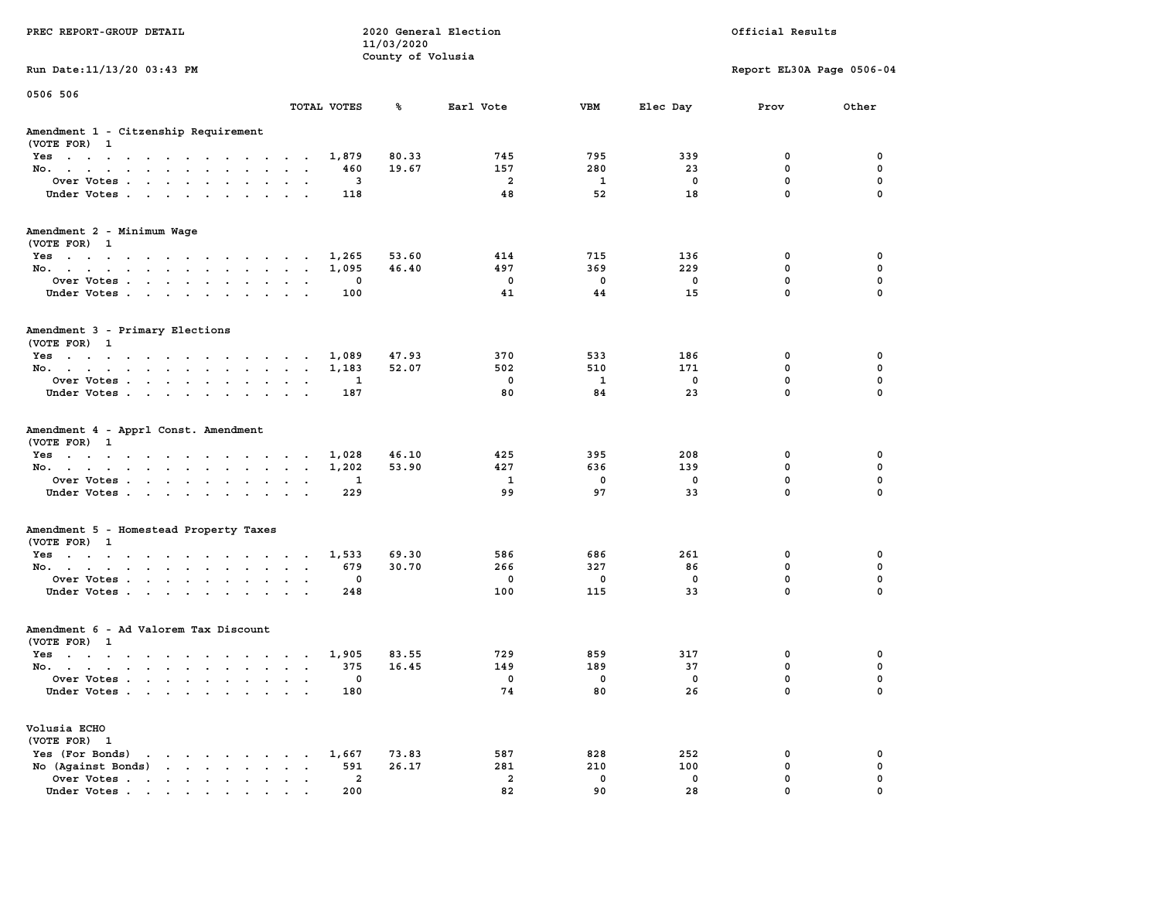|                                                                                                                                                                                                                                                      |                                                                             | 11/03/2020        |                |              |              |                           |             |
|------------------------------------------------------------------------------------------------------------------------------------------------------------------------------------------------------------------------------------------------------|-----------------------------------------------------------------------------|-------------------|----------------|--------------|--------------|---------------------------|-------------|
|                                                                                                                                                                                                                                                      |                                                                             | County of Volusia |                |              |              |                           |             |
| Run Date: 11/13/20 03:43 PM                                                                                                                                                                                                                          |                                                                             |                   |                |              |              | Report EL30A Page 0506-04 |             |
| 0506 506                                                                                                                                                                                                                                             |                                                                             |                   |                |              |              |                           |             |
|                                                                                                                                                                                                                                                      | TOTAL VOTES                                                                 | ℁                 | Earl Vote      | VBM          | Elec Day     | Prov                      | Other       |
| Amendment 1 - Citzenship Requirement                                                                                                                                                                                                                 |                                                                             |                   |                |              |              |                           |             |
| (VOTE FOR) 1                                                                                                                                                                                                                                         |                                                                             |                   |                |              |              |                           |             |
| Yes                                                                                                                                                                                                                                                  | 1,879                                                                       | 80.33             | 745            | 795          | 339          | 0                         | 0           |
| No.<br>$\sim$ $\sim$<br>$\sim$ $\sim$ $\sim$<br>$\sim$                                                                                                                                                                                               | 460                                                                         | 19.67             | 157            | 280          | 23           | $\mathbf 0$               | $\mathbf 0$ |
| Over Votes                                                                                                                                                                                                                                           | 3                                                                           |                   | $\overline{2}$ | <b>1</b>     | $\mathbf 0$  | $\mathbf 0$               | $\mathbf 0$ |
| Under Votes<br>$\sim$                                                                                                                                                                                                                                | 118<br>$\ddot{\phantom{a}}$<br>$\ddot{\phantom{0}}$<br>$\ddot{\phantom{a}}$ |                   | 48             | 52           | 18           | $\mathbf 0$               | $\mathbf 0$ |
| Amendment 2 - Minimum Wage                                                                                                                                                                                                                           |                                                                             |                   |                |              |              |                           |             |
| (VOTE FOR) 1                                                                                                                                                                                                                                         |                                                                             |                   |                |              |              |                           |             |
| Yes                                                                                                                                                                                                                                                  | 1,265                                                                       | 53.60             | 414            | 715          | 136          | 0                         | 0           |
| No.                                                                                                                                                                                                                                                  | 1,095                                                                       | 46.40             | 497            | 369          | 229          | $\mathbf 0$               | $\mathbf 0$ |
| Over Votes                                                                                                                                                                                                                                           | 0<br>$\cdots$                                                               |                   | $\mathbf 0$    | $\mathbf 0$  | $\mathbf 0$  | $\mathbf 0$               | $\mathbf 0$ |
| Under Votes                                                                                                                                                                                                                                          | 100                                                                         |                   | 41             | 44           | 15           | $\mathbf 0$               | $\mathbf 0$ |
| Amendment 3 - Primary Elections<br>(VOTE FOR) 1                                                                                                                                                                                                      |                                                                             |                   |                |              |              |                           |             |
| Yes                                                                                                                                                                                                                                                  | 1,089<br>$\sim$                                                             | 47.93             | 370            | 533          | 186          | 0                         | 0           |
| No.                                                                                                                                                                                                                                                  | 1,183                                                                       | 52.07             | 502            | 510          | 171          | $\mathbf 0$               | $\mathbf 0$ |
| Over Votes                                                                                                                                                                                                                                           | 1                                                                           |                   | $\mathbf 0$    | $\mathbf{1}$ | $\mathbf 0$  | $\mathbf 0$               | $\mathbf 0$ |
| $\sim$ $\sim$                                                                                                                                                                                                                                        | $\ddot{\phantom{a}}$<br>$\sim$<br>187                                       |                   | 80             | 84           | 23           | $\mathbf 0$               | $\mathbf 0$ |
| Under Votes                                                                                                                                                                                                                                          |                                                                             |                   |                |              |              |                           |             |
| Amendment 4 - Apprl Const. Amendment<br>(VOTE FOR) 1                                                                                                                                                                                                 |                                                                             |                   |                |              |              |                           |             |
| $Yes \t . \t .$<br>$\mathcal{A}$ . The second contribution of $\mathcal{A}$<br>$\sim$ $\sim$ $\sim$ $\sim$                                                                                                                                           | 1,028<br>$\sim$                                                             | 46.10             | 425            | 395          | 208          | 0                         | 0           |
| No.<br>$\sim$ $-$                                                                                                                                                                                                                                    | 1,202<br>$\mathbf{z} = \mathbf{z} + \mathbf{z}$ .                           | 53.90             | 427            | 636          | 139          | 0                         | 0           |
| Over Votes                                                                                                                                                                                                                                           | 1                                                                           |                   | <b>1</b>       | 0            | 0            | $\mathbf 0$               | 0           |
| Under Votes                                                                                                                                                                                                                                          | 229<br>$\cdot$ $\cdot$ $\cdot$ $\cdot$                                      |                   | 99             | 97           | 33           | $\mathbf 0$               | $\mathbf 0$ |
| Amendment 5 - Homestead Property Taxes                                                                                                                                                                                                               |                                                                             |                   |                |              |              |                           |             |
| (VOTE FOR) 1                                                                                                                                                                                                                                         |                                                                             |                   |                |              |              |                           |             |
| Yes                                                                                                                                                                                                                                                  | 1,533                                                                       | 69.30             | 586            | 686          | 261          | 0                         | 0           |
| No.<br>$\sim$                                                                                                                                                                                                                                        | 679<br><b>Service</b><br>$\ddot{\phantom{0}}$                               | 30.70             | 266            | 327          | 86           | $\mathbf 0$               | $\mathbf 0$ |
| Over Votes<br>$\sim$ $-$                                                                                                                                                                                                                             | $\mathbf 0$<br>$\bullet$<br>$\overline{\phantom{a}}$                        |                   | $\Omega$       | $\mathbf 0$  | $\mathbf{0}$ | $\mathbf{0}$              | $\mathbf 0$ |
| Under Votes<br>$\sim$ $\sim$                                                                                                                                                                                                                         | 248<br>$\ddot{\phantom{a}}$<br>$\sim$                                       |                   | 100            | 115          | 33           | $\mathbf{0}$              | $\mathbf 0$ |
| Amendment 6 - Ad Valorem Tax Discount                                                                                                                                                                                                                |                                                                             |                   |                |              |              |                           |             |
| (VOTE FOR) 1                                                                                                                                                                                                                                         |                                                                             |                   |                |              |              |                           |             |
| Yes                                                                                                                                                                                                                                                  | 1,905                                                                       | 83.55             | 729            | 859          | 317          | 0                         | 0           |
| No.                                                                                                                                                                                                                                                  | 375                                                                         | 16.45             | 149            | 189          | 37           | $\mathbf 0$               | 0           |
| Over Votes<br>$\sim$                                                                                                                                                                                                                                 | 0<br>$\sim$<br>$\ddot{\phantom{a}}$                                         |                   | $\mathbf 0$    | 0            | 0            | $\mathbf 0$               | $\mathbf 0$ |
| Under Votes                                                                                                                                                                                                                                          | 180                                                                         |                   | 74             | 80           | 26           | $\Omega$                  | $\Omega$    |
| Volusia ECHO                                                                                                                                                                                                                                         |                                                                             |                   |                |              |              |                           |             |
| (VOTE FOR) 1                                                                                                                                                                                                                                         |                                                                             |                   |                |              |              |                           |             |
| Yes (For Bonds)<br>the contract of the contract of the                                                                                                                                                                                               | 1,667                                                                       | 73.83             | 587            | 828          | 252          | 0                         | 0           |
| No $(Agains t Bonds)$                                                                                                                                                                                                                                | 591                                                                         | 26.17             | 281            | 210          | 100          | 0                         | $\mathbf 0$ |
| Over Votes<br>$\sim$                                                                                                                                                                                                                                 | 2<br>$\ddot{\phantom{0}}$<br>$\bullet$<br>$\blacksquare$ .                  |                   | $\overline{a}$ | 0            | 0            | $\mathbf 0$               | $\mathbf 0$ |
| Under Votes<br>$\mathbf{a}$ and $\mathbf{a}$ are a set of the set of the set of the set of the set of the set of the set of the set of the set of the set of the set of the set of the set of the set of the set of the set of the set of the set of | 200                                                                         |                   | 82             | 90           | 28           | $\mathbf{0}$              | $\mathbf 0$ |

**PREC REPORT-GROUP DETAIL COMPUTER CONSUMING A LOCAL PREC** REPORT-GROUP DETAIL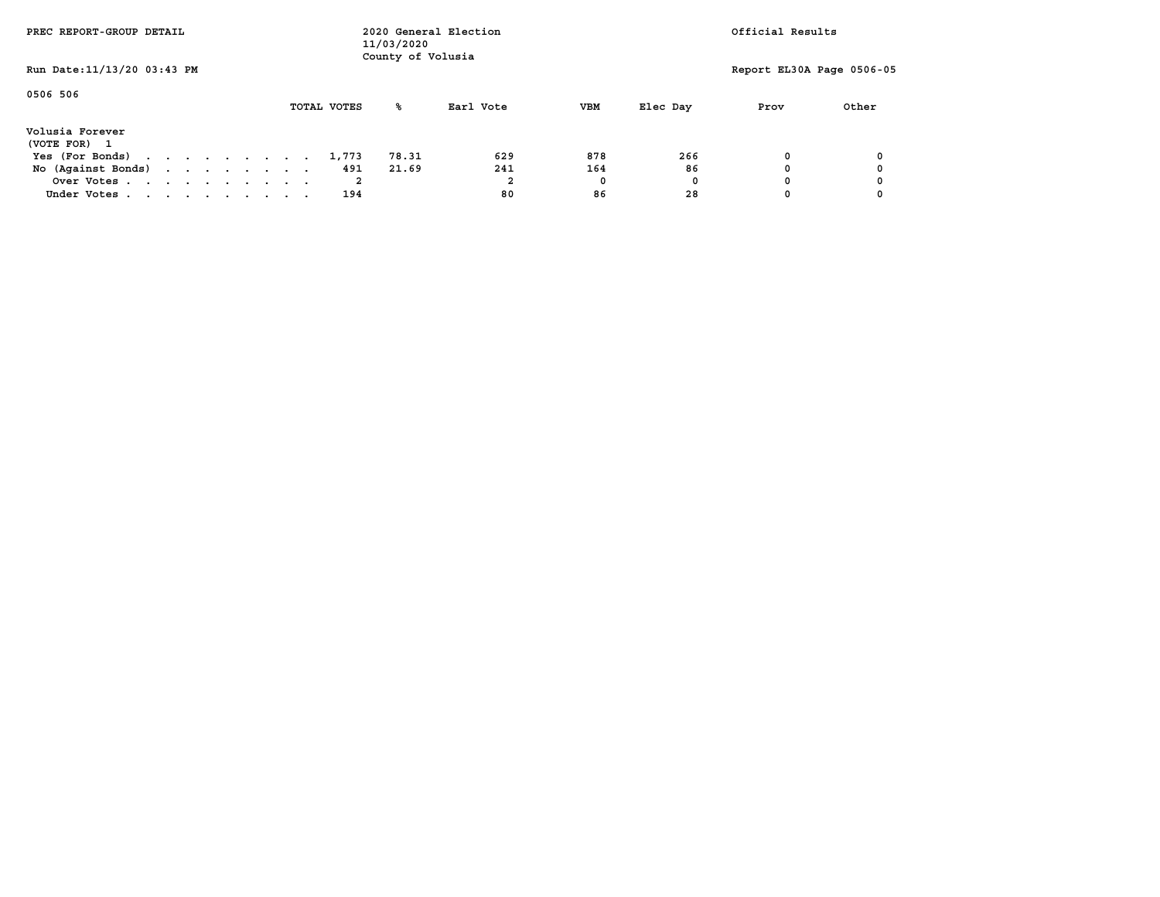| PREC REPORT-GROUP DETAIL        | 11/03/2020 |  |  |  |  |  | 2020 General Election<br>County of Volusia |             |       |           | Official Results |          |                           |       |
|---------------------------------|------------|--|--|--|--|--|--------------------------------------------|-------------|-------|-----------|------------------|----------|---------------------------|-------|
| Run Date: 11/13/20 03:43 PM     |            |  |  |  |  |  |                                            |             |       |           |                  |          | Report EL30A Page 0506-05 |       |
| 0506 506                        |            |  |  |  |  |  |                                            | TOTAL VOTES | ‱     | Earl Vote | <b>VBM</b>       | Elec Day | Prov                      | Other |
| Volusia Forever<br>(VOTE FOR) 1 |            |  |  |  |  |  |                                            |             |       |           |                  |          |                           |       |
| Yes (For Bonds)                 |            |  |  |  |  |  |                                            | 1,773       | 78.31 | 629       | 878              | 266      |                           |       |
| No (Against Bonds)              |            |  |  |  |  |  |                                            | 491         | 21.69 | 241       | 164              | 86       |                           |       |
| Over Votes                      |            |  |  |  |  |  |                                            |             |       | ∠         | 0                | 0        |                           |       |
| Under Votes                     |            |  |  |  |  |  |                                            | 194         |       | 80        | 86               | 28       |                           |       |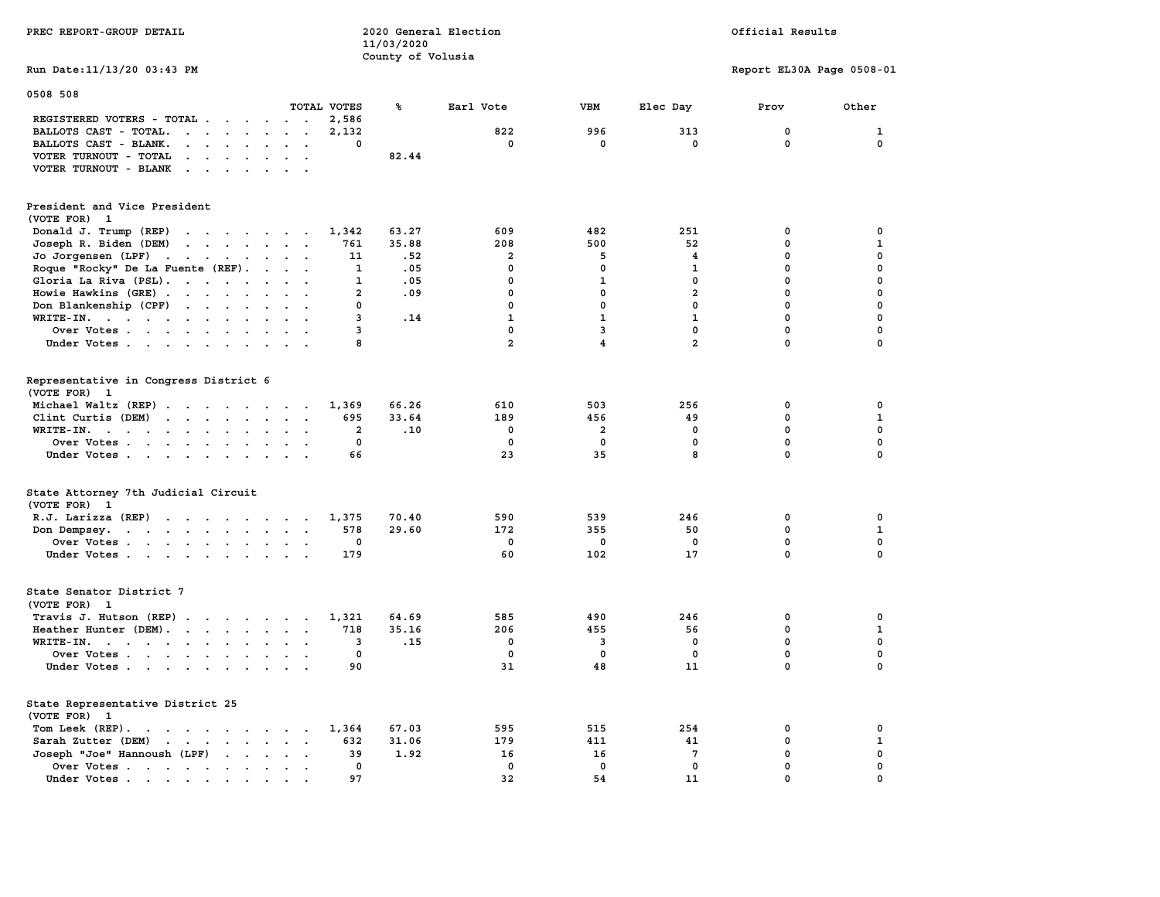| PREC REPORT-GROUP DETAIL                                                                                                                                                                                                                                                                      |                | 2020 General Election<br>11/03/2020 |                | Official Results        |                 |                           |              |
|-----------------------------------------------------------------------------------------------------------------------------------------------------------------------------------------------------------------------------------------------------------------------------------------------|----------------|-------------------------------------|----------------|-------------------------|-----------------|---------------------------|--------------|
| Run Date: 11/13/20 03:43 PM                                                                                                                                                                                                                                                                   |                | County of Volusia                   |                |                         |                 | Report EL30A Page 0508-01 |              |
| 0508 508                                                                                                                                                                                                                                                                                      |                |                                     |                |                         |                 |                           |              |
| TOTAL VOTES<br>REGISTERED VOTERS - TOTAL<br>$\overline{\phantom{a}}$                                                                                                                                                                                                                          | 2,586          | ℁                                   | Earl Vote      | VBM                     | Elec Day        | Prov                      | Other        |
| BALLOTS CAST - TOTAL.<br>$\mathbf{r}$ , $\mathbf{r}$ , $\mathbf{r}$ , $\mathbf{r}$ , $\mathbf{r}$<br>$\sim$                                                                                                                                                                                   | 2,132          |                                     | 822            | 996                     | 313             | 0                         | 1            |
| BALLOTS CAST - BLANK.<br>$\sim$<br>$\sim$ $\sim$<br>$\sim$                                                                                                                                                                                                                                    | 0              |                                     | 0              | 0                       | 0               | 0                         | 0            |
| VOTER TURNOUT - TOTAL<br>$\cdot$ $\cdot$ $\cdot$ $\cdot$ $\cdot$ $\cdot$                                                                                                                                                                                                                      |                | 82.44                               |                |                         |                 |                           |              |
| VOTER TURNOUT - BLANK<br>$\cdot$ $\cdot$ $\cdot$ $\cdot$ $\cdot$<br>$\ddot{\phantom{0}}$                                                                                                                                                                                                      |                |                                     |                |                         |                 |                           |              |
|                                                                                                                                                                                                                                                                                               |                |                                     |                |                         |                 |                           |              |
| President and Vice President<br>(VOTE FOR)<br>-1                                                                                                                                                                                                                                              |                |                                     |                |                         |                 |                           |              |
| Donald J. Trump (REP)<br>the contract of the contract of the                                                                                                                                                                                                                                  | 1,342          | 63.27                               | 609            | 482                     | 251             | $\mathbf 0$               | $\mathbf 0$  |
| Joseph R. Biden (DEM)<br>$\mathbf{r}$ . The contract of the contract of the contract of the contract of the contract of the contract of the contract of the contract of the contract of the contract of the contract of the contract of the contract of th                                    | 761            | 35.88                               | 208            | 500                     | 52              | 0                         | $\mathbf{1}$ |
| Jo Jorgensen (LPF)<br>$\mathcal{A}=\mathcal{A}=\mathcal{A}=\mathcal{A}=\mathcal{A}=\mathcal{A}$ .                                                                                                                                                                                             | 11             | .52                                 | $\mathbf{2}$   | 5                       | 4               | $\mathbf 0$               | $\mathbf 0$  |
| Roque "Rocky" De La Fuente (REF).<br>$\sim$ $\sim$ $\sim$ $\sim$ $\sim$                                                                                                                                                                                                                       | 1              | .05                                 | 0              | 0                       | 1               | $\mathbf 0$               | $\mathbf 0$  |
| Gloria La Riva (PSL).                                                                                                                                                                                                                                                                         | 1              | .05                                 | 0              | 1                       | 0               | 0                         | 0            |
| Howie Hawkins (GRE)                                                                                                                                                                                                                                                                           | $\mathbf{2}$   | .09                                 | $\mathbf{0}$   | $\mathbf{0}$            | $\overline{a}$  | $\mathbf 0$               | $\mathbf 0$  |
| Don Blankenship (CPF)<br>$\overline{\phantom{a}}$                                                                                                                                                                                                                                             | 0              |                                     | 0              | 0                       | 0               | 0                         | $\mathbf 0$  |
| WRITE-IN.<br>$\ddotsc$                                                                                                                                                                                                                                                                        | 3              | .14                                 | $\mathbf{1}$   | $\mathbf{1}$            | $\mathbf{1}$    | $\mathbf 0$               | 0            |
| Over Votes<br>$\sim$ $\sim$                                                                                                                                                                                                                                                                   | 3              |                                     | $\mathbf 0$    | $\overline{3}$          | $\mathbf{0}$    | $\mathbf 0$               | $\mathbf 0$  |
| Under Votes                                                                                                                                                                                                                                                                                   | 8              |                                     | $\overline{a}$ | 4                       | $\overline{2}$  | 0                         | 0            |
| Representative in Congress District 6<br>(VOTE FOR) 1                                                                                                                                                                                                                                         |                |                                     |                |                         |                 |                           |              |
| Michael Waltz (REP)                                                                                                                                                                                                                                                                           | 1,369          | 66.26                               | 610            | 503                     | 256             | 0                         | 0            |
| Clint Curtis (DEM)<br>$\mathbf{r}$ . The set of the set of the set of the set of the set of the set of the set of the set of the set of the set of the set of the set of the set of the set of the set of the set of the set of the set of the set of t<br>$\sim$<br>$\overline{\phantom{a}}$ | 695            | 33.64                               | 189            | 456                     | 49              | 0                         | 1            |
| WRITE-IN.<br>$\ddotsc$                                                                                                                                                                                                                                                                        | $\overline{a}$ | .10                                 | $\mathbf 0$    | $\overline{\mathbf{2}}$ | $\mathbf{0}$    | $\mathbf 0$               | $\mathbf 0$  |
| Over Votes                                                                                                                                                                                                                                                                                    | $\mathbf 0$    |                                     | $\mathbf 0$    | 0                       | $\mathbf 0$     | $\mathbf 0$               | 0            |
| Under Votes                                                                                                                                                                                                                                                                                   | 66             |                                     | 23             | 35                      | 8               | $\mathbf 0$               | $\mathbf 0$  |
| State Attorney 7th Judicial Circuit<br>(VOTE FOR) 1                                                                                                                                                                                                                                           |                |                                     |                |                         |                 |                           |              |
| $R.J.$ Larizza $(REP)$                                                                                                                                                                                                                                                                        | 1,375          | 70.40                               | 590            | 539                     | 246             | 0                         | 0            |
| Don Dempsey.<br>$\mathbf{r}$ , $\mathbf{r}$ , $\mathbf{r}$ , $\mathbf{r}$ , $\mathbf{r}$ , $\mathbf{r}$ , $\mathbf{r}$                                                                                                                                                                        | 578            | 29.60                               | 172            | 355                     | 50              | $\mathbf 0$               | $\mathbf{1}$ |
| Over Votes                                                                                                                                                                                                                                                                                    | 0              |                                     | $\mathbf 0$    | 0                       | $\mathbf 0$     | $\mathbf 0$               | $\mathbf 0$  |
| Under Votes<br>$\ddot{\phantom{a}}$                                                                                                                                                                                                                                                           | 179            |                                     | 60             | 102                     | 17              | $\mathbf 0$               | $\mathbf 0$  |
| State Senator District 7<br>(VOTE FOR) 1                                                                                                                                                                                                                                                      |                |                                     |                |                         |                 |                           |              |
| Travis J. Hutson (REP)                                                                                                                                                                                                                                                                        | 1,321          | 64.69                               | 585            | 490                     | 246             | 0                         | 0            |
| Heather Hunter (DEM).                                                                                                                                                                                                                                                                         | 718            | 35.16                               | 206            | 455                     | 56              | 0                         | 1            |
| WRITE-IN.                                                                                                                                                                                                                                                                                     | 3              | .15                                 | 0              | 3                       | 0               | 0                         | $\pmb{0}$    |
| Over Votes                                                                                                                                                                                                                                                                                    | 0              |                                     | 0              | 0                       | $\mathbf 0$     | 0                         | 0            |
| Under Votes                                                                                                                                                                                                                                                                                   | 90             |                                     | 31             | 48                      | 11              | 0                         | 0            |
| State Representative District 25<br>(VOTE FOR) 1                                                                                                                                                                                                                                              |                |                                     |                |                         |                 |                           |              |
| Tom Leek (REP).<br>the contract of the contract of the contract of the contract of the contract of the contract of the contract of                                                                                                                                                            | 1,364          | 67.03                               | 595            | 515                     | 254             | 0                         | 0            |
| Sarah Zutter (DEM)<br>$\mathbf{r}$ . The set of the set of the set of the set of the set of the set of the set of the set of the set of the set of the set of the set of the set of the set of the set of the set of the set of the set of the set of t                                       | 632            | 31.06                               | 179            | 411                     | 41              | $\mathbf 0$               | $\mathbf{1}$ |
| Joseph "Joe" Hannoush (LPF)<br>$\cdot$ $\cdot$ $\cdot$<br>$\ddot{\phantom{a}}$                                                                                                                                                                                                                | 39             | 1.92                                | 16             | 16                      | $7\phantom{.0}$ | $\mathbf 0$               | $\mathbf 0$  |
| Over Votes<br>$\cdot$ $\cdot$<br>$\sim$<br>$\ddot{\phantom{0}}$                                                                                                                                                                                                                               | 0              |                                     | 0              | 0                       | $\mathbf 0$     | $\mathbf 0$               | $\mathbf 0$  |
| Under Votes<br>$\cdot$<br>the contract of the contract of the contract of the contract of the contract of the contract of the contract of                                                                                                                                                     | 97             |                                     | 32             | 54                      | 11              | 0                         | $\mathbf 0$  |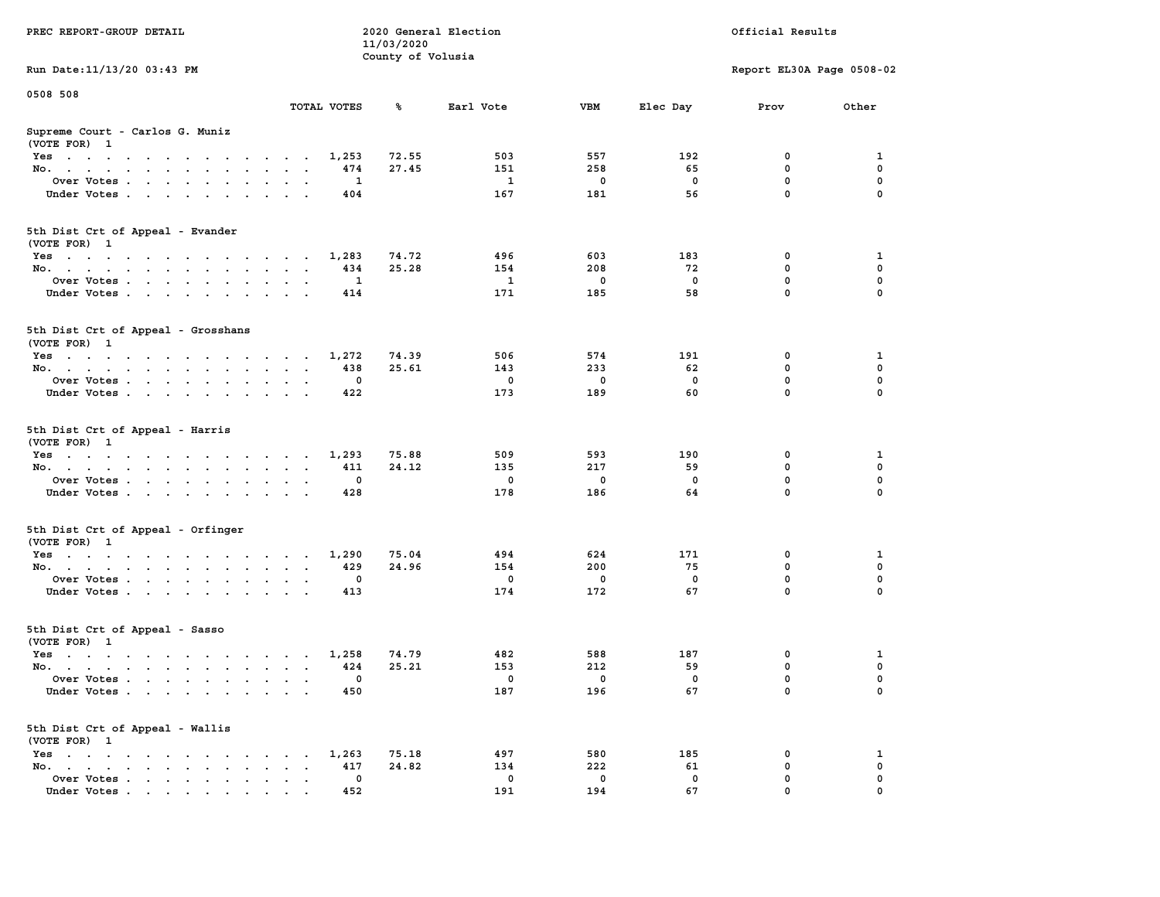|                                                                                                                                    |                                                                             | 11/03/2020        |              |             |             |                           |              |
|------------------------------------------------------------------------------------------------------------------------------------|-----------------------------------------------------------------------------|-------------------|--------------|-------------|-------------|---------------------------|--------------|
|                                                                                                                                    |                                                                             | County of Volusia |              |             |             |                           |              |
| Run Date: 11/13/20 03:43 PM                                                                                                        |                                                                             |                   |              |             |             | Report EL30A Page 0508-02 |              |
| 0508 508                                                                                                                           |                                                                             |                   |              |             |             |                           |              |
|                                                                                                                                    | TOTAL VOTES                                                                 | ℁                 | Earl Vote    | VBM         | Elec Day    | Prov                      | Other        |
| Supreme Court - Carlos G. Muniz                                                                                                    |                                                                             |                   |              |             |             |                           |              |
| (VOTE FOR) 1                                                                                                                       |                                                                             |                   |              |             |             |                           |              |
| Yes                                                                                                                                | 1,253                                                                       | 72.55             | 503          | 557         | 192         | 0                         | 1            |
| No.<br>$\sim$ $\sim$                                                                                                               | 474                                                                         | 27.45             | 151          | 258         | 65          | $\mathbf 0$               | $\mathbf 0$  |
| Over Votes                                                                                                                         | 1                                                                           |                   | 1            | $\mathbf 0$ | $\mathbf 0$ | $\mathbf 0$               | $\mathbf 0$  |
|                                                                                                                                    | 404                                                                         |                   | 167          | 181         | 56          | $\mathbf 0$               | $\mathbf 0$  |
| Under Votes<br>$\mathcal{L}^{\text{max}}$ , $\mathcal{L}^{\text{max}}$                                                             | $\ddot{\phantom{a}}$                                                        |                   |              |             |             |                           |              |
|                                                                                                                                    |                                                                             |                   |              |             |             |                           |              |
| 5th Dist Crt of Appeal - Evander                                                                                                   |                                                                             |                   |              |             |             |                           |              |
| (VOTE FOR) 1                                                                                                                       |                                                                             |                   |              |             |             |                           |              |
| Yes                                                                                                                                | 1,283                                                                       | 74.72             | 496          | 603         | 183         | 0                         | 1            |
| No.                                                                                                                                | 434                                                                         | 25.28             | 154          | 208         | 72          | $\mathbf 0$               | $\mathbf 0$  |
| Over Votes                                                                                                                         | $\mathbf{1}$<br>$\ddot{\phantom{0}}$                                        |                   | $\mathbf{1}$ | $\mathbf 0$ | $\mathbf 0$ | $\mathbf 0$               | $\mathbf 0$  |
| Under Votes                                                                                                                        | 414                                                                         |                   | 171          | 185         | 58          | $\mathbf 0$               | 0            |
|                                                                                                                                    |                                                                             |                   |              |             |             |                           |              |
| 5th Dist Crt of Appeal - Grosshans<br>(VOTE FOR) 1                                                                                 |                                                                             |                   |              |             |             |                           |              |
| Yes                                                                                                                                | 1,272                                                                       | 74.39             | 506          | 574         | 191         | 0                         | 1            |
| No.                                                                                                                                | 438<br>$\sim$<br>$\ddotsc$                                                  | 25.61             | 143          | 233         | 62          | $\mathbf 0$               | $\mathbf 0$  |
| Over Votes                                                                                                                         | $\mathbf 0$<br>$\sim$<br>$\sim$                                             |                   | $\mathbf 0$  | $\mathbf 0$ | $\mathbf 0$ | $\mathbf 0$               | $\mathbf 0$  |
| Under Votes                                                                                                                        | 422                                                                         |                   | 173          | 189         | 60          | $\mathbf 0$               | 0            |
|                                                                                                                                    |                                                                             |                   |              |             |             |                           |              |
| 5th Dist Crt of Appeal - Harris<br>(VOTE FOR) 1                                                                                    |                                                                             |                   |              |             |             |                           |              |
| Yes                                                                                                                                | 1,293<br>$\sim$                                                             | 75.88             | 509          | 593         | 190         | 0                         | 1            |
| No.<br>$\ddot{\phantom{a}}$                                                                                                        | 411<br>$\ddot{\phantom{a}}$<br>$\ddot{\phantom{a}}$<br>$\ddot{\phantom{a}}$ | 24.12             | 135          | 217         | 59          | $\mathbf 0$               | $\mathbf 0$  |
| Over Votes.                                                                                                                        | 0                                                                           |                   | $\mathbf 0$  | 0           | 0           | $\mathbf 0$               | $\mathbf 0$  |
| Under Votes<br>$\ddot{\phantom{a}}$                                                                                                | 428<br>$\cdot$ $\cdot$                                                      |                   | 178          | 186         | 64          | $\mathbf 0$               | 0            |
| 5th Dist Crt of Appeal - Orfinger<br>(VOTE FOR) 1                                                                                  |                                                                             |                   |              |             |             |                           |              |
| Yes                                                                                                                                | 1,290                                                                       | 75.04             | 494          | 624         | 171         | 0                         | 1            |
| No.<br>$\sim$                                                                                                                      | 429<br>$\sim$<br>$\sim$<br>$\ddot{\phantom{1}}$                             | 24.96             | 154          | 200         | 75          | $\mathbf 0$               | $\mathbf{0}$ |
| Over Votes                                                                                                                         | $\mathbf 0$<br>$\bullet$<br>$\cdot$ .                                       |                   | $\Omega$     | $\Omega$    | $\Omega$    | $\mathbf 0$               | $\mathbf{0}$ |
| Under Votes                                                                                                                        | 413<br>$\sim$<br>$\sim$                                                     |                   | 174          | 172         | 67          | $\mathbf 0$               | $\mathbf 0$  |
|                                                                                                                                    |                                                                             |                   |              |             |             |                           |              |
| 5th Dist Crt of Appeal - Sasso<br>(VOTE FOR) 1                                                                                     |                                                                             |                   |              |             |             |                           |              |
| Yes                                                                                                                                | 1,258                                                                       | 74.79             | 482          | 588         | 187         | 0                         | 1            |
| No.                                                                                                                                | 424                                                                         | 25.21             | 153          | 212         | 59          | $\mathbf 0$               | $\mathbf 0$  |
| Over Votes<br>$\ddot{\phantom{a}}$                                                                                                 | 0<br>$\ddot{\phantom{a}}$<br>$\cdot$<br>$\cdot$                             |                   | 0            | 0           | $\mathbf 0$ | $\mathbf 0$               | $\mathbf 0$  |
| Under Votes                                                                                                                        | 450                                                                         |                   | 187          | 196         | 67          | $\Omega$                  | $\Omega$     |
| 5th Dist Crt of Appeal - Wallis<br>(VOTE FOR) 1                                                                                    |                                                                             |                   |              |             |             |                           |              |
| $Yes \t . \t .$<br>the contract of the contract of the contract of the contract of the contract of the contract of the contract of | 1,263                                                                       | 75.18             | 497          | 580         | 185         | 0                         | 1            |
| No.<br>the contract of the contract of the con-<br>$\ddot{\phantom{a}}$                                                            | 417<br>$\bullet$<br>$\cdot$ $\cdot$                                         | 24.82             | 134          | 222         | 61          | $\mathbf 0$               | $\mathbf 0$  |
| Over Votes<br>$\sim$<br>$\ddot{\phantom{a}}$                                                                                       | $\mathbf{0}$<br>$\bullet$<br>$\bullet$<br>$\blacksquare$                    |                   | $^{\circ}$   | 0           | 0           | $\mathbf 0$               | $\mathbf 0$  |
| Under Votes<br>$\mathbf{r}$ , and $\mathbf{r}$ , and $\mathbf{r}$ , and $\mathbf{r}$ , and $\mathbf{r}$                            | 452                                                                         |                   | 191          | 194         | 67          | $\mathbf 0$               | $\mathbf 0$  |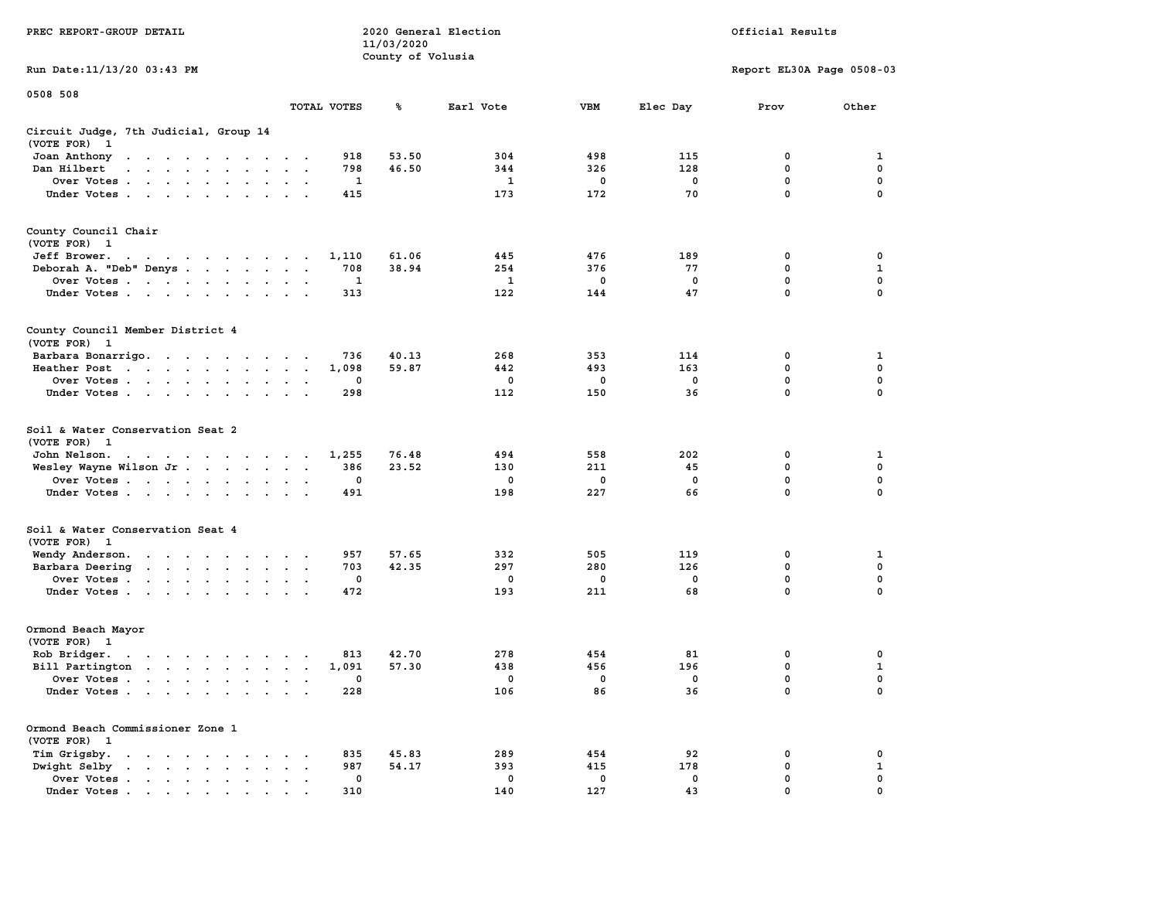|                                                                                                                                                        |                                                                  | 11/03/2020        |              |             |             |                           |              |
|--------------------------------------------------------------------------------------------------------------------------------------------------------|------------------------------------------------------------------|-------------------|--------------|-------------|-------------|---------------------------|--------------|
|                                                                                                                                                        |                                                                  | County of Volusia |              |             |             |                           |              |
| Run Date:11/13/20 03:43 PM                                                                                                                             |                                                                  |                   |              |             |             | Report EL30A Page 0508-03 |              |
| 0508 508                                                                                                                                               |                                                                  |                   |              |             |             |                           |              |
|                                                                                                                                                        | TOTAL VOTES                                                      | ℁                 | Earl Vote    | <b>VBM</b>  | Elec Day    | Prov                      | Other        |
| Circuit Judge, 7th Judicial, Group 14<br>(VOTE FOR)<br>$\mathbf{1}$                                                                                    |                                                                  |                   |              |             |             |                           |              |
| Joan Anthony<br>$\mathbf{a}$ . The second contribution of the second contribution $\mathbf{a}$                                                         | 918                                                              | 53.50             | 304          | 498         | 115         | 0                         | 1            |
| Dan Hilbert<br>$\mathbf{a}$ , and $\mathbf{a}$ , and $\mathbf{a}$<br>$\sim$<br>$\sim$                                                                  | 798<br>$\sim$<br>$\sim$                                          | 46.50             | 344          | 326         | 128         | 0                         | $\mathbf 0$  |
| Over Votes.<br>$\mathcal{A}=\mathcal{A}=\mathcal{A}=\mathcal{A}=\mathcal{A}$ .<br>$\ddot{\phantom{a}}$                                                 | 1<br>$\cdot$                                                     |                   | $\mathbf{1}$ | $\mathbf 0$ | $\mathbf 0$ | 0                         | $\mathbf 0$  |
| Under Votes<br>$\sim$                                                                                                                                  | 415<br>$\bullet$<br>$\ddot{\phantom{a}}$                         |                   | 173          | 172         | 70          | $\mathbf 0$               | $\mathbf 0$  |
| County Council Chair<br>(VOTE FOR)<br>$\mathbf{1}$                                                                                                     |                                                                  |                   |              |             |             |                           |              |
| Jeff Brower.<br>and a series of the contract of the                                                                                                    | 1,110                                                            | 61.06             | 445          | 476         | 189         | 0                         | 0            |
| Deborah A. "Deb" Denys.<br><b>Contract Contract</b>                                                                                                    | 708<br>$\overline{\phantom{a}}$<br>$\bullet$<br>$\sim$           | 38.94             | 254          | 376         | 77          | 0                         | $\mathbf{1}$ |
| Over Votes<br>$\sim$<br>$\bullet$<br>$\ddot{\phantom{1}}$<br>$\ddot{\phantom{a}}$                                                                      | 1<br>$\bullet$                                                   |                   | 1            | 0           | 0           | 0                         | $\pmb{0}$    |
| Under Votes<br>$\ddot{\phantom{a}}$                                                                                                                    | 313                                                              |                   | 122          | 144         | 47          | $\mathbf 0$               | $\mathbf 0$  |
| County Council Member District 4<br>(VOTE FOR) 1                                                                                                       |                                                                  |                   |              |             |             |                           |              |
| Barbara Bonarrigo.<br>$\sim$ $\sim$<br>$\sim$ $\sim$ $\sim$ $\sim$<br>$\sim$                                                                           | 736<br>$\bullet$                                                 | 40.13             | 268          | 353         | 114         | 0                         | 1            |
| Heather Post<br>$\sim$ $\sim$<br>$\sim$ $\sim$<br>$\langle \cdot \rangle$<br>$\sim$<br>$\mathbf{z} = \mathbf{z}$                                       | 1,098<br>$\bullet$<br>$\bullet$<br>$\ddot{\phantom{a}}$          | 59.87             | 442          | 493         | 163         | $\mathbf 0$               | $\mathbf 0$  |
| Over Votes<br>$\sim$<br>$\blacksquare$                                                                                                                 | 0<br>$\cdot$<br>$\bullet$                                        |                   | 0            | 0           | $\mathbf 0$ | $\mathbf 0$               | 0            |
| Under Votes<br>$\bullet$<br>$\bullet$<br>$\bullet$                                                                                                     | 298                                                              |                   | 112          | 150         | 36          | 0                         | $\mathbf 0$  |
| Soil & Water Conservation Seat 2<br>(VOTE FOR)<br>- 1                                                                                                  |                                                                  |                   |              |             |             |                           |              |
| John Nelson.<br>$\mathcal{A}=\mathcal{A}=\mathcal{A}=\mathcal{A}=\mathcal{A}=\mathcal{A}=\mathcal{A}=\mathcal{A}=\mathcal{A}$                          | 1,255                                                            | 76.48             | 494          | 558         | 202         | 0                         | 1            |
| Wesley Wayne Wilson Jr<br>$\ddot{\phantom{a}}$                                                                                                         | 386<br>$\bullet$<br>$\bullet$<br>$\ddot{\phantom{1}}$            | 23.52             | 130          | 211         | 45          | 0                         | $\pmb{0}$    |
| Over Votes                                                                                                                                             | 0<br>$\cdot$                                                     |                   | 0            | 0           | $\mathbf 0$ | $\mathbf 0$               | $\mathbf 0$  |
| Under Votes<br>$\ddot{\phantom{1}}$<br>$\cdot$                                                                                                         | 491                                                              |                   | 198          | 227         | 66          | 0                         | 0            |
| Soil & Water Conservation Seat 4<br>(VOTE FOR) 1                                                                                                       |                                                                  |                   |              |             |             |                           |              |
| Wendy Anderson.<br>the contract of the contract of the                                                                                                 | 957<br>$\cdot$                                                   | 57.65             | 332          | 505         | 119         | $\mathbf 0$               | 1            |
| Barbara Deering<br>$\ddot{\phantom{0}}$                                                                                                                | 703<br>$\bullet$<br>$\bullet$<br>$\ddot{\phantom{1}}$            | 42.35             | 297          | 280         | 126         | $\mathbf 0$               | $\mathbf 0$  |
| Over Votes .<br>$\sim$ $\sim$ $\sim$ $\sim$ $\sim$ $\sim$ $\sim$ $\sim$<br>$\ddot{\phantom{a}}$                                                        | $\mathbf 0$<br>$\bullet$<br>$\bullet$                            |                   | 0            | 0           | $\mathbf 0$ | $\mathbf 0$               | 0            |
| Under Votes<br>$\cdot$                                                                                                                                 | 472<br>$\ddot{\phantom{a}}$<br>$\ddot{\phantom{a}}$              |                   | 193          | 211         | 68          | $\mathbf 0$               | 0            |
| Ormond Beach Mayor                                                                                                                                     |                                                                  |                   |              |             |             |                           |              |
| (VOTE FOR)<br>$\mathbf{1}$                                                                                                                             |                                                                  |                   |              |             |             |                           |              |
| Rob Bridger.<br>$\bullet$ . $\bullet$ . $\bullet$ . $\bullet$ . $\bullet$<br>$\cdot$<br>$\bullet$                                                      | 813                                                              | 42.70             | 278          | 454         | 81          | 0                         | 0            |
| Bill Partington<br>the contract of the contract of<br>$\ddot{\phantom{a}}$                                                                             | 1,091<br>$\ddot{\phantom{a}}$<br>$\cdot$<br>$\ddot{\phantom{a}}$ | 57.30             | 438          | 456         | 196         | 0                         | 1            |
| Over Votes.<br>$\sim$<br>$\ddot{\phantom{a}}$<br>$\sim$ $\sim$<br>$\ddot{\phantom{a}}$<br>$\ddot{\phantom{a}}$                                         | 0<br>$\cdot$<br>$\ddot{\phantom{a}}$<br>$\cdot$                  |                   | 0            | 0           | $\mathbf 0$ | $\mathbf 0$               | $\mathbf 0$  |
| Under Votes<br>$\cdot$                                                                                                                                 | 228<br>$\ddot{\phantom{a}}$                                      |                   | 106          | 86          | 36          | $\mathbf 0$               | $\mathbf 0$  |
| Ormond Beach Commissioner Zone 1<br>(VOTE FOR) 1                                                                                                       |                                                                  |                   |              |             |             |                           |              |
| Tim Grigsby.<br>$\ddot{\phantom{a}}$<br>$\ddot{\phantom{a}}$<br>$\ddot{\phantom{a}}$<br>$\ddot{\phantom{a}}$<br>$\ddot{\phantom{a}}$<br>$\blacksquare$ | 835<br>$\bullet$                                                 | 45.83             | 289          | 454         | 92          | 0                         | 0            |
| Dwight Selby<br>$\bullet$<br>$\sim$ $\sim$ $\sim$ $\sim$ $\sim$<br>$\mathbf{r} = \mathbf{r}$<br>$\bullet$                                              | 987<br>$\bullet$                                                 | 54.17             | 393          | 415         | 178         | 0                         | 1            |
| Over Votes<br>$\sim$ $\sim$<br>$\bullet$<br>$\blacksquare$ .                                                                                           | 0<br>$\cdot$                                                     |                   | 0            | 0           | 0           | $\mathbf 0$               | $\mathbf 0$  |
| Under Votes                                                                                                                                            | 310                                                              |                   | 140          | 127         | 43          | $\mathbf{0}$              | $\mathbf 0$  |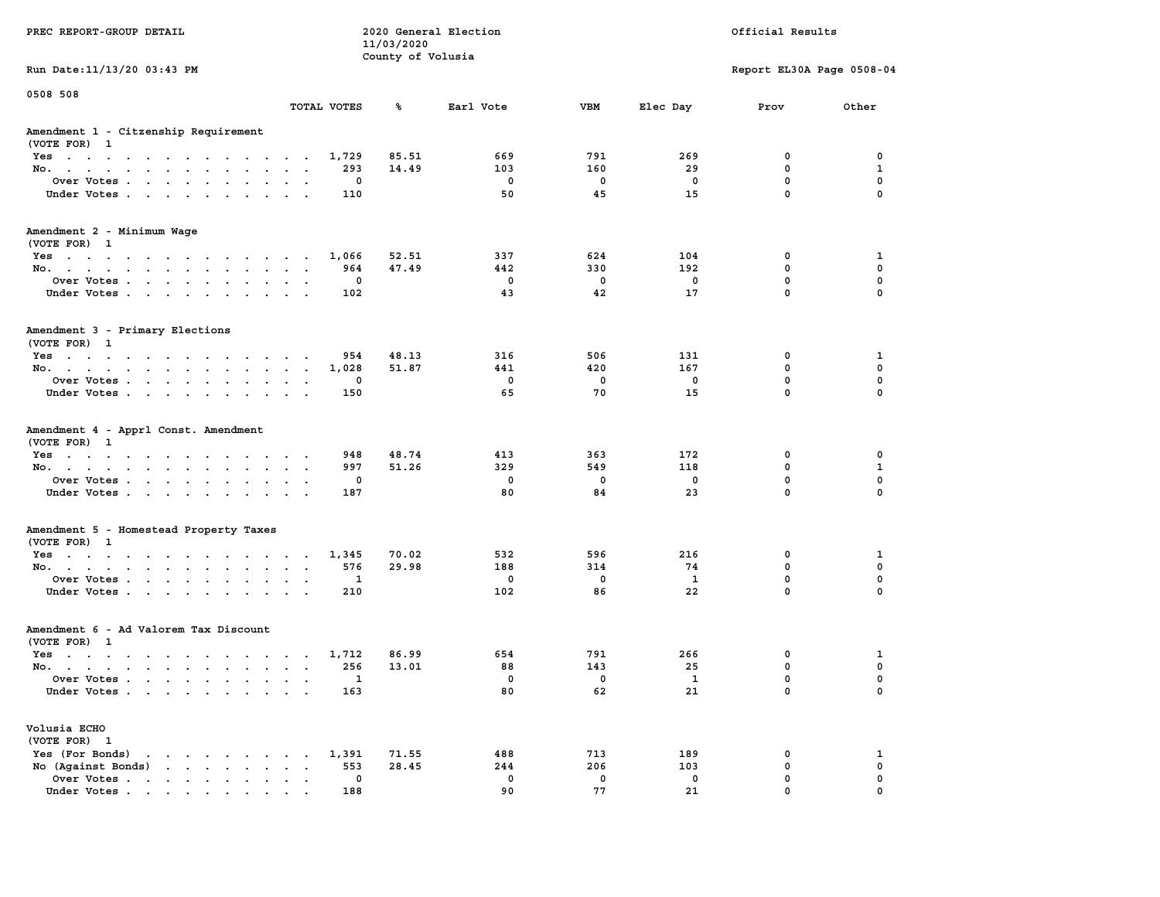|                                                                                               |                                                                      | 11/03/2020            |              |                         |              |                           |                  |
|-----------------------------------------------------------------------------------------------|----------------------------------------------------------------------|-----------------------|--------------|-------------------------|--------------|---------------------------|------------------|
|                                                                                               |                                                                      | County of Volusia     |              |                         |              |                           |                  |
| Run Date: 11/13/20 03:43 PM                                                                   |                                                                      |                       |              |                         |              | Report EL30A Page 0508-04 |                  |
| 0508 508                                                                                      |                                                                      |                       |              |                         |              |                           |                  |
|                                                                                               | TOTAL VOTES                                                          | %                     | Earl Vote    | <b>VBM</b>              | Elec Day     | Prov                      | Other            |
| Amendment 1 - Citzenship Requirement                                                          |                                                                      |                       |              |                         |              |                           |                  |
| (VOTE FOR) 1                                                                                  |                                                                      |                       |              |                         |              |                           |                  |
| Yes                                                                                           |                                                                      | 1,729<br>85.51        | 669          | 791                     | 269          | 0                         | 0                |
| No.                                                                                           | $\sim$<br>$\sim$                                                     | 293<br>14.49          | 103          | 160                     | 29           | $\mathbf 0$               | 1                |
| Over Votes                                                                                    | $\overline{\phantom{a}}$                                             | 0                     | $\mathbf 0$  | $\mathbf 0$             | 0            | $\mathbf 0$               | $\mathbf 0$      |
| Under Votes                                                                                   | $\sim$                                                               | 110                   | 50           | 45                      | 15           | $\mathbf 0$               | $\mathbf 0$      |
| Amendment 2 - Minimum Wage<br>(VOTE FOR) 1                                                    |                                                                      |                       |              |                         |              |                           |                  |
| Yes                                                                                           |                                                                      | 1,066<br>52.51        | 337          | 624                     | 104          | 0                         | 1                |
| No.                                                                                           |                                                                      | 964<br>47.49          | 442          | 330                     | 192          | $\mathbf 0$               | $\mathbf 0$      |
| Over Votes<br>$\sim$                                                                          | $\ddot{\phantom{a}}$<br>$\overline{\phantom{a}}$                     | 0                     | $\mathbf 0$  | $\mathbf 0$             | 0            | $\mathbf 0$               | $\mathbf 0$      |
| Under Votes<br>$\sim$                                                                         | $\cdot$ $\cdot$<br>$\sim$                                            | 102                   | 43           | 42                      | 17           | $\mathbf 0$               | $\mathbf 0$      |
| Amendment 3 - Primary Elections                                                               |                                                                      |                       |              |                         |              |                           |                  |
| (VOTE FOR) 1                                                                                  |                                                                      |                       |              |                         |              |                           |                  |
| $Yes \t . \t .$<br>and the contract of the contract of<br>$\sim$                              | $\bullet$ . $\bullet$<br>$\ddot{\phantom{a}}$                        | 48.13<br>954<br>51.87 | 316<br>441   | 506<br>420              | 131<br>167   | 0<br>0                    | 1<br>$\mathbf 0$ |
| No.<br>$\mathbf{L}=\mathbf{L}$<br>$\sim$                                                      | $\bullet$<br>$\ddot{\phantom{a}}$<br>$\sim$<br>$\sim$                | 1,028<br>0            | $\mathbf{0}$ | $\overline{\mathbf{0}}$ | $^{\circ}$   | $\mathbf{0}$              | $\mathbf 0$      |
| Over Votes<br>$\sim$ $\sim$<br>Under Votes                                                    | $\sim$                                                               | 150                   | 65           | 70                      | 15           | $\mathbf{0}$              | $\mathbf 0$      |
| $\sim$ $\sim$<br>$\sim$                                                                       | $\sim$ $\sim$<br>$\sim$                                              |                       |              |                         |              |                           |                  |
| Amendment 4 - Apprl Const. Amendment<br>(VOTE FOR) 1                                          |                                                                      |                       |              |                         |              |                           |                  |
| Yes                                                                                           |                                                                      | 948<br>48.74          | 413          | 363                     | 172          | 0                         | 0                |
| No.<br>$\ddot{\phantom{0}}$<br>$\sim$                                                         | $\ddot{\phantom{a}}$<br>$\ddot{\phantom{a}}$<br>$\ddot{\phantom{a}}$ | 51.26<br>997          | 329          | 549                     | 118          | $\mathbf 0$               | $\mathbf{1}$     |
| Over Votes                                                                                    |                                                                      | 0                     | $\mathbf 0$  | $\mathbf 0$             | $\mathbf 0$  | $\mathbf 0$               | $\mathbf 0$      |
| Under Votes<br>$\sim$<br>$\ddot{\phantom{a}}$<br>$\ddot{\phantom{1}}$<br>$\ddot{\phantom{a}}$ | $\sim$                                                               | 187                   | 80           | 84                      | 23           | $\mathbf 0$               | $\mathbf 0$      |
| Amendment 5 - Homestead Property Taxes                                                        |                                                                      |                       |              |                         |              |                           |                  |
| (VOTE FOR) 1                                                                                  |                                                                      |                       |              |                         |              |                           |                  |
| Yes<br>the contract of the contract of the contract of                                        |                                                                      | 1,345<br>70.02        | 532          | 596                     | 216          | 0                         | 1                |
| No.                                                                                           | <b>Contract Contract Contract</b>                                    | 576<br>29.98          | 188          | 314                     | 74           | $\mathbf{0}$              | $\mathbf 0$      |
| Over Votes<br>$\bullet$                                                                       | $\ddot{\phantom{a}}$<br>$\ddot{\phantom{a}}$<br>$\ddot{\phantom{a}}$ | 1                     | 0            | $\mathbf 0$             | $\mathbf{1}$ | 0                         | $\mathbf 0$      |
| Under Votes                                                                                   | $\sim$ $\sim$                                                        | 210                   | 102          | 86                      | 22           | $\mathbf 0$               | $\mathbf 0$      |
| Amendment 6 - Ad Valorem Tax Discount                                                         |                                                                      |                       |              |                         |              |                           |                  |
| (VOTE FOR) 1                                                                                  |                                                                      |                       |              |                         |              |                           |                  |
| $Yes \t . \t .$<br>$\cdots$                                                                   | $\sim$ $\sim$ $\sim$ $\sim$ $\sim$                                   | 1,712<br>86.99        | 654          | 791                     | 266          | $\mathbf 0$               | 1                |
| No.<br>$\sim$ $\sim$                                                                          | $\cdot$ $\cdot$ $\cdot$                                              | 13.01<br>256          | 88           | 143                     | 25           | $\mathbf 0$               | $\mathbf 0$      |
| Over Votes<br>$\ddot{\phantom{a}}$                                                            | $\ddot{\phantom{a}}$<br>$\cdot$<br>$\ddot{\phantom{a}}$              | 1                     | $\mathbf 0$  | $\mathbf 0$             | 1            | $\pmb{0}$                 | $\mathbf 0$      |
| Under Votes                                                                                   |                                                                      | 163                   | 80           | 62                      | 21           | $\Omega$                  | $\Omega$         |
| Volusia ECHO                                                                                  |                                                                      |                       |              |                         |              |                           |                  |
| (VOTE FOR) 1                                                                                  |                                                                      |                       |              |                         |              |                           |                  |
| Yes (For Bonds)<br>the contract of the contract of the<br>$\sim$                              |                                                                      | 1,391<br>71.55        | 488          | 713                     | 189          | 0                         | 1                |
| No (Against Bonds)                                                                            | $\bullet$ , $\bullet$ , $\bullet$ , $\bullet$                        | 28.45<br>553          | 244          | 206                     | 103          | $\mathbf 0$               | $\mathbf 0$      |
| Over Votes<br>$\ddot{\phantom{0}}$                                                            | $\sim$<br>$\ddot{\phantom{0}}$                                       | 0                     | $\mathbf 0$  | $\mathbf 0$             | $\mathbf 0$  | $\mathbf 0$               | $\mathbf 0$      |
| Under Votes                                                                                   |                                                                      | 188                   | 90           | 77                      | 21           | $\mathbf{0}$              | $\mathbf 0$      |

**PREC REPORT-GROUP DETAIL COMPUTER CONSUMING A LOCAL PREC** REPORT-GROUP DETAIL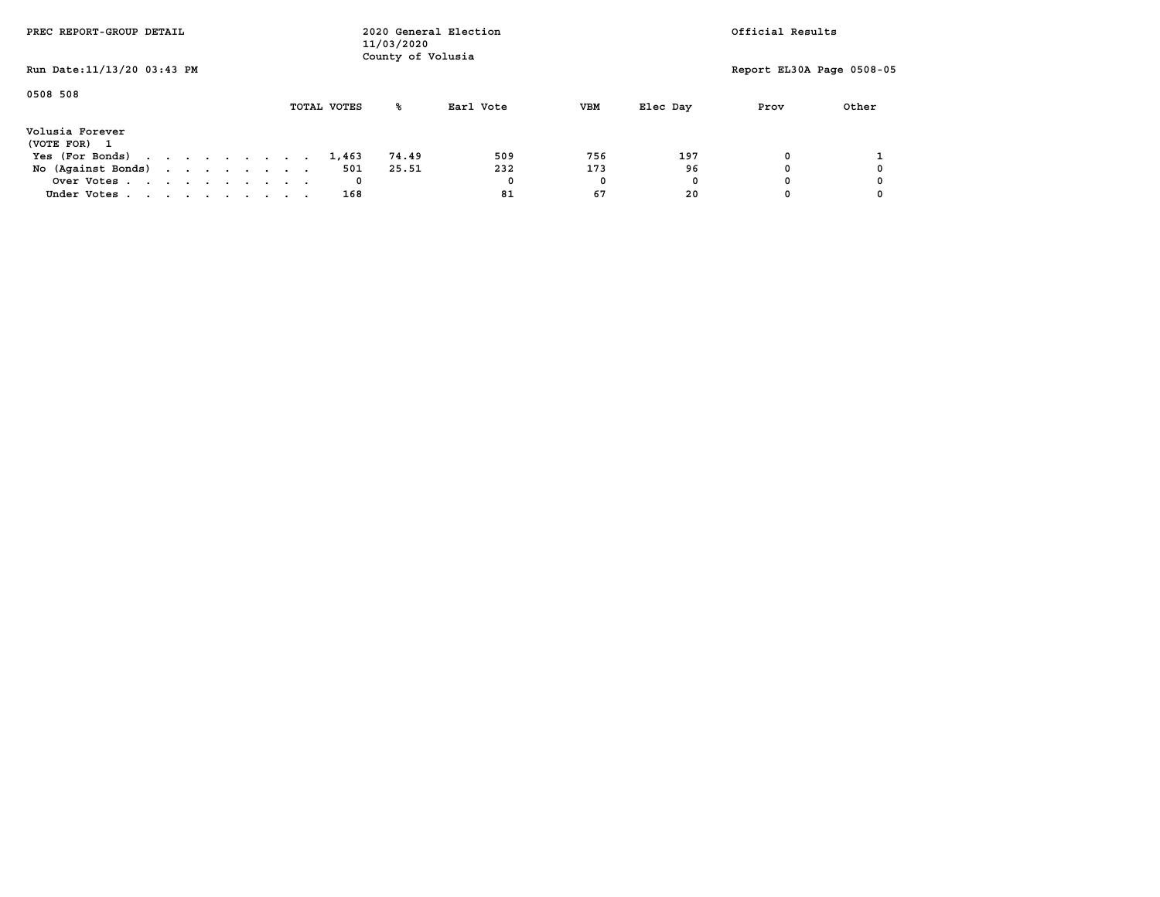| PREC REPORT-GROUP DETAIL        |  |  |  |             | 11/03/2020<br>County of Volusia | 2020 General Election |            |          | Official Results          |       |
|---------------------------------|--|--|--|-------------|---------------------------------|-----------------------|------------|----------|---------------------------|-------|
| Run Date: 11/13/20 03:43 PM     |  |  |  |             |                                 |                       |            |          | Report EL30A Page 0508-05 |       |
| 0508 508                        |  |  |  | TOTAL VOTES | ‱                               | Earl Vote             | <b>VBM</b> | Elec Day | Prov                      | Other |
| Volusia Forever<br>(VOTE FOR) 1 |  |  |  |             |                                 |                       |            |          |                           |       |
| Yes (For Bonds)                 |  |  |  | 1,463       | 74.49                           | 509                   | 756        | 197      |                           |       |
| No (Against Bonds)              |  |  |  | 501         | 25.51                           | 232                   | 173        | 96       |                           |       |
| Over Votes                      |  |  |  | 0           |                                 | 0                     | 0          | 0        |                           |       |
| Under Votes                     |  |  |  | 168         |                                 | 81                    | 67         | 20       |                           |       |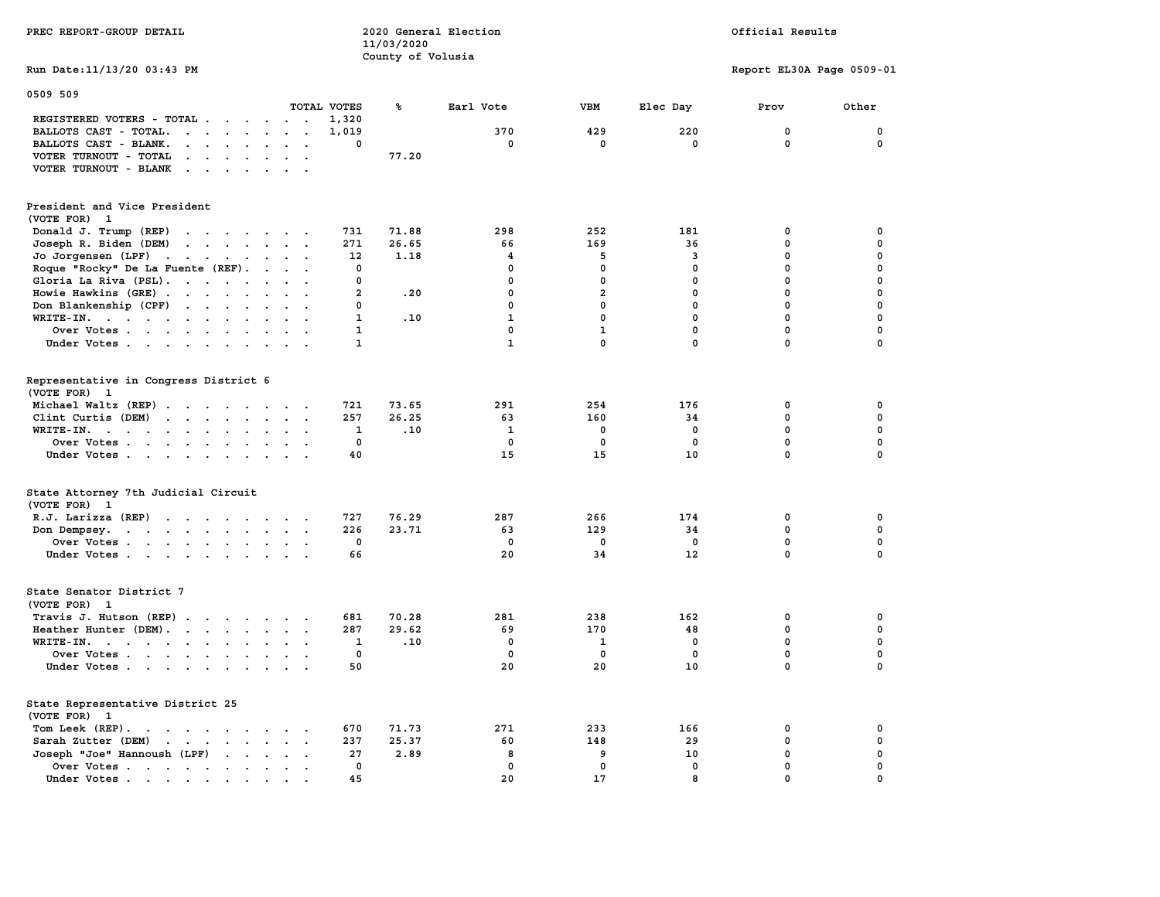| PREC REPORT-GROUP DETAIL                                                                                                                                               |                                        | 11/03/2020        | 2020 General Election   | Official Results |              |                           |                            |
|------------------------------------------------------------------------------------------------------------------------------------------------------------------------|----------------------------------------|-------------------|-------------------------|------------------|--------------|---------------------------|----------------------------|
| Run Date: 11/13/20 03:43 PM                                                                                                                                            |                                        | County of Volusia |                         |                  |              | Report EL30A Page 0509-01 |                            |
| 0509 509                                                                                                                                                               |                                        |                   |                         |                  |              |                           |                            |
|                                                                                                                                                                        | TOTAL VOTES                            | ℁                 | Earl Vote               | <b>VBM</b>       | Elec Day     | Prov                      | Other                      |
| REGISTERED VOTERS - TOTAL                                                                                                                                              | 1,320                                  |                   |                         |                  |              |                           |                            |
| BALLOTS CAST - TOTAL.<br>$\mathbf{r}$ , $\mathbf{r}$ , $\mathbf{r}$ , $\mathbf{r}$                                                                                     | 1,019<br>$\sim$ $\sim$                 |                   | 370                     | 429<br>0         | 220          | $\mathbf 0$<br>0          | $\mathbf 0$<br>$\mathbf 0$ |
| BALLOTS CAST - BLANK.<br>$\cdot$ $\cdot$ $\cdot$ $\cdot$<br>$\ddot{\phantom{a}}$                                                                                       | 0<br>$\overline{\phantom{a}}$          | 77.20             | 0                       |                  | 0            |                           |                            |
| VOTER TURNOUT - TOTAL<br>$\mathbf{a} = \mathbf{a} + \mathbf{b}$<br>$\mathbf{a}$ , and $\mathbf{a}$ , and $\mathbf{a}$<br>$\ddot{\phantom{a}}$<br>VOTER TURNOUT - BLANK | $\ddot{\phantom{0}}$                   |                   |                         |                  |              |                           |                            |
|                                                                                                                                                                        |                                        |                   |                         |                  |              |                           |                            |
| President and Vice President                                                                                                                                           |                                        |                   |                         |                  |              |                           |                            |
| (VOTE FOR)<br>1                                                                                                                                                        |                                        |                   |                         |                  |              |                           |                            |
| Donald J. Trump (REP)<br>the contract of the contract of the contract of the contract of the contract of the contract of the contract of                               | 731                                    | 71.88             | 298                     | 252              | 181          | 0                         | 0                          |
| Joseph R. Biden (DEM)<br>$\cdots$                                                                                                                                      | 271                                    | 26.65             | 66                      | 169              | 36           | 0                         | 0                          |
| Jo Jorgensen (LPF)                                                                                                                                                     | 12                                     | 1.18              | $\overline{\mathbf{4}}$ | 5                | 3            | 0                         | $\pmb{0}$                  |
| Roque "Rocky" De La Fuente (REF).<br>$\cdots$                                                                                                                          | $\mathbf 0$                            |                   | $\mathbf 0$             | $\mathbf 0$      | $\mathbf 0$  | 0                         | $\mathbf 0$                |
| Gloria La Riva (PSL).<br>$\ddot{\phantom{0}}$                                                                                                                          | 0<br>$\ddot{\phantom{a}}$              |                   | 0                       | $\mathbf 0$      | $\mathbf 0$  | $\mathbf 0$               | $\mathbf 0$                |
| Howie Hawkins (GRE)                                                                                                                                                    | $\overline{2}$<br>$\ddot{\phantom{0}}$ | .20               | 0                       | $\overline{a}$   | $\mathbf{0}$ | $\mathbf 0$               | $\mathbf 0$                |
| Don Blankenship (CPF)                                                                                                                                                  | 0<br>$\ddot{\phantom{a}}$              |                   | $\mathbf 0$             | 0                | $\mathbf 0$  | $\mathbf 0$               | $\mathbf 0$                |
| $WRITE-IN.$<br>$\sim$ $\sim$<br>$\bullet$                                                                                                                              | $\mathbf{1}$<br>$\bullet$              | .10               | $\mathbf{1}$            | $\mathbf{0}$     | $\mathbf 0$  | $\mathbf{0}$              | $\mathbf 0$                |
| Over Votes                                                                                                                                                             | $\mathbf{1}$<br>$\cdot$ $\cdot$        |                   | 0                       | $\mathbf{1}$     | $\mathbf 0$  | $\mathbf 0$               | 0                          |
| Under Votes                                                                                                                                                            | $\mathbf{1}$                           |                   | $\mathbf{1}$            | 0                | $\mathbf 0$  | 0                         | $\Omega$                   |
| Representative in Congress District 6<br>(VOTE FOR) 1                                                                                                                  |                                        |                   |                         |                  |              |                           |                            |
| Michael Waltz (REP)                                                                                                                                                    | 721                                    | 73.65             | 291                     | 254              | 176          | 0                         | 0                          |
| Clint Curtis (DEM)<br>$\mathbf{r}$ , $\mathbf{r}$ , $\mathbf{r}$ , $\mathbf{r}$ , $\mathbf{r}$<br>$\sim$                                                               | 257                                    | 26.25             | 63                      | 160              | 34           | 0                         | 0                          |
| $WRITE-IN.$<br>$\bullet$<br>$\mathbf{z} = \mathbf{z}$ .<br>$\bullet$                                                                                                   | 1                                      | .10               | 1                       | $\mathbf 0$      | 0            | $\mathbf 0$               | $\mathbf 0$                |
| Over Votes                                                                                                                                                             | 0                                      |                   | 0                       | 0                | $\mathbf 0$  | 0                         | 0                          |
| Under Votes                                                                                                                                                            | 40                                     |                   | 15                      | 15               | 10           | $\mathbf 0$               | $\Omega$                   |
| State Attorney 7th Judicial Circuit<br>(VOTE FOR) 1                                                                                                                    |                                        |                   |                         |                  |              |                           |                            |
| R.J. Larizza (REP)                                                                                                                                                     | 727                                    | 76.29             | 287                     | 266              | 174          | 0                         | 0                          |
| Don Dempsey.<br>the contract of the state of the<br>$\cdot$ $\cdot$ $\cdot$                                                                                            | 226                                    | 23.71             | 63                      | 129              | 34           | 0                         | 0                          |
| Over Votes                                                                                                                                                             | 0                                      |                   | 0                       | 0                | 0            | 0                         | 0                          |
| Under Votes                                                                                                                                                            | 66                                     |                   | 20                      | 34               | 12           | 0                         | 0                          |
| State Senator District 7<br>(VOTE FOR) 1                                                                                                                               |                                        |                   |                         |                  |              |                           |                            |
| Travis J. Hutson (REP)                                                                                                                                                 | 681                                    | 70.28             | 281                     | 238              | 162          | 0                         | 0                          |
| Heather Hunter (DEM).                                                                                                                                                  | 287                                    | 29.62             | 69                      | 170              | 48           | 0                         | 0                          |
| WRITE-IN.                                                                                                                                                              | 1                                      | .10               | $^{\circ}$              | 1                | $^{\circ}$   | $\mathbf 0$               | $\mathbf 0$                |
| Over Votes                                                                                                                                                             | 0                                      |                   | 0                       | 0                | 0            | $\mathbf 0$               | $\mathbf 0$                |
| Under Votes                                                                                                                                                            | 50                                     |                   | 20                      | 20               | 10           | 0                         | 0                          |
| State Representative District 25<br>(VOTE FOR) 1                                                                                                                       |                                        |                   |                         |                  |              |                           |                            |
| Tom Leek (REP).<br>the contract of the contract of the contract of the contract of the contract of the contract of the contract of                                     | 670                                    | 71.73             | 271                     | 233              | 166          | 0                         | 0                          |
| Sarah Zutter (DEM)<br><b>Service Control</b><br>$\sim$<br>$\sim$<br>$\bullet$                                                                                          | 237                                    | 25.37             | 60                      | 148              | 29           | $\mathbf 0$               | $\mathbf 0$                |
| Joseph "Joe" Hannoush (LPF)<br>$\bullet$                                                                                                                               | 27                                     | 2.89              | 8                       | 9                | 10           | $\mathbf 0$               | $\mathbf 0$                |
| Over Votes<br>$\bullet$<br>$\bullet$<br>$\bullet$<br>$\bullet$                                                                                                         | $\mathbf 0$<br>$\ddot{\phantom{0}}$    |                   | $\mathbf 0$             | $\mathbf 0$      | $\mathbf 0$  | $\mathbf 0$               | $\mathbf 0$                |
| Under Votes                                                                                                                                                            | 45                                     |                   | 20                      | 17               | 8            | $\mathbf 0$               | $\mathbf 0$                |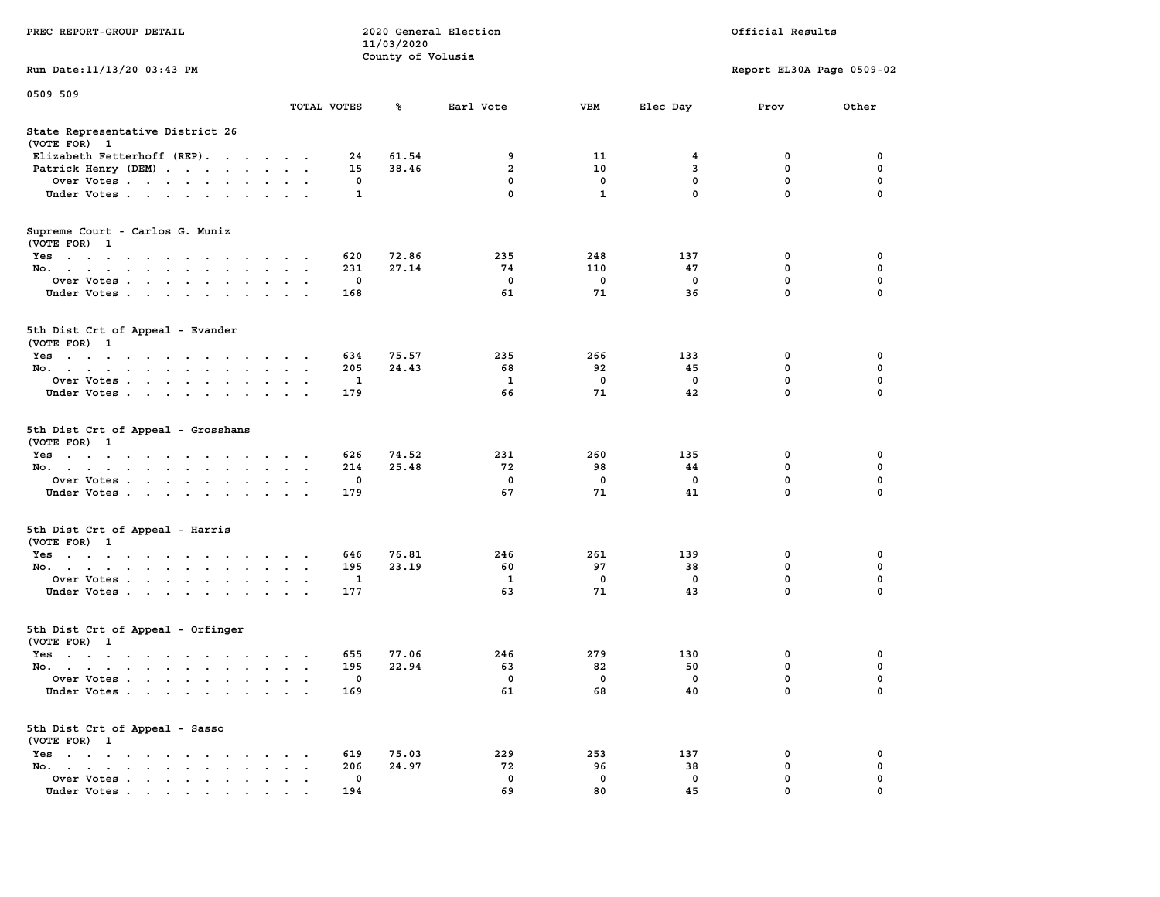|                                                                                                      |                                              |             | 11/03/2020        |                         |              |                         |                           |             |
|------------------------------------------------------------------------------------------------------|----------------------------------------------|-------------|-------------------|-------------------------|--------------|-------------------------|---------------------------|-------------|
|                                                                                                      |                                              |             | County of Volusia |                         |              |                         |                           |             |
| Run Date: 11/13/20 03:43 PM                                                                          |                                              |             |                   |                         |              |                         | Report EL30A Page 0509-02 |             |
| 0509 509                                                                                             |                                              |             |                   |                         |              |                         |                           |             |
|                                                                                                      | TOTAL VOTES                                  |             | ℁                 | Earl Vote               | <b>VBM</b>   | Elec Day                | Prov                      | Other       |
| State Representative District 26                                                                     |                                              |             |                   |                         |              |                         |                           |             |
| (VOTE FOR) 1                                                                                         |                                              |             |                   |                         |              |                         |                           |             |
| Elizabeth Fetterhoff (REP).                                                                          |                                              | 24          | 61.54             | 9                       | 11           | $\overline{\mathbf{4}}$ | $\mathbf 0$               | $\mathbf 0$ |
| Patrick Henry (DEM)                                                                                  |                                              | 15          | 38.46             | $\overline{a}$          | 10           | $\mathbf{3}$            | $\mathbf 0$               | $\mathbf 0$ |
| Over Votes                                                                                           |                                              | $\mathbf 0$ |                   | $\mathbf 0$             | $\mathbf 0$  | $\mathbf 0$             | $\mathbf 0$               | $\mathbf 0$ |
| Under Votes                                                                                          |                                              | 1           |                   | $\mathbf 0$             | $\mathbf{1}$ | $\mathbf 0$             | 0                         | $\mathbf 0$ |
| Supreme Court - Carlos G. Muniz<br>(VOTE FOR) 1                                                      |                                              |             |                   |                         |              |                         |                           |             |
| Yes                                                                                                  |                                              | 620         | 72.86             | 235                     | 248          | 137                     | 0                         | 0           |
| No.                                                                                                  | $\sim$ $\sim$                                | 231         | 27.14             | 74                      | 110          | 47                      | 0                         | $\mathbf 0$ |
| Over Votes<br>$\cdot$                                                                                |                                              | $\mathbf 0$ |                   | $\mathbf 0$             | $\mathbf 0$  | $\mathbf 0$             | 0                         | $\mathbf 0$ |
| Under Votes                                                                                          | $\cdot$ .                                    | 168         |                   | 61                      | 71           | 36                      | $\mathbf 0$               | $\mathbf 0$ |
| 5th Dist Crt of Appeal - Evander<br>(VOTE FOR) 1                                                     |                                              |             |                   |                         |              |                         |                           |             |
| Yes                                                                                                  |                                              | 634         | 75.57             | 235                     | 266          | 133                     | 0                         | 0           |
| No.<br>$\ddot{\phantom{a}}$<br>$\sim$                                                                | $\ddot{\phantom{a}}$<br>$\ddot{\phantom{a}}$ | 205         | 24.43             | 68                      | 92           | 45                      | $\mathbf{0}$              | $\mathbf 0$ |
| Over Votes                                                                                           | $\ddot{\phantom{0}}$                         | 1           |                   | $\mathbf{1}$            | $\mathbf 0$  | $\mathbf 0$             | 0                         | $\mathbf 0$ |
| Under Votes                                                                                          | $\sim$ $\sim$                                | 179         |                   | 66                      | 71           | 42                      | 0                         | 0           |
| 5th Dist Crt of Appeal - Grosshans<br>(VOTE FOR) 1                                                   |                                              |             |                   |                         |              |                         |                           |             |
| Yes                                                                                                  | $\sim$ $\sim$                                | 626         | 74.52             | 231                     | 260          | 135                     | 0                         | $\mathbf 0$ |
| No.<br>$\ddot{\phantom{a}}$<br>$\ddot{\phantom{a}}$<br>$\ddot{\phantom{a}}$                          | $\ddot{\phantom{a}}$<br>$\ddot{\phantom{a}}$ | 214         | 25.48             | 72                      | 98           | 44                      | $\mathbf 0$               | 0           |
| Over Votes                                                                                           | $\sim$ $\sim$ $\sim$                         | 0           |                   | $\mathbf 0$             | $\mathbf 0$  | $\mathbf 0$             | 0                         | $\mathbf 0$ |
| Under Votes                                                                                          | $\ddot{\phantom{0}}$                         | 179         |                   | 67                      | 71           | 41                      | 0                         | 0           |
| 5th Dist Crt of Appeal - Harris<br>(VOTE FOR) 1                                                      |                                              |             |                   |                         |              |                         |                           |             |
| Yes                                                                                                  |                                              | 646         | 76.81             | 246                     | 261          | 139                     | $\mathbf 0$               | 0           |
| No.<br>$\sim$<br>$\ddot{\phantom{a}}$<br>$\sim$ $\sim$                                               | $\ddot{\phantom{0}}$<br>$\bullet$            | 195         | 23.19             | 60                      | 97           | 38                      | 0                         | $\mathbf 0$ |
| Over Votes                                                                                           | $\sim$                                       | 1           |                   | $\mathbf{1}$            | $\mathbf 0$  | $\mathbf 0$             | $\mathbf 0$               | $\mathbf 0$ |
| Under Votes<br>$\sim 100$ km s $^{-1}$<br>$\sim$ $\sim$                                              |                                              | 177         |                   | 63                      | 71           | 43                      | 0                         | 0           |
| 5th Dist Crt of Appeal - Orfinger<br>(VOTE FOR) 1                                                    |                                              |             |                   |                         |              |                         |                           |             |
| Yes                                                                                                  |                                              | 655         | 77.06             | 246                     | 279          | 130                     | $\mathbf 0$               | $\mathbf 0$ |
| No.                                                                                                  |                                              | 195         | 22.94             | 63                      | 82           | 50                      | $\mathbf 0$               | $\mathbf 0$ |
| Over Votes.<br>$\cdots$<br>$\ddot{\phantom{0}}$<br>$\cdot$                                           | $\bullet$                                    | 0           |                   | $\overline{\mathbf{0}}$ | $\mathbf 0$  | $\mathbf 0$             | $\mathbf 0$               | $\mathbf 0$ |
| Under Votes                                                                                          |                                              | 169         |                   | 61                      | 68           | 40                      | $\mathbf 0$               | $\Omega$    |
| 5th Dist Crt of Appeal - Sasso<br>(VOTE FOR) 1                                                       |                                              |             |                   |                         |              |                         |                           |             |
| $Yes \cdot \cdot \cdot \cdot \cdot \cdot \cdot \cdot \cdot \cdot$<br>$\cdot$                         |                                              | 619         | 75.03             | 229                     | 253          | 137                     | 0                         | 0           |
| No.<br>$\sim$<br>$\cdot$                                                                             | $\mathbf{L}$                                 | 206         | 24.97             | 72                      | 96           | 38                      | 0                         | 0           |
| Over Votes.<br><b>Contract Contract</b><br>$\ddot{\phantom{0}}$<br>$\bullet$<br>$\bullet$<br>$\cdot$ | $\cdot$<br>$\ddot{\phantom{0}}$              | 0           |                   | $\mathbf 0$             | $\mathbf 0$  | $\mathbf 0$             | 0                         | $\mathbf 0$ |
| Under Votes<br>the contract of the contract of the                                                   |                                              | 194         |                   | 69                      | 80           | 45                      | $\Omega$                  | $\Omega$    |

**PREC REPORT-GROUP DETAIL 2020 General Election Official Results**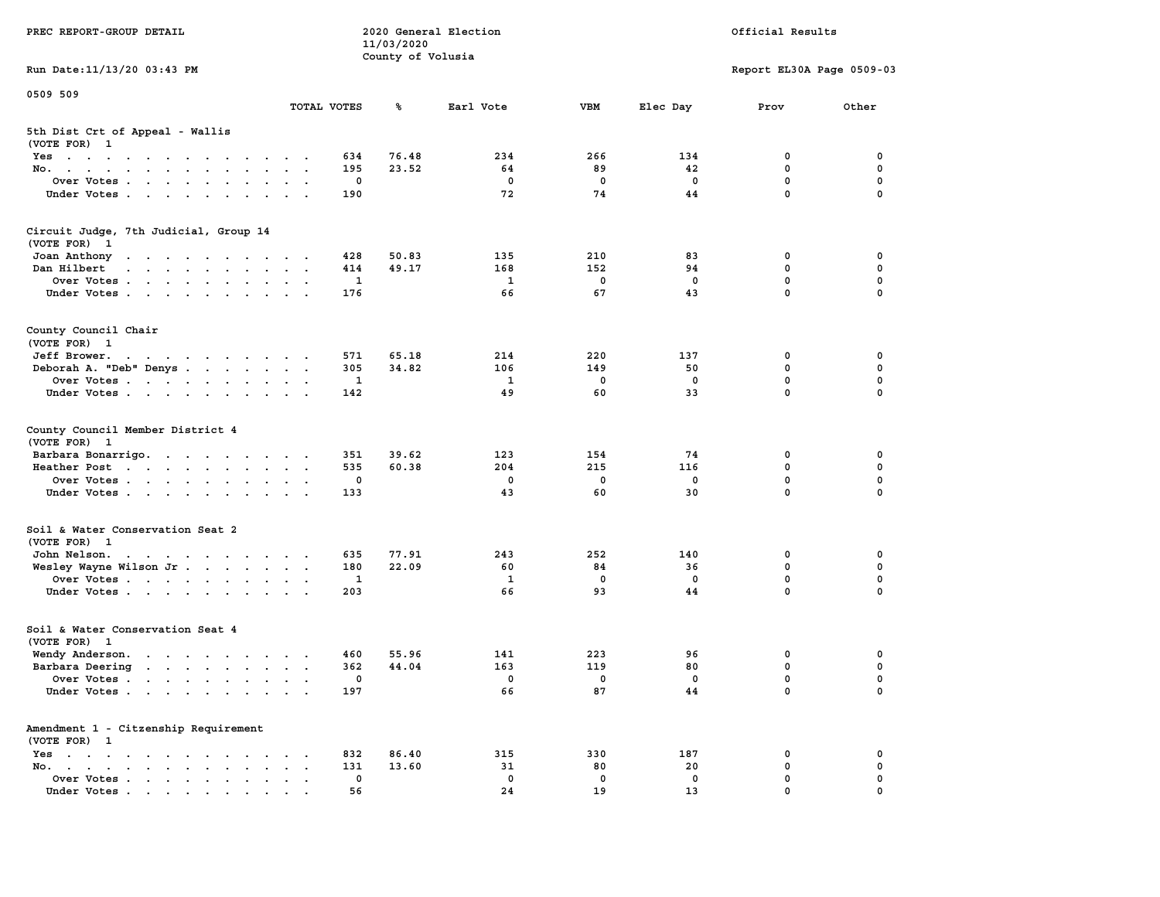| PREC REPORT-GROUP DETAIL                                                                                                                                                                                                                      |                                                           |                   | 11/03/2020        | 2020 General Election |                   | Official Results |                            |               |  |
|-----------------------------------------------------------------------------------------------------------------------------------------------------------------------------------------------------------------------------------------------|-----------------------------------------------------------|-------------------|-------------------|-----------------------|-------------------|------------------|----------------------------|---------------|--|
| Run Date: 11/13/20 03:43 PM                                                                                                                                                                                                                   |                                                           |                   | County of Volusia |                       |                   |                  | Report EL30A Page 0509-03  |               |  |
| 0509 509                                                                                                                                                                                                                                      |                                                           |                   |                   |                       |                   |                  |                            |               |  |
|                                                                                                                                                                                                                                               | TOTAL VOTES                                               |                   | ጜ                 | Earl Vote             | <b>VBM</b>        | Elec Day         | Prov                       | Other         |  |
| 5th Dist Crt of Appeal - Wallis<br>(VOTE FOR) 1                                                                                                                                                                                               |                                                           |                   |                   |                       |                   |                  |                            |               |  |
| Yes                                                                                                                                                                                                                                           |                                                           | 634               | 76.48             | 234                   | 266               | 134              | 0                          | 0             |  |
| No.                                                                                                                                                                                                                                           |                                                           | 195               | 23.52             | 64                    | 89                | 42               | $\mathbf 0$                | 0             |  |
| Over Votes                                                                                                                                                                                                                                    |                                                           | 0                 |                   | 0                     | $\mathbf 0$       | 0                | $\mathbf 0$                | 0             |  |
| Under Votes                                                                                                                                                                                                                                   |                                                           | 190               |                   | 72                    | 74                | 44               | $\mathbf 0$                | $\Omega$      |  |
| Circuit Judge, 7th Judicial, Group 14<br>(VOTE FOR)<br>$\mathbf{1}$                                                                                                                                                                           |                                                           |                   |                   |                       |                   |                  |                            |               |  |
| Joan Anthony<br>the contract of the contract of the con-                                                                                                                                                                                      |                                                           | 428               | 50.83             | 135                   | 210               | 83               | 0                          | 0             |  |
| Dan Hilbert<br>and a series of the contract of the series of the series of the series of the series of the series of the series of the series of the series of the series of the series of the series of the series of the series of the seri |                                                           | 414               | 49.17             | 168                   | 152               | 94               | 0                          | 0             |  |
| Over Votes                                                                                                                                                                                                                                    |                                                           | 1                 |                   | $\mathbf{1}$          | $\mathbf 0$       | $\mathbf 0$      | $\mathbf 0$                | $\mathbf 0$   |  |
| Under Votes                                                                                                                                                                                                                                   |                                                           | 176               |                   | 66                    | 67                | 43               | $\mathbf 0$                | 0             |  |
| County Council Chair<br>(VOTE FOR) 1                                                                                                                                                                                                          |                                                           |                   |                   |                       |                   |                  |                            |               |  |
| Jeff Brower.<br>the contract of the contract of the contract of the contract of the contract of the contract of the contract of                                                                                                               |                                                           | 571               | 65.18             | 214                   | 220               | 137              | 0                          | 0             |  |
| Deborah A. "Deb" Denys                                                                                                                                                                                                                        |                                                           | 305               | 34.82             | 106                   | 149               | 50               | 0                          | $\mathbf 0$   |  |
| Over Votes                                                                                                                                                                                                                                    |                                                           | 1                 |                   | 1                     | $\mathbf 0$       | 0                | $\mathbf 0$                | 0             |  |
| Under Votes                                                                                                                                                                                                                                   |                                                           | 142               |                   | 49                    | 60                | 33               | $\mathbf 0$                | 0             |  |
| County Council Member District 4<br>(VOTE FOR) 1                                                                                                                                                                                              |                                                           |                   |                   |                       |                   |                  |                            |               |  |
| Barbara Bonarrigo.                                                                                                                                                                                                                            |                                                           | 351               | 39.62             | 123                   | 154               | 74               | 0                          | 0             |  |
| Heather Post                                                                                                                                                                                                                                  |                                                           | 535               | 60.38             | 204                   | 215               | 116              | $\mathbf 0$                | 0             |  |
| Over Votes                                                                                                                                                                                                                                    |                                                           | 0                 |                   | 0                     | 0                 | 0                | $\mathbf 0$<br>$\mathbf 0$ | 0<br>$\Omega$ |  |
| Under Votes                                                                                                                                                                                                                                   |                                                           | 133               |                   | 43                    | 60                | 30               |                            |               |  |
| Soil & Water Conservation Seat 2<br>(VOTE FOR) 1                                                                                                                                                                                              |                                                           |                   |                   |                       |                   |                  |                            |               |  |
| John Nelson.<br>the contract of the contract of the contract of the contract of the contract of the contract of the contract of                                                                                                               |                                                           | 635               | 77.91             | 243                   | 252               | 140              | 0                          | 0             |  |
| Wesley Wayne Wilson Jr                                                                                                                                                                                                                        |                                                           | 180               | 22.09             | 60                    | 84                | 36               | $\mathbf 0$                | 0             |  |
| Over Votes                                                                                                                                                                                                                                    |                                                           | 1                 |                   | 1                     | 0                 | $\mathbf 0$      | $\mathbf 0$                | 0             |  |
| Under Votes                                                                                                                                                                                                                                   |                                                           | 203               |                   | 66                    | 93                | 44               | $\mathbf 0$                | $\Omega$      |  |
| Soil & Water Conservation Seat 4<br>(VOTE FOR) 1                                                                                                                                                                                              |                                                           |                   |                   |                       |                   |                  |                            |               |  |
| Wendy Anderson.                                                                                                                                                                                                                               |                                                           | 460               | 55.96             | 141                   | 223               | 96               | 0                          | 0             |  |
| Barbara Deering                                                                                                                                                                                                                               |                                                           | 362               | 44.04             | 163                   | 119               | 80               | $\mathbf 0$                | 0             |  |
| Over Votes                                                                                                                                                                                                                                    |                                                           | 0                 |                   | 0                     | $\mathbf 0$       | 0                | 0                          | 0             |  |
| Under Votes                                                                                                                                                                                                                                   |                                                           | 197               |                   | 66                    | 87                | 44               | 0                          | 0             |  |
| Amendment 1 - Citzenship Requirement<br>(VOTE FOR) 1                                                                                                                                                                                          |                                                           |                   |                   |                       |                   |                  |                            |               |  |
| $Yes \cdot \cdot \cdot \cdot \cdot \cdot \cdot \cdot \cdot$                                                                                                                                                                                   |                                                           | 832               | 86.40             | 315                   | 330               | 187              | 0                          | 0             |  |
| No.<br>$\ddot{\phantom{0}}$                                                                                                                                                                                                                   | $\bullet$<br>$\ddot{\phantom{a}}$<br>$\ddot{\phantom{0}}$ | 131               | 13.60             | 31                    | 80                | 20               | $\mathbf 0$                | 0             |  |
| Over Votes<br>Under Votes                                                                                                                                                                                                                     |                                                           | $\mathbf 0$<br>56 |                   | 0<br>24               | $\mathbf 0$<br>19 | 0<br>13          | 0<br>0                     | 0             |  |
|                                                                                                                                                                                                                                               |                                                           |                   |                   |                       |                   |                  |                            |               |  |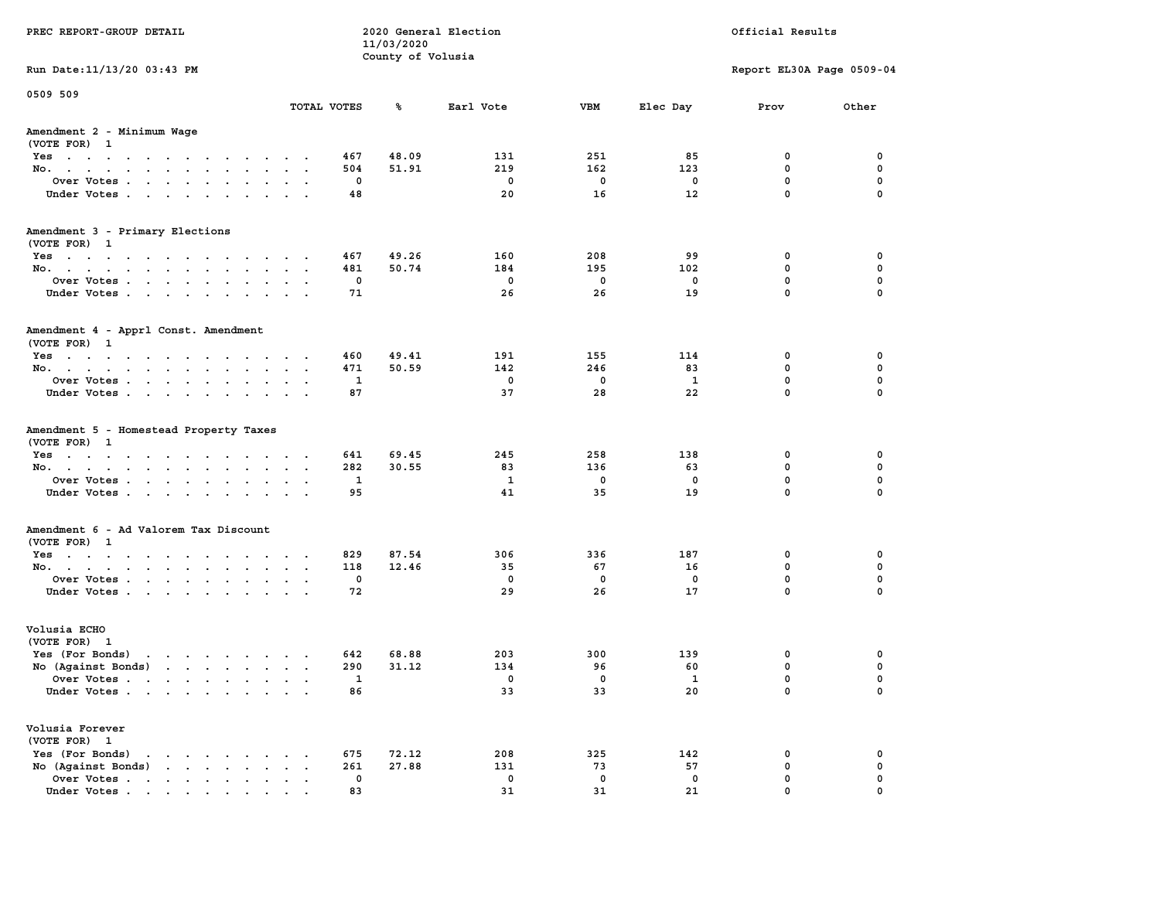| PREC REPORT-GROUP DETAIL                                                                                                        |                      |             | 11/03/2020        | 2020 General Election |             | Official Results |                           |             |  |
|---------------------------------------------------------------------------------------------------------------------------------|----------------------|-------------|-------------------|-----------------------|-------------|------------------|---------------------------|-------------|--|
|                                                                                                                                 |                      |             | County of Volusia |                       |             |                  |                           |             |  |
| Run Date: 11/13/20 03:43 PM                                                                                                     |                      |             |                   |                       |             |                  | Report EL30A Page 0509-04 |             |  |
| 0509 509                                                                                                                        |                      | TOTAL VOTES | ℁                 | Earl Vote             | <b>VBM</b>  | Elec Day         | Prov                      | Other       |  |
| Amendment 2 - Minimum Wage                                                                                                      |                      |             |                   |                       |             |                  |                           |             |  |
| (VOTE FOR) 1                                                                                                                    |                      |             |                   |                       |             |                  |                           |             |  |
| Yes                                                                                                                             |                      | 467         | 48.09             | 131                   | 251         | 85               | 0                         | 0           |  |
| No.                                                                                                                             |                      | 504         | 51.91             | 219                   | 162         | 123              | 0                         | 0           |  |
| Over Votes                                                                                                                      |                      | 0           |                   | 0                     | $\mathbf 0$ | 0                | $\mathbf 0$               | 0           |  |
| Under Votes                                                                                                                     |                      | 48          |                   | 20                    | 16          | 12               | $\mathbf 0$               | $\mathbf 0$ |  |
| Amendment 3 - Primary Elections                                                                                                 |                      |             |                   |                       |             |                  |                           |             |  |
| (VOTE FOR) 1                                                                                                                    |                      |             |                   |                       |             |                  |                           |             |  |
| Yes                                                                                                                             |                      | 467         | 49.26             | 160                   | 208         | 99               | 0                         | 0           |  |
| No.                                                                                                                             |                      | 481         | 50.74             | 184                   | 195         | 102              | 0                         | 0           |  |
| Over Votes                                                                                                                      |                      | 0           |                   | $\mathbf 0$           | $\mathbf 0$ | $\mathbf 0$      | $\mathbf 0$               | 0           |  |
| Under Votes                                                                                                                     |                      | 71          |                   | 26                    | 26          | 19               | $\mathbf{0}$              | 0           |  |
| Amendment 4 - Apprl Const. Amendment                                                                                            |                      |             |                   |                       |             |                  |                           |             |  |
| (VOTE FOR) 1                                                                                                                    |                      |             |                   |                       |             |                  |                           |             |  |
| Yes                                                                                                                             |                      | 460         | 49.41             | 191                   | 155         | 114              | 0                         | 0           |  |
| No.                                                                                                                             |                      | 471         | 50.59             | 142                   | 246         | 83               | 0                         | 0           |  |
| Over Votes                                                                                                                      |                      | 1           |                   | $\mathbf 0$           | $\mathbf 0$ | 1                | $\mathbf{0}$              | 0           |  |
| Under Votes                                                                                                                     |                      | 87          |                   | 37                    | 28          | 22               | $\mathbf 0$               | 0           |  |
| Amendment 5 - Homestead Property Taxes                                                                                          |                      |             |                   |                       |             |                  |                           |             |  |
| (VOTE FOR) 1                                                                                                                    |                      |             |                   |                       |             |                  |                           |             |  |
| Yes                                                                                                                             |                      | 641         | 69.45             | 245                   | 258         | 138              | 0                         | 0           |  |
| No.                                                                                                                             |                      | 282         | 30.55             | 83                    | 136         | 63               | 0                         | 0           |  |
| Over Votes                                                                                                                      |                      | 1           |                   | 1                     | $\mathbf 0$ | 0                | $\mathbf 0$               | 0           |  |
| Under Votes                                                                                                                     |                      | 95          |                   | 41                    | 35          | 19               | $\mathbf 0$               | $\Omega$    |  |
| Amendment 6 - Ad Valorem Tax Discount                                                                                           |                      |             |                   |                       |             |                  |                           |             |  |
| (VOTE FOR) 1                                                                                                                    |                      |             |                   |                       |             |                  |                           |             |  |
| Yes                                                                                                                             |                      | 829         | 87.54             | 306                   | 336         | 187              | 0                         | 0           |  |
| No.                                                                                                                             |                      | 118         | 12.46             | 35                    | 67          | 16               | 0                         | 0           |  |
| Over Votes                                                                                                                      |                      | 0           |                   | 0                     | $\mathbf 0$ | 0                | 0                         | 0           |  |
| Under Votes                                                                                                                     |                      | 72          |                   | 29                    | 26          | 17               | $\Omega$                  | $\Omega$    |  |
| Volusia ECHO                                                                                                                    |                      |             |                   |                       |             |                  |                           |             |  |
| (VOTE FOR) 1                                                                                                                    |                      |             |                   |                       |             |                  |                           |             |  |
| Yes (For Bonds)                                                                                                                 |                      | 642         | 68.88             | 203                   | 300         | 139              | 0                         | 0           |  |
| No (Aqainst Bonds)                                                                                                              |                      | 290         | 31.12             | 134                   | 96          | 60               | 0                         | 0           |  |
| Over Votes .<br>the contract of the contract of the contract of the contract of the contract of the contract of the contract of |                      | 1           |                   | 0                     | 0           | 1                | 0                         | 0           |  |
| Under Votes                                                                                                                     |                      | 86          |                   | 33                    | 33          | 20               | 0                         | 0           |  |
| Volusia Forever                                                                                                                 |                      |             |                   |                       |             |                  |                           |             |  |
| (VOTE FOR) 1                                                                                                                    |                      |             |                   |                       |             |                  |                           |             |  |
| Yes (For Bonds)<br>$\begin{array}{cccccccccccccccccc} . & . & . & . & . & . & . & . & . & . & . \end{array}$                    |                      | 675         | 72.12             | 208                   | 325         | 142              | 0                         | 0           |  |
| No (Against Bonds)                                                                                                              | $\ddot{\phantom{0}}$ | 261         | 27.88             | 131                   | 73          | 57               | $\mathbf 0$               | 0           |  |
| Over Votes                                                                                                                      |                      | 0           |                   | 0                     | $\mathbf 0$ | 0                | 0                         | 0           |  |
| Under Votes                                                                                                                     |                      | 83          |                   | 31                    | 31          | 21               | $\mathbf{0}$              | $\mathbf 0$ |  |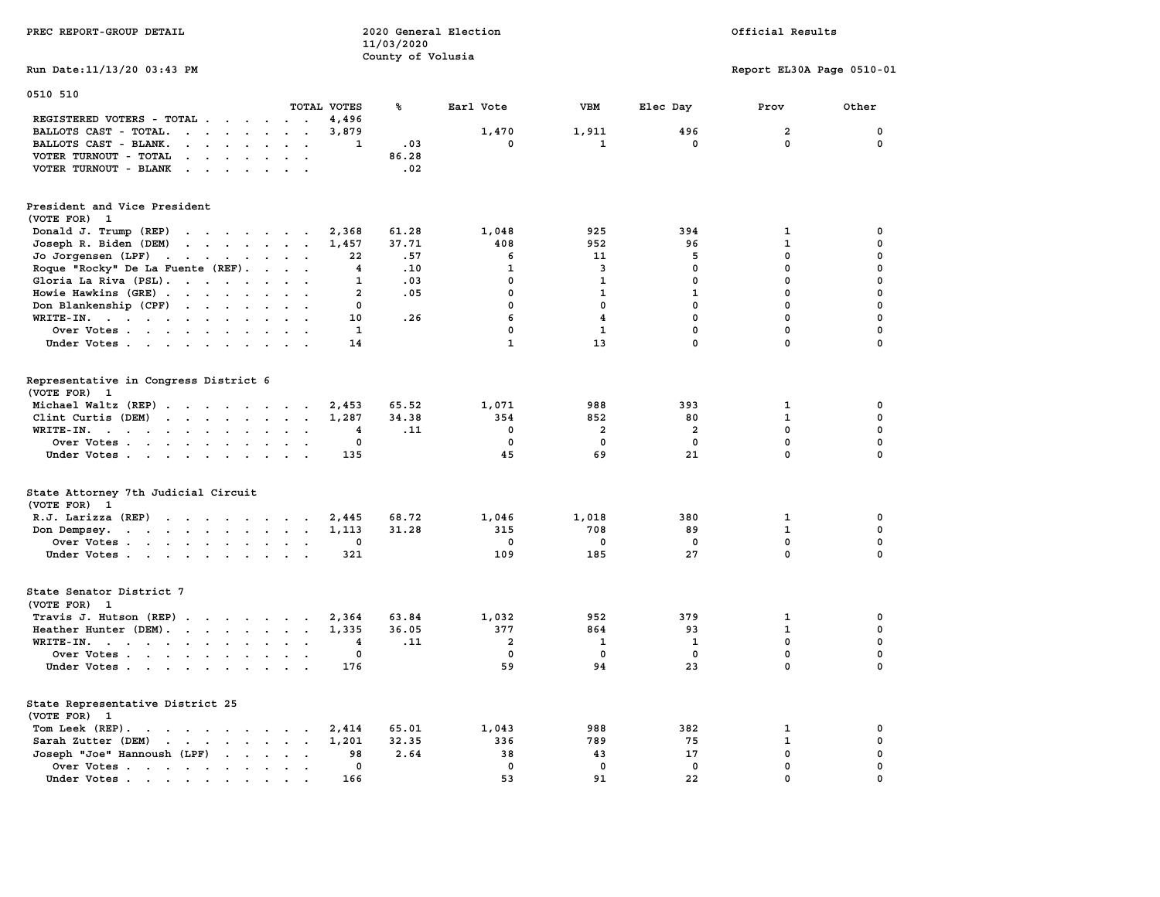| PREC REPORT-GROUP DETAIL                                                                                                                                |                | 2020 General Election<br>11/03/2020 |                         |                         | Official Results |                           |             |  |  |
|---------------------------------------------------------------------------------------------------------------------------------------------------------|----------------|-------------------------------------|-------------------------|-------------------------|------------------|---------------------------|-------------|--|--|
| Run Date:11/13/20 03:43 PM                                                                                                                              |                | County of Volusia                   |                         |                         |                  | Report EL30A Page 0510-01 |             |  |  |
| 0510 510                                                                                                                                                |                |                                     |                         |                         |                  |                           |             |  |  |
|                                                                                                                                                         | TOTAL VOTES    | ℁                                   | Earl Vote               | VBM                     | Elec Day         | Prov                      | Other       |  |  |
| REGISTERED VOTERS - TOTAL<br>$\cdot$ .                                                                                                                  | 4,496          |                                     |                         |                         |                  |                           |             |  |  |
| BALLOTS CAST - TOTAL.<br>the contract of the contract of the<br>$\sim$<br>$\ddot{\phantom{a}}$                                                          | 3,879          |                                     | 1,470                   | 1,911                   | 496              | $\overline{\mathbf{2}}$   | 0           |  |  |
| BALLOTS CAST - BLANK.<br>$\cdots$ $\cdots$<br>$\ddot{\phantom{0}}$                                                                                      | 1              | .03                                 | 0                       | 1                       | 0                | 0                         | 0           |  |  |
| VOTER TURNOUT - TOTAL<br>$\cdot$ $\cdot$ $\cdot$ $\cdot$ $\cdot$                                                                                        |                | 86.28                               |                         |                         |                  |                           |             |  |  |
| VOTER TURNOUT - BLANK<br>$\sim$ $\sim$                                                                                                                  |                | .02                                 |                         |                         |                  |                           |             |  |  |
| President and Vice President                                                                                                                            |                |                                     |                         |                         |                  |                           |             |  |  |
| (VOTE FOR) 1                                                                                                                                            |                |                                     |                         |                         |                  |                           |             |  |  |
| Donald J. Trump (REP)<br>the contract of the contract of the                                                                                            | 2,368          | 61.28                               | 1,048                   | 925                     | 394              | 1                         | 0           |  |  |
| Joseph R. Biden (DEM)<br>the contract of the contract of the contract of                                                                                | 1,457          | 37.71                               | 408                     | 952                     | 96               | $\mathbf 1$               | $\mathbf 0$ |  |  |
| Jo Jorgensen (LPF)<br>the contract of the contract of the contract of                                                                                   | 22             | .57                                 | 6                       | 11                      | 5                | 0                         | $\mathbf 0$ |  |  |
| Roque "Rocky" De La Fuente (REF).<br>$\sim$ $\sim$ $\sim$ $\sim$ $\sim$                                                                                 | 4              | .10                                 | $\mathbf{1}$            | 3                       | $\mathbf 0$      | $\mathbf 0$               | 0           |  |  |
| Gloria La Riva (PSL).                                                                                                                                   | $\mathbf{1}$   | .03                                 | $\mathbf 0$             | $\mathbf{1}$            | $\mathbf 0$      | $\mathbf 0$               | $\mathbf 0$ |  |  |
| Howie Hawkins (GRE)                                                                                                                                     | $\overline{a}$ | .05                                 | $\mathbf 0$             | $\mathbf{1}$            | $\mathbf{1}$     | $\mathbf 0$               | 0           |  |  |
| Don Blankenship (CPF)                                                                                                                                   | 0              |                                     | $\mathbf 0$             | $\mathbf 0$             | $\mathbf 0$      | $\mathbf 0$               | $\mathbf 0$ |  |  |
| WRITE-IN. $\cdots$<br>$\bullet$<br>$\sim$<br>$\mathbf{r}$                                                                                               | 10             | .26                                 | 6                       | $\overline{\mathbf{4}}$ | $\mathbf 0$      | $\mathbf 0$               | $\mathbf 0$ |  |  |
| Over Votes                                                                                                                                              | 1              |                                     | $\mathbf 0$             | $\mathbf{1}$            | $\mathbf 0$      | $\mathbf 0$               | $\mathbf 0$ |  |  |
| Under Votes<br>$\blacksquare$                                                                                                                           | 14             |                                     | $\mathbf{1}$            | 13                      | $\mathbf 0$      | $\mathbf 0$               | $\mathbf 0$ |  |  |
|                                                                                                                                                         |                |                                     |                         |                         |                  |                           |             |  |  |
| Representative in Congress District 6<br>(VOTE FOR) 1                                                                                                   |                |                                     |                         |                         |                  |                           |             |  |  |
| Michael Waltz (REP)                                                                                                                                     | 2,453          | 65.52                               | 1,071                   | 988                     | 393              | 1                         | 0           |  |  |
| Clint Curtis (DEM)<br>the contract of the contract of the contract of the contract of the contract of                                                   | 1,287          | 34.38                               | 354                     | 852                     | 80               | $\mathbf{1}$              | 0           |  |  |
| $WRITE-IN.$<br>$\sim$<br>$\sim$<br>$\sim$                                                                                                               | 4              | .11                                 | 0                       | 2                       | $\overline{a}$   | 0                         | 0           |  |  |
| Over Votes<br>$\cdot$ .                                                                                                                                 | 0              |                                     | 0                       | 0                       | 0                | 0                         | $\mathbf 0$ |  |  |
| Under Votes<br>$\cdot$ .                                                                                                                                | 135            |                                     | 45                      | 69                      | 21               | $\mathbf 0$               | 0           |  |  |
| State Attorney 7th Judicial Circuit                                                                                                                     |                |                                     |                         |                         |                  |                           |             |  |  |
| (VOTE FOR) 1                                                                                                                                            |                |                                     |                         |                         |                  |                           |             |  |  |
| $R.J.$ Larizza $(REP)$                                                                                                                                  | 2,445          | 68.72                               | 1,046                   | 1,018                   | 380              | $\mathbf{1}$              | $\mathbf 0$ |  |  |
| Don Dempsey.<br>the contract of the contract of the contract of the contract of the contract of the contract of the contract of<br>$\ddot{\phantom{0}}$ | 1,113          | 31.28                               | 315                     | 708                     | 89               | $\mathbf{1}$              | $\mathbf 0$ |  |  |
| Over Votes<br>$\cdot$ $\cdot$                                                                                                                           | 0              |                                     | 0                       | 0                       | $\mathbf 0$      | $\mathbf 0$               | $\mathbf 0$ |  |  |
| Under Votes<br>$\sim$ $\sim$                                                                                                                            | 321            |                                     | 109                     | 185                     | 27               | 0                         | 0           |  |  |
| State Senator District 7<br>(VOTE FOR) 1                                                                                                                |                |                                     |                         |                         |                  |                           |             |  |  |
| Travis J. Hutson (REP)                                                                                                                                  | 2,364          | 63.84                               | 1,032                   | 952                     | 379              | 1                         | 0           |  |  |
| Heather Hunter (DEM).<br>$\sim$ $\sim$                                                                                                                  | 1,335          | 36.05                               | 377                     | 864                     | 93               | $\mathbf{1}$              | $\mathbf 0$ |  |  |
| $WRITE-IN.$<br>$\mathcal{L}^{\text{max}}$ , and $\mathcal{L}^{\text{max}}$<br>$\sim$                                                                    | 4              | .11                                 | $\overline{\mathbf{2}}$ | 1                       | 1                | $\mathbf 0$               | $\mathbf 0$ |  |  |
| Over Votes<br>$\blacksquare$<br>$\ddot{\phantom{0}}$                                                                                                    | 0              |                                     | $\mathbf 0$             | $\mathbf 0$             | $\mathbf{0}$     | $\mathbf 0$               | 0           |  |  |
| Under Votes<br>$\sim$ $\sim$ $\sim$                                                                                                                     | 176            |                                     | 59                      | 94                      | 23               | $\mathbf 0$               | 0           |  |  |
| State Representative District 25<br>(VOTE FOR)<br>-1                                                                                                    |                |                                     |                         |                         |                  |                           |             |  |  |
| Tom Leek (REP).<br>the contract of the contract of the contract of the contract of the contract of the contract of the contract of                      | 2,414          | 65.01                               | 1,043                   | 988                     | 382              | 1                         | 0           |  |  |
| Sarah Zutter (DEM)<br>$\mathbf{r}$ , and $\mathbf{r}$ , and $\mathbf{r}$ , and $\mathbf{r}$                                                             | 1,201          | 32.35                               | 336                     | 789                     | 75               | $\mathbf{1}$              | 0           |  |  |
| Joseph "Joe" Hannoush (LPF)<br>$\ddot{\phantom{a}}$<br>$\ddot{\phantom{a}}$<br>$\cdot$                                                                  | 98             | 2.64                                | 38                      | 43                      | 17               | 0                         | 0           |  |  |
| Over Votes.<br>$\sim$ $\sim$ $\sim$ $\sim$ $\sim$ $\sim$<br>$\bullet$<br>$\bullet$<br>$\bullet$<br>$\bullet$<br>$\ddot{\phantom{a}}$                    | 0              |                                     | $\mathbf 0$             | $\mathbf 0$             | $\mathbf 0$      | $\mathbf 0$               | 0           |  |  |
| Under Votes.<br>$\mathbf{a} = \mathbf{a} + \mathbf{a} + \mathbf{a} + \mathbf{a}$                                                                        | 166            |                                     | 53                      | 91                      | 22               | $\mathbf 0$               | $\mathbf 0$ |  |  |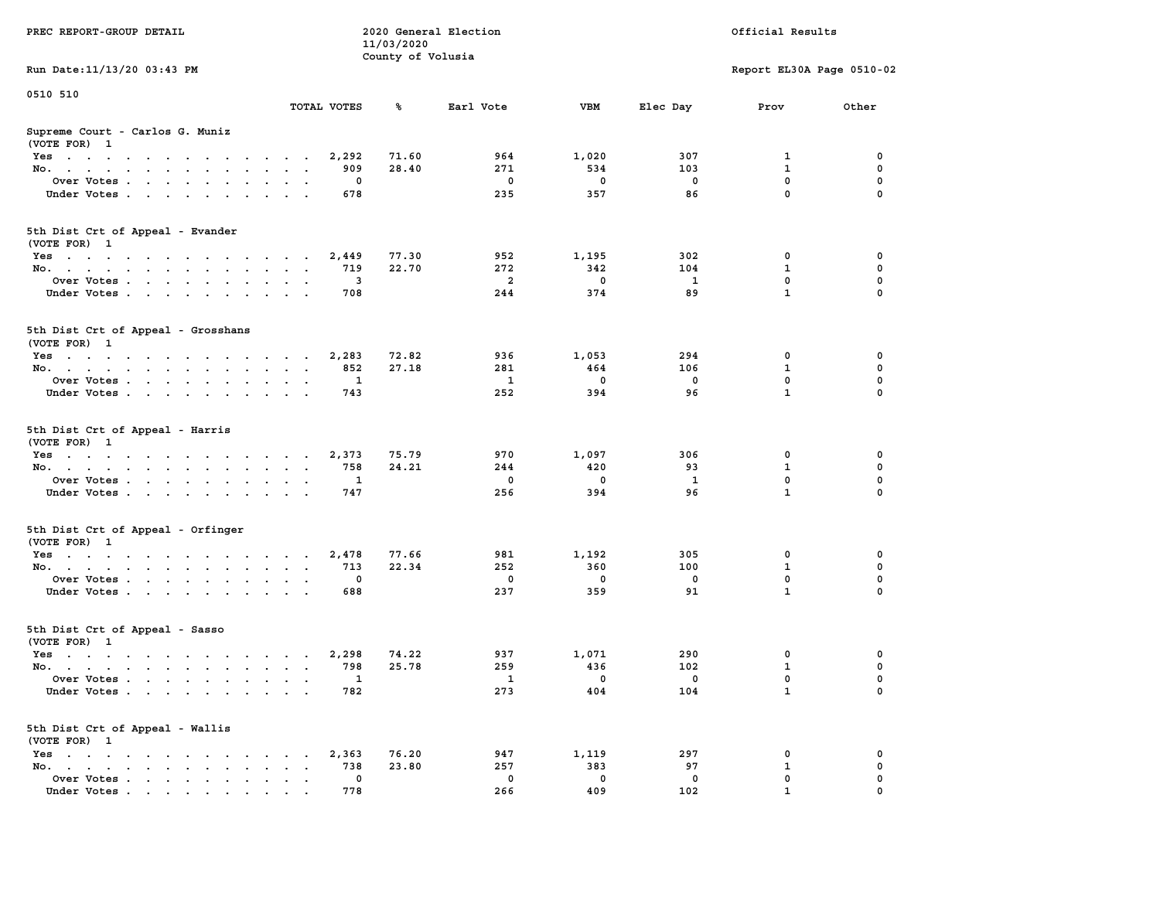| PREC REPORT-GROUP DETAIL                                                                                               |                                  | 11/03/2020<br>County of Volusia | 2020 General Election | Official Results   |                |                           |               |  |
|------------------------------------------------------------------------------------------------------------------------|----------------------------------|---------------------------------|-----------------------|--------------------|----------------|---------------------------|---------------|--|
| Run Date: 11/13/20 03:43 PM                                                                                            |                                  |                                 |                       |                    |                | Report EL30A Page 0510-02 |               |  |
| 0510 510                                                                                                               | TOTAL VOTES                      | ℁                               | Earl Vote             | <b>VBM</b>         | Elec Day       | Prov                      | Other         |  |
| Supreme Court - Carlos G. Muniz<br>(VOTE FOR) 1                                                                        |                                  |                                 |                       |                    |                |                           |               |  |
| Yes                                                                                                                    | 2,292                            | 71.60                           | 964                   | 1,020              | 307            | 1                         | 0             |  |
| No.                                                                                                                    | 909                              | 28.40                           | 271                   | 534                | 103            | $\mathbf{1}$              | 0             |  |
| Over Votes                                                                                                             | 0                                |                                 | 0                     | 0                  | 0              | $\mathbf 0$               | 0             |  |
| Under Votes                                                                                                            | 678                              |                                 | 235                   | 357                | 86             | 0                         | $\Omega$      |  |
| 5th Dist Crt of Appeal - Evander<br>(VOTE FOR) 1                                                                       |                                  |                                 |                       |                    |                |                           |               |  |
| Yes                                                                                                                    | 2,449                            | 77.30                           | 952                   | 1,195              | 302            | 0                         | 0             |  |
| No.                                                                                                                    | 719<br>$\sim$ $\sim$             | 22.70                           | 272                   | 342                | 104            | $\mathbf{1}$              | $\mathbf 0$   |  |
| Over Votes                                                                                                             | 3<br>$\cdot$ $\cdot$             |                                 | $\overline{a}$        | $\mathbf 0$        | 1              | 0                         | 0             |  |
| Under Votes                                                                                                            | 708                              |                                 | 244                   | 374                | 89             | $\mathbf{1}$              | 0             |  |
| 5th Dist Crt of Appeal - Grosshans<br>(VOTE FOR) 1                                                                     |                                  |                                 |                       |                    |                |                           |               |  |
| Yes                                                                                                                    | 2,283                            | 72.82                           | 936                   | 1,053              | 294            | 0                         | 0             |  |
| No.                                                                                                                    | 852                              | 27.18                           | 281                   | 464                | 106            | 1                         | 0             |  |
| Over Votes                                                                                                             | 1                                |                                 | 1                     | 0                  | 0              | 0                         | 0             |  |
| Under Votes                                                                                                            | 743                              |                                 | 252                   | 394                | 96             | $\mathbf{1}$              | $\mathbf 0$   |  |
| 5th Dist Crt of Appeal - Harris<br>(VOTE FOR) 1                                                                        |                                  |                                 |                       |                    |                |                           |               |  |
| Yes                                                                                                                    | 2,373                            | 75.79                           | 970                   | 1,097              | 306            | 0                         | 0             |  |
| No.                                                                                                                    | 758                              | 24.21                           | 244                   | 420                | 93             | $\mathbf{1}$              | $\mathbf 0$   |  |
| Over Votes                                                                                                             | 1                                |                                 | 0                     | 0                  | 1              | $\mathbf 0$               | 0             |  |
| Under Votes                                                                                                            | 747                              |                                 | 256                   | 394                | 96             | $\mathbf{1}$              | 0             |  |
| 5th Dist Crt of Appeal - Orfinger<br>(VOTE FOR) 1                                                                      |                                  |                                 |                       |                    |                |                           |               |  |
| Yes                                                                                                                    | 2,478                            | 77.66                           | 981                   | 1,192              | 305            | 0                         | 0             |  |
| No.                                                                                                                    | 713<br>$\sim$ $\sim$             | 22.34                           | 252                   | 360                | 100            | $\mathbf{1}$              | $\mathbf 0$   |  |
| Over Votes<br>Under Votes                                                                                              | 0<br>$\ddot{\phantom{1}}$<br>688 |                                 | 0<br>237              | 0<br>359           | 0<br>91        | 0<br>$\mathbf{1}$         | 0<br>$\Omega$ |  |
| 5th Dist Crt of Appeal - Sasso<br>(VOTE FOR) 1                                                                         |                                  |                                 |                       |                    |                |                           |               |  |
| the contract of the contract of the contract of the contract of the contract of the contract of the contract of<br>Yes | 2,298                            | 74.22                           | 937                   | 1,071              | 290            | 0                         | 0             |  |
| No.                                                                                                                    | 798<br>$\sim$ $\sim$ $\sim$      | 25.78                           | 259                   | 436                | 102            | $\mathbf{1}$              | $\mathbf 0$   |  |
| Over Votes .                                                                                                           | - 1                              |                                 | <b>1</b>              | $\overline{0}$     | $\overline{0}$ | $\Omega$                  | $\Omega$      |  |
| Under Votes                                                                                                            | 782                              |                                 | 273                   | 404                | 104            | $\mathbf{1}$              | 0             |  |
| 5th Dist Crt of Appeal - Wallis<br>(VOTE FOR) 1                                                                        |                                  |                                 |                       |                    |                |                           |               |  |
| $Yes \cdot \cdot \cdot \cdot \cdot \cdot$                                                                              | 2,363                            | 76.20                           | 947                   | 1,119              | 297            | 0                         | 0             |  |
| No.<br>$\sim$ $\sim$<br>Over Votes                                                                                     | 738<br>0                         | 23.80                           | 257<br>0              | 383<br>$\mathbf 0$ | 97<br>0        | 1<br>0                    | 0<br>0        |  |
| Under Votes.                                                                                                           | 778                              |                                 | 266                   | 409                | 102            |                           |               |  |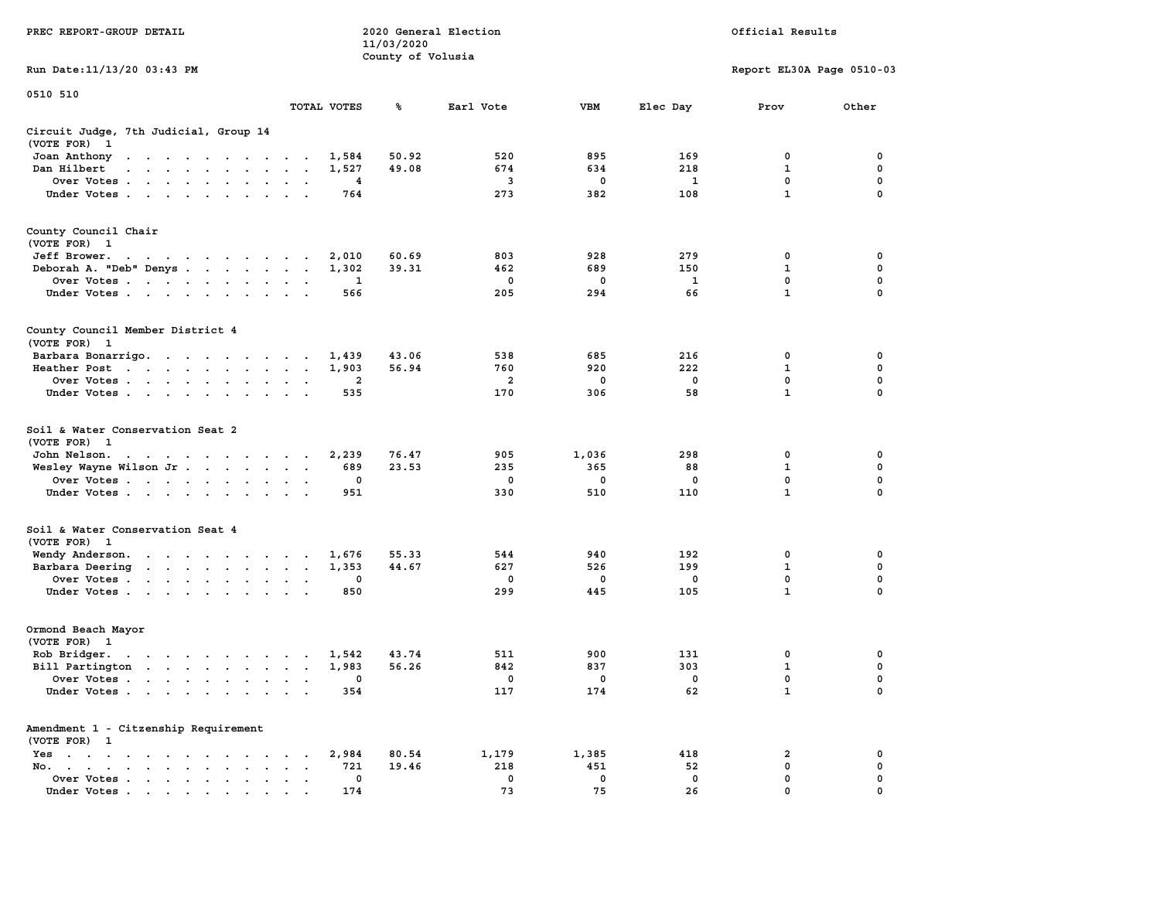|                                                                                                                                                                                                                                                            |                                                                           | 11/03/2020        |                         |             |              |                           |             |
|------------------------------------------------------------------------------------------------------------------------------------------------------------------------------------------------------------------------------------------------------------|---------------------------------------------------------------------------|-------------------|-------------------------|-------------|--------------|---------------------------|-------------|
|                                                                                                                                                                                                                                                            |                                                                           | County of Volusia |                         |             |              |                           |             |
| Run Date:11/13/20 03:43 PM                                                                                                                                                                                                                                 |                                                                           |                   |                         |             |              | Report EL30A Page 0510-03 |             |
| 0510 510                                                                                                                                                                                                                                                   |                                                                           |                   |                         |             |              |                           |             |
|                                                                                                                                                                                                                                                            | TOTAL VOTES                                                               | ℁                 | Earl Vote               | <b>VBM</b>  | Elec Day     | Prov                      | Other       |
| Circuit Judge, 7th Judicial, Group 14                                                                                                                                                                                                                      |                                                                           |                   |                         |             |              |                           |             |
| (VOTE FOR)<br>$\mathbf{1}$                                                                                                                                                                                                                                 |                                                                           |                   |                         |             |              |                           |             |
| Joan Anthony<br>the contract of the contract of the con-                                                                                                                                                                                                   | 1,584                                                                     | 50.92             | 520                     | 895         | 169          | 0                         | 0           |
| Dan Hilbert<br>$\mathbf{r}$ . The set of the set of the set of the set of the set of the set of the set of the set of the set of the set of the set of the set of the set of the set of the set of the set of the set of the set of the set of t<br>$\sim$ | 1,527<br>$\overline{\phantom{a}}$<br>$\sim$                               | 49.08             | 674                     | 634         | 218          | 1                         | 0           |
| Over Votes.<br>$\mathcal{A}=\mathcal{A}=\mathcal{A}=\mathcal{A}=\mathcal{A}$ .<br>$\mathbf{r}$                                                                                                                                                             | 4<br>$\ddot{\phantom{a}}$<br>$\overline{\phantom{a}}$                     |                   | $\mathbf{3}$            | $\mathbf 0$ | $\mathbf{1}$ | 0                         | $\mathbf 0$ |
| Under Votes                                                                                                                                                                                                                                                | 764<br>$\ddot{\phantom{a}}$<br>$\overline{a}$<br>$\overline{\phantom{a}}$ |                   | 273                     | 382         | 108          | $\mathbf{1}$              | $\mathbf 0$ |
| County Council Chair                                                                                                                                                                                                                                       |                                                                           |                   |                         |             |              |                           |             |
| (VOTE FOR)<br>$\mathbf{1}$                                                                                                                                                                                                                                 |                                                                           |                   |                         |             |              |                           |             |
| Jeff Brower.<br>the contract of the contract of the con-                                                                                                                                                                                                   | 2,010                                                                     | 60.69             | 803                     | 928         | 279          | 0                         | 0           |
| Deborah A. "Deb" Denys                                                                                                                                                                                                                                     | 1,302<br>$\bullet$<br>$\ddot{\phantom{1}}$                                | 39.31             | 462                     | 689         | 150          | $\mathbf 1$               | 0           |
| Over Votes<br>$\sim 100$ km s $^{-1}$<br>$\ddot{\phantom{0}}$<br>$\blacksquare$                                                                                                                                                                            | 1                                                                         |                   | 0                       | 0           | 1            | 0                         | 0           |
| Under Votes<br>$\overline{\phantom{a}}$                                                                                                                                                                                                                    | 566                                                                       |                   | 205                     | 294         | 66           | $\mathbf{1}$              | $\mathbf 0$ |
| County Council Member District 4                                                                                                                                                                                                                           |                                                                           |                   |                         |             |              |                           |             |
| (VOTE FOR) 1                                                                                                                                                                                                                                               |                                                                           |                   |                         |             |              |                           |             |
| Barbara Bonarrigo.                                                                                                                                                                                                                                         | 1,439<br>$\sim$                                                           | 43.06             | 538                     | 685         | 216          | 0                         | 0           |
| Heather Post<br>$\sim$ $\sim$<br>$\sim 10^{-1}$ and $\sim 10^{-1}$<br>$\mathbf{z} = \mathbf{z} + \mathbf{z}$ .                                                                                                                                             | 1,903<br>$\bullet$<br>$\bullet$<br>$\blacksquare$                         | 56.94             | 760                     | 920         | 222          | $\mathbf{1}$              | 0           |
| Over Votes                                                                                                                                                                                                                                                 | $\overline{2}$<br>$\cdot$<br>$\ddot{\phantom{a}}$                         |                   | $\overline{\mathbf{2}}$ | 0           | 0            | 0                         | 0           |
| Under Votes<br>$\ddot{\phantom{a}}$<br>$\ddot{\phantom{1}}$<br>$\cdot$                                                                                                                                                                                     | 535                                                                       |                   | 170                     | 306         | 58           | $\mathbf 1$               | 0           |
|                                                                                                                                                                                                                                                            |                                                                           |                   |                         |             |              |                           |             |
| Soil & Water Conservation Seat 2                                                                                                                                                                                                                           |                                                                           |                   |                         |             |              |                           |             |
| (VOTE FOR)<br>$\overline{1}$                                                                                                                                                                                                                               |                                                                           |                   |                         |             |              |                           |             |
| John Nelson.<br>the contract of the contract of the                                                                                                                                                                                                        | 2,239                                                                     | 76.47             | 905                     | 1,036       | 298          | 0                         | 0           |
| Wesley Wayne Wilson Jr                                                                                                                                                                                                                                     | 689<br>$\bullet$<br>$\bullet$<br>$\ddot{\phantom{1}}$                     | 23.53             | 235                     | 365         | 88           | $\mathbf 1$               | 0           |
| Over Votes                                                                                                                                                                                                                                                 | 0<br>$\cdot$                                                              |                   | 0                       | 0           | $\mathbf 0$  | $\mathbf 0$               | $\mathbf 0$ |
| Under Votes<br>$\ddot{\phantom{a}}$                                                                                                                                                                                                                        | 951                                                                       |                   | 330                     | 510         | 110          | $\mathbf{1}$              | 0           |
| Soil & Water Conservation Seat 4                                                                                                                                                                                                                           |                                                                           |                   |                         |             |              |                           |             |
| (VOTE FOR) 1                                                                                                                                                                                                                                               |                                                                           |                   |                         |             |              |                           |             |
| Wendy Anderson.<br>the contract of the contract of the                                                                                                                                                                                                     | 1,676                                                                     | 55.33             | 544                     | 940         | 192          | $\mathbf 0$               | 0           |
| Barbara Deering                                                                                                                                                                                                                                            | 1,353<br>$\bullet$<br>$\blacksquare$ .                                    | 44.67             | 627                     | 526         | 199          | $\mathbf{1}$              | $\mathbf 0$ |
| Over Votes<br>$\ddot{\phantom{0}}$                                                                                                                                                                                                                         | 0<br>$\bullet$<br>$\cdot$                                                 |                   | 0                       | 0           | 0            | 0                         | 0           |
| Under Votes                                                                                                                                                                                                                                                | 850<br>$\cdot$<br>$\overline{a}$                                          |                   | 299                     | 445         | 105          | $\mathbf{1}$              | 0           |
| Ormond Beach Mayor                                                                                                                                                                                                                                         |                                                                           |                   |                         |             |              |                           |             |
| (VOTE FOR)<br>$\mathbf{1}$                                                                                                                                                                                                                                 |                                                                           |                   |                         |             |              |                           |             |
| Rob Bridger.<br>and a series of the series of<br>$\bullet$                                                                                                                                                                                                 | 1,542<br>$\cdot$<br>$\overline{\phantom{a}}$                              | 43.74             | 511                     | 900         | 131          | 0                         | 0           |
| Bill Partington                                                                                                                                                                                                                                            | 1,983<br>$\ddot{\phantom{a}}$<br>$\sim$<br>$\overline{\phantom{a}}$       | 56.26             | 842                     | 837         | 303          | 1                         | $\mathbf 0$ |
| Over Votes.<br>$\sim$ $\sim$ $\sim$<br>$\sim$ $\sim$<br>$\ddot{\phantom{a}}$<br>$\ddot{\phantom{a}}$                                                                                                                                                       | 0<br>$\ddot{\phantom{a}}$<br>$\cdot$<br>$\ddot{\phantom{a}}$              |                   | 0                       | 0           | $\mathbf 0$  | $\mathbf 0$               | $\mathbf 0$ |
| Under Votes<br>$\ddot{\phantom{a}}$                                                                                                                                                                                                                        | 354<br>$\ddot{\phantom{a}}$<br>$\ddot{\phantom{a}}$                       |                   | 117                     | 174         | 62           | $\mathbf{1}$              | $\mathbf 0$ |
| Amendment 1 - Citzenship Requirement                                                                                                                                                                                                                       |                                                                           |                   |                         |             |              |                           |             |
| (VOTE FOR) 1                                                                                                                                                                                                                                               |                                                                           |                   |                         |             |              |                           |             |
| Yes<br>$\sim$<br>$\bullet$<br>$\bullet$<br>$\ddot{\phantom{0}}$<br>$\sim$ $\sim$ $\sim$<br>$\ddot{\phantom{a}}$<br>$\blacksquare$                                                                                                                          | 2,984<br>$\bullet$                                                        | 80.54             | 1,179                   | 1,385       | 418          | 2                         | 0           |
| No.<br>$\ddot{\phantom{a}}$<br>$\bullet$ .<br><br><br><br><br><br><br><br><br><br><br><br><br><br><br><br>$\mathbf{r} = \mathbf{r}$                                                                                                                        | 721<br>$\cdot$                                                            | 19.46             | 218                     | 451         | 52           | $\mathbf 0$               | 0           |
| Over Votes<br>$\bullet$                                                                                                                                                                                                                                    | 0<br>$\blacksquare$<br>$\ddot{\phantom{a}}$                               |                   | 0                       | 0           | $\mathbf 0$  | 0                         | $\mathbf 0$ |
| Under Votes                                                                                                                                                                                                                                                | 174                                                                       |                   | 73                      | 75          | 26           | $\mathbf{0}$              | $\mathbf 0$ |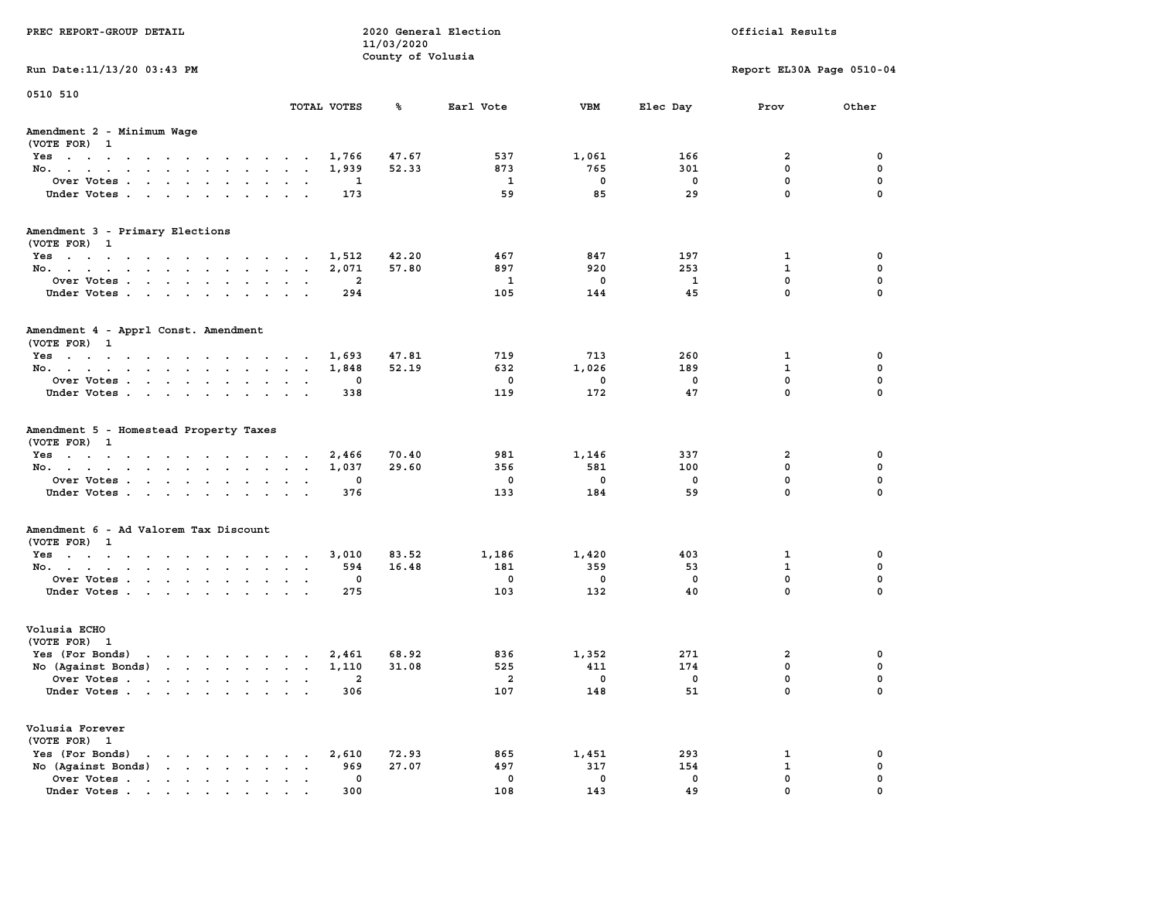| PREC REPORT-GROUP DETAIL                                      |                                          |             | 11/03/2020<br>County of Volusia | 2020 General Election |                       | Official Results                |                           |                  |  |
|---------------------------------------------------------------|------------------------------------------|-------------|---------------------------------|-----------------------|-----------------------|---------------------------------|---------------------------|------------------|--|
| Run Date: 11/13/20 03:43 PM                                   |                                          |             |                                 |                       |                       |                                 | Report EL30A Page 0510-04 |                  |  |
| 0510 510                                                      |                                          | TOTAL VOTES | ℁                               | Earl Vote             | VBM                   | Elec Day                        | Prov                      | Other            |  |
| Amendment 2 - Minimum Wage<br>(VOTE FOR) 1                    |                                          |             |                                 |                       |                       |                                 |                           |                  |  |
| Yes                                                           |                                          | 1,766       | 47.67                           | 537                   | 1,061                 | 166                             | 2                         | 0                |  |
| No.                                                           |                                          | 1,939       | 52.33                           | 873                   | 765                   | 301                             | 0                         | 0                |  |
| Over Votes                                                    | $\sim$ $\sim$                            | 1           |                                 | 1                     | 0                     | 0                               | 0                         | 0                |  |
| Under Votes                                                   |                                          | 173         |                                 | 59                    | 85                    | 29                              | 0                         | 0                |  |
| Amendment 3 - Primary Elections                               |                                          |             |                                 |                       |                       |                                 |                           |                  |  |
| (VOTE FOR) 1                                                  |                                          |             |                                 |                       |                       |                                 |                           |                  |  |
| Yes                                                           |                                          | 1,512       | 42.20                           | 467                   | 847                   | 197                             | 1                         | 0<br>0           |  |
| No.<br>Over Votes                                             |                                          | 2,071<br>2  | 57.80                           | 897<br>1              | 920<br>0              | 253<br>1                        | 1<br>0                    | 0                |  |
| Under Votes                                                   | $\ddot{\phantom{1}}$<br>$\sim$<br>$\sim$ | 294         |                                 | 105                   | 144                   | 45                              | 0                         | 0                |  |
|                                                               |                                          |             |                                 |                       |                       |                                 |                           |                  |  |
| Amendment 4 - Apprl Const. Amendment<br>(VOTE FOR) 1          |                                          |             |                                 |                       |                       |                                 |                           |                  |  |
| Yes                                                           |                                          | 1,693       | 47.81                           | 719                   | 713                   | 260                             | 1                         | 0                |  |
| No.                                                           |                                          | 1,848       | 52.19                           | 632                   | 1,026                 | 189                             | 1                         | 0                |  |
| Over Votes                                                    |                                          | 0           |                                 | 0                     | 0                     | 0                               | $\mathbf 0$               | 0                |  |
| Under Votes                                                   |                                          | 338         |                                 | 119                   | 172                   | 47                              | 0                         | $\mathbf 0$      |  |
| Amendment 5 - Homestead Property Taxes<br>(VOTE FOR) 1        |                                          |             |                                 |                       |                       |                                 |                           |                  |  |
| Yes                                                           |                                          | 2,466       | 70.40                           | 981                   | 1,146                 | 337                             | 2                         | 0                |  |
| No.                                                           | $\ddot{\phantom{1}}$                     | 1,037       | 29.60                           | 356                   | 581                   | 100                             | 0                         | 0                |  |
| Over Votes                                                    |                                          | 0           |                                 | 0                     | 0                     | 0                               | $\mathbf 0$               | 0                |  |
| Under Votes                                                   |                                          | 376         |                                 | 133                   | 184                   | 59                              | 0                         | 0                |  |
| Amendment 6 - Ad Valorem Tax Discount                         |                                          |             |                                 |                       |                       |                                 |                           |                  |  |
| (VOTE FOR) 1                                                  |                                          |             |                                 |                       |                       |                                 |                           |                  |  |
| Yes                                                           |                                          | 3,010       | 83.52                           | 1,186                 | 1,420                 | 403                             | 1                         | 0                |  |
| No.                                                           |                                          | 594         | 16.48                           | 181                   | 359                   | 53                              | 1                         | $\mathbf 0$      |  |
| Over Votes                                                    | $\sim$<br>$\cdot$                        | 0           |                                 | 0                     | 0                     | 0                               | $\mathbf 0$               | 0                |  |
| Under Votes                                                   |                                          | 275         |                                 | 103                   | 132                   | 40                              | 0                         | 0                |  |
| Volusia ECHO                                                  |                                          |             |                                 |                       |                       |                                 |                           |                  |  |
| (VOTE FOR) 1                                                  |                                          |             |                                 |                       |                       |                                 |                           |                  |  |
| Yes (For Bonds)                                               |                                          | 2,461       | 68.92<br>31.08                  | 836                   | 1,352                 | 271                             | 2<br>$\mathbf 0$          | 0<br>$\mathbf 0$ |  |
| No (Against Bonds)<br>Over Votes .                            |                                          | 1,110       |                                 | 525<br>$\mathbf{2}$   | 411<br>$\overline{0}$ | 174<br>$\overline{\phantom{0}}$ | $\Omega$                  | 0                |  |
| Under Votes                                                   |                                          | 306         |                                 | 107                   | 148                   | 51                              | 0                         | 0                |  |
| Volusia Forever                                               |                                          |             |                                 |                       |                       |                                 |                           |                  |  |
| (VOTE FOR) 1                                                  |                                          |             |                                 |                       |                       |                                 |                           |                  |  |
| Yes (For Bonds)                                               |                                          | 2,610       | 72.93                           | 865                   | 1,451                 | 293                             | 1                         | 0                |  |
| No (Against Bonds)<br>$\cdot$ $\cdot$ $\cdot$ $\cdot$ $\cdot$ |                                          | 969         | 27.07                           | 497                   | 317                   | 154                             | 1                         | 0                |  |
| Over Votes.<br>$\cdots$                                       |                                          | 0           |                                 | 0                     | 0                     | 0                               | 0                         | 0                |  |
| Under Votes.                                                  |                                          | 300         |                                 | 108                   | 143                   | 49                              | 0                         |                  |  |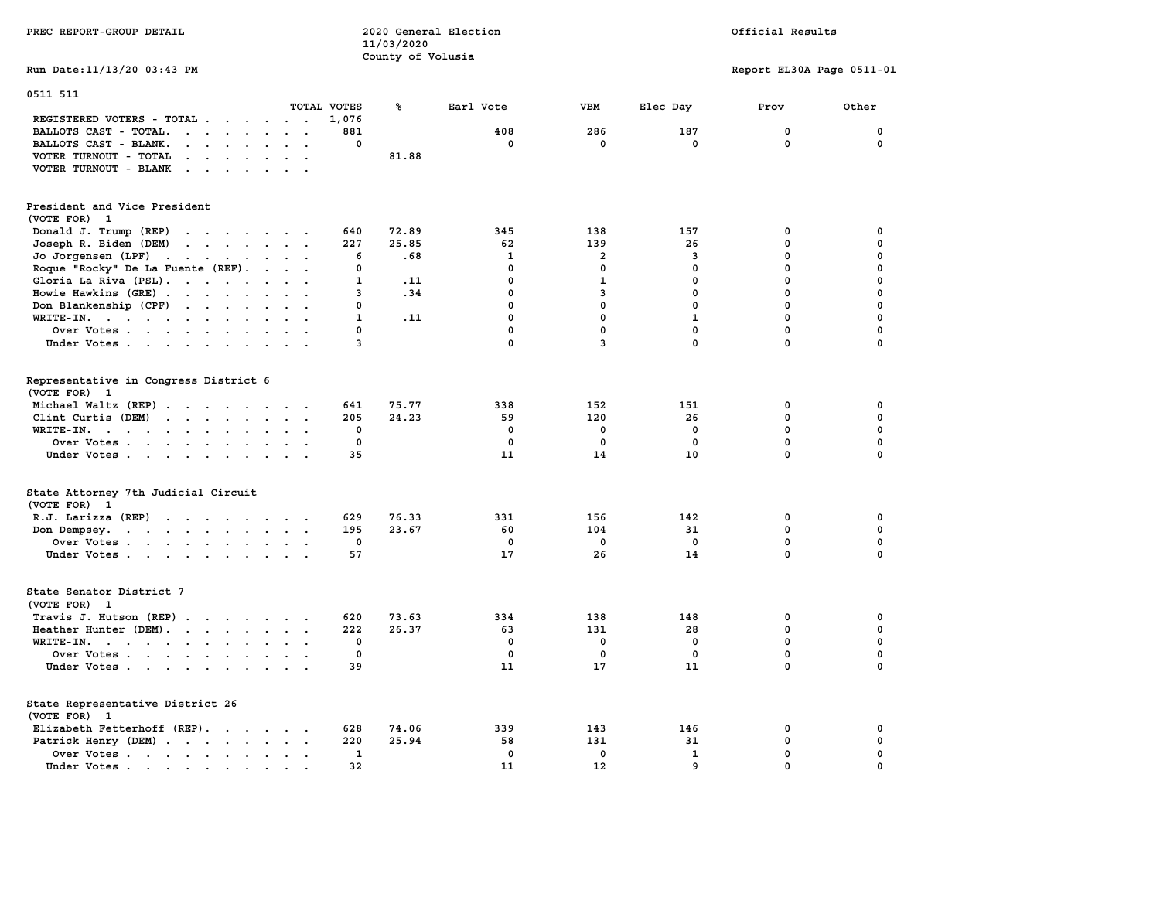| PREC REPORT-GROUP DETAIL                                                                                                                                                                                                                                    |                         |              | 11/03/2020        | 2020 General Election |                |              | Official Results          |             |  |  |  |
|-------------------------------------------------------------------------------------------------------------------------------------------------------------------------------------------------------------------------------------------------------------|-------------------------|--------------|-------------------|-----------------------|----------------|--------------|---------------------------|-------------|--|--|--|
|                                                                                                                                                                                                                                                             |                         |              | County of Volusia |                       |                |              |                           |             |  |  |  |
| Run Date: 11/13/20 03:43 PM                                                                                                                                                                                                                                 |                         |              |                   |                       |                |              | Report EL30A Page 0511-01 |             |  |  |  |
| 0511 511                                                                                                                                                                                                                                                    | TOTAL VOTES             |              | ℁                 | Earl Vote             | VBM            | Elec Day     | Prov                      | Other       |  |  |  |
| REGISTERED VOTERS - TOTAL<br>BALLOTS CAST - TOTAL.<br>$\cdot$ $\cdot$ $\cdot$ $\cdot$ $\cdot$                                                                                                                                                               |                         | 1,076<br>881 |                   | 408                   | 286            | 187          | $\mathbf 0$               | $\mathbf 0$ |  |  |  |
| BALLOTS CAST - BLANK.<br>$\ddot{\phantom{a}}$<br>$\cdot$ $\cdot$                                                                                                                                                                                            |                         | 0            |                   | 0                     | 0              | 0            | 0                         | 0           |  |  |  |
| VOTER TURNOUT - TOTAL<br>$\mathbf{r}$ , $\mathbf{r}$ , $\mathbf{r}$ , $\mathbf{r}$ , $\mathbf{r}$                                                                                                                                                           | $\sim$ $\sim$           |              | 81.88             |                       |                |              |                           |             |  |  |  |
| VOTER TURNOUT - BLANK<br>$\sim$ $\sim$ $\sim$ $\sim$<br>$\sim$                                                                                                                                                                                              | $\sim$                  |              |                   |                       |                |              |                           |             |  |  |  |
| President and Vice President                                                                                                                                                                                                                                |                         |              |                   |                       |                |              |                           |             |  |  |  |
| (VOTE FOR) 1                                                                                                                                                                                                                                                |                         |              |                   |                       |                |              |                           |             |  |  |  |
| Donald J. Trump (REP)<br>$\mathcal{A}$ . The set of the set of the set of the set of the set of the set of the set of the set of the set of the set of the set of the set of the set of the set of the set of the set of the set of the set of the set of t |                         | 640          | 72.89             | 345                   | 138            | 157          | 0                         | 0           |  |  |  |
| Joseph R. Biden (DEM)<br>$\mathbf{r}$ , $\mathbf{r}$ , $\mathbf{r}$ , $\mathbf{r}$ , $\mathbf{r}$                                                                                                                                                           |                         | 227          | 25.85             | 62                    | 139            | 26           | 0                         | 0           |  |  |  |
| Jo Jorgensen (LPF)<br>the contract of the contract of                                                                                                                                                                                                       |                         | 6            | .68               | 1                     | $\overline{a}$ | 3            | 0                         | 0           |  |  |  |
| Roque "Rocky" De La Fuente (REF).<br>$\ddot{\phantom{1}}$                                                                                                                                                                                                   |                         | 0            |                   | $\mathbf 0$           | $\mathbf 0$    | $\mathbf 0$  | $\mathbf 0$               | $\mathbf 0$ |  |  |  |
| Gloria La Riva (PSL).<br>$\sim$                                                                                                                                                                                                                             |                         | $\mathbf{1}$ | .11               | 0                     | $\mathbf{1}$   | $\mathbf 0$  | $\mathbf 0$               | $\mathbf 0$ |  |  |  |
| Howie Hawkins (GRE)<br>$\sim$                                                                                                                                                                                                                               |                         | 3            | .34               | 0                     | 3              | 0            | 0                         | $\pmb{0}$   |  |  |  |
| Don Blankenship (CPF)                                                                                                                                                                                                                                       |                         | 0            |                   | 0                     | 0              | $\mathbf 0$  | $\mathbf 0$               | $\mathbf 0$ |  |  |  |
| $\texttt{WRTTE-IN.}$<br>$\sim$<br>$\ddot{\phantom{a}}$<br>$\ddot{\phantom{a}}$<br>$\sim$                                                                                                                                                                    |                         | $\mathbf{1}$ | .11               | $\mathbf 0$           | 0              | $\mathbf{1}$ | $\mathbf 0$               | $\mathbf 0$ |  |  |  |
| Over Votes                                                                                                                                                                                                                                                  |                         | 0            |                   | 0                     | $\mathbf 0$    | $\mathbf{0}$ | $\mathbf 0$               | $\mathbf 0$ |  |  |  |
| Under Votes<br>$\sim$                                                                                                                                                                                                                                       |                         | 3            |                   | 0                     | 3              | $\mathbf 0$  | $\pmb{0}$                 | $\mathbf 0$ |  |  |  |
| Representative in Congress District 6<br>(VOTE FOR) 1                                                                                                                                                                                                       |                         |              |                   |                       |                |              |                           |             |  |  |  |
| Michael Waltz (REP)                                                                                                                                                                                                                                         |                         | 641          | 75.77             | 338                   | 152            | 151          | 0                         | 0           |  |  |  |
| Clint Curtis $(DEM)$                                                                                                                                                                                                                                        |                         | 205          | 24.23             | 59                    | 120            | 26           | 0                         | $\mathbf 0$ |  |  |  |
| WRITE-IN.<br>$\bullet$<br>$\bullet$<br>$\ddot{\phantom{0}}$                                                                                                                                                                                                 |                         | 0            |                   | $\mathbf 0$           | $\mathbf 0$    | $\mathbf 0$  | $\mathbf 0$               | 0           |  |  |  |
| Over Votes<br>$\bullet$                                                                                                                                                                                                                                     |                         | 0            |                   | $\mathbf 0$           | $\mathbf 0$    | $\mathbf 0$  | $\mathbf 0$               | $\mathbf 0$ |  |  |  |
| Under Votes<br>$\cdot$ $\cdot$                                                                                                                                                                                                                              |                         | 35           |                   | 11                    | 14             | 10           | $\mathbf 0$               | $\mathbf 0$ |  |  |  |
| State Attorney 7th Judicial Circuit<br>(VOTE FOR) 1                                                                                                                                                                                                         |                         |              |                   |                       |                |              |                           |             |  |  |  |
| R.J. Larizza (REP)                                                                                                                                                                                                                                          |                         | 629          | 76.33             | 331                   | 156            | 142          | 0                         | 0           |  |  |  |
| Don Dempsey.<br>the contract of the contract of the                                                                                                                                                                                                         | $\mathbf{a}=\mathbf{a}$ | 195          | 23.67             | 60                    | 104            | 31           | $\mathbf 0$               | $\mathbf 0$ |  |  |  |
| Over Votes                                                                                                                                                                                                                                                  |                         | 0            |                   | $\mathbf 0$           | 0              | 0            | $\mathbf 0$               | $\mathbf 0$ |  |  |  |
| Under Votes                                                                                                                                                                                                                                                 |                         | 57           |                   | 17                    | 26             | 14           | $\mathbf 0$               | $\Omega$    |  |  |  |
| State Senator District 7<br>(VOTE FOR) 1                                                                                                                                                                                                                    |                         |              |                   |                       |                |              |                           |             |  |  |  |
| Travis J. Hutson (REP).<br>$\cdots$                                                                                                                                                                                                                         |                         | 620          | 73.63             | 334                   | 138            | 148          | 0                         | 0           |  |  |  |
| Heather Hunter (DEM).                                                                                                                                                                                                                                       | $\ddotsc$               | 222          | 26.37             | 63                    | 131            | 28           | $\mathbf 0$               | $\mathbf 0$ |  |  |  |
| WRITE-IN.<br>$\ddot{\phantom{a}}$                                                                                                                                                                                                                           |                         | 0            |                   | 0                     | 0              | 0            | $\mathbf 0$               | 0           |  |  |  |
| Over Votes                                                                                                                                                                                                                                                  |                         | 0            |                   | $\mathbf 0$           | $\mathbf 0$    | $\mathbf 0$  | $\mathbf 0$               | 0           |  |  |  |
| Under Votes<br>$\sim$                                                                                                                                                                                                                                       |                         | 39           |                   | 11                    | 17             | 11           | 0                         | 0           |  |  |  |
| State Representative District 26                                                                                                                                                                                                                            |                         |              |                   |                       |                |              |                           |             |  |  |  |
| (VOTE FOR) 1                                                                                                                                                                                                                                                |                         | 628          | 74.06             | 339                   | 143            | 146          | 0                         | 0           |  |  |  |
| Elizabeth Fetterhoff (REP).                                                                                                                                                                                                                                 |                         |              |                   | 58                    | 131            | 31           | 0                         | 0           |  |  |  |
| Patrick Henry (DEM)                                                                                                                                                                                                                                         |                         | 220<br>1     | 25.94             | $\mathbf 0$           | $\mathbf 0$    | $\mathbf{1}$ | $\mathbf 0$               | $\mathbf 0$ |  |  |  |
| Over Votes<br>Under Votes<br>$\sim$                                                                                                                                                                                                                         | $\cdot$                 | 32           |                   | 11                    | 12             | 9            | 0                         | 0           |  |  |  |
|                                                                                                                                                                                                                                                             |                         |              |                   |                       |                |              |                           |             |  |  |  |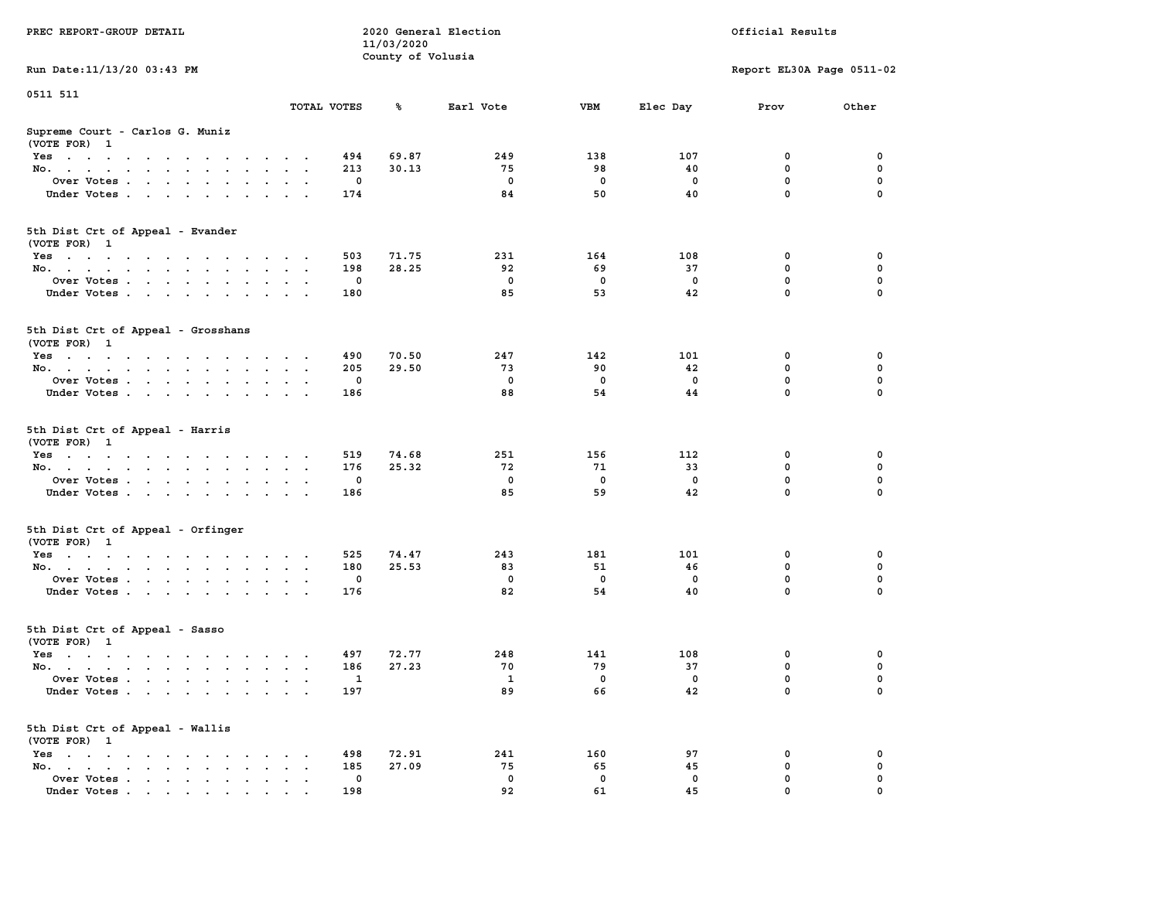| PREC REPORT-GROUP DETAIL                                                                                                        |               | 11/03/2020<br>County of Volusia | 2020 General Election |           | Official Results |                           |          |  |  |
|---------------------------------------------------------------------------------------------------------------------------------|---------------|---------------------------------|-----------------------|-----------|------------------|---------------------------|----------|--|--|
| Run Date: 11/13/20 03:43 PM                                                                                                     |               |                                 |                       |           |                  | Report EL30A Page 0511-02 |          |  |  |
| 0511 511                                                                                                                        |               |                                 |                       |           |                  |                           |          |  |  |
|                                                                                                                                 | TOTAL VOTES   | ℁                               | Earl Vote             | VBM       | Elec Day         | Prov                      | Other    |  |  |
| Supreme Court - Carlos G. Muniz<br>(VOTE FOR) 1                                                                                 |               |                                 |                       |           |                  |                           |          |  |  |
| Yes                                                                                                                             |               | 69.87<br>494                    | 249                   | 138       | 107              | 0                         | 0        |  |  |
| No.                                                                                                                             | $\sim$ $\sim$ | 30.13<br>213                    | 75                    | 98        | 40               | $\mathbf 0$               | 0        |  |  |
| Over Votes                                                                                                                      |               | 0                               | $\mathbf 0$           | 0         | 0                | 0                         | 0        |  |  |
| Under Votes                                                                                                                     |               | 174                             | 84                    | 50        | 40               | $\mathbf 0$               | $\Omega$ |  |  |
| 5th Dist Crt of Appeal - Evander<br>(VOTE FOR) 1                                                                                |               |                                 |                       |           |                  |                           |          |  |  |
| Yes                                                                                                                             |               | 71.75<br>503                    | 231                   | 164       | 108              | 0                         | 0        |  |  |
| No.                                                                                                                             | $\cdot$ .     | 28.25<br>198                    | 92                    | 69        | 37               | 0                         | 0        |  |  |
| Over Votes                                                                                                                      |               | 0                               | $\mathbf 0$           | 0         | 0                | $\mathbf 0$               | 0        |  |  |
| Under Votes                                                                                                                     |               | 180                             | 85                    | 53        | 42               | $\mathbf 0$               | 0        |  |  |
| 5th Dist Crt of Appeal - Grosshans<br>(VOTE FOR) 1                                                                              |               |                                 |                       |           |                  |                           |          |  |  |
| Yes<br>the contract of the contract of the contract of                                                                          |               | 490<br>70.50                    | 247                   | 142       | 101              | 0                         | 0        |  |  |
| No.                                                                                                                             |               | 205<br>29.50                    | 73                    | 90        | 42               | 0                         | 0        |  |  |
| Over Votes                                                                                                                      |               | 0                               | 0                     | 0         | $\Omega$         | $\mathbf 0$               | 0        |  |  |
| Under Votes                                                                                                                     |               | 186                             | 88                    | 54        | 44               | 0                         | 0        |  |  |
| 5th Dist Crt of Appeal - Harris<br>(VOTE FOR) 1                                                                                 |               |                                 |                       |           |                  |                           |          |  |  |
| Yes                                                                                                                             |               | 74.68<br>519<br>25.32<br>176    | 251<br>72             | 156<br>71 | 112<br>33        | 0<br>$\mathbf 0$          | 0<br>0   |  |  |
| No.<br>Over Votes                                                                                                               | $\sim$ $\sim$ | 0                               | 0                     | 0         | 0                | 0                         | 0        |  |  |
| Under Votes                                                                                                                     |               | 186                             | 85                    | 59        | 42               | 0                         | $\Omega$ |  |  |
|                                                                                                                                 |               |                                 |                       |           |                  |                           |          |  |  |
| 5th Dist Crt of Appeal - Orfinger<br>(VOTE FOR) 1                                                                               |               |                                 |                       |           |                  |                           |          |  |  |
| Yes                                                                                                                             |               | 74.47<br>525                    | 243                   | 181       | 101              | 0                         | 0        |  |  |
| No.                                                                                                                             |               | 180<br>25.53                    | 83                    | 51        | 46               | 0                         | 0        |  |  |
| Over Votes                                                                                                                      |               | 0                               | 0                     | 0         | 0                | 0                         | 0        |  |  |
| Under Votes                                                                                                                     |               | 176                             | 82                    | 54        | 40               | $\mathbf 0$               | 0        |  |  |
| 5th Dist Crt of Appeal - Sasso<br>(VOTE FOR) 1                                                                                  |               |                                 |                       |           |                  |                           |          |  |  |
| Yes<br>the contract of the contract of the contract of the contract of the contract of the contract of the contract of          |               | 497<br>72.77                    | 248                   | 141       | 108              | 0                         | 0        |  |  |
| No.                                                                                                                             | $\sim$ $\sim$ | 186<br>27.23                    | 70                    | 79        | 37               | 0                         | 0        |  |  |
| Over Votes                                                                                                                      |               | 1                               | 1                     | 0         | 0                | 0                         | $\Omega$ |  |  |
| Under Votes.<br>the contract of the contract of the contract of the contract of the contract of the contract of the contract of |               | 197                             | 89                    | 66        | 42               | 0                         | 0        |  |  |
| 5th Dist Crt of Appeal - Wallis<br>(VOTE FOR) 1                                                                                 |               |                                 |                       |           |                  |                           |          |  |  |
| $Yes \t . \t . \t .$<br>No.<br>$\ddot{\phantom{a}}$                                                                             |               | 498<br>72.91<br>27.09<br>185    | 241<br>75             | 160<br>65 | 97<br>45         | 0<br>$\mathbf 0$          | 0<br>0   |  |  |
| Over Votes                                                                                                                      |               | 0                               | 0                     | 0         | 0                | 0                         | 0        |  |  |
| Under Votes                                                                                                                     |               | 198                             | 92                    | 61        | 45               | 0                         |          |  |  |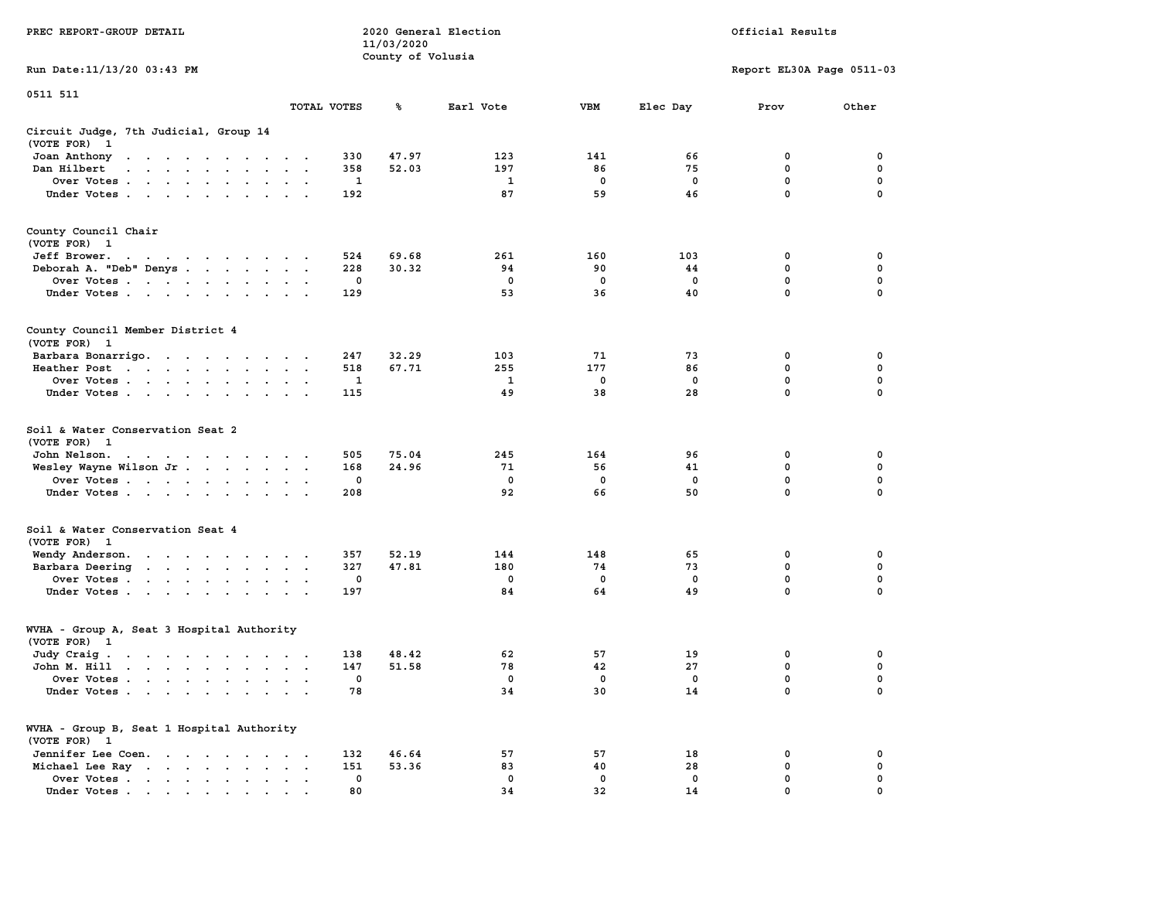|                                                                                                                                 |                                        | 11/03/2020        |                  |                    |                  |                           |                  |
|---------------------------------------------------------------------------------------------------------------------------------|----------------------------------------|-------------------|------------------|--------------------|------------------|---------------------------|------------------|
| Run Date:11/13/20 03:43 PM                                                                                                      |                                        | County of Volusia |                  |                    |                  | Report EL30A Page 0511-03 |                  |
| 0511 511                                                                                                                        |                                        |                   |                  |                    |                  |                           |                  |
|                                                                                                                                 | TOTAL VOTES                            | ℁                 | Earl Vote        | <b>VBM</b>         | Elec Day         | Prov                      | Other            |
| Circuit Judge, 7th Judicial, Group 14<br>(VOTE FOR)<br>$\mathbf{1}$                                                             |                                        |                   |                  |                    |                  |                           |                  |
| Joan Anthony                                                                                                                    |                                        | 47.97<br>330      | 123              | 141                | 66               | 0                         | 0                |
| Dan Hilbert<br>$\ddot{\phantom{a}}$<br>$\cdot$ $\cdot$<br>$\ddot{\phantom{a}}$<br>$\sim$<br>$\ddot{\phantom{a}}$                |                                        | 52.03<br>358      | 197              | 86                 | 75               | 0                         | 0                |
| Over Votes                                                                                                                      | $\sim$                                 | 1                 | 1                | 0                  | $\mathbf 0$      | $\mathbf{0}$              | 0                |
| Under Votes<br>$\sim$<br>$\ddot{\phantom{a}}$                                                                                   |                                        | 192               | 87               | 59                 | 46               | $\mathbf 0$               | $\mathbf 0$      |
| County Council Chair<br>(VOTE FOR) 1                                                                                            |                                        |                   |                  |                    |                  |                           |                  |
| Jeff Brower.<br>the contract of the contract of the contract of the contract of the contract of the contract of the contract of |                                        | 69.68<br>524      | 261              | 160                | 103              | 0                         | $\mathbf 0$      |
| Deborah A. "Deb" Denys                                                                                                          | $\overline{\phantom{a}}$               | 30.32<br>228      | 94               | 90                 | 44               | 0                         | 0                |
| Over Votes                                                                                                                      | $\sim$<br>$\bullet$                    | 0                 | 0                | 0                  | $\mathbf 0$      | $\mathbf 0$               | $\mathbf 0$      |
| Under Votes                                                                                                                     |                                        | 129               | 53               | 36                 | 40               | $\mathbf 0$               | $\mathbf 0$      |
| County Council Member District 4<br>(VOTE FOR) 1                                                                                |                                        |                   |                  |                    |                  |                           |                  |
| Barbara Bonarrigo.                                                                                                              |                                        | 32.29<br>247      | 103              | 71                 | 73               | 0                         | 0                |
| Heather Post<br>the contract of the contract of the contract of the contract of the contract of                                 | $\ddot{\phantom{a}}$                   | 518<br>67.71      | 255              | 177                | 86               | $\mathbf{0}$              | $\mathbf 0$      |
| Over Votes<br>$\ddot{\phantom{0}}$<br>$\cdot$                                                                                   |                                        | $\mathbf{1}$      | 1                | 0                  | $\mathbf 0$      | 0                         | $\pmb{0}$        |
| Under Votes<br>$\cdot$                                                                                                          | $\ddot{\phantom{a}}$                   | 115               | 49               | 38                 | 28               | $\mathbf 0$               | $\mathbf 0$      |
| Soil & Water Conservation Seat 2<br>(VOTE FOR) 1                                                                                |                                        |                   |                  |                    |                  |                           |                  |
| John Nelson.<br>the contract of the contract of the                                                                             |                                        | 75.04<br>505      | 245              | 164                | 96               | 0                         | 0                |
| Wesley Wayne Wilson Jr                                                                                                          | $\bullet$ .<br>$\mathbf{a}=\mathbf{a}$ | 168<br>24.96      | 71               | 56                 | 41               | $\mathbf 0$               | $\mathbf 0$      |
| Over Votes                                                                                                                      |                                        | 0                 | $\mathbf 0$      | $\mathbf 0$        | $\mathbf 0$      | $\mathbf 0$               | $\mathbf 0$      |
| Under Votes<br>$\cdot$                                                                                                          |                                        | 208               | 92               | 66                 | 50               | 0                         | $\mathbf 0$      |
| Soil & Water Conservation Seat 4<br>(VOTE FOR) 1                                                                                |                                        |                   |                  |                    |                  |                           |                  |
| Wendy Anderson.<br>the contract of the contract of the                                                                          |                                        | 52.19<br>357      | 144              | 148                | 65               | 0                         | 0                |
| Barbara Deering<br>$\ddot{\phantom{0}}$<br>$\bullet$                                                                            | $\bullet$ .<br>$\blacksquare$ .        | 327<br>47.81      | 180              | 74                 | 73               | 0                         | $\mathbf 0$      |
| Over Votes                                                                                                                      | $\cdot$ .                              | $\mathbf 0$       | $\mathbf 0$      | 0                  | $\mathbf 0$      | $\mathbf{0}$              | $\mathbf 0$      |
| Under Votes<br>$\ddot{\phantom{a}}$                                                                                             |                                        | 197               | 84               | 64                 | 49               | $\mathbf 0$               | $\mathbf 0$      |
| WVHA - Group A, Seat 3 Hospital Authority                                                                                       |                                        |                   |                  |                    |                  |                           |                  |
| (VOTE FOR) 1                                                                                                                    |                                        |                   |                  |                    |                  |                           |                  |
| Judy Craig.<br>the contract of the contract of the con-                                                                         |                                        | 48.42<br>138      | 62               | 57                 | 19               | 0                         | 0                |
| John M. Hill<br>the contract of the contract of the contract of the contract of the contract of the contract of the contract of |                                        | 51.58<br>147      | 78               | 42                 | 27               | $\mathbf 0$               | 0                |
| Over Votes<br>$\blacksquare$<br>$\cdot$<br>Under Votes<br>$\sim$                                                                | $\bullet$<br>$\cdot$ $\cdot$ $\cdot$   | $\mathbf 0$<br>78 | $^{\circ}$<br>34 | $\mathbf{0}$<br>30 | $^{\circ}$<br>14 | $\mathbf{0}$<br>0         | $\mathbf 0$<br>0 |
| WVHA - Group B, Seat 1 Hospital Authority                                                                                       |                                        |                   |                  |                    |                  |                           |                  |
| (VOTE FOR) 1<br>Jennifer Lee Coen.                                                                                              |                                        | 132<br>46.64      | 57               | 57                 | 18               | 0                         | 0                |
| Michael Lee Ray                                                                                                                 | $\cdot$ $\cdot$ $\cdot$<br>$\bullet$   | 151<br>53.36      | 83               | 40                 | 28               | 0                         | 0                |
| Over Votes<br>$\ddot{\phantom{0}}$<br>$\bullet$<br>$\bullet$                                                                    | $\bullet$                              | 0                 | 0                | 0                  | $\mathbf 0$      | 0                         | 0                |
| Under Votes<br>the company's company's company's                                                                                |                                        | 80                | 34               | 32                 | 14               | $\Omega$                  | $\Omega$         |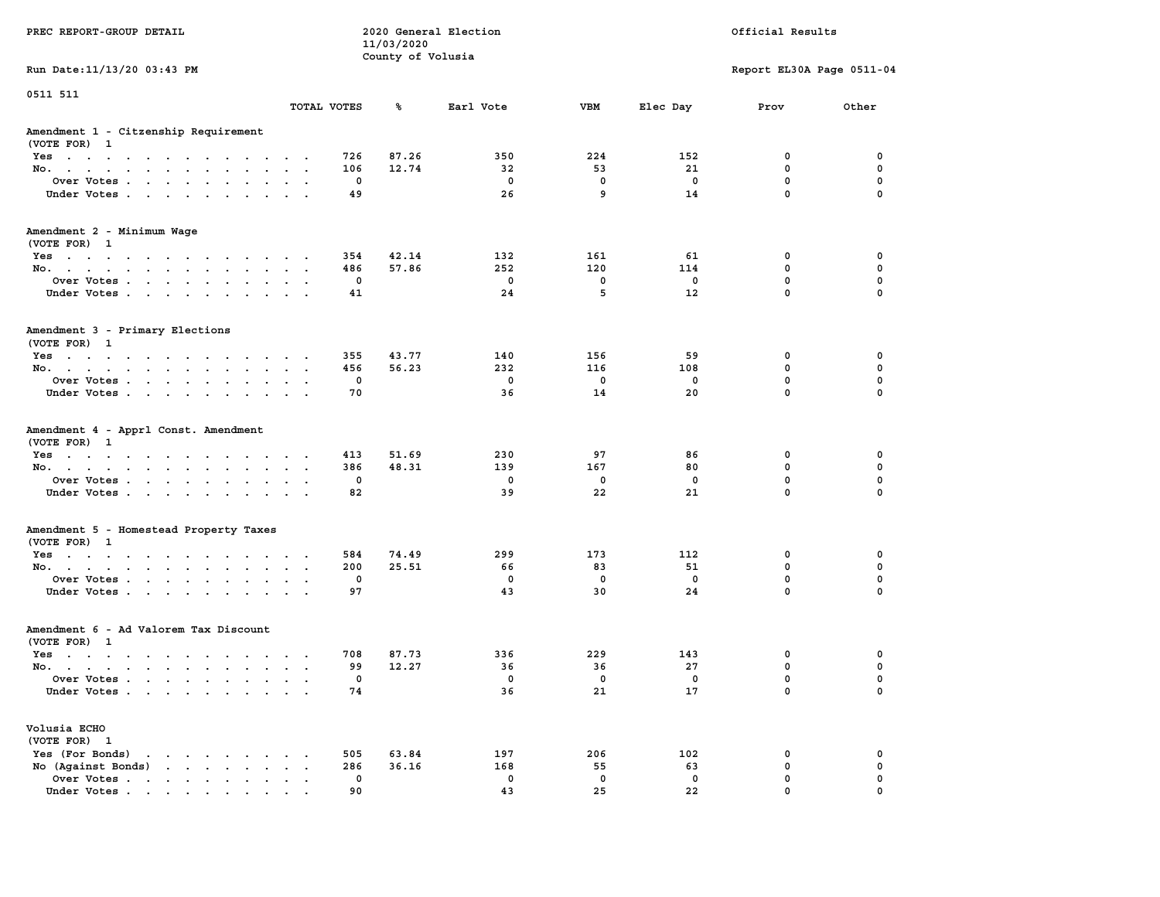|                                                                                                                 |                                               |              | 11/03/2020        |              |             |             |                           |             |
|-----------------------------------------------------------------------------------------------------------------|-----------------------------------------------|--------------|-------------------|--------------|-------------|-------------|---------------------------|-------------|
|                                                                                                                 |                                               |              | County of Volusia |              |             |             |                           |             |
| Run Date: 11/13/20 03:43 PM                                                                                     |                                               |              |                   |              |             |             | Report EL30A Page 0511-04 |             |
| 0511 511                                                                                                        |                                               | TOTAL VOTES  | ℁                 | Earl Vote    | <b>VBM</b>  |             |                           | Other       |
|                                                                                                                 |                                               |              |                   |              |             | Elec Day    | Prov                      |             |
| Amendment 1 - Citzenship Requirement<br>(VOTE FOR) 1                                                            |                                               |              |                   |              |             |             |                           |             |
| Yes                                                                                                             |                                               | 726          | 87.26             | 350          | 224         | 152         | 0                         | 0           |
| No.<br>$\cdot$ $\cdot$ $\cdot$ $\cdot$                                                                          | $\sim$                                        | 106          | 12.74             | 32           | 53          | 21          | $\mathbf 0$               | 0           |
| Over Votes                                                                                                      |                                               | 0            |                   | 0            | 0           | 0           | $\mathbf 0$               | 0           |
| Under Votes                                                                                                     | $\sim$ $\sim$                                 | 49           |                   | 26           | 9           | 14          | $\mathbf 0$               | $\mathbf 0$ |
| Amendment 2 - Minimum Wage<br>(VOTE FOR) 1                                                                      |                                               |              |                   |              |             |             |                           |             |
| Yes                                                                                                             |                                               | 354          | 42.14             | 132          | 161         | 61          | 0                         | 0           |
| No.                                                                                                             |                                               | 486          | 57.86             | 252          | 120         | 114         | 0                         | $\mathbf 0$ |
| Over Votes                                                                                                      |                                               | $\mathbf{0}$ |                   | $\mathbf{0}$ | $^{\circ}$  | $^{\circ}$  | $\mathbf{0}$              | $\mathbf 0$ |
| Under Votes                                                                                                     |                                               | 41           |                   | 24           | 5           | 12          | $\mathbf 0$               | 0           |
|                                                                                                                 |                                               |              |                   |              |             |             |                           |             |
| Amendment 3 - Primary Elections<br>(VOTE FOR) 1                                                                 |                                               |              |                   |              |             |             |                           |             |
| Yes                                                                                                             |                                               | 355          | 43.77             | 140          | 156         | 59          | 0                         | 0           |
| No.                                                                                                             |                                               | 456          | 56.23             | 232          | 116         | 108         | $\mathbf 0$               | $\mathbf 0$ |
| Over Votes<br>$\ddot{\phantom{0}}$                                                                              |                                               | 0            |                   | $\mathbf 0$  | $\mathbf 0$ | 0           | $\mathbf 0$               | $\mathbf 0$ |
| Under Votes                                                                                                     | $\cdot$ $\cdot$ $\cdot$                       | 70           |                   | 36           | 14          | 20          | $\mathbf 0$               | $\mathbf 0$ |
| Amendment 4 - Apprl Const. Amendment<br>(VOTE FOR) 1<br>Yes<br>No.<br>$\sim$ $\sim$                             | $\ddot{\phantom{a}}$<br>$\cdot$ $\cdot$       | 413<br>386   | 51.69<br>48.31    | 230<br>139   | 97<br>167   | 86<br>80    | 0<br>0                    | 0<br>0      |
| Over Votes.                                                                                                     |                                               | 0            |                   | 0            | 0           | $\mathbf 0$ | $\mathbf 0$               | $\pmb{0}$   |
| Under Votes                                                                                                     | $\sim$ $\sim$ $\sim$                          | 82           |                   | 39           | 22          | 21          | $\mathbf 0$               | $\mathbf 0$ |
| Amendment 5 - Homestead Property Taxes<br>(VOTE FOR) 1                                                          |                                               |              |                   |              |             |             |                           |             |
| Yes                                                                                                             |                                               | 584          | 74.49             | 299          | 173         | 112         | 0                         | 0           |
| No.                                                                                                             | $\mathbf{a}=\mathbf{a}+\mathbf{a}+\mathbf{a}$ | 200          | 25.51             | 66           | 83          | 51          | $\mathbf 0$               | $\mathbf 0$ |
| Over Votes                                                                                                      | $\ddot{\phantom{a}}$<br>$\bullet$             | 0            |                   | 0            | 0           | 0           | $\mathbf 0$               | $\mathbf 0$ |
| Under Votes                                                                                                     |                                               | 97           |                   | 43           | 30          | 24          | $\mathbf 0$               | $\mathbf 0$ |
| Amendment 6 - Ad Valorem Tax Discount                                                                           |                                               |              |                   |              |             |             |                           |             |
| (VOTE FOR) 1                                                                                                    |                                               |              |                   |              |             |             |                           |             |
| Yes                                                                                                             |                                               | 708          | 87.73             | 336          | 229         | 143         | 0                         | 0           |
| No.                                                                                                             |                                               | 99           | 12.27             | 36           | 36          | 27          | $\mathbf 0$               | $\mathbf 0$ |
| Over Votes.<br>$\mathbf{r}$ , $\mathbf{r}$ , $\mathbf{r}$ , $\mathbf{r}$ , $\mathbf{r}$<br>$\ddot{\phantom{a}}$ | $\sim$<br>$\sim$ $\sim$<br>$\sim$             | 0            |                   | 0            | 0           | 0           | $\mathbf 0$               | 0           |
| Under Votes                                                                                                     |                                               | 74           |                   | 36           | 21          | 17          | $\Omega$                  | $\mathbf 0$ |
| Volusia ECHO                                                                                                    |                                               |              |                   |              |             |             |                           |             |
| (VOTE FOR) 1                                                                                                    |                                               |              |                   |              |             |             |                           |             |
| Yes (For Bonds)<br>the contract of the contract of the                                                          |                                               | 505          | 63.84             | 197          | 206         | 102         | $\mathbf 0$               | $\mathbf 0$ |
| No (Against Bonds)                                                                                              | $\cdot$ $\cdot$ $\cdot$                       | 286          | 36.16             | 168          | 55          | 63          | $\mathbf 0$               | 0           |
| Over Votes.<br>$\sim$                                                                                           | $\cdots$<br>$\cdot$                           | $\mathbf 0$  |                   | $\mathbf 0$  | $\mathbf 0$ | $\mathbf 0$ | $\mathbf 0$               | $\mathbf 0$ |
| Under Votes                                                                                                     |                                               | 90           |                   | 43           | 25          | 22          | $\Omega$                  | $\mathbf 0$ |

**PREC REPORT-GROUP DETAIL COMPUTER SERVICE 2020 General Election**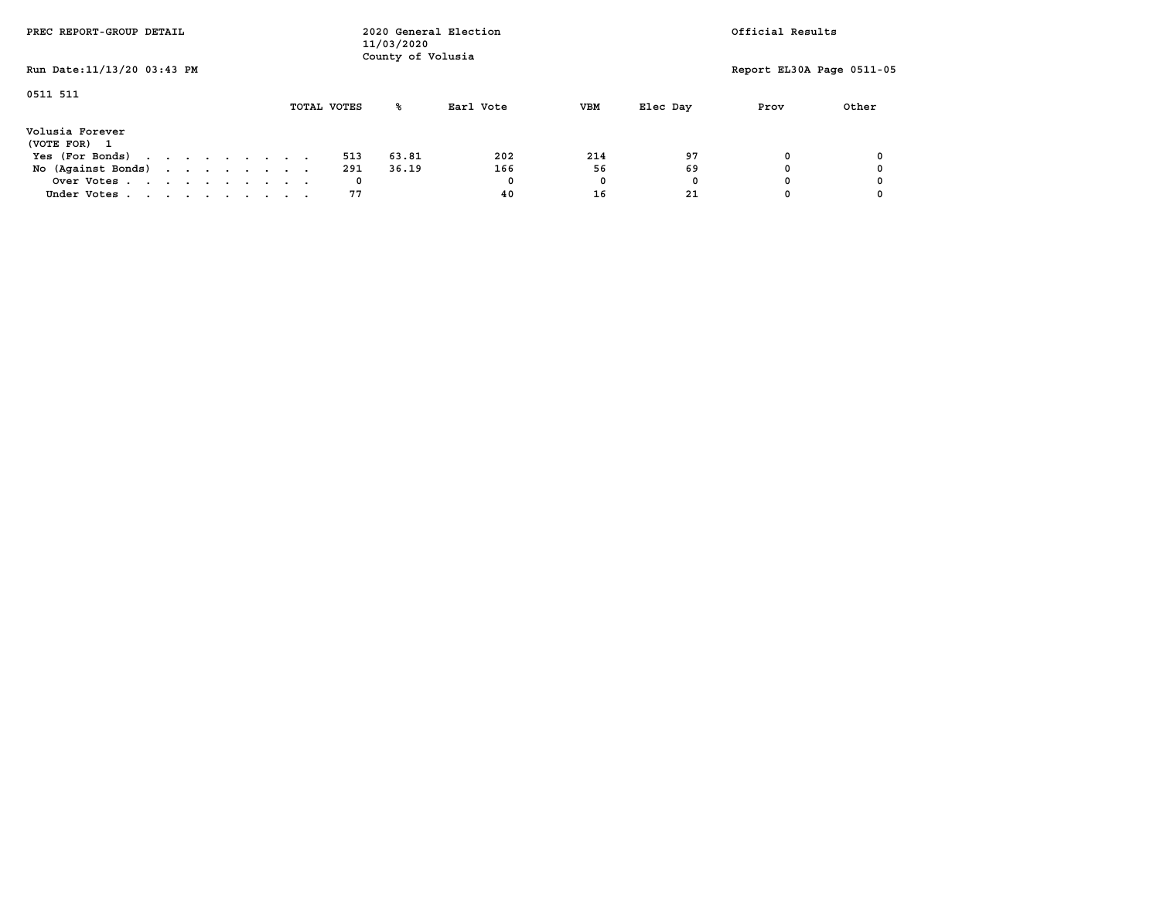| PREC REPORT-GROUP DETAIL                                  |  |  |  | Official Results<br>2020 General Election<br>11/03/2020<br>County of Volusia |  |             |       |           |            |          |                           |       |
|-----------------------------------------------------------|--|--|--|------------------------------------------------------------------------------|--|-------------|-------|-----------|------------|----------|---------------------------|-------|
| Run Date: 11/13/20 03:43 PM                               |  |  |  |                                                                              |  |             |       |           |            |          | Report EL30A Page 0511-05 |       |
| 0511 511                                                  |  |  |  |                                                                              |  | TOTAL VOTES | ℁     | Earl Vote | <b>VBM</b> | Elec Day | Prov                      | Other |
| Volusia Forever<br>(VOTE FOR)<br>$\overline{\phantom{a}}$ |  |  |  |                                                                              |  |             |       |           |            |          |                           |       |
| Yes (For Bonds)                                           |  |  |  |                                                                              |  | 513         | 63.81 | 202       | 214        | 97       | O                         |       |
| No (Against Bonds)                                        |  |  |  |                                                                              |  | 291         | 36.19 | 166       | 56         | 69       |                           |       |
| Over Votes                                                |  |  |  |                                                                              |  | 0           |       | 0         | 0          | 0        |                           |       |
| Under Votes                                               |  |  |  |                                                                              |  | 77          |       | 40        | 16         | 21       |                           |       |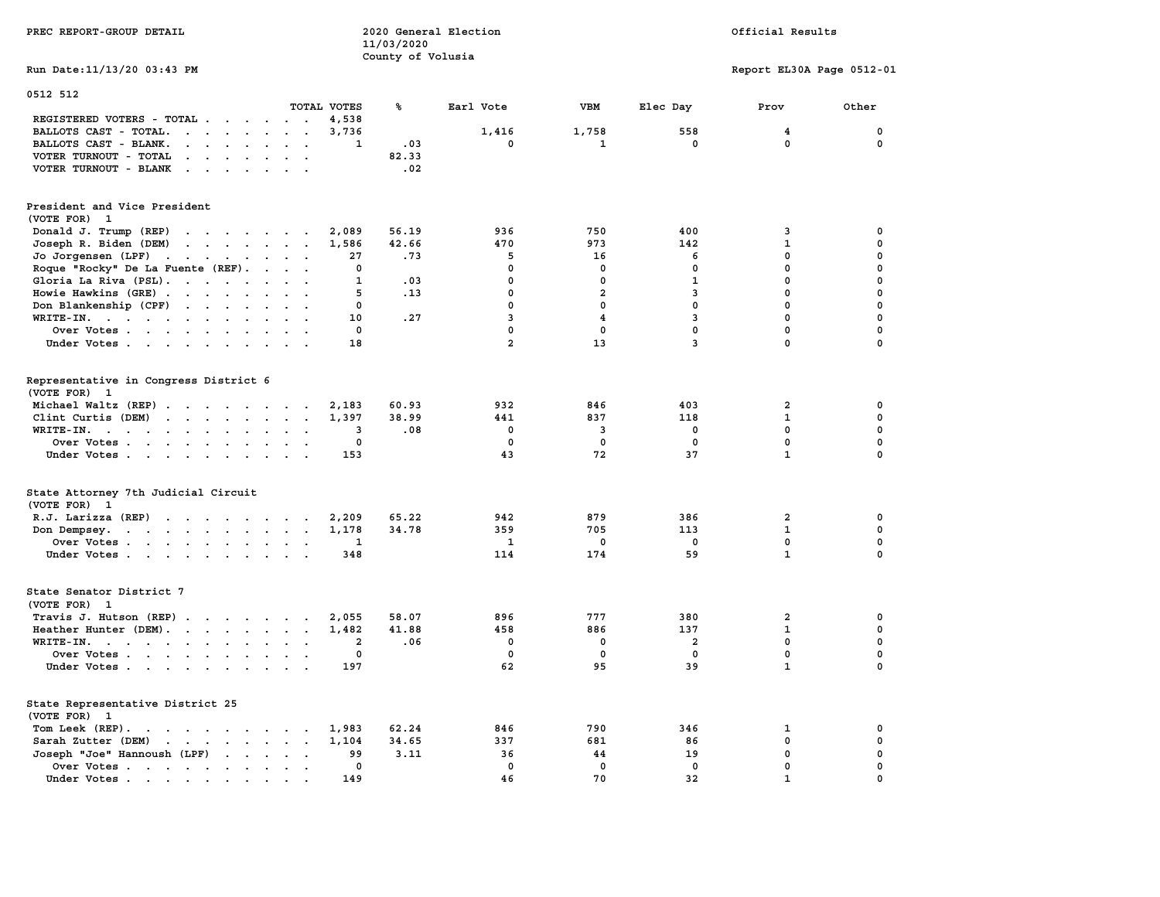| PREC REPORT-GROUP DETAIL                                                                                                                                                                                                                                    |                         | 2020 General Election<br>11/03/2020 |                |                         |                | Official Results          |             |  |  |
|-------------------------------------------------------------------------------------------------------------------------------------------------------------------------------------------------------------------------------------------------------------|-------------------------|-------------------------------------|----------------|-------------------------|----------------|---------------------------|-------------|--|--|
| Run Date: 11/13/20 03:43 PM                                                                                                                                                                                                                                 |                         | County of Volusia                   |                |                         |                | Report EL30A Page 0512-01 |             |  |  |
| 0512 512                                                                                                                                                                                                                                                    |                         |                                     |                |                         |                |                           |             |  |  |
|                                                                                                                                                                                                                                                             | TOTAL VOTES             | ጜ                                   | Earl Vote      | VBM                     | Elec Day       | Prov                      | Other       |  |  |
| REGISTERED VOTERS - TOTAL                                                                                                                                                                                                                                   | 4,538                   |                                     |                |                         |                |                           |             |  |  |
| BALLOTS CAST - TOTAL.<br>$\mathbf{r}$                                                                                                                                                                                                                       | 3,736                   |                                     | 1,416          | 1,758                   | 558            | $\overline{\mathbf{4}}$   | 0           |  |  |
| BALLOTS CAST - BLANK.<br>$\cdot$ $\cdot$<br>$\sim$ $\sim$                                                                                                                                                                                                   | 1                       | .03                                 | 0              | 1                       | 0              | 0                         | 0           |  |  |
| VOTER TURNOUT - TOTAL<br>$\cdot$ .                                                                                                                                                                                                                          |                         | 82.33                               |                |                         |                |                           |             |  |  |
| VOTER TURNOUT - BLANK<br>$\cdot$ $\cdot$ $\cdot$ $\cdot$<br>$\sim$<br>$\mathbf{r}$                                                                                                                                                                          |                         | .02                                 |                |                         |                |                           |             |  |  |
| President and Vice President<br>(VOTE FOR) 1                                                                                                                                                                                                                |                         |                                     |                |                         |                |                           |             |  |  |
| Donald J. Trump (REP)<br>the contract of the contract of the                                                                                                                                                                                                | 2,089                   | 56.19                               | 936            | 750                     | 400            | 3                         | 0           |  |  |
| Joseph R. Biden (DEM)<br>$\mathcal{A}$ . The set of the set of the set of the set of the set of the set of the set of the set of the set of the set of the set of the set of the set of the set of the set of the set of the set of the set of the set of t | 1,586                   | 42.66                               | 470            | 973                     | 142            | $\mathbf 1$               | 0           |  |  |
| Jo Jorgensen (LPF)<br>the contract of the contract of the<br>$\sim$                                                                                                                                                                                         | 27                      | .73                                 | 5              | 16                      | 6              | 0                         | 0           |  |  |
| Roque "Rocky" De La Fuente (REF).                                                                                                                                                                                                                           | 0                       |                                     | 0              | 0                       | 0              | 0                         | 0           |  |  |
| Gloria La Riva (PSL).                                                                                                                                                                                                                                       | 1                       | .03                                 | 0              | 0                       | $\mathbf{1}$   | $\mathbf 0$               | 0           |  |  |
| Howie Hawkins (GRE)                                                                                                                                                                                                                                         | 5                       | .13                                 | $\mathbf 0$    | $\overline{2}$          | 3              | $\mathbf 0$               | $\mathbf 0$ |  |  |
| Don Blankenship (CPF)<br>$\ddot{\phantom{a}}$                                                                                                                                                                                                               | 0                       |                                     | $\mathbf 0$    | $\mathbf 0$             | $\mathbf 0$    | $\mathbf 0$               | $\mathbf 0$ |  |  |
| WRITE-IN.                                                                                                                                                                                                                                                   | 10                      | .27                                 | 3              | $\overline{\mathbf{4}}$ | 3              | $\mathbf 0$               | $\mathbf 0$ |  |  |
| Over Votes<br>$\ddot{\phantom{a}}$                                                                                                                                                                                                                          | $\mathbf 0$             |                                     | $\mathbf 0$    | $\mathbf 0$             | $\mathbf 0$    | $\mathbf 0$               | 0           |  |  |
| Under Votes                                                                                                                                                                                                                                                 | 18                      |                                     | $\overline{a}$ | 13                      | $\overline{3}$ | $\mathbf 0$               | 0           |  |  |
| Representative in Congress District 6<br>(VOTE FOR) 1                                                                                                                                                                                                       |                         |                                     |                |                         |                |                           |             |  |  |
| Michael Waltz (REP)                                                                                                                                                                                                                                         | 2,183                   | 60.93                               | 932            | 846                     | 403            | $\overline{\mathbf{2}}$   | 0           |  |  |
| Clint Curtis $(DEM)$<br>$\ddot{\phantom{a}}$                                                                                                                                                                                                                | 1,397                   | 38.99                               | 441            | 837                     | 118            | 1                         | $\pmb{0}$   |  |  |
| WRITE-IN.<br>$\overline{\phantom{a}}$                                                                                                                                                                                                                       | 3                       | .08                                 | $\mathbf 0$    | 3                       | $\mathbf 0$    | $\mathbf 0$               | $\mathbf 0$ |  |  |
| Over Votes<br>$\sim$ $\sim$                                                                                                                                                                                                                                 | 0                       |                                     | $\mathbf 0$    | $\mathbf 0$             | $\mathbf 0$    | $\mathbf 0$               | 0           |  |  |
| Under Votes                                                                                                                                                                                                                                                 | 153                     |                                     | 43             | 72                      | 37             | $\mathbf{1}$              | $\mathbf 0$ |  |  |
| State Attorney 7th Judicial Circuit<br>(VOTE FOR) 1                                                                                                                                                                                                         |                         |                                     |                |                         |                |                           |             |  |  |
| $R.J.$ Larizza $(REP)$                                                                                                                                                                                                                                      | 2,209                   | 65.22                               | 942            | 879                     | 386            | 2                         | 0           |  |  |
| Don Dempsey.<br>$\ddot{\phantom{a}}$                                                                                                                                                                                                                        | 1,178                   | 34.78                               | 359            | 705                     | 113            | 1                         | 0           |  |  |
| Over Votes<br>$\mathbf{a}=\mathbf{a}$                                                                                                                                                                                                                       | 1                       |                                     | 1              | 0                       | $\mathbf 0$    | $\mathbf 0$               | $\mathbf 0$ |  |  |
| Under Votes<br>$\cdot$ .                                                                                                                                                                                                                                    | 348                     |                                     | 114            | 174                     | 59             | $\mathbf{1}$              | $\mathbf 0$ |  |  |
| State Senator District 7<br>(VOTE FOR) 1                                                                                                                                                                                                                    |                         |                                     |                |                         |                |                           |             |  |  |
| Travis J. Hutson (REP)                                                                                                                                                                                                                                      | 2,055                   | 58.07                               | 896            | 777                     | 380            | $\overline{\mathbf{2}}$   | 0           |  |  |
| Heather Hunter (DEM).                                                                                                                                                                                                                                       | 1,482                   | 41.88                               | 458            | 886                     | 137            | 1                         | 0           |  |  |
| $WRITE-IN.$<br>$\cdot$ $\cdot$ $\cdot$<br>$\ddot{\phantom{a}}$                                                                                                                                                                                              | $\overline{\mathbf{2}}$ | .06                                 | $\mathbf 0$    | 0                       | 2              | 0                         | 0           |  |  |
| Over Votes                                                                                                                                                                                                                                                  | 0                       |                                     | $\mathbf 0$    | 0                       | $\mathbf 0$    | $\mathbf 0$               | 0           |  |  |
| Under Votes                                                                                                                                                                                                                                                 | 197                     |                                     | 62             | 95                      | 39             | $\mathbf{1}$              | $\Omega$    |  |  |
| State Representative District 25<br>(VOTE FOR)<br>-1                                                                                                                                                                                                        |                         |                                     |                |                         |                |                           |             |  |  |
| Tom Leek $(REP)$ .                                                                                                                                                                                                                                          | 1,983                   | 62.24                               | 846            | 790                     | 346            | 1                         | 0           |  |  |
| Sarah Zutter (DEM)<br>the contract of the contract of the contract of                                                                                                                                                                                       | 1,104                   | 34.65                               | 337            | 681                     | 86             | 0                         | $\pmb{0}$   |  |  |
| Joseph "Joe" Hannoush (LPF)<br>$\ddot{\phantom{a}}$<br>$\ddot{\phantom{0}}$<br>$\ddot{\phantom{a}}$                                                                                                                                                         | 99                      | 3.11                                | 36             | 44                      | 19             | 0                         | 0           |  |  |
| Over Votes.<br>$\sim$ $\sim$ $\sim$ $\sim$ $\sim$ $\sim$<br>$\sim$<br>$\ddot{\phantom{a}}$<br>$\cdot$<br>$\bullet$<br>$\ddot{\phantom{a}}$                                                                                                                  | 0                       |                                     | $\mathbf 0$    | 0                       | $\mathbf 0$    | $\mathbf 0$               | 0           |  |  |
| Under Votes.<br>$\mathcal{A}^{\mathcal{A}}$ , and $\mathcal{A}^{\mathcal{A}}$ , and $\mathcal{A}^{\mathcal{A}}$                                                                                                                                             | 149                     |                                     | 46             | 70                      | 32             | $\mathbf{1}$              | $\mathbf 0$ |  |  |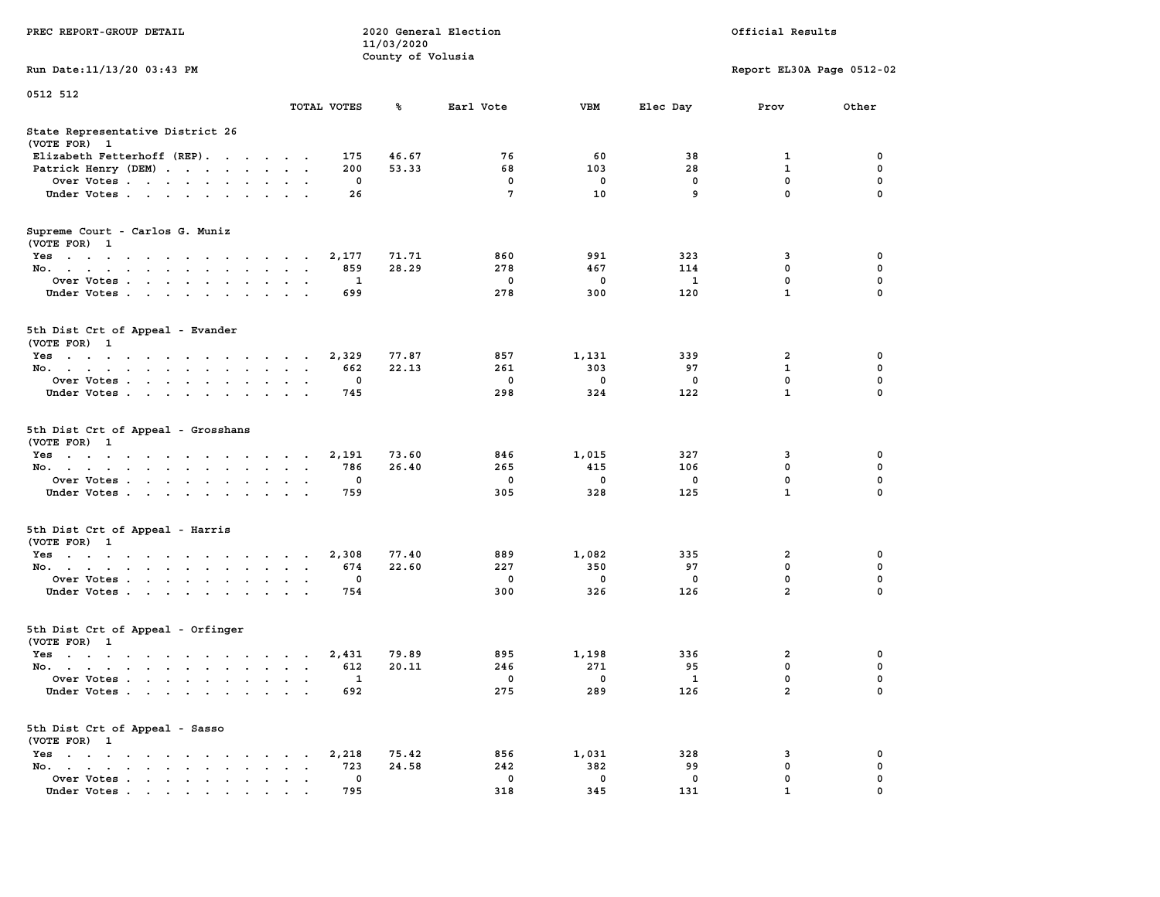|                                                                                                                                                         |                                                                      | 11/03/2020        |                                  |                                    |                                  |                                                 |                                                |
|---------------------------------------------------------------------------------------------------------------------------------------------------------|----------------------------------------------------------------------|-------------------|----------------------------------|------------------------------------|----------------------------------|-------------------------------------------------|------------------------------------------------|
|                                                                                                                                                         |                                                                      | County of Volusia |                                  |                                    |                                  |                                                 |                                                |
| Run Date: 11/13/20 03:43 PM                                                                                                                             |                                                                      |                   |                                  |                                    |                                  | Report EL30A Page 0512-02                       |                                                |
| 0512 512                                                                                                                                                |                                                                      |                   |                                  |                                    |                                  |                                                 |                                                |
|                                                                                                                                                         | TOTAL VOTES                                                          | ℁                 | Earl Vote                        | <b>VBM</b>                         | Elec Day                         | Prov                                            | Other                                          |
| State Representative District 26<br>(VOTE FOR) 1                                                                                                        |                                                                      |                   |                                  |                                    |                                  |                                                 |                                                |
| Elizabeth Fetterhoff (REP).                                                                                                                             | 175                                                                  | 46.67             | 76                               | 60                                 | 38                               | 1                                               | 0                                              |
| Patrick Henry (DEM)<br>$\sim$<br>$\sim$                                                                                                                 | 200                                                                  | 53.33             | 68                               | 103                                | 28                               | $\mathbf{1}$                                    | $\mathbf 0$                                    |
| Over Votes                                                                                                                                              | $\mathbf{0}$                                                         |                   | $\mathbf{0}$                     | $\mathbf 0$                        | $\mathbf 0$                      | 0                                               | $\mathbf 0$                                    |
| Under Votes                                                                                                                                             | 26                                                                   |                   | $7\phantom{.0}$                  | 10                                 | 9                                | $\mathbf 0$                                     | $\Omega$                                       |
| Supreme Court - Carlos G. Muniz<br>(VOTE FOR) 1                                                                                                         |                                                                      |                   |                                  |                                    |                                  |                                                 |                                                |
| Yes                                                                                                                                                     | 2,177                                                                | 71.71             | 860                              | 991                                | 323                              | 3                                               | 0                                              |
| No.                                                                                                                                                     | 859                                                                  | 28.29             | 278                              | 467                                | 114                              | 0                                               | $\mathbf 0$                                    |
| Over Votes<br>$\cdot$<br>$\sim$                                                                                                                         | 1<br>$\sim$                                                          |                   | $\mathbf 0$                      | 0                                  | $\mathbf{1}$                     | $\mathbf 0$                                     | $\mathbf 0$                                    |
| Under Votes                                                                                                                                             | 699                                                                  |                   | 278                              | 300                                | 120                              | $\mathbf{1}$                                    | $\mathbf 0$                                    |
| 5th Dist Crt of Appeal - Evander<br>(VOTE FOR) 1                                                                                                        |                                                                      |                   |                                  |                                    |                                  |                                                 |                                                |
| Yes                                                                                                                                                     | 2,329                                                                | 77.87             | 857                              | 1,131                              | 339                              | $\overline{\mathbf{2}}$                         | $\mathbf 0$                                    |
| No.<br>$\bullet$<br>$\sim$                                                                                                                              | 662<br>$\sim$<br>$\ddot{\phantom{a}}$                                | 22.13             | 261                              | 303                                | 97                               | $\mathbf{1}$                                    | $\mathbf 0$                                    |
| Over Votes                                                                                                                                              | $\mathbf 0$<br>$\sim$                                                |                   | $\mathbf 0$                      | $\mathbf 0$                        | $\mathbf 0$                      | 0                                               | $\mathbf 0$                                    |
| Under Votes                                                                                                                                             | 745                                                                  |                   | 298                              | 324                                | 122                              | $\mathbf{1}$                                    | 0                                              |
| 5th Dist Crt of Appeal - Grosshans<br>(VOTE FOR) 1<br>Yes<br>No.<br>$\ddot{\phantom{a}}$<br>$\cdot$<br>Over Votes.<br>Under Votes<br>$\cdot$<br>$\cdot$ | 2,191<br>786<br>$\sim$<br>$\ddot{\phantom{a}}$<br>$\mathbf 0$<br>759 | 73.60<br>26.40    | 846<br>265<br>$\mathbf 0$<br>305 | 1,015<br>415<br>$\mathbf 0$<br>328 | 327<br>106<br>$\mathbf 0$<br>125 | 3<br>$\mathbf 0$<br>$\mathbf 0$<br>$\mathbf{1}$ | 0<br>$\mathbf 0$<br>$\mathbf 0$<br>$\mathbf 0$ |
| 5th Dist Crt of Appeal - Harris<br>(VOTE FOR) 1                                                                                                         |                                                                      |                   |                                  |                                    |                                  |                                                 |                                                |
| Yes                                                                                                                                                     | 2,308                                                                | 77.40             | 889                              | 1,082                              | 335                              | $\overline{\mathbf{2}}$                         | 0                                              |
| No.<br><b>Contract Contract Contract</b>                                                                                                                | 674                                                                  | 22.60             | 227                              | 350                                | 97                               | $\mathbf 0$                                     | $\mathbf 0$                                    |
| Over Votes<br>$\bullet$                                                                                                                                 | $\mathbf{0}$<br>$\sim$                                               |                   | $^{\circ}$                       | $^{\circ}$                         | $^{\circ}$                       | $\mathbf 0$                                     | $\Omega$                                       |
| Under Votes<br>$\sim$                                                                                                                                   | 754<br>$\sim$ $\sim$ $\sim$                                          |                   | 300                              | 326                                | 126                              | $\overline{2}$                                  | $\Omega$                                       |
| 5th Dist Crt of Appeal - Orfinger<br>(VOTE FOR) 1                                                                                                       |                                                                      |                   |                                  |                                    |                                  |                                                 |                                                |
| Yes                                                                                                                                                     | 2,431                                                                | 79.89             | 895                              | 1,198                              | 336                              | $\overline{\mathbf{2}}$                         | $\mathbf 0$                                    |
| No.                                                                                                                                                     | 612                                                                  | 20.11             | 246                              | 271                                | 95                               | $\mathbf 0$                                     | $\mathbf 0$                                    |
| Over Votes<br>$\ddot{\phantom{a}}$<br>$\ddot{\phantom{a}}$                                                                                              | 1<br>$\ddot{\phantom{a}}$<br>$\cdot$                                 |                   | $\mathbf 0$                      | $\mathbf 0$                        | 1                                | $\mathbf 0$                                     | $\mathbf 0$                                    |
| Under Votes                                                                                                                                             | 692                                                                  |                   | 275                              | 289                                | 126                              | $\overline{a}$                                  | $\mathbf 0$                                    |
| 5th Dist Crt of Appeal - Sasso<br>(VOTE FOR) 1                                                                                                          |                                                                      |                   |                                  |                                    |                                  |                                                 |                                                |
| $Yes \t . \t .$<br>the contract of the contract of the contract of the contract of the contract of the contract of the contract of                      | 2,218                                                                | 75.42             | 856                              | 1,031                              | 328                              | 3                                               | 0                                              |
| No.<br>the contract of the contract of the con-<br>$\ddot{\phantom{a}}$<br>$\ddot{\phantom{a}}$                                                         | 723<br>$\overline{\phantom{a}}$                                      | 24.58             | 242                              | 382                                | 99                               | $\mathbf 0$                                     | $\mathbf 0$                                    |
| Over Votes<br>$\sim$<br>$\ddot{\phantom{a}}$<br>$\blacksquare$                                                                                          | $\mathbf{0}$<br>$\bullet$<br>$\blacksquare$                          |                   | $\mathbf{0}$                     | 0                                  | 0                                | $\mathbf 0$                                     | $\mathbf 0$                                    |
| Under Votes<br>$\mathbf{r}$ , and $\mathbf{r}$ , and $\mathbf{r}$ , and $\mathbf{r}$ , and $\mathbf{r}$                                                 | 795                                                                  |                   | 318                              | 345                                | 131                              | $\mathbf{1}$                                    | $\mathbf 0$                                    |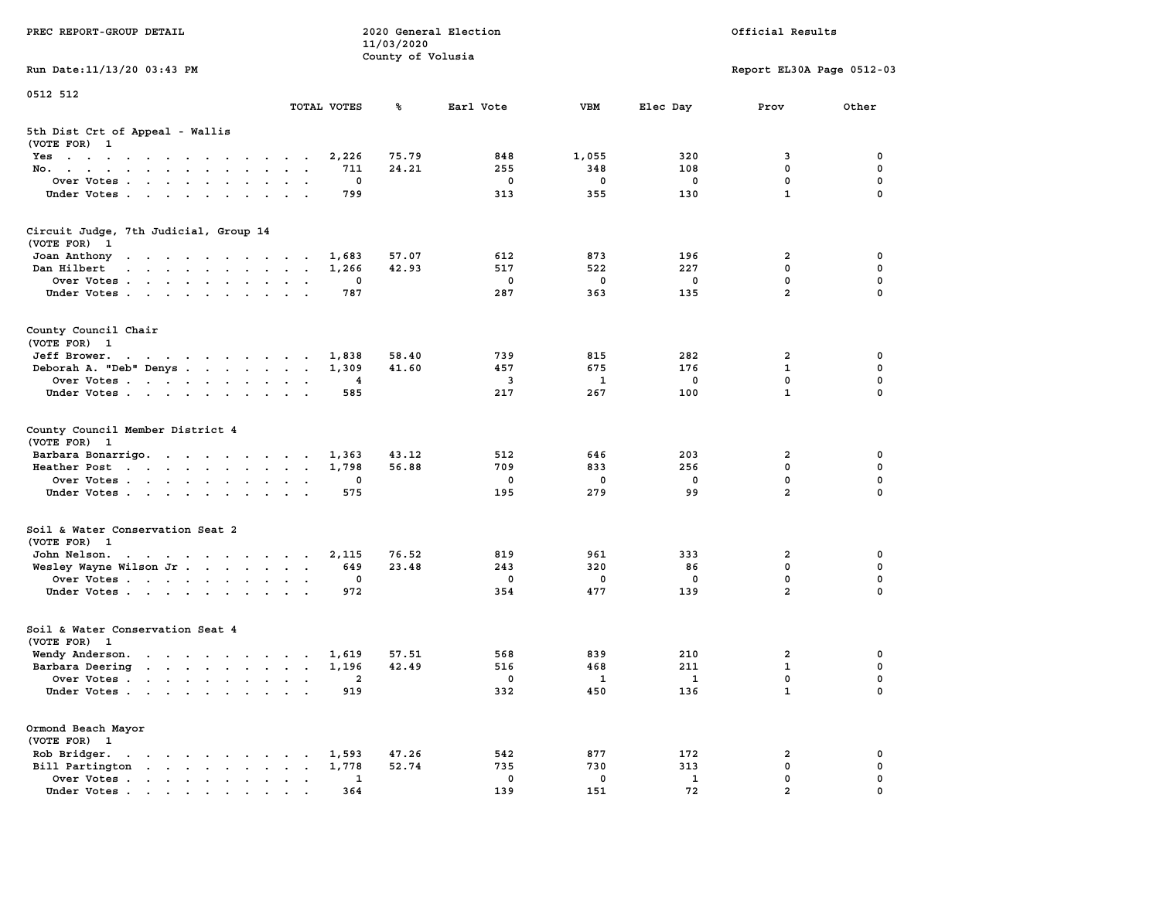| PREC REPORT-GROUP DETAIL                                                                                                        | 2020 General Election<br>Official Results<br>11/03/2020 |                   |             |              |              |                           |             |
|---------------------------------------------------------------------------------------------------------------------------------|---------------------------------------------------------|-------------------|-------------|--------------|--------------|---------------------------|-------------|
| Run Date: 11/13/20 03:43 PM                                                                                                     |                                                         | County of Volusia |             |              |              | Report EL30A Page 0512-03 |             |
| 0512 512                                                                                                                        |                                                         |                   |             |              |              |                           |             |
|                                                                                                                                 | TOTAL VOTES                                             | %                 | Earl Vote   | <b>VBM</b>   | Elec Day     | Prov                      | Other       |
| 5th Dist Crt of Appeal - Wallis<br>(VOTE FOR) 1                                                                                 |                                                         |                   |             |              |              |                           |             |
| Yes                                                                                                                             | 2,226                                                   | 75.79             | 848         | 1,055        | 320          | 3                         | 0           |
| No.                                                                                                                             | 711                                                     | 24.21             | 255         | 348          | 108          | 0                         | 0           |
| Over Votes<br>Under Votes                                                                                                       | 0<br>799                                                |                   | 0<br>313    | 0<br>355     | 0<br>130     | 0<br>$\mathbf{1}$         | 0<br>0      |
|                                                                                                                                 |                                                         |                   |             |              |              |                           |             |
| Circuit Judge, 7th Judicial, Group 14<br>(VOTE FOR) 1                                                                           |                                                         |                   |             |              |              |                           |             |
| Joan Anthony<br>the contract of the contract of the con-                                                                        | 1,683                                                   | 57.07             | 612         | 873          | 196          | 2                         | 0           |
| and a strain and a strain and a<br>Dan Hilbert                                                                                  | 1,266                                                   | 42.93             | 517         | 522          | 227          | 0                         | 0           |
| Over Votes                                                                                                                      | 0                                                       |                   | 0           | 0            | 0            | 0                         | 0           |
| Under Votes                                                                                                                     | 787                                                     |                   | 287         | 363          | 135          | $\overline{a}$            | 0           |
| County Council Chair<br>(VOTE FOR) 1                                                                                            |                                                         |                   |             |              |              |                           |             |
| Jeff Brower.<br>the contract of the contract of the contract of the contract of the contract of the contract of the contract of | 1,838                                                   | 58.40             | 739         | 815          | 282          | 2                         | 0           |
| Deborah A. "Deb" Denys                                                                                                          | 1,309                                                   | 41.60             | 457         | 675          | 176          | 1                         | 0           |
| Over Votes                                                                                                                      | 4                                                       |                   | 3           | 1            | 0            | $\mathbf 0$               | 0           |
| Under Votes                                                                                                                     | 585                                                     |                   | 217         | 267          | 100          | $\mathbf{1}$              | 0           |
| County Council Member District 4<br>(VOTE FOR) 1                                                                                |                                                         |                   |             |              |              |                           |             |
| Barbara Bonarrigo.                                                                                                              | 1,363                                                   | 43.12             | 512         | 646          | 203          | 2                         | 0           |
| Heather Post                                                                                                                    | 1,798                                                   | 56.88             | 709         | 833          | 256          | 0                         | 0           |
| Over Votes                                                                                                                      | 0                                                       |                   | 0           | 0            | 0            | 0                         | 0           |
| Under Votes                                                                                                                     | 575                                                     |                   | 195         | 279          | 99           | $\overline{2}$            | 0           |
| Soil & Water Conservation Seat 2<br>(VOTE FOR) 1                                                                                |                                                         |                   |             |              |              |                           |             |
| John Nelson.<br>the contract of the contract of the con-                                                                        | 2,115                                                   | 76.52             | 819         | 961          | 333          | 2                         | 0           |
| Wesley Wayne Wilson Jr                                                                                                          | 649                                                     | 23.48             | 243         | 320          | 86           | 0                         | 0           |
| Over Votes                                                                                                                      | 0                                                       |                   | 0           | 0            | 0            | 0                         | 0           |
| Under Votes                                                                                                                     | 972                                                     |                   | 354         | 477          | 139          | $\overline{a}$            | $\mathbf 0$ |
| Soil & Water Conservation Seat 4<br>(VOTE FOR) 1                                                                                |                                                         |                   |             |              |              |                           |             |
| Wendy Anderson.                                                                                                                 | 1,619                                                   | 57.51             | 568         | 839          | 210          | 2                         | 0           |
| Barbara Deering                                                                                                                 | 1,196                                                   | 42.49             | 516         | 468          | 211          | $\mathbf{1}$              | 0           |
| Over Votes.                                                                                                                     | $\overline{2}$                                          |                   | $\mathbf 0$ | $\mathbf{1}$ | $\mathbf{1}$ | $\mathbf 0$               | 0           |
| Under Votes                                                                                                                     | 919                                                     |                   | 332         | 450          | 136          | $\mathbf{1}$              | 0           |
| Ormond Beach Mayor<br>(VOTE FOR) 1                                                                                              |                                                         |                   |             |              |              |                           |             |
| Rob Bridger.<br>$\mathbf{r}$ , and $\mathbf{r}$ , and $\mathbf{r}$ , and $\mathbf{r}$                                           | 1,593                                                   | 47.26             | 542         | 877          | 172          | 2                         | 0           |
| Bill Partington                                                                                                                 | 1,778                                                   | 52.74             | 735         | 730          | 313          | 0                         | 0           |
| Over Votes                                                                                                                      | 1                                                       |                   | $\mathbf 0$ | $\mathbf 0$  | $\mathbf{1}$ | 0                         | 0           |
| Under Votes                                                                                                                     | 364                                                     |                   | 139         | 151          | 72           | $\overline{2}$            | $\Omega$    |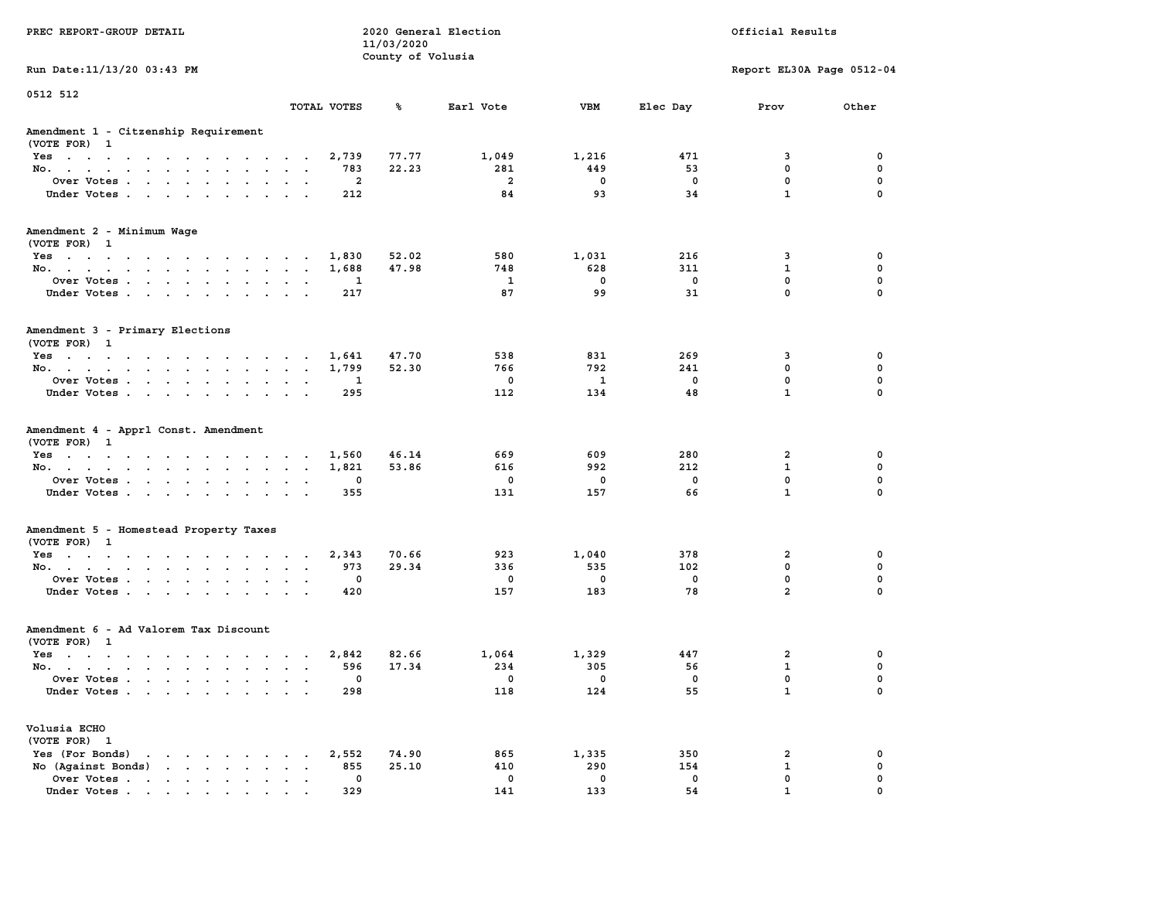| PREC REPORT-GROUP DETAIL                                                                                                           | 2020 General Election<br>11/03/2020<br>County of Volusia |                |                |                          | Official Results        |                           |             |  |
|------------------------------------------------------------------------------------------------------------------------------------|----------------------------------------------------------|----------------|----------------|--------------------------|-------------------------|---------------------------|-------------|--|
| Run Date: 11/13/20 03:43 PM                                                                                                        |                                                          |                |                |                          |                         | Report EL30A Page 0512-04 |             |  |
| 0512 512                                                                                                                           | TOTAL VOTES                                              | ℁              | Earl Vote      | VBM                      | Elec Day                | Prov                      | Other       |  |
| Amendment 1 - Citzenship Requirement<br>(VOTE FOR) 1                                                                               |                                                          |                |                |                          |                         |                           |             |  |
| Yes                                                                                                                                |                                                          | 77.77<br>2,739 | 1,049          | 1,216                    | 471                     | 3                         | 0           |  |
| No.                                                                                                                                |                                                          | 22.23<br>783   | 281            | 449                      | 53                      | 0                         | 0           |  |
| Over Votes                                                                                                                         |                                                          | 2              | 2              | 0                        | 0                       | 0                         | 0           |  |
| Under Votes                                                                                                                        |                                                          | 212            | 84             | 93                       | 34                      | $\mathbf{1}$              | 0           |  |
| Amendment 2 - Minimum Wage<br>(VOTE FOR) 1                                                                                         |                                                          |                |                |                          |                         |                           |             |  |
| Yes                                                                                                                                |                                                          | 52.02<br>1,830 | 580            | 1,031                    | 216                     | 3                         | 0           |  |
| No.                                                                                                                                |                                                          | 47.98<br>1,688 | 748            | 628                      | 311                     | 1                         | $\mathbf 0$ |  |
| Over Votes                                                                                                                         |                                                          | 1              | 1              | $\mathbf 0$              | $\overline{\mathbf{0}}$ | $\mathbf 0$               | 0           |  |
| Under Votes                                                                                                                        |                                                          | 217            | 87             | 99                       | 31                      | 0                         | 0           |  |
| Amendment 3 - Primary Elections<br>(VOTE FOR) 1                                                                                    |                                                          |                |                |                          |                         |                           |             |  |
| Yes                                                                                                                                |                                                          | 1,641<br>47.70 | 538            | 831                      | 269                     | 3                         | 0           |  |
| No.                                                                                                                                |                                                          | 1,799<br>52.30 | 766            | 792                      | 241                     | 0                         | 0           |  |
| Over Votes                                                                                                                         |                                                          | 1              | 0              | 1                        | 0                       | 0                         | 0           |  |
| Under Votes                                                                                                                        |                                                          | 295            | 112            | 134                      | 48                      | $\mathbf{1}$              | $\mathbf 0$ |  |
| Amendment 4 - Apprl Const. Amendment<br>(VOTE FOR) 1                                                                               |                                                          |                |                |                          |                         |                           |             |  |
| Yes                                                                                                                                |                                                          | 46.14<br>1,560 | 669            | 609                      | 280                     | 2                         | 0           |  |
| No.                                                                                                                                |                                                          | 53.86<br>1,821 | 616            | 992                      | 212                     | 1                         | 0           |  |
| Over Votes                                                                                                                         |                                                          | 0              | 0              | 0                        | 0                       | 0                         | $\mathbf 0$ |  |
| Under Votes                                                                                                                        |                                                          | 355            | 131            | 157                      | 66                      | $\mathbf{1}$              | 0           |  |
| Amendment 5 - Homestead Property Taxes<br>(VOTE FOR) 1                                                                             |                                                          |                |                |                          |                         |                           |             |  |
| Yes                                                                                                                                |                                                          | 70.66<br>2,343 | 923            | 1,040                    | 378                     | 2                         | 0           |  |
| No.                                                                                                                                | $\ddot{\phantom{1}}$                                     | 29.34<br>973   | 336            | 535                      | 102                     | 0                         | $\mathbf 0$ |  |
| Over Votes                                                                                                                         | $\cdot$                                                  | 0              | 0              | 0                        | 0                       | 0                         | 0           |  |
| Under Votes                                                                                                                        |                                                          | 420            | 157            | 183                      | 78                      | $\overline{a}$            | 0           |  |
| Amendment 6 - Ad Valorem Tax Discount<br>(VOTE FOR) 1                                                                              |                                                          |                |                |                          |                         |                           |             |  |
| the contract of the contract of the contract of the<br>Yes                                                                         |                                                          | 2,842<br>82.66 | 1,064          | 1,329                    | 447                     | 2                         | 0           |  |
| No.                                                                                                                                |                                                          | 596<br>17.34   | 234            | 305                      | 56                      | $\mathbf{1}$              | $\mathbf 0$ |  |
| Over Votes .                                                                                                                       |                                                          | $\Omega$       | $\overline{0}$ | $\overline{\phantom{0}}$ | $\overline{\mathbf{0}}$ | 0                         | 0           |  |
| Under Votes                                                                                                                        |                                                          | 298            | 118            | 124                      | 55                      | $\mathbf{1}$              | 0           |  |
| Volusia ECHO<br>(VOTE FOR) 1                                                                                                       |                                                          |                |                |                          |                         |                           |             |  |
| Yes (For Bonds)<br>the contract of the contract of the contract of the contract of the contract of the contract of the contract of |                                                          | 2,552<br>74.90 | 865            | 1,335                    | 350                     | 2                         | 0           |  |
| No (Against Bonds)<br>$\mathbf{r}$ , $\mathbf{r}$ , $\mathbf{r}$ , $\mathbf{r}$                                                    |                                                          | 25.10<br>855   | 410            | 290                      | 154                     | 1                         | 0           |  |
| Over Votes .<br>$\cdots$                                                                                                           |                                                          | 0              | 0              | 0                        | 0                       | 0                         | 0           |  |
| Under Votes.                                                                                                                       |                                                          | 329            | 141            | 133                      | 54                      | $\mathbf{1}$              |             |  |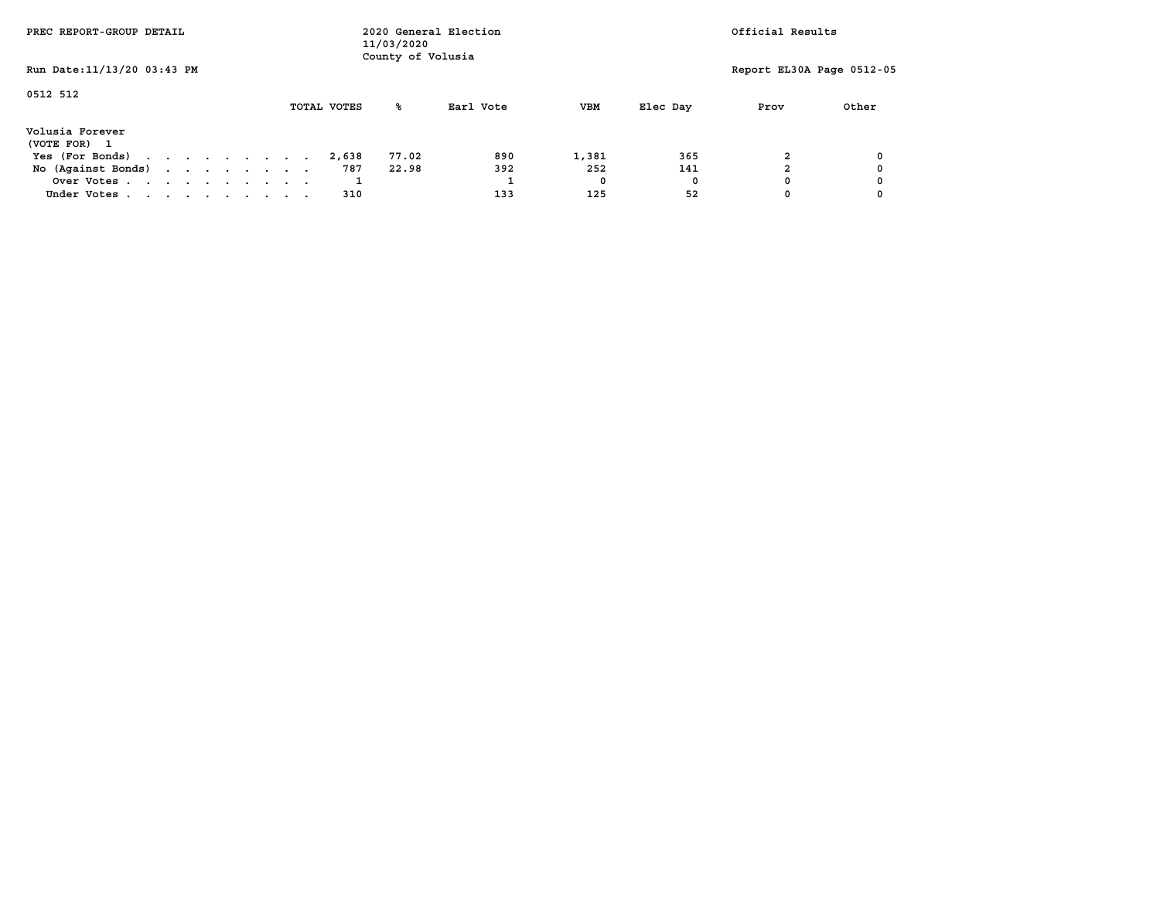| PREC REPORT-GROUP DETAIL        |  |  |  |  |             | 11/03/2020<br>County of Volusia | 2020 General Election |       |          | Official Results          |       |
|---------------------------------|--|--|--|--|-------------|---------------------------------|-----------------------|-------|----------|---------------------------|-------|
| Run Date: 11/13/20 03:43 PM     |  |  |  |  |             |                                 |                       |       |          | Report EL30A Page 0512-05 |       |
| 0512 512                        |  |  |  |  | TOTAL VOTES | ‱                               | Earl Vote             | VBM   | Elec Day | Prov                      | Other |
| Volusia Forever<br>(VOTE FOR) 1 |  |  |  |  |             |                                 |                       |       |          |                           |       |
| Yes (For Bonds)                 |  |  |  |  | 2,638       | 77.02                           | 890                   | 1,381 | 365      |                           |       |
| No (Against Bonds)              |  |  |  |  | 787         | 22.98                           | 392                   | 252   | 141      |                           |       |
| Over Votes                      |  |  |  |  |             |                                 |                       | 0     | 0        |                           |       |
| Under Votes                     |  |  |  |  | 310         |                                 | 133                   | 125   | 52       |                           |       |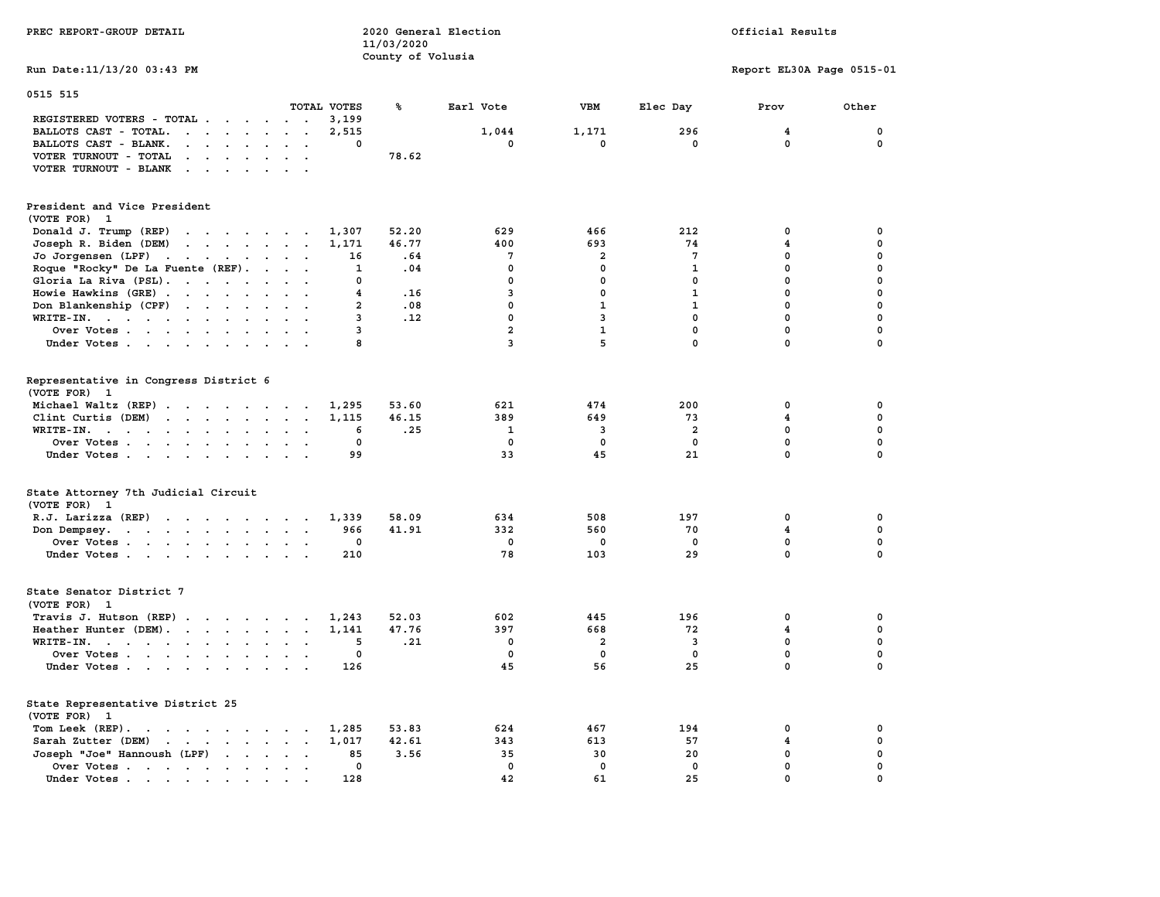| PREC REPORT-GROUP DETAIL                                                                                                                                                                                                                                |                | 11/03/2020        | 2020 General Election |                         |                         | Official Results          |               |
|---------------------------------------------------------------------------------------------------------------------------------------------------------------------------------------------------------------------------------------------------------|----------------|-------------------|-----------------------|-------------------------|-------------------------|---------------------------|---------------|
| Run Date: 11/13/20 03:43 PM                                                                                                                                                                                                                             |                | County of Volusia |                       |                         |                         | Report EL30A Page 0515-01 |               |
| 0515 515                                                                                                                                                                                                                                                |                |                   |                       |                         |                         |                           |               |
|                                                                                                                                                                                                                                                         | TOTAL VOTES    | ጜ                 | Earl Vote             | <b>VBM</b>              | Elec Day                | Prov                      | Other         |
| REGISTERED VOTERS - TOTAL<br>BALLOTS CAST - TOTAL.<br>$\begin{array}{cccccccccccccc} \bullet & \bullet & \bullet & \bullet & \bullet & \bullet & \bullet & \bullet & \bullet & \bullet \end{array}$                                                     | 3,199<br>2,515 |                   | 1,044                 | 1,171                   | 296                     | 4                         | $\mathbf 0$   |
| BALLOTS CAST - BLANK.<br>$\mathbf{r}$ , and $\mathbf{r}$ , and $\mathbf{r}$ , and $\mathbf{r}$                                                                                                                                                          | $\Omega$       |                   | $\mathbf{0}$          | $\mathbf{0}$            | $\mathbf 0$             | 0                         | $\Omega$      |
| VOTER TURNOUT - TOTAL<br>$\mathbf{1}$ , and $\mathbf{1}$ , and $\mathbf{1}$ , and $\mathbf{1}$                                                                                                                                                          |                | 78.62             |                       |                         |                         |                           |               |
| VOTER TURNOUT - BLANK<br>the contract of the contract of the contract of the contract of the contract of                                                                                                                                                |                |                   |                       |                         |                         |                           |               |
| President and Vice President<br>(VOTE FOR) 1                                                                                                                                                                                                            |                |                   |                       |                         |                         |                           |               |
| Donald J. Trump (REP)                                                                                                                                                                                                                                   | 1,307          | 52.20             | 629                   | 466                     | 212                     | 0                         | $\mathbf 0$   |
| Joseph R. Biden (DEM)                                                                                                                                                                                                                                   | 1,171          | 46.77             | 400                   | 693                     | 74                      | 4                         | 0             |
| Jo Jorgensen (LPF)                                                                                                                                                                                                                                      | 16             | .64               | $\overline{7}$        | $\overline{a}$          | $7\phantom{.0}$         | $\Omega$                  | $\mathbf 0$   |
| Roque "Rocky" De La Fuente (REF).                                                                                                                                                                                                                       | 1              | .04               | $\mathbf 0$           | $\mathbf{0}$            | $\mathbf{1}$            | $\mathbf{0}$              | $\mathbf 0$   |
| Gloria La Riva (PSL).                                                                                                                                                                                                                                   | 0              |                   | $\mathbf{0}$          | $\mathbf 0$             | $\mathbf{0}$            | $\mathbf{0}$              | $\mathbf 0$   |
| Howie Hawkins (GRE)                                                                                                                                                                                                                                     | 4              | .16               | 3                     | $\mathbf 0$             | $\mathbf{1}$            | $\mathbf 0$               | $\mathbf 0$   |
| Don Blankenship (CPF)                                                                                                                                                                                                                                   | $\overline{a}$ | .08               | $\mathbf 0$           | $\mathbf{1}$            | $\mathbf{1}$            | 0                         | $\mathbf 0$   |
| WRITE-IN.                                                                                                                                                                                                                                               | 3              | .12               | $\mathbf 0$           | 3                       | $\mathbf 0$             | 0                         | $\mathbf 0$   |
| Over Votes<br>$\sim$<br>$\sim$                                                                                                                                                                                                                          | 3              |                   | $\mathbf{2}$<br>3     | $\mathbf{1}$<br>5       | 0<br>$\Omega$           | 0<br>$\mathbf 0$          | 0<br>$\Omega$ |
| Under Votes                                                                                                                                                                                                                                             | 8              |                   |                       |                         |                         |                           |               |
| Representative in Congress District 6<br>(VOTE FOR) 1                                                                                                                                                                                                   |                |                   |                       |                         |                         |                           |               |
| Michael Waltz (REP)                                                                                                                                                                                                                                     | 1,295          | 53.60             | 621                   | 474                     | 200                     | $\mathbf 0$               | 0             |
| Clint Curtis (DEM)<br>$\mathbf{r}$ . The set of the set of the set of the set of the set of the set of the set of the set of the set of the set of the set of the set of the set of the set of the set of the set of the set of the set of the set of t | 1,115          | 46.15             | 389                   | 649                     | 73                      | $\overline{\mathbf{4}}$   | 0             |
| WRITE-IN.                                                                                                                                                                                                                                               | 6              | .25               | 1                     | $\overline{\mathbf{3}}$ | $\overline{a}$          | 0                         | $\mathbf 0$   |
| Over Votes<br>$\sim$                                                                                                                                                                                                                                    | 0              |                   | 0                     | 0                       | 0                       | $\mathbf 0$               | $\mathbf 0$   |
| Under Votes                                                                                                                                                                                                                                             | 99             |                   | 33                    | 45                      | 21                      | $\mathbf 0$               | $\mathbf 0$   |
| State Attorney 7th Judicial Circuit<br>(VOTE FOR) 1                                                                                                                                                                                                     |                |                   |                       |                         |                         |                           |               |
| R.J. Larizza $(REP)$                                                                                                                                                                                                                                    | 1,339          | 58.09             | 634                   | 508                     | 197                     | $\mathbf 0$               | 0             |
| Don Dempsey.                                                                                                                                                                                                                                            | 966            | 41.91             | 332                   | 560                     | 70                      | $\overline{\mathbf{4}}$   | $\mathbf 0$   |
| Over Votes                                                                                                                                                                                                                                              | 0              |                   | $\mathbf 0$           | $\mathbf 0$             | 0                       | $\mathbf 0$               | $\mathbf 0$   |
| Under Votes                                                                                                                                                                                                                                             | 210            |                   | 78                    | 103                     | 29                      | $\mathbf 0$               | $\mathbf 0$   |
| State Senator District 7<br>(VOTE FOR) 1                                                                                                                                                                                                                |                |                   |                       |                         |                         |                           |               |
| Travis J. Hutson (REP)                                                                                                                                                                                                                                  | 1,243          | 52.03             | 602                   | 445                     | 196                     | $\mathbf 0$               | 0             |
| Heather Hunter (DEM).                                                                                                                                                                                                                                   | 1,141          | 47.76             | 397                   | 668                     | 72                      | $\overline{\mathbf{4}}$   | $\mathbf 0$   |
| WRITE-IN.                                                                                                                                                                                                                                               | 5              | .21               | $\mathbf 0$           | $\overline{a}$          | $\overline{\mathbf{3}}$ | 0                         | $\mathbf 0$   |
| Over Votes                                                                                                                                                                                                                                              | 0              |                   | 0                     | $\mathbf 0$             | $\mathbf 0$             | 0                         | $\mathbf 0$   |
| Under Votes                                                                                                                                                                                                                                             | 126            |                   | 45                    | 56                      | 25                      | $\mathbf 0$               | $\mathbf 0$   |
| State Representative District 25<br>(VOTE FOR) 1                                                                                                                                                                                                        |                |                   |                       |                         |                         |                           |               |
| Tom Leek (REP).<br>the contract of the contract of the contract of the contract of the contract of the contract of the contract of                                                                                                                      | 1,285          | 53.83             | 624                   | 467                     | 194                     | 0                         | 0             |
| Sarah Zutter (DEM)<br>the contract of the contract of the contract of the contract of the contract of the contract of the contract of                                                                                                                   | 1,017          | 42.61             | 343                   | 613                     | 57                      | 4                         | $\mathbf 0$   |
| Joseph "Joe" Hannoush (LPF)                                                                                                                                                                                                                             | 85             | 3.56              | 35                    | 30                      | 20                      | $\mathbf 0$               | 0             |
| Over Votes                                                                                                                                                                                                                                              | 0              |                   | $\mathbf 0$           | $\mathbf 0$             | 0                       | $\mathbf 0$               | $\mathbf 0$   |
| Under Votes.<br>the contract of the contract of the contract of the contract of the contract of the contract of the contract of                                                                                                                         | 128            |                   | 42                    | 61                      | 25                      | $\mathbf 0$               | $\Omega$      |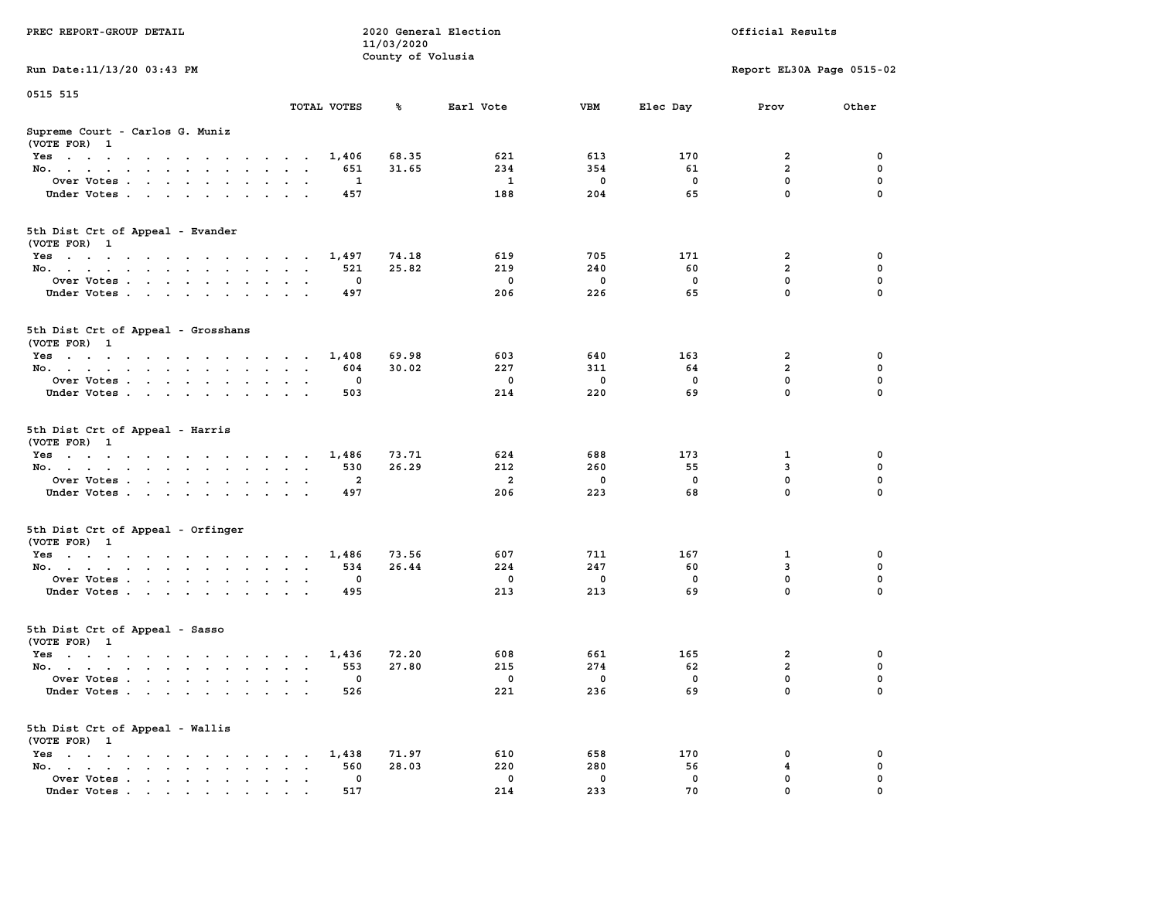|                                                                                      |                                                                | 11/03/2020        |                |             |              |                           |             |
|--------------------------------------------------------------------------------------|----------------------------------------------------------------|-------------------|----------------|-------------|--------------|---------------------------|-------------|
|                                                                                      |                                                                | County of Volusia |                |             |              |                           |             |
| Run Date: 11/13/20 03:43 PM                                                          |                                                                |                   |                |             |              | Report EL30A Page 0515-02 |             |
| 0515 515                                                                             |                                                                |                   |                |             |              |                           |             |
|                                                                                      | TOTAL VOTES                                                    | %                 | Earl Vote      | <b>VBM</b>  | Elec Day     | Prov                      | Other       |
| Supreme Court - Carlos G. Muniz                                                      |                                                                |                   |                |             |              |                           |             |
| (VOTE FOR) 1                                                                         |                                                                |                   |                |             |              |                           |             |
| Yes                                                                                  | 1,406<br>$\sim$ $\sim$ $\sim$ $\sim$ $\sim$                    | 68.35             | 621            | 613         | 170          | 2                         | 0           |
| No.<br>$\ddot{\phantom{a}}$                                                          | 651<br>$\cdot$                                                 | 31.65             | 234            | 354         | 61           | $\overline{a}$            | $\mathbf 0$ |
| Over Votes                                                                           | 1                                                              |                   | 1              | $\mathbf 0$ | 0            | 0                         | 0           |
| Under Votes<br>$\sim$ $\sim$                                                         | 457<br>$\cdot$ $\cdot$                                         |                   | 188            | 204         | 65           | $\mathbf 0$               | 0           |
|                                                                                      |                                                                |                   |                |             |              |                           |             |
| 5th Dist Crt of Appeal - Evander                                                     |                                                                |                   |                |             |              |                           |             |
| (VOTE FOR) 1                                                                         |                                                                |                   |                |             |              |                           |             |
| Yes                                                                                  | 1,497                                                          | 74.18             | 619            | 705         | 171          | 2                         | 0           |
| No.                                                                                  | 521<br>$\sim$<br>$\sim$                                        | 25.82             | 219            | 240         | 60           | $\overline{\mathbf{2}}$   | 0           |
| Over Votes                                                                           | $\Omega$                                                       |                   | $^{\circ}$     | $\mathbf 0$ | $\mathbf{0}$ | $\mathbf 0$               | $\mathbf 0$ |
| Under Votes                                                                          | 497<br>$\sim$ $\sim$                                           |                   | 206            | 226         | 65           | $\mathbf 0$               | $\Omega$    |
|                                                                                      |                                                                |                   |                |             |              |                           |             |
| 5th Dist Crt of Appeal - Grosshans<br>(VOTE FOR) 1                                   |                                                                |                   |                |             |              |                           |             |
| Yes                                                                                  | 1,408                                                          | 69.98             | 603            | 640         | 163          | $\overline{\mathbf{2}}$   | 0           |
| No.                                                                                  | 604                                                            | 30.02             | 227            | 311         | 64           | $\overline{a}$            | $\mathbf 0$ |
| Over Votes<br>$\cdot$                                                                | $\mathbf 0$<br>$\sim$                                          |                   | $\mathbf 0$    | $\mathbf 0$ | $\mathbf 0$  | $\mathbf 0$               | $\mathbf 0$ |
| Under Votes                                                                          | 503                                                            |                   | 214            | 220         | 69           | $\mathbf 0$               | $\mathbf 0$ |
|                                                                                      |                                                                |                   |                |             |              |                           |             |
| 5th Dist Crt of Appeal - Harris<br>(VOTE FOR) 1                                      |                                                                |                   |                |             |              |                           |             |
| Yes                                                                                  | 1,486                                                          | 73.71             | 624            | 688         | 173          | 1                         | $\mathbf 0$ |
| No.<br>$\sim$                                                                        | 530<br>$\ddot{\phantom{a}}$<br>$\ddot{\phantom{0}}$            | 26.29             | 212            | 260         | 55           | 3                         | $\mathbf 0$ |
| Over Votes                                                                           | $\overline{a}$                                                 |                   | $\overline{a}$ | $\mathbf 0$ | $\mathbf 0$  | $\mathbf 0$               | 0           |
| Under Votes                                                                          | 497                                                            |                   | 206            | 223         | 68           | $\mathbf 0$               | 0           |
| 5th Dist Crt of Appeal - Orfinger                                                    |                                                                |                   |                |             |              |                           |             |
| (VOTE FOR) 1                                                                         |                                                                |                   |                |             |              |                           |             |
| Yes                                                                                  | 1,486                                                          | 73.56             | 607            | 711         | 167          | 1                         | 0           |
| No.<br>$\ddot{\phantom{a}}$                                                          | 534<br>$\sim$<br>$\sim$<br>$\ddot{\phantom{a}}$                | 26.44             | 224            | 247         | 60           | 3                         | $\mathbf 0$ |
| Over Votes                                                                           | $\mathbf 0$                                                    |                   | $\mathbf 0$    | $\mathbf 0$ | $\mathbf 0$  | $\mathbf 0$               | $\mathbf 0$ |
| Under Votes<br>$\ddot{\phantom{0}}$<br>$\ddot{\phantom{0}}$                          | 495<br>$\sim$                                                  |                   | 213            | 213         | 69           | $\mathbf 0$               | $\Omega$    |
| 5th Dist Crt of Appeal - Sasso<br>(VOTE FOR) 1                                       |                                                                |                   |                |             |              |                           |             |
| Yes                                                                                  | 1,436                                                          | 72.20             | 608            | 661         | 165          | $\overline{\mathbf{2}}$   | 0           |
| No.                                                                                  | 553                                                            | 27.80             | 215            | 274         | 62           | $\overline{\mathbf{2}}$   | 0           |
| Over Votes<br>$\ddot{\phantom{a}}$                                                   | 0<br>$\bullet$<br>$\cdot$<br>$\cdot$                           |                   | $\mathbf 0$    | 0           | $\mathbf 0$  | 0                         | $\mathbf 0$ |
| Under Votes                                                                          | 526                                                            |                   | 221            | 236         | 69           | $\mathbf 0$               | $\Omega$    |
| 5th Dist Crt of Appeal - Wallis<br>(VOTE FOR) 1                                      |                                                                |                   |                |             |              |                           |             |
| $Yes \t . \t .$                                                                      | 1,438                                                          | 71.97             | 610            | 658         | 170          | 0                         | 0           |
| the contract of the contract of the con-<br>No.<br>$\ddot{\phantom{a}}$              | 560<br>$\cdot$ $\cdot$                                         | 28.03             | 220            | 280         | 56           | 4                         | $\mathbf 0$ |
| the contract of the contract of the con-                                             | $\cdot$<br>$\mathbf{0}$                                        |                   | $^{\circ}$     | 0           | 0            | $\mathbf 0$               | 0           |
| Over Votes<br>$\sim$ $\sim$<br>$\ddot{\phantom{a}}$                                  | $\ddot{\phantom{a}}$<br>$\ddot{\phantom{a}}$<br>$\blacksquare$ |                   | 214            |             | 70           | $\mathbf 0$               | $\mathbf 0$ |
| Under Votes<br>$\mathbf{r}$ , and $\mathbf{r}$ , and $\mathbf{r}$ , and $\mathbf{r}$ | 517                                                            |                   |                | 233         |              |                           |             |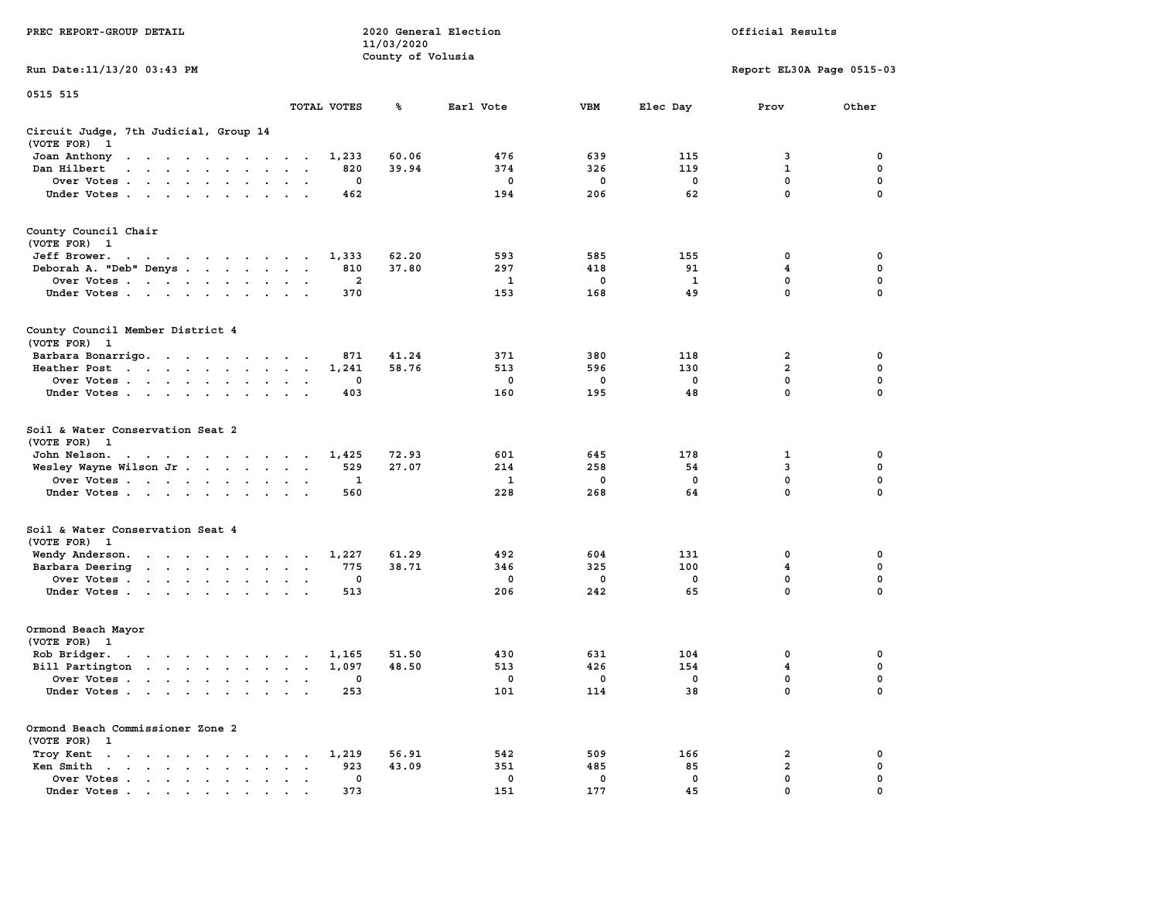|                                                                                                                                                                                                                                                    |                                                                  | 11/03/2020        |             |             |              |                           |             |
|----------------------------------------------------------------------------------------------------------------------------------------------------------------------------------------------------------------------------------------------------|------------------------------------------------------------------|-------------------|-------------|-------------|--------------|---------------------------|-------------|
|                                                                                                                                                                                                                                                    |                                                                  | County of Volusia |             |             |              |                           |             |
| Run Date:11/13/20 03:43 PM                                                                                                                                                                                                                         |                                                                  |                   |             |             |              | Report EL30A Page 0515-03 |             |
| 0515 515                                                                                                                                                                                                                                           |                                                                  |                   |             |             |              |                           |             |
|                                                                                                                                                                                                                                                    | TOTAL VOTES                                                      | ℁                 | Earl Vote   | <b>VBM</b>  | Elec Day     | Prov                      | Other       |
| Circuit Judge, 7th Judicial, Group 14<br>(VOTE FOR)<br>$\mathbf{1}$                                                                                                                                                                                |                                                                  |                   |             |             |              |                           |             |
| Joan Anthony                                                                                                                                                                                                                                       | 1,233                                                            | 60.06             | 476         | 639         | 115          | 3                         | 0           |
| Dan Hilbert<br>the contract of the contract of<br>$\sim$                                                                                                                                                                                           | 820<br>$\overline{\phantom{a}}$<br>$\sim$                        | 39.94             | 374         | 326         | 119          | $\mathbf 1$               | 0           |
| Over Votes                                                                                                                                                                                                                                         | 0<br>$\cdot$<br>$\cdot$                                          |                   | 0           | 0           | $\mathbf 0$  | $\mathbf 0$               | $\mathbf 0$ |
| Under Votes                                                                                                                                                                                                                                        | 462<br>$\cdot$                                                   |                   | 194         | 206         | 62           | $\mathbf 0$               | 0           |
|                                                                                                                                                                                                                                                    |                                                                  |                   |             |             |              |                           |             |
| County Council Chair                                                                                                                                                                                                                               |                                                                  |                   |             |             |              |                           |             |
| (VOTE FOR)<br>- 1                                                                                                                                                                                                                                  |                                                                  |                   |             |             |              |                           |             |
| Jeff Brower.<br>$\mathbf{a} \cdot \mathbf{a} \cdot \mathbf{a} \cdot \mathbf{a} \cdot \mathbf{a} \cdot \mathbf{a} \cdot \mathbf{a} \cdot \mathbf{a} \cdot \mathbf{a} \cdot \mathbf{a} \cdot \mathbf{a}$                                             | 1,333                                                            | 62.20             | 593         | 585         | 155          | 0                         | 0           |
| Deborah A. "Deb" Denys                                                                                                                                                                                                                             | 810<br>$\ddot{\phantom{a}}$<br>$\overline{\phantom{a}}$          | 37.80             | 297         | 418         | 91           | 4                         | 0           |
| Over Votes<br>$\cdot$                                                                                                                                                                                                                              | $\mathbf{2}$<br>$\cdot$                                          |                   | 1           | 0           | $\mathbf{1}$ | 0                         | $\pmb{0}$   |
| Under Votes<br>$\sim$                                                                                                                                                                                                                              | 370<br>$\cdot$ $\cdot$                                           |                   | 153         | 168         | 49           | 0                         | 0           |
|                                                                                                                                                                                                                                                    |                                                                  |                   |             |             |              |                           |             |
| County Council Member District 4<br>(VOTE FOR) 1                                                                                                                                                                                                   |                                                                  |                   |             |             |              |                           |             |
| Barbara Bonarrigo.                                                                                                                                                                                                                                 | 871<br>$\sim$                                                    | 41.24             | 371         | 380         | 118          | 2                         | 0           |
| Heather Post<br>the contract of the contract of the                                                                                                                                                                                                | 1,241<br>$\bullet$<br>$\bullet$                                  | 58.76             | 513         | 596         | 130          | $\overline{2}$            | $\mathbf 0$ |
| Over Votes<br>$\ddot{\phantom{a}}$                                                                                                                                                                                                                 | 0                                                                |                   | $\mathbf 0$ | $\mathbf 0$ | $\mathbf 0$  | 0                         | $\mathbf 0$ |
| Under Votes<br>$\ddot{\phantom{a}}$                                                                                                                                                                                                                | 403                                                              |                   | 160         | 195         | 48           | 0                         | 0           |
|                                                                                                                                                                                                                                                    |                                                                  |                   |             |             |              |                           |             |
| Soil & Water Conservation Seat 2                                                                                                                                                                                                                   |                                                                  |                   |             |             |              |                           |             |
| (VOTE FOR)<br>$\overline{\mathbf{1}}$                                                                                                                                                                                                              |                                                                  |                   |             |             |              |                           |             |
| John Nelson.<br>$\mathcal{A}$ . The state of the state of the state of the state of the state of the state of the state of the state of the state of the state of the state of the state of the state of the state of the state of the state of th | 1,425<br>$\ddot{\phantom{0}}$                                    | 72.93             | 601         | 645         | 178          | 1                         | $\mathbf 0$ |
| Wesley Wayne Wilson Jr                                                                                                                                                                                                                             | 529<br>$\bullet$<br>$\bullet$<br>$\ddot{\phantom{1}}$            | 27.07             | 214         | 258         | 54           | 3                         | 0           |
| Over Votes                                                                                                                                                                                                                                         | 1<br>$\ddot{\phantom{a}}$<br>$\cdot$                             |                   | 1           | 0           | $\mathbf 0$  | $\mathbf 0$               | 0           |
| Under Votes<br>$\ddot{\phantom{a}}$                                                                                                                                                                                                                | 560                                                              |                   | 228         | 268         | 64           | 0                         | 0           |
|                                                                                                                                                                                                                                                    |                                                                  |                   |             |             |              |                           |             |
| Soil & Water Conservation Seat 4<br>(VOTE FOR) 1                                                                                                                                                                                                   |                                                                  |                   |             |             |              |                           |             |
| Wendy Anderson.<br>the contract of the contract of the contract of the contract of the contract of the contract of the contract of                                                                                                                 | 1,227                                                            | 61.29             | 492         | 604         | 131          | 0                         | 0           |
| Barbara Deering<br>the contract of the contract of the<br>$\ddot{\phantom{0}}$                                                                                                                                                                     | 775<br>$\ddot{\phantom{a}}$<br>$\bullet$<br>$\ddot{\phantom{1}}$ | 38.71             | 346         | 325         | 100          | 4                         | $\pmb{0}$   |
| Over Votes                                                                                                                                                                                                                                         | $\mathbf 0$<br>$\bullet$                                         |                   | 0           | 0           | $\mathbf 0$  | $\mathbf 0$               | 0           |
| Under Votes<br>$\ddot{\phantom{a}}$                                                                                                                                                                                                                | 513                                                              |                   | 206         | 242         | 65           | $\mathbf 0$               | 0           |
|                                                                                                                                                                                                                                                    |                                                                  |                   |             |             |              |                           |             |
| Ormond Beach Mayor                                                                                                                                                                                                                                 |                                                                  |                   |             |             |              |                           |             |
| (VOTE FOR)<br>$\mathbf{1}$                                                                                                                                                                                                                         |                                                                  |                   |             |             |              |                           |             |
| Rob Bridger.<br>the contract of the contract of the<br>$\bullet$                                                                                                                                                                                   | 1,165<br>$\sim$                                                  | 51.50             | 430         | 631         | 104          | 0                         | $\mathbf 0$ |
| Bill Partington                                                                                                                                                                                                                                    | 1,097<br>$\ddot{\phantom{1}}$                                    | 48.50             | 513         | 426         | 154          | $\overline{\mathbf{4}}$   | 0           |
| Over Votes .<br>$\cdots$<br>$\ddot{\phantom{a}}$                                                                                                                                                                                                   | 0<br>$\bullet$<br>$\cdot$                                        |                   | 0           | 0           | 0            | $\mathbf 0$               | 0           |
| Under Votes<br>$\sim$                                                                                                                                                                                                                              | 253<br>$\sim$<br>$\sim$                                          |                   | 101         | 114         | 38           | 0                         | $\mathbf 0$ |
| Ormond Beach Commissioner Zone 2                                                                                                                                                                                                                   |                                                                  |                   |             |             |              |                           |             |
| (VOTE FOR)<br>- 1                                                                                                                                                                                                                                  |                                                                  |                   |             |             |              |                           |             |
| Troy Kent<br>$\overline{\phantom{a}}$<br>$\cdot$<br>$\sim$ $\sim$<br>$\cdot$<br>$\sim$ $\sim$<br>$\sim$                                                                                                                                            | 1,219<br>$\cdot$<br>$\cdot$                                      | 56.91             | 542         | 509         | 166          | $\overline{\mathbf{2}}$   | 0           |
| Ken Smith<br>$\cdot$<br>$\sim$ $\sim$<br>$\cdot$                                                                                                                                                                                                   | 923<br>$\bullet$                                                 | 43.09             | 351         | 485         | 85           | $\overline{\mathbf{2}}$   | 0           |
| Over Votes.<br>$\sim 100$ km s $^{-1}$<br>$\ddot{\phantom{0}}$<br>$\bullet$<br>$\blacksquare$<br>$\bullet$                                                                                                                                         | 0<br>$\bullet$<br>$\ddot{\phantom{0}}$<br>$\ddot{\phantom{a}}$   |                   | 0           | 0           | $\mathbf 0$  | 0                         | 0           |
| Under Votes<br>.                                                                                                                                                                                                                                   | 373                                                              |                   | 151         | 177         | 45           | $\Omega$                  | $\Omega$    |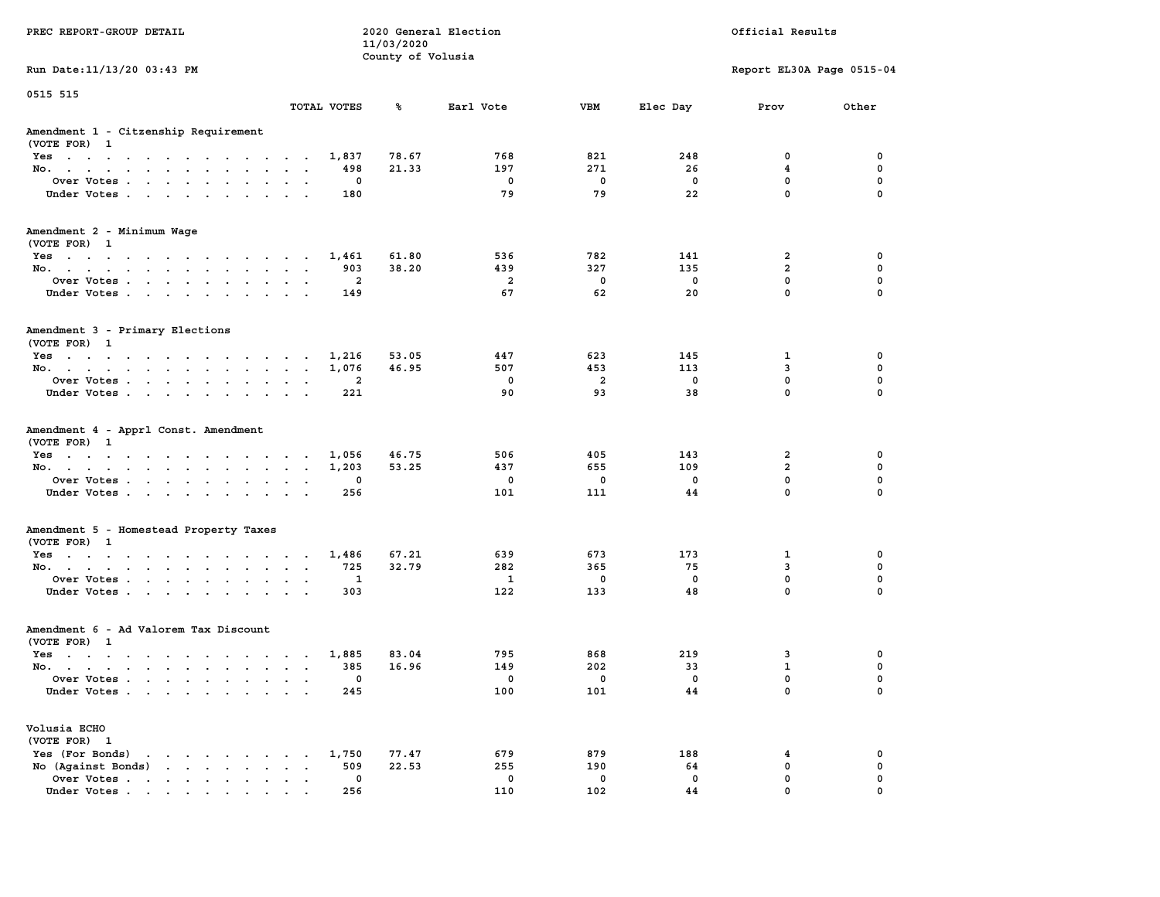|                                                                                                                                                                                                  |                                                                                                               | 11/03/2020        |                        |                        |                                 |                                                              |                            |
|--------------------------------------------------------------------------------------------------------------------------------------------------------------------------------------------------|---------------------------------------------------------------------------------------------------------------|-------------------|------------------------|------------------------|---------------------------------|--------------------------------------------------------------|----------------------------|
|                                                                                                                                                                                                  |                                                                                                               | County of Volusia |                        |                        |                                 |                                                              |                            |
| Run Date: 11/13/20 03:43 PM                                                                                                                                                                      |                                                                                                               |                   |                        |                        |                                 | Report EL30A Page 0515-04                                    |                            |
| 0515 515                                                                                                                                                                                         |                                                                                                               |                   |                        |                        |                                 |                                                              |                            |
|                                                                                                                                                                                                  | TOTAL VOTES                                                                                                   | ℁                 | Earl Vote              | <b>VBM</b>             | Elec Day                        | Prov                                                         | Other                      |
| Amendment 1 - Citzenship Requirement<br>(VOTE FOR) 1                                                                                                                                             |                                                                                                               |                   |                        |                        |                                 |                                                              |                            |
| Yes                                                                                                                                                                                              | 1,837                                                                                                         | 78.67             | 768                    | 821                    | 248                             | 0                                                            | 0                          |
| No.<br>$\cdot$ $\cdot$<br>$\sim$<br>$\cdot$<br>$\sim$ 10 $\pm$                                                                                                                                   | 498                                                                                                           | 21.33             | 197                    | 271                    | 26                              | 4                                                            | 0                          |
| Over Votes                                                                                                                                                                                       | 0<br>$\overline{\phantom{a}}$                                                                                 |                   | 0                      | $\mathbf 0$            | 0                               | 0                                                            | 0                          |
| Under Votes<br>$\mathcal{A}^{\mathcal{A}}$ and $\mathcal{A}^{\mathcal{A}}$                                                                                                                       | 180<br>$\ddot{\phantom{a}}$<br>$\ddot{\phantom{a}}$                                                           |                   | 79                     | 79                     | 22                              | $\mathbf 0$                                                  | 0                          |
| Amendment 2 - Minimum Wage<br>(VOTE FOR) 1                                                                                                                                                       |                                                                                                               |                   |                        |                        |                                 |                                                              |                            |
| Yes                                                                                                                                                                                              | 1,461                                                                                                         | 61.80             | 536                    | 782                    | 141                             | $\overline{2}$                                               | 0                          |
| No.                                                                                                                                                                                              | 903<br>$\sim$ $\sim$                                                                                          | 38.20             | 439                    | 327                    | 135                             | $\overline{2}$                                               | 0                          |
| Over Votes<br>$\sim$<br>$\sim$ $\sim$                                                                                                                                                            | $\overline{a}$<br>$\ddot{\phantom{a}}$<br>$\ddot{\phantom{a}}$                                                |                   | $\overline{a}$         | $^{\circ}$             | $^{\circ}$                      | $\mathbf{0}$                                                 | $\mathbf 0$                |
| Under Votes                                                                                                                                                                                      | 149                                                                                                           |                   | 67                     | 62                     | 20                              | $\mathbf 0$                                                  | 0                          |
| Amendment 3 - Primary Elections<br>(VOTE FOR) 1                                                                                                                                                  |                                                                                                               |                   |                        |                        |                                 |                                                              |                            |
| Yes                                                                                                                                                                                              | 1,216<br>$\ddot{\phantom{a}}$                                                                                 | 53.05             | 447                    | 623                    | 145                             | 1                                                            | $\mathbf 0$                |
| No.                                                                                                                                                                                              | 1,076                                                                                                         | 46.95             | 507                    | 453                    | 113                             | 3                                                            | $\mathbf 0$                |
| Over Votes<br>$\ddot{\phantom{0}}$<br>$\ddot{\phantom{a}}$<br>$\ddot{\phantom{a}}$                                                                                                               | $\overline{\mathbf{2}}$                                                                                       |                   | $\mathbf 0$            | $\overline{a}$         | $\mathbf 0$                     | $\mathbf 0$                                                  | $\mathbf 0$                |
| Under Votes<br>$\sim$ $\sim$                                                                                                                                                                     | 221<br>$\cdot$<br>$\cdot$                                                                                     |                   | 90                     | 93                     | 38                              | $\mathbf 0$                                                  | 0                          |
| Amendment 4 - Apprl Const. Amendment<br>(VOTE FOR) 1<br>Yes<br>No.<br>$\ddot{\phantom{0}}$<br>$\cdot$ $\cdot$<br>Over Votes<br>Under Votes<br>$\cdot$<br>$\sim$<br>$\ddot{\phantom{a}}$          | 1,056<br>1,203<br>$\sim$<br>$\ddot{\phantom{a}}$<br>0<br>$\sim$<br>256<br>$\cdot$<br>$\overline{\phantom{a}}$ | 46.75<br>53.25    | 506<br>437<br>0<br>101 | 405<br>655<br>0<br>111 | 143<br>109<br>$\mathbf 0$<br>44 | $\overline{2}$<br>$\mathbf{2}$<br>$\mathbf 0$<br>$\mathbf 0$ | 0<br>0<br>$\mathbf 0$<br>0 |
|                                                                                                                                                                                                  |                                                                                                               |                   |                        |                        |                                 |                                                              |                            |
| Amendment 5 - Homestead Property Taxes<br>(VOTE FOR) 1                                                                                                                                           |                                                                                                               |                   |                        |                        |                                 |                                                              |                            |
| Yes                                                                                                                                                                                              | 1,486<br>725                                                                                                  | 67.21<br>32.79    | 639<br>282             | 673<br>365             | 173<br>75                       | $\mathbf{1}$<br>3                                            | 0<br>$\mathbf 0$           |
| No.<br>$\sim$<br>$\bullet$<br>$\bullet$                                                                                                                                                          | $\blacksquare$<br>$\blacksquare$<br>1                                                                         |                   |                        | $\mathbf 0$            | $\mathbf 0$                     | $\mathbf 0$                                                  | $\mathbf 0$                |
| Over Votes<br>$\ddot{\phantom{0}}$<br>$\ddot{\phantom{a}}$<br>$\bullet$                                                                                                                          | $\ddot{\phantom{a}}$<br>$\bullet$                                                                             |                   | 1                      |                        |                                 |                                                              |                            |
| Under Votes                                                                                                                                                                                      | 303<br>$\ddot{\phantom{a}}$                                                                                   |                   | 122                    | 133                    | 48                              | $\mathbf 0$                                                  | 0                          |
| Amendment 6 - Ad Valorem Tax Discount<br>(VOTE FOR) 1                                                                                                                                            |                                                                                                               |                   |                        |                        |                                 |                                                              |                            |
| Yes                                                                                                                                                                                              | 1,885                                                                                                         | 83.04             | 795                    | 868                    | 219                             | 3                                                            | 0                          |
| No.                                                                                                                                                                                              | 385                                                                                                           | 16.96             | 149                    | 202                    | 33                              | $\mathbf{1}$                                                 | $\mathbf 0$                |
|                                                                                                                                                                                                  | $\mathbf{a} = \mathbf{a} + \mathbf{a} + \mathbf{a} + \mathbf{a}$                                              |                   |                        |                        |                                 | 0                                                            | 0                          |
| Over Votes.<br>$\sim$ $\sim$ $\sim$ $\sim$ $\sim$<br>$\ddot{\phantom{0}}$<br>$\ddot{\phantom{a}}$<br>$\ddot{\phantom{1}}$                                                                        | 0<br>$\cdot$<br>$\ddot{\phantom{a}}$                                                                          |                   | 0                      | 0                      | $\mathbf 0$<br>44               | $\mathbf 0$                                                  | $\mathbf 0$                |
| Under Votes                                                                                                                                                                                      | 245                                                                                                           |                   | 100                    | 101                    |                                 |                                                              |                            |
| Volusia ECHO<br>(VOTE FOR) 1                                                                                                                                                                     |                                                                                                               |                   |                        |                        |                                 |                                                              |                            |
| Yes (For Bonds)<br>the contract of the contract of the                                                                                                                                           | 1,750                                                                                                         | 77.47             | 679                    | 879                    | 188                             | 4                                                            | $\mathbf 0$                |
| No (Against Bonds)<br>$\sim$ $\sim$                                                                                                                                                              | 509<br>$\sim$<br>$\sim$                                                                                       | 22.53             | 255                    | 190                    | 64                              | $\mathbf 0$                                                  | $\mathbf 0$                |
| Over Votes<br>$\begin{array}{cccccccccccccc} \bullet & \bullet & \bullet & \bullet & \bullet & \bullet & \bullet & \bullet & \bullet & \bullet \end{array}$<br>$\bullet$<br>$\ddot{\phantom{a}}$ | $\mathbf 0$<br>$\ddot{\phantom{a}}$<br>$\cdot$                                                                |                   | $\mathbf 0$            | $\mathbf 0$            | $\mathbf 0$                     | $\mathbf 0$                                                  | 0                          |
| Under Votes<br>$\cdot$                                                                                                                                                                           | 256                                                                                                           |                   | 110                    | 102                    | 44                              | $\mathbf 0$                                                  | $\mathbf 0$                |

**PREC REPORT-GROUP DETAIL COMPUTER CONSUMING A LOCAL PREC** REPORT-GROUP DETAIL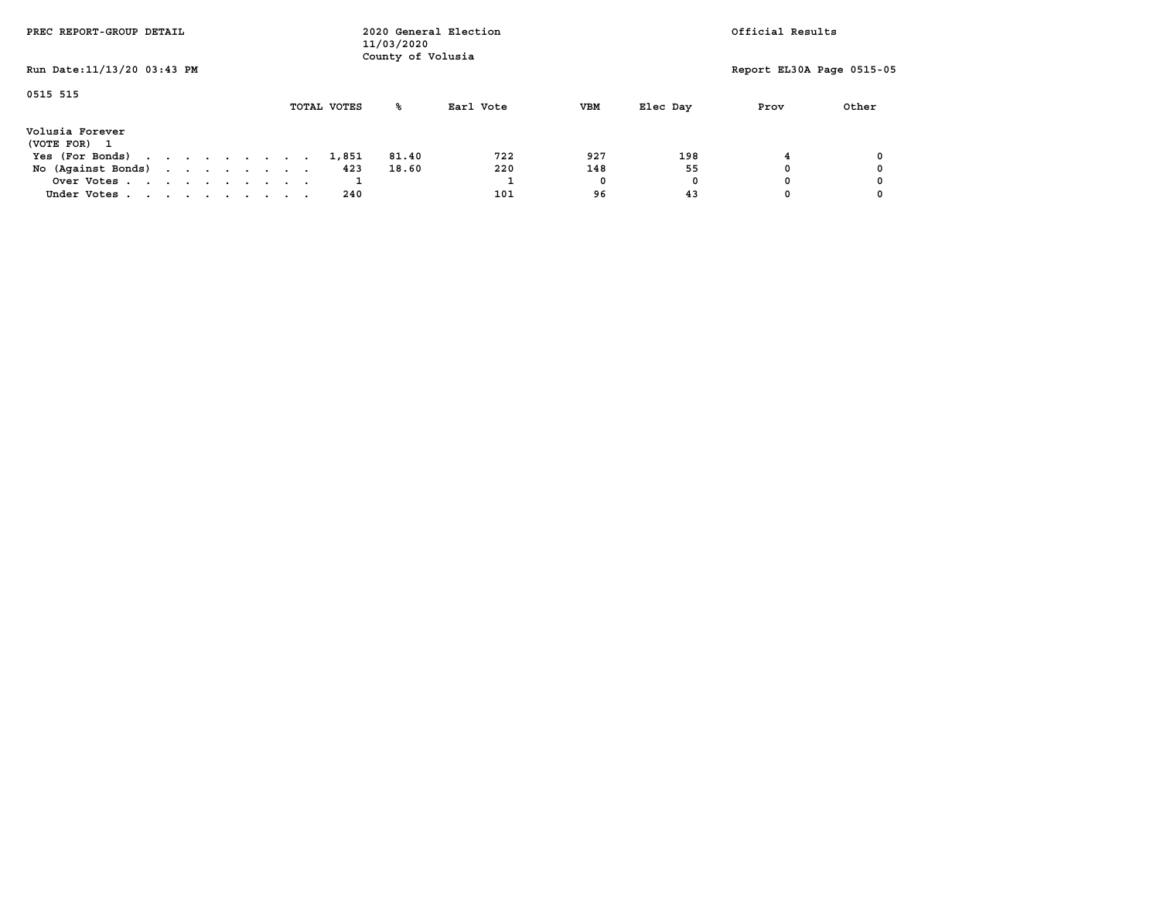| PREC REPORT-GROUP DETAIL        |  |  | 2020 General Election<br>11/03/2020<br>County of Volusia |  |  |             | Official Results |           |            |          |                           |       |
|---------------------------------|--|--|----------------------------------------------------------|--|--|-------------|------------------|-----------|------------|----------|---------------------------|-------|
| Run Date: 11/13/20 03:43 PM     |  |  |                                                          |  |  |             |                  |           |            |          | Report EL30A Page 0515-05 |       |
| 0515 515                        |  |  |                                                          |  |  | TOTAL VOTES | ‱                | Earl Vote | <b>VBM</b> | Elec Day | Prov                      | Other |
| Volusia Forever<br>(VOTE FOR) 1 |  |  |                                                          |  |  |             |                  |           |            |          |                           |       |
| Yes (For Bonds)                 |  |  |                                                          |  |  | 1,851       | 81.40            | 722       | 927        | 198      |                           |       |
| No (Against Bonds)              |  |  |                                                          |  |  | 423         | 18.60            | 220       | 148        | 55       |                           |       |
| Over Votes                      |  |  |                                                          |  |  |             |                  |           | 0          | 0        |                           |       |
| Under Votes                     |  |  |                                                          |  |  | 240         |                  | 101       | 96         | 43       |                           |       |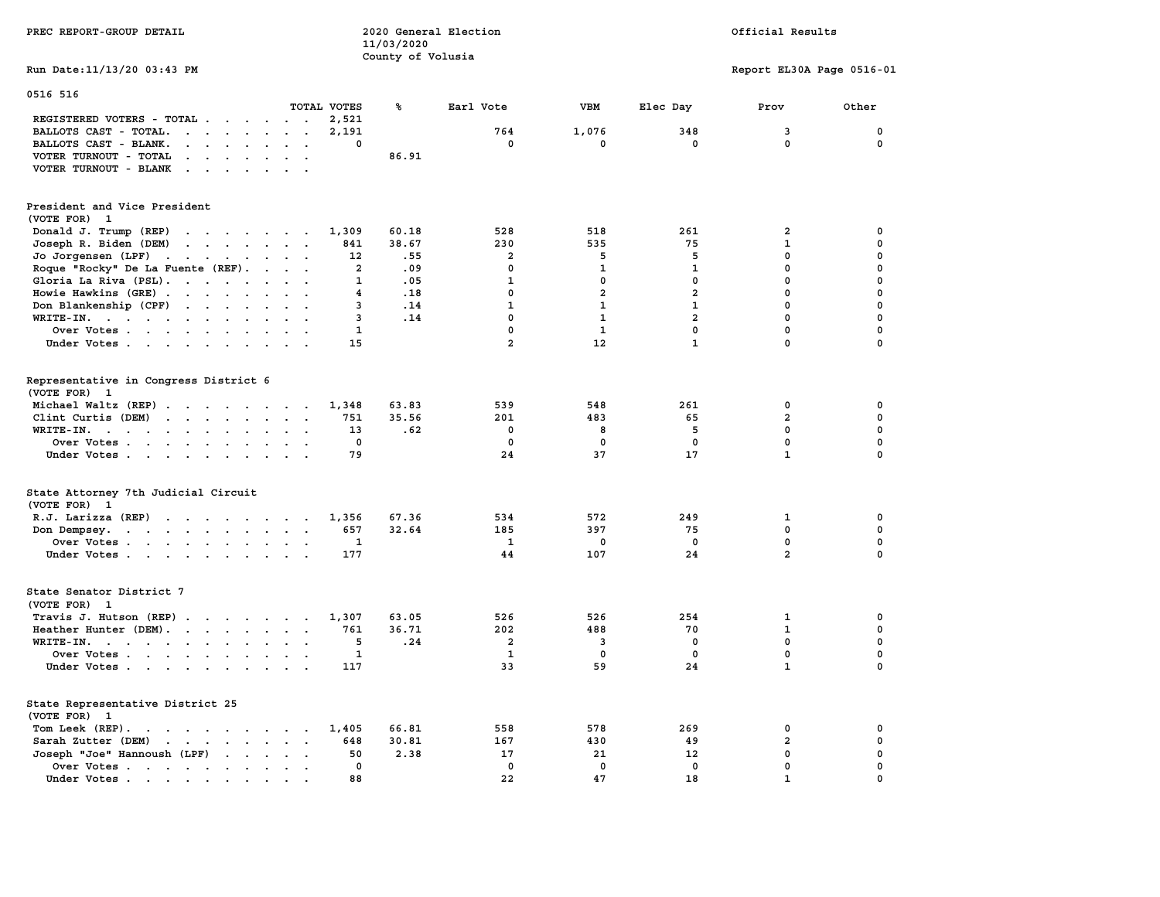| PREC REPORT-GROUP DETAIL                                                                                                                                                                                                                                   |                                            | 11/03/2020                     | 2020 General Election   |                         | Official Results |                           |             |  |
|------------------------------------------------------------------------------------------------------------------------------------------------------------------------------------------------------------------------------------------------------------|--------------------------------------------|--------------------------------|-------------------------|-------------------------|------------------|---------------------------|-------------|--|
| Run Date:11/13/20 03:43 PM                                                                                                                                                                                                                                 |                                            | County of Volusia              |                         |                         |                  | Report EL30A Page 0516-01 |             |  |
|                                                                                                                                                                                                                                                            |                                            |                                |                         |                         |                  |                           |             |  |
| 0516 516                                                                                                                                                                                                                                                   | TOTAL VOTES                                | ℁                              | Earl Vote               | VBM                     | Elec Day         | Prov                      | Other       |  |
| REGISTERED VOTERS - TOTAL<br>$\sim$                                                                                                                                                                                                                        | 2,521<br>$\sim 10$                         |                                |                         |                         |                  |                           |             |  |
| BALLOTS CAST - TOTAL.<br>$\mathbf{r}$ , $\mathbf{r}$ , $\mathbf{r}$ , $\mathbf{r}$ , $\mathbf{r}$                                                                                                                                                          | 2,191<br>$\bullet$<br>$\ddot{\phantom{a}}$ |                                | 764                     | 1,076                   | 348              | 3                         | 0           |  |
| BALLOTS CAST - BLANK.<br>$\cdot$ $\cdot$ $\cdot$<br>$\sim$<br>$\ddot{\phantom{1}}$                                                                                                                                                                         |                                            | 0                              | 0                       | 0                       | 0                | 0                         | 0           |  |
| VOTER TURNOUT - TOTAL<br>$\sim$ $\sim$ $\sim$<br>$\sim$ $\sim$                                                                                                                                                                                             |                                            | 86.91                          |                         |                         |                  |                           |             |  |
| VOTER TURNOUT - BLANK<br>$\ddot{\phantom{a}}$                                                                                                                                                                                                              |                                            |                                |                         |                         |                  |                           |             |  |
| President and Vice President                                                                                                                                                                                                                               |                                            |                                |                         |                         |                  |                           |             |  |
| (VOTE FOR) 1                                                                                                                                                                                                                                               |                                            |                                |                         |                         |                  |                           |             |  |
| Donald J. Trump (REP)<br>the contract of the contract of the contract of the contract of the contract of the contract of the contract of                                                                                                                   | 1,309                                      | 60.18                          | 528                     | 518                     | 261              | 2                         | 0           |  |
| Joseph R. Biden (DEM)<br>$\mathbf{r}$ . The contract of the contract of the contract of the contract of the contract of the contract of the contract of the contract of the contract of the contract of the contract of the contract of the contract of th | 841                                        | 38.67                          | 230                     | 535                     | 75               | $\mathbf 1$               | 0           |  |
| Jo Jorgensen (LPF)<br>$\sim 10^{-1}$ and $\sim 10^{-1}$<br>$\mathbf{A}^{\text{in}}$ , and $\mathbf{A}^{\text{in}}$ , and $\mathbf{A}^{\text{in}}$<br>$\sim$                                                                                                | 12                                         | .55                            | $\overline{a}$          | 5                       | 5                | 0                         | 0           |  |
| Roque "Rocky" De La Fuente (REF).<br>$\sim$                                                                                                                                                                                                                | $\ddot{\phantom{1}}$                       | $\overline{\mathbf{2}}$<br>.09 | $\mathbf 0$             | $\mathbf{1}$            | $\mathbf{1}$     | $\mathbf 0$               | 0           |  |
| Gloria La Riva (PSL).                                                                                                                                                                                                                                      |                                            | $\mathbf{1}$<br>.05            | $\mathbf{1}$            | $\mathbf 0$             | $\mathbf 0$      | $\mathbf 0$               | 0           |  |
| Howie Hawkins (GRE)<br>$\sim$                                                                                                                                                                                                                              |                                            | .18<br>4                       | $\mathbf 0$             | $\overline{\mathbf{2}}$ | $\overline{a}$   | $\mathbf 0$               | 0           |  |
| Don Blankenship (CPF)<br>$\ddot{\phantom{a}}$                                                                                                                                                                                                              | $\sim$ $\sim$                              | .14<br>3                       | $\mathbf{1}$            | $\mathbf{1}$            | $\mathbf{1}$     | $\mathbf 0$               | 0           |  |
| WRITE-IN. $\cdot$<br>$\ddot{\phantom{a}}$<br>$\cdot$                                                                                                                                                                                                       | $\mathbf{r}$                               | 3<br>.14                       | $\mathbf 0$             | $\mathbf{1}$            | $\overline{a}$   | $\mathbf 0$               | 0           |  |
| Over Votes                                                                                                                                                                                                                                                 | $\cdot$ .                                  | $\mathbf{1}$                   | $\mathbf 0$             | $\mathbf{1}$            | $\mathbf 0$      | $\mathbf 0$               | 0           |  |
| Under Votes<br>$\ddot{\phantom{a}}$                                                                                                                                                                                                                        | 15<br>$\cdot$ .                            |                                | $\overline{a}$          | 12                      | $\mathbf{1}$     | $\mathbf 0$               | 0           |  |
| Representative in Congress District 6<br>(VOTE FOR) 1                                                                                                                                                                                                      |                                            |                                |                         |                         |                  |                           |             |  |
| Michael Waltz (REP)                                                                                                                                                                                                                                        | 1,348                                      | 63.83                          | 539                     | 548                     | 261              | $\mathbf 0$               | 0           |  |
| Clint Curtis (DEM)<br>$\mathbf{r}$                                                                                                                                                                                                                         | 751<br>$\sim$ $\sim$                       | 35.56                          | 201                     | 483                     | 65               | $\overline{a}$            | $\mathbf 0$ |  |
| $WRTTE-IN.$<br>$\ddot{\phantom{a}}$<br>$\sim$<br>$\sim$                                                                                                                                                                                                    | 13<br>$\sim$                               | .62                            | $\mathbf 0$             | 8                       | 5                | $\mathbf 0$               | $\mathbf 0$ |  |
| Over Votes                                                                                                                                                                                                                                                 | $\cdot$ .                                  | $\mathbf 0$                    | $\mathbf 0$             | $\mathbf 0$             | $\mathbf 0$      | $\mathbf 0$               | 0           |  |
| Under Votes                                                                                                                                                                                                                                                | 79<br>$\cdot$ .                            |                                | 24                      | 37                      | 17               | $\mathbf{1}$              | $\Omega$    |  |
| State Attorney 7th Judicial Circuit<br>(VOTE FOR) 1                                                                                                                                                                                                        |                                            |                                |                         |                         |                  |                           |             |  |
| R.J. Larizza $(REP)$                                                                                                                                                                                                                                       | 1,356                                      | 67.36                          | 534                     | 572                     | 249              | 1                         | 0           |  |
| Don Dempsey.<br>$\mathcal{A}=\mathcal{A}=\mathcal{A}=\mathcal{A}=\mathcal{A}=\mathcal{A}=\mathcal{A}$ .<br>$\sim$                                                                                                                                          | 657                                        | 32.64                          | 185                     | 397                     | 75               | $\mathbf 0$               | $\mathbf 0$ |  |
| Over Votes                                                                                                                                                                                                                                                 | 1<br>$\cdot$ .                             |                                | 1                       | 0                       | $^{\circ}$       | $\mathbf 0$               | $\mathbf 0$ |  |
| Under Votes                                                                                                                                                                                                                                                | 177<br>$\sim$ $\sim$                       |                                | 44                      | 107                     | 24               | $\overline{a}$            | $\mathbf 0$ |  |
| State Senator District 7<br>(VOTE FOR) 1                                                                                                                                                                                                                   |                                            |                                |                         |                         |                  |                           |             |  |
| Travis J. Hutson $(REP)$ .                                                                                                                                                                                                                                 | 1,307                                      | 63.05                          | 526                     | 526                     | 254              | 1                         | 0           |  |
| Heather Hunter (DEM).                                                                                                                                                                                                                                      | 761<br>$\cdot$ .                           | 36.71                          | 202                     | 488                     | 70               | $\mathbf{1}$              | 0           |  |
| WRITE-IN.<br>$\ddot{\phantom{a}}$<br>$\ddot{\phantom{a}}$<br>$\ddot{\phantom{a}}$                                                                                                                                                                          |                                            | 5<br>.24                       | $\overline{\mathbf{2}}$ | 3                       | 0                | 0                         | 0           |  |
| Over Votes                                                                                                                                                                                                                                                 |                                            | $\mathbf{1}$                   | 1                       | 0                       | $\mathbf 0$      | $\mathbf 0$               | 0           |  |
| Under Votes<br>$\ddot{\phantom{0}}$<br>$\sim$ 4 $\sim$                                                                                                                                                                                                     | 117                                        |                                | 33                      | 59                      | 24               | $\mathbf 1$               | 0           |  |
| State Representative District 25<br>(VOTE FOR)<br>-1                                                                                                                                                                                                       |                                            |                                |                         |                         |                  |                           |             |  |
| Tom Leek $(REP)$ .                                                                                                                                                                                                                                         | 1,405                                      | 66.81                          | 558                     | 578                     | 269              | 0                         | 0           |  |
| Sarah Zutter (DEM)<br>$\mathbf{r}$ , $\mathbf{r}$ , $\mathbf{r}$ , $\mathbf{r}$ , $\mathbf{r}$                                                                                                                                                             | 648                                        | 30.81                          | 167                     | 430                     | 49               | $\overline{\mathbf{2}}$   | 0           |  |
| Joseph "Joe" Hannoush (LPF)<br>$\ddot{\phantom{a}}$<br>$\cdot$                                                                                                                                                                                             | 50                                         | 2.38                           | 17                      | 21                      | 12               | 0                         | $\mathbf 0$ |  |
| Over Votes.<br>$\cdots$<br>$\ddot{\phantom{a}}$<br>$\ddot{\phantom{0}}$<br>$\ddot{\phantom{a}}$<br>$\cdot$                                                                                                                                                 | $\sim$                                     | 0                              | 0                       | $\mathbf 0$             | $\mathbf 0$      | $\mathbf 0$               | $\mathbf 0$ |  |
| Under Votes.<br>$\sim$ $\sim$ $\sim$ $\sim$ $\sim$ $\sim$ $\sim$<br>$\bullet$                                                                                                                                                                              | 88                                         |                                | 22                      | 47                      | 18               | $\mathbf{1}$              | $\mathbf 0$ |  |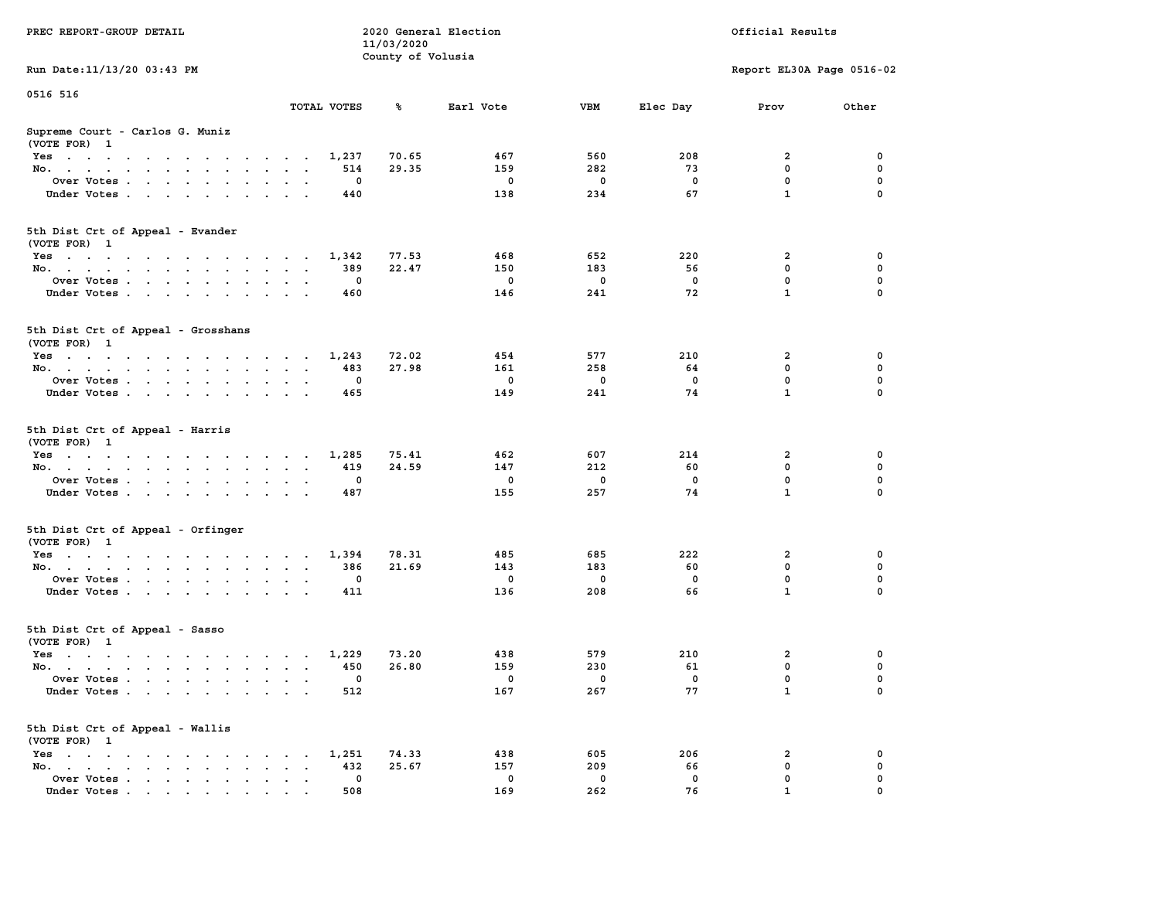| PREC REPORT-GROUP DETAIL                                    | 2020 General Election<br>11/03/2020 |                   |             |             |             | Official Results          |             |
|-------------------------------------------------------------|-------------------------------------|-------------------|-------------|-------------|-------------|---------------------------|-------------|
| Run Date: 11/13/20 03:43 PM                                 |                                     | County of Volusia |             |             |             | Report EL30A Page 0516-02 |             |
|                                                             |                                     |                   |             |             |             |                           |             |
| 0516 516                                                    | TOTAL VOTES                         | ℁                 | Earl Vote   | VBM         | Elec Day    | Prov                      | Other       |
| Supreme Court - Carlos G. Muniz<br>(VOTE FOR) 1             |                                     |                   |             |             |             |                           |             |
| Yes                                                         | 1,237                               | 70.65             | 467         | 560         | 208         | 2                         | 0           |
| No.                                                         | 514                                 | 29.35             | 159         | 282         | 73          | $\mathbf 0$               | 0           |
| Over Votes.                                                 | 0                                   |                   | 0           | $\mathbf 0$ | $\mathbf 0$ | 0                         | 0           |
| Under Votes                                                 | 440                                 |                   | 138         | 234         | 67          | $\mathbf{1}$              | $\Omega$    |
| 5th Dist Crt of Appeal - Evander<br>(VOTE FOR) 1            |                                     |                   |             |             |             |                           |             |
| Yes                                                         | 1,342                               | 77.53             | 468         | 652         | 220         | 2                         | 0           |
| No.                                                         | 389                                 | 22.47             | 150         | 183         | 56          | $\mathbf 0$               | 0           |
| Over Votes                                                  | 0                                   |                   | $\mathbf 0$ | 0           | 0           | 0                         | $\mathbf 0$ |
| Under Votes                                                 | 460                                 |                   | 146         | 241         | 72          | $\mathbf{1}$              | 0           |
| 5th Dist Crt of Appeal - Grosshans<br>(VOTE FOR) 1          |                                     |                   |             |             |             |                           |             |
| Yes                                                         | 1,243                               | 72.02             | 454         | 577         | 210         | 2                         | 0           |
| No.                                                         | 483                                 | 27.98             | 161         | 258         | 64          | 0                         | 0           |
| Over Votes                                                  | 0                                   |                   | $\mathbf 0$ | 0           | $^{\circ}$  | $\mathbf 0$               | 0           |
| Under Votes                                                 | 465                                 |                   | 149         | 241         | 74          | $\mathbf{1}$              | 0           |
| 5th Dist Crt of Appeal - Harris<br>(VOTE FOR) 1             |                                     |                   |             |             |             |                           |             |
| Yes                                                         | 1,285                               | 75.41             | 462         | 607         | 214         | 2                         | 0           |
| No.                                                         | 419                                 | 24.59             | 147         | 212         | 60          | $\mathbf 0$               | 0           |
| Over Votes                                                  | 0                                   |                   | $\mathbf 0$ | 0           | 0           | $\mathbf 0$               | 0           |
| Under Votes                                                 | 487                                 |                   | 155         | 257         | 74          | $\mathbf{1}$              | $\Omega$    |
| 5th Dist Crt of Appeal - Orfinger<br>(VOTE FOR) 1           |                                     |                   |             |             |             |                           |             |
| Yes                                                         | 1,394                               | 78.31             | 485         | 685         | 222         | 2                         | 0           |
| No.                                                         | 386                                 | 21.69             | 143         | 183         | 60          | $\mathbf 0$               | 0           |
| Over Votes                                                  | 0                                   |                   | $\mathbf 0$ | 0           | 0           | 0                         | 0           |
| Under Votes                                                 | 411                                 |                   | 136         | 208         | 66          | $\mathbf{1}$              | $\Omega$    |
| 5th Dist Crt of Appeal - Sasso<br>(VOTE FOR) 1              |                                     |                   |             |             |             |                           |             |
| Yes                                                         | 1,229                               | 73.20             | 438         | 579         | 210         | 2                         | 0           |
| No.                                                         | 450                                 | 26.80             | 159         | 230         | 61          | 0                         | 0           |
| Over Votes                                                  | 0                                   |                   | $^{\circ}$  | 0           | 0           | $\mathbf 0$               | 0           |
| Under Votes                                                 | 512                                 |                   | 167         | 267         | 77          | $\mathbf{1}$              | 0           |
| 5th Dist Crt of Appeal - Wallis<br>(VOTE FOR) 1             |                                     |                   |             |             |             |                           |             |
| $Yes \cdot \cdot \cdot \cdot \cdot \cdot \cdot \cdot \cdot$ | 1,251<br><b>Service</b> State       | 74.33             | 438         | 605         | 206         | 2                         | 0           |
| No.<br>$\ddot{\phantom{0}}$                                 | 432<br>$\bullet$                    | 25.67             | 157         | 209         | 66          | $\mathbf 0$               | 0           |
| Over Votes<br>Under Votes                                   | 0<br>508                            |                   | 0<br>169    | 0<br>262    | 0<br>76     | 0<br>1                    | 0           |
|                                                             |                                     |                   |             |             |             |                           |             |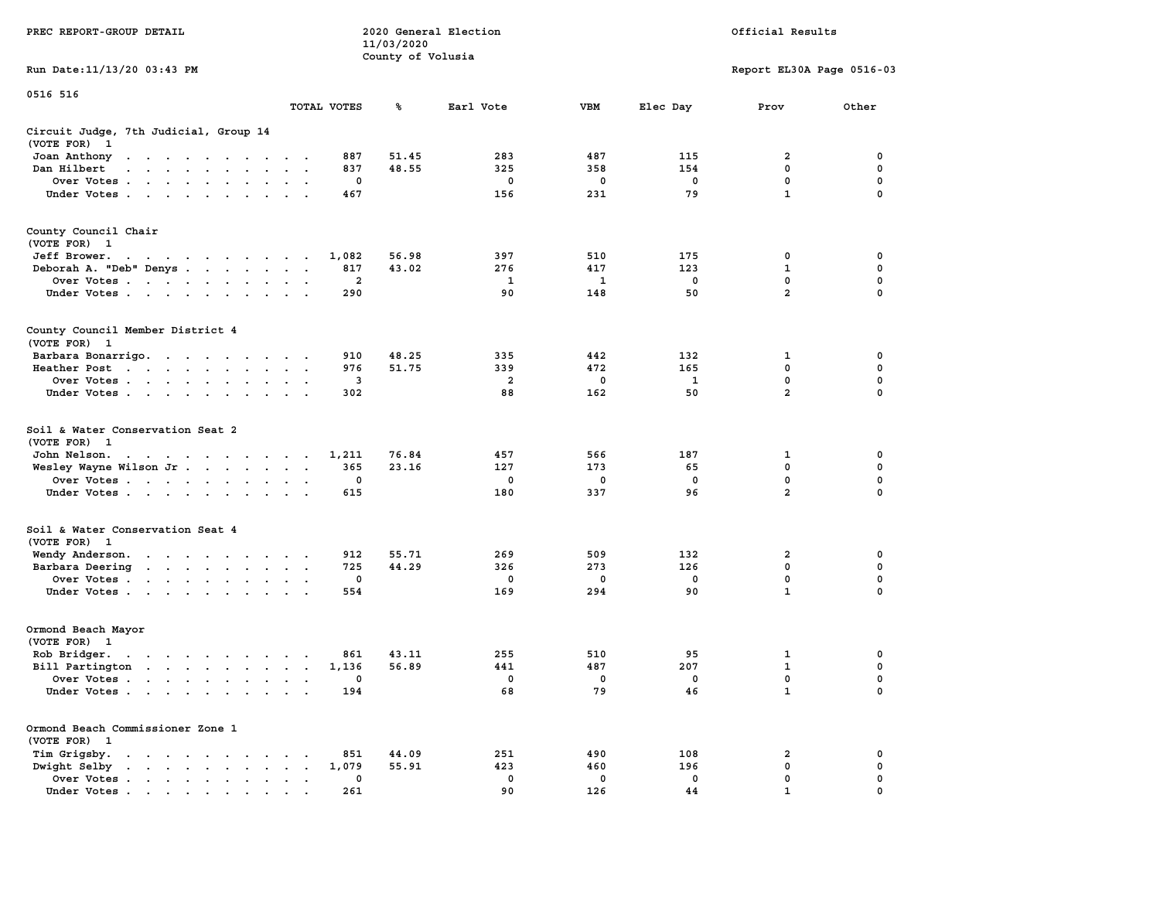|                                                                                                                                                                    |                                                                  | 11/03/2020        |             |             |             |                           |             |
|--------------------------------------------------------------------------------------------------------------------------------------------------------------------|------------------------------------------------------------------|-------------------|-------------|-------------|-------------|---------------------------|-------------|
|                                                                                                                                                                    |                                                                  | County of Volusia |             |             |             |                           |             |
| Run Date:11/13/20 03:43 PM                                                                                                                                         |                                                                  |                   |             |             |             | Report EL30A Page 0516-03 |             |
| 0516 516                                                                                                                                                           |                                                                  |                   |             |             |             |                           |             |
|                                                                                                                                                                    | TOTAL VOTES                                                      | ℁                 | Earl Vote   | <b>VBM</b>  | Elec Day    | Prov                      | Other       |
| Circuit Judge, 7th Judicial, Group 14                                                                                                                              |                                                                  |                   |             |             |             |                           |             |
| (VOTE FOR)<br>$\mathbf{1}$                                                                                                                                         |                                                                  |                   |             |             |             |                           |             |
| Joan Anthony<br>$\mathcal{A}=\mathcal{A}=\mathcal{A}=\mathcal{A}=\mathcal{A}=\mathcal{A}=\mathcal{A}$                                                              | 887                                                              | 51.45             | 283         | 487         | 115         | 2                         | 0           |
| Dan Hilbert<br>$\mathbf{u} = \mathbf{u} + \mathbf{u} + \mathbf{u} + \mathbf{u}$<br>$\sim$<br>$\sim$                                                                | 837<br>$\sim$<br>$\overline{a}$                                  | 48.55             | 325         | 358         | 154         | 0                         | 0           |
| Over Votes.<br>$\mathcal{A}=\mathcal{A}=\mathcal{A}=\mathcal{A}=\mathcal{A}$ .<br>$\ddot{\phantom{a}}$                                                             | $\mathbf 0$<br>$\cdot$<br>$\cdot$                                |                   | $\mathbf 0$ | $\mathbf 0$ | $\mathbf 0$ | $\mathbf 0$               | $\mathbf 0$ |
| Under Votes<br>$\sim$                                                                                                                                              | 467<br>$\ddot{\phantom{a}}$<br>$\cdot$                           |                   | 156         | 231         | 79          | $\mathbf{1}$              | $\mathbf 0$ |
| County Council Chair                                                                                                                                               |                                                                  |                   |             |             |             |                           |             |
| (VOTE FOR)<br>$\mathbf{1}$                                                                                                                                         |                                                                  |                   |             |             |             |                           |             |
| Jeff Brower.<br>design and a series of the con-                                                                                                                    | 1,082                                                            | 56.98             | 397         | 510         | 175         | 0                         | 0           |
| Deborah A. "Deb" Denys                                                                                                                                             | 817<br>$\overline{\phantom{a}}$<br>$\bullet$<br>$\sim$           | 43.02             | 276         | 417         | 123         | 1                         | 0           |
| Over Votes<br>$\sim$<br>$\bullet$<br>$\ddot{\phantom{1}}$<br>$\ddot{\phantom{a}}$                                                                                  | $\mathbf{2}$<br>$\bullet$                                        |                   | 1           | 1           | 0           | 0                         | 0           |
| Under Votes<br>$\ddot{\phantom{a}}$                                                                                                                                | 290                                                              |                   | 90          | 148         | 50          | $\overline{a}$            | $\mathbf 0$ |
|                                                                                                                                                                    |                                                                  |                   |             |             |             |                           |             |
| County Council Member District 4<br>(VOTE FOR) 1                                                                                                                   |                                                                  |                   |             |             |             |                           |             |
| Barbara Bonarrigo.                                                                                                                                                 | 910                                                              | 48.25             | 335         | 442         | 132         | 1                         | 0           |
| $\sim$ 100 $\pm$<br>$\sim$ $\sim$ $\sim$ $\sim$ $\sim$<br>$\sim$<br>Heather Post<br>$\sim 100$ $\sim$<br>$\sim 10^{-1}$ and $\sim 10^{-1}$<br>$\ddot{\phantom{a}}$ | $\ddot{\phantom{a}}$<br>976<br>$\bullet$<br>$\bullet$            | 51.75             | 339         | 472         | 165         | $\mathbf 0$               | 0           |
| $\bullet$ .<br><br><br>$\bullet$ .<br>Over Votes                                                                                                                   | $\blacksquare$<br>3<br>$\cdot$                                   |                   | 2           | 0           | 1           | 0                         | 0           |
| $\ddot{\phantom{0}}$                                                                                                                                               | $\bullet$<br>302                                                 |                   | 88          | 162         | 50          | $\overline{\mathbf{2}}$   | $\mathbf 0$ |
| Under Votes<br>$\ddot{\phantom{a}}$<br>$\sim$<br>$\bullet$                                                                                                         |                                                                  |                   |             |             |             |                           |             |
| Soil & Water Conservation Seat 2<br>(VOTE FOR)<br>- 1                                                                                                              |                                                                  |                   |             |             |             |                           |             |
| John Nelson.<br>$\mathcal{A}=\mathcal{A}=\mathcal{A}=\mathcal{A}=\mathcal{A}=\mathcal{A}=\mathcal{A}=\mathcal{A}=\mathcal{A}$                                      | 1,211                                                            | 76.84             | 457         | 566         | 187         | 1                         | 0           |
| Wesley Wayne Wilson Jr<br>$\sim$                                                                                                                                   | 365<br>$\bullet$<br>$\bullet$<br>$\ddot{\phantom{1}}$            | 23.16             | 127         | 173         | 65          | 0                         | 0           |
| Over Votes                                                                                                                                                         | 0<br>$\cdot$<br>$\cdot$                                          |                   | 0           | 0           | $\mathbf 0$ | 0                         | $\mathbf 0$ |
| Under Votes<br>$\sim$<br>$\cdot$                                                                                                                                   | 615                                                              |                   | 180         | 337         | 96          | $\overline{a}$            | 0           |
| Soil & Water Conservation Seat 4                                                                                                                                   |                                                                  |                   |             |             |             |                           |             |
| (VOTE FOR) 1                                                                                                                                                       |                                                                  |                   |             |             |             |                           |             |
| Wendy Anderson.<br>the contract of the contract of the                                                                                                             | 912<br>$\cdot$                                                   | 55.71             | 269         | 509         | 132         | $\overline{\mathbf{2}}$   | 0           |
| Barbara Deering<br>$\ddot{\phantom{0}}$                                                                                                                            | 725<br>$\bullet$<br>$\bullet$<br>$\ddot{\phantom{1}}$            | 44.29             | 326         | 273         | 126         | 0                         | $\mathbf 0$ |
| Over Votes<br>$\ddot{\phantom{a}}$                                                                                                                                 | $\mathbf 0$<br>$\bullet$<br>$\bullet$                            |                   | 0           | 0           | $\mathbf 0$ | 0                         | 0           |
| Under Votes<br>$\ddot{\phantom{a}}$                                                                                                                                | 554<br>$\cdot$<br>$\cdot$                                        |                   | 169         | 294         | 90          | $\mathbf{1}$              | 0           |
| Ormond Beach Mayor                                                                                                                                                 |                                                                  |                   |             |             |             |                           |             |
| (VOTE FOR)<br>$\mathbf{1}$                                                                                                                                         |                                                                  |                   |             |             |             |                           |             |
| Rob Bridger.<br>$\bullet$ . $\bullet$ . $\bullet$ . $\bullet$ . $\bullet$<br>$\cdot$<br>$\bullet$                                                                  | 861<br>$\cdot$                                                   | 43.11             | 255         | 510         | 95          | 1                         | 0           |
| Bill Partington<br>the contract of the contract of<br>$\ddot{\phantom{1}}$                                                                                         | 1,136<br>$\ddot{\phantom{a}}$<br>$\cdot$<br>$\ddot{\phantom{a}}$ | 56.89             | 441         | 487         | 207         | 1                         | $\mathbf 0$ |
| Over Votes.<br>$\sim$<br>$\ddot{\phantom{a}}$<br>$\sim$ $\sim$<br>$\ddot{\phantom{a}}$<br>$\ddot{\phantom{a}}$                                                     | 0<br>$\cdot$<br>$\ddot{\phantom{a}}$<br>$\cdot$                  |                   | 0           | 0           | $\mathbf 0$ | $\mathbf 0$               | $\mathbf 0$ |
| Under Votes<br>$\ddot{\phantom{a}}$                                                                                                                                | 194<br>$\ddot{\phantom{a}}$<br>$\ddot{\phantom{a}}$              |                   | 68          | 79          | 46          | $\mathbf{1}$              | $\mathbf 0$ |
| Ormond Beach Commissioner Zone 1                                                                                                                                   |                                                                  |                   |             |             |             |                           |             |
| (VOTE FOR) 1                                                                                                                                                       |                                                                  |                   |             |             |             |                           |             |
| Tim Grigsby.<br>$\ddot{\phantom{a}}$<br>$\ddot{\phantom{a}}$<br>$\ddot{\phantom{a}}$<br>$\ddot{\phantom{a}}$<br>$\ddot{\phantom{a}}$<br>$\blacksquare$             | 851<br>$\bullet$                                                 | 44.09             | 251         | 490         | 108         | 2                         | 0           |
| Dwight Selby<br><b>Contract Contract Contract</b><br>$\mathbf{r} = \mathbf{r}$<br>$\bullet$<br>$\bullet$                                                           | 1,079<br>$\bullet$<br>$\blacksquare$ .<br>$\bullet$              | 55.91             | 423         | 460         | 196         | $\mathbf 0$               | 0           |
| Over Votes<br>$\bullet$                                                                                                                                            | 0<br>$\,$ .<br>$\bullet$<br>$\cdot$                              |                   | 0           | 0           | 0           | 0                         | $\mathbf 0$ |
| Under Votes                                                                                                                                                        | 261                                                              |                   | 90          | 126         | 44          | $\mathbf{1}$              | $\mathbf 0$ |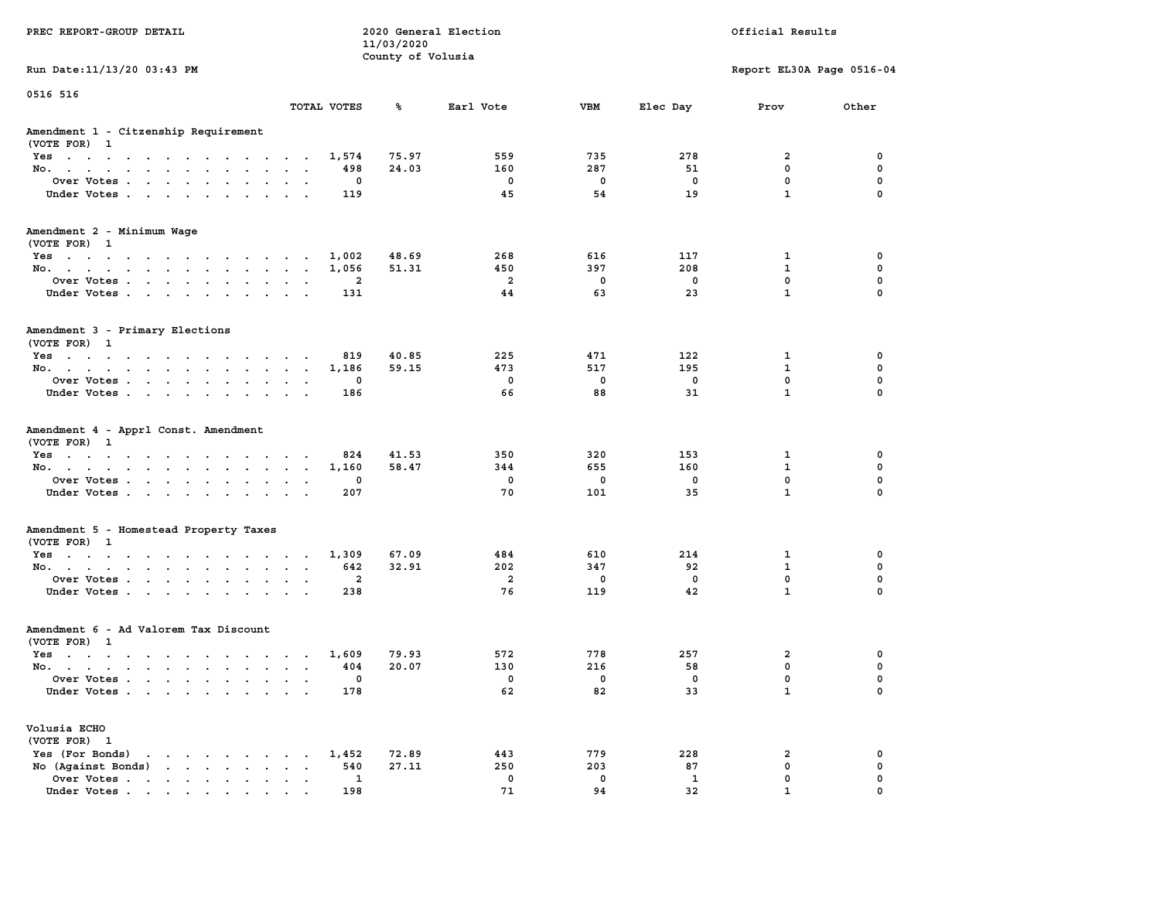|                                                                                                                                |                                                          | 11/03/2020        |                         |             |             |                           |             |
|--------------------------------------------------------------------------------------------------------------------------------|----------------------------------------------------------|-------------------|-------------------------|-------------|-------------|---------------------------|-------------|
|                                                                                                                                |                                                          | County of Volusia |                         |             |             |                           |             |
| Run Date: 11/13/20 03:43 PM                                                                                                    |                                                          |                   |                         |             |             | Report EL30A Page 0516-04 |             |
| 0516 516                                                                                                                       |                                                          |                   |                         |             |             |                           |             |
|                                                                                                                                | TOTAL VOTES                                              | ℁                 | Earl Vote               | <b>VBM</b>  | Elec Day    | Prov                      | Other       |
| Amendment 1 - Citzenship Requirement<br>(VOTE FOR) 1                                                                           |                                                          |                   |                         |             |             |                           |             |
| Yes                                                                                                                            | 1,574                                                    | 75.97             | 559                     | 735         | 278         | 2                         | 0           |
| No.<br>$\sim$ $\sim$ $\sim$<br>$\sim$<br>$\sim$                                                                                | 498                                                      | 24.03             | 160                     | 287         | 51          | 0                         | 0           |
| Over Votes                                                                                                                     | 0<br>$\ddot{\phantom{a}}$                                |                   | 0                       | $\mathbf 0$ | $\mathbf 0$ | $\mathbf 0$               | $\mathbf 0$ |
| Under Votes<br>$\mathcal{A}^{\mathcal{A}}$ and $\mathcal{A}^{\mathcal{A}}$                                                     | 119<br>$\sim$<br>$\overline{\phantom{a}}$                |                   | 45                      | 54          | 19          | $\mathbf{1}$              | $\Omega$    |
| Amendment 2 - Minimum Wage<br>(VOTE FOR) 1                                                                                     |                                                          |                   |                         |             |             |                           |             |
| Yes                                                                                                                            | 1,002                                                    | 48.69             | 268                     | 616         | 117         | 1                         | $\mathbf 0$ |
| No.                                                                                                                            | 1,056                                                    | 51.31             | 450                     | 397         | 208         | $\mathbf{1}$              | $\mathbf 0$ |
| Over Votes<br>$\sim$ $\sim$                                                                                                    | $\overline{2}$<br>$\blacksquare$<br>$\ddot{\phantom{a}}$ |                   | $\overline{a}$          | $\mathbf 0$ | $\mathbf 0$ | $\mathbf 0$               | $\mathbf 0$ |
| Under Votes<br>$\sim$ $\sim$                                                                                                   | 131<br>$\cdot$ $\cdot$                                   |                   | 44                      | 63          | 23          | $\mathbf{1}$              | $\Omega$    |
| Amendment 3 - Primary Elections<br>(VOTE FOR) 1                                                                                |                                                          |                   |                         |             |             |                           |             |
| Yes                                                                                                                            | 819<br>$\cdot$                                           | 40.85             | 225                     | 471         | 122         | 1                         | 0           |
| No.                                                                                                                            | 1,186<br>$\cdot$ $\cdot$ $\cdot$ $\cdot$                 | 59.15             | 473                     | 517         | 195         | $\mathbf 1$               | 0           |
| Over Votes<br>$\ddot{\phantom{a}}$<br>$\cdot$<br>$\cdot$                                                                       | 0                                                        |                   | $\mathbf 0$             | $\mathbf 0$ | 0           | 0                         | $\mathbf 0$ |
| Under Votes<br>$\sim$ $\sim$                                                                                                   | 186<br>$\sim$                                            |                   | 66                      | 88          | 31          | $\mathbf{1}$              | $\Omega$    |
|                                                                                                                                |                                                          |                   |                         |             |             |                           |             |
| Amendment 4 - Apprl Const. Amendment<br>(VOTE FOR) 1                                                                           |                                                          |                   |                         |             |             |                           |             |
| Yes<br>$\mathcal{A}=\mathcal{A}=\mathcal{A}=\mathcal{A}=\mathcal{A}=\mathcal{A}=\mathcal{A}$<br>$\sim$ $\sim$                  | 824<br>$\sim$ $\sim$<br>$\bullet$                        | 41.53             | 350                     | 320         | 153         | 1                         | 0           |
| No.<br>$\ddot{\phantom{0}}$<br>$\bullet$<br>$\bullet$                                                                          | 1,160<br>$\sim$<br>$\bullet$                             | 58.47             | 344                     | 655         | 160         | 1                         | 0           |
| Over Votes                                                                                                                     | 0<br>$\sim$ $\sim$<br>$\sim$                             |                   | 0                       | $\mathbf 0$ | 0           | $\mathbf 0$               | $\mathbf 0$ |
| Under Votes<br>$\sim$ $\sim$                                                                                                   | 207<br>$\sim$<br>$\sim$                                  |                   | 70                      | 101         | 35          | $\mathbf{1}$              | $\mathbf 0$ |
| Amendment 5 - Homestead Property Taxes<br>(VOTE FOR) 1                                                                         |                                                          |                   |                         |             |             |                           |             |
| Yes                                                                                                                            | 1,309                                                    | 67.09             | 484                     | 610         | 214         | $\mathbf{1}$              | 0           |
| No.<br>$\sim$<br>$\bullet$<br>$\cdot$                                                                                          | 642<br>$\ddot{\phantom{a}}$<br>$\ddot{\phantom{a}}$      | 32.91             | 202                     | 347         | 92          | $\mathbf{1}$              | $\mathbf 0$ |
| Over Votes<br>$\ddot{\phantom{0}}$<br>$\bullet$<br>$\bullet$                                                                   | $\overline{a}$<br>$\bullet$                              |                   | $\overline{\mathbf{2}}$ | $\mathbf 0$ | $\Omega$    | $\mathbf{0}$              | $\mathbf 0$ |
| Under Votes<br>$\ddot{\phantom{0}}$<br>$\ddot{\phantom{a}}$<br>$\ddot{\phantom{a}}$                                            | 238<br>$\ddot{\phantom{a}}$                              |                   | 76                      | 119         | 42          | $\mathbf{1}$              | $\Omega$    |
| Amendment 6 - Ad Valorem Tax Discount<br>(VOTE FOR) 1                                                                          |                                                          |                   |                         |             |             |                           |             |
| Yes                                                                                                                            | 1,609                                                    | 79.93             | 572                     | 778         | 257         | $\mathbf{2}$              | 0           |
| No.                                                                                                                            | 404<br>$\cdot$ $\cdot$ $\cdot$ $\cdot$                   | 20.07             | 130                     | 216         | 58          | 0                         | 0           |
| Over Votes<br>$\ddot{\phantom{0}}$<br>$\ddot{\phantom{a}}$<br>$\cdot$                                                          | 0<br>$\ddot{\phantom{a}}$<br>$\ddot{\phantom{a}}$        |                   | 0                       | $\mathbf 0$ | 0           | $\mathbf 0$               | $\mathbf 0$ |
| Under Votes                                                                                                                    | 178                                                      |                   | 62                      | 82          | 33          | $\mathbf{1}$              | 0           |
| Volusia ECHO<br>(VOTE FOR) 1                                                                                                   |                                                          |                   |                         |             |             |                           |             |
| Yes (For Bonds)<br>the contract of the contract of the con-                                                                    | 1,452                                                    | 72.89             | 443                     | 779         | 228         | 2                         | 0           |
| No (Against Bonds)<br>$\bullet$ . $\bullet$ .                                                                                  | 540<br>$\sim$ $\sim$                                     | 27.11             | 250                     | 203         | 87          | 0                         | $\mathbf 0$ |
| Over Votes<br>$\sim$<br>$\bullet$<br>$\bullet$                                                                                 | 1<br>$\bullet$<br>$\blacksquare$                         |                   | 0                       | 0           | 1           | $\mathbf 0$               | $\mathbf 0$ |
| Under Votes<br>the contract of the contract of the contract of the contract of the contract of the contract of the contract of | 198                                                      |                   | 71                      | 94          | 32          | $\mathbf{1}$              | $\mathbf 0$ |

**PREC REPORT-GROUP DETAIL COMPUTER CONSUMING A LOCAL PREC** REPORT-GROUP DETAIL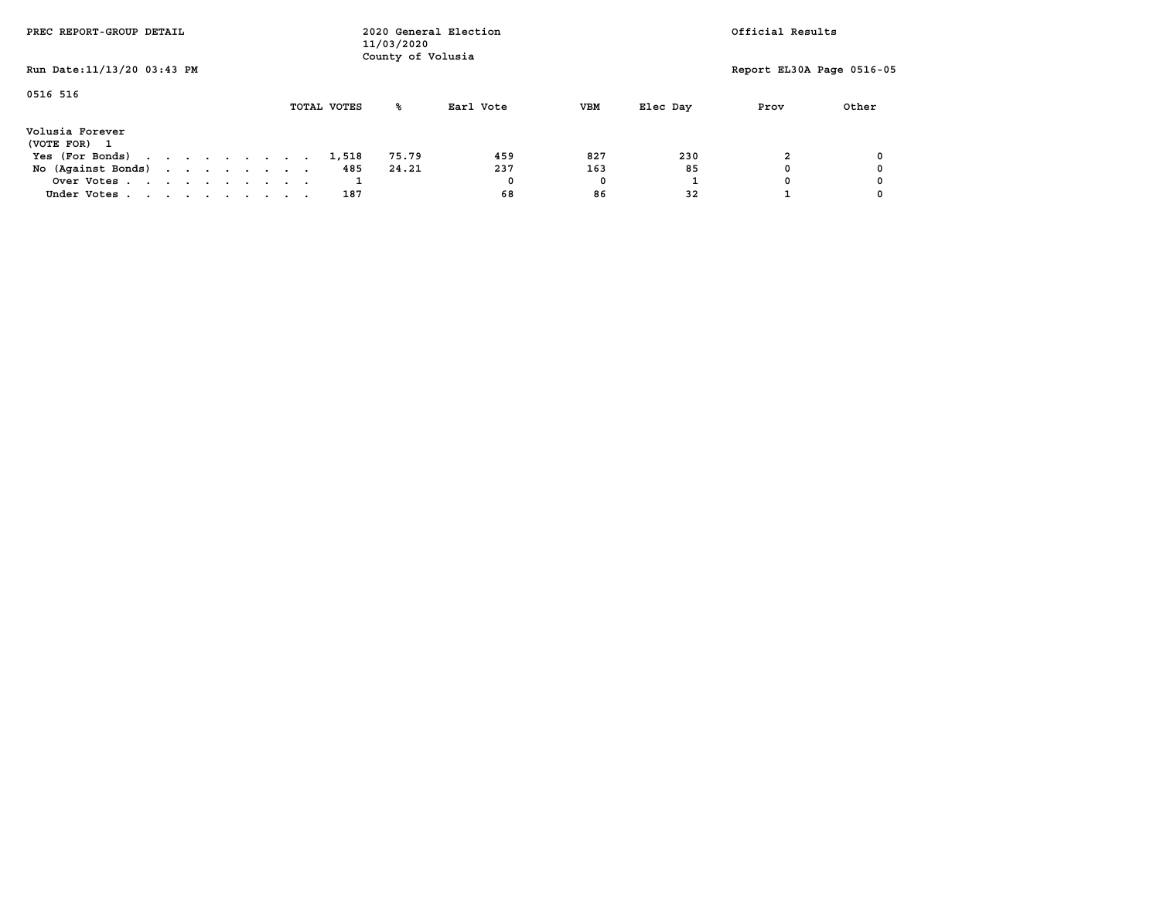| PREC REPORT-GROUP DETAIL        |  |  |  |             | 11/03/2020<br>County of Volusia | 2020 General Election |            |          | Official Results          |       |
|---------------------------------|--|--|--|-------------|---------------------------------|-----------------------|------------|----------|---------------------------|-------|
| Run Date: 11/13/20 03:43 PM     |  |  |  |             |                                 |                       |            |          | Report EL30A Page 0516-05 |       |
| 0516 516                        |  |  |  | TOTAL VOTES | ℁                               | Earl Vote             | <b>VBM</b> | Elec Day | Prov                      | Other |
| Volusia Forever<br>(VOTE FOR) 1 |  |  |  |             |                                 |                       |            |          |                           |       |
| Yes (For Bonds)                 |  |  |  | 1,518       | 75.79                           | 459                   | 827        | 230      |                           |       |
| No (Against Bonds)              |  |  |  | 485         | 24.21                           | 237                   | 163        | 85       |                           |       |
| Over Votes                      |  |  |  |             |                                 | 0                     | 0          |          |                           |       |
| Under Votes                     |  |  |  | 187         |                                 | 68                    | 86         | 32       |                           |       |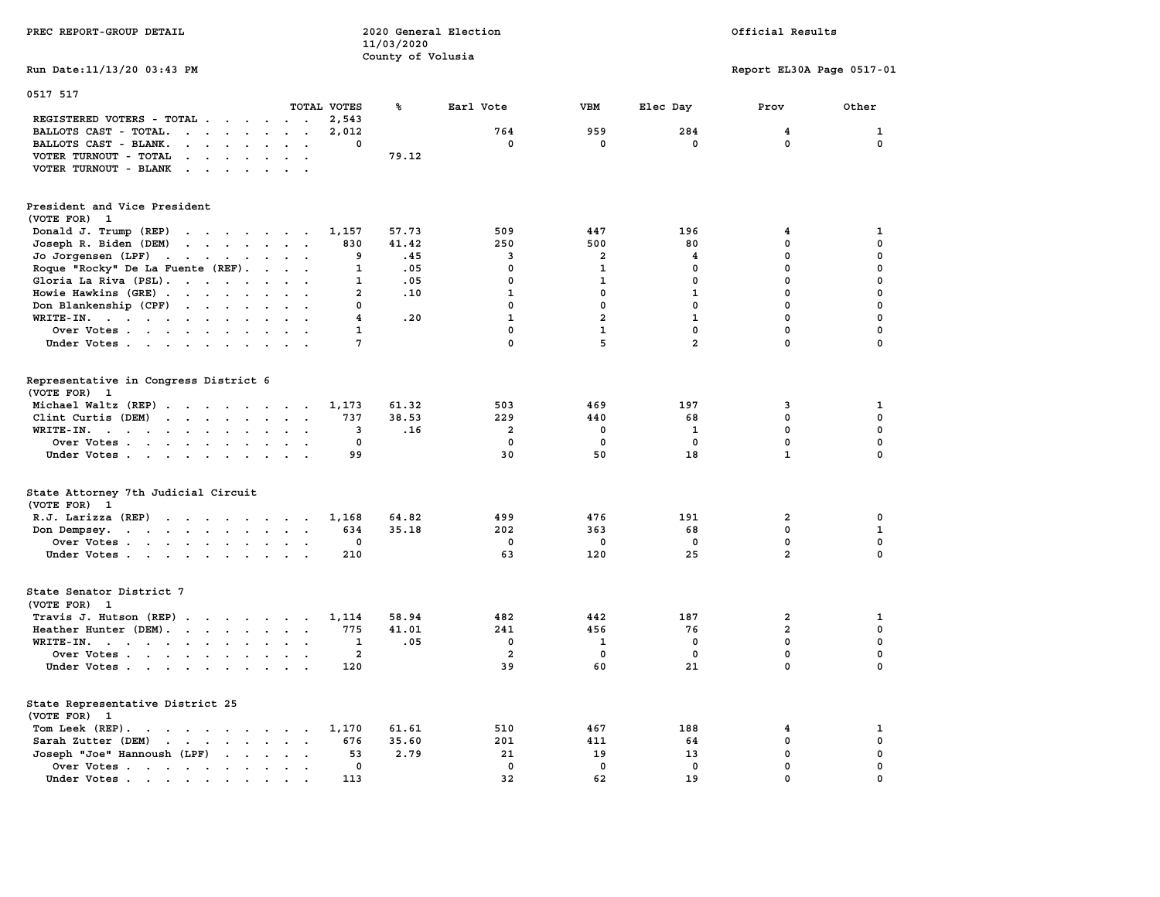| PREC REPORT-GROUP DETAIL                                                                                                                                                                                                                                   | 11/03/2020              | 2020 General Election                     |                              |                             | Official Results          |             |
|------------------------------------------------------------------------------------------------------------------------------------------------------------------------------------------------------------------------------------------------------------|-------------------------|-------------------------------------------|------------------------------|-----------------------------|---------------------------|-------------|
| Run Date: 11/13/20 03:43 PM                                                                                                                                                                                                                                |                         | County of Volusia                         |                              |                             | Report EL30A Page 0517-01 |             |
| 0517 517<br>TOTAL VOTES                                                                                                                                                                                                                                    | ℁                       | Earl Vote                                 | VBM                          | Elec Day                    | Prov                      | Other       |
| REGISTERED VOTERS - TOTAL                                                                                                                                                                                                                                  | 2,543                   |                                           |                              |                             |                           |             |
| BALLOTS CAST - TOTAL.<br>$\mathbf{r}$ . The set of the set of the set of the set of the set of the set of the set of the set of the set of the set of the set of the set of the set of the set of the set of the set of the set of the set of the set of t | 2,012                   | 764                                       | 959                          | 284                         | 4                         | 1           |
| BALLOTS CAST - BLANK.<br>$\sim$<br>$\cdot$ $\cdot$ $\cdot$<br>$\ddot{\phantom{a}}$                                                                                                                                                                         | 0                       | 0                                         | 0                            | 0                           | 0                         | 0           |
| VOTER TURNOUT - TOTAL<br>$\cdots$                                                                                                                                                                                                                          | 79.12                   |                                           |                              |                             |                           |             |
| VOTER TURNOUT - BLANK<br>$\cdots$                                                                                                                                                                                                                          |                         |                                           |                              |                             |                           |             |
| President and Vice President                                                                                                                                                                                                                               |                         |                                           |                              |                             |                           |             |
| (VOTE FOR) 1                                                                                                                                                                                                                                               |                         |                                           |                              |                             |                           |             |
| Donald J. Trump (REP)<br>$\cdots$                                                                                                                                                                                                                          | 57.73<br>1,157          | 509                                       | 447                          | 196                         | 4                         | 1           |
| Joseph R. Biden (DEM)                                                                                                                                                                                                                                      | 41.42<br>830            | 250                                       | 500                          | 80                          | 0                         | $\mathbf 0$ |
| Jo Jorgensen $(LPF)$                                                                                                                                                                                                                                       | 9                       | .45<br>3                                  | 2                            | 4                           | $\mathbf 0$               | $\mathbf 0$ |
| Roque "Rocky" De La Fuente (REF).                                                                                                                                                                                                                          | 1                       | .05<br>$\mathbf 0$                        | 1                            | $\mathbf 0$                 | 0                         | $\mathbf 0$ |
|                                                                                                                                                                                                                                                            |                         |                                           |                              |                             | $\mathbf 0$               | $\mathbf 0$ |
| Gloria La Riva (PSL).<br>$\sim$                                                                                                                                                                                                                            | 1<br>$\overline{a}$     | .05<br>$\mathbf 0$<br>$\mathbf{1}$<br>.10 | $\mathbf{1}$<br>$\mathbf{0}$ | $\mathbf 0$<br>$\mathbf{1}$ | $\mathbf 0$               | $\mathbf 0$ |
| Howie Hawkins (GRE)                                                                                                                                                                                                                                        |                         |                                           |                              |                             |                           |             |
| Don Blankenship (CPF)<br>$\sim$                                                                                                                                                                                                                            | 0                       | $\mathbf 0$                               | $\mathbf 0$                  | $\mathbf 0$                 | $\mathbf 0$               | $\mathbf 0$ |
| WRITE-IN.                                                                                                                                                                                                                                                  | $\overline{\mathbf{4}}$ | $\mathbf{1}$<br>.20                       | $\overline{a}$               | $\mathbf{1}$                | $\mathbf 0$               | $\mathbf 0$ |
| Over Votes<br>$\ddot{\phantom{0}}$<br>$\ddot{\phantom{a}}$                                                                                                                                                                                                 | $\mathbf{1}$            | $\mathbf 0$                               | $\mathbf{1}$                 | $\mathbf{0}$                | $\mathbf 0$               | 0           |
| Under Votes                                                                                                                                                                                                                                                | 7                       | $\mathbf 0$                               | 5                            | $\overline{a}$              | $\mathbf 0$               | $\Omega$    |
| Representative in Congress District 6<br>(VOTE FOR) 1                                                                                                                                                                                                      |                         |                                           |                              |                             |                           |             |
| Michael Waltz (REP)                                                                                                                                                                                                                                        | 1,173<br>61.32          | 503                                       | 469                          | 197                         | 3                         | 1           |
| Clint Curtis $(DEM)$                                                                                                                                                                                                                                       | 737<br>38.53            | 229                                       | 440                          | 68                          | $\mathbf 0$               | $\mathbf 0$ |
| WRITE-IN.<br>$\sim$ $\sim$                                                                                                                                                                                                                                 | 3                       | .16<br>$\overline{\mathbf{2}}$            | 0                            | 1                           | $\mathbf 0$               | $\mathbf 0$ |
| Over Votes                                                                                                                                                                                                                                                 | 0                       | 0                                         | 0                            | 0                           | $\mathbf 0$               | $\mathbf 0$ |
| Under Votes                                                                                                                                                                                                                                                | 99                      | 30                                        | 50                           | 18                          | $\mathbf{1}$              | $\mathbf 0$ |
| State Attorney 7th Judicial Circuit                                                                                                                                                                                                                        |                         |                                           |                              |                             |                           |             |
| (VOTE FOR) 1                                                                                                                                                                                                                                               |                         |                                           |                              |                             |                           |             |
| R.J. Larizza (REP)                                                                                                                                                                                                                                         | 1,168<br>64.82          | 499                                       | 476                          | 191                         | 2                         | 0           |
| Don Dempsey.<br>the contract of the contract of the contract of the contract of the contract of<br>$\ddot{\phantom{0}}$<br>$\ddot{\phantom{a}}$                                                                                                            | 634<br>35.18            | 202                                       | 363                          | 68                          | 0                         | 1           |
| Over Votes                                                                                                                                                                                                                                                 | 0                       | 0                                         | 0                            | 0                           | 0                         | 0           |
| Under Votes                                                                                                                                                                                                                                                | 210                     | 63                                        | 120                          | 25                          | $\overline{a}$            | 0           |
| State Senator District 7<br>(VOTE FOR) 1                                                                                                                                                                                                                   |                         |                                           |                              |                             |                           |             |
| Travis J. Hutson (REP)                                                                                                                                                                                                                                     | 58.94<br>1,114          | 482                                       | 442                          | 187                         | $\overline{a}$            | 1           |
| Heather Hunter (DEM).                                                                                                                                                                                                                                      | 41.01<br>775            | 241                                       | 456                          | 76                          | $\overline{a}$            | $\mathbf 0$ |
| WRITE-IN.<br>$\sim$<br>$\overline{\phantom{a}}$                                                                                                                                                                                                            | $\mathbf{1}$            | .05<br>$\mathbf 0$                        | 1                            | 0                           | 0                         | $\mathbf 0$ |
| Over Votes                                                                                                                                                                                                                                                 | $\overline{a}$          | $\overline{\mathbf{2}}$                   | 0                            | 0                           | 0                         | 0           |
| Under Votes                                                                                                                                                                                                                                                | 120                     | 39                                        | 60                           | 21                          | $\mathbf 0$               | 0           |
| State Representative District 25<br>(VOTE FOR) 1                                                                                                                                                                                                           |                         |                                           |                              |                             |                           |             |
| Tom Leek (REP).<br>the contract of the contract of the contract of the contract of the contract of the contract of the contract of                                                                                                                         | 61.61<br>1,170          | 510                                       | 467                          | 188                         | 4                         | 1           |
| Sarah Zutter (DEM)<br>the contract of the contract of the contract of<br>$\sim$                                                                                                                                                                            | 676<br>35.60            | 201                                       | 411                          | 64                          | $\mathbf 0$               | $\mathbf 0$ |
| Joseph "Joe" Hannoush (LPF)<br>$\mathbf{z} = \mathbf{z} + \mathbf{z}$ .<br>$\ddot{\phantom{a}}$<br>$\blacksquare$ .                                                                                                                                        | 53                      | 2.79<br>21                                | 19                           | 13                          | $\mathbf 0$               | $\mathbf 0$ |
| Over Votes<br>$\ddot{\phantom{a}}$<br>$\sim$ $\sim$ $\sim$                                                                                                                                                                                                 | 0                       | $\mathbf 0$                               | $\mathbf 0$                  | $\mathbf 0$                 | 0                         | 0           |
| Under Votes<br>$\cdot$ .                                                                                                                                                                                                                                   | 113                     | 32                                        | 62                           | 19                          | $\mathbf 0$               | $\mathbf 0$ |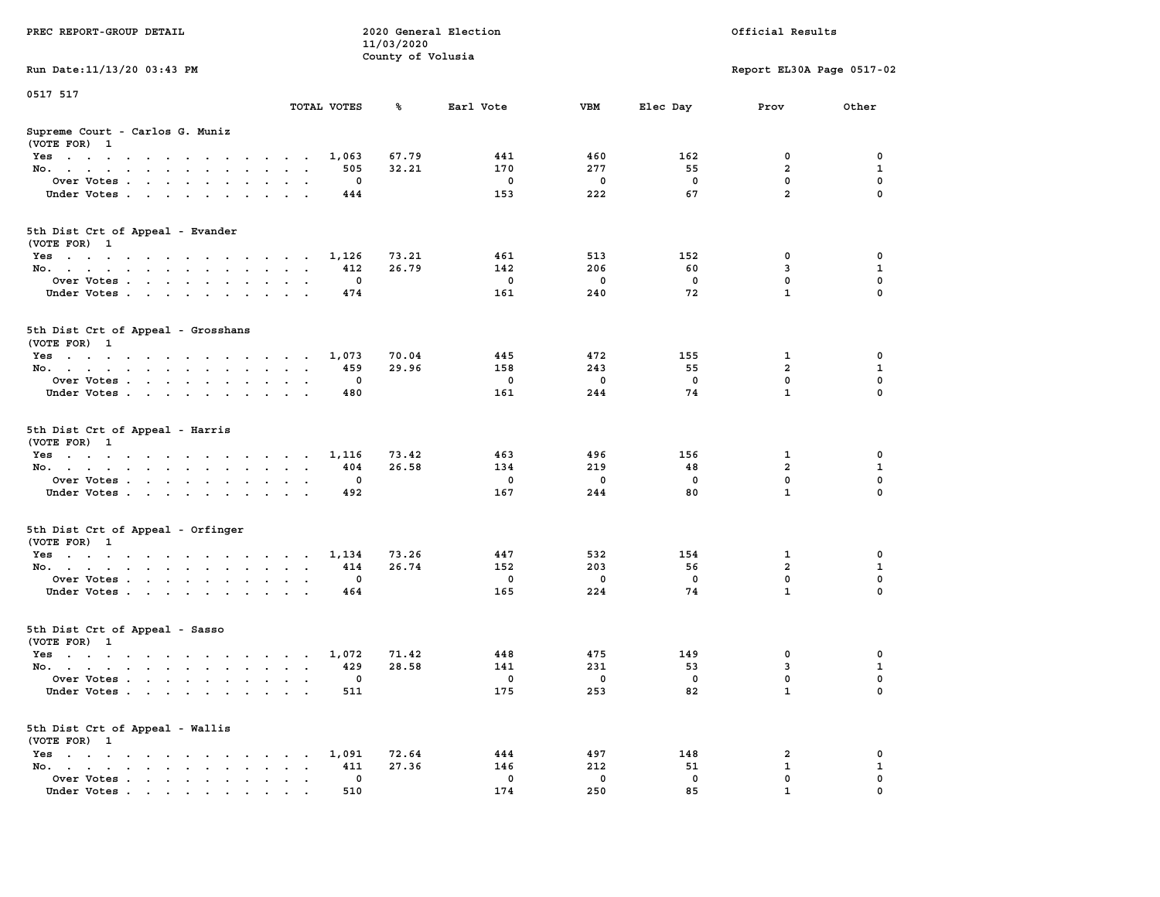| PREC REPORT-GROUP DETAIL                                                            |             | 11/03/2020        | 2020 General Election |                    |             | Official Results            |                         |
|-------------------------------------------------------------------------------------|-------------|-------------------|-----------------------|--------------------|-------------|-----------------------------|-------------------------|
| Run Date: 11/13/20 03:43 PM                                                         |             | County of Volusia |                       |                    |             | Report EL30A Page 0517-02   |                         |
|                                                                                     |             |                   |                       |                    |             |                             |                         |
| 0517 517                                                                            | TOTAL VOTES | ℁                 | Earl Vote             | VBM                | Elec Day    | Prov                        | Other                   |
| Supreme Court - Carlos G. Muniz<br>(VOTE FOR) 1                                     |             |                   |                       |                    |             |                             |                         |
| Yes                                                                                 | 1,063       | 67.79             | 441                   | 460                | 162         | 0                           | 0                       |
| No.                                                                                 | 505         | 32.21             | 170                   | 277                | 55          | $\overline{a}$              | 1                       |
| Over Votes.                                                                         | 0           |                   | 0                     | $\mathbf 0$        | $\mathbf 0$ | $\mathbf 0$                 | 0                       |
| Under Votes                                                                         | 444         |                   | 153                   | 222                | 67          | $\overline{a}$              | 0                       |
| 5th Dist Crt of Appeal - Evander<br>(VOTE FOR) 1                                    |             |                   |                       |                    |             |                             |                         |
| Yes                                                                                 | 1,126       | 73.21             | 461                   | 513                | 152         | 0                           | 0                       |
| No.                                                                                 | 412         | 26.79             | 142                   | 206                | 60          | 3                           | $\mathbf{1}$            |
| Over Votes                                                                          | 0           |                   | $\mathbf 0$           | $\mathbf 0$        | 0           | 0                           | $\mathbf 0$             |
| Under Votes                                                                         | 474         |                   | 161                   | 240                | 72          | $\mathbf{1}$                | 0                       |
| 5th Dist Crt of Appeal - Grosshans<br>(VOTE FOR) 1                                  |             |                   |                       |                    |             |                             |                         |
| $Yes \cdot \cdot \cdot \cdot \cdot \cdot \cdot \cdot \cdot \cdot \cdot \cdot \cdot$ | 1,073       | 70.04             | 445                   | 472                | 155         | 1                           | 0                       |
| No.                                                                                 | 459         | 29.96             | 158                   | 243                | 55          | 2                           | 1                       |
| Over Votes                                                                          | 0           |                   | $\mathbf 0$           | 0                  | $^{\circ}$  | 0                           | 0                       |
| Under Votes                                                                         | 480         |                   | 161                   | 244                | 74          | $\mathbf{1}$                | 0                       |
| 5th Dist Crt of Appeal - Harris<br>(VOTE FOR) 1                                     |             |                   |                       |                    |             |                             |                         |
| Yes                                                                                 | 1,116       | 73.42             | 463                   | 496                | 156         | 1                           | 0                       |
| No.                                                                                 | 404         | 26.58             | 134                   | 219                | 48          | $\overline{a}$              | $\mathbf{1}$            |
| Over Votes                                                                          | 0           |                   | $\mathbf 0$           | $\mathbf 0$        | 0           | $\mathbf 0$<br>$\mathbf{1}$ | $\mathbf 0$<br>$\Omega$ |
| Under Votes                                                                         | 492         |                   | 167                   | 244                | 80          |                             |                         |
| 5th Dist Crt of Appeal - Orfinger<br>(VOTE FOR) 1                                   |             |                   |                       |                    |             |                             |                         |
| Yes                                                                                 | 1,134       | 73.26             | 447                   | 532                | 154         | 1                           | 0                       |
| No.                                                                                 | 414         | 26.74             | 152                   | 203                | 56          | $\overline{a}$              | $\mathbf{1}$            |
| Over Votes<br>Under Votes                                                           | 0<br>464    |                   | $\mathbf 0$<br>165    | $\mathbf 0$<br>224 | 0<br>74     | 0<br>$\mathbf{1}$           | $\mathbf 0$<br>$\Omega$ |
|                                                                                     |             |                   |                       |                    |             |                             |                         |
| 5th Dist Crt of Appeal - Sasso<br>(VOTE FOR) 1                                      |             |                   |                       |                    |             |                             |                         |
| Yes                                                                                 | 1,072       | 71.42             | 448                   | 475                | 149         | 0                           | 0                       |
| No.                                                                                 | 429         | 28.58             | 141                   | 231                | 53          | 3                           | $\mathbf{1}$            |
| Over Votes<br>Under Votes                                                           | 0<br>511    |                   | $^{\circ}$<br>175     | 0<br>253           | 0<br>82     | $\mathbf 0$<br>$\mathbf{1}$ | 0<br>0                  |
|                                                                                     |             |                   |                       |                    |             |                             |                         |
| 5th Dist Crt of Appeal - Wallis<br>(VOTE FOR) 1                                     |             |                   |                       |                    |             |                             |                         |
| Yes                                                                                 | 1,091       | 72.64             | 444                   | 497                | 148         | 2                           | 0                       |
| No.<br>$\ddot{\phantom{a}}$<br>$\bullet$<br>Over Votes                              | 411<br>0    | 27.36             | 146<br>0              | 212<br>0           | 51<br>0     | 1<br>0                      | $\mathbf{1}$<br>0       |
| Under Votes                                                                         | 510         |                   | 174                   | 250                | 85          | $\mathbf{1}$                | $\Omega$                |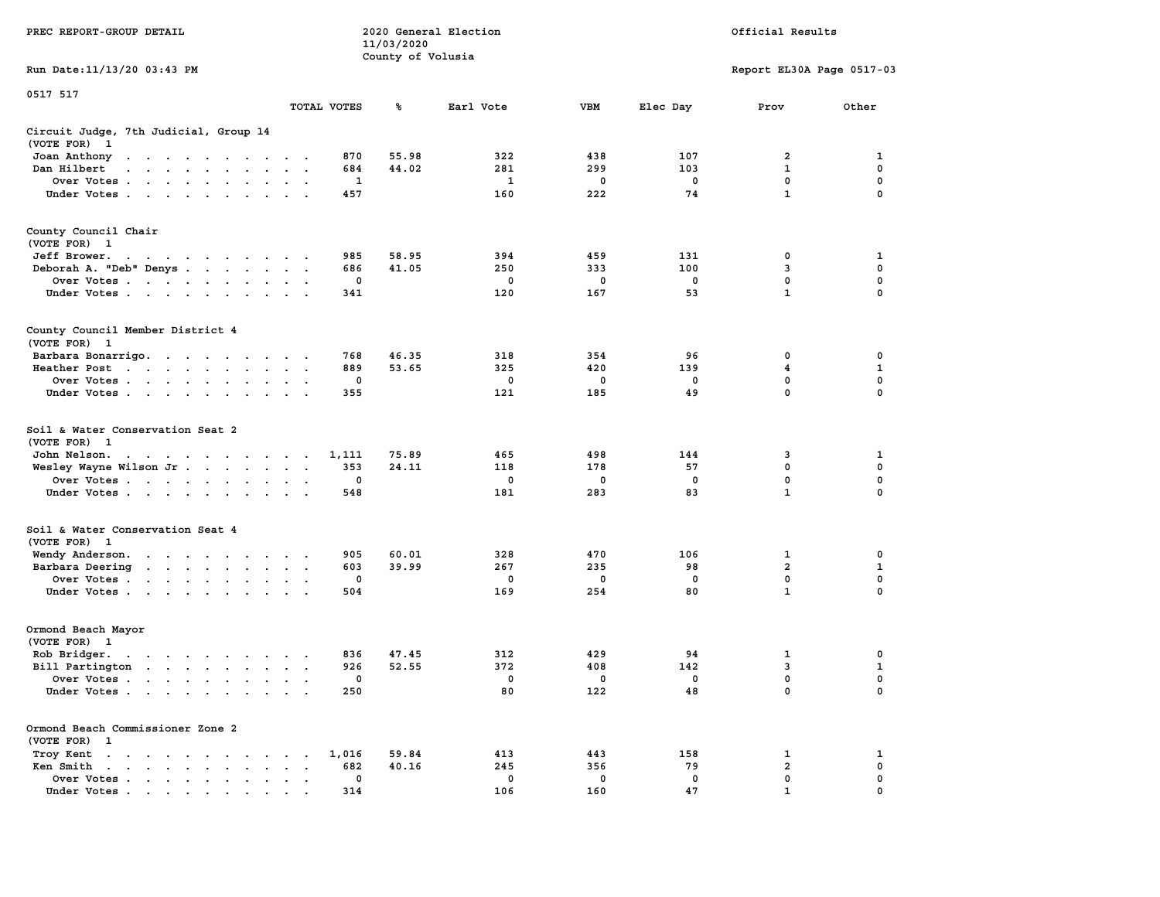| PREC REPORT-GROUP DETAIL                                                                                                                                                                                                                                |                      |                    | 11/03/2020        | 2020 General Election |          |                   | Official Results          |               |
|---------------------------------------------------------------------------------------------------------------------------------------------------------------------------------------------------------------------------------------------------------|----------------------|--------------------|-------------------|-----------------------|----------|-------------------|---------------------------|---------------|
| Run Date: 11/13/20 03:43 PM                                                                                                                                                                                                                             |                      |                    | County of Volusia |                       |          |                   | Report EL30A Page 0517-03 |               |
| 0517 517                                                                                                                                                                                                                                                |                      | TOTAL VOTES        |                   |                       | VBM      |                   |                           |               |
|                                                                                                                                                                                                                                                         |                      |                    | %                 | Earl Vote             |          | Elec Day          | Prov                      | Other         |
| Circuit Judge, 7th Judicial, Group 14<br>(VOTE FOR) 1                                                                                                                                                                                                   |                      |                    |                   |                       |          |                   |                           |               |
| Joan Anthony<br>the contract of the contract of the con-                                                                                                                                                                                                |                      | 870                | 55.98             | 322                   | 438      | 107               | 2                         | 1             |
| Dan Hilbert                                                                                                                                                                                                                                             | $\sim$               | 684                | 44.02             | 281                   | 299      | 103               | 1                         | 0             |
| Over Votes                                                                                                                                                                                                                                              |                      | 1                  |                   | 1                     | 0        | 0                 | $\mathbf 0$               | $\mathbf 0$   |
| Under Votes                                                                                                                                                                                                                                             |                      | 457                |                   | 160                   | 222      | 74                | $\mathbf{1}$              | 0             |
| County Council Chair<br>(VOTE FOR) 1                                                                                                                                                                                                                    |                      |                    |                   |                       |          |                   |                           |               |
| Jeff Brower.<br>the contract of the contract of the con-                                                                                                                                                                                                |                      | 985                | 58.95             | 394                   | 459      | 131               | 0                         | 1             |
| Deborah A. "Deb" Denys                                                                                                                                                                                                                                  | $\sim$ $\sim$        | 686                | 41.05             | 250                   | 333      | 100               | 3                         | 0             |
| Over Votes                                                                                                                                                                                                                                              |                      | 0                  |                   | 0                     | 0        | 0                 | 0                         | 0             |
| Under Votes                                                                                                                                                                                                                                             |                      | 341                |                   | 120                   | 167      | 53                | $\mathbf{1}$              | 0             |
| County Council Member District 4<br>(VOTE FOR) 1                                                                                                                                                                                                        |                      |                    |                   |                       |          |                   |                           |               |
| Barbara Bonarrigo.                                                                                                                                                                                                                                      |                      | 768                | 46.35             | 318                   | 354      | 96                | 0                         | 0             |
| Heather Post                                                                                                                                                                                                                                            | $\sim$ $\sim$        | 889                | 53.65             | 325                   | 420      | 139               | 4                         | 1             |
| Over Votes                                                                                                                                                                                                                                              |                      | 0                  |                   | 0                     | 0        | 0                 | $\mathbf 0$               | $\mathbf 0$   |
| Under Votes                                                                                                                                                                                                                                             |                      | 355                |                   | 121                   | 185      | 49                | 0                         | $\Omega$      |
| Soil & Water Conservation Seat 2<br>(VOTE FOR) 1                                                                                                                                                                                                        |                      |                    |                   |                       |          |                   |                           |               |
| John Nelson.<br>the contract of the contract of the con-                                                                                                                                                                                                |                      | 1,111              | 75.89             | 465                   | 498      | 144               | 3                         | 1             |
| Wesley Wayne Wilson Jr.                                                                                                                                                                                                                                 |                      | 353                | 24.11             | 118                   | 178      | 57                | 0                         | 0             |
| Over Votes                                                                                                                                                                                                                                              |                      | 0                  |                   | 0                     | 0        | 0                 | $\mathbf 0$               | 0             |
| Under Votes                                                                                                                                                                                                                                             |                      | 548                |                   | 181                   | 283      | 83                | $\mathbf{1}$              | 0             |
| Soil & Water Conservation Seat 4<br>(VOTE FOR) 1                                                                                                                                                                                                        |                      |                    |                   |                       |          |                   |                           |               |
| Wendy Anderson.<br>the contract of the contract of the                                                                                                                                                                                                  |                      | 905                | 60.01             | 328                   | 470      | 106               | 1                         | 0             |
| Barbara Deering                                                                                                                                                                                                                                         |                      | 603                | 39.99             | 267                   | 235      | 98                | $\overline{\mathbf{2}}$   | 1             |
| Over Votes                                                                                                                                                                                                                                              |                      | 0                  |                   | 0                     | 0        | 0                 | 0                         | 0             |
| Under Votes                                                                                                                                                                                                                                             |                      | 504                |                   | 169                   | 254      | 80                | $\mathbf{1}$              | 0             |
| Ormond Beach Mayor<br>(VOTE FOR) 1                                                                                                                                                                                                                      |                      |                    |                   |                       |          |                   |                           |               |
| Rob Bridger.<br>. The contract of the contract of the contract of the contract of the contract of the contract of the contract of the contract of the contract of the contract of the contract of the contract of the contract of the contrac<br>$\sim$ |                      | 836                | 47.45             | 312                   | 429      | 94                | 1                         | 0             |
| Bill Partington                                                                                                                                                                                                                                         | $\sim$ $\sim$ $\sim$ | 926                | 52.55             | 372                   | 408      | 142               | 3                         | 1             |
| Over Votes<br>the contract of the contract of the contract of the contract of the contract of the contract of the contract of                                                                                                                           |                      | 0                  |                   | $\mathbf 0$           | 0        | 0                 | 0                         | 0             |
| Under Votes                                                                                                                                                                                                                                             |                      | 250                |                   | 80                    | 122      | 48                | 0                         | 0             |
| Ormond Beach Commissioner Zone 2<br>(VOTE FOR) 1                                                                                                                                                                                                        |                      |                    |                   |                       |          |                   |                           |               |
| Troy Kent                                                                                                                                                                                                                                               | $\ddot{\phantom{a}}$ | 1,016              | 59.84             | 413                   | 443      | 158               | 1                         | 1             |
| Ken Smith                                                                                                                                                                                                                                               |                      | 682                | 40.16             | 245                   | 356      | 79                | 2                         | 0             |
| Over Votes<br>Under Votes                                                                                                                                                                                                                               |                      | $\mathbf 0$<br>314 |                   | $\mathbf 0$<br>106    | 0<br>160 | $\mathbf 0$<br>47 | 0<br>$\mathbf{1}$         | 0<br>$\Omega$ |
|                                                                                                                                                                                                                                                         |                      |                    |                   |                       |          |                   |                           |               |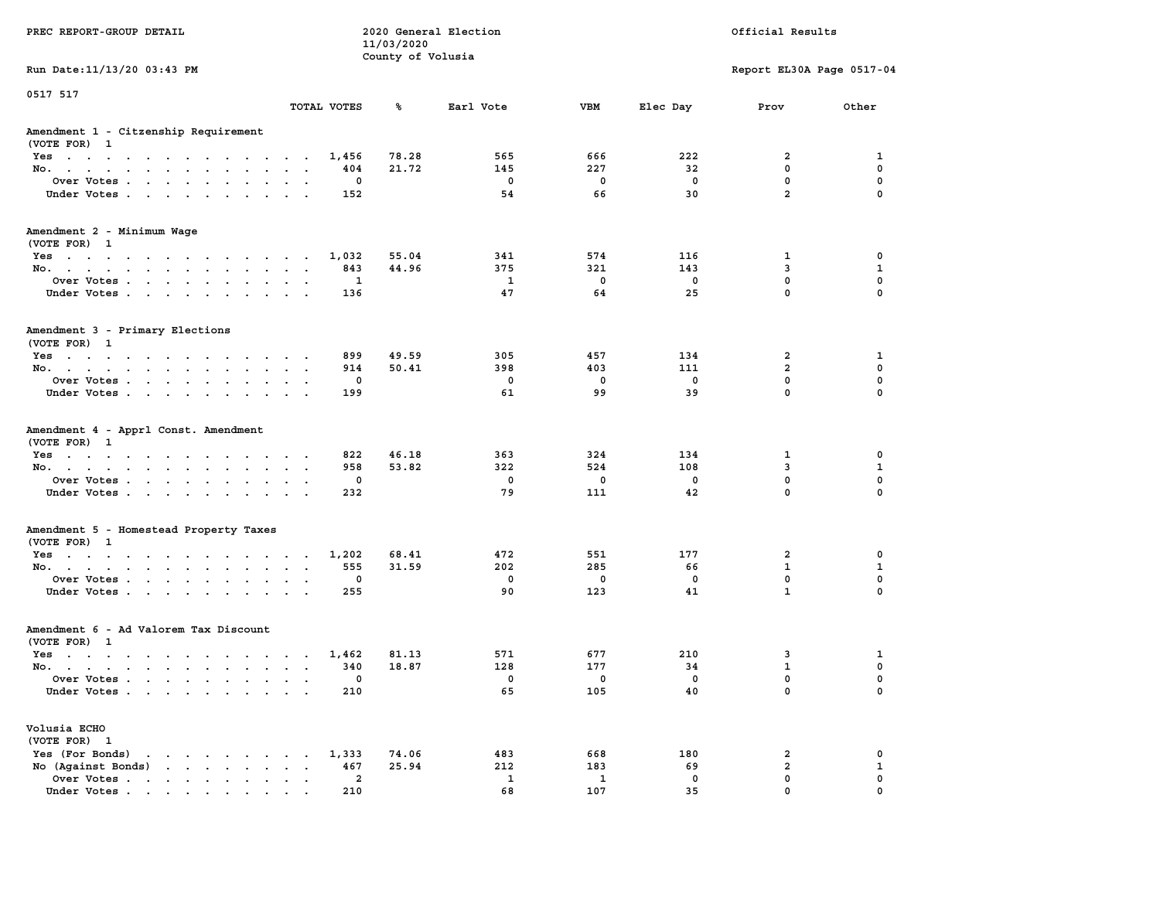| PREC REPORT-GROUP DETAIL                                                                                                                                                                                                                                                               |                                             | 11/03/2020        | 2020 General Election |                     |             | Official Results          |                   |
|----------------------------------------------------------------------------------------------------------------------------------------------------------------------------------------------------------------------------------------------------------------------------------------|---------------------------------------------|-------------------|-----------------------|---------------------|-------------|---------------------------|-------------------|
|                                                                                                                                                                                                                                                                                        |                                             | County of Volusia |                       |                     |             |                           |                   |
| Run Date: 11/13/20 03:43 PM                                                                                                                                                                                                                                                            |                                             |                   |                       |                     |             | Report EL30A Page 0517-04 |                   |
| 0517 517                                                                                                                                                                                                                                                                               |                                             |                   |                       |                     |             |                           |                   |
|                                                                                                                                                                                                                                                                                        | TOTAL VOTES                                 | ጜ                 | Earl Vote             | VBM                 | Elec Day    | Prov                      | Other             |
| Amendment 1 - Citzenship Requirement<br>(VOTE FOR) 1                                                                                                                                                                                                                                   |                                             |                   |                       |                     |             |                           |                   |
| Yes                                                                                                                                                                                                                                                                                    | 1,456                                       | 78.28             | 565                   | 666                 | 222         | 2                         | 1                 |
| No.                                                                                                                                                                                                                                                                                    | 404                                         | 21.72             | 145                   | 227                 | 32          | $\mathbf 0$               | 0                 |
| Over Votes.                                                                                                                                                                                                                                                                            | 0                                           |                   | 0                     | 0                   | 0           | $\mathbf 0$               | 0                 |
| Under Votes                                                                                                                                                                                                                                                                            | 152                                         |                   | 54                    | 66                  | 30          | $\overline{a}$            | $\mathbf 0$       |
| Amendment 2 - Minimum Wage                                                                                                                                                                                                                                                             |                                             |                   |                       |                     |             |                           |                   |
| (VOTE FOR) 1<br>Yes                                                                                                                                                                                                                                                                    | 1,032                                       | 55.04             | 341                   | 574                 | 116         | 1                         | 0                 |
| No.                                                                                                                                                                                                                                                                                    | 843                                         | 44.96             | 375                   | 321                 | 143         | 3                         | $\mathbf{1}$      |
| Over Votes                                                                                                                                                                                                                                                                             | 1                                           |                   | <b>1</b>              | $\mathbf 0$         | $\mathbf 0$ | $\mathbf 0$               | 0                 |
| Under Votes                                                                                                                                                                                                                                                                            | 136                                         |                   | 47                    | 64                  | 25          | $\mathbf{0}$              | $\mathbf 0$       |
| Amendment 3 - Primary Elections<br>(VOTE FOR) 1                                                                                                                                                                                                                                        |                                             |                   |                       |                     |             |                           |                   |
| Yes                                                                                                                                                                                                                                                                                    | 899                                         | 49.59             | 305                   | 457                 | 134         | 2                         | 1                 |
| No.                                                                                                                                                                                                                                                                                    | 914                                         | 50.41             | 398                   | 403                 | 111         | 2                         | 0                 |
| Over Votes                                                                                                                                                                                                                                                                             | 0                                           |                   | 0                     | 0                   | $\mathbf 0$ | $\mathbf{0}$              | $\mathbf 0$       |
| Under Votes                                                                                                                                                                                                                                                                            | 199                                         |                   | 61                    | 99                  | 39          | $\mathbf{0}$              | $\mathbf 0$       |
| Amendment 4 - Apprl Const. Amendment<br>(VOTE FOR) 1<br>Yes                                                                                                                                                                                                                            | 822                                         | 46.18             | 363                   | 324                 | 134         | 1                         | 0                 |
| No.                                                                                                                                                                                                                                                                                    | 958                                         | 53.82             | 322                   | 524                 | 108         | 3                         | $\mathbf 1$       |
| Over Votes                                                                                                                                                                                                                                                                             | 0                                           |                   | 0                     | 0                   | 0           | $\mathbf 0$               | $\mathbf 0$       |
| Under Votes                                                                                                                                                                                                                                                                            | 232                                         |                   | 79                    | 111                 | 42          | $\mathbf 0$               | $\mathbf 0$       |
| Amendment 5 - Homestead Property Taxes                                                                                                                                                                                                                                                 |                                             |                   |                       |                     |             |                           |                   |
| (VOTE FOR) 1                                                                                                                                                                                                                                                                           |                                             |                   |                       |                     |             |                           |                   |
| Yes                                                                                                                                                                                                                                                                                    | 1,202                                       | 68.41             | 472                   | 551                 | 177         | 2                         | 0                 |
| No.                                                                                                                                                                                                                                                                                    | 555                                         | 31.59             | 202                   | 285                 | 66          | $\mathbf{1}$              | 1                 |
| Over Votes                                                                                                                                                                                                                                                                             | 0                                           |                   | 0                     | 0                   | 0           | $\mathbf 0$               | 0                 |
| Under Votes                                                                                                                                                                                                                                                                            | 255                                         |                   | 90                    | 123                 | 41          | $\mathbf{1}$              | $\Omega$          |
| Amendment 6 - Ad Valorem Tax Discount<br>(VOTE FOR) 1                                                                                                                                                                                                                                  |                                             |                   |                       |                     |             |                           |                   |
| Yes                                                                                                                                                                                                                                                                                    | 1,462                                       | 81.13             | 571                   | 677                 | 210         | 3                         | 1                 |
| No.                                                                                                                                                                                                                                                                                    | 340                                         | 18.87             | 128                   | 177                 | 34          | $\mathbf{1}$              | 0                 |
| Over Votes                                                                                                                                                                                                                                                                             | 0                                           |                   | 0                     | 0                   | 0           | $\mathbf{0}$              | $\mathbf 0$       |
| Under Votes                                                                                                                                                                                                                                                                            | 210                                         |                   | 65                    | 105                 | 40          | 0                         | 0                 |
| Volusia ECHO                                                                                                                                                                                                                                                                           |                                             |                   |                       |                     |             |                           |                   |
| (VOTE FOR) 1                                                                                                                                                                                                                                                                           |                                             |                   |                       |                     |             |                           |                   |
| Yes (For Bonds)<br>$\mathbf{r}$ , $\mathbf{r}$ , $\mathbf{r}$ , $\mathbf{r}$ , $\mathbf{r}$                                                                                                                                                                                            | 1,333                                       | 74.06<br>25.94    | 483                   | 668                 | 180         | 2<br>$\overline{2}$       | 0                 |
| $\mathbf{r}$ . The set of the set of the set of the set of the set of the set of the set of the set of the set of the set of the set of the set of the set of the set of the set of the set of the set of the set of the set of t<br>No (Against Bonds)<br>Over Votes.<br>$\mathbf{r}$ | 467<br>$\ddot{\phantom{a}}$<br>$\cdot$<br>2 |                   | 212<br>1              | 183<br>$\mathbf{1}$ | 69<br>0     | $\mathbf 0$               | $\mathbf{1}$<br>0 |
| Under Votes                                                                                                                                                                                                                                                                            | 210                                         |                   | 68                    | 107                 | 35          | $\mathbf 0$               | $\mathbf 0$       |
|                                                                                                                                                                                                                                                                                        |                                             |                   |                       |                     |             |                           |                   |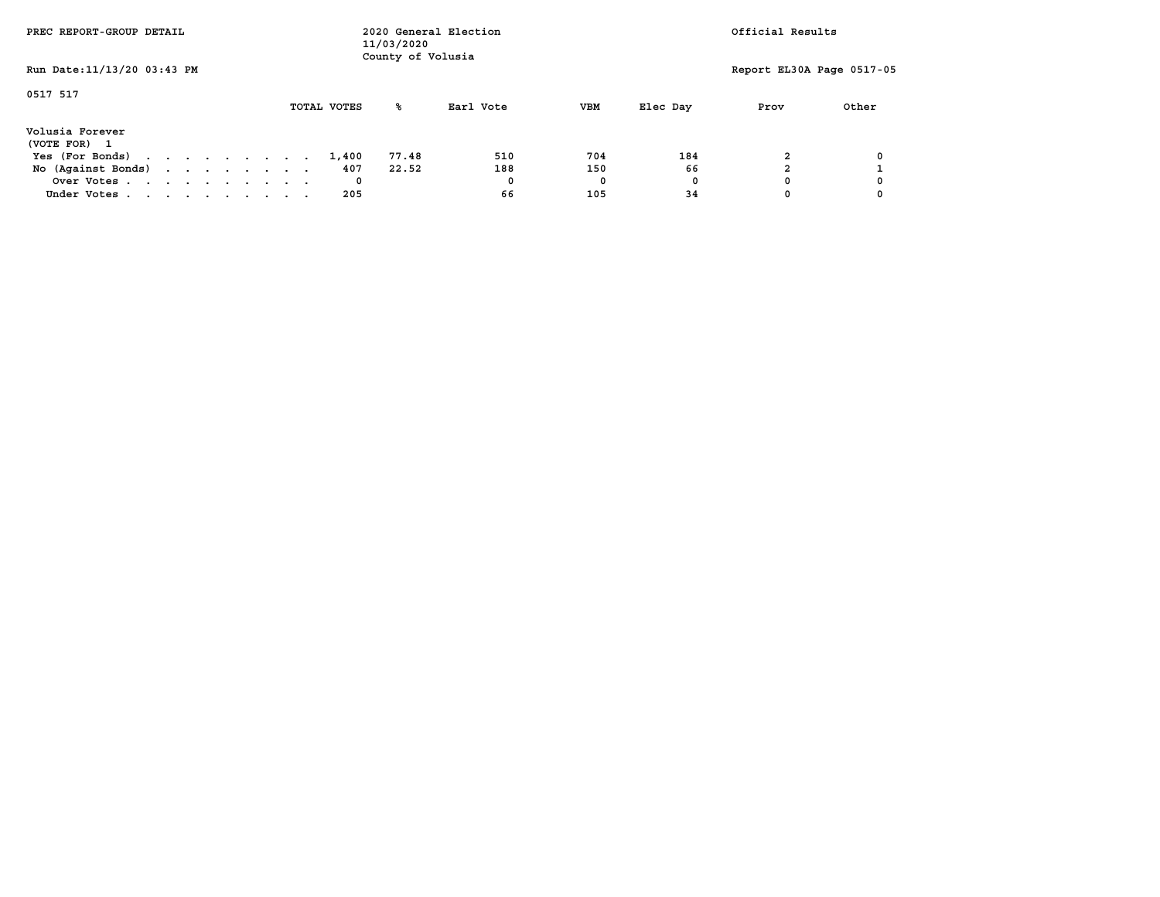| PREC REPORT-GROUP DETAIL        |  |  |  |             | 11/03/2020<br>County of Volusia | 2020 General Election |            |          | Official Results          |       |
|---------------------------------|--|--|--|-------------|---------------------------------|-----------------------|------------|----------|---------------------------|-------|
| Run Date: 11/13/20 03:43 PM     |  |  |  |             |                                 |                       |            |          | Report EL30A Page 0517-05 |       |
| 0517 517                        |  |  |  | TOTAL VOTES | ‱                               | Earl Vote             | <b>VBM</b> | Elec Day | Prov                      | Other |
| Volusia Forever<br>(VOTE FOR) 1 |  |  |  |             |                                 |                       |            |          |                           |       |
| Yes (For Bonds)                 |  |  |  | 1,400       | 77.48                           | 510                   | 704        | 184      |                           |       |
| No (Against Bonds)              |  |  |  | 407         | 22.52                           | 188                   | 150        | 66       |                           |       |
| Over Votes                      |  |  |  | 0           |                                 | 0                     | 0          | 0        |                           |       |
| Under Votes                     |  |  |  | 205         |                                 | 66                    | 105        | 34       |                           |       |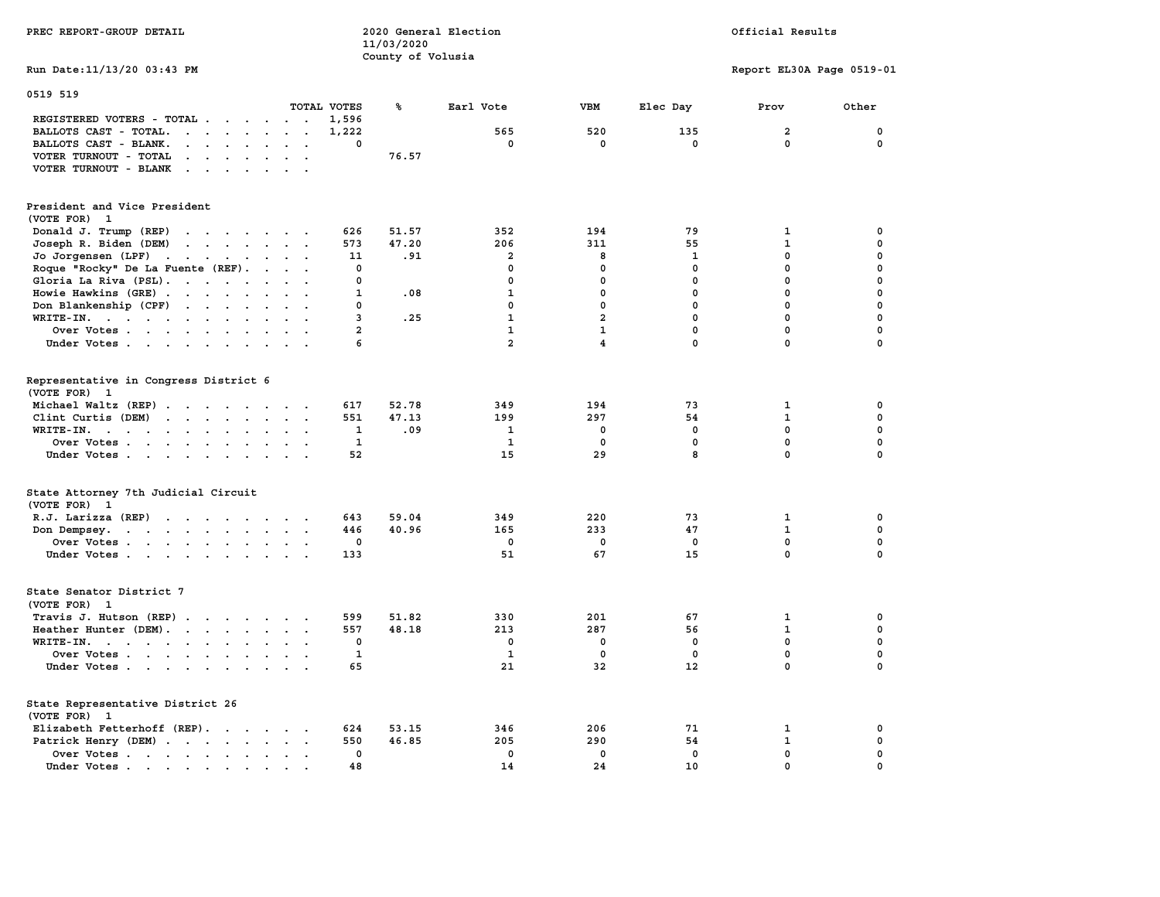| PREC REPORT-GROUP DETAIL                                                                                                                                                                                                                                   |                | 2020 General Election<br>11/03/2020 |                |                |              | Official Results          |             |
|------------------------------------------------------------------------------------------------------------------------------------------------------------------------------------------------------------------------------------------------------------|----------------|-------------------------------------|----------------|----------------|--------------|---------------------------|-------------|
|                                                                                                                                                                                                                                                            |                | County of Volusia                   |                |                |              |                           |             |
| Run Date: 11/13/20 03:43 PM                                                                                                                                                                                                                                |                |                                     |                |                |              | Report EL30A Page 0519-01 |             |
| 0519 519                                                                                                                                                                                                                                                   | TOTAL VOTES    | ℁                                   | Earl Vote      | VBM            | Elec Day     | Prov                      | Other       |
| REGISTERED VOTERS - TOTAL                                                                                                                                                                                                                                  | 1,596          |                                     |                |                |              |                           |             |
| BALLOTS CAST - TOTAL.<br>$\cdot$                                                                                                                                                                                                                           | 1,222          |                                     | 565            | 520            | 135          | $\overline{\mathbf{2}}$   | 0           |
| BALLOTS CAST - BLANK.<br>$\cdot$ $\cdot$<br>$\sim$ $\sim$<br>$\overline{a}$<br>$\sim$                                                                                                                                                                      | $\Omega$       |                                     | 0              | 0              | 0            | 0                         | 0           |
| VOTER TURNOUT - TOTAL<br>$\mathbf{r}$ , $\mathbf{r}$ , $\mathbf{r}$ , $\mathbf{r}$ , $\mathbf{r}$ , $\mathbf{r}$                                                                                                                                           |                | 76.57                               |                |                |              |                           |             |
| VOTER TURNOUT - BLANK                                                                                                                                                                                                                                      |                |                                     |                |                |              |                           |             |
| $\sim$                                                                                                                                                                                                                                                     |                |                                     |                |                |              |                           |             |
| President and Vice President                                                                                                                                                                                                                               |                |                                     |                |                |              |                           |             |
| (VOTE FOR) 1                                                                                                                                                                                                                                               |                |                                     |                |                |              |                           |             |
| Donald J. Trump (REP)                                                                                                                                                                                                                                      | 626            | 51.57                               | 352            | 194            | 79           | 1                         | 0           |
| Joseph R. Biden (DEM)<br>$\mathbf{r}$ . The contract of the contract of the contract of the contract of the contract of the contract of the contract of the contract of the contract of the contract of the contract of the contract of the contract of th | 573            | 47.20                               | 206            | 311            | 55           | $\mathbf{1}$              | $\mathbf 0$ |
| Jo Jorgensen (LPF)                                                                                                                                                                                                                                         | 11             | .91                                 | 2              | 8              | 1            | 0                         | 0           |
| Roque "Rocky" De La Fuente (REF).<br>$\sim$<br>$\sim$<br>$\overline{\phantom{a}}$                                                                                                                                                                          | 0              |                                     | 0              | 0              | 0            | 0                         | $\mathbf 0$ |
| Gloria La Riva (PSL).                                                                                                                                                                                                                                      | 0              |                                     | 0              | 0              | 0            | $\mathbf 0$               | 0           |
| Howie Hawkins (GRE)<br>$\ddot{\phantom{a}}$<br>$\ddot{\phantom{a}}$                                                                                                                                                                                        | 1              | .08                                 | $\mathbf 1$    | 0              | $\mathbf 0$  | $\mathbf 0$               | $\mathbf 0$ |
| Don Blankenship (CPF)<br>$\cdot$ $\cdot$                                                                                                                                                                                                                   | 0              |                                     | 0              | 0              | $\mathbf 0$  | $\mathbf 0$               | $\mathbf 0$ |
| WRITE-IN.<br>$\mathbf{r}$<br>$\mathbf{r}$                                                                                                                                                                                                                  | 3              | .25                                 | $\mathbf{1}$   | $\overline{a}$ | $\mathbf{0}$ | $\mathbf 0$               | $\mathbf 0$ |
| $\bullet$<br>Over Votes                                                                                                                                                                                                                                    | $\overline{a}$ |                                     | $\mathbf{1}$   | $\mathbf{1}$   | $\mathbf 0$  | $\mathbf 0$               | $\mathbf 0$ |
|                                                                                                                                                                                                                                                            |                |                                     | $\overline{a}$ | $\overline{4}$ | $\mathbf 0$  | 0                         | 0           |
| Under Votes<br>$\cdot$ $\cdot$                                                                                                                                                                                                                             | 6              |                                     |                |                |              |                           |             |
| Representative in Congress District 6<br>(VOTE FOR) 1                                                                                                                                                                                                      |                |                                     |                |                |              |                           |             |
| Michael Waltz (REP)                                                                                                                                                                                                                                        | 617            | 52.78                               | 349            | 194            | 73           | 1                         | 0           |
| Clint Curtis (DEM)                                                                                                                                                                                                                                         | 551            | 47.13                               | 199            | 297            | 54           | $\mathbf{1}$              | 0           |
| WRITE-IN.<br>$\cdot$ $\cdot$ $\cdot$                                                                                                                                                                                                                       | 1              | .09                                 | 1              | 0              | $\mathbf 0$  | 0                         | 0           |
| Over Votes<br>$\ddot{\phantom{a}}$<br>$\sim$<br>$\sim$                                                                                                                                                                                                     | 1              |                                     | $\mathbf{1}$   | 0              | $\mathbf 0$  | $\mathbf 0$               | 0           |
| Under Votes                                                                                                                                                                                                                                                | 52             |                                     | 15             | 29             | 8            | $\mathbf 0$               | $\mathbf 0$ |
|                                                                                                                                                                                                                                                            |                |                                     |                |                |              |                           |             |
| State Attorney 7th Judicial Circuit<br>(VOTE FOR) 1                                                                                                                                                                                                        |                |                                     |                |                |              |                           |             |
| R.J. Larizza (REP)                                                                                                                                                                                                                                         | 643            | 59.04                               | 349            | 220            | 73           | 1                         | 0           |
| Don Dempsey.<br>the contract of the contract of the contract of the contract of the contract of the contract of the contract of                                                                                                                            | 446            | 40.96                               | 165            | 233            | 47           | $\mathbf{1}$              | 0           |
| Over Votes                                                                                                                                                                                                                                                 | $\mathbf 0$    |                                     | $\mathbf 0$    | 0              | 0            | $\mathbf 0$               | $\mathbf 0$ |
| Under Votes                                                                                                                                                                                                                                                | 133            |                                     | 51             | 67             | 15           | $\mathbf{0}$              | $\mathbf 0$ |
| State Senator District 7<br>(VOTE FOR) 1                                                                                                                                                                                                                   |                |                                     |                |                |              |                           |             |
| Travis J. Hutson (REP)                                                                                                                                                                                                                                     | 599            | 51.82                               | 330            | 201            | 67           | 1                         | 0           |
| Heather Hunter (DEM).<br>$\sim$ $\sim$                                                                                                                                                                                                                     | 557            | 48.18                               | 213            | 287            | 56           | $\mathbf{1}$              | $\mathbf 0$ |
| WRITE-IN.                                                                                                                                                                                                                                                  | $\mathbf 0$    |                                     | $\mathbf 0$    | 0              | 0            | 0                         | $\mathbf 0$ |
| Over Votes                                                                                                                                                                                                                                                 | $\mathbf{1}$   |                                     | $\mathbf{1}$   | 0              | $\mathbf{0}$ | 0                         | 0           |
| Under Votes                                                                                                                                                                                                                                                | 65             |                                     | 21             | 32             | 12           | $\mathbf 0$               | $\mathbf 0$ |
| State Representative District 26<br>(VOTE FOR) 1                                                                                                                                                                                                           |                |                                     |                |                |              |                           |             |
| Elizabeth Fetterhoff (REP).                                                                                                                                                                                                                                | 624            | 53.15                               | 346            | 206            | 71           | 1                         | 0           |
| Patrick Henry (DEM)                                                                                                                                                                                                                                        | 550            | 46.85                               | 205            | 290            | 54           | $\mathbf 1$               | 0           |
|                                                                                                                                                                                                                                                            | $\mathbf 0$    |                                     | $\mathbf{0}$   | $\mathbf 0$    | $\mathbf{0}$ | $\mathbf{0}$              | $\mathbf 0$ |
| Over Votes<br>$\sim$ $\sim$ $\sim$<br>Under Votes.                                                                                                                                                                                                         | 48             |                                     | 14             | 24             | 10           | $\mathbf 0$               | $\mathbf 0$ |
|                                                                                                                                                                                                                                                            |                |                                     |                |                |              |                           |             |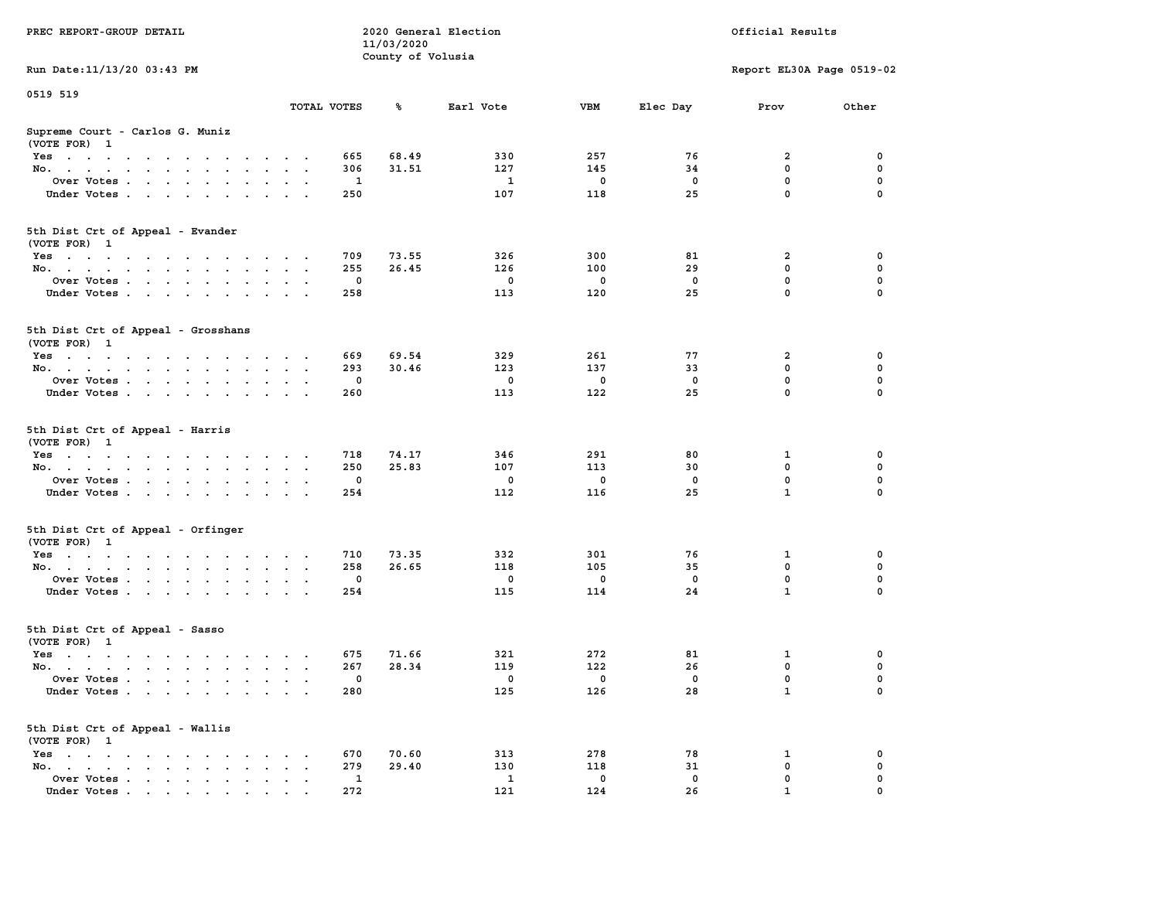| PREC REPORT-GROUP DETAIL                                                                                               |                      | 11/03/2020        | 2020 General Election |          |             | Official Results          |          |
|------------------------------------------------------------------------------------------------------------------------|----------------------|-------------------|-----------------------|----------|-------------|---------------------------|----------|
| Run Date: 11/13/20 03:43 PM                                                                                            |                      | County of Volusia |                       |          |             | Report EL30A Page 0519-02 |          |
| 0519 519                                                                                                               |                      |                   |                       |          |             |                           |          |
|                                                                                                                        | TOTAL VOTES          | ℁                 | Earl Vote             | VBM      | Elec Day    | Prov                      | Other    |
| Supreme Court - Carlos G. Muniz<br>(VOTE FOR) 1                                                                        |                      |                   |                       |          |             |                           |          |
| Yes                                                                                                                    |                      | 665<br>68.49      | 330                   | 257      | 76          | 2                         | 0        |
| No.                                                                                                                    |                      | 306<br>31.51      | 127                   | 145      | 34          | $\mathbf 0$               | 0        |
| Over Votes.                                                                                                            |                      | 1                 | 1                     | 0        | 0           | 0<br>$\mathbf 0$          | 0        |
| Under Votes                                                                                                            |                      | 250               | 107                   | 118      | 25          |                           | $\Omega$ |
| 5th Dist Crt of Appeal - Evander<br>(VOTE FOR) 1                                                                       |                      |                   |                       |          |             |                           |          |
| Yes                                                                                                                    |                      | 709<br>73.55      | 326                   | 300      | 81          | 2                         | 0        |
| No.                                                                                                                    |                      | 255<br>26.45      | 126                   | 100      | 29          | $\mathbf 0$               | 0        |
| Over Votes                                                                                                             |                      | 0                 | $\mathbf 0$           | 0        | $\mathbf 0$ | $\mathbf 0$               | 0        |
| Under Votes                                                                                                            |                      | 258               | 113                   | 120      | 25          | $\mathbf 0$               | 0        |
| 5th Dist Crt of Appeal - Grosshans<br>(VOTE FOR) 1                                                                     |                      |                   |                       |          |             |                           |          |
| Yes                                                                                                                    |                      | 669<br>69.54      | 329                   | 261      | 77          | 2                         | 0        |
| No.                                                                                                                    |                      | 30.46<br>293      | 123                   | 137      | 33          | 0                         | 0        |
| Over Votes                                                                                                             |                      | $\mathbf{0}$      | $\mathbf 0$           | 0        | 0           | $\mathbf 0$               | 0        |
| Under Votes                                                                                                            |                      | 260               | 113                   | 122      | 25          | $\mathbf 0$               | 0        |
| 5th Dist Crt of Appeal - Harris<br>(VOTE FOR) 1                                                                        |                      |                   |                       |          |             |                           |          |
| Yes                                                                                                                    |                      | 74.17<br>718      | 346                   | 291      | 80          | 1                         | 0        |
| No.                                                                                                                    |                      | 250<br>25.83      | 107                   | 113      | 30          | $\mathbf 0$               | 0        |
| Over Votes                                                                                                             |                      | 0                 | $\mathbf 0$           | 0        | 0           | 0                         | 0        |
| Under Votes                                                                                                            |                      | 254               | 112                   | 116      | 25          | $\mathbf{1}$              | $\Omega$ |
| 5th Dist Crt of Appeal - Orfinger<br>(VOTE FOR) 1                                                                      |                      |                   |                       |          |             |                           |          |
| Yes                                                                                                                    |                      | 710<br>73.35      | 332                   | 301      | 76          | 1                         | 0        |
| No.                                                                                                                    |                      | 258<br>26.65      | 118                   | 105      | 35          | 0                         | 0        |
| Over Votes                                                                                                             |                      | 0                 | $\mathbf 0$           | 0        | $\mathbf 0$ | 0                         | 0        |
| Under Votes                                                                                                            |                      | 254               | 115                   | 114      | 24          | $\mathbf{1}$              | 0        |
| 5th Dist Crt of Appeal - Sasso<br>(VOTE FOR) 1                                                                         |                      |                   |                       |          |             |                           |          |
| Yes<br>the contract of the contract of the contract of the contract of the contract of the contract of the contract of |                      | 675<br>71.66      | 321                   | 272      | 81          | 1                         | 0        |
| No.                                                                                                                    |                      | 28.34<br>267      | 119                   | 122      | 26          | 0                         | 0        |
| Over Votes                                                                                                             |                      | $\Omega$          | $^{\circ}$            | 0        | 0           | $\mathbf 0$               | 0        |
| Under Votes                                                                                                            |                      | 280               | 125                   | 126      | 28          | $\mathbf{1}$              | 0        |
| 5th Dist Crt of Appeal - Wallis<br>(VOTE FOR) 1                                                                        |                      |                   |                       |          |             |                           |          |
| $Yes \cdot \cdot \cdot \cdot \cdot \cdot \cdot \cdot \cdot$                                                            |                      | 670<br>70.60      | 313                   | 278      | 78          | 1                         | 0        |
| No.<br>$\ddot{\phantom{a}}$                                                                                            | $\ddot{\phantom{a}}$ | 279<br>29.40      | 130                   | 118      | 31          | $\mathbf 0$               | 0        |
| Over Votes<br>Under Votes                                                                                              |                      | 1<br>272          | 1<br>121              | 0<br>124 | 0<br>26     | 0<br>1                    | 0        |
|                                                                                                                        |                      |                   |                       |          |             |                           |          |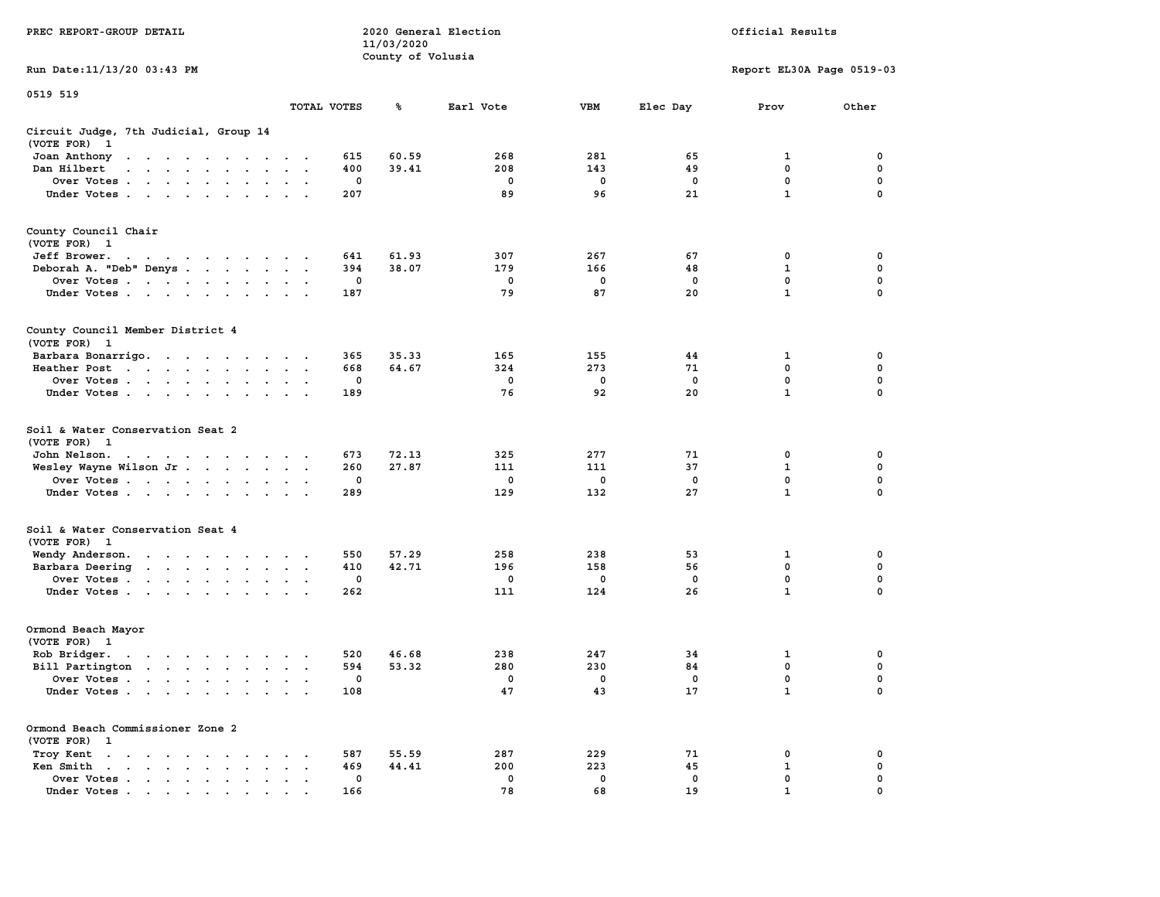|                                                                                                                                                                                                                                                                 |                                       | 11/03/2020        |              |             |             |                           |                  |
|-----------------------------------------------------------------------------------------------------------------------------------------------------------------------------------------------------------------------------------------------------------------|---------------------------------------|-------------------|--------------|-------------|-------------|---------------------------|------------------|
|                                                                                                                                                                                                                                                                 |                                       | County of Volusia |              |             |             |                           |                  |
| Run Date: 11/13/20 03:43 PM                                                                                                                                                                                                                                     |                                       |                   |              |             |             | Report EL30A Page 0519-03 |                  |
| 0519 519                                                                                                                                                                                                                                                        |                                       |                   |              |             |             |                           |                  |
|                                                                                                                                                                                                                                                                 | TOTAL VOTES                           | ℁                 | Earl Vote    | <b>VBM</b>  | Elec Day    | Prov                      | Other            |
| Circuit Judge, 7th Judicial, Group 14                                                                                                                                                                                                                           |                                       |                   |              |             |             |                           |                  |
| (VOTE FOR)<br>$\mathbf{1}$                                                                                                                                                                                                                                      |                                       |                   |              |             |             |                           |                  |
| Joan Anthony<br>$\blacksquare$ .<br>the company of the company of the company of                                                                                                                                                                                | 615<br>$\sim$                         | 60.59             | 268          | 281         | 65          | 1                         | 0                |
| Dan Hilbert<br>the contract of the contract of the<br>$\ddotsc$                                                                                                                                                                                                 | 400                                   | 39.41             | 208          | 143         | 49          | $\mathbf{0}$              | 0                |
| Over Votes                                                                                                                                                                                                                                                      | 0<br>$\ddot{\phantom{a}}$             |                   | 0            | $\mathbf 0$ | $\mathbf 0$ | $\mathbf 0$               | 0                |
| Under Votes                                                                                                                                                                                                                                                     | 207<br>$\cdot$                        |                   | 89           | 96          | 21          | $\mathbf{1}$              | $\mathbf 0$      |
|                                                                                                                                                                                                                                                                 |                                       |                   |              |             |             |                           |                  |
| County Council Chair                                                                                                                                                                                                                                            |                                       |                   |              |             |             |                           |                  |
| (VOTE FOR) 1                                                                                                                                                                                                                                                    |                                       |                   |              |             |             |                           |                  |
| Jeff Brower.<br>$\sim$ $\sim$<br>in the contract of the contract of the contract of the contract of the contract of the contract of the contract of the contract of the contract of the contract of the contract of the contract of the contract of the contrac | 641                                   | 61.93             | 307          | 267         | 67          | 0                         | 0                |
| Deborah A. "Deb" Denys                                                                                                                                                                                                                                          | 394<br>$\sim$                         | 38.07             | 179          | 166         | 48          | $\mathbf 1$               | $\mathbf 0$      |
| Over Votes                                                                                                                                                                                                                                                      | $\mathbf 0$                           |                   | $\mathbf 0$  | $\mathbf 0$ | $\mathbf 0$ | $\mathbf 0$               | $\mathbf 0$      |
| Under Votes<br><b>Contract Contract</b>                                                                                                                                                                                                                         | 187                                   |                   | 79           | 87          | 20          | $\mathbf{1}$              | 0                |
| County Council Member District 4<br>(VOTE FOR)<br>$\mathbf{1}$                                                                                                                                                                                                  |                                       |                   |              |             |             |                           |                  |
|                                                                                                                                                                                                                                                                 | 365                                   | 35.33             | 165          | 155         | 44          | 1                         | 0                |
| Barbara Bonarrigo.                                                                                                                                                                                                                                              | 668                                   | 64.67             | 324          | 273         | 71          | 0                         | 0                |
| Heather Post<br>the contract of the contract of the contract of the contract of the contract of the contract of the contract of                                                                                                                                 | $\mathbf{0}$                          |                   |              |             |             |                           |                  |
| Over Votes                                                                                                                                                                                                                                                      |                                       |                   | 0            | 0           | 0           | 0<br>$\mathbf{1}$         | 0<br>$\mathbf 0$ |
| Under Votes                                                                                                                                                                                                                                                     | 189                                   |                   | 76           | 92          | 20          |                           |                  |
| Soil & Water Conservation Seat 2<br>(VOTE FOR) 1                                                                                                                                                                                                                |                                       |                   |              |             |             |                           |                  |
| John Nelson.<br>the contract of the contract of the contract of the contract of the contract of the contract of the contract of the contract of the contract of the contract of the contract of the contract of the contract of the contract o                  | 673                                   | 72.13             | 325          | 277         | 71          | 0                         | $\mathbf 0$      |
| Wesley Wayne Wilson Jr.                                                                                                                                                                                                                                         | 260                                   | 27.87             | 111          | 111         | 37          | $\mathbf{1}$              | $\mathbf 0$      |
| Over Votes                                                                                                                                                                                                                                                      | $\mathbf 0$                           |                   | $\mathbf 0$  | $\mathbf 0$ | $\mathbf 0$ | $\mathbf 0$               | $\mathbf 0$      |
| Under Votes                                                                                                                                                                                                                                                     | 289                                   |                   | 129          | 132         | 27          | $\mathbf{1}$              | 0                |
| Soil & Water Conservation Seat 4                                                                                                                                                                                                                                |                                       |                   |              |             |             |                           |                  |
| (VOTE FOR) 1                                                                                                                                                                                                                                                    |                                       |                   |              |             |             |                           |                  |
| Wendy Anderson.                                                                                                                                                                                                                                                 | 550                                   | 57.29             | 258          | 238         | 53          | 1                         | 0                |
| Barbara Deering<br>the contract of the contract of the                                                                                                                                                                                                          | 410                                   | 42.71             | 196          | 158         | 56          | $\mathbf 0$               | 0                |
| Over Votes                                                                                                                                                                                                                                                      | 0                                     |                   | 0            | 0           | 0           | $\mathbf{0}$              | $\mathbf 0$      |
| Under Votes                                                                                                                                                                                                                                                     | 262                                   |                   | 111          | 124         | 26          | $\mathbf 1$               | $\Omega$         |
| Ormond Beach Mayor                                                                                                                                                                                                                                              |                                       |                   |              |             |             |                           |                  |
| (VOTE FOR) 1                                                                                                                                                                                                                                                    |                                       |                   |              |             |             |                           |                  |
| Rob Bridger.<br>. The contract contract of the contract of the contract of the contract of the contract of the contract of the contract of the contract of the contract of the contract of the contract of the contract of the contract of th                   | 520                                   | 46.68             | 238          | 247         | 34          | $\mathbf 1$               | $\mathbf 0$      |
| Bill Partington                                                                                                                                                                                                                                                 | 594                                   | 53.32             | 280          | 230         | 84          | $\mathbf 0$               | $\mathbf 0$      |
| Over Votes<br>$\ddot{\phantom{0}}$                                                                                                                                                                                                                              | $\mathbf 0$<br>$\ddot{\phantom{a}}$   |                   | $\mathbf{0}$ | $\Omega$    | $^{\circ}$  | $\mathbf 0$               | $\mathbf 0$      |
| Under Votes                                                                                                                                                                                                                                                     | 108                                   |                   | 47           | 43          | 17          | $\mathbf{1}$              | 0                |
| Ormond Beach Commissioner Zone 2                                                                                                                                                                                                                                |                                       |                   |              |             |             |                           |                  |
| (VOTE FOR)<br>$\mathbf{1}$                                                                                                                                                                                                                                      |                                       |                   |              |             |             |                           |                  |
| Troy Kent<br>$\mathbf{u} = \mathbf{u} + \mathbf{u} + \mathbf{u} + \mathbf{u} + \mathbf{u} + \mathbf{u} + \mathbf{u}$<br>$\sim$ $\sim$                                                                                                                           | 587<br>$\sim$<br>$\ddot{\phantom{1}}$ | 55.59             | 287          | 229         | 71          | 0                         | 0                |
| Ken Smith<br>$\mathbf{r}$ , and $\mathbf{r}$ , and $\mathbf{r}$ , and $\mathbf{r}$<br>$\mathbf{a} = \mathbf{a}$                                                                                                                                                 | 469<br>$\sim$<br>$\ddot{\phantom{a}}$ | 44.41             | 200          | 223         | 45          | $\mathbf{1}$              | 0                |
| Over Votes<br>$\ddot{\phantom{a}}$<br>$\bullet$<br>$\bullet$                                                                                                                                                                                                    | 0<br>$\cdot$<br>$\ddot{\phantom{0}}$  |                   | $\mathbf 0$  | $\mathbf 0$ | 0           | 0                         | 0                |
|                                                                                                                                                                                                                                                                 | 166                                   |                   | 78           | 68          | 19          | 1                         | $\Omega$         |

**PREC REPORT-GROUP DETAIL COMPUTER SERVICE 2020 General Election**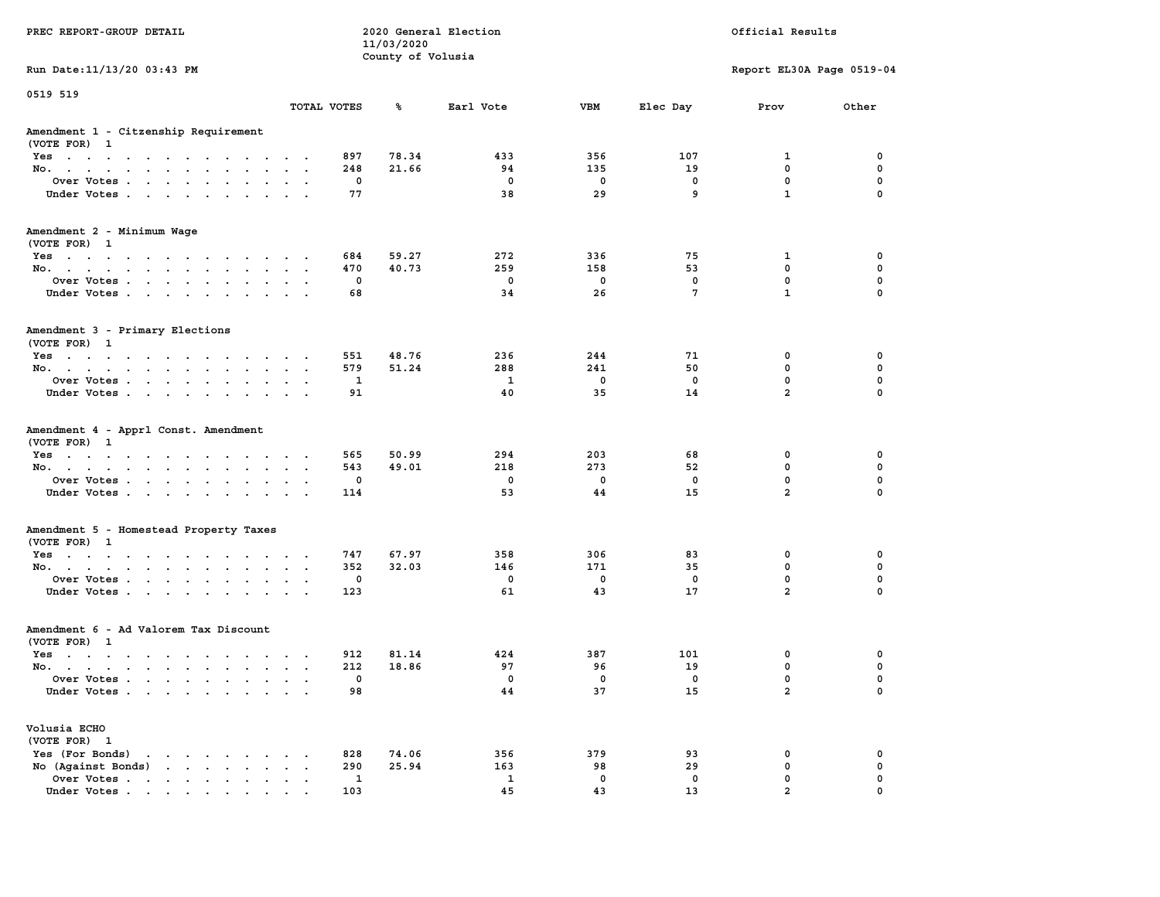|                                                        |                                                                 |              | 11/03/2020        |              |             |                |                           |             |
|--------------------------------------------------------|-----------------------------------------------------------------|--------------|-------------------|--------------|-------------|----------------|---------------------------|-------------|
|                                                        |                                                                 |              | County of Volusia |              |             |                |                           |             |
| Run Date: 11/13/20 03:43 PM                            |                                                                 |              |                   |              |             |                | Report EL30A Page 0519-04 |             |
| 0519 519                                               |                                                                 |              |                   |              |             |                |                           |             |
|                                                        |                                                                 | TOTAL VOTES  | ℁                 | Earl Vote    | <b>VBM</b>  | Elec Day       | Prov                      | Other       |
| Amendment 1 - Citzenship Requirement<br>(VOTE FOR) 1   |                                                                 |              |                   |              |             |                |                           |             |
| Yes                                                    |                                                                 | 897          | 78.34             | 433          | 356         | 107            | 1                         | 0           |
| No.<br><b>Contract</b><br>$\sim$ $\sim$<br>$\sim$      |                                                                 | 248          | 21.66             | 94           | 135         | 19             | 0                         | 0           |
| Over Votes                                             |                                                                 | 0            |                   | $\mathbf 0$  | 0           | 0              | 0                         | 0           |
| Under Votes                                            | <b>Contract Contract</b><br>$\ddot{\phantom{a}}$                | 77           |                   | 38           | 29          | 9              | $\mathbf{1}$              | $\mathbf 0$ |
| Amendment 2 - Minimum Wage<br>(VOTE FOR) 1             |                                                                 |              |                   |              |             |                |                           |             |
| Yes                                                    |                                                                 | 684          | 59.27             | 272          | 336         | 75             | 1                         | 0           |
| No.                                                    | $\sim$                                                          | 470          | 40.73             | 259          | 158         | 53             | 0                         | 0           |
| Over Votes<br>$\sim 10^{-11}$                          | $\bullet$ .<br><br><br><br><br><br><br><br><br><br><br><br>     | 0            |                   | $\Omega$     | $\Omega$    | $^{\circ}$     | $\mathbf{0}$              | $\mathbf 0$ |
| Under Votes                                            |                                                                 | 68           |                   | 34           | 26          | $\overline{7}$ | $\mathbf{1}$              | $\Omega$    |
| Amendment 3 - Primary Elections<br>(VOTE FOR) 1        |                                                                 |              |                   |              |             |                |                           |             |
| Yes                                                    |                                                                 | 551          | 48.76             | 236          | 244         | 71             | 0                         | $\mathbf 0$ |
| No.                                                    | $\cdot$ $\cdot$ $\cdot$                                         | 579          | 51.24             | 288          | 241         | 50             | $\mathbf 0$               | $\mathbf 0$ |
| Over Votes<br>$\sim$<br>$\ddot{\phantom{0}}$           |                                                                 | 1            |                   | $\mathbf{1}$ | $\mathbf 0$ | $\mathbf 0$    | $\mathbf 0$               | $\mathbf 0$ |
| Under Votes<br>$\sim$                                  | $\bullet$ .<br><br><br><br><br><br><br><br><br><br><br><br><br> | 91           |                   | 40           | 35          | 14             | $\overline{a}$            | $\mathbf 0$ |
| Amendment 4 - Apprl Const. Amendment<br>(VOTE FOR) 1   |                                                                 |              |                   |              |             |                |                           |             |
| Yes<br>$\cdot$ $\cdot$ $\cdot$                         | $\sim$                                                          | 565          | 50.99             | 294          | 203         | 68             | 0                         | 0           |
| No.<br>$\sim$                                          | $\ddot{\phantom{0}}$<br>$\mathbf{r}$                            | 543          | 49.01             | 218          | 273         | 52             | 0                         | $\mathbf 0$ |
| Over Votes                                             |                                                                 | 0            |                   | $\mathbf 0$  | $\mathbf 0$ | $\mathbf 0$    | $\mathbf 0$               | $\mathbf 0$ |
| Under Votes                                            | $\cdot$ $\cdot$ $\cdot$                                         | 114          |                   | 53           | 44          | 15             | $\overline{a}$            | $\mathbf 0$ |
| Amendment 5 - Homestead Property Taxes<br>(VOTE FOR) 1 |                                                                 |              |                   |              |             |                |                           |             |
|                                                        |                                                                 | 747          | 67.97             | 358          | 306         | 83             | 0                         | 0           |
| Yes<br>No.<br>$\sim$                                   | $\sim$ $\sim$ $\sim$ $\sim$ $\sim$                              | 352          | 32.03             | 146          | 171         | 35             | $\mathbf 0$               | 0           |
| Over Votes<br>$\sim$ $-$                               | $\ddot{\phantom{a}}$<br>$\bullet$<br>$\sim$                     | 0            |                   | $\mathbf 0$  | $\mathbf 0$ | $\mathbf 0$    | $\mathbf 0$               | $\mathbf 0$ |
| Under Votes                                            | $\cdots$                                                        | 123          |                   | 61           | 43          | 17             | $\overline{a}$            | $\mathbf 0$ |
|                                                        |                                                                 |              |                   |              |             |                |                           |             |
| Amendment 6 - Ad Valorem Tax Discount                  |                                                                 |              |                   |              |             |                |                           |             |
| (VOTE FOR) 1                                           |                                                                 |              |                   |              |             |                |                           |             |
| Yes                                                    |                                                                 | 912          | 81.14             | 424          | 387         | 101            | 0                         | 0           |
| No.                                                    |                                                                 | 212          | 18.86             | 97           | 96          | 19             | $\mathbf 0$               | $\mathbf 0$ |
| Over Votes<br>$\sim$                                   | $\sim$<br>$\sim$                                                | 0            |                   | 0            | 0           | 0              | $\mathbf 0$               | 0           |
| Under Votes                                            |                                                                 | 98           |                   | 44           | 37          | 15             | $\overline{a}$            | $\mathbf 0$ |
| Volusia ECHO                                           |                                                                 |              |                   |              |             |                |                           |             |
| (VOTE FOR) 1                                           |                                                                 |              |                   |              |             |                |                           |             |
| Yes (For Bonds)<br>the contract of the contract of the | $\sim$                                                          | 828          | 74.06             | 356          | 379         | 93             | $\mathbf 0$               | $\mathbf 0$ |
| No (Against Bonds)                                     | $\cdots$                                                        | 290          | 25.94             | 163          | 98          | 29             | $\mathbf 0$               | 0           |
| Over Votes<br>$\sim$                                   | $\sim$<br>$\sim$<br>$\sim$                                      | $\mathbf{1}$ |                   | 1            | $\mathbf 0$ | $\mathbf 0$    | $\mathbf 0$               | $\mathbf 0$ |
| Under Votes                                            | $\sim$ $\sim$ $\sim$                                            | 103          |                   | 45           | 43          | 13             | $\overline{\mathbf{2}}$   | $\mathbf 0$ |

**PREC REPORT-GROUP DETAIL COMPUTER CONSUMING A LOCAL PREC** REPORT-GROUP DETAIL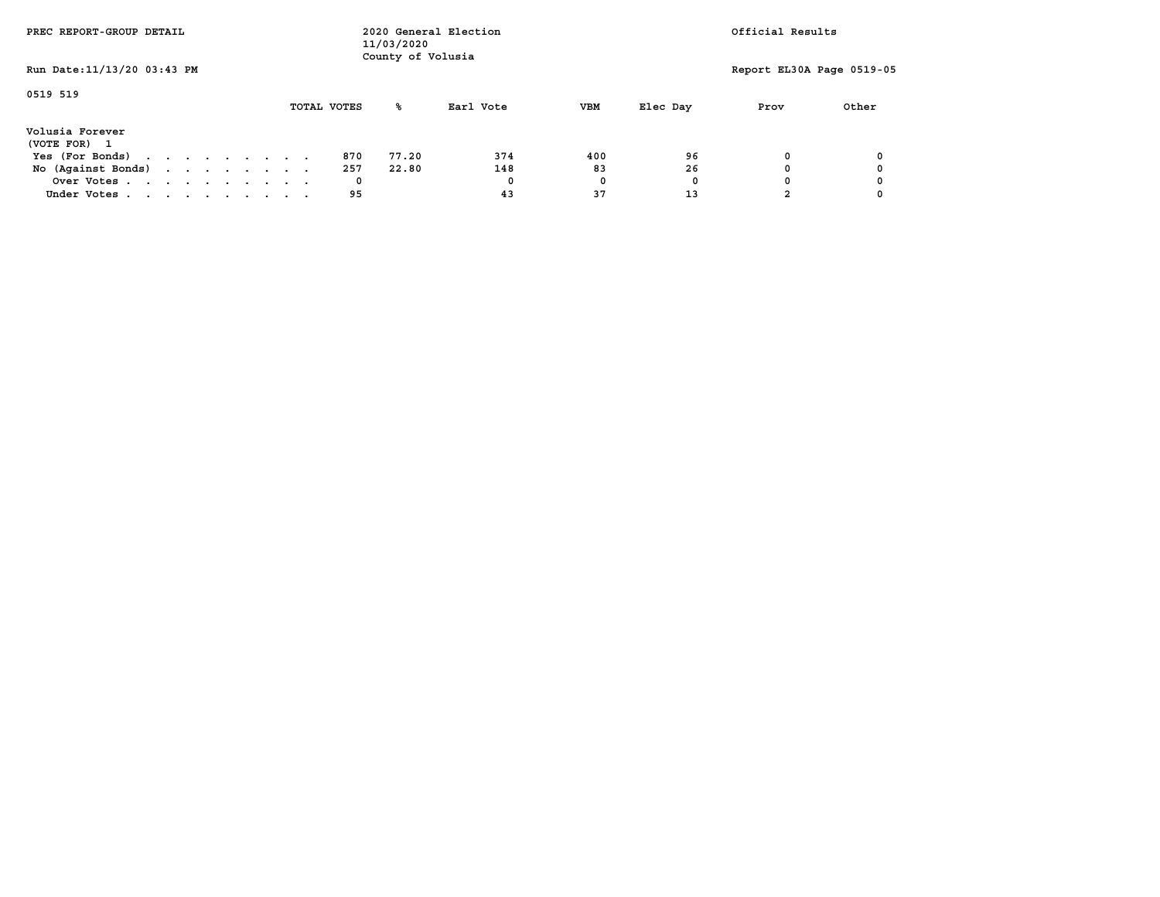| PREC REPORT-GROUP DETAIL                      |  |  |  |  |             | 11/03/2020<br>County of Volusia | 2020 General Election |            |          | Official Results          |       |
|-----------------------------------------------|--|--|--|--|-------------|---------------------------------|-----------------------|------------|----------|---------------------------|-------|
| Run Date: 11/13/20 03:43 PM                   |  |  |  |  |             |                                 |                       |            |          | Report EL30A Page 0519-05 |       |
| 0519 519                                      |  |  |  |  | TOTAL VOTES | ‱                               | Earl Vote             | <b>VBM</b> | Elec Day | Prov                      | Other |
| Volusia Forever<br>(VOTE FOR)<br>$\mathbf{1}$ |  |  |  |  |             |                                 |                       |            |          |                           |       |
| Yes (For Bonds)                               |  |  |  |  | 870         | 77.20                           | 374                   | 400        | 96       | 0                         |       |
| No (Against Bonds)                            |  |  |  |  | 257         | 22.80                           | 148                   | 83         | 26       |                           |       |
| Over Votes                                    |  |  |  |  | 0           |                                 | 0                     | 0          | O        |                           |       |
| Under Votes                                   |  |  |  |  | 95          |                                 | 43                    | 37         | 13       |                           |       |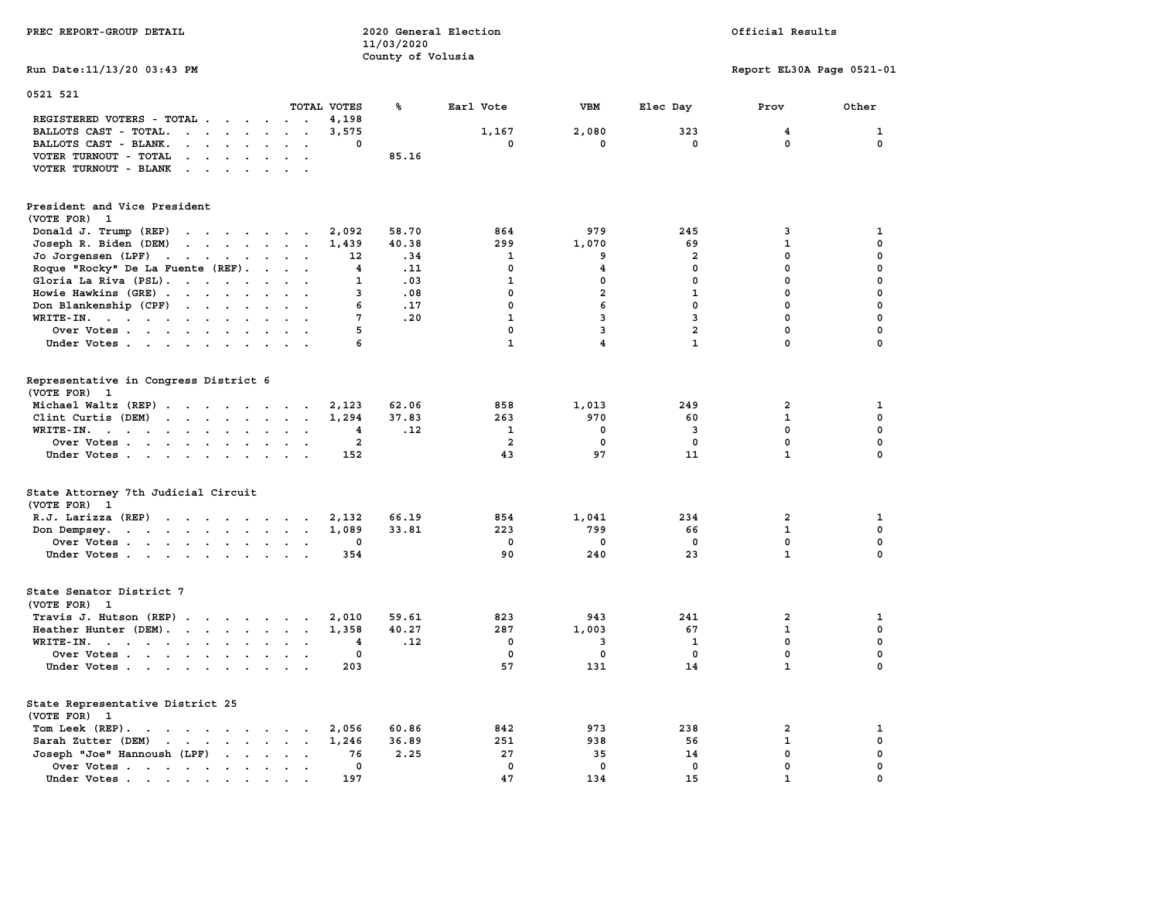| PREC REPORT-GROUP DETAIL                                                                                                                                                                                                                                   |                                                    | 11/03/2020<br>County of Volusia | 2020 General Election |                         |                         | Official Results          |              |
|------------------------------------------------------------------------------------------------------------------------------------------------------------------------------------------------------------------------------------------------------------|----------------------------------------------------|---------------------------------|-----------------------|-------------------------|-------------------------|---------------------------|--------------|
| Run Date: 11/13/20 03:43 PM                                                                                                                                                                                                                                |                                                    |                                 |                       |                         |                         | Report EL30A Page 0521-01 |              |
| 0521 521                                                                                                                                                                                                                                                   |                                                    |                                 |                       |                         |                         |                           |              |
|                                                                                                                                                                                                                                                            | TOTAL VOTES                                        | ጜ                               | Earl Vote             | VBM                     | Elec Day                | Prov                      | Other        |
| REGISTERED VOTERS - TOTAL<br>BALLOTS CAST - TOTAL.                                                                                                                                                                                                         | 4,198<br>$\cdot$ $\cdot$<br>3,575                  |                                 | 1,167                 | 2,080                   | 323                     | 4                         | 1            |
| $\cdots$                                                                                                                                                                                                                                                   | $\ddot{\phantom{a}}$<br>0<br>$\sim$                |                                 | $\mathbf 0$           | $\mathbf 0$             | $\mathbf 0$             | $\mathbf 0$               | $\mathbf 0$  |
| BALLOTS CAST - BLANK.                                                                                                                                                                                                                                      |                                                    | 85.16                           |                       |                         |                         |                           |              |
| VOTER TURNOUT - TOTAL<br>$\cdots$                                                                                                                                                                                                                          |                                                    |                                 |                       |                         |                         |                           |              |
| VOTER TURNOUT - BLANK                                                                                                                                                                                                                                      |                                                    |                                 |                       |                         |                         |                           |              |
| President and Vice President                                                                                                                                                                                                                               |                                                    |                                 |                       |                         |                         |                           |              |
| (VOTE FOR) 1                                                                                                                                                                                                                                               |                                                    |                                 |                       |                         |                         |                           |              |
| Donald J. Trump (REP)<br>$\mathbf{r}$ . The contract of the contract of the contract of the contract of the contract of the contract of the contract of the contract of the contract of the contract of the contract of the contract of the contract of th | 2,092                                              | 58.70                           | 864                   | 979                     | 245                     | 3                         | 1            |
| $\mathbf{r}$ . The set of the set of the set of the set of the set of the set of the set of the set of the set of the set of the set of the set of the set of the set of the set of the set of the set of the set of the set of t<br>Joseph R. Biden (DEM) | 1,439                                              | 40.38                           | 299                   | 1,070                   | 69                      | $\mathbf{1}$              | $\mathbf 0$  |
|                                                                                                                                                                                                                                                            | 12                                                 | .34                             | 1                     | 9                       | $\overline{a}$          | $\mathbf 0$               | 0            |
| Jo Jorgensen (LPF)                                                                                                                                                                                                                                         |                                                    |                                 |                       |                         |                         | $\mathbf 0$               |              |
| Roque "Rocky" De La Fuente (REF).                                                                                                                                                                                                                          | 4                                                  | .11                             | $^{\circ}$            | 4                       | 0                       |                           | 0            |
| Gloria La Riva (PSL).                                                                                                                                                                                                                                      | $\mathbf{1}$                                       | .03                             | $\mathbf{1}$          | $\mathbf{0}$            | $\mathbf{0}$            | $\mathbf 0$               | $\mathbf 0$  |
| Howie Hawkins (GRE)                                                                                                                                                                                                                                        | 3                                                  | .08                             | $\mathbf{0}$          | $\overline{a}$          | $\mathbf{1}$            | $\mathbf 0$               | 0            |
| Don Blankenship (CPF)                                                                                                                                                                                                                                      | 6                                                  | .17                             | $\mathbf{0}$          | 6                       | $\mathbf{0}$            | $\mathbf 0$               | 0            |
| WRITE-IN.                                                                                                                                                                                                                                                  | 7                                                  | .20                             | $\mathbf{1}$          | 3                       | 3                       | $\mathbf 0$               | $\mathbf 0$  |
| Over Votes                                                                                                                                                                                                                                                 | 5<br>$\sim$                                        |                                 | $\mathbf 0$           | 3                       | $\overline{a}$          | $\mathbf 0$               | 0            |
| Under Votes                                                                                                                                                                                                                                                | 6                                                  |                                 | $\mathbf{1}$          | $\overline{\mathbf{4}}$ | $\mathbf{1}$            | $\mathbf 0$               | $\mathbf 0$  |
|                                                                                                                                                                                                                                                            |                                                    |                                 |                       |                         |                         |                           |              |
| Representative in Congress District 6<br>(VOTE FOR) 1                                                                                                                                                                                                      |                                                    |                                 |                       |                         |                         |                           |              |
|                                                                                                                                                                                                                                                            |                                                    |                                 |                       |                         |                         |                           |              |
| Michael Waltz (REP)                                                                                                                                                                                                                                        | 2,123                                              | 62.06                           | 858                   | 1,013                   | 249                     | $\overline{a}$            | 1            |
| Clint Curtis (DEM)                                                                                                                                                                                                                                         | 1,294                                              | 37.83                           | 263                   | 970                     | 60                      | $\mathbf{1}$              | $\mathbf{0}$ |
| WRITE-IN.                                                                                                                                                                                                                                                  | 4                                                  | .12                             | $\mathbf{1}$          | 0                       | $\overline{\mathbf{3}}$ | $\mathbf 0$               | 0            |
| Over Votes                                                                                                                                                                                                                                                 | $\overline{\mathbf{2}}$<br>$\sim 100$ km s $^{-1}$ |                                 | $\overline{a}$        | $\mathbf 0$             | $\mathbf 0$             | $\mathbf 0$               | 0            |
| Under Votes                                                                                                                                                                                                                                                | 152<br>$\cdot$ .                                   |                                 | 43                    | 97                      | 11                      | $\mathbf{1}$              | 0            |
| State Attorney 7th Judicial Circuit                                                                                                                                                                                                                        |                                                    |                                 |                       |                         |                         |                           |              |
| (VOTE FOR) 1                                                                                                                                                                                                                                               |                                                    |                                 |                       |                         |                         |                           |              |
| R.J. Larizza (REP)                                                                                                                                                                                                                                         | 2,132                                              | 66.19                           | 854                   | 1,041                   | 234                     | $\overline{a}$            | $\mathbf{1}$ |
|                                                                                                                                                                                                                                                            |                                                    |                                 |                       |                         |                         |                           |              |
| Don Dempsey.                                                                                                                                                                                                                                               | 1,089                                              | 33.81                           | 223                   | 799                     | 66                      | $\mathbf{1}$              | 0            |
| Over Votes                                                                                                                                                                                                                                                 | 0<br>$\ddot{\phantom{a}}$                          |                                 | 0                     | 0                       | $\mathbf 0$             | $\mathbf 0$               | 0            |
| Under Votes.                                                                                                                                                                                                                                               | 354                                                |                                 | 90                    | 240                     | 23                      | $\mathbf{1}$              | $\mathbf 0$  |
| State Senator District 7                                                                                                                                                                                                                                   |                                                    |                                 |                       |                         |                         |                           |              |
| (VOTE FOR) 1                                                                                                                                                                                                                                               |                                                    |                                 |                       |                         |                         |                           |              |
| Travis J. Hutson (REP)                                                                                                                                                                                                                                     | 2,010                                              | 59.61                           | 823                   | 943                     | 241                     | $\overline{2}$            | 1            |
| Heather Hunter (DEM).                                                                                                                                                                                                                                      | 1,358                                              | 40.27                           | 287                   | 1,003                   | 67                      | $\mathbf{1}$              | $\mathbf{0}$ |
| WRITE-IN.                                                                                                                                                                                                                                                  |                                                    | .12                             | $\mathbf 0$           | 3                       | $\mathbf{1}$            | $\mathbf 0$               | $\mathbf 0$  |
|                                                                                                                                                                                                                                                            | 4<br>$\sim$                                        |                                 |                       |                         |                         |                           |              |
| Over Votes                                                                                                                                                                                                                                                 | $\mathbf 0$<br>$\bullet$                           |                                 | $\mathbf{0}$          | $\mathbf 0$             | $\mathbf{0}$            | $\mathbf 0$               | 0            |
| Under Votes                                                                                                                                                                                                                                                | 203                                                |                                 | 57                    | 131                     | 14                      | $\mathbf{1}$              | $\mathbf 0$  |
| State Representative District 25                                                                                                                                                                                                                           |                                                    |                                 |                       |                         |                         |                           |              |
| (VOTE FOR)<br>1                                                                                                                                                                                                                                            |                                                    |                                 |                       |                         |                         |                           |              |
| Tom Leek (REP).                                                                                                                                                                                                                                            | 2,056                                              | 60.86                           | 842                   | 973                     | 238                     | $\overline{\mathbf{2}}$   | 1            |
| Sarah Zutter (DEM)<br>$\mathbf{r}$ . The contract of the contract of the contract of the contract of the contract of the contract of the contract of the contract of the contract of the contract of the contract of the contract of the contract of th    | 1,246                                              | 36.89                           | 251                   | 938                     | 56                      | $\mathbf{1}$              | 0            |
| Joseph "Joe" Hannoush (LPF)<br>$\mathbf{r}$ , $\mathbf{r}$ , $\mathbf{r}$                                                                                                                                                                                  | 76<br>$\ddot{\phantom{a}}$                         | 2.25                            | 27                    | 35                      | 14                      | 0                         | 0            |
| Over Votes                                                                                                                                                                                                                                                 | 0<br>$\sim$ $\sim$                                 |                                 | $\mathbf 0$           | $\mathbf 0$             | $\mathbf 0$             | $\mathbf 0$               | $\mathbf 0$  |
| Under Votes.                                                                                                                                                                                                                                               | 197                                                |                                 | 47                    | 134                     | 15                      | $\mathbf{1}$              | $\mathbf 0$  |
| the contract of the contract of the contract of the contract of the contract of the contract of the contract of                                                                                                                                            | $\bullet$                                          |                                 |                       |                         |                         |                           |              |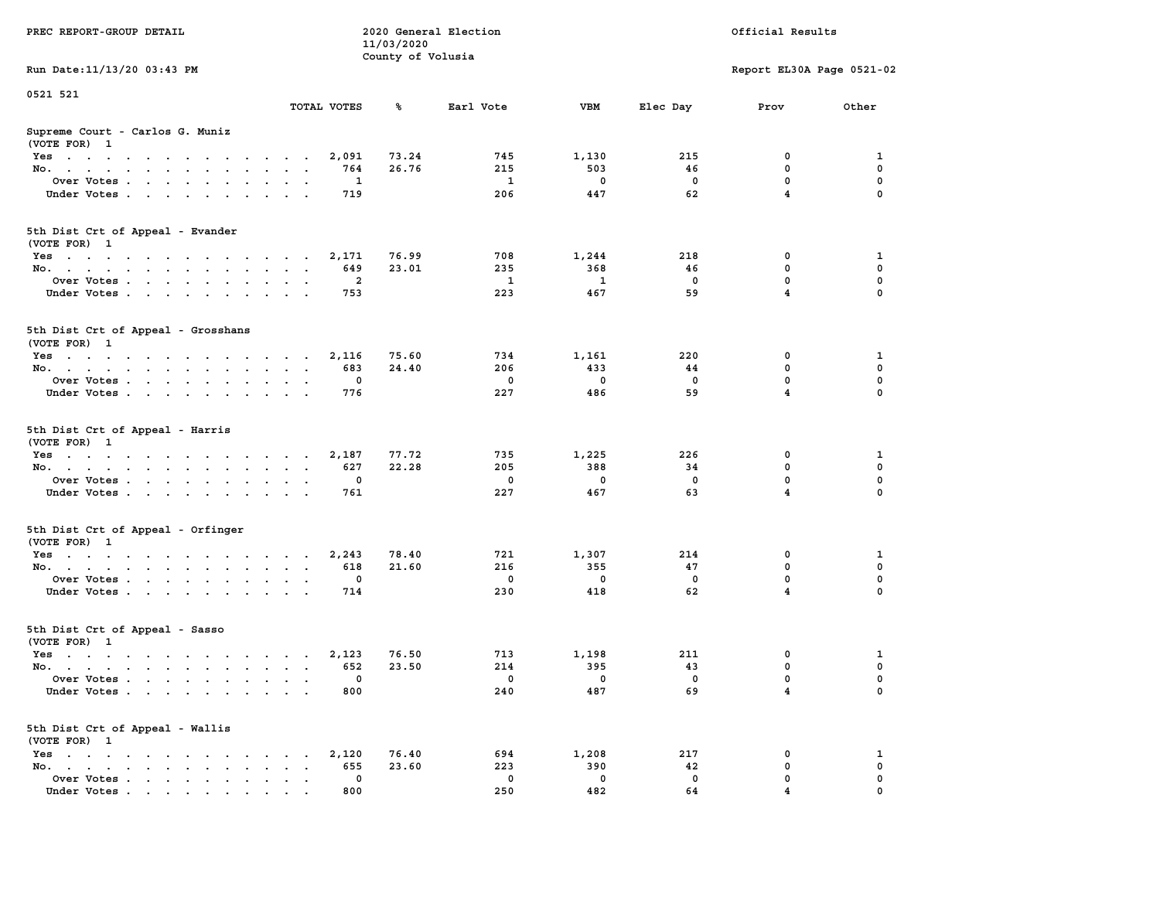| PREC REPORT-GROUP DETAIL                                                |                      | 11/03/2020<br>County of Volusia | 2020 General Election | Official Results        |                |                           |              |  |
|-------------------------------------------------------------------------|----------------------|---------------------------------|-----------------------|-------------------------|----------------|---------------------------|--------------|--|
| Run Date: 11/13/20 03:43 PM                                             |                      |                                 |                       |                         |                | Report EL30A Page 0521-02 |              |  |
| 0521 521                                                                |                      |                                 |                       |                         |                |                           |              |  |
|                                                                         | TOTAL VOTES          | %                               | Earl Vote             | VBM                     | Elec Day       | Prov                      | Other        |  |
| Supreme Court - Carlos G. Muniz<br>(VOTE FOR) 1                         |                      |                                 |                       |                         |                |                           |              |  |
| Yes                                                                     |                      | 73.24<br>2,091                  | 745                   | 1,130                   | 215            | 0                         | 1            |  |
| No.                                                                     |                      | 26.76<br>764                    | 215                   | 503                     | 46             | 0                         | 0            |  |
| Over Votes                                                              |                      | 1                               | $\mathbf{1}$          | $^{\circ}$              | $\mathbf 0$    | $\mathbf{0}$              | $\mathbf 0$  |  |
| Under Votes                                                             |                      | 719                             | 206                   | 447                     | 62             | $\overline{4}$            | $\mathbf 0$  |  |
| 5th Dist Crt of Appeal - Evander<br>(VOTE FOR) 1                        |                      |                                 |                       |                         |                |                           |              |  |
| Yes                                                                     |                      | 76.99<br>2,171                  | 708                   | 1,244                   | 218            | 0                         | 1            |  |
| No.                                                                     |                      | 23.01<br>649                    | 235                   | 368                     | 46             | $^{\circ}$                | 0            |  |
| Over Votes                                                              |                      | $\overline{a}$                  | $\mathbf{1}$          | $\mathbf{1}$            | $\mathbf 0$    | $\mathbf{0}$              | $\mathbf{0}$ |  |
| Under Votes                                                             |                      | 753                             | 223                   | 467                     | 59             | $\overline{4}$            | $\Omega$     |  |
| 5th Dist Crt of Appeal - Grosshans<br>(VOTE FOR) 1                      |                      |                                 |                       |                         |                |                           |              |  |
| Yes                                                                     |                      | 75.60<br>2,116                  | 734                   | 1,161                   | 220            | 0                         | 1            |  |
| No.                                                                     |                      | 683<br>24.40                    | 206                   | 433                     | 44             | 0                         | $\mathbf 0$  |  |
| Over Votes                                                              |                      | 0                               | $\mathbf 0$           | $\mathbf{0}$            | $\mathbf 0$    | $\mathbf{0}$              | 0            |  |
| Under Votes                                                             |                      | 776                             | 227                   | 486                     | 59             | $\overline{4}$            | $\mathbf 0$  |  |
|                                                                         |                      |                                 |                       |                         |                |                           |              |  |
| 5th Dist Crt of Appeal - Harris<br>(VOTE FOR) 1                         |                      |                                 |                       |                         |                |                           |              |  |
| Yes                                                                     |                      | 77.72<br>2,187                  | 735                   | 1,225                   | 226            | 0                         | 1            |  |
| No.                                                                     |                      | 22.28<br>627                    | 205                   | 388                     | 34             | 0                         | 0            |  |
| Over Votes                                                              |                      | $^{\circ}$                      | $\mathbf 0$           | $^{\circ}$              | $\mathbf 0$    | $\mathbf{0}$              | 0            |  |
| Under Votes                                                             |                      | 761                             | 227                   | 467                     | 63             | $\overline{4}$            | $\mathbf 0$  |  |
| 5th Dist Crt of Appeal - Orfinger<br>(VOTE FOR) 1                       |                      |                                 |                       |                         |                |                           |              |  |
| Yes                                                                     |                      | 78.40                           | 721                   | 1,307                   | 214            | 0                         | 1            |  |
| No.                                                                     |                      | 2,243<br>21.60<br>618           | 216                   | 355                     | 47             | $^{\circ}$                | 0            |  |
| Over Votes                                                              |                      | 0                               | 0                     | $\overline{\mathbf{0}}$ | $\mathbf 0$    | $\mathbf 0$               | 0            |  |
| Under Votes                                                             |                      | 714                             | 230                   | 418                     | 62             | 4                         | $\Omega$     |  |
| 5th Dist Crt of Appeal - Sasso<br>(VOTE FOR) 1                          |                      |                                 |                       |                         |                |                           |              |  |
| Yes                                                                     |                      | 76.50<br>2,123                  | 713                   | 1,198                   | 211            | 0                         | 1            |  |
| No.                                                                     |                      | 652<br>23.50                    | 214                   | 395                     | 43             | $\mathbf 0$               | 0            |  |
| Over Votes                                                              |                      |                                 | $\overline{0}$        | $\overline{0}$          | $\overline{0}$ | $\Omega$                  | $\Omega$     |  |
| Under Votes                                                             |                      | 800                             | 240                   | 487                     | 69             | 4                         | 0            |  |
| 5th Dist Crt of Appeal - Wallis<br>(VOTE FOR) 1                         |                      |                                 |                       |                         |                |                           |              |  |
| $Yes \cdot \cdot \cdot \cdot \cdot \cdot \cdot \cdot \cdot \cdot \cdot$ | $\sim$ $\sim$ $\sim$ | 76.40<br>2,120                  | 694                   | 1,208                   | 217            | 0                         | 1            |  |
| No.                                                                     | $\sim$               | 23.60<br>655                    | 223                   | 390                     | 42             | 0                         | 0            |  |
| Over Votes                                                              |                      | 0                               | 0                     | $\mathbf 0$             | 0              | 0                         | 0            |  |
| Under Votes                                                             |                      | 800                             | 250                   | 482                     | 64             |                           | $\Omega$     |  |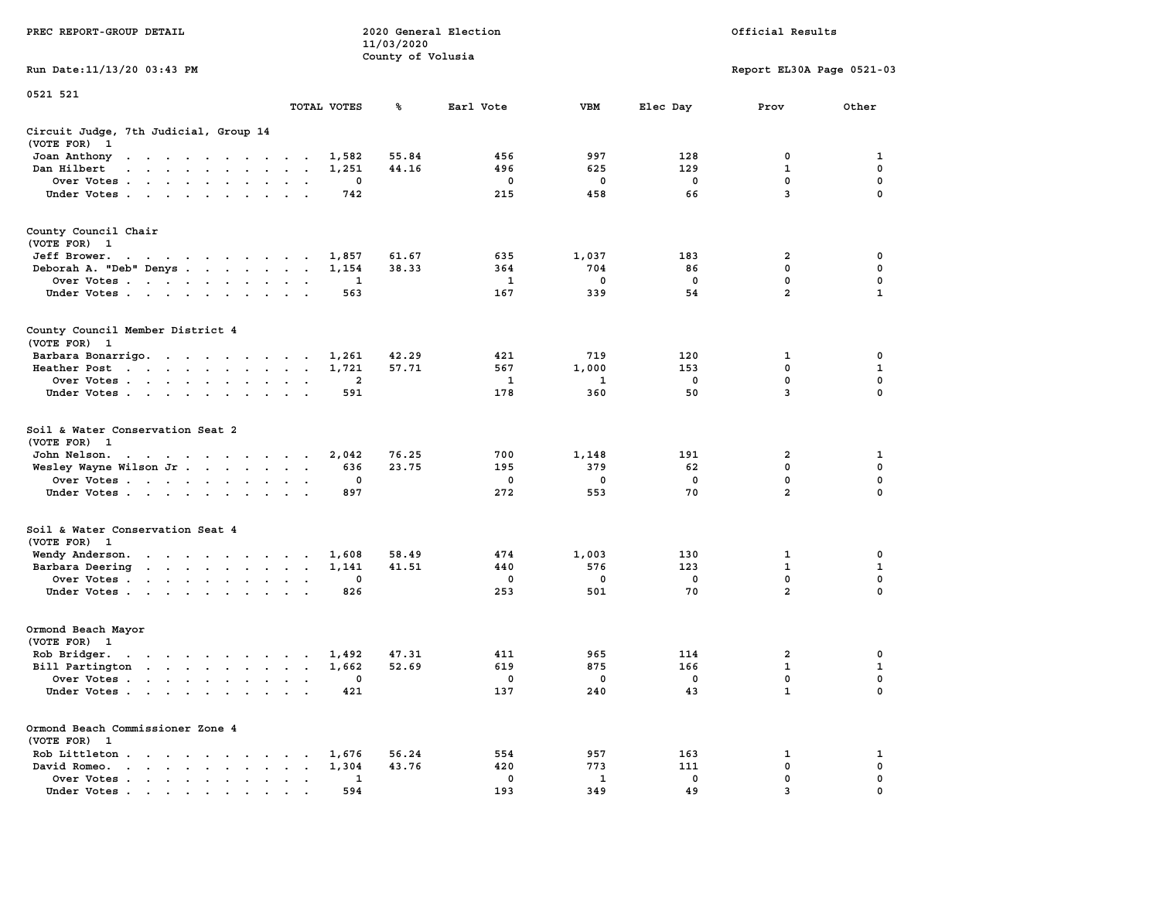| PREC REPORT-GROUP DETAIL                                                                                                                                                                                                                       |                 |                         | 11/03/2020        | 2020 General Election |                     | Official Results  |                              |                   |  |  |
|------------------------------------------------------------------------------------------------------------------------------------------------------------------------------------------------------------------------------------------------|-----------------|-------------------------|-------------------|-----------------------|---------------------|-------------------|------------------------------|-------------------|--|--|
| Run Date: 11/13/20 03:43 PM                                                                                                                                                                                                                    |                 |                         | County of Volusia |                       |                     |                   | Report EL30A Page 0521-03    |                   |  |  |
| 0521 521                                                                                                                                                                                                                                       |                 |                         |                   |                       |                     |                   |                              |                   |  |  |
|                                                                                                                                                                                                                                                | TOTAL VOTES     |                         | ℁                 | Earl Vote             | VBM                 | Elec Day          | Prov                         | Other             |  |  |
| Circuit Judge, 7th Judicial, Group 14<br>(VOTE FOR) 1                                                                                                                                                                                          |                 |                         |                   |                       |                     |                   |                              |                   |  |  |
| Joan Anthony<br>the contract of the contract of the con-                                                                                                                                                                                       |                 | 1,582                   | 55.84             | 456                   | 997                 | 128               | 0                            | 1                 |  |  |
| Dan Hilbert<br>$\mathbf{r}$ , $\mathbf{r}$ , $\mathbf{r}$ , $\mathbf{r}$ , $\mathbf{r}$ , $\mathbf{r}$ , $\mathbf{r}$                                                                                                                          |                 | 1,251                   | 44.16             | 496                   | 625                 | 129               | 1                            | 0                 |  |  |
| Over Votes                                                                                                                                                                                                                                     |                 | 0                       |                   | 0                     | 0                   | 0                 | 0                            | $\mathbf 0$       |  |  |
| Under Votes                                                                                                                                                                                                                                    | $\cdot$ $\cdot$ | 742                     |                   | 215                   | 458                 | 66                | 3                            | 0                 |  |  |
| County Council Chair<br>(VOTE FOR) 1                                                                                                                                                                                                           |                 |                         |                   |                       |                     |                   |                              |                   |  |  |
| Jeff Brower.<br>the contract of the contract of the contract of the contract of the contract of the contract of the contract of                                                                                                                |                 | 1,857                   | 61.67             | 635                   | 1,037               | 183               | 2                            | 0                 |  |  |
| Deborah A. "Deb" Denys                                                                                                                                                                                                                         |                 | 1,154                   | 38.33             | 364                   | 704                 | 86                | $\mathbf 0$                  | 0                 |  |  |
| Over Votes                                                                                                                                                                                                                                     |                 | 1                       |                   | 1                     | 0                   | 0                 | 0                            | 0                 |  |  |
| Under Votes                                                                                                                                                                                                                                    |                 | 563                     |                   | 167                   | 339                 | 54                | $\overline{a}$               | $\mathbf{1}$      |  |  |
| County Council Member District 4<br>(VOTE FOR) 1                                                                                                                                                                                               |                 |                         |                   |                       |                     |                   |                              |                   |  |  |
| Barbara Bonarrigo.                                                                                                                                                                                                                             |                 | 1,261                   | 42.29             | 421                   | 719                 | 120               | 1                            | 0                 |  |  |
| Heather Post                                                                                                                                                                                                                                   |                 | 1,721                   | 57.71             | 567                   | 1,000               | 153               | 0                            | 1                 |  |  |
| Over Votes                                                                                                                                                                                                                                     |                 | $\overline{\mathbf{2}}$ |                   | 1                     | 1                   | 0                 | $\mathbf 0$                  | $\mathbf 0$       |  |  |
| Under Votes                                                                                                                                                                                                                                    | $\sim$ $\sim$   | 591                     |                   | 178                   | 360                 | 50                | 3                            | $\Omega$          |  |  |
| Soil & Water Conservation Seat 2<br>(VOTE FOR) 1                                                                                                                                                                                               |                 |                         |                   |                       |                     |                   |                              |                   |  |  |
| John Nelson.                                                                                                                                                                                                                                   |                 | 2,042                   | 76.25             | 700                   | 1,148               | 191               | 2                            | 1                 |  |  |
| Wesley Wayne Wilson Jr.                                                                                                                                                                                                                        |                 | 636                     | 23.75             | 195                   | 379                 | 62                | 0                            | 0                 |  |  |
| Over Votes                                                                                                                                                                                                                                     |                 | 0                       |                   | 0                     | 0                   | 0                 | $\mathbf 0$                  | $\mathbf 0$       |  |  |
| Under Votes                                                                                                                                                                                                                                    |                 | 897                     |                   | 272                   | 553                 | 70                | $\overline{a}$               | 0                 |  |  |
| Soil & Water Conservation Seat 4                                                                                                                                                                                                               |                 |                         |                   |                       |                     |                   |                              |                   |  |  |
| (VOTE FOR) 1                                                                                                                                                                                                                                   |                 |                         |                   |                       |                     |                   |                              |                   |  |  |
| Wendy Anderson.                                                                                                                                                                                                                                |                 | 1,608                   | 58.49<br>41.51    | 474                   | 1,003<br>576        | 130<br>123        | 1<br>$\mathbf{1}$            | $\mathbf{o}$<br>1 |  |  |
| Barbara Deering<br>Over Votes                                                                                                                                                                                                                  |                 | 1,141<br>0              |                   | 440<br>0              | 0                   | 0                 | 0                            | 0                 |  |  |
| Under Votes                                                                                                                                                                                                                                    |                 | 826                     |                   | 253                   | 501                 | 70                | $\overline{a}$               | 0                 |  |  |
| Ormond Beach Mayor<br>(VOTE FOR) 1                                                                                                                                                                                                             |                 |                         |                   |                       |                     |                   |                              |                   |  |  |
| Rob Bridger.<br>the contract of the contract of the contract of the contract of the contract of the contract of the contract of the contract of the contract of the contract of the contract of the contract of the contract of the contract o |                 | 1,492                   | 47.31             | 411                   | 965                 | 114               | 2                            | 0                 |  |  |
| Bill Partington                                                                                                                                                                                                                                |                 | 1,662                   | 52.69             | 619                   | 875                 | 166               | $\mathbf{1}$                 | 1                 |  |  |
| Over Votes                                                                                                                                                                                                                                     |                 | 0                       |                   | $\mathbf 0$           | $\mathbf 0$         | 0                 | 0                            | 0                 |  |  |
| Under Votes                                                                                                                                                                                                                                    |                 | 421                     |                   | 137                   | 240                 | 43                | $\mathbf{1}$                 | $\mathbf 0$       |  |  |
| Ormond Beach Commissioner Zone 4<br>(VOTE FOR) 1                                                                                                                                                                                               |                 |                         |                   |                       |                     |                   |                              |                   |  |  |
| Rob Littleton                                                                                                                                                                                                                                  |                 | 1,676                   | 56.24             | 554                   | 957                 | 163               | 1                            | 1                 |  |  |
| David Romeo.<br>the contract of the contract of the contract of the contract of the contract of the contract of the contract of                                                                                                                | $\sim$          | 1,304                   | 43.76             | 420                   | 773                 | 111               | 0                            | 0                 |  |  |
| Over Votes                                                                                                                                                                                                                                     |                 | 1<br>594                |                   | 0<br>193              | $\mathbf{1}$<br>349 | $\mathbf 0$<br>49 | 0<br>$\overline{\mathbf{z}}$ | 0                 |  |  |
| Under Votes                                                                                                                                                                                                                                    |                 |                         |                   |                       |                     |                   |                              |                   |  |  |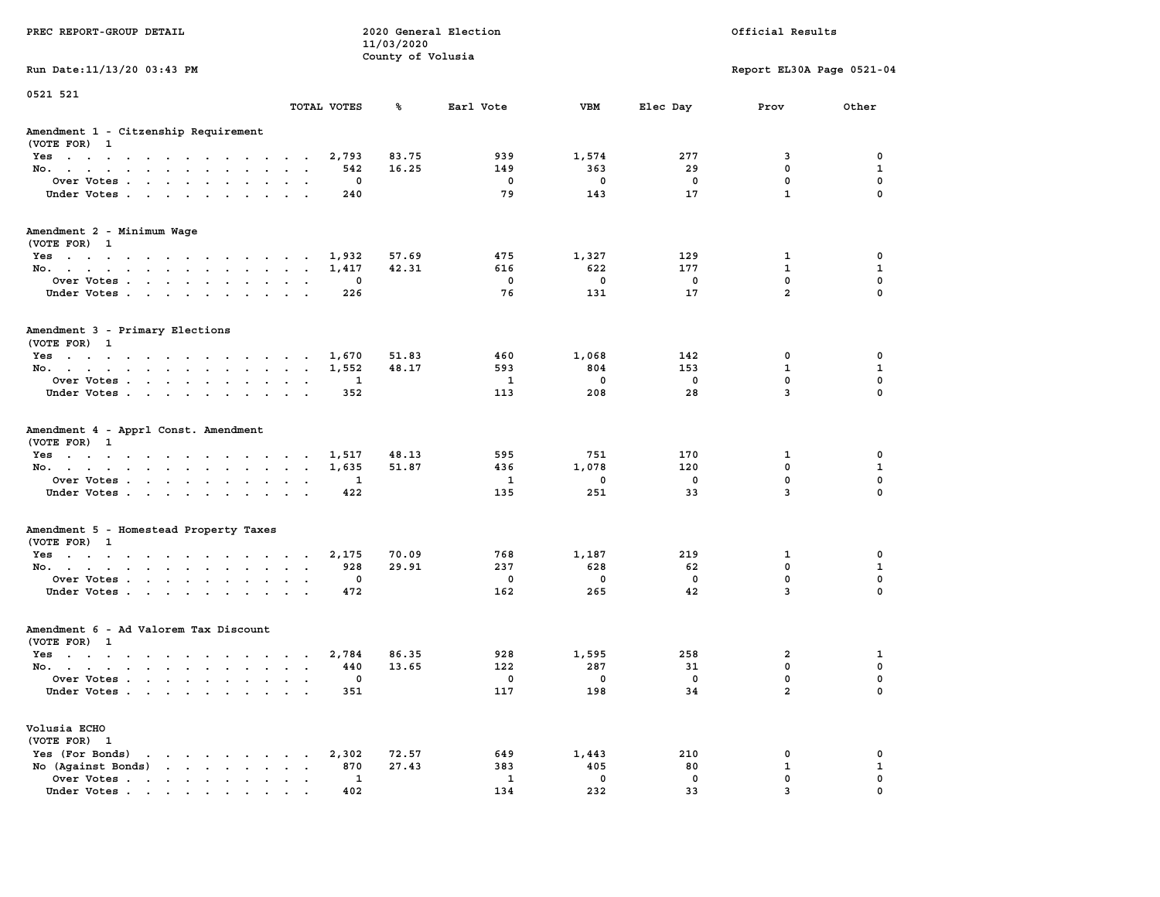| PREC REPORT-GROUP DETAIL                             |                 | 11/03/2020        | 2020 General Election<br>Official Results |              |                          |                           |              |  |
|------------------------------------------------------|-----------------|-------------------|-------------------------------------------|--------------|--------------------------|---------------------------|--------------|--|
| Run Date: 11/13/20 03:43 PM                          |                 | County of Volusia |                                           |              |                          | Report EL30A Page 0521-04 |              |  |
|                                                      |                 |                   |                                           |              |                          |                           |              |  |
| 0521 521                                             | TOTAL VOTES     | ℁                 | Earl Vote                                 | <b>VBM</b>   | Elec Day                 | Prov                      | Other        |  |
|                                                      |                 |                   |                                           |              |                          |                           |              |  |
| Amendment 1 - Citzenship Requirement<br>(VOTE FOR) 1 |                 |                   |                                           |              |                          |                           |              |  |
| Yes                                                  | 2,793           | 83.75             | 939                                       | 1,574        | 277                      | 3                         | 0            |  |
| No.                                                  | 542             | 16.25             | 149                                       | 363          | 29                       | 0                         | $\mathbf{1}$ |  |
| Over Votes                                           | $\Omega$        |                   | $\mathbf 0$                               | $^{\circ}$   | $^{\circ}$               | $\mathbf 0$               | 0            |  |
| Under Votes                                          | 240             |                   | 79                                        | 143          | 17                       | $\mathbf{1}$              | 0            |  |
| Amendment 2 - Minimum Wage                           |                 |                   |                                           |              |                          |                           |              |  |
| (VOTE FOR) 1                                         |                 |                   |                                           |              |                          |                           |              |  |
| Yes                                                  | 1,932           | 57.69             | 475                                       | 1,327        | 129                      | 1                         | 0            |  |
| No.                                                  | 1,417           | 42.31             | 616                                       | 622          | 177                      | $\mathbf{1}$              | $\mathbf{1}$ |  |
| Over Votes                                           | 0               |                   | $\mathbf 0$                               | $\mathbf 0$  | $\overline{\mathbf{0}}$  | $\mathbf 0$               | $\mathbf 0$  |  |
| Under Votes                                          | 226             |                   | 76                                        | 131          | 17                       | $\overline{a}$            | $\mathbf 0$  |  |
|                                                      |                 |                   |                                           |              |                          |                           |              |  |
| Amendment 3 - Primary Elections                      |                 |                   |                                           |              |                          |                           |              |  |
| (VOTE FOR) 1                                         |                 |                   |                                           |              |                          |                           |              |  |
| Yes                                                  | 1,670           | 51.83             | 460                                       | 1,068        | 142                      | 0                         | 0            |  |
| No.                                                  | 1,552           | 48.17             | 593                                       | 804          | 153                      | 1                         | 1            |  |
| Over Votes                                           | 1               |                   | 1                                         | $\mathbf{0}$ | $^{\circ}$               | $\mathbf 0$               | 0            |  |
| Under Votes                                          | 352             |                   | 113                                       | 208          | 28                       | 3                         | 0            |  |
| (VOTE FOR) 1<br>Yes                                  | 1,517           | 48.13             | 595                                       | 751          | 170                      | 1                         | 0            |  |
| No.                                                  | 1,635           | 51.87             | 436                                       | 1,078        | 120                      | $\mathbf 0$               | $\mathbf{1}$ |  |
| Over Votes                                           | 1               |                   | 1                                         | $^{\circ}$   | $^{\circ}$               | $\mathbf 0$               | $\mathbf 0$  |  |
|                                                      |                 |                   | 135                                       | 251          | 33                       | $\overline{3}$            | 0            |  |
| Under Votes                                          | 422             |                   |                                           |              |                          |                           |              |  |
| Amendment 5 - Homestead Property Taxes               |                 |                   |                                           |              |                          |                           |              |  |
| (VOTE FOR) 1                                         |                 |                   |                                           |              |                          |                           |              |  |
| Yes                                                  | 2,175           | 70.09             | 768                                       | 1,187        | 219                      | 1                         | 0            |  |
| No.                                                  | 928             | 29.91             | 237                                       | 628          | 62                       | $\mathbf 0$               | $\mathbf{1}$ |  |
| Over Votes                                           | 0               |                   | $\mathbf 0$                               | $\mathbf 0$  | $\mathbf 0$              | $\mathbf 0$               | 0            |  |
| Under Votes                                          | 472             |                   | 162                                       | 265          | 42                       | 3                         | 0            |  |
| Amendment 6 - Ad Valorem Tax Discount                |                 |                   |                                           |              |                          |                           |              |  |
| (VOTE FOR) 1                                         |                 |                   |                                           |              |                          |                           |              |  |
| Yes                                                  | 2,784           | 86.35             | 928                                       | 1,595        | 258                      | 2                         | $\mathbf{1}$ |  |
| No.                                                  | 440             | 13.65             | 122                                       | 287          | 31                       | $\mathbf 0$               | 0            |  |
| Over Votes                                           | $\overline{0}$  |                   | 0                                         | $\Omega$     | $\overline{\phantom{0}}$ | 0                         | 0            |  |
| Under Votes                                          | 351             |                   | 117                                       | 198          | 34                       | $\overline{\mathbf{2}}$   | 0            |  |
|                                                      |                 |                   |                                           |              |                          |                           |              |  |
| Volusia ECHO                                         |                 |                   |                                           |              |                          |                           |              |  |
| (VOTE FOR) 1                                         |                 |                   |                                           |              |                          |                           |              |  |
| Yes (For Bonds)                                      | 2,302<br>$\sim$ | 72.57             | 649                                       | 1,443        | 210                      | 0                         | 0            |  |
| No (Against Bonds)                                   | 870             | 27.43             | 383                                       | 405          | 80                       | 1                         | 1            |  |
| Over Votes                                           | 1               |                   | $\mathbf{1}$                              | $\mathbf 0$  | $\mathbf 0$              | 0                         | 0            |  |
| Under Votes                                          | 402             |                   | 134                                       | 232          | 33                       | 3                         | 0            |  |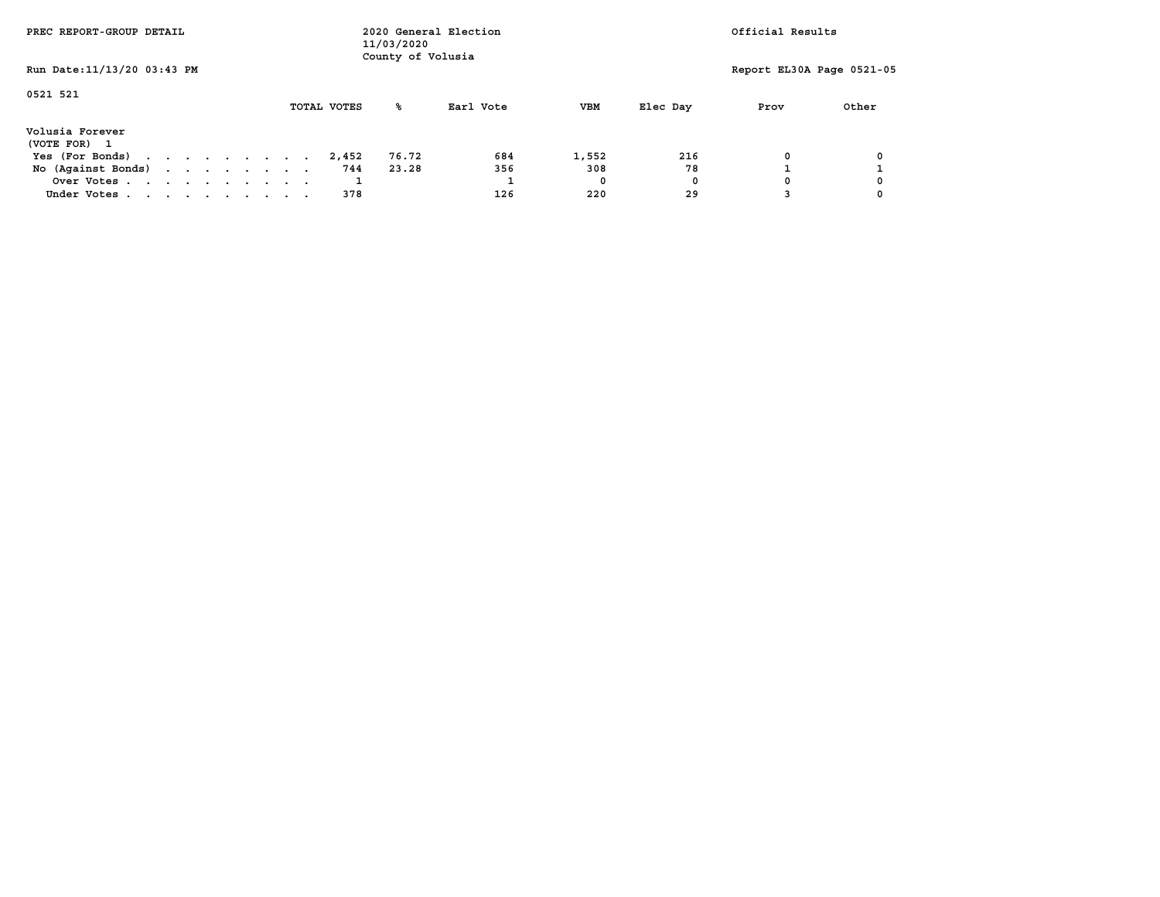| PREC REPORT-GROUP DETAIL        |  |  |  | 11/03/2020<br>County of Volusia | 2020 General Election | Official Results |       |           |            |          |                           |       |
|---------------------------------|--|--|--|---------------------------------|-----------------------|------------------|-------|-----------|------------|----------|---------------------------|-------|
| Run Date: 11/13/20 03:43 PM     |  |  |  |                                 |                       |                  |       |           |            |          | Report EL30A Page 0521-05 |       |
| 0521 521                        |  |  |  |                                 |                       | TOTAL VOTES      | ℁     | Earl Vote | <b>VBM</b> | Elec Day | Prov                      | Other |
| Volusia Forever<br>(VOTE FOR) 1 |  |  |  |                                 |                       |                  |       |           |            |          |                           |       |
| Yes (For Bonds)                 |  |  |  |                                 |                       | 2,452            | 76.72 | 684       | 1,552      | 216      | 0                         |       |
| No (Against Bonds)              |  |  |  |                                 |                       | 744              | 23.28 | 356       | 308        | 78       |                           |       |
| Over Votes                      |  |  |  |                                 |                       |                  |       |           | 0          | 0        |                           |       |
| Under Votes                     |  |  |  |                                 |                       | 378              |       | 126       | 220        | 29       |                           |       |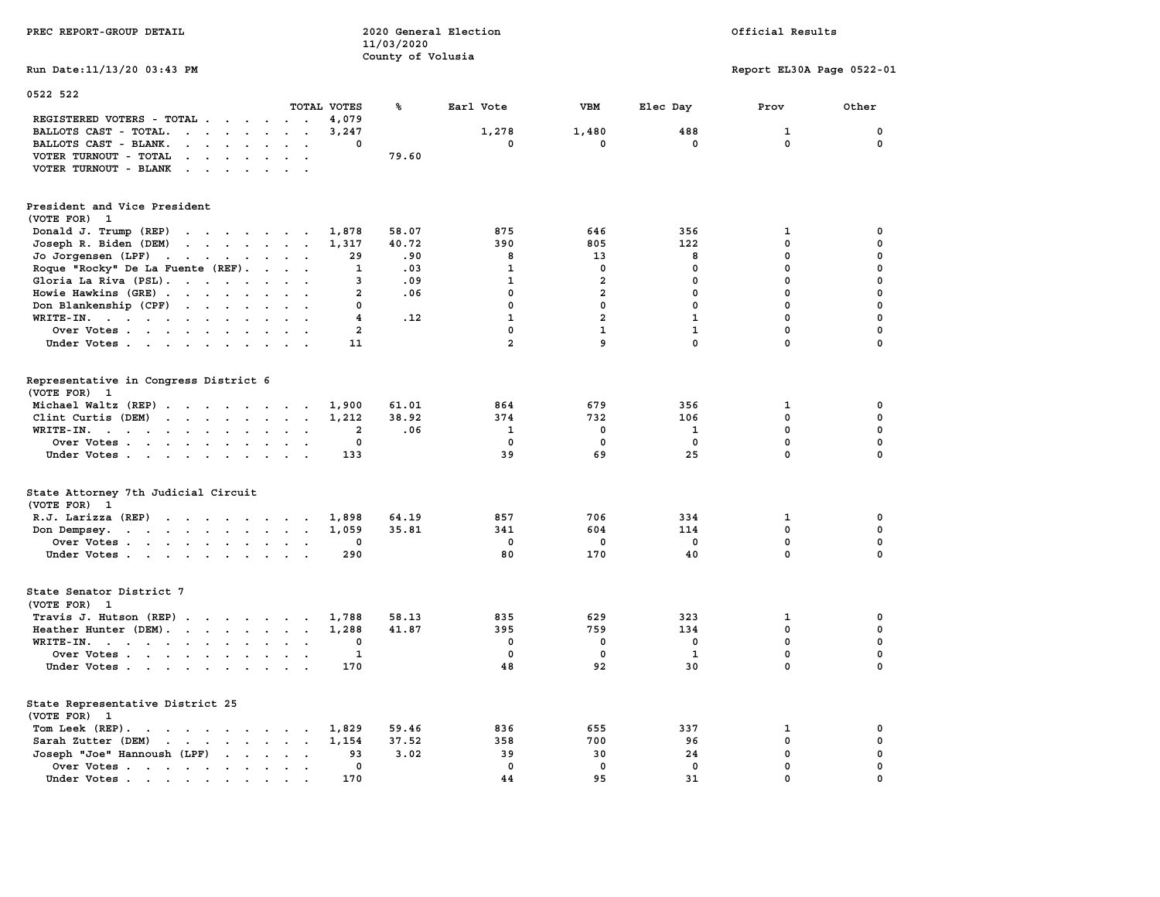| PREC REPORT-GROUP DETAIL                                                                                                                                                                                                                                          |                | 2020 General Election<br>11/03/2020 |                | Official Results        |              |                           |             |
|-------------------------------------------------------------------------------------------------------------------------------------------------------------------------------------------------------------------------------------------------------------------|----------------|-------------------------------------|----------------|-------------------------|--------------|---------------------------|-------------|
| Run Date:11/13/20 03:43 PM                                                                                                                                                                                                                                        |                | County of Volusia                   |                |                         |              | Report EL30A Page 0522-01 |             |
|                                                                                                                                                                                                                                                                   |                |                                     |                |                         |              |                           |             |
| 0522 522                                                                                                                                                                                                                                                          | TOTAL VOTES    | ℁                                   | Earl Vote      | VBM                     | Elec Day     | Prov                      | Other       |
| REGISTERED VOTERS - TOTAL<br>$\sim 10^{-11}$<br>$\sim$ $\sim$                                                                                                                                                                                                     | 4,079          |                                     |                |                         |              |                           |             |
| BALLOTS CAST - TOTAL.<br>$\mathbf{r}$ , and $\mathbf{r}$ , and $\mathbf{r}$<br>$\sim$<br>$\ddot{\phantom{a}}$                                                                                                                                                     | 3,247          |                                     | 1,278          | 1,480                   | 488          | 1                         | 0           |
| BALLOTS CAST - BLANK.<br>$\cdots$ $\cdots$<br>$\ddot{\phantom{a}}$<br>$\ddot{\phantom{1}}$                                                                                                                                                                        | 0              |                                     | 0              | 0                       | 0            | 0                         | 0           |
| VOTER TURNOUT - TOTAL<br>$\sim$ $\sim$ $\sim$<br>$\mathbf{a}=\mathbf{a}$                                                                                                                                                                                          |                | 79.60                               |                |                         |              |                           |             |
| VOTER TURNOUT - BLANK<br>$\ddot{\phantom{a}}$                                                                                                                                                                                                                     |                |                                     |                |                         |              |                           |             |
| President and Vice President                                                                                                                                                                                                                                      |                |                                     |                |                         |              |                           |             |
| (VOTE FOR) 1                                                                                                                                                                                                                                                      |                |                                     |                |                         |              |                           |             |
| Donald J. Trump (REP)<br>the contract of the contract of the contract of the contract of the contract of the contract of the contract of                                                                                                                          | 1,878          | 58.07                               | 875            | 646                     | 356          | 1                         | 0           |
| Joseph R. Biden (DEM)<br>$\mathbf{r}$ . The contract of the contract of the contract of the contract of the contract of the contract of the contract of the contract of the contract of the contract of the contract of the contract of the contract of th        | 1,317          | 40.72                               | 390            | 805                     | 122          | $\mathbf 0$               | 0           |
| Jo Jorgensen (LPF)<br>$\mathbf{r}$ , $\mathbf{r}$ , $\mathbf{r}$ , $\mathbf{r}$<br>$\sim 10^{-11}$ and $\sim 10^{-11}$                                                                                                                                            | 29             | .90                                 | 8              | 13                      | 8            | 0                         | 0           |
| Roque "Rocky" De La Fuente (REF).<br>$\sim$ $\sim$ $\sim$ $\sim$                                                                                                                                                                                                  | 1              | .03                                 | $\mathbf{1}$   | $\mathbf 0$             | $\mathbf 0$  | $\mathbf 0$               | 0           |
| Gloria La Riva (PSL).                                                                                                                                                                                                                                             | 3              | .09                                 | $\mathbf{1}$   | $\overline{\mathbf{2}}$ | $\mathbf 0$  | $\mathbf 0$               | 0           |
| Howie Hawkins (GRE)<br>$\ddot{\phantom{a}}$                                                                                                                                                                                                                       | $\overline{a}$ | .06                                 | $\mathbf 0$    | $\overline{a}$          | $\mathbf 0$  | $\mathbf 0$               | 0           |
| Don Blankenship (CPF)<br>$\sim$<br>$\sim$ $\sim$ $\sim$                                                                                                                                                                                                           | 0              |                                     | $\mathbf 0$    | $\mathbf 0$             | $\mathbf 0$  | $\mathbf 0$               | 0           |
| WRITE-IN.<br>$\ddot{\phantom{a}}$                                                                                                                                                                                                                                 | 4              | .12                                 | $\mathbf{1}$   | $\overline{2}$          | $\mathbf{1}$ | $\mathbf 0$               | 0           |
| Over Votes<br>$\cdot$ .                                                                                                                                                                                                                                           | $\mathbf{2}$   |                                     | 0              | $\mathbf{1}$            | $\mathbf{1}$ | $\mathbf 0$               | 0           |
| Under Votes<br>$\ddot{\phantom{a}}$<br>$\cdot$ .                                                                                                                                                                                                                  | 11             |                                     | $\overline{a}$ | 9                       | $\mathbf 0$  | $\mathbf 0$               | 0           |
|                                                                                                                                                                                                                                                                   |                |                                     |                |                         |              |                           |             |
| Representative in Congress District 6<br>(VOTE FOR) 1                                                                                                                                                                                                             |                |                                     |                |                         |              |                           |             |
| Michael Waltz (REP)                                                                                                                                                                                                                                               | 1,900          | 61.01                               | 864            | 679                     | 356          | 1                         | 0           |
| Clint Curtis (DEM)                                                                                                                                                                                                                                                | 1,212          | 38.92                               | 374            | 732                     | 106          | $\mathbf 0$               | 0           |
| WRITE-IN.<br>$\ddot{\phantom{a}}$<br>$\overline{a}$<br>$\ddot{\phantom{a}}$                                                                                                                                                                                       | $\overline{a}$ | .06                                 | $\mathbf{1}$   | $\mathbf 0$             | 1            | $\mathbf 0$               | $\mathbf 0$ |
| Over Votes                                                                                                                                                                                                                                                        | 0              |                                     | $\mathbf 0$    | $\mathbf 0$             | $\mathbf 0$  | $\mathbf 0$               | $\mathbf 0$ |
| Under Votes<br>$\cdot$ .                                                                                                                                                                                                                                          | 133            |                                     | 39             | 69                      | 25           | 0                         | $\Omega$    |
|                                                                                                                                                                                                                                                                   |                |                                     |                |                         |              |                           |             |
| State Attorney 7th Judicial Circuit<br>(VOTE FOR) 1                                                                                                                                                                                                               |                |                                     |                |                         |              |                           |             |
| R.J. Larizza $(REP)$                                                                                                                                                                                                                                              | 1,898          | 64.19                               | 857            | 706                     | 334          | 1                         | 0           |
|                                                                                                                                                                                                                                                                   | 1,059          | 35.81                               | 341            | 604                     | 114          | $\mathbf 0$               | $\mathbf 0$ |
| Don Dempsey.<br>the contract of the contract of the<br>Over Votes<br>$\cdot$ .                                                                                                                                                                                    | 0              |                                     | 0              | 0                       | $^{\circ}$   | $\mathbf 0$               | $\mathbf 0$ |
| Under Votes<br>$\sim$ $\sim$                                                                                                                                                                                                                                      | 290            |                                     | 80             | 170                     | 40           | $\mathbf 0$               | $\mathbf 0$ |
|                                                                                                                                                                                                                                                                   |                |                                     |                |                         |              |                           |             |
| State Senator District 7<br>(VOTE FOR) 1                                                                                                                                                                                                                          |                |                                     |                |                         |              |                           |             |
| Travis J. Hutson $(REP)$ .                                                                                                                                                                                                                                        | 1,788          | 58.13                               | 835            | 629                     | 323          | 1                         | 0           |
| Heather Hunter (DEM).<br>$\cdot$ .                                                                                                                                                                                                                                | 1,288          | 41.87                               | 395            | 759                     | 134          | 0                         | 0           |
| $WRITE-IN.$<br>$\sim$<br>$\cdot$ $\cdot$                                                                                                                                                                                                                          | 0              |                                     | 0              | 0                       | 0            | 0                         | 0           |
| Over Votes                                                                                                                                                                                                                                                        | 1              |                                     | $\mathbf 0$    | 0                       | $\mathbf{1}$ | $\mathbf 0$               | 0           |
| Under Votes<br>$\ddot{\phantom{0}}$                                                                                                                                                                                                                               | 170            |                                     | 48             | 92                      | 30           | $\mathbf 0$               | 0           |
| State Representative District 25<br>(VOTE FOR) 1                                                                                                                                                                                                                  |                |                                     |                |                         |              |                           |             |
| Tom Leek $(REP)$ .                                                                                                                                                                                                                                                | 1,829          | 59.46                               | 836            | 655                     | 337          | 1                         | 0           |
| Sarah Zutter (DEM)<br>$\mathbf{r}$ . The set of the set of the set of the set of the set of the set of the set of the set of the set of the set of the set of the set of the set of the set of the set of the set of the set of the set of the set of t<br>$\sim$ | 1,154          | 37.52                               | 358            | 700                     | 96           | 0                         | 0           |
| Joseph "Joe" Hannoush (LPF)<br>$\sim$<br>$\cdot$                                                                                                                                                                                                                  | 93             | 3.02                                | 39             | 30                      | 24           | 0                         | $\mathbf 0$ |
| Over Votes.<br>$\cdot$<br>$\sim$<br>$\ddot{\phantom{a}}$<br>$\ddot{\phantom{a}}$<br>$\overline{\phantom{a}}$                                                                                                                                                      | 0              |                                     | $\mathbf 0$    | 0                       | $\mathbf 0$  | $\mathbf 0$               | $\mathbf 0$ |
| Under Votes.<br>the contract of the contract of<br>$\bullet$                                                                                                                                                                                                      | 170            |                                     | 44             | 95                      | 31           | $\mathbf 0$               | $\mathbf 0$ |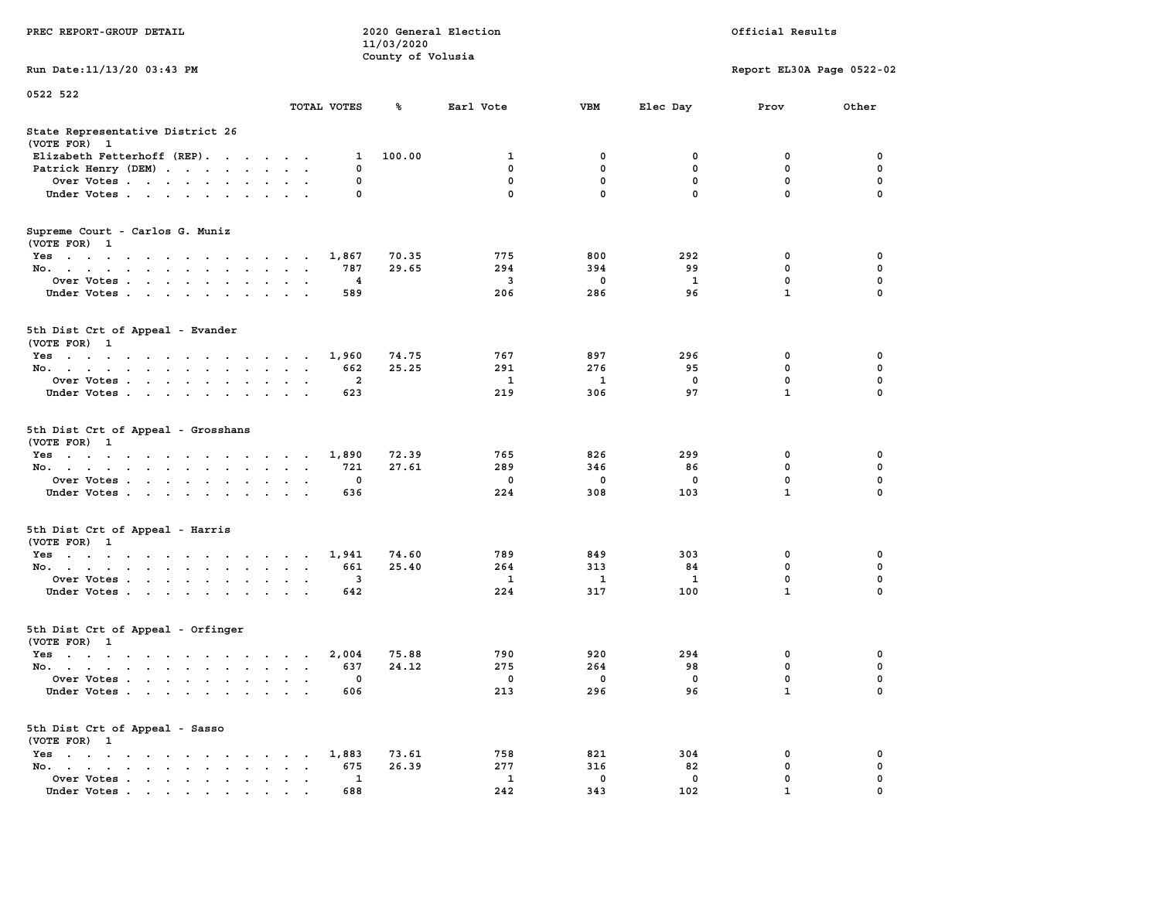|                                                                                                                                          |                                     |                | County of Volusia |              |              |              |                           |             |
|------------------------------------------------------------------------------------------------------------------------------------------|-------------------------------------|----------------|-------------------|--------------|--------------|--------------|---------------------------|-------------|
| Run Date: 11/13/20 03:43 PM                                                                                                              |                                     |                |                   |              |              |              | Report EL30A Page 0522-02 |             |
| 0522 522                                                                                                                                 |                                     |                |                   |              |              |              |                           |             |
|                                                                                                                                          |                                     | TOTAL VOTES    | ℁                 | Earl Vote    | <b>VBM</b>   | Elec Day     | Prov                      | Other       |
|                                                                                                                                          |                                     |                |                   |              |              |              |                           |             |
| State Representative District 26<br>(VOTE FOR) 1                                                                                         |                                     |                |                   |              |              |              |                           |             |
| Elizabeth Fetterhoff (REP).                                                                                                              |                                     | 1              | 100.00            | 1            | 0            | 0            | 0                         | 0           |
| Patrick Henry (DEM)                                                                                                                      |                                     | $\mathbf 0$    |                   | 0            | $\mathbf 0$  | $\mathbf 0$  | $\mathbf 0$               | $\mathbf 0$ |
| Over Votes                                                                                                                               |                                     | $\Omega$       |                   | 0            | $^{\circ}$   | $\mathbf{0}$ | $\mathbf{0}$              | $\mathbf 0$ |
| Under Votes                                                                                                                              |                                     | $\mathbf 0$    |                   | $\mathbf 0$  | $\mathbf{0}$ | $\mathbf{0}$ | $\mathbf 0$               | $\mathbf 0$ |
|                                                                                                                                          |                                     |                |                   |              |              |              |                           |             |
| Supreme Court - Carlos G. Muniz                                                                                                          |                                     |                |                   |              |              |              |                           |             |
| (VOTE FOR) 1                                                                                                                             |                                     |                |                   |              |              |              |                           |             |
| Yes                                                                                                                                      |                                     | 1,867          | 70.35             | 775          | 800          | 292          | $\mathbf 0$               | $\mathbf 0$ |
| No.                                                                                                                                      | $\cdot$ .                           | 787            | 29.65             | 294          | 394          | 99           | $\mathbf 0$               | $\mathbf 0$ |
| Over Votes                                                                                                                               |                                     | 4              |                   | 3            | $\mathbf 0$  | $\mathbf{1}$ | $\mathbf{0}$              | $\mathbf 0$ |
| Under Votes                                                                                                                              | $\sim$ $\sim$                       | 589            |                   | 206          | 286          | 96           | $\mathbf{1}$              | 0           |
|                                                                                                                                          |                                     |                |                   |              |              |              |                           |             |
| 5th Dist Crt of Appeal - Evander                                                                                                         |                                     |                |                   |              |              |              |                           |             |
| (VOTE FOR) 1                                                                                                                             |                                     |                |                   |              |              |              |                           |             |
| Yes                                                                                                                                      |                                     | 1,960          | 74.75             | 767          | 897          | 296          | $\mathbf 0$               | $\mathbf 0$ |
| No.<br>$\sim$<br>$\sim$ $\sim$                                                                                                           | $\overline{\phantom{a}}$            | 662            | 25.25             | 291          | 276          | 95           | 0                         | 0           |
| Over Votes                                                                                                                               |                                     | $\overline{a}$ |                   | $\mathbf{1}$ | $\mathbf{1}$ | $\mathbf 0$  | $\mathbf 0$               | $\mathbf 0$ |
| Under Votes                                                                                                                              | $\bullet$ .<br>$\ddot{\phantom{a}}$ | 623            |                   | 219          | 306          | 97           | $\mathbf{1}$              | 0           |
|                                                                                                                                          |                                     |                |                   |              |              |              |                           |             |
| 5th Dist Crt of Appeal - Grosshans                                                                                                       |                                     |                |                   |              |              |              |                           |             |
| (VOTE FOR) 1                                                                                                                             |                                     |                |                   |              |              |              |                           |             |
| Yes                                                                                                                                      |                                     | 1,890          | 72.39             | 765          | 826          | 299          | $\mathbf 0$               | 0           |
| No. .<br>$\mathbf{r}$ , and $\mathbf{r}$ , and $\mathbf{r}$ , and $\mathbf{r}$<br>$\sim$<br>$\sim$<br>$\ddot{\phantom{a}}$               | $\overline{\phantom{a}}$            | 721            | 27.61             | 289          | 346          | 86           | $\mathbf 0$               | $\mathbf 0$ |
| Over Votes                                                                                                                               |                                     | $\mathbf 0$    |                   | $\mathbf 0$  | $\mathbf 0$  | $\mathbf 0$  | $\mathbf 0$               | $\mathbf 0$ |
| Under Votes                                                                                                                              | $\ddot{\phantom{0}}$                | 636            |                   | 224          | 308          | 103          | $\mathbf{1}$              | $\mathbf 0$ |
|                                                                                                                                          |                                     |                |                   |              |              |              |                           |             |
| 5th Dist Crt of Appeal - Harris                                                                                                          |                                     |                |                   |              |              |              |                           |             |
| (VOTE FOR) 1<br>Yes                                                                                                                      |                                     | 1,941          | 74.60             | 789          | 849          | 303          | 0                         | 0           |
| No.<br>$\mathbf{r}$<br>$\sim$                                                                                                            |                                     | 661            | 25.40             | 264          | 313          | 84           | $\mathbf 0$               | $\mathbf 0$ |
| Over Votes                                                                                                                               |                                     | 3              |                   | 1            | 1            | 1            | $\mathbf 0$               | $\mathbf 0$ |
| Under Votes                                                                                                                              | $\sim$ $\sim$                       | 642            |                   | 224          | 317          | 100          | $\mathbf{1}$              | $\mathbf 0$ |
|                                                                                                                                          |                                     |                |                   |              |              |              |                           |             |
| 5th Dist Crt of Appeal - Orfinger                                                                                                        |                                     |                |                   |              |              |              |                           |             |
| (VOTE FOR) 1                                                                                                                             |                                     |                |                   |              |              |              |                           |             |
| Yes                                                                                                                                      |                                     | 2,004          | 75.88             | 790          | 920          | 294          | 0                         | 0           |
| No. .<br>the contract of the contract of<br>$\ddot{\phantom{a}}$<br>$\sim$                                                               |                                     | 637            | 24.12             | 275          | 264          | 98           | $\mathbf 0$               | $\mathbf 0$ |
| Over Votes                                                                                                                               |                                     | 0              |                   | 0            | 0            | $\mathbf 0$  | 0                         | $\pmb{0}$   |
| Under Votes                                                                                                                              | $\sim$<br>$\sim$                    | 606            |                   | 213          | 296          | 96           | $\mathbf{1}$              | $\mathbf 0$ |
|                                                                                                                                          |                                     |                |                   |              |              |              |                           |             |
| 5th Dist Crt of Appeal - Sasso                                                                                                           |                                     |                |                   |              |              |              |                           |             |
| (VOTE FOR) 1                                                                                                                             |                                     |                |                   |              |              |              |                           |             |
| Yes                                                                                                                                      |                                     | 1,883          | 73.61             | 758          | 821          | 304          | 0                         | 0           |
| No.<br>$\mathbf{r}$ , $\mathbf{r}$ , $\mathbf{r}$ , $\mathbf{r}$<br>$\ddot{\phantom{a}}$<br>$\ddot{\phantom{a}}$<br>$\ddot{\phantom{0}}$ |                                     | 675            | 26.39             | 277          | 316          | 82           | 0                         | 0           |
| Over Votes                                                                                                                               | $\mathbf{z} = \mathbf{z}$           | 1              |                   | $\mathbf{1}$ | 0            | $\mathbf 0$  | 0                         | $\pmb{0}$   |
| Under Votes<br>$\cdot$                                                                                                                   |                                     | 688            |                   | 242          | 343          | 102          | $\mathbf{1}$              | 0           |

**PREC REPORT-GROUP DETAIL COMPUTER CONSUMING A LOCAL PRECIST CONSUMING A LOCAL RESULTS OF A LOCAL PRECIST** 

 **11/03/2020**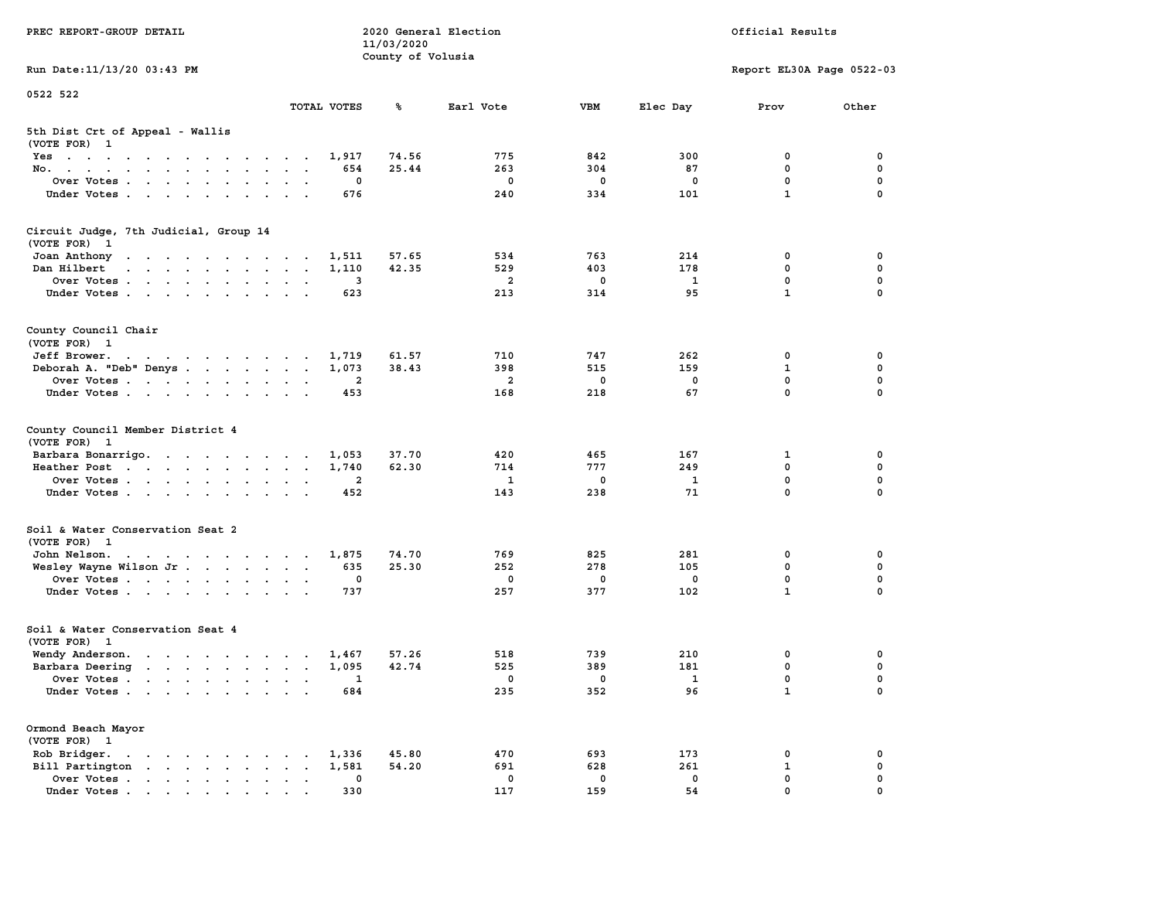| PREC REPORT-GROUP DETAIL                                                                                            |                                   |                            | 11/03/2020        | 2020 General Election             |                        |                              | Official Results                               |                            |
|---------------------------------------------------------------------------------------------------------------------|-----------------------------------|----------------------------|-------------------|-----------------------------------|------------------------|------------------------------|------------------------------------------------|----------------------------|
| Run Date: 11/13/20 03:43 PM                                                                                         |                                   |                            | County of Volusia |                                   |                        |                              | Report EL30A Page 0522-03                      |                            |
| 0522 522                                                                                                            |                                   |                            |                   |                                   |                        |                              |                                                |                            |
|                                                                                                                     |                                   | TOTAL VOTES                | ℁                 | Earl Vote                         | <b>VBM</b>             | Elec Day                     | Prov                                           | Other                      |
| 5th Dist Crt of Appeal - Wallis<br>(VOTE FOR) 1                                                                     |                                   |                            |                   |                                   |                        |                              |                                                |                            |
| Yes                                                                                                                 |                                   | 1,917                      | 74.56             | 775                               | 842                    | 300                          | 0                                              | 0                          |
| No.                                                                                                                 |                                   | 654                        | 25.44             | 263                               | 304                    | 87                           | $\mathbf 0$                                    | $\mathbf 0$                |
| Over Votes.                                                                                                         |                                   | 0                          |                   | $\mathbf 0$                       | 0                      | 0                            | $\mathbf 0$<br>$\mathbf{1}$                    | $\mathbf 0$<br>$\mathbf 0$ |
| Under Votes                                                                                                         |                                   | 676                        |                   | 240                               | 334                    | 101                          |                                                |                            |
| Circuit Judge, 7th Judicial, Group 14                                                                               |                                   |                            |                   |                                   |                        |                              |                                                |                            |
| (VOTE FOR) 1<br>Joan Anthony                                                                                        |                                   | 1,511                      | 57.65             | 534                               | 763                    | 214                          | 0                                              | 0                          |
| Dan Hilbert<br>and a series and a series and a                                                                      |                                   | 1,110                      | 42.35             | 529                               | 403                    | 178                          | $\mathbf 0$                                    | 0                          |
| Over Votes                                                                                                          |                                   | 3                          |                   | - 2                               | 0                      | $\mathbf{1}$                 | $\mathbf 0$                                    | $\mathbf 0$                |
| Under Votes                                                                                                         |                                   | 623                        |                   | 213                               | 314                    | 95                           | $\mathbf{1}$                                   | $\Omega$                   |
| County Council Chair                                                                                                |                                   |                            |                   |                                   |                        |                              |                                                |                            |
| (VOTE FOR) 1<br>Jeff Brower.                                                                                        |                                   | 1,719                      | 61.57             | 710                               | 747                    | 262                          | 0                                              | 0                          |
| Deborah A. "Deb" Denys                                                                                              |                                   | 1,073                      | 38.43             | 398                               | 515                    | 159                          | 1                                              | 0                          |
| Over Votes                                                                                                          |                                   | 2                          |                   | $\overline{a}$                    | $^{\circ}$             | $^{\circ}$                   | 0                                              | $\mathbf 0$                |
| Under Votes                                                                                                         |                                   | 453                        |                   | 168                               | 218                    | 67                           | 0                                              | $\mathbf 0$                |
| County Council Member District 4<br>(VOTE FOR) 1<br>Barbara Bonarrigo.<br>Heather Post<br>Over Votes<br>Under Votes |                                   | 1,053<br>1,740<br>2<br>452 | 37.70<br>62.30    | 420<br>714<br>$\mathbf{1}$<br>143 | 465<br>777<br>0<br>238 | 167<br>249<br><b>1</b><br>71 | 1<br>$\mathbf 0$<br>$\mathbf 0$<br>$\mathbf 0$ | 0<br>0<br>0<br>$\Omega$    |
| Soil & Water Conservation Seat 2                                                                                    |                                   |                            |                   |                                   |                        |                              |                                                |                            |
| (VOTE FOR) 1                                                                                                        |                                   |                            |                   |                                   |                        |                              |                                                |                            |
| John Nelson.<br>Wesley Wayne Wilson Jr                                                                              |                                   | 1,875<br>635               | 74.70<br>25.30    | 769<br>252                        | 825<br>278             | 281<br>105                   | 0<br>$\mathbf 0$                               | 0<br>0                     |
| Over Votes                                                                                                          |                                   | 0                          |                   | $\mathbf 0$                       | 0                      | $\mathbf 0$                  | $\mathbf 0$                                    | 0                          |
| Under Votes                                                                                                         |                                   | 737                        |                   | 257                               | 377                    | 102                          | $\mathbf{1}$                                   | $\Omega$                   |
| Soil & Water Conservation Seat 4<br>(VOTE FOR) 1                                                                    |                                   |                            |                   |                                   |                        |                              |                                                |                            |
| Wendy Anderson.                                                                                                     |                                   | 1,467                      | 57.26             | 518                               | 739                    | 210                          | 0                                              | 0                          |
| Barbara Deering                                                                                                     |                                   | 1,095                      | 42.74             | 525                               | 389                    | 181                          | $\mathbf 0$                                    | 0                          |
| Over Votes 1                                                                                                        |                                   |                            |                   | $^{\circ}$                        | $^{\circ}$             | $\mathbf{1}$                 | $\Omega$                                       | $\mathbf 0$                |
| Under Votes                                                                                                         |                                   | 684                        |                   | 235                               | 352                    | 96                           | $\mathbf{1}$                                   | 0                          |
| Ormond Beach Mayor<br>(VOTE FOR) 1                                                                                  |                                   |                            |                   |                                   |                        |                              |                                                |                            |
| Rob Bridger.                                                                                                        |                                   | 1,336                      | 45.80             | 470                               | 693                    | 173                          | 0                                              | 0                          |
| Bill Partington                                                                                                     | $\bullet$<br>$\ddot{\phantom{a}}$ | 1,581                      | 54.20             | 691                               | 628                    | 261                          | 1                                              | 0                          |
| Over Votes                                                                                                          |                                   | 0                          |                   | 0                                 | $\mathbf 0$            | $\mathbf 0$                  | $\mathbf 0$                                    | 0                          |
| Under Votes                                                                                                         |                                   | 330                        |                   | 117                               | 159                    | 54                           | 0                                              | $\Omega$                   |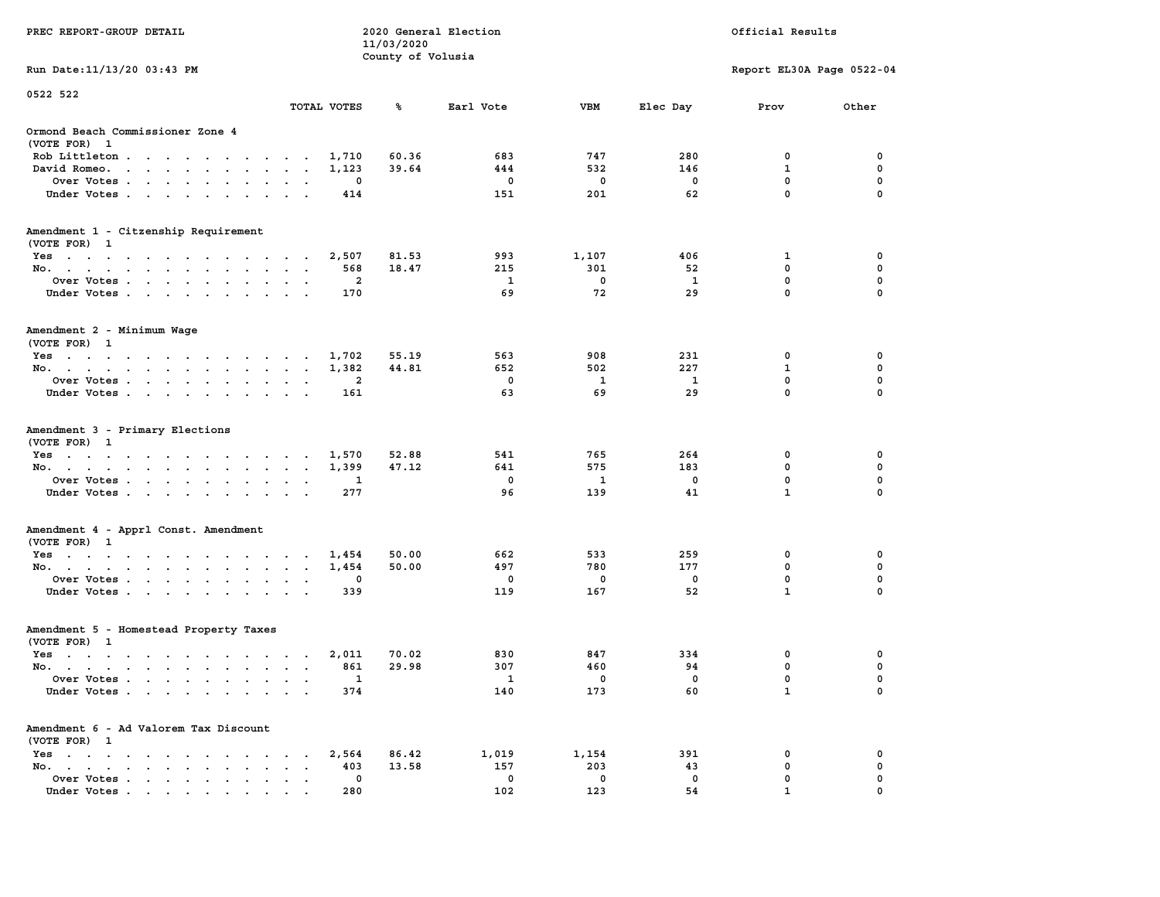| PREC REPORT-GROUP DETAIL                                                                                                                                                                                                                       | 2020 General Election<br>11/03/2020<br>County of Volusia |                |       |             |             |          | Official Results          |               |  |  |
|------------------------------------------------------------------------------------------------------------------------------------------------------------------------------------------------------------------------------------------------|----------------------------------------------------------|----------------|-------|-------------|-------------|----------|---------------------------|---------------|--|--|
| Run Date: 11/13/20 03:43 PM                                                                                                                                                                                                                    |                                                          |                |       |             |             |          | Report EL30A Page 0522-04 |               |  |  |
| 0522 522                                                                                                                                                                                                                                       |                                                          |                |       |             |             |          |                           |               |  |  |
|                                                                                                                                                                                                                                                | TOTAL VOTES                                              |                | ℁     | Earl Vote   | VBM         | Elec Day | Prov                      | Other         |  |  |
| Ormond Beach Commissioner Zone 4<br>(VOTE FOR) 1                                                                                                                                                                                               |                                                          |                |       |             |             |          |                           |               |  |  |
| Rob Littleton                                                                                                                                                                                                                                  |                                                          | 1,710          | 60.36 | 683         | 747         | 280      | 0                         | 0             |  |  |
| David Romeo.<br>the contract of the contract of the contract of the contract of the contract of the contract of the contract of                                                                                                                |                                                          | 1,123          | 39.64 | 444         | 532         | 146      | $\mathbf{1}$              | 0             |  |  |
| Over Votes<br>Under Votes                                                                                                                                                                                                                      |                                                          | 0<br>414       |       | 0<br>151    | 0<br>201    | 0<br>62  | 0<br>$\mathbf 0$          | 0<br>$\Omega$ |  |  |
|                                                                                                                                                                                                                                                | $\cdot$ $\cdot$                                          |                |       |             |             |          |                           |               |  |  |
| Amendment 1 - Citzenship Requirement<br>(VOTE FOR) 1                                                                                                                                                                                           |                                                          |                |       |             |             |          |                           |               |  |  |
| Yes                                                                                                                                                                                                                                            |                                                          | 2,507          | 81.53 | 993         | 1,107       | 406      | 1                         | 0             |  |  |
| No.                                                                                                                                                                                                                                            |                                                          | 568            | 18.47 | 215         | 301         | 52       | 0                         | 0             |  |  |
| Over Votes                                                                                                                                                                                                                                     |                                                          | $\overline{a}$ |       | 1           | $\mathbf 0$ | 1        | $\mathbf 0$               | 0             |  |  |
| Under Votes                                                                                                                                                                                                                                    |                                                          | 170            |       | 69          | 72          | 29       | $\mathbf 0$               | 0             |  |  |
| Amendment 2 - Minimum Wage<br>(VOTE FOR) 1                                                                                                                                                                                                     |                                                          |                |       |             |             |          |                           |               |  |  |
| Yes<br>the contract of the contract of the contract of the contract of the contract of the contract of the contract of                                                                                                                         |                                                          | 1,702          | 55.19 | 563         | 908         | 231      | 0                         | 0             |  |  |
| No.                                                                                                                                                                                                                                            |                                                          | 1,382          | 44.81 | 652         | 502         | 227      | 1                         | 0             |  |  |
| Over Votes                                                                                                                                                                                                                                     | $\bullet$<br>$\bullet$                                   | 2              |       | $\mathbf 0$ | 1           | 1        | $\mathbf 0$               | 0             |  |  |
| Under Votes                                                                                                                                                                                                                                    |                                                          | 161            |       | 63          | 69          | 29       | 0                         | 0             |  |  |
| Amendment 3 - Primary Elections<br>(VOTE FOR) 1                                                                                                                                                                                                |                                                          |                | 52.88 | 541         | 765         | 264      | 0                         | 0             |  |  |
| Yes<br>No.                                                                                                                                                                                                                                     |                                                          | 1,570<br>1,399 | 47.12 | 641         | 575         | 183      | $\mathbf 0$               | 0             |  |  |
| Over Votes                                                                                                                                                                                                                                     |                                                          | 1              |       | $\mathbf 0$ | 1           | 0        | 0                         | 0             |  |  |
| Under Votes                                                                                                                                                                                                                                    |                                                          | 277            |       | 96          | 139         | 41       | $\mathbf{1}$              | $\Omega$      |  |  |
|                                                                                                                                                                                                                                                |                                                          |                |       |             |             |          |                           |               |  |  |
| Amendment 4 - Apprl Const. Amendment<br>(VOTE FOR) 1                                                                                                                                                                                           |                                                          |                |       |             |             |          |                           |               |  |  |
| Yes                                                                                                                                                                                                                                            |                                                          | 1,454          | 50.00 | 662         | 533         | 259      | 0                         | 0             |  |  |
| No.                                                                                                                                                                                                                                            |                                                          | 1,454          | 50.00 | 497         | 780         | 177      | 0                         | 0             |  |  |
| Over Votes                                                                                                                                                                                                                                     |                                                          | 0              |       | 0           | 0           | 0        | $\mathbf 0$               | 0             |  |  |
| Under Votes                                                                                                                                                                                                                                    |                                                          | 339            |       | 119         | 167         | 52       | $\mathbf{1}$              | 0             |  |  |
| Amendment 5 - Homestead Property Taxes<br>(VOTE FOR) 1                                                                                                                                                                                         |                                                          |                |       |             |             |          |                           |               |  |  |
| Yes<br>the contract of the contract of the contract of the contract of the contract of the contract of the contract of                                                                                                                         |                                                          | 2,011          | 70.02 | 830         | 847         | 334      | 0                         | 0             |  |  |
| No.                                                                                                                                                                                                                                            |                                                          | 861            | 29.98 | 307         | 460         | 94       | 0                         | 0             |  |  |
| Over Votes                                                                                                                                                                                                                                     |                                                          | 1              |       | 1           | 0           | 0        | 0                         | 0             |  |  |
| Under Votes.<br>the contract of the contract of the contract of the contract of the contract of the contract of the contract of the contract of the contract of the contract of the contract of the contract of the contract of the contract o |                                                          | 374            |       | 140         | 173         | 60       | $\mathbf{1}$              | 0             |  |  |
| Amendment 6 - Ad Valorem Tax Discount<br>(VOTE FOR) 1                                                                                                                                                                                          |                                                          |                |       |             |             |          |                           |               |  |  |
| $Yes \t . \t . \t .$<br><b>Contract Contract Contract</b><br><b>Contract Contract</b><br>$\sim$ $\sim$                                                                                                                                         |                                                          | 2,564          | 86.42 | 1,019       | 1,154       | 391      | 0                         | 0             |  |  |
| No.<br>$\cdot$ $\cdot$ $\cdot$ $\cdot$<br>$\ddot{\phantom{0}}$<br>$\bullet$                                                                                                                                                                    |                                                          | 403            | 13.58 | 157         | 203         | 43       | 0                         | 0             |  |  |
| Over Votes                                                                                                                                                                                                                                     |                                                          | 0              |       | 0           | 0           | 0        | 0                         | 0             |  |  |
| Under Votes.                                                                                                                                                                                                                                   |                                                          | 280            |       | 102         | 123         | 54       |                           |               |  |  |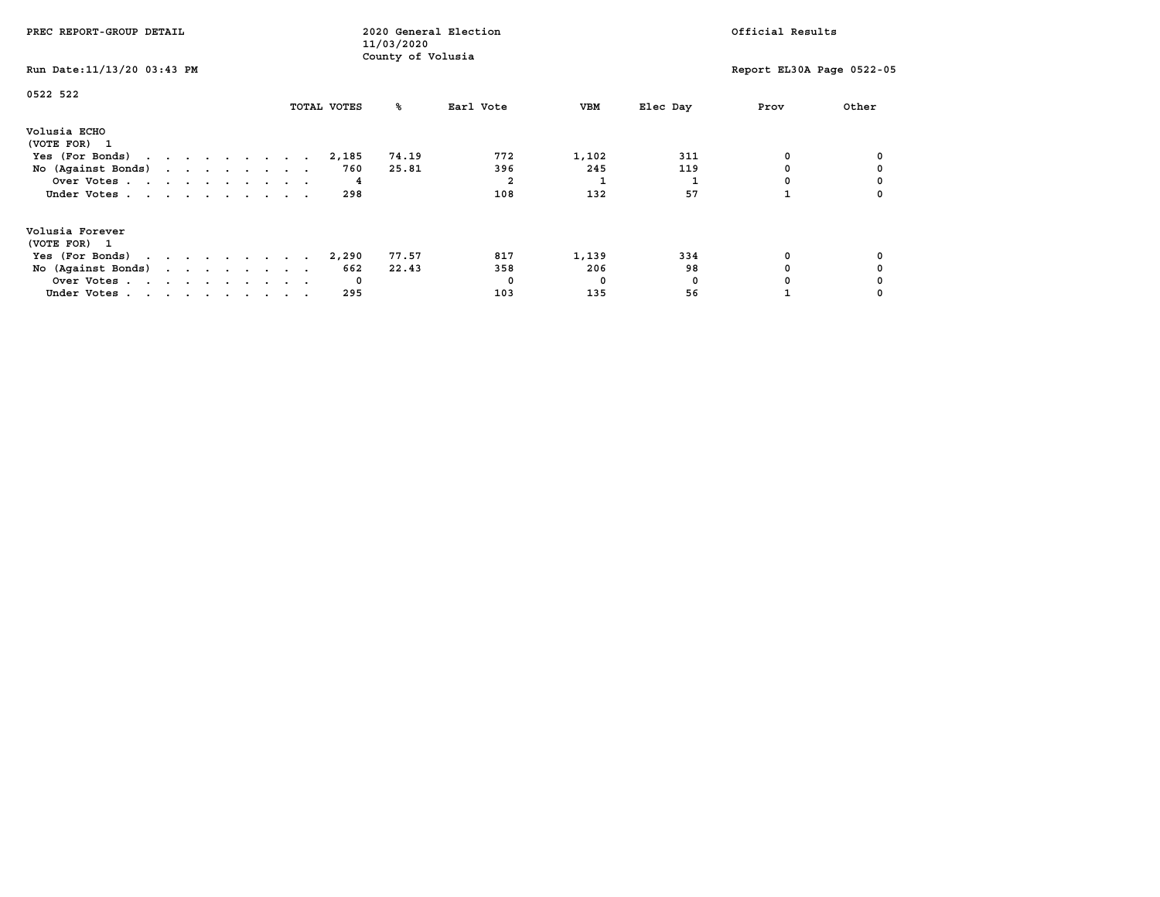| PREC REPORT-GROUP DETAIL                            |  |  |  |  | 11/03/2020 | 2020 General Election | Official Results |                   |           |       |          |      |                           |
|-----------------------------------------------------|--|--|--|--|------------|-----------------------|------------------|-------------------|-----------|-------|----------|------|---------------------------|
| Run Date: 11/13/20 03:43 PM                         |  |  |  |  |            |                       |                  | County of Volusia |           |       |          |      | Report EL30A Page 0522-05 |
| 0522 522                                            |  |  |  |  |            |                       | TOTAL VOTES      | ‱                 | Earl Vote | VBM   | Elec Day | Prov | Other                     |
|                                                     |  |  |  |  |            |                       |                  |                   |           |       |          |      |                           |
| Volusia ECHO<br>(VOTE FOR) 1                        |  |  |  |  |            |                       |                  |                   |           |       |          |      |                           |
| Yes (For Bonds) $\cdots$ $\cdots$ $\cdots$ $\cdots$ |  |  |  |  |            |                       | 2,185            | 74.19             | 772       | 1,102 | 311      | 0    |                           |
| No (Against Bonds)                                  |  |  |  |  |            |                       | 760              | 25.81             | 396       | 245   | 119      |      |                           |
| Over Votes                                          |  |  |  |  |            |                       | 4                |                   |           |       |          |      |                           |
| Under Votes                                         |  |  |  |  |            |                       | 298              |                   | 108       | 132   | 57       |      |                           |
| Volusia Forever                                     |  |  |  |  |            |                       |                  |                   |           |       |          |      |                           |
| (VOTE FOR) 1                                        |  |  |  |  |            |                       |                  |                   |           |       |          |      |                           |
| Yes (For Bonds) $\cdots$ $\cdots$ $\cdots$ $\cdots$ |  |  |  |  |            |                       | 2,290            | 77.57             | 817       | 1,139 | 334      |      |                           |
| No (Against Bonds)                                  |  |  |  |  |            |                       | 662              | 22.43             | 358       | 206   | 98       |      |                           |
| Over Votes                                          |  |  |  |  |            |                       | 0                |                   | $\Omega$  | 0     | 0        |      |                           |
| Under Votes                                         |  |  |  |  |            |                       | 295              |                   | 103       | 135   | 56       |      |                           |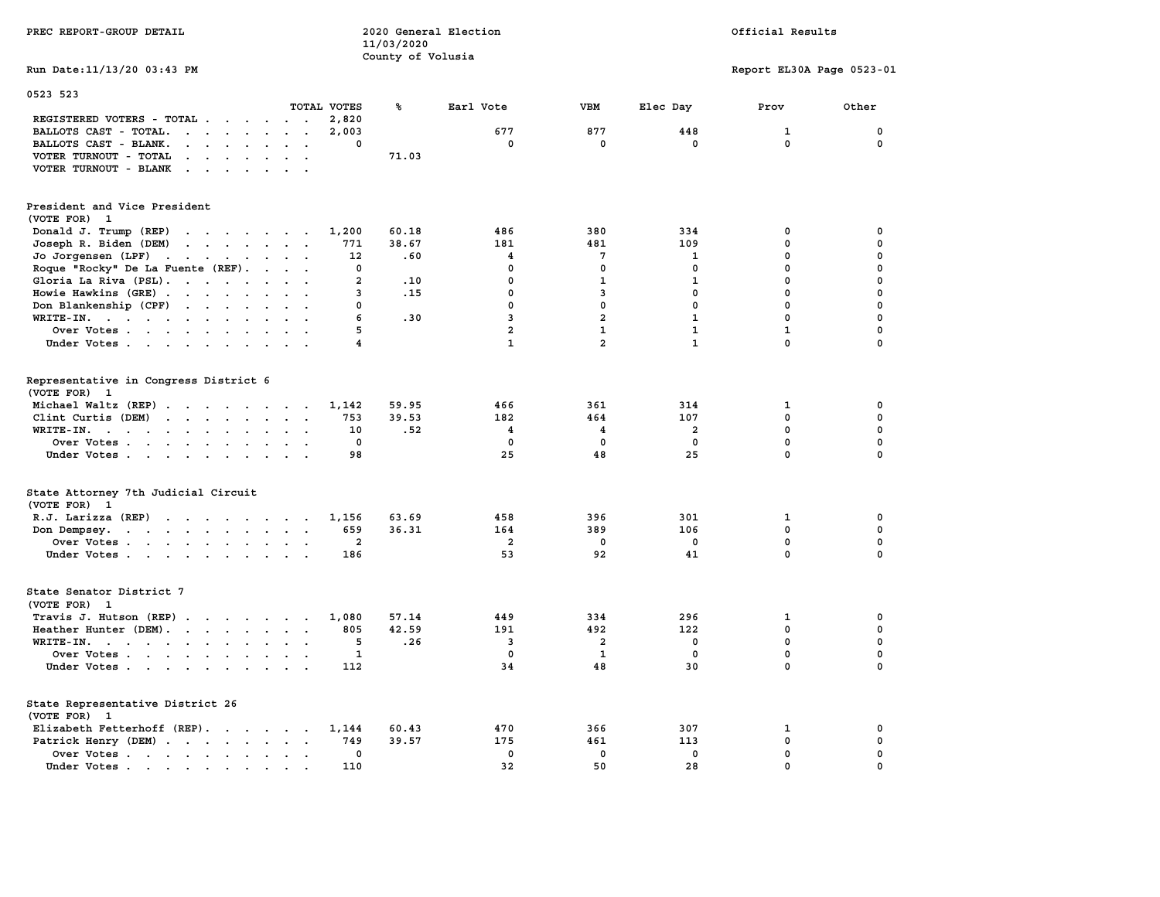| PREC REPORT-GROUP DETAIL                                                                                                                                                                                                                                | 2020 General Election<br>Official Results<br>11/03/2020 |                   |                |                         |              |                           |              |  |
|---------------------------------------------------------------------------------------------------------------------------------------------------------------------------------------------------------------------------------------------------------|---------------------------------------------------------|-------------------|----------------|-------------------------|--------------|---------------------------|--------------|--|
| Run Date: 11/13/20 03:43 PM                                                                                                                                                                                                                             |                                                         | County of Volusia |                |                         |              | Report EL30A Page 0523-01 |              |  |
| 0523 523                                                                                                                                                                                                                                                | TOTAL VOTES                                             | ℁                 | Earl Vote      | <b>VBM</b>              | Elec Day     | Prov                      | Other        |  |
| REGISTERED VOTERS - TOTAL                                                                                                                                                                                                                               | 2,820                                                   |                   |                |                         |              |                           |              |  |
| BALLOTS CAST - TOTAL.<br>$\cdots$                                                                                                                                                                                                                       | 2,003                                                   |                   | 677            | 877                     | 448          | $\mathbf{1}$              | 0            |  |
| BALLOTS CAST - BLANK.<br>$\mathbf{r} = \mathbf{r} - \mathbf{r} = \mathbf{r} - \mathbf{r}$                                                                                                                                                               | $\Omega$<br>$\cdots$                                    |                   | $^{\circ}$     | $\mathbf 0$             | $^{\circ}$   | $\mathbf 0$               | 0            |  |
| VOTER TURNOUT - TOTAL<br>$\begin{array}{cccccccccccccccccc} \bullet & \bullet & \bullet & \bullet & \bullet & \bullet & \bullet & \bullet & \bullet & \bullet & \bullet & \bullet & \bullet \end{array}$                                                |                                                         | 71.03             |                |                         |              |                           |              |  |
| VOTER TURNOUT - BLANK<br>the contract of the contract of the contract of the contract of the contract of the contract of the contract of the contract of the contract of the contract of the contract of the contract of the contract of the contract o |                                                         |                   |                |                         |              |                           |              |  |
| President and Vice President                                                                                                                                                                                                                            |                                                         |                   |                |                         |              |                           |              |  |
| (VOTE FOR) 1                                                                                                                                                                                                                                            |                                                         |                   |                |                         |              |                           |              |  |
| Donald J. Trump (REP)                                                                                                                                                                                                                                   | 1,200                                                   | 60.18             | 486            | 380                     | 334          | $\mathbf 0$               | 0            |  |
| Joseph R. Biden (DEM)                                                                                                                                                                                                                                   | 771                                                     | 38.67             | 181            | 481                     | 109          | $\mathbf 0$               | 0            |  |
| Jo Jorgensen $(LPF)$                                                                                                                                                                                                                                    | 12                                                      | .60               | $\overline{4}$ | 7                       | 1            | $\mathbf{0}$              | 0            |  |
| Roque "Rocky" De La Fuente (REF).                                                                                                                                                                                                                       | $\mathbf{0}$                                            |                   | $\mathbf{0}$   | 0                       | $^{\circ}$   | $\mathbf{0}$              | $\mathbf 0$  |  |
| Gloria La Riva (PSL).                                                                                                                                                                                                                                   | $\overline{2}$                                          | .10               | $\mathbf{0}$   | ${\bf 1}$               | $\mathbf{1}$ | $\mathbf 0$               | 0            |  |
| Howie Hawkins (GRE)                                                                                                                                                                                                                                     | 3                                                       | .15               | $\mathbf 0$    | 3                       | $\mathbf 0$  | $\mathbf 0$               | 0            |  |
| Don Blankenship (CPF)                                                                                                                                                                                                                                   | $\Omega$                                                |                   | $\mathbf{0}$   | $\mathbf{0}$            | $\mathbf{0}$ | $\mathbf{0}$              | 0            |  |
|                                                                                                                                                                                                                                                         | 6<br>$\cdot$ .                                          | .30               | $\overline{3}$ | $\overline{a}$          | $\mathbf{1}$ | $\mathbf{0}$              | $\mathbf 0$  |  |
| WRITE-IN.<br>Over Votes                                                                                                                                                                                                                                 | 5                                                       |                   | $\overline{a}$ | $\mathbf{1}$            | $\mathbf{1}$ | $\mathbf{1}$              | 0            |  |
|                                                                                                                                                                                                                                                         | $\overline{\mathbf{4}}$                                 |                   | $\mathbf{1}$   | $\overline{a}$          | $\mathbf{1}$ | $\mathbf 0$               | $\mathbf 0$  |  |
| Under Votes                                                                                                                                                                                                                                             |                                                         |                   |                |                         |              |                           |              |  |
| Representative in Congress District 6<br>(VOTE FOR) 1                                                                                                                                                                                                   |                                                         |                   |                |                         |              |                           |              |  |
| Michael Waltz (REP)                                                                                                                                                                                                                                     | 1,142                                                   | 59.95             | 466            | 361                     | 314          | $\mathbf{1}$              | 0            |  |
| Clint Curtis (DEM) $\cdots$ $\cdots$ $\cdots$                                                                                                                                                                                                           | 753                                                     | 39.53             | 182            | 464                     | 107          | 0                         | 0            |  |
| WRITE-IN.                                                                                                                                                                                                                                               | 10<br>$\sim$ $\sim$                                     | .52               | $\overline{4}$ | 4                       | $\mathbf{2}$ | $\mathbf 0$               | 0            |  |
| Over Votes                                                                                                                                                                                                                                              | 0<br>$\sim$                                             |                   | $\mathbf 0$    | 0                       | 0            | 0                         | 0            |  |
| Under Votes                                                                                                                                                                                                                                             | 98                                                      |                   | 25             | 48                      | 25           | $\mathbf 0$               | $\mathbf 0$  |  |
|                                                                                                                                                                                                                                                         |                                                         |                   |                |                         |              |                           |              |  |
| State Attorney 7th Judicial Circuit<br>(VOTE FOR) 1                                                                                                                                                                                                     |                                                         |                   |                |                         |              |                           |              |  |
| R.J. Larizza (REP) $\cdots$ $\cdots$ $\cdots$                                                                                                                                                                                                           | 1,156                                                   | 63.69             | 458            | 396                     | 301          | 1                         | 0            |  |
| Don Dempsey.                                                                                                                                                                                                                                            | 659                                                     | 36.31             | 164            | 389                     | 106          | $\mathbf 0$               | 0            |  |
| Over Votes                                                                                                                                                                                                                                              | 2                                                       |                   | $\overline{a}$ | 0                       | 0            | 0                         | 0            |  |
| Under Votes                                                                                                                                                                                                                                             | 186                                                     |                   | 53             | 92                      | 41           | $\mathbf 0$               | $\mathbf 0$  |  |
| State Senator District 7<br>(VOTE FOR) 1                                                                                                                                                                                                                |                                                         |                   |                |                         |              |                           |              |  |
| Travis J. Hutson (REP)                                                                                                                                                                                                                                  | 1,080                                                   | 57.14             | 449            | 334                     | 296          | 1                         | 0            |  |
| Heather Hunter (DEM).                                                                                                                                                                                                                                   | 805                                                     | 42.59             | 191            | 492                     | 122          | $\mathbf 0$               | 0            |  |
| WRITE-IN.                                                                                                                                                                                                                                               | 5                                                       | .26               | 3              | $\overline{\mathbf{2}}$ | 0            | 0                         | 0            |  |
| Over Votes                                                                                                                                                                                                                                              | 1                                                       |                   | $\mathbf{0}$   | $\mathbf{1}$            | $\mathbf 0$  | $\mathbf 0$               | 0            |  |
|                                                                                                                                                                                                                                                         | 112                                                     |                   | 34             | 48                      | 30           | $\mathbf 0$               | $\mathbf 0$  |  |
| Under Votes                                                                                                                                                                                                                                             |                                                         |                   |                |                         |              |                           |              |  |
| State Representative District 26<br>(VOTE FOR) 1                                                                                                                                                                                                        |                                                         |                   |                |                         |              |                           |              |  |
| Elizabeth Fetterhoff (REP).                                                                                                                                                                                                                             | 1,144                                                   | 60.43             | 470            | 366                     | 307          | $\mathbf{1}$              | 0            |  |
| Patrick Henry (DEM)                                                                                                                                                                                                                                     | 749                                                     | 39.57             | 175            | 461                     | 113          | $\mathbf 0$               | 0            |  |
| Over Votes                                                                                                                                                                                                                                              | $\mathbf{0}$                                            |                   | $\mathbf{0}$   | $\mathbf 0$             | $\mathbf{0}$ | $\mathbf 0$               | $\mathbf 0$  |  |
| Under Votes.<br>$\mathcal{A}=\mathcal{A}=\mathcal{A}=\mathcal{A}=\mathcal{A}$ .                                                                                                                                                                         | 110                                                     |                   | 32             | 50                      | 28           | $\mathbf{0}$              | $\mathbf{0}$ |  |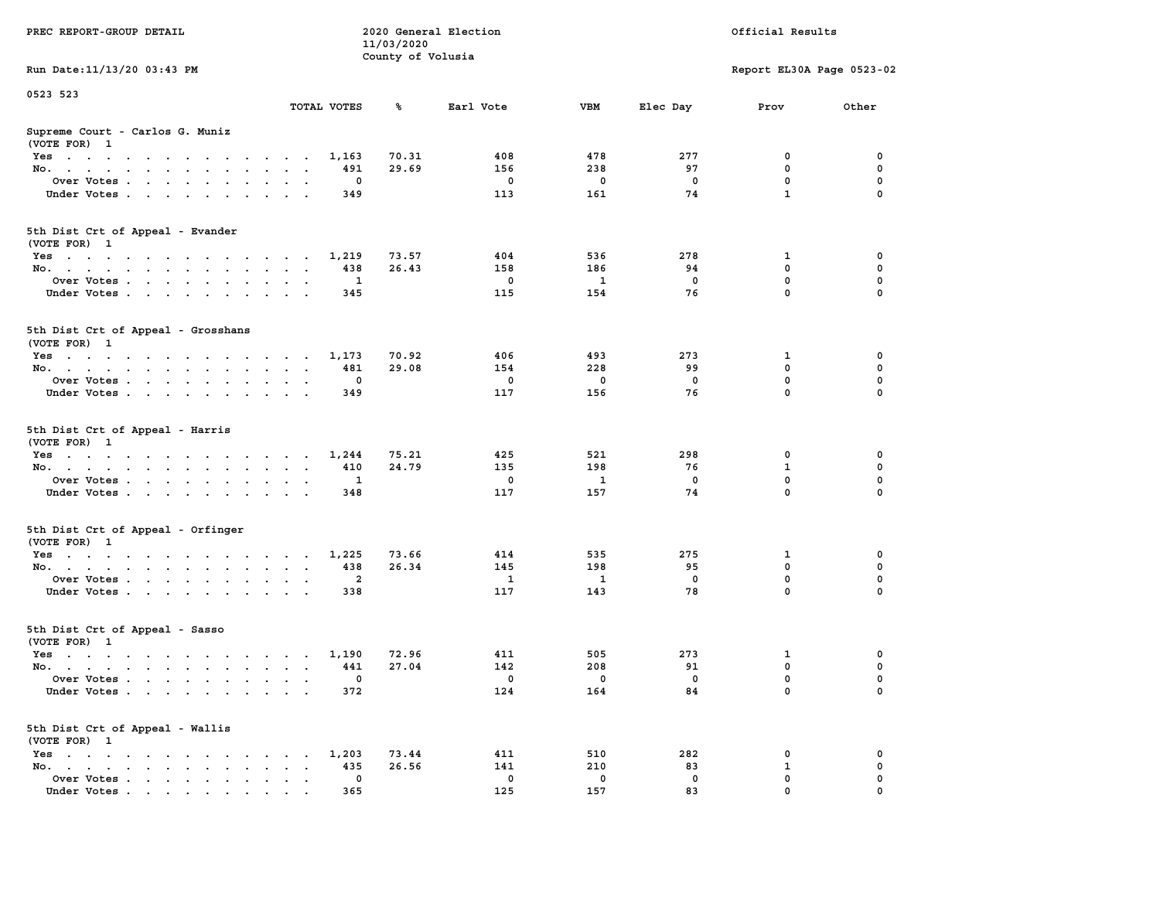|                                                                                                                                    |                                                               | 11/03/2020        |              |             |             |                           |             |
|------------------------------------------------------------------------------------------------------------------------------------|---------------------------------------------------------------|-------------------|--------------|-------------|-------------|---------------------------|-------------|
|                                                                                                                                    |                                                               | County of Volusia |              |             |             |                           |             |
| Run Date: 11/13/20 03:43 PM                                                                                                        |                                                               |                   |              |             |             | Report EL30A Page 0523-02 |             |
| 0523 523                                                                                                                           |                                                               |                   |              |             |             |                           |             |
|                                                                                                                                    | TOTAL VOTES                                                   | ℁                 | Earl Vote    | <b>VBM</b>  | Elec Day    | Prov                      | Other       |
| Supreme Court - Carlos G. Muniz                                                                                                    |                                                               |                   |              |             |             |                           |             |
| (VOTE FOR) 1                                                                                                                       |                                                               |                   |              |             |             |                           |             |
| Yes                                                                                                                                | 1,163                                                         | 70.31             | 408          | 478         | 277         | 0                         | 0           |
| No.<br>$\cdot$ $\cdot$ $\cdot$<br>$\mathbf{r}$                                                                                     | 491<br>$\overline{\phantom{a}}$                               | 29.69             | 156          | 238         | 97          | 0                         | 0           |
| Over Votes                                                                                                                         | 0                                                             |                   | $\mathbf 0$  | $\mathbf 0$ | $\mathbf 0$ | $\mathbf 0$               | $\mathbf 0$ |
| Under Votes<br>$\sim$ $\sim$ $\sim$                                                                                                | 349                                                           |                   | 113          | 161         | 74          | $\mathbf{1}$              | $\Omega$    |
|                                                                                                                                    |                                                               |                   |              |             |             |                           |             |
| 5th Dist Crt of Appeal - Evander                                                                                                   |                                                               |                   |              |             |             |                           |             |
| (VOTE FOR) 1                                                                                                                       |                                                               |                   |              |             |             |                           |             |
| Yes                                                                                                                                | 1,219                                                         | 73.57             | 404          | 536         | 278         | 1                         | $\mathbf 0$ |
| No.                                                                                                                                | 438                                                           | 26.43             | 158          | 186         | 94          | $\mathbf 0$               | $\mathbf 0$ |
| Over Votes                                                                                                                         | $\mathbf{1}$                                                  |                   | $^{\circ}$   | 1           | $\Omega$    | $\mathbf{0}$              | $\mathbf 0$ |
| Under Votes                                                                                                                        | 345                                                           |                   | 115          | 154         | 76          | $\mathbf 0$               | $\Omega$    |
|                                                                                                                                    |                                                               |                   |              |             |             |                           |             |
| 5th Dist Crt of Appeal - Grosshans                                                                                                 |                                                               |                   |              |             |             |                           |             |
| (VOTE FOR) 1                                                                                                                       |                                                               |                   |              |             |             |                           |             |
| Yes                                                                                                                                | 1,173                                                         | 70.92             | 406          | 493         | 273         | 1                         | 0           |
| No.                                                                                                                                | 481                                                           | 29.08             | 154          | 228         | 99          | $\mathbf 0$               | $\mathbf 0$ |
| Over Votes<br>$\ddot{\phantom{a}}$                                                                                                 | $\mathbf 0$<br>$\cdot$                                        |                   | $\mathbf 0$  | 0           | $\mathbf 0$ | $\mathbf 0$               | $\mathbf 0$ |
| Under Votes                                                                                                                        | 349                                                           |                   | 117          | 156         | 76          | $\Omega$                  | $\Omega$    |
|                                                                                                                                    |                                                               |                   |              |             |             |                           |             |
| 5th Dist Crt of Appeal - Harris<br>(VOTE FOR) 1                                                                                    |                                                               |                   |              |             |             |                           |             |
| Yes                                                                                                                                | 1,244                                                         | 75.21             | 425          | 521         | 298         | 0                         | 0           |
| No.<br>$\sim$                                                                                                                      | 410<br>$\sim$<br>$\ddot{\phantom{a}}$<br>$\sim$               | 24.79             | 135          | 198         | 76          | 1                         | $\mathbf 0$ |
| Over Votes                                                                                                                         | 1                                                             |                   | $\mathbf 0$  | 1           | $^{\circ}$  | $\mathbf 0$               | $\mathbf 0$ |
| Under Votes                                                                                                                        | 348                                                           |                   | 117          | 157         | 74          | $\mathbf 0$               | $\mathbf 0$ |
| 5th Dist Crt of Appeal - Orfinger                                                                                                  |                                                               |                   |              |             |             |                           |             |
| (VOTE FOR) 1                                                                                                                       |                                                               |                   |              |             |             |                           |             |
| Yes                                                                                                                                | 1,225                                                         | 73.66             | 414          | 535         | 275         | 1                         | $\mathbf 0$ |
| No.<br>$\sim$                                                                                                                      | 438<br>$\sim$<br>$\cdot$ $\cdot$                              | 26.34             | 145          | 198         | 95          | $\mathbf 0$               | $\mathbf 0$ |
| Over Votes                                                                                                                         | $\overline{a}$<br><b>Contract Contract</b>                    |                   | <sup>1</sup> | 1           | $\Omega$    | $\mathbf 0$               | $\mathbf 0$ |
| Under Votes                                                                                                                        | 338<br>$\sim$                                                 |                   | 117          | 143         | 78          | $\mathbf 0$               | $\Omega$    |
| 5th Dist Crt of Appeal - Sasso<br>(VOTE FOR) 1                                                                                     |                                                               |                   |              |             |             |                           |             |
| Yes                                                                                                                                | 1,190                                                         | 72.96             | 411          | 505         | 273         | 1                         | 0           |
| No.                                                                                                                                | 441                                                           | 27.04             | 142          | 208         | 91          | $\mathbf 0$               | 0           |
| Over Votes<br>$\ddot{\phantom{a}}$                                                                                                 | 0<br>$\ddot{\phantom{a}}$<br>$\cdot$<br>$\cdot$               |                   | $\mathbf 0$  | 0           | $\mathbf 0$ | $\mathbf 0$               | $\mathbf 0$ |
| Under Votes                                                                                                                        | 372                                                           |                   | 124          | 164         | 84          | $\mathbf 0$               | 0           |
| 5th Dist Crt of Appeal - Wallis                                                                                                    |                                                               |                   |              |             |             |                           |             |
| (VOTE FOR) 1                                                                                                                       |                                                               |                   |              |             |             |                           |             |
| $Yes \t . \t .$<br>the contract of the contract of the contract of the contract of the contract of the contract of the contract of | 1,203                                                         | 73.44             | 411          | 510         | 282         | 0                         | 0           |
| No.<br>the contract of the contract of the con-<br>$\ddot{\phantom{a}}$                                                            | 435<br>$\bullet$<br>$\cdot$ $\cdot$                           | 26.56             | 141          | 210         | 83          | 1                         | $\mathbf 0$ |
| Over Votes<br>$\ddot{\phantom{a}}$                                                                                                 | $\mathbf{0}$<br>$\blacksquare$<br>$\bullet$<br>$\blacksquare$ |                   | $^{\circ}$   | 0           | 0           | $\mathbf 0$               | $\mathbf 0$ |
| Under Votes<br>$\mathbf{r}$ , and $\mathbf{r}$ , and $\mathbf{r}$ , and $\mathbf{r}$                                               | 365                                                           |                   | 125          | 157         | 83          | $\mathbf 0$               | $\mathbf 0$ |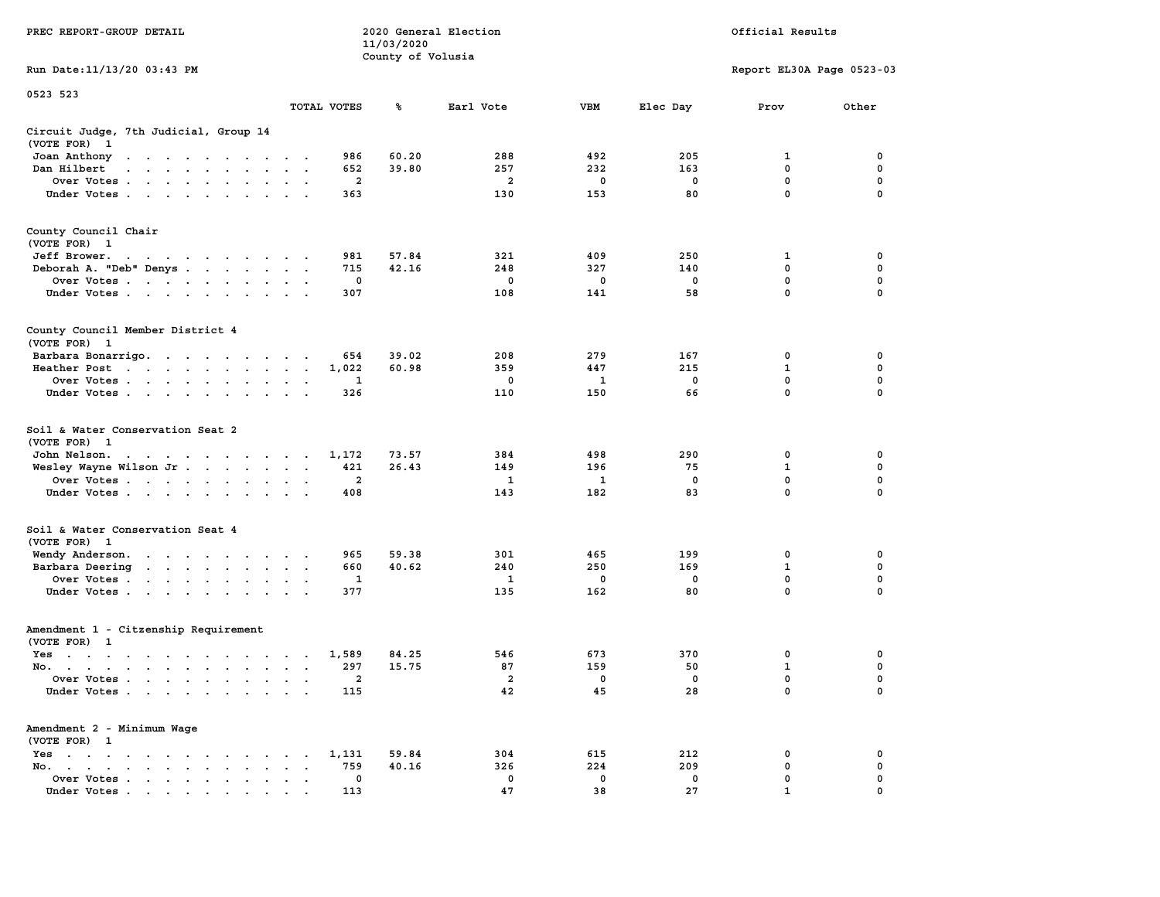|                                                                                                                                                                                                                                                                           |                                                                             | 11/03/2020        |                         |              |             |                           |             |
|---------------------------------------------------------------------------------------------------------------------------------------------------------------------------------------------------------------------------------------------------------------------------|-----------------------------------------------------------------------------|-------------------|-------------------------|--------------|-------------|---------------------------|-------------|
| Run Date:11/13/20 03:43 PM                                                                                                                                                                                                                                                |                                                                             | County of Volusia |                         |              |             | Report EL30A Page 0523-03 |             |
|                                                                                                                                                                                                                                                                           |                                                                             |                   |                         |              |             |                           |             |
| 0523 523                                                                                                                                                                                                                                                                  | TOTAL VOTES                                                                 | ℁                 | Earl Vote               | <b>VBM</b>   | Elec Day    | Prov                      | Other       |
| Circuit Judge, 7th Judicial, Group 14<br>(VOTE FOR)<br>- 1                                                                                                                                                                                                                |                                                                             |                   |                         |              |             |                           |             |
| Joan Anthony<br>$\ddot{\phantom{0}}$                                                                                                                                                                                                                                      | 986<br>$\cdot$                                                              | 60.20             | 288                     | 492          | 205         | 1                         | 0           |
| Dan Hilbert<br>$\overline{a}$<br>$\sim$<br>$\mathbf{A}$ and $\mathbf{A}$<br>$\sim$<br>$\sim$                                                                                                                                                                              | 652                                                                         | 39.80             | 257                     | 232          | 163         | 0                         | $\pmb{0}$   |
| Over Votes .<br>the contract of the contract of                                                                                                                                                                                                                           | $\overline{\mathbf{2}}$<br>$\bullet$                                        |                   | $\overline{\mathbf{2}}$ | 0            | $\mathbf 0$ | $\mathbf 0$               | 0           |
| Under Votes<br>$\ddot{\phantom{0}}$                                                                                                                                                                                                                                       | 363<br>$\bullet$                                                            |                   | 130                     | 153          | 80          | $\mathbf 0$               | 0           |
| County Council Chair<br>(VOTE FOR) 1                                                                                                                                                                                                                                      |                                                                             |                   |                         |              |             |                           |             |
| Jeff Brower.                                                                                                                                                                                                                                                              | 981                                                                         | 57.84             | 321                     | 409          | 250         | 1                         | 0           |
| Deborah A. "Deb" Denys                                                                                                                                                                                                                                                    | 715<br>$\sim$<br>$\cdot$                                                    | 42.16             | 248                     | 327          | 140         | 0                         | 0           |
| Over Votes<br>$\overline{\phantom{a}}$                                                                                                                                                                                                                                    | 0<br>$\ddot{\phantom{a}}$<br>$\ddot{\phantom{a}}$                           |                   | 0                       | 0            | 0           | 0                         | $\mathbf 0$ |
| Under Votes<br>$\sim$                                                                                                                                                                                                                                                     | 307<br>$\cdot$ $\cdot$ $\cdot$                                              |                   | 108                     | 141          | 58          | $\mathbf{0}$              | $\mathbf 0$ |
| County Council Member District 4<br>(VOTE FOR) 1                                                                                                                                                                                                                          |                                                                             |                   |                         |              |             |                           |             |
| Barbara Bonarrigo.                                                                                                                                                                                                                                                        | 654<br>$\bullet$ .<br><br><br><br><br>                                      | 39.02             | 208                     | 279          | 167         | 0                         | 0           |
| Heather Post<br>$\mathbf{r}$ . The contract of the contract of the contract of the contract of the contract of the contract of the contract of the contract of the contract of the contract of the contract of the contract of the contract of th<br>$\ddot{\phantom{0}}$ | 1,022<br>$\bullet$<br>$\bullet$                                             | 60.98             | 359                     | 447          | 215         | $\mathbf{1}$              | $\mathbf 0$ |
| Over Votes<br>$\sim$<br>$\ddot{\phantom{a}}$                                                                                                                                                                                                                              | 1                                                                           |                   | 0                       | 1            | $\mathbf 0$ | 0                         | $\mathbf 0$ |
| Under Votes<br>$\sim$ $\sim$<br>$\ddot{\phantom{a}}$                                                                                                                                                                                                                      | 326<br>$\overline{a}$                                                       |                   | 110                     | 150          | 66          | 0                         | $\mathbf 0$ |
| Soil & Water Conservation Seat 2<br>(VOTE FOR)<br>- 1                                                                                                                                                                                                                     |                                                                             |                   |                         |              |             |                           |             |
| John Nelson.<br>$\mathbf{u} = \mathbf{u} + \mathbf{u} + \mathbf{u} + \mathbf{u} + \mathbf{u} + \mathbf{u} + \mathbf{u} + \mathbf{u} + \mathbf{u}$                                                                                                                         | 1,172                                                                       | 73.57             | 384                     | 498          | 290         | 0                         | 0           |
| Wesley Wayne Wilson Jr                                                                                                                                                                                                                                                    | 421<br>$\ddot{\phantom{a}}$<br>$\ddot{\phantom{a}}$<br>$\ddot{\phantom{a}}$ | 26.43             | 149                     | 196          | 75          | $\mathbf 1$               | $\mathbf 0$ |
| Over Votes                                                                                                                                                                                                                                                                | $\overline{a}$<br>$\mathbf{r}$<br>$\cdot$                                   |                   | 1                       | 1            | $\mathbf 0$ | 0                         | $\mathbf 0$ |
| Under Votes<br>$\overline{\phantom{a}}$<br>$\ddot{\phantom{a}}$                                                                                                                                                                                                           | 408                                                                         |                   | 143                     | 182          | 83          | 0                         | 0           |
| Soil & Water Conservation Seat 4<br>(VOTE FOR) 1                                                                                                                                                                                                                          |                                                                             |                   |                         |              |             |                           |             |
| Wendy Anderson.<br>the contract of the contract of the                                                                                                                                                                                                                    | 965                                                                         | 59.38             | 301                     | 465          | 199         | 0                         | 0           |
| Barbara Deering<br>$\sim$                                                                                                                                                                                                                                                 | 660<br>$\bullet$<br>$\bullet$<br>$\blacksquare$                             | 40.62             | 240                     | 250          | 169         | $\mathbf 1$               | 0           |
| Over Votes<br>$\blacksquare$                                                                                                                                                                                                                                              | 1<br>$\bullet$<br>$\bullet$                                                 |                   | 1                       | $\mathbf{0}$ | $^{\circ}$  | $\mathbf 0$               | $\mathbf 0$ |
| Under Votes<br>$\ddot{\phantom{a}}$                                                                                                                                                                                                                                       | 377<br>$\cdot$                                                              |                   | 135                     | 162          | 80          | $\mathbf 0$               | 0           |
| Amendment 1 - Citzenship Requirement<br>(VOTE FOR) 1                                                                                                                                                                                                                      |                                                                             |                   |                         |              |             |                           |             |
| $Yes \t . \t .$<br>$\cdot$ $\cdot$<br>$\sim$<br>$\sim$ $\sim$ $\sim$<br>$\sim$                                                                                                                                                                                            | 1,589<br>$\cdot$<br>$\sim$<br>$\ddot{\phantom{a}}$                          | 84.25             | 546                     | 673          | 370         | 0                         | 0           |
| No.<br>$\cdot$                                                                                                                                                                                                                                                            | 297<br>$\cdot$<br>$\overline{\phantom{a}}$<br>$\cdot$                       | 15.75             | 87                      | 159          | 50          | $\mathbf 1$               | $\mathbf 0$ |
| Over Votes .<br>$\sim$<br>$\sim$<br>$\sim$<br>$\ddot{\phantom{a}}$<br>$\ddot{\phantom{a}}$<br>$\cdot$                                                                                                                                                                     | $\mathbf{2}$<br>$\cdot$<br>$\cdot$                                          |                   | 2                       | 0            | $\mathbf 0$ | $\mathbf 0$               | 0           |
| Under Votes<br>$\sim$                                                                                                                                                                                                                                                     | 115<br>$\ddot{\phantom{a}}$                                                 |                   | 42                      | 45           | 28          | $\mathbf 0$               | 0           |
| Amendment 2 - Minimum Wage<br>(VOTE FOR) 1                                                                                                                                                                                                                                |                                                                             |                   |                         |              |             |                           |             |
| Yes<br>$\ddot{\phantom{1}}$<br>$\bullet$<br>$\bullet$<br>$\ddot{\phantom{a}}$<br>$\ddot{\phantom{a}}$<br>$\cdot$<br>$\sim$<br>$\cdot$                                                                                                                                     | 1,131<br>$\bullet$                                                          | 59.84             | 304                     | 615          | 212         | 0                         | 0           |
| No.<br>$\bullet$ .<br><br><br><br><br><br><br><br><br><br><br><br><br><br><br>$\bullet$<br>$\overline{\phantom{a}}$                                                                                                                                                       | 759                                                                         | 40.16             | 326                     | 224          | 209         | 0                         | $\mathbf 0$ |
| Over Votes<br>$\blacksquare$ .<br>$\bullet$<br>$\ddot{\phantom{0}}$                                                                                                                                                                                                       | 0<br>$\bullet$<br>$\ddot{\phantom{a}}$                                      |                   | 0                       | 0            | $\mathbf 0$ | $\mathbf{0}$              | $\mathbf 0$ |
| Under Votes                                                                                                                                                                                                                                                               | 113                                                                         |                   | 47                      | 38           | 27          | $\mathbf{1}$              | $\mathbf 0$ |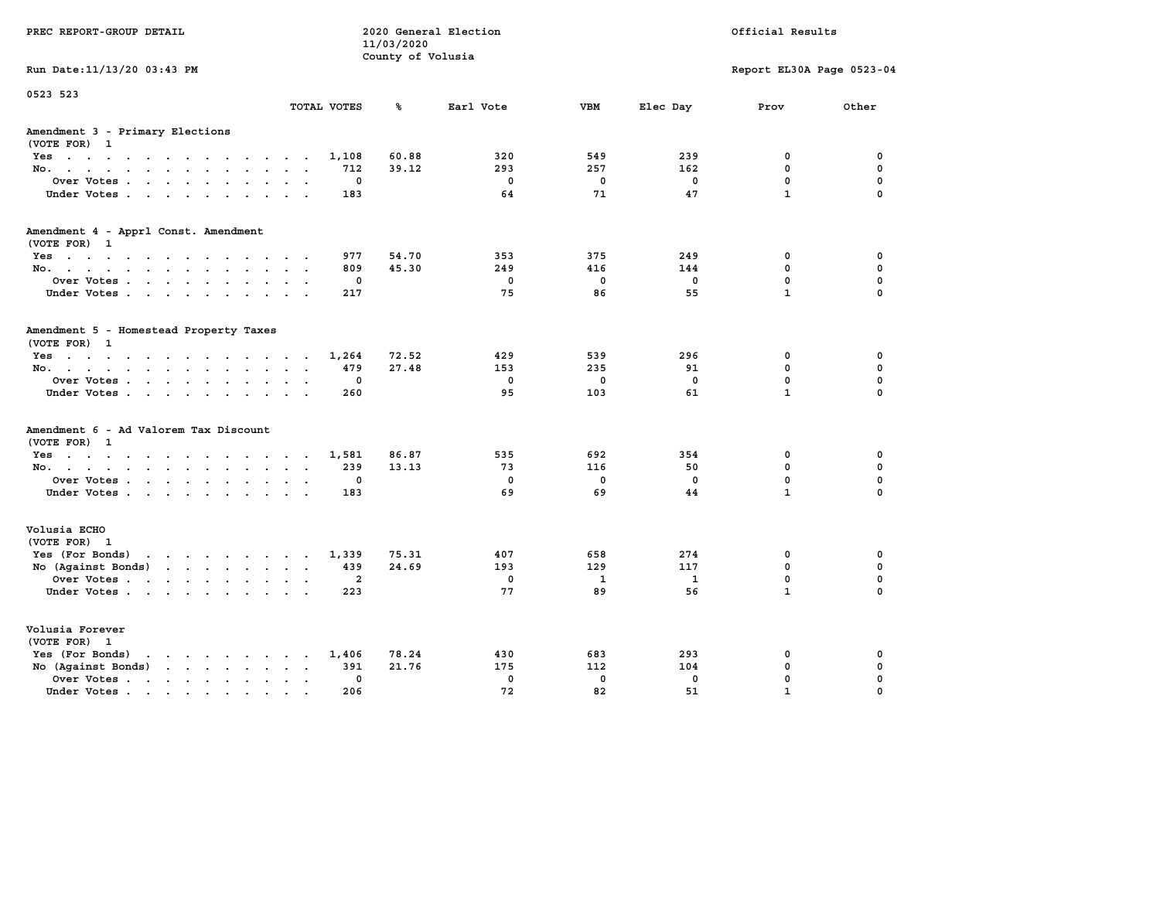| PREC REPORT-GROUP DETAIL                                                                 |                         |             | 11/03/2020<br>County of Volusia | 2020 General Election |             | Official Results |                           |             |  |
|------------------------------------------------------------------------------------------|-------------------------|-------------|---------------------------------|-----------------------|-------------|------------------|---------------------------|-------------|--|
| Run Date: 11/13/20 03:43 PM                                                              |                         |             |                                 |                       |             |                  | Report EL30A Page 0523-04 |             |  |
| 0523 523                                                                                 |                         | TOTAL VOTES | ℁                               | Earl Vote             | <b>VBM</b>  | Elec Day         | Prov                      | Other       |  |
| Amendment 3 - Primary Elections<br>(VOTE FOR) 1                                          |                         |             |                                 |                       |             |                  |                           |             |  |
| Yes                                                                                      |                         | 1,108       | 60.88                           | 320                   | 549         | 239              | 0                         | 0           |  |
| No.                                                                                      |                         | 712         | 39.12                           | 293                   | 257         | 162              | 0                         | 0           |  |
| Over Votes                                                                               |                         | 0           |                                 | $\mathbf 0$           | $\mathbf 0$ | 0                | $\mathbf 0$               | $\mathbf 0$ |  |
| Under Votes.                                                                             |                         | 183         |                                 | 64                    | 71          | 47               | $\mathbf{1}$              | $\mathbf 0$ |  |
| Amendment 4 - Apprl Const. Amendment                                                     |                         |             |                                 |                       |             |                  |                           |             |  |
| (VOTE FOR) 1<br>Yes                                                                      |                         | 977         | 54.70                           | 353                   | 375         | 249              | 0                         | 0           |  |
| No.                                                                                      |                         | 809         | 45.30                           | 249                   | 416         | 144              | 0                         | 0           |  |
| Over Votes                                                                               |                         | 0           |                                 | $\mathbf 0$           | $\mathbf 0$ | 0                | $\mathbf 0$               | $\mathbf 0$ |  |
| Under Votes                                                                              |                         | 217         |                                 | 75                    | 86          | 55               | $\mathbf{1}$              | $\mathbf 0$ |  |
| Amendment 5 - Homestead Property Taxes<br>(VOTE FOR) 1                                   |                         |             |                                 |                       |             |                  |                           |             |  |
| Yes                                                                                      |                         | 1,264       | 72.52                           | 429                   | 539         | 296              | 0                         | 0           |  |
| No.                                                                                      | $\cdot$ $\cdot$ $\cdot$ | 479         | 27.48                           | 153                   | 235         | 91               | 0                         | 0           |  |
| Over Votes                                                                               |                         | 0           |                                 | $\mathbf 0$           | $\mathbf 0$ | $\mathbf 0$      | $\mathbf 0$               | $\mathbf 0$ |  |
| Under Votes.                                                                             |                         | 260         |                                 | 95                    | 103         | 61               | $\mathbf{1}$              | $\mathbf 0$ |  |
| Amendment 6 - Ad Valorem Tax Discount<br>(VOTE FOR) 1                                    |                         |             |                                 |                       |             |                  |                           |             |  |
| Yes                                                                                      |                         | 1,581       | 86.87                           | 535                   | 692         | 354              | 0                         | 0           |  |
| No.                                                                                      |                         | 239         | 13.13                           | 73                    | 116         | 50               | 0                         | 0           |  |
| Over Votes                                                                               |                         | 0           |                                 | $\mathbf 0$           | $\mathbf 0$ | 0                | $\mathbf 0$               | $\mathbf 0$ |  |
| Under Votes                                                                              |                         | 183         |                                 | 69                    | 69          | 44               | $\mathbf{1}$              | $\Omega$    |  |
| Volusia ECHO<br>(VOTE FOR) 1                                                             |                         |             |                                 |                       |             |                  |                           |             |  |
| Yes (For Bonds)<br>the contract of the contract of the contract of                       |                         | 1,339       | 75.31                           | 407                   | 658         | 274              | 0                         | 0           |  |
| No (Against Bonds)                                                                       |                         | 439         | 24.69                           | 193                   | 129         | 117              | 0                         | 0           |  |
| Over Votes                                                                               |                         | 2           |                                 | $\mathbf 0$           | 1           | 1                | $\mathbf 0$               | $\mathbf 0$ |  |
| Under Votes                                                                              |                         | 223         |                                 | 77                    | 89          | 56               | $\mathbf{1}$              | $\Omega$    |  |
| Volusia Forever<br>(VOTE FOR) 1                                                          |                         |             |                                 |                       |             |                  |                           |             |  |
| Yes (For Bonds)<br>$\mathbf{r}$ , and $\mathbf{r}$ , and $\mathbf{r}$ , and $\mathbf{r}$ |                         | 1,406       | 78.24                           | 430                   | 683         | 293              | 0                         | 0           |  |
| No (Against Bonds)                                                                       |                         | 391         | 21.76                           | 175                   | 112         | 104              | 0                         | 0           |  |
| Over Votes.<br>the contract of the contract of the                                       | $\sim$ $\sim$ $\sim$    | $\mathbf 0$ |                                 | $\mathbf 0$           | $\mathbf 0$ | $\mathbf 0$      | $\mathbf 0$               | $\mathbf 0$ |  |
| Under Votes                                                                              |                         | 206         |                                 | 72                    | 82          | 51               | $\mathbf{1}$              | $\Omega$    |  |
|                                                                                          |                         |             |                                 |                       |             |                  |                           |             |  |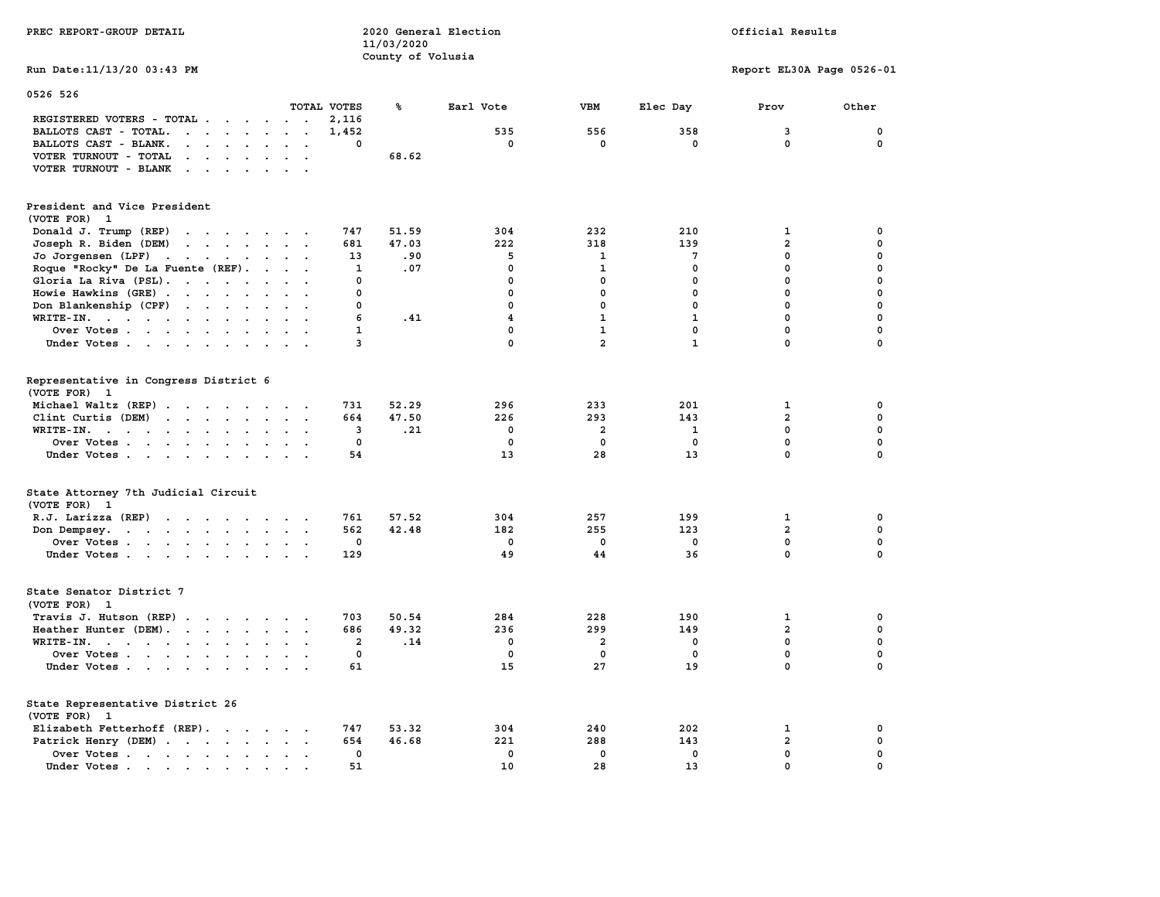| PREC REPORT-GROUP DETAIL                                                                                                      |                                      | 11/03/2020            | 2020 General Election                       | Official Results                                  |                                      |                                                            |                                               |
|-------------------------------------------------------------------------------------------------------------------------------|--------------------------------------|-----------------------|---------------------------------------------|---------------------------------------------------|--------------------------------------|------------------------------------------------------------|-----------------------------------------------|
|                                                                                                                               |                                      | County of Volusia     |                                             |                                                   |                                      |                                                            |                                               |
| Run Date: 11/13/20 03:43 PM                                                                                                   |                                      |                       |                                             |                                                   |                                      | Report EL30A Page 0526-01                                  |                                               |
| 0526 526                                                                                                                      |                                      |                       |                                             |                                                   |                                      |                                                            |                                               |
| REGISTERED VOTERS - TOTAL                                                                                                     | TOTAL VOTES<br>2,116                 | ℁                     | Earl Vote                                   | VBM                                               | Elec Day                             | Prov                                                       | Other                                         |
| BALLOTS CAST - TOTAL.                                                                                                         | 1,452                                |                       | 535                                         | 556                                               | 358                                  | 3                                                          | 0                                             |
| BALLOTS CAST - BLANK.<br>$\cdot$ $\cdot$ $\cdot$ $\cdot$ $\cdot$ $\cdot$ $\cdot$ $\cdot$                                      | 0                                    |                       | 0                                           | $\mathbf 0$                                       | 0                                    | $\mathbf 0$                                                | 0                                             |
| VOTER TURNOUT - TOTAL<br>the contract of the contract of the contract of the contract of the contract of                      |                                      | 68.62                 |                                             |                                                   |                                      |                                                            |                                               |
| VOTER TURNOUT - BLANK                                                                                                         |                                      |                       |                                             |                                                   |                                      |                                                            |                                               |
| President and Vice President                                                                                                  |                                      |                       |                                             |                                                   |                                      |                                                            |                                               |
| (VOTE FOR) 1                                                                                                                  |                                      |                       |                                             |                                                   |                                      |                                                            |                                               |
| Donald J. Trump (REP)                                                                                                         | 747                                  | 51.59                 | 304                                         | 232                                               | 210                                  | $\mathbf{1}$                                               | 0                                             |
| Joseph R. Biden (DEM)                                                                                                         | 681                                  | 47.03                 | 222                                         | 318                                               | 139                                  | $\overline{a}$                                             | 0                                             |
| Jo Jorgensen (LPF)                                                                                                            | 13                                   | .90                   | 5                                           | 1                                                 | 7                                    | 0                                                          | 0                                             |
| Roque "Rocky" De La Fuente (REF).                                                                                             | $\mathbf{1}$                         | .07                   | $\mathbf 0$                                 | $\mathbf{1}$                                      | 0                                    | $\mathbf 0$                                                | $\mathbf 0$                                   |
| Gloria La Riva (PSL).                                                                                                         | 0                                    |                       | $\mathbf 0$                                 | $\mathbf 0$                                       | 0                                    | $\mathbf 0$                                                | $\mathbf 0$                                   |
|                                                                                                                               | 0                                    |                       | 0                                           | 0                                                 | 0                                    | 0                                                          | 0                                             |
| Howie Hawkins (GRE)                                                                                                           |                                      |                       |                                             |                                                   |                                      |                                                            |                                               |
| Don Blankenship (CPF)                                                                                                         | $\Omega$                             |                       | $\mathbf 0$                                 | $\mathbf{0}$                                      | 0                                    | $\mathbf{0}$                                               | $\mathbf 0$                                   |
| WRITE-IN.                                                                                                                     | 6                                    | .41                   | $\overline{\mathbf{4}}$                     | $\mathbf{1}$                                      | $\mathbf{1}$                         | $\mathbf 0$                                                | $\mathbf 0$                                   |
| Over Votes                                                                                                                    | $\mathbf{1}$                         |                       | $\mathbf 0$                                 | $\mathbf{1}$                                      | $\mathbf 0$                          | $\mathbf{0}$                                               | $\mathbf 0$                                   |
| Under Votes                                                                                                                   | 3                                    |                       | $\mathbf{0}$                                | $\overline{2}$                                    | ${\bf 1}$                            | $\mathbf 0$                                                | $\mathbf 0$                                   |
| Representative in Congress District 6<br>(VOTE FOR) 1<br>Michael Waltz (REP)<br>Clint Curtis (DEM)<br>WRITE-IN.<br>Over Votes | 731<br>664<br>3<br>$\mathbf 0$<br>54 | 52.29<br>47.50<br>.21 | 296<br>226<br>$\Omega$<br>$\mathbf 0$<br>13 | 233<br>293<br>$\overline{a}$<br>$\mathbf 0$<br>28 | 201<br>143<br>1<br>$\mathbf 0$<br>13 | 1<br>$\overline{2}$<br>$\Omega$<br>$\mathbf 0$<br>$\Omega$ | 0<br>0<br>$\Omega$<br>$\mathbf 0$<br>$\Omega$ |
| Under Votes                                                                                                                   |                                      |                       |                                             |                                                   |                                      |                                                            |                                               |
| State Attorney 7th Judicial Circuit<br>(VOTE FOR) 1                                                                           |                                      |                       |                                             |                                                   |                                      |                                                            |                                               |
| R.J. Larizza (REP)                                                                                                            | 761                                  | 57.52                 | 304                                         | 257                                               | 199                                  | 1                                                          | 0                                             |
| Don Dempsey.                                                                                                                  | 562                                  | 42.48                 | 182                                         | 255                                               | 123                                  | $\overline{a}$                                             | $\Omega$                                      |
| Over Votes                                                                                                                    | 0                                    |                       | $^{\circ}$                                  | $\mathbf{0}$                                      | $^{\circ}$                           | 0                                                          | $\mathbf 0$                                   |
| Under Votes                                                                                                                   | 129                                  |                       | 49                                          | 44                                                | 36                                   | $\mathbf{0}$                                               | $\mathbf 0$                                   |
| State Senator District 7<br>(VOTE FOR) 1                                                                                      |                                      |                       |                                             |                                                   |                                      |                                                            |                                               |
| Travis J. Hutson (REP)                                                                                                        | 703                                  | 50.54                 | 284                                         | 228                                               | 190                                  | $\mathbf{1}$                                               | 0                                             |
| Heather Hunter (DEM).                                                                                                         | 686                                  | 49.32                 | 236                                         | 299                                               | 149                                  | $\overline{a}$                                             | $\mathbf 0$                                   |
|                                                                                                                               | $\overline{2}$                       | .14                   | 0                                           | $\overline{a}$                                    | 0                                    | $\mathbf{0}$                                               | $\mathbf 0$                                   |
| WRITE-IN.                                                                                                                     | $\mathbf 0$                          |                       | $\mathbf 0$                                 | $\mathbf 0$                                       | $\mathbf 0$                          | $\mathbf 0$                                                | 0                                             |
| Over Votes<br>Under Votes                                                                                                     | 61                                   |                       | 15                                          | 27                                                | 19                                   | $\mathbf 0$                                                | 0                                             |
|                                                                                                                               |                                      |                       |                                             |                                                   |                                      |                                                            |                                               |
| State Representative District 26<br>(VOTE FOR) 1                                                                              |                                      |                       |                                             |                                                   |                                      |                                                            |                                               |
| Elizabeth Fetterhoff (REP).                                                                                                   | 747                                  | 53.32                 | 304                                         | 240                                               | 202                                  | $\mathbf{1}$                                               | 0                                             |
| Patrick Henry (DEM)                                                                                                           | 654                                  | 46.68                 | 221                                         | 288                                               | 143                                  | $\overline{2}$                                             | 0                                             |
| Over Votes                                                                                                                    | 0                                    |                       | $\mathbf 0$                                 | $\mathbf 0$                                       | $\mathbf 0$                          | $\mathbf 0$                                                | $\mathbf 0$                                   |
| Under Votes                                                                                                                   | 51                                   |                       | 10                                          | 28                                                | 13                                   | $\mathbf 0$                                                | 0                                             |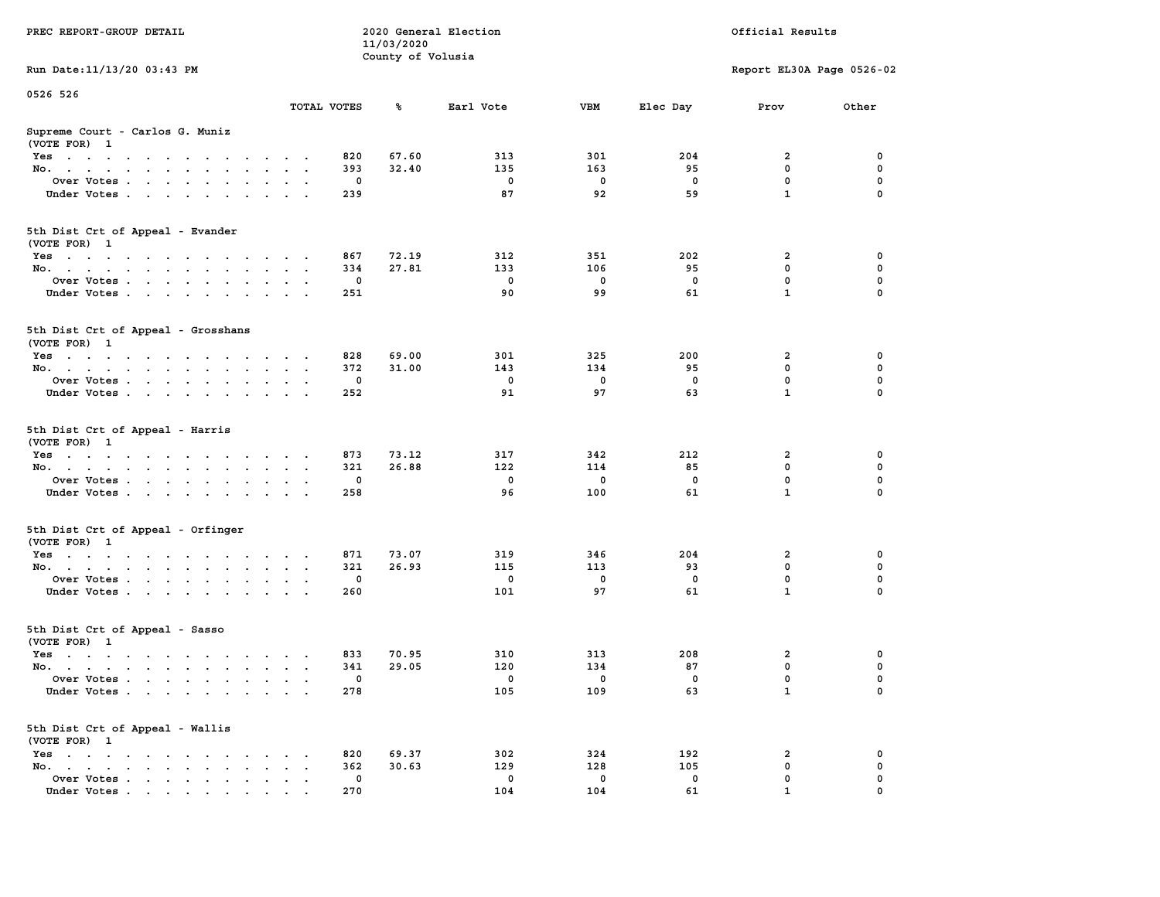| PREC REPORT-GROUP DETAIL                                                                                               |                  | 11/03/2020        | 2020 General Election |          | Official Results |                           |          |  |
|------------------------------------------------------------------------------------------------------------------------|------------------|-------------------|-----------------------|----------|------------------|---------------------------|----------|--|
| Run Date: 11/13/20 03:43 PM                                                                                            |                  | County of Volusia |                       |          |                  | Report EL30A Page 0526-02 |          |  |
|                                                                                                                        |                  |                   |                       |          |                  |                           |          |  |
| 0526 526                                                                                                               | TOTAL VOTES      | ℁                 | Earl Vote             | VBM      | Elec Day         | Prov                      | Other    |  |
| Supreme Court - Carlos G. Muniz<br>(VOTE FOR) 1                                                                        |                  |                   |                       |          |                  |                           |          |  |
| Yes                                                                                                                    | 820              | 67.60             | 313                   | 301      | 204              | 2                         | 0        |  |
| No.                                                                                                                    | 393              | 32.40             | 135                   | 163      | 95               | $\mathbf 0$               | 0        |  |
| Over Votes.                                                                                                            | 0                |                   | $\mathbf 0$           | 0        | 0                | 0                         | 0        |  |
| Under Votes                                                                                                            | 239              |                   | 87                    | 92       | 59               | $\mathbf{1}$              | $\Omega$ |  |
| 5th Dist Crt of Appeal - Evander<br>(VOTE FOR) 1                                                                       |                  |                   |                       |          |                  |                           |          |  |
| Yes                                                                                                                    | 867              | 72.19             | 312                   | 351      | 202              | 2                         | 0        |  |
| No.                                                                                                                    | 334              | 27.81             | 133                   | 106      | 95               | $\mathbf 0$               | 0        |  |
| Over Votes                                                                                                             | 0                |                   | $\mathbf 0$           | 0        | $\mathbf 0$      | $\mathbf 0$               | 0        |  |
| Under Votes                                                                                                            | 251              |                   | 90                    | 99       | 61               | $\mathbf{1}$              | 0        |  |
| 5th Dist Crt of Appeal - Grosshans<br>(VOTE FOR) 1                                                                     |                  |                   |                       |          |                  |                           |          |  |
| Yes                                                                                                                    | 828              | 69.00             | 301                   | 325      | 200              | 2                         | 0        |  |
| No.                                                                                                                    | 372              | 31.00             | 143                   | 134      | 95               | 0                         | 0        |  |
| Over Votes                                                                                                             | 0                |                   | $\mathbf 0$           | 0        | 0                | $\mathbf 0$               | 0        |  |
| Under Votes                                                                                                            | 252              |                   | 91                    | 97       | 63               | $\mathbf{1}$              | 0        |  |
| 5th Dist Crt of Appeal - Harris<br>(VOTE FOR) 1                                                                        |                  |                   |                       |          |                  |                           |          |  |
| Yes                                                                                                                    | 873              | 73.12             | 317                   | 342      | 212              | 2                         | 0        |  |
| No.                                                                                                                    | 321              | 26.88             | 122                   | 114      | 85               | $\mathbf 0$               | 0        |  |
| Over Votes                                                                                                             | 0                |                   | $\mathbf 0$           | 0        | 0                | 0                         | 0        |  |
| Under Votes                                                                                                            | 258              |                   | 96                    | 100      | 61               | $\mathbf{1}$              | $\Omega$ |  |
| 5th Dist Crt of Appeal - Orfinger<br>(VOTE FOR) 1                                                                      |                  |                   |                       |          |                  |                           |          |  |
| Yes                                                                                                                    | 871              | 73.07             | 319                   | 346      | 204              | 2                         | 0        |  |
| No.                                                                                                                    | 321              | 26.93             | 115                   | 113      | 93               | $\mathbf 0$               | 0        |  |
| Over Votes                                                                                                             | 0                |                   | $\mathbf 0$           | 0        | 0                | 0                         | 0        |  |
| Under Votes                                                                                                            | 260              |                   | 101                   | 97       | 61               | $\mathbf{1}$              | $\Omega$ |  |
| 5th Dist Crt of Appeal - Sasso<br>(VOTE FOR) 1                                                                         |                  |                   |                       |          |                  |                           |          |  |
| Yes<br>the contract of the contract of the contract of the contract of the contract of the contract of the contract of | 833              | 70.95             | 310                   | 313      | 208              | 2                         | 0        |  |
| No.                                                                                                                    | 341              | 29.05             | 120                   | 134      | 87               | 0                         | 0        |  |
| Over Votes                                                                                                             | $\mathbf 0$      |                   | $^{\circ}$            | 0        | 0                | $\mathbf 0$               | 0        |  |
| Under Votes                                                                                                            | 278              |                   | 105                   | 109      | 63               | $\mathbf{1}$              | 0        |  |
| 5th Dist Crt of Appeal - Wallis<br>(VOTE FOR) 1                                                                        |                  |                   |                       |          |                  |                           |          |  |
| $Yes \cdot \cdot \cdot \cdot \cdot \cdot \cdot \cdot \cdot$                                                            | 820              | 69.37             | 302                   | 324      | 192              | 2                         | 0        |  |
| No.<br>$\bullet$                                                                                                       | 362<br>$\bullet$ | 30.63             | 129                   | 128      | 105              | $\mathbf 0$               | 0        |  |
| Over Votes<br>Under Votes                                                                                              | 0<br>270         |                   | 0<br>104              | 0<br>104 | 0<br>61          | 0<br>1                    | 0        |  |
|                                                                                                                        |                  |                   |                       |          |                  |                           |          |  |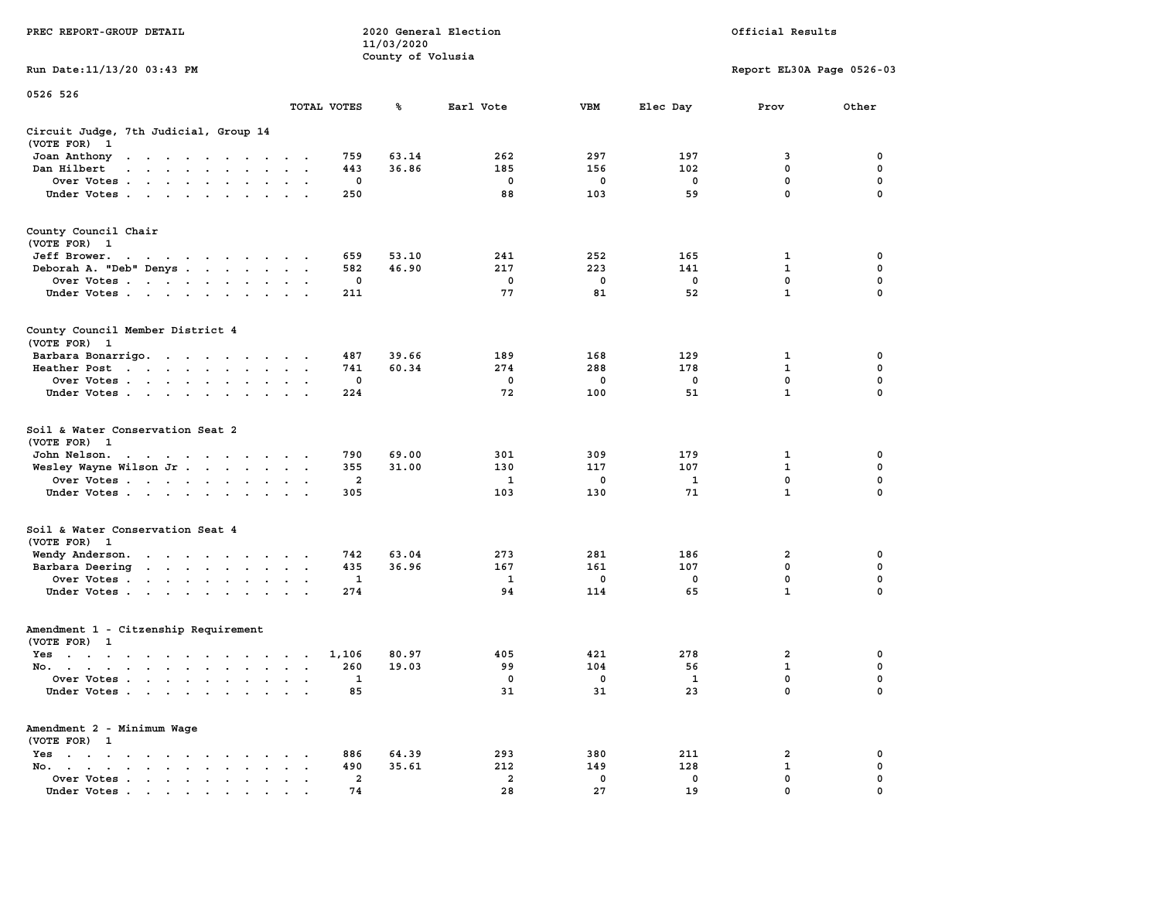| PREC REPORT-GROUP DETAIL                                                                                                                                                                                                                     |                           |                         | 11/03/2020        | 2020 General Election |                   | Official Results   |                           |                  |  |  |
|----------------------------------------------------------------------------------------------------------------------------------------------------------------------------------------------------------------------------------------------|---------------------------|-------------------------|-------------------|-----------------------|-------------------|--------------------|---------------------------|------------------|--|--|
| Run Date: 11/13/20 03:43 PM                                                                                                                                                                                                                  |                           |                         | County of Volusia |                       |                   |                    | Report EL30A Page 0526-03 |                  |  |  |
| 0526 526                                                                                                                                                                                                                                     |                           |                         |                   |                       |                   |                    |                           |                  |  |  |
|                                                                                                                                                                                                                                              |                           | TOTAL VOTES             | ℁                 | Earl Vote             | VBM               | Elec Day           | Prov                      | Other            |  |  |
| Circuit Judge, 7th Judicial, Group 14<br>(VOTE FOR) 1                                                                                                                                                                                        |                           |                         |                   |                       |                   |                    |                           |                  |  |  |
| Joan Anthony<br>the contract of the contract of the con-                                                                                                                                                                                     |                           | 759                     | 63.14             | 262                   | 297               | 197                | 3                         | 0                |  |  |
| Dan Hilbert<br>and a series and a series of the series of the series of the series of the series of the series of the series of the series of the series of the series of the series of the series of the series of the series of the series |                           | 443                     | 36.86             | 185                   | 156               | 102                | 0                         | 0                |  |  |
| Over Votes                                                                                                                                                                                                                                   |                           | 0                       |                   | 0                     | 0                 | 0                  | $\mathbf 0$               | $\mathbf 0$      |  |  |
| Under Votes                                                                                                                                                                                                                                  |                           | 250                     |                   | 88                    | 103               | 59                 | 0                         | 0                |  |  |
| County Council Chair<br>(VOTE FOR) 1                                                                                                                                                                                                         |                           |                         |                   |                       |                   |                    |                           |                  |  |  |
| Jeff Brower.<br>the contract of the contract of the con-                                                                                                                                                                                     |                           | 659                     | 53.10             | 241                   | 252               | 165                | 1                         | 0                |  |  |
| Deborah A. "Deb" Denys                                                                                                                                                                                                                       |                           | 582                     | 46.90             | 217                   | 223               | 141                | $\mathbf 1$               | 0                |  |  |
| Over Votes                                                                                                                                                                                                                                   |                           | 0                       |                   | 0                     | 0                 | 0                  | 0                         | 0                |  |  |
| Under Votes                                                                                                                                                                                                                                  |                           | 211                     |                   | 77                    | 81                | 52                 | $\mathbf{1}$              | 0                |  |  |
| County Council Member District 4<br>(VOTE FOR) 1                                                                                                                                                                                             |                           |                         |                   |                       |                   |                    |                           |                  |  |  |
| Barbara Bonarrigo.                                                                                                                                                                                                                           |                           | 487                     | 39.66             | 189                   | 168               | 129                | 1                         | 0                |  |  |
| Heather Post                                                                                                                                                                                                                                 |                           | 741                     | 60.34             | 274                   | 288               | 178                | 1                         | 0                |  |  |
| Over Votes                                                                                                                                                                                                                                   |                           | 0                       |                   | $\mathbf 0$           | $\mathbf 0$       | 0                  | 0                         | 0                |  |  |
| Under Votes                                                                                                                                                                                                                                  |                           | 224                     |                   | 72                    | 100               | 51                 | $\mathbf{1}$              | $\Omega$         |  |  |
| Soil & Water Conservation Seat 2<br>(VOTE FOR) 1                                                                                                                                                                                             |                           |                         |                   |                       |                   |                    |                           |                  |  |  |
| John Nelson.<br>the contract of the contract of the con-                                                                                                                                                                                     |                           | 790                     | 69.00             | 301                   | 309               | 179                | 1                         | 0                |  |  |
| Wesley Wayne Wilson Jr.                                                                                                                                                                                                                      |                           | 355                     | 31.00             | 130                   | 117               | 107                | 1                         | 0                |  |  |
| Over Votes                                                                                                                                                                                                                                   |                           | $\overline{\mathbf{2}}$ |                   | 1                     | 0                 | 1                  | 0                         | 0                |  |  |
| Under Votes                                                                                                                                                                                                                                  |                           | 305                     |                   | 103                   | 130               | 71                 | $\mathbf{1}$              | 0                |  |  |
| Soil & Water Conservation Seat 4<br>(VOTE FOR) 1                                                                                                                                                                                             |                           |                         |                   |                       |                   |                    |                           |                  |  |  |
| Wendy Anderson.                                                                                                                                                                                                                              |                           | 742                     | 63.04             | 273                   | 281               | 186                | 2                         | 0                |  |  |
| Barbara Deering                                                                                                                                                                                                                              | $\sim$ $\sim$             | 435                     | 36.96             | 167                   | 161               | 107                | $\mathbf 0$               | $\mathbf 0$      |  |  |
| Over Votes                                                                                                                                                                                                                                   |                           | 1                       |                   | 1<br>94               | 0<br>114          | 0<br>65            | 0<br>$\mathbf{1}$         | 0<br>0           |  |  |
| Under Votes                                                                                                                                                                                                                                  |                           | 274                     |                   |                       |                   |                    |                           |                  |  |  |
| Amendment 1 - Citzenship Requirement<br>(VOTE FOR) 1                                                                                                                                                                                         |                           |                         |                   |                       |                   |                    |                           |                  |  |  |
| Yes<br>the contract of the contract of the contract of the contract of the contract of the contract of the contract of                                                                                                                       |                           | 1,106                   | 80.97             | 405                   | 421               | 278                | 2                         | 0                |  |  |
| No.                                                                                                                                                                                                                                          | $\mathbf{z} = \mathbf{z}$ | 260                     | 19.03             | 99                    | 104               | 56                 | $\mathbf{1}$              | $\mathbf 0$      |  |  |
| Over Votes<br>Under Votes                                                                                                                                                                                                                    |                           | 1<br>85                 |                   | $\mathbf 0$<br>31     | $\mathbf 0$<br>31 | $\mathbf{1}$<br>23 | 0<br>0                    | 0<br>$\mathbf 0$ |  |  |
|                                                                                                                                                                                                                                              |                           |                         |                   |                       |                   |                    |                           |                  |  |  |
| Amendment 2 - Minimum Wage<br>(VOTE FOR) 1                                                                                                                                                                                                   |                           |                         |                   |                       |                   |                    |                           |                  |  |  |
| Yes<br>No.<br>$\cdot$ $\cdot$                                                                                                                                                                                                                |                           | 886<br>490              | 64.39<br>35.61    | 293<br>212            | 380<br>149        | 211<br>128         | 2<br>1                    | 0<br>0           |  |  |
| Over Votes                                                                                                                                                                                                                                   |                           | $\overline{a}$          |                   | $\overline{a}$        | 0                 | 0                  | 0                         | 0                |  |  |
| Under Votes.                                                                                                                                                                                                                                 |                           | 74                      |                   | 28                    | 27                | 19                 | 0                         |                  |  |  |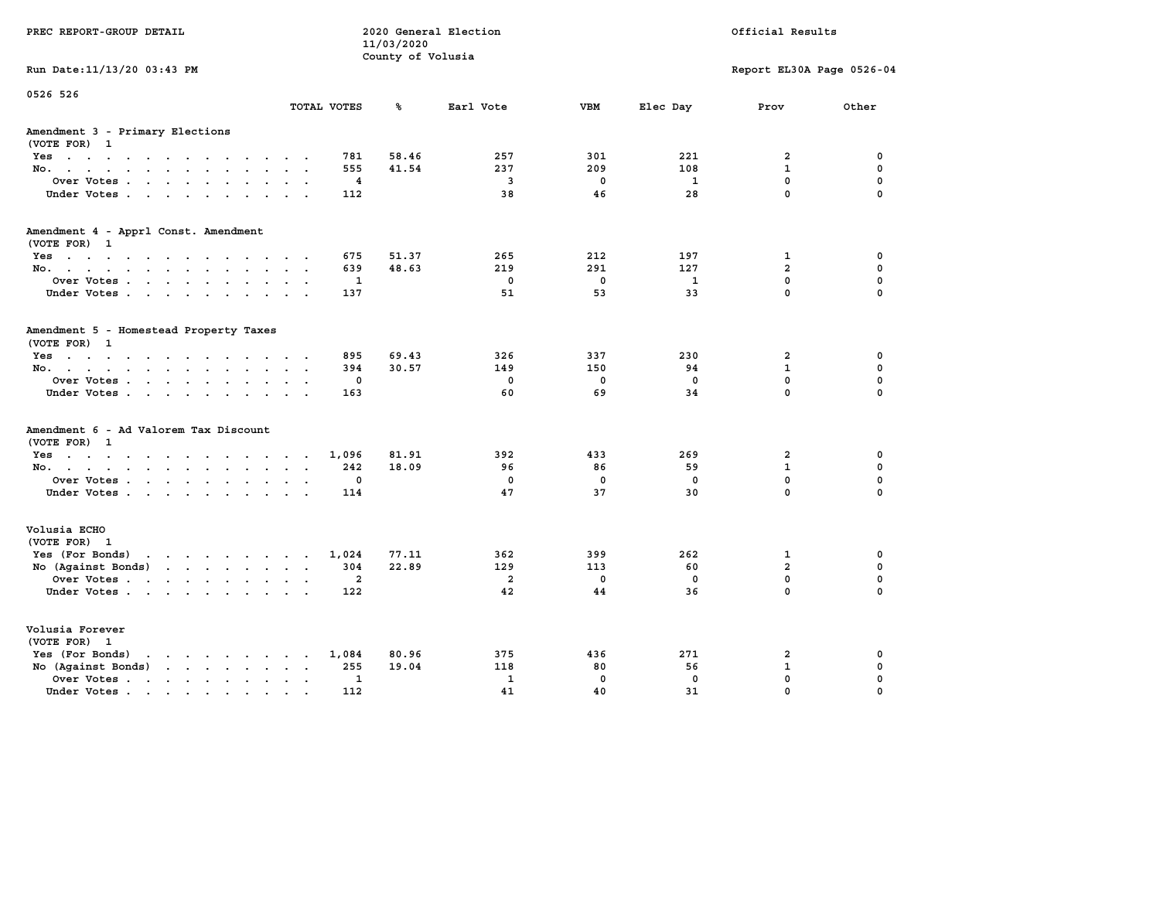| PREC REPORT-GROUP DETAIL                                         |                                                          | 11/03/2020 | 2020 General Election<br>Official Results<br>County of Volusia |             |              |                           |             |
|------------------------------------------------------------------|----------------------------------------------------------|------------|----------------------------------------------------------------|-------------|--------------|---------------------------|-------------|
| Run Date: 11/13/20 03:43 PM                                      |                                                          |            |                                                                |             |              | Report EL30A Page 0526-04 |             |
| 0526 526                                                         | TOTAL VOTES                                              | ℁          | Earl Vote                                                      | <b>VBM</b>  | Elec Day     | Prov                      | Other       |
| Amendment 3 - Primary Elections<br>(VOTE FOR) 1                  |                                                          |            |                                                                |             |              |                           |             |
| Yes                                                              | 781                                                      | 58.46      | 257                                                            | 301         | 221          | $\overline{2}$            | 0           |
| No.                                                              | 555<br>$\sim$                                            | 41.54      | 237                                                            | 209         | 108          | $\mathbf{1}$              | $\mathbf 0$ |
| Over Votes                                                       | 4<br>$\ddot{\phantom{a}}$<br>$\ddot{\phantom{0}}$        |            | $\overline{\mathbf{3}}$                                        | $\mathbf 0$ | $\mathbf{1}$ | $\mathbf 0$               | 0           |
| Under Votes                                                      | 112                                                      |            | 38                                                             | 46          | 28           | 0                         | $\Omega$    |
| Amendment 4 - Apprl Const. Amendment<br>(VOTE FOR) 1             |                                                          |            |                                                                |             |              |                           |             |
| Yes                                                              | 675                                                      | 51.37      | 265                                                            | 212         | 197          | 1                         | 0           |
| No.                                                              | 639                                                      | 48.63      | 219                                                            | 291         | 127          | $\overline{a}$            | $\mathbf 0$ |
| Over Votes                                                       | 1<br>$\bullet$ .<br>$\cdot$                              |            | $\mathbf 0$                                                    | $\mathbf 0$ | 1            | $\mathbf 0$               | $\mathbf 0$ |
| Under Votes                                                      | 137                                                      |            | 51                                                             | 53          | 33           | $\mathbf 0$               | $\Omega$    |
| Amendment 5 - Homestead Property Taxes<br>(VOTE FOR) 1           |                                                          |            |                                                                |             |              |                           |             |
| Yes                                                              | 895                                                      | 69.43      | 326                                                            | 337         | 230          | $\overline{a}$            | 0           |
| No.<br>$\sim$ $\sim$                                             | 394                                                      | 30.57      | 149                                                            | 150         | 94           | $\mathbf{1}$              | $\mathbf 0$ |
| Over Votes                                                       | 0<br>$\bullet$<br>$\sim$                                 |            | $\mathbf 0$                                                    | 0           | $\mathbf 0$  | $\mathbf 0$               | $\mathbf 0$ |
| Under Votes                                                      | 163                                                      |            | 60                                                             | 69          | 34           | $\mathbf 0$               | $\Omega$    |
| Amendment 6 - Ad Valorem Tax Discount<br>(VOTE FOR)<br>1         |                                                          |            |                                                                |             |              |                           |             |
| Yes                                                              | 1,096                                                    | 81.91      | 392                                                            | 433         | 269          | 2                         | 0           |
| No.                                                              | 242<br>$\sim$                                            | 18.09      | 96                                                             | 86          | 59           | $\mathbf{1}$              | $\mathbf 0$ |
| Over Votes                                                       | 0<br>$\bullet$<br>$\bullet$                              |            | $\mathbf 0$                                                    | 0           | 0            | $\mathbf 0$               | 0           |
| Under Votes                                                      | 114                                                      |            | 47                                                             | 37          | 30           | $\mathbf 0$               | $\Omega$    |
| Volusia ECHO<br>(VOTE FOR) 1                                     |                                                          |            |                                                                |             |              |                           |             |
| Yes (For Bonds) $\cdots$ $\cdots$ $\cdots$ $\cdots$              | 1,024                                                    | 77.11      | 362                                                            | 399         | 262          | 1                         | 0           |
| No (Against Bonds)                                               | 304                                                      | 22.89      | 129                                                            | 113         | 60           | $\overline{a}$            | $\mathbf 0$ |
| Over Votes                                                       | $\overline{2}$<br>$\ddot{\phantom{a}}$<br>$\blacksquare$ |            | $\overline{a}$                                                 | $\mathbf 0$ | $\mathbf 0$  | $\mathbf 0$               | 0           |
| Under Votes                                                      | 122                                                      |            | 42                                                             | 44          | 36           | $\mathbf 0$               | $\Omega$    |
| Volusia Forever<br>(VOTE FOR) 1                                  |                                                          |            |                                                                |             |              |                           |             |
| Yes (For Bonds)<br>$\cdots$<br>$\ddot{\phantom{1}}$              | 1,084<br>$\sim$<br>$\sim$                                | 80.96      | 375                                                            | 436         | 271          | $\overline{2}$            | 0           |
| $\cdots$<br>No (Against Bonds)                                   | 255                                                      | 19.04      | 118                                                            | 80          | 56           | $\mathbf{1}$              | $\mathbf 0$ |
| Over Votes .<br>the contract of the contract of the<br>$\bullet$ | 1                                                        |            | $\mathbf{1}$                                                   | $\mathbf 0$ | $\mathbf 0$  | 0                         | 0           |
| Under Votes<br>$\ddot{\phantom{a}}$                              | 112                                                      |            | 41                                                             | 40          | 31           | 0                         | 0           |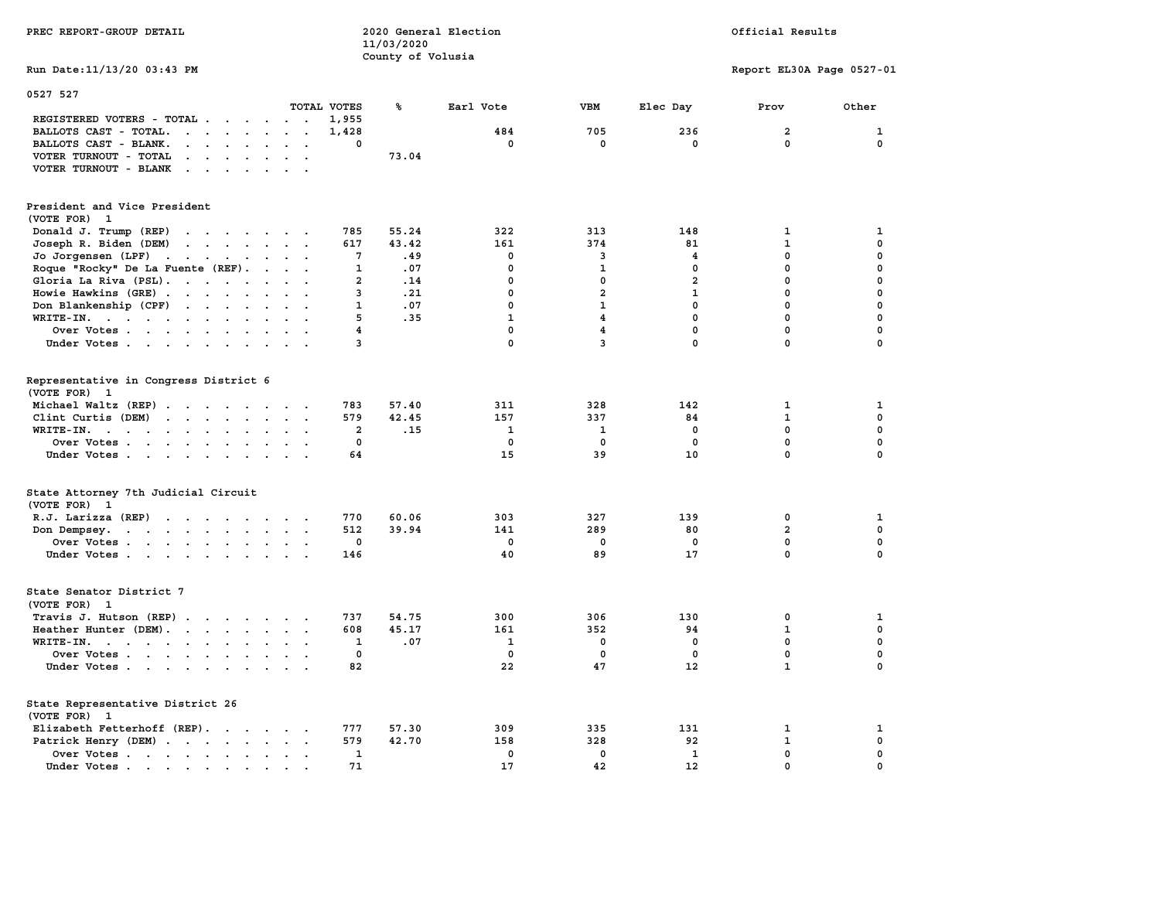| PREC REPORT-GROUP DETAIL                                                                                                                                                                                                                                                                |                                      | 11/03/2020        | 2020 General Election | Official Results        |                         |                           |              |  |  |
|-----------------------------------------------------------------------------------------------------------------------------------------------------------------------------------------------------------------------------------------------------------------------------------------|--------------------------------------|-------------------|-----------------------|-------------------------|-------------------------|---------------------------|--------------|--|--|
| Run Date: 11/13/20 03:43 PM                                                                                                                                                                                                                                                             |                                      | County of Volusia |                       |                         |                         | Report EL30A Page 0527-01 |              |  |  |
| 0527 527                                                                                                                                                                                                                                                                                | TOTAL VOTES                          | ℁                 | Earl Vote             | <b>VBM</b>              | Elec Day                | Prov                      | Other        |  |  |
| REGISTERED VOTERS - TOTAL<br>BALLOTS CAST - TOTAL.<br>$\mathbf{r}$ . The set of the set of the set of the set of the set of the set of the set of the set of the set of the set of the set of the set of the set of the set of the set of the set of the set of the set of the set of t | 1,955<br>1,428                       |                   | 484                   | 705                     | 236                     | $\overline{a}$            | $\mathbf{1}$ |  |  |
| BALLOTS CAST - BLANK.<br>$\cdot$ $\cdot$ $\cdot$ $\cdot$ $\cdot$                                                                                                                                                                                                                        | $\mathbf{0}$<br>$\ddot{\phantom{0}}$ |                   | $^{\circ}$            | $\mathbf 0$             | $\mathbf{0}$            | $\mathbf{0}$              | $\mathbf 0$  |  |  |
| VOTER TURNOUT - TOTAL                                                                                                                                                                                                                                                                   |                                      | 73.04             |                       |                         |                         |                           |              |  |  |
| VOTER TURNOUT - BLANK<br>the contract of the contract of the contract of the contract of the contract of the contract of the contract of                                                                                                                                                |                                      |                   |                       |                         |                         |                           |              |  |  |
| President and Vice President<br>(VOTE FOR) 1                                                                                                                                                                                                                                            |                                      |                   |                       |                         |                         |                           |              |  |  |
| Donald J. Trump (REP)<br>and the contract of the contract of                                                                                                                                                                                                                            | 785                                  | 55.24             | 322                   | 313                     | 148                     | 1                         | 1            |  |  |
| Joseph R. Biden (DEM)<br>the contract of the contract of the                                                                                                                                                                                                                            | 617                                  | 43.42             | 161                   | 374                     | 81                      | $\mathbf{1}$              | 0            |  |  |
| Jo Jorgensen (LPF) $\cdot \cdot \cdot \cdot \cdot \cdot \cdot$                                                                                                                                                                                                                          | $7\phantom{.0}$                      | .49               | $\mathbf 0$           | 3                       | $\overline{\mathbf{4}}$ | $\mathbf 0$               | 0            |  |  |
| Roque "Rocky" De La Fuente (REF).                                                                                                                                                                                                                                                       | $\mathbf{1}$                         | .07               | $\mathbf 0$           | $\mathbf{1}$            | $\mathbf{0}$            | $\mathbf 0$               | 0            |  |  |
| Gloria La Riva (PSL).                                                                                                                                                                                                                                                                   | $\overline{a}$                       | .14               | $\mathbf 0$           | $\mathbf 0$             | $\overline{a}$          | $\mathbf 0$               | 0            |  |  |
| Howie Hawkins (GRE)<br>$\cdot$ $\cdot$                                                                                                                                                                                                                                                  | 3<br>$\cdot$ $\cdot$                 | .21               | $\mathbf 0$           | $\overline{a}$          | $\mathbf{1}$            | $\mathbf 0$               | 0            |  |  |
| Don Blankenship (CPF)                                                                                                                                                                                                                                                                   | $\mathbf{1}$                         | .07               | $\mathbf 0$           | $\mathbf{1}$            | $\mathbf 0$             | $\mathbf 0$               | $\mathbf 0$  |  |  |
| WRITE-IN.<br>$\sim$                                                                                                                                                                                                                                                                     | 5<br>$\mathbf{r}$                    | .35               | $\mathbf{1}$          | $\overline{\mathbf{4}}$ | $\mathbf{0}$            | $\mathbf 0$               | 0            |  |  |
| Over Votes                                                                                                                                                                                                                                                                              | $\overline{\mathbf{4}}$              |                   | $\mathbf 0$           | $\overline{\mathbf{4}}$ | $\mathbf 0$             | $\mathbf 0$               | 0            |  |  |
| Under Votes                                                                                                                                                                                                                                                                             | 3                                    |                   | 0                     | $\overline{3}$          | $\mathbf{0}$            | 0                         | 0            |  |  |
|                                                                                                                                                                                                                                                                                         |                                      |                   |                       |                         |                         |                           |              |  |  |
| Representative in Congress District 6<br>(VOTE FOR) 1                                                                                                                                                                                                                                   |                                      |                   |                       |                         |                         |                           |              |  |  |
| Michael Waltz (REP)                                                                                                                                                                                                                                                                     | 783                                  | 57.40             | 311                   | 328                     | 142                     | $\mathbf{1}$              | 1            |  |  |
| Clint Curtis (DEM)                                                                                                                                                                                                                                                                      | 579                                  | 42.45             | 157                   | 337                     | 84                      | $\mathbf{1}$              | 0            |  |  |
| WRITE-IN.<br>the contract of the contract of the contract of the contract of the contract of the contract of the contract of                                                                                                                                                            | 2                                    | .15               | 1                     | $\mathbf{1}$            | $^{\circ}$              | $\mathbf 0$               | 0            |  |  |
| Over Votes                                                                                                                                                                                                                                                                              | $\mathbf 0$                          |                   | $\mathbf 0$           | 0                       | $\mathbf 0$             | 0                         | 0            |  |  |
| Under Votes                                                                                                                                                                                                                                                                             | 64                                   |                   | 15                    | 39                      | 10                      | $\mathbf{0}$              | $\mathbf 0$  |  |  |
|                                                                                                                                                                                                                                                                                         |                                      |                   |                       |                         |                         |                           |              |  |  |
| State Attorney 7th Judicial Circuit<br>(VOTE FOR) 1                                                                                                                                                                                                                                     |                                      |                   |                       |                         |                         |                           |              |  |  |
| $R.J.$ Larizza $(REP)$                                                                                                                                                                                                                                                                  | 770                                  | 60.06             | 303                   | 327                     | 139                     | 0                         | 1            |  |  |
| Don Dempsey.                                                                                                                                                                                                                                                                            | 512                                  | 39.94             | 141                   | 289                     | 80                      | $\overline{a}$            | $\mathbf 0$  |  |  |
| Over Votes                                                                                                                                                                                                                                                                              | $\mathbf 0$                          |                   | $\mathbf 0$           | 0                       | $\mathbf 0$             | 0                         | 0            |  |  |
| Under Votes                                                                                                                                                                                                                                                                             | 146                                  |                   | 40                    | 89                      | 17                      | $\mathbf{0}$              | $\mathbf{0}$ |  |  |
| State Senator District 7<br>(VOTE FOR) 1                                                                                                                                                                                                                                                |                                      |                   |                       |                         |                         |                           |              |  |  |
| Travis J. Hutson (REP)                                                                                                                                                                                                                                                                  | 737                                  | 54.75             | 300                   | 306                     | 130                     | 0                         | 1            |  |  |
| Heather Hunter (DEM).                                                                                                                                                                                                                                                                   | 608                                  | 45.17             | 161                   | 352                     | 94                      | $\mathbf{1}$              | 0            |  |  |
|                                                                                                                                                                                                                                                                                         |                                      |                   | $\mathbf{1}$          |                         | $\mathbf 0$             | $\mathbf 0$               | $\mathbf 0$  |  |  |
| WRITE-IN.                                                                                                                                                                                                                                                                               | 1<br>$\mathbf 0$                     | .07               | $\mathbf 0$           | 0<br>$\mathbf 0$        | $\mathbf 0$             | $\mathbf 0$               |              |  |  |
| Over Votes                                                                                                                                                                                                                                                                              | $\sim$ $\sim$ $\sim$                 |                   |                       |                         |                         |                           | 0            |  |  |
| Under Votes                                                                                                                                                                                                                                                                             | 82<br>$\sim$ $\sim$ $\sim$           |                   | 22                    | 47                      | 12                      | $\mathbf{1}$              | 0            |  |  |
| State Representative District 26<br>(VOTE FOR) 1                                                                                                                                                                                                                                        |                                      |                   |                       |                         |                         |                           |              |  |  |
| Elizabeth Fetterhoff (REP).                                                                                                                                                                                                                                                             | 777                                  | 57.30             | 309                   | 335                     | 131                     | $\mathbf{1}$              | 1            |  |  |
| Patrick Henry (DEM)                                                                                                                                                                                                                                                                     | 579                                  | 42.70             | 158                   | 328                     | 92                      | $\mathbf{1}$              | 0            |  |  |
| Over Votes                                                                                                                                                                                                                                                                              | $\mathbf{1}$                         |                   | $\mathbf 0$           | $\mathbf 0$             | $\mathbf{1}$            | $\mathbf 0$               | 0            |  |  |
| Under Votes                                                                                                                                                                                                                                                                             | 71<br><b>Service</b>                 |                   | 17                    | 42                      | 12                      | $\mathbf 0$               | 0            |  |  |
|                                                                                                                                                                                                                                                                                         |                                      |                   |                       |                         |                         |                           |              |  |  |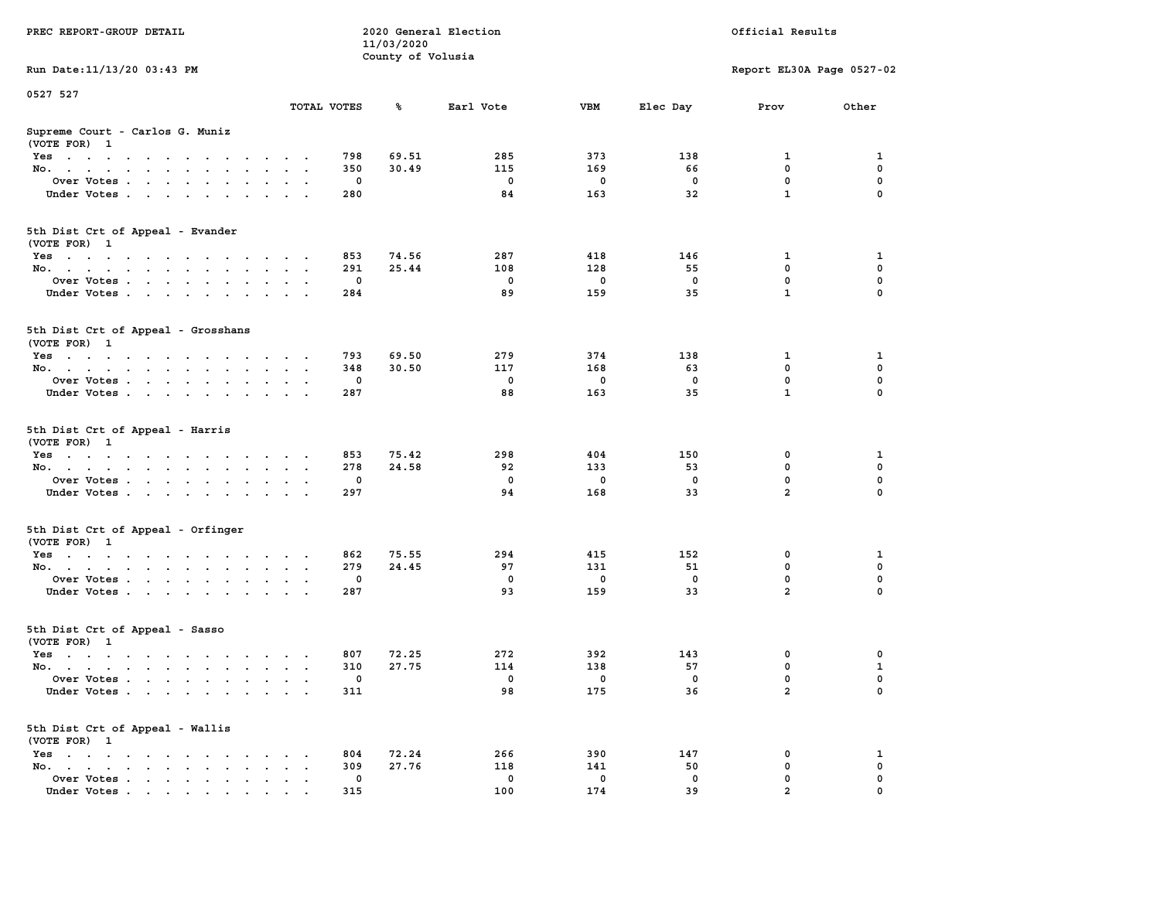| PREC REPORT-GROUP DETAIL                                                        |                    | 11/03/2020        | 2020 General Election |                          |                          | Official Results          |              |
|---------------------------------------------------------------------------------|--------------------|-------------------|-----------------------|--------------------------|--------------------------|---------------------------|--------------|
| Run Date: 11/13/20 03:43 PM                                                     |                    | County of Volusia |                       |                          |                          | Report EL30A Page 0527-02 |              |
| 0527 527                                                                        |                    |                   |                       |                          |                          |                           |              |
|                                                                                 | TOTAL VOTES        | ጜ                 | Earl Vote             | VBM                      | Elec Day                 | Prov                      | Other        |
| Supreme Court - Carlos G. Muniz<br>(VOTE FOR) 1                                 |                    |                   |                       |                          |                          |                           |              |
| Yes                                                                             | 798                | 69.51             | 285                   | 373                      | 138                      | 1                         | 1            |
| No.                                                                             | 350                | 30.49             | 115                   | 169                      | 66                       | 0                         | 0            |
| Over Votes                                                                      | 0                  |                   | $\mathbf 0$           | 0                        | 0                        | $\mathbf 0$               | 0            |
| Under Votes                                                                     | 280                |                   | 84                    | 163                      | 32                       | $\mathbf{1}$              | $\Omega$     |
| 5th Dist Crt of Appeal - Evander<br>(VOTE FOR) 1                                |                    |                   |                       |                          |                          |                           |              |
| Yes                                                                             | 853                | 74.56             | 287                   | 418                      | 146                      | 1                         | 1            |
| No.                                                                             | 291                | 25.44             | 108                   | 128                      | 55                       | $\mathbf 0$               | 0            |
| Over Votes                                                                      | 0                  |                   | 0                     | 0                        | 0                        | $\mathbf 0$               | 0            |
| Under Votes                                                                     | 284                |                   | 89                    | 159                      | 35                       | $\mathbf{1}$              | 0            |
| 5th Dist Crt of Appeal - Grosshans<br>(VOTE FOR) 1                              |                    |                   |                       |                          |                          |                           |              |
| Yes                                                                             | 793                | 69.50             | 279                   | 374                      | 138                      | 1                         | 1            |
| No.                                                                             | 348                | 30.50             | 117                   | 168                      | 63                       | 0                         | $\mathbf 0$  |
| Over Votes.                                                                     | $\mathbf 0$        |                   | $\mathbf 0$           | $\mathbf 0$              | $\mathbf 0$              | 0                         | $\mathbf 0$  |
| Under Votes                                                                     | 287                |                   | 88                    | 163                      | 35                       | $\mathbf{1}$              | 0            |
| 5th Dist Crt of Appeal - Harris<br>(VOTE FOR) 1                                 |                    |                   |                       |                          |                          |                           |              |
| Yes                                                                             | 853                | 75.42             | 298                   | 404                      | 150                      | 0                         | 1            |
| No.                                                                             | 278                | 24.58             | 92                    | 133                      | 53                       | 0                         | 0            |
| Over Votes                                                                      | 0                  |                   | $\mathbf 0$           | 0                        | 0                        | $\mathbf 0$               | 0            |
| Under Votes                                                                     | 297                |                   | 94                    | 168                      | 33                       | $\overline{a}$            | 0            |
| 5th Dist Crt of Appeal - Orfinger<br>(VOTE FOR) 1                               |                    |                   |                       |                          |                          |                           |              |
| Yes                                                                             | 862                | 75.55             | 294                   | 415                      | 152                      | 0                         | 1            |
| No.                                                                             | 279                | 24.45             | 97                    | 131                      | 51                       | $\mathbf 0$               | 0            |
| Over Votes                                                                      | 0                  |                   | 0                     | 0                        | 0                        | 0                         | 0            |
| Under Votes                                                                     | 287                |                   | 93                    | 159                      | 33                       | $\overline{a}$            | 0            |
| 5th Dist Crt of Appeal - Sasso<br>(VOTE FOR) 1                                  |                    |                   |                       |                          |                          |                           |              |
| $Yes \cdot \cdot \cdot \cdot \cdot \cdot \cdot \cdot \cdot$<br>$\sim$<br>$\sim$ | 807                | 72.25             | 272                   | 392                      | 143                      | 0                         | 0            |
| No.                                                                             | 310                | 27.75             | 114                   | 138                      | 57                       | $\mathbf 0$               | $\mathbf{1}$ |
| Over Votes                                                                      | $\mathbf{0}$       |                   | $\mathbf 0$           | $\overline{\phantom{0}}$ | $\overline{\phantom{0}}$ | $\mathbf 0$               | 0            |
| Under Votes                                                                     | 311                |                   | 98                    | 175                      | 36                       | $\overline{a}$            | $\mathbf 0$  |
| 5th Dist Crt of Appeal - Wallis<br>(VOTE FOR) 1                                 |                    |                   |                       |                          |                          |                           |              |
| $Yes \cdot \cdot \cdot \cdot \cdot \cdot \cdot \cdot \cdot$                     | 804<br>$\cdots$    | 72.24             | 266                   | 390                      | 147                      | 0                         | 1            |
| No.                                                                             | 309                | 27.76             | 118                   | 141                      | 50                       | 0                         | 0            |
| Over Votes<br>Under Votes.                                                      | $\mathbf 0$<br>315 |                   | $\mathbf 0$<br>100    | 0<br>174                 | 0<br>39                  | 0                         | 0            |
|                                                                                 |                    |                   |                       |                          |                          |                           |              |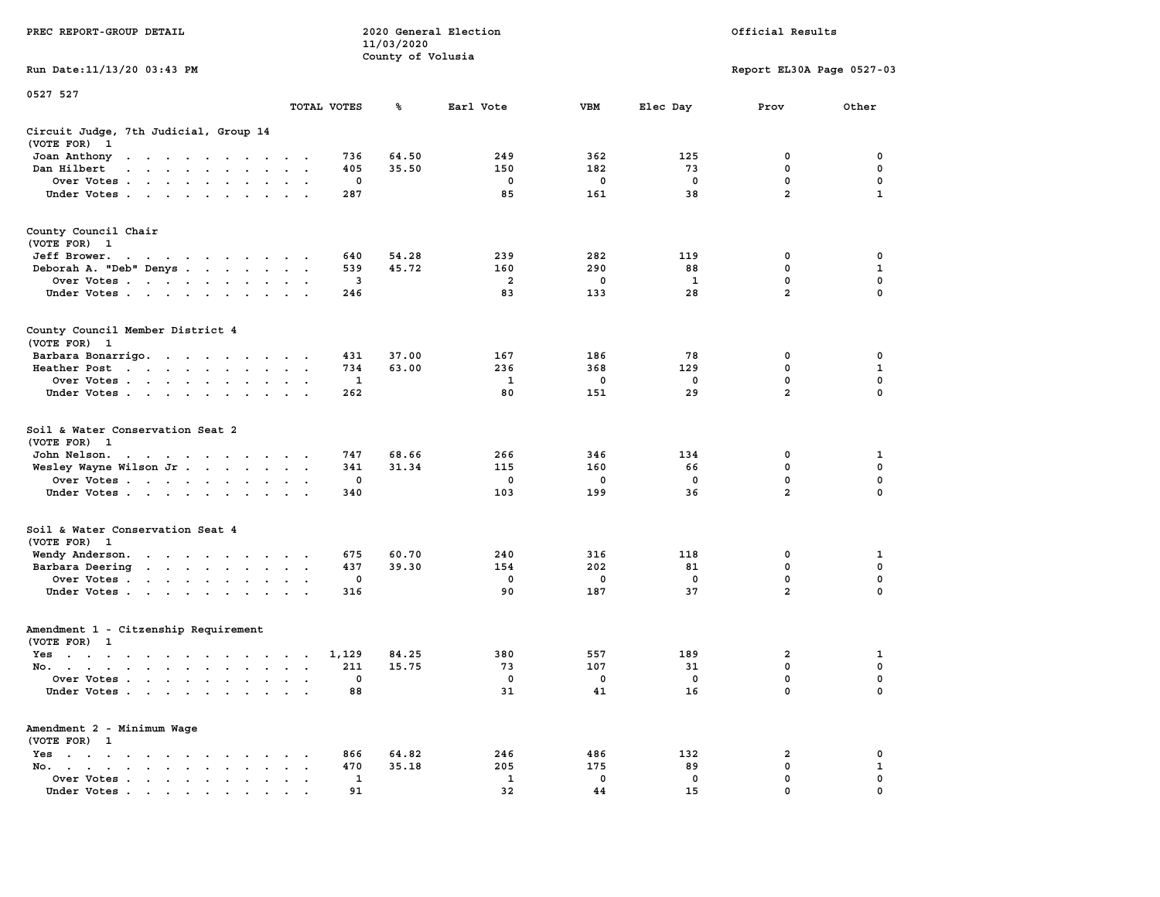| PREC REPORT-GROUP DETAIL                                                                                                                                                                                                                     |                           |              | 11/03/2020        | 2020 General Election |     | Official Results         |                           |              |  |  |
|----------------------------------------------------------------------------------------------------------------------------------------------------------------------------------------------------------------------------------------------|---------------------------|--------------|-------------------|-----------------------|-----|--------------------------|---------------------------|--------------|--|--|
| Run Date: 11/13/20 03:43 PM                                                                                                                                                                                                                  |                           |              | County of Volusia |                       |     |                          | Report EL30A Page 0527-03 |              |  |  |
| 0527 527                                                                                                                                                                                                                                     |                           | TOTAL VOTES  | ℁                 | Earl Vote             | VBM |                          | Prov                      | Other        |  |  |
|                                                                                                                                                                                                                                              |                           |              |                   |                       |     | Elec Day                 |                           |              |  |  |
| Circuit Judge, 7th Judicial, Group 14<br>(VOTE FOR) 1                                                                                                                                                                                        |                           |              |                   |                       |     |                          |                           |              |  |  |
| Joan Anthony<br>the contract of the contract of the con-                                                                                                                                                                                     |                           | 736          | 64.50             | 249                   | 362 | 125                      | 0                         | 0            |  |  |
| Dan Hilbert<br>and a series and a series of the series of the series of the series of the series of the series of the series of the series of the series of the series of the series of the series of the series of the series of the series |                           | 405          | 35.50             | 150                   | 182 | 73                       | 0                         | 0            |  |  |
| Over Votes                                                                                                                                                                                                                                   |                           | 0            |                   | 0                     | 0   | 0                        | $\mathbf 0$               | $\mathbf 0$  |  |  |
| Under Votes                                                                                                                                                                                                                                  |                           | 287          |                   | 85                    | 161 | 38                       | $\overline{a}$            | $\mathbf{1}$ |  |  |
| County Council Chair<br>(VOTE FOR) 1                                                                                                                                                                                                         |                           |              |                   |                       |     |                          |                           |              |  |  |
| Jeff Brower.<br>the contract of the contract of the con-                                                                                                                                                                                     |                           | 640          | 54.28             | 239                   | 282 | 119                      | 0                         | 0            |  |  |
| Deborah A. "Deb" Denys                                                                                                                                                                                                                       |                           | 539          | 45.72             | 160                   | 290 | 88                       | 0                         | 1            |  |  |
| Over Votes                                                                                                                                                                                                                                   |                           | 3            |                   | 2                     | 0   | 1                        | 0                         | 0            |  |  |
| Under Votes                                                                                                                                                                                                                                  |                           | 246          |                   | 83                    | 133 | 28                       | $\overline{a}$            | 0            |  |  |
| County Council Member District 4<br>(VOTE FOR) 1                                                                                                                                                                                             |                           |              |                   |                       |     |                          |                           |              |  |  |
| Barbara Bonarrigo.                                                                                                                                                                                                                           |                           | 431          | 37.00             | 167                   | 186 | 78                       | 0                         | 0            |  |  |
| Heather Post                                                                                                                                                                                                                                 |                           | 734          | 63.00             | 236                   | 368 | 129                      | 0                         | 1            |  |  |
| Over Votes                                                                                                                                                                                                                                   |                           | $\mathbf 1$  |                   | 1                     | 0   | $\mathbf 0$              | $\mathbf 0$               | $\mathbf 0$  |  |  |
| Under Votes                                                                                                                                                                                                                                  |                           | 262          |                   | 80                    | 151 | 29                       | $\overline{\mathbf{2}}$   | $\Omega$     |  |  |
| Soil & Water Conservation Seat 2<br>(VOTE FOR) 1                                                                                                                                                                                             |                           |              |                   |                       |     |                          |                           |              |  |  |
| John Nelson.<br>the contract of the contract of the con-                                                                                                                                                                                     |                           | 747          | 68.66             | 266                   | 346 | 134                      | 0                         | 1            |  |  |
| Wesley Wayne Wilson Jr.                                                                                                                                                                                                                      |                           | 341          | 31.34             | 115                   | 160 | 66                       | 0                         | 0            |  |  |
| Over Votes                                                                                                                                                                                                                                   |                           | 0            |                   | 0                     | 0   | 0                        | $\mathbf 0$               | 0            |  |  |
| Under Votes                                                                                                                                                                                                                                  |                           | 340          |                   | 103                   | 199 | 36                       | $\overline{\mathbf{2}}$   | 0            |  |  |
| Soil & Water Conservation Seat 4<br>(VOTE FOR) 1                                                                                                                                                                                             |                           |              |                   |                       |     |                          |                           |              |  |  |
| Wendy Anderson.                                                                                                                                                                                                                              |                           | 675          | 60.70             | 240                   | 316 | 118                      | 0                         | 1            |  |  |
| Barbara Deering                                                                                                                                                                                                                              | $\sim$ $\sim$             | 437          | 39.30             | 154                   | 202 | 81                       | 0                         | 0            |  |  |
| Over Votes                                                                                                                                                                                                                                   |                           | 0            |                   | 0                     | 0   | 0                        | 0                         | 0            |  |  |
| Under Votes                                                                                                                                                                                                                                  |                           | 316          |                   | 90                    | 187 | 37                       | $\overline{a}$            | 0            |  |  |
| Amendment 1 - Citzenship Requirement<br>(VOTE FOR) 1                                                                                                                                                                                         |                           |              |                   |                       |     |                          |                           |              |  |  |
| Yes<br>$\mathbf{a}$ and $\mathbf{a}$ are a set of the set of the set of the set of the set of the set of the set of the set of the set of the set of the set of the set of the set of the set of the set of the set of the set of the set of |                           | 1,129        | 84.25             | 380                   | 557 | 189                      | 2                         | 1            |  |  |
| No.                                                                                                                                                                                                                                          | $\mathbf{z} = \mathbf{z}$ | 211          | 15.75             | 73                    | 107 | 31                       | 0                         | 0            |  |  |
| Over Votes                                                                                                                                                                                                                                   |                           | 0            |                   | $\mathbf 0$           | 0   | $\overline{\phantom{0}}$ | 0                         | 0            |  |  |
| Under Votes                                                                                                                                                                                                                                  |                           | 88           |                   | 31                    | 41  | 16                       | 0                         | 0            |  |  |
| Amendment 2 - Minimum Wage<br>(VOTE FOR) 1                                                                                                                                                                                                   |                           |              |                   |                       |     |                          |                           |              |  |  |
| Yes                                                                                                                                                                                                                                          |                           | 866          | 64.82             | 246                   | 486 | 132                      | 2                         | 0            |  |  |
| No.<br>$\sim$ $\sim$                                                                                                                                                                                                                         |                           | 470          | 35.18             | 205                   | 175 | 89                       | 0                         | $\mathbf{1}$ |  |  |
| Over Votes                                                                                                                                                                                                                                   |                           | $\mathbf{1}$ |                   | 1                     | 0   | 0                        | 0                         | 0            |  |  |
| Under Votes.                                                                                                                                                                                                                                 |                           | 91           |                   | 32                    | 44  | 15                       | 0                         | $\Omega$     |  |  |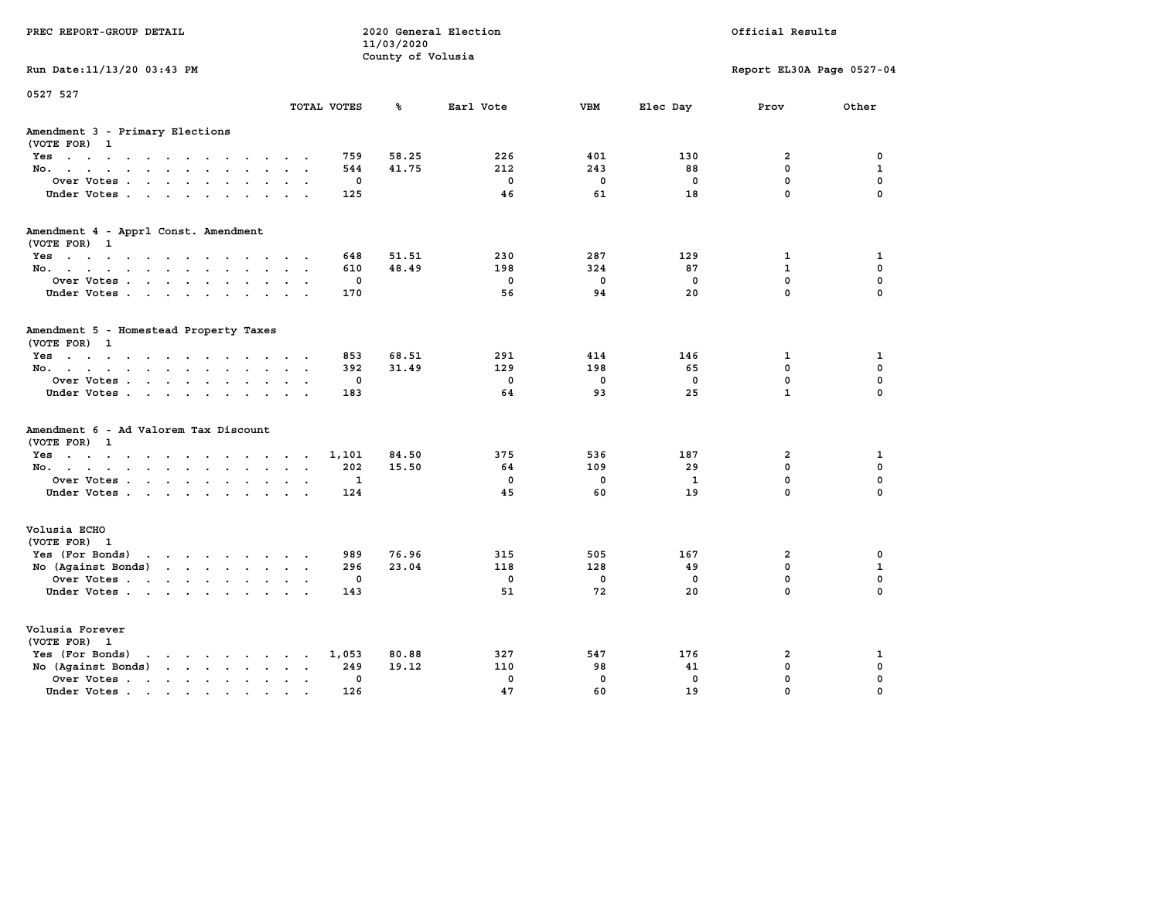| PREC REPORT-GROUP DETAIL                                                                                                                                                                                                                             |                    | 11/03/2020<br>County of Volusia | 2020 General Election |                     |              | Official Results             |                  |
|------------------------------------------------------------------------------------------------------------------------------------------------------------------------------------------------------------------------------------------------------|--------------------|---------------------------------|-----------------------|---------------------|--------------|------------------------------|------------------|
| Run Date: 11/13/20 03:43 PM                                                                                                                                                                                                                          |                    |                                 |                       |                     |              | Report EL30A Page 0527-04    |                  |
| 0527 527                                                                                                                                                                                                                                             | TOTAL VOTES        | ℁                               | Earl Vote             | <b>VBM</b>          | Elec Day     | Prov                         | Other            |
| Amendment 3 - Primary Elections<br>(VOTE FOR) 1                                                                                                                                                                                                      |                    |                                 |                       |                     |              |                              |                  |
| Yes                                                                                                                                                                                                                                                  | 759                | 58.25                           | 226                   | 401                 | 130          | $\overline{2}$               | $\mathbf 0$      |
| No.                                                                                                                                                                                                                                                  | 544                | 41.75                           | 212                   | 243                 | 88           | 0                            | $\mathbf{1}$     |
| Over Votes.                                                                                                                                                                                                                                          | $\mathbf 0$        |                                 | $\mathbf 0$           | $\mathbf 0$         | $\mathbf 0$  | 0                            | $\mathbf 0$      |
| Under Votes                                                                                                                                                                                                                                          | 125                |                                 | 46                    | 61                  | 18           | 0                            | $\mathbf 0$      |
| Amendment 4 - Apprl Const. Amendment                                                                                                                                                                                                                 |                    |                                 |                       |                     |              |                              |                  |
| (VOTE FOR) 1                                                                                                                                                                                                                                         |                    |                                 |                       |                     |              |                              |                  |
| Yes                                                                                                                                                                                                                                                  | 648                | 51.51<br>48.49                  | 230                   | 287                 | 129          | $\mathbf{1}$<br>$\mathbf{1}$ | 1                |
| No.                                                                                                                                                                                                                                                  | 610<br>$\mathbf 0$ |                                 | 198<br>$\mathbf{0}$   | 324<br>$\mathbf{0}$ | 87           | 0                            | 0<br>$\mathbf 0$ |
| Over Votes<br>Under Votes                                                                                                                                                                                                                            | 170                |                                 | 56                    | 94                  | 0<br>20      | 0                            | 0                |
|                                                                                                                                                                                                                                                      |                    |                                 |                       |                     |              |                              |                  |
| Amendment 5 - Homestead Property Taxes<br>(VOTE FOR) 1                                                                                                                                                                                               |                    |                                 |                       |                     |              |                              |                  |
| Yes                                                                                                                                                                                                                                                  | 853                | 68.51                           | 291                   | 414                 | 146          | $\mathbf{1}$                 | $\mathbf{1}$     |
| No.                                                                                                                                                                                                                                                  | 392                | 31.49                           | 129                   | 198                 | 65           | $\mathbf{0}$                 | 0                |
| Over Votes                                                                                                                                                                                                                                           | $\mathbf{0}$       |                                 | $\mathbf{0}$          | $\mathbf{0}$        | $^{\circ}$   | $\mathbf 0$                  | 0                |
| Under Votes                                                                                                                                                                                                                                          | 183                |                                 | 64                    | 93                  | 25           | $\mathbf{1}$                 | 0                |
| Amendment 6 - Ad Valorem Tax Discount                                                                                                                                                                                                                |                    |                                 |                       |                     |              |                              |                  |
| (VOTE FOR) 1<br>$Yes \cdot \cdot \cdot \cdot \cdot \cdot \cdot \cdot \cdot \cdot \cdot \cdot \cdot$                                                                                                                                                  |                    | 84.50                           | 375                   | 536                 | 187          | $\overline{2}$               | 1                |
| No.                                                                                                                                                                                                                                                  | 1,101<br>202       | 15.50                           | 64                    | 109                 | 29           | 0                            | $\mathbf 0$      |
| Over Votes                                                                                                                                                                                                                                           | $\mathbf{1}$       |                                 | $\mathbf{0}$          | $\mathbf{0}$        | $\mathbf{1}$ | 0                            | 0                |
| Under Votes                                                                                                                                                                                                                                          | 124                |                                 | 45                    | 60                  | 19           | 0                            | 0                |
|                                                                                                                                                                                                                                                      |                    |                                 |                       |                     |              |                              |                  |
| Volusia ECHO<br>(VOTE FOR) 1                                                                                                                                                                                                                         |                    |                                 |                       |                     |              |                              |                  |
| Yes (For Bonds)                                                                                                                                                                                                                                      | 989                | 76.96                           | 315                   | 505                 | 167          | $\overline{2}$               | 0                |
| No (Against Bonds)                                                                                                                                                                                                                                   | 296                | 23.04                           | 118                   | 128                 | 49           | 0                            | $\mathbf{1}$     |
| Over Votes                                                                                                                                                                                                                                           | $\mathbf{0}$       |                                 | $\mathbf{0}$          | $\mathbf{0}$        | $^{\circ}$   | 0                            | $\mathbf 0$      |
| Under Votes                                                                                                                                                                                                                                          | 143                |                                 | 51                    | 72                  | 20           | 0                            | 0                |
| Volusia Forever<br>(VOTE FOR) 1                                                                                                                                                                                                                      |                    |                                 |                       |                     |              |                              |                  |
| Yes (For Bonds)<br>$\mathbf{r}$ . The set of the set of the set of the set of the set of the set of the set of the set of the set of the set of the set of the set of the set of the set of the set of the set of the set of the set of the set of t | 1,053              | 80.88                           | 327                   | 547                 | 176          | $\overline{2}$               | 1                |
| No (Against Bonds)                                                                                                                                                                                                                                   | 249                | 19.12                           | 110                   | 98                  | 41           | 0                            | 0                |
| Over Votes .<br>the contract of the contract of the contract of the contract of the contract of the contract of the contract of                                                                                                                      | 0                  |                                 | $\mathbf 0$           | $\mathbf{0}$        | $\mathbf{0}$ | 0                            | 0                |
| Under Votes.                                                                                                                                                                                                                                         | 126                |                                 | 47                    | 60                  | 19           | 0                            | 0                |
|                                                                                                                                                                                                                                                      |                    |                                 |                       |                     |              |                              |                  |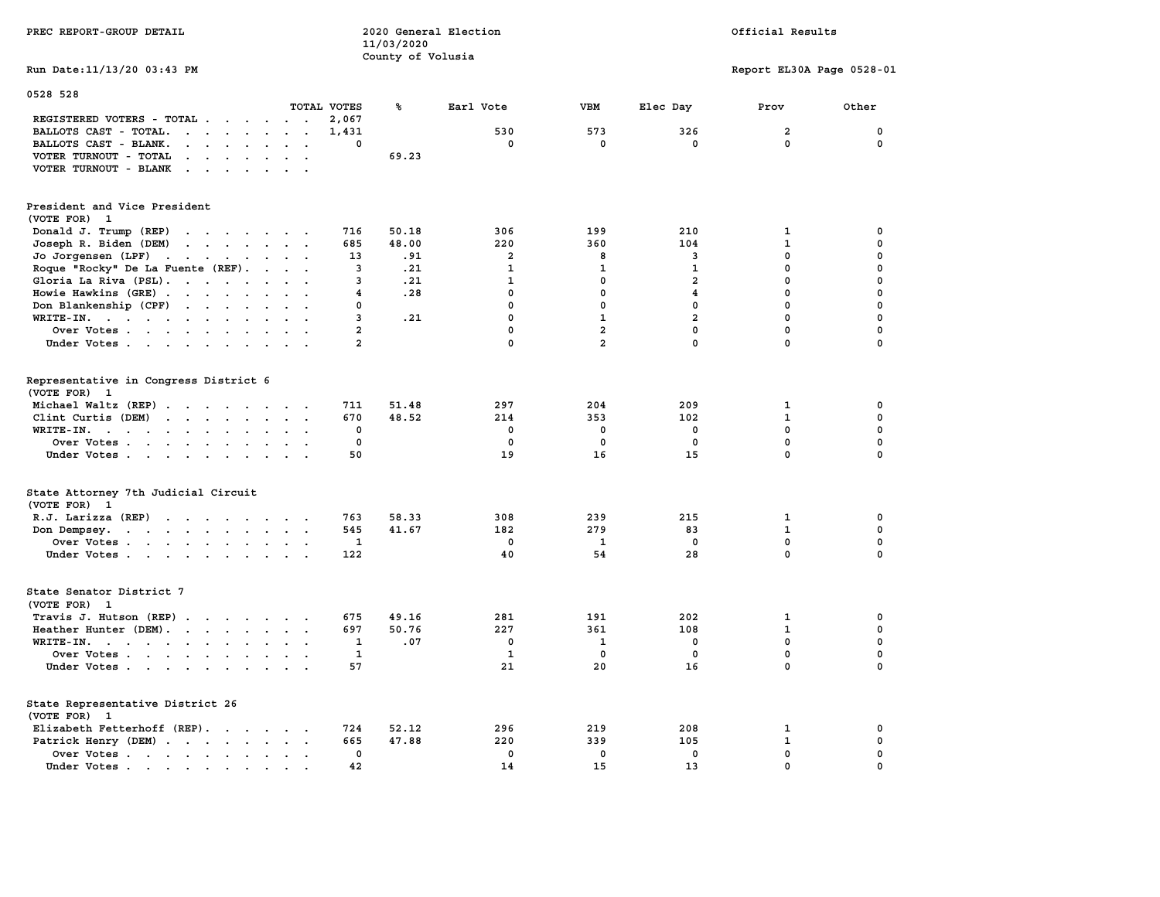| PREC REPORT-GROUP DETAIL                                                                                                      |                | 2020 General Election<br>11/03/2020 |                | Official Results |                         |                           |             |
|-------------------------------------------------------------------------------------------------------------------------------|----------------|-------------------------------------|----------------|------------------|-------------------------|---------------------------|-------------|
|                                                                                                                               |                | County of Volusia                   |                |                  |                         |                           |             |
| Run Date: 11/13/20 03:43 PM                                                                                                   |                |                                     |                |                  |                         | Report EL30A Page 0528-01 |             |
| 0528 528                                                                                                                      |                |                                     |                |                  |                         |                           |             |
|                                                                                                                               | TOTAL VOTES    | ℁                                   | Earl Vote      | VBM              | Elec Day                | Prov                      | Other       |
| REGISTERED VOTERS - TOTAL                                                                                                     | 2,067          |                                     |                |                  |                         |                           |             |
| BALLOTS CAST - TOTAL.<br>$\cdot$ $\cdot$ $\cdot$ $\cdot$ $\cdot$ $\cdot$<br>$\sim$                                            | 1,431          |                                     | 530            | 573              | 326                     | $\overline{2}$            | 0           |
| BALLOTS CAST - BLANK.<br>$\mathbf{r} = \mathbf{r} + \mathbf{r} + \mathbf{r} + \mathbf{r}$                                     | 0              |                                     | 0              | 0                | 0                       | 0                         | 0           |
| VOTER TURNOUT - TOTAL<br>$\mathbf{r}$ , and $\mathbf{r}$ , and $\mathbf{r}$<br>$\sim$ $\sim$                                  |                | 69.23                               |                |                  |                         |                           |             |
| VOTER TURNOUT - BLANK<br>$\mathcal{L}=\mathcal{L}=\mathcal{L}=\mathcal{L}=\mathcal{L}$ .<br>$\sim$<br>$\sim$                  |                |                                     |                |                  |                         |                           |             |
| President and Vice President                                                                                                  |                |                                     |                |                  |                         |                           |             |
| (VOTE FOR) 1                                                                                                                  |                |                                     |                |                  |                         |                           |             |
|                                                                                                                               |                |                                     |                |                  |                         |                           |             |
| Donald J. Trump (REP)<br>the contract of the contract of                                                                      | 716            | 50.18                               | 306            | 199              | 210                     | 1                         | 0           |
| Joseph R. Biden (DEM)<br>$\mathbf{r}$ , and $\mathbf{r}$ , and $\mathbf{r}$ , and $\mathbf{r}$                                | 685            | 48.00                               | 220            | 360              | 104                     | $\mathbf{1}$              | $\mathbf 0$ |
| Jo Jorgensen (LPF)                                                                                                            | 13             | .91                                 | $\overline{a}$ | 8                | 3                       | $\mathbf 0$               | 0           |
| Roque "Rocky" De La Fuente (REF).<br>$\ddot{\phantom{a}}$<br>$\ddot{\phantom{a}}$                                             | 3              | .21                                 | 1              | 1                | 1                       | $\mathbf 0$               | $\mathbf 0$ |
| Gloria La Riva (PSL).<br>$\sim$                                                                                               | 3              | .21                                 | $\mathbf{1}$   | 0                | $\overline{a}$          | $\mathbf 0$               | $\mathbf 0$ |
| Howie Hawkins (GRE)<br>$\ddot{\phantom{a}}$                                                                                   | 4              | .28                                 | 0              | 0                | $\overline{\mathbf{4}}$ | $\mathbf 0$               | $\mathbf 0$ |
| Don Blankenship (CPF)<br>$\sim$<br>$\mathbf{L}$                                                                               | 0              |                                     | 0              | $\mathbf 0$      | 0                       | $\mathbf 0$               | $\mathbf 0$ |
| $WRITE-IN.$<br>$\sim$<br>$\bullet$<br>$\sim$<br>$\mathbf{r}$                                                                  | 3              | .21                                 | $\mathbf 0$    | $\mathbf{1}$     | $\overline{a}$          | $\mathbf 0$               | $\mathbf 0$ |
| Over Votes                                                                                                                    | $\overline{a}$ |                                     | 0              | $\overline{a}$   | $\mathbf 0$             | $\mathbf 0$               | $\mathbf 0$ |
| Under Votes                                                                                                                   | $\overline{a}$ |                                     | 0              | $\overline{a}$   | $\mathbf 0$             | $\mathbf 0$               | 0           |
|                                                                                                                               |                |                                     |                |                  |                         |                           |             |
| Representative in Congress District 6                                                                                         |                |                                     |                |                  |                         |                           |             |
| (VOTE FOR)<br>-1                                                                                                              |                |                                     |                |                  |                         |                           |             |
| Michael Waltz (REP)                                                                                                           | 711            | 51.48                               | 297            | 204              | 209                     | 1                         | 0           |
| Clint Curtis (DEM)<br>$\cdots$                                                                                                | 670            | 48.52                               | 214            | 353              | 102                     | $\mathbf{1}$              | 0           |
| WRITE-IN.<br>the contract of the contract of the contract of the contract of the contract of the contract of the contract of  | 0              |                                     | 0              | 0                | 0                       | $\mathbf 0$               | 0           |
| Over Votes.<br>$\mathcal{L}=\mathcal{L}=\mathcal{L}=\mathcal{L}=\mathcal{L}$ .<br>$\bullet$<br>$\sim$<br>$\ddot{\phantom{a}}$ | 0              |                                     | 0              | 0                | $\mathbf 0$             | $\mathbf 0$               | 0           |
| Under Votes                                                                                                                   | 50             |                                     | 19             | 16               | 15                      | $\mathbf 0$               | $\mathbf 0$ |
|                                                                                                                               |                |                                     |                |                  |                         |                           |             |
| State Attorney 7th Judicial Circuit<br>(VOTE FOR) 1                                                                           |                |                                     |                |                  |                         |                           |             |
| $R.J.$ Larizza $(REP)$                                                                                                        | 763            | 58.33                               | 308            | 239              | 215                     | 1                         | 0           |
| Don Dempsey.                                                                                                                  | 545            | 41.67                               | 182            | 279              | 83                      | $\mathbf{1}$              | 0           |
| Over Votes<br>$\ddot{\phantom{a}}$                                                                                            | $\mathbf{1}$   |                                     | $\mathbf 0$    | 1                | $\mathbf 0$             | $\mathbf 0$               | $\mathbf 0$ |
| Under Votes                                                                                                                   | 122            |                                     | 40             | 54               | 28                      | $\mathbf 0$               | $\mathbf 0$ |
|                                                                                                                               |                |                                     |                |                  |                         |                           |             |
| State Senator District 7                                                                                                      |                |                                     |                |                  |                         |                           |             |
| (VOTE FOR) 1                                                                                                                  |                |                                     |                |                  |                         |                           |             |
| Travis J. Hutson (REP).<br>$\sim$                                                                                             | 675            | 49.16                               | 281            | 191              | 202                     | 1                         | 0           |
| Heather Hunter (DEM).                                                                                                         | 697            | 50.76                               | 227            | 361              | 108                     | $\mathbf{1}$              | $\mathbf 0$ |
| WRITE-IN.<br>$\sim$<br>$\sim$                                                                                                 | 1              | .07                                 | $\mathbf 0$    | 1                | 0                       | 0                         | $\pmb{0}$   |
| Over Votes                                                                                                                    | 1              |                                     | 1              | 0                | $\mathbf{0}$            | $\mathbf{0}$              | 0           |
| Under Votes<br>$\ddot{\phantom{a}}$                                                                                           | 57             |                                     | 21             | 20               | 16                      | $\mathbf 0$               | $\mathbf 0$ |
|                                                                                                                               |                |                                     |                |                  |                         |                           |             |
| State Representative District 26                                                                                              |                |                                     |                |                  |                         |                           |             |
| (VOTE FOR) 1                                                                                                                  |                |                                     |                |                  |                         |                           |             |
| Elizabeth Fetterhoff (REP).                                                                                                   | 724            | 52.12                               | 296            | 219              | 208                     | 1                         | 0           |
| Patrick Henry (DEM)                                                                                                           | 665            | 47.88                               | 220            | 339              | 105                     | $\mathbf{1}$              | 0           |
| Over Votes<br>$\cdot$ .                                                                                                       | $\mathbf 0$    |                                     | $\mathbf{0}$   | $\mathbf 0$      | $\mathbf 0$             | $\mathbf{0}$              | $\mathbf 0$ |
| Under Votes.<br>$\blacksquare$                                                                                                | 42             |                                     | 14             | 15               | 13                      | $\mathbf 0$               | $\mathbf 0$ |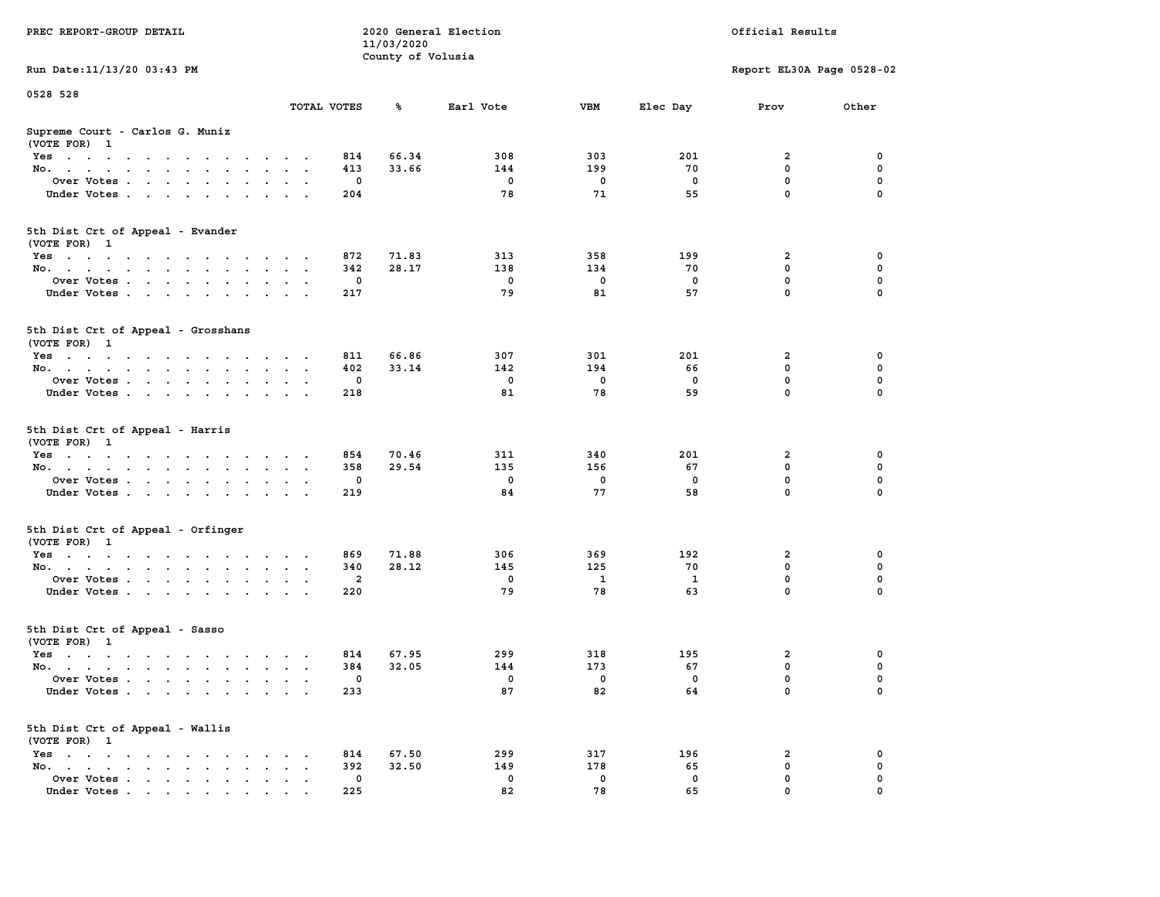| PREC REPORT-GROUP DETAIL                                                                                               |                      | 11/03/2020<br>County of Volusia | 2020 General Election |             | Official Results |                           |          |  |  |
|------------------------------------------------------------------------------------------------------------------------|----------------------|---------------------------------|-----------------------|-------------|------------------|---------------------------|----------|--|--|
| Run Date: 11/13/20 03:43 PM                                                                                            |                      |                                 |                       |             |                  | Report EL30A Page 0528-02 |          |  |  |
| 0528 528                                                                                                               |                      |                                 |                       |             |                  |                           |          |  |  |
|                                                                                                                        | TOTAL VOTES          | ℁                               | Earl Vote             | VBM         | Elec Day         | Prov                      | Other    |  |  |
| Supreme Court - Carlos G. Muniz<br>(VOTE FOR) 1                                                                        |                      |                                 |                       |             |                  |                           |          |  |  |
| Yes                                                                                                                    |                      | 66.34<br>814                    | 308                   | 303         | 201              | 2                         | 0        |  |  |
| No.                                                                                                                    | 413<br>$\sim$ $\sim$ | 33.66                           | 144                   | 199         | 70               | $\mathbf 0$               | 0        |  |  |
| Over Votes                                                                                                             |                      | 0                               | 0                     | 0           | 0                | 0                         | 0        |  |  |
| Under Votes                                                                                                            | 204                  |                                 | 78                    | 71          | 55               | $\mathbf 0$               | $\Omega$ |  |  |
| 5th Dist Crt of Appeal - Evander<br>(VOTE FOR) 1                                                                       |                      |                                 |                       |             |                  |                           |          |  |  |
| Yes                                                                                                                    | 872                  | 71.83                           | 313                   | 358         | 199              | 2                         | 0        |  |  |
| No.                                                                                                                    | 342<br>$\sim$ $\sim$ | 28.17                           | 138                   | 134         | 70               | 0                         | 0        |  |  |
| Over Votes                                                                                                             |                      | 0                               | 0                     | $\mathbf 0$ | 0                | 0                         | 0        |  |  |
| Under Votes                                                                                                            | 217                  |                                 | 79                    | 81          | 57               | $\mathbf 0$               | 0        |  |  |
| 5th Dist Crt of Appeal - Grosshans<br>(VOTE FOR) 1                                                                     |                      |                                 |                       |             |                  |                           |          |  |  |
| Yes<br>the contract of the contract of the contract of                                                                 |                      | 66.86<br>811                    | 307                   | 301         | 201              | 2                         | 0        |  |  |
| No.                                                                                                                    | $\sim$               | 402<br>33.14                    | 142                   | 194         | 66               | 0                         | 0        |  |  |
| Over Votes                                                                                                             | $\bullet$            | 0                               | 0                     | 0           | $\Omega$         | $\mathbf 0$               | 0        |  |  |
| Under Votes                                                                                                            | 218                  |                                 | 81                    | 78          | 59               | $\mathbf 0$               | 0        |  |  |
| 5th Dist Crt of Appeal - Harris<br>(VOTE FOR) 1<br>Yes                                                                 |                      | 854<br>70.46                    | 311                   | 340         | 201              | 2                         | 0        |  |  |
| No.                                                                                                                    | 358<br>$\sim$ $\sim$ | 29.54                           | 135                   | 156         | 67               | $\mathbf 0$               | 0        |  |  |
| Over Votes                                                                                                             |                      | 0                               | 0                     | 0           | 0                | 0                         | 0        |  |  |
| Under Votes                                                                                                            | 219                  |                                 | 84                    | 77          | 58               | 0                         | $\Omega$ |  |  |
| 5th Dist Crt of Appeal - Orfinger<br>(VOTE FOR) 1                                                                      |                      |                                 |                       |             |                  |                           |          |  |  |
| Yes                                                                                                                    | 869                  | 71.88                           | 306                   | 369         | 192              | 2                         | 0        |  |  |
| No.                                                                                                                    | 340<br>$\cdot$ .     | 28.12                           | 145                   | 125         | 70               | 0                         | 0        |  |  |
| Over Votes                                                                                                             |                      | 2                               | 0                     | 1           | <b>1</b>         | 0                         | 0        |  |  |
| Under Votes                                                                                                            | 220                  |                                 | 79                    | 78          | 63               | $\mathbf 0$               | 0        |  |  |
| 5th Dist Crt of Appeal - Sasso<br>(VOTE FOR) 1                                                                         |                      |                                 |                       |             |                  |                           |          |  |  |
| Yes<br>the contract of the contract of the contract of the contract of the contract of the contract of the contract of | 814                  | 67.95                           | 299                   | 318         | 195              | 2                         | 0        |  |  |
| No.                                                                                                                    | $\sim$ $\sim$        | 384<br>32.05                    | 144                   | 173         | 67               | 0                         | 0        |  |  |
| Over Votes                                                                                                             |                      | 0                               | 0                     | 0           | 0                | 0                         | $\Omega$ |  |  |
| Under Votes                                                                                                            | 233                  |                                 | 87                    | 82          | 64               | 0                         | 0        |  |  |
| 5th Dist Crt of Appeal - Wallis<br>(VOTE FOR) 1                                                                        |                      |                                 |                       |             |                  |                           |          |  |  |
| $Yes \cdot \cdot \cdot \cdot \cdot \cdot$<br>$\cdot$<br>No.<br>$\ddot{\phantom{a}}$<br>$\ddot{\phantom{a}}$            | 392                  | 814<br>67.50<br>32.50           | 299<br>149            | 317<br>178  | 196<br>65        | 2<br>0                    | 0<br>0   |  |  |
| Over Votes                                                                                                             |                      | $\pmb{0}$                       | 0                     | 0           | 0                | 0                         | 0        |  |  |
| Under Votes                                                                                                            |                      | 225                             | 82                    | 78          | 65               | 0                         |          |  |  |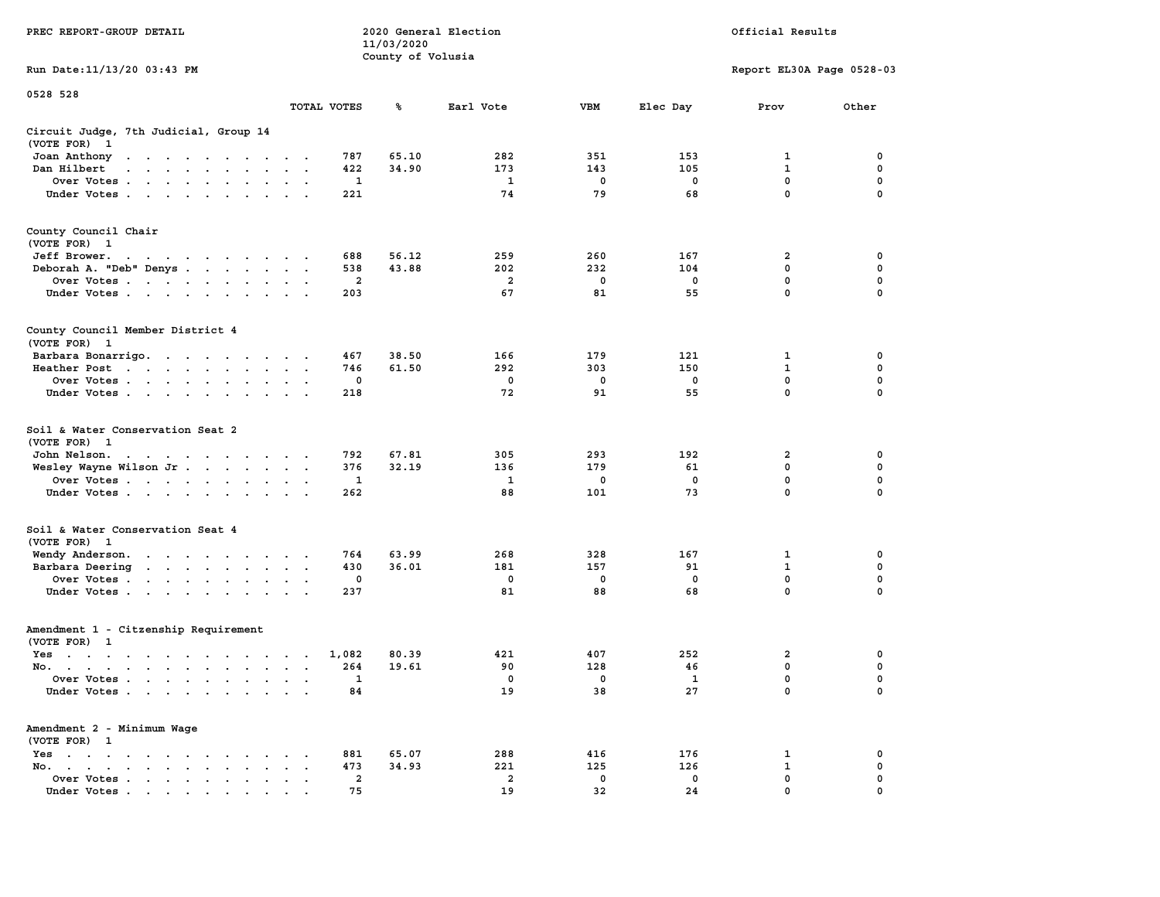|                                                                                                                                 |                                                 | 11/03/2020        |                         |             |             |                           |             |
|---------------------------------------------------------------------------------------------------------------------------------|-------------------------------------------------|-------------------|-------------------------|-------------|-------------|---------------------------|-------------|
|                                                                                                                                 |                                                 | County of Volusia |                         |             |             |                           |             |
| Run Date: 11/13/20 03:43 PM                                                                                                     |                                                 |                   |                         |             |             | Report EL30A Page 0528-03 |             |
| 0528 528                                                                                                                        |                                                 |                   |                         |             |             |                           |             |
|                                                                                                                                 | TOTAL VOTES                                     | ℁                 | Earl Vote               | <b>VBM</b>  | Elec Day    | Prov                      | Other       |
| Circuit Judge, 7th Judicial, Group 14<br>(VOTE FOR)<br>$\mathbf{1}$                                                             |                                                 |                   |                         |             |             |                           |             |
| Joan Anthony<br>the contract of the contract of the con-                                                                        | 787                                             | 65.10             | 282                     | 351         | 153         | 1                         | 0           |
| Dan Hilbert<br>$\mathcal{A}=\mathcal{A}=\mathcal{A}=\mathcal{A}=\mathcal{A}=\mathcal{A}$ .<br>$\sim$                            | 422<br>$\sim$                                   | 34.90             | 173                     | 143         | 105         | $\mathbf 1$               | 0           |
| Over Votes                                                                                                                      | 1<br>$\ddot{\phantom{a}}$                       |                   | 1                       | 0           | 0           | $\mathbf 0$               | $\mathbf 0$ |
| Under Votes                                                                                                                     | 221                                             |                   | 74                      | 79          | 68          | $\mathbf 0$               | $\mathbf 0$ |
|                                                                                                                                 |                                                 |                   |                         |             |             |                           |             |
| County Council Chair<br>(VOTE FOR) 1                                                                                            |                                                 |                   |                         |             |             |                           |             |
| Jeff Brower.<br>the contract of the contract of the con-                                                                        | 688                                             | 56.12             | 259                     | 260         | 167         | 2                         | 0           |
| Deborah A. "Deb" Denys                                                                                                          | 538                                             | 43.88             | 202                     | 232         | 104         | 0                         | $\mathbf 0$ |
| Over Votes                                                                                                                      | $\overline{\mathbf{2}}$<br>$\ddot{\phantom{1}}$ |                   | $\overline{\mathbf{2}}$ | 0           | 0           | 0                         | 0           |
| Under Votes                                                                                                                     | 203                                             |                   | 67                      | 81          | 55          | $\mathbf 0$               | $\Omega$    |
|                                                                                                                                 |                                                 |                   |                         |             |             |                           |             |
| County Council Member District 4<br>(VOTE FOR) 1                                                                                |                                                 |                   |                         |             |             |                           |             |
| Barbara Bonarrigo.                                                                                                              | 467                                             | 38.50             | 166                     | 179         | 121         | 1                         | $\mathbf 0$ |
| Heather Post<br>the contract of the contract of the contract of the contract of the contract of the contract of the contract of | 746<br>$\sim$ $\sim$<br>$\ddot{\phantom{a}}$    | 61.50             | 292                     | 303         | 150         | $\mathbf{1}$              | $\mathbf 0$ |
| Over Votes                                                                                                                      | $\mathbf 0$<br>$\sim$                           |                   | $\mathbf 0$             | $\mathbf 0$ | $\mathbf 0$ | $\mathbf 0$               | 0           |
| Under Votes                                                                                                                     | 218                                             |                   | 72                      | 91          | 55          | $\mathbf 0$               | 0           |
|                                                                                                                                 |                                                 |                   |                         |             |             |                           |             |
| Soil & Water Conservation Seat 2<br>(VOTE FOR) 1                                                                                |                                                 |                   |                         |             |             |                           |             |
| John Nelson.<br>$\mathcal{A}=\mathcal{A}=\mathcal{A}=\mathcal{A}=\mathcal{A}=\mathcal{A}=\mathcal{A}=\mathcal{A}=\mathcal{A}$ . | 792<br>$\cdot$                                  | 67.81             | 305                     | 293         | 192         | $\overline{a}$            | $\mathbf 0$ |
| Wesley Wayne Wilson Jr.                                                                                                         | 376                                             | 32.19             | 136                     | 179         | 61          | $\mathbf 0$               | $\mathbf 0$ |
| Over Votes                                                                                                                      | 1                                               |                   | 1                       | 0           | $\mathbf 0$ | $\mathbf 0$               | $\mathbf 0$ |
| Under Votes                                                                                                                     | 262                                             |                   | 88                      | 101         | 73          | $\mathbf 0$               | $\mathbf 0$ |
| Soil & Water Conservation Seat 4<br>(VOTE FOR) 1                                                                                |                                                 |                   |                         |             |             |                           |             |
| Wendy Anderson.                                                                                                                 | 764                                             | 63.99             | 268                     | 328         | 167         | 1                         | 0           |
| Barbara Deering                                                                                                                 | 430<br>$\blacksquare$                           | 36.01             | 181                     | 157         | 91          | $\mathbf{1}$              | $\mathbf 0$ |
| Over Votes                                                                                                                      | $\Omega$<br>$\ddot{\phantom{a}}$                |                   | $\mathbf{0}$            | $\mathbf 0$ | $^{\circ}$  | $\mathbf 0$               | $\mathbf 0$ |
| Under Votes                                                                                                                     | 237<br>$\cdot$                                  |                   | 81                      | 88          | 68          | $\mathbf 0$               | $\Omega$    |
| Amendment 1 - Citzenship Requirement<br>(VOTE FOR) 1                                                                            |                                                 |                   |                         |             |             |                           |             |
| Yes                                                                                                                             | 1,082                                           | 80.39             | 421                     | 407         | 252         | $\mathbf{2}$              | 0           |
| No.                                                                                                                             | 264                                             | 19.61             | 90                      | 128         | 46          | $\mathbf 0$               | $\mathbf 0$ |
| Over Votes<br>$\bullet$<br>$\ddot{\phantom{a}}$                                                                                 | 1<br>$\cdot$<br>$\overline{\phantom{a}}$        |                   | 0                       | 0           | 1           | $\mathbf 0$               | $\mathbf 0$ |
| Under Votes                                                                                                                     | 84                                              |                   | 19                      | 38          | 27          | $\mathbf 0$               | $\mathbf 0$ |
| Amendment 2 - Minimum Wage<br>(VOTE FOR) 1                                                                                      |                                                 |                   |                         |             |             |                           |             |
| Yes<br>$\sim$<br>$\mathbf{r}$ , and $\mathbf{r}$ , and $\mathbf{r}$<br>$\ddot{\phantom{0}}$<br>$\cdot$<br>$\cdot$               | 881                                             | 65.07             | 288                     | 416         | 176         | 1                         | 0           |
| No.<br>the contract of the contract of<br>$\sim$<br>$\bullet$                                                                   | 473                                             | 34.93             | 221                     | 125         | 126         | $\mathbf 1$               | $\mathbf 0$ |
| Over Votes<br>$\ddot{\phantom{a}}$<br>$\bullet$<br>$\bullet$                                                                    | $\overline{\mathbf{2}}$<br>$\bullet$            |                   | $\overline{\mathbf{2}}$ | $\mathbf 0$ | 0           | 0                         | 0           |
| Under Votes<br><u>in a la la la la la la la</u>                                                                                 | 75<br>$\sim$                                    |                   | 19                      | 32          | 24          | $\Omega$                  | $\Omega$    |
|                                                                                                                                 |                                                 |                   |                         |             |             |                           |             |

**PREC REPORT-GROUP DETAIL COMPUTER SERVICE 2020 General Election**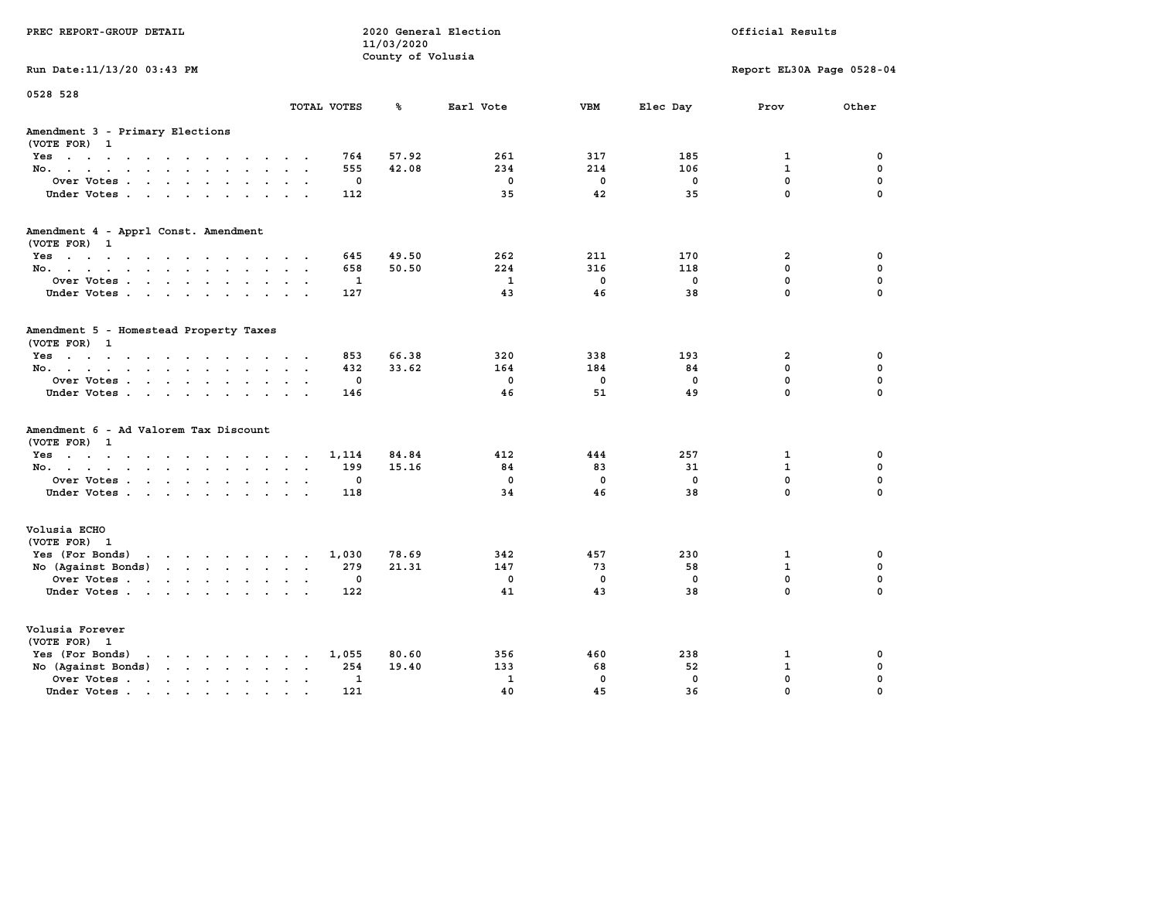| PREC REPORT-GROUP DETAIL                                                                                                                                                                                                                                |                                                   | 11/03/2020<br>County of Volusia | 2020 General Election |             | Official Results |                            |               |  |
|---------------------------------------------------------------------------------------------------------------------------------------------------------------------------------------------------------------------------------------------------------|---------------------------------------------------|---------------------------------|-----------------------|-------------|------------------|----------------------------|---------------|--|
| Run Date: 11/13/20 03:43 PM                                                                                                                                                                                                                             |                                                   |                                 |                       |             |                  | Report EL30A Page 0528-04  |               |  |
| 0528 528                                                                                                                                                                                                                                                | TOTAL VOTES                                       | ℁                               | Earl Vote             | <b>VBM</b>  | Elec Day         | Prov                       | Other         |  |
| Amendment 3 - Primary Elections<br>(VOTE FOR) 1                                                                                                                                                                                                         |                                                   |                                 |                       |             |                  |                            |               |  |
| Yes                                                                                                                                                                                                                                                     | 764                                               | 57.92                           | 261                   | 317         | 185              | 1                          | 0             |  |
| No.                                                                                                                                                                                                                                                     | 555<br>$\sim$                                     | 42.08                           | 234                   | 214         | 106              | $\mathbf{1}$               | $\mathbf 0$   |  |
| Over Votes                                                                                                                                                                                                                                              | 0<br>$\sim$<br>$\ddot{\phantom{a}}$               |                                 | $\mathbf 0$           | 0           | 0                | $\mathbf 0$<br>$\mathbf 0$ | 0<br>$\Omega$ |  |
| Under Votes                                                                                                                                                                                                                                             | 112                                               |                                 | 35                    | 42          | 35               |                            |               |  |
| Amendment 4 - Apprl Const. Amendment<br>(VOTE FOR) 1                                                                                                                                                                                                    |                                                   |                                 |                       |             |                  |                            |               |  |
| Yes                                                                                                                                                                                                                                                     | 645                                               | 49.50                           | 262                   | 211         | 170              | $\overline{2}$             | 0             |  |
| No.                                                                                                                                                                                                                                                     | 658                                               | 50.50                           | 224                   | 316         | 118              | 0                          | $\mathbf 0$   |  |
| Over Votes                                                                                                                                                                                                                                              | 1<br>$\sim$ $\sim$<br>$\ddot{\phantom{a}}$        |                                 | $\mathbf{1}$          | $\mathbf 0$ | $\mathbf 0$      | 0                          | $\mathbf 0$   |  |
| Under Votes                                                                                                                                                                                                                                             | 127                                               |                                 | 43                    | 46          | 38               | $\mathbf 0$                | $\Omega$      |  |
| Amendment 5 - Homestead Property Taxes<br>(VOTE FOR) 1                                                                                                                                                                                                  |                                                   |                                 |                       |             |                  |                            |               |  |
| Yes                                                                                                                                                                                                                                                     | 853                                               | 66.38                           | 320                   | 338         | 193              | $\overline{2}$             | 0             |  |
| No.<br>$\sim$ $\sim$                                                                                                                                                                                                                                    | 432                                               | 33.62                           | 164                   | 184         | 84               | 0                          | $\mathbf 0$   |  |
| Over Votes                                                                                                                                                                                                                                              | 0<br>$\ddot{\phantom{a}}$                         |                                 | $\mathbf 0$           | $\mathbf 0$ | $\mathbf 0$      | 0                          | $\mathbf 0$   |  |
| Under Votes                                                                                                                                                                                                                                             | 146<br>$\sim$ $\sim$                              |                                 | 46                    | 51          | 49               | 0                          | $\Omega$      |  |
| Amendment 6 - Ad Valorem Tax Discount<br>(VOTE FOR) 1                                                                                                                                                                                                   |                                                   |                                 |                       |             |                  |                            |               |  |
| Yes.                                                                                                                                                                                                                                                    | 1,114                                             | 84.84                           | 412                   | 444         | 257              | 1                          | 0             |  |
| No.                                                                                                                                                                                                                                                     | 199                                               | 15.16                           | 84                    | 83          | 31               | $\mathbf{1}$               | 0             |  |
| Over Votes                                                                                                                                                                                                                                              | 0<br>$\bullet$<br>$\ddot{\phantom{a}}$            |                                 | $\mathbf 0$           | $\mathbf 0$ | $\mathbf 0$      | 0                          | $\mathbf 0$   |  |
| Under Votes                                                                                                                                                                                                                                             | 118                                               |                                 | 34                    | 46          | 38               | 0                          | $\Omega$      |  |
| Volusia ECHO<br>(VOTE FOR) 1                                                                                                                                                                                                                            |                                                   |                                 |                       |             |                  |                            |               |  |
| Yes (For Bonds)<br>the contract of the contract of the contract of the contract of the contract of the contract of the contract of                                                                                                                      | 1,030                                             | 78.69                           | 342                   | 457         | 230              | $\mathbf{1}$               | 0             |  |
| No (Against Bonds)<br>$\mathbf{r}$ . The set of the set of the set of the set of the set of the set of the set of the set of the set of the set of the set of the set of the set of the set of the set of the set of the set of the set of the set of t | 279                                               | 21.31                           | 147                   | 73          | 58               | $\mathbf{1}$               | $\mathbf 0$   |  |
| Over Votes                                                                                                                                                                                                                                              | 0<br>$\ddot{\phantom{a}}$<br>$\ddot{\phantom{a}}$ |                                 | $\mathbf 0$           | $\mathbf 0$ | $\mathbf 0$      | $\mathbf 0$                | $\mathbf 0$   |  |
| Under Votes                                                                                                                                                                                                                                             | 122                                               |                                 | 41                    | 43          | 38               | 0                          | $\Omega$      |  |
| Volusia Forever<br>(VOTE FOR) 1                                                                                                                                                                                                                         |                                                   |                                 |                       |             |                  |                            |               |  |
| Yes (For Bonds)<br>$\mathbf{r}$ , and $\mathbf{r}$ , and $\mathbf{r}$ , and $\mathbf{r}$                                                                                                                                                                | 1,055                                             | 80.60                           | 356                   | 460         | 238              | 1                          | 0             |  |
| No (Against Bonds)<br>$\cdot$ $\cdot$ $\cdot$ $\cdot$ $\cdot$                                                                                                                                                                                           | 254                                               | 19.40                           | 133                   | 68          | 52               | $\mathbf{1}$               | 0             |  |
| Over Votes .<br>$\mathcal{A}$ . The set of the set of $\mathcal{A}$<br>$\ddot{\phantom{a}}$<br>$\bullet$                                                                                                                                                | 1<br>$\bullet$<br>$\ddot{\phantom{a}}$            |                                 | $\mathbf{1}$          | $\mathbf 0$ | $\mathbf 0$      | 0                          | 0             |  |
| Under Votes                                                                                                                                                                                                                                             | 121                                               |                                 | 40                    | 45          | 36               | 0                          | $\Omega$      |  |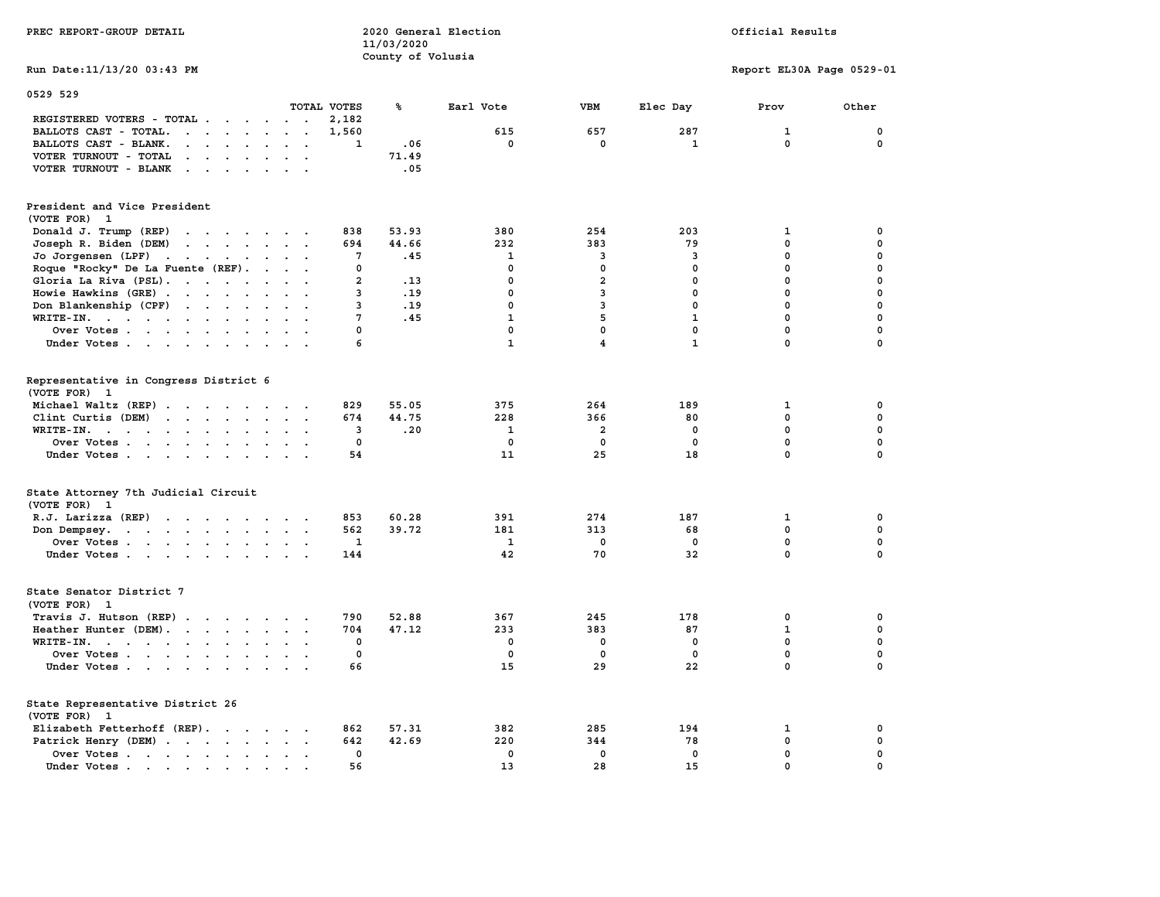|                                                                                                                                                        |                | 11/03/2020        |              |                         |              |                           |             |
|--------------------------------------------------------------------------------------------------------------------------------------------------------|----------------|-------------------|--------------|-------------------------|--------------|---------------------------|-------------|
|                                                                                                                                                        |                | County of Volusia |              |                         |              |                           |             |
| Run Date: 11/13/20 03:43 PM                                                                                                                            |                |                   |              |                         |              | Report EL30A Page 0529-01 |             |
| 0529 529                                                                                                                                               |                |                   |              |                         |              |                           |             |
|                                                                                                                                                        | TOTAL VOTES    | ℁                 | Earl Vote    | <b>VBM</b>              | Elec Day     | Prov                      | Other       |
| REGISTERED VOTERS - TOTAL                                                                                                                              | 2,182          |                   |              |                         |              |                           |             |
| BALLOTS CAST - TOTAL.<br>$\begin{array}{cccccccccccccc} . & . & . & . & . & . & . & . \end{array}$<br>$\ddot{\phantom{0}}$                             | 1,560          |                   | 615          | 657                     | 287          | $\mathbf{1}$              | 0           |
| BALLOTS CAST - BLANK.<br><b>Contract Contract</b><br>$\ddot{\phantom{0}}$<br>$\sim$                                                                    | $\mathbf{1}$   | .06               | $\mathbf{0}$ | $\mathbf 0$             | $\mathbf{1}$ | $\mathbf 0$               | $\mathbf 0$ |
| VOTER TURNOUT - TOTAL<br>$\cdot$ $\cdot$<br>$\cdots$<br>$\ddot{\phantom{a}}$                                                                           |                | 71.49             |              |                         |              |                           |             |
| VOTER TURNOUT - BLANK<br>$\cdots$                                                                                                                      |                | .05               |              |                         |              |                           |             |
| President and Vice President                                                                                                                           |                |                   |              |                         |              |                           |             |
| (VOTE FOR) 1                                                                                                                                           |                |                   |              |                         |              |                           |             |
| Donald J. Trump (REP)<br>$\mathbf{r}$ , and $\mathbf{r}$ , and $\mathbf{r}$ , and $\mathbf{r}$                                                         | 838            | 53.93             | 380          | 254                     | 203          | 1                         | 0           |
| Joseph R. Biden (DEM)<br>$\mathbf{r}$ , $\mathbf{r}$ , $\mathbf{r}$ , $\mathbf{r}$ , $\mathbf{r}$                                                      | 694            | 44.66             | 232          | 383                     | 79           | 0                         | 0           |
| Jo Jorgensen (LPF)<br>$\ddot{\phantom{0}}$<br>$\sim$                                                                                                   | 7              | .45               | 1            | 3                       | 3            | 0                         | 0           |
| Roque "Rocky" De La Fuente (REF).                                                                                                                      | 0              |                   | 0            | $\mathbf 0$             | $\mathbf 0$  | 0                         | 0           |
| Gloria La Riva (PSL).<br>$\cdot$ .                                                                                                                     | $\overline{2}$ | .13               | 0            | $\overline{2}$          | 0            | $\mathbf 0$               | $\mathbf 0$ |
| Howie Hawkins (GRE)                                                                                                                                    | 3              | .19               | 0            | 3                       | $\mathbf 0$  | 0                         | $\mathbf 0$ |
| Don Blankenship (CPF)                                                                                                                                  | 3              | .19               | $\mathbf 0$  | 3                       | $\mathbf{0}$ | $\mathbf 0$               | $\mathbf 0$ |
| $WRITE-IN.$<br>$\sim$<br>$\ddot{\phantom{a}}$<br>$\sim$                                                                                                | 7              | .45               | $\mathbf{1}$ | 5                       | $\mathbf{1}$ | 0                         | $\mathbf 0$ |
| Over Votes<br>$\ddotsc$                                                                                                                                | $\mathbf 0$    |                   | 0            | $\mathbf{0}$            | $\mathbf{0}$ | $\mathbf{0}$              | $\mathbf 0$ |
| Under Votes<br>$\sim$<br>$\ddot{\phantom{a}}$                                                                                                          | 6              |                   | $\mathbf{1}$ | $\overline{\mathbf{4}}$ | $\mathbf{1}$ | 0                         | $\mathbf 0$ |
|                                                                                                                                                        |                |                   |              |                         |              |                           |             |
| Representative in Congress District 6                                                                                                                  |                |                   |              |                         |              |                           |             |
| (VOTE FOR) 1                                                                                                                                           |                |                   |              |                         |              |                           |             |
| Michael Waltz (REP)                                                                                                                                    | 829            | 55.05             | 375          | 264                     | 189          | 1                         | 0           |
| Clint Curtis (DEM)<br>$\cdot$ $\cdot$ $\cdot$ $\cdot$<br>$\cdot$ $\cdot$<br>$\ddot{\phantom{a}}$                                                       | 674            | 44.75             | 228          | 366                     | 80           | 0                         | $\mathbf 0$ |
| WRITE-IN.<br>$\ddot{\phantom{0}}$                                                                                                                      | 3              | .20               | 1            | $\overline{2}$          | 0            | 0                         | 0           |
| Over Votes<br>$\ddot{\phantom{a}}$<br>$\ddot{\phantom{a}}$<br>$\bullet$                                                                                | $\mathbf 0$    |                   | $\mathbf 0$  | $\mathbf 0$             | $\mathbf 0$  | 0                         | 0           |
| Under Votes                                                                                                                                            | 54             |                   | 11           | 25                      | 18           | 0                         | $\Omega$    |
| State Attorney 7th Judicial Circuit                                                                                                                    |                |                   |              |                         |              |                           |             |
| (VOTE FOR) 1                                                                                                                                           |                |                   |              |                         |              |                           |             |
| R.J. Larizza (REP)                                                                                                                                     | 853            | 60.28             | 391          | 274                     | 187          | 1                         | 0           |
| $\mathbf{r}$<br>Don Dempsey.<br>$\ddot{\phantom{0}}$<br>$\ddot{\phantom{a}}$                                                                           | 562            | 39.72             | 181          | 313                     | 68           | $\mathbf 0$               | $\mathbf 0$ |
| Over Votes                                                                                                                                             | 1              |                   | 1            | 0                       | $\mathbf 0$  | 0                         | $\mathbf 0$ |
| Under Votes<br>$\sim$ $\sim$                                                                                                                           | 144            |                   | 42           | 70                      | 32           | 0                         | $\Omega$    |
|                                                                                                                                                        |                |                   |              |                         |              |                           |             |
| State Senator District 7                                                                                                                               |                |                   |              |                         |              |                           |             |
| (VOTE FOR) 1                                                                                                                                           |                |                   |              |                         |              |                           |             |
| Travis J. Hutson (REP)                                                                                                                                 | 790            | 52.88             | 367          | 245                     | 178          | 0                         | 0           |
| Heather Hunter (DEM).                                                                                                                                  | 704            | 47.12             | 233          | 383                     | 87           | $\mathbf{1}$              | $\mathbf 0$ |
| WRITE-IN.                                                                                                                                              | $\mathbf 0$    |                   | 0            | $\mathbf 0$             | 0            | $\mathbf 0$               | $\mathbf 0$ |
| Over Votes                                                                                                                                             | 0              |                   | 0            | 0                       | 0            | $\mathbf 0$               | $\mathbf 0$ |
| Under Votes                                                                                                                                            | 66             |                   | 15           | 29                      | 22           | 0                         | $\Omega$    |
| State Representative District 26                                                                                                                       |                |                   |              |                         |              |                           |             |
| (VOTE FOR) 1                                                                                                                                           |                |                   |              |                         |              |                           |             |
| Elizabeth Fetterhoff (REP).                                                                                                                            | 862            | 57.31             | 382          | 285                     | 194          | 1                         | 0           |
| Patrick Henry (DEM)                                                                                                                                    | 642            | 42.69             | 220          | 344                     | 78           | 0                         | 0           |
| Over Votes.<br>the contract of the contract of the contract of the contract of the contract of the contract of the contract of<br>$\sim$ $\sim$ $\sim$ | 0              |                   | 0            | 0                       | 0            | 0                         | 0           |
| Under Votes<br>.                                                                                                                                       | 56             |                   | 13           | 28                      | 15           | 0                         | $\Omega$    |

**PREC REPORT-GROUP DETAIL COMPUTER CONSUMING A LOCAL PREC** REPORT-GROUP DETAIL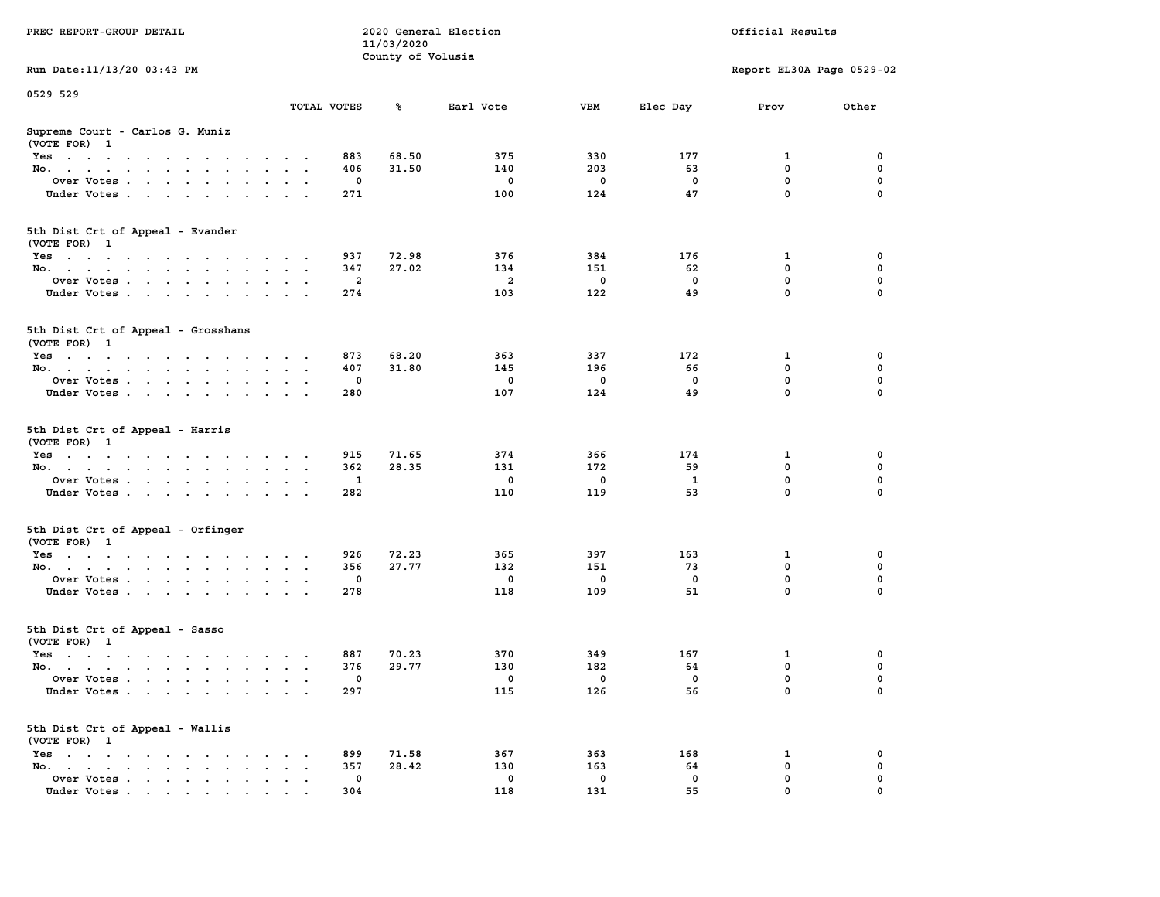| PREC REPORT-GROUP DETAIL                                                                                               |                             | 11/03/2020        | 2020 General Election |          |              | Official Results          |          |
|------------------------------------------------------------------------------------------------------------------------|-----------------------------|-------------------|-----------------------|----------|--------------|---------------------------|----------|
| Run Date: 11/13/20 03:43 PM                                                                                            |                             | County of Volusia |                       |          |              | Report EL30A Page 0529-02 |          |
|                                                                                                                        |                             |                   |                       |          |              |                           |          |
| 0529 529                                                                                                               | TOTAL VOTES                 | ℁                 | Earl Vote             | VBM      | Elec Day     | Prov                      | Other    |
| Supreme Court - Carlos G. Muniz<br>(VOTE FOR) 1                                                                        |                             |                   |                       |          |              |                           |          |
| Yes                                                                                                                    | 883                         | 68.50             | 375                   | 330      | 177          | 1                         | 0        |
| No.                                                                                                                    | 406                         | 31.50             | 140                   | 203      | 63           | $\mathbf 0$               | 0        |
| Over Votes                                                                                                             |                             | 0                 | 0                     | 0        | 0            | 0                         | 0        |
| Under Votes                                                                                                            | 271                         |                   | 100                   | 124      | 47           | $\mathbf 0$               | $\Omega$ |
| 5th Dist Crt of Appeal - Evander<br>(VOTE FOR) 1                                                                       |                             |                   |                       |          |              |                           |          |
| Yes                                                                                                                    | 937                         | 72.98             | 376                   | 384      | 176          | 1                         | 0        |
| No.                                                                                                                    | 347                         | 27.02             | 134                   | 151      | 62           | 0                         | 0        |
| Over Votes                                                                                                             |                             | 2                 | $\overline{a}$        | 0        | $\mathbf 0$  | $\mathbf 0$               | 0        |
| Under Votes                                                                                                            | 274                         |                   | 103                   | 122      | 49           | $\mathbf 0$               | 0        |
| 5th Dist Crt of Appeal - Grosshans<br>(VOTE FOR) 1                                                                     |                             |                   |                       |          |              |                           |          |
| Yes                                                                                                                    | 873                         | 68.20             | 363                   | 337      | 172          | 1                         | 0        |
| No.                                                                                                                    | 407                         | 31.80             | 145                   | 196      | 66           | 0                         | 0        |
| Over Votes                                                                                                             |                             | $\mathbf{0}$      | 0                     | 0        | 0            | $\mathbf 0$               | 0        |
| Under Votes                                                                                                            | 280                         |                   | 107                   | 124      | 49           | $\mathbf 0$               | 0        |
| 5th Dist Crt of Appeal - Harris<br>(VOTE FOR) 1                                                                        |                             |                   |                       |          |              |                           |          |
| Yes                                                                                                                    | 915                         | 71.65             | 374                   | 366      | 174          | 1                         | 0        |
| No.                                                                                                                    | 362                         | 28.35             | 131                   | 172      | 59           | $\mathbf 0$               | 0        |
| Over Votes                                                                                                             |                             | 1                 | $\mathbf 0$           | 0        | $\mathbf{1}$ | 0                         | 0        |
| Under Votes                                                                                                            | 282                         |                   | 110                   | 119      | 53           | $\mathbf 0$               | $\Omega$ |
| 5th Dist Crt of Appeal - Orfinger<br>(VOTE FOR) 1                                                                      |                             |                   |                       |          |              |                           |          |
| Yes                                                                                                                    | 926                         | 72.23             | 365                   | 397      | 163          | 1                         | 0        |
| No.                                                                                                                    | 356                         | 27.77             | 132                   | 151      | 73           | 0                         | 0        |
| Over Votes                                                                                                             |                             | 0                 | $\mathbf 0$           | 0        | 0            | 0                         | 0        |
| Under Votes                                                                                                            | 278                         |                   | 118                   | 109      | 51           | $\mathbf 0$               | 0        |
| 5th Dist Crt of Appeal - Sasso<br>(VOTE FOR) 1                                                                         |                             |                   |                       |          |              |                           |          |
| Yes<br>the contract of the contract of the contract of the contract of the contract of the contract of the contract of | 887                         | 70.23             | 370                   | 349      | 167          | 1                         | 0        |
| No.                                                                                                                    | 376                         | 29.77             | 130                   | 182      | 64           | 0                         | 0        |
| Over Votes                                                                                                             |                             | 0                 | $^{\circ}$            | 0        | 0            | $\mathbf 0$               | 0        |
| Under Votes                                                                                                            | 297                         |                   | 115                   | 126      | 56           | 0                         | 0        |
| 5th Dist Crt of Appeal - Wallis<br>(VOTE FOR) 1                                                                        |                             |                   |                       |          |              |                           |          |
| $Yes \cdot \cdot \cdot \cdot \cdot \cdot \cdot \cdot \cdot$                                                            | 899                         | 71.58             | 367                   | 363      | 168          | 1                         | 0        |
| No.<br>$\ddot{\phantom{a}}$                                                                                            | 357<br>$\ddot{\phantom{a}}$ | 28.42             | 130                   | 163      | 64           | $\mathbf 0$               | 0        |
| Over Votes<br>Under Votes                                                                                              | 304                         | 0                 | 0<br>118              | 0<br>131 | 0<br>55      | 0<br>0                    | 0        |
|                                                                                                                        |                             |                   |                       |          |              |                           |          |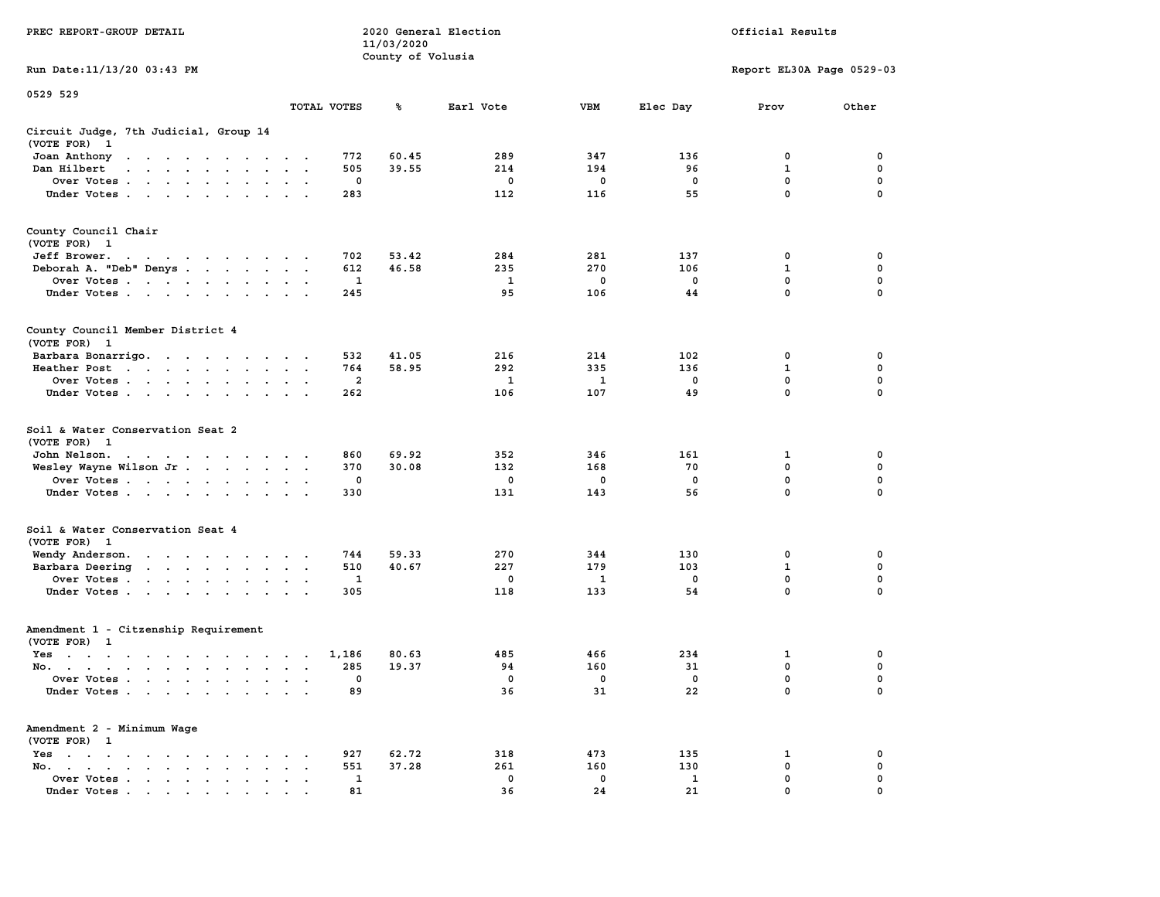|                                                                                                                                                                                                                                                                                        |                                                     | 11/03/2020        |              |            |             |                           |             |
|----------------------------------------------------------------------------------------------------------------------------------------------------------------------------------------------------------------------------------------------------------------------------------------|-----------------------------------------------------|-------------------|--------------|------------|-------------|---------------------------|-------------|
| Run Date:11/13/20 03:43 PM                                                                                                                                                                                                                                                             |                                                     | County of Volusia |              |            |             | Report EL30A Page 0529-03 |             |
| 0529 529                                                                                                                                                                                                                                                                               | TOTAL VOTES                                         | %                 | Earl Vote    | <b>VBM</b> | Elec Day    | Prov                      | Other       |
|                                                                                                                                                                                                                                                                                        |                                                     |                   |              |            |             |                           |             |
| Circuit Judge, 7th Judicial, Group 14<br>(VOTE FOR)<br>- 1                                                                                                                                                                                                                             |                                                     |                   |              |            |             |                           |             |
| Joan Anthony<br>$\ddot{\phantom{0}}$<br>$\cdot$                                                                                                                                                                                                                                        | 772                                                 | 60.45             | 289          | 347        | 136         | 0                         | 0           |
| Dan Hilbert<br>$\overline{\phantom{a}}$<br>$\sim$<br>$\cdot$ $\cdot$<br>$\sim$<br>$\sim$                                                                                                                                                                                               | 505                                                 | 39.55             | 214          | 194        | 96          | $\mathbf 1$               | $\pmb{0}$   |
| Over Votes .<br>the contract of the contract of<br>$\ddot{\phantom{a}}$                                                                                                                                                                                                                | $\mathbf 0$                                         |                   | 0            | 0          | $\mathbf 0$ | $\mathbf 0$               | 0           |
| Under Votes<br>$\ddot{\phantom{a}}$<br>$\bullet$                                                                                                                                                                                                                                       | 283                                                 |                   | 112          | 116        | 55          | $\mathbf 0$               | 0           |
| County Council Chair<br>(VOTE FOR) 1                                                                                                                                                                                                                                                   |                                                     |                   |              |            |             |                           |             |
| Jeff Brower.                                                                                                                                                                                                                                                                           | 702                                                 | 53.42             | 284          | 281        | 137         | 0                         | 0           |
| Deborah A. "Deb" Denys<br>$\ddot{\phantom{a}}$                                                                                                                                                                                                                                         | 612<br>$\sim$<br>$\overline{\phantom{a}}$           | 46.58             | 235          | 270        | 106         | 1                         | 0           |
| Over Votes<br>$\ddot{\phantom{a}}$<br>$\cdot$                                                                                                                                                                                                                                          | 1<br>$\cdot$                                        |                   | 1            | 0          | 0           | 0                         | $\mathbf 0$ |
| Under Votes<br>$\sim$                                                                                                                                                                                                                                                                  | 245<br>$\cdot$ $\cdot$ $\cdot$                      |                   | 95           | 106        | 44          | $\mathbf{0}$              | $\mathbf 0$ |
| County Council Member District 4<br>(VOTE FOR) 1                                                                                                                                                                                                                                       |                                                     |                   |              |            |             |                           |             |
| Barbara Bonarrigo.                                                                                                                                                                                                                                                                     | 532<br>$\bullet$ .<br><br><br><br><br>              | 41.05             | 216          | 214        | 102         | 0                         | 0           |
| Heather Post<br>$\mathbf{r}$ . The contract of the contract of the contract of the contract of the contract of the contract of the contract of the contract of the contract of the contract of the contract of the contract of the contract of th<br>$\ddot{\phantom{0}}$<br>$\bullet$ | 764<br>$\bullet$                                    | 58.95             | 292          | 335        | 136         | $\mathbf{1}$              | $\mathbf 0$ |
| Over Votes<br>$\ddot{\phantom{a}}$                                                                                                                                                                                                                                                     | $\overline{\mathbf{2}}$                             |                   | 1            | 1          | $\mathbf 0$ | 0                         | 0           |
| Under Votes<br>$\bullet$ . $\bullet$ .<br>$\cdot$                                                                                                                                                                                                                                      | 262<br>$\mathbf{r}$                                 |                   | 106          | 107        | 49          | $\mathbf 0$               | $\mathbf 0$ |
| Soil & Water Conservation Seat 2<br>(VOTE FOR)<br>- 1                                                                                                                                                                                                                                  |                                                     |                   |              |            |             |                           |             |
| John Nelson.<br>$\mathcal{A}=\mathcal{A}=\mathcal{A}=\mathcal{A}=\mathcal{A}=\mathcal{A}=\mathcal{A}=\mathcal{A}$ .                                                                                                                                                                    | 860<br>$\cdot$ $\cdot$                              | 69.92             | 352          | 346        | 161         | 1                         | 0           |
| Wesley Wayne Wilson Jr<br>$\sim$ $\sim$<br>$\ddot{\phantom{a}}$                                                                                                                                                                                                                        | 370<br>$\ddot{\phantom{0}}$<br>$\ddot{\phantom{0}}$ | 30.08             | 132          | 168        | 70          | 0                         | $\mathbf 0$ |
| Over Votes                                                                                                                                                                                                                                                                             | 0                                                   |                   | 0            | 0          | $\mathbf 0$ | $\mathbf 0$               | $\mathbf 0$ |
| Under Votes<br>$\ddot{\phantom{a}}$                                                                                                                                                                                                                                                    | 330                                                 |                   | 131          | 143        | 56          | 0                         | 0           |
| Soil & Water Conservation Seat 4<br>(VOTE FOR) 1                                                                                                                                                                                                                                       |                                                     |                   |              |            |             |                           |             |
| Wendy Anderson.<br>the contract of the contract of the                                                                                                                                                                                                                                 | 744                                                 | 59.33             | 270          | 344        | 130         | 0                         | 0           |
| Barbara Deering<br>$\sim$<br>$\bullet$                                                                                                                                                                                                                                                 | 510<br>$\bullet$<br>$\blacksquare$                  | 40.67             | 227          | 179        | 103         | $\mathbf 1$               | 0           |
| Over Votes<br>$\blacksquare$<br>$\bullet$                                                                                                                                                                                                                                              | 1<br>$\bullet$                                      |                   | $\mathbf{0}$ | 1          | $^{\circ}$  | $\mathbf 0$               | $\mathbf 0$ |
| Under Votes<br>$\ddot{\phantom{0}}$<br>$\cdot$                                                                                                                                                                                                                                         | 305<br>$\mathbf{r}$                                 |                   | 118          | 133        | 54          | $\mathbf 0$               | 0           |
| Amendment 1 - Citzenship Requirement<br>(VOTE FOR) 1                                                                                                                                                                                                                                   |                                                     |                   |              |            |             |                           |             |
| $Yes \t . \t .$<br>$\sim$ $\sim$<br>$\sim$<br>$\sim$ $\sim$ $\sim$<br>$\cdot$ .<br>$\cdot$                                                                                                                                                                                             | 1,186<br>$\cdot$<br>$\sim$                          | 80.63             | 485          | 466        | 234         | 1                         | 0           |
| No.<br>$\ddot{\phantom{a}}$<br>$\cdot$                                                                                                                                                                                                                                                 | 285<br>$\ddot{\phantom{a}}$<br>$\sim$               | 19.37             | 94           | 160        | 31          | 0                         | $\mathbf 0$ |
| Over Votes .<br>$\sim$<br>$\sim$<br>$\sim$<br>$\ddot{\phantom{a}}$<br>$\ddot{\phantom{a}}$<br>$\cdot$<br>$\cdot$                                                                                                                                                                       | 0<br>$\cdot$<br>$\ddot{\phantom{a}}$                |                   | 0            | 0          | $\mathbf 0$ | $\mathbf 0$               | 0           |
| Under Votes<br>$\sim$                                                                                                                                                                                                                                                                  | 89<br>$\sim$<br>$\cdot$ .                           |                   | 36           | 31         | 22          | $\mathbf 0$               | 0           |
| Amendment 2 - Minimum Wage<br>(VOTE FOR) 1                                                                                                                                                                                                                                             |                                                     |                   |              |            |             |                           |             |
| Yes<br>$\ddot{\phantom{1}}$<br>$\bullet$<br>$\bullet$<br>$\ddot{\phantom{a}}$<br>$\ddot{\phantom{a}}$<br>$\cdot$<br>$\sim$<br>$\cdot$                                                                                                                                                  | 927                                                 | 62.72             | 318          | 473        | 135         | 1                         | 0           |
| No.<br>$\ddot{\phantom{a}}$<br>$\bullet$ .<br><br><br><br><br><br><br><br><br><br><br><br>$\bullet$                                                                                                                                                                                    | 551                                                 | 37.28             | 261          | 160        | 130         | 0                         | $\mathbf 0$ |
| Over Votes<br>$\blacksquare$ .<br>$\bullet$                                                                                                                                                                                                                                            | 1<br>$\cdot$                                        |                   | 0            | 0          | 1           | $\mathbf{0}$              | $\mathbf 0$ |
| Under Votes                                                                                                                                                                                                                                                                            | 81                                                  |                   | 36           | 24         | 21          | $\mathbf{0}$              | $\mathbf 0$ |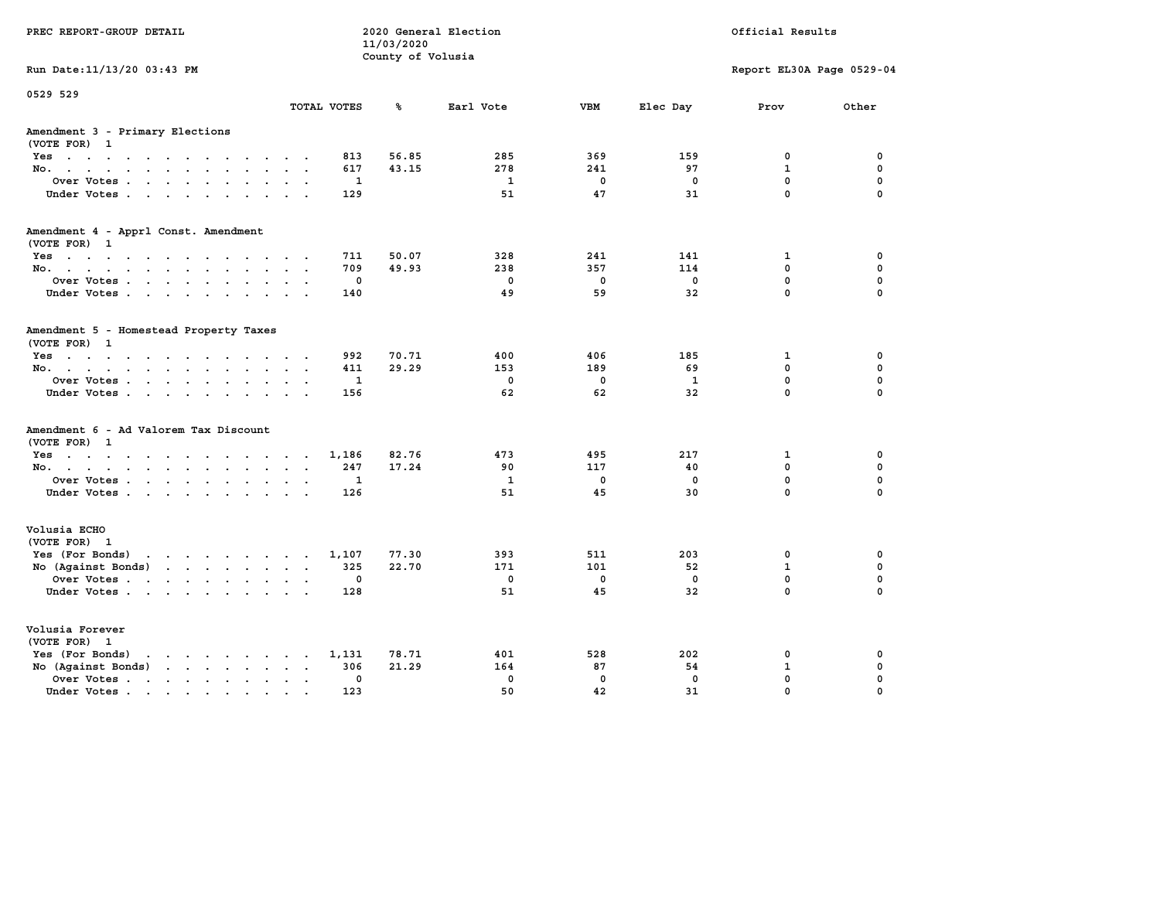| PREC REPORT-GROUP DETAIL                                                                                                  |                     | 11/03/2020<br>County of Volusia | 2020 General Election |                   |                    | Official Results            |                         |
|---------------------------------------------------------------------------------------------------------------------------|---------------------|---------------------------------|-----------------------|-------------------|--------------------|-----------------------------|-------------------------|
| Run Date: 11/13/20 03:43 PM                                                                                               |                     |                                 |                       |                   |                    | Report EL30A Page 0529-04   |                         |
| 0529 529                                                                                                                  | TOTAL VOTES         | ℁                               | Earl Vote             | <b>VBM</b>        | Elec Day           | Prov                        | Other                   |
| Amendment 3 - Primary Elections<br>(VOTE FOR) 1                                                                           |                     |                                 |                       |                   |                    |                             |                         |
| Yes                                                                                                                       | 813                 | 56.85                           | 285                   | 369               | 159                | 0                           | 0                       |
| No.                                                                                                                       | 617                 | 43.15                           | 278                   | 241               | 97                 | $\mathbf{1}$                | $\mathbf 0$             |
| Over Votes                                                                                                                | $\mathbf{1}$        |                                 | $\mathbf{1}$          | $\mathbf 0$       | $\mathbf 0$        | $\mathbf{0}$                | $\mathbf 0$             |
| Under Votes                                                                                                               | 129                 |                                 | 51                    | 47                | 31                 | $\mathbf 0$                 | $\mathbf 0$             |
| Amendment 4 - Apprl Const. Amendment                                                                                      |                     |                                 |                       |                   |                    |                             |                         |
| (VOTE FOR) 1<br>Yes                                                                                                       | 711                 | 50.07                           | 328                   | 241               | 141                | 1                           | 0                       |
| No.                                                                                                                       | 709                 | 49.93                           | 238                   | 357               | 114                | $\mathbf{0}$                | $\mathbf 0$             |
| Over Votes                                                                                                                | 0                   |                                 | $\mathbf{0}$          | $^{\circ}$        | $\mathbf 0$        | $\mathbf{0}$                | $\mathbf 0$             |
| Under Votes.                                                                                                              | 140                 |                                 | 49                    | 59                | 32                 | $\mathbf 0$                 | $\mathbf 0$             |
| Amendment 5 - Homestead Property Taxes<br>(VOTE FOR) 1                                                                    |                     |                                 |                       |                   |                    |                             |                         |
| Yes                                                                                                                       | 992                 | 70.71                           | 400                   | 406               | 185                | 1                           | $\mathbf 0$             |
| No.                                                                                                                       | 411                 | 29.29                           | 153                   | 189               | 69                 | $\Omega$                    | $\mathbf 0$             |
| Over Votes<br>Under Votes.                                                                                                | $\mathbf{1}$<br>156 |                                 | $\Omega$<br>62        | $\mathbf 0$<br>62 | $\mathbf{1}$<br>32 | $\mathbf{0}$<br>$\mathbf 0$ | $\mathbf 0$<br>$\Omega$ |
|                                                                                                                           |                     |                                 |                       |                   |                    |                             |                         |
| Amendment 6 - Ad Valorem Tax Discount<br>(VOTE FOR) 1                                                                     |                     |                                 |                       |                   |                    |                             |                         |
| $Yes \cdot \cdot \cdot \cdot \cdot \cdot \cdot \cdot \cdot \cdot \cdot \cdot \cdot$                                       | 1,186               | 82.76                           | 473                   | 495               | 217                | $\mathbf{1}$                | 0                       |
| No.                                                                                                                       | 247                 | 17.24                           | 90                    | 117               | 40                 | $\Omega$                    | $\mathbf 0$             |
| Over Votes                                                                                                                | 1                   |                                 | 1                     | $\mathbf 0$       | $\mathbf 0$        | $\mathbf{0}$                | $\mathbf 0$             |
| Under Votes                                                                                                               | 126                 |                                 | 51                    | 45                | 30                 | $\Omega$                    | $\Omega$                |
| Volusia ECHO<br>(VOTE FOR) 1                                                                                              |                     |                                 |                       |                   |                    |                             |                         |
| Yes (For Bonds)                                                                                                           | 1,107               | 77.30                           | 393                   | 511               | 203                | 0                           | 0                       |
| No (Against Bonds)                                                                                                        | 325                 | 22.70                           | 171                   | 101               | 52                 | $\mathbf{1}$                | 0                       |
| Over Votes                                                                                                                | 0                   |                                 | $\mathbf 0$           | $\mathbf 0$       | $\mathbf 0$        | $\mathbf 0$                 | $\mathbf 0$             |
| Under Votes                                                                                                               | 128                 |                                 | 51                    | 45                | 32                 | $\Omega$                    | $\Omega$                |
| Volusia Forever<br>(VOTE FOR) 1                                                                                           |                     |                                 |                       |                   |                    |                             |                         |
| Yes (For Bonds)<br>$\mathbf{r}$ , $\mathbf{r}$ , $\mathbf{r}$ , $\mathbf{r}$ , $\mathbf{r}$ , $\mathbf{r}$ , $\mathbf{r}$ | 1,131               | 78.71                           | 401                   | 528               | 202                | 0                           | 0                       |
| No (Against Bonds)                                                                                                        | 306                 | 21.29                           | 164                   | 87                | 54                 | $\mathbf{1}$                | 0                       |
| Over Votes                                                                                                                | $\mathbf 0$         |                                 | $\mathbf{0}$          | $\Omega$          | $\mathbf{0}$       | $\mathbf{0}$                | $\mathbf 0$             |
| Under Votes                                                                                                               | 123                 |                                 | 50                    | 42                | 31                 | $\mathbf 0$                 | $\mathbf 0$             |
|                                                                                                                           |                     |                                 |                       |                   |                    |                             |                         |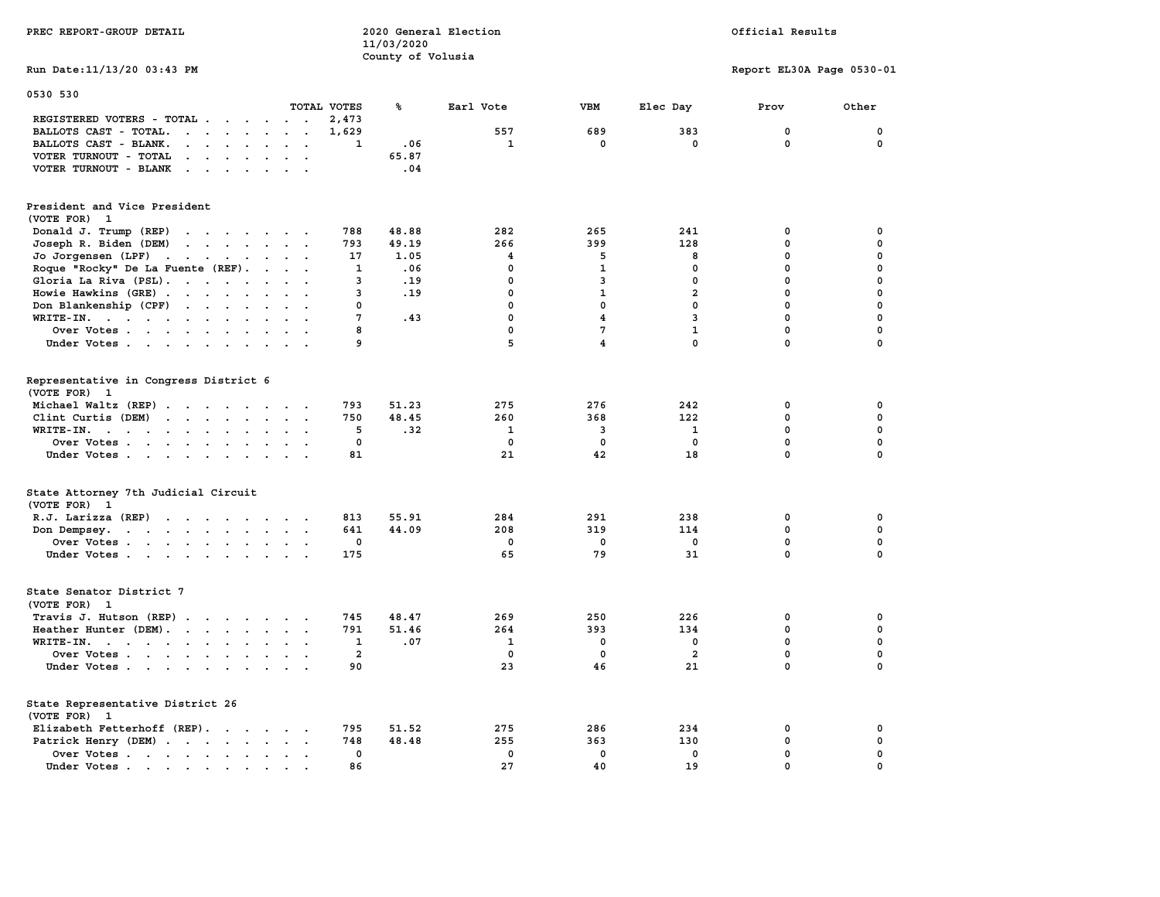|                                                                                                                                                                                                                                                                          |                      |                | 11/03/2020        |              |                         |                |                           |             |
|--------------------------------------------------------------------------------------------------------------------------------------------------------------------------------------------------------------------------------------------------------------------------|----------------------|----------------|-------------------|--------------|-------------------------|----------------|---------------------------|-------------|
|                                                                                                                                                                                                                                                                          |                      |                | County of Volusia |              |                         |                |                           |             |
| Run Date: 11/13/20 03:43 PM                                                                                                                                                                                                                                              |                      |                |                   |              |                         |                | Report EL30A Page 0530-01 |             |
| 0530 530                                                                                                                                                                                                                                                                 |                      |                |                   |              |                         |                |                           |             |
|                                                                                                                                                                                                                                                                          |                      | TOTAL VOTES    | ℁                 | Earl Vote    | VBM                     | Elec Day       | Prov                      | Other       |
| REGISTERED VOTERS - TOTAL .<br>$\mathcal{L}(\mathbf{z})$ , and $\mathcal{L}(\mathbf{z})$ , and                                                                                                                                                                           | $\sim$ $\sim$ $\sim$ | 2,473          |                   |              |                         |                |                           |             |
| BALLOTS CAST - TOTAL.<br>$\cdots$<br>$\sim$<br>$\ddot{\phantom{a}}$                                                                                                                                                                                                      | $\ddot{\phantom{a}}$ | 1,629          |                   | 557          | 689                     | 383            | 0                         | 0           |
| BALLOTS CAST - BLANK.<br>$\ddot{\phantom{a}}$<br>$\ddot{\phantom{a}}$                                                                                                                                                                                                    |                      | 1              | .06               | $\mathbf{1}$ | $\mathbf 0$             | $\mathbf 0$    | $\mathbf 0$               | $\mathbf 0$ |
| VOTER TURNOUT - TOTAL<br>$\cdot$ $\cdot$<br>$\ddot{\phantom{a}}$<br>$\sim$                                                                                                                                                                                               |                      |                | 65.87             |              |                         |                |                           |             |
| VOTER TURNOUT - BLANK<br>$\mathbf{r}$ . The set of $\mathbf{r}$                                                                                                                                                                                                          | $\sim$ $\sim$        |                | .04               |              |                         |                |                           |             |
| President and Vice President                                                                                                                                                                                                                                             |                      |                |                   |              |                         |                |                           |             |
| (VOTE FOR) 1                                                                                                                                                                                                                                                             |                      |                |                   |              |                         |                |                           |             |
| Donald J. Trump (REP)                                                                                                                                                                                                                                                    |                      | 788            | 48.88             | 282          | 265                     | 241            | 0                         | 0           |
| Joseph R. Biden (DEM)<br>$\cdot$ $\cdot$ $\cdot$ $\cdot$ $\cdot$ $\cdot$ $\cdot$                                                                                                                                                                                         |                      | 793            | 49.19             | 266          | 399                     | 128            | 0                         | 0           |
| Jo Jorgensen (LPF)                                                                                                                                                                                                                                                       |                      | 17             | 1.05              | 4            | 5                       | 8              | 0                         | $\mathbf 0$ |
| Roque "Rocky" De La Fuente (REF).<br>$\sim$<br>$\sim$                                                                                                                                                                                                                    |                      | 1              | .06               | 0            | $\mathbf{1}$            | 0              | 0                         | $\mathbf 0$ |
| Gloria La Riva (PSL).                                                                                                                                                                                                                                                    | $\ddot{\phantom{0}}$ | 3              | .19               | 0            | 3                       | $\mathbf 0$    | 0                         | $\mathbf 0$ |
| $\sim$                                                                                                                                                                                                                                                                   |                      | 3              | .19               | 0            | $\mathbf{1}$            | $\overline{a}$ | 0                         | $\mathbf 0$ |
| Howie Hawkins (GRE)<br>$\sim$                                                                                                                                                                                                                                            |                      |                |                   |              |                         |                |                           |             |
| Don Blankenship (CPF)                                                                                                                                                                                                                                                    |                      | 0              |                   | 0            | 0                       | $\mathbf 0$    | 0                         | $\Omega$    |
| WRITE-IN.<br>$\ddot{\phantom{a}}$<br>$\bullet$<br>$\bullet$                                                                                                                                                                                                              |                      | 7              | .43               | 0            | 4                       | $\overline{3}$ | 0                         | $\mathbf 0$ |
| Over Votes                                                                                                                                                                                                                                                               |                      | 8              |                   | 0            | 7                       | $\mathbf{1}$   | 0                         | 0           |
| Under Votes                                                                                                                                                                                                                                                              |                      | 9              |                   | 5            | $\overline{\mathbf{4}}$ | $\mathbf 0$    | $\mathbf 0$               | $\mathbf 0$ |
| Representative in Congress District 6<br>(VOTE FOR) 1                                                                                                                                                                                                                    |                      |                |                   |              |                         |                |                           |             |
| Michael Waltz (REP)                                                                                                                                                                                                                                                      |                      | 793            | 51.23             | 275          | 276                     | 242            | 0                         | 0           |
| Clint Curtis (DEM)<br>the contract of the contract of the contract of the contract of the contract of                                                                                                                                                                    |                      | 750            | 48.45             | 260          | 368                     | 122            | 0                         | 0           |
| $WRITE-IN.$<br>$\ddot{\phantom{a}}$<br>$\overline{\phantom{a}}$                                                                                                                                                                                                          |                      | 5              | .32               | 1            | 3                       | 1              | 0                         | $\pmb{0}$   |
| Over Votes<br>$\sim$                                                                                                                                                                                                                                                     |                      | $\mathbf 0$    |                   | $\mathbf 0$  | $\mathbf 0$             | $\mathbf 0$    | 0                         | $\mathbf 0$ |
| Under Votes                                                                                                                                                                                                                                                              |                      | 81             |                   | 21           | 42                      | 18             | 0                         | $\Omega$    |
| State Attorney 7th Judicial Circuit                                                                                                                                                                                                                                      |                      |                |                   |              |                         |                |                           |             |
| (VOTE FOR) 1                                                                                                                                                                                                                                                             |                      |                |                   |              |                         |                |                           |             |
| R.J. Larizza (REP)<br>$\mathbf{r}$ . The contract of the contract of the contract of the contract of the contract of the contract of the contract of the contract of the contract of the contract of the contract of the contract of the contract of th<br>$\sim$ $\sim$ |                      | 813            | 55.91             | 284          | 291                     | 238            | 0                         | 0           |
| Don Dempsey.<br>the contract of the contract of the contract of the contract of the contract of the contract of the contract of                                                                                                                                          | $\ddotsc$            | 641            | 44.09             | 208          | 319                     | 114            | 0                         | 0           |
| Over Votes<br>$\ddot{\phantom{a}}$                                                                                                                                                                                                                                       | $\ddot{\phantom{0}}$ | 0              |                   | $\mathbf 0$  | 0                       | 0              | 0                         | 0           |
| Under Votes                                                                                                                                                                                                                                                              |                      | 175            |                   | 65           | 79                      | 31             | 0                         | $\Omega$    |
|                                                                                                                                                                                                                                                                          |                      |                |                   |              |                         |                |                           |             |
| State Senator District 7<br>(VOTE FOR) 1                                                                                                                                                                                                                                 |                      |                |                   |              |                         |                |                           |             |
| Travis J. Hutson (REP)                                                                                                                                                                                                                                                   |                      | 745            | 48.47             | 269          | 250                     | 226            | 0                         | 0           |
| Heather Hunter (DEM).<br>$\ddot{\phantom{0}}$                                                                                                                                                                                                                            | $\sim$               | 791            | 51.46             | 264          | 393                     | 134            | 0                         | $\pmb{0}$   |
| WRITE-IN.                                                                                                                                                                                                                                                                |                      | 1              | .07               | $\mathbf{1}$ | 0                       | $\mathbf 0$    | 0                         | $\mathbf 0$ |
| Over Votes<br>$\ddot{\phantom{a}}$<br>$\ddot{\phantom{a}}$                                                                                                                                                                                                               |                      | $\overline{2}$ |                   | 0            | 0                       | $\overline{a}$ | $\mathbf 0$               | 0           |
| Under Votes                                                                                                                                                                                                                                                              |                      | 90             |                   | 23           | 46                      | 21             | $\mathbf 0$               | $\mathbf 0$ |
|                                                                                                                                                                                                                                                                          | $\sim$ $\sim$        |                |                   |              |                         |                |                           |             |
| State Representative District 26<br>(VOTE FOR) 1                                                                                                                                                                                                                         |                      |                |                   |              |                         |                |                           |             |
| Elizabeth Fetterhoff (REP).                                                                                                                                                                                                                                              |                      | 795            | 51.52             | 275          | 286                     | 234            | 0                         | 0           |
| Patrick Henry (DEM)                                                                                                                                                                                                                                                      |                      | 748            | 48.48             | 255          | 363                     | 130            | 0                         | $\pmb{0}$   |
| Over Votes.<br>the contract of the contract of the contract of the contract of the contract of the contract of the contract of                                                                                                                                           | $\sim$ $\sim$        | 0              |                   | $\mathbf 0$  | 0                       | $\mathbf 0$    | 0                         | $\mathbf 0$ |
| Under Votes<br>$\bullet$<br>the contract of the contract of the contract of the contract of the contract of the contract of the contract of                                                                                                                              |                      | 86             |                   | 27           | 40                      | 19             | $\mathbf 0$               | $\mathbf 0$ |
|                                                                                                                                                                                                                                                                          |                      |                |                   |              |                         |                |                           |             |

**PREC REPORT-GROUP DETAIL 2020 General Election Official Results**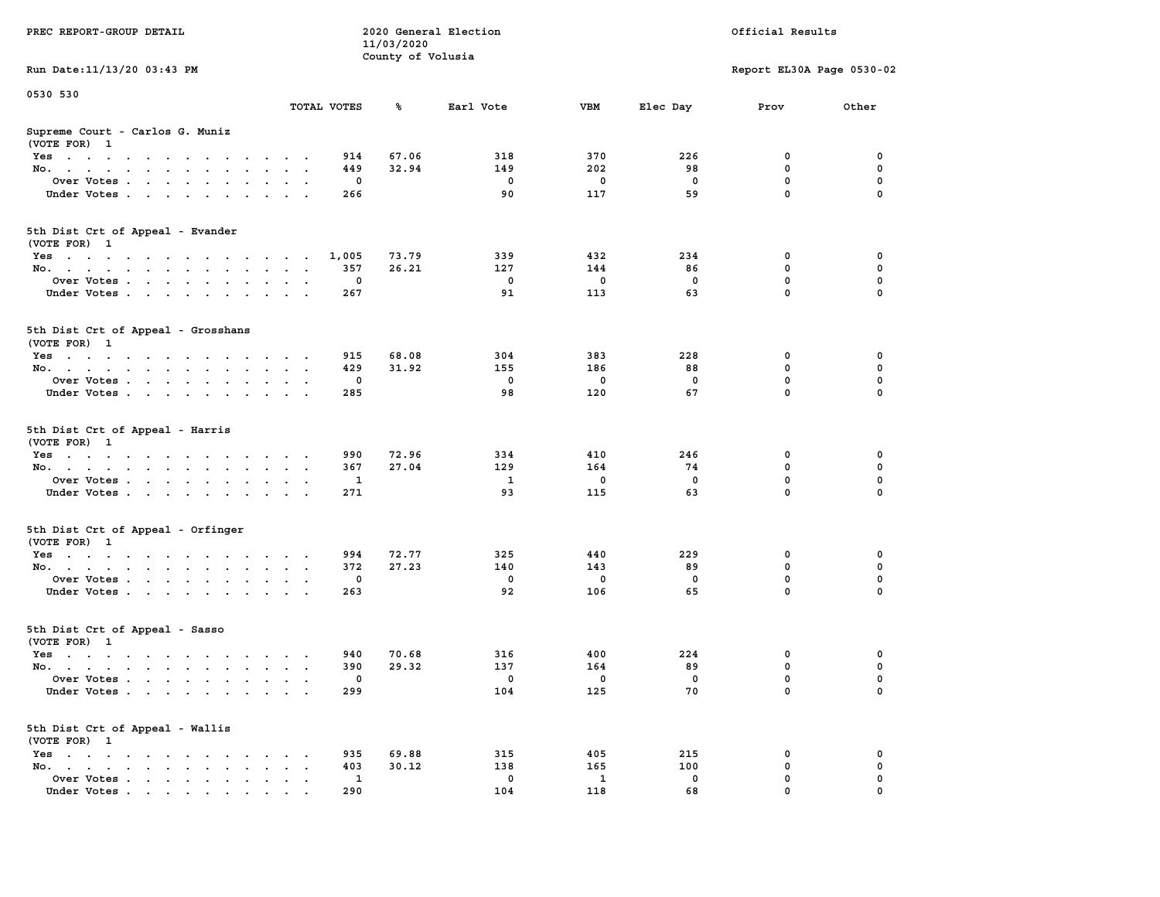| PREC REPORT-GROUP DETAIL                                                                                               |                               | 11/03/2020        | 2020 General Election |                     |             | Official Results          |          |
|------------------------------------------------------------------------------------------------------------------------|-------------------------------|-------------------|-----------------------|---------------------|-------------|---------------------------|----------|
| Run Date: 11/13/20 03:43 PM                                                                                            |                               | County of Volusia |                       |                     |             | Report EL30A Page 0530-02 |          |
| 0530 530                                                                                                               |                               |                   |                       |                     |             |                           |          |
|                                                                                                                        | TOTAL VOTES                   | ℁                 | Earl Vote             | VBM                 | Elec Day    | Prov                      | Other    |
| Supreme Court - Carlos G. Muniz<br>(VOTE FOR) 1                                                                        |                               |                   |                       |                     |             |                           |          |
| Yes                                                                                                                    | 914                           | 67.06             | 318                   | 370                 | 226         | 0                         | 0        |
| No.                                                                                                                    | 449                           | 32.94             | 149                   | 202                 | 98          | $\mathbf 0$               | 0        |
| Over Votes                                                                                                             | 0                             |                   | 0                     | 0                   | 0           | 0                         | 0        |
| Under Votes                                                                                                            | 266                           |                   | 90                    | 117                 | 59          | $\mathbf 0$               | $\Omega$ |
| 5th Dist Crt of Appeal - Evander<br>(VOTE FOR) 1                                                                       |                               |                   |                       |                     |             |                           |          |
| Yes                                                                                                                    | 1,005                         | 73.79             | 339                   | 432                 | 234         | 0                         | 0        |
| No.                                                                                                                    | 357                           | 26.21             | 127                   | 144                 | 86          | $\mathbf 0$               | 0        |
| Over Votes                                                                                                             | 0                             |                   | $\mathbf 0$           | 0                   | $\mathbf 0$ | $\mathbf 0$               | 0        |
| Under Votes                                                                                                            | 267                           |                   | 91                    | 113                 | 63          | $\mathbf 0$               | 0        |
| 5th Dist Crt of Appeal - Grosshans<br>(VOTE FOR) 1                                                                     |                               |                   |                       |                     |             |                           |          |
| Yes                                                                                                                    | 915                           | 68.08             | 304                   | 383                 | 228         | 0                         | 0        |
| No.                                                                                                                    | 429                           | 31.92             | 155                   | 186                 | 88          | 0                         | 0        |
| Over Votes                                                                                                             | $\mathbf{0}$                  |                   | $\mathbf 0$           | 0                   | 0           | $\mathbf 0$               | 0        |
| Under Votes                                                                                                            | 285                           |                   | 98                    | 120                 | 67          | $\mathbf 0$               | 0        |
| 5th Dist Crt of Appeal - Harris<br>(VOTE FOR) 1                                                                        |                               |                   |                       |                     |             |                           |          |
| Yes                                                                                                                    | 990                           | 72.96             | 334                   | 410                 | 246         | 0                         | 0        |
| No.                                                                                                                    | 367                           | 27.04             | 129                   | 164                 | 74          | $\mathbf 0$               | 0        |
| Over Votes                                                                                                             | 1                             |                   | 1                     | 0                   | 0           | $\mathbf 0$               | 0        |
| Under Votes                                                                                                            | 271                           |                   | 93                    | 115                 | 63          | $\mathbf 0$               | $\Omega$ |
| 5th Dist Crt of Appeal - Orfinger<br>(VOTE FOR) 1                                                                      |                               |                   |                       |                     |             |                           |          |
| Yes                                                                                                                    | 994                           | 72.77             | 325                   | 440                 | 229         | 0                         | 0        |
| No.                                                                                                                    | 372                           | 27.23             | 140                   | 143                 | 89          | $\mathbf 0$               | 0        |
| Over Votes                                                                                                             | 0                             |                   | $\mathbf 0$           | 0                   | 0           | 0                         | 0        |
| Under Votes                                                                                                            | 263                           |                   | 92                    | 106                 | 65          | $\mathbf 0$               | $\Omega$ |
| 5th Dist Crt of Appeal - Sasso<br>(VOTE FOR) 1                                                                         |                               |                   |                       |                     |             |                           |          |
| Yes<br>the contract of the contract of the contract of the contract of the contract of the contract of the contract of | 940                           | 70.68             | 316                   | 400                 | 224         | 0                         | 0        |
| No.                                                                                                                    | 390                           | 29.32             | 137                   | 164                 | 89          | 0                         | 0        |
| Over Votes                                                                                                             | $\Omega$                      |                   | $^{\circ}$            | 0                   | 0           | 0                         | 0        |
| Under Votes                                                                                                            | 299                           |                   | 104                   | 125                 | 70          | 0                         | 0        |
| 5th Dist Crt of Appeal - Wallis<br>(VOTE FOR) 1                                                                        |                               |                   |                       |                     |             |                           |          |
| $Yes \cdot \cdot \cdot \cdot \cdot \cdot \cdot \cdot \cdot$                                                            | 935                           | 69.88             | 315                   | 405                 | 215         | 0                         | 0        |
| No.<br>$\ddot{\phantom{0}}$                                                                                            | 403<br>$\bullet$<br>$\bullet$ | 30.12             | 138                   | 165                 | 100         | $\mathbf 0$               | 0        |
| Over Votes<br>Under Votes                                                                                              | 1<br>290                      |                   | 0<br>104              | $\mathbf{1}$<br>118 | 0<br>68     | 0<br>0                    | 0        |
|                                                                                                                        |                               |                   |                       |                     |             |                           |          |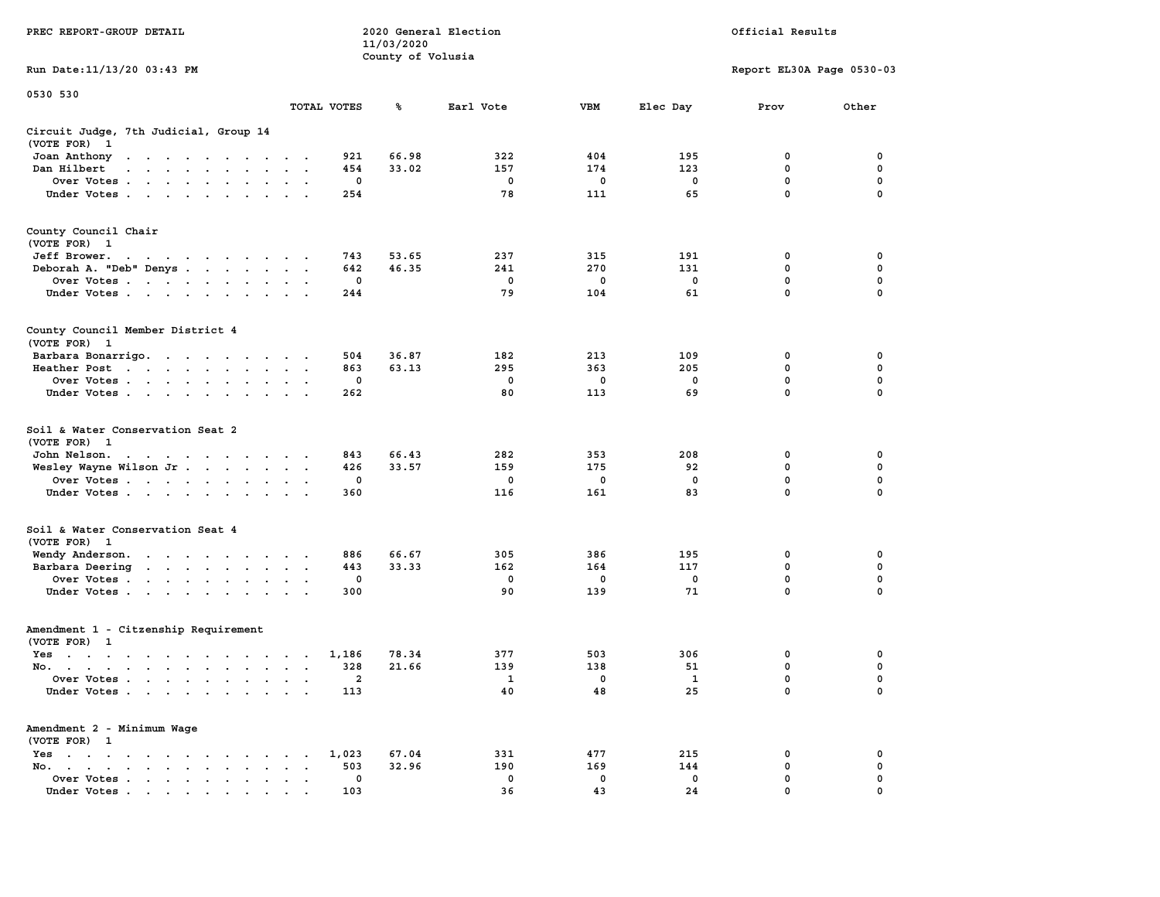|                                                                                                                                                                                                                                                                           |                                                                             | 11/03/2020        |             |            |             |                           |             |
|---------------------------------------------------------------------------------------------------------------------------------------------------------------------------------------------------------------------------------------------------------------------------|-----------------------------------------------------------------------------|-------------------|-------------|------------|-------------|---------------------------|-------------|
| Run Date:11/13/20 03:43 PM                                                                                                                                                                                                                                                |                                                                             | County of Volusia |             |            |             | Report EL30A Page 0530-03 |             |
| 0530 530                                                                                                                                                                                                                                                                  |                                                                             |                   |             |            |             |                           |             |
|                                                                                                                                                                                                                                                                           | TOTAL VOTES                                                                 | %                 | Earl Vote   | <b>VBM</b> | Elec Day    | Prov                      | Other       |
| Circuit Judge, 7th Judicial, Group 14<br>(VOTE FOR)<br>- 1                                                                                                                                                                                                                |                                                                             |                   |             |            |             |                           |             |
| Joan Anthony<br>$\ddot{\phantom{0}}$                                                                                                                                                                                                                                      | 921<br>$\cdot$                                                              | 66.98             | 322         | 404        | 195         | 0                         | 0           |
| Dan Hilbert<br>$\overline{\phantom{a}}$<br>$\sim$<br>$\cdot$ $\cdot$<br>$\sim$<br>$\sim$                                                                                                                                                                                  | 454                                                                         | 33.02             | 157         | 174        | 123         | 0                         | $\pmb{0}$   |
| Over Votes .<br>the contract of the contract of                                                                                                                                                                                                                           | $\mathbf 0$<br>$\ddot{\phantom{a}}$                                         |                   | $\mathbf 0$ | 0          | $\mathbf 0$ | $\mathbf 0$               | 0           |
| Under Votes<br>$\ddot{\phantom{a}}$                                                                                                                                                                                                                                       | 254<br>$\bullet$                                                            |                   | 78          | 111        | 65          | $\mathbf 0$               | 0           |
| County Council Chair<br>(VOTE FOR) 1                                                                                                                                                                                                                                      |                                                                             |                   |             |            |             |                           |             |
| Jeff Brower.                                                                                                                                                                                                                                                              | 743                                                                         | 53.65             | 237         | 315        | 191         | 0                         | 0           |
| Deborah A. "Deb" Denys                                                                                                                                                                                                                                                    | 642<br>$\mathbf{A}$<br>$\cdot$<br>$\sim$                                    | 46.35             | 241         | 270        | 131         | 0                         | 0           |
| Over Votes<br>$\ddot{\phantom{a}}$                                                                                                                                                                                                                                        | 0<br>$\cdot$<br>$\ddot{\phantom{a}}$                                        |                   | 0           | 0          | 0           | 0                         | $\mathbf 0$ |
| Under Votes<br>$\sim$                                                                                                                                                                                                                                                     | 244<br>$\cdot$ $\cdot$ $\cdot$                                              |                   | 79          | 104        | 61          | $\mathbf{0}$              | $\mathbf 0$ |
| County Council Member District 4<br>(VOTE FOR) 1                                                                                                                                                                                                                          |                                                                             |                   |             |            |             |                           |             |
| Barbara Bonarrigo.                                                                                                                                                                                                                                                        | 504<br>$\bullet$ .<br><br><br><br><br>                                      | 36.87             | 182         | 213        | 109         | 0                         | 0           |
| Heather Post<br>$\mathbf{r}$ . The contract of the contract of the contract of the contract of the contract of the contract of the contract of the contract of the contract of the contract of the contract of the contract of the contract of th<br>$\ddot{\phantom{0}}$ | 863<br>$\bullet$<br>$\bullet$                                               | 63.13             | 295         | 363        | 205         | $\mathbf 0$               | $\mathbf 0$ |
| Over Votes<br>$\ddot{\phantom{a}}$                                                                                                                                                                                                                                        | $\mathbf 0$                                                                 |                   | $\mathbf 0$ | 0          | 0           | $\mathbf 0$               | 0           |
| Under Votes<br>$\bullet$ . $\bullet$ .<br>$\cdot$                                                                                                                                                                                                                         | 262<br>$\mathbf{r}$                                                         |                   | 80          | 113        | 69          | $\mathbf 0$               | $\mathbf 0$ |
| Soil & Water Conservation Seat 2<br>(VOTE FOR)<br>- 1                                                                                                                                                                                                                     |                                                                             |                   |             |            |             |                           |             |
| John Nelson.<br>$\mathcal{A}=\mathcal{A}=\mathcal{A}=\mathcal{A}=\mathcal{A}=\mathcal{A}=\mathcal{A}=\mathcal{A}$ .                                                                                                                                                       | 843<br>$\cdot$ $\cdot$                                                      | 66.43             | 282         | 353        | 208         | 0                         | 0           |
| Wesley Wayne Wilson Jr<br>$\sim$ $\sim$                                                                                                                                                                                                                                   | 426<br>$\ddot{\phantom{a}}$<br>$\ddot{\phantom{a}}$<br>$\ddot{\phantom{a}}$ | 33.57             | 159         | 175        | 92          | 0                         | $\mathbf 0$ |
| Over Votes                                                                                                                                                                                                                                                                | 0                                                                           |                   | 0           | 0          | $\mathbf 0$ | $\mathbf 0$               | $\mathbf 0$ |
| Under Votes<br>$\ddot{\phantom{a}}$                                                                                                                                                                                                                                       | 360                                                                         |                   | 116         | 161        | 83          | 0                         | 0           |
| Soil & Water Conservation Seat 4<br>(VOTE FOR) 1                                                                                                                                                                                                                          |                                                                             |                   |             |            |             |                           |             |
| Wendy Anderson.<br>the contract of the contract of the                                                                                                                                                                                                                    | 886                                                                         | 66.67             | 305         | 386        | 195         | 0                         | 0           |
| Barbara Deering<br>$\sim$                                                                                                                                                                                                                                                 | 443<br>$\bullet$<br>$\bullet$<br>$\blacksquare$                             | 33.33             | 162         | 164        | 117         | 0                         | 0           |
| Over Votes<br>$\blacksquare$                                                                                                                                                                                                                                              | 0<br>$\bullet$<br>$\bullet$                                                 |                   | 0           | 0          | 0           | $\mathbf 0$               | $\mathbf 0$ |
| Under Votes<br>$\ddot{\phantom{0}}$                                                                                                                                                                                                                                       | 300<br>$\cdot$                                                              |                   | 90          | 139        | 71          | $\mathbf 0$               | 0           |
| Amendment 1 - Citzenship Requirement<br>(VOTE FOR) 1                                                                                                                                                                                                                      |                                                                             |                   |             |            |             |                           |             |
| $Yes \t . \t .$<br>$\cdot$ $\cdot$<br>$\sim$<br>$\sim$ $\sim$ $\sim$<br>$\cdot$ $\cdot$                                                                                                                                                                                   | 1,186<br>$\cdot$<br>$\sim$<br>$\cdot$                                       | 78.34             | 377         | 503        | 306         | 0                         | 0           |
| No.<br>$\cdot$                                                                                                                                                                                                                                                            | 328<br>$\ddot{\phantom{a}}$<br>$\overline{\phantom{a}}$<br>$\cdot$          | 21.66             | 139         | 138        | 51          | 0                         | $\mathbf 0$ |
| Over Votes .<br>$\sim$<br>$\sim$<br>$\ddot{\phantom{0}}$<br>$\ddot{\phantom{a}}$<br>$\cdot$                                                                                                                                                                               | 2<br>$\cdot$<br>$\ddot{\phantom{a}}$<br>$\cdot$                             |                   | 1           | 0          | 1           | $\mathbf 0$               | 0           |
| Under Votes.<br>$\sim$                                                                                                                                                                                                                                                    | 113<br>$\sim$<br>$\cdot$ .                                                  |                   | 40          | 48         | 25          | $\mathbf 0$               | 0           |
| Amendment 2 - Minimum Wage<br>(VOTE FOR) 1                                                                                                                                                                                                                                |                                                                             |                   |             |            |             |                           |             |
| Yes<br>$\ddot{\phantom{1}}$<br>$\bullet$<br>$\ddot{\phantom{0}}$<br>$\ddot{\phantom{a}}$<br>$\blacksquare$ .<br>$\ddot{\phantom{a}}$<br>$\cdot$<br>$\sim$                                                                                                                 | 1,023<br>$\bullet$                                                          | 67.04             | 331         | 477        | 215         | 0                         | 0           |
| No.<br>$\overline{\phantom{a}}$<br>$\bullet$ .<br><br><br><br><br><br><br><br><br><br><br><br>$\bullet$                                                                                                                                                                   | 503<br>$\ddot{\phantom{a}}$                                                 | 32.96             | 190         | 169        | 144         | 0                         | $\mathbf 0$ |
| Over Votes<br>$\blacksquare$ .<br>$\bullet$<br>$\ddot{\phantom{0}}$                                                                                                                                                                                                       | 0<br>$\ddot{\phantom{a}}$<br>$\cdot$                                        |                   | 0           | 0          | 0           | $\mathbf 0$               | $\mathbf 0$ |
| Under Votes                                                                                                                                                                                                                                                               | 103                                                                         |                   | 36          | 43         | 24          | $\mathbf{0}$              | $\mathbf 0$ |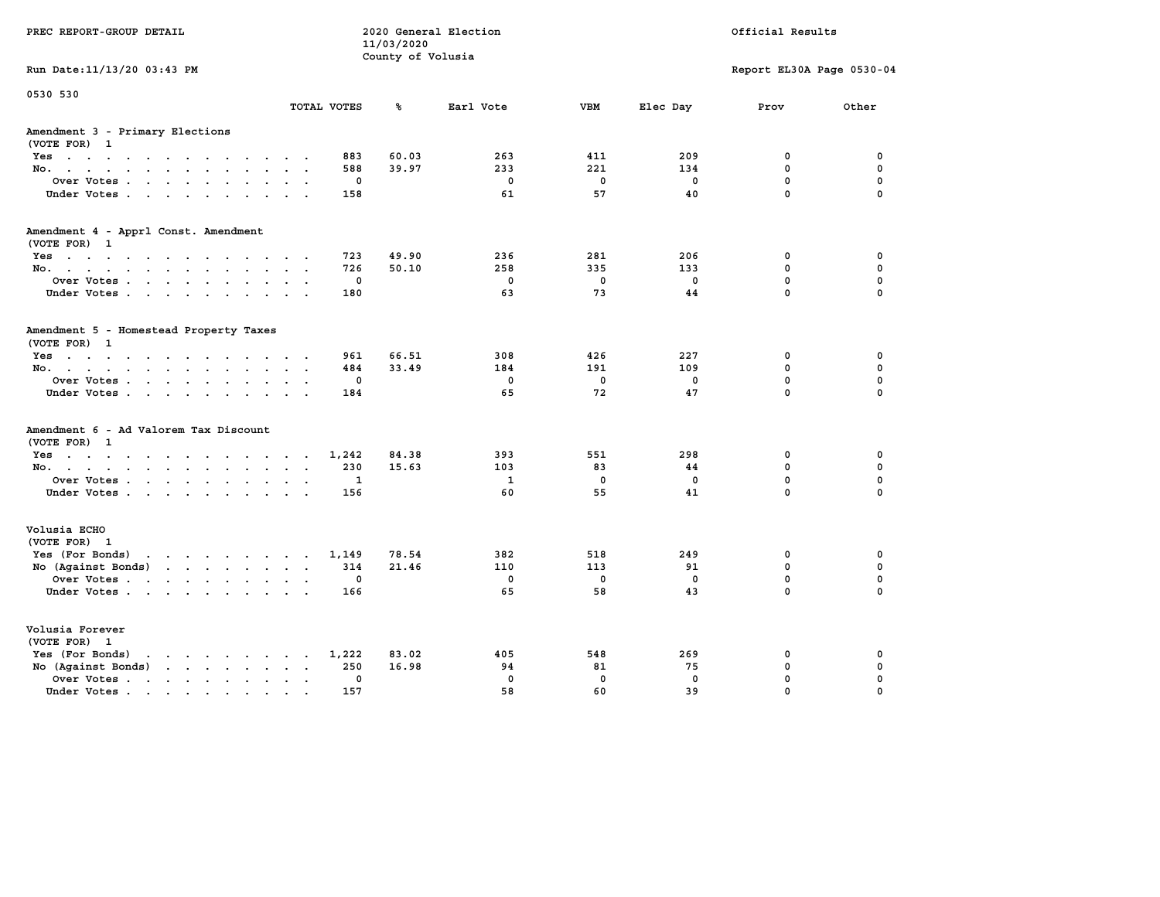| PREC REPORT-GROUP DETAIL                                                                                                           |                             |             | 11/03/2020<br>County of Volusia | 2020 General Election |                    |             | Official Results          |                  |
|------------------------------------------------------------------------------------------------------------------------------------|-----------------------------|-------------|---------------------------------|-----------------------|--------------------|-------------|---------------------------|------------------|
| Run Date: 11/13/20 03:43 PM                                                                                                        |                             |             |                                 |                       |                    |             | Report EL30A Page 0530-04 |                  |
| 0530 530                                                                                                                           |                             | TOTAL VOTES | ℁                               | Earl Vote             | <b>VBM</b>         | Elec Day    | Prov                      | Other            |
| Amendment 3 - Primary Elections<br>(VOTE FOR) 1                                                                                    |                             |             |                                 |                       |                    |             |                           |                  |
| Yes                                                                                                                                |                             | 883         | 60.03                           | 263                   | 411                | 209         | 0                         | 0                |
| No.                                                                                                                                |                             | 588         | 39.97                           | 233                   | 221                | 134         | 0                         | 0                |
| Over Votes                                                                                                                         |                             | 0           |                                 | $\mathbf 0$           | $\mathbf 0$        | 0           | $\mathbf 0$               | $\mathbf 0$      |
| Under Votes                                                                                                                        |                             | 158         |                                 | 61                    | 57                 | 40          | $\mathbf 0$               | $\mathbf 0$      |
| Amendment 4 - Apprl Const. Amendment                                                                                               |                             |             |                                 |                       |                    |             |                           |                  |
| (VOTE FOR) 1<br>Yes                                                                                                                |                             | 723         | 49.90                           | 236                   | 281                | 206         | 0                         | 0                |
| No.                                                                                                                                |                             | 726         | 50.10                           | 258                   | 335                | 133         | 0                         | 0                |
| Over Votes                                                                                                                         |                             | 0           |                                 | $\mathbf 0$           | $\mathbf 0$        | 0           | $\mathbf 0$               | $\mathbf 0$      |
| Under Votes                                                                                                                        |                             | 180         |                                 | 63                    | 73                 | 44          | $\mathbf 0$               | $\mathbf 0$      |
| Amendment 5 - Homestead Property Taxes<br>(VOTE FOR) 1                                                                             |                             |             |                                 |                       |                    |             |                           |                  |
| Yes                                                                                                                                |                             | 961         | 66.51                           | 308<br>184            | 426                | 227         | 0<br>0                    | 0<br>0           |
| No.<br>Over Votes                                                                                                                  |                             | 484<br>0    | 33.49                           | $\mathbf 0$           | 191<br>$\mathbf 0$ | 109<br>0    | $\mathbf 0$               | $\mathbf 0$      |
| Under Votes.                                                                                                                       |                             | 184         |                                 | 65                    | 72                 | 47          | $\Omega$                  | $\Omega$         |
| Amendment 6 - Ad Valorem Tax Discount<br>(VOTE FOR) 1                                                                              |                             |             |                                 |                       |                    |             |                           |                  |
| Yes                                                                                                                                |                             | 1,242       | 84.38                           | 393                   | 551                | 298         | 0                         | 0                |
| No.                                                                                                                                |                             | 230         | 15.63                           | 103<br>$\mathbf{1}$   | 83<br>$\mathbf 0$  | 44          | 0<br>$\mathbf 0$          | 0<br>$\mathbf 0$ |
| Over Votes<br>Under Votes                                                                                                          |                             | 1<br>156    |                                 | 60                    | 55                 | 0<br>41     | $\Omega$                  | $\Omega$         |
| Volusia ECHO<br>(VOTE FOR) 1                                                                                                       |                             |             |                                 |                       |                    |             |                           |                  |
| Yes (For Bonds)<br>the contract of the contract of the contract of the contract of the contract of the contract of the contract of |                             | 1,149       | 78.54                           | 382                   | 518                | 249         | 0                         | 0                |
| No (Against Bonds)                                                                                                                 |                             | 314         | 21.46                           | 110                   | 113                | 91          | $\mathbf{0}$              | 0                |
| Over Votes                                                                                                                         |                             | 0           |                                 | $\mathbf 0$           | $\mathbf 0$        | 0           | $\mathbf 0$               | $\mathbf 0$      |
| Under Votes                                                                                                                        |                             | 166         |                                 | 65                    | 58                 | 43          | $\Omega$                  | $\Omega$         |
| Volusia Forever<br>(VOTE FOR) 1                                                                                                    |                             |             |                                 |                       |                    |             |                           |                  |
| Yes (For Bonds)<br>$\mathbf{r}$ , and $\mathbf{r}$ , and $\mathbf{r}$ , and $\mathbf{r}$                                           |                             | 1,222       | 83.02                           | 405                   | 548                | 269         | 0                         | 0                |
| No (Against Bonds)                                                                                                                 | $\sim$ $\sim$ $\sim$ $\sim$ | 250         | 16.98                           | 94                    | 81                 | 75          | 0                         | 0                |
| Over Votes.<br>the contract of the contract of the                                                                                 | $\sim$ $\sim$ $\sim$        | $\mathbf 0$ |                                 | $\mathbf 0$           | $\mathbf 0$        | $\mathbf 0$ | $\mathbf 0$               | $\mathbf 0$      |
| Under Votes.                                                                                                                       |                             | 157         |                                 | 58                    | 60                 | 39          | $\Omega$                  | $\Omega$         |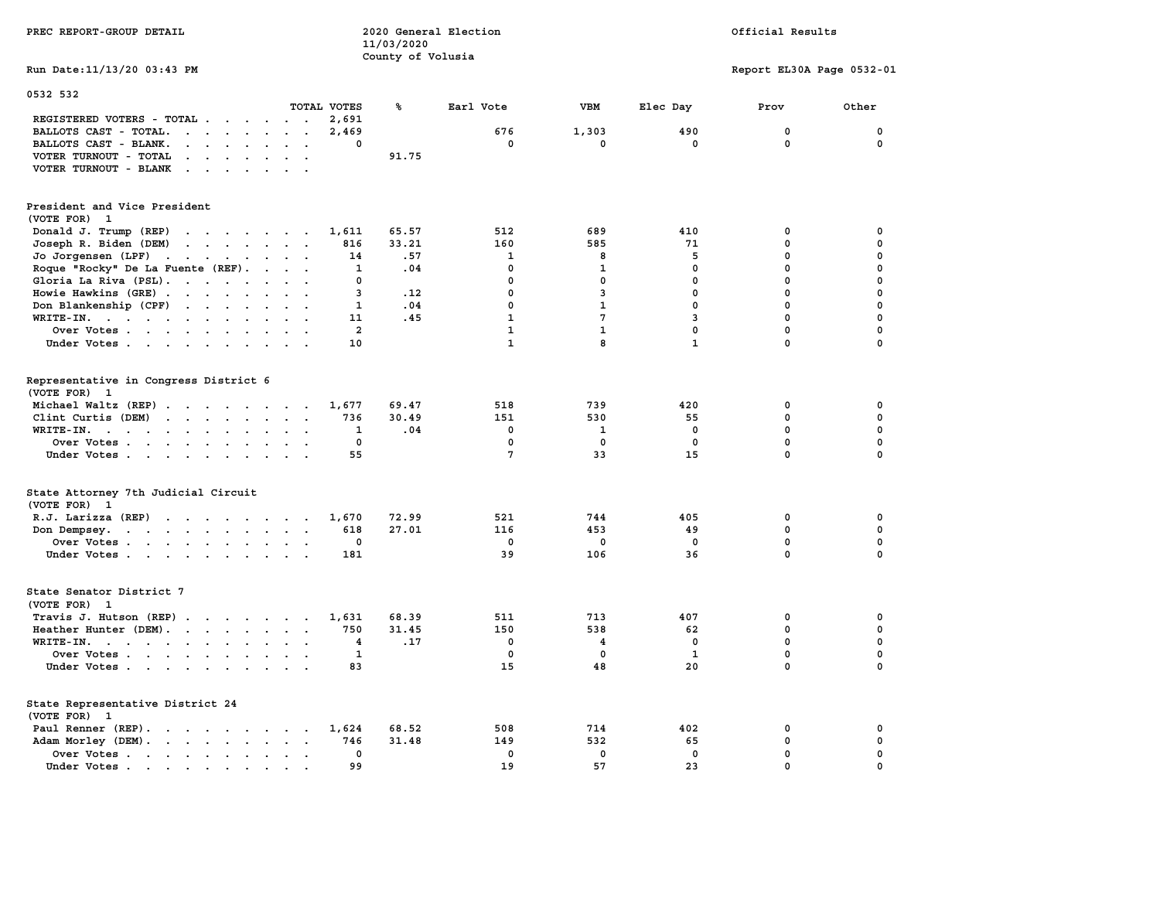| PREC REPORT-GROUP DETAIL                                                                                                        |                                                    | 11/03/2020<br>County of Volusia | 2020 General Election |                         |              | Official Results          |              |
|---------------------------------------------------------------------------------------------------------------------------------|----------------------------------------------------|---------------------------------|-----------------------|-------------------------|--------------|---------------------------|--------------|
| Run Date: 11/13/20 03:43 PM                                                                                                     |                                                    |                                 |                       |                         |              | Report EL30A Page 0532-01 |              |
| 0532 532                                                                                                                        | TOTAL VOTES                                        | %                               | Earl Vote             | VBM                     | Elec Day     | Prov                      | Other        |
| REGISTERED VOTERS - TOTAL                                                                                                       | 2,691                                              |                                 |                       |                         |              |                           |              |
| BALLOTS CAST - TOTAL.<br>$\cdots$                                                                                               | 2,469<br>$\mathbf{r}$<br>$\sim$                    |                                 | 676                   | 1,303                   | 490          | 0                         | $\mathbf 0$  |
| BALLOTS CAST - BLANK.<br>$\mathbf{r}$ , and $\mathbf{r}$ , and $\mathbf{r}$                                                     | 0<br>$\ddot{\phantom{0}}$                          |                                 | $\mathbf{0}$          | 0                       | $\mathbf{0}$ | 0                         | $\mathbf{0}$ |
| VOTER TURNOUT - TOTAL<br><b>Contract Contract</b><br>$\sim$<br>$\ddot{\phantom{a}}$                                             | $\sim$                                             | 91.75                           |                       |                         |              |                           |              |
| VOTER TURNOUT - BLANK                                                                                                           |                                                    |                                 |                       |                         |              |                           |              |
| President and Vice President                                                                                                    |                                                    |                                 |                       |                         |              |                           |              |
| (VOTE FOR) 1                                                                                                                    |                                                    |                                 |                       |                         |              |                           |              |
| Donald J. Trump (REP)                                                                                                           | 1,611                                              | 65.57                           | 512                   | 689                     | 410          | 0                         | $\mathbf 0$  |
| Joseph R. Biden (DEM)                                                                                                           | 816                                                | 33.21                           | 160                   | 585                     | 71           | $\mathbf 0$               | $\mathbf 0$  |
| Jo Jorgensen (LPF)                                                                                                              | 14                                                 | .57                             | 1                     | 8                       | 5            | 0                         | 0            |
| Roque "Rocky" De La Fuente (REF).                                                                                               | $\mathbf{1}$<br>$\sim$ $\sim$ $\sim$ $\sim$ $\sim$ | .04                             | $\Omega$              | $\mathbf{1}$            | $\Omega$     | $\mathbf{0}$              | $\mathbf 0$  |
| Gloria La Riva (PSL).                                                                                                           | 0<br>$\cdot$ $\cdot$                               |                                 | $\mathbf 0$           | $\mathbf 0$             | $\mathbf{0}$ | $\mathbf 0$               | $\mathbf 0$  |
| Howie Hawkins (GRE)                                                                                                             | $\overline{3}$<br>$\sim$ $\sim$                    | .12                             | $\mathbf{0}$          | 3                       | $\mathbf{0}$ | $\mathbf 0$               | $\mathbf 0$  |
| Don Blankenship (CPF)                                                                                                           | $\mathbf{1}$                                       | .04                             | $\mathbf 0$           | $\mathbf{1}$            | $\mathbf{0}$ | 0                         | $\mathbf 0$  |
| WRITE-IN.                                                                                                                       | 11<br>$\sim$                                       | .45                             | $\mathbf{1}$          | 7                       | 3            | $\mathbf 0$               | $\mathbf 0$  |
| Over Votes                                                                                                                      | $\overline{a}$                                     |                                 | $\mathbf{1}$          | $\mathbf{1}$            | $\mathbf{0}$ | $\mathbf 0$               | $\mathbf 0$  |
| Under Votes                                                                                                                     | 10                                                 |                                 | $\mathbf{1}$          | 8                       | $\mathbf{1}$ | $\mathbf 0$               | $\mathbf 0$  |
| Representative in Congress District 6<br>(VOTE FOR) 1                                                                           |                                                    |                                 |                       |                         |              |                           |              |
| Michael Waltz (REP)                                                                                                             | 1,677                                              | 69.47                           | 518                   | 739                     | 420          | $\mathbf 0$               | $\mathbf 0$  |
| Clint Curtis (DEM)                                                                                                              | 736                                                | 30.49                           | 151                   | 530                     | 55           | $\mathbf 0$               | $\mathbf 0$  |
| WRITE-IN.<br>the contract of the contract of the contract of the contract of the contract of the contract of the contract of    | 1<br>$\sim$ $\sim$                                 | .04                             | 0                     | 1                       | 0            | 0                         | 0            |
| Over Votes                                                                                                                      | 0<br>$\sim$                                        |                                 | 0                     | 0                       | 0            | $\mathbf 0$               | $\mathbf 0$  |
| Under Votes                                                                                                                     | 55                                                 |                                 | $7\phantom{.0}$       | 33                      | 15           | $\mathbf 0$               | 0            |
| State Attorney 7th Judicial Circuit<br>(VOTE FOR) 1                                                                             |                                                    |                                 |                       |                         |              |                           |              |
| R.J. Larizza (REP)                                                                                                              | 1,670                                              | 72.99                           | 521                   | 744                     | 405          | 0                         | 0            |
| Don Dempsey.<br>the contract of the contract of the contract of the contract of the contract of the contract of the contract of | 618                                                | 27.01                           | 116                   | 453                     | 49           | $\mathbf 0$               | $\mathbf 0$  |
| Over Votes                                                                                                                      | 0                                                  |                                 | $\mathbf 0$           | 0                       | 0            | 0                         | 0            |
| Under Votes                                                                                                                     | 181                                                |                                 | 39                    | 106                     | 36           | $\mathbf 0$               | $\mathbf 0$  |
| State Senator District 7<br>(VOTE FOR) 1                                                                                        |                                                    |                                 |                       |                         |              |                           |              |
| Travis J. Hutson (REP)                                                                                                          | 1,631                                              | 68.39                           | 511                   | 713                     | 407          | 0                         | 0            |
| Heather Hunter (DEM).                                                                                                           | 750                                                | 31.45                           | 150                   | 538                     | 62           | $\mathbf 0$               | $\mathbf 0$  |
| $WRITE-IN.$<br>$\sim$ $\sim$                                                                                                    | 4                                                  | .17                             | 0                     | $\overline{\mathbf{4}}$ | $\mathbf 0$  | 0                         | $\mathbf 0$  |
| Over Votes                                                                                                                      | $\mathbf{1}$                                       |                                 | $\mathbf 0$           | $\mathbf 0$             | 1            | 0                         | $\mathbf 0$  |
| Under Votes                                                                                                                     | 83                                                 |                                 | 15                    | 48                      | 20           | $\mathbf 0$               | $\mathbf 0$  |
| State Representative District 24<br>(VOTE FOR) 1                                                                                |                                                    |                                 |                       |                         |              |                           |              |
| Paul Renner (REP).                                                                                                              | 1,624                                              | 68.52                           | 508                   | 714                     | 402          | 0                         | 0            |
| Adam Morley (DEM).                                                                                                              | 746                                                | 31.48                           | 149                   | 532                     | 65           | 0                         | 0            |
| Over Votes                                                                                                                      | $\mathbf{0}$<br>$\sim$ $\sim$                      |                                 | $\mathbf{0}$          | $\mathbf 0$             | $\mathbf{0}$ | $\mathbf 0$               | $\mathbf 0$  |
| Under Votes                                                                                                                     | 99<br>$\sim$                                       |                                 | 19                    | 57                      | 23           | $\mathbf 0$               | $\mathbf 0$  |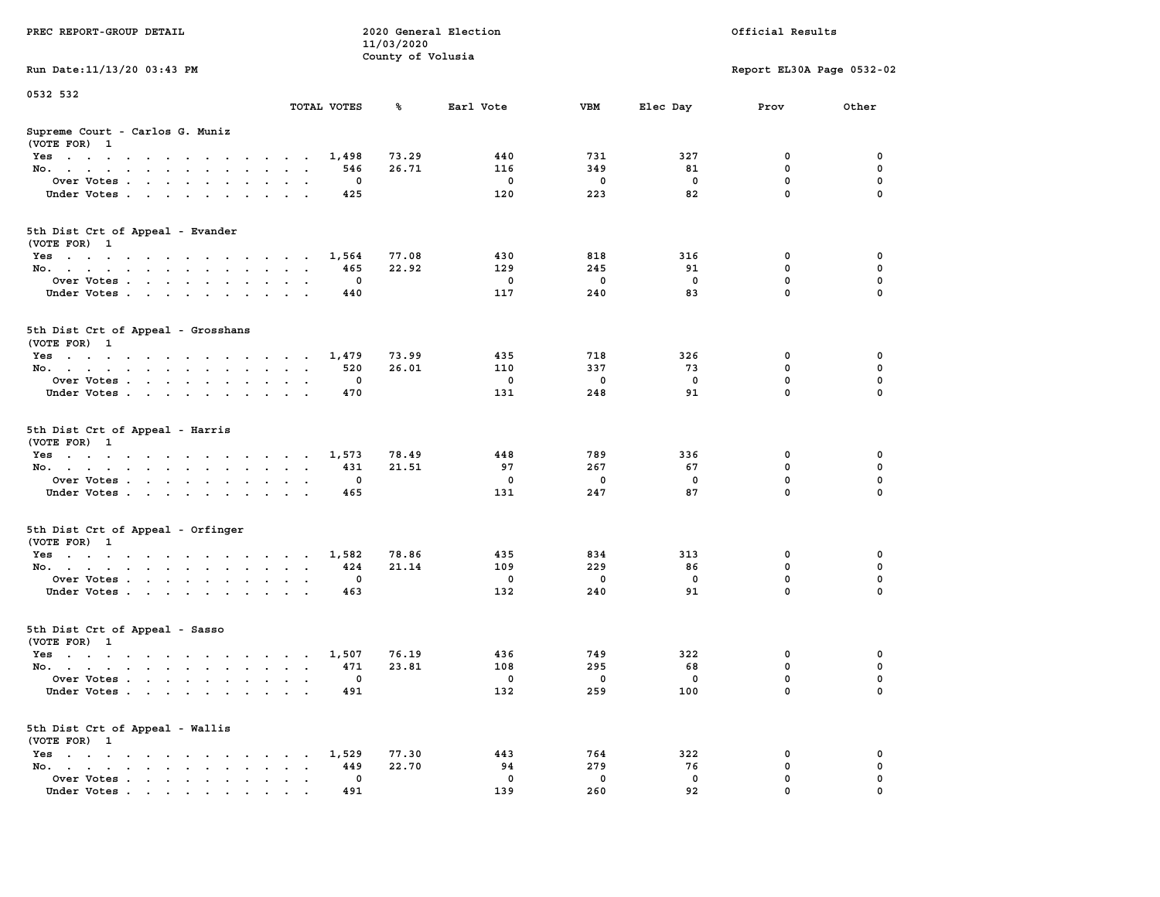| PREC REPORT-GROUP DETAIL                                    |                                      | 11/03/2020        | 2020 General Election |          |             | Official Results           |             |
|-------------------------------------------------------------|--------------------------------------|-------------------|-----------------------|----------|-------------|----------------------------|-------------|
| Run Date: 11/13/20 03:43 PM                                 |                                      | County of Volusia |                       |          |             | Report EL30A Page 0532-02  |             |
|                                                             |                                      |                   |                       |          |             |                            |             |
| 0532 532                                                    | TOTAL VOTES                          | ℁                 | Earl Vote             | VBM      | Elec Day    | Prov                       | Other       |
| Supreme Court - Carlos G. Muniz<br>(VOTE FOR) 1             |                                      |                   |                       |          |             |                            |             |
| Yes                                                         | 1,498                                | 73.29             | 440                   | 731      | 327         | 0                          | 0           |
| No.                                                         | 546                                  | 26.71             | 116                   | 349      | 81          | $\mathbf 0$                | 0           |
| Over Votes.                                                 | 0                                    |                   | $\mathbf 0$           | 0        | 0           | $\mathbf 0$                | 0           |
| Under Votes                                                 | 425                                  |                   | 120                   | 223      | 82          | $\mathbf 0$                | $\Omega$    |
| 5th Dist Crt of Appeal - Evander<br>(VOTE FOR) 1            |                                      |                   |                       |          |             |                            |             |
| Yes                                                         | 1,564                                | 77.08             | 430                   | 818      | 316         | 0                          | 0           |
| No.                                                         | 465                                  | 22.92             | 129                   | 245      | 91          | $\mathbf 0$                | 0           |
| Over Votes                                                  | 0                                    |                   | $\mathbf 0$           | 0        | $\mathbf 0$ | $\mathbf 0$                | 0           |
| Under Votes                                                 | 440                                  |                   | 117                   | 240      | 83          | $\mathbf 0$                | 0           |
| 5th Dist Crt of Appeal - Grosshans<br>(VOTE FOR) 1          |                                      |                   |                       |          |             |                            |             |
| Yes                                                         | 1,479                                | 73.99             | 435                   | 718      | 326         | 0                          | 0           |
| No.                                                         | 520                                  | 26.01             | 110                   | 337      | 73          | 0                          | 0           |
| Over Votes                                                  | 0                                    |                   | $\mathbf 0$           | 0        | $^{\circ}$  | $\mathbf 0$                | 0           |
| Under Votes                                                 | 470                                  |                   | 131                   | 248      | 91          | $\mathbf 0$                | 0           |
| 5th Dist Crt of Appeal - Harris<br>(VOTE FOR) 1             |                                      |                   |                       |          |             |                            |             |
| Yes                                                         | 1,573                                | 78.49             | 448                   | 789      | 336         | 0                          | 0           |
| No.                                                         | 431                                  | 21.51             | 97                    | 267      | 67          | $\mathbf 0$                | 0           |
| Over Votes                                                  | 0                                    |                   | $\mathbf 0$           | 0        | 0           | $\mathbf 0$<br>$\mathbf 0$ | 0           |
| Under Votes                                                 | 465                                  |                   | 131                   | 247      | 87          |                            | $\Omega$    |
| 5th Dist Crt of Appeal - Orfinger<br>(VOTE FOR) 1           |                                      |                   |                       |          |             |                            |             |
| Yes                                                         | 1,582                                | 78.86             | 435                   | 834      | 313         | 0                          | 0           |
| No.                                                         | 424                                  | 21.14             | 109                   | 229      | 86          | $\mathbf 0$                | 0           |
| Over Votes                                                  | 0                                    |                   | $\mathbf 0$           | 0        | 0           | 0                          | $\mathbf 0$ |
| Under Votes                                                 | 463                                  |                   | 132                   | 240      | 91          | $\mathbf 0$                | $\Omega$    |
| 5th Dist Crt of Appeal - Sasso<br>(VOTE FOR) 1              |                                      |                   |                       |          |             |                            |             |
| Yes                                                         | 1,507                                | 76.19             | 436                   | 749      | 322         | 0                          | 0           |
| No.                                                         | 471                                  | 23.81             | 108                   | 295      | 68          | 0                          | 0           |
| Over Votes                                                  | 0                                    |                   | $^{\circ}$            | 0        | 0           | 0                          | 0           |
| Under Votes                                                 | 491                                  |                   | 132                   | 259      | 100         | 0                          | 0           |
| 5th Dist Crt of Appeal - Wallis<br>(VOTE FOR) 1             |                                      |                   |                       |          |             |                            |             |
| $Yes \cdot \cdot \cdot \cdot \cdot \cdot \cdot \cdot \cdot$ | 1,529<br>$\sim$ $\sim$ $\sim$ $\sim$ | 77.30             | 443                   | 764      | 322         | 0                          | 0           |
| No.<br>$\sim$                                               | 449<br>$\ddot{\phantom{a}}$          | 22.70             | 94                    | 279      | 76          | $\mathbf 0$                | 0           |
| Over Votes<br>Under Votes                                   | 0<br>491                             |                   | 0<br>139              | 0<br>260 | 0<br>92     | 0<br>0                     | 0           |
|                                                             |                                      |                   |                       |          |             |                            |             |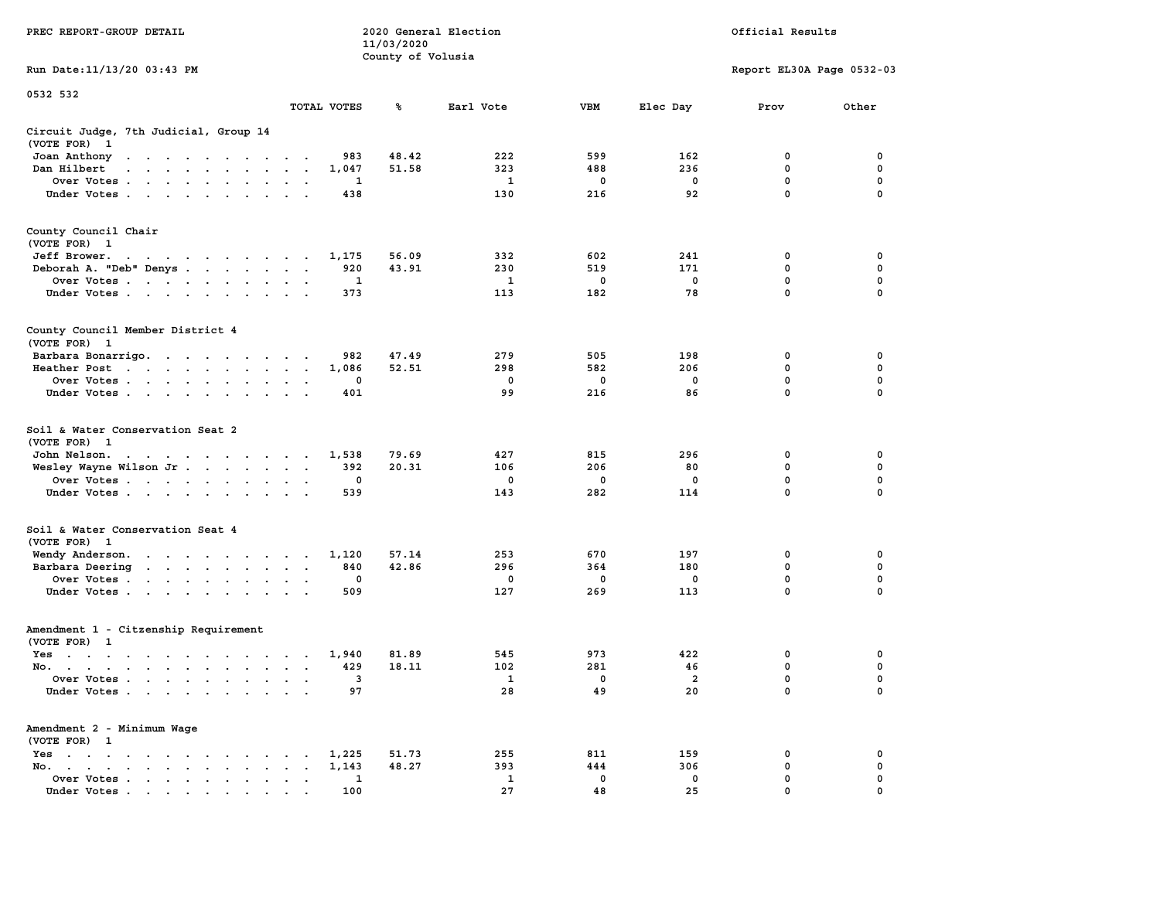|                                                                                                                                                                    |                                                                | 11/03/2020        |              |             |                |                           |             |
|--------------------------------------------------------------------------------------------------------------------------------------------------------------------|----------------------------------------------------------------|-------------------|--------------|-------------|----------------|---------------------------|-------------|
|                                                                                                                                                                    |                                                                | County of Volusia |              |             |                |                           |             |
| Run Date:11/13/20 03:43 PM                                                                                                                                         |                                                                |                   |              |             |                | Report EL30A Page 0532-03 |             |
| 0532 532                                                                                                                                                           |                                                                |                   |              |             |                |                           |             |
|                                                                                                                                                                    | TOTAL VOTES                                                    | ℁                 | Earl Vote    | <b>VBM</b>  | Elec Day       | Prov                      | Other       |
| Circuit Judge, 7th Judicial, Group 14                                                                                                                              |                                                                |                   |              |             |                |                           |             |
| (VOTE FOR)<br>$\mathbf{1}$                                                                                                                                         |                                                                |                   |              |             |                |                           |             |
| Joan Anthony<br>the contract of the contract of the                                                                                                                | 983<br>$\sim$                                                  | 48.42             | 222          | 599         | 162            | 0                         | 0           |
| Dan Hilbert<br>$\sim$<br>$\mathbf{r}$ . The set of the set of the set of $\mathbf{r}$                                                                              | 1,047<br>$\overline{\phantom{a}}$<br>$\overline{\phantom{a}}$  | 51.58             | 323          | 488         | 236            | 0                         | 0           |
| Over Votes.<br>$\mathcal{A}=\mathcal{A}=\mathcal{A}=\mathcal{A}=\mathcal{A}$ .<br>$\overline{\phantom{a}}$                                                         | $\mathbf{1}$<br>$\cdot$<br>$\overline{\phantom{a}}$            |                   | $\mathbf{1}$ | $\mathbf 0$ | $\mathbf 0$    | 0                         | $\mathbf 0$ |
| Under Votes                                                                                                                                                        | 438<br>$\ddot{\phantom{a}}$<br>$\mathbf{r}$                    |                   | 130          | 216         | 92             | $\mathbf 0$               | $\mathbf 0$ |
| County Council Chair                                                                                                                                               |                                                                |                   |              |             |                |                           |             |
| (VOTE FOR)<br>$\mathbf{1}$                                                                                                                                         |                                                                |                   |              |             |                |                           |             |
| Jeff Brower.<br>the contract of the contract of the con-                                                                                                           | 1,175                                                          | 56.09             | 332          | 602         | 241            | 0                         | 0           |
| Deborah A. "Deb" Denys                                                                                                                                             | 920<br>$\bullet$<br>$\overline{\phantom{a}}$<br>$\sim$         | 43.91             | 230          | 519         | 171            | 0                         | 0           |
| Over Votes<br>$\sim$ $\sim$ $\sim$<br>$\blacksquare$<br>$\sim$                                                                                                     | 1<br>$\bullet$                                                 |                   | 1            | 0           | $\mathbf 0$    | 0                         | 0           |
| Under Votes<br>$\ddot{\phantom{a}}$                                                                                                                                | 373                                                            |                   | 113          | 182         | 78             | $\mathbf{0}$              | $\mathbf 0$ |
|                                                                                                                                                                    |                                                                |                   |              |             |                |                           |             |
| County Council Member District 4<br>(VOTE FOR) 1                                                                                                                   |                                                                |                   |              |             |                |                           |             |
|                                                                                                                                                                    | 982                                                            | 47.49             | 279          | 505         | 198            | 0                         | 0           |
| Barbara Bonarrigo.<br>Heather Post                                                                                                                                 | $\bullet$<br>1,086                                             | 52.51             | 298          | 582         | 206            | $\mathbf 0$               | $\mathbf 0$ |
| $\sim 10^{-1}$ km $^{-1}$<br>$\sim$ $\sim$ $\sim$ $\sim$<br>$\mathcal{L}_{\mathbf{r}}$<br>$\bullet$ .<br><br><br>$\bullet$ .<br>Over Votes<br>$\sim$               | $\bullet$<br>$\bullet$<br>$\ddot{\phantom{a}}$<br>0<br>$\cdot$ |                   | 0            | 0           | 0              | $\mathbf 0$               | 0           |
| Under Votes                                                                                                                                                        | $\bullet$<br>401                                               |                   | 99           | 216         | 86             | 0                         | $\mathbf 0$ |
| $\ddot{\phantom{a}}$<br>$\bullet$<br>$\bullet$                                                                                                                     |                                                                |                   |              |             |                |                           |             |
| Soil & Water Conservation Seat 2                                                                                                                                   |                                                                |                   |              |             |                |                           |             |
| (VOTE FOR)<br>$\overline{1}$                                                                                                                                       |                                                                |                   |              |             |                |                           |             |
| John Nelson.<br>the contract of the contract of the                                                                                                                | 1,538                                                          | 79.69             | 427          | 815         | 296            | 0                         | 0           |
| Wesley Wayne Wilson Jr                                                                                                                                             | 392<br>$\bullet$<br>$\bullet$<br>$\ddot{\phantom{1}}$          | 20.31             | 106          | 206         | 80             | 0                         | 0           |
| Over Votes                                                                                                                                                         | 0<br>$\ddot{\phantom{a}}$                                      |                   | 0            | 0           | $\mathbf 0$    | $\mathbf 0$               | $\mathbf 0$ |
| Under Votes<br>$\ddot{\phantom{a}}$                                                                                                                                | 539                                                            |                   | 143          | 282         | 114            | 0                         | 0           |
| Soil & Water Conservation Seat 4                                                                                                                                   |                                                                |                   |              |             |                |                           |             |
| (VOTE FOR) 1                                                                                                                                                       |                                                                |                   |              |             |                |                           |             |
| Wendy Anderson.<br>the contract of the contract of the                                                                                                             | 1,120<br>$\sim$                                                | 57.14             | 253          | 670         | 197            | $\mathbf 0$               | $\mathbf 0$ |
| Barbara Deering<br>$\sim$ $\sim$                                                                                                                                   | 840<br>$\bullet$<br>$\blacksquare$ .<br>$\bullet$              | 42.86             | 296          | 364         | 180            | 0                         | $\mathbf 0$ |
| Over Votes<br>$\ddot{\phantom{1}}$                                                                                                                                 | $\mathbf 0$<br>$\bullet$<br>$\cdot$                            |                   | 0            | 0           | 0              | $\mathbf 0$               | 0           |
| Under Votes<br>$\cdot$                                                                                                                                             | 509<br>$\ddot{\phantom{a}}$<br>$\ddot{\phantom{a}}$            |                   | 127          | 269         | 113            | $\mathbf 0$               | 0           |
| Amendment 1 - Citzenship Requirement                                                                                                                               |                                                                |                   |              |             |                |                           |             |
| (VOTE FOR) 1                                                                                                                                                       |                                                                |                   |              |             |                |                           |             |
| $Yes \t . \t .$<br>$\ddot{\phantom{a}}$<br>$\sim$ $\sim$<br>$\sim$ $\sim$ $\sim$<br>$\sim$                                                                         | 1,940<br>$\cdot$<br>$\cdot$<br>$\sim$                          | 81.89             | 545          | 973         | 422            | 0                         | 0           |
| No.<br>$\cdot$ $\cdot$<br>$\mathbf{r}$                                                                                                                             | 429<br>$\mathbf{r}$<br>$\sim$                                  | 18.11             | 102          | 281         | 46             | 0                         | $\mathbf 0$ |
| Over Votes.<br>$\sim$<br>$\ddot{\phantom{0}}$<br>$\sim$<br>$\ddot{\phantom{0}}$<br>$\ddot{\phantom{a}}$<br>$\ddot{\phantom{a}}$                                    | 3<br>$\cdot$<br>$\ddot{\phantom{a}}$<br>$\cdot$                |                   | 1            | 0           | $\overline{a}$ | $\mathbf 0$               | $\mathbf 0$ |
| Under Votes<br>$\ddot{\phantom{a}}$                                                                                                                                | 97<br>$\ddot{\phantom{a}}$                                     |                   | 28           | 49          | 20             | $\mathbf 0$               | $\mathbf 0$ |
| Amendment 2 - Minimum Wage                                                                                                                                         |                                                                |                   |              |             |                |                           |             |
| (VOTE FOR) 1                                                                                                                                                       |                                                                |                   |              |             |                |                           |             |
| Yes<br>$\sim$<br>$\bullet$<br>$\sim$<br>$\bullet$<br>$\bullet$ . $\bullet$ .<br>$\ddot{\phantom{a}}$<br>$\cdot$                                                    | 1,225                                                          | 51.73             | 255          | 811         | 159            | 0                         | 0           |
| No.<br>$\ddot{\phantom{a}}$<br>$\bullet$ .<br><br><br><br><br><br><br><br><br><br><br><br><br><br><br>$\bullet$ .<br><br><br><br><br><br><br><br><br><br>$\bullet$ | 1,143<br>$\bullet$                                             | 48.27             | 393          | 444         | 306            | 0                         | 0           |
| Over Votes<br>$\bullet$                                                                                                                                            | 1<br>$\blacksquare$<br>$\bullet$<br>$\ddot{\phantom{a}}$       |                   | 1            | 0           | 0              | 0                         | $\mathbf 0$ |
| Under Votes                                                                                                                                                        | 100                                                            |                   | 27           | 48          | 25             | $\mathbf{0}$              | $\mathbf 0$ |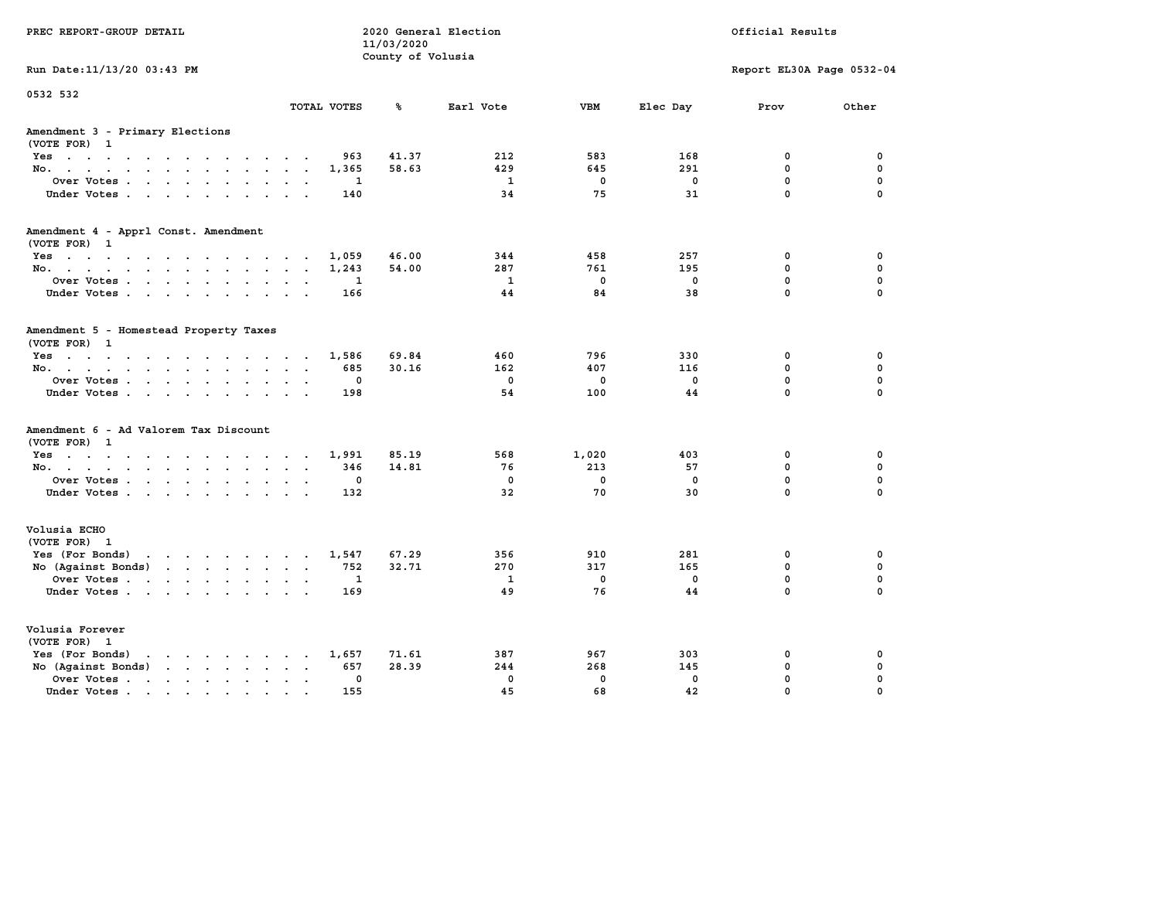| PREC REPORT-GROUP DETAIL                                                                                                           |               | 11/03/2020<br>County of Volusia | 2020 General Election |                         |              | Official Results          |             |
|------------------------------------------------------------------------------------------------------------------------------------|---------------|---------------------------------|-----------------------|-------------------------|--------------|---------------------------|-------------|
| Run Date: 11/13/20 03:43 PM                                                                                                        |               |                                 |                       |                         |              | Report EL30A Page 0532-04 |             |
| 0532 532                                                                                                                           | TOTAL VOTES   | ℁                               | Earl Vote             | <b>VBM</b>              | Elec Day     | Prov                      | Other       |
| Amendment 3 - Primary Elections<br>(VOTE FOR) 1                                                                                    |               |                                 |                       |                         |              |                           |             |
| Yes                                                                                                                                |               | 41.37<br>963                    | 212                   | 583                     | 168          | 0                         | 0           |
| No.                                                                                                                                | 1,365         | 58.63                           | 429                   | 645                     | 291          | $\mathbf{0}$              | $\mathbf 0$ |
| Over Votes                                                                                                                         |               | 1                               | $\mathbf{1}$          | $\overline{\mathbf{0}}$ | $\mathbf 0$  | $\mathbf{0}$              | $\mathbf 0$ |
| Under Votes.                                                                                                                       |               | 140                             | 34                    | 75                      | 31           | $\mathbf 0$               | $\mathbf 0$ |
| Amendment 4 - Apprl Const. Amendment                                                                                               |               |                                 |                       |                         |              |                           |             |
| (VOTE FOR) 1<br>Yes                                                                                                                | 1,059         | 46.00                           | 344                   | 458                     | 257          | 0                         | 0           |
| No.                                                                                                                                | 1,243         | 54.00                           | 287                   | 761                     | 195          | $\mathbf{0}$              | $\mathbf 0$ |
| Over Votes                                                                                                                         |               | 1                               | $\mathbf{1}$          | $^{\circ}$              | $\mathbf{0}$ | $\mathbf 0$               | $\mathbf 0$ |
| Under Votes                                                                                                                        |               | 166                             | 44                    | 84                      | 38           | $\mathbf{0}$              | $\Omega$    |
| Amendment 5 - Homestead Property Taxes<br>(VOTE FOR) 1                                                                             |               |                                 |                       |                         |              |                           |             |
| Yes                                                                                                                                | 1,586         | 69.84                           | 460                   | 796                     | 330          | 0                         | 0           |
| No.                                                                                                                                |               | 685<br>30.16                    | 162                   | 407                     | 116          | 0                         | $\mathbf 0$ |
| Over Votes                                                                                                                         |               | $\mathbf 0$                     | $\mathbf 0$           | $\mathbf 0$             | $\mathbf 0$  | $\mathbf 0$               | $\mathbf 0$ |
| Under Votes                                                                                                                        |               | 198                             | 54                    | 100                     | 44           | $\Omega$                  | $\Omega$    |
| Amendment 6 - Ad Valorem Tax Discount<br>(VOTE FOR) 1                                                                              |               |                                 |                       |                         |              |                           |             |
| Yes                                                                                                                                | 1,991         | 85.19                           | 568                   | 1,020                   | 403          | 0                         | 0           |
| No.                                                                                                                                |               | 346<br>14.81                    | 76                    | 213                     | 57           | $\mathbf{0}$              | $\mathbf 0$ |
| Over Votes                                                                                                                         |               | 0                               | $\mathbf 0$           | $\mathbf 0$             | $\mathbf 0$  | $\mathbf 0$               | $\mathbf 0$ |
| Under Votes.                                                                                                                       |               | 132                             | 32                    | 70                      | 30           | $\mathbf 0$               | $\mathbf 0$ |
| Volusia ECHO<br>(VOTE FOR) 1                                                                                                       |               |                                 |                       |                         |              |                           |             |
| Yes (For Bonds) $\cdots$ $\cdots$ $\cdots$ $\cdots$                                                                                | 1,547         | 67.29                           | 356                   | 910                     | 281          | 0                         | $\mathbf 0$ |
| No (Against Bonds)                                                                                                                 |               | 32.71<br>752                    | 270                   | 317                     | 165          | $\mathbf 0$               | $\mathbf 0$ |
| Over Votes                                                                                                                         |               | 1                               | 1                     | $^{\circ}$              | $\mathbf 0$  | $\mathbf 0$               | $\mathbf 0$ |
| Under Votes                                                                                                                        |               | 169                             | 49                    | 76                      | 44           | $\Omega$                  | $\Omega$    |
| Volusia Forever<br>(VOTE FOR) 1                                                                                                    |               |                                 |                       |                         |              |                           |             |
| Yes (For Bonds)<br>the contract of the contract of the contract of the contract of the contract of the contract of the contract of | 1,657         | 71.61                           | 387                   | 967                     | 303          | 0                         | 0           |
| No (Against Bonds)                                                                                                                 |               | 28.39<br>657                    | 244                   | 268                     | 145          | $\mathbf 0$               | $\mathbf 0$ |
| Over Votes.<br>the contract of the contract of the                                                                                 | $\sim$ $\sim$ | $\mathbf 0$                     | $\mathbf{0}$          | $\mathbf{0}$            | $\mathbf{0}$ | $\mathbf 0$               | $\mathbf 0$ |
| Under Votes.                                                                                                                       |               | 155                             | 45                    | 68                      | 42           | $\Omega$                  | $\Omega$    |
|                                                                                                                                    |               |                                 |                       |                         |              |                           |             |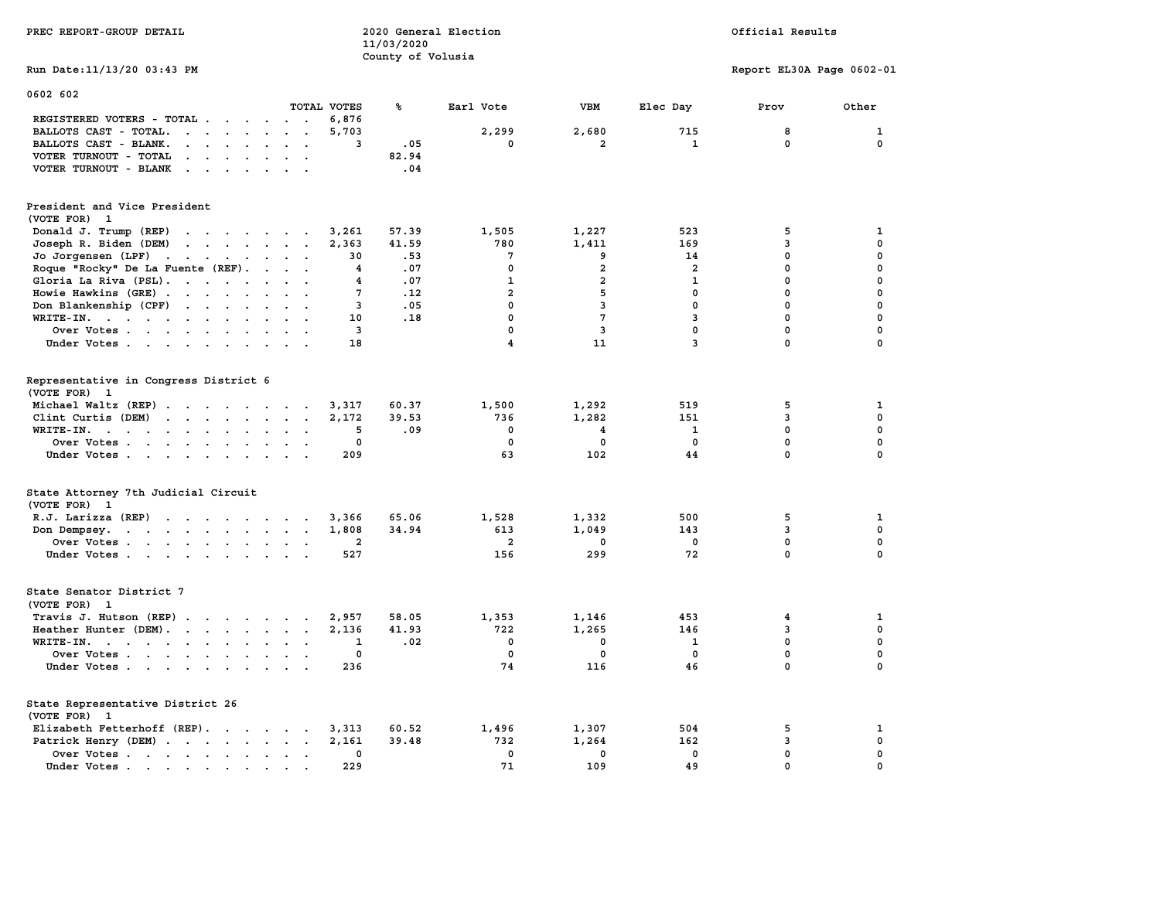| PREC REPORT-GROUP DETAIL                                                                                                                                                                                                                                    |                         | 2020 General Election<br>11/03/2020 |                         |                         |                | Official Results          |              |
|-------------------------------------------------------------------------------------------------------------------------------------------------------------------------------------------------------------------------------------------------------------|-------------------------|-------------------------------------|-------------------------|-------------------------|----------------|---------------------------|--------------|
|                                                                                                                                                                                                                                                             |                         | County of Volusia                   |                         |                         |                |                           |              |
| Run Date: 11/13/20 03:43 PM                                                                                                                                                                                                                                 |                         |                                     |                         |                         |                | Report EL30A Page 0602-01 |              |
| 0602 602                                                                                                                                                                                                                                                    |                         |                                     |                         |                         |                |                           |              |
|                                                                                                                                                                                                                                                             | TOTAL VOTES             | ℁                                   | Earl Vote               | VBM                     | Elec Day       | Prov                      | Other        |
| REGISTERED VOTERS - TOTAL                                                                                                                                                                                                                                   | 6,876                   |                                     |                         |                         |                |                           |              |
| BALLOTS CAST - TOTAL.<br>$\mathbf{r}$ . The set of $\mathbf{r}$                                                                                                                                                                                             | 5,703                   |                                     | 2,299                   | 2,680                   | 715            | 8                         | $\mathbf{1}$ |
| BALLOTS CAST - BLANK.<br>$\ddot{\phantom{0}}$<br>$\cdot$ $\cdot$                                                                                                                                                                                            | 3                       | .05                                 | 0                       | 2                       | 1              | 0                         | $\mathbf 0$  |
| VOTER TURNOUT - TOTAL<br>$\mathbf{r}$ , and $\mathbf{r}$ , and $\mathbf{r}$<br>$\sim$ $\sim$                                                                                                                                                                |                         | 82.94                               |                         |                         |                |                           |              |
| VOTER TURNOUT - BLANK<br>$\mathbf{r}$ . The set of the set of $\mathbf{r}$<br>$\sim$                                                                                                                                                                        |                         | .04                                 |                         |                         |                |                           |              |
| President and Vice President                                                                                                                                                                                                                                |                         |                                     |                         |                         |                |                           |              |
| (VOTE FOR) 1                                                                                                                                                                                                                                                |                         |                                     |                         |                         |                |                           |              |
| Donald J. Trump (REP)<br>$\mathcal{A}$ . The set of the set of the set of the set of the set of the set of the set of the set of the set of the set of the set of the set of the set of the set of the set of the set of the set of the set of the set of t | 3,261                   | 57.39                               | 1,505                   | 1,227                   | 523            | 5                         | 1            |
| Joseph R. Biden (DEM)<br>$\mathbf{r}$ , and $\mathbf{r}$ , and $\mathbf{r}$ , and $\mathbf{r}$                                                                                                                                                              | 2,363                   | 41.59                               | 780                     | 1,411                   | 169            | 3                         | 0            |
| Jo Jorgensen (LPF)                                                                                                                                                                                                                                          | 30                      | .53                                 | 7                       | 9                       | 14             | 0                         | 0            |
| the contract of the contract of the                                                                                                                                                                                                                         | 4                       | .07                                 | $\mathbf 0$             | $\overline{\mathbf{2}}$ | $\overline{a}$ | $\mathbf 0$               | $\mathbf 0$  |
| Roque "Rocky" De La Fuente (REF).<br>$\ddot{\phantom{a}}$<br>$\ddot{\phantom{0}}$                                                                                                                                                                           |                         |                                     |                         | $\overline{a}$          |                | $\mathbf 0$               | $\mathbf 0$  |
| Gloria La Riva (PSL).<br>$\sim$                                                                                                                                                                                                                             | 4                       | .07                                 | $\mathbf{1}$            |                         | $\mathbf 1$    |                           |              |
| Howie Hawkins (GRE)<br>$\sim$<br>$\ddot{\phantom{a}}$                                                                                                                                                                                                       | 7                       | .12                                 | $\overline{a}$          | 5                       | 0              | 0                         | $\pmb{0}$    |
| Don Blankenship (CPF)<br>$\sim$                                                                                                                                                                                                                             | 3                       | .05                                 | 0                       | 3                       | $\mathbf{0}$   | $\mathbf 0$               | $\mathbf 0$  |
| $\texttt{WRTTE-IN.}$<br>$\sim$<br>$\ddot{\phantom{a}}$<br>$\ddot{\phantom{a}}$<br>$\sim$                                                                                                                                                                    | 10                      | .18                                 | $\mathbf 0$             | $7\phantom{.0}$         | $\overline{3}$ | $\mathbf 0$               | $\mathbf 0$  |
| Over Votes                                                                                                                                                                                                                                                  | 3                       |                                     | $\mathbf 0$             | 3                       | $\mathbf{0}$   | $\mathbf 0$               | $\mathbf 0$  |
| Under Votes                                                                                                                                                                                                                                                 | 18                      |                                     | $\overline{\mathbf{4}}$ | 11                      | 3              | $\pmb{0}$                 | $\mathbf 0$  |
| Representative in Congress District 6<br>(VOTE FOR) 1                                                                                                                                                                                                       |                         |                                     |                         |                         |                |                           |              |
| Michael Waltz (REP)                                                                                                                                                                                                                                         | 3,317                   | 60.37                               | 1,500                   | 1,292                   | 519            | 5                         | 1            |
| Clint Curtis $(DEM)$<br>$\ddot{\phantom{a}}$                                                                                                                                                                                                                | 2,172                   | 39.53                               | 736                     | 1,282                   | 151            | 3                         | $\mathbf 0$  |
| $W{\tt RITE-IN.}$<br>$\bullet$<br>$\cdot$                                                                                                                                                                                                                   | 5                       | .09                                 | $\mathbf 0$             | $\overline{\mathbf{4}}$ | 1              | $\mathbf 0$               | 0            |
| Over Votes<br>$\sim$<br>$\bullet$                                                                                                                                                                                                                           | 0                       |                                     | $\mathbf 0$             | $\mathbf 0$             | $\mathbf 0$    | $\mathbf 0$               | $\mathbf 0$  |
| Under Votes<br>$\cdot$ $\cdot$                                                                                                                                                                                                                              | 209                     |                                     | 63                      | 102                     | 44             | $\mathbf 0$               | $\mathbf 0$  |
| State Attorney 7th Judicial Circuit<br>(VOTE FOR) 1                                                                                                                                                                                                         |                         |                                     |                         |                         |                |                           |              |
| R.J. Larizza $(REF)$                                                                                                                                                                                                                                        | 3,366                   | 65.06                               | 1,528                   | 1,332                   | 500            | 5                         | 1            |
| Don Dempsey.<br>the contract of the contract of the<br>$\sim$ $\sim$                                                                                                                                                                                        | 1,808                   | 34.94                               | 613                     | 1,049                   | 143            | 3                         | $\mathbf 0$  |
| Over Votes                                                                                                                                                                                                                                                  | $\overline{\mathbf{2}}$ |                                     | $\overline{a}$          | 0                       | 0              | 0                         | $\mathbf 0$  |
| Under Votes                                                                                                                                                                                                                                                 | 527                     |                                     | 156                     | 299                     | 72             | $\mathbf 0$               | $\Omega$     |
| State Senator District 7<br>(VOTE FOR) 1                                                                                                                                                                                                                    |                         |                                     |                         |                         |                |                           |              |
| Travis J. Hutson (REP).<br>$\cdots$                                                                                                                                                                                                                         | 2,957                   | 58.05                               | 1,353                   | 1,146                   | 453            | 4                         | 1            |
| Heather Hunter (DEM).<br>$\sim$ $\sim$                                                                                                                                                                                                                      | 2,136                   | 41.93                               | 722                     | 1,265                   | 146            | 3                         | $\mathbf 0$  |
| WRITE-IN.                                                                                                                                                                                                                                                   | 1                       | .02                                 | $^{\circ}$              | 0                       | 1              | $\mathbf 0$               | $\mathbf 0$  |
| Over Votes<br>$\cdot$                                                                                                                                                                                                                                       | 0                       |                                     | $\mathbf 0$             | $\mathbf 0$             | $\mathbf 0$    | $\mathbf 0$               | $\mathbf 0$  |
| Under Votes<br>$\cdot$ .                                                                                                                                                                                                                                    | 236                     |                                     | 74                      | 116                     | 46             | 0                         | 0            |
| State Representative District 26<br>(VOTE FOR) 1                                                                                                                                                                                                            |                         |                                     |                         |                         |                |                           |              |
| Elizabeth Fetterhoff (REP).                                                                                                                                                                                                                                 | 3,313                   | 60.52                               | 1,496                   | 1,307                   | 504            | 5                         | 1            |
| Patrick Henry (DEM)                                                                                                                                                                                                                                         | 2,161                   | 39.48                               | 732                     | 1,264                   | 162            | 3                         | 0            |
|                                                                                                                                                                                                                                                             | 0                       |                                     | $\mathbf 0$             | $\mathbf 0$             | $\mathbf 0$    | $\mathbf 0$               | $\mathbf 0$  |
| Over Votes<br>$\ddot{\phantom{a}}$<br>$\cdot$<br>Under Votes                                                                                                                                                                                                | 229                     |                                     | 71                      | 109                     | 49             | 0                         | 0            |
|                                                                                                                                                                                                                                                             |                         |                                     |                         |                         |                |                           |              |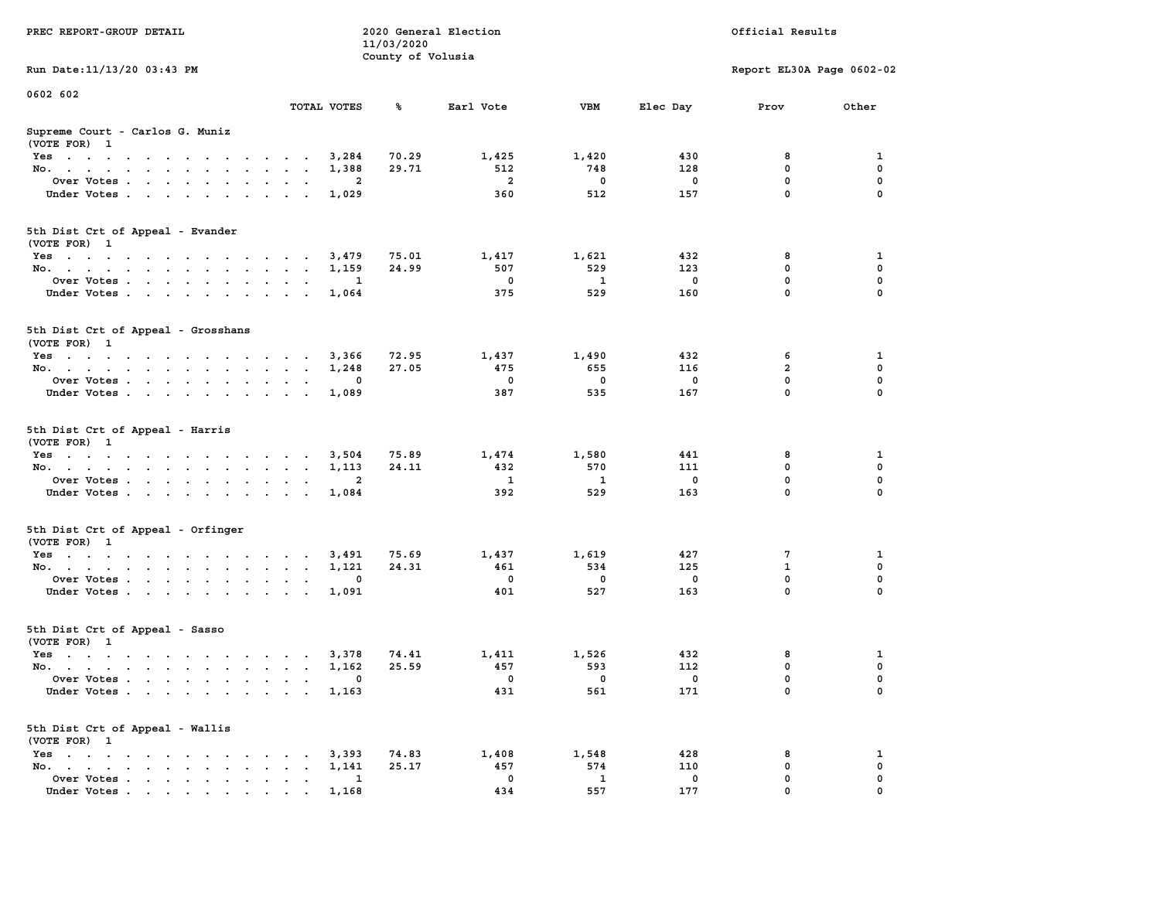| PREC REPORT-GROUP DETAIL                                      |                |                         | 11/03/2020<br>County of Volusia | 2020 General Election |              |             | Official Results          |                            |
|---------------------------------------------------------------|----------------|-------------------------|---------------------------------|-----------------------|--------------|-------------|---------------------------|----------------------------|
| Run Date: 11/13/20 03:43 PM                                   |                |                         |                                 |                       |              |             | Report EL30A Page 0602-02 |                            |
| 0602 602                                                      |                | TOTAL VOTES             | %ะ                              | Earl Vote             | VBM          | Elec Day    | Prov                      | Other                      |
| Supreme Court - Carlos G. Muniz                               |                |                         |                                 |                       |              |             |                           |                            |
| (VOTE FOR) 1                                                  |                |                         |                                 |                       |              |             |                           |                            |
| Yes                                                           |                | 3,284                   | 70.29                           | 1,425                 | 1,420        | 430         | 8                         | 1                          |
| No.                                                           |                | 1,388                   | 29.71                           | 512                   | 748          | 128         | $\mathbf 0$               | 0                          |
| Over Votes                                                    |                | 2                       |                                 | $\overline{a}$        | $\Omega$     | $\mathbf 0$ | $\mathbf{0}$              | $\mathbf 0$                |
| Under Votes                                                   |                | 1,029                   |                                 | 360                   | 512          | 157         | $\mathbf{0}$              | $\mathbf 0$                |
| 5th Dist Crt of Appeal - Evander<br>(VOTE FOR) 1              |                |                         |                                 |                       |              |             |                           |                            |
| Yes                                                           |                | 3,479                   | 75.01                           | 1,417                 | 1,621        | 432         | 8                         | 1                          |
| No.                                                           |                | 1,159                   | 24.99                           | 507                   | 529          | 123         | 0                         | $\mathbf 0$                |
| Over Votes                                                    |                | 1                       |                                 | 0                     | 1            | $\mathbf 0$ | $\mathbf 0$               | $\mathbf 0$                |
| Under Votes                                                   |                | 1,064                   |                                 | 375                   | 529          | 160         | $\Omega$                  | $\Omega$                   |
| 5th Dist Crt of Appeal - Grosshans                            |                |                         |                                 |                       |              |             |                           |                            |
| (VOTE FOR) 1                                                  |                |                         |                                 |                       |              |             |                           |                            |
| Yes                                                           |                | 3,366                   | 72.95                           | 1,437                 | 1,490        | 432         | 6                         | 1                          |
| No.                                                           |                | 1,248                   | 27.05                           | 475                   | 655          | 116         | $\overline{2}$            | $\mathbf 0$                |
| Over Votes                                                    |                | 0                       |                                 | $^{\circ}$            | $^{\circ}$   | $\mathbf 0$ | $\mathbf{0}$<br>$\Omega$  | $\mathbf 0$<br>$\mathbf 0$ |
| Under Votes                                                   |                | 1,089                   |                                 | 387                   | 535          | 167         |                           |                            |
| 5th Dist Crt of Appeal - Harris                               |                |                         |                                 |                       |              |             |                           |                            |
| (VOTE FOR) 1                                                  |                |                         |                                 |                       |              | 441         | 8                         |                            |
| Yes<br>No.                                                    |                | 3,504<br>1,113          | 75.89<br>24.11                  | 1,474<br>432          | 1,580<br>570 | 111         | $\mathbf 0$               | 1<br>0                     |
| Over Votes                                                    |                | $\overline{\mathbf{2}}$ |                                 | 1                     | $\mathbf{1}$ | $\Omega$    | 0                         | $\mathbf 0$                |
| Under Votes                                                   |                | 1,084                   |                                 | 392                   | 529          | 163         | $\mathbf{0}$              | $\mathbf 0$                |
|                                                               |                |                         |                                 |                       |              |             |                           |                            |
| 5th Dist Crt of Appeal - Orfinger<br>(VOTE FOR) 1             |                |                         |                                 |                       |              |             |                           |                            |
| Yes                                                           |                | 3,491                   | 75.69                           | 1,437                 | 1,619        | 427         | 7                         | 1                          |
| No.                                                           |                | 1,121                   | 24.31                           | 461                   | 534          | 125         | $\mathbf{1}$              | $\mathbf 0$                |
| Over Votes                                                    |                | 0                       |                                 | $\mathbf 0$           | 0            | $\mathbf 0$ | $\mathbf 0$               | 0                          |
| Under Votes                                                   |                | 1,091                   |                                 | 401                   | 527          | 163         | $\Omega$                  | $\Omega$                   |
| 5th Dist Crt of Appeal - Sasso<br>(VOTE FOR) 1                |                |                         |                                 |                       |              |             |                           |                            |
| Yes                                                           |                | 3,378                   | 74.41                           | 1,411                 | 1,526        | 432         | 8                         | 1                          |
| No.                                                           |                | 1,162                   | 25.59                           | 457                   | 593          | 112         | 0                         | $\mathbf 0$                |
| Over Votes                                                    |                | 0                       |                                 | $\mathbf 0$           | 0            | 0           | 0                         | 0                          |
| Under Votes                                                   |                | 1,163                   |                                 | 431                   | 561          | 171         | 0                         | 0                          |
| 5th Dist Crt of Appeal - Wallis<br>(VOTE FOR) 1               |                |                         |                                 |                       |              |             |                           |                            |
| $Yes \cdot \cdot \cdot \cdot \cdot \cdot$<br>$\sim$<br>$\sim$ | $\overline{a}$ | 3,393                   | 74.83                           | 1,408                 | 1,548        | 428         | 8                         | 1                          |
| No.                                                           |                | 1,141                   | 25.17                           | 457                   | 574          | 110         | 0                         | 0                          |
| Over Votes                                                    |                | 1                       |                                 | 0                     | $\mathbf{1}$ | 0           | 0                         | 0                          |
| Under Votes                                                   |                | 1,168                   |                                 | 434                   | 557          | 177         | $\mathbf{0}$              | 0                          |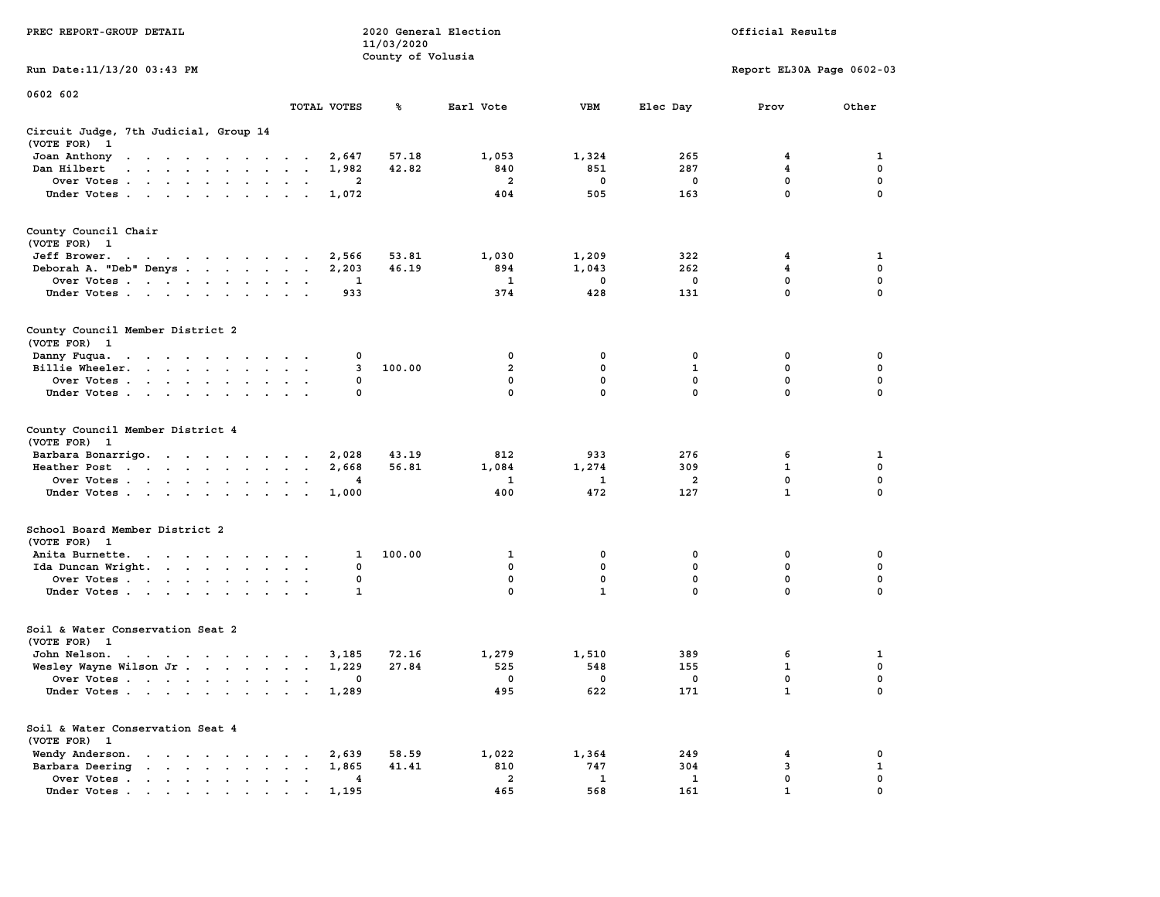| PREC REPORT-GROUP DETAIL                                                                                                        |                      |             | 11/03/2020<br>County of Volusia | 2020 General Election |                                |                                | Official Results          |                   |
|---------------------------------------------------------------------------------------------------------------------------------|----------------------|-------------|---------------------------------|-----------------------|--------------------------------|--------------------------------|---------------------------|-------------------|
| Run Date: 11/13/20 03:43 PM                                                                                                     |                      |             |                                 |                       |                                |                                | Report EL30A Page 0602-03 |                   |
| 0602 602                                                                                                                        |                      | TOTAL VOTES | ℁                               | Earl Vote             | VBM                            | Elec Day                       | Prov                      | Other             |
| Circuit Judge, 7th Judicial, Group 14<br>(VOTE FOR) 1                                                                           |                      |             |                                 |                       |                                |                                |                           |                   |
| Joan Anthony                                                                                                                    |                      | 2,647       | 57.18                           | 1,053                 | 1,324                          | 265                            | 4                         | 1                 |
| Dan Hilbert<br>and a strain and a strain and a                                                                                  | $\ddot{\phantom{0}}$ | 1,982       | 42.82                           | 840                   | 851                            | 287                            | 4                         | 0                 |
| Over Votes                                                                                                                      | $\sim$ $\sim$ $\sim$ | 2           |                                 | 2                     | 0                              | 0                              | 0                         | 0                 |
| Under Votes                                                                                                                     |                      | 1,072       |                                 | 404                   | 505                            | 163                            | 0                         | $\Omega$          |
| County Council Chair<br>(VOTE FOR) 1                                                                                            |                      |             |                                 |                       |                                |                                |                           |                   |
| Jeff Brower.<br>the contract of the contract of the con-                                                                        |                      | 2,566       | 53.81                           | 1,030                 | 1,209                          | 322                            | 4                         | 1                 |
| Deborah A. "Deb" Denys                                                                                                          |                      | 2,203       | 46.19                           | 894                   | 1,043                          | 262                            | 4                         | 0                 |
| Over Votes                                                                                                                      | $\ddot{\phantom{0}}$ | 1           |                                 | 1                     | 0                              | 0                              | 0                         | 0                 |
| Under Votes                                                                                                                     |                      | 933         |                                 | 374                   | 428                            | 131                            | 0                         | $\Omega$          |
| County Council Member District 2<br>(VOTE FOR) 1                                                                                |                      |             |                                 |                       |                                |                                |                           |                   |
| Danny Fuqua.<br>the contract of the contract of the contract of the contract of the contract of the contract of the contract of |                      | 0           |                                 | 0                     | 0                              | 0                              | 0                         | 0                 |
| Billie Wheeler.                                                                                                                 |                      | 3           | 100.00                          | $\overline{2}$        | 0                              | 1                              | 0                         | 0                 |
| Over Votes                                                                                                                      |                      | 0           |                                 | $\mathbf 0$           | 0                              | $\mathbf 0$                    | 0                         | 0                 |
| Under Votes                                                                                                                     |                      | 0           |                                 | $\mathbf{0}$          | 0                              | $\Omega$                       | 0                         | $\Omega$          |
| County Council Member District 4<br>(VOTE FOR) 1                                                                                |                      |             |                                 |                       |                                |                                |                           |                   |
| Barbara Bonarrigo.                                                                                                              |                      | 2,028       | 43.19                           | 812                   | 933                            | 276                            | 6                         | 1                 |
| Heather Post                                                                                                                    |                      | 2,668       | 56.81                           | 1,084                 | 1,274                          | 309                            | 1                         | 0                 |
| Over Votes                                                                                                                      | $\cdot$ $\cdot$      | 4           |                                 | 1                     | 1                              | $\overline{a}$                 | $\mathbf 0$               | 0                 |
| Under Votes                                                                                                                     |                      | 1,000       |                                 | 400                   | 472                            | 127                            | $\mathbf{1}$              | $\Omega$          |
| School Board Member District 2<br>(VOTE FOR) 1                                                                                  |                      |             |                                 |                       |                                |                                |                           |                   |
| Anita Burnette.                                                                                                                 |                      | 1           | 100.00                          | 1                     | 0                              | 0                              | 0                         | 0                 |
| Ida Duncan Wright.                                                                                                              |                      | 0           |                                 | 0                     | 0                              | 0                              | 0                         | $\mathbf 0$       |
| Over Votes                                                                                                                      |                      | 0           |                                 | 0                     | 0                              | 0                              | 0                         | 0                 |
| Under Votes.                                                                                                                    |                      | 1           |                                 | $\mathbf{0}$          | $\mathbf{1}$                   | $\mathbf 0$                    | 0                         | $\Omega$          |
| Soil & Water Conservation Seat 2<br>(VOTE FOR) 1                                                                                |                      |             |                                 |                       |                                |                                |                           |                   |
| John Nelson.<br>the contract of the contract of the contract of the contract of the contract of the contract of the contract of |                      | 3,185       | 72.16                           | 1,279                 | 1,510                          | 389                            | 6                         | 1                 |
| Wesley Wayne Wilson Jr                                                                                                          |                      | 1,229       | 27.84                           | 525                   | 548                            | 155                            | $\mathbf{1}$              | $\mathbf 0$       |
| Over Votes<br>Under Votes                                                                                                       |                      | 1,289       |                                 | 0<br>495              | $\overline{\mathbf{0}}$<br>622 | $\overline{\mathbf{0}}$<br>171 | 0<br>$\mathbf{1}$         | 0<br>$\mathbf 0$  |
|                                                                                                                                 |                      |             |                                 |                       |                                |                                |                           |                   |
| Soil & Water Conservation Seat 4<br>(VOTE FOR) 1                                                                                |                      |             |                                 |                       |                                |                                |                           |                   |
| Wendy Anderson.                                                                                                                 |                      | 2,639       | 58.59                           | 1,022                 | 1,364                          | 249                            | 4<br>3                    | 0<br>$\mathbf{1}$ |
| Barbara Deering<br>Over Votes                                                                                                   |                      | 1,865<br>4  | 41.41                           | 810<br>$\overline{2}$ | 747<br>1                       | 304<br>1                       | 0                         | 0                 |
| Under Votes.                                                                                                                    |                      | 1,195       |                                 | 465                   | 568                            | 161                            | $\mathbf{1}$              | $\mathbf 0$       |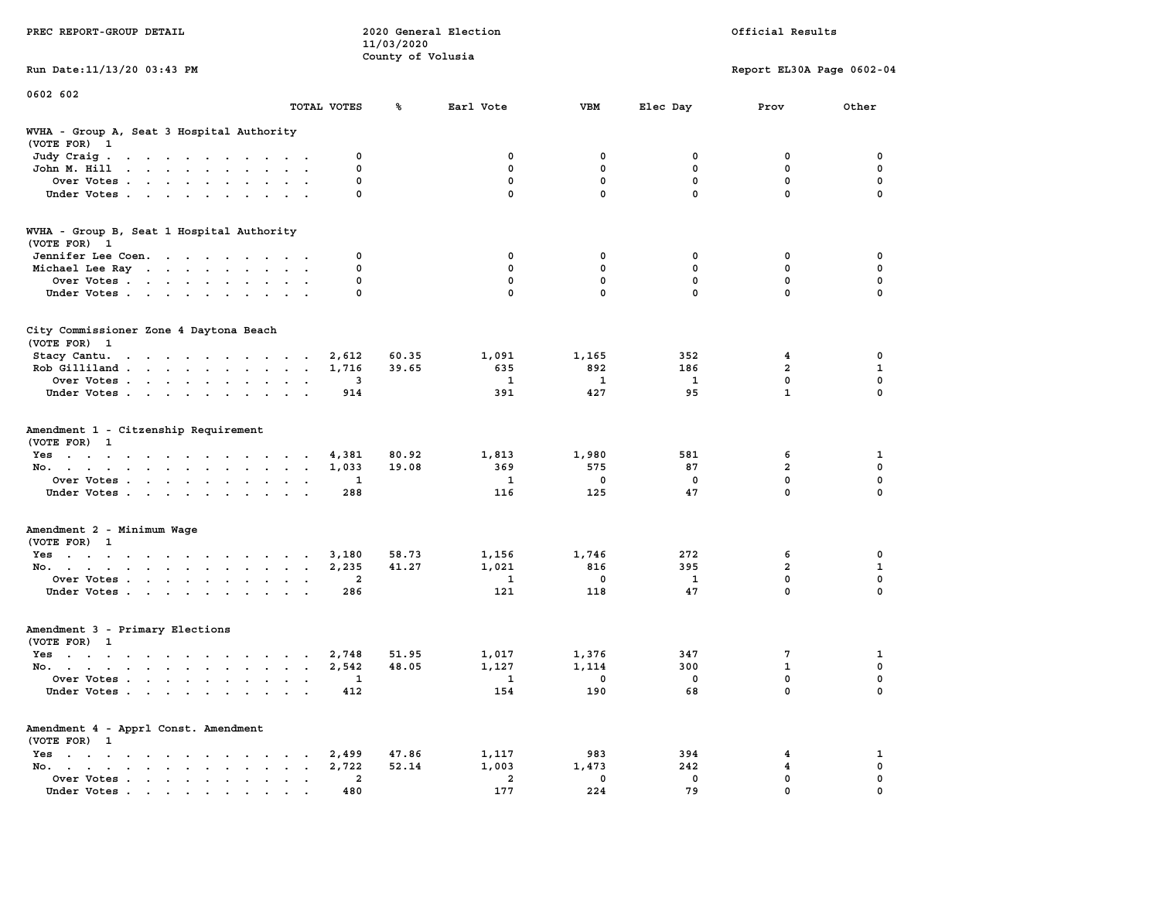| PREC REPORT-GROUP DETAIL | 2020 General Election | Official Results |
|--------------------------|-----------------------|------------------|
|                          | 11/03/2020            |                  |
|                          | County of Volusia     |                  |

**0602 602** 

**Run Date:11/13/20 03:43 PM Report EL30A Page 0602-04** 

|                                                                                                                                                                                                                                                            | TOTAL VOTES                                                                | ℁              | Earl Vote                           | <b>VBM</b>                         | Elec Day                       | Prov                                               | Other                                                     |
|------------------------------------------------------------------------------------------------------------------------------------------------------------------------------------------------------------------------------------------------------------|----------------------------------------------------------------------------|----------------|-------------------------------------|------------------------------------|--------------------------------|----------------------------------------------------|-----------------------------------------------------------|
| WVHA - Group A, Seat 3 Hospital Authority<br>(VOTE FOR) 1                                                                                                                                                                                                  |                                                                            |                |                                     |                                    |                                |                                                    |                                                           |
| Judy Craig.<br>$\mathbf{r}$ . The contract of the contract of the contract of the contract of the contract of the contract of the contract of the contract of the contract of the contract of the contract of the contract of the contract of th<br>$\sim$ | 0<br>$\cdot$ .                                                             |                | $\mathbf 0$                         | 0                                  | 0                              | 0                                                  | 0                                                         |
| John M. Hill<br>$\mathbf{a}$ and $\mathbf{a}$ are a set of the set of the set of the set of the set of the set of the set of the set of the set of the set of the set of the set of the set of the set of the set of the set of the set of the set of      | 0                                                                          |                | $\mathbf{0}$                        | 0                                  | $\mathbf 0$                    | $\mathbf{0}$                                       | $\mathbf 0$                                               |
| Over Votes<br>$\ddot{\phantom{a}}$                                                                                                                                                                                                                         | $\mathbf 0$                                                                |                | $\mathbf 0$                         | $\mathbf 0$                        | $\mathbf{0}$                   | $\mathbf 0$                                        | 0                                                         |
| Under Votes<br>$\sim$                                                                                                                                                                                                                                      | 0                                                                          |                | $\mathbf{0}$                        | 0                                  | $\mathbf 0$                    | $\mathbf{0}$                                       | $\mathbf 0$                                               |
| WVHA - Group B, Seat 1 Hospital Authority<br>(VOTE FOR) 1                                                                                                                                                                                                  |                                                                            |                |                                     |                                    |                                |                                                    |                                                           |
| Jennifer Lee Coen.                                                                                                                                                                                                                                         | 0                                                                          |                | 0                                   | 0                                  | 0                              | $\mathbf 0$                                        | 0                                                         |
| Michael Lee Ray                                                                                                                                                                                                                                            | 0                                                                          |                | $\mathbf{0}$                        | $\mathbf{0}$                       | $\mathbf{0}$                   | $\mathbf{0}$                                       | $\mathbf 0$                                               |
| Over Votes                                                                                                                                                                                                                                                 | 0<br>$\sim$ 100 $\sim$<br>$\overline{\phantom{a}}$<br>$\ddot{\phantom{0}}$ |                | $\mathbf 0$                         | $\mathbf 0$                        | $\mathbf 0$                    | $\mathbf 0$                                        | $\mathbf 0$                                               |
| Under Votes                                                                                                                                                                                                                                                | 0                                                                          |                | 0                                   | 0                                  | 0                              | 0                                                  | $\mathbf 0$                                               |
| City Commissioner Zone 4 Daytona Beach<br>(VOTE FOR) 1                                                                                                                                                                                                     |                                                                            |                |                                     |                                    |                                |                                                    |                                                           |
| Stacy Cantu.<br>the contract of the contract of the contract of                                                                                                                                                                                            | 2,612                                                                      | 60.35          | 1,091                               | 1,165                              | 352                            | 4                                                  | $\mathbf 0$                                               |
| Rob Gilliland                                                                                                                                                                                                                                              | 1,716<br>$\ddot{\phantom{a}}$<br>$\mathbf{r}$                              | 39.65          | 635                                 | 892                                | 186                            | $\overline{a}$                                     | $\mathbf{1}$                                              |
| Over Votes                                                                                                                                                                                                                                                 | 3<br>$\ddot{\phantom{1}}$                                                  |                | 1                                   | 1                                  | 1                              | $\mathbf 0$                                        | $\mathbf 0$                                               |
| Under Votes                                                                                                                                                                                                                                                | 914<br>$\ddotsc$                                                           |                | 391                                 | 427                                | 95                             | $\mathbf{1}$                                       | $\mathbf 0$                                               |
| Amendment 1 - Citzenship Requirement<br>(VOTE FOR) 1<br>Yes<br>No.<br>Over Votes<br>Under Votes                                                                                                                                                            | 4,381<br>1,033<br>$\ddot{\phantom{1}}$<br>1<br>288<br>$\ddotsc$            | 80.92<br>19.08 | 1,813<br>369<br>$\mathbf{1}$<br>116 | 1,980<br>575<br>$\mathbf 0$<br>125 | 581<br>87<br>$\mathbf 0$<br>47 | 6<br>$\overline{a}$<br>$\mathbf 0$<br>$\mathbf{0}$ | $\mathbf{1}$<br>$\mathbf 0$<br>$\mathbf 0$<br>$\mathbf 0$ |
| Amendment 2 - Minimum Wage<br>(VOTE FOR) 1                                                                                                                                                                                                                 |                                                                            |                |                                     |                                    |                                |                                                    |                                                           |
| Yes                                                                                                                                                                                                                                                        | 3,180                                                                      | 58.73          | 1,156                               | 1,746                              | 272                            | 6                                                  | 0                                                         |
| No.<br>$\ddot{\phantom{a}}$<br>$\sim$<br>$\sim$                                                                                                                                                                                                            | 2,235<br>$\ddot{\phantom{a}}$<br>$\ddot{\phantom{a}}$                      | 41.27          | 1,021                               | 816                                | 395                            | $\overline{a}$                                     | $\mathbf{1}$                                              |
| Over Votes.                                                                                                                                                                                                                                                | $\mathbf{2}$                                                               |                | 1                                   | 0                                  | 1                              | $\mathbf 0$                                        | $\mathbf 0$                                               |
| Under Votes<br>$\mathbf{a} = \mathbf{a} + \mathbf{b}$                                                                                                                                                                                                      | 286                                                                        |                | 121                                 | 118                                | 47                             | $\Omega$                                           | $\mathbf 0$                                               |
| Amendment 3 - Primary Elections<br>(VOTE FOR) 1                                                                                                                                                                                                            |                                                                            |                |                                     |                                    |                                |                                                    |                                                           |
| Yes                                                                                                                                                                                                                                                        | 2,748<br>$\overline{a}$<br>$\sim$                                          | 51.95          | 1,017                               | 1,376                              | 347                            | 7                                                  | $\mathbf{1}$                                              |
| No.<br>$\cdot$ $\cdot$ $\cdot$                                                                                                                                                                                                                             | 2,542                                                                      | 48.05          | 1,127                               | 1,114                              | 300                            | $\mathbf{1}$                                       | $\mathbf 0$                                               |
| Over Votes .<br>the contract of the contract of the<br>$\ddot{\phantom{1}}$                                                                                                                                                                                | 1<br>$\cdot$                                                               |                | 1                                   | 0                                  | $^{\circ}$                     | $\mathbf{0}$                                       | $\mathbf 0$                                               |
| Under Votes                                                                                                                                                                                                                                                | 412<br>$\ddot{\phantom{a}}$                                                |                | 154                                 | 190                                | 68                             | $\mathbf{0}$                                       | $\mathbf 0$                                               |
| Amendment 4 - Apprl Const. Amendment<br>(VOTE FOR) 1                                                                                                                                                                                                       |                                                                            |                |                                     |                                    |                                |                                                    |                                                           |
| $Yes \cdot \cdot \cdot \cdot \cdot \cdot \cdot \cdot$<br>$\sim$ $\sim$ $\sim$ $\sim$                                                                                                                                                                       | 2,499<br>$\sim$                                                            | 47.86          | 1,117                               | 983                                | 394                            | 4                                                  | $\mathbf{1}$                                              |
| No.<br>$\cdot$ $\cdot$ $\cdot$<br>$\cdot$                                                                                                                                                                                                                  | 2,722                                                                      | 52.14          | 1,003                               | 1,473                              | 242                            | 4                                                  | $\pmb{\mathsf{o}}$                                        |
| Over Votes<br>$\blacksquare$ .<br>$\bullet$                                                                                                                                                                                                                | $\overline{2}$<br>$\bullet$<br>$\bullet$                                   |                | $\overline{2}$                      | 0                                  | 0                              | $\mathbf{0}$                                       | $\mathbf 0$                                               |
| Under Votes<br>the contract of the contract of the contract of the contract of the contract of the contract of the contract of                                                                                                                             | 480                                                                        |                | 177                                 | 224                                | 79                             | $\Omega$                                           | $\Omega$                                                  |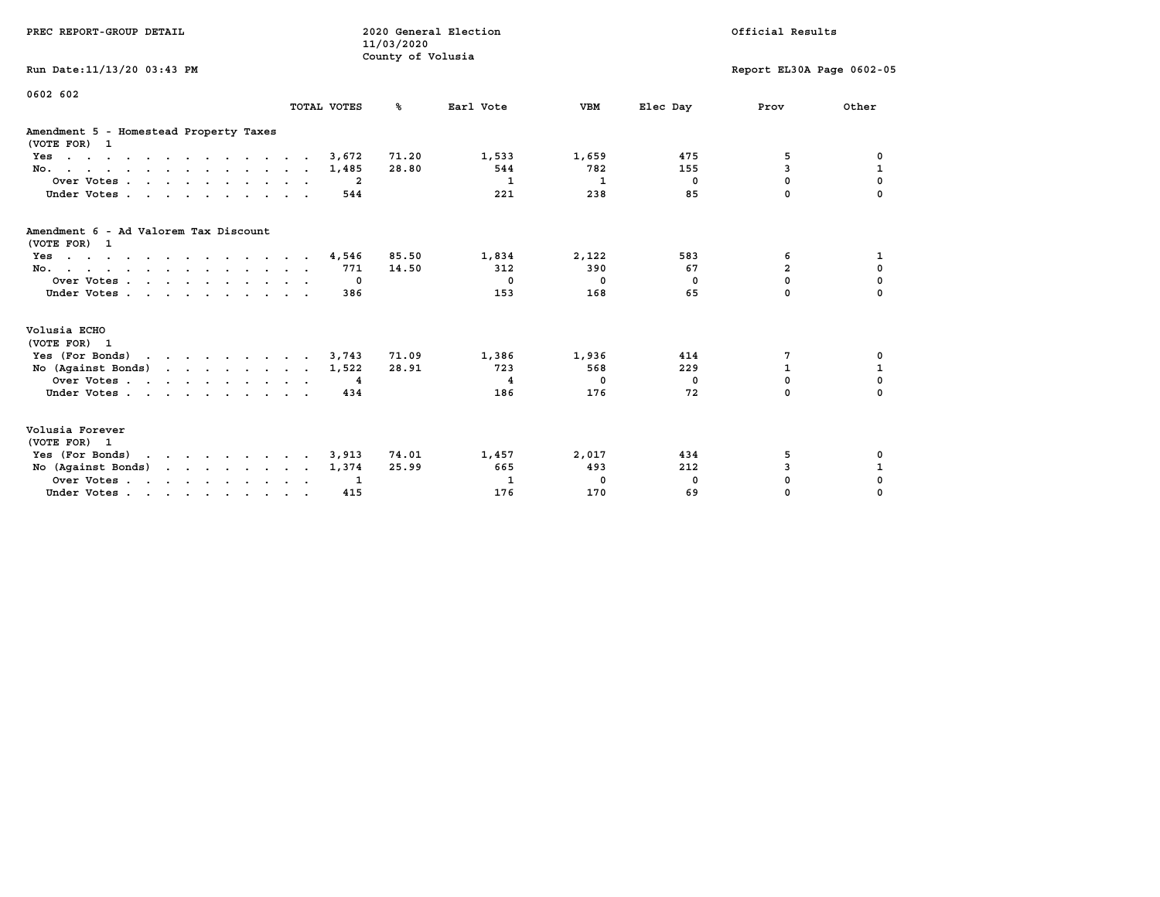| PREC REPORT-GROUP DETAIL                               |             | 11/03/2020<br>County of Volusia | 2020 General Election |              |                | Official Results          |              |
|--------------------------------------------------------|-------------|---------------------------------|-----------------------|--------------|----------------|---------------------------|--------------|
| Run Date: 11/13/20 03:43 PM                            |             |                                 |                       |              |                | Report EL30A Page 0602-05 |              |
| 0602 602                                               | TOTAL VOTES | ℁                               | Earl Vote             | <b>VBM</b>   | Elec Day       | Prov                      | Other        |
| Amendment 5 - Homestead Property Taxes<br>(VOTE FOR) 1 |             |                                 |                       |              |                |                           |              |
| Yes                                                    | 3,672       | 71.20                           | 1,533                 | 1,659        | 475            | 5                         | 0            |
| No.                                                    | 1,485       | 28.80                           | 544                   | 782          | 155            | 3                         | 1            |
| Over Votes                                             | -2          |                                 | $\mathbf{1}$          | $\mathbf{1}$ | $\overline{0}$ | 0                         | $\mathbf 0$  |
| Under Votes                                            | 544         |                                 | 221                   | 238          | 85             | $\Omega$                  | $\Omega$     |
| Amendment 6 - Ad Valorem Tax Discount<br>(VOTE FOR) 1  |             |                                 |                       |              |                |                           |              |
| Yes                                                    | 4,546       | 85.50                           | 1,834                 | 2,122        | 583            | 6                         | 1            |
| No.                                                    | 771         | 14.50                           | 312                   | 390          | 67             | $\overline{a}$            | 0            |
| Over Votes                                             | $\Omega$    |                                 | $^{\circ}$            | $^{\circ}$   | $^{\circ}$     | 0                         | 0            |
| Under Votes                                            | 386         |                                 | 153                   | 168          | 65             | 0                         | $\Omega$     |
| Volusia ECHO<br>(VOTE FOR) 1                           |             |                                 |                       |              |                |                           |              |
| Yes (For Bonds)                                        | 3,743       | 71.09                           | 1,386                 | 1,936        | 414            | 7                         | 0            |
| No $(Agains t Bonds)$                                  | 1,522       | 28.91                           | 723                   | 568          | 229            | $\mathbf{1}$              | $\mathbf{1}$ |
| Over Votes                                             | 4           |                                 | $\overline{4}$        | 0            | $^{\circ}$     | $\Omega$                  | $\mathbf 0$  |
| Under Votes                                            | 434         |                                 | 186                   | 176          | 72             | $\Omega$                  | $\Omega$     |
| Volusia Forever<br>(VOTE FOR) 1                        |             |                                 |                       |              |                |                           |              |
| Yes (For Bonds)                                        | 3,913       | 74.01                           | 1,457                 | 2,017        | 434            | 5                         | 0            |
| No (Against Bonds)                                     | 1,374       | 25.99                           | 665                   | 493          | 212            | 3                         | $\mathbf{1}$ |
| Over Votes                                             | -1          |                                 | 1                     | 0            | $^{\circ}$     | $\mathbf 0$               | $\mathbf 0$  |
| Under Votes                                            | 415         |                                 | 176                   | 170          | 69             | 0                         | $\Omega$     |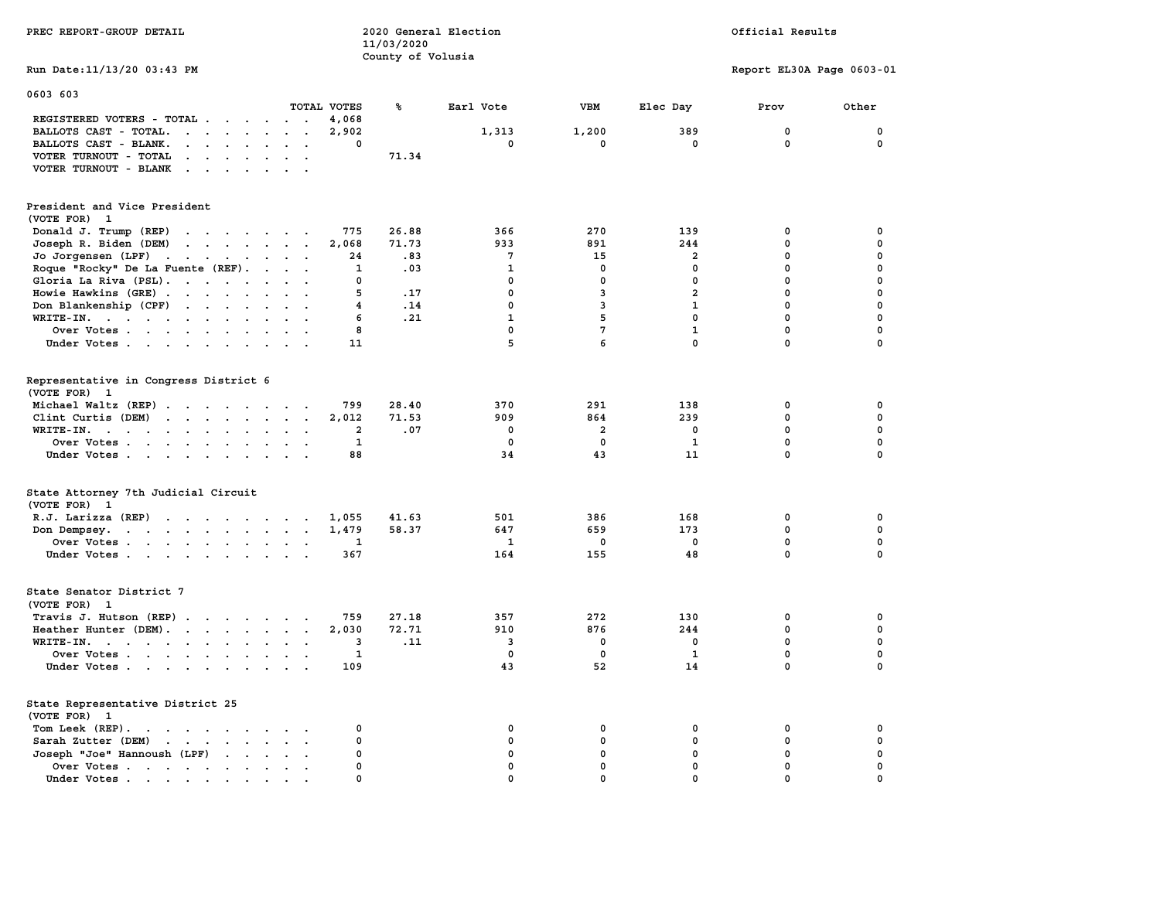| PREC REPORT-GROUP DETAIL                                                                                                                                                                                                                                   |                                               | 11/03/2020<br>County of Volusia | 2020 General Election   |                      |                    | Official Results           |                            |
|------------------------------------------------------------------------------------------------------------------------------------------------------------------------------------------------------------------------------------------------------------|-----------------------------------------------|---------------------------------|-------------------------|----------------------|--------------------|----------------------------|----------------------------|
| Run Date: 11/13/20 03:43 PM                                                                                                                                                                                                                                |                                               |                                 |                         |                      |                    | Report EL30A Page 0603-01  |                            |
| 0603 603                                                                                                                                                                                                                                                   |                                               |                                 |                         |                      |                    |                            |                            |
|                                                                                                                                                                                                                                                            | TOTAL VOTES                                   | ℁                               | Earl Vote               | <b>VBM</b>           | Elec Day           | Prov                       | Other                      |
| REGISTERED VOTERS - TOTAL                                                                                                                                                                                                                                  | 4,068                                         |                                 |                         |                      |                    |                            |                            |
| BALLOTS CAST - TOTAL.<br>$\cdots$                                                                                                                                                                                                                          | 2,902                                         |                                 | 1,313<br>$\mathbf 0$    | 1,200<br>$\mathbf 0$ | 389<br>$\mathbf 0$ | $\mathbf 0$<br>$\mathbf 0$ | $\mathbf 0$<br>$\mathbf 0$ |
| BALLOTS CAST - BLANK.<br>$\sim$ $\sim$ $\sim$ $\sim$ $\sim$                                                                                                                                                                                                | 0<br>$\mathbf{r}$<br>$\overline{\phantom{a}}$ |                                 |                         |                      |                    |                            |                            |
| VOTER TURNOUT - TOTAL<br>$\cdots$                                                                                                                                                                                                                          |                                               | 71.34                           |                         |                      |                    |                            |                            |
| VOTER TURNOUT - BLANK                                                                                                                                                                                                                                      | $\sim$                                        |                                 |                         |                      |                    |                            |                            |
| President and Vice President<br>(VOTE FOR) 1                                                                                                                                                                                                               |                                               |                                 |                         |                      |                    |                            |                            |
| Donald J. Trump (REP)                                                                                                                                                                                                                                      | 775                                           | 26.88                           | 366                     | 270                  | 139                | 0                          | $\mathbf 0$                |
| Joseph R. Biden (DEM)<br>$\mathbf{r}$ . The set of the set of the set of the set of the set of the set of the set of the set of the set of the set of the set of the set of the set of the set of the set of the set of the set of the set of the set of t | 2,068                                         | 71.73                           | 933                     | 891                  | 244                | $\mathbf 0$                | $\mathbf 0$                |
| Jo Jorgensen (LPF)                                                                                                                                                                                                                                         | 24                                            | .83                             | $7\phantom{.0}$         | 15                   | $\overline{a}$     | $\mathbf{0}$               | 0                          |
| Roque "Rocky" De La Fuente (REF).                                                                                                                                                                                                                          | 1                                             | .03                             | $\mathbf{1}$            | 0                    | 0                  | $\mathbf 0$                | $\mathbf 0$                |
| Gloria La Riva (PSL).                                                                                                                                                                                                                                      | 0                                             |                                 | $\mathbf 0$             | $\mathbf 0$          | $\mathbf 0$        | $\mathbf 0$                | $\mathbf 0$                |
| Howie Hawkins (GRE)                                                                                                                                                                                                                                        | 5                                             | .17                             | $\mathbf 0$             | 3                    | $\overline{2}$     | 0                          | 0                          |
| Don Blankenship (CPF)                                                                                                                                                                                                                                      | 4<br>$\sim$<br>$\ddot{\phantom{a}}$           | .14                             | 0                       | 3                    | 1                  | 0                          | $\mathbf 0$                |
| WRITE-IN.                                                                                                                                                                                                                                                  | 6                                             | .21                             | $\mathbf{1}$            | 5                    | $\mathbf 0$        | 0                          | $\mathbf 0$                |
| Over Votes<br>$\ddot{\phantom{a}}$                                                                                                                                                                                                                         | 8                                             |                                 | $\mathbf 0$             | $7\phantom{.0}$      | $\mathbf{1}$       | 0                          | $\mathbf 0$                |
| Under Votes                                                                                                                                                                                                                                                | 11                                            |                                 | 5                       | 6                    | $\mathbf{0}$       | $\mathbf 0$                | $\mathbf 0$                |
| Representative in Congress District 6<br>(VOTE FOR) 1                                                                                                                                                                                                      |                                               |                                 |                         |                      |                    |                            |                            |
| Michael Waltz (REP)                                                                                                                                                                                                                                        | 799                                           | 28.40                           | 370                     | 291                  | 138                | $\mathbf 0$                | 0                          |
| Clint Curtis (DEM)<br>$\mathbf{r}$                                                                                                                                                                                                                         | 2,012<br>$\ddot{\phantom{0}}$                 | 71.53                           | 909                     | 864                  | 239                | $\mathbf 0$                | $\mathbf 0$                |
| WRITE-IN.                                                                                                                                                                                                                                                  | $\overline{2}$<br>$\sim$ $\sim$               | .07                             | 0                       | 2                    | 0                  | $\mathbf 0$                | $\mathbf 0$                |
| Over Votes                                                                                                                                                                                                                                                 | 1<br>$\ddot{\phantom{a}}$                     |                                 | $\mathbf 0$             | $\mathbf 0$          | $\mathbf{1}$       | $\mathbf 0$                | $\mathbf 0$                |
| Under Votes                                                                                                                                                                                                                                                | 88                                            |                                 | 34                      | 43                   | 11                 | $\mathbf 0$                | $\mathbf 0$                |
| State Attorney 7th Judicial Circuit<br>(VOTE FOR) 1                                                                                                                                                                                                        |                                               |                                 |                         |                      |                    |                            |                            |
| $R.J.$ Larizza $(REP)$                                                                                                                                                                                                                                     | 1,055                                         | 41.63                           | 501                     | 386                  | 168                | 0                          | 0                          |
| Don Dempsey.                                                                                                                                                                                                                                               | 1,479                                         | 58.37                           | 647                     | 659                  | 173                | $\mathbf{0}$               | $\Omega$                   |
| Over Votes                                                                                                                                                                                                                                                 | 1                                             |                                 | $\mathbf{1}$            | 0                    | 0                  | 0                          | 0                          |
| Under Votes                                                                                                                                                                                                                                                | 367                                           |                                 | 164                     | 155                  | 48                 | $\mathbf{0}$               | 0                          |
| State Senator District 7<br>(VOTE FOR) 1                                                                                                                                                                                                                   |                                               |                                 |                         |                      |                    |                            |                            |
| Travis J. Hutson (REP)                                                                                                                                                                                                                                     | 759                                           | 27.18                           | 357                     | 272                  | 130                | 0                          | $\mathbf 0$                |
| Heather Hunter (DEM).                                                                                                                                                                                                                                      | 2,030                                         | 72.71                           | 910                     | 876                  | 244                | $\mathbf 0$                | $\mathbf 0$                |
| WRITE-IN.                                                                                                                                                                                                                                                  | 3                                             | .11                             | $\overline{\mathbf{3}}$ | $\mathbf 0$          | $\mathbf{0}$       | $\mathbf 0$                | $\mathbf 0$                |
| Over Votes                                                                                                                                                                                                                                                 | 1                                             |                                 | $\mathbf 0$             | 0                    | $\mathbf{1}$       | $\mathbf 0$                | $\mathbf 0$                |
| Under Votes                                                                                                                                                                                                                                                | 109                                           |                                 | 43                      | 52                   | 14                 | $\mathbf 0$                | $\mathbf 0$                |
| State Representative District 25<br>(VOTE FOR) 1                                                                                                                                                                                                           |                                               |                                 |                         |                      |                    |                            |                            |
| Tom Leek (REP).<br>the contract of the contract of the contract of the contract of the contract of the contract of the contract of                                                                                                                         | 0                                             |                                 | $\mathbf 0$             | 0                    | $\mathbf 0$        | 0                          | $\mathbf 0$                |
| Sarah Zutter (DEM)<br><b>Contract Contract Contract</b><br>$\sim$ $\sim$                                                                                                                                                                                   | 0                                             |                                 | $\mathbf 0$             | $\mathbf 0$          | $\mathbf 0$        | 0                          | $\mathbf 0$                |
| Joseph "Joe" Hannoush (LPF)<br>$\sim$<br>$\sim$ $\sim$                                                                                                                                                                                                     | $\mathbf 0$                                   |                                 | $\mathbf 0$             | $\mathbf 0$          | $\mathbf 0$        | $\mathbf 0$                | $\mathbf 0$                |
| Over Votes<br>$\bullet$<br>$\ddot{\phantom{0}}$                                                                                                                                                                                                            | 0<br>$\bullet$<br>$\overline{\phantom{a}}$    |                                 | $\mathbf 0$             | $\mathbf 0$          | $\mathbf 0$        | $\mathbf 0$                | $\mathbf 0$                |
| Under Votes.                                                                                                                                                                                                                                               | $\Omega$                                      |                                 | $\Omega$                | $\Omega$             | $\Omega$           | $\mathbf 0$                | $\mathbf 0$                |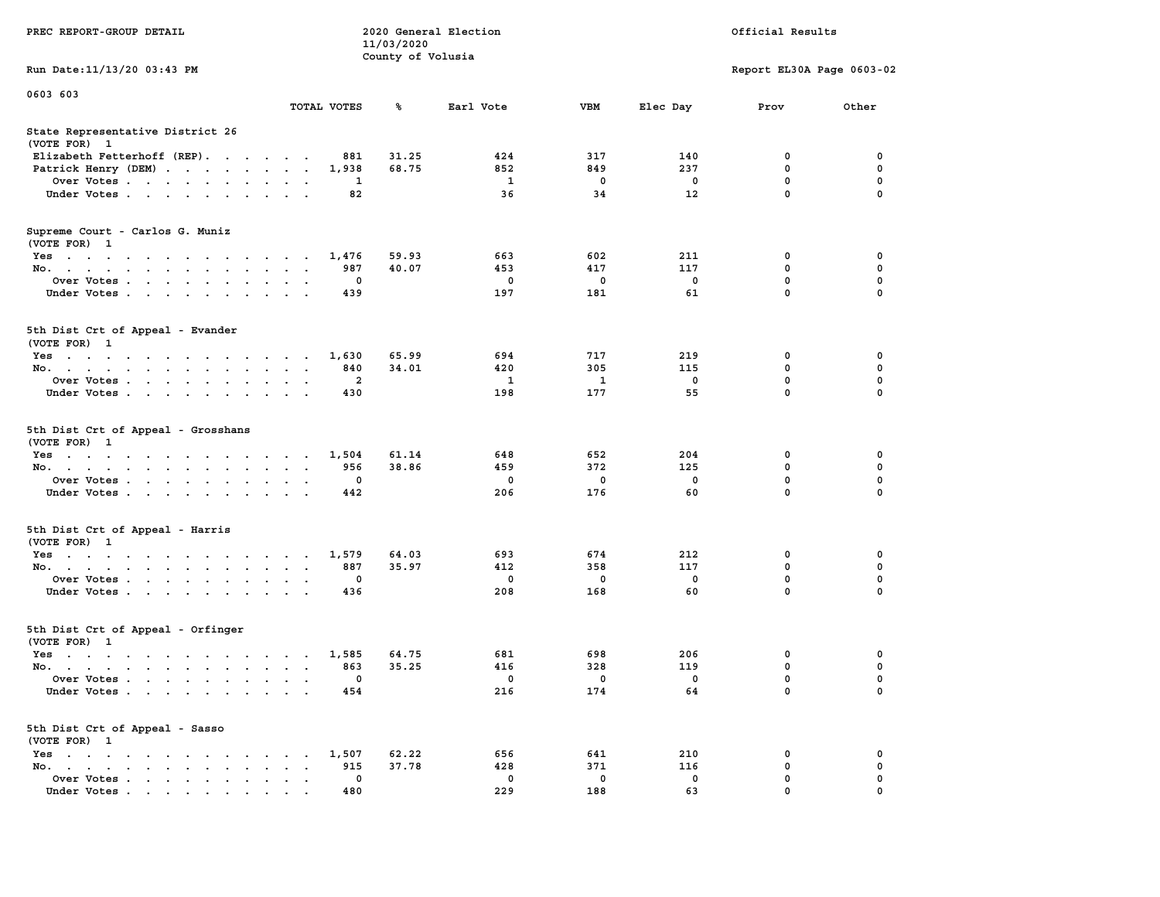| PREC REPORT-GROUP DETAIL                                                                                                                                                                                                                 |                                              | 11/03/2020        | 2020 General Election |                    |                                | Official Results          |                  |
|------------------------------------------------------------------------------------------------------------------------------------------------------------------------------------------------------------------------------------------|----------------------------------------------|-------------------|-----------------------|--------------------|--------------------------------|---------------------------|------------------|
| Run Date: 11/13/20 03:43 PM                                                                                                                                                                                                              |                                              | County of Volusia |                       |                    |                                | Report EL30A Page 0603-02 |                  |
| 0603 603                                                                                                                                                                                                                                 |                                              |                   |                       |                    |                                |                           |                  |
|                                                                                                                                                                                                                                          | TOTAL VOTES                                  | ℁                 | Earl Vote             | VBM                | Elec Day                       | Prov                      | Other            |
| State Representative District 26<br>(VOTE FOR) 1                                                                                                                                                                                         |                                              |                   |                       |                    |                                |                           |                  |
| Elizabeth Fetterhoff (REP).                                                                                                                                                                                                              | 881                                          | 31.25             | 424                   | 317                | 140                            | 0                         | 0                |
| Patrick Henry (DEM)                                                                                                                                                                                                                      | 1,938                                        | 68.75             | 852                   | 849                | 237                            | 0                         | 0                |
| Over Votes                                                                                                                                                                                                                               | 1                                            |                   | 1                     | 0                  | 0                              | $\mathbf 0$               | $\mathbf 0$      |
| Under Votes                                                                                                                                                                                                                              | 82                                           |                   | 36                    | 34                 | 12                             | 0                         | $\Omega$         |
| Supreme Court - Carlos G. Muniz<br>(VOTE FOR) 1                                                                                                                                                                                          |                                              |                   |                       |                    |                                |                           |                  |
| Yes                                                                                                                                                                                                                                      | 1,476                                        | 59.93             | 663                   | 602                | 211                            | 0                         | 0                |
| No.                                                                                                                                                                                                                                      | 987<br>$\ddot{\phantom{1}}$                  | 40.07             | 453                   | 417                | 117                            | $\mathbf 0$               | 0                |
| Over Votes                                                                                                                                                                                                                               | 0                                            |                   | 0                     | 0                  | 0                              | 0                         | 0                |
| Under Votes.                                                                                                                                                                                                                             | 439                                          |                   | 197                   | 181                | 61                             | $\mathbf 0$               | 0                |
| 5th Dist Crt of Appeal - Evander<br>(VOTE FOR) 1                                                                                                                                                                                         |                                              |                   |                       |                    |                                |                           |                  |
| Yes                                                                                                                                                                                                                                      | 1,630                                        | 65.99             | 694                   | 717                | 219                            | 0                         | 0                |
| No.                                                                                                                                                                                                                                      | 840                                          | 34.01             | 420                   | 305                | 115                            | 0                         | 0                |
| Over Votes                                                                                                                                                                                                                               | $\overline{\mathbf{2}}$                      |                   | 1                     | $\mathbf{1}$       | $\mathbf 0$                    | $\mathbf 0$               | 0                |
| Under Votes                                                                                                                                                                                                                              | 430                                          |                   | 198                   | 177                | 55                             | 0                         | $\Omega$         |
| 5th Dist Crt of Appeal - Grosshans<br>(VOTE FOR) 1                                                                                                                                                                                       |                                              |                   |                       |                    |                                |                           |                  |
| Yes                                                                                                                                                                                                                                      | 1,504                                        | 61.14             | 648                   | 652                | 204                            | 0                         | 0                |
| No.                                                                                                                                                                                                                                      | 956                                          | 38.86             | 459                   | 372                | 125                            | 0                         | 0                |
| Over Votes                                                                                                                                                                                                                               | 0                                            |                   | 0<br>206              | 0<br>176           | 0<br>60                        | $\mathbf 0$<br>0          | 0<br>$\Omega$    |
| Under Votes                                                                                                                                                                                                                              | 442                                          |                   |                       |                    |                                |                           |                  |
| 5th Dist Crt of Appeal - Harris<br>(VOTE FOR) 1                                                                                                                                                                                          |                                              |                   |                       |                    |                                |                           |                  |
| Yes                                                                                                                                                                                                                                      | 1,579                                        | 64.03             | 693                   | 674                | 212                            | 0                         | 0                |
| No.                                                                                                                                                                                                                                      | 887                                          | 35.97             | 412                   | 358                | 117                            | $\mathbf 0$               | $\mathbf 0$      |
| Over Votes<br>Under Votes                                                                                                                                                                                                                | 0<br>436                                     |                   | 0<br>208              | 0<br>168           | 0<br>60                        | 0<br>$\mathbf 0$          | 0<br>$\Omega$    |
|                                                                                                                                                                                                                                          |                                              |                   |                       |                    |                                |                           |                  |
| 5th Dist Crt of Appeal - Orfinger<br>(VOTE FOR) 1                                                                                                                                                                                        |                                              |                   |                       |                    |                                |                           |                  |
| Yes<br>$\mathbf{r}$ . The contract of the contract of the contract of the contract of the contract of the contract of the contract of the contract of the contract of the contract of the contract of the contract of the contract of th | 1,585<br>$\cdot$<br>$\overline{\phantom{a}}$ | 64.75             | 681                   | 698                | 206                            | 0                         | 0                |
| No.                                                                                                                                                                                                                                      | 863<br>$\sim$ $\sim$ $\sim$                  | 35.25             | 416                   | 328                | 119                            | 0                         | $\mathbf 0$      |
| Over Votes<br>Under Votes                                                                                                                                                                                                                | 0<br>454                                     |                   | $\mathbf 0$<br>216    | $\mathbf 0$<br>174 | $\overline{\phantom{0}}$<br>64 | 0<br>0                    | 0<br>$\mathbf 0$ |
|                                                                                                                                                                                                                                          |                                              |                   |                       |                    |                                |                           |                  |
| 5th Dist Crt of Appeal - Sasso<br>(VOTE FOR) 1                                                                                                                                                                                           |                                              |                   |                       |                    |                                |                           |                  |
| Yes                                                                                                                                                                                                                                      | 1,507                                        | 62.22             | 656                   | 641                | 210                            | 0                         | 0                |
| No.                                                                                                                                                                                                                                      | 915<br>$\sim$ $\sim$<br>$\mathbf 0$          | 37.78             | 428<br>$\mathbf 0$    | 371<br>0           | 116<br>$\mathbf 0$             | 0<br>0                    | 0<br>0           |
| Over Votes<br>Under Votes                                                                                                                                                                                                                | 480                                          |                   | 229                   | 188                | 63                             | 0                         | 0                |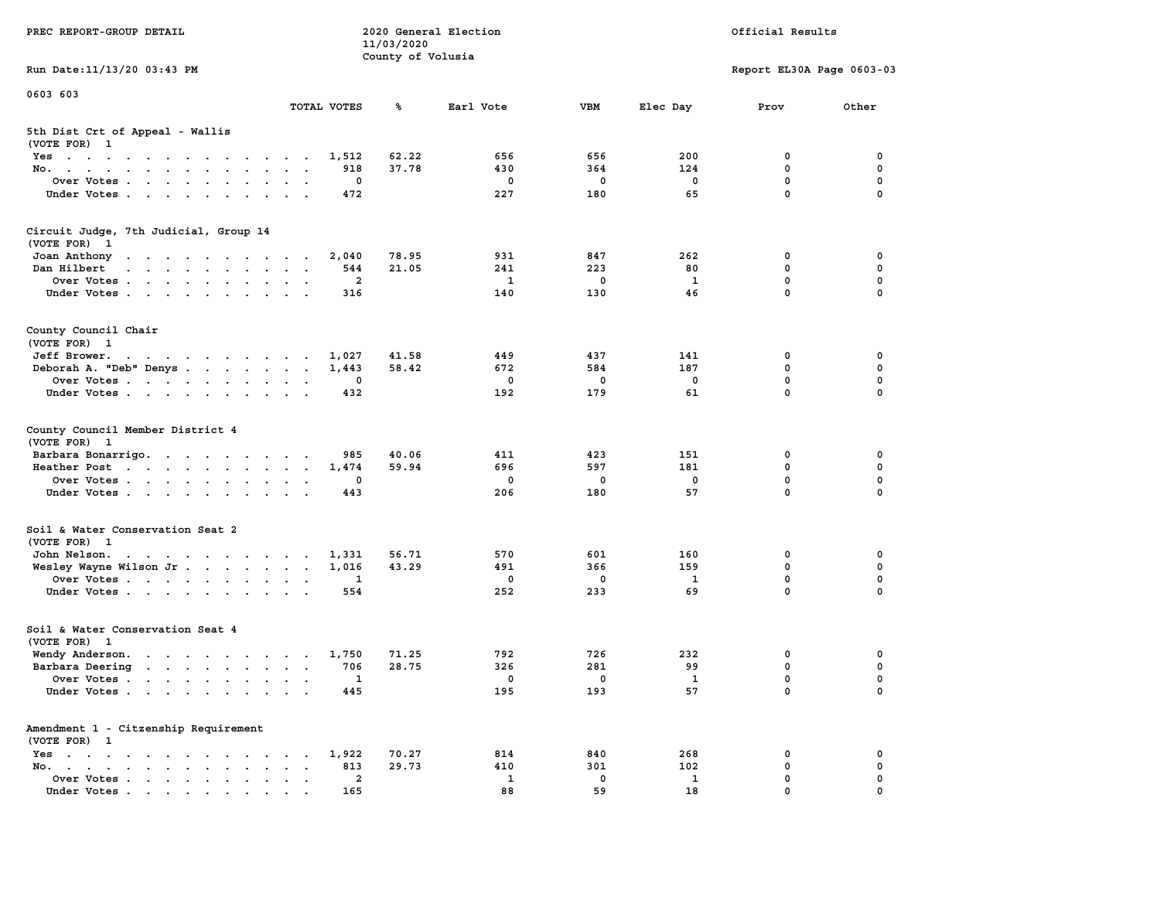| PREC REPORT-GROUP DETAIL                                                                                                        |                                                                             | 11/03/2020        | 2020 General Election |            |              | Official Results           |             |
|---------------------------------------------------------------------------------------------------------------------------------|-----------------------------------------------------------------------------|-------------------|-----------------------|------------|--------------|----------------------------|-------------|
| Run Date: 11/13/20 03:43 PM                                                                                                     |                                                                             | County of Volusia |                       |            |              | Report EL30A Page 0603-03  |             |
|                                                                                                                                 |                                                                             |                   |                       |            |              |                            |             |
| 0603 603                                                                                                                        | TOTAL VOTES                                                                 | ℁                 | Earl Vote             | <b>VBM</b> | Elec Day     | Prov                       | Other       |
| 5th Dist Crt of Appeal - Wallis<br>(VOTE FOR) 1                                                                                 |                                                                             |                   |                       |            |              |                            |             |
| Yes                                                                                                                             | 1,512                                                                       | 62.22             | 656                   | 656        | 200          | 0                          | 0           |
| No.                                                                                                                             | 918                                                                         | 37.78             | 430                   | 364        | 124          | 0                          | $\mathbf 0$ |
| Over Votes.                                                                                                                     | 0                                                                           |                   | 0                     | 0          | 0            | $\mathbf 0$<br>$\mathbf 0$ | 0           |
| Under Votes                                                                                                                     | 472                                                                         |                   | 227                   | 180        | 65           |                            | $\mathbf 0$ |
| Circuit Judge, 7th Judicial, Group 14<br>(VOTE FOR) 1                                                                           |                                                                             |                   |                       |            |              |                            |             |
| Joan Anthony                                                                                                                    | 2,040                                                                       | 78.95             | 931                   | 847        | 262          | 0                          | 0           |
| Dan Hilbert<br>the contract of the contract of the contract of the contract of the contract of the contract of the contract of  | 544                                                                         | 21.05             | 241                   | 223        | 80           | 0                          | 0           |
| Over Votes                                                                                                                      | $\overline{2}$                                                              |                   | $\mathbf{1}$          | 0          | $\mathbf{1}$ | $\mathbf 0$                | $\mathbf 0$ |
| Under Votes                                                                                                                     | 316                                                                         |                   | 140                   | 130        | 46           | 0                          | $\Omega$    |
| County Council Chair<br>(VOTE FOR) 1                                                                                            |                                                                             |                   |                       |            |              |                            |             |
| Jeff Brower.<br>the contract of the contract of the contract of the contract of the contract of the contract of the contract of | 1,027                                                                       | 41.58             | 449                   | 437        | 141          | 0                          | 0           |
| Deborah A. "Deb" Denys                                                                                                          | 1,443                                                                       | 58.42             | 672                   | 584        | 187          | 0                          | 0           |
| Over Votes                                                                                                                      | 0                                                                           |                   | $\mathbf 0$           | 0          | $\mathbf{0}$ | $\mathbf{0}$               | $\mathbf 0$ |
| Under Votes                                                                                                                     | 432                                                                         |                   | 192                   | 179        | 61           | $\mathbf 0$                | $\mathbf 0$ |
| County Council Member District 4<br>(VOTE FOR) 1                                                                                |                                                                             |                   |                       |            |              |                            |             |
| Barbara Bonarrigo.                                                                                                              | 985                                                                         | 40.06             | 411                   | 423        | 151          | 0                          | 0           |
| Heather Post                                                                                                                    | 1,474                                                                       | 59.94             | 696                   | 597        | 181          | 0                          | $\mathbf 0$ |
| Over Votes                                                                                                                      | 0                                                                           |                   | $\mathbf 0$           | 0          | 0            | $\mathbf 0$                | $\mathbf 0$ |
| Under Votes                                                                                                                     | 443                                                                         |                   | 206                   | 180        | 57           | $\mathbf 0$                | $\Omega$    |
| Soil & Water Conservation Seat 2<br>(VOTE FOR) 1                                                                                |                                                                             |                   |                       |            |              |                            |             |
| John Nelson.                                                                                                                    | 1,331                                                                       | 56.71             | 570                   | 601        | 160          | 0                          | 0           |
| Wesley Wayne Wilson Jr.                                                                                                         | 1,016                                                                       | 43.29             | 491                   | 366        | 159          | 0                          | 0           |
| Over Votes                                                                                                                      | 1                                                                           |                   | $\mathbf 0$           | 0          | 1            | 0                          | 0           |
| Under Votes                                                                                                                     | 554                                                                         |                   | 252                   | 233        | 69           | 0                          | $\Omega$    |
| Soil & Water Conservation Seat 4<br>(VOTE FOR) 1                                                                                |                                                                             |                   |                       |            |              |                            |             |
| Wendy Anderson.                                                                                                                 | 1,750                                                                       | 71.25             | 792                   | 726        | 232          | 0                          | 0           |
| Barbara Deering                                                                                                                 | 706                                                                         | 28.75             | 326                   | 281        | 99           | $\mathbf 0$                | 0           |
| Over Votes                                                                                                                      | $\mathbf{1}$                                                                |                   | 0                     | 0          | 1            | 0                          | $\mathbf 0$ |
| Under Votes                                                                                                                     | 445                                                                         |                   | 195                   | 193        | 57           | 0                          | 0           |
| Amendment 1 - Citzenship Requirement<br>(VOTE FOR) 1                                                                            |                                                                             |                   |                       |            |              |                            |             |
| Yes                                                                                                                             | 1,922                                                                       | 70.27             | 814                   | 840        | 268          | 0                          | 0           |
| No.                                                                                                                             | 813<br>$\ddot{\phantom{a}}$<br>$\ddot{\phantom{a}}$<br>$\ddot{\phantom{1}}$ | 29.73             | 410                   | 301        | 102          | 0                          | 0           |
| Over Votes.                                                                                                                     | $\mathbf{2}$                                                                |                   | $\mathbf{1}$          | 0          | $\mathbf{1}$ | 0                          | 0           |
| Under Votes                                                                                                                     | 165                                                                         |                   | 88                    | 59         | 18           | $\Omega$                   |             |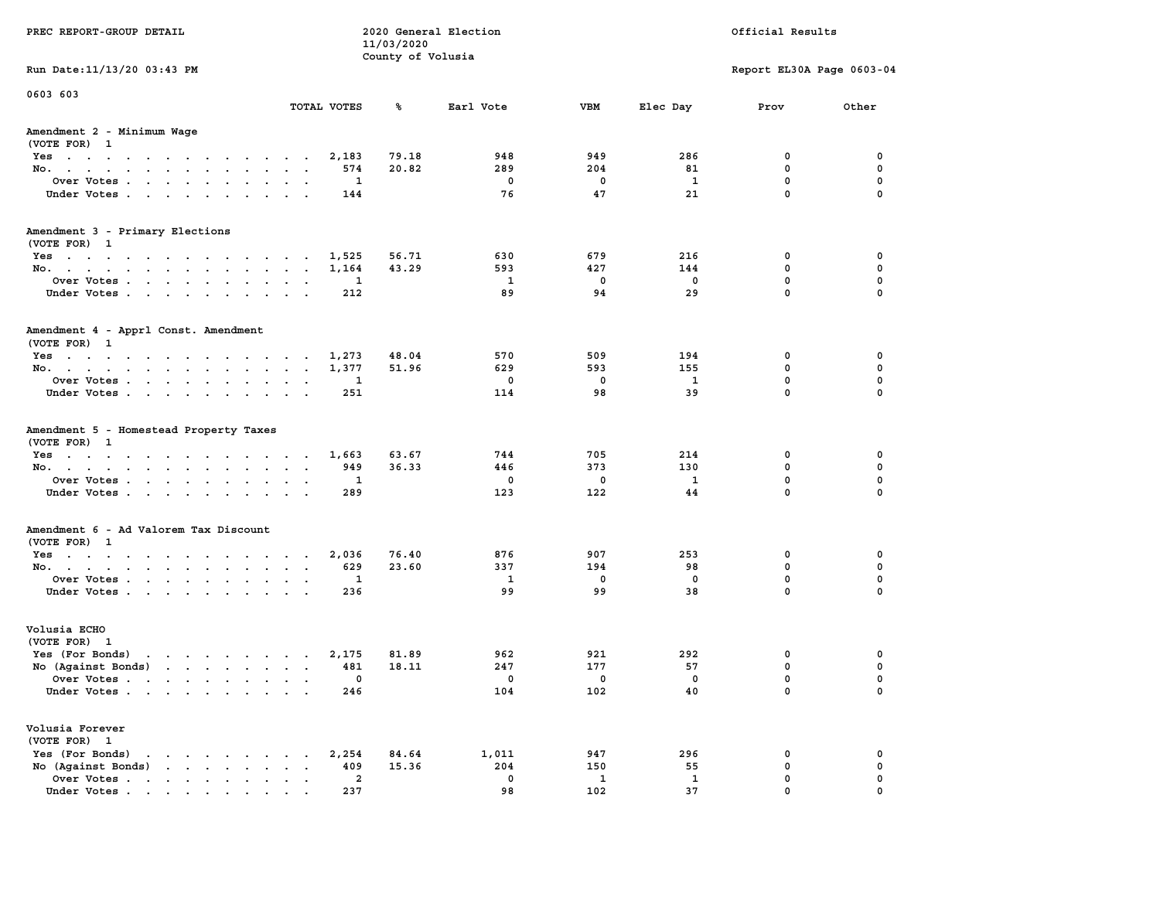| PREC REPORT-GROUP DETAIL                                                                                                           |               | 11/03/2020<br>County of Volusia | 2020 General Election    |                          |              | Official Results          |              |
|------------------------------------------------------------------------------------------------------------------------------------|---------------|---------------------------------|--------------------------|--------------------------|--------------|---------------------------|--------------|
| Run Date: 11/13/20 03:43 PM                                                                                                        |               |                                 |                          |                          |              | Report EL30A Page 0603-04 |              |
| 0603 603                                                                                                                           | TOTAL VOTES   | ℁                               | Earl Vote                | VBM                      | Elec Day     | Prov                      | Other        |
|                                                                                                                                    |               |                                 |                          |                          |              |                           |              |
| Amendment 2 - Minimum Wage<br>(VOTE FOR) 1                                                                                         |               |                                 |                          |                          |              |                           |              |
| Yes                                                                                                                                | 2,183         | 79.18                           | 948                      | 949                      | 286          | 0                         | 0            |
| No.                                                                                                                                |               | 20.82<br>574                    | 289                      | 204                      | 81           | 0                         | 0            |
| Over Votes                                                                                                                         |               | 1                               | $\mathbf 0$              | $\mathbf 0$              | 1            | $\mathbf 0$               | 0            |
| Under Votes                                                                                                                        |               | 144                             | 76                       | 47                       | 21           | $\mathbf{0}$              | $\mathbf 0$  |
| Amendment 3 - Primary Elections                                                                                                    |               |                                 |                          |                          |              |                           |              |
| (VOTE FOR) 1                                                                                                                       |               |                                 |                          |                          |              |                           |              |
| Yes                                                                                                                                | 1,525         | 56.71                           | 630                      | 679                      | 216          | 0                         | 0            |
| No.                                                                                                                                | 1,164         | 43.29                           | 593                      | 427                      | 144          | 0                         | 0            |
| Over Votes                                                                                                                         |               | 1                               | $\mathbf{1}$             | $\overline{\mathbf{0}}$  | 0            | $\mathbf 0$               | $\mathbf 0$  |
| Under Votes                                                                                                                        |               | 212                             | 89                       | 94                       | 29           | $\mathbf 0$               | $\mathbf 0$  |
| Amendment 4 - Apprl Const. Amendment                                                                                               |               |                                 |                          |                          |              |                           |              |
| (VOTE FOR) 1                                                                                                                       |               |                                 |                          |                          |              |                           |              |
| Yes                                                                                                                                | 1,273         | 48.04                           | 570                      | 509                      | 194          | 0                         | 0            |
| No.                                                                                                                                | 1,377         | 51.96                           | 629                      | 593                      | 155          | 0                         | 0            |
| Over Votes                                                                                                                         |               | 1                               | $\overline{\phantom{0}}$ | $\mathbf 0$              | $\mathbf{1}$ | $\mathbf 0$               | $\mathbf 0$  |
| Under Votes                                                                                                                        |               | 251                             | 114                      | 98                       | 39           | $\mathbf{0}$              | $\mathbf 0$  |
| Amendment 5 - Homestead Property Taxes<br>(VOTE FOR) 1                                                                             | 1,663         | 63.67                           | 744                      | 705                      | 214          | 0                         | 0            |
| Yes<br>No.                                                                                                                         |               | 36.33<br>949                    | 446                      | 373                      | 130          | 0                         | 0            |
| Over Votes                                                                                                                         |               | 1                               | $\mathbf 0$              | 0                        | $\mathbf{1}$ | $\mathbf 0$               | $\mathbf 0$  |
| Under Votes                                                                                                                        |               | 289                             | 123                      | 122                      | 44           | $\mathbf{0}$              | $\mathbf 0$  |
|                                                                                                                                    |               |                                 |                          |                          |              |                           |              |
| Amendment 6 - Ad Valorem Tax Discount<br>(VOTE FOR) 1                                                                              |               |                                 |                          |                          |              |                           |              |
| Yes                                                                                                                                | 2,036         | 76.40                           | 876                      | 907                      | 253          | 0                         | 0            |
| No.                                                                                                                                |               | 629<br>23.60                    | 337                      | 194                      | 98           | $\mathbf 0$               | 0            |
| Over Votes                                                                                                                         |               | 1                               | $\mathbf{1}$             | $\mathbf 0$              | 0            | $\mathbf 0$               | $\mathbf 0$  |
| Under Votes                                                                                                                        |               | 236                             | 99                       | 99                       | 38           | $\mathbf 0$               | $\mathbf 0$  |
| Volusia ECHO<br>(VOTE FOR) 1                                                                                                       |               |                                 |                          |                          |              |                           |              |
| Yes (For Bonds)<br>the contract of the contract of the contract of the contract of the contract of the contract of the contract of | 2,175         | 81.89                           | 962                      | 921                      | 292          | 0                         | 0            |
| No (Against Bonds)                                                                                                                 |               | 18.11<br>481                    | 247                      | 177                      | 57           | 0                         | 0            |
| Over Votes<br>the contract of the contract of the contract of the contract of the contract of the contract of the contract of      |               | $\mathbf 0$                     | $\overline{\phantom{0}}$ | $\overline{\phantom{0}}$ | $\mathbf 0$  | 0                         | 0            |
| Under Votes                                                                                                                        |               | 246                             | 104                      | 102                      | 40           | $\mathbf 0$               | $\mathbf 0$  |
| Volusia Forever<br>(VOTE FOR) 1                                                                                                    |               |                                 |                          |                          |              |                           |              |
| Yes (For Bonds)<br>$\mathbf{r}$ , $\mathbf{r}$ , $\mathbf{r}$ , $\mathbf{r}$ , $\mathbf{r}$ , $\mathbf{r}$                         | 2,254         | 84.64                           | 1,011                    | 947                      | 296          | 0                         | 0            |
| No (Against Bonds)                                                                                                                 | $\sim$ $\sim$ | 409<br>15.36                    | 204                      | 150                      | 55           | $^{\circ}$                | 0            |
| Over Votes                                                                                                                         |               | $\overline{a}$                  | $\mathbf 0$              | $\mathbf{1}$             | $\mathbf{1}$ | 0                         | 0            |
| Under Votes                                                                                                                        |               | 237                             | 98                       | 102                      | 37           | $\Omega$                  | <sup>0</sup> |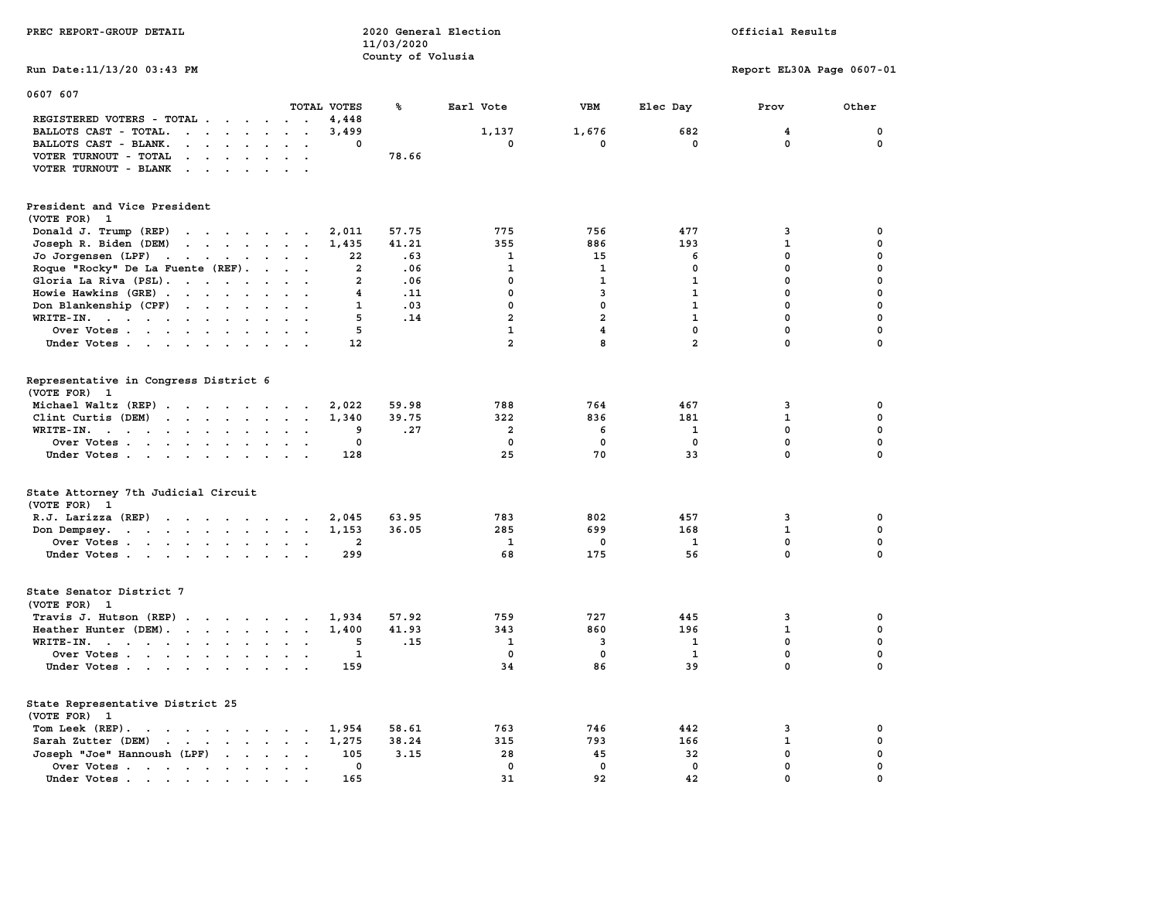| PREC REPORT-GROUP DETAIL                                                                                                                                                                                                                                   |                                       | 11/03/2020        | 2020 General Election        |                         |                | Official Results           |                  |
|------------------------------------------------------------------------------------------------------------------------------------------------------------------------------------------------------------------------------------------------------------|---------------------------------------|-------------------|------------------------------|-------------------------|----------------|----------------------------|------------------|
| Run Date: 11/13/20 03:43 PM                                                                                                                                                                                                                                |                                       | County of Volusia |                              |                         |                | Report EL30A Page 0607-01  |                  |
| 0607 607                                                                                                                                                                                                                                                   | TOTAL VOTES                           | ℁                 | Earl Vote                    | <b>VBM</b>              | Elec Day       | Prov                       | Other            |
| REGISTERED VOTERS - TOTAL<br>BALLOTS CAST - TOTAL.<br>$\cdots$<br>BALLOTS CAST - BLANK.<br>$\mathbf{r}$ , $\mathbf{r}$ , $\mathbf{r}$ , $\mathbf{r}$                                                                                                       | 4,448<br>3,499<br>0<br>$\overline{a}$ |                   | 1,137<br>0                   | 1,676<br>0              | 682<br>0       | 4<br>0                     | 0<br>0           |
| VOTER TURNOUT - TOTAL<br>$\cdots$<br>VOTER TURNOUT - BLANK                                                                                                                                                                                                 | $\sim$                                | 78.66             |                              |                         |                |                            |                  |
| President and Vice President<br>(VOTE FOR) 1                                                                                                                                                                                                               |                                       |                   |                              |                         |                |                            |                  |
| Donald J. Trump (REP)<br>and the contract of the contract of                                                                                                                                                                                               | 2,011                                 | 57.75             | 775                          | 756                     | 477            | 3                          | $\mathbf 0$      |
| Joseph R. Biden (DEM)<br>$\mathbf{r}$ . The contract of the contract of the contract of the contract of the contract of the contract of the contract of the contract of the contract of the contract of the contract of the contract of the contract of th | 1,435                                 | 41.21             | 355                          | 886                     | 193            | $\mathbf{1}$               | $\mathbf 0$      |
| Jo Jorgensen (LPF)                                                                                                                                                                                                                                         | 22<br>$\overline{\mathbf{2}}$         | .63<br>.06        | $\mathbf{1}$<br>$\mathbf{1}$ | 15<br>$\mathbf{1}$      | 6<br>$\Omega$  | $\mathbf 0$<br>$\mathbf 0$ | $\mathbf 0$<br>0 |
| Roque "Rocky" De La Fuente (REF).<br>Gloria La Riva (PSL).                                                                                                                                                                                                 | $\overline{a}$                        | .06               | $\mathbf{0}$                 | $\mathbf{1}$            | $\mathbf{1}$   | $\mathbf 0$                | 0                |
| Howie Hawkins (GRE)                                                                                                                                                                                                                                        | 4                                     | .11               | $\mathbf 0$                  | 3                       | $\mathbf{1}$   | $\mathbf 0$                | $\mathbf 0$      |
| Don Blankenship (CPF)                                                                                                                                                                                                                                      | 1                                     | .03               | $\mathbf 0$                  | $\mathbf 0$             | $\mathbf{1}$   | $\mathbf 0$                | $\mathbf 0$      |
| WRITE-IN.                                                                                                                                                                                                                                                  | 5<br>$\sim$ $\sim$                    | .14               | $\overline{a}$               | $\overline{\mathbf{2}}$ | $\mathbf{1}$   | $\mathbf 0$                | $\mathbf 0$      |
| Over Votes<br>$\ddot{\phantom{0}}$                                                                                                                                                                                                                         | 5<br>$\sim$                           |                   | $\mathbf{1}$                 | 4                       | $\mathbf{0}$   | 0                          | 0                |
| Under Votes                                                                                                                                                                                                                                                | 12                                    |                   | $\overline{2}$               | <b>R</b>                | $\overline{a}$ | $\Omega$                   | $\mathbf 0$      |
| Representative in Congress District 6<br>(VOTE FOR) 1                                                                                                                                                                                                      |                                       |                   |                              |                         |                |                            |                  |
| Michael Waltz (REP)                                                                                                                                                                                                                                        | 2,022                                 | 59.98             | 788                          | 764                     | 467            | 3                          | 0                |
| $\mathbf{r}$<br>Clint Curtis (DEM)                                                                                                                                                                                                                         | 1,340<br>$\sim$<br>$\sim$             | 39.75             | 322                          | 836                     | 181            | $\mathbf{1}$               | 0                |
| WRITE-IN.<br>$\ddot{\phantom{a}}$                                                                                                                                                                                                                          | 9<br>$\cdot$ $\cdot$                  | .27               | $\overline{a}$               | 6                       | 1              | $\mathbf 0$                | $\mathbf 0$      |
| Over Votes<br>$\ddot{\phantom{a}}$                                                                                                                                                                                                                         | 0                                     |                   | $\mathbf 0$                  | $\mathbf 0$             | $\mathbf 0$    | 0                          | $\mathbf 0$      |
| Under Votes.                                                                                                                                                                                                                                               | 128                                   |                   | 25                           | 70                      | 33             | $\mathbf 0$                | $\mathbf 0$      |
| State Attorney 7th Judicial Circuit<br>(VOTE FOR) 1                                                                                                                                                                                                        |                                       |                   |                              |                         |                |                            |                  |
| $R.J.$ Larizza $(REP)$                                                                                                                                                                                                                                     | 2,045                                 | 63.95             | 783                          | 802                     | 457            | 3                          | 0                |
| Don Dempsey.<br>the contract of the contract of the contract of the contract of the contract of                                                                                                                                                            | 1,153<br>$\ddot{\phantom{0}}$         | 36.05             | 285                          | 699                     | 168            | $\mathbf 1$                | 0                |
| Over Votes                                                                                                                                                                                                                                                 | 2                                     |                   | <b>1</b>                     | 0                       | 1              | 0                          | 0                |
| Under Votes                                                                                                                                                                                                                                                | 299                                   |                   | 68                           | 175                     | 56             | $\mathbf 0$                | $\mathbf 0$      |
| State Senator District 7<br>(VOTE FOR) 1                                                                                                                                                                                                                   |                                       |                   |                              |                         |                |                            |                  |
| Travis J. Hutson (REP)                                                                                                                                                                                                                                     | 1,934                                 | 57.92             | 759                          | 727                     | 445            | 3                          | $\mathbf 0$      |
| Heather Hunter (DEM).                                                                                                                                                                                                                                      | 1,400                                 | 41.93             | 343                          | 860                     | 196            | $\mathbf{1}$               | $\mathbf 0$      |
| WRITE-IN.                                                                                                                                                                                                                                                  | 5<br>$\sim$                           | .15               | $\mathbf{1}$                 | 3                       | $\mathbf{1}$   | $\mathbf 0$                | $\mathbf 0$      |
| Over Votes                                                                                                                                                                                                                                                 | $\mathbf{1}$                          |                   | $\mathbf 0$                  | $\mathbf 0$             | $\mathbf{1}$   | $\mathbf 0$                | $\mathbf 0$      |
| Under Votes                                                                                                                                                                                                                                                | 159<br>$\sim$ $\sim$                  |                   | 34                           | 86                      | 39             | $\mathbf 0$                | 0                |
| State Representative District 25<br>(VOTE FOR) 1                                                                                                                                                                                                           |                                       |                   |                              |                         |                |                            |                  |
| Tom Leek (REP).<br>the contract of the contract of the contract of the contract of the contract of the contract of the contract of                                                                                                                         | 1,954                                 | 58.61             | 763                          | 746                     | 442            | 3                          | 0                |
| Sarah Zutter (DEM)<br>the contract of the contract of the contract of the contract of the contract of the contract of the contract of                                                                                                                      | 1,275                                 | 38.24             | 315                          | 793                     | 166            | $\mathbf 1$                | 0                |
| Joseph "Joe" Hannoush (LPF)                                                                                                                                                                                                                                | 105                                   | 3.15              | 28                           | 45                      | 32             | $\mathbf 0$                | $\mathbf 0$      |
| Over Votes                                                                                                                                                                                                                                                 | 0<br>$\ddot{\phantom{0}}$             |                   | $\mathbf 0$                  | $\mathbf 0$             | 0              | $\pmb{0}$                  | 0                |
| Under Votes.<br>the company of the company of the company of the company of the company of the company of the company of the company of the company of the company of the company of the company of the company of the company of the company              | 165                                   |                   | 31                           | 92                      | 42             | $\mathbf 0$                | 0                |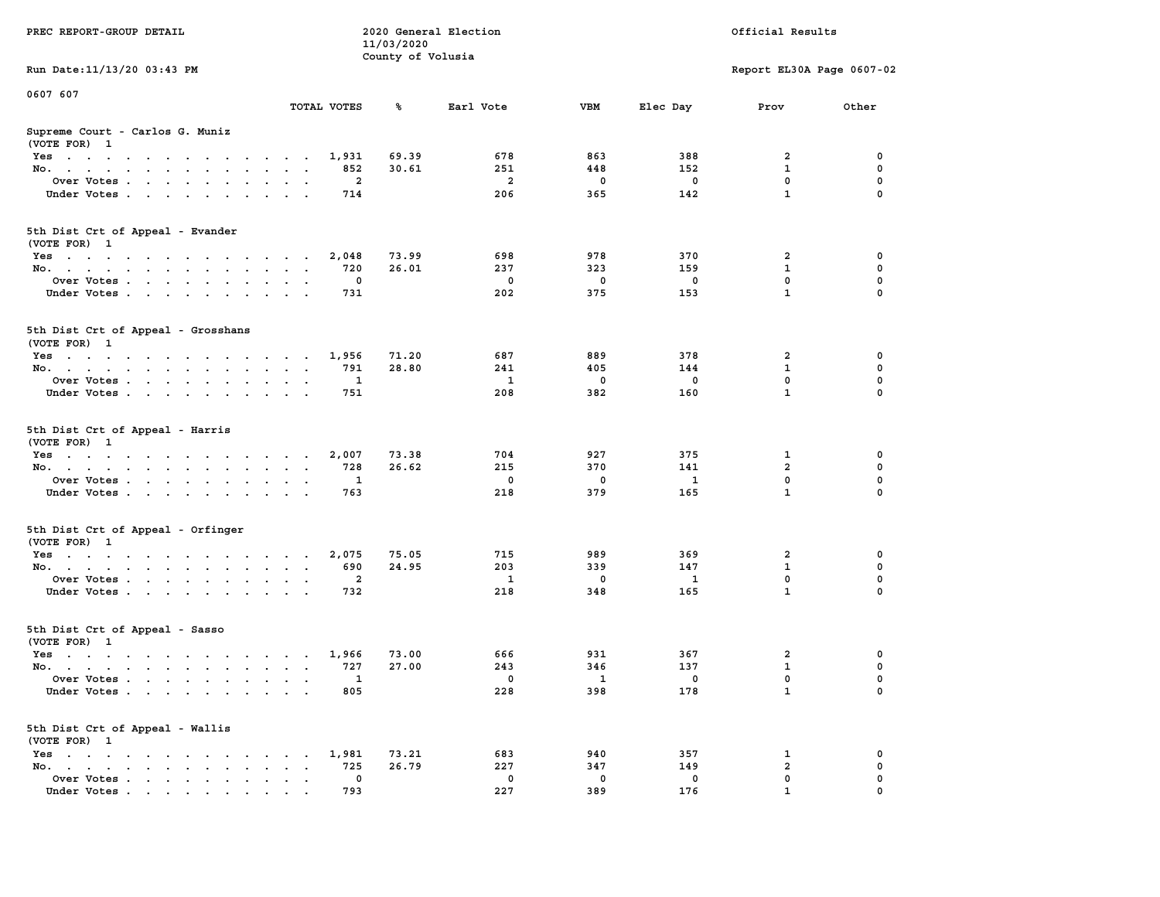| PREC REPORT-GROUP DETAIL                                                                                               | 2020 General Election<br>11/03/2020 |                   |                |                         | Official Results |                              |          |
|------------------------------------------------------------------------------------------------------------------------|-------------------------------------|-------------------|----------------|-------------------------|------------------|------------------------------|----------|
| Run Date: 11/13/20 03:43 PM                                                                                            |                                     | County of Volusia |                |                         |                  | Report EL30A Page 0607-02    |          |
| 0607 607                                                                                                               |                                     |                   |                |                         |                  |                              |          |
|                                                                                                                        | TOTAL VOTES                         | ℁                 | Earl Vote      | VBM                     | Elec Day         | Prov                         | Other    |
| Supreme Court - Carlos G. Muniz<br>(VOTE FOR) 1                                                                        |                                     |                   |                |                         |                  |                              |          |
| Yes                                                                                                                    | 1,931                               | 69.39             | 678            | 863                     | 388              | 2                            | 0        |
| No.                                                                                                                    | 852                                 | 30.61             | 251            | 448                     | 152              | $\mathbf{1}$                 | 0        |
| Over Votes.                                                                                                            | 2                                   |                   | $\overline{a}$ | 0                       | 0                | $\mathbf 0$                  | 0        |
| Under Votes                                                                                                            | 714                                 |                   | 206            | 365                     | 142              | $\mathbf{1}$                 | $\Omega$ |
| 5th Dist Crt of Appeal - Evander<br>(VOTE FOR) 1                                                                       |                                     |                   |                |                         |                  |                              |          |
| Yes                                                                                                                    | 2,048                               | 73.99             | 698            | 978                     | 370              | 2                            | 0        |
| No.                                                                                                                    | 720                                 | 26.01             | 237            | 323                     | 159              | 1                            | 0        |
| Over Votes                                                                                                             | 0                                   |                   | $\mathbf 0$    | 0                       | 0                | 0                            | 0        |
| Under Votes                                                                                                            | 731                                 |                   | 202            | 375                     | 153              | $\mathbf{1}$                 | 0        |
| 5th Dist Crt of Appeal - Grosshans<br>(VOTE FOR) 1                                                                     |                                     |                   |                |                         |                  |                              |          |
| Yes                                                                                                                    | 1,956                               | 71.20             | 687            | 889                     | 378              | 2                            | 0        |
| No.                                                                                                                    | 791                                 | 28.80             | 241            | 405                     | 144              | 1                            | 0        |
| Over Votes                                                                                                             | 1                                   |                   | 1              | 0                       | 0                | $\mathbf 0$                  | 0        |
| Under Votes                                                                                                            | 751                                 |                   | 208            | 382                     | 160              | $\mathbf{1}$                 | 0        |
| 5th Dist Crt of Appeal - Harris<br>(VOTE FOR) 1                                                                        |                                     |                   |                |                         |                  |                              |          |
| Yes                                                                                                                    | 2,007                               | 73.38             | 704            | 927                     | 375              | 1                            | 0        |
| No.                                                                                                                    | 728                                 | 26.62             | 215            | 370                     | 141              | $\overline{a}$               | 0        |
| Over Votes                                                                                                             | 1                                   |                   | 0              | 0                       | 1                | 0                            | 0        |
| Under Votes                                                                                                            | 763                                 |                   | 218            | 379                     | 165              | $\mathbf{1}$                 | $\Omega$ |
| 5th Dist Crt of Appeal - Orfinger<br>(VOTE FOR) 1                                                                      |                                     |                   |                |                         |                  |                              |          |
| Yes                                                                                                                    | 2,075                               | 75.05             | 715            | 989                     | 369              | 2                            | 0        |
| No.                                                                                                                    | 690                                 | 24.95             | 203            | 339                     | 147              | $\mathbf{1}$                 | 0        |
| Over Votes                                                                                                             | $\overline{a}$                      |                   | $\mathbf{1}$   | 0                       | $\mathbf{1}$     | 0                            | 0        |
| Under Votes                                                                                                            | 732                                 |                   | 218            | 348                     | 165              | $\mathbf{1}$                 | 0        |
| 5th Dist Crt of Appeal - Sasso<br>(VOTE FOR) 1                                                                         |                                     |                   |                |                         |                  |                              |          |
| Yes<br>the contract of the contract of the contract of the contract of the contract of the contract of the contract of | 1,966                               | 73.00             | 666            | 931                     | 367              | 2                            | 0        |
| No.                                                                                                                    | 727                                 | 27.00             | 243            | 346                     | 137              | $\mathbf{1}$                 | 0        |
| Over Votes                                                                                                             | 1                                   |                   | $^{\circ}$     | $\overline{\mathbf{1}}$ | 0                | $\mathbf 0$                  | 0        |
| Under Votes                                                                                                            | 805                                 |                   | 228            | 398                     | 178              | $\mathbf{1}$                 | 0        |
| 5th Dist Crt of Appeal - Wallis<br>(VOTE FOR) 1                                                                        |                                     |                   |                |                         |                  |                              |          |
| $Yes \cdot \cdot \cdot \cdot \cdot \cdot \cdot \cdot \cdot$                                                            | 1,981<br>$\sim$ $\sim$              | 73.21             | 683            | 940                     | 357              | 1                            | 0        |
| No.<br>$\ddot{\phantom{0}}$                                                                                            | 725<br>$\bullet$                    | 26.79             | 227            | 347                     | 149              | $\overline{\mathbf{2}}$<br>0 | 0        |
| Over Votes<br>Under Votes                                                                                              | 0<br>793                            |                   | 0<br>227       | 0<br>389                | 0<br>176         | $\mathbf{1}$                 | 0        |
|                                                                                                                        |                                     |                   |                |                         |                  |                              |          |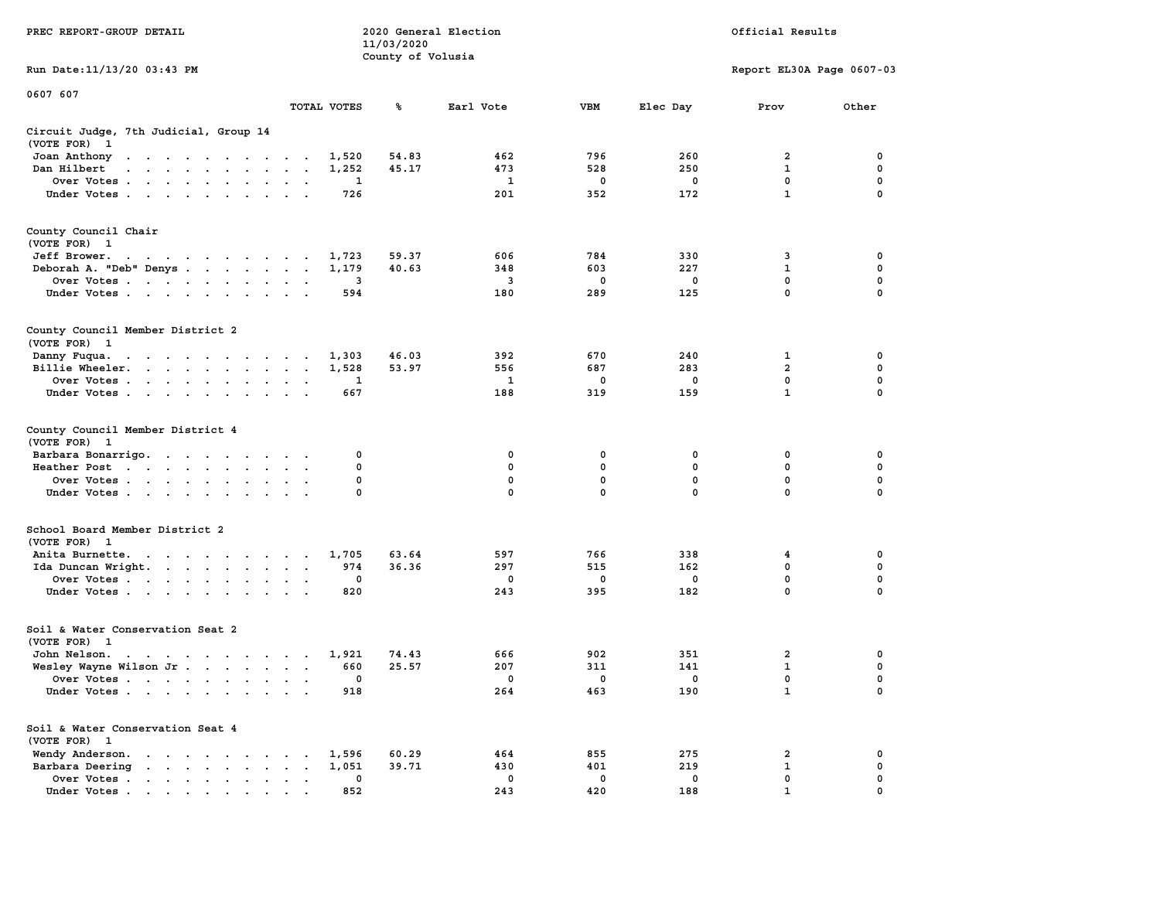|                                                                                                                         |                                                       | 11/03/2020        |              |              |             |                           |                  |
|-------------------------------------------------------------------------------------------------------------------------|-------------------------------------------------------|-------------------|--------------|--------------|-------------|---------------------------|------------------|
|                                                                                                                         |                                                       | County of Volusia |              |              |             |                           |                  |
| Run Date: 11/13/20 03:43 PM                                                                                             |                                                       |                   |              |              |             | Report EL30A Page 0607-03 |                  |
| 0607 607                                                                                                                |                                                       |                   |              |              |             |                           |                  |
|                                                                                                                         | TOTAL VOTES                                           | ℁                 | Earl Vote    | <b>VBM</b>   | Elec Day    | Prov                      | Other            |
| Circuit Judge, 7th Judicial, Group 14                                                                                   |                                                       |                   |              |              |             |                           |                  |
| (VOTE FOR)<br>$\mathbf{1}$                                                                                              |                                                       |                   |              |              |             |                           |                  |
| Joan Anthony<br>the contract of the contract of the con-                                                                | 1,520<br>$\ddot{\phantom{1}}$                         | 54.83             | 462          | 796          | 260         | 2                         | 0                |
| Dan Hilbert<br>$\ddot{\phantom{a}}$<br>$\cdot$ $\cdot$ $\cdot$<br>$\sim$<br>$\ddot{\phantom{a}}$                        | 1,252<br>$\ddot{\phantom{a}}$<br>$\cdot$              | 45.17             | 473          | 528          | 250         | $\mathbf 1$               | 0                |
| Over Votes .<br>the contract of the contract of                                                                         | 1<br>$\ddot{\phantom{a}}$<br>$\ddot{\phantom{a}}$     |                   | 1            | 0            | $^{\circ}$  | $\mathbf{0}$              | 0                |
| Under Votes                                                                                                             | 726<br>$\cdot$<br>$\bullet$<br>$\ddot{\phantom{1}}$   |                   | 201          | 352          | 172         | $\mathbf{1}$              | $\mathbf 0$      |
| County Council Chair                                                                                                    |                                                       |                   |              |              |             |                           |                  |
| (VOTE FOR) 1                                                                                                            |                                                       |                   |              |              |             |                           |                  |
| Jeff Brower.<br>and a series of the contract of the                                                                     | 1,723<br>$\sim$                                       | 59.37             | 606          | 784          | 330         | 3                         | 0                |
| Deborah A. "Deb" Denys                                                                                                  | 1,179<br>$\ddot{\phantom{0}}$                         | 40.63             | 348          | 603          | 227         | $\mathbf 1$               | 0                |
| Over Votes<br>$\sim$                                                                                                    | 3<br>$\ddot{\phantom{a}}$                             |                   | 3            | 0            | 0           | $\mathbf 0$               | $\mathbf 0$      |
| Under Votes                                                                                                             | 594                                                   |                   | 180          | 289          | 125         | $\mathbf 0$               | 0                |
| County Council Member District 2                                                                                        |                                                       |                   |              |              |             |                           |                  |
| (VOTE FOR) 1                                                                                                            |                                                       |                   |              |              |             |                           |                  |
| Danny Fuqua.<br>$\mathbf{r} = \mathbf{r} - \mathbf{r} = \mathbf{r} - \mathbf{r} = \mathbf{r} - \mathbf{r} = \mathbf{r}$ | 1,303<br>$\sim$                                       | 46.03             | 392          | 670          | 240         | 1                         | 0                |
| Billie Wheeler.<br>$\sim$ $\sim$ $\sim$<br>$\sim$                                                                       | 1,528<br>$\bullet$<br>$\cdot$<br>$\ddot{\phantom{a}}$ | 53.97             | 556          | 687          | 283         | $\overline{2}$            | $\mathbf 0$      |
| Over Votes<br>$\sim$                                                                                                    | $\mathbf{1}$<br>$\cdot$                               |                   | $\mathbf{1}$ | $\mathbf 0$  | $\mathbf 0$ | $\mathbf{0}$              | $\mathbf 0$      |
| Under Votes<br>$\cdot$<br>$\cdot$                                                                                       | 667<br>$\ddot{\phantom{a}}$                           |                   | 188          | 319          | 159         | $\mathbf{1}$              | $\mathbf 0$      |
| County Council Member District 4<br>(VOTE FOR)<br>$\mathbf{1}$                                                          |                                                       |                   |              |              |             |                           |                  |
| Barbara Bonarrigo.                                                                                                      | 0                                                     |                   | 0            | 0            | 0           | 0                         | 0                |
| Heather Post<br>the contract of the contract of the<br>$\sim$                                                           | $\bullet$<br>$\bullet$<br>$\ddot{\phantom{a}}$        | 0                 | 0            | 0            | 0           | 0                         | 0                |
| Over Votes                                                                                                              |                                                       | 0                 | 0            | $\mathbf 0$  | 0           | 0                         | 0                |
| Under Votes<br>$\cdot$                                                                                                  |                                                       | 0                 | $\mathbf{0}$ | $\mathbf{0}$ | 0           | 0                         | $\mathbf 0$      |
| School Board Member District 2                                                                                          |                                                       |                   |              |              |             |                           |                  |
| (VOTE FOR) 1                                                                                                            |                                                       |                   |              |              |             |                           |                  |
| Anita Burnette.<br>the contract of the contract of the                                                                  | 1,705<br>974                                          | 63.64<br>36.36    | 597<br>297   | 766<br>515   | 338<br>162  | 4<br>0                    | 0<br>$\mathbf 0$ |
| Ida Duncan Wright.                                                                                                      | $\sim$<br>$\bullet$<br>$\cdot$<br>0                   |                   | 0            | 0            | 0           | $\mathbf 0$               | 0                |
| Over Votes<br>$\ddot{\phantom{0}}$                                                                                      | $\bullet$<br>$\bullet$<br>820                         |                   | 243          | 395          | 182         | $\mathbf 0$               | 0                |
| Under Votes<br>$\ddot{\phantom{0}}$                                                                                     | $\ddot{\phantom{a}}$<br>$\cdot$                       |                   |              |              |             |                           |                  |
| Soil & Water Conservation Seat 2                                                                                        |                                                       |                   |              |              |             |                           |                  |
| (VOTE FOR)<br>$\mathbf{1}$                                                                                              |                                                       |                   |              |              |             |                           |                  |
| John Nelson.<br>the contract of the contract of the con-                                                                | 1,921                                                 | 74.43             | 666          | 902          | 351         | $\overline{2}$            | 0                |
| Wesley Wayne Wilson Jr.                                                                                                 | 660                                                   | 25.57             | 207          | 311          | 141         | $\mathbf 1$               | $\mathbf 0$      |
| Over Votes<br>$\sim$                                                                                                    | $\ddot{\phantom{a}}$<br>$\cdot$                       | 0                 | 0            | 0            | 0           | $\mathbf 0$               | 0                |
| Under Votes                                                                                                             | 918                                                   |                   | 264          | 463          | 190         | $\mathbf{1}$              | $\mathbf 0$      |
| Soil & Water Conservation Seat 4                                                                                        |                                                       |                   |              |              |             |                           |                  |
| (VOTE FOR) 1                                                                                                            |                                                       |                   |              |              |             |                           |                  |
| Wendy Anderson.<br>$\sim$ $\sim$ $\sim$ $\sim$ $\sim$ $\sim$ $\sim$ $\sim$<br>$\sim$ $\sim$                             | 1,596                                                 | 60.29             | 464          | 855          | 275         | 2                         | 0                |
| Barbara Deering<br>the contract of the contract of the                                                                  | 1,051<br>$\bullet$ . $\bullet$<br>$\sim$              | 39.71             | 430          | 401          | 219         | 1                         | 0                |
| Over Votes.<br>the contract of the con-<br>$\sim$                                                                       | 0<br>$\blacksquare$<br>$\bullet$<br>$\cdot$           |                   | 0            | 0            | 0           | $\mathbf 0$               | $\mathbf 0$      |
| Under Votes                                                                                                             | 852                                                   |                   | 243          | 420          | 188         | $\mathbf{1}$              | $\mathbf 0$      |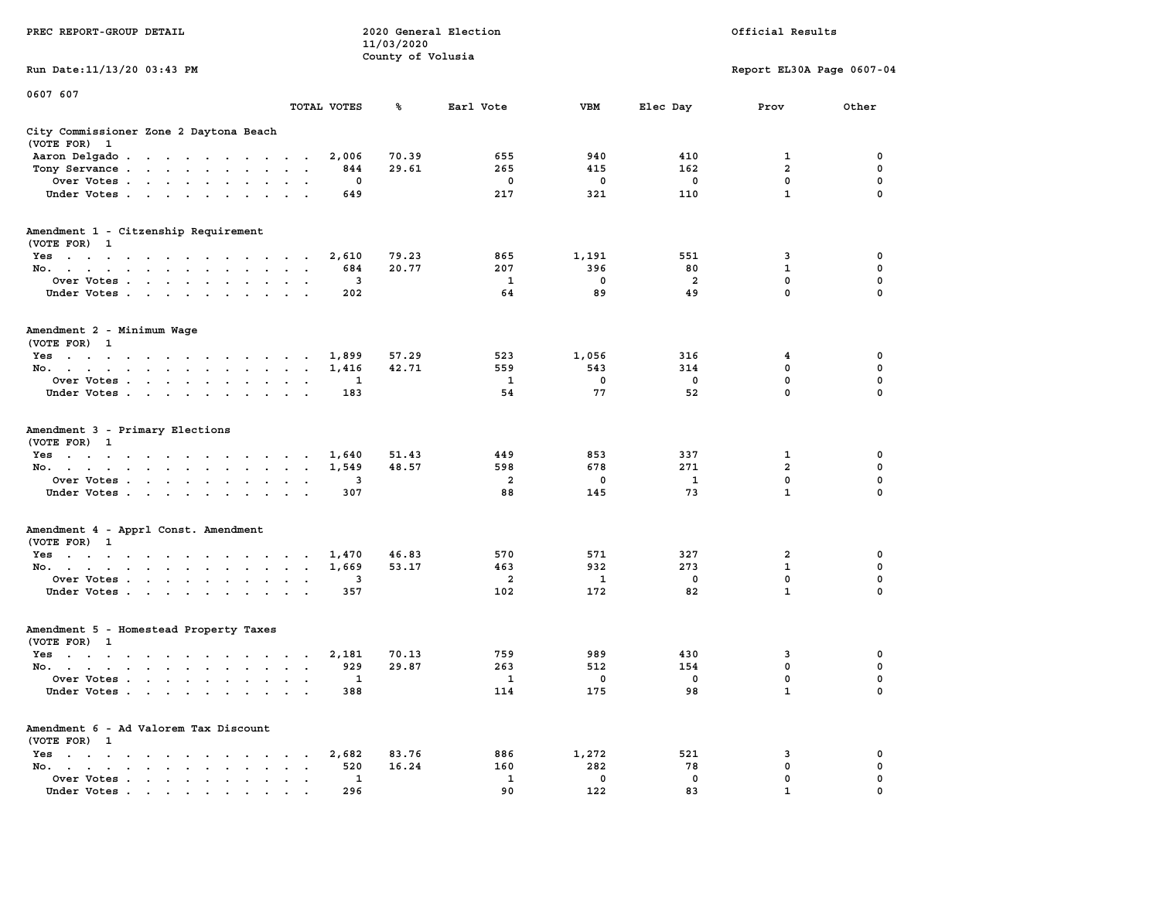| PREC REPORT-GROUP DETAIL                                                                                                        |                                   |          | 2020 General Election<br>11/03/2020<br>County of Volusia |           |             |                | Official Results          |                  |
|---------------------------------------------------------------------------------------------------------------------------------|-----------------------------------|----------|----------------------------------------------------------|-----------|-------------|----------------|---------------------------|------------------|
| Run Date: 11/13/20 03:43 PM                                                                                                     |                                   |          |                                                          |           |             |                | Report EL30A Page 0607-04 |                  |
| 0607 607                                                                                                                        |                                   |          |                                                          |           |             |                |                           |                  |
|                                                                                                                                 | TOTAL VOTES                       |          | ℁                                                        | Earl Vote | VBM         | Elec Day       | Prov                      | Other            |
| City Commissioner Zone 2 Daytona Beach<br>(VOTE FOR) 1                                                                          |                                   |          |                                                          |           |             |                |                           |                  |
| Aaron Delgado                                                                                                                   |                                   | 2,006    | 70.39                                                    | 655       | 940         | 410            | 1                         | 0                |
| Tony Servance                                                                                                                   | $\sim$ $\sim$ $\sim$              | 844      | 29.61                                                    | 265       | 415         | 162            | $\overline{\mathbf{2}}$   | 0                |
| Over Votes                                                                                                                      |                                   | 0        |                                                          | 0         | 0           | 0              | 0                         | 0                |
| Under Votes                                                                                                                     |                                   | 649      |                                                          | 217       | 321         | 110            | $\mathbf{1}$              | $\Omega$         |
| Amendment 1 - Citzenship Requirement<br>(VOTE FOR) 1                                                                            |                                   |          |                                                          |           |             |                |                           |                  |
| Yes                                                                                                                             |                                   | 2,610    | 79.23                                                    | 865       | 1,191       | 551            | 3                         | 0                |
| No.                                                                                                                             | $\sim$ $\sim$                     | 684      | 20.77                                                    | 207       | 396         | 80             | $\mathbf{1}$              | 0                |
| Over Votes                                                                                                                      |                                   | 3        |                                                          | 1         | $\mathbf 0$ | $\overline{a}$ | 0                         | 0                |
| Under Votes                                                                                                                     |                                   | 202      |                                                          | 64        | 89          | 49             | $\mathbf 0$               | 0                |
| Amendment 2 - Minimum Wage<br>(VOTE FOR) 1                                                                                      |                                   |          |                                                          |           |             |                |                           |                  |
| Yes<br>the contract of the contract of the contract of the contract of the contract of the contract of the contract of          |                                   | 1,899    | 57.29                                                    | 523       | 1,056       | 316            | 4                         | 0                |
| No.                                                                                                                             | $\ddot{\phantom{0}}$<br>$\bullet$ | 1,416    | 42.71                                                    | 559       | 543         | 314            | 0                         | 0                |
| Over Votes.<br>the contract of the contract of the                                                                              | $\bullet$                         | 1        |                                                          | 1         | 0           | $^{\circ}$     | $\mathbf 0$               | 0                |
| Under Votes                                                                                                                     |                                   | 183      |                                                          | 54        | 77          | 52             | 0                         | 0                |
| Amendment 3 - Primary Elections<br>(VOTE FOR) 1<br>Yes                                                                          |                                   | 1,640    | 51.43                                                    | 449       | 853         | 337            | 1                         | 0                |
| No.                                                                                                                             | $\sim$ $\sim$ $\sim$              | 1,549    | 48.57                                                    | 598       | 678         | 271            | $\overline{\mathbf{2}}$   | 0                |
| Over Votes                                                                                                                      |                                   | 3        |                                                          | 2         | 0           | 1              | 0                         | 0                |
| Under Votes                                                                                                                     |                                   | 307      |                                                          | 88        | 145         | 73             | $\mathbf{1}$              | $\Omega$         |
| Amendment 4 - Apprl Const. Amendment                                                                                            |                                   |          |                                                          |           |             |                |                           |                  |
| (VOTE FOR) 1                                                                                                                    |                                   |          |                                                          |           |             |                |                           |                  |
| Yes                                                                                                                             |                                   | 1,470    | 46.83                                                    | 570       | 571         | 327            | 2                         | 0                |
| No.                                                                                                                             | $\sim$<br>$\cdot$                 | 1,669    | 53.17                                                    | 463       | 932         | 273            | $\mathbf 1$               | 0                |
| Over Votes<br>Under Votes                                                                                                       | $\sim$ $\sim$                     | 3<br>357 |                                                          | 2<br>102  | 1<br>172    | 0<br>82        | 0<br>$\mathbf{1}$         | $\mathbf 0$<br>0 |
| Amendment 5 - Homestead Property Taxes                                                                                          |                                   |          |                                                          |           |             |                |                           |                  |
| (VOTE FOR) 1                                                                                                                    |                                   |          |                                                          |           |             |                |                           |                  |
| Yes<br>the contract of the contract of the contract of the contract of the contract of the contract of the contract of          |                                   | 2,181    | 70.13                                                    | 759       | 989         | 430            | 3                         | 0                |
| No.<br>the contract of the contract of the contract of the contract of the contract of the contract of the contract of          | $\sim$ $\sim$                     | 929      | 29.87                                                    | 263       | 512         | 154            | 0                         | 0                |
| Over Votes                                                                                                                      |                                   | 1        |                                                          | 1         | 0           | 0              | 0                         | $\Omega$         |
| Under Votes.<br>the contract of the contract of the contract of the contract of the contract of the contract of the contract of |                                   | 388      |                                                          | 114       | 175         | 98             | $\mathbf 1$               | 0                |
| Amendment 6 - Ad Valorem Tax Discount                                                                                           |                                   |          |                                                          |           |             |                |                           |                  |
| (VOTE FOR) 1                                                                                                                    |                                   |          |                                                          |           |             |                |                           |                  |
| $Yes \t . \t . \t .$<br>$\sim$<br>$\sim$ $\sim$                                                                                 |                                   | 2,682    | 83.76                                                    | 886       | 1,272       | 521            | 3                         | 0                |
| No.<br>$\sim$<br>$\sim$<br>$\sim$ $\sim$ $\sim$<br>$\ddot{\phantom{a}}$<br>$\ddot{\phantom{a}}$                                 |                                   | 520      | 16.24                                                    | 160       | 282         | 78             | 0                         | 0                |
| Over Votes.<br>$\cdot$ $\cdot$ $\cdot$ $\cdot$ $\cdot$                                                                          |                                   | 1        |                                                          | 1         | 0           | 0              | 0                         | 0                |
| Under Votes.                                                                                                                    |                                   | 296      |                                                          | 90        | 122         | 83             | 1                         |                  |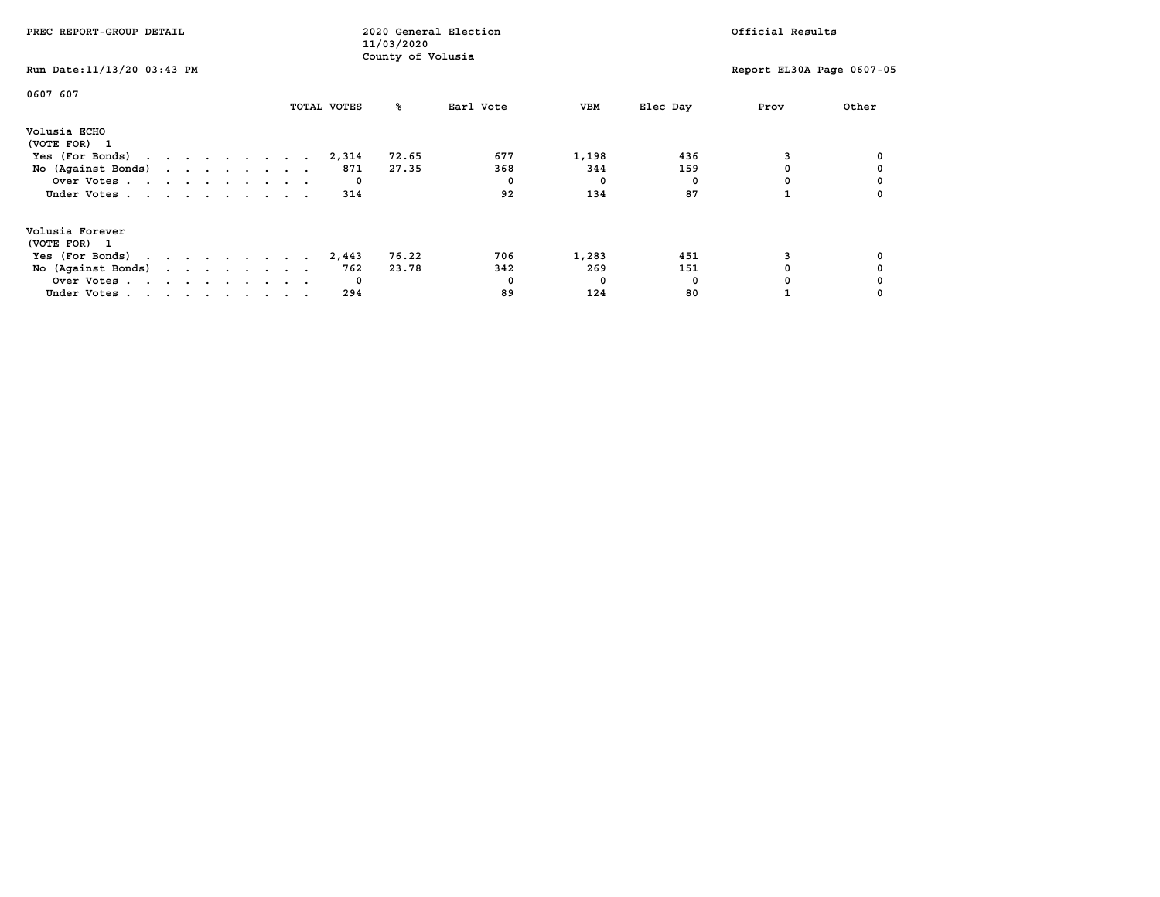| PREC REPORT-GROUP DETAIL                            |  |  |  |  |             | 11/03/2020        | 2020 General Election |            |          | Official Results          |       |
|-----------------------------------------------------|--|--|--|--|-------------|-------------------|-----------------------|------------|----------|---------------------------|-------|
| Run Date: 11/13/20 03:43 PM                         |  |  |  |  |             | County of Volusia |                       |            |          | Report EL30A Page 0607-05 |       |
| 0607 607                                            |  |  |  |  | TOTAL VOTES | °≈                | Earl Vote             | VBM        | Elec Day | Prov                      | Other |
| Volusia ECHO<br>(VOTE FOR) 1                        |  |  |  |  |             |                   |                       |            |          |                           |       |
| Yes (For Bonds) $\cdots$ $\cdots$ $\cdots$ $\cdots$ |  |  |  |  | 2,314       | 72.65             | 677                   | 1,198      | 436      |                           |       |
| No (Against Bonds)                                  |  |  |  |  | 871         | 27.35             | 368                   | 344        | 159      |                           |       |
| Over Votes                                          |  |  |  |  | $\mathbf 0$ |                   |                       | $^{\circ}$ |          |                           |       |
| Under Votes                                         |  |  |  |  | 314         |                   | 92                    | 134        | 87       |                           |       |
| Volusia Forever<br>(VOTE FOR) 1                     |  |  |  |  |             |                   |                       |            |          |                           |       |
| Yes (For Bonds)                                     |  |  |  |  | 2,443       | 76.22             | 706                   | 1,283      | 451      |                           |       |
| No (Against Bonds)                                  |  |  |  |  | 762         | 23.78             | 342                   | 269        | 151      |                           |       |
| Over Votes                                          |  |  |  |  | 0           |                   |                       | 0          | n        |                           |       |
| Under Votes                                         |  |  |  |  | 294         |                   | 89                    | 124        | 80       |                           |       |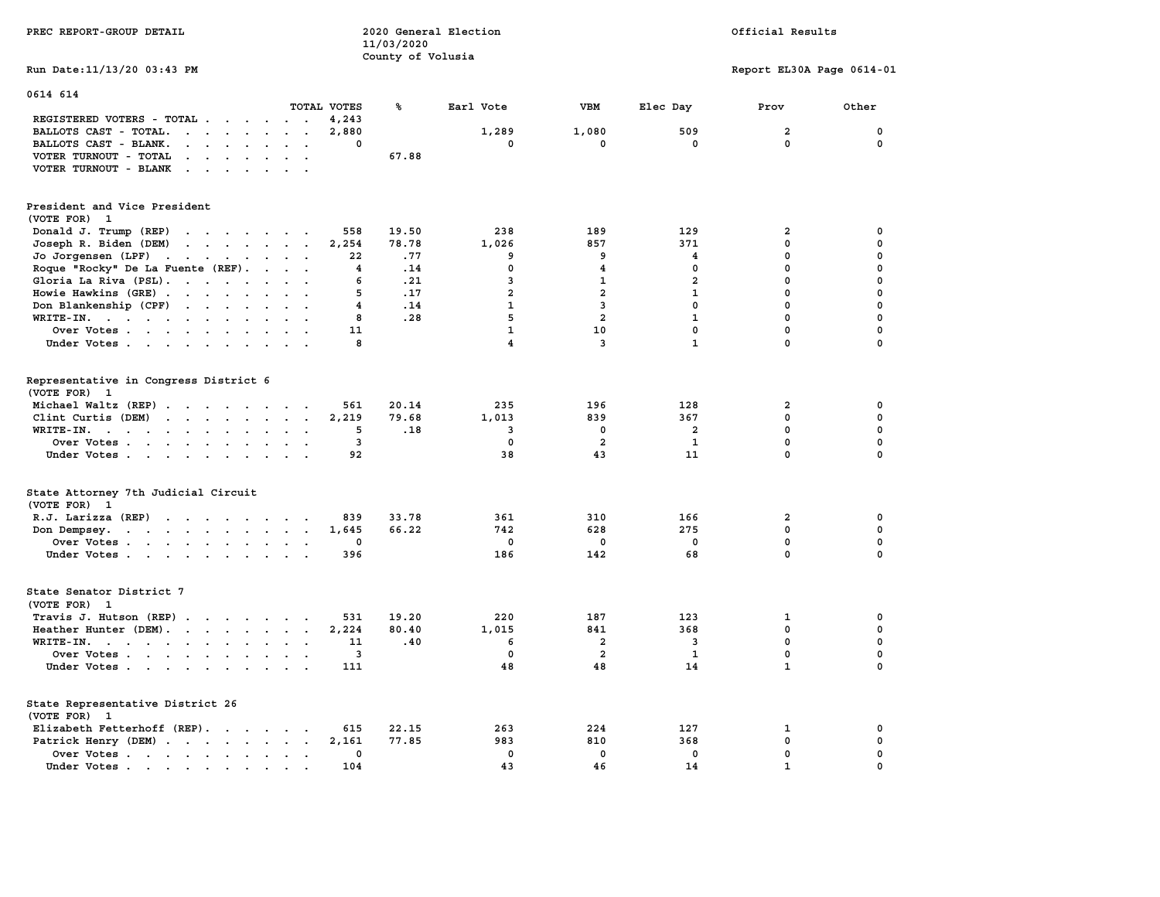| PREC REPORT-GROUP DETAIL                                                                                                                                                                                                                                   |                         | 2020 General Election<br>11/03/2020<br>County of Volusia |                         |                         |                | Official Results            |                            |
|------------------------------------------------------------------------------------------------------------------------------------------------------------------------------------------------------------------------------------------------------------|-------------------------|----------------------------------------------------------|-------------------------|-------------------------|----------------|-----------------------------|----------------------------|
| Run Date: 11/13/20 03:43 PM                                                                                                                                                                                                                                |                         |                                                          |                         |                         |                | Report EL30A Page 0614-01   |                            |
| 0614 614                                                                                                                                                                                                                                                   |                         |                                                          |                         |                         |                |                             |                            |
|                                                                                                                                                                                                                                                            | TOTAL VOTES             | ℁                                                        | Earl Vote               | VBM                     | Elec Day       | Prov                        | Other                      |
| REGISTERED VOTERS - TOTAL<br>$\cdot$ $\cdot$<br>$\sim$<br>BALLOTS CAST - TOTAL.                                                                                                                                                                            | 4,243<br>2,880          |                                                          | 1,289                   | 1,080                   | 509            | $\overline{a}$              | 0                          |
| $\ddotsc$<br>BALLOTS CAST - BLANK.<br>$\cdot$ $\cdot$ $\cdot$ $\cdot$ $\cdot$ $\cdot$ $\cdot$ $\cdot$                                                                                                                                                      | 0                       |                                                          | $\mathbf 0$             | $\mathbf 0$             | $\mathbf 0$    | 0                           | 0                          |
|                                                                                                                                                                                                                                                            |                         | 67.88                                                    |                         |                         |                |                             |                            |
| VOTER TURNOUT - TOTAL<br>$\mathbf{a} = \mathbf{a} + \mathbf{a} + \mathbf{a} + \mathbf{a}$<br>$\blacksquare$<br>$\cdot$                                                                                                                                     |                         |                                                          |                         |                         |                |                             |                            |
| VOTER TURNOUT - BLANK<br>$\sim$                                                                                                                                                                                                                            |                         |                                                          |                         |                         |                |                             |                            |
| President and Vice President                                                                                                                                                                                                                               |                         |                                                          |                         |                         |                |                             |                            |
| (VOTE FOR) 1                                                                                                                                                                                                                                               |                         |                                                          |                         |                         |                |                             |                            |
| Donald J. Trump (REP)<br>and the contract of the contract of                                                                                                                                                                                               | 558                     | 19.50                                                    | 238                     | 189                     | 129            | $\overline{\mathbf{2}}$     | 0                          |
| Joseph R. Biden (DEM)<br>$\mathbf{r}$ . The contract of the contract of the contract of the contract of the contract of the contract of the contract of the contract of the contract of the contract of the contract of the contract of the contract of th | 2,254                   | 78.78                                                    | 1,026                   | 857                     | 371            | 0                           | $\mathbf 0$                |
| Jo Jorgensen (LPF)<br>$\mathbf{r}$ . The set of the set of $\mathbf{r}$<br>$\sim$<br>$\ddot{\phantom{1}}$                                                                                                                                                  | 22                      | .77                                                      | 9                       | 9                       | 4              | 0                           | 0                          |
| Roque "Rocky" De La Fuente (REF).<br>$\cdots$                                                                                                                                                                                                              | $\overline{\mathbf{4}}$ | .14                                                      | $\mathbf 0$             | 4                       | $\mathbf 0$    | 0                           | $\mathbf 0$                |
| Gloria La Riva (PSL).<br>$\ddot{\phantom{a}}$                                                                                                                                                                                                              | 6                       | .21                                                      | 3                       | 1                       | $\overline{2}$ | 0                           | $\mathbf 0$                |
| Howie Hawkins (GRE)<br>$\ddot{\phantom{a}}$<br>$\sim$ $\sim$                                                                                                                                                                                               | 5                       | .17                                                      | $\overline{a}$          | $\overline{\mathbf{2}}$ | $\mathbf{1}$   | 0                           | $\mathbf 0$                |
| Don Blankenship (CPF)<br>$\ddot{\phantom{0}}$<br>$\bullet$                                                                                                                                                                                                 | 4                       | .14                                                      | $\mathbf{1}$            | $\mathbf{3}$            | $\mathbf 0$    | 0                           | 0                          |
| WRITE-IN.                                                                                                                                                                                                                                                  | 8                       | .28                                                      | 5                       | $\overline{a}$          | $\mathbf{1}$   | 0                           | $\mathbf 0$                |
| Over Votes                                                                                                                                                                                                                                                 | 11                      |                                                          | $\mathbf{1}$            | 10                      | $\mathbf 0$    | 0                           | $\mathbf 0$                |
| Under Votes<br>$\ddot{\phantom{a}}$                                                                                                                                                                                                                        | 8                       |                                                          | $\overline{\mathbf{4}}$ | $\overline{\mathbf{3}}$ | $\mathbf{1}$   | 0                           | 0                          |
|                                                                                                                                                                                                                                                            |                         |                                                          |                         |                         |                |                             |                            |
| Representative in Congress District 6<br>(VOTE FOR) 1                                                                                                                                                                                                      |                         |                                                          |                         |                         |                |                             |                            |
| Michael Waltz (REP)                                                                                                                                                                                                                                        | 561                     | 20.14                                                    | 235                     | 196                     | 128            | 2                           | 0                          |
| Clint Curtis (DEM)                                                                                                                                                                                                                                         | 2,219                   | 79.68                                                    | 1,013                   | 839                     | 367            | $\mathbf{0}$                | $\mathbf 0$                |
| WRITE-IN.<br>$\sim$                                                                                                                                                                                                                                        | 5                       | .18                                                      | 3                       | 0                       | 2              | 0                           | $\mathbf 0$                |
| Over Votes<br>$\sim 100$<br>$\bullet$                                                                                                                                                                                                                      | 3                       |                                                          | $\mathbf{0}$            | $\overline{a}$          | $\mathbf{1}$   | $\mathbf 0$                 | $\mathbf 0$                |
| Under Votes<br>$\sim$ $\sim$                                                                                                                                                                                                                               | 92                      |                                                          | 38                      | 43                      | 11             | $\mathbf 0$                 | $\mathbf 0$                |
|                                                                                                                                                                                                                                                            |                         |                                                          |                         |                         |                |                             |                            |
| State Attorney 7th Judicial Circuit<br>(VOTE FOR) 1                                                                                                                                                                                                        |                         |                                                          |                         |                         |                |                             |                            |
| R.J. Larizza (REP)                                                                                                                                                                                                                                         | 839                     | 33.78                                                    | 361                     | 310                     | 166            | $\overline{2}$              | 0                          |
| Don Dempsey.                                                                                                                                                                                                                                               | 1,645                   | 66.22                                                    | 742                     | 628                     | 275            | 0                           | 0                          |
| Over Votes<br>$\sim$                                                                                                                                                                                                                                       | 0                       |                                                          | 0                       | 0                       | 0              | 0                           | 0                          |
| Under Votes                                                                                                                                                                                                                                                | 396                     |                                                          | 186                     | 142                     | 68             | 0                           | $\Omega$                   |
| State Senator District 7<br>(VOTE FOR) 1                                                                                                                                                                                                                   |                         |                                                          |                         |                         |                |                             |                            |
| Travis J. Hutson (REP).                                                                                                                                                                                                                                    | 531                     | 19.20                                                    | 220                     | 187                     | 123            | 1                           | 0                          |
| Heather Hunter (DEM).<br>$\sim$ $\sim$                                                                                                                                                                                                                     | 2,224                   | 80.40                                                    | 1,015                   | 841                     | 368            | 0                           | $\mathbf 0$                |
| $WRITE-IN.$<br>$\sim$                                                                                                                                                                                                                                      | 11                      | .40                                                      | 6                       | $\overline{\mathbf{2}}$ | 3              | $\mathbf 0$                 | $\mathbf 0$                |
| Over Votes<br>$\sim$ $\sim$<br>$\cdot$ .                                                                                                                                                                                                                   | 3                       |                                                          | 0                       | $\overline{\mathbf{2}}$ | $\mathbf{1}$   | 0                           | $\pmb{0}$                  |
| Under Votes<br>$\ddot{\phantom{a}}$<br>$\sim$ $\sim$                                                                                                                                                                                                       | 111                     |                                                          | 48                      | 48                      | 14             | $\mathbf{1}$                | $\Omega$                   |
| State Representative District 26                                                                                                                                                                                                                           |                         |                                                          |                         |                         |                |                             |                            |
| (VOTE FOR) 1                                                                                                                                                                                                                                               |                         |                                                          |                         | 224                     |                |                             |                            |
| Elizabeth Fetterhoff (REP).                                                                                                                                                                                                                                | 615                     | 22.15                                                    | 263                     |                         | 127            | 1                           | 0                          |
| Patrick Henry (DEM)                                                                                                                                                                                                                                        | 2,161                   | 77.85                                                    | 983                     | 810                     | 368            | $\mathbf 0$                 | $\mathbf 0$                |
| Over Votes<br>$\sim$<br>$\sim$ $\sim$                                                                                                                                                                                                                      | $\mathbf{0}$            |                                                          | $\mathbf{0}$            | $\mathbf 0$             | $\mathbf 0$    | $\mathbf 0$<br>$\mathbf{1}$ | $\mathbf 0$<br>$\mathbf 0$ |
| Under Votes.<br>$\sim$ $\sim$                                                                                                                                                                                                                              | 104                     |                                                          | 43                      | 46                      | 14             |                             |                            |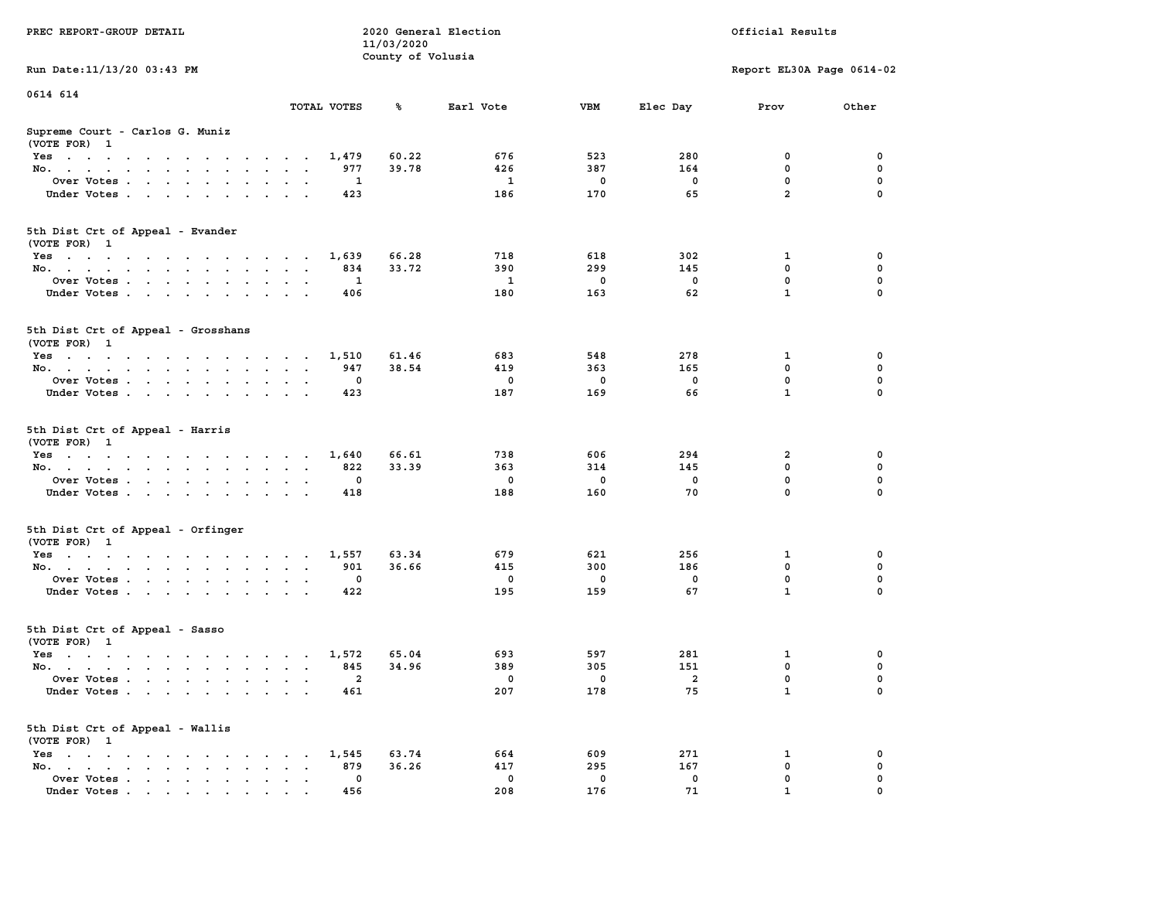|                                                                                                                                    |                                                                     | 11/03/2020        |              |             |                |                           |             |
|------------------------------------------------------------------------------------------------------------------------------------|---------------------------------------------------------------------|-------------------|--------------|-------------|----------------|---------------------------|-------------|
|                                                                                                                                    |                                                                     | County of Volusia |              |             |                |                           |             |
| Run Date: 11/13/20 03:43 PM                                                                                                        |                                                                     |                   |              |             |                | Report EL30A Page 0614-02 |             |
| 0614 614                                                                                                                           |                                                                     |                   |              |             |                |                           |             |
|                                                                                                                                    | TOTAL VOTES                                                         | ℁                 | Earl Vote    | VBM         | Elec Day       | Prov                      | Other       |
|                                                                                                                                    |                                                                     |                   |              |             |                |                           |             |
| Supreme Court - Carlos G. Muniz<br>(VOTE FOR) 1                                                                                    |                                                                     |                   |              |             |                |                           |             |
| Yes                                                                                                                                | 1,479                                                               | 60.22             | 676          | 523         | 280            | 0                         | 0           |
| No.<br>$\sim$ $\sim$                                                                                                               | 977                                                                 | 39.78             | 426          | 387         | 164            | $\mathbf 0$               | $\mathbf 0$ |
| Over Votes                                                                                                                         | 1<br>$\overline{\phantom{a}}$                                       |                   | $\mathbf{1}$ | $\mathbf 0$ | $\mathbf 0$    | $\mathbf 0$               | $\mathbf 0$ |
| Under Votes<br>$\ddot{\phantom{a}}$                                                                                                | 423<br>$\ddot{\phantom{a}}$<br>$\ddot{\phantom{a}}$                 |                   | 186          | 170         | 65             | $\overline{a}$            | $\mathbf 0$ |
|                                                                                                                                    |                                                                     |                   |              |             |                |                           |             |
| 5th Dist Crt of Appeal - Evander                                                                                                   |                                                                     |                   |              |             |                |                           |             |
| (VOTE FOR) 1                                                                                                                       |                                                                     |                   |              |             |                |                           |             |
|                                                                                                                                    | 1,639                                                               | 66.28             | 718          | 618         | 302            | 1                         | 0           |
| Yes<br>No.                                                                                                                         | 834                                                                 | 33.72             | 390          | 299         | 145            | $\mathbf 0$               | 0           |
|                                                                                                                                    | $\mathbf{1}$                                                        |                   | $\mathbf{1}$ | $\mathbf 0$ | $\mathbf 0$    | $\mathbf 0$               | $\mathbf 0$ |
| Over Votes                                                                                                                         | $\sim$ $\sim$ $\sim$<br>$\ddot{\phantom{1}}$                        |                   |              |             |                | $\mathbf{1}$              | 0           |
| Under Votes                                                                                                                        | 406                                                                 |                   | 180          | 163         | 62             |                           |             |
| 5th Dist Crt of Appeal - Grosshans                                                                                                 |                                                                     |                   |              |             |                |                           |             |
| (VOTE FOR) 1                                                                                                                       |                                                                     |                   |              |             |                |                           |             |
| Yes                                                                                                                                | 1,510                                                               | 61.46             | 683          | 548         | 278            | 1                         | 0           |
| No.                                                                                                                                | 947<br>$\sim$<br>$\ddotsc$                                          | 38.54             | 419          | 363         | 165            | $\mathbf 0$               | $\mathbf 0$ |
| Over Votes                                                                                                                         | $\mathbf 0$<br>$\sim$<br>$\sim$                                     |                   | $\mathbf 0$  | $\mathbf 0$ | $\mathbf 0$    | $\mathbf 0$               | $\mathbf 0$ |
| Under Votes                                                                                                                        | 423                                                                 |                   | 187          | 169         | 66             | $\mathbf{1}$              | 0           |
|                                                                                                                                    |                                                                     |                   |              |             |                |                           |             |
| 5th Dist Crt of Appeal - Harris<br>(VOTE FOR) 1                                                                                    |                                                                     |                   |              |             |                |                           |             |
| Yes                                                                                                                                | 1,640<br>$\sim$                                                     | 66.61             | 738          | 606         | 294            | $\overline{\mathbf{2}}$   | 0           |
| No.<br>$\ddot{\phantom{a}}$                                                                                                        | 822<br>$\ddot{\phantom{a}}$<br>$\mathbf{A}$<br>$\ddot{\phantom{a}}$ | 33.39             | 363          | 314         | 145            | 0                         | 0           |
| Over Votes.                                                                                                                        | 0                                                                   |                   | $\mathbf 0$  | 0           | 0              | $\mathbf 0$               | 0           |
| Under Votes<br>$\cdot$                                                                                                             | 418<br>$\ddot{\phantom{a}}$                                         |                   | 188          | 160         | 70             | $\mathbf 0$               | 0           |
|                                                                                                                                    |                                                                     |                   |              |             |                |                           |             |
| 5th Dist Crt of Appeal - Orfinger                                                                                                  |                                                                     |                   |              |             |                |                           |             |
| (VOTE FOR) 1                                                                                                                       |                                                                     |                   |              |             |                |                           |             |
| Yes                                                                                                                                | 1,557                                                               | 63.34             | 679          | 621         | 256            | 1                         | 0           |
| No.<br>$\sim$                                                                                                                      | 901<br>$\sim$<br>$\ddot{\phantom{0}}$<br>$\ddot{\phantom{1}}$       | 36.66             | 415          | 300         | 186            | $\mathbf 0$               | $\mathbf 0$ |
| Over Votes                                                                                                                         | $\mathbf 0$<br>$\bullet$                                            |                   | $\Omega$     | $\mathbf 0$ | $\Omega$       | $\mathbf 0$               | $\Omega$    |
| Under Votes                                                                                                                        | 422<br>$\sim$<br>$\sim$                                             |                   | 195          | 159         | 67             | $\mathbf{1}$              | $\mathbf 0$ |
|                                                                                                                                    |                                                                     |                   |              |             |                |                           |             |
| 5th Dist Crt of Appeal - Sasso                                                                                                     |                                                                     |                   |              |             |                |                           |             |
| (VOTE FOR) 1                                                                                                                       |                                                                     |                   |              |             |                |                           |             |
| Yes                                                                                                                                | 1,572                                                               | 65.04             | 693          | 597         | 281            | 1                         | $\mathbf 0$ |
| No.                                                                                                                                | 845                                                                 | 34.96             | 389          | 305         | 151            | $\mathbf 0$               | 0           |
| Over Votes<br>$\ddot{\phantom{a}}$                                                                                                 | $\overline{2}$<br>$\cdot$<br>$\cdot$<br>$\cdot$                     |                   | 0            | 0           | $\overline{a}$ | $\mathbf 0$               | $\mathbf 0$ |
| Under Votes                                                                                                                        | 461                                                                 |                   | 207          | 178         | 75             | $\mathbf{1}$              | $\Omega$    |
| 5th Dist Crt of Appeal - Wallis                                                                                                    |                                                                     |                   |              |             |                |                           |             |
| (VOTE FOR) 1                                                                                                                       |                                                                     |                   |              |             |                |                           |             |
| $Yes \t . \t .$<br>the contract of the contract of the contract of the contract of the contract of the contract of the contract of | 1,545                                                               | 63.74             | 664          | 609         | 271            | 1                         | 0           |
| No.<br>the contract of the contract of the con-<br>$\ddot{\phantom{a}}$                                                            | 879<br>$\bullet$<br>$\cdot$ $\cdot$                                 | 36.26             | 417          | 295         | 167            | 0                         | $\mathbf 0$ |
| Over Votes<br>$\sim$<br>$\bullet$                                                                                                  | $\mathbf{0}$<br>$\bullet$<br>$\bullet$<br>$\blacksquare$            |                   | $^{\circ}$   | 0           | 0              | $\mathbf 0$               | $\mathbf 0$ |
| Under Votes<br>$\mathbf{r}$ , and $\mathbf{r}$ , and $\mathbf{r}$ , and $\mathbf{r}$                                               | 456                                                                 |                   | 208          | 176         | 71             | $\mathbf{1}$              | $\mathbf 0$ |
|                                                                                                                                    |                                                                     |                   |              |             |                |                           |             |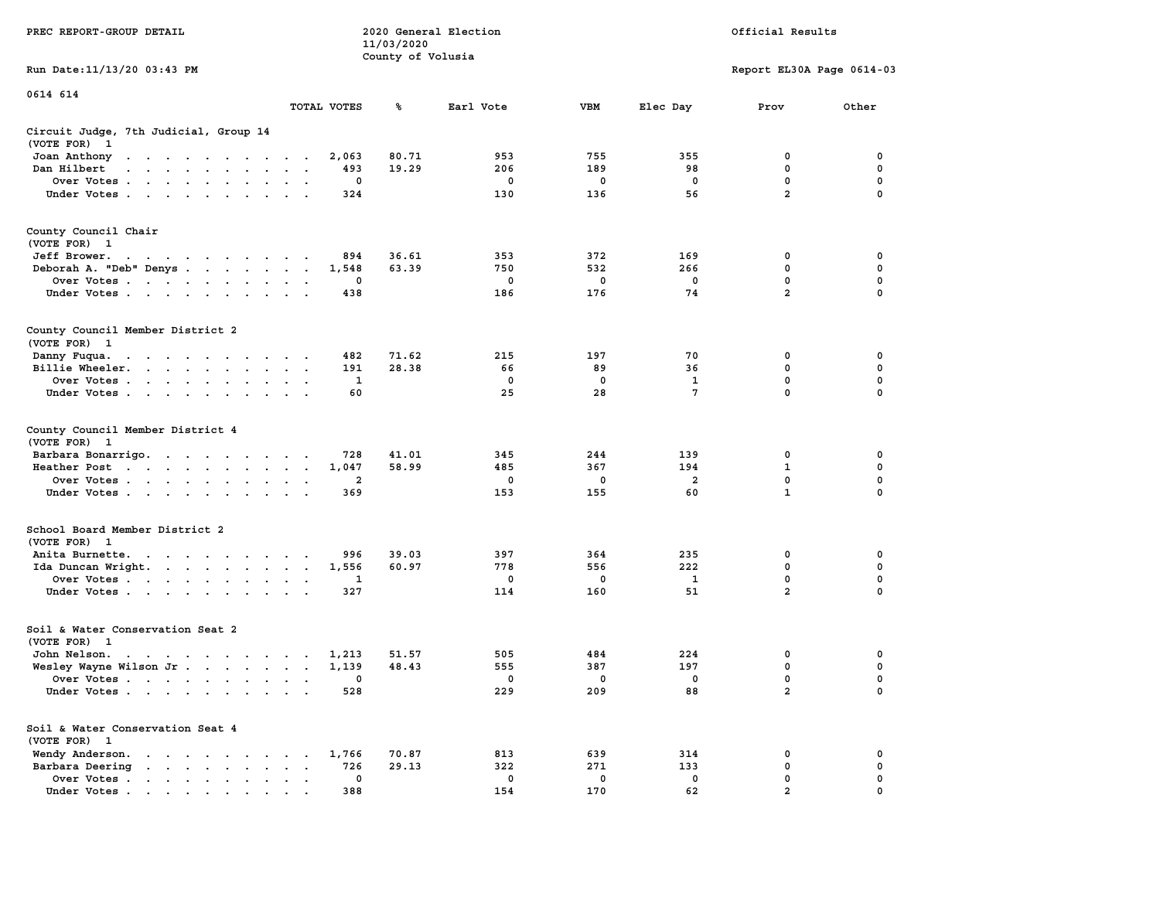|                                                                                                                                 |                                        | 11/03/2020        |             |             |                 |                           |             |
|---------------------------------------------------------------------------------------------------------------------------------|----------------------------------------|-------------------|-------------|-------------|-----------------|---------------------------|-------------|
|                                                                                                                                 |                                        | County of Volusia |             |             |                 |                           |             |
| Run Date: 11/13/20 03:43 PM                                                                                                     |                                        |                   |             |             |                 | Report EL30A Page 0614-03 |             |
|                                                                                                                                 |                                        |                   |             |             |                 |                           |             |
| 0614 614                                                                                                                        |                                        |                   |             |             |                 |                           |             |
|                                                                                                                                 | TOTAL VOTES                            | ℁                 | Earl Vote   | <b>VBM</b>  | Elec Day        | Prov                      | Other       |
|                                                                                                                                 |                                        |                   |             |             |                 |                           |             |
|                                                                                                                                 |                                        |                   |             |             |                 |                           |             |
| Circuit Judge, 7th Judicial, Group 14                                                                                           |                                        |                   |             |             |                 |                           |             |
| (VOTE FOR)<br>- 1                                                                                                               |                                        |                   |             |             |                 |                           |             |
| Joan Anthony<br>the contract of the contract of the contract of the contract of the contract of the contract of the contract of | 2,063                                  | 80.71             | 953         | 755         | 355             | $\mathbf 0$               | 0           |
| Dan Hilbert<br>.                                                                                                                | 493                                    | 19.29             | 206         | 189         | 98              | $\mathbf 0$               | $\mathbf 0$ |
| Over Votes                                                                                                                      | 0<br>$\bullet$                         |                   | $\mathbf 0$ | $\mathbf 0$ | $\mathbf 0$     | $\mathbf 0$               | $\mathbf 0$ |
| Under Votes                                                                                                                     | 324                                    |                   | 130         | 136         | 56              | $\overline{a}$            | 0           |
|                                                                                                                                 |                                        |                   |             |             |                 |                           |             |
|                                                                                                                                 |                                        |                   |             |             |                 |                           |             |
| County Council Chair                                                                                                            |                                        |                   |             |             |                 |                           |             |
| (VOTE FOR) 1                                                                                                                    |                                        |                   |             |             |                 |                           |             |
|                                                                                                                                 |                                        |                   |             | 372         | 169             | 0                         | 0           |
| Jeff Brower.<br>and a series of the contract of the                                                                             | 894                                    | 36.61             | 353         |             |                 |                           |             |
| Deborah A. "Deb" Denys                                                                                                          | 1,548                                  | 63.39             | 750         | 532         | 266             | $\mathbf 0$               | $\mathbf 0$ |
| Over Votes                                                                                                                      | 0<br>$\cdot$                           |                   | 0           | $\mathbf 0$ | 0               | 0                         | $\mathbf 0$ |
| Under Votes                                                                                                                     | 438                                    |                   | 186         | 176         | 74              | $\overline{a}$            | 0           |
|                                                                                                                                 |                                        |                   |             |             |                 |                           |             |
|                                                                                                                                 |                                        |                   |             |             |                 |                           |             |
| County Council Member District 2                                                                                                |                                        |                   |             |             |                 |                           |             |
| (VOTE FOR) 1                                                                                                                    |                                        |                   |             |             |                 |                           |             |
| Danny Fuqua.<br>the contract of the contract of the contract of the contract of the contract of the contract of the contract of | 482                                    | 71.62             | 215         | 197         | 70              | 0                         | $\mathbf 0$ |
| Billie Wheeler.                                                                                                                 | 191<br>$\cdot$                         | 28.38             | 66          | 89          | 36              | $\mathbf{0}$              | $\mathbf 0$ |
| Over Votes                                                                                                                      | $\mathbf{1}$                           |                   | $\mathbf 0$ | $\mathbf 0$ | 1               | $\mathbf 0$               | $\mathbf 0$ |
|                                                                                                                                 |                                        |                   | 25          | 28          | $7\phantom{.0}$ | $\mathbf 0$               | 0           |
| Under Votes                                                                                                                     | 60                                     |                   |             |             |                 |                           |             |
|                                                                                                                                 |                                        |                   |             |             |                 |                           |             |
|                                                                                                                                 |                                        |                   |             |             |                 |                           |             |
| County Council Member District 4                                                                                                |                                        |                   |             |             |                 |                           |             |
| (VOTE FOR)<br>$\mathbf{1}$                                                                                                      |                                        |                   |             |             |                 |                           |             |
| Barbara Bonarrigo.                                                                                                              | 728                                    | 41.01             | 345         | 244         | 139             | $\mathbf 0$               | 0           |
| Heather Post                                                                                                                    | 1,047                                  | 58.99             | 485         | 367         | 194             | $\mathbf{1}$              | $\mathbf 0$ |
| Over Votes                                                                                                                      | $\overline{2}$                         |                   | 0           | 0           | $\overline{a}$  | $\mathbf 0$               | $\mathbf 0$ |
| Under Votes<br>$\mathcal{L}^{\text{max}}$ , and $\mathcal{L}^{\text{max}}$                                                      | 369                                    |                   | 153         | 155         | 60              | $\mathbf{1}$              | 0           |
|                                                                                                                                 |                                        |                   |             |             |                 |                           |             |
|                                                                                                                                 |                                        |                   |             |             |                 |                           |             |
|                                                                                                                                 |                                        |                   |             |             |                 |                           |             |
| School Board Member District 2                                                                                                  |                                        |                   |             |             |                 |                           |             |
| (VOTE FOR) 1                                                                                                                    |                                        |                   |             |             |                 |                           |             |
| Anita Burnette.                                                                                                                 | 996                                    | 39.03             | 397         | 364         | 235             | $\mathbf 0$               | $\mathbf 0$ |
| Ida Duncan Wright.                                                                                                              | 1,556                                  | 60.97             | 778         | 556         | 222             | $\mathbf 0$               | $\mathbf 0$ |
| Over Votes                                                                                                                      | 1                                      |                   | 0           | 0           | 1               | $\mathbf 0$               | $\mathbf 0$ |
| Under Votes                                                                                                                     | 327<br>$\ddot{\phantom{a}}$            |                   | 114         | 160         | 51              | $\overline{a}$            | 0           |
|                                                                                                                                 |                                        |                   |             |             |                 |                           |             |
|                                                                                                                                 |                                        |                   |             |             |                 |                           |             |
| Soil & Water Conservation Seat 2                                                                                                |                                        |                   |             |             |                 |                           |             |
| (VOTE FOR) 1                                                                                                                    |                                        |                   |             |             |                 |                           |             |
| John Nelson.                                                                                                                    | 1,213                                  | 51.57             | 505         | 484         | 224             | $\mathbf 0$               | $\mathbf 0$ |
| the contract of the contract of the contract of                                                                                 |                                        |                   | 555         | 387         | 197             | $\mathbf 0$               | $\mathbf 0$ |
| Wesley Wayne Wilson Jr                                                                                                          | 1,139                                  | 48.43             |             |             |                 |                           |             |
| Over Votes                                                                                                                      | 0<br>$\ddot{\phantom{0}}$<br>$\bullet$ |                   | 0           | 0           | $\mathbf 0$     | $\mathbf 0$               | $\mathbf 0$ |
| Under Votes                                                                                                                     | 528                                    |                   | 229         | 209         | 88              | $\overline{a}$            | $\Omega$    |
|                                                                                                                                 |                                        |                   |             |             |                 |                           |             |
|                                                                                                                                 |                                        |                   |             |             |                 |                           |             |
| Soil & Water Conservation Seat 4                                                                                                |                                        |                   |             |             |                 |                           |             |
| (VOTE FOR) 1                                                                                                                    |                                        |                   |             |             |                 |                           |             |
| Wendy Anderson.                                                                                                                 | 1,766                                  | 70.87             | 813         | 639         | 314             | 0                         | 0           |
| Barbara Deering                                                                                                                 | 726                                    | 29.13             | 322         | 271         | 133             | 0                         | 0           |
| Over Votes<br>$\bullet$<br>$\bullet$                                                                                            | 0<br>$\ddot{\phantom{a}}$<br>$\cdot$   |                   | 0           | $\mathbf 0$ | 0               | 0                         | 0           |
|                                                                                                                                 | 388                                    |                   | 154         | 170         | 62              | $\overline{2}$            | $\Omega$    |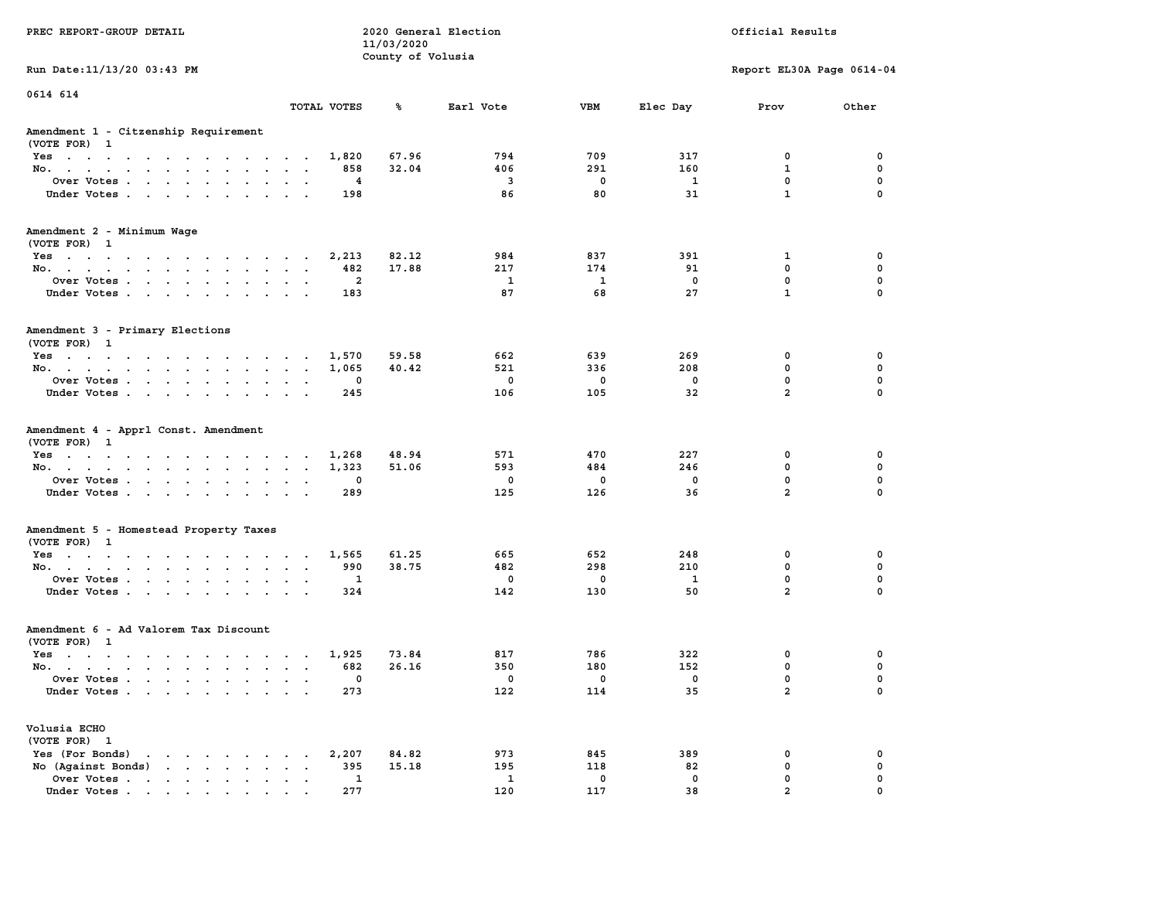|                                                                                                                                                                                                                                                  |                                                     | 11/03/2020        |                         |                    |             |                           |             |
|--------------------------------------------------------------------------------------------------------------------------------------------------------------------------------------------------------------------------------------------------|-----------------------------------------------------|-------------------|-------------------------|--------------------|-------------|---------------------------|-------------|
|                                                                                                                                                                                                                                                  |                                                     | County of Volusia |                         |                    |             |                           |             |
| Run Date: 11/13/20 03:43 PM                                                                                                                                                                                                                      |                                                     |                   |                         |                    |             | Report EL30A Page 0614-04 |             |
| 0614 614                                                                                                                                                                                                                                         |                                                     |                   |                         |                    |             |                           |             |
|                                                                                                                                                                                                                                                  | TOTAL VOTES                                         | ℁                 | Earl Vote               | <b>VBM</b>         | Elec Day    | Prov                      | Other       |
| Amendment 1 - Citzenship Requirement<br>(VOTE FOR) 1                                                                                                                                                                                             |                                                     |                   |                         |                    |             |                           |             |
| Yes                                                                                                                                                                                                                                              | 1,820                                               | 67.96             | 794                     | 709                | 317         | 0                         | 0           |
| No.<br>$\sim$ $\sim$ $\sim$<br>$\sim$<br>$\mathbf{r}$                                                                                                                                                                                            | 858                                                 | 32.04             | 406                     | 291                | 160         | 1                         | 0           |
| Over Votes                                                                                                                                                                                                                                       | 4<br>$\overline{\phantom{a}}$                       |                   | $\overline{\mathbf{3}}$ | $\mathbf 0$        | -1          | $\mathbf 0$               | $\mathbf 0$ |
| Under Votes<br>$\mathcal{L}^{\text{max}}$ , and                                                                                                                                                                                                  | 198<br>$\sim$<br>$\overline{\phantom{a}}$           |                   | 86                      | 80                 | 31          | $\mathbf{1}$              | $\Omega$    |
| Amendment 2 - Minimum Wage<br>(VOTE FOR) 1                                                                                                                                                                                                       |                                                     |                   |                         |                    |             |                           |             |
| Yes                                                                                                                                                                                                                                              | 2,213                                               | 82.12             | 984                     | 837                | 391         | 1                         | $\mathbf 0$ |
| No.<br><b>Sales Advised</b>                                                                                                                                                                                                                      | 482<br>$\sim$<br>$\overline{\phantom{a}}$           | 17.88             | 217                     | 174                | 91          | $\mathbf 0$               | $\mathbf 0$ |
| Over Votes<br>$\ddot{\phantom{0}}$<br>$\sim$<br>$\bullet$                                                                                                                                                                                        | $\overline{2}$<br>$\ddot{\phantom{0}}$<br>$\bullet$ |                   | $\mathbf{1}$            | $\mathbf{1}$       | $\mathbf 0$ | $\mathbf 0$               | $\mathbf 0$ |
| Under Votes<br>$\sim$ $\sim$                                                                                                                                                                                                                     | 183<br>$\sim$<br>$\ddot{\phantom{a}}$               |                   | 87                      | 68                 | 27          | $\mathbf{1}$              | $\Omega$    |
| Amendment 3 - Primary Elections                                                                                                                                                                                                                  |                                                     |                   |                         |                    |             |                           |             |
| (VOTE FOR) 1                                                                                                                                                                                                                                     |                                                     |                   |                         |                    |             |                           |             |
| Yes                                                                                                                                                                                                                                              | 1,570<br>$\ddot{\phantom{a}}$                       | 59.58             | 662                     | 639                | 269         | 0                         | 0           |
| No.                                                                                                                                                                                                                                              | 1,065                                               | 40.42             | 521                     | 336                | 208         | $\mathbf 0$               | 0           |
| Over Votes<br>$\ddot{\phantom{a}}$<br>$\cdot$<br>$\ddot{\phantom{a}}$                                                                                                                                                                            | 0                                                   |                   | $\mathbf 0$             | $\mathbf 0$        | 0           | 0                         | $\mathbf 0$ |
| Under Votes<br>$\sim$ $\sim$                                                                                                                                                                                                                     | 245                                                 |                   | 106                     | 105                | 32          | $\overline{2}$            | $\Omega$    |
|                                                                                                                                                                                                                                                  |                                                     |                   |                         |                    |             |                           |             |
| Amendment 4 - Apprl Const. Amendment<br>(VOTE FOR) 1                                                                                                                                                                                             |                                                     |                   |                         |                    |             |                           |             |
| Yes<br>$\mathcal{A}=\mathcal{A}=\mathcal{A}=\mathcal{A}=\mathcal{A}=\mathcal{A}=\mathcal{A}=\mathcal{A}=\mathcal{A}=\mathcal{A}$                                                                                                                 | 1,268<br>$\ddot{\phantom{a}}$                       | 48.94             | 571                     | 470                | 227         | 0                         | 0           |
| No.<br>$\sim$<br>$\mathbf{z} = \mathbf{z}$ .                                                                                                                                                                                                     | 1,323<br>$\sim$<br>$\bullet$                        | 51.06             | 593                     | 484                | 246         | 0                         | 0           |
| Over Votes                                                                                                                                                                                                                                       | 0<br>$\sim$<br>$\sim$                               |                   | 0                       | $\mathbf 0$        | 0           | $\mathbf 0$               | $\mathbf 0$ |
| Under Votes<br>$\sim$ $\sim$                                                                                                                                                                                                                     | 289<br>$\sim$<br>$\sim$                             |                   | 125                     | 126                | 36          | $\overline{a}$            | $\mathbf 0$ |
| Amendment 5 - Homestead Property Taxes                                                                                                                                                                                                           |                                                     |                   |                         |                    |             |                           |             |
| (VOTE FOR) 1                                                                                                                                                                                                                                     | 1,565                                               | 61.25             | 665                     | 652                | 248         | 0                         | 0           |
| Yes                                                                                                                                                                                                                                              |                                                     |                   |                         |                    |             |                           | $\mathbf 0$ |
| No.<br>$\sim$<br>$\ddot{\phantom{a}}$<br>$\bullet$                                                                                                                                                                                               | 990<br>$\ddot{\phantom{a}}$<br>$\ddot{\phantom{a}}$ | 38.75             | 482<br>$\mathbf{0}$     | 298<br>$\mathbf 0$ | 210<br>1    | 0<br>$\mathbf{0}$         | $\mathbf 0$ |
| Over Votes<br>$\ddot{\phantom{0}}$<br>$\bullet$<br>$\bullet$                                                                                                                                                                                     | 1<br>$\bullet$                                      |                   |                         |                    | 50          | $\overline{a}$            | $\Omega$    |
| Under Votes<br>$\ddot{\phantom{0}}$<br>$\ddot{\phantom{a}}$<br>$\ddot{\phantom{a}}$                                                                                                                                                              | 324<br>$\cdot$                                      |                   | 142                     | 130                |             |                           |             |
| Amendment 6 - Ad Valorem Tax Discount<br>(VOTE FOR) 1                                                                                                                                                                                            |                                                     |                   |                         |                    |             |                           |             |
|                                                                                                                                                                                                                                                  | 1,925                                               | 73.84             | 817                     | 786                | 322         | 0                         | 0           |
| Yes                                                                                                                                                                                                                                              |                                                     |                   |                         |                    |             | 0                         | 0           |
| No.                                                                                                                                                                                                                                              | 682<br>$\cdot$ $\cdot$ $\cdot$ $\cdot$              | 26.16             | 350                     | 180                | 152         |                           |             |
| Over Votes.<br>$\sim$ $\sim$ $\sim$ $\sim$ $\sim$<br>$\sim$<br>$\ddot{\phantom{a}}$<br>$\cdot$                                                                                                                                                   | 0<br>$\ddot{\phantom{a}}$<br>$\ddot{\phantom{a}}$   |                   | 0                       | 0                  | 0           | 0                         | $\mathbf 0$ |
| Under Votes                                                                                                                                                                                                                                      | 273                                                 |                   | 122                     | 114                | 35          | $\overline{a}$            | 0           |
| Volusia ECHO                                                                                                                                                                                                                                     |                                                     |                   |                         |                    |             |                           |             |
| (VOTE FOR) 1                                                                                                                                                                                                                                     |                                                     |                   |                         |                    |             |                           |             |
| Yes (For Bonds)<br>the contract of the contract of the con-                                                                                                                                                                                      | 2,207                                               | 84.82             | 973                     | 845                | 389         | 0                         | 0           |
| No (Against Bonds)<br>$\bullet$ . $\bullet$ .                                                                                                                                                                                                    | 395<br>$\sim$ $\sim$                                | 15.18             | 195                     | 118                | 82          | 0                         | $\mathbf 0$ |
| Over Votes<br>$\sim$<br>$\bullet$<br>$\bullet$                                                                                                                                                                                                   | 1<br>$\bullet$<br>$\ddot{\phantom{a}}$              |                   | 1                       | 0                  | $\mathbf 0$ | $\mathbf 0$               | $\mathbf 0$ |
| Under Votes<br>$\mathbf{r}$ . The contract of the contract of the contract of the contract of the contract of the contract of the contract of the contract of the contract of the contract of the contract of the contract of the contract of th | 277                                                 |                   | 120                     | 117                | 38          | $\overline{a}$            | $\mathbf 0$ |

**PREC REPORT-GROUP DETAIL COMPUTER CONSUMING A LOCAL PREC** REPORT-GROUP DETAIL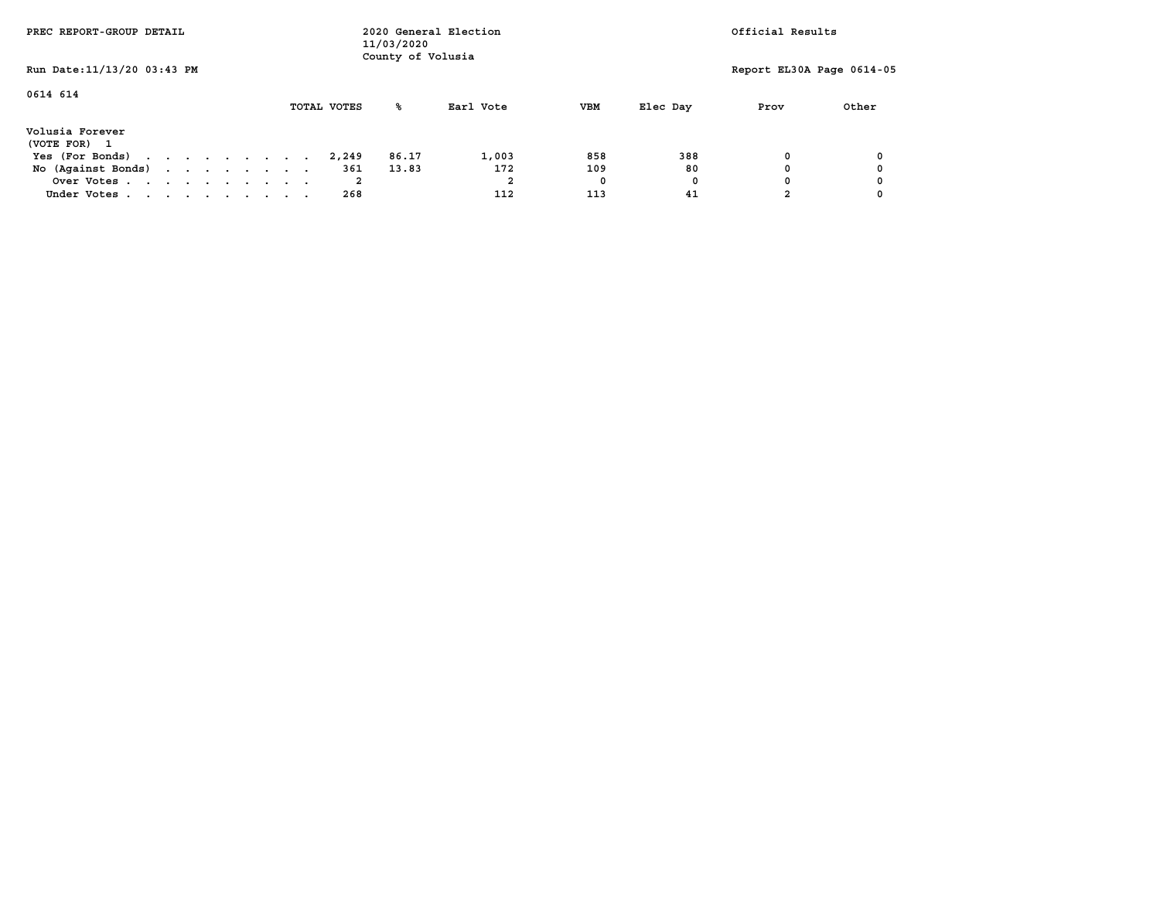| PREC REPORT-GROUP DETAIL        |  |  |  |             | 11/03/2020<br>County of Volusia | 2020 General Election |            |          | Official Results          |       |
|---------------------------------|--|--|--|-------------|---------------------------------|-----------------------|------------|----------|---------------------------|-------|
| Run Date: 11/13/20 03:43 PM     |  |  |  |             |                                 |                       |            |          | Report EL30A Page 0614-05 |       |
| 0614 614                        |  |  |  | TOTAL VOTES | ‱                               | Earl Vote             | <b>VBM</b> | Elec Day | Prov                      | Other |
| Volusia Forever<br>(VOTE FOR) 1 |  |  |  |             |                                 |                       |            |          |                           |       |
| Yes (For Bonds)                 |  |  |  | 2,249       | 86.17                           | 1,003                 | 858        | 388      |                           |       |
| No (Against Bonds)              |  |  |  | 361         | 13.83                           | 172                   | 109        | 80       |                           |       |
| Over Votes                      |  |  |  |             |                                 |                       |            | 0        |                           |       |
| Under Votes                     |  |  |  | 268         |                                 | 112                   | 113        | 41       |                           |       |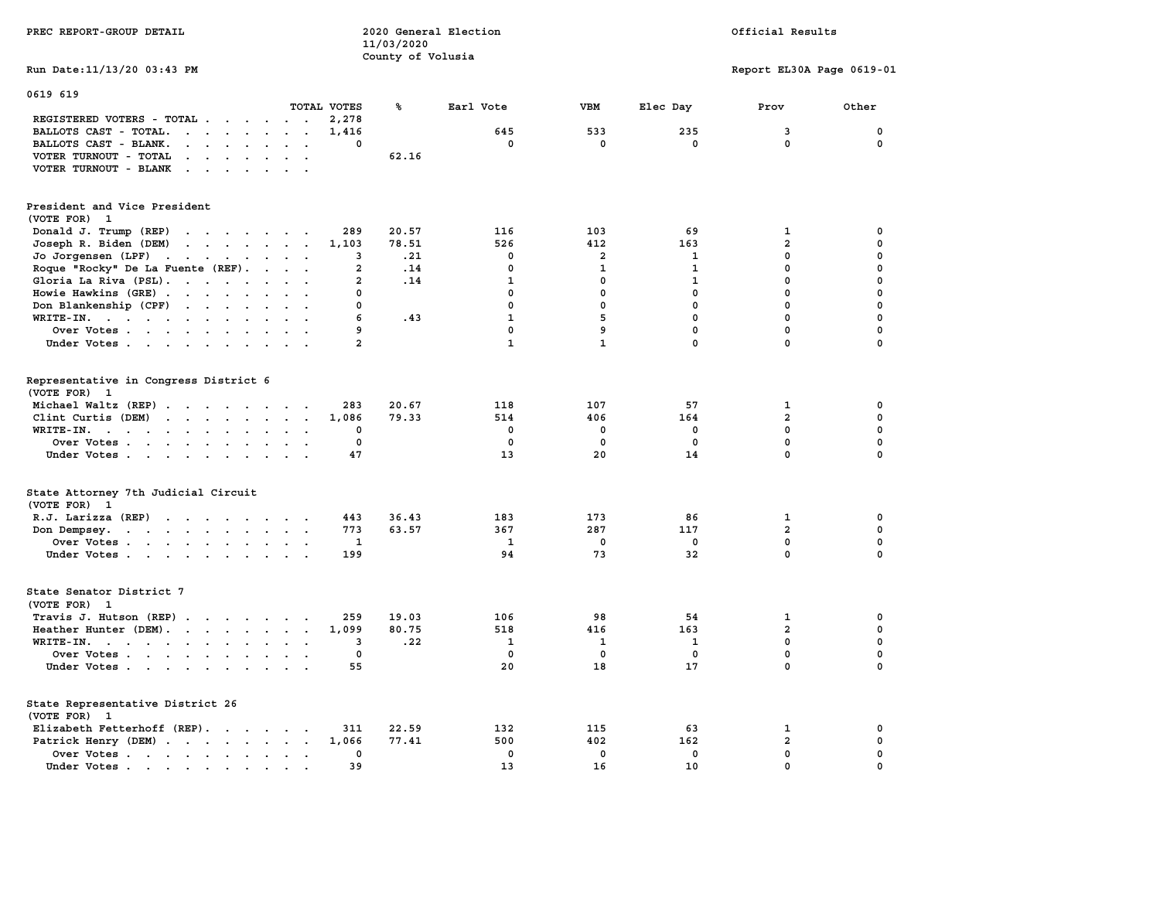| PREC REPORT-GROUP DETAIL                                                                                                                                                                                 | 2020 General Election<br>11/03/2020<br>County of Volusia |              |                |              | Official Results          |             |
|----------------------------------------------------------------------------------------------------------------------------------------------------------------------------------------------------------|----------------------------------------------------------|--------------|----------------|--------------|---------------------------|-------------|
| Run Date: 11/13/20 03:43 PM                                                                                                                                                                              |                                                          |              |                |              | Report EL30A Page 0619-01 |             |
| 0619 619<br>TOTAL VOTES                                                                                                                                                                                  | ℁                                                        | Earl Vote    | VBM            | Elec Day     | Prov                      | Other       |
| REGISTERED VOTERS - TOTAL                                                                                                                                                                                | 2,278                                                    |              |                |              |                           |             |
| BALLOTS CAST - TOTAL.<br>$\begin{array}{cccccccccccccc} \bullet & \bullet & \bullet & \bullet & \bullet & \bullet & \bullet & \bullet & \bullet & \bullet & \bullet \end{array}$<br>$\ddot{\phantom{a}}$ | 1,416                                                    | 645          | 533            | 235          | 3                         | $\mathbf 0$ |
| BALLOTS CAST - BLANK.<br>$\mathbf{r} = \mathbf{r} - \mathbf{r} = \mathbf{r} - \mathbf{r}$ .<br>$\ddot{\phantom{0}}$<br>$\ddot{\phantom{a}}$                                                              | $\mathbf 0$                                              | $\mathbf 0$  | $\mathbf 0$    | $\mathbf 0$  | $\mathbf{0}$              | 0           |
| VOTER TURNOUT - TOTAL                                                                                                                                                                                    | 62.16                                                    |              |                |              |                           |             |
| VOTER TURNOUT - BLANK<br>$\mathbf{r}$ , and $\mathbf{r}$ , and $\mathbf{r}$                                                                                                                              |                                                          |              |                |              |                           |             |
| President and Vice President                                                                                                                                                                             |                                                          |              |                |              |                           |             |
| (VOTE FOR) 1                                                                                                                                                                                             |                                                          |              |                |              |                           |             |
| Donald J. Trump (REP)                                                                                                                                                                                    | 289<br>20.57                                             | 116          | 103            | 69           | 1                         | 0           |
| Joseph R. Biden (DEM)<br>the contract of the contract of the contract of                                                                                                                                 | 1,103<br>78.51                                           | 526          | 412            | 163          | $\overline{a}$            | 0           |
| Jo Jorgensen (LPF)                                                                                                                                                                                       | .21<br>3                                                 | $\mathbf 0$  | $\overline{a}$ | 1            | 0                         | 0           |
| Roque "Rocky" De La Fuente (REF).<br>$\sim$ $\sim$ $\sim$                                                                                                                                                | $\mathbf{2}$<br>.14                                      | $\mathbf 0$  | 1              | 1            | $\mathbf 0$               | 0           |
| Gloria La Riva (PSL).                                                                                                                                                                                    | .14<br>$\mathbf{2}$                                      | $\mathbf{1}$ | $\mathbf{0}$   | $\mathbf{1}$ | $\mathbf 0$               | $\mathbf 0$ |
| Howie Hawkins (GRE)<br>$\ddot{\phantom{0}}$                                                                                                                                                              | 0                                                        | 0            | 0              | $\mathbf 0$  | $\mathbf 0$               | $\mathbf 0$ |
| Don Blankenship (CPF)                                                                                                                                                                                    | 0                                                        | $\mathbf 0$  | $\mathbf 0$    | $\mathbf 0$  | 0                         | $\mathbf 0$ |
| $\mathbf{r}$                                                                                                                                                                                             | 6<br>.43                                                 | $\mathbf{1}$ | 5              | $\mathbf 0$  | $\mathbf 0$               | 0           |
| WRITE-IN.<br>$\sim$                                                                                                                                                                                      | 9                                                        | 0            | 9              | $\mathbf 0$  | $\mathbf 0$               | $\mathbf 0$ |
| Over Votes                                                                                                                                                                                               | $\overline{a}$                                           | $\mathbf{1}$ | $\mathbf{1}$   | $\mathbf 0$  | $\mathbf 0$               | $\mathbf 0$ |
| Under Votes                                                                                                                                                                                              |                                                          |              |                |              |                           |             |
| Representative in Congress District 6<br>(VOTE FOR)<br>1                                                                                                                                                 |                                                          |              |                |              |                           |             |
| Michael Waltz (REP)                                                                                                                                                                                      | 283<br>20.67                                             | 118          | 107            | 57           | 1                         | 0           |
| Clint Curtis (DEM)                                                                                                                                                                                       | 79.33<br>1,086                                           | 514          | 406            | 164          | $\overline{\mathbf{2}}$   | 0           |
| WRITE-IN.                                                                                                                                                                                                | 0                                                        | 0            | 0              | 0            | $\mathbf 0$               | 0           |
| Over Votes<br>$\sim$ $\sim$<br>$\sim$                                                                                                                                                                    | $\mathbf 0$                                              | $\mathbf 0$  | 0              | $\mathbf 0$  | $\mathbf 0$               | $\mathbf 0$ |
| Under Votes                                                                                                                                                                                              | 47                                                       | 13           | 20             | 14           | $\mathbf 0$               | $\mathbf 0$ |
|                                                                                                                                                                                                          |                                                          |              |                |              |                           |             |
| State Attorney 7th Judicial Circuit<br>(VOTE FOR) 1                                                                                                                                                      |                                                          |              |                |              |                           |             |
| R.J. Larizza (REP)                                                                                                                                                                                       | 36.43<br>443                                             | 183          | 173            | 86           | 1                         | 0           |
| Don Dempsey.                                                                                                                                                                                             | 773<br>63.57                                             | 367          | 287            | 117          | $\overline{a}$            | 0           |
| Over Votes                                                                                                                                                                                               | $\mathbf{1}$                                             | 1            | $\mathbf 0$    | 0            | $\mathbf 0$               | $\mathbf 0$ |
| Under Votes                                                                                                                                                                                              | 199                                                      | 94           | 73             | 32           | $\mathbf{0}$              | $\mathbf 0$ |
| State Senator District 7<br>(VOTE FOR) 1                                                                                                                                                                 |                                                          |              |                |              |                           |             |
| Travis J. Hutson (REP)                                                                                                                                                                                   | 19.03<br>259                                             | 106          | 98             | 54           | 1                         | 0           |
| Heather Hunter (DEM).                                                                                                                                                                                    | 1,099<br>80.75                                           | 518          | 416            | 163          | $\overline{2}$            | $\mathbf 0$ |
| WRITE-IN.                                                                                                                                                                                                | .22<br>3                                                 | $\mathbf{1}$ | 1              | 1            | $\mathbf 0$               | $\mathbf 0$ |
| Over Votes                                                                                                                                                                                               | $\mathbf 0$                                              | $\mathbf 0$  | 0              | $\mathbf 0$  | $\mathbf 0$               | $\mathbf 0$ |
| Under Votes<br>$\sim$ $\sim$                                                                                                                                                                             | 55                                                       | 20           | 18             | 17           | $\mathbf 0$               | 0           |
| State Representative District 26                                                                                                                                                                         |                                                          |              |                |              |                           |             |
| (VOTE FOR) 1                                                                                                                                                                                             |                                                          |              |                |              |                           |             |
| Elizabeth Fetterhoff (REP).                                                                                                                                                                              | 22.59<br>311                                             | 132          | 115            | 63           | 1                         | 0           |
| Patrick Henry (DEM)                                                                                                                                                                                      | 1,066<br>77.41                                           | 500          | 402            | 162          | $\overline{a}$            | 0           |
| Over Votes                                                                                                                                                                                               | $\mathbf 0$                                              | $\mathbf{0}$ | $\mathbf{0}$   | $\mathbf{0}$ | $\mathbf{0}$              | $\mathbf 0$ |
| Under Votes<br>$\sim$                                                                                                                                                                                    | 39                                                       | 13           | 16             | 10           | 0                         | 0           |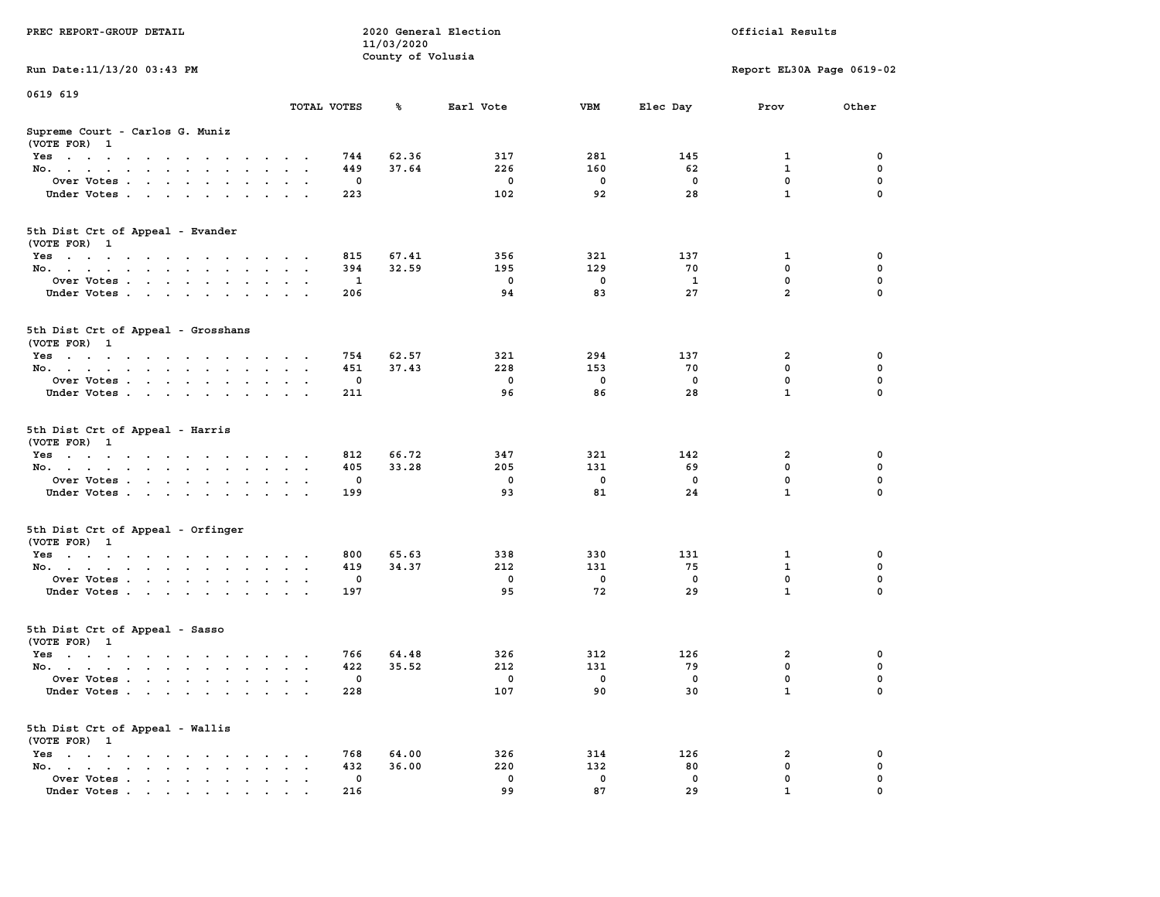| PREC REPORT-GROUP DETAIL                                                                                               |                                          | 11/03/2020        | 2020 General Election |             |             | Official Results          |          |
|------------------------------------------------------------------------------------------------------------------------|------------------------------------------|-------------------|-----------------------|-------------|-------------|---------------------------|----------|
| Run Date: 11/13/20 03:43 PM                                                                                            |                                          | County of Volusia |                       |             |             | Report EL30A Page 0619-02 |          |
|                                                                                                                        |                                          |                   |                       |             |             |                           |          |
| 0619 619                                                                                                               | TOTAL VOTES                              | ℁                 | Earl Vote             | VBM         | Elec Day    | Prov                      | Other    |
| Supreme Court - Carlos G. Muniz<br>(VOTE FOR) 1                                                                        |                                          |                   |                       |             |             |                           |          |
| Yes                                                                                                                    | 744                                      | 62.36             | 317                   | 281         | 145         | 1                         | 0        |
| No.                                                                                                                    | 449                                      | 37.64             | 226                   | 160         | 62          | $\mathbf{1}$              | 0        |
| Over Votes.                                                                                                            |                                          | 0                 | 0                     | 0           | 0           | $\mathbf 0$               | 0        |
| Under Votes                                                                                                            | 223                                      |                   | 102                   | 92          | 28          | $\mathbf{1}$              | $\Omega$ |
| 5th Dist Crt of Appeal - Evander<br>(VOTE FOR) 1                                                                       |                                          |                   |                       |             |             |                           |          |
| Yes                                                                                                                    | 815                                      | 67.41             | 356                   | 321         | 137         | 1                         | 0        |
| No.                                                                                                                    | 394                                      | 32.59             | 195                   | 129         | 70          | $\mathbf 0$               | 0        |
| Over Votes                                                                                                             |                                          | 1                 | $\mathbf 0$           | 0           | 1           | 0                         | 0        |
| Under Votes                                                                                                            | 206                                      |                   | 94                    | 83          | 27          | $\overline{2}$            | 0        |
| 5th Dist Crt of Appeal - Grosshans<br>(VOTE FOR) 1                                                                     |                                          |                   |                       |             |             |                           |          |
| Yes                                                                                                                    | 754                                      | 62.57             | 321                   | 294         | 137         | 2                         | 0        |
| No.                                                                                                                    | 451                                      | 37.43             | 228                   | 153         | 70          | 0                         | 0        |
| Over Votes                                                                                                             |                                          | $\mathbf{0}$      | $\mathbf 0$           | 0           | 0           | $\mathbf 0$               | 0        |
| Under Votes                                                                                                            | 211                                      |                   | 96                    | 86          | 28          | $\mathbf{1}$              | 0        |
| 5th Dist Crt of Appeal - Harris<br>(VOTE FOR) 1                                                                        |                                          |                   |                       |             |             |                           |          |
| Yes                                                                                                                    | 812                                      | 66.72             | 347                   | 321         | 142         | 2                         | 0        |
| No.                                                                                                                    | 405                                      | 33.28             | 205                   | 131         | 69          | $\mathbf 0$               | 0        |
| Over Votes                                                                                                             |                                          | 0                 | $\mathbf 0$           | $\mathbf 0$ | 0           | 0                         | 0        |
| Under Votes                                                                                                            | 199                                      |                   | 93                    | 81          | 24          | $\mathbf{1}$              | $\Omega$ |
| 5th Dist Crt of Appeal - Orfinger<br>(VOTE FOR) 1                                                                      |                                          |                   |                       |             |             |                           |          |
| Yes                                                                                                                    | 800                                      | 65.63             | 338                   | 330         | 131         | 1                         | 0        |
| No.                                                                                                                    | 419                                      | 34.37             | 212                   | 131         | 75          | 1                         | 0        |
| Over Votes                                                                                                             |                                          | 0                 | $\mathbf 0$           | 0           | $\mathbf 0$ | 0                         | 0        |
| Under Votes                                                                                                            | 197                                      |                   | 95                    | 72          | 29          | $\mathbf{1}$              | $\Omega$ |
| 5th Dist Crt of Appeal - Sasso<br>(VOTE FOR) 1                                                                         |                                          |                   |                       |             |             |                           |          |
| Yes<br>the contract of the contract of the contract of the contract of the contract of the contract of the contract of | 766                                      | 64.48             | 326                   | 312         | 126         | 2                         | 0        |
| No.                                                                                                                    | 422                                      | 35.52             | 212                   | 131         | 79          | 0                         | 0        |
| Over Votes                                                                                                             |                                          | $\Omega$          | $^{\circ}$            | 0           | 0           | $\mathbf 0$               | 0        |
| Under Votes                                                                                                            | 228                                      |                   | 107                   | 90          | 30          | $\mathbf{1}$              | 0        |
| 5th Dist Crt of Appeal - Wallis<br>(VOTE FOR) 1                                                                        |                                          |                   |                       |             |             |                           |          |
| $Yes \cdot \cdot \cdot \cdot \cdot \cdot \cdot \cdot \cdot$                                                            | 768                                      | 64.00             | 326                   | 314         | 126         | 2                         | 0        |
| No.<br>$\ddot{\phantom{0}}$                                                                                            | 432<br>$\ddot{\phantom{a}}$<br>$\bullet$ | 36.00             | 220                   | 132         | 80          | $\mathbf 0$               | 0        |
| Over Votes                                                                                                             |                                          | 0                 | 0<br>99               | 0<br>87     | 0<br>29     | 0<br>$\mathbf{1}$         | 0        |
| Under Votes                                                                                                            | 216                                      |                   |                       |             |             |                           |          |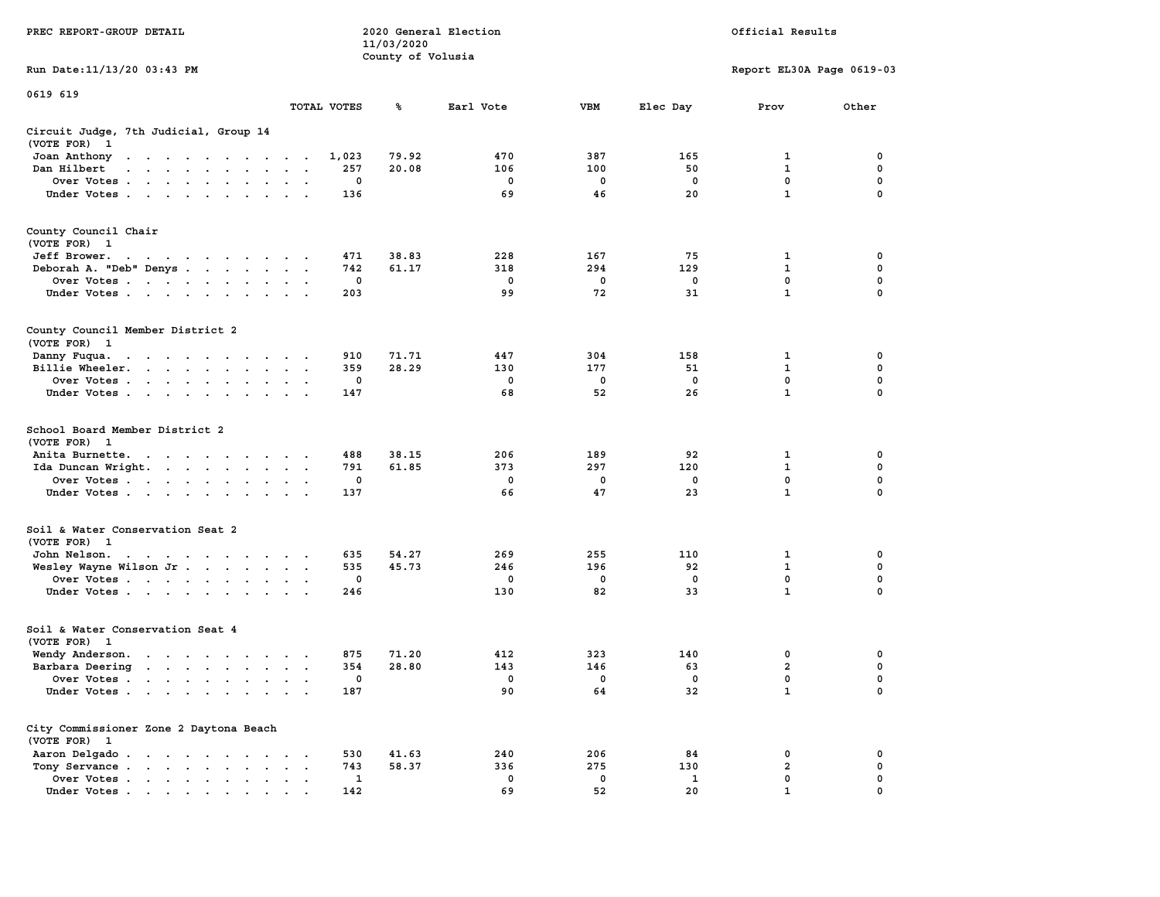|                                                                                                                                                                                                                                                                                                                                                                                                                                              |                                                   | 11/03/2020        |             |             |             |                           |             |
|----------------------------------------------------------------------------------------------------------------------------------------------------------------------------------------------------------------------------------------------------------------------------------------------------------------------------------------------------------------------------------------------------------------------------------------------|---------------------------------------------------|-------------------|-------------|-------------|-------------|---------------------------|-------------|
|                                                                                                                                                                                                                                                                                                                                                                                                                                              |                                                   | County of Volusia |             |             |             |                           |             |
| Run Date: 11/13/20 03:43 PM                                                                                                                                                                                                                                                                                                                                                                                                                  |                                                   |                   |             |             |             | Report EL30A Page 0619-03 |             |
| 0619 619                                                                                                                                                                                                                                                                                                                                                                                                                                     |                                                   |                   |             |             |             |                           |             |
|                                                                                                                                                                                                                                                                                                                                                                                                                                              | TOTAL VOTES                                       | ℁                 | Earl Vote   | <b>VBM</b>  | Elec Day    | Prov                      | Other       |
| Circuit Judge, 7th Judicial, Group 14<br>(VOTE FOR)<br>$\mathbf{1}$                                                                                                                                                                                                                                                                                                                                                                          |                                                   |                   |             |             |             |                           |             |
| Joan Anthony<br>the contract of the contract of the contract of the contract of the contract of the contract of the contract of                                                                                                                                                                                                                                                                                                              | 1,023                                             | 79.92             | 470         | 387         | 165         | $\mathbf 1$               | 0           |
| Dan Hilbert<br>$\mathbf{r}$ , $\mathbf{r}$ , $\mathbf{r}$ , $\mathbf{r}$ , $\mathbf{r}$ , $\mathbf{r}$                                                                                                                                                                                                                                                                                                                                       | 257<br>$\sim$                                     | 20.08             | 106         | 100         | 50          | $\mathbf{1}$              | $\mathbf 0$ |
| Over Votes                                                                                                                                                                                                                                                                                                                                                                                                                                   | $\mathbf 0$<br>$\,$ .                             |                   | $\mathbf 0$ | $\mathbf 0$ | $\mathbf 0$ | $\mathbf 0$               | $\mathbf 0$ |
| Under Votes                                                                                                                                                                                                                                                                                                                                                                                                                                  | 136                                               |                   | 69          | 46          | 20          | $\mathbf{1}$              | 0           |
|                                                                                                                                                                                                                                                                                                                                                                                                                                              |                                                   |                   |             |             |             |                           |             |
| County Council Chair<br>(VOTE FOR) 1                                                                                                                                                                                                                                                                                                                                                                                                         |                                                   |                   |             |             |             |                           |             |
| Jeff Brower.<br>$\mathbf{a} = \mathbf{a} + \mathbf{a} + \mathbf{a} + \mathbf{a} + \mathbf{a} + \mathbf{a} + \mathbf{a} + \mathbf{a} + \mathbf{a} + \mathbf{a} + \mathbf{a} + \mathbf{a} + \mathbf{a} + \mathbf{a} + \mathbf{a} + \mathbf{a} + \mathbf{a} + \mathbf{a} + \mathbf{a} + \mathbf{a} + \mathbf{a} + \mathbf{a} + \mathbf{a} + \mathbf{a} + \mathbf{a} + \mathbf{a} + \mathbf{a} + \mathbf{a} + \mathbf{a} + \mathbf{a} + \mathbf$ | 471                                               | 38.83             | 228         | 167         | 75          | 1                         | 0           |
| Deborah A. "Deb" Denys                                                                                                                                                                                                                                                                                                                                                                                                                       | 742                                               | 61.17             | 318         | 294         | 129         | $\mathbf{1}$              | $\mathbf 0$ |
| Over Votes                                                                                                                                                                                                                                                                                                                                                                                                                                   | $\mathbf 0$                                       |                   | 0           | $\mathbf 0$ | 0           | $\mathbf 0$               | $\mathbf 0$ |
| Under Votes                                                                                                                                                                                                                                                                                                                                                                                                                                  | 203                                               |                   | 99          | 72          | 31          | $\mathbf{1}$              | 0           |
|                                                                                                                                                                                                                                                                                                                                                                                                                                              |                                                   |                   |             |             |             |                           |             |
| County Council Member District 2<br>(VOTE FOR) 1                                                                                                                                                                                                                                                                                                                                                                                             |                                                   |                   |             |             |             |                           |             |
| Danny Fuqua.<br>the contract of the contract of the contract of the contract of the contract of the contract of the contract of                                                                                                                                                                                                                                                                                                              | 910                                               | 71.71             | 447         | 304         | 158         | 1                         | $\mathbf 0$ |
| Billie Wheeler.<br>$\mathcal{L}^{\text{max}}$ , $\mathcal{L}^{\text{max}}$                                                                                                                                                                                                                                                                                                                                                                   | 359<br>$\sim$<br>$\bullet$                        | 28.29             | 130         | 177         | 51          | $\mathbf{1}$              | $\mathbf 0$ |
| Over Votes                                                                                                                                                                                                                                                                                                                                                                                                                                   | $\mathbf 0$<br>$\sim$                             |                   | $\mathbf 0$ | $\mathbf 0$ | $\mathbf 0$ | $\mathbf 0$               | $\mathbf 0$ |
| Under Votes                                                                                                                                                                                                                                                                                                                                                                                                                                  | 147                                               |                   | 68          | 52          | 26          | $\mathbf{1}$              | 0           |
|                                                                                                                                                                                                                                                                                                                                                                                                                                              |                                                   |                   |             |             |             |                           |             |
| School Board Member District 2<br>(VOTE FOR) 1                                                                                                                                                                                                                                                                                                                                                                                               |                                                   |                   |             |             |             |                           |             |
| Anita Burnette.                                                                                                                                                                                                                                                                                                                                                                                                                              | 488<br>$\cdot$                                    | 38.15             | 206         | 189         | 92          | 1                         | 0           |
| Ida Duncan Wright.                                                                                                                                                                                                                                                                                                                                                                                                                           | 791<br>$\sim$<br>$\cdot$                          | 61.85             | 373         | 297         | 120         | $\mathbf{1}$              | $\mathbf 0$ |
| Over Votes                                                                                                                                                                                                                                                                                                                                                                                                                                   | 0                                                 |                   | 0           | 0           | 0           | $\mathbf 0$               | $\mathbf 0$ |
| Under Votes<br>$\mathbf{r}$ , $\mathbf{r}$ , $\mathbf{r}$                                                                                                                                                                                                                                                                                                                                                                                    | 137                                               |                   | 66          | 47          | 23          | $\mathbf{1}$              | 0           |
| Soil & Water Conservation Seat 2<br>(VOTE FOR) 1                                                                                                                                                                                                                                                                                                                                                                                             |                                                   |                   |             |             |             |                           |             |
| John Nelson.<br>the contract of the contract of the contract of the contract of the contract of the contract of the contract of                                                                                                                                                                                                                                                                                                              | 635                                               | 54.27             | 269         | 255         | 110         | 1                         | 0           |
| Wesley Wayne Wilson Jr                                                                                                                                                                                                                                                                                                                                                                                                                       | 535<br>$\bullet$                                  | 45.73             | 246         | 196         | 92          | $\mathbf{1}$              | $\mathbf 0$ |
| Over Votes                                                                                                                                                                                                                                                                                                                                                                                                                                   | $\mathbf 0$                                       |                   | $\mathbf 0$ | $\mathbf 0$ | $\mathbf 0$ | $\mathbf 0$               | $\mathbf 0$ |
|                                                                                                                                                                                                                                                                                                                                                                                                                                              |                                                   |                   | 130         | 82          | 33          | $\mathbf{1}$              | 0           |
| Under Votes<br>$\sim$ $\sim$                                                                                                                                                                                                                                                                                                                                                                                                                 | 246                                               |                   |             |             |             |                           |             |
| Soil & Water Conservation Seat 4                                                                                                                                                                                                                                                                                                                                                                                                             |                                                   |                   |             |             |             |                           |             |
| (VOTE FOR)<br>$\mathbf{1}$                                                                                                                                                                                                                                                                                                                                                                                                                   |                                                   |                   |             |             |             |                           |             |
| Wendy Anderson.                                                                                                                                                                                                                                                                                                                                                                                                                              | 875                                               | 71.20             | 412         | 323         | 140         | $\mathbf 0$               | $\mathbf 0$ |
| Barbara Deering                                                                                                                                                                                                                                                                                                                                                                                                                              | 354                                               | 28.80             | 143         | 146         | 63          | $\overline{a}$            | $\mathbf 0$ |
| Over Votes                                                                                                                                                                                                                                                                                                                                                                                                                                   | 0<br>$\cdot$<br>$\bullet$                         |                   | 0           | $\mathbf 0$ | $\mathbf 0$ | $\mathbf 0$               | $\mathbf 0$ |
| Under Votes                                                                                                                                                                                                                                                                                                                                                                                                                                  | 187                                               |                   | 90          | 64          | 32          | $\mathbf{1}$              | $\Omega$    |
| City Commissioner Zone 2 Daytona Beach<br>(VOTE FOR) 1                                                                                                                                                                                                                                                                                                                                                                                       |                                                   |                   |             |             |             |                           |             |
| Aaron Delgado                                                                                                                                                                                                                                                                                                                                                                                                                                | 530                                               | 41.63             | 240         | 206         | 84          | 0                         | 0           |
| Tony Servance<br>$\sim$ $\sim$ $\sim$                                                                                                                                                                                                                                                                                                                                                                                                        | 743<br>$\sim$ $\sim$ $\sim$                       | 58.37             | 336         | 275         | 130         | $\overline{a}$            | 0           |
| Over Votes<br>$\ddot{\phantom{0}}$<br>$\bullet$<br>$\bullet$                                                                                                                                                                                                                                                                                                                                                                                 | 1<br>$\ddot{\phantom{a}}$<br>$\ddot{\phantom{a}}$ |                   | $\mathbf 0$ | $\mathbf 0$ | 1           | 0                         | 0           |
| Under Votes<br>the contract of the contract of the contract of the contract of the contract of the contract of the contract of                                                                                                                                                                                                                                                                                                               | 142                                               |                   | 69          | 52          | 20          | 1                         | $\Omega$    |

**PREC REPORT-GROUP DETAIL COMPUTER SERVICE 2020 General Election**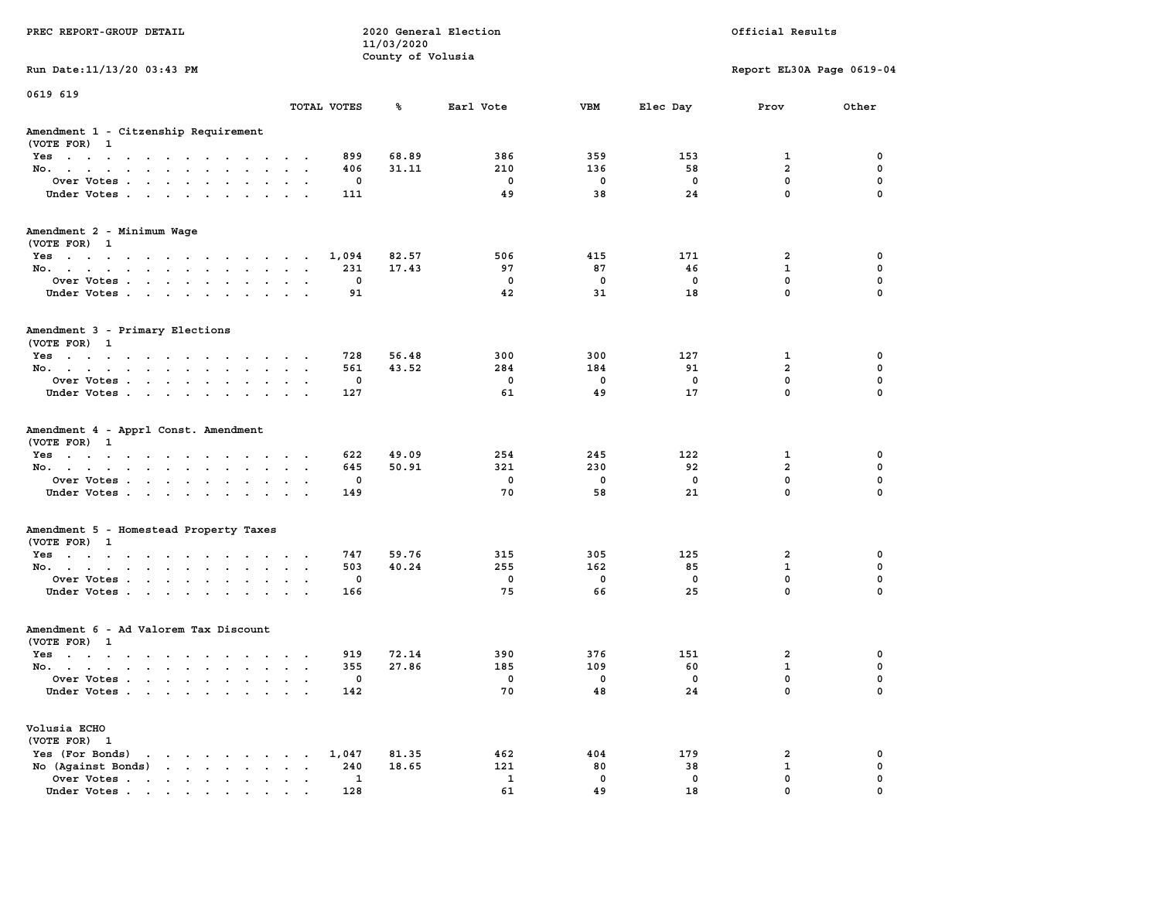| PREC REPORT-GROUP DETAIL                                                                                                                |                      |                 | 2020 General Election<br>11/03/2020 |                 |                 |                | Official Results                   |             |
|-----------------------------------------------------------------------------------------------------------------------------------------|----------------------|-----------------|-------------------------------------|-----------------|-----------------|----------------|------------------------------------|-------------|
|                                                                                                                                         |                      |                 | County of Volusia                   |                 |                 |                |                                    |             |
| Run Date: 11/13/20 03:43 PM                                                                                                             |                      |                 |                                     |                 |                 |                | Report EL30A Page 0619-04          |             |
| 0619 619                                                                                                                                | TOTAL VOTES          |                 | ℁                                   | Earl Vote       | <b>VBM</b>      | Elec Day       | Prov                               | Other       |
|                                                                                                                                         |                      |                 |                                     |                 |                 |                |                                    |             |
| Amendment 1 - Citzenship Requirement<br>(VOTE FOR) 1                                                                                    |                      |                 |                                     |                 |                 |                |                                    |             |
| Yes                                                                                                                                     |                      | 899             | 68.89                               | 386             | 359             | 153            | 1                                  | 0           |
| No.                                                                                                                                     |                      | 406             | 31.11                               | 210             | 136             | 58             | $\overline{a}$                     | $\mathbf 0$ |
| Over Votes.                                                                                                                             |                      | 0               |                                     | 0               | 0               | 0              | $\mathbf 0$                        | 0           |
| Under Votes                                                                                                                             |                      | 111             |                                     | 49              | 38              | 24             | $\mathbf 0$                        | $\Omega$    |
| Amendment 2 - Minimum Wage                                                                                                              |                      |                 |                                     |                 |                 |                |                                    |             |
| (VOTE FOR) 1                                                                                                                            |                      |                 |                                     |                 |                 |                |                                    |             |
| Yes                                                                                                                                     |                      | 1,094<br>231    | 82.57<br>17.43                      | 506<br>97       | 415<br>87       | 171<br>46      | 2<br>$\mathbf{1}$                  | 0<br>0      |
| No.<br>Over Votes                                                                                                                       |                      | 0               |                                     | $\mathbf 0$     | 0               | 0              | $\mathbf 0$                        | $\mathbf 0$ |
| Under Votes                                                                                                                             |                      | 91              |                                     | 42              | 31              | 18             | 0                                  | $\Omega$    |
|                                                                                                                                         |                      |                 |                                     |                 |                 |                |                                    |             |
| Amendment 3 - Primary Elections<br>(VOTE FOR) 1                                                                                         |                      |                 |                                     |                 |                 |                |                                    |             |
| Yes                                                                                                                                     |                      | 728             | 56.48                               | 300             | 300             | 127            | 1                                  | 0           |
| No.                                                                                                                                     |                      | 561             | 43.52                               | 284             | 184             | 91             | $\overline{a}$                     | 0           |
| Over Votes                                                                                                                              |                      | 0               |                                     | $\mathbf{0}$    | $\mathbf 0$     | 0              | $\mathbf{0}$                       | $\mathbf 0$ |
| Under Votes                                                                                                                             |                      | 127             |                                     | 61              | 49              | 17             | $\mathbf 0$                        | $\mathbf 0$ |
| Amendment 4 - Apprl Const. Amendment<br>(VOTE FOR) 1<br>Yes<br>No.<br>Over Votes                                                        |                      | 622<br>645<br>0 | 49.09<br>50.91                      | 254<br>321<br>0 | 245<br>230<br>0 | 122<br>92<br>0 | 1<br>$\overline{2}$<br>$\mathbf 0$ | 0<br>0<br>0 |
| Under Votes                                                                                                                             |                      | 149             |                                     | 70              | 58              | 21             | $\mathbf 0$                        | $\Omega$    |
| Amendment 5 - Homestead Property Taxes                                                                                                  |                      |                 |                                     |                 |                 |                |                                    |             |
| (VOTE FOR) 1                                                                                                                            |                      |                 |                                     |                 |                 |                |                                    |             |
| Yes<br>No.                                                                                                                              |                      | 747<br>503      | 59.76<br>40.24                      | 315<br>255      | 305<br>162      | 125<br>85      | 2<br>$\mathbf{1}$                  | 0<br>0      |
| Over Votes                                                                                                                              |                      | 0               |                                     | $\mathbf 0$     | $\mathbf 0$     | 0              | $\mathbf 0$                        | 0           |
| Under Votes                                                                                                                             |                      | 166             |                                     | 75              | 66              | 25             | 0                                  | $\Omega$    |
| Amendment 6 - Ad Valorem Tax Discount<br>(VOTE FOR) 1                                                                                   |                      |                 |                                     |                 |                 |                |                                    |             |
| $Yes \cdot \cdot \cdot \cdot \cdot \cdot \cdot \cdot \cdot \cdot \cdot \cdot$                                                           |                      | 919             | 72.14                               | 390             | 376             | 151            | 2                                  | 0           |
| No.                                                                                                                                     |                      | 355             | 27.86                               | 185             | 109             | 60             | $\mathbf{1}$                       | 0           |
| Over Votes                                                                                                                              |                      | 0               |                                     | 0               | 0               | 0              | $\mathbf{0}$                       | $\mathbf 0$ |
| Under Votes                                                                                                                             |                      | 142             |                                     | 70              | 48              | 24             | 0                                  | 0           |
| Volusia ECHO<br>(VOTE FOR) 1                                                                                                            |                      |                 |                                     |                 |                 |                |                                    |             |
| Yes (For Bonds)<br>$\mathbf{u} = \mathbf{u} + \mathbf{u} + \mathbf{u} + \mathbf{u} + \mathbf{u} + \mathbf{u} + \mathbf{u} + \mathbf{u}$ |                      | 1,047           | 81.35                               | 462             | 404             | 179            | 2                                  | 0           |
| No (Aqainst Bonds)                                                                                                                      | $\ddot{\phantom{a}}$ | 240             | 18.65                               | 121             | 80              | 38             | $\mathbf{1}$                       | $\mathbf 0$ |
| Over Votes                                                                                                                              |                      | $\mathbf{1}$    |                                     | $\mathbf{1}$    | $\mathbf 0$     | 0              | $\mathbf 0$                        | 0           |
| Under Votes                                                                                                                             |                      | 128             |                                     | 61              | 49              | 18             | 0                                  | $\Omega$    |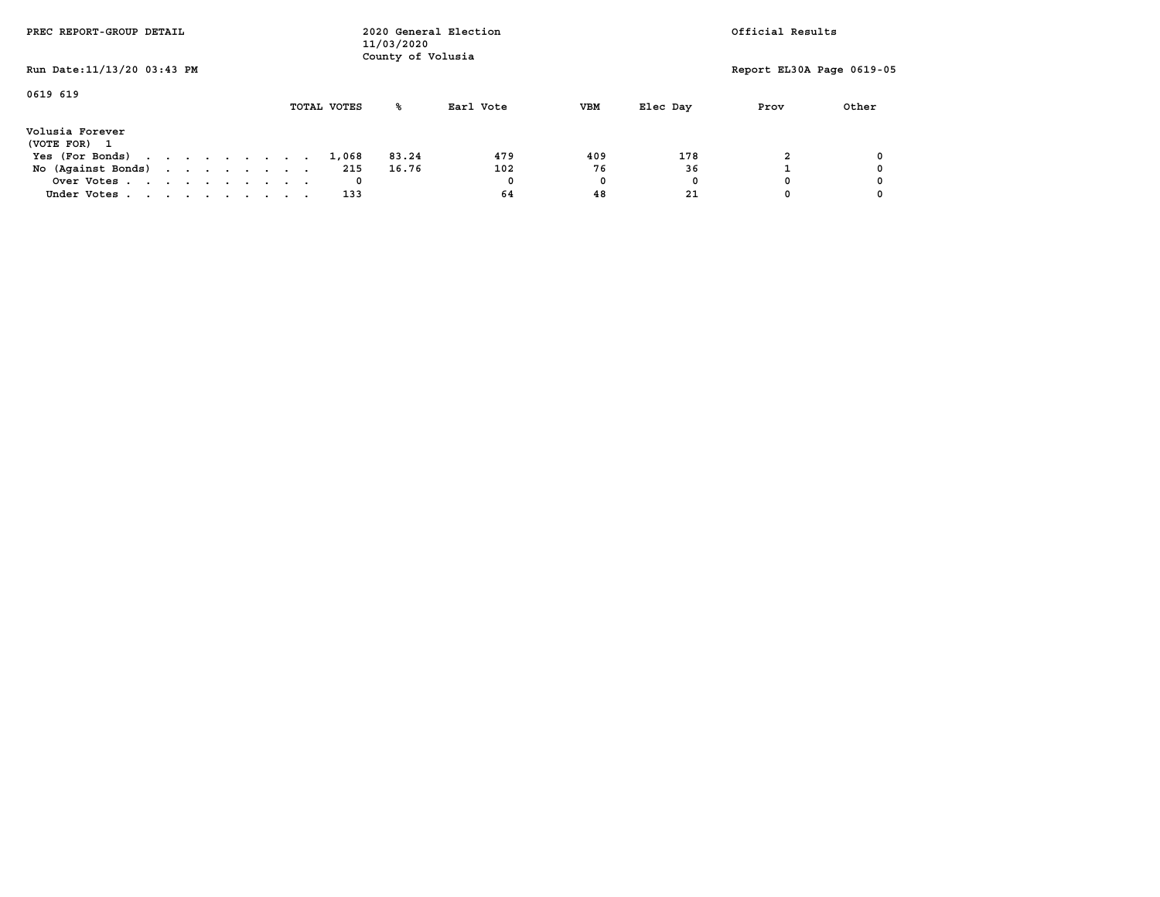| PREC REPORT-GROUP DETAIL                                          |  |  |  |  |  | 11/03/2020<br>County of Volusia | 2020 General Election | Official Results |            |          |                           |       |
|-------------------------------------------------------------------|--|--|--|--|--|---------------------------------|-----------------------|------------------|------------|----------|---------------------------|-------|
| Run Date: 11/13/20 03:43 PM                                       |  |  |  |  |  |                                 |                       |                  |            |          | Report EL30A Page 0619-05 |       |
| 0619 619                                                          |  |  |  |  |  | TOTAL VOTES                     | ℁                     | Earl Vote        | <b>VBM</b> | Elec Day | Prov                      | Other |
| Volusia Forever<br>(VOTE FOR)<br>$\overline{\phantom{a}}$         |  |  |  |  |  |                                 |                       |                  |            |          |                           |       |
| Yes (For Bonds) $\cdot \cdot \cdot \cdot \cdot \cdot \cdot \cdot$ |  |  |  |  |  | 1,068                           | 83.24                 | 479              | 409        | 178      |                           |       |
| No (Against Bonds)                                                |  |  |  |  |  | 215                             | 16.76                 | 102              | 76         | 36       |                           |       |
| Over Votes                                                        |  |  |  |  |  |                                 |                       | 0                | 0          | 0        |                           |       |
| Under Votes                                                       |  |  |  |  |  | 133                             |                       | 64               | 48         | 21       |                           |       |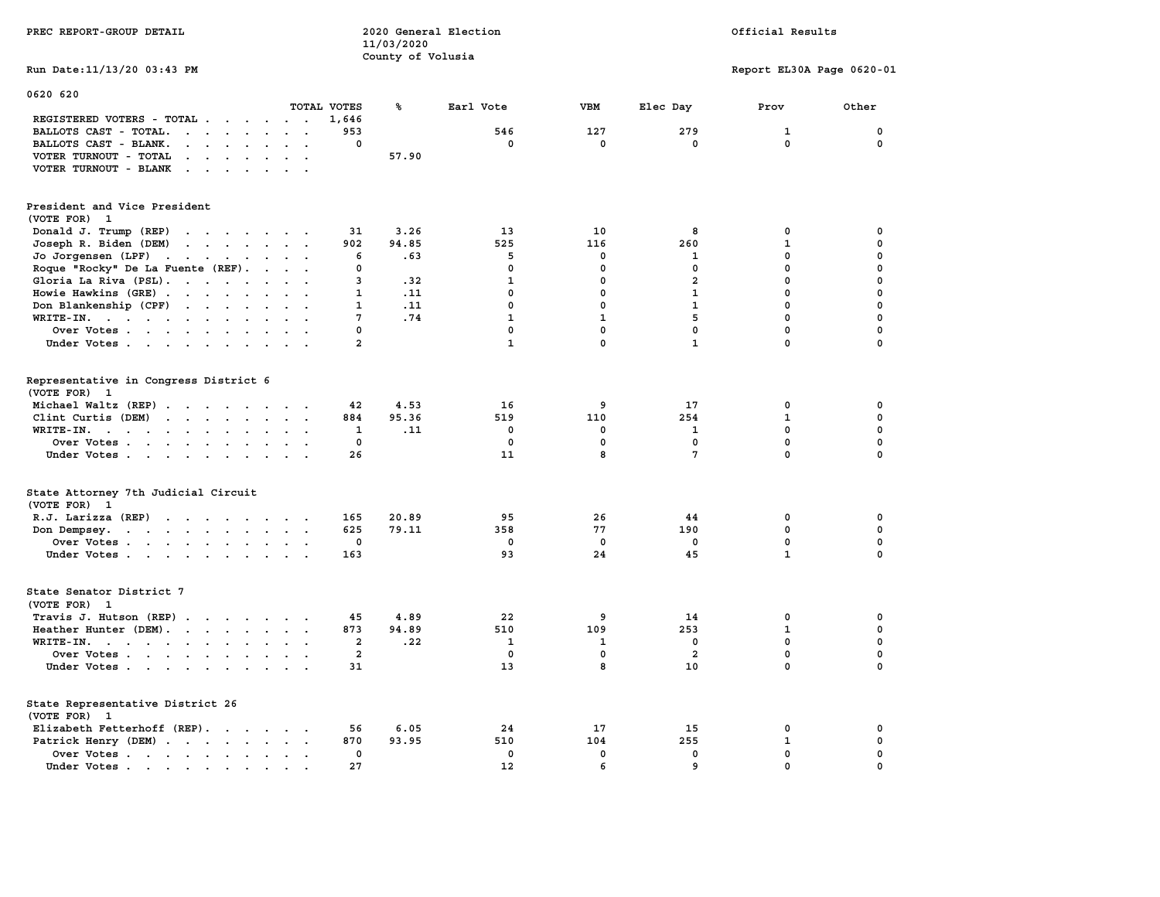| PREC REPORT-GROUP DETAIL                                                                                                                                                                                                                                   |                | 11/03/2020        | 2020 General Election | Official Results |                         |                           |                            |
|------------------------------------------------------------------------------------------------------------------------------------------------------------------------------------------------------------------------------------------------------------|----------------|-------------------|-----------------------|------------------|-------------------------|---------------------------|----------------------------|
|                                                                                                                                                                                                                                                            |                | County of Volusia |                       |                  |                         |                           |                            |
| Run Date: 11/13/20 03:43 PM                                                                                                                                                                                                                                |                |                   |                       |                  |                         | Report EL30A Page 0620-01 |                            |
| 0620 620                                                                                                                                                                                                                                                   | TOTAL VOTES    | ℁                 | Earl Vote             | VBM              | Elec Day                | Prov                      | Other                      |
| REGISTERED VOTERS - TOTAL                                                                                                                                                                                                                                  | 1,646          |                   |                       |                  |                         |                           |                            |
| BALLOTS CAST - TOTAL.<br>$\cdot$                                                                                                                                                                                                                           | 953            |                   | 546                   | 127              | 279                     | 1                         | 0                          |
| BALLOTS CAST - BLANK.<br>$\cdot$ $\cdot$<br>$\cdot$ $\cdot$<br>$\sim$                                                                                                                                                                                      | 0              |                   | 0                     | 0                | 0                       | 0                         | 0                          |
| VOTER TURNOUT - TOTAL<br>$\mathbf{r}$ . The set of the set of the set of the set of the set of the set of the set of the set of the set of the set of the set of the set of the set of the set of the set of the set of the set of the set of the set of t |                | 57.90             |                       |                  |                         |                           |                            |
|                                                                                                                                                                                                                                                            |                |                   |                       |                  |                         |                           |                            |
| VOTER TURNOUT - BLANK                                                                                                                                                                                                                                      |                |                   |                       |                  |                         |                           |                            |
| President and Vice President<br>(VOTE FOR) 1                                                                                                                                                                                                               |                |                   |                       |                  |                         |                           |                            |
| Donald J. Trump (REP)                                                                                                                                                                                                                                      | 31             | 3.26              | 13                    | 10               | 8                       | 0                         | 0                          |
| Joseph R. Biden (DEM)<br>$\mathbf{r}$ . The contract of the contract of the contract of the contract of the contract of the contract of the contract of the contract of the contract of the contract of the contract of the contract of the contract of th | 902            | 94.85             | 525                   | 116              | 260                     | $\mathbf{1}$              | $\mathbf 0$                |
| Jo Jorgensen (LPF)                                                                                                                                                                                                                                         | 6              | .63               | 5                     | 0                | 1                       | 0                         | $\mathbf 0$                |
| $\sim$<br>$\sim$                                                                                                                                                                                                                                           | 0              |                   | 0                     | 0                | 0                       | $\mathbf 0$               | $\mathbf 0$                |
| Roque "Rocky" De La Fuente (REF).<br>$\sim$                                                                                                                                                                                                                |                |                   |                       |                  |                         |                           |                            |
| Gloria La Riva (PSL).                                                                                                                                                                                                                                      | 3              | .32               | $\mathbf{1}$          | $\mathbf 0$      | $\overline{a}$          | 0                         | $\mathbf 0$<br>$\mathbf 0$ |
| Howie Hawkins (GRE)<br>$\sim$<br>$\ddot{\phantom{a}}$<br>$\mathbf{r}$                                                                                                                                                                                      | 1              | .11               | 0                     | $^{\circ}$       | 1                       | $\mathbf 0$               |                            |
| Don Blankenship (CPF)                                                                                                                                                                                                                                      | 1              | .11               | $\mathbf 0$           | $\mathbf{0}$     | $\mathbf{1}$            | 0                         | $\mathbf 0$                |
| $WRITE-IN.$<br>$\sim$<br>$\ddot{\phantom{a}}$<br>$\mathbf{r}$                                                                                                                                                                                              | 7              | .74               | $\mathbf{1}$          | $\mathbf{1}$     | 5                       | 0                         | $\mathbf 0$                |
| Over Votes                                                                                                                                                                                                                                                 | 0              |                   | 0                     | $\mathbf 0$      | $\mathbf 0$             | $\mathbf 0$               | $\mathbf 0$                |
| Under Votes                                                                                                                                                                                                                                                | $\overline{a}$ |                   | $\mathbf{1}$          | 0                | $\mathbf{1}$            | $\mathbf 0$               | $\Omega$                   |
| Representative in Congress District 6<br>(VOTE FOR) 1                                                                                                                                                                                                      |                |                   |                       |                  |                         |                           |                            |
| Michael Waltz (REP)                                                                                                                                                                                                                                        | 42             | 4.53              | 16                    | 9                | 17                      | 0                         | 0                          |
| Clint Curtis (DEM)                                                                                                                                                                                                                                         | 884            | 95.36             | 519                   | 110              | 254                     | $\mathbf 1$               | $\mathbf 0$                |
| WRITE-IN.                                                                                                                                                                                                                                                  | 1              | .11               | 0                     | 0                | 1                       | $\mathbf 0$               | $\mathbf 0$                |
| Over Votes<br>$\sim$<br>$\cdot$ $\cdot$                                                                                                                                                                                                                    | $\mathbf 0$    |                   | $\mathbf 0$           | 0                | 0                       | $\mathbf 0$               | $\mathbf 0$                |
| Under Votes                                                                                                                                                                                                                                                | 26             |                   | 11                    | 8                | $7\phantom{.0}$         | $\mathbf 0$               | 0                          |
| State Attorney 7th Judicial Circuit<br>(VOTE FOR) 1                                                                                                                                                                                                        |                |                   |                       |                  |                         |                           |                            |
| R.J. Larizza (REP)                                                                                                                                                                                                                                         | 165            | 20.89             | 95                    | 26               | 44                      | 0                         | 0                          |
| Don Dempsey.                                                                                                                                                                                                                                               | 625            | 79.11             | 358                   | 77               | 190                     | $\mathbf 0$               | 0                          |
| Over Votes                                                                                                                                                                                                                                                 | 0              |                   | 0                     | 0                | 0                       | 0                         | $\mathbf 0$                |
| Under Votes                                                                                                                                                                                                                                                | 163            |                   | 93                    | 24               | 45                      | $\mathbf{1}$              | $\mathbf 0$                |
| State Senator District 7<br>(VOTE FOR) 1                                                                                                                                                                                                                   |                |                   |                       |                  |                         |                           |                            |
| Travis J. Hutson (REP)                                                                                                                                                                                                                                     | 45             | 4.89              | 22                    | 9                | 14                      | 0                         | 0                          |
| Heather Hunter (DEM).                                                                                                                                                                                                                                      | 873            | 94.89             | 510                   | 109              | 253                     | $\mathbf{1}$              | 0                          |
| $WRITE-IN.$<br>$\sim$<br>$\sim$                                                                                                                                                                                                                            | $\overline{2}$ | .22               | $\mathbf{1}$          | 1                | 0                       | $\mathbf 0$               | $\mathbf 0$                |
| Over Votes                                                                                                                                                                                                                                                 | $\overline{a}$ |                   | 0                     | 0                | $\overline{\mathbf{2}}$ | 0                         | $\pmb{0}$                  |
| Under Votes<br>$\sim$<br>$\sim$                                                                                                                                                                                                                            | 31             |                   | 13                    | 8                | 10                      | $\mathbf 0$               | $\Omega$                   |
| State Representative District 26<br>(VOTE FOR) 1                                                                                                                                                                                                           |                |                   |                       |                  |                         |                           |                            |
| Elizabeth Fetterhoff (REP).                                                                                                                                                                                                                                | 56             | 6.05              | 24                    | 17               | 15                      | 0                         | 0                          |
| Patrick Henry (DEM)                                                                                                                                                                                                                                        | 870            | 93.95             | 510                   | 104              | 255                     | $\mathbf{1}$              | 0                          |
| Over Votes                                                                                                                                                                                                                                                 | 0              |                   | $\mathbf 0$           | $\mathbf 0$      | $\mathbf 0$             | $\mathbf 0$               | $\mathbf 0$                |
| Under Votes.<br>$\sim$ $\sim$ $\sim$ $\sim$ $\sim$ $\sim$ $\sim$<br>$\sim$                                                                                                                                                                                 | 27             |                   | 12                    | 6                | 9                       | $\mathbf 0$               | $\mathbf 0$                |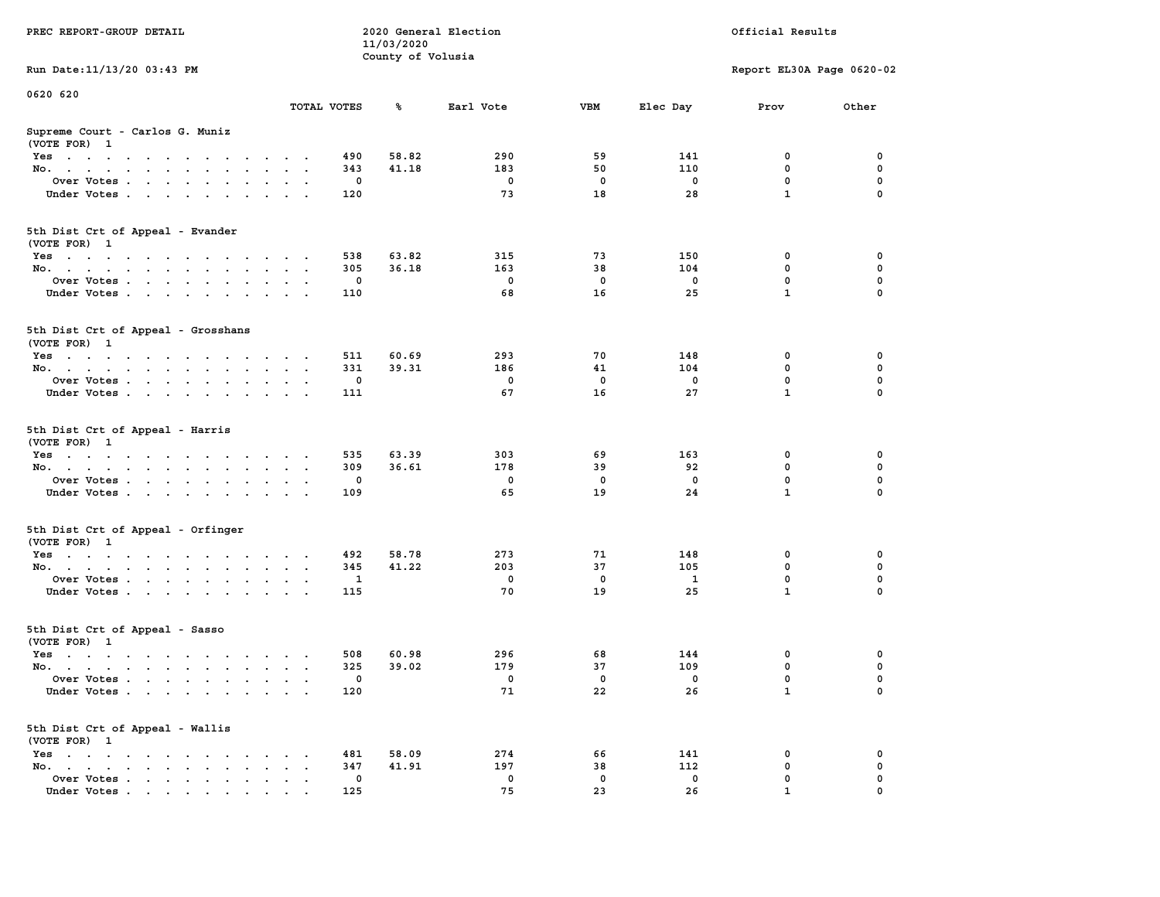|                                                                                                                                                 |                                              |             | 11/03/2020        |             |              |              |                           |             |
|-------------------------------------------------------------------------------------------------------------------------------------------------|----------------------------------------------|-------------|-------------------|-------------|--------------|--------------|---------------------------|-------------|
|                                                                                                                                                 |                                              |             | County of Volusia |             |              |              |                           |             |
| Run Date: 11/13/20 03:43 PM                                                                                                                     |                                              |             |                   |             |              |              | Report EL30A Page 0620-02 |             |
| 0620 620                                                                                                                                        |                                              |             |                   |             |              |              |                           |             |
|                                                                                                                                                 | TOTAL VOTES                                  |             | ℁                 | Earl Vote   | <b>VBM</b>   | Elec Day     | Prov                      | Other       |
| Supreme Court - Carlos G. Muniz                                                                                                                 |                                              |             |                   |             |              |              |                           |             |
| (VOTE FOR) 1                                                                                                                                    |                                              |             |                   |             |              |              |                           |             |
| $Yes \cdot \cdot \cdot \cdot \cdot \cdot \cdot \cdot \cdot$<br>$\sim$<br>$\cdot$                                                                |                                              | 490         | 58.82             | 290         | 59           | 141          | 0                         | 0           |
| No.<br>$\sim$ $\sim$<br>$\sim$<br>$\sim$                                                                                                        |                                              | 343         | 41.18             | 183         | 50           | 110          | $\mathbf 0$               | $\mathbf 0$ |
| Over Votes<br>$\overline{\phantom{a}}$                                                                                                          |                                              | 0           |                   | $\mathbf 0$ | 0            | $\mathbf 0$  | $\mathbf 0$               | $\pmb{0}$   |
| Under Votes<br>$\sim$<br>$\ddot{\phantom{a}}$<br>$\bullet$<br>$\ddot{\phantom{0}}$                                                              |                                              | 120         |                   | 73          | 18           | 28           | $\mathbf{1}$              | $\mathbf 0$ |
|                                                                                                                                                 |                                              |             |                   |             |              |              |                           |             |
| 5th Dist Crt of Appeal - Evander<br>(VOTE FOR) 1                                                                                                |                                              |             |                   |             |              |              |                           |             |
| Yes                                                                                                                                             |                                              | 538         | 63.82             | 315         | 73           | 150          | 0                         | 0           |
| No.<br>$\sim$<br>$\sim$                                                                                                                         |                                              | 305         | 36.18             | 163         | 38           | 104          | 0                         | 0           |
| Over Votes<br>$\bullet$ . $\bullet$<br>$\blacksquare$ .                                                                                         | $\sim$                                       | 0           |                   | $^{\circ}$  | $\mathbf{0}$ | $^{\circ}$   | $\mathbf 0$               | $\mathbf 0$ |
| Under Votes<br>$\sim$                                                                                                                           | $\cdot$ .                                    | 110         |                   | 68          | 16           | 25           | $\mathbf{1}$              | 0           |
|                                                                                                                                                 |                                              |             |                   |             |              |              |                           |             |
| 5th Dist Crt of Appeal - Grosshans<br>(VOTE FOR) 1                                                                                              |                                              |             |                   |             |              |              |                           |             |
| Yes                                                                                                                                             | $\cdot$                                      | 511         | 60.69             | 293         | 70           | 148          | 0                         | 0           |
| No.                                                                                                                                             |                                              | 331         | 39.31             | 186         | 41           | 104          | $\mathbf 0$               | $\mathbf 0$ |
| Over Votes<br>$\ddot{\phantom{a}}$<br>$\blacksquare$<br>$\ddot{\phantom{a}}$                                                                    |                                              | 0           |                   | $\mathbf 0$ | 0            | 0            | 0                         | $\pmb{0}$   |
| Under Votes                                                                                                                                     |                                              | 111         |                   | 67          | 16           | 27           | $\mathbf{1}$              | $\mathbf 0$ |
|                                                                                                                                                 |                                              |             |                   |             |              |              |                           |             |
| 5th Dist Crt of Appeal - Harris<br>(VOTE FOR) 1                                                                                                 |                                              |             |                   |             |              |              |                           |             |
| $Yes \cdot \cdot \cdot \cdot \cdot \cdot$<br>$\sim$ $\sim$ $\sim$ $\sim$ $\sim$<br>$\sim$ $\sim$                                                | $\cdot$                                      | 535         | 63.39             | 303         | 69           | 163          | 0                         | 0           |
| No.<br>$\ddot{\phantom{0}}$<br>$\ddot{\phantom{a}}$<br>$\ddot{\phantom{a}}$<br>$\ddot{\phantom{a}}$                                             | $\ddot{\phantom{a}}$<br>$\ddot{\phantom{a}}$ | 309         | 36.61             | 178         | 39           | 92           | $\mathbf 0$               | $\mathbf 0$ |
| Over Votes                                                                                                                                      | $\sim$ $\sim$                                | $\mathbf 0$ |                   | $\mathbf 0$ | $\mathbf 0$  | $\mathbf 0$  | $\mathbf 0$               | $\mathbf 0$ |
| Under Votes<br>$\sim$<br>$\sim$<br>$\sim$ $\sim$                                                                                                |                                              | 109         |                   | 65          | 19           | 24           | $\mathbf{1}$              | $\Omega$    |
| 5th Dist Crt of Appeal - Orfinger<br>(VOTE FOR) 1                                                                                               |                                              |             |                   |             |              |              |                           |             |
| Yes                                                                                                                                             |                                              | 492         | 58.78             | 273         | 71           | 148          | 0                         | 0           |
| No.<br>$\sim$<br>$\sim$                                                                                                                         | $\cdot$                                      | 345         | 41.22             | 203         | 37           | 105          | 0                         | 0           |
| $\mathbf{a}=\mathbf{a}$                                                                                                                         | $\ddot{\phantom{a}}$                         | 1           |                   | $\mathbf 0$ | $\mathbf 0$  | $\mathbf{1}$ | $\mathbf 0$               | 0           |
| Over Votes                                                                                                                                      |                                              |             |                   |             |              |              | $\mathbf{1}$              | $\mathbf 0$ |
| Under Votes<br>$\sim$ $\sim$<br>$\sim$                                                                                                          |                                              | 115         |                   | 70          | 19           | 25           |                           |             |
| 5th Dist Crt of Appeal - Sasso<br>(VOTE FOR) 1                                                                                                  |                                              |             |                   |             |              |              |                           |             |
| Yes                                                                                                                                             | $\cdot$ .                                    | 508         | 60.98             | 296         | 68           | 144          | $\mathbf 0$               | $\mathbf 0$ |
| No.<br>$\sim$                                                                                                                                   | $\sim$ $\sim$                                | 325         | 39.02             | 179         | 37           | 109          | $\mathbf 0$               | 0           |
| Over Votes.<br>$\mathbf{u} = \mathbf{u} + \mathbf{u}$ . Then<br>$\ddot{\phantom{0}}$<br>$\ddot{\phantom{a}}$<br>$\ddot{\phantom{a}}$<br>$\cdot$ | $\sim$                                       | $\mathbf 0$ |                   | $\mathbf 0$ | $\mathbf 0$  | $\mathbf 0$  | $\mathbf 0$               | 0           |
| Under Votes                                                                                                                                     | $\cdot$ .                                    | 120         |                   | 71          | 22           | 26           | $\mathbf{1}$              | 0           |
| 5th Dist Crt of Appeal - Wallis<br>(VOTE FOR) 1                                                                                                 |                                              |             |                   |             |              |              |                           |             |
|                                                                                                                                                 |                                              |             |                   | 274         |              | 141          | 0                         | 0           |
| $Yes \cdot \cdot \cdot \cdot \cdot \cdot \cdot \cdot$<br>$\cdot$ .<br>$\cdot$<br>$\cdot$                                                        | $\cdot$                                      | 481         | 58.09             | 197         | 66<br>38     | 112          | 0                         | 0           |
| No.<br>the contract of the contract of the<br>$\bullet$                                                                                         |                                              | 347         | 41.91             |             |              |              |                           |             |
| Over Votes.<br>$\mathcal{L}=\mathcal{L}=\mathcal{L}$ .<br>$\sim$<br>$\bullet$<br>$\bullet$                                                      | $\ddot{\phantom{a}}$                         | 0           |                   | 0           | $\mathbf 0$  | $\mathbf 0$  | 0                         | 0           |
| Under Votes, , , , , ,                                                                                                                          |                                              | 125         |                   | 75          | 23           | 26           | $\mathbf{1}$              | $\Omega$    |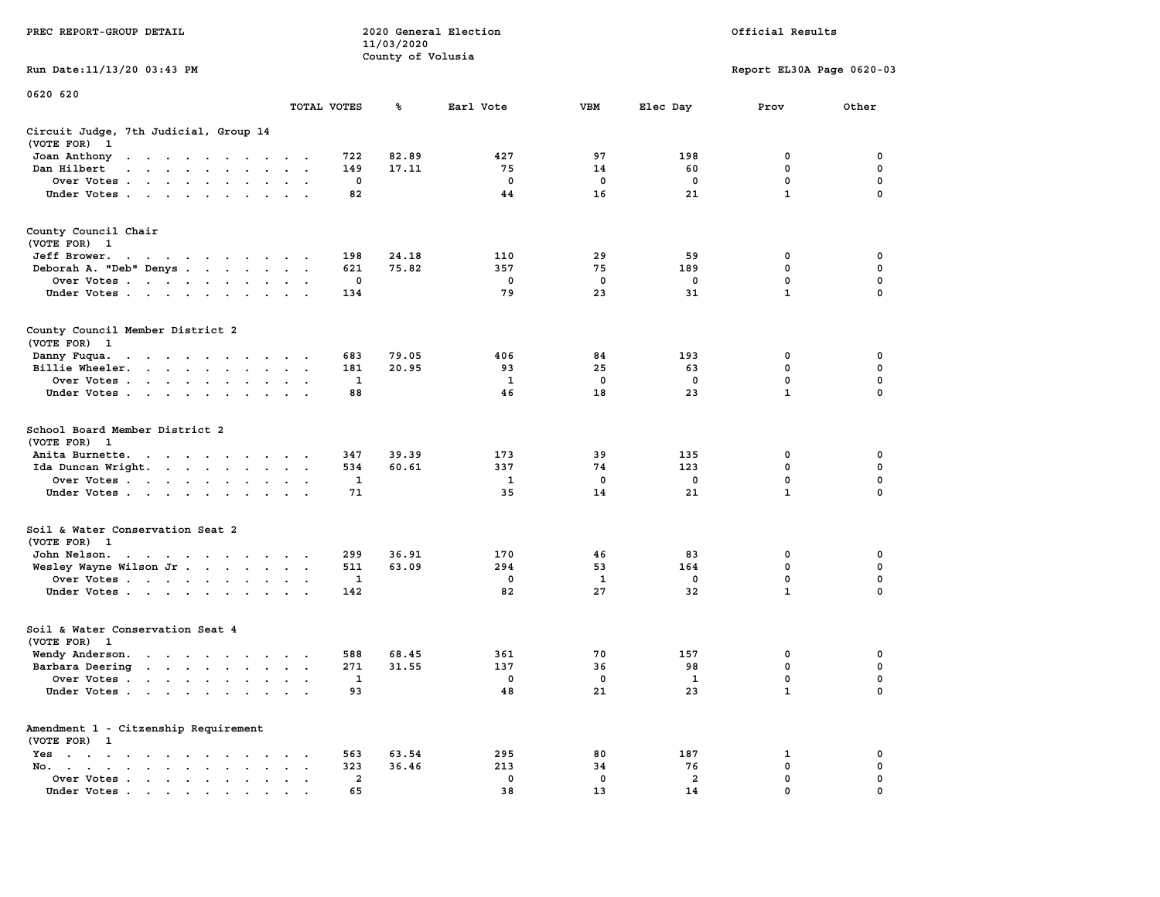| PREC REPORT-GROUP DETAIL                                                                                                                                                                                                                          |               |                         | 11/03/2020<br>County of Volusia | 2020 General Election | Official Results |              |                           |               |
|---------------------------------------------------------------------------------------------------------------------------------------------------------------------------------------------------------------------------------------------------|---------------|-------------------------|---------------------------------|-----------------------|------------------|--------------|---------------------------|---------------|
| Run Date: 11/13/20 03:43 PM                                                                                                                                                                                                                       |               |                         |                                 |                       |                  |              | Report EL30A Page 0620-03 |               |
| 0620 620                                                                                                                                                                                                                                          |               |                         |                                 |                       |                  |              |                           |               |
|                                                                                                                                                                                                                                                   | TOTAL VOTES   |                         | ℁                               | Earl Vote             | VBM              | Elec Day     | Prov                      | Other         |
| Circuit Judge, 7th Judicial, Group 14<br>(VOTE FOR) 1                                                                                                                                                                                             |               |                         |                                 |                       |                  |              |                           |               |
| Joan Anthony<br>$\mathcal{A}=\mathcal{A}=\mathcal{A}=\mathcal{A}=\mathcal{A}=\mathcal{A}=\mathcal{A}=\mathcal{A}=\mathcal{A}=\mathcal{A}$                                                                                                         |               | 722                     | 82.89                           | 427                   | 97               | 198          | 0                         | 0             |
| Dan Hilbert<br>and a series of the series of                                                                                                                                                                                                      | $\sim$ $\sim$ | 149                     | 17.11                           | 75                    | 14               | 60           | $\mathbf 0$               | 0             |
| Over Votes.<br>$\mathcal{A}=\mathcal{A}=\mathcal{A}=\mathcal{A}=\mathcal{A}=\mathcal{A}=\mathcal{A}$ .                                                                                                                                            |               | 0<br>82                 |                                 | 0<br>44               | 0<br>16          | 0<br>21      | 0<br>$\mathbf{1}$         | 0<br>$\Omega$ |
| Under Votes                                                                                                                                                                                                                                       |               |                         |                                 |                       |                  |              |                           |               |
| County Council Chair<br>(VOTE FOR) 1                                                                                                                                                                                                              |               |                         |                                 |                       |                  |              |                           |               |
| Jeff Brower.<br>the contract of the contract of the contract of the contract of the contract of the contract of the contract of                                                                                                                   |               | 198                     | 24.18                           | 110                   | 29               | 59           | 0                         | 0             |
| Deborah A. "Deb" Denys                                                                                                                                                                                                                            | $\cdot$ .     | 621                     | 75.82                           | 357                   | 75               | 189          | 0                         | 0             |
| Over Votes                                                                                                                                                                                                                                        |               | 0                       |                                 | 0                     | $\mathbf 0$      | 0            | $\mathbf 0$               | 0             |
| Under Votes                                                                                                                                                                                                                                       |               | 134                     |                                 | 79                    | 23               | 31           | $\mathbf{1}$              | 0             |
| County Council Member District 2<br>(VOTE FOR) 1                                                                                                                                                                                                  |               |                         |                                 |                       |                  |              |                           |               |
| Danny Fuqua.<br>the contract of the contract of the contract of the contract of the contract of the contract of the contract of                                                                                                                   |               | 683                     | 79.05                           | 406                   | 84               | 193          | 0                         | 0             |
| Billie Wheeler.<br>the contract of the contract of the contract of the contract of the contract of the contract of the contract of                                                                                                                |               | 181                     | 20.95                           | 93                    | 25               | 63           | 0                         | 0             |
| Over Votes                                                                                                                                                                                                                                        | $\sim$        | 1                       |                                 | 1                     | 0                | 0            | $\mathbf 0$               | 0             |
| Under Votes                                                                                                                                                                                                                                       |               | 88                      |                                 | 46                    | 18               | 23           | $\mathbf{1}$              | 0             |
| School Board Member District 2<br>(VOTE FOR) 1                                                                                                                                                                                                    |               |                         |                                 |                       |                  |              |                           |               |
| Anita Burnette.<br>the contract of the contract of the contract of the contract of the contract of the contract of the contract of the contract of the contract of the contract of the contract of the contract of the contract of the contract o |               | 347                     | 39.39                           | 173                   | 39               | 135          | 0                         | 0             |
| Ida Duncan Wright.<br>Over Votes                                                                                                                                                                                                                  |               | 534<br>1                | 60.61                           | 337<br>1              | 74<br>0          | 123<br>0     | 0<br>0                    | 0<br>0        |
| Under Votes                                                                                                                                                                                                                                       |               | 71                      |                                 | 35                    | 14               | 21           | $\mathbf{1}$              | $\Omega$      |
|                                                                                                                                                                                                                                                   |               |                         |                                 |                       |                  |              |                           |               |
| Soil & Water Conservation Seat 2<br>(VOTE FOR) 1                                                                                                                                                                                                  |               |                         |                                 |                       |                  |              |                           |               |
| John Nelson.<br>Wesley Wayne Wilson Jr                                                                                                                                                                                                            |               | 299<br>511              | 36.91<br>63.09                  | 170<br>294            | 46<br>53         | 83<br>164    | 0<br>0                    | 0<br>0        |
| Over Votes                                                                                                                                                                                                                                        |               | 1                       |                                 | 0                     | 1                | 0            | $\mathbf 0$               | 0             |
| Under Votes                                                                                                                                                                                                                                       |               | 142                     |                                 | 82                    | 27               | 32           | $\mathbf{1}$              | 0             |
| Soil & Water Conservation Seat 4<br>(VOTE FOR) 1                                                                                                                                                                                                  |               |                         |                                 |                       |                  |              |                           |               |
| Wendy Anderson.                                                                                                                                                                                                                                   |               | 588                     | 68.45                           | 361                   | 70               | 157          | 0                         | 0             |
| Barbara Deering                                                                                                                                                                                                                                   |               | 271                     | 31.55                           | 137                   | 36               | 98           | 0                         | 0             |
| Over Votes                                                                                                                                                                                                                                        |               | 1                       |                                 | 0                     | 0                | $\mathbf{1}$ | 0                         | $\Omega$      |
| Under Votes.<br>$\mathbf{r}$ , $\mathbf{r}$ , $\mathbf{r}$ , $\mathbf{r}$ , $\mathbf{r}$                                                                                                                                                          |               | 93                      |                                 | 48                    | 21               | 23           | $\mathbf{1}$              | 0             |
| Amendment 1 - Citzenship Requirement<br>(VOTE FOR) 1                                                                                                                                                                                              |               |                         |                                 |                       |                  |              |                           |               |
| $Yes \t . \t . \t .$<br>$\sim$ $\sim$ $\sim$ $\sim$<br>$No.$ $\cdot$ $\cdot$ $\cdot$<br>$\sim$<br>$\mathbf{r}$ , $\mathbf{r}$ , $\mathbf{r}$<br>$\ddot{\phantom{a}}$                                                                              |               | 563<br>323              | 63.54<br>36.46                  | 295<br>213            | 80<br>34         | 187<br>76    | 1<br>0                    | 0<br>0        |
| $\bullet$<br>Over Votes.<br>$\cdot$ $\cdot$ $\cdot$ $\cdot$ $\cdot$                                                                                                                                                                               |               | $\overline{\mathbf{2}}$ |                                 | 0                     | 0                | 2            | 0                         | 0             |
| Under Votes                                                                                                                                                                                                                                       |               | 65                      |                                 | 38                    | 13               | 14           | 0                         |               |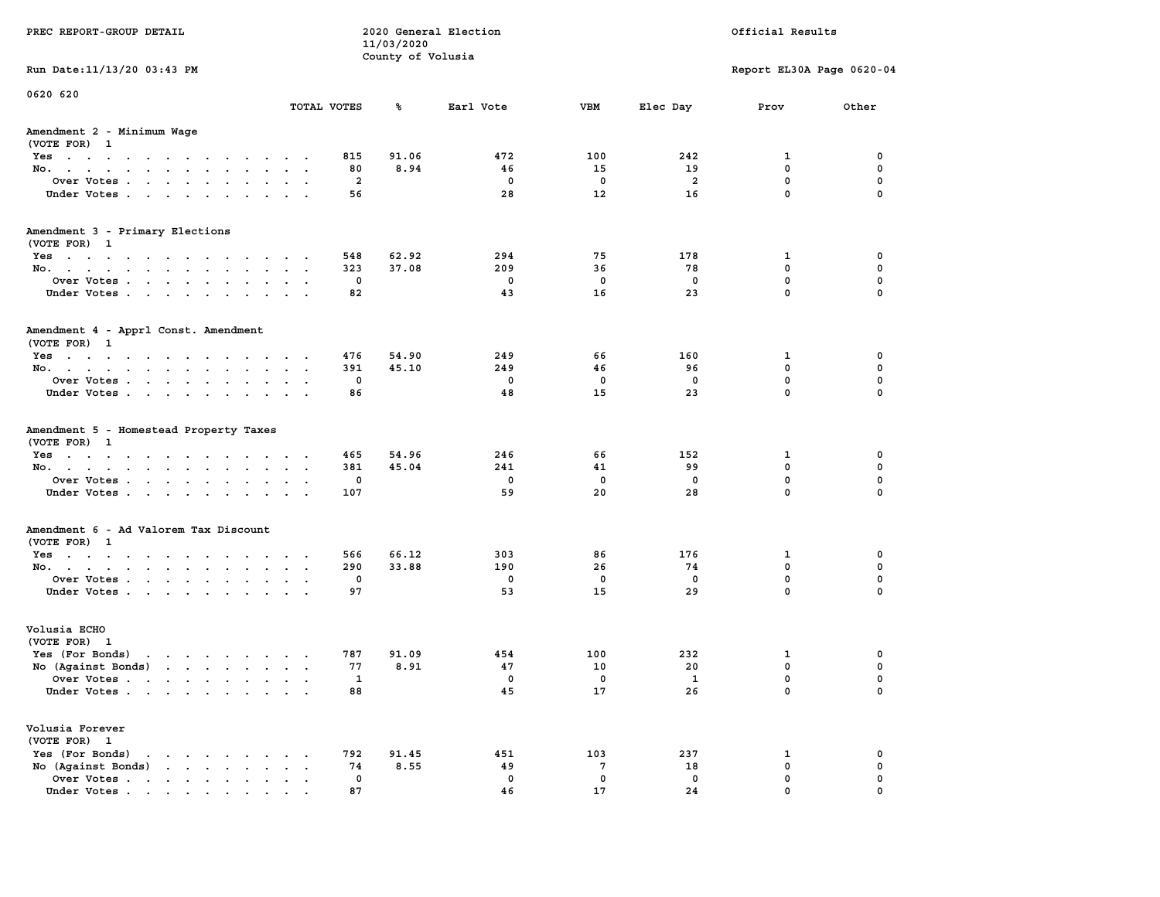| PREC REPORT-GROUP DETAIL                                                                                                                                                                                                                                |                 |            | 11/03/2020        | 2020 General Election | Official Results |             |                           |             |
|---------------------------------------------------------------------------------------------------------------------------------------------------------------------------------------------------------------------------------------------------------|-----------------|------------|-------------------|-----------------------|------------------|-------------|---------------------------|-------------|
|                                                                                                                                                                                                                                                         |                 |            | County of Volusia |                       |                  |             |                           |             |
| Run Date: 11/13/20 03:43 PM                                                                                                                                                                                                                             |                 |            |                   |                       |                  |             | Report EL30A Page 0620-04 |             |
| 0620 620                                                                                                                                                                                                                                                |                 |            |                   |                       |                  |             |                           |             |
|                                                                                                                                                                                                                                                         | TOTAL VOTES     |            | ℁                 | Earl Vote             | <b>VBM</b>       | Elec Day    | Prov                      | Other       |
| Amendment 2 - Minimum Wage<br>(VOTE FOR) 1                                                                                                                                                                                                              |                 |            |                   |                       |                  |             |                           |             |
| Yes                                                                                                                                                                                                                                                     |                 | 815        | 91.06             | 472                   | 100              | 242         | 1                         | 0           |
| No.                                                                                                                                                                                                                                                     |                 | 80         | 8.94              | 46                    | 15               | 19          | $\mathbf 0$               | $\mathbf 0$ |
| Over Votes                                                                                                                                                                                                                                              |                 | 2          |                   | 0                     | 0                | 2           | $\mathbf 0$               | 0           |
| Under Votes                                                                                                                                                                                                                                             |                 | 56         |                   | 28                    | 12               | 16          | $\mathbf 0$               | $\Omega$    |
| Amendment 3 - Primary Elections                                                                                                                                                                                                                         |                 |            |                   |                       |                  |             |                           |             |
| (VOTE FOR) 1                                                                                                                                                                                                                                            |                 |            | 62.92             | 294                   | 75               | 178         |                           | 0           |
| Yes<br>No.                                                                                                                                                                                                                                              |                 | 548<br>323 | 37.08             | 209                   | 36               | 78          | 1<br>$\mathbf 0$          | 0           |
| Over Votes                                                                                                                                                                                                                                              |                 | 0          |                   | $\mathbf 0$           | 0                | $\mathbf 0$ | $\mathbf 0$               | $\mathbf 0$ |
| Under Votes                                                                                                                                                                                                                                             |                 | 82         |                   | 43                    | 16               | 23          | $\mathbf{0}$              | $\Omega$    |
| Amendment 4 - Apprl Const. Amendment<br>(VOTE FOR) 1                                                                                                                                                                                                    |                 |            |                   |                       |                  |             |                           |             |
| Yes                                                                                                                                                                                                                                                     |                 | 476        | 54.90             | 249                   | 66               | 160         | 1                         | 0           |
| No.                                                                                                                                                                                                                                                     |                 | 391        | 45.10             | 249                   | 46               | 96          | $^{\circ}$                | 0           |
| Over Votes                                                                                                                                                                                                                                              |                 | 0          |                   | $\Omega$              | $\mathbf 0$      | 0           | $\mathbf 0$               | $\mathbf 0$ |
| Under Votes                                                                                                                                                                                                                                             |                 | 86         |                   | 48                    | 15               | 23          | $\mathbf 0$               | $\mathbf 0$ |
| Amendment 5 - Homestead Property Taxes<br>(VOTE FOR) 1                                                                                                                                                                                                  |                 |            |                   |                       |                  |             |                           |             |
| Yes                                                                                                                                                                                                                                                     |                 | 465<br>381 | 54.96<br>45.04    | 246<br>241            | 66<br>41         | 152<br>99   | 1<br>$\mathbf 0$          | 0<br>0      |
| No.<br>Over Votes                                                                                                                                                                                                                                       |                 | 0          |                   | $\mathbf 0$           | 0                | 0           | $\mathbf 0$               | 0           |
| Under Votes                                                                                                                                                                                                                                             |                 | 107        |                   | 59                    | 20               | 28          | $\mathbf 0$               | $\Omega$    |
|                                                                                                                                                                                                                                                         |                 |            |                   |                       |                  |             |                           |             |
| Amendment 6 - Ad Valorem Tax Discount<br>(VOTE FOR) 1                                                                                                                                                                                                   |                 |            |                   |                       |                  |             |                           |             |
| Yes                                                                                                                                                                                                                                                     |                 | 566        | 66.12             | 303                   | 86               | 176         | 1                         | 0           |
| No.                                                                                                                                                                                                                                                     |                 | 290        | 33.88             | 190                   | 26               | 74          | 0                         | 0           |
| Over Votes                                                                                                                                                                                                                                              |                 | 0          |                   | $\mathbf 0$           | 0                | 0           | 0                         | 0           |
| Under Votes                                                                                                                                                                                                                                             |                 | 97         |                   | 53                    | 15               | 29          | 0                         | $\Omega$    |
| Volusia ECHO<br>(VOTE FOR) 1                                                                                                                                                                                                                            |                 |            |                   |                       |                  |             |                           |             |
| Yes (For Bonds) $\cdots$ $\cdots$ $\cdots$ $\cdots$                                                                                                                                                                                                     |                 | 787        | 91.09             | 454                   | 100              | 232         | 1                         | 0           |
| No (Against Bonds)                                                                                                                                                                                                                                      |                 | 77         | 8.91              | 47                    | 10               | 20          | $\mathbf 0$               | 0           |
| Over Votes                                                                                                                                                                                                                                              |                 | 1          |                   | 0                     | 0                | 1           | 0                         | $\mathbf 0$ |
| Under Votes                                                                                                                                                                                                                                             |                 | 88         |                   | 45                    | 17               | 26          | 0                         | 0           |
| Volusia Forever<br>(VOTE FOR) 1                                                                                                                                                                                                                         |                 |            |                   |                       |                  |             |                           |             |
| Yes (For Bonds)<br>$\mathbf{r}$ , and $\mathbf{r}$ , and $\mathbf{r}$ , and $\mathbf{r}$                                                                                                                                                                |                 | 792        | 91.45             | 451                   | 103              | 237         | 1                         | 0           |
| $\mathbf{r}$ . The set of the set of the set of the set of the set of the set of the set of the set of the set of the set of the set of the set of the set of the set of the set of the set of the set of the set of the set of t<br>No (Against Bonds) | $\cdot$ $\cdot$ | 74         | 8.55              | 49                    | 7                | 18          | $\mathbf 0$               | $\mathbf 0$ |
| Over Votes                                                                                                                                                                                                                                              |                 | 0          |                   | $\mathbf 0$           | 0                | 0           | 0                         | 0           |
| Under Votes                                                                                                                                                                                                                                             |                 | 87         |                   | 46                    | 17               | 24          | 0                         |             |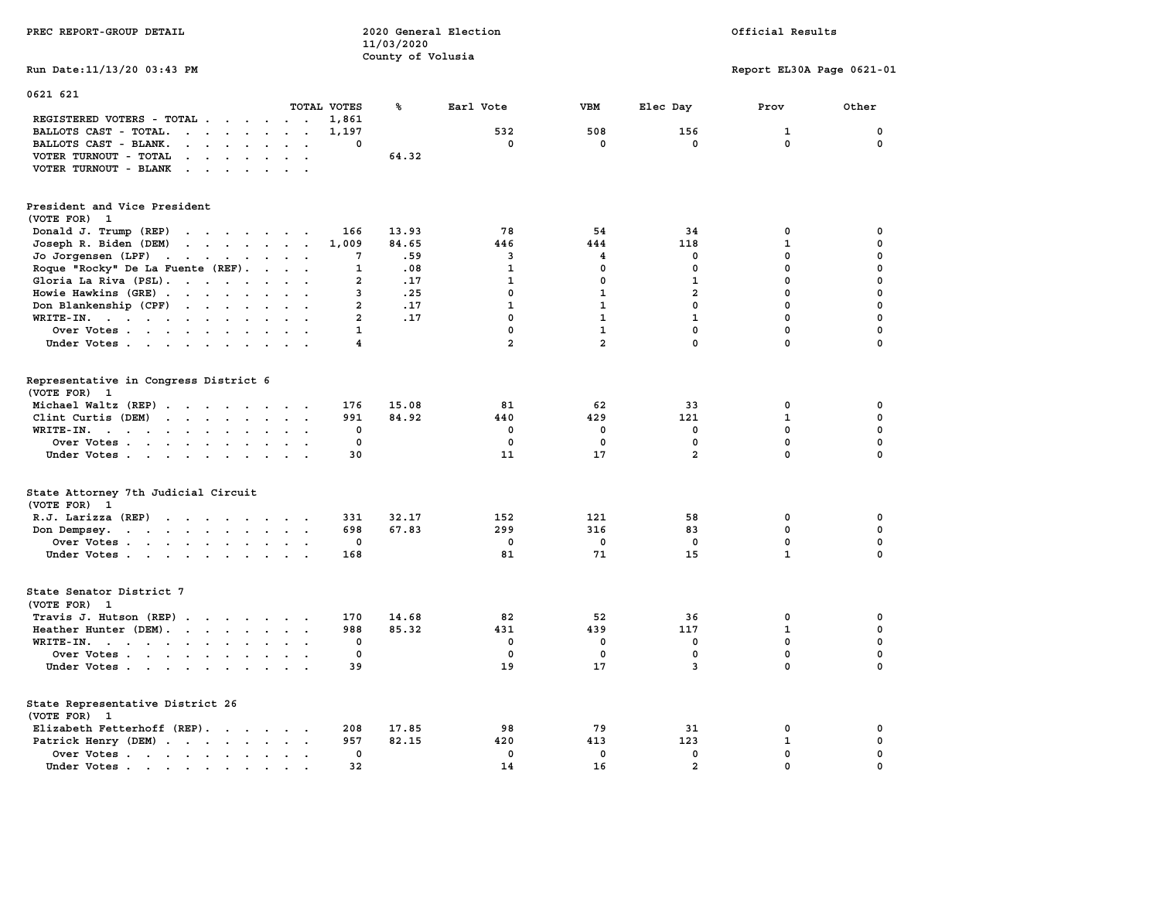| PREC REPORT-GROUP DETAIL                                                                                                                 |                             | 11/03/2020        | 2020 General Election |                |                            | Official Results          |              |  |
|------------------------------------------------------------------------------------------------------------------------------------------|-----------------------------|-------------------|-----------------------|----------------|----------------------------|---------------------------|--------------|--|
| Run Date: 11/13/20 03:43 PM                                                                                                              |                             | County of Volusia |                       |                |                            | Report EL30A Page 0621-01 |              |  |
| 0621 621                                                                                                                                 | TOTAL VOTES                 | ℁                 | Earl Vote             | <b>VBM</b>     | Elec Day                   | Prov                      | Other        |  |
| REGISTERED VOTERS - TOTAL                                                                                                                | 1,861                       |                   |                       |                |                            |                           |              |  |
| BALLOTS CAST - TOTAL.<br>$\cdots$                                                                                                        | 1,197                       |                   | 532                   | 508            | 156                        | $\mathbf{1}$              | 0            |  |
| BALLOTS CAST - BLANK.<br>$\mathbf{r} = \mathbf{r} - \mathbf{r} = \mathbf{r} - \mathbf{r}$                                                | $\cdot$ $\cdot$<br>$\Omega$ |                   | $^{\circ}$            | $\mathbf 0$    | $^{\circ}$                 | $\mathbf 0$               | 0            |  |
| VOTER TURNOUT - TOTAL                                                                                                                    |                             | 64.32             |                       |                |                            |                           |              |  |
| VOTER TURNOUT - BLANK<br>the contract of the contract of the contract of the contract of the contract of the contract of the contract of |                             |                   |                       |                |                            |                           |              |  |
| President and Vice President                                                                                                             |                             |                   |                       |                |                            |                           |              |  |
| (VOTE FOR) 1                                                                                                                             |                             |                   |                       |                |                            |                           |              |  |
| Donald J. Trump (REP)                                                                                                                    | 166                         | 13.93             | 78                    | 54             | 34                         | $\mathbf 0$               | 0            |  |
| Joseph R. Biden (DEM)                                                                                                                    | 1,009                       | 84.65             | 446                   | 444            | 118                        | $\mathbf{1}$              | 0            |  |
| Jo Jorgensen $(LPF)$                                                                                                                     | 7                           | .59               | 3                     | 4              | 0                          | $\mathbf{0}$              | 0            |  |
|                                                                                                                                          |                             |                   | $\mathbf{1}$          | $\mathbf{0}$   |                            | $\mathbf{0}$              | $\mathbf 0$  |  |
| Roque "Rocky" De La Fuente (REF).                                                                                                        | $\mathbf{1}$                | .08               | $\mathbf{1}$          | $\mathbf 0$    | $^{\circ}$<br>$\mathbf{1}$ | $\mathbf 0$               |              |  |
| Gloria La Riva (PSL).                                                                                                                    | $\overline{a}$              | .17               |                       |                |                            |                           | 0            |  |
| Howie Hawkins (GRE)                                                                                                                      | 3                           | .25               | $\mathbf 0$           | $\mathbf{1}$   | $\overline{2}$             | $\mathbf 0$               | 0            |  |
| Don Blankenship (CPF)                                                                                                                    | $\overline{a}$              | .17               | $\mathbf{1}$          | $\mathbf{1}$   | $\mathbf{0}$               | $\mathbf{0}$              | 0            |  |
| WRITE-IN.                                                                                                                                | $\overline{a}$              | .17               | $\mathbf{0}$          | $\mathbf{1}$   | $\mathbf{1}$               | $\mathbf{0}$              | $\mathbf 0$  |  |
| Over Votes                                                                                                                               | $\mathbf{1}$                |                   | $\mathbf 0$           | $\mathbf{1}$   | $\mathbf{0}$               | $\mathbf 0$               | 0            |  |
| Under Votes                                                                                                                              | $\overline{4}$              |                   | $\overline{a}$        | $\overline{a}$ | $\mathbf 0$                | $\mathbf 0$               | $\mathbf 0$  |  |
| Representative in Congress District 6<br>(VOTE FOR) 1                                                                                    |                             |                   |                       |                |                            |                           |              |  |
| Michael Waltz (REP)                                                                                                                      | 176                         | 15.08             | 81                    | 62             | 33                         | 0                         | 0            |  |
| Clint Curtis (DEM)                                                                                                                       | 991                         | 84.92             | 440                   | 429            | 121                        | 1                         | 0            |  |
| WRITE-IN.                                                                                                                                | 0                           |                   | $\mathbf 0$           | 0              | 0                          | $\mathbf 0$               | 0            |  |
| Over Votes                                                                                                                               | 0<br>$\sim$                 |                   | $\mathbf 0$           | 0              | $\mathbf 0$                | 0                         | 0            |  |
| Under Votes                                                                                                                              | 30                          |                   | 11                    | 17             | $\overline{a}$             | $\mathbf{0}$              | $\mathbf 0$  |  |
|                                                                                                                                          |                             |                   |                       |                |                            |                           |              |  |
| State Attorney 7th Judicial Circuit<br>(VOTE FOR) 1                                                                                      |                             |                   |                       |                |                            |                           |              |  |
|                                                                                                                                          | 331                         | 32.17             | 152                   | 121            | 58                         | 0                         | 0            |  |
| R.J. Larizza (REP)                                                                                                                       |                             | 67.83             | 299                   | 316            | 83                         | $\mathbf 0$               | 0            |  |
| Don Dempsey.                                                                                                                             | 698                         |                   |                       |                |                            | 0                         | 0            |  |
| Over Votes                                                                                                                               | 0                           |                   | $\mathbf 0$<br>81     | 0<br>71        | 0<br>15                    | $\mathbf{1}$              | $\mathbf 0$  |  |
| Under Votes                                                                                                                              | 168                         |                   |                       |                |                            |                           |              |  |
| State Senator District 7                                                                                                                 |                             |                   |                       |                |                            |                           |              |  |
| (VOTE FOR) 1                                                                                                                             |                             |                   |                       |                |                            |                           |              |  |
| Travis J. Hutson (REP)                                                                                                                   | 170                         | 14.68             | 82                    | 52             | 36                         | 0                         | 0            |  |
| Heather Hunter (DEM).                                                                                                                    | 988                         | 85.32             | 431                   | 439            | 117                        | $\mathbf{1}$              | 0            |  |
| WRITE-IN.                                                                                                                                | $\mathbf 0$                 |                   | $\mathbf 0$           | 0              | $\mathbf 0$                | 0                         | 0            |  |
| Over Votes                                                                                                                               | $\mathbf 0$                 |                   | $\mathbf{0}$          | $\mathbf 0$    | $\mathbf 0$                | $\mathbf 0$               | 0            |  |
| Under Votes                                                                                                                              | 39                          |                   | 19                    | 17             | $\overline{3}$             | $\mathbf 0$               | $\mathbf 0$  |  |
| State Representative District 26                                                                                                         |                             |                   |                       |                |                            |                           |              |  |
| (VOTE FOR) 1                                                                                                                             |                             |                   |                       |                |                            |                           |              |  |
| Elizabeth Fetterhoff (REP).                                                                                                              | 208                         | 17.85             | 98                    | 79             | 31                         | 0                         | 0            |  |
| Patrick Henry (DEM)                                                                                                                      | 957                         | 82.15             | 420                   | 413            | 123                        | $\mathbf{1}$              | 0            |  |
| Over Votes                                                                                                                               | $\mathbf 0$                 |                   | $\Omega$              | $\mathbf 0$    | $\mathbf 0$                | $\mathbf 0$               | $\mathbf 0$  |  |
| Under Votes.<br>$\mathbf{r}$ , and $\mathbf{r}$ , and $\mathbf{r}$                                                                       | 32                          |                   | 14                    | 16             | $\overline{a}$             | $\mathbf 0$               | $\mathbf{0}$ |  |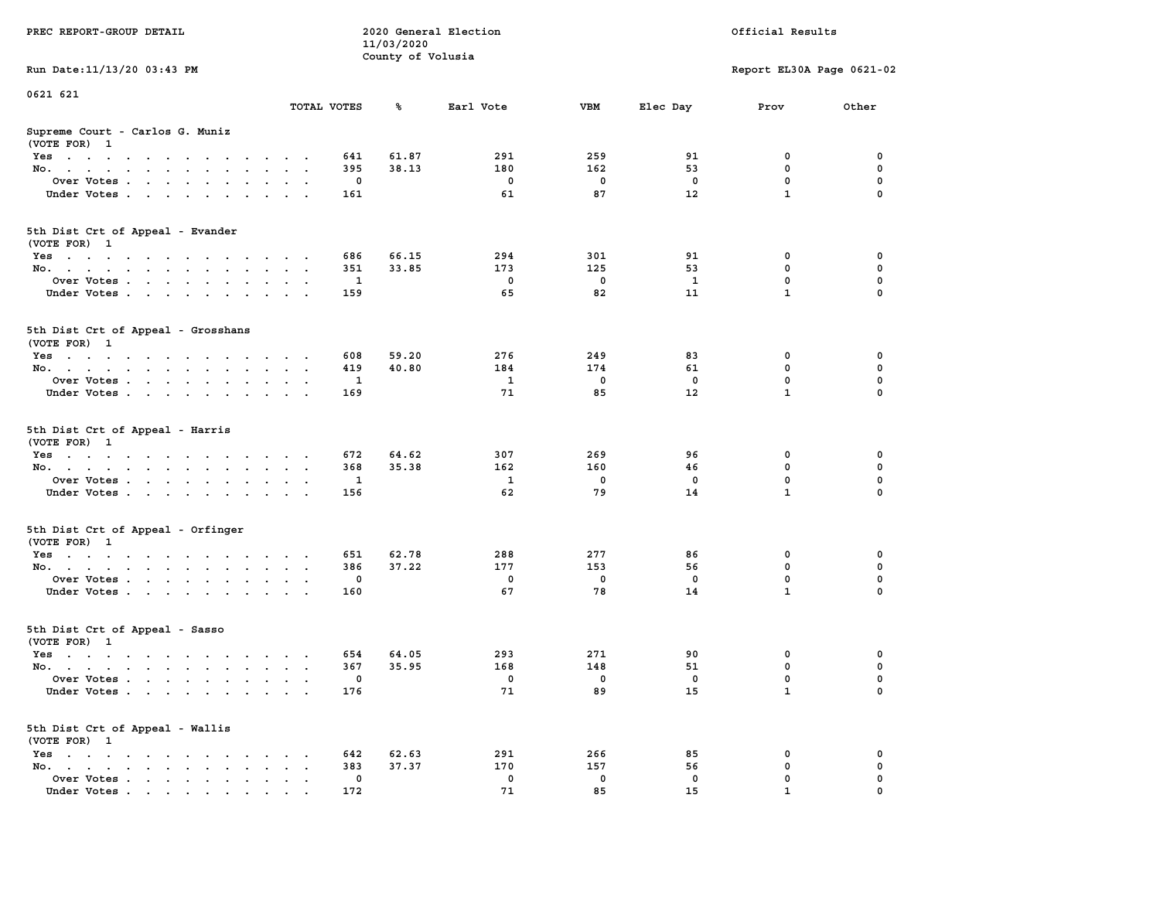| PREC REPORT-GROUP DETAIL                                                                                                                                                                                                                     |             |          |                                 | 2020 General Election | Official Results |              |                           |             |  |
|----------------------------------------------------------------------------------------------------------------------------------------------------------------------------------------------------------------------------------------------|-------------|----------|---------------------------------|-----------------------|------------------|--------------|---------------------------|-------------|--|
|                                                                                                                                                                                                                                              |             |          | 11/03/2020<br>County of Volusia |                       |                  |              |                           |             |  |
| Run Date: 11/13/20 03:43 PM                                                                                                                                                                                                                  |             |          |                                 |                       |                  |              | Report EL30A Page 0621-02 |             |  |
| 0621 621                                                                                                                                                                                                                                     |             |          |                                 |                       |                  |              |                           |             |  |
|                                                                                                                                                                                                                                              | TOTAL VOTES |          | ጜ                               | Earl Vote             | VBM              | Elec Day     | Prov                      | Other       |  |
| Supreme Court - Carlos G. Muniz<br>(VOTE FOR) 1                                                                                                                                                                                              |             |          |                                 |                       |                  |              |                           |             |  |
| Yes                                                                                                                                                                                                                                          |             | 641      | 61.87                           | 291                   | 259              | 91           | 0                         | 0           |  |
| No.                                                                                                                                                                                                                                          |             | 395      | 38.13                           | 180                   | 162              | 53           | $\mathbf 0$               | $\mathbf 0$ |  |
| Over Votes                                                                                                                                                                                                                                   |             | 0        |                                 | 0                     | 0                | 0            | 0                         | 0           |  |
| Under Votes                                                                                                                                                                                                                                  |             | 161      |                                 | 61                    | 87               | 12           | $\mathbf{1}$              | $\Omega$    |  |
| 5th Dist Crt of Appeal - Evander<br>(VOTE FOR) 1                                                                                                                                                                                             |             |          |                                 |                       |                  |              |                           |             |  |
| Yes                                                                                                                                                                                                                                          |             | 686      | 66.15                           | 294                   | 301              | 91           | 0                         | 0           |  |
| No.                                                                                                                                                                                                                                          |             | 351      | 33.85                           | 173                   | 125              | 53           | 0                         | 0           |  |
| Over Votes                                                                                                                                                                                                                                   |             | 1        |                                 | 0                     | $\mathbf 0$      | $\mathbf{1}$ | $\mathbf 0$               | $\mathbf 0$ |  |
| Under Votes                                                                                                                                                                                                                                  |             | 159      |                                 | 65                    | 82               | 11           | $\mathbf{1}$              | 0           |  |
| 5th Dist Crt of Appeal - Grosshans<br>(VOTE FOR) 1                                                                                                                                                                                           |             |          |                                 |                       |                  |              |                           |             |  |
| Yes                                                                                                                                                                                                                                          |             | 608      | 59.20                           | 276                   | 249              | 83           | 0                         | 0           |  |
| No.                                                                                                                                                                                                                                          |             | 419      | 40.80                           | 184                   | 174              | 61           | 0                         | 0           |  |
| Over Votes                                                                                                                                                                                                                                   | $\,$ .      | 1        |                                 | 1                     | $\mathbf 0$      | 0            | $\mathbf 0$               | 0           |  |
| Under Votes                                                                                                                                                                                                                                  |             | 169      |                                 | 71                    | 85               | 12           | $\mathbf{1}$              | 0           |  |
|                                                                                                                                                                                                                                              |             |          |                                 |                       |                  |              |                           |             |  |
| 5th Dist Crt of Appeal - Harris<br>(VOTE FOR) 1                                                                                                                                                                                              |             |          |                                 |                       |                  |              |                           |             |  |
| Yes                                                                                                                                                                                                                                          |             | 672      | 64.62                           | 307                   | 269              | 96           | 0                         | 0           |  |
| No.                                                                                                                                                                                                                                          |             | 368      | 35.38                           | 162                   | 160              | 46           | 0                         | 0           |  |
| Over Votes                                                                                                                                                                                                                                   |             | 1        |                                 | 1                     | 0                | 0            | 0                         | 0           |  |
| Under Votes                                                                                                                                                                                                                                  |             | 156      |                                 | 62                    | 79               | 14           | $\mathbf{1}$              | $\Omega$    |  |
| 5th Dist Crt of Appeal - Orfinger<br>(VOTE FOR) 1                                                                                                                                                                                            |             |          |                                 |                       |                  |              |                           |             |  |
| Yes                                                                                                                                                                                                                                          |             | 651      | 62.78                           | 288                   | 277              | 86           | 0                         | 0           |  |
| No.                                                                                                                                                                                                                                          |             | 386      | 37.22                           | 177                   | 153              | 56           | 0                         | 0           |  |
| Over Votes                                                                                                                                                                                                                                   |             | 0        |                                 | 0                     | 0                | 0            | $\mathbf 0$               | 0           |  |
| Under Votes                                                                                                                                                                                                                                  |             | 160      |                                 | 67                    | 78               | 14           | $\mathbf{1}$              | 0           |  |
| 5th Dist Crt of Appeal - Sasso<br>(VOTE FOR) 1                                                                                                                                                                                               |             |          |                                 |                       |                  |              |                           |             |  |
| Yes<br>$\mathbf{a}$ and $\mathbf{a}$ are a set of the set of the set of the set of the set of the set of the set of the set of the set of the set of the set of the set of the set of the set of the set of the set of the set of the set of |             | 654      | 64.05                           | 293                   | 271              | 90           | 0                         | 0           |  |
| No.                                                                                                                                                                                                                                          |             | 367      | 35.95                           | 168                   | 148              | 51           | $\mathbf 0$               | 0           |  |
| Over Votes                                                                                                                                                                                                                                   |             | 0        |                                 | 0                     | 0                | 0            | $\mathbf{0}$              | 0           |  |
| Under Votes                                                                                                                                                                                                                                  |             | 176      |                                 | 71                    | 89               | 15           | 1                         | 0           |  |
| 5th Dist Crt of Appeal - Wallis<br>(VOTE FOR) 1                                                                                                                                                                                              |             |          |                                 |                       |                  |              |                           |             |  |
| $Yes \cdot \cdot \cdot \cdot \cdot \cdot \cdot$<br>$\cdot$                                                                                                                                                                                   |             | 642      | 62.63                           | 291                   | 266              | 85           | 0                         | 0           |  |
| No.<br>$\ddot{\phantom{a}}$<br>$\ddot{\phantom{a}}$                                                                                                                                                                                          |             | 383      | 37.37                           | 170                   | 157              | 56           | 0                         | 0           |  |
| Over Votes<br>Under Votes                                                                                                                                                                                                                    |             | 0<br>172 |                                 | 0<br>71               | 0<br>85          | 0<br>15      | 0<br>1                    | 0           |  |
|                                                                                                                                                                                                                                              |             |          |                                 |                       |                  |              |                           |             |  |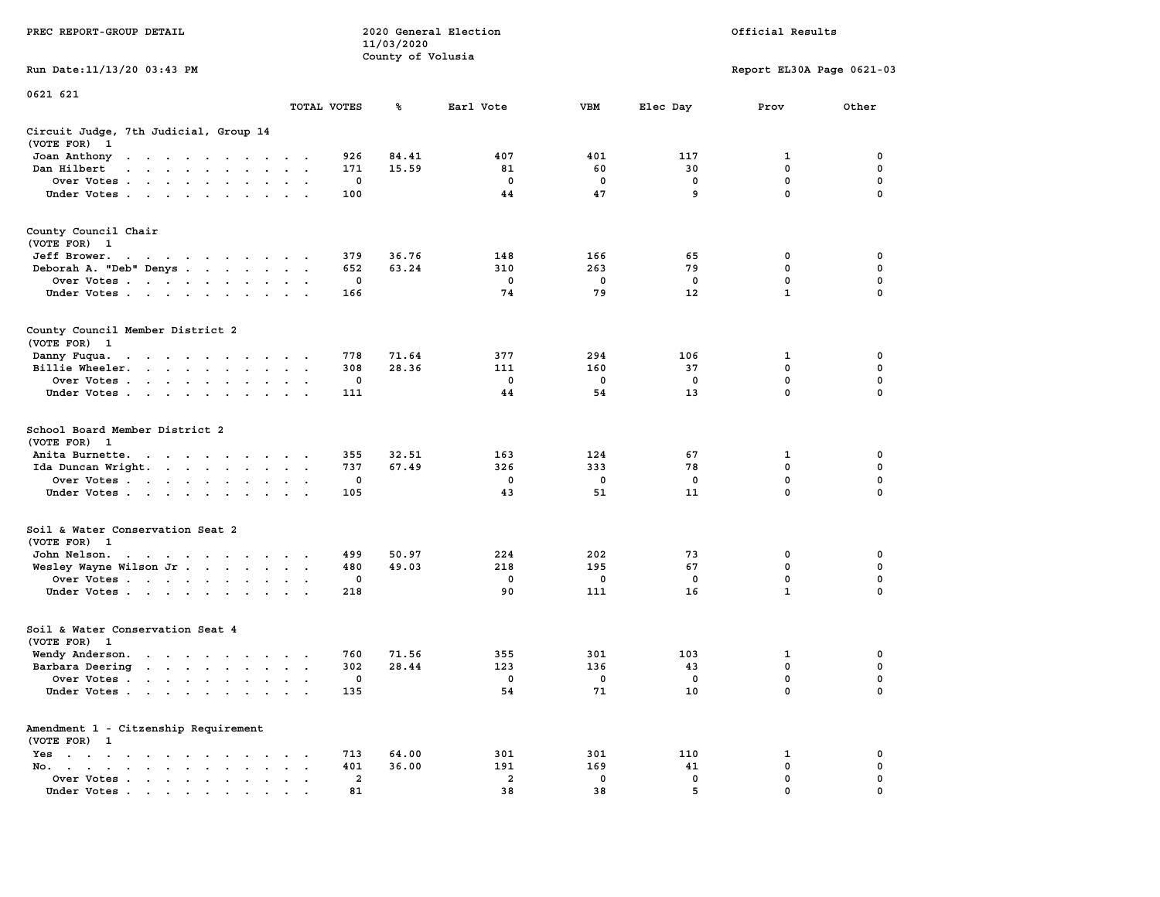|                                                                                                                                                              |                                |                | 11/03/2020        |                |              |             |                           |             |
|--------------------------------------------------------------------------------------------------------------------------------------------------------------|--------------------------------|----------------|-------------------|----------------|--------------|-------------|---------------------------|-------------|
|                                                                                                                                                              |                                |                | County of Volusia |                |              |             |                           |             |
| Run Date: 11/13/20 03:43 PM                                                                                                                                  |                                |                |                   |                |              |             | Report EL30A Page 0621-03 |             |
| 0621 621                                                                                                                                                     |                                |                |                   |                |              |             |                           |             |
|                                                                                                                                                              |                                | TOTAL VOTES    | ℁                 | Earl Vote      | <b>VBM</b>   | Elec Day    | Prov                      | Other       |
| Circuit Judge, 7th Judicial, Group 14                                                                                                                        |                                |                |                   |                |              |             |                           |             |
| (VOTE FOR)<br>1                                                                                                                                              |                                |                |                   |                |              |             |                           |             |
| Joan Anthony<br>the contract of the contract of the                                                                                                          | $\cdot$ .                      | 926            | 84.41             | 407            | 401          | 117         | 1                         | 0           |
| Dan Hilbert<br>$\mathbf{r}$ , $\mathbf{r}$ , $\mathbf{r}$ , $\mathbf{r}$ , $\mathbf{r}$ , $\mathbf{r}$<br>$\overline{a}$                                     | $\sim$                         | 171            | 15.59             | 81             | 60           | 30          | $\mathbf 0$               | 0           |
| Over Votes.<br>$\mathbf{u} = \mathbf{u} + \mathbf{u} + \mathbf{u} + \mathbf{u} + \mathbf{u} + \mathbf{u} + \mathbf{u}$                                       | $\bullet$                      | 0              |                   | 0              | 0            | 0           | 0                         | 0           |
| Under Votes                                                                                                                                                  | $\cdot$ .                      | 100            |                   | 44             | 47           | 9           | $\mathbf 0$               | 0           |
|                                                                                                                                                              |                                |                |                   |                |              |             |                           |             |
| County Council Chair                                                                                                                                         |                                |                |                   |                |              |             |                           |             |
| (VOTE FOR) 1                                                                                                                                                 |                                |                |                   |                |              |             |                           |             |
| Jeff Brower.<br>the contract of the contract of the con-                                                                                                     |                                | 379            | 36.76             | 148            | 166          | 65          | 0                         | 0           |
| Deborah A. "Deb" Denys                                                                                                                                       | $\bullet$                      | 652            | 63.24             | 310            | 263          | 79          | $\mathbf 0$               | $\mathbf 0$ |
| Over Votes<br>$\blacksquare$                                                                                                                                 |                                | $\mathbf 0$    |                   | $\mathbf 0$    | $\mathbf 0$  | 0           | $\mathbf 0$               | $\mathbf 0$ |
| Under Votes                                                                                                                                                  | $\cdot$ .                      | 166            |                   | 74             | 79           | 12          | $\mathbf{1}$              | $\mathbf 0$ |
|                                                                                                                                                              |                                |                |                   |                |              |             |                           |             |
| County Council Member District 2                                                                                                                             |                                |                |                   |                |              |             |                           |             |
| (VOTE FOR) 1                                                                                                                                                 |                                |                |                   |                |              |             |                           |             |
| Danny Fuqua.<br><b>Contract Contract Contract</b>                                                                                                            | $\cdot$ .                      | 778            | 71.64             | 377            | 294          | 106         | 1                         | 0           |
| $\cdots$<br>$\sim$<br>$\sim$<br>Billie Wheeler.<br>$\cdot$ $\cdot$ $\cdot$<br>$\sim$<br>$\ddot{\phantom{0}}$<br>$\ddot{\phantom{a}}$<br>$\ddot{\phantom{a}}$ | $\cdot$                        | 308            | 28.36             | 111            | 160          | 37          | 0                         | $\mathbf 0$ |
| Over Votes                                                                                                                                                   | $\ddot{\phantom{a}}$           | 0              |                   | $\mathbf 0$    | $\mathbf 0$  | $\mathbf 0$ | $\mathbf 0$               | 0           |
| Under Votes.                                                                                                                                                 | $\cdot$                        | 111            |                   | 44             | 54           | 13          | $\pmb{0}$                 | 0           |
| $\sim$<br>$\sim$<br>$\ddot{\phantom{0}}$<br>$\ddot{\phantom{a}}$                                                                                             |                                |                |                   |                |              |             |                           |             |
| School Board Member District 2<br>(VOTE FOR) 1                                                                                                               |                                |                |                   |                |              |             |                           |             |
| Anita Burnette.<br>the contract of the contract of the                                                                                                       |                                | 355            | 32.51             | 163            | 124          | 67          | 1                         | 0           |
| Ida Duncan Wright.                                                                                                                                           | $\sim$<br>$\ddot{\phantom{0}}$ | 737            | 67.49             | 326            | 333          | 78          | 0                         | $\mathbf 0$ |
| Over Votes<br>$\ddot{\phantom{a}}$                                                                                                                           | $\ddot{\phantom{a}}$           | 0              |                   | $^{\circ}$     | $\mathbf{0}$ | $^{\circ}$  | $\mathbf 0$               | $\mathbf 0$ |
| Under Votes<br>$\sim$                                                                                                                                        | $\sim$                         | 105            |                   | 43             | 51           | 11          | $\mathbf 0$               | 0           |
|                                                                                                                                                              |                                |                |                   |                |              |             |                           |             |
| Soil & Water Conservation Seat 2<br>(VOTE FOR) 1                                                                                                             |                                |                |                   |                |              |             |                           |             |
| John Nelson.                                                                                                                                                 |                                | 499            | 50.97             | 224            | 202          | 73          | 0                         | 0           |
| the contract of the contract of the contract of the contract of the contract of the contract of the contract of                                              | $\cdot$ .                      |                |                   | 218            |              |             | $\mathbf 0$               | 0           |
| Wesley Wayne Wilson Jr.                                                                                                                                      | $\ddot{\phantom{0}}$           | 480            | 49.03             |                | 195          | 67          | 0                         | 0           |
| Over Votes<br>$\ddot{\phantom{a}}$                                                                                                                           | $\cdot$                        | 0              |                   | 0              | 0            | 0           | $\mathbf{1}$              | $\mathbf 0$ |
| Under Votes                                                                                                                                                  |                                | 218            |                   | 90             | 111          | 16          |                           |             |
| Soil & Water Conservation Seat 4                                                                                                                             |                                |                |                   |                |              |             |                           |             |
| (VOTE FOR) 1                                                                                                                                                 |                                |                |                   |                |              |             |                           |             |
| Wendy Anderson.<br>the contract of the contract of the                                                                                                       | $\sim$ $\sim$ $\sim$           | 760            | 71.56             | 355            | 301          | 103         | 1                         | 0           |
| Barbara Deering<br>the contract of the contract of                                                                                                           | $\ddot{\phantom{a}}$           | 302            | 28.44             | 123            | 136          | 43          | 0                         | 0           |
| Over Votes                                                                                                                                                   | $\sim$ $\sim$                  | 0              |                   | $^{\circ}$     | $\mathbf{0}$ | $\Omega$    | 0                         | 0           |
| Under Votes                                                                                                                                                  | $\cdot$ .                      | 135            |                   | 54             | 71           | 10          | 0                         | 0           |
|                                                                                                                                                              |                                |                |                   |                |              |             |                           |             |
| Amendment 1 - Citzenship Requirement                                                                                                                         |                                |                |                   |                |              |             |                           |             |
| (VOTE FOR) 1                                                                                                                                                 |                                |                |                   |                |              |             |                           |             |
| Yes<br>the contract of the contract of the contract of the contract of the contract of the contract of the contract of                                       |                                | 713            | 64.00             | 301            | 301          | 110         | 1                         | 0           |
| No.<br>$\cdot$ $\cdot$ $\cdot$<br>$\sim$<br>$\sim$                                                                                                           |                                | 401            | 36.00             | 191            | 169          | 41          | 0                         | 0           |
| Over Votes .<br>$\sim$ $\sim$ $\sim$ $\sim$<br>$\bullet$<br>$\sim$<br>$\cdot$                                                                                | $\cdot$<br>$\sim$              | $\overline{a}$ |                   | $\overline{a}$ | $\mathbf 0$  | $\mathbf 0$ | $\mathbf 0$               | $\mathbf 0$ |
| Under Votes.<br>the contract of the contract of<br>$\bullet$<br>$\bullet$                                                                                    |                                | 81             |                   | 38             | 38           | 5           | $\mathbf 0$               | $\mathbf 0$ |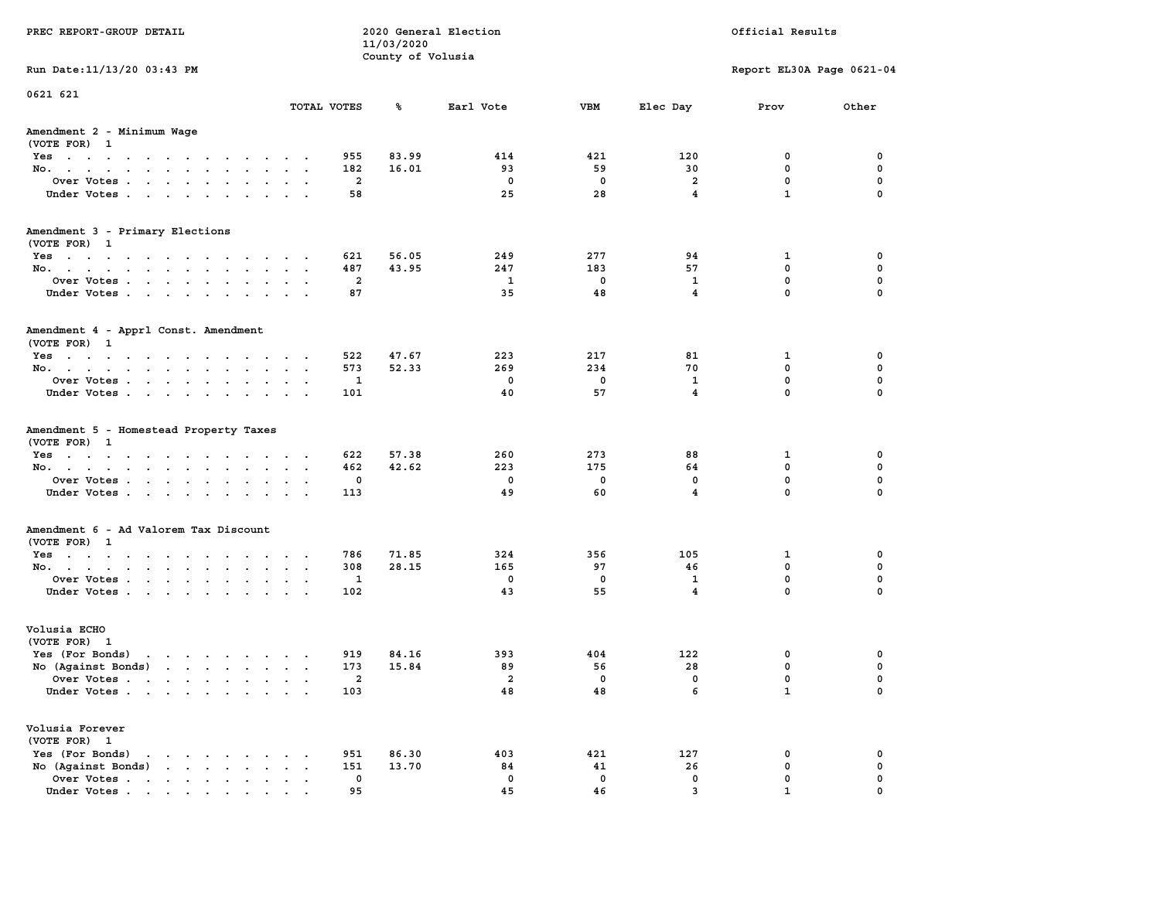| PREC REPORT-GROUP DETAIL                                                                                                                                                                                                                                |                         |                                 | 2020 General Election |             | Official Results        |                           |             |  |  |
|---------------------------------------------------------------------------------------------------------------------------------------------------------------------------------------------------------------------------------------------------------|-------------------------|---------------------------------|-----------------------|-------------|-------------------------|---------------------------|-------------|--|--|
|                                                                                                                                                                                                                                                         |                         | 11/03/2020<br>County of Volusia |                       |             |                         |                           |             |  |  |
| Run Date: 11/13/20 03:43 PM                                                                                                                                                                                                                             |                         |                                 |                       |             |                         | Report EL30A Page 0621-04 |             |  |  |
| 0621 621                                                                                                                                                                                                                                                |                         |                                 |                       |             |                         |                           |             |  |  |
|                                                                                                                                                                                                                                                         | TOTAL VOTES             | ጜ                               | Earl Vote             | VBM         | Elec Day                | Prov                      | Other       |  |  |
| Amendment 2 - Minimum Wage<br>(VOTE FOR) 1                                                                                                                                                                                                              |                         |                                 |                       |             |                         |                           |             |  |  |
| Yes                                                                                                                                                                                                                                                     |                         | 955<br>83.99                    | 414                   | 421         | 120                     | 0                         | 0           |  |  |
| No.                                                                                                                                                                                                                                                     |                         | 182<br>16.01                    | 93                    | 59          | 30                      | $\mathbf 0$               | $\mathbf 0$ |  |  |
| Over Votes                                                                                                                                                                                                                                              |                         | 2                               | 0                     | $\mathbf 0$ | 2                       | 0                         | 0           |  |  |
| Under Votes                                                                                                                                                                                                                                             |                         | 58                              | 25                    | 28          | $\overline{\mathbf{4}}$ | $\mathbf{1}$              | $\Omega$    |  |  |
| Amendment 3 - Primary Elections<br>(VOTE FOR) 1                                                                                                                                                                                                         |                         |                                 |                       |             |                         |                           |             |  |  |
| Yes                                                                                                                                                                                                                                                     |                         | 56.05<br>621                    | 249                   | 277         | 94                      | 1                         | 0           |  |  |
| No.                                                                                                                                                                                                                                                     | $\cdot$                 | 43.95<br>487                    | 247                   | 183         | 57                      | 0                         | 0           |  |  |
| Over Votes                                                                                                                                                                                                                                              |                         | 2                               | $\mathbf{1}$          | $\mathbf 0$ | $\mathbf{1}$            | $\mathbf 0$               | $\mathbf 0$ |  |  |
| Under Votes                                                                                                                                                                                                                                             |                         | 87                              | 35                    | 48          | $\overline{4}$          | $\mathbf{0}$              | 0           |  |  |
| Amendment 4 - Apprl Const. Amendment<br>(VOTE FOR) 1                                                                                                                                                                                                    |                         |                                 |                       |             |                         |                           |             |  |  |
| Yes                                                                                                                                                                                                                                                     |                         | 47.67<br>522                    | 223                   | 217         | 81                      | 1                         | 0           |  |  |
| No.                                                                                                                                                                                                                                                     |                         | 573<br>52.33                    | 269                   | 234         | 70                      | 0                         | 0           |  |  |
| Over Votes                                                                                                                                                                                                                                              | $\sim$                  | 1                               | 0                     | 0           | $\mathbf{1}$            | $\mathbf 0$               | 0           |  |  |
| Under Votes                                                                                                                                                                                                                                             |                         | 101                             | 40                    | 57          | $\overline{4}$          | $\mathbf 0$               | 0           |  |  |
| Amendment 5 - Homestead Property Taxes<br>(VOTE FOR) 1<br>Yes                                                                                                                                                                                           |                         | 622<br>57.38                    | 260                   | 273         | 88                      | 1                         | 0           |  |  |
| No.                                                                                                                                                                                                                                                     | $\sim$ $-$<br>$\bullet$ | 42.62<br>462                    | 223                   | 175         | 64                      | $\mathbf 0$               | 0           |  |  |
| Over Votes                                                                                                                                                                                                                                              |                         | 0                               | 0                     | 0           | 0                       | 0                         | 0           |  |  |
| Under Votes                                                                                                                                                                                                                                             |                         | 113                             | 49                    | 60          | $\overline{\mathbf{4}}$ | $\mathbf{0}$              | $\Omega$    |  |  |
| Amendment 6 - Ad Valorem Tax Discount<br>(VOTE FOR) 1                                                                                                                                                                                                   |                         |                                 |                       |             |                         |                           |             |  |  |
| Yes                                                                                                                                                                                                                                                     |                         | 786<br>71.85                    | 324                   | 356         | 105                     | 1                         | 0           |  |  |
| No.                                                                                                                                                                                                                                                     |                         | 308<br>28.15                    | 165                   | 97          | 46                      | 0                         | 0           |  |  |
| Over Votes                                                                                                                                                                                                                                              |                         | 1                               | 0                     | 0           | 1                       | 0                         | 0           |  |  |
| Under Votes                                                                                                                                                                                                                                             |                         | 102                             | 43                    | 55          | $\overline{4}$          | $\mathbf{0}$              | 0           |  |  |
| Volusia ECHO<br>(VOTE FOR) 1                                                                                                                                                                                                                            |                         |                                 |                       |             |                         |                           |             |  |  |
| Yes (For Bonds)<br>$\mathbf{r}$ . The contract of the contract of the contract of the contract of the contract of the contract of the contract of the contract of the contract of the contract of the contract of the contract of the contract of th    |                         | 919<br>84.16                    | 393                   | 404         | 122                     | 0                         | 0           |  |  |
| No (Against Bonds)                                                                                                                                                                                                                                      |                         | 15.84<br>173                    | 89                    | 56          | 28                      | $\mathbf 0$               | 0           |  |  |
| Over Votes                                                                                                                                                                                                                                              |                         | 2                               | 2                     | 0           | 0                       | $\mathbf{0}$              | 0           |  |  |
| Under Votes                                                                                                                                                                                                                                             |                         | 103                             | 48                    | 48          | 6                       | $\mathbf{1}$              | 0           |  |  |
| Volusia Forever<br>(VOTE FOR) 1                                                                                                                                                                                                                         |                         |                                 |                       |             |                         |                           |             |  |  |
| Yes (For Bonds)<br>$\cdot$ $\cdot$ $\cdot$ $\cdot$ $\cdot$ $\cdot$ $\cdot$                                                                                                                                                                              |                         | 951<br>86.30                    | 403                   | 421         | 127                     | 0                         | 0           |  |  |
| $\mathbf{r}$ . The set of the set of the set of the set of the set of the set of the set of the set of the set of the set of the set of the set of the set of the set of the set of the set of the set of the set of the set of t<br>No (Against Bonds) |                         | 151<br>13.70                    | 84                    | 41          | 26                      | 0                         | 0           |  |  |
| Over Votes                                                                                                                                                                                                                                              |                         | 0                               | 0                     | $\mathbf 0$ | 0                       | 0                         | 0           |  |  |
| Under Votes.                                                                                                                                                                                                                                            |                         | 95                              | 45                    | 46          | 3                       |                           |             |  |  |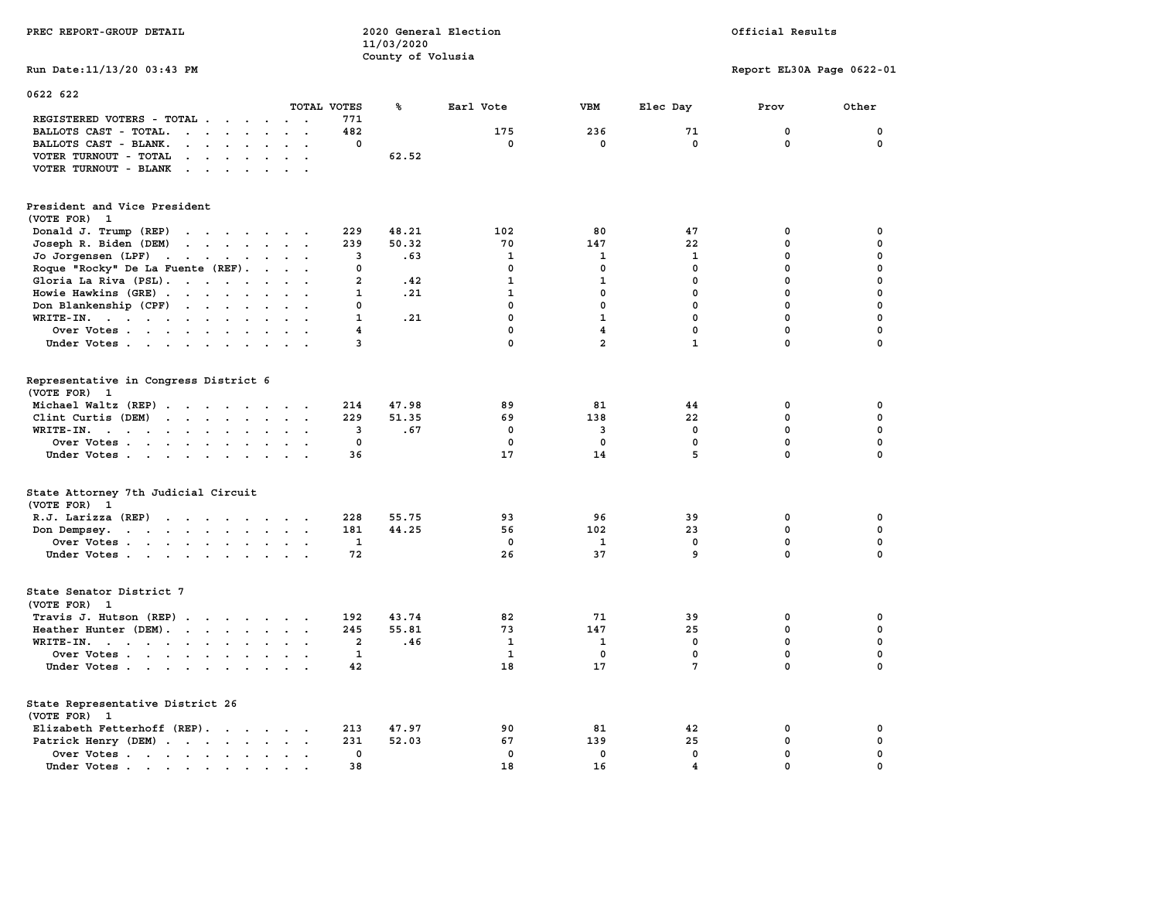|                                                                                                                                          |                                                  |                         | County of Volusia |                    |                         |                    |                           |                         |
|------------------------------------------------------------------------------------------------------------------------------------------|--------------------------------------------------|-------------------------|-------------------|--------------------|-------------------------|--------------------|---------------------------|-------------------------|
| Run Date: 11/13/20 03:43 PM                                                                                                              |                                                  |                         |                   |                    |                         |                    | Report EL30A Page 0622-01 |                         |
| 0622 622                                                                                                                                 |                                                  |                         |                   |                    |                         |                    |                           |                         |
| REGISTERED VOTERS - TOTAL .<br>$\sim$ $\sim$<br>$\sim$                                                                                   | $\sim$ $\sim$                                    | TOTAL VOTES<br>771      | ℁                 | Earl Vote          | VBM                     | Elec Day           | Prov                      | Other                   |
| BALLOTS CAST - TOTAL.<br>$\mathbf{r}$ , $\mathbf{r}$ , $\mathbf{r}$ , $\mathbf{r}$<br>$\ddot{\phantom{a}}$<br>$\ddot{\phantom{a}}$       | $\ddot{\phantom{a}}$<br>$\overline{\phantom{a}}$ | 482                     |                   | 175                | 236                     | 71                 | $\mathbf 0$               | 0                       |
| BALLOTS CAST - BLANK.<br>$\cdot$ $\cdot$<br>$\ddot{\phantom{a}}$<br>$\ddot{\phantom{a}}$<br>$\ddot{\phantom{a}}$                         |                                                  | 0                       |                   | $\mathbf 0$        | $\mathbf 0$             | $\mathbf 0$        | $\mathbf 0$               | 0                       |
| VOTER TURNOUT - TOTAL<br>$\mathbf{r}$ , $\mathbf{r}$ , $\mathbf{r}$ , $\mathbf{r}$<br>$\ddot{\phantom{a}}$                               |                                                  |                         | 62.52             |                    |                         |                    |                           |                         |
| VOTER TURNOUT - BLANK<br>$\mathbf{r}$ . The set of $\mathbf{r}$<br>$\sim$ $\sim$<br>$\sim$                                               |                                                  |                         |                   |                    |                         |                    |                           |                         |
|                                                                                                                                          |                                                  |                         |                   |                    |                         |                    |                           |                         |
| President and Vice President                                                                                                             |                                                  |                         |                   |                    |                         |                    |                           |                         |
| (VOTE FOR) 1                                                                                                                             |                                                  |                         |                   |                    |                         |                    |                           |                         |
| Donald J. Trump (REP)<br>$\cdot$ $\cdot$ $\cdot$ $\cdot$ $\cdot$ $\cdot$                                                                 | $\sim$                                           | 229                     | 48.21             | 102                | 80                      | 47                 | $\mathbf 0$               | 0                       |
| Joseph R. Biden (DEM)<br>$\mathbf{r}$ , $\mathbf{r}$ , $\mathbf{r}$ , $\mathbf{r}$ , $\mathbf{r}$                                        |                                                  | 239                     | 50.32             | 70                 | 147                     | 22                 | 0                         | 0                       |
| Jo Jorgensen (LPF)<br>$\cdots$<br>$\ddot{\phantom{a}}$                                                                                   |                                                  | 3                       | .63               | 1                  | 1                       | 1                  | 0                         | 0                       |
| Roque "Rocky" De La Fuente (REF).<br>$\ddot{\phantom{a}}$                                                                                |                                                  | 0                       |                   | 0                  | 0                       | $\mathbf 0$        | 0                         | 0                       |
| Gloria La Riva (PSL).                                                                                                                    |                                                  | $\overline{\mathbf{2}}$ | .42               | $\mathbf{1}$       | 1                       | $\mathbf 0$        | 0                         | $\mathbf 0$             |
| Howie Hawkins (GRE)<br>$\ddot{\phantom{a}}$                                                                                              |                                                  | 1                       | .21               | $\mathbf{1}$       | $\mathbf 0$             | $\mathbf 0$        | $\mathbf 0$               | $\mathbf 0$             |
| Don Blankenship (CPF)<br>$\mathcal{A}^{\mathcal{A}}$ , $\mathcal{A}^{\mathcal{A}}$ , $\mathcal{A}^{\mathcal{A}}$<br>$\ddot{\phantom{a}}$ |                                                  | $\mathbf 0$             |                   | $\mathbf{0}$       | $\mathbf 0$             | $\mathbf{0}$       | $\mathbf 0$               | $\mathbf 0$             |
| $WRITE-IN.$<br>$\ddot{\phantom{a}}$                                                                                                      |                                                  | $\mathbf{1}$            | .21               | 0                  | $\mathbf{1}$            | $\mathbf 0$        | $\mathbf 0$               | $\mathbf 0$             |
| Over Votes<br>$\sim$                                                                                                                     |                                                  | 4                       |                   | 0                  | $\overline{\mathbf{4}}$ | $\mathbf 0$        | $\mathbf 0$               | $\mathbf 0$             |
| Under Votes<br>$\sim$                                                                                                                    | $\sim$                                           | 3                       |                   | 0                  | $\overline{a}$          | $\mathbf{1}$       | 0                         | $\mathbf 0$             |
| Representative in Congress District 6<br>(VOTE FOR) 1                                                                                    |                                                  |                         |                   |                    |                         |                    |                           |                         |
| Michael Waltz (REP)<br>$\ddot{\phantom{a}}$                                                                                              | $\sim$                                           | 214                     | 47.98             | 89                 | 81                      | 44                 | 0                         | 0                       |
| Clint Curtis (DEM)<br>$\ddot{\phantom{a}}$                                                                                               | $\sim$                                           | 229                     | 51.35             | 69                 | 138                     | 22                 | 0                         | 0                       |
| WRITE-IN.<br>$\mathbf{r}$<br>$\overline{a}$<br>$\overline{\phantom{a}}$                                                                  | $\overline{a}$                                   | 3                       | .67               | 0                  | 3                       | 0                  | $\mathbf 0$               | 0                       |
| Over Votes<br>$\ddot{\phantom{a}}$<br>$\ddot{\phantom{a}}$                                                                               |                                                  | 0                       |                   | $\mathbf 0$        | 0                       | $\mathbf 0$        | $\mathbf 0$               | 0                       |
| Under Votes<br>$\cdot$ $\cdot$                                                                                                           |                                                  | 36                      |                   | 17                 | 14                      | 5                  | $\mathbf 0$               | $\mathbf 0$             |
| State Attorney 7th Judicial Circuit                                                                                                      |                                                  |                         |                   |                    |                         |                    |                           |                         |
| (VOTE FOR) 1                                                                                                                             |                                                  | 228                     | 55.75             | 93                 | 96                      | 39                 | 0                         | 0                       |
| R.J. Larizza (REP)                                                                                                                       |                                                  | 181                     |                   |                    | 102                     |                    | $\mathbf 0$               | $\mathbf 0$             |
| Don Dempsey.<br>$\sim$<br>$\cdots$<br>$\sim$<br>$\sim$                                                                                   |                                                  | $\mathbf{1}$            | 44.25             | 56<br>0            | 1                       | 23<br>$\mathbf 0$  | $\mathbf 0$               | $\mathbf 0$             |
| Over Votes                                                                                                                               |                                                  | 72                      |                   | 26                 | 37                      | 9                  | $\mathbf 0$               | $\mathbf 0$             |
| Under Votes<br>$\sim$                                                                                                                    |                                                  |                         |                   |                    |                         |                    |                           |                         |
| State Senator District 7<br>(VOTE FOR) 1                                                                                                 |                                                  |                         |                   |                    |                         |                    |                           |                         |
| Travis J. Hutson (REP).<br>$\cdots$<br>$\sim$                                                                                            |                                                  | 192                     | 43.74             | 82                 | 71                      | 39                 | 0                         | 0                       |
| Heather Hunter (DEM).                                                                                                                    |                                                  | 245                     | 55.81             | 73                 | 147                     | 25                 | $\mathbf 0$               | $\mathbf 0$             |
| $WRITE-IN.$<br>$\bullet$<br>$\ddot{\phantom{a}}$<br>$\overline{\phantom{a}}$                                                             |                                                  | $\overline{a}$          | .46               | 1                  | 1                       | 0                  | $\mathbf 0$               | 0                       |
| Over Votes<br>$\sim$                                                                                                                     |                                                  | 1                       |                   | 1                  | 0                       | 0                  | $\mathbf 0$               | 0                       |
| Under Votes<br>$\overline{\phantom{a}}$                                                                                                  |                                                  | 42                      |                   | 18                 | 17                      | 7                  | 0                         | $\Omega$                |
| State Representative District 26                                                                                                         |                                                  |                         |                   |                    |                         |                    |                           |                         |
| (VOTE FOR) 1                                                                                                                             |                                                  |                         |                   |                    |                         |                    |                           |                         |
| Elizabeth Fetterhoff (REP).                                                                                                              |                                                  | 213                     | 47.97             | 90                 | 81                      | 42                 | 0                         | 0                       |
| Patrick Henry (DEM)                                                                                                                      |                                                  | 231<br>$\mathbf 0$      | 52.03             | 67<br>$\mathbf{0}$ | 139                     | 25<br>$\mathbf{0}$ | 0<br>$\mathbf 0$          | 0                       |
| Over Votes .<br>$\cdots$<br>$\ddot{\phantom{a}}$<br>Under Votes.                                                                         | $\ddot{\phantom{a}}$                             | 38                      |                   | 18                 | $\mathbf 0$<br>16       | 4                  | $\Omega$                  | $\mathbf 0$<br>$\Omega$ |
| $\sim 10^{-10}$<br>$\bullet$ , $\bullet$ , $\bullet$ , $\bullet$<br>$\bullet$                                                            |                                                  |                         |                   |                    |                         |                    |                           |                         |

 **11/03/2020**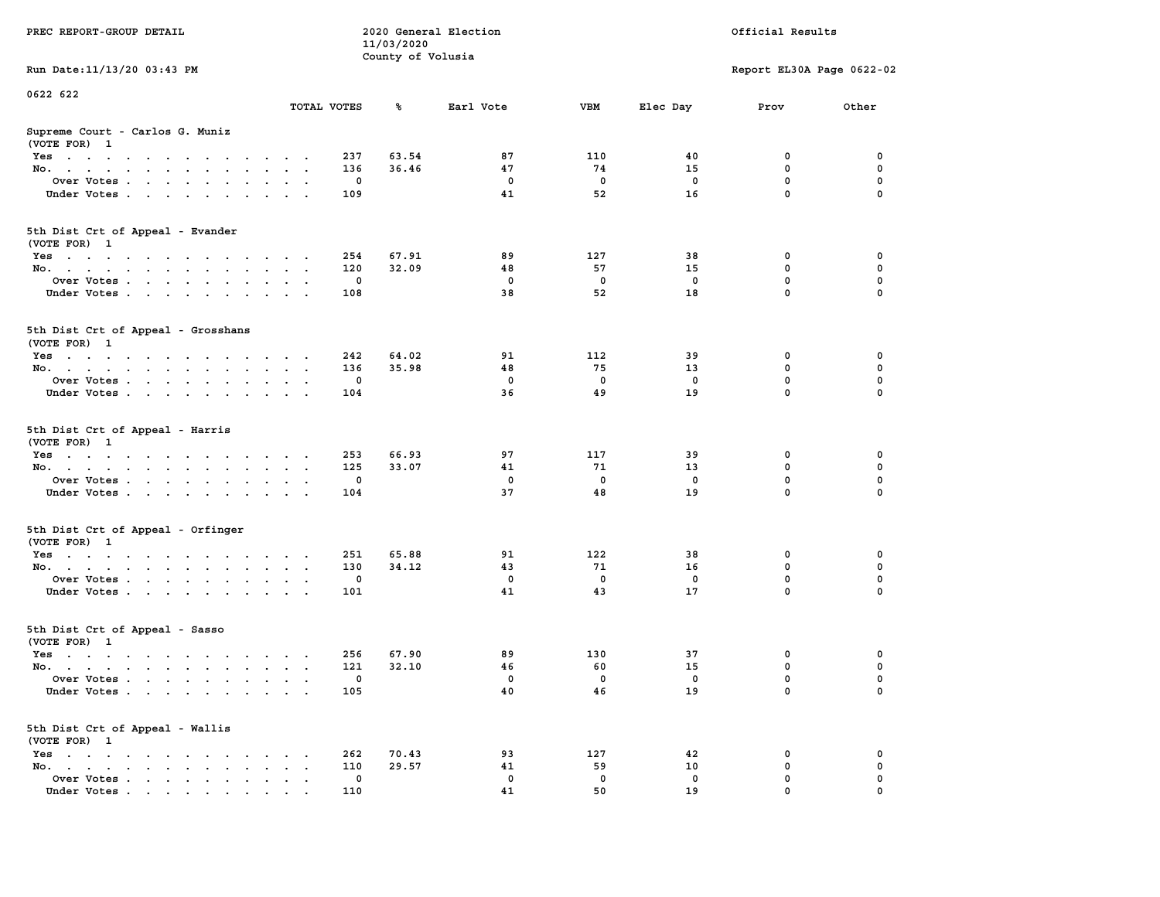| PREC REPORT-GROUP DETAIL                                                                                               |                      | 2020 General Election<br>11/03/2020<br>County of Volusia |                   |             | Official Results |                           |          |  |
|------------------------------------------------------------------------------------------------------------------------|----------------------|----------------------------------------------------------|-------------------|-------------|------------------|---------------------------|----------|--|
| Run Date: 11/13/20 03:43 PM                                                                                            |                      |                                                          |                   |             |                  | Report EL30A Page 0622-02 |          |  |
| 0622 622                                                                                                               |                      |                                                          |                   |             |                  |                           |          |  |
|                                                                                                                        | TOTAL VOTES          | ℁                                                        | Earl Vote         | VBM         | Elec Day         | Prov                      | Other    |  |
| Supreme Court - Carlos G. Muniz<br>(VOTE FOR) 1                                                                        |                      |                                                          |                   |             |                  |                           |          |  |
| Yes                                                                                                                    | 237                  | 63.54                                                    | 87                | 110         | 40               | 0                         | 0        |  |
| No.                                                                                                                    | 136<br>$\sim$ $\sim$ | 36.46                                                    | 47                | 74          | 15               | $\mathbf 0$               | 0        |  |
| Over Votes                                                                                                             |                      | 0                                                        | 0                 | 0           | 0                | 0                         | 0        |  |
| Under Votes                                                                                                            | 109                  |                                                          | 41                | 52          | 16               | $\mathbf 0$               | $\Omega$ |  |
| 5th Dist Crt of Appeal - Evander<br>(VOTE FOR) 1                                                                       |                      |                                                          |                   |             |                  |                           |          |  |
| Yes                                                                                                                    | 254                  | 67.91                                                    | 89                | 127         | 38               | 0                         | 0        |  |
| No.                                                                                                                    | 120<br>$\sim$ $\sim$ | 32.09                                                    | 48                | 57          | 15               | 0                         | 0        |  |
| Over Votes                                                                                                             |                      | 0                                                        | $\mathbf 0$       | $\mathbf 0$ | 0                | $\mathbf 0$               | 0        |  |
| Under Votes                                                                                                            | 108                  |                                                          | 38                | 52          | 18               | $\mathbf 0$               | 0        |  |
| 5th Dist Crt of Appeal - Grosshans<br>(VOTE FOR) 1                                                                     |                      |                                                          |                   |             |                  |                           |          |  |
| Yes<br>the contract of the contract of the contract of                                                                 | 242                  | 64.02                                                    | 91                | 112         | 39               | 0                         | 0        |  |
| No.                                                                                                                    | 136<br>$\sim$        | 35.98                                                    | 48                | 75          | 13               | 0                         | 0        |  |
| Over Votes                                                                                                             |                      | 0                                                        | $\mathbf 0$       | 0           | 0                | $\mathbf 0$               | 0        |  |
| Under Votes                                                                                                            | 104                  |                                                          | 36                | 49          | 19               | $\mathbf 0$               | 0        |  |
| 5th Dist Crt of Appeal - Harris<br>(VOTE FOR) 1                                                                        | 253                  | 66.93                                                    | 97                | 117         | 39               | 0                         | 0        |  |
| Yes<br>No.                                                                                                             | 125<br>$\sim$ $\sim$ | 33.07                                                    | 41                | 71          | 13               | $\mathbf 0$               | 0        |  |
| Over Votes                                                                                                             |                      | 0                                                        | 0                 | 0           | 0                | 0                         | 0        |  |
| Under Votes                                                                                                            | 104                  |                                                          | 37                | 48          | 19               | 0                         | $\Omega$ |  |
|                                                                                                                        |                      |                                                          |                   |             |                  |                           |          |  |
| 5th Dist Crt of Appeal - Orfinger<br>(VOTE FOR) 1                                                                      |                      |                                                          |                   |             |                  |                           |          |  |
| Yes                                                                                                                    | 251                  | 65.88                                                    | 91                | 122         | 38               | 0                         | 0        |  |
| No.                                                                                                                    | 130                  | 34.12                                                    | 43                | 71          | 16               | 0                         | 0        |  |
| Over Votes                                                                                                             |                      | 0                                                        | $\mathbf 0$<br>41 | 0<br>43     | 0                | 0<br>$\mathbf 0$          | 0<br>0   |  |
| Under Votes                                                                                                            | 101                  |                                                          |                   |             | 17               |                           |          |  |
| 5th Dist Crt of Appeal - Sasso<br>(VOTE FOR) 1                                                                         |                      |                                                          |                   |             |                  |                           |          |  |
| Yes<br>the contract of the contract of the contract of the contract of the contract of the contract of the contract of | 256                  | 67.90                                                    | 89                | 130         | 37               | 0                         | 0        |  |
| No.                                                                                                                    | 121<br>$\sim$ $\sim$ | 32.10                                                    | 46                | 60          | 15               | 0                         | 0        |  |
| Over Votes                                                                                                             |                      | 0                                                        | 0                 | 0           | 0                | 0                         | $\Omega$ |  |
| Under Votes                                                                                                            | 105                  |                                                          | 40                | 46          | 19               | 0                         | 0        |  |
| 5th Dist Crt of Appeal - Wallis<br>(VOTE FOR) 1                                                                        |                      |                                                          |                   |             |                  |                           |          |  |
| $Yes \t . \t . \t .$<br>No.<br>$\ddot{\phantom{a}}$                                                                    | 262<br>110           | 70.43<br>29.57                                           | 93<br>41          | 127<br>59   | 42<br>10         | 0<br>$\mathbf 0$          | 0<br>0   |  |
| Over Votes                                                                                                             |                      | 0                                                        | 0                 | 0           | 0                | 0                         | 0        |  |
| Under Votes                                                                                                            | 110                  |                                                          | 41                | 50          | 19               | 0                         |          |  |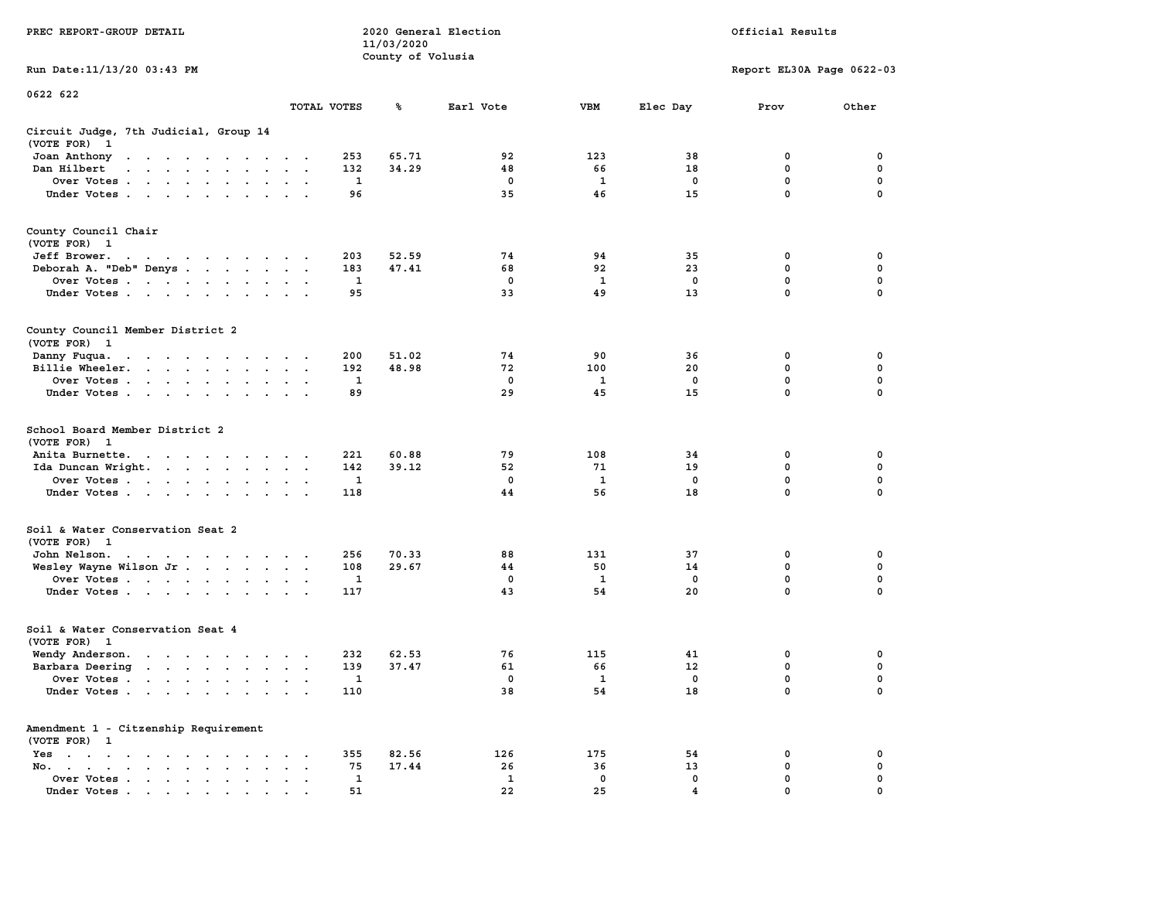|                                                                                                                                                                                                                                                               |                                       | 11/03/2020                                          |                               |                                 |                               |                                                |                                                |
|---------------------------------------------------------------------------------------------------------------------------------------------------------------------------------------------------------------------------------------------------------------|---------------------------------------|-----------------------------------------------------|-------------------------------|---------------------------------|-------------------------------|------------------------------------------------|------------------------------------------------|
| Run Date: 11/13/20 03:43 PM                                                                                                                                                                                                                                   |                                       | County of Volusia                                   |                               |                                 |                               | Report EL30A Page 0622-03                      |                                                |
| 0622 622                                                                                                                                                                                                                                                      |                                       |                                                     |                               |                                 |                               |                                                |                                                |
|                                                                                                                                                                                                                                                               | TOTAL VOTES                           | ℁                                                   | Earl Vote                     | <b>VBM</b>                      | Elec Day                      | Prov                                           | Other                                          |
| Circuit Judge, 7th Judicial, Group 14<br>(VOTE FOR)<br>$\mathbf{1}$                                                                                                                                                                                           |                                       |                                                     |                               |                                 |                               |                                                |                                                |
| Joan Anthony<br>$\cdots$<br>$\ddot{\phantom{0}}$<br>$\sim$ $\sim$                                                                                                                                                                                             |                                       | 253<br>65.71                                        | 92                            | 123                             | 38                            | 0                                              | $\mathbf 0$                                    |
| Dan Hilbert<br>.                                                                                                                                                                                                                                              |                                       | 132<br>34.29                                        | 48                            | 66                              | 18                            | $\mathbf 0$                                    | $\mathbf 0$                                    |
| Over Votes                                                                                                                                                                                                                                                    |                                       | $\mathbf{1}$                                        | $\mathbf 0$                   | 1                               | $\mathbf 0$                   | $\mathbf 0$                                    | $\mathbf 0$                                    |
| Under Votes                                                                                                                                                                                                                                                   |                                       | 96                                                  | 35                            | 46                              | 15                            | $\mathbf 0$                                    | $\Omega$                                       |
|                                                                                                                                                                                                                                                               |                                       |                                                     |                               |                                 |                               |                                                |                                                |
| County Council Chair                                                                                                                                                                                                                                          |                                       |                                                     |                               |                                 |                               |                                                |                                                |
| (VOTE FOR) 1                                                                                                                                                                                                                                                  |                                       |                                                     |                               |                                 |                               |                                                |                                                |
| Jeff Brower.                                                                                                                                                                                                                                                  |                                       | 203<br>52.59                                        | 74                            | 94                              | 35                            | 0                                              | 0                                              |
| Deborah A. "Deb" Denys                                                                                                                                                                                                                                        |                                       | 47.41<br>183                                        | 68                            | 92                              | 23                            | 0                                              | 0                                              |
| Over Votes                                                                                                                                                                                                                                                    |                                       | 1                                                   | 0                             | 1                               | 0                             | 0                                              | $\mathbf 0$                                    |
| Under Votes                                                                                                                                                                                                                                                   |                                       | 95                                                  | 33                            | 49                              | 13                            | $\mathbf 0$                                    | 0                                              |
|                                                                                                                                                                                                                                                               |                                       |                                                     |                               |                                 |                               |                                                |                                                |
| County Council Member District 2<br>(VOTE FOR) 1                                                                                                                                                                                                              |                                       |                                                     |                               |                                 |                               |                                                |                                                |
| Danny Fuqua.<br>the contract of the contract of the con-                                                                                                                                                                                                      |                                       | 200<br>51.02                                        | 74                            | 90                              | 36                            | 0                                              | 0                                              |
| Billie Wheeler.                                                                                                                                                                                                                                               |                                       | 192<br>48.98                                        | 72                            | 100                             | 20                            | 0                                              | 0                                              |
| Over Votes                                                                                                                                                                                                                                                    |                                       | 1                                                   | $^{\circ}$                    | 1                               | $^{\circ}$                    | $\mathbf{0}$                                   | $\mathbf 0$                                    |
| Under Votes                                                                                                                                                                                                                                                   |                                       | 89                                                  | 29                            | 45                              | 15                            | $\mathbf{0}$                                   | $\Omega$                                       |
| School Board Member District 2<br>(VOTE FOR) 1<br>Anita Burnette.<br>Ida Duncan Wright.<br>the contract of the contract of the<br>Over Votes<br>Under Votes                                                                                                   |                                       | 221<br>60.88<br>142<br>39.12<br>$\mathbf{1}$<br>118 | 79<br>52<br>$\mathbf 0$<br>44 | 108<br>71<br>$\mathbf{1}$<br>56 | 34<br>19<br>$\mathbf 0$<br>18 | 0<br>$\mathbf 0$<br>$\mathbf 0$<br>$\mathbf 0$ | 0<br>$\mathbf 0$<br>$\mathbf 0$<br>$\mathbf 0$ |
| Soil & Water Conservation Seat 2                                                                                                                                                                                                                              |                                       |                                                     |                               |                                 |                               |                                                |                                                |
| (VOTE FOR) 1<br>John Nelson.<br>. The contract of the contract of the contract of the contract of the contract of the contract of the contract of the contract of the contract of the contract of the contract of the contract of the contract of the contrac |                                       | 256<br>70.33                                        | 88                            | 131                             | 37                            | $\mathbf 0$                                    | 0                                              |
| Wesley Wayne Wilson Jr.                                                                                                                                                                                                                                       |                                       | 108<br>29.67                                        | 44                            | 50                              | 14                            | $\mathbf 0$                                    | $\mathbf 0$                                    |
| Over Votes                                                                                                                                                                                                                                                    |                                       | 1                                                   | 0                             | 1                               | 0                             | $\mathbf 0$                                    | $\mathbf 0$                                    |
| Under Votes                                                                                                                                                                                                                                                   |                                       | 117                                                 | 43                            | 54                              | 20                            | $\mathbf 0$                                    | $\mathbf 0$                                    |
|                                                                                                                                                                                                                                                               |                                       |                                                     |                               |                                 |                               |                                                |                                                |
| Soil & Water Conservation Seat 4<br>(VOTE FOR) 1                                                                                                                                                                                                              |                                       |                                                     |                               |                                 |                               |                                                |                                                |
| Wendy Anderson.                                                                                                                                                                                                                                               |                                       | 232<br>62.53                                        | 76                            | 115                             | 41                            | $\mathbf 0$                                    | 0                                              |
| Barbara Deering                                                                                                                                                                                                                                               |                                       | 139<br>37.47                                        | 61                            | 66                              | 12                            | $\mathbf 0$                                    | $\mathbf 0$                                    |
| Over Votes                                                                                                                                                                                                                                                    |                                       | $\mathbf{1}$                                        | $^{\circ}$                    | $\mathbf{1}$                    | $^{\circ}$                    | $\mathbf 0$                                    | $\mathbf 0$                                    |
| Under Votes                                                                                                                                                                                                                                                   |                                       | 110                                                 | 38                            | 54                              | 18                            | $\mathbf 0$                                    | 0                                              |
| Amendment 1 - Citzenship Requirement<br>(VOTE FOR) 1                                                                                                                                                                                                          |                                       |                                                     |                               |                                 |                               |                                                |                                                |
| Yes                                                                                                                                                                                                                                                           |                                       | 355<br>82.56                                        | 126                           | 175                             | 54                            | 0                                              | 0                                              |
| No.<br>$\sim$ $\sim$                                                                                                                                                                                                                                          | $\sim$ $\sim$<br>$\ddot{\phantom{a}}$ | 75<br>17.44                                         | 26                            | 36                              | 13                            | 0                                              | 0                                              |
| Over Votes<br>$\bullet$<br>$\bullet$                                                                                                                                                                                                                          |                                       | 1                                                   | $\mathbf{1}$                  | 0                               | 0                             | 0                                              | 0                                              |
| Under Votes                                                                                                                                                                                                                                                   |                                       | 51                                                  | 22                            | 25                              | 4                             | $\Omega$                                       | $\Omega$                                       |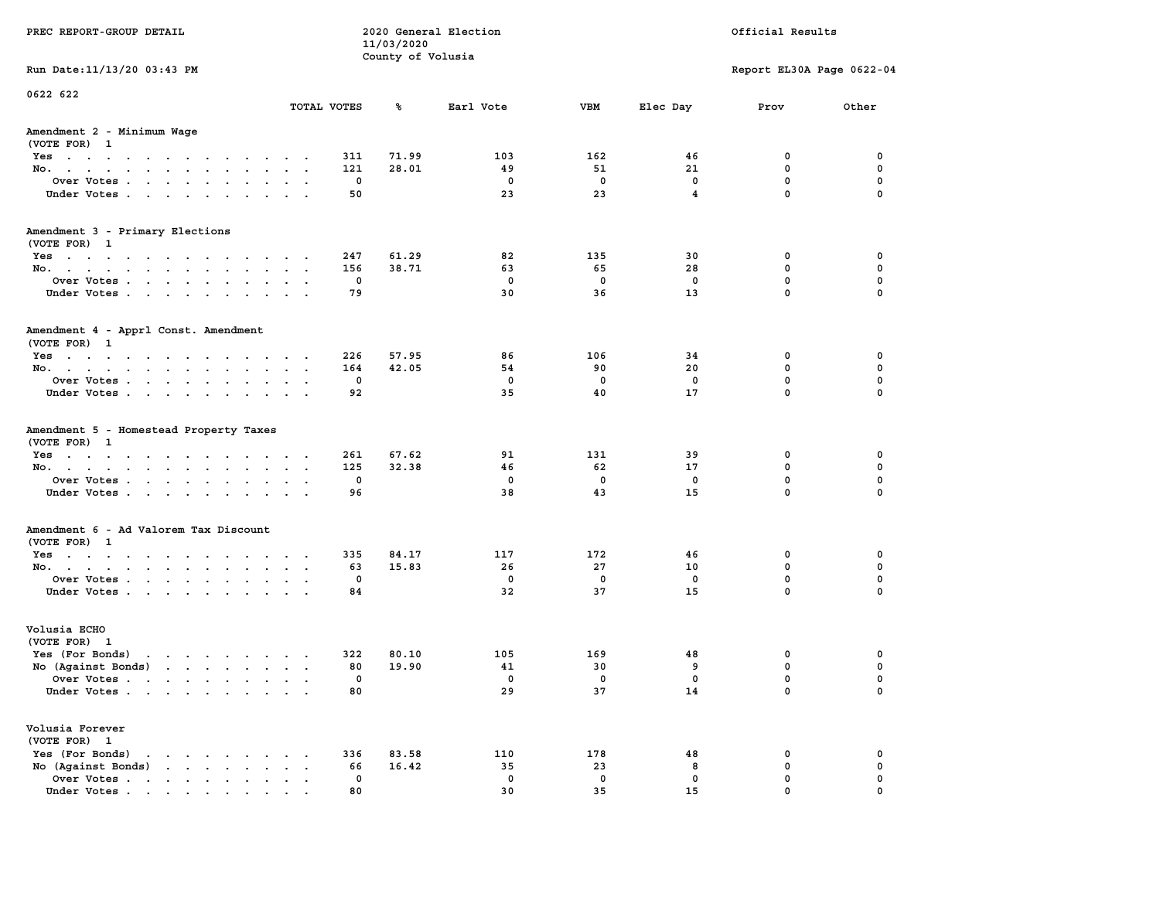| PREC REPORT-GROUP DETAIL                                                                                                                                                                                                                                |              |                                 | 2020 General Election | Official Results |                         |                           |             |  |
|---------------------------------------------------------------------------------------------------------------------------------------------------------------------------------------------------------------------------------------------------------|--------------|---------------------------------|-----------------------|------------------|-------------------------|---------------------------|-------------|--|
|                                                                                                                                                                                                                                                         |              | 11/03/2020<br>County of Volusia |                       |                  |                         |                           |             |  |
| Run Date: 11/13/20 03:43 PM                                                                                                                                                                                                                             |              |                                 |                       |                  |                         | Report EL30A Page 0622-04 |             |  |
| 0622 622                                                                                                                                                                                                                                                |              |                                 |                       |                  |                         |                           |             |  |
|                                                                                                                                                                                                                                                         | TOTAL VOTES  | ጜ                               | Earl Vote             | VBM              | Elec Day                | Prov                      | Other       |  |
| Amendment 2 - Minimum Wage<br>(VOTE FOR) 1                                                                                                                                                                                                              |              |                                 |                       |                  |                         |                           |             |  |
| Yes                                                                                                                                                                                                                                                     | 311          | 71.99                           | 103                   | 162              | 46                      | 0                         | 0           |  |
| No.                                                                                                                                                                                                                                                     | 121          | 28.01                           | 49                    | 51               | 21                      | $\mathbf 0$               | $\mathbf 0$ |  |
| Over Votes                                                                                                                                                                                                                                              | 0            |                                 | 0                     | $\mathbf 0$      | 0                       | 0                         | 0           |  |
| Under Votes                                                                                                                                                                                                                                             | 50           |                                 | 23                    | 23               | $\overline{\mathbf{4}}$ | $\mathbf 0$               | $\Omega$    |  |
| Amendment 3 - Primary Elections<br>(VOTE FOR) 1                                                                                                                                                                                                         |              |                                 |                       |                  |                         |                           |             |  |
| Yes                                                                                                                                                                                                                                                     | 247          | 61.29                           | 82                    | 135              | 30                      | 0                         | 0           |  |
| No.                                                                                                                                                                                                                                                     | 156          | 38.71                           | 63                    | 65               | 28                      | 0                         | 0           |  |
| Over Votes                                                                                                                                                                                                                                              | 0            |                                 | 0                     | 0                | $\mathbf 0$             | $\mathbf 0$               | $\mathbf 0$ |  |
| Under Votes                                                                                                                                                                                                                                             | 79           |                                 | 30                    | 36               | 13                      | $\mathbf{0}$              | 0           |  |
| Amendment 4 - Apprl Const. Amendment<br>(VOTE FOR) 1                                                                                                                                                                                                    |              |                                 |                       |                  |                         |                           |             |  |
| Yes                                                                                                                                                                                                                                                     | 226          | 57.95                           | 86                    | 106              | 34                      | 0                         | 0           |  |
| No.                                                                                                                                                                                                                                                     | 164          | 42.05                           | 54                    | 90               | 20                      | 0                         | 0           |  |
| Over Votes                                                                                                                                                                                                                                              | 0            |                                 | $^{\circ}$            | $\mathbf 0$      | 0                       | $\mathbf 0$               | 0           |  |
| Under Votes                                                                                                                                                                                                                                             | 92           |                                 | 35                    | 40               | 17                      | $\mathbf 0$               | 0           |  |
| Amendment 5 - Homestead Property Taxes<br>(VOTE FOR) 1                                                                                                                                                                                                  | 261          | 67.62                           | 91                    | 131              | 39                      | 0                         | 0           |  |
| Yes<br>No.                                                                                                                                                                                                                                              | 125          | 32.38                           | 46                    | 62               | 17                      | $\mathbf 0$               | 0           |  |
| Over Votes                                                                                                                                                                                                                                              | 0            |                                 | 0                     | 0                | 0                       | 0                         | $\mathbf 0$ |  |
| Under Votes                                                                                                                                                                                                                                             | 96           |                                 | 38                    | 43               | 15                      | $\mathbf 0$               | $\Omega$    |  |
|                                                                                                                                                                                                                                                         |              |                                 |                       |                  |                         |                           |             |  |
| Amendment 6 - Ad Valorem Tax Discount<br>(VOTE FOR) 1                                                                                                                                                                                                   |              |                                 |                       |                  |                         |                           |             |  |
| Yes                                                                                                                                                                                                                                                     | 335          | 84.17                           | 117                   | 172              | 46                      | 0                         | 0           |  |
| No.                                                                                                                                                                                                                                                     | 63           | 15.83                           | 26                    | 27               | 10                      | 0                         | 0           |  |
| Over Votes                                                                                                                                                                                                                                              | 0            |                                 | 0                     | 0                | 0                       | 0                         | 0           |  |
| Under Votes                                                                                                                                                                                                                                             | 84           |                                 | 32                    | 37               | 15                      | $\mathbf{0}$              | 0           |  |
| Volusia ECHO<br>(VOTE FOR) 1                                                                                                                                                                                                                            |              |                                 |                       |                  |                         |                           |             |  |
| Yes (For Bonds)<br>the contract of the contract of the contract of the contract of the contract of the contract of the contract of                                                                                                                      | 322          | 80.10                           | 105                   | 169              | 48                      | 0                         | 0           |  |
| No (Against Bonds)                                                                                                                                                                                                                                      | 80           | 19.90                           | 41                    | 30               | 9                       | $\mathbf 0$               | 0           |  |
| Over Votes                                                                                                                                                                                                                                              | 0            |                                 | 0                     | 0                | 0                       | $\mathbf{0}$              | 0           |  |
| Under Votes                                                                                                                                                                                                                                             | 80           |                                 | 29                    | 37               | 14                      | 0                         | 0           |  |
| Volusia Forever<br>(VOTE FOR) 1                                                                                                                                                                                                                         |              |                                 |                       |                  |                         |                           |             |  |
| Yes (For Bonds)<br>$\cdot$ $\cdot$ $\cdot$ $\cdot$ $\cdot$ $\cdot$                                                                                                                                                                                      | 336          | 83.58                           | 110                   | 178              | 48                      | 0                         | 0           |  |
| $\mathbf{r}$ . The set of the set of the set of the set of the set of the set of the set of the set of the set of the set of the set of the set of the set of the set of the set of the set of the set of the set of the set of t<br>No (Against Bonds) | 66<br>$\sim$ | 16.42                           | 35                    | 23               | 8                       | $\mathbf 0$               | 0           |  |
| Over Votes                                                                                                                                                                                                                                              | 0            |                                 | 0                     | $\mathbf 0$      | 0                       | $\mathbf 0$               | 0           |  |
| Under Votes                                                                                                                                                                                                                                             | 80           |                                 | 30                    | 35               | 15                      | $\mathbf{0}$              |             |  |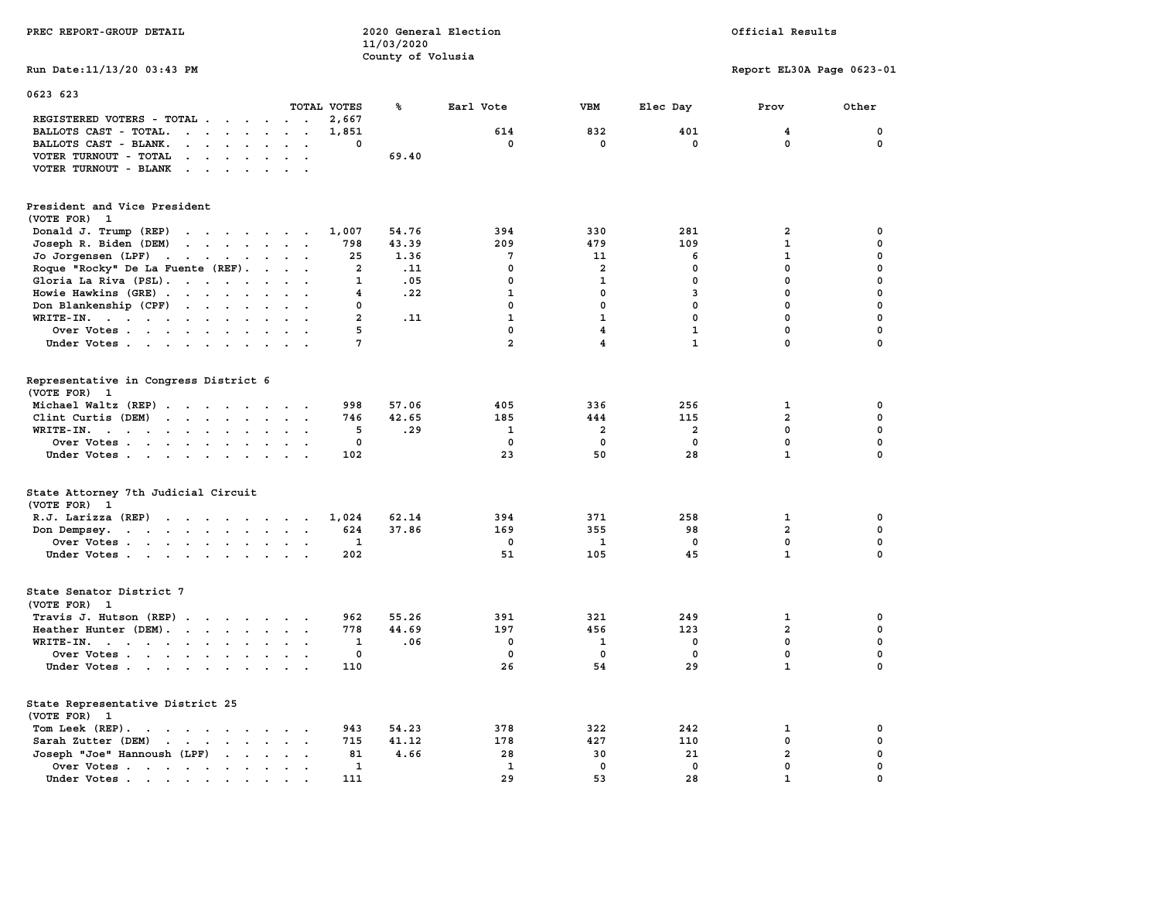| PREC REPORT-GROUP DETAIL                                                                                                                                                                                                                                   |                         | 2020 General Election<br>11/03/2020 |                |                         | Official Results |                           |             |  |
|------------------------------------------------------------------------------------------------------------------------------------------------------------------------------------------------------------------------------------------------------------|-------------------------|-------------------------------------|----------------|-------------------------|------------------|---------------------------|-------------|--|
| Run Date:11/13/20 03:43 PM                                                                                                                                                                                                                                 |                         | County of Volusia                   |                |                         |                  | Report EL30A Page 0623-01 |             |  |
| 0623 623                                                                                                                                                                                                                                                   |                         |                                     |                |                         |                  |                           |             |  |
|                                                                                                                                                                                                                                                            | TOTAL VOTES             | ℁                                   | Earl Vote      | VBM                     | Elec Day         | Prov                      | Other       |  |
| REGISTERED VOTERS - TOTAL<br>$\ddot{\phantom{0}}$<br>$\sim$                                                                                                                                                                                                | 2,667                   |                                     |                |                         |                  |                           |             |  |
| BALLOTS CAST - TOTAL.<br>$\mathbf{r}$ , $\mathbf{r}$ , $\mathbf{r}$ , $\mathbf{r}$ , $\mathbf{r}$<br>$\bullet$<br>$\ddot{\phantom{a}}$                                                                                                                     | 1,851                   |                                     | 614            | 832                     | 401              | $\overline{\mathbf{4}}$   | 0           |  |
| BALLOTS CAST - BLANK.<br>$\cdot$ $\cdot$ $\cdot$<br>$\sim$<br>$\ddot{\phantom{1}}$                                                                                                                                                                         | 0                       |                                     | 0              | 0                       | 0                | 0                         | 0           |  |
| VOTER TURNOUT - TOTAL<br>$\sim$ $\sim$ $\sim$<br>$\sim$ $\sim$                                                                                                                                                                                             |                         | 69.40                               |                |                         |                  |                           |             |  |
| VOTER TURNOUT - BLANK<br>$\sim$                                                                                                                                                                                                                            |                         |                                     |                |                         |                  |                           |             |  |
| President and Vice President                                                                                                                                                                                                                               |                         |                                     |                |                         |                  |                           |             |  |
| (VOTE FOR) 1                                                                                                                                                                                                                                               |                         |                                     |                |                         |                  |                           |             |  |
| Donald J. Trump (REP)<br>$\mathbf{r}$ . The contract of the contract of the contract of the contract of the contract of the contract of the contract of the contract of the contract of the contract of the contract of the contract of the contract of th | 1,007                   | 54.76                               | 394            | 330                     | 281              | 2                         | 0           |  |
| Joseph R. Biden (DEM)<br>$\mathbf{r}$ . The contract of the contract of the contract of the contract of the contract of the contract of the contract of the contract of the contract of the contract of the contract of the contract of the contract of th | 798                     | 43.39                               | 209            | 479                     | 109              | $\mathbf 1$               | 0           |  |
| Jo Jorgensen (LPF)<br>$\sim 10^{-1}$ and $\sim 10^{-1}$<br>$\mathcal{A}=\mathcal{A}=\mathcal{A}$ .<br>$\ddot{\phantom{0}}$                                                                                                                                 | 25                      | 1.36                                | 7              | 11                      | 6                | $\mathbf 1$               | 0           |  |
| Roque "Rocky" De La Fuente (REF).<br>$\ddot{\phantom{0}}$<br>$\ddotsc$                                                                                                                                                                                     | $\overline{\mathbf{2}}$ | .11                                 | $\mathbf 0$    | $\overline{a}$          | $\mathbf 0$      | $\mathbf 0$               | 0           |  |
| Gloria La Riva (PSL).                                                                                                                                                                                                                                      | $\mathbf{1}$            | .05                                 | $\mathbf 0$    | $\mathbf{1}$            | $\mathbf 0$      | $\mathbf 0$               | 0           |  |
| Howie Hawkins (GRE)                                                                                                                                                                                                                                        | 4                       | .22                                 | $\mathbf{1}$   | $\mathbf 0$             | 3                | $\mathbf 0$               | 0           |  |
| Don Blankenship (CPF)<br>$\sim$<br>$\sim$                                                                                                                                                                                                                  | 0                       |                                     | $\mathbf 0$    | $\mathbf 0$             | $\mathbf 0$      | $\mathbf 0$               | 0           |  |
| WRITE-IN. $\cdots$<br>$\ddot{\phantom{a}}$<br>$\cdot$<br>$\mathbf{r}$                                                                                                                                                                                      | $\overline{a}$          | .11                                 | $\mathbf{1}$   | $\mathbf{1}$            | $\mathbf 0$      | $\mathbf 0$               | 0           |  |
| Over Votes<br>$\cdot$ .                                                                                                                                                                                                                                    | 5                       |                                     | 0              | $\overline{\mathbf{4}}$ | $\mathbf 1$      | $\mathbf 0$               | 0           |  |
| Under Votes<br>$\ddot{\phantom{a}}$<br>$\sim$                                                                                                                                                                                                              | 7                       |                                     | $\overline{a}$ | $\overline{\mathbf{4}}$ | $\mathbf{1}$     | $\mathbf 0$               | 0           |  |
| Representative in Congress District 6<br>(VOTE FOR) 1                                                                                                                                                                                                      |                         |                                     |                |                         |                  |                           |             |  |
| Michael Waltz (REP)                                                                                                                                                                                                                                        | 998                     | 57.06                               | 405            | 336                     | 256              | 1                         | 0           |  |
| Clint Curtis (DEM)<br>$\mathbf{r}$ . The set of the set of $\mathbf{r}$                                                                                                                                                                                    | 746                     | 42.65                               | 185            | 444                     | 115              | $\overline{a}$            | 0           |  |
| $WRTTE-IN.$<br>$\ddot{\phantom{a}}$<br>$\sim$                                                                                                                                                                                                              | 5                       | .29                                 | $\mathbf{1}$   | $\overline{a}$          | $\overline{a}$   | $\mathbf 0$               | $\mathbf 0$ |  |
| Over Votes<br>$\cdot$ .                                                                                                                                                                                                                                    | 0                       |                                     | $\mathbf 0$    | $\mathbf 0$             | $\mathbf 0$      | $\mathbf 0$               | 0           |  |
| Under Votes<br>$\cdot$ .                                                                                                                                                                                                                                   | 102                     |                                     | 23             | 50                      | 28               | $\mathbf{1}$              | $\Omega$    |  |
| State Attorney 7th Judicial Circuit<br>(VOTE FOR) 1                                                                                                                                                                                                        |                         |                                     |                |                         |                  |                           |             |  |
| R.J. Larizza $(REP)$                                                                                                                                                                                                                                       | 1,024                   | 62.14                               | 394            | 371                     | 258              | 1                         | 0           |  |
| Don Dempsey.<br>$\mathcal{A}=\mathcal{A}=\mathcal{A}=\mathcal{A}=\mathcal{A}=\mathcal{A}=\mathcal{A}$ .<br>$\sim$                                                                                                                                          | 624                     | 37.86                               | 169            | 355                     | 98               | $\mathbf{2}$              | $\mathbf 0$ |  |
| Over Votes<br>$\cdot$ .                                                                                                                                                                                                                                    | 1                       |                                     | 0              | 1                       | $^{\circ}$       | $\mathbf 0$               | $\mathbf 0$ |  |
| Under Votes<br>$\sim$ $\sim$                                                                                                                                                                                                                               | 202                     |                                     | 51             | 105                     | 45               | $\mathbf{1}$              | 0           |  |
| State Senator District 7<br>(VOTE FOR) 1                                                                                                                                                                                                                   |                         |                                     |                |                         |                  |                           |             |  |
| Travis J. Hutson (REP)                                                                                                                                                                                                                                     | 962                     | 55.26                               | 391            | 321                     | 249              | 1                         | 0           |  |
| Heather Hunter (DEM).                                                                                                                                                                                                                                      | 778                     | 44.69                               | 197            | 456                     | 123              | $\overline{a}$            | 0           |  |
| WRITE-IN.<br>$\ddot{\phantom{a}}$<br>$\ddot{\phantom{a}}$<br>$\ddot{\phantom{a}}$                                                                                                                                                                          | 1                       | .06                                 | 0              | 1                       | 0                | 0                         | 0           |  |
| Over Votes                                                                                                                                                                                                                                                 | 0                       |                                     | 0              | 0                       | $\mathbf 0$      | $\mathbf 0$               | 0           |  |
| Under Votes<br>$\ddot{\phantom{0}}$<br>$\ddot{\phantom{0}}$<br>$\ddot{\phantom{0}}$                                                                                                                                                                        | 110                     |                                     | 26             | 54                      | 29               | $\mathbf{1}$              | 0           |  |
| State Representative District 25<br>(VOTE FOR)<br>-1                                                                                                                                                                                                       |                         |                                     |                |                         |                  |                           |             |  |
| Tom Leek (REP).                                                                                                                                                                                                                                            | 943                     | 54.23                               | 378            | 322                     | 242              | 1                         | 0           |  |
| Sarah Zutter (DEM)<br>$\mathbf{r}$ , $\mathbf{r}$ , $\mathbf{r}$ , $\mathbf{r}$ , $\mathbf{r}$                                                                                                                                                             | 715                     | 41.12                               | 178            | 427                     | 110              | 0                         | 0           |  |
| Joseph "Joe" Hannoush (LPF)<br>$\ddot{\phantom{a}}$<br>$\cdot$                                                                                                                                                                                             | 81                      | 4.66                                | 28             | 30                      | 21               | $\overline{\mathbf{2}}$   | 0           |  |
| Over Votes.<br>$\cdots$<br>$\ddot{\phantom{a}}$<br>$\ddot{\phantom{0}}$<br>$\ddot{\phantom{a}}$<br>$\cdot$<br>$\cdot$                                                                                                                                      | 1                       |                                     | 1              | 0                       | $\mathbf 0$      | $\mathbf 0$               | $\mathbf 0$ |  |
| Under Votes.<br>$\sim$ $\sim$ $\sim$ $\sim$ $\sim$ $\sim$ $\sim$<br>$\bullet$                                                                                                                                                                              | 111                     |                                     | 29             | 53                      | 28               | $\mathbf{1}$              | $\mathbf 0$ |  |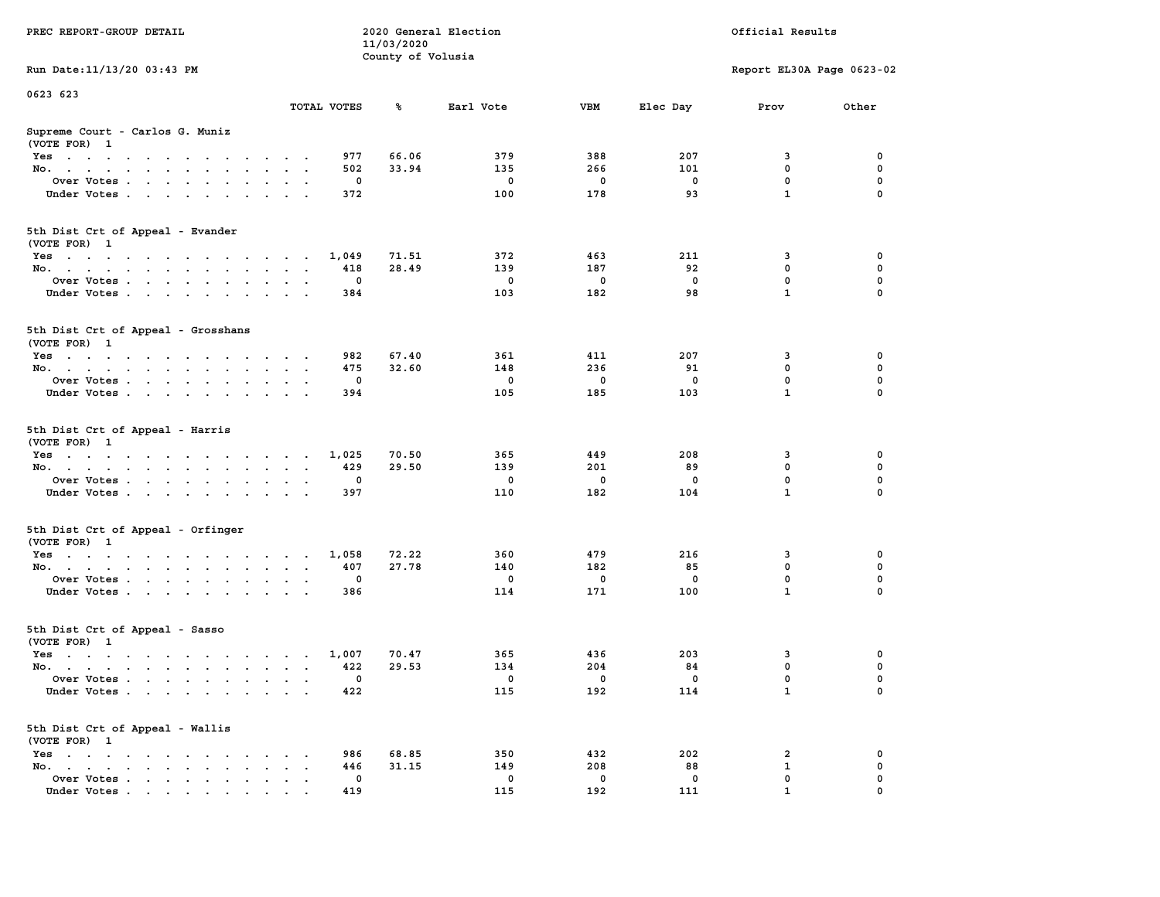|                                                                                                                                                   |                                              |             | 11/03/2020        |             |             |              |                           |             |
|---------------------------------------------------------------------------------------------------------------------------------------------------|----------------------------------------------|-------------|-------------------|-------------|-------------|--------------|---------------------------|-------------|
|                                                                                                                                                   |                                              |             | County of Volusia |             |             |              |                           |             |
| Run Date: 11/13/20 03:43 PM                                                                                                                       |                                              |             |                   |             |             |              | Report EL30A Page 0623-02 |             |
| 0623 623                                                                                                                                          |                                              |             |                   |             |             |              |                           |             |
|                                                                                                                                                   | TOTAL VOTES                                  |             | ℁                 | Earl Vote   | <b>VBM</b>  | Elec Day     | Prov                      | Other       |
| Supreme Court - Carlos G. Muniz<br>(VOTE FOR) 1                                                                                                   |                                              |             |                   |             |             |              |                           |             |
| Yes<br>the contract of the contract of the contract of the contract of the contract of the contract of the contract of<br>$\sim$ $\sim$<br>$\sim$ | $\sim$ $\sim$                                | 977         | 66.06             | 379         | 388         | 207          | 3                         | 0           |
| No.<br>$\cdot$ $\cdot$ $\cdot$ $\cdot$<br>$\sim$<br>$\mathbf{L} = \mathbf{L}$<br>$\sim$<br>$\overline{a}$                                         |                                              | 502         | 33.94             | 135         | 266         | 101          | 0                         | 0           |
| Over Votes                                                                                                                                        | $\sim$                                       | 0           |                   | $\mathbf 0$ | 0           | $\mathbf{o}$ | $\mathbf 0$               | $\mathbf 0$ |
| Under Votes.<br>$\mathbf{r} = \mathbf{r} + \mathbf{r} + \mathbf{r} + \mathbf{r}$<br><b>Contract</b><br>$\ddot{\phantom{0}}$                       | $\sim$                                       | 372         |                   | 100         | 178         | 93           | $\mathbf{1}$              | $\mathbf 0$ |
| 5th Dist Crt of Appeal - Evander<br>(VOTE FOR) 1                                                                                                  |                                              |             |                   |             |             |              |                           |             |
| Yes<br>the contract of the contract of the contract of the contract of the contract of the contract of the contract of                            |                                              | 1,049       | 71.51             | 372         | 463         | 211          | 3                         | 0           |
| No.<br>$\sim$                                                                                                                                     | $\overline{\phantom{a}}$                     | 418         | 28.49             | 139         | 187         | 92           | $\mathbf 0$               | $\mathbf 0$ |
| Over Votes<br>$\sim$ $\sim$<br>$\ddot{\phantom{0}}$                                                                                               | $\sim$<br>$\cdot$                            | $\mathbf 0$ |                   | $\mathbf 0$ | $\mathbf 0$ | $\mathbf{0}$ | $\mathbf 0$               | $\mathbf 0$ |
| Under Votes<br>$\sim$                                                                                                                             | $\ddot{\phantom{0}}$                         | 384         |                   | 103         | 182         | 98           | $\mathbf{1}$              | $\mathbf 0$ |
|                                                                                                                                                   |                                              |             |                   |             |             |              |                           |             |
| 5th Dist Crt of Appeal - Grosshans<br>(VOTE FOR) 1                                                                                                |                                              |             |                   |             |             |              |                           |             |
| Yes                                                                                                                                               | $\sim$                                       | 982         | 67.40             | 361         | 411         | 207          | 3                         | 0           |
| No.                                                                                                                                               |                                              | 475         | 32.60             | 148         | 236         | 91           | $\mathbf 0$               | 0           |
| Over Votes<br>$\ddot{\phantom{a}}$<br>$\ddot{\phantom{a}}$<br>$\blacksquare$ .<br>$\ddot{\phantom{a}}$                                            |                                              | $\mathbf 0$ |                   | $\mathbf 0$ | $\mathbf 0$ | 0            | 0                         | $\pmb{0}$   |
| Under Votes<br>$\sim$ $\sim$<br>$\sim$ $\sim$                                                                                                     |                                              | 394         |                   | 105         | 185         | 103          | $\mathbf{1}$              | $\Omega$    |
| 5th Dist Crt of Appeal - Harris<br>(VOTE FOR) 1                                                                                                   |                                              |             |                   |             |             |              |                           |             |
| $Yes \cdot \cdot \cdot \cdot \cdot \cdot$<br>contract the contract of the contract of                                                             | $\overline{\phantom{a}}$                     | 1,025       | 70.50             | 365         | 449         | 208          | 3                         | 0           |
| No.<br>$\ddot{\phantom{0}}$<br>$\bullet$<br>$\ddot{\phantom{0}}$<br>$\ddot{\phantom{a}}$                                                          | $\bullet$<br>$\blacksquare$                  | 429         | 29.50             | 139         | 201         | 89           | 0                         | 0           |
| Over Votes                                                                                                                                        | $\cdot$ .                                    | 0           |                   | $\mathbf 0$ | 0           | $\mathbf 0$  | $\mathbf 0$               | $\mathbf 0$ |
| Under Votes<br>$\overline{\phantom{a}}$<br>$\sim$ $\sim$                                                                                          | $\sim$                                       | 397         |                   | 110         | 182         | 104          | $\mathbf{1}$              | $\mathbf 0$ |
| 5th Dist Crt of Appeal - Orfinger<br>(VOTE FOR) 1                                                                                                 |                                              |             |                   |             |             |              |                           |             |
| Yes                                                                                                                                               |                                              | 1,058       | 72.22             | 360         | 479         | 216          | 3                         | 0           |
| No.<br>$\sim$<br>$\sim$ $\sim$ $\sim$<br>$\ddot{\phantom{a}}$                                                                                     | $\ddot{\phantom{a}}$<br>$\ddot{\phantom{a}}$ | 407         | 27.78             | 140         | 182         | 85           | $\mathbf 0$               | $\mathbf 0$ |
| Over Votes                                                                                                                                        |                                              | $\mathbf 0$ |                   | $\mathbf 0$ | $\mathbf 0$ | $\mathbf{0}$ | $\mathbf{0}$              | 0           |
| Under Votes<br>$\sim$<br>$\ddot{\phantom{0}}$                                                                                                     |                                              | 386         |                   | 114         | 171         | 100          | $\mathbf{1}$              | $\Omega$    |
| 5th Dist Crt of Appeal - Sasso<br>(VOTE FOR) 1                                                                                                    |                                              |             |                   |             |             |              |                           |             |
| Yes                                                                                                                                               |                                              | 1,007       | 70.47             | 365         | 436         | 203          | 3                         | 0           |
| No.                                                                                                                                               | $\ddotsc$                                    | 422         | 29.53             | 134         | 204         | 84           | 0                         | 0           |
| Over Votes .<br><b>Service State</b><br>$\sim$<br>$\ddot{\phantom{a}}$<br>$\bullet$<br>$\ddot{\phantom{a}}$                                       | $\ddot{\phantom{a}}$<br>$\ddot{\phantom{a}}$ | 0           |                   | 0           | 0           | 0            | $\mathbf 0$               | 0           |
| Under Votes                                                                                                                                       |                                              | 422         |                   | 115         | 192         | 114          | $\mathbf{1}$              | 0           |
| 5th Dist Crt of Appeal - Wallis<br>(VOTE FOR) 1                                                                                                   |                                              |             |                   |             |             |              |                           |             |
| Yes<br><b>Contract Contract</b><br>the contract of the contract of the<br>$\sim$<br>$\sim$                                                        |                                              | 986         | 68.85             | 350         | 432         | 202          | 2                         | 0           |
| No.<br>$\cdot$ $\cdot$<br>the contract of the contract of the<br>$\bullet$ . $\bullet$<br>$\ddot{\phantom{a}}$                                    | $\ddot{\phantom{0}}$                         | 446         | 31.15             | 149         | 208         | 88           | ${\bf 1}$                 | $\mathbf 0$ |
| Over Votes .<br>$\mathcal{L}(\mathcal{A})$ , and $\mathcal{A}(\mathcal{A})$<br>$\sim$ $\sim$<br>$\blacksquare$ .<br>$\blacksquare$                | $\ddot{\phantom{a}}$                         | 0           |                   | 0           | 0           | 0            | $\mathbf 0$               | $\mathbf 0$ |
| Under Votes<br>$\mathbf{r}$ , and $\mathbf{r}$ , and $\mathbf{r}$ , and $\mathbf{r}$                                                              |                                              | 419         |                   | 115         | 192         | 111          | $\mathbf{1}$              | $\mathbf 0$ |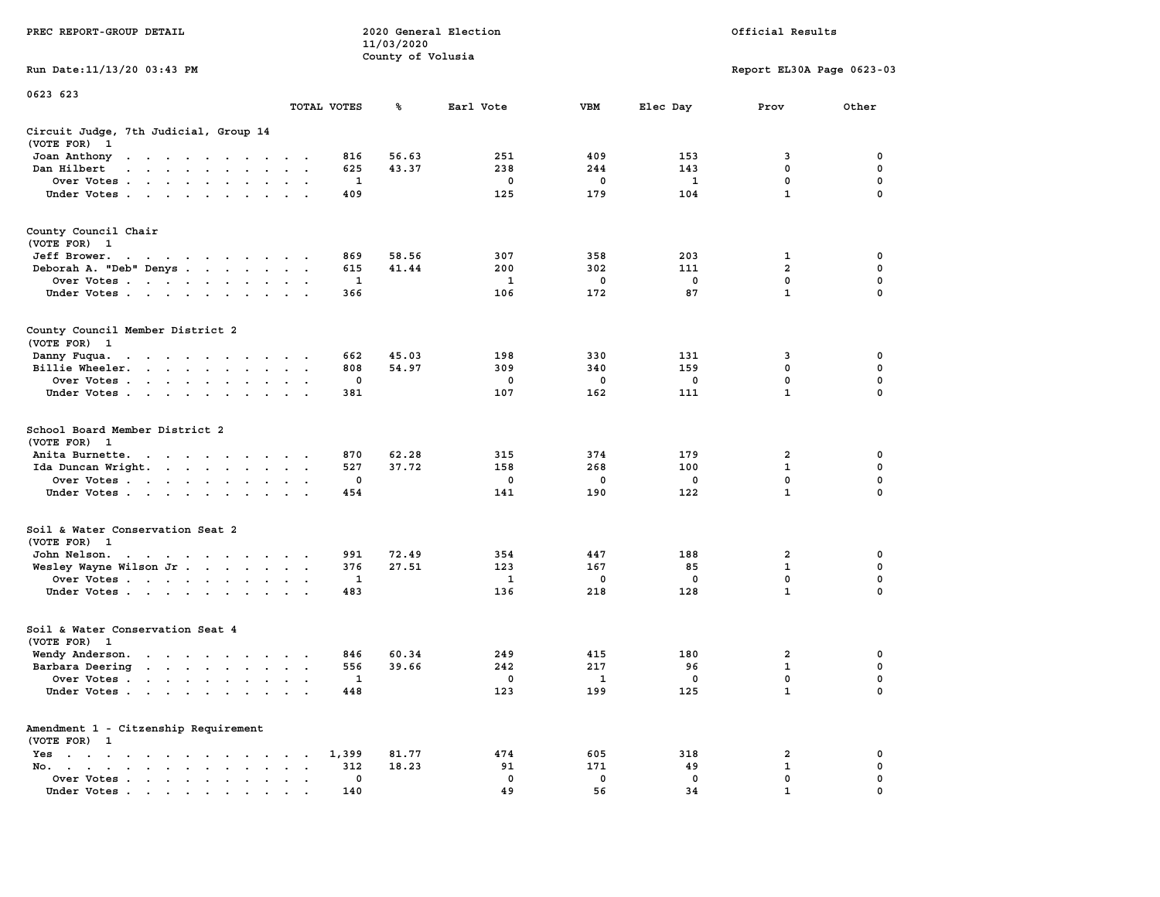|                                                                                                                                                                                                                                                      |                                                                                |              | 11/03/2020        |             |             |              |                           |             |
|------------------------------------------------------------------------------------------------------------------------------------------------------------------------------------------------------------------------------------------------------|--------------------------------------------------------------------------------|--------------|-------------------|-------------|-------------|--------------|---------------------------|-------------|
|                                                                                                                                                                                                                                                      |                                                                                |              | County of Volusia |             |             |              |                           |             |
| Run Date:11/13/20 03:43 PM                                                                                                                                                                                                                           |                                                                                |              |                   |             |             |              | Report EL30A Page 0623-03 |             |
| 0623 623                                                                                                                                                                                                                                             |                                                                                |              |                   |             |             |              |                           |             |
|                                                                                                                                                                                                                                                      |                                                                                | TOTAL VOTES  | ℁                 | Earl Vote   | <b>VBM</b>  | Elec Day     | Prov                      | Other       |
| Circuit Judge, 7th Judicial, Group 14<br>(VOTE FOR)<br>$\mathbf{1}$                                                                                                                                                                                  |                                                                                |              |                   |             |             |              |                           |             |
| Joan Anthony<br>the contract of the contract of the con-                                                                                                                                                                                             | $\sim$                                                                         | 816          | 56.63             | 251         | 409         | 153          | 3                         | 0           |
| Dan Hilbert<br>$\sim$ $\sim$ $\sim$ $\sim$<br>$\sim$<br>$\sim$                                                                                                                                                                                       | $\sim$<br>$\sim$                                                               | 625          | 43.37             | 238         | 244         | 143          | 0                         | 0           |
| Over Votes.<br>$\mathcal{A}=\mathcal{A}=\mathcal{A}=\mathcal{A}=\mathcal{A}$ .<br>$\ddot{\phantom{a}}$                                                                                                                                               | $\cdot$<br>$\ddot{\phantom{a}}$                                                | 1            |                   | $\mathbf 0$ | $\mathbf 0$ | $\mathbf{1}$ | 0                         | $\mathbf 0$ |
| Under Votes                                                                                                                                                                                                                                          | $\ddot{\phantom{a}}$<br>$\ddot{\phantom{a}}$                                   | 409          |                   | 125         | 179         | 104          | $\mathbf{1}$              | $\mathbf 0$ |
| County Council Chair<br>(VOTE FOR)<br>$\mathbf{1}$                                                                                                                                                                                                   |                                                                                |              |                   |             |             |              |                           |             |
| Jeff Brower.<br>$\mathbf{a} = \mathbf{a} + \mathbf{a} + \mathbf{a} + \mathbf{a} + \mathbf{a} + \mathbf{a} + \mathbf{a}$                                                                                                                              | $\sim$ $\sim$                                                                  | 869          | 58.56             | 307         | 358         | 203          | 1                         | 0           |
| Deborah A. "Deb" Denys                                                                                                                                                                                                                               | $\sim$<br>$\sim$<br>$\ddot{\phantom{0}}$                                       | 615          | 41.44             | 200         | 302         | 111          | $\overline{a}$            | 0           |
| Over Votes<br>$\sim$<br>$\ddot{\phantom{a}}$<br>$\ddot{\phantom{1}}$<br>$\ddot{\phantom{a}}$                                                                                                                                                         |                                                                                | 1            |                   | 1           | 0           | 0            | 0                         | 0           |
| Under Votes<br>$\ddot{\phantom{a}}$                                                                                                                                                                                                                  |                                                                                | 366          |                   | 106         | 172         | 87           | $\mathbf{1}$              | $\mathbf 0$ |
| County Council Member District 2<br>(VOTE FOR) 1                                                                                                                                                                                                     |                                                                                |              |                   |             |             |              |                           |             |
| Danny Fuqua.<br>$\bullet$ , $\bullet$ , $\bullet$ , $\bullet$<br>$\sim$ 100 $\sim$<br>$\ddot{\phantom{0}}$<br>$\ddot{\phantom{1}}$<br>$\cdot$                                                                                                        |                                                                                | 662          | 45.03             | 198         | 330         | 131          | 3                         | 0           |
| Billie Wheeler.<br>$\ddot{\phantom{0}}$<br>$\sim$ $\sim$<br>$\ddot{\phantom{a}}$<br>$\cdot$<br>$\blacksquare$<br>$\bullet$                                                                                                                           | $\bullet$<br>$\bullet$<br>$\ddot{\phantom{1}}$                                 | 808          | 54.97             | 309         | 340         | 159          | $\mathbf 0$               | 0           |
| Over Votes<br>$\sim$<br>$\ddot{\phantom{a}}$                                                                                                                                                                                                         | $\cdot$<br>$\bullet$                                                           | 0            |                   | 0           | 0           | $\mathbf 0$  | $\mathbf 0$               | 0           |
| Under Votes<br>$\sim$<br>$\ddot{\phantom{1}}$<br>$\bullet$                                                                                                                                                                                           |                                                                                | 381          |                   | 107         | 162         | 111          | 1                         | 0           |
| School Board Member District 2<br>(VOTE FOR)<br>- 1                                                                                                                                                                                                  |                                                                                |              |                   |             |             |              |                           |             |
| Anita Burnette.<br>$\mathbf{r}$ . The contract of the contract of the contract of the contract of the contract of the contract of the contract of the contract of the contract of the contract of the contract of the contract of the contract of th | $\sim$                                                                         | 870          | 62.28             | 315         | 374         | 179          | 2                         | 0           |
| Ida Duncan Wright. .<br>$\sim 100$ km s $^{-1}$<br>$\ddot{\phantom{0}}$<br>$\sim$                                                                                                                                                                    | $\ddot{\phantom{a}}$<br>$\cdot$<br>$\ddot{\phantom{1}}$                        | 527          | 37.72             | 158         | 268         | 100          | $\mathbf 1$               | 0           |
| Over Votes                                                                                                                                                                                                                                           |                                                                                | 0            |                   | 0           | 0           | $\mathbf 0$  | $\mathbf 0$               | $\mathbf 0$ |
| Under Votes<br>$\ddot{\phantom{1}}$                                                                                                                                                                                                                  |                                                                                | 454          |                   | 141         | 190         | 122          | $\mathbf{1}$              | 0           |
| Soil & Water Conservation Seat 2<br>(VOTE FOR)<br>$\mathbf{1}$                                                                                                                                                                                       |                                                                                |              |                   |             |             |              |                           |             |
| John Nelson.<br>the contract of the contract of the con-                                                                                                                                                                                             |                                                                                | 991          | 72.49             | 354         | 447         | 188          | $\overline{2}$            | 0           |
| Wesley Wayne Wilson Jr                                                                                                                                                                                                                               | $\bullet$<br>$\ddot{\phantom{1}}$                                              | 376          | 27.51             | 123         | 167         | 85           | $\mathbf{1}$              | $\mathbf 0$ |
| Over Votes<br>$\ddot{\phantom{0}}$                                                                                                                                                                                                                   | $\bullet$<br>$\cdot$                                                           | 1            |                   | 1           | 0           | $\mathbf 0$  | 0                         | 0           |
| Under Votes                                                                                                                                                                                                                                          | $\sim$<br>$\sim$                                                               | 483          |                   | 136         | 218         | 128          | $\mathbf{1}$              | 0           |
| Soil & Water Conservation Seat 4<br>(VOTE FOR)<br>$\mathbf{1}$                                                                                                                                                                                       |                                                                                |              |                   |             |             |              |                           |             |
| Wendy Anderson.<br>$\sim$ $\sim$<br>$\sim$ $\sim$ $\sim$ $\sim$ $\sim$                                                                                                                                                                               | $\sim$<br>$\lambda$<br>$\sim$                                                  | 846          | 60.34             | 249         | 415         | 180          | $\overline{2}$            | 0           |
| Barbara Deering<br>$\cdots$<br>$\ddot{\phantom{a}}$                                                                                                                                                                                                  | $\sim$<br>$\mathbf{r}$<br>$\overline{\phantom{a}}$                             | 556          | 39.66             | 242         | 217         | 96           | 1                         | $\mathbf 0$ |
| Over Votes.                                                                                                                                                                                                                                          |                                                                                | $\mathbf{1}$ |                   | 0           | 1           | $\mathbf 0$  | $\mathbf 0$               | $\mathbf 0$ |
| $\sim$ $\sim$<br>$\sim$ $\sim$<br>$\ddot{\phantom{a}}$<br>$\ddot{\phantom{a}}$<br>Under Votes<br>$\ddot{\phantom{a}}$                                                                                                                                | $\ddot{\phantom{a}}$<br>$\cdot$<br>$\cdot$<br>$\ddot{\phantom{a}}$<br>$\cdots$ | 448          |                   | 123         | 199         | 125          | $\mathbf{1}$              | $\mathbf 0$ |
| Amendment 1 - Citzenship Requirement                                                                                                                                                                                                                 |                                                                                |              |                   |             |             |              |                           |             |
| (VOTE FOR) 1                                                                                                                                                                                                                                         |                                                                                |              |                   | 474         | 605         | 318          | 2                         | 0           |
| Yes<br>$\ddot{\phantom{1}}$<br>$\bullet$<br>$\ddot{\phantom{0}}$<br>$\ddot{\phantom{a}}$<br>$\ddot{\phantom{a}}$<br>$\ddot{\phantom{a}}$<br>$\sim$<br>$\bullet$<br>No.                                                                               | $\bullet$                                                                      | 1,399        | 81.77             | 91          | 171         | 49           | $\mathbf{1}$              | 0           |
| $\overline{\phantom{a}}$<br>$\begin{array}{cccccccccccccc} \bullet & \bullet & \bullet & \bullet & \bullet & \bullet & \bullet & \bullet \end{array}$<br>$\bullet$ .<br><br><br>$\bullet$                                                            | $\cdot$                                                                        | 312<br>0     | 18.23             | 0           | 0           | 0            | $\mathbf 0$               | $\mathbf 0$ |
| Over Votes<br>$\bullet$                                                                                                                                                                                                                              | $\ddot{\phantom{0}}$<br>$\cdot$                                                |              |                   | 49          | 56          | 34           | $\mathbf{1}$              | 0           |
| Under Votes.                                                                                                                                                                                                                                         |                                                                                | 140          |                   |             |             |              |                           |             |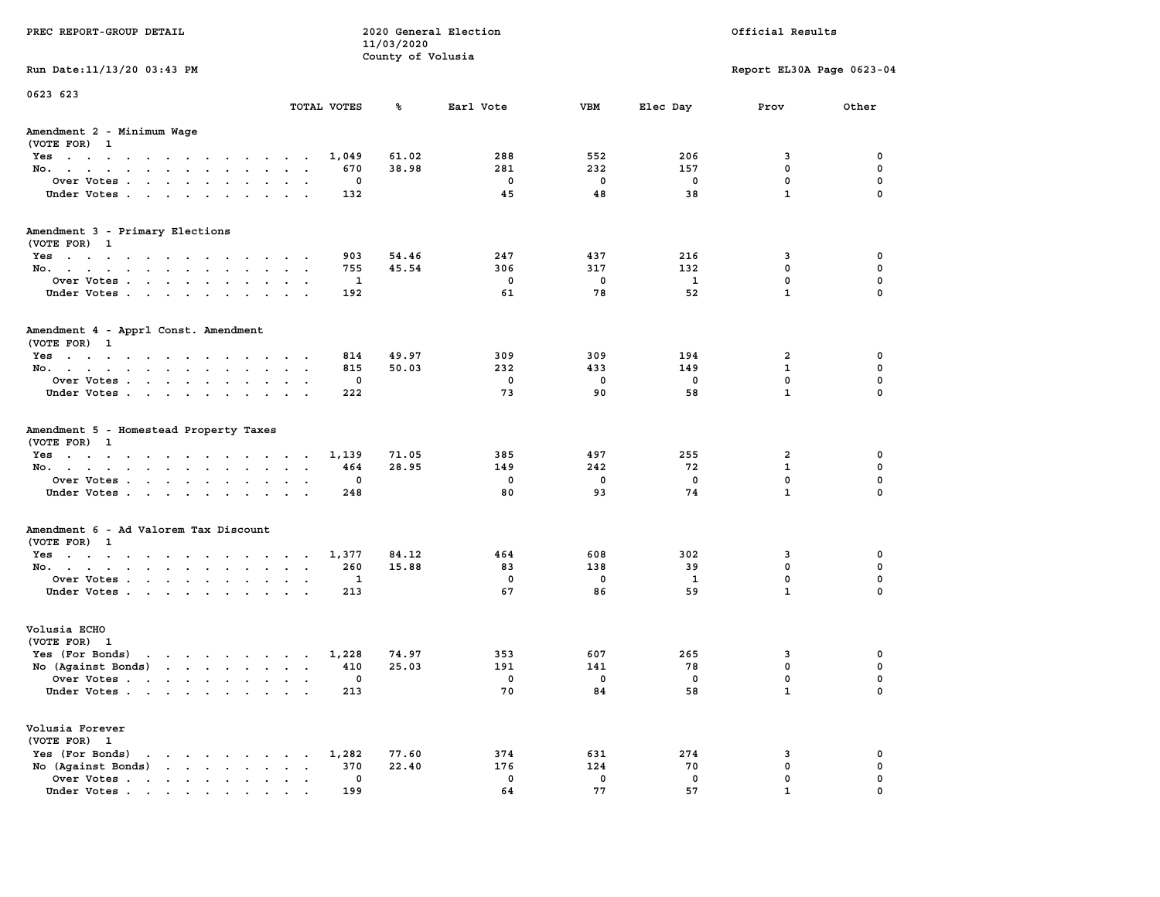| PREC REPORT-GROUP DETAIL                                                                                                      |                            | 11/03/2020<br>County of Volusia | 2020 General Election    | Official Results        |             |                           |              |
|-------------------------------------------------------------------------------------------------------------------------------|----------------------------|---------------------------------|--------------------------|-------------------------|-------------|---------------------------|--------------|
| Run Date: 11/13/20 03:43 PM                                                                                                   |                            |                                 |                          |                         |             | Report EL30A Page 0623-04 |              |
| 0623 623                                                                                                                      | TOTAL VOTES                | ℁                               | Earl Vote                | VBM                     | Elec Day    | Prov                      | Other        |
|                                                                                                                               |                            |                                 |                          |                         |             |                           |              |
| Amendment 2 - Minimum Wage<br>(VOTE FOR) 1                                                                                    |                            |                                 |                          |                         |             |                           |              |
| Yes                                                                                                                           | 1,049                      | 61.02                           | 288                      | 552                     | 206         | 3                         | 0            |
| No.                                                                                                                           | 670                        | 38.98                           | 281                      | 232                     | 157         | 0                         | 0            |
| Over Votes                                                                                                                    | 0                          |                                 | $\mathbf 0$              | $\mathbf 0$             | 0           | $\mathbf 0$               | 0            |
| Under Votes                                                                                                                   | 132                        |                                 | 45                       | 48                      | 38          | $\mathbf{1}$              | $\mathbf 0$  |
| Amendment 3 - Primary Elections                                                                                               |                            |                                 |                          |                         |             |                           |              |
| (VOTE FOR) 1                                                                                                                  |                            |                                 |                          |                         |             |                           |              |
| Yes                                                                                                                           | 903                        | 54.46                           | 247                      | 437                     | 216         | 3                         | 0            |
| No.                                                                                                                           | 755                        | 45.54                           | 306                      | 317                     | 132         | $\mathbf 0$               | 0            |
| Over Votes                                                                                                                    | 1                          |                                 | $\mathbf 0$              | $\mathbf 0$             | 1           | $\mathbf 0$               | $\mathbf 0$  |
| Under Votes                                                                                                                   | 192                        |                                 | 61                       | 78                      | 52          | $\mathbf{1}$              | $\mathbf 0$  |
| Amendment 4 - Apprl Const. Amendment                                                                                          |                            |                                 |                          |                         |             |                           |              |
| (VOTE FOR) 1                                                                                                                  |                            |                                 |                          |                         |             |                           |              |
| Yes                                                                                                                           | 814                        | 49.97                           | 309                      | 309                     | 194         | 2                         | 0            |
| No.                                                                                                                           | 815                        | 50.03                           | 232                      | 433                     | 149         | $\mathbf{1}$              | 0            |
| Over Votes.                                                                                                                   | 0                          |                                 | $\mathbf 0$              | $\mathbf 0$             | $\mathbf 0$ | 0                         | $\mathbf 0$  |
| Under Votes.                                                                                                                  | 222                        |                                 | 73                       | 90                      | 58          | $\mathbf{1}$              | $\mathbf 0$  |
| Amendment 5 - Homestead Property Taxes<br>(VOTE FOR) 1                                                                        |                            | 71.05                           | 385                      | 497                     |             |                           | 0            |
| Yes<br>No.                                                                                                                    | 1,139<br>464               | 28.95                           | 149                      | 242                     | 255<br>72   | 2<br>1                    | 0            |
| Over Votes                                                                                                                    | 0                          |                                 | 0                        | $\mathbf 0$             | 0           | 0                         | $\mathbf 0$  |
| Under Votes                                                                                                                   | 248                        |                                 | 80                       | 93                      | 74          | $\mathbf{1}$              | $\mathbf 0$  |
|                                                                                                                               |                            |                                 |                          |                         |             |                           |              |
| Amendment 6 - Ad Valorem Tax Discount<br>(VOTE FOR) 1                                                                         |                            |                                 |                          |                         |             |                           |              |
|                                                                                                                               | 1,377                      | 84.12                           | 464                      | 608                     | 302         | 3                         | 0            |
| Yes<br>No.                                                                                                                    | 260                        | 15.88                           | 83                       | 138                     | 39          | 0                         | 0            |
| Over Votes                                                                                                                    | 1                          |                                 | $\mathbf 0$              | $\mathbf 0$             | 1           | $\mathbf 0$               | $\mathbf 0$  |
| Under Votes                                                                                                                   | 213                        |                                 | 67                       | 86                      | 59          | $\mathbf{1}$              | $\mathbf 0$  |
| Volusia ECHO                                                                                                                  |                            |                                 |                          |                         |             |                           |              |
| (VOTE FOR) 1                                                                                                                  |                            |                                 |                          |                         |             |                           |              |
| Yes (For Bonds)<br>$\mathbf{r}$ , and $\mathbf{r}$ , and $\mathbf{r}$ , and $\mathbf{r}$                                      | 1,228                      | 74.97                           | 353                      | 607                     | 265         | 3                         | 0            |
| No (Against Bonds)                                                                                                            | 410                        | 25.03                           | 191                      | 141                     | 78          | $\mathbf 0$               | 0            |
| Over Votes<br>and the state of the state of the state of the state of the state of the state of the state of the state of the | $\mathbf 0$                |                                 | $\overline{\phantom{0}}$ | $\overline{\mathbf{0}}$ | 0           | $\mathbf 0$               | 0            |
| Under Votes                                                                                                                   | 213                        |                                 | 70                       | 84                      | 58          | $\mathbf{1}$              | $\mathbf 0$  |
| Volusia Forever<br>(VOTE FOR) 1                                                                                               |                            |                                 |                          |                         |             |                           |              |
| Yes (For Bonds)<br>$\mathbf{r}$ , and $\mathbf{r}$ , and $\mathbf{r}$ , and $\mathbf{r}$                                      | 1,282                      | 77.60                           | 374                      | 631                     | 274         | 3                         | 0            |
| No (Against Bonds)<br>the contract of the contract of                                                                         | 370<br>$\sim$<br>$\ddotsc$ | 22.40                           | 176                      | 124                     | 70          | 0                         | 0            |
| Over Votes                                                                                                                    | 0                          |                                 | 0                        | $\mathbf 0$             | 0           | 0                         | 0            |
| Under Votes.                                                                                                                  | 199                        |                                 | 64                       | 77                      | 57          | 1                         | <sup>0</sup> |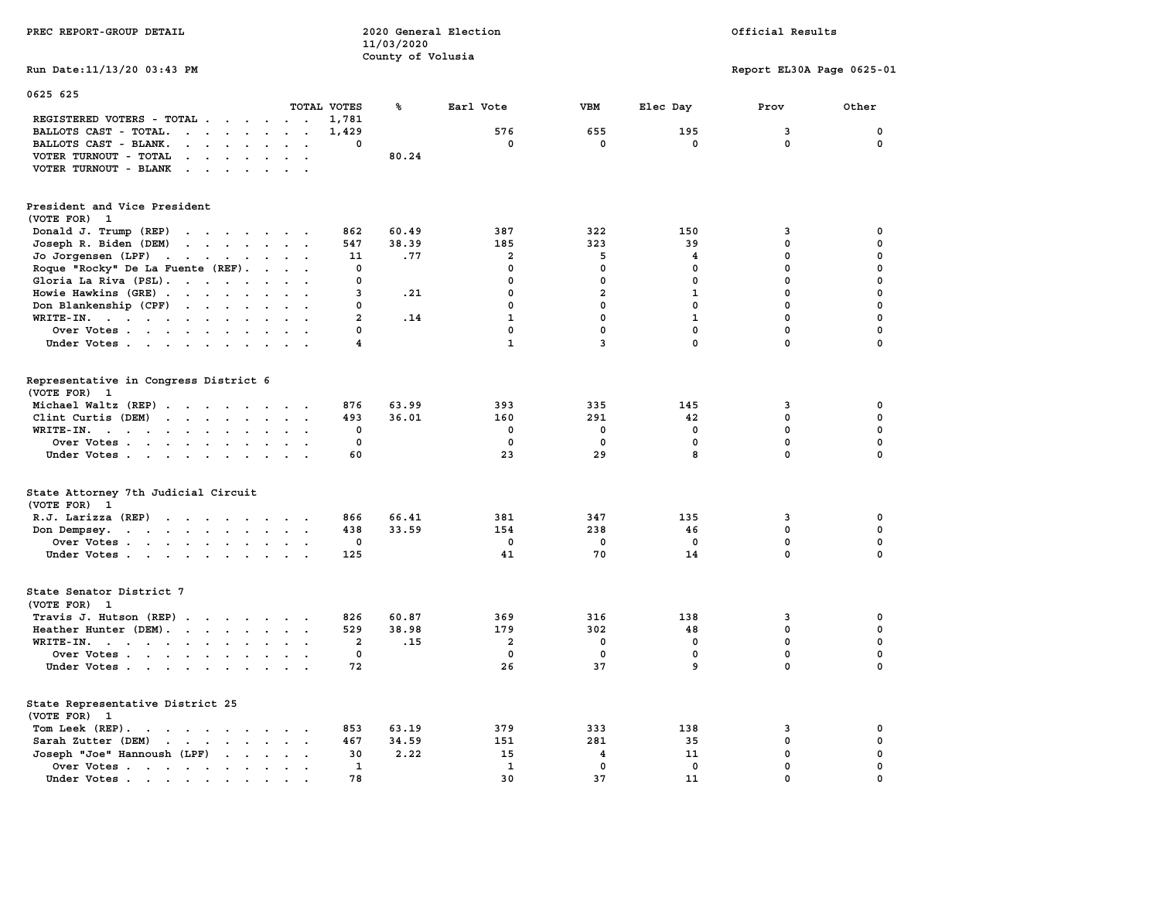| PREC REPORT-GROUP DETAIL                                                                                                                                                                                                                                   |                            | 11/03/2020        | 2020 General Election        |                             | Official Results |                             |                  |  |
|------------------------------------------------------------------------------------------------------------------------------------------------------------------------------------------------------------------------------------------------------------|----------------------------|-------------------|------------------------------|-----------------------------|------------------|-----------------------------|------------------|--|
|                                                                                                                                                                                                                                                            |                            | County of Volusia |                              |                             |                  |                             |                  |  |
| Run Date: 11/13/20 03:43 PM                                                                                                                                                                                                                                |                            |                   |                              |                             |                  | Report EL30A Page 0625-01   |                  |  |
| 0625 625                                                                                                                                                                                                                                                   | TOTAL VOTES                | ℁                 | Earl Vote                    | VBM                         | Elec Day         | Prov                        | Other            |  |
| REGISTERED VOTERS - TOTAL                                                                                                                                                                                                                                  | 1,781                      |                   |                              |                             |                  |                             |                  |  |
| BALLOTS CAST - TOTAL.                                                                                                                                                                                                                                      | 1,429                      |                   | 576                          | 655                         | 195              | 3                           | $\mathbf 0$      |  |
| BALLOTS CAST - BLANK.                                                                                                                                                                                                                                      | $\Omega$                   |                   | $^{\circ}$                   | 0                           | 0                | $\mathbf 0$                 | 0                |  |
| VOTER TURNOUT - TOTAL<br>$\mathbf{r}$ . The contract of the contract of the contract of the contract of the contract of the contract of the contract of the contract of the contract of the contract of the contract of the contract of the contract of th |                            | 80.24             |                              |                             |                  |                             |                  |  |
| VOTER TURNOUT - BLANK                                                                                                                                                                                                                                      |                            |                   |                              |                             |                  |                             |                  |  |
| President and Vice President                                                                                                                                                                                                                               |                            |                   |                              |                             |                  |                             |                  |  |
| (VOTE FOR) 1                                                                                                                                                                                                                                               |                            |                   |                              |                             |                  |                             |                  |  |
| Donald J. Trump (REP)                                                                                                                                                                                                                                      | 862                        | 60.49             | 387                          | 322                         | 150              | 3                           | 0                |  |
| Joseph R. Biden (DEM)                                                                                                                                                                                                                                      | 547                        | 38.39             | 185                          | 323                         | 39               | $\mathbf{0}$                | $\mathbf 0$      |  |
| Jo Jorgensen (LPF)                                                                                                                                                                                                                                         | 11                         | .77               | $\overline{\mathbf{2}}$      | 5                           | 4                | 0                           | 0                |  |
| Roque "Rocky" De La Fuente (REF).                                                                                                                                                                                                                          | 0                          |                   | $\Omega$                     | $\Omega$                    | 0                | $\Omega$                    | $\mathbf 0$      |  |
| Gloria La Riva (PSL).                                                                                                                                                                                                                                      | 0                          |                   | $\Omega$                     | $\mathbf 0$                 | 0                | $\mathbf 0$                 | 0                |  |
|                                                                                                                                                                                                                                                            | 3                          | .21               | $\mathbf{0}$                 | $\overline{2}$              | $\mathbf{1}$     | $\mathbf{0}$                | $\mathbf 0$      |  |
| Howie Hawkins (GRE)                                                                                                                                                                                                                                        | 0                          |                   | $\mathbf 0$                  | $\mathbf 0$                 | $\mathbf 0$      | $\mathbf 0$                 | 0                |  |
| Don Blankenship (CPF)                                                                                                                                                                                                                                      |                            |                   |                              |                             |                  |                             |                  |  |
| WRITE-IN.                                                                                                                                                                                                                                                  | $\overline{a}$<br>$\Omega$ | .14               | $\mathbf{1}$<br>$\mathbf{0}$ | $\mathbf 0$<br>$\mathbf{0}$ | $\mathbf{1}$     | $\mathbf 0$<br>$\mathbf{0}$ | 0<br>$\mathbf 0$ |  |
| Over Votes                                                                                                                                                                                                                                                 |                            |                   |                              |                             | 0<br>0           |                             |                  |  |
| Under Votes                                                                                                                                                                                                                                                | 4                          |                   | $\mathbf{1}$                 | 3                           |                  | $\mathbf 0$                 | 0                |  |
| Representative in Congress District 6                                                                                                                                                                                                                      |                            |                   |                              |                             |                  |                             |                  |  |
| (VOTE FOR) 1                                                                                                                                                                                                                                               |                            |                   |                              |                             |                  |                             |                  |  |
| Michael Waltz (REP)                                                                                                                                                                                                                                        | 876                        | 63.99             | 393                          | 335                         | 145              | 3                           | 0                |  |
| Clint Curtis (DEM)                                                                                                                                                                                                                                         | 493                        | 36.01             | 160                          | 291                         | 42               | $\mathbf 0$                 | 0                |  |
| WRITE-IN.                                                                                                                                                                                                                                                  | 0                          |                   | 0                            | 0                           | $\mathbf 0$      | $\mathbf 0$                 | 0                |  |
| Over Votes                                                                                                                                                                                                                                                 | 0                          |                   | 0                            | $\mathbf 0$                 | $\mathbf 0$      | $\mathbf 0$                 | 0                |  |
| Under Votes                                                                                                                                                                                                                                                | 60                         |                   | 23                           | 29                          | 8                | $\mathbf{0}$                | 0                |  |
| State Attorney 7th Judicial Circuit                                                                                                                                                                                                                        |                            |                   |                              |                             |                  |                             |                  |  |
| (VOTE FOR) 1                                                                                                                                                                                                                                               |                            |                   |                              |                             |                  |                             |                  |  |
| R.J. Larizza (REP)                                                                                                                                                                                                                                         | 866                        | 66.41             | 381                          | 347                         | 135              | 3                           | 0                |  |
| Don Dempsey.                                                                                                                                                                                                                                               | 438                        | 33.59             | 154                          | 238                         | 46               | $\mathbf 0$                 | 0                |  |
| Over Votes                                                                                                                                                                                                                                                 | 0                          |                   | $^{\circ}$                   | $\overline{\mathbf{0}}$     | $\mathbf 0$      | $\mathbf 0$                 | 0                |  |
| Under Votes                                                                                                                                                                                                                                                | 125                        |                   | 41                           | 70                          | 14               | $\mathbf{0}$                | $\Omega$         |  |
| State Senator District 7                                                                                                                                                                                                                                   |                            |                   |                              |                             |                  |                             |                  |  |
| (VOTE FOR) 1                                                                                                                                                                                                                                               |                            |                   |                              |                             |                  |                             |                  |  |
| Travis J. Hutson (REP)                                                                                                                                                                                                                                     | 826                        | 60.87             | 369                          | 316                         | 138              | 3                           | 0                |  |
| Heather Hunter (DEM).                                                                                                                                                                                                                                      | 529                        | 38.98             | 179                          | 302                         | 48               | $\mathbf 0$                 | 0                |  |
| WRITE-IN.                                                                                                                                                                                                                                                  | $\overline{a}$             | .15               | $\overline{a}$               | $\mathbf 0$                 | $\mathbf 0$      | $\mathbf 0$                 | $\mathbf 0$      |  |
| Over Votes                                                                                                                                                                                                                                                 | $\mathbf 0$                |                   | $\mathbf 0$                  | $\mathbf 0$                 | $\mathbf 0$      | 0                           | $\mathbf 0$      |  |
| Under Votes                                                                                                                                                                                                                                                | 72                         |                   | 26                           | 37                          | 9                | $\mathbf 0$                 | $\mathbf 0$      |  |
| State Representative District 25                                                                                                                                                                                                                           |                            |                   |                              |                             |                  |                             |                  |  |
| (VOTE FOR) 1                                                                                                                                                                                                                                               |                            |                   |                              |                             |                  |                             |                  |  |
| Tom Leek (REP).                                                                                                                                                                                                                                            | 853                        | 63.19             | 379                          | 333                         | 138              | 3                           | 0                |  |
| Sarah Zutter (DEM)                                                                                                                                                                                                                                         | 467                        | 34.59             | 151                          | 281                         | 35               | $\mathbf 0$                 | 0                |  |
| Joseph "Joe" Hannoush (LPF)                                                                                                                                                                                                                                | 30                         | 2.22              | 15                           | 4                           | 11               | $\mathbf 0$                 | $\mathbf 0$      |  |
| Over Votes.                                                                                                                                                                                                                                                | 1                          |                   | $\mathbf{1}$                 | $\mathbf 0$                 | $\mathbf 0$      | $\mathbf 0$                 | $\mathbf 0$      |  |
| Under Votes.<br>the contract of the contract of the contract of the contract of the contract of the contract of the contract of                                                                                                                            | 78                         |                   | 30                           | 37                          | 11               | $\mathbf 0$                 | $\mathbf{0}$     |  |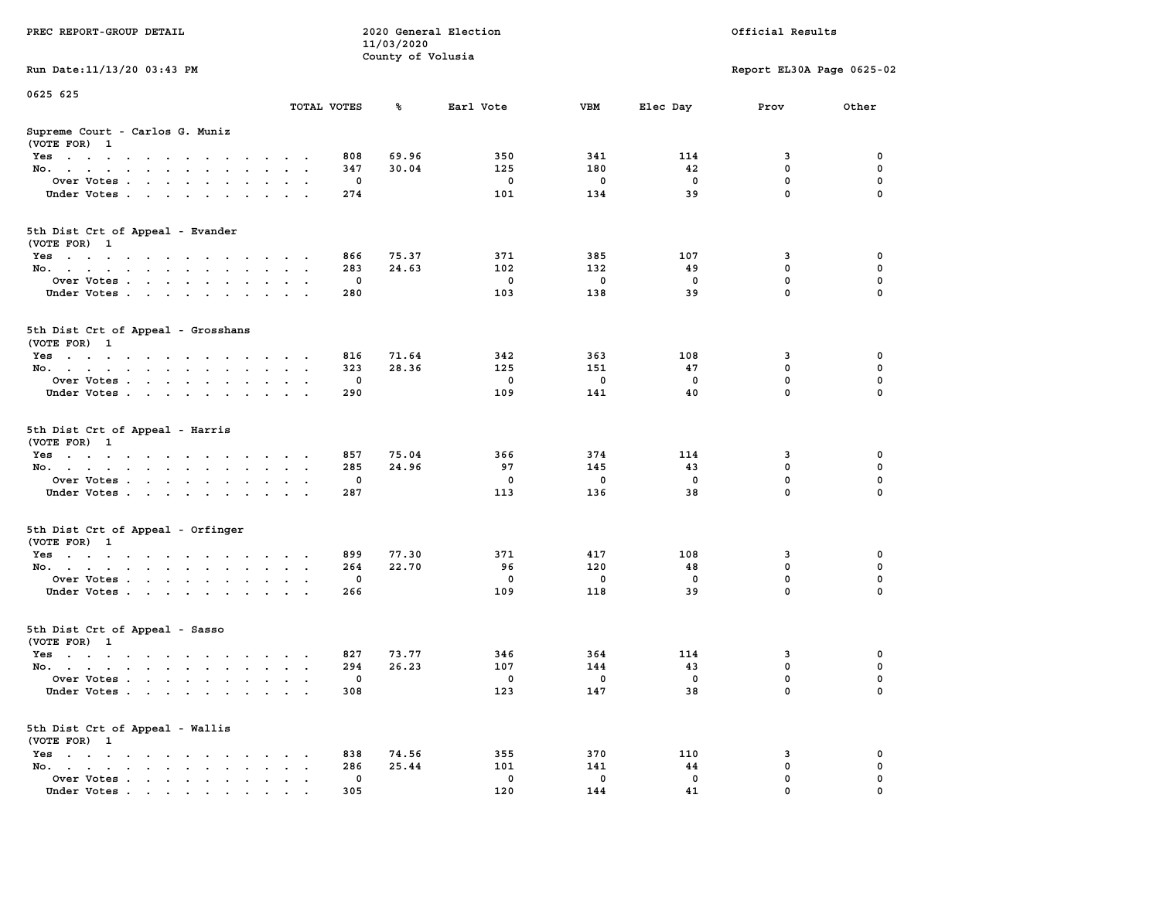| PREC REPORT-GROUP DETAIL                                                                                               |                      | 11/03/2020        | 2020 General Election | Official Results |          |                           |          |
|------------------------------------------------------------------------------------------------------------------------|----------------------|-------------------|-----------------------|------------------|----------|---------------------------|----------|
| Run Date: 11/13/20 03:43 PM                                                                                            |                      | County of Volusia |                       |                  |          | Report EL30A Page 0625-02 |          |
| 0625 625                                                                                                               |                      |                   |                       |                  |          |                           |          |
|                                                                                                                        | TOTAL VOTES          | ℁                 | Earl Vote             | VBM              | Elec Day | Prov                      | Other    |
| Supreme Court - Carlos G. Muniz<br>(VOTE FOR) 1                                                                        |                      |                   |                       |                  |          |                           |          |
| Yes                                                                                                                    | 808                  | 69.96             | 350                   | 341              | 114      | 3                         | 0        |
| No.                                                                                                                    | 347<br>$\sim$ $\sim$ | 30.04             | 125                   | 180              | 42       | $\mathbf 0$               | 0        |
| Over Votes                                                                                                             | 0                    |                   | 0                     | 0                | 0        | 0                         | 0        |
| Under Votes                                                                                                            | 274                  |                   | 101                   | 134              | 39       | $\mathbf 0$               | $\Omega$ |
| 5th Dist Crt of Appeal - Evander<br>(VOTE FOR) 1                                                                       |                      |                   |                       |                  |          |                           |          |
| Yes                                                                                                                    | 866                  | 75.37             | 371                   | 385              | 107      | 3                         | 0        |
| No.                                                                                                                    | 283<br>$\sim$ $\sim$ | 24.63             | 102                   | 132              | 49       | 0                         | 0        |
| Over Votes                                                                                                             | 0                    |                   | 0                     | $\mathbf 0$      | 0        | $\mathbf 0$               | 0        |
| Under Votes                                                                                                            | 280                  |                   | 103                   | 138              | 39       | $\mathbf 0$               | 0        |
| 5th Dist Crt of Appeal - Grosshans<br>(VOTE FOR) 1                                                                     |                      |                   |                       |                  |          |                           |          |
| Yes<br>والمتناول والمتناول والتواطئ والمتناول والتواطئ والمناور                                                        | 816                  | 71.64             | 342                   | 363              | 108      | 3                         | 0        |
| No.                                                                                                                    | 323                  | 28.36             | 125                   | 151              | 47       | 0                         | 0        |
| Over Votes                                                                                                             | 0<br>$\bullet$       |                   | 0                     | 0                | $\Omega$ | $\mathbf 0$               | 0        |
| Under Votes                                                                                                            | 290                  |                   | 109                   | 141              | 40       | 0                         | 0        |
| 5th Dist Crt of Appeal - Harris<br>(VOTE FOR) 1                                                                        |                      |                   |                       |                  |          |                           |          |
| Yes                                                                                                                    | 857                  | 75.04             | 366                   | 374              | 114      | 3                         | 0        |
| No.                                                                                                                    | 285<br>$\sim$ $\sim$ | 24.96             | 97                    | 145              | 43       | $\mathbf 0$               | 0        |
| Over Votes                                                                                                             | 0                    |                   | 0                     | 0                | 0        | 0                         | 0        |
| Under Votes                                                                                                            | 287                  |                   | 113                   | 136              | 38       | 0                         | $\Omega$ |
| 5th Dist Crt of Appeal - Orfinger<br>(VOTE FOR) 1                                                                      |                      |                   |                       |                  |          |                           |          |
| Yes                                                                                                                    | 899                  | 77.30             | 371                   | 417              | 108      | 3                         | 0        |
| No.                                                                                                                    | 264<br>$\cdot$ .     | 22.70             | 96                    | 120              | 48       | 0                         | 0        |
| Over Votes                                                                                                             | 0                    |                   | 0                     | 0                | 0        | 0                         | 0        |
| Under Votes                                                                                                            | 266                  |                   | 109                   | 118              | 39       | $\mathbf 0$               | 0        |
| 5th Dist Crt of Appeal - Sasso<br>(VOTE FOR) 1                                                                         |                      |                   |                       |                  |          |                           |          |
| Yes<br>the contract of the contract of the contract of the contract of the contract of the contract of the contract of | 827                  | 73.77             | 346                   | 364              | 114      | 3                         | 0        |
| No.                                                                                                                    | 294<br>$\sim$ $\sim$ | 26.23             | 107                   | 144              | 43       | 0                         | 0        |
| Over Votes                                                                                                             | 0                    |                   | 0                     | 0                | 0        | 0                         | $\Omega$ |
| Under Votes                                                                                                            | 308                  |                   | 123                   | 147              | 38       | 0                         | 0        |
| 5th Dist Crt of Appeal - Wallis<br>(VOTE FOR) 1                                                                        |                      |                   |                       |                  |          |                           |          |
| $Yes \cdot \cdot \cdot \cdot \cdot \cdot \cdot$<br>$\sim$                                                              | 838                  | 74.56             | 355                   | 370              | 110      | 3                         | 0        |
| No.<br>$\ddot{\phantom{a}}$<br>$\bullet$<br>Over Votes<br>$\ddot{\phantom{a}}$                                         | 286<br>0             | 25.44             | 101<br>0              | 141<br>0         | 44<br>0  | $\mathbf 0$<br>0          | 0<br>0   |
| Under Votes                                                                                                            | 305                  |                   | 120                   | 144              | 41       | 0                         |          |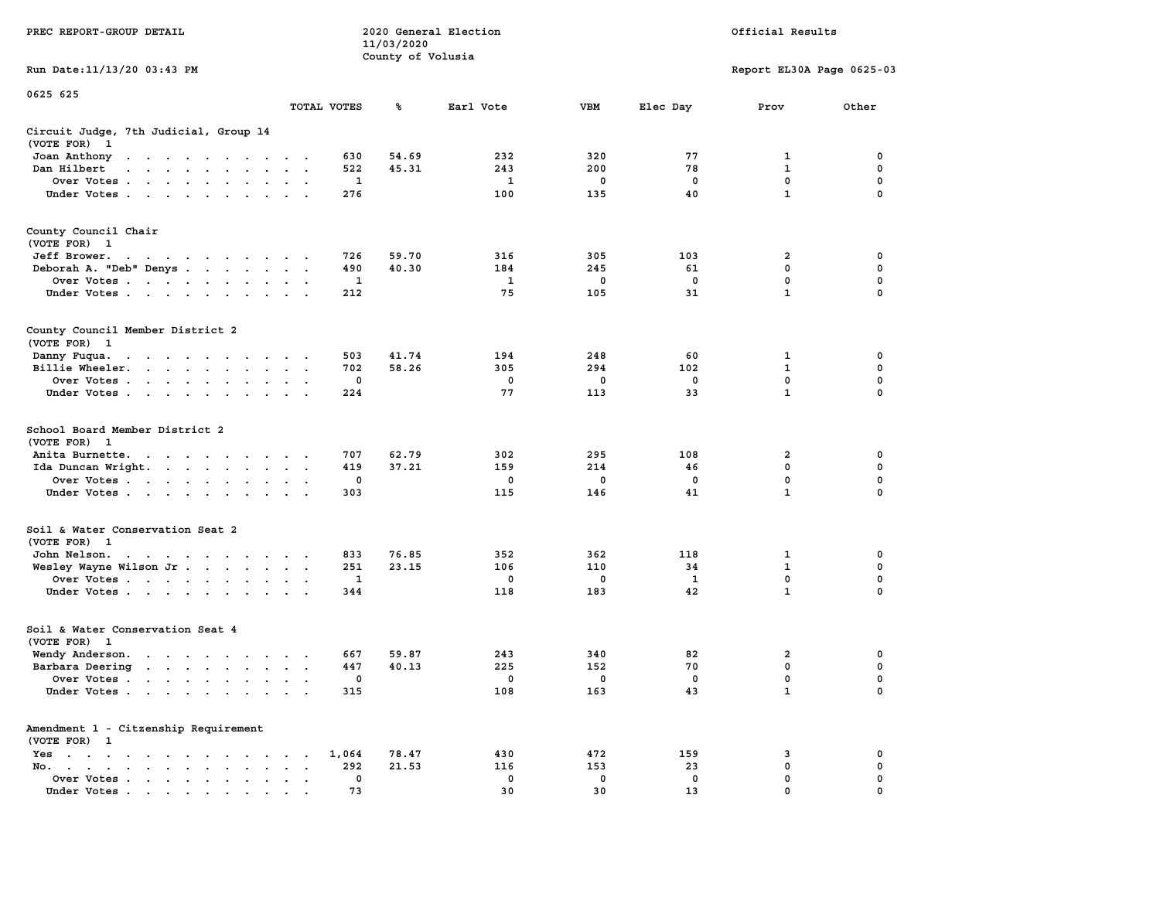|                                                                                                                                                                                                                                                      |                                              |              | 11/03/2020        |              |             |              |                           |             |
|------------------------------------------------------------------------------------------------------------------------------------------------------------------------------------------------------------------------------------------------------|----------------------------------------------|--------------|-------------------|--------------|-------------|--------------|---------------------------|-------------|
|                                                                                                                                                                                                                                                      |                                              |              | County of Volusia |              |             |              |                           |             |
| Run Date: 11/13/20 03:43 PM                                                                                                                                                                                                                          |                                              |              |                   |              |             |              | Report EL30A Page 0625-03 |             |
| 0625 625                                                                                                                                                                                                                                             |                                              |              |                   |              |             |              |                           |             |
|                                                                                                                                                                                                                                                      | TOTAL VOTES                                  |              | ℁                 | Earl Vote    | <b>VBM</b>  | Elec Day     | Prov                      | Other       |
| Circuit Judge, 7th Judicial, Group 14<br>(VOTE FOR)<br>$\mathbf{1}$                                                                                                                                                                                  |                                              |              |                   |              |             |              |                           |             |
| Joan Anthony                                                                                                                                                                                                                                         |                                              | 630          | 54.69             | 232          | 320         | 77           | 1                         | 0           |
| the contract of the contract of the con-<br>Dan Hilbert<br>$\mathbf{r}$ , $\mathbf{r}$ , $\mathbf{r}$ , $\mathbf{r}$ , $\mathbf{r}$ , $\mathbf{r}$                                                                                                   |                                              | 522          | 45.31             | 243          | 200         | 78           | 1                         | 0           |
|                                                                                                                                                                                                                                                      |                                              | $\mathbf{1}$ |                   | $\mathbf{1}$ | $\mathbf 0$ | $\mathbf 0$  | $\mathbf 0$               | $\mathbf 0$ |
| Over Votes                                                                                                                                                                                                                                           | $\cdot$                                      | 276          |                   | 100          | 135         | 40           | $\mathbf{1}$              | $\mathbf 0$ |
| Under Votes                                                                                                                                                                                                                                          |                                              |              |                   |              |             |              |                           |             |
| County Council Chair<br>(VOTE FOR) 1                                                                                                                                                                                                                 |                                              |              |                   |              |             |              |                           |             |
| Jeff Brower.<br>and a series of the contract of the                                                                                                                                                                                                  |                                              | 726          | 59.70             | 316          | 305         | 103          | 2                         | 0           |
| Deborah A. "Deb" Denys                                                                                                                                                                                                                               |                                              | 490          | 40.30             | 184          | 245         | 61           | $\mathbf{0}$              | 0           |
| Over Votes                                                                                                                                                                                                                                           |                                              | 1            |                   | $\mathbf{1}$ | 0           | $\mathbf 0$  | 0                         | $\mathbf 0$ |
| Under Votes                                                                                                                                                                                                                                          |                                              | 212          |                   | 75           | 105         | 31           | $\mathbf{1}$              | $\mathbf 0$ |
|                                                                                                                                                                                                                                                      |                                              |              |                   |              |             |              |                           |             |
| County Council Member District 2<br>(VOTE FOR) 1                                                                                                                                                                                                     |                                              |              |                   |              |             |              |                           |             |
| Danny Fuqua.                                                                                                                                                                                                                                         |                                              | 503          | 41.74             | 194          | 248         | 60           | 1                         | $\mathbf 0$ |
| $\mathbf{a}$ , and $\mathbf{a}$ , and $\mathbf{a}$ , and $\mathbf{a}$ , and $\mathbf{a}$<br>Billie Wheeler.<br>$\ddotsc$                                                                                                                             | $\ddot{\phantom{a}}$<br>$\ddot{\phantom{a}}$ | 702          | 58.26             | 305          | 294         | 102          | $\mathbf{1}$              | 0           |
| Over Votes                                                                                                                                                                                                                                           |                                              | 0            |                   | 0            | 0           | 0            | $\mathbf 0$               | $\mathbf 0$ |
| Under Votes<br>$\mathbf{r}$ , $\mathbf{r}$ , $\mathbf{r}$ , $\mathbf{r}$                                                                                                                                                                             |                                              | 224          |                   | 77           | 113         | 33           | $\mathbf{1}$              | $\Omega$    |
|                                                                                                                                                                                                                                                      |                                              |              |                   |              |             |              |                           |             |
| School Board Member District 2<br>(VOTE FOR) 1                                                                                                                                                                                                       |                                              |              |                   |              |             |              |                           |             |
| Anita Burnette.                                                                                                                                                                                                                                      |                                              | 707          | 62.79             | 302          | 295         | 108          | 2                         | 0           |
| Ida Duncan Wright.                                                                                                                                                                                                                                   | $\sim$ $\sim$<br>$\bullet$                   | 419          | 37.21             | 159          | 214         | 46           | $\mathbf 0$               | $\mathbf 0$ |
| Over Votes                                                                                                                                                                                                                                           |                                              | $\mathbf 0$  |                   | $\mathbf 0$  | $\mathbf 0$ | $\mathbf 0$  | $\mathbf 0$               | $\mathbf 0$ |
| Under Votes<br>$\sim$ $\sim$<br>$\cdot$                                                                                                                                                                                                              |                                              | 303          |                   | 115          | 146         | 41           | $\mathbf{1}$              | 0           |
| Soil & Water Conservation Seat 2<br>(VOTE FOR) 1                                                                                                                                                                                                     |                                              |              |                   |              |             |              |                           |             |
| John Nelson.<br>. The contract of the contract of the contract of the contract of the contract of the contract of the contract of the contract of the contract of the contract of the contract of the contract of the contract of the contrac        |                                              | 833          | 76.85             | 352          | 362         | 118          | $\mathbf{1}$              | $\mathbf 0$ |
| Wesley Wayne Wilson Jr                                                                                                                                                                                                                               |                                              | 251          | 23.15             | 106          | 110         | 34           | $\mathbf{1}$              | $\mathbf 0$ |
| Over Votes                                                                                                                                                                                                                                           | $\ddot{\phantom{a}}$                         | 1            |                   | $\mathbf 0$  | $\mathbf 0$ | $\mathbf{1}$ | $\mathbf 0$               | 0           |
| Under Votes                                                                                                                                                                                                                                          |                                              | 344          |                   | 118          | 183         | 42           | $\mathbf{1}$              | 0           |
| Soil & Water Conservation Seat 4                                                                                                                                                                                                                     |                                              |              |                   |              |             |              |                           |             |
| (VOTE FOR) 1                                                                                                                                                                                                                                         |                                              |              |                   |              |             |              |                           |             |
| Wendy Anderson.<br>the contract of the contract of the contract of the contract of the contract of the contract of the contract of                                                                                                                   |                                              | 667          | 59.87             | 243          | 340         | 82           | $\overline{a}$            | 0           |
| Barbara Deering                                                                                                                                                                                                                                      |                                              | 447          | 40.13             | 225          | 152         | 70           | $\mathbf 0$               | $\mathbf 0$ |
| Over Votes<br>$\sim$ $\sim$                                                                                                                                                                                                                          | $\cdot$<br>$\overline{\phantom{a}}$          | 0            |                   | 0            | $\mathbf 0$ | $\mathbf 0$  | $\mathbf 0$               | $\mathbf 0$ |
| Under Votes                                                                                                                                                                                                                                          |                                              | 315          |                   | 108          | 163         | 43           | $\mathbf{1}$              | $\mathbf 0$ |
| Amendment 1 - Citzenship Requirement<br>(VOTE FOR) 1                                                                                                                                                                                                 |                                              |              |                   |              |             |              |                           |             |
| Yes<br>$\sim$ $\sim$<br>the contract of the contract of the                                                                                                                                                                                          | $\sim$ $\sim$ $\sim$                         | 1,064        | 78.47             | 430          | 472         | 159          | 3                         | 0           |
| No.<br>the contract of the contract of the<br>$\ddot{\phantom{a}}$                                                                                                                                                                                   | $\ddot{\phantom{a}}$<br>$\ddot{\phantom{a}}$ | 292          | 21.53             | 116          | 153         | 23           | $\mathbf 0$               | $\mathbf 0$ |
| Over Votes<br>$\bullet$<br>$\bullet$                                                                                                                                                                                                                 | $\bullet$<br>$\ddot{\phantom{a}}$            | 0            |                   | $\mathbf{0}$ | 0           | 0            | $\mathbf 0$               | 0           |
| Under Votes<br>$\mathbf{a}$ and $\mathbf{a}$ are a set of the set of the set of the set of the set of the set of the set of the set of the set of the set of the set of the set of the set of the set of the set of the set of the set of the set of |                                              | 73           |                   | 30           | 30          | 13           | $\mathbf 0$               | $\mathbf 0$ |

**PREC REPORT-GROUP DETAIL COMPUTER SERVICE 2020 General Election**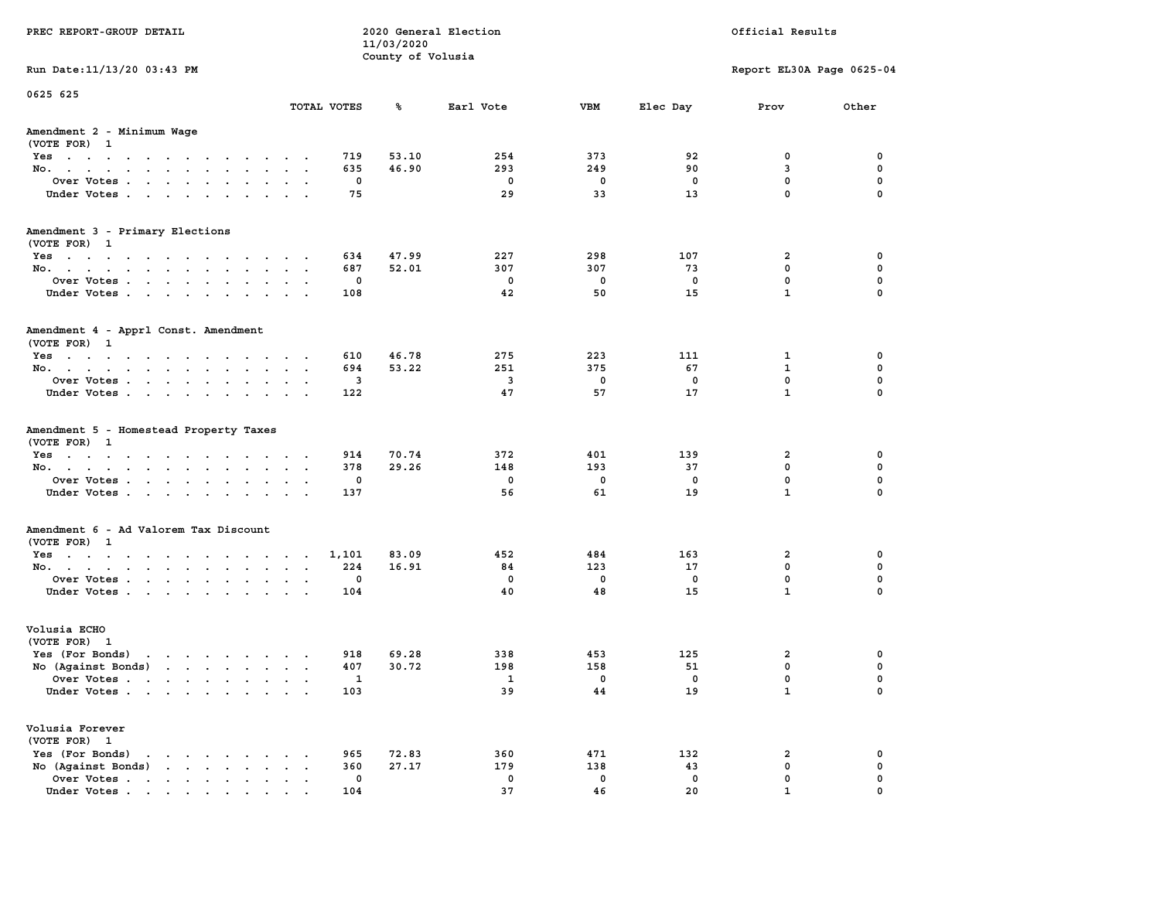| PREC REPORT-GROUP DETAIL                                             |                                | 11/03/2020                   | 2020 General Election   |            | Official Results |                           |             |  |  |
|----------------------------------------------------------------------|--------------------------------|------------------------------|-------------------------|------------|------------------|---------------------------|-------------|--|--|
|                                                                      | County of Volusia              |                              |                         |            |                  |                           |             |  |  |
| Run Date: 11/13/20 03:43 PM                                          |                                |                              |                         |            |                  | Report EL30A Page 0625-04 |             |  |  |
| 0625 625                                                             |                                |                              |                         |            |                  |                           |             |  |  |
|                                                                      | TOTAL VOTES                    | ጜ                            | Earl Vote               | VBM        | Elec Day         | Prov                      | Other       |  |  |
| Amendment 2 - Minimum Wage<br>(VOTE FOR) 1                           |                                |                              |                         |            |                  |                           |             |  |  |
| Yes                                                                  |                                | 53.10<br>719                 | 254                     | 373        | 92               | 0                         | 0           |  |  |
| No.                                                                  |                                | 46.90<br>635                 | 293                     | 249        | 90               | 3                         | $\mathbf 0$ |  |  |
| Over Votes                                                           |                                | 0                            | 0                       | 0          | 0                | $\mathbf 0$               | 0           |  |  |
| Under Votes                                                          |                                | 75                           | 29                      | 33         | 13               | $\mathbf 0$               | $\mathbf 0$ |  |  |
| Amendment 3 - Primary Elections                                      |                                |                              |                         |            |                  |                           |             |  |  |
| (VOTE FOR) 1                                                         |                                | 47.99                        | 227                     | 298        | 107              | 2                         | 0           |  |  |
| Yes<br>No.                                                           |                                | 634<br>52.01<br>687          | 307                     | 307        | 73               | 0                         | 0           |  |  |
| Over Votes                                                           |                                | 0                            | $\mathbf 0$             | 0          | 0                | $\mathbf 0$               | $\mathbf 0$ |  |  |
| Under Votes                                                          | 108                            |                              | 42                      | 50         | 15               | $\mathbf{1}$              | $\Omega$    |  |  |
| Amendment 4 - Apprl Const. Amendment<br>(VOTE FOR) 1                 |                                |                              |                         |            |                  |                           |             |  |  |
| Yes                                                                  |                                | 46.78<br>610                 | 275                     | 223        | 111              | 1                         | 0           |  |  |
| No.                                                                  |                                | 694<br>53.22                 | 251                     | 375        | 67               | 1                         | 0           |  |  |
| Over Votes                                                           |                                | 3                            | $\overline{\mathbf{3}}$ | 0          | 0                | $\mathbf{0}$              | $\mathbf 0$ |  |  |
| Under Votes                                                          |                                | 122                          | 47                      | 57         | 17               | $\mathbf{1}$              | $\mathbf 0$ |  |  |
| Amendment 5 - Homestead Property Taxes<br>(VOTE FOR) 1<br>Yes<br>No. |                                | 914<br>70.74<br>29.26<br>378 | 372<br>148              | 401<br>193 | 139<br>37        | 2<br>$\mathbf 0$          | 0<br>0      |  |  |
| Over Votes                                                           |                                | 0                            | 0                       | 0          | 0                | $\mathbf 0$               | 0           |  |  |
| Under Votes                                                          |                                | 137                          | 56                      | 61         | 19               | $\mathbf{1}$              | $\Omega$    |  |  |
| Amendment 6 - Ad Valorem Tax Discount                                |                                |                              |                         |            |                  |                           |             |  |  |
| (VOTE FOR) 1                                                         |                                |                              |                         |            |                  |                           |             |  |  |
| Yes                                                                  | 1,101                          | 83.09                        | 452                     | 484        | 163              | 2                         | 0           |  |  |
| No.                                                                  |                                | 224<br>16.91                 | 84<br>0                 | 123<br>0   | 17               | 0<br>$\mathbf 0$          | 0<br>0      |  |  |
| Over Votes<br>Under Votes                                            | 104                            | 0                            | 40                      | 48         | 0<br>15          | $\mathbf{1}$              | $\Omega$    |  |  |
|                                                                      |                                |                              |                         |            |                  |                           |             |  |  |
| Volusia ECHO<br>(VOTE FOR) 1                                         |                                |                              |                         |            |                  |                           |             |  |  |
| Yes (For Bonds)<br>$\mathbf{r}$                                      |                                | 69.28<br>918                 | 338                     | 453        | 125              | 2                         | 0           |  |  |
| No (Against Bonds)                                                   |                                | 30.72<br>407                 | 198                     | 158        | 51               | 0                         | 0           |  |  |
| Over Votes                                                           |                                | $\mathbf{1}$                 | $\mathbf{1}$            | 0          | 0                | $\Omega$                  | $\mathbf 0$ |  |  |
| Under Votes                                                          |                                | 103                          | 39                      | 44         | 19               | $\mathbf{1}$              | 0           |  |  |
| Volusia Forever<br>(VOTE FOR) 1                                      |                                |                              |                         |            |                  |                           |             |  |  |
| Yes (For Bonds)<br>$\cdots$                                          |                                | 965<br>72.83                 | 360                     | 471        | 132              | 2                         | 0           |  |  |
| the contract of the contract of<br>No (Against Bonds)                | $\sim$<br>$\ddot{\phantom{1}}$ | 360<br>27.17                 | 179                     | 138        | 43               | $\mathbf 0$               | $\mathbf 0$ |  |  |
| Over Votes                                                           |                                | 0                            | 0                       | 0          | 0                | $\mathbf 0$               | 0           |  |  |
| Under Votes                                                          |                                | 104                          | 37                      | 46         | 20               | 1                         | $\Omega$    |  |  |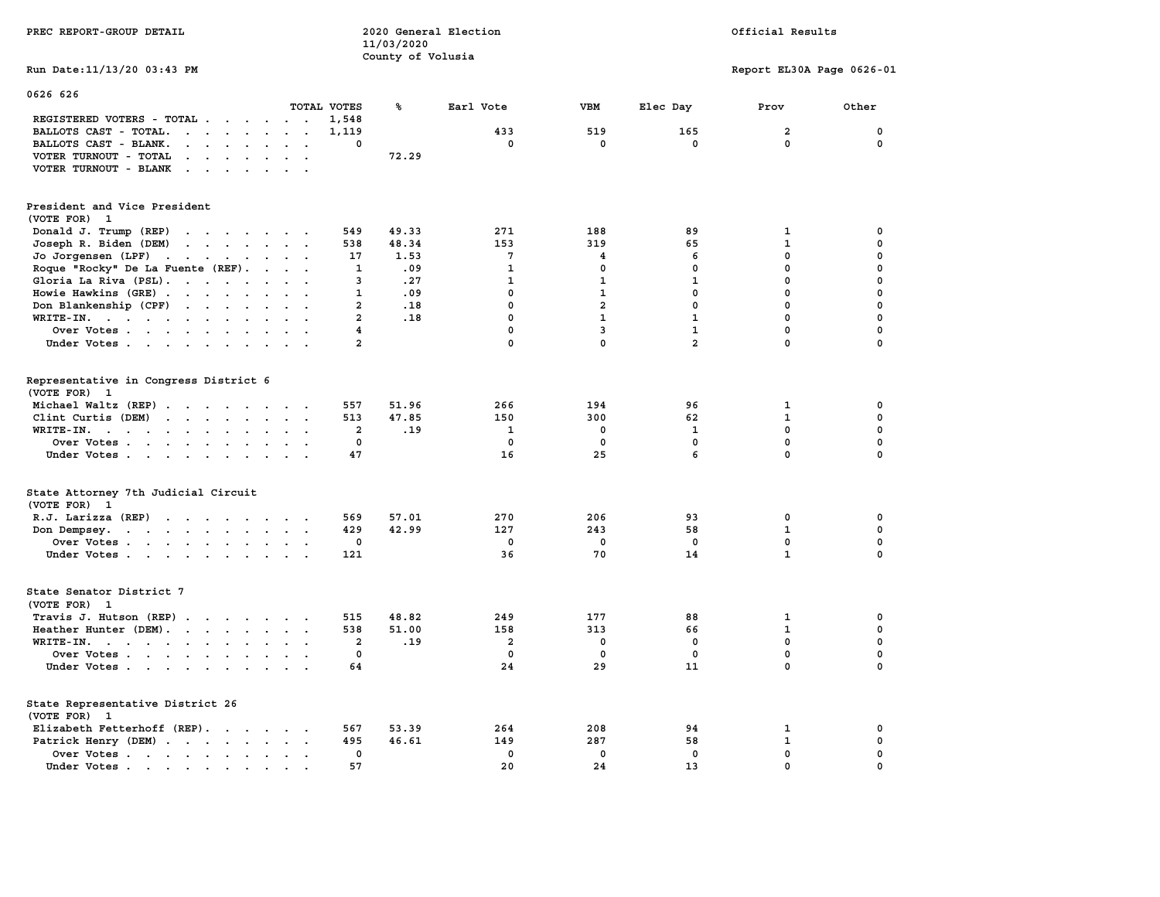| PREC REPORT-GROUP DETAIL                                                                                                                                                                                                                                                                                                 | 2020 General Election<br>11/03/2020 |                       |                                |                                          |                                         | Official Results                             |                                                |  |
|--------------------------------------------------------------------------------------------------------------------------------------------------------------------------------------------------------------------------------------------------------------------------------------------------------------------------|-------------------------------------|-----------------------|--------------------------------|------------------------------------------|-----------------------------------------|----------------------------------------------|------------------------------------------------|--|
|                                                                                                                                                                                                                                                                                                                          |                                     | County of Volusia     |                                |                                          |                                         |                                              |                                                |  |
| Run Date: 11/13/20 03:43 PM                                                                                                                                                                                                                                                                                              |                                     |                       |                                |                                          |                                         | Report EL30A Page 0626-01                    |                                                |  |
| 0626 626                                                                                                                                                                                                                                                                                                                 |                                     |                       |                                |                                          |                                         |                                              |                                                |  |
|                                                                                                                                                                                                                                                                                                                          | TOTAL VOTES                         | ℁                     | Earl Vote                      | <b>VBM</b>                               | Elec Day                                | Prov                                         | Other                                          |  |
| REGISTERED VOTERS - TOTAL                                                                                                                                                                                                                                                                                                | 1,548                               |                       |                                |                                          |                                         |                                              |                                                |  |
| BALLOTS CAST - TOTAL.<br>$\cdot$                                                                                                                                                                                                                                                                                         | 1,119                               |                       | 433                            | 519                                      | 165                                     | $\overline{a}$                               | $\mathbf 0$                                    |  |
| BALLOTS CAST - BLANK.<br>$\sim$                                                                                                                                                                                                                                                                                          | 0                                   |                       | 0                              | 0                                        | 0                                       | $\mathbf 0$                                  | 0                                              |  |
| VOTER TURNOUT - TOTAL<br>$\mathbf{r}$ . The contract of the contract of the contract of the contract of the contract of the contract of the contract of the contract of the contract of the contract of the contract of the contract of the contract of th                                                               |                                     | 72.29                 |                                |                                          |                                         |                                              |                                                |  |
| VOTER TURNOUT - BLANK                                                                                                                                                                                                                                                                                                    |                                     |                       |                                |                                          |                                         |                                              |                                                |  |
|                                                                                                                                                                                                                                                                                                                          |                                     |                       |                                |                                          |                                         |                                              |                                                |  |
| President and Vice President<br>(VOTE FOR) 1                                                                                                                                                                                                                                                                             |                                     |                       |                                |                                          |                                         |                                              |                                                |  |
| Donald J. Trump (REP)<br>the contract of the contract of the contract of                                                                                                                                                                                                                                                 | 549                                 | 49.33                 | 271                            | 188                                      | 89                                      | 1                                            | 0                                              |  |
| Joseph R. Biden (DEM)<br>the contract of the contract of the contract of                                                                                                                                                                                                                                                 | 538                                 | 48.34                 | 153                            | 319                                      | 65                                      | 1                                            | 0                                              |  |
| Jo Jorgensen $(LPF)$                                                                                                                                                                                                                                                                                                     | 17                                  | 1.53                  | 7                              | 4                                        | 6                                       | $\mathbf 0$                                  | $\mathbf 0$                                    |  |
|                                                                                                                                                                                                                                                                                                                          |                                     | .09                   | $\mathbf{1}$                   | $\mathbf 0$                              | $\mathbf 0$                             | $\mathbf 0$                                  | $\mathbf 0$                                    |  |
| Roque "Rocky" De La Fuente (REF).<br>$\cdots$                                                                                                                                                                                                                                                                            | 1                                   |                       |                                |                                          |                                         |                                              |                                                |  |
| Gloria La Riva (PSL).                                                                                                                                                                                                                                                                                                    | 3                                   | .27                   | $\mathbf{1}$                   | $\mathbf{1}$                             | $\mathbf{1}$                            | 0                                            | $\mathbf 0$                                    |  |
| Howie Hawkins (GRE)<br>$\cdot$ $\cdot$                                                                                                                                                                                                                                                                                   | 1<br>$\ddot{\phantom{a}}$           | .09                   | 0                              | $\mathbf{1}$                             | 0                                       | $\pmb{0}$                                    | $\pmb{0}$                                      |  |
| Don Blankenship (CPF)                                                                                                                                                                                                                                                                                                    | $\overline{a}$                      | .18                   | $\mathbf 0$                    | $\overline{a}$                           | $\mathbf 0$                             | $\mathbf 0$                                  | $\mathbf 0$                                    |  |
| WRITE-IN.<br>$\ddot{\phantom{0}}$<br>$\mathbf{A}$ and $\mathbf{A}$                                                                                                                                                                                                                                                       | $\overline{a}$                      | .18                   | $\mathbf 0$                    | $\mathbf{1}$                             | $\mathbf{1}$                            | $\mathbf 0$                                  | $\mathbf 0$                                    |  |
| Over Votes                                                                                                                                                                                                                                                                                                               | $\overline{4}$                      |                       | $\mathbf 0$                    | 3                                        | $\mathbf{1}$                            | $\mathbf{0}$                                 | $\mathbf 0$                                    |  |
| Under Votes<br>$\cdot$ $\cdot$ $\cdot$                                                                                                                                                                                                                                                                                   | $\overline{2}$                      |                       | $\mathbf 0$                    | $\mathbf 0$                              | $\overline{a}$                          | $\mathbf 0$                                  | $\mathbf 0$                                    |  |
| Representative in Congress District 6<br>(VOTE FOR) 1<br>Michael Waltz (REP)<br>Clint Curtis (DEM)<br>WRITE-IN.<br>the contract of the contract of the contract of the contract of the contract of the contract of the contract of<br>$\mathbf{z} = \mathbf{z} + \mathbf{z}$ .<br>Over Votes<br><b>Contract Contract</b> | 557<br>513<br>$\mathbf{2}$<br>0     | 51.96<br>47.85<br>.19 | 266<br>150<br>1<br>$\mathbf 0$ | 194<br>300<br>$\mathbf 0$<br>$\mathbf 0$ | 96<br>62<br>$\mathbf{1}$<br>$\mathbf 0$ | 1<br>$\mathbf{1}$<br>$\Omega$<br>$\mathbf 0$ | 0<br>$\mathbf 0$<br>$\mathbf 0$<br>$\mathbf 0$ |  |
| Under Votes                                                                                                                                                                                                                                                                                                              | 47                                  |                       | 16                             | 25                                       | 6                                       | $\mathbf{0}$                                 | $\Omega$                                       |  |
| State Attorney 7th Judicial Circuit<br>(VOTE FOR) 1                                                                                                                                                                                                                                                                      |                                     |                       |                                |                                          |                                         |                                              |                                                |  |
| R.J. Larizza (REP)                                                                                                                                                                                                                                                                                                       | 569                                 | 57.01                 | 270                            | 206                                      | 93                                      | 0                                            | 0                                              |  |
| Don Dempsey.                                                                                                                                                                                                                                                                                                             | 429                                 | 42.99                 | 127                            | 243                                      | 58                                      | $\mathbf{1}$                                 | $\mathbf 0$                                    |  |
| Over Votes                                                                                                                                                                                                                                                                                                               | 0                                   |                       | $^{\circ}$                     | 0                                        | 0                                       | $\mathbf 0$                                  | $\mathbf 0$                                    |  |
| Under Votes                                                                                                                                                                                                                                                                                                              | 121                                 |                       | 36                             | 70                                       | 14                                      | $\mathbf{1}$                                 | $\mathbf 0$                                    |  |
| State Senator District 7<br>(VOTE FOR) 1                                                                                                                                                                                                                                                                                 |                                     |                       |                                |                                          |                                         |                                              |                                                |  |
| Travis J. Hutson (REP)                                                                                                                                                                                                                                                                                                   | 515<br>$\sim$                       | 48.82                 | 249                            | 177                                      | 88                                      | 1                                            | 0                                              |  |
| Heather Hunter (DEM).                                                                                                                                                                                                                                                                                                    | 538                                 | 51.00                 | 158                            | 313                                      | 66                                      | $\mathbf{1}$                                 | $\mathbf 0$                                    |  |
| WRITE-IN.                                                                                                                                                                                                                                                                                                                | $\overline{2}$                      | .19                   | $\overline{2}$                 | 0                                        | 0                                       | $\mathbf{0}$                                 | $\mathbf 0$                                    |  |
| Over Votes                                                                                                                                                                                                                                                                                                               | $\mathbf 0$                         |                       | $\mathbf 0$                    | $\mathbf 0$                              | $\mathbf 0$                             | $\mathbf 0$                                  | $\mathbf 0$                                    |  |
| Under Votes                                                                                                                                                                                                                                                                                                              | 64                                  |                       | 24                             | 29                                       | 11                                      | 0                                            | $\mathbf 0$                                    |  |
| State Representative District 26<br>(VOTE FOR) 1                                                                                                                                                                                                                                                                         |                                     |                       |                                |                                          |                                         |                                              |                                                |  |
| Elizabeth Fetterhoff (REP).                                                                                                                                                                                                                                                                                              | 567                                 | 53.39                 | 264                            | 208                                      | 94                                      | 1                                            | 0                                              |  |
| Patrick Henry (DEM)                                                                                                                                                                                                                                                                                                      | 495                                 | 46.61                 | 149                            | 287                                      | 58                                      | 1                                            | 0                                              |  |
| Over Votes                                                                                                                                                                                                                                                                                                               | 0                                   |                       | $\mathbf 0$                    | $\mathbf 0$                              | $\mathbf 0$                             | $\mathbf 0$                                  | $\mathbf 0$                                    |  |
| Under Votes                                                                                                                                                                                                                                                                                                              | 57<br>$\sim$                        |                       | 20                             | 24                                       | 13                                      | $\mathbf 0$                                  | $\mathbf 0$                                    |  |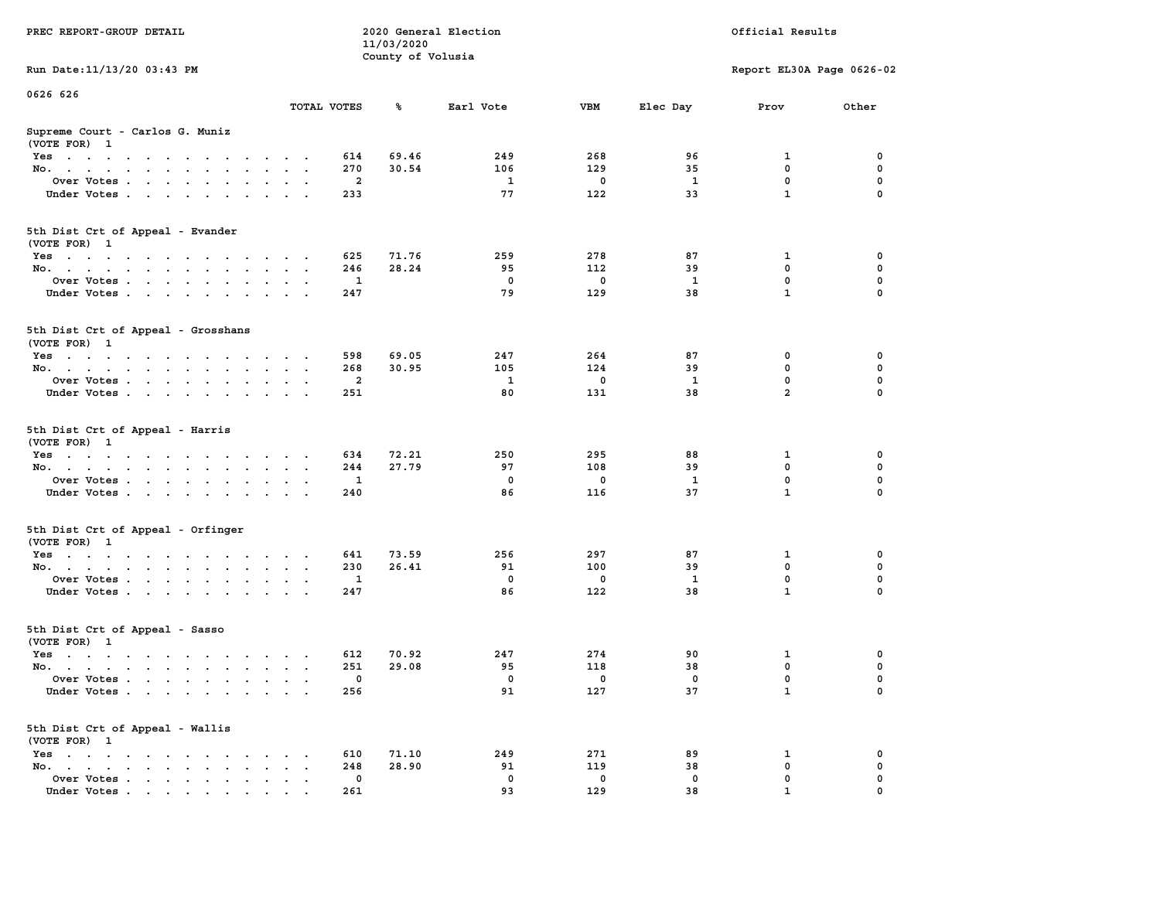| PREC REPORT-GROUP DETAIL                                                                                               |             | 2020 General Election<br>Official Results<br>11/03/2020 |             |             |              |                           |             |
|------------------------------------------------------------------------------------------------------------------------|-------------|---------------------------------------------------------|-------------|-------------|--------------|---------------------------|-------------|
|                                                                                                                        |             | County of Volusia                                       |             |             |              |                           |             |
| Run Date: 11/13/20 03:43 PM                                                                                            |             |                                                         |             |             |              | Report EL30A Page 0626-02 |             |
| 0626 626                                                                                                               |             |                                                         |             |             |              |                           |             |
|                                                                                                                        | TOTAL VOTES | ጜ                                                       | Earl Vote   | VBM         | Elec Day     | Prov                      | Other       |
| Supreme Court - Carlos G. Muniz<br>(VOTE FOR) 1                                                                        |             |                                                         |             |             |              |                           |             |
| Yes                                                                                                                    |             | 614<br>69.46                                            | 249         | 268         | 96           | 1                         | 0           |
| No.                                                                                                                    |             | 270<br>30.54                                            | 106         | 129         | 35           | $\mathbf 0$               | $\mathbf 0$ |
| Over Votes                                                                                                             |             | 2                                                       | 1           | $\mathbf 0$ | 1            | 0                         | 0           |
| Under Votes                                                                                                            |             | 233                                                     | 77          | 122         | 33           | $\mathbf{1}$              | $\Omega$    |
| 5th Dist Crt of Appeal - Evander<br>(VOTE FOR) 1                                                                       |             |                                                         |             |             |              |                           |             |
| Yes                                                                                                                    |             | 71.76<br>625                                            | 259         | 278         | 87           | 1                         | 0           |
| No.                                                                                                                    |             | 246<br>28.24                                            | 95          | 112         | 39           | $\mathbf 0$               | 0           |
| Over Votes                                                                                                             |             | 1                                                       | 0           | $\mathbf 0$ | $\mathbf{1}$ | $\mathbf 0$               | $\mathbf 0$ |
| Under Votes                                                                                                            |             | 247                                                     | 79          | 129         | 38           | $\mathbf{1}$              | 0           |
|                                                                                                                        |             |                                                         |             |             |              |                           |             |
| 5th Dist Crt of Appeal - Grosshans<br>(VOTE FOR) 1                                                                     |             |                                                         |             |             |              |                           |             |
| Yes                                                                                                                    |             | 598<br>69.05                                            | 247         | 264         | 87           | 0                         | 0           |
| No.                                                                                                                    |             | 268<br>30.95                                            | 105         | 124         | 39           | 0                         | 0           |
| Over Votes                                                                                                             | $\,$ .      | 2                                                       | 1           | $\mathbf 0$ | 1            | $\mathbf 0$               | 0           |
| Under Votes                                                                                                            |             | 251                                                     | 80          | 131         | 38           | $\overline{a}$            | 0           |
| 5th Dist Crt of Appeal - Harris<br>(VOTE FOR) 1                                                                        |             |                                                         |             |             |              |                           |             |
| Yes                                                                                                                    |             | 634<br>72.21                                            | 250         | 295         | 88           | 1                         | 0           |
| No.                                                                                                                    |             | 27.79<br>244                                            | 97          | 108         | 39           | $\mathbf 0$               | 0           |
| Over Votes                                                                                                             |             | 1                                                       | 0           | 0           | 1            | 0                         | 0           |
| Under Votes                                                                                                            |             | 240                                                     | 86          | 116         | 37           | $\mathbf{1}$              | $\Omega$    |
| 5th Dist Crt of Appeal - Orfinger<br>(VOTE FOR) 1                                                                      |             |                                                         |             |             |              |                           |             |
| Yes                                                                                                                    |             | 641<br>73.59                                            | 256         | 297         | 87           | 1                         | 0           |
| No.                                                                                                                    |             | 230<br>26.41                                            | 91          | 100         | 39           | $\mathbf 0$               | 0           |
| Over Votes                                                                                                             |             | 1                                                       | $\mathbf 0$ | $\mathbf 0$ | 1            | 0                         | 0           |
| Under Votes                                                                                                            |             | 247                                                     | 86          | 122         | 38           | $\mathbf{1}$              | 0           |
| 5th Dist Crt of Appeal - Sasso<br>(VOTE FOR) 1                                                                         |             |                                                         |             |             |              |                           |             |
| Yes<br>the contract of the contract of the contract of the contract of the contract of the contract of the contract of |             | 70.92<br>612                                            | 247         | 274         | 90           | 1                         | 0           |
| No.                                                                                                                    |             | 29.08<br>251                                            | 95          | 118         | 38           | 0                         | 0           |
| Over Votes                                                                                                             |             | 0                                                       | 0           | 0           | 0            | $\mathbf{0}$              | 0           |
| Under Votes                                                                                                            |             | 256                                                     | 91          | 127         | 37           | $\mathbf{1}$              | 0           |
| 5th Dist Crt of Appeal - Wallis<br>(VOTE FOR) 1                                                                        |             |                                                         |             |             |              |                           |             |
| $Yes \cdot \cdot \cdot \cdot \cdot \cdot \cdot$                                                                        |             | 610<br>71.10                                            | 249         | 271         | 89           | 1                         | 0           |
| No.<br>$\ddot{\phantom{a}}$<br>$\ddot{\phantom{a}}$                                                                    |             | 248<br>28.90                                            | 91          | 119         | 38           | 0                         | 0           |
| Over Votes                                                                                                             |             | 0                                                       | 0<br>93     | 0           | 0<br>38      | 0                         | 0           |
| Under Votes.                                                                                                           |             | 261                                                     |             | 129         |              |                           |             |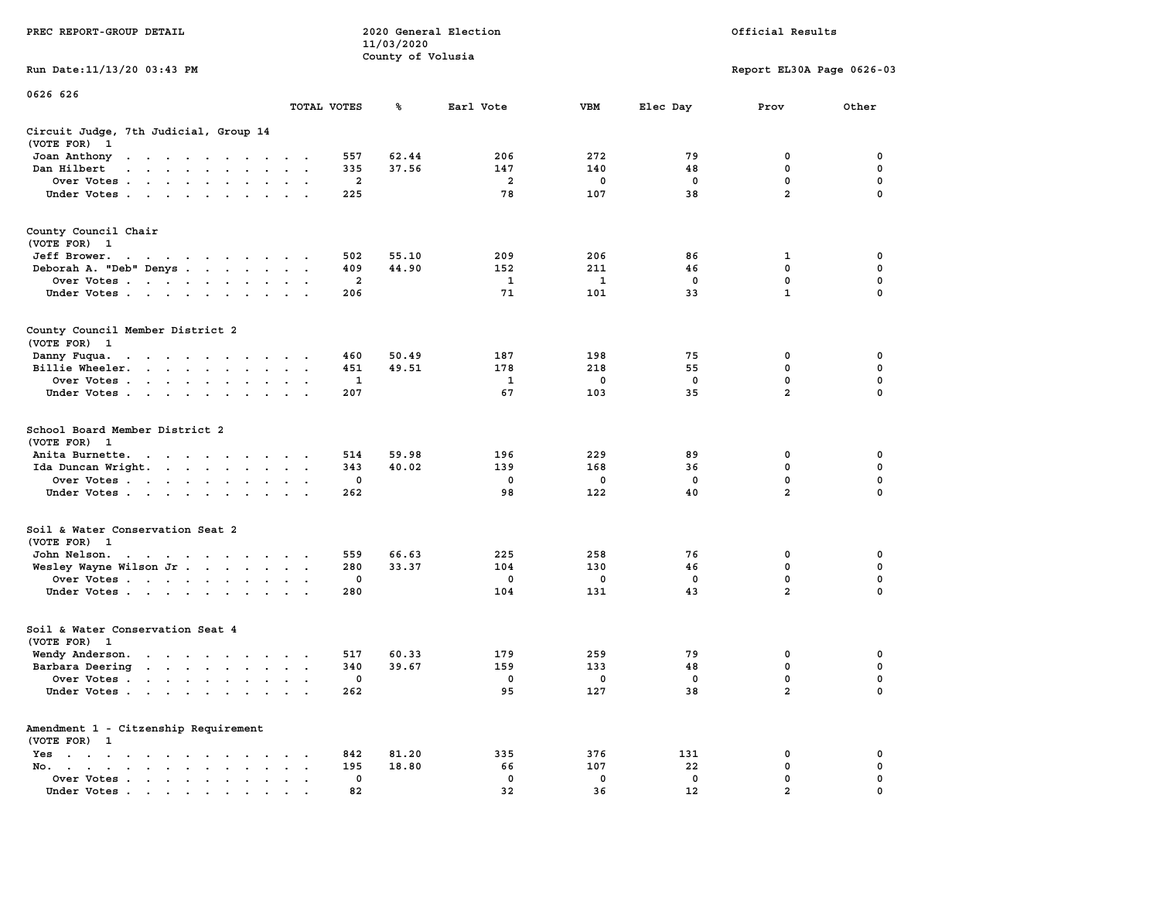|                                                                                                                                          |                                                                          |                         | 11/03/2020        |                |             |             |                           |             |
|------------------------------------------------------------------------------------------------------------------------------------------|--------------------------------------------------------------------------|-------------------------|-------------------|----------------|-------------|-------------|---------------------------|-------------|
| Run Date:11/13/20 03:43 PM                                                                                                               |                                                                          |                         | County of Volusia |                |             |             | Report EL30A Page 0626-03 |             |
| 0626 626                                                                                                                                 | TOTAL VOTES                                                              |                         | ℁                 | Earl Vote      | <b>VBM</b>  | Elec Day    | Prov                      | Other       |
|                                                                                                                                          |                                                                          |                         |                   |                |             |             |                           |             |
| Circuit Judge, 7th Judicial, Group 14<br>(VOTE FOR)<br>- 1                                                                               |                                                                          |                         |                   |                |             |             |                           |             |
| Joan Anthony<br>the contract of the contract of the contract of the contract of the contract of<br>$\ddot{\phantom{0}}$                  | $\cdot$                                                                  | 557                     | 62.44             | 206            | 272         | 79          | 0                         | 0           |
| Dan Hilbert<br>$\overline{\phantom{a}}$<br>$\sim$<br>$\mathbf{A}$ and $\mathbf{A}$<br>$\sim$<br>$\sim$                                   |                                                                          | 335                     | 37.56             | 147            | 140         | 48          | 0                         | $\pmb{0}$   |
| Over Votes                                                                                                                               | $\ddot{\phantom{a}}$                                                     | $\overline{\mathbf{2}}$ |                   | $\overline{a}$ | 0           | $\mathbf 0$ | $\mathbf 0$               | 0           |
| Under Votes<br>$\ddot{\phantom{0}}$                                                                                                      | $\ddot{\phantom{a}}$                                                     | 225                     |                   | 78             | 107         | 38          | $\overline{2}$            | 0           |
| County Council Chair<br>(VOTE FOR) 1                                                                                                     |                                                                          |                         |                   |                |             |             |                           |             |
| Jeff Brower.<br>$\mathbf{a}$ , and $\mathbf{a}$ , and $\mathbf{a}$ , and $\mathbf{a}$ , and $\mathbf{a}$ , and $\mathbf{a}$              |                                                                          | 502                     | 55.10             | 209            | 206         | 86          | 1                         | 0           |
| Deborah A. "Deb" Denys                                                                                                                   | $\sim$                                                                   | 409                     | 44.90             | 152            | 211         | 46          | 0                         | 0           |
| Over Votes<br>$\cdot$                                                                                                                    | $\cdot$<br>$\cdot$                                                       | $\overline{2}$          |                   | 1              | 1           | 0           | 0                         | $\mathbf 0$ |
| Under Votes                                                                                                                              | $\cdots$                                                                 | 206                     |                   | 71             | 101         | 33          | $\mathbf{1}$              | $\mathbf 0$ |
| County Council Member District 2<br>(VOTE FOR) 1                                                                                         |                                                                          |                         |                   |                |             |             |                           |             |
| Danny Fuqua.<br>$\mathbf{r}$ . The second contribution of the second contribution $\mathbf{r}$                                           | $\bullet$ .<br><br><br><br><br>                                          | 460                     | 50.49             | 187            | 198         | 75          | 0                         | 0           |
| Billie Wheeler.<br>$\bullet$                                                                                                             | $\cdot$<br>$\cdot$                                                       | 451                     | 49.51             | 178            | 218         | 55          | $\mathbf 0$               | $\mathbf 0$ |
| Over Votes<br>$\ddot{\phantom{0}}$<br>$\ddot{\phantom{a}}$                                                                               |                                                                          | $\mathbf{1}$            |                   | 1              | $\mathbf 0$ | $\mathbf 0$ | 0                         | 0           |
| Under Votes<br>$\cdot$                                                                                                                   | $\overline{a}$                                                           | 207                     |                   | 67             | 103         | 35          | $\overline{2}$            | $\mathbf 0$ |
| School Board Member District 2<br>(VOTE FOR)<br>- 1                                                                                      |                                                                          |                         |                   |                |             |             |                           |             |
| Anita Burnette.<br>$\mathcal{A}$ . The contribution of the contribution of $\mathcal{A}$                                                 | $\cdot$ $\cdot$                                                          | 514                     | 59.98             | 196            | 229         | 89          | 0                         | 0           |
| Ida Duncan Wright.<br>$\sim$                                                                                                             | $\ddot{\phantom{a}}$<br>$\ddot{\phantom{a}}$<br>$\overline{\phantom{a}}$ | 343                     | 40.02             | 139            | 168         | 36          | $\mathbf 0$               | $\mathbf 0$ |
| Over Votes                                                                                                                               |                                                                          | $\mathbf 0$             |                   | 0              | 0           | $\mathbf 0$ | 0                         | $\mathbf 0$ |
| Under Votes<br>$\ddot{\phantom{a}}$                                                                                                      |                                                                          | 262                     |                   | 98             | 122         | 40          | $\overline{a}$            | 0           |
| Soil & Water Conservation Seat 2<br>(VOTE FOR) 1                                                                                         |                                                                          |                         |                   |                |             |             |                           |             |
| John Nelson.<br>the contract of the contract of the con-                                                                                 |                                                                          | 559                     | 66.63             | 225            | 258         | 76          | 0                         | 0           |
| Wesley Wayne Wilson Jr                                                                                                                   | $\bullet$<br>$\blacksquare$ .                                            | 280                     | 33.37             | 104            | 130         | 46          | $\mathbf 0$               | 0           |
| Over Votes                                                                                                                               | $\bullet$<br>$\ddot{\phantom{a}}$                                        | 0                       |                   | 0              | 0           | $^{\circ}$  | $\mathbf 0$               | $\mathbf 0$ |
| Under Votes                                                                                                                              | $\sim$                                                                   | 280                     |                   | 104            | 131         | 43          | $\overline{2}$            | 0           |
| Soil & Water Conservation Seat 4<br>(VOTE FOR)<br>$\overline{\mathbf{1}}$                                                                |                                                                          |                         |                   |                |             |             |                           |             |
| Wendy Anderson.                                                                                                                          | $\sim$ $\sim$<br>$\sim$                                                  | 517                     | 60.33             | 179            | 259         | 79          | 0                         | 0           |
| Barbara Deering                                                                                                                          | $\sim$<br>$\cdot$ .                                                      | 340                     | 39.67             | 159            | 133         | 48          | 0                         | $\mathbf 0$ |
| Over Votes<br>$\ddot{\phantom{a}}$                                                                                                       | $\cdot$<br>$\ddot{\phantom{a}}$<br>$\ddot{\phantom{a}}$                  | 0                       |                   | 0              | 0           | 0           | $\mathbf 0$               | 0           |
| Under Votes                                                                                                                              |                                                                          | 262                     |                   | 95             | 127         | 38          | $\overline{2}$            | 0           |
| Amendment 1 - Citzenship Requirement<br>(VOTE FOR) 1                                                                                     |                                                                          |                         |                   |                |             |             |                           |             |
| Yes<br>$\sim$<br>$\bullet$<br>$\bullet$ .<br><br><br><br><br><br><br><br><br><br><br><br><br><br><br><br>$\ddot{\phantom{a}}$<br>$\cdot$ |                                                                          | 842                     | 81.20             | 335            | 376         | 131         | 0                         | 0           |
| No.<br>$\ddot{\phantom{a}}$<br>$\bullet$ . In the case of the case of the $\bullet$<br>$\mathbf{r} = \mathbf{r} \cdot \mathbf{r}$        |                                                                          | 195                     | 18.80             | 66             | 107         | 22          | 0                         | $\mathbf 0$ |
| Over Votes<br>$\bullet$                                                                                                                  | $\cdot$<br>$\ddot{\phantom{a}}$                                          | 0                       |                   | 0              | 0           | $\mathbf 0$ | $\mathbf{0}$              | $\mathbf 0$ |
| Under Votes                                                                                                                              |                                                                          | 82                      |                   | 32             | 36          | 12          | $\overline{a}$            | $\mathbf 0$ |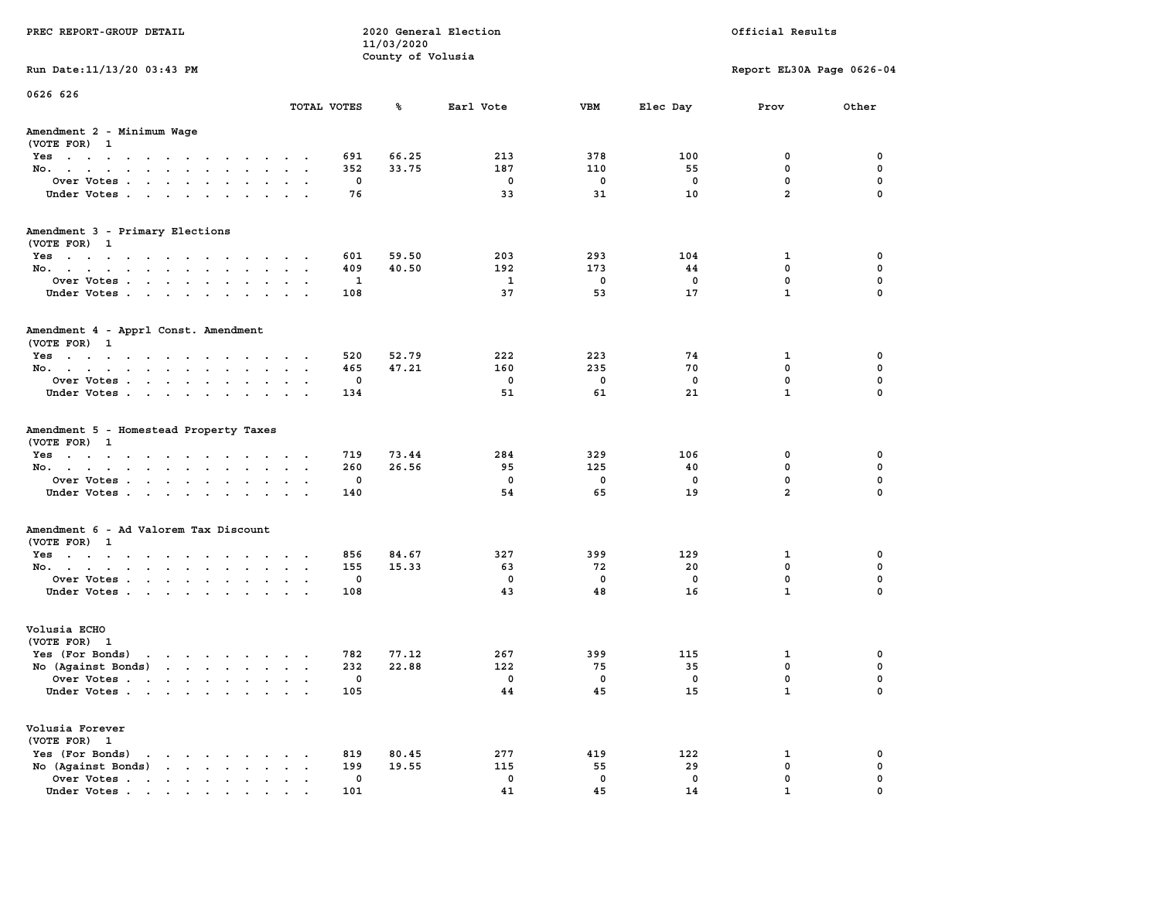| PREC REPORT-GROUP DETAIL                                                                                                           |                                       | 11/03/2020                               | 2020 General Election |                       |                      | Official Results                                  |                         |
|------------------------------------------------------------------------------------------------------------------------------------|---------------------------------------|------------------------------------------|-----------------------|-----------------------|----------------------|---------------------------------------------------|-------------------------|
|                                                                                                                                    |                                       | County of Volusia                        |                       |                       |                      |                                                   |                         |
| Run Date: 11/13/20 03:43 PM                                                                                                        |                                       |                                          |                       |                       |                      | Report EL30A Page 0626-04                         |                         |
| 0626 626                                                                                                                           |                                       |                                          |                       |                       |                      |                                                   |                         |
|                                                                                                                                    | TOTAL VOTES                           | ጜ                                        | Earl Vote             | VBM                   | Elec Day             | Prov                                              | Other                   |
| Amendment 2 - Minimum Wage<br>(VOTE FOR) 1                                                                                         |                                       |                                          |                       |                       |                      |                                                   |                         |
| Yes                                                                                                                                |                                       | 66.25<br>691                             | 213                   | 378                   | 100                  | 0                                                 | 0                       |
| No.                                                                                                                                |                                       | 33.75<br>352                             | 187                   | 110                   | 55                   | $\mathbf 0$                                       | $\mathbf 0$             |
| Over Votes                                                                                                                         |                                       | 0                                        | 0                     | 0                     | 0                    | $\mathbf 0$                                       | 0                       |
| Under Votes                                                                                                                        |                                       | 76                                       | 33                    | 31                    | 10                   | $\overline{a}$                                    | $\mathbf 0$             |
| Amendment 3 - Primary Elections                                                                                                    |                                       |                                          |                       |                       |                      |                                                   |                         |
| (VOTE FOR) 1                                                                                                                       |                                       | 59.50                                    | 203                   | 293                   | 104                  |                                                   | 0                       |
| Yes<br>No.                                                                                                                         |                                       | 601<br>409<br>40.50                      | 192                   | 173                   | 44                   | 1<br>0                                            | 0                       |
| Over Votes                                                                                                                         |                                       | 1                                        | <sup>1</sup>          | 0                     | 0                    | $\mathbf 0$                                       | $\mathbf 0$             |
| Under Votes                                                                                                                        |                                       | 108                                      | 37                    | 53                    | 17                   | $\mathbf{1}$                                      | $\Omega$                |
|                                                                                                                                    |                                       |                                          |                       |                       |                      |                                                   |                         |
| Amendment 4 - Apprl Const. Amendment<br>(VOTE FOR) 1                                                                               |                                       |                                          |                       |                       |                      |                                                   |                         |
| Yes                                                                                                                                |                                       | 52.79<br>520                             | 222                   | 223                   | 74                   | 1                                                 | 0                       |
| No.                                                                                                                                |                                       | 465<br>47.21                             | 160                   | 235                   | 70                   | 0                                                 | 0                       |
| Over Votes                                                                                                                         |                                       | 0                                        | 0                     | 0                     | 0                    | $\mathbf 0$                                       | $\mathbf 0$             |
| Under Votes                                                                                                                        |                                       | 134                                      | 51                    | 61                    | 21                   | $\mathbf{1}$                                      | $\mathbf 0$             |
| (VOTE FOR) 1<br>Yes<br>No.<br>Over Votes<br>Under Votes                                                                            |                                       | 73.44<br>719<br>26.56<br>260<br>0<br>140 | 284<br>95<br>0<br>54  | 329<br>125<br>0<br>65 | 106<br>40<br>0<br>19 | 0<br>$\mathbf 0$<br>$\mathbf 0$<br>$\overline{a}$ | 0<br>0<br>0<br>$\Omega$ |
| Amendment 6 - Ad Valorem Tax Discount                                                                                              |                                       |                                          |                       |                       |                      |                                                   |                         |
| (VOTE FOR) 1                                                                                                                       |                                       |                                          |                       |                       |                      |                                                   |                         |
| Yes                                                                                                                                |                                       | 84.67<br>856                             | 327                   | 399                   | 129                  | 1                                                 | 0                       |
| No.                                                                                                                                |                                       | 15.33<br>155                             | 63                    | 72                    | 20                   | 0                                                 | 0                       |
| Over Votes                                                                                                                         |                                       | 0                                        | 0                     | 0                     | 0                    | $\mathbf 0$                                       | 0                       |
| Under Votes                                                                                                                        |                                       | 108                                      | 43                    | 48                    | 16                   | $\mathbf{1}$                                      | $\Omega$                |
| Volusia ECHO<br>(VOTE FOR) 1                                                                                                       |                                       |                                          |                       |                       |                      |                                                   |                         |
| Yes (For Bonds)<br>the contract of the contract of the contract of the contract of the contract of the contract of the contract of |                                       | 77.12<br>782                             | 267                   | 399                   | 115                  | 1                                                 | 0                       |
| No (Against Bonds)                                                                                                                 |                                       | 22.88<br>232                             | 122                   | 75                    | 35                   | 0                                                 | 0                       |
| Over Votes                                                                                                                         |                                       | 0                                        | 0                     | 0                     | 0                    | $\Omega$                                          | $\mathbf 0$             |
| Under Votes.                                                                                                                       |                                       | 105                                      | 44                    | 45                    | 15                   | $\mathbf{1}$                                      | 0                       |
| Volusia Forever<br>(VOTE FOR) 1                                                                                                    |                                       |                                          |                       |                       |                      |                                                   |                         |
| Yes (For Bonds)<br>$\mathbf{r}$ , $\mathbf{r}$ , $\mathbf{r}$ , $\mathbf{r}$ , $\mathbf{r}$                                        |                                       | 819<br>80.45                             | 277                   | 419                   | 122                  | 1                                                 | 0                       |
| No (Against Bonds)                                                                                                                 | $\ddot{\phantom{a}}$<br>$\sim$ $\sim$ | 199<br>19.55                             | 115                   | 55                    | 29                   | $\mathbf 0$                                       | $\mathbf 0$             |
| Over Votes                                                                                                                         |                                       | 0                                        | 0                     | 0                     | 0                    | $\mathbf 0$                                       | 0                       |
| Under Votes                                                                                                                        |                                       | 101                                      | 41                    | 45                    | 14                   | 1                                                 | $\Omega$                |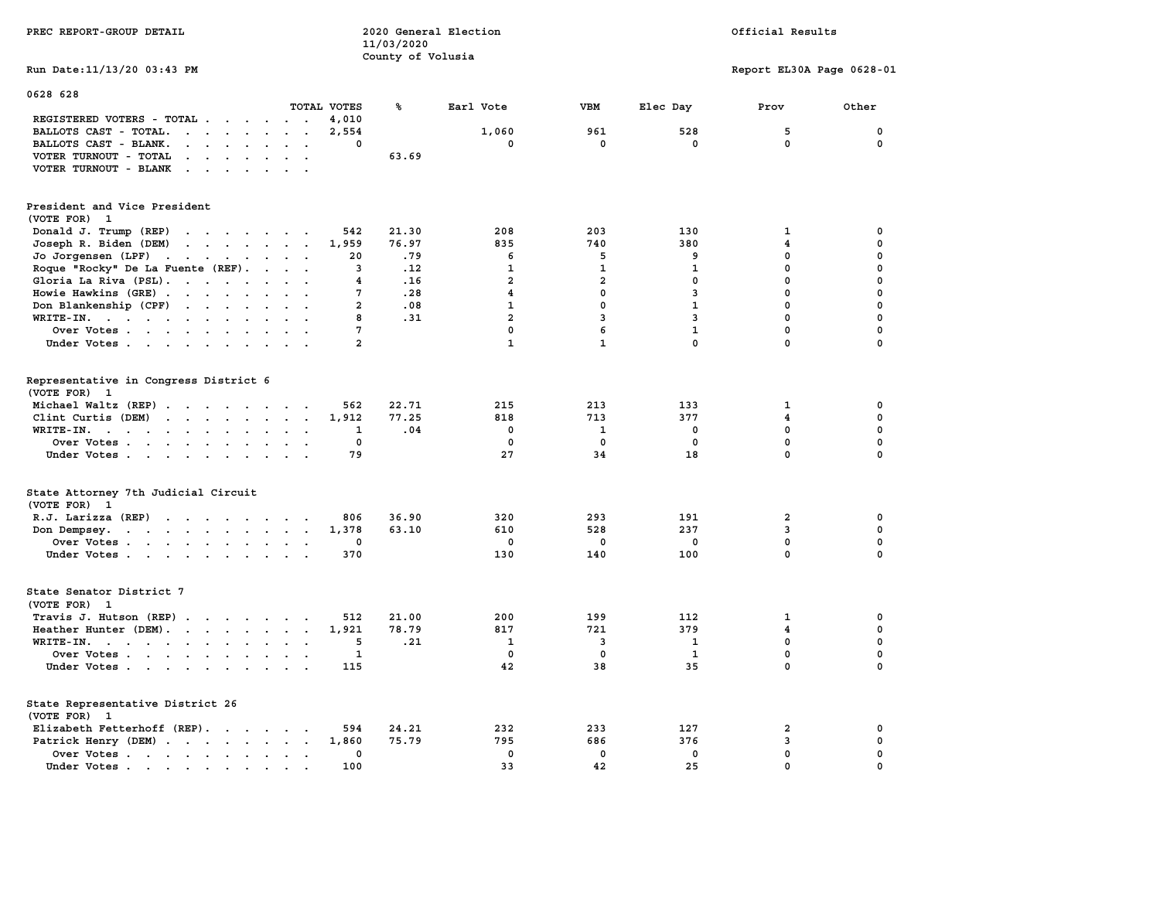| PREC REPORT-GROUP DETAIL                                                                                                                                     |                                   | 11/03/2020<br>County of Volusia | 2020 General Election   |                         |                | Official Results          |             |
|--------------------------------------------------------------------------------------------------------------------------------------------------------------|-----------------------------------|---------------------------------|-------------------------|-------------------------|----------------|---------------------------|-------------|
| Run Date: 11/13/20 03:43 PM                                                                                                                                  |                                   |                                 |                         |                         |                | Report EL30A Page 0628-01 |             |
| 0628 628                                                                                                                                                     | TOTAL VOTES                       | ℁                               | Earl Vote               | VBM                     | Elec Day       | Prov                      | Other       |
| REGISTERED VOTERS - TOTAL                                                                                                                                    | 4,010                             |                                 |                         |                         |                |                           |             |
| BALLOTS CAST - TOTAL.<br>$\cdots$                                                                                                                            | 2,554<br>$\overline{\phantom{a}}$ |                                 | 1,060                   | 961                     | 528            | 5                         | $\mathbf 0$ |
| BALLOTS CAST - BLANK.<br>$\begin{array}{cccccccccccccc} \bullet & \bullet & \bullet & \bullet & \bullet & \bullet & \bullet & \bullet & \bullet \end{array}$ | 0<br>$\ddotsc$                    |                                 | $\mathbf 0$             | 0                       | $\mathbf 0$    | $\mathbf 0$               | $\mathbf 0$ |
| VOTER TURNOUT - TOTAL<br>$\mathcal{A}^{\mathcal{A}}$ , and $\mathcal{A}^{\mathcal{A}}$ , and $\mathcal{A}^{\mathcal{A}}$<br>$\sim$<br>$\ddot{\phantom{a}}$   |                                   | 63.69                           |                         |                         |                |                           |             |
| VOTER TURNOUT - BLANK                                                                                                                                        |                                   |                                 |                         |                         |                |                           |             |
| President and Vice President                                                                                                                                 |                                   |                                 |                         |                         |                |                           |             |
| (VOTE FOR) 1                                                                                                                                                 |                                   |                                 |                         |                         |                |                           |             |
| Donald J. Trump (REP)                                                                                                                                        | 542                               | 21.30                           | 208                     | 203                     | 130            | $\mathbf{1}$              | $\mathbf 0$ |
| Joseph R. Biden (DEM)                                                                                                                                        | 1,959                             | 76.97                           | 835                     | 740                     | 380            | $\overline{\mathbf{4}}$   | $\mathbf 0$ |
| Jo Jorgensen (LPF)                                                                                                                                           | 20                                | .79                             | 6                       | 5                       | 9              | $\mathbf 0$               | $\mathbf 0$ |
| Roque "Rocky" De La Fuente (REF).                                                                                                                            | $\overline{3}$                    | .12                             | $\mathbf{1}$            | $\mathbf{1}$            | $\mathbf{1}$   | $\mathbf 0$               | $\mathbf 0$ |
| Gloria La Riva (PSL).                                                                                                                                        | 4                                 | .16                             | $\overline{a}$          | $\overline{\mathbf{2}}$ | $\mathbf 0$    | 0                         | $\mathbf 0$ |
| Howie Hawkins (GRE)                                                                                                                                          | 7<br>$\cdot$ $\cdot$              | .28                             | $\overline{\mathbf{4}}$ | $\mathbf{0}$            | 3              | $\mathbf 0$               | 0           |
| Don Blankenship (CPF)                                                                                                                                        | $\overline{a}$                    | .08                             | $\mathbf{1}$            | $\Omega$                | $\mathbf{1}$   | $\mathbf 0$               | $\mathbf 0$ |
| WRITE-IN.                                                                                                                                                    | 8                                 | .31                             | $\overline{a}$          | $\overline{3}$          | $\overline{3}$ | $\mathbf 0$               | $\mathbf 0$ |
| Over Votes                                                                                                                                                   | 7                                 |                                 | $\mathbf 0$             | 6                       | $\mathbf{1}$   | 0                         | $\mathbf 0$ |
| Under Votes                                                                                                                                                  | $\overline{a}$                    |                                 | $\mathbf{1}$            | $\mathbf{1}$            | $\mathbf{0}$   | $\mathbf{0}$              | $\mathbf 0$ |
|                                                                                                                                                              |                                   |                                 |                         |                         |                |                           |             |
| Representative in Congress District 6<br>(VOTE FOR) 1                                                                                                        |                                   |                                 |                         |                         |                |                           |             |
| Michael Waltz (REP)                                                                                                                                          | 562                               | 22.71                           | 215                     | 213                     | 133            | 1                         | 0           |
| Clint Curtis (DEM)                                                                                                                                           | 1,912                             | 77.25                           | 818                     | 713                     | 377            | 4                         | 0           |
| WRITE-IN.<br>$\mathbf{r}$ , $\mathbf{r}$ , $\mathbf{r}$ , $\mathbf{r}$ , $\mathbf{r}$<br>$\sim$<br>$\sim$                                                    | 1                                 | .04                             | $\mathbf 0$             | 1                       | 0              | $\mathbf 0$               | $\mathbf 0$ |
| Over Votes<br>$\cdot$                                                                                                                                        | 0                                 |                                 | $\mathbf 0$             | $\mathbf 0$             | 0              | 0                         | 0           |
| Under Votes                                                                                                                                                  | 79                                |                                 | 27                      | 34                      | 18             | $\mathbf 0$               | $\mathbf 0$ |
|                                                                                                                                                              |                                   |                                 |                         |                         |                |                           |             |
| State Attorney 7th Judicial Circuit<br>(VOTE FOR) 1                                                                                                          |                                   |                                 |                         |                         |                |                           |             |
| R.J. Larizza (REP)                                                                                                                                           | 806                               | 36.90                           | 320                     | 293                     | 191            | $\mathbf{2}$              | 0           |
| Don Dempsey.<br>the contract of the contract of the contract of the contract of the contract of the contract of the contract of                              | 1,378                             | 63.10                           | 610                     | 528                     | 237            | 3                         | 0           |
| Over Votes                                                                                                                                                   | 0                                 |                                 | $\mathbf 0$             | 0                       | 0              | 0                         | $\mathbf 0$ |
| Under Votes                                                                                                                                                  | 370                               |                                 | 130                     | 140                     | 100            | $\mathbf 0$               | $\mathbf 0$ |
| State Senator District 7<br>(VOTE FOR) 1                                                                                                                     |                                   |                                 |                         |                         |                |                           |             |
| Travis J. Hutson (REP)                                                                                                                                       | 512<br>$\overline{\phantom{a}}$   | 21.00                           | 200                     | 199                     | 112            | $\mathbf{1}$              | $\mathbf 0$ |
| Heather Hunter (DEM).                                                                                                                                        | 1,921                             | 78.79                           | 817                     | 721                     | 379            | 4                         | $\mathbf 0$ |
| WRITE-IN.                                                                                                                                                    | 5                                 | .21                             | 1                       | 3                       | $\mathbf{1}$   | 0                         | $\mathbf 0$ |
| Over Votes                                                                                                                                                   | 1<br>$\ddot{\phantom{a}}$         |                                 | $\mathbf{0}$            | $\mathbf{0}$            | 1              | $\mathbf 0$               | $\mathbf 0$ |
| Under Votes                                                                                                                                                  | 115                               |                                 | 42                      | 38                      | 35             | $\mathbf 0$               | $\mathbf 0$ |
| State Representative District 26<br>(VOTE FOR) 1                                                                                                             |                                   |                                 |                         |                         |                |                           |             |
| Elizabeth Fetterhoff (REP).                                                                                                                                  | 594                               | 24.21                           | 232                     | 233                     | 127            | $\overline{\mathbf{2}}$   | 0           |
| Patrick Henry (DEM)                                                                                                                                          | 1,860                             | 75.79                           | 795                     | 686                     | 376            | 3                         | $\mathbf 0$ |
| Over Votes                                                                                                                                                   | 0                                 |                                 | $\mathbf 0$             | $\mathbf 0$             | $\mathbf 0$    | $\mathbf 0$               | $\mathbf 0$ |
| Under Votes                                                                                                                                                  | 100<br>$\sim 10^{-1}$<br>$\sim$   |                                 | 33                      | 42                      | 25             | $\mathbf 0$               | $\mathbf 0$ |
|                                                                                                                                                              |                                   |                                 |                         |                         |                |                           |             |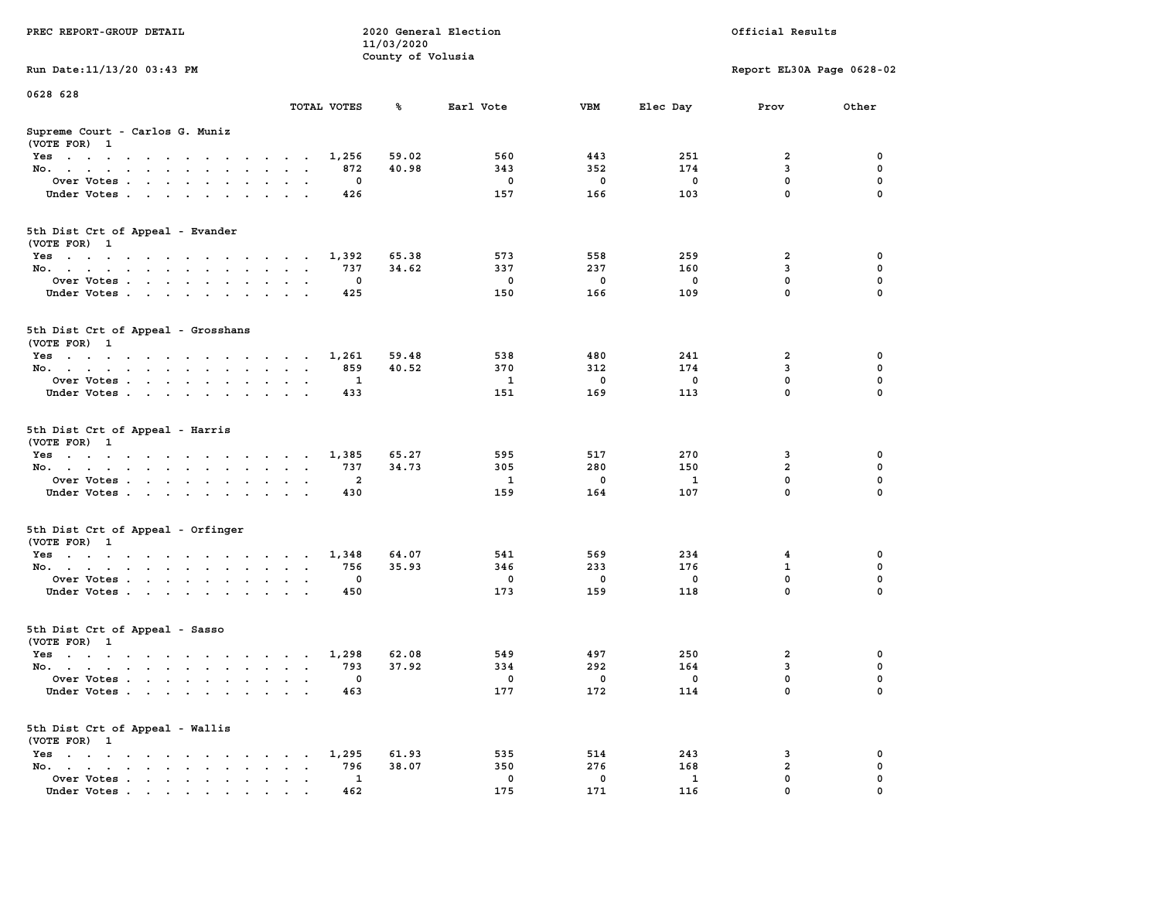|                                                                                                         |                                                                | 11/03/2020        |              |             |              |                           |             |
|---------------------------------------------------------------------------------------------------------|----------------------------------------------------------------|-------------------|--------------|-------------|--------------|---------------------------|-------------|
|                                                                                                         |                                                                | County of Volusia |              |             |              |                           |             |
| Run Date: 11/13/20 03:43 PM                                                                             |                                                                |                   |              |             |              | Report EL30A Page 0628-02 |             |
| 0628 628                                                                                                |                                                                |                   |              |             |              |                           |             |
|                                                                                                         | TOTAL VOTES                                                    | ℁                 | Earl Vote    | <b>VBM</b>  | Elec Day     | Prov                      | Other       |
| Supreme Court - Carlos G. Muniz                                                                         |                                                                |                   |              |             |              |                           |             |
| (VOTE FOR) 1                                                                                            |                                                                |                   |              |             |              |                           |             |
| Yes                                                                                                     | 1,256                                                          | 59.02             | 560          | 443         | 251          | 2                         | 0           |
| No.<br>$\mathbf{L} = \mathbf{L}$<br>$\mathbf{r}$                                                        | 872<br>$\overline{\phantom{a}}$                                | 40.98             | 343          | 352         | 174          | 3                         | 0           |
| Over Votes                                                                                              | 0                                                              |                   | $\mathbf 0$  | $\mathbf 0$ | $\mathbf 0$  | $\mathbf 0$               | $\mathbf 0$ |
| Under Votes<br>$\ddot{\phantom{0}}$                                                                     | 426<br>$\sim$                                                  |                   | 157          | 166         | 103          | $\mathbf 0$               | $\Omega$    |
| 5th Dist Crt of Appeal - Evander                                                                        |                                                                |                   |              |             |              |                           |             |
| (VOTE FOR) 1                                                                                            |                                                                |                   |              |             |              |                           |             |
| Yes                                                                                                     | 1,392                                                          | 65.38             | 573          | 558         | 259          | $\overline{\mathbf{2}}$   | $\mathbf 0$ |
| No.                                                                                                     | 737                                                            | 34.62             | 337          | 237         | 160          | 3                         | $\mathbf 0$ |
|                                                                                                         | $\mathbf 0$                                                    |                   | $^{\circ}$   | $\mathbf 0$ | $\mathbf{0}$ | $\mathbf{0}$              | $\mathbf 0$ |
| Over Votes                                                                                              | 425                                                            |                   |              | 166         | 109          | $\mathbf 0$               | $\Omega$    |
| Under Votes                                                                                             |                                                                |                   | 150          |             |              |                           |             |
| 5th Dist Crt of Appeal - Grosshans<br>(VOTE FOR) 1                                                      |                                                                |                   |              |             |              |                           |             |
| Yes                                                                                                     | 1,261                                                          | 59.48             | 538          | 480         | 241          | $\overline{\mathbf{2}}$   | 0           |
| No.                                                                                                     | 859                                                            | 40.52             | 370          | 312         | 174          | 3                         | $\mathbf 0$ |
| Over Votes<br>$\ddot{\phantom{a}}$                                                                      | $\mathbf{1}$<br>$\cdot$                                        |                   | 1            | 0           | $\mathbf 0$  | $\mathbf 0$               | $\mathbf 0$ |
| Under Votes                                                                                             | 433                                                            |                   | 151          | 169         | 113          | $\Omega$                  | $\Omega$    |
|                                                                                                         |                                                                |                   |              |             |              |                           |             |
| 5th Dist Crt of Appeal - Harris<br>(VOTE FOR) 1                                                         |                                                                |                   |              |             |              |                           |             |
| Yes                                                                                                     | 1,385                                                          | 65.27             | 595          | 517         | 270          | 3                         | 0           |
| No.<br>$\sim$                                                                                           | 737<br>$\sim$<br>$\sim$ $\sim$                                 | 34.73             | 305          | 280         | 150          | $\overline{a}$            | 0           |
| Over Votes                                                                                              | $\overline{2}$                                                 |                   | $\mathbf{1}$ | 0           | 1            | $\mathbf 0$               | $\mathbf 0$ |
| Under Votes                                                                                             | 430<br>$\sim$ $\sim$ $\sim$ $\sim$                             |                   | 159          | 164         | 107          | $\mathbf 0$               | $\mathbf 0$ |
| 5th Dist Crt of Appeal - Orfinger<br>(VOTE FOR) 1                                                       |                                                                |                   |              |             |              |                           |             |
| Yes                                                                                                     | 1,348                                                          | 64.07             | 541          | 569         | 234          | 4                         | $\mathbf 0$ |
| No.<br>$\ddot{\phantom{a}}$                                                                             | 756<br>$\ddot{\phantom{a}}$<br>$\cdot$<br>$\ddot{\phantom{a}}$ | 35.93             | 346          | 233         | 176          | $\mathbf{1}$              | $\mathbf 0$ |
| Over Votes                                                                                              | $\mathbf 0$<br>$\sim$                                          |                   | $\mathbf 0$  | $\mathbf 0$ | $\Omega$     | $\mathbf 0$               | $\mathbf 0$ |
| Under Votes                                                                                             | 450<br>$\sim$<br>$\cdot$                                       |                   | 173          | 159         | 118          | $\mathbf 0$               | $\Omega$    |
| $\sim$                                                                                                  |                                                                |                   |              |             |              |                           |             |
| 5th Dist Crt of Appeal - Sasso<br>(VOTE FOR) 1                                                          |                                                                |                   |              |             |              |                           |             |
| Yes                                                                                                     | 1,298                                                          | 62.08             | 549          | 497         | 250          | $\overline{\mathbf{2}}$   | 0           |
| No.                                                                                                     | 793                                                            | 37.92             | 334          | 292         | 164          | 3                         | 0           |
| Over Votes<br>$\ddot{\phantom{a}}$                                                                      | 0<br>$\ddot{\phantom{a}}$<br>$\ddot{\phantom{a}}$<br>$\cdot$   |                   | 0            | 0           | 0            | 0                         | $\mathbf 0$ |
| Under Votes                                                                                             | 463                                                            |                   | 177          | 172         | 114          | $\mathbf 0$               | 0           |
| 5th Dist Crt of Appeal - Wallis<br>(VOTE FOR) 1                                                         |                                                                |                   |              |             |              |                           |             |
| $Yes \t . \t .$<br>the contract of the contract of the contract of                                      | 1,295                                                          | 61.93             | 535          | 514         | 243          | 3                         | 0           |
| No.<br>the contract of the contract of the con-<br>$\ddot{\phantom{a}}$                                 | 796<br>$\sim$ $-$<br>$\cdot$ $\cdot$                           | 38.07             | 350          | 276         | 168          | $\mathbf{2}$              | $\mathbf 0$ |
| Over Votes<br>$\sim$<br>$\ddot{\phantom{a}}$                                                            | 1<br>$\blacksquare$<br>$\bullet$<br>$\blacksquare$             |                   | 0            | 0           | 1            | $\mathbf 0$               | 0           |
| Under Votes<br>$\mathbf{r}$ , and $\mathbf{r}$ , and $\mathbf{r}$ , and $\mathbf{r}$ , and $\mathbf{r}$ | 462                                                            |                   | 175          | 171         | 116          | $\mathbf 0$               | $\mathbf 0$ |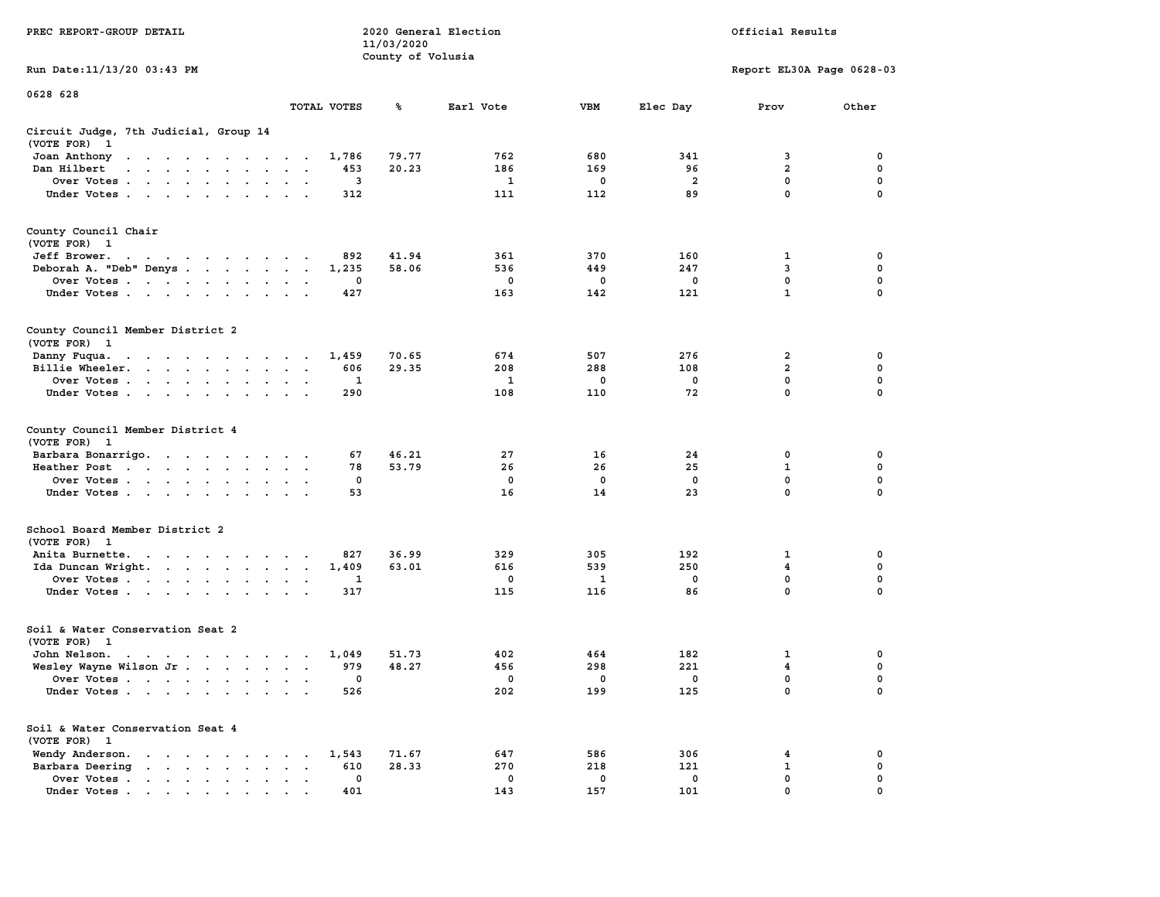| PREC REPORT-GROUP DETAIL                                                                                                        |       |                                 | 2020 General Election |     |             | Official Results          |               |
|---------------------------------------------------------------------------------------------------------------------------------|-------|---------------------------------|-----------------------|-----|-------------|---------------------------|---------------|
|                                                                                                                                 |       | 11/03/2020<br>County of Volusia |                       |     |             |                           |               |
| Run Date: 11/13/20 03:43 PM                                                                                                     |       |                                 |                       |     |             | Report EL30A Page 0628-03 |               |
| 0628 628                                                                                                                        |       |                                 |                       |     |             |                           |               |
| TOTAL VOTES                                                                                                                     |       | ጜ                               | Earl Vote             | VBM | Elec Day    | Prov                      | Other         |
| Circuit Judge, 7th Judicial, Group 14<br>(VOTE FOR) 1                                                                           |       |                                 |                       |     |             |                           |               |
| Joan Anthony                                                                                                                    | 1,786 | 79.77                           | 762                   | 680 | 341         | 3                         | 0             |
| Dan Hilbert<br>and a series of the contract of the                                                                              | 453   | 20.23                           | 186                   | 169 | 96          | $\overline{a}$            | 0             |
| Over Votes                                                                                                                      | 3     |                                 | 1                     | 0   | 2           | 0                         | 0             |
| Under Votes                                                                                                                     | 312   |                                 | 111                   | 112 | 89          | $\mathbf 0$               | $\Omega$      |
| County Council Chair<br>(VOTE FOR) 1                                                                                            |       |                                 |                       |     |             |                           |               |
| Jeff Brower.<br>the contract of the contract of the contract of the contract of the contract of the contract of the contract of | 892   | 41.94                           | 361                   | 370 | 160         | 1                         | 0             |
| Deborah A. "Deb" Denys                                                                                                          | 1,235 | 58.06                           | 536                   | 449 | 247         | 3                         | 0             |
| Over Votes                                                                                                                      | 0     |                                 | 0                     | 0   | $\mathbf 0$ | $\mathbf 0$               | $\mathbf 0$   |
| Under Votes                                                                                                                     | 427   |                                 | 163                   | 142 | 121         | $\mathbf{1}$              | 0             |
| County Council Member District 2<br>(VOTE FOR) 1                                                                                |       |                                 |                       |     |             |                           |               |
| Danny Fuqua.                                                                                                                    | 1,459 | 70.65                           | 674                   | 507 | 276         | 2                         | 0             |
| Billie Wheeler.                                                                                                                 | 606   | 29.35                           | 208                   | 288 | 108         | $\overline{2}$            | 0             |
| Over Votes                                                                                                                      | 1     |                                 | 1                     | 0   | 0           | $\mathbf{0}$              | 0             |
| Under Votes                                                                                                                     | 290   |                                 | 108                   | 110 | 72          | $\mathbf 0$               | 0             |
| County Council Member District 4<br>(VOTE FOR) 1                                                                                |       |                                 |                       |     |             |                           |               |
| Barbara Bonarrigo.                                                                                                              | 67    | 46.21                           | 27                    | 16  | 24          | 0                         | 0             |
| Heather Post                                                                                                                    | 78    | 53.79                           | 26                    | 26  | 25          | $\mathbf 1$               | 0             |
| Over Votes                                                                                                                      | 0     |                                 | 0                     | 0   | 0           | 0<br>$\mathbf 0$          | 0<br>$\Omega$ |
| Under Votes                                                                                                                     | 53    |                                 | 16                    | 14  | 23          |                           |               |
| School Board Member District 2<br>(VOTE FOR) 1                                                                                  |       |                                 |                       |     |             |                           |               |
| Anita Burnette.                                                                                                                 | 827   | 36.99                           | 329                   | 305 | 192         | 1                         | 0             |
| Ida Duncan Wright.                                                                                                              | 1,409 | 63.01                           | 616                   | 539 | 250         | 4                         | 0             |
| Over Votes                                                                                                                      | 1     |                                 | 0                     | 1   | $\mathbf 0$ | 0                         | $\mathbf 0$   |
| Under Votes                                                                                                                     | 317   |                                 | 115                   | 116 | 86          | $\mathbf{0}$              | 0             |
| Soil & Water Conservation Seat 2<br>(VOTE FOR) 1                                                                                |       |                                 |                       |     |             |                           |               |
| John Nelson.<br>the contract of the contract of the contract of the contract of the contract of the contract of the contract of | 1,049 | 51.73                           | 402                   | 464 | 182         | 1                         | 0             |
| Wesley Wayne Wilson Jr.                                                                                                         | 979   | 48.27                           | 456                   | 298 | 221         | 4                         | 0             |
| Over Votes                                                                                                                      | 0     |                                 | 0                     | 0   | 0           | $\mathbf{0}$              | 0             |
| Under Votes                                                                                                                     | 526   |                                 | 202                   | 199 | 125         | 0                         | 0             |
| Soil & Water Conservation Seat 4<br>(VOTE FOR) 1                                                                                |       |                                 |                       |     |             |                           |               |
| Wendy Anderson.                                                                                                                 | 1,543 | 71.67                           | 647                   | 586 | 306         | 4                         | 0             |
| Barbara Deering<br>$\bullet$<br>$\ddot{\phantom{a}}$                                                                            | 610   | 28.33                           | 270                   | 218 | 121         | $\mathbf{1}$              | 0             |
| Over Votes                                                                                                                      | 0     |                                 | 0                     | 0   | 0           | $\mathbf 0$               | 0             |
| Under Votes                                                                                                                     | 401   |                                 | 143                   | 157 | 101         | $\mathbf{0}$              | $\Omega$      |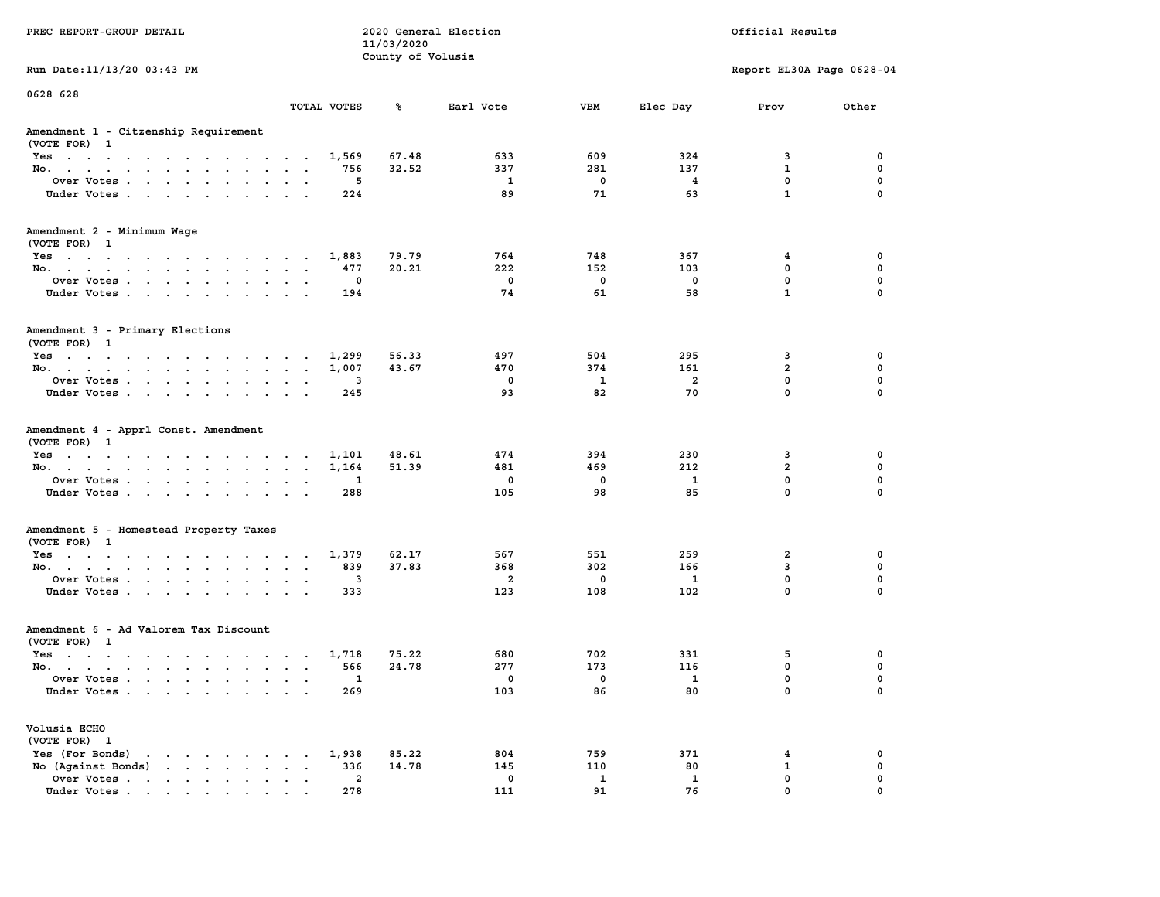|                                                                                       |                                                       | 11/03/2020        |                |              |                |                           |             |
|---------------------------------------------------------------------------------------|-------------------------------------------------------|-------------------|----------------|--------------|----------------|---------------------------|-------------|
|                                                                                       |                                                       | County of Volusia |                |              |                |                           |             |
| Run Date: 11/13/20 03:43 PM                                                           |                                                       |                   |                |              |                | Report EL30A Page 0628-04 |             |
| 0628 628                                                                              |                                                       |                   |                |              |                |                           |             |
|                                                                                       | TOTAL VOTES                                           | ℁                 | Earl Vote      | VBM          | Elec Day       | Prov                      | Other       |
| Amendment 1 - Citzenship Requirement                                                  |                                                       |                   |                |              |                |                           |             |
| (VOTE FOR) 1                                                                          |                                                       |                   |                |              |                |                           |             |
| Yes                                                                                   | 1,569                                                 | 67.48             | 633            | 609          | 324            | 3                         | 0           |
| No.<br>$\sim$<br>$\mathbf{L} = \mathbf{L}$<br>$\sim$                                  | 756                                                   | 32.52             | 337            | 281          | 137            | $\mathbf{1}$              | $\mathbf 0$ |
| Over Votes                                                                            | 5<br>$\ddot{\phantom{a}}$                             |                   | $\mathbf{1}$   | $\mathbf 0$  | $\overline{4}$ | $\mathbf 0$               | $\mathbf 0$ |
| Under Votes<br>$\sim$<br>$\sim$<br>$\ddot{\phantom{a}}$                               | 224<br>$\ddot{\phantom{a}}$                           |                   | 89             | 71           | 63             | $\mathbf{1}$              | $\mathbf 0$ |
|                                                                                       |                                                       |                   |                |              |                |                           |             |
| Amendment 2 - Minimum Wage                                                            |                                                       |                   |                |              |                |                           |             |
| (VOTE FOR) 1                                                                          |                                                       |                   |                |              |                |                           |             |
| Yes                                                                                   | 1,883                                                 | 79.79             | 764            | 748          | 367            | 4                         | $\mathbf 0$ |
| No.                                                                                   | 477<br><b>Carl Carl</b>                               | 20.21             | 222            | 152          | 103            | $\mathbf 0$               | $\mathbf 0$ |
| Over Votes<br>$\ddot{\phantom{a}}$<br>$\ddot{\phantom{a}}$<br>$\ddot{\phantom{a}}$    | $\mathbf 0$<br>$\ddot{\phantom{a}}$<br>$\sim$         |                   | $\mathbf 0$    | $\mathbf 0$  | $\mathbf 0$    | $\mathbf 0$               | $\mathbf 0$ |
| Under Votes<br>$\sim$ $\sim$                                                          | 194<br>$\cdot$ $\cdot$                                |                   | 74             | 61           | 58             | $\mathbf{1}$              | $\mathbf 0$ |
|                                                                                       |                                                       |                   |                |              |                |                           |             |
| Amendment 3 - Primary Elections                                                       |                                                       |                   |                |              |                |                           |             |
| (VOTE FOR) 1                                                                          |                                                       |                   |                |              |                |                           |             |
| Yes                                                                                   | 1,299<br>$\ddot{\phantom{a}}$                         | 56.33             | 497            | 504          | 295            | 3                         | 0           |
| No.<br>$\mathbf{z} = \mathbf{z} + \mathbf{z}$                                         | 1,007<br>$\sim$ $-$<br>$\blacksquare$                 | 43.67             | 470            | 374          | 161            | $\overline{2}$            | $\mathbf 0$ |
| Over Votes<br>$\sim$<br>$\bullet$<br>$\ddot{\phantom{0}}$                             | 3<br>$\cdot$                                          |                   | 0              | 1            | $\overline{a}$ | 0                         | 0           |
| Under Votes<br>$\sim$ $\sim$                                                          | 245<br>$\cdot$<br>$\,$ .                              |                   | 93             | 82           | 70             | $\mathbf{0}$              | 0           |
| Amendment 4 - Apprl Const. Amendment                                                  |                                                       |                   |                |              |                |                           |             |
| (VOTE FOR) 1                                                                          |                                                       |                   |                |              |                |                           |             |
| Yes                                                                                   | 1,101<br>$\ddot{\phantom{a}}$                         | 48.61             | 474            | 394          | 230            | 3                         | 0           |
| No.<br>$\sim$<br>$\sim$<br>$\ddot{\phantom{0}}$                                       | 1,164<br>$\ddot{\phantom{a}}$<br>$\ddot{\phantom{a}}$ | 51.39             | 481            | 469          | 212            | $\overline{a}$            | $\mathbf 0$ |
| Over Votes                                                                            | 1<br>$\sim$<br>$\sim$                                 |                   | $\mathbf 0$    | $\mathbf 0$  | $\mathbf{1}$   | $\mathbf 0$               | $\mathbf 0$ |
| Under Votes<br>$\sim$ $\sim$ $\sim$<br>$\cdot$<br>$\overline{\phantom{a}}$<br>$\cdot$ | 288<br>$\ddot{\phantom{a}}$<br>$\lambda$              |                   | 105            | 98           | 85             | $\mathbf 0$               | $\mathbf 0$ |
|                                                                                       |                                                       |                   |                |              |                |                           |             |
| Amendment 5 - Homestead Property Taxes<br>(VOTE FOR) 1                                |                                                       |                   |                |              |                |                           |             |
| Yes                                                                                   | 1,379                                                 | 62.17             | 567            | 551          | 259            | $\overline{\mathbf{2}}$   | 0           |
| No.<br>$\sim$<br>$\bullet$<br>$\ddot{\phantom{a}}$                                    | 839<br>$\blacksquare$<br>$\ddot{\phantom{a}}$         | 37.83             | 368            | 302          | 166            | 3                         | $\mathbf 0$ |
| Over Votes<br>$\ddot{\phantom{0}}$<br>$\ddot{\phantom{a}}$<br>$\bullet$               | 3<br>$\cdot$<br>$\cdot$                               |                   | $\overline{a}$ | $\mathbf 0$  | $\mathbf{1}$   | $\mathbf 0$               | $\mathbf 0$ |
| Under Votes                                                                           | 333<br>$\ddot{\phantom{a}}$<br>$\cdot$                |                   | 123            | 108          | 102            | $\mathbf 0$               | 0           |
|                                                                                       |                                                       |                   |                |              |                |                           |             |
| Amendment 6 - Ad Valorem Tax Discount                                                 |                                                       |                   |                |              |                |                           |             |
| (VOTE FOR) 1                                                                          |                                                       |                   |                |              |                |                           |             |
| $Yes \cdot \cdot \cdot \cdot \cdot \cdot \cdot \cdot \cdot$                           | 1,718<br>$\cdot$ $\cdot$ $\cdot$ $\cdot$ $\cdot$      | 75.22             | 680            | 702          | 331            | 5                         | 0           |
| No.<br>$\mathbf{a}=\mathbf{a}$                                                        | 566<br>$\cdot$ .                                      | 24.78             | 277            | 173          | 116            | 0                         | 0           |
| Over Votes.<br>$\cdot$                                                                | 1<br>$\ddot{\phantom{0}}$                             |                   | 0              | $\mathbf 0$  | 1              | 0                         | 0           |
| $\bullet$<br>$\ddot{\phantom{1}}$                                                     | $\bullet$<br>269                                      |                   | 103            | 86           | 80             | $\mathbf{0}$              | $\Omega$    |
| Under Votes                                                                           |                                                       |                   |                |              |                |                           |             |
| Volusia ECHO                                                                          |                                                       |                   |                |              |                |                           |             |
| (VOTE FOR) 1                                                                          |                                                       |                   |                |              |                |                           |             |
| Yes (For Bonds)<br>the contract of the contract of the con-                           | 1,938                                                 | 85.22             | 804            | 759          | 371            | 4                         | 0           |
| No (Against Bonds)<br>$\sim$ $\sim$                                                   | 336<br>$\sim$<br>$\sim$                               | 14.78             | 145            | 110          | 80             | $\mathbf{1}$              | $\mathbf 0$ |
| Over Votes<br>the contract of the contract of<br>$\bullet$<br>$\ddot{\phantom{a}}$    | $\overline{2}$<br>$\ddot{\phantom{a}}$<br>$\cdot$     |                   | $\mathbf 0$    | $\mathbf{1}$ | $\mathbf{1}$   | $\mathbf 0$               | 0           |
| Under Votes<br>$\cdot$                                                                | 278                                                   |                   | 111            | 91           | 76             | $\mathbf 0$               | $\mathbf 0$ |
|                                                                                       |                                                       |                   |                |              |                |                           |             |

**PREC REPORT-GROUP DETAIL COMPUTER CONSUMING A LOCAL PREC** REPORT-GROUP DETAIL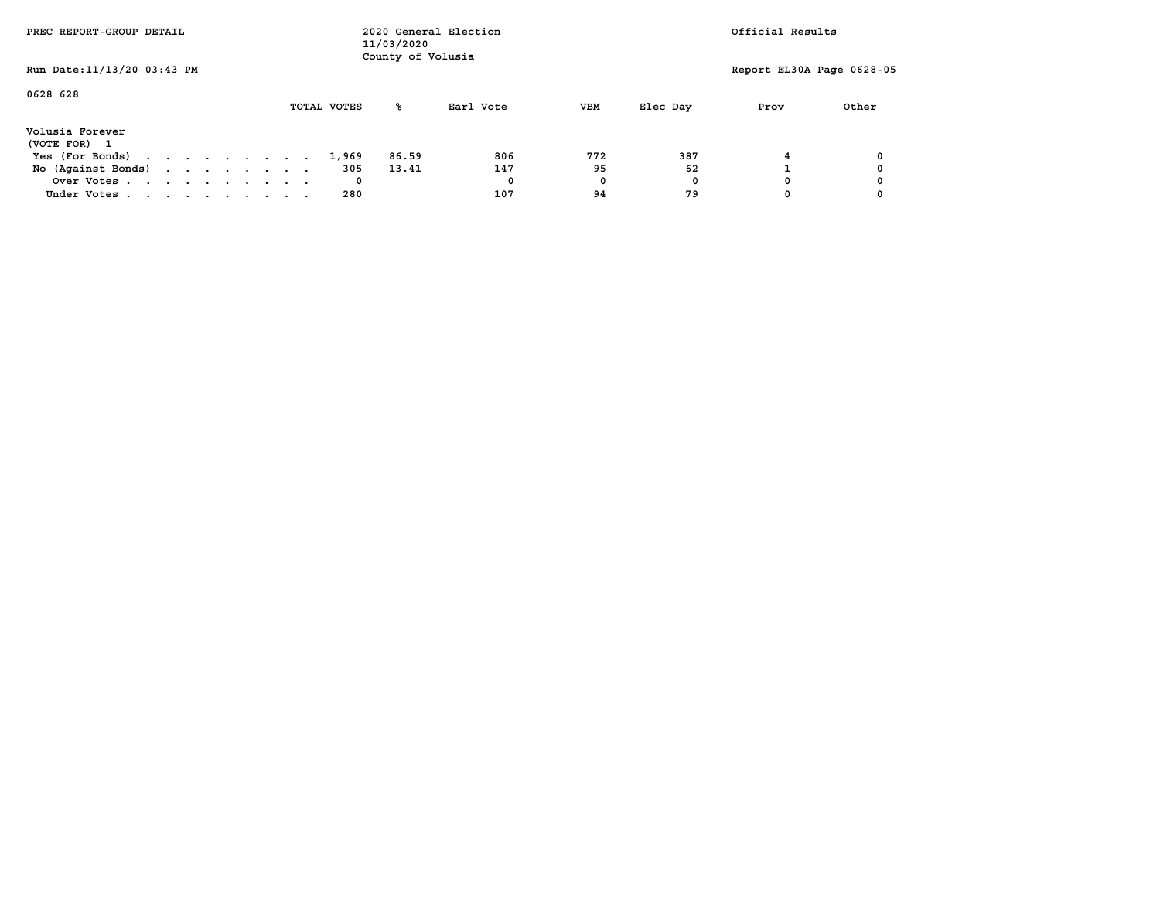| PREC REPORT-GROUP DETAIL                      |  |  |  |  |             | 11/03/2020<br>County of Volusia | 2020 General Election |     |          | Official Results          |       |
|-----------------------------------------------|--|--|--|--|-------------|---------------------------------|-----------------------|-----|----------|---------------------------|-------|
| Run Date: 11/13/20 03:43 PM                   |  |  |  |  |             |                                 |                       |     |          | Report EL30A Page 0628-05 |       |
| 0628 628                                      |  |  |  |  | TOTAL VOTES | °≈                              | Earl Vote             | VBM | Elec Day | Prov                      | Other |
| Volusia Forever<br>(VOTE FOR)<br>$\mathbf{1}$ |  |  |  |  |             |                                 |                       |     |          |                           |       |
| Yes (For Bonds)                               |  |  |  |  | 1,969       | 86.59                           | 806                   | 772 | 387      |                           |       |
| No (Against Bonds)                            |  |  |  |  | 305         | 13.41                           | 147                   | 95  | 62       |                           |       |
| Over Votes                                    |  |  |  |  | 0           |                                 | 0                     | 0   | 0        |                           |       |
| Under Votes                                   |  |  |  |  | 280         |                                 | 107                   | 94  | 79       |                           |       |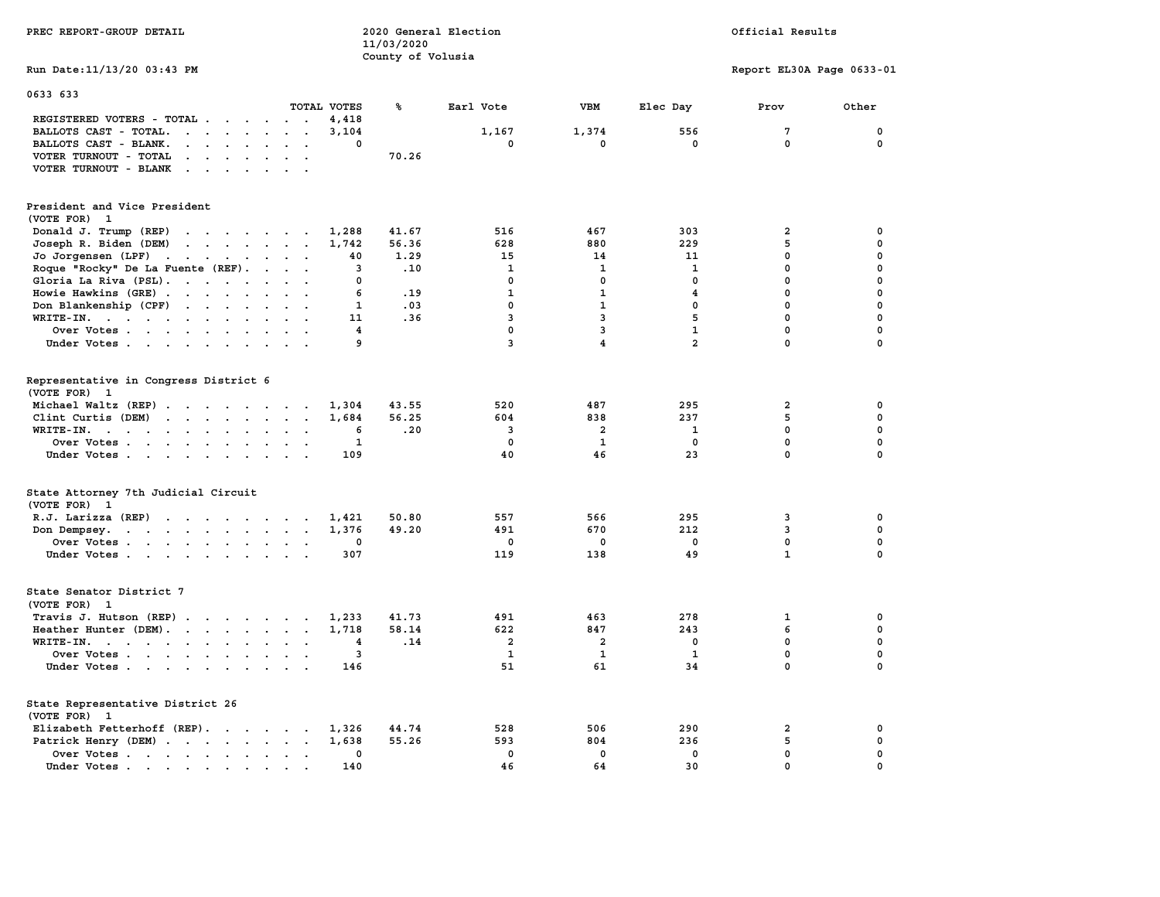| PREC REPORT-GROUP DETAIL                                                                                                                                                                                                                                                                                                                                                                                                                                                                                                                                                                                                                                                       | 2020 General Election<br>11/03/2020<br>County of Volusia |                                                  |                                           |                                          | Official Results                               |                                                          |
|--------------------------------------------------------------------------------------------------------------------------------------------------------------------------------------------------------------------------------------------------------------------------------------------------------------------------------------------------------------------------------------------------------------------------------------------------------------------------------------------------------------------------------------------------------------------------------------------------------------------------------------------------------------------------------|----------------------------------------------------------|--------------------------------------------------|-------------------------------------------|------------------------------------------|------------------------------------------------|----------------------------------------------------------|
| Run Date: 11/13/20 03:43 PM                                                                                                                                                                                                                                                                                                                                                                                                                                                                                                                                                                                                                                                    |                                                          |                                                  |                                           |                                          | Report EL30A Page 0633-01                      |                                                          |
| 0633 633<br>TOTAL VOTES                                                                                                                                                                                                                                                                                                                                                                                                                                                                                                                                                                                                                                                        | ℁                                                        | Earl Vote                                        | <b>VBM</b>                                | Elec Day                                 | Prov                                           | Other                                                    |
| REGISTERED VOTERS - TOTAL<br>4,418<br>BALLOTS CAST - TOTAL.<br>$\mathbf{r}$ , $\mathbf{r}$ , $\mathbf{r}$ , $\mathbf{r}$ , $\mathbf{r}$<br>3,104<br>$\ddot{\phantom{a}}$<br>BALLOTS CAST - BLANK.<br>$\cdot$ $\cdot$ $\cdot$ $\cdot$ $\cdot$<br>$\ddot{\phantom{a}}$<br>$\ddot{\phantom{a}}$<br>VOTER TURNOUT - TOTAL<br>$\mathbf{r}$ , $\mathbf{r}$ , $\mathbf{r}$ , $\mathbf{r}$ , $\mathbf{r}$ , $\mathbf{r}$<br>VOTER TURNOUT - BLANK<br>$\mathbf{r}$ . The set of the set of the set of the set of the set of the set of the set of the set of the set of the set of the set of the set of the set of the set of the set of the set of the set of the set of the set of t | 0<br>70.26                                               | 1,167<br>0                                       | 1,374<br>0                                | 556<br>$^{\circ}$                        | 7<br>$\mathbf{0}$                              | 0<br>0                                                   |
| President and Vice President<br>(VOTE FOR) 1                                                                                                                                                                                                                                                                                                                                                                                                                                                                                                                                                                                                                                   |                                                          |                                                  |                                           |                                          |                                                |                                                          |
| Donald J. Trump (REP)<br>1,288<br>Joseph R. Biden (DEM)<br>the contract of the contract of<br>1,742<br>Jo Jorgensen $(LPF)$                                                                                                                                                                                                                                                                                                                                                                                                                                                                                                                                                    | 41.67<br>56.36<br>1.29<br>40                             | 516<br>628<br>15                                 | 467<br>880<br>14                          | 303<br>229<br>11                         | 2<br>5<br>0                                    | 0<br>$\mathbf 0$<br>0                                    |
| Roque "Rocky" De La Fuente (REF).<br>$\cdots$<br>Gloria La Riva (PSL).<br>Howie Hawkins (GRE)<br>$\sim$<br>$\ddot{\phantom{a}}$                                                                                                                                                                                                                                                                                                                                                                                                                                                                                                                                                | .10<br>3<br>0<br>6<br>.19                                | $\mathbf{1}$<br>$\mathbf 0$<br>1                 | 1<br>$\mathbf 0$<br>$\mathbf{1}$          | $\mathbf{1}$<br>$\mathbf 0$<br>4         | $\mathbf 0$<br>$\mathbf 0$<br>$\mathbf 0$      | 0<br>0<br>0                                              |
| Don Blankenship (CPF)<br>$WRITE-IN.$<br>$\ddot{\phantom{a}}$<br>$\ddot{\phantom{a}}$<br>$\sim$<br>$\overline{\phantom{a}}$<br>Over Votes<br>Under Votes                                                                                                                                                                                                                                                                                                                                                                                                                                                                                                                        | $\mathbf{1}$<br>.03<br>.36<br>11<br>4<br>9               | 0<br>3<br>0<br>3                                 | 1<br>3<br>3<br>$\overline{4}$             | 0<br>5<br>$\mathbf{1}$<br>$\overline{a}$ | 0<br>$\mathbf 0$<br>$\mathbf 0$<br>$\mathbf 0$ | $\mathbf 0$<br>$\mathbf 0$<br>$\mathbf 0$<br>$\mathbf 0$ |
| Representative in Congress District 6<br>(VOTE FOR) 1<br>Michael Waltz (REP)<br>1,304                                                                                                                                                                                                                                                                                                                                                                                                                                                                                                                                                                                          | 43.55                                                    | 520                                              | 487                                       | 295                                      | $\overline{2}$                                 | 0                                                        |
| Clint Curtis (DEM)<br>WRITE-IN.<br>$\sim$ $\sim$<br>Over Votes<br>$\blacksquare$<br>$\bullet$<br>Under Votes                                                                                                                                                                                                                                                                                                                                                                                                                                                                                                                                                                   | 56.25<br>1,684<br>.20<br>6<br>$\mathbf{1}$<br>109        | 604<br>3<br>0<br>40                              | 838<br>$\overline{\mathbf{2}}$<br>1<br>46 | 237<br>1<br>0<br>23                      | 5<br>$\mathbf 0$<br>0<br>$\mathbf{0}$          | $\mathbf 0$<br>$\mathbf 0$<br>$\pmb{0}$<br>$\Omega$      |
| State Attorney 7th Judicial Circuit<br>(VOTE FOR) 1                                                                                                                                                                                                                                                                                                                                                                                                                                                                                                                                                                                                                            |                                                          |                                                  |                                           |                                          |                                                |                                                          |
| R.J. Larizza $(REP)$<br>1,421<br>1,376<br>Don Dempsey.<br>the contract of the contract of the contract of the contract of the contract of the contract of the contract of<br>Over Votes<br>Under Votes                                                                                                                                                                                                                                                                                                                                                                                                                                                                         | 50.80<br>49.20<br>0<br>307                               | 557<br>491<br>0<br>119                           | 566<br>670<br>0<br>138                    | 295<br>212<br>0<br>49                    | 3<br>3<br>0<br>$\mathbf{1}$                    | 0<br>$\mathbf 0$<br>0<br>$\Omega$                        |
| State Senator District 7<br>(VOTE FOR) 1                                                                                                                                                                                                                                                                                                                                                                                                                                                                                                                                                                                                                                       |                                                          |                                                  |                                           |                                          |                                                |                                                          |
| Travis J. Hutson (REP)<br>1,233<br>Heather Hunter (DEM).<br>1,718<br>WRITE-IN.<br>$\overline{\phantom{a}}$<br>Over Votes<br>$\mathbf{L}=\mathbf{L}$<br>Under Votes                                                                                                                                                                                                                                                                                                                                                                                                                                                                                                             | 41.73<br>58.14<br>4<br>.14<br>3<br>146                   | 491<br>622<br>$\overline{\mathbf{2}}$<br>1<br>51 | 463<br>847<br>$\overline{a}$<br>1<br>61   | 278<br>243<br>$\mathbf 0$<br>1<br>34     | 1<br>6<br>$\mathbf 0$<br>0<br>0                | 0<br>0<br>$\mathbf 0$<br>0<br>$\Omega$                   |
| State Representative District 26<br>(VOTE FOR) 1                                                                                                                                                                                                                                                                                                                                                                                                                                                                                                                                                                                                                               |                                                          |                                                  |                                           |                                          |                                                |                                                          |
| Elizabeth Fetterhoff (REP).<br>1,326<br>Patrick Henry (DEM)<br>1,638<br>Over Votes<br>Under Votes<br>$\sim$<br>$\sim$                                                                                                                                                                                                                                                                                                                                                                                                                                                                                                                                                          | 44.74<br>55.26<br>0<br>140                               | 528<br>593<br>$\mathbf 0$<br>46                  | 506<br>804<br>$\mathbf 0$<br>64           | 290<br>236<br>$\mathbf 0$<br>30          | 2<br>5<br>$\mathbf 0$<br>0                     | 0<br>$\mathbf 0$<br>$\mathbf 0$<br>0                     |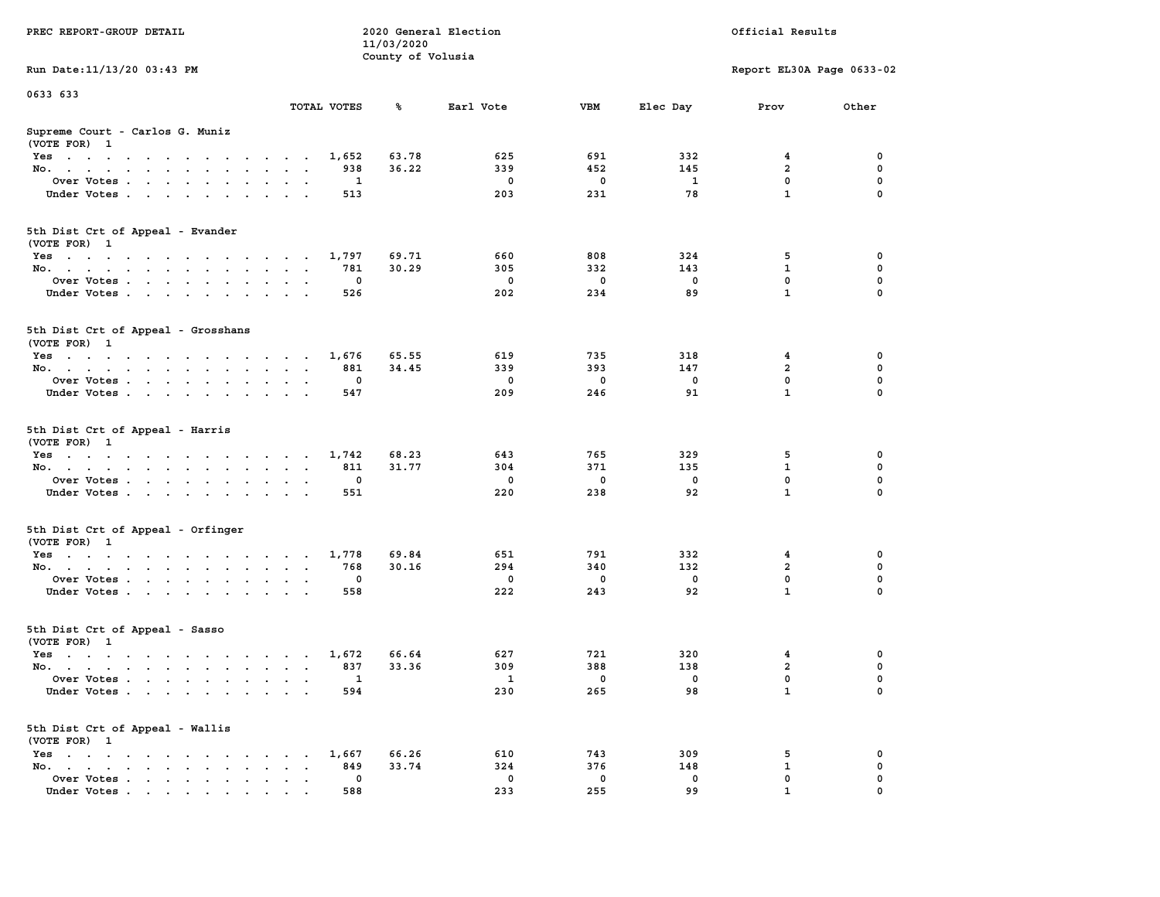|                                                                                                                                |                                                         | 11/03/2020        |              |             |              |                           |             |
|--------------------------------------------------------------------------------------------------------------------------------|---------------------------------------------------------|-------------------|--------------|-------------|--------------|---------------------------|-------------|
|                                                                                                                                |                                                         | County of Volusia |              |             |              |                           |             |
| Run Date: 11/13/20 03:43 PM                                                                                                    |                                                         |                   |              |             |              | Report EL30A Page 0633-02 |             |
|                                                                                                                                |                                                         |                   |              |             |              |                           |             |
| 0633 633                                                                                                                       |                                                         |                   |              |             |              |                           |             |
|                                                                                                                                | TOTAL VOTES                                             | ℁                 | Earl Vote    | <b>VBM</b>  | Elec Day     | Prov                      | Other       |
| Supreme Court - Carlos G. Muniz                                                                                                |                                                         |                   |              |             |              |                           |             |
| (VOTE FOR) 1                                                                                                                   |                                                         |                   |              |             |              |                           |             |
| $Yes \cdot \cdot \cdot \cdot \cdot \cdot \cdot \cdot \cdot$                                                                    | 1,652<br>$\sim$ $\sim$ $\sim$ $\sim$ $\sim$             | 63.78             | 625          | 691         | 332          | 4                         | 0           |
| No.<br>$\mathbf{r} = \mathbf{r}$<br>$\mathbf{r}$                                                                               | 938<br>$\overline{\phantom{a}}$                         | 36.22             | 339          | 452         | 145          | $\overline{a}$            | $\mathbf 0$ |
| Over Votes.                                                                                                                    | 1                                                       |                   | $\mathbf 0$  | 0           | $\mathbf{1}$ | $\mathbf 0$               | $\mathbf 0$ |
| Under Votes                                                                                                                    | 513<br>$\sim$<br>$\overline{\phantom{a}}$               |                   | 203          | 231         | 78           | $\mathbf{1}$              | $\mathbf 0$ |
| $\sim$ $\sim$                                                                                                                  |                                                         |                   |              |             |              |                           |             |
|                                                                                                                                |                                                         |                   |              |             |              |                           |             |
| 5th Dist Crt of Appeal - Evander                                                                                               |                                                         |                   |              |             |              |                           |             |
| (VOTE FOR) 1                                                                                                                   |                                                         |                   |              |             |              |                           |             |
| Yes                                                                                                                            | 1,797                                                   | 69.71             | 660          | 808         | 324          | 5                         | 0           |
| No.                                                                                                                            | 781                                                     | 30.29             | 305          | 332         | 143          | $\mathbf{1}$              | $\mathbf 0$ |
| Over Votes                                                                                                                     | $\mathbf 0$                                             |                   | $\mathbf 0$  | $\mathbf 0$ | $\mathbf 0$  | 0                         | $\mathbf 0$ |
| Under Votes                                                                                                                    | 526                                                     |                   | 202          | 234         | 89           | $\mathbf{1}$              | 0           |
|                                                                                                                                |                                                         |                   |              |             |              |                           |             |
| 5th Dist Crt of Appeal - Grosshans                                                                                             |                                                         |                   |              |             |              |                           |             |
| (VOTE FOR) 1                                                                                                                   |                                                         |                   |              |             |              |                           |             |
| Yes                                                                                                                            | 1,676                                                   | 65.55             | 619          | 735         | 318          | 4                         | 0           |
| No.                                                                                                                            | 881                                                     | 34.45             | 339          | 393         | 147          | $\overline{a}$            | $\mathbf 0$ |
|                                                                                                                                | 0                                                       |                   | $\mathbf 0$  | $\mathbf 0$ | $\mathbf 0$  | $\mathbf 0$               | $\mathbf 0$ |
| Over Votes<br>$\ddot{\phantom{a}}$                                                                                             | $\cdot$<br>$\sim$<br>547                                |                   | 209          | 246         | 91           | $\mathbf{1}$              | $\mathbf 0$ |
| Under Votes                                                                                                                    |                                                         |                   |              |             |              |                           |             |
| 5th Dist Crt of Appeal - Harris<br>(VOTE FOR) 1                                                                                |                                                         |                   |              |             |              |                           |             |
| Yes                                                                                                                            | 1,742                                                   | 68.23             | 643          | 765         | 329          | 5                         | 0           |
| No.<br>$\sim$                                                                                                                  | 811<br>$\ddot{\phantom{0}}$<br>$\sim$                   | 31.77             | 304          | 371         | 135          | $\mathbf{1}$              | 0           |
| Over Votes                                                                                                                     | 0                                                       |                   | $\mathbf 0$  | $\mathbf 0$ | $\mathbf 0$  | $\mathbf 0$               | 0           |
| Under Votes                                                                                                                    | 551                                                     |                   | 220          | 238         | 92           | $\mathbf{1}$              | 0           |
|                                                                                                                                |                                                         |                   |              |             |              |                           |             |
| 5th Dist Crt of Appeal - Orfinger<br>(VOTE FOR) 1                                                                              |                                                         |                   |              |             |              |                           |             |
| Yes                                                                                                                            | 1,778                                                   | 69.84             | 651          | 791         | 332          | 4                         | 0           |
| No.<br>$\ddot{\phantom{a}}$                                                                                                    | 768<br>$\ddot{\phantom{0}}$<br>$\sim$<br>$\blacksquare$ | 30.16             | 294          | 340         | 132          | $\overline{\mathbf{2}}$   | 0           |
| Over Votes                                                                                                                     | $\Omega$                                                |                   | $\mathbf 0$  | $\mathbf 0$ | $\mathbf 0$  | $\mathbf 0$               | $\mathbf 0$ |
| Under Votes                                                                                                                    | 558<br>$\bullet$                                        |                   | 222          | 243         | 92           | $\mathbf{1}$              | $\mathbf 0$ |
|                                                                                                                                |                                                         |                   |              |             |              |                           |             |
| 5th Dist Crt of Appeal - Sasso<br>(VOTE FOR) 1                                                                                 |                                                         |                   |              |             |              |                           |             |
| Yes                                                                                                                            | 1,672                                                   | 66.64             | 627          | 721         | 320          | $\overline{\mathbf{4}}$   | $\mathbf 0$ |
| No.                                                                                                                            | 837                                                     | 33.36             | 309          | 388         | 138          | $\overline{a}$            | $\mathbf 0$ |
| Over Votes<br>$\cdot$                                                                                                          | 1<br>$\ddot{\phantom{a}}$<br>$\overline{a}$<br>$\cdot$  |                   | $\mathbf{1}$ | $\mathbf 0$ | $\mathbf 0$  | $\mathbf 0$               | $\mathbf 0$ |
| Under Votes                                                                                                                    | 594                                                     |                   | 230          | 265         | 98           | $\mathbf{1}$              | 0           |
|                                                                                                                                |                                                         |                   |              |             |              |                           |             |
| 5th Dist Crt of Appeal - Wallis<br>(VOTE FOR) 1                                                                                |                                                         |                   |              |             |              |                           |             |
| $Yes \t . \t .$<br>$\mathbf{r}$ , and $\mathbf{r}$ , and $\mathbf{r}$ , and $\mathbf{r}$                                       | 1,667<br><b>Service Control</b><br>$\ddot{\phantom{0}}$ | 66.26             | 610          | 743         | 309          | 5                         | 0           |
| No.<br>the contract of the contract of the con-                                                                                | 849<br>$\bullet$<br>$\ddot{\phantom{1}}$                | 33.74             | 324          | 376         | 148          | $\mathbf{1}$              | $\mathbf 0$ |
| Over Votes<br>$\ddot{\phantom{a}}$<br>$\bullet$                                                                                | 0<br>$\bullet$<br>$\ddot{\phantom{a}}$                  |                   | $\mathbf 0$  | $\mathbf 0$ | 0            | 0                         | 0           |
| Under Votes<br>the contract of the contract of the contract of the contract of the contract of the contract of the contract of | 588                                                     |                   | 233          | 255         | 99           | $\mathbf{1}$              | $\Omega$    |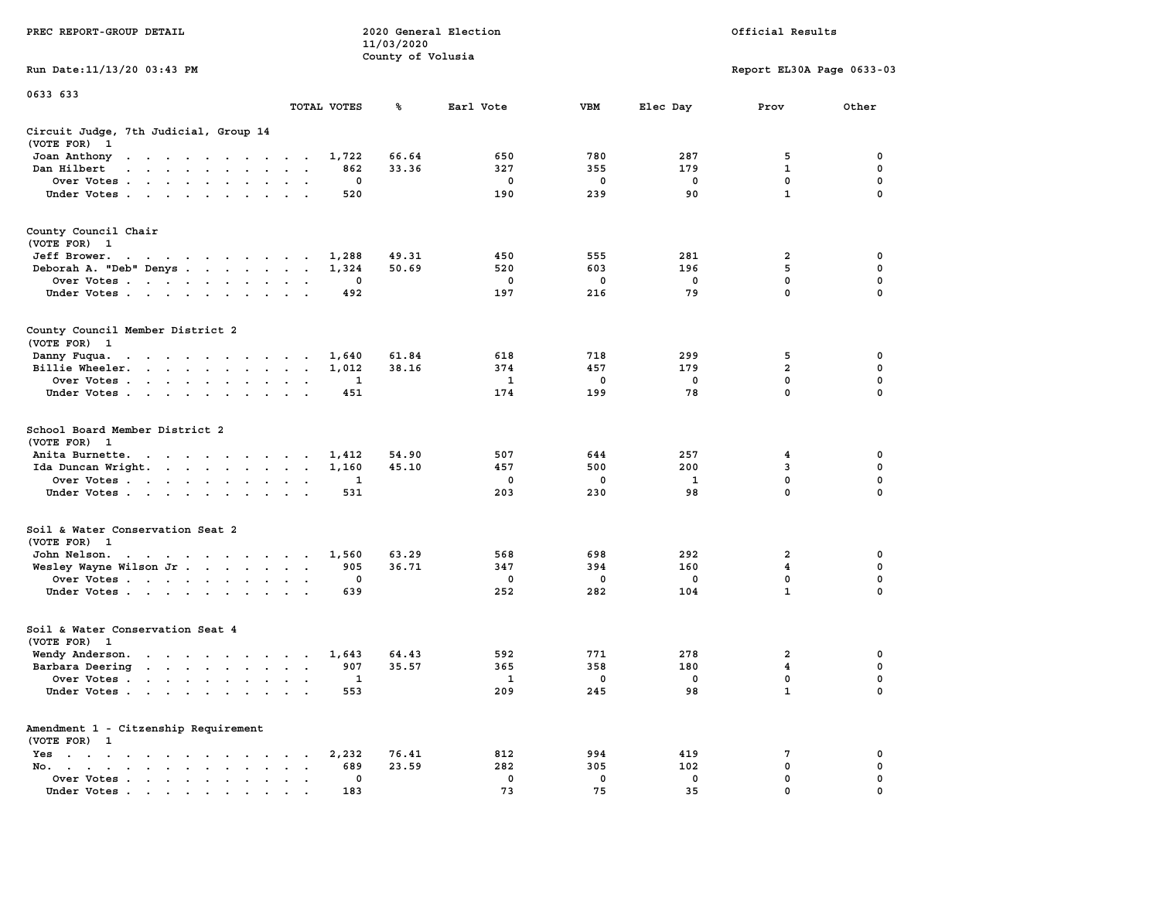|                                                                                                                                                                                                                                                            |                                                                  | 11/03/2020        |             |             |             |                           |             |
|------------------------------------------------------------------------------------------------------------------------------------------------------------------------------------------------------------------------------------------------------------|------------------------------------------------------------------|-------------------|-------------|-------------|-------------|---------------------------|-------------|
| Run Date:11/13/20 03:43 PM                                                                                                                                                                                                                                 |                                                                  | County of Volusia |             |             |             | Report EL30A Page 0633-03 |             |
|                                                                                                                                                                                                                                                            |                                                                  |                   |             |             |             |                           |             |
| 0633 633                                                                                                                                                                                                                                                   | TOTAL VOTES                                                      | ℁                 | Earl Vote   | <b>VBM</b>  | Elec Day    | Prov                      | Other       |
|                                                                                                                                                                                                                                                            |                                                                  |                   |             |             |             |                           |             |
| Circuit Judge, 7th Judicial, Group 14<br>(VOTE FOR)<br>$\mathbf{1}$                                                                                                                                                                                        |                                                                  |                   |             |             |             |                           |             |
| Joan Anthony<br>the contract of the contract of the contract of the contract of the contract of the contract of the contract of                                                                                                                            | 1,722                                                            | 66.64             | 650         | 780         | 287         | 5                         | 0           |
| Dan Hilbert<br>$\mathbf{r}$ . The set of the set of the set of the set of the set of the set of the set of the set of the set of the set of the set of the set of the set of the set of the set of the set of the set of the set of the set of t<br>$\sim$ | 862<br>$\sim$<br>$\sim$                                          | 33.36             | 327         | 355         | 179         | 1                         | 0           |
| Over Votes<br>$\overline{\phantom{a}}$                                                                                                                                                                                                                     | 0<br>$\cdot$<br>$\overline{\phantom{a}}$                         |                   | $\mathbf 0$ | $\mathbf 0$ | $\mathbf 0$ | 0                         | $\mathbf 0$ |
| Under Votes                                                                                                                                                                                                                                                | 520<br>$\cdot$                                                   |                   | 190         | 239         | 90          | $\mathbf{1}$              | 0           |
| County Council Chair<br>(VOTE FOR) 1                                                                                                                                                                                                                       |                                                                  |                   |             |             |             |                           |             |
| Jeff Brower.<br>the contract of the contract of the con-                                                                                                                                                                                                   | 1,288                                                            | 49.31             | 450         | 555         | 281         | 2                         | 0           |
| Deborah A. "Deb" Denys                                                                                                                                                                                                                                     | 1,324<br>$\ddot{\phantom{a}}$<br>$\ddot{\phantom{a}}$            | 50.69             | 520         | 603         | 196         | 5                         | $\mathbf 0$ |
| Over Votes<br>$\cdot$                                                                                                                                                                                                                                      | 0<br>$\cdot$                                                     |                   | 0           | 0           | $\mathbf 0$ | $\mathbf 0$               | $\mathbf 0$ |
| Under Votes                                                                                                                                                                                                                                                | 492<br>$\sim$                                                    |                   | 197         | 216         | 79          | $\mathbf{0}$              | $\mathbf 0$ |
| County Council Member District 2<br>(VOTE FOR) 1                                                                                                                                                                                                           |                                                                  |                   |             |             |             |                           |             |
| Danny Fuqua.<br>$\mathbf{r} = \mathbf{r} + \mathbf{r} + \mathbf{r} + \mathbf{r}$<br>$\bullet$ .<br><br><br><br><br><br><br><br><br><br><br><br>                                                                                                            | 1,640<br>$\sim$                                                  | 61.84             | 618         | 718         | 299         | 5                         | 0           |
| Billie Wheeler.<br><b>Contract Contract Contract</b><br>$\bullet$ .<br><br><br>$\bullet$ .<br>$\blacksquare$                                                                                                                                               | 1,012<br>$\ddot{\phantom{a}}$<br>$\cdot$<br>$\ddot{\phantom{a}}$ | 38.16             | 374         | 457         | 179         | $\overline{a}$            | 0           |
| Over Votes<br>$\ddot{\phantom{a}}$                                                                                                                                                                                                                         | 1<br>$\cdot$                                                     |                   | 1           | 0           | 0           | $\mathbf 0$               | $\mathbf 0$ |
| Under Votes<br>$\ddot{\phantom{0}}$<br>$\sim$<br>$\cdot$                                                                                                                                                                                                   | 451                                                              |                   | 174         | 199         | 78          | 0                         | 0           |
| School Board Member District 2<br>(VOTE FOR)<br>$\mathbf{1}$                                                                                                                                                                                               |                                                                  |                   |             |             |             |                           |             |
| Anita Burnette.<br>the contract of the contract of the contract of the contract of the contract of the contract of the contract of the contract of the contract of the contract of the contract of the contract of the contract of the contract o          | 1,412                                                            | 54.90             | 507         | 644         | 257         | 4                         | 0           |
| Ida Duncan Wright.                                                                                                                                                                                                                                         | 1,160<br>$\bullet$<br>$\bullet$<br>$\ddot{\phantom{a}}$          | 45.10             | 457         | 500         | 200         | 3                         | 0           |
| Over Votes                                                                                                                                                                                                                                                 | 1<br>$\ddot{\phantom{a}}$                                        |                   | 0           | 0           | 1           | $\mathbf 0$               | $\mathbf 0$ |
| Under Votes<br>$\ddot{\phantom{a}}$<br>$\ddot{\phantom{a}}$                                                                                                                                                                                                | 531                                                              |                   | 203         | 230         | 98          | $\mathbf 0$               | $\mathbf 0$ |
| Soil & Water Conservation Seat 2<br>(VOTE FOR) 1                                                                                                                                                                                                           |                                                                  |                   |             |             |             |                           |             |
| John Nelson.<br>the contract of the contract of the con-                                                                                                                                                                                                   | 1,560                                                            | 63.29             | 568         | 698         | 292         | $\overline{a}$            | 0           |
| Wesley Wayne Wilson Jr                                                                                                                                                                                                                                     | 905<br>$\bullet$<br>$\blacksquare$                               | 36.71             | 347         | 394         | 160         | 4                         | 0           |
| Over Votes                                                                                                                                                                                                                                                 | 0<br>$\cdot$<br>$\cdot$                                          |                   | 0           | 0           | $^{\circ}$  | 0                         | 0           |
| Under Votes<br>$\ddot{\phantom{0}}$                                                                                                                                                                                                                        | 639<br>$\ddot{\phantom{a}}$                                      |                   | 252         | 282         | 104         | $\mathbf{1}$              | 0           |
| Soil & Water Conservation Seat 4<br>(VOTE FOR)<br>$\mathbf{1}$                                                                                                                                                                                             |                                                                  |                   |             |             |             |                           |             |
| Wendy Anderson.<br>$\mathbf{u} = \mathbf{u} + \mathbf{u} + \mathbf{u} + \mathbf{u} + \mathbf{u} + \mathbf{u} + \mathbf{u} + \mathbf{u}$                                                                                                                    | 1,643<br>$\sim$                                                  | 64.43             | 592         | 771         | 278         | $\overline{\mathbf{2}}$   | 0           |
| Barbara Deering                                                                                                                                                                                                                                            | 907<br>$\bullet$<br>$\sim$<br>$\overline{\phantom{a}}$           | 35.57             | 365         | 358         | 180         | 4                         | 0           |
| Over Votes .<br>$\sim$ $\sim$ $\sim$ $\sim$ $\sim$ $\sim$ $\sim$<br>$\ddot{\phantom{0}}$<br>$\bullet$                                                                                                                                                      | 1<br>$\ddot{\phantom{a}}$<br>$\ddot{\phantom{a}}$                |                   | 1           | 0           | 0           | 0                         | 0           |
| Under Votes<br>$\ddot{\phantom{a}}$                                                                                                                                                                                                                        | 553<br>$\sim$<br>$\ddot{\phantom{a}}$                            |                   | 209         | 245         | 98          | $\mathbf{1}$              | $\mathbf 0$ |
| Amendment 1 - Citzenship Requirement<br>(VOTE FOR) 1                                                                                                                                                                                                       |                                                                  |                   |             |             |             |                           |             |
| Yes<br>$\overline{\phantom{a}}$<br>$\bullet$<br>$\ddot{\phantom{0}}$<br>$\ddot{\phantom{0}}$<br>$\ddot{\phantom{0}}$<br>$\cdot$<br>$\cdot$<br>$\bullet$                                                                                                    | 2,232<br>$\cdot$<br>$\cdot$                                      | 76.41             | 812         | 994         | 419         | 7                         | 0           |
| No.<br>the contract of the contract of the<br>$\mathbf{r} = \mathbf{r}$                                                                                                                                                                                    | 689                                                              | 23.59             | 282         | 305         | 102         | 0                         | 0           |
| Over Votes<br>$\sim$ $\sim$<br>$\bullet$<br>$\ddot{\phantom{1}}$ .<br>$\bullet$                                                                                                                                                                            | 0<br>$\bullet$                                                   |                   | 0           | $\mathbf 0$ | 0           | 0                         | 0           |
| Under Votes, , , , , , ,                                                                                                                                                                                                                                   | 183<br>$\sim$                                                    |                   | 73          | 75          | 35          | $\Omega$                  | $\mathbf 0$ |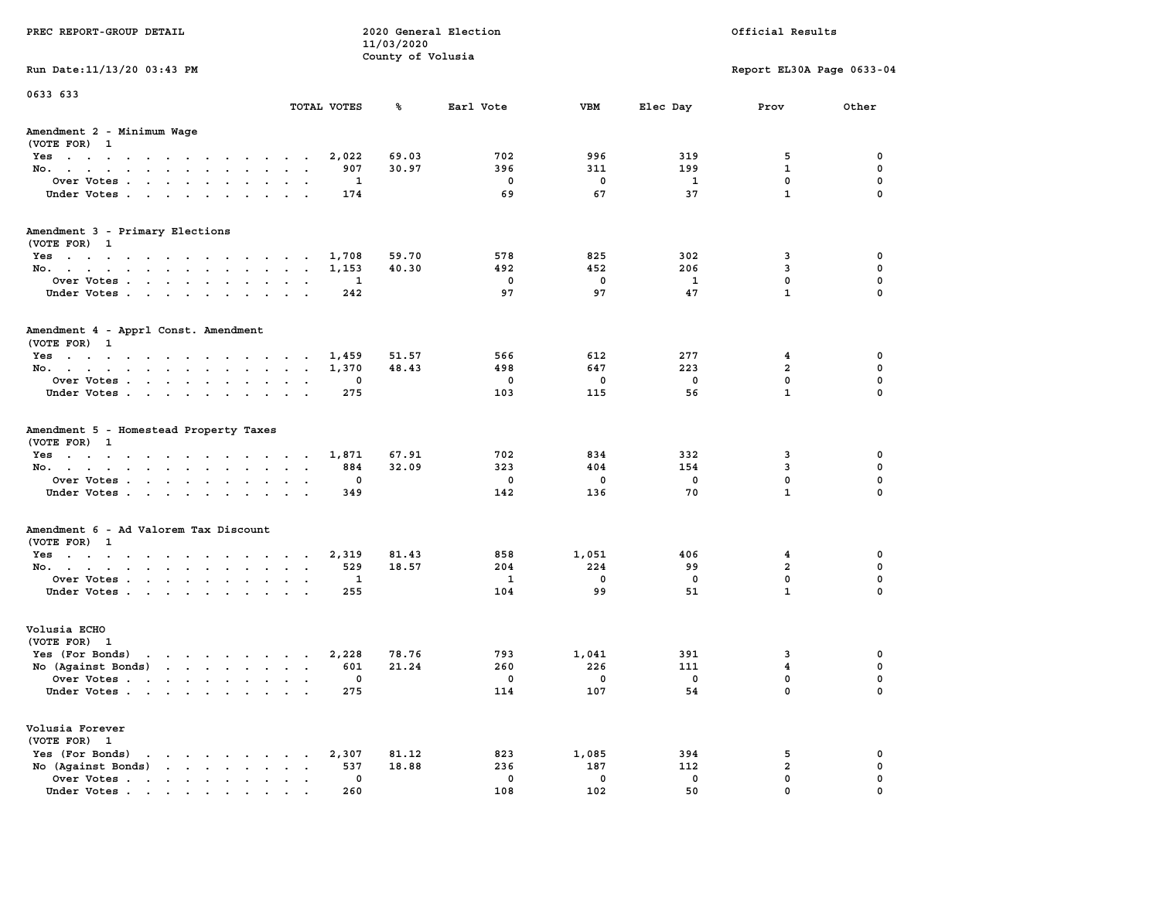| PREC REPORT-GROUP DETAIL                                                                                                                                                                                                                                             |                             | 11/03/2020        | 2020 General Election |              |          | Official Results              |                  |
|----------------------------------------------------------------------------------------------------------------------------------------------------------------------------------------------------------------------------------------------------------------------|-----------------------------|-------------------|-----------------------|--------------|----------|-------------------------------|------------------|
|                                                                                                                                                                                                                                                                      |                             | County of Volusia |                       |              |          |                               |                  |
| Run Date: 11/13/20 03:43 PM                                                                                                                                                                                                                                          |                             |                   |                       |              |          | Report EL30A Page 0633-04     |                  |
| 0633 633                                                                                                                                                                                                                                                             | TOTAL VOTES                 | ጜ                 | Earl Vote             | VBM          | Elec Day | Prov                          | Other            |
|                                                                                                                                                                                                                                                                      |                             |                   |                       |              |          |                               |                  |
| Amendment 2 - Minimum Wage<br>(VOTE FOR) 1                                                                                                                                                                                                                           |                             |                   |                       |              |          |                               |                  |
| Yes                                                                                                                                                                                                                                                                  | 2,022                       | 69.03             | 702                   | 996          | 319      | 5                             | 0                |
| No.                                                                                                                                                                                                                                                                  | 907                         | 30.97             | 396                   | 311          | 199      | $\mathbf{1}$                  | $\mathbf 0$      |
| Over Votes.                                                                                                                                                                                                                                                          | 1                           |                   | 0                     | 0            | 1        | $\mathbf 0$                   | 0                |
| Under Votes                                                                                                                                                                                                                                                          | 174                         |                   | 69                    | 67           | 37       | $\mathbf{1}$                  | $\mathbf 0$      |
| Amendment 3 - Primary Elections                                                                                                                                                                                                                                      |                             |                   |                       |              |          |                               |                  |
| (VOTE FOR) 1                                                                                                                                                                                                                                                         |                             |                   |                       |              |          |                               |                  |
| Yes                                                                                                                                                                                                                                                                  | 1,708                       | 59.70             | 578                   | 825          | 302      | 3                             | 0                |
| No.                                                                                                                                                                                                                                                                  | 1,153                       | 40.30             | 492                   | 452          | 206      | 3<br>$\mathbf 0$              | 0<br>$\mathbf 0$ |
| Over Votes<br>Under Votes                                                                                                                                                                                                                                            | 1<br>242                    |                   | $\mathbf{0}$<br>97    | 0<br>97      | 1<br>47  | $\mathbf{1}$                  | $\Omega$         |
|                                                                                                                                                                                                                                                                      |                             |                   |                       |              |          |                               |                  |
| Amendment 4 - Apprl Const. Amendment                                                                                                                                                                                                                                 |                             |                   |                       |              |          |                               |                  |
| (VOTE FOR) 1<br>$Yes \cdot \cdot \cdot \cdot \cdot \cdot \cdot \cdot \cdot \cdot \cdot \cdot \cdot \cdot$                                                                                                                                                            |                             |                   | 566                   |              | 277      |                               | 0                |
| No.                                                                                                                                                                                                                                                                  | 1,459<br>1,370              | 51.57<br>48.43    | 498                   | 612<br>647   | 223      | 4<br>2                        | 0                |
| Over Votes                                                                                                                                                                                                                                                           | 0                           |                   | 0                     | 0            | 0        | $\mathbf{0}$                  | $\mathbf 0$      |
| Under Votes                                                                                                                                                                                                                                                          | 275                         |                   | 103                   | 115          | 56       | $\mathbf{1}$                  | $\mathbf 0$      |
| Amendment 5 - Homestead Property Taxes<br>(VOTE FOR) 1                                                                                                                                                                                                               |                             |                   |                       |              |          |                               |                  |
| Yes                                                                                                                                                                                                                                                                  | 1,871                       | 67.91             | 702                   | 834          | 332      | 3                             | 0                |
| No.                                                                                                                                                                                                                                                                  | 884                         | 32.09             | 323                   | 404          | 154      | 3                             | $\mathbf 0$      |
| Over Votes                                                                                                                                                                                                                                                           | 0                           |                   | $\mathbf 0$           | 0            | 0        | $\mathbf 0$                   | 0                |
| Under Votes                                                                                                                                                                                                                                                          | 349                         |                   | 142                   | 136          | 70       | $\mathbf{1}$                  | $\Omega$         |
| Amendment 6 - Ad Valorem Tax Discount                                                                                                                                                                                                                                |                             |                   |                       |              |          |                               |                  |
| (VOTE FOR) 1                                                                                                                                                                                                                                                         |                             |                   |                       |              |          |                               |                  |
| Yes                                                                                                                                                                                                                                                                  | 2,319                       | 81.43             | 858                   | 1,051        | 406      | 4                             | 0                |
| No.                                                                                                                                                                                                                                                                  | 529                         | 18.57             | 204<br>1              | 224<br>0     | 99<br>0  | $\overline{2}$<br>$\mathbf 0$ | 0<br>0           |
| Over Votes<br>Under Votes                                                                                                                                                                                                                                            | 1<br>255                    |                   | 104                   | 99           | 51       | $\mathbf{1}$                  | $\Omega$         |
|                                                                                                                                                                                                                                                                      |                             |                   |                       |              |          |                               |                  |
| Volusia ECHO                                                                                                                                                                                                                                                         |                             |                   |                       |              |          |                               |                  |
| (VOTE FOR) 1<br>Yes (For Bonds)<br>$\mathbf{r}$ . The set of the set of the set of the set of the set of the set of the set of the set of the set of the set of the set of the set of the set of the set of the set of the set of the set of the set of the set of t |                             | 78.76             | 793                   |              | 391      |                               | 0                |
| No (Against Bonds)                                                                                                                                                                                                                                                   | 2,228<br>601                | 21.24             | 260                   | 1,041<br>226 | 111      | 3<br>$\overline{\mathbf{4}}$  | 0                |
| Over Votes .<br>the contract of the contract of the contract of the contract of the contract of the contract of the contract of                                                                                                                                      | 0                           |                   | 0                     | $\mathbf 0$  | 0        | $\mathbf{0}$                  | $\mathbf 0$      |
| Under Votes                                                                                                                                                                                                                                                          | 275                         |                   | 114                   | 107          | 54       | 0                             | 0                |
| Volusia Forever                                                                                                                                                                                                                                                      |                             |                   |                       |              |          |                               |                  |
| (VOTE FOR) 1                                                                                                                                                                                                                                                         |                             |                   |                       |              |          |                               |                  |
| Yes (For Bonds)                                                                                                                                                                                                                                                      | 2,307                       | 81.12             | 823                   | 1,085        | 394      | 5                             | 0                |
| $\mathbf{r}$ , $\mathbf{r}$ , $\mathbf{r}$ , $\mathbf{r}$<br>No (Against Bonds)                                                                                                                                                                                      | 537<br>$\ddot{\phantom{a}}$ | 18.88             | 236                   | 187          | 112      | $\overline{2}$                | 0                |
| Over Votes.<br>$\mathbf{r}$                                                                                                                                                                                                                                          | 0                           |                   | 0                     | 0            | 0        | $\mathbf 0$                   | 0                |
| Under Votes                                                                                                                                                                                                                                                          | 260                         |                   | 108                   | 102          | 50       | $\mathbf 0$                   | $\Omega$         |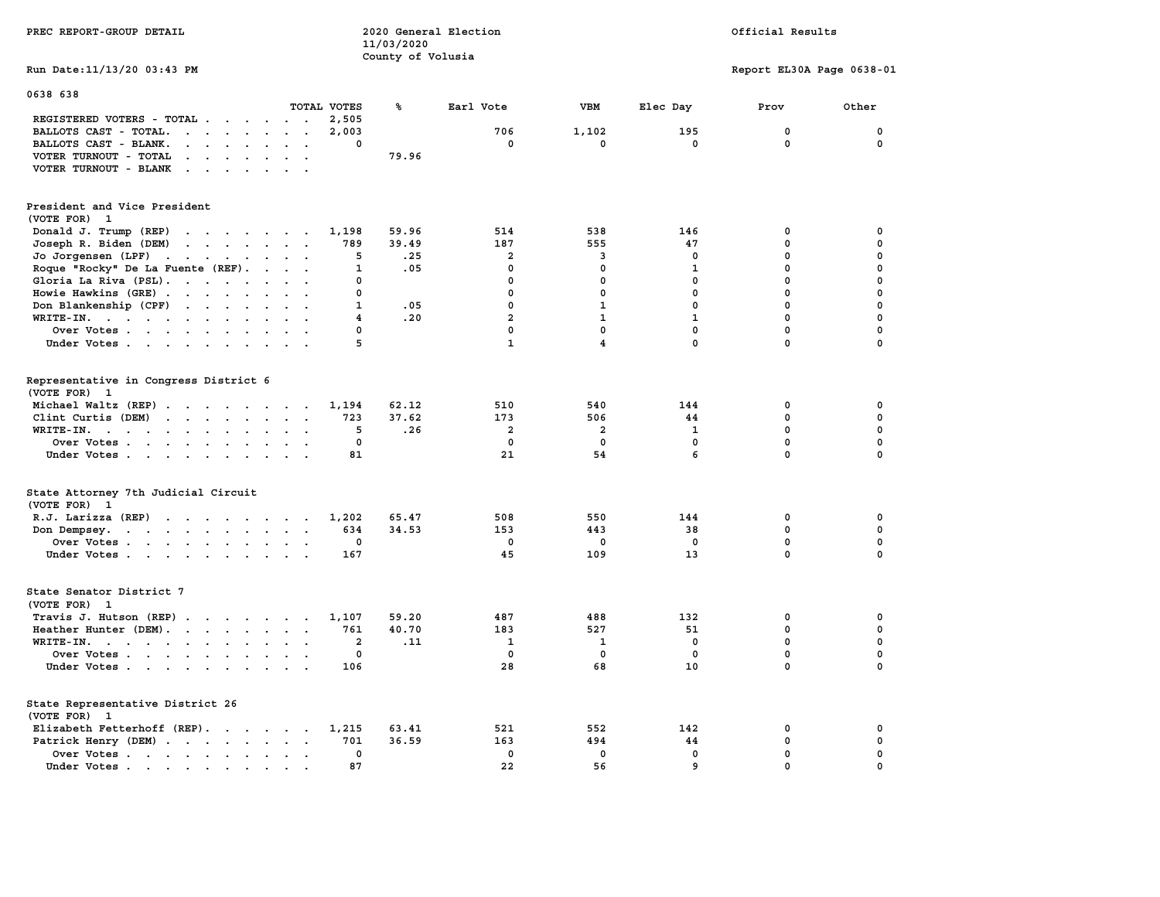| PREC REPORT-GROUP DETAIL                                                                                                                 |                           | 11/03/2020        | 2020 General Election |                         |              | Official Results          |              |  |
|------------------------------------------------------------------------------------------------------------------------------------------|---------------------------|-------------------|-----------------------|-------------------------|--------------|---------------------------|--------------|--|
| Run Date: 11/13/20 03:43 PM                                                                                                              |                           | County of Volusia |                       |                         |              | Report EL30A Page 0638-01 |              |  |
| 0638 638                                                                                                                                 | TOTAL VOTES               | ℁                 | Earl Vote             | <b>VBM</b>              | Elec Day     | Prov                      | Other        |  |
| REGISTERED VOTERS - TOTAL                                                                                                                | 2,505                     |                   |                       |                         |              |                           |              |  |
| BALLOTS CAST - TOTAL.<br>$\cdots$                                                                                                        | 2,003                     |                   | 706                   | 1,102                   | 195          | $\mathbf 0$               | $\mathbf 0$  |  |
| BALLOTS CAST - BLANK.<br>$\mathbf{r} = \mathbf{r} - \mathbf{r} = \mathbf{r} - \mathbf{r}$                                                | $\Omega$<br>$\cdots$      |                   | $^{\circ}$            | $\mathbf 0$             | $\mathbf 0$  | $\mathbf 0$               | 0            |  |
| VOTER TURNOUT - TOTAL                                                                                                                    |                           | 79.96             |                       |                         |              |                           |              |  |
| VOTER TURNOUT - BLANK<br>the contract of the contract of the contract of the contract of the contract of the contract of the contract of |                           |                   |                       |                         |              |                           |              |  |
| President and Vice President                                                                                                             |                           |                   |                       |                         |              |                           |              |  |
| (VOTE FOR) 1                                                                                                                             |                           |                   |                       |                         |              |                           |              |  |
| Donald J. Trump (REP)                                                                                                                    | 1,198                     | 59.96             | 514                   | 538                     | 146          | $\mathbf 0$               | 0            |  |
| Joseph R. Biden (DEM)                                                                                                                    | 789                       | 39.49             | 187                   | 555                     | 47           | $\mathbf 0$               | 0            |  |
| Jo Jorgensen $(LPF)$                                                                                                                     | 5                         | .25               | $\overline{2}$        | 3                       | $^{\circ}$   | $\mathbf{0}$              | 0            |  |
| Roque "Rocky" De La Fuente (REF).                                                                                                        | $\mathbf{1}$              | .05               | $^{\circ}$            | $\mathbf{0}$            | 1            | $\mathbf{0}$              | $\mathbf 0$  |  |
| Gloria La Riva (PSL).                                                                                                                    | $\mathbf 0$               |                   | $\mathbf{0}$          | $\mathbf 0$             | $\mathbf{0}$ | $\mathbf 0$               | 0            |  |
| Howie Hawkins (GRE)                                                                                                                      | $\mathbf 0$               |                   | $\mathbf 0$           | $\mathbf 0$             | $\mathbf 0$  | $\mathbf 0$               | 0            |  |
| Don Blankenship (CPF)                                                                                                                    | $\mathbf{1}$              | .05               | $\mathbf{0}$          | $\mathbf{1}$            | $\mathbf{0}$ | $\mathbf{0}$              | 0            |  |
| WRITE-IN.                                                                                                                                | $\overline{4}$            | .20               | $\overline{a}$        | $\mathbf{1}$            | $\mathbf{1}$ | $\mathbf{0}$              | $\mathbf 0$  |  |
| Over Votes                                                                                                                               | $\mathbf 0$               |                   | $\mathbf 0$           | $\mathbf 0$             | $\mathbf{0}$ | $\mathbf 0$               | 0            |  |
| Under Votes                                                                                                                              | 5                         |                   | $\mathbf{1}$          | 4                       | 0            | $\mathbf 0$               | $\mathbf 0$  |  |
|                                                                                                                                          |                           |                   |                       |                         |              |                           |              |  |
| Representative in Congress District 6<br>(VOTE FOR) 1                                                                                    |                           |                   |                       |                         |              |                           |              |  |
| Michael Waltz (REP)                                                                                                                      | 1,194                     | 62.12             | 510                   | 540                     | 144          | 0                         | 0            |  |
| Clint Curtis (DEM) $\cdots$ $\cdots$ $\cdots$                                                                                            | 723                       | 37.62             | 173                   | 506                     | 44           | 0                         | 0            |  |
| WRITE-IN.                                                                                                                                | 5<br>$\ddot{\phantom{0}}$ | .26               | 2                     | $\overline{\mathbf{2}}$ | 1            | $\mathbf 0$               | 0            |  |
| Over Votes                                                                                                                               | 0<br>$\cdot$ .            |                   | $\mathbf 0$           | $\mathbf 0$             | $\mathbf 0$  | 0                         | 0            |  |
| Under Votes                                                                                                                              | 81                        |                   | 21                    | 54                      | 6            | $\mathbf 0$               | $\mathbf 0$  |  |
|                                                                                                                                          |                           |                   |                       |                         |              |                           |              |  |
| State Attorney 7th Judicial Circuit<br>(VOTE FOR) 1                                                                                      |                           |                   |                       |                         |              |                           |              |  |
| R.J. Larizza (REP) $\cdots$ $\cdots$ $\cdots$                                                                                            | 1,202                     | 65.47             | 508                   | 550                     | 144          | 0                         | 0            |  |
| Don Dempsey.                                                                                                                             | 634                       | 34.53             | 153                   | 443                     | 38           | $\mathbf 0$               | 0            |  |
| Over Votes                                                                                                                               | 0                         |                   | $\mathbf 0$           | 0                       | 0            | 0                         | 0            |  |
| Under Votes                                                                                                                              | 167                       |                   | 45                    | 109                     | 13           | $\mathbf 0$               | $\mathbf 0$  |  |
| State Senator District 7<br>(VOTE FOR) 1                                                                                                 |                           |                   |                       |                         |              |                           |              |  |
| Travis J. Hutson (REP)                                                                                                                   | 1,107                     | 59.20             | 487                   | 488                     | 132          | 0                         | 0            |  |
| Heather Hunter (DEM).                                                                                                                    | 761                       | 40.70             | 183                   | 527                     | 51           | $\mathbf 0$               | 0            |  |
| WRITE-IN.                                                                                                                                | 2                         | .11               | 1                     | 1                       | $\mathbf 0$  | 0                         | 0            |  |
| Over Votes                                                                                                                               | 0                         |                   | $^{\circ}$            | $\mathbf 0$             | $\mathbf 0$  | $\mathbf 0$               | 0            |  |
| Under Votes                                                                                                                              | 106                       |                   | 28                    | 68                      | 10           | $\mathbf 0$               | $\mathbf 0$  |  |
| State Representative District 26<br>(VOTE FOR) 1                                                                                         |                           |                   |                       |                         |              |                           |              |  |
| Elizabeth Fetterhoff (REP).                                                                                                              | 1,215                     | 63.41             | 521                   | 552                     | 142          | 0                         | 0            |  |
| Patrick Henry (DEM)                                                                                                                      | 701                       | 36.59             | 163                   | 494                     | 44           | $\mathbf 0$               | 0            |  |
| Over Votes                                                                                                                               | $\mathbf{0}$              |                   | $\Omega$              | $\mathbf 0$             | $\mathbf{0}$ | $\mathbf 0$               | $\mathbf 0$  |  |
| Under Votes.<br>$\mathbf{r}=\mathbf{r}+\mathbf{r}+\mathbf{r}+\mathbf{r}+\mathbf{r}$                                                      | 87                        |                   | 22                    | 56                      | 9            | $\mathbf{0}$              | $\mathbf{0}$ |  |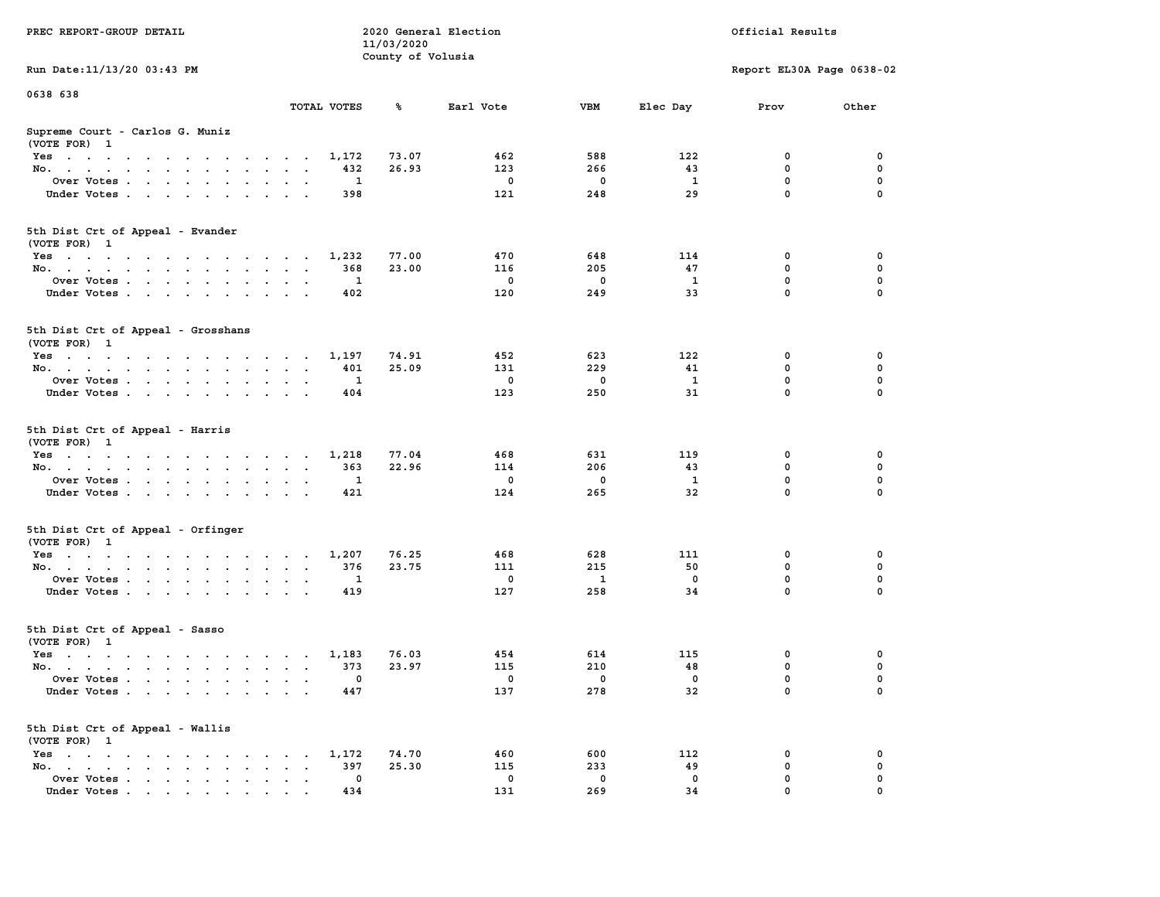|                                                                                                                                                                       |                                                     | 11/03/2020        |             |             |              |                           |             |
|-----------------------------------------------------------------------------------------------------------------------------------------------------------------------|-----------------------------------------------------|-------------------|-------------|-------------|--------------|---------------------------|-------------|
|                                                                                                                                                                       |                                                     | County of Volusia |             |             |              |                           |             |
| Run Date: 11/13/20 03:43 PM                                                                                                                                           |                                                     |                   |             |             |              | Report EL30A Page 0638-02 |             |
| 0638 638                                                                                                                                                              |                                                     |                   |             |             |              |                           |             |
|                                                                                                                                                                       | TOTAL VOTES                                         | ℁                 | Earl Vote   | VBM         | Elec Day     | Prov                      | Other       |
| Supreme Court - Carlos G. Muniz<br>(VOTE FOR) 1                                                                                                                       |                                                     |                   |             |             |              |                           |             |
| $Yes \cdot \cdot \cdot \cdot \cdot \cdot \cdot \cdot \cdot$<br>$\sim$ $\sim$ $\sim$ $\sim$                                                                            | 1,172                                               | 73.07             | 462         | 588         | 122          | 0                         | 0           |
| No.<br>$\sim$<br>$\mathbf{A}$ and $\mathbf{A}$<br>$\sim$<br>$\overline{a}$                                                                                            | 432                                                 | 26.93             | 123         | 266         | 43           | 0                         | 0           |
| Over Votes                                                                                                                                                            | 1<br>$\cdot$ .                                      |                   | $\mathbf 0$ | 0           | - 1          | $\mathbf 0$               | $\mathbf 0$ |
| Under Votes<br>$\sim$                                                                                                                                                 | 398<br>$\sim$                                       |                   | 121         | 248         | 29           | $\mathbf 0$               | $\mathbf 0$ |
| 5th Dist Crt of Appeal - Evander<br>(VOTE FOR) 1                                                                                                                      |                                                     |                   |             |             |              |                           |             |
| Yes                                                                                                                                                                   | 1,232                                               | 77.00             | 470         | 648         | 114          | 0                         | 0           |
| No.                                                                                                                                                                   | 368<br>$\sim$                                       | 23.00             | 116         | 205         | 47           | $\mathbf 0$               | $\mathbf 0$ |
| Over Votes<br>$\ddot{\phantom{0}}$                                                                                                                                    | $\mathbf{1}$<br>$\ddotsc$                           |                   | $\mathbf 0$ | $\mathbf 0$ | $\mathbf{1}$ | $\mathbf 0$               | $\mathbf 0$ |
| Under Votes<br>$\sim$                                                                                                                                                 | 402<br>$\ddot{\phantom{0}}$                         |                   | 120         | 249         | 33           | $\mathbf 0$               | $\mathbf 0$ |
|                                                                                                                                                                       |                                                     |                   |             |             |              |                           |             |
| 5th Dist Crt of Appeal - Grosshans<br>(VOTE FOR) 1                                                                                                                    |                                                     |                   |             |             |              |                           |             |
| Yes                                                                                                                                                                   | 1,197                                               | 74.91             | 452         | 623         | 122          | 0                         | 0           |
| No.                                                                                                                                                                   | 401<br>$\overline{\phantom{a}}$                     | 25.09             | 131         | 229         | 41           | 0                         | 0           |
| Over Votes<br>$\ddot{\phantom{a}}$<br>$\ddot{\phantom{a}}$<br>$\ddot{\phantom{1}}$<br>$\ddot{\phantom{a}}$                                                            | 1                                                   |                   | $\mathbf 0$ | 0           | $\mathbf{1}$ | 0                         | $\pmb{0}$   |
| Under Votes<br>$\cdots$                                                                                                                                               | 404<br>$\cdot$ .                                    |                   | 123         | 250         | 31           | $\Omega$                  | $\Omega$    |
| 5th Dist Crt of Appeal - Harris<br>(VOTE FOR) 1                                                                                                                       |                                                     |                   |             |             |              |                           |             |
| Yes                                                                                                                                                                   | 1,218                                               | 77.04             | 468         | 631         | 119          | 0                         | 0           |
| No.<br>$\sim$ $\sim$<br>$\mathbf{z} = \mathbf{z}$ .<br>$\ddot{\phantom{0}}$                                                                                           | 363<br>$\bullet$<br>$\blacksquare$                  | 22.96             | 114         | 206         | 43           | 0                         | 0           |
| Over Votes                                                                                                                                                            | 1<br>$\cdot$ .                                      |                   | $\mathbf 0$ | 0           | - 1          | $\mathbf 0$               | $\mathbf 0$ |
| Under Votes<br>$\sim$<br>$\sim$ $\sim$ $\sim$                                                                                                                         | 421<br>$\sim$ $\sim$                                |                   | 124         | 265         | 32           | $\mathbf 0$               | $\mathbf 0$ |
| 5th Dist Crt of Appeal - Orfinger<br>(VOTE FOR) 1                                                                                                                     |                                                     |                   |             |             |              |                           |             |
| Yes                                                                                                                                                                   | 1,207                                               | 76.25             | 468         | 628         | 111          | 0                         | 0           |
| No.<br>$\sim$                                                                                                                                                         | 376<br>$\ddot{\phantom{a}}$<br>$\ddot{\phantom{a}}$ | 23.75             | 111         | 215         | 50           | $\mathbf 0$               | $\mathbf 0$ |
| Over Votes                                                                                                                                                            | 1<br>$\cdot$                                        |                   | $\mathbf 0$ | 1           | $\Omega$     | $\mathbf 0$               | 0           |
| Under Votes<br>$\ddot{\phantom{a}}$<br>$\sim$                                                                                                                         | 419                                                 |                   | 127         | 258         | 34           | $\mathbf 0$               | $\mathbf 0$ |
| 5th Dist Crt of Appeal - Sasso<br>(VOTE FOR) 1                                                                                                                        |                                                     |                   |             |             |              |                           |             |
| Yes                                                                                                                                                                   | 1,183                                               | 76.03             | 454         | 614         | 115          | 0                         | 0           |
| No.                                                                                                                                                                   | 373<br>$\ddot{\phantom{0}}$                         | 23.97             | 115         | 210         | 48           | 0                         | 0           |
| Over Votes.<br>$\mathbf{r}$ , $\mathbf{r}$ , $\mathbf{r}$ , $\mathbf{r}$<br>$\ddot{\phantom{a}}$<br>$\sim$<br>$\ddot{\phantom{a}}$                                    | 0<br>$\ddot{\phantom{a}}$<br>$\ddot{\phantom{a}}$   |                   | 0           | 0           | 0            | 0                         | 0           |
| Under Votes                                                                                                                                                           | 447                                                 |                   | 137         | 278         | 32           | $\mathbf 0$               | 0           |
| 5th Dist Crt of Appeal - Wallis<br>(VOTE FOR) 1                                                                                                                       |                                                     |                   |             |             |              |                           |             |
| Yes<br>the contract of the contract of the contract of                                                                                                                | 1,172                                               | 74.70             | 460         | 600         | 112          | 0                         | 0           |
| No.<br>the contract of the contract of the contract of the contract of the contract of the contract of the contract of<br>$\bullet$ . $\bullet$ .<br>$\blacksquare$ . | 397<br>$\cdot$ .                                    | 25.30             | 115         | 233         | 49           | 0                         | $\mathbf 0$ |
| Over Votes<br>$\ddot{\phantom{0}}$<br>$\bullet$                                                                                                                       | 0<br>$\ddot{\phantom{a}}$<br>$\ddot{\phantom{a}}$   |                   | 0           | 0           | 0            | $\mathbf 0$               | $\mathbf 0$ |
| Under Votes<br>$\mathbf{r}$ , and $\mathbf{r}$ , and $\mathbf{r}$ , and $\mathbf{r}$                                                                                  | 434                                                 |                   | 131         | 269         | 34           | 0                         | $\mathbf 0$ |

**PREC REPORT-GROUP DETAIL COMPUTER CONSUMING A LOCAL PREC** REPORT-GROUP DETAIL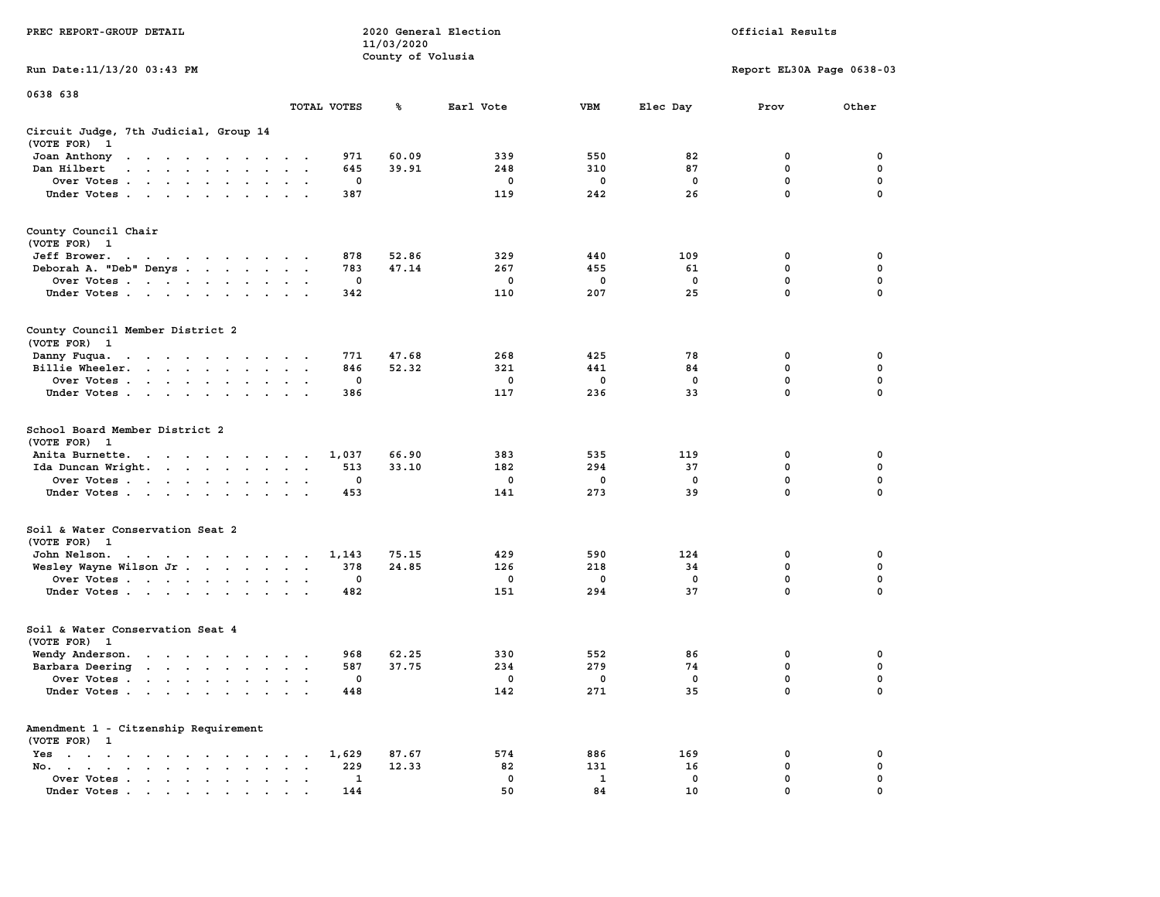|                                                                                                                                                                                                                                                  |                                                                    | 11/03/2020        |             |             |             |                           |             |  |
|--------------------------------------------------------------------------------------------------------------------------------------------------------------------------------------------------------------------------------------------------|--------------------------------------------------------------------|-------------------|-------------|-------------|-------------|---------------------------|-------------|--|
|                                                                                                                                                                                                                                                  |                                                                    | County of Volusia |             |             |             |                           |             |  |
| Run Date:11/13/20 03:43 PM                                                                                                                                                                                                                       |                                                                    |                   |             |             |             | Report EL30A Page 0638-03 |             |  |
| 0638 638                                                                                                                                                                                                                                         |                                                                    |                   |             |             |             |                           |             |  |
|                                                                                                                                                                                                                                                  | TOTAL VOTES                                                        | ℁                 | Earl Vote   | <b>VBM</b>  | Elec Day    | Prov                      | Other       |  |
| Circuit Judge, 7th Judicial, Group 14<br>(VOTE FOR)<br>$\mathbf{1}$                                                                                                                                                                              |                                                                    |                   |             |             |             |                           |             |  |
| Joan Anthony<br>the contract of the contract of the                                                                                                                                                                                              | 971                                                                | 60.09             | 339         | 550         | 82          | 0                         | 0           |  |
| Dan Hilbert<br>$\cdot$ $\cdot$ $\cdot$ $\cdot$<br>$\ddot{\phantom{0}}$<br>$\ddot{\phantom{a}}$                                                                                                                                                   | 645                                                                | 39.91             | 248         | 310         | 87          | $\mathbf 0$               | 0           |  |
| Over Votes .<br>the contract of the contract of                                                                                                                                                                                                  | 0<br>$\ddot{\phantom{a}}$<br>$\bullet$                             |                   | 0           | 0           | 0           | $\mathbf{0}$              | 0           |  |
| Under Votes                                                                                                                                                                                                                                      | 387<br>$\bullet$                                                   |                   | 119         | 242         | 26          | $\mathbf 0$               | $\mathbf 0$ |  |
| County Council Chair<br>(VOTE FOR) 1                                                                                                                                                                                                             |                                                                    |                   |             |             |             |                           |             |  |
| Jeff Brower.<br>$\mathbf{a} = \mathbf{a} + \mathbf{a} + \mathbf{a} + \mathbf{a} + \mathbf{a} + \mathbf{a} + \mathbf{a} + \mathbf{a} + \mathbf{a}$                                                                                                | 878                                                                | 52.86             | 329         | 440         | 109         | 0                         | 0           |  |
| Deborah A. "Deb" Denys                                                                                                                                                                                                                           | 783<br>$\cdot$ .                                                   | 47.14             | 267         | 455         | 61          | 0                         | $\mathbf 0$ |  |
| Over Votes<br>$\sim$                                                                                                                                                                                                                             | 0                                                                  |                   | 0           | 0           | $\mathbf 0$ | 0                         | $\mathbf 0$ |  |
| Under Votes                                                                                                                                                                                                                                      | 342<br>$\cdot$ $\cdot$                                             |                   | 110         | 207         | 25          | 0                         | 0           |  |
| County Council Member District 2<br>(VOTE FOR) 1                                                                                                                                                                                                 |                                                                    |                   |             |             |             |                           |             |  |
| Danny Fuqua.<br>$\mathbf{r} = \mathbf{r} + \mathbf{r} + \mathbf{r} + \mathbf{r}$<br>$\sim$ $\sim$ $\sim$<br>$\sim$                                                                                                                               | 771<br>$\sim$                                                      | 47.68             | 268         | 425         | 78          | 0                         | 0           |  |
| Billie Wheeler.<br>$\bullet$ .<br><br><br>$\bullet$ .<br>$\ddot{\phantom{a}}$                                                                                                                                                                    | 846<br>$\ddot{\phantom{a}}$<br>$\cdot$<br>$\overline{\phantom{a}}$ | 52.32             | 321         | 441         | 84          | $\mathbf 0$               | $\mathbf 0$ |  |
| Over Votes<br>$\ddot{\phantom{a}}$                                                                                                                                                                                                               | $\mathbf 0$                                                        |                   | $\mathbf 0$ | $\mathbf 0$ | $\mathbf 0$ | $\mathbf 0$               | $\mathbf 0$ |  |
| Under Votes<br>$\cdot$                                                                                                                                                                                                                           | 386                                                                |                   | 117         | 236         | 33          | 0                         | 0           |  |
| School Board Member District 2<br>(VOTE FOR)<br>1                                                                                                                                                                                                |                                                                    |                   |             |             |             |                           |             |  |
| Anita Burnette.<br>. The contract of the contract of the contract of the contract of the contract of the contract of the contract of the contract of the contract of the contract of the contract of the contract of the contract of the contrac | 1,037                                                              | 66.90             | 383         | 535         | 119         | 0                         | 0           |  |
| Ida Duncan Wright.<br>$\sim$ $\sim$                                                                                                                                                                                                              | 513<br>$\bullet$<br>$\bullet$<br>$\blacksquare$                    | 33.10             | 182         | 294         | 37          | 0                         | 0           |  |
| Over Votes                                                                                                                                                                                                                                       | 0<br>$\mathbf{r}$                                                  |                   | 0           | 0           | $\mathbf 0$ | $\mathbf 0$               | 0           |  |
| Under Votes<br>$\ddot{\phantom{a}}$                                                                                                                                                                                                              | 453                                                                |                   | 141         | 273         | 39          | 0                         | $\mathbf 0$ |  |
| Soil & Water Conservation Seat 2<br>(VOTE FOR) 1                                                                                                                                                                                                 |                                                                    |                   |             |             |             |                           |             |  |
| John Nelson.<br>the contract of the contract of the contract of                                                                                                                                                                                  | 1,143                                                              | 75.15             | 429         | 590         | 124         | $\mathbf 0$               | 0           |  |
| Wesley Wayne Wilson Jr                                                                                                                                                                                                                           | 378<br>$\blacksquare$ .                                            | 24.85             | 126         | 218         | 34          | $\mathbf 0$               | $\mathbf 0$ |  |
| Over Votes                                                                                                                                                                                                                                       | 0<br>$\bullet$<br>$\bullet$                                        |                   | 0           | 0           | 0           | $\mathbf 0$               | 0           |  |
| Under Votes                                                                                                                                                                                                                                      | 482<br>$\ddot{\phantom{0}}$                                        |                   | 151         | 294         | 37          | $\mathbf 0$               | 0           |  |
| Soil & Water Conservation Seat 4                                                                                                                                                                                                                 |                                                                    |                   |             |             |             |                           |             |  |
| (VOTE FOR)<br>- 1                                                                                                                                                                                                                                |                                                                    |                   |             |             |             |                           |             |  |
| Wendy Anderson.<br>$\mathbf{r}$ , $\mathbf{r}$ , $\mathbf{r}$ , $\mathbf{r}$ , $\mathbf{r}$ , $\mathbf{r}$                                                                                                                                       | 968<br>$\sim$ $\sim$<br>$\sim$                                     | 62.25             | 330         | 552         | 86          | 0                         | 0           |  |
| Barbara Deering                                                                                                                                                                                                                                  | 587<br>$\sim$<br>$\cdot$ .                                         | 37.75             | 234         | 279         | 74          | 0                         | $\mathbf 0$ |  |
| Over Votes<br>$\ddot{\phantom{a}}$<br>$\overline{\phantom{a}}$                                                                                                                                                                                   | $\mathbf 0$<br>$\cdot$<br>$\cdot$                                  |                   | 0           | 0           | $\mathbf 0$ | $\mathbf 0$               | 0           |  |
| Under Votes<br>$\sim$                                                                                                                                                                                                                            | 448<br>$\cdot$ $\cdot$ $\cdot$                                     |                   | 142         | 271         | 35          | 0                         | $\mathbf 0$ |  |
| Amendment 1 - Citzenship Requirement<br>(VOTE FOR) 1                                                                                                                                                                                             |                                                                    |                   |             |             |             |                           |             |  |
| Yes<br>$\sim$<br>$\bullet$<br>$\mathbf{r} = \mathbf{r} + \mathbf{r} + \mathbf{r} + \mathbf{r}$<br>$\sim$<br>$\cdot$                                                                                                                              | 1,629<br>$\bullet$                                                 | 87.67             | 574         | 886         | 169         | 0                         | 0           |  |
| No.<br>$\ddot{\phantom{a}}$<br>$\bullet$ . In the case of the case of the $\bullet$<br>$\bullet$ . $\bullet$ .<br>$\ddot{\phantom{a}}$                                                                                                           | 229<br>$\cdot$                                                     | 12.33             | 82          | 131         | 16          | 0                         | 0           |  |
| Over Votes<br>$\bullet$                                                                                                                                                                                                                          | 1<br>$\blacksquare$<br>$\cdot$<br>$\ddot{\phantom{a}}$             |                   | 0           | 1           | $\mathbf 0$ | $\mathbf{0}$              | $\mathbf 0$ |  |
| Under Votes                                                                                                                                                                                                                                      | 144                                                                |                   | 50          | 84          | 10          | $\mathbf{0}$              | $\mathbf 0$ |  |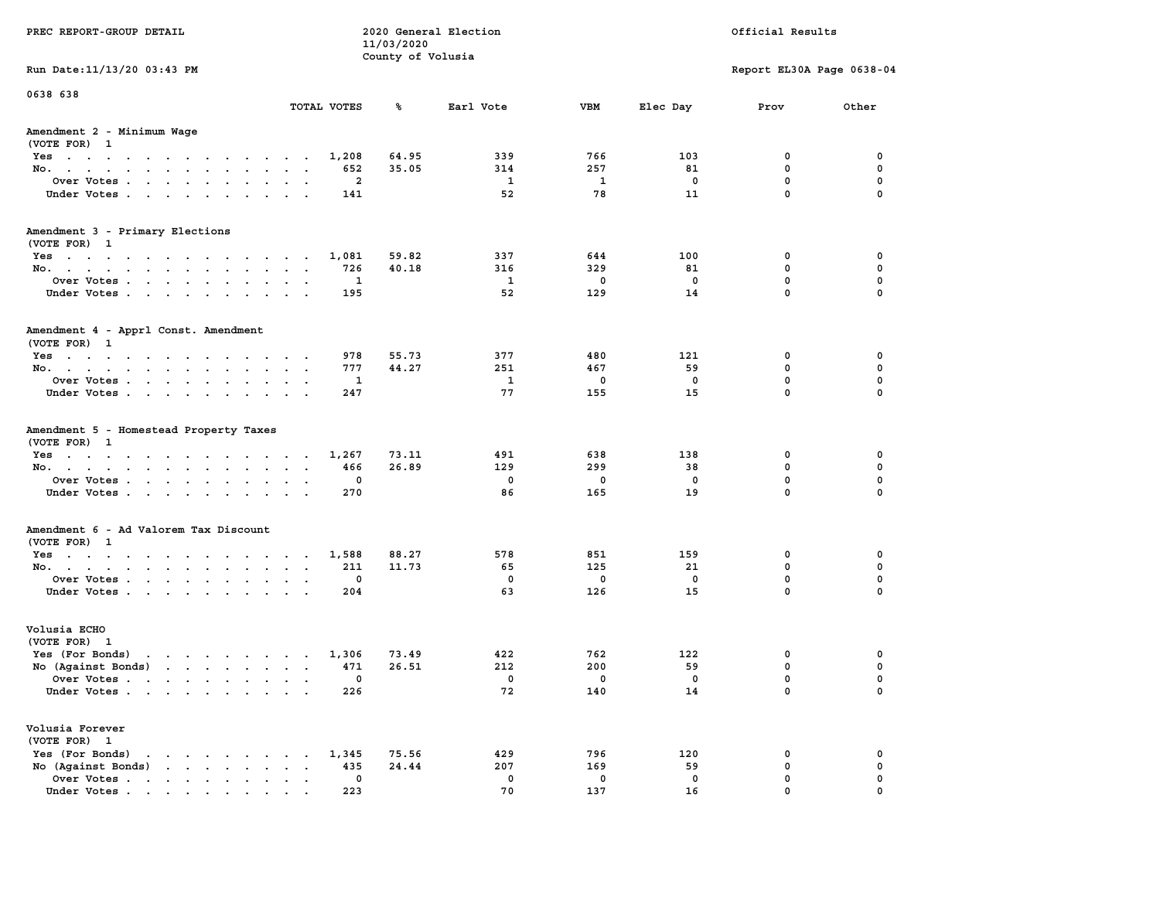| PREC REPORT-GROUP DETAIL                                                                                                                                                                                                                                |               | 11/03/2020        | 2020 General Election | Official Results |          |                           |               |
|---------------------------------------------------------------------------------------------------------------------------------------------------------------------------------------------------------------------------------------------------------|---------------|-------------------|-----------------------|------------------|----------|---------------------------|---------------|
|                                                                                                                                                                                                                                                         |               | County of Volusia |                       |                  |          |                           |               |
| Run Date: 11/13/20 03:43 PM                                                                                                                                                                                                                             |               |                   |                       |                  |          | Report EL30A Page 0638-04 |               |
| 0638 638                                                                                                                                                                                                                                                |               |                   |                       |                  |          |                           |               |
|                                                                                                                                                                                                                                                         | TOTAL VOTES   | ጜ                 | Earl Vote             | VBM              | Elec Day | Prov                      | Other         |
| Amendment 2 - Minimum Wage<br>(VOTE FOR) 1                                                                                                                                                                                                              |               |                   |                       |                  |          |                           |               |
| Yes                                                                                                                                                                                                                                                     | 1,208         | 64.95             | 339                   | 766              | 103      | 0                         | 0             |
| No.                                                                                                                                                                                                                                                     | 652           | 35.05             | 314                   | 257              | 81       | $\mathbf 0$               | $\mathbf 0$   |
| Over Votes                                                                                                                                                                                                                                              | 2             |                   | $\mathbf{1}$          | 1                | 0        | $\mathbf 0$               | 0             |
| Under Votes                                                                                                                                                                                                                                             | 141           |                   | 52                    | 78               | 11       | $\mathbf 0$               | $\mathbf 0$   |
| Amendment 3 - Primary Elections                                                                                                                                                                                                                         |               |                   |                       |                  |          |                           |               |
| (VOTE FOR) 1                                                                                                                                                                                                                                            |               | 59.82             | 337                   | 644              | 100      | 0                         | 0             |
| Yes<br>No.                                                                                                                                                                                                                                              | 1,081<br>726  | 40.18             | 316                   | 329              | 81       | $\mathbf 0$               | 0             |
| Over Votes                                                                                                                                                                                                                                              | 1             |                   | - 1                   | 0                | 0        | $\mathbf 0$               | $\mathbf 0$   |
| Under Votes                                                                                                                                                                                                                                             | 195           |                   | 52                    | 129              | 14       | $\Omega$                  | $\Omega$      |
| Amendment 4 - Apprl Const. Amendment<br>(VOTE FOR) 1                                                                                                                                                                                                    |               |                   |                       |                  |          |                           |               |
| Yes                                                                                                                                                                                                                                                     | 978           | 55.73             | 377                   | 480              | 121      | 0                         | 0             |
| No.                                                                                                                                                                                                                                                     | 777           | 44.27             | 251                   | 467              | 59       | 0                         | 0             |
| Over Votes                                                                                                                                                                                                                                              | 1             |                   | 1                     | 0                | 0        | $\mathbf 0$               | $\mathbf 0$   |
| Under Votes                                                                                                                                                                                                                                             | 247           |                   | 77                    | 155              | 15       | $\mathbf 0$               | $\mathbf 0$   |
| Amendment 5 - Homestead Property Taxes<br>(VOTE FOR) 1                                                                                                                                                                                                  |               |                   |                       |                  |          |                           |               |
| Yes                                                                                                                                                                                                                                                     | 1,267         | 73.11             | 491                   | 638              | 138      | 0                         | 0             |
| No.                                                                                                                                                                                                                                                     | 466           | 26.89             | 129                   | 299              | 38       | $\mathbf 0$               | 0             |
| Over Votes                                                                                                                                                                                                                                              | 0             |                   | 0                     | 0                | 0<br>19  | 0<br>$\mathbf 0$          | 0<br>$\Omega$ |
| Under Votes                                                                                                                                                                                                                                             | 270           |                   | 86                    | 165              |          |                           |               |
| Amendment 6 - Ad Valorem Tax Discount<br>(VOTE FOR) 1                                                                                                                                                                                                   |               |                   |                       |                  |          |                           |               |
| Yes                                                                                                                                                                                                                                                     | 1,588         | 88.27             | 578                   | 851              | 159      | 0                         | 0             |
| No.                                                                                                                                                                                                                                                     | 211           | 11.73             | 65                    | 125              | 21       | $\mathbf 0$               | 0             |
| Over Votes                                                                                                                                                                                                                                              | 0             |                   | 0                     | 0                | 0        | 0                         | 0             |
| Under Votes                                                                                                                                                                                                                                             | 204           |                   | 63                    | 126              | 15       | $\Omega$                  | $\Omega$      |
| Volusia ECHO<br>(VOTE FOR) 1                                                                                                                                                                                                                            |               |                   |                       |                  |          |                           |               |
| Yes (For Bonds)<br>$\mathbf{r}$ . The set of the set of the set of the set of the set of the set of the set of the set of the set of the set of the set of the set of the set of the set of the set of the set of the set of the set of the set of t    | 1,306         | 73.49             | 422                   | 762              | 122      | 0                         | 0             |
| No (Against Bonds)                                                                                                                                                                                                                                      | 471           | 26.51             | 212                   | 200              | 59       | 0                         | 0             |
| Over Votes .<br>the contract of the contract of the contract of the contract of the contract of the contract of the contract of                                                                                                                         | 0             |                   | 0                     | 0                | 0        | $\Omega$                  | $\mathbf 0$   |
| Under Votes                                                                                                                                                                                                                                             | 226           |                   | 72                    | 140              | 14       | 0                         | 0             |
| Volusia Forever<br>(VOTE FOR) 1                                                                                                                                                                                                                         |               |                   |                       |                  |          |                           |               |
| Yes (For Bonds)<br>$\mathbf{r}$ . The set of the set of the set of the set of the set of the set of the set of the set of the set of the set of the set of the set of the set of the set of the set of the set of the set of the set of the set of t    | 1,345         | 75.56             | 429                   | 796              | 120      | 0                         | 0             |
| $\mathbf{r}$ . The set of the set of the set of the set of the set of the set of the set of the set of the set of the set of the set of the set of the set of the set of the set of the set of the set of the set of the set of t<br>No (Against Bonds) | 435<br>$\sim$ | 24.44             | 207                   | 169              | 59       | $\mathbf 0$               | $\mathbf 0$   |
| Over Votes                                                                                                                                                                                                                                              | 0             |                   | 0                     | 0                | 0        | $\mathbf 0$               | 0             |
| Under Votes                                                                                                                                                                                                                                             | 223           |                   | 70                    | 137              | 16       | $\Omega$                  | $\Omega$      |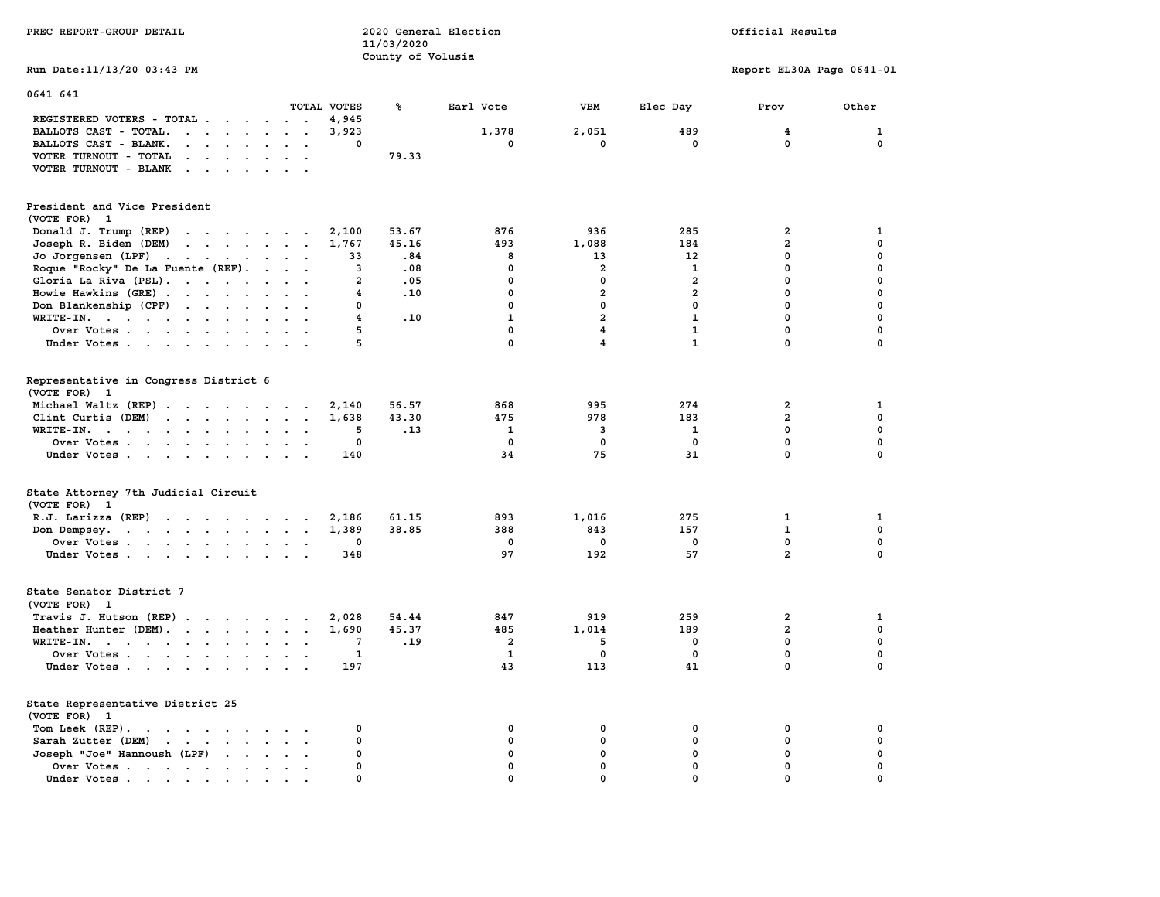| PREC REPORT-GROUP DETAIL                                                                                                                              |                                         | 11/03/2020<br>County of Volusia | 2020 General Election |                         | Official Results |                           |              |  |
|-------------------------------------------------------------------------------------------------------------------------------------------------------|-----------------------------------------|---------------------------------|-----------------------|-------------------------|------------------|---------------------------|--------------|--|
| Run Date: 11/13/20 03:43 PM                                                                                                                           |                                         |                                 |                       |                         |                  | Report EL30A Page 0641-01 |              |  |
| 0641 641                                                                                                                                              |                                         |                                 |                       |                         |                  |                           |              |  |
|                                                                                                                                                       | TOTAL VOTES                             | ℁                               | Earl Vote             | <b>VBM</b>              | Elec Day         | Prov                      | Other        |  |
| REGISTERED VOTERS - TOTAL<br>BALLOTS CAST - TOTAL.<br>$\mathbf{r}$ . The set of $\mathbf{r}$                                                          | 4,945<br>3,923<br>$\sim$                |                                 | 1,378                 | 2,051                   | 489              | 4                         | $\mathbf{1}$ |  |
| BALLOTS CAST - BLANK.<br>$\cdot$ $\cdot$ $\cdot$ $\cdot$ $\cdot$ $\cdot$                                                                              | $\Omega$<br>$\sim$ $\sim$               |                                 | $\mathbf 0$           | $\mathbf 0$             | $\mathbf 0$      | $\mathbf 0$               | $\mathbf 0$  |  |
| VOTER TURNOUT - TOTAL<br>$\sim$<br>$\mathbf{u} = \mathbf{u} + \mathbf{u}$ . $\mathbf{u} = \mathbf{u}$                                                 | $\ddot{\phantom{a}}$                    | 79.33                           |                       |                         |                  |                           |              |  |
| VOTER TURNOUT - BLANK<br>$\cdots$                                                                                                                     |                                         |                                 |                       |                         |                  |                           |              |  |
| President and Vice President<br>(VOTE FOR) 1                                                                                                          |                                         |                                 |                       |                         |                  |                           |              |  |
| Donald J. Trump (REP)<br>and the contract of the contract of the contract of the contract of the contract of                                          | 2,100                                   | 53.67                           | 876                   | 936                     | 285              | $\overline{\mathbf{2}}$   | $\mathbf{1}$ |  |
| Joseph R. Biden (DEM)<br>the contract of the contract of the                                                                                          | 1,767                                   | 45.16                           | 493                   | 1,088                   | 184              | $\overline{\mathbf{2}}$   | $\mathbf 0$  |  |
| Jo Jorgensen (LPF)                                                                                                                                    | 33                                      | .84                             | 8                     | 13                      | 12               | $\mathbf 0$               | $\mathbf 0$  |  |
| Roque "Rocky" De La Fuente (REF).                                                                                                                     | 3                                       | .08                             | $\mathbf 0$           | $\overline{a}$          | $\mathbf{1}$     | $\mathbf 0$               | $\mathbf 0$  |  |
| Gloria La Riva (PSL).                                                                                                                                 | $\overline{a}$                          | .05                             | $\mathbf 0$           | 0                       | $\mathbf{2}$     | $\mathbf{0}$              | $\mathbf 0$  |  |
| Howie Hawkins (GRE)                                                                                                                                   | 4                                       | .10                             | 0                     | $\overline{\mathbf{2}}$ | $\overline{a}$   | $\mathbf{0}$              | $\pmb{0}$    |  |
| Don Blankenship (CPF)                                                                                                                                 | $\Omega$                                |                                 | $\Omega$              | $\mathbf 0$             | $\Omega$         | $\Omega$                  | $\mathbf 0$  |  |
| WRITE-IN.                                                                                                                                             | $\overline{4}$<br>$\sim$                | .10                             | $\mathbf{1}$          | $\overline{\mathbf{2}}$ | $\mathbf{1}$     | $\mathbf{0}$              | $\mathbf 0$  |  |
| Over Votes<br>$\sim$                                                                                                                                  | 5<br>$\ddot{\phantom{a}}$               |                                 | $\mathbf 0$           | 4                       | $\mathbf{1}$     | $\mathbf 0$               | $\mathbf 0$  |  |
| Under Votes                                                                                                                                           | 5                                       |                                 | $\mathbf 0$           | $\overline{\mathbf{4}}$ | $\mathbf{1}$     | $\mathbf 0$               | 0            |  |
| Representative in Congress District 6<br>(VOTE FOR) 1                                                                                                 |                                         |                                 |                       |                         |                  |                           |              |  |
| Michael Waltz (REP)                                                                                                                                   | 2,140                                   | 56.57                           | 868                   | 995                     | 274              | $\overline{\mathbf{2}}$   | 1            |  |
| Clint Curtis (DEM)<br>the contract of the contract of the contract of the contract of the contract of                                                 | 1,638                                   | 43.30                           | 475                   | 978                     | 183              | $\overline{a}$            | 0            |  |
| WRITE-IN.                                                                                                                                             | 5<br>$\sim$<br>$\ddot{\phantom{a}}$     | .13                             | 1                     | 3                       | 1                | 0                         | $\mathbf 0$  |  |
| Over Votes                                                                                                                                            | 0<br>$\sim$ $\sim$                      |                                 | $\mathbf 0$           | $\mathbf 0$             | $\mathbf 0$      | $\mathbf 0$               | $\mathbf 0$  |  |
| Under Votes                                                                                                                                           | 140<br>$\sim$ $\sim$ $\sim$             |                                 | 34                    | 75                      | 31               | $\mathbf 0$               | $\mathbf 0$  |  |
| State Attorney 7th Judicial Circuit<br>(VOTE FOR) 1                                                                                                   |                                         |                                 |                       |                         |                  |                           |              |  |
| R.J. Larizza (REP)                                                                                                                                    | 2,186                                   | 61.15                           | 893                   | 1,016                   | 275              | $\mathbf{1}$              | $\mathbf{1}$ |  |
| Don Dempsey.                                                                                                                                          | 1,389                                   | 38.85                           | 388                   | 843                     | 157              | $\mathbf{1}$              | $\mathbf{0}$ |  |
| Over Votes                                                                                                                                            | 0                                       |                                 | 0                     | 0                       | 0                | $\mathbf{0}$              | $\mathbf 0$  |  |
| Under Votes                                                                                                                                           | 348                                     |                                 | 97                    | 192                     | 57               | $\overline{2}$            | 0            |  |
| State Senator District 7<br>(VOTE FOR) 1                                                                                                              |                                         |                                 |                       |                         |                  |                           |              |  |
| Travis J. Hutson (REP)                                                                                                                                | 2,028                                   | 54.44                           | 847                   | 919                     | 259              | $\mathbf{2}$              | $\mathbf{1}$ |  |
| Heather Hunter (DEM).                                                                                                                                 | 1,690                                   | 45.37                           | 485                   | 1,014                   | 189              | $\overline{a}$            | $\mathbf 0$  |  |
| WRITE-IN.                                                                                                                                             | 7                                       | .19                             | $\overline{a}$        | 5                       | $\mathbf{0}$     | $\mathbf{0}$              | $\mathbf{0}$ |  |
| Over Votes                                                                                                                                            | $\mathbf{1}$<br>$\sim$<br>$\sim$        |                                 | $\mathbf{1}$          | $\mathbf 0$             | $\mathbf 0$      | $\mathbf{0}$              | $\mathbf 0$  |  |
| Under Votes                                                                                                                                           | 197                                     |                                 | 43                    | 113                     | 41               | $\mathbf 0$               | $\mathbf 0$  |  |
| State Representative District 25                                                                                                                      |                                         |                                 |                       |                         |                  |                           |              |  |
| (VOTE FOR) 1<br>Tom Leek (REP).                                                                                                                       | 0                                       |                                 | 0                     | 0                       | 0                | 0                         | 0            |  |
| the contract of the contract of the contract of the contract of the contract of the contract of the contract of<br>Sarah Zutter (DEM)<br>$\mathbf{r}$ | $\mathbf 0$<br>$\sim$                   |                                 | $\mathbf 0$           | 0                       | 0                | $\mathbf 0$               | $\pmb{0}$    |  |
| Joseph "Joe" Hannoush (LPF) .<br>$\sim$ $\sim$ $\sim$                                                                                                 | $\Omega$<br>$\sim$ $\sim$               |                                 | $\mathbf{0}$          | $\mathbf 0$             | $\mathbf 0$      | $\mathbf 0$               | $\mathbf 0$  |  |
| Over Votes<br>$\sim 100$ km s $^{-1}$                                                                                                                 | $\mathbf 0$<br>$\sim$<br>$\blacksquare$ |                                 | 0                     | $\mathbf 0$             | $\mathbf{0}$     | $\mathbf 0$               | $\mathbf 0$  |  |
| Under Votes.                                                                                                                                          | $\mathbf 0$                             |                                 | $\Omega$              | $\Omega$                | $\Omega$         | $\Omega$                  | $\mathbf 0$  |  |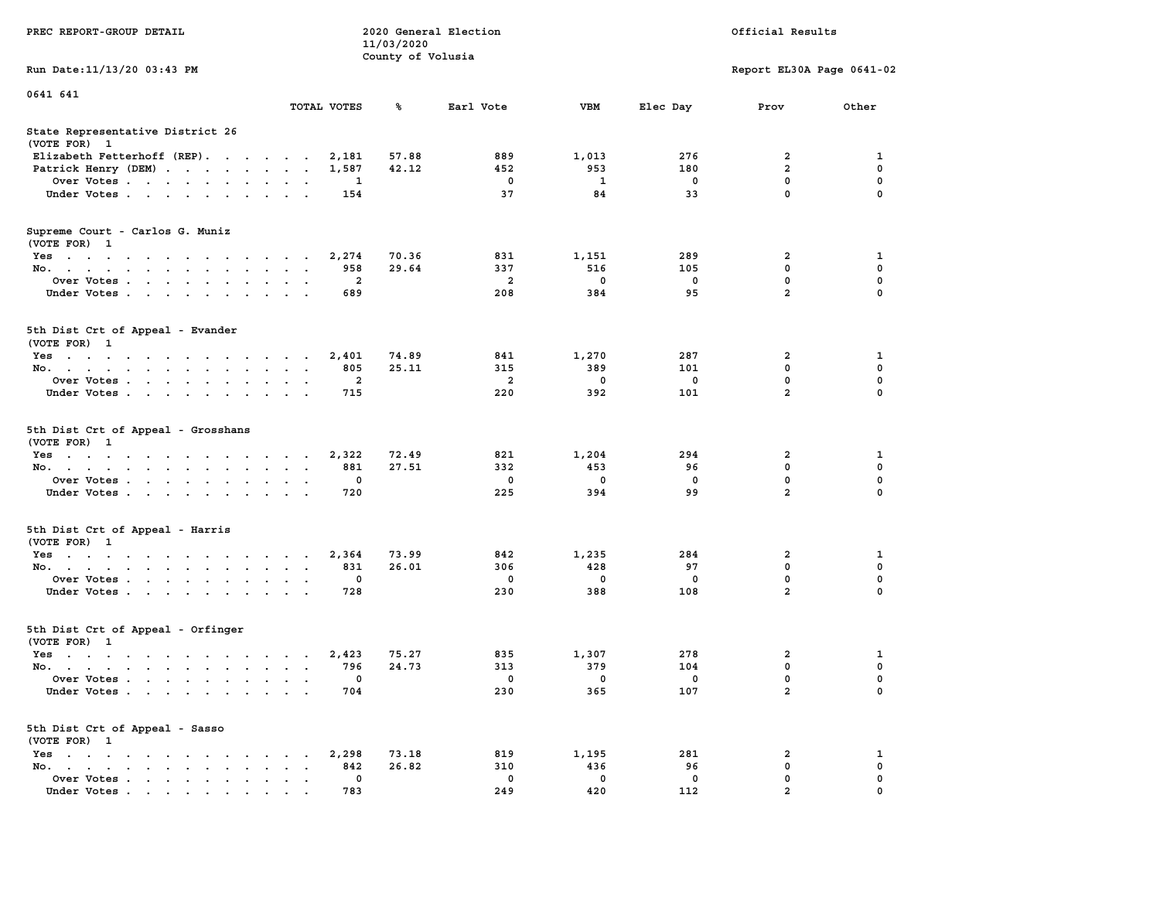| PREC REPORT-GROUP DETAIL                                                                                               |                                        | 11/03/2020<br>County of Volusia | 2020 General Election |                          | Official Results         |                           |               |
|------------------------------------------------------------------------------------------------------------------------|----------------------------------------|---------------------------------|-----------------------|--------------------------|--------------------------|---------------------------|---------------|
| Run Date: 11/13/20 03:43 PM                                                                                            |                                        |                                 |                       |                          |                          | Report EL30A Page 0641-02 |               |
| 0641 641                                                                                                               | TOTAL VOTES                            | ℁                               | Earl Vote             | <b>VBM</b>               | Elec Day                 | Prov                      | Other         |
| State Representative District 26<br>(VOTE FOR) 1                                                                       |                                        |                                 |                       |                          |                          |                           |               |
| Elizabeth Fetterhoff (REP).                                                                                            | 2,181                                  | 57.88                           | 889                   | 1,013                    | 276                      | 2                         | 1             |
| Patrick Henry (DEM)                                                                                                    | 1,587                                  | 42.12                           | 452                   | 953                      | 180                      | $\overline{2}$            | 0             |
| Over Votes                                                                                                             | 1                                      |                                 | 0                     | 1                        | 0                        | 0                         | $\mathbf 0$   |
| Under Votes                                                                                                            | 154                                    |                                 | 37                    | 84                       | 33                       | 0                         | $\Omega$      |
| Supreme Court - Carlos G. Muniz<br>(VOTE FOR) 1                                                                        |                                        |                                 |                       |                          |                          |                           |               |
| Yes                                                                                                                    | 2,274                                  | 70.36                           | 831                   | 1,151                    | 289                      | 2                         | 1             |
| No.                                                                                                                    | 958                                    | 29.64                           | 337                   | 516                      | 105                      | 0                         | 0             |
| Over Votes                                                                                                             | $\overline{a}$<br>$\sim$ $\sim$ $\sim$ |                                 | $\overline{a}$        | $\mathbf 0$              | 0                        | 0                         | 0             |
| Under Votes.                                                                                                           | 689                                    |                                 | 208                   | 384                      | 95                       | $\overline{a}$            | $\Omega$      |
| 5th Dist Crt of Appeal - Evander<br>(VOTE FOR) 1                                                                       |                                        |                                 |                       |                          |                          |                           |               |
| Yes                                                                                                                    | 2,401                                  | 74.89                           | 841                   | 1,270                    | 287                      | 2                         | 1             |
| No.                                                                                                                    | 805                                    | 25.11                           | 315                   | 389                      | 101                      | 0                         | $\mathbf 0$   |
| Over Votes                                                                                                             | 2                                      |                                 | 2                     | 0                        | 0                        | 0                         | 0             |
| Under Votes                                                                                                            | 715                                    |                                 | 220                   | 392                      | 101                      | $\overline{a}$            | $\mathbf 0$   |
| 5th Dist Crt of Appeal - Grosshans<br>(VOTE FOR) 1                                                                     |                                        |                                 |                       |                          |                          |                           |               |
| Yes                                                                                                                    | 2,322                                  | 72.49                           | 821                   | 1,204                    | 294                      | 2                         | 1             |
| No.                                                                                                                    | 881                                    | 27.51                           | 332                   | 453                      | 96                       | 0                         | $\mathbf 0$   |
| Over Votes                                                                                                             | 0                                      |                                 | 0                     | 0                        | 0                        | $\mathbf 0$               | 0             |
| Under Votes                                                                                                            | 720                                    |                                 | 225                   | 394                      | 99                       | $\overline{a}$            | 0             |
| 5th Dist Crt of Appeal - Harris<br>(VOTE FOR) 1                                                                        |                                        |                                 |                       |                          |                          |                           |               |
| Yes                                                                                                                    | 2,364                                  | 73.99                           | 842                   | 1,235                    | 284                      | 2                         | 1             |
| No.                                                                                                                    | 831<br>$\sim$ $\sim$                   | 26.01                           | 306                   | 428                      | 97                       | 0                         | 0             |
| Over Votes<br>Under Votes                                                                                              | 0<br>$\sim$ $\sim$<br>728              |                                 | 0<br>230              | 0<br>388                 | 0<br>108                 | 0<br>$\overline{a}$       | 0<br>$\Omega$ |
| 5th Dist Crt of Appeal - Orfinger<br>(VOTE FOR) 1                                                                      |                                        |                                 |                       |                          |                          |                           |               |
| the contract of the contract of the contract of the contract of the contract of the contract of the contract of<br>Yes | 2,423                                  | 75.27                           | 835                   | 1,307                    | 278                      | 2                         | 1             |
| No.                                                                                                                    | 796                                    | 24.73                           | 313                   | 379                      | 104                      | 0                         | 0             |
| Over Votes                                                                                                             | $\overline{\phantom{0}}$               |                                 | $\mathbf 0$           | $\overline{\phantom{0}}$ | $\overline{\phantom{0}}$ | $\Omega$                  | 0             |
| Under Votes                                                                                                            | 704                                    |                                 | 230                   | 365                      | 107                      | 2                         | 0             |
| 5th Dist Crt of Appeal - Sasso<br>(VOTE FOR) 1                                                                         |                                        |                                 |                       |                          |                          |                           |               |
| Yes                                                                                                                    | 2,298                                  | 73.18                           | 819                   | 1,195                    | 281                      | 2                         | 1             |
| No.<br>$\sim$ $\sim$                                                                                                   | 842                                    | 26.82                           | 310                   | 436                      | 96                       | 0                         | 0             |
| Over Votes<br>Under Votes.                                                                                             | 0<br>783                               |                                 | 0<br>249              | 0<br>420                 | 0<br>112                 | 0<br>$\overline{a}$       | 0             |
|                                                                                                                        |                                        |                                 |                       |                          |                          |                           |               |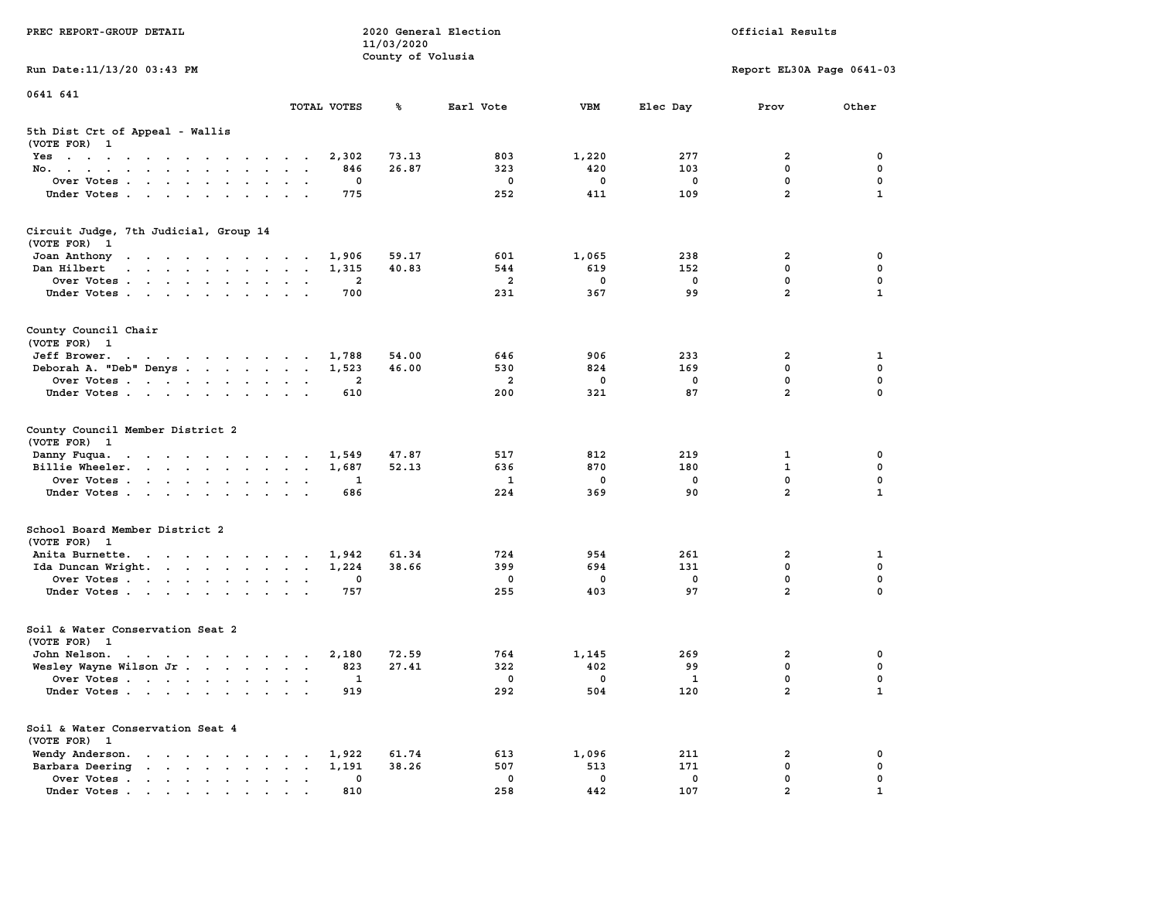| PREC REPORT-GROUP DETAIL                                                                                                                                                                                                                                                                             |                | 11/03/2020<br>County of Volusia | 2020 General Election | Official Results |                         |                           |                   |
|------------------------------------------------------------------------------------------------------------------------------------------------------------------------------------------------------------------------------------------------------------------------------------------------------|----------------|---------------------------------|-----------------------|------------------|-------------------------|---------------------------|-------------------|
| Run Date: 11/13/20 03:43 PM                                                                                                                                                                                                                                                                          |                |                                 |                       |                  |                         | Report EL30A Page 0641-03 |                   |
| 0641 641                                                                                                                                                                                                                                                                                             |                |                                 |                       |                  |                         |                           |                   |
|                                                                                                                                                                                                                                                                                                      | TOTAL VOTES    | ℁                               | Earl Vote             | VBM              | Elec Day                | Prov                      | Other             |
| 5th Dist Crt of Appeal - Wallis<br>(VOTE FOR) 1                                                                                                                                                                                                                                                      |                |                                 |                       |                  |                         |                           |                   |
| Yes                                                                                                                                                                                                                                                                                                  | 2,302          | 73.13                           | 803                   | 1,220            | 277                     | 2                         | 0                 |
| No.                                                                                                                                                                                                                                                                                                  | 846            | 26.87                           | 323                   | 420              | 103                     | $\mathbf 0$<br>0          | 0                 |
| Over Votes<br>Under Votes                                                                                                                                                                                                                                                                            | 0<br>775       |                                 | $\mathbf 0$<br>252    | 0<br>411         | 0<br>109                | $\overline{2}$            | 0<br>$\mathbf{1}$ |
|                                                                                                                                                                                                                                                                                                      |                |                                 |                       |                  |                         |                           |                   |
| Circuit Judge, 7th Judicial, Group 14<br>(VOTE FOR) 1                                                                                                                                                                                                                                                |                |                                 |                       |                  |                         |                           |                   |
| Joan Anthony                                                                                                                                                                                                                                                                                         | 1,906          | 59.17                           | 601                   | 1,065            | 238                     | 2                         | 0                 |
| Dan Hilbert<br>the contract of the contract of the contract of the contract of the contract of the contract of the contract of                                                                                                                                                                       | 1,315          | 40.83                           | 544                   | 619              | 152                     | 0                         | 0                 |
| Over Votes                                                                                                                                                                                                                                                                                           | $\overline{2}$ |                                 | $\overline{a}$        | $\mathbf 0$      | 0                       | 0                         | 0                 |
| Under Votes                                                                                                                                                                                                                                                                                          | 700            |                                 | 231                   | 367              | 99                      | $\overline{a}$            | 1                 |
| County Council Chair<br>(VOTE FOR) 1                                                                                                                                                                                                                                                                 |                |                                 |                       |                  |                         |                           |                   |
| Jeff Brower.                                                                                                                                                                                                                                                                                         | 1,788          | 54.00                           | 646                   | 906              | 233                     | 2                         | 1                 |
| Deborah A. "Deb" Denys                                                                                                                                                                                                                                                                               | 1,523          | 46.00                           | 530                   | 824              | 169                     | 0                         | 0                 |
| Over Votes                                                                                                                                                                                                                                                                                           | 2              |                                 | 2                     | 0                | $^{\circ}$              | $\mathbf 0$               | 0                 |
| Under Votes                                                                                                                                                                                                                                                                                          | 610            |                                 | 200                   | 321              | 87                      | $\overline{a}$            | $\Omega$          |
| County Council Member District 2<br>(VOTE FOR) 1                                                                                                                                                                                                                                                     |                |                                 |                       |                  |                         |                           |                   |
| Danny Fuqua.<br>the contract of the contract of the contract of                                                                                                                                                                                                                                      | 1,549          | 47.87                           | 517                   | 812              | 219                     | 1                         | 0                 |
| Billie Wheeler.                                                                                                                                                                                                                                                                                      | 1,687          | 52.13                           | 636                   | 870              | 180                     | $\mathbf{1}$              | 0                 |
| Over Votes                                                                                                                                                                                                                                                                                           | 1<br>686       |                                 | 1<br>224              | 0<br>369         | 0<br>90                 | 0<br>$\overline{2}$       | 0<br>$\mathbf{1}$ |
| Under Votes                                                                                                                                                                                                                                                                                          |                |                                 |                       |                  |                         |                           |                   |
| School Board Member District 2<br>(VOTE FOR) 1                                                                                                                                                                                                                                                       |                |                                 |                       |                  |                         |                           |                   |
| Anita Burnette.                                                                                                                                                                                                                                                                                      | 1,942          | 61.34                           | 724                   | 954              | 261                     | 2                         | 1                 |
| Ida Duncan Wright.                                                                                                                                                                                                                                                                                   | 1,224          | 38.66                           | 399                   | 694              | 131                     | 0                         | 0                 |
| Over Votes<br>Under Votes                                                                                                                                                                                                                                                                            | 0<br>757       |                                 | $\mathbf 0$<br>255    | 0<br>403         | 0<br>97                 | 0<br>$\overline{2}$       | $\mathbf 0$<br>0  |
|                                                                                                                                                                                                                                                                                                      |                |                                 |                       |                  |                         |                           |                   |
| Soil & Water Conservation Seat 2<br>(VOTE FOR) 1                                                                                                                                                                                                                                                     |                |                                 |                       |                  |                         |                           |                   |
| John Nelson.<br>the contract of the contract of the contract of the contract of the contract of the contract of the contract of                                                                                                                                                                      | 2,180          | 72.59                           | 764                   | 1,145            | 269                     | 2                         | 0                 |
| Wesley Wayne Wilson Jr.                                                                                                                                                                                                                                                                              | 823            | 27.41                           | 322                   | 402              | 99                      | 0                         | 0                 |
| Over Votes                                                                                                                                                                                                                                                                                           | 1              |                                 | 0                     | 0                | $\overline{\mathbf{1}}$ | 0                         | $\Omega$          |
| Under Votes.<br>the contract of the contract of the contract of the contract of the contract of                                                                                                                                                                                                      | 919            |                                 | 292                   | 504              | 120                     | $\overline{\mathbf{2}}$   | $\mathbf{1}$      |
| Soil & Water Conservation Seat 4<br>(VOTE FOR) 1                                                                                                                                                                                                                                                     |                |                                 |                       |                  |                         |                           |                   |
| Wendy Anderson.<br>$\mathbf{r}$ . The set of the set of the set of the set of the set of the set of the set of the set of the set of the set of the set of the set of the set of the set of the set of the set of the set of the set of the set of t                                                 | 1,922          | 61.74                           | 613                   | 1,096            | 211                     | 2                         | 0                 |
| Barbara Deering<br>$\mathbf{r}$ . The set of the set of the set of the set of the set of the set of the set of the set of the set of the set of the set of the set of the set of the set of the set of the set of the set of the set of the set of t<br>$\ddot{\phantom{a}}$<br>$\ddot{\phantom{a}}$ | 1,191          | 38.26                           | 507                   | 513              | 171                     | 0                         | $\mathbf 0$       |
| Over Votes<br>Under Votes.<br>$\sim$ $\sim$ $\sim$ $\sim$ $\sim$                                                                                                                                                                                                                                     | 0<br>810       |                                 | 0<br>258              | 0<br>442         | $\mathbf 0$<br>107      | 0<br>$\overline{2}$       | 0                 |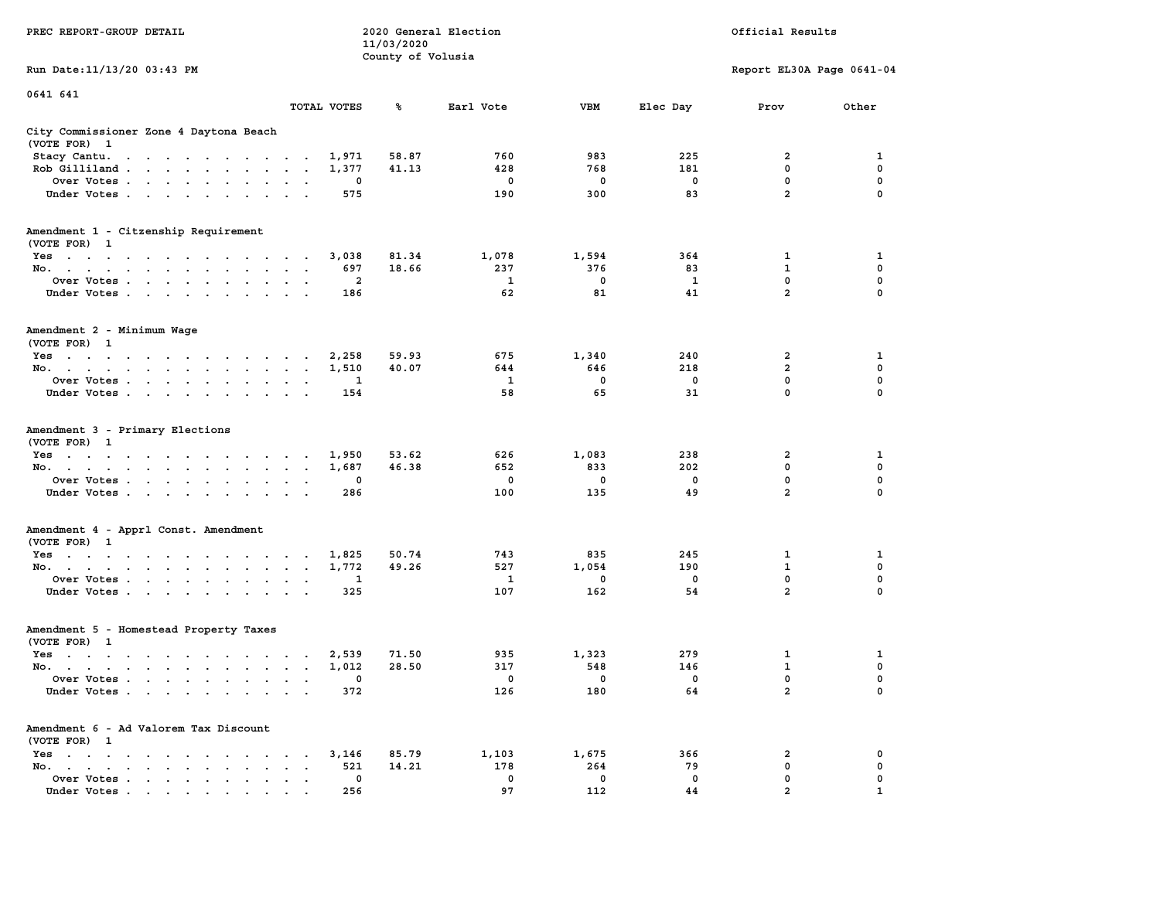| PREC REPORT-GROUP DETAIL                                                                                               | 2020 General Election<br>Official Results<br>11/03/2020 |                   |              |             |          |                               |             |
|------------------------------------------------------------------------------------------------------------------------|---------------------------------------------------------|-------------------|--------------|-------------|----------|-------------------------------|-------------|
| Run Date: 11/13/20 03:43 PM                                                                                            |                                                         | County of Volusia |              |             |          | Report EL30A Page 0641-04     |             |
| 0641 641                                                                                                               | TOTAL VOTES                                             | ℁                 | Earl Vote    | VBM         |          | Prov                          | Other       |
|                                                                                                                        |                                                         |                   |              |             | Elec Day |                               |             |
| City Commissioner Zone 4 Daytona Beach<br>(VOTE FOR) 1                                                                 |                                                         |                   |              |             |          |                               |             |
| Stacy Cantu.<br>the contract of the contract of the con-                                                               |                                                         | 58.87<br>1,971    | 760          | 983         | 225      | 2                             | 1           |
| Rob Gilliland                                                                                                          |                                                         | 1,377<br>41.13    | 428          | 768         | 181      | 0                             | 0           |
| Over Votes                                                                                                             |                                                         | 0                 | $\mathbf{o}$ | 0           | 0        | $\mathbf 0$                   | $\mathbf 0$ |
| Under Votes                                                                                                            | $\sim$ $\sim$                                           | 575               | 190          | 300         | 83       | $\overline{a}$                | $\Omega$    |
| Amendment 1 - Citzenship Requirement<br>(VOTE FOR) 1                                                                   |                                                         |                   |              |             |          |                               |             |
| Yes                                                                                                                    |                                                         | 3,038<br>81.34    | 1,078        | 1,594       | 364      | 1                             | 1           |
| No.                                                                                                                    | $\ddot{\phantom{1}}$                                    | 697<br>18.66      | 237          | 376         | 83       | $\mathbf 1$                   | 0           |
| Over Votes                                                                                                             | $\sim$ $\sim$                                           | 2                 | 1            | 0           | 1        | 0                             | 0           |
| Under Votes.                                                                                                           |                                                         | 186               | 62           | 81          | 41       | $\overline{a}$                | 0           |
| Amendment 2 - Minimum Wage<br>(VOTE FOR) 1                                                                             |                                                         |                   |              |             |          |                               |             |
| Yes                                                                                                                    |                                                         | 2,258<br>59.93    | 675          | 1,340       | 240      | 2                             | 1           |
| No.                                                                                                                    |                                                         | 1,510<br>40.07    | 644          | 646         | 218      | $\overline{a}$                | 0           |
| Over Votes                                                                                                             |                                                         | 1                 | 1            | $\mathbf 0$ | 0        | $\mathbf 0$                   | 0           |
| Under Votes                                                                                                            |                                                         | 154               | 58           | 65          | 31       | 0                             | $\Omega$    |
| Amendment 3 - Primary Elections<br>(VOTE FOR) 1                                                                        |                                                         |                   |              |             |          |                               |             |
| Yes                                                                                                                    |                                                         | 53.62<br>1,950    | 626          | 1,083       | 238      | 2                             | 1           |
| No.                                                                                                                    |                                                         | 46.38<br>1,687    | 652          | 833         | 202      | 0                             | 0           |
| Over Votes                                                                                                             |                                                         | 0                 | 0            | 0           | 0        | $\mathbf 0$<br>$\overline{a}$ | 0           |
| Under Votes                                                                                                            |                                                         | 286               | 100          | 135         | 49       |                               | 0           |
| Amendment 4 - Apprl Const. Amendment<br>(VOTE FOR) 1                                                                   |                                                         |                   |              |             |          |                               |             |
| Yes                                                                                                                    |                                                         | 1,825<br>50.74    | 743          | 835         | 245      | 1                             | 1           |
| No.                                                                                                                    | $\ddot{\phantom{1}}$                                    | 49.26<br>1,772    | 527          | 1,054       | 190      | $\mathbf{1}$                  | $\mathbf 0$ |
| Over Votes                                                                                                             |                                                         | 1                 | 1            | 0           | 0        | 0                             | 0           |
| Under Votes                                                                                                            |                                                         | 325               | 107          | 162         | 54       | $\overline{a}$                | 0           |
| Amendment 5 - Homestead Property Taxes<br>(VOTE FOR) 1                                                                 |                                                         |                   |              |             |          |                               |             |
| Yes<br>the contract of the contract of the contract of the contract of the contract of the contract of the contract of | $\overline{\phantom{a}}$                                | 2,539<br>71.50    | 935          | 1,323       | 279      | 1                             | 1           |
| No.                                                                                                                    | $\sim$ $\sim$ $\sim$                                    | 28.50<br>1,012    | 317          | 548         | 146      | $\mathbf{1}$                  | 0           |
| Over Votes                                                                                                             |                                                         | 0                 | $\mathbf 0$  | 0           | 0        | 0                             | 0           |
| Under Votes                                                                                                            |                                                         | 372               | 126          | 180         | 64       | $\overline{a}$                | $\mathbf 0$ |
| Amendment 6 - Ad Valorem Tax Discount<br>(VOTE FOR) 1                                                                  |                                                         |                   |              |             |          |                               |             |
| $Yes \cdot \cdot \cdot \cdot \cdot \cdot \cdot \cdot \cdot \cdot \cdot \cdot$                                          | $\ddot{\phantom{a}}$                                    | 85.79<br>3,146    | 1,103        | 1,675       | 366      | 2                             | 0           |
| No.                                                                                                                    | $\ddot{\phantom{0}}$                                    | 521<br>14.21      | 178          | 264         | 79       | 0                             | 0           |
| Over Votes                                                                                                             |                                                         | $\mathbf 0$       | $\mathbf 0$  | 0           | 0        | 0                             | 0           |
| Under Votes                                                                                                            |                                                         | 256               | 97           | 112         | 44       | $\overline{2}$                |             |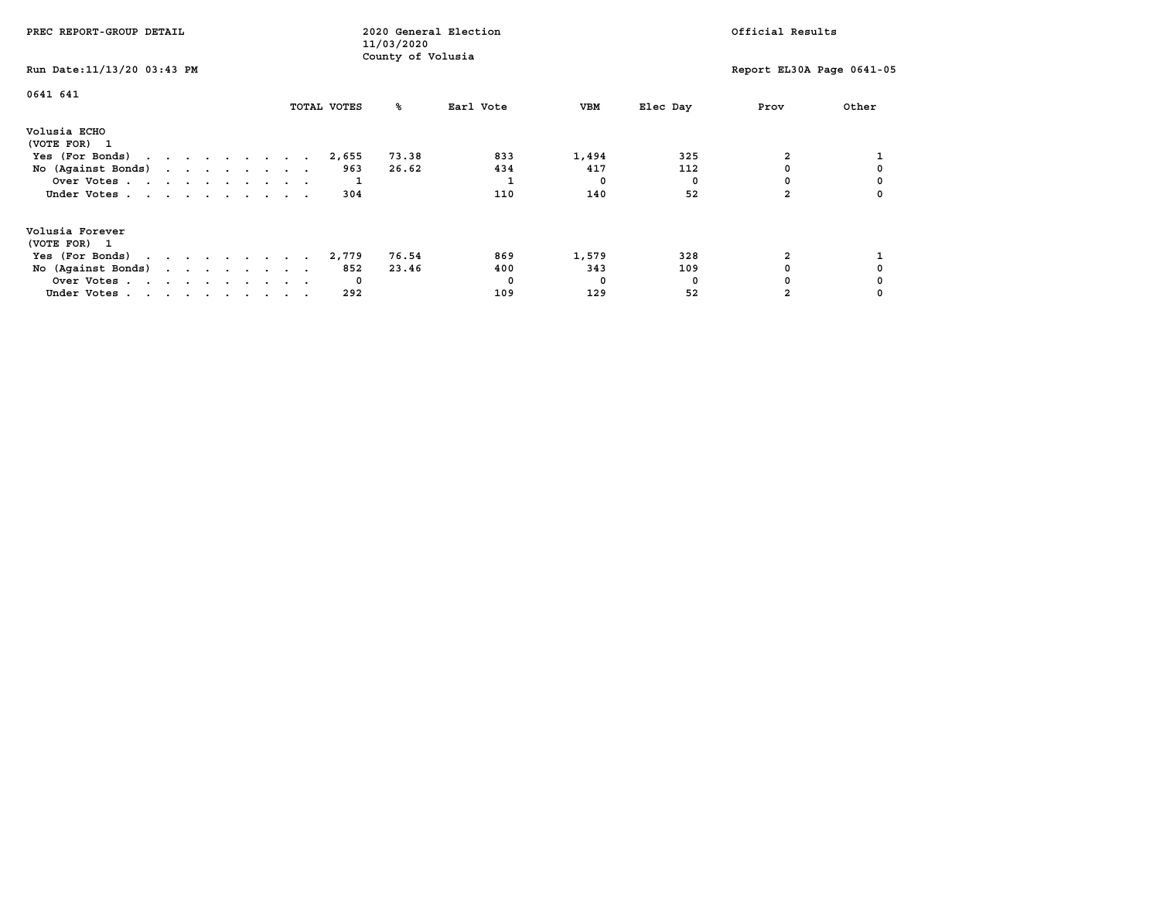| PREC REPORT-GROUP DETAIL                            |  |  | 2020 General Election<br>11/03/2020 |  |  |             |             |                   | Official Results |           |  |            |          |  |      |                           |
|-----------------------------------------------------|--|--|-------------------------------------|--|--|-------------|-------------|-------------------|------------------|-----------|--|------------|----------|--|------|---------------------------|
| Run Date: 11/13/20 03:43 PM                         |  |  |                                     |  |  |             |             | County of Volusia |                  |           |  |            |          |  |      | Report EL30A Page 0641-05 |
| 0641 641                                            |  |  |                                     |  |  | TOTAL VOTES |             | °≈                |                  | Earl Vote |  | VBM        | Elec Day |  | Prov | Other                     |
| Volusia ECHO<br>(VOTE FOR) 1                        |  |  |                                     |  |  |             |             |                   |                  |           |  |            |          |  |      |                           |
| Yes (For Bonds) $\cdots$ $\cdots$ $\cdots$ $\cdots$ |  |  |                                     |  |  |             | 2,655       | 73.38             |                  | 833       |  | 1,494      | 325      |  |      |                           |
| No (Against Bonds)                                  |  |  |                                     |  |  |             | 963         | 26.62             |                  | 434       |  | 417        | 112      |  |      |                           |
| Over Votes                                          |  |  |                                     |  |  |             |             |                   |                  |           |  | $^{\circ}$ |          |  |      |                           |
| Under Votes                                         |  |  |                                     |  |  |             | 304         |                   |                  | 110       |  | 140        | 52       |  |      |                           |
| Volusia Forever<br>(VOTE FOR) 1                     |  |  |                                     |  |  |             |             |                   |                  |           |  |            |          |  |      |                           |
| Yes (For Bonds)                                     |  |  |                                     |  |  | 2,779       |             | 76.54             |                  | 869       |  | 1,579      | 328      |  |      |                           |
| No (Against Bonds)                                  |  |  |                                     |  |  |             | 852         | 23.46             |                  | 400       |  | 343        | 109      |  |      |                           |
| Over Votes                                          |  |  |                                     |  |  |             | $\mathbf 0$ |                   |                  |           |  | 0          | n        |  |      |                           |
| Under Votes                                         |  |  |                                     |  |  |             | 292         |                   |                  | 109       |  | 129        | 52       |  |      |                           |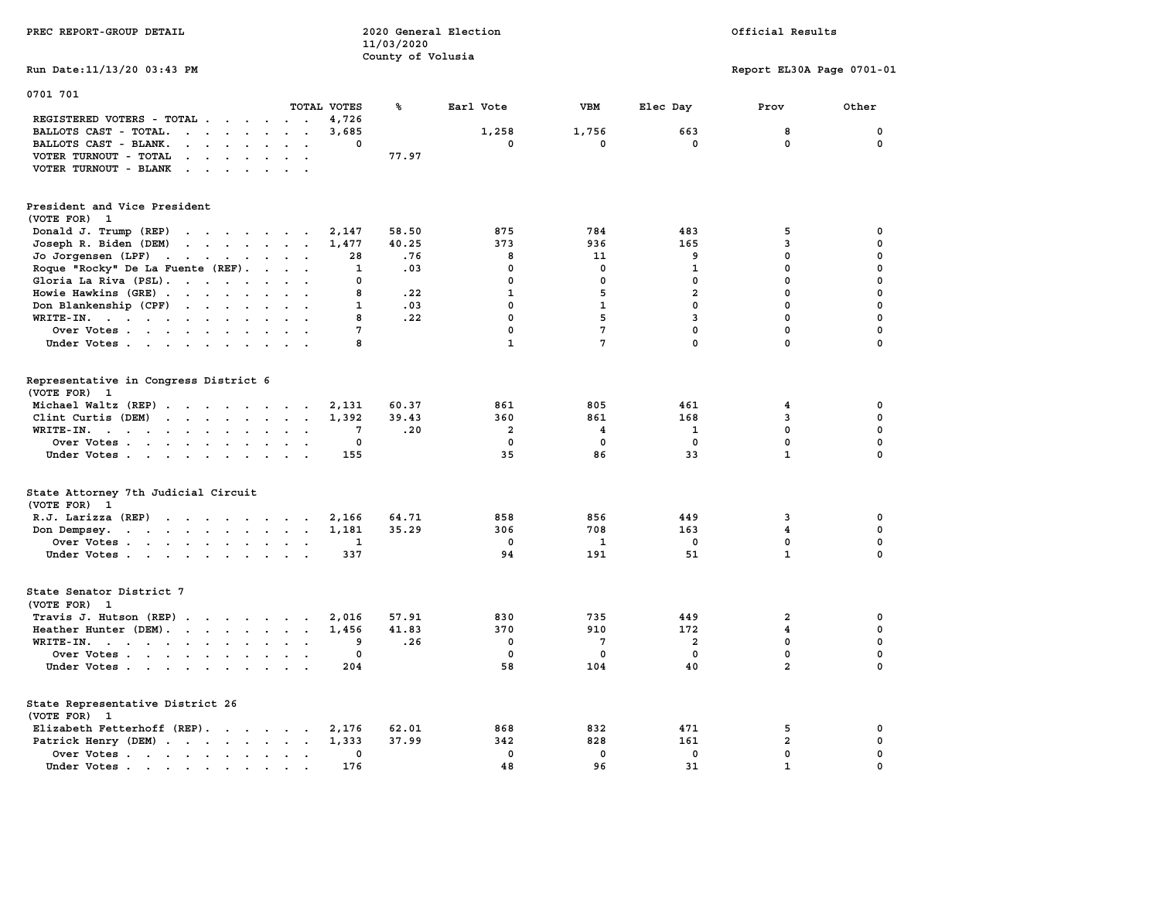| PREC REPORT-GROUP DETAIL                                                                                                                                                                                                                      |                                         | 11/03/2020<br>County of Volusia | 2020 General Election   | Official Results        |                |                           |              |  |
|-----------------------------------------------------------------------------------------------------------------------------------------------------------------------------------------------------------------------------------------------|-----------------------------------------|---------------------------------|-------------------------|-------------------------|----------------|---------------------------|--------------|--|
| Run Date: 11/13/20 03:43 PM                                                                                                                                                                                                                   |                                         |                                 |                         |                         |                | Report EL30A Page 0701-01 |              |  |
| 0701 701                                                                                                                                                                                                                                      |                                         |                                 |                         |                         |                |                           |              |  |
|                                                                                                                                                                                                                                               | TOTAL VOTES                             | ℁                               | Earl Vote               | <b>VBM</b>              | Elec Day       | Prov                      | Other        |  |
| REGISTERED VOTERS - TOTAL                                                                                                                                                                                                                     | 4,726<br>$\sim$ $\sim$ $\sim$           |                                 |                         |                         |                |                           |              |  |
| BALLOTS CAST - TOTAL.                                                                                                                                                                                                                         | 3,685                                   |                                 | 1,258                   | 1,756                   | 663            | 8                         | $\mathbf 0$  |  |
| BALLOTS CAST - BLANK.<br><b>Contract Contract Contract</b><br>$\sim$                                                                                                                                                                          | $\Omega$<br>$\overline{a}$              |                                 | $\Omega$                | $\mathbf{0}$            | $\Omega$       | $\mathbf{0}$              | 0            |  |
| VOTER TURNOUT - TOTAL<br>$\cdot$ $\cdot$ $\cdot$ $\cdot$ $\cdot$                                                                                                                                                                              |                                         | 77.97                           |                         |                         |                |                           |              |  |
| VOTER TURNOUT - BLANK                                                                                                                                                                                                                         |                                         |                                 |                         |                         |                |                           |              |  |
| President and Vice President                                                                                                                                                                                                                  |                                         |                                 |                         |                         |                |                           |              |  |
| (VOTE FOR) 1                                                                                                                                                                                                                                  |                                         |                                 |                         |                         |                |                           |              |  |
| Donald J. Trump (REP)<br>$\cdots$                                                                                                                                                                                                             | 2,147                                   | 58.50                           | 875                     | 784                     | 483            | 5                         | 0            |  |
| Joseph R. Biden (DEM)<br>$\mathbf{r}$ , and $\mathbf{r}$ , and $\mathbf{r}$ , and $\mathbf{r}$                                                                                                                                                | 1,477                                   | 40.25                           | 373                     | 936                     | 165            | 3                         | 0            |  |
| Jo Jorgensen (LPF)<br>the contract of the contract of the contract of the contract of the contract of                                                                                                                                         | 28                                      | .76                             | 8                       | 11                      | 9              | $\mathbf 0$               | 0            |  |
| Roque "Rocky" De La Fuente (REF).                                                                                                                                                                                                             | 1                                       | .03                             | $\mathbf{0}$            | $\mathbf 0$             | $\mathbf{1}$   | $\mathbf 0$               | 0            |  |
| Gloria La Riva (PSL).                                                                                                                                                                                                                         | 0                                       |                                 | $\mathbf{0}$            | 0                       | 0              | 0                         | $\Omega$     |  |
| Howie Hawkins (GRE)                                                                                                                                                                                                                           | 8                                       | .22                             | $\mathbf{1}$            | 5                       | $\overline{a}$ | $\mathbf 0$               | $\mathbf{0}$ |  |
|                                                                                                                                                                                                                                               |                                         | .03                             | 0                       | $\mathbf{1}$            | $\mathbf 0$    | 0                         | 0            |  |
| Don Blankenship (CPF)                                                                                                                                                                                                                         | 1                                       |                                 | $\mathbf{0}$            |                         |                |                           |              |  |
| WRITE-IN.                                                                                                                                                                                                                                     | 8                                       | .22                             |                         | 5                       | $\overline{3}$ | $\mathbf 0$               | $\Omega$     |  |
| Over Votes<br>$\ddot{\phantom{a}}$<br>$\ddot{\phantom{a}}$                                                                                                                                                                                    | $7\phantom{.0}$                         |                                 | $\mathbf 0$             | $\overline{7}$          | $\mathbf 0$    | $\mathbf 0$               | 0            |  |
| Under Votes                                                                                                                                                                                                                                   | 8                                       |                                 | ${\bf 1}$               | $7\phantom{.0}$         | $\Omega$       | $\mathbf 0$               | $\Omega$     |  |
| Representative in Congress District 6<br>(VOTE FOR) 1                                                                                                                                                                                         |                                         |                                 |                         |                         |                |                           |              |  |
| Michael Waltz (REP)                                                                                                                                                                                                                           | 2,131                                   | 60.37                           | 861                     | 805                     | 461            | 4                         | 0            |  |
| Clint Curtis (DEM)<br>$\cdots$                                                                                                                                                                                                                | 1,392                                   | 39.43                           | 360                     | 861                     | 168            | 3                         | 0            |  |
| WRITE-IN.<br>$\mathbf{r}$ , and $\mathbf{r}$ , and $\mathbf{r}$ , and $\mathbf{r}$<br>$\sim$<br>$\ddot{\phantom{a}}$                                                                                                                          | 7                                       | .20                             | $\overline{\mathbf{2}}$ | $\overline{\mathbf{4}}$ | $\mathbf{1}$   | $\mathbf 0$               | 0            |  |
| Over Votes                                                                                                                                                                                                                                    | 0                                       |                                 | $\mathbf{0}$            | 0                       | 0              | $\mathbf 0$               | 0            |  |
| Under Votes                                                                                                                                                                                                                                   | 155                                     |                                 | 35                      | 86                      | 33             | $\mathbf{1}$              | $\mathbf{0}$ |  |
| State Attorney 7th Judicial Circuit<br>(VOTE FOR) 1                                                                                                                                                                                           |                                         |                                 |                         |                         |                |                           |              |  |
| R.J. Larizza (REP)                                                                                                                                                                                                                            |                                         |                                 | 858                     | 856                     | 449            | 3                         | 0            |  |
|                                                                                                                                                                                                                                               | 2,166                                   | 64.71<br>35.29                  | 306                     | 708                     | 163            | 4                         | 0            |  |
| Don Dempsey.<br>. The contract of the contract of the contract of the contract of the contract of the contract of the contract of the contract of the contract of the contract of the contract of the contract of the contract of the contrac | 1,181                                   |                                 | $^{\circ}$              |                         |                | $\mathbf 0$               | 0            |  |
| Over Votes                                                                                                                                                                                                                                    | 1                                       |                                 |                         | 1                       | $\mathbf 0$    | $\mathbf{1}$              | 0            |  |
| Under Votes                                                                                                                                                                                                                                   | 337                                     |                                 | 94                      | 191                     | 51             |                           |              |  |
| State Senator District 7<br>(VOTE FOR) 1                                                                                                                                                                                                      |                                         |                                 |                         |                         |                |                           |              |  |
| Travis J. Hutson (REP)                                                                                                                                                                                                                        | 2,016                                   | 57.91                           | 830                     | 735                     | 449            | $\overline{\mathbf{2}}$   | 0            |  |
| Heather Hunter (DEM).                                                                                                                                                                                                                         | 1,456                                   | 41.83                           | 370                     | 910                     | 172            | 4                         | 0            |  |
| WRITE-IN.                                                                                                                                                                                                                                     | 9<br>$\sim$<br>$\overline{\phantom{a}}$ | .26                             | 0                       | 7                       | 2              | $\mathbf 0$               | $\Omega$     |  |
| Over Votes                                                                                                                                                                                                                                    | $\mathbf{o}$                            |                                 | $\mathbf 0$             | $\mathbf 0$             | $\mathbf 0$    | $\mathbf 0$               | 0            |  |
| Under Votes                                                                                                                                                                                                                                   | 204                                     |                                 | 58                      | 104                     | 40             | $\overline{a}$            | 0            |  |
| State Representative District 26                                                                                                                                                                                                              |                                         |                                 |                         |                         |                |                           |              |  |
| (VOTE FOR) 1                                                                                                                                                                                                                                  |                                         |                                 |                         |                         |                |                           |              |  |
| Elizabeth Fetterhoff (REP).                                                                                                                                                                                                                   | 2,176                                   | 62.01                           | 868                     | 832                     | 471            | 5                         | 0            |  |
| Patrick Henry (DEM)                                                                                                                                                                                                                           | 1,333                                   | 37.99                           | 342                     | 828                     | 161            | $\overline{\mathbf{2}}$   | 0            |  |
| Over Votes                                                                                                                                                                                                                                    | 0                                       |                                 | 0                       | 0                       | 0              | 0                         | 0            |  |
| Under Votes                                                                                                                                                                                                                                   | 176<br><b>Contract Contract</b>         |                                 | 48                      | 96                      | 31             | $\mathbf{1}$              | 0            |  |
|                                                                                                                                                                                                                                               |                                         |                                 |                         |                         |                |                           |              |  |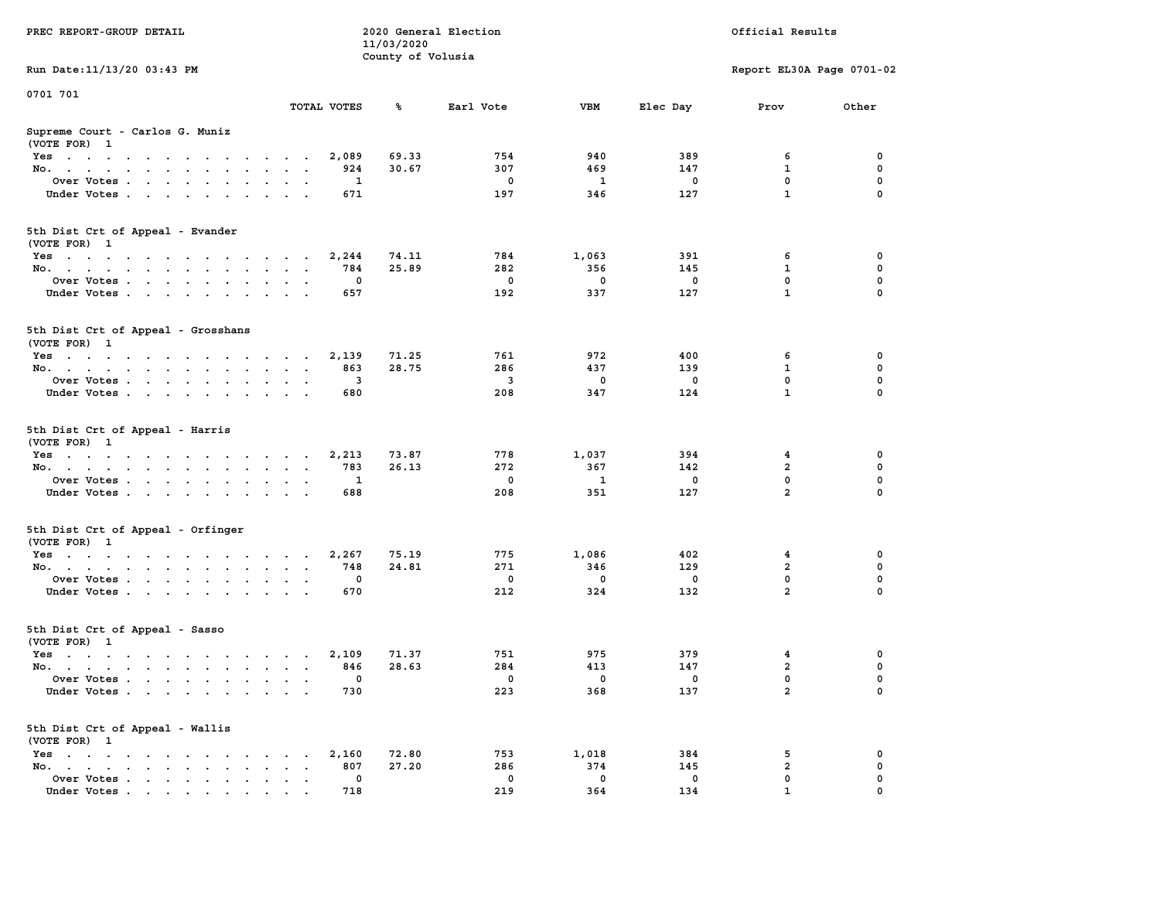| PREC REPORT-GROUP DETAIL                                                                                               | 2020 General Election |                                 |                    |                    |             | Official Results          |               |  |
|------------------------------------------------------------------------------------------------------------------------|-----------------------|---------------------------------|--------------------|--------------------|-------------|---------------------------|---------------|--|
|                                                                                                                        |                       | 11/03/2020<br>County of Volusia |                    |                    |             |                           |               |  |
| Run Date: 11/13/20 03:43 PM                                                                                            |                       |                                 |                    |                    |             | Report EL30A Page 0701-02 |               |  |
| 0701 701                                                                                                               |                       |                                 |                    |                    |             |                           |               |  |
|                                                                                                                        | TOTAL VOTES           | ጜ                               | Earl Vote          | VBM                | Elec Day    | Prov                      | Other         |  |
| Supreme Court - Carlos G. Muniz<br>(VOTE FOR) 1                                                                        |                       |                                 |                    |                    |             |                           |               |  |
| Yes                                                                                                                    | 2,089                 | 69.33                           | 754                | 940                | 389         | 6                         | 0             |  |
| No.                                                                                                                    | 924                   | 30.67                           | 307                | 469                | 147         | $\mathbf{1}$              | $\mathbf 0$   |  |
| Over Votes                                                                                                             | 1                     |                                 | 0                  | 1                  | 0           | 0                         | 0             |  |
| Under Votes                                                                                                            | 671                   |                                 | 197                | 346                | 127         | $\mathbf{1}$              | $\Omega$      |  |
| 5th Dist Crt of Appeal - Evander<br>(VOTE FOR) 1                                                                       |                       |                                 |                    |                    |             |                           |               |  |
| Yes                                                                                                                    | 2,244                 | 74.11                           | 784                | 1,063              | 391         | 6                         | 0             |  |
| No.                                                                                                                    | 784                   | 25.89                           | 282                | 356                | 145         | 1                         | 0             |  |
| Over Votes                                                                                                             | 0                     |                                 | $\mathbf 0$        | $\mathbf 0$        | $\mathbf 0$ | 0                         | $\mathbf 0$   |  |
| Under Votes                                                                                                            | 657                   |                                 | 192                | 337                | 127         | $\mathbf{1}$              | 0             |  |
| 5th Dist Crt of Appeal - Grosshans<br>(VOTE FOR) 1                                                                     |                       |                                 |                    |                    |             |                           |               |  |
| $Yes \cdot \cdot \cdot \cdot \cdot \cdot \cdot \cdot \cdot \cdot \cdot \cdot \cdot$                                    | 2,139                 | 71.25                           | 761                | 972                | 400         | 6                         | 0             |  |
| No.                                                                                                                    | 863                   | 28.75                           | 286                | 437                | 139         | 1                         | 0             |  |
| Over Votes                                                                                                             | 3<br>$\bullet$        |                                 | 3                  | 0                  | 0           | $\mathbf{0}$              | 0             |  |
| Under Votes                                                                                                            | 680                   |                                 | 208                | 347                | 124         | $\mathbf{1}$              | 0             |  |
| 5th Dist Crt of Appeal - Harris<br>(VOTE FOR) 1                                                                        |                       |                                 |                    |                    |             |                           |               |  |
| Yes                                                                                                                    | 2,213                 | 73.87                           | 778                | 1,037              | 394         | 4                         | 0             |  |
| No.                                                                                                                    | 783                   | 26.13                           | 272                | 367                | 142         | $\mathbf{2}$              | 0             |  |
| Over Votes                                                                                                             | 1                     |                                 | 0                  | 1                  | 0           | 0<br>$\overline{a}$       | 0             |  |
| Under Votes                                                                                                            | 688                   |                                 | 208                | 351                | 127         |                           | $\Omega$      |  |
| 5th Dist Crt of Appeal - Orfinger<br>(VOTE FOR) 1                                                                      |                       |                                 |                    |                    |             |                           |               |  |
| Yes                                                                                                                    | 2,267                 | 75.19                           | 775                | 1,086              | 402         | 4                         | 0             |  |
| No.                                                                                                                    | 748                   | 24.81                           | 271                | 346                | 129         | $\overline{a}$<br>0       | 0             |  |
| Over Votes                                                                                                             | 0<br>670              |                                 | $\mathbf 0$<br>212 | $\mathbf 0$<br>324 | $\mathbf 0$ | $\overline{2}$            | 0<br>$\Omega$ |  |
| Under Votes                                                                                                            |                       |                                 |                    |                    | 132         |                           |               |  |
| 5th Dist Crt of Appeal - Sasso<br>(VOTE FOR) 1                                                                         |                       |                                 |                    |                    |             |                           |               |  |
| Yes<br>the contract of the contract of the contract of the contract of the contract of the contract of the contract of | 2,109                 | 71.37                           | 751                | 975                | 379         | 4                         | 0             |  |
| No.                                                                                                                    | 846                   | 28.63                           | 284                | 413                | 147         | $\overline{\mathbf{2}}$   | 0             |  |
| Over Votes.                                                                                                            | 0                     |                                 | 0                  | 0                  | 0           | $\mathbf{0}$              | 0             |  |
| Under Votes                                                                                                            | 730                   |                                 | 223                | 368                | 137         | $\mathbf{2}$              | 0             |  |
| 5th Dist Crt of Appeal - Wallis<br>(VOTE FOR) 1                                                                        |                       |                                 |                    |                    |             |                           |               |  |
| $Yes \cdot \cdot \cdot \cdot \cdot$<br>$\sim$ $\sim$                                                                   | 2,160                 | 72.80                           | 753                | 1,018              | 384         | 5                         | 0             |  |
| No.<br>$\ddot{\phantom{a}}$                                                                                            | 807                   | 27.20                           | 286                | 374                | 145         | $\mathbf{2}$              | 0             |  |
| Over Votes<br>Under Votes.                                                                                             | 0<br>718              |                                 | 0<br>219           | 0<br>364           | 0<br>134    | 0                         | 0             |  |
|                                                                                                                        |                       |                                 |                    |                    |             |                           |               |  |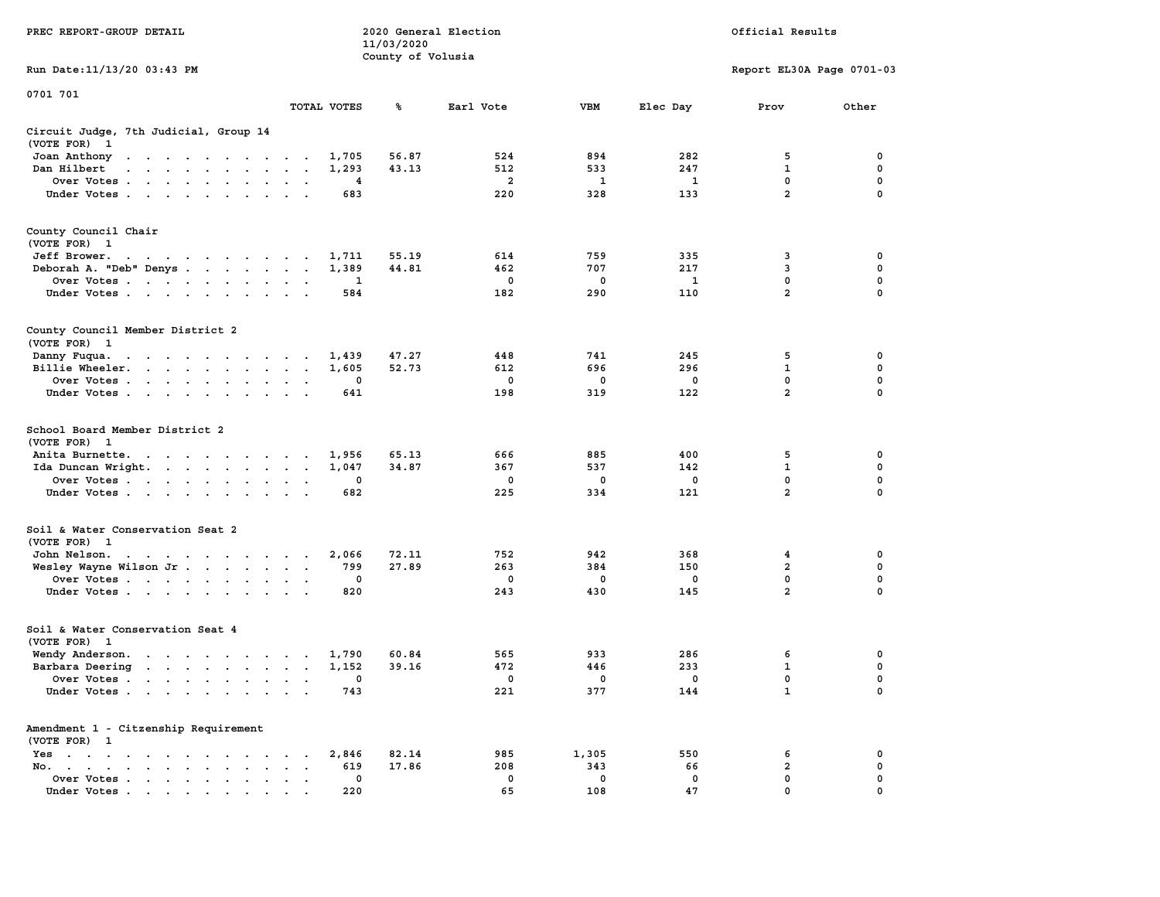|                                                                                                                                                                                                                                                      |                                                                | 11/03/2020        |                |             |              |                           |             |
|------------------------------------------------------------------------------------------------------------------------------------------------------------------------------------------------------------------------------------------------------|----------------------------------------------------------------|-------------------|----------------|-------------|--------------|---------------------------|-------------|
|                                                                                                                                                                                                                                                      |                                                                | County of Volusia |                |             |              |                           |             |
| Run Date:11/13/20 03:43 PM                                                                                                                                                                                                                           |                                                                |                   |                |             |              | Report EL30A Page 0701-03 |             |
| 0701 701                                                                                                                                                                                                                                             |                                                                |                   |                |             |              |                           |             |
|                                                                                                                                                                                                                                                      | TOTAL VOTES                                                    | ℁                 | Earl Vote      | <b>VBM</b>  | Elec Day     | Prov                      | Other       |
| Circuit Judge, 7th Judicial, Group 14<br>(VOTE FOR)<br>$\mathbf{1}$                                                                                                                                                                                  |                                                                |                   |                |             |              |                           |             |
| Joan Anthony<br>the contract of the contract of the con-                                                                                                                                                                                             | 1,705<br>$\sim$                                                | 56.87             | 524            | 894         | 282          | 5                         | 0           |
| Dan Hilbert<br>$\cdots$<br>$\ddot{\phantom{a}}$                                                                                                                                                                                                      | 1,293<br>$\sim$<br>$\sim$                                      | 43.13             | 512            | 533         | 247          | $\mathbf 1$               | 0           |
| Over Votes.<br>$\mathcal{A}$ . The second contribution of $\mathcal{A}$                                                                                                                                                                              | 4<br>$\cdot$<br>$\ddot{\phantom{a}}$                           |                   | $\overline{a}$ | 1           | 1            | 0                         | $\mathbf 0$ |
| Under Votes                                                                                                                                                                                                                                          | 683<br>$\ddot{\phantom{a}}$<br>$\mathbf{r}$<br>$\sim$          |                   | 220            | 328         | 133          | $\overline{a}$            | $\mathbf 0$ |
| County Council Chair<br>(VOTE FOR) 1                                                                                                                                                                                                                 |                                                                |                   |                |             |              |                           |             |
| Jeff Brower.<br>the contract of the contract of the contract of the contract of the contract of                                                                                                                                                      | 1,711                                                          | 55.19             | 614            | 759         | 335          | 3                         | 0           |
| Deborah A. "Deb" Denys                                                                                                                                                                                                                               | 1,389<br>$\sim$                                                | 44.81             | 462            | 707         | 217          | 3                         | 0           |
| Over Votes<br>$\sim$ $\sim$<br>$\ddot{\phantom{0}}$                                                                                                                                                                                                  | 1                                                              |                   | 0              | 0           | $\mathbf{1}$ | 0                         | $\pmb{0}$   |
| Under Votes<br>$\ddot{\phantom{0}}$                                                                                                                                                                                                                  | 584<br>$\cdot$                                                 |                   | 182            | 290         | 110          | $\overline{2}$            | $\mathbf 0$ |
| County Council Member District 2<br>(VOTE FOR) 1                                                                                                                                                                                                     |                                                                |                   |                |             |              |                           |             |
| Danny Fuqua.<br>$\mathbf{u} = \mathbf{u} + \mathbf{u} + \mathbf{u} + \mathbf{u} + \mathbf{u} + \mathbf{u} + \mathbf{u}$                                                                                                                              | 1,439                                                          | 47.27             | 448            | 741         | 245          | 5                         | 0           |
| Billie Wheeler.<br>$\mathcal{A}=\mathcal{A}=\mathcal{A}$ .<br>$\ddot{\phantom{0}}$<br>$\ddot{\phantom{0}}$<br>$\sim$                                                                                                                                 | 1,605<br>$\bullet$<br>$\cdot$<br>$\ddot{\phantom{a}}$          | 52.73             | 612            | 696         | 296          | $\mathbf{1}$              | 0           |
| Over Votes                                                                                                                                                                                                                                           | 0<br>$\sim$                                                    |                   | 0              | 0           | $\mathbf 0$  | 0                         | $\mathbf 0$ |
| Under Votes<br>$\sim$<br>$\cdot$<br>$\cdot$                                                                                                                                                                                                          | 641                                                            |                   | 198            | 319         | 122          | $\overline{a}$            | 0           |
| School Board Member District 2<br>(VOTE FOR) 1                                                                                                                                                                                                       |                                                                |                   |                |             |              |                           |             |
| Anita Burnette.<br>the contract of the contract of the                                                                                                                                                                                               | 1,956                                                          | 65.13             | 666            | 885         | 400          | 5                         | 0           |
| Ida Duncan Wright.                                                                                                                                                                                                                                   | 1,047<br>$\sim$<br>$\bullet$<br>$\blacksquare$                 | 34.87             | 367            | 537         | 142          | $\mathbf{1}$              | $\mathbf 0$ |
| Over Votes                                                                                                                                                                                                                                           | 0<br>$\cdot$                                                   |                   | 0              | 0           | $\mathbf 0$  | $\mathbf 0$               | $\mathbf 0$ |
| Under Votes<br>$\cdot$<br>$\ddot{\phantom{0}}$                                                                                                                                                                                                       | 682                                                            |                   | 225            | 334         | 121          | $\overline{a}$            | $\mathbf 0$ |
| Soil & Water Conservation Seat 2<br>(VOTE FOR)<br>$\mathbf{1}$                                                                                                                                                                                       |                                                                |                   |                |             |              |                           |             |
| John Nelson.<br>the contract of the contract of the con-                                                                                                                                                                                             | 2,066                                                          | 72.11             | 752            | 942         | 368          | $\overline{\mathbf{4}}$   | $\mathbf 0$ |
| Wesley Wayne Wilson Jr                                                                                                                                                                                                                               | 799                                                            | 27.89             | 263            | 384         | 150          | $\overline{2}$            | 0           |
| Over Votes                                                                                                                                                                                                                                           | 0<br>$\bullet$<br>$\bullet$                                    |                   | 0              | 0           | 0            | 0                         | 0           |
| Under Votes                                                                                                                                                                                                                                          | 820<br>$\sim$                                                  |                   | 243            | 430         | 145          | $\overline{2}$            | $\mathbf 0$ |
| Soil & Water Conservation Seat 4<br>(VOTE FOR) 1                                                                                                                                                                                                     |                                                                |                   |                |             |              |                           |             |
| Wendy Anderson.<br>$\sim$ $\sim$<br>$\cdots$                                                                                                                                                                                                         | 1,790                                                          | 60.84             | 565            | 933         | 286          | 6                         | 0           |
| Barbara Deering<br>$\mathbf{r}$ . The contract of the contract of the contract of the contract of the contract of the contract of the contract of the contract of the contract of the contract of the contract of the contract of the contract of th | 1,152<br>$\sim$<br>$\cdot$                                     | 39.16             | 472            | 446         | 233          | 1                         | $\mathbf 0$ |
| Over Votes.<br>$\mathbf{r} = \mathbf{r} + \mathbf{r} + \mathbf{r} + \mathbf{r}$<br>$\sim$<br>$\sim$                                                                                                                                                  | 0<br>$\cdot$<br>$\ddot{\phantom{a}}$<br>$\cdot$                |                   | 0              | 0           | 0            | $\mathbf 0$               | $\mathbf 0$ |
| Under Votes                                                                                                                                                                                                                                          | 743<br>$\ddot{\phantom{a}}$<br>$\cdot$                         |                   | 221            | 377         | 144          | $\mathbf{1}$              | $\mathbf 0$ |
| Amendment 1 - Citzenship Requirement<br>(VOTE FOR) 1                                                                                                                                                                                                 |                                                                |                   |                |             |              |                           |             |
| $Yes \t . \t .$<br>$\blacksquare$<br>$\sim$ $\sim$<br>$\cdots$<br>$\sim$ $\sim$ $\sim$ $\sim$ $\sim$                                                                                                                                                 | 2,846                                                          | 82.14             | 985            | 1,305       | 550          | 6                         | 0           |
| No.<br>$\bullet$ . In the case of the contract $\bullet$<br>$\cdot$ $\cdot$<br>$\cdot$                                                                                                                                                               | 619<br>$\cdot$                                                 | 17.86             | 208            | 343         | 66           | 2                         | 0           |
| Over Votes<br>$\ddot{\phantom{a}}$                                                                                                                                                                                                                   | 0<br>$\ddot{\phantom{a}}$<br>$\ddot{\phantom{1}}$<br>$\bullet$ |                   | $\mathbf 0$    | $\mathbf 0$ | $\mathbf 0$  | $\mathbf 0$               | $\mathbf 0$ |
| Under Votes                                                                                                                                                                                                                                          | 220                                                            |                   | 65             | 108         | 47           | $\mathbf{0}$              | $\mathbf 0$ |

**PREC REPORT-GROUP DETAIL 2020 General Election Official Results**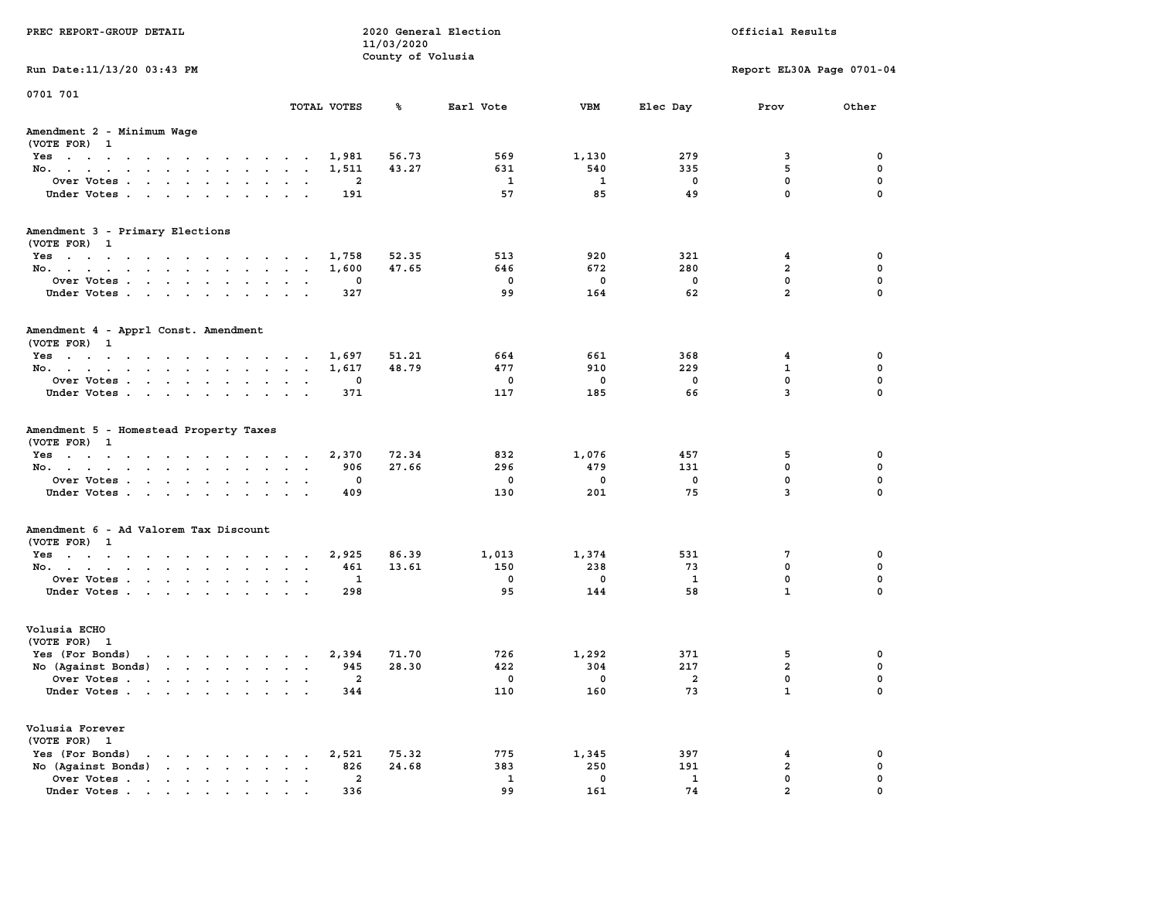| PREC REPORT-GROUP DETAIL                                                                                                                                                                           | 2020 General Election<br>Official Results<br>11/03/2020<br>County of Volusia |                         |                |              |                |                         |                           |             |
|----------------------------------------------------------------------------------------------------------------------------------------------------------------------------------------------------|------------------------------------------------------------------------------|-------------------------|----------------|--------------|----------------|-------------------------|---------------------------|-------------|
| Run Date: 11/13/20 03:43 PM                                                                                                                                                                        |                                                                              |                         |                |              |                |                         | Report EL30A Page 0701-04 |             |
| 0701 701                                                                                                                                                                                           |                                                                              | TOTAL VOTES             | ℁              | Earl Vote    | VBM            | Elec Day                | Prov                      | Other       |
| Amendment 2 - Minimum Wage<br>(VOTE FOR) 1                                                                                                                                                         |                                                                              |                         |                |              |                |                         |                           |             |
| Yes                                                                                                                                                                                                |                                                                              | 1,981                   | 56.73          | 569          | 1,130          | 279                     | 3                         | 0           |
| No.                                                                                                                                                                                                |                                                                              | 1,511                   | 43.27          | 631          | 540            | 335                     | 5                         | 0           |
| Over Votes                                                                                                                                                                                         |                                                                              | 2                       |                | 1            | 1              | 0                       | 0                         | 0           |
| Under Votes                                                                                                                                                                                        |                                                                              | 191                     |                | 57           | 85             | 49                      | 0                         | 0           |
| Amendment 3 - Primary Elections                                                                                                                                                                    |                                                                              |                         |                |              |                |                         |                           |             |
| (VOTE FOR) 1                                                                                                                                                                                       |                                                                              |                         |                |              |                |                         |                           |             |
| Yes                                                                                                                                                                                                |                                                                              | 1,758                   | 52.35<br>47.65 | 513<br>646   | 920<br>672     | 321<br>280              | 4<br>2                    | 0<br>0      |
| No.<br>Over Votes                                                                                                                                                                                  |                                                                              | 1,600<br>0              |                | 0            | 0              | $\mathbf 0$             | $\mathbf 0$               | 0           |
| Under Votes                                                                                                                                                                                        | $\ddot{\phantom{0}}$<br>$\sim$<br>$\sim$                                     | 327                     |                | 99           | 164            | 62                      | $\overline{a}$            | 0           |
|                                                                                                                                                                                                    |                                                                              |                         |                |              |                |                         |                           |             |
| Amendment 4 - Apprl Const. Amendment<br>(VOTE FOR) 1                                                                                                                                               |                                                                              |                         |                |              |                |                         |                           |             |
| Yes                                                                                                                                                                                                |                                                                              | 1,697                   | 51.21          | 664          | 661            | 368                     | 4                         | 0           |
| No.                                                                                                                                                                                                |                                                                              | 1,617                   | 48.79          | 477          | 910            | 229                     | 1                         | 0           |
| Over Votes                                                                                                                                                                                         |                                                                              | 0                       |                | 0            | 0              | 0                       | $\mathbf 0$               | 0           |
| Under Votes                                                                                                                                                                                        |                                                                              | 371                     |                | 117          | 185            | 66                      | 3                         | $\mathbf 0$ |
| Amendment 5 - Homestead Property Taxes<br>(VOTE FOR) 1                                                                                                                                             |                                                                              |                         |                |              |                |                         |                           |             |
| Yes                                                                                                                                                                                                |                                                                              | 2,370                   | 72.34          | 832          | 1,076          | 457                     | 5                         | 0           |
| No.                                                                                                                                                                                                | $\sim$ $\sim$                                                                | 906                     | 27.66          | 296          | 479            | 131                     | 0                         | 0           |
| Over Votes                                                                                                                                                                                         |                                                                              | 0                       |                | 0            | 0              | 0                       | $\mathbf 0$               | 0           |
| Under Votes                                                                                                                                                                                        |                                                                              | 409                     |                | 130          | 201            | 75                      | 3                         | 0           |
| Amendment 6 - Ad Valorem Tax Discount<br>(VOTE FOR) 1                                                                                                                                              |                                                                              |                         |                |              |                |                         |                           |             |
| Yes                                                                                                                                                                                                |                                                                              | 2,925                   | 86.39          | 1,013        | 1,374          | 531                     | 7                         | 0           |
| No.                                                                                                                                                                                                |                                                                              | 461                     | 13.61          | 150          | 238            | 73                      | 0                         | $\mathbf 0$ |
| Over Votes                                                                                                                                                                                         | $\sim$<br>$\cdot$                                                            | 1                       |                | 0            | 0              | 1                       | $\mathbf 0$               | 0           |
| Under Votes                                                                                                                                                                                        |                                                                              | 298                     |                | 95           | 144            | 58                      | $\mathbf{1}$              | 0           |
| Volusia ECHO<br>(VOTE FOR) 1                                                                                                                                                                       |                                                                              |                         |                |              |                |                         |                           |             |
| Yes (For Bonds)                                                                                                                                                                                    |                                                                              | 2,394                   | 71.70          | 726          | 1,292          | 371                     | 5                         | 0           |
| No (Aqainst Bonds)                                                                                                                                                                                 |                                                                              | 945                     | 28.30          | 422          | 304            | 217                     | $\overline{\mathbf{2}}$   | $\mathbf 0$ |
| Over Votes.                                                                                                                                                                                        |                                                                              | $\mathbf{2}$            |                | $\Omega$     | $\overline{0}$ | $\overline{\mathbf{2}}$ | $\mathbf 0$               | 0           |
| Under Votes                                                                                                                                                                                        |                                                                              | 344                     |                | 110          | 160            | 73                      | 1                         | 0           |
| Volusia Forever<br>(VOTE FOR) 1                                                                                                                                                                    |                                                                              |                         |                |              |                |                         |                           |             |
| Yes (For Bonds)<br>$\begin{array}{cccccccccccccccccc} \bullet & \bullet & \bullet & \bullet & \bullet & \bullet & \bullet & \bullet & \bullet & \bullet & \bullet & \bullet & \bullet \end{array}$ |                                                                              | 2,521                   | 75.32          | 775          | 1,345          | 397                     | 4                         | 0           |
| No (Against Bonds)<br>$\cdot$ $\cdot$ $\cdot$ $\cdot$ $\cdot$ $\cdot$                                                                                                                              |                                                                              | 826                     | 24.68          | 383          | 250            | 191                     | $\mathbf{2}$              | 0           |
| Over Votes.                                                                                                                                                                                        |                                                                              | $\overline{\mathbf{2}}$ |                | $\mathbf{1}$ | 0              | $\mathbf{1}$            | 0                         | 0           |
| Under Votes.                                                                                                                                                                                       |                                                                              | 336                     |                | 99           | 161            | 74                      | $\overline{a}$            |             |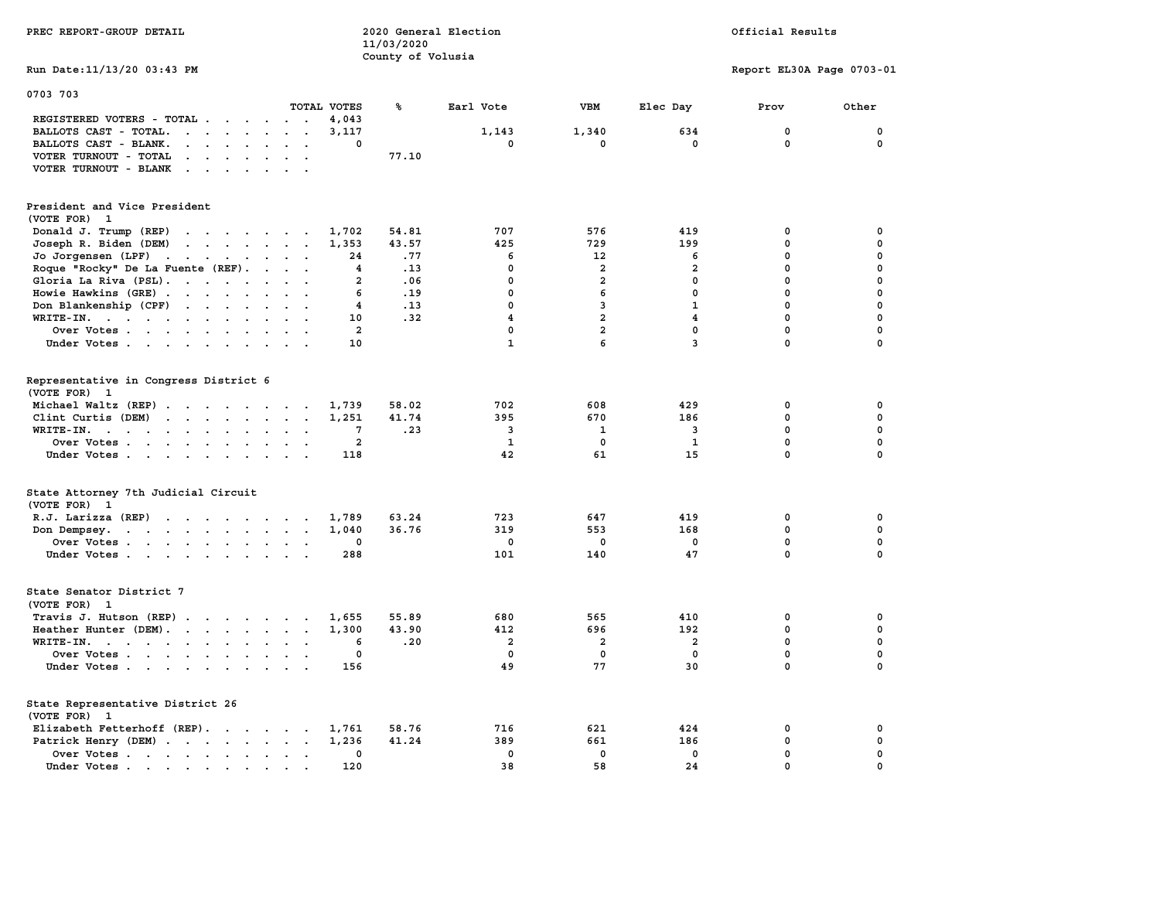| PREC REPORT-GROUP DETAIL                                                                                                                                                                                                                                  | 11/03/2020              | 2020 General Election<br>County of Volusia |                     |                         | Official Results          |             |  |  |
|-----------------------------------------------------------------------------------------------------------------------------------------------------------------------------------------------------------------------------------------------------------|-------------------------|--------------------------------------------|---------------------|-------------------------|---------------------------|-------------|--|--|
| Run Date: 11/13/20 03:43 PM                                                                                                                                                                                                                               |                         |                                            |                     |                         | Report EL30A Page 0703-01 |             |  |  |
| 0703 703<br>TOTAL VOTES                                                                                                                                                                                                                                   | ℁                       | Earl Vote                                  | <b>VBM</b>          | Elec Day                | Prov                      | Other       |  |  |
| REGISTERED VOTERS - TOTAL<br>BALLOTS CAST - TOTAL.<br>$\cdot$ $\cdot$ $\cdot$ $\cdot$ $\cdot$ $\cdot$ $\cdot$<br>$\ddot{\phantom{a}}$<br>BALLOTS CAST - BLANK.<br>$\cdot$ $\cdot$ $\cdot$ $\cdot$ $\cdot$<br>$\ddot{\phantom{a}}$<br>$\ddot{\phantom{a}}$ | 4,043<br>3,117<br>0     | 1,143<br>0                                 | 1,340<br>$^{\circ}$ | 634<br>$^{\circ}$       | 0<br>$\mathbf{0}$         | 0<br>0      |  |  |
| VOTER TURNOUT - TOTAL<br>$\mathbf{r}$ , $\mathbf{r}$ , $\mathbf{r}$ , $\mathbf{r}$ , $\mathbf{r}$ , $\mathbf{r}$<br>VOTER TURNOUT - BLANK<br>$\mathbf{r}$ , $\mathbf{r}$ , $\mathbf{r}$ , $\mathbf{r}$ , $\mathbf{r}$                                     | 77.10                   |                                            |                     |                         |                           |             |  |  |
| President and Vice President<br>(VOTE FOR) 1                                                                                                                                                                                                              |                         |                                            |                     |                         |                           |             |  |  |
| Donald J. Trump (REP)                                                                                                                                                                                                                                     | 54.81<br>1,702          | 707                                        | 576                 | 419                     | 0                         | 0           |  |  |
| Joseph R. Biden (DEM)<br>the contract of the contract of                                                                                                                                                                                                  | 1,353<br>43.57          | 425                                        | 729                 | 199                     | 0                         | $\mathbf 0$ |  |  |
| Jo Jorgensen $(LPF)$                                                                                                                                                                                                                                      | .77<br>24               | 6                                          | 12                  | 6                       | 0                         | 0           |  |  |
| Roque "Rocky" De La Fuente (REF).<br>$\cdots$                                                                                                                                                                                                             | .13<br>4                | $\mathbf 0$                                | $\overline{a}$      | $\overline{2}$          | 0                         | 0           |  |  |
| Gloria La Riva (PSL).                                                                                                                                                                                                                                     | .06<br>$\mathbf{2}$     | $\mathbf 0$                                | $\overline{a}$      | $\mathbf 0$             | $\mathbf 0$               | 0           |  |  |
| Howie Hawkins (GRE)<br>$\sim$<br>$\ddot{\phantom{a}}$                                                                                                                                                                                                     | 6<br>.19                | 0                                          | 6                   | 0                       | $\mathbf 0$               | 0           |  |  |
| Don Blankenship (CPF)                                                                                                                                                                                                                                     | 4<br>.13                | $\mathbf 0$                                | $\mathbf{3}$        | $\mathbf{1}$            | 0                         | $\mathbf 0$ |  |  |
| $WRITE-IN.$<br>$\ddot{\phantom{a}}$<br>$\ddot{\phantom{a}}$<br>$\mathbf{r}$<br>$\overline{\phantom{a}}$                                                                                                                                                   | 10<br>.32               | $\overline{\mathbf{4}}$                    | $\overline{a}$      | $\overline{\mathbf{4}}$ | $\mathbf 0$               | $\mathbf 0$ |  |  |
| Over Votes                                                                                                                                                                                                                                                | $\overline{a}$          | $\mathbf 0$                                | $\overline{a}$      | $\mathbf 0$             | $\mathbf 0$               | $\mathbf 0$ |  |  |
| Under Votes                                                                                                                                                                                                                                               | 10                      | $\mathbf{1}$                               | 6                   | $\overline{3}$          | $\mathbf 0$               | $\mathbf 0$ |  |  |
| Representative in Congress District 6<br>(VOTE FOR) 1                                                                                                                                                                                                     |                         |                                            |                     |                         |                           |             |  |  |
| Michael Waltz (REP)                                                                                                                                                                                                                                       | 58.02<br>1,739          | 702                                        | 608                 | 429                     | 0                         | 0           |  |  |
| Clint Curtis (DEM)<br>$\ddot{\phantom{1}}$                                                                                                                                                                                                                | 41.74<br>1,251          | 395                                        | 670                 | 186                     | $\mathbf 0$               | $\mathbf 0$ |  |  |
| WRITE-IN.<br>$\cdot$ $\cdot$                                                                                                                                                                                                                              | .23<br>7                | 3                                          | 1                   | 3                       | $\mathbf 0$               | $\mathbf 0$ |  |  |
| Over Votes<br>$\blacksquare$<br>$\cdot$                                                                                                                                                                                                                   | $\overline{\mathbf{2}}$ | 1                                          | 0                   | 1                       | 0                         | $\pmb{0}$   |  |  |
| Under Votes                                                                                                                                                                                                                                               | 118                     | 42                                         | 61                  | 15                      | $\mathbf 0$               | $\Omega$    |  |  |
| State Attorney 7th Judicial Circuit<br>(VOTE FOR) 1                                                                                                                                                                                                       |                         |                                            |                     |                         |                           |             |  |  |
| R.J. Larizza $(REP)$                                                                                                                                                                                                                                      | 1,789<br>63.24          | 723                                        | 647                 | 419                     | 0                         | 0           |  |  |
| Don Dempsey.<br>the contract of the contract of the contract of the contract of the contract of the contract of the contract of                                                                                                                           | 1,040<br>36.76          | 319                                        | 553                 | 168                     | $\mathbf 0$               | $\mathbf 0$ |  |  |
| Over Votes                                                                                                                                                                                                                                                | 0                       | 0                                          | 0                   | 0                       | 0                         | 0           |  |  |
| Under Votes                                                                                                                                                                                                                                               | 288                     | 101                                        | 140                 | 47                      | $\Omega$                  | $\Omega$    |  |  |
| State Senator District 7<br>(VOTE FOR) 1                                                                                                                                                                                                                  |                         |                                            |                     |                         |                           |             |  |  |
| Travis J. Hutson (REP)<br>$\sim$                                                                                                                                                                                                                          | 55.89<br>1,655          | 680                                        | 565                 | 410                     | 0                         | 0           |  |  |
| Heather Hunter (DEM).                                                                                                                                                                                                                                     | 1,300<br>43.90          | 412                                        | 696                 | 192                     | 0                         | 0           |  |  |
| WRITE-IN.<br>$\overline{\phantom{a}}$                                                                                                                                                                                                                     | .20<br>6                | $\overline{\mathbf{2}}$                    | $\overline{a}$      | $\overline{\mathbf{2}}$ | $\mathbf 0$               | $\mathbf 0$ |  |  |
| Over Votes<br>$\bullet$<br>$\sim$                                                                                                                                                                                                                         | 0                       | $\mathbf 0$                                | $\mathbf 0$         | $\mathbf 0$             | $\mathbf 0$               | 0           |  |  |
| Under Votes                                                                                                                                                                                                                                               | 156                     | 49                                         | 77                  | 30                      | 0                         | $\Omega$    |  |  |
| State Representative District 26<br>(VOTE FOR) 1                                                                                                                                                                                                          |                         |                                            |                     |                         |                           |             |  |  |
| Elizabeth Fetterhoff (REP).                                                                                                                                                                                                                               | 58.76<br>1,761          | 716                                        | 621                 | 424                     | 0                         | 0           |  |  |
| Patrick Henry (DEM)                                                                                                                                                                                                                                       | 41.24<br>1,236          | 389                                        | 661                 | 186                     | $\mathbf 0$               | $\mathbf 0$ |  |  |
| Over Votes<br>$\ddot{\phantom{1}}$                                                                                                                                                                                                                        | 0                       | $\mathbf 0$                                | $\mathbf 0$         | $\mathbf 0$             | 0                         | $\mathbf 0$ |  |  |
| Under Votes<br>$\sim$<br>$\sim$                                                                                                                                                                                                                           | 120                     | 38                                         | 58                  | 24                      | 0                         | 0           |  |  |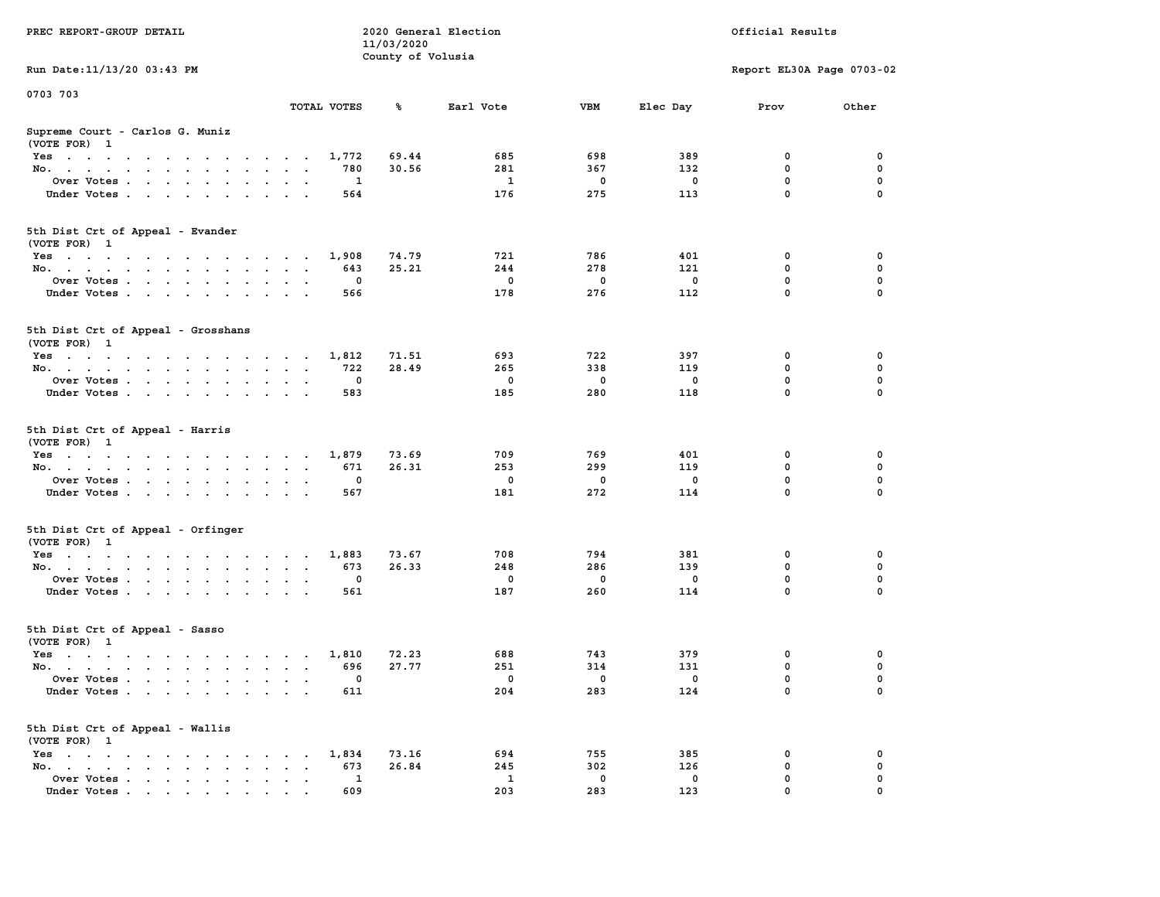| PREC REPORT-GROUP DETAIL                                                                                               |                                                          | 11/03/2020        | 2020 General Election |          |             | Official Results           |               |
|------------------------------------------------------------------------------------------------------------------------|----------------------------------------------------------|-------------------|-----------------------|----------|-------------|----------------------------|---------------|
| Run Date: 11/13/20 03:43 PM                                                                                            |                                                          | County of Volusia |                       |          |             | Report EL30A Page 0703-02  |               |
| 0703 703                                                                                                               |                                                          |                   |                       |          |             |                            |               |
|                                                                                                                        | TOTAL VOTES                                              | ℁                 | Earl Vote             | VBM      | Elec Day    | Prov                       | Other         |
| Supreme Court - Carlos G. Muniz<br>(VOTE FOR) 1                                                                        |                                                          |                   |                       |          |             |                            |               |
| Yes                                                                                                                    | 1,772                                                    | 69.44             | 685                   | 698      | 389         | 0                          | 0             |
| No.                                                                                                                    | 780                                                      | 30.56             | 281                   | 367      | 132         | $\mathbf 0$                | 0             |
| Over Votes.                                                                                                            | 1                                                        |                   | 1                     | 0        | 0           | 0<br>$\mathbf 0$           | 0             |
| Under Votes                                                                                                            | 564                                                      |                   | 176                   | 275      | 113         |                            | $\Omega$      |
| 5th Dist Crt of Appeal - Evander<br>(VOTE FOR) 1                                                                       |                                                          |                   |                       |          |             |                            |               |
| Yes                                                                                                                    | 1,908                                                    | 74.79             | 721                   | 786      | 401         | 0                          | 0             |
| No.                                                                                                                    | 643                                                      | 25.21             | 244                   | 278      | 121         | $\mathbf 0$                | 0             |
| Over Votes                                                                                                             | 0                                                        |                   | $\mathbf 0$           | 0        | $\mathbf 0$ | $\mathbf 0$                | 0             |
| Under Votes                                                                                                            | 566                                                      |                   | 178                   | 276      | 112         | $\mathbf 0$                | 0             |
| 5th Dist Crt of Appeal - Grosshans<br>(VOTE FOR) 1                                                                     |                                                          |                   |                       |          |             |                            |               |
| Yes                                                                                                                    | 1,812                                                    | 71.51             | 693                   | 722      | 397         | 0                          | 0             |
| No.                                                                                                                    | 722                                                      | 28.49             | 265                   | 338      | 119         | 0                          | 0             |
| Over Votes                                                                                                             | $\mathbf{0}$                                             |                   | $\mathbf 0$           | 0        | 0           | $\mathbf 0$                | 0             |
| Under Votes                                                                                                            | 583                                                      |                   | 185                   | 280      | 118         | $\mathbf 0$                | 0             |
| 5th Dist Crt of Appeal - Harris<br>(VOTE FOR) 1                                                                        |                                                          |                   |                       |          |             |                            |               |
| Yes                                                                                                                    | 1,879                                                    | 73.69             | 709                   | 769      | 401         | 0                          | 0             |
| No.                                                                                                                    | 671                                                      | 26.31             | 253                   | 299      | 119         | $\mathbf 0$                | 0             |
| Over Votes                                                                                                             | 0                                                        |                   | $\mathbf 0$<br>181    | 0<br>272 | 0<br>114    | $\mathbf 0$<br>$\mathbf 0$ | 0<br>$\Omega$ |
| Under Votes                                                                                                            | 567                                                      |                   |                       |          |             |                            |               |
| 5th Dist Crt of Appeal - Orfinger<br>(VOTE FOR) 1                                                                      |                                                          |                   |                       |          |             |                            |               |
| Yes                                                                                                                    | 1,883                                                    | 73.67             | 708                   | 794      | 381         | 0                          | 0             |
| No.                                                                                                                    | 673                                                      | 26.33             | 248                   | 286      | 139         | $\mathbf 0$                | 0             |
| Over Votes                                                                                                             | 0                                                        |                   | $\mathbf 0$           | 0<br>260 | 0           | 0<br>$\mathbf 0$           | 0<br>$\Omega$ |
| Under Votes                                                                                                            | 561                                                      |                   | 187                   |          | 114         |                            |               |
| 5th Dist Crt of Appeal - Sasso<br>(VOTE FOR) 1                                                                         |                                                          |                   |                       |          |             |                            |               |
| Yes<br>the contract of the contract of the contract of the contract of the contract of the contract of the contract of | 1,810                                                    | 72.23             | 688                   | 743      | 379         | 0                          | 0             |
| No.                                                                                                                    | 696                                                      | 27.77             | 251                   | 314      | 131         | 0                          | 0             |
| Over Votes                                                                                                             | 0                                                        |                   | $^{\circ}$            | 0        | 0           | $\mathbf 0$                | 0             |
| Under Votes                                                                                                            | 611                                                      |                   | 204                   | 283      | 124         | 0                          | 0             |
| 5th Dist Crt of Appeal - Wallis<br>(VOTE FOR) 1                                                                        |                                                          |                   |                       |          |             |                            |               |
| Yes                                                                                                                    | 1,834                                                    | 73.16             | 694                   | 755      | 385         | 0                          | 0             |
| No.<br>$\sim$<br>Over Votes                                                                                            | 673<br>$\ddot{\phantom{a}}$<br>$\ddot{\phantom{a}}$<br>1 | 26.84             | 245<br>1              | 302<br>0 | 126<br>0    | $\mathbf 0$<br>0           | 0<br>0        |
| Under Votes                                                                                                            | 609                                                      |                   | 203                   | 283      | 123         | 0                          |               |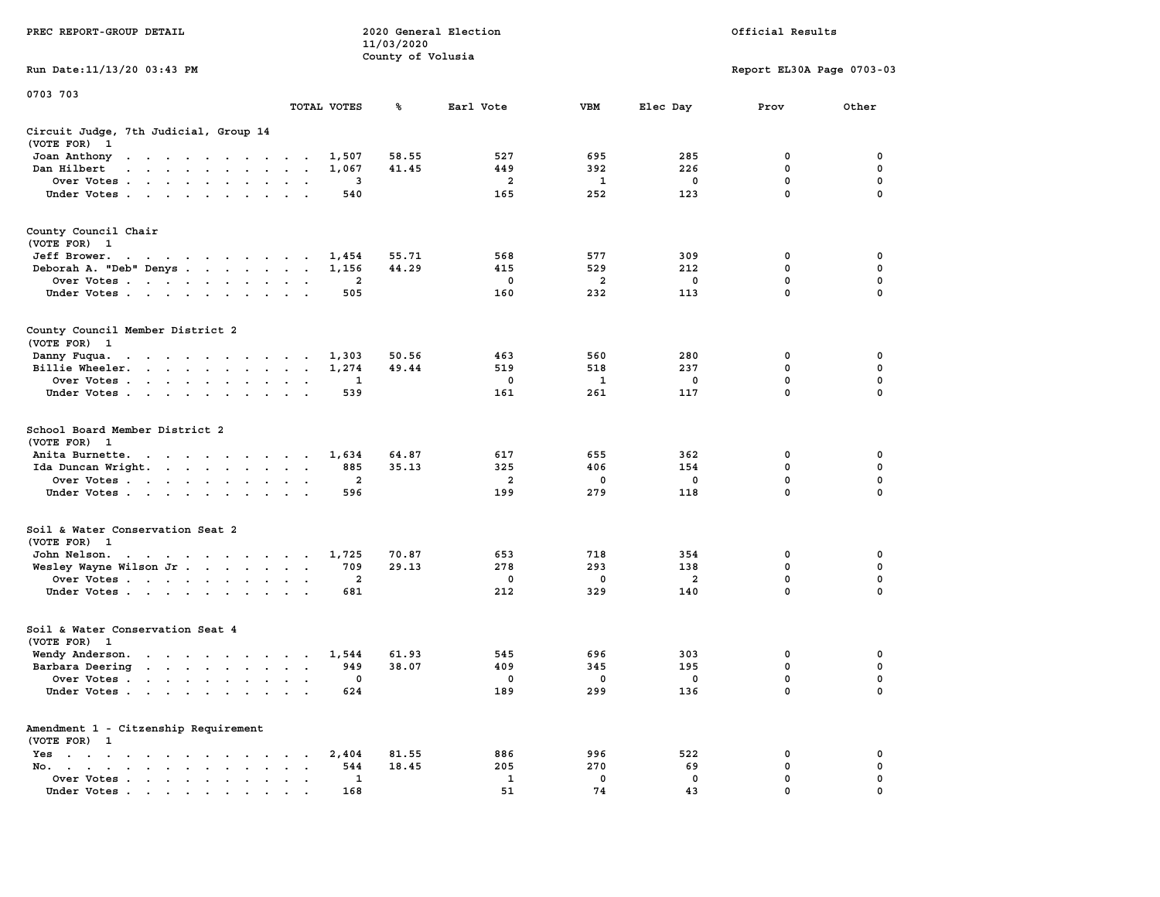|                                                                                                                                                                                                                                                      |                                                                             | 11/03/2020        |                |              |                |                           |                            |
|------------------------------------------------------------------------------------------------------------------------------------------------------------------------------------------------------------------------------------------------------|-----------------------------------------------------------------------------|-------------------|----------------|--------------|----------------|---------------------------|----------------------------|
|                                                                                                                                                                                                                                                      |                                                                             | County of Volusia |                |              |                |                           |                            |
| Run Date:11/13/20 03:43 PM                                                                                                                                                                                                                           |                                                                             |                   |                |              |                | Report EL30A Page 0703-03 |                            |
| 0703 703                                                                                                                                                                                                                                             |                                                                             |                   |                |              |                |                           |                            |
|                                                                                                                                                                                                                                                      | TOTAL VOTES                                                                 | ℁                 | Earl Vote      | <b>VBM</b>   | Elec Day       | Prov                      | Other                      |
| Circuit Judge, 7th Judicial, Group 14                                                                                                                                                                                                                |                                                                             |                   |                |              |                |                           |                            |
| (VOTE FOR)<br>$\mathbf{1}$                                                                                                                                                                                                                           |                                                                             |                   |                |              |                |                           |                            |
| Joan Anthony<br>the contract of the contract of the con-                                                                                                                                                                                             | 1,507                                                                       | 58.55             | 527            | 695          | 285            | $\mathbf{0}$              | 0                          |
| Dan Hilbert<br>$\ddot{\phantom{a}}$<br>the contract of the contract of the contract of                                                                                                                                                               | 1,067<br>$\overline{a}$<br>$\sim$                                           | 41.45             | 449            | 392          | 226            | 0                         | 0                          |
| Over Votes.<br>$\sim$ $\sim$ $\sim$ $\sim$ $\sim$ $\sim$ $\sim$<br>$\sim$                                                                                                                                                                            | 3<br>$\ddot{\phantom{a}}$<br>$\ddot{\phantom{a}}$                           |                   | $\overline{a}$ | $\mathbf{1}$ | $\mathbf 0$    | 0                         | $\mathbf 0$                |
| Under Votes                                                                                                                                                                                                                                          | 540<br>$\ddot{\phantom{0}}$<br>$\mathbf{r}$                                 |                   | 165            | 252          | 123            | $\mathbf 0$               | $\mathbf 0$                |
| County Council Chair                                                                                                                                                                                                                                 |                                                                             |                   |                |              |                |                           |                            |
| (VOTE FOR) 1                                                                                                                                                                                                                                         |                                                                             |                   |                |              |                |                           |                            |
| Jeff Brower.<br>the contract of the contract of the con-                                                                                                                                                                                             | 1,454                                                                       | 55.71             | 568            | 577          | 309            | 0                         | 0                          |
| Deborah A. "Deb" Denys                                                                                                                                                                                                                               | 1,156<br>$\bullet$<br>$\sim$                                                | 44.29             | 415            | 529          | 212            | 0                         | 0                          |
| Over Votes<br><b>Contract</b><br>$\ddot{\phantom{0}}$<br>$\blacksquare$                                                                                                                                                                              | 2                                                                           |                   | 0              | 2            | 0              | 0                         | 0                          |
| Under Votes<br>$\overline{\phantom{a}}$                                                                                                                                                                                                              | 505                                                                         |                   | 160            | 232          | 113            | $\mathbf{0}$              | $\mathbf 0$                |
|                                                                                                                                                                                                                                                      |                                                                             |                   |                |              |                |                           |                            |
| County Council Member District 2<br>(VOTE FOR) 1                                                                                                                                                                                                     |                                                                             |                   |                |              |                |                           |                            |
|                                                                                                                                                                                                                                                      |                                                                             |                   |                |              |                |                           |                            |
| Danny Fuqua.<br>$\bullet$ , $\bullet$ , $\bullet$ , $\bullet$ , $\bullet$<br>$\sim 100$ km s $^{-1}$<br>$\sim$ $\sim$<br>$\sim$ $\sim$                                                                                                               | 1,303<br>$\sim$ $\sim$<br>$\cdot$                                           | 50.56             | 463            | 560          | 280            | 0<br>$\mathbf 0$          | 0<br>$\mathbf 0$           |
| Billie Wheeler.<br><b>Contract Contract</b><br>$\ddot{\phantom{a}}$<br>$\bullet$ .<br><br><br>$\bullet$ .                                                                                                                                            | 1,274<br>$\bullet$<br>$\ddot{\phantom{a}}$<br>$\blacksquare$                | 49.44             | 519            | 518          | 237            |                           |                            |
| Over Votes<br>$\sim$                                                                                                                                                                                                                                 | 1<br>$\cdot$<br>$\ddot{\phantom{a}}$                                        |                   | 0              | 1            | 0              | $\mathbf 0$               | 0<br>0                     |
| Under Votes<br>$\sim$<br>$\ddot{\phantom{1}}$<br>$\bullet$                                                                                                                                                                                           | 539                                                                         |                   | 161            | 261          | 117            | 0                         |                            |
| School Board Member District 2<br>(VOTE FOR)<br>$\mathbf{1}$                                                                                                                                                                                         |                                                                             |                   |                |              |                |                           |                            |
| Anita Burnette.<br>the contract of the contract of the contract of the contract of the contract of the contract of the contract of                                                                                                                   | 1,634                                                                       | 64.87             | 617            | 655          | 362            | 0                         | 0                          |
| Ida Duncan Wright. .<br><b>Contract Contract</b><br>$\sim$                                                                                                                                                                                           | 885<br>$\ddot{\phantom{a}}$<br>$\ddot{\phantom{a}}$<br>$\ddot{\phantom{1}}$ | 35.13             | 325            | 406          | 154            | 0                         | 0                          |
| Over Votes                                                                                                                                                                                                                                           | $\mathbf{2}$<br>$\cdot$                                                     |                   | 2              | 0            | $\mathbf 0$    | $\mathbf 0$               | $\mathbf 0$                |
| Under Votes<br>$\sim$<br>$\cdot$                                                                                                                                                                                                                     | 596                                                                         |                   | 199            | 279          | 118            | 0                         | 0                          |
| Soil & Water Conservation Seat 2                                                                                                                                                                                                                     |                                                                             |                   |                |              |                |                           |                            |
| (VOTE FOR) 1                                                                                                                                                                                                                                         |                                                                             |                   |                |              |                |                           |                            |
| John Nelson.<br>the contract of the contract of the contract of                                                                                                                                                                                      | 1,725                                                                       | 70.87             | 653            | 718          | 354            | $\mathbf 0$               | $\mathbf 0$                |
| Wesley Wayne Wilson Jr                                                                                                                                                                                                                               | 709<br>$\ddot{\phantom{1}}$                                                 | 29.13             | 278            | 293          | 138            | 0                         | $\mathbf 0$                |
| Over Votes<br>$\ddot{\phantom{0}}$                                                                                                                                                                                                                   | $\overline{a}$<br>$\bullet$<br>$\cdot$                                      |                   | 0              | 0            | $\overline{a}$ | $\mathbf 0$               | 0                          |
| Under Votes                                                                                                                                                                                                                                          | 681<br>$\sim$                                                               |                   | 212            | 329          | 140            | $\mathbf 0$               | 0                          |
| Soil & Water Conservation Seat 4                                                                                                                                                                                                                     |                                                                             |                   |                |              |                |                           |                            |
| (VOTE FOR)<br>$\mathbf{1}$                                                                                                                                                                                                                           |                                                                             |                   |                |              |                |                           |                            |
| Wendy Anderson.                                                                                                                                                                                                                                      | 1,544<br>$\sim$                                                             | 61.93             | 545            | 696          | 303            | 0                         | 0                          |
| Barbara Deering<br>$\mathbf{r}$ . The set of the set of the set of the set of the set of the set of the set of the set of the set of the set of the set of the set of the set of the set of the set of the set of the set of the set of the set of t | 949<br>$\sim$<br>$\sim$<br>$\sim$                                           | 38.07             | 409            | 345          | 195            | 0                         | $\mathbf 0$                |
| Over Votes<br>$\sim$ $\sim$<br>$\ddot{\phantom{a}}$<br>$\ddot{\phantom{a}}$                                                                                                                                                                          | 0<br>$\ddot{\phantom{a}}$<br>$\cdot$<br>$\cdot$                             |                   | 0              | 0            | 0              | $\mathbf 0$               | $\mathbf 0$                |
| Under Votes<br>$\ddot{\phantom{a}}$                                                                                                                                                                                                                  | 624<br>$\ddot{\phantom{a}}$<br>$\cdot$ .                                    |                   | 189            | 299          | 136            | $\mathbf 0$               | $\mathbf 0$                |
| Amendment 1 - Citzenship Requirement                                                                                                                                                                                                                 |                                                                             |                   |                |              |                |                           |                            |
| (VOTE FOR) 1                                                                                                                                                                                                                                         |                                                                             |                   |                |              |                |                           |                            |
| Yes<br>$\sim$<br>$\bullet$<br>$\sim$ $\sim$<br>$\cdots$<br>$\ddot{\phantom{a}}$<br>$\blacksquare$                                                                                                                                                    | 2,404<br>$\bullet$                                                          | 81.55             | 886            | 996<br>270   | 522            | 0                         | 0<br>0                     |
| No.<br>$\ddot{\phantom{a}}$<br>$\bullet \qquad \bullet \qquad \bullet \qquad \bullet \qquad \bullet \qquad \bullet$<br>$\mathbf{r} = \mathbf{r}$                                                                                                     | 544<br>$\ddot{\phantom{a}}$                                                 | 18.45             | 205            |              | 69             | 0<br>0                    |                            |
| Over Votes<br>$\bullet$                                                                                                                                                                                                                              | 1<br>$\blacksquare$<br>$\ddot{\phantom{a}}$                                 |                   | 1<br>51        | 0<br>74      | $\mathbf 0$    | $\mathbf{0}$              | $\mathbf 0$<br>$\mathbf 0$ |
| Under Votes                                                                                                                                                                                                                                          | 168                                                                         |                   |                |              | 43             |                           |                            |

**PREC REPORT-GROUP DETAIL 2020 General Election Official Results**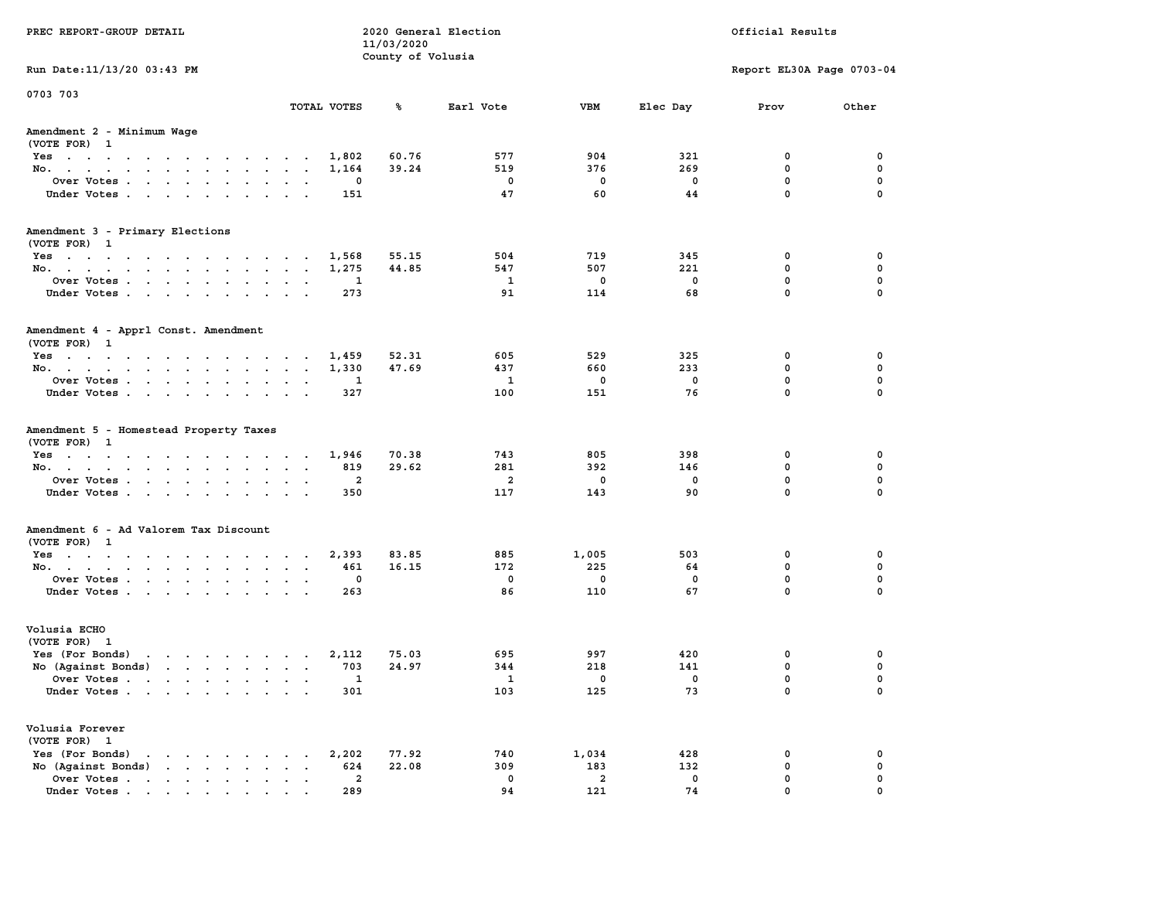| Run Date: 11/13/20 03:43 PM<br>Report EL30A Page 0703-04<br>0703 703<br>TOTAL VOTES<br>%ะ<br>Earl Vote<br>VBM<br>Elec Day<br>Prov<br>Amendment 2 - Minimum Wage<br>(VOTE FOR) 1<br>60.76<br>577<br>904<br>321<br>Yes<br>1,802<br>0<br>519<br>269<br>No.<br>1,164<br>39.24<br>376<br>0<br>Over Votes<br>$\mathbf 0$<br>0<br>$\mathbf 0$<br>$\mathbf 0$<br>0<br>$\mathbf{0}$<br>Under Votes<br>47<br>60<br>44<br>151<br>Amendment 3 - Primary Elections<br>(VOTE FOR) 1<br>504<br>719<br>345<br>Yes<br>1,568<br>55.15<br>0<br>No.<br>1,275<br>44.85<br>547<br>507<br>221<br>0<br>$\mathbf 0$<br>Over Votes<br>$\mathbf{1}$<br>$\mathbf 0$<br>0<br>1<br>$\mathbf 0$<br>Under Votes<br>273<br>91<br>114<br>68<br>Amendment 4 - Apprl Const. Amendment<br>(VOTE FOR) 1<br>52.31<br>605<br>529<br>325<br>0<br>Yes<br>1,459<br>1,330<br>47.69<br>437<br>660<br>233<br>0<br>No.<br>$\mathbf 0$<br>$\mathbf 0$<br>$\mathbf{1}$<br>$\mathbf 0$<br>Over Votes.<br>1<br>$\mathbf{0}$<br>Under Votes<br>100<br>151<br>76<br>327<br>Amendment 5 - Homestead Property Taxes<br>(VOTE FOR) 1<br>70.38<br>743<br>805<br>Yes<br>1,946<br>398<br>0<br>No.<br>29.62<br>281<br>392<br>146<br>0<br>819<br>Over Votes<br>$\overline{a}$<br>$\mathbf 0$<br>2<br>0<br>0<br>$\mathbf{0}$<br>117<br>143<br>90<br>Under Votes<br>350<br>Amendment 6 - Ad Valorem Tax Discount<br>(VOTE FOR) 1<br>1,005<br>Yes<br>2,393<br>83.85<br>885<br>503<br>0<br>172<br>225<br>0<br>No.<br>16.15<br>64<br>461<br>$\mathbf 0$<br>$\overline{\phantom{0}}$<br>$\mathbf 0$<br>0<br>Over Votes<br>0<br>$\mathbf 0$<br>86<br>110<br>67<br>Under Votes<br>263<br>Volusia ECHO<br>(VOTE FOR) 1<br>Yes (For Bonds)<br>75.03<br>695<br>997<br>420<br>0<br>the contract of the contract of the contract of the contract of the contract of the contract of the contract of<br>2,112<br>No (Against Bonds)<br>24.97<br>0<br>703<br>344<br>218<br>141<br>Over Votes<br>$\mathbf 0$<br>0<br>$\mathbf{1}$<br>$\overline{\phantom{0}}$<br>1<br>the contract of the contract of the contract of the contract of the contract of the contract of the contract of<br>0<br>Under Votes<br>103<br>125<br>73<br>301<br>Volusia Forever<br>(VOTE FOR) 1<br>Yes (For Bonds)<br>2,202<br>77.92<br>740<br>1,034<br>428<br>$\mathbf{r}$ , $\mathbf{r}$ , $\mathbf{r}$ , $\mathbf{r}$ , $\mathbf{r}$ , $\mathbf{r}$<br>0 | PREC REPORT-GROUP DETAIL | 2020 General Election<br>11/03/2020<br>County of Volusia |  | Official Results |                            |
|--------------------------------------------------------------------------------------------------------------------------------------------------------------------------------------------------------------------------------------------------------------------------------------------------------------------------------------------------------------------------------------------------------------------------------------------------------------------------------------------------------------------------------------------------------------------------------------------------------------------------------------------------------------------------------------------------------------------------------------------------------------------------------------------------------------------------------------------------------------------------------------------------------------------------------------------------------------------------------------------------------------------------------------------------------------------------------------------------------------------------------------------------------------------------------------------------------------------------------------------------------------------------------------------------------------------------------------------------------------------------------------------------------------------------------------------------------------------------------------------------------------------------------------------------------------------------------------------------------------------------------------------------------------------------------------------------------------------------------------------------------------------------------------------------------------------------------------------------------------------------------------------------------------------------------------------------------------------------------------------------------------------------------------------------------------------------------------------------------------------------------------------------------------------------------------------------------------------------------------------------------------------------------------------------------------------------------------------------------|--------------------------|----------------------------------------------------------|--|------------------|----------------------------|
|                                                                                                                                                                                                                                                                                                                                                                                                                                                                                                                                                                                                                                                                                                                                                                                                                                                                                                                                                                                                                                                                                                                                                                                                                                                                                                                                                                                                                                                                                                                                                                                                                                                                                                                                                                                                                                                                                                                                                                                                                                                                                                                                                                                                                                                                                                                                                        |                          |                                                          |  |                  |                            |
|                                                                                                                                                                                                                                                                                                                                                                                                                                                                                                                                                                                                                                                                                                                                                                                                                                                                                                                                                                                                                                                                                                                                                                                                                                                                                                                                                                                                                                                                                                                                                                                                                                                                                                                                                                                                                                                                                                                                                                                                                                                                                                                                                                                                                                                                                                                                                        |                          |                                                          |  |                  | Other                      |
|                                                                                                                                                                                                                                                                                                                                                                                                                                                                                                                                                                                                                                                                                                                                                                                                                                                                                                                                                                                                                                                                                                                                                                                                                                                                                                                                                                                                                                                                                                                                                                                                                                                                                                                                                                                                                                                                                                                                                                                                                                                                                                                                                                                                                                                                                                                                                        |                          |                                                          |  |                  |                            |
|                                                                                                                                                                                                                                                                                                                                                                                                                                                                                                                                                                                                                                                                                                                                                                                                                                                                                                                                                                                                                                                                                                                                                                                                                                                                                                                                                                                                                                                                                                                                                                                                                                                                                                                                                                                                                                                                                                                                                                                                                                                                                                                                                                                                                                                                                                                                                        |                          |                                                          |  |                  |                            |
|                                                                                                                                                                                                                                                                                                                                                                                                                                                                                                                                                                                                                                                                                                                                                                                                                                                                                                                                                                                                                                                                                                                                                                                                                                                                                                                                                                                                                                                                                                                                                                                                                                                                                                                                                                                                                                                                                                                                                                                                                                                                                                                                                                                                                                                                                                                                                        |                          |                                                          |  |                  | 0                          |
|                                                                                                                                                                                                                                                                                                                                                                                                                                                                                                                                                                                                                                                                                                                                                                                                                                                                                                                                                                                                                                                                                                                                                                                                                                                                                                                                                                                                                                                                                                                                                                                                                                                                                                                                                                                                                                                                                                                                                                                                                                                                                                                                                                                                                                                                                                                                                        |                          |                                                          |  |                  | 0                          |
|                                                                                                                                                                                                                                                                                                                                                                                                                                                                                                                                                                                                                                                                                                                                                                                                                                                                                                                                                                                                                                                                                                                                                                                                                                                                                                                                                                                                                                                                                                                                                                                                                                                                                                                                                                                                                                                                                                                                                                                                                                                                                                                                                                                                                                                                                                                                                        |                          |                                                          |  |                  | 0                          |
|                                                                                                                                                                                                                                                                                                                                                                                                                                                                                                                                                                                                                                                                                                                                                                                                                                                                                                                                                                                                                                                                                                                                                                                                                                                                                                                                                                                                                                                                                                                                                                                                                                                                                                                                                                                                                                                                                                                                                                                                                                                                                                                                                                                                                                                                                                                                                        |                          |                                                          |  |                  | $\mathbf 0$                |
|                                                                                                                                                                                                                                                                                                                                                                                                                                                                                                                                                                                                                                                                                                                                                                                                                                                                                                                                                                                                                                                                                                                                                                                                                                                                                                                                                                                                                                                                                                                                                                                                                                                                                                                                                                                                                                                                                                                                                                                                                                                                                                                                                                                                                                                                                                                                                        |                          |                                                          |  |                  |                            |
|                                                                                                                                                                                                                                                                                                                                                                                                                                                                                                                                                                                                                                                                                                                                                                                                                                                                                                                                                                                                                                                                                                                                                                                                                                                                                                                                                                                                                                                                                                                                                                                                                                                                                                                                                                                                                                                                                                                                                                                                                                                                                                                                                                                                                                                                                                                                                        |                          |                                                          |  |                  |                            |
|                                                                                                                                                                                                                                                                                                                                                                                                                                                                                                                                                                                                                                                                                                                                                                                                                                                                                                                                                                                                                                                                                                                                                                                                                                                                                                                                                                                                                                                                                                                                                                                                                                                                                                                                                                                                                                                                                                                                                                                                                                                                                                                                                                                                                                                                                                                                                        |                          |                                                          |  |                  | 0                          |
|                                                                                                                                                                                                                                                                                                                                                                                                                                                                                                                                                                                                                                                                                                                                                                                                                                                                                                                                                                                                                                                                                                                                                                                                                                                                                                                                                                                                                                                                                                                                                                                                                                                                                                                                                                                                                                                                                                                                                                                                                                                                                                                                                                                                                                                                                                                                                        |                          |                                                          |  |                  | 0                          |
|                                                                                                                                                                                                                                                                                                                                                                                                                                                                                                                                                                                                                                                                                                                                                                                                                                                                                                                                                                                                                                                                                                                                                                                                                                                                                                                                                                                                                                                                                                                                                                                                                                                                                                                                                                                                                                                                                                                                                                                                                                                                                                                                                                                                                                                                                                                                                        |                          |                                                          |  |                  | $\mathbf 0$                |
|                                                                                                                                                                                                                                                                                                                                                                                                                                                                                                                                                                                                                                                                                                                                                                                                                                                                                                                                                                                                                                                                                                                                                                                                                                                                                                                                                                                                                                                                                                                                                                                                                                                                                                                                                                                                                                                                                                                                                                                                                                                                                                                                                                                                                                                                                                                                                        |                          |                                                          |  |                  | $\mathbf 0$                |
|                                                                                                                                                                                                                                                                                                                                                                                                                                                                                                                                                                                                                                                                                                                                                                                                                                                                                                                                                                                                                                                                                                                                                                                                                                                                                                                                                                                                                                                                                                                                                                                                                                                                                                                                                                                                                                                                                                                                                                                                                                                                                                                                                                                                                                                                                                                                                        |                          |                                                          |  |                  |                            |
|                                                                                                                                                                                                                                                                                                                                                                                                                                                                                                                                                                                                                                                                                                                                                                                                                                                                                                                                                                                                                                                                                                                                                                                                                                                                                                                                                                                                                                                                                                                                                                                                                                                                                                                                                                                                                                                                                                                                                                                                                                                                                                                                                                                                                                                                                                                                                        |                          |                                                          |  |                  |                            |
|                                                                                                                                                                                                                                                                                                                                                                                                                                                                                                                                                                                                                                                                                                                                                                                                                                                                                                                                                                                                                                                                                                                                                                                                                                                                                                                                                                                                                                                                                                                                                                                                                                                                                                                                                                                                                                                                                                                                                                                                                                                                                                                                                                                                                                                                                                                                                        |                          |                                                          |  |                  | 0                          |
|                                                                                                                                                                                                                                                                                                                                                                                                                                                                                                                                                                                                                                                                                                                                                                                                                                                                                                                                                                                                                                                                                                                                                                                                                                                                                                                                                                                                                                                                                                                                                                                                                                                                                                                                                                                                                                                                                                                                                                                                                                                                                                                                                                                                                                                                                                                                                        |                          |                                                          |  |                  | 0                          |
|                                                                                                                                                                                                                                                                                                                                                                                                                                                                                                                                                                                                                                                                                                                                                                                                                                                                                                                                                                                                                                                                                                                                                                                                                                                                                                                                                                                                                                                                                                                                                                                                                                                                                                                                                                                                                                                                                                                                                                                                                                                                                                                                                                                                                                                                                                                                                        |                          |                                                          |  |                  | $\mathbf 0$                |
|                                                                                                                                                                                                                                                                                                                                                                                                                                                                                                                                                                                                                                                                                                                                                                                                                                                                                                                                                                                                                                                                                                                                                                                                                                                                                                                                                                                                                                                                                                                                                                                                                                                                                                                                                                                                                                                                                                                                                                                                                                                                                                                                                                                                                                                                                                                                                        |                          |                                                          |  |                  | $\mathbf 0$                |
|                                                                                                                                                                                                                                                                                                                                                                                                                                                                                                                                                                                                                                                                                                                                                                                                                                                                                                                                                                                                                                                                                                                                                                                                                                                                                                                                                                                                                                                                                                                                                                                                                                                                                                                                                                                                                                                                                                                                                                                                                                                                                                                                                                                                                                                                                                                                                        |                          |                                                          |  |                  |                            |
|                                                                                                                                                                                                                                                                                                                                                                                                                                                                                                                                                                                                                                                                                                                                                                                                                                                                                                                                                                                                                                                                                                                                                                                                                                                                                                                                                                                                                                                                                                                                                                                                                                                                                                                                                                                                                                                                                                                                                                                                                                                                                                                                                                                                                                                                                                                                                        |                          |                                                          |  |                  | 0                          |
|                                                                                                                                                                                                                                                                                                                                                                                                                                                                                                                                                                                                                                                                                                                                                                                                                                                                                                                                                                                                                                                                                                                                                                                                                                                                                                                                                                                                                                                                                                                                                                                                                                                                                                                                                                                                                                                                                                                                                                                                                                                                                                                                                                                                                                                                                                                                                        |                          |                                                          |  |                  | 0                          |
|                                                                                                                                                                                                                                                                                                                                                                                                                                                                                                                                                                                                                                                                                                                                                                                                                                                                                                                                                                                                                                                                                                                                                                                                                                                                                                                                                                                                                                                                                                                                                                                                                                                                                                                                                                                                                                                                                                                                                                                                                                                                                                                                                                                                                                                                                                                                                        |                          |                                                          |  |                  | $\mathbf 0$<br>$\mathbf 0$ |
|                                                                                                                                                                                                                                                                                                                                                                                                                                                                                                                                                                                                                                                                                                                                                                                                                                                                                                                                                                                                                                                                                                                                                                                                                                                                                                                                                                                                                                                                                                                                                                                                                                                                                                                                                                                                                                                                                                                                                                                                                                                                                                                                                                                                                                                                                                                                                        |                          |                                                          |  |                  |                            |
|                                                                                                                                                                                                                                                                                                                                                                                                                                                                                                                                                                                                                                                                                                                                                                                                                                                                                                                                                                                                                                                                                                                                                                                                                                                                                                                                                                                                                                                                                                                                                                                                                                                                                                                                                                                                                                                                                                                                                                                                                                                                                                                                                                                                                                                                                                                                                        |                          |                                                          |  |                  |                            |
|                                                                                                                                                                                                                                                                                                                                                                                                                                                                                                                                                                                                                                                                                                                                                                                                                                                                                                                                                                                                                                                                                                                                                                                                                                                                                                                                                                                                                                                                                                                                                                                                                                                                                                                                                                                                                                                                                                                                                                                                                                                                                                                                                                                                                                                                                                                                                        |                          |                                                          |  |                  |                            |
|                                                                                                                                                                                                                                                                                                                                                                                                                                                                                                                                                                                                                                                                                                                                                                                                                                                                                                                                                                                                                                                                                                                                                                                                                                                                                                                                                                                                                                                                                                                                                                                                                                                                                                                                                                                                                                                                                                                                                                                                                                                                                                                                                                                                                                                                                                                                                        |                          |                                                          |  |                  | 0                          |
|                                                                                                                                                                                                                                                                                                                                                                                                                                                                                                                                                                                                                                                                                                                                                                                                                                                                                                                                                                                                                                                                                                                                                                                                                                                                                                                                                                                                                                                                                                                                                                                                                                                                                                                                                                                                                                                                                                                                                                                                                                                                                                                                                                                                                                                                                                                                                        |                          |                                                          |  |                  | 0                          |
|                                                                                                                                                                                                                                                                                                                                                                                                                                                                                                                                                                                                                                                                                                                                                                                                                                                                                                                                                                                                                                                                                                                                                                                                                                                                                                                                                                                                                                                                                                                                                                                                                                                                                                                                                                                                                                                                                                                                                                                                                                                                                                                                                                                                                                                                                                                                                        |                          |                                                          |  |                  | $\mathbf 0$<br>$\mathbf 0$ |
|                                                                                                                                                                                                                                                                                                                                                                                                                                                                                                                                                                                                                                                                                                                                                                                                                                                                                                                                                                                                                                                                                                                                                                                                                                                                                                                                                                                                                                                                                                                                                                                                                                                                                                                                                                                                                                                                                                                                                                                                                                                                                                                                                                                                                                                                                                                                                        |                          |                                                          |  |                  |                            |
|                                                                                                                                                                                                                                                                                                                                                                                                                                                                                                                                                                                                                                                                                                                                                                                                                                                                                                                                                                                                                                                                                                                                                                                                                                                                                                                                                                                                                                                                                                                                                                                                                                                                                                                                                                                                                                                                                                                                                                                                                                                                                                                                                                                                                                                                                                                                                        |                          |                                                          |  |                  |                            |
|                                                                                                                                                                                                                                                                                                                                                                                                                                                                                                                                                                                                                                                                                                                                                                                                                                                                                                                                                                                                                                                                                                                                                                                                                                                                                                                                                                                                                                                                                                                                                                                                                                                                                                                                                                                                                                                                                                                                                                                                                                                                                                                                                                                                                                                                                                                                                        |                          |                                                          |  |                  | 0                          |
|                                                                                                                                                                                                                                                                                                                                                                                                                                                                                                                                                                                                                                                                                                                                                                                                                                                                                                                                                                                                                                                                                                                                                                                                                                                                                                                                                                                                                                                                                                                                                                                                                                                                                                                                                                                                                                                                                                                                                                                                                                                                                                                                                                                                                                                                                                                                                        |                          |                                                          |  |                  | 0                          |
|                                                                                                                                                                                                                                                                                                                                                                                                                                                                                                                                                                                                                                                                                                                                                                                                                                                                                                                                                                                                                                                                                                                                                                                                                                                                                                                                                                                                                                                                                                                                                                                                                                                                                                                                                                                                                                                                                                                                                                                                                                                                                                                                                                                                                                                                                                                                                        |                          |                                                          |  |                  | 0                          |
|                                                                                                                                                                                                                                                                                                                                                                                                                                                                                                                                                                                                                                                                                                                                                                                                                                                                                                                                                                                                                                                                                                                                                                                                                                                                                                                                                                                                                                                                                                                                                                                                                                                                                                                                                                                                                                                                                                                                                                                                                                                                                                                                                                                                                                                                                                                                                        |                          |                                                          |  |                  | $\mathbf 0$                |
|                                                                                                                                                                                                                                                                                                                                                                                                                                                                                                                                                                                                                                                                                                                                                                                                                                                                                                                                                                                                                                                                                                                                                                                                                                                                                                                                                                                                                                                                                                                                                                                                                                                                                                                                                                                                                                                                                                                                                                                                                                                                                                                                                                                                                                                                                                                                                        |                          |                                                          |  |                  |                            |
|                                                                                                                                                                                                                                                                                                                                                                                                                                                                                                                                                                                                                                                                                                                                                                                                                                                                                                                                                                                                                                                                                                                                                                                                                                                                                                                                                                                                                                                                                                                                                                                                                                                                                                                                                                                                                                                                                                                                                                                                                                                                                                                                                                                                                                                                                                                                                        |                          |                                                          |  |                  | 0                          |
| No (Against Bonds)<br>624<br>22.08<br>309<br>183<br>132<br>0<br>$\sim$ $\sim$                                                                                                                                                                                                                                                                                                                                                                                                                                                                                                                                                                                                                                                                                                                                                                                                                                                                                                                                                                                                                                                                                                                                                                                                                                                                                                                                                                                                                                                                                                                                                                                                                                                                                                                                                                                                                                                                                                                                                                                                                                                                                                                                                                                                                                                                          |                          |                                                          |  |                  | 0                          |
| $\overline{a}$<br>$\overline{a}$<br>$\mathbf 0$<br>0<br>0<br>Over Votes                                                                                                                                                                                                                                                                                                                                                                                                                                                                                                                                                                                                                                                                                                                                                                                                                                                                                                                                                                                                                                                                                                                                                                                                                                                                                                                                                                                                                                                                                                                                                                                                                                                                                                                                                                                                                                                                                                                                                                                                                                                                                                                                                                                                                                                                                |                          |                                                          |  |                  | 0                          |
| 94<br>121<br>74<br>Under Votes.<br>289<br>$\Omega$                                                                                                                                                                                                                                                                                                                                                                                                                                                                                                                                                                                                                                                                                                                                                                                                                                                                                                                                                                                                                                                                                                                                                                                                                                                                                                                                                                                                                                                                                                                                                                                                                                                                                                                                                                                                                                                                                                                                                                                                                                                                                                                                                                                                                                                                                                     |                          |                                                          |  |                  | <sup>0</sup>               |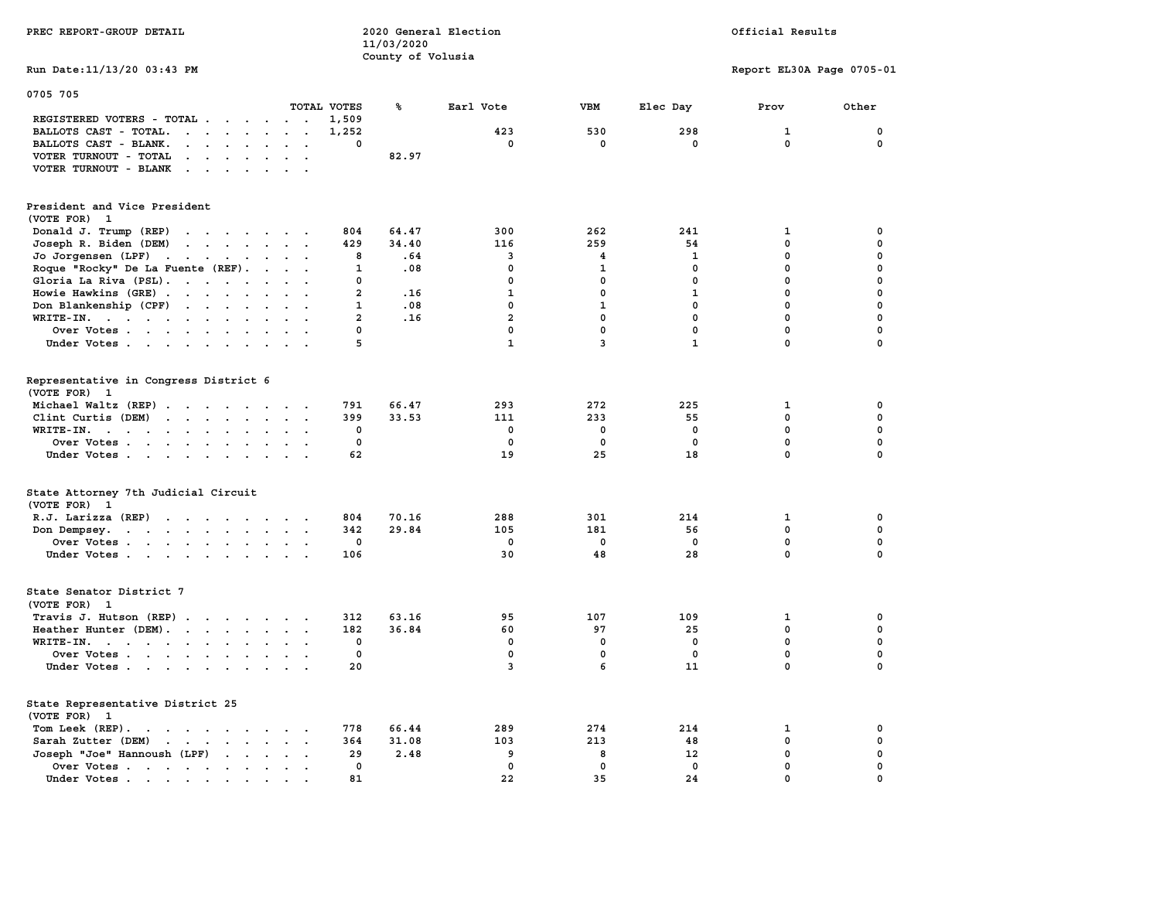| PREC REPORT-GROUP DETAIL                                                                                  |                                                 | 11/03/2020        | 2020 General Election |              |              | Official Results          |              |  |
|-----------------------------------------------------------------------------------------------------------|-------------------------------------------------|-------------------|-----------------------|--------------|--------------|---------------------------|--------------|--|
| Run Date: 11/13/20 03:43 PM                                                                               |                                                 | County of Volusia |                       |              |              | Report EL30A Page 0705-01 |              |  |
|                                                                                                           |                                                 |                   |                       |              |              |                           |              |  |
| 0705 705                                                                                                  |                                                 |                   |                       |              |              |                           |              |  |
|                                                                                                           | TOTAL VOTES                                     | ℁                 | Earl Vote             | VBM          | Elec Day     | Prov                      | Other        |  |
| REGISTERED VOTERS - TOTAL                                                                                 | 1,509<br>1,252                                  |                   | 423                   | 530          | 298          |                           | 0            |  |
| BALLOTS CAST - TOTAL.<br>BALLOTS CAST - BLANK.<br>$\cdot$ $\cdot$ $\cdot$ $\cdot$<br>$\ddot{\phantom{a}}$ | 0<br>$\overline{a}$                             |                   | $\mathbf 0$           | 0            | $\mathbf 0$  | 1<br>$\mathbf 0$          | 0            |  |
| VOTER TURNOUT - TOTAL<br>$\sim$<br>$\cdot$ $\cdot$ $\cdot$ $\cdot$                                        | $\cdots$                                        | 82.97             |                       |              |              |                           |              |  |
| VOTER TURNOUT - BLANK<br>$\cdot$                                                                          |                                                 |                   |                       |              |              |                           |              |  |
|                                                                                                           |                                                 |                   |                       |              |              |                           |              |  |
| President and Vice President                                                                              |                                                 |                   |                       |              |              |                           |              |  |
| (VOTE FOR)<br>- 1                                                                                         |                                                 |                   |                       |              |              |                           |              |  |
| Donald J. Trump (REP)                                                                                     | 804                                             | 64.47             | 300                   | 262          | 241          | 1                         | 0            |  |
| Joseph R. Biden (DEM)<br>$\cdots$                                                                         | 429                                             | 34.40             | 116                   | 259          | 54           | 0                         | 0            |  |
| Jo Jorgensen (LPF) $\cdot \cdot \cdot \cdot \cdot \cdot \cdot$                                            | 8                                               | .64               | 3                     | 4            | 1            | 0                         | 0            |  |
| Roque "Rocky" De La Fuente (REF).                                                                         | 1                                               | .08               | $\mathbf 0$           | 1            | $\Omega$     | $\mathbf 0$               | 0            |  |
| Gloria La Riva (PSL).                                                                                     | $\mathbf 0$                                     |                   | $\mathbf 0$           | 0            | 0            | 0                         | 0            |  |
| Howie Hawkins (GRE)                                                                                       | $\overline{a}$                                  | .16               | $\mathbf{1}$          | $\mathbf{0}$ | $\mathbf{1}$ | $\mathbf 0$               | 0            |  |
| Don Blankenship (CPF)                                                                                     | $\mathbf{1}$                                    | .08               | $\mathbf 0$           | ${\bf 1}$    | $\mathbf{0}$ | $\mathbf 0$               | 0            |  |
| WRITE-IN.                                                                                                 | $\overline{a}$                                  | .16               | $\overline{a}$        | $\mathbf 0$  | $\mathbf{0}$ | $\mathbf 0$               | $\mathbf 0$  |  |
| Over Votes                                                                                                | $\mathbf 0$                                     |                   | $\mathbf 0$           | $\mathbf 0$  | 0            | $\mathbf 0$               | 0            |  |
| Under Votes                                                                                               | 5                                               |                   | $\mathbf{1}$          | 3            | $\mathbf{1}$ | $\mathbf 0$               | $\mathbf 0$  |  |
|                                                                                                           |                                                 |                   |                       |              |              |                           |              |  |
| Representative in Congress District 6<br>(VOTE FOR) 1                                                     |                                                 |                   |                       |              |              |                           |              |  |
| Michael Waltz (REP)                                                                                       | 791                                             | 66.47             | 293                   | 272          | 225          | $\mathbf{1}$              | 0            |  |
| Clint Curtis $(DEM)$                                                                                      | 399                                             | 33.53             | 111                   | 233          | 55           | $\mathbf 0$               | $\mathbf 0$  |  |
| WRITE-IN.                                                                                                 | $\mathbf 0$<br>$\ddot{\phantom{1}}$             |                   | $\mathbf{0}$          | $\mathbf 0$  | $^{\circ}$   | $\mathbf{0}$              | $\mathbf 0$  |  |
| Over Votes                                                                                                | 0                                               |                   | $\Omega$              | $\mathbf 0$  | $^{\circ}$   | $\mathbf 0$               | $\mathbf 0$  |  |
| Under Votes                                                                                               | 62                                              |                   | 19                    | 25           | 18           | $\mathbf{0}$              | $\mathbf 0$  |  |
|                                                                                                           |                                                 |                   |                       |              |              |                           |              |  |
| State Attorney 7th Judicial Circuit<br>(VOTE FOR) 1                                                       |                                                 |                   |                       |              |              |                           |              |  |
| R.J. Larizza (REP)                                                                                        | 804                                             | 70.16             | 288                   | 301          | 214          | 1                         | 0            |  |
| Don Dempsey.                                                                                              | 342                                             | 29.84             | 105                   | 181          | 56           | 0                         | 0            |  |
| Over Votes                                                                                                | $\mathbf 0$                                     |                   | $^{\circ}$            | $\mathbf 0$  | $\mathbf 0$  | 0                         | 0            |  |
| Under Votes                                                                                               | 106                                             |                   | 30                    | 48           | 28           | $\mathbf 0$               | $\mathbf 0$  |  |
|                                                                                                           |                                                 |                   |                       |              |              |                           |              |  |
| State Senator District 7<br>(VOTE FOR) 1                                                                  |                                                 |                   |                       |              |              |                           |              |  |
| Travis J. Hutson (REP)                                                                                    | 312                                             | 63.16             | 95                    | 107          | 109          | 1                         | 0            |  |
| Heather Hunter (DEM).                                                                                     | 182                                             | 36.84             | 60                    | 97           | 25           | $\mathbf 0$               | 0            |  |
| WRITE-IN.                                                                                                 | 0                                               |                   | $\mathbf 0$           | 0            | $\mathbf 0$  | $\mathbf 0$               | $\mathbf 0$  |  |
| Over Votes                                                                                                | $\mathbf 0$                                     |                   | $\mathbf{0}$          | $\mathbf 0$  | $\mathbf 0$  | $\mathbf 0$               | 0            |  |
| Under Votes                                                                                               | 20                                              |                   | 3                     | 6            | 11           | $\mathbf 0$               | $\mathbf 0$  |  |
| State Representative District 25<br>(VOTE FOR) 1                                                          |                                                 |                   |                       |              |              |                           |              |  |
| Tom Leek (REP).                                                                                           | 778                                             | 66.44             | 289                   | 274          | 214          | 1                         | 0            |  |
| Sarah Zutter (DEM)                                                                                        | 364                                             | 31.08             | 103                   | 213          | 48           | 0                         | 0            |  |
| Joseph "Joe" Hannoush (LPF)                                                                               | 29                                              | 2.48              | 9                     | 8            | 12           | 0                         | 0            |  |
| Over Votes                                                                                                | $\Omega$<br>$\sim 10^{-11}$ and $\sim 10^{-11}$ |                   | $\mathbf{0}$          | $\mathbf 0$  | $\mathbf 0$  | $\mathbf 0$               | 0            |  |
| Under Votes .<br>$\mathcal{A}=\mathcal{A}=\mathcal{A}=\mathcal{A}=\mathcal{A}=\mathcal{A}$                | 81                                              |                   | 22                    | 35           | 24           | $\mathbf{0}$              | $\mathbf{0}$ |  |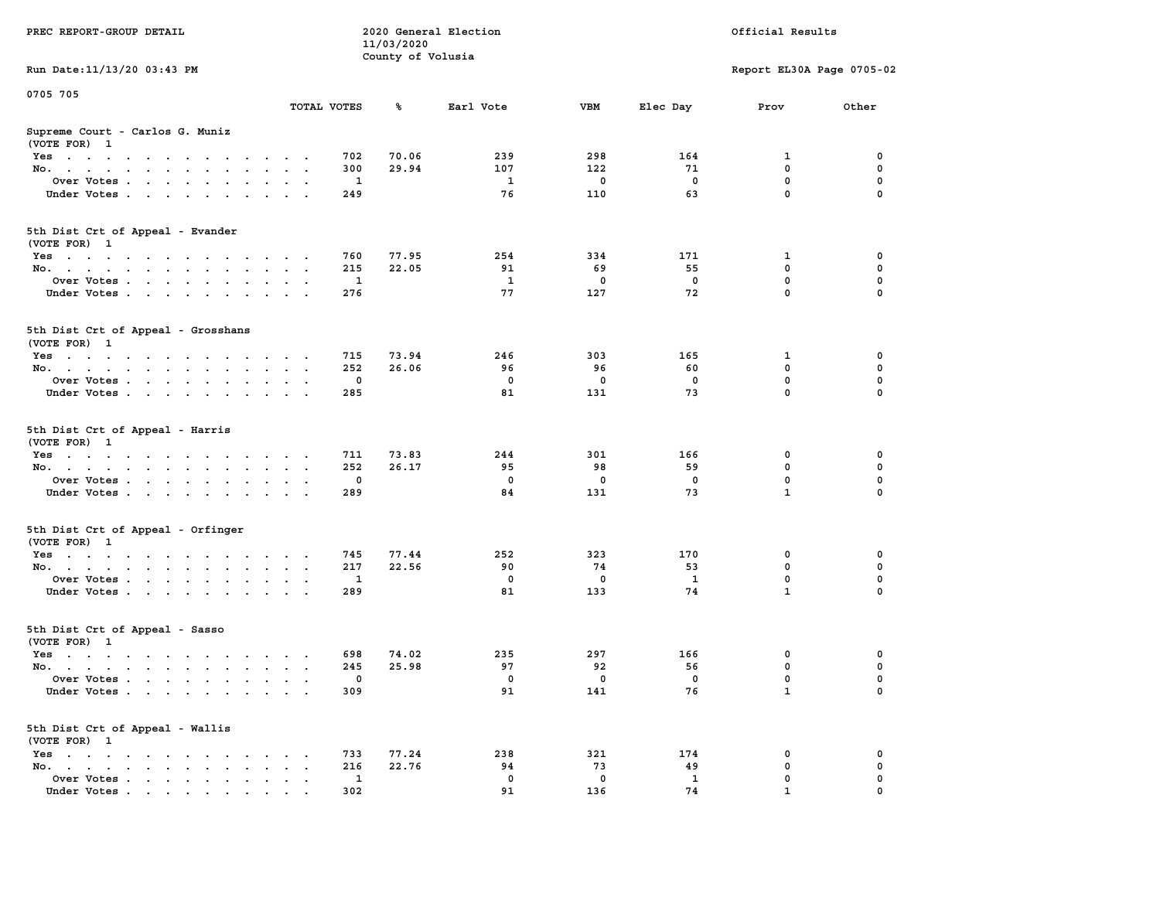| PREC REPORT-GROUP DETAIL                                                                                                                                                                                                                     |              | 11/03/2020        | 2020 General Election |          |                    | Official Results          |          |
|----------------------------------------------------------------------------------------------------------------------------------------------------------------------------------------------------------------------------------------------|--------------|-------------------|-----------------------|----------|--------------------|---------------------------|----------|
| Run Date: 11/13/20 03:43 PM                                                                                                                                                                                                                  |              | County of Volusia |                       |          |                    | Report EL30A Page 0705-02 |          |
|                                                                                                                                                                                                                                              |              |                   |                       |          |                    |                           |          |
| 0705 705                                                                                                                                                                                                                                     | TOTAL VOTES  | ℁                 | Earl Vote             | VBM      | Elec Day           | Prov                      | Other    |
| Supreme Court - Carlos G. Muniz<br>(VOTE FOR) 1                                                                                                                                                                                              |              |                   |                       |          |                    |                           |          |
| Yes                                                                                                                                                                                                                                          | 702          | 70.06             | 239                   | 298      | 164                | 1                         | 0        |
| No.                                                                                                                                                                                                                                          | 300          | 29.94             | 107                   | 122      | 71                 | $\mathbf 0$               | 0        |
| Over Votes.                                                                                                                                                                                                                                  | 1            |                   | 1                     | 0        | $\mathbf 0$        | 0                         | 0        |
| Under Votes                                                                                                                                                                                                                                  | 249          |                   | 76                    | 110      | 63                 | $\mathbf 0$               | $\Omega$ |
| 5th Dist Crt of Appeal - Evander<br>(VOTE FOR) 1                                                                                                                                                                                             |              |                   |                       |          |                    |                           |          |
| Yes                                                                                                                                                                                                                                          | 760          | 77.95             | 254                   | 334      | 171                | 1                         | 0        |
| No.                                                                                                                                                                                                                                          | 215          | 22.05             | 91                    | 69       | 55                 | 0                         | 0        |
| Over Votes                                                                                                                                                                                                                                   | 1            |                   | 1                     | 0        | $\mathbf 0$        | $\mathbf 0$               | 0        |
| Under Votes                                                                                                                                                                                                                                  | 276          |                   | 77                    | 127      | 72                 | $\mathbf 0$               | 0        |
| 5th Dist Crt of Appeal - Grosshans<br>(VOTE FOR) 1                                                                                                                                                                                           |              |                   |                       |          |                    |                           |          |
| Yes                                                                                                                                                                                                                                          | 715          | 73.94             | 246                   | 303      | 165                | 1                         | 0        |
| No.                                                                                                                                                                                                                                          | 252          | 26.06             | 96                    | 96       | 60                 | 0                         | 0        |
| Over Votes                                                                                                                                                                                                                                   | $\mathbf{0}$ |                   | $\mathbf 0$           | 0        | 0                  | $\mathbf 0$               | 0        |
| Under Votes                                                                                                                                                                                                                                  | 285          |                   | 81                    | 131      | 73                 | $\mathbf 0$               | 0        |
| 5th Dist Crt of Appeal - Harris<br>(VOTE FOR) 1                                                                                                                                                                                              |              |                   |                       |          |                    |                           |          |
| Yes                                                                                                                                                                                                                                          | 711          | 73.83             | 244                   | 301      | 166                | 0                         | 0        |
| No.                                                                                                                                                                                                                                          | 252          | 26.17             | 95                    | 98       | 59                 | $\mathbf 0$               | 0        |
| Over Votes                                                                                                                                                                                                                                   | 0            |                   | $\mathbf 0$           | 0        | 0                  | 0                         | 0        |
| Under Votes                                                                                                                                                                                                                                  | 289          |                   | 84                    | 131      | 73                 | $\mathbf{1}$              | $\Omega$ |
| 5th Dist Crt of Appeal - Orfinger<br>(VOTE FOR) 1                                                                                                                                                                                            |              |                   |                       |          |                    |                           |          |
| Yes                                                                                                                                                                                                                                          | 745          | 77.44             | 252                   | 323      | 170                | 0                         | 0        |
| No.                                                                                                                                                                                                                                          | 217          | 22.56             | 90                    | 74       | 53                 | 0                         | 0        |
| Over Votes                                                                                                                                                                                                                                   | 1            |                   | $\mathbf 0$           | 0        | $\mathbf{1}$       | 0                         | 0        |
| Under Votes                                                                                                                                                                                                                                  | 289          |                   | 81                    | 133      | 74                 | $\mathbf{1}$              | 0        |
| 5th Dist Crt of Appeal - Sasso<br>(VOTE FOR) 1                                                                                                                                                                                               |              |                   |                       |          |                    |                           |          |
| Yes<br>$\mathbf{a}$ and $\mathbf{a}$ are a set of the set of the set of the set of the set of the set of the set of the set of the set of the set of the set of the set of the set of the set of the set of the set of the set of the set of | 698          | 74.02             | 235                   | 297      | 166                | 0                         | 0        |
| No.                                                                                                                                                                                                                                          | 245          | 25.98             | 97                    | 92       | 56                 | 0                         | 0        |
| Over Votes                                                                                                                                                                                                                                   | $\mathbf 0$  |                   | $^{\circ}$            | 0        | 0                  | $\mathbf 0$               | 0        |
| Under Votes                                                                                                                                                                                                                                  | 309          |                   | 91                    | 141      | 76                 | $\mathbf{1}$              | 0        |
| 5th Dist Crt of Appeal - Wallis<br>(VOTE FOR) 1                                                                                                                                                                                              |              |                   |                       |          |                    |                           |          |
| $Yes \cdot \cdot \cdot \cdot \cdot \cdot \cdot \cdot$                                                                                                                                                                                        | 733          | 77.24             | 238                   | 321      | 174                | 0                         | 0        |
| No.<br>$\sim$<br>$\bullet$                                                                                                                                                                                                                   | 216          | 22.76             | 94                    | 73       | 49                 | $\mathbf 0$               | 0        |
| Over Votes<br>Under Votes.                                                                                                                                                                                                                   | 1<br>302     |                   | 0<br>91               | 0<br>136 | $\mathbf{1}$<br>74 | 0                         | 0        |
|                                                                                                                                                                                                                                              |              |                   |                       |          |                    |                           |          |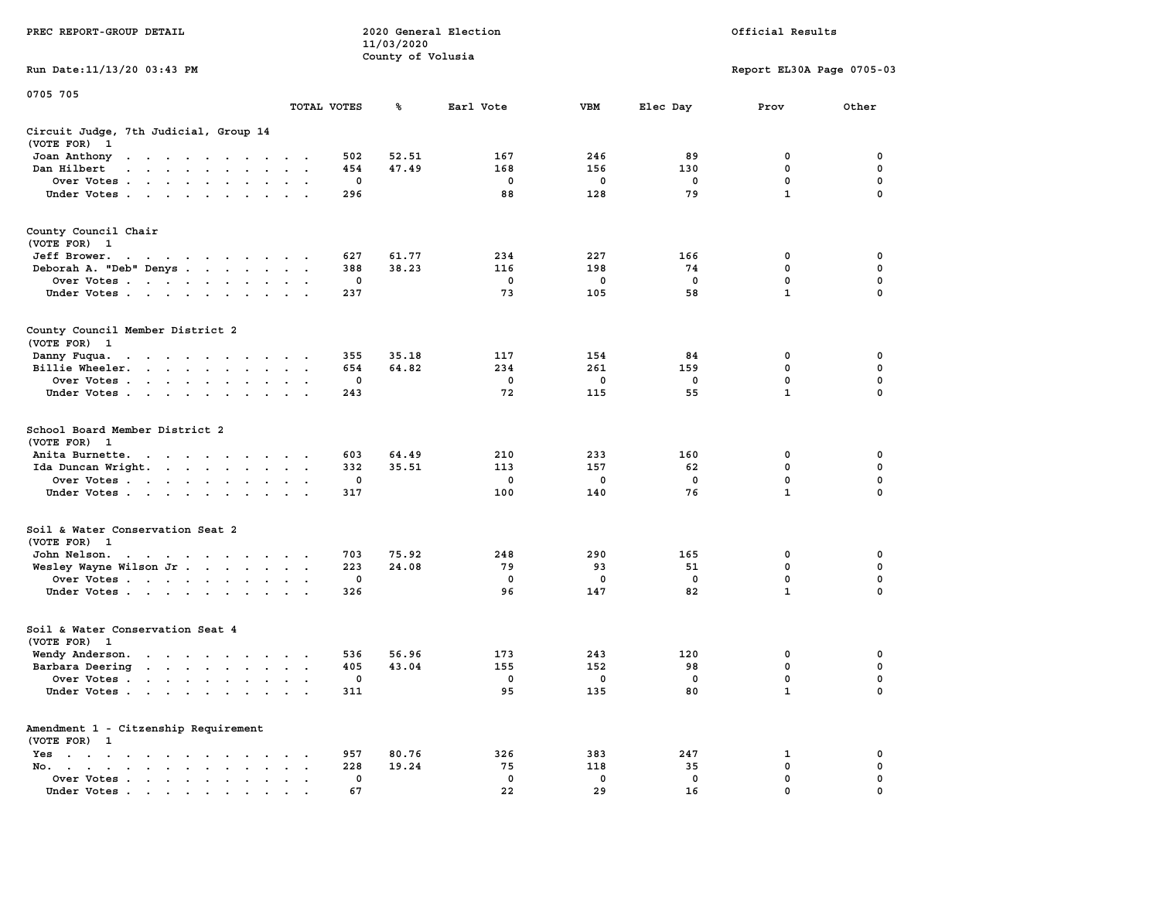| PREC REPORT-GROUP DETAIL                                                                                                                                                                                                                          |                      |          | 11/03/2020        | 2020 General Election |             | Official Results |                           |             |  |  |
|---------------------------------------------------------------------------------------------------------------------------------------------------------------------------------------------------------------------------------------------------|----------------------|----------|-------------------|-----------------------|-------------|------------------|---------------------------|-------------|--|--|
| Run Date: 11/13/20 03:43 PM                                                                                                                                                                                                                       |                      |          | County of Volusia |                       |             |                  | Report EL30A Page 0705-03 |             |  |  |
| 0705 705                                                                                                                                                                                                                                          |                      |          |                   |                       |             |                  |                           |             |  |  |
|                                                                                                                                                                                                                                                   | TOTAL VOTES          |          | ℁                 | Earl Vote             | VBM         | Elec Day         | Prov                      | Other       |  |  |
| Circuit Judge, 7th Judicial, Group 14<br>(VOTE FOR) 1                                                                                                                                                                                             |                      |          |                   |                       |             |                  |                           |             |  |  |
| Joan Anthony<br>the contract of the contract of the con-                                                                                                                                                                                          |                      | 502      | 52.51             | 167                   | 246         | 89               | 0                         | 0           |  |  |
| Dan Hilbert<br>and a series and a series of the series of the series of the series of the series of the series of the series of the series of the series of the series of the series of the series of the series of the series of the series      |                      | 454      | 47.49             | 168                   | 156         | 130              | 0                         | 0           |  |  |
| Over Votes                                                                                                                                                                                                                                        |                      | 0        |                   | 0                     | 0           | 0                | $\mathbf 0$               | 0           |  |  |
| Under Votes                                                                                                                                                                                                                                       |                      | 296      |                   | 88                    | 128         | 79               | $\mathbf{1}$              | 0           |  |  |
| County Council Chair<br>(VOTE FOR) 1                                                                                                                                                                                                              |                      |          |                   |                       |             |                  |                           |             |  |  |
| Jeff Brower.<br>the contract of the contract of the                                                                                                                                                                                               |                      | 627      | 61.77             | 234                   | 227         | 166              | 0                         | 0           |  |  |
| Deborah A. "Deb" Denys                                                                                                                                                                                                                            | $\sim$ $\sim$        | 388      | 38.23             | 116                   | 198         | 74               | 0                         | 0           |  |  |
| Over Votes                                                                                                                                                                                                                                        |                      | 0        |                   | 0                     | 0           | 0                | 0                         | 0           |  |  |
| Under Votes                                                                                                                                                                                                                                       |                      | 237      |                   | 73                    | 105         | 58               | $\mathbf{1}$              | 0           |  |  |
| County Council Member District 2<br>(VOTE FOR) 1                                                                                                                                                                                                  |                      |          |                   |                       |             |                  |                           |             |  |  |
| Danny Fuqua.<br>the contract of the contract of the                                                                                                                                                                                               |                      | 355      | 35.18             | 117                   | 154         | 84               | 0                         | 0           |  |  |
| Billie Wheeler.                                                                                                                                                                                                                                   |                      | 654      | 64.82             | 234                   | 261         | 159              | 0                         | 0           |  |  |
| Over Votes                                                                                                                                                                                                                                        |                      | 0        |                   | $\mathbf 0$           | 0           | $\mathbf 0$      | $\mathbf 0$               | 0           |  |  |
| Under Votes                                                                                                                                                                                                                                       |                      | 243      |                   | 72                    | 115         | 55               | $\mathbf{1}$              | $\Omega$    |  |  |
| School Board Member District 2<br>(VOTE FOR) 1                                                                                                                                                                                                    |                      |          |                   |                       |             |                  |                           |             |  |  |
| Anita Burnette.<br>the contract of the contract of the contract of the contract of the contract of the contract of the contract of the contract of the contract of the contract of the contract of the contract of the contract of the contract o |                      | 603      | 64.49             | 210                   | 233         | 160              | 0                         | 0           |  |  |
| Ida Duncan Wright.                                                                                                                                                                                                                                |                      | 332      | 35.51             | 113                   | 157         | 62               | 0                         | 0           |  |  |
| Over Votes                                                                                                                                                                                                                                        |                      | 0        |                   | $\mathbf{o}$          | 0           | 0                | $\mathbf 0$               | 0           |  |  |
| Under Votes                                                                                                                                                                                                                                       |                      | 317      |                   | 100                   | 140         | 76               | $\mathbf{1}$              | 0           |  |  |
| Soil & Water Conservation Seat 2<br>(VOTE FOR) 1                                                                                                                                                                                                  |                      |          |                   |                       |             |                  |                           |             |  |  |
| John Nelson.<br>the contract of the contract of the contract of                                                                                                                                                                                   |                      | 703      | 75.92             | 248                   | 290         | 165              | 0                         | 0           |  |  |
| Wesley Wayne Wilson Jr                                                                                                                                                                                                                            |                      | 223      | 24.08             | 79                    | 93          | 51               | 0                         | $\mathbf 0$ |  |  |
| Over Votes<br>Under Votes                                                                                                                                                                                                                         |                      | 0<br>326 |                   | 0<br>96               | 0<br>147    | 0<br>82          | 0<br>$\mathbf{1}$         | 0<br>0      |  |  |
| Soil & Water Conservation Seat 4<br>(VOTE FOR) 1                                                                                                                                                                                                  |                      |          |                   |                       |             |                  |                           |             |  |  |
| Wendy Anderson.<br>the contract of the contract of                                                                                                                                                                                                |                      | 536      | 56.96             | 173                   | 243         | 120              | 0                         | 0           |  |  |
| Barbara Deering                                                                                                                                                                                                                                   | $\sim$ $\sim$ $\sim$ | 405      | 43.04             | 155                   | 152         | 98               | 0                         | $\mathbf 0$ |  |  |
| Over Votes                                                                                                                                                                                                                                        |                      | 0        |                   | $\mathbf 0$           | $\mathbf 0$ | $\mathbf 0$      | 0                         | 0           |  |  |
| Under Votes                                                                                                                                                                                                                                       |                      | 311      |                   | 95                    | 135         | 80               | $\mathbf{1}$              | 0           |  |  |
| Amendment 1 - Citzenship Requirement<br>(VOTE FOR) 1                                                                                                                                                                                              |                      |          |                   |                       |             |                  |                           |             |  |  |
| $Yes \cdot \cdot \cdot \cdot \cdot \cdot \cdot \cdot \cdot$                                                                                                                                                                                       |                      | 957      | 80.76             | 326                   | 383         | 247              | 1                         | 0           |  |  |
| No.<br>$\ddot{\phantom{a}}$                                                                                                                                                                                                                       |                      | 228      | 19.24             | 75                    | 118         | 35               | 0                         | 0           |  |  |
| Over Votes                                                                                                                                                                                                                                        |                      | 0        |                   | $\mathbf 0$           | 0           | 0                | 0                         | 0           |  |  |
| Under Votes                                                                                                                                                                                                                                       |                      | 67       |                   | 22                    | 29          | 16               | 0                         |             |  |  |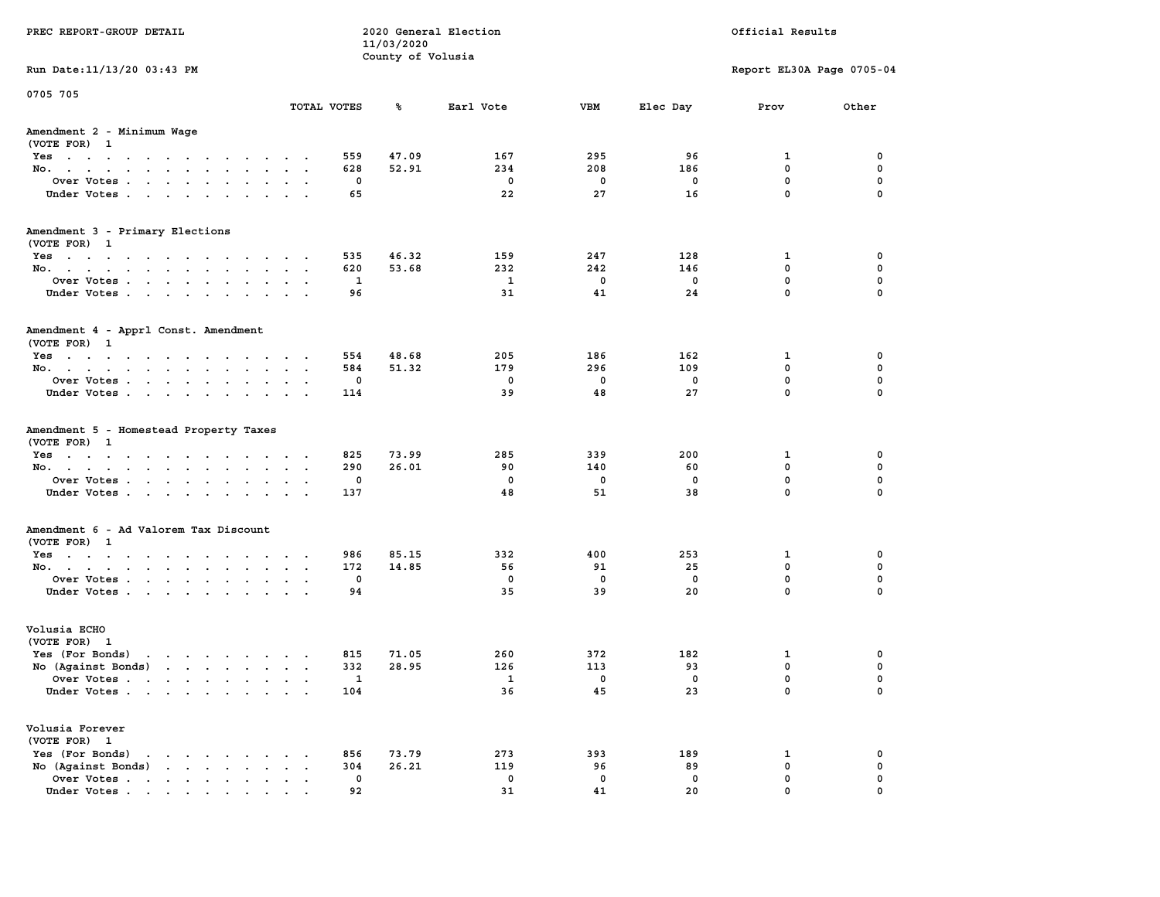| PREC REPORT-GROUP DETAIL                                                                                                        |             | 11/03/2020        | 2020 General Election |             |             | Official Results          |             |
|---------------------------------------------------------------------------------------------------------------------------------|-------------|-------------------|-----------------------|-------------|-------------|---------------------------|-------------|
|                                                                                                                                 |             | County of Volusia |                       |             |             |                           |             |
| Run Date: 11/13/20 03:43 PM                                                                                                     |             |                   |                       |             |             | Report EL30A Page 0705-04 |             |
| 0705 705                                                                                                                        | TOTAL VOTES | ℁                 | Earl Vote             | <b>VBM</b>  | Elec Day    | Prov                      | Other       |
| Amendment 2 - Minimum Wage                                                                                                      |             |                   |                       |             |             |                           |             |
| (VOTE FOR) 1                                                                                                                    |             |                   |                       |             |             |                           |             |
| Yes                                                                                                                             |             | 47.09<br>559      | 167                   | 295         | 96          | 1                         | 0           |
| No.                                                                                                                             |             | 52.91<br>628      | 234                   | 208         | 186         | $\mathbf 0$               | 0           |
| Over Votes                                                                                                                      |             | 0                 | 0                     | 0           | 0           | $\mathbf 0$               | 0           |
| Under Votes                                                                                                                     |             | 65                | 22                    | 27          | 16          | $\mathbf 0$               | $\mathbf 0$ |
| Amendment 3 - Primary Elections                                                                                                 |             |                   |                       |             |             |                           |             |
| (VOTE FOR) 1                                                                                                                    |             |                   |                       |             |             |                           |             |
| Yes                                                                                                                             |             | 46.32<br>535      | 159                   | 247         | 128         | 1                         | 0           |
| No.                                                                                                                             |             | 53.68<br>620      | 232                   | 242         | 146         | 0                         | 0           |
| Over Votes                                                                                                                      |             | 1                 | $\mathbf{1}$          | $\mathbf 0$ | $\mathbf 0$ | $\mathbf 0$               | 0           |
| Under Votes                                                                                                                     |             | 96                | 31                    | 41          | 24          | $\mathbf{0}$              | 0           |
| Amendment 4 - Apprl Const. Amendment                                                                                            |             |                   |                       |             |             |                           |             |
| (VOTE FOR) 1                                                                                                                    |             |                   |                       |             |             |                           |             |
| Yes                                                                                                                             |             | 554<br>48.68      | 205                   | 186         | 162         | 1                         | 0           |
| No.                                                                                                                             |             | 584<br>51.32      | 179                   | 296         | 109         | $^{\circ}$                | 0           |
| Over Votes                                                                                                                      |             | 0                 | 0                     | $^{\circ}$  | 0           | $\mathbf{0}$              | 0           |
| Under Votes                                                                                                                     |             | 114               | 39                    | 48          | 27          | $\mathbf 0$               | 0           |
| Amendment 5 - Homestead Property Taxes                                                                                          |             |                   |                       |             |             |                           |             |
| (VOTE FOR) 1                                                                                                                    |             |                   |                       |             |             |                           |             |
| Yes                                                                                                                             |             | 73.99<br>825      | 285                   | 339         | 200         | 1                         | 0           |
| No.                                                                                                                             |             | 26.01<br>290      | 90                    | 140         | 60          | $\mathbf 0$               | 0           |
| Over Votes                                                                                                                      |             | 0                 | 0                     | $\mathbf 0$ | 0           | $\mathbf 0$               | 0           |
| Under Votes                                                                                                                     |             | 137               | 48                    | 51          | 38          | $\mathbf 0$               | $\Omega$    |
| Amendment 6 - Ad Valorem Tax Discount                                                                                           |             |                   |                       |             |             |                           |             |
| (VOTE FOR) 1                                                                                                                    |             |                   |                       |             |             |                           |             |
| Yes                                                                                                                             |             | 85.15<br>986      | 332                   | 400         | 253         | 1                         | 0           |
| No.                                                                                                                             |             | 14.85<br>172      | 56                    | 91          | 25          | 0                         | 0           |
| Over Votes                                                                                                                      |             | 0                 | 0                     | $\mathbf 0$ | 0           | 0                         | 0           |
| Under Votes                                                                                                                     |             | 94                | 35                    | 39          | 20          | $\Omega$                  | $\Omega$    |
| Volusia ECHO                                                                                                                    |             |                   |                       |             |             |                           |             |
| (VOTE FOR) 1                                                                                                                    |             |                   |                       |             |             |                           |             |
| Yes (For Bonds)                                                                                                                 |             | 815<br>71.05      | 260                   | 372         | 182         | 1                         | 0           |
| No (Aqainst Bonds)                                                                                                              |             | 28.95<br>332      | 126                   | 113         | 93          | $\mathbf 0$               | 0           |
| Over Votes .<br>the contract of the contract of the contract of the contract of the contract of the contract of the contract of |             | 1                 | $\mathbf{1}$          | 0           | 0           | $\mathbf{0}$              | 0           |
| Under Votes                                                                                                                     |             | 104               | 36                    | 45          | 23          | 0                         | 0           |
| Volusia Forever                                                                                                                 |             |                   |                       |             |             |                           |             |
| (VOTE FOR) 1                                                                                                                    |             |                   |                       |             |             |                           |             |
| Yes (For Bonds)<br>$\mathbf{r}$ , and $\mathbf{r}$ , and $\mathbf{r}$ , and $\mathbf{r}$                                        |             | 856<br>73.79      | 273                   | 393         | 189         | 1                         | 0           |
| No (Against Bonds)                                                                                                              |             | 26.21<br>304      | 119                   | 96          | 89          | $\mathbf 0$               | 0           |
| Over Votes                                                                                                                      |             | 0                 | 0                     | $\mathbf 0$ | 0           | $\mathbf 0$               | 0           |
| Under Votes                                                                                                                     |             | 92                | 31                    | 41          | 20          | $\mathbf{0}$              | 0           |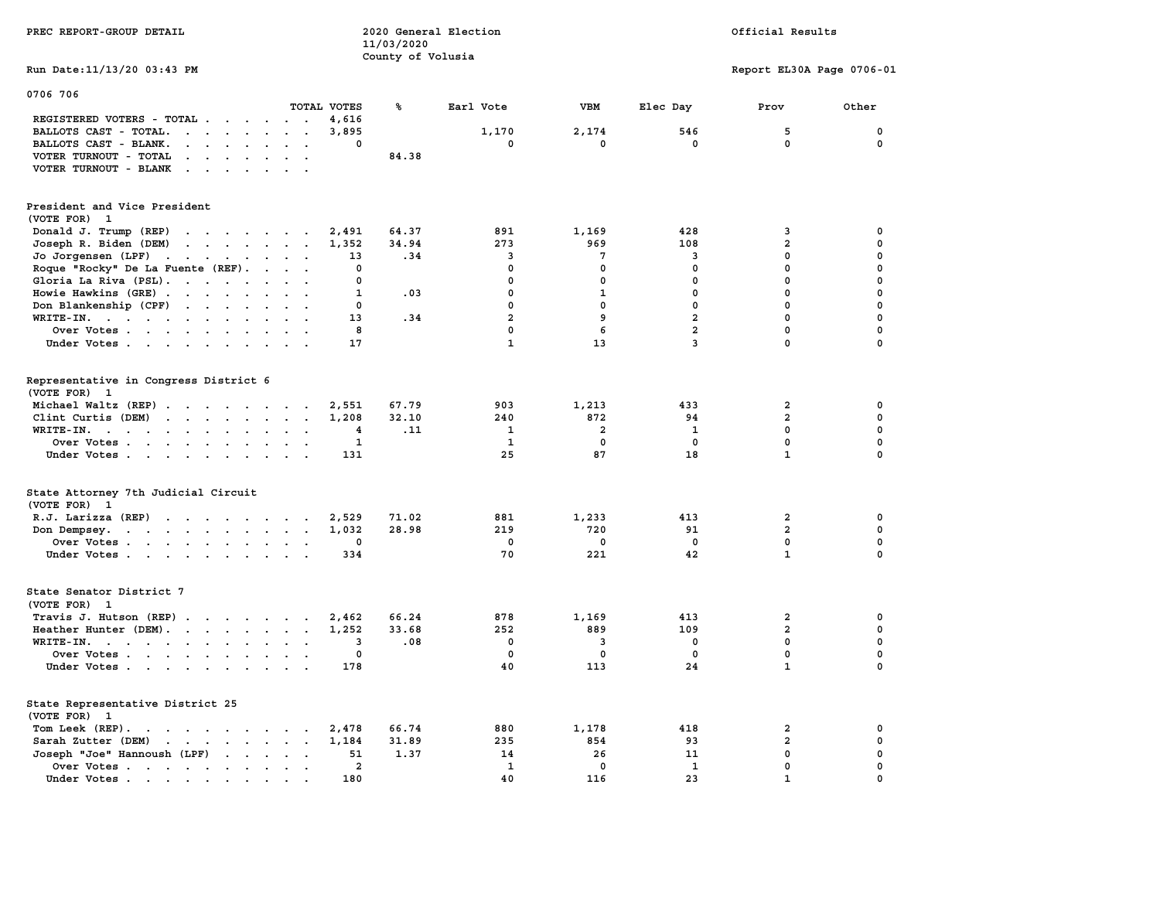| PREC REPORT-GROUP DETAIL                                                                                                                                                                                                                                   |                                               | 11/03/2020<br>County of Volusia | 2020 General Election |                |                | Official Results          |                  |
|------------------------------------------------------------------------------------------------------------------------------------------------------------------------------------------------------------------------------------------------------------|-----------------------------------------------|---------------------------------|-----------------------|----------------|----------------|---------------------------|------------------|
| Run Date: 11/13/20 03:43 PM                                                                                                                                                                                                                                |                                               |                                 |                       |                |                | Report EL30A Page 0706-01 |                  |
| 0706 706                                                                                                                                                                                                                                                   |                                               |                                 |                       |                |                |                           |                  |
|                                                                                                                                                                                                                                                            | TOTAL VOTES                                   | ℁                               | Earl Vote             | <b>VBM</b>     | Elec Day       | Prov                      | Other            |
| REGISTERED VOTERS - TOTAL                                                                                                                                                                                                                                  | 4,616                                         |                                 |                       |                |                |                           |                  |
| BALLOTS CAST - TOTAL.<br>$\cdot$ $\cdot$ $\cdot$ $\cdot$ $\cdot$                                                                                                                                                                                           | 3,895<br>$\mathbf{r}$<br>$\Omega$             |                                 | 1,170                 | 2,174          | 546<br>0       | 5<br>$\mathbf{0}$         | 0<br>$\mathbf 0$ |
| BALLOTS CAST - BLANK.<br>$\begin{array}{cccccccccccccc} \bullet & \bullet & \bullet & \bullet & \bullet & \bullet & \bullet & \bullet \end{array}$                                                                                                         | $\sim$ $\sim$                                 |                                 | 0                     | 0              |                |                           |                  |
| VOTER TURNOUT - TOTAL<br>$\sim$<br>$\sim$<br>$\ddot{\phantom{a}}$<br>$\ddot{\phantom{a}}$                                                                                                                                                                  | $\bullet$                                     | 84.38                           |                       |                |                |                           |                  |
| VOTER TURNOUT - BLANK<br>$\cdot$ $\cdot$ $\cdot$ $\cdot$ $\cdot$                                                                                                                                                                                           |                                               |                                 |                       |                |                |                           |                  |
| President and Vice President<br>(VOTE FOR) 1                                                                                                                                                                                                               |                                               |                                 |                       |                |                |                           |                  |
| Donald J. Trump (REP)<br>the contract of the contract of the                                                                                                                                                                                               | 2,491                                         | 64.37                           | 891                   | 1,169          | 428            | 3                         | $\mathbf 0$      |
| Joseph R. Biden (DEM)<br>$\mathbf{r}$ . The contract of the contract of the contract of the contract of the contract of the contract of the contract of the contract of the contract of the contract of the contract of the contract of the contract of th | 1,352                                         | 34.94                           | 273                   | 969            | 108            | $\overline{a}$            | 0                |
| Jo Jorgensen $(LPF)$                                                                                                                                                                                                                                       | 13                                            | .34                             | 3                     | $\overline{7}$ | 3              | $\mathbf{0}$              | 0                |
| Roque "Rocky" De La Fuente (REF).                                                                                                                                                                                                                          | 0<br>$\cdots$                                 |                                 | 0                     | 0              | 0              | $\mathbf 0$               | 0                |
| Gloria La Riva (PSL).                                                                                                                                                                                                                                      | $\mathbf 0$                                   |                                 | $\mathbf{0}$          | $\mathbf 0$    | $\mathbf 0$    | $\mathbf{0}$              | $\mathbf 0$      |
| Howie Hawkins (GRE)                                                                                                                                                                                                                                        | 1                                             | .03                             | $\mathbf 0$           | $\mathbf{1}$   | $\mathbf 0$    | $\mathbf{0}$              | $\mathbf 0$      |
| Don Blankenship (CPF) $\cdot \cdot \cdot \cdot \cdot \cdot$                                                                                                                                                                                                | $\mathbf 0$                                   |                                 | $\mathbf{0}$          | $\mathbf 0$    | $\mathbf{0}$   | $\mathbf{0}$              | $\mathbf 0$      |
| WRITE-IN.                                                                                                                                                                                                                                                  | 13                                            | .34                             | $\overline{a}$        | 9              | $\overline{a}$ | $\mathbf{0}$              | $\mathbf 0$      |
| Over Votes                                                                                                                                                                                                                                                 | 8<br>$\sim$<br>$\ddot{\phantom{a}}$           |                                 | $\mathbf{0}$          | 6              | $\overline{2}$ | $\mathbf{0}$              | $\mathbf 0$      |
| Under Votes                                                                                                                                                                                                                                                | 17                                            |                                 | $\mathbf{1}$          | 13             | $\overline{3}$ | $\mathbf 0$               | $\mathbf 0$      |
| Representative in Congress District 6<br>(VOTE FOR) 1                                                                                                                                                                                                      |                                               |                                 |                       |                |                |                           |                  |
| Michael Waltz (REP)                                                                                                                                                                                                                                        | 2,551                                         | 67.79                           | 903                   | 1,213          | 433            | $\mathbf{2}$              | 0                |
| Clint Curtis (DEM)<br>$\mathbf{r}$ . The contract of the contract of the contract of the contract of the contract of the contract of the contract of the contract of the contract of the contract of the contract of the contract of the contract of th    | 1,208                                         | 32.10                           | 240                   | 872            | 94             | $\overline{a}$            | $\mathbf 0$      |
| WRITE-IN.                                                                                                                                                                                                                                                  | 4<br>$\ddot{\phantom{a}}$<br>$\sim$           | .11                             | 1                     | $\overline{a}$ | 1              | $\mathbf 0$               | $\mathbf 0$      |
| Over Votes                                                                                                                                                                                                                                                 | 1<br>$\sim$<br>$\ddot{\phantom{a}}$<br>$\sim$ |                                 | $\mathbf{1}$          | $\mathbf 0$    | $\mathbf 0$    | $\mathbf 0$               | $\mathbf 0$      |
| Under Votes                                                                                                                                                                                                                                                | 131                                           |                                 | 25                    | 87             | 18             | $\mathbf{1}$              | $\mathbf 0$      |
| State Attorney 7th Judicial Circuit<br>(VOTE FOR) 1                                                                                                                                                                                                        |                                               |                                 |                       |                |                |                           |                  |
| R.J. Larizza (REP)<br>the contract of the contract of the contract of the contract of the contract of the contract of the contract of                                                                                                                      | 2,529                                         | 71.02                           | 881                   | 1,233          | 413            | $\mathbf{2}$              | 0                |
| Don Dempsey.<br>. The contract of the contract of the contract of the contract of the contract of the contract of the contract of the contract of the contract of the contract of the contract of the contract of the contract of the contrac              | 1,032                                         | 28.98                           | 219                   | 720            | 91             | $\overline{2}$            | $\mathbf 0$      |
| Over Votes                                                                                                                                                                                                                                                 | 0                                             |                                 | 0                     | $\mathbf 0$    | $\mathbf 0$    | $\mathbf 0$               | 0                |
| Under Votes                                                                                                                                                                                                                                                | 334                                           |                                 | 70                    | 221            | 42             | $\mathbf{1}$              | $\mathbf 0$      |
| State Senator District 7<br>(VOTE FOR) 1                                                                                                                                                                                                                   |                                               |                                 |                       |                |                |                           |                  |
| Travis J. Hutson (REP)                                                                                                                                                                                                                                     | 2,462                                         | 66.24                           | 878                   | 1,169          | 413            | 2                         | 0                |
| Heather Hunter (DEM).                                                                                                                                                                                                                                      | 1,252                                         | 33.68                           | 252                   | 889            | 109            | $\mathbf{2}$              | $\mathbf 0$      |
| WRITE-IN.                                                                                                                                                                                                                                                  | 3<br>$\cdot$ .                                | .08                             | $\mathbf{0}$          | 3              | $\mathbf{0}$   | $\mathbf{0}$              | $\mathbf 0$      |
| Over Votes                                                                                                                                                                                                                                                 | 0<br>$\sim$ $\sim$                            |                                 | $\mathbf 0$           | $\mathbf 0$    | $\mathbf 0$    | $\mathbf 0$               | $\mathbf 0$      |
| Under Votes                                                                                                                                                                                                                                                | 178                                           |                                 | 40                    | 113            | 24             | $\mathbf{1}$              | 0                |
| State Representative District 25<br>(VOTE FOR) 1                                                                                                                                                                                                           |                                               |                                 |                       |                |                |                           |                  |
| Tom Leek (REP).<br>the contract of the contract of the contract of the contract of the contract of the contract of the contract of                                                                                                                         | 2,478                                         | 66.74                           | 880                   | 1,178          | 418            | 2                         | 0                |
| Sarah Zutter (DEM)<br>the contract of the contract of the contract of                                                                                                                                                                                      | $\cdot$ $\cdot$<br>1,184                      | 31.89                           | 235                   | 854            | 93             | $\overline{\mathbf{2}}$   | 0                |
| Joseph "Joe" Hannoush (LPF)<br>$\sim$<br>$\cdots$                                                                                                                                                                                                          | $\cdots$<br>51                                | 1.37                            | 14                    | 26             | 11             | $\mathbf{0}$              | 0                |
| Over Votes                                                                                                                                                                                                                                                 | $\overline{2}$<br>$\ddot{\phantom{0}}$        |                                 | 1                     | $\mathbf 0$    | 1              | $\mathbf 0$               | 0                |
| Under Votes.                                                                                                                                                                                                                                               | 180                                           |                                 | 40                    | 116            | 23             | $\mathbf{1}$              | $\Omega$         |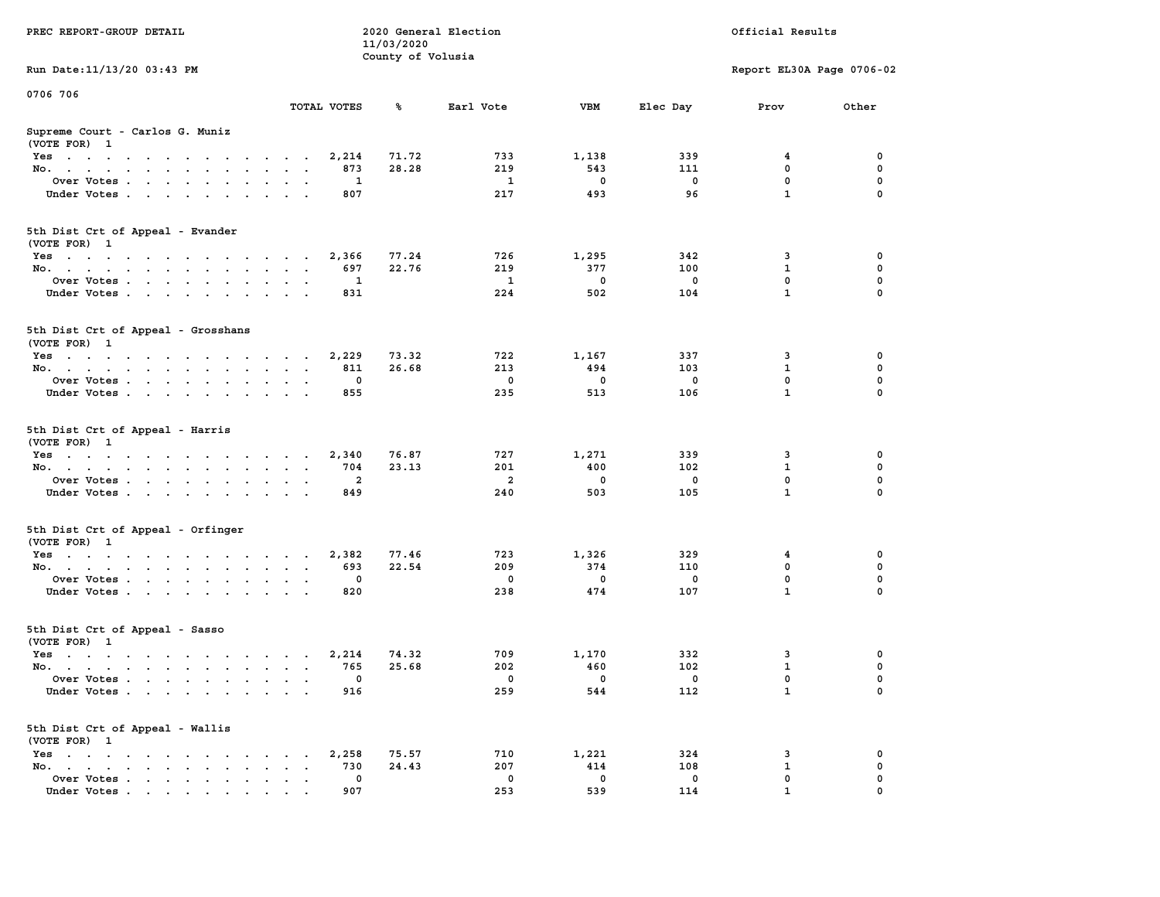| PREC REPORT-GROUP DETAIL                           |                                      | 11/03/2020<br>County of Volusia | 2020 General Election |                          |                          | Official Results            |               |
|----------------------------------------------------|--------------------------------------|---------------------------------|-----------------------|--------------------------|--------------------------|-----------------------------|---------------|
| Run Date: 11/13/20 03:43 PM                        |                                      |                                 |                       |                          |                          | Report EL30A Page 0706-02   |               |
| 0706 706                                           |                                      |                                 |                       |                          |                          |                             |               |
|                                                    | TOTAL VOTES                          | ℁                               | Earl Vote             | <b>VBM</b>               | Elec Day                 | Prov                        | Other         |
| Supreme Court - Carlos G. Muniz<br>(VOTE FOR) 1    |                                      |                                 |                       |                          |                          |                             |               |
| Yes                                                | 2,214                                | 71.72                           | 733                   | 1,138                    | 339                      | 4                           | 0             |
| No.                                                | 873                                  | 28.28                           | 219                   | 543                      | 111                      | $^{\circ}$                  | 0             |
| Over Votes                                         | 1                                    |                                 | $\mathbf{1}$          | $\mathbf 0$              | $\mathbf 0$              | $\mathbf 0$                 | 0             |
| Under Votes                                        | 807                                  |                                 | 217                   | 493                      | 96                       | $\mathbf{1}$                | $\mathbf 0$   |
| 5th Dist Crt of Appeal - Evander                   |                                      |                                 |                       |                          |                          |                             |               |
| (VOTE FOR) 1                                       |                                      |                                 |                       |                          |                          |                             | 0             |
| Yes<br>No.                                         | 2,366<br>697                         | 77.24<br>22.76                  | 726<br>219            | 1,295<br>377             | 342<br>100               | 3<br>$\mathbf{1}$           | 0             |
| Over Votes                                         | 1                                    |                                 | $\mathbf{1}$          | $\overline{\mathbf{0}}$  | $\mathbf 0$              | $\mathbf{0}$                | 0             |
| Under Votes                                        | 831                                  |                                 | 224                   | 502                      | 104                      | $\mathbf{1}$                | $\mathbf 0$   |
|                                                    |                                      |                                 |                       |                          |                          |                             |               |
| 5th Dist Crt of Appeal - Grosshans<br>(VOTE FOR) 1 |                                      |                                 |                       |                          |                          |                             |               |
| Yes                                                | 2,229                                | 73.32                           | 722                   | 1,167                    | 337                      | 3                           | 0             |
| No.                                                | 811                                  | 26.68                           | 213                   | 494                      | 103                      | $\mathbf{1}$                | 0             |
| Over Votes                                         | $\mathbf 0$                          |                                 | $\mathbf 0$           | $\Omega$                 | $\mathbf 0$              | $\mathbf{0}$                | 0             |
| Under Votes                                        | 855                                  |                                 | 235                   | 513                      | 106                      | $\mathbf{1}$                | $\mathbf 0$   |
| 5th Dist Crt of Appeal - Harris<br>(VOTE FOR) 1    |                                      |                                 |                       |                          |                          |                             |               |
| Yes                                                | 2,340                                | 76.87                           | 727                   | 1,271                    | 339                      | 3                           | 0             |
| No.                                                | 704<br>$\overline{a}$                | 23.13                           | 201<br>$\overline{a}$ | 400<br>$\mathbf 0$       | 102<br>$\mathbf 0$       | $\mathbf{1}$<br>$\mathbf 0$ | 0<br>0        |
| Over Votes<br>Under Votes                          | 849                                  |                                 | 240                   | 503                      | 105                      | $\mathbf{1}$                | $\mathbf 0$   |
|                                                    |                                      |                                 |                       |                          |                          |                             |               |
| 5th Dist Crt of Appeal - Orfinger                  |                                      |                                 |                       |                          |                          |                             |               |
| (VOTE FOR) 1                                       |                                      |                                 | 723                   | 1,326                    | 329                      |                             | 0             |
| Yes<br>No.                                         | 2,382<br>693                         | 77.46<br>22.54                  | 209                   | 374                      | 110                      | $\overline{4}$<br>0         | 0             |
| Over Votes                                         | 0                                    |                                 | $\mathbf{o}$          | $\overline{\mathbf{0}}$  | 0                        | 0                           | 0             |
| Under Votes                                        | 820                                  |                                 | 238                   | 474                      | 107                      | $\mathbf{1}$                | $\mathbf 0$   |
| 5th Dist Crt of Appeal - Sasso                     |                                      |                                 |                       |                          |                          |                             |               |
| (VOTE FOR) 1                                       |                                      |                                 |                       |                          |                          |                             |               |
| Yes.                                               | 2,214                                | 74.32<br>25.68                  | 709<br>202            | 1,170<br>460             | 332<br>102               | 3<br>$\mathbf{1}$           | 0<br>0        |
| No.                                                | 765<br>$\overline{\phantom{0}}$      |                                 | $\mathbf 0$           | $\overline{\phantom{0}}$ | $\overline{\phantom{0}}$ | $\mathbf 0$                 | 0             |
| Over Votes<br>Under Votes                          | 916                                  |                                 | 259                   | 544                      | 112                      | $\mathbf{1}$                | $\mathbf 0$   |
| 5th Dist Crt of Appeal - Wallis                    |                                      |                                 |                       |                          |                          |                             |               |
| (VOTE FOR) 1                                       |                                      |                                 |                       |                          |                          |                             |               |
| Yes                                                | 2,258                                | 75.57                           | 710                   | 1,221                    | 324                      | 3                           | 0             |
| No.                                                | 730<br>$\bullet$ .<br>$\blacksquare$ | 24.43                           | 207                   | 414                      | 108                      | 1                           | 0             |
| Over Votes                                         | $\mathbf 0$<br>907                   |                                 | 0<br>253              | $\mathbf 0$<br>539       | $\mathbf 0$<br>114       | 0<br>$\mathbf{1}$           | 0<br>$\Omega$ |
| Under Votes                                        |                                      |                                 |                       |                          |                          |                             |               |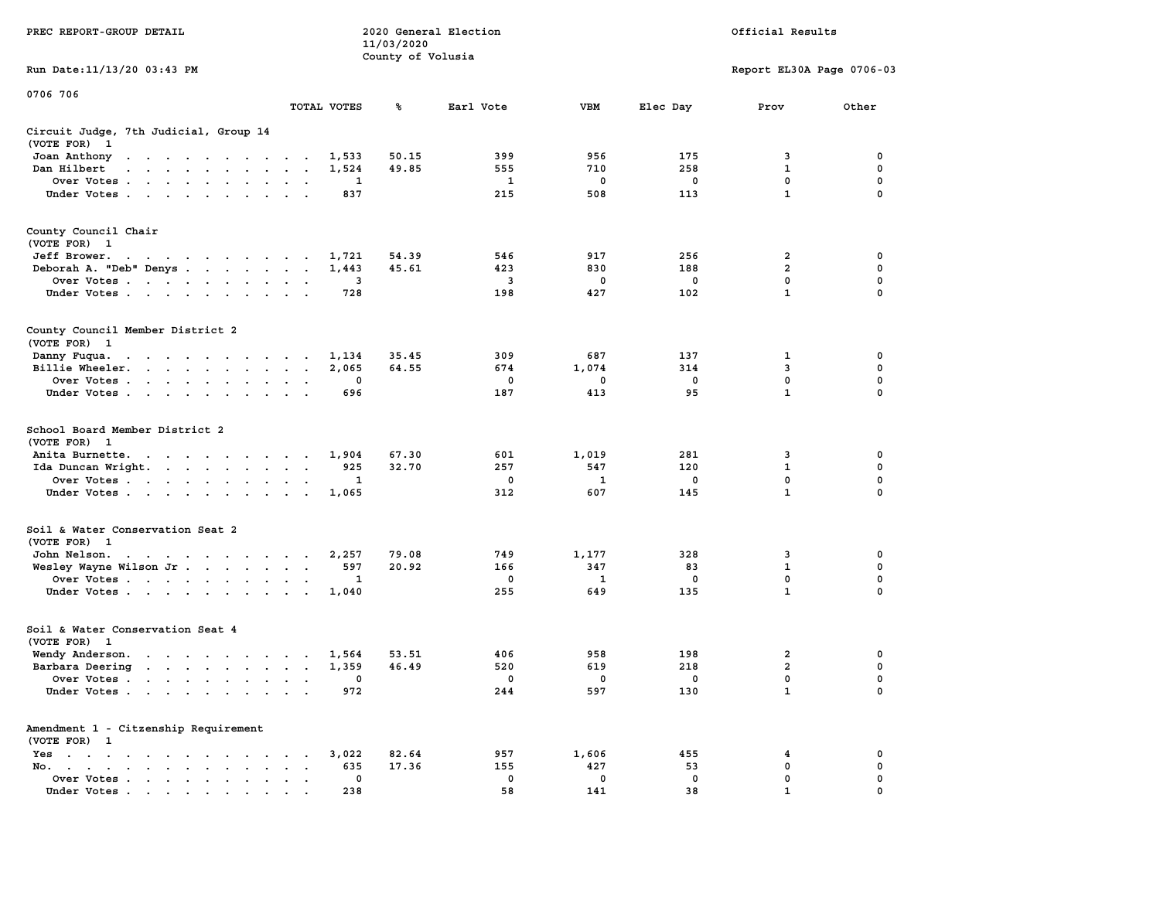|                                                                                                                                                                                                                                                            |                                                                               | 11/03/2020        |              |             |             |                           |                            |
|------------------------------------------------------------------------------------------------------------------------------------------------------------------------------------------------------------------------------------------------------------|-------------------------------------------------------------------------------|-------------------|--------------|-------------|-------------|---------------------------|----------------------------|
|                                                                                                                                                                                                                                                            |                                                                               | County of Volusia |              |             |             |                           |                            |
| Run Date:11/13/20 03:43 PM                                                                                                                                                                                                                                 |                                                                               |                   |              |             |             | Report EL30A Page 0706-03 |                            |
| 0706 706                                                                                                                                                                                                                                                   |                                                                               |                   |              |             |             |                           |                            |
|                                                                                                                                                                                                                                                            | TOTAL VOTES                                                                   | ℁                 | Earl Vote    | <b>VBM</b>  | Elec Day    | Prov                      | Other                      |
| Circuit Judge, 7th Judicial, Group 14<br>(VOTE FOR)<br>$\mathbf{1}$                                                                                                                                                                                        |                                                                               |                   |              |             |             |                           |                            |
| Joan Anthony<br>the contract of the contract of the contract of the contract of the contract of the contract of the contract of                                                                                                                            | 1,533<br>$\sim$                                                               | 50.15             | 399          | 956         | 175         | 3                         | 0                          |
| Dan Hilbert<br>$\mathbf{r}$ . The contract of the contract of the contract of the contract of the contract of the contract of the contract of the contract of the contract of the contract of the contract of the contract of the contract of th<br>$\sim$ | 1,524<br>$\overline{a}$<br>$\sim$                                             | 49.85             | 555          | 710         | 258         | 1                         | 0                          |
| Over Votes .<br>$\overline{\phantom{a}}$                                                                                                                                                                                                                   | 1<br>$\cdot$<br>$\ddot{\phantom{a}}$                                          |                   | $\mathbf{1}$ | $\mathbf 0$ | $\mathbf 0$ | $\mathbf 0$               | $\mathbf 0$                |
| Under Votes                                                                                                                                                                                                                                                | 837<br>$\cdot$<br>$\mathbf{r}$<br>$\overline{\phantom{a}}$                    |                   | 215          | 508         | 113         | $\mathbf{1}$              | 0                          |
| County Council Chair<br>(VOTE FOR) 1                                                                                                                                                                                                                       |                                                                               |                   |              |             |             |                           |                            |
| Jeff Brower.<br>the contract of the contract of the con-                                                                                                                                                                                                   | 1,721<br>$\overline{\phantom{a}}$                                             | 54.39             | 546          | 917         | 256         | $\overline{2}$            | 0                          |
| Deborah A. "Deb" Denys                                                                                                                                                                                                                                     | 1,443<br>$\ddot{\phantom{a}}$<br>$\ddot{\phantom{a}}$                         | 45.61             | 423          | 830         | 188         | $\overline{a}$            | $\mathbf 0$                |
| Over Votes<br>$\ddot{\phantom{a}}$                                                                                                                                                                                                                         | 3<br>$\cdot$                                                                  |                   | 3            | 0           | $\mathbf 0$ | $\mathbf 0$               | $\mathbf 0$<br>$\mathbf 0$ |
| Under Votes                                                                                                                                                                                                                                                | 728<br>$\sim$                                                                 |                   | 198          | 427         | 102         | $\mathbf{1}$              |                            |
| County Council Member District 2<br>(VOTE FOR) 1                                                                                                                                                                                                           |                                                                               |                   |              |             |             |                           |                            |
| Danny Fuqua.<br>$\mathbf{r} = \mathbf{r} + \mathbf{r} + \mathbf{r} + \mathbf{r}$<br>$\sim$ $\sim$ $\sim$<br>$\sim$                                                                                                                                         | 1,134<br>$\sim$                                                               | 35.45             | 309          | 687         | 137         | 1                         | 0                          |
| Billie Wheeler.<br><b>Contract Contract Contract</b><br>$\bullet$ .<br><br><br>$\bullet$ .<br>$\blacksquare$                                                                                                                                               | 2,065<br>$\ddot{\phantom{a}}$<br>$\ddot{\phantom{a}}$<br>$\ddot{\phantom{a}}$ | 64.55             | 674          | 1,074       | 314         | 3                         | 0                          |
| Over Votes<br>$\ddot{\phantom{a}}$                                                                                                                                                                                                                         | 0<br>$\mathbf{r}$                                                             |                   | 0            | 0           | 0           | $\mathbf{0}$              | $\mathbf 0$                |
| Under Votes<br>$\cdot$<br>$\ddot{\phantom{1}}$<br>$\cdot$                                                                                                                                                                                                  | 696                                                                           |                   | 187          | 413         | 95          | $\mathbf{1}$              | 0                          |
| School Board Member District 2<br>(VOTE FOR)<br>$\mathbf{1}$                                                                                                                                                                                               |                                                                               |                   |              |             |             |                           |                            |
| Anita Burnette.<br>the contract of the contract of the contract of the contract of the contract of the contract of the contract of the contract of the contract of the contract of the contract of the contract of the contract of the contract o          | 1,904                                                                         | 67.30             | 601          | 1,019       | 281         | 3                         | 0                          |
| Ida Duncan Wright<br>$\mathbf{r} = \mathbf{r} + \mathbf{r} + \mathbf{r} + \mathbf{r}$                                                                                                                                                                      | 925<br>$\bullet$<br>$\bullet$<br>$\blacksquare$                               | 32.70             | 257          | 547         | 120         | 1                         | 0                          |
| Over Votes                                                                                                                                                                                                                                                 | 1<br>$\mathbf{r}$<br>$\cdot$                                                  |                   | 0            | 1           | 0           | $\mathbf 0$               | $\mathbf 0$                |
| Under Votes<br>$\overline{\phantom{a}}$<br>$\ddot{\phantom{a}}$                                                                                                                                                                                            | 1,065<br>$\mathbf{r}$                                                         |                   | 312          | 607         | 145         | $\mathbf{1}$              | 0                          |
| Soil & Water Conservation Seat 2<br>(VOTE FOR) 1                                                                                                                                                                                                           |                                                                               |                   |              |             |             |                           |                            |
| John Nelson.<br>the contract of the contract of the con-                                                                                                                                                                                                   | 2,257                                                                         | 79.08             | 749          | 1,177       | 328         | 3                         | 0                          |
| Wesley Wayne Wilson Jr                                                                                                                                                                                                                                     | 597<br>$\bullet$<br>$\blacksquare$                                            | 20.92             | 166          | 347         | 83          | $\mathbf 1$               | 0                          |
| Over Votes                                                                                                                                                                                                                                                 | 1<br>$\cdot$<br>$\cdot$                                                       |                   | 0            | 1           | 0           | 0                         | 0                          |
| Under Votes<br>$\sim$ $\sim$                                                                                                                                                                                                                               | 1,040<br>$\overline{\phantom{a}}$                                             |                   | 255          | 649         | 135         | $\mathbf{1}$              | 0                          |
| Soil & Water Conservation Seat 4<br>(VOTE FOR)<br>$\mathbf{1}$                                                                                                                                                                                             |                                                                               |                   |              |             |             |                           |                            |
| Wendy Anderson.<br>$\mathbf{r}$ , and $\mathbf{r}$ , and $\mathbf{r}$ , and $\mathbf{r}$                                                                                                                                                                   | 1,564<br>$\sim$ $\sim$<br>$\sim$                                              | 53.51             | 406          | 958         | 198         | $\overline{\mathbf{2}}$   | 0                          |
| Barbara Deering                                                                                                                                                                                                                                            | 1,359<br>$\bullet$<br>$\sim$<br>$\sim$                                        | 46.49             | 520          | 619         | 218         | $\overline{\mathbf{2}}$   | 0                          |
| Over Votes .<br>$\sim$ 100 $\sim$ 100 $\sim$ 100 $\sim$<br>$\ddot{\phantom{0}}$<br>$\bullet$                                                                                                                                                               | 0<br>$\overline{a}$<br>$\ddot{\phantom{a}}$<br>$\overline{\phantom{a}}$       |                   | 0            | 0           | 0           | 0                         | 0                          |
| Under Votes<br>$\ddot{\phantom{a}}$                                                                                                                                                                                                                        | 972<br>$\ddot{\phantom{a}}$<br>$\mathbf{r}$                                   |                   | 244          | 597         | 130         | $\mathbf{1}$              | $\mathbf 0$                |
| Amendment 1 - Citzenship Requirement                                                                                                                                                                                                                       |                                                                               |                   |              |             |             |                           |                            |
| (VOTE FOR) 1                                                                                                                                                                                                                                               | 3,022                                                                         | 82.64             | 957          | 1,606       | 455         | 4                         | 0                          |
| Yes<br>$\cdot$<br>$\bullet$<br>$\ddot{\phantom{0}}$<br>$\ddot{\phantom{0}}$<br>$\ddot{\phantom{0}}$<br>$\cdot$<br>$\cdot$<br>$\bullet$<br>No.                                                                                                              | $\ddot{\phantom{0}}$<br>635                                                   | 17.36             | 155          | 427         | 53          | 0                         | 0                          |
| the contract of the contract of the contract of the contract of the contract of<br>$\mathbf{a} = \mathbf{a} \cdot \mathbf{a}$<br>Over Votes<br>$\bullet$<br>$\ddot{\phantom{1}}$ .<br>$\bullet$                                                            | 0<br>$\ddot{\phantom{a}}$                                                     |                   | $\mathbf 0$  | 0           | $\mathbf 0$ | 0                         | 0                          |
| Under Votes, , , , , , ,                                                                                                                                                                                                                                   | 238<br>$\sim$                                                                 |                   | 58           | 141         | 38          | $\mathbf{1}$              | $\mathbf 0$                |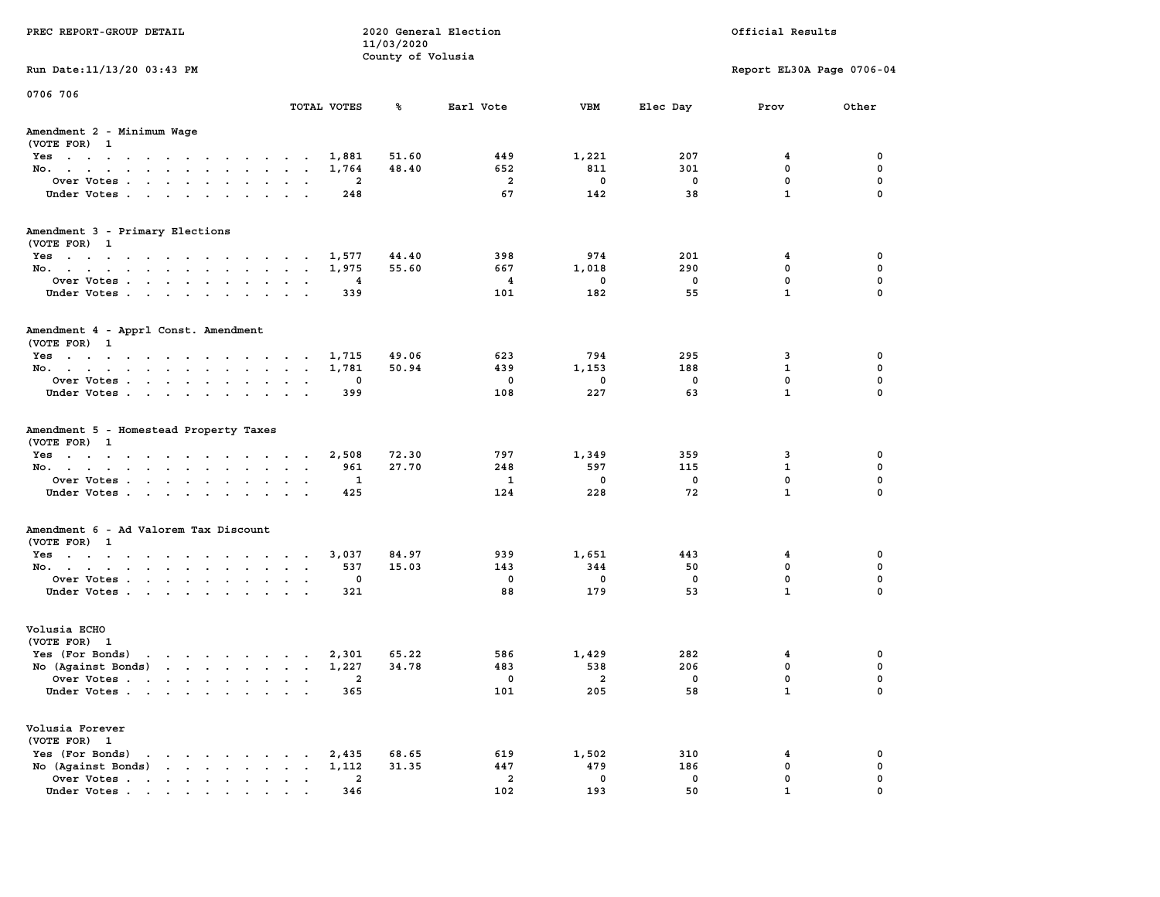| County of Volusia<br>Run Date: 11/13/20 03:43 PM<br>Report EL30A Page 0706-04<br>TOTAL VOTES<br>%ร<br>Earl Vote<br>VBM<br>Elec Day<br>Other<br>Prov<br>(VOTE FOR) 1<br>51.60<br>449<br>1,221<br>207<br>0<br>Yes<br>1,881<br>4<br>$\mathbf 0$<br>48.40<br>652<br>811<br>301<br>0<br>No.<br>1,764<br>$\mathbf 0$<br>Over Votes<br>2<br>$\overline{a}$<br>$^{\circ}$<br>$\mathbf 0$<br>0<br>$\mathbf 0$<br>67<br>142<br>38<br>$\mathbf{1}$<br>248<br>Under Votes<br>(VOTE FOR) 1<br>44.40<br>398<br>974<br>201<br>0<br>Yes<br>1,577<br>4<br>$\mathbf 0$<br>55.60<br>667<br>1,018<br>290<br>0<br>No.<br>1,975<br>$\mathbf 0$<br>$\overline{4}$<br>$\mathbf 0$<br>$\mathbf 0$<br>0<br>Over Votes<br>$\overline{\mathbf{4}}$<br>$\mathbf{1}$<br>$\mathbf 0$<br>Under Votes.<br>101<br>182<br>55<br>339<br>(VOTE FOR) 1<br>Yes<br>49.06<br>295<br>0<br>1,715<br>623<br>794<br>3<br>$\mathbf 0$<br>No.<br>1,781<br>50.94<br>439<br>1,153<br>188<br>1<br>$\mathbf 0$<br>0<br>0<br>$\mathbf 0$<br>0<br>Over Votes<br>0<br>108<br>227<br>63<br>$\mathbf{1}$<br>$\mathbf 0$<br>Under Votes<br>399<br>(VOTE FOR) 1<br>72.30<br>1,349<br>359<br>0<br>Yes<br>2,508<br>797<br>3<br>115<br>$\mathbf 0$<br>27.70<br>248<br>597<br>1<br>No.<br>961<br>$\mathbf 0$<br>$\mathbf 0$<br>1<br>1<br>$\mathbf{0}$<br>$\mathbf 0$<br>Over Votes<br>$\mathbf{1}$<br>$\mathbf 0$<br>228<br>72<br>425<br>124<br>Under Votes<br>(VOTE FOR) 1<br>84.97<br>939<br>1,651<br>443<br>0<br>Yes<br>3,037<br>4<br>$\mathbf 0$<br>15.03<br>143<br>344<br>50<br>0<br>No.<br>537<br>0<br>$\mathbf 0$<br>Over Votes<br>0<br>0<br>$\mathbf 0$<br>0<br>179<br>$\mathbf{1}$<br>0<br>Under Votes.<br>321<br>88<br>53<br>(VOTE FOR) 1<br>0<br>282<br>Yes (For Bonds)<br>$\mathbf{r}$ . The set of the set of the set of the set of the set of the set of the set of the set of the set of the set of the set of the set of the set of the set of the set of the set of the set of the set of the set of t<br>2,301<br>65.22<br>586<br>1,429<br>4<br><b>Contract Contract</b><br>No (Against Bonds)<br>34.78<br>538<br>206<br>$\mathbf 0$<br>$\mathbf 0$<br>1,227<br>483<br>Over Votes<br>$\Omega$<br>0<br>$\mathbf{2}$<br>$\overline{\phantom{0}}$<br>0<br>101<br>205<br>58<br>$\mathbf{1}$<br>0<br>Under Votes<br>365<br>(VOTE FOR) 1<br>Yes (For Bonds)<br>2,435<br>68.65<br>619<br>1,502<br>310<br>0<br>the contract of the contract of the contract of the contract of the contract of<br>4<br>No (Against Bonds)<br>447<br>479<br>186<br>$\mathbf 0$<br>$\mathbf{r}$<br>1,112<br>31.35<br>0<br>Over Votes.<br>$\overline{a}$<br>$\mathbf 0$<br>$\mathbf 0$<br>$\mathbf{0}$<br>$\mathbf 0$<br>$\cdots$<br>2 | PREC REPORT-GROUP DETAIL |     | 11/03/2020 | 2020 General Election |     |    | Official Results |          |
|-----------------------------------------------------------------------------------------------------------------------------------------------------------------------------------------------------------------------------------------------------------------------------------------------------------------------------------------------------------------------------------------------------------------------------------------------------------------------------------------------------------------------------------------------------------------------------------------------------------------------------------------------------------------------------------------------------------------------------------------------------------------------------------------------------------------------------------------------------------------------------------------------------------------------------------------------------------------------------------------------------------------------------------------------------------------------------------------------------------------------------------------------------------------------------------------------------------------------------------------------------------------------------------------------------------------------------------------------------------------------------------------------------------------------------------------------------------------------------------------------------------------------------------------------------------------------------------------------------------------------------------------------------------------------------------------------------------------------------------------------------------------------------------------------------------------------------------------------------------------------------------------------------------------------------------------------------------------------------------------------------------------------------------------------------------------------------------------------------------------------------------------------------------------------------------------------------------------------------------------------------------------------------------------------------------------------------------------------------------------------------------------------------------------------------------------------------------------------------------------------------------------------------------------------------------------------------------------------------------------------------------------------------------------|--------------------------|-----|------------|-----------------------|-----|----|------------------|----------|
| 0706 706<br>Amendment 2 - Minimum Wage<br>Amendment 3 - Primary Elections<br>Amendment 4 - Apprl Const. Amendment<br>Amendment 5 - Homestead Property Taxes<br>Amendment 6 - Ad Valorem Tax Discount<br>Volusia ECHO<br>Volusia Forever                                                                                                                                                                                                                                                                                                                                                                                                                                                                                                                                                                                                                                                                                                                                                                                                                                                                                                                                                                                                                                                                                                                                                                                                                                                                                                                                                                                                                                                                                                                                                                                                                                                                                                                                                                                                                                                                                                                                                                                                                                                                                                                                                                                                                                                                                                                                                                                                                         |                          |     |            |                       |     |    |                  |          |
|                                                                                                                                                                                                                                                                                                                                                                                                                                                                                                                                                                                                                                                                                                                                                                                                                                                                                                                                                                                                                                                                                                                                                                                                                                                                                                                                                                                                                                                                                                                                                                                                                                                                                                                                                                                                                                                                                                                                                                                                                                                                                                                                                                                                                                                                                                                                                                                                                                                                                                                                                                                                                                                                 |                          |     |            |                       |     |    |                  |          |
|                                                                                                                                                                                                                                                                                                                                                                                                                                                                                                                                                                                                                                                                                                                                                                                                                                                                                                                                                                                                                                                                                                                                                                                                                                                                                                                                                                                                                                                                                                                                                                                                                                                                                                                                                                                                                                                                                                                                                                                                                                                                                                                                                                                                                                                                                                                                                                                                                                                                                                                                                                                                                                                                 |                          |     |            |                       |     |    |                  |          |
|                                                                                                                                                                                                                                                                                                                                                                                                                                                                                                                                                                                                                                                                                                                                                                                                                                                                                                                                                                                                                                                                                                                                                                                                                                                                                                                                                                                                                                                                                                                                                                                                                                                                                                                                                                                                                                                                                                                                                                                                                                                                                                                                                                                                                                                                                                                                                                                                                                                                                                                                                                                                                                                                 |                          |     |            |                       |     |    |                  |          |
|                                                                                                                                                                                                                                                                                                                                                                                                                                                                                                                                                                                                                                                                                                                                                                                                                                                                                                                                                                                                                                                                                                                                                                                                                                                                                                                                                                                                                                                                                                                                                                                                                                                                                                                                                                                                                                                                                                                                                                                                                                                                                                                                                                                                                                                                                                                                                                                                                                                                                                                                                                                                                                                                 |                          |     |            |                       |     |    |                  |          |
|                                                                                                                                                                                                                                                                                                                                                                                                                                                                                                                                                                                                                                                                                                                                                                                                                                                                                                                                                                                                                                                                                                                                                                                                                                                                                                                                                                                                                                                                                                                                                                                                                                                                                                                                                                                                                                                                                                                                                                                                                                                                                                                                                                                                                                                                                                                                                                                                                                                                                                                                                                                                                                                                 |                          |     |            |                       |     |    |                  |          |
|                                                                                                                                                                                                                                                                                                                                                                                                                                                                                                                                                                                                                                                                                                                                                                                                                                                                                                                                                                                                                                                                                                                                                                                                                                                                                                                                                                                                                                                                                                                                                                                                                                                                                                                                                                                                                                                                                                                                                                                                                                                                                                                                                                                                                                                                                                                                                                                                                                                                                                                                                                                                                                                                 |                          |     |            |                       |     |    |                  |          |
|                                                                                                                                                                                                                                                                                                                                                                                                                                                                                                                                                                                                                                                                                                                                                                                                                                                                                                                                                                                                                                                                                                                                                                                                                                                                                                                                                                                                                                                                                                                                                                                                                                                                                                                                                                                                                                                                                                                                                                                                                                                                                                                                                                                                                                                                                                                                                                                                                                                                                                                                                                                                                                                                 |                          |     |            |                       |     |    |                  |          |
|                                                                                                                                                                                                                                                                                                                                                                                                                                                                                                                                                                                                                                                                                                                                                                                                                                                                                                                                                                                                                                                                                                                                                                                                                                                                                                                                                                                                                                                                                                                                                                                                                                                                                                                                                                                                                                                                                                                                                                                                                                                                                                                                                                                                                                                                                                                                                                                                                                                                                                                                                                                                                                                                 |                          |     |            |                       |     |    |                  |          |
|                                                                                                                                                                                                                                                                                                                                                                                                                                                                                                                                                                                                                                                                                                                                                                                                                                                                                                                                                                                                                                                                                                                                                                                                                                                                                                                                                                                                                                                                                                                                                                                                                                                                                                                                                                                                                                                                                                                                                                                                                                                                                                                                                                                                                                                                                                                                                                                                                                                                                                                                                                                                                                                                 |                          |     |            |                       |     |    |                  |          |
|                                                                                                                                                                                                                                                                                                                                                                                                                                                                                                                                                                                                                                                                                                                                                                                                                                                                                                                                                                                                                                                                                                                                                                                                                                                                                                                                                                                                                                                                                                                                                                                                                                                                                                                                                                                                                                                                                                                                                                                                                                                                                                                                                                                                                                                                                                                                                                                                                                                                                                                                                                                                                                                                 |                          |     |            |                       |     |    |                  |          |
|                                                                                                                                                                                                                                                                                                                                                                                                                                                                                                                                                                                                                                                                                                                                                                                                                                                                                                                                                                                                                                                                                                                                                                                                                                                                                                                                                                                                                                                                                                                                                                                                                                                                                                                                                                                                                                                                                                                                                                                                                                                                                                                                                                                                                                                                                                                                                                                                                                                                                                                                                                                                                                                                 |                          |     |            |                       |     |    |                  |          |
|                                                                                                                                                                                                                                                                                                                                                                                                                                                                                                                                                                                                                                                                                                                                                                                                                                                                                                                                                                                                                                                                                                                                                                                                                                                                                                                                                                                                                                                                                                                                                                                                                                                                                                                                                                                                                                                                                                                                                                                                                                                                                                                                                                                                                                                                                                                                                                                                                                                                                                                                                                                                                                                                 |                          |     |            |                       |     |    |                  |          |
|                                                                                                                                                                                                                                                                                                                                                                                                                                                                                                                                                                                                                                                                                                                                                                                                                                                                                                                                                                                                                                                                                                                                                                                                                                                                                                                                                                                                                                                                                                                                                                                                                                                                                                                                                                                                                                                                                                                                                                                                                                                                                                                                                                                                                                                                                                                                                                                                                                                                                                                                                                                                                                                                 |                          |     |            |                       |     |    |                  |          |
|                                                                                                                                                                                                                                                                                                                                                                                                                                                                                                                                                                                                                                                                                                                                                                                                                                                                                                                                                                                                                                                                                                                                                                                                                                                                                                                                                                                                                                                                                                                                                                                                                                                                                                                                                                                                                                                                                                                                                                                                                                                                                                                                                                                                                                                                                                                                                                                                                                                                                                                                                                                                                                                                 |                          |     |            |                       |     |    |                  |          |
|                                                                                                                                                                                                                                                                                                                                                                                                                                                                                                                                                                                                                                                                                                                                                                                                                                                                                                                                                                                                                                                                                                                                                                                                                                                                                                                                                                                                                                                                                                                                                                                                                                                                                                                                                                                                                                                                                                                                                                                                                                                                                                                                                                                                                                                                                                                                                                                                                                                                                                                                                                                                                                                                 |                          |     |            |                       |     |    |                  |          |
|                                                                                                                                                                                                                                                                                                                                                                                                                                                                                                                                                                                                                                                                                                                                                                                                                                                                                                                                                                                                                                                                                                                                                                                                                                                                                                                                                                                                                                                                                                                                                                                                                                                                                                                                                                                                                                                                                                                                                                                                                                                                                                                                                                                                                                                                                                                                                                                                                                                                                                                                                                                                                                                                 |                          |     |            |                       |     |    |                  |          |
|                                                                                                                                                                                                                                                                                                                                                                                                                                                                                                                                                                                                                                                                                                                                                                                                                                                                                                                                                                                                                                                                                                                                                                                                                                                                                                                                                                                                                                                                                                                                                                                                                                                                                                                                                                                                                                                                                                                                                                                                                                                                                                                                                                                                                                                                                                                                                                                                                                                                                                                                                                                                                                                                 |                          |     |            |                       |     |    |                  |          |
|                                                                                                                                                                                                                                                                                                                                                                                                                                                                                                                                                                                                                                                                                                                                                                                                                                                                                                                                                                                                                                                                                                                                                                                                                                                                                                                                                                                                                                                                                                                                                                                                                                                                                                                                                                                                                                                                                                                                                                                                                                                                                                                                                                                                                                                                                                                                                                                                                                                                                                                                                                                                                                                                 |                          |     |            |                       |     |    |                  |          |
|                                                                                                                                                                                                                                                                                                                                                                                                                                                                                                                                                                                                                                                                                                                                                                                                                                                                                                                                                                                                                                                                                                                                                                                                                                                                                                                                                                                                                                                                                                                                                                                                                                                                                                                                                                                                                                                                                                                                                                                                                                                                                                                                                                                                                                                                                                                                                                                                                                                                                                                                                                                                                                                                 |                          |     |            |                       |     |    |                  |          |
|                                                                                                                                                                                                                                                                                                                                                                                                                                                                                                                                                                                                                                                                                                                                                                                                                                                                                                                                                                                                                                                                                                                                                                                                                                                                                                                                                                                                                                                                                                                                                                                                                                                                                                                                                                                                                                                                                                                                                                                                                                                                                                                                                                                                                                                                                                                                                                                                                                                                                                                                                                                                                                                                 |                          |     |            |                       |     |    |                  |          |
|                                                                                                                                                                                                                                                                                                                                                                                                                                                                                                                                                                                                                                                                                                                                                                                                                                                                                                                                                                                                                                                                                                                                                                                                                                                                                                                                                                                                                                                                                                                                                                                                                                                                                                                                                                                                                                                                                                                                                                                                                                                                                                                                                                                                                                                                                                                                                                                                                                                                                                                                                                                                                                                                 |                          |     |            |                       |     |    |                  |          |
|                                                                                                                                                                                                                                                                                                                                                                                                                                                                                                                                                                                                                                                                                                                                                                                                                                                                                                                                                                                                                                                                                                                                                                                                                                                                                                                                                                                                                                                                                                                                                                                                                                                                                                                                                                                                                                                                                                                                                                                                                                                                                                                                                                                                                                                                                                                                                                                                                                                                                                                                                                                                                                                                 |                          |     |            |                       |     |    |                  |          |
|                                                                                                                                                                                                                                                                                                                                                                                                                                                                                                                                                                                                                                                                                                                                                                                                                                                                                                                                                                                                                                                                                                                                                                                                                                                                                                                                                                                                                                                                                                                                                                                                                                                                                                                                                                                                                                                                                                                                                                                                                                                                                                                                                                                                                                                                                                                                                                                                                                                                                                                                                                                                                                                                 |                          |     |            |                       |     |    |                  |          |
|                                                                                                                                                                                                                                                                                                                                                                                                                                                                                                                                                                                                                                                                                                                                                                                                                                                                                                                                                                                                                                                                                                                                                                                                                                                                                                                                                                                                                                                                                                                                                                                                                                                                                                                                                                                                                                                                                                                                                                                                                                                                                                                                                                                                                                                                                                                                                                                                                                                                                                                                                                                                                                                                 |                          |     |            |                       |     |    |                  |          |
|                                                                                                                                                                                                                                                                                                                                                                                                                                                                                                                                                                                                                                                                                                                                                                                                                                                                                                                                                                                                                                                                                                                                                                                                                                                                                                                                                                                                                                                                                                                                                                                                                                                                                                                                                                                                                                                                                                                                                                                                                                                                                                                                                                                                                                                                                                                                                                                                                                                                                                                                                                                                                                                                 |                          |     |            |                       |     |    |                  |          |
|                                                                                                                                                                                                                                                                                                                                                                                                                                                                                                                                                                                                                                                                                                                                                                                                                                                                                                                                                                                                                                                                                                                                                                                                                                                                                                                                                                                                                                                                                                                                                                                                                                                                                                                                                                                                                                                                                                                                                                                                                                                                                                                                                                                                                                                                                                                                                                                                                                                                                                                                                                                                                                                                 |                          |     |            |                       |     |    |                  |          |
|                                                                                                                                                                                                                                                                                                                                                                                                                                                                                                                                                                                                                                                                                                                                                                                                                                                                                                                                                                                                                                                                                                                                                                                                                                                                                                                                                                                                                                                                                                                                                                                                                                                                                                                                                                                                                                                                                                                                                                                                                                                                                                                                                                                                                                                                                                                                                                                                                                                                                                                                                                                                                                                                 |                          |     |            |                       |     |    |                  |          |
|                                                                                                                                                                                                                                                                                                                                                                                                                                                                                                                                                                                                                                                                                                                                                                                                                                                                                                                                                                                                                                                                                                                                                                                                                                                                                                                                                                                                                                                                                                                                                                                                                                                                                                                                                                                                                                                                                                                                                                                                                                                                                                                                                                                                                                                                                                                                                                                                                                                                                                                                                                                                                                                                 |                          |     |            |                       |     |    |                  |          |
|                                                                                                                                                                                                                                                                                                                                                                                                                                                                                                                                                                                                                                                                                                                                                                                                                                                                                                                                                                                                                                                                                                                                                                                                                                                                                                                                                                                                                                                                                                                                                                                                                                                                                                                                                                                                                                                                                                                                                                                                                                                                                                                                                                                                                                                                                                                                                                                                                                                                                                                                                                                                                                                                 |                          |     |            |                       |     |    |                  |          |
|                                                                                                                                                                                                                                                                                                                                                                                                                                                                                                                                                                                                                                                                                                                                                                                                                                                                                                                                                                                                                                                                                                                                                                                                                                                                                                                                                                                                                                                                                                                                                                                                                                                                                                                                                                                                                                                                                                                                                                                                                                                                                                                                                                                                                                                                                                                                                                                                                                                                                                                                                                                                                                                                 |                          |     |            |                       |     |    |                  |          |
|                                                                                                                                                                                                                                                                                                                                                                                                                                                                                                                                                                                                                                                                                                                                                                                                                                                                                                                                                                                                                                                                                                                                                                                                                                                                                                                                                                                                                                                                                                                                                                                                                                                                                                                                                                                                                                                                                                                                                                                                                                                                                                                                                                                                                                                                                                                                                                                                                                                                                                                                                                                                                                                                 |                          |     |            |                       |     |    |                  |          |
|                                                                                                                                                                                                                                                                                                                                                                                                                                                                                                                                                                                                                                                                                                                                                                                                                                                                                                                                                                                                                                                                                                                                                                                                                                                                                                                                                                                                                                                                                                                                                                                                                                                                                                                                                                                                                                                                                                                                                                                                                                                                                                                                                                                                                                                                                                                                                                                                                                                                                                                                                                                                                                                                 |                          |     |            |                       |     |    |                  |          |
|                                                                                                                                                                                                                                                                                                                                                                                                                                                                                                                                                                                                                                                                                                                                                                                                                                                                                                                                                                                                                                                                                                                                                                                                                                                                                                                                                                                                                                                                                                                                                                                                                                                                                                                                                                                                                                                                                                                                                                                                                                                                                                                                                                                                                                                                                                                                                                                                                                                                                                                                                                                                                                                                 |                          |     |            |                       |     |    |                  |          |
|                                                                                                                                                                                                                                                                                                                                                                                                                                                                                                                                                                                                                                                                                                                                                                                                                                                                                                                                                                                                                                                                                                                                                                                                                                                                                                                                                                                                                                                                                                                                                                                                                                                                                                                                                                                                                                                                                                                                                                                                                                                                                                                                                                                                                                                                                                                                                                                                                                                                                                                                                                                                                                                                 |                          |     |            |                       |     |    |                  |          |
|                                                                                                                                                                                                                                                                                                                                                                                                                                                                                                                                                                                                                                                                                                                                                                                                                                                                                                                                                                                                                                                                                                                                                                                                                                                                                                                                                                                                                                                                                                                                                                                                                                                                                                                                                                                                                                                                                                                                                                                                                                                                                                                                                                                                                                                                                                                                                                                                                                                                                                                                                                                                                                                                 |                          |     |            |                       |     |    |                  |          |
|                                                                                                                                                                                                                                                                                                                                                                                                                                                                                                                                                                                                                                                                                                                                                                                                                                                                                                                                                                                                                                                                                                                                                                                                                                                                                                                                                                                                                                                                                                                                                                                                                                                                                                                                                                                                                                                                                                                                                                                                                                                                                                                                                                                                                                                                                                                                                                                                                                                                                                                                                                                                                                                                 | Under Votes              | 346 |            | 102                   | 193 | 50 |                  | $\Omega$ |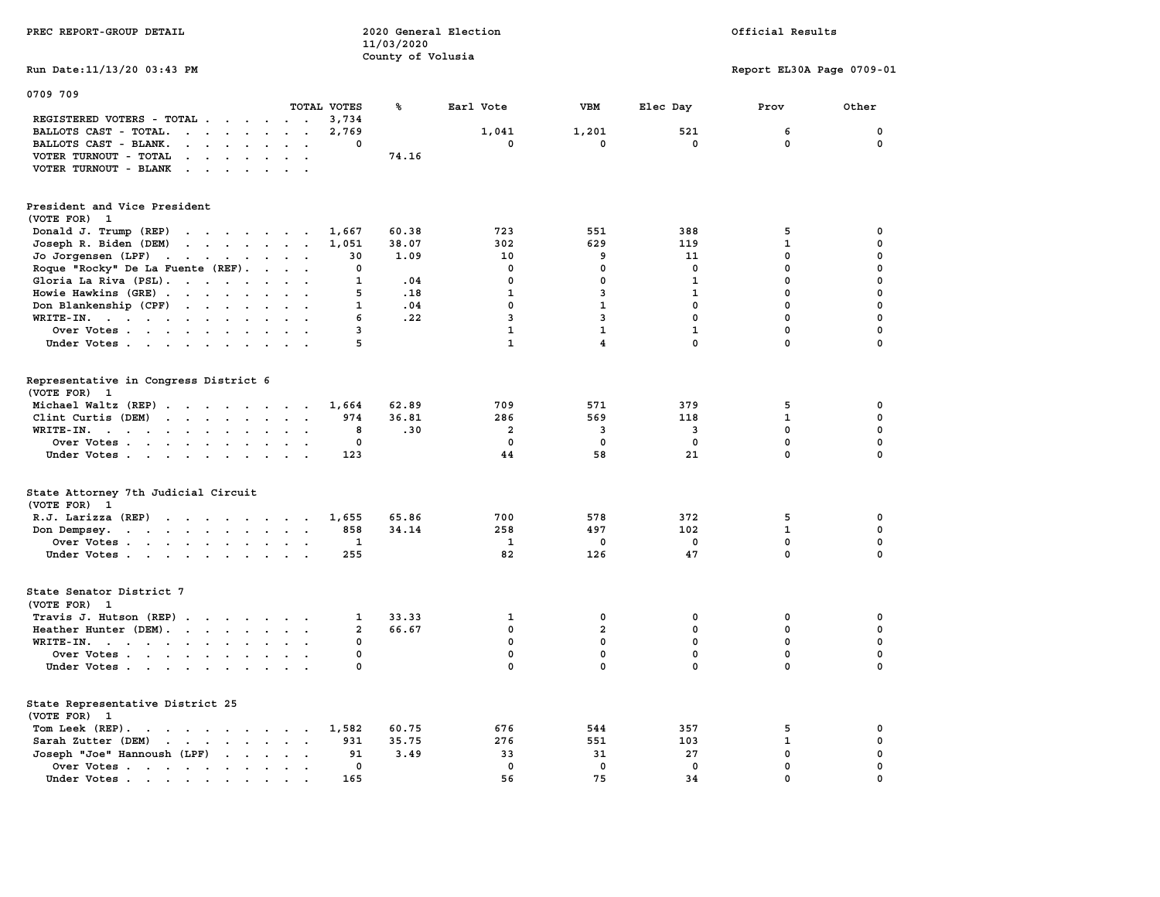| PREC REPORT-GROUP DETAIL                                                                 |                      | 11/03/2020        | 2020 General Election | Official Results        |                         |                           |             |  |
|------------------------------------------------------------------------------------------|----------------------|-------------------|-----------------------|-------------------------|-------------------------|---------------------------|-------------|--|
| Run Date: 11/13/20 03:43 PM                                                              |                      | County of Volusia |                       |                         |                         | Report EL30A Page 0709-01 |             |  |
| 0709 709                                                                                 |                      |                   |                       |                         |                         |                           |             |  |
|                                                                                          | TOTAL VOTES<br>3,734 | ℁                 | Earl Vote             | VBM                     | Elec Day                | Prov                      | Other       |  |
| REGISTERED VOTERS - TOTAL<br>BALLOTS CAST - TOTAL.                                       | 2,769                |                   | 1,041                 | 1,201                   | 521                     | 6                         | $\mathbf 0$ |  |
| BALLOTS CAST - BLANK.<br>$\cdot$ $\cdot$ $\cdot$ $\cdot$ $\cdot$ $\cdot$ $\cdot$ $\cdot$ | $\mathbf 0$          |                   | 0                     | $\mathbf 0$             | 0                       | 0                         | 0           |  |
| VOTER TURNOUT - TOTAL<br>$\cdots$                                                        |                      | 74.16             |                       |                         |                         |                           |             |  |
| VOTER TURNOUT - BLANK                                                                    |                      |                   |                       |                         |                         |                           |             |  |
|                                                                                          |                      |                   |                       |                         |                         |                           |             |  |
| President and Vice President<br>(VOTE FOR) 1                                             |                      |                   |                       |                         |                         |                           |             |  |
| Donald J. Trump (REP)                                                                    | 1,667                | 60.38             | 723                   | 551                     | 388                     | 5                         | 0           |  |
| Joseph R. Biden (DEM)                                                                    | 1,051                | 38.07             | 302                   | 629                     | 119                     | $\mathbf{1}$              | 0           |  |
| Jo Jorgensen $(LPF)$                                                                     | 30                   | 1.09              | 10                    | 9                       | 11                      | 0                         | 0           |  |
| Roque "Rocky" De La Fuente (REF).                                                        | 0                    |                   | 0                     | 0                       | 0                       | 0                         | 0           |  |
| Gloria La Riva (PSL).                                                                    | 1                    | .04               | 0                     | $\mathbf 0$             | $\mathbf{1}$            | $\mathbf 0$               | 0           |  |
| Howie Hawkins (GRE)                                                                      | 5                    | .18               | $\mathbf{1}$          | 3                       | $\mathbf{1}$            | $\mathbf{0}$              | 0           |  |
| Don Blankenship (CPF)                                                                    | 1                    | .04               | 0                     | $\mathbf{1}$            | 0                       | $\mathbf 0$               | 0           |  |
| WRITE-IN.                                                                                | 6                    | .22               | $\overline{3}$        | $\overline{\mathbf{3}}$ | $\mathbf{0}$            | $\mathbf{0}$              | 0           |  |
| Over Votes                                                                               | $\overline{3}$       |                   | $\mathbf{1}$          | $\mathbf{1}$            | $\mathbf{1}$            | $\mathbf 0$               | 0           |  |
| Under Votes                                                                              | 5                    |                   | $\mathbf{1}$          | $\overline{4}$          | $\mathbf{0}$            | $\mathbf{0}$              | $\mathbf 0$ |  |
| Representative in Congress District 6<br>(VOTE FOR) 1                                    |                      |                   |                       |                         |                         |                           |             |  |
| Michael Waltz (REP)                                                                      | 1,664                | 62.89             | 709                   | 571                     | 379                     | 5                         | 0           |  |
| Clint Curtis (DEM)                                                                       | 974                  | 36.81             | 286                   | 569                     | 118                     | $\mathbf{1}$              | 0           |  |
| WRITE-IN.                                                                                | 8                    | .30               | $\overline{a}$        | $\overline{\mathbf{3}}$ | $\overline{\mathbf{3}}$ | $\mathbf{0}$              | 0           |  |
| Over Votes                                                                               | $\mathbf 0$          |                   | $\mathbf 0$           | $\mathbf{0}$            | $\mathbf 0$             | $\mathbf 0$               | 0           |  |
| Under Votes                                                                              | 123                  |                   | 44                    | 58                      | 21                      | $\mathbf{0}$              | $\mathbf 0$ |  |
| State Attorney 7th Judicial Circuit<br>(VOTE FOR) 1                                      |                      |                   |                       |                         |                         |                           |             |  |
| $R.J.$ Larizza $(REP)$                                                                   | 1,655                | 65.86             | 700                   | 578                     | 372                     | 5                         | 0           |  |
| Don Dempsey.                                                                             | 858                  | 34.14             | 258                   | 497                     | 102                     | $\mathbf{1}$              | 0           |  |
| Over Votes                                                                               | 1                    |                   | $\mathbf{1}$          | $\mathbf{0}$            | $\mathbf 0$             | $\mathbf 0$               | 0           |  |
| Under Votes                                                                              | 255                  |                   | 82                    | 126                     | 47                      | $\mathbf 0$               | 0           |  |
| State Senator District 7<br>(VOTE FOR) 1                                                 |                      |                   |                       |                         |                         |                           |             |  |
| Travis J. Hutson (REP)                                                                   | 1                    | 33.33             | 1                     | 0                       | 0                       | 0                         | 0           |  |
| Heather Hunter (DEM).                                                                    | $\overline{a}$       | 66.67             | 0                     | $\overline{a}$          | $\mathbf 0$             | $\mathbf 0$               | 0           |  |
| WRITE-IN.                                                                                | 0                    |                   | 0                     | $\mathbf 0$             | 0                       | 0                         | 0           |  |
| Over Votes                                                                               | 0                    |                   | $\mathbf 0$           | $\mathbf 0$             | $\mathbf 0$             | $\mathbf 0$               | 0           |  |
| Under Votes                                                                              | 0                    |                   | 0                     | $\mathbf{0}$            | $\mathbf 0$             | $\mathbf{0}$              | 0           |  |
| State Representative District 25<br>(VOTE FOR)<br>- 1                                    |                      |                   |                       |                         |                         |                           |             |  |
| Tom Leek $(REP)$ .                                                                       | 1,582                | 60.75             | 676                   | 544                     | 357                     | 5                         | 0           |  |
| Sarah Zutter (DEM)                                                                       | 931                  | 35.75             | 276                   | 551                     | 103                     | $\mathbf{1}$              | 0           |  |
| Joseph "Joe" Hannoush (LPF)<br>$\cdots$ $\cdots$                                         | 91                   | 3.49              | 33                    | 31                      | 27                      | 0                         | 0           |  |
| Over Votes                                                                               | $\mathbf 0$          |                   | $\mathbf 0$           | $\mathbf 0$             | $\mathbf 0$             | $\mathbf 0$               | 0           |  |
| Under Votes                                                                              | 165                  |                   | 56                    | 75                      | 34                      | $\mathbf{0}$              | $\mathbf 0$ |  |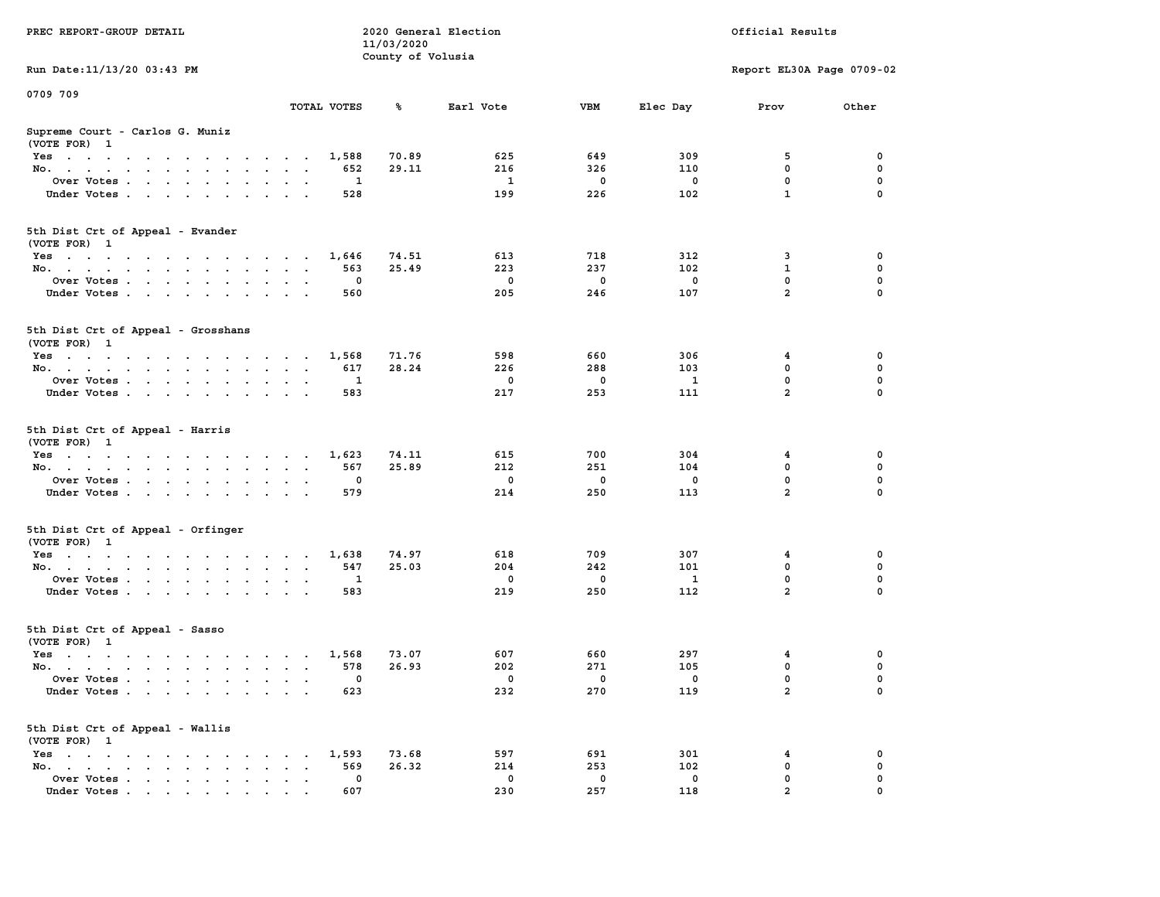|                                                                                                                                                                                                                                                  |                                                                                | 11/03/2020        |             |             |              |                           |             |
|--------------------------------------------------------------------------------------------------------------------------------------------------------------------------------------------------------------------------------------------------|--------------------------------------------------------------------------------|-------------------|-------------|-------------|--------------|---------------------------|-------------|
|                                                                                                                                                                                                                                                  |                                                                                | County of Volusia |             |             |              |                           |             |
| Run Date: 11/13/20 03:43 PM                                                                                                                                                                                                                      |                                                                                |                   |             |             |              | Report EL30A Page 0709-02 |             |
| 0709 709                                                                                                                                                                                                                                         |                                                                                |                   |             |             |              |                           |             |
|                                                                                                                                                                                                                                                  | TOTAL VOTES                                                                    | ร                 | Earl Vote   | <b>VBM</b>  | Elec Day     | Prov                      | Other       |
| Supreme Court - Carlos G. Muniz                                                                                                                                                                                                                  |                                                                                |                   |             |             |              |                           |             |
| (VOTE FOR) 1                                                                                                                                                                                                                                     |                                                                                |                   |             |             |              |                           |             |
| $Yes \cdot \cdot \cdot \cdot \cdot \cdot \cdot \cdot \cdot$                                                                                                                                                                                      | 1,588<br>$\cdots$                                                              | 70.89             | 625         | 649         | 309          | 5                         | 0           |
| No.<br>$\ddot{\phantom{a}}$                                                                                                                                                                                                                      | 652<br>$\cdot$                                                                 | 29.11             | 216         | 326         | 110          | $\mathbf 0$               | $\mathbf 0$ |
| Over Votes                                                                                                                                                                                                                                       | 1                                                                              |                   | 1           | $\mathbf 0$ | 0            | 0                         | 0           |
| Under Votes<br>$\sim$ $\sim$                                                                                                                                                                                                                     | 528<br>$\ddot{\phantom{0}}$<br>$\cdot$                                         |                   | 199         | 226         | 102          | $\mathbf{1}$              | 0           |
|                                                                                                                                                                                                                                                  |                                                                                |                   |             |             |              |                           |             |
| 5th Dist Crt of Appeal - Evander                                                                                                                                                                                                                 |                                                                                |                   |             |             |              |                           |             |
| (VOTE FOR) 1                                                                                                                                                                                                                                     |                                                                                |                   |             |             |              |                           |             |
| Yes                                                                                                                                                                                                                                              | 1,646                                                                          | 74.51             | 613         | 718         | 312          | 3                         | 0           |
| No.<br>$\sim$                                                                                                                                                                                                                                    | 563<br>$\sim$<br>$\sim$                                                        | 25.49             | 223         | 237         | 102          | $\mathbf{1}$              | 0           |
| Over Votes                                                                                                                                                                                                                                       | $\Omega$                                                                       |                   | $^{\circ}$  | $\mathbf 0$ | $\mathbf{0}$ | 0                         | $\mathbf 0$ |
| Under Votes<br>$\sim 100$                                                                                                                                                                                                                        | 560<br>$\sim$<br>$\overline{\phantom{a}}$                                      |                   | 205         | 246         | 107          | $\overline{2}$            | $\Omega$    |
|                                                                                                                                                                                                                                                  |                                                                                |                   |             |             |              |                           |             |
| 5th Dist Crt of Appeal - Grosshans                                                                                                                                                                                                               |                                                                                |                   |             |             |              |                           |             |
| (VOTE FOR) 1                                                                                                                                                                                                                                     |                                                                                |                   |             |             |              |                           |             |
| Yes                                                                                                                                                                                                                                              | 1,568                                                                          | 71.76             | 598         | 660         | 306          | 4                         | 0           |
| No.                                                                                                                                                                                                                                              | 617                                                                            | 28.24             | 226         | 288         | 103          | $\mathbf 0$               | $\mathbf 0$ |
| Over Votes<br>$\cdot$                                                                                                                                                                                                                            | $\mathbf{1}$<br>$\sim$<br>$\sim$                                               |                   | $\mathbf 0$ | $\mathbf 0$ | $\mathbf{1}$ | $\mathbf 0$               | $\mathbf 0$ |
| Under Votes                                                                                                                                                                                                                                      | 583                                                                            |                   | 217         | 253         | 111          | $\overline{a}$            | $\Omega$    |
|                                                                                                                                                                                                                                                  |                                                                                |                   |             |             |              |                           |             |
| 5th Dist Crt of Appeal - Harris<br>(VOTE FOR) 1                                                                                                                                                                                                  |                                                                                |                   |             |             |              |                           |             |
| Yes                                                                                                                                                                                                                                              | 1,623                                                                          | 74.11             | 615         | 700         | 304          | 4                         | $\mathbf 0$ |
| No.<br>$\ddot{\phantom{a}}$                                                                                                                                                                                                                      | 567<br>$\ddot{\phantom{a}}$<br>$\ddot{\phantom{0}}$                            | 25.89             | 212         | 251         | 104          | $\mathbf 0$               | 0           |
| Over Votes                                                                                                                                                                                                                                       | 0                                                                              |                   | $\mathbf 0$ | $\mathbf 0$ | $\mathbf 0$  | $\mathbf 0$               | 0           |
| Under Votes                                                                                                                                                                                                                                      | 579                                                                            |                   | 214         | 250         | 113          | $\overline{a}$            | 0           |
| 5th Dist Crt of Appeal - Orfinger                                                                                                                                                                                                                |                                                                                |                   |             |             |              |                           |             |
| (VOTE FOR) 1                                                                                                                                                                                                                                     |                                                                                |                   |             |             |              |                           |             |
| Yes                                                                                                                                                                                                                                              | 1,638                                                                          | 74.97             | 618         | 709         | 307          | 4                         | 0           |
| No.<br>$\ddot{\phantom{a}}$                                                                                                                                                                                                                      | 547<br>$\ddot{\phantom{a}}$<br>$\ddot{\phantom{0}}$<br>$\ddot{\phantom{a}}$    | 25.03             | 204         | 242         | 101          | $\mathbf 0$               | $\mathbf 0$ |
| Over Votes                                                                                                                                                                                                                                       | 1<br><b>Contract Contract</b>                                                  |                   | $\mathbf 0$ | $\mathbf 0$ | 1            | $\mathbf 0$               | $\mathbf 0$ |
| Under Votes<br>$\ddot{\phantom{0}}$                                                                                                                                                                                                              | 583<br>$\sim$<br>$\ddot{\phantom{a}}$                                          |                   | 219         | 250         | 112          | $\overline{a}$            | $\Omega$    |
| 5th Dist Crt of Appeal - Sasso                                                                                                                                                                                                                   |                                                                                |                   |             |             |              |                           |             |
| (VOTE FOR) 1                                                                                                                                                                                                                                     |                                                                                |                   |             |             |              |                           |             |
| Yes                                                                                                                                                                                                                                              | 1,568                                                                          | 73.07             | 607         | 660         | 297          | 4                         | 0           |
| No.                                                                                                                                                                                                                                              | 578                                                                            | 26.93             | 202         | 271         | 105          | 0                         | 0           |
| Over Votes<br>$\ddot{\phantom{a}}$                                                                                                                                                                                                               | 0<br>$\ddot{\phantom{a}}$<br>$\ddot{\phantom{a}}$<br>$\cdot$                   |                   | $\mathbf 0$ | 0           | 0            | 0                         | $\mathbf 0$ |
| Under Votes                                                                                                                                                                                                                                      | 623                                                                            |                   | 232         | 270         | 119          | $\overline{a}$            | $\Omega$    |
|                                                                                                                                                                                                                                                  |                                                                                |                   |             |             |              |                           |             |
| 5th Dist Crt of Appeal - Wallis<br>(VOTE FOR) 1                                                                                                                                                                                                  |                                                                                |                   |             |             |              |                           |             |
| $Yes \t . \t .$<br>the contract of the contract of the con-                                                                                                                                                                                      | 1,593                                                                          | 73.68             | 597         | 691         | 301          | 4                         | 0           |
| No.<br>$\sim$ $\sim$<br>the contract of the contract of the<br>$\ddot{\phantom{a}}$                                                                                                                                                              | 569<br>$\cdot$<br>$\cdot$ $\cdot$                                              | 26.32             | 214         | 253         | 102          | 0                         | $\mathbf 0$ |
| Over Votes<br>$\sim$<br>$\ddot{\phantom{a}}$                                                                                                                                                                                                     | $\mathbf{0}$<br>$\ddot{\phantom{a}}$<br>$\ddot{\phantom{a}}$<br>$\blacksquare$ |                   | $^{\circ}$  | 0           | 0            | $\mathbf 0$               | 0           |
| Under Votes<br>$\mathbf{r}$ . The contract of the contract of the contract of the contract of the contract of the contract of the contract of the contract of the contract of the contract of the contract of the contract of the contract of th | 607                                                                            |                   | 230         | 257         | 118          | $\overline{a}$            | $\mathbf 0$ |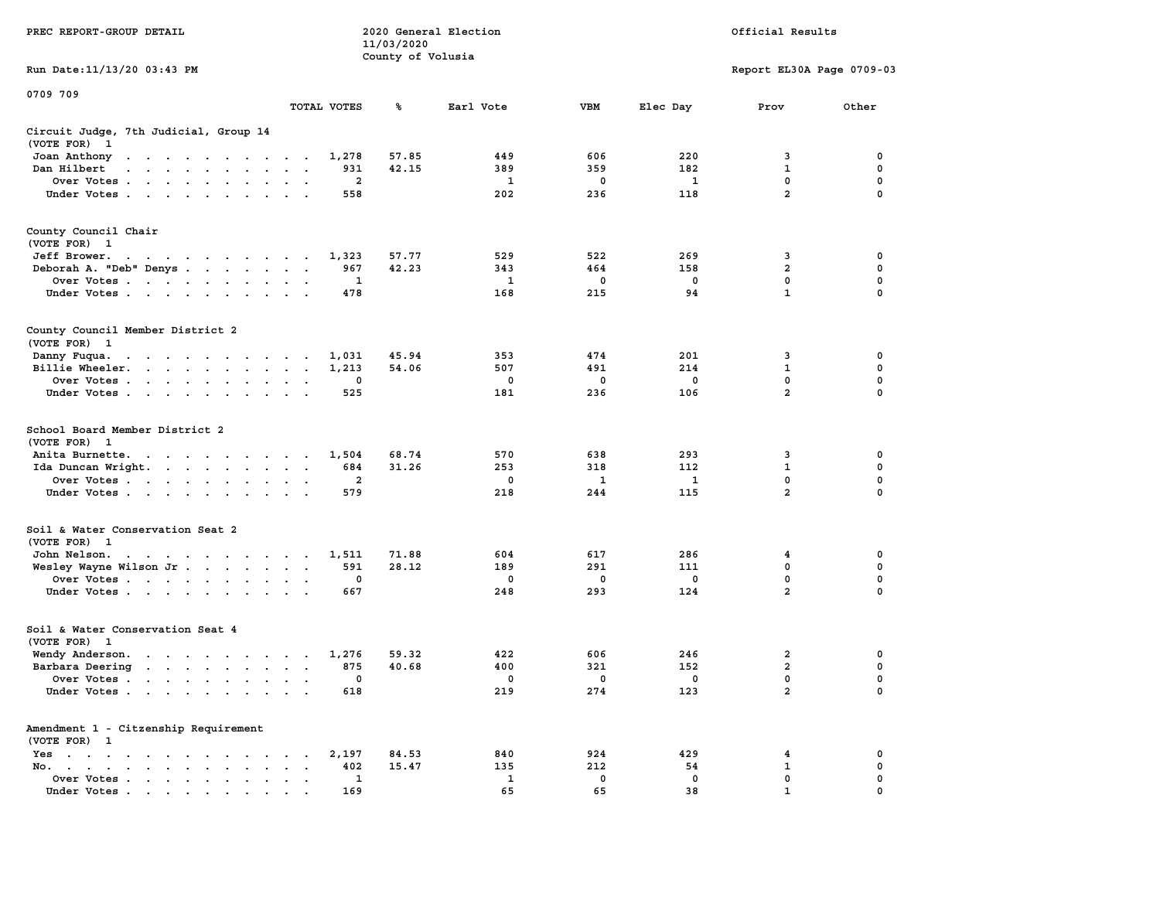|                                                                                                                                                                                                                                                            |                                                                      | 11/03/2020        |              |             |              |                           |             |
|------------------------------------------------------------------------------------------------------------------------------------------------------------------------------------------------------------------------------------------------------------|----------------------------------------------------------------------|-------------------|--------------|-------------|--------------|---------------------------|-------------|
|                                                                                                                                                                                                                                                            |                                                                      | County of Volusia |              |             |              |                           |             |
| Run Date:11/13/20 03:43 PM                                                                                                                                                                                                                                 |                                                                      |                   |              |             |              | Report EL30A Page 0709-03 |             |
| 0709 709                                                                                                                                                                                                                                                   |                                                                      |                   |              |             |              |                           |             |
|                                                                                                                                                                                                                                                            | TOTAL VOTES                                                          | ℁                 | Earl Vote    | <b>VBM</b>  | Elec Day     | Prov                      | Other       |
| Circuit Judge, 7th Judicial, Group 14                                                                                                                                                                                                                      |                                                                      |                   |              |             |              |                           |             |
| (VOTE FOR)<br>$\mathbf{1}$                                                                                                                                                                                                                                 |                                                                      |                   |              |             |              |                           |             |
| Joan Anthony<br>the contract of the contract of the contract of the contract of the contract of the contract of the contract of                                                                                                                            | 1,278                                                                | 57.85             | 449          | 606         | 220          | 3                         | 0           |
| Dan Hilbert<br>$\mathbf{r}$ . The set of the set of the set of the set of the set of the set of the set of the set of the set of the set of the set of the set of the set of the set of the set of the set of the set of the set of the set of t<br>$\sim$ | 931<br>$\overline{\phantom{a}}$                                      | 42.15             | 389          | 359         | 182          | $\mathbf 1$               | 0           |
| Over Votes                                                                                                                                                                                                                                                 | $\cdot$<br>$\cdot$                                                   | $\overline{a}$    | $\mathbf{1}$ | $\mathbf 0$ | $\mathbf{1}$ | $\mathbf 0$               | $\mathbf 0$ |
| Under Votes                                                                                                                                                                                                                                                | 558<br>$\cdot$                                                       |                   | 202          | 236         | 118          | $\overline{2}$            | 0           |
| County Council Chair                                                                                                                                                                                                                                       |                                                                      |                   |              |             |              |                           |             |
| (VOTE FOR)<br>- 1                                                                                                                                                                                                                                          |                                                                      |                   |              |             |              |                           |             |
| Jeff Brower.                                                                                                                                                                                                                                               | 1,323                                                                | 57.77             | 529          | 522         | 269          | 3                         | 0           |
| $\mathbf{a} \cdot \mathbf{a} \cdot \mathbf{a} \cdot \mathbf{a} \cdot \mathbf{a} \cdot \mathbf{a} \cdot \mathbf{a} \cdot \mathbf{a} \cdot \mathbf{a} \cdot \mathbf{a} \cdot \mathbf{a}$<br>Deborah A. "Deb" Denys                                           | 967<br>$\sim$                                                        | 42.23             | 343          | 464         | 158          | $\overline{a}$            | 0           |
|                                                                                                                                                                                                                                                            | $\ddot{\phantom{a}}$                                                 |                   |              |             | $\mathbf 0$  | 0                         | $\mathbf 0$ |
| Over Votes<br>$\cdot$                                                                                                                                                                                                                                      | $\cdot$                                                              | 1                 | 1            | 0           |              | $\mathbf{1}$              | 0           |
| Under Votes<br>$\sim$                                                                                                                                                                                                                                      | 478<br>$\cdot$ $\cdot$                                               |                   | 168          | 215         | 94           |                           |             |
| County Council Member District 2                                                                                                                                                                                                                           |                                                                      |                   |              |             |              |                           |             |
| (VOTE FOR) 1                                                                                                                                                                                                                                               |                                                                      |                   |              |             |              |                           |             |
| Danny Fuqua.                                                                                                                                                                                                                                               | 1,031<br>$\sim$                                                      | 45.94             | 353          | 474         | 201          | 3                         | 0           |
| Billie Wheeler.<br>the contract of the contract of the contract of                                                                                                                                                                                         | 1,213<br>$\bullet$<br>$\bullet$<br>$\ddot{\phantom{0}}$              | 54.06             | 507          | 491         | 214          | $\mathbf 1$               | $\mathbf 0$ |
| Over Votes<br>$\ddot{\phantom{a}}$                                                                                                                                                                                                                         |                                                                      | $\mathbf 0$       | $\mathbf 0$  | $\mathbf 0$ | $\mathbf 0$  | $\mathbf 0$               | $\mathbf 0$ |
| Under Votes<br>$\sim$ $\sim$<br>$\ddot{\phantom{a}}$                                                                                                                                                                                                       | 525                                                                  |                   | 181          | 236         | 106          | $\overline{2}$            | 0           |
| School Board Member District 2<br>(VOTE FOR)<br>$\mathbf{1}$                                                                                                                                                                                               |                                                                      |                   |              |             |              |                           |             |
| Anita Burnette.<br>$\mathbf{r}$ . The contract of the contract of the contract of the contract of the contract of the contract of the contract of the contract of the contract of the contract of the contract of the contract of the contract of th       | 1,504<br>$\overline{\phantom{a}}$                                    | 68.74             | 570          | 638         | 293          | 3                         | $\mathbf 0$ |
| Ida Duncan Wright.                                                                                                                                                                                                                                         | 684<br>$\ddot{\phantom{a}}$<br>$\ddot{\phantom{a}}$<br>$\cdot$       | 31.26             | 253          | 318         | 112          | $\mathbf 1$               | 0           |
| Over Votes                                                                                                                                                                                                                                                 | $\ddot{\phantom{a}}$<br>$\cdot$                                      | 2                 | 0            | 1           | 1            | 0                         | 0           |
| Under Votes<br>$\overline{\phantom{a}}$<br>$\cdot$                                                                                                                                                                                                         | 579                                                                  |                   | 218          | 244         | 115          | $\overline{a}$            | 0           |
| Soil & Water Conservation Seat 2                                                                                                                                                                                                                           |                                                                      |                   |              |             |              |                           |             |
| (VOTE FOR) 1                                                                                                                                                                                                                                               |                                                                      |                   |              |             |              |                           |             |
| John Nelson.<br>the contract of the contract of the contract of the contract of the contract of the contract of the contract of                                                                                                                            | 1,511                                                                | 71.88             | 604          | 617         | 286          | 4                         | 0           |
| Wesley Wayne Wilson Jr                                                                                                                                                                                                                                     | 591<br>$\sim$<br>$\bullet$<br>$\ddot{\phantom{1}}$                   | 28.12             | 189          | 291         | 111          | 0                         | $\pmb{0}$   |
| Over Votes                                                                                                                                                                                                                                                 | $\bullet$                                                            | $\mathbf 0$       | 0            | 0           | $\mathbf 0$  | $\Omega$                  | $\mathbf 0$ |
| Under Votes<br>$\ddot{\phantom{a}}$                                                                                                                                                                                                                        | 667                                                                  |                   | 248          | 293         | 124          | $\overline{a}$            | 0           |
| Soil & Water Conservation Seat 4                                                                                                                                                                                                                           |                                                                      |                   |              |             |              |                           |             |
| (VOTE FOR) 1                                                                                                                                                                                                                                               |                                                                      |                   |              |             |              |                           |             |
| Wendy Anderson.<br>$\mathbf{r}$ . The contribution of the contribution of the contribution of the contribution of the contribution of the contribution of the contribution of the contribution of the contribution of the contribution of the contri       | 1,276                                                                | 59.32             | 422          | 606         | 246          | $\overline{2}$            | $\mathbf 0$ |
| Barbara Deering                                                                                                                                                                                                                                            | 875<br>$\bullet$<br>$\ddot{\phantom{1}}$                             | 40.68             | 400          | 321         | 152          | $\overline{2}$            | 0           |
| Over Votes<br>$\blacksquare$                                                                                                                                                                                                                               | $\bullet$<br>$\cdot$                                                 | $\mathbf 0$       | 0            | 0           | 0            | $\mathbf 0$               | 0           |
| Under Votes<br>$\sim$                                                                                                                                                                                                                                      | 618<br>$\bullet$<br>$\mathbf{r}$                                     |                   | 219          | 274         | 123          | $\overline{2}$            | $\mathbf 0$ |
| Amendment 1 - Citzenship Requirement                                                                                                                                                                                                                       |                                                                      |                   |              |             |              |                           |             |
| (VOTE FOR) 1                                                                                                                                                                                                                                               |                                                                      |                   |              |             |              |                           |             |
| $Yes \t . \t .$<br>$\cdot$<br>$\sim$ $\sim$<br>$\sim$ $\sim$ $\sim$<br>$\cdot$                                                                                                                                                                             | 2,197<br>$\ddot{\phantom{a}}$<br>$\cdot$<br>$\overline{\phantom{a}}$ | 84.53             | 840          | 924         | 429          | 4                         | 0           |
| No.<br>the contract of the contract of the contract of the contract of the contract of<br>$\cdots$<br>$\bullet$                                                                                                                                            | 402                                                                  | 15.47             | 135          | 212         | 54           | 1                         | 0           |
| Over Votes .<br>$\sim$ $\sim$<br>$\sim$<br>$\bullet$<br>$\blacksquare$<br>$\bullet$                                                                                                                                                                        | $\bullet$                                                            | 1                 | 1            | 0           | $\mathbf 0$  | 0                         | 0           |
| Under Votes<br>.                                                                                                                                                                                                                                           | 169                                                                  |                   | 65           | 65          | 38           | $\mathbf{1}$              | $\Omega$    |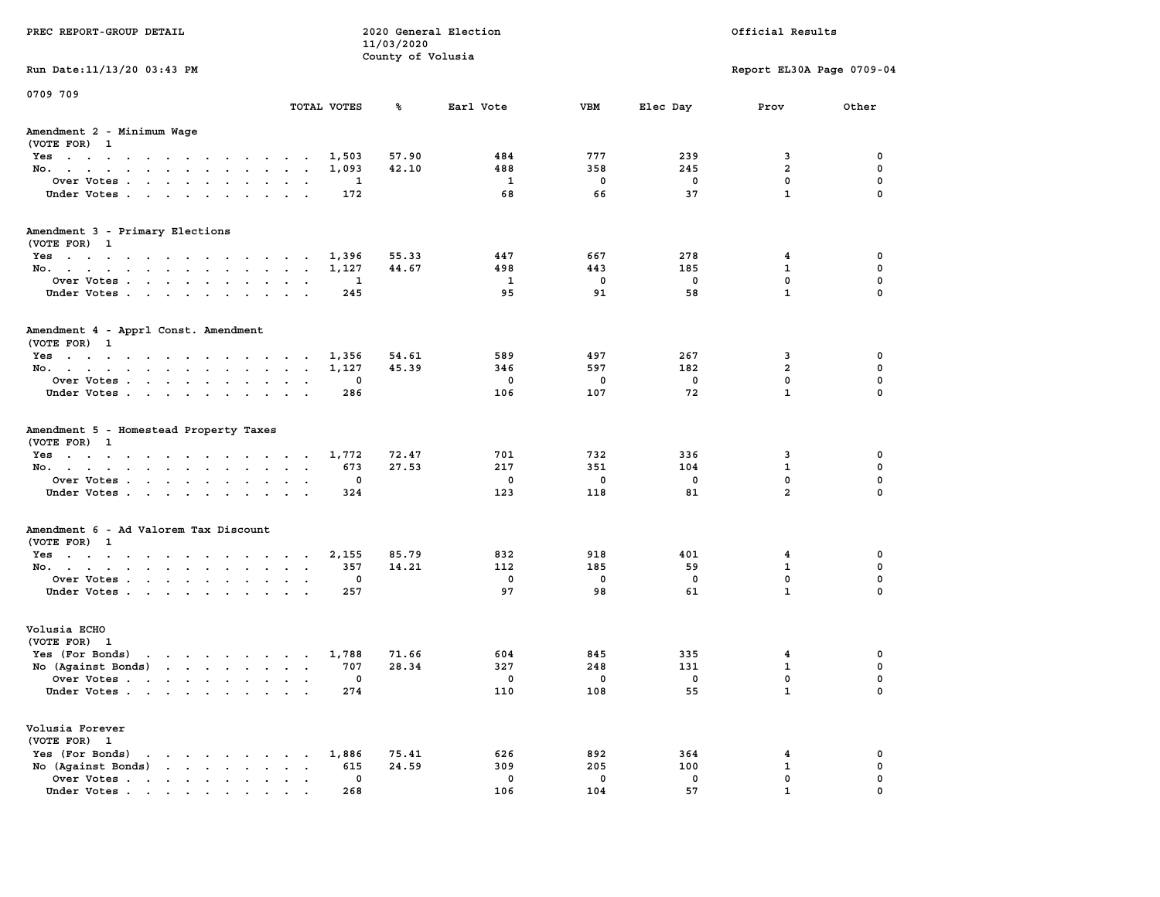| PREC REPORT-GROUP DETAIL                                                                                                        |        |             | 11/03/2020        | 2020 General Election    |             |             | Official Results          |             |
|---------------------------------------------------------------------------------------------------------------------------------|--------|-------------|-------------------|--------------------------|-------------|-------------|---------------------------|-------------|
| Run Date: 11/13/20 03:43 PM                                                                                                     |        |             | County of Volusia |                          |             |             | Report EL30A Page 0709-04 |             |
| 0709 709                                                                                                                        |        |             |                   |                          |             |             |                           |             |
|                                                                                                                                 |        | TOTAL VOTES | ℁                 | Earl Vote                | <b>VBM</b>  | Elec Day    | Prov                      | Other       |
| Amendment 2 - Minimum Wage<br>(VOTE FOR) 1                                                                                      |        |             |                   |                          |             |             |                           |             |
| Yes                                                                                                                             |        | 1,503       | 57.90             | 484                      | 777         | 239         | 3                         | 0           |
| No.                                                                                                                             |        | 1,093       | 42.10             | 488                      | 358         | 245         | $\overline{2}$            | 0           |
| Over Votes                                                                                                                      |        | 1           |                   | 1                        | $\mathbf 0$ | 0           | $\mathbf 0$               | 0           |
| Under Votes                                                                                                                     |        | 172         |                   | 68                       | 66          | 37          | $\mathbf{1}$              | $\mathbf 0$ |
| Amendment 3 - Primary Elections                                                                                                 |        |             |                   |                          |             |             |                           |             |
| (VOTE FOR) 1                                                                                                                    |        |             |                   |                          |             |             |                           |             |
| Yes                                                                                                                             |        | 1,396       | 55.33             | 447<br>498               | 667<br>443  | 278<br>185  | 4<br>$\mathbf{1}$         | 0<br>0      |
| No.<br>Over Votes                                                                                                               |        | 1,127<br>1  | 44.67             | $\mathbf{1}$             | $\mathbf 0$ | $\mathbf 0$ | $\mathbf 0$               | 0           |
| Under Votes                                                                                                                     |        | 245         |                   | 95                       | 91          | 58          | $\mathbf{1}$              | 0           |
| Amendment 4 - Apprl Const. Amendment                                                                                            |        |             |                   |                          |             |             |                           |             |
| (VOTE FOR) 1                                                                                                                    |        |             |                   |                          |             |             |                           |             |
| Yes                                                                                                                             |        | 1,356       | 54.61             | 589                      | 497         | 267         | 3                         | 0           |
| No.                                                                                                                             |        | 1,127       | 45.39             | 346                      | 597         | 182         | $\overline{a}$            | 0           |
| Over Votes                                                                                                                      |        | 0           |                   | $\overline{\phantom{0}}$ | $\mathbf 0$ | $\mathbf 0$ | $\mathbf{0}$              | 0           |
| Under Votes                                                                                                                     |        | 286         |                   | 106                      | 107         | 72          | $\mathbf{1}$              | 0           |
| Amendment 5 - Homestead Property Taxes<br>(VOTE FOR) 1<br>Yes                                                                   |        | 1,772       | 72.47             | 701                      | 732         | 336         | 3                         | 0           |
| No.                                                                                                                             |        | 673         | 27.53             | 217                      | 351         | 104         | $\mathbf{1}$              | 0           |
| Over Votes                                                                                                                      |        | 0           |                   | 0                        | $\mathbf 0$ | 0           | $\mathbf 0$               | 0           |
| Under Votes                                                                                                                     |        | 324         |                   | 123                      | 118         | 81          | $\overline{2}$            | $\Omega$    |
| Amendment 6 - Ad Valorem Tax Discount                                                                                           |        |             |                   |                          |             |             |                           |             |
| (VOTE FOR) 1<br>Yes                                                                                                             |        | 2,155       | 85.79             | 832                      | 918         | 401         | 4                         | 0           |
| No.                                                                                                                             |        | 357         | 14.21             | 112                      | 185         | 59          | 1                         | 0           |
| Over Votes                                                                                                                      |        | 0           |                   | 0                        | $\mathbf 0$ | 0           | $\mathbf 0$               | 0           |
| Under Votes                                                                                                                     |        | 257         |                   | 97                       | 98          | 61          | $\mathbf{1}$              | $\Omega$    |
| Volusia ECHO                                                                                                                    |        |             |                   |                          |             |             |                           |             |
| (VOTE FOR) 1                                                                                                                    |        |             |                   |                          |             |             |                           |             |
| Yes (For Bonds) $\cdots$ $\cdots$ $\cdots$ $\cdots$                                                                             |        | 1,788       | 71.66             | 604                      | 845         | 335         | 4                         | 0           |
| No (Against Bonds)                                                                                                              |        | 707         | 28.34             | 327                      | 248         | 131         | $\mathbf{1}$              | 0           |
| Over Votes .<br>the contract of the contract of the contract of the contract of the contract of the contract of the contract of |        | 0           |                   | 0                        | 0           | 0           | $\mathbf{0}$              | 0           |
| Under Votes.                                                                                                                    |        | 274         |                   | 110                      | 108         | 55          | $\mathbf{1}$              | 0           |
| Volusia Forever<br>(VOTE FOR) 1                                                                                                 |        |             |                   |                          |             |             |                           |             |
| Yes (For Bonds)<br>$\begin{array}{cccccccccccccccccc} . & . & . & . & . & . & . & . & . & . & . \end{array}$                    |        | 1,886       | 75.41             | 626                      | 892         | 364         | 4                         | 0           |
| No (Aqainst Bonds)                                                                                                              | $\sim$ | 615         | 24.59             | 309                      | 205         | 100         | $\mathbf{1}$              | $\mathbf 0$ |
| Over Votes                                                                                                                      |        | 0           |                   | 0                        | $\mathbf 0$ | 0           | $\mathbf 0$               | 0           |
| Under Votes                                                                                                                     |        | 268         |                   | 106                      | 104         | 57          | $\mathbf{1}$              | $\Omega$    |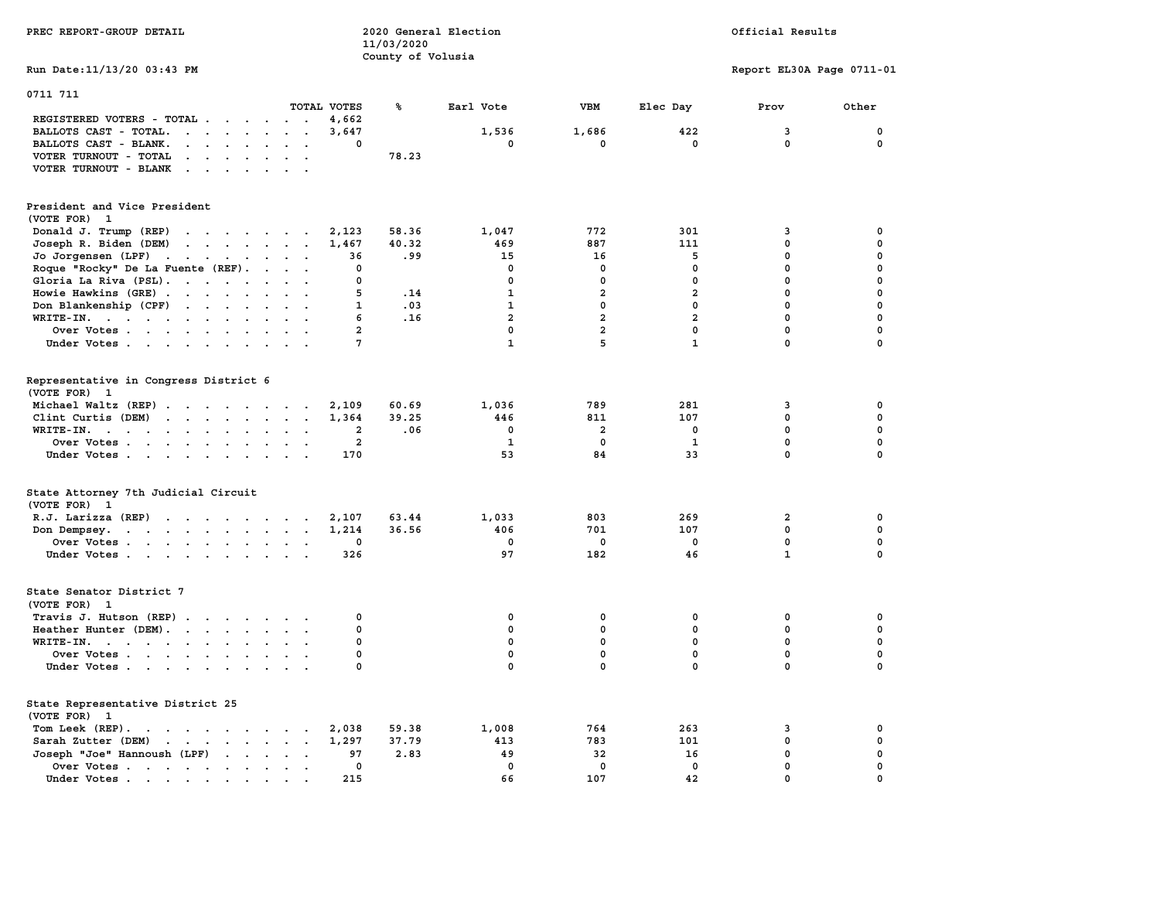| PREC REPORT-GROUP DETAIL                                                                                                                                                                   |                                         | 11/03/2020<br>County of Volusia | 2020 General Election |                |                | Official Results          |             |
|--------------------------------------------------------------------------------------------------------------------------------------------------------------------------------------------|-----------------------------------------|---------------------------------|-----------------------|----------------|----------------|---------------------------|-------------|
| Run Date: 11/13/20 03:43 PM                                                                                                                                                                |                                         |                                 |                       |                |                | Report EL30A Page 0711-01 |             |
| 0711 711                                                                                                                                                                                   |                                         |                                 |                       |                |                |                           |             |
| REGISTERED VOTERS - TOTAL                                                                                                                                                                  | TOTAL VOTES<br>4,662<br>$\cdot$ $\cdot$ | ℁                               | Earl Vote             | VBM            | Elec Day       | Prov                      | Other       |
| BALLOTS CAST - TOTAL.                                                                                                                                                                      | 3,647<br>$\cdot$ $\cdot$                |                                 | 1,536                 | 1,686          | 422            | 3                         | 0           |
| BALLOTS CAST - BLANK.<br>$\mathbf{r}$ , $\mathbf{r}$ , $\mathbf{r}$ , $\mathbf{r}$<br>$\ddot{\phantom{a}}$                                                                                 | $\ddot{\phantom{a}}$<br>0<br>$\sim$     |                                 | 0                     | 0              | 0              | $\mathbf 0$               | $\mathbf 0$ |
| VOTER TURNOUT - TOTAL                                                                                                                                                                      | $\sim$ $\sim$                           | 78.23                           |                       |                |                |                           |             |
|                                                                                                                                                                                            |                                         |                                 |                       |                |                |                           |             |
| VOTER TURNOUT - BLANK<br>$\mathbf{r}$ . The set of the set of $\mathbf{r}$                                                                                                                 |                                         |                                 |                       |                |                |                           |             |
| President and Vice President                                                                                                                                                               |                                         |                                 |                       |                |                |                           |             |
| (VOTE FOR) 1                                                                                                                                                                               |                                         |                                 |                       |                |                |                           |             |
| Donald J. Trump (REP)<br>the contract of the contract of the contract of the contract of the contract of                                                                                   | 2,123                                   | 58.36                           | 1,047                 | 772            | 301            | 3                         | 0           |
| $\begin{array}{cccccccccccccc} \bullet & \bullet & \bullet & \bullet & \bullet & \bullet & \bullet & \bullet & \bullet & \bullet & \bullet & \bullet \end{array}$<br>Joseph R. Biden (DEM) | 1,467                                   | 40.32                           | 469                   | 887            | 111            | $\mathbf 0$               | 0           |
| Jo Jorgensen (LPF)                                                                                                                                                                         | 36                                      | .99                             | 15                    | 16             | 5              | $\mathbf 0$               | 0           |
| Roque "Rocky" De La Fuente (REF).                                                                                                                                                          | $\mathbf{0}$                            |                                 | $\mathbf 0$           | 0              | $\Omega$       | $\mathbf 0$               | $\mathbf 0$ |
| Gloria La Riva (PSL).                                                                                                                                                                      | $\Omega$                                |                                 | $\mathbf{0}$          | 0              | $\mathbf 0$    | $\mathbf{0}$              | $\mathbf 0$ |
| Howie Hawkins (GRE)                                                                                                                                                                        | 5                                       | .14                             | 1                     | $\overline{2}$ | $\overline{a}$ | $^{\circ}$                | 0           |
|                                                                                                                                                                                            | 1<br>$\cdot$ $\cdot$                    | .03                             | 1                     | 0              | 0              | $^{\circ}$                | 0           |
| Don Blankenship (CPF)                                                                                                                                                                      | 6                                       | .16                             | $\overline{a}$        | $\overline{a}$ | $\overline{a}$ | $\mathbf{0}$              | $\mathbf 0$ |
| WRITE-IN.                                                                                                                                                                                  | $\overline{2}$                          |                                 | $\mathbf 0$           | $\overline{a}$ | $\mathbf 0$    | $\mathbf 0$               | $\mathbf 0$ |
| Over Votes                                                                                                                                                                                 |                                         |                                 | $\mathbf{1}$          | 5              | $\mathbf{1}$   | $\mathbf{0}$              | $\mathbf 0$ |
| Under Votes                                                                                                                                                                                | 7                                       |                                 |                       |                |                |                           |             |
| Representative in Congress District 6                                                                                                                                                      |                                         |                                 |                       |                |                |                           |             |
| (VOTE FOR) 1                                                                                                                                                                               |                                         |                                 |                       |                |                |                           |             |
| Michael Waltz (REP)                                                                                                                                                                        | 2,109                                   | 60.69                           | 1,036                 | 789            | 281            | 3                         | 0           |
| Clint Curtis (DEM)<br>the contract of the contract of the contract of the contract of the contract of the contract of the contract of                                                      | 1,364                                   | 39.25                           | 446                   | 811            | 107            | $\Omega$                  | $\mathbf 0$ |
| WRITE-IN.                                                                                                                                                                                  | $\overline{\mathbf{2}}$                 | .06                             | 0                     | 2              | 0              | 0                         | $\mathbf 0$ |
| Over Votes                                                                                                                                                                                 | $\overline{\mathbf{2}}$<br>$\cdot$ .    |                                 | 1                     | 0              | 1              | $\mathbf 0$               | $\mathbf 0$ |
| Under Votes.                                                                                                                                                                               | 170                                     |                                 | 53                    | 84             | 33             | $\mathbf 0$               | $\mathbf 0$ |
|                                                                                                                                                                                            |                                         |                                 |                       |                |                |                           |             |
| State Attorney 7th Judicial Circuit                                                                                                                                                        |                                         |                                 |                       |                |                |                           |             |
| (VOTE FOR)<br>1                                                                                                                                                                            |                                         |                                 |                       |                |                |                           |             |
| R.J. Larizza $(REP)$                                                                                                                                                                       | 2,107                                   | 63.44                           | 1,033                 | 803            | 269            | 2                         | 0           |
| Don Dempsey.<br>the contract of the contract of the contract of the contract of the contract of the contract of the contract of                                                            | 1,214                                   | 36.56                           | 406                   | 701            | 107            | 0                         | $\mathbf 0$ |
| Over Votes                                                                                                                                                                                 | 0                                       |                                 | 0                     | 0              | 0              | 0                         | $\mathbf 0$ |
| Under Votes                                                                                                                                                                                | 326                                     |                                 | 97                    | 182            | 46             | $\mathbf{1}$              | $\mathbf 0$ |
| State Senator District 7                                                                                                                                                                   |                                         |                                 |                       |                |                |                           |             |
| (VOTE FOR) 1                                                                                                                                                                               |                                         |                                 |                       |                |                |                           |             |
| Travis J. Hutson (REP)                                                                                                                                                                     | 0                                       |                                 | $\mathbf 0$           | $\mathbf 0$    | 0              | $\mathbf 0$               | 0           |
| Heather Hunter (DEM).                                                                                                                                                                      | $\Omega$                                |                                 | $\mathbf{0}$          | $\mathbf{0}$   | $\Omega$       | $\mathbf{0}$              | $\mathbf 0$ |
|                                                                                                                                                                                            | $\Omega$                                |                                 |                       |                |                | $\mathbf{0}$              |             |
| WRITE-IN.                                                                                                                                                                                  |                                         |                                 | $\mathbf 0$           | $\mathbf 0$    | $\mathbf 0$    |                           | $\mathbf 0$ |
| Over Votes                                                                                                                                                                                 | $\mathbf 0$<br>$\cdot$ .                |                                 | $\mathbf 0$           | $\mathbf 0$    | $\mathbf 0$    | $\mathbf 0$               | $\mathbf 0$ |
| Under Votes                                                                                                                                                                                | $\mathbf 0$                             |                                 | $\mathbf 0$           | $\mathbf 0$    | $\mathbf 0$    | $\mathbf 0$               | $\mathbf 0$ |
| State Representative District 25                                                                                                                                                           |                                         |                                 |                       |                |                |                           |             |
| (VOTE FOR)<br>-1                                                                                                                                                                           |                                         |                                 |                       |                |                |                           |             |
| Tom Leek (REP).                                                                                                                                                                            | 2,038                                   | 59.38                           | 1,008                 | 764            | 263            | 3                         | 0           |
| Sarah Zutter (DEM)                                                                                                                                                                         | 1,297                                   | 37.79                           | 413                   | 783            | 101            | $\mathbf 0$               | $\mathbf 0$ |
| Joseph "Joe" Hannoush (LPF)<br>$\cdot$ $\cdot$ $\cdot$                                                                                                                                     | 97                                      | 2.83                            | 49                    | 32             | 16             | $\mathbf 0$               | $\mathbf 0$ |
| Over Votes                                                                                                                                                                                 | 0<br>$\cdot$ $\cdot$                    |                                 | $\mathbf{0}$          | $\mathbf 0$    | $\mathbf 0$    | $\mathbf{0}$              | $\mathbf 0$ |
| Under Votes.<br>the contract of the contract of the                                                                                                                                        | 215                                     |                                 | 66                    | 107            | 42             | $\Omega$                  | $\Omega$    |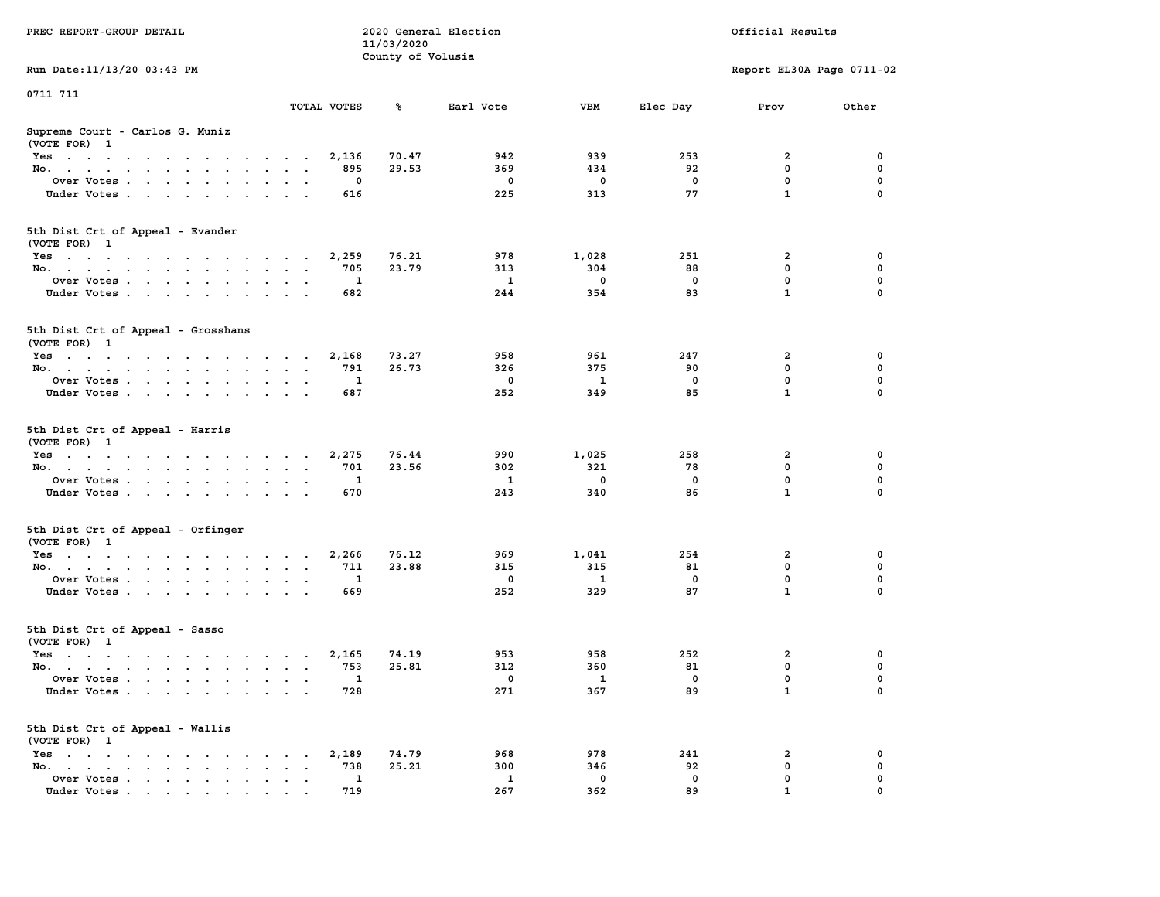| PREC REPORT-GROUP DETAIL                                                |                     |                                 | 2020 General Election |                 |             | Official Results          |                         |
|-------------------------------------------------------------------------|---------------------|---------------------------------|-----------------------|-----------------|-------------|---------------------------|-------------------------|
|                                                                         |                     | 11/03/2020<br>County of Volusia |                       |                 |             |                           |                         |
| Run Date: 11/13/20 03:43 PM                                             |                     |                                 |                       |                 |             | Report EL30A Page 0711-02 |                         |
| 0711 711                                                                |                     |                                 |                       |                 |             |                           |                         |
|                                                                         | TOTAL VOTES         | ℁                               | Earl Vote             | VBM             | Elec Day    | Prov                      | Other                   |
| Supreme Court - Carlos G. Muniz<br>(VOTE FOR) 1                         |                     |                                 |                       |                 |             |                           |                         |
| Yes                                                                     | 2,136               | 70.47                           | 942                   | 939             | 253         | 2                         | 0                       |
| No.                                                                     | 895                 | 29.53                           | 369                   | 434             | 92          | 0                         | $\mathbf 0$             |
| Over Votes                                                              | 0                   |                                 | 0                     | 0               | 0           | 0                         | 0                       |
| Under Votes                                                             | 616                 |                                 | 225                   | 313             | 77          | $\mathbf{1}$              | $\Omega$                |
| 5th Dist Crt of Appeal - Evander<br>(VOTE FOR) 1                        |                     |                                 |                       |                 |             |                           |                         |
| Yes                                                                     | 2,259               | 76.21                           | 978                   | 1,028           | 251         | 2                         | 0                       |
| No.                                                                     | 705                 | 23.79                           | 313                   | 304             | 88          | 0                         | 0                       |
| Over Votes                                                              | 1                   |                                 | $\mathbf{1}$          | $\mathbf 0$     | $\mathbf 0$ | 0                         | $\mathbf 0$             |
| Under Votes                                                             | 682                 |                                 | 244                   | 354             | 83          | $\mathbf{1}$              | 0                       |
| 5th Dist Crt of Appeal - Grosshans<br>(VOTE FOR) 1                      |                     |                                 |                       |                 |             |                           |                         |
| Yes                                                                     | 2,168               | 73.27                           | 958                   | 961             | 247         | 2                         | 0                       |
| No.                                                                     | 791                 | 26.73                           | 326                   | 375             | 90          | 0                         | 0                       |
| Over Votes                                                              | 1                   |                                 | 0                     | 1               | 0           | 0                         | $\mathbf 0$             |
| Under Votes                                                             | 687                 |                                 | 252                   | 349             | 85          | $\mathbf{1}$              | 0                       |
| 5th Dist Crt of Appeal - Harris<br>(VOTE FOR) 1                         |                     |                                 |                       |                 |             |                           |                         |
| Yes                                                                     | 2,275               | 76.44                           | 990                   | 1,025           | 258         | 2                         | 0                       |
| No.                                                                     | 701                 | 23.56                           | 302                   | 321             | 78          | 0                         | $\mathbf 0$             |
| Over Votes                                                              | 1                   |                                 | 1                     | 0               | 0           | 0<br>$\mathbf{1}$         | $\mathbf 0$<br>$\Omega$ |
| Under Votes                                                             | 670                 |                                 | 243                   | 340             | 86          |                           |                         |
| 5th Dist Crt of Appeal - Orfinger<br>(VOTE FOR) 1                       |                     |                                 |                       |                 |             |                           |                         |
| Yes                                                                     | 2,266               | 76.12                           | 969                   | 1,041           | 254         | 2                         | 0                       |
| No.                                                                     | 711<br>$\mathbf{1}$ | 23.88                           | 315<br>0              | 315<br><b>1</b> | 81<br>0     | 0<br>0                    | 0<br>$\mathbf 0$        |
| Over Votes<br>Under Votes                                               | 669                 |                                 | 252                   | 329             | 87          | $\mathbf{1}$              | $\Omega$                |
| 5th Dist Crt of Appeal - Sasso                                          |                     |                                 |                       |                 |             |                           |                         |
| (VOTE FOR) 1                                                            |                     |                                 |                       |                 |             |                           |                         |
| Yes<br>No.                                                              | 2,165<br>753        | 74.19<br>25.81                  | 953<br>312            | 958<br>360      | 252<br>81   | 2<br>0                    | 0<br>$\mathbf 0$        |
| Over Votes                                                              | $\mathbf{1}$        |                                 | $\mathbf{0}$          | $\mathbf{1}$    | $^{\circ}$  | 0                         | 0                       |
| Under Votes                                                             | 728                 |                                 | 271                   | 367             | 89          | 1                         | 0                       |
| 5th Dist Crt of Appeal - Wallis<br>(VOTE FOR) 1                         |                     |                                 |                       |                 |             |                           |                         |
| $Yes \cdot \cdot \cdot \cdot \cdot \cdot \cdot$<br>$\ddot{\phantom{a}}$ | 2,189               | 74.79                           | 968                   | 978             | 241         | 2                         | 0                       |
| No.<br>$\ddot{\phantom{a}}$                                             | 738                 | 25.21                           | 300                   | 346             | 92          | 0                         | 0                       |
| Over Votes                                                              | 1                   |                                 | 1                     | 0               | 0           | 0                         | 0                       |
| Under Votes                                                             | 719                 |                                 | 267                   | 362             | 89          |                           |                         |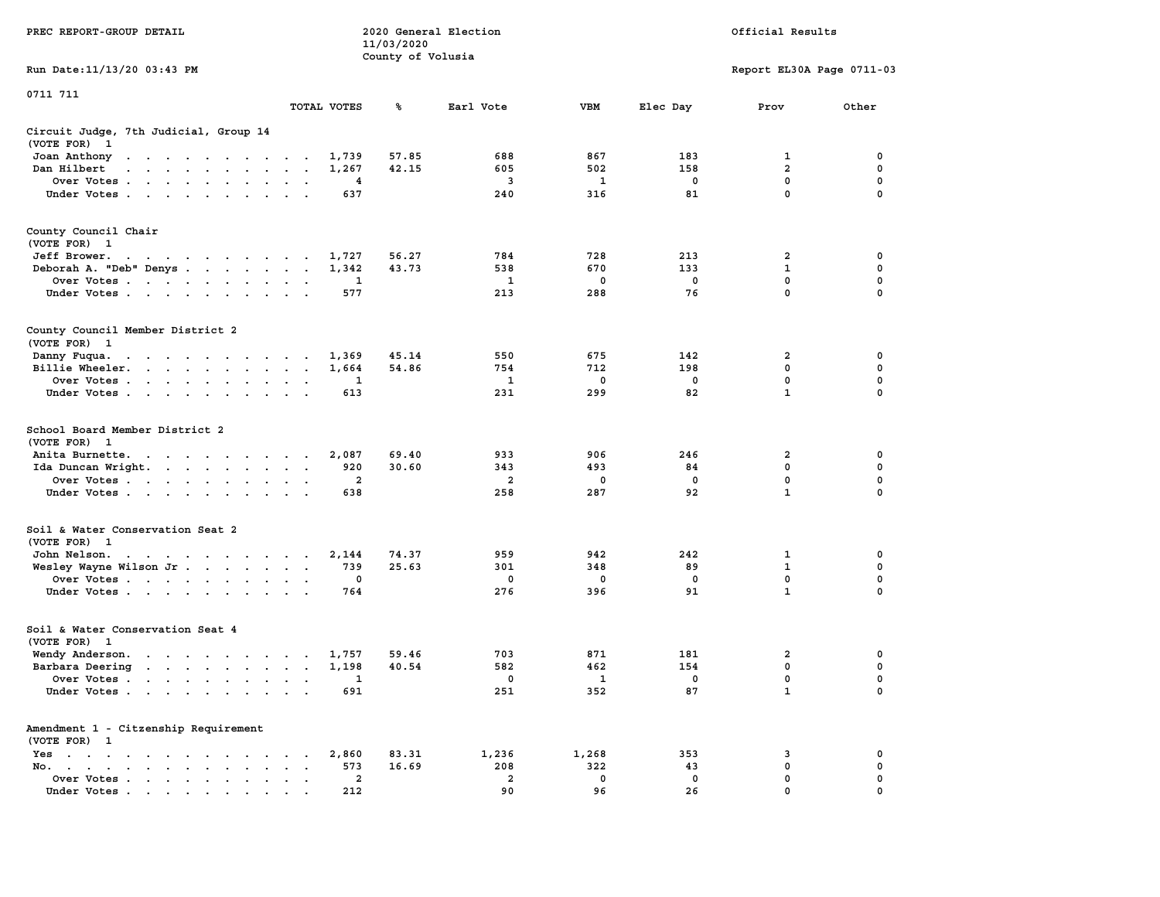|                                                                                                                                                                                                                                                            |                                                                         | 11/03/2020        |                         |              |             |                           |             |
|------------------------------------------------------------------------------------------------------------------------------------------------------------------------------------------------------------------------------------------------------------|-------------------------------------------------------------------------|-------------------|-------------------------|--------------|-------------|---------------------------|-------------|
|                                                                                                                                                                                                                                                            |                                                                         | County of Volusia |                         |              |             |                           |             |
| Run Date:11/13/20 03:43 PM                                                                                                                                                                                                                                 |                                                                         |                   |                         |              |             | Report EL30A Page 0711-03 |             |
| 0711 711                                                                                                                                                                                                                                                   |                                                                         |                   |                         |              |             |                           |             |
|                                                                                                                                                                                                                                                            | TOTAL VOTES                                                             | ℁                 | Earl Vote               | <b>VBM</b>   | Elec Day    | Prov                      | Other       |
| Circuit Judge, 7th Judicial, Group 14                                                                                                                                                                                                                      |                                                                         |                   |                         |              |             |                           |             |
| (VOTE FOR)<br>$\mathbf{1}$                                                                                                                                                                                                                                 |                                                                         |                   |                         |              |             |                           |             |
| Joan Anthony<br>the contract of the contract of the con-                                                                                                                                                                                                   | 1,739<br>$\sim$                                                         | 57.85             | 688                     | 867          | 183         | 1                         | 0           |
| Dan Hilbert<br>$\mathbf{r}$ . The set of the set of the set of the set of the set of the set of the set of the set of the set of the set of the set of the set of the set of the set of the set of the set of the set of the set of the set of t<br>$\sim$ | 1,267<br>$\overline{\phantom{a}}$<br>$\sim$                             | 42.15             | 605                     | 502          | 158         | $\overline{2}$            | 0           |
| Over Votes.<br>$\mathcal{A}=\mathcal{A}=\mathcal{A}=\mathcal{A}=\mathcal{A}$ .<br>$\overline{\phantom{a}}$                                                                                                                                                 | 4<br>$\cdot$<br>$\ddot{\phantom{a}}$                                    |                   | $\mathbf{3}$            | $\mathbf{1}$ | $\mathbf 0$ | $\mathbf 0$               | $\mathbf 0$ |
| Under Votes                                                                                                                                                                                                                                                | 637<br>$\ddot{\phantom{a}}$<br>$\mathbf{r}$<br>$\overline{\phantom{a}}$ |                   | 240                     | 316          | 81          | 0                         | $\mathbf 0$ |
| County Council Chair                                                                                                                                                                                                                                       |                                                                         |                   |                         |              |             |                           |             |
| (VOTE FOR)<br>$\mathbf{1}$                                                                                                                                                                                                                                 |                                                                         |                   |                         |              |             |                           |             |
| Jeff Brower.<br>the contract of the contract of the con-                                                                                                                                                                                                   | 1,727                                                                   | 56.27             | 784                     | 728          | 213         | 2                         | 0           |
| Deborah A. "Deb" Denys                                                                                                                                                                                                                                     | 1,342<br>$\bullet$<br>$\sim$                                            | 43.73             | 538                     | 670          | 133         | $\mathbf 1$               | 0           |
| Over Votes<br>$\sim$ $\sim$ $\sim$<br>$\ddot{\phantom{0}}$<br>$\blacksquare$                                                                                                                                                                               | 1                                                                       |                   | 1                       | 0            | 0           | 0                         | 0           |
| Under Votes<br>$\overline{\phantom{a}}$                                                                                                                                                                                                                    | 577                                                                     |                   | 213                     | 288          | 76          | $\mathbf{0}$              | $\mathbf 0$ |
|                                                                                                                                                                                                                                                            |                                                                         |                   |                         |              |             |                           |             |
| County Council Member District 2                                                                                                                                                                                                                           |                                                                         |                   |                         |              |             |                           |             |
| (VOTE FOR) 1                                                                                                                                                                                                                                               |                                                                         |                   |                         |              |             |                           |             |
| Danny Fuqua.<br>$\mathbf{r} = \mathbf{r} + \mathbf{r} + \mathbf{r}$<br>$\sim 100$ km s $^{-1}$<br>$\sim$ $\sim$<br>$\sim$                                                                                                                                  | 1,369<br>$\ddot{\phantom{0}}$<br>$\cdot$                                | 45.14             | 550                     | 675          | 142         | 2                         | 0           |
| Billie Wheeler.<br><b>Contract Contract Contract</b><br>$\ddot{\phantom{a}}$<br>$\ddot{\phantom{a}}$<br>$\ddot{\phantom{0}}$                                                                                                                               | 1,664<br>$\bullet$<br>$\bullet$<br>$\,$ .                               | 54.86             | 754                     | 712          | 198         | $\mathbf 0$               | $\mathbf 0$ |
| Over Votes<br>$\sim$                                                                                                                                                                                                                                       | 1<br>$\cdot$<br>$\bullet$                                               |                   | 1                       | 0            | $\mathbf 0$ | $\mathbf 0$               | 0           |
| Under Votes<br>$\mathbf{A}$<br>$\ddot{\phantom{1}}$<br>$\bullet$                                                                                                                                                                                           | 613                                                                     |                   | 231                     | 299          | 82          | $\mathbf 1$               | 0           |
| School Board Member District 2<br>(VOTE FOR)<br>$\mathbf{1}$                                                                                                                                                                                               |                                                                         |                   |                         |              |             |                           |             |
| Anita Burnette.<br>$\mathbf{r}$ . The contract of the contract of the contract of the contract of the contract of the contract of the contract of the contract of the contract of the contract of the contract of the contract of the contract of th       | 2,087                                                                   | 69.40             | 933                     | 906          | 246         | 2                         | 0           |
| Ida Duncan Wright. .<br><b>Contract Contract Contract</b><br>$\ddot{\phantom{a}}$                                                                                                                                                                          | 920<br>$\bullet$<br>$\cdot$<br>$\ddot{\phantom{1}}$                     | 30.60             | 343                     | 493          | 84          | 0                         | 0           |
| Over Votes                                                                                                                                                                                                                                                 | $\mathbf{2}$<br>$\cdot$                                                 |                   | 2                       | 0            | $\mathbf 0$ | 0                         | $\mathbf 0$ |
| Under Votes<br>$\ddot{\phantom{1}}$<br>$\cdot$                                                                                                                                                                                                             | 638                                                                     |                   | 258                     | 287          | 92          | $\mathbf{1}$              | 0           |
| Soil & Water Conservation Seat 2                                                                                                                                                                                                                           |                                                                         |                   |                         |              |             |                           |             |
| (VOTE FOR) 1                                                                                                                                                                                                                                               |                                                                         |                   |                         |              |             |                           |             |
| John Nelson.<br>the contract of the contract of the contract of the contract of the contract of the contract of the contract of                                                                                                                            | 2,144                                                                   | 74.37             | 959                     | 942          | 242         | $\mathbf{1}$              | 0           |
| Wesley Wayne Wilson Jr                                                                                                                                                                                                                                     | 739<br>$\ddot{\phantom{1}}$                                             | 25.63             | 301                     | 348          | 89          | $\mathbf{1}$              | $\mathbf 0$ |
| Over Votes<br>$\ddot{\phantom{0}}$                                                                                                                                                                                                                         | $\mathbf 0$<br>$\bullet$<br>$\cdot$                                     |                   | 0                       | 0            | $\mathbf 0$ | 0                         | 0           |
| Under Votes                                                                                                                                                                                                                                                | 764<br>$\sim$                                                           |                   | 276                     | 396          | 91          | $\mathbf{1}$              | 0           |
| Soil & Water Conservation Seat 4                                                                                                                                                                                                                           |                                                                         |                   |                         |              |             |                           |             |
| (VOTE FOR)<br>$\mathbf{1}$                                                                                                                                                                                                                                 |                                                                         |                   |                         |              |             |                           |             |
| Wendy Anderson.                                                                                                                                                                                                                                            | 1,757<br>$\sim$<br>$\overline{\phantom{a}}$                             | 59.46             | 703                     | 871          | 181         | $\overline{2}$            | 0           |
| Barbara Deering<br>$\mathbf{r}$ , $\mathbf{r}$ , $\mathbf{r}$ , $\mathbf{r}$ , $\mathbf{r}$                                                                                                                                                                | 1,198<br>$\ddot{\phantom{a}}$<br>$\sim$<br>$\overline{\phantom{a}}$     | 40.54             | 582                     | 462          | 154         | 0                         | $\mathbf 0$ |
| Over Votes.<br>$\sim$ $\sim$<br>$\sim$ $\sim$<br>$\ddot{\phantom{a}}$<br>$\ddot{\phantom{a}}$                                                                                                                                                              | 1<br>$\cdot$<br>$\ddot{\phantom{a}}$<br>$\cdot$                         |                   | 0                       | 1            | $\mathbf 0$ | $\mathbf 0$               | $\mathbf 0$ |
| Under Votes<br>$\ddot{\phantom{a}}$                                                                                                                                                                                                                        | 691<br>$\ddot{\phantom{a}}$<br>$\ddot{\phantom{a}}$                     |                   | 251                     | 352          | 87          | $\mathbf{1}$              | $\mathbf 0$ |
| Amendment 1 - Citzenship Requirement                                                                                                                                                                                                                       |                                                                         |                   |                         |              |             |                           |             |
| (VOTE FOR) 1                                                                                                                                                                                                                                               |                                                                         |                   |                         |              |             |                           |             |
| Yes<br>$\sim$<br>$\bullet$<br>$\sim$ $\sim$<br>$\cdots$<br>$\ddot{\phantom{a}}$<br>$\blacksquare$                                                                                                                                                          | 2,860<br>$\bullet$                                                      | 83.31             | 1,236                   | 1,268        | 353         | 3                         | 0           |
| No.<br>$\ddot{\phantom{a}}$<br>$\mathbf{r} = \mathbf{r} \cdot \mathbf{r}$                                                                                                                                                                                  | 573<br>$\cdot$                                                          | 16.69             | 208                     | 322          | 43          | $\mathbf 0$               | 0           |
| Over Votes<br>$\bullet$                                                                                                                                                                                                                                    | $\overline{2}$<br>$\blacksquare$<br>$\ddot{\phantom{a}}$                |                   | $\overline{\mathbf{2}}$ | 0            | $\mathbf 0$ | 0                         | $\mathbf 0$ |
| Under Votes                                                                                                                                                                                                                                                | 212                                                                     |                   | 90                      | 96           | 26          | $\mathbf{0}$              | $\mathbf 0$ |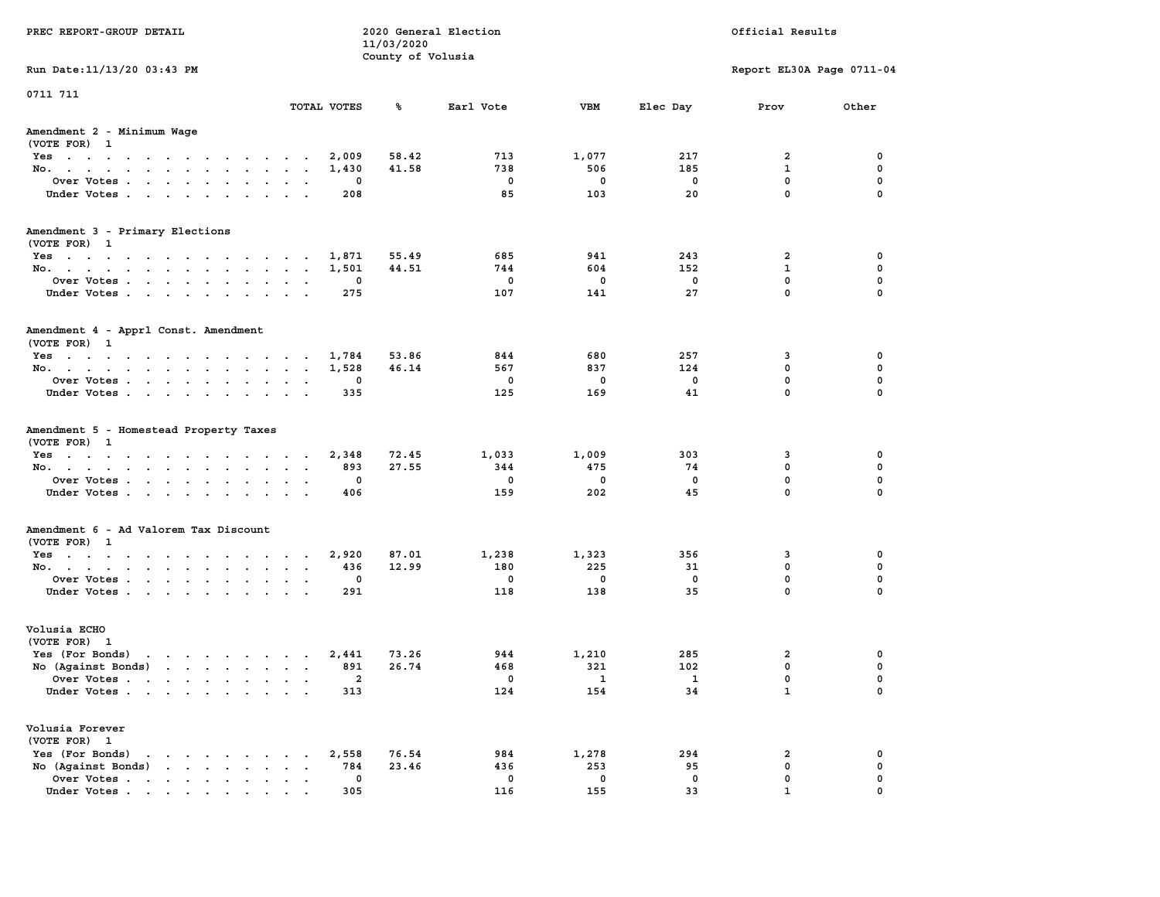| PREC REPORT-GROUP DETAIL                                                                                                                                                                                                                             |                                |                | 11/03/2020<br>County of Volusia | 2020 General Election |                          |              | Official Results          |                  |
|------------------------------------------------------------------------------------------------------------------------------------------------------------------------------------------------------------------------------------------------------|--------------------------------|----------------|---------------------------------|-----------------------|--------------------------|--------------|---------------------------|------------------|
| Run Date: 11/13/20 03:43 PM                                                                                                                                                                                                                          |                                |                |                                 |                       |                          |              | Report EL30A Page 0711-04 |                  |
| 0711 711                                                                                                                                                                                                                                             |                                | TOTAL VOTES    | ℁                               | Earl Vote             | VBM                      | Elec Day     | Prov                      | Other            |
| Amendment 2 - Minimum Wage<br>(VOTE FOR) 1                                                                                                                                                                                                           |                                |                |                                 |                       |                          |              |                           |                  |
| Yes                                                                                                                                                                                                                                                  |                                | 2,009          | 58.42                           | 713                   | 1,077                    | 217          | 2                         | 0                |
| No.                                                                                                                                                                                                                                                  |                                | 1,430          | 41.58                           | 738                   | 506                      | 185          | 1                         | 0                |
| Over Votes                                                                                                                                                                                                                                           |                                | 0              |                                 | 0                     | 0                        | 0            | 0                         | 0                |
| Under Votes                                                                                                                                                                                                                                          |                                | 208            |                                 | 85                    | 103                      | 20           | 0                         | 0                |
| Amendment 3 - Primary Elections                                                                                                                                                                                                                      |                                |                |                                 |                       |                          |              |                           |                  |
| (VOTE FOR) 1                                                                                                                                                                                                                                         |                                |                |                                 |                       |                          |              |                           |                  |
| Yes<br>No.                                                                                                                                                                                                                                           |                                | 1,871<br>1,501 | 55.49<br>44.51                  | 685<br>744            | 941<br>604               | 243<br>152   | 2<br>1                    | 0<br>0           |
| Over Votes                                                                                                                                                                                                                                           | $\ddot{\phantom{1}}$<br>$\sim$ | 0              |                                 | 0                     | 0                        | 0            | $\mathbf 0$               | 0                |
| Under Votes                                                                                                                                                                                                                                          | $\sim$                         | 275            |                                 | 107                   | 141                      | 27           | 0                         | 0                |
|                                                                                                                                                                                                                                                      |                                |                |                                 |                       |                          |              |                           |                  |
| Amendment 4 - Apprl Const. Amendment<br>(VOTE FOR) 1                                                                                                                                                                                                 |                                |                |                                 |                       |                          |              |                           |                  |
| Yes                                                                                                                                                                                                                                                  |                                | 1,784          | 53.86                           | 844                   | 680                      | 257          | 3                         | 0                |
| No.                                                                                                                                                                                                                                                  |                                | 1,528          | 46.14                           | 567                   | 837                      | 124          | 0                         | 0                |
| Over Votes                                                                                                                                                                                                                                           |                                | 0              |                                 | 0                     | 0                        | 0            | 0                         | 0                |
| Under Votes                                                                                                                                                                                                                                          |                                | 335            |                                 | 125                   | 169                      | 41           | 0                         | $\mathbf 0$      |
| Amendment 5 - Homestead Property Taxes<br>(VOTE FOR) 1                                                                                                                                                                                               |                                |                |                                 |                       |                          |              |                           |                  |
| Yes                                                                                                                                                                                                                                                  |                                | 2,348          | 72.45                           | 1,033                 | 1,009                    | 303          | 3                         | 0                |
| No.                                                                                                                                                                                                                                                  | $\sim$ $\sim$                  | 893            | 27.55                           | 344                   | 475                      | 74           | 0                         | 0                |
| Over Votes                                                                                                                                                                                                                                           |                                | 0              |                                 | 0                     | 0                        | 0            | $\mathbf 0$               | 0                |
| Under Votes                                                                                                                                                                                                                                          |                                | 406            |                                 | 159                   | 202                      | 45           | 0                         | 0                |
| Amendment 6 - Ad Valorem Tax Discount                                                                                                                                                                                                                |                                |                |                                 |                       |                          |              |                           |                  |
| (VOTE FOR) 1                                                                                                                                                                                                                                         |                                |                |                                 |                       |                          |              |                           |                  |
| Yes                                                                                                                                                                                                                                                  |                                | 2,920          | 87.01                           | 1,238                 | 1,323                    | 356          | 3                         | 0                |
| No.                                                                                                                                                                                                                                                  |                                | 436            | 12.99                           | 180                   | 225                      | 31           | 0<br>$\mathbf 0$          | $\mathbf 0$<br>0 |
| Over Votes<br>Under Votes                                                                                                                                                                                                                            | $\sim$<br>$\cdot$              | 0<br>291       |                                 | 0<br>118              | 0<br>138                 | 0<br>35      | 0                         | 0                |
|                                                                                                                                                                                                                                                      |                                |                |                                 |                       |                          |              |                           |                  |
| Volusia ECHO<br>(VOTE FOR) 1                                                                                                                                                                                                                         |                                |                |                                 |                       |                          |              |                           |                  |
| Yes (For Bonds)                                                                                                                                                                                                                                      |                                | 2,441          | 73.26                           | 944                   | 1,210                    | 285          | 2                         | 0                |
| No (Aqainst Bonds)                                                                                                                                                                                                                                   |                                | 891            | 26.74                           | 468                   | 321                      | 102          | $\mathbf 0$               | $\mathbf 0$      |
| Over Votes .                                                                                                                                                                                                                                         |                                | $\overline{2}$ |                                 | 0                     | $\overline{\phantom{a}}$ | $\mathbf{1}$ | 0                         | 0                |
| Under Votes                                                                                                                                                                                                                                          |                                | 313            |                                 | 124                   | 154                      | 34           | $\mathbf{1}$              | 0                |
| Volusia Forever<br>(VOTE FOR) 1                                                                                                                                                                                                                      |                                |                |                                 |                       |                          |              |                           |                  |
| Yes (For Bonds)<br>$\mathbf{r}$ . The contract of the contract of the contract of the contract of the contract of the contract of the contract of the contract of the contract of the contract of the contract of the contract of the contract of th |                                | 2,558          | 76.54                           | 984                   | 1,278                    | 294          | 2                         | 0                |
| No (Against Bonds)<br>$\mathbf{r}$ , $\mathbf{r}$ , $\mathbf{r}$ , $\mathbf{r}$ , $\mathbf{r}$                                                                                                                                                       |                                | 784            | 23.46                           | 436                   | 253                      | 95           | 0                         | 0                |
| Over Votes.<br>the contract of the contract of the contract of                                                                                                                                                                                       |                                | 0              |                                 | 0                     | 0                        | 0            | 0                         | 0                |
| Under Votes.                                                                                                                                                                                                                                         |                                | 305            |                                 | 116                   | 155                      | 33           | $\mathbf{1}$              |                  |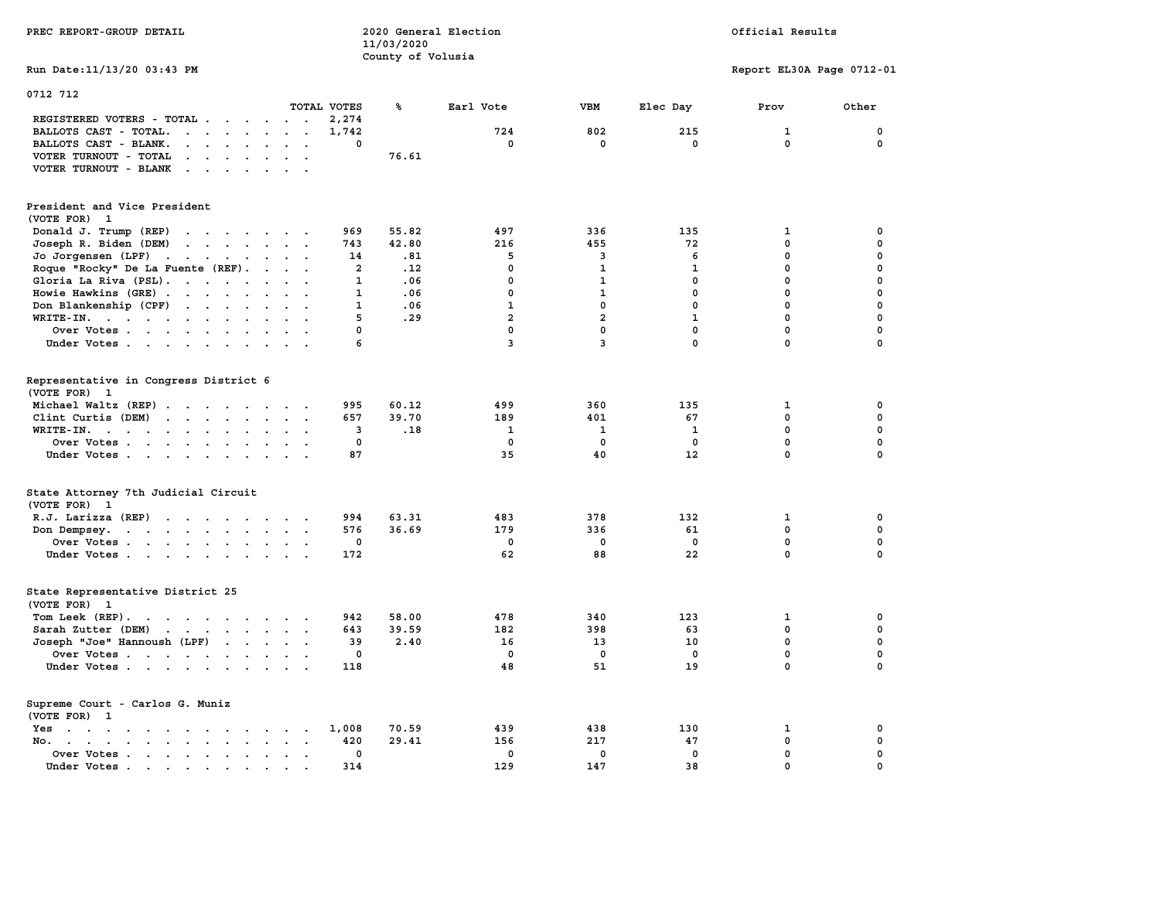| PREC REPORT-GROUP DETAIL                                                                                                                                                                                |                                      | 11/03/2020        | 2020 General Election |                |              | Official Results          |             |  |
|---------------------------------------------------------------------------------------------------------------------------------------------------------------------------------------------------------|--------------------------------------|-------------------|-----------------------|----------------|--------------|---------------------------|-------------|--|
| Run Date: 11/13/20 03:43 PM                                                                                                                                                                             |                                      | County of Volusia |                       |                |              | Report EL30A Page 0712-01 |             |  |
| 0712 712                                                                                                                                                                                                | TOTAL VOTES                          | ℁                 | Earl Vote             | <b>VBM</b>     | Elec Day     | Prov                      | Other       |  |
| REGISTERED VOTERS - TOTAL<br>BALLOTS CAST - TOTAL.<br>$\cdot$                                                                                                                                           | 2,274<br>1,742                       |                   | 724                   | 802            | 215          | $\mathbf{1}$              | 0           |  |
| BALLOTS CAST - BLANK.<br>$\cdot$ $\cdot$ $\cdot$ $\cdot$ $\cdot$                                                                                                                                        | $\mathbf{0}$<br>$\ddot{\phantom{0}}$ |                   | $^{\circ}$            | 0              | $\mathbf{0}$ | $\mathbf{0}$              | $\mathbf 0$ |  |
| VOTER TURNOUT - TOTAL<br>$\mathbf{r}$ , $\mathbf{r}$ , $\mathbf{r}$ , $\mathbf{r}$ , $\mathbf{r}$<br>VOTER TURNOUT - BLANK<br>$\mathcal{A}$ , and $\mathcal{A}$ , and $\mathcal{A}$ , and $\mathcal{A}$ |                                      | 76.61             |                       |                |              |                           |             |  |
| President and Vice President<br>(VOTE FOR) 1                                                                                                                                                            |                                      |                   |                       |                |              |                           |             |  |
| Donald J. Trump (REP)<br>and the contract of the contract of the contract of the contract of the contract of                                                                                            | 969                                  | 55.82             | 497                   | 336            | 135          | 1                         | 0           |  |
| Joseph R. Biden (DEM)<br>the contract of the contract of the contract of                                                                                                                                | 743                                  | 42.80             | 216                   | 455            | 72           | $\mathbf{0}$              | $\mathbf 0$ |  |
| Jo Jorgensen (LPF)                                                                                                                                                                                      | 14                                   | .81               | 5                     | 3              | 6            | $\mathbf 0$               | 0           |  |
| Roque "Rocky" De La Fuente (REF).                                                                                                                                                                       | $\overline{a}$                       | .12               | $\mathbf 0$           | $\mathbf{1}$   | $\mathbf{1}$ | $\mathbf 0$               | 0           |  |
| Gloria La Riva (PSL).                                                                                                                                                                                   | $\mathbf{1}$                         | .06               | $\mathbf 0$           | $\mathbf{1}$   | 0            | $\mathbf 0$               | 0           |  |
|                                                                                                                                                                                                         |                                      |                   | $\mathbf 0$           | $\mathbf{1}$   | $^{\circ}$   | $\mathbf 0$               | 0           |  |
| Howie Hawkins (GRE)                                                                                                                                                                                     | $\sim$ $\sim$<br>$\mathbf{1}$        | .06               |                       |                |              |                           |             |  |
| Don Blankenship (CPF)                                                                                                                                                                                   | $\mathbf{1}$                         | .06               | $\mathbf{1}$          | $\mathbf 0$    | $\mathbf{0}$ | $\mathbf 0$               | $\mathbf 0$ |  |
| WRITE-IN.                                                                                                                                                                                               | 5<br>$\mathbf{r}$                    | .29               | $\overline{a}$        | $\overline{a}$ | $\mathbf{1}$ | $\mathbf 0$               | 0           |  |
| Over Votes                                                                                                                                                                                              | $\mathbf 0$                          |                   | $\mathbf 0$           | $\mathbf 0$    | $\mathbf 0$  | $\mathbf 0$               | 0           |  |
| Under Votes                                                                                                                                                                                             | 6                                    |                   | $\overline{3}$        | $\overline{3}$ | 0            | 0                         | 0           |  |
| Representative in Congress District 6<br>(VOTE FOR) 1                                                                                                                                                   |                                      |                   |                       |                |              |                           |             |  |
| Michael Waltz (REP)                                                                                                                                                                                     | 995                                  | 60.12             | 499                   | 360            | 135          | 1                         | 0           |  |
| Clint Curtis (DEM)                                                                                                                                                                                      | 657                                  | 39.70             | 189                   | 401            | 67           | $\mathbf 0$               | $\mathbf 0$ |  |
| WRITE-IN.<br>the contract of the contract of the contract of the contract of the contract of the contract of the contract of                                                                            | 3                                    | .18               | $\mathbf{1}$          | $\mathbf{1}$   | $\mathbf{1}$ | $\mathbf 0$               | 0           |  |
| Over Votes                                                                                                                                                                                              | $\mathbf 0$                          |                   | $\mathbf 0$           | 0              | $\mathbf 0$  | 0                         | 0           |  |
| Under Votes                                                                                                                                                                                             | 87                                   |                   | 35                    | 40             | 12           | $\mathbf{0}$              | $\mathbf 0$ |  |
| State Attorney 7th Judicial Circuit<br>(VOTE FOR) 1                                                                                                                                                     |                                      |                   |                       |                |              |                           |             |  |
| $R.J.$ Larizza $(REP)$                                                                                                                                                                                  | 994<br>$\sim$ $\sim$                 | 63.31             | 483                   | 378            | 132          | 1                         | 0           |  |
| Don Dempsey.                                                                                                                                                                                            | 576                                  | 36.69             | 179                   | 336            | 61           | $\mathbf{0}$              | $\mathbf 0$ |  |
| Over Votes                                                                                                                                                                                              | $\mathbf 0$<br>$\sim$                |                   | $\mathbf 0$           | 0              | $\mathbf 0$  | 0                         | 0           |  |
| Under Votes                                                                                                                                                                                             | 172                                  |                   | 62                    | 88             | 22           | $\mathbf{0}$              | $\mathbf 0$ |  |
| State Representative District 25<br>(VOTE FOR) 1                                                                                                                                                        |                                      |                   |                       |                |              |                           |             |  |
| Tom Leek (REP).                                                                                                                                                                                         | 942                                  | 58.00             | 478                   | 340            | 123          | $\mathbf{1}$              | 0           |  |
| Sarah Zutter (DEM)                                                                                                                                                                                      | 643                                  | 39.59             | 182                   | 398            | 63           | $\mathbf{0}$              | 0           |  |
| Joseph "Joe" Hannoush (LPF)                                                                                                                                                                             | 39                                   | 2.40              | 16                    | 13             | 10           | $\mathbf 0$               | $\mathbf 0$ |  |
| Over Votes                                                                                                                                                                                              | $\mathbf 0$                          |                   | $\mathbf 0$           | $\mathbf 0$    | $\mathbf 0$  | $\mathbf 0$               | 0           |  |
| Under Votes                                                                                                                                                                                             | 118                                  |                   | 48                    | 51             | 19           | $\mathbf{0}$              | $\mathbf 0$ |  |
| Supreme Court - Carlos G. Muniz<br>(VOTE FOR) 1                                                                                                                                                         |                                      |                   |                       |                |              |                           |             |  |
| Yes                                                                                                                                                                                                     | 1,008                                | 70.59             | 439                   | 438            | 130          | 1                         | 0           |  |
| No.                                                                                                                                                                                                     | 420<br>$\sim$<br>$\sim$              | 29.41             | 156                   | 217            | 47           | $\mathbf 0$               | 0           |  |
| Over Votes                                                                                                                                                                                              | $\mathbf 0$<br>$\ddot{\phantom{a}}$  |                   | $\mathbf 0$           | $\mathbf 0$    | $\mathbf 0$  | $\mathbf 0$               | 0           |  |
| Under Votes                                                                                                                                                                                             | 314<br>$\sim$                        |                   | 129                   | 147            | 38           | $\mathbf 0$               | 0           |  |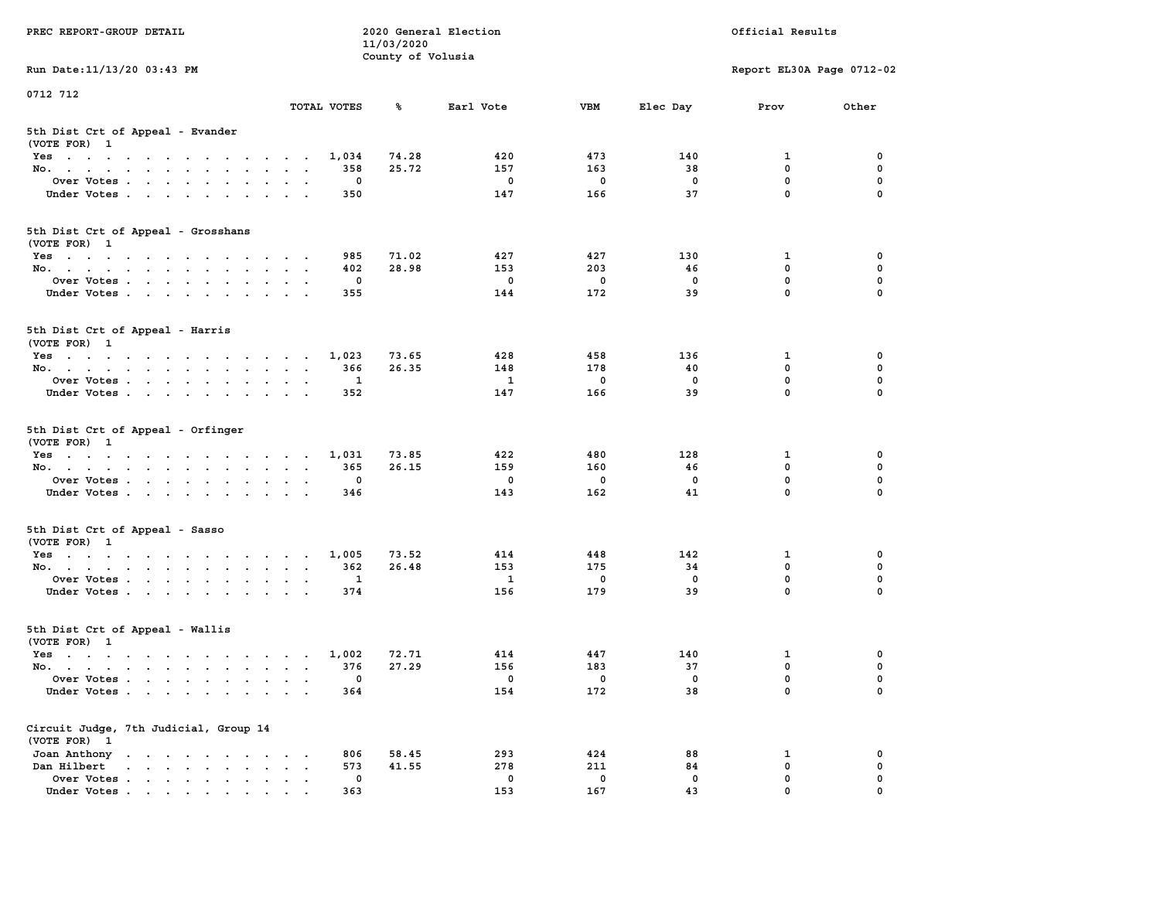| PREC REPORT-GROUP DETAIL                                                                                               |                                                                             | 11/03/2020        | 2020 General Election |             |             | Official Results          |             |
|------------------------------------------------------------------------------------------------------------------------|-----------------------------------------------------------------------------|-------------------|-----------------------|-------------|-------------|---------------------------|-------------|
|                                                                                                                        |                                                                             | County of Volusia |                       |             |             |                           |             |
| Run Date: 11/13/20 03:43 PM                                                                                            |                                                                             |                   |                       |             |             | Report EL30A Page 0712-02 |             |
| 0712 712                                                                                                               |                                                                             |                   |                       |             |             |                           |             |
|                                                                                                                        | TOTAL VOTES                                                                 | ጜ                 | Earl Vote             | VBM         | Elec Day    | Prov                      | Other       |
| 5th Dist Crt of Appeal - Evander<br>(VOTE FOR) 1                                                                       |                                                                             |                   |                       |             |             |                           |             |
| Yes                                                                                                                    | 1,034                                                                       | 74.28             | 420                   | 473         | 140         | 1                         | 0           |
| No.                                                                                                                    | 358                                                                         | 25.72             | 157                   | 163         | 38          | $\mathbf 0$               | $\mathbf 0$ |
| Over Votes                                                                                                             | 0                                                                           |                   | 0                     | $\mathbf 0$ | 0           | 0                         | 0           |
| Under Votes                                                                                                            | 350                                                                         |                   | 147                   | 166         | 37          | $\mathbf 0$               | $\Omega$    |
| 5th Dist Crt of Appeal - Grosshans<br>(VOTE FOR) 1                                                                     |                                                                             |                   |                       |             |             |                           |             |
| Yes                                                                                                                    | 985                                                                         | 71.02             | 427                   | 427         | 130         | 1                         | 0           |
| No.                                                                                                                    | 402                                                                         | 28.98             | 153                   | 203         | 46          | 0                         | 0           |
| Over Votes                                                                                                             | 0                                                                           |                   | 0                     | $\mathbf 0$ | $\mathbf 0$ | $\mathbf 0$               | $\mathbf 0$ |
| Under Votes                                                                                                            | 355                                                                         |                   | 144                   | 172         | 39          | $\mathbf{0}$              | 0           |
| 5th Dist Crt of Appeal - Harris<br>(VOTE FOR) 1                                                                        |                                                                             |                   |                       |             |             |                           |             |
| Yes                                                                                                                    | 1,023                                                                       | 73.65             | 428                   | 458         | 136         | 1                         | 0           |
| No.                                                                                                                    | 366                                                                         | 26.35             | 148                   | 178         | 40          | 0                         | 0           |
| Over Votes                                                                                                             | 1<br>$\cdot$                                                                |                   | 1                     | $\mathbf 0$ | $^{\circ}$  | $\mathbf{0}$              | $\mathbf 0$ |
| Under Votes                                                                                                            | 352                                                                         |                   | 147                   | 166         | 39          | $\mathbf 0$               | 0           |
| 5th Dist Crt of Appeal - Orfinger<br>(VOTE FOR) 1<br>Yes<br>No.                                                        | 1,031<br>365                                                                | 73.85<br>26.15    | 422<br>159            | 480<br>160  | 128<br>46   | 1<br>$\mathbf 0$          | 0<br>0      |
| Over Votes                                                                                                             | 0                                                                           |                   | 0                     | $\mathbf 0$ | 0           | 0                         | 0           |
|                                                                                                                        |                                                                             |                   | 143                   | 162         | 41          | $\mathbf 0$               | $\Omega$    |
| Under Votes                                                                                                            | 346                                                                         |                   |                       |             |             |                           |             |
| 5th Dist Crt of Appeal - Sasso<br>(VOTE FOR) 1                                                                         |                                                                             |                   |                       |             |             |                           |             |
| Yes                                                                                                                    | 1,005                                                                       | 73.52             | 414                   | 448         | 142         | 1                         | 0           |
| No.                                                                                                                    | 362                                                                         | 26.48             | 153                   | 175         | 34          | $\mathbf 0$               | 0           |
| Over Votes                                                                                                             | 1                                                                           |                   | $\mathbf{1}$          | $\mathbf 0$ | $\mathbf 0$ | 0                         | $\mathbf 0$ |
| Under Votes                                                                                                            | 374                                                                         |                   | 156                   | 179         | 39          | $\mathbf{0}$              | $\Omega$    |
| 5th Dist Crt of Appeal - Wallis<br>(VOTE FOR) 1                                                                        |                                                                             |                   |                       |             |             |                           |             |
| Yes<br>the contract of the contract of the contract of the contract of the contract of the contract of the contract of | 1,002                                                                       | 72.71             | 414                   | 447         | 140         | 1                         | 0           |
| No.                                                                                                                    | 376                                                                         | 27.29             | 156                   | 183         | 37          | 0                         | $\mathbf 0$ |
| Over Votes                                                                                                             | 0                                                                           |                   | 0                     | 0           | 0           | $\mathbf{0}$              | 0           |
| Under Votes                                                                                                            | 364                                                                         |                   | 154                   | 172         | 38          | 0                         | 0           |
| Circuit Judge, 7th Judicial, Group 14<br>(VOTE FOR) 1                                                                  |                                                                             |                   |                       |             |             |                           |             |
| Joan Anthony                                                                                                           | 806                                                                         | 58.45             | 293                   | 424         | 88          | 1                         | 0           |
| Dan Hilbert<br>$\cdot$ $\cdot$ $\cdot$ $\cdot$ $\cdot$ $\cdot$ $\cdot$ $\cdot$<br>$\bullet$                            | 573<br>$\ddot{\phantom{a}}$<br>$\ddot{\phantom{a}}$<br>$\ddot{\phantom{a}}$ | 41.55             | 278                   | 211         | 84          | 0                         | 0           |
| Over Votes .<br>$\mathbf{r}$ , $\mathbf{r}$ , $\mathbf{r}$ , $\mathbf{r}$ , $\mathbf{r}$                               | 0                                                                           |                   | 0                     | 0           | 0           | 0                         | 0           |
| Under Votes                                                                                                            | 363                                                                         |                   | 153                   | 167         | 43          | 0                         |             |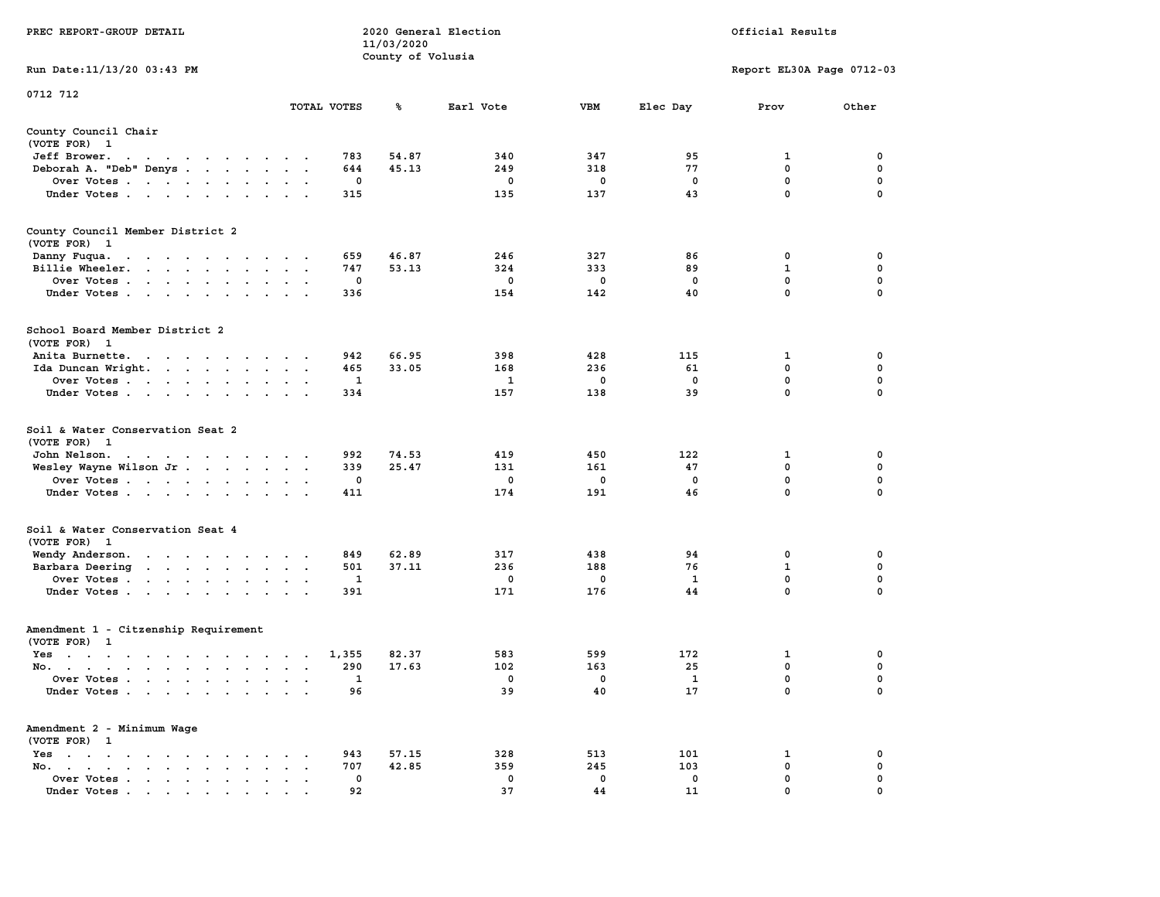| PREC REPORT-GROUP DETAIL                                                                                                                                                                                                                     |                           |                   | 11/03/2020        | 2020 General Election |             |              | Official Results          |             |
|----------------------------------------------------------------------------------------------------------------------------------------------------------------------------------------------------------------------------------------------|---------------------------|-------------------|-------------------|-----------------------|-------------|--------------|---------------------------|-------------|
| Run Date: 11/13/20 03:43 PM                                                                                                                                                                                                                  |                           |                   | County of Volusia |                       |             |              | Report EL30A Page 0712-03 |             |
| 0712 712                                                                                                                                                                                                                                     |                           |                   |                   |                       |             |              |                           |             |
|                                                                                                                                                                                                                                              |                           | TOTAL VOTES       | ℁                 | Earl Vote             | VBM         | Elec Day     | Prov                      | Other       |
| County Council Chair<br>(VOTE FOR) 1                                                                                                                                                                                                         |                           |                   |                   |                       |             |              |                           |             |
| Jeff Brower.<br>the contract of the contract of the con-                                                                                                                                                                                     |                           | 783               | 54.87             | 340                   | 347         | 95           | 1                         | 0           |
| Deborah A. "Deb" Denys                                                                                                                                                                                                                       |                           | 644               | 45.13             | 249                   | 318         | 77           | 0                         | 0           |
| Over Votes                                                                                                                                                                                                                                   |                           | 0                 |                   | 0                     | 0           | 0            | $\mathbf 0$               | $\mathbf 0$ |
| Under Votes                                                                                                                                                                                                                                  |                           | 315               |                   | 135                   | 137         | 43           | 0                         | 0           |
| County Council Member District 2<br>(VOTE FOR) 1                                                                                                                                                                                             |                           |                   |                   |                       |             |              |                           |             |
| Danny Fuqua.<br>the contract of the contract of the con-                                                                                                                                                                                     |                           | 659               | 46.87             | 246                   | 327         | 86           | 0                         | 0           |
| Billie Wheeler.                                                                                                                                                                                                                              |                           | 747               | 53.13             | 324                   | 333         | 89           | $\mathbf 1$               | 0           |
| Over Votes                                                                                                                                                                                                                                   |                           | 0                 |                   | 0                     | 0           | 0            | 0                         | 0           |
| Under Votes                                                                                                                                                                                                                                  |                           | 336               |                   | 154                   | 142         | 40           | $\mathbf 0$               | 0           |
| School Board Member District 2<br>(VOTE FOR) 1                                                                                                                                                                                               |                           |                   |                   |                       |             |              |                           |             |
| Anita Burnette.                                                                                                                                                                                                                              |                           | 942               | 66.95             | 398                   | 428         | 115          | 1                         | 0           |
| Ida Duncan Wright.                                                                                                                                                                                                                           |                           | 465               | 33.05             | 168                   | 236         | 61           | 0                         | 0           |
| Over Votes                                                                                                                                                                                                                                   |                           | $\mathbf 1$       |                   | 1                     | 0           | 0            | $\mathbf 0$               | 0           |
| Under Votes                                                                                                                                                                                                                                  |                           | 334               |                   | 157                   | 138         | 39           | 0                         | $\Omega$    |
| Soil & Water Conservation Seat 2<br>(VOTE FOR) 1                                                                                                                                                                                             |                           |                   |                   |                       |             |              |                           |             |
| John Nelson.<br>the contract of the contract of the con-                                                                                                                                                                                     |                           | 992               | 74.53             | 419                   | 450         | 122          | 1                         | 0           |
| Wesley Wayne Wilson Jr.                                                                                                                                                                                                                      |                           | 339               | 25.47             | 131                   | 161         | 47           | 0                         | 0           |
| Over Votes                                                                                                                                                                                                                                   |                           | 0                 |                   | 0                     | 0           | 0            | $\mathbf 0$               | 0           |
| Under Votes                                                                                                                                                                                                                                  |                           | 411               |                   | 174                   | 191         | 46           | 0                         | 0           |
| Soil & Water Conservation Seat 4<br>(VOTE FOR) 1                                                                                                                                                                                             |                           |                   |                   |                       |             |              |                           |             |
| Wendy Anderson.<br>the contract of the contract of the                                                                                                                                                                                       |                           | 849               | 62.89             | 317                   | 438         | 94           | 0                         | 0           |
| Barbara Deering                                                                                                                                                                                                                              |                           | 501               | 37.11             | 236                   | 188         | 76           | $\mathbf 1$               | $\mathbf 0$ |
| Over Votes                                                                                                                                                                                                                                   |                           | 1                 |                   | 0                     | 0           | 1            | 0                         | 0           |
| Under Votes                                                                                                                                                                                                                                  |                           | 391               |                   | 171                   | 176         | 44           | $\mathbf 0$               | 0           |
| Amendment 1 - Citzenship Requirement<br>(VOTE FOR) 1                                                                                                                                                                                         |                           |                   |                   |                       |             |              |                           |             |
| Yes<br>$\mathbf{a}$ and $\mathbf{a}$ are a set of the set of the set of the set of the set of the set of the set of the set of the set of the set of the set of the set of the set of the set of the set of the set of the set of the set of |                           | 1,355             | 82.37             | 583                   | 599         | 172          | 1                         | 0           |
| No.                                                                                                                                                                                                                                          | $\mathbf{a} = \mathbf{a}$ | 290               | 17.63             | 102                   | 163         | 25           | 0                         | $\mathbf 0$ |
| Over Votes                                                                                                                                                                                                                                   |                           | 1                 |                   | $\mathbf 0$           | $\mathbf 0$ | $\mathbf{1}$ | 0                         | 0           |
| Under Votes                                                                                                                                                                                                                                  |                           | 96                |                   | 39                    | 40          | 17           | 0                         | $\mathbf 0$ |
| Amendment 2 - Minimum Wage<br>(VOTE FOR) 1                                                                                                                                                                                                   |                           |                   |                   |                       |             |              |                           |             |
| Yes                                                                                                                                                                                                                                          |                           | 943               | 57.15             | 328                   | 513         | 101          | 1                         | 0           |
| No.                                                                                                                                                                                                                                          | $\sim$                    | 707               | 42.85             | 359                   | 245         | 103          | 0                         | 0           |
| Over Votes<br>Under Votes                                                                                                                                                                                                                    |                           | $\mathbf 0$<br>92 |                   | 0<br>37               | 0<br>44     | 0<br>11      | 0<br>0                    | 0<br>0      |
|                                                                                                                                                                                                                                              |                           |                   |                   |                       |             |              |                           |             |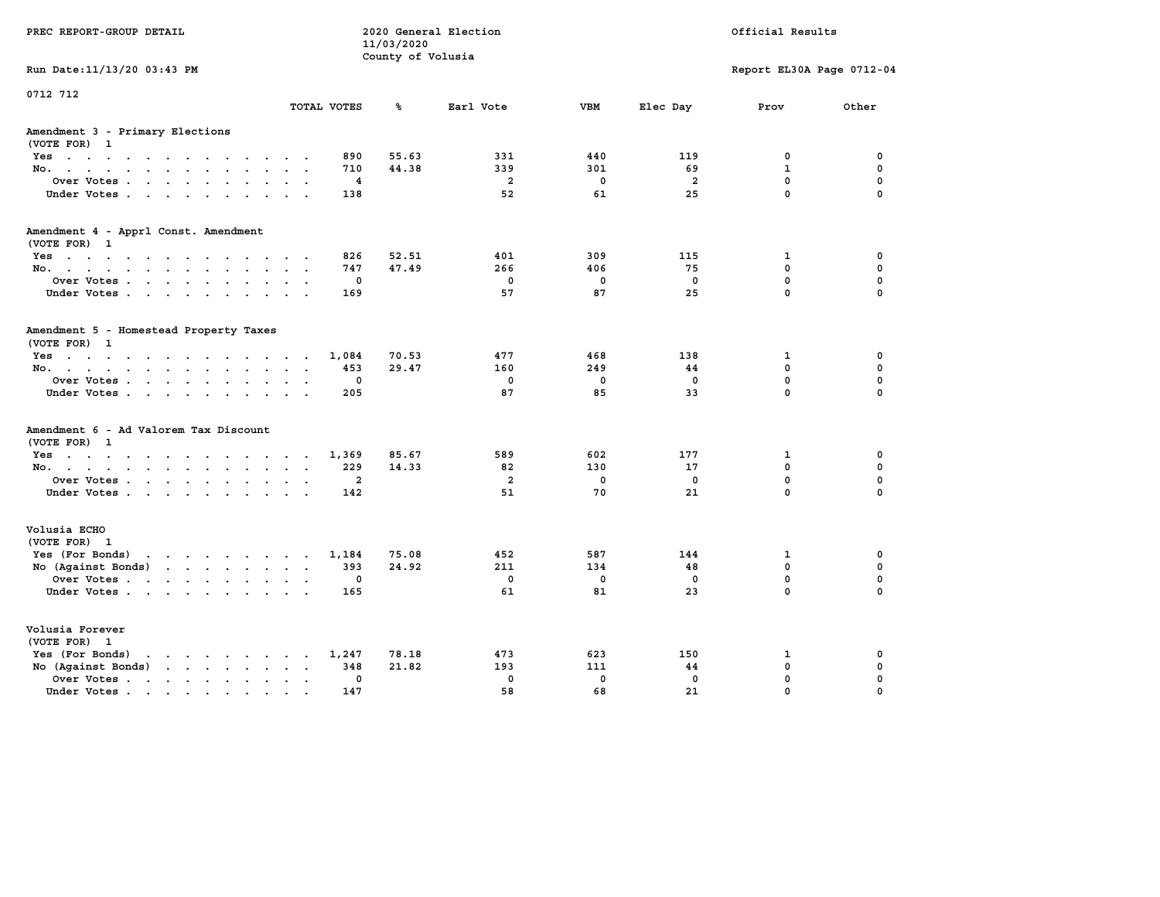| PREC REPORT-GROUP DETAIL                                                                                                                                                                                                                                |                                                 | 11/03/2020<br>County of Volusia | 2020 General Election |                   |                   | Official Results           |                         |
|---------------------------------------------------------------------------------------------------------------------------------------------------------------------------------------------------------------------------------------------------------|-------------------------------------------------|---------------------------------|-----------------------|-------------------|-------------------|----------------------------|-------------------------|
| Run Date: 11/13/20 03:43 PM                                                                                                                                                                                                                             |                                                 |                                 |                       |                   |                   | Report EL30A Page 0712-04  |                         |
| 0712 712                                                                                                                                                                                                                                                | TOTAL VOTES                                     | ℁                               | Earl Vote             | <b>VBM</b>        | Elec Day          | Prov                       | Other                   |
| Amendment 3 - Primary Elections<br>(VOTE FOR) 1                                                                                                                                                                                                         |                                                 |                                 |                       |                   |                   |                            |                         |
| Yes                                                                                                                                                                                                                                                     | 890                                             | 55.63                           | 331                   | 440               | 119               | 0                          | 0                       |
| No.<br>$\sim$                                                                                                                                                                                                                                           | 710                                             | 44.38                           | 339                   | 301               | 69                | $\mathbf{1}$               | $\mathbf 0$             |
| Over Votes<br>$\sim$                                                                                                                                                                                                                                    | 4<br>$\ddot{\phantom{a}}$                       |                                 | $\overline{a}$        | 0                 | $\overline{a}$    | $\mathbf 0$<br>$\mathbf 0$ | 0                       |
| Under Votes                                                                                                                                                                                                                                             | 138                                             |                                 | 52                    | 61                | 25                |                            | $\Omega$                |
| Amendment 4 - Apprl Const. Amendment<br>(VOTE FOR) 1                                                                                                                                                                                                    |                                                 |                                 |                       |                   |                   |                            |                         |
| Yes                                                                                                                                                                                                                                                     | 826                                             | 52.51                           | 401                   | 309               | 115               | 1                          | 0                       |
| No.                                                                                                                                                                                                                                                     | 747                                             | 47.49                           | 266                   | 406               | 75                | 0                          | $\mathbf 0$             |
| Over Votes<br>$\bullet$                                                                                                                                                                                                                                 | 0<br>$\ddot{\phantom{a}}$                       |                                 | $\mathbf 0$           | $\mathbf 0$       | $\mathbf 0$       | 0                          | $\mathbf 0$             |
| Under Votes                                                                                                                                                                                                                                             | 169                                             |                                 | 57                    | 87                | 25                | $\mathbf 0$                | $\Omega$                |
| Amendment 5 - Homestead Property Taxes<br>(VOTE FOR) 1                                                                                                                                                                                                  |                                                 |                                 |                       |                   |                   |                            |                         |
| Yes                                                                                                                                                                                                                                                     | 1,084                                           | 70.53                           | 477                   | 468               | 138               | 1                          | 0                       |
| No.<br>$\sim$ $\sim$                                                                                                                                                                                                                                    | 453<br>$\cdot$ .                                | 29.47                           | 160                   | 249               | 44                | 0                          | $\mathbf 0$             |
| Over Votes<br>$\ddot{\phantom{a}}$<br>$\ddot{\phantom{a}}$                                                                                                                                                                                              | 0<br>205<br><b>Service</b>                      |                                 | $\mathbf 0$<br>87     | $\mathbf 0$<br>85 | $\mathbf 0$<br>33 | 0<br>0                     | $\mathbf 0$<br>$\Omega$ |
| Under Votes                                                                                                                                                                                                                                             |                                                 |                                 |                       |                   |                   |                            |                         |
| Amendment 6 - Ad Valorem Tax Discount<br>(VOTE FOR) 1                                                                                                                                                                                                   |                                                 |                                 |                       |                   |                   |                            |                         |
| Yes.                                                                                                                                                                                                                                                    | 1,369                                           | 85.67                           | 589                   | 602               | 177               | 1                          | 0                       |
| No.                                                                                                                                                                                                                                                     | 229                                             | 14.33                           | 82                    | 130               | 17                | 0                          | $\mathbf 0$             |
| Over Votes<br>$\bullet$                                                                                                                                                                                                                                 | $\overline{\mathbf{2}}$<br>$\ddot{\phantom{0}}$ |                                 | $\overline{a}$        | $\mathbf 0$       | 0                 | 0                          | $\mathbf 0$             |
| Under Votes                                                                                                                                                                                                                                             | 142<br>$\cdot$ $\cdot$                          |                                 | 51                    | 70                | 21                | 0                          | $\Omega$                |
| Volusia ECHO<br>(VOTE FOR) 1                                                                                                                                                                                                                            |                                                 |                                 |                       |                   |                   |                            |                         |
| Yes (For Bonds)<br>the contract of the contract of the contract of the contract of the contract of the contract of the contract of                                                                                                                      | 1,184                                           | 75.08                           | 452                   | 587               | 144               | 1                          | 0                       |
| No (Against Bonds)<br>$\mathbf{r}$ . The set of the set of the set of the set of the set of the set of the set of the set of the set of the set of the set of the set of the set of the set of the set of the set of the set of the set of the set of t | 393                                             | 24.92                           | 211                   | 134               | 48                | 0                          | $\mathbf 0$             |
| Over Votes<br>$\ddot{\phantom{a}}$                                                                                                                                                                                                                      | 0<br>$\ddot{\phantom{a}}$                       |                                 | $\mathbf 0$           | 0                 | $\mathbf 0$       | 0                          | $\mathbf 0$             |
| Under Votes                                                                                                                                                                                                                                             | 165                                             |                                 | 61                    | 81                | 23                | 0                          | $\Omega$                |
| Volusia Forever<br>(VOTE FOR) 1                                                                                                                                                                                                                         |                                                 |                                 |                       |                   |                   |                            |                         |
| Yes (For Bonds)<br>$\mathbf{r}$ , and $\mathbf{r}$ , and $\mathbf{r}$ , and $\mathbf{r}$                                                                                                                                                                | 1,247                                           | 78.18                           | 473                   | 623               | 150               | 1                          | 0                       |
| No (Against Bonds)<br>$\cdot$ $\cdot$ $\cdot$ $\cdot$ $\cdot$                                                                                                                                                                                           | 348                                             | 21.82                           | 193                   | 111               | 44                | 0                          | 0                       |
| Over Votes .<br>$\mathcal{A}$ . The set of the set of $\mathcal{A}$<br>$\ddot{\phantom{a}}$<br>$\bullet$<br>$\bullet$                                                                                                                                   | 0                                               |                                 | $\mathbf 0$           | $\mathbf 0$       | $\mathbf 0$       | 0                          | 0                       |
| Under Votes                                                                                                                                                                                                                                             | 147                                             |                                 | 58                    | 68                | 21                | 0                          | $\Omega$                |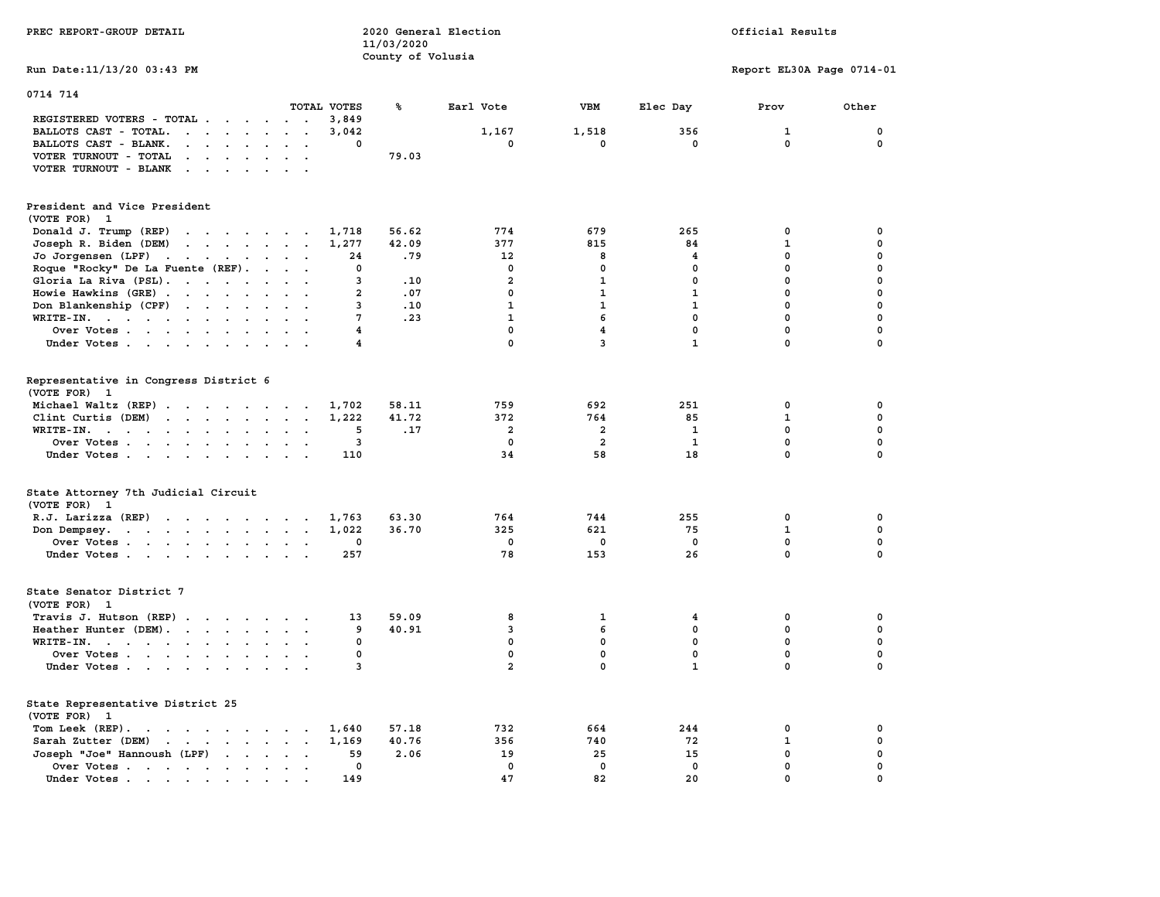| PREC REPORT-GROUP DETAIL                                                                                                                                                                                                                                   |                                           | 11/03/2020<br>County of Volusia | 2020 General Election |                         |              | Official Results          |              |  |
|------------------------------------------------------------------------------------------------------------------------------------------------------------------------------------------------------------------------------------------------------------|-------------------------------------------|---------------------------------|-----------------------|-------------------------|--------------|---------------------------|--------------|--|
| Run Date: 11/13/20 03:43 PM                                                                                                                                                                                                                                |                                           |                                 |                       |                         |              | Report EL30A Page 0714-01 |              |  |
| 0714 714                                                                                                                                                                                                                                                   |                                           |                                 |                       |                         |              |                           |              |  |
| REGISTERED VOTERS - TOTAL                                                                                                                                                                                                                                  | TOTAL VOTES<br>3,849<br>$\cdot$ $\cdot$   | ጜ                               | Earl Vote             | VBM                     | Elec Day     | Prov                      | Other        |  |
| BALLOTS CAST - TOTAL.<br>$\cdots$                                                                                                                                                                                                                          | 3,042                                     |                                 | 1,167                 | 1,518                   | 356          | 1                         | 0            |  |
| BALLOTS CAST - BLANK.<br>$\mathbf{r}$ , $\mathbf{r}$ , $\mathbf{r}$ , $\mathbf{r}$                                                                                                                                                                         | $\sim$<br>0<br>$\overline{\phantom{a}}$   |                                 | 0                     | 0                       | $^{\circ}$   | $\mathbf{0}$              | 0            |  |
| VOTER TURNOUT - TOTAL<br>$\mathbf{r}$ , $\mathbf{r}$ , $\mathbf{r}$ , $\mathbf{r}$ , $\mathbf{r}$                                                                                                                                                          | $\sim$ $\sim$                             | 79.03                           |                       |                         |              |                           |              |  |
| VOTER TURNOUT - BLANK                                                                                                                                                                                                                                      |                                           |                                 |                       |                         |              |                           |              |  |
|                                                                                                                                                                                                                                                            |                                           |                                 |                       |                         |              |                           |              |  |
| President and Vice President                                                                                                                                                                                                                               |                                           |                                 |                       |                         |              |                           |              |  |
| (VOTE FOR) 1                                                                                                                                                                                                                                               |                                           |                                 |                       |                         |              |                           |              |  |
| Donald J. Trump (REP)<br>the contract of the contract of the contract of the contract of the contract of                                                                                                                                                   | 1,718                                     | 56.62                           | 774                   | 679                     | 265          | $\mathbf 0$               | 0            |  |
| Joseph R. Biden (DEM)<br>$\mathbf{r}$ . The set of the set of the set of the set of the set of the set of the set of the set of the set of the set of the set of the set of the set of the set of the set of the set of the set of the set of the set of t | 1,277                                     | 42.09                           | 377                   | 815                     | 84           | $\mathbf{1}$              | 0            |  |
| Jo Jorgensen (LPF)                                                                                                                                                                                                                                         | 24                                        | .79                             | 12                    | 8                       | 4            | $\mathbf 0$               | 0            |  |
| Roque "Rocky" De La Fuente (REF).                                                                                                                                                                                                                          | 0                                         |                                 | 0                     | $\mathbf 0$             | 0            | $\mathbf 0$               | 0            |  |
| Gloria La Riva (PSL).                                                                                                                                                                                                                                      | 3                                         | .10                             | $\overline{a}$        | $\mathbf{1}$            | $\mathbf 0$  | $\mathbf 0$               | 0            |  |
| Howie Hawkins (GRE)                                                                                                                                                                                                                                        | $\overline{2}$                            | .07                             | $\mathbf 0$           | 1                       | $\mathbf{1}$ | $\mathbf 0$               | 0            |  |
| Don Blankenship (CPF)                                                                                                                                                                                                                                      | 3<br>$\cdot$ $\cdot$                      | .10                             | $\mathbf{1}$          | $\mathbf{1}$            | $\mathbf{1}$ | $\mathbf 0$               | 0            |  |
| WRITE-IN.                                                                                                                                                                                                                                                  | 7                                         | .23                             | $\mathbf{1}$          | 6                       | $\mathbf{0}$ | $\mathbf 0$               | $\mathbf 0$  |  |
| Over Votes                                                                                                                                                                                                                                                 | 4                                         |                                 | $\mathbf 0$           | $\overline{\mathbf{4}}$ | $\mathbf 0$  | $\mathbf 0$               | 0            |  |
| Under Votes                                                                                                                                                                                                                                                | 4                                         |                                 | $\mathbf 0$           | 3                       | $\mathbf{1}$ | $\mathbf 0$               | $\mathbf 0$  |  |
|                                                                                                                                                                                                                                                            |                                           |                                 |                       |                         |              |                           |              |  |
| Representative in Congress District 6<br>(VOTE FOR) 1                                                                                                                                                                                                      |                                           |                                 |                       |                         |              |                           |              |  |
|                                                                                                                                                                                                                                                            |                                           |                                 | 759                   | 692                     | 251          | $\mathbf 0$               | $\mathbf 0$  |  |
| Michael Waltz (REP)                                                                                                                                                                                                                                        | 1,702                                     | 58.11                           |                       |                         |              |                           |              |  |
| Clint Curtis (DEM)                                                                                                                                                                                                                                         | 1,222                                     | 41.72                           | 372                   | 764                     | 85           | $\mathbf{1}$              | $\mathbf 0$  |  |
| WRITE-IN.                                                                                                                                                                                                                                                  | 5<br>$\sim$                               | .17                             | $\overline{a}$        | 2                       | $\mathbf{1}$ | $\mathbf 0$               | 0            |  |
| Over Votes                                                                                                                                                                                                                                                 | $\overline{\mathbf{3}}$<br>$\cdot$        |                                 | $\mathbf 0$           | $\overline{a}$          | $\mathbf{1}$ | $\mathbf 0$               | 0            |  |
| Under Votes                                                                                                                                                                                                                                                | 110                                       |                                 | 34                    | 58                      | 18           | $\mathbf 0$               | 0            |  |
| State Attorney 7th Judicial Circuit                                                                                                                                                                                                                        |                                           |                                 |                       |                         |              |                           |              |  |
| (VOTE FOR) 1                                                                                                                                                                                                                                               |                                           |                                 |                       |                         |              |                           |              |  |
| R.J. Larizza (REP)                                                                                                                                                                                                                                         | 1,763                                     | 63.30                           | 764                   | 744                     | 255          | 0                         | 0            |  |
| Don Dempsey.<br>the contract of the contract of the con-                                                                                                                                                                                                   | 1,022                                     | 36.70                           | 325                   | 621                     | 75           | $\mathbf{1}$              | $\mathbf 0$  |  |
| Over Votes                                                                                                                                                                                                                                                 | 0                                         |                                 | 0                     | $\mathbf 0$             | $\mathbf 0$  | $\mathbf 0$               | $\mathbf 0$  |  |
| Under Votes                                                                                                                                                                                                                                                | 257                                       |                                 | 78                    | 153                     | 26           | $\mathbf 0$               | $\mathbf{0}$ |  |
|                                                                                                                                                                                                                                                            |                                           |                                 |                       |                         |              |                           |              |  |
| State Senator District 7                                                                                                                                                                                                                                   |                                           |                                 |                       |                         |              |                           |              |  |
| (VOTE FOR) 1                                                                                                                                                                                                                                               |                                           |                                 |                       |                         |              |                           |              |  |
| Travis J. Hutson (REP)                                                                                                                                                                                                                                     | 13                                        | 59.09                           | 8                     | 1                       | 4            | 0                         | 0            |  |
| Heather Hunter (DEM).                                                                                                                                                                                                                                      | 9                                         | 40.91                           | 3                     | 6                       | 0            | $\mathbf 0$               | 0            |  |
| WRITE-IN.                                                                                                                                                                                                                                                  | 0                                         |                                 | $\mathbf 0$           | $\mathbf 0$             | $\mathbf 0$  | $\mathbf 0$               | 0            |  |
| Over Votes                                                                                                                                                                                                                                                 | 0<br>$\sim$                               |                                 | 0                     | 0                       | 0            | 0                         | 0            |  |
| Under Votes                                                                                                                                                                                                                                                | 3                                         |                                 | $\overline{a}$        | $\mathbf{0}$            | $\mathbf{1}$ | $\mathbf{0}$              | $\mathbf 0$  |  |
|                                                                                                                                                                                                                                                            |                                           |                                 |                       |                         |              |                           |              |  |
| State Representative District 25<br>(VOTE FOR) 1                                                                                                                                                                                                           |                                           |                                 |                       |                         |              |                           |              |  |
| Tom Leek (REP).<br>the contract of the contract of the contract of the contract of the contract of the contract of the contract of                                                                                                                         | 1,640                                     | 57.18                           | 732                   | 664                     | 244          | 0                         | 0            |  |
| Sarah Zutter (DEM)<br>$\cdots$                                                                                                                                                                                                                             | 1,169                                     | 40.76                           | 356                   | 740                     | 72           | $\mathbf{1}$              | $\mathbf 0$  |  |
| Joseph "Joe" Hannoush (LPF)<br>$\mathbf{r}$ , $\mathbf{r}$ , $\mathbf{r}$ , $\mathbf{r}$                                                                                                                                                                   | 59                                        | 2.06                            | 19                    | 25                      | 15           | $\mathbf 0$               | $\mathbf 0$  |  |
| Over Votes                                                                                                                                                                                                                                                 | $\mathbf 0$<br>$\bullet$<br>$\sim$ $\sim$ |                                 | $\mathbf{0}$          | $\mathbf 0$             | $\mathbf{0}$ | $\mathbf 0$               | $\mathbf 0$  |  |
| Under Votes                                                                                                                                                                                                                                                | 149                                       |                                 | 47                    | 82                      | 20           | $\mathbf 0$               | $\mathbf 0$  |  |
|                                                                                                                                                                                                                                                            |                                           |                                 |                       |                         |              |                           |              |  |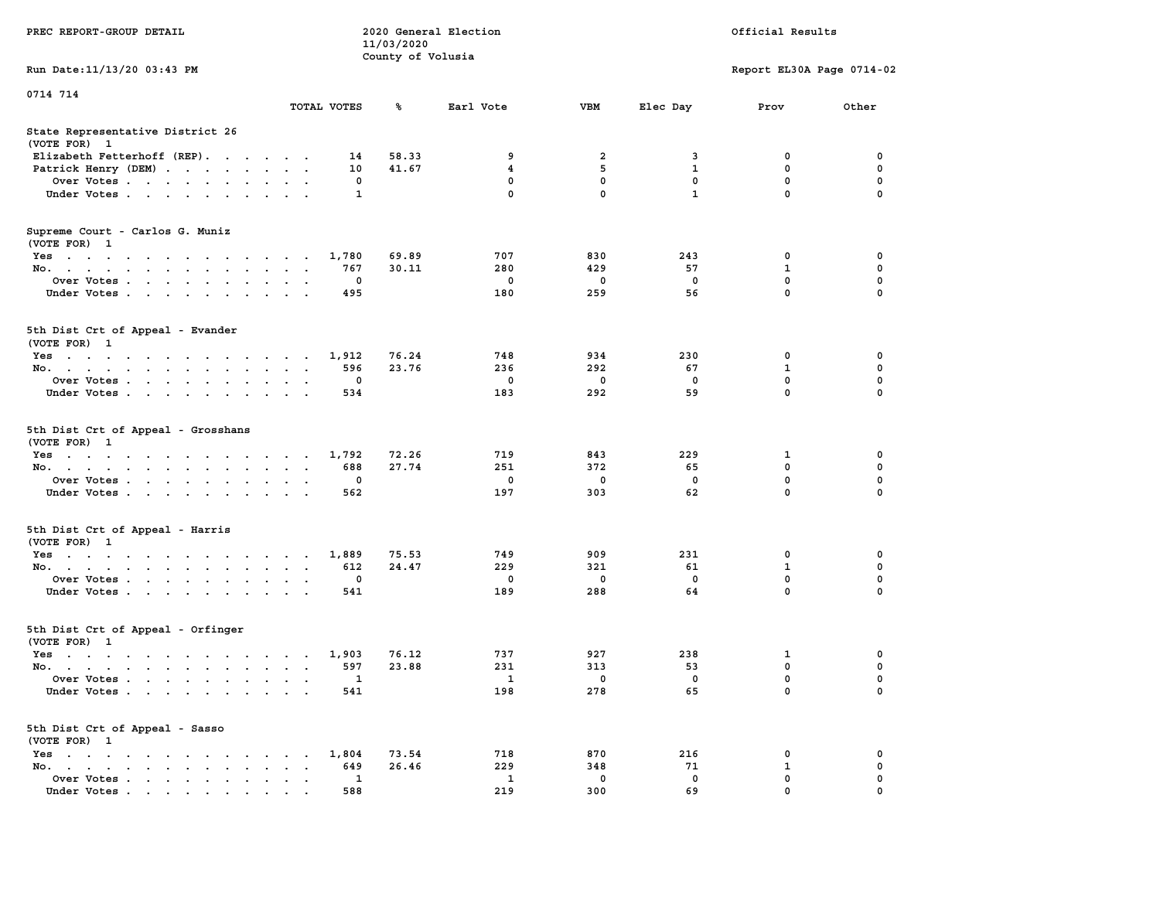|                                                                                                                                                                     |                                                  | 11/03/2020                                 |                        |                        |                                |                  |                           |
|---------------------------------------------------------------------------------------------------------------------------------------------------------------------|--------------------------------------------------|--------------------------------------------|------------------------|------------------------|--------------------------------|------------------|---------------------------|
|                                                                                                                                                                     |                                                  | County of Volusia                          |                        |                        |                                |                  |                           |
| Run Date: 11/13/20 03:43 PM                                                                                                                                         |                                                  |                                            |                        |                        |                                |                  | Report EL30A Page 0714-02 |
| 0714 714                                                                                                                                                            |                                                  |                                            |                        |                        |                                |                  |                           |
|                                                                                                                                                                     | TOTAL VOTES                                      | ℁                                          | Earl Vote              | <b>VBM</b>             | Elec Day                       | Prov             | Other                     |
| State Representative District 26<br>(VOTE FOR) 1                                                                                                                    |                                                  |                                            |                        |                        |                                |                  |                           |
| Elizabeth Fetterhoff (REP).                                                                                                                                         |                                                  | 58.33<br>14                                | 9                      | $\overline{a}$         | 3                              | 0                | 0                         |
| Patrick Henry (DEM)                                                                                                                                                 |                                                  | 10<br>41.67                                | 4                      | 5                      | $\mathbf{1}$                   | $\mathbf 0$      | $\mathbf 0$               |
| Over Votes                                                                                                                                                          |                                                  | 0                                          | 0                      | $\mathbf 0$            | $\mathbf 0$                    | $\mathbf 0$      | $\mathbf 0$               |
| Under Votes                                                                                                                                                         |                                                  | $\mathbf{1}$                               | 0                      | 0                      | $\mathbf{1}$                   | 0                | 0                         |
| Supreme Court - Carlos G. Muniz<br>(VOTE FOR) 1                                                                                                                     |                                                  |                                            |                        |                        |                                |                  |                           |
| Yes                                                                                                                                                                 |                                                  | 1,780<br>69.89                             | 707                    | 830                    | 243                            | 0                | 0                         |
| No.<br>$\sim$<br>$\sim$                                                                                                                                             | $\sim$                                           | 767<br>30.11                               | 280                    | 429                    | 57                             | $\mathbf{1}$     | $\mathbf 0$               |
| Over Votes                                                                                                                                                          | $\cdot$ .                                        | $\mathbf{0}$                               | $\mathbf 0$            | $\mathbf 0$            | $^{\circ}$                     | $\mathbf 0$      | $\mathbf 0$               |
| Under Votes                                                                                                                                                         | $\ddot{\phantom{0}}$<br>$\overline{\phantom{a}}$ | 495                                        | 180                    | 259                    | 56                             | $\mathbf 0$      | $\mathbf 0$               |
| 5th Dist Crt of Appeal - Evander<br>(VOTE FOR) 1                                                                                                                    |                                                  |                                            |                        |                        |                                |                  |                           |
| Yes                                                                                                                                                                 |                                                  | 1,912<br>76.24                             | 748                    | 934                    | 230                            | 0                | 0                         |
| No.                                                                                                                                                                 | $\sim$<br>$\sim$                                 | 596<br>23.76                               | 236                    | 292                    | 67                             | 1                | $\mathbf 0$               |
| Over Votes<br>$\sim$<br>$\bullet$                                                                                                                                   | $\overline{\phantom{a}}$                         | 0                                          | 0                      | 0                      | 0                              | 0                | $\pmb{0}$                 |
| Under Votes                                                                                                                                                         | $\sim$ $\sim$ $\sim$                             | 534                                        | 183                    | 292                    | 59                             | $\Omega$         | $\mathbf 0$               |
| 5th Dist Crt of Appeal - Grosshans<br>(VOTE FOR) 1<br>Yes<br>No.<br>$\sim$ $\sim$<br>$\sim$<br>$\ddot{\phantom{a}}$<br>Over Votes<br>Under Votes<br>$\cdot$ $\cdot$ | $\cdot$<br>$\ddot{\phantom{a}}$<br>$\cdot$ .     | 1,792<br>72.26<br>688<br>27.74<br>0<br>562 | 719<br>251<br>0<br>197 | 843<br>372<br>0<br>303 | 229<br>65<br>$\mathbf 0$<br>62 | 1<br>0<br>0<br>0 | 0<br>0<br>0<br>0          |
| 5th Dist Crt of Appeal - Harris<br>(VOTE FOR) 1                                                                                                                     |                                                  |                                            |                        |                        |                                |                  |                           |
| Yes                                                                                                                                                                 |                                                  | 75.53<br>1,889                             | 749                    | 909                    | 231                            | $\mathbf 0$      | $\mathbf 0$               |
| No. $\cdots$                                                                                                                                                        | $\sim$<br>$\ddot{\phantom{1}}$                   | 612<br>24.47                               | 229                    | 321                    | 61                             | $\mathbf{1}$     | $\mathbf 0$               |
| Over Votes<br>$\ddot{\phantom{a}}$<br>$\cdot$                                                                                                                       | $\ddot{\phantom{a}}$<br>$\overline{\phantom{a}}$ | $\mathbf 0$                                | $\mathbf 0$            | $\mathbf 0$            | $\mathbf 0$                    | 0                | $\mathbf 0$               |
| Under Votes                                                                                                                                                         |                                                  | 541                                        | 189                    | 288                    | 64                             | 0                | $\Omega$                  |
| 5th Dist Crt of Appeal - Orfinger<br>(VOTE FOR) 1                                                                                                                   |                                                  |                                            |                        |                        |                                |                  |                           |
| Yes                                                                                                                                                                 |                                                  | 76.12<br>1,903                             | 737                    | 927                    | 238                            | 1                | 0                         |
| No.<br>$\sim$<br>$\ddot{\phantom{a}}$                                                                                                                               | $\mathbf{L}=\mathbf{L}$                          | 597<br>23.88                               | 231                    | 313                    | 53                             | $\mathbf 0$      | $\pmb{0}$                 |
| Over Votes                                                                                                                                                          | $\bullet$<br>$\ddot{\phantom{a}}$                | 1                                          | $\mathbf{1}$           | 0                      | 0                              | 0                | 0                         |
| Under Votes                                                                                                                                                         |                                                  | 541                                        | 198                    | 278                    | 65                             | 0                | 0                         |
| 5th Dist Crt of Appeal - Sasso<br>(VOTE FOR) 1                                                                                                                      |                                                  |                                            |                        |                        |                                |                  |                           |
| Yes                                                                                                                                                                 |                                                  | 1,804<br>73.54                             | 718                    | 870                    | 216                            | 0                | 0                         |
| No.<br>$\sim$ $\sim$<br>$\cdot$ $\cdot$<br>$\ddot{\phantom{a}}$<br>$\ddot{\phantom{a}}$                                                                             |                                                  | 26.46<br>649                               | 229                    | 348                    | 71                             | $\mathbf{1}$     | 0                         |
| Over Votes<br>$\cdot$                                                                                                                                               | $\bullet$<br>$\sim$                              | 1                                          | $\mathbf{1}$           | 0                      | $\mathbf 0$                    | $\mathbf 0$      | $\mathbf 0$               |
| Under Votes<br>. As in the contract of the state $\mathcal{A}$                                                                                                      |                                                  | 588                                        | 219                    | 300                    | 69                             | $\mathbf 0$      | $\mathbf 0$               |

**PREC REPORT-GROUP DETAIL 2020 General Election Official Results**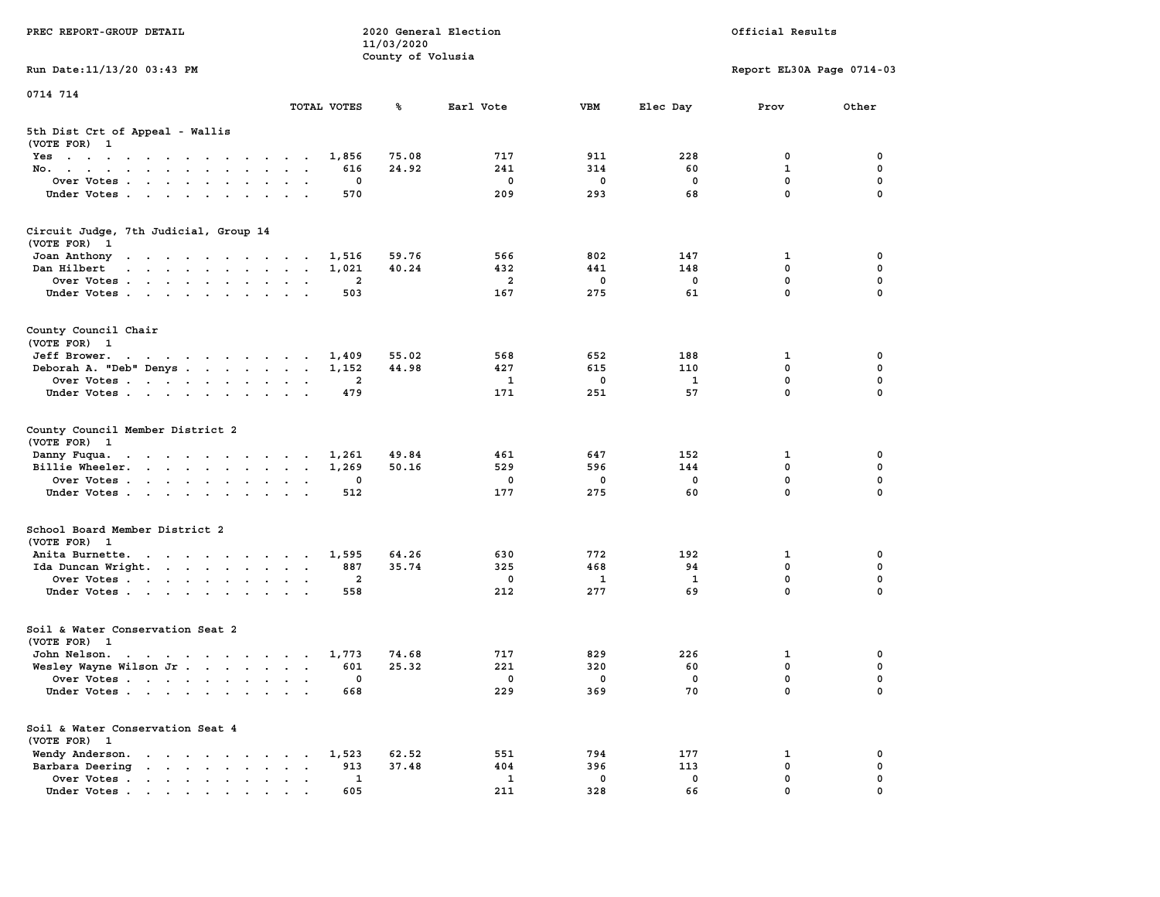| PREC REPORT-GROUP DETAIL                                                                                                        |                                  | 11/03/2020        | 2020 General Election |                    |              | Official Results          |                         |
|---------------------------------------------------------------------------------------------------------------------------------|----------------------------------|-------------------|-----------------------|--------------------|--------------|---------------------------|-------------------------|
| Run Date: 11/13/20 03:43 PM                                                                                                     |                                  | County of Volusia |                       |                    |              | Report EL30A Page 0714-03 |                         |
| 0714 714                                                                                                                        |                                  |                   |                       |                    |              |                           |                         |
|                                                                                                                                 | TOTAL VOTES                      | ℁                 | Earl Vote             | VBM                | Elec Day     | Prov                      | Other                   |
| 5th Dist Crt of Appeal - Wallis<br>(VOTE FOR) 1                                                                                 |                                  |                   |                       |                    |              |                           |                         |
| Yes                                                                                                                             | 1,856                            | 75.08             | 717                   | 911                | 228          | 0                         | 0                       |
| No.                                                                                                                             | 616                              | 24.92             | 241                   | 314                | 60           | 1                         | 0                       |
| Over Votes                                                                                                                      | 0                                |                   | 0                     | 0                  | 0            | 0<br>$\mathbf 0$          | $\mathbf 0$<br>$\Omega$ |
| Under Votes                                                                                                                     | 570                              |                   | 209                   | 293                | 68           |                           |                         |
| Circuit Judge, 7th Judicial, Group 14<br>(VOTE FOR) 1                                                                           |                                  |                   |                       |                    |              |                           |                         |
| Joan Anthony                                                                                                                    | 1,516                            | 59.76             | 566                   | 802                | 147          | 1                         | 0                       |
| Dan Hilbert<br>the contract of the contract of the contract of the contract of the contract of the contract of the contract of  | 1,021                            | 40.24             | 432                   | 441                | 148          | $\mathbf 0$               | 0                       |
| Over Votes                                                                                                                      | 2                                |                   | $\overline{a}$        | 0                  | 0            | 0                         | 0                       |
| Under Votes                                                                                                                     | 503                              |                   | 167                   | 275                | 61           | $\mathbf 0$               | 0                       |
| County Council Chair<br>(VOTE FOR) 1                                                                                            |                                  |                   |                       |                    |              |                           |                         |
| Jeff Brower.<br>the contract of the contract of the contract of the contract of the contract of the contract of the contract of | 1,409                            | 55.02             | 568                   | 652                | 188          | 1                         | 0                       |
| Deborah A. "Deb" Denys                                                                                                          | 1,152                            | 44.98             | 427                   | 615                | 110          | 0                         | 0                       |
| Over Votes                                                                                                                      | 2<br>$\sim$ $\sim$               |                   | 1                     | 0                  | $\mathbf{1}$ | $\mathbf 0$               | 0                       |
| Under Votes                                                                                                                     | 479                              |                   | 171                   | 251                | 57           | 0                         | $\Omega$                |
| County Council Member District 2<br>(VOTE FOR) 1                                                                                |                                  |                   |                       |                    |              |                           |                         |
| Danny Fuqua.<br>the contract of the contract of the contract of                                                                 | 1,261                            | 49.84             | 461                   | 647                | 152          | 1                         | 0                       |
| Billie Wheeler.                                                                                                                 | 1,269                            | 50.16             | 529                   | 596                | 144          | 0                         | 0                       |
| Over Votes                                                                                                                      | 0                                |                   | 0                     | 0                  | 0            | $\mathbf 0$               | 0                       |
| Under Votes                                                                                                                     | 512                              |                   | 177                   | 275                | 60           | $\mathbf 0$               | $\Omega$                |
| School Board Member District 2<br>(VOTE FOR) 1                                                                                  |                                  |                   |                       |                    |              |                           |                         |
| Anita Burnette.                                                                                                                 | 1,595                            | 64.26             | 630                   | 772                | 192          | 1                         | 0                       |
| Ida Duncan Wright.                                                                                                              | 887                              | 35.74             | 325                   | 468                | 94           | $\mathbf 0$               | $\mathbf 0$             |
| Over Votes                                                                                                                      | 2                                |                   | 0                     | 1                  | $\mathbf{1}$ | 0                         | 0                       |
| Under Votes                                                                                                                     | 558                              |                   | 212                   | 277                | 69           | $\mathbf 0$               | 0                       |
| Soil & Water Conservation Seat 2<br>(VOTE FOR) 1                                                                                |                                  |                   |                       |                    |              |                           |                         |
| John Nelson.<br>$\mathbf{r}$ , and $\mathbf{r}$ , and $\mathbf{r}$ , and $\mathbf{r}$ , and $\mathbf{r}$                        | 1,773                            | 74.68             | 717                   | 829                | 226          | 1                         | 0                       |
| Wesley Wayne Wilson Jr.                                                                                                         | 601                              | 25.32             | 221                   | 320                | 60           | 0                         | $\mathbf 0$             |
| Over Votes                                                                                                                      | 0                                |                   | $\mathbf 0$           | 0                  | 0<br>70      | 0<br>0                    | 0<br>0                  |
| Under Votes                                                                                                                     | 668                              |                   | 229                   | 369                |              |                           |                         |
| Soil & Water Conservation Seat 4<br>(VOTE FOR) 1                                                                                |                                  |                   |                       |                    |              |                           |                         |
| Wendy Anderson.                                                                                                                 | 1,523                            | 62.52             | 551                   | 794                | 177          | 1                         | 0                       |
| Barbara Deering                                                                                                                 | 913<br>$\ddot{\phantom{0}}$<br>1 | 37.48             | 404<br>1              | 396<br>$\mathbf 0$ | 113<br>0     | 0<br>0                    | 0<br>0                  |
| Over Votes<br>Under Votes                                                                                                       | 605                              |                   | 211                   | 328                | 66           | 0                         |                         |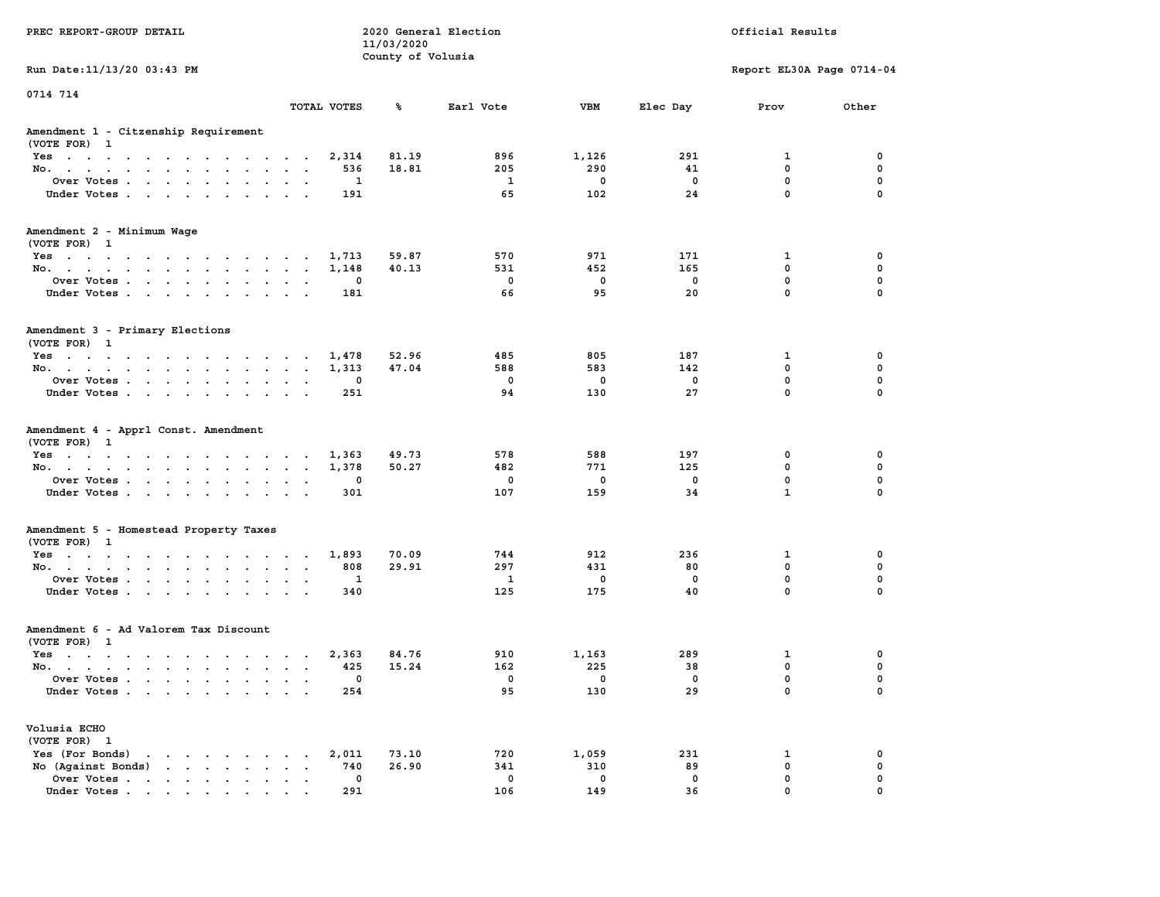| PREC REPORT-GROUP DETAIL                                                                                                                                                                                                                             |                  | 11/03/2020<br>County of Volusia | 2020 General Election |                    |                    | Official Results            |                            |
|------------------------------------------------------------------------------------------------------------------------------------------------------------------------------------------------------------------------------------------------------|------------------|---------------------------------|-----------------------|--------------------|--------------------|-----------------------------|----------------------------|
| Run Date: 11/13/20 03:43 PM                                                                                                                                                                                                                          |                  |                                 |                       |                    |                    | Report EL30A Page 0714-04   |                            |
| 0714 714                                                                                                                                                                                                                                             |                  |                                 |                       |                    |                    |                             |                            |
|                                                                                                                                                                                                                                                      | TOTAL VOTES      | ℁                               | Earl Vote             | <b>VBM</b>         | Elec Day           | Prov                        | Other                      |
| Amendment 1 - Citzenship Requirement<br>(VOTE FOR) 1                                                                                                                                                                                                 |                  |                                 |                       |                    |                    |                             |                            |
| Yes                                                                                                                                                                                                                                                  |                  | 81.19<br>2,314                  | 896                   | 1,126              | 291                | 1                           | 0                          |
| No.                                                                                                                                                                                                                                                  |                  | 536<br>18.81                    | 205                   | 290                | 41                 | 0                           | $\mathbf 0$                |
| Over Votes                                                                                                                                                                                                                                           |                  | 1                               | 1                     | $\mathbf 0$        | 0                  | $\mathbf 0$                 | 0                          |
| Under Votes                                                                                                                                                                                                                                          |                  | 191                             | 65                    | 102                | 24                 | $\mathbf 0$                 | $\mathbf 0$                |
| Amendment 2 - Minimum Wage                                                                                                                                                                                                                           |                  |                                 |                       |                    |                    |                             |                            |
| (VOTE FOR) 1                                                                                                                                                                                                                                         |                  |                                 |                       |                    |                    |                             |                            |
| Yes                                                                                                                                                                                                                                                  |                  | 1,713<br>59.87                  | 570                   | 971                | 171                | 1                           | 0                          |
| No.                                                                                                                                                                                                                                                  |                  | 40.13<br>1,148                  | 531                   | 452                | 165                | $\mathbf 0$<br>$\mathbf 0$  | 0<br>$\mathbf 0$           |
| Over Votes<br>Under Votes                                                                                                                                                                                                                            |                  | 0<br>181                        | $\mathbf 0$<br>66     | 0<br>95            | 0<br>20            | $\mathbf 0$                 | $\mathbf 0$                |
|                                                                                                                                                                                                                                                      |                  |                                 |                       |                    |                    |                             |                            |
| Amendment 3 - Primary Elections                                                                                                                                                                                                                      |                  |                                 |                       |                    |                    |                             |                            |
| (VOTE FOR) 1                                                                                                                                                                                                                                         |                  |                                 |                       |                    |                    |                             |                            |
| Yes                                                                                                                                                                                                                                                  |                  | 52.96<br>1,478                  | 485                   | 805                | 187                | 1                           | 0<br>0                     |
| No.                                                                                                                                                                                                                                                  |                  | 47.04<br>1,313                  | 588<br>$\mathbf 0$    | 583<br>$\mathbf 0$ | 142<br>$\mathbf 0$ | 0<br>$\mathbf 0$            | $\mathbf 0$                |
| Over Votes<br>Under Votes                                                                                                                                                                                                                            |                  | 0<br>251                        | 94                    | 130                | 27                 | $\mathbf{0}$                | $\mathbf 0$                |
|                                                                                                                                                                                                                                                      |                  |                                 |                       |                    |                    |                             |                            |
| Amendment 4 - Apprl Const. Amendment                                                                                                                                                                                                                 |                  |                                 |                       |                    |                    |                             |                            |
| (VOTE FOR) 1                                                                                                                                                                                                                                         |                  |                                 |                       |                    |                    |                             |                            |
| Yes                                                                                                                                                                                                                                                  |                  | 49.73<br>1,363                  | 578                   | 588                | 197                | 0                           | 0                          |
| No.                                                                                                                                                                                                                                                  |                  | 1,378<br>50.27                  | 482                   | 771                | 125                | 0                           | 0                          |
| Over Votes                                                                                                                                                                                                                                           |                  | 0                               | 0<br>107              | 0<br>159           | 0<br>34            | $\mathbf 0$<br>$\mathbf{1}$ | $\mathbf 0$<br>$\mathbf 0$ |
| Under Votes                                                                                                                                                                                                                                          |                  | 301                             |                       |                    |                    |                             |                            |
| Amendment 5 - Homestead Property Taxes                                                                                                                                                                                                               |                  |                                 |                       |                    |                    |                             |                            |
| (VOTE FOR) 1                                                                                                                                                                                                                                         |                  |                                 |                       |                    |                    |                             |                            |
| Yes                                                                                                                                                                                                                                                  |                  | 1,893<br>70.09                  | 744                   | 912                | 236                | 1                           | 0                          |
| No.                                                                                                                                                                                                                                                  |                  | 29.91<br>808                    | 297                   | 431                | 80                 | 0                           | 0                          |
| Over Votes                                                                                                                                                                                                                                           |                  | 1                               | $\mathbf{1}$          | 0                  | 0                  | $\mathbf 0$                 | $\mathbf 0$                |
| Under Votes.                                                                                                                                                                                                                                         |                  | 340                             | 125                   | 175                | 40                 | $\mathbf 0$                 | $\mathbf 0$                |
| Amendment 6 - Ad Valorem Tax Discount                                                                                                                                                                                                                |                  |                                 |                       |                    |                    |                             |                            |
| (VOTE FOR) 1                                                                                                                                                                                                                                         |                  |                                 |                       |                    |                    |                             |                            |
| Yes                                                                                                                                                                                                                                                  | $\sim$<br>$\sim$ | 84.76<br>2,363                  | 910                   | 1,163              | 289                | 1                           | 0                          |
| No.                                                                                                                                                                                                                                                  |                  | 15.24<br>425                    | 162                   | 225                | 38                 | $\mathbf 0$                 | 0                          |
| Over Votes                                                                                                                                                                                                                                           |                  | $^{\circ}$                      | 0                     | $\mathbf 0$        | $\mathbf 0$        | $\mathbf 0$                 | 0                          |
| Under Votes                                                                                                                                                                                                                                          |                  | 254                             | 95                    | 130                | 29                 | 0                           | $\mathbf 0$                |
| Volusia ECHO                                                                                                                                                                                                                                         |                  |                                 |                       |                    |                    |                             |                            |
| (VOTE FOR) 1                                                                                                                                                                                                                                         |                  |                                 |                       |                    |                    |                             |                            |
| Yes (For Bonds)<br>$\mathbf{r}$ . The contract of the contract of the contract of the contract of the contract of the contract of the contract of the contract of the contract of the contract of the contract of the contract of the contract of th |                  | 2,011<br>73.10                  | 720                   | 1,059              | 231                | 1                           | 0                          |
| No (Against Bonds)                                                                                                                                                                                                                                   | $\cdot$ $\cdot$  | 26.90<br>740                    | 341                   | 310                | 89                 | $\mathbf{0}$                | 0                          |
| Over Votes                                                                                                                                                                                                                                           |                  | 0                               | $\mathbf 0$           | $\mathbf 0$        | $\mathbf 0$        | $\mathbf 0$                 | 0                          |
| Under Votes                                                                                                                                                                                                                                          |                  | 291                             | 106                   | 149                | 36                 | $\Omega$                    | <sup>0</sup>               |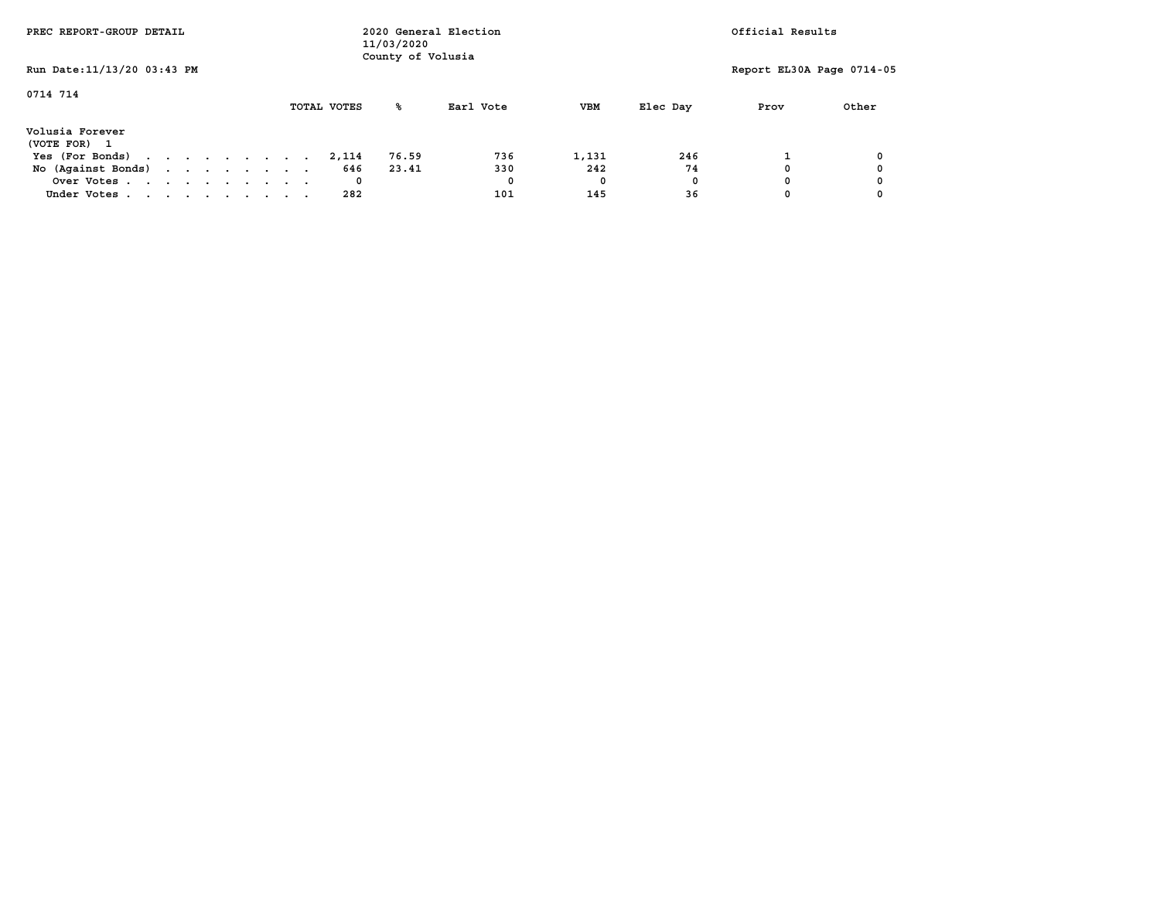| PREC REPORT-GROUP DETAIL        |             | 11/03/2020<br>County of Volusia | 2020 General Election |            |          | Official Results          |       |
|---------------------------------|-------------|---------------------------------|-----------------------|------------|----------|---------------------------|-------|
| Run Date: 11/13/20 03:43 PM     |             |                                 |                       |            |          | Report EL30A Page 0714-05 |       |
| 0714 714                        | TOTAL VOTES | ℁                               | Earl Vote             | <b>VBM</b> | Elec Day | Prov                      | Other |
| Volusia Forever<br>(VOTE FOR) 1 |             |                                 |                       |            |          |                           |       |
| Yes (For Bonds)                 | 2,114       | 76.59                           | 736                   | 1,131      | 246      |                           |       |
| No (Against Bonds)              | 646         | 23.41                           | 330                   | 242        | 74       |                           |       |
| Over Votes                      |             |                                 | 0                     | 0          | 0        |                           |       |
| Under Votes                     | 282         |                                 | 101                   | 145        | 36       |                           |       |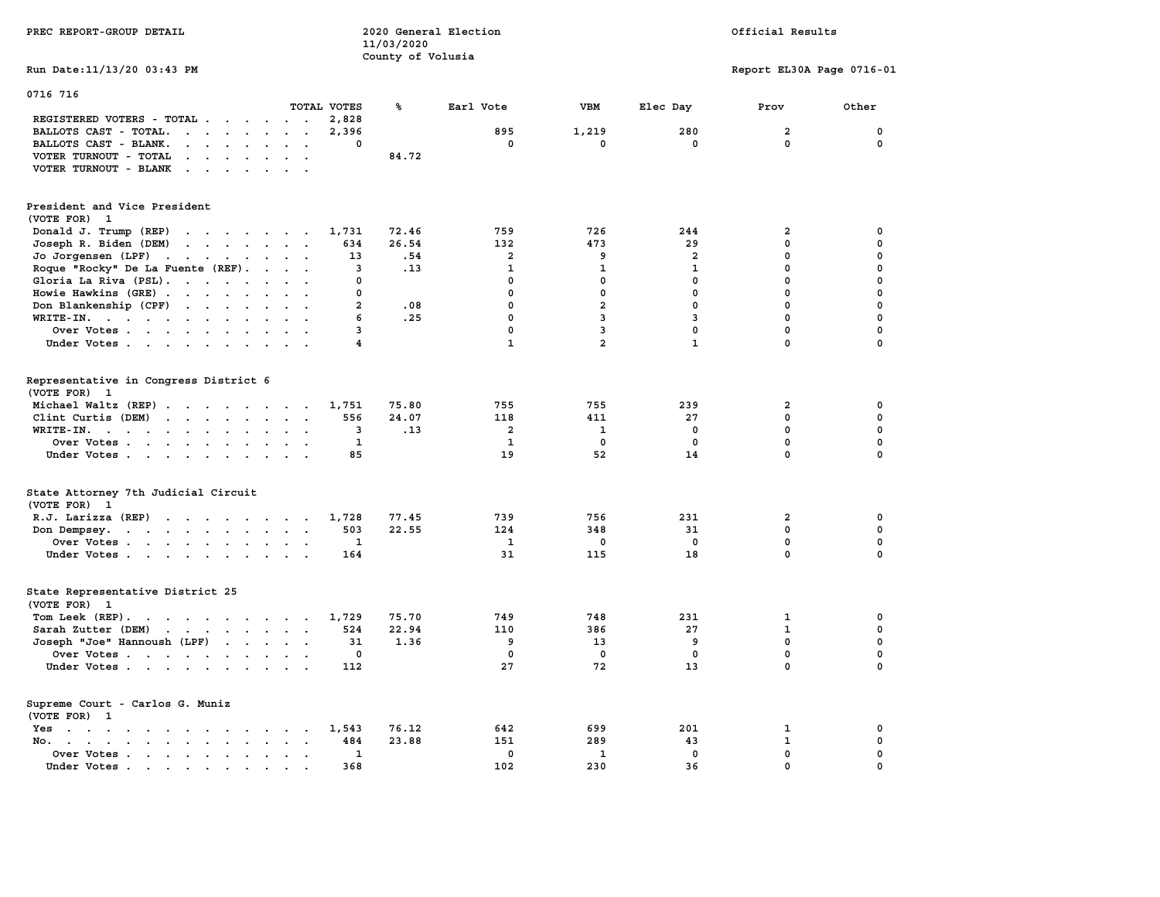| PREC REPORT-GROUP DETAIL                                                                                                                                                                                                                                 |                                            | 11/03/2020<br>County of Volusia | 2020 General Election   |                |                | Official Results          |             |
|----------------------------------------------------------------------------------------------------------------------------------------------------------------------------------------------------------------------------------------------------------|--------------------------------------------|---------------------------------|-------------------------|----------------|----------------|---------------------------|-------------|
| Run Date: 11/13/20 03:43 PM                                                                                                                                                                                                                              |                                            |                                 |                         |                |                | Report EL30A Page 0716-01 |             |
| 0716 716                                                                                                                                                                                                                                                 |                                            |                                 |                         |                |                |                           |             |
|                                                                                                                                                                                                                                                          | TOTAL VOTES                                | ℁                               | Earl Vote               | <b>VBM</b>     | Elec Day       | Prov                      | Other       |
| REGISTERED VOTERS - TOTAL .<br><b>Contract Contract Contract</b>                                                                                                                                                                                         | 2,828<br>$\sim$ $\sim$                     |                                 |                         |                |                |                           |             |
| BALLOTS CAST - TOTAL.                                                                                                                                                                                                                                    | 2,396<br>$\ddot{\phantom{a}}$<br>$\bullet$ |                                 | 895                     | 1,219          | 280            | $\overline{\mathbf{2}}$   | $\mathbf 0$ |
| BALLOTS CAST - BLANK.<br><b>Contract Contract Contract</b><br>$\sim$                                                                                                                                                                                     | $\Omega$<br>$\overline{\phantom{a}}$       |                                 | $\mathbf{0}$            | $\mathbf{0}$   | $\Omega$       | $\Omega$                  | 0           |
| VOTER TURNOUT - TOTAL<br>$\cdot$ $\cdot$ $\cdot$ $\cdot$<br>$\sim$                                                                                                                                                                                       |                                            | 84.72                           |                         |                |                |                           |             |
| VOTER TURNOUT - BLANK                                                                                                                                                                                                                                    |                                            |                                 |                         |                |                |                           |             |
| President and Vice President                                                                                                                                                                                                                             |                                            |                                 |                         |                |                |                           |             |
| (VOTE FOR) 1                                                                                                                                                                                                                                             |                                            |                                 |                         |                |                |                           |             |
| Donald J. Trump (REP)<br>$\cdots$                                                                                                                                                                                                                        | 1,731                                      | 72.46                           | 759                     | 726            | 244            | $\overline{\mathbf{2}}$   | 0           |
| Joseph R. Biden (DEM)<br>$\mathbf{r}$ , and $\mathbf{r}$ , and $\mathbf{r}$ , and $\mathbf{r}$                                                                                                                                                           | 634                                        | 26.54                           | 132                     | 473            | 29             | $\mathbf 0$               | 0           |
| Jo Jorgensen (LPF)<br>$\mathcal{A}$ . The set of the set of the set of the set of the set of the set of the set of the set of the set of the set of the set of the set of the set of the set of the set of the set of the set of the set of the set of t | 13                                         | .54                             | $\mathbf{2}$            | 9              | $\overline{a}$ | $\mathbf 0$               | $\mathbf 0$ |
| Roque "Rocky" De La Fuente (REF).                                                                                                                                                                                                                        | $\overline{\mathbf{3}}$                    | .13                             | ${\bf 1}$               | $\mathbf{1}$   | $\mathbf{1}$   | $\mathbf 0$               | 0           |
| Gloria La Riva (PSL).                                                                                                                                                                                                                                    | 0                                          |                                 | $\mathbf{0}$            | 0              | $\mathbf{0}$   | $\mathbf 0$               | $\Omega$    |
| Howie Hawkins (GRE)                                                                                                                                                                                                                                      | $\Omega$                                   |                                 | $\Omega$                | 0              | $\mathbf 0$    | $\mathbf 0$               | $\mathbf 0$ |
| Don Blankenship (CPF)                                                                                                                                                                                                                                    | $\overline{a}$                             | .08                             | $\mathbf 0$             | 2              | $\mathbf 0$    | $\mathbf 0$               | 0           |
| WRITE-IN.                                                                                                                                                                                                                                                | 6                                          | .25                             | $\mathbf{0}$            | 3              | $\overline{3}$ | $\mathbf 0$               | $\Omega$    |
| Over Votes<br>$\ddot{\phantom{a}}$                                                                                                                                                                                                                       | 3                                          |                                 | $\mathbf 0$             | 3              | $\mathbf 0$    | $\mathbf 0$               | 0           |
| Under Votes                                                                                                                                                                                                                                              | $\overline{\mathbf{4}}$                    |                                 | ${\bf 1}$               | $\overline{a}$ | $\mathbf{1}$   | $\mathbf 0$               | $\mathbf 0$ |
|                                                                                                                                                                                                                                                          |                                            |                                 |                         |                |                |                           |             |
| Representative in Congress District 6<br>(VOTE FOR) 1                                                                                                                                                                                                    |                                            |                                 |                         |                |                |                           |             |
| Michael Waltz (REP)                                                                                                                                                                                                                                      | 1,751                                      | 75.80                           | 755                     | 755            | 239            | $\overline{\mathbf{2}}$   | 0           |
| Clint Curtis (DEM)<br>$\mathbf{r}$ , $\mathbf{r}$ , $\mathbf{r}$ , $\mathbf{r}$ , $\mathbf{r}$ , $\mathbf{r}$                                                                                                                                            | 556                                        | 24.07                           | 118                     | 411            | 27             | $\mathbf 0$               | 0           |
| WRITE-IN.<br>$\begin{array}{cccccccccccccc} \bullet & \bullet & \bullet & \bullet & \bullet & \bullet & \bullet & \bullet & \bullet & \bullet & \bullet & \bullet \end{array}$<br>$\sim$<br>$\ddot{\phantom{a}}$                                         | 3                                          | .13                             | $\overline{\mathbf{2}}$ | 1              | $\mathbf 0$    | $\mathbf 0$               | 0           |
| Over Votes                                                                                                                                                                                                                                               | $\mathbf{1}$                               |                                 | $\mathbf{1}$            | 0              | $^{\circ}$     | $\mathbf 0$               | 0           |
| Under Votes                                                                                                                                                                                                                                              | 85                                         |                                 | 19                      | 52             | 14             | $\mathbf 0$               | 0           |
| State Attorney 7th Judicial Circuit                                                                                                                                                                                                                      |                                            |                                 |                         |                |                |                           |             |
| (VOTE FOR) 1                                                                                                                                                                                                                                             |                                            |                                 |                         |                |                |                           |             |
| R.J. Larizza (REP)                                                                                                                                                                                                                                       | 1,728                                      | 77.45                           | 739                     | 756            | 231            | $\overline{\mathbf{2}}$   | 0           |
| Don Dempsey.                                                                                                                                                                                                                                             | 503<br>$\sim$ $\sim$                       | 22.55                           | 124                     | 348            | 31             | $\mathbf 0$               | 0           |
| Over Votes                                                                                                                                                                                                                                               | 1                                          |                                 | 1                       | 0              | $\mathbf 0$    | $\mathbf 0$               | 0           |
| Under Votes                                                                                                                                                                                                                                              | 164                                        |                                 | 31                      | 115            | 18             | $\mathbf 0$               | 0           |
| State Representative District 25                                                                                                                                                                                                                         |                                            |                                 |                         |                |                |                           |             |
| (VOTE FOR) 1                                                                                                                                                                                                                                             |                                            |                                 |                         |                |                |                           |             |
| Tom Leek (REP).<br>the contract of the contract of the contract of the contract of the contract of the contract of the contract of                                                                                                                       | 1,729                                      | 75.70                           | 749                     | 748            | 231            | 1                         | 0           |
| Sarah Zutter (DEM)<br>the contract of the contract of the                                                                                                                                                                                                | 524<br>$\cdot$ $\cdot$                     | 22.94                           | 110                     | 386            | 27             | $\mathbf{1}$              | 0           |
| Joseph "Joe" Hannoush (LPF)                                                                                                                                                                                                                              | 31                                         | 1.36                            | 9                       | 13             | 9              | $\mathbf{0}$              | $\Omega$    |
| Over Votes                                                                                                                                                                                                                                               | $\mathbf 0$                                |                                 | $\mathbf 0$             | $\mathbf 0$    | $\mathbf 0$    | $\mathbf 0$               | 0           |
| Under Votes                                                                                                                                                                                                                                              | 112                                        |                                 | 27                      | 72             | 13             | $\mathbf 0$               | 0           |
| Supreme Court - Carlos G. Muniz                                                                                                                                                                                                                          |                                            |                                 |                         |                |                |                           |             |
| (VOTE FOR)<br>-1                                                                                                                                                                                                                                         |                                            |                                 |                         |                |                |                           |             |
| Yes                                                                                                                                                                                                                                                      | 1,543                                      | 76.12                           | 642                     | 699            | 201            | 1                         | 0           |
| $\mathbf{r}$ , $\mathbf{r}$ , $\mathbf{r}$ , $\mathbf{r}$ , $\mathbf{r}$ , $\mathbf{r}$<br>$No.$                                                                                                                                                         | 484<br>$\sim$<br>$\sim$                    | 23.88                           | 151                     | 289            | 43             | $\mathbf{1}$              | 0           |
| Over Votes                                                                                                                                                                                                                                               | 1<br>$\ddot{\phantom{a}}$                  |                                 | 0                       | 1              | 0              | 0                         | 0           |
| Under Votes                                                                                                                                                                                                                                              | 368<br>$\sim$                              |                                 | 102                     | 230            | 36             | $\mathbf 0$               | 0           |
|                                                                                                                                                                                                                                                          |                                            |                                 |                         |                |                |                           |             |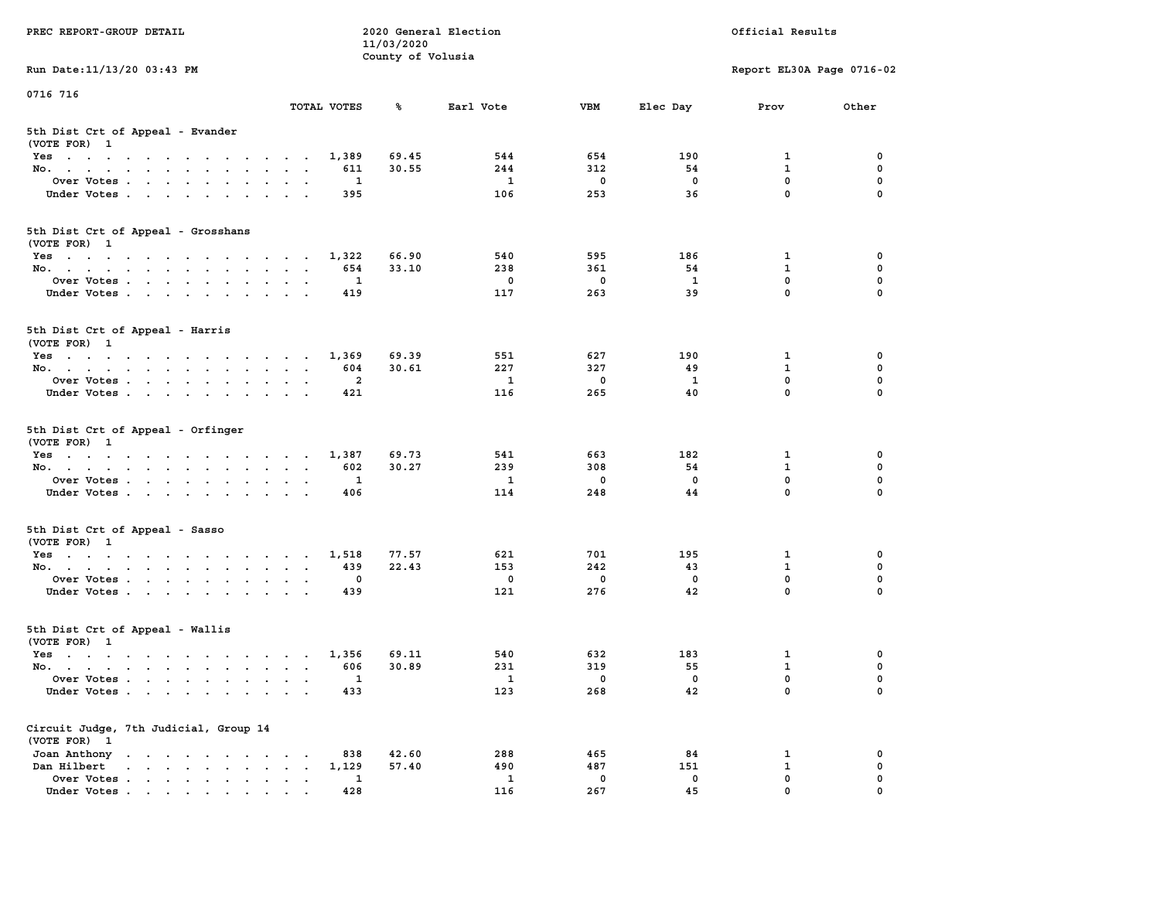| PREC REPORT-GROUP DETAIL                                                                                               |                                                                    | 11/03/2020        | 2020 General Election |             |              | Official Results           |             |
|------------------------------------------------------------------------------------------------------------------------|--------------------------------------------------------------------|-------------------|-----------------------|-------------|--------------|----------------------------|-------------|
| Run Date: 11/13/20 03:43 PM                                                                                            |                                                                    | County of Volusia |                       |             |              | Report EL30A Page 0716-02  |             |
| 0716 716                                                                                                               |                                                                    |                   |                       |             |              |                            |             |
|                                                                                                                        | TOTAL VOTES                                                        | ℁                 | Earl Vote             | <b>VBM</b>  | Elec Day     | Prov                       | Other       |
| 5th Dist Crt of Appeal - Evander<br>(VOTE FOR) 1                                                                       |                                                                    |                   |                       |             |              |                            |             |
| Yes                                                                                                                    | 1,389                                                              | 69.45             | 544                   | 654         | 190          | 1                          | 0           |
| No.                                                                                                                    | 611                                                                | 30.55             | 244                   | 312         | 54           | $\mathbf{1}$               | 0           |
| Over Votes                                                                                                             | 1                                                                  |                   | $\mathbf{1}$          | 0           | 0            | $\mathbf 0$                | 0           |
| Under Votes                                                                                                            | 395                                                                |                   | 106                   | 253         | 36           | $\mathbf 0$                | $\Omega$    |
| 5th Dist Crt of Appeal - Grosshans<br>(VOTE FOR) 1                                                                     |                                                                    |                   |                       |             |              |                            |             |
| Yes                                                                                                                    | 1,322                                                              | 66.90             | 540                   | 595         | 186          | 1                          | 0           |
| No.                                                                                                                    | 654                                                                | 33.10             | 238                   | 361         | 54           | $\mathbf{1}$               | 0           |
| Over Votes                                                                                                             | 1                                                                  |                   | $\mathbf 0$           | $\mathbf 0$ | $\mathbf{1}$ | 0                          | 0           |
| Under Votes                                                                                                            | 419                                                                |                   | 117                   | 263         | 39           | $\mathbf{0}$               | 0           |
| 5th Dist Crt of Appeal - Harris<br>(VOTE FOR) 1                                                                        |                                                                    |                   |                       |             |              |                            |             |
| Yes                                                                                                                    | 1,369                                                              | 69.39             | 551                   | 627         | 190          | 1                          | 0           |
| No.                                                                                                                    | 604                                                                | 30.61             | 227                   | 327         | 49           | $\mathbf{1}$               | $\mathbf 0$ |
| Over Votes                                                                                                             | $\mathbf{2}$                                                       |                   | 1                     | $\mathbf 0$ | 1            | $\mathbf{0}$               | 0           |
| Under Votes                                                                                                            | 421                                                                |                   | 116                   | 265         | 40           | $\mathbf 0$                | 0           |
| 5th Dist Crt of Appeal - Orfinger<br>(VOTE FOR) 1                                                                      |                                                                    |                   |                       |             |              |                            |             |
| Yes                                                                                                                    | 1,387                                                              | 69.73             | 541                   | 663         | 182          | 1                          | 0           |
| No.                                                                                                                    | 602                                                                | 30.27             | 239                   | 308         | 54           | $\mathbf{1}$               | 0           |
| Over Votes                                                                                                             | 1                                                                  |                   | $\mathbf{1}$          | 0           | 0            | $\mathbf 0$<br>$\mathbf 0$ | 0           |
| Under Votes                                                                                                            | 406                                                                |                   | 114                   | 248         | 44           |                            | $\Omega$    |
| 5th Dist Crt of Appeal - Sasso<br>(VOTE FOR) 1                                                                         |                                                                    |                   |                       |             |              |                            |             |
| Yes                                                                                                                    | 1,518                                                              | 77.57             | 621                   | 701         | 195          | 1                          | 0           |
| No.                                                                                                                    | 439                                                                | 22.43             | 153                   | 242         | 43           | $\mathbf{1}$               | 0           |
| Over Votes                                                                                                             | 0                                                                  |                   | 0                     | $\mathbf 0$ | $\mathbf 0$  | 0                          | 0           |
| Under Votes                                                                                                            | 439                                                                |                   | 121                   | 276         | 42           | $\mathbf{0}$               | $\Omega$    |
| 5th Dist Crt of Appeal - Wallis<br>(VOTE FOR) 1                                                                        |                                                                    |                   |                       |             |              |                            |             |
| Yes<br>the contract of the contract of the contract of the contract of the contract of the contract of the contract of | 1,356                                                              | 69.11             | 540                   | 632         | 183          | 1                          | 0           |
| No.                                                                                                                    | 606                                                                | 30.89             | 231                   | 319         | 55           | $\mathbf{1}$               | 0           |
| Over Votes                                                                                                             | $\mathbf{1}$                                                       |                   | $\mathbf{1}$          | 0           | 0            | $\mathbf{0}$               | 0           |
| Under Votes                                                                                                            | 433                                                                |                   | 123                   | 268         | 42           | 0                          | 0           |
| Circuit Judge, 7th Judicial, Group 14<br>(VOTE FOR) 1                                                                  |                                                                    |                   |                       |             |              |                            |             |
| Joan Anthony                                                                                                           | 838<br>$\sim$ 100 $\pm$                                            | 42.60             | 288                   | 465         | 84           | 1                          | 0           |
| Dan Hilbert<br>$\begin{array}{cccccccccccccccccc} . & . & . & . & . & . & . & . & . & . & . \end{array}$               | 1,129<br>$\ddot{\phantom{a}}$<br>$\bullet$<br>$\ddot{\phantom{a}}$ | 57.40             | 490                   | 487         | 151          | $\mathbf{1}$               | 0           |
| Over Votes.                                                                                                            | 1                                                                  |                   | 1                     | $\mathbf 0$ | 0            | $\mathbf 0$                | 0           |
| Under Votes                                                                                                            | 428                                                                |                   | 116                   | 267         | 45           | 0                          | O           |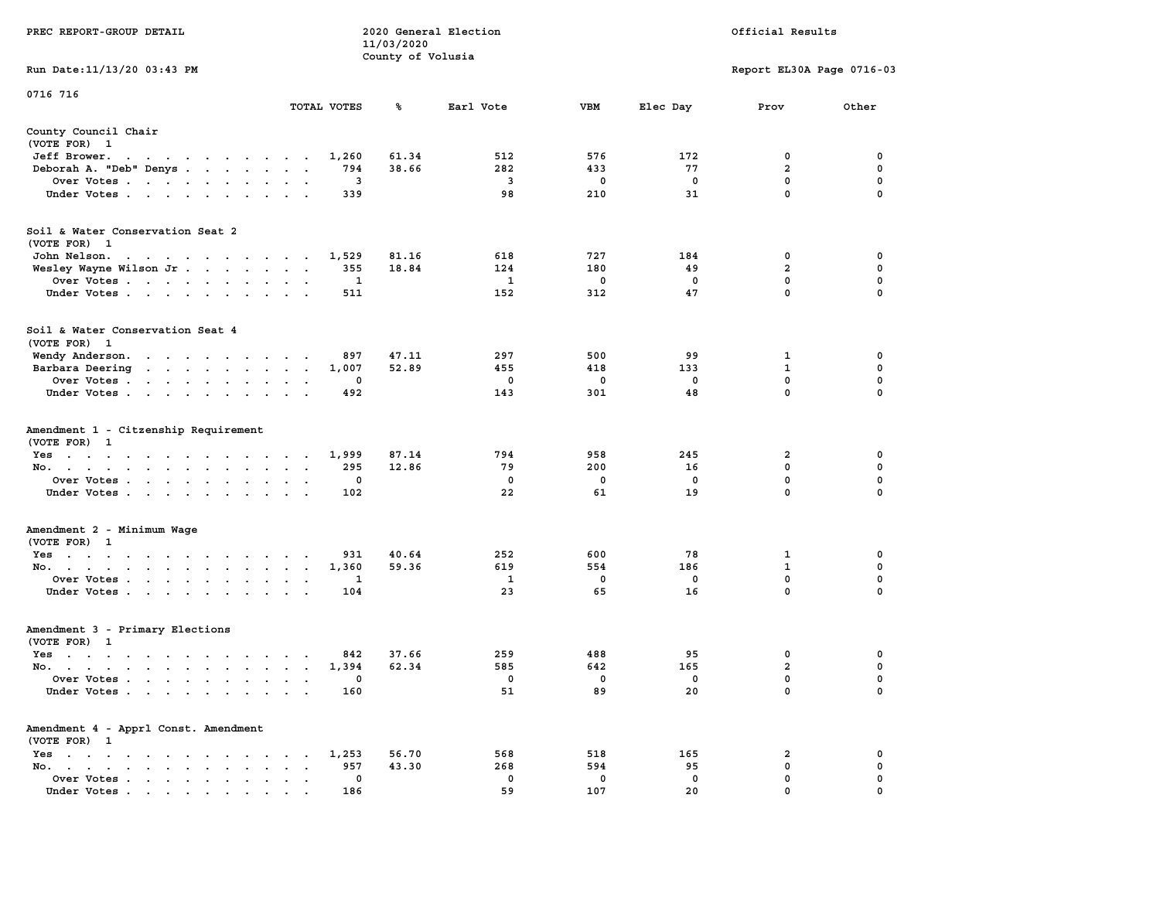|                                                                                                                                                  |                                                                               | 11/03/2020        |              |             |             |                           |             |
|--------------------------------------------------------------------------------------------------------------------------------------------------|-------------------------------------------------------------------------------|-------------------|--------------|-------------|-------------|---------------------------|-------------|
|                                                                                                                                                  |                                                                               | County of Volusia |              |             |             |                           |             |
| Run Date:11/13/20 03:43 PM                                                                                                                       |                                                                               |                   |              |             |             | Report EL30A Page 0716-03 |             |
| 0716 716                                                                                                                                         |                                                                               |                   |              |             |             |                           |             |
|                                                                                                                                                  | TOTAL VOTES                                                                   | ℁                 | Earl Vote    | VBM         | Elec Day    | Prov                      | Other       |
| County Council Chair                                                                                                                             |                                                                               |                   |              |             |             |                           |             |
| (VOTE FOR) 1                                                                                                                                     |                                                                               |                   |              |             |             |                           |             |
| Jeff Brower.<br>$\sim$ $\sim$<br>the contract of the contract of the contract of the contract of the contract of the contract of the contract of | 1,260                                                                         | 61.34             | 512          | 576         | 172         | 0                         | 0           |
| Deborah A. "Deb" Denys<br>$\sim$                                                                                                                 | 794                                                                           | 38.66             | 282          | 433         | 77          | $\overline{a}$            | $\mathbf 0$ |
| Over Votes                                                                                                                                       | 3<br>$\sim$<br>$\ddot{\phantom{a}}$<br>$\overline{\phantom{a}}$               |                   | 3            | 0           | $\mathbf 0$ | $\mathbf 0$               | $\pmb{0}$   |
| Under Votes<br>$\sim$                                                                                                                            | 339<br>$\ddot{\phantom{a}}$                                                   |                   | 98           | 210         | 31          | $\mathbf 0$               | $\mathbf 0$ |
|                                                                                                                                                  |                                                                               |                   |              |             |             |                           |             |
| Soil & Water Conservation Seat 2                                                                                                                 |                                                                               |                   |              |             |             |                           |             |
| (VOTE FOR) 1<br>John Nelson.                                                                                                                     | 1,529                                                                         | 81.16             | 618          | 727         | 184         | 0                         | 0           |
| the contract of the contract of the con-                                                                                                         | 355<br>$\overline{a}$<br>$\ddot{\phantom{0}}$                                 | 18.84             | 124          | 180         | 49          | $\overline{a}$            | 0           |
| Wesley Wayne Wilson Jr                                                                                                                           | 1                                                                             |                   | 1            | 0           | $\mathbf 0$ | $\mathbf 0$               | $\mathbf 0$ |
| Over Votes<br>$\sim$                                                                                                                             | $\bullet$<br>$\ddot{\phantom{a}}$<br>511                                      |                   | 152          | 312         | 47          | 0                         | 0           |
| Under Votes                                                                                                                                      | $\sim$<br>$\ddot{\phantom{a}}$                                                |                   |              |             |             |                           |             |
| Soil & Water Conservation Seat 4                                                                                                                 |                                                                               |                   |              |             |             |                           |             |
| (VOTE FOR) 1                                                                                                                                     |                                                                               |                   |              |             |             |                           |             |
| Wendy Anderson.<br>the contract of the contract of the contract of the contract of the contract of                                               | 897<br>$\sim$                                                                 | 47.11             | 297          | 500         | 99          | 1                         | 0           |
| Barbara Deering<br>the contract of the contract of                                                                                               | 1,007<br>$\ddot{\phantom{a}}$<br>$\ddot{\phantom{a}}$<br>$\ddot{\phantom{a}}$ | 52.89             | 455          | 418         | 133         | $\mathbf{1}$              | $\mathbf 0$ |
| Over Votes.<br>$\cdot$ $\cdot$ $\cdot$ $\cdot$<br>$\ddot{\phantom{a}}$<br>$\ddot{\phantom{a}}$                                                   | $\mathbf 0$                                                                   |                   | $\mathbf 0$  | $\mathbf 0$ | $\mathbf 0$ | $\mathbf 0$               | $\mathbf 0$ |
| Under Votes<br>$\bullet$                                                                                                                         | 492<br>$\cdot$                                                                |                   | 143          | 301         | 48          | 0                         | $\mathbf 0$ |
| Amendment 1 - Citzenship Requirement                                                                                                             |                                                                               |                   |              |             |             |                           |             |
| (VOTE FOR) 1                                                                                                                                     |                                                                               |                   | 794          |             | 245         |                           |             |
| $Yes \t . \t .$<br>$\mathcal{A}=\mathcal{A}=\mathcal{A}$ .<br>$\sim$ $\sim$ $\sim$ $\sim$ $\sim$                                                 | 1,999<br>$\sim$ $\sim$ $\sim$ $\sim$                                          | 87.14             |              | 958         |             | 2                         | 0           |
| No.<br>$\sim$<br>$\ddot{\phantom{a}}$<br>$\bullet$<br>$\bullet$                                                                                  | 295<br>$\ddot{\phantom{a}}$<br>$\ddot{\phantom{a}}$<br>$\ddot{\phantom{a}}$   | 12.86             | 79           | 200         | 16          | 0                         | 0           |
| Over Votes<br>$\sim$                                                                                                                             | 0<br>$\ddot{\phantom{a}}$<br>$\cdot$                                          |                   | 0            | 0           | 0           | 0                         | 0           |
| Under Votes<br>$\ddot{\phantom{1}}$                                                                                                              | 102                                                                           |                   | 22           | 61          | 19          | 0                         | 0           |
| Amendment 2 - Minimum Wage                                                                                                                       |                                                                               |                   |              |             |             |                           |             |
| (VOTE FOR) 1                                                                                                                                     |                                                                               |                   |              |             |             |                           |             |
| $Yes \t . \t .$<br>the contract of the contract of the<br>$\blacksquare$ .                                                                       | 931                                                                           | 40.64             | 252          | 600         | 78          | 1                         | 0           |
| No.<br>$\bullet$<br>$\blacksquare$<br>$\ddot{\phantom{0}}$                                                                                       | 1,360<br>$\bullet$<br>$\ddot{\phantom{a}}$<br>$\ddot{\phantom{a}}$            | 59.36             | 619          | 554         | 186         | ${\bf 1}$                 | $\mathbf 0$ |
| Over Votes<br>$\ddot{\phantom{a}}$<br>$\bullet$<br>$\ddot{\phantom{a}}$                                                                          | 1                                                                             |                   | $\mathbf{1}$ | $\mathbf 0$ | $\mathbf 0$ | $\mathbf{0}$              | $\mathbf 0$ |
| Under Votes<br>$\ddot{\phantom{0}}$<br>$\ddot{\phantom{a}}$                                                                                      | 104<br>$\ddot{\phantom{a}}$                                                   |                   | 23           | 65          | 16          | $\mathbf{0}$              | $\mathbf 0$ |
| Amendment 3 - Primary Elections                                                                                                                  |                                                                               |                   |              |             |             |                           |             |
| (VOTE FOR) 1                                                                                                                                     |                                                                               |                   |              |             |             |                           |             |
| $Yes \t . \t .$<br>$\sim$ $\sim$ $\sim$ $\sim$<br>$\cdot$ $\cdot$ $\cdot$<br>$\sim$                                                              | 842<br>$\sim$                                                                 | 37.66             | 259          | 488         | 95          | 0                         | 0           |
| No.<br>$\cdot$ $\cdot$<br>$\ddot{\phantom{a}}$                                                                                                   | 1,394<br>$\ddot{\phantom{a}}$<br>$\cdot$<br>$\ddot{\phantom{a}}$              | 62.34             | 585          | 642         | 165         | $\overline{\mathbf{2}}$   | 0           |
| Over Votes .<br>$\sim$<br>$\sim$<br>$\ddot{\phantom{a}}$<br>$\ddot{\phantom{a}}$<br>$\ddot{\phantom{a}}$<br>$\cdot$                              | 0<br>$\cdot$<br>$\ddot{\phantom{a}}$<br>$\cdot$                               |                   | 0            | 0           | 0           | 0                         | $\mathbf 0$ |
| Under Votes<br>$\sim$                                                                                                                            | 160<br>$\ddot{\phantom{0}}$<br>$\cdot$                                        |                   | 51           | 89          | 20          | 0                         | 0           |
| Amendment 4 - Apprl Const. Amendment                                                                                                             |                                                                               |                   |              |             |             |                           |             |
| (VOTE FOR) 1                                                                                                                                     |                                                                               |                   |              |             |             |                           |             |
| $Yes \t . \t .$<br>$\bullet$<br>$\blacksquare$<br>$\bullet$<br>$\sim$<br>$\ddot{\phantom{0}}$<br>$\,$ .<br>$\ddot{\phantom{a}}$                  | 1,253<br>$\bullet$                                                            | 56.70             | 568          | 518         | 165         | 2                         | 0           |
| No.<br>$\bullet$ . In the case of the case of $\bullet$<br>$\bullet$<br>$\sim$ $\sim$                                                            | 957                                                                           | 43.30             | 268          | 594         | 95          | 0                         | $\mathbf 0$ |
| Over Votes<br>$\ddot{\phantom{0}}$<br>$\bullet$                                                                                                  | 0<br>$\ddot{\phantom{0}}$<br>$\ddot{\phantom{a}}$                             |                   | 0            | 0           | $\mathbf 0$ | $\mathbf{0}$              | $\mathbf 0$ |
| Under Votes.                                                                                                                                     | 186                                                                           |                   | 59           | 107         | 20          | $\mathbf{0}$              | $\mathbf 0$ |

**PREC REPORT-GROUP DETAIL 2020 General Election Official Results**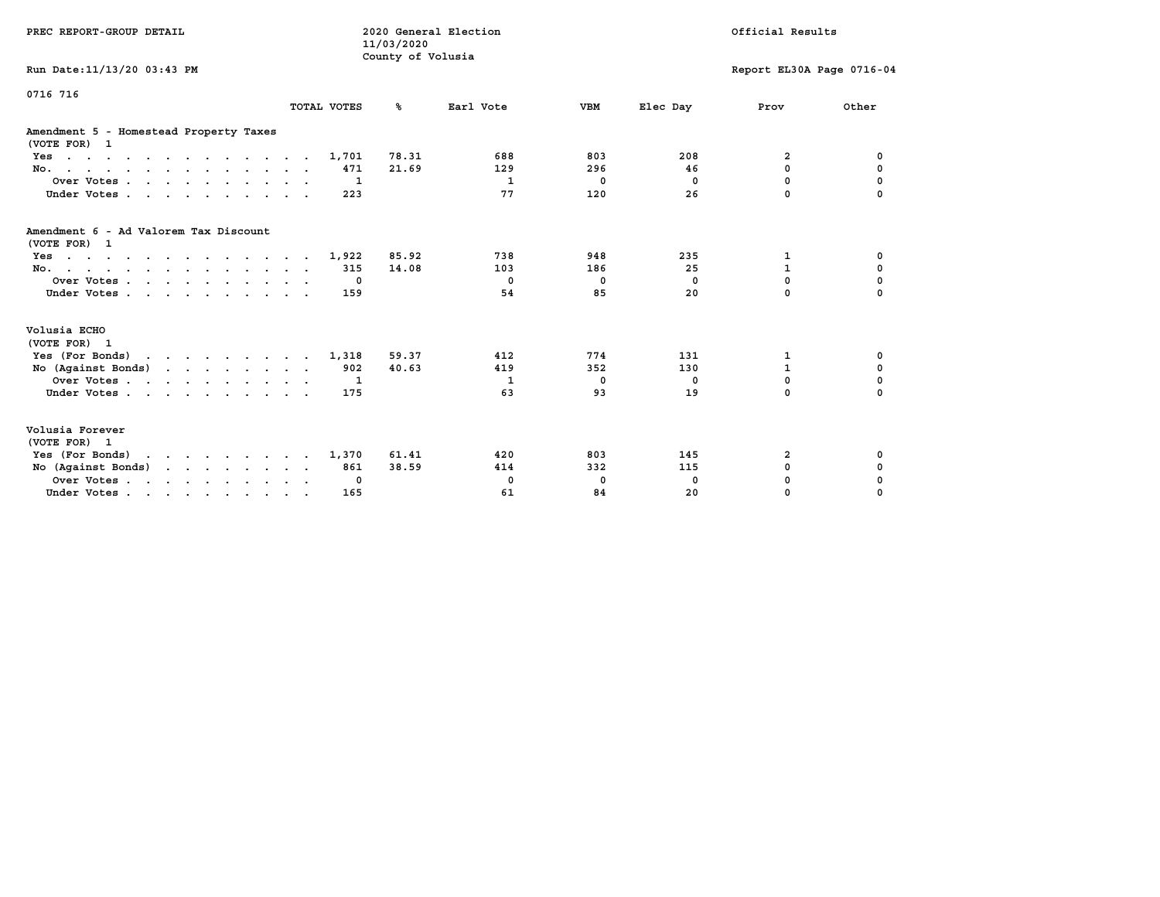| PREC REPORT-GROUP DETAIL                                                                                               |             | 11/03/2020<br>County of Volusia | 2020 General Election |            |            | Official Results          |             |
|------------------------------------------------------------------------------------------------------------------------|-------------|---------------------------------|-----------------------|------------|------------|---------------------------|-------------|
| Run Date: 11/13/20 03:43 PM                                                                                            |             |                                 |                       |            |            | Report EL30A Page 0716-04 |             |
| 0716 716                                                                                                               | TOTAL VOTES | °≈                              | Earl Vote             | <b>VBM</b> | Elec Day   | Prov                      | Other       |
| Amendment 5 - Homestead Property Taxes<br>(VOTE FOR) 1                                                                 |             |                                 |                       |            |            |                           |             |
| $Yes \cdot \cdot \cdot \cdot \cdot \cdot \cdot \cdot \cdot \cdot \cdot \cdot \cdot \cdot$                              | 1,701       | 78.31                           | 688                   | 803        | 208        | 2                         | 0           |
| No.                                                                                                                    | 471         | 21.69                           | 129                   | 296        | 46         | 0                         | 0           |
| Over Votes.                                                                                                            | 1           |                                 | 1                     | 0          | $^{\circ}$ | 0                         | 0           |
| Under Votes.                                                                                                           | 223         |                                 | 77                    | 120        | 26         | $\Omega$                  |             |
| Amendment 6 - Ad Valorem Tax Discount<br>(VOTE FOR) 1                                                                  |             |                                 |                       |            |            |                           |             |
| the contract of the contract of the contract of the contract of the contract of the contract of the contract of<br>Yes | 1,922       | 85.92                           | 738                   | 948        | 235        | 1                         | 0           |
| No.                                                                                                                    | 315         | 14.08                           | 103                   | 186        | 25         | $\mathbf{1}$              | $\mathbf 0$ |
| Over Votes                                                                                                             | 0           |                                 | $^{\circ}$            | 0          | $^{\circ}$ | $\mathbf{0}$              | $\mathbf 0$ |
| Under Votes                                                                                                            | 159         |                                 | 54                    | 85         | 20         | $\Omega$                  | $\Omega$    |
| Volusia ECHO<br>(VOTE FOR) 1                                                                                           |             |                                 |                       |            |            |                           |             |
| Yes (For Bonds) $\cdots$ $\cdots$ $\cdots$ $\cdots$                                                                    | 1,318       | 59.37                           | 412                   | 774        | 131        | 1                         | 0           |
| No (Against Bonds)                                                                                                     | 902         | 40.63                           | 419                   | 352        | 130        | $\mathbf{1}$              | $\mathbf 0$ |
| Over Votes                                                                                                             | -1          |                                 | 1                     | 0          | 0          | $\mathbf{0}$              | 0           |
| Under Votes                                                                                                            | 175         |                                 | 63                    | 93         | 19         | $\Omega$                  | 0           |
| Volusia Forever<br>(VOTE FOR) 1                                                                                        |             |                                 |                       |            |            |                           |             |
| Yes (For Bonds)                                                                                                        | 1,370       | 61.41                           | 420                   | 803        | 145        | 2                         | 0           |
| No (Against Bonds)                                                                                                     | 861         | 38.59                           | 414                   | 332        | 115        | 0                         | 0           |
| Over Votes.                                                                                                            | 0           |                                 | 0                     | 0          | $^{\circ}$ | 0                         | 0           |
| Under Votes                                                                                                            | 165         |                                 | 61                    | 84         | 20         | 0                         | $\Omega$    |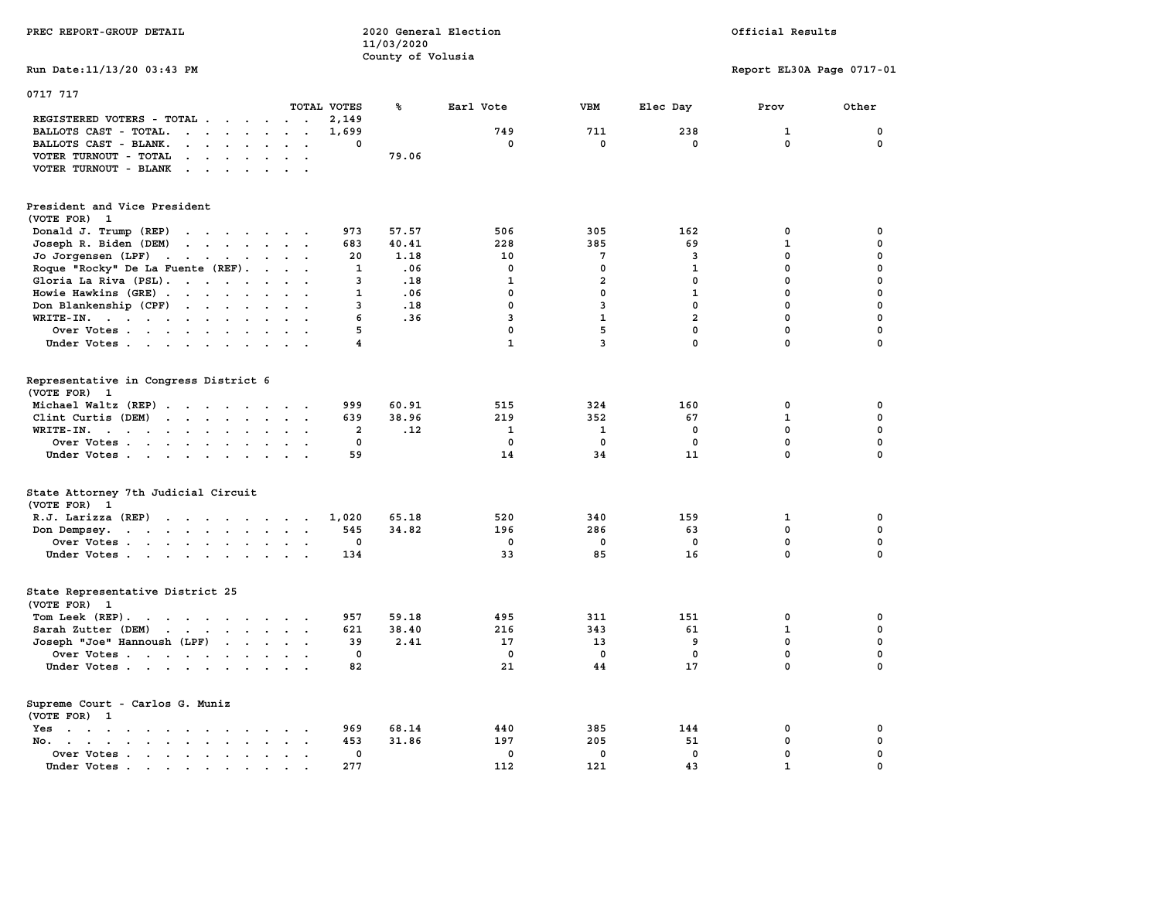| PREC REPORT-GROUP DETAIL                                                                                                                                                                                                                       |                                                    | 11/03/2020<br>County of Volusia | 2020 General Election |                |                | Official Results          |             |
|------------------------------------------------------------------------------------------------------------------------------------------------------------------------------------------------------------------------------------------------|----------------------------------------------------|---------------------------------|-----------------------|----------------|----------------|---------------------------|-------------|
| Run Date: 11/13/20 03:43 PM                                                                                                                                                                                                                    |                                                    |                                 |                       |                |                | Report EL30A Page 0717-01 |             |
| 0717 717                                                                                                                                                                                                                                       | TOTAL VOTES                                        | ℁                               | Earl Vote             | <b>VBM</b>     | Elec Day       | Prov                      | Other       |
| REGISTERED VOTERS - TOTAL                                                                                                                                                                                                                      | 2,149                                              |                                 |                       |                |                |                           |             |
| BALLOTS CAST - TOTAL.<br>$\cdot$                                                                                                                                                                                                               | 1,699<br>$\sim$                                    |                                 | 749                   | 711            | 238            | $\mathbf{1}$              | $\mathbf 0$ |
| BALLOTS CAST - BLANK.<br>$\cdot$ $\cdot$ $\cdot$ $\cdot$ $\cdot$ $\cdot$                                                                                                                                                                       | 0<br>$\ddot{\phantom{0}}$                          |                                 | $\mathbf 0$           | $\mathbf 0$    | $\mathbf{0}$   | $\mathbf 0$               | $\mathbf 0$ |
| VOTER TURNOUT - TOTAL<br>$\mathbf{u} = \mathbf{u} + \mathbf{u} + \mathbf{u} + \mathbf{u}$<br>$\ddot{\phantom{a}}$                                                                                                                              |                                                    | 79.06                           |                       |                |                |                           |             |
| VOTER TURNOUT - BLANK                                                                                                                                                                                                                          |                                                    |                                 |                       |                |                |                           |             |
| President and Vice President                                                                                                                                                                                                                   |                                                    |                                 |                       |                |                |                           |             |
| (VOTE FOR) 1                                                                                                                                                                                                                                   |                                                    |                                 |                       |                |                |                           |             |
| Donald J. Trump (REP)                                                                                                                                                                                                                          | 973                                                | 57.57                           | 506                   | 305            | 162            | 0                         | 0           |
| Joseph R. Biden (DEM)                                                                                                                                                                                                                          | 683                                                | 40.41                           | 228                   | 385            | 69             | 1                         | $\mathbf 0$ |
| Jo Jorgensen (LPF)                                                                                                                                                                                                                             | 20                                                 | 1.18                            | 10                    | 7              | 3              | $\mathbf 0$               | $\mathbf 0$ |
| Roque "Rocky" De La Fuente (REF).                                                                                                                                                                                                              | $\mathbf{1}$<br>$\sim$ $\sim$ $\sim$ $\sim$ $\sim$ | .06                             | $\mathbf{0}$          | $\Omega$       | $\mathbf{1}$   | $\mathbf 0$               | $\mathbf 0$ |
| Gloria La Riva (PSL).                                                                                                                                                                                                                          | 3                                                  | .18                             | $\mathbf{1}$          | $\mathbf{2}$   | 0              | $\mathbf 0$               | $\mathbf 0$ |
| Howie Hawkins (GRE)                                                                                                                                                                                                                            | $\ddotsc$<br>1                                     | .06                             | $\mathbf 0$           | $\mathbf 0$    | $\mathbf{1}$   | $\mathbf 0$               | $\mathbf 0$ |
| Don Blankenship (CPF)                                                                                                                                                                                                                          | 3                                                  | .18                             | 0                     | $\overline{3}$ | 0              | $\mathbf{0}$              | $\mathbf 0$ |
| WRITE-IN.                                                                                                                                                                                                                                      | 6<br>$\mathbf{r}$                                  | .36                             | $\overline{3}$        | $\mathbf{1}$   | $\overline{2}$ | $\mathbf{0}$              | $\mathbf 0$ |
| Over Votes                                                                                                                                                                                                                                     | 5                                                  |                                 | 0                     | 5              | $\mathbf{0}$   | $\mathbf 0$               | $\mathbf 0$ |
| Under Votes                                                                                                                                                                                                                                    | $\overline{4}$                                     |                                 | $\mathbf{1}$          | 3              | 0              | $\mathbf 0$               | $\mathbf 0$ |
| Representative in Congress District 6<br>(VOTE FOR) 1                                                                                                                                                                                          |                                                    |                                 |                       |                |                |                           |             |
| Michael Waltz (REP)                                                                                                                                                                                                                            | 999                                                | 60.91                           | 515                   | 324            | 160            | 0                         | 0           |
| Clint Curtis (DEM)                                                                                                                                                                                                                             | 639                                                | 38.96                           | 219                   | 352            | 67             | 1                         | 0           |
| WRITE-IN.<br>the contract of the contract of the contract of the contract of the contract of<br>$\mathbf{A}$ and $\mathbf{A}$                                                                                                                  | 2                                                  | .12                             | 1                     | 1              | 0              | $\mathbf{0}$              | $\mathbf 0$ |
| Over Votes<br>$\sim$<br>$\sim$                                                                                                                                                                                                                 | $\mathbf 0$                                        |                                 | $\mathbf 0$           | $\mathbf 0$    | $\mathbf 0$    | $\mathbf 0$               | $\mathbf 0$ |
| Under Votes                                                                                                                                                                                                                                    | 59                                                 |                                 | 14                    | 34             | 11             | $\mathbf 0$               | $\mathbf 0$ |
| State Attorney 7th Judicial Circuit<br>(VOTE FOR) 1                                                                                                                                                                                            |                                                    |                                 |                       |                |                |                           |             |
| $R.J.$ Larizza $(REP)$                                                                                                                                                                                                                         | 1,020<br>$\cdot$                                   | 65.18                           | 520                   | 340            | 159            | 1                         | 0           |
| Don Dempsey.<br>the contract of the contract of the contract of the contract of the contract of the contract of the contract of the contract of the contract of the contract of the contract of the contract of the contract of the contract o | 545<br>$\ddot{\phantom{0}}$                        | 34.82                           | 196                   | 286            | 63             | $\mathbf 0$               | $\mathbf 0$ |
| Over Votes                                                                                                                                                                                                                                     | $\mathbf 0$<br>$\ddot{\phantom{a}}$                |                                 | $\mathbf 0$           | $\mathbf 0$    | $\mathbf{0}$   | $\mathbf 0$               | 0           |
| Under Votes                                                                                                                                                                                                                                    | 134                                                |                                 | 33                    | 85             | 16             | $\Omega$                  | $\mathbf 0$ |
| State Representative District 25<br>(VOTE FOR) 1                                                                                                                                                                                               |                                                    |                                 |                       |                |                |                           |             |
| Tom Leek (REP).                                                                                                                                                                                                                                | 957                                                | 59.18                           | 495                   | 311            | 151            | 0                         | 0           |
| Sarah Zutter (DEM)                                                                                                                                                                                                                             | 621                                                | 38.40                           | 216                   | 343            | 61             | $\mathbf{1}$              | 0           |
| Joseph "Joe" Hannoush (LPF)                                                                                                                                                                                                                    | 39                                                 | 2.41                            | 17                    | 13             | 9              | $\mathbf{0}$              | $\mathbf 0$ |
| Over Votes                                                                                                                                                                                                                                     | $\mathbf 0$                                        |                                 | $\mathbf 0$           | $\mathbf 0$    | $\mathbf 0$    | $\mathbf 0$               | $\mathbf 0$ |
| Under Votes                                                                                                                                                                                                                                    | 82                                                 |                                 | 21                    | 44             | 17             | $\mathbf 0$               | $\mathbf 0$ |
| Supreme Court - Carlos G. Muniz<br>(VOTE FOR)<br>- 1                                                                                                                                                                                           |                                                    |                                 |                       |                |                |                           |             |
| Yes                                                                                                                                                                                                                                            | 969                                                | 68.14                           | 440                   | 385            | 144            | 0                         | 0           |
| No.                                                                                                                                                                                                                                            | 453<br>$\sim$ $\sim$                               | 31.86                           | 197                   | 205            | 51             | 0                         | $\mathbf 0$ |
| Over Votes                                                                                                                                                                                                                                     | 0<br>$\cdot$                                       |                                 | 0                     | $\mathbf 0$    | $\mathbf 0$    | 0                         | 0           |
| Under Votes                                                                                                                                                                                                                                    | 277                                                |                                 | 112                   | 121            | 43             | $\mathbf 1$               | $\mathbf 0$ |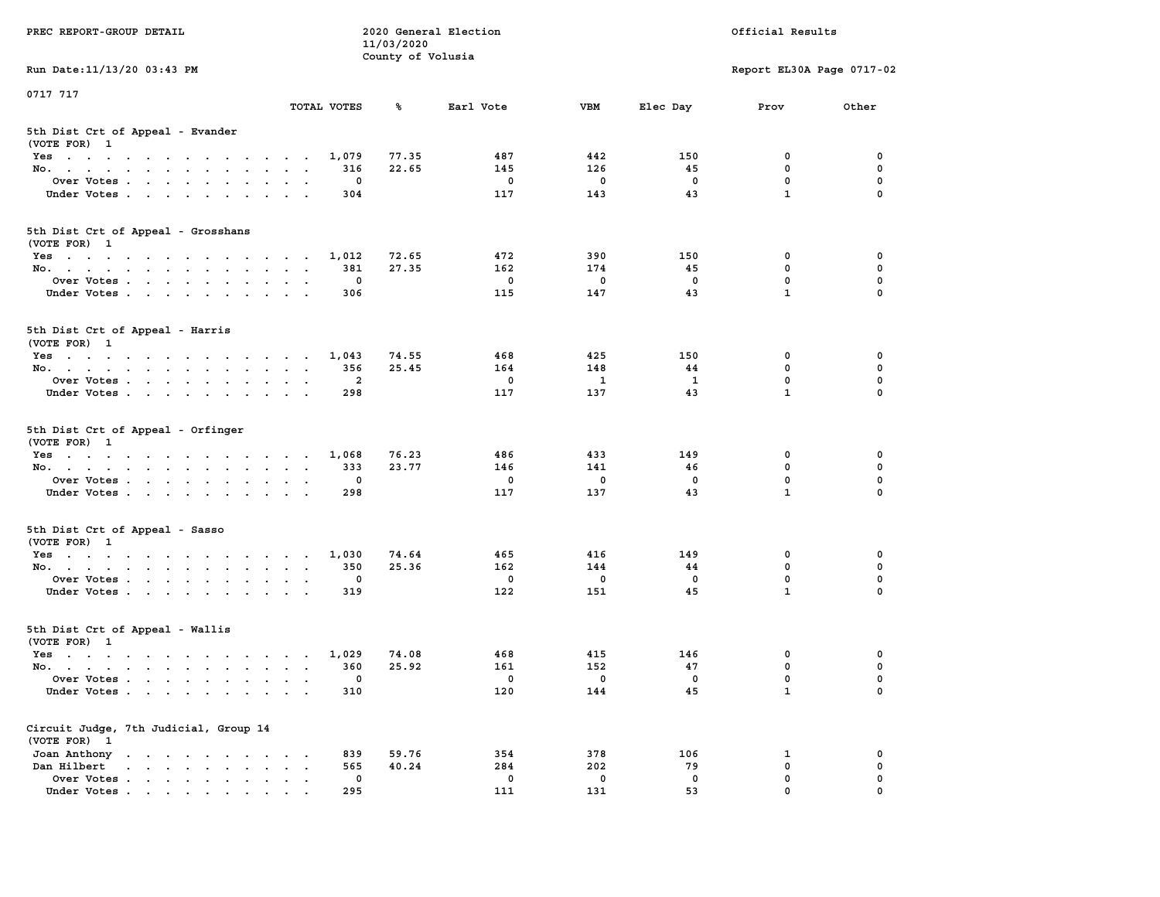| PREC REPORT-GROUP DETAIL                                                                                                        |                                                                             | 11/03/2020        | 2020 General Election  |                                  |                      | Official Results                      |                         |
|---------------------------------------------------------------------------------------------------------------------------------|-----------------------------------------------------------------------------|-------------------|------------------------|----------------------------------|----------------------|---------------------------------------|-------------------------|
|                                                                                                                                 |                                                                             | County of Volusia |                        |                                  |                      |                                       |                         |
| Run Date: 11/13/20 03:43 PM                                                                                                     |                                                                             |                   |                        |                                  |                      | Report EL30A Page 0717-02             |                         |
| 0717 717                                                                                                                        |                                                                             |                   |                        |                                  |                      |                                       |                         |
|                                                                                                                                 | TOTAL VOTES                                                                 | ጜ                 | Earl Vote              | VBM                              | Elec Day             | Prov                                  | Other                   |
| 5th Dist Crt of Appeal - Evander<br>(VOTE FOR) 1                                                                                |                                                                             |                   |                        |                                  |                      |                                       |                         |
| Yes                                                                                                                             | 1,079                                                                       | 77.35             | 487                    | 442                              | 150                  | 0                                     | 0                       |
| No.                                                                                                                             | 316                                                                         | 22.65             | 145                    | 126                              | 45                   | $\mathbf 0$                           | $\mathbf 0$             |
| Over Votes                                                                                                                      | 0                                                                           |                   | 0                      | $\mathbf 0$                      | 0                    | 0                                     | 0                       |
| Under Votes                                                                                                                     | 304                                                                         |                   | 117                    | 143                              | 43                   | $\mathbf{1}$                          | $\Omega$                |
| 5th Dist Crt of Appeal - Grosshans<br>(VOTE FOR) 1                                                                              |                                                                             |                   |                        |                                  |                      |                                       |                         |
| Yes                                                                                                                             | 1,012                                                                       | 72.65             | 472                    | 390                              | 150                  | 0                                     | 0                       |
| No.                                                                                                                             | 381                                                                         | 27.35             | 162                    | 174                              | 45                   | 0                                     | 0                       |
| Over Votes                                                                                                                      | 0                                                                           |                   | 0                      | $\mathbf 0$                      | $\mathbf 0$          | $\mathbf 0$                           | $\mathbf 0$             |
| Under Votes                                                                                                                     | 306                                                                         |                   | 115                    | 147                              | 43                   | $\mathbf{1}$                          | 0                       |
| 5th Dist Crt of Appeal - Harris<br>(VOTE FOR) 1                                                                                 |                                                                             |                   |                        |                                  |                      |                                       |                         |
| Yes                                                                                                                             | 1,043                                                                       | 74.55             | 468                    | 425                              | 150                  | 0                                     | 0                       |
| No.                                                                                                                             | 356                                                                         | 25.45             | 164                    | 148                              | 44                   | 0                                     | 0                       |
| Over Votes                                                                                                                      | $\overline{\mathbf{2}}$<br>$\cdot$                                          |                   | 0                      | 1                                | 1                    | $\mathbf{0}$                          | $\mathbf 0$             |
| Under Votes                                                                                                                     | 298                                                                         |                   | 117                    | 137                              | 43                   | $\mathbf{1}$                          | 0                       |
| 5th Dist Crt of Appeal - Orfinger<br>(VOTE FOR) 1<br>Yes<br>No.<br>Over Votes<br>Under Votes                                    | 1,068<br>333<br>0<br>298                                                    | 76.23<br>23.77    | 486<br>146<br>0<br>117 | 433<br>141<br>$\mathbf 0$<br>137 | 149<br>46<br>0<br>43 | 0<br>$\mathbf 0$<br>0<br>$\mathbf{1}$ | 0<br>0<br>0<br>$\Omega$ |
| 5th Dist Crt of Appeal - Sasso<br>(VOTE FOR) 1                                                                                  |                                                                             |                   |                        |                                  |                      |                                       |                         |
| Yes                                                                                                                             | 1,030                                                                       | 74.64             | 465                    | 416                              | 149                  | 0                                     | 0                       |
| No.                                                                                                                             | 350                                                                         | 25.36             | 162                    | 144                              | 44                   | $\mathbf 0$                           | 0                       |
| Over Votes                                                                                                                      | 0                                                                           |                   | $\mathbf 0$            | $\mathbf 0$                      | $\mathbf 0$          | 0                                     | $\mathbf 0$             |
| Under Votes                                                                                                                     | 319                                                                         |                   | 122                    | 151                              | 45                   | $\mathbf{1}$                          | $\Omega$                |
| 5th Dist Crt of Appeal - Wallis<br>(VOTE FOR) 1                                                                                 |                                                                             |                   |                        |                                  |                      |                                       |                         |
| Yes<br>the contract of the contract of the contract of the contract of the contract of the contract of the contract of          | 1,029                                                                       | 74.08             | 468                    | 415                              | 146                  | 0                                     | 0                       |
| No.                                                                                                                             | 360                                                                         | 25.92             | 161                    | 152                              | 47                   | 0                                     | $\mathbf 0$             |
| Over Votes                                                                                                                      | 0                                                                           |                   | $^{\circ}$             | $^{\circ}$                       | 0                    | $\mathbf{0}$                          | 0                       |
| Under Votes                                                                                                                     | 310                                                                         |                   | 120                    | 144                              | 45                   | $\mathbf{1}$                          | 0                       |
| Circuit Judge, 7th Judicial, Group 14<br>(VOTE FOR) 1                                                                           |                                                                             |                   |                        |                                  |                      |                                       |                         |
| Joan Anthony<br>the contract of the contract of the contract of the contract of the contract of the contract of the contract of | 839                                                                         | 59.76             | 354                    | 378                              | 106                  | 1                                     | 0                       |
| Dan Hilbert<br>$\mathbf{r}$ , and $\mathbf{r}$ , and $\mathbf{r}$ , and $\mathbf{r}$<br>$\bullet$                               | 565<br>$\ddot{\phantom{a}}$<br>$\ddot{\phantom{a}}$<br>$\ddot{\phantom{a}}$ | 40.24             | 284                    | 202                              | 79                   | $\mathbf 0$                           | 0                       |
| Over Votes .<br>$\mathbf{r}$ , $\mathbf{r}$ , $\mathbf{r}$ , $\mathbf{r}$ , $\mathbf{r}$                                        | 0                                                                           |                   | 0                      | 0                                | 0                    | 0                                     | 0                       |
| Under Votes                                                                                                                     | 295                                                                         |                   | 111                    | 131                              | 53                   | 0                                     |                         |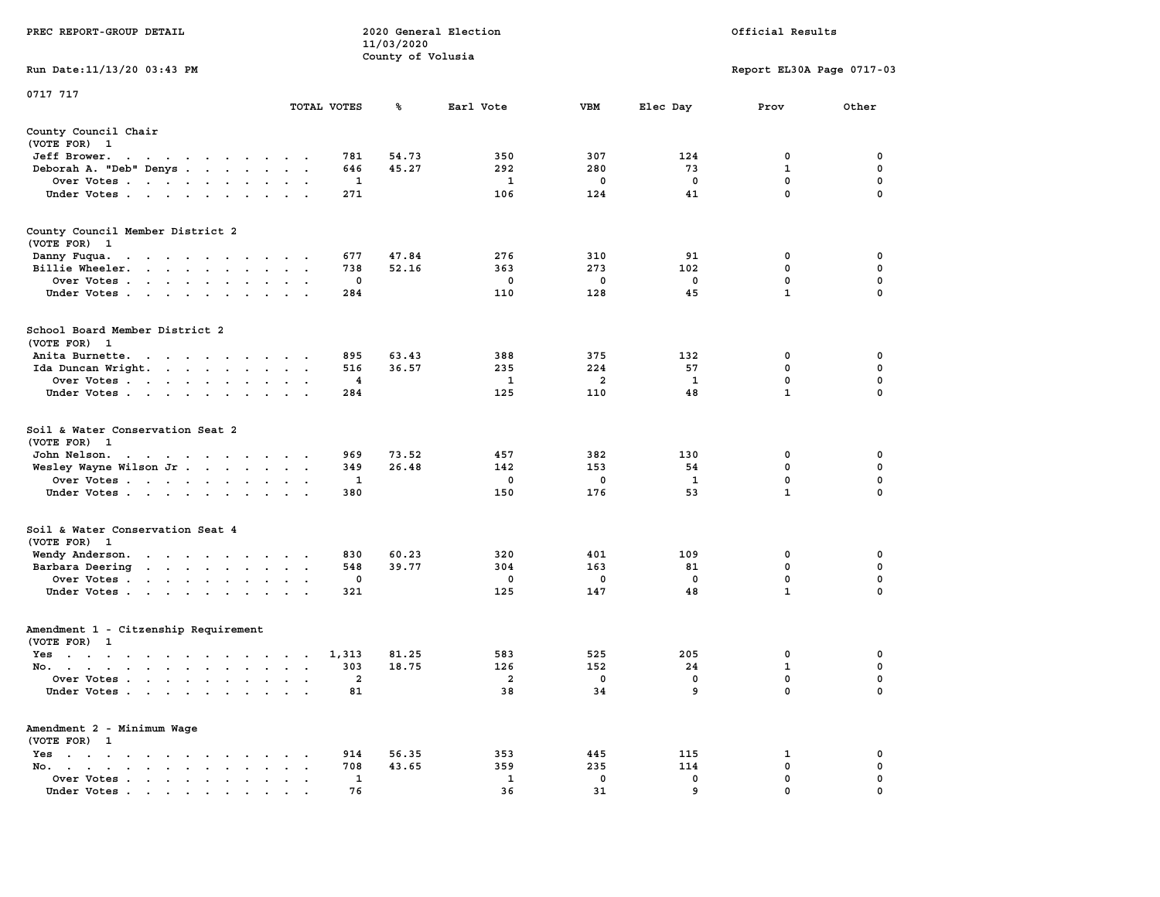|                                                                                                                                                        |                                                         |             | 11/03/2020        |              |                |              |                           |             |
|--------------------------------------------------------------------------------------------------------------------------------------------------------|---------------------------------------------------------|-------------|-------------------|--------------|----------------|--------------|---------------------------|-------------|
| Run Date:11/13/20 03:43 PM                                                                                                                             |                                                         |             | County of Volusia |              |                |              | Report EL30A Page 0717-03 |             |
| 0717 717                                                                                                                                               |                                                         | TOTAL VOTES | ℁                 | Earl Vote    | <b>VBM</b>     | Elec Day     | Prov                      | Other       |
|                                                                                                                                                        |                                                         |             |                   |              |                |              |                           |             |
| County Council Chair<br>(VOTE FOR) 1                                                                                                                   |                                                         |             |                   |              |                |              |                           |             |
| Jeff Brower.<br>$\ddot{\phantom{1}}$<br>$\ddot{\phantom{1}}$<br>$\cdot$<br>$\sim$ $\sim$ $\sim$ $\sim$ $\sim$<br>$\cdots$                              |                                                         | 781         | 54.73             | 350          | 307            | 124          | 0                         | 0           |
| Deborah A. "Deb" Denys                                                                                                                                 | $\sim$                                                  | 646         | 45.27             | 292          | 280            | 73           | $\mathbf{1}$              | $\mathbf 0$ |
| Over Votes                                                                                                                                             |                                                         | 1           |                   | 1            | 0              | 0            | 0                         | 0           |
| Under Votes                                                                                                                                            | $\mathbf{a}$ , and $\mathbf{a}$                         | 271         |                   | 106          | 124            | 41           | $\mathbf 0$               | 0           |
| County Council Member District 2<br>(VOTE FOR) 1                                                                                                       |                                                         |             |                   |              |                |              |                           |             |
| Danny Fuqua.<br>and a series of the contract of the                                                                                                    |                                                         | 677         | 47.84             | 276          | 310            | 91           | 0                         | 0           |
| Billie Wheeler.<br>$\mathcal{L}^{\text{max}}$ , and $\mathcal{L}^{\text{max}}$<br>$\ddot{\phantom{a}}$<br>$\ddot{\phantom{a}}$<br>$\ddot{\phantom{0}}$ |                                                         | 738         | 52.16             | 363          | 273            | 102          | 0                         | 0           |
| Over Votes<br>$\sim$ $\sim$                                                                                                                            |                                                         | $\mathbf 0$ |                   | $\mathbf 0$  | $\mathbf{0}$   | $\mathbf 0$  | $\mathbf{0}$              | 0           |
| Under Votes<br>$\ddot{\phantom{a}}$                                                                                                                    | $\bullet$<br>$\bullet$                                  | 284         |                   | 110          | 128            | 45           | $\mathbf{1}$              | 0           |
| School Board Member District 2<br>(VOTE FOR)<br>$\mathbf{1}$                                                                                           |                                                         |             |                   |              |                |              |                           |             |
| Anita Burnette.<br>the contract of the contract of the                                                                                                 |                                                         | 895         | 63.43             | 388          | 375            | 132          | 0                         | 0           |
| Ida Duncan Wright.                                                                                                                                     |                                                         | 516         | 36.57             | 235          | 224            | 57           | 0                         | $\mathbf 0$ |
| Over Votes<br>$\overline{\phantom{a}}$<br>$\ddot{\phantom{a}}$                                                                                         |                                                         | 4           |                   | $\mathbf{1}$ | $\overline{a}$ | $\mathbf{1}$ | $\mathbf 0$               | $\mathbf 0$ |
| Under Votes<br>$\ddot{\phantom{a}}$                                                                                                                    |                                                         | 284         |                   | 125          | 110            | 48           | $\mathbf{1}$              | $\mathbf 0$ |
| Soil & Water Conservation Seat 2<br>(VOTE FOR) 1                                                                                                       |                                                         |             |                   |              |                |              |                           |             |
| John Nelson.<br>$\mathcal{A}=\mathcal{A}=\mathcal{A}=\mathcal{A}=\mathcal{A}=\mathcal{A}=\mathcal{A}$ .                                                |                                                         | 969         | 73.52             | 457          | 382            | 130          | $\mathbf 0$               | 0           |
| Wesley Wayne Wilson Jr                                                                                                                                 | $\blacksquare$<br>$\mathbf{a}=\mathbf{a}$               | 349         | 26.48             | 142          | 153            | 54           | $\mathbf 0$               | $\mathbf 0$ |
| Over Votes                                                                                                                                             |                                                         | 1           |                   | 0            | 0              | $\mathbf{1}$ | $\mathbf 0$               | 0           |
| Under Votes<br>$\mathbf{r}$                                                                                                                            | $\sim$<br>$\sim$                                        | 380         |                   | 150          | 176            | 53           | $\mathbf{1}$              | 0           |
| Soil & Water Conservation Seat 4<br>(VOTE FOR) 1                                                                                                       |                                                         |             |                   |              |                |              |                           |             |
| Wendy Anderson.<br>the contract of the contract of the                                                                                                 |                                                         | 830         | 60.23             | 320          | 401            | 109          | 0                         | 0           |
| Barbara Deering<br>$\ddot{\phantom{a}}$                                                                                                                | $\bullet$<br>$\bullet$ .<br>$\ddot{\phantom{1}}$        | 548         | 39.77             | 304          | 163            | 81           | 0                         | $\pmb{0}$   |
| Over Votes                                                                                                                                             |                                                         | 0           |                   | 0            | 0              | $\mathbf 0$  | $\mathbf 0$               | $\mathbf 0$ |
| Under Votes<br>$\ddot{\phantom{a}}$                                                                                                                    |                                                         | 321         |                   | 125          | 147            | 48           | $\mathbf{1}$              | 0           |
| Amendment 1 - Citzenship Requirement                                                                                                                   |                                                         |             |                   |              |                |              |                           |             |
| (VOTE FOR) 1                                                                                                                                           |                                                         |             |                   |              |                |              |                           |             |
| $Yes \t . \t .$<br>the contract of the contract of the contract of the contract of the contract of                                                     | $\cdot$ $\cdot$ $\cdot$                                 | 1,313       | 81.25             | 583          | 525            | 205          | 0                         | 0           |
| No.<br>$\sim$                                                                                                                                          | $\sim$<br>$\sim$<br>$\ddot{\phantom{a}}$                | 303         | 18.75             | 126          | 152            | 24           | 1                         | 0           |
| Over Votes .<br>$\sim 100$ km s $^{-1}$<br><b>Contract Contract</b><br>$\ddot{\phantom{0}}$<br>$\bullet$                                               | $\ddot{\phantom{a}}$<br>$\ddot{\phantom{a}}$<br>$\cdot$ | 2           |                   | 2            | 0              | 0            | 0                         | 0           |
| Under Votes                                                                                                                                            |                                                         | 81          |                   | 38           | 34             | 9            | $\mathbf 0$               | $\mathbf 0$ |
| Amendment 2 - Minimum Wage<br>(VOTE FOR) 1                                                                                                             |                                                         |             |                   |              |                |              |                           |             |
| $Yes \t . \t .$<br>$\ddot{\phantom{a}}$<br>$\sim$ $\sim$<br>$\cdots$<br>$\ddot{\phantom{a}}$                                                           |                                                         | 914         | 56.35             | 353          | 445            | 115          | 1                         | 0           |
| No.<br>$\ddot{\phantom{a}}$<br>$\bullet$ .<br><br><br><br><br><br><br><br><br><br><br><br><br><br><br><br>$\bullet$ .<br><br><br><br><br><br><br><br>  |                                                         | 708         | 43.65             | 359          | 235            | 114          | 0                         | 0           |
| Over Votes<br>$\cdot$                                                                                                                                  | $\ddot{\phantom{a}}$<br>$\,$ .                          | 1           |                   | 1            | 0              | 0            | $\mathbf{0}$              | $\mathbf 0$ |
| Under Votes                                                                                                                                            |                                                         | 76          |                   | 36           | 31             | 9            | $\mathbf{0}$              | $\mathbf 0$ |

**PREC REPORT-GROUP DETAIL 2020 General Election Official Results**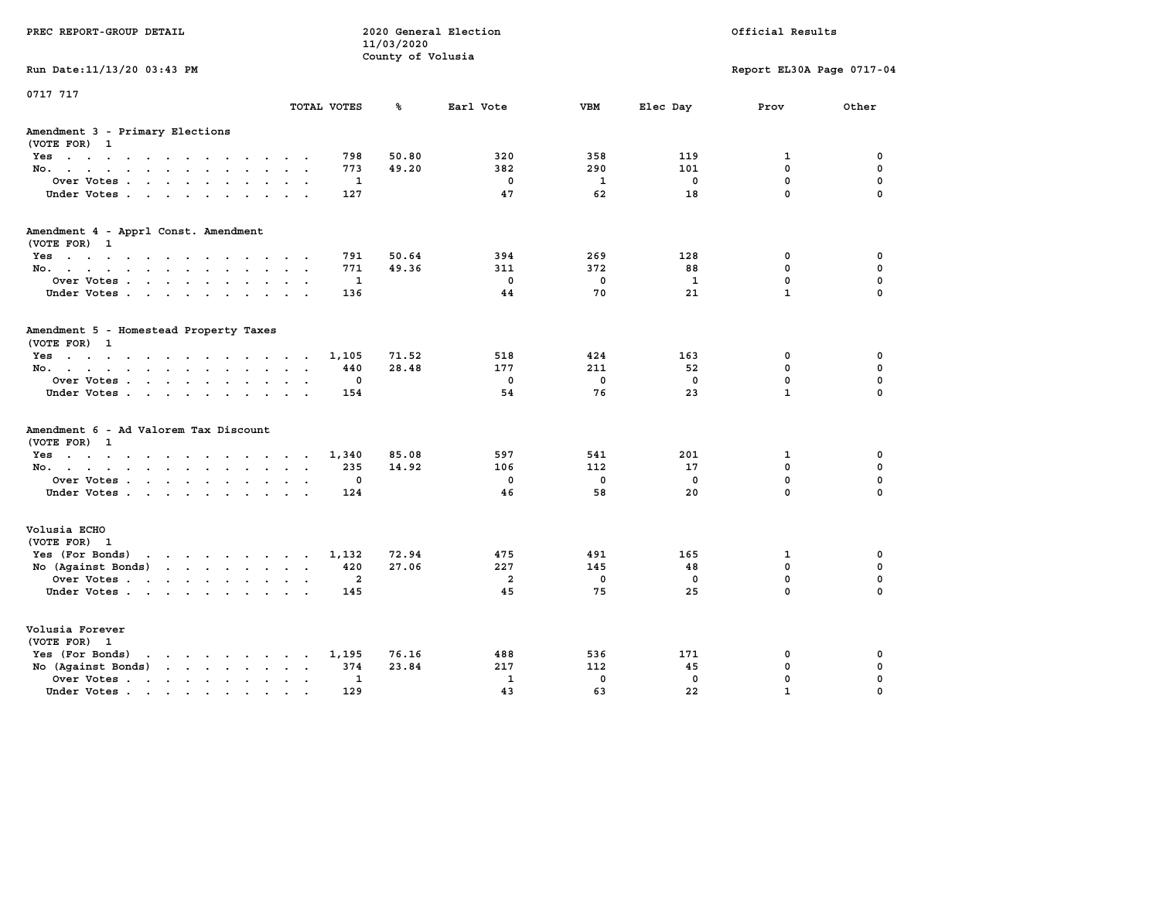| PREC REPORT-GROUP DETAIL                                                                                                                                                                                                                             |                | 11/03/2020<br>County of Volusia | 2020 General Election |              |              | Official Results          |             |
|------------------------------------------------------------------------------------------------------------------------------------------------------------------------------------------------------------------------------------------------------|----------------|---------------------------------|-----------------------|--------------|--------------|---------------------------|-------------|
| Run Date: 11/13/20 03:43 PM                                                                                                                                                                                                                          |                |                                 |                       |              |              | Report EL30A Page 0717-04 |             |
| 0717 717                                                                                                                                                                                                                                             | TOTAL VOTES    | ℁                               | Earl Vote             | <b>VBM</b>   | Elec Day     | Prov                      | Other       |
| Amendment 3 - Primary Elections<br>(VOTE FOR) 1                                                                                                                                                                                                      |                |                                 |                       |              |              |                           |             |
| Yes                                                                                                                                                                                                                                                  | 798            | 50.80                           | 320                   | 358          | 119          | $\mathbf{1}$              | $\mathbf 0$ |
| No.                                                                                                                                                                                                                                                  | 773            | 49.20                           | 382                   | 290          | 101          | 0                         | $\mathbf 0$ |
| Over Votes                                                                                                                                                                                                                                           | 1              |                                 | $\mathbf 0$           | $\mathbf{1}$ | $\mathbf 0$  | 0                         | $\mathbf 0$ |
| Under Votes                                                                                                                                                                                                                                          | 127            |                                 | 47                    | 62           | 18           | 0                         | 0           |
| Amendment 4 - Apprl Const. Amendment                                                                                                                                                                                                                 |                |                                 |                       |              |              |                           |             |
| (VOTE FOR) 1                                                                                                                                                                                                                                         | 791            | 50.64                           | 394                   | 269          | 128          | 0                         | 0           |
| Yes<br>No.                                                                                                                                                                                                                                           | 771            | 49.36                           | 311                   | 372          | 88           | 0                         | 0           |
| Over Votes                                                                                                                                                                                                                                           | $\mathbf{1}$   |                                 | $\mathbf 0$           | $\mathbf{0}$ | $\mathbf{1}$ | 0                         | $\mathbf 0$ |
| Under Votes.                                                                                                                                                                                                                                         | 136            |                                 | 44                    | 70           | 21           | $\mathbf{1}$              | 0           |
|                                                                                                                                                                                                                                                      |                |                                 |                       |              |              |                           |             |
| Amendment 5 - Homestead Property Taxes<br>(VOTE FOR) 1                                                                                                                                                                                               |                |                                 |                       |              |              |                           |             |
| Yes                                                                                                                                                                                                                                                  | 1,105          | 71.52                           | 518                   | 424          | 163          | $^{\circ}$                | 0           |
| No.                                                                                                                                                                                                                                                  | 440            | 28.48                           | 177                   | 211          | 52           | $\mathbf{0}$              | $\mathbf 0$ |
| Over Votes                                                                                                                                                                                                                                           | $\mathbf 0$    |                                 | $\mathbf 0$           | $\mathbf 0$  | $\mathbf 0$  | $\mathbf 0$               | 0           |
| Under Votes.                                                                                                                                                                                                                                         | 154            |                                 | 54                    | 76           | 23           | $\mathbf{1}$              | $\mathbf 0$ |
| Amendment 6 - Ad Valorem Tax Discount<br>(VOTE FOR) 1                                                                                                                                                                                                |                |                                 |                       |              |              |                           |             |
| $Yes \cdot \cdot \cdot \cdot \cdot \cdot \cdot \cdot \cdot \cdot \cdot \cdot \cdot$                                                                                                                                                                  | 1,340          | 85.08                           | 597                   | 541          | 201          | 1                         | 0           |
| No.                                                                                                                                                                                                                                                  | 235            | 14.92                           | 106                   | 112          | 17           | 0                         | 0           |
| Over Votes                                                                                                                                                                                                                                           | $\mathbf 0$    |                                 | $\mathbf 0$           | $\mathbf 0$  | $\mathbf 0$  | 0                         | $\mathbf 0$ |
| Under Votes                                                                                                                                                                                                                                          | 124            |                                 | 46                    | 58           | 20           | 0                         | 0           |
| Volusia ECHO<br>(VOTE FOR) 1                                                                                                                                                                                                                         |                |                                 |                       |              |              |                           |             |
| $\mathbf{r}$ . The set of the set of the set of the set of the set of the set of the set of the set of the set of the set of the set of the set of the set of the set of the set of the set of the set of the set of the set of t<br>Yes (For Bonds) | 1,132          | 72.94                           | 475                   | 491          | 165          | $\mathbf{1}$              | $\mathbf 0$ |
| No (Against Bonds)                                                                                                                                                                                                                                   | 420            | 27.06                           | 227                   | 145          | 48           | $\mathbf 0$               | 0           |
| Over Votes                                                                                                                                                                                                                                           | $\overline{a}$ |                                 | $\overline{a}$        | $\mathbf 0$  | $\mathbf 0$  | 0                         | $\mathbf 0$ |
| Under Votes.                                                                                                                                                                                                                                         | 145            |                                 | 45                    | 75           | 25           | 0                         | 0           |
|                                                                                                                                                                                                                                                      |                |                                 |                       |              |              |                           |             |
| Volusia Forever<br>(VOTE FOR) 1                                                                                                                                                                                                                      |                |                                 |                       |              |              |                           |             |
| Yes (For Bonds)<br>$\mathbf{r}$ , $\mathbf{r}$ , $\mathbf{r}$ , $\mathbf{r}$ , $\mathbf{r}$ , $\mathbf{r}$                                                                                                                                           | 1,195          | 76.16                           | 488                   | 536          | 171          | 0                         | 0           |
| No (Against Bonds)<br>$\mathbf{r}$                                                                                                                                                                                                                   | 374            | 23.84                           | 217                   | 112          | 45           | $\mathbf 0$               | 0           |
|                                                                                                                                                                                                                                                      |                |                                 |                       |              |              |                           |             |
| Over Votes .<br>the contract of the contract of the contract of the contract of the contract of the contract of the contract of                                                                                                                      | $\mathbf{1}$   |                                 | ${\bf 1}$             | $\mathbf{0}$ | $\mathbf{0}$ | 0                         | 0           |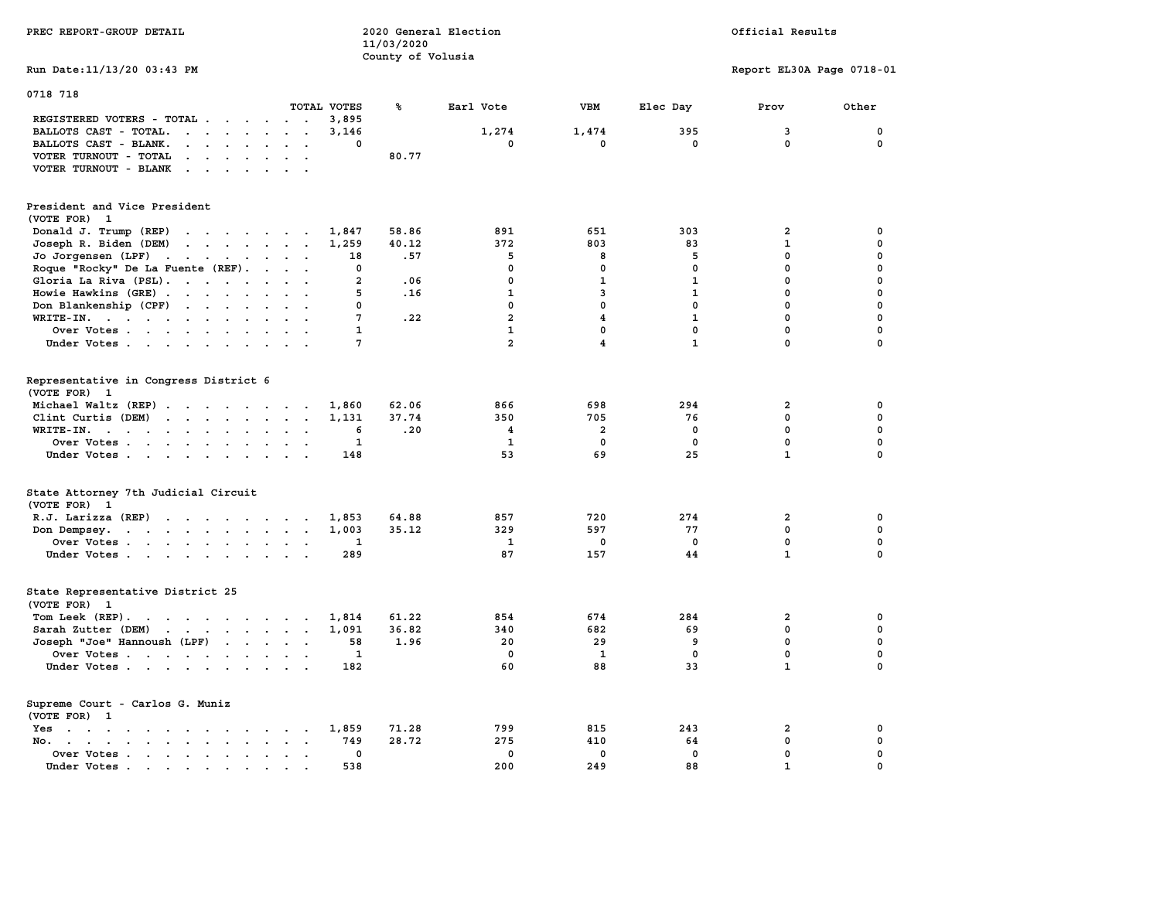| PREC REPORT-GROUP DETAIL                                                                                                                                                                                                                                   |                                     | 11/03/2020<br>County of Volusia | 2020 General Election |                         |              | Official Results           |                  |
|------------------------------------------------------------------------------------------------------------------------------------------------------------------------------------------------------------------------------------------------------------|-------------------------------------|---------------------------------|-----------------------|-------------------------|--------------|----------------------------|------------------|
| Run Date: 11/13/20 03:43 PM                                                                                                                                                                                                                                |                                     |                                 |                       |                         |              | Report EL30A Page 0718-01  |                  |
| 0718 718                                                                                                                                                                                                                                                   | TOTAL VOTES                         | ℁                               |                       | <b>VBM</b>              |              |                            | Other            |
| REGISTERED VOTERS - TOTAL .<br>$\sim$<br>$\sim$<br>$\sim$                                                                                                                                                                                                  | 3,895<br>$\sim$ $\sim$              |                                 | Earl Vote             |                         | Elec Day     | Prov                       |                  |
| BALLOTS CAST - TOTAL.<br>$\cdot$ $\cdot$ $\cdot$ $\cdot$ $\cdot$ $\cdot$ $\cdot$ $\cdot$                                                                                                                                                                   | 3,146                               |                                 | 1,274                 | 1,474                   | 395          | 3                          | 0                |
| BALLOTS CAST - BLANK.<br>$\mathbf{r}=\mathbf{r}+\mathbf{r}+\mathbf{r}+\mathbf{r}$<br>$\sim$                                                                                                                                                                | $\sim$<br>0<br>$\ddot{\phantom{a}}$ |                                 | $\mathbf 0$           | 0                       | $\mathbf 0$  | $\Omega$                   | 0                |
| VOTER TURNOUT - TOTAL<br><b>Service State</b><br>$\sim$                                                                                                                                                                                                    |                                     | 80.77                           |                       |                         |              |                            |                  |
| VOTER TURNOUT - BLANK<br>$\sim$ $\sim$ $\sim$ $\sim$<br>$\cdot$                                                                                                                                                                                            |                                     |                                 |                       |                         |              |                            |                  |
| President and Vice President<br>(VOTE FOR) 1                                                                                                                                                                                                               |                                     |                                 |                       |                         |              |                            |                  |
| Donald J. Trump (REP)<br>the contract of the contract of the                                                                                                                                                                                               | 1,847                               | 58.86                           | 891                   | 651                     | 303          | $\mathbf{2}$               | 0                |
| Joseph R. Biden (DEM)<br>$\mathbf{r}$ . The contract of the contract of the contract of the contract of the contract of the contract of the contract of the contract of the contract of the contract of the contract of the contract of the contract of th | 1,259                               | 40.12                           | 372                   | 803                     | 83           | $\mathbf{1}$               | $\mathbf 0$      |
| Jo Jorgensen (LPF)                                                                                                                                                                                                                                         | 18                                  | .57                             | 5                     | 8                       | 5            | 0                          | 0                |
| Roque "Rocky" De La Fuente (REF).                                                                                                                                                                                                                          | 0                                   |                                 | $\Omega$              | $\mathbf 0$             | $\mathbf 0$  | $\mathbf 0$                | 0                |
| Gloria La Riva (PSL).                                                                                                                                                                                                                                      | $\overline{a}$                      | .06                             | $\mathbf 0$           | $\mathbf{1}$            | $\mathbf{1}$ | $\mathbf 0$                | $\mathbf 0$      |
| Howie Hawkins (GRE)                                                                                                                                                                                                                                        | 5                                   | .16                             | $\mathbf{1}$          | 3                       | $\mathbf{1}$ | $\mathbf 0$                | $\mathbf 0$      |
| Don Blankenship (CPF)                                                                                                                                                                                                                                      | 0                                   |                                 | $\mathbf 0$           | $\mathbf 0$             | $\mathbf 0$  | $\mathbf 0$                | $\mathbf 0$      |
| WRITE-IN.                                                                                                                                                                                                                                                  | 7                                   | .22                             | $\overline{a}$        | $\overline{\mathbf{4}}$ | $\mathbf{1}$ | $\mathbf 0$                | $\mathbf 0$      |
| Over Votes<br>$\sim$                                                                                                                                                                                                                                       | $\mathbf{1}$                        |                                 | $\mathbf{1}$          | $\mathbf 0$             | $\mathbf 0$  | $\mathbf 0$                | $\mathbf 0$      |
| Under Votes.                                                                                                                                                                                                                                               | 7                                   |                                 | $\overline{a}$        | $\overline{\mathbf{4}}$ | $\mathbf{1}$ | $\mathbf 0$                | $\mathbf 0$      |
| Representative in Congress District 6<br>(VOTE FOR) 1<br>Michael Waltz (REP)<br>Clint Curtis (DEM)<br>$\cdots$                                                                                                                                             | 1,860<br>1,131                      | 62.06<br>37.74                  | 866<br>350            | 698<br>705              | 294<br>76    | $\overline{a}$<br>$\Omega$ | 0<br>$\mathbf 0$ |
| WRITE-IN.                                                                                                                                                                                                                                                  | $\sim$<br>$\sim$<br>6               | .20                             | 4                     | $\overline{a}$          | $\mathbf 0$  | $\mathbf 0$                | $\mathbf 0$      |
| Over Votes                                                                                                                                                                                                                                                 | 1<br>$\sim$ $\sim$                  |                                 | $\mathbf{1}$          | $\mathbf 0$             | $\mathbf 0$  | $\mathbf{0}$               | $\mathbf 0$      |
| Under Votes                                                                                                                                                                                                                                                | 148<br>$\cdot$ $\cdot$              |                                 | 53                    | 69                      | 25           | $\mathbf{1}$               | $\mathbf 0$      |
| State Attorney 7th Judicial Circuit<br>(VOTE FOR) 1                                                                                                                                                                                                        |                                     |                                 |                       |                         |              |                            |                  |
| R.J. Larizza (REP)                                                                                                                                                                                                                                         | 1,853                               | 64.88                           | 857                   | 720                     | 274          | $\overline{\mathbf{2}}$    | $\mathbf 0$      |
| Don Dempsey.                                                                                                                                                                                                                                               | 1,003                               | 35.12                           | 329                   | 597                     | 77           | $\mathbf 0$                | $\mathbf 0$      |
| Over Votes                                                                                                                                                                                                                                                 | 1<br>$\ddot{\phantom{a}}$           |                                 | 1                     | 0                       | 0            | 0                          | 0                |
| Under Votes                                                                                                                                                                                                                                                | 289                                 |                                 | 87                    | 157                     | 44           | $\mathbf{1}$               | $\mathbf 0$      |
| State Representative District 25<br>(VOTE FOR)<br>- 1                                                                                                                                                                                                      |                                     |                                 |                       |                         |              |                            |                  |
| Tom Leek (REP).                                                                                                                                                                                                                                            | 1,814                               | 61.22                           | 854                   | 674                     | 284          | $\mathbf{2}$               | 0                |
| Sarah Zutter (DEM)                                                                                                                                                                                                                                         | 1,091                               | 36.82                           | 340                   | 682                     | 69           | $\mathbf 0$                | $\mathbf 0$      |
| Joseph "Joe" Hannoush (LPF)<br><b>Contract Contract</b>                                                                                                                                                                                                    | 58<br>$\cdot$ $\cdot$               | 1.96                            | 20                    | 29                      | 9            | $\mathbf 0$                | 0                |
| Over Votes                                                                                                                                                                                                                                                 | 1                                   |                                 | $\mathbf 0$           | $\mathbf{1}$            | $\mathbf 0$  | $\mathbf{0}$               | $\mathbf 0$      |
| Under Votes                                                                                                                                                                                                                                                | 182<br>$\sim$                       |                                 | 60                    | 88                      | 33           | $\mathbf{1}$               | $\mathbf 0$      |
| Supreme Court - Carlos G. Muniz<br>(VOTE FOR) 1                                                                                                                                                                                                            |                                     |                                 |                       |                         |              |                            |                  |
| Yes<br>the contract of the contract of the contract of the contract of the contract of the contract of the contract of                                                                                                                                     | 1,859                               | 71.28                           | 799                   | 815                     | 243          | $\overline{\mathbf{2}}$    | 0                |
| No.                                                                                                                                                                                                                                                        | 749<br>$\mathbf{r}$<br>i.           | 28.72                           | 275                   | 410                     | 64           | $\mathbf 0$                | 0                |
| Over Votes                                                                                                                                                                                                                                                 | $\mathbf{0}$<br>$\sim$ $\sim$       |                                 | $\mathbf{0}$          | $\mathbf{0}$            | $\mathbf{0}$ | $\mathbf{0}$               | $\mathbf 0$      |
| Under Votes<br>$\overline{\phantom{a}}$<br>$\sim$                                                                                                                                                                                                          | 538<br>$\sim$                       |                                 | 200                   | 249                     | 88           | $\mathbf{1}$               | $\mathbf 0$      |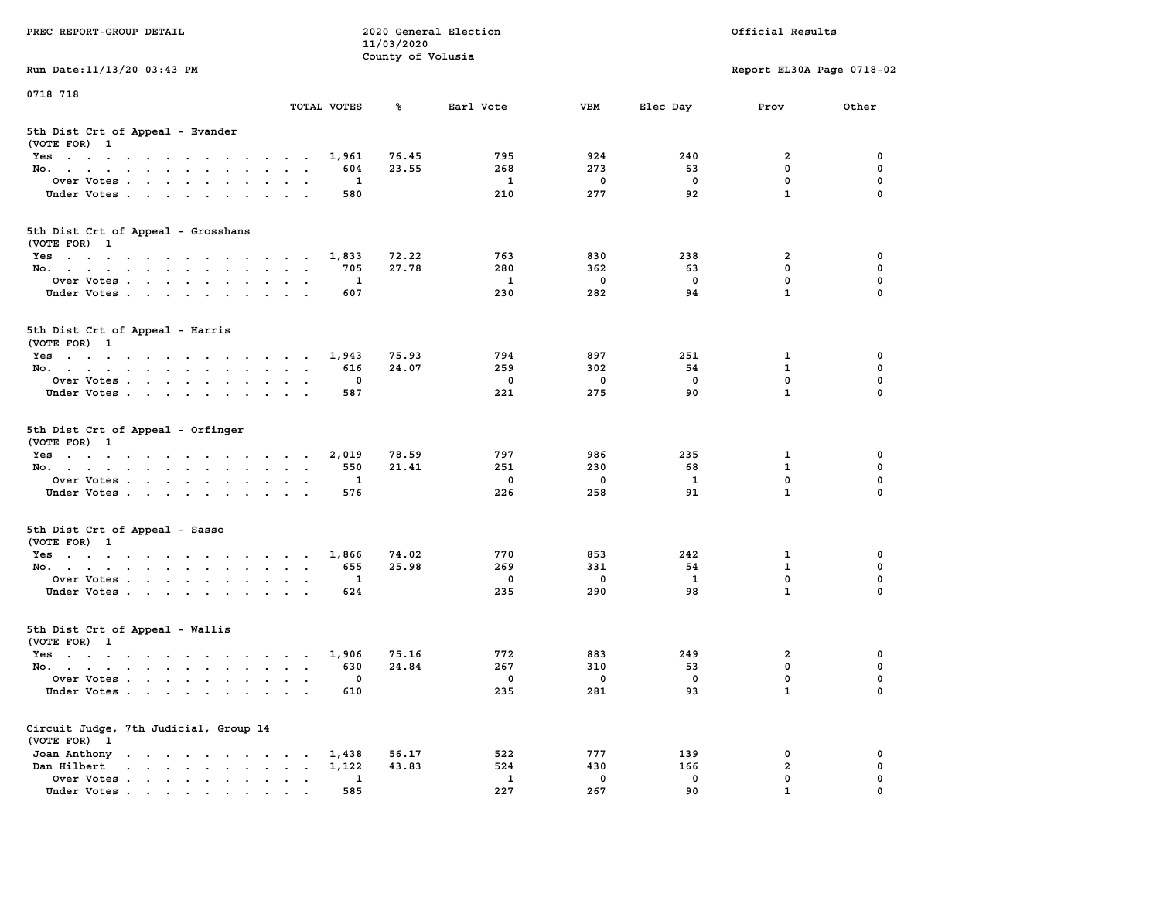| PREC REPORT-GROUP DETAIL                                                                                               |                                 | 11/03/2020        | 2020 General Election |              | Official Results |                           |             |  |  |
|------------------------------------------------------------------------------------------------------------------------|---------------------------------|-------------------|-----------------------|--------------|------------------|---------------------------|-------------|--|--|
| Run Date: 11/13/20 03:43 PM                                                                                            |                                 | County of Volusia |                       |              |                  | Report EL30A Page 0718-02 |             |  |  |
| 0718 718                                                                                                               |                                 |                   |                       |              |                  |                           |             |  |  |
|                                                                                                                        | TOTAL VOTES                     | ℁                 | Earl Vote             | <b>VBM</b>   | Elec Day         | Prov                      | Other       |  |  |
| 5th Dist Crt of Appeal - Evander<br>(VOTE FOR) 1                                                                       |                                 |                   |                       |              |                  |                           |             |  |  |
| Yes                                                                                                                    | 1,961                           | 76.45             | 795                   | 924          | 240              | 2                         | 0           |  |  |
| No.                                                                                                                    | 604                             | 23.55             | 268                   | 273          | 63               | $\mathbf{0}$              | 0           |  |  |
| Over Votes                                                                                                             | 1                               |                   | 1                     | 0            | 0                | $\mathbf 0$               | 0           |  |  |
| Under Votes                                                                                                            | 580                             |                   | 210                   | 277          | 92               | $\mathbf{1}$              | $\Omega$    |  |  |
| 5th Dist Crt of Appeal - Grosshans<br>(VOTE FOR) 1                                                                     |                                 |                   |                       |              |                  |                           |             |  |  |
| Yes                                                                                                                    | 1,833                           | 72.22             | 763                   | 830          | 238              | 2                         | 0           |  |  |
| No.                                                                                                                    | 705                             | 27.78             | 280                   | 362          | 63               | $\mathbf 0$               | 0           |  |  |
| Over Votes                                                                                                             | 1                               |                   | $\mathbf{1}$          | $\mathbf 0$  | $\mathbf 0$      | $\mathbf 0$               | 0           |  |  |
| Under Votes                                                                                                            | 607                             |                   | 230                   | 282          | 94               | $\mathbf{1}$              | 0           |  |  |
| 5th Dist Crt of Appeal - Harris<br>(VOTE FOR) 1                                                                        |                                 |                   |                       |              |                  |                           |             |  |  |
| Yes                                                                                                                    | 1,943                           | 75.93             | 794                   | 897          | 251              | 1                         | 0           |  |  |
| No.                                                                                                                    | 616                             | 24.07             | 259                   | 302          | 54               | $\mathbf{1}$              | $\mathbf 0$ |  |  |
| Over Votes                                                                                                             | 0                               |                   | $\mathbf 0$           | 0            | $\mathbf{0}$     | $\mathbf{0}$              | 0           |  |  |
| Under Votes                                                                                                            | 587                             |                   | 221                   | 275          | 90               | $\mathbf{1}$              | 0           |  |  |
| 5th Dist Crt of Appeal - Orfinger<br>(VOTE FOR) 1                                                                      |                                 |                   |                       |              |                  |                           |             |  |  |
| Yes                                                                                                                    | 2,019                           | 78.59             | 797                   | 986          | 235              | 1                         | 0           |  |  |
| No.                                                                                                                    | 550                             | 21.41             | 251                   | 230          | 68               | $\mathbf{1}$              | 0           |  |  |
| Over Votes                                                                                                             | 1                               |                   | 0                     | 0            | 1                | $\mathbf 0$               | 0           |  |  |
| Under Votes                                                                                                            | 576                             |                   | 226                   | 258          | 91               | $\mathbf{1}$              | $\Omega$    |  |  |
| 5th Dist Crt of Appeal - Sasso<br>(VOTE FOR) 1                                                                         |                                 |                   |                       |              |                  |                           |             |  |  |
| Yes                                                                                                                    | 1,866                           | 74.02             | 770                   | 853          | 242              | 1                         | 0           |  |  |
| No.                                                                                                                    | 655                             | 25.98             | 269                   | 331          | 54               | 1                         | 0           |  |  |
| Over Votes                                                                                                             | 1                               |                   | 0                     | $\mathbf 0$  | $\mathbf{1}$     | 0                         | 0           |  |  |
| Under Votes                                                                                                            | 624                             |                   | 235                   | 290          | 98               | $\mathbf{1}$              | 0           |  |  |
| 5th Dist Crt of Appeal - Wallis<br>(VOTE FOR) 1                                                                        |                                 |                   |                       |              |                  |                           |             |  |  |
| Yes<br>the contract of the contract of the contract of the contract of the contract of the contract of the contract of | 1,906                           | 75.16             | 772                   | 883          | 249              | 2                         | 0           |  |  |
| No.                                                                                                                    | 630                             | 24.84             | 267                   | 310          | 53               | $\mathbf 0$               | 0           |  |  |
| Over Votes                                                                                                             | 0                               |                   | 0                     | $\mathbf{0}$ | 0                | $\mathbf 0$               | 0           |  |  |
| Under Votes                                                                                                            | 610                             |                   | 235                   | 281          | 93               | $\mathbf{1}$              | 0           |  |  |
| Circuit Judge, 7th Judicial, Group 14<br>(VOTE FOR) 1                                                                  |                                 |                   |                       |              |                  |                           |             |  |  |
| Joan Anthony                                                                                                           | 1,438                           | 56.17             | 522                   | 777          | 139              | 0                         | 0           |  |  |
| Dan Hilbert<br>$\mathbf{r}$ , $\mathbf{r}$ , $\mathbf{r}$ , $\mathbf{r}$ , $\mathbf{r}$ , $\mathbf{r}$                 | 1,122<br>$\bullet$<br>$\bullet$ | 43.83             | 524                   | 430          | 166              | $\overline{a}$            | 0           |  |  |
| Over Votes.                                                                                                            | 1                               |                   | 1                     | $\mathbf 0$  | 0                | $\mathbf 0$               | 0           |  |  |
| Under Votes                                                                                                            | 585                             |                   | 227                   | 267          | 90               | $\mathbf{1}$              |             |  |  |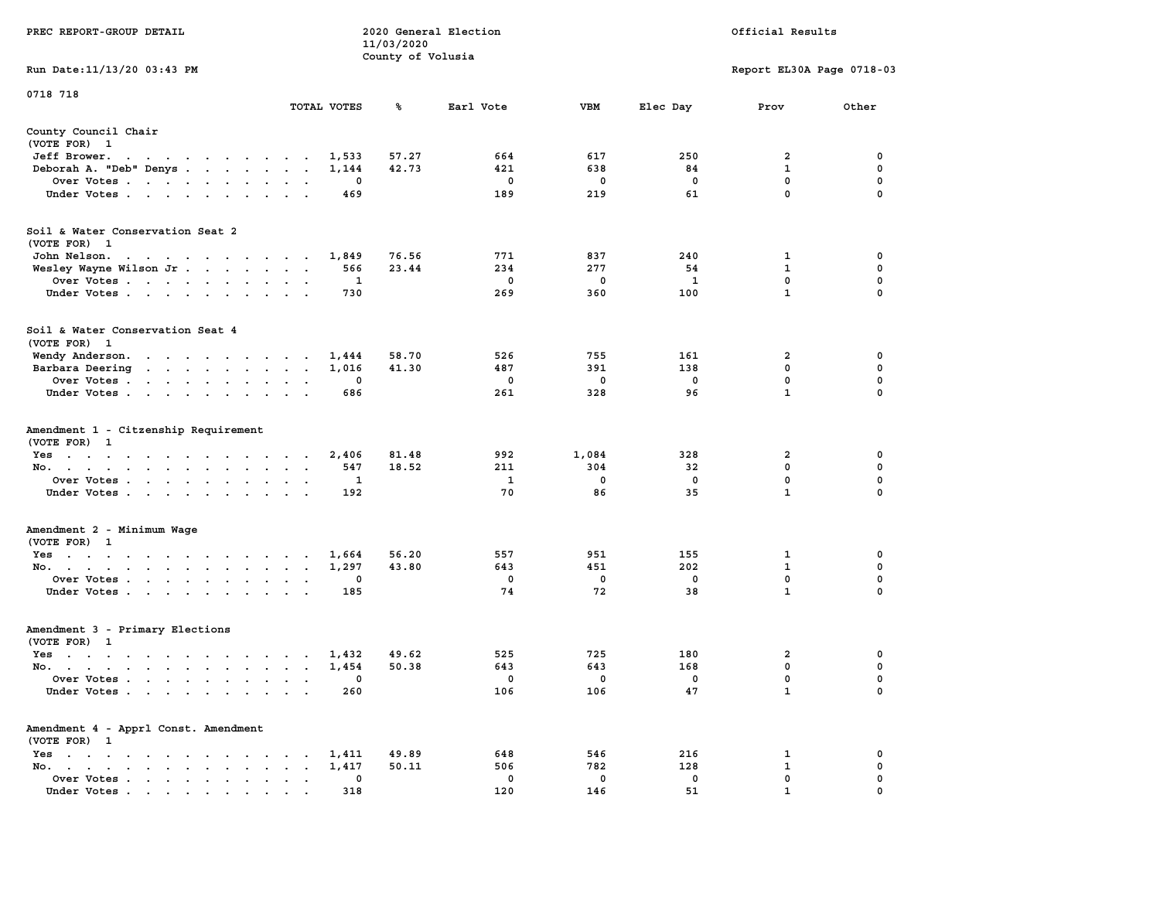|                                                                                                                                                                                                                                                       |                                                                | 11/03/2020        |              |             |             |                           |             |
|-------------------------------------------------------------------------------------------------------------------------------------------------------------------------------------------------------------------------------------------------------|----------------------------------------------------------------|-------------------|--------------|-------------|-------------|---------------------------|-------------|
|                                                                                                                                                                                                                                                       |                                                                | County of Volusia |              |             |             |                           |             |
| Run Date: 11/13/20 03:43 PM                                                                                                                                                                                                                           |                                                                |                   |              |             |             | Report EL30A Page 0718-03 |             |
| 0718 718                                                                                                                                                                                                                                              |                                                                |                   |              |             |             |                           |             |
|                                                                                                                                                                                                                                                       | TOTAL VOTES                                                    | ℁                 | Earl Vote    | <b>VBM</b>  | Elec Day    | Prov                      | Other       |
|                                                                                                                                                                                                                                                       |                                                                |                   |              |             |             |                           |             |
| County Council Chair                                                                                                                                                                                                                                  |                                                                |                   |              |             |             |                           |             |
| (VOTE FOR) 1                                                                                                                                                                                                                                          |                                                                |                   |              |             |             |                           |             |
| Jeff Brower.<br>$\mathbf{a}$ and $\mathbf{a}$ are a set of the set of the set of the set of the set of the set of the set of the set of the set of the set of the set of the set of the set of the set of the set of the set of the set of the set of | 1,533                                                          | 57.27             | 664          | 617         | 250         | $\overline{a}$            | 0           |
| Deborah A. "Deb" Denys                                                                                                                                                                                                                                | 1,144<br>$\sim$                                                | 42.73             | 421          | 638         | 84          | $\mathbf{1}$              | $\mathbf 0$ |
| Over Votes                                                                                                                                                                                                                                            | $\Omega$<br>$\bullet$                                          |                   | $\mathbf 0$  | $\mathbf 0$ | $\mathbf 0$ | $\mathbf 0$               | $\mathbf 0$ |
| Under Votes                                                                                                                                                                                                                                           | 469<br>$\ddot{\phantom{a}}$                                    |                   | 189          | 219         | 61          | $\mathbf 0$               | $\Omega$    |
| Soil & Water Conservation Seat 2                                                                                                                                                                                                                      |                                                                |                   |              |             |             |                           |             |
| (VOTE FOR) 1                                                                                                                                                                                                                                          |                                                                |                   |              |             |             |                           |             |
| John Nelson.<br>the contract of the contract of the con-                                                                                                                                                                                              | 1,849                                                          | 76.56             | 771          | 837         | 240         | 1                         | 0           |
| Wesley Wayne Wilson Jr.                                                                                                                                                                                                                               | 566                                                            | 23.44             | 234          | 277         | 54          | 1                         | 0           |
| Over Votes                                                                                                                                                                                                                                            | 1<br>$\sim$                                                    |                   | 0            | 0           | 1           | 0                         | $\mathbf 0$ |
| Under Votes                                                                                                                                                                                                                                           | 730                                                            |                   | 269          | 360         | 100         | $\mathbf{1}$              | $\Omega$    |
| Soil & Water Conservation Seat 4<br>(VOTE FOR) 1                                                                                                                                                                                                      |                                                                |                   |              |             |             |                           |             |
|                                                                                                                                                                                                                                                       |                                                                |                   |              |             |             |                           |             |
| Wendy Anderson.                                                                                                                                                                                                                                       | 1,444<br>$\ddot{\phantom{0}}$                                  | 58.70             | 526          | 755         | 161         | 2<br>$\mathbf{0}$         | $\mathbf 0$ |
| Barbara Deering                                                                                                                                                                                                                                       | 1,016                                                          | 41.30             | 487          | 391         | 138         |                           | $\mathbf 0$ |
| Over Votes                                                                                                                                                                                                                                            | $\mathbf 0$<br>$\ddot{\phantom{a}}$                            |                   | $\mathbf 0$  | $\mathbf 0$ | $\mathbf 0$ | $\mathbf 0$               | $\mathbf 0$ |
| Under Votes                                                                                                                                                                                                                                           | 686                                                            |                   | 261          | 328         | 96          | $\mathbf{1}$              | 0           |
| Amendment 1 - Citzenship Requirement<br>(VOTE FOR) 1                                                                                                                                                                                                  |                                                                |                   |              |             |             |                           |             |
| Yes                                                                                                                                                                                                                                                   | 2,406<br>$\cdot$                                               | 81.48             | 992          | 1,084       | 328         | $\overline{2}$            | 0           |
| No.<br>$\ddot{\phantom{0}}$<br>$\bullet$                                                                                                                                                                                                              | 547<br>$\ddot{\phantom{a}}$<br>$\sim$<br>$\ddot{\phantom{a}}$  | 18.52             | 211          | 304         | 32          | $\mathbf 0$               | $\mathbf 0$ |
| Over Votes.                                                                                                                                                                                                                                           | 1                                                              |                   | <b>1</b>     | $\mathbf 0$ | $\mathbf 0$ | $\mathbf 0$               | $\mathbf 0$ |
| Under Votes<br>$\sim$ $\sim$                                                                                                                                                                                                                          | 192                                                            |                   | 70           | 86          | 35          | $\mathbf{1}$              | $\mathbf 0$ |
| Amendment 2 - Minimum Wage<br>(VOTE FOR) 1                                                                                                                                                                                                            |                                                                |                   |              |             |             |                           |             |
| Yes                                                                                                                                                                                                                                                   | 1,664                                                          | 56.20             | 557          | 951         | 155         | 1                         | 0           |
| No.                                                                                                                                                                                                                                                   | 1,297<br>$\bullet$                                             | 43.80             | 643          | 451         | 202         | $\mathbf{1}$              | $\mathbf 0$ |
| Over Votes                                                                                                                                                                                                                                            | $\mathbf{0}$<br>$\,$ .<br>$\bullet$                            |                   | $^{\circ}$   | $^{\circ}$  | $^{\circ}$  | $\mathbf{0}$              | $\Omega$    |
| Under Votes                                                                                                                                                                                                                                           | 185<br>$\sim$ $\sim$                                           |                   | 74           | 72          | 38          | $\mathbf{1}$              | $\Omega$    |
|                                                                                                                                                                                                                                                       |                                                                |                   |              |             |             |                           |             |
| Amendment 3 - Primary Elections                                                                                                                                                                                                                       |                                                                |                   |              |             |             |                           |             |
| (VOTE FOR) 1                                                                                                                                                                                                                                          |                                                                |                   |              |             |             | $\overline{a}$            | $\mathbf 0$ |
| Yes                                                                                                                                                                                                                                                   | 1,432                                                          | 49.62             | 525          | 725         | 180         |                           |             |
| No.                                                                                                                                                                                                                                                   | 1,454                                                          | 50.38             | 643          | 643         | 168         | $\mathbf 0$               | $\mathbf 0$ |
| Over Votes<br>$\cdot$ $\cdot$                                                                                                                                                                                                                         | 0<br>$\ddot{\phantom{a}}$<br>$\ddot{\phantom{1}}$              |                   | 0            | 0           | 0           | $\mathbf 0$               | $\mathbf 0$ |
| Under Votes                                                                                                                                                                                                                                           | 260                                                            |                   | 106          | 106         | 47          | $\mathbf{1}$              | $\mathbf 0$ |
| Amendment 4 - Apprl Const. Amendment<br>(VOTE FOR) 1                                                                                                                                                                                                  |                                                                |                   |              |             |             |                           |             |
| Yes<br>$\sim$ $\sim$                                                                                                                                                                                                                                  | 1,411<br>$\sim$ $\sim$ $\sim$                                  | 49.89             | 648          | 546         | 216         | 1                         | 0           |
| No.<br>the contract of the contract of the<br>$\sim$<br>$\ddot{\phantom{a}}$                                                                                                                                                                          | 1,417<br>$\ddot{\phantom{0}}$<br>$\sim$                        | 50.11             | 506          | 782         | 128         | $\mathbf{1}$              | $\mathbf 0$ |
| Over Votes<br>$\bullet$                                                                                                                                                                                                                               | $\mathbf{0}$<br>$\bullet$<br>$\bullet$<br>$\ddot{\phantom{a}}$ |                   | $\mathbf{0}$ | 0           | 0           | $\mathbf 0$               | $\mathbf 0$ |
| Under Votes<br>$\mathbf{r}$ , and $\mathbf{r}$ , and $\mathbf{r}$ , and $\mathbf{r}$ , and $\mathbf{r}$                                                                                                                                               | 318                                                            |                   | 120          | 146         | 51          | $\mathbf{1}$              | $\mathbf 0$ |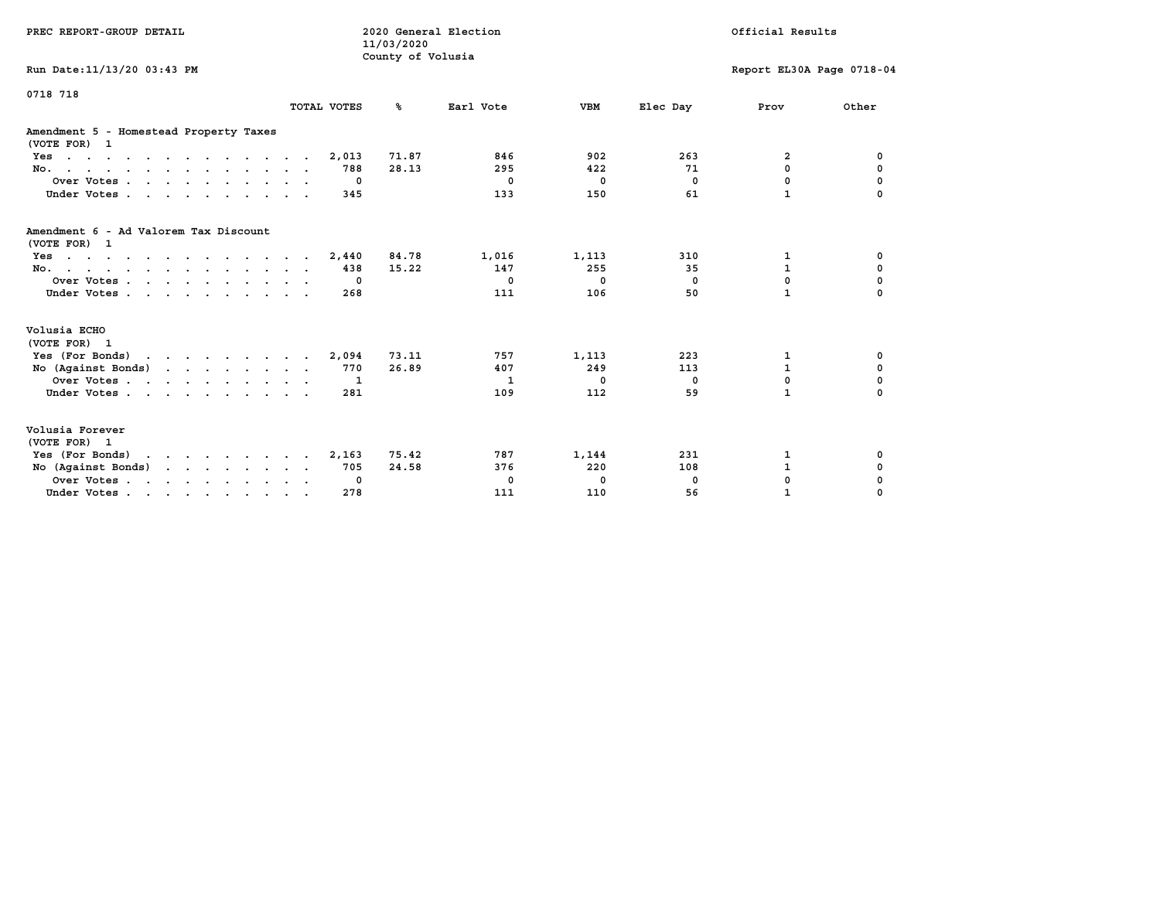| PREC REPORT-GROUP DETAIL                                                            |              | 11/03/2020<br>County of Volusia | 2020 General Election |             |              | Official Results          |             |
|-------------------------------------------------------------------------------------|--------------|---------------------------------|-----------------------|-------------|--------------|---------------------------|-------------|
| Run Date: 11/13/20 03:43 PM                                                         |              |                                 |                       |             |              | Report EL30A Page 0718-04 |             |
| 0718 718                                                                            | TOTAL VOTES  | %ะ                              | Earl Vote             | <b>VBM</b>  | Elec Day     | Prov                      | Other       |
| Amendment 5 - Homestead Property Taxes<br>(VOTE FOR) 1                              |              |                                 |                       |             |              |                           |             |
| Yes                                                                                 | 2,013        | 71.87                           | 846                   | 902         | 263          | $\overline{a}$            | 0           |
| No.                                                                                 | 788          | 28.13                           | 295                   | 422         | 71           | 0                         | 0           |
| Over Votes                                                                          | 0            |                                 | $\mathbf 0$           | $\mathbf 0$ | $\mathbf{0}$ | 0                         | $\mathbf 0$ |
| Under Votes                                                                         | 345          |                                 | 133                   | 150         | 61           | $\mathbf{1}$              | $\Omega$    |
| Amendment 6 - Ad Valorem Tax Discount<br>(VOTE FOR) 1                               |              |                                 |                       |             |              |                           |             |
| $Yes \cdot \cdot \cdot \cdot \cdot \cdot \cdot \cdot \cdot \cdot \cdot \cdot \cdot$ | 2,440        | 84.78                           | 1,016                 | 1,113       | 310          | 1                         | 0           |
| No.                                                                                 | 438          | 15.22                           | 147                   | 255         | 35           | $\mathbf{1}$              | 0           |
| Over Votes.                                                                         | $\mathbf{0}$ |                                 | $^{\circ}$            | $^{\circ}$  | $\Omega$     | 0                         | 0           |
| Under Votes.                                                                        | 268          |                                 | 111                   | 106         | 50           | $\mathbf{1}$              |             |
| Volusia ECHO<br>(VOTE FOR) 1                                                        |              |                                 |                       |             |              |                           |             |
| Yes (For Bonds)                                                                     | 2,094        | 73.11                           | 757                   | 1,113       | 223          | 1                         | 0           |
| No (Against Bonds)                                                                  | 770          | 26.89                           | 407                   | 249         | 113          | $\mathbf{1}$              | $\mathbf 0$ |
| Over Votes                                                                          | $\mathbf{1}$ |                                 | 1                     | $\mathbf 0$ | $^{\circ}$   | 0                         | 0           |
| Under Votes                                                                         | 281          |                                 | 109                   | 112         | 59           | $\mathbf{1}$              | $\mathbf 0$ |
| Volusia Forever<br>(VOTE FOR) 1                                                     |              |                                 |                       |             |              |                           |             |
| Yes (For Bonds)<br>$\mathbf{r}$ . The state of the state $\mathbf{r}$               | 2,163        | 75.42                           | 787                   | 1,144       | 231          | 1                         | 0           |
| No (Against Bonds)                                                                  | 705          | 24.58                           | 376                   | 220         | 108          | $\mathbf{1}$              | 0           |
| Over Votes                                                                          | 0            |                                 | 0                     | 0           | 0            | 0                         | 0           |
| Under Votes                                                                         | 278          |                                 | 111                   | 110         | 56           | $\mathbf{1}$              | $\Omega$    |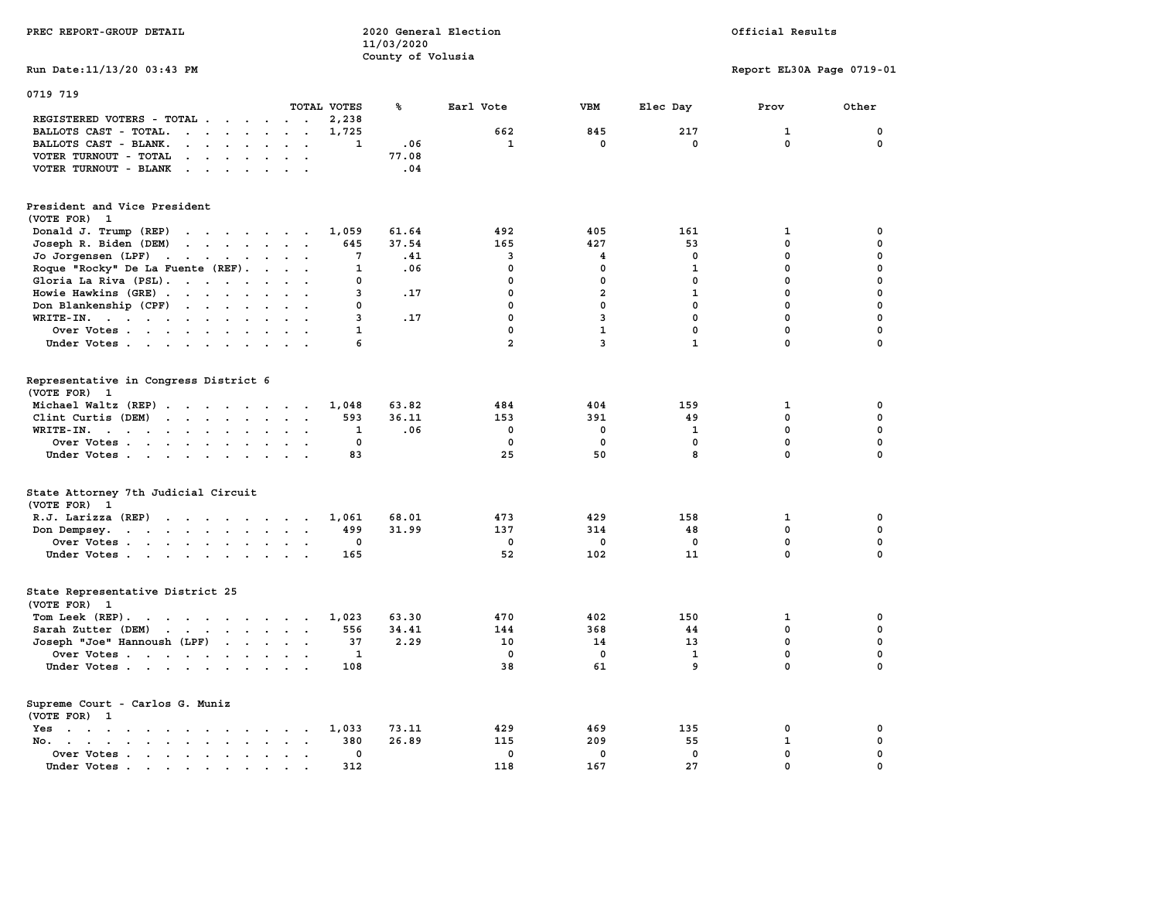| PREC REPORT-GROUP DETAIL                                                                                                                                                                                                                                                  |                 | 11/03/2020        | 2020 General Election |                |              | Official Results          |             |
|---------------------------------------------------------------------------------------------------------------------------------------------------------------------------------------------------------------------------------------------------------------------------|-----------------|-------------------|-----------------------|----------------|--------------|---------------------------|-------------|
|                                                                                                                                                                                                                                                                           |                 | County of Volusia |                       |                |              |                           |             |
| Run Date: 11/13/20 03:43 PM                                                                                                                                                                                                                                               |                 |                   |                       |                |              | Report EL30A Page 0719-01 |             |
| 0719 719                                                                                                                                                                                                                                                                  |                 |                   |                       |                |              |                           |             |
|                                                                                                                                                                                                                                                                           | TOTAL VOTES     | ℁                 | Earl Vote             | <b>VBM</b>     | Elec Day     | Prov                      | Other       |
| REGISTERED VOTERS - TOTAL                                                                                                                                                                                                                                                 | 2,238           |                   |                       |                |              |                           |             |
| BALLOTS CAST - TOTAL.<br>$\mathbf{r}$                                                                                                                                                                                                                                     | 1,725           |                   | 662                   | 845            | 217          | $\mathbf{1}$              | $\mathbf 0$ |
| BALLOTS CAST - BLANK.<br>$\begin{array}{cccccccccccccc} \bullet & \bullet & \bullet & \bullet & \bullet & \bullet & \bullet & \bullet & \bullet & \bullet & \bullet \end{array}$                                                                                          | 1               | .06               | 1                     | 0              | 0            | 0                         | 0           |
| VOTER TURNOUT - TOTAL<br>$\mathbf{r}$                                                                                                                                                                                                                                     |                 | 77.08             |                       |                |              |                           |             |
| VOTER TURNOUT - BLANK                                                                                                                                                                                                                                                     |                 | .04               |                       |                |              |                           |             |
| President and Vice President                                                                                                                                                                                                                                              |                 |                   |                       |                |              |                           |             |
| (VOTE FOR) 1                                                                                                                                                                                                                                                              |                 |                   |                       |                |              |                           |             |
| Donald J. Trump (REP)                                                                                                                                                                                                                                                     | 1,059           | 61.64             | 492                   | 405            | 161          | 1                         | 0           |
| Joseph R. Biden (DEM)<br>the contract of the contract of                                                                                                                                                                                                                  | 645             | 37.54             | 165                   | 427            | 53           | 0                         | $\mathbf 0$ |
| Jo Jorgensen $(LPF)$                                                                                                                                                                                                                                                      | 7               | .41               | 3                     | 4              | $\mathbf 0$  | 0                         | $\mathbf 0$ |
| Roque "Rocky" De La Fuente (REF).                                                                                                                                                                                                                                         | $\mathbf{1}$    | .06               | $\mathbf 0$           | $\mathbf 0$    | $\mathbf{1}$ | $\mathbf 0$               | $\mathbf 0$ |
| Gloria La Riva (PSL).                                                                                                                                                                                                                                                     | 0               |                   | $\mathbf 0$           | $\mathbf 0$    | $\mathbf{0}$ | $\mathbf{0}$              | $\mathbf 0$ |
| Howie Hawkins (GRE)                                                                                                                                                                                                                                                       | 3               | .17               | $\mathbf 0$           | $\overline{a}$ | $\mathbf{1}$ | $\mathbf 0$               | $\mathbf 0$ |
| Don Blankenship (CPF)                                                                                                                                                                                                                                                     | 0               |                   | $\mathbf 0$           | $\mathbf 0$    | $\mathbf 0$  | $\mathbf 0$               | $\mathbf 0$ |
| WRITE-IN.<br>$\mathbf{L}$ and $\mathbf{L}$                                                                                                                                                                                                                                | 3               | .17               | $\mathbf 0$           | 3              | $\mathbf 0$  | $\mathbf 0$               | $\mathbf 0$ |
| Over Votes                                                                                                                                                                                                                                                                | 1               |                   | $\mathbf 0$           | $\mathbf{1}$   | $\mathbf{0}$ | $\mathbf 0$               | $\mathbf 0$ |
| Under Votes<br>$\sim$ $\sim$ $\sim$                                                                                                                                                                                                                                       | 6               |                   | $\overline{a}$        | 3              | $\mathbf{1}$ | 0                         | $\mathbf 0$ |
|                                                                                                                                                                                                                                                                           |                 |                   |                       |                |              |                           |             |
| Representative in Congress District 6<br>(VOTE FOR) 1                                                                                                                                                                                                                     |                 |                   |                       |                |              |                           |             |
| Michael Waltz (REP)                                                                                                                                                                                                                                                       | 1,048           | 63.82             | 484                   | 404            | 159          | 1                         | 0           |
| Clint Curtis (DEM)                                                                                                                                                                                                                                                        | 593             | 36.11             | 153                   | 391            | 49           | 0                         | $\mathbf 0$ |
| WRITE-IN.<br>$\mathbf{r}$ . The set of the set of the set of the set of the set of the set of the set of the set of the set of the set of the set of the set of the set of the set of the set of the set of the set of the set of the set of t<br>$\cdot$ $\cdot$ $\cdot$ | 1               | .06               | $\mathbf{0}$          | $\mathbf 0$    | 1            | $\mathbf 0$               | $\mathbf 0$ |
| Over Votes<br>$\sim$ $\sim$<br>$\sim$                                                                                                                                                                                                                                     | $\mathbf 0$     |                   | $\mathbf 0$           | $\mathbf 0$    | $\mathbf 0$  | $\mathbf 0$               | $\mathbf 0$ |
| Under Votes                                                                                                                                                                                                                                                               | 83              |                   | 25                    | 50             | 8            | $\Omega$                  | $\Omega$    |
| State Attorney 7th Judicial Circuit                                                                                                                                                                                                                                       |                 |                   |                       |                |              |                           |             |
| (VOTE FOR) 1                                                                                                                                                                                                                                                              |                 |                   |                       |                |              |                           |             |
| R.J. Larizza $(REF)$                                                                                                                                                                                                                                                      | 1,061<br>$\sim$ | 68.01             | 473                   | 429            | 158          | 1                         | 0           |
| Don Dempsey.<br>the contract of the contract of the contract of the contract of the contract of the contract of the contract of                                                                                                                                           | 499             | 31.99             | 137                   | 314            | 48           | $\mathbf 0$               | $\mathbf 0$ |
| Over Votes                                                                                                                                                                                                                                                                | 0               |                   | $\mathbf 0$           | $\mathbf 0$    | $\mathbf 0$  | $\mathbf 0$               | $\mathbf 0$ |
| Under Votes                                                                                                                                                                                                                                                               | 165             |                   | 52                    | 102            | 11           | $\Omega$                  | $\Omega$    |
|                                                                                                                                                                                                                                                                           |                 |                   |                       |                |              |                           |             |
| State Representative District 25                                                                                                                                                                                                                                          |                 |                   |                       |                |              |                           |             |
| (VOTE FOR) 1                                                                                                                                                                                                                                                              |                 |                   |                       |                |              |                           |             |
| Tom Leek (REP).                                                                                                                                                                                                                                                           | 1,023           | 63.30             | 470                   | 402            | 150          | 1                         | $\mathbf 0$ |
| Sarah Zutter (DEM)                                                                                                                                                                                                                                                        | 556             | 34.41             | 144                   | 368            | 44           | $\mathbf{0}$              | $\mathbf 0$ |
| Joseph "Joe" Hannoush (LPF)                                                                                                                                                                                                                                               | 37              | 2.29              | 10                    | 14             | 13           | $\mathbf{0}$              | $\mathbf 0$ |
| Over Votes                                                                                                                                                                                                                                                                | 1               |                   | $\mathbf{0}$          | $^{\circ}$     | 1            | $\mathbf{0}$              | $\mathbf 0$ |
| Under Votes                                                                                                                                                                                                                                                               | 108             |                   | 38                    | 61             | 9            | $\mathbf 0$               | $\mathbf 0$ |
| Supreme Court - Carlos G. Muniz                                                                                                                                                                                                                                           |                 |                   |                       |                |              |                           |             |
| (VOTE FOR) 1                                                                                                                                                                                                                                                              |                 |                   |                       |                |              |                           |             |
| Yes                                                                                                                                                                                                                                                                       | 1,033           | 73.11             | 429                   | 469            | 135          | 0                         | 0           |
| No.                                                                                                                                                                                                                                                                       | 380             | 26.89             | 115                   | 209            | 55           | 1                         | $\mathbf 0$ |
| Over Votes<br>$\bullet$ .<br><br><br><br><br><br><br><br><br><br><br><br>                                                                                                                                                                                                 | $\mathbf 0$     |                   | $\mathbf 0$           | $\mathbf 0$    | $\mathbf 0$  | $\mathbf{0}$              | $\mathbf 0$ |
| Under Votes<br>$\ddot{\phantom{a}}$<br>$\sim$<br>$\sim$                                                                                                                                                                                                                   | 312<br>$\sim$   |                   | 118                   | 167            | 27           | 0                         | $\mathbf 0$ |
|                                                                                                                                                                                                                                                                           |                 |                   |                       |                |              |                           |             |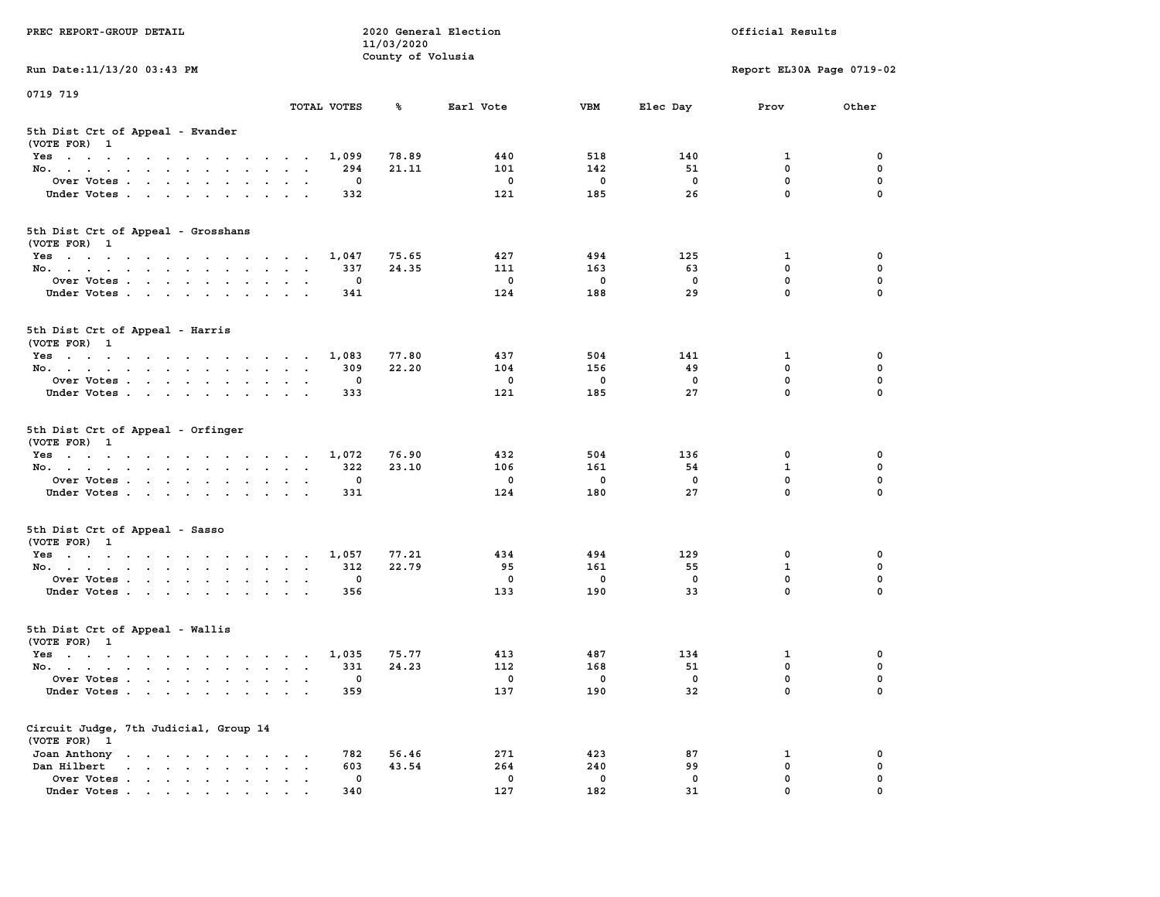| PREC REPORT-GROUP DETAIL                                                                                               |                                                                  | 11/03/2020        | 2020 General Election |              | Official Results |                           |             |  |  |
|------------------------------------------------------------------------------------------------------------------------|------------------------------------------------------------------|-------------------|-----------------------|--------------|------------------|---------------------------|-------------|--|--|
| Run Date: 11/13/20 03:43 PM                                                                                            |                                                                  | County of Volusia |                       |              |                  | Report EL30A Page 0719-02 |             |  |  |
| 0719 719                                                                                                               |                                                                  |                   |                       |              |                  |                           |             |  |  |
|                                                                                                                        | TOTAL VOTES                                                      | ℁                 | Earl Vote             | <b>VBM</b>   | Elec Day         | Prov                      | Other       |  |  |
| 5th Dist Crt of Appeal - Evander<br>(VOTE FOR) 1                                                                       |                                                                  |                   |                       |              |                  |                           |             |  |  |
| Yes                                                                                                                    | 1,099                                                            | 78.89             | 440                   | 518          | 140              | 1                         | 0           |  |  |
| No.                                                                                                                    | 294                                                              | 21.11             | 101                   | 142          | 51               | $\mathbf 0$               | 0           |  |  |
| Over Votes                                                                                                             | 0                                                                |                   | $\mathbf 0$           | 0            | $\mathbf 0$      | $\mathbf 0$               | 0           |  |  |
| Under Votes                                                                                                            | 332                                                              |                   | 121                   | 185          | 26               | $\mathbf 0$               | $\Omega$    |  |  |
| 5th Dist Crt of Appeal - Grosshans<br>(VOTE FOR) 1                                                                     |                                                                  |                   |                       |              |                  |                           |             |  |  |
| Yes                                                                                                                    | 1,047                                                            | 75.65             | 427                   | 494          | 125              | 1                         | 0           |  |  |
| No.                                                                                                                    | 337                                                              | 24.35             | 111                   | 163          | 63               | $\mathbf 0$               | 0           |  |  |
| Over Votes                                                                                                             | 0                                                                |                   | $\mathbf 0$           | $\mathbf 0$  | $\mathbf 0$      | $\mathbf 0$               | 0           |  |  |
| Under Votes                                                                                                            | 341                                                              |                   | 124                   | 188          | 29               | $\mathbf{0}$              | 0           |  |  |
| 5th Dist Crt of Appeal - Harris<br>(VOTE FOR) 1                                                                        |                                                                  |                   |                       |              |                  |                           |             |  |  |
| Yes                                                                                                                    | 1,083                                                            | 77.80             | 437                   | 504          | 141              | 1                         | 0           |  |  |
| No.                                                                                                                    | 309                                                              | 22.20             | 104                   | 156          | 49               | $^{\circ}$                | $\mathbf 0$ |  |  |
| Over Votes                                                                                                             | 0                                                                |                   | 0                     | $\mathbf 0$  | 0                | $\mathbf 0$               | 0           |  |  |
| Under Votes                                                                                                            | 333                                                              |                   | 121                   | 185          | 27               | $\mathbf 0$               | 0           |  |  |
| 5th Dist Crt of Appeal - Orfinger<br>(VOTE FOR) 1                                                                      |                                                                  |                   |                       |              |                  |                           |             |  |  |
| Yes                                                                                                                    | 1,072                                                            | 76.90             | 432                   | 504          | 136              | 0                         | 0           |  |  |
| No.                                                                                                                    | 322                                                              | 23.10             | 106                   | 161          | 54               | $\mathbf{1}$              | 0           |  |  |
| Over Votes                                                                                                             | 0                                                                |                   | 0                     | 0            | 0                | $\mathbf 0$               | 0           |  |  |
| Under Votes                                                                                                            | 331                                                              |                   | 124                   | 180          | 27               | $\mathbf 0$               | $\Omega$    |  |  |
| 5th Dist Crt of Appeal - Sasso<br>(VOTE FOR) 1                                                                         |                                                                  |                   |                       |              |                  |                           |             |  |  |
| Yes                                                                                                                    | 1,057                                                            | 77.21             | 434                   | 494          | 129              | 0                         | 0           |  |  |
| No.                                                                                                                    | 312                                                              | 22.79             | 95                    | 161          | 55               | $\mathbf{1}$              | 0           |  |  |
| Over Votes                                                                                                             | 0                                                                |                   | 0                     | $\mathbf 0$  | $\mathbf 0$      | 0                         | 0           |  |  |
| Under Votes                                                                                                            | 356                                                              |                   | 133                   | 190          | 33               | $\mathbf{0}$              | $\Omega$    |  |  |
| 5th Dist Crt of Appeal - Wallis<br>(VOTE FOR) 1                                                                        |                                                                  |                   |                       |              |                  |                           |             |  |  |
| Yes<br>the contract of the contract of the contract of the contract of the contract of the contract of the contract of | 1,035                                                            | 75.77             | 413                   | 487          | 134              | 1                         | 0           |  |  |
| No.                                                                                                                    | 331                                                              | 24.23             | 112                   | 168          | 51               | 0                         | 0           |  |  |
| Over Votes                                                                                                             | 0                                                                |                   | 0                     | $\mathbf{0}$ | $\mathbf{0}$     | $\mathbf 0$               | 0           |  |  |
| Under Votes                                                                                                            | 359                                                              |                   | 137                   | 190          | 32               | 0                         | 0           |  |  |
| Circuit Judge, 7th Judicial, Group 14<br>(VOTE FOR) 1                                                                  |                                                                  |                   |                       |              |                  |                           |             |  |  |
| Joan Anthony                                                                                                           | 782<br>$\sim$ 100 $\pm$                                          | 56.46             | 271                   | 423          | 87               | 1                         | 0           |  |  |
| Dan Hilbert<br>$\cdot$ $\cdot$ $\cdot$ $\cdot$ $\cdot$ $\cdot$ $\cdot$ $\cdot$                                         | 603<br>$\bullet$<br>$\ddot{\phantom{a}}$<br>$\ddot{\phantom{1}}$ | 43.54             | 264                   | 240          | 99               | $\mathbf 0$               | 0           |  |  |
| Over Votes.                                                                                                            | $\mathbf 0$                                                      |                   | 0                     | $\mathbf 0$  | 0                | 0                         | 0           |  |  |
| Under Votes                                                                                                            | 340                                                              |                   | 127                   | 182          | 31               | 0                         |             |  |  |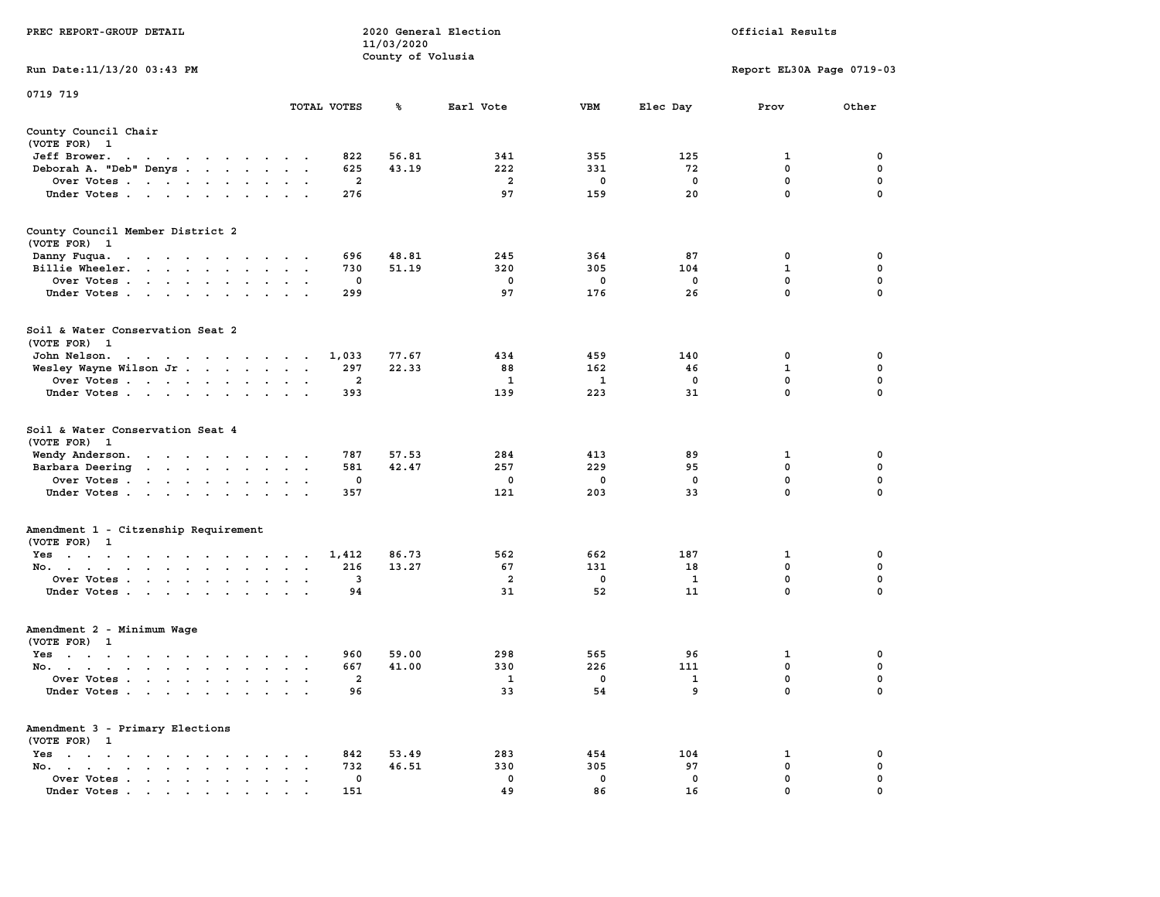| PREC REPORT-GROUP DETAIL                                                                                                                                                           |                      |                 | 11/03/2020<br>County of Volusia | 2020 General Election |                 | Official Results |                           |             |  |  |
|------------------------------------------------------------------------------------------------------------------------------------------------------------------------------------|----------------------|-----------------|---------------------------------|-----------------------|-----------------|------------------|---------------------------|-------------|--|--|
| Run Date: 11/13/20 03:43 PM                                                                                                                                                        |                      |                 |                                 |                       |                 |                  | Report EL30A Page 0719-03 |             |  |  |
| 0719 719                                                                                                                                                                           |                      |                 |                                 |                       |                 |                  |                           |             |  |  |
|                                                                                                                                                                                    |                      | TOTAL VOTES     | ℁                               | Earl Vote             | VBM             | Elec Day         | Prov                      | Other       |  |  |
| County Council Chair<br>(VOTE FOR) 1                                                                                                                                               |                      |                 |                                 |                       |                 |                  |                           |             |  |  |
| Jeff Brower.<br>the contract of the contract of the con-                                                                                                                           |                      | 822             | 56.81                           | 341                   | 355             | 125              | 1                         | 0           |  |  |
| Deborah A. "Deb" Denys                                                                                                                                                             |                      | 625             | 43.19                           | 222                   | 331             | 72               | $\mathbf 0$               | 0           |  |  |
| Over Votes                                                                                                                                                                         |                      | 2               |                                 | $\overline{a}$        | 0               | 0                | 0                         | 0           |  |  |
| Under Votes                                                                                                                                                                        |                      | 276             |                                 | 97                    | 159             | 20               | $\mathbf 0$               | $\Omega$    |  |  |
| County Council Member District 2<br>(VOTE FOR) 1                                                                                                                                   |                      |                 |                                 |                       |                 |                  |                           |             |  |  |
| Danny Fuqua.<br>the contract of the contract of the contract of                                                                                                                    |                      | 696             | 48.81                           | 245                   | 364             | 87               | 0                         | 0           |  |  |
| Billie Wheeler.                                                                                                                                                                    |                      | 730             | 51.19                           | 320                   | 305             | 104              | 1                         | 0           |  |  |
| Over Votes                                                                                                                                                                         |                      | 0               |                                 | 0                     | 0               | 0                | $\mathbf 0$               | 0           |  |  |
| Under Votes                                                                                                                                                                        |                      | 299             |                                 | 97                    | 176             | 26               | $\mathbf 0$               | 0           |  |  |
| Soil & Water Conservation Seat 2<br>(VOTE FOR) 1                                                                                                                                   |                      |                 |                                 |                       |                 |                  |                           |             |  |  |
| John Nelson.<br>the contract of the contract of the contract of the contract of the contract of the contract of the contract of                                                    |                      | 1,033           | 77.67                           | 434                   | 459             | 140              | 0                         | 0           |  |  |
| Wesley Wayne Wilson Jr                                                                                                                                                             |                      | 297             | 22.33                           | 88                    | 162             | 46               | 1                         | 0           |  |  |
| Over Votes                                                                                                                                                                         | $\sim$<br>$\bullet$  | 2               |                                 | 1                     | 1               | $\Omega$         | $\mathbf 0$               | 0           |  |  |
| Under Votes                                                                                                                                                                        |                      | 393             |                                 | 139                   | 223             | 31               | 0                         | 0           |  |  |
| Soil & Water Conservation Seat 4<br>(VOTE FOR) 1<br>Wendy Anderson.<br>the contract of the contract of the<br>Barbara Deering<br>the contract of the contract of the<br>Over Votes |                      | 787<br>581<br>0 | 57.53<br>42.47                  | 284<br>257<br>0       | 413<br>229<br>0 | 89<br>95<br>0    | 1<br>$\mathbf 0$<br>0     | 0<br>0<br>0 |  |  |
| Under Votes                                                                                                                                                                        |                      | 357             |                                 | 121                   | 203             | 33               | 0                         | $\Omega$    |  |  |
| Amendment 1 - Citzenship Requirement<br>(VOTE FOR) 1                                                                                                                               |                      |                 |                                 |                       |                 |                  |                           |             |  |  |
| Yes                                                                                                                                                                                |                      | 1,412           | 86.73                           | 562                   | 662             | 187              | 1                         | 0           |  |  |
| No.                                                                                                                                                                                |                      | 216             | 13.27                           | 67                    | 131             | 18               | 0                         | 0           |  |  |
| Over Votes                                                                                                                                                                         |                      | 3               |                                 | $\overline{a}$        | 0               | <b>1</b>         | 0                         | 0           |  |  |
| Under Votes                                                                                                                                                                        |                      | 94              |                                 | 31                    | 52              | 11               | $\mathbf 0$               | 0           |  |  |
| Amendment 2 - Minimum Wage<br>(VOTE FOR) 1                                                                                                                                         |                      |                 |                                 |                       |                 |                  |                           |             |  |  |
| Yes<br>the contract of the contract of the contract of the contract of the contract of the contract of the contract of                                                             |                      | 960             | 59.00                           | 298                   | 565             | 96               | 1                         | 0           |  |  |
| No.                                                                                                                                                                                |                      | 667             | 41.00                           | 330                   | 226             | 111              | 0                         | 0           |  |  |
| Over Votes                                                                                                                                                                         |                      | 2               |                                 | 1                     | 0               | $\mathbf{1}$     | 0                         | 0           |  |  |
| Under Votes                                                                                                                                                                        |                      | 96              |                                 | 33                    | 54              | 9                | 0                         | 0           |  |  |
| Amendment 3 - Primary Elections<br>(VOTE FOR) 1                                                                                                                                    |                      |                 |                                 |                       |                 |                  |                           |             |  |  |
| $Yes \cdot \cdot \cdot \cdot \cdot \cdot$<br><b>Contract</b><br>$\cdot$                                                                                                            |                      | 842             | 53.49                           | 283                   | 454             | 104              | 1                         | 0           |  |  |
| No.<br>$\ddot{\phantom{a}}$<br>$\bullet$<br>$\bullet$                                                                                                                              | $\ddot{\phantom{a}}$ | 732             | 46.51                           | 330                   | 305             | 97               | $\mathbf 0$               | 0           |  |  |
| Over Votes                                                                                                                                                                         |                      | 0               |                                 | 0                     | 0               | 0                | 0                         | 0           |  |  |
| Under Votes                                                                                                                                                                        |                      | 151             |                                 | 49                    | 86              | 16               | 0                         | 0           |  |  |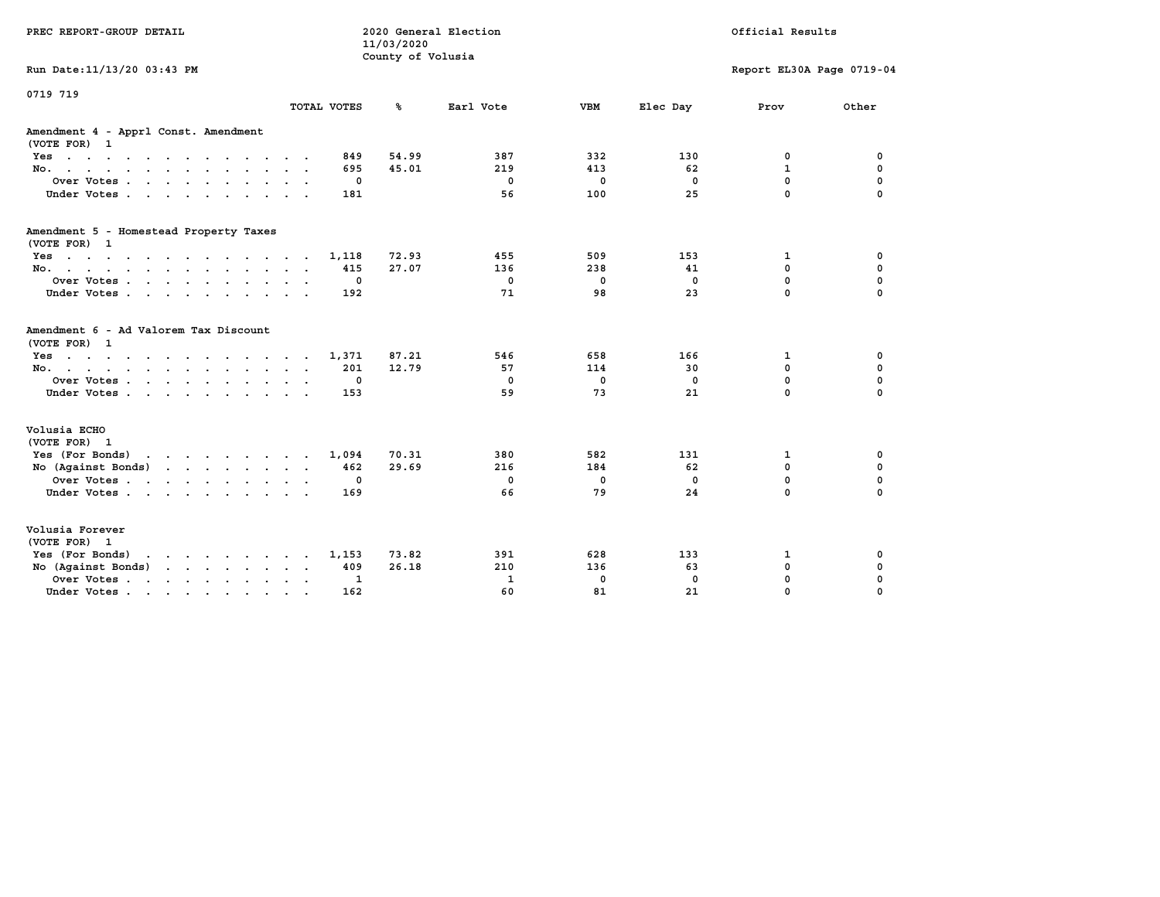| PREC REPORT-GROUP DETAIL                                                                                                           |                 |             | 11/03/2020<br>County of Volusia | 2020 General Election |              | Official Results |                           |             |  |
|------------------------------------------------------------------------------------------------------------------------------------|-----------------|-------------|---------------------------------|-----------------------|--------------|------------------|---------------------------|-------------|--|
| Run Date: 11/13/20 03:43 PM                                                                                                        |                 |             |                                 |                       |              |                  | Report EL30A Page 0719-04 |             |  |
| 0719 719                                                                                                                           |                 | TOTAL VOTES | ℁                               | Earl Vote             | <b>VBM</b>   | Elec Day         | Prov                      | Other       |  |
|                                                                                                                                    |                 |             |                                 |                       |              |                  |                           |             |  |
| Amendment 4 - Apprl Const. Amendment<br>(VOTE FOR) 1                                                                               |                 |             |                                 |                       |              |                  |                           |             |  |
| Yes                                                                                                                                |                 | 849         | 54.99                           | 387                   | 332          | 130              | 0                         | 0           |  |
| No.                                                                                                                                |                 | 695         | 45.01                           | 219                   | 413          | 62               | $\mathbf{1}$              | 0           |  |
| Over Votes                                                                                                                         |                 | 0           |                                 | $^{\circ}$            | 0            | $\Omega$         | $\mathbf 0$               | 0           |  |
| Under Votes                                                                                                                        |                 | 181         |                                 | 56                    | 100          | 25               | $\mathbf 0$               | $\mathbf 0$ |  |
| Amendment 5 - Homestead Property Taxes                                                                                             |                 |             |                                 |                       |              |                  |                           |             |  |
| (VOTE FOR) 1                                                                                                                       |                 |             |                                 |                       |              |                  |                           |             |  |
| Yes                                                                                                                                |                 | 1,118       | 72.93<br>27.07                  | 455<br>136            | 509<br>238   | 153              | 1<br>$\mathbf 0$          | 0<br>0      |  |
| No.                                                                                                                                | $\cdot$ $\cdot$ | 415         |                                 | $\mathbf{0}$          | $\mathbf{0}$ | 41<br>$\Omega$   | $\Omega$                  | $\mathbf 0$ |  |
| Over Votes                                                                                                                         | $\sim$ $\sim$   | 0<br>192    |                                 | 71                    | 98           | 23               | $\Omega$                  | $\Omega$    |  |
| Under Votes                                                                                                                        |                 |             |                                 |                       |              |                  |                           |             |  |
| Amendment 6 - Ad Valorem Tax Discount<br>(VOTE FOR) 1                                                                              |                 |             |                                 |                       |              |                  |                           |             |  |
| Yes                                                                                                                                |                 | 1,371       | 87.21                           | 546                   | 658          | 166              | 1                         | 0           |  |
| No.                                                                                                                                |                 | 201         | 12.79                           | 57                    | 114          | 30               | $\mathbf 0$               | 0           |  |
| Over Votes                                                                                                                         |                 | 0           |                                 | $\mathbf{0}$          | $\mathbf 0$  | $\Omega$         | $\mathbf 0$               | $\mathbf 0$ |  |
| Under Votes                                                                                                                        |                 | 153         |                                 | 59                    | 73           | 21               | $\Omega$                  | $\mathbf 0$ |  |
| Volusia ECHO                                                                                                                       |                 |             |                                 |                       |              |                  |                           |             |  |
| (VOTE FOR) 1                                                                                                                       |                 |             |                                 |                       |              |                  |                           |             |  |
| Yes (For Bonds)<br>the contract of the contract of the contract of the contract of the contract of the contract of the contract of |                 | 1,094       | 70.31                           | 380                   | 582          | 131              | 1                         | 0           |  |
| No (Against Bonds)                                                                                                                 |                 | 462         | 29.69                           | 216                   | 184          | 62               | $\mathbf 0$               | 0           |  |
| Over Votes                                                                                                                         |                 | 0           |                                 | $\mathbf{0}$          | $\mathbf 0$  | $\mathbf{0}$     | $\mathbf 0$               | $\mathbf 0$ |  |
| Under Votes                                                                                                                        |                 | 169         |                                 | 66                    | 79           | 24               | $\Omega$                  | $\Omega$    |  |
| Volusia Forever<br>(VOTE FOR) 1                                                                                                    |                 |             |                                 |                       |              |                  |                           |             |  |
| Yes (For Bonds)<br>$\mathbf{r}$ , $\mathbf{r}$ , $\mathbf{r}$ , $\mathbf{r}$ , $\mathbf{r}$ , $\mathbf{r}$                         |                 | 1,153       | 73.82                           | 391                   | 628          | 133              | 1                         | 0           |  |
| No (Against Bonds)<br>$\cdot$ $\cdot$ $\cdot$ $\cdot$ $\cdot$ $\cdot$ $\cdot$                                                      |                 | 409         | 26.18                           | 210                   | 136          | 63               | $\mathbf 0$               | 0           |  |
| Over Votes .<br>the contract of the contract of the contract of                                                                    |                 | 1           |                                 | $\mathbf{1}$          | 0            | $\mathbf 0$      | $\mathbf 0$               | 0           |  |
| Under Votes                                                                                                                        |                 | 162         |                                 | 60                    | 81           | 21               | 0                         | $\Omega$    |  |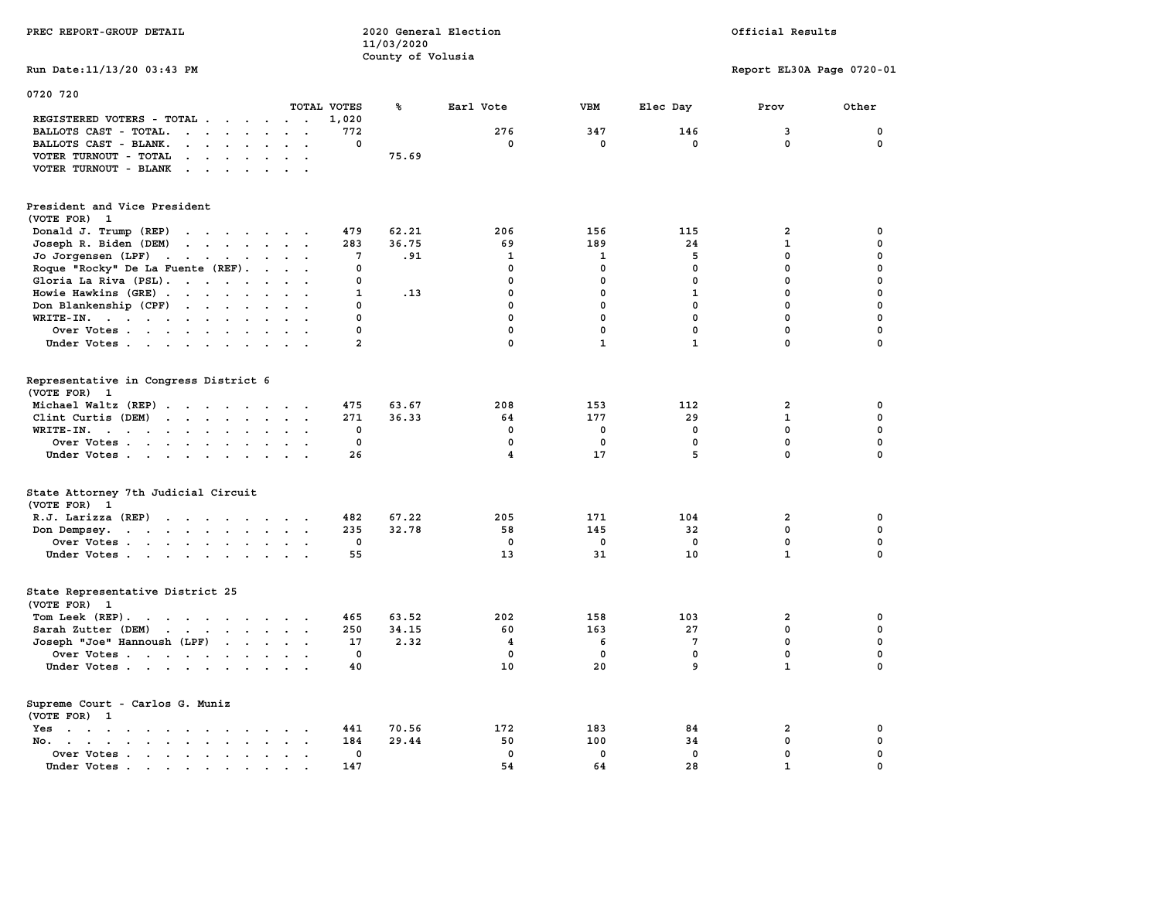|                                                                                                                                                                                                                                                                                     | 11/03/2020        |                |              |              |                           |             |
|-------------------------------------------------------------------------------------------------------------------------------------------------------------------------------------------------------------------------------------------------------------------------------------|-------------------|----------------|--------------|--------------|---------------------------|-------------|
|                                                                                                                                                                                                                                                                                     | County of Volusia |                |              |              |                           |             |
| Run Date: 11/13/20 03:43 PM                                                                                                                                                                                                                                                         |                   |                |              |              | Report EL30A Page 0720-01 |             |
|                                                                                                                                                                                                                                                                                     |                   |                |              |              |                           |             |
| 0720 720                                                                                                                                                                                                                                                                            |                   |                |              |              |                           |             |
| TOTAL VOTES                                                                                                                                                                                                                                                                         | ℁                 | Earl Vote      | <b>VBM</b>   | Elec Day     | Prov                      | Other       |
| REGISTERED VOTERS - TOTAL<br>1,020                                                                                                                                                                                                                                                  |                   |                |              |              |                           |             |
| BALLOTS CAST - TOTAL.<br>$\begin{array}{cccccccccccccccccc} \bullet & \bullet & \bullet & \bullet & \bullet & \bullet & \bullet & \bullet & \bullet & \bullet & \bullet & \bullet & \bullet \end{array}$<br>772                                                                     |                   | 276            | 347          | 146          | 3                         | 0           |
| BALLOTS CAST - BLANK.<br>$\mathbf{r}$ . The set of the set of the set of the set of the set of the set of the set of the set of the set of the set of the set of the set of the set of the set of the set of the set of the set of the set of the set of t<br>0                     |                   | 0              | $\mathbf 0$  | $\mathbf{0}$ | 0                         | $\Omega$    |
| VOTER TURNOUT - TOTAL<br>the contract of the contract of                                                                                                                                                                                                                            | 75.69             |                |              |              |                           |             |
| VOTER TURNOUT - BLANK<br>$\cdots$                                                                                                                                                                                                                                                   |                   |                |              |              |                           |             |
|                                                                                                                                                                                                                                                                                     |                   |                |              |              |                           |             |
|                                                                                                                                                                                                                                                                                     |                   |                |              |              |                           |             |
| President and Vice President                                                                                                                                                                                                                                                        |                   |                |              |              |                           |             |
| (VOTE FOR) 1                                                                                                                                                                                                                                                                        |                   |                |              |              |                           |             |
| Donald J. Trump (REP)<br>479<br>$\cdots$                                                                                                                                                                                                                                            | 62.21             | 206            | 156          | 115          | $\overline{2}$            | 0           |
| Joseph R. Biden (DEM)<br>$\begin{array}{cccccccccccccc} \bullet & \bullet & \bullet & \bullet & \bullet & \bullet & \bullet & \bullet & \bullet & \bullet & \bullet & \bullet \end{array}$<br>283                                                                                   | 36.75             | 69             | 189          | 24           | $\mathbf{1}$              | $\mathbf 0$ |
| Jo Jorgensen (LPF)<br>7                                                                                                                                                                                                                                                             | .91               | $\mathbf{1}$   | 1            | 5            | $\mathbf 0$               | $\mathbf 0$ |
| Roque "Rocky" De La Fuente (REF).<br>0                                                                                                                                                                                                                                              |                   | $\mathbf 0$    | $\mathbf 0$  | $\mathbf{0}$ | 0                         | $\Omega$    |
| Gloria La Riva (PSL).<br>$\Omega$                                                                                                                                                                                                                                                   |                   | $\mathbf 0$    | $\mathbf 0$  | 0            | $\mathbf 0$               | $\mathbf 0$ |
| Howie Hawkins (GRE)<br>$\mathbf{1}$                                                                                                                                                                                                                                                 | .13               | $\mathbf 0$    | $\mathbf 0$  | $\mathbf{1}$ | $\mathbf 0$               | $\mathbf 0$ |
| Don Blankenship (CPF)<br>$\Omega$                                                                                                                                                                                                                                                   |                   | 0              | $\mathbf 0$  | $\mathbf{0}$ | 0                         | $\Omega$    |
| WRITE-IN.<br>$\Omega$                                                                                                                                                                                                                                                               |                   | $\Omega$       | $\Omega$     | $\Omega$     | $\Omega$                  | $\Omega$    |
| Over Votes<br>$\Omega$                                                                                                                                                                                                                                                              |                   | $\mathbf 0$    | $\mathbf 0$  | $\mathbf{0}$ | $\mathbf 0$               | $\mathbf 0$ |
| Under Votes<br>$\overline{a}$                                                                                                                                                                                                                                                       |                   | $\Omega$       | $\mathbf{1}$ | $\mathbf{1}$ | $\Omega$                  | $\Omega$    |
|                                                                                                                                                                                                                                                                                     |                   |                |              |              |                           |             |
|                                                                                                                                                                                                                                                                                     |                   |                |              |              |                           |             |
| Representative in Congress District 6                                                                                                                                                                                                                                               |                   |                |              |              |                           |             |
| (VOTE FOR) 1                                                                                                                                                                                                                                                                        |                   |                |              |              |                           |             |
| Michael Waltz (REP)<br>475                                                                                                                                                                                                                                                          | 63.67             | 208            | 153          | 112          | $\overline{2}$            | 0           |
| Clint Curtis (DEM)<br>$\cdots$<br>271                                                                                                                                                                                                                                               | 36.33             | 64             | 177          | 29           | $\mathbf 1$               | $\Omega$    |
| $WRITE-IN.$<br>0<br>$\sim$                                                                                                                                                                                                                                                          |                   | $\mathbf 0$    | $\mathbf 0$  | $\mathbf 0$  | $\mathbf 0$               | $\mathbf 0$ |
| 0<br>Over Votes                                                                                                                                                                                                                                                                     |                   | $\mathbf{0}$   | $\mathbf 0$  | $\mathbf{0}$ | $\mathbf 0$               | $\mathbf 0$ |
| Under Votes<br>26                                                                                                                                                                                                                                                                   |                   | 4              | 17           | 5            | $\Omega$                  | $\mathbf 0$ |
|                                                                                                                                                                                                                                                                                     |                   |                |              |              |                           |             |
| State Attorney 7th Judicial Circuit                                                                                                                                                                                                                                                 |                   |                |              |              |                           |             |
| (VOTE FOR) 1                                                                                                                                                                                                                                                                        |                   |                |              |              |                           |             |
| $R.J.$ Larizza $(REP)$<br>482<br>$\sim$                                                                                                                                                                                                                                             | 67.22             | 205            | 171          | 104          | $\overline{2}$            | $\mathbf 0$ |
| 235<br>Don Dempsey.<br>$\mathbf{r}$ . The contract of the contract of the contract of the contract of the contract of the contract of the contract of the contract of the contract of the contract of the contract of the contract of the contract of th<br>$\cdot$ $\cdot$ $\cdot$ | 32.78             | 58             | 145          | 32           | $\mathbf{0}$              | $\mathbf 0$ |
| Over Votes<br>0<br>$\ddot{\phantom{0}}$<br>$\sim$<br>$\ddot{\phantom{a}}$                                                                                                                                                                                                           |                   | $\mathbf 0$    | $\mathbf 0$  | $\mathbf 0$  | $\mathbf 0$               | $\mathbf 0$ |
| 55<br>Under Votes                                                                                                                                                                                                                                                                   |                   | 13             | 31           | 10           | $\mathbf{1}$              | $\Omega$    |
|                                                                                                                                                                                                                                                                                     |                   |                |              |              |                           |             |
| State Representative District 25                                                                                                                                                                                                                                                    |                   |                |              |              |                           |             |
| (VOTE FOR) 1                                                                                                                                                                                                                                                                        |                   |                |              |              |                           |             |
| 465                                                                                                                                                                                                                                                                                 | 63.52             | 202            | 158          | 103          | $\overline{a}$            | 0           |
| Tom Leek (REP).<br>Sarah Zutter (DEM)<br>250                                                                                                                                                                                                                                        | 34.15             | 60             | 163          | 27           | 0                         | $\mathbf 0$ |
|                                                                                                                                                                                                                                                                                     |                   |                |              |              |                           |             |
| Joseph "Joe" Hannoush (LPF)<br>17                                                                                                                                                                                                                                                   | 2.32              | $\overline{4}$ | 6            | 7            | $\mathbf{0}$              | $\mathbf 0$ |
| Over Votes<br>0                                                                                                                                                                                                                                                                     |                   | 0              | $\mathbf 0$  | $\mathbf{0}$ | $\mathbf{0}$              | $\Omega$    |
| Under Votes<br>40                                                                                                                                                                                                                                                                   |                   | 10             | 20           | 9            | $\mathbf{1}$              | $\mathbf 0$ |
|                                                                                                                                                                                                                                                                                     |                   |                |              |              |                           |             |
| Supreme Court - Carlos G. Muniz                                                                                                                                                                                                                                                     |                   |                |              |              |                           |             |
| (VOTE FOR) 1                                                                                                                                                                                                                                                                        |                   |                |              |              |                           |             |
| Yes<br>441<br>the contract of the contract of the contract of the contract of the contract of the contract of the contract of                                                                                                                                                       | 70.56             | 172            | 183          | 84           | $\overline{\mathbf{2}}$   | 0           |
| 184<br>$No.$<br>$\mathbf{r}$ , $\mathbf{r}$ , $\mathbf{r}$ , $\mathbf{r}$ , $\mathbf{r}$ , $\mathbf{r}$<br>$\sim$                                                                                                                                                                   | 29.44             | 50             | 100          | 34           | 0                         | $\mathbf 0$ |
| $\mathbf 0$<br>Over Votes<br>$\sim$<br>$\sim$<br>$\sim$                                                                                                                                                                                                                             |                   | $\mathbf 0$    | $\mathbf 0$  | $\mathbf{0}$ | $\mathbf{0}$              | $\mathbf 0$ |
| 147<br>Under Votes<br>$\sim$<br>$\sim$                                                                                                                                                                                                                                              |                   | 54             | 64           | 28           | $\mathbf{1}$              | $\mathbf 0$ |

**PREC REPORT-GROUP DETAIL COMPUTER CONSUMING A LOCAL PREC** REPORT-GROUP DETAIL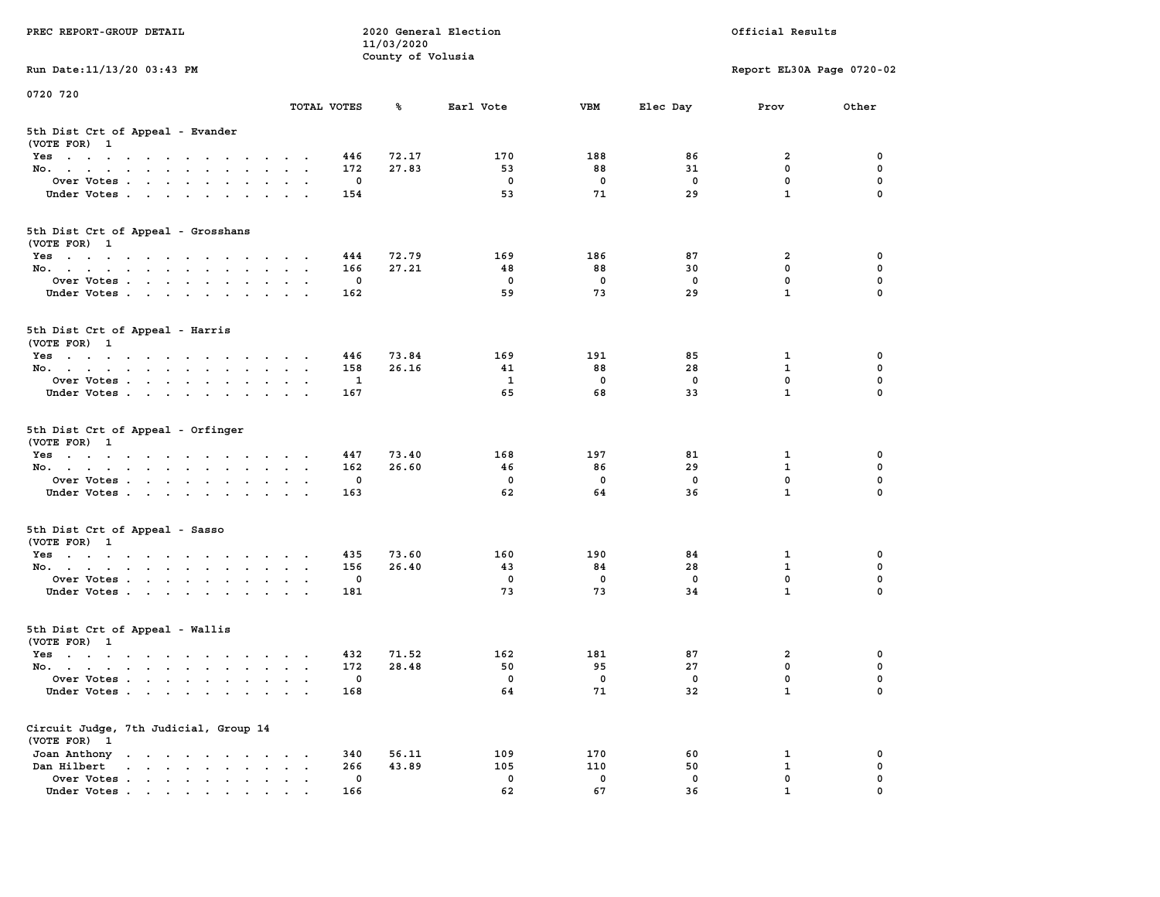| PREC REPORT-GROUP DETAIL                                                                                                                                                         |                                                                  | 11/03/2020        | 2020 General Election |              |             | Official Results          |             |
|----------------------------------------------------------------------------------------------------------------------------------------------------------------------------------|------------------------------------------------------------------|-------------------|-----------------------|--------------|-------------|---------------------------|-------------|
| Run Date: 11/13/20 03:43 PM                                                                                                                                                      |                                                                  | County of Volusia |                       |              |             | Report EL30A Page 0720-02 |             |
| 0720 720                                                                                                                                                                         |                                                                  |                   |                       |              |             |                           |             |
|                                                                                                                                                                                  | TOTAL VOTES                                                      | ℁                 | Earl Vote             | <b>VBM</b>   | Elec Day    | Prov                      | Other       |
| 5th Dist Crt of Appeal - Evander<br>(VOTE FOR) 1                                                                                                                                 |                                                                  |                   |                       |              |             |                           |             |
| Yes                                                                                                                                                                              | 446                                                              | 72.17             | 170                   | 188          | 86          | 2                         | 0           |
| No.                                                                                                                                                                              | 172                                                              | 27.83             | 53                    | 88           | 31          | $\mathbf 0$               | 0           |
| Over Votes                                                                                                                                                                       |                                                                  | 0                 | 0                     | $\mathbf 0$  | 0           | $\mathbf 0$               | 0           |
| Under Votes                                                                                                                                                                      | 154                                                              |                   | 53                    | 71           | 29          | $\mathbf{1}$              | $\Omega$    |
| 5th Dist Crt of Appeal - Grosshans<br>(VOTE FOR) 1                                                                                                                               |                                                                  |                   |                       |              |             |                           |             |
| Yes                                                                                                                                                                              | 444                                                              | 72.79             | 169                   | 186          | 87          | 2                         | 0           |
| No.                                                                                                                                                                              | 166                                                              | 27.21             | 48                    | 88           | 30          | $\mathbf 0$               | 0           |
| Over Votes                                                                                                                                                                       |                                                                  | 0                 | $\mathbf 0$           | $\mathbf 0$  | $\mathbf 0$ | $\mathbf 0$               | $\mathbf 0$ |
| Under Votes                                                                                                                                                                      | 162                                                              |                   | 59                    | 73           | 29          | $\mathbf{1}$              | 0           |
| 5th Dist Crt of Appeal - Harris<br>(VOTE FOR) 1                                                                                                                                  |                                                                  |                   |                       |              |             |                           |             |
| Yes                                                                                                                                                                              | 446                                                              | 73.84             | 169                   | 191          | 85          | 1                         | 0           |
| No.                                                                                                                                                                              | 158                                                              | 26.16             | 41                    | 88           | 28          | $\mathbf{1}$              | 0           |
| Over Votes                                                                                                                                                                       | 1                                                                |                   | 1                     | $\mathbf 0$  | $\mathbf 0$ | $\mathbf{0}$              | 0           |
| Under Votes                                                                                                                                                                      | 167                                                              |                   | 65                    | 68           | 33          | $\mathbf{1}$              | 0           |
| 5th Dist Crt of Appeal - Orfinger<br>(VOTE FOR) 1                                                                                                                                |                                                                  |                   |                       |              |             |                           |             |
| Yes                                                                                                                                                                              | 447                                                              | 73.40<br>26.60    | 168<br>46             | 197          | 81          | 1<br>$\mathbf{1}$         | 0<br>0      |
| No.                                                                                                                                                                              | 162                                                              |                   | 0                     | 86           | 29          | $\mathbf 0$               | 0           |
| Over Votes                                                                                                                                                                       | 0<br>163                                                         |                   | 62                    | 0<br>64      | 0<br>36     | $\mathbf{1}$              | $\Omega$    |
| Under Votes                                                                                                                                                                      |                                                                  |                   |                       |              |             |                           |             |
| 5th Dist Crt of Appeal - Sasso<br>(VOTE FOR) 1                                                                                                                                   |                                                                  |                   |                       |              |             |                           |             |
| Yes                                                                                                                                                                              | 435                                                              | 73.60             | 160                   | 190          | 84          | 1                         | 0           |
| No.                                                                                                                                                                              | 156                                                              | 26.40             | 43                    | 84           | 28          | $\mathbf{1}$              | 0           |
| Over Votes                                                                                                                                                                       |                                                                  | 0                 | 0                     | 0            | $\mathbf 0$ | 0                         | 0           |
| Under Votes                                                                                                                                                                      | 181                                                              |                   | 73                    | 73           | 34          | $\mathbf{1}$              | 0           |
| 5th Dist Crt of Appeal - Wallis<br>(VOTE FOR) 1                                                                                                                                  |                                                                  |                   |                       |              |             |                           |             |
| Yes<br>the contract of the contract of the contract of the contract of the contract of the contract of the contract of                                                           | 432                                                              | 71.52             | 162                   | 181          | 87          | 2                         | 0           |
| No.                                                                                                                                                                              | 172                                                              | 28.48             | 50                    | 95           | 27          | $\mathbf 0$               | 0           |
| Over Votes                                                                                                                                                                       |                                                                  | 0                 | 0                     | $\mathbf{0}$ | 0           | $\mathbf 0$               | 0           |
| Under Votes.                                                                                                                                                                     | 168                                                              |                   | 64                    | 71           | 32          | $\mathbf{1}$              | 0           |
| Circuit Judge, 7th Judicial, Group 14<br>(VOTE FOR) 1                                                                                                                            |                                                                  |                   |                       |              |             |                           |             |
| Joan Anthony                                                                                                                                                                     | 340                                                              | 56.11             | 109                   | 170          | 60          | 1                         | 0           |
| Dan Hilbert<br>$\begin{array}{cccccccccccccc} \bullet & \bullet & \bullet & \bullet & \bullet & \bullet & \bullet & \bullet & \bullet & \bullet & \bullet & \bullet \end{array}$ | 266<br>$\ddot{\phantom{a}}$<br>$\bullet$<br>$\ddot{\phantom{0}}$ | 43.89             | 105                   | 110          | 50          | 1                         | 0           |
| Over Votes                                                                                                                                                                       | $\mathbf 0$                                                      |                   | 0                     | $\mathbf 0$  | 0           | $\mathbf 0$               | 0           |
| Under Votes.                                                                                                                                                                     | 166                                                              |                   | 62                    | 67           | 36          | $\mathbf{1}$              | 0           |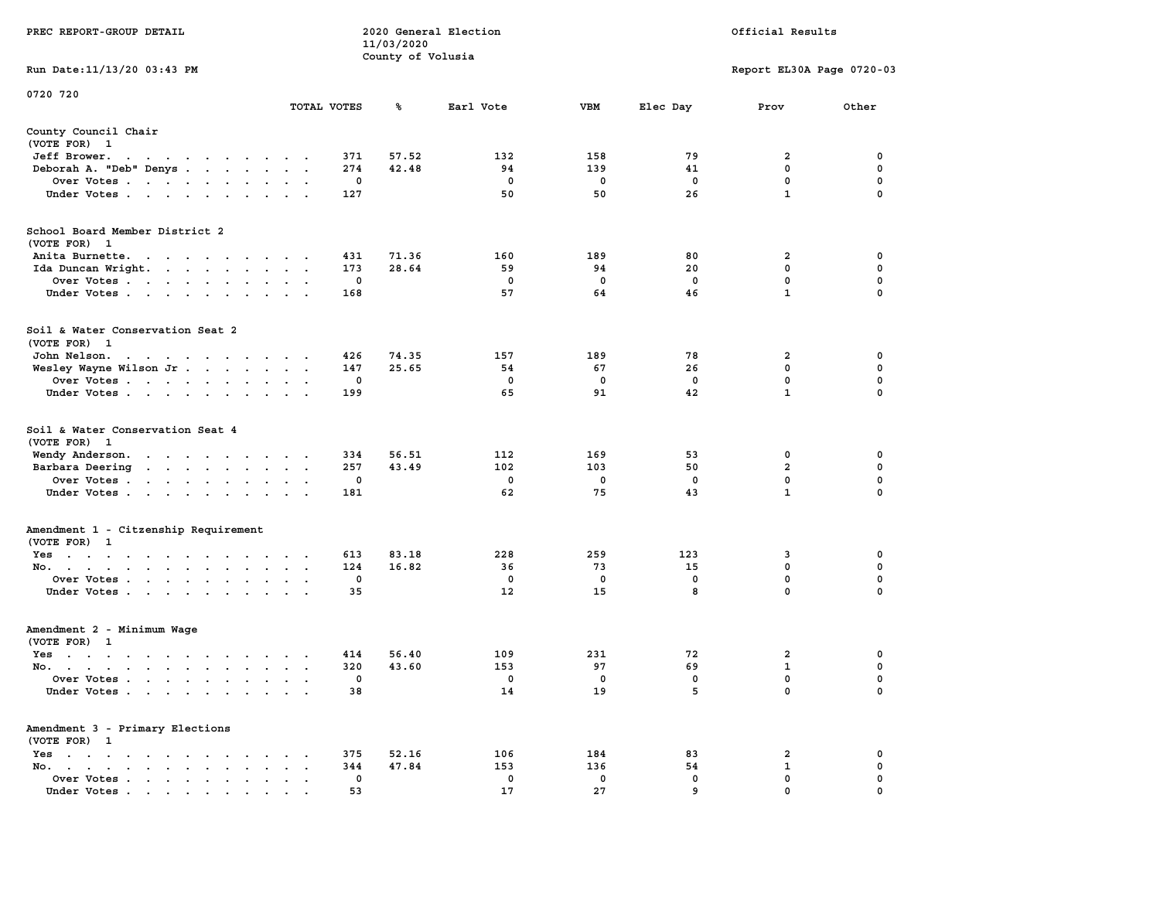|                                                                                                                                                                                                                                                      |                                                  |                        | 11/03/2020        |                       |                                 |                     |                                                    |                                      |
|------------------------------------------------------------------------------------------------------------------------------------------------------------------------------------------------------------------------------------------------------|--------------------------------------------------|------------------------|-------------------|-----------------------|---------------------------------|---------------------|----------------------------------------------------|--------------------------------------|
|                                                                                                                                                                                                                                                      |                                                  |                        | County of Volusia |                       |                                 |                     |                                                    |                                      |
| Run Date: 11/13/20 03:43 PM                                                                                                                                                                                                                          |                                                  |                        |                   |                       |                                 |                     | Report EL30A Page 0720-03                          |                                      |
| 0720 720                                                                                                                                                                                                                                             |                                                  |                        |                   |                       |                                 |                     |                                                    |                                      |
|                                                                                                                                                                                                                                                      | TOTAL VOTES                                      |                        | ℁                 | Earl Vote             | <b>VBM</b>                      | Elec Day            | Prov                                               | Other                                |
| County Council Chair<br>(VOTE FOR) 1                                                                                                                                                                                                                 |                                                  |                        |                   |                       |                                 |                     |                                                    |                                      |
| Jeff Brower.                                                                                                                                                                                                                                         |                                                  | 371                    | 57.52             | 132                   | 158                             | 79                  | 2                                                  | 0                                    |
|                                                                                                                                                                                                                                                      |                                                  |                        |                   |                       |                                 |                     |                                                    | 0                                    |
| Deborah A. "Deb" Denys                                                                                                                                                                                                                               |                                                  | 274<br>0               | 42.48             | 94<br>0               | 139<br>$\mathbf 0$              | 41<br>$\mathbf 0$   | 0<br>$\mathbf 0$                                   | $\mathbf 0$                          |
| Over Votes                                                                                                                                                                                                                                           |                                                  |                        |                   | 50                    | 50                              | 26                  | $\mathbf{1}$                                       | $\Omega$                             |
| Under Votes                                                                                                                                                                                                                                          |                                                  | 127                    |                   |                       |                                 |                     |                                                    |                                      |
| School Board Member District 2                                                                                                                                                                                                                       |                                                  |                        |                   |                       |                                 |                     |                                                    |                                      |
| (VOTE FOR) 1                                                                                                                                                                                                                                         |                                                  |                        |                   |                       |                                 |                     |                                                    |                                      |
| Anita Burnette.                                                                                                                                                                                                                                      |                                                  | 431                    | 71.36             | 160                   | 189                             | 80                  | $\overline{\mathbf{2}}$                            | $\mathbf 0$                          |
| Ida Duncan Wright.                                                                                                                                                                                                                                   |                                                  | 173                    | 28.64             | 59                    | 94                              | 20                  | $\mathbf 0$                                        | $\mathbf 0$                          |
| Over Votes                                                                                                                                                                                                                                           | $\cdot$                                          | $\mathbf 0$            |                   | $\mathbf{0}$          | $\mathbf{0}$                    | $^{\circ}$          | $\mathbf 0$                                        | $\mathbf 0$                          |
| Under Votes                                                                                                                                                                                                                                          |                                                  | 168                    |                   | 57                    | 64                              | 46                  | $\mathbf{1}$                                       | $\Omega$                             |
| Soil & Water Conservation Seat 2                                                                                                                                                                                                                     |                                                  |                        |                   |                       |                                 |                     |                                                    |                                      |
| (VOTE FOR) 1                                                                                                                                                                                                                                         |                                                  |                        |                   |                       |                                 |                     |                                                    |                                      |
| John Nelson.<br>design and a series of the control of                                                                                                                                                                                                |                                                  | 426                    | 74.35             | 157                   | 189                             | 78                  | $\mathbf{2}$                                       | 0                                    |
| Wesley Wayne Wilson Jr.                                                                                                                                                                                                                              |                                                  | 147                    | 25.65             | 54                    | 67                              | 26                  | $\mathbf 0$                                        | $\mathbf 0$                          |
| Over Votes                                                                                                                                                                                                                                           | $\sim$                                           | 0                      |                   | 0                     | $\mathbf 0$                     | $\mathbf 0$         | 0                                                  | $\mathbf 0$                          |
| Under Votes                                                                                                                                                                                                                                          |                                                  | 199                    |                   | 65                    | 91                              | 42                  | $\mathbf{1}$                                       | $\Omega$                             |
| Soil & Water Conservation Seat 4<br>(VOTE FOR) 1<br>Wendy Anderson.<br>Barbara Deering<br>the contract of the contract of the<br>Over Votes<br>Under Votes                                                                                           | $\ddot{\phantom{a}}$<br>$\blacksquare$           | 334<br>257<br>0<br>181 | 56.51<br>43.49    | 112<br>102<br>0<br>62 | 169<br>103<br>$\mathbf 0$<br>75 | 53<br>50<br>0<br>43 | 0<br>$\overline{a}$<br>$\mathbf 0$<br>$\mathbf{1}$ | 0<br>0<br>$\mathbf 0$<br>$\mathbf 0$ |
| Amendment 1 - Citzenship Requirement<br>(VOTE FOR) 1                                                                                                                                                                                                 |                                                  |                        |                   |                       |                                 |                     |                                                    |                                      |
| Yes                                                                                                                                                                                                                                                  |                                                  | 613                    | 83.18             | 228                   | 259                             | 123                 | 3                                                  | $\mathbf 0$                          |
| No.<br>$\bullet$<br>$\sim$                                                                                                                                                                                                                           | $\cdot$<br>$\ddot{\phantom{a}}$                  | 124                    | 16.82             | 36                    | 73                              | 15                  | $\mathbf 0$                                        | $\mathbf 0$                          |
| Over Votes                                                                                                                                                                                                                                           |                                                  | $\mathbf 0$            |                   | $^{\circ}$            | $\Omega$                        | $\mathbf{0}$        | $\mathbf{0}$                                       | $\mathbf 0$                          |
| Under Votes                                                                                                                                                                                                                                          |                                                  | 35                     |                   | $12 \overline{ }$     | 15                              | 8                   | $\mathbf 0$                                        | $\Omega$                             |
| Amendment 2 - Minimum Wage                                                                                                                                                                                                                           |                                                  |                        |                   |                       |                                 |                     |                                                    |                                      |
| (VOTE FOR) 1                                                                                                                                                                                                                                         |                                                  |                        |                   |                       |                                 |                     |                                                    |                                      |
| Yes                                                                                                                                                                                                                                                  | $\ddot{\phantom{a}}$                             | 414                    | 56.40             | 109                   | 231                             | 72                  | $\mathbf{2}$                                       | 0                                    |
| No.                                                                                                                                                                                                                                                  |                                                  | 320                    | 43.60             | 153                   | 97                              | 69                  | $\mathbf{1}$                                       | 0                                    |
| Over Votes<br>$\cdot$ $\cdot$                                                                                                                                                                                                                        | $\ddot{\phantom{a}}$<br>$\overline{\phantom{a}}$ | 0                      |                   | 0                     | 0                               | 0                   | $\mathbf 0$                                        | $\mathbf 0$                          |
| Under Votes                                                                                                                                                                                                                                          |                                                  | 38                     |                   | 14                    | 19                              | 5                   | $\mathbf 0$                                        | 0                                    |
| Amendment 3 - Primary Elections<br>(VOTE FOR) 1                                                                                                                                                                                                      |                                                  |                        |                   |                       |                                 |                     |                                                    |                                      |
| Yes<br>the contract of the contract of the<br>$\sim$ $\sim$                                                                                                                                                                                          |                                                  | 375                    | 52.16             | 106                   | 184                             | 83                  | 2                                                  | 0                                    |
| No.<br>the contract of the contract of the<br>$\sim$<br>$\ddot{\phantom{a}}$<br>$\cdot$                                                                                                                                                              | $\ddot{\phantom{a}}$                             | 344                    | 47.84             | 153                   | 136                             | 54                  | $\mathbf{1}$                                       | $\mathbf 0$                          |
| Over Votes<br>$\bullet$<br>$\bullet$                                                                                                                                                                                                                 | $\blacksquare$<br>$\ddot{\phantom{a}}$           | 0                      |                   | 0                     | 0                               | 0                   | $\mathbf 0$                                        | $\mathbf 0$                          |
| Under Votes<br>$\mathbf{a}$ and $\mathbf{a}$ are a set of the set of the set of the set of the set of the set of the set of the set of the set of the set of the set of the set of the set of the set of the set of the set of the set of the set of |                                                  | 53                     |                   | 17                    | 27                              | 9                   | $\mathbf 0$                                        | $\mathbf 0$                          |

**PREC REPORT-GROUP DETAIL COMPUTER SERVICE 2020 General Election**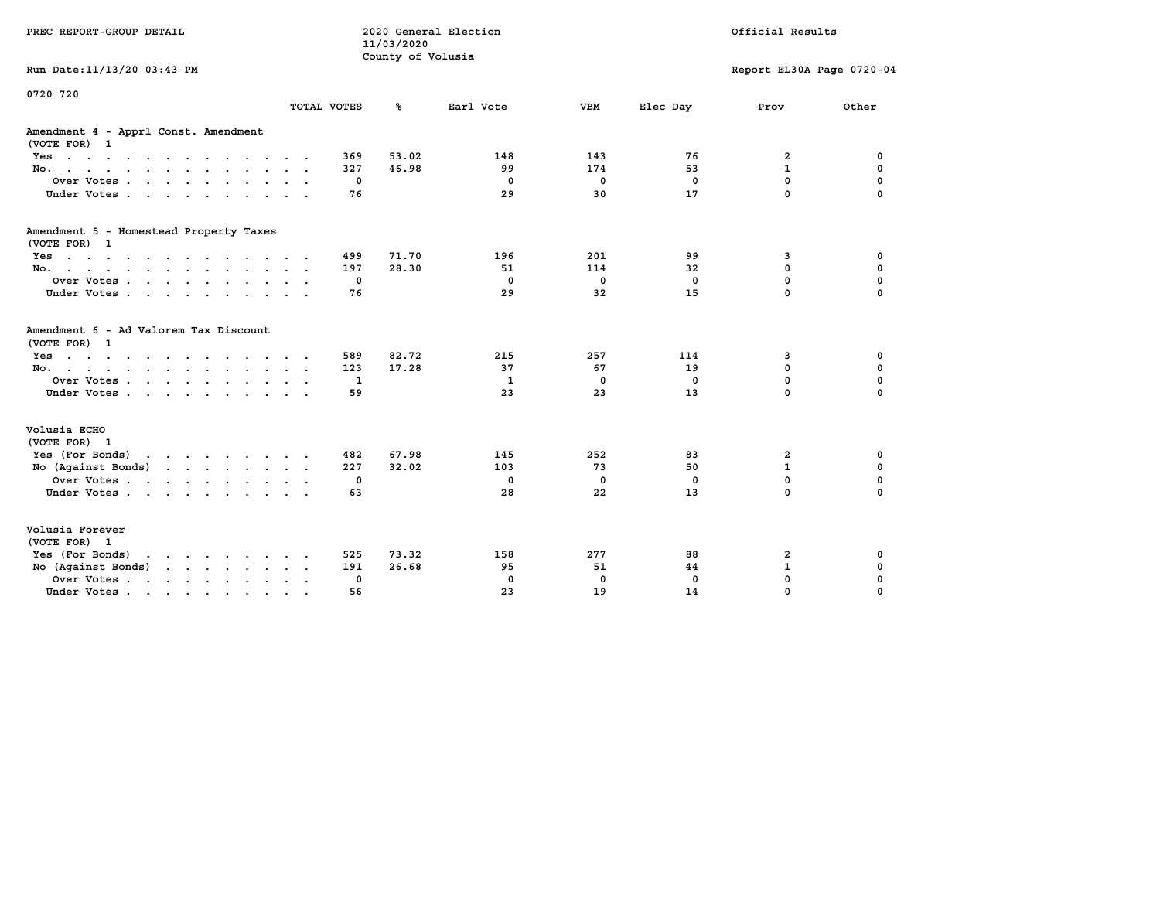| PREC REPORT-GROUP DETAIL                                                                                                           |        |             | 11/03/2020<br>County of Volusia | 2020 General Election |             | Official Results |                           |             |  |
|------------------------------------------------------------------------------------------------------------------------------------|--------|-------------|---------------------------------|-----------------------|-------------|------------------|---------------------------|-------------|--|
| Run Date: 11/13/20 03:43 PM                                                                                                        |        |             |                                 |                       |             |                  | Report EL30A Page 0720-04 |             |  |
| 0720 720                                                                                                                           |        |             |                                 |                       |             |                  |                           |             |  |
|                                                                                                                                    |        | TOTAL VOTES | ℁                               | Earl Vote             | <b>VBM</b>  | Elec Day         | Prov                      | Other       |  |
| Amendment 4 - Apprl Const. Amendment<br>(VOTE FOR) 1                                                                               |        |             |                                 |                       |             |                  |                           |             |  |
| Yes                                                                                                                                |        | 369         | 53.02                           | 148                   | 143         | 76               | 2                         | 0           |  |
| No.                                                                                                                                |        | 327         | 46.98                           | 99                    | 174         | 53               | $\mathbf{1}$              | 0           |  |
| Over Votes                                                                                                                         |        | 0           |                                 | $\mathbf 0$           | $\mathbf 0$ | $\mathbf 0$      | $\mathbf 0$               | 0           |  |
| Under Votes                                                                                                                        |        | 76          |                                 | 29                    | 30          | 17               | $\mathbf 0$               | $\mathbf 0$ |  |
| Amendment 5 - Homestead Property Taxes                                                                                             |        |             |                                 |                       |             |                  |                           |             |  |
| (VOTE FOR) 1                                                                                                                       |        |             |                                 |                       |             |                  |                           |             |  |
| Yes                                                                                                                                |        | 499         | 71.70                           | 196                   | 201         | 99               | 3                         | 0           |  |
| No.                                                                                                                                |        | 197         | 28.30                           | 51                    | 114         | 32               | $\mathbf 0$               | 0           |  |
| Over Votes                                                                                                                         | $\sim$ | 0           |                                 | $\mathbf{0}$          | $\mathbf 0$ | 0                | 0                         | 0           |  |
| Under Votes                                                                                                                        |        | 76          |                                 | 29                    | 32          | 15               | $\mathbf 0$               | $\Omega$    |  |
| Amendment 6 - Ad Valorem Tax Discount<br>(VOTE FOR) 1                                                                              |        |             |                                 |                       |             |                  |                           |             |  |
| Yes                                                                                                                                |        | 589         | 82.72                           | 215                   | 257         | 114              | 3                         | 0           |  |
| No.                                                                                                                                |        | 123         | 17.28                           | 37                    | 67          | 19               | $\mathbf 0$               | 0           |  |
| Over Votes                                                                                                                         |        | $\mathbf 1$ |                                 | $\mathbf{1}$          | $\mathbf 0$ | $\Omega$         | $\mathbf 0$               | $\mathbf 0$ |  |
| Under Votes                                                                                                                        |        | 59          |                                 | 23                    | 23          | 13               | $\mathbf 0$               | $\mathbf 0$ |  |
| Volusia ECHO                                                                                                                       |        |             |                                 |                       |             |                  |                           |             |  |
| (VOTE FOR) 1                                                                                                                       |        |             |                                 |                       |             |                  |                           |             |  |
| Yes (For Bonds)<br>the contract of the contract of the contract of the contract of the contract of the contract of the contract of |        | 482         | 67.98                           | 145                   | 252         | 83               | 2                         | 0           |  |
| No (Against Bonds)                                                                                                                 |        | 227         | 32.02                           | 103                   | 73          | 50               | $\mathbf{1}$              | 0           |  |
| Over Votes                                                                                                                         |        | 0           |                                 | $\mathbf{0}$          | $\mathbf 0$ | $\Omega$         | $\mathbf 0$               | $\mathbf 0$ |  |
| Under Votes                                                                                                                        |        | 63          |                                 | 28                    | 22          | 13               | $\Omega$                  | $\Omega$    |  |
| Volusia Forever<br>(VOTE FOR) 1                                                                                                    |        |             |                                 |                       |             |                  |                           |             |  |
| Yes (For Bonds)                                                                                                                    |        | 525         | 73.32                           | 158                   | 277         | 88               | 2                         | 0           |  |
| No (Against Bonds)<br>$\cdot$ $\cdot$ $\cdot$ $\cdot$ $\cdot$ $\cdot$ $\cdot$                                                      |        | 191         | 26.68                           | 95                    | 51          | 44               | $\mathbf{1}$              | 0           |  |
| Over Votes .<br>the contract of the contract of the                                                                                |        | 0           |                                 | $\mathbf{0}$          | $\mathbf 0$ | 0                | $\mathbf 0$               | $\mathbf 0$ |  |
| Under Votes<br>$\sim$                                                                                                              |        | 56          |                                 | 23                    | 19          | 14               | 0                         | $\mathbf 0$ |  |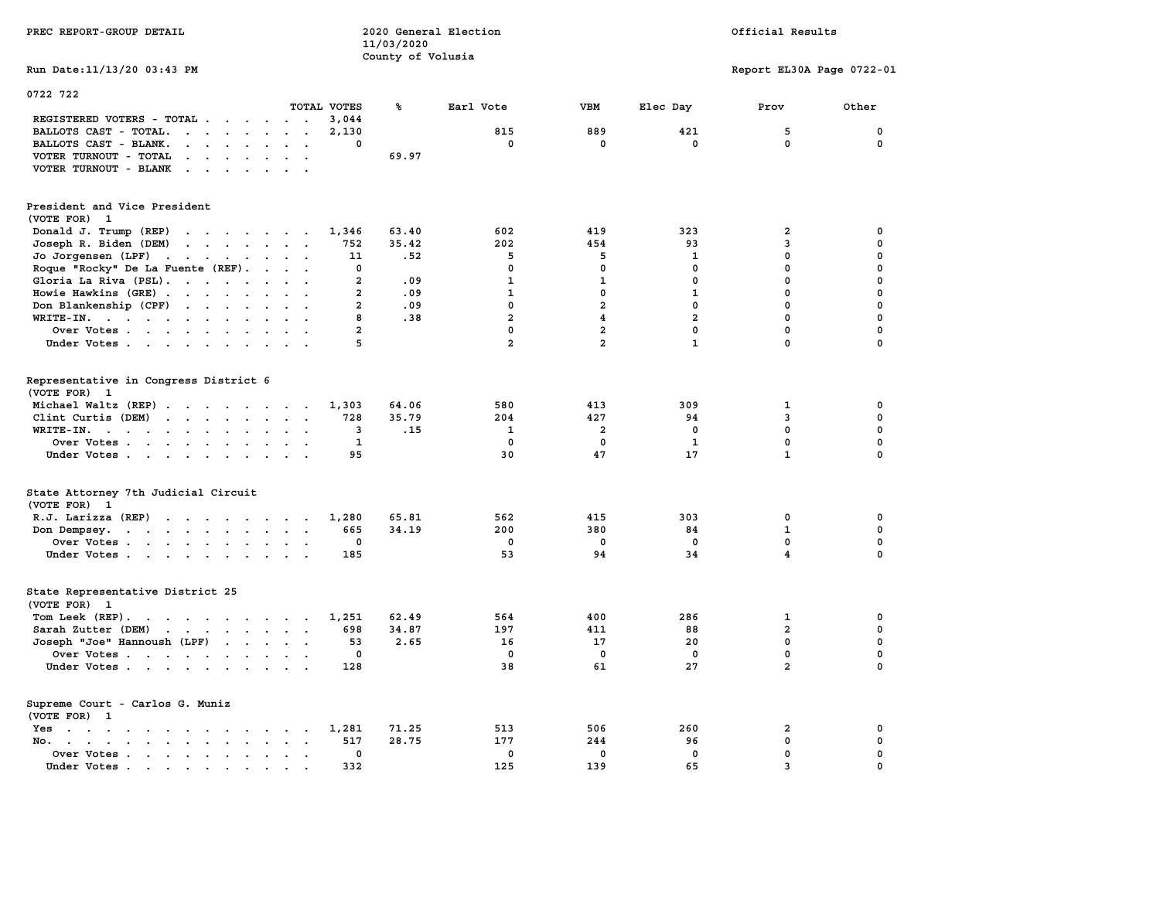| PREC REPORT-GROUP DETAIL                                                                                                                                                                                                                                                                                                 | 2020 General Election<br>11/03/2020 |                         | Official Results        |                |                           |                  |
|--------------------------------------------------------------------------------------------------------------------------------------------------------------------------------------------------------------------------------------------------------------------------------------------------------------------------|-------------------------------------|-------------------------|-------------------------|----------------|---------------------------|------------------|
|                                                                                                                                                                                                                                                                                                                          | County of Volusia                   |                         |                         |                |                           |                  |
| Run Date: 11/13/20 03:43 PM                                                                                                                                                                                                                                                                                              |                                     |                         |                         |                | Report EL30A Page 0722-01 |                  |
| 0722 722                                                                                                                                                                                                                                                                                                                 |                                     |                         |                         |                |                           |                  |
| TOTAL VOTES                                                                                                                                                                                                                                                                                                              | ℁                                   | Earl Vote               | <b>VBM</b>              | Elec Day       | Prov                      | Other            |
| REGISTERED VOTERS - TOTAL<br>3,044                                                                                                                                                                                                                                                                                       |                                     |                         |                         |                |                           |                  |
| BALLOTS CAST - TOTAL.<br>$\mathbf{r}$<br>2,130                                                                                                                                                                                                                                                                           |                                     | 815                     | 889                     | 421            | 5                         | $\mathbf 0$      |
| BALLOTS CAST - BLANK.<br>$\sim$<br>$\Delta \sim 10^{-11}$<br>$\ddot{\phantom{a}}$<br>$\ddot{\phantom{0}}$                                                                                                                                                                                                                | 0                                   | 0                       | 0                       | 0              | 0                         | 0                |
| VOTER TURNOUT - TOTAL<br>$\begin{array}{cccccccccccccc} \bullet & \bullet & \bullet & \bullet & \bullet & \bullet & \bullet & \bullet & \bullet \end{array}$<br>$\sim$ $\sim$                                                                                                                                            | 69.97                               |                         |                         |                |                           |                  |
| VOTER TURNOUT - BLANK<br>$\sim$ $\sim$ $\sim$ $\sim$<br>$\sim$<br>$\sim$                                                                                                                                                                                                                                                 |                                     |                         |                         |                |                           |                  |
| President and Vice President                                                                                                                                                                                                                                                                                             |                                     |                         |                         |                |                           |                  |
| (VOTE FOR) 1                                                                                                                                                                                                                                                                                                             |                                     |                         |                         |                |                           |                  |
| 1,346                                                                                                                                                                                                                                                                                                                    | 63.40                               | 602                     | 419                     | 323            | 2                         | 0                |
| Donald J. Trump (REP)<br>$\mathbf{r}$ , $\mathbf{r}$ , $\mathbf{r}$ , $\mathbf{r}$ , $\mathbf{r}$ , $\mathbf{r}$                                                                                                                                                                                                         |                                     |                         |                         |                |                           |                  |
| Joseph R. Biden (DEM)<br>752<br>$\mathbf{r}$ , $\mathbf{r}$ , $\mathbf{r}$ , $\mathbf{r}$ , $\mathbf{r}$<br>$\sim$                                                                                                                                                                                                       | 35.42                               | 202                     | 454                     | 93             | 3                         | 0                |
| Jo Jorgensen (LPF)<br>the contract of the contract of the<br>11                                                                                                                                                                                                                                                          | .52                                 | 5                       | 5                       | 1              | 0                         | 0                |
| Roque "Rocky" De La Fuente (REF).<br>$\ddot{\phantom{a}}$                                                                                                                                                                                                                                                                | 0                                   | $\mathbf 0$             | $\mathbf 0$             | $\mathbf 0$    | $\mathbf 0$               | $\mathbf 0$      |
| Gloria La Riva (PSL).<br>$\sim$                                                                                                                                                                                                                                                                                          | $\overline{a}$<br>.09               | $\mathbf{1}$            | $\mathbf{1}$            | $\mathbf 0$    | $\mathbf 0$               | $\mathbf 0$      |
| Howie Hawkins (GRE)<br>$\ddot{\phantom{a}}$<br>$\overline{\phantom{a}}$                                                                                                                                                                                                                                                  | $\mathbf{2}$<br>.09                 | 1                       | 0                       | $\mathbf{1}$   | 0                         | $\pmb{0}$        |
| Don Blankenship (CPF)<br>$\cdots$<br>$\sim$                                                                                                                                                                                                                                                                              | $\overline{a}$<br>.09               | 0                       | $\overline{a}$          | $\mathbf 0$    | $\mathbf 0$               | $\mathbf 0$      |
| $\texttt{WRTTE-IN.}$<br>$\sim$<br>$\sim$<br>$\ddot{\phantom{a}}$                                                                                                                                                                                                                                                         | 8<br>.38                            | $\overline{a}$          | $\overline{4}$          | $\overline{a}$ | $\mathbf 0$               | $\mathbf 0$      |
| Over Votes                                                                                                                                                                                                                                                                                                               | $\overline{a}$                      | $\mathbf 0$             | $\overline{a}$          | $\mathbf{0}$   | $\mathbf 0$               | $\mathbf 0$      |
| Under Votes<br>$\sim$                                                                                                                                                                                                                                                                                                    | 5                                   | $\overline{\mathbf{2}}$ | $\overline{\mathbf{2}}$ | $\mathbf{1}$   | $\pmb{0}$                 | $\mathbf 0$      |
|                                                                                                                                                                                                                                                                                                                          |                                     |                         |                         |                |                           |                  |
| Representative in Congress District 6<br>(VOTE FOR) 1                                                                                                                                                                                                                                                                    |                                     |                         |                         |                |                           |                  |
| Michael Waltz (REP)<br>1,303                                                                                                                                                                                                                                                                                             | 64.06                               | 580                     | 413                     | 309            | 1                         | 0                |
| Clint Curtis $(DEM)$<br>728<br>$\ddot{\phantom{a}}$                                                                                                                                                                                                                                                                      | 35.79                               | 204                     | 427                     | 94             | 3                         | $\mathbf 0$      |
| WRITE-IN.<br>the contract of the contract of the contract of the contract of the contract of the contract of the contract of<br>$\bullet$<br>$\bullet$<br>$\blacksquare$                                                                                                                                                 | 3<br>.15                            | $\mathbf{1}$            | $\mathbf{2}$            | $\mathbf 0$    | $\Omega$                  | 0                |
| Over Votes<br>$\bullet$<br>$\blacksquare$                                                                                                                                                                                                                                                                                | $\mathbf{1}$                        | $\mathbf 0$             | 0                       | $\mathbf{1}$   | 0                         | 0                |
| 95                                                                                                                                                                                                                                                                                                                       |                                     | 30                      | 47                      | 17             | $\mathbf{1}$              | $\mathbf 0$      |
| Under Votes<br>$\cdot$ $\cdot$                                                                                                                                                                                                                                                                                           |                                     |                         |                         |                |                           |                  |
| State Attorney 7th Judicial Circuit<br>(VOTE FOR) 1                                                                                                                                                                                                                                                                      |                                     |                         |                         |                |                           |                  |
| $R.J.$ Larizza $(REP)$<br>1,280                                                                                                                                                                                                                                                                                          | 65.81                               | 562                     | 415                     | 303            | 0                         | 0                |
| Don Dempsey.<br>665<br>the contract of the contract of the<br>$\ddotsc$                                                                                                                                                                                                                                                  | 34.19                               | 200                     | 380                     | 84             | $\mathbf{1}$              | $\mathbf 0$      |
| Over Votes .<br>the contract of the contract of the                                                                                                                                                                                                                                                                      | 0                                   | $\mathbf 0$             | 0                       | $\Omega$       | 0                         | $\mathbf 0$      |
| Under Votes<br>185                                                                                                                                                                                                                                                                                                       |                                     | 53                      | 94                      | 34             | $\overline{\mathbf{4}}$   | $\Omega$         |
|                                                                                                                                                                                                                                                                                                                          |                                     |                         |                         |                |                           |                  |
| State Representative District 25<br>(VOTE FOR) 1                                                                                                                                                                                                                                                                         |                                     |                         |                         |                |                           |                  |
|                                                                                                                                                                                                                                                                                                                          |                                     | 564                     | 400                     | 286            |                           |                  |
| Tom Leek (REP).<br>1,251<br><b>Contract Contract Contract</b><br>$\cdots$                                                                                                                                                                                                                                                | 62.49<br>34.87                      | 197                     |                         |                | 1<br>$\overline{2}$       | 0<br>$\mathbf 0$ |
| Sarah Zutter (DEM)<br>$\mathcal{A}=\mathcal{A}=\mathcal{A}=\mathcal{A}=\mathcal{A}=\mathcal{A}$ .<br>698<br>$\sim$ $\sim$                                                                                                                                                                                                |                                     |                         | 411                     | 88             |                           |                  |
| Joseph "Joe" Hannoush (LPF)<br>53                                                                                                                                                                                                                                                                                        | 2.65                                | 16                      | 17                      | 20             | $\mathbf 0$               | 0                |
| Over Votes<br>$\ddot{\phantom{0}}$                                                                                                                                                                                                                                                                                       | 0                                   | 0                       | $\mathbf 0$             | $\mathbf 0$    | $\mathbf 0$               | 0                |
| Under Votes<br>128<br>$\cdot$ .                                                                                                                                                                                                                                                                                          |                                     | 38                      | 61                      | 27             | $\overline{\mathbf{2}}$   | 0                |
| Supreme Court - Carlos G. Muniz                                                                                                                                                                                                                                                                                          |                                     |                         |                         |                |                           |                  |
| (VOTE FOR) 1                                                                                                                                                                                                                                                                                                             |                                     |                         |                         |                |                           |                  |
| 1,281<br>Yes<br>. The contract of the contract of the contract $\mathcal{L}_\text{c}$<br>$\sim$                                                                                                                                                                                                                          | 71.25                               | 513                     | 506                     | 260            | $\overline{\mathbf{2}}$   | 0                |
| 517<br>No.<br>$\sim$<br>$\sim$<br>$\sim$                                                                                                                                                                                                                                                                                 | 28.75                               | 177                     | 244                     | 96             | 0                         | 0                |
| Over Votes.<br>$\mathbf{r}$ . The set of the set of the set of the set of the set of the set of the set of the set of the set of the set of the set of the set of the set of the set of the set of the set of the set of the set of the set of t<br>$\ddot{\phantom{a}}$<br>$\bullet$<br>$\ddot{\phantom{a}}$<br>$\cdot$ | 0                                   | $\mathbf 0$             | $\mathbf 0$             | $\mathbf 0$    | $\mathbf 0$               | $\mathbf 0$      |
| Under Votes<br>332<br>$\overline{\phantom{a}}$<br>n.                                                                                                                                                                                                                                                                     |                                     | 125                     | 139                     | 65             | 3                         | 0                |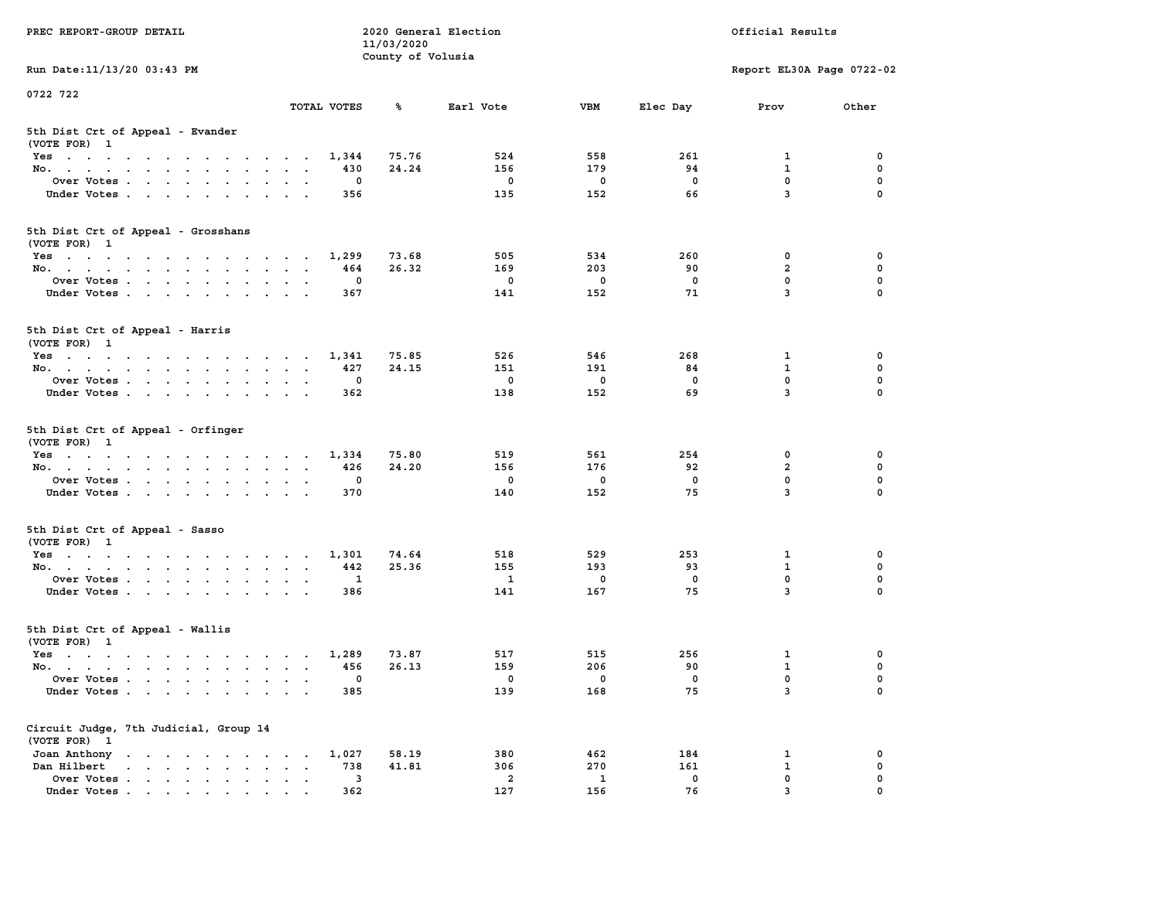| PREC REPORT-GROUP DETAIL                                                                                               |                                                                             | 11/03/2020        | 2020 General Election          |              | Official Results |                               |             |  |
|------------------------------------------------------------------------------------------------------------------------|-----------------------------------------------------------------------------|-------------------|--------------------------------|--------------|------------------|-------------------------------|-------------|--|
| Run Date: 11/13/20 03:43 PM                                                                                            |                                                                             | County of Volusia |                                |              |                  | Report EL30A Page 0722-02     |             |  |
| 0722 722                                                                                                               |                                                                             |                   |                                |              |                  |                               |             |  |
|                                                                                                                        | TOTAL VOTES                                                                 | ℁                 | Earl Vote                      | <b>VBM</b>   | Elec Day         | Prov                          | Other       |  |
| 5th Dist Crt of Appeal - Evander<br>(VOTE FOR) 1                                                                       |                                                                             |                   |                                |              |                  |                               |             |  |
| Yes                                                                                                                    | 1,344                                                                       | 75.76             | 524                            | 558          | 261              | 1                             | 0           |  |
| No.                                                                                                                    | 430                                                                         | 24.24             | 156                            | 179          | 94               | $\mathbf{1}$                  | 0           |  |
| Over Votes                                                                                                             | 0                                                                           |                   | 0                              | 0            | 0                | $\mathbf 0$                   | 0           |  |
| Under Votes                                                                                                            | 356                                                                         |                   | 135                            | 152          | 66               | $\overline{3}$                | $\Omega$    |  |
| 5th Dist Crt of Appeal - Grosshans<br>(VOTE FOR) 1                                                                     |                                                                             |                   |                                |              |                  |                               |             |  |
| Yes                                                                                                                    | 1,299                                                                       | 73.68             | 505                            | 534          | 260              | 0                             | 0           |  |
| No.                                                                                                                    | 464                                                                         | 26.32             | 169                            | 203          | 90               | $\overline{a}$                | 0           |  |
| Over Votes                                                                                                             | 0                                                                           |                   | $\mathbf 0$                    | $\mathbf 0$  | $\mathbf 0$      | 0                             | $\mathbf 0$ |  |
| Under Votes                                                                                                            | 367                                                                         |                   | 141                            | 152          | 71               | $\overline{3}$                | 0           |  |
| 5th Dist Crt of Appeal - Harris<br>(VOTE FOR) 1                                                                        |                                                                             |                   |                                |              |                  |                               |             |  |
| Yes                                                                                                                    | 1,341                                                                       | 75.85             | 526                            | 546          | 268              | 1                             | 0           |  |
| No.                                                                                                                    | 427                                                                         | 24.15             | 151                            | 191          | 84               | $\mathbf{1}$                  | $\mathbf 0$ |  |
| Over Votes                                                                                                             | 0                                                                           |                   | 0                              | $\mathbf 0$  | 0                | $\mathbf{0}$                  | 0           |  |
| Under Votes                                                                                                            | 362                                                                         |                   | 138                            | 152          | 69               | 3                             | 0           |  |
| 5th Dist Crt of Appeal - Orfinger<br>(VOTE FOR) 1                                                                      |                                                                             |                   |                                |              |                  |                               |             |  |
| Yes                                                                                                                    | 1,334                                                                       | 75.80             | 519                            | 561          | 254              | 0                             | 0           |  |
| No.                                                                                                                    | 426                                                                         | 24.20             | 156                            | 176          | 92               | $\overline{a}$                | 0           |  |
| Over Votes                                                                                                             | 0                                                                           |                   | 0                              | 0            | 0                | $\mathbf 0$<br>$\overline{3}$ | 0           |  |
| Under Votes                                                                                                            | 370                                                                         |                   | 140                            | 152          | 75               |                               | $\Omega$    |  |
| 5th Dist Crt of Appeal - Sasso<br>(VOTE FOR) 1                                                                         |                                                                             |                   |                                |              |                  |                               |             |  |
| Yes                                                                                                                    | 1,301                                                                       | 74.64             | 518                            | 529          | 253              | 1                             | 0           |  |
| No.                                                                                                                    | 442                                                                         | 25.36             | 155                            | 193          | 93               | 1                             | 0           |  |
| Over Votes                                                                                                             | 1                                                                           |                   | $\mathbf{1}$                   | 0            | 0                | 0                             | 0           |  |
| Under Votes                                                                                                            | 386                                                                         |                   | 141                            | 167          | 75               | $\overline{3}$                | $\Omega$    |  |
| 5th Dist Crt of Appeal - Wallis<br>(VOTE FOR) 1                                                                        |                                                                             |                   |                                |              |                  |                               |             |  |
| Yes<br>the contract of the contract of the contract of the contract of the contract of the contract of the contract of | 1,289                                                                       | 73.87             | 517                            | 515          | 256              | 1                             | 0           |  |
| No.                                                                                                                    | 456                                                                         | 26.13             | 159                            | 206          | 90               | $\mathbf{1}$                  | 0           |  |
| Over Votes                                                                                                             | 0                                                                           |                   | 0                              | $\mathbf{0}$ | 0                | $\mathbf 0$                   | 0           |  |
| Under Votes.                                                                                                           | 385                                                                         |                   | 139                            | 168          | 75               | 3                             | 0           |  |
| Circuit Judge, 7th Judicial, Group 14<br>(VOTE FOR) 1                                                                  |                                                                             |                   |                                |              |                  |                               |             |  |
| Joan Anthony                                                                                                           | 1,027                                                                       | 58.19             | 380                            | 462          | 184              | 1                             | 0           |  |
| Dan Hilbert<br>$\cdot$ $\cdot$ $\cdot$ $\cdot$ $\cdot$ $\cdot$ $\cdot$ $\cdot$                                         | 738<br>$\ddot{\phantom{a}}$<br>$\ddot{\phantom{a}}$<br>$\ddot{\phantom{0}}$ | 41.81             | 306                            | 270          | 161              | $\mathbf{1}$                  | 0           |  |
| Over Votes.<br>Under Votes                                                                                             | 3<br>362                                                                    |                   | $\overline{\mathbf{2}}$<br>127 | 1<br>156     | 0<br>76          | $\mathbf 0$<br>3              | 0           |  |
|                                                                                                                        |                                                                             |                   |                                |              |                  |                               |             |  |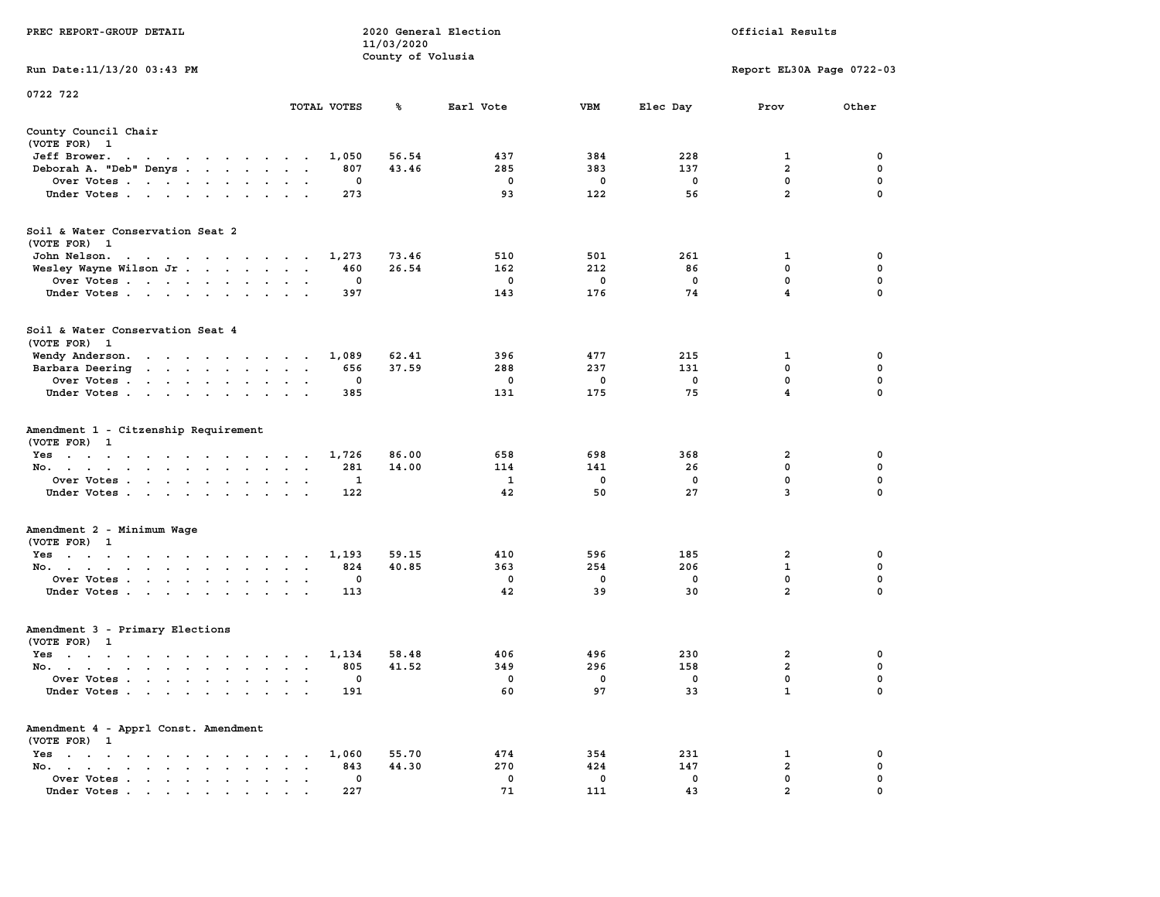|                                                                                                                                                                                                                                                                        |                                                                                                                                                          | 11/03/2020        |                       |                       |                                |                           |                                                |
|------------------------------------------------------------------------------------------------------------------------------------------------------------------------------------------------------------------------------------------------------------------------|----------------------------------------------------------------------------------------------------------------------------------------------------------|-------------------|-----------------------|-----------------------|--------------------------------|---------------------------|------------------------------------------------|
| Run Date:11/13/20 03:43 PM                                                                                                                                                                                                                                             |                                                                                                                                                          | County of Volusia |                       |                       |                                | Report EL30A Page 0722-03 |                                                |
|                                                                                                                                                                                                                                                                        |                                                                                                                                                          |                   |                       |                       |                                |                           |                                                |
| 0722 722                                                                                                                                                                                                                                                               | TOTAL VOTES                                                                                                                                              | ℁                 | Earl Vote             | <b>VBM</b>            | Elec Day                       | Prov                      | Other                                          |
| County Council Chair                                                                                                                                                                                                                                                   |                                                                                                                                                          |                   |                       |                       |                                |                           |                                                |
| (VOTE FOR) 1                                                                                                                                                                                                                                                           |                                                                                                                                                          |                   |                       |                       |                                |                           |                                                |
| Jeff Brower.<br>$\sim$<br>$\ddot{\phantom{0}}$<br>$\ddot{\phantom{a}}$<br>$\cdots$                                                                                                                                                                                     | 1,050<br>$\overline{\phantom{a}}$                                                                                                                        | 56.54             | 437                   | 384                   | 228                            | 1                         | 0                                              |
| Deborah A. "Deb" Denys                                                                                                                                                                                                                                                 | 807<br>$\ddot{\phantom{a}}$<br>$\cdot$                                                                                                                   | 43.46             | 285                   | 383                   | 137                            | $\overline{a}$            | $\mathbf 0$                                    |
| Over Votes                                                                                                                                                                                                                                                             | 0<br>$\ddot{\phantom{0}}$                                                                                                                                |                   | 0                     | 0                     | $\mathbf 0$                    | 0                         | $\mathbf 0$                                    |
| Under Votes                                                                                                                                                                                                                                                            | 273                                                                                                                                                      |                   | 93                    | 122                   | 56                             | $\overline{a}$            | 0                                              |
| Soil & Water Conservation Seat 2                                                                                                                                                                                                                                       |                                                                                                                                                          |                   |                       |                       |                                |                           |                                                |
| (VOTE FOR) 1                                                                                                                                                                                                                                                           |                                                                                                                                                          |                   |                       |                       |                                |                           |                                                |
| John Nelson.<br>the contract of the contract of the contract of the contract of the contract of the contract of the contract of                                                                                                                                        | 1,273                                                                                                                                                    | 73.46             | 510                   | 501                   | 261                            | 1                         | 0                                              |
| Wesley Wayne Wilson Jr                                                                                                                                                                                                                                                 | 460                                                                                                                                                      | 26.54             | 162                   | 212                   | 86                             | $\mathbf 0$               | $\pmb{0}$                                      |
| Over Votes                                                                                                                                                                                                                                                             | 0<br>$\sim$<br>$\ddot{\phantom{a}}$<br>$\overline{\phantom{a}}$                                                                                          |                   | 0                     | 0                     | $\mathbf 0$                    | $\mathbf 0$               | $\mathbf 0$                                    |
| Under Votes<br>$\sim$                                                                                                                                                                                                                                                  | 397<br>$\bullet$                                                                                                                                         |                   | 143                   | 176                   | 74                             | $\overline{\mathbf{4}}$   | 0                                              |
| Soil & Water Conservation Seat 4<br>(VOTE FOR) 1                                                                                                                                                                                                                       |                                                                                                                                                          |                   |                       |                       |                                |                           |                                                |
| Wendy Anderson.<br>the contract of the contract of the con-                                                                                                                                                                                                            | 1,089                                                                                                                                                    | 62.41             | 396                   | 477                   | 215                            | 1                         | $\mathbf 0$                                    |
| Barbara Deering                                                                                                                                                                                                                                                        | 656<br>$\cdot$<br>$\ddot{\phantom{0}}$<br>$\cdot$                                                                                                        | 37.59             | 288                   | 237                   | 131                            | 0                         | 0                                              |
| Over Votes<br>$\cdot$                                                                                                                                                                                                                                                  | 0                                                                                                                                                        |                   | 0                     | 0                     | $\mathbf 0$                    | 0                         | 0                                              |
| Under Votes                                                                                                                                                                                                                                                            | 385<br>$\cdot$ $\cdot$                                                                                                                                   |                   | 131                   | 175                   | 75                             | $\overline{\mathbf{4}}$   | $\mathbf 0$                                    |
| Amendment 1 - Citzenship Requirement<br>(VOTE FOR) 1<br>$Yes \cdot \cdot \cdot \cdot \cdot \cdot$<br>$\bullet$ . $\bullet$<br>$\sim$<br>No.<br>$\sim$<br>$\blacksquare$<br>$\blacksquare$<br>Over Votes<br>$\ddot{\phantom{a}}$<br>Under Votes<br>$\ddot{\phantom{0}}$ | 1,726<br>$\sim$<br>281<br>$\ddot{\phantom{a}}$<br>$\cdot$<br>$\ddot{\phantom{a}}$<br>1<br>$\bullet$<br>$\cdot$<br>122<br>$\cdot$<br>$\ddot{\phantom{0}}$ | 86.00<br>14.00    | 658<br>114<br>1<br>42 | 698<br>141<br>0<br>50 | 368<br>26<br>$\mathbf 0$<br>27 | 2<br>0<br>0<br>3          | 0<br>$\mathbf 0$<br>$\mathbf 0$<br>$\mathbf 0$ |
| Amendment 2 - Minimum Wage<br>(VOTE FOR) 1                                                                                                                                                                                                                             |                                                                                                                                                          |                   |                       |                       |                                |                           |                                                |
| $Yes \t . \t .$<br>the contract of the contract of the con-                                                                                                                                                                                                            | 1,193                                                                                                                                                    | 59.15             | 410                   | 596                   | 185                            | 2                         | 0                                              |
| No.<br>$\sim$<br>$\blacksquare$                                                                                                                                                                                                                                        | 824<br>$\bullet$<br>$\bullet$<br>$\blacksquare$                                                                                                          | 40.85             | 363                   | 254                   | 206                            | $\mathbf{1}$              | 0                                              |
| Over Votes<br>$\ddot{\phantom{1}}$                                                                                                                                                                                                                                     | 0                                                                                                                                                        |                   | 0                     | 0                     | $\mathbf 0$                    | $\mathbf{0}$              | 0                                              |
| Under Votes<br>$\sim$<br>$\ddot{\phantom{0}}$<br>$\ddot{\phantom{1}}$                                                                                                                                                                                                  | 113                                                                                                                                                      |                   | 42                    | 39                    | 30                             | $\overline{2}$            | $\mathbf 0$                                    |
| Amendment 3 - Primary Elections                                                                                                                                                                                                                                        |                                                                                                                                                          |                   |                       |                       |                                |                           |                                                |
| (VOTE FOR) 1                                                                                                                                                                                                                                                           |                                                                                                                                                          |                   |                       |                       |                                |                           |                                                |
| $Yes \t . \t .$<br>$\mathcal{L}(\mathbf{z})$ , and $\mathcal{L}(\mathbf{z})$ , and<br>$\cdots$                                                                                                                                                                         | 1,134                                                                                                                                                    | 58.48             | 406                   | 496                   | 230                            | $\mathbf{2}$              | 0                                              |
| No.<br>$\sim$                                                                                                                                                                                                                                                          | 805<br>$\sim$<br>$\sim$<br>$\overline{\phantom{a}}$                                                                                                      | 41.52             | 349                   | 296                   | 158                            | $\overline{a}$            | $\mathbf 0$                                    |
| Over Votes.<br>$\sim$ $\sim$ $\sim$<br>$\sim$<br>$\sim$<br>$\bullet$<br>$\bullet$                                                                                                                                                                                      | 0<br>$\overline{a}$<br>$\ddot{\phantom{a}}$                                                                                                              |                   | 0                     | 0                     | 0                              | 0                         | 0                                              |
| Under Votes                                                                                                                                                                                                                                                            | 191<br>$\sim 100$ km s $^{-1}$<br>$\sim$ $\sim$                                                                                                          |                   | 60                    | 97                    | 33                             | $\mathbf{1}$              | $\mathbf 0$                                    |
| Amendment 4 - Apprl Const. Amendment<br>(VOTE FOR) 1                                                                                                                                                                                                                   |                                                                                                                                                          |                   |                       |                       |                                |                           |                                                |
| $Yes \t . \t .$<br>$\bullet$<br>$\sim$<br>$\sim$ $\sim$ $\sim$<br>$\cdot$<br>$\bullet$<br>$\cdot$                                                                                                                                                                      | 1,060<br>$\cdot$                                                                                                                                         | 55.70             | 474                   | 354                   | 231                            | 1                         | 0                                              |
| No.<br>$\begin{array}{cccccccccccccc} \bullet & \bullet & \bullet & \bullet & \bullet & \bullet & \bullet & \bullet \end{array}$<br>$\bullet$<br>$\sim$ $\sim$                                                                                                         | 843<br>$\bullet$                                                                                                                                         | 44.30             | 270                   | 424                   | 147                            | $\overline{a}$            | 0                                              |
| Over Votes<br>$\ddot{\phantom{0}}$<br>$\ddot{\phantom{a}}$                                                                                                                                                                                                             | 0<br>$\ddot{\phantom{0}}$<br>$\cdot$                                                                                                                     |                   | $\mathbf 0$           | $\mathbf 0$           | $\mathbf 0$                    | $\mathbf 0$               | $\mathbf 0$                                    |
| Under Votes.                                                                                                                                                                                                                                                           | 227                                                                                                                                                      |                   | 71                    | 111                   | 43                             | $\overline{a}$            | $\mathbf 0$                                    |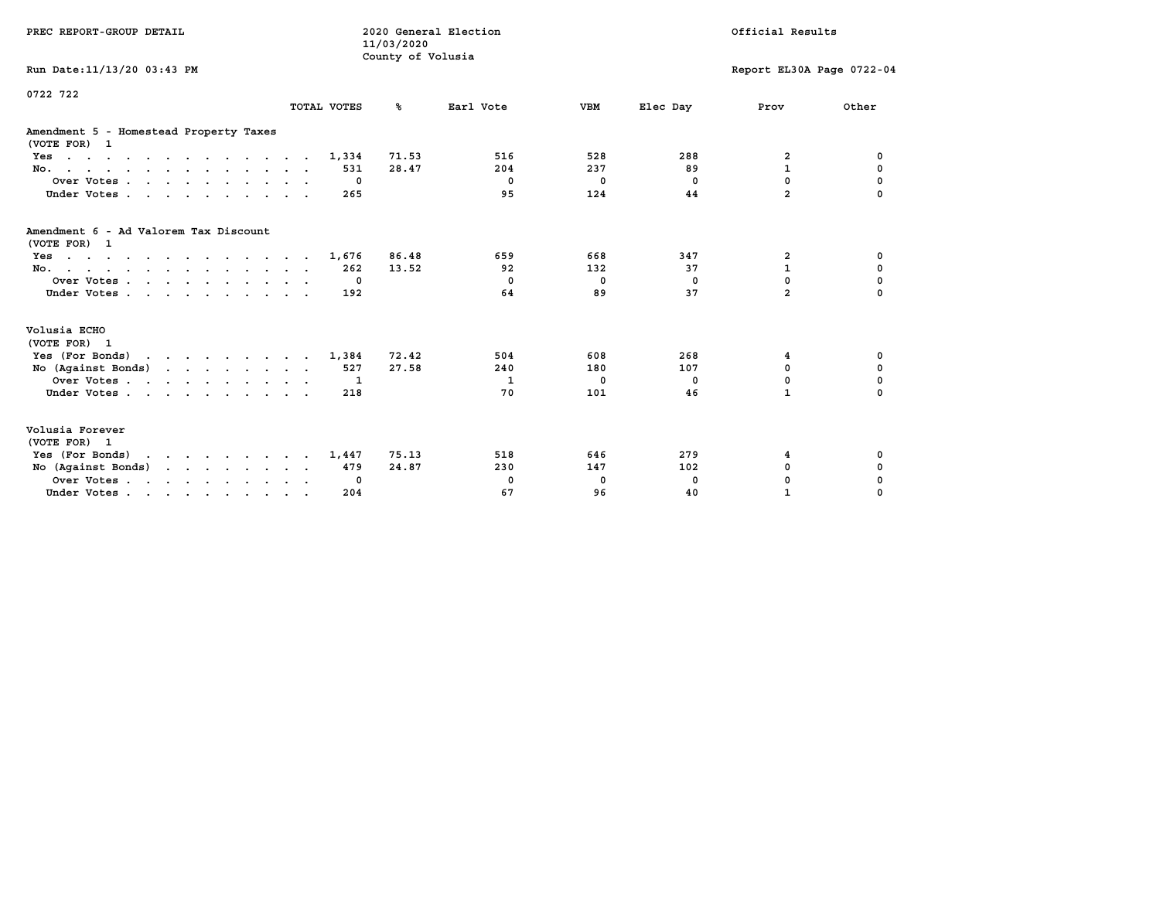| PREC REPORT-GROUP DETAIL                                                                  |              | 2020 General Election<br>11/03/2020<br>County of Volusia |            |            | Official Results |                           |             |
|-------------------------------------------------------------------------------------------|--------------|----------------------------------------------------------|------------|------------|------------------|---------------------------|-------------|
| Run Date: 11/13/20 03:43 PM                                                               |              |                                                          |            |            |                  | Report EL30A Page 0722-04 |             |
| 0722 722                                                                                  | TOTAL VOTES  | %ะ                                                       | Earl Vote  | <b>VBM</b> | Elec Day         | Prov                      | Other       |
| Amendment 5 - Homestead Property Taxes<br>(VOTE FOR) 1                                    |              |                                                          |            |            |                  |                           |             |
| $Yes \cdot \cdot \cdot \cdot \cdot \cdot \cdot \cdot \cdot \cdot \cdot \cdot \cdot \cdot$ | 1,334        | 71.53                                                    | 516        | 528        | 288              | 2                         | 0           |
| No.                                                                                       | 531          | 28.47                                                    | 204        | 237        | 89               | $\mathbf{1}$              | 0           |
| Over Votes.                                                                               | 0            |                                                          | $^{\circ}$ | $^{\circ}$ | $^{\circ}$       | $\mathbf 0$               | 0           |
| Under Votes                                                                               | 265          |                                                          | 95         | 124        | 44               | $\overline{a}$            |             |
| Amendment 6 - Ad Valorem Tax Discount<br>(VOTE FOR) 1                                     |              |                                                          |            |            |                  |                           |             |
| $Yes \cdot \cdot \cdot \cdot \cdot \cdot \cdot \cdot \cdot \cdot \cdot \cdot \cdot \cdot$ | 1,676        | 86.48                                                    | 659        | 668        | 347              | 2                         | 0           |
| No.                                                                                       | 262          | 13.52                                                    | 92         | 132        | 37               | $\mathbf{1}$              | $\mathbf 0$ |
| Over Votes                                                                                | $\Omega$     |                                                          | $^{\circ}$ | $^{\circ}$ | $\Omega$         | $\Omega$                  | $\mathbf 0$ |
| Under Votes                                                                               | 192          |                                                          | 64         | 89         | 37               | $\overline{a}$            | $\Omega$    |
| Volusia ECHO<br>(VOTE FOR) 1                                                              |              |                                                          |            |            |                  |                           |             |
| Yes (For Bonds)                                                                           | 1,384        | 72.42                                                    | 504        | 608        | 268              | 4                         | 0           |
| No (Against Bonds)                                                                        | 527          | 27.58                                                    | 240        | 180        | 107              | $\mathbf{0}$              | $\mathbf 0$ |
| Over Votes                                                                                | $\mathbf{1}$ |                                                          | 1          | 0          | 0                | $\mathbf 0$               | $\mathbf 0$ |
| Under Votes                                                                               | 218          |                                                          | 70         | 101        | 46               | $\mathbf{1}$              | $\Omega$    |
| Volusia Forever<br>(VOTE FOR) 1                                                           |              |                                                          |            |            |                  |                           |             |
| Yes (For Bonds)<br>$\mathbf{r}$                                                           | 1,447        | 75.13                                                    | 518        | 646        | 279              | 4                         | 0           |
| No $(Against Bonds)$                                                                      | 479          | 24.87                                                    | 230        | 147        | 102              | $\mathbf 0$               | 0           |
| Over Votes.                                                                               | 0            |                                                          | 0          | 0          | 0                | 0                         | 0           |
| Under Votes                                                                               | 204          |                                                          | 67         | 96         | 40               | $\mathbf{1}$              | 0           |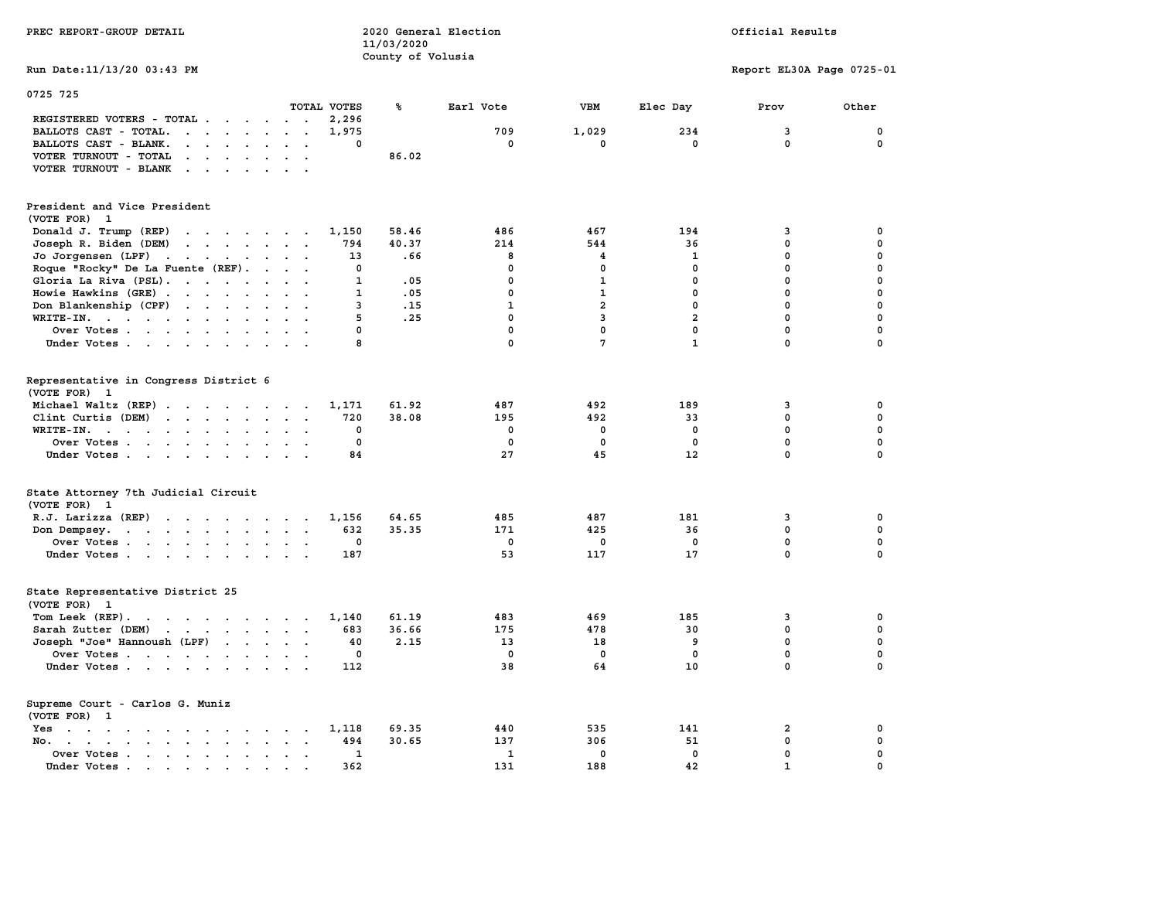| PREC REPORT-GROUP DETAIL                                                                                                                                                                                                                                |                                            | 11/03/2020<br>County of Volusia | 2020 General Election | Official Results |                |                           |             |  |
|---------------------------------------------------------------------------------------------------------------------------------------------------------------------------------------------------------------------------------------------------------|--------------------------------------------|---------------------------------|-----------------------|------------------|----------------|---------------------------|-------------|--|
| Run Date: 11/13/20 03:43 PM                                                                                                                                                                                                                             |                                            |                                 |                       |                  |                | Report EL30A Page 0725-01 |             |  |
| 0725 725                                                                                                                                                                                                                                                | TOTAL VOTES                                | ℁                               | Earl Vote             | <b>VBM</b>       | Elec Day       | Prov                      | Other       |  |
| REGISTERED VOTERS - TOTAL                                                                                                                                                                                                                               | 2,296                                      |                                 |                       |                  |                |                           |             |  |
| BALLOTS CAST - TOTAL.<br>$\cdots$                                                                                                                                                                                                                       | 1,975<br>$\sim$                            |                                 | 709                   | 1,029            | 234            | 3                         | 0           |  |
| BALLOTS CAST - BLANK.<br>$\mathbf{r}$ , $\mathbf{r}$ , $\mathbf{r}$ , $\mathbf{r}$ , $\mathbf{r}$ , $\mathbf{r}$                                                                                                                                        | $\Omega$                                   |                                 | $\mathbf{0}$          | 0                | $\mathbf{0}$   | $\Omega$                  | $\mathbf 0$ |  |
| VOTER TURNOUT - TOTAL<br>$\mathbf{r}$ , $\mathbf{r}$ , $\mathbf{r}$ , $\mathbf{r}$ , $\mathbf{r}$                                                                                                                                                       |                                            | 86.02                           |                       |                  |                |                           |             |  |
| VOTER TURNOUT - BLANK                                                                                                                                                                                                                                   |                                            |                                 |                       |                  |                |                           |             |  |
| President and Vice President                                                                                                                                                                                                                            |                                            |                                 |                       |                  |                |                           |             |  |
| (VOTE FOR) 1                                                                                                                                                                                                                                            |                                            |                                 |                       |                  |                |                           |             |  |
| Donald J. Trump (REP)<br>the contract of the contract of the contract of                                                                                                                                                                                | 1,150                                      | 58.46                           | 486                   | 467              | 194            | 3                         | 0           |  |
| Joseph R. Biden (DEM)<br>and the contract of the contract of the contract of the contract of the contract of the contract of the contract of the contract of the contract of the contract of the contract of the contract of the contract of the contra | 794                                        | 40.37                           | 214                   | 544              | 36             | $\mathbf 0$               | $\mathbf 0$ |  |
| Jo Jorgensen (LPF)                                                                                                                                                                                                                                      | 13                                         | .66                             | 8                     | 4                | 1              | $\mathbf{0}$              | $\mathbf 0$ |  |
| Roque "Rocky" De La Fuente (REF).                                                                                                                                                                                                                       | $\sim$ $\sim$ $\sim$ $\sim$<br>$\mathbf 0$ |                                 | $\Omega$              | $\mathbf 0$      | $\mathbf{0}$   | $\mathbf 0$               | $\mathbf 0$ |  |
| Gloria La Riva (PSL).                                                                                                                                                                                                                                   | $\mathbf{1}$<br>$\sim$                     | .05                             | $\mathbf 0$           | $\mathbf{1}$     | $\mathbf 0$    | $\mathbf 0$               | $\pmb{0}$   |  |
| Howie Hawkins (GRE)                                                                                                                                                                                                                                     | 1                                          | .05                             | $\Omega$              | $\mathbf{1}$     | $\mathbf 0$    | $\mathbf 0$               | $\mathbf 0$ |  |
| Don Blankenship (CPF)                                                                                                                                                                                                                                   | 3                                          | .15                             | $\mathbf{1}$          | $\overline{a}$   | $\mathbf{0}$   | $\mathbf{0}$              | 0           |  |
| WRITE-IN.                                                                                                                                                                                                                                               | 5                                          | .25                             | $\Omega$              | $\overline{3}$   | $\overline{a}$ | $\Omega$                  | $\mathbf 0$ |  |
| Over Votes                                                                                                                                                                                                                                              | 0<br>$\sim$                                |                                 | $\mathbf 0$           | $\mathbf 0$      | $\mathbf 0$    | $\mathbf 0$               | $\mathbf 0$ |  |
| Under Votes                                                                                                                                                                                                                                             | 8<br>$\cdot$ .                             |                                 | $\mathbf 0$           | 7                | $\mathbf{1}$   | $\mathbf{0}$              | $\mathbf 0$ |  |
|                                                                                                                                                                                                                                                         |                                            |                                 |                       |                  |                |                           |             |  |
| Representative in Congress District 6<br>(VOTE FOR) 1                                                                                                                                                                                                   |                                            |                                 |                       |                  |                |                           |             |  |
| Michael Waltz (REP)                                                                                                                                                                                                                                     | 1,171                                      | 61.92                           | 487                   | 492              | 189            | 3                         | 0           |  |
| Clint Curtis (DEM)                                                                                                                                                                                                                                      | 720                                        | 38.08                           | 195                   | 492              | 33             | $\mathbf{0}$              | $\mathbf 0$ |  |
| WRITE-IN.                                                                                                                                                                                                                                               | $\mathbf 0$<br>$\sim$ $\sim$               |                                 | $\mathbf 0$           | $\mathbf 0$      | $\mathbf 0$    | $\mathbf{0}$              | 0           |  |
| Over Votes                                                                                                                                                                                                                                              | $\mathbf 0$<br>$\sim$                      |                                 | $\mathbf 0$           | $\mathbf 0$      | $\mathbf 0$    | $\mathbf 0$               | $\mathbf 0$ |  |
| Under Votes                                                                                                                                                                                                                                             | 84                                         |                                 | 27                    | 45               | 12             | $\mathbf 0$               | $\Omega$    |  |
|                                                                                                                                                                                                                                                         |                                            |                                 |                       |                  |                |                           |             |  |
| State Attorney 7th Judicial Circuit<br>(VOTE FOR)<br>$\mathbf{1}$                                                                                                                                                                                       |                                            |                                 |                       |                  |                |                           |             |  |
| R.J. Larizza (REP)                                                                                                                                                                                                                                      | 1,156                                      | 64.65                           | 485                   | 487              | 181            | 3                         | 0           |  |
| the contract of the contract of the contract of the contract of the contract of the contract of the contract of<br>Don Dempsey.                                                                                                                         | 632                                        | 35.35                           | 171                   | 425              | 36             | $\mathbf{0}$              | $\mathbf 0$ |  |
| Over Votes                                                                                                                                                                                                                                              | 0                                          |                                 | 0                     | 0                | 0              | $\mathbf 0$               | $\mathbf 0$ |  |
| Under Votes                                                                                                                                                                                                                                             | 187                                        |                                 | 53                    | 117              | 17             | $\mathbf 0$               | 0           |  |
| State Representative District 25<br>(VOTE FOR)<br>- 1                                                                                                                                                                                                   |                                            |                                 |                       |                  |                |                           |             |  |
| Tom Leek $(REP)$ .                                                                                                                                                                                                                                      | 1,140                                      | 61.19                           | 483                   | 469              | 185            | 3                         | 0           |  |
| Sarah Zutter (DEM)                                                                                                                                                                                                                                      | 683                                        | 36.66                           | 175                   | 478              | 30             | $\mathbf{0}$              | $\mathbf 0$ |  |
| Joseph "Joe" Hannoush (LPF)                                                                                                                                                                                                                             | 40                                         | 2.15                            | 13                    | 18               | 9              | $\mathbf 0$               | $\mathbf 0$ |  |
| Over Votes                                                                                                                                                                                                                                              | $\mathbf 0$                                |                                 | $\mathbf 0$           | $\mathbf 0$      | $\mathbf 0$    | $\mathbf 0$               | $\pmb{0}$   |  |
| Under Votes                                                                                                                                                                                                                                             | 112                                        |                                 | 38                    | 64               | 10             | $\mathbf 0$               | $\mathbf 0$ |  |
| Supreme Court - Carlos G. Muniz<br>(VOTE FOR) 1                                                                                                                                                                                                         |                                            |                                 |                       |                  |                |                           |             |  |
| Yes<br>the contract of the contract of the contract of the                                                                                                                                                                                              | 1,118                                      | 69.35                           | 440                   | 535              | 141            | $\overline{\mathbf{2}}$   | 0           |  |
| No. .<br>$\mathbf{r}$ , $\mathbf{r}$ , $\mathbf{r}$ , $\mathbf{r}$ , $\mathbf{r}$ , $\mathbf{r}$                                                                                                                                                        | 494<br>$\sim$                              | 30.65                           | 137                   | 306              | 51             | $\mathbf 0$               | 0           |  |
| Over Votes                                                                                                                                                                                                                                              | 1<br>$\ddot{\phantom{1}}$                  |                                 | $\mathbf{1}$          | $\mathbf{0}$     | $\mathbf 0$    | $\mathbf 0$               | $\mathbf 0$ |  |
| Under Votes.<br>$\mathbf{r} = \mathbf{r} + \mathbf{r}$ .<br>$\sim$                                                                                                                                                                                      | 362                                        |                                 | 131                   | 188              | 42             | $\mathbf{1}$              | $\mathbf 0$ |  |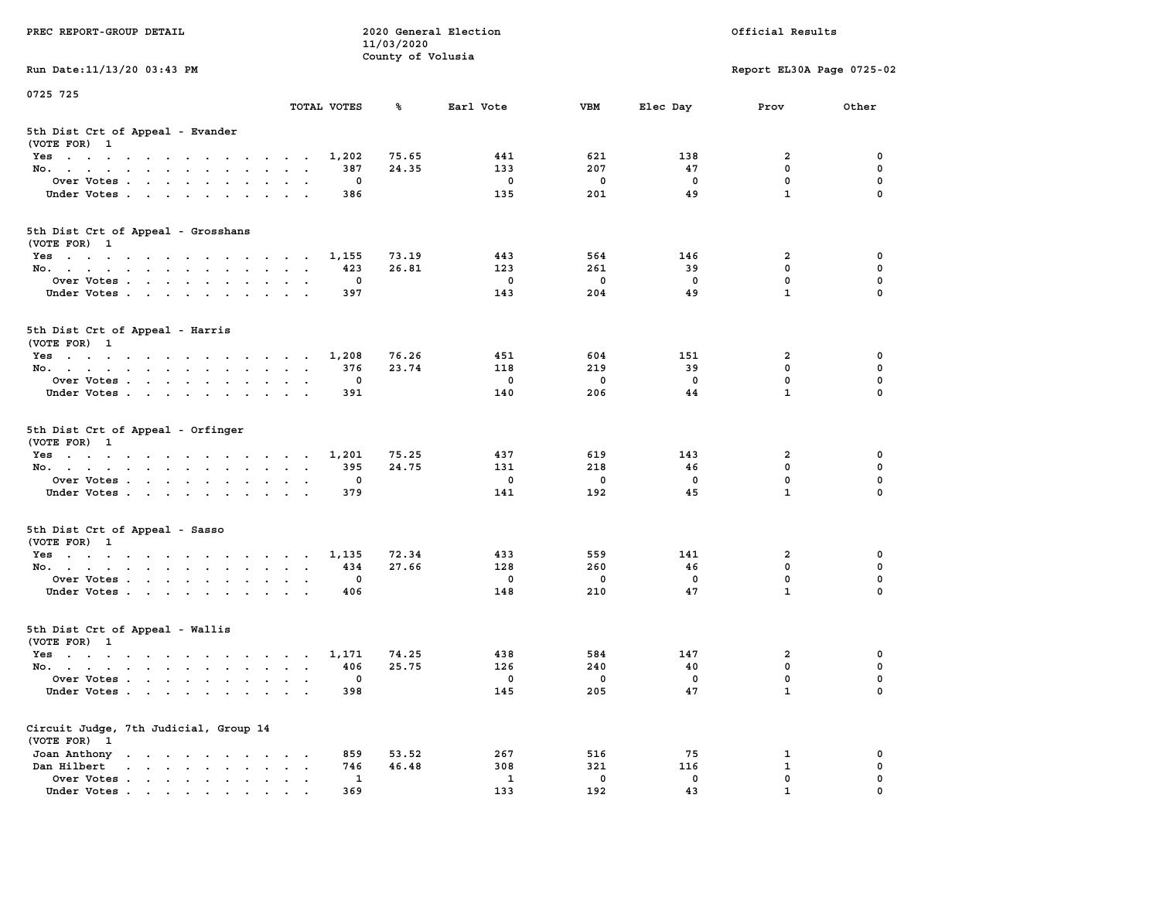| PREC REPORT-GROUP DETAIL                                                                                               |                                                       | 11/03/2020        | 2020 General Election |              | Official Results |                             |             |  |
|------------------------------------------------------------------------------------------------------------------------|-------------------------------------------------------|-------------------|-----------------------|--------------|------------------|-----------------------------|-------------|--|
| Run Date: 11/13/20 03:43 PM                                                                                            |                                                       | County of Volusia |                       |              |                  | Report EL30A Page 0725-02   |             |  |
| 0725 725                                                                                                               |                                                       |                   |                       |              |                  |                             |             |  |
|                                                                                                                        | TOTAL VOTES                                           | ℁                 | Earl Vote             | <b>VBM</b>   | Elec Day         | Prov                        | Other       |  |
| 5th Dist Crt of Appeal - Evander<br>(VOTE FOR) 1                                                                       |                                                       |                   |                       |              |                  |                             |             |  |
| Yes                                                                                                                    | 1,202                                                 | 75.65             | 441                   | 621          | 138              | 2                           | 0           |  |
| No.                                                                                                                    | 387                                                   | 24.35             | 133                   | 207          | 47               | $\mathbf 0$                 | 0           |  |
| Over Votes                                                                                                             | 0                                                     |                   | $\mathbf 0$           | 0            | 0                | $\mathbf 0$                 | 0           |  |
| Under Votes                                                                                                            | 386                                                   |                   | 135                   | 201          | 49               | $\mathbf{1}$                | $\Omega$    |  |
| 5th Dist Crt of Appeal - Grosshans<br>(VOTE FOR) 1                                                                     |                                                       |                   |                       |              |                  |                             |             |  |
| Yes                                                                                                                    | 1,155                                                 | 73.19             | 443                   | 564          | 146              | 2                           | 0           |  |
| No.                                                                                                                    | 423                                                   | 26.81             | 123                   | 261          | 39               | $\mathbf 0$                 | 0           |  |
| Over Votes                                                                                                             | 0                                                     |                   | $\mathbf 0$           | $\mathbf 0$  | $\mathbf 0$      | $\mathbf 0$                 | $\mathbf 0$ |  |
| Under Votes                                                                                                            | 397                                                   |                   | 143                   | 204          | 49               | $\mathbf{1}$                | 0           |  |
| 5th Dist Crt of Appeal - Harris<br>(VOTE FOR) 1                                                                        |                                                       |                   |                       |              |                  |                             |             |  |
| Yes                                                                                                                    | 1,208                                                 | 76.26             | 451                   | 604          | 151              | $\mathbf{2}$                | 0           |  |
| No.                                                                                                                    | 376                                                   | 23.74             | 118                   | 219          | 39               | $^{\circ}$                  | $\mathbf 0$ |  |
| Over Votes                                                                                                             | 0                                                     |                   | $\mathbf 0$           | $\mathbf 0$  | $\mathbf{0}$     | $\mathbf 0$                 | 0           |  |
| Under Votes                                                                                                            | 391                                                   |                   | 140                   | 206          | 44               | $\mathbf{1}$                | 0           |  |
| 5th Dist Crt of Appeal - Orfinger<br>(VOTE FOR) 1                                                                      |                                                       |                   |                       |              |                  |                             |             |  |
| Yes                                                                                                                    | 1,201                                                 | 75.25             | 437                   | 619          | 143              | 2                           | 0           |  |
| No.                                                                                                                    | 395                                                   | 24.75             | 131                   | 218          | 46               | $\mathbf 0$                 | 0           |  |
| Over Votes                                                                                                             | 0                                                     |                   | $\mathbf 0$           | 0            | 0                | $\mathbf 0$                 | 0           |  |
| Under Votes                                                                                                            | 379                                                   |                   | 141                   | 192          | 45               | $\mathbf{1}$                | $\Omega$    |  |
| 5th Dist Crt of Appeal - Sasso<br>(VOTE FOR) 1                                                                         |                                                       |                   |                       |              |                  |                             |             |  |
| Yes                                                                                                                    | 1,135                                                 | 72.34             | 433                   | 559          | 141              | 2                           | 0           |  |
| No.                                                                                                                    | 434                                                   | 27.66             | 128                   | 260          | 46               | $\mathbf 0$                 | 0           |  |
| Over Votes                                                                                                             | 0                                                     |                   | $\mathbf 0$           | $\mathbf 0$  | 0                | $\mathbf 0$                 | 0           |  |
| Under Votes                                                                                                            | 406                                                   |                   | 148                   | 210          | 47               | $\mathbf{1}$                | $\Omega$    |  |
| 5th Dist Crt of Appeal - Wallis<br>(VOTE FOR) 1                                                                        |                                                       |                   |                       |              |                  |                             |             |  |
| Yes<br>the contract of the contract of the contract of the contract of the contract of the contract of the contract of | 1,171                                                 | 74.25             | 438                   | 584          | 147              | 2                           | 0           |  |
| No.                                                                                                                    | 406                                                   | 25.75             | 126                   | 240          | 40               | $\mathbf 0$                 | 0           |  |
| Over Votes                                                                                                             | 0                                                     |                   | 0                     | $\mathbf{0}$ | 0                | $\mathbf 0$                 | 0           |  |
| Under Votes.                                                                                                           | 398                                                   |                   | 145                   | 205          | 47               | $\mathbf{1}$                | 0           |  |
| Circuit Judge, 7th Judicial, Group 14<br>(VOTE FOR) 1                                                                  |                                                       |                   |                       |              |                  |                             |             |  |
| Joan Anthony                                                                                                           | 859<br>$\sim$ 100 $\mu$                               | 53.52             | 267                   | 516          | 75               | 1                           | 0           |  |
| Dan Hilbert<br>$\cdot$ $\cdot$ $\cdot$ $\cdot$ $\cdot$ $\cdot$ $\cdot$ $\cdot$                                         | 746<br>$\bullet$<br>$\bullet$<br>$\ddot{\phantom{0}}$ | 46.48             | 308                   | 321          | 116              | 1                           | 0           |  |
| Over Votes.                                                                                                            | $\mathbf{1}$                                          |                   | 1                     | $\mathbf 0$  | 0<br>43          | $\mathbf 0$<br>$\mathbf{1}$ | 0           |  |
| Under Votes.                                                                                                           | 369                                                   |                   | 133                   | 192          |                  |                             |             |  |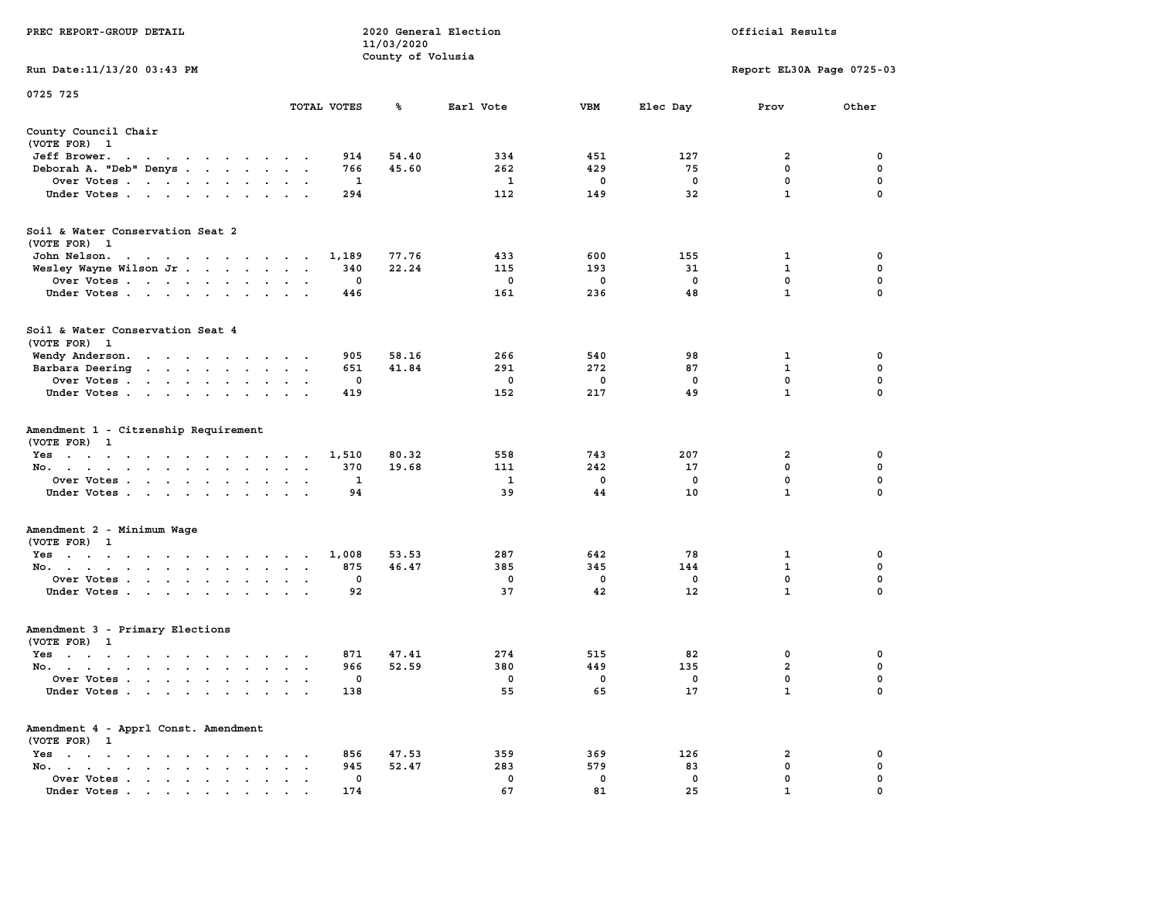|                                                                                                                                                              |                                                | 11/03/2020        |              |             |                   |                           |             |
|--------------------------------------------------------------------------------------------------------------------------------------------------------------|------------------------------------------------|-------------------|--------------|-------------|-------------------|---------------------------|-------------|
|                                                                                                                                                              |                                                | County of Volusia |              |             |                   |                           |             |
| Run Date: 11/13/20 03:43 PM                                                                                                                                  |                                                |                   |              |             |                   | Report EL30A Page 0725-03 |             |
| 0725 725                                                                                                                                                     |                                                |                   |              |             |                   |                           |             |
|                                                                                                                                                              | TOTAL VOTES                                    | ℁                 | Earl Vote    | <b>VBM</b>  | Elec Day          | Prov                      | Other       |
|                                                                                                                                                              |                                                |                   |              |             |                   |                           |             |
| County Council Chair                                                                                                                                         |                                                |                   |              |             |                   |                           |             |
| (VOTE FOR) 1                                                                                                                                                 |                                                |                   |              |             |                   |                           |             |
| Jeff Brower.<br>the contract of the contract of the contract of the contract of the contract of the contract of the contract of                              | 914                                            | 54.40             | 334          | 451         | 127               | $\mathbf{2}$              | $\mathbf 0$ |
| Deborah A. "Deb" Denys                                                                                                                                       | 766<br>$\sim$                                  | 45.60             | 262          | 429         | 75                | $\mathbf 0$               | $\mathbf 0$ |
| Over Votes                                                                                                                                                   | $\mathbf{1}$                                   |                   | $\mathbf{1}$ | $\mathbf 0$ | $\mathbf 0$       | $\mathbf 0$               | $\mathbf 0$ |
| Under Votes                                                                                                                                                  | 294                                            |                   | 112          | 149         | 32                | $\mathbf{1}$              | $\Omega$    |
|                                                                                                                                                              |                                                |                   |              |             |                   |                           |             |
| Soil & Water Conservation Seat 2                                                                                                                             |                                                |                   |              |             |                   |                           |             |
| (VOTE FOR) 1                                                                                                                                                 |                                                |                   |              |             |                   |                           |             |
| John Nelson.<br>the contract of the contract of the con-                                                                                                     | 1,189                                          | 77.76             | 433          | 600         | 155               | 1                         | 0           |
| Wesley Wayne Wilson Jr                                                                                                                                       | 340                                            | 22.24             | 115          | 193         | 31                | $\mathbf 1$               | $\mathbf 0$ |
| Over Votes                                                                                                                                                   | 0                                              |                   | 0            | 0           | $\mathbf 0$       | 0                         | 0           |
| Under Votes                                                                                                                                                  | 446                                            |                   | 161          | 236         | 48                | $\mathbf{1}$              | $\Omega$    |
|                                                                                                                                                              |                                                |                   |              |             |                   |                           |             |
| Soil & Water Conservation Seat 4                                                                                                                             |                                                |                   |              |             |                   |                           |             |
| (VOTE FOR) 1                                                                                                                                                 |                                                |                   |              |             |                   |                           |             |
| Wendy Anderson.                                                                                                                                              | 905                                            | 58.16             | 266          | 540         | 98                | $\mathbf 1$               | $\mathbf 0$ |
| Barbara Deering<br>the contract of the contract of the contract of the contract of the contract of                                                           | 651<br>$\bullet$                               | 41.84             | 291          | 272         | 87                | $\mathbf{1}$              | $\mathbf 0$ |
| Over Votes                                                                                                                                                   | $\mathbf 0$                                    |                   | $\mathbf{0}$ | $\mathbf 0$ | $^{\circ}$        | $\mathbf 0$               | $\mathbf 0$ |
| Under Votes                                                                                                                                                  | 419                                            |                   | 152          | 217         | 49                | $\mathbf{1}$              | 0           |
|                                                                                                                                                              |                                                |                   |              |             |                   |                           |             |
| Amendment 1 - Citzenship Requirement                                                                                                                         |                                                |                   |              |             |                   |                           |             |
| (VOTE FOR) 1                                                                                                                                                 |                                                |                   |              |             |                   |                           |             |
| Yes                                                                                                                                                          | 1,510                                          | 80.32             | 558          | 743         | 207               | 2                         | 0           |
| No.<br>$\sim$<br>$\bullet$                                                                                                                                   | 370<br>$\sim$<br>$\sim$<br>$\blacksquare$      | 19.68             | 111          | 242         | 17                | 0                         | 0           |
| Over Votes                                                                                                                                                   | 1                                              |                   | 1            | $\mathbf 0$ | 0                 | $\mathbf 0$               | $\mathbf 0$ |
| Under Votes<br>$\sim$<br>$\sim$<br>$\sim$                                                                                                                    | 94                                             |                   | 39           | 44          | 10                | $\mathbf{1}$              | $\Omega$    |
|                                                                                                                                                              |                                                |                   |              |             |                   |                           |             |
| Amendment 2 - Minimum Wage                                                                                                                                   |                                                |                   |              |             |                   |                           |             |
| (VOTE FOR) 1                                                                                                                                                 |                                                |                   |              |             |                   |                           |             |
| Yes                                                                                                                                                          | 1,008                                          | 53.53             | 287          | 642         | 78                | $\mathbf{1}$              | $\mathbf 0$ |
| No.                                                                                                                                                          | 875                                            | 46.47             | 385          | 345         | 144               | $\mathbf{1}$              | $\mathbf 0$ |
| Over Votes<br>$\bullet$                                                                                                                                      | $\mathbf 0$<br>$\bullet$<br>$\cdot$<br>$\cdot$ |                   | $\mathbf 0$  | $\mathbf 0$ | $\mathbf 0$       | $\mathbf 0$               | 0           |
| Under Votes                                                                                                                                                  | 92                                             |                   | 37           | 42          | $12 \overline{ }$ | $\mathbf{1}$              | $\Omega$    |
|                                                                                                                                                              |                                                |                   |              |             |                   |                           |             |
| Amendment 3 - Primary Elections                                                                                                                              |                                                |                   |              |             |                   |                           |             |
| (VOTE FOR) 1                                                                                                                                                 |                                                |                   |              |             |                   |                           |             |
| $Yes \cdot \cdot \cdot \cdot \cdot \cdot \cdot \cdot \cdot$                                                                                                  | 871<br>$\sim$ $\sim$ $\sim$ $\sim$             | 47.41             | 274          | 515         | 82                | 0                         | 0           |
| No.                                                                                                                                                          | 966<br>$\cdot$ $\cdot$ $\cdot$ $\cdot$ $\cdot$ | 52.59             | 380          | 449         | 135               | $\overline{a}$            | 0           |
| Over Votes<br>$\sim$<br>$\bullet$                                                                                                                            | 0<br>$\sim$<br>$\ddot{\phantom{a}}$            |                   | 0            | $\mathbf 0$ | 0                 | 0                         | $\mathbf 0$ |
| Under Votes                                                                                                                                                  | 138                                            |                   | 55           | 65          | 17                | $\mathbf{1}$              | $\Omega$    |
| Amendment 4 - Apprl Const. Amendment                                                                                                                         |                                                |                   |              |             |                   |                           |             |
| (VOTE FOR) 1                                                                                                                                                 |                                                |                   |              |             |                   |                           |             |
| Yes<br>$\sim$<br>$\overline{\phantom{a}}$                                                                                                                    | 856<br>$\sim$                                  | 47.53             | 359          | 369         | 126               | 2                         | 0           |
| $\mathcal{A}=\mathcal{A}=\mathcal{A}=\mathcal{A}=\mathcal{A}=\mathcal{A}$<br>$\sim$ $\sim$<br>$\cdot$<br>No.<br>$\ddot{\phantom{a}}$<br>$\ddot{\phantom{a}}$ | 945                                            | 52.47             | 283          | 579         | 83                | $\mathbf 0$               | 0           |
| $\mathbf{r} = \mathbf{r} + \mathbf{r} + \mathbf{r} + \mathbf{r} + \mathbf{r}$                                                                                | $\mathbf 0$<br>$\sim$                          |                   | $\mathbf 0$  | $\mathbf 0$ | $\mathbf 0$       | $\mathbf 0$               | 0           |
| Over Votes<br>$\sim$<br>$\ddot{\phantom{a}}$<br>Under Votes                                                                                                  | $\bullet$<br>$\ddot{\phantom{a}}$<br>174       |                   | 67           | 81          | 25                | $\mathbf{1}$              | $\mathbf 0$ |
| $\bullet$<br>.                                                                                                                                               |                                                |                   |              |             |                   |                           |             |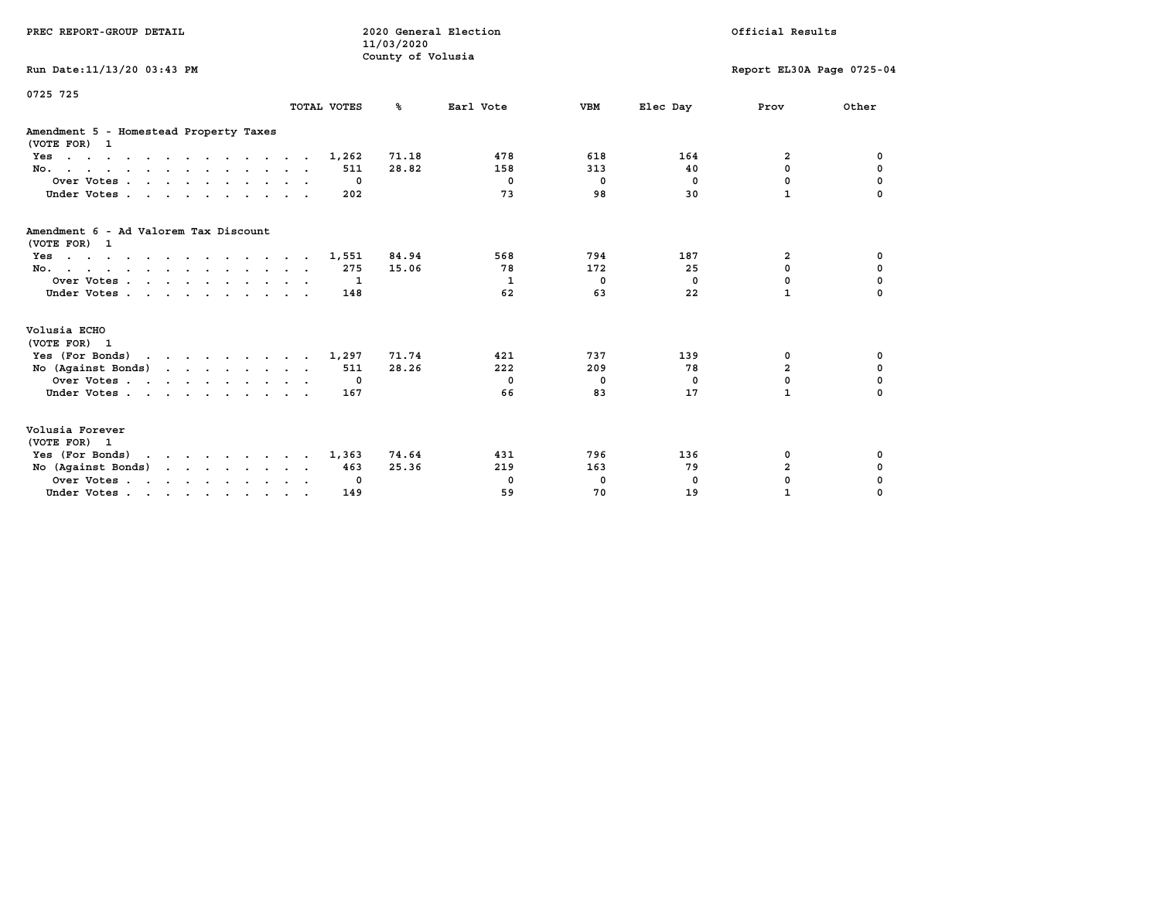| PREC REPORT-GROUP DETAIL                                                                                               |             | 2020 General Election<br>11/03/2020<br>County of Volusia |             | Official Results |            |                           |             |
|------------------------------------------------------------------------------------------------------------------------|-------------|----------------------------------------------------------|-------------|------------------|------------|---------------------------|-------------|
| Run Date: 11/13/20 03:43 PM                                                                                            |             |                                                          |             |                  |            | Report EL30A Page 0725-04 |             |
| 0725 725                                                                                                               | TOTAL VOTES | °≈                                                       | Earl Vote   | <b>VBM</b>       | Elec Day   | Prov                      | Other       |
| Amendment 5 - Homestead Property Taxes<br>(VOTE FOR) 1                                                                 |             |                                                          |             |                  |            |                           |             |
| $Yes \cdot \cdot \cdot \cdot \cdot \cdot \cdot \cdot \cdot \cdot \cdot \cdot \cdot \cdot$                              | 1,262       | 71.18                                                    | 478         | 618              | 164        | 2                         | 0           |
| No.                                                                                                                    | 511         | 28.82                                                    | 158         | 313              | 40         | $\mathbf 0$               | 0           |
| Over Votes.                                                                                                            | 0           |                                                          | $\mathbf 0$ | 0                | $^{\circ}$ | 0                         | 0           |
| Under Votes.                                                                                                           | 202         |                                                          | 73          | 98               | 30         | $\mathbf{1}$              |             |
| Amendment 6 - Ad Valorem Tax Discount<br>(VOTE FOR) 1                                                                  |             |                                                          |             |                  |            |                           |             |
| the contract of the contract of the contract of the contract of the contract of the contract of the contract of<br>Yes | 1,551       | 84.94                                                    | 568         | 794              | 187        | $\overline{\mathbf{2}}$   | 0           |
| No.                                                                                                                    | 275         | 15.06                                                    | 78          | 172              | 25         | $\Omega$                  | $\mathbf 0$ |
| Over Votes                                                                                                             | -1          |                                                          | 1           | $^{\circ}$       | $^{\circ}$ | $\mathbf 0$               | $\mathbf 0$ |
| Under Votes                                                                                                            | 148         |                                                          | 62          | 63               | 22         | $\mathbf{1}$              | $\Omega$    |
| Volusia ECHO<br>(VOTE FOR) 1                                                                                           |             |                                                          |             |                  |            |                           |             |
| Yes (For Bonds) $\cdots$ $\cdots$ $\cdots$ $\cdots$                                                                    | 1,297       | 71.74                                                    | 421         | 737              | 139        | 0                         | 0           |
| No $(Against Bonds)$                                                                                                   | 511         | 28.26                                                    | 222         | 209              | 78         | $\overline{a}$            | $\mathbf 0$ |
| Over Votes                                                                                                             | $\mathbf 0$ |                                                          | $^{\circ}$  | 0                | 0          | $\mathbf 0$               | 0           |
| Under Votes                                                                                                            | 167         |                                                          | 66          | 83               | 17         | $\mathbf{1}$              | 0           |
| Volusia Forever<br>(VOTE FOR) 1                                                                                        |             |                                                          |             |                  |            |                           |             |
| Yes (For Bonds)                                                                                                        | 1,363       | 74.64                                                    | 431         | 796              | 136        | 0                         | 0           |
| No (Against Bonds)                                                                                                     | 463         | 25.36                                                    | 219         | 163              | 79         | $\overline{\mathbf{2}}$   | 0           |
| Over Votes.                                                                                                            | 0           |                                                          | 0           | 0                | $\Omega$   | 0                         | 0           |
| Under Votes                                                                                                            | 149         |                                                          | 59          | 70               | 19         | $\mathbf{1}$              | $\Omega$    |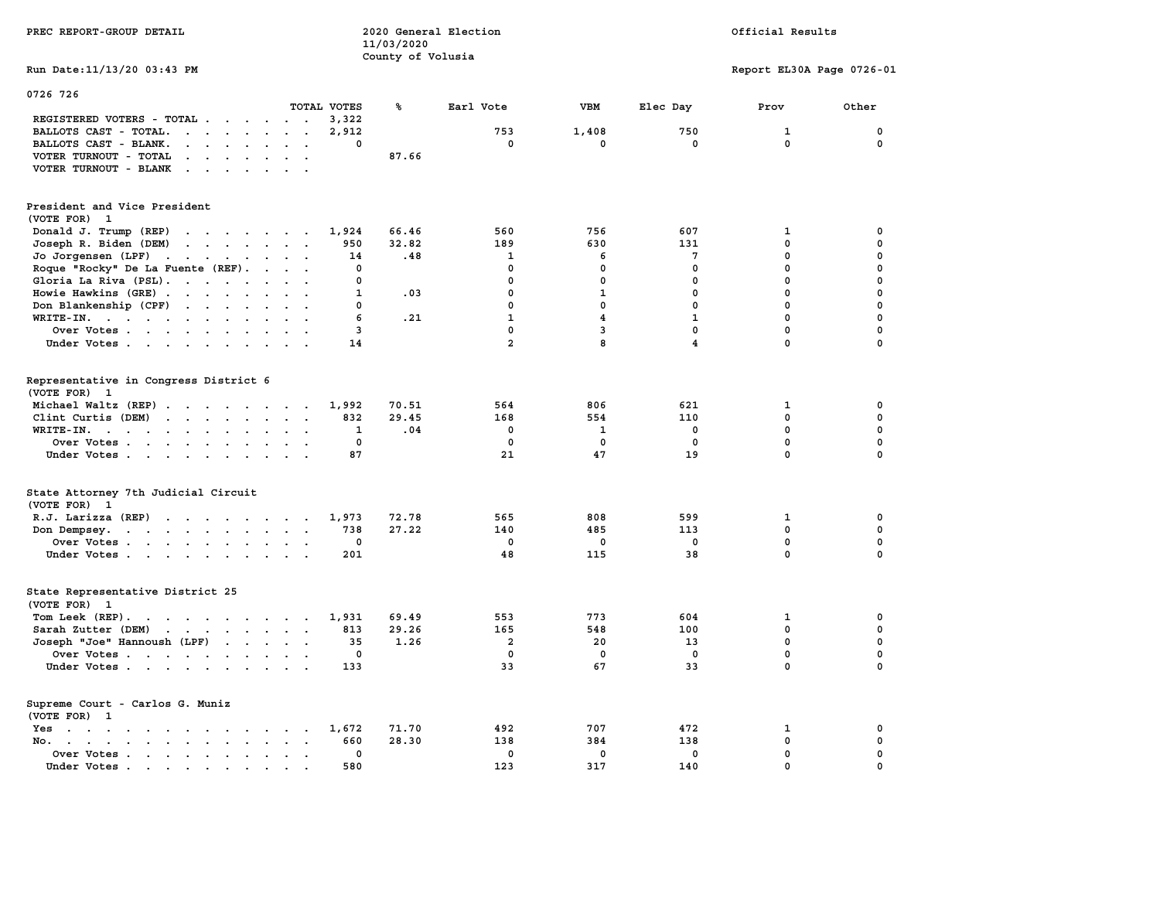| PREC REPORT-GROUP DETAIL                                                                                                                                                                                                                                                                                                                                                                                                             |                                            | 11/03/2020        | 2020 General Election        | Official Results             |                             |                              |                  |  |  |
|--------------------------------------------------------------------------------------------------------------------------------------------------------------------------------------------------------------------------------------------------------------------------------------------------------------------------------------------------------------------------------------------------------------------------------------|--------------------------------------------|-------------------|------------------------------|------------------------------|-----------------------------|------------------------------|------------------|--|--|
| Run Date: 11/13/20 03:43 PM                                                                                                                                                                                                                                                                                                                                                                                                          |                                            | County of Volusia |                              |                              |                             | Report EL30A Page 0726-01    |                  |  |  |
| 0726 726                                                                                                                                                                                                                                                                                                                                                                                                                             | TOTAL VOTES                                | ℁                 | Earl Vote                    | <b>VBM</b>                   | Elec Day                    | Prov                         | Other            |  |  |
| REGISTERED VOTERS - TOTAL<br>BALLOTS CAST - TOTAL.<br>$\cdot$                                                                                                                                                                                                                                                                                                                                                                        | 3,322<br>2,912<br>$\mathbf{0}$             |                   | 753<br>$^{\circ}$            | 1,408<br>0                   | 750<br>$\mathbf{0}$         | $\mathbf{1}$<br>$\mathbf{0}$ | 0<br>$\mathbf 0$ |  |  |
| BALLOTS CAST - BLANK.<br>$\cdot$ $\cdot$ $\cdot$ $\cdot$ $\cdot$<br>VOTER TURNOUT - TOTAL<br>$\mathbf{r}$ , $\mathbf{r}$ , $\mathbf{r}$ , $\mathbf{r}$ , $\mathbf{r}$<br>VOTER TURNOUT - BLANK<br>$\mathcal{A}$ . The set of the set of the set of the set of the set of the set of the set of the set of the set of the set of the set of the set of the set of the set of the set of the set of the set of the set of the set of t | $\ddot{\phantom{0}}$                       | 87.66             |                              |                              |                             |                              |                  |  |  |
| President and Vice President<br>(VOTE FOR) 1                                                                                                                                                                                                                                                                                                                                                                                         |                                            |                   |                              |                              |                             |                              |                  |  |  |
| Donald J. Trump (REP)<br>the contract of the contract of the contract of the contract of the contract of<br>Joseph R. Biden (DEM)<br>the contract of the contract of the contract of the contract of the contract of                                                                                                                                                                                                                 | 1,924<br>950                               | 66.46<br>32.82    | 560<br>189                   | 756<br>630                   | 607<br>131                  | 1<br>$\mathbf{0}$            | 0<br>$\mathbf 0$ |  |  |
| Jo Jorgensen (LPF)<br>Roque "Rocky" De La Fuente (REF).                                                                                                                                                                                                                                                                                                                                                                              | 14<br>$\mathbf 0$                          | .48               | $\mathbf{1}$<br>$\mathbf{0}$ | 6<br>$\mathbf 0$             | 7<br>$\mathbf 0$            | $\mathbf 0$<br>$\mathbf 0$   | 0<br>0           |  |  |
| Gloria La Riva (PSL).<br>$\cdot$ $\cdot$                                                                                                                                                                                                                                                                                                                                                                                             | $\mathbf 0$<br>$\mathbf{1}$                | .03               | $\mathbf 0$<br>$\mathbf 0$   | $\mathbf 0$<br>$\mathbf{1}$  | $\mathbf 0$<br>$^{\circ}$   | $\mathbf 0$<br>$\mathbf 0$   | 0<br>0           |  |  |
| Howie Hawkins (GRE)<br>Don Blankenship (CPF)                                                                                                                                                                                                                                                                                                                                                                                         | $\cdot$ $\cdot$<br>0                       |                   | $\mathbf 0$                  | $\mathbf 0$                  | $\mathbf{0}$                | $\mathbf 0$                  | $\mathbf 0$      |  |  |
| WRITE-IN.<br>Over Votes                                                                                                                                                                                                                                                                                                                                                                                                              | 6<br>3                                     | .21               | $\mathbf{1}$<br>$\mathbf 0$  | $\overline{\mathbf{4}}$<br>3 | $\mathbf{1}$<br>$\mathbf 0$ | $\mathbf 0$<br>$\mathbf 0$   | 0<br>0           |  |  |
| Under Votes                                                                                                                                                                                                                                                                                                                                                                                                                          | 14                                         |                   | $\overline{a}$               | 8                            | $\overline{4}$              | 0                            | 0                |  |  |
| Representative in Congress District 6<br>(VOTE FOR) 1                                                                                                                                                                                                                                                                                                                                                                                |                                            |                   |                              |                              |                             |                              |                  |  |  |
| Michael Waltz (REP)                                                                                                                                                                                                                                                                                                                                                                                                                  | 1,992                                      | 70.51<br>29.45    | 564                          | 806                          | 621                         | $\mathbf{1}$<br>$\mathbf 0$  | 0<br>$\mathbf 0$ |  |  |
| Clint Curtis (DEM)<br>WRITE-IN.<br>the contract of the contract of the contract of the contract of the contract of the contract of the contract of                                                                                                                                                                                                                                                                                   | 832<br>1                                   | .04               | 168<br>$^{\circ}$            | 554<br>$\mathbf{1}$          | 110<br>$\mathbf 0$          | $\mathbf 0$                  | 0                |  |  |
| Over Votes<br>Under Votes                                                                                                                                                                                                                                                                                                                                                                                                            | $\mathbf 0$<br>87                          |                   | $\mathbf 0$<br>21            | 0<br>47                      | 0<br>19                     | 0<br>$\mathbf{0}$            | 0<br>$\mathbf 0$ |  |  |
| State Attorney 7th Judicial Circuit<br>(VOTE FOR) 1                                                                                                                                                                                                                                                                                                                                                                                  |                                            |                   |                              |                              |                             |                              |                  |  |  |
| $R.J.$ Larizza $(REP)$                                                                                                                                                                                                                                                                                                                                                                                                               | 1,973<br>$\cdots$                          | 72.78             | 565                          | 808                          | 599                         | 1<br>$\mathbf{0}$            | 0                |  |  |
| Don Dempsey.<br>Over Votes                                                                                                                                                                                                                                                                                                                                                                                                           | 738<br>$\mathbf 0$<br>$\sim$               | 27.22             | 140<br>$\mathbf 0$           | 485<br>0                     | 113<br>$\mathbf 0$          | 0                            | $\mathbf 0$<br>0 |  |  |
| Under Votes                                                                                                                                                                                                                                                                                                                                                                                                                          | 201                                        |                   | 48                           | 115                          | 38                          | $\mathbf{0}$                 | $\mathbf 0$      |  |  |
| State Representative District 25<br>(VOTE FOR) 1                                                                                                                                                                                                                                                                                                                                                                                     |                                            |                   |                              |                              |                             |                              |                  |  |  |
| Tom Leek (REP).                                                                                                                                                                                                                                                                                                                                                                                                                      | 1,931                                      | 69.49             | 553<br>165                   | 773                          | 604<br>100                  | $\mathbf{1}$<br>$\mathbf{0}$ | 0                |  |  |
| Sarah Zutter (DEM)<br>Joseph "Joe" Hannoush (LPF)                                                                                                                                                                                                                                                                                                                                                                                    | 813<br>35                                  | 29.26<br>1.26     | $\overline{a}$               | 548<br>20                    | 13                          | $\mathbf 0$                  | 0<br>$\mathbf 0$ |  |  |
| Over Votes                                                                                                                                                                                                                                                                                                                                                                                                                           | $\mathbf 0$                                |                   | $\mathbf 0$                  | $\mathbf 0$                  | $\mathbf 0$                 | $\mathbf 0$                  | 0                |  |  |
| Under Votes                                                                                                                                                                                                                                                                                                                                                                                                                          | 133                                        |                   | 33                           | 67                           | 33                          | $\mathbf{0}$                 | $\mathbf 0$      |  |  |
| Supreme Court - Carlos G. Muniz<br>(VOTE FOR) 1                                                                                                                                                                                                                                                                                                                                                                                      |                                            |                   |                              |                              |                             |                              |                  |  |  |
| Yes                                                                                                                                                                                                                                                                                                                                                                                                                                  | 1,672                                      | 71.70             | 492                          | 707                          | 472                         | 1                            | 0                |  |  |
| No.<br>Over Votes                                                                                                                                                                                                                                                                                                                                                                                                                    | 660<br>$\mathbf 0$<br>$\ddot{\phantom{a}}$ | 28.30             | 138<br>$\mathbf 0$           | 384<br>$\mathbf 0$           | 138<br>$\mathbf 0$          | $\mathbf 0$<br>$\mathbf 0$   | 0<br>0           |  |  |
| Under Votes                                                                                                                                                                                                                                                                                                                                                                                                                          | 580<br>$\sim$                              |                   | 123                          | 317                          | 140                         | $\mathbf 0$                  | 0                |  |  |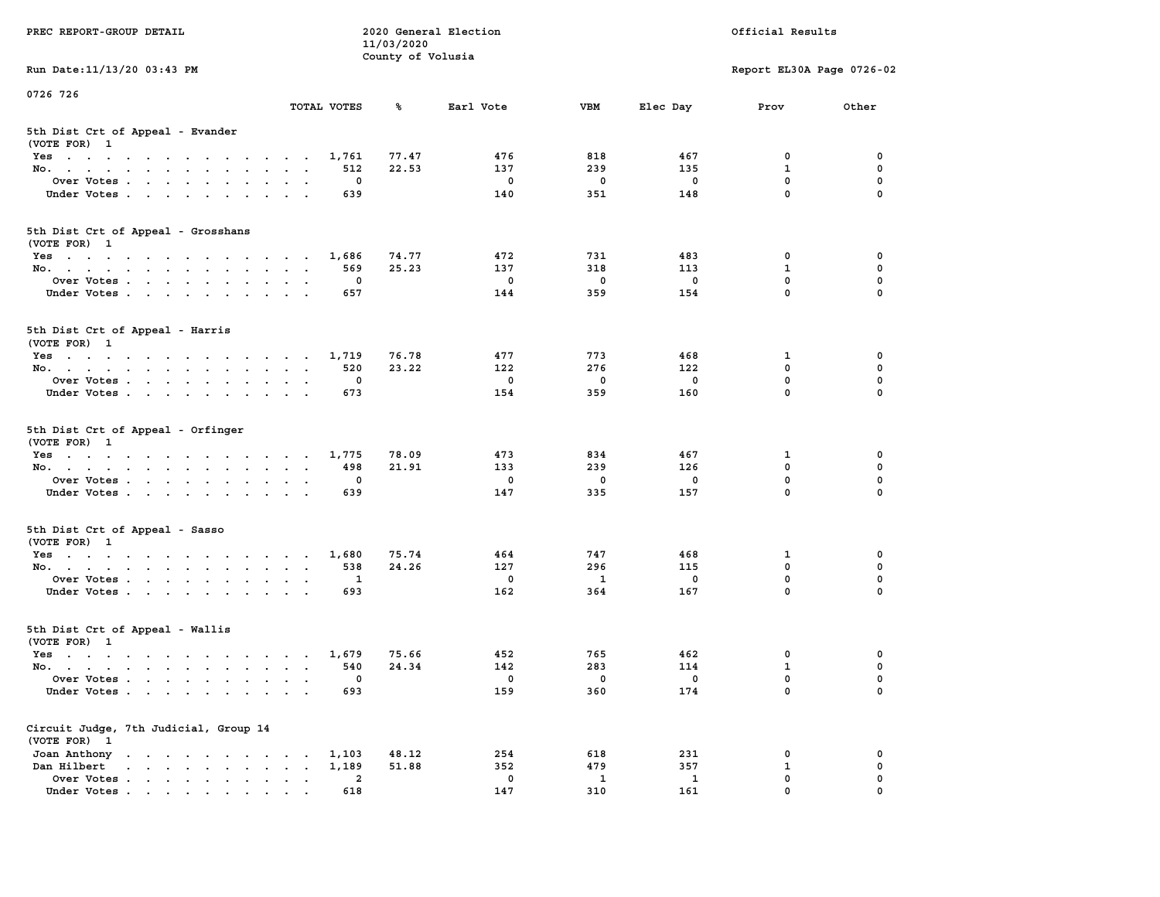| PREC REPORT-GROUP DETAIL                                                                                               |                                 | 11/03/2020        | 2020 General Election |             |              | Official Results            |               |
|------------------------------------------------------------------------------------------------------------------------|---------------------------------|-------------------|-----------------------|-------------|--------------|-----------------------------|---------------|
| Run Date: 11/13/20 03:43 PM                                                                                            |                                 | County of Volusia |                       |             |              | Report EL30A Page 0726-02   |               |
| 0726 726                                                                                                               |                                 |                   |                       |             |              |                             |               |
|                                                                                                                        | TOTAL VOTES                     | ℁                 | Earl Vote             | <b>VBM</b>  | Elec Day     | Prov                        | Other         |
| 5th Dist Crt of Appeal - Evander<br>(VOTE FOR) 1                                                                       |                                 |                   |                       |             |              |                             |               |
| Yes                                                                                                                    | 1,761                           | 77.47             | 476                   | 818         | 467          | 0                           | 0             |
| No.                                                                                                                    | 512                             | 22.53             | 137                   | 239         | 135          | $\mathbf{1}$                | 0             |
| Over Votes                                                                                                             | 0                               |                   | 0                     | 0           | 0            | $\mathbf 0$                 | 0             |
| Under Votes                                                                                                            | 639                             |                   | 140                   | 351         | 148          | $\mathbf 0$                 | $\Omega$      |
| 5th Dist Crt of Appeal - Grosshans<br>(VOTE FOR) 1                                                                     |                                 |                   |                       |             |              |                             |               |
| Yes                                                                                                                    | 1,686                           | 74.77             | 472                   | 731         | 483          | 0                           | 0             |
| No.                                                                                                                    | 569                             | 25.23             | 137                   | 318         | 113          | $\mathbf{1}$                | 0             |
| Over Votes                                                                                                             | 0                               |                   | $\mathbf 0$           | $\mathbf 0$ | $\mathbf 0$  | $\mathbf 0$                 | 0             |
| Under Votes                                                                                                            | 657                             |                   | 144                   | 359         | 154          | $\mathbf{0}$                | 0             |
| 5th Dist Crt of Appeal - Harris<br>(VOTE FOR) 1                                                                        |                                 |                   |                       |             |              |                             |               |
| Yes                                                                                                                    | 1,719                           | 76.78             | 477                   | 773         | 468          | 1                           | 0             |
| No.                                                                                                                    | 520                             | 23.22             | 122                   | 276         | 122          | $\Omega$                    | $\mathbf 0$   |
| Over Votes                                                                                                             | 0                               |                   | 0                     | 0           | 0            | $\mathbf 0$                 | 0             |
| Under Votes                                                                                                            | 673                             |                   | 154                   | 359         | 160          | $\mathbf 0$                 | 0             |
| 5th Dist Crt of Appeal - Orfinger<br>(VOTE FOR) 1                                                                      |                                 |                   |                       |             |              |                             |               |
| Yes                                                                                                                    | 1,775                           | 78.09             | 473                   | 834         | 467          | 1                           | 0             |
| No.                                                                                                                    | 498                             | 21.91             | 133                   | 239         | 126          | $\mathbf 0$<br>$\mathbf 0$  | 0             |
| Over Votes                                                                                                             | 0                               |                   | 0<br>147              | 0<br>335    | 0<br>157     | $\mathbf 0$                 | 0<br>$\Omega$ |
| Under Votes                                                                                                            | 639                             |                   |                       |             |              |                             |               |
| 5th Dist Crt of Appeal - Sasso<br>(VOTE FOR) 1                                                                         |                                 |                   |                       |             |              |                             |               |
| Yes                                                                                                                    | 1,680                           | 75.74             | 464                   | 747         | 468          | 1                           | 0             |
| No.                                                                                                                    | 538                             | 24.26             | 127                   | 296         | 115          | $\mathbf 0$                 | 0             |
| Over Votes<br>Under Votes                                                                                              | 1<br>693                        |                   | 0<br>162              | 1<br>364    | 0<br>167     | $\mathbf 0$<br>$\mathbf{0}$ | 0<br>$\Omega$ |
|                                                                                                                        |                                 |                   |                       |             |              |                             |               |
| 5th Dist Crt of Appeal - Wallis<br>(VOTE FOR) 1                                                                        |                                 |                   |                       |             |              |                             |               |
| Yes<br>the contract of the contract of the contract of the contract of the contract of the contract of the contract of | 1,679                           | 75.66             | 452                   | 765         | 462          | 0                           | 0             |
| No.                                                                                                                    | 540                             | 24.34             | 142                   | 283         | 114          | $\mathbf{1}$                | 0             |
| Over Votes                                                                                                             | 0                               |                   | 0                     | 0           | 0            | $\mathbf 0$                 | 0             |
| Under Votes.                                                                                                           | 693                             |                   | 159                   | 360         | 174          | 0                           | 0             |
| Circuit Judge, 7th Judicial, Group 14<br>(VOTE FOR) 1                                                                  |                                 |                   |                       |             |              |                             |               |
| Joan Anthony                                                                                                           | 1,103                           | 48.12             | 254                   | 618         | 231          | 0                           | 0             |
| Dan Hilbert<br>$\mathbf{r}$ , $\mathbf{r}$ , $\mathbf{r}$ , $\mathbf{r}$ , $\mathbf{r}$ , $\mathbf{r}$                 | 1,189<br>$\bullet$<br>$\bullet$ | 51.88             | 352                   | 479         | 357          | 1                           | 0             |
| Over Votes.                                                                                                            | $\mathbf{2}$                    |                   | 0                     | 1           | $\mathbf{1}$ | $\mathbf 0$                 | 0             |
| Under Votes                                                                                                            | 618                             |                   | 147                   | 310         | 161          | $\mathbf 0$                 | 0             |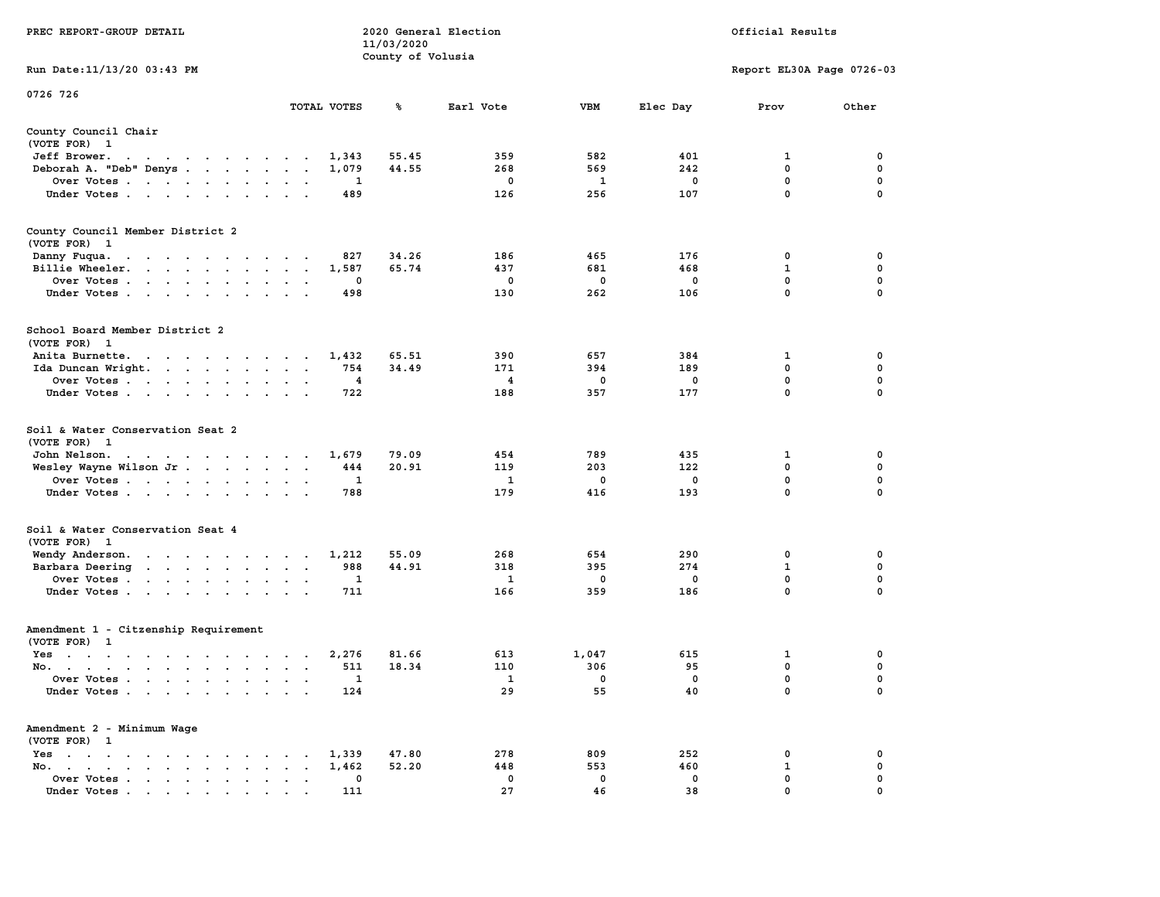|                                                                                                                                                                                                                                                                                                             |                                                                             | 11/03/2020        |             |              |             |                           |             |
|-------------------------------------------------------------------------------------------------------------------------------------------------------------------------------------------------------------------------------------------------------------------------------------------------------------|-----------------------------------------------------------------------------|-------------------|-------------|--------------|-------------|---------------------------|-------------|
|                                                                                                                                                                                                                                                                                                             |                                                                             | County of Volusia |             |              |             |                           |             |
| Run Date:11/13/20 03:43 PM                                                                                                                                                                                                                                                                                  |                                                                             |                   |             |              |             | Report EL30A Page 0726-03 |             |
| 0726 726                                                                                                                                                                                                                                                                                                    |                                                                             |                   |             |              |             |                           |             |
|                                                                                                                                                                                                                                                                                                             | TOTAL VOTES                                                                 | ℁                 | Earl Vote   | <b>VBM</b>   | Elec Day    | Prov                      | Other       |
| County Council Chair                                                                                                                                                                                                                                                                                        |                                                                             |                   |             |              |             |                           |             |
| (VOTE FOR) 1                                                                                                                                                                                                                                                                                                |                                                                             |                   |             |              |             |                           |             |
| Jeff Brower.<br>$\sim 100$ km s $^{-1}$<br>$\overline{\phantom{a}}$                                                                                                                                                                                                                                         | 1,343                                                                       | 55.45             | 359         | 582          | 401         | 1                         | 0           |
| Deborah A. "Deb" Denys<br>$\ddot{\phantom{0}}$                                                                                                                                                                                                                                                              | 1,079                                                                       | 44.55             | 268         | 569          | 242         | 0                         | $\mathbf 0$ |
| Over Votes                                                                                                                                                                                                                                                                                                  | 1<br>$\bullet$ .<br>$\cdot$<br>$\overline{\phantom{a}}$                     |                   | $\mathbf 0$ | $\mathbf{1}$ | $\mathbf 0$ | $\mathbf 0$               | $\mathbf 0$ |
| Under Votes<br>$\ddot{\phantom{a}}$                                                                                                                                                                                                                                                                         | 489<br>$\ddot{\phantom{a}}$                                                 |                   | 126         | 256          | 107         | $\mathbf 0$               | $\mathbf 0$ |
|                                                                                                                                                                                                                                                                                                             |                                                                             |                   |             |              |             |                           |             |
| County Council Member District 2                                                                                                                                                                                                                                                                            |                                                                             |                   |             |              |             |                           |             |
| (VOTE FOR) 1                                                                                                                                                                                                                                                                                                |                                                                             |                   |             |              |             |                           |             |
| Danny Fuqua.<br>the contract of the contract of the contract of the contract of the contract of the contract of the contract of                                                                                                                                                                             | 827                                                                         | 34.26             | 186         | 465          | 176         | 0                         | $\mathbf 0$ |
| Billie Wheeler.<br>$\cdot$ $\cdot$ $\cdot$ $\cdot$ $\cdot$ $\cdot$<br><b>Carl Carl</b>                                                                                                                                                                                                                      | 1,587<br>$\overline{a}$<br>$\ddot{\phantom{a}}$                             | 65.74             | 437         | 681          | 468         | $\mathbf{1}$              | 0           |
| Over Votes<br>$\ddot{\phantom{a}}$<br>$\cdot$ $\cdot$                                                                                                                                                                                                                                                       | 0                                                                           |                   | 0           | $\mathbf 0$  | $\mathbf 0$ | $\mathbf 0$               | $\mathbf 0$ |
| Under Votes<br>$\ddot{\phantom{a}}$                                                                                                                                                                                                                                                                         | 498<br>$\ddot{\phantom{a}}$                                                 |                   | 130         | 262          | 106         | 0                         | 0           |
| School Board Member District 2                                                                                                                                                                                                                                                                              |                                                                             |                   |             |              |             |                           |             |
| (VOTE FOR) 1                                                                                                                                                                                                                                                                                                |                                                                             |                   |             |              |             |                           |             |
| Anita Burnette.                                                                                                                                                                                                                                                                                             | 1,432<br>$\sim$ 10 $\pm$                                                    | 65.51             | 390         | 657          | 384         | 1                         | 0           |
| Ida Duncan Wright.<br>$\cdots$                                                                                                                                                                                                                                                                              | 754<br>$\bullet$<br>$\bullet$                                               | 34.49             | 171         | 394          | 189         | $\mathbf 0$               | 0           |
| Over Votes<br>$\ddot{\phantom{0}}$<br>$\bullet$                                                                                                                                                                                                                                                             | 4                                                                           |                   | 4           | 0            | $\mathbf 0$ | 0                         | 0           |
| Under Votes<br>$\ddot{\phantom{a}}$                                                                                                                                                                                                                                                                         | 722                                                                         |                   | 188         | 357          | 177         | 0                         | 0           |
| Soil & Water Conservation Seat 2<br>(VOTE FOR)<br>- 1<br>John Nelson.<br>$\mathcal{A}$ . The state of the state of the state of the state of the state of the state of the state of the state of the state of the state of the state of the state of the state of the state of the state of the state of th | 1,679                                                                       | 79.09             | 454         | 789          | 435         | 1                         | 0           |
| Wesley Wayne Wilson Jr                                                                                                                                                                                                                                                                                      | 444<br>$\ddot{\phantom{a}}$<br>$\ddot{\phantom{a}}$<br>$\ddot{\phantom{a}}$ | 20.91             | 119         | 203          | 122         | 0                         | $\mathbf 0$ |
| Over Votes                                                                                                                                                                                                                                                                                                  | $\mathbf{1}$<br>$\mathbf{r}$<br>$\cdot$                                     |                   | 1           | 0            | $\mathbf 0$ | $\mathbf 0$               | $\mathbf 0$ |
| Under Votes<br>$\overline{\phantom{a}}$<br>$\ddot{\phantom{a}}$                                                                                                                                                                                                                                             | 788                                                                         |                   | 179         | 416          | 193         | $\mathbf 0$               | 0           |
| Soil & Water Conservation Seat 4<br>(VOTE FOR) 1                                                                                                                                                                                                                                                            |                                                                             |                   |             |              |             |                           |             |
| Wendy Anderson.<br>the contract of the contract of the                                                                                                                                                                                                                                                      | 1,212                                                                       | 55.09             | 268         | 654          | 290         | $\mathbf 0$               | 0           |
| Barbara Deering                                                                                                                                                                                                                                                                                             | 988<br>$\bullet$<br>$\bullet$<br>$\ddot{\phantom{1}}$                       | 44.91             | 318         | 395          | 274         | $\mathbf 1$               | $\mathbf 0$ |
| Over Votes<br>$\ddot{\phantom{a}}$                                                                                                                                                                                                                                                                          | 1<br>$\bullet$<br>$\cdot$                                                   |                   | 1           | 0            | 0           | 0                         | 0           |
| Under Votes<br>$\ddot{\phantom{a}}$                                                                                                                                                                                                                                                                         | 711<br>$\ddot{\phantom{a}}$<br>$\sim$                                       |                   | 166         | 359          | 186         | $\mathbf 0$               | 0           |
| Amendment 1 - Citzenship Requirement                                                                                                                                                                                                                                                                        |                                                                             |                   |             |              |             |                           |             |
| (VOTE FOR) 1                                                                                                                                                                                                                                                                                                |                                                                             |                   |             |              |             |                           |             |
| $Yes \t . \t .$<br>$\sim$ $\sim$<br>$\ddot{\phantom{1}}$<br>$\sim$ $\sim$ $\sim$<br>$\sim$                                                                                                                                                                                                                  | 2,276<br>$\bullet$<br>$\ddot{\phantom{a}}$<br>$\sim$ $\sim$                 | 81.66             | 613         | 1,047        | 615         | 1                         | 0           |
| No.<br>$\mathbf{a}=\mathbf{a}$                                                                                                                                                                                                                                                                              | 511                                                                         | 18.34             | 110         | 306          | 95          | 0                         | 0           |
| Over Votes .<br>$\sim 100$ km s $^{-1}$<br>$\sim 100$ km s $^{-1}$<br>$\blacksquare$<br>$\bullet$                                                                                                                                                                                                           | 1<br>$\bullet$<br>$\bullet$<br>$\ddot{\phantom{a}}$                         |                   | 1           | 0            | 0           | 0                         | 0           |
| Under Votes<br>$\ddot{\phantom{0}}$                                                                                                                                                                                                                                                                         | 124                                                                         |                   | 29          | 55           | 40          | $\mathbf 0$               | $\mathbf 0$ |
| Amendment 2 - Minimum Wage                                                                                                                                                                                                                                                                                  |                                                                             |                   |             |              |             |                           |             |
| (VOTE FOR) 1                                                                                                                                                                                                                                                                                                |                                                                             |                   |             |              |             |                           |             |
| $Yes \t . \t .$<br>$\sim$ $\sim$<br>$\sim$ $\sim$ $\sim$ $\sim$<br>$\blacksquare$ .<br>$\bullet$                                                                                                                                                                                                            | 1,339<br>$\blacksquare$ .                                                   | 47.80             | 278         | 809          | 252         | 0                         | 0           |
| No.<br>$\sim$ $\sim$ $\sim$ $\sim$<br>$\bullet$<br>$\bullet$<br>$\cdot$<br>$\cdot$                                                                                                                                                                                                                          | 1,462<br>$\ddot{\phantom{a}}$                                               | 52.20             | 448         | 553          | 460         | $\mathbf{1}$              | $\mathbf 0$ |
| Over Votes<br>$\ddot{\phantom{a}}$                                                                                                                                                                                                                                                                          | 0<br>$\bullet$<br>$\ddot{\phantom{a}}$<br>$\ddot{\phantom{a}}$              |                   | $\mathbf 0$ | $\mathbf 0$  | $\mathbf 0$ | $\mathbf 0$               | $\mathbf 0$ |
| Under Votes                                                                                                                                                                                                                                                                                                 | 111                                                                         |                   | 27          | 46           | 38          | 0                         | $\mathbf 0$ |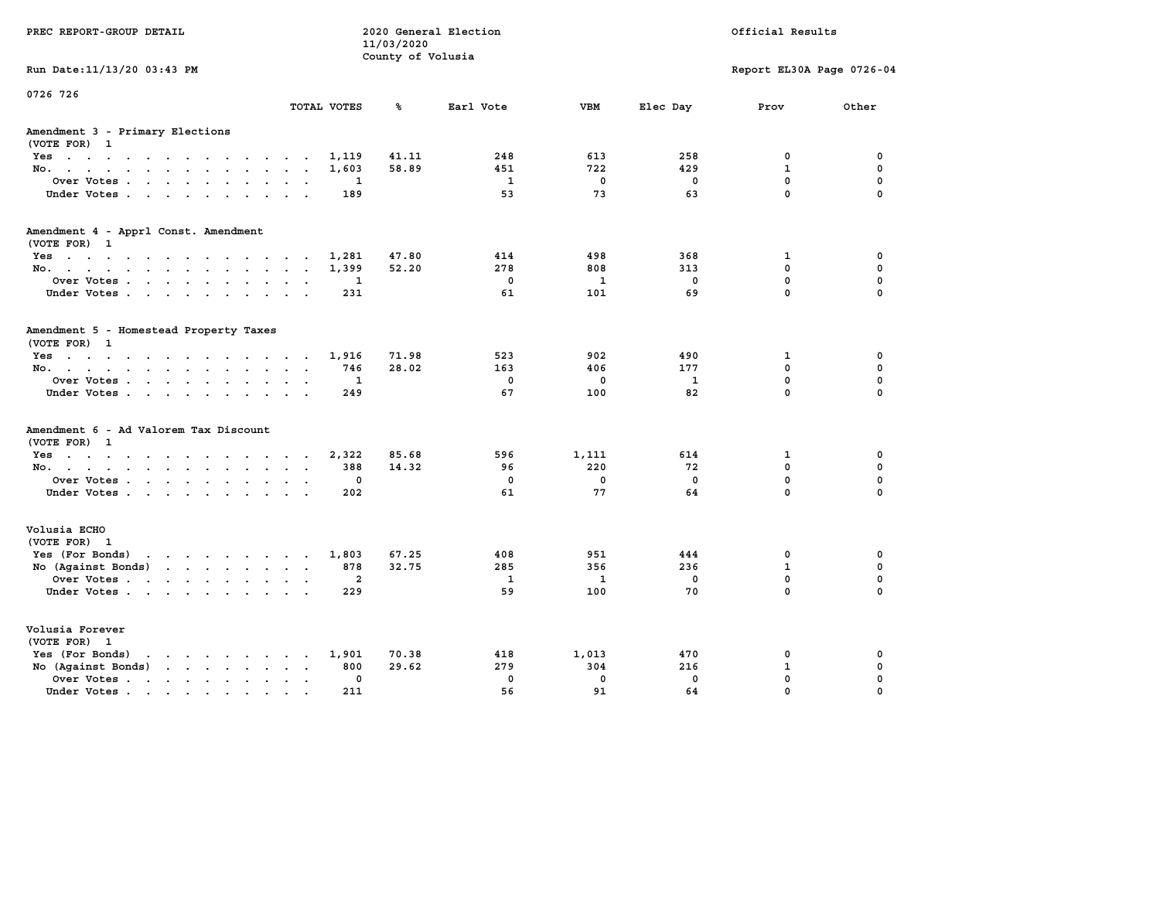| PREC REPORT-GROUP DETAIL                                                                 |                      |              | 11/03/2020<br>County of Volusia | 2020 General Election |              |              | Official Results          |             |
|------------------------------------------------------------------------------------------|----------------------|--------------|---------------------------------|-----------------------|--------------|--------------|---------------------------|-------------|
| Run Date: 11/13/20 03:43 PM                                                              |                      |              |                                 |                       |              |              | Report EL30A Page 0726-04 |             |
| 0726 726                                                                                 |                      | TOTAL VOTES  | ℁                               | Earl Vote             | <b>VBM</b>   | Elec Day     | Prov                      | Other       |
| Amendment 3 - Primary Elections<br>(VOTE FOR) 1                                          |                      |              |                                 |                       |              |              |                           |             |
| Yes                                                                                      |                      | 1,119        | 41.11                           | 248                   | 613          | 258          | 0                         | 0           |
| No.                                                                                      |                      | 1,603        | 58.89                           | 451                   | 722          | 429          | $\mathbf{1}$              | $\mathbf 0$ |
| Over Votes                                                                               |                      | 1            |                                 | $\mathbf{1}$          | $\mathbf 0$  | 0            | $\mathbf 0$               | $\mathbf 0$ |
| Under Votes.                                                                             |                      | 189          |                                 | 53                    | 73           | 63           | $\mathbf 0$               | $\Omega$    |
| Amendment 4 - Apprl Const. Amendment                                                     |                      |              |                                 |                       |              |              |                           |             |
| (VOTE FOR) 1<br>Yes                                                                      |                      | 1,281        | 47.80                           | 414                   | 498          | 368          | $\mathbf{1}$              | 0           |
| No.                                                                                      |                      | 1,399        | 52.20                           | 278                   | 808          | 313          | 0                         | $\mathbf 0$ |
| Over Votes                                                                               |                      | 1            |                                 | $\mathbf 0$           | $\mathbf{1}$ | $\mathbf 0$  | $\mathbf 0$               | $\mathbf 0$ |
| Under Votes.                                                                             |                      | 231          |                                 | 61                    | 101          | 69           | $\mathbf 0$               | $\Omega$    |
| Amendment 5 - Homestead Property Taxes<br>(VOTE FOR) 1                                   |                      |              |                                 |                       |              |              |                           |             |
| Yes                                                                                      |                      | 1,916        | 71.98                           | 523                   | 902          | 490          | $\mathbf{1}$              | 0           |
| No.                                                                                      |                      | 746          | 28.02                           | 163                   | 406          | 177          | 0                         | $\mathbf 0$ |
| Over Votes                                                                               | $\sim$ $\sim$        | $\mathbf{1}$ |                                 | $\mathbf 0$           | $\mathbf 0$  | $\mathbf{1}$ | $\mathbf 0$               | $\mathbf 0$ |
| Under Votes.                                                                             |                      | 249          |                                 | 67                    | 100          | 82           | $\mathbf 0$               | $\Omega$    |
| Amendment 6 - Ad Valorem Tax Discount<br>(VOTE FOR) 1                                    |                      |              |                                 |                       |              |              |                           |             |
| $Yes \cdot \cdot \cdot \cdot \cdot \cdot \cdot \cdot \cdot \cdot \cdot \cdot$            |                      | 2,322        | 85.68                           | 596                   | 1,111        | 614          | 1                         | 0           |
| No.                                                                                      |                      | 388          | 14.32                           | 96                    | 220          | 72           | 0                         | 0           |
| Over Votes                                                                               |                      | 0            |                                 | $\mathbf 0$           | $\mathbf 0$  | $\mathbf 0$  | $\mathbf 0$               | $\mathbf 0$ |
| Under Votes                                                                              |                      | 202          |                                 | 61                    | 77           | 64           | $\Omega$                  | $\Omega$    |
| Volusia ECHO<br>(VOTE FOR) 1                                                             |                      |              |                                 |                       |              |              |                           |             |
| Yes (For Bonds) $\cdots$ $\cdots$ $\cdots$ $\cdots$                                      |                      | 1,803        | 67.25                           | 408                   | 951          | 444          | 0                         | 0           |
| No (Against Bonds)                                                                       |                      | 878          | 32.75                           | 285                   | 356          | 236          | $\mathbf{1}$              | $\mathbf 0$ |
| Over Votes                                                                               | $\cdot$ $\cdot$      | $\mathbf{2}$ |                                 | $\mathbf{1}$          | 1            | 0            | $\mathbf 0$               | $\mathbf 0$ |
| Under Votes                                                                              |                      | 229          |                                 | 59                    | 100          | 70           | $\Omega$                  | $\Omega$    |
| Volusia Forever<br>(VOTE FOR) 1                                                          |                      |              |                                 |                       |              |              |                           |             |
| Yes (For Bonds)<br>$\mathbf{r}$ , and $\mathbf{r}$ , and $\mathbf{r}$ , and $\mathbf{r}$ |                      | 1,901        | 70.38                           | 418                   | 1,013        | 470          | 0                         | 0           |
| No (Against Bonds)                                                                       | $\cdot$ $\cdot$      | 800          | 29.62                           | 279                   | 304          | 216          | $\mathbf{1}$              | $\mathbf 0$ |
| Over Votes                                                                               | $\ddot{\phantom{0}}$ | 0            |                                 | $\mathbf 0$           | $\mathbf 0$  | $\mathbf 0$  | $\mathbf 0$               | $\mathbf 0$ |
| Under Votes                                                                              | $\cdot$ $\cdot$      | 211          |                                 | 56                    | 91           | 64           | $\Omega$                  | $\Omega$    |
|                                                                                          |                      |              |                                 |                       |              |              |                           |             |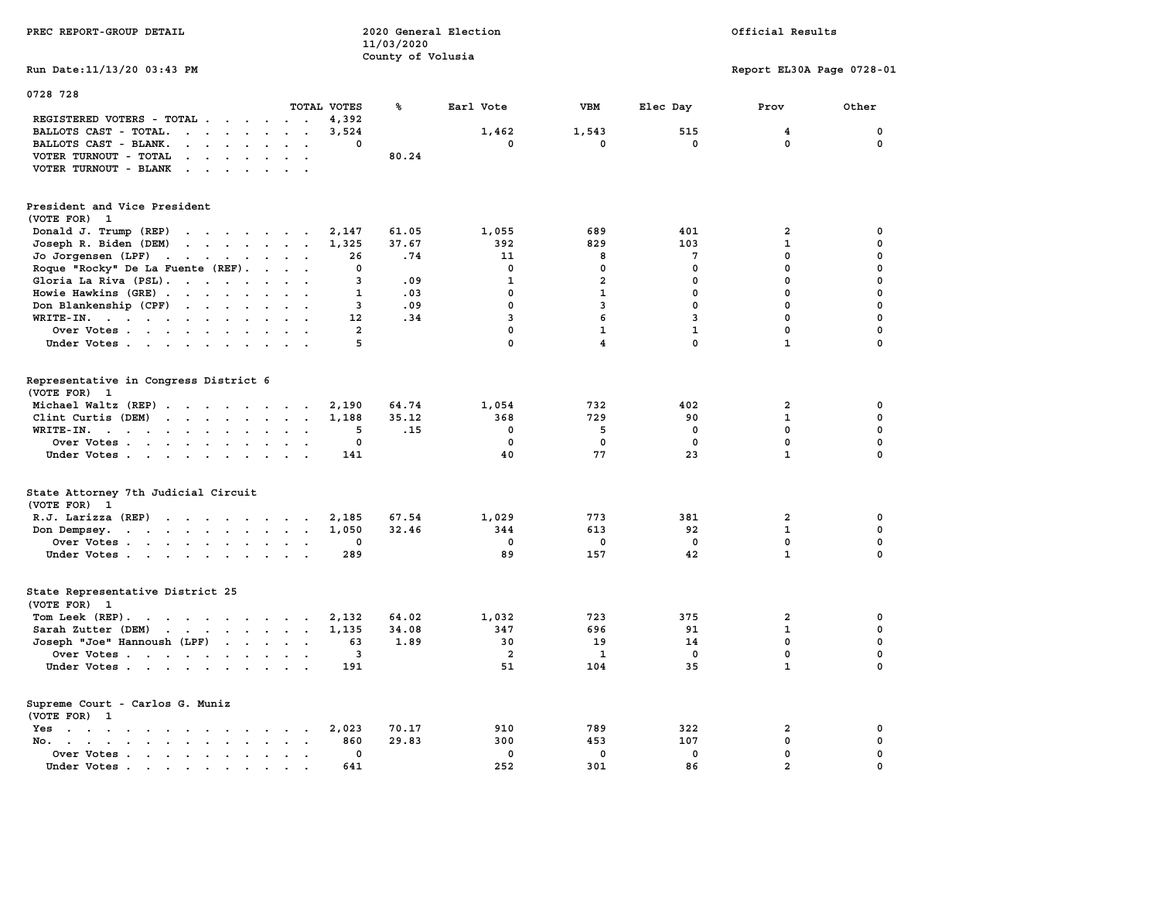| PREC REPORT-GROUP DETAIL                                                                                                                                                                                                                                   |                         | 11/03/2020        | 2020 General Election   |                         |              | Official Results          |             |
|------------------------------------------------------------------------------------------------------------------------------------------------------------------------------------------------------------------------------------------------------------|-------------------------|-------------------|-------------------------|-------------------------|--------------|---------------------------|-------------|
| Run Date: 11/13/20 03:43 PM                                                                                                                                                                                                                                |                         | County of Volusia |                         |                         |              | Report EL30A Page 0728-01 |             |
| 0728 728                                                                                                                                                                                                                                                   |                         |                   |                         |                         |              |                           |             |
| TOTAL VOTES                                                                                                                                                                                                                                                |                         | ℁                 | Earl Vote               | VBM                     | Elec Day     | Prov                      | Other       |
| REGISTERED VOTERS - TOTAL .<br>$\sim$<br>$\sim$<br>$\sim$<br>$\sim$ $\sim$ $\sim$                                                                                                                                                                          | 4,392                   |                   |                         |                         |              |                           |             |
| BALLOTS CAST - TOTAL.<br>$\mathbf{r}$ , $\mathbf{r}$ , $\mathbf{r}$ , $\mathbf{r}$<br>$\sim$<br>$\sim$<br>$\ddot{\phantom{a}}$                                                                                                                             | 3,524                   |                   | 1,462                   | 1,543                   | 515          | 4                         | 0           |
| BALLOTS CAST - BLANK.<br>$\cdot$ $\cdot$ $\cdot$<br>$\sim$                                                                                                                                                                                                 | $\Omega$                |                   | $\mathbf 0$             | $\mathbf 0$             | $\mathbf 0$  | $\mathbf 0$               | 0           |
| VOTER TURNOUT - TOTAL<br>$\ddot{\phantom{a}}$<br>$\ddot{\phantom{a}}$<br>$\mathbf{r}$                                                                                                                                                                      |                         | 80.24             |                         |                         |              |                           |             |
| VOTER TURNOUT - BLANK<br>$\sim$ $\sim$ $\sim$ $\sim$                                                                                                                                                                                                       |                         |                   |                         |                         |              |                           |             |
| President and Vice President                                                                                                                                                                                                                               |                         |                   |                         |                         |              |                           |             |
| (VOTE FOR)<br>$\blacksquare$                                                                                                                                                                                                                               |                         |                   |                         |                         |              |                           |             |
| Donald J. Trump (REP)<br>$\mathbf{r}$ . The set of the set of the set of the set of the set of the set of the set of the set of the set of the set of the set of the set of the set of the set of the set of the set of the set of the set of the set of t | 2,147                   | 61.05             | 1,055                   | 689                     | 401          | $\mathbf{2}$              | 0           |
| Joseph R. Biden (DEM)<br>$\cdot$                                                                                                                                                                                                                           | 1,325                   | 37.67             | 392                     | 829                     | 103          | $\mathbf{1}$              | 0           |
| Jo Jorgensen (LPF)<br>$\cdots$<br>$\sim$<br>$\sim$                                                                                                                                                                                                         | 26                      | .74               | 11                      | 8                       | 7            | 0                         | 0           |
| Roque "Rocky" De La Fuente (REF).<br>$\cdot$ $\cdot$ $\cdot$                                                                                                                                                                                               | 0                       |                   | $\mathbf 0$             | $\mathbf 0$             | $\mathbf 0$  | 0                         | $\mathbf 0$ |
| Gloria La Riva (PSL).<br>$\ddot{\phantom{a}}$<br>$\sim$                                                                                                                                                                                                    | 3                       | .09               | 1                       | $\mathbf{2}$            | $\mathbf 0$  | $\mathbf 0$               | 0           |
| Howie Hawkins (GRE)                                                                                                                                                                                                                                        | 1                       | .03               | 0                       | $\mathbf{1}$            | $\mathbf 0$  | $\mathbf 0$               | $\mathbf 0$ |
| Don Blankenship (CPF)<br>$\cdot$ $\cdot$ $\cdot$ $\cdot$<br>$\ddot{\phantom{a}}$<br>$\sim$                                                                                                                                                                 | 3                       | .09               | $\mathbf 0$             | 3                       | $\mathbf 0$  | $\mathbf 0$               | $\mathbf 0$ |
| WRITE-IN.                                                                                                                                                                                                                                                  | 12                      | .34               | 3                       | 6                       | 3            | 0                         | $\mathbf 0$ |
| Over Votes<br>$\ddot{\phantom{a}}$<br>$\ddot{\phantom{a}}$<br>$\ddot{\phantom{a}}$                                                                                                                                                                         | $\overline{\mathbf{2}}$ |                   | 0                       | $\mathbf{1}$            | $\mathbf{1}$ | $\mathbf 0$               | $\mathbf 0$ |
| Under Votes.                                                                                                                                                                                                                                               | 5                       |                   | $\mathbf 0$             | $\overline{\mathbf{4}}$ | $\mathbf 0$  | $\mathbf{1}$              | $\mathbf 0$ |
|                                                                                                                                                                                                                                                            |                         |                   |                         |                         |              |                           |             |
| Representative in Congress District 6<br>(VOTE FOR)<br>- 1                                                                                                                                                                                                 |                         |                   |                         |                         |              |                           |             |
| Michael Waltz (REP)                                                                                                                                                                                                                                        | 2,190                   | 64.74             | 1,054                   | 732                     | 402          | $\overline{\mathbf{2}}$   | 0           |
| Clint Curtis (DEM)<br>$\mathbf{r}$ . The contract of the contract of the contract of the contract of the contract of the contract of the contract of the contract of the contract of the contract of the contract of the contract of the contract of th    | 1,188                   | 35.12             | 368                     | 729                     | 90           | 1                         | $\mathbf 0$ |
| WRITE-IN.<br>$\cdot$ $\cdot$ $\cdot$ $\cdot$ $\cdot$ $\cdot$<br>$\ddot{\phantom{a}}$<br>$\cdot$<br>$\bullet$<br>$\ddot{\phantom{a}}$<br>$\sim$                                                                                                             | 5                       | .15               | 0                       | 5                       | 0            | $\mathbf 0$               | 0           |
| Over Votes<br>$\sim$ $\sim$                                                                                                                                                                                                                                | 0                       |                   | $\mathbf 0$             | $\mathbf 0$             | 0            | 0                         | 0           |
| Under Votes<br>$\sim$<br>$\sim$<br>$\sim$                                                                                                                                                                                                                  | 141                     |                   | 40                      | 77                      | 23           | $\mathbf{1}$              | $\Omega$    |
| State Attorney 7th Judicial Circuit<br>(VOTE FOR) 1                                                                                                                                                                                                        |                         |                   |                         |                         |              |                           |             |
| R.J. Larizza (REP)                                                                                                                                                                                                                                         | 2,185                   | 67.54             | 1,029                   | 773                     | 381          | $\overline{2}$            | 0           |
| Don Dempsey.<br>and a series and a series of the series of the series of the series of the series of the series of the series of the series of the series of the series of the series of the series of the series of the series of the series              | 1,050                   | 32.46             | 344                     | 613                     | 92           | $\mathbf{1}$              | $\mathbf 0$ |
| Over Votes                                                                                                                                                                                                                                                 | $\Omega$                |                   | 0                       | 0                       | 0            | $\mathbf{0}$              | $\mathbf 0$ |
| Under Votes<br>$\sim$<br>$\mathbf{r}$                                                                                                                                                                                                                      | 289                     |                   | 89                      | 157                     | 42           | $\mathbf{1}$              | $\Omega$    |
| State Representative District 25<br>(VOTE FOR) 1                                                                                                                                                                                                           |                         |                   |                         |                         |              |                           |             |
| Tom Leek (REP).                                                                                                                                                                                                                                            | 2,132                   | 64.02             | 1,032                   | 723                     | 375          | $\overline{2}$            | 0           |
| Sarah Zutter (DEM)<br>$\mathbf{r}$ . The set of the set of the set of the set of the set of the set of the set of the set of the set of the set of the set of the set of the set of the set of the set of the set of the set of the set of the set of t    | 1,135                   | 34.08             | 347                     | 696                     | 91           | $\mathbf{1}$              | 0           |
| Joseph "Joe" Hannoush (LPF)                                                                                                                                                                                                                                | 63                      | 1.89              | 30                      | 19                      | 14           | $\mathbf 0$               | 0           |
| Over Votes<br>$\sim$<br>$\sim$                                                                                                                                                                                                                             | 3                       |                   | $\overline{\mathbf{2}}$ | 1                       | 0            | 0                         | $\mathbf 0$ |
| Under Votes                                                                                                                                                                                                                                                | 191                     |                   | 51                      | 104                     | 35           | $\mathbf{1}$              | $\mathbf 0$ |
| Supreme Court - Carlos G. Muniz<br>(VOTE FOR) 1                                                                                                                                                                                                            |                         |                   |                         |                         |              |                           |             |
| $Yes \t . \t .$<br>the contract of the contract of the contract of the contract of the contract of the contract of the contract of                                                                                                                         | 2,023                   | 70.17             | 910                     | 789                     | 322          | $\overline{a}$            | 0           |
| $No.$<br>$\sim$ $\sim$ $\sim$ $\sim$ $\sim$<br>$\sim$<br>$\sim$<br>$\sim$<br>$\sim$                                                                                                                                                                        | 860                     | 29.83             | 300                     | 453                     | 107          | $\mathbf{0}$              | $\mathbf 0$ |
| Over Votes<br>$\ddot{\phantom{a}}$<br>$\bullet$<br>$\bullet$                                                                                                                                                                                               | 0                       |                   | 0                       | 0                       | $\mathbf 0$  | $\mathbf{0}$              | $\mathbf 0$ |
| Under Votes.<br>$\cdots$<br>$\ddot{\phantom{0}}$<br>$\sim$ $\sim$<br>$\ddot{\phantom{a}}$<br>$\cdot$                                                                                                                                                       | 641                     |                   | 252                     | 301                     | 86           | $\overline{a}$            | $\mathbf 0$ |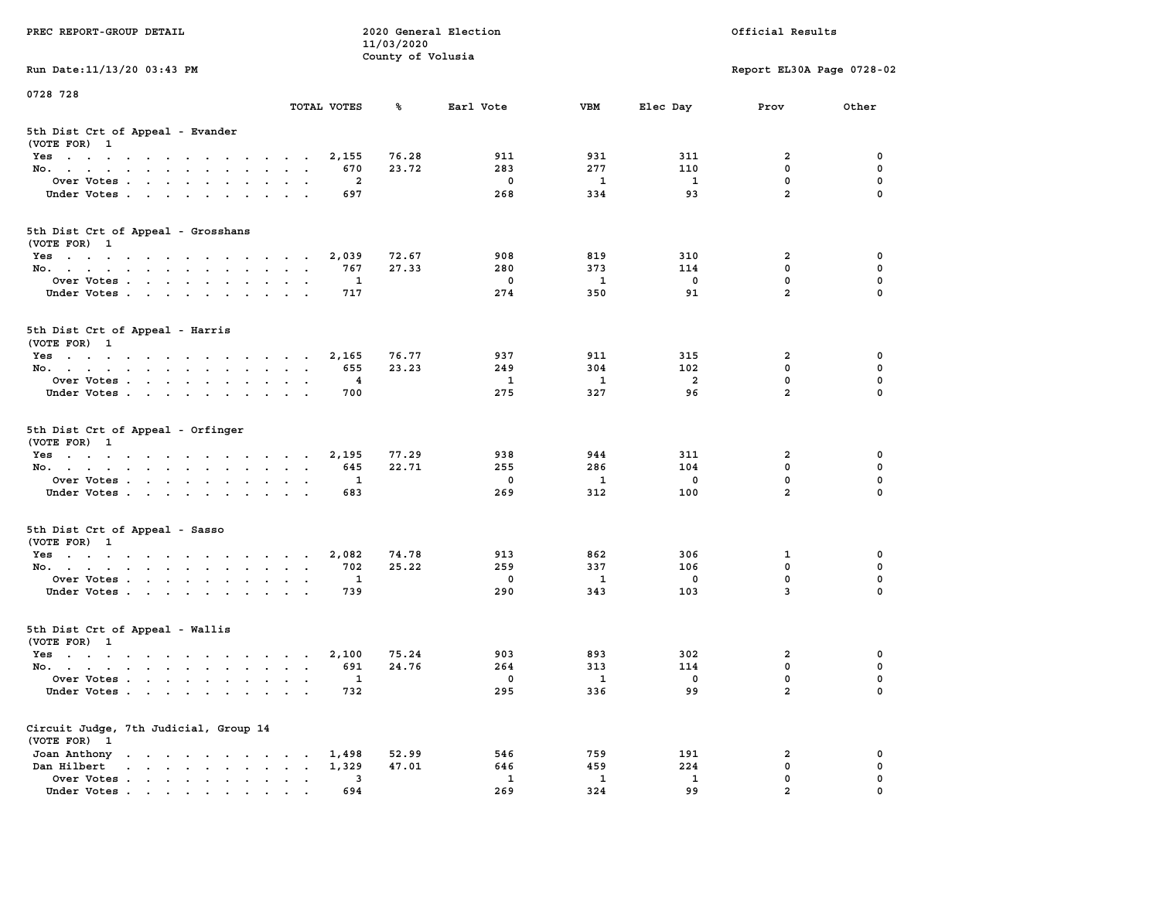| PREC REPORT-GROUP DETAIL                                                                                               |                                            | 11/03/2020        | 2020 General Election |                          | Official Results        |                               |             |  |
|------------------------------------------------------------------------------------------------------------------------|--------------------------------------------|-------------------|-----------------------|--------------------------|-------------------------|-------------------------------|-------------|--|
| Run Date: 11/13/20 03:43 PM                                                                                            |                                            | County of Volusia |                       |                          |                         | Report EL30A Page 0728-02     |             |  |
| 0728 728                                                                                                               |                                            |                   |                       |                          |                         |                               |             |  |
|                                                                                                                        | TOTAL VOTES                                | ℁                 | Earl Vote             | <b>VBM</b>               | Elec Day                | Prov                          | Other       |  |
| 5th Dist Crt of Appeal - Evander<br>(VOTE FOR) 1                                                                       |                                            |                   |                       |                          |                         |                               |             |  |
| Yes                                                                                                                    | 2,155                                      | 76.28             | 911                   | 931                      | 311                     | 2                             | 0           |  |
| No.                                                                                                                    | 670                                        | 23.72             | 283                   | 277                      | 110                     | $\mathbf 0$                   | 0           |  |
| Over Votes                                                                                                             | 2                                          |                   | 0                     | 1                        | 1                       | $\mathbf 0$                   | 0           |  |
| Under Votes                                                                                                            | 697                                        |                   | 268                   | 334                      | 93                      | $\overline{a}$                | $\Omega$    |  |
| 5th Dist Crt of Appeal - Grosshans<br>(VOTE FOR) 1                                                                     |                                            |                   |                       |                          |                         |                               |             |  |
| Yes                                                                                                                    | 2,039                                      | 72.67             | 908                   | 819                      | 310                     | 2                             | 0           |  |
| No.                                                                                                                    | 767                                        | 27.33             | 280                   | 373                      | 114                     | $\mathbf 0$                   | 0           |  |
| Over Votes                                                                                                             | 1                                          |                   | $\mathbf 0$           | $\mathbf{1}$             | $\mathbf 0$             | $\mathbf 0$                   | 0           |  |
| Under Votes                                                                                                            | 717                                        |                   | 274                   | 350                      | 91                      | $\overline{a}$                | 0           |  |
| 5th Dist Crt of Appeal - Harris<br>(VOTE FOR) 1                                                                        |                                            |                   |                       |                          |                         |                               |             |  |
| Yes                                                                                                                    | 2,165                                      | 76.77             | 937                   | 911                      | 315                     | $\mathbf{2}$                  | 0           |  |
| No.                                                                                                                    | 655                                        | 23.23             | 249                   | 304                      | 102                     | $\Omega$                      | $\mathbf 0$ |  |
| Over Votes                                                                                                             | 4                                          |                   | 1                     | 1                        | $\overline{\mathbf{2}}$ | $\mathbf 0$                   | 0           |  |
| Under Votes                                                                                                            | 700                                        |                   | 275                   | 327                      | 96                      | $\overline{a}$                | 0           |  |
| 5th Dist Crt of Appeal - Orfinger<br>(VOTE FOR) 1                                                                      |                                            |                   |                       |                          |                         |                               |             |  |
| Yes                                                                                                                    | 2,195                                      | 77.29             | 938                   | 944                      | 311                     | 2                             | 0           |  |
| No.                                                                                                                    | 645                                        | 22.71             | 255                   | 286                      | 104                     | $\mathbf 0$                   | 0           |  |
| Over Votes                                                                                                             | 1                                          |                   | 0                     | 1                        | 0                       | $\mathbf 0$<br>$\overline{a}$ | 0           |  |
| Under Votes                                                                                                            | 683                                        |                   | 269                   | 312                      | 100                     |                               | $\Omega$    |  |
| 5th Dist Crt of Appeal - Sasso<br>(VOTE FOR) 1                                                                         |                                            |                   |                       |                          |                         |                               |             |  |
| Yes                                                                                                                    | 2,082                                      | 74.78             | 913                   | 862                      | 306                     | 1                             | 0           |  |
| No.                                                                                                                    | 702                                        | 25.22             | 259                   | 337                      | 106                     | $\mathbf 0$                   | 0           |  |
| Over Votes                                                                                                             | 1                                          |                   | $\mathbf 0$           | $\mathbf{1}$             | 0                       | $\mathbf 0$                   | 0           |  |
| Under Votes                                                                                                            | 739                                        |                   | 290                   | 343                      | 103                     | 3                             | $\Omega$    |  |
| 5th Dist Crt of Appeal - Wallis<br>(VOTE FOR) 1                                                                        |                                            |                   |                       |                          |                         |                               |             |  |
| Yes<br>the contract of the contract of the contract of the contract of the contract of the contract of the contract of | 2,100                                      | 75.24             | 903                   | 893                      | 302                     | 2                             | 0           |  |
| No.                                                                                                                    | 691                                        | 24.76             | 264                   | 313                      | 114                     | $\mathbf 0$                   | 0           |  |
| Over Votes                                                                                                             | $\mathbf{1}$                               |                   | 0                     | $\overline{\phantom{a}}$ | 0                       | $\mathbf 0$                   | 0           |  |
| Under Votes.                                                                                                           | 732                                        |                   | 295                   | 336                      | 99                      | $\mathbf{2}$                  | 0           |  |
| Circuit Judge, 7th Judicial, Group 14<br>(VOTE FOR) 1                                                                  |                                            |                   |                       |                          |                         |                               |             |  |
| Joan Anthony                                                                                                           | 1,498                                      | 52.99             | 546                   | 759                      | 191                     | 2                             | 0           |  |
| Dan Hilbert                                                                                                            | 1,329<br>$\ddot{\phantom{a}}$<br>$\bullet$ | 47.01             | 646                   | 459                      | 224                     | $\mathbf 0$                   | 0           |  |
| Over Votes.                                                                                                            | 3                                          |                   | 1                     | 1                        | $\mathbf{1}$            | $\mathbf 0$                   | 0           |  |
| Under Votes                                                                                                            | 694                                        |                   | 269                   | 324                      | 99                      | $\overline{a}$                | 0           |  |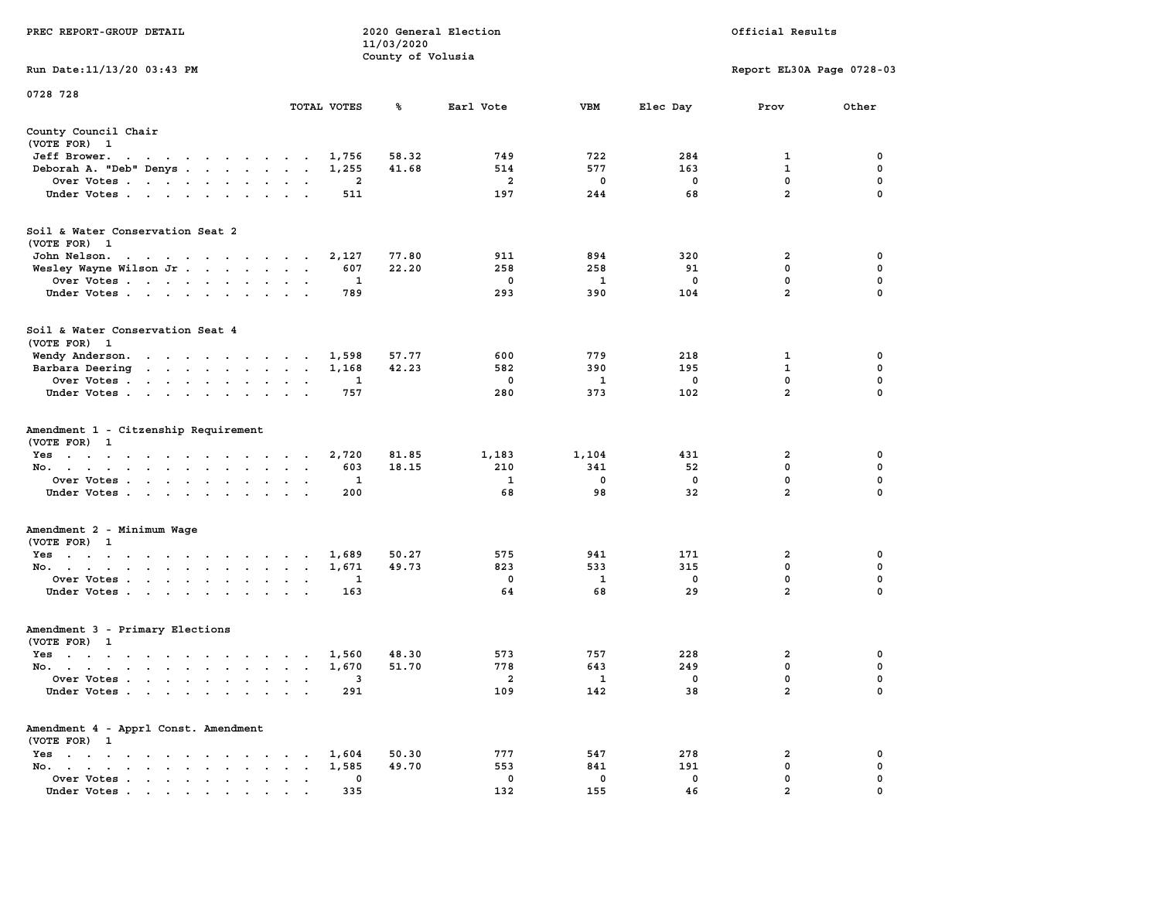|                                                                                                                                                     |                                                                      | County of Volusia |              |             |              |                           |             |  |  |  |
|-----------------------------------------------------------------------------------------------------------------------------------------------------|----------------------------------------------------------------------|-------------------|--------------|-------------|--------------|---------------------------|-------------|--|--|--|
| Run Date:11/13/20 03:43 PM                                                                                                                          |                                                                      |                   |              |             |              | Report EL30A Page 0728-03 |             |  |  |  |
| 0728 728                                                                                                                                            |                                                                      |                   |              |             |              |                           |             |  |  |  |
|                                                                                                                                                     | TOTAL VOTES                                                          | ℁                 | Earl Vote    | <b>VBM</b>  | Elec Day     | Prov                      | Other       |  |  |  |
| County Council Chair                                                                                                                                |                                                                      |                   |              |             |              |                           |             |  |  |  |
| (VOTE FOR) 1                                                                                                                                        |                                                                      |                   |              |             |              |                           |             |  |  |  |
| Jeff Brower.<br>$\ddot{\phantom{0}}$<br>$\mathcal{A}=\mathcal{A}=\mathcal{A}=\mathcal{A}=\mathcal{A}=\mathcal{A}$<br>$\sim$<br>$\ddot{\phantom{0}}$ | 1,756<br>$\overline{\phantom{a}}$                                    | 58.32             | 749          | 722         | 284          | 1                         | 0           |  |  |  |
| Deborah A. "Deb" Denys                                                                                                                              | 1,255<br>$\cdot$<br>$\cdot$                                          | 41.68             | 514          | 577         | 163          | $\mathbf{1}$              | $\mathbf 0$ |  |  |  |
| Over Votes                                                                                                                                          | 2<br>$\bullet$<br>$\sim$                                             |                   | 2            | 0           | 0            | 0                         | 0           |  |  |  |
| Under Votes                                                                                                                                         | 511<br>$\sim$<br>$\ddot{\phantom{0}}$<br>$\ddot{\phantom{a}}$        |                   | 197          | 244         | 68           | $\overline{2}$            | 0           |  |  |  |
|                                                                                                                                                     |                                                                      |                   |              |             |              |                           |             |  |  |  |
| Soil & Water Conservation Seat 2                                                                                                                    |                                                                      |                   |              |             |              |                           |             |  |  |  |
| (VOTE FOR) 1                                                                                                                                        |                                                                      |                   |              | 894         |              |                           |             |  |  |  |
| John Nelson.<br>the contract of the contract of the con-                                                                                            | 2,127                                                                | 77.80             | 911          |             | 320          | 2                         | 0           |  |  |  |
| Wesley Wayne Wilson Jr                                                                                                                              | 607                                                                  | 22.20             | 258          | 258         | 91           | 0                         | 0           |  |  |  |
| Over Votes                                                                                                                                          | 1<br>$\ddot{\phantom{a}}$                                            |                   | $\mathbf 0$  | 1           | $\mathbf{0}$ | $\mathbf{0}$              | 0           |  |  |  |
| Under Votes<br>$\ddot{\phantom{0}}$                                                                                                                 | 789<br>$\bullet$<br>$\bullet$                                        |                   | 293          | 390         | 104          | $\overline{2}$            | 0           |  |  |  |
| Soil & Water Conservation Seat 4                                                                                                                    |                                                                      |                   |              |             |              |                           |             |  |  |  |
| (VOTE FOR) 1                                                                                                                                        |                                                                      |                   |              |             |              |                           |             |  |  |  |
| Wendy Anderson.<br>the contract of the contract of the                                                                                              | 1,598                                                                | 57.77             | 600          | 779         | 218          | 1                         | 0           |  |  |  |
| Barbara Deering<br>$\mathbf{r}$ , and $\mathbf{r}$ , and $\mathbf{r}$ , and $\mathbf{r}$                                                            | 1,168<br>$\cdot$<br>$\ddot{\phantom{a}}$<br>$\overline{\phantom{a}}$ | 42.23             | 582          | 390         | 195          | $\mathbf{1}$              | $\mathbf 0$ |  |  |  |
| Over Votes.<br>$\cdot$ $\cdot$ $\cdot$ $\cdot$ $\cdot$<br>$\ddot{\phantom{a}}$<br>$\cdot$                                                           | 1                                                                    |                   | $\mathbf 0$  | 1           | $\mathbf 0$  | $\mathbf 0$               | $\mathbf 0$ |  |  |  |
| Under Votes<br>$\ddot{\phantom{a}}$                                                                                                                 | 757                                                                  |                   | 280          | 373         | 102          | $\overline{a}$            | $\mathbf 0$ |  |  |  |
| Amendment 1 - Citzenship Requirement<br>(VOTE FOR) 1<br>$Yes \t . \t .$<br>$\sim$ $\sim$ $\sim$ $\sim$ $\sim$<br>$\ddot{\phantom{0}}$               | 2,720<br>$\cdot$ $\cdot$                                             | 81.85             | 1,183        | 1,104       | 431          | $\overline{a}$            | 0           |  |  |  |
| No.<br>$\bullet$<br>$\sim$<br>$\ddot{\phantom{a}}$<br>$\ddot{\phantom{a}}$                                                                          | 603<br>$\cdot$<br>$\cdot$<br>$\cdot$                                 | 18.15             | 210          | 341         | 52           | 0                         | $\mathbf 0$ |  |  |  |
| Over Votes<br>$\sim$                                                                                                                                | 1<br>$\bullet$<br>$\cdot$                                            |                   | $\mathbf{1}$ | $\mathbf 0$ | $\mathbf 0$  | 0                         | $\mathbf 0$ |  |  |  |
| Under Votes<br>$\cdot$                                                                                                                              | 200                                                                  |                   | 68           | 98          | 32           | $\overline{a}$            | 0           |  |  |  |
| Amendment 2 - Minimum Wage                                                                                                                          |                                                                      |                   |              |             |              |                           |             |  |  |  |
| (VOTE FOR) 1                                                                                                                                        |                                                                      |                   |              |             |              |                           |             |  |  |  |
| $Yes \t . \t .$<br>$\mathcal{A}=\mathcal{A}=\mathcal{A}=\mathcal{A}=\mathcal{A}=\mathcal{A}=\mathcal{A}=\mathcal{A}$ .                              | 1,689<br>$\cdot$ $\cdot$                                             | 50.27             | 575          | 941         | 171          | 2                         | 0           |  |  |  |
| No.<br>$\ddot{\phantom{a}}$<br>$\sim$                                                                                                               | 1,671<br>$\bullet$<br>$\bullet$<br>$\blacksquare$                    | 49.73             | 823          | 533         | 315          | 0                         | $\pmb{0}$   |  |  |  |
| Over Votes<br>$\ddot{\phantom{0}}$                                                                                                                  | 1                                                                    |                   | $\mathbf 0$  | 1           | $\mathbf 0$  | $\mathbf 0$               | $\mathbf 0$ |  |  |  |
| Under Votes<br>$\sim 10^{-1}$ and $\sim 10^{-1}$<br>$\blacksquare$ .<br>$\bullet$                                                                   | 163                                                                  |                   | 64           | 68          | 29           | $\overline{a}$            | 0           |  |  |  |
| Amendment 3 - Primary Elections                                                                                                                     |                                                                      |                   |              |             |              |                           |             |  |  |  |
|                                                                                                                                                     |                                                                      |                   |              |             |              |                           |             |  |  |  |
| (VOTE FOR) 1                                                                                                                                        | 1,560                                                                | 48.30             | 573          | 757         | 228          | $\overline{a}$            | 0           |  |  |  |
| $Yes \t . \t .$<br>$\mathcal{A}(\mathcal{A})$ , and $\mathcal{A}(\mathcal{A})$ , and                                                                | $\cdot$ $\cdot$<br>$\sim$                                            |                   |              |             |              |                           |             |  |  |  |
| No.<br>$\sim$                                                                                                                                       | 1,670<br>$\bullet$<br>$\sim$<br>$\sim$                               | 51.70             | 778          | 643         | 249          | 0                         | 0           |  |  |  |
| Over Votes .<br>$\mathbf{r}$ . The set of $\mathbf{r}$<br>$\sim$<br>$\ddot{\phantom{a}}$<br>$\ddot{\phantom{a}}$<br>$\bullet$                       | 3<br>$\ddot{\phantom{a}}$<br>$\cdot$                                 |                   | 2            | 1           | 0            | 0                         | 0           |  |  |  |
| Under Votes<br>$\sim$                                                                                                                               | 291<br>$\ddot{\phantom{a}}$<br>$\mathbf{r}$                          |                   | 109          | 142         | 38           | $\overline{a}$            | $\mathbf 0$ |  |  |  |
| Amendment 4 - Apprl Const. Amendment<br>(VOTE FOR) 1                                                                                                |                                                                      |                   |              |             |              |                           |             |  |  |  |
| $Yes \t . \t .$<br>$\sim$<br>$\mathcal{A}=\mathcal{A}=\mathcal{A}$ .<br>$\cdot$<br>$\cdot$<br>$\sim$                                                | 1,604<br>$\cdot$<br>$\cdot$                                          | 50.30             | 777          | 547         | 278          | 2                         | 0           |  |  |  |
| No.<br>$\bullet$ .<br><br><br><br><br><br><br><br><br><br><br><br><br><br><br><br>$\mathbf{r} = \mathbf{r}$<br>$\sim$ $\sim$                        | 1,585<br>$\bullet$                                                   | 49.70             | 553          | 841         | 191          | 0                         | 0           |  |  |  |
| Over Votes<br>$\bullet$                                                                                                                             | 0<br>$\ddot{\phantom{a}}$<br>$\ddot{\phantom{a}}$                    |                   | 0            | 0           | 0            | $\mathbf 0$               | $\mathbf 0$ |  |  |  |
| Under Votes                                                                                                                                         | 335                                                                  |                   | 132          | 155         | 46           | $\overline{a}$            | $\mathbf 0$ |  |  |  |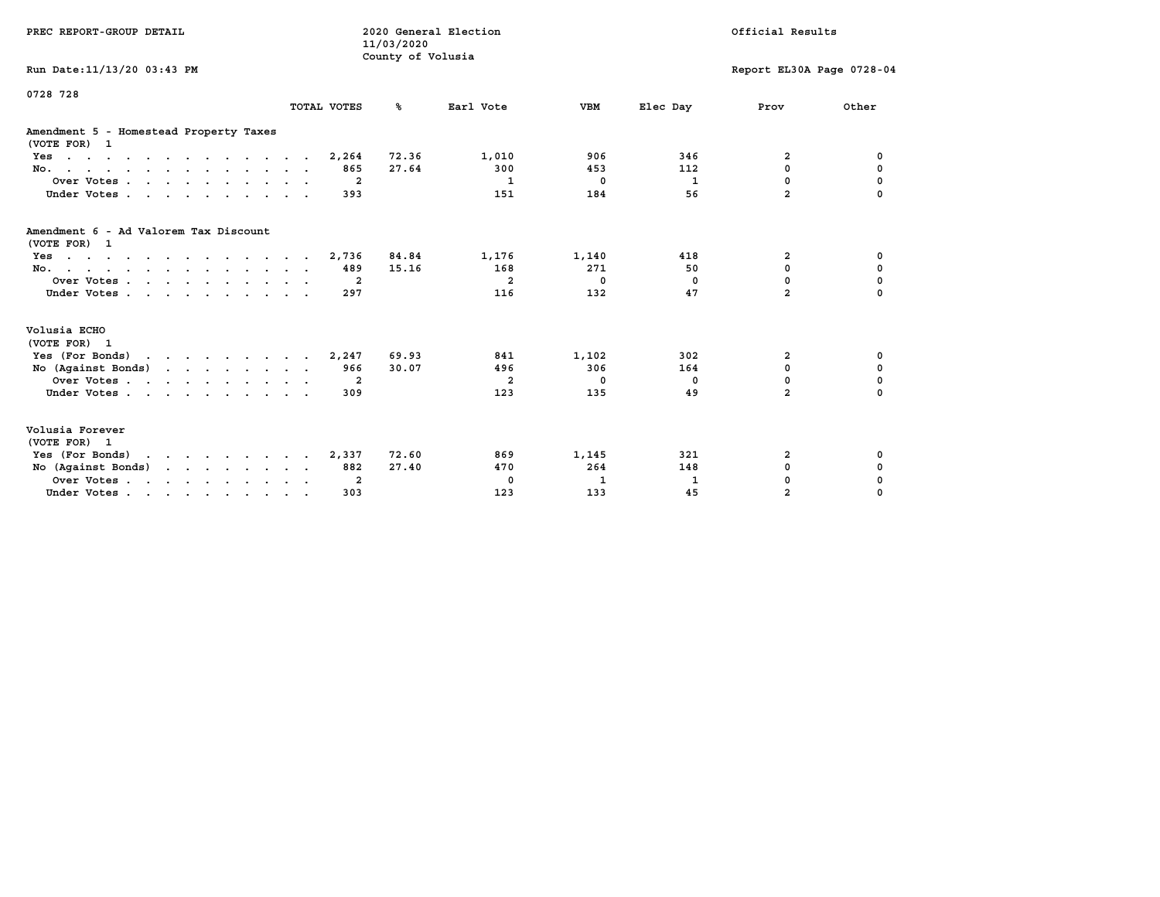| PREC REPORT-GROUP DETAIL                               | 11/03/2020<br>County of Volusia | 2020 General Election | Official Results |              |              |                           |             |  |
|--------------------------------------------------------|---------------------------------|-----------------------|------------------|--------------|--------------|---------------------------|-------------|--|
| Run Date: 11/13/20 03:43 PM                            |                                 |                       |                  |              |              | Report EL30A Page 0728-04 |             |  |
| 0728 728                                               | TOTAL VOTES                     | %ะ                    | Earl Vote        | <b>VBM</b>   | Elec Day     | Prov                      | Other       |  |
|                                                        |                                 |                       |                  |              |              |                           |             |  |
| Amendment 5 - Homestead Property Taxes<br>(VOTE FOR) 1 |                                 |                       |                  |              |              |                           |             |  |
| $Yes.$                                                 | 2,264                           | 72.36                 | 1,010            | 906          | 346          | 2                         | 0           |  |
| No.                                                    | 865                             | 27.64                 | 300              | 453          | 112          | 0                         | 0           |  |
| Over Votes                                             | $\overline{2}$                  |                       | $\mathbf{1}$     | $\mathbf 0$  | $\mathbf{1}$ | 0                         | $\mathbf 0$ |  |
| Under Votes.                                           | 393                             |                       | 151              | 184          | 56           | $\overline{a}$            | $\mathbf 0$ |  |
| Amendment 6 - Ad Valorem Tax Discount<br>(VOTE FOR) 1  |                                 |                       |                  |              |              |                           |             |  |
| Yes                                                    | 2,736                           | 84.84                 | 1,176            | 1,140        | 418          | 2                         | 0           |  |
| No.                                                    | 489                             | 15.16                 | 168              | 271          | 50           | 0                         | 0           |  |
| Over Votes.                                            | $\overline{2}$                  |                       | $\overline{a}$   | $\mathbf{0}$ | 0            | 0                         | $\mathbf 0$ |  |
| Under Votes                                            | 297                             |                       | 116              | 132          | 47           | $\overline{a}$            | $\Omega$    |  |
| Volusia ECHO<br>(VOTE FOR) 1                           |                                 |                       |                  |              |              |                           |             |  |
| Yes (For Bonds)                                        | 2,247                           | 69.93                 | 841              | 1,102        | 302          | 2                         | 0           |  |
| No (Against Bonds)                                     | 966                             | 30.07                 | 496              | 306          | 164          | 0                         | 0           |  |
| Over Votes                                             | 2                               |                       | $\overline{a}$   | $^{\circ}$   | 0            | 0                         | 0           |  |
| Under Votes                                            | 309                             |                       | 123              | 135          | 49           | $\overline{a}$            | $\mathbf 0$ |  |
| Volusia Forever<br>(VOTE FOR) 1                        |                                 |                       |                  |              |              |                           |             |  |
| Yes (For Bonds)                                        | 2,337                           | 72.60                 | 869              | 1,145        | 321          | 2                         | 0           |  |
| No (Against Bonds)                                     | 882                             | 27.40                 | 470              | 264          | 148          | 0                         | 0           |  |
| Over Votes.                                            | $\overline{2}$                  |                       | $^{\circ}$       | 1            | 1            | 0                         | $\mathbf 0$ |  |
| Under Votes                                            | 303                             |                       | 123              | 133          | 45           | $\overline{a}$            | 0           |  |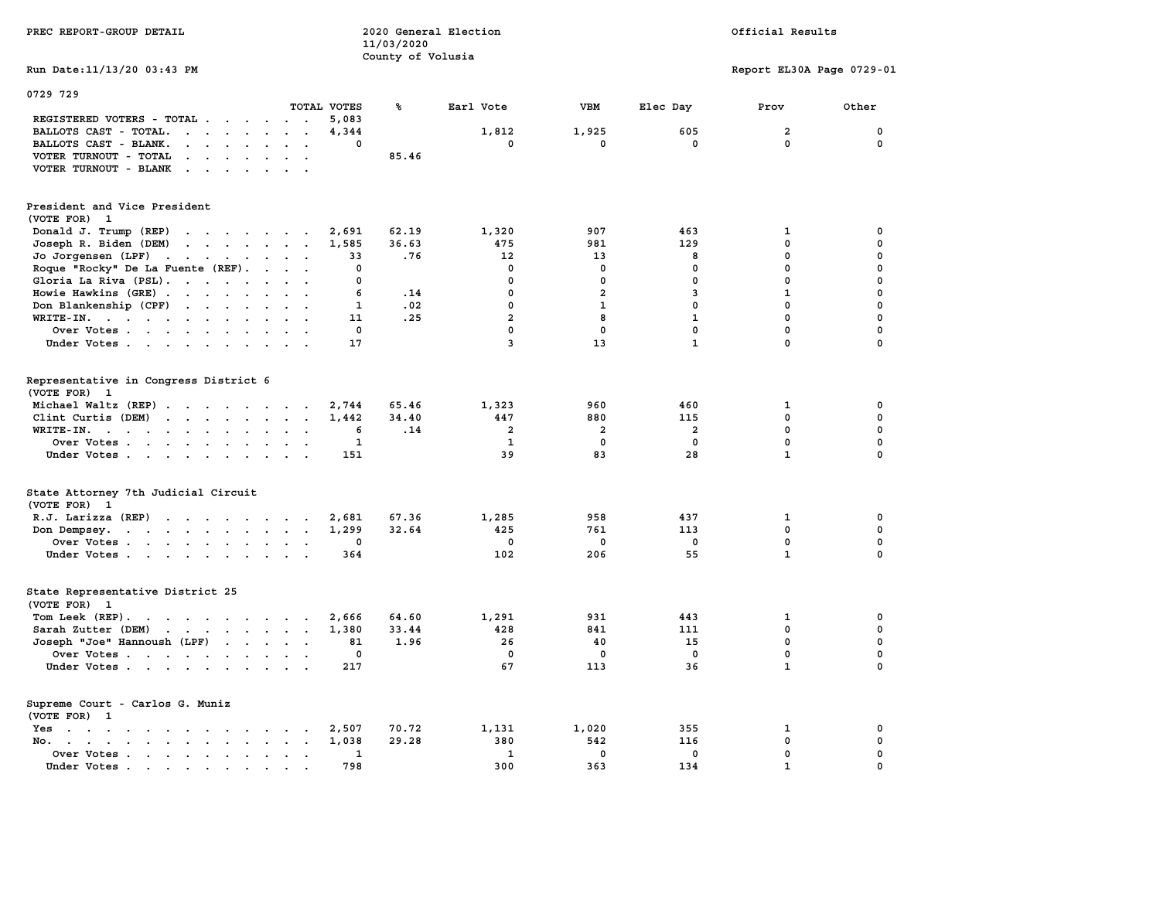| PREC REPORT-GROUP DETAIL                                                                                                                                                                                                                                |                                                           | 11/03/2020<br>County of Volusia | 2020 General Election   |                |                         | Official Results          |             |
|---------------------------------------------------------------------------------------------------------------------------------------------------------------------------------------------------------------------------------------------------------|-----------------------------------------------------------|---------------------------------|-------------------------|----------------|-------------------------|---------------------------|-------------|
| Run Date: 11/13/20 03:43 PM                                                                                                                                                                                                                             |                                                           |                                 |                         |                |                         | Report EL30A Page 0729-01 |             |
| 0729 729                                                                                                                                                                                                                                                |                                                           |                                 |                         |                |                         |                           |             |
|                                                                                                                                                                                                                                                         | TOTAL VOTES                                               | ℁                               | Earl Vote               | VBM            | Elec Day                | Prov                      | Other       |
| REGISTERED VOTERS - TOTAL                                                                                                                                                                                                                               | 5,083<br>$\sim$ $\sim$                                    |                                 |                         |                |                         |                           |             |
| BALLOTS CAST - TOTAL.<br>$\cdot$                                                                                                                                                                                                                        | 4,344<br>$\ddot{\phantom{a}}$<br>$\overline{\phantom{a}}$ |                                 | 1,812                   | 1,925          | 605                     | $\overline{\mathbf{2}}$   | $\mathbf 0$ |
| BALLOTS CAST - BLANK.<br><b>Contract Contract Contract</b>                                                                                                                                                                                              | $\Omega$                                                  |                                 | $\mathbf{0}$            | $\mathbf{0}$   | $\Omega$                | $\Omega$                  | $\mathbf 0$ |
| VOTER TURNOUT - TOTAL<br>$\mathbf{r}$ , $\mathbf{r}$ , $\mathbf{r}$                                                                                                                                                                                     |                                                           | 85.46                           |                         |                |                         |                           |             |
| VOTER TURNOUT - BLANK<br>$\cdots$                                                                                                                                                                                                                       |                                                           |                                 |                         |                |                         |                           |             |
| President and Vice President                                                                                                                                                                                                                            |                                                           |                                 |                         |                |                         |                           |             |
| (VOTE FOR) 1                                                                                                                                                                                                                                            |                                                           |                                 |                         |                |                         |                           |             |
| Donald J. Trump (REP)<br>$\cdots$                                                                                                                                                                                                                       | 2,691                                                     | 62.19                           | 1,320                   | 907            | 463                     | 1                         | 0           |
| Joseph R. Biden (DEM)<br>$\mathbf{r}$ , and $\mathbf{r}$ , and $\mathbf{r}$ , and $\mathbf{r}$                                                                                                                                                          | 1,585                                                     | 36.63                           | 475                     | 981            | 129                     | $\Omega$                  | $\mathbf 0$ |
| Jo Jorgensen (LPF)<br>$\mathbf{r}$                                                                                                                                                                                                                      | 33                                                        | .76                             | 12                      | 13             | 8                       | $\mathbf 0$               | 0           |
| Roque "Rocky" De La Fuente (REF).                                                                                                                                                                                                                       | $\Omega$                                                  |                                 | $\mathbf{0}$            | $\mathbf 0$    | $\mathbf 0$             | $\mathbf 0$               | $\mathbf 0$ |
| Gloria La Riva (PSL).                                                                                                                                                                                                                                   | $\mathbf 0$                                               |                                 | $\Omega$                | 0              | $\mathbf 0$             | $\mathbf{0}$              | 0           |
| Howie Hawkins (GRE)                                                                                                                                                                                                                                     | 6                                                         | .14                             | $\mathbf{0}$            | $\overline{a}$ | 3                       | $\mathbf{1}$              | $\mathbf 0$ |
| Don Blankenship (CPF)                                                                                                                                                                                                                                   | $\mathbf{1}$                                              | .02                             | $\mathbf 0$             | $\mathbf{1}$   | $\mathbf 0$             | $\mathbf 0$               | $\pmb{0}$   |
| WRITE-IN.                                                                                                                                                                                                                                               | 11                                                        | .25                             | $\overline{a}$          | 8              | $\mathbf{1}$            | $\mathbf 0$               | $\mathbf 0$ |
| Over Votes<br>$\ddot{\phantom{a}}$                                                                                                                                                                                                                      | $\mathbf 0$                                               |                                 | $\mathbf 0$             | $\mathbf 0$    | $\mathbf 0$             | $\mathbf 0$               | $\mathbf 0$ |
| Under Votes                                                                                                                                                                                                                                             | 17                                                        |                                 | $\overline{\mathbf{3}}$ | 13             | $\mathbf{1}$            | $\mathbf 0$               | $\mathbf 0$ |
|                                                                                                                                                                                                                                                         |                                                           |                                 |                         |                |                         |                           |             |
| Representative in Congress District 6                                                                                                                                                                                                                   |                                                           |                                 |                         |                |                         |                           |             |
| (VOTE FOR) 1                                                                                                                                                                                                                                            |                                                           |                                 |                         |                |                         |                           |             |
| Michael Waltz (REP)                                                                                                                                                                                                                                     | 2,744                                                     | 65.46                           | 1,323                   | 960            | 460                     | 1                         | 0           |
| Clint Curtis (DEM)<br>$\mathbf{r}$                                                                                                                                                                                                                      | 1,442                                                     | 34.40                           | 447                     | 880            | 115                     | $\mathbf{0}$              | $\mathbf 0$ |
| WRITE-IN.<br>$\ddot{\phantom{a}}$<br>$\ddot{\phantom{a}}$                                                                                                                                                                                               | 6<br>$\ddot{\phantom{a}}$                                 | .14                             | $\mathbf{2}$            | $\mathbf{2}$   | $\overline{\mathbf{2}}$ | $\mathbf 0$               | 0           |
| Over Votes                                                                                                                                                                                                                                              | $\mathbf{1}$                                              |                                 | $\mathbf{1}$            | $\mathbf 0$    | $\Omega$                | $\mathbf 0$               | $\mathbf 0$ |
| Under Votes                                                                                                                                                                                                                                             | 151                                                       |                                 | 39                      | 83             | 28                      | $\mathbf{1}$              | $\mathbf 0$ |
| State Attorney 7th Judicial Circuit                                                                                                                                                                                                                     |                                                           |                                 |                         |                |                         |                           |             |
| (VOTE FOR) 1                                                                                                                                                                                                                                            |                                                           |                                 |                         |                |                         |                           |             |
| R.J. Larizza (REP)                                                                                                                                                                                                                                      | 2,681                                                     | 67.36                           | 1,285                   | 958            | 437                     | 1                         | 0           |
| Don Dempsey.<br>the contract of the contract of the contract of the contract of the contract of                                                                                                                                                         | 1,299<br>$\sim$<br>$\sim$                                 | 32.64                           | 425                     | 761            | 113                     | $\mathbf 0$               | $\mathbf 0$ |
| Over Votes                                                                                                                                                                                                                                              | 0                                                         |                                 | 0                       | 0              | 0                       | $\mathbf 0$               | $\mathbf 0$ |
| Under Votes                                                                                                                                                                                                                                             | 364                                                       |                                 | 102                     | 206            | 55                      | $\mathbf{1}$              | $\mathbf 0$ |
|                                                                                                                                                                                                                                                         |                                                           |                                 |                         |                |                         |                           |             |
| State Representative District 25                                                                                                                                                                                                                        |                                                           |                                 |                         |                |                         |                           |             |
| (VOTE FOR)<br>1                                                                                                                                                                                                                                         |                                                           |                                 |                         |                |                         |                           |             |
| Tom Leek $(REP)$ .                                                                                                                                                                                                                                      | 2,666                                                     | 64.60                           | 1,291                   | 931            | 443                     | 1                         | 0           |
| Sarah Zutter (DEM)<br>$\mathbf{r}$ . The set of the set of the set of the set of the set of the set of the set of the set of the set of the set of the set of the set of the set of the set of the set of the set of the set of the set of the set of t | 1,380                                                     | 33.44                           | 428                     | 841            | 111                     | $\mathbf 0$               | $\mathbf 0$ |
| Joseph "Joe" Hannoush (LPF)                                                                                                                                                                                                                             | 81<br>$\ddot{\phantom{0}}$                                | 1.96                            | 26                      | 40             | 15                      | $\mathbf 0$               | 0           |
| Over Votes                                                                                                                                                                                                                                              | 0                                                         |                                 | $\mathbf 0$             | 0              | $\mathbf 0$             | $\mathbf 0$               | $\mathbf 0$ |
| Under Votes                                                                                                                                                                                                                                             | 217                                                       |                                 | 67                      | 113            | 36                      | $\mathbf{1}$              | $\mathbf 0$ |
| Supreme Court - Carlos G. Muniz                                                                                                                                                                                                                         |                                                           |                                 |                         |                |                         |                           |             |
| (VOTE FOR) 1                                                                                                                                                                                                                                            |                                                           |                                 |                         |                |                         |                           |             |
| Yes                                                                                                                                                                                                                                                     | 2,507                                                     | 70.72                           | 1,131                   | 1,020          | 355                     | 1                         | 0           |
| No.                                                                                                                                                                                                                                                     | 1,038<br>$\sim$ $\sim$                                    | 29.28                           | 380                     | 542            | 116                     | 0                         | 0           |
| Over Votes                                                                                                                                                                                                                                              | 1                                                         |                                 | 1                       | 0              | 0                       | 0                         | 0           |
| Under Votes                                                                                                                                                                                                                                             | $\cdot$ $\cdot$<br>798<br>$\sim$<br>$\sim$                |                                 | 300                     | 363            | 134                     | $\mathbf{1}$              | $\mathbf 0$ |
|                                                                                                                                                                                                                                                         |                                                           |                                 |                         |                |                         |                           |             |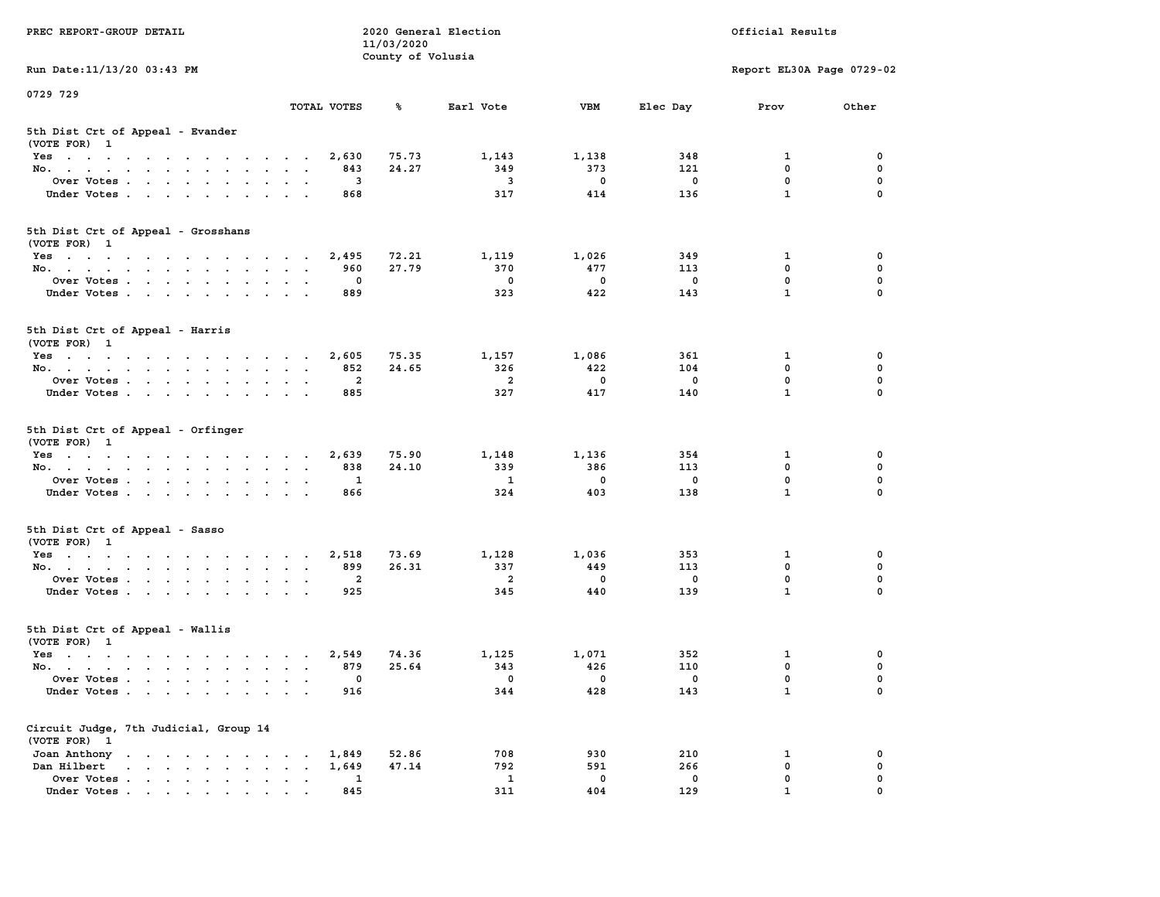| PREC REPORT-GROUP DETAIL                                                                                                                                                                                                                      |                           |                         | 11/03/2020<br>County of Volusia | 2020 General Election           |                                 |                                | Official Results          |                  |
|-----------------------------------------------------------------------------------------------------------------------------------------------------------------------------------------------------------------------------------------------|---------------------------|-------------------------|---------------------------------|---------------------------------|---------------------------------|--------------------------------|---------------------------|------------------|
| Run Date: 11/13/20 03:43 PM                                                                                                                                                                                                                   |                           |                         |                                 |                                 |                                 |                                | Report EL30A Page 0729-02 |                  |
| 0729 729                                                                                                                                                                                                                                      |                           | TOTAL VOTES             | ℁                               | Earl Vote                       | VBM                             | Elec Day                       | Prov                      | Other            |
| 5th Dist Crt of Appeal - Evander<br>(VOTE FOR) 1                                                                                                                                                                                              |                           |                         |                                 |                                 |                                 |                                |                           |                  |
| Yes                                                                                                                                                                                                                                           |                           | 2,630                   | 75.73                           | 1,143                           | 1,138                           | 348                            | 1                         | 0                |
| No.                                                                                                                                                                                                                                           |                           | 843                     | 24.27                           | 349                             | 373                             | 121                            | 0                         | 0                |
| Over Votes                                                                                                                                                                                                                                    | $\sim$ $\sim$             | 3                       |                                 | 3                               | 0                               | 0                              | $\mathbf 0$               | 0                |
| Under Votes.                                                                                                                                                                                                                                  |                           | 868                     |                                 | 317                             | 414                             | 136                            | $\mathbf{1}$              | $\mathbf 0$      |
| 5th Dist Crt of Appeal - Grosshans<br>(VOTE FOR) 1                                                                                                                                                                                            |                           |                         |                                 |                                 |                                 |                                |                           |                  |
| Yes                                                                                                                                                                                                                                           |                           | 2,495                   | 72.21                           | 1,119                           | 1,026                           | 349                            | 1                         | 0                |
| No.                                                                                                                                                                                                                                           |                           | 960                     | 27.79                           | 370                             | 477                             | 113                            | 0                         | $\mathbf 0$      |
| Over Votes                                                                                                                                                                                                                                    | $\cdot$ .                 | 0                       |                                 | $^{\circ}$                      | $\mathbf 0$                     | 0                              | 0                         | 0                |
| Under Votes                                                                                                                                                                                                                                   |                           | 889                     |                                 | 323                             | 422                             | 143                            | $\mathbf{1}$              | $\Omega$         |
| 5th Dist Crt of Appeal - Harris<br>(VOTE FOR) 1                                                                                                                                                                                               |                           |                         |                                 |                                 |                                 |                                |                           |                  |
| Yes                                                                                                                                                                                                                                           |                           | 2,605                   | 75.35                           | 1,157                           | 1,086                           | 361                            | 1                         | 0                |
| No.                                                                                                                                                                                                                                           | $\sim$ $\sim$             | 852                     | 24.65                           | 326                             | 422                             | 104                            | 0                         | 0                |
| Over Votes                                                                                                                                                                                                                                    |                           | $\overline{\mathbf{2}}$ |                                 | $\overline{\mathbf{2}}$         | $\mathbf 0$                     | $\mathbf 0$                    | 0                         | 0                |
| Under Votes                                                                                                                                                                                                                                   |                           | 885                     |                                 | 327                             | 417                             | 140                            | $\mathbf{1}$              | $\Omega$         |
| 5th Dist Crt of Appeal - Orfinger<br>(VOTE FOR) 1                                                                                                                                                                                             |                           |                         |                                 |                                 |                                 |                                |                           |                  |
| Yes                                                                                                                                                                                                                                           |                           | 2,639                   | 75.90                           | 1,148                           | 1,136                           | 354                            | 1                         | 0                |
| No.                                                                                                                                                                                                                                           |                           | 838                     | 24.10                           | 339                             | 386                             | 113                            | 0                         | 0                |
| Over Votes                                                                                                                                                                                                                                    |                           | 1                       |                                 | 1                               | 0                               | 0                              | $\mathbf 0$               | 0                |
| Under Votes.                                                                                                                                                                                                                                  |                           | 866                     |                                 | 324                             | 403                             | 138                            | $\mathbf{1}$              | $\Omega$         |
| 5th Dist Crt of Appeal - Sasso<br>(VOTE FOR) 1                                                                                                                                                                                                |                           |                         |                                 |                                 |                                 |                                |                           |                  |
| Yes                                                                                                                                                                                                                                           |                           | 2,518                   | 73.69                           | 1,128                           | 1,036                           | 353                            | 1                         | 0                |
| No.                                                                                                                                                                                                                                           |                           | 899                     | 26.31                           | 337                             | 449                             | 113                            | 0                         | $\mathbf 0$      |
| Over Votes<br>Under Votes                                                                                                                                                                                                                     | $\bullet$                 | 2<br>925                |                                 | 2<br>345                        | 0<br>440                        | 0<br>139                       | 0<br>$\mathbf{1}$         | 0<br>$\Omega$    |
|                                                                                                                                                                                                                                               |                           |                         |                                 |                                 |                                 |                                |                           |                  |
| 5th Dist Crt of Appeal - Wallis<br>(VOTE FOR) 1                                                                                                                                                                                               |                           |                         |                                 |                                 |                                 |                                |                           |                  |
| Yes                                                                                                                                                                                                                                           |                           | 2,549                   | 74.36                           | 1,125                           | 1,071                           | 352                            | 1                         | 0                |
| No.                                                                                                                                                                                                                                           | $\mathbf{a} = \mathbf{a}$ | 879<br>$\sqrt{ }$       | 25.64                           | 343                             | 426                             | 110                            | 0                         | $\mathbf 0$      |
| Over Votes<br>Under Votes                                                                                                                                                                                                                     |                           | 916                     |                                 | $\overline{\phantom{0}}$<br>344 | $\overline{\phantom{0}}$<br>428 | $\overline{\mathbf{0}}$<br>143 | 0<br>$\mathbf{1}$         | 0<br>$\mathbf 0$ |
| Circuit Judge, 7th Judicial, Group 14                                                                                                                                                                                                         |                           |                         |                                 |                                 |                                 |                                |                           |                  |
| (VOTE FOR) 1                                                                                                                                                                                                                                  |                           |                         |                                 |                                 |                                 |                                |                           |                  |
| Joan Anthony                                                                                                                                                                                                                                  |                           | 1,849                   | 52.86                           | 708                             | 930                             | 210                            | 1                         | 0                |
| Dan Hilbert<br>and a series of the series of the series of the series of the series of the series of the series of the series of the series of the series of the series of the series of the series of the series of the series of the series |                           | 1,649                   | 47.14                           | 792                             | 591                             | 266                            | 0                         | 0                |
| Over Votes<br>Under Votes.                                                                                                                                                                                                                    |                           | 1<br>845                |                                 | $\mathbf{1}$<br>311             | $\mathbf 0$<br>404              | $\mathbf 0$<br>129             | 0<br>$\mathbf{1}$         | 0<br>0           |
|                                                                                                                                                                                                                                               |                           |                         |                                 |                                 |                                 |                                |                           |                  |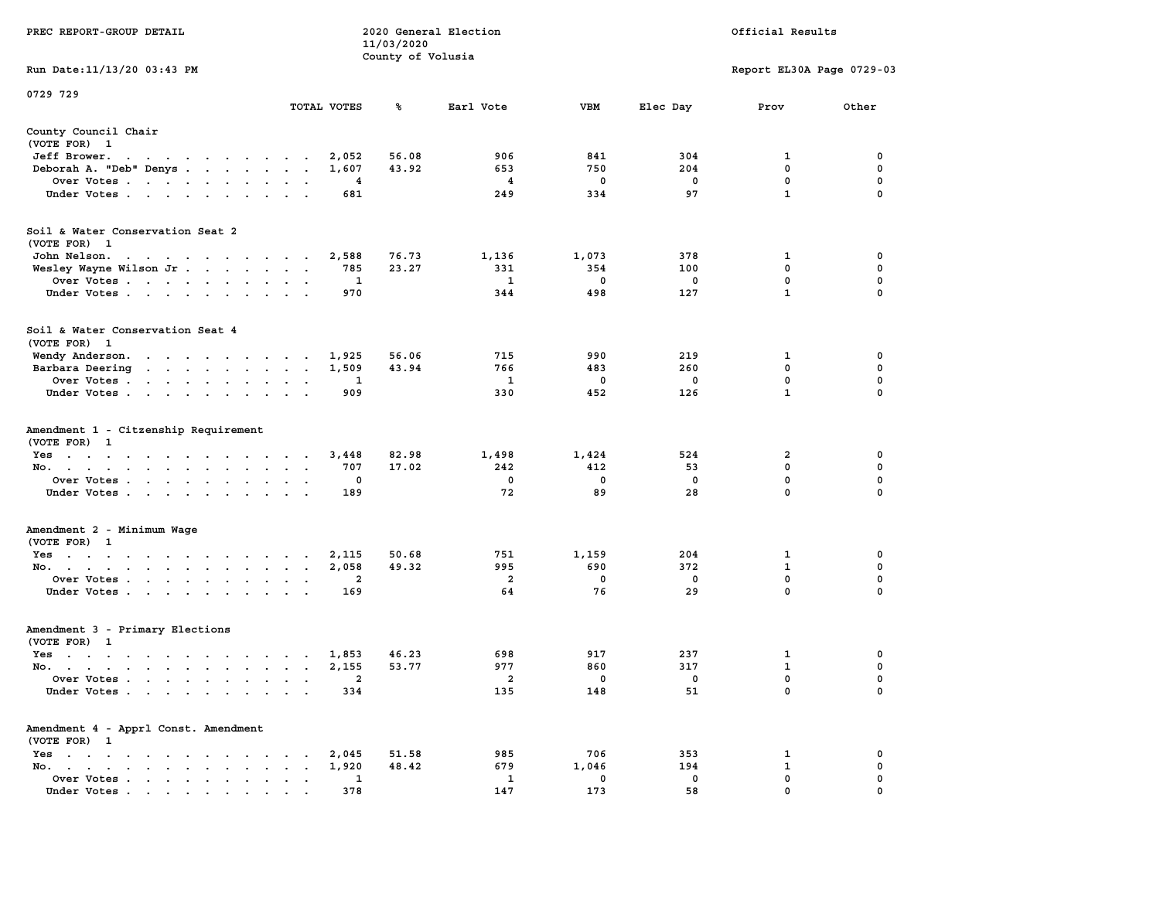| PREC REPORT-GROUP DETAIL                                                                                                           |                     |             | 11/03/2020<br>County of Volusia | 2020 General Election |             | Official Results |                           |               |  |
|------------------------------------------------------------------------------------------------------------------------------------|---------------------|-------------|---------------------------------|-----------------------|-------------|------------------|---------------------------|---------------|--|
| Run Date: 11/13/20 03:43 PM                                                                                                        |                     |             |                                 |                       |             |                  | Report EL30A Page 0729-03 |               |  |
| 0729 729                                                                                                                           |                     |             |                                 |                       |             |                  |                           |               |  |
|                                                                                                                                    |                     | TOTAL VOTES | ℁                               | Earl Vote             | VBM         | Elec Day         | Prov                      | Other         |  |
| County Council Chair<br>(VOTE FOR) 1                                                                                               |                     |             |                                 |                       |             |                  |                           |               |  |
| Jeff Brower.<br>the contract of the contract of the con-                                                                           |                     | 2,052       | 56.08                           | 906                   | 841         | 304              | 1                         | 0             |  |
| Deborah A. "Deb" Denys                                                                                                             |                     | 1,607       | 43.92                           | 653                   | 750         | 204              | $\mathbf 0$               | 0             |  |
| Over Votes                                                                                                                         |                     | 4           |                                 | 4                     | 0           | 0                | 0                         | 0             |  |
| Under Votes                                                                                                                        |                     | 681         |                                 | 249                   | 334         | 97               | $\mathbf{1}$              | $\Omega$      |  |
| Soil & Water Conservation Seat 2<br>(VOTE FOR) 1                                                                                   |                     |             |                                 |                       |             |                  |                           |               |  |
| John Nelson.                                                                                                                       |                     | 2,588       | 76.73                           | 1,136                 | 1,073       | 378              | 1                         | 0             |  |
| Wesley Wayne Wilson Jr                                                                                                             |                     | 785         | 23.27                           | 331                   | 354         | 100              | 0                         | 0             |  |
| Over Votes                                                                                                                         |                     | 1           |                                 | 1                     | $\mathbf 0$ | 0                | 0                         | 0             |  |
| Under Votes.                                                                                                                       |                     | 970         |                                 | 344                   | 498         | 127              | $\mathbf{1}$              | 0             |  |
| Soil & Water Conservation Seat 4<br>(VOTE FOR) 1                                                                                   |                     |             |                                 |                       |             |                  |                           |               |  |
| Wendy Anderson.                                                                                                                    |                     | 1,925       | 56.06                           | 715                   | 990         | 219              | 1                         | 0             |  |
| Barbara Deering<br>the contract of the contract of the contract of the contract of the contract of the contract of the contract of |                     | 1,509       | 43.94                           | 766                   | 483         | 260              | 0                         | 0             |  |
| Over Votes                                                                                                                         | $\bullet$<br>$\,$ . | 1           |                                 | 1                     | 0           | 0                | $\mathbf 0$               | 0             |  |
| Under Votes                                                                                                                        |                     | 909         |                                 | 330                   | 452         | 126              | $\mathbf{1}$              | 0             |  |
| Amendment 1 - Citzenship Requirement<br>(VOTE FOR) 1                                                                               |                     |             |                                 |                       |             |                  |                           |               |  |
| Yes                                                                                                                                |                     | 3,448       | 82.98                           | 1,498                 | 1,424       | 524              | 2                         | 0             |  |
| No.                                                                                                                                | $\sim$ $\sim$       | 707         | 17.02                           | 242                   | 412         | 53               | $\mathbf 0$               | 0             |  |
| Over Votes                                                                                                                         |                     | 0<br>189    |                                 | $\mathbf 0$<br>72     | 0<br>89     | 0<br>28          | 0<br>0                    | 0<br>$\Omega$ |  |
| Under Votes                                                                                                                        |                     |             |                                 |                       |             |                  |                           |               |  |
| Amendment 2 - Minimum Wage<br>(VOTE FOR) 1                                                                                         |                     |             |                                 |                       |             |                  |                           |               |  |
| Yes                                                                                                                                |                     | 2,115       | 50.68                           | 751                   | 1,159       | 204              | 1                         | 0             |  |
| No.                                                                                                                                |                     | 2,058       | 49.32                           | 995                   | 690         | 372              | $\mathbf 1$               | 0             |  |
| Over Votes                                                                                                                         | $\sim$ $\sim$       | 2           |                                 | $\overline{a}$        | 0           | 0                | 0                         | 0             |  |
| Under Votes                                                                                                                        |                     | 169         |                                 | 64                    | 76          | 29               | $\mathbf 0$               | 0             |  |
| Amendment 3 - Primary Elections<br>(VOTE FOR) 1                                                                                    |                     |             |                                 |                       |             |                  |                           |               |  |
| Yes<br>the contract of the contract of the contract of the contract of the contract of the contract of the contract of             |                     | 1,853       | 46.23                           | 698                   | 917         | 237              | 1                         | 0             |  |
| No.                                                                                                                                |                     | 2,155       | 53.77                           | 977                   | 860         | 317              | $\mathbf{1}$              | 0             |  |
| Over Votes                                                                                                                         |                     | 2           |                                 | 2                     | 0           | 0                | 0                         | 0             |  |
| Under Votes.<br>the contract of the contract of the contract of the contract of the contract of the contract of the contract of    |                     | 334         |                                 | 135                   | 148         | 51               | 0                         | 0             |  |
| Amendment 4 - Apprl Const. Amendment<br>(VOTE FOR) 1                                                                               |                     |             |                                 |                       |             |                  |                           |               |  |
| $Yes \t . \t . \t .$<br>$\sim$ $\sim$ $\sim$ $\sim$                                                                                |                     | 2,045       | 51.58                           | 985                   | 706         | 353              | 1                         | 0             |  |
| No.<br>$\ddot{\phantom{a}}$                                                                                                        |                     | 1,920       | 48.42                           | 679                   | 1,046       | 194              | $\mathbf{1}$              | 0             |  |
| Over Votes                                                                                                                         |                     | 1           |                                 | 1                     | 0           | 0                | 0                         | 0             |  |
| Under Votes                                                                                                                        |                     | 378         |                                 | 147                   | 173         | 58               | 0                         |               |  |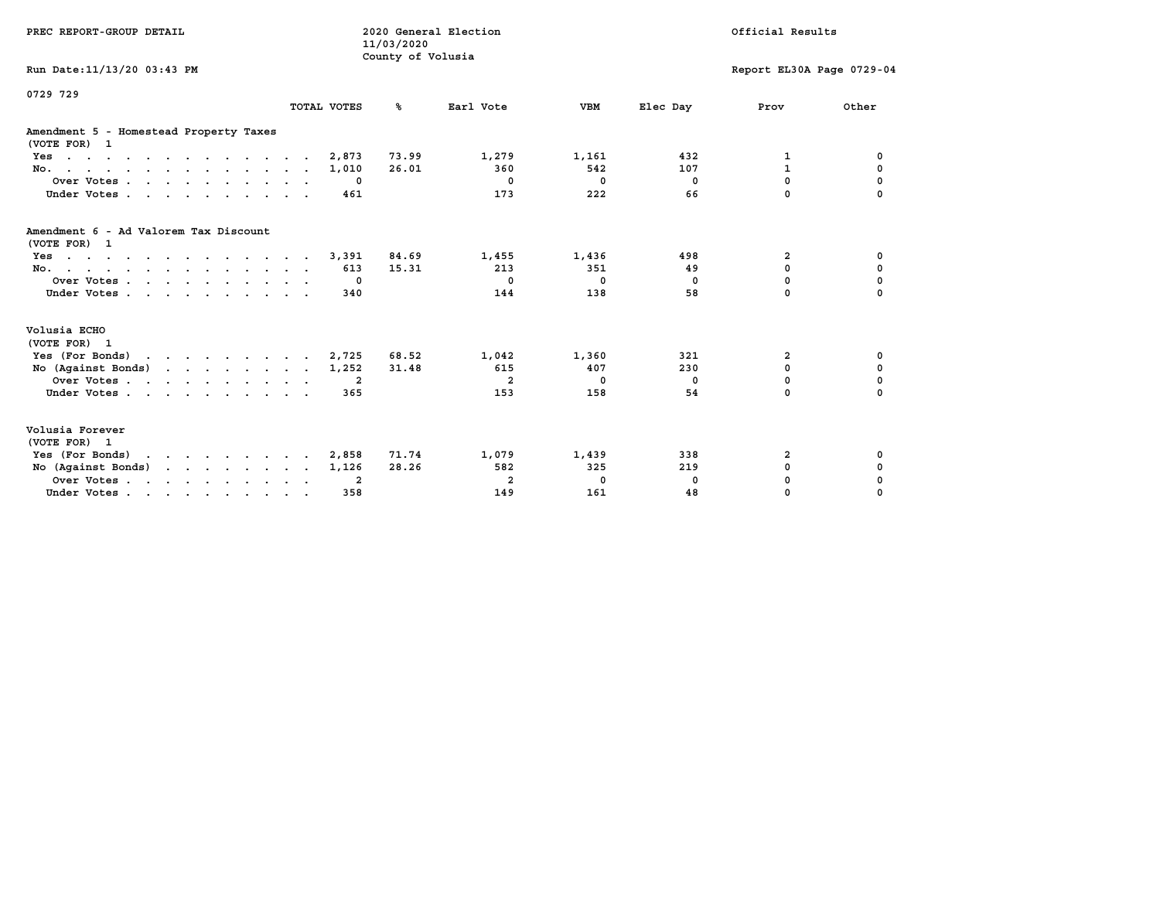| PREC REPORT-GROUP DETAIL                               |             |                         | 11/03/2020<br>County of Volusia | 2020 General Election |              |                | Official Results          |             |
|--------------------------------------------------------|-------------|-------------------------|---------------------------------|-----------------------|--------------|----------------|---------------------------|-------------|
| Run Date: 11/13/20 03:43 PM                            |             |                         |                                 |                       |              |                | Report EL30A Page 0729-04 |             |
| 0729 729                                               | TOTAL VOTES |                         | ℁                               | Earl Vote             | <b>VBM</b>   | Elec Day       | Prov                      | Other       |
| Amendment 5 - Homestead Property Taxes<br>(VOTE FOR) 1 |             |                         |                                 |                       |              |                |                           |             |
| Yes                                                    |             | 2,873                   | 73.99                           | 1,279                 | 1,161        | 432            | 1                         | 0           |
| No.                                                    |             | 1,010                   | 26.01                           | 360                   | 542          | 107            | $\mathbf{1}$              | 0           |
| Over Votes                                             |             | $^{\circ}$              |                                 | $^{\circ}$            | $\mathbf{0}$ | $\mathbf{0}$   | 0                         | $\mathbf 0$ |
| Under Votes                                            |             | 461                     |                                 | 173                   | 222          | 66             | $\Omega$                  | $\Omega$    |
| Amendment 6 - Ad Valorem Tax Discount<br>(VOTE FOR) 1  |             |                         |                                 |                       |              |                |                           |             |
| Yes                                                    |             | 3,391                   | 84.69                           | 1,455                 | 1,436        | 498            | 2                         | 0           |
| No.                                                    |             | 613                     | 15.31                           | 213                   | 351          | 49             | 0                         | 0           |
| Over Votes                                             |             | $\Omega$                |                                 | $^{\circ}$            | $^{\circ}$   | $\overline{0}$ | 0                         | 0           |
| Under Votes                                            |             | 340                     |                                 | 144                   | 138          | 58             | 0                         | n           |
| Volusia ECHO<br>(VOTE FOR) 1                           |             |                         |                                 |                       |              |                |                           |             |
| Yes (For Bonds) $\cdots$ $\cdots$ $\cdots$ $\cdots$    |             | 2,725                   | 68.52                           | 1,042                 | 1,360        | 321            | 2                         | 0           |
| No $(Agains t Bonds)$                                  |             | 1,252                   | 31.48                           | 615                   | 407          | 230            | $\Omega$                  | $\mathbf 0$ |
| Over Votes                                             |             | $\overline{\mathbf{2}}$ |                                 | $\overline{2}$        | $^{\circ}$   | $\Omega$       | $\Omega$                  | $\mathbf 0$ |
| Under Votes                                            |             | 365                     |                                 | 153                   | 158          | 54             | $\Omega$                  | $\Omega$    |
| Volusia Forever<br>(VOTE FOR) 1                        |             |                         |                                 |                       |              |                |                           |             |
| Yes (For Bonds)                                        |             | 2,858                   | 71.74                           | 1,079                 | 1,439        | 338            | 2                         | 0           |
| No (Against Bonds)                                     |             | 1,126                   | 28.26                           | 582                   | 325          | 219            | 0                         | 0           |
| Over Votes                                             |             | -2                      |                                 | $\overline{2}$        | 0            | $^{\circ}$     | $\mathbf 0$               | 0           |
| Under Votes                                            |             | 358                     |                                 | 149                   | 161          | 48             | 0                         | $\Omega$    |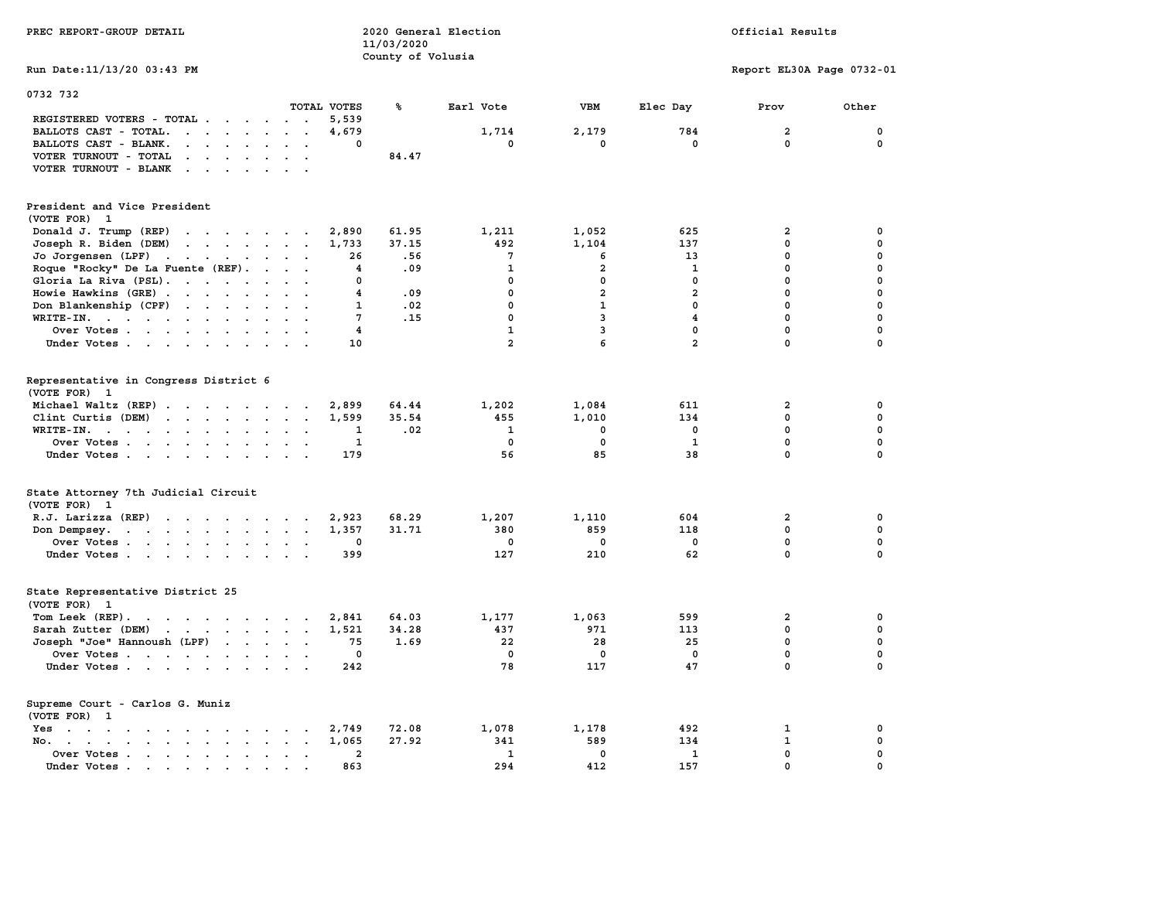| PREC REPORT-GROUP DETAIL                                                                                                                                                                                                                                |                                                            | 11/03/2020<br>County of Volusia | 2020 General Election |                |                         | Official Results          |             |
|---------------------------------------------------------------------------------------------------------------------------------------------------------------------------------------------------------------------------------------------------------|------------------------------------------------------------|---------------------------------|-----------------------|----------------|-------------------------|---------------------------|-------------|
| Run Date: 11/13/20 03:43 PM                                                                                                                                                                                                                             |                                                            |                                 |                       |                |                         | Report EL30A Page 0732-01 |             |
| 0732 732                                                                                                                                                                                                                                                |                                                            |                                 |                       |                |                         |                           |             |
|                                                                                                                                                                                                                                                         | TOTAL VOTES                                                | ℁                               | Earl Vote             | <b>VBM</b>     | Elec Day                | Prov                      | Other       |
| REGISTERED VOTERS - TOTAL .<br>$\cdots$<br>BALLOTS CAST - TOTAL.                                                                                                                                                                                        | 5,539<br>4,679                                             |                                 | 1,714                 | 2,179          | 784                     | $\overline{\mathbf{2}}$   | $\mathbf 0$ |
| BALLOTS CAST - BLANK.<br><b>Contract Contract Contract</b><br>$\sim$                                                                                                                                                                                    | $\Omega$<br>$\overline{a}$                                 |                                 | $\Omega$              | $\mathbf{0}$   | $\Omega$                | $\Omega$                  | $\mathbf 0$ |
| VOTER TURNOUT - TOTAL<br>$\sim$ $\sim$ $\sim$ $\sim$                                                                                                                                                                                                    |                                                            | 84.47                           |                       |                |                         |                           |             |
| VOTER TURNOUT - BLANK<br>$\cdots$                                                                                                                                                                                                                       |                                                            |                                 |                       |                |                         |                           |             |
|                                                                                                                                                                                                                                                         |                                                            |                                 |                       |                |                         |                           |             |
| President and Vice President<br>(VOTE FOR) 1                                                                                                                                                                                                            |                                                            |                                 |                       |                |                         |                           |             |
| Donald J. Trump (REP)                                                                                                                                                                                                                                   | 2,890                                                      | 61.95                           | 1,211                 | 1,052          | 625                     | $\overline{\mathbf{2}}$   | 0           |
| Joseph R. Biden (DEM)<br>$\mathbf{r}$ , $\mathbf{r}$ , $\mathbf{r}$ , $\mathbf{r}$ , $\mathbf{r}$ , $\mathbf{r}$                                                                                                                                        | 1,733                                                      | 37.15                           | 492                   | 1,104          | 137                     | $\Omega$                  | $\mathbf 0$ |
| Jo Jorgensen (LPF)<br>$\mathbf{r}$                                                                                                                                                                                                                      | 26                                                         | .56                             | $7\phantom{.0}$       | 6              | 13                      | $\mathbf 0$               | 0           |
| Roque "Rocky" De La Fuente (REF).                                                                                                                                                                                                                       | $\overline{\mathbf{4}}$                                    | .09                             | $\mathbf{1}$          | $\overline{a}$ | $\mathbf 1$             | $\mathbf 0$               | $\mathbf 0$ |
| Gloria La Riva (PSL).                                                                                                                                                                                                                                   | $\mathbf 0$                                                |                                 | $\mathbf 0$           | 0              | $\mathbf 0$             | $\mathbf{0}$              | 0           |
| Howie Hawkins (GRE)                                                                                                                                                                                                                                     | $\overline{\mathbf{4}}$                                    | .09                             | $\mathbf 0$           | $\overline{a}$ | $\overline{a}$          | $\Omega$                  | $\mathbf 0$ |
| Don Blankenship (CPF)                                                                                                                                                                                                                                   | $\mathbf{1}$<br>$\ddot{\phantom{1}}$                       | .02                             | $\mathbf 0$           | $\mathbf{1}$   | $\mathbf 0$             | $\mathbf 0$               | $\mathbf 0$ |
| WRITE-IN.                                                                                                                                                                                                                                               | 7                                                          | .15                             | $\mathbf{0}$          | $\mathbf{3}$   | $\overline{\mathbf{4}}$ | $\mathbf{0}$              | $\mathbf 0$ |
| Over Votes<br>$\sim$                                                                                                                                                                                                                                    | $\overline{\mathbf{4}}$                                    |                                 | $\mathbf{1}$          | 3              | $\mathbf 0$             | $\mathbf 0$               | $\mathbf 0$ |
| Under Votes                                                                                                                                                                                                                                             | 10                                                         |                                 | $\overline{a}$        | 6              | $\overline{a}$          | $\Omega$                  | $\mathbf 0$ |
|                                                                                                                                                                                                                                                         |                                                            |                                 |                       |                |                         |                           |             |
| Representative in Congress District 6<br>(VOTE FOR) 1                                                                                                                                                                                                   |                                                            |                                 |                       |                |                         |                           |             |
| Michael Waltz (REP)                                                                                                                                                                                                                                     | 2,899                                                      | 64.44                           | 1,202                 | 1,084          | 611                     | 2                         | 0           |
| Clint Curtis (DEM)                                                                                                                                                                                                                                      | 1,599                                                      | 35.54                           | 455                   | 1,010          | 134                     | $\mathbf{0}$              | $\mathbf 0$ |
| WRITE-IN.<br>$\mathbf{r}$ , and $\mathbf{r}$ , and $\mathbf{r}$ , and $\mathbf{r}$<br>$\ddot{\phantom{a}}$<br>$\ddot{\phantom{a}}$                                                                                                                      | 1<br>$\ddot{\phantom{a}}$<br>$\ddot{\phantom{a}}$          | .02                             | $\mathbf 1$           | $\mathbf 0$    | $\mathbf 0$             | $\mathbf 0$               | $\mathbf 0$ |
| Over Votes                                                                                                                                                                                                                                              | $\mathbf 1$                                                |                                 | $\mathbf{0}$          | $\mathbf 0$    | $\mathbf 1$             | $\mathbf 0$               | $\mathbf 0$ |
| Under Votes                                                                                                                                                                                                                                             | 179                                                        |                                 | 56                    | 85             | 38                      | $\mathbf 0$               | $\mathbf 0$ |
| State Attorney 7th Judicial Circuit<br>(VOTE FOR) 1                                                                                                                                                                                                     |                                                            |                                 |                       |                |                         |                           |             |
| R.J. Larizza (REP)                                                                                                                                                                                                                                      | 2,923                                                      | 68.29                           | 1,207                 | 1,110          | 604                     | $\overline{2}$            | 0           |
| Don Dempsey.<br>the contract of the contract of the contract of the contract of the contract of                                                                                                                                                         | 1,357<br>$\ddot{\phantom{a}}$<br>$\sim$                    | 31.71                           | 380                   | 859            | 118                     | $\mathbf 0$               | 0           |
| Over Votes                                                                                                                                                                                                                                              | 0                                                          |                                 | $\mathbf{0}$          | 0              | $\mathbf{0}$            | $\mathbf{0}$              | 0           |
| Under Votes                                                                                                                                                                                                                                             | 399                                                        |                                 | 127                   | 210            | 62                      | $\mathbf 0$               | $\mathbf 0$ |
| State Representative District 25<br>(VOTE FOR)<br>1                                                                                                                                                                                                     |                                                            |                                 |                       |                |                         |                           |             |
| Tom Leek $(REP)$ .                                                                                                                                                                                                                                      | 2,841                                                      | 64.03                           | 1,177                 | 1,063          | 599                     | $\overline{2}$            | 0           |
| Sarah Zutter (DEM)<br>$\mathbf{r}$ . The set of the set of the set of the set of the set of the set of the set of the set of the set of the set of the set of the set of the set of the set of the set of the set of the set of the set of the set of t | 1,521                                                      | 34.28                           | 437                   | 971            | 113                     | $\mathbf 0$               | $\mathbf 0$ |
| Joseph "Joe" Hannoush (LPF)                                                                                                                                                                                                                             | 75                                                         | 1.69                            | 22                    | 28             | 25                      | $\mathbf{0}$              | $\mathbf 0$ |
| Over Votes                                                                                                                                                                                                                                              | 0                                                          |                                 | 0                     | 0              | $\mathbf 0$             | $\mathbf 0$               | $\mathbf 0$ |
| Under Votes                                                                                                                                                                                                                                             | 242                                                        |                                 | 78                    | 117            | 47                      | $\mathbf 0$               | $\mathbf 0$ |
| Supreme Court - Carlos G. Muniz<br>(VOTE FOR)<br>-1                                                                                                                                                                                                     |                                                            |                                 |                       |                |                         |                           |             |
| Yes                                                                                                                                                                                                                                                     | 2,749                                                      | 72.08                           | 1,078                 | 1,178          | 492                     | 1                         | 0           |
| No.                                                                                                                                                                                                                                                     | 1,065                                                      | 27.92                           | 341                   | 589            | 134                     | $\mathbf{1}$              | 0           |
| Over Votes                                                                                                                                                                                                                                              | $\overline{\mathbf{2}}$<br>$\cdot$<br>$\ddot{\phantom{a}}$ |                                 | 1                     | 0              | 1                       | $\mathbf 0$               | 0           |
| Under Votes                                                                                                                                                                                                                                             | 863<br>$\sim$<br>$\sim$                                    |                                 | 294                   | 412            | 157                     | $\mathbf 0$               | $\mathbf 0$ |
|                                                                                                                                                                                                                                                         |                                                            |                                 |                       |                |                         |                           |             |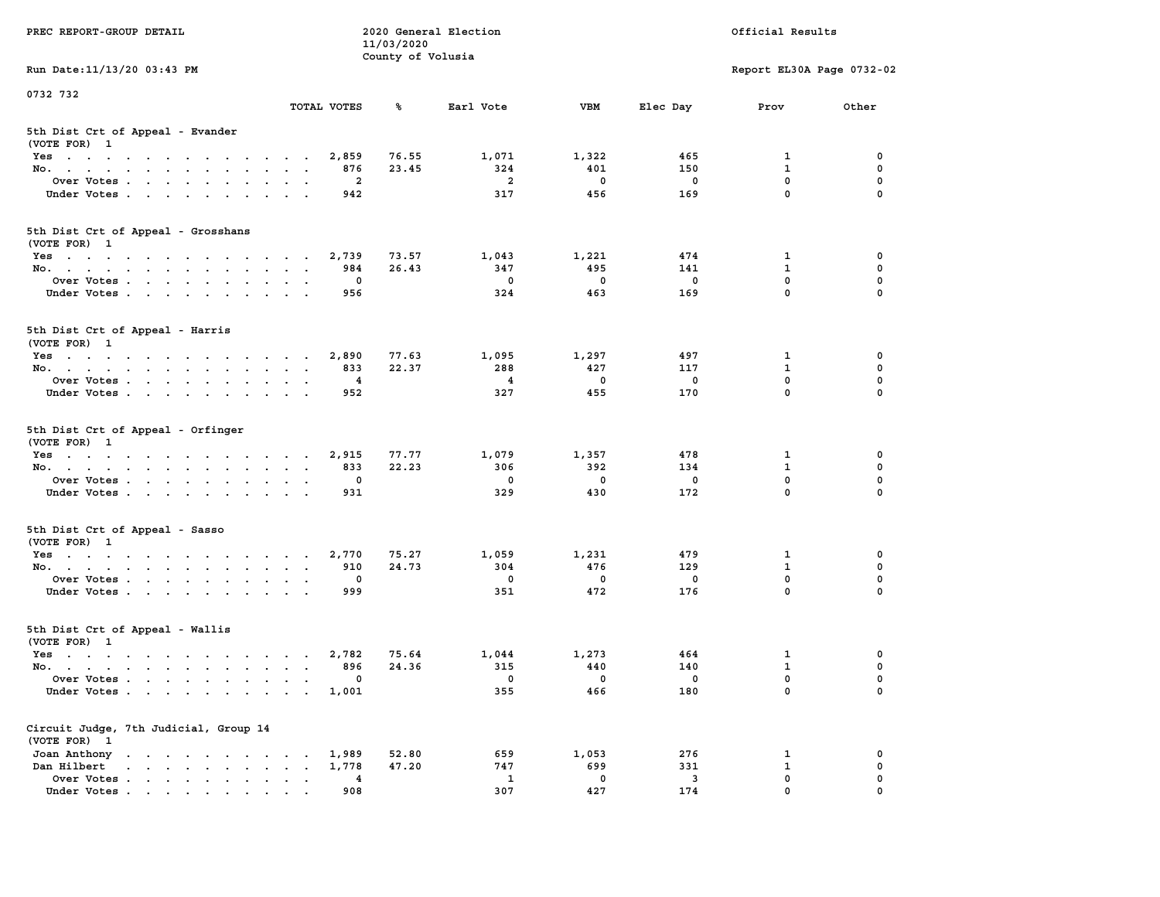| PREC REPORT-GROUP DETAIL                                                                                                                                                                                                                      |                      |             | 11/03/2020<br>County of Volusia | 2020 General Election   |                          |                         | Official Results          |               |
|-----------------------------------------------------------------------------------------------------------------------------------------------------------------------------------------------------------------------------------------------|----------------------|-------------|---------------------------------|-------------------------|--------------------------|-------------------------|---------------------------|---------------|
| Run Date: 11/13/20 03:43 PM                                                                                                                                                                                                                   |                      |             |                                 |                         |                          |                         | Report EL30A Page 0732-02 |               |
| 0732 732                                                                                                                                                                                                                                      |                      | TOTAL VOTES | ℁                               | Earl Vote               | VBM                      | Elec Day                | Prov                      | Other         |
| 5th Dist Crt of Appeal - Evander<br>(VOTE FOR) 1                                                                                                                                                                                              |                      |             |                                 |                         |                          |                         |                           |               |
| Yes                                                                                                                                                                                                                                           |                      | 2,859       | 76.55                           | 1,071                   | 1,322                    | 465                     | 1                         | 0             |
| No.                                                                                                                                                                                                                                           |                      | 876         | 23.45                           | 324                     | 401                      | 150                     | 1                         | 0             |
| Over Votes                                                                                                                                                                                                                                    | $\sim$ $\sim$        | 2           |                                 | $\overline{a}$          | 0                        | 0                       | $\mathbf 0$               | 0             |
| Under Votes.                                                                                                                                                                                                                                  |                      | 942         |                                 | 317                     | 456                      | 169                     | 0                         | $\Omega$      |
| 5th Dist Crt of Appeal - Grosshans<br>(VOTE FOR) 1                                                                                                                                                                                            |                      |             |                                 |                         |                          |                         |                           |               |
| Yes                                                                                                                                                                                                                                           |                      | 2,739       | 73.57                           | 1,043                   | 1,221                    | 474                     | 1                         | 0             |
| No.                                                                                                                                                                                                                                           |                      | 984         | 26.43                           | 347                     | 495                      | 141                     | $\mathbf{1}$              | $\mathbf 0$   |
| Over Votes                                                                                                                                                                                                                                    | $\ddot{\phantom{1}}$ | 0           |                                 | $^{\circ}$              | 0                        | 0                       | 0                         | 0             |
| Under Votes                                                                                                                                                                                                                                   |                      | 956         |                                 | 324                     | 463                      | 169                     | 0                         | $\Omega$      |
| 5th Dist Crt of Appeal - Harris<br>(VOTE FOR) 1                                                                                                                                                                                               |                      |             |                                 |                         |                          |                         |                           |               |
| Yes                                                                                                                                                                                                                                           |                      | 2,890       | 77.63                           | 1,095                   | 1,297                    | 497                     | 1                         | 0             |
| No.                                                                                                                                                                                                                                           | $\sim$ $\sim$        | 833         | 22.37                           | 288                     | 427                      | 117                     | $\mathbf{1}$              | 0             |
| Over Votes                                                                                                                                                                                                                                    |                      | 4           |                                 | $\overline{\mathbf{4}}$ | 0                        | 0                       | 0                         | 0             |
| Under Votes.                                                                                                                                                                                                                                  |                      | 952         |                                 | 327                     | 455                      | 170                     | 0                         | $\Omega$      |
| 5th Dist Crt of Appeal - Orfinger<br>(VOTE FOR) 1                                                                                                                                                                                             |                      |             |                                 |                         |                          |                         |                           |               |
| Yes                                                                                                                                                                                                                                           |                      | 2,915       | 77.77                           | 1,079                   | 1,357                    | 478                     | 1                         | 0             |
| No.                                                                                                                                                                                                                                           |                      | 833         | 22.23                           | 306                     | 392                      | 134                     | 1                         | 0             |
| Over Votes                                                                                                                                                                                                                                    |                      | 0           |                                 | 0                       | 0                        | 0                       | 0                         | 0             |
| Under Votes.                                                                                                                                                                                                                                  |                      | 931         |                                 | 329                     | 430                      | 172                     | 0                         | $\Omega$      |
| 5th Dist Crt of Appeal - Sasso<br>(VOTE FOR) 1                                                                                                                                                                                                |                      |             |                                 |                         |                          |                         |                           |               |
| Yes                                                                                                                                                                                                                                           |                      | 2,770       | 75.27                           | 1,059                   | 1,231                    | 479                     | 1                         | 0             |
| No.                                                                                                                                                                                                                                           |                      | 910         | 24.73                           | 304                     | 476                      | 129                     | $\mathbf{1}$              | $\mathbf 0$   |
| Over Votes<br>Under Votes                                                                                                                                                                                                                     | $\bullet$            | 0<br>999    |                                 | 0<br>351                | 0<br>472                 | 0<br>176                | 0<br>$\mathbf 0$          | 0<br>$\Omega$ |
| 5th Dist Crt of Appeal - Wallis<br>(VOTE FOR) 1                                                                                                                                                                                               |                      |             |                                 |                         |                          |                         |                           |               |
| Yes                                                                                                                                                                                                                                           |                      | 2,782       | 75.64                           | 1,044                   | 1,273                    | 464                     | 1                         | 0             |
| No.                                                                                                                                                                                                                                           | $\sim$ $\sim$        | 896         | 24.36                           | 315                     | 440                      | 140                     | $\mathbf{1}$              | $\mathbf 0$   |
| Over Votes                                                                                                                                                                                                                                    |                      | 0           |                                 | $\overline{\mathbf{0}}$ | $\overline{\phantom{0}}$ | $\overline{\mathbf{0}}$ | 0                         | 0             |
| Under Votes                                                                                                                                                                                                                                   |                      | 1,001       |                                 | 355                     | 466                      | 180                     | 0                         | $\mathbf 0$   |
| Circuit Judge, 7th Judicial, Group 14<br>(VOTE FOR) 1                                                                                                                                                                                         |                      |             |                                 |                         |                          |                         |                           |               |
| Joan Anthony                                                                                                                                                                                                                                  |                      | 1,989       | 52.80                           | 659                     | 1,053                    | 276                     | 1                         | 0             |
| Dan Hilbert<br>and a series of the series of the series of the series of the series of the series of the series of the series of the series of the series of the series of the series of the series of the series of the series of the series |                      | 1,778       | 47.20                           | 747                     | 699                      | 331                     | 1                         | 0             |
| Over Votes<br>Under Votes.                                                                                                                                                                                                                    |                      | 4           |                                 | $\mathbf{1}$            | $\mathbf 0$              | 3                       | 0                         | 0             |
|                                                                                                                                                                                                                                               |                      | 908         |                                 | 307                     | 427                      | 174                     | 0                         | 0             |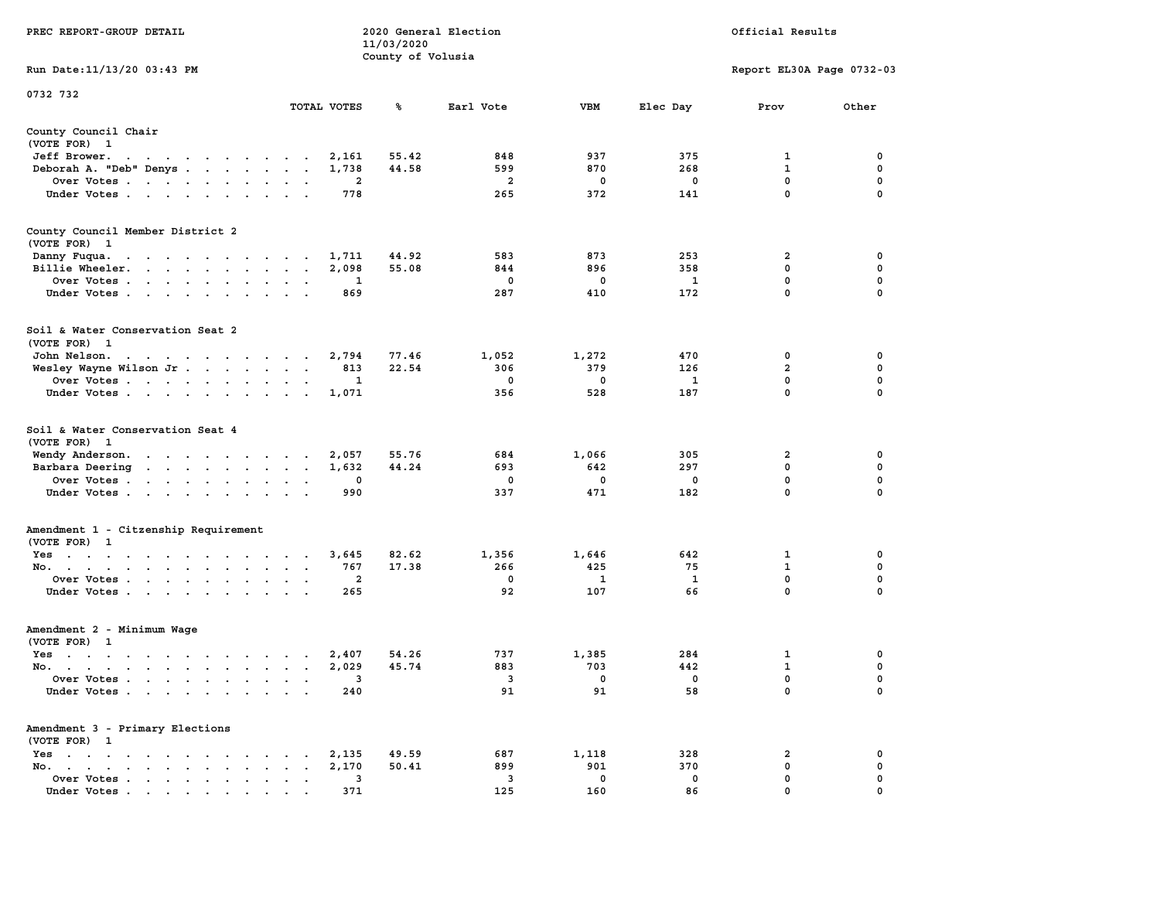| PREC REPORT-GROUP DETAIL                                                                                                        |                                |             | 11/03/2020        | 2020 General Election   |             | Official Results |                           |             |  |
|---------------------------------------------------------------------------------------------------------------------------------|--------------------------------|-------------|-------------------|-------------------------|-------------|------------------|---------------------------|-------------|--|
| Run Date: 11/13/20 03:43 PM                                                                                                     |                                |             | County of Volusia |                         |             |                  | Report EL30A Page 0732-03 |             |  |
| 0732 732                                                                                                                        |                                |             |                   |                         |             |                  |                           |             |  |
|                                                                                                                                 |                                | TOTAL VOTES | ℁                 | Earl Vote               | VBM         | Elec Day         | Prov                      | Other       |  |
| County Council Chair<br>(VOTE FOR) 1                                                                                            |                                |             |                   |                         |             |                  |                           |             |  |
| Jeff Brower.<br>the contract of the contract of the con-                                                                        |                                | 2,161       | 55.42             | 848                     | 937         | 375              | 1                         | 0           |  |
| Deborah A. "Deb" Denys                                                                                                          |                                | 1,738       | 44.58             | 599                     | 870         | 268              | 1                         | 0           |  |
| Over Votes                                                                                                                      |                                | 2           |                   | $\overline{\mathbf{2}}$ | 0           | 0                | 0                         | 0           |  |
| Under Votes                                                                                                                     |                                | 778         |                   | 265                     | 372         | 141              | 0                         | $\Omega$    |  |
| County Council Member District 2<br>(VOTE FOR) 1                                                                                |                                |             |                   |                         |             |                  |                           |             |  |
| Danny Fuqua.<br>the contract of the contract of the con-                                                                        |                                | 1,711       | 44.92             | 583                     | 873         | 253              | 2                         | 0           |  |
| Billie Wheeler.                                                                                                                 | $\sim$ $\sim$                  | 2,098       | 55.08             | 844                     | 896         | 358              | $\mathbf 0$               | 0           |  |
| Over Votes                                                                                                                      |                                | 1           |                   | 0                       | 0           | 1                | 0                         | 0           |  |
| Under Votes                                                                                                                     |                                | 869         |                   | 287                     | 410         | 172              | $\mathbf 0$               | 0           |  |
| Soil & Water Conservation Seat 2<br>(VOTE FOR) 1                                                                                |                                |             |                   |                         |             |                  |                           |             |  |
| John Nelson.<br>the contract of the contract of the contract of the contract of the contract of the contract of the contract of |                                | 2,794       | 77.46             | 1,052                   | 1,272       | 470              | 0                         | 0           |  |
| Wesley Wayne Wilson Jr.                                                                                                         |                                | 813         | 22.54             | 306                     | 379         | 126              | $\overline{2}$            | 0           |  |
| Over Votes                                                                                                                      |                                | 1           |                   | $\mathbf 0$             | 0           | 1                | $\mathbf 0$               | 0           |  |
| Under Votes                                                                                                                     |                                | 1,071       |                   | 356                     | 528         | 187              | 0                         | $\Omega$    |  |
| Soil & Water Conservation Seat 4<br>(VOTE FOR) 1                                                                                |                                |             |                   |                         |             |                  |                           |             |  |
| Wendy Anderson.                                                                                                                 |                                | 2,057       | 55.76             | 684                     | 1,066       | 305              | 2                         | 0           |  |
| Barbara Deering<br>the contract of the contract of the                                                                          |                                | 1,632       | 44.24             | 693                     | 642         | 297              | 0                         | 0           |  |
| Over Votes                                                                                                                      |                                | 0           |                   | 0                       | $\mathbf 0$ | 0                | $\mathbf 0$               | 0           |  |
| Under Votes                                                                                                                     |                                | 990         |                   | 337                     | 471         | 182              | 0                         | $\Omega$    |  |
| Amendment 1 - Citzenship Requirement<br>(VOTE FOR) 1                                                                            |                                |             |                   |                         |             |                  |                           |             |  |
| Yes                                                                                                                             |                                | 3,645       | 82.62             | 1,356                   | 1,646       | 642              | 1                         | 0           |  |
| No.                                                                                                                             |                                | 767         | 17.38             | 266                     | 425         | 75               | $\mathbf{1}$              | $\mathbf 0$ |  |
| Over Votes                                                                                                                      |                                | 2           |                   | 0                       | 1           | 1                | 0                         | 0           |  |
| Under Votes                                                                                                                     |                                | 265         |                   | 92                      | 107         | 66               | $\mathbf 0$               | $\Omega$    |  |
| Amendment 2 - Minimum Wage<br>(VOTE FOR) 1                                                                                      |                                |             |                   |                         |             |                  |                           |             |  |
| Yes<br>the contract of the contract of the contract of                                                                          |                                | 2,407       | 54.26             | 737                     | 1,385       | 284              | 1                         | 0           |  |
| No.                                                                                                                             |                                | 2,029       | 45.74             | 883                     | 703         | 442              | $\mathbf{1}$              | $\mathbf 0$ |  |
| Over Votes                                                                                                                      |                                | 3           |                   | 3                       | $\mathbf 0$ | $\mathbf 0$      | 0                         | 0           |  |
| Under Votes                                                                                                                     |                                | 240         |                   | 91                      | 91          | 58               | 0                         | $\mathbf 0$ |  |
| Amendment 3 - Primary Elections<br>(VOTE FOR) 1                                                                                 |                                |             |                   |                         |             |                  |                           |             |  |
| $Yes \cdot \cdot \cdot \cdot \cdot \cdot \cdot \cdot \cdot \cdot \cdot \cdot$                                                   |                                | 2,135       | 49.59             | 687                     | 1,118       | 328              | 2                         | 0           |  |
| No.                                                                                                                             | $\sim$<br>$\ddot{\phantom{a}}$ | 2,170       | 50.41             | 899                     | 901         | 370              | 0                         | 0           |  |
| Over Votes                                                                                                                      |                                | 3           |                   | 3                       | $\mathbf 0$ | 0                | 0                         | 0           |  |
| Under Votes                                                                                                                     |                                | 371         |                   | 125                     | 160         | 86               | $\Omega$                  |             |  |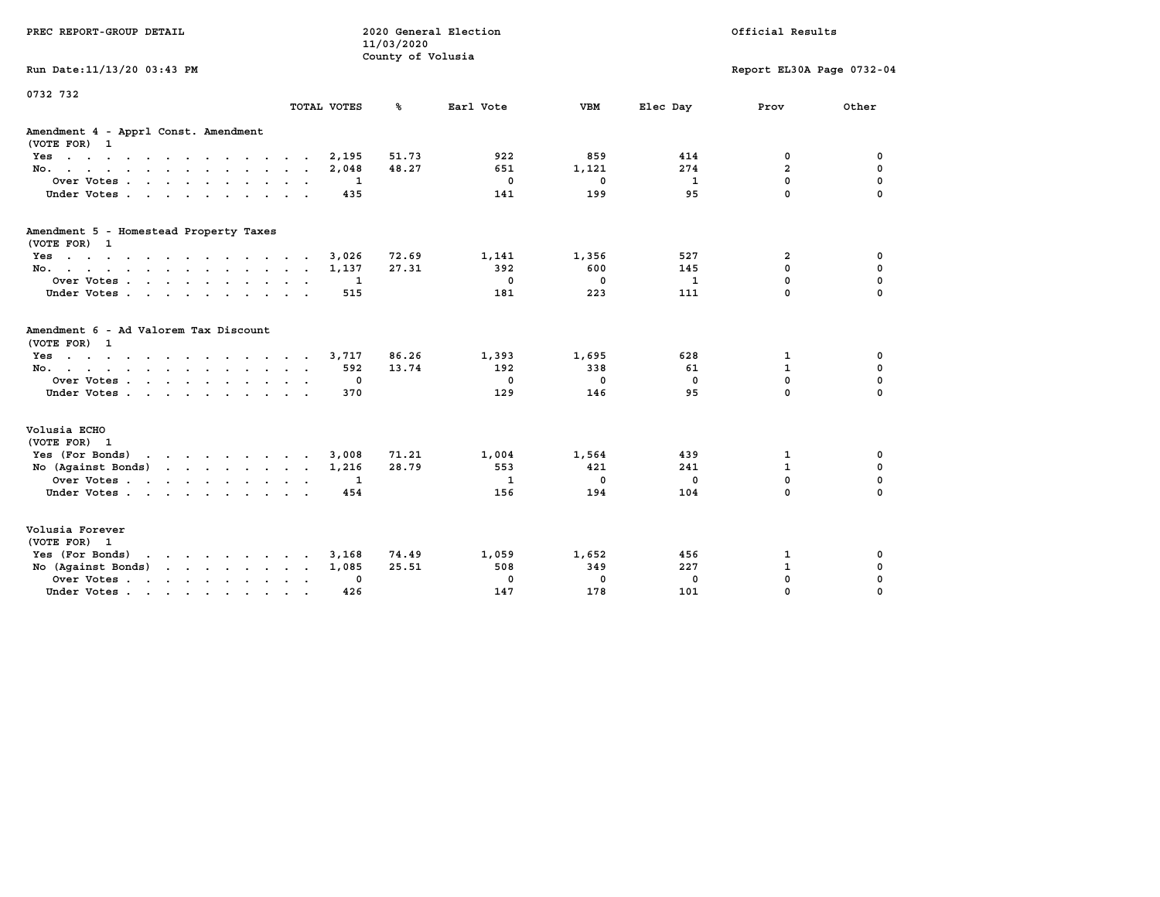| PREC REPORT-GROUP DETAIL                                                                                    |                 |             | 11/03/2020<br>County of Volusia | 2020 General Election |              |              | Official Results          |             |
|-------------------------------------------------------------------------------------------------------------|-----------------|-------------|---------------------------------|-----------------------|--------------|--------------|---------------------------|-------------|
| Run Date: 11/13/20 03:43 PM                                                                                 |                 |             |                                 |                       |              |              | Report EL30A Page 0732-04 |             |
| 0732 732                                                                                                    |                 |             |                                 |                       |              |              |                           |             |
|                                                                                                             |                 | TOTAL VOTES | ℁                               | Earl Vote             | <b>VBM</b>   | Elec Day     | Prov                      | Other       |
| Amendment 4 - Apprl Const. Amendment<br>(VOTE FOR) 1                                                        |                 |             |                                 |                       |              |              |                           |             |
| Yes                                                                                                         |                 | 2,195       | 51.73                           | 922                   | 859          | 414          | 0                         | 0           |
| No.                                                                                                         |                 | 2,048       | 48.27                           | 651                   | 1,121        | 274          | $\overline{2}$            | $\mathbf 0$ |
| Over Votes.                                                                                                 |                 | 1           |                                 | 0                     | 0            | 1            | 0                         | 0           |
| Under Votes                                                                                                 |                 | 435         |                                 | 141                   | 199          | 95           | $\Omega$                  | $\Omega$    |
| Amendment 5 - Homestead Property Taxes<br>(VOTE FOR) 1                                                      |                 |             |                                 |                       |              |              |                           |             |
| Yes                                                                                                         |                 | 3,026       | 72.69                           | 1,141                 | 1,356        | 527          | 2                         | 0           |
| No.                                                                                                         |                 | 1,137       | 27.31                           | 392                   | 600          | 145          | 0                         | $\mathbf 0$ |
| Over Votes                                                                                                  |                 | 1           |                                 | $\mathbf{0}$          | $\mathbf{0}$ | $\mathbf{1}$ | 0                         | 0           |
| Under Votes                                                                                                 |                 | 515         |                                 | 181                   | 223          | 111          | $\Omega$                  | $\Omega$    |
| Amendment 6 - Ad Valorem Tax Discount<br>(VOTE FOR) 1                                                       |                 |             |                                 |                       |              |              |                           |             |
| Yes                                                                                                         |                 | 3,717       | 86.26                           | 1,393                 | 1,695        | 628          | 1                         | 0           |
| No.                                                                                                         |                 | 592         | 13.74                           | 192                   | 338          | 61           | $\mathbf{1}$              | $\mathbf 0$ |
| Over Votes.                                                                                                 |                 | 0           |                                 | $^{\circ}$            | $\mathbf{0}$ | 0            | 0                         | 0           |
| Under Votes                                                                                                 |                 | 370         |                                 | 129                   | 146          | 95           | $\Omega$                  | $\Omega$    |
| Volusia ECHO<br>(VOTE FOR) 1                                                                                |                 |             |                                 |                       |              |              |                           |             |
| Yes (For Bonds)<br>and the contract of the contract of the                                                  |                 | 3,008       | 71.21                           | 1,004                 | 1,564        | 439          | 1                         | 0           |
| No (Against Bonds)                                                                                          |                 | 1,216       | 28.79                           | 553                   | 421          | 241          | $\mathbf{1}$              | $\mathbf 0$ |
| Over Votes                                                                                                  | $\cdot$ $\cdot$ | 1           |                                 | 1                     | 0            | 0            | 0                         | 0           |
| Under Votes                                                                                                 |                 | 454         |                                 | 156                   | 194          | 104          | $\Omega$                  | $\Omega$    |
| Volusia Forever<br>(VOTE FOR) 1                                                                             |                 |             |                                 |                       |              |              |                           |             |
| Yes (For Bonds)<br>$\mathbf{r}$ , and $\mathbf{r}$ , and $\mathbf{r}$ , and $\mathbf{r}$ , and $\mathbf{r}$ |                 | 3,168       | 74.49                           | 1,059                 | 1,652        | 456          | 1                         | 0           |
| No (Against Bonds)                                                                                          | $\cdot$ $\cdot$ | 1,085       | 25.51                           | 508                   | 349          | 227          | $\mathbf{1}$              | 0           |
| Over Votes                                                                                                  | $\sim$          | 0           |                                 | $\mathbf 0$           | 0            | $\mathbf 0$  | $\mathbf 0$               | $\mathbf 0$ |
| Under Votes<br>$\sim$ 100 $\pm$                                                                             |                 | 426         |                                 | 147                   | 178          | 101          | $\Omega$                  | $\Omega$    |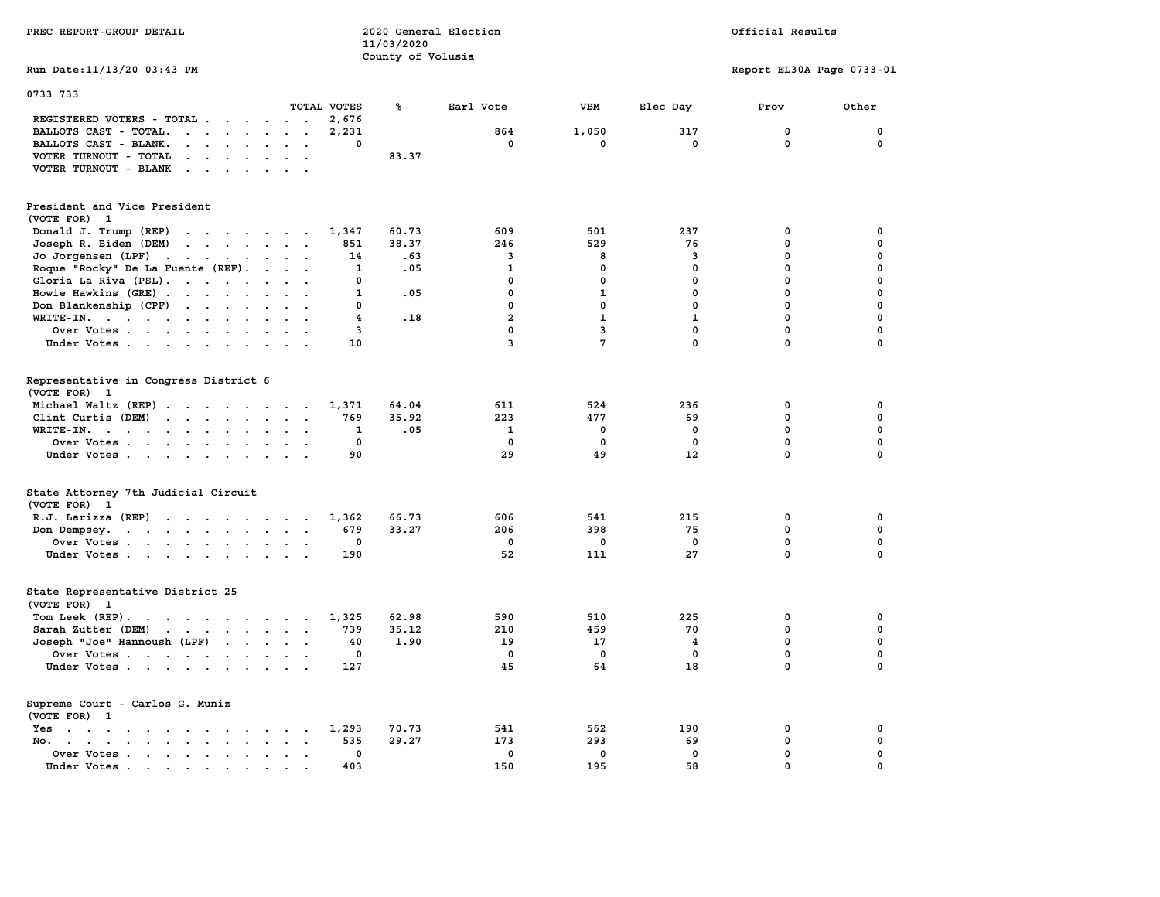| PREC REPORT-GROUP DETAIL                                                                                                                                                                                                                                    |                                     | 11/03/2020        | 2020 General Election   |              |                     | Official Results          |                  |  |
|-------------------------------------------------------------------------------------------------------------------------------------------------------------------------------------------------------------------------------------------------------------|-------------------------------------|-------------------|-------------------------|--------------|---------------------|---------------------------|------------------|--|
| Run Date: 11/13/20 03:43 PM                                                                                                                                                                                                                                 |                                     | County of Volusia |                         |              |                     | Report EL30A Page 0733-01 |                  |  |
| 0733 733                                                                                                                                                                                                                                                    | TOTAL VOTES                         | ℁                 | Earl Vote               | <b>VBM</b>   | Elec Day            | Prov                      | Other            |  |
| REGISTERED VOTERS - TOTAL                                                                                                                                                                                                                                   | 2,676                               |                   |                         |              |                     |                           |                  |  |
| BALLOTS CAST - TOTAL.<br>$\cdot$                                                                                                                                                                                                                            | 2,231<br>$\mathbf{0}$               |                   | 864<br>$^{\circ}$       | 1,050<br>0   | 317<br>$\mathbf{0}$ | 0<br>$\mathbf 0$          | 0<br>$\mathbf 0$ |  |
| BALLOTS CAST - BLANK.<br>$\cdot$ $\cdot$ $\cdot$ $\cdot$ $\cdot$<br>VOTER TURNOUT - TOTAL<br>$\mathbf{r}$ , $\mathbf{r}$ , $\mathbf{r}$ , $\mathbf{r}$ , $\mathbf{r}$                                                                                       | $\ddot{\phantom{0}}$                | 83.37             |                         |              |                     |                           |                  |  |
| VOTER TURNOUT - BLANK<br>$\mathcal{A}$ . The set of the set of the set of the set of the set of the set of the set of the set of the set of the set of the set of the set of the set of the set of the set of the set of the set of the set of the set of t |                                     |                   |                         |              |                     |                           |                  |  |
| President and Vice President<br>(VOTE FOR) 1                                                                                                                                                                                                                |                                     |                   |                         |              |                     |                           |                  |  |
| Donald J. Trump (REP)<br>the contract of the contract of the contract of the contract of the contract of                                                                                                                                                    | 1,347                               | 60.73             | 609                     | 501          | 237                 | 0                         | 0                |  |
| Joseph R. Biden (DEM)<br>the contract of the contract of the contract of                                                                                                                                                                                    | 851                                 | 38.37             | 246                     | 529          | 76                  | $\mathbf{0}$              | $\mathbf 0$      |  |
| Jo Jorgensen (LPF)                                                                                                                                                                                                                                          | 14                                  | .63               | $\overline{\mathbf{3}}$ | 8            | 3                   | $\mathbf 0$               | 0                |  |
| Roque "Rocky" De La Fuente (REF).                                                                                                                                                                                                                           | $\mathbf{1}$                        | .05               | $\mathbf{1}$            | $\mathbf 0$  | $\mathbf{0}$        | $\mathbf 0$               | 0                |  |
| Gloria La Riva (PSL).                                                                                                                                                                                                                                       | $\mathbf 0$                         |                   | $\mathbf 0$             | $\mathbf 0$  | $\mathbf 0$         | $\mathbf 0$               | 0                |  |
| Howie Hawkins (GRE)                                                                                                                                                                                                                                         | $\cdot$ $\cdot$<br>1                | .05               | $\mathbf 0$             | $\mathbf{1}$ | $^{\circ}$          | $\mathbf 0$               | 0                |  |
| Don Blankenship (CPF)                                                                                                                                                                                                                                       | $\mathbf{0}$                        |                   | $\mathbf 0$             | $\mathbf 0$  | 0                   | $\mathbf 0$               | $\mathbf 0$      |  |
| WRITE-IN.                                                                                                                                                                                                                                                   | $\overline{\mathbf{4}}$             | .18               | $\overline{a}$          | $\mathbf{1}$ | $\mathbf{1}$        | $\mathbf 0$               | 0                |  |
| Over Votes                                                                                                                                                                                                                                                  | 3                                   |                   | $\mathbf 0$             | 3            | $\mathbf 0$         | $\mathbf 0$               | 0                |  |
| Under Votes                                                                                                                                                                                                                                                 | 10                                  |                   | $\overline{3}$          | 7            | $\mathbf 0$         | 0                         | 0                |  |
| Representative in Congress District 6<br>(VOTE FOR) 1                                                                                                                                                                                                       |                                     |                   |                         |              |                     |                           |                  |  |
| Michael Waltz (REP)                                                                                                                                                                                                                                         | 1,371                               | 64.04             | 611                     | 524          | 236                 | 0                         | 0                |  |
| Clint Curtis (DEM)                                                                                                                                                                                                                                          | 769                                 | 35.92             | 223                     | 477          | 69                  | $\mathbf 0$               | $\mathbf 0$      |  |
| WRITE-IN.<br>the contract of the contract of the contract of the contract of the contract of the contract of the contract of                                                                                                                                | 1                                   | .05               | $\mathbf{1}$            | 0            | $\mathbf{0}$        | $\mathbf 0$               | $\mathbf 0$      |  |
| Over Votes                                                                                                                                                                                                                                                  | $\mathbf 0$                         |                   | $\mathbf 0$             | 0            | $\mathbf 0$         | 0                         | 0                |  |
| Under Votes                                                                                                                                                                                                                                                 | 90                                  |                   | 29                      | 49           | 12                  | $\mathbf{0}$              | $\mathbf 0$      |  |
| State Attorney 7th Judicial Circuit<br>(VOTE FOR) 1                                                                                                                                                                                                         |                                     |                   |                         |              |                     |                           |                  |  |
| $R.J.$ Larizza $(REP)$                                                                                                                                                                                                                                      | 1,362<br>$\cdots$                   | 66.73             | 606                     | 541          | 215                 | 0                         | 0                |  |
| Don Dempsey.                                                                                                                                                                                                                                                | 679                                 | 33.27             | 206                     | 398          | 75                  | $\mathbf{0}$              | $\mathbf 0$      |  |
| Over Votes                                                                                                                                                                                                                                                  | $\mathbf 0$<br>$\sim$               |                   | $\mathbf 0$             | 0            | $\mathbf 0$         | 0                         | 0                |  |
| Under Votes                                                                                                                                                                                                                                                 | 190                                 |                   | 52                      | 111          | 27                  | $\mathbf{0}$              | $\mathbf 0$      |  |
| State Representative District 25<br>(VOTE FOR) 1                                                                                                                                                                                                            |                                     |                   |                         |              |                     |                           |                  |  |
| Tom Leek (REP).                                                                                                                                                                                                                                             | 1,325                               | 62.98             | 590                     | 510          | 225                 | 0                         | 0                |  |
| Sarah Zutter (DEM)                                                                                                                                                                                                                                          | 739                                 | 35.12             | 210                     | 459          | 70                  | $\mathbf{0}$              | 0                |  |
| Joseph "Joe" Hannoush (LPF)                                                                                                                                                                                                                                 | 40                                  | 1.90              | 19                      | 17           | $\overline{4}$      | $\mathbf 0$               | $\mathbf 0$      |  |
| Over Votes                                                                                                                                                                                                                                                  | 0                                   |                   | $\mathbf 0$             | $\mathbf 0$  | $\mathbf 0$         | $\mathbf 0$               | 0                |  |
| Under Votes                                                                                                                                                                                                                                                 | 127                                 |                   | 45                      | 64           | 18                  | $\mathbf{0}$              | $\mathbf 0$      |  |
| Supreme Court - Carlos G. Muniz<br>(VOTE FOR) 1                                                                                                                                                                                                             |                                     |                   |                         |              |                     |                           |                  |  |
| Yes                                                                                                                                                                                                                                                         | 1,293                               | 70.73             | 541                     | 562          | 190                 | 0                         | 0                |  |
| No.                                                                                                                                                                                                                                                         | 535<br>$\sim$ $\sim$                | 29.27             | 173                     | 293          | 69                  | $\mathbf 0$               | 0                |  |
| Over Votes                                                                                                                                                                                                                                                  | $\mathbf 0$<br>$\ddot{\phantom{a}}$ |                   | $\mathbf 0$             | $\mathbf 0$  | $\mathbf 0$         | $\mathbf 0$               | 0                |  |
| Under Votes                                                                                                                                                                                                                                                 | 403<br>$\sim$                       |                   | 150                     | 195          | 58                  | $\mathbf 0$               | 0                |  |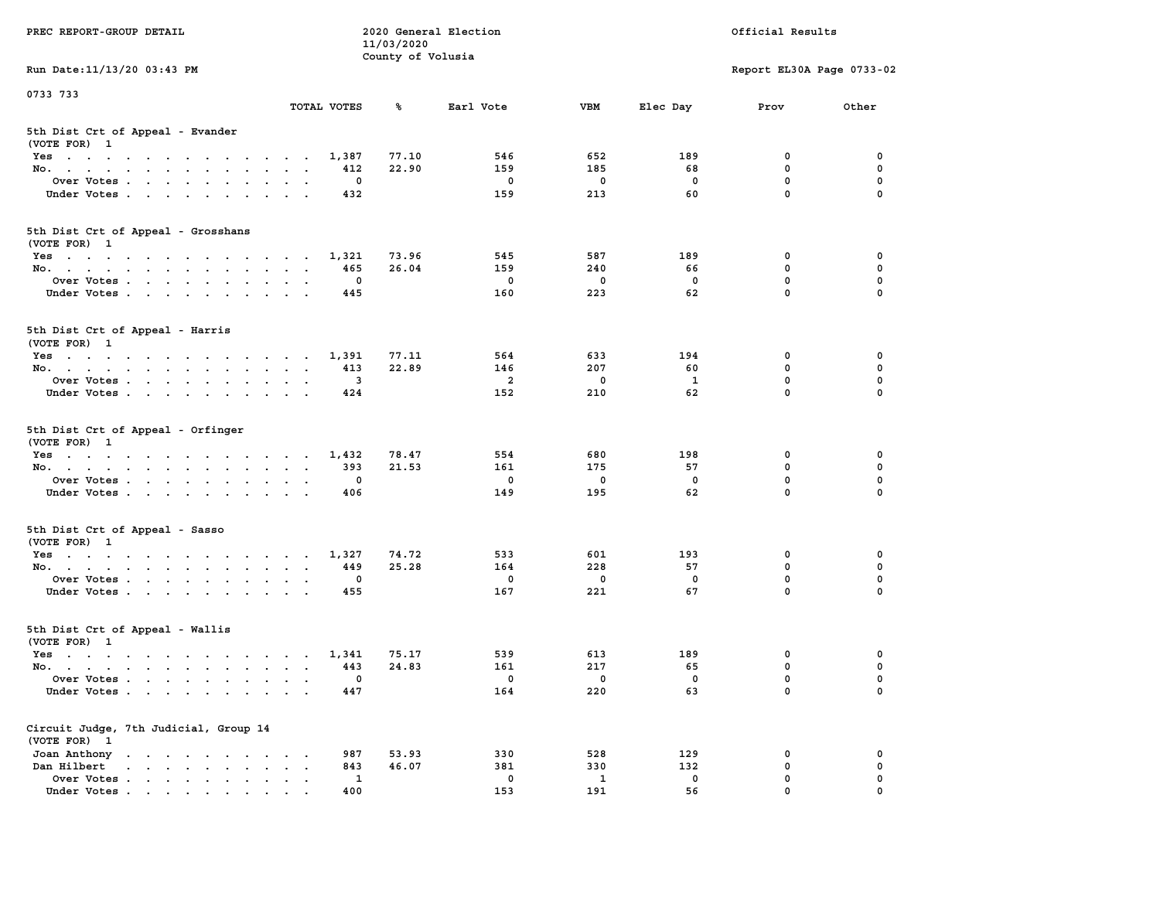| PREC REPORT-GROUP DETAIL                                                                     |                                                                  | 11/03/2020        | 2020 General Election  |                                  |                                | Official Results                     |                         |
|----------------------------------------------------------------------------------------------|------------------------------------------------------------------|-------------------|------------------------|----------------------------------|--------------------------------|--------------------------------------|-------------------------|
|                                                                                              |                                                                  | County of Volusia |                        |                                  |                                |                                      |                         |
| Run Date: 11/13/20 03:43 PM                                                                  |                                                                  |                   |                        |                                  |                                | Report EL30A Page 0733-02            |                         |
| 0733 733                                                                                     |                                                                  |                   |                        |                                  |                                |                                      |                         |
|                                                                                              | TOTAL VOTES                                                      | ጜ                 | Earl Vote              | VBM                              | Elec Day                       | Prov                                 | Other                   |
| 5th Dist Crt of Appeal - Evander<br>(VOTE FOR) 1                                             |                                                                  |                   |                        |                                  |                                |                                      |                         |
| Yes                                                                                          | 1,387                                                            | 77.10             | 546                    | 652                              | 189                            | 0                                    | 0                       |
| No.                                                                                          | 412                                                              | 22.90             | 159                    | 185                              | 68                             | $\mathbf 0$                          | $\mathbf 0$             |
| Over Votes                                                                                   | 0                                                                |                   | 0                      | $\mathbf 0$                      | $\mathbf 0$                    | 0                                    | 0                       |
| Under Votes                                                                                  | 432                                                              |                   | 159                    | 213                              | 60                             | $\mathbf 0$                          | $\Omega$                |
| 5th Dist Crt of Appeal - Grosshans<br>(VOTE FOR) 1                                           |                                                                  |                   |                        |                                  |                                |                                      |                         |
| Yes                                                                                          | 1,321                                                            | 73.96             | 545                    | 587                              | 189                            | 0                                    | 0                       |
| No.                                                                                          | 465                                                              | 26.04             | 159                    | 240                              | 66                             | $\mathbf 0$                          | 0                       |
| Over Votes                                                                                   | 0                                                                |                   | 0                      | $\mathbf 0$                      | $\mathbf 0$                    | $\mathbf 0$                          | $\mathbf 0$             |
| Under Votes                                                                                  | 445                                                              |                   | 160                    | 223                              | 62                             | $\mathbf{0}$                         | 0                       |
| 5th Dist Crt of Appeal - Harris<br>(VOTE FOR) 1                                              |                                                                  |                   |                        |                                  |                                |                                      |                         |
| Yes                                                                                          | 1,391                                                            | 77.11             | 564                    | 633                              | 194                            | 0                                    | 0                       |
| No.                                                                                          | 413                                                              | 22.89             | 146                    | 207                              | 60                             | 0                                    | 0                       |
| Over Votes                                                                                   | 3                                                                |                   | $\overline{a}$         | $\mathbf 0$                      | 1                              | $\mathbf{0}$                         | $\mathbf 0$             |
| Under Votes                                                                                  | 424                                                              |                   | 152                    | 210                              | 62                             | $\mathbf 0$                          | 0                       |
| 5th Dist Crt of Appeal - Orfinger<br>(VOTE FOR) 1<br>Yes<br>No.<br>Over Votes<br>Under Votes | 1,432<br>393<br>0<br>406                                         | 78.47<br>21.53    | 554<br>161<br>0<br>149 | 680<br>175<br>$\mathbf 0$<br>195 | 198<br>57<br>$\mathbf 0$<br>62 | 0<br>$\mathbf 0$<br>0<br>$\mathbf 0$ | 0<br>0<br>0<br>$\Omega$ |
| 5th Dist Crt of Appeal - Sasso<br>(VOTE FOR) 1                                               |                                                                  |                   |                        |                                  |                                |                                      |                         |
| Yes                                                                                          | 1,327                                                            | 74.72             | 533                    | 601<br>228                       | 193                            | 0                                    | 0                       |
| No.<br>Over Votes                                                                            | 449<br>0                                                         | 25.28             | 164<br>0               | $\mathbf 0$                      | 57<br>$\mathbf 0$              | 0<br>0                               | 0<br>$\mathbf 0$        |
| Under Votes                                                                                  | 455                                                              |                   | 167                    | 221                              | 67                             | $\mathbf{0}$                         | $\Omega$                |
| 5th Dist Crt of Appeal - Wallis<br>(VOTE FOR) 1                                              |                                                                  |                   |                        |                                  |                                |                                      |                         |
| Yes                                                                                          | 1,341                                                            | 75.17             | 539                    | 613                              | 189                            | 0                                    | 0                       |
| No.                                                                                          | 443                                                              | 24.83             | 161                    | 217                              | 65                             | 0                                    | $\mathbf 0$             |
| Over Votes<br>Under Votes                                                                    | 0<br>447                                                         |                   | 0<br>164               | 0<br>220                         | 0<br>63                        | $\mathbf{0}$<br>0                    | 0<br>0                  |
| Circuit Judge, 7th Judicial, Group 14<br>(VOTE FOR) 1<br>Joan Anthony                        | 987<br>$\cdot$<br>$\cdot$                                        | 53.93             | 330                    | 528                              | 129                            | 0                                    | 0                       |
| Dan Hilbert<br>$\cdot$ $\cdot$ $\cdot$ $\cdot$ $\cdot$ $\cdot$ $\cdot$ $\cdot$<br>$\bullet$  | 843<br>$\ddot{\phantom{a}}$<br>$\ddot{\phantom{a}}$<br>$\bullet$ | 46.07             | 381                    | 330                              | 132                            | 0                                    | 0                       |
| Over Votes.<br>$\mathbf{r}$                                                                  | 1                                                                |                   | 0                      | 1                                | 0                              | 0                                    | 0                       |
| Under Votes                                                                                  | 400                                                              |                   | 153                    | 191                              | 56                             | $\mathbf{0}$                         | 0                       |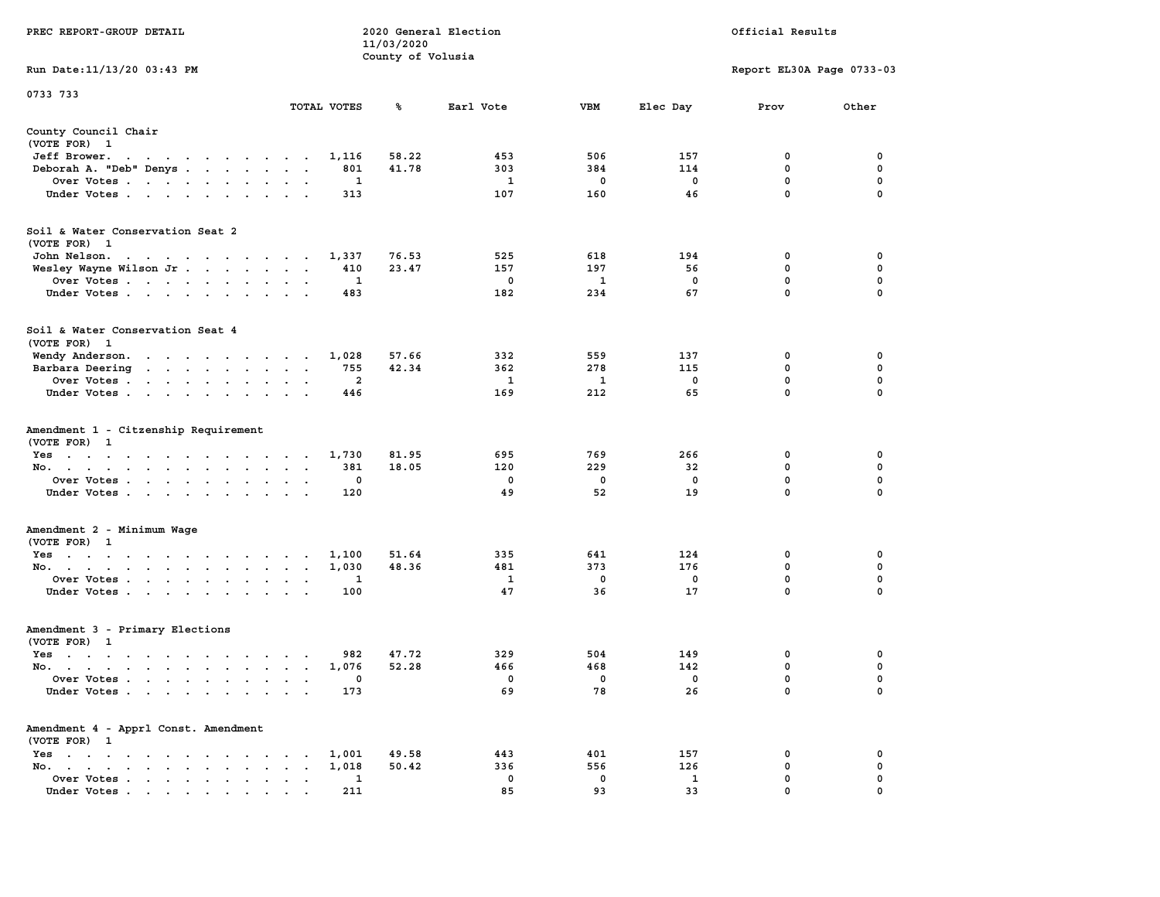|                                                                                                                                           |                                                           | 11/03/2020        |              |              |             |                           |             |
|-------------------------------------------------------------------------------------------------------------------------------------------|-----------------------------------------------------------|-------------------|--------------|--------------|-------------|---------------------------|-------------|
|                                                                                                                                           |                                                           | County of Volusia |              |              |             |                           |             |
| Run Date: 11/13/20 03:43 PM                                                                                                               |                                                           |                   |              |              |             | Report EL30A Page 0733-03 |             |
| 0733 733                                                                                                                                  |                                                           |                   |              |              |             |                           |             |
|                                                                                                                                           | TOTAL VOTES                                               | ℁                 | Earl Vote    | VBM          | Elec Day    | Prov                      | Other       |
| County Council Chair                                                                                                                      |                                                           |                   |              |              |             |                           |             |
| (VOTE FOR) 1                                                                                                                              |                                                           |                   |              |              |             |                           |             |
| Jeff Brower.                                                                                                                              | 1,116                                                     | 58.22             | 453          | 506          | 157         | $\mathbf 0$               | 0           |
| $\cdot$ $\cdot$                                                                                                                           | 801                                                       | 41.78             | 303          |              | 114         | $\mathbf 0$               | $\mathbf 0$ |
| Deborah A. "Deb" Denys                                                                                                                    | $\sim$                                                    |                   |              | 384          | $\mathbf 0$ | $\mathbf 0$               | $\mathbf 0$ |
| Over Votes                                                                                                                                | 1                                                         |                   | $\mathbf{1}$ | $\mathbf 0$  |             | $\mathbf 0$               | $\mathbf 0$ |
| Under Votes                                                                                                                               | 313<br>$\sim$                                             |                   | 107          | 160          | 46          |                           |             |
| Soil & Water Conservation Seat 2                                                                                                          |                                                           |                   |              |              |             |                           |             |
| (VOTE FOR) 1                                                                                                                              |                                                           |                   |              |              |             |                           |             |
| John Nelson.<br>$\mathcal{A}=\mathcal{A}=\mathcal{A}=\mathcal{A}=\mathcal{A}=\mathcal{A}=\mathcal{A}=\mathcal{A}=\mathcal{A}=\mathcal{A}$ | 1,337                                                     | 76.53             | 525          | 618          | 194         | 0                         | 0           |
| Wesley Wayne Wilson Jr.                                                                                                                   | 410                                                       | 23.47             | 157          | 197          | 56          | $\mathbf 0$               | 0           |
|                                                                                                                                           | 1                                                         |                   | 0            | $\mathbf{1}$ | $\mathbf 0$ | $\mathbf 0$               | $\mathbf 0$ |
| Over Votes                                                                                                                                | $\ddot{\phantom{0}}$                                      |                   |              |              |             | $\mathbf 0$               | 0           |
| Under Votes                                                                                                                               | 483                                                       |                   | 182          | 234          | 67          |                           |             |
| Soil & Water Conservation Seat 4                                                                                                          |                                                           |                   |              |              |             |                           |             |
| (VOTE FOR) 1                                                                                                                              |                                                           |                   |              |              |             |                           |             |
| Wendy Anderson.                                                                                                                           | 1,028<br>$\ddot{\phantom{a}}$                             | 57.66             | 332          | 559          | 137         | 0                         | 0           |
| Barbara Deering<br>the contract of the contract of the                                                                                    | 755                                                       | 42.34             | 362          | 278          | 115         | $\mathbf 0$               | $\mathbf 0$ |
| Over Votes                                                                                                                                | $\overline{a}$                                            |                   | $\mathbf{1}$ | 1            | $\mathbf 0$ | $\mathbf 0$               | $\mathbf 0$ |
| Under Votes                                                                                                                               | 446                                                       |                   | 169          | 212          | 65          | $\mathbf 0$               | 0           |
|                                                                                                                                           |                                                           |                   |              |              |             |                           |             |
| Amendment 1 - Citzenship Requirement                                                                                                      |                                                           |                   |              |              |             |                           |             |
| (VOTE FOR) 1                                                                                                                              |                                                           |                   |              |              |             |                           |             |
| Yes                                                                                                                                       | 1,730<br>$\overline{\phantom{a}}$                         | 81.95             | 695          | 769          | 266         | 0                         | 0           |
| No.<br>$\sim$<br>$\cdot$                                                                                                                  | 381<br>$\ddot{\phantom{0}}$<br>$\ddot{\phantom{a}}$       | 18.05             | 120          | 229          | 32          | 0                         | 0           |
| Over Votes                                                                                                                                | 0                                                         |                   | 0            | 0            | 0           | 0                         | $\mathbf 0$ |
| Under Votes<br>$\sim$ $\sim$ $\sim$ $\sim$                                                                                                | 120                                                       |                   | 49           | 52           | 19          | $\mathbf 0$               | 0           |
|                                                                                                                                           |                                                           |                   |              |              |             |                           |             |
| Amendment 2 - Minimum Wage<br>(VOTE FOR) 1                                                                                                |                                                           |                   |              |              |             |                           |             |
| Yes                                                                                                                                       | 1,100                                                     | 51.64             | 335          | 641          | 124         | 0                         | 0           |
| No.                                                                                                                                       | 1,030<br>$\bullet$                                        | 48.36             | 481          | 373          | 176         | $\mathbf 0$               | $\mathbf 0$ |
| Over Votes<br>$\sim$ $\sim$                                                                                                               | 1<br>$\ddot{\phantom{a}}$                                 |                   | $\mathbf{1}$ | $\Omega$     | $\mathbf 0$ | $\mathbf 0$               | $\mathbf 0$ |
| Under Votes                                                                                                                               | 100<br>$\sim$<br>$\sim$                                   |                   | 47           | 36           | 17          | $\mathbf 0$               | $\Omega$    |
|                                                                                                                                           |                                                           |                   |              |              |             |                           |             |
| Amendment 3 - Primary Elections                                                                                                           |                                                           |                   |              |              |             |                           |             |
| (VOTE FOR) 1                                                                                                                              |                                                           |                   |              |              |             |                           |             |
| Yes                                                                                                                                       | 982                                                       | 47.72             | 329          | 504          | 149         | 0                         | 0           |
| No.                                                                                                                                       | 1,076                                                     | 52.28             | 466          | 468          | 142         | $\mathbf 0$               | $\mathbf 0$ |
| Over Votes<br>$\ddot{\phantom{a}}$<br>$\sim$                                                                                              | 0<br>$\ddot{\phantom{a}}$<br>$\sim$                       |                   | 0            | 0            | $\mathbf 0$ | $\mathbf 0$               | $\mathbf 0$ |
| Under Votes                                                                                                                               | 173                                                       |                   | 69           | 78           | 26          | $\Omega$                  | $\Omega$    |
|                                                                                                                                           |                                                           |                   |              |              |             |                           |             |
| Amendment 4 - Apprl Const. Amendment<br>(VOTE FOR) 1                                                                                      |                                                           |                   |              |              |             |                           |             |
| Yes<br>$\sim$ $\sim$<br>the contract of the contract of<br>$\ddot{\phantom{a}}$                                                           | 1,001<br>$\ddot{\phantom{0}}$                             | 49.58             | 443          | 401          | 157         | 0                         | 0           |
| No.<br>the contract of the contract of the<br>$\sim$<br>$\ddot{\phantom{a}}$                                                              | 1,018<br>$\ddot{\phantom{a}}$<br>$\overline{\phantom{a}}$ | 50.42             | 336          | 556          | 126         | $\mathbf 0$               | $\mathbf 0$ |
| Over Votes<br>$\bullet$<br>$\bullet$                                                                                                      | 1<br>$\bullet$<br>$\ddot{\phantom{a}}$                    |                   | $\Omega$     | 0            | 1           | $\mathbf 0$               | 0           |
| Under Votes<br>$\mathbf{r}$ , and $\mathbf{r}$ , and $\mathbf{r}$ , and $\mathbf{r}$                                                      | 211                                                       |                   | 85           | 93           | 33          | $\mathbf 0$               | $\mathbf 0$ |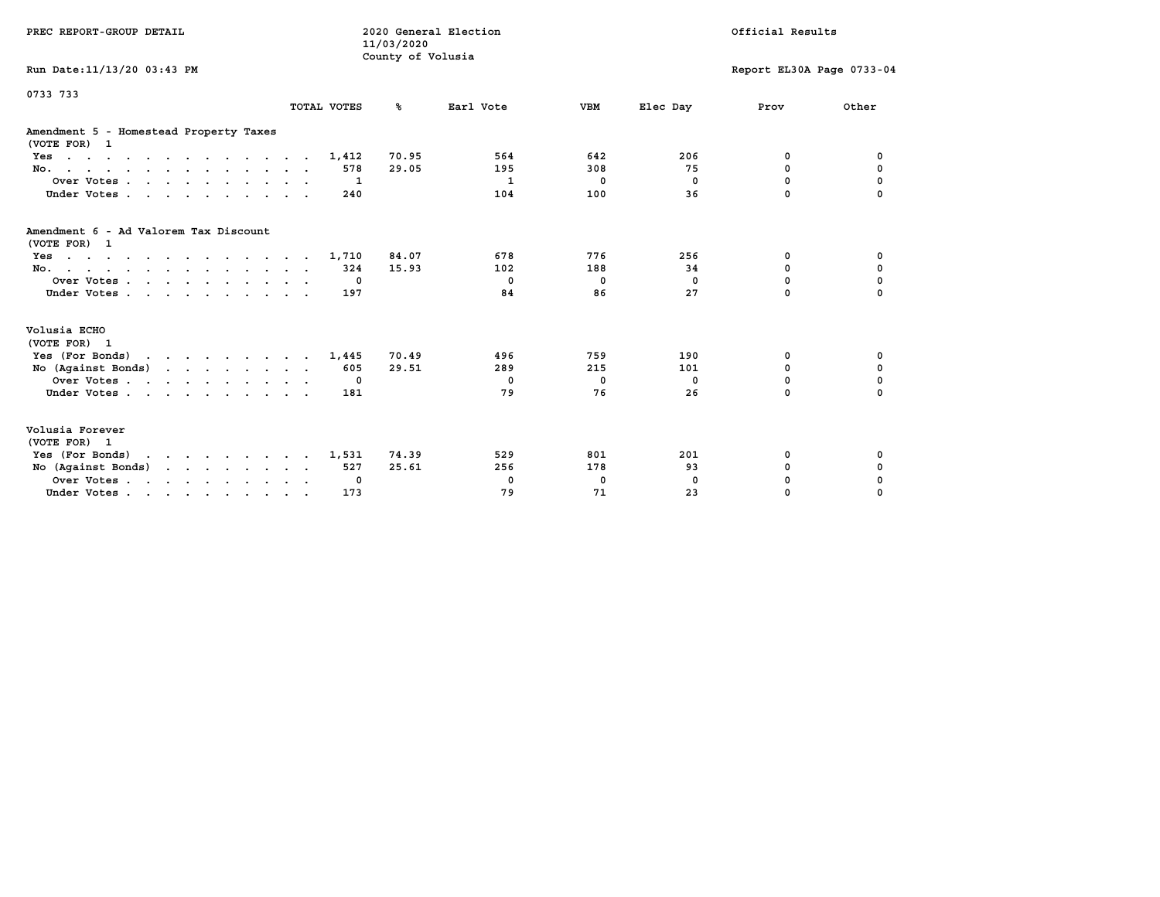| PREC REPORT-GROUP DETAIL                                                           |              | 2020 General Election<br>11/03/2020 |                          |                          |                       | Official Results          |             |
|------------------------------------------------------------------------------------|--------------|-------------------------------------|--------------------------|--------------------------|-----------------------|---------------------------|-------------|
| Run Date: 11/13/20 03:43 PM                                                        |              | County of Volusia                   |                          |                          |                       | Report EL30A Page 0733-04 |             |
| 0733 733                                                                           | TOTAL VOTES  | °≈                                  | Earl Vote                | <b>VBM</b>               | Elec Day              | Prov                      | Other       |
| Amendment 5 - Homestead Property Taxes<br>(VOTE FOR) 1                             |              |                                     |                          |                          |                       |                           |             |
| Yes                                                                                | 1,412        | 70.95                               | 564                      | 642                      | 206                   | 0                         | 0           |
| No.                                                                                | 578          | 29.05                               | 195                      | 308                      | 75                    | 0                         | 0           |
| Over Votes                                                                         |              | -1                                  | 1                        | 0                        | $^{\circ}$            | 0                         | 0           |
| Under Votes                                                                        | 240          |                                     | 104                      | 100                      | 36                    | $\Omega$                  |             |
| Amendment 6 - Ad Valorem Tax Discount<br>(VOTE FOR) 1<br>Yes<br>No.<br>Over Votes. | 1,710<br>324 | 84.07<br>15.93<br>0                 | 678<br>102<br>$^{\circ}$ | 776<br>188<br>$^{\circ}$ | 256<br>34<br>$\Omega$ | 0<br>$\Omega$<br>$\Omega$ | 0<br>0<br>0 |
| Under Votes<br>Volusia ECHO                                                        | 197          |                                     | 84                       | 86                       | 27                    | $\Omega$                  | $\Omega$    |
| (VOTE FOR) 1                                                                       |              |                                     |                          |                          |                       |                           |             |
| Yes (For Bonds)                                                                    | 1,445        | 70.49                               | 496                      | 759                      | 190                   | 0                         | 0           |
| No (Against Bonds)                                                                 | 605          | 29.51                               | 289                      | 215                      | 101                   | $\mathbf 0$               | $\mathbf 0$ |
| Over Votes                                                                         | $\mathbf 0$  |                                     | $\mathbf{o}$             | 0                        | 0                     | $\mathbf 0$               | $\mathbf 0$ |
| Under Votes                                                                        | 181          |                                     | 79                       | 76                       | 26                    | 0                         | $\Omega$    |
| Volusia Forever<br>(VOTE FOR) 1                                                    |              |                                     |                          |                          |                       |                           |             |
| Yes (For Bonds)                                                                    | 1,531        | 74.39                               | 529                      | 801                      | 201                   | 0                         | 0           |
| No (Against Bonds)                                                                 | 527          | 25.61                               | 256                      | 178                      | 93                    | 0                         | 0           |
| Over Votes.                                                                        |              | 0                                   | 0                        | 0                        | $\Omega$              | 0                         | 0           |
| Under Votes                                                                        | 173          |                                     | 79                       | 71                       | 23                    | 0                         | $\Omega$    |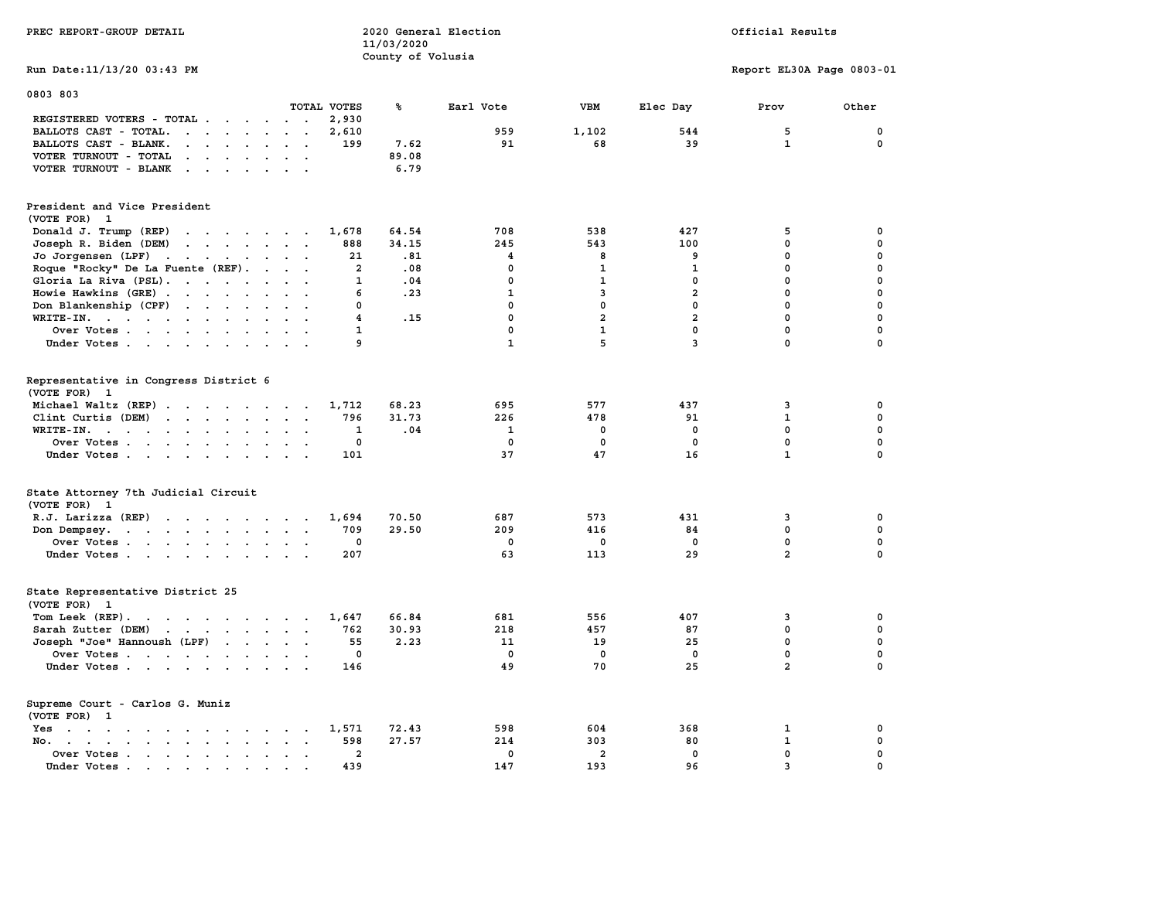| PREC REPORT-GROUP DETAIL                                                                                                                                                                                                                                   |                                           | 11/03/2020<br>County of Volusia | 2020 General Election |                |                | Official Results          |             |  |
|------------------------------------------------------------------------------------------------------------------------------------------------------------------------------------------------------------------------------------------------------------|-------------------------------------------|---------------------------------|-----------------------|----------------|----------------|---------------------------|-------------|--|
| Run Date: 11/13/20 03:43 PM                                                                                                                                                                                                                                |                                           |                                 |                       |                |                | Report EL30A Page 0803-01 |             |  |
| 0803 803                                                                                                                                                                                                                                                   | TOTAL VOTES                               | ℁                               | Earl Vote             | <b>VBM</b>     | Elec Day       | Prov                      | Other       |  |
| REGISTERED VOTERS - TOTAL                                                                                                                                                                                                                                  | 2,930                                     |                                 |                       |                |                |                           |             |  |
| $\mathbf{r}$<br>BALLOTS CAST - TOTAL.                                                                                                                                                                                                                      | 2,610                                     |                                 | 959                   | 1,102          | 544            | 5                         | $\mathbf 0$ |  |
| BALLOTS CAST - BLANK.<br>$\cdot$ $\cdot$ $\cdot$ $\cdot$ $\cdot$ $\cdot$ $\cdot$ $\cdot$                                                                                                                                                                   | 199                                       | 7.62                            | 91                    | 68             | 39             | $\mathbf{1}$              | $\mathbf 0$ |  |
| VOTER TURNOUT - TOTAL<br>$\cdot$ $\cdot$ $\cdot$ $\cdot$ $\cdot$ $\cdot$                                                                                                                                                                                   | $\ddot{\phantom{0}}$                      | 89.08                           |                       |                |                |                           |             |  |
| VOTER TURNOUT - BLANK<br>$\mathbf{r}$ . The contract of the contract of the contract of the contract of the contract of the contract of the contract of the contract of the contract of the contract of the contract of the contract of the contract of th |                                           | 6.79                            |                       |                |                |                           |             |  |
| President and Vice President<br>(VOTE FOR) 1                                                                                                                                                                                                               |                                           |                                 |                       |                |                |                           |             |  |
| Donald J. Trump (REP)<br>the contract of the contract of the                                                                                                                                                                                               | 1,678                                     | 64.54                           | 708                   | 538            | 427            | 5                         | 0           |  |
| Joseph R. Biden (DEM)                                                                                                                                                                                                                                      | 888                                       | 34.15                           | 245                   | 543            | 100            | $\mathbf{0}$              | 0           |  |
| Jo Jorgensen (LPF)                                                                                                                                                                                                                                         | 21                                        | .81                             | 4                     | 8              | 9              | $\mathbf{0}$              | 0           |  |
| Roque "Rocky" De La Fuente (REF).                                                                                                                                                                                                                          | $\overline{a}$<br>$\cdot$ $\cdot$ $\cdot$ | .08                             | $\mathbf{0}$          | $\mathbf{1}$   | $\mathbf{1}$   | 0                         | $\mathbf 0$ |  |
| Gloria La Riva (PSL).                                                                                                                                                                                                                                      | $\mathbf{1}$                              | .04                             | $\mathbf 0$           | $\mathbf{1}$   | $\mathbf 0$    | $\mathbf 0$               | 0           |  |
| Howie Hawkins (GRE)                                                                                                                                                                                                                                        | 6                                         | .23                             | $\mathbf{1}$          | $\mathbf{3}$   | $\overline{2}$ | $\mathbf 0$               | 0           |  |
| Don Blankenship (CPF)                                                                                                                                                                                                                                      | 0                                         |                                 | 0                     | $\mathbf 0$    | $\mathbf{0}$   | 0                         | 0           |  |
| WRITE-IN.                                                                                                                                                                                                                                                  | 4                                         | .15                             | $\mathbf{0}$          | $\overline{a}$ | $\overline{a}$ | 0                         | 0           |  |
| Over Votes                                                                                                                                                                                                                                                 | $\mathbf{1}$                              |                                 | 0                     | $\mathbf{1}$   | $\mathbf 0$    | $\mathbf 0$               | 0           |  |
| Under Votes.                                                                                                                                                                                                                                               | 9                                         |                                 | $\mathbf{1}$          | 5              | $\mathbf{3}$   | $\mathbf 0$               | 0           |  |
|                                                                                                                                                                                                                                                            |                                           |                                 |                       |                |                |                           |             |  |
| Representative in Congress District 6<br>(VOTE FOR) 1                                                                                                                                                                                                      |                                           |                                 |                       |                |                |                           |             |  |
| Michael Waltz (REP)                                                                                                                                                                                                                                        | 1,712                                     | 68.23                           | 695                   | 577            | 437            | 3                         | 0           |  |
| Clint Curtis (DEM)                                                                                                                                                                                                                                         | 796                                       | 31.73                           | 226                   | 478            | 91             | $\mathbf{1}$              | 0           |  |
| WRITE-IN.<br>the contract of the contract of the contract of the contract of the contract of the contract of the contract of                                                                                                                               | 1                                         | .04                             | $\mathbf{1}$          | 0              | 0              | $\mathbf{0}$              | 0           |  |
| Over Votes                                                                                                                                                                                                                                                 | 0                                         |                                 | 0                     | $\mathbf 0$    | $\mathbf 0$    | $\mathbf 0$               | 0           |  |
| Under Votes                                                                                                                                                                                                                                                | 101                                       |                                 | 37                    | 47             | 16             | $\mathbf{1}$              | 0           |  |
|                                                                                                                                                                                                                                                            |                                           |                                 |                       |                |                |                           |             |  |
| State Attorney 7th Judicial Circuit<br>(VOTE FOR) 1                                                                                                                                                                                                        |                                           |                                 |                       |                |                |                           |             |  |
| R.J. Larizza (REP)                                                                                                                                                                                                                                         | 1,694                                     | 70.50                           | 687                   | 573            | 431            | 3                         | 0           |  |
| Don Dempsey.<br>the contract of the contract of the contract of                                                                                                                                                                                            | 709                                       | 29.50                           | 209                   | 416            | 84             | $\mathbf{0}$              | 0           |  |
| Over Votes                                                                                                                                                                                                                                                 | $\mathbf 0$                               |                                 | 0                     | $\mathbf 0$    | $\mathbf 0$    | $\mathbf 0$               | 0           |  |
| Under Votes                                                                                                                                                                                                                                                | 207                                       |                                 | 63                    | 113            | 29             | $\overline{a}$            | 0           |  |
| State Representative District 25<br>(VOTE FOR) 1                                                                                                                                                                                                           |                                           |                                 |                       |                |                |                           |             |  |
| Tom Leek (REP).                                                                                                                                                                                                                                            | 1,647                                     | 66.84                           | 681                   | 556            | 407            | 3                         | 0           |  |
| Sarah Zutter (DEM)                                                                                                                                                                                                                                         | 762                                       | 30.93                           | 218                   | 457            | 87             | $\mathbf{0}$              | 0           |  |
| Joseph "Joe" Hannoush (LPF)                                                                                                                                                                                                                                | 55                                        | 2.23                            | 11                    | 19             | 25             | 0                         | 0           |  |
| Over Votes                                                                                                                                                                                                                                                 | $\mathbf 0$                               |                                 | $\mathbf 0$           | $\mathbf 0$    | $\mathbf 0$    | $\mathbf 0$               | 0           |  |
| Under Votes                                                                                                                                                                                                                                                | 146                                       |                                 | 49                    | 70             | 25             | $\overline{a}$            | 0           |  |
| Supreme Court - Carlos G. Muniz<br>(VOTE FOR) 1                                                                                                                                                                                                            |                                           |                                 |                       |                |                |                           |             |  |
| Yes                                                                                                                                                                                                                                                        | 1,571                                     | 72.43                           | 598                   | 604            | 368            | $\mathbf{1}$              | 0           |  |
| No.                                                                                                                                                                                                                                                        | 598                                       | 27.57                           | 214                   | 303            | 80             | $\mathbf{1}$              | 0           |  |
| Over Votes                                                                                                                                                                                                                                                 | $\overline{a}$                            |                                 | 0                     | $\overline{a}$ | 0              | 0                         | 0           |  |
| Under Votes                                                                                                                                                                                                                                                | 439                                       |                                 | 147                   | 193            | 96             | 3                         | 0           |  |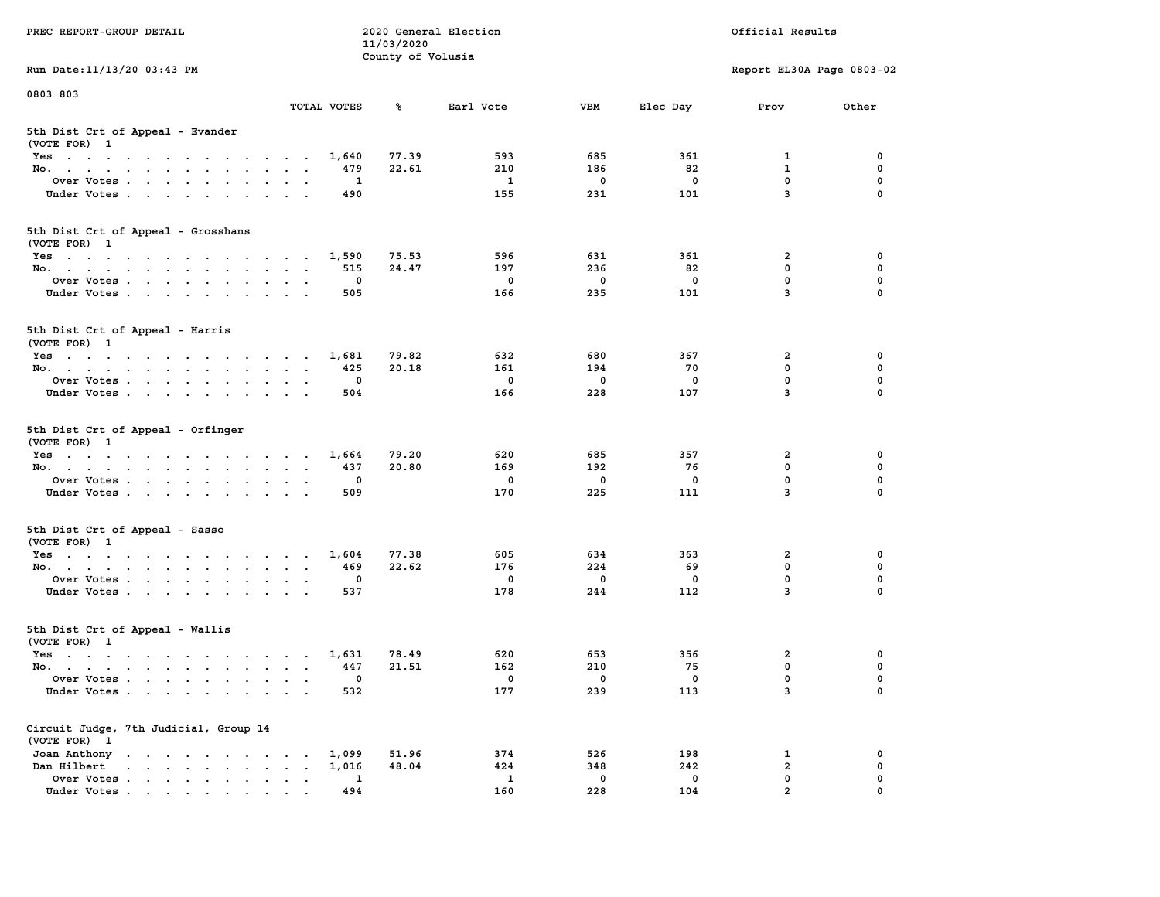| PREC REPORT-GROUP DETAIL                                                                                               |                                            | 11/03/2020        | 2020 General Election |              |             | Official Results          |             |
|------------------------------------------------------------------------------------------------------------------------|--------------------------------------------|-------------------|-----------------------|--------------|-------------|---------------------------|-------------|
| Run Date: 11/13/20 03:43 PM                                                                                            |                                            | County of Volusia |                       |              |             | Report EL30A Page 0803-02 |             |
| 0803 803                                                                                                               |                                            |                   |                       |              |             |                           |             |
|                                                                                                                        | TOTAL VOTES                                | ℁                 | Earl Vote             | <b>VBM</b>   | Elec Day    | Prov                      | Other       |
| 5th Dist Crt of Appeal - Evander<br>(VOTE FOR) 1                                                                       |                                            |                   |                       |              |             |                           |             |
| Yes                                                                                                                    | 1,640                                      | 77.39             | 593                   | 685          | 361         | 1                         | 0           |
| No.                                                                                                                    | 479                                        | 22.61             | 210                   | 186          | 82          | $\mathbf{1}$              | 0           |
| Over Votes                                                                                                             | 1                                          |                   | 1                     | 0            | 0           | $\mathbf 0$               | 0           |
| Under Votes                                                                                                            | 490                                        |                   | 155                   | 231          | 101         | $\overline{3}$            | $\Omega$    |
| 5th Dist Crt of Appeal - Grosshans<br>(VOTE FOR) 1                                                                     |                                            |                   |                       |              |             |                           |             |
| Yes                                                                                                                    | 1,590                                      | 75.53             | 596                   | 631          | 361         | 2                         | 0           |
| No.                                                                                                                    | 515                                        | 24.47             | 197                   | 236          | 82          | $\mathbf 0$               | 0           |
| Over Votes                                                                                                             | 0                                          |                   | $\mathbf 0$           | $\mathbf 0$  | $\mathbf 0$ | $\mathbf 0$               | 0           |
| Under Votes                                                                                                            | 505                                        |                   | 166                   | 235          | 101         | 3                         | 0           |
| 5th Dist Crt of Appeal - Harris<br>(VOTE FOR) 1                                                                        |                                            |                   |                       |              |             |                           |             |
| Yes                                                                                                                    | 1,681                                      | 79.82             | 632                   | 680          | 367         | $\mathbf{2}$              | 0           |
| No.                                                                                                                    | 425                                        | 20.18             | 161                   | 194          | 70          | $^{\circ}$                | $\mathbf 0$ |
| Over Votes                                                                                                             | 0                                          |                   | 0                     | $\mathbf 0$  | 0           | $\mathbf 0$               | 0           |
| Under Votes                                                                                                            | 504                                        |                   | 166                   | 228          | 107         | 3                         | 0           |
| 5th Dist Crt of Appeal - Orfinger<br>(VOTE FOR) 1                                                                      |                                            |                   |                       |              |             |                           |             |
| Yes                                                                                                                    | 1,664                                      | 79.20             | 620                   | 685          | 357         | 2                         | 0           |
| No.                                                                                                                    | 437                                        | 20.80             | 169                   | 192          | 76          | $\mathbf 0$               | 0           |
| Over Votes                                                                                                             | 0                                          |                   | 0                     | 0            | 0           | $\mathbf 0$               | 0           |
| Under Votes                                                                                                            | 509                                        |                   | 170                   | 225          | 111         | $\overline{3}$            | $\Omega$    |
| 5th Dist Crt of Appeal - Sasso<br>(VOTE FOR) 1                                                                         |                                            |                   |                       |              |             |                           |             |
| Yes                                                                                                                    | 1,604                                      | 77.38             | 605                   | 634          | 363         | 2                         | 0           |
| No.                                                                                                                    | 469                                        | 22.62             | 176                   | 224          | 69          | $\mathbf 0$               | 0           |
| Over Votes                                                                                                             | 0                                          |                   | 0                     | $\mathbf 0$  | 0           | $\mathbf 0$               | 0           |
| Under Votes                                                                                                            | 537                                        |                   | 178                   | 244          | 112         | 3                         | $\Omega$    |
| 5th Dist Crt of Appeal - Wallis<br>(VOTE FOR) 1                                                                        |                                            |                   |                       |              |             |                           |             |
| Yes<br>the contract of the contract of the contract of the contract of the contract of the contract of the contract of | 1,631                                      | 78.49             | 620                   | 653          | 356         | 2                         | 0           |
| No.                                                                                                                    | 447                                        | 21.51             | 162                   | 210          | 75          | $\mathbf 0$               | 0           |
| Over Votes                                                                                                             | 0                                          |                   | 0                     | $\mathbf{0}$ | 0           | $\mathbf 0$               | 0           |
| Under Votes.                                                                                                           | 532                                        |                   | 177                   | 239          | 113         | 3                         | 0           |
| Circuit Judge, 7th Judicial, Group 14<br>(VOTE FOR) 1                                                                  |                                            |                   |                       |              |             |                           |             |
| Joan Anthony                                                                                                           | 1,099                                      | 51.96             | 374                   | 526          | 198         | 1                         | 0           |
| Dan Hilbert<br>$\mathbf{r}$ , $\mathbf{r}$ , $\mathbf{r}$ , $\mathbf{r}$ , $\mathbf{r}$ , $\mathbf{r}$                 | 1,016<br>$\ddot{\phantom{0}}$<br>$\bullet$ | 48.04             | 424                   | 348          | 242         | $\overline{a}$            | 0           |
| Over Votes.                                                                                                            | 1                                          |                   | $\mathbf{1}$          | $\mathbf 0$  | 0           | $\mathbf 0$               | 0           |
| Under Votes                                                                                                            | 494                                        |                   | 160                   | 228          | 104         | $\overline{a}$            | $\Omega$    |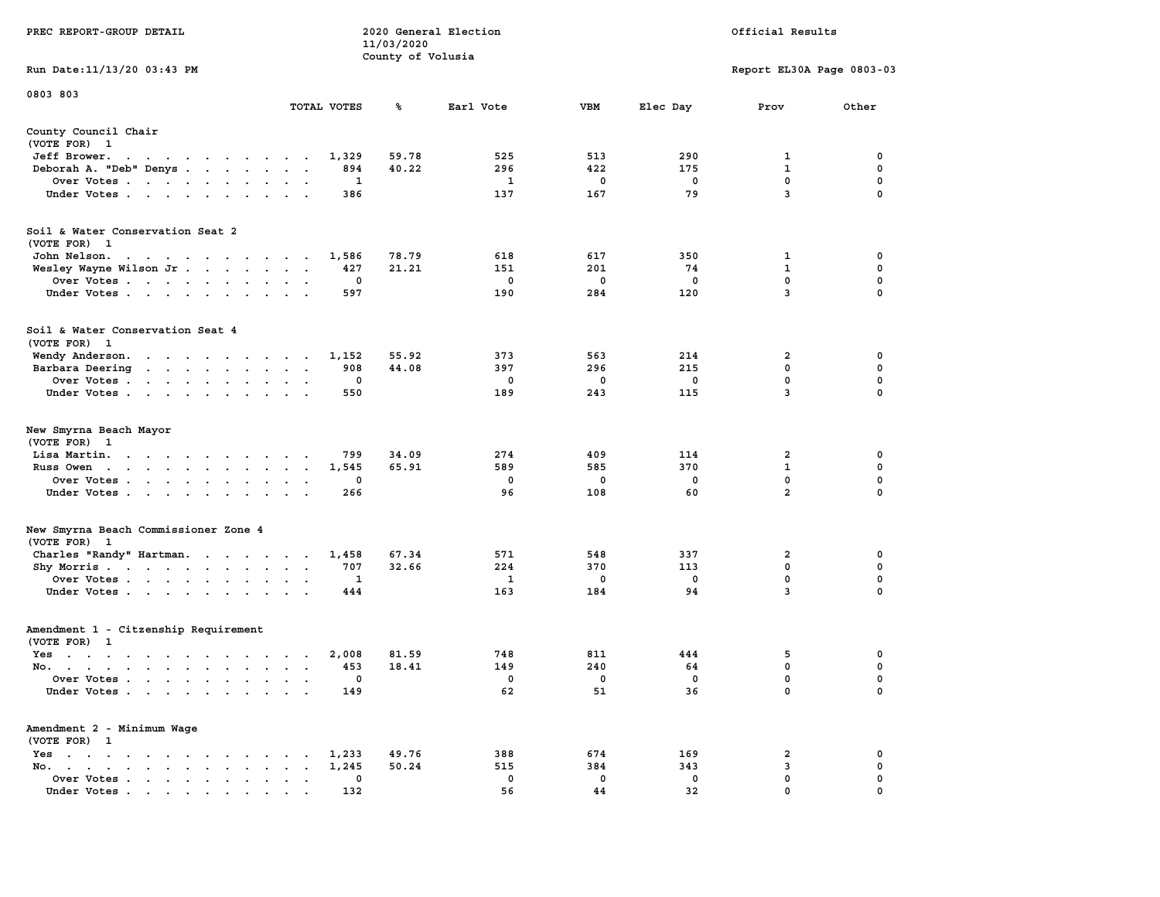|                                                                                                                                                           |                                                                                | 11/03/2020        |             |            |                   |                           |                  |
|-----------------------------------------------------------------------------------------------------------------------------------------------------------|--------------------------------------------------------------------------------|-------------------|-------------|------------|-------------------|---------------------------|------------------|
| Run Date:11/13/20 03:43 PM                                                                                                                                |                                                                                | County of Volusia |             |            |                   | Report EL30A Page 0803-03 |                  |
| 0803 803                                                                                                                                                  |                                                                                |                   |             |            |                   |                           |                  |
|                                                                                                                                                           | TOTAL VOTES                                                                    | %                 | Earl Vote   | <b>VBM</b> | Elec Day          | Prov                      | Other            |
| County Council Chair<br>(VOTE FOR) 1                                                                                                                      |                                                                                |                   |             |            |                   |                           |                  |
| Jeff Brower.<br>$\sim$ $\sim$                                                                                                                             | 1,329                                                                          | 59.78             | 525         | 513        | 290               | 1                         | 0                |
| Deborah A. "Deb" Denys<br>$\sim$                                                                                                                          | 894                                                                            | 40.22             | 296         | 422        | 175               | $\mathbf{1}$              | $\pmb{0}$        |
| Over Votes                                                                                                                                                | 1                                                                              |                   | 1           | 0          | $\mathbf 0$       | $\mathbf 0$               | 0                |
| Under Votes<br>$\sim$                                                                                                                                     | 386<br>$\bullet$                                                               |                   | 137         | 167        | 79                | 3                         | 0                |
| Soil & Water Conservation Seat 2<br>(VOTE FOR) 1                                                                                                          |                                                                                |                   |             |            |                   |                           |                  |
| John Nelson.                                                                                                                                              | 1,586                                                                          | 78.79             | 618         | 617        | 350               | 1                         | 0                |
| Wesley Wayne Wilson Jr                                                                                                                                    | 427<br>$\mathbf{r}$<br>$\mathbf{r}$<br>$\overline{\phantom{a}}$                | 21.21             | 151         | 201        | 74                | 1                         | 0                |
| Over Votes<br>$\ddot{\phantom{a}}$                                                                                                                        | 0<br>$\cdot$                                                                   |                   | 0           | 0          | 0                 | 0                         | $\mathbf 0$      |
| Under Votes<br>$\ddot{\phantom{a}}$                                                                                                                       | 597<br>$\ddot{\phantom{a}}$                                                    |                   | 190         | 284        | 120               | 3                         | $\mathbf 0$      |
|                                                                                                                                                           |                                                                                |                   |             |            |                   |                           |                  |
| Soil & Water Conservation Seat 4<br>(VOTE FOR)<br>$\mathbf{1}$                                                                                            |                                                                                |                   |             |            |                   |                           |                  |
| Wendy Anderson.                                                                                                                                           | 1,152<br>$\sim$                                                                | 55.92             | 373         | 563        | 214               | 2                         | 0                |
| Barbara Deering<br>$\mathcal{A}=\mathcal{A}=\mathcal{A}=\mathcal{A}=\mathcal{A}=\mathcal{A}$ .<br>$\ddot{\phantom{0}}$                                    | 908<br>$\bullet$<br>$\bullet$                                                  | 44.08             | 397         | 296        | 215               | $\mathbf 0$               | $\mathbf 0$      |
| Over Votes.<br>$\cdot$ $\cdot$ $\cdot$ $\cdot$ $\cdot$ $\cdot$<br>$\ddot{\phantom{a}}$                                                                    | $\mathbf 0$                                                                    |                   | $\mathbf 0$ | 0          | $\mathbf 0$       | 0                         | 0                |
| Under Votes<br>$\ddot{\phantom{0}}$                                                                                                                       | 550                                                                            |                   | 189         | 243        | 115               | $\overline{3}$            | $\mathbf 0$      |
| New Smyrna Beach Mayor<br>(VOTE FOR)<br>- 1                                                                                                               |                                                                                |                   |             |            |                   |                           |                  |
| Lisa Martin.<br>$\mathbf{u} = \mathbf{u} + \mathbf{u} + \mathbf{u} + \mathbf{u} + \mathbf{u} + \mathbf{u}$<br>$\cdot$                                     | 799                                                                            | 34.09             | 274         | 409        | 114               | $\overline{2}$            | 0                |
| Russ Owen<br>$\sim$<br>$\sim$<br>$\ddot{\phantom{0}}$<br>$\sim$<br>$\ddot{\phantom{a}}$<br>$\sim$<br>$\ddot{\phantom{a}}$<br>$\ddot{\phantom{a}}$         | 1,545<br>$\ddot{\phantom{a}}$<br>$\ddot{\phantom{a}}$<br>$\cdot$               | 65.91             | 589         | 585        | 370               | $\mathbf 1$               | $\mathbf 0$      |
| Over Votes<br>$\ddot{\phantom{a}}$<br>$\ddot{\phantom{a}}$                                                                                                | 0                                                                              |                   | 0           | 0          | $\mathbf 0$       | $\mathbf 0$               | $\mathbf 0$      |
| Under Votes.<br>$\sim$ $\sim$<br>$\cdot$<br>$\cdot$<br>$\ddot{\phantom{a}}$                                                                               | 266                                                                            |                   | 96          | 108        | 60                | $\overline{a}$            | 0                |
| New Smyrna Beach Commissioner Zone 4<br>(VOTE FOR)<br>$\mathbf{1}$                                                                                        |                                                                                |                   |             |            |                   |                           |                  |
| Charles "Randy" Hartman.                                                                                                                                  | 1,458<br>$\sim$ $\sim$ $\sim$ $\sim$<br>$\bullet$                              | 67.34             | 571         | 548        | 337               | $\overline{\mathbf{2}}$   | 0                |
| Shy Morris<br>$\bullet$                                                                                                                                   | 707<br>$\bullet$<br>$\bullet$<br>$\bullet$                                     | 32.66             | 224         | 370        | 113               | 0                         | 0                |
| Over Votes<br>$\blacksquare$ .<br>$\cdot$                                                                                                                 | 1<br>$\bullet$<br>$\bullet$                                                    |                   | 1           | 0          | $^{\circ}$        | $\mathbf 0$               | $\mathbf 0$      |
| Under Votes<br>$\blacksquare$ .<br>$\ddot{\phantom{a}}$                                                                                                   | 444<br>$\ddot{\phantom{a}}$                                                    |                   | 163         | 184        | 94                | 3                         | 0                |
| Amendment 1 - Citzenship Requirement                                                                                                                      |                                                                                |                   |             |            |                   |                           |                  |
| (VOTE FOR) 1                                                                                                                                              |                                                                                |                   |             |            |                   |                           |                  |
| $Yes \t . \t .$<br>$\sim$<br>$\sim$ $\sim$<br>$\sim$ $\sim$ $\sim$<br>$\sim$                                                                              | 2,008<br>$\ddot{\phantom{a}}$<br>$\cdot$<br>$\sim$                             | 81.59             | 748         | 811        | 444               | 5<br>0                    | 0<br>$\mathbf 0$ |
| No.<br>$\cdot$ $\cdot$<br>$\cdot$                                                                                                                         | 453<br>$\cdot$<br>$\overline{\phantom{a}}$                                     | 18.41             | 149         | 240        | 64                |                           |                  |
| Over Votes .<br>$\sim$<br>$\sim$<br>$\ddot{\phantom{a}}$<br>$\ddot{\phantom{a}}$<br>$\ddot{\phantom{a}}$<br>$\ddot{\phantom{a}}$<br>Under Votes<br>$\sim$ | 0<br>$\ddot{\phantom{a}}$<br>$\cdot$<br>149<br>$\ddot{\phantom{a}}$<br>$\cdot$ |                   | 0<br>62     | 0<br>51    | $\mathbf 0$<br>36 | $\mathbf 0$<br>0          | $\mathbf 0$<br>0 |
| Amendment 2 - Minimum Wage                                                                                                                                |                                                                                |                   |             |            |                   |                           |                  |
| (VOTE FOR) 1                                                                                                                                              |                                                                                |                   |             | 674        | 169               |                           |                  |
| Yes<br>$\ddot{\phantom{1}}$<br>$\bullet$<br>$\ddot{\phantom{a}}$<br>$\cdot$<br>$\bullet$<br>$\cdot$<br>$\sim$<br>$\cdot$<br>No.                           | 1,233                                                                          | 49.76             | 388         | 384        | 343               | 2<br>3                    | 0<br>$\mathbf 0$ |
| $\cdot$ $\cdot$ $\cdot$ $\cdot$<br>$\bullet$<br>$\blacksquare$ .<br>$\overline{\phantom{a}}$                                                              | 1,245<br>$\bullet$<br>0                                                        | 50.24             | 515<br>0    | 0          | $\mathbf 0$       | $\mathbf{0}$              | $\mathbf 0$      |
| Over Votes<br>$\ddot{\phantom{0}}$<br>$\bullet$<br>Under Votes                                                                                            | $\ddot{\phantom{0}}$<br>$\cdot$<br>$\bullet$<br>132                            |                   | 56          | 44         | 32                | $\mathbf{0}$              | $\mathbf 0$      |
|                                                                                                                                                           |                                                                                |                   |             |            |                   |                           |                  |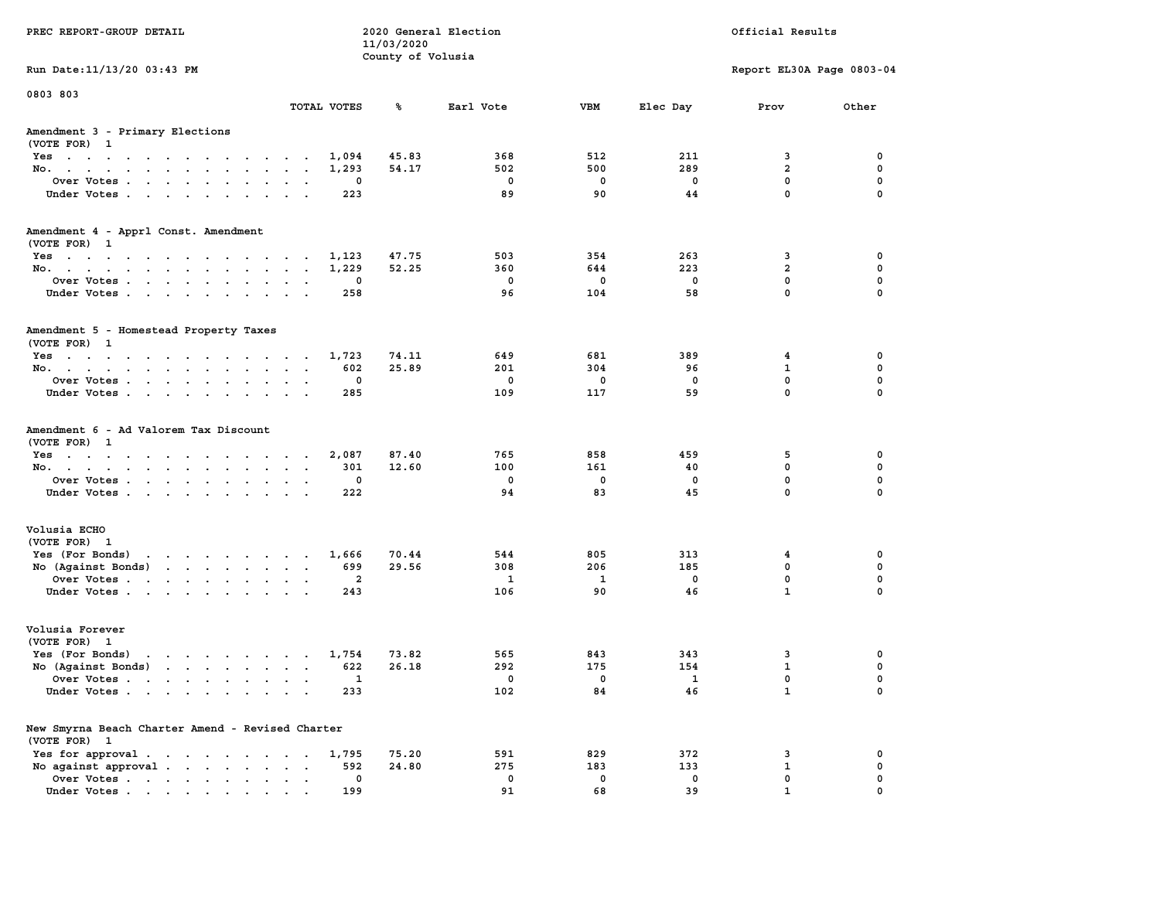| PREC REPORT-GROUP DETAIL                                                                                                           |                      |             | 11/03/2020        | 2020 General Election |             |                          | Official Results          |             |
|------------------------------------------------------------------------------------------------------------------------------------|----------------------|-------------|-------------------|-----------------------|-------------|--------------------------|---------------------------|-------------|
| Run Date: 11/13/20 03:43 PM                                                                                                        |                      |             | County of Volusia |                       |             |                          | Report EL30A Page 0803-04 |             |
| 0803 803                                                                                                                           |                      |             |                   |                       |             |                          |                           |             |
|                                                                                                                                    |                      | TOTAL VOTES | ℁                 | Earl Vote             | <b>VBM</b>  | Elec Day                 | Prov                      | Other       |
| Amendment 3 - Primary Elections<br>(VOTE FOR) 1                                                                                    |                      |             |                   |                       |             |                          |                           |             |
| Yes                                                                                                                                |                      | 1,094       | 45.83             | 368                   | 512         | 211                      | 3                         | 0           |
| No.                                                                                                                                |                      | 1,293       | 54.17             | 502                   | 500         | 289                      | $\overline{a}$            | $\mathbf 0$ |
| Over Votes                                                                                                                         |                      | 0           |                   | 0                     | 0           | $\mathbf 0$              | $\mathbf 0$               | $\mathbf 0$ |
| Under Votes                                                                                                                        |                      | 223         |                   | 89                    | 90          | 44                       | $\mathbf 0$               | $\mathbf 0$ |
| Amendment 4 - Apprl Const. Amendment                                                                                               |                      |             |                   |                       |             |                          |                           |             |
| (VOTE FOR) 1<br>Yes                                                                                                                |                      | 1,123       | 47.75             | 503                   | 354         | 263                      | 3                         | 0           |
| No.                                                                                                                                |                      | 1,229       | 52.25             | 360                   | 644         | 223                      | $\overline{2}$            | 0           |
| Over Votes                                                                                                                         |                      | 0           |                   | $\mathbf 0$           | 0           | 0                        | $\mathbf 0$               | $\mathbf 0$ |
| Under Votes.                                                                                                                       |                      | 258         |                   | 96                    | 104         | 58                       | $\mathbf 0$               | $\Omega$    |
| Amendment 5 - Homestead Property Taxes<br>(VOTE FOR) 1                                                                             |                      |             |                   |                       |             |                          |                           |             |
| Yes                                                                                                                                |                      | 1,723       | 74.11             | 649                   | 681         | 389                      | 4                         | 0           |
| No.                                                                                                                                |                      | 602         | 25.89             | 201                   | 304         | 96                       | $\mathbf{1}$              | 0           |
| Over Votes                                                                                                                         | $\sim$ $\sim$        | 0           |                   | $^{\circ}$            | $\Omega$    | $\Omega$                 | 0                         | $\mathbf 0$ |
| Under Votes                                                                                                                        |                      | 285         |                   | 109                   | 117         | 59                       | 0                         | $\mathbf 0$ |
| Amendment 6 - Ad Valorem Tax Discount<br>(VOTE FOR) 1                                                                              |                      | 2,087       | 87.40             | 765                   | 858         | 459                      | 5                         | 0           |
| Yes<br>No.                                                                                                                         |                      | 301         | 12.60             | 100                   | 161         | 40                       | $\mathbf 0$               | 0           |
| Over Votes                                                                                                                         |                      | 0           |                   | 0                     | 0           | 0                        | $\mathbf 0$               | 0           |
| Under Votes                                                                                                                        |                      | 222         |                   | 94                    | 83          | 45                       | $\mathbf 0$               | $\Omega$    |
| Volusia ECHO                                                                                                                       |                      |             |                   |                       |             |                          |                           |             |
| (VOTE FOR) 1                                                                                                                       |                      |             |                   |                       |             |                          |                           |             |
| Yes (For Bonds) $\cdots$ $\cdots$ $\cdots$ $\cdots$                                                                                |                      | 1,666       | 70.44             | 544                   | 805         | 313                      | 4                         | 0           |
| No (Against Bonds)                                                                                                                 |                      | 699         | 29.56             | 308                   | 206         | 185                      | 0                         | 0           |
| Over Votes                                                                                                                         |                      | 2           |                   | -1                    | <b>1</b>    | $\mathbf 0$              | $\mathbf 0$               | $\mathbf 0$ |
| Under Votes.                                                                                                                       |                      | 243         |                   | 106                   | 90          | 46                       | $\mathbf{1}$              | $\Omega$    |
| Volusia Forever<br>(VOTE FOR) 1                                                                                                    |                      |             |                   |                       |             |                          |                           |             |
| Yes (For Bonds)<br>the contract of the contract of the contract of the contract of the contract of the contract of the contract of |                      | 1,754       | 73.82             | 565                   | 843         | 343                      | 3                         | 0           |
| No $(Against Bonds)$                                                                                                               |                      | 622         | 26.18             | 292                   | 175         | 154                      | $\mathbf{1}$              | 0           |
| Over Votes                                                                                                                         |                      | 1           |                   | $^{\circ}$            | $^{\circ}$  | $\overline{\phantom{a}}$ | $\mathbf 0$               | $\mathbf 0$ |
| Under Votes                                                                                                                        |                      | 233         |                   | 102                   | 84          | 46                       | $\mathbf{1}$              | 0           |
| New Smyrna Beach Charter Amend - Revised Charter<br>(VOTE FOR) 1                                                                   |                      |             |                   |                       |             |                          |                           |             |
| Yes for approval.                                                                                                                  |                      | 1,795       | 75.20             | 591                   | 829         | 372                      | 3                         | 0           |
| No against approval                                                                                                                | $\sim$ $\sim$ $\sim$ | 592         | 24.80             | 275                   | 183         | 133                      | 1                         | 0           |
| Over Votes.                                                                                                                        |                      | 0           |                   | 0                     | $\mathbf 0$ | $\mathbf 0$              | 0                         | 0           |
| Under Votes                                                                                                                        |                      | 199         |                   | 91                    | 68          | 39                       | $\mathbf{1}$              |             |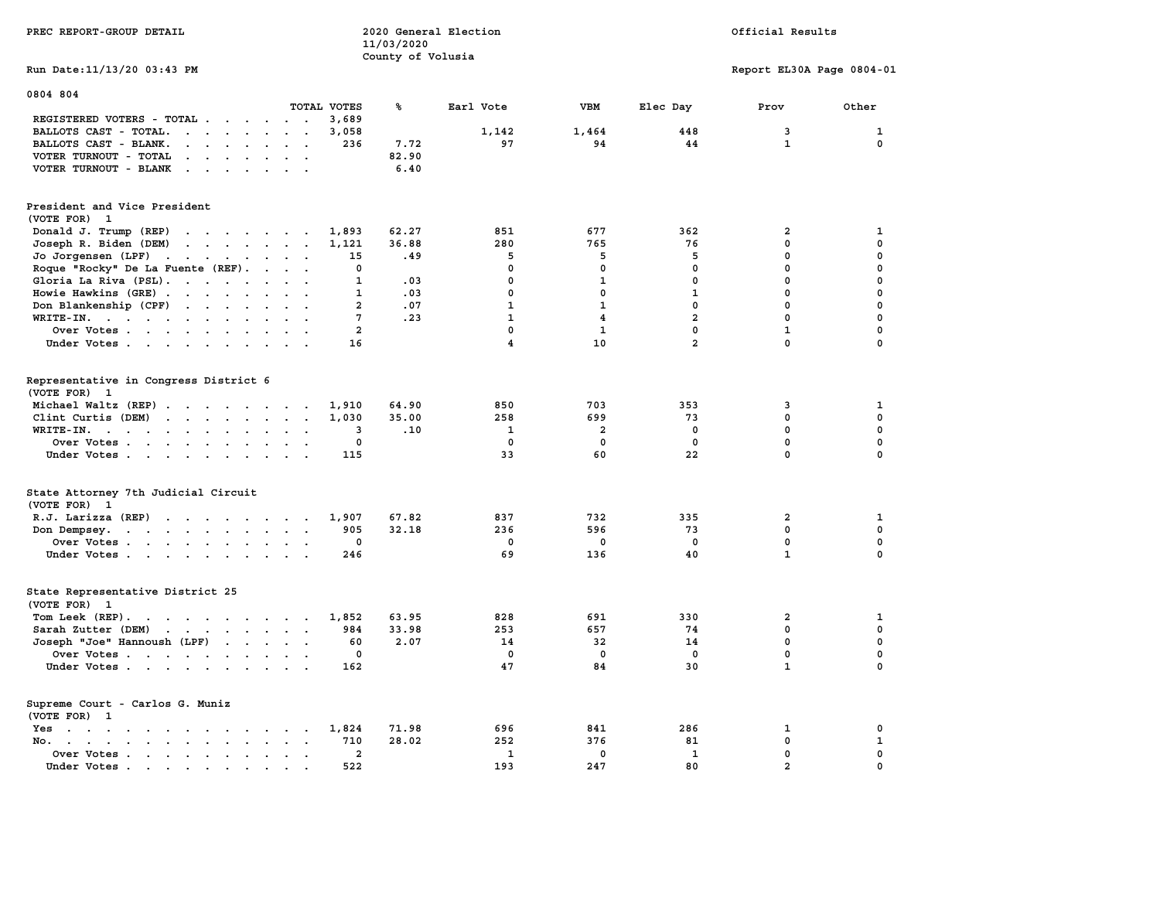| PREC REPORT-GROUP DETAIL                                                                                                                                                                                                                                   |                                  | 11/03/2020<br>County of Volusia | 2020 General Election |              |                | Official Results          |             |
|------------------------------------------------------------------------------------------------------------------------------------------------------------------------------------------------------------------------------------------------------------|----------------------------------|---------------------------------|-----------------------|--------------|----------------|---------------------------|-------------|
| Run Date: 11/13/20 03:43 PM                                                                                                                                                                                                                                |                                  |                                 |                       |              |                | Report EL30A Page 0804-01 |             |
| 0804 804                                                                                                                                                                                                                                                   | TOTAL VOTES                      | ℁                               | Earl Vote             | <b>VBM</b>   | Elec Day       | Prov                      | Other       |
| REGISTERED VOTERS - TOTAL                                                                                                                                                                                                                                  | 3,689                            |                                 |                       |              |                |                           |             |
| BALLOTS CAST - TOTAL.<br>$\cdots$                                                                                                                                                                                                                          | 3,058<br>$\sim$                  |                                 | 1,142                 | 1,464        | 448            | 3                         | $\mathbf 1$ |
| BALLOTS CAST - BLANK.<br>$\cdot$ $\cdot$ $\cdot$ $\cdot$ $\cdot$                                                                                                                                                                                           | 236<br>$\cdots$                  | 7.72                            | 97                    | 94           | 44             | $\mathbf{1}$              | $\mathbf 0$ |
| VOTER TURNOUT - TOTAL<br>$\sim$<br>$\ddot{\phantom{a}}$<br>$\sim$<br>$\sim$<br>$\ddot{\phantom{a}}$                                                                                                                                                        |                                  | 82.90                           |                       |              |                |                           |             |
| VOTER TURNOUT - BLANK<br>$\mathbf{r}$ . The contract of the contract of the contract of the contract of the contract of the contract of the contract of the contract of the contract of the contract of the contract of the contract of the contract of th |                                  | 6.40                            |                       |              |                |                           |             |
| President and Vice President                                                                                                                                                                                                                               |                                  |                                 |                       |              |                |                           |             |
| (VOTE FOR) 1                                                                                                                                                                                                                                               |                                  |                                 |                       |              |                |                           |             |
| Donald J. Trump (REP)<br>the contract of the contract of                                                                                                                                                                                                   | 1,893                            | 62.27                           | 851                   | 677          | 362            | $\overline{2}$            | 1           |
| Joseph R. Biden (DEM)<br>$\mathbf{r}$ , $\mathbf{r}$ , $\mathbf{r}$ , $\mathbf{r}$ , $\mathbf{r}$ , $\mathbf{r}$                                                                                                                                           | 1,121                            | 36.88                           | 280                   | 765          | 76             | $\mathbf{0}$              | $\mathbf 0$ |
| Jo Jorgensen $(LPF)$                                                                                                                                                                                                                                       | 15<br>$\ddot{\phantom{a}}$       | .49                             | 5                     | 5            | 5              | 0                         | $\mathbf 0$ |
| Roque "Rocky" De La Fuente (REF).<br>$\sim$ $\sim$                                                                                                                                                                                                         | $\mathbf 0$<br>$\sim$            |                                 | $\mathbf 0$           | $\mathbf 0$  | $\mathbf 0$    | $\mathbf{0}$              | $\mathbf 0$ |
| Gloria La Riva (PSL).                                                                                                                                                                                                                                      | $\mathbf{1}$<br>$\sim$           | .03                             | $\mathbf 0$           | 1            | $\mathbf 0$    | $\mathbf 0$               | 0           |
| Howie Hawkins (GRE)                                                                                                                                                                                                                                        | $\cdot$ $\cdot$<br>1             | .03                             | $\mathbf 0$           | 0            | $\mathbf{1}$   | $\mathbf{0}$              | $\mathbf 0$ |
| Don Blankenship (CPF)                                                                                                                                                                                                                                      | $\overline{2}$                   | .07                             | $\mathbf{1}$          | $\mathbf{1}$ | $\mathbf{0}$   | $\mathbf{0}$              | $\mathbf 0$ |
| WRITE-IN.                                                                                                                                                                                                                                                  | $7\phantom{.0}$<br>$\sim$        | .23                             | $\mathbf{1}$          | 4            | $\overline{a}$ | $\mathbf{0}$              | $\mathbf 0$ |
| Over Votes                                                                                                                                                                                                                                                 | $\overline{2}$<br><b>Service</b> |                                 | $\mathbf 0$           | $\mathbf{1}$ | $\mathbf 0$    | $\mathbf{1}$              | $\mathbf 0$ |
| Under Votes                                                                                                                                                                                                                                                | 16<br>$\sim$ $\sim$              |                                 | $\overline{4}$        | 10           | $\overline{a}$ | $\mathbf{0}$              | $\Omega$    |
|                                                                                                                                                                                                                                                            |                                  |                                 |                       |              |                |                           |             |
| Representative in Congress District 6<br>(VOTE FOR)<br>$\mathbf{1}$                                                                                                                                                                                        |                                  |                                 |                       |              |                |                           |             |
| Michael Waltz (REP)                                                                                                                                                                                                                                        | 1,910                            | 64.90                           | 850                   | 703          | 353            | 3                         | 1           |
| Clint Curtis (DEM)                                                                                                                                                                                                                                         | 1,030<br>$\sim$                  | 35.00                           | 258                   | 699          | 73             | 0                         | 0           |
| WRITE-IN.<br>$\mathbf{r}$ , and $\mathbf{r}$ , and $\mathbf{r}$ , and $\mathbf{r}$                                                                                                                                                                         | 3                                | .10                             | 1                     | $\mathbf{2}$ | $\mathbf 0$    | $\mathbf{0}$              | $\mathbf 0$ |
| Over Votes<br>$\ddot{\phantom{a}}$<br>$\ddot{\phantom{a}}$                                                                                                                                                                                                 | 0                                |                                 | $\mathbf 0$           | $\mathbf 0$  | $\mathbf 0$    | $\mathbf 0$               | $\pmb{0}$   |
| Under Votes                                                                                                                                                                                                                                                | 115                              |                                 | 33                    | 60           | 22             | $\mathbf 0$               | 0           |
| State Attorney 7th Judicial Circuit<br>(VOTE FOR) 1                                                                                                                                                                                                        |                                  |                                 |                       |              |                |                           |             |
| R.J. Larizza (REP)                                                                                                                                                                                                                                         | 1,907                            | 67.82                           | 837                   | 732          | 335            | 2                         | 1           |
| Don Dempsey.                                                                                                                                                                                                                                               | 905<br>$\sim$                    | 32.18                           | 236                   | 596          | 73             | $\mathbf{0}$              | 0           |
| Over Votes<br>$\ddot{\phantom{a}}$<br>$\ddot{\phantom{a}}$                                                                                                                                                                                                 | 0                                |                                 | 0                     | 0            | 0              | $\mathbf 0$               | $\mathbf 0$ |
| Under Votes                                                                                                                                                                                                                                                | 246                              |                                 | 69                    | 136          | 40             | $\mathbf{1}$              | $\mathbf 0$ |
| State Representative District 25<br>(VOTE FOR) 1                                                                                                                                                                                                           |                                  |                                 |                       |              |                |                           |             |
| Tom Leek (REP).                                                                                                                                                                                                                                            | 1,852                            | 63.95                           | 828                   | 691          | 330            | $\overline{\mathbf{2}}$   | 1           |
| Sarah Zutter (DEM)                                                                                                                                                                                                                                         | 984                              | 33.98                           | 253                   | 657          | 74             | $\mathbf{0}$              | $\mathbf 0$ |
| Joseph "Joe" Hannoush (LPF)                                                                                                                                                                                                                                | 60                               | 2.07                            | 14                    | 32           | 14             | $\mathbf 0$               | 0           |
| Over Votes                                                                                                                                                                                                                                                 | 0                                |                                 | $\Omega$              | 0            | 0              | $\mathbf{0}$              | $\mathbf 0$ |
| Under Votes                                                                                                                                                                                                                                                | 162                              |                                 | 47                    | 84           | 30             | 1                         | $\mathbf 0$ |
| Supreme Court - Carlos G. Muniz<br>(VOTE FOR)<br>$\mathbf{1}$                                                                                                                                                                                              |                                  |                                 |                       |              |                |                           |             |
| Yes<br>and the contract of the contract of the contract of                                                                                                                                                                                                 | 1,824                            | 71.98                           | 696                   | 841          | 286            | 1                         | 0           |
| No.                                                                                                                                                                                                                                                        | 710<br>$\sim$<br>$\sim$          | 28.02                           | 252                   | 376          | 81             | $\mathbf 0$               | 1           |
| Over Votes                                                                                                                                                                                                                                                 | $\overline{a}$<br>$\mathbf{r}$   |                                 | $\mathbf{1}$          | $\mathbf 0$  | 1              | $\mathbf 0$               | $\mathbf 0$ |
| Under Votes                                                                                                                                                                                                                                                | 522                              |                                 | 193                   | 247          | 80             | $\overline{a}$            | $\mathbf 0$ |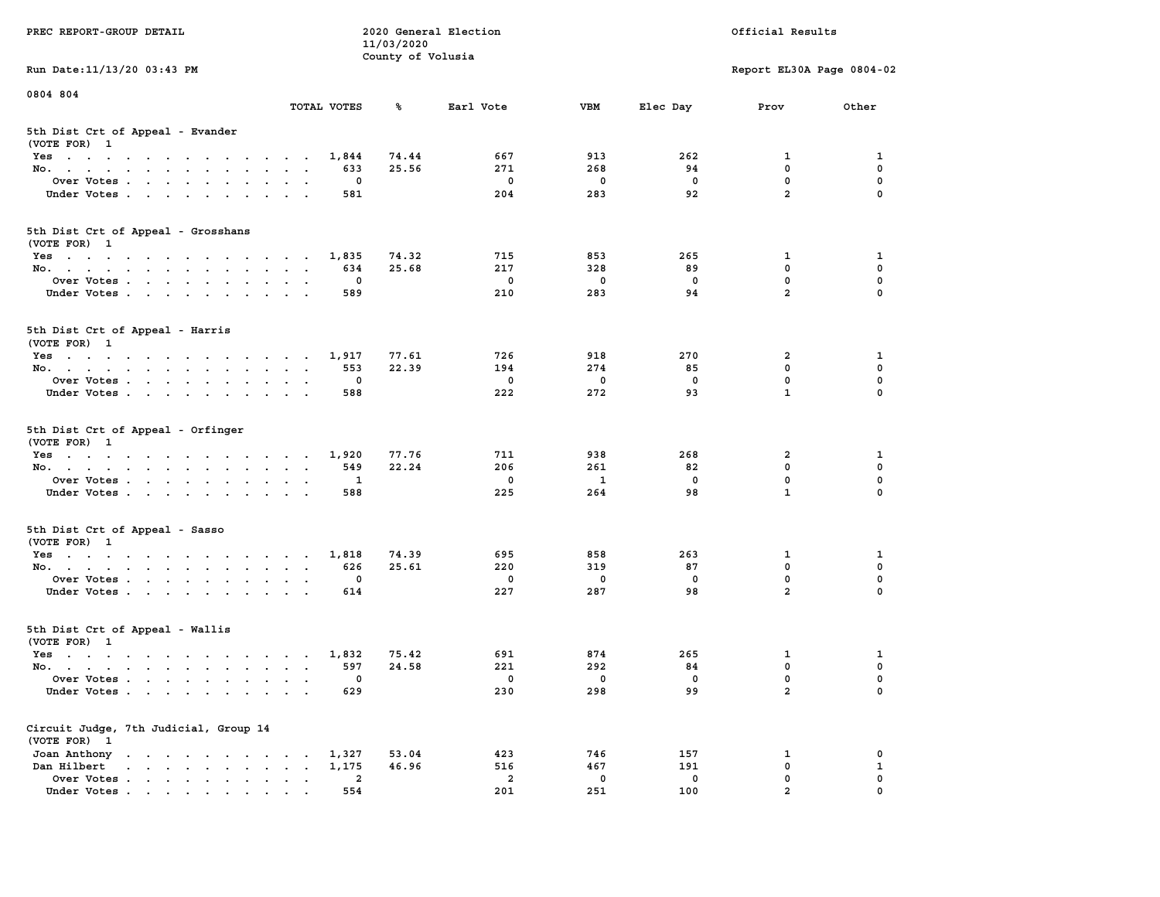|                                                                                                       |                                                             | 11/03/2020        |                         |              |              |                           |             |
|-------------------------------------------------------------------------------------------------------|-------------------------------------------------------------|-------------------|-------------------------|--------------|--------------|---------------------------|-------------|
|                                                                                                       |                                                             | County of Volusia |                         |              |              |                           |             |
| Run Date: 11/13/20 03:43 PM                                                                           |                                                             |                   |                         |              |              | Report EL30A Page 0804-02 |             |
|                                                                                                       |                                                             |                   |                         |              |              |                           |             |
| 0804 804                                                                                              |                                                             |                   |                         |              |              |                           |             |
|                                                                                                       | TOTAL VOTES                                                 | ℁                 | Earl Vote               | <b>VBM</b>   | Elec Day     | Prov                      | Other       |
| 5th Dist Crt of Appeal - Evander                                                                      |                                                             |                   |                         |              |              |                           |             |
| (VOTE FOR) 1                                                                                          |                                                             |                   |                         |              |              |                           |             |
| Yes                                                                                                   | 1,844                                                       | 74.44             | 667                     | 913          | 262          | 1                         | 1           |
| No.<br>$\mathbf{r}$                                                                                   | 633                                                         | 25.56             | 271                     | 268          | 94           | 0                         | 0           |
| Over Votes                                                                                            | $\mathbf{o}$                                                |                   | $\mathbf 0$             | $\mathbf 0$  | 0            | $\mathbf 0$               | $\mathbf 0$ |
| Under Votes                                                                                           | 581<br>$\sim$ $\sim$<br>$\sim$ $\sim$                       |                   | 204                     | 283          | 92           | $\overline{a}$            | 0           |
|                                                                                                       |                                                             |                   |                         |              |              |                           |             |
|                                                                                                       |                                                             |                   |                         |              |              |                           |             |
| 5th Dist Crt of Appeal - Grosshans                                                                    |                                                             |                   |                         |              |              |                           |             |
| (VOTE FOR) 1                                                                                          |                                                             |                   |                         |              |              |                           |             |
| Yes                                                                                                   | 1,835                                                       | 74.32             | 715                     | 853          | 265          | $\mathbf{1}$              | 1           |
| No.                                                                                                   | 634                                                         | 25.68             | 217                     | 328          | 89           | $\mathbf{0}$              | $\mathbf 0$ |
| Over Votes                                                                                            | $\mathbf{0}$                                                |                   | $\Omega$                | $\mathbf 0$  | $\mathbf{0}$ | $\mathbf 0$               | $\mathbf 0$ |
| Under Votes                                                                                           | 589                                                         |                   | 210                     | 283          | 94           | $\overline{a}$            | 0           |
|                                                                                                       |                                                             |                   |                         |              |              |                           |             |
| 5th Dist Crt of Appeal - Harris                                                                       |                                                             |                   |                         |              |              |                           |             |
| (VOTE FOR) 1                                                                                          |                                                             |                   |                         |              |              |                           |             |
| Yes                                                                                                   | 1,917                                                       | 77.61             | 726                     | 918          | 270          | $\mathbf{2}$              | 1           |
| No.                                                                                                   | 553                                                         | 22.39             | 194                     | 274          | 85           | $\mathbf 0$               | $\mathbf 0$ |
| Over Votes<br>$\sim$<br>$\sim$                                                                        | $\mathbf 0$<br>$\sim$                                       |                   | $\mathbf 0$             | $\mathbf 0$  | $\mathbf 0$  | 0                         | $\mathbf 0$ |
| Under Votes                                                                                           | 588                                                         |                   | 222                     | 272          | 93           | $\mathbf{1}$              | $\Omega$    |
|                                                                                                       |                                                             |                   |                         |              |              |                           |             |
| 5th Dist Crt of Appeal - Orfinger<br>(VOTE FOR) 1                                                     |                                                             |                   |                         |              |              |                           |             |
| Yes                                                                                                   | 1,920                                                       | 77.76             | 711                     | 938          | 268          | 2                         | 1           |
| No.                                                                                                   | 549<br>$\sim$<br>$\mathbf{a}=\mathbf{a}$                    | 22.24             | 206                     | 261          | 82           | 0                         | $\mathbf 0$ |
| Over Votes                                                                                            | 1                                                           |                   | $\overline{\mathbf{0}}$ | $\mathbf{1}$ | 0            | $\mathbf 0$               | $\mathbf 0$ |
| Under Votes                                                                                           | 588                                                         |                   | 225                     | 264          | 98           | $\mathbf{1}$              | $\mathbf 0$ |
|                                                                                                       |                                                             |                   |                         |              |              |                           |             |
| 5th Dist Crt of Appeal - Sasso                                                                        |                                                             |                   |                         |              |              |                           |             |
| (VOTE FOR) 1                                                                                          |                                                             |                   |                         |              |              |                           |             |
| Yes                                                                                                   | 1,818                                                       | 74.39             | 695                     | 858          | 263          | $\mathbf{1}$              | 1           |
| No.<br>$\bullet$                                                                                      | 626<br>$\sim$<br>$\sim$<br>$\ddot{\phantom{1}}$             | 25.61             | 220                     | 319          | 87           | $\mathbf 0$               | $\mathbf 0$ |
| Over Votes                                                                                            | $\Omega$<br>$\cdot$<br>$\sim$ $\sim$                        |                   | $\mathbf 0$             | $\mathbf 0$  | $\Omega$     | $\mathbf 0$               | $\mathbf 0$ |
| Under Votes                                                                                           | 614<br>$\cdot$ $\cdot$<br>$\ddot{\phantom{a}}$              |                   | 227                     | 287          | 98           | $\overline{a}$            | $\Omega$    |
|                                                                                                       |                                                             |                   |                         |              |              |                           |             |
| 5th Dist Crt of Appeal - Wallis                                                                       |                                                             |                   |                         |              |              |                           |             |
| (VOTE FOR) 1                                                                                          |                                                             |                   |                         |              |              |                           |             |
| Yes                                                                                                   | 1,832                                                       | 75.42             | 691                     | 874          | 265          | 1                         | 1           |
|                                                                                                       | 597                                                         | 24.58             | 221                     | 292          | 84           | $\mathbf 0$               | 0           |
| No.                                                                                                   |                                                             |                   |                         |              |              | $\mathbf 0$               | $\mathbf 0$ |
| Over Votes<br>$\sim 10^{-1}$                                                                          | 0<br>$\ddot{\phantom{a}}$<br>$\ddot{\phantom{a}}$<br>$\sim$ |                   | $\mathbf 0$             | 0            | $\mathbf 0$  |                           |             |
| Under Votes                                                                                           | 629                                                         |                   | 230                     | 298          | 99           | $\overline{a}$            | 0           |
|                                                                                                       |                                                             |                   |                         |              |              |                           |             |
| Circuit Judge, 7th Judicial, Group 14<br>(VOTE FOR) 1                                                 |                                                             |                   |                         |              |              |                           |             |
| Joan Anthony                                                                                          | 1,327                                                       | 53.04             | 423                     | 746          | 157          | 1                         | 0           |
| the contract of the contract of the contract of<br>Dan Hilbert<br>and a series of the contract of the | 1,175                                                       | 46.96             | 516                     | 467          | 191          | 0                         | ${\bf 1}$   |
| Over Votes                                                                                            | $\overline{\mathbf{2}}$                                     |                   | $\overline{a}$          | 0            | 0            | $\mathbf 0$               | $\mathbf 0$ |
| $\ddot{\phantom{1}}$ .<br>Under Votes                                                                 | $\blacksquare$<br>$\bullet$<br>$\blacksquare$<br>554        |                   | 201                     | 251          | 100          | $\overline{a}$            | $\mathbf 0$ |
|                                                                                                       |                                                             |                   |                         |              |              |                           |             |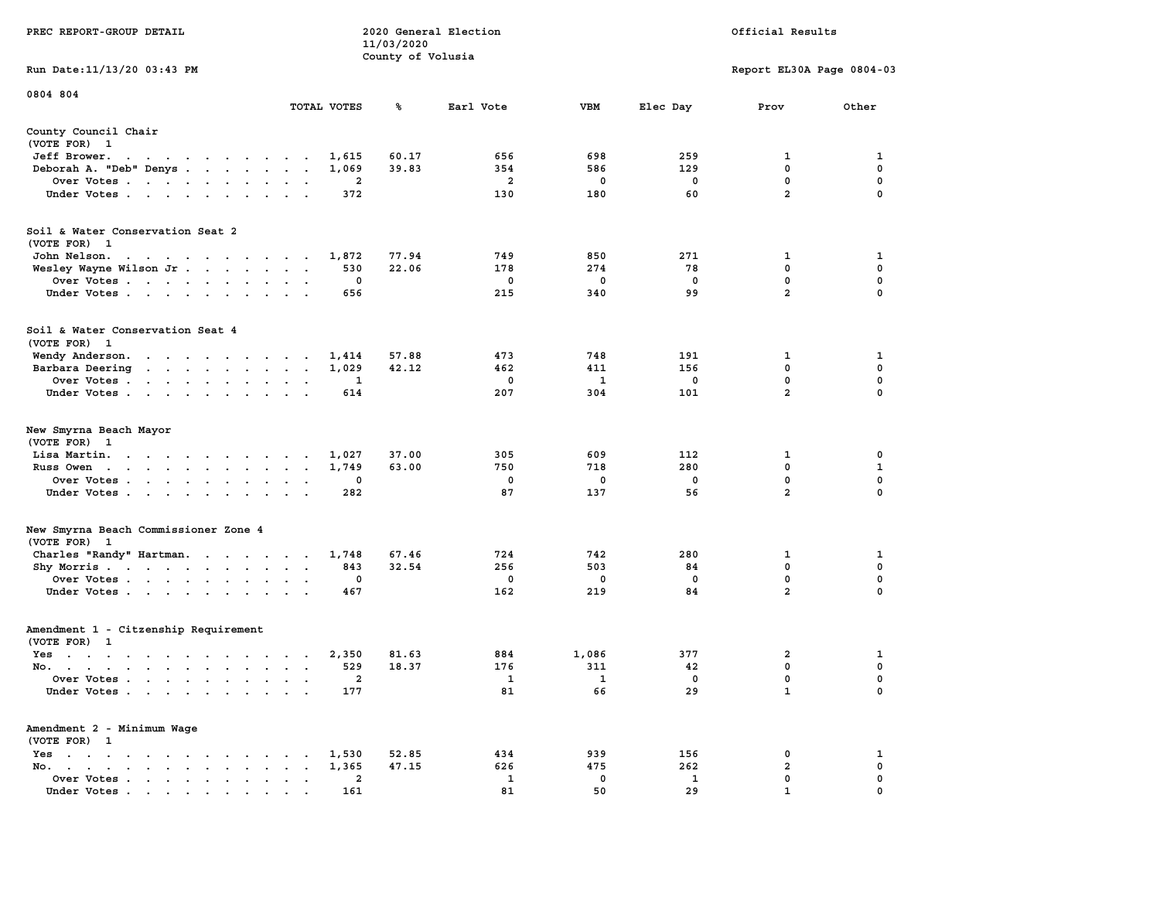|                                                                                                                                                                            |                                                                    | 11/03/2020        |                |             |              |                           |             |
|----------------------------------------------------------------------------------------------------------------------------------------------------------------------------|--------------------------------------------------------------------|-------------------|----------------|-------------|--------------|---------------------------|-------------|
|                                                                                                                                                                            |                                                                    | County of Volusia |                |             |              |                           |             |
| Run Date:11/13/20 03:43 PM                                                                                                                                                 |                                                                    |                   |                |             |              | Report EL30A Page 0804-03 |             |
| 0804 804                                                                                                                                                                   |                                                                    |                   |                |             |              |                           |             |
|                                                                                                                                                                            | TOTAL VOTES                                                        | ℁                 | Earl Vote      | <b>VBM</b>  | Elec Day     | Prov                      | Other       |
| County Council Chair                                                                                                                                                       |                                                                    |                   |                |             |              |                           |             |
| (VOTE FOR) 1                                                                                                                                                               |                                                                    |                   |                |             |              |                           |             |
| Jeff Brower.<br>$\sim$ $\sim$<br>$\mathbf{u} = \mathbf{u} + \mathbf{u} + \mathbf{u} + \mathbf{u} + \mathbf{u} + \mathbf{u} + \mathbf{u}$                                   | 1,615                                                              | 60.17             | 656            | 698         | 259          | 1                         | 1           |
| Deborah A. "Deb" Denys                                                                                                                                                     | 1,069<br>$\overline{\phantom{a}}$                                  | 39.83             | 354            | 586         | 129          | 0                         | 0           |
| Over Votes<br>$\ddot{\phantom{0}}$                                                                                                                                         | $\mathbf{2}$<br>$\cdot$<br>$\bullet$<br>$\ddot{\phantom{1}}$       |                   | $\overline{a}$ | $\mathbf 0$ | $\mathbf 0$  | $\mathbf 0$               | $\mathbf 0$ |
| Under Votes<br>$\ddot{\phantom{0}}$                                                                                                                                        | 372<br>$\bullet$<br>$\cdot$<br>$\overline{\phantom{a}}$            |                   | 130            | 180         | 60           | $\overline{a}$            | $\mathbf 0$ |
| Soil & Water Conservation Seat 2                                                                                                                                           |                                                                    |                   |                |             |              |                           |             |
|                                                                                                                                                                            |                                                                    |                   |                |             |              |                           |             |
| (VOTE FOR) 1                                                                                                                                                               |                                                                    |                   |                |             |              |                           |             |
| John Nelson.<br>$\mathbf{u} = \mathbf{u} + \mathbf{u} + \mathbf{u} + \mathbf{u} + \mathbf{u} + \mathbf{u} + \mathbf{u} + \mathbf{u} + \mathbf{u}$                          | 1,872                                                              | 77.94             | 749            | 850         | 271          | 1                         | 1           |
| Wesley Wayne Wilson Jr                                                                                                                                                     | 530<br>$\mathbf{r}$<br>$\overline{a}$<br>$\overline{\phantom{a}}$  | 22.06             | 178            | 274         | 78           | 0                         | 0           |
| Over Votes<br>$\ddot{\phantom{a}}$                                                                                                                                         | 0<br>$\cdot$                                                       |                   | 0              | 0           | 0            | $\mathbf 0$               | $\mathbf 0$ |
| Under Votes<br>$\ddot{\phantom{a}}$                                                                                                                                        | 656<br>$\ddot{\phantom{a}}$                                        |                   | 215            | 340         | 99           | $\overline{a}$            | $\mathbf 0$ |
| Soil & Water Conservation Seat 4                                                                                                                                           |                                                                    |                   |                |             |              |                           |             |
| (VOTE FOR)<br>$\mathbf{1}$                                                                                                                                                 |                                                                    |                   |                |             |              |                           |             |
| Wendy Anderson.<br>$\begin{array}{cccccccccccccc} \bullet & \bullet & \bullet & \bullet & \bullet & \bullet & \bullet & \bullet & \bullet & \bullet & \bullet \end{array}$ | 1,414<br>$\sim$                                                    | 57.88             | 473            | 748         | 191          | 1                         | 1           |
| Barbara Deering<br>$\ddot{\phantom{0}}$<br>and the contract of the contract of                                                                                             | 1,029<br>$\bullet$<br>$\bullet$                                    | 42.12             | 462            | 411         | 156          | $\mathbf 0$               | 0           |
| Over Votes .<br>$\cdot$ $\cdot$ $\cdot$ $\cdot$<br>$\ddot{\phantom{1}}$ .<br>$\bullet$                                                                                     | 1                                                                  |                   | 0              | 1           | $\mathbf 0$  | $\mathbf 0$               | $\mathbf 0$ |
| Under Votes<br>$\ddot{\phantom{a}}$                                                                                                                                        | 614                                                                |                   | 207            | 304         | 101          | $\overline{a}$            | $\mathbf 0$ |
| New Smyrna Beach Mayor<br>(VOTE FOR)<br>$\mathbf{1}$                                                                                                                       |                                                                    |                   |                |             |              |                           |             |
| Lisa Martin.<br>$\ddot{\phantom{1}}$<br><b>Contract Contract</b><br>$\blacksquare$ .                                                                                       | 1,027<br>$\bullet$<br>$\ddot{\phantom{a}}$                         | 37.00             | 305            | 609         | 112          | 1                         | 0           |
| Russ Owen<br>$\sim$<br>$\ddot{\phantom{a}}$<br>$\bullet$<br>$\sim$<br>$\bullet$<br>$\mathbf{r}$<br>$\bullet$<br>$\bullet$                                                  | 1,749<br>$\bullet$<br>$\ddot{\phantom{a}}$<br>$\ddot{\phantom{a}}$ | 63.00             | 750            | 718         | 280          | 0                         | 1           |
| Over Votes<br>$\overline{\phantom{a}}$<br>$\ddot{\phantom{a}}$                                                                                                             | 0<br>$\cdot$<br>$\ddot{\phantom{a}}$                               |                   | 0              | 0           | 0            | 0                         | $\mathbf 0$ |
| Under Votes<br>$\cdot$<br>$\ddot{\phantom{a}}$<br>$\ddot{\phantom{a}}$<br>$\ddot{\phantom{a}}$                                                                             | 282                                                                |                   | 87             | 137         | 56           | $\overline{a}$            | $\mathbf 0$ |
| New Smyrna Beach Commissioner Zone 4                                                                                                                                       |                                                                    |                   |                |             |              |                           |             |
| (VOTE FOR)<br>$\mathbf{1}$                                                                                                                                                 |                                                                    |                   |                |             |              |                           |             |
| Charles "Randy" Hartman.<br>$\sim 100$                                                                                                                                     | 1,748<br>$\cdot$ $\cdot$                                           | 67.46             | 724            | 742         | 280          | 1                         | 1           |
| Shy Morris.<br>$\mathcal{L}(\mathcal{A})$ , and $\mathcal{L}(\mathcal{A})$<br>$\sim$ $\sim$ $\sim$<br>$\ddot{\phantom{0}}$<br>$\sim$                                       | 843<br>$\bullet$<br>$\bullet$<br>$\blacksquare$                    | 32.54             | 256            | 503         | 84           | 0                         | $\pmb{0}$   |
| Over Votes<br>$\ddot{\phantom{a}}$                                                                                                                                         | 0<br>$\ddot{\phantom{a}}$                                          |                   | 0              | 0           | $\mathbf 0$  | $\mathbf 0$               | $\mathbf 0$ |
| Under Votes<br>$\bullet$                                                                                                                                                   | 467                                                                |                   | 162            | 219         | 84           | $\overline{2}$            | $\mathbf 0$ |
| Amendment 1 - Citzenship Requirement                                                                                                                                       |                                                                    |                   |                |             |              |                           |             |
| (VOTE FOR) 1                                                                                                                                                               |                                                                    |                   |                |             |              |                           |             |
| $Yes \t . \t .$<br>$\sim$<br>$\sim$<br>$\sim$<br>$\cdot$ $\cdot$ $\cdot$<br>$\sim$                                                                                         | 2,350<br>$\cdot$<br>$\sim$<br>$\overline{\phantom{a}}$             | 81.63             | 884            | 1,086       | 377          | $\overline{\mathbf{2}}$   | 1           |
| No.<br>$\blacksquare$                                                                                                                                                      | 529<br>$\ddot{\phantom{1}}$<br>$\bullet$<br>$\bullet$              | 18.37             | 176            | 311         | 42           | 0                         | 0           |
| Over Votes .<br>$\ddot{\phantom{0}}$<br>$\sim 100$<br>$\bullet$<br>$\bullet$<br>$\bullet$<br>$\bullet$                                                                     | $\overline{a}$                                                     |                   | 1              | 1           | $\mathbf 0$  | $\mathbf 0$               | $\mathbf 0$ |
| Under Votes<br>$\ddot{\phantom{0}}$<br>$\sim$                                                                                                                              | 177<br>$\mathbf{r}$<br>$\overline{a}$                              |                   | 81             | 66          | 29           | $\mathbf{1}$              | 0           |
| Amendment 2 - Minimum Wage                                                                                                                                                 |                                                                    |                   |                |             |              |                           |             |
| (VOTE FOR) 1                                                                                                                                                               |                                                                    |                   |                |             |              |                           |             |
| $Yes \t . \t .$<br>$\cdot$<br>$\cdot$<br>$\ddot{\phantom{1}}$<br>$\cdot$<br>$\overline{\phantom{a}}$<br>$\ddot{\phantom{0}}$                                               | 1,530                                                              | 52.85             | 434            | 939         | 156          | 0                         | 1           |
| No.<br>$\sim$ $\sim$<br>$\sim$ $\sim$<br>$\cdot$<br>$\sim$ $\sim$                                                                                                          | 1,365                                                              | 47.15             | 626            | 475         | 262          | $\overline{\mathbf{2}}$   | 0           |
| Over Votes<br>$\ddot{\phantom{a}}$<br>$\sim$ $\sim$<br>$\bullet$<br>$\bullet$<br>$\bullet$<br>$\bullet$                                                                    | 2<br>$\ddot{\phantom{0}}$<br>$\ddot{\phantom{a}}$                  |                   | $\mathbf{1}$   | 0           | $\mathbf{1}$ | 0                         | 0           |
| Under Votes                                                                                                                                                                | 161                                                                |                   | 81             | 50          | 29           | $\mathbf{1}$              | $\Omega$    |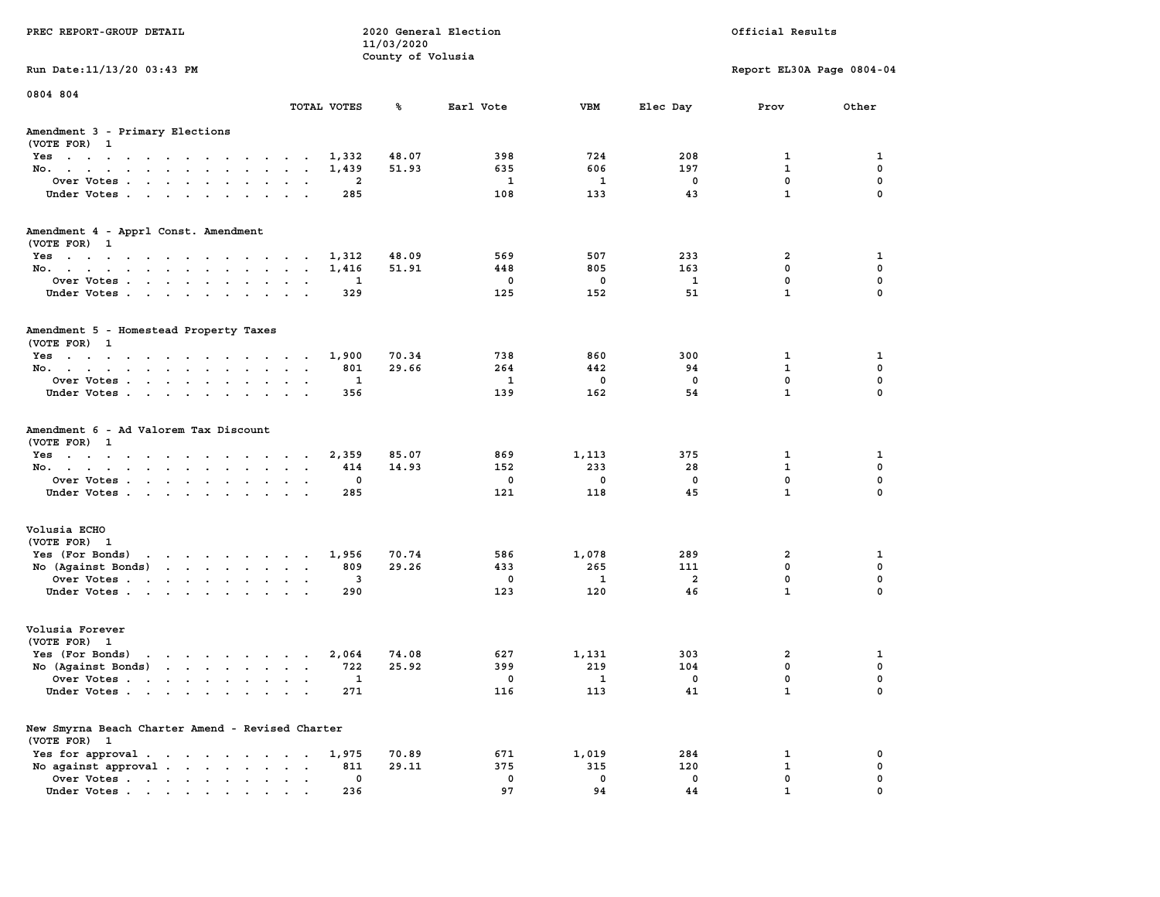|                                                                                           |                                                                                             | 11/03/2020        |                                              |                                                 |                                |                                                  |                                                |
|-------------------------------------------------------------------------------------------|---------------------------------------------------------------------------------------------|-------------------|----------------------------------------------|-------------------------------------------------|--------------------------------|--------------------------------------------------|------------------------------------------------|
|                                                                                           |                                                                                             | County of Volusia |                                              |                                                 |                                |                                                  |                                                |
| Run Date: 11/13/20 03:43 PM                                                               |                                                                                             |                   |                                              |                                                 |                                | Report EL30A Page 0804-04                        |                                                |
| 0804 804                                                                                  | TOTAL VOTES                                                                                 | ጜ                 | Earl Vote                                    | VBM                                             | Elec Day                       | Prov                                             | Other                                          |
|                                                                                           |                                                                                             |                   |                                              |                                                 |                                |                                                  |                                                |
| Amendment 3 - Primary Elections<br>(VOTE FOR) 1                                           |                                                                                             |                   |                                              |                                                 |                                |                                                  |                                                |
| Yes                                                                                       | 1,332                                                                                       | 48.07             | 398                                          | 724                                             | 208                            | 1                                                | 1                                              |
| No.<br>$\sim$                                                                             | 1,439                                                                                       | 51.93             | 635                                          | 606                                             | 197                            | 1                                                | $\mathbf 0$                                    |
| Over Votes                                                                                | $\overline{\mathbf{2}}$                                                                     |                   | 1                                            | $\mathbf{1}$                                    | $\mathbf 0$                    | $\mathbf 0$                                      | $\mathbf{0}$                                   |
| Under Votes<br>$\sim$ $\sim$                                                              | 285<br>$\sim$ $\sim$<br>$\cdot$                                                             |                   | 108                                          | 133                                             | 43                             | $\mathbf{1}$                                     | $\mathbf 0$                                    |
| Amendment 4 - Apprl Const. Amendment                                                      |                                                                                             |                   |                                              |                                                 |                                |                                                  |                                                |
| (VOTE FOR) 1                                                                              |                                                                                             |                   |                                              |                                                 |                                |                                                  |                                                |
| Yes.                                                                                      | 1,312                                                                                       | 48.09             | 569                                          | 507                                             | 233                            | $\overline{2}$                                   | 1                                              |
| No.                                                                                       | 1,416                                                                                       | 51.91             | 448                                          | 805                                             | 163                            | $\mathbf 0$                                      | 0                                              |
| Over Votes                                                                                | 1<br>$\sim$ $\sim$                                                                          |                   | $\mathbf 0$                                  | $\mathbf 0$                                     | 1                              | $\mathbf 0$                                      | $\mathbf 0$                                    |
| Under Votes                                                                               | 329                                                                                         |                   | 125                                          | 152                                             | 51                             | $\mathbf{1}$                                     | $\mathbf 0$                                    |
|                                                                                           |                                                                                             |                   |                                              |                                                 |                                |                                                  |                                                |
| Amendment 5 - Homestead Property Taxes<br>(VOTE FOR) 1                                    |                                                                                             |                   |                                              |                                                 |                                |                                                  |                                                |
| Yes                                                                                       | 1,900                                                                                       | 70.34             | 738                                          | 860                                             | 300                            | 1                                                | 1                                              |
| No.                                                                                       | 801<br>$\sim$<br>$\sim$ $\sim$                                                              | 29.66             | 264                                          | 442                                             | 94                             | $\mathbf{1}$                                     | $\mathbf 0$                                    |
| Over Votes                                                                                | 1<br>$\ddot{\phantom{0}}$<br>$\sim$ $\sim$                                                  |                   | $\mathbf{1}$                                 | $\mathbf 0$                                     | $\mathbf 0$                    | $\mathbf 0$                                      | $\mathbf 0$                                    |
| Under Votes<br>$\sim$ $\sim$<br>$\sim$                                                    | 356<br>$\sim$ $\sim$ $\sim$ $\sim$                                                          |                   | 139                                          | 162                                             | 54                             | $\mathbf{1}$                                     | $\mathbf 0$                                    |
| (VOTE FOR) 1<br>Yes<br>No.<br>$\sim$<br>Over Votes<br>Under Votes<br>$\ddot{\phantom{a}}$ | 2,359<br>414<br>$\ddot{\phantom{a}}$<br>$\sim$ $\sim$<br>$\mathbf 0$<br>285<br>$\mathbf{r}$ | 85.07<br>14.93    | 869<br>152<br>$\overline{\mathbf{0}}$<br>121 | 1,113<br>233<br>$\overline{\phantom{0}}$<br>118 | 375<br>28<br>$\mathbf 0$<br>45 | 1<br>$\mathbf{1}$<br>$\mathbf 0$<br>$\mathbf{1}$ | 1<br>$\mathbf 0$<br>$\mathbf 0$<br>$\mathbf 0$ |
| Volusia ECHO                                                                              |                                                                                             |                   |                                              |                                                 |                                |                                                  |                                                |
| (VOTE FOR) 1                                                                              |                                                                                             |                   |                                              |                                                 |                                |                                                  |                                                |
| Yes (For Bonds)<br>the contract of the contract of the                                    | 1,956                                                                                       | 70.74             | 586                                          | 1,078                                           | 289                            | $\overline{2}$                                   | 1                                              |
| No (Against Bonds)                                                                        | 809                                                                                         | 29.26             | 433                                          | 265                                             | 111                            | $\mathbf 0$                                      | $\mathbf 0$                                    |
| Over Votes                                                                                | 3<br>$\ddot{\phantom{a}}$<br>$\sim$ $\sim$ $\sim$                                           |                   | $\mathbf 0$                                  | $\overline{\mathbf{1}}$                         | $\overline{a}$                 | $\mathbf 0$                                      | $\mathbf 0$                                    |
| Under Votes                                                                               | 290                                                                                         |                   | 123                                          | 120                                             | 46                             | $\mathbf{1}$                                     | $\mathbf 0$                                    |
| Volusia Forever                                                                           |                                                                                             |                   |                                              |                                                 |                                |                                                  |                                                |
| (VOTE FOR) 1                                                                              |                                                                                             |                   |                                              |                                                 |                                |                                                  |                                                |
| Yes (For Bonds)<br>the contract of the contract of the                                    | 2,064                                                                                       | 74.08             | 627                                          | 1,131                                           | 303                            | 2                                                | 1                                              |
| No $(Against Bonds)$                                                                      | 722                                                                                         | 25.92             | 399                                          | 219                                             | 104                            | 0                                                | 0                                              |
| Over Votes<br>$\sim$                                                                      | 1<br>$\ddot{\phantom{a}}$<br>$\sim$<br>$\ddot{\phantom{a}}$                                 |                   | 0                                            | 1                                               | 0                              | 0                                                | 0                                              |
| Under Votes                                                                               | 271                                                                                         |                   | 116                                          | 113                                             | 41                             | $\mathbf{1}$                                     | $\Omega$                                       |
| New Smyrna Beach Charter Amend - Revised Charter                                          |                                                                                             |                   |                                              |                                                 |                                |                                                  |                                                |
| (VOTE FOR) 1                                                                              |                                                                                             |                   |                                              |                                                 |                                |                                                  |                                                |
| Yes for approval.                                                                         | 1,975                                                                                       | 70.89             | 671                                          | 1,019                                           | 284                            | 1                                                | 0                                              |
| No against approval.                                                                      | 811                                                                                         | 29.11             | 375                                          | 315                                             | 120                            | $\mathbf{1}$                                     | 0                                              |
| Over Votes                                                                                | 0                                                                                           |                   | $\mathbf 0$                                  | $\mathbf 0$                                     | $\mathbf 0$                    | $\mathbf 0$                                      | $\mathbf 0$                                    |
| Under Votes                                                                               | 236                                                                                         |                   | 97                                           | 94                                              | 44                             | $\mathbf{1}$                                     | $\mathbf 0$                                    |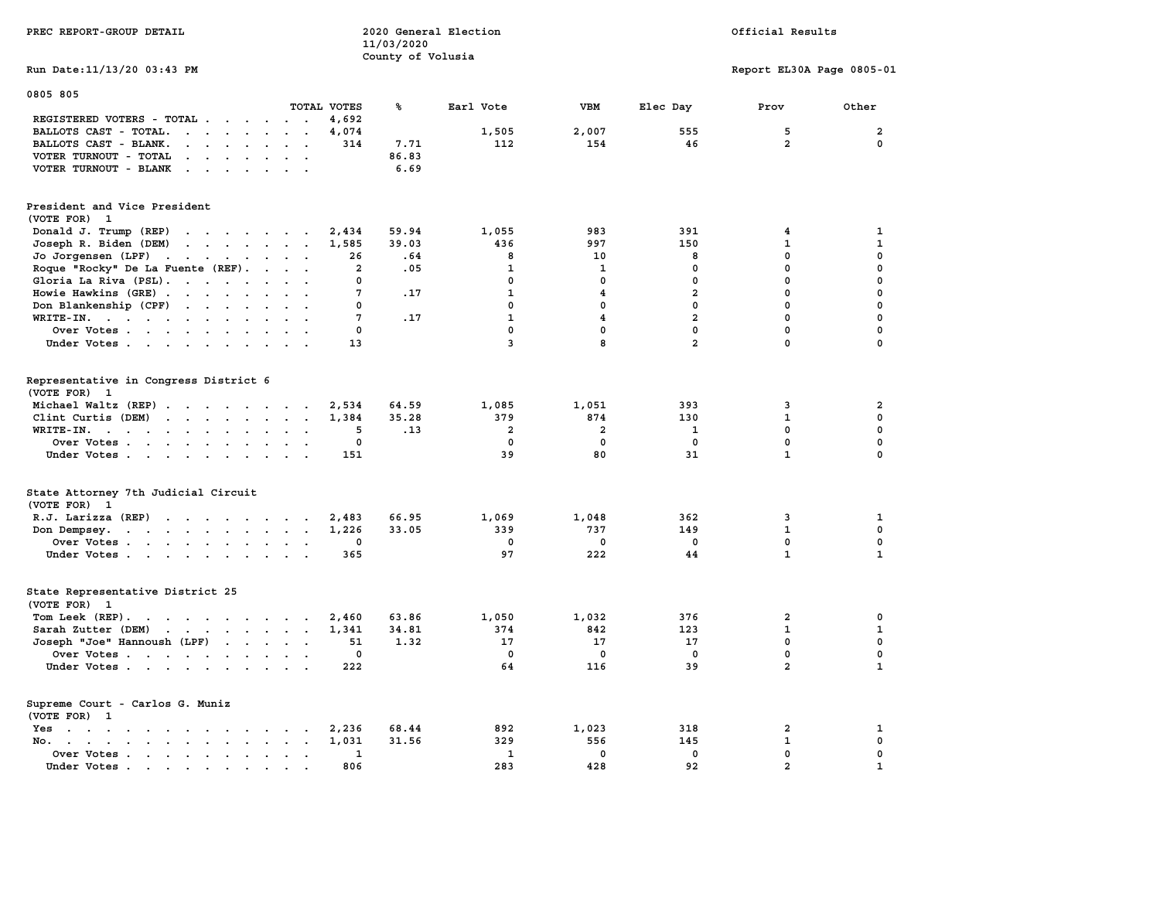| PREC REPORT-GROUP DETAIL                                                                                                                                                                                                                                |                                         | 11/03/2020<br>County of Volusia | 2020 General Election   |                         |                | Official Results          |                         |
|---------------------------------------------------------------------------------------------------------------------------------------------------------------------------------------------------------------------------------------------------------|-----------------------------------------|---------------------------------|-------------------------|-------------------------|----------------|---------------------------|-------------------------|
| Run Date: 11/13/20 03:43 PM                                                                                                                                                                                                                             |                                         |                                 |                         |                         |                | Report EL30A Page 0805-01 |                         |
| 0805 805                                                                                                                                                                                                                                                |                                         |                                 |                         |                         |                |                           |                         |
|                                                                                                                                                                                                                                                         | TOTAL VOTES                             | ℁                               | Earl Vote               | <b>VBM</b>              | Elec Day       | Prov                      | Other                   |
| REGISTERED VOTERS - TOTAL                                                                                                                                                                                                                               | 4,692<br>$\sim$ $\sim$                  |                                 |                         |                         |                |                           |                         |
| BALLOTS CAST - TOTAL.                                                                                                                                                                                                                                   | 4,074<br>$\sim$ $\sim$                  |                                 | 1,505                   | 2,007                   | 555            | 5                         | $\overline{\mathbf{2}}$ |
| BALLOTS CAST - BLANK.<br>$\mathbf{r}$ , $\mathbf{r}$ , $\mathbf{r}$ , $\mathbf{r}$                                                                                                                                                                      | 314                                     | 7.71                            | 112                     | 154                     | 46             | $\overline{2}$            | 0                       |
| VOTER TURNOUT - TOTAL<br>$\cdot$ $\cdot$ $\cdot$ $\cdot$                                                                                                                                                                                                |                                         | 86.83                           |                         |                         |                |                           |                         |
| VOTER TURNOUT - BLANK<br>$\cdots$                                                                                                                                                                                                                       |                                         | 6.69                            |                         |                         |                |                           |                         |
| President and Vice President                                                                                                                                                                                                                            |                                         |                                 |                         |                         |                |                           |                         |
| (VOTE FOR) 1                                                                                                                                                                                                                                            |                                         |                                 |                         |                         |                |                           |                         |
| Donald J. Trump (REP)<br>$\cdots$                                                                                                                                                                                                                       | 2,434                                   | 59.94                           | 1,055                   | 983                     | 391            | 4                         | $\mathbf{1}$            |
| Joseph R. Biden (DEM)<br>$\mathbf{r}$ , $\mathbf{r}$ , $\mathbf{r}$ , $\mathbf{r}$ , $\mathbf{r}$ , $\mathbf{r}$                                                                                                                                        | 1,585                                   | 39.03                           | 436                     | 997                     | 150            | $\mathbf 1$               | $\mathbf{1}$            |
| Jo Jorgensen (LPF)<br>$\mathbf{r}$ , $\mathbf{r}$ , $\mathbf{r}$ , $\mathbf{r}$ , $\mathbf{r}$                                                                                                                                                          | 26                                      | .64                             | 8                       | 10                      | 8              | $\mathbf 0$               | 0                       |
| Roque "Rocky" De La Fuente (REF).                                                                                                                                                                                                                       | $\overline{a}$                          | .05                             | $\mathbf{1}$            | $\mathbf 1$             | $\mathbf 0$    | $\mathbf 0$               | $\mathbf 0$             |
| Gloria La Riva (PSL).                                                                                                                                                                                                                                   | $\Omega$                                |                                 | $\mathbf{0}$            | $\mathbf{0}$            | $\mathbf 0$    | $\mathbf{0}$              | 0                       |
| Howie Hawkins (GRE)                                                                                                                                                                                                                                     | $\overline{7}$                          | .17                             | $\mathbf{1}$            | 4                       | $\overline{a}$ | $\Omega$                  | $\mathbf 0$             |
| Don Blankenship (CPF)                                                                                                                                                                                                                                   | $\mathbf 0$<br>$\sim$ $\sim$            |                                 | $\mathbf 0$             | $\mathbf 0$             | $\mathbf 0$    | $\mathbf 0$               | $\mathbf 0$             |
| WRITE-IN.                                                                                                                                                                                                                                               | 7                                       | .17                             | $\mathbf{1}$            | $\overline{4}$          | $\overline{a}$ | $\mathbf 0$               | $\mathbf 0$             |
| Over Votes<br>$\ddot{\phantom{a}}$                                                                                                                                                                                                                      | $\mathbf 0$                             |                                 | $\mathbf 0$             | $\mathbf 0$             | $\mathbf 0$    | $\mathbf 0$               | $\mathbf 0$             |
| Under Votes                                                                                                                                                                                                                                             | 13                                      |                                 | $\overline{\mathbf{3}}$ | 8                       | $\overline{a}$ | $\mathbf 0$               | $\mathbf 0$             |
|                                                                                                                                                                                                                                                         |                                         |                                 |                         |                         |                |                           |                         |
| Representative in Congress District 6<br>(VOTE FOR) 1                                                                                                                                                                                                   |                                         |                                 |                         |                         |                |                           |                         |
| Michael Waltz (REP)                                                                                                                                                                                                                                     | 2,534                                   | 64.59                           | 1,085                   | 1,051                   | 393            | 3                         | $\overline{a}$          |
| Clint Curtis (DEM)<br>$\cdots$                                                                                                                                                                                                                          | 1,384                                   | 35.28                           | 379                     | 874                     | 130            | $\mathbf{1}$              | $\mathbf 0$             |
| WRITE-IN.<br>$\ddot{\phantom{a}}$                                                                                                                                                                                                                       | 5<br>$\ddot{\phantom{a}}$               | .13                             | $\mathbf{2}$            | $\overline{\mathbf{2}}$ | $\mathbf{1}$   | $\mathbf 0$               | $\mathbf 0$             |
| Over Votes                                                                                                                                                                                                                                              | $\Omega$                                |                                 | $\mathbf{0}$            | $\mathbf{0}$            | $\Omega$       | $\Omega$                  | $\mathbf 0$             |
| Under Votes                                                                                                                                                                                                                                             | 151                                     |                                 | 39                      | 80                      | 31             | $\mathbf{1}$              | $\mathbf 0$             |
|                                                                                                                                                                                                                                                         |                                         |                                 |                         |                         |                |                           |                         |
| State Attorney 7th Judicial Circuit<br>(VOTE FOR) 1                                                                                                                                                                                                     |                                         |                                 |                         |                         |                |                           |                         |
| R.J. Larizza (REP)                                                                                                                                                                                                                                      | 2,483                                   | 66.95                           | 1,069                   | 1,048                   | 362            | 3                         | 1                       |
| Don Dempsey.<br>the contract of the contract of the contract of the contract of the contract of                                                                                                                                                         | 1,226<br>$\ddot{\phantom{a}}$<br>$\sim$ | 33.05                           | 339                     | 737                     | 149            | $\mathbf{1}$              | $\mathbf 0$             |
| Over Votes                                                                                                                                                                                                                                              | 0                                       |                                 | 0                       | 0                       | $\mathbf{0}$   | $\mathbf 0$               | $\mathbf 0$             |
| Under Votes                                                                                                                                                                                                                                             | 365                                     |                                 | 97                      | 222                     | 44             | $\mathbf{1}$              | $\mathbf{1}$            |
|                                                                                                                                                                                                                                                         |                                         |                                 |                         |                         |                |                           |                         |
| State Representative District 25                                                                                                                                                                                                                        |                                         |                                 |                         |                         |                |                           |                         |
| (VOTE FOR)<br>1                                                                                                                                                                                                                                         |                                         |                                 |                         |                         |                |                           |                         |
| Tom Leek $(REP)$ .                                                                                                                                                                                                                                      | 2,460                                   | 63.86                           | 1,050                   | 1,032                   | 376            | $\overline{2}$            | 0                       |
| Sarah Zutter (DEM)<br>$\mathbf{r}$ . The set of the set of the set of the set of the set of the set of the set of the set of the set of the set of the set of the set of the set of the set of the set of the set of the set of the set of the set of t | 1,341                                   | 34.81                           | 374                     | 842                     | 123            | $\mathbf{1}$              | $\mathbf{1}$            |
| Joseph "Joe" Hannoush (LPF)                                                                                                                                                                                                                             | 51                                      | 1.32                            | 17                      | 17                      | 17             | $\mathbf{0}$              | 0                       |
| Over Votes                                                                                                                                                                                                                                              | 0                                       |                                 | $\mathbf 0$             | 0                       | 0              | $\mathbf 0$               | $\mathbf 0$             |
| Under Votes                                                                                                                                                                                                                                             | 222                                     |                                 | 64                      | 116                     | 39             | $\overline{a}$            | $\mathbf{1}$            |
| Supreme Court - Carlos G. Muniz                                                                                                                                                                                                                         |                                         |                                 |                         |                         |                |                           |                         |
| (VOTE FOR) 1                                                                                                                                                                                                                                            |                                         |                                 |                         |                         |                |                           |                         |
| Yes                                                                                                                                                                                                                                                     | 2,236                                   | 68.44                           | 892                     | 1,023                   | 318            | $\mathbf{2}$              | 1                       |
| No.                                                                                                                                                                                                                                                     | 1,031<br>$\sim$ $\sim$                  | 31.56                           | 329                     | 556                     | 145            | $\mathbf{1}$              | 0                       |
| Over Votes                                                                                                                                                                                                                                              | 1<br>$\cdot$ $\cdot$                    |                                 | 1                       | 0                       | 0              | $\mathbf 0$               | 0                       |
| Under Votes                                                                                                                                                                                                                                             | 806<br>$\sim$<br>$\sim$                 |                                 | 283                     | 428                     | 92             | $\overline{a}$            | $\mathbf{1}$            |
|                                                                                                                                                                                                                                                         |                                         |                                 |                         |                         |                |                           |                         |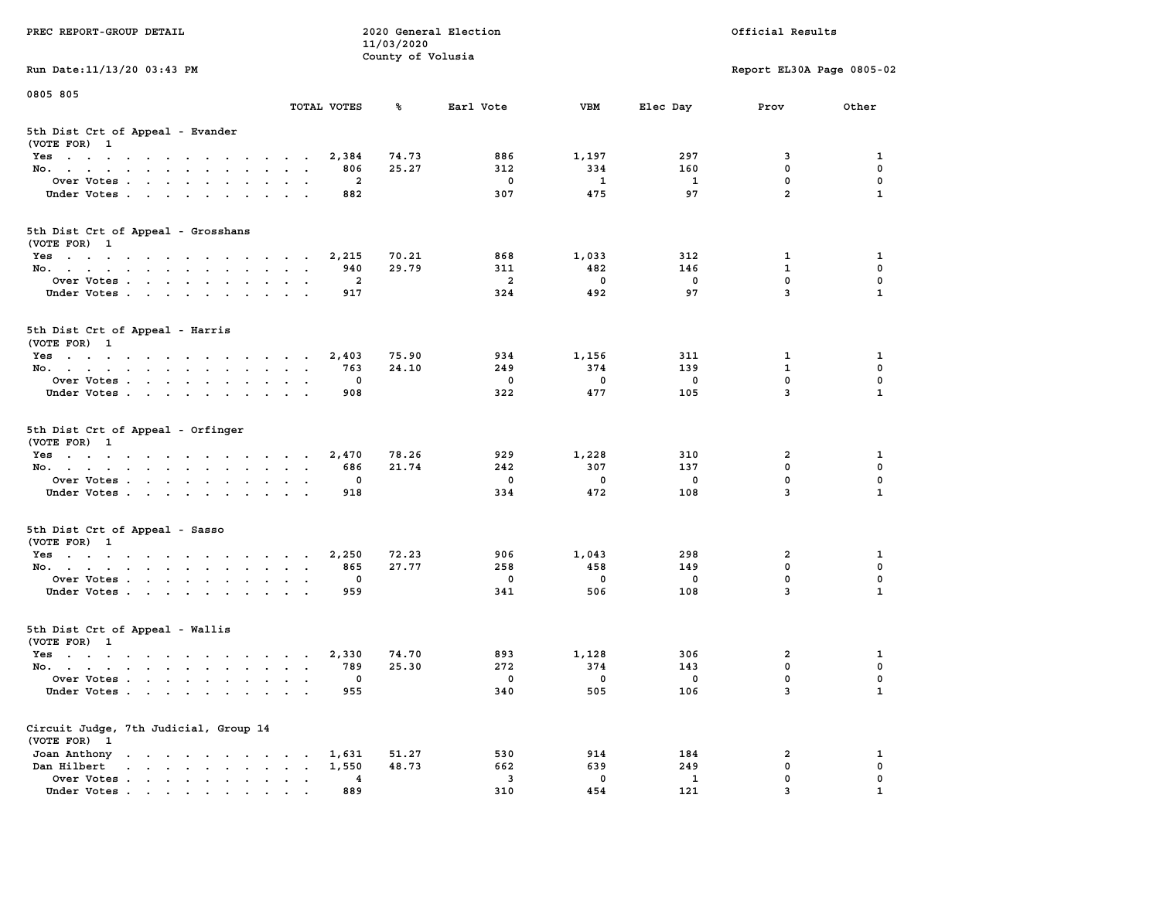| PREC REPORT-GROUP DETAIL                                                                               |                 | 11/03/2020<br>County of Volusia | 2020 General Election    |                          |                          | Official Results          |              |
|--------------------------------------------------------------------------------------------------------|-----------------|---------------------------------|--------------------------|--------------------------|--------------------------|---------------------------|--------------|
| Run Date: 11/13/20 03:43 PM                                                                            |                 |                                 |                          |                          |                          | Report EL30A Page 0805-02 |              |
| 0805 805                                                                                               |                 |                                 |                          |                          |                          |                           |              |
|                                                                                                        | TOTAL VOTES     | %                               | Earl Vote                | VBM                      | Elec Day                 | Prov                      | Other        |
| 5th Dist Crt of Appeal - Evander<br>(VOTE FOR) 1                                                       |                 |                                 |                          |                          |                          |                           |              |
| Yes                                                                                                    |                 | 74.73<br>2,384                  | 886                      | 1,197                    | 297                      | 3                         | 1            |
| No.                                                                                                    |                 | 25.27<br>806                    | 312                      | 334                      | 160                      | $^{\circ}$                | 0            |
| Over Votes                                                                                             |                 | $\overline{a}$                  | $^{\circ}$               | <sup>1</sup>             | $\mathbf{1}$             | $^{\circ}$                | $\mathbf 0$  |
| Under Votes                                                                                            |                 | 882                             | 307                      | 475                      | 97                       | $\overline{a}$            | $\mathbf{1}$ |
| 5th Dist Crt of Appeal - Grosshans<br>(VOTE FOR) 1                                                     |                 |                                 |                          |                          |                          |                           |              |
| Yes                                                                                                    |                 | 70.21<br>2,215                  | 868                      | 1,033                    | 312                      | $\mathbf{1}$              | 1            |
| No.                                                                                                    |                 | 29.79<br>940                    | 311                      | 482                      | 146                      | $\mathbf{1}$              | 0            |
| Over Votes                                                                                             |                 | $\overline{a}$                  | $\overline{a}$           | $\overline{\mathbf{0}}$  | $\overline{\mathbf{0}}$  | $\mathbf{0}$              | $\mathbf{0}$ |
| Under Votes                                                                                            |                 | 917                             | 324                      | 492                      | 97                       | $\overline{3}$            | $\mathbf{1}$ |
| 5th Dist Crt of Appeal - Harris<br>(VOTE FOR) 1                                                        |                 |                                 |                          |                          |                          |                           |              |
| Yes                                                                                                    |                 | 75.90<br>2,403                  | 934                      | 1,156                    | 311                      | 1                         | 1            |
| No.                                                                                                    |                 | 763<br>24.10                    | 249                      | 374                      | 139                      | $\mathbf{1}$              | $\mathbf 0$  |
| Over Votes                                                                                             |                 | $\Omega$                        | $\overline{\phantom{0}}$ | $\overline{0}$           | $\overline{\phantom{0}}$ | $\mathbf{0}$              | $\mathbf 0$  |
| Under Votes                                                                                            |                 | 908                             | 322                      | 477                      | 105                      | $\overline{3}$            | $\mathbf{1}$ |
| 5th Dist Crt of Appeal - Orfinger                                                                      |                 |                                 |                          |                          |                          |                           |              |
| (VOTE FOR) 1                                                                                           |                 |                                 |                          |                          |                          |                           |              |
| Yes                                                                                                    |                 | 78.26<br>2,470                  | 929                      | 1,228                    | 310                      | 2                         | 1            |
| No.                                                                                                    |                 | 21.74<br>686                    | 242                      | 307                      | 137                      | $\mathbf{0}$              | 0            |
| Over Votes                                                                                             |                 | $^{\circ}$                      | $\mathbf 0$              | $^{\circ}$               | $\mathbf 0$              | $\mathbf{0}$              | $\mathbf 0$  |
| Under Votes                                                                                            |                 | 918                             | 334                      | 472                      | 108                      | $\overline{3}$            | $\mathbf{1}$ |
| 5th Dist Crt of Appeal - Sasso<br>(VOTE FOR) 1                                                         |                 |                                 |                          |                          |                          |                           |              |
|                                                                                                        |                 | 72.23                           | 906                      | 1,043                    | 298                      | $\overline{a}$            | 1            |
| Yes<br>No.                                                                                             |                 | 2,250<br>27.77<br>865           | 258                      | 458                      | 149                      | $^{\circ}$                | 0            |
| Over Votes                                                                                             |                 | 0                               | $\mathbf 0$              | $\overline{\mathbf{0}}$  | $\mathbf 0$              | $\mathbf 0$               | 0            |
| Under Votes                                                                                            |                 | 959                             | 341                      | 506                      | 108                      | $\overline{3}$            | $\mathbf{1}$ |
| 5th Dist Crt of Appeal - Wallis<br>(VOTE FOR) 1                                                        |                 |                                 |                          |                          |                          |                           |              |
| Yes                                                                                                    |                 | 74.70<br>2,330                  | 893                      | 1,128                    | 306                      | 2                         | 1            |
| No.                                                                                                    |                 | 25.30<br>789                    | 272                      | 374                      | 143                      | $\mathbf 0$               | 0            |
| Over Votes                                                                                             |                 | $\overline{0}$                  | $\overline{0}$           | $\overline{\phantom{0}}$ | $\overline{\phantom{0}}$ | $\Omega$                  | 0            |
| Under Votes                                                                                            |                 | 955                             | 340                      | 505                      | 106                      | 3                         | $\mathbf{1}$ |
| Circuit Judge, 7th Judicial, Group 14<br>(VOTE FOR) 1                                                  |                 |                                 |                          |                          |                          |                           |              |
| Joan Anthony                                                                                           |                 | 51.27<br>1,631                  | 530                      | 914                      | 184                      | 2                         | 1            |
| Dan Hilbert<br>$\mathbf{r}$ , $\mathbf{r}$ , $\mathbf{r}$ , $\mathbf{r}$ , $\mathbf{r}$ , $\mathbf{r}$ | $\sim$          | 1,550<br>48.73                  | 662                      | 639                      | 249                      | 0                         | 0            |
| Over Votes                                                                                             | $\cdot$ $\cdot$ | $\overline{4}$                  | $\overline{\mathbf{3}}$  | $\mathbf 0$              | $\mathbf{1}$             | 0                         | 0            |
| Under Votes                                                                                            |                 | 889                             | 310                      | 454                      | 121                      | 3                         |              |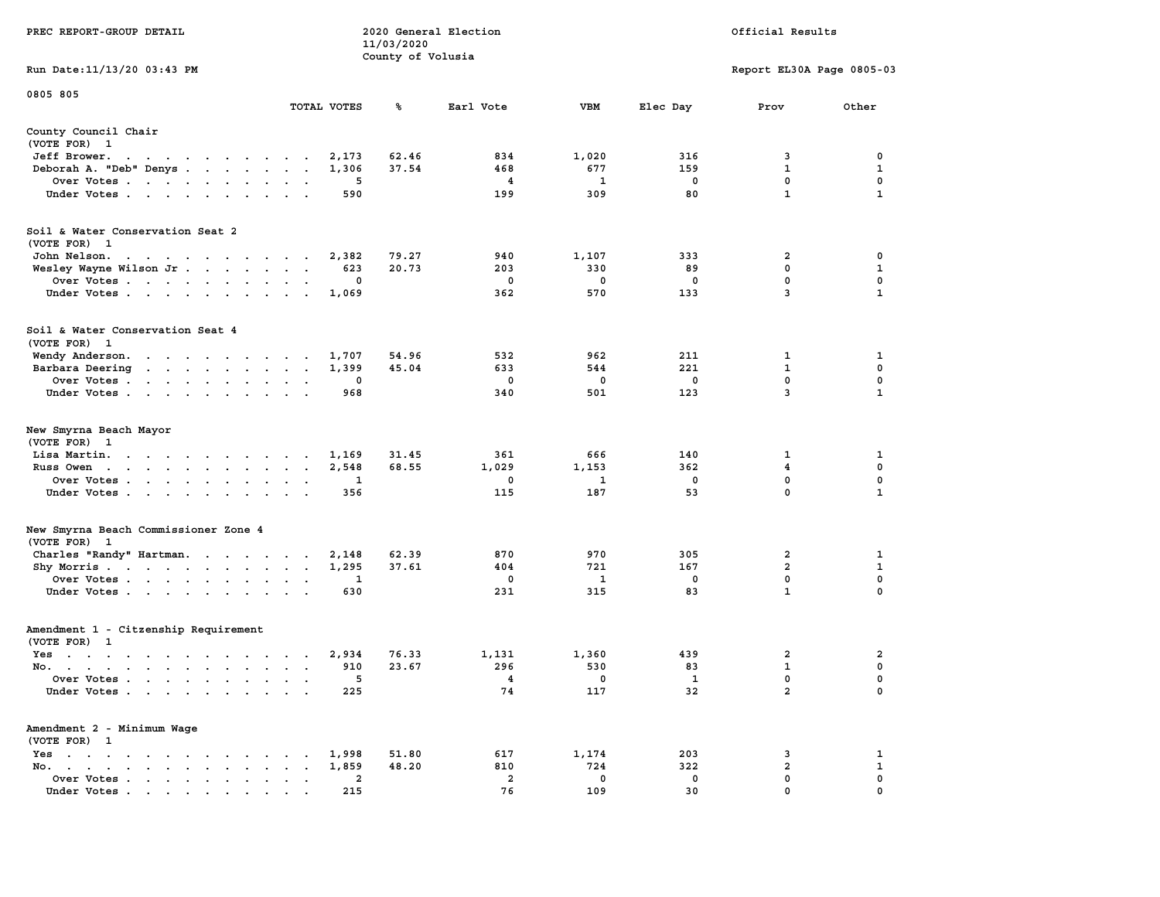| PREC REPORT-GROUP DETAIL                                                                                                                                   |                        | 11/03/2020<br>County of Volusia | 2020 General Election |             |          | Official Results             |                  |
|------------------------------------------------------------------------------------------------------------------------------------------------------------|------------------------|---------------------------------|-----------------------|-------------|----------|------------------------------|------------------|
| Run Date: 11/13/20 03:43 PM                                                                                                                                |                        |                                 |                       |             |          | Report EL30A Page 0805-03    |                  |
| 0805 805                                                                                                                                                   |                        |                                 |                       |             |          |                              |                  |
|                                                                                                                                                            | TOTAL VOTES            | ℁                               | Earl Vote             | VBM         | Elec Day | Prov                         | Other            |
| County Council Chair<br>(VOTE FOR) 1                                                                                                                       |                        |                                 |                       |             |          |                              |                  |
| Jeff Brower.<br>the contract of the contract of the con-                                                                                                   | 2,173                  | 62.46                           | 834                   | 1,020       | 316      | 3                            | 0                |
| Deborah A. "Deb" Denys                                                                                                                                     | 1,306                  | 37.54                           | 468                   | 677         | 159      | $\mathbf{1}$                 | 1                |
| Over Votes                                                                                                                                                 |                        | 5                               | 4                     | 1           | 0        | 0                            | 0                |
| Under Votes                                                                                                                                                | 590                    |                                 | 199                   | 309         | 80       | $\mathbf{1}$                 | $\mathbf{1}$     |
| Soil & Water Conservation Seat 2<br>(VOTE FOR) 1                                                                                                           |                        |                                 |                       |             |          |                              |                  |
| John Nelson.                                                                                                                                               | 2,382                  | 79.27                           | 940                   | 1,107       | 333      | 2                            | 0                |
| Wesley Wayne Wilson Jr                                                                                                                                     | 623                    | 20.73                           | 203                   | 330         | 89       | 0                            | 1                |
| Over Votes                                                                                                                                                 |                        | 0                               | 0                     | $\mathbf 0$ | 0        | $\mathbf 0$                  | $\mathbf 0$      |
| Under Votes                                                                                                                                                | 1,069<br>$\sim$ $\sim$ |                                 | 362                   | 570         | 133      | 3                            | 1                |
| Soil & Water Conservation Seat 4<br>(VOTE FOR) 1                                                                                                           |                        |                                 |                       |             |          |                              |                  |
| Wendy Anderson.                                                                                                                                            | 1,707                  | 54.96                           | 532                   | 962         | 211      | 1                            | 1                |
| Barbara Deering<br>the contract of the contract of the contract of the contract of the contract of the contract of the contract of                         | 1,399                  | 45.04                           | 633                   | 544         | 221      | 1                            | 0                |
| Over Votes                                                                                                                                                 | $\sim$ $\sim$          | 0                               | $\mathbf{o}$          | 0           | 0        | $\mathbf 0$                  | 0                |
| Under Votes                                                                                                                                                | 968                    |                                 | 340                   | 501         | 123      | 3                            | $\mathbf{1}$     |
| New Smyrna Beach Mayor<br>(VOTE FOR) 1                                                                                                                     | 1,169                  | 31.45                           | 361                   | 666         | 140      | 1                            | 1                |
| Lisa Martin.<br>Russ Owen                                                                                                                                  | 2,548<br>$\sim$ $\sim$ | 68.55                           | 1,029                 | 1,153       | 362      | $\overline{\mathbf{4}}$      | $\mathbf 0$      |
| Over Votes                                                                                                                                                 |                        | 1                               | 0                     | 1           | 0        | 0                            | 0                |
| Under Votes                                                                                                                                                | 356                    |                                 | 115                   | 187         | 53       | 0                            | $\mathbf{1}$     |
| New Smyrna Beach Commissioner Zone 4                                                                                                                       |                        |                                 |                       |             |          |                              |                  |
| (VOTE FOR) 1                                                                                                                                               |                        |                                 |                       |             |          |                              |                  |
| Charles "Randy" Hartman.                                                                                                                                   | 2,148                  | 62.39                           | 870                   | 970         | 305      | 2                            | 1                |
| Shy Morris                                                                                                                                                 | 1,295                  | 37.61                           | 404                   | 721         | 167      | 2                            | 1                |
| Over Votes<br>Under Votes                                                                                                                                  | $\sim$ $\sim$<br>630   | 1                               | 0<br>231              | 1<br>315    | 0<br>83  | 0<br>$\mathbf{1}$            | $\mathbf 0$<br>0 |
| Amendment 1 - Citzenship Requirement<br>(VOTE FOR) 1                                                                                                       |                        |                                 |                       |             |          |                              |                  |
| Yes<br>the contract of the contract of the contract of the contract of the contract of the contract of the contract of                                     | 2,934                  | 76.33                           | 1,131                 | 1,360       | 439      | 2                            | 2                |
| No.                                                                                                                                                        | 910                    | 23.67                           | 296                   | 530         | 83       | $\mathbf{1}$                 | 0                |
| Over Votes                                                                                                                                                 |                        | 5                               | 4                     | 0           | 1        | 0                            | 0                |
| Under Votes.<br>$\mathbf{r}$ , $\mathbf{r}$ , $\mathbf{r}$ , $\mathbf{r}$ , $\mathbf{r}$                                                                   | 225                    |                                 | 74                    | 117         | 32       | $\mathbf{2}$                 | 0                |
| Amendment 2 - Minimum Wage<br>(VOTE FOR) 1                                                                                                                 |                        |                                 |                       |             |          |                              |                  |
| $Yes \t . \t .$<br>$\sim$ $\sim$ $\sim$ $\sim$<br>$\cdot$                                                                                                  | 1,998                  | 51.80                           | 617                   | 1,174       | 203      | 3                            | 1                |
| $No.$ $\cdot$ $\cdot$ $\cdot$<br>$\mathbf{r}$ . The set of $\mathbf{r}$<br>$\ddot{\phantom{a}}$<br>$\ddot{\phantom{a}}$<br>$\cdot$ $\cdot$ $\cdot$ $\cdot$ | 1,859                  | 48.20<br>2                      | 810<br>$\overline{a}$ | 724<br>0    | 322<br>0 | $\overline{\mathbf{2}}$<br>0 | 1<br>0           |
| Over Votes.<br>Under Votes                                                                                                                                 | 215                    |                                 | 76                    | 109         | 30       | 0                            |                  |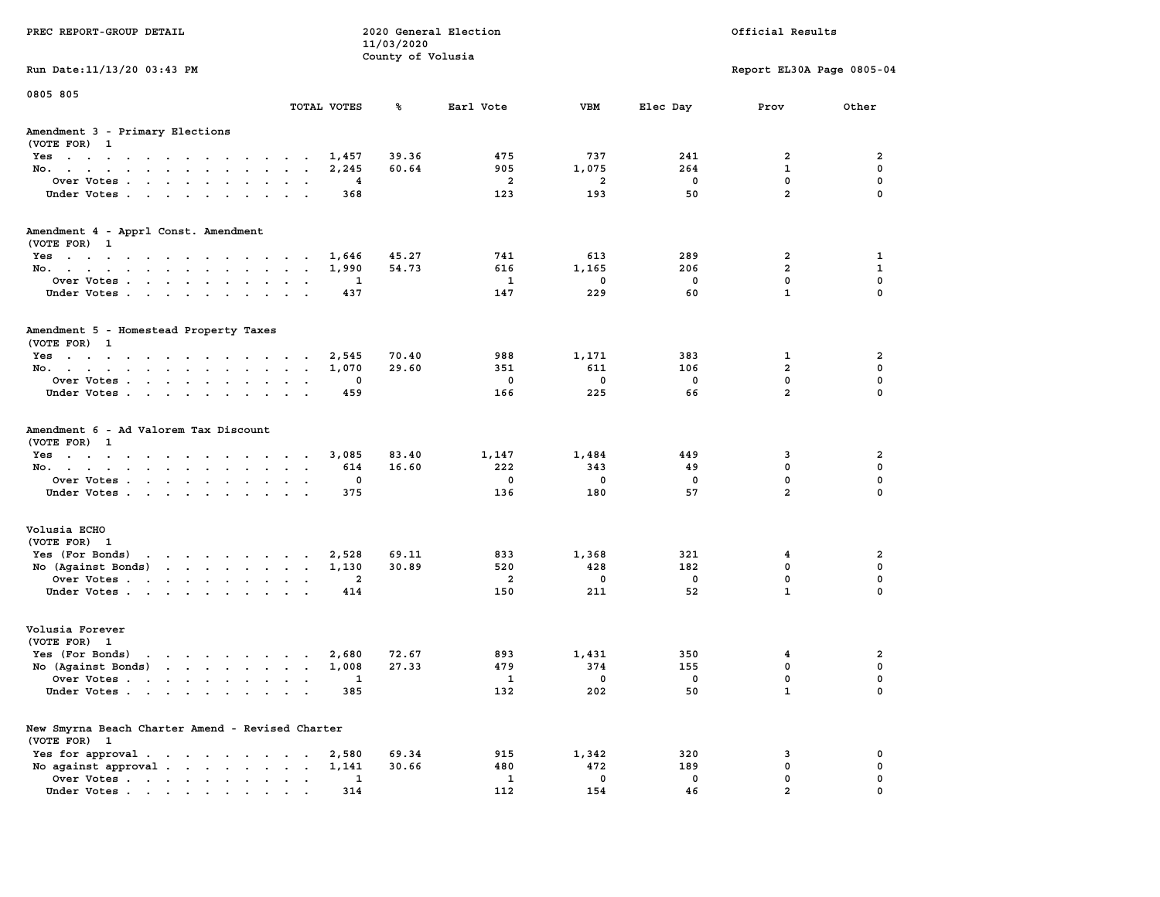| PREC REPORT-GROUP DETAIL                                                                           |                          |                       | 11/03/2020        | 2020 General Election |                    |                                | Official Results          |               |
|----------------------------------------------------------------------------------------------------|--------------------------|-----------------------|-------------------|-----------------------|--------------------|--------------------------------|---------------------------|---------------|
| Run Date: 11/13/20 03:43 PM                                                                        |                          |                       | County of Volusia |                       |                    |                                | Report EL30A Page 0805-04 |               |
| 0805 805                                                                                           | TOTAL VOTES              |                       | ℁                 | Earl Vote             | VBM                | Elec Day                       | Prov                      | Other         |
| Amendment 3 - Primary Elections                                                                    |                          |                       |                   |                       |                    |                                |                           |               |
| (VOTE FOR) 1<br>Yes                                                                                |                          | 1,457                 | 39.36             | 475                   | 737                | 241                            | 2                         | 2             |
| No.                                                                                                |                          | 2,245                 | 60.64             | 905                   | 1,075              | 264                            | 1                         | 0             |
| Over Votes                                                                                         |                          | 4                     |                   | 2                     | 2                  | 0                              | 0                         | $\mathbf 0$   |
| Under Votes                                                                                        | $\cdot$ $\cdot$          | 368                   |                   | 123                   | 193                | 50                             | $\overline{a}$            | $\Omega$      |
| Amendment 4 - Apprl Const. Amendment                                                               |                          |                       |                   |                       |                    |                                |                           |               |
| (VOTE FOR) 1<br>Yes                                                                                |                          | 1,646                 | 45.27             | 741                   | 613                | 289                            | 2                         | 1             |
| No.                                                                                                | $\ddot{\phantom{1}}$     | 1,990                 | 54.73             | 616                   | 1,165              | 206                            | $\overline{\mathbf{2}}$   | 1             |
| Over Votes                                                                                         | $\sim$ $\sim$            | 1                     |                   | 1                     | 0                  | 0                              | 0                         | 0             |
| Under Votes.                                                                                       |                          | 437                   |                   | 147                   | 229                | 60                             | $\mathbf{1}$              | 0             |
| Amendment 5 - Homestead Property Taxes<br>(VOTE FOR) 1                                             |                          |                       |                   |                       |                    |                                |                           |               |
| Yes                                                                                                |                          | 2,545                 | 70.40             | 988                   | 1,171              | 383                            | 1                         | 2             |
| No.                                                                                                | $\sim$ $\sim$            | 1,070                 | 29.60             | 351                   | 611                | 106                            | $\overline{2}$            | 0             |
| Over Votes                                                                                         |                          | 0                     |                   | 0                     | $\mathbf 0$        | 0                              | $\mathbf 0$               | 0             |
| Under Votes                                                                                        | $\sim$ $\sim$            | 459                   |                   | 166                   | 225                | 66                             | $\overline{2}$            | $\Omega$      |
| Amendment 6 - Ad Valorem Tax Discount<br>(VOTE FOR) 1                                              |                          |                       |                   |                       |                    |                                |                           |               |
| Yes                                                                                                |                          | 3,085                 | 83.40             | 1,147                 | 1,484              | 449                            | 3                         | 2             |
| No.                                                                                                |                          | 614                   | 16.60             | 222                   | 343                | 49                             | 0                         | 0             |
| Over Votes                                                                                         |                          | 0                     |                   | 0                     | 0                  | 0                              | $\mathbf 0$               | 0<br>$\Omega$ |
| Under Votes                                                                                        |                          | 375                   |                   | 136                   | 180                | 57                             | $\overline{a}$            |               |
| Volusia ECHO<br>(VOTE FOR) 1                                                                       |                          |                       |                   |                       |                    |                                |                           |               |
| Yes (For Bonds)<br>the contract of the contract of the                                             |                          | 2,528                 | 69.11             | 833                   | 1,368              | 321                            | 4                         | 2             |
| No (Against Bonds)                                                                                 | $\sim$ $\sim$            | 1,130                 | 30.89             | 520                   | 428                | 182                            | $\mathbf 0$               | $\mathbf 0$   |
| Over Votes                                                                                         |                          | 2                     |                   | 2                     | 0                  | 0                              | 0                         | 0             |
| Under Votes                                                                                        |                          | 414                   |                   | 150                   | 211                | 52                             | $\mathbf{1}$              | $\Omega$      |
| Volusia Forever<br>(VOTE FOR) 1                                                                    |                          |                       |                   |                       |                    |                                |                           |               |
| Yes (For Bonds)                                                                                    | $\overline{\phantom{a}}$ | 2,680                 | 72.67             | 893                   | 1,431              | 350                            | 4                         | 2             |
| No (Against Bonds)                                                                                 |                          | 1,008                 | 27.33             | 479                   | 374                | 155                            | 0                         | 0             |
| Over Votes<br>$\mathbf{r}$ , and $\mathbf{r}$ , and $\mathbf{r}$ , and $\mathbf{r}$<br>Under Votes |                          | 385                   |                   | -1<br>132             | $\mathbf 0$<br>202 | $\overline{\phantom{0}}$<br>50 | 0<br>$\mathbf{1}$         | 0<br>0        |
|                                                                                                    |                          |                       |                   |                       |                    |                                |                           |               |
| New Smyrna Beach Charter Amend - Revised Charter<br>(VOTE FOR) 1                                   |                          |                       |                   |                       |                    |                                |                           |               |
| Yes for approval.                                                                                  |                          | 2,580                 | 69.34             | 915                   | 1,342              | 320                            | 3<br>0                    | 0<br>0        |
| No against approval.<br>Over Votes                                                                 |                          | 1,141<br>$\mathbf{1}$ | 30.66             | 480<br>$\mathbf{1}$   | 472<br>$\mathbf 0$ | 189<br>$\mathbf 0$             | 0                         | 0             |
| Under Votes.                                                                                       |                          | 314                   |                   | 112                   | 154                | 46                             | $\overline{a}$            | 0             |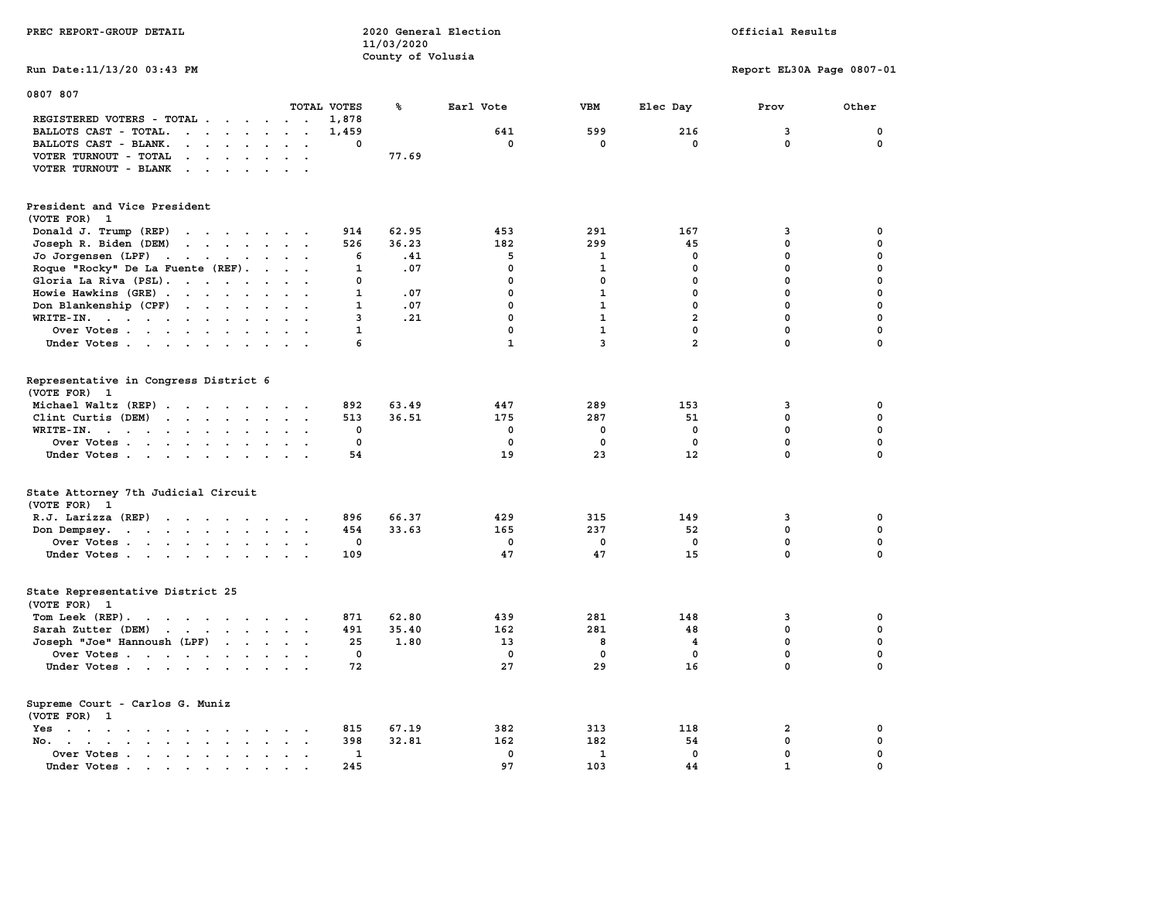| PREC REPORT-GROUP DETAIL                                                                                                                                     |                                                 | 11/03/2020<br>County of Volusia | 2020 General Election | Official Results |                |                           |             |
|--------------------------------------------------------------------------------------------------------------------------------------------------------------|-------------------------------------------------|---------------------------------|-----------------------|------------------|----------------|---------------------------|-------------|
| Run Date: 11/13/20 03:43 PM                                                                                                                                  |                                                 |                                 |                       |                  |                | Report EL30A Page 0807-01 |             |
| 0807 807                                                                                                                                                     | TOTAL VOTES                                     | ℁                               | Earl Vote             | VBM              | Elec Day       | Prov                      | Other       |
| REGISTERED VOTERS - TOTAL                                                                                                                                    | 1,878                                           |                                 |                       |                  |                |                           |             |
| BALLOTS CAST - TOTAL.<br>$\cdots$                                                                                                                            | 1,459<br>$\sim$                                 |                                 | 641                   | 599              | 216            | 3                         | $\mathbf 0$ |
| BALLOTS CAST - BLANK.<br>$\begin{array}{cccccccccccccc} \bullet & \bullet & \bullet & \bullet & \bullet & \bullet & \bullet & \bullet & \bullet \end{array}$ | 0<br>$\ddot{\phantom{0}}$                       |                                 | $\mathbf 0$           | 0                | $\mathbf 0$    | $\mathbf 0$               | $\mathbf 0$ |
| VOTER TURNOUT - TOTAL<br>$\mathbf{u} = \mathbf{u} + \mathbf{u} + \mathbf{u} + \mathbf{u}$<br>$\sim$                                                          |                                                 | 77.69                           |                       |                  |                |                           |             |
| VOTER TURNOUT - BLANK                                                                                                                                        |                                                 |                                 |                       |                  |                |                           |             |
| President and Vice President<br>(VOTE FOR) 1                                                                                                                 |                                                 |                                 |                       |                  |                |                           |             |
| Donald J. Trump (REP)                                                                                                                                        | 914                                             | 62.95                           | 453                   | 291              | 167            | 3                         | $\mathbf 0$ |
| Joseph R. Biden (DEM)                                                                                                                                        | 526                                             | 36.23                           | 182                   | 299              | 45             | $\mathbf 0$               | $\mathbf 0$ |
| Jo Jorgensen (LPF)                                                                                                                                           | 6                                               | .41                             | 5                     | 1                | $\mathbf 0$    | $\mathbf 0$               | $\mathbf 0$ |
| Roque "Rocky" De La Fuente (REF).                                                                                                                            | $\mathbf{1}$                                    | .07                             | $\mathbf{0}$          | $\mathbf{1}$     | $\mathbf{0}$   | $\mathbf 0$               | $\mathbf 0$ |
| Gloria La Riva (PSL).                                                                                                                                        | 0                                               |                                 | $\mathbf 0$           | $\mathbf 0$      | $\Omega$       | 0                         | $\mathbf 0$ |
| Howie Hawkins (GRE)                                                                                                                                          | $\mathbf{1}$                                    | .07                             | $\mathbf 0$           | $\mathbf{1}$     | $^{\circ}$     | $\mathbf 0$               | $\mathbf 0$ |
|                                                                                                                                                              | $\mathbf{1}$                                    | .07                             | $\mathbf 0$           | $\mathbf{1}$     | $\mathbf 0$    | $\mathbf 0$               | $\mathbf 0$ |
| Don Blankenship (CPF) $\cdot \cdot \cdot \cdot \cdot \cdot$                                                                                                  |                                                 |                                 |                       |                  |                |                           |             |
| WRITE-IN.                                                                                                                                                    | $\overline{3}$<br>$\sim$                        | .21                             | $\mathbf 0$           | $\mathbf{1}$     | $\overline{a}$ | $\mathbf 0$               | $\mathbf 0$ |
| Over Votes                                                                                                                                                   | $\mathbf{1}$<br>$\cdot$ .                       |                                 | $\mathbf 0$           | $\mathbf{1}$     | 0              | $\mathbf 0$               | $\mathbf 0$ |
| Under Votes                                                                                                                                                  | 6                                               |                                 | $\mathbf{1}$          | $\overline{3}$   | $\overline{a}$ | $\mathbf{0}$              | $\mathbf 0$ |
| Representative in Congress District 6<br>(VOTE FOR)<br>$\mathbf{1}$                                                                                          |                                                 |                                 |                       |                  |                |                           |             |
| Michael Waltz (REP)                                                                                                                                          | 892                                             | 63.49                           | 447                   | 289              | 153            | 3                         | 0           |
| Clint Curtis (DEM)                                                                                                                                           | 513                                             | 36.51                           | 175                   | 287              | 51             | 0                         | 0           |
| WRITE-IN.<br>$\mathbf{r}$ , and $\mathbf{r}$ , and $\mathbf{r}$ , and $\mathbf{r}$                                                                           | 0                                               |                                 | $\mathbf 0$           | 0                | $\mathbf 0$    | $\mathbf 0$               | $\mathbf 0$ |
| Over Votes                                                                                                                                                   | $\mathbf 0$<br>$\sim$                           |                                 | $\mathbf 0$           | $\mathbf 0$      | $\mathbf 0$    | 0                         | $\pmb{0}$   |
| Under Votes                                                                                                                                                  | 54                                              |                                 | 19                    | 23               | 12             | $\mathbf 0$               | $\mathbf 0$ |
| State Attorney 7th Judicial Circuit<br>(VOTE FOR) 1                                                                                                          |                                                 |                                 |                       |                  |                |                           |             |
| R.J. Larizza (REP)                                                                                                                                           | 896                                             | 66.37                           | 429                   | 315              | 149            | 3                         | 0           |
| Don Dempsey.<br>the contract of the contract of the contract of the contract of the contract of the contract of the contract of                              | 454                                             | 33.63                           | 165                   | 237              | 52             | 0                         | 0           |
| Over Votes                                                                                                                                                   | 0                                               |                                 | 0                     | 0                | $\mathbf 0$    | 0                         | $\mathbf 0$ |
| Under Votes                                                                                                                                                  | 109                                             |                                 | 47                    | 47               | 15             | $\mathbf 0$               | $\mathbf 0$ |
| State Representative District 25<br>(VOTE FOR) 1                                                                                                             |                                                 |                                 |                       |                  |                |                           |             |
| Tom Leek (REP).                                                                                                                                              | 871                                             | 62.80                           | 439                   | 281              | 148            | 3                         | $\mathbf 0$ |
| Sarah Zutter (DEM)                                                                                                                                           | 491                                             | 35.40                           | 162                   | 281              | 48             | $\mathbf 0$               | $\mathbf 0$ |
| Joseph "Joe" Hannoush (LPF)                                                                                                                                  | 25                                              | 1.80                            | 13                    | 8                | 4              | 0                         | $\mathbf 0$ |
| Over Votes                                                                                                                                                   | $\Omega$                                        |                                 | $^{\circ}$            | $\mathbf{0}$     | $^{\circ}$     | $\mathbf 0$               | $\mathbf 0$ |
| Under Votes                                                                                                                                                  | 72                                              |                                 | 27                    | 29               | 16             | $\mathbf 0$               | $\mathbf 0$ |
| Supreme Court - Carlos G. Muniz<br>(VOTE FOR) 1                                                                                                              |                                                 |                                 |                       |                  |                |                           |             |
| Yes                                                                                                                                                          | 815                                             | 67.19                           | 382                   | 313              | 118            | $\overline{\mathbf{2}}$   | 0           |
| No.                                                                                                                                                          | 398<br>$\sim$ $\sim$                            | 32.81                           | 162                   | 182              | 54             | $\mathbf 0$               | $\mathbf 0$ |
| Over Votes                                                                                                                                                   | $\mathbf{1}$<br>$\ddot{\phantom{a}}$<br>$\cdot$ |                                 | $\mathbf 0$           | $\mathbf{1}$     | $\mathbf 0$    | $\mathbf 0$               | $\mathbf 0$ |
| Under Votes                                                                                                                                                  | 245<br>$\sim$                                   |                                 | 97                    | 103              | 44             | $\mathbf 1$               | $\mathbf 0$ |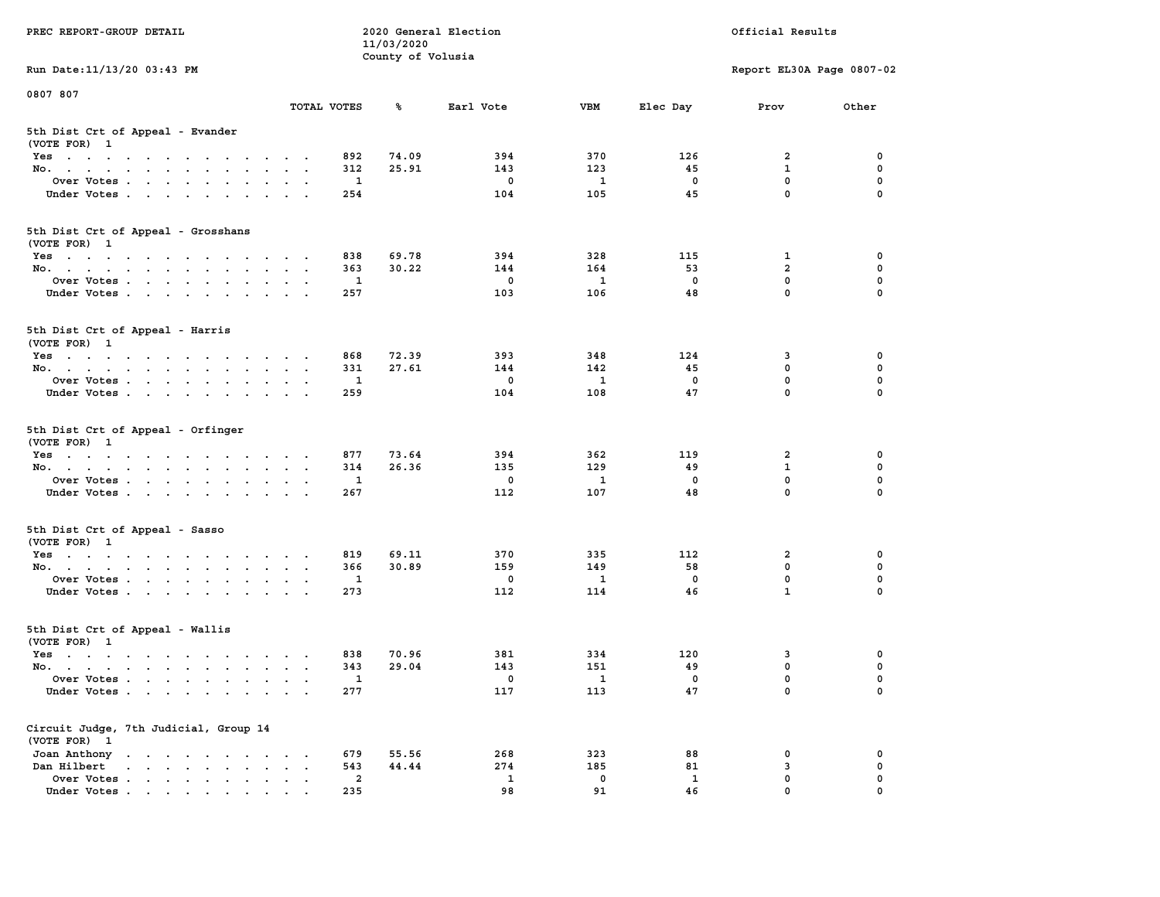| PREC REPORT-GROUP DETAIL                                                                                                                                                                                                                 |                                                           |                     | 11/03/2020 | 2020 General Election |                          | Official Results   |                  |          |  |
|------------------------------------------------------------------------------------------------------------------------------------------------------------------------------------------------------------------------------------------|-----------------------------------------------------------|---------------------|------------|-----------------------|--------------------------|--------------------|------------------|----------|--|
| Run Date: 11/13/20 03:43 PM                                                                                                                                                                                                              | County of Volusia<br>Report EL30A Page 0807-02            |                     |            |                       |                          |                    |                  |          |  |
| 0807 807                                                                                                                                                                                                                                 |                                                           |                     |            |                       |                          |                    |                  |          |  |
|                                                                                                                                                                                                                                          | TOTAL VOTES                                               |                     | ℁          | Earl Vote             | <b>VBM</b>               | Elec Day           | Prov             | Other    |  |
| 5th Dist Crt of Appeal - Evander<br>(VOTE FOR) 1                                                                                                                                                                                         |                                                           |                     |            |                       |                          |                    |                  |          |  |
| Yes                                                                                                                                                                                                                                      |                                                           | 892                 | 74.09      | 394                   | 370                      | 126                | 2                | 0        |  |
| No.                                                                                                                                                                                                                                      |                                                           | 312                 | 25.91      | 143                   | 123                      | 45                 | $\mathbf{1}$     | 0        |  |
| Over Votes                                                                                                                                                                                                                               |                                                           | 1                   |            | 0                     | 1                        | 0                  | $\mathbf 0$      | 0        |  |
| Under Votes                                                                                                                                                                                                                              |                                                           | 254                 |            | 104                   | 105                      | 45                 | $\mathbf 0$      | $\Omega$ |  |
| 5th Dist Crt of Appeal - Grosshans<br>(VOTE FOR) 1                                                                                                                                                                                       |                                                           |                     |            |                       |                          |                    |                  |          |  |
| Yes                                                                                                                                                                                                                                      |                                                           | 838                 | 69.78      | 394                   | 328                      | 115                | 1                | 0        |  |
| No.                                                                                                                                                                                                                                      |                                                           | 363                 | 30.22      | 144                   | 164                      | 53                 | $\overline{a}$   | 0        |  |
| Over Votes                                                                                                                                                                                                                               |                                                           | 1                   |            | 0                     | 1                        | $\mathbf 0$        | $\mathbf 0$      | 0        |  |
| Under Votes                                                                                                                                                                                                                              |                                                           | 257                 |            | 103                   | 106                      | 48                 | $\mathbf{0}$     | 0        |  |
| 5th Dist Crt of Appeal - Harris<br>(VOTE FOR) 1                                                                                                                                                                                          |                                                           |                     |            |                       |                          |                    |                  |          |  |
| Yes                                                                                                                                                                                                                                      |                                                           | 868                 | 72.39      | 393                   | 348                      | 124                | 3                | 0        |  |
| No.                                                                                                                                                                                                                                      |                                                           | 331                 | 27.61      | 144                   | 142                      | 45                 | 0                | 0        |  |
| Over Votes                                                                                                                                                                                                                               |                                                           | 1                   |            | 0                     | 1                        | 0                  | $\mathbf 0$      | 0        |  |
| Under Votes                                                                                                                                                                                                                              |                                                           | 259                 |            | 104                   | 108                      | 47                 | $\mathbf 0$      | 0        |  |
| 5th Dist Crt of Appeal - Orfinger<br>(VOTE FOR) 1                                                                                                                                                                                        |                                                           |                     |            |                       |                          |                    |                  |          |  |
| Yes                                                                                                                                                                                                                                      |                                                           | 877                 | 73.64      | 394                   | 362                      | 119                | 2                | 0        |  |
| No.                                                                                                                                                                                                                                      |                                                           | 314                 | 26.36      | 135                   | 129                      | 49                 | $\mathbf{1}$     | 0        |  |
| Over Votes                                                                                                                                                                                                                               |                                                           | 1                   |            | 0                     | 1                        | 0                  | $\mathbf 0$      | 0        |  |
| Under Votes                                                                                                                                                                                                                              |                                                           | 267                 |            | 112                   | 107                      | 48                 | $\mathbf 0$      | $\Omega$ |  |
| 5th Dist Crt of Appeal - Sasso<br>(VOTE FOR) 1                                                                                                                                                                                           |                                                           |                     |            |                       |                          |                    |                  |          |  |
| Yes                                                                                                                                                                                                                                      |                                                           | 819                 | 69.11      | 370                   | 335                      | 112                | 2                | 0        |  |
| No.                                                                                                                                                                                                                                      |                                                           | 366                 | 30.89      | 159                   | 149                      | 58                 | $\mathbf 0$      | 0        |  |
| Over Votes                                                                                                                                                                                                                               |                                                           | 1                   |            | 0                     | 1                        | 0                  | $\mathbf 0$      | 0        |  |
| Under Votes                                                                                                                                                                                                                              |                                                           | 273                 |            | 112                   | 114                      | 46                 | $\mathbf{1}$     | 0        |  |
| 5th Dist Crt of Appeal - Wallis<br>(VOTE FOR) 1                                                                                                                                                                                          |                                                           |                     |            |                       |                          |                    |                  |          |  |
| Yes<br>$\mathbf{r}$ . The contribution of the contribution of the contribution of the contribution of the contribution of the contribution of the contribution of the contribution of the contribution of the contribution of the contri |                                                           | 838                 | 70.96      | 381                   | 334                      | 120                | 3                | 0        |  |
| No.                                                                                                                                                                                                                                      |                                                           | 343                 | 29.04      | 143                   | 151                      | 49                 | $\mathbf 0$      | 0        |  |
| Over Votes                                                                                                                                                                                                                               |                                                           | $\mathbf{1}$<br>277 |            | 0                     | $\overline{\phantom{a}}$ | 0<br>47            | $\mathbf 0$<br>0 | 0<br>0   |  |
| Under Votes                                                                                                                                                                                                                              |                                                           |                     |            | 117                   | 113                      |                    |                  |          |  |
| Circuit Judge, 7th Judicial, Group 14<br>(VOTE FOR) 1                                                                                                                                                                                    |                                                           |                     |            |                       |                          |                    |                  |          |  |
| Joan Anthony                                                                                                                                                                                                                             | $\ddot{\phantom{0}}$<br>$\sim$ 100 $\pm$                  | 679                 | 55.56      | 268                   | 323                      | 88                 | 0                | 0        |  |
| Dan Hilbert<br>$\cdot$ $\cdot$ $\cdot$ $\cdot$ $\cdot$ $\cdot$ $\cdot$ $\cdot$                                                                                                                                                           | $\ddot{\phantom{a}}$<br>$\bullet$<br>$\ddot{\phantom{1}}$ | 543                 | 44.44      | 274                   | 185                      | 81                 | 3                | 0        |  |
| Over Votes.                                                                                                                                                                                                                              |                                                           | $\overline{a}$      |            | $\mathbf{1}$<br>98    | $\mathbf 0$<br>91        | $\mathbf{1}$<br>46 | $\mathbf 0$<br>0 | 0        |  |
| Under Votes.                                                                                                                                                                                                                             |                                                           | 235                 |            |                       |                          |                    |                  |          |  |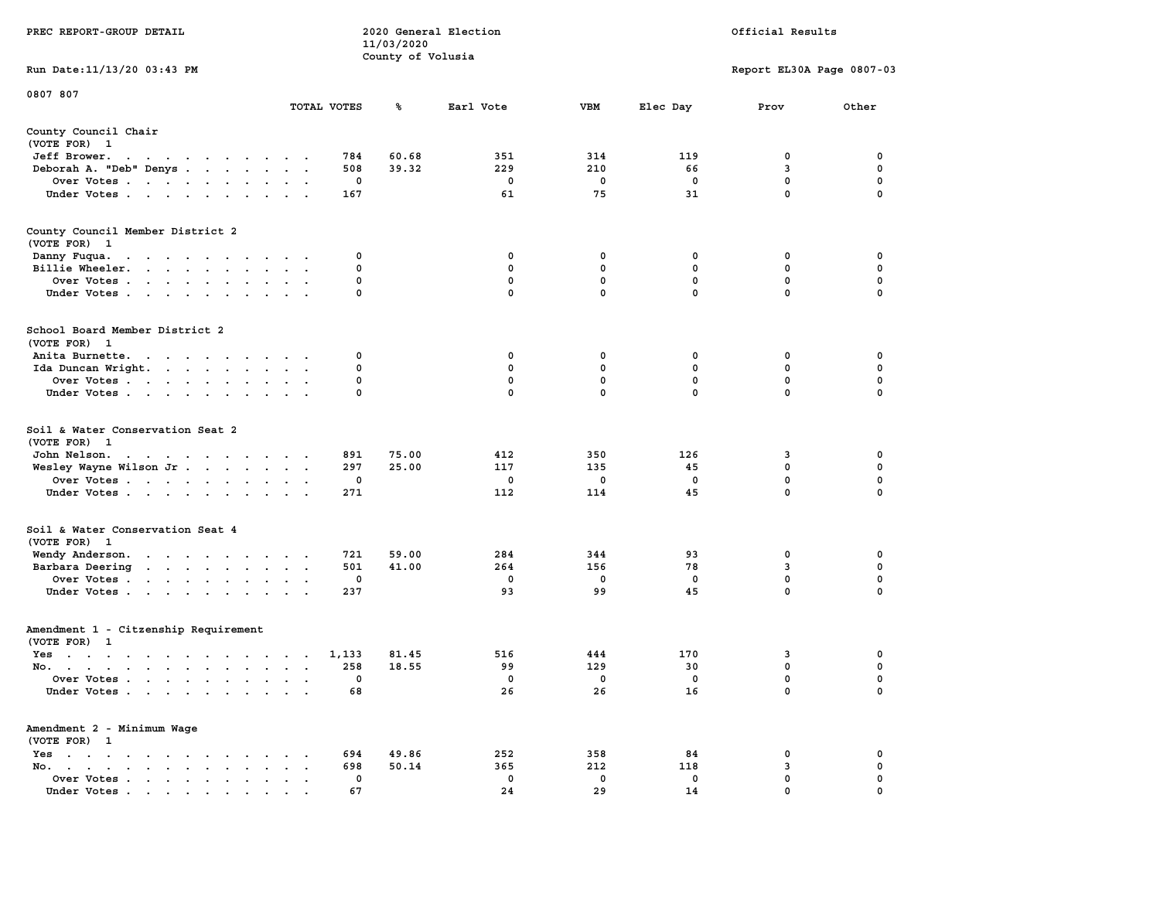|                                                                                                                                                                                    |                                                                          |             | 11/03/2020        |              |              |              |                           |                  |
|------------------------------------------------------------------------------------------------------------------------------------------------------------------------------------|--------------------------------------------------------------------------|-------------|-------------------|--------------|--------------|--------------|---------------------------|------------------|
|                                                                                                                                                                                    |                                                                          |             | County of Volusia |              |              |              |                           |                  |
| Run Date:11/13/20 03:43 PM                                                                                                                                                         |                                                                          |             |                   |              |              |              | Report EL30A Page 0807-03 |                  |
| 0807 807                                                                                                                                                                           |                                                                          |             |                   |              |              |              |                           |                  |
|                                                                                                                                                                                    |                                                                          | TOTAL VOTES | ℁                 | Earl Vote    | <b>VBM</b>   | Elec Day     | Prov                      | Other            |
| County Council Chair                                                                                                                                                               |                                                                          |             |                   |              |              |              |                           |                  |
| (VOTE FOR) 1                                                                                                                                                                       |                                                                          |             |                   |              |              |              |                           |                  |
| Jeff Brower.<br>$\sim$ $\sim$<br>the contract of the contract of the                                                                                                               |                                                                          | 784         | 60.68             | 351          | 314          | 119          | 0                         | 0                |
| Deborah A. "Deb" Denys                                                                                                                                                             |                                                                          | 508         | 39.32             | 229          | 210          | 66           | 3                         | 0                |
| Over Votes                                                                                                                                                                         | $\mathbf{r}$<br>$\sim$                                                   | 0           |                   | 0            | 0            | 0            | 0                         | 0                |
| Under Votes                                                                                                                                                                        |                                                                          | 167         |                   | 61           | 75           | 31           | 0                         | $\mathbf 0$      |
| County Council Member District 2                                                                                                                                                   |                                                                          |             |                   |              |              |              |                           |                  |
| (VOTE FOR) 1                                                                                                                                                                       |                                                                          |             |                   |              |              |              |                           |                  |
|                                                                                                                                                                                    |                                                                          | 0           |                   | 0            | 0            | 0            | 0                         | 0                |
| Danny Fuqua.<br>the contract of the contract of the                                                                                                                                |                                                                          | 0           |                   | $\mathbf{0}$ | $\mathbf 0$  | 0            | $\mathbf 0$               | $\mathbf 0$      |
| Billie Wheeler.                                                                                                                                                                    | $\ddot{\phantom{a}}$<br>$\sim$                                           | 0           |                   | $\mathbf 0$  | $\mathbf 0$  | $\mathbf 0$  | $\mathbf 0$               | $\pmb{0}$        |
| Over Votes<br>$\ddot{\phantom{a}}$<br>$\ddot{\phantom{0}}$                                                                                                                         |                                                                          | 0           |                   | $\mathbf{0}$ | $\mathbf{0}$ | $\mathbf{0}$ | 0                         | $\mathbf 0$      |
| Under Votes<br>$\cdot$                                                                                                                                                             |                                                                          |             |                   |              |              |              |                           |                  |
| School Board Member District 2                                                                                                                                                     |                                                                          |             |                   |              |              |              |                           |                  |
| (VOTE FOR)<br>$\mathbf{1}$                                                                                                                                                         |                                                                          |             |                   |              |              |              |                           |                  |
| Anita Burnette.                                                                                                                                                                    |                                                                          | 0           |                   | 0            | 0            | 0            | 0                         | 0                |
| Ida Duncan Wright.                                                                                                                                                                 | $\bullet$<br>$\sim$<br>$\ddot{\phantom{a}}$                              | 0           |                   | 0            | 0            | 0            | 0                         | 0                |
| Over Votes                                                                                                                                                                         |                                                                          | 0           |                   | 0            | $\mathbf 0$  | 0            | 0                         | 0                |
| Under Votes                                                                                                                                                                        |                                                                          | 0           |                   | $^{\circ}$   | 0            | 0            | $\mathbf 0$               | $\mathbf 0$      |
| Soil & Water Conservation Seat 2<br>(VOTE FOR) 1                                                                                                                                   |                                                                          |             |                   |              |              |              |                           |                  |
| John Nelson.<br>the contract of the contract of the contract of the contract of the contract of the contract of the contract of                                                    |                                                                          | 891         | 75.00             | 412          | 350          | 126          | 3                         | 0                |
| Wesley Wayne Wilson Jr                                                                                                                                                             | $\ddot{\phantom{1}}$                                                     | 297         | 25.00             | 117          | 135          | 45           | 0                         | 0                |
| Over Votes                                                                                                                                                                         | $\ddot{\phantom{a}}$                                                     | $\mathbf 0$ |                   | 0            | $\mathbf 0$  | $\mathbf 0$  | $\mathbf 0$               | $\mathbf 0$      |
| Under Votes                                                                                                                                                                        |                                                                          | 271         |                   | 112          | 114          | 45           | $\mathbf 0$               | 0                |
| Soil & Water Conservation Seat 4                                                                                                                                                   |                                                                          |             |                   |              |              |              |                           |                  |
| (VOTE FOR) 1                                                                                                                                                                       |                                                                          |             |                   |              |              |              |                           |                  |
| Wendy Anderson.<br>the contract of the contract of the con-                                                                                                                        |                                                                          | 721<br>501  | 59.00<br>41.00    | 284<br>264   | 344<br>156   | 93<br>78     | 0<br>3                    | 0<br>$\mathbf 0$ |
| Barbara Deering                                                                                                                                                                    |                                                                          |             |                   |              |              |              | $\mathbf 0$               | $\mathbf 0$      |
| Over Votes<br>$\ddot{\phantom{0}}$                                                                                                                                                 | $\ddot{\phantom{a}}$<br>$\overline{\phantom{a}}$<br>$\cdot$              | 0           |                   | 0            | 0            | $\mathbf 0$  |                           | $\mathbf 0$      |
| Under Votes                                                                                                                                                                        |                                                                          | 237         |                   | 93           | 99           | 45           | $\mathbf 0$               |                  |
| Amendment 1 - Citzenship Requirement                                                                                                                                               |                                                                          |             |                   |              |              |              |                           |                  |
| (VOTE FOR) 1                                                                                                                                                                       |                                                                          |             |                   |              |              |              |                           |                  |
| $Yes \t . \t .$<br>$\mathcal{A}^{\mathcal{A}}$ , and $\mathcal{A}^{\mathcal{A}}$ , and $\mathcal{A}^{\mathcal{A}}$<br><b>Contract Contract Contract</b><br>$\sim 100$ km s $^{-1}$ | $\cdots$                                                                 | 1,133       | 81.45             | 516          | 444          | 170          | 3                         | 0                |
| No.                                                                                                                                                                                | $\bullet$                                                                | 258         | 18.55             | 99           | 129          | 30           | $\mathbf 0$               | 0                |
| Over Votes<br>$\sim$ $\sim$                                                                                                                                                        | $\bullet$<br>$\bullet$<br>$\blacksquare$ .                               | 0           |                   | 0            | 0            | $\mathbf 0$  | $\mathbf 0$               | 0                |
| Under Votes                                                                                                                                                                        |                                                                          | 68          |                   | 26           | 26           | 16           | 0                         | 0                |
| Amendment 2 - Minimum Wage                                                                                                                                                         |                                                                          |             |                   |              |              |              |                           |                  |
| (VOTE FOR) 1                                                                                                                                                                       |                                                                          |             |                   |              |              |              |                           |                  |
| $Yes \t . \t .$<br>the contract of the contract of the contract of the contract of the contract of the contract of the contract of                                                 |                                                                          | 694         | 49.86             | 252          | 358          | 84           | 0                         | 0                |
| No.<br>$\cdots$<br>$\sim$<br>$\overline{\phantom{a}}$                                                                                                                              |                                                                          | 698         | 50.14             | 365          | 212          | 118          | 3                         | 0                |
| Over Votes<br>$\ddot{\phantom{0}}$                                                                                                                                                 | $\ddot{\phantom{a}}$<br>$\ddot{\phantom{a}}$<br>$\overline{\phantom{a}}$ | 0           |                   | $\mathbf 0$  | $\mathbf 0$  | $\mathbf 0$  | $\mathbf 0$               | $\mathbf 0$      |
| Under Votes<br>$\ddot{\phantom{a}}$<br>the contract of the contract of the contract of the contract of the contract of the contract of the contract of                             | $\sim$ 100 $\pm$                                                         | 67          |                   | 24           | 29           | 14           | $\mathbf 0$               | $\mathbf 0$      |

**PREC REPORT-GROUP DETAIL 2020 General Election** 

Official Results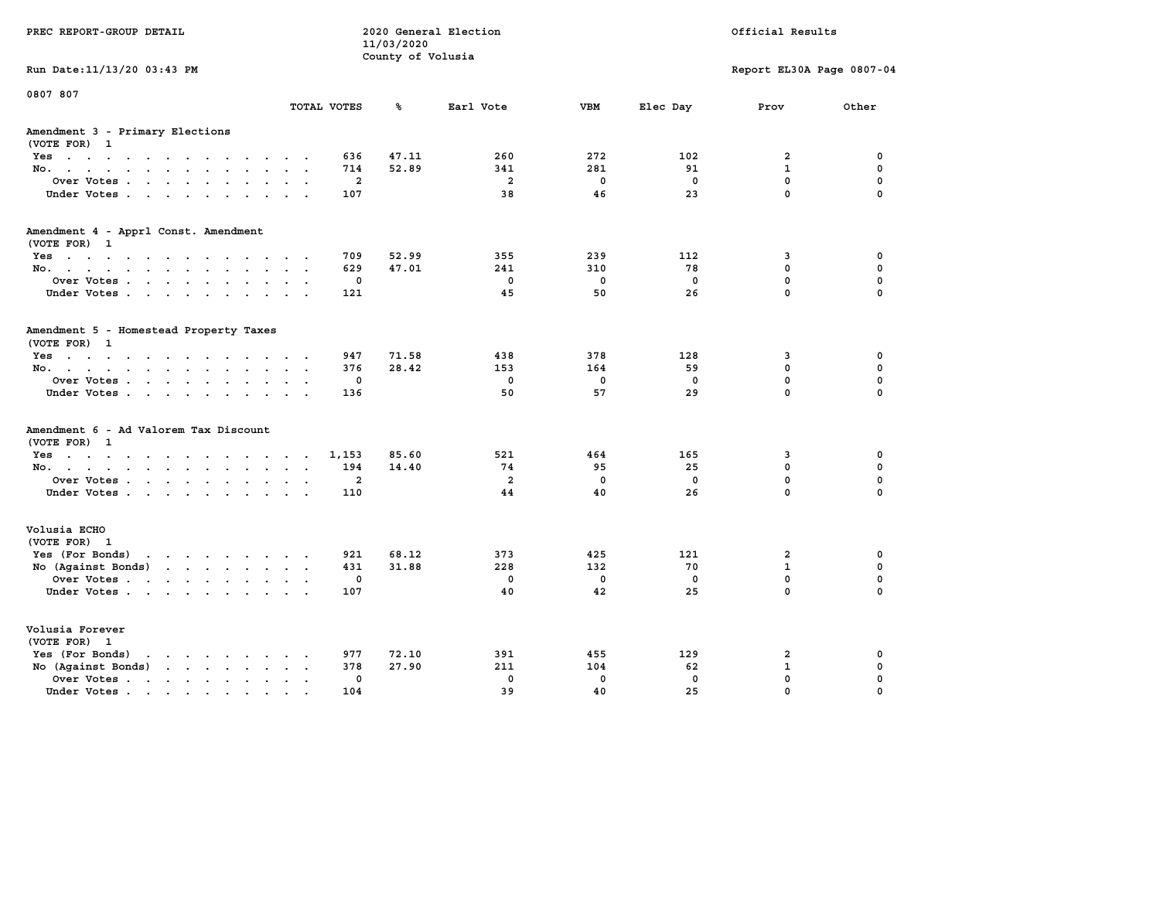| PREC REPORT-GROUP DETAIL                                                                       |                                      | 11/03/2020<br>County of Volusia | 2020 General Election |             |             | Official Results          |             |  |  |
|------------------------------------------------------------------------------------------------|--------------------------------------|---------------------------------|-----------------------|-------------|-------------|---------------------------|-------------|--|--|
| Run Date: 11/13/20 03:43 PM                                                                    |                                      |                                 |                       |             |             | Report EL30A Page 0807-04 |             |  |  |
| 0807 807                                                                                       | TOTAL VOTES                          | ℁                               | Earl Vote             | <b>VBM</b>  | Elec Day    | Prov                      | Other       |  |  |
| Amendment 3 - Primary Elections<br>(VOTE FOR) 1                                                |                                      |                                 |                       |             |             |                           |             |  |  |
| Yes                                                                                            | 636                                  | 47.11                           | 260                   | 272         | 102         | $\overline{2}$            | 0           |  |  |
| No.<br>$\sim$                                                                                  | 714                                  | 52.89                           | 341                   | 281         | 91          | $\mathbf{1}$              | $\mathbf 0$ |  |  |
| Over Votes<br>$\sim$                                                                           | $\overline{\mathbf{2}}$              |                                 | $\overline{a}$        | $\mathbf 0$ | $\mathbf 0$ | $\mathbf 0$               | $\mathbf 0$ |  |  |
| Under Votes                                                                                    | 107                                  |                                 | 38                    | 46          | 23          | $\mathbf 0$               | $\Omega$    |  |  |
| Amendment 4 - Apprl Const. Amendment<br>(VOTE FOR) 1                                           |                                      |                                 |                       |             |             |                           |             |  |  |
| Yes                                                                                            | 709                                  | 52.99                           | 355                   | 239         | 112         | 3                         | 0           |  |  |
| No.                                                                                            | 629                                  | 47.01                           | 241                   | 310         | 78          | 0                         | $\mathbf 0$ |  |  |
| Over Votes<br>$\bullet$                                                                        | $\mathbf 0$<br>$\ddot{\phantom{a}}$  |                                 | $\mathbf 0$           | $\mathbf 0$ | $\mathbf 0$ | 0                         | $\mathbf 0$ |  |  |
| Under Votes                                                                                    | 121                                  |                                 | 45                    | 50          | 26          | $\mathbf 0$               | $\Omega$    |  |  |
| Amendment 5 - Homestead Property Taxes<br>(VOTE FOR) 1                                         |                                      |                                 |                       |             |             |                           |             |  |  |
| Yes                                                                                            | 947                                  | 71.58                           | 438                   | 378         | 128         | 3                         | 0           |  |  |
| No.<br>$\sim$ $\sim$<br>$\sim$                                                                 | 376                                  | 28.42                           | 153                   | 164         | 59          | 0                         | $\mathbf 0$ |  |  |
| Over Votes<br>$\ddot{\phantom{a}}$                                                             | 0                                    |                                 | $\mathbf 0$           | $\mathbf 0$ | $\mathbf 0$ | 0                         | $\mathbf 0$ |  |  |
| Under Votes<br><b>Contract Contract</b>                                                        | 136                                  |                                 | 50                    | 57          | 29          | 0                         | $\Omega$    |  |  |
| Amendment 6 - Ad Valorem Tax Discount<br>(VOTE FOR) 1                                          |                                      |                                 |                       |             |             |                           |             |  |  |
| Yes                                                                                            | 1,153                                | 85.60                           | 521                   | 464         | 165         | 3                         | 0           |  |  |
| No.<br>$\sim$                                                                                  | 194                                  | 14.40                           | 74                    | 95          | 25          | 0                         | $\mathbf 0$ |  |  |
| Over Votes<br>$\bullet$                                                                        | $\mathbf{2}$<br>$\ddot{\phantom{a}}$ |                                 | $\overline{a}$        | $\mathbf 0$ | $\mathbf 0$ | 0                         | $\mathbf 0$ |  |  |
| Under Votes                                                                                    | 110                                  |                                 | 44                    | 40          | 26          | $\mathbf 0$               | $\Omega$    |  |  |
| Volusia ECHO<br>(VOTE FOR) 1                                                                   |                                      |                                 |                       |             |             |                           |             |  |  |
| Yes (For Bonds)<br>the contract of the contract of the con-                                    | 921                                  | 68.12                           | 373                   | 425         | 121         | $\mathbf{2}$              | 0           |  |  |
| No (Against Bonds)<br>$\mathbf{r}$ , $\mathbf{r}$ , $\mathbf{r}$ , $\mathbf{r}$ , $\mathbf{r}$ | 431                                  | 31.88                           | 228                   | 132         | 70          | $\mathbf{1}$              | $\mathbf 0$ |  |  |
| Over Votes<br>$\bullet$                                                                        | 0                                    |                                 | $\mathbf 0$           | $\mathbf 0$ | $\mathbf 0$ | 0                         | $\mathbf 0$ |  |  |
| Under Votes                                                                                    | 107                                  |                                 | 40                    | 42          | 25          | 0                         | $\Omega$    |  |  |
| Volusia Forever<br>(VOTE FOR) 1                                                                |                                      |                                 |                       |             |             |                           |             |  |  |
| Yes (For Bonds)<br>$\cdot$ $\cdot$ $\cdot$ $\cdot$ $\cdot$ $\cdot$ $\cdot$ $\cdot$             | 977                                  | 72.10                           | 391                   | 455         | 129         | $\mathbf{2}$              | 0           |  |  |
| No (Against Bonds)<br>$\cdot$ $\cdot$ $\cdot$ $\cdot$ $\cdot$ $\cdot$                          | 378                                  | 27.90                           | 211                   | 104         | 62          | 1                         | $\mathbf 0$ |  |  |
| Over Votes .<br>the contract of the contract of the<br>$\blacksquare$<br>$\bullet$             | $\mathbf 0$                          |                                 | $\mathbf 0$           | $\mathbf 0$ | $\mathbf 0$ | 0                         | 0           |  |  |
| Under Votes                                                                                    | 104                                  |                                 | 39                    | 40          | 25          | 0                         | $\Omega$    |  |  |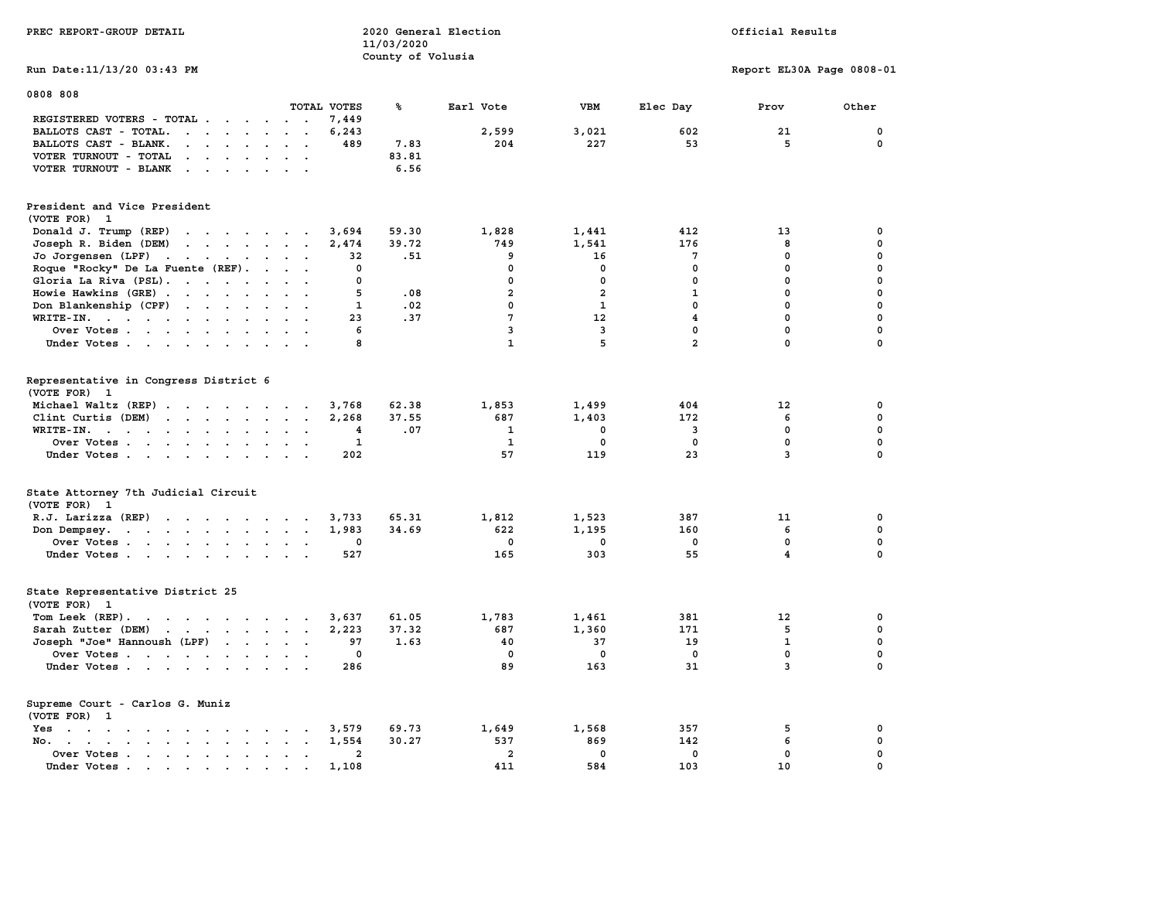| PREC REPORT-GROUP DETAIL                                                                                                                                                                                                                                 |                                                           | 11/03/2020<br>County of Volusia | 2020 General Election | Official Results |                |                           |             |  |
|----------------------------------------------------------------------------------------------------------------------------------------------------------------------------------------------------------------------------------------------------------|-----------------------------------------------------------|---------------------------------|-----------------------|------------------|----------------|---------------------------|-------------|--|
| Run Date: 11/13/20 03:43 PM                                                                                                                                                                                                                              |                                                           |                                 |                       |                  |                | Report EL30A Page 0808-01 |             |  |
| 0808 808                                                                                                                                                                                                                                                 | TOTAL VOTES                                               | ℁                               | Earl Vote             | VBM              | Elec Day       | Prov                      | Other       |  |
| REGISTERED VOTERS - TOTAL .<br>$\cdots$                                                                                                                                                                                                                  | 7,449                                                     |                                 |                       |                  |                |                           |             |  |
| BALLOTS CAST - TOTAL.<br>$\mathbf{r}$ . The set of $\mathbf{r}$                                                                                                                                                                                          | 6,243                                                     |                                 | 2,599                 | 3,021            | 602            | 21                        | $\mathbf 0$ |  |
| BALLOTS CAST - BLANK.<br>$\cdots$                                                                                                                                                                                                                        | 489<br>$\ddot{\phantom{0}}$                               | 7.83                            | 204                   | 227              | 53             | 5                         | $\mathbf 0$ |  |
| VOTER TURNOUT - TOTAL<br>$\cdot$ $\cdot$<br>$\sim$<br>$\sim$<br>$\ddot{\phantom{a}}$                                                                                                                                                                     |                                                           | 83.81                           |                       |                  |                |                           |             |  |
| VOTER TURNOUT - BLANK                                                                                                                                                                                                                                    |                                                           | 6.56                            |                       |                  |                |                           |             |  |
| President and Vice President                                                                                                                                                                                                                             |                                                           |                                 |                       |                  |                |                           |             |  |
| (VOTE FOR) 1                                                                                                                                                                                                                                             |                                                           |                                 |                       |                  |                |                           |             |  |
| Donald J. Trump (REP)                                                                                                                                                                                                                                    | 3,694                                                     | 59.30                           | 1,828                 | 1,441            | 412            | 13                        | 0           |  |
| Joseph R. Biden (DEM)                                                                                                                                                                                                                                    | 2,474                                                     | 39.72                           | 749                   | 1,541            | 176            | 8                         | $\mathbf 0$ |  |
| Jo Jorgensen (LPF)                                                                                                                                                                                                                                       | 32                                                        | .51                             | 9                     | 16               | 7              | $\mathbf 0$               | $\mathbf 0$ |  |
| Roque "Rocky" De La Fuente (REF).<br>$\sim$ $\sim$                                                                                                                                                                                                       | $\mathbf 0$<br>$\sim$ $\sim$                              |                                 | $\mathbf{0}$          | $\mathbf{0}$     | $\mathbf{0}$   | $\mathbf 0$               | $\mathbf 0$ |  |
| Gloria La Riva $(PSL)$ .                                                                                                                                                                                                                                 | 0<br>$\sim$ $\sim$                                        |                                 | $\mathbf 0$           | $\mathbf 0$      | $\mathbf 0$    | $\mathbf 0$               | $\mathbf 0$ |  |
| Howie Hawkins (GRE)                                                                                                                                                                                                                                      | 5<br>$\ddotsc$                                            | .08                             | $\overline{a}$        | $\overline{a}$   | 1              | $\mathbf 0$               | $\mathbf 0$ |  |
| Don Blankenship (CPF)                                                                                                                                                                                                                                    | $\mathbf{1}$<br>$\cdot$                                   | .02                             | $\mathbf{0}$          | $\mathbf{1}$     | 0              | $\mathbf{0}$              | $\mathbf 0$ |  |
| WRITE-IN.                                                                                                                                                                                                                                                | 23<br>$\ddot{\phantom{a}}$                                | .37                             | 7                     | 12               | $\overline{4}$ | $\mathbf{0}$              | $\mathbf 0$ |  |
| Over Votes                                                                                                                                                                                                                                               | 6<br>$\sim$ $\sim$                                        |                                 | 3                     | $\overline{3}$   | $\mathbf{0}$   | $\mathbf 0$               | $\mathbf 0$ |  |
| Under Votes<br>$\sim$ $\sim$                                                                                                                                                                                                                             | 8                                                         |                                 | $\mathbf{1}$          | 5                | $\overline{a}$ | $\mathbf 0$               | $\mathbf 0$ |  |
|                                                                                                                                                                                                                                                          |                                                           |                                 |                       |                  |                |                           |             |  |
| Representative in Congress District 6<br>(VOTE FOR) 1                                                                                                                                                                                                    |                                                           |                                 |                       |                  |                |                           |             |  |
| Michael Waltz (REP)                                                                                                                                                                                                                                      | 3,768                                                     | 62.38                           | 1,853                 | 1,499            | 404            | 12                        | 0           |  |
| Clint Curtis (DEM)                                                                                                                                                                                                                                       | 2,268                                                     | 37.55                           | 687                   | 1,403            | 172            | 6                         | 0           |  |
| WRITE-IN.<br>$\mathbf{r}$ . The contract of the contract of the contract of the contract of the contract of the contract of the contract of the contract of the contract of the contract of the contract of the contract of the contract of th<br>$\sim$ | 4<br>$\sim$                                               | .07                             | 1                     | 0                | 3              | 0                         | $\mathbf 0$ |  |
| Over Votes<br>$\sim$<br>$\sim$                                                                                                                                                                                                                           | $\mathbf{1}$                                              |                                 | $\mathbf{1}$          | $\mathbf 0$      | $\mathbf 0$    | $\mathbf 0$               | $\mathbf 0$ |  |
| Under Votes                                                                                                                                                                                                                                              | 202<br>$\sim$ $\sim$                                      |                                 | 57                    | 119              | 23             | 3                         | $\mathbf 0$ |  |
|                                                                                                                                                                                                                                                          |                                                           |                                 |                       |                  |                |                           |             |  |
| State Attorney 7th Judicial Circuit<br>(VOTE FOR) 1                                                                                                                                                                                                      |                                                           |                                 |                       |                  |                |                           |             |  |
| $R.J.$ Larizza $(REP)$                                                                                                                                                                                                                                   | 3,733<br>$\ddot{\phantom{a}}$                             | 65.31                           | 1,812                 | 1,523            | 387            | 11                        | 0           |  |
| Don Dempsey.<br>the contract of the contract of the contract of the contract of the contract of the contract of the contract of                                                                                                                          | 1,983<br>$\ddot{\phantom{a}}$<br>$\sim$                   | 34.69                           | 622                   | 1,195            | 160            | 6                         | $\mathbf 0$ |  |
| Over Votes                                                                                                                                                                                                                                               | 0<br>$\cdot$                                              |                                 | $\Omega$              | 0                | $\mathbf 0$    | $\mathbf 0$               | $\mathbf 0$ |  |
| Under Votes                                                                                                                                                                                                                                              | 527                                                       |                                 | 165                   | 303              | 55             | $\overline{\mathbf{4}}$   | $\mathbf 0$ |  |
| State Representative District 25<br>(VOTE FOR) 1                                                                                                                                                                                                         |                                                           |                                 |                       |                  |                |                           |             |  |
| Tom Leek (REP).                                                                                                                                                                                                                                          | 3,637                                                     | 61.05                           | 1,783                 | 1,461            | 381            | 12                        | 0           |  |
| Sarah Zutter (DEM)                                                                                                                                                                                                                                       | 2,223                                                     | 37.32                           | 687                   | 1,360            | 171            | 5                         | 0           |  |
| Joseph "Joe" Hannoush (LPF)                                                                                                                                                                                                                              | 97                                                        | 1.63                            | 40                    | 37               | 19             | $\mathbf{1}$              | $\mathbf 0$ |  |
| Over Votes                                                                                                                                                                                                                                               | 0                                                         |                                 | $\mathbf 0$           | $\mathbf 0$      | $\mathbf 0$    | $\mathbf 0$               | $\mathbf 0$ |  |
| Under Votes                                                                                                                                                                                                                                              | 286                                                       |                                 | 89                    | 163              | 31             | 3                         | $\mathbf 0$ |  |
| Supreme Court - Carlos G. Muniz<br>(VOTE FOR)<br>- 1                                                                                                                                                                                                     |                                                           |                                 |                       |                  |                |                           |             |  |
| Yes                                                                                                                                                                                                                                                      | 3,579                                                     | 69.73                           | 1,649                 | 1,568            | 357            | 5                         | 0           |  |
| No.<br>$\mathbf{r}$ , and $\mathbf{r}$ , and $\mathbf{r}$ , and $\mathbf{r}$                                                                                                                                                                             | 1,554<br>$\ddot{\phantom{a}}$<br>$\overline{\phantom{a}}$ | 30.27                           | 537                   | 869              | 142            | 6                         | $\mathbf 0$ |  |
| Over Votes                                                                                                                                                                                                                                               | $\overline{\mathbf{2}}$<br>$\cdot$                        |                                 | $\overline{a}$        | 0                | 0              | 0                         | 0           |  |
| Under Votes                                                                                                                                                                                                                                              | 1,108<br>$\sim$<br>$\sim$                                 |                                 | 411                   | 584              | 103            | 10                        | $\mathbf 0$ |  |
|                                                                                                                                                                                                                                                          |                                                           |                                 |                       |                  |                |                           |             |  |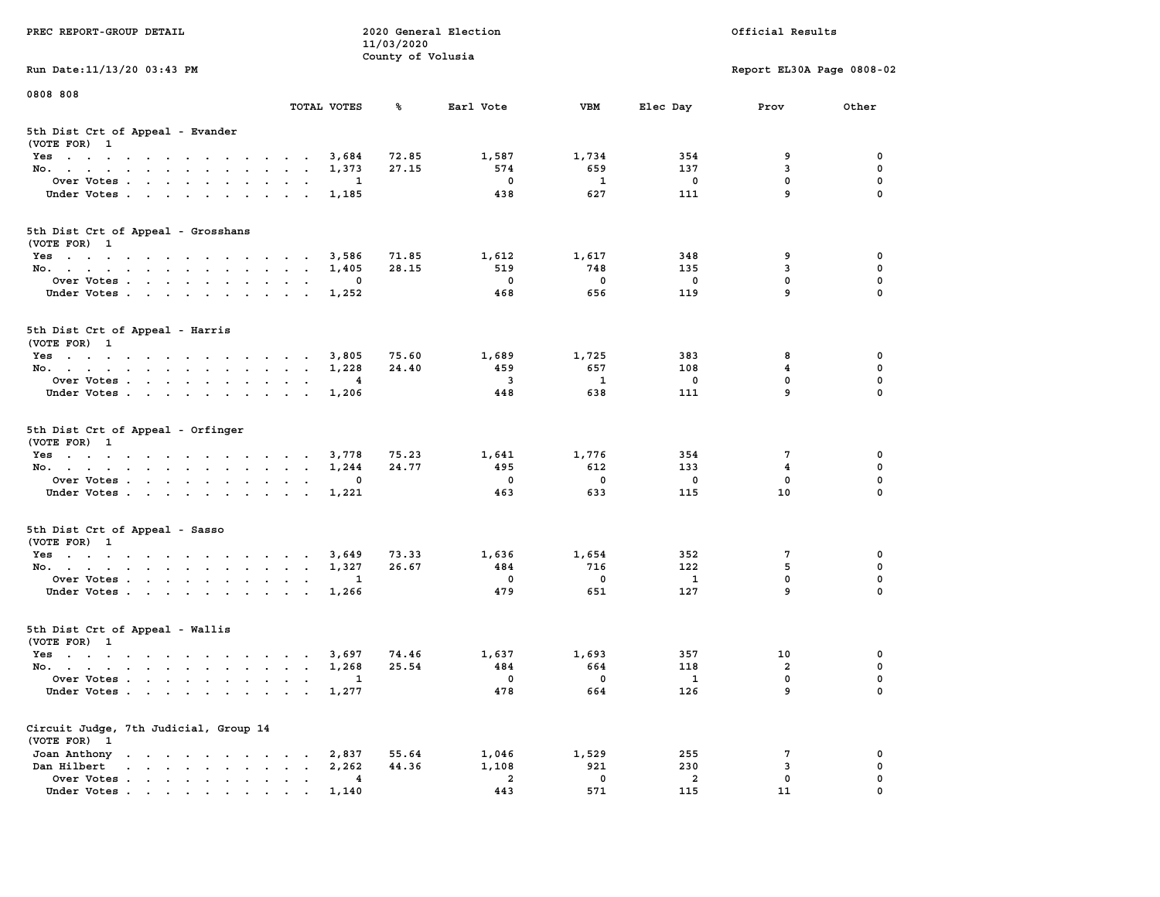| PREC REPORT-GROUP DETAIL                                                                                                                        |                                                                      | 11/03/2020<br>County of Volusia | 2020 General Election    |                   |                         | Official Results          |                  |
|-------------------------------------------------------------------------------------------------------------------------------------------------|----------------------------------------------------------------------|---------------------------------|--------------------------|-------------------|-------------------------|---------------------------|------------------|
| Run Date:11/13/20 03:43 PM                                                                                                                      |                                                                      |                                 |                          |                   |                         | Report EL30A Page 0808-02 |                  |
| 0808 808                                                                                                                                        | TOTAL VOTES                                                          | ℁                               | Earl Vote                | VBM               | Elec Day                | Prov                      | Other            |
| 5th Dist Crt of Appeal - Evander                                                                                                                |                                                                      |                                 |                          |                   |                         |                           |                  |
| (VOTE FOR) 1<br>Yes                                                                                                                             | 3,684                                                                | 72.85                           | 1,587                    | 1,734             | 354                     | 9                         | $\mathbf 0$      |
| No.                                                                                                                                             | 1,373                                                                | 27.15                           | 574                      | 659               | 137                     | 3                         | $\mathbf 0$      |
| Over Votes<br>$\ddot{\phantom{0}}$<br>$\bullet$                                                                                                 | 1                                                                    |                                 | $\overline{\phantom{0}}$ | $\mathbf{1}$      | $\overline{\mathbf{0}}$ | 0                         | 0                |
| Under Votes<br>$\sim$ $\sim$<br>$\overline{\phantom{a}}$<br>$\ddot{\phantom{a}}$                                                                | 1,185<br>$\overline{\phantom{a}}$                                    |                                 | 438                      | 627               | 111                     | 9                         | $\mathbf 0$      |
| 5th Dist Crt of Appeal - Grosshans<br>(VOTE FOR) 1                                                                                              |                                                                      |                                 |                          |                   |                         |                           |                  |
| Yes                                                                                                                                             | 3,586                                                                | 71.85                           | 1,612                    | 1,617             | 348                     | 9                         | 0                |
| No.                                                                                                                                             | 1,405                                                                | 28.15                           | 519                      | 748               | 135                     | 3                         | $\mathbf 0$      |
| Over Votes                                                                                                                                      | 0<br>$\cdot$                                                         |                                 | $\mathbf 0$              | $\mathbf 0$       | $\overline{\mathbf{0}}$ | $\mathbf 0$               | $\mathbf 0$      |
| Under Votes<br>$\sim$ $\sim$<br>$\ddot{\phantom{0}}$<br>$\bullet$                                                                               | 1,252                                                                |                                 | 468                      | 656               | 119                     | 9                         | $\mathbf 0$      |
| 5th Dist Crt of Appeal - Harris<br>(VOTE FOR) 1                                                                                                 |                                                                      |                                 |                          |                   |                         |                           |                  |
| Yes                                                                                                                                             | 3,805                                                                | 75.60                           | 1,689                    | 1,725             | 383                     | 8                         | 0                |
| No.                                                                                                                                             | 1,228                                                                | 24.40                           | 459                      | 657               | 108                     | 4                         | 0                |
| Over Votes                                                                                                                                      | 4<br>$\bullet$<br>$\blacksquare$<br>$\ddot{\phantom{a}}$             |                                 | $\overline{\mathbf{3}}$  | 1                 | 0                       | $\mathbf 0$               | 0                |
| Under Votes                                                                                                                                     | 1,206                                                                |                                 | 448                      | 638               | 111                     | 9                         | $\mathbf 0$      |
| 5th Dist Crt of Appeal - Orfinger<br>(VOTE FOR) 1                                                                                               |                                                                      |                                 |                          |                   |                         |                           |                  |
| Yes                                                                                                                                             | 3,778                                                                | 75.23                           | 1,641                    | 1,776             | 354                     | 7                         | 0                |
| No.<br>$\cdots$<br><b>Contract Contract</b><br>$\ddot{\phantom{a}}$                                                                             | 1,244                                                                | 24.77                           | 495                      | 612               | 133                     | 4                         | $\pmb{0}$        |
| Over Votes                                                                                                                                      | 0<br>$\overline{\phantom{a}}$                                        |                                 | $\mathbf 0$              | $\mathbf 0$       | $\mathbf 0$             | $\mathbf{0}$              | $\mathbf 0$      |
| Under Votes<br>$\ddot{\phantom{0}}$                                                                                                             | 1,221<br>$\bullet$                                                   |                                 | 463                      | 633               | 115                     | 10                        | 0                |
| 5th Dist Crt of Appeal - Sasso<br>(VOTE FOR) 1                                                                                                  |                                                                      |                                 |                          |                   |                         |                           |                  |
| Yes                                                                                                                                             | 3,649                                                                | 73.33                           | 1,636                    | 1,654             | 352                     | 7                         | 0                |
| No.                                                                                                                                             | 1,327<br>$\overline{\phantom{a}}$                                    | 26.67                           | 484                      | 716               | 122                     | 5                         | $\mathbf 0$      |
| Over Votes<br>$\ddot{\phantom{0}}$<br>$\ddot{\phantom{a}}$                                                                                      | 1                                                                    |                                 | $\mathbf 0$              | $\mathbf 0$       | $\mathbf{1}$            | $\mathbf 0$               | $\mathbf 0$      |
| Under Votes                                                                                                                                     | 1,266<br>$\cdot$ $\cdot$ $\cdot$ $\cdot$                             |                                 | 479                      | 651               | 127                     | 9                         | $\mathbf 0$      |
| 5th Dist Crt of Appeal - Wallis<br>(VOTE FOR) 1                                                                                                 |                                                                      |                                 |                          |                   |                         |                           |                  |
| Yes                                                                                                                                             | 3,697                                                                | 74.46                           | 1,637                    | 1,693             | 357                     | 10                        | 0                |
| No.                                                                                                                                             | 1,268<br>$\ddot{\phantom{1}}$                                        | 25.54                           | 484                      | 664               | 118                     | $\overline{a}$            | $\mathbf 0$      |
| Over Votes<br>Under Votes<br>$\ddot{\phantom{0}}$<br>$\ddot{\phantom{a}}$                                                                       | 1<br>$\bullet$<br>1,277<br>$\ddot{\phantom{0}}$<br>$\cdot$<br>$\sim$ |                                 | $\mathbf{0}$<br>478      | $^{\circ}$<br>664 | $\mathbf{1}$<br>126     | $\mathbf 0$<br>9          | $\mathbf 0$<br>0 |
| Circuit Judge, 7th Judicial, Group 14                                                                                                           |                                                                      |                                 |                          |                   |                         |                           |                  |
| (VOTE FOR) 1<br>Joan Anthony<br>the contract of the contract of the contract of the contract of the contract of the contract of the contract of | 2,837                                                                | 55.64                           | 1,046                    | 1,529             | 255                     | 7                         | 0                |
| Dan Hilbert<br>and a series and a series of the                                                                                                 | 2,262                                                                | 44.36                           | 1,108                    | 921               | 230                     | 3                         | 0                |
| Over Votes<br>$\ddot{\phantom{a}}$                                                                                                              | 4<br>$\ddot{\phantom{0}}$<br>$\bullet$<br>$\bullet$                  |                                 | $\overline{\mathbf{2}}$  | $\mathbf 0$       | $\overline{a}$          | $\mathbf 0$               | $\mathbf 0$      |
| Under Votes.                                                                                                                                    | 1,140                                                                |                                 | 443                      | 571               | 115                     | 11                        | $\mathbf 0$      |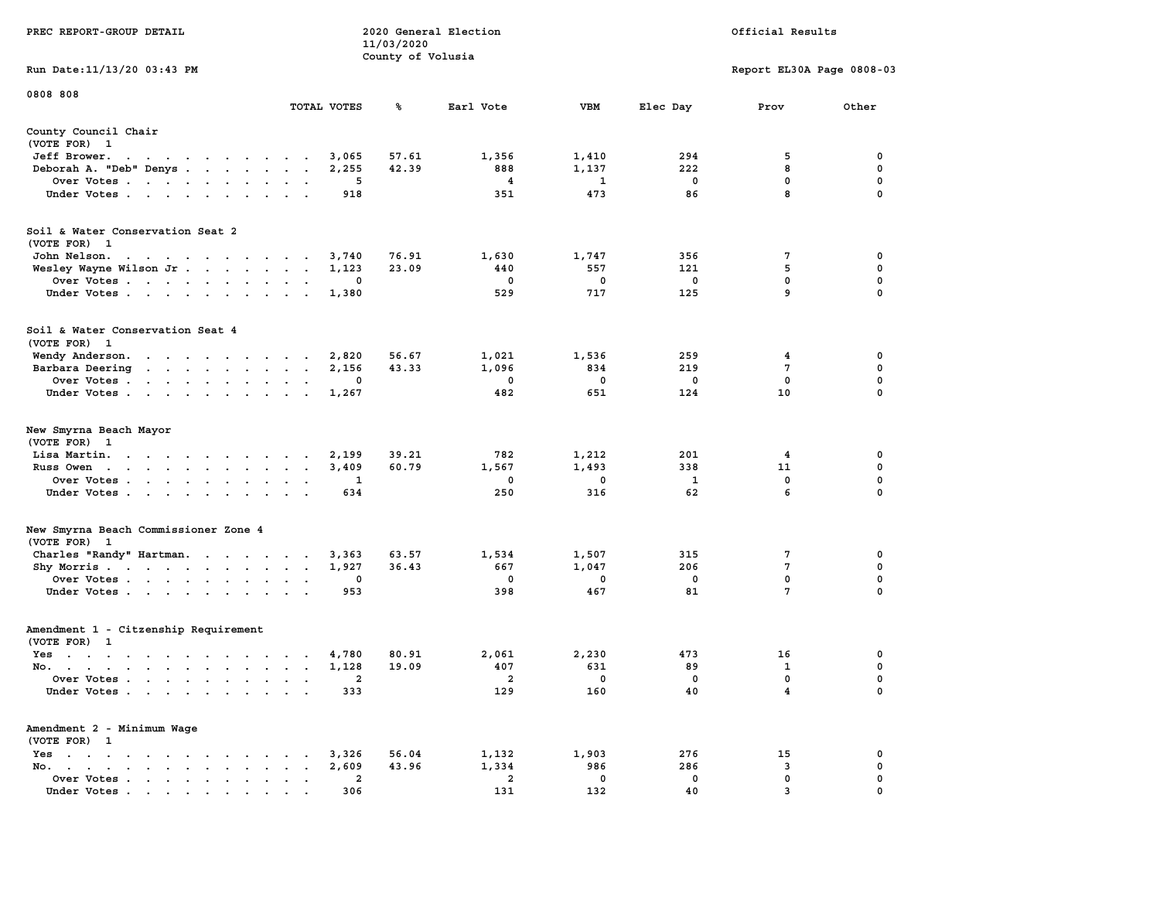| PREC REPORT-GROUP DETAIL                                                      |                               | 11/03/2020<br>County of Volusia | 2020 General Election          |                     | Official Results   |                           |          |  |  |
|-------------------------------------------------------------------------------|-------------------------------|---------------------------------|--------------------------------|---------------------|--------------------|---------------------------|----------|--|--|
| Run Date: 11/13/20 03:43 PM                                                   |                               |                                 |                                |                     |                    | Report EL30A Page 0808-03 |          |  |  |
| 0808 808                                                                      | TOTAL VOTES                   | ℁                               | Earl Vote                      | <b>VBM</b>          | Elec Day           | Prov                      | Other    |  |  |
| County Council Chair                                                          |                               |                                 |                                |                     |                    |                           |          |  |  |
| (VOTE FOR) 1                                                                  |                               |                                 |                                |                     |                    |                           |          |  |  |
| Jeff Brower.<br>the contract of the contract of the contract of               | 3,065                         | 57.61                           | 1,356                          | 1,410               | 294                | 5                         | 0        |  |  |
| Deborah A. "Deb" Denys                                                        | 2,255                         | 42.39                           | 888                            | 1,137               | 222                | 8                         | 0        |  |  |
| Over Votes<br>Under Votes                                                     | 5<br>918                      |                                 | $\overline{4}$<br>351          | $\mathbf{1}$<br>473 | 0<br>86            | 0<br>8                    | 0<br>0   |  |  |
|                                                                               |                               |                                 |                                |                     |                    |                           |          |  |  |
| Soil & Water Conservation Seat 2<br>(VOTE FOR) 1                              |                               |                                 |                                |                     |                    |                           |          |  |  |
| John Nelson.<br>the contract of the contract of the con-                      | 3,740                         | 76.91                           | 1,630                          | 1,747               | 356                | 7                         | 0        |  |  |
| Wesley Wayne Wilson Jr.                                                       | 1,123                         | 23.09                           | 440                            | 557                 | 121                | 5                         | 0        |  |  |
| Over Votes                                                                    | 0                             |                                 | 0                              | 0                   | 0                  | 0                         | 0        |  |  |
| Under Votes                                                                   | 1,380                         |                                 | 529                            | 717                 | 125                | 9                         | 0        |  |  |
| Soil & Water Conservation Seat 4<br>(VOTE FOR) 1                              |                               |                                 |                                |                     |                    |                           |          |  |  |
| Wendy Anderson.                                                               | 2,820                         | 56.67                           | 1,021                          | 1,536               | 259                | 4                         | 0        |  |  |
| Barbara Deering                                                               | 2,156<br>$\ddot{\phantom{a}}$ | 43.33                           | 1,096                          | 834                 | 219                | 7                         | 0        |  |  |
| Over Votes                                                                    | 0                             |                                 | 0                              | $\mathbf 0$         | $\mathbf 0$        | 0<br>10                   | 0<br>0   |  |  |
| Under Votes                                                                   | 1,267                         |                                 | 482                            | 651                 | 124                |                           |          |  |  |
| New Smyrna Beach Mayor<br>(VOTE FOR) 1                                        |                               |                                 |                                |                     |                    |                           |          |  |  |
| Lisa Martin.                                                                  | 2,199                         | 39.21                           | 782                            | 1,212               | 201                | 4                         | 0        |  |  |
| Russ Owen                                                                     | 3,409                         | 60.79                           | 1,567                          | 1,493               | 338                | 11                        | 0        |  |  |
| Over Votes<br>Under Votes                                                     | 1<br>634                      |                                 | $\mathbf{o}$<br>250            | 0<br>316            | $\mathbf{1}$<br>62 | 0<br>6                    | 0<br>0   |  |  |
|                                                                               |                               |                                 |                                |                     |                    |                           |          |  |  |
| New Smyrna Beach Commissioner Zone 4<br>(VOTE FOR) 1                          |                               |                                 |                                |                     |                    |                           |          |  |  |
| Charles "Randy" Hartman.                                                      | 3,363                         | 63.57                           | 1,534                          | 1,507               | 315                | 7                         | 0        |  |  |
| Shy Morris<br>Over Votes                                                      | 1,927<br>0                    | 36.43                           | 667<br>0                       | 1,047<br>0          | 206<br>0           | 7<br>0                    | 0<br>0   |  |  |
| Under Votes                                                                   | 953                           |                                 | 398                            | 467                 | 81                 | $7\phantom{.0}$           | 0        |  |  |
| Amendment 1 - Citzenship Requirement<br>(VOTE FOR) 1                          |                               |                                 |                                |                     |                    |                           |          |  |  |
| $Yes \cdot \cdot \cdot \cdot \cdot \cdot \cdot \cdot \cdot \cdot \cdot \cdot$ | 4,780<br>$\cdot$              | 80.91                           | 2,061                          | 2,230               | 473                | 16                        | 0        |  |  |
| No.                                                                           | 1,128                         | 19.09                           | 407                            | 631                 | 89                 | 1                         | 0        |  |  |
| Over Votes<br>Under Votes                                                     | 2<br>333                      |                                 | $\overline{\mathbf{2}}$<br>129 | $\mathbf 0$<br>160  | $\mathbf 0$<br>40  | 0<br>4                    | 0<br>0   |  |  |
|                                                                               |                               |                                 |                                |                     |                    |                           |          |  |  |
| Amendment 2 - Minimum Wage<br>(VOTE FOR) 1                                    |                               |                                 |                                |                     |                    |                           |          |  |  |
| Yes.<br>No.                                                                   | 3,326<br>2,609<br>$\bullet$   | 56.04<br>43.96                  | 1,132<br>1,334                 | 1,903<br>986        | 276<br>286         | 15<br>3                   | 0<br>0   |  |  |
| Over Votes                                                                    | $\overline{a}$                |                                 | $\overline{a}$                 | $\mathbf 0$         | 0                  | 0                         | 0        |  |  |
| Under Votes                                                                   | 306                           |                                 | 131                            | 132                 | 40                 | $\overline{3}$            | $\Omega$ |  |  |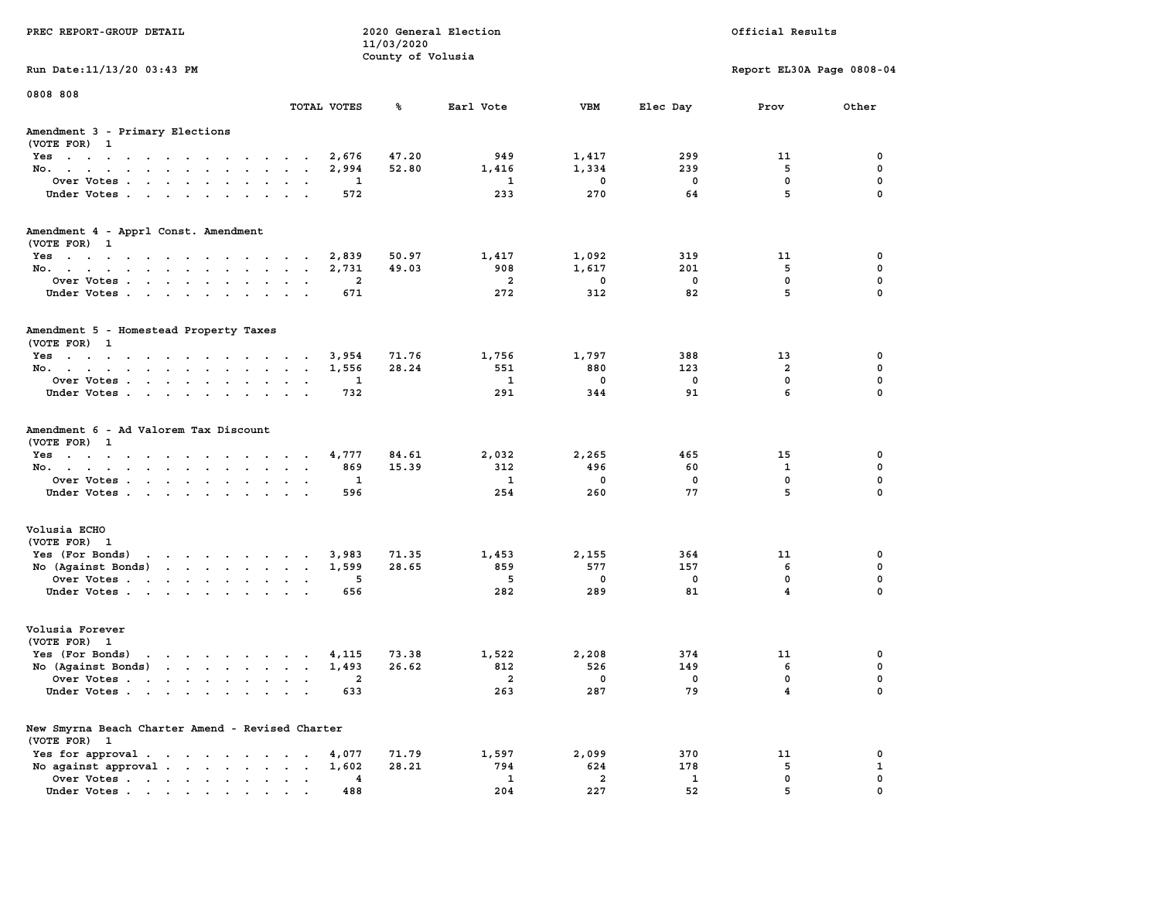| PREC REPORT-GROUP DETAIL                                                                                                  | 2020 General Election<br>11/03/2020<br>County of Volusia |                |                                     |                          | Official Results          |                                        |                  |  |  |  |
|---------------------------------------------------------------------------------------------------------------------------|----------------------------------------------------------|----------------|-------------------------------------|--------------------------|---------------------------|----------------------------------------|------------------|--|--|--|
| Run Date: 11/13/20 03:43 PM                                                                                               |                                                          |                |                                     |                          | Report EL30A Page 0808-04 |                                        |                  |  |  |  |
| 0808 808                                                                                                                  |                                                          |                |                                     |                          |                           |                                        |                  |  |  |  |
|                                                                                                                           | TOTAL VOTES                                              | ℁              | Earl Vote                           | VBM                      | Elec Day                  | Prov                                   | Other            |  |  |  |
| Amendment 3 - Primary Elections<br>(VOTE FOR) 1                                                                           |                                                          |                |                                     |                          |                           |                                        |                  |  |  |  |
| Yes                                                                                                                       | 2,676                                                    | 47.20          | 949                                 | 1,417                    | 299                       | 11                                     | 0                |  |  |  |
| No.                                                                                                                       | 2,994                                                    | 52.80          | 1,416                               | 1,334                    | 239                       | 5                                      | 0                |  |  |  |
| Over Votes                                                                                                                | 1                                                        |                | 1                                   | 0                        | 0                         | $\mathbf 0$                            | 0                |  |  |  |
| Under Votes                                                                                                               | 572                                                      |                | 233                                 | 270                      | 64                        | 5                                      | 0                |  |  |  |
| Amendment 4 - Apprl Const. Amendment                                                                                      |                                                          |                |                                     |                          |                           |                                        |                  |  |  |  |
| (VOTE FOR) 1                                                                                                              |                                                          |                |                                     |                          |                           |                                        |                  |  |  |  |
| Yes                                                                                                                       | 2,839                                                    | 50.97          | 1,417                               | 1,092                    | 319                       | 11                                     | 0                |  |  |  |
| No.                                                                                                                       | 2,731                                                    | 49.03          | 908                                 | 1,617                    | 201                       | 5                                      | 0                |  |  |  |
| Over Votes                                                                                                                | $\overline{2}$                                           |                | $\overline{2}$                      | $\Omega$                 | $^{\circ}$                | $\mathbf 0$                            | 0                |  |  |  |
| Under Votes                                                                                                               | 671                                                      |                | 272                                 | 312                      | 82                        | 5                                      | 0                |  |  |  |
| Amendment 5 - Homestead Property Taxes                                                                                    |                                                          |                |                                     |                          |                           |                                        |                  |  |  |  |
| (VOTE FOR) 1                                                                                                              |                                                          |                |                                     |                          |                           |                                        |                  |  |  |  |
| Yes                                                                                                                       | 3,954                                                    | 71.76          | 1,756                               | 1,797                    | 388                       | 13                                     | 0                |  |  |  |
| No.                                                                                                                       | 1,556                                                    | 28.24          | 551                                 | 880                      | 123                       | $\overline{2}$                         | 0                |  |  |  |
| Over Votes                                                                                                                | 1                                                        |                | $\mathbf{1}$                        | $\mathbf{0}$             | $\mathbf{0}$              | $\mathbf{0}$                           | $\mathbf 0$      |  |  |  |
| Under Votes                                                                                                               | 732                                                      |                | 291                                 | 344                      | 91                        | 6                                      | 0                |  |  |  |
| Amendment 6 - Ad Valorem Tax Discount<br>(VOTE FOR) 1<br>Yes<br>No.<br>Over Votes<br>Under Votes                          | 4,777<br>869<br>1<br>596                                 | 84.61<br>15.39 | 2,032<br>312<br>$\mathbf{1}$<br>254 | 2,265<br>496<br>0<br>260 | 465<br>60<br>0<br>77      | 15<br>$\mathbf{1}$<br>$\mathbf 0$<br>5 | 0<br>0<br>0<br>0 |  |  |  |
| Volusia ECHO<br>(VOTE FOR) 1                                                                                              |                                                          |                |                                     |                          |                           |                                        |                  |  |  |  |
| Yes (For Bonds) $\ldots$ $\ldots$ $\ldots$ $\ldots$                                                                       | 3,983                                                    | 71.35          | 1,453                               | 2,155                    | 364                       | 11                                     | 0                |  |  |  |
| No (Against Bonds)                                                                                                        | 1,599                                                    | 28.65          | 859                                 | 577                      | 157                       | 6                                      | 0                |  |  |  |
| Over Votes                                                                                                                | 5                                                        |                | 5                                   | $\mathbf 0$              | 0                         | 0                                      | 0                |  |  |  |
| Under Votes                                                                                                               | 656                                                      |                | 282                                 | 289                      | 81                        | $\overline{4}$                         | $\Omega$         |  |  |  |
| Volusia Forever<br>(VOTE FOR) 1                                                                                           |                                                          |                |                                     |                          |                           |                                        |                  |  |  |  |
| $\mathbf{r}$ , $\mathbf{r}$ , $\mathbf{r}$ , $\mathbf{r}$ , $\mathbf{r}$ , $\mathbf{r}$ , $\mathbf{r}$<br>Yes (For Bonds) | 4,115                                                    | 73.38          | 1,522                               | 2,208                    | 374                       | 11                                     | 0                |  |  |  |
| No (Against Bonds)                                                                                                        | 1,493                                                    | 26.62          | 812                                 | 526                      | 149                       | 6                                      | 0                |  |  |  |
| Over Votes                                                                                                                |                                                          |                | $\overline{\mathbf{2}}$             | $\overline{\mathbf{0}}$  | $\overline{\mathbf{0}}$   | 0                                      | 0                |  |  |  |
| Under Votes                                                                                                               | 633                                                      |                | 263                                 | 287                      | 79                        | 4                                      | 0                |  |  |  |
|                                                                                                                           |                                                          |                |                                     |                          |                           |                                        |                  |  |  |  |
| New Smyrna Beach Charter Amend - Revised Charter<br>(VOTE FOR) 1                                                          |                                                          |                |                                     |                          |                           |                                        |                  |  |  |  |
| Yes for approval                                                                                                          | 4,077                                                    | 71.79          | 1,597                               | 2,099                    | 370                       | 11                                     | 0                |  |  |  |
| No against approval                                                                                                       | 1,602                                                    | 28.21          | 794                                 | 624                      | 178                       | 5                                      | $\mathbf{1}$     |  |  |  |
| Over Votes                                                                                                                | 4                                                        |                | $\mathbf{1}$                        | $\overline{a}$           | 1                         | 0                                      | 0                |  |  |  |
| Under Votes                                                                                                               | 488                                                      |                | 204                                 | 227                      | 52                        | 5                                      | 0                |  |  |  |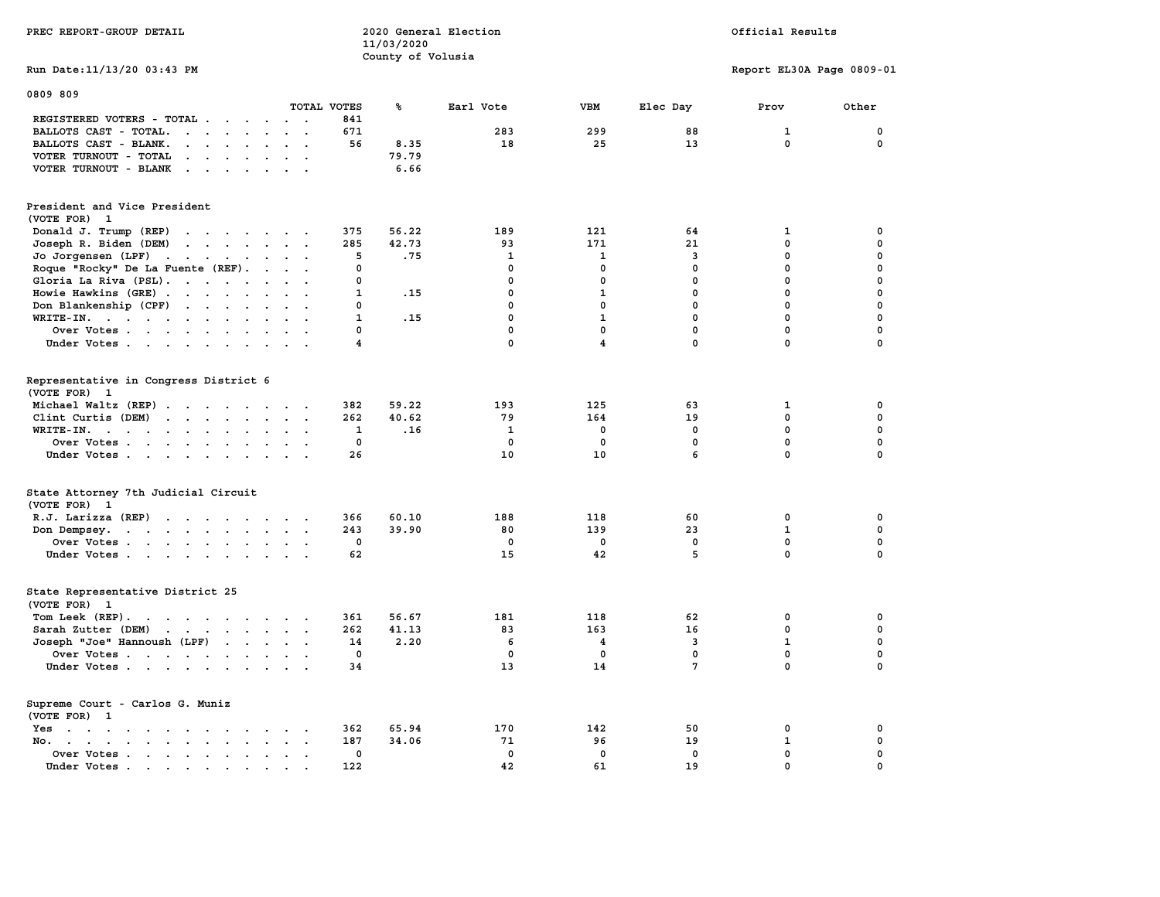|                                                                                                                                                                                                                                                                                                     | 11/03/2020              |              |                         |                 |                           |             |
|-----------------------------------------------------------------------------------------------------------------------------------------------------------------------------------------------------------------------------------------------------------------------------------------------------|-------------------------|--------------|-------------------------|-----------------|---------------------------|-------------|
|                                                                                                                                                                                                                                                                                                     | County of Volusia       |              |                         |                 |                           |             |
| Run Date: 11/13/20 03:43 PM                                                                                                                                                                                                                                                                         |                         |              |                         |                 | Report EL30A Page 0809-01 |             |
|                                                                                                                                                                                                                                                                                                     |                         |              |                         |                 |                           |             |
| 0809 809                                                                                                                                                                                                                                                                                            |                         |              |                         |                 |                           |             |
| TOTAL VOTES                                                                                                                                                                                                                                                                                         | ℁                       | Earl Vote    | <b>VBM</b>              | Elec Day        | Prov                      | Other       |
|                                                                                                                                                                                                                                                                                                     | 841                     |              |                         |                 |                           |             |
| REGISTERED VOTERS - TOTAL                                                                                                                                                                                                                                                                           |                         |              |                         |                 |                           |             |
| BALLOTS CAST - TOTAL.<br>$\cdot$ $\cdot$ $\cdot$ $\cdot$ $\cdot$ $\cdot$ $\cdot$ $\cdot$                                                                                                                                                                                                            | 671                     | 283          | 299                     | 88              | 1                         | $\mathbf 0$ |
| BALLOTS CAST - BLANK.<br>$\mathbf{r}$ , $\mathbf{r}$ , $\mathbf{r}$ , $\mathbf{r}$<br>$\cdot$ $\cdot$                                                                                                                                                                                               | 56<br>8.35              | 18           | 25                      | 13              | $\Omega$                  | $\Omega$    |
| VOTER TURNOUT - TOTAL<br>$\mathbf{r}$                                                                                                                                                                                                                                                               | 79.79                   |              |                         |                 |                           |             |
| VOTER TURNOUT - BLANK<br>$\cdots$                                                                                                                                                                                                                                                                   | 6.66                    |              |                         |                 |                           |             |
|                                                                                                                                                                                                                                                                                                     |                         |              |                         |                 |                           |             |
|                                                                                                                                                                                                                                                                                                     |                         |              |                         |                 |                           |             |
| President and Vice President<br>(VOTE FOR)<br>$\mathbf{1}$                                                                                                                                                                                                                                          |                         |              |                         |                 |                           |             |
|                                                                                                                                                                                                                                                                                                     | 56.22                   | 189          | 121                     | 64              |                           | $\mathbf 0$ |
| Donald J. Trump (REP)<br>$\mathbf{r}$ , and $\mathbf{r}$ , and $\mathbf{r}$ , and $\mathbf{r}$                                                                                                                                                                                                      | 375                     |              |                         |                 | 1                         |             |
| Joseph R. Biden (DEM)<br>$\cdot$ $\cdot$ $\cdot$ $\cdot$ $\cdot$ $\cdot$ $\cdot$ $\cdot$                                                                                                                                                                                                            | 42.73<br>285            | 93           | 171                     | 21              | 0                         | $\Omega$    |
| Jo Jorgensen (LPF)<br>the contract of the contract of the contract of the contract of the contract of                                                                                                                                                                                               | 5<br>.75                | $\mathbf{1}$ | $\mathbf{1}$            | $\overline{3}$  | 0                         | $\mathbf 0$ |
| Roque "Rocky" De La Fuente (REF).                                                                                                                                                                                                                                                                   | 0                       | $\mathbf 0$  | $\mathbf 0$             | $\mathbf{0}$    | $\mathbf 0$               | $\mathbf 0$ |
| Gloria La Riva (PSL).<br>$\cdot$ $\cdot$ $\cdot$                                                                                                                                                                                                                                                    | $\Omega$                | $\Omega$     | $\mathbf 0$             | $\Omega$        | $\Omega$                  | $\Omega$    |
| Howie Hawkins (GRE)                                                                                                                                                                                                                                                                                 | $\mathbf{1}$<br>.15     | $\mathbf 0$  | $\mathbf{1}$            | 0               | $\mathbf{0}$              | $\Omega$    |
| Don Blankenship (CPF)<br>$\cdots$                                                                                                                                                                                                                                                                   | $\Omega$                | $\mathbf 0$  | $\mathbf 0$             | $\mathbf 0$     | $\mathbf{0}$              | $\mathbf 0$ |
| WRITE-IN.<br>$\mathbf{r}$ . The set of the set of the set of the set of the set of the set of the set of the set of the set of the set of the set of the set of the set of the set of the set of the set of the set of the set of the set of t<br>$\ddot{\phantom{a}}$<br>$\sim$                    | $\mathbf{1}$<br>.15     | $\mathbf 0$  | $\mathbf{1}$            | $\mathbf 0$     | $\mathbf 0$               | $\mathbf 0$ |
| Over Votes                                                                                                                                                                                                                                                                                          | $\Omega$                | $\mathbf 0$  | $\mathbf 0$             | $\mathbf 0$     | $\mathbf 0$               | $\mathbf 0$ |
|                                                                                                                                                                                                                                                                                                     | $\overline{\mathbf{4}}$ | 0            | $\overline{\mathbf{4}}$ | 0               | 0                         | $\mathbf 0$ |
| Under Votes<br>$\cdot$ $\cdot$ $\cdot$                                                                                                                                                                                                                                                              |                         |              |                         |                 |                           |             |
|                                                                                                                                                                                                                                                                                                     |                         |              |                         |                 |                           |             |
| Representative in Congress District 6                                                                                                                                                                                                                                                               |                         |              |                         |                 |                           |             |
| (VOTE FOR) 1                                                                                                                                                                                                                                                                                        |                         |              |                         |                 |                           |             |
| Michael Waltz (REP)<br>$\sim$                                                                                                                                                                                                                                                                       | 382<br>59.22            | 193          | 125                     | 63              | 1                         | 0           |
| Clint Curtis (DEM)<br>$\mathbf{r}$ . The set of the set of the set of the set of the set of the set of the set of the set of the set of the set of the set of the set of the set of the set of the set of the set of the set of the set of the set of t<br>$\mathbf{z} = \mathbf{z} + \mathbf{z}$ . | 262<br>40.62            | 79           | 164                     | 19              | $\mathbf{0}$              | $\mathbf 0$ |
| WRITE-IN.<br>the contract of the contract of the contract of the contract of the contract of<br>$\cdot$ $\cdot$ $\cdot$                                                                                                                                                                             | 1<br>.16                | 1            | 0                       | 0               | $\mathbf{0}$              | $\mathbf 0$ |
|                                                                                                                                                                                                                                                                                                     | $\mathbf 0$             | $\mathbf{0}$ | $\mathbf 0$             | $\mathbf{0}$    | $\mathbf{0}$              | $\mathbf 0$ |
| Over Votes                                                                                                                                                                                                                                                                                          |                         |              |                         |                 |                           |             |
| Under Votes<br>$\sim$                                                                                                                                                                                                                                                                               | 26                      | 10           | 10                      | 6               | 0                         | $\Omega$    |
|                                                                                                                                                                                                                                                                                                     |                         |              |                         |                 |                           |             |
| State Attorney 7th Judicial Circuit                                                                                                                                                                                                                                                                 |                         |              |                         |                 |                           |             |
| (VOTE FOR) 1                                                                                                                                                                                                                                                                                        |                         |              |                         |                 |                           |             |
| R.J. Larizza (REP)                                                                                                                                                                                                                                                                                  | 366<br>60.10            | 188          | 118                     | 60              | 0                         | 0           |
| Don Dempsey.<br>the contract of the contract of the<br>$\cdot$ $\cdot$ $\cdot$                                                                                                                                                                                                                      | 243<br>39.90            | 80           | 139                     | 23              | $\mathbf{1}$              | $\mathbf 0$ |
| Over Votes.                                                                                                                                                                                                                                                                                         | 0                       | $\mathbf 0$  | $\mathbf 0$             | $\mathbf 0$     | $\mathbf 0$               | $\mathbf 0$ |
| Under Votes                                                                                                                                                                                                                                                                                         | 62                      | 15           | 42                      | 5               | 0                         | $\Omega$    |
|                                                                                                                                                                                                                                                                                                     |                         |              |                         |                 |                           |             |
|                                                                                                                                                                                                                                                                                                     |                         |              |                         |                 |                           |             |
| State Representative District 25                                                                                                                                                                                                                                                                    |                         |              |                         |                 |                           |             |
| (VOTE FOR) 1                                                                                                                                                                                                                                                                                        |                         |              |                         |                 |                           |             |
| Tom Leek (REP).<br>the contract of the contract of the contract of the contract of the contract of the contract of the contract of                                                                                                                                                                  | 361<br>56.67            | 181          | 118                     | 62              | 0                         | 0           |
| Sarah Zutter (DEM)                                                                                                                                                                                                                                                                                  | 262<br>41.13            | 83           | 163                     | 16              | $\mathbf 0$               | $\mathbf 0$ |
| Joseph "Joe" Hannoush (LPF)                                                                                                                                                                                                                                                                         | 2.20<br>14              | 6            | 4                       | 3               | $\mathbf{1}$              | $\mathbf 0$ |
| Over Votes                                                                                                                                                                                                                                                                                          | 0                       | $\mathbf 0$  | $\mathbf 0$             | $\mathbf 0$     | $\mathbf 0$               | $\mathbf 0$ |
| Under Votes                                                                                                                                                                                                                                                                                         | 34                      | 13           | 14                      | $7\phantom{.0}$ | 0                         | $\Omega$    |
|                                                                                                                                                                                                                                                                                                     |                         |              |                         |                 |                           |             |
|                                                                                                                                                                                                                                                                                                     |                         |              |                         |                 |                           |             |
| Supreme Court - Carlos G. Muniz                                                                                                                                                                                                                                                                     |                         |              |                         |                 |                           |             |
| (VOTE FOR) 1                                                                                                                                                                                                                                                                                        |                         |              |                         |                 |                           |             |
| $Yes \t . \t .$<br>the contract of the contract of the contract of the contract of the contract of the contract of the contract of<br>$\ddot{\phantom{a}}$<br>$\ddot{\phantom{0}}$                                                                                                                  | 65.94<br>362            | 170          | 142                     | 50              | $\mathbf 0$               | $\mathbf 0$ |
| No.<br>$\ddot{\phantom{a}}$                                                                                                                                                                                                                                                                         | 34.06<br>187            | 71           | 96                      | 19              | $\mathbf 1$               | $\mathbf 0$ |
| Over Votes<br>$\sim$<br>$\sim$                                                                                                                                                                                                                                                                      | 0                       | $\mathbf 0$  | $\mathbf 0$             | $\mathbf 0$     | $\mathbf 0$               | $\mathbf 0$ |
| Under Votes                                                                                                                                                                                                                                                                                         | 122                     | 42           | 61                      | 19              | $\Omega$                  | $\Omega$    |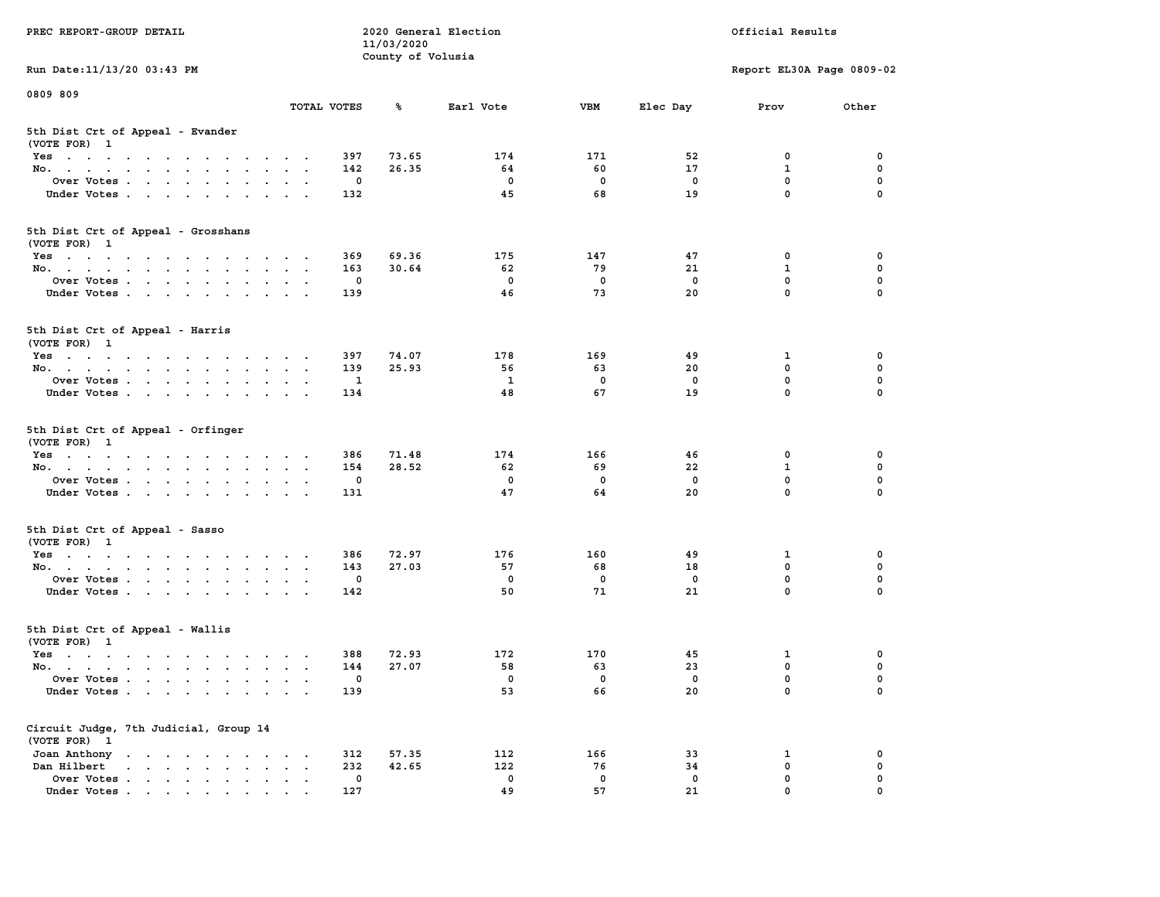| PREC REPORT-GROUP DETAIL                                                                                               |                                                                      |             | 11/03/2020        | 2020 General Election |              |             | Official Results           |               |
|------------------------------------------------------------------------------------------------------------------------|----------------------------------------------------------------------|-------------|-------------------|-----------------------|--------------|-------------|----------------------------|---------------|
| Run Date: 11/13/20 03:43 PM                                                                                            |                                                                      |             | County of Volusia |                       |              |             | Report EL30A Page 0809-02  |               |
| 0809 809                                                                                                               |                                                                      |             |                   |                       |              |             |                            |               |
|                                                                                                                        | TOTAL VOTES                                                          |             | ℁                 | Earl Vote             | <b>VBM</b>   | Elec Day    | Prov                       | Other         |
| 5th Dist Crt of Appeal - Evander<br>(VOTE FOR) 1                                                                       |                                                                      |             |                   |                       |              |             |                            |               |
| Yes                                                                                                                    |                                                                      | 397         | 73.65             | 174                   | 171          | 52          | 0                          | 0             |
| No.                                                                                                                    |                                                                      | 142         | 26.35             | 64                    | 60           | 17          | $\mathbf{1}$               | 0             |
| Over Votes                                                                                                             |                                                                      | 0           |                   | 0                     | $\mathbf 0$  | 0           | $\mathbf 0$                | 0             |
| Under Votes                                                                                                            |                                                                      | 132         |                   | 45                    | 68           | 19          | $\mathbf 0$                | $\Omega$      |
| 5th Dist Crt of Appeal - Grosshans<br>(VOTE FOR) 1                                                                     |                                                                      |             |                   |                       |              |             |                            |               |
| Yes                                                                                                                    |                                                                      | 369         | 69.36             | 175                   | 147          | 47          | 0                          | 0             |
| No.                                                                                                                    |                                                                      | 163         | 30.64             | 62                    | 79           | 21          | $\mathbf{1}$               | 0             |
| Over Votes                                                                                                             |                                                                      | 0           |                   | $\mathbf 0$           | $\mathbf 0$  | $\mathbf 0$ | $\mathbf 0$                | 0             |
| Under Votes                                                                                                            |                                                                      | 139         |                   | 46                    | 73           | 20          | $\mathbf{0}$               | 0             |
| 5th Dist Crt of Appeal - Harris<br>(VOTE FOR) 1                                                                        |                                                                      |             |                   |                       |              |             |                            |               |
| Yes                                                                                                                    |                                                                      | 397         | 74.07             | 178                   | 169          | 49          | 1                          | 0             |
| No.                                                                                                                    |                                                                      | 139         | 25.93             | 56                    | 63           | 20          | $^{\circ}$                 | 0             |
| Over Votes                                                                                                             |                                                                      | 1           |                   | 1                     | $\mathbf 0$  | $\mathbf 0$ | $\mathbf 0$                | 0             |
| Under Votes                                                                                                            |                                                                      | 134         |                   | 48                    | 67           | 19          | $\mathbf 0$                | 0             |
| 5th Dist Crt of Appeal - Orfinger<br>(VOTE FOR) 1                                                                      |                                                                      |             |                   |                       |              |             |                            |               |
| Yes                                                                                                                    |                                                                      | 386         | 71.48             | 174                   | 166          | 46          | 0                          | 0             |
| No.                                                                                                                    |                                                                      | 154         | 28.52             | 62                    | 69           | 22          | $\mathbf{1}$               | 0             |
| Over Votes                                                                                                             |                                                                      | 0           |                   | 0                     | $\mathbf 0$  | 0           | $\mathbf 0$<br>$\mathbf 0$ | 0<br>$\Omega$ |
| Under Votes                                                                                                            |                                                                      | 131         |                   | 47                    | 64           | 20          |                            |               |
| 5th Dist Crt of Appeal - Sasso<br>(VOTE FOR) 1                                                                         |                                                                      |             |                   |                       |              |             |                            |               |
| Yes                                                                                                                    |                                                                      | 386         | 72.97             | 176                   | 160          | 49          | 1                          | 0             |
| No.                                                                                                                    |                                                                      | 143         | 27.03             | 57                    | 68           | 18          | $\mathbf 0$                | 0             |
| Over Votes                                                                                                             |                                                                      | 0           |                   | $\mathbf 0$           | 0            | $\mathbf 0$ | $\mathbf 0$                | 0             |
| Under Votes                                                                                                            |                                                                      | 142         |                   | 50                    | 71           | 21          | $\mathbf{0}$               | $\Omega$      |
| 5th Dist Crt of Appeal - Wallis<br>(VOTE FOR) 1                                                                        |                                                                      |             |                   |                       |              |             |                            |               |
| Yes<br>the contract of the contract of the contract of the contract of the contract of the contract of the contract of |                                                                      | 388         | 72.93             | 172                   | 170          | 45          | 1                          | 0             |
| No.                                                                                                                    |                                                                      | 144         | 27.07             | 58                    | 63           | 23          | $\mathbf 0$                | 0             |
| Over Votes                                                                                                             |                                                                      | 0           |                   | 0                     | $\mathbf{0}$ | 0           | $\mathbf 0$                | 0             |
| Under Votes.                                                                                                           |                                                                      | 139         |                   | 53                    | 66           | 20          | 0                          | 0             |
| Circuit Judge, 7th Judicial, Group 14<br>(VOTE FOR) 1                                                                  |                                                                      |             |                   |                       |              |             |                            |               |
| Joan Anthony                                                                                                           | $\sim$ 100 $\pm$<br>$\cdot$                                          | 312         | 57.35             | 112                   | 166          | 33          | 1                          | 0             |
| Dan Hilbert<br>$\cdot$ $\cdot$ $\cdot$ $\cdot$ $\cdot$ $\cdot$ $\cdot$ $\cdot$                                         | $\ddot{\phantom{a}}$<br>$\ddot{\phantom{a}}$<br>$\ddot{\phantom{1}}$ | 232         | 42.65             | 122                   | 76           | 34          | $\mathbf 0$                | 0             |
| Over Votes                                                                                                             |                                                                      | $\mathbf 0$ |                   | 0<br>49               | $\mathbf 0$  | 0           | $\mathbf 0$<br>0           | 0             |
| Under Votes.                                                                                                           |                                                                      | 127         |                   |                       | 57           | 21          |                            |               |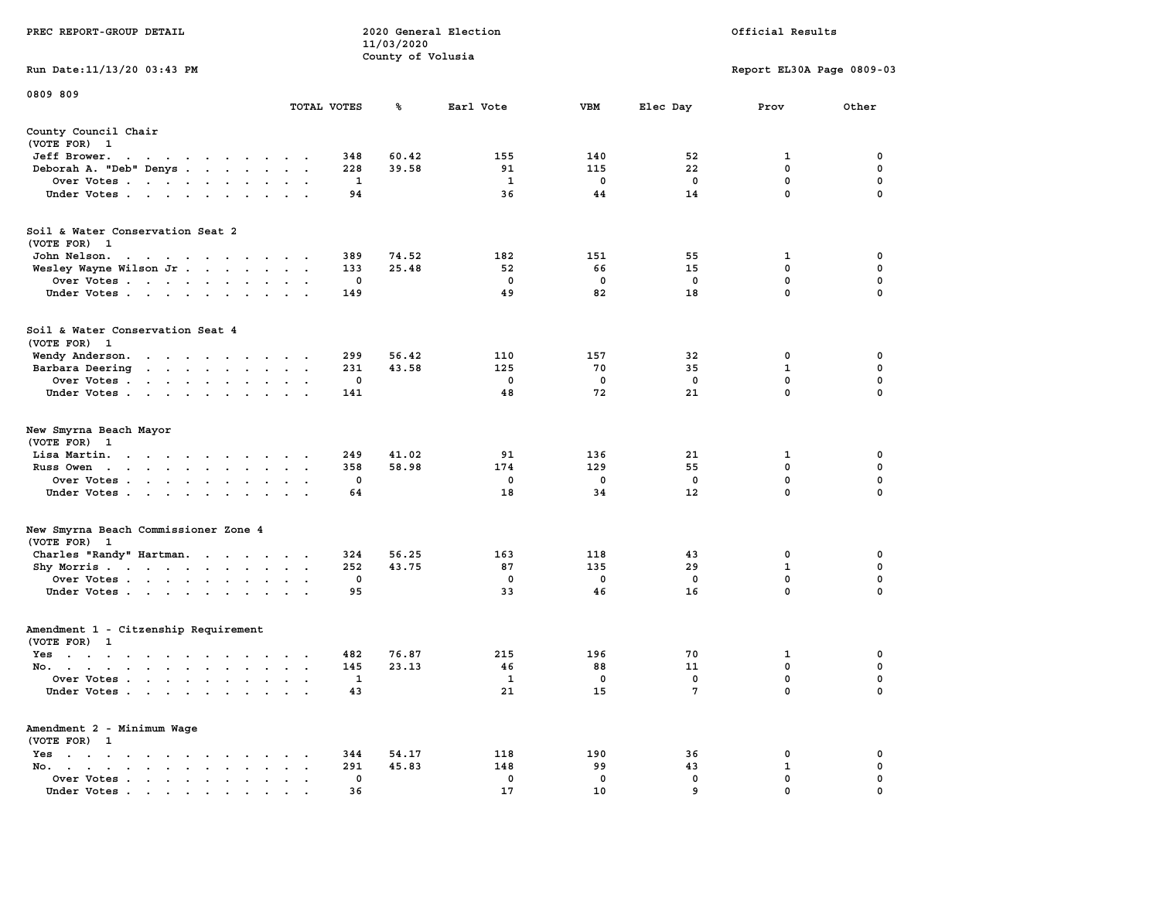|                                                                                                                                                                                                                                                                           |                                                                                             |             | 11/03/2020        |              |              |             |                           |             |  |
|---------------------------------------------------------------------------------------------------------------------------------------------------------------------------------------------------------------------------------------------------------------------------|---------------------------------------------------------------------------------------------|-------------|-------------------|--------------|--------------|-------------|---------------------------|-------------|--|
| Run Date:11/13/20 03:43 PM                                                                                                                                                                                                                                                |                                                                                             |             | County of Volusia |              |              |             | Report EL30A Page 0809-03 |             |  |
| 0809 809                                                                                                                                                                                                                                                                  |                                                                                             | TOTAL VOTES | ℁                 | Earl Vote    | <b>VBM</b>   | Elec Day    | Prov                      | Other       |  |
|                                                                                                                                                                                                                                                                           |                                                                                             |             |                   |              |              |             |                           |             |  |
| County Council Chair<br>(VOTE FOR) 1                                                                                                                                                                                                                                      |                                                                                             |             |                   |              |              |             |                           |             |  |
| Jeff Brower.<br>$\blacksquare$ .<br>$\blacksquare$<br>$\bullet$<br>$\sim$ $\sim$<br>$\blacksquare$ .<br>$\ddot{\phantom{1}}$                                                                                                                                              | $\bullet$                                                                                   | 348         | 60.42             | 155          | 140          | 52          | 1                         | 0           |  |
| Deborah A. "Deb" Denys<br>$\ddot{\phantom{a}}$                                                                                                                                                                                                                            |                                                                                             | 228         | 39.58             | 91<br>1      | 115<br>0     | 22<br>0     | 0<br>0                    | 0<br>0      |  |
| Over Votes<br>Under Votes                                                                                                                                                                                                                                                 | $\overline{\phantom{a}}$<br>$\cdot$ $\cdot$ $\cdot$                                         | 1<br>94     |                   | 36           | 44           | 14          | 0                         | 0           |  |
| Soil & Water Conservation Seat 2                                                                                                                                                                                                                                          |                                                                                             |             |                   |              |              |             |                           |             |  |
| (VOTE FOR) 1                                                                                                                                                                                                                                                              |                                                                                             |             |                   |              |              |             |                           |             |  |
| John Nelson.                                                                                                                                                                                                                                                              |                                                                                             | 389         | 74.52             | 182          | 151          | 55          | 1                         | 0           |  |
| Wesley Wayne Wilson Jr<br>$\ddot{\phantom{a}}$                                                                                                                                                                                                                            |                                                                                             | 133         | 25.48             | 52           | 66           | 15          | 0                         | $\pmb{0}$   |  |
| Over Votes                                                                                                                                                                                                                                                                |                                                                                             | $\mathbf 0$ |                   | 0            | $\mathbf 0$  | $\mathbf 0$ | $\mathbf 0$               | $\pmb{0}$   |  |
| Under Votes<br>$\ddot{\phantom{a}}$                                                                                                                                                                                                                                       | $\bullet$                                                                                   | 149         |                   | 49           | 82           | 18          | $\mathbf 0$               | 0           |  |
| Soil & Water Conservation Seat 4<br>(VOTE FOR) 1                                                                                                                                                                                                                          |                                                                                             |             |                   |              |              |             |                           |             |  |
| Wendy Anderson.<br>the contract of the contract of the                                                                                                                                                                                                                    |                                                                                             | 299         | 56.42             | 110          | 157          | 32          | 0                         | 0           |  |
| Barbara Deering<br>$\mathbf{r}$ . The set of the set of the set of the set of the set of the set of the set of the set of the set of the set of the set of the set of the set of the set of the set of the set of the set of the set of the set of t<br>$\sim$            | $\sim$<br>$\mathbf{r}$<br>$\sim$                                                            | 231         | 43.58             | 125          | 70           | 35          | 1                         | 0           |  |
| Over Votes .<br>$\sim$ $\sim$ $\sim$ $\sim$ $\sim$ $\sim$ $\sim$ $\sim$<br>$\ddot{\phantom{1}}$                                                                                                                                                                           |                                                                                             | 0           |                   | 0            | 0            | $\mathbf 0$ | 0                         | 0           |  |
| Under Votes<br>$\sim$                                                                                                                                                                                                                                                     | $\ddot{\phantom{a}}$                                                                        | 141         |                   | 48           | 72           | 21          | $\mathbf{0}$              | $\mathbf 0$ |  |
| New Smyrna Beach Mayor<br>(VOTE FOR) 1                                                                                                                                                                                                                                    |                                                                                             |             |                   |              |              |             |                           |             |  |
| Lisa Martin.<br>$\mathbf{r}$ . The contract of the contract of the contract of the contract of the contract of the contract of the contract of the contract of the contract of the contract of the contract of the contract of the contract of th<br>$\ddot{\phantom{a}}$ |                                                                                             | 249         | 41.02             | 91           | 136          | 21          | 1                         | 0           |  |
| Russ Owen<br>$\mathbf{r}$ , and $\mathbf{r}$ , and $\mathbf{r}$ , and $\mathbf{r}$<br>$\bullet$                                                                                                                                                                           |                                                                                             | 358         | 58.98             | 174          | 129          | 55          | $\mathbf 0$               | $\mathbf 0$ |  |
| Over Votes<br>$\ddot{\phantom{0}}$<br>$\cdot$                                                                                                                                                                                                                             |                                                                                             | $\mathbf 0$ |                   | 0            | $\mathbf 0$  | $\mathbf 0$ | $\mathbf 0$               | $\mathbf 0$ |  |
| Under Votes<br>$\ddot{\phantom{0}}$                                                                                                                                                                                                                                       |                                                                                             | 64          |                   | 18           | 34           | 12          | $\mathbf 0$               | $\mathbf 0$ |  |
| New Smyrna Beach Commissioner Zone 4                                                                                                                                                                                                                                      |                                                                                             |             |                   |              |              |             |                           |             |  |
| (VOTE FOR)<br>$\mathbf{1}$                                                                                                                                                                                                                                                |                                                                                             | 324         | 56.25             | 163          | 118          | 43          | 0                         | 0           |  |
| Charles "Randy" Hartman.<br>$\sim 100$ km s $^{-1}$<br>Shy Morris.<br>$\sim$                                                                                                                                                                                              | $\ddot{\phantom{a}}$<br>$\sim$<br>$\bullet$<br>$\ddot{\phantom{1}}$<br>$\ddot{\phantom{a}}$ | 252         | 43.75             | 87           | 135          | 29          | $\mathbf 1$               | 0           |  |
| Over Votes                                                                                                                                                                                                                                                                | $\mathbf{r}$                                                                                | 0           |                   | 0            | 0            | 0           | 0                         | 0           |  |
| Under Votes<br>$\ddot{\phantom{a}}$<br>$\ddot{\phantom{1}}$                                                                                                                                                                                                               |                                                                                             | 95          |                   | 33           | 46           | 16          | 0                         | $\mathbf 0$ |  |
| Amendment 1 - Citzenship Requirement<br>(VOTE FOR) 1                                                                                                                                                                                                                      |                                                                                             |             |                   |              |              |             |                           |             |  |
| $Yes \t . \t .$<br>$\mathcal{A}=\mathcal{A}=\mathcal{A}=\mathcal{A}=\mathcal{A}=\mathcal{A}=\mathcal{A}$                                                                                                                                                                  |                                                                                             | 482         | 76.87             | 215          | 196          | 70          | 1                         | 0           |  |
| No.<br>$\ddot{\phantom{0}}$                                                                                                                                                                                                                                               | $\bullet$<br>$\ddot{\phantom{a}}$<br>$\ddot{\phantom{1}}$                                   | 145         | 23.13             | 46           | 88           | 11          | 0                         | $\mathbf 0$ |  |
| Over Votes<br>$\ddot{\phantom{a}}$                                                                                                                                                                                                                                        | $\ddot{\phantom{a}}$                                                                        | 1           |                   | $\mathbf{1}$ | $\mathbf{0}$ | $\mathbf 0$ | $\mathbf{0}$              | $\mathbf 0$ |  |
| Under Votes<br>$\ddot{\phantom{a}}$                                                                                                                                                                                                                                       | $\ddot{\phantom{a}}$<br>$\ddot{\phantom{a}}$                                                | 43          |                   | 21           | 15           | 7           | 0                         | 0           |  |
| Amendment 2 - Minimum Wage<br>(VOTE FOR) 1                                                                                                                                                                                                                                |                                                                                             |             |                   |              |              |             |                           |             |  |
| $Yes \t . \t .$<br>$\bullet$<br>$\cdot$ $\cdot$<br>$\cdot$ $\cdot$<br>$\cdot$ $\cdot$<br>$\ddot{\phantom{a}}$                                                                                                                                                             |                                                                                             | 344         | 54.17             | 118          | 190          | 36          | 0                         | 0           |  |
| No.<br>$\mathbf{r} = \mathbf{r} \cdot \mathbf{r}$<br>$\ddot{\phantom{a}}$                                                                                                                                                                                                 |                                                                                             | 291         | 45.83             | 148          | 99           | 43          | 1                         | 0           |  |
| Over Votes .<br>$\sim$ $\sim$<br>$\sim$<br>$\bullet$<br>$\blacksquare$<br>$\bullet$                                                                                                                                                                                       |                                                                                             | 0           |                   | 0            | 0            | 0           | 0                         | 0           |  |
| Under Votes<br>$\sim$ $\sim$                                                                                                                                                                                                                                              |                                                                                             | 36          |                   | 17           | 10           | 9           | $\Omega$                  | $\Omega$    |  |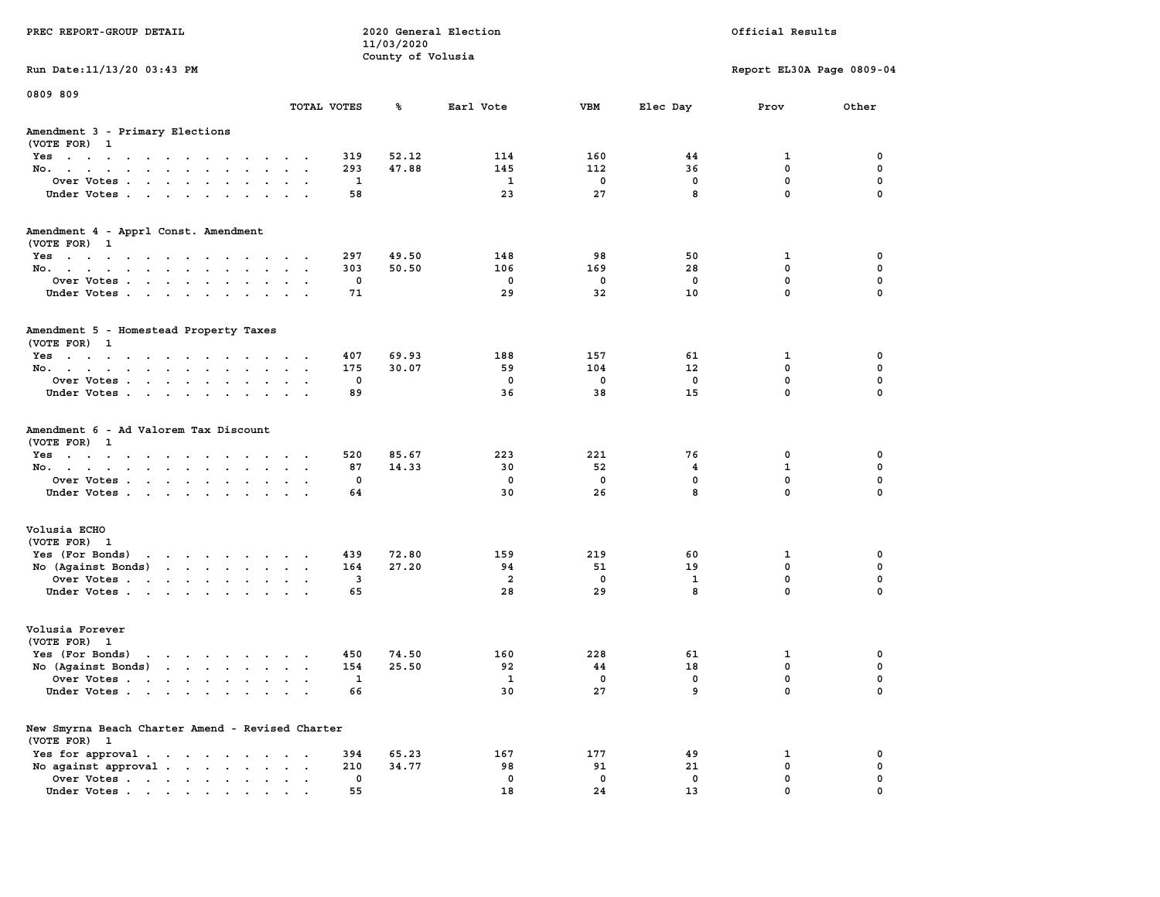| PREC REPORT-GROUP DETAIL                                                                                                                                                                                                                                |             | 11/03/2020        | 2020 General Election   |             |                   | Official Results          |          |
|---------------------------------------------------------------------------------------------------------------------------------------------------------------------------------------------------------------------------------------------------------|-------------|-------------------|-------------------------|-------------|-------------------|---------------------------|----------|
| Run Date: 11/13/20 03:43 PM                                                                                                                                                                                                                             |             | County of Volusia |                         |             |                   | Report EL30A Page 0809-04 |          |
| 0809 809                                                                                                                                                                                                                                                | TOTAL VOTES | ℁                 | Earl Vote               | VBM         | Elec Day          | Prov                      | Other    |
|                                                                                                                                                                                                                                                         |             |                   |                         |             |                   |                           |          |
| Amendment 3 - Primary Elections<br>(VOTE FOR) 1                                                                                                                                                                                                         |             |                   |                         |             |                   |                           |          |
| Yes                                                                                                                                                                                                                                                     | 319         | 52.12             | 114                     | 160         | 44                | 1                         | 0        |
| No.                                                                                                                                                                                                                                                     | 293         | 47.88             | 145                     | 112         | 36                | $\mathbf 0$               | 0        |
| Over Votes.                                                                                                                                                                                                                                             | 1           |                   | 1                       | $\mathbf 0$ | $\mathbf 0$       | $\mathbf 0$               | 0        |
| Under Votes                                                                                                                                                                                                                                             | 58          |                   | 23                      | 27          | 8                 | $\mathbf 0$               | $\Omega$ |
| Amendment 4 - Apprl Const. Amendment                                                                                                                                                                                                                    |             |                   |                         |             |                   |                           |          |
| (VOTE FOR) 1                                                                                                                                                                                                                                            |             |                   |                         |             |                   |                           |          |
| Yes                                                                                                                                                                                                                                                     | 297         | 49.50             | 148                     | 98          | 50                | 1                         | 0        |
| No.                                                                                                                                                                                                                                                     | 303         | 50.50             | 106                     | 169         | 28                | 0                         | 0        |
| Over Votes                                                                                                                                                                                                                                              | 0           |                   | $\overline{\mathbf{0}}$ | $\mathbf 0$ | $\mathbf 0$       | $\mathbf 0$<br>$\Omega$   | 0        |
| Under Votes                                                                                                                                                                                                                                             | 71          |                   | 29                      | 32          | 10                |                           | 0        |
| Amendment 5 - Homestead Property Taxes                                                                                                                                                                                                                  |             |                   |                         |             |                   |                           |          |
| (VOTE FOR) 1                                                                                                                                                                                                                                            |             |                   |                         |             |                   |                           |          |
| $Yes \cdot \cdot \cdot \cdot \cdot \cdot \cdot \cdot \cdot \cdot \cdot \cdot \cdot$                                                                                                                                                                     | 407         | 69.93             | 188                     | 157         | 61                | 1                         | 0        |
| No.                                                                                                                                                                                                                                                     | 175         | 30.07             | 59                      | 104         | $12 \overline{ }$ | $^{\circ}$                | 0        |
| Over Votes.                                                                                                                                                                                                                                             | 0           |                   | $\Omega$                | $\mathbf 0$ | $\mathbf 0$       | $\mathbf{0}$              | 0        |
| Under Votes                                                                                                                                                                                                                                             | 89          |                   | 36                      | 38          | 15                | $\mathbf{0}$              | 0        |
| Amendment 6 - Ad Valorem Tax Discount<br>(VOTE FOR) 1                                                                                                                                                                                                   |             |                   |                         |             |                   |                           |          |
| Yes                                                                                                                                                                                                                                                     | 520         | 85.67             | 223                     | 221         | 76                | 0                         | 0        |
| No.                                                                                                                                                                                                                                                     | 87          | 14.33             | 30                      | 52          | 4                 | $\mathbf{1}$              | 0        |
| Over Votes                                                                                                                                                                                                                                              | 0           |                   | 0                       | 0           | 0                 | $\mathbf 0$               | 0        |
| Under Votes                                                                                                                                                                                                                                             | 64          |                   | 30                      | 26          | 8                 | $\mathbf 0$               | $\Omega$ |
| Volusia ECHO                                                                                                                                                                                                                                            |             |                   |                         |             |                   |                           |          |
| (VOTE FOR) 1                                                                                                                                                                                                                                            |             |                   |                         |             |                   |                           |          |
| Yes (For Bonds)                                                                                                                                                                                                                                         | 439         | 72.80             | 159                     | 219         | 60                | 1                         | 0        |
| No (Against Bonds)                                                                                                                                                                                                                                      | 164         | 27.20             | 94                      | 51          | 19                | 0                         | 0        |
| Over Votes                                                                                                                                                                                                                                              | 3           |                   | $\overline{2}$          | $\mathbf 0$ | 1                 | 0                         | 0        |
| Under Votes                                                                                                                                                                                                                                             | 65          |                   | 28                      | 29          | 8                 | $\Omega$                  | $\Omega$ |
| Volusia Forever<br>(VOTE FOR) 1                                                                                                                                                                                                                         |             |                   |                         |             |                   |                           |          |
| Yes (For Bonds)<br><u>in the second contract of the second contract of the second contract of the second contract of the second contract of the second contract of the second contract of the second contract of the second contract of the second </u> | 450         | 74.50             | 160                     | 228         | 61                | 1                         | 0        |
| No (Against Bonds)                                                                                                                                                                                                                                      | 154         | 25.50             | 92                      | 44          | 18                | $\mathbf 0$               | 0        |
| Over Votes .<br>the contract of the contract of the contract of the contract of the contract of the contract of the contract of                                                                                                                         | 1           |                   | $\mathbf{1}$            | 0           | 0                 | $\mathbf{0}$              | 0        |
| Under Votes                                                                                                                                                                                                                                             | 66          |                   | 30                      | 27          | 9                 | 0                         | 0        |
| New Smyrna Beach Charter Amend - Revised Charter                                                                                                                                                                                                        |             |                   |                         |             |                   |                           |          |
| (VOTE FOR) 1                                                                                                                                                                                                                                            |             |                   |                         |             |                   |                           |          |
| Yes for approval.                                                                                                                                                                                                                                       | 394         | 65.23             | 167                     | 177         | 49                | 1                         | 0        |
| No against approval                                                                                                                                                                                                                                     | 210         | 34.77             | 98                      | 91          | 21                | $\mathbf 0$               | 0        |
| Over Votes                                                                                                                                                                                                                                              | 0           |                   | 0                       | $\mathbf 0$ | $\mathbf 0$       | 0                         | 0        |
| Under Votes                                                                                                                                                                                                                                             | 55          |                   | 18                      | 24          | 13                | $\mathbf{0}$              |          |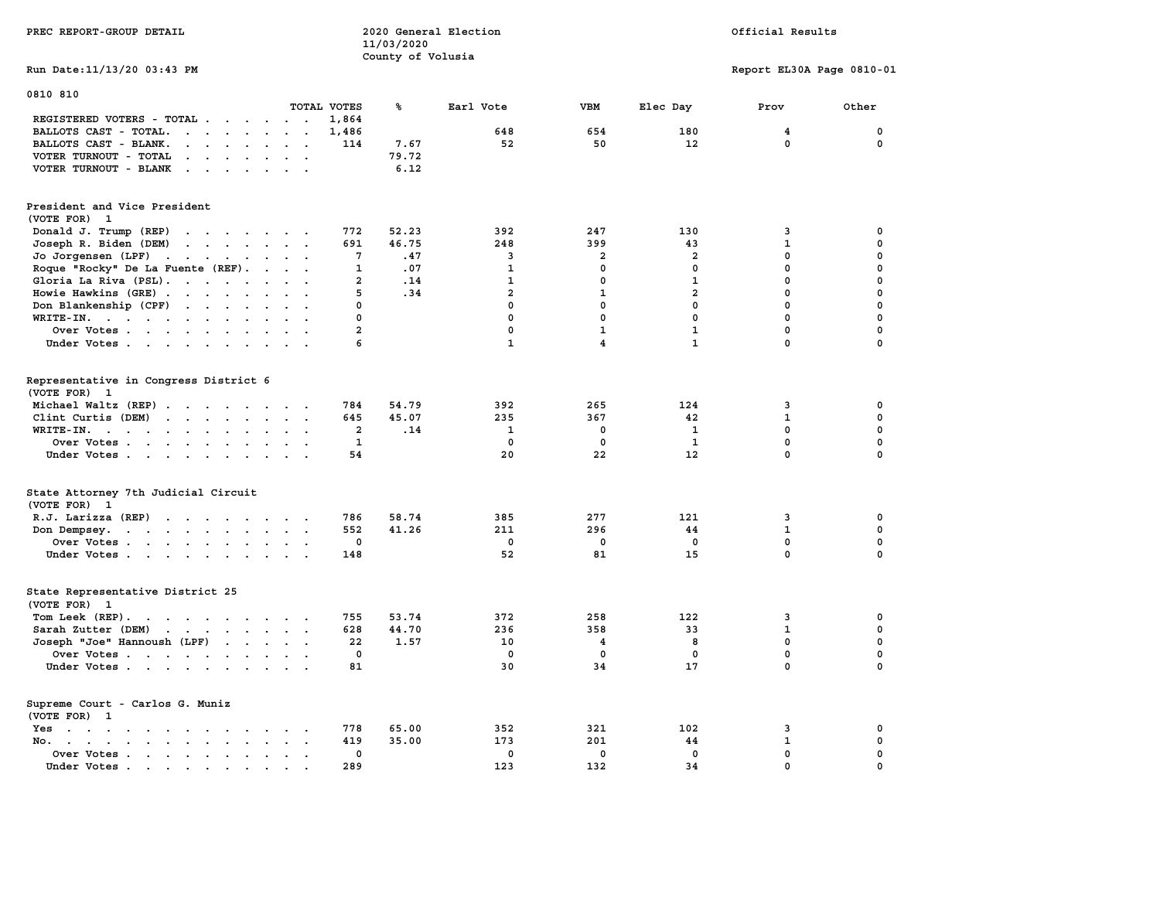| PREC REPORT-GROUP DETAIL                                                                                                                                                  |                | 2020 General Election<br>11/03/2020 |              |                         |                   | Official Results          |             |
|---------------------------------------------------------------------------------------------------------------------------------------------------------------------------|----------------|-------------------------------------|--------------|-------------------------|-------------------|---------------------------|-------------|
|                                                                                                                                                                           |                | County of Volusia                   |              |                         |                   |                           |             |
| Run Date: 11/13/20 03:43 PM                                                                                                                                               |                |                                     |              |                         |                   | Report EL30A Page 0810-01 |             |
| 0810 810                                                                                                                                                                  |                |                                     |              |                         |                   |                           |             |
|                                                                                                                                                                           | TOTAL VOTES    | ℁                                   | Earl Vote    | VBM                     | Elec Day          | Prov                      | Other       |
| REGISTERED VOTERS - TOTAL<br>$\sim$<br>$\sim$                                                                                                                             | 1,864          |                                     | 648          | 654                     | 180               | $\overline{\mathbf{4}}$   | $\mathbf 0$ |
| BALLOTS CAST - TOTAL.<br>$\ddot{\phantom{a}}$                                                                                                                             | 1,486          |                                     |              |                         |                   | $\mathbf 0$               | $\mathbf 0$ |
| BALLOTS CAST - BLANK.<br>$\ddot{\phantom{a}}$<br>$\ddot{\phantom{a}}$<br>$\ddot{\phantom{a}}$                                                                             | 114            | 7.67                                | 52           | 50                      | 12                |                           |             |
| VOTER TURNOUT - TOTAL<br>$\begin{array}{cccccccccccccc} \bullet & \bullet & \bullet & \bullet & \bullet & \bullet & \bullet & \bullet & \bullet \end{array}$<br>$\cdot$ . |                | 79.72                               |              |                         |                   |                           |             |
| VOTER TURNOUT - BLANK<br>$\sim$ , and $\sim$ , and $\sim$<br>$\sim$<br>$\sim$                                                                                             |                | 6.12                                |              |                         |                   |                           |             |
| President and Vice President<br>(VOTE FOR) 1                                                                                                                              |                |                                     |              |                         |                   |                           |             |
| Donald J. Trump (REP)<br>the contract of the contract of the                                                                                                              | 772            | 52.23                               | 392          | 247                     | 130               | 3                         | 0           |
| Joseph R. Biden (DEM)<br>$\cdot$ $\cdot$ $\cdot$ $\cdot$ $\cdot$ $\cdot$                                                                                                  | 691            | 46.75                               | 248          | 399                     | 43                | $\mathbf 1$               | 0           |
| Jo Jorgensen (LPF)<br>$\cdots$<br>$\sim$ $\sim$                                                                                                                           | 7              | .47                                 | 3            | 2                       | 2                 | 0                         | 0           |
| Roque "Rocky" De La Fuente (REF).<br>$\blacksquare$<br>$\sim$                                                                                                             | $\mathbf{1}$   | .07                                 | $\mathbf{1}$ | 0                       | 0                 | $\mathbf 0$               | 0           |
| Gloria La Riva (PSL).<br>$\sim$                                                                                                                                           | $\overline{a}$ | .14                                 | $\mathbf{1}$ | $\mathbf 0$             | $\mathbf{1}$      | $\mathbf 0$               | $\mathbf 0$ |
| Howie Hawkins (GRE).<br>$\sim$ 100 $\sim$<br>$\ddot{\phantom{a}}$<br>$\sim$<br>$\ddot{\phantom{a}}$<br>$\sim$                                                             | 5              | .34                                 | $\mathbf{2}$ | 1                       | $\overline{a}$    | $\pmb{0}$                 | $\mathbf 0$ |
| Don Blankenship (CPF)<br>$\mathcal{L}(\mathcal{A})$ . The set of $\mathcal{A}(\mathcal{A})$<br>$\ddot{\phantom{a}}$<br>$\ddot{\phantom{a}}$                               | 0              |                                     | $\mathbf 0$  | $\mathbf 0$             | $\mathbf 0$       | $\mathbf 0$               | $\mathbf 0$ |
| $WRITE-IN.$<br>$\sim$<br>$\ddot{\phantom{a}}$<br>$\sim$<br>$\bullet$                                                                                                      | 0              |                                     | $\mathbf 0$  | $\mathbf 0$             | $\mathbf 0$       | $\mathbf 0$               | $\mathbf 0$ |
| Over Votes<br>$\ddot{\phantom{a}}$                                                                                                                                        | $\overline{a}$ |                                     | $\mathbf{0}$ | $\mathbf{1}$            | $\mathbf{1}$      | $\mathbf 0$               | $\mathbf 0$ |
| Under Votes<br>$\sim$<br>$\ddot{\phantom{a}}$<br>$\sim$                                                                                                                   | 6              |                                     | $\mathbf{1}$ | $\overline{\mathbf{4}}$ | $\mathbf{1}$      | $\mathbf 0$               | 0           |
|                                                                                                                                                                           |                |                                     |              |                         |                   |                           |             |
| Representative in Congress District 6<br>(VOTE FOR) 1                                                                                                                     |                |                                     |              |                         |                   |                           |             |
| Michael Waltz (REP)                                                                                                                                                       | 784            | 54.79                               | 392          | 265                     | 124               | 3                         | 0           |
| Clint Curtis $(DEM)$                                                                                                                                                      | 645            | 45.07                               | 235          | 367                     | 42                | $\mathbf{1}$              | $\mathbf 0$ |
| WRITE-IN.<br>the contract of the contract of the contract of<br>$\ddot{\phantom{0}}$<br>$\ddot{\phantom{a}}$<br>$\ddot{\phantom{a}}$                                      | $\overline{a}$ | .14                                 | $\mathbf{1}$ | $\mathbf 0$             | $\mathbf{1}$      | $\mathbf 0$               | $\mathbf 0$ |
| Over Votes<br>$\overline{\phantom{a}}$                                                                                                                                    | $\mathbf{1}$   |                                     | $\mathbf 0$  | $\mathbf 0$             | $\mathbf{1}$      | $\mathbf 0$               | 0           |
| Under Votes<br>$\ddot{\phantom{1}}$                                                                                                                                       | 54             |                                     | 20           | 22                      | $12 \overline{ }$ | $\mathbf 0$               | $\Omega$    |
| State Attorney 7th Judicial Circuit                                                                                                                                       |                |                                     |              |                         |                   |                           |             |
| (VOTE FOR) 1                                                                                                                                                              |                |                                     |              |                         |                   |                           |             |
|                                                                                                                                                                           | 786            | 58.74                               | 385          | 277                     | 121               | 3                         | 0           |
| R.J. Larizza (REP)<br>$\sim$<br>$\cdot$ .                                                                                                                                 | 552            | 41.26                               | 211          | 296                     | 44                | $\mathbf{1}$              | 0           |
| Don Dempsey.<br>the contract of the contract of the<br>$\sim$<br>$\sim 10$<br>$\ddot{\phantom{0}}$                                                                        | 0              |                                     | $\mathbf 0$  | $\mathbf 0$             | $\mathbf 0$       | $\mathbf 0$               | 0           |
| Over Votes                                                                                                                                                                |                |                                     |              |                         |                   |                           |             |
| Under Votes<br>$\sim$                                                                                                                                                     | 148            |                                     | 52           | 81                      | 15                | 0                         | 0           |
| State Representative District 25<br>(VOTE FOR) 1                                                                                                                          |                |                                     |              |                         |                   |                           |             |
| Tom Leek (REP).<br><b>Contract Contract Contract</b><br>the contract of the contract of<br>$\sim$ $\sim$                                                                  | 755            | 53.74                               | 372          | 258                     | 122               | 3                         | 0           |
| Sarah Zutter (DEM)<br>$\mathcal{A}=\mathcal{A}=\mathcal{A}=\mathcal{A}=\mathcal{A}$<br>$\sim$<br>$\sim$<br>$\sim$                                                         | 628            | 44.70                               | 236          | 358                     | 33                | 1                         | $\mathbf 0$ |
| Joseph "Joe" Hannoush (LPF)                                                                                                                                               | 22             | 1.57                                | 10           | 4                       | 8                 | $\mathbf 0$               | $\mathbf 0$ |
| Over Votes<br>$\bullet$                                                                                                                                                   | 0              |                                     | 0            | 0                       | 0                 | 0                         | $\pmb{0}$   |
| Under Votes                                                                                                                                                               | 81             |                                     | 30           | 34                      | 17                | 0                         | $\Omega$    |
| Supreme Court - Carlos G. Muniz                                                                                                                                           |                |                                     |              |                         |                   |                           |             |
| (VOTE FOR) 1                                                                                                                                                              |                |                                     |              |                         |                   |                           |             |
| Yes                                                                                                                                                                       | 778            | 65.00                               | 352          | 321                     | 102               | 3                         | 0           |
| No.<br>$\ddot{\phantom{a}}$<br>$\sim$                                                                                                                                     | 419            | 35.00                               | 173          | 201                     | 44                | $\mathbf 1$               | 0           |
| Over Votes<br>$\ddot{\phantom{a}}$<br>$\ddot{\phantom{a}}$<br>$\cdot$                                                                                                     | 0              |                                     | 0            | $\mathbf 0$             | $\mathbf 0$       | $\mathbf 0$               | 0           |
| Under Votes                                                                                                                                                               | 289            |                                     | 123          | 132                     | 34                | $\mathbf 0$               | $\mathbf 0$ |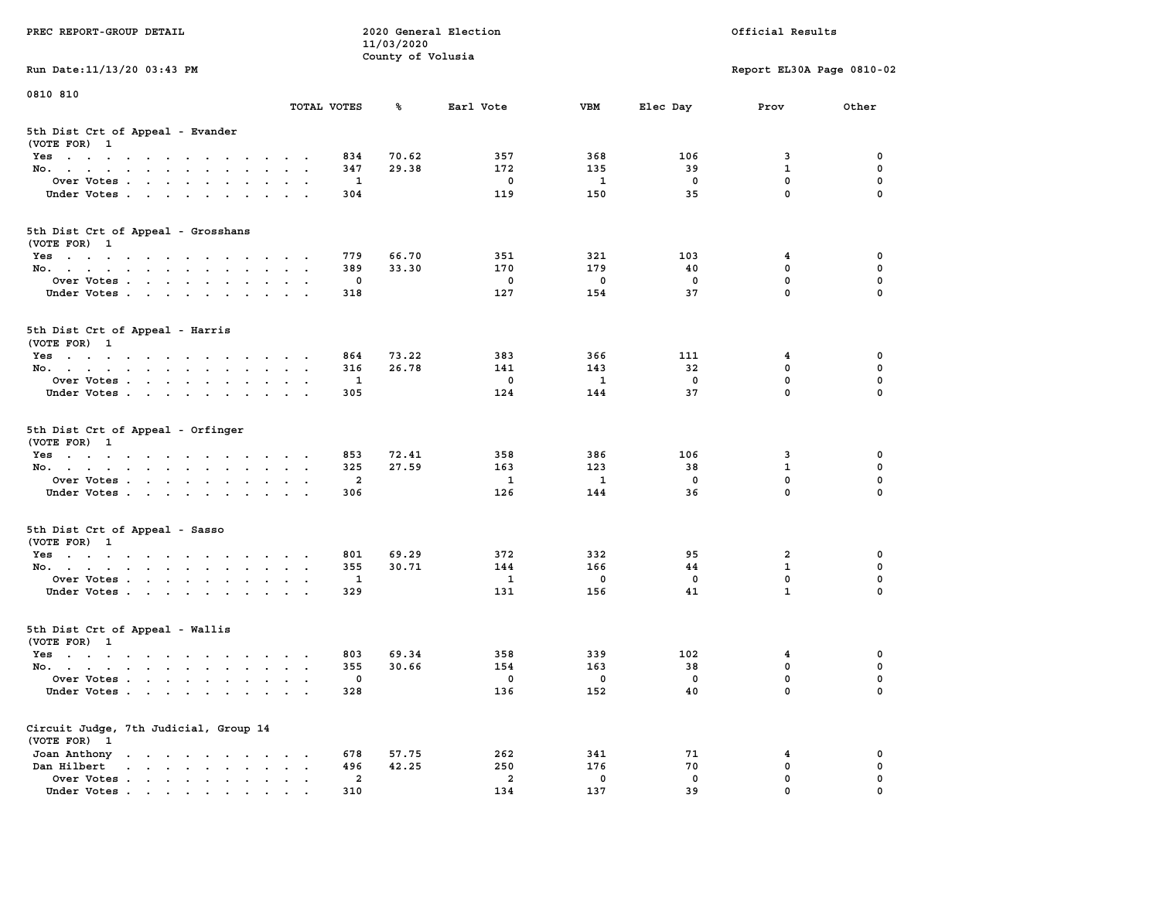| PREC REPORT-GROUP DETAIL                                                                                               |                                                                      | 11/03/2020            | 2020 General Election          |                    |             | Official Results          |          |
|------------------------------------------------------------------------------------------------------------------------|----------------------------------------------------------------------|-----------------------|--------------------------------|--------------------|-------------|---------------------------|----------|
| Run Date: 11/13/20 03:43 PM                                                                                            |                                                                      | County of Volusia     |                                |                    |             | Report EL30A Page 0810-02 |          |
| 0810 810                                                                                                               |                                                                      |                       |                                |                    |             |                           |          |
|                                                                                                                        | TOTAL VOTES                                                          | ℁                     | Earl Vote                      | <b>VBM</b>         | Elec Day    | Prov                      | Other    |
| 5th Dist Crt of Appeal - Evander<br>(VOTE FOR) 1                                                                       |                                                                      |                       |                                |                    |             |                           |          |
| Yes                                                                                                                    |                                                                      | 834<br>70.62          | 357                            | 368                | 106         | 3                         | 0        |
| No.                                                                                                                    |                                                                      | 29.38<br>347          | 172                            | 135                | 39          | $\mathbf{1}$              | 0        |
| Over Votes                                                                                                             |                                                                      | 1                     | 0                              | 1                  | 0           | $\mathbf 0$               | 0        |
| Under Votes                                                                                                            |                                                                      | 304                   | 119                            | 150                | 35          | $\mathbf 0$               | $\Omega$ |
| 5th Dist Crt of Appeal - Grosshans<br>(VOTE FOR) 1                                                                     |                                                                      |                       |                                |                    |             |                           |          |
| Yes                                                                                                                    |                                                                      | 779<br>66.70          | 351                            | 321                | 103         | 4                         | 0        |
| No.                                                                                                                    |                                                                      | 389<br>33.30          | 170                            | 179                | 40          | $\mathbf 0$               | 0        |
| Over Votes                                                                                                             |                                                                      | 0                     | $\mathbf 0$                    | $\mathbf 0$        | $\mathbf 0$ | $\mathbf 0$               | 0        |
| Under Votes                                                                                                            |                                                                      | 318                   | 127                            | 154                | 37          | $\mathbf{0}$              | 0        |
| 5th Dist Crt of Appeal - Harris<br>(VOTE FOR) 1                                                                        |                                                                      |                       |                                |                    |             |                           |          |
| Yes                                                                                                                    |                                                                      | 73.22<br>864          | 383                            | 366                | 111         | 4                         | 0        |
| No.                                                                                                                    |                                                                      | 316<br>26.78          | 141                            | 143                | 32          | 0                         | 0        |
| Over Votes                                                                                                             |                                                                      | 1                     | 0                              | 1                  | $\mathbf 0$ | $\mathbf 0$               | 0        |
| Under Votes                                                                                                            |                                                                      | 305                   | 124                            | 144                | 37          | $\mathbf 0$               | 0        |
| 5th Dist Crt of Appeal - Orfinger<br>(VOTE FOR) 1                                                                      |                                                                      |                       |                                |                    |             |                           |          |
| Yes                                                                                                                    |                                                                      | 853<br>72.41          | 358                            | 386                | 106         | 3                         | 0        |
| No.                                                                                                                    |                                                                      | 325<br>27.59          | 163                            | 123                | 38          | $\mathbf{1}$              | 0        |
| Over Votes                                                                                                             |                                                                      | 2                     | 1                              | 1                  | 0           | $\mathbf 0$               | 0        |
| Under Votes                                                                                                            |                                                                      | 306                   | 126                            | 144                | 36          | $\mathbf 0$               | $\Omega$ |
| 5th Dist Crt of Appeal - Sasso<br>(VOTE FOR) 1                                                                         |                                                                      |                       |                                |                    |             |                           |          |
| Yes                                                                                                                    |                                                                      | 801<br>69.29          | 372                            | 332                | 95          | 2                         | 0        |
| No.                                                                                                                    |                                                                      | 355<br>30.71          | 144                            | 166                | 44          | $\mathbf{1}$              | 0        |
| Over Votes                                                                                                             |                                                                      | 1                     | 1                              | 0                  | 0           | 0                         | 0        |
| Under Votes                                                                                                            |                                                                      | 329                   | 131                            | 156                | 41          | $\mathbf{1}$              | 0        |
| 5th Dist Crt of Appeal - Wallis<br>(VOTE FOR) 1                                                                        |                                                                      |                       |                                |                    |             |                           |          |
| Yes<br>the contract of the contract of the contract of the contract of the contract of the contract of the contract of |                                                                      | 69.34<br>803          | 358                            | 339                | 102         | 4                         | 0        |
| No.                                                                                                                    |                                                                      | 30.66<br>355          | 154                            | 163                | 38          | $\mathbf 0$               | 0        |
| Over Votes                                                                                                             |                                                                      | 0                     | 0                              | 0                  | 0           | $\mathbf 0$               | 0        |
| Under Votes.                                                                                                           |                                                                      | 328                   | 136                            | 152                | 40          | 0                         | 0        |
| Circuit Judge, 7th Judicial, Group 14<br>(VOTE FOR) 1                                                                  |                                                                      |                       |                                |                    |             |                           |          |
| Joan Anthony                                                                                                           | $\sim$ 100 $\pm$                                                     | 678<br>57.75          | 262                            | 341                | 71          | 4                         | 0        |
| Dan Hilbert<br>$\cdot$ $\cdot$ $\cdot$ $\cdot$ $\cdot$ $\cdot$ $\cdot$ $\cdot$                                         | $\ddot{\phantom{a}}$<br>$\ddot{\phantom{a}}$<br>$\ddot{\phantom{1}}$ | 496<br>42.25          | 250                            | 176                | 70          | $\mathbf 0$               | 0        |
| Over Votes.<br>Under Votes                                                                                             |                                                                      | $\overline{a}$<br>310 | $\overline{\mathbf{2}}$<br>134 | $\mathbf 0$<br>137 | 0<br>39     | 0<br>0                    | 0        |
|                                                                                                                        |                                                                      |                       |                                |                    |             |                           |          |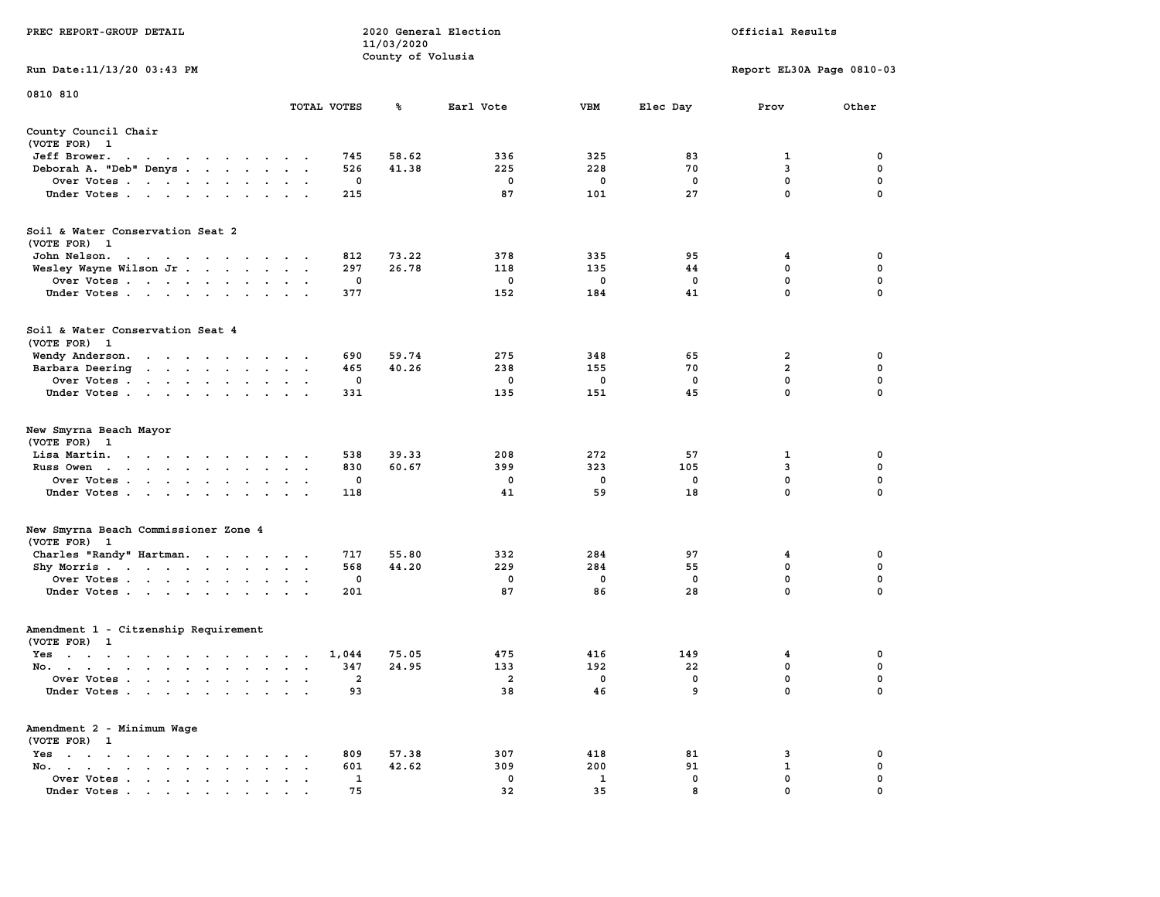|                                                                                                                                                                                                                                                                                     |                                                       | 11/03/2020        |                |              |             |                           |             |
|-------------------------------------------------------------------------------------------------------------------------------------------------------------------------------------------------------------------------------------------------------------------------------------|-------------------------------------------------------|-------------------|----------------|--------------|-------------|---------------------------|-------------|
|                                                                                                                                                                                                                                                                                     |                                                       | County of Volusia |                |              |             |                           |             |
| Run Date: 11/13/20 03:43 PM                                                                                                                                                                                                                                                         |                                                       |                   |                |              |             | Report EL30A Page 0810-03 |             |
| 0810 810                                                                                                                                                                                                                                                                            |                                                       |                   |                |              |             |                           |             |
|                                                                                                                                                                                                                                                                                     | TOTAL VOTES                                           | ጜ                 | Earl Vote      | <b>VBM</b>   | Elec Day    | Prov                      | Other       |
| County Council Chair<br>(VOTE FOR) 1                                                                                                                                                                                                                                                |                                                       |                   |                |              |             |                           |             |
| Jeff Brower.<br>the contract of the contract of the con-                                                                                                                                                                                                                            | 745                                                   | 58.62             | 336            | 325          | 83          | 1                         | 0           |
| Deborah A. "Deb" Denys<br>$\sim$ $\sim$                                                                                                                                                                                                                                             | 526<br>$\sim$                                         | 41.38             | 225            | 228          | 70          | 3                         | $\mathbf 0$ |
| Over Votes                                                                                                                                                                                                                                                                          | 0                                                     |                   | $\mathbf 0$    | $\mathbf{o}$ | $\mathbf 0$ | $\mathbf 0$               | $\mathbf 0$ |
| Under Votes                                                                                                                                                                                                                                                                         | 215<br>$\ddot{\phantom{a}}$                           |                   | 87             | 101          | 27          | $\mathbf 0$               | $\mathbf 0$ |
|                                                                                                                                                                                                                                                                                     |                                                       |                   |                |              |             |                           |             |
| Soil & Water Conservation Seat 2                                                                                                                                                                                                                                                    |                                                       |                   |                |              |             |                           |             |
| (VOTE FOR) 1                                                                                                                                                                                                                                                                        |                                                       |                   |                |              |             |                           |             |
| John Nelson.                                                                                                                                                                                                                                                                        | 812                                                   | 73.22             | 378            | 335          | 95          | 4                         | $\mathbf 0$ |
| Wesley Wayne Wilson Jr                                                                                                                                                                                                                                                              | 297                                                   | 26.78             | 118            | 135          | 44          | $\mathbf 0$               | 0           |
| Over Votes                                                                                                                                                                                                                                                                          | $\Omega$                                              |                   | $\mathbf 0$    | $\mathbf 0$  | $\mathbf 0$ | $\mathbf 0$               | $\mathbf 0$ |
| Under Votes                                                                                                                                                                                                                                                                         | 377                                                   |                   | 152            | 184          | 41          | $\mathbf 0$               | 0           |
|                                                                                                                                                                                                                                                                                     |                                                       |                   |                |              |             |                           |             |
| Soil & Water Conservation Seat 4<br>(VOTE FOR) 1                                                                                                                                                                                                                                    |                                                       |                   |                |              |             |                           |             |
|                                                                                                                                                                                                                                                                                     | 690                                                   | 59.74             | 275            | 348          | 65          | 2                         | 0           |
| Wendy Anderson.<br>Barbara Deering<br>the contract of the contract of the contract of the contract of the contract of the contract of the contract of                                                                                                                               | 465                                                   | 40.26             | 238            | 155          | 70          | $\overline{a}$            | $\mathbf 0$ |
| Over Votes.<br>$\sim 100$ km s $^{-1}$                                                                                                                                                                                                                                              | 0<br>$\sim$                                           |                   | 0              | 0            | $\mathbf 0$ | $\mathbf 0$               | $\mathbf 0$ |
| the contract of the contract of<br>Under Votes                                                                                                                                                                                                                                      | 331                                                   |                   | 135            | 151          | 45          | $\mathbf 0$               | $\mathbf 0$ |
|                                                                                                                                                                                                                                                                                     |                                                       |                   |                |              |             |                           |             |
| New Smyrna Beach Mayor<br>(VOTE FOR) 1                                                                                                                                                                                                                                              |                                                       |                   |                |              |             |                           |             |
| Lisa Martin.<br>$\ddot{\phantom{a}}$<br>$\sim$                                                                                                                                                                                                                                      | 538<br>$\cdot$                                        | 39.33             | 208            | 272          | 57          | 1                         | $\mathbf 0$ |
| Russ Owen<br>$\mathbf{r}$ . The set of the set of the set of the set of the set of the set of the set of the set of the set of the set of the set of the set of the set of the set of the set of the set of the set of the set of the set of t<br>$\ddot{\phantom{a}}$<br>$\bullet$ | 830<br>$\ddot{\phantom{a}}$<br>$\bullet$              | 60.67             | 399            | 323          | 105         | 3                         | 0           |
| Over Votes                                                                                                                                                                                                                                                                          | 0<br>$\sim$                                           |                   | $\mathbf 0$    | $\mathbf 0$  | $\mathbf 0$ | $\mathbf 0$               | 0           |
| Under Votes<br>$\cdot$ $\cdot$                                                                                                                                                                                                                                                      | 118<br>$\sim$                                         |                   | 41             | 59           | 18          | $\mathbf 0$               | 0           |
| New Smyrna Beach Commissioner Zone 4                                                                                                                                                                                                                                                |                                                       |                   |                |              |             |                           |             |
| (VOTE FOR) 1                                                                                                                                                                                                                                                                        |                                                       |                   |                |              |             |                           |             |
| Charles "Randy" Hartman.                                                                                                                                                                                                                                                            | 717                                                   | 55.80             | 332            | 284          | 97          | 4                         | 0           |
| Shy Morris<br>$\sim$ $\sim$ $\sim$                                                                                                                                                                                                                                                  | 568<br>$\ddot{\phantom{0}}$<br>$\blacksquare$         | 44.20             | 229            | 284          | 55          | 0                         | 0           |
| Over Votes                                                                                                                                                                                                                                                                          | 0                                                     |                   | $^{\circ}$     | $\mathbf 0$  | $^{\circ}$  | $\mathbf 0$               | 0           |
| Under Votes<br>$\sim$ $\sim$<br>$\ddot{\phantom{a}}$                                                                                                                                                                                                                                | 201                                                   |                   | 87             | 86           | 28          | $\mathbf 0$               | $\mathbf 0$ |
| Amendment 1 - Citzenship Requirement                                                                                                                                                                                                                                                |                                                       |                   |                |              |             |                           |             |
| (VOTE FOR) 1                                                                                                                                                                                                                                                                        |                                                       |                   |                |              |             |                           |             |
| Yes                                                                                                                                                                                                                                                                                 | 1,044                                                 | 75.05             | 475            | 416          | 149         | 4                         | $\mathbf 0$ |
| No.                                                                                                                                                                                                                                                                                 | 347                                                   | 24.95             | 133            | 192          | 22          | $\mathbf 0$               | $\mathbf 0$ |
| Over Votes<br>$\ddot{\phantom{a}}$<br>$\ddot{\phantom{a}}$<br>$\ddot{\phantom{a}}$                                                                                                                                                                                                  | $\overline{2}$<br>$\cdot$<br>$\overline{\phantom{a}}$ |                   | $\overline{a}$ | $\mathbf 0$  | $\mathbf 0$ | $\mathbf 0$               | $\mathbf 0$ |
| Under Votes                                                                                                                                                                                                                                                                         | 93                                                    |                   | 38             | 46           | 9           | $\mathbf 0$               | 0           |
| Amendment 2 - Minimum Wage                                                                                                                                                                                                                                                          |                                                       |                   |                |              |             |                           |             |
| (VOTE FOR) 1                                                                                                                                                                                                                                                                        |                                                       |                   |                |              |             |                           |             |
| Yes<br>$\sim$<br>$\cdot$ $\cdot$ $\cdot$ $\cdot$ $\cdot$<br>$\ddot{\phantom{0}}$<br>$\cdot$                                                                                                                                                                                         | 809                                                   | 57.38             | 307            | 418          | 81          | 3                         | 0           |
| No.<br>the contract of the contract of<br>$\ddot{\phantom{0}}$                                                                                                                                                                                                                      | 601                                                   | 42.62             | 309            | 200          | 91          | $\mathbf{1}$              | 0           |
| Over Votes<br>$\blacksquare$<br>$\bullet$<br>$\bullet$                                                                                                                                                                                                                              | $\mathbf{1}$<br>$\bullet$                             |                   | $\mathbf 0$    | 1            | 0           | 0                         | 0           |
| Under Votes<br>the contract of the contract of the contract of the contract of the contract of the contract of the contract of                                                                                                                                                      | 75<br>$\sim$                                          |                   | 32             | 35           | 8           | $\Omega$                  | $\Omega$    |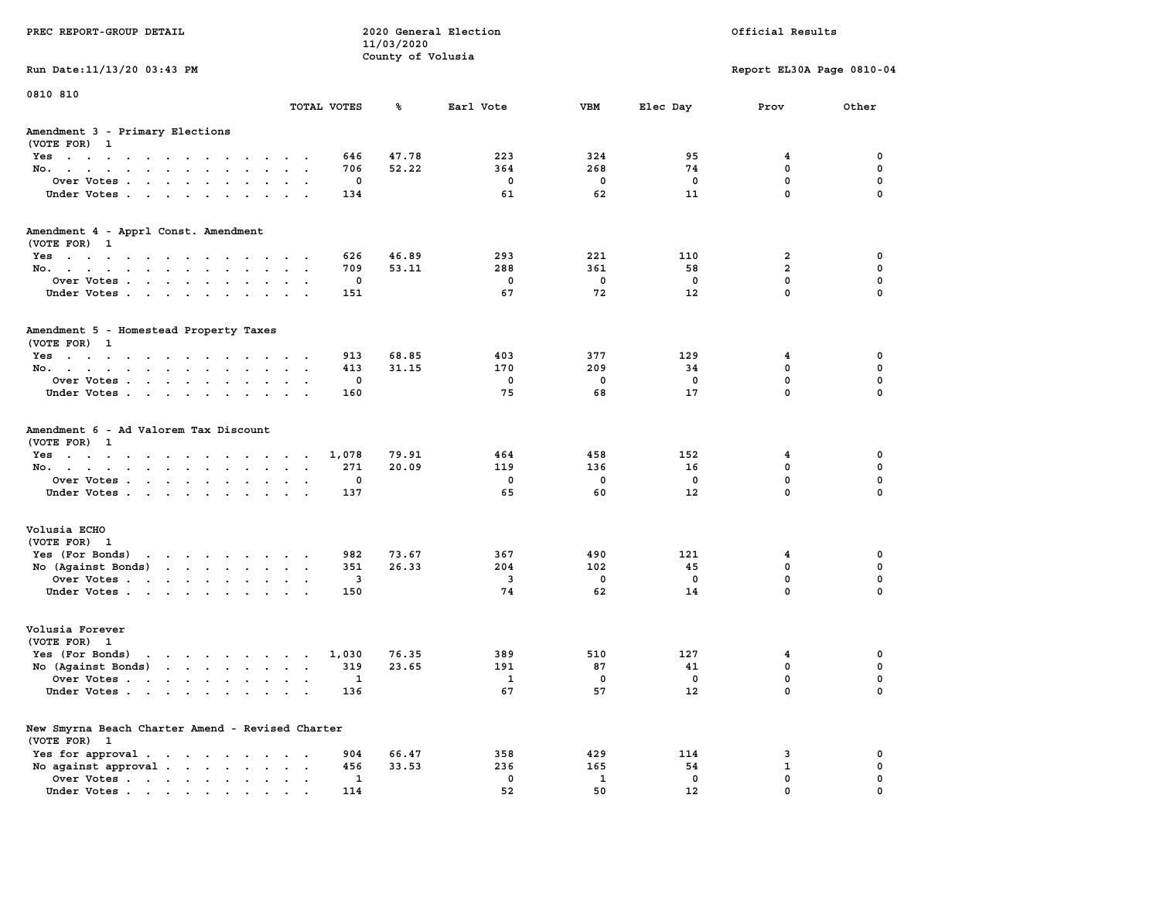| PREC REPORT-GROUP DETAIL                                                                                                              |                          | 11/03/2020        | 2020 General Election         |                       |                      | Official Results                               |                         |
|---------------------------------------------------------------------------------------------------------------------------------------|--------------------------|-------------------|-------------------------------|-----------------------|----------------------|------------------------------------------------|-------------------------|
| Run Date: 11/13/20 03:43 PM                                                                                                           |                          | County of Volusia |                               |                       |                      | Report EL30A Page 0810-04                      |                         |
| 0810 810                                                                                                                              |                          |                   |                               |                       |                      |                                                |                         |
|                                                                                                                                       | TOTAL VOTES              | ℁                 | Earl Vote                     | <b>VBM</b>            | Elec Day             | Prov                                           | Other                   |
| Amendment 3 - Primary Elections<br>(VOTE FOR) 1                                                                                       |                          |                   |                               |                       |                      |                                                |                         |
| Yes                                                                                                                                   | 646                      | 47.78             | 223                           | 324                   | 95                   | 4                                              | 0                       |
| No.                                                                                                                                   | 706                      | 52.22             | 364                           | 268                   | 74                   | $\mathbf 0$                                    | $\mathbf 0$             |
| Over Votes                                                                                                                            | 0                        |                   | 0                             | $\mathbf 0$           | 0                    | $\mathbf 0$                                    | 0                       |
| Under Votes                                                                                                                           | 134                      |                   | 61                            | 62                    | 11                   | $\mathbf 0$                                    | $\mathbf 0$             |
| Amendment 4 - Apprl Const. Amendment                                                                                                  |                          |                   |                               |                       |                      |                                                |                         |
| (VOTE FOR) 1                                                                                                                          |                          |                   |                               |                       |                      |                                                |                         |
| Yes<br>No.                                                                                                                            | 626<br>709               | 46.89<br>53.11    | 293<br>288                    | 221<br>361            | 110<br>58            | 2<br>$\overline{2}$                            | 0<br>0                  |
| Over Votes                                                                                                                            | 0                        |                   | $\mathbf 0$                   | 0                     | 0                    | $\mathbf 0$                                    | $\mathbf 0$             |
| Under Votes.                                                                                                                          | 151                      |                   | 67                            | 72                    | 12                   | $\mathbf 0$                                    | $\Omega$                |
| Amendment 5 - Homestead Property Taxes<br>(VOTE FOR) 1                                                                                |                          |                   |                               |                       |                      |                                                |                         |
| Yes                                                                                                                                   | 913                      | 68.85             | 403                           | 377                   | 129                  | 4                                              | 0                       |
| No.                                                                                                                                   | 413                      | 31.15             | 170                           | 209                   | 34                   | 0                                              | 0                       |
| Over Votes                                                                                                                            | 0                        |                   | $^{\circ}$                    | $^{\circ}$            | $^{\circ}$           | $\mathbf 0$                                    | $\mathbf 0$             |
| Under Votes.                                                                                                                          | 160                      |                   | 75                            | 68                    | 17                   | $\mathbf 0$                                    | $\mathbf 0$             |
| Amendment 6 - Ad Valorem Tax Discount<br>(VOTE FOR) 1<br>Yes<br>No.<br>Over Votes<br>Under Votes                                      | 1,078<br>271<br>0<br>137 | 79.91<br>20.09    | 464<br>119<br>0<br>65         | 458<br>136<br>0<br>60 | 152<br>16<br>0<br>12 | 4<br>$\mathbf 0$<br>$\mathbf 0$<br>$\mathbf 0$ | 0<br>0<br>0<br>$\Omega$ |
| Volusia ECHO                                                                                                                          |                          |                   |                               |                       |                      |                                                |                         |
| (VOTE FOR) 1                                                                                                                          |                          |                   |                               |                       |                      |                                                |                         |
| Yes (For Bonds)                                                                                                                       | 982                      | 73.67             | 367                           | 490                   | 121                  | 4                                              | 0                       |
| No (Against Bonds)<br>the contract of the contract of the contract of the contract of the contract of the contract of the contract of | 351                      | 26.33             | 204                           | 102                   | 45                   | $\mathbf 0$                                    | 0                       |
| Over Votes<br>Under Votes.                                                                                                            | 3<br>150                 |                   | $\overline{\mathbf{3}}$<br>74 | $\mathbf 0$<br>62     | $\mathbf 0$<br>14    | 0<br>$\Omega$                                  | $\mathbf 0$<br>$\Omega$ |
| Volusia Forever                                                                                                                       |                          |                   |                               |                       |                      |                                                |                         |
| (VOTE FOR) 1                                                                                                                          |                          |                   |                               |                       |                      |                                                |                         |
| Yes (For Bonds)<br>the contract of the contract of the contract of the contract of the contract of the contract of the contract of    | 1,030                    | 76.35             | 389                           | 510                   | 127                  | 4                                              | 0                       |
| No $(Against Bonds)$                                                                                                                  | 319                      | 23.65             | 191                           | 87                    | 41                   | 0                                              | 0                       |
| Over Votes<br>the contract of the contract of the contract of the contract of the contract of the contract of the contract of         | 1                        |                   | $\overline{\mathbf{1}}$       | $^{\circ}$            | 0                    | $\Omega$                                       | $\mathbf 0$             |
| Under Votes                                                                                                                           | 136                      |                   | 67                            | 57                    | 12                   | 0                                              | 0                       |
| New Smyrna Beach Charter Amend - Revised Charter<br>(VOTE FOR) 1                                                                      |                          |                   |                               |                       |                      |                                                |                         |
| Yes for approval.                                                                                                                     | 904                      | 66.47             | 358                           | 429                   | 114                  | 3                                              | 0                       |
| No against approval $\cdots$ $\cdots$ $\cdots$                                                                                        | 456                      | 33.53             | 236                           | 165                   | 54                   | 1                                              | 0                       |
| Over Votes                                                                                                                            | 1                        |                   | 0                             | 1                     | $\mathbf 0$          | $\mathbf 0$                                    | 0                       |
| Under Votes                                                                                                                           | 114                      |                   | 52                            | 50                    | 12                   | $\mathbf{0}$                                   | $\mathbf 0$             |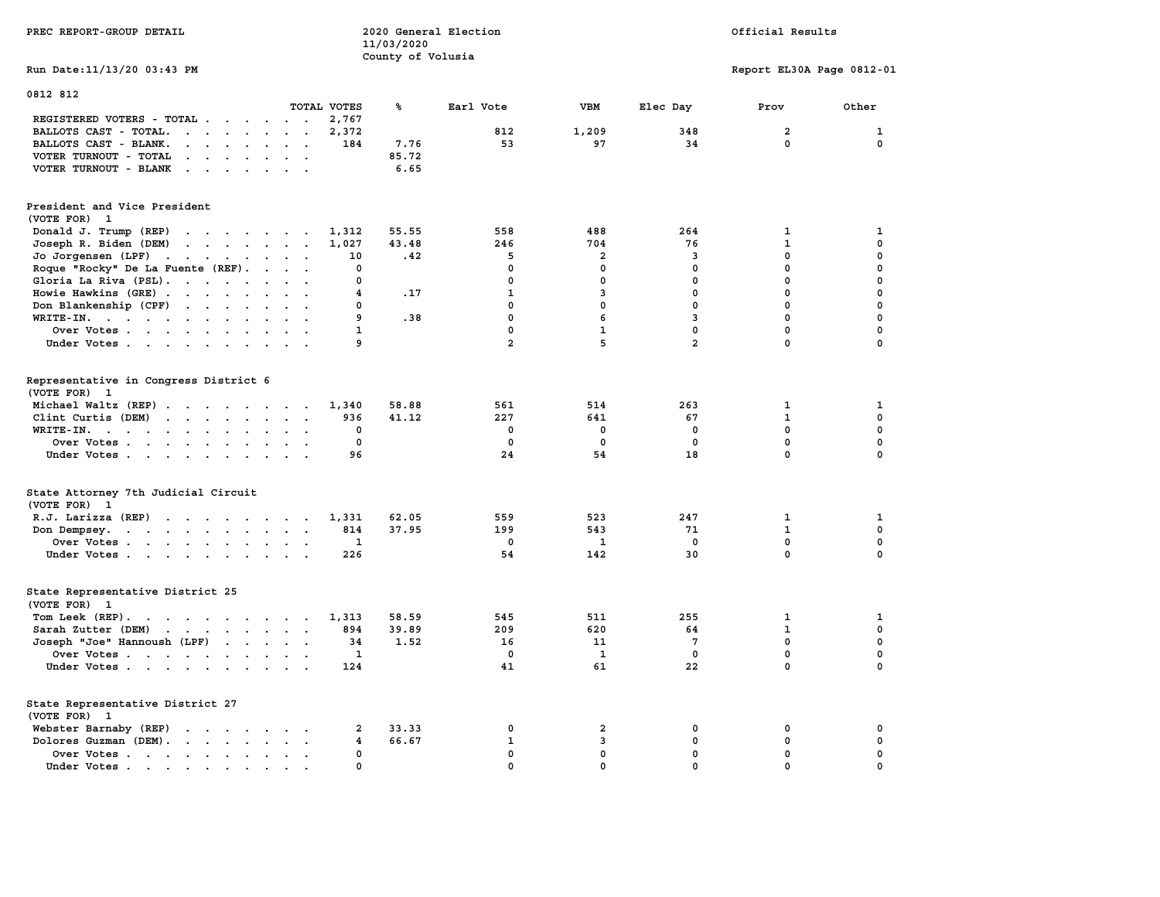| PREC REPORT-GROUP DETAIL                                                                                                                                                                                                                       |                 | 11/03/2020<br>County of Volusia | 2020 General Election |                |                | Official Results          |              |  |
|------------------------------------------------------------------------------------------------------------------------------------------------------------------------------------------------------------------------------------------------|-----------------|---------------------------------|-----------------------|----------------|----------------|---------------------------|--------------|--|
| Run Date: 11/13/20 03:43 PM                                                                                                                                                                                                                    |                 |                                 |                       |                |                | Report EL30A Page 0812-01 |              |  |
| 0812 812                                                                                                                                                                                                                                       | TOTAL VOTES     | ℁                               | Earl Vote             | VBM            | Elec Day       | Prov                      | Other        |  |
| REGISTERED VOTERS - TOTAL                                                                                                                                                                                                                      | 2,767           |                                 |                       |                |                |                           |              |  |
| BALLOTS CAST - TOTAL.                                                                                                                                                                                                                          | 2,372           |                                 | 812                   | 1,209          | 348            | $\overline{2}$            | $\mathbf{1}$ |  |
| BALLOTS CAST - BLANK.<br>$\mathbf{r}$ , and $\mathbf{r}$ , and $\mathbf{r}$ , and $\mathbf{r}$                                                                                                                                                 | 184             | 7.76                            | 53                    | 97             | 34             | $\mathbf 0$               | $\mathbf 0$  |  |
| VOTER TURNOUT - TOTAL<br>$\mathbf{r}$ , $\mathbf{r}$ , $\mathbf{r}$ , $\mathbf{r}$ , $\mathbf{r}$                                                                                                                                              | $\cdot$ $\cdot$ | 85.72                           |                       |                |                |                           |              |  |
| VOTER TURNOUT - BLANK                                                                                                                                                                                                                          |                 | 6.65                            |                       |                |                |                           |              |  |
| President and Vice President<br>(VOTE FOR) 1                                                                                                                                                                                                   |                 |                                 |                       |                |                |                           |              |  |
| Donald J. Trump (REP)<br>the contract of the contract of the                                                                                                                                                                                   | 1,312           | 55.55                           | 558                   | 488            | 264            | $\mathbf{1}$              | $\mathbf{1}$ |  |
| Joseph R. Biden (DEM)                                                                                                                                                                                                                          | 1,027           | 43.48                           | 246                   | 704            | 76             | $\mathbf{1}$              | $\mathbf 0$  |  |
| Jo Jorgensen (LPF)                                                                                                                                                                                                                             | 10              | .42                             | 5                     | $\overline{a}$ | 3              | $\mathbf 0$               | 0            |  |
| Roque "Rocky" De La Fuente (REF).                                                                                                                                                                                                              | $\mathbf 0$     |                                 | $\mathbf 0$           | $\mathbf{0}$   | $\mathbf{0}$   | $\mathbf{0}$              | 0            |  |
| Gloria La Riva (PSL).                                                                                                                                                                                                                          | 0               |                                 | 0                     | $\mathbf 0$    | 0              | $\mathbf 0$               | 0            |  |
| Howie Hawkins (GRE)                                                                                                                                                                                                                            | 4               | .17                             | 1                     | 3              | $^{\circ}$     | $^{\circ}$                | 0            |  |
| Don Blankenship (CPF)                                                                                                                                                                                                                          | $\mathbf 0$     |                                 | $\mathbf{0}$          | $\mathbf{0}$   | $\mathbf 0$    | $\mathbf{0}$              | 0            |  |
| WRITE-IN.                                                                                                                                                                                                                                      | 9               | .38                             | $\mathbf{0}$          | 6              | $\mathbf{3}$   | $\mathbf{0}$              | 0            |  |
| Over Votes                                                                                                                                                                                                                                     | $\mathbf{1}$    |                                 | $\mathbf 0$           | $\mathbf{1}$   | $\mathbf 0$    | $\mathbf 0$               | 0            |  |
|                                                                                                                                                                                                                                                | 9               |                                 | $\overline{a}$        | 5.             | $\overline{a}$ | $\mathbf{0}$              | 0            |  |
| Under Votes                                                                                                                                                                                                                                    |                 |                                 |                       |                |                |                           |              |  |
| Representative in Congress District 6<br>(VOTE FOR) 1                                                                                                                                                                                          |                 |                                 |                       |                |                |                           |              |  |
| Michael Waltz (REP)                                                                                                                                                                                                                            | 1,340           | 58.88                           | 561                   | 514            | 263            | 1                         | 1            |  |
| Clint Curtis (DEM)                                                                                                                                                                                                                             | 936             | 41.12                           | 227                   | 641            | 67             | $\mathbf{1}$              | 0            |  |
| WRITE-IN.<br>$\mathbf{r}$ . The contract of the contract of the contract of the contract of the contract of the contract of the contract of the contract of the contract of the contract of the contract of the contract of the contract of th | 0               |                                 | 0                     | 0              | $\mathbf 0$    | $\mathbf 0$               | 0            |  |
| Over Votes                                                                                                                                                                                                                                     | 0               |                                 | 0                     | $\mathbf 0$    | $\mathbf 0$    | 0                         | 0            |  |
| Under Votes                                                                                                                                                                                                                                    | 96              |                                 | 24                    | 54             | 18             | $\mathbf 0$               | 0            |  |
| State Attorney 7th Judicial Circuit<br>(VOTE FOR) 1                                                                                                                                                                                            |                 |                                 |                       |                |                |                           |              |  |
| $R.J.$ Larizza $(REP)$                                                                                                                                                                                                                         | 1,331           | 62.05                           | 559                   | 523            | 247            | 1                         | 1            |  |
| Don Dempsey.                                                                                                                                                                                                                                   | 814             | 37.95                           | 199                   | 543            | 71             | $\mathbf{1}$              | 0            |  |
| Over Votes                                                                                                                                                                                                                                     | 1               |                                 | 0                     | <b>1</b>       | $\mathbf 0$    | $\mathbf 0$               | 0            |  |
| Under Votes.                                                                                                                                                                                                                                   | 226             |                                 | 54                    | 142            | 30             | $\mathbf{0}$              | $\mathbf 0$  |  |
| State Representative District 25<br>(VOTE FOR) 1                                                                                                                                                                                               |                 |                                 |                       |                |                |                           |              |  |
| Tom Leek $(REP)$ .                                                                                                                                                                                                                             | 1,313           | 58.59                           | 545                   | 511            | 255            | $\mathbf{1}$              | $\mathbf{1}$ |  |
| Sarah Zutter (DEM)                                                                                                                                                                                                                             | 894             | 39.89                           | 209                   | 620            | 64             | $\mathbf{1}$              | 0            |  |
| Joseph "Joe" Hannoush (LPF)                                                                                                                                                                                                                    | 34              | 1.52                            | 16                    | 11             | $\overline{7}$ | $\mathbf 0$               | 0            |  |
| Over Votes                                                                                                                                                                                                                                     | 1               |                                 | 0                     | 1              | $^{\circ}$     | $\mathbf 0$               | 0            |  |
| Under Votes                                                                                                                                                                                                                                    | 124             |                                 | 41                    | 61             | 22             | $\mathbf{0}$              | $\mathbf 0$  |  |
| State Representative District 27<br>(VOTE FOR) 1                                                                                                                                                                                               |                 |                                 |                       |                |                |                           |              |  |
| Webster Barnaby (REP)                                                                                                                                                                                                                          | 2               | 33.33                           | 0                     | $\overline{a}$ | 0              | 0                         | 0            |  |
| Dolores Guzman (DEM).                                                                                                                                                                                                                          | 4               | 66.67                           | $\mathbf{1}$          | 3              | $\mathbf 0$    | 0                         | 0            |  |
| Over Votes                                                                                                                                                                                                                                     | 0               |                                 | $\mathbf 0$           | 0              | $\mathbf 0$    | $\mathbf 0$               | 0            |  |
| Under Votes.                                                                                                                                                                                                                                   | 0               |                                 | $\mathbf 0$           | 0              | $\mathbf 0$    | $\mathbf 0$               | 0            |  |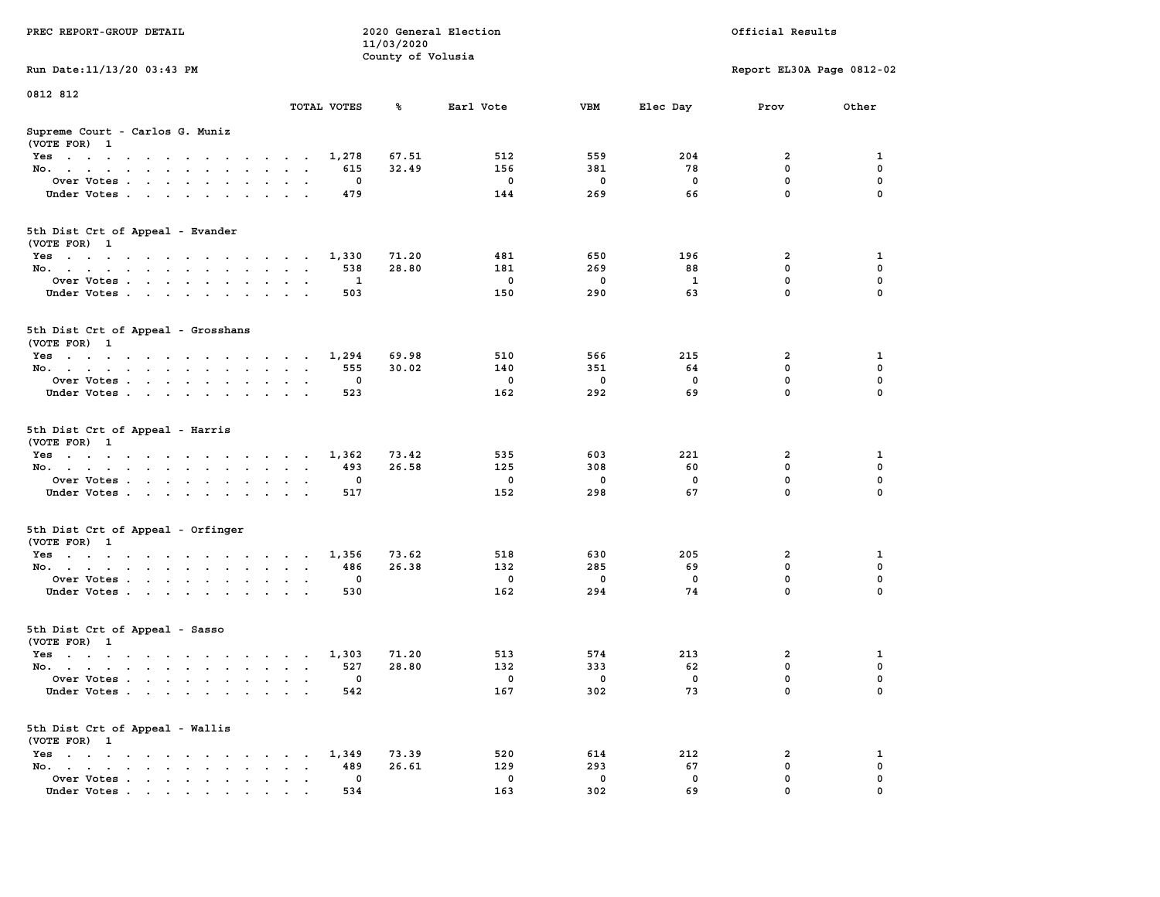|                                                                                                                                    |                                                               | 11/03/2020        |             |             |              |                                        |                  |
|------------------------------------------------------------------------------------------------------------------------------------|---------------------------------------------------------------|-------------------|-------------|-------------|--------------|----------------------------------------|------------------|
|                                                                                                                                    |                                                               | County of Volusia |             |             |              |                                        |                  |
| Run Date: 11/13/20 03:43 PM                                                                                                        |                                                               |                   |             |             |              | Report EL30A Page 0812-02              |                  |
| 0812 812                                                                                                                           |                                                               |                   |             |             |              |                                        |                  |
|                                                                                                                                    | TOTAL VOTES                                                   | ℁                 | Earl Vote   | VBM         | Elec Day     | Prov                                   | Other            |
|                                                                                                                                    |                                                               |                   |             |             |              |                                        |                  |
| Supreme Court - Carlos G. Muniz<br>(VOTE FOR) 1                                                                                    |                                                               |                   |             |             |              |                                        |                  |
| Yes                                                                                                                                | 1,278                                                         | 67.51             | 512         | 559         | 204          | $\overline{\mathbf{2}}$                | 1                |
| No.<br><b>Contract Contract</b>                                                                                                    | 615                                                           | 32.49             | 156         | 381         | 78           | $\mathbf 0$                            | $\mathbf 0$      |
| Over Votes                                                                                                                         | $\mathbf 0$                                                   |                   | $\mathbf 0$ | $\mathbf 0$ | $\mathbf 0$  | $\mathbf 0$                            | $\mathbf 0$      |
| Under Votes<br>$\mathcal{L}^{\text{max}}$ , $\mathcal{L}^{\text{max}}$                                                             | 479<br>$\ddot{\phantom{a}}$                                   |                   | 144         | 269         | 66           | $\mathbf 0$                            | $\mathbf 0$      |
|                                                                                                                                    |                                                               |                   |             |             |              |                                        |                  |
| 5th Dist Crt of Appeal - Evander                                                                                                   |                                                               |                   |             |             |              |                                        |                  |
| (VOTE FOR) 1                                                                                                                       |                                                               |                   |             |             |              |                                        |                  |
| Yes                                                                                                                                | 1,330                                                         | 71.20             | 481         | 650         | 196          | $\overline{2}$                         | 1                |
| No.                                                                                                                                | 538                                                           | 28.80             | 181         | 269         | 88           | $\mathbf 0$                            | $\mathbf 0$      |
| Over Votes                                                                                                                         | $\mathbf{1}$<br>$\ddot{\phantom{0}}$                          |                   | $\mathbf 0$ | $\mathbf 0$ | $\mathbf{1}$ | $\mathbf 0$                            | $\mathbf 0$      |
| Under Votes                                                                                                                        | 503                                                           |                   | 150         | 290         | 63           | $\mathbf 0$                            | 0                |
|                                                                                                                                    |                                                               |                   |             |             |              |                                        |                  |
| 5th Dist Crt of Appeal - Grosshans                                                                                                 |                                                               |                   |             |             |              |                                        |                  |
| (VOTE FOR) 1                                                                                                                       |                                                               |                   |             |             |              |                                        |                  |
| Yes                                                                                                                                | 1,294                                                         | 69.98             | 510         | 566         | 215          | $\overline{\mathbf{2}}$<br>$\mathbf 0$ | 1<br>$\mathbf 0$ |
| No.                                                                                                                                | 555<br>$\sim$<br>$\sim$ $\sim$                                | 30.02             | 140         | 351         | 64           |                                        |                  |
| Over Votes                                                                                                                         | $\mathbf 0$<br>$\ddot{\phantom{a}}$<br>$\sim$                 |                   | $\mathbf 0$ | $\mathbf 0$ | $\mathbf 0$  | $\mathbf 0$                            | $\mathbf 0$      |
| Under Votes                                                                                                                        | 523                                                           |                   | 162         | 292         | 69           | $\mathbf 0$                            | 0                |
| 5th Dist Crt of Appeal - Harris<br>(VOTE FOR) 1                                                                                    |                                                               |                   |             |             |              |                                        |                  |
| Yes                                                                                                                                | 1,362                                                         | 73.42             | 535         | 603         | 221          | $\overline{\mathbf{2}}$                | 1                |
| No.<br>$\ddot{\phantom{a}}$                                                                                                        | 493<br>$\sim$<br>$\sim$<br>$\ddot{\phantom{a}}$               | 26.58             | 125         | 308         | 60           | $\mathbf 0$                            | $\mathbf 0$      |
| Over Votes.                                                                                                                        | 0                                                             |                   | $\mathbf 0$ | 0           | $\mathbf 0$  | $\mathbf 0$                            | $\mathbf 0$      |
| Under Votes<br>$\cdot$                                                                                                             | 517<br>$\cdot$ $\cdot$                                        |                   | 152         | 298         | 67           | $\mathbf 0$                            | 0                |
| 5th Dist Crt of Appeal - Orfinger<br>(VOTE FOR) 1                                                                                  |                                                               |                   |             |             |              |                                        |                  |
| Yes                                                                                                                                | 1,356                                                         | 73.62             | 518         | 630         | 205          | 2                                      | 1                |
| No.<br>$\sim$                                                                                                                      | 486<br>$\sim$ $\sim$<br>$\sim$<br>$\ddot{\phantom{0}}$        | 26.38             | 132         | 285         | 69           | $\mathbf 0$                            | $\mathbf{0}$     |
| Over Votes                                                                                                                         | $\mathbf{0}$<br>$\bullet$<br>$\cdot$ .                        |                   | $^{\circ}$  | $\mathbf 0$ | $\Omega$     | $\mathbf 0$                            | $\mathbf{0}$     |
| Under Votes                                                                                                                        | 530<br>$\sim$<br>$\sim$                                       |                   | 162         | 294         | 74           | $\mathbf 0$                            | $\mathbf 0$      |
|                                                                                                                                    |                                                               |                   |             |             |              |                                        |                  |
| 5th Dist Crt of Appeal - Sasso<br>(VOTE FOR) 1                                                                                     |                                                               |                   |             |             |              |                                        |                  |
| Yes                                                                                                                                | 1,303                                                         | 71.20             | 513         | 574         | 213          | $\overline{\mathbf{2}}$                | $\mathbf 1$      |
| No.                                                                                                                                | 527                                                           | 28.80             | 132         | 333         | 62           | $\mathbf 0$                            | $\mathbf 0$      |
| Over Votes<br>$\ddot{\phantom{a}}$                                                                                                 | 0<br>$\ddot{\phantom{a}}$<br>$\cdot$                          |                   | $\mathbf 0$ | 0           | $\mathbf 0$  | $\mathbf 0$                            | $\mathbf 0$      |
| Under Votes                                                                                                                        | 542                                                           |                   | 167         | 302         | 73           | $\Omega$                               | $\Omega$         |
| 5th Dist Crt of Appeal - Wallis<br>(VOTE FOR) 1                                                                                    |                                                               |                   |             |             |              |                                        |                  |
| $Yes \t . \t .$<br>the contract of the contract of the contract of the contract of the contract of the contract of the contract of | 1,349                                                         | 73.39             | 520         | 614         | 212          | 2                                      | 1                |
| No.<br>the contract of the contract of the con-<br>$\ddot{\phantom{a}}$                                                            | 489<br>$\bullet$<br>$\cdot$ $\cdot$                           | 26.61             | 129         | 293         | 67           | $\mathbf 0$                            | $\mathbf 0$      |
| Over Votes<br>$\sim$<br>$\ddot{\phantom{a}}$                                                                                       | $\mathbf{0}$<br>$\blacksquare$<br>$\bullet$<br>$\blacksquare$ |                   | $^{\circ}$  | $\mathbf 0$ | $\mathbf{0}$ | $\mathbf 0$                            | $\mathbf 0$      |
| Under Votes<br>$\mathbf{r}$ , and $\mathbf{r}$ , and $\mathbf{r}$ , and $\mathbf{r}$                                               | 534                                                           |                   | 163         | 302         | 69           | $\mathbf 0$                            | $\mathbf 0$      |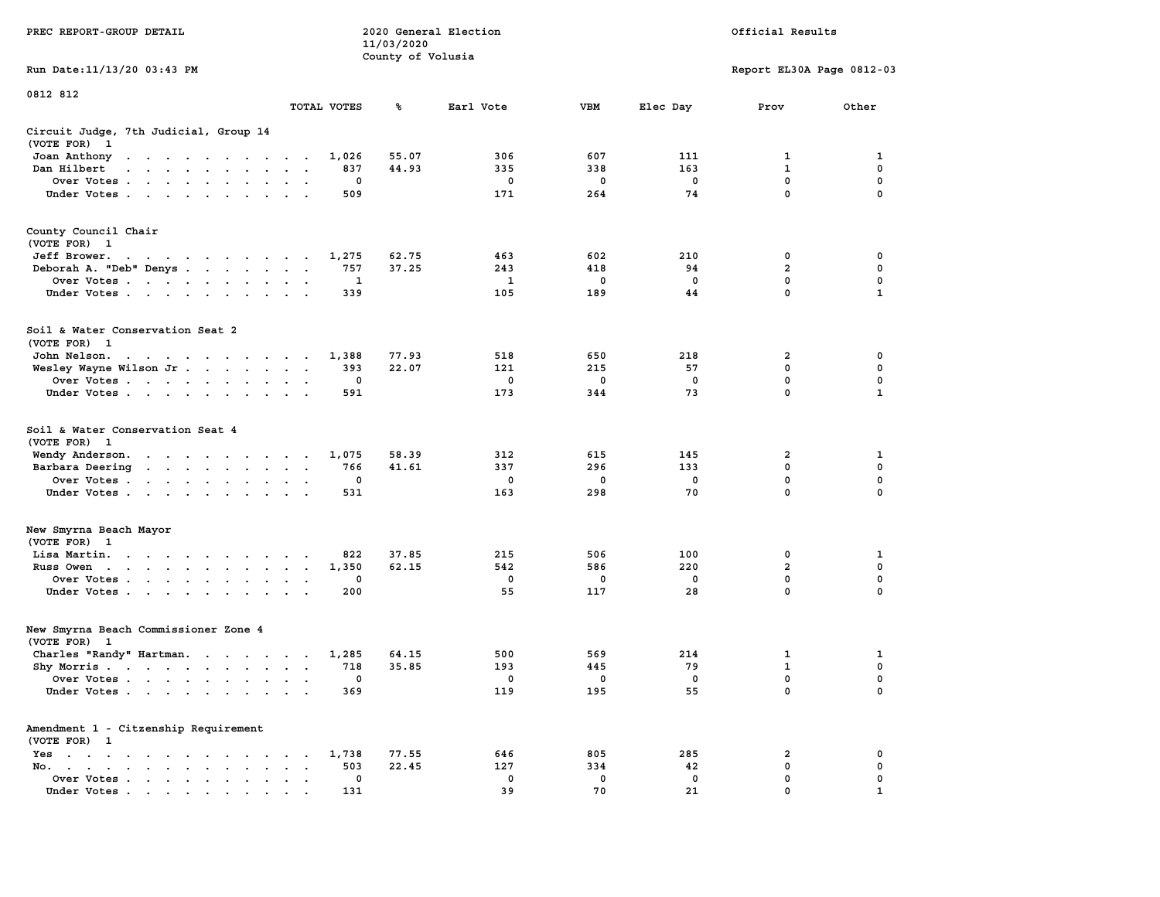| PREC REPORT-GROUP DETAIL                                                                                                                                                                                                                          |             | 11/03/2020<br>County of Volusia | 2020 General Election |          |          | Official Results          |               |
|---------------------------------------------------------------------------------------------------------------------------------------------------------------------------------------------------------------------------------------------------|-------------|---------------------------------|-----------------------|----------|----------|---------------------------|---------------|
| Run Date: 11/13/20 03:43 PM                                                                                                                                                                                                                       |             |                                 |                       |          |          | Report EL30A Page 0812-03 |               |
| 0812 812                                                                                                                                                                                                                                          |             |                                 |                       |          |          |                           |               |
|                                                                                                                                                                                                                                                   | TOTAL VOTES | ℁                               | Earl Vote             | VBM      | Elec Day | Prov                      | Other         |
| Circuit Judge, 7th Judicial, Group 14<br>(VOTE FOR) 1                                                                                                                                                                                             |             |                                 |                       |          |          |                           |               |
| Joan Anthony<br>the contract of the contract of the contract of the contract of the contract of the contract of the contract of                                                                                                                   | 1,026       | 55.07                           | 306                   | 607      | 111      | 1                         | 1             |
| Dan Hilbert<br>the contract of the contract of the con-                                                                                                                                                                                           |             | 44.93<br>837                    | 335                   | 338      | 163      | $\mathbf{1}$              | $\mathbf 0$   |
| Over Votes                                                                                                                                                                                                                                        |             | 0<br>509                        | 0<br>171              | 0<br>264 | 0<br>74  | 0<br>$\mathbf 0$          | 0<br>$\Omega$ |
| Under Votes                                                                                                                                                                                                                                       |             |                                 |                       |          |          |                           |               |
| County Council Chair<br>(VOTE FOR) 1                                                                                                                                                                                                              |             |                                 |                       |          |          |                           |               |
| Jeff Brower.                                                                                                                                                                                                                                      | 1,275       | 62.75                           | 463                   | 602      | 210      | 0                         | 0             |
| Deborah A. "Deb" Denys                                                                                                                                                                                                                            |             | 37.25<br>757                    | 243                   | 418      | 94       | $\overline{2}$            | 0             |
| Over Votes                                                                                                                                                                                                                                        |             | 1                               | 1                     | 0        | 0        | $\mathbf 0$               | 0             |
| Under Votes.                                                                                                                                                                                                                                      |             | 339                             | 105                   | 189      | 44       | $\mathbf 0$               | 1             |
| Soil & Water Conservation Seat 2<br>(VOTE FOR) 1                                                                                                                                                                                                  |             |                                 |                       |          |          |                           |               |
| John Nelson.<br>$\mathbf{r}$ . The set of the set of the set of the set of the set of the set of the set of the set of the set of the set of the set of the set of the set of the set of the set of the set of the set of the set of the set of t | 1,388       | 77.93                           | 518                   | 650      | 218      | 2                         | 0             |
| Wesley Wayne Wilson Jr                                                                                                                                                                                                                            |             | 22.07<br>393                    | 121                   | 215      | 57       | 0                         | 0             |
| Over Votes                                                                                                                                                                                                                                        |             | 0                               | 0                     | 0        | $\Omega$ | $\mathbf 0$               | 0             |
| Under Votes                                                                                                                                                                                                                                       |             | 591                             | 173                   | 344      | 73       | 0                         | $\mathbf{1}$  |
| Soil & Water Conservation Seat 4<br>(VOTE FOR) 1                                                                                                                                                                                                  |             |                                 |                       |          |          |                           |               |
| Wendy Anderson.<br>the contract of the contract of the                                                                                                                                                                                            | 1,075       | 58.39                           | 312                   | 615      | 145      | 2                         | 1             |
| Barbara Deering                                                                                                                                                                                                                                   |             | 766<br>41.61                    | 337                   | 296      | 133      | $\mathbf 0$               | $\mathbf 0$   |
| Over Votes                                                                                                                                                                                                                                        |             | 0                               | 0                     | 0<br>298 | 0<br>70  | 0<br>0                    | 0<br>$\Omega$ |
| Under Votes                                                                                                                                                                                                                                       |             | 531                             | 163                   |          |          |                           |               |
| New Smyrna Beach Mayor<br>(VOTE FOR) 1                                                                                                                                                                                                            |             |                                 |                       |          |          |                           |               |
| Lisa Martin.                                                                                                                                                                                                                                      |             | 37.85<br>822                    | 215                   | 506      | 100      | 0                         | 1             |
| Russ Owen                                                                                                                                                                                                                                         | 1,350       | 62.15                           | 542                   | 586      | 220      | 2                         | 0             |
| Over Votes                                                                                                                                                                                                                                        |             | 0                               | $\mathbf 0$           | 0        | 0        | 0                         | $\mathbf 0$   |
| Under Votes                                                                                                                                                                                                                                       |             | 200                             | 55                    | 117      | 28       | $\mathbf 0$               | 0             |
| New Smyrna Beach Commissioner Zone 4<br>(VOTE FOR) 1                                                                                                                                                                                              |             |                                 |                       |          |          |                           |               |
| Charles "Randy" Hartman.                                                                                                                                                                                                                          | 1,285       | 64.15                           | 500                   | 569      | 214      | 1                         | 1             |
| Shy Morris                                                                                                                                                                                                                                        |             | 718<br>35.85                    | 193                   | 445      | 79       | $\mathbf{1}$              | 0             |
| Over Votes                                                                                                                                                                                                                                        |             | 0                               | 0                     | 0        | 0        | 0                         | 0             |
| Under Votes.<br>the contract of the contract of the contract of                                                                                                                                                                                   |             | 369                             | 119                   | 195      | 55       | 0                         | 0             |
| Amendment 1 - Citzenship Requirement<br>(VOTE FOR) 1                                                                                                                                                                                              |             |                                 |                       |          |          |                           |               |
| $Yes \t . \t . \t .$<br>the contract of the contract of the                                                                                                                                                                                       | 1,738       | 77.55                           | 646                   | 805      | 285      | 2                         | 0             |
| No.<br>$\ddot{\phantom{0}}$<br>$\bullet$<br>Over Votes                                                                                                                                                                                            |             | 503<br>22.45<br>0               | 127<br>0              | 334<br>0 | 42<br>0  | 0<br>0                    | 0<br>0        |
| Under Votes                                                                                                                                                                                                                                       |             | 131                             | 39                    | 70       | 21       | 0                         |               |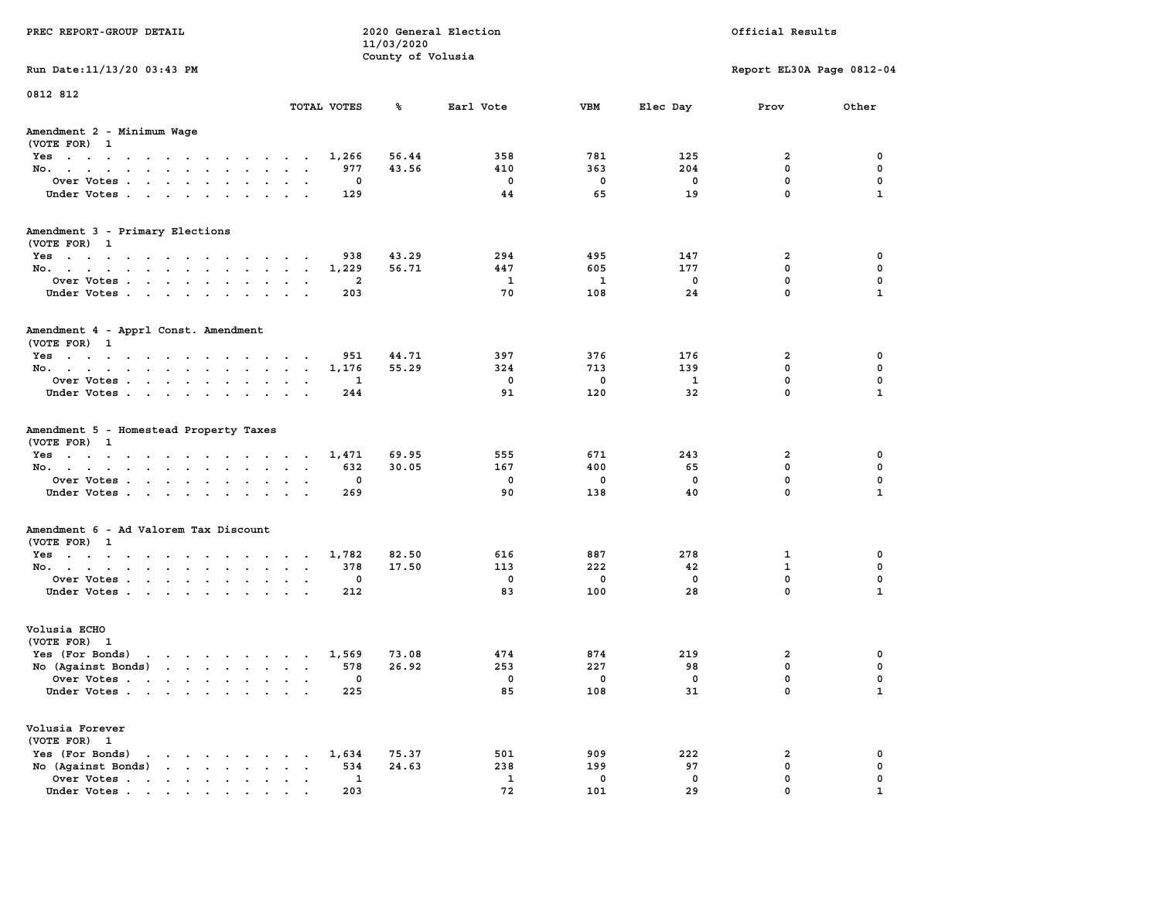| PREC REPORT-GROUP DETAIL                                                                                                                                                                                                                             |                             | 11/03/2020        | 2020 General Election |             |             | Official Results          |                  |
|------------------------------------------------------------------------------------------------------------------------------------------------------------------------------------------------------------------------------------------------------|-----------------------------|-------------------|-----------------------|-------------|-------------|---------------------------|------------------|
|                                                                                                                                                                                                                                                      |                             | County of Volusia |                       |             |             |                           |                  |
| Run Date: 11/13/20 03:43 PM                                                                                                                                                                                                                          |                             |                   |                       |             |             | Report EL30A Page 0812-04 |                  |
| 0812 812                                                                                                                                                                                                                                             |                             |                   |                       |             |             |                           |                  |
|                                                                                                                                                                                                                                                      | TOTAL VOTES                 | ጜ                 | Earl Vote             | VBM         | Elec Day    | Prov                      | Other            |
| Amendment 2 - Minimum Wage<br>(VOTE FOR) 1                                                                                                                                                                                                           |                             |                   |                       |             |             |                           |                  |
| Yes                                                                                                                                                                                                                                                  | 1,266                       | 56.44             | 358                   | 781         | 125         | 2                         | 0                |
| No.                                                                                                                                                                                                                                                  | 977                         | 43.56             | 410                   | 363         | 204         | $\mathbf 0$               | $\mathbf 0$      |
| Over Votes                                                                                                                                                                                                                                           | 0                           |                   | 0                     | 0           | 0           | $\mathbf 0$               | 0                |
| Under Votes                                                                                                                                                                                                                                          | 129                         |                   | 44                    | 65          | 19          | $\mathbf 0$               | $\mathbf{1}$     |
| Amendment 3 - Primary Elections                                                                                                                                                                                                                      |                             |                   |                       |             |             |                           |                  |
| (VOTE FOR) 1                                                                                                                                                                                                                                         | 938                         | 43.29             | 294                   | 495         | 147         | 2                         | 0                |
| Yes<br>No.                                                                                                                                                                                                                                           | 1,229                       | 56.71             | 447                   | 605         | 177         | $\mathbf 0$               | 0                |
| Over Votes                                                                                                                                                                                                                                           | 2                           |                   | 1                     | 1           | $\mathbf 0$ | $\mathbf 0$               | $\mathbf 0$      |
| Under Votes                                                                                                                                                                                                                                          | 203                         |                   | 70                    | 108         | 24          | $\Omega$                  | $\mathbf{1}$     |
| Amendment 4 - Apprl Const. Amendment<br>(VOTE FOR) 1                                                                                                                                                                                                 |                             |                   |                       |             |             |                           |                  |
| Yes                                                                                                                                                                                                                                                  | 951                         | 44.71             | 397                   | 376         | 176         | 2                         | 0                |
| No.                                                                                                                                                                                                                                                  | 1,176                       | 55.29             | 324                   | 713         | 139         | 0                         | 0                |
| Over Votes                                                                                                                                                                                                                                           | 1<br>$\sim$ $\sim$          |                   | 0                     | 0           | 1           | $\mathbf 0$               | $\mathbf 0$      |
| Under Votes                                                                                                                                                                                                                                          | 244                         |                   | 91                    | 120         | 32          | $\mathbf 0$               | $\mathbf{1}$     |
| Amendment 5 - Homestead Property Taxes<br>(VOTE FOR) 1                                                                                                                                                                                               |                             |                   | 555                   |             |             |                           |                  |
| Yes<br>No.                                                                                                                                                                                                                                           | 1,471<br>632                | 69.95<br>30.05    | 167                   | 671<br>400  | 243<br>65   | 2<br>$\mathbf 0$          | 0<br>$\mathbf 0$ |
| Over Votes                                                                                                                                                                                                                                           | 0                           |                   | 0                     | 0           | 0           | $\mathbf 0$               | 0                |
| Under Votes                                                                                                                                                                                                                                          | 269                         |                   | 90                    | 138         | 40          | $\mathbf 0$               | $\mathbf{1}$     |
|                                                                                                                                                                                                                                                      |                             |                   |                       |             |             |                           |                  |
| Amendment 6 - Ad Valorem Tax Discount<br>(VOTE FOR) 1                                                                                                                                                                                                |                             |                   |                       |             |             |                           |                  |
| Yes                                                                                                                                                                                                                                                  | 1,782                       | 82.50             | 616                   | 887         | 278         | 1                         | 0                |
| No.                                                                                                                                                                                                                                                  | 378                         | 17.50             | 113                   | 222         | 42          | $\mathbf{1}$              | 0                |
| Over Votes                                                                                                                                                                                                                                           | 0                           |                   | $\mathbf 0$           | 0           | 0           | $\mathbf 0$               | 0                |
| Under Votes                                                                                                                                                                                                                                          | 212                         |                   | 83                    | 100         | 28          | $\Omega$                  | $\mathbf{1}$     |
| Volusia ECHO<br>(VOTE FOR) 1                                                                                                                                                                                                                         |                             |                   |                       |             |             |                           |                  |
| Yes (For Bonds)<br>$\mathbf{r}$ . The set of the set of the set of the set of the set of the set of the set of the set of the set of the set of the set of the set of the set of the set of the set of the set of the set of the set of the set of t | 1,569                       | 73.08             | 474                   | 874         | 219         | 2                         | 0                |
| No (Against Bonds)                                                                                                                                                                                                                                   | 578                         | 26.92             | 253                   | 227         | 98          | 0                         | 0                |
| Over Votes .<br>the contract of the contract of the contract of the contract of the contract of the contract of the contract of                                                                                                                      | 0                           |                   | 0                     | 0           | 0           | $\Omega$                  | $\mathbf 0$      |
| Under Votes                                                                                                                                                                                                                                          | 225                         |                   | 85                    | 108         | 31          | 0                         | $\mathbf{1}$     |
| Volusia Forever<br>(VOTE FOR) 1                                                                                                                                                                                                                      |                             |                   |                       |             |             |                           |                  |
| Yes (For Bonds)<br>$\mathbf{r}$ , $\mathbf{r}$ , $\mathbf{r}$ , $\mathbf{r}$ , $\mathbf{r}$                                                                                                                                                          | 1,634                       | 75.37             | 501                   | 909         | 222         | 2                         | 0                |
| $\mathbf{r}$ , $\mathbf{r}$ , $\mathbf{r}$ , $\mathbf{r}$ , $\mathbf{r}$<br>No (Against Bonds)                                                                                                                                                       | 534<br>$\ddot{\phantom{a}}$ | 24.63             | 238                   | 199         | 97          | $\mathbf 0$               | $\mathbf 0$      |
| Over Votes                                                                                                                                                                                                                                           | 1                           |                   | 1                     | $\mathbf 0$ | 0           | $\mathbf 0$               | 0                |
| Under Votes                                                                                                                                                                                                                                          | 203                         |                   | 72                    | 101         | 29          | $\Omega$                  |                  |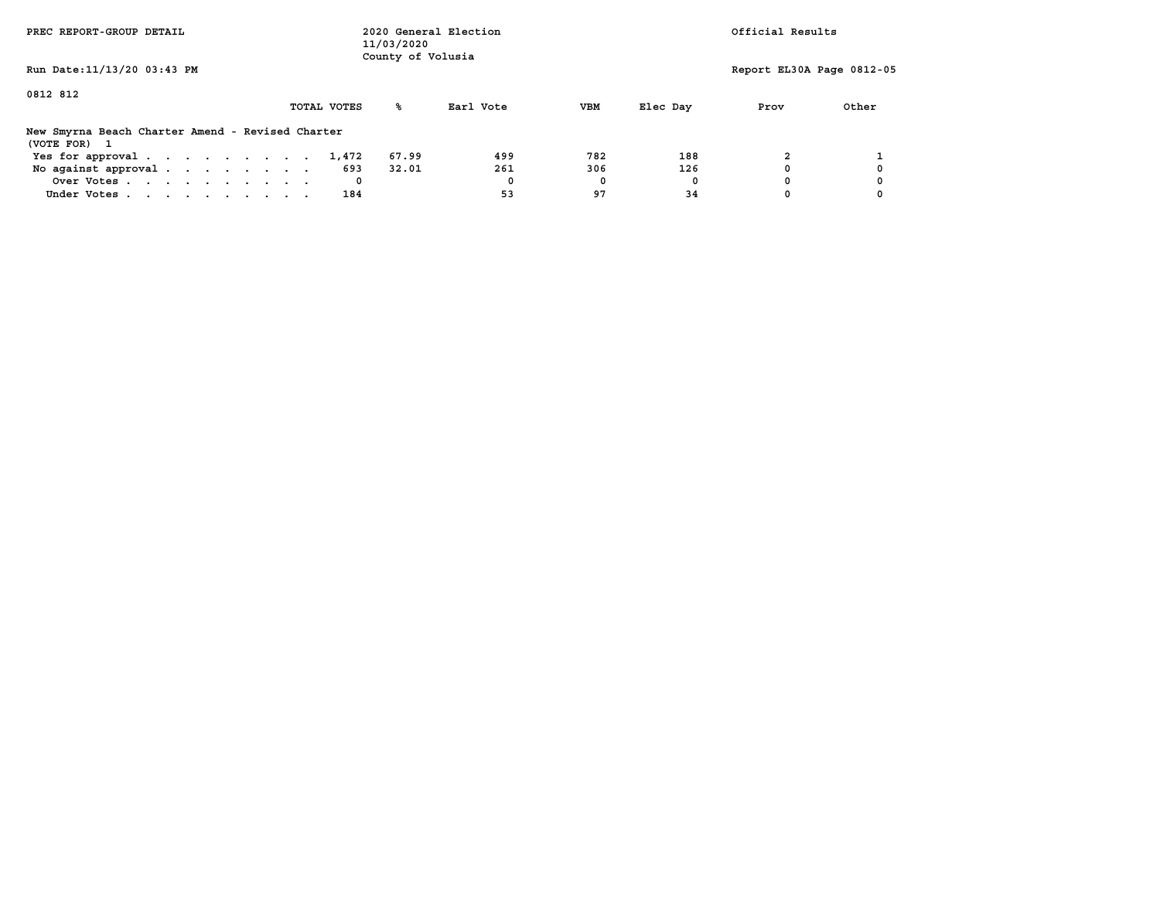| PREC REPORT-GROUP DETAIL                                         |             | 11/03/2020<br>County of Volusia | 2020 General Election |     |          | Official Results          |       |
|------------------------------------------------------------------|-------------|---------------------------------|-----------------------|-----|----------|---------------------------|-------|
| Run Date: 11/13/20 03:43 PM                                      |             |                                 |                       |     |          | Report EL30A Page 0812-05 |       |
| 0812 812                                                         | TOTAL VOTES | °≈                              | Earl Vote             | VBM | Elec Dav | Prov                      | Other |
| New Smyrna Beach Charter Amend - Revised Charter<br>(VOTE FOR) 1 |             |                                 |                       |     |          |                           |       |
| Yes for approval.                                                | 1,472       | 67.99                           | 499                   | 782 | 188      |                           |       |
| No against approval.                                             | 693         | 32.01                           | 261                   | 306 | 126      |                           |       |
| Over Votes                                                       | 0           |                                 | 0                     | 0   |          |                           |       |
| Under Votes                                                      | 184         |                                 | 53                    | 97  | 34       |                           |       |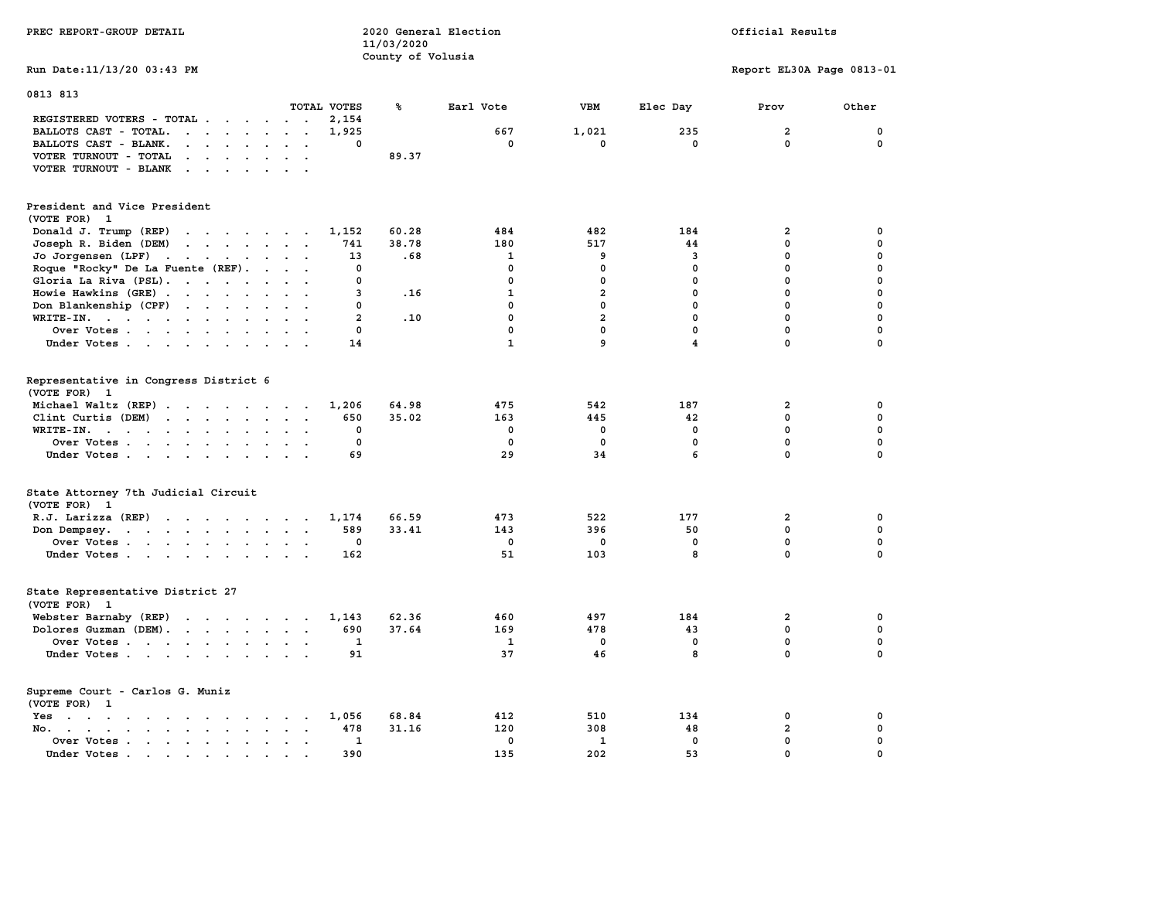| PREC REPORT-GROUP DETAIL                                                                                                                                                                                                                                   |                                      | 11/03/2020<br>County of Volusia | 2020 General Election |                   |                         | Official Results            |             |  |
|------------------------------------------------------------------------------------------------------------------------------------------------------------------------------------------------------------------------------------------------------------|--------------------------------------|---------------------------------|-----------------------|-------------------|-------------------------|-----------------------------|-------------|--|
| Run Date: 11/13/20 03:43 PM                                                                                                                                                                                                                                |                                      |                                 |                       |                   |                         | Report EL30A Page 0813-01   |             |  |
| 0813 813                                                                                                                                                                                                                                                   | TOTAL VOTES                          | ℁                               | Earl Vote             | <b>VBM</b>        | Elec Day                | Prov                        | Other       |  |
| REGISTERED VOTERS - TOTAL                                                                                                                                                                                                                                  | $\mathbf{r}$ . $\mathbf{r}$<br>2,154 |                                 |                       |                   |                         |                             |             |  |
| $\mathbf{r}$ . The set of the set of the set of the set of the set of the set of the set of the set of the set of the set of the set of the set of the set of the set of the set of the set of the set of the set of the set of t<br>BALLOTS CAST - TOTAL. | 1,925                                |                                 | 667                   | 1,021             | 235                     | $\overline{a}$              | 0           |  |
| $\cdot$ $\cdot$ $\cdot$ $\cdot$ $\cdot$ $\cdot$ $\cdot$ $\cdot$<br>BALLOTS CAST - BLANK.                                                                                                                                                                   | 0                                    |                                 | 0                     | $\mathbf 0$       | 0                       | $\mathbf 0$                 | $\mathbf 0$ |  |
| VOTER TURNOUT - TOTAL<br>$\mathbf{r}$ , $\mathbf{r}$ , $\mathbf{r}$ , $\mathbf{r}$ , $\mathbf{r}$ , $\mathbf{r}$                                                                                                                                           |                                      | 89.37                           |                       |                   |                         |                             |             |  |
| $\cdots$<br>VOTER TURNOUT - BLANK                                                                                                                                                                                                                          |                                      |                                 |                       |                   |                         |                             |             |  |
| President and Vice President<br>(VOTE FOR) 1                                                                                                                                                                                                               |                                      |                                 |                       |                   |                         |                             |             |  |
| Donald J. Trump (REP)                                                                                                                                                                                                                                      | 1,152                                | 60.28                           | 484                   | 482               | 184                     | $\mathbf{2}$                | 0           |  |
| Joseph R. Biden (DEM)<br>the contract of the contract of the contract of                                                                                                                                                                                   | 741                                  | 38.78                           | 180                   | 517               | 44                      | 0                           | 0           |  |
| Jo Jorgensen $(LPF)$                                                                                                                                                                                                                                       | 13                                   | .68                             | 1                     | 9                 | $\overline{3}$          | 0                           | 0           |  |
| Roque "Rocky" De La Fuente (REF).                                                                                                                                                                                                                          | 0                                    |                                 | 0                     | 0                 | $^{\circ}$              | $^{\circ}$                  | 0           |  |
| Gloria La Riva (PSL).                                                                                                                                                                                                                                      | 0                                    |                                 | 0                     | $\Omega$          | $\mathbf{0}$            | $\mathbf{0}$                | 0           |  |
| Howie Hawkins (GRE)                                                                                                                                                                                                                                        | 3                                    | .16                             | $\mathbf{1}$          | $\overline{a}$    | $\mathbf{0}$            | $\mathbf{0}$                | 0           |  |
| Don Blankenship (CPF)                                                                                                                                                                                                                                      | 0                                    |                                 | $\mathbf{0}$          | $\mathbf{0}$      | $\mathbf 0$             | $\mathbf 0$                 | 0           |  |
| WRITE-IN.                                                                                                                                                                                                                                                  | $\overline{a}$                       | .10                             | $\mathbf 0$           | $\overline{2}$    | $\mathbf 0$             | $\mathbf 0$                 | 0           |  |
| Over Votes                                                                                                                                                                                                                                                 | 0<br>$\sim$ $\sim$                   |                                 | $\mathbf 0$           | $\mathbf{0}$      | $\mathbf 0$             | $\mathbf 0$                 | 0           |  |
| Under Votes                                                                                                                                                                                                                                                | 14                                   |                                 | $\mathbf{1}$          | 9                 | $\overline{\mathbf{4}}$ | $\Omega$                    | $\mathbf 0$ |  |
| Representative in Congress District 6<br>(VOTE FOR) 1                                                                                                                                                                                                      |                                      |                                 |                       |                   |                         |                             |             |  |
| Michael Waltz (REP)                                                                                                                                                                                                                                        | 1,206                                | 64.98                           | 475                   | 542               | 187                     | $\mathbf{2}$                | 0           |  |
| Clint Curtis (DEM)                                                                                                                                                                                                                                         | 650                                  | 35.02                           | 163                   | 445               | 42                      | 0                           | 0           |  |
| WRITE-IN.                                                                                                                                                                                                                                                  | 0                                    |                                 | 0                     | 0                 | 0                       | $\mathbf 0$                 | 0           |  |
| Over Votes<br>Under Votes                                                                                                                                                                                                                                  | $\mathbf 0$<br>69                    |                                 | $\mathbf 0$<br>29     | $\mathbf 0$<br>34 | $\mathbf 0$<br>6        | $\mathbf 0$<br>$\mathbf{0}$ | 0<br>0      |  |
| State Attorney 7th Judicial Circuit<br>(VOTE FOR) 1                                                                                                                                                                                                        |                                      |                                 |                       |                   |                         |                             |             |  |
| R.J. Larizza (REP)                                                                                                                                                                                                                                         | 1,174                                | 66.59                           | 473                   | 522               | 177                     | $\overline{a}$              | 0           |  |
| Don Dempsey.                                                                                                                                                                                                                                               | 589                                  | 33.41                           | 143                   | 396               | 50                      | 0                           | 0           |  |
| Over Votes                                                                                                                                                                                                                                                 | 0<br>$\sim$                          |                                 | 0                     | 0                 | 0                       | 0                           | 0           |  |
| Under Votes                                                                                                                                                                                                                                                | 162                                  |                                 | 51                    | 103               | 8                       | 0                           | 0           |  |
|                                                                                                                                                                                                                                                            |                                      |                                 |                       |                   |                         |                             |             |  |
| State Representative District 27<br>(VOTE FOR) 1                                                                                                                                                                                                           |                                      |                                 |                       |                   |                         |                             |             |  |
| Webster Barnaby (REP)                                                                                                                                                                                                                                      | 1,143                                | 62.36                           | 460                   | 497               | 184                     | $\overline{a}$              | 0           |  |
| Dolores Guzman (DEM).                                                                                                                                                                                                                                      | 690                                  | 37.64                           | 169                   | 478               | 43                      | 0                           | 0           |  |
| Over Votes                                                                                                                                                                                                                                                 | $\mathbf{1}$                         |                                 | $\mathbf{1}$          | $\mathbf{0}$      | $\mathbf{0}$            | $\mathbf{0}$                | 0           |  |
| Under Votes                                                                                                                                                                                                                                                | 91                                   |                                 | 37                    | 46                | 8                       | $\mathbf 0$                 | 0           |  |
| Supreme Court - Carlos G. Muniz<br>(VOTE FOR) 1                                                                                                                                                                                                            |                                      |                                 |                       |                   |                         |                             |             |  |
| Yes                                                                                                                                                                                                                                                        | 1,056                                | 68.84                           | 412                   | 510               | 134                     | $\mathbf 0$                 | 0           |  |
| and a series of the series of the series of the series of the series of the series of the series of the series of the series of the series of the series of the series of the series of the series of the series of the series<br>No. .<br>$\sim 10^{-11}$ | 478<br>$\sim$                        | 31.16                           | 120                   | 308               | 48                      | $\mathbf{2}$                | 0           |  |
| Over Votes                                                                                                                                                                                                                                                 | $\mathbf{1}$                         |                                 | $\mathbf 0$           | $\mathbf{1}$      | $\mathbf 0$             | 0                           | 0           |  |
| Under Votes.<br>the contract of the contract of the contract of the contract of the contract of the contract of the contract of                                                                                                                            | 390                                  |                                 | 135                   | 202               | 53                      | 0                           | 0           |  |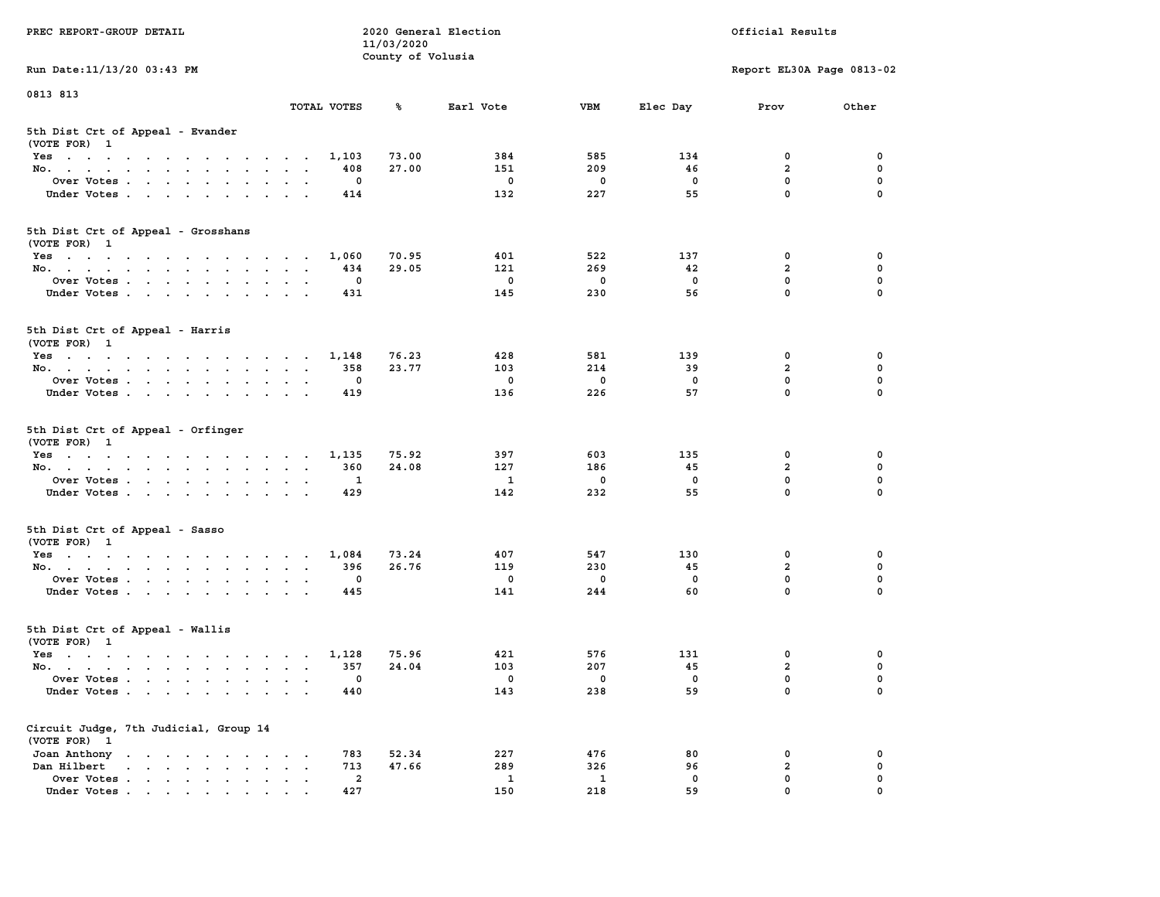| PREC REPORT-GROUP DETAIL                                                                                               |                                                                             | 11/03/2020        | 2020 General Election |             |             | Official Results           |             |
|------------------------------------------------------------------------------------------------------------------------|-----------------------------------------------------------------------------|-------------------|-----------------------|-------------|-------------|----------------------------|-------------|
| Run Date: 11/13/20 03:43 PM                                                                                            |                                                                             | County of Volusia |                       |             |             | Report EL30A Page 0813-02  |             |
| 0813 813                                                                                                               |                                                                             |                   |                       |             |             |                            |             |
|                                                                                                                        | TOTAL VOTES                                                                 | ℁                 | Earl Vote             | <b>VBM</b>  | Elec Day    | Prov                       | Other       |
| 5th Dist Crt of Appeal - Evander<br>(VOTE FOR) 1                                                                       |                                                                             |                   |                       |             |             |                            |             |
| Yes                                                                                                                    | 1,103                                                                       | 73.00             | 384                   | 585         | 134         | 0                          | 0           |
| No.                                                                                                                    | 408                                                                         | 27.00             | 151                   | 209         | 46          | $\overline{a}$             | 0           |
| Over Votes                                                                                                             | 0                                                                           |                   | $^{\circ}$            | 0           | 0           | $\mathbf 0$                | 0           |
| Under Votes                                                                                                            | 414                                                                         |                   | 132                   | 227         | 55          | $\mathbf 0$                | $\Omega$    |
| 5th Dist Crt of Appeal - Grosshans<br>(VOTE FOR) 1                                                                     |                                                                             |                   |                       |             |             |                            |             |
| Yes                                                                                                                    | 1,060                                                                       | 70.95             | 401                   | 522         | 137         | 0                          | 0           |
| No.                                                                                                                    | 434                                                                         | 29.05             | 121                   | 269         | 42          | $\overline{a}$             | 0           |
| Over Votes                                                                                                             | 0                                                                           |                   | $\mathbf 0$           | $\mathbf 0$ | $\mathbf 0$ | $\mathbf 0$                | $\mathbf 0$ |
| Under Votes                                                                                                            | 431                                                                         |                   | 145                   | 230         | 56          | $\mathbf{0}$               | 0           |
| 5th Dist Crt of Appeal - Harris<br>(VOTE FOR) 1                                                                        |                                                                             |                   |                       |             |             |                            |             |
| Yes                                                                                                                    | 1,148                                                                       | 76.23             | 428                   | 581         | 139         | 0                          | 0           |
| No.                                                                                                                    | 358                                                                         | 23.77             | 103                   | 214         | 39          | $\overline{a}$             | $\mathbf 0$ |
| Over Votes                                                                                                             | 0                                                                           |                   | 0                     | $\mathbf 0$ | 0           | $\mathbf{0}$               | 0           |
| Under Votes                                                                                                            | 419                                                                         |                   | 136                   | 226         | 57          | $\mathbf 0$                | 0           |
| 5th Dist Crt of Appeal - Orfinger<br>(VOTE FOR) 1                                                                      |                                                                             |                   |                       |             |             |                            |             |
| Yes                                                                                                                    | 1,135                                                                       | 75.92             | 397                   | 603         | 135         | 0                          | 0           |
| No.                                                                                                                    | 360                                                                         | 24.08             | 127                   | 186         | 45          | $\overline{a}$             | 0           |
| Over Votes                                                                                                             | 1                                                                           |                   | $\mathbf{1}$          | 0           | 0           | $\mathbf 0$<br>$\mathbf 0$ | 0           |
| Under Votes                                                                                                            | 429                                                                         |                   | 142                   | 232         | 55          |                            | $\Omega$    |
| 5th Dist Crt of Appeal - Sasso<br>(VOTE FOR) 1                                                                         |                                                                             |                   |                       |             |             |                            |             |
| Yes                                                                                                                    | 1,084                                                                       | 73.24             | 407                   | 547         | 130         | 0                          | 0           |
| No.                                                                                                                    | 396                                                                         | 26.76             | 119                   | 230         | 45          | $\overline{a}$             | 0           |
| Over Votes                                                                                                             | 0                                                                           |                   | 0                     | $\mathbf 0$ | $\mathbf 0$ | 0                          | 0           |
| Under Votes                                                                                                            | 445                                                                         |                   | 141                   | 244         | 60          | $\mathbf{0}$               | $\Omega$    |
| 5th Dist Crt of Appeal - Wallis<br>(VOTE FOR) 1                                                                        |                                                                             |                   |                       |             |             |                            |             |
| Yes<br>the contract of the contract of the contract of the contract of the contract of the contract of the contract of | 1,128                                                                       | 75.96             | 421                   | 576         | 131         | 0                          | 0           |
| No.                                                                                                                    | 357                                                                         | 24.04             | 103                   | 207         | 45          | $\mathbf{2}$               | 0           |
| Over Votes                                                                                                             | 0                                                                           |                   | 0                     | 0           | 0           | $\mathbf 0$                | 0           |
| Under Votes                                                                                                            | 440                                                                         |                   | 143                   | 238         | 59          | 0                          | 0           |
| Circuit Judge, 7th Judicial, Group 14<br>(VOTE FOR) 1                                                                  |                                                                             |                   |                       |             |             |                            |             |
| Joan Anthony                                                                                                           | 783<br><b>Contract Contract Street</b>                                      | 52.34             | 227                   | 476         | 80          | 0                          | 0           |
| Dan Hilbert<br>$\cdot$ $\cdot$ $\cdot$ $\cdot$ $\cdot$ $\cdot$ $\cdot$ $\cdot$                                         | 713<br>$\ddot{\phantom{a}}$<br>$\ddot{\phantom{0}}$<br>$\ddot{\phantom{0}}$ | 47.66             | 289                   | 326         | 96          | $\overline{a}$             | 0           |
| Over Votes.<br>Under Votes                                                                                             | $\overline{a}$<br>427                                                       |                   | 1<br>150              | 1<br>218    | 0<br>59     | $\mathbf 0$<br>0           | 0           |
|                                                                                                                        |                                                                             |                   |                       |             |             |                            |             |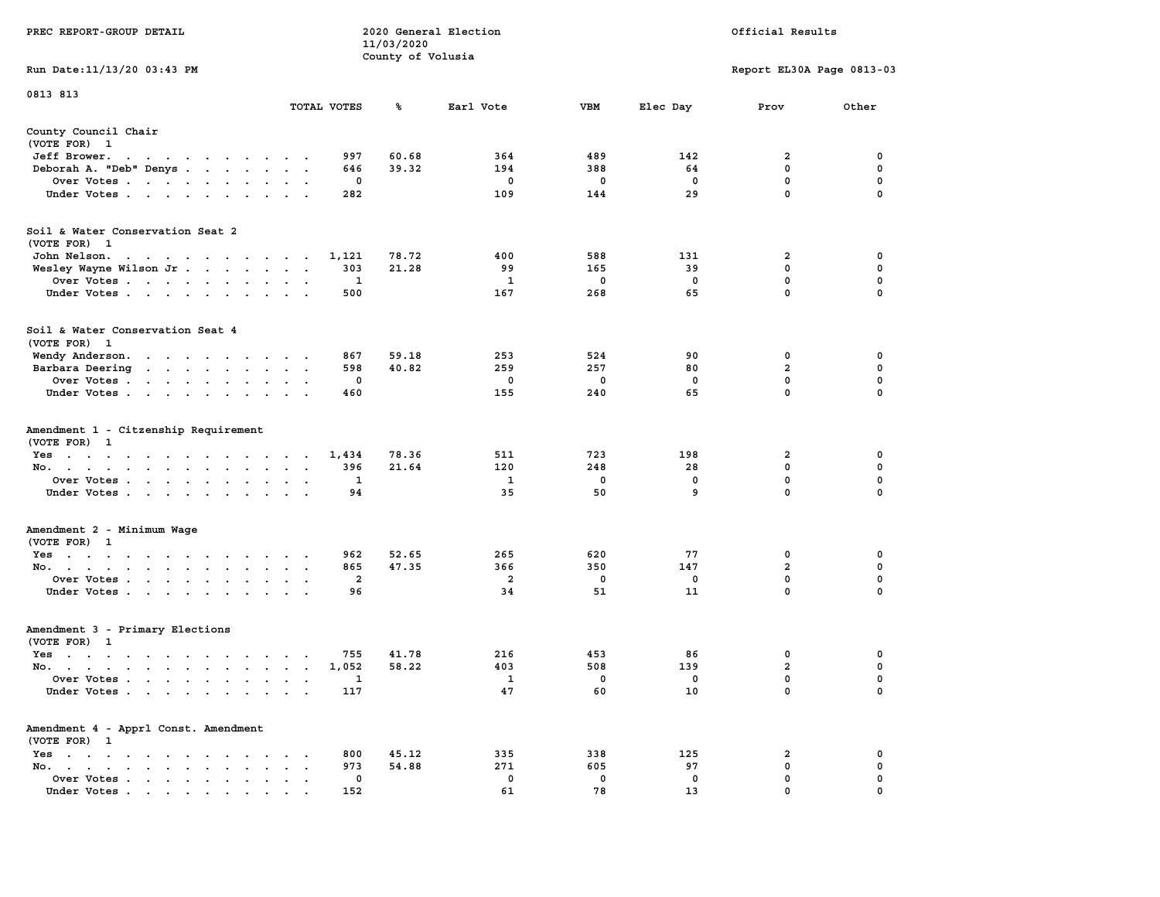|                                                                                                                                                                                                                                                      |                                                                        | 11/03/2020        |                |             |             |                               |                  |
|------------------------------------------------------------------------------------------------------------------------------------------------------------------------------------------------------------------------------------------------------|------------------------------------------------------------------------|-------------------|----------------|-------------|-------------|-------------------------------|------------------|
|                                                                                                                                                                                                                                                      |                                                                        | County of Volusia |                |             |             |                               |                  |
| Run Date: 11/13/20 03:43 PM                                                                                                                                                                                                                          |                                                                        |                   |                |             |             | Report EL30A Page 0813-03     |                  |
|                                                                                                                                                                                                                                                      |                                                                        |                   |                |             |             |                               |                  |
| 0813 813                                                                                                                                                                                                                                             | TOTAL VOTES                                                            | ℁                 | Earl Vote      | <b>VBM</b>  | Elec Day    | Prov                          | Other            |
|                                                                                                                                                                                                                                                      |                                                                        |                   |                |             |             |                               |                  |
| County Council Chair                                                                                                                                                                                                                                 |                                                                        |                   |                |             |             |                               |                  |
| (VOTE FOR) 1                                                                                                                                                                                                                                         |                                                                        |                   |                |             |             |                               |                  |
| Jeff Brower.<br>the contract of the contract of the contract of the contract of the contract of the contract of the contract of                                                                                                                      | 997                                                                    | 60.68             | 364            | 489         | 142         | 2                             | 0                |
| Deborah A. "Deb" Denys                                                                                                                                                                                                                               | 646                                                                    | 39.32             | 194            | 388         | 64          | $\mathbf 0$                   | $\mathbf 0$      |
| Over Votes                                                                                                                                                                                                                                           | 0                                                                      |                   | 0              | 0           | $\mathbf 0$ | 0                             | 0                |
| Under Votes                                                                                                                                                                                                                                          | 282                                                                    |                   | 109            | 144         | 29          | $\mathbf 0$                   | 0                |
|                                                                                                                                                                                                                                                      |                                                                        |                   |                |             |             |                               |                  |
|                                                                                                                                                                                                                                                      |                                                                        |                   |                |             |             |                               |                  |
| Soil & Water Conservation Seat 2                                                                                                                                                                                                                     |                                                                        |                   |                |             |             |                               |                  |
| (VOTE FOR) 1                                                                                                                                                                                                                                         |                                                                        |                   |                |             |             |                               |                  |
| John Nelson.<br>the contract of the contract of the con-                                                                                                                                                                                             | 1,121                                                                  | 78.72             | 400            | 588         | 131         | 2                             | 0                |
| Wesley Wayne Wilson Jr                                                                                                                                                                                                                               | 303                                                                    | 21.28             | 99             | 165         | 39          | 0                             | 0                |
| Over Votes                                                                                                                                                                                                                                           | $\mathbf{1}$                                                           |                   | $\mathbf{1}$   | $\mathbf 0$ | $^{\circ}$  | $\mathbf{0}$                  | $\mathbf 0$      |
| Under Votes                                                                                                                                                                                                                                          | 500                                                                    |                   | 167            | 268         | 65          | $\mathbf{0}$                  | $\Omega$         |
|                                                                                                                                                                                                                                                      |                                                                        |                   |                |             |             |                               |                  |
| Soil & Water Conservation Seat 4                                                                                                                                                                                                                     |                                                                        |                   |                |             |             |                               |                  |
| (VOTE FOR) 1                                                                                                                                                                                                                                         |                                                                        |                   |                |             |             |                               |                  |
|                                                                                                                                                                                                                                                      |                                                                        |                   |                |             |             |                               |                  |
| Wendy Anderson.                                                                                                                                                                                                                                      | 867                                                                    | 59.18             | 253            | 524         | 90          | 0                             | 0                |
| Barbara Deering                                                                                                                                                                                                                                      | 598                                                                    | 40.82             | 259            | 257         | 80          | $\overline{a}$                | $\mathbf 0$      |
| Over Votes                                                                                                                                                                                                                                           | $\mathbf 0$                                                            |                   | $\mathbf 0$    | $\mathbf 0$ | $\mathbf 0$ | $\mathbf 0$                   | $\mathbf 0$      |
| Under Votes                                                                                                                                                                                                                                          | 460                                                                    |                   | 155            | 240         | 65          | $\mathbf 0$                   | $\mathbf 0$      |
| Amendment 1 - Citzenship Requirement<br>(VOTE FOR) 1<br>Yes<br>No.<br>$\mathbf{L}$                                                                                                                                                                   | 1,434<br>$\ddot{\phantom{a}}$<br>396<br>$\sim$<br>$\ddot{\phantom{a}}$ | 78.36<br>21.64    | 511<br>120     | 723<br>248  | 198<br>28   | $\overline{a}$<br>$\mathbf 0$ | $\mathbf 0$<br>0 |
| Over Votes                                                                                                                                                                                                                                           | 1                                                                      |                   | $\mathbf{1}$   | $\mathbf 0$ | $\mathbf 0$ | $\mathbf 0$                   | 0                |
| Under Votes<br>$\mathcal{A}^{\mathcal{A}}$ , and $\mathcal{A}^{\mathcal{A}}$ , and $\mathcal{A}^{\mathcal{A}}$                                                                                                                                       | 94                                                                     |                   | 35             | 50          | 9           | $\mathbf 0$                   | $\Omega$         |
|                                                                                                                                                                                                                                                      |                                                                        |                   |                |             |             |                               |                  |
| Amendment 2 - Minimum Wage<br>(VOTE FOR) 1                                                                                                                                                                                                           |                                                                        |                   |                |             |             |                               |                  |
| Yes                                                                                                                                                                                                                                                  | 962                                                                    | 52.65             | 265            | 620         | 77          | 0                             | 0                |
| No.<br>$\sim$ $\sim$                                                                                                                                                                                                                                 | 865<br>$\sim$<br>$\ddot{\phantom{a}}$                                  | 47.35             | 366            | 350         | 147         | $\overline{\mathbf{2}}$       | $\mathbf 0$      |
| Over Votes                                                                                                                                                                                                                                           | $\overline{a}$                                                         |                   | $\overline{2}$ | $\mathbf 0$ | $\mathbf 0$ | $\mathbf 0$                   | 0                |
| Under Votes<br>$\sim$                                                                                                                                                                                                                                | 96<br>$\sim$                                                           |                   | 34             | 51          | 11          | $\mathbf 0$                   | $\Omega$         |
| Amendment 3 - Primary Elections                                                                                                                                                                                                                      |                                                                        |                   |                |             |             |                               |                  |
| (VOTE FOR) 1                                                                                                                                                                                                                                         |                                                                        |                   |                |             |             |                               |                  |
| Yes                                                                                                                                                                                                                                                  | 755                                                                    | 41.78             | 216            | 453         | 86          | 0                             | 0                |
| No.                                                                                                                                                                                                                                                  | 1,052                                                                  | 58.22             | 403            | 508         | 139         | $\mathbf{2}$                  | 0                |
|                                                                                                                                                                                                                                                      | 1                                                                      |                   | $\mathbf{1}$   | 0           | 0           | 0                             | $\mathbf 0$      |
| Over Votes<br>$\cdot$ $\cdot$                                                                                                                                                                                                                        | $\ddot{\phantom{a}}$<br>$\cdot$                                        |                   |                |             |             | $\mathbf 0$                   | $\Omega$         |
| Under Votes                                                                                                                                                                                                                                          | 117                                                                    |                   | 47             | 60          | 10          |                               |                  |
| Amendment 4 - Apprl Const. Amendment<br>(VOTE FOR) 1                                                                                                                                                                                                 |                                                                        |                   |                |             |             |                               |                  |
|                                                                                                                                                                                                                                                      |                                                                        |                   |                |             | 125         |                               |                  |
| Yes<br>$\sim$<br>$\mathbf{r} = \mathbf{r} + \mathbf{r} + \mathbf{r} + \mathbf{r} + \mathbf{r}$<br>$\sim$<br>$\ddot{\phantom{a}}$                                                                                                                     | 800                                                                    | 45.12             | 335<br>271     | 338<br>605  |             | 2                             | 0<br>$\mathbf 0$ |
| No.<br>the contract of the contract of the<br>$\sim$                                                                                                                                                                                                 | 973<br>$\ddot{\phantom{a}}$                                            | 54.88             |                |             | 97          | 0                             |                  |
| Over Votes<br>$\sim$<br>$\bullet$<br>$\bullet$                                                                                                                                                                                                       | 0<br>$\cdot$<br>$\ddot{\phantom{a}}$                                   |                   | $\Omega$       | 0           | 0           | $\mathbf 0$                   | 0                |
| Under Votes<br>$\mathbf{a}$ and $\mathbf{a}$ are a set of the set of the set of the set of the set of the set of the set of the set of the set of the set of the set of the set of the set of the set of the set of the set of the set of the set of | 152                                                                    |                   | 61             | 78          | 13          | $\mathbf 0$                   | $\mathbf 0$      |

**PREC REPORT-GROUP DETAIL COMPUTER SERVICE 2020 General Election**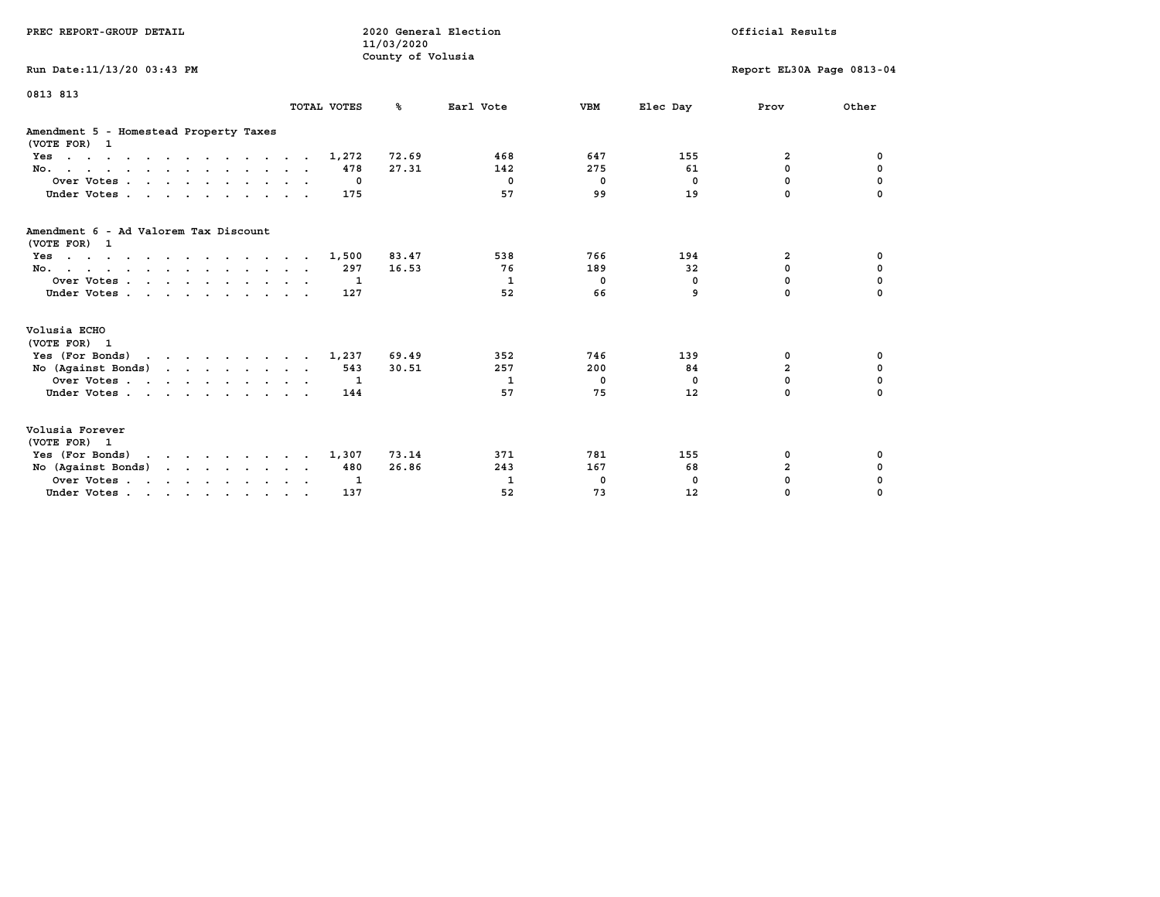| PREC REPORT-GROUP DETAIL                                                                  |                          | 2020 General Election<br>11/03/2020<br>County of Volusia |                |             |              | Official Results          |             |
|-------------------------------------------------------------------------------------------|--------------------------|----------------------------------------------------------|----------------|-------------|--------------|---------------------------|-------------|
| Run Date: 11/13/20 03:43 PM                                                               |                          |                                                          |                |             |              | Report EL30A Page 0813-04 |             |
| 0813 813                                                                                  | TOTAL VOTES              | °≈                                                       | Earl Vote      | <b>VBM</b>  | Elec Day     | Prov                      | Other       |
| Amendment 5 - Homestead Property Taxes<br>(VOTE FOR) 1                                    |                          |                                                          |                |             |              |                           |             |
| $Yes \cdot \cdot \cdot \cdot \cdot \cdot \cdot \cdot \cdot \cdot \cdot \cdot \cdot$       | 1,272                    | 72.69                                                    | 468            | 647         | 155          | $\overline{2}$            | 0           |
| No.                                                                                       | 478                      | 27.31                                                    | 142            | 275         | 61           | 0                         | $\mathbf 0$ |
| Over Votes.                                                                               | $\Omega$                 |                                                          | $\Omega$       | $\mathbf 0$ | $^{\circ}$   | 0                         | $\mathbf 0$ |
| Under Votes                                                                               | 175                      |                                                          | 57             | 99          | 19           | $\Omega$                  |             |
| Amendment 6 - Ad Valorem Tax Discount<br>(VOTE FOR) 1                                     |                          |                                                          |                |             |              |                           |             |
| $Yes \cdot \cdot \cdot \cdot \cdot \cdot \cdot \cdot \cdot \cdot \cdot \cdot \cdot \cdot$ | 1,500                    | 83.47                                                    | 538            | 766         | 194          | 2                         | 0           |
| No.                                                                                       | 297                      | 16.53                                                    | 76             | 189         | 32           | 0                         | $\mathbf 0$ |
| Over Votes.                                                                               | $\mathbf{1}$             |                                                          | $\mathbf{1}$   | $^{\circ}$  | $\mathbf{0}$ | $\mathbf 0$               | $\mathbf 0$ |
| Under Votes.                                                                              | 127                      |                                                          | 52             | 66          | 9            | $\Omega$                  | $\Omega$    |
| Volusia ECHO<br>(VOTE FOR) 1                                                              |                          |                                                          |                |             |              |                           |             |
| Yes (For Bonds) $\cdots$ $\cdots$ $\cdots$ $\cdots$                                       | 1,237                    | 69.49                                                    | 352            | 746         | 139          | 0                         | 0           |
| No (Against Bonds)                                                                        | 543                      | 30.51                                                    | 257            | 200         | 84           | $\overline{a}$            | $\mathbf 0$ |
| Over Votes.                                                                               | $\overline{\phantom{a}}$ |                                                          | $\overline{1}$ | 0           | $^{\circ}$   | 0                         | 0           |
| Under Votes                                                                               | 144                      |                                                          | 57             | 75          | 12           | $\Omega$                  | $\Omega$    |
| Volusia Forever<br>(VOTE FOR) 1                                                           |                          |                                                          |                |             |              |                           |             |
| Yes (For Bonds)                                                                           | 1,307                    | 73.14                                                    | 371            | 781         | 155          | 0                         | 0           |
| No (Against Bonds)                                                                        | 480                      | 26.86                                                    | 243            | 167         | 68           | $\overline{\mathbf{2}}$   | 0           |
| Over Votes                                                                                | 1                        |                                                          | 1              | 0           | 0            | 0                         | 0           |
| Under Votes                                                                               | 137                      |                                                          | 52             | 73          | 12           | 0                         | $\Omega$    |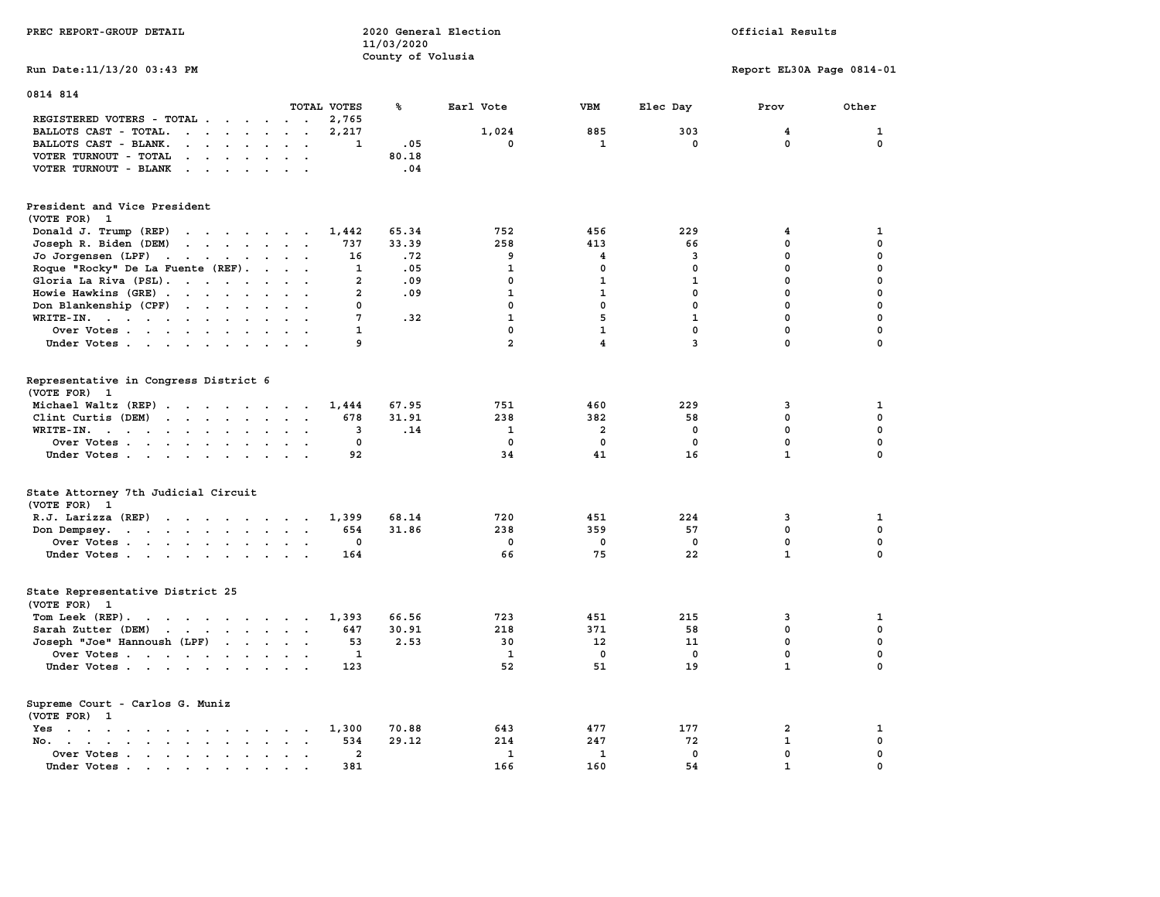| PREC REPORT-GROUP DETAIL                                                                                                                                                                                                                                   | 11/03/2020     | 2020 General Election |                |                         |              | Official Results          |             |
|------------------------------------------------------------------------------------------------------------------------------------------------------------------------------------------------------------------------------------------------------------|----------------|-----------------------|----------------|-------------------------|--------------|---------------------------|-------------|
| Run Date: 11/13/20 03:43 PM                                                                                                                                                                                                                                |                | County of Volusia     |                |                         |              | Report EL30A Page 0814-01 |             |
| 0814 814                                                                                                                                                                                                                                                   |                |                       |                |                         |              |                           |             |
| TOTAL VOTES                                                                                                                                                                                                                                                |                | ℁                     | Earl Vote      | VBM                     | Elec Day     | Prov                      | Other       |
| REGISTERED VOTERS - TOTAL                                                                                                                                                                                                                                  | 2,765          |                       |                |                         |              |                           |             |
| BALLOTS CAST - TOTAL.                                                                                                                                                                                                                                      | 2,217          |                       | 1,024          | 885                     | 303          | 4                         | 1           |
| BALLOTS CAST - BLANK.<br>$\cdot$ $\cdot$ $\cdot$ $\cdot$ $\cdot$ $\cdot$<br>$\ddotsc$                                                                                                                                                                      | $\mathbf{1}$   | .05                   | $\mathbf 0$    | $\mathbf{1}$            | $\mathbf 0$  | $\mathbf{0}$              | $\mathbf 0$ |
| VOTER TURNOUT - TOTAL<br>$\mathbf{r}$ , $\mathbf{r}$ , $\mathbf{r}$ , $\mathbf{r}$ , $\mathbf{r}$<br>$\ddot{\phantom{0}}$                                                                                                                                  |                | 80.18                 |                |                         |              |                           |             |
| VOTER TURNOUT - BLANK<br>$\mathbf{r}$ , $\mathbf{r}$ , $\mathbf{r}$ , $\mathbf{r}$ , $\mathbf{r}$                                                                                                                                                          |                | .04                   |                |                         |              |                           |             |
| President and Vice President                                                                                                                                                                                                                               |                |                       |                |                         |              |                           |             |
| (VOTE FOR) 1                                                                                                                                                                                                                                               |                |                       |                |                         |              |                           |             |
| Donald J. Trump (REP)<br>the contract of the contract of the                                                                                                                                                                                               | 1,442          | 65.34                 | 752            | 456                     | 229          | 4                         | 1           |
| Joseph R. Biden (DEM)<br>$\mathbf{r}$ . The contract of the contract of the contract of the contract of the contract of the contract of the contract of the contract of the contract of the contract of the contract of the contract of the contract of th | 737            | 33.39                 | 258            | 413                     | 66           | 0                         | $\mathbf 0$ |
| Jo Jorgensen (LPF)<br>the contract of the contract of the                                                                                                                                                                                                  | 16             | .72                   | 9              | 4                       | 3            | $\mathbf 0$               | 0           |
| Roque "Rocky" De La Fuente (REF).<br>$\sim$<br>$\ddot{\phantom{0}}$<br>$\ddot{\phantom{a}}$                                                                                                                                                                | 1              | .05                   | $\mathbf{1}$   | 0                       | $\mathbf 0$  | $\mathbf 0$               | 0           |
| Gloria La Riva (PSL).<br>$\sim$ $\sim$ $\sim$                                                                                                                                                                                                              | $\overline{2}$ | .09                   | $\mathbf{0}$   | 1                       | $\mathbf{1}$ | $\mathbf 0$               | $\mathbf 0$ |
| Howie Hawkins (GRE)<br>$\mathbf{r}$                                                                                                                                                                                                                        | $\overline{a}$ | .09                   | $\mathbf{1}$   | $\mathbf{1}$            | $\mathbf 0$  | $\mathbf 0$               | $\mathbf 0$ |
| Don Blankenship (CPF)<br><b>Contract Contract Contract</b>                                                                                                                                                                                                 | 0              |                       | $\mathbf 0$    | $\mathbf 0$             | $\mathbf 0$  | 0                         | 0           |
| WRITE-IN.<br>$\ddot{\phantom{a}}$                                                                                                                                                                                                                          | 7              | .32                   | $\mathbf{1}$   | 5                       | $\mathbf{1}$ | $\mathbf 0$               | 0           |
| Over Votes                                                                                                                                                                                                                                                 | 1              |                       | 0              | $\mathbf{1}$            | $\mathbf 0$  | $\mathbf 0$               | $\mathbf 0$ |
| Under Votes                                                                                                                                                                                                                                                | 9              |                       | $\overline{a}$ | 4                       | 3            | 0                         | $\mathbf 0$ |
|                                                                                                                                                                                                                                                            |                |                       |                |                         |              |                           |             |
| Representative in Congress District 6<br>(VOTE FOR)<br>-1                                                                                                                                                                                                  |                |                       |                |                         |              |                           |             |
| Michael Waltz (REP)                                                                                                                                                                                                                                        | 1,444          | 67.95                 | 751            | 460                     | 229          | 3                         | 1           |
| Clint Curtis (DEM)<br>the contract of the contract of the contract of the contract of the contract of                                                                                                                                                      | 678            | 31.91                 | 238            | 382                     | 58           | $\mathbf 0$               | $\mathbf 0$ |
| WRITE-IN.                                                                                                                                                                                                                                                  | 3              | .14                   | 1              | $\overline{\mathbf{2}}$ | 0            | $\mathbf 0$               | 0           |
| Over Votes<br>$\ddot{\phantom{a}}$                                                                                                                                                                                                                         | 0              |                       | $\mathbf 0$    | 0                       | $\mathbf 0$  | $\mathbf 0$               | $\mathbf 0$ |
| Under Votes                                                                                                                                                                                                                                                | 92             |                       | 34             | 41                      | 16           | $\mathbf{1}$              | 0           |
|                                                                                                                                                                                                                                                            |                |                       |                |                         |              |                           |             |
| State Attorney 7th Judicial Circuit<br>(VOTE FOR) 1                                                                                                                                                                                                        |                |                       |                |                         |              |                           |             |
| R.J. Larizza (REP)                                                                                                                                                                                                                                         | 1,399          | 68.14                 | 720            | 451                     | 224          | 3                         | 1           |
| Don Dempsey.<br>the contract of the contract of the contract of the contract of the contract of the contract of the contract of<br>$\ddot{\phantom{0}}$                                                                                                    | 654            | 31.86                 | 238            | 359                     | 57           | $\mathbf 0$               | 0           |
| Over Votes<br>$\ddot{\phantom{a}}$                                                                                                                                                                                                                         | 0              |                       | $\mathbf 0$    | $\mathbf 0$             | $\mathbf 0$  | $\mathbf 0$               | $\mathbf 0$ |
| Under Votes                                                                                                                                                                                                                                                | 164            |                       | 66             | 75                      | 22           | $\mathbf{1}$              | $\mathbf 0$ |
| State Representative District 25<br>(VOTE FOR) 1                                                                                                                                                                                                           |                |                       |                |                         |              |                           |             |
| Tom Leek (REP).<br>$\cdots$                                                                                                                                                                                                                                | 1,393          | 66.56                 | 723            | 451                     | 215          | 3                         | 1           |
| Sarah Zutter (DEM)<br>the contract of the contract of the contract of the contract of the contract of the contract of the contract of<br>$\sim$ $\sim$                                                                                                     | 647            | 30.91                 | 218            | 371                     | 58           | $\mathbf 0$               | $\mathbf 0$ |
| Joseph "Joe" Hannoush (LPF)                                                                                                                                                                                                                                | 53             | 2.53                  | 30             | 12                      | 11           | $\mathbf 0$               | $\mathbf 0$ |
| Over Votes                                                                                                                                                                                                                                                 | 1              |                       | 1              | $\mathbf 0$             | $\mathbf 0$  | $\mathbf 0$               | $\mathbf 0$ |
| Under Votes                                                                                                                                                                                                                                                | 123            |                       | 52             | 51                      | 19           | $\mathbf{1}$              | 0           |
|                                                                                                                                                                                                                                                            |                |                       |                |                         |              |                           |             |
| Supreme Court - Carlos G. Muniz<br>(VOTE FOR) 1                                                                                                                                                                                                            |                |                       |                |                         |              |                           |             |
| Yes                                                                                                                                                                                                                                                        | 1,300          | 70.88                 | 643            | 477                     | 177          | 2                         | 1           |
| No.<br>$\sim$<br>$\sim$                                                                                                                                                                                                                                    | 534            | 29.12                 | 214            | 247                     | 72           | $\mathbf{1}$              | $\mathbf 0$ |
| Over Votes .<br>$\sim$ $\sim$ $\sim$ $\sim$ $\sim$ $\sim$<br>$\bullet$<br>$\bullet$<br>$\bullet$<br>$\bullet$<br>$\ddot{\phantom{a}}$                                                                                                                      | $\overline{a}$ |                       | $\mathbf{1}$   | 1                       | $\mathbf{0}$ | $\mathbf{0}$              | $\mathbf 0$ |
| Under Votes.<br>$\sim$ $\sim$ $\sim$ $\sim$<br>$\ddot{\phantom{0}}$<br>$\sim$<br>$\overline{\phantom{a}}$<br>$\sim$                                                                                                                                        | 381            |                       | 166            | 160                     | 54           | $\mathbf{1}$              | 0           |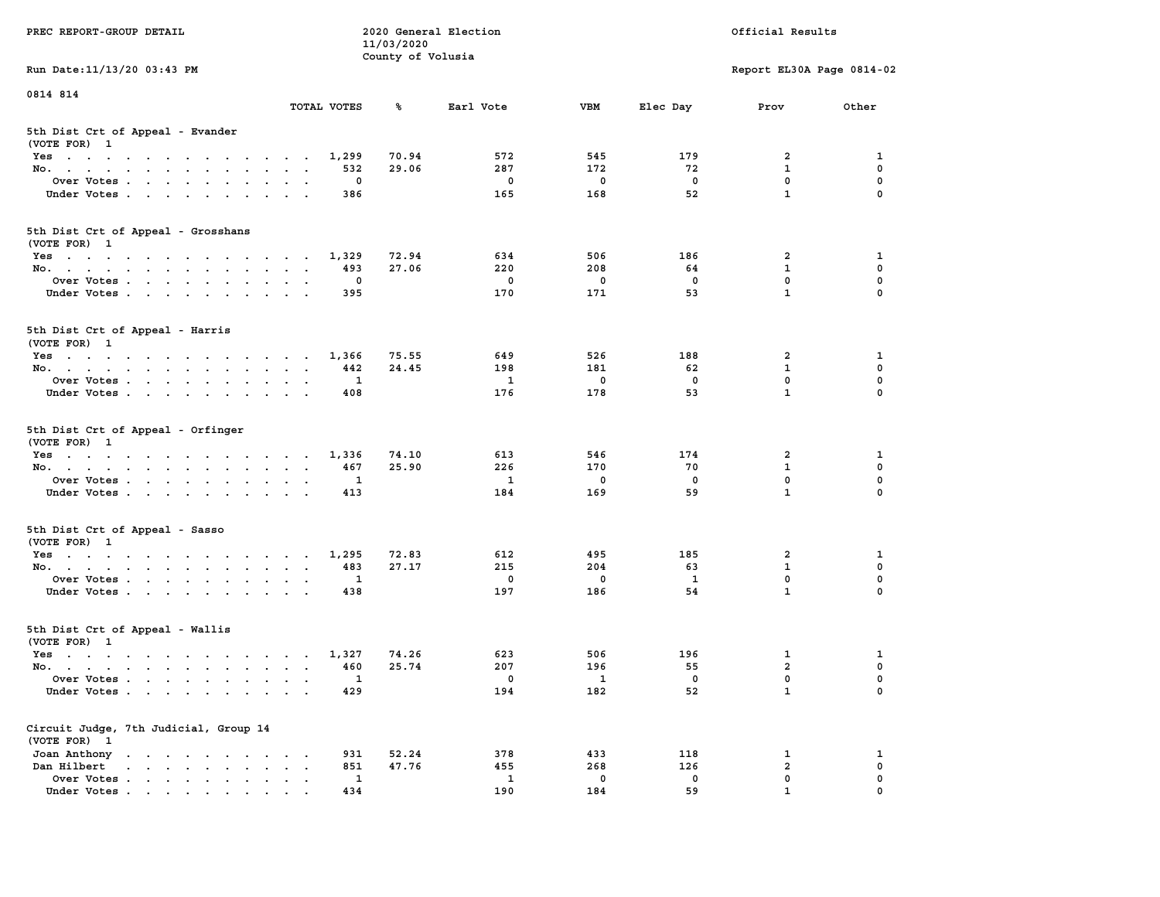|                                                                 |                                                               | 11/03/2020        |              |             |                   |                           |                         |
|-----------------------------------------------------------------|---------------------------------------------------------------|-------------------|--------------|-------------|-------------------|---------------------------|-------------------------|
|                                                                 |                                                               | County of Volusia |              |             |                   |                           |                         |
| Run Date: 11/13/20 03:43 PM                                     |                                                               |                   |              |             |                   | Report EL30A Page 0814-02 |                         |
|                                                                 |                                                               |                   |              |             |                   |                           |                         |
| 0814 814                                                        |                                                               |                   |              |             |                   |                           |                         |
|                                                                 | TOTAL VOTES                                                   | ℁                 | Earl Vote    | <b>VBM</b>  | Elec Day          | Prov                      | Other                   |
|                                                                 |                                                               |                   |              |             |                   |                           |                         |
| 5th Dist Crt of Appeal - Evander                                |                                                               |                   |              |             |                   |                           |                         |
| (VOTE FOR) 1                                                    |                                                               |                   |              |             |                   |                           |                         |
| Yes                                                             | 1,299                                                         | 70.94             | 572          | 545         | 179               | 2                         | 1                       |
| No.<br>$\mathbf{r}$                                             | 532                                                           | 29.06             | 287          | 172         | 72                | 1                         | 0                       |
| Over Votes                                                      | $\mathbf{o}$                                                  |                   | $\mathbf 0$  | $\mathbf 0$ | $\mathbf 0$       | $\mathbf 0$               | $\mathbf 0$             |
| Under Votes                                                     | 386<br>$\sim$ $\sim$<br>$\sim$ $\sim$                         |                   | 165          | 168         | 52                | $\mathbf{1}$              | 0                       |
|                                                                 |                                                               |                   |              |             |                   |                           |                         |
|                                                                 |                                                               |                   |              |             |                   |                           |                         |
| 5th Dist Crt of Appeal - Grosshans                              |                                                               |                   |              |             |                   |                           |                         |
| (VOTE FOR) 1                                                    |                                                               |                   |              |             |                   |                           |                         |
| Yes                                                             | 1,329                                                         | 72.94             | 634          | 506         | 186               | $\overline{a}$            | 1                       |
| No.                                                             | 493                                                           | 27.06             | 220          | 208         | 64                | $\mathbf{1}$              | $\mathbf 0$             |
| Over Votes                                                      | $\mathbf{0}$                                                  |                   | $\Omega$     | $\mathbf 0$ | $\Omega$          | $\mathbf{0}$              | $\mathbf 0$             |
| Under Votes                                                     | 395                                                           |                   | 170          | 171         | 53                | $\mathbf{1}$              | 0                       |
|                                                                 |                                                               |                   |              |             |                   |                           |                         |
|                                                                 |                                                               |                   |              |             |                   |                           |                         |
| 5th Dist Crt of Appeal - Harris                                 |                                                               |                   |              |             |                   |                           |                         |
| (VOTE FOR) 1                                                    |                                                               |                   |              |             |                   |                           |                         |
|                                                                 |                                                               |                   |              |             |                   | $\overline{a}$            |                         |
| Yes                                                             | 1,366                                                         | 75.55             | 649<br>198   | 526<br>181  | 188               | $\mathbf{1}$              | 1<br>$\mathbf 0$        |
| No.                                                             | 442                                                           | 24.45             |              |             | 62                |                           |                         |
| Over Votes<br>$\bullet$                                         | $\mathbf{1}$<br>$\ddot{\phantom{a}}$                          |                   | $\mathbf{1}$ | $\mathbf 0$ | $\mathbf 0$<br>53 | 0<br>$\mathbf{1}$         | $\mathbf 0$<br>$\Omega$ |
| Under Votes                                                     | 408                                                           |                   | 176          | 178         |                   |                           |                         |
|                                                                 |                                                               |                   |              |             |                   |                           |                         |
|                                                                 |                                                               |                   |              |             |                   |                           |                         |
| 5th Dist Crt of Appeal - Orfinger                               |                                                               |                   |              |             |                   |                           |                         |
| (VOTE FOR) 1                                                    |                                                               |                   |              |             |                   |                           |                         |
| Yes                                                             | 1,336                                                         | 74.10             | 613          | 546         | 174               | $\overline{a}$            | 1                       |
| No.                                                             | 467<br>$\sim$<br>$\mathbf{a}=\mathbf{a}$                      | 25.90             | 226          | 170         | 70                | 1                         | $\mathbf 0$             |
| Over Votes                                                      | 1                                                             |                   | $\mathbf{1}$ | $\mathbf 0$ | 0                 | $\mathbf 0$               | 0                       |
| Under Votes                                                     | 413                                                           |                   | 184          | 169         | 59                | $\mathbf{1}$              | $\mathbf 0$             |
|                                                                 |                                                               |                   |              |             |                   |                           |                         |
|                                                                 |                                                               |                   |              |             |                   |                           |                         |
| 5th Dist Crt of Appeal - Sasso                                  |                                                               |                   |              |             |                   |                           |                         |
| (VOTE FOR) 1                                                    |                                                               |                   |              |             |                   |                           |                         |
| Yes                                                             | 1,295                                                         | 72.83             | 612          | 495         | 185               | $\overline{a}$            | $\mathbf{1}$            |
| No.<br>$\sim$                                                   | 483<br>$\sim$<br>$\sim$<br>$\ddot{\phantom{a}}$               | 27.17             | 215          | 204         | 63                | $\mathbf{1}$              | $\mathbf 0$             |
| Over Votes                                                      | $\mathbf{1}$<br>$\ddot{\phantom{0}}$<br>$\sim$ $\sim$         |                   | $\mathbf 0$  | $\mathbf 0$ | $\mathbf{1}$      | $\mathbf{0}$              | $\mathbf 0$             |
| Under Votes                                                     | 438<br>$\cdot$ $\cdot$<br>$\sim$                              |                   | 197          | 186         | 54                | $\mathbf{1}$              | $\Omega$                |
|                                                                 |                                                               |                   |              |             |                   |                           |                         |
|                                                                 |                                                               |                   |              |             |                   |                           |                         |
| 5th Dist Crt of Appeal - Wallis                                 |                                                               |                   |              |             |                   |                           |                         |
| (VOTE FOR) 1                                                    |                                                               |                   |              |             |                   |                           |                         |
| Yes                                                             | 1,327                                                         | 74.26             | 623          | 506         | 196               | 1                         | 1                       |
| No.                                                             | 460                                                           | 25.74             | 207          | 196         | 55                | $\mathbf{2}$              | 0                       |
| Over Votes<br>$\sim 10^{-1}$                                    | 1<br>$\ddot{\phantom{a}}$<br>$\ddot{\phantom{a}}$<br>$\cdot$  |                   | $\mathbf 0$  | 1           | $\mathbf 0$       | $\mathbf 0$               | $\mathbf 0$             |
| Under Votes                                                     | 429                                                           |                   | 194          | 182         | 52                | $\mathbf{1}$              | 0                       |
|                                                                 |                                                               |                   |              |             |                   |                           |                         |
|                                                                 |                                                               |                   |              |             |                   |                           |                         |
| Circuit Judge, 7th Judicial, Group 14                           |                                                               |                   |              |             |                   |                           |                         |
| (VOTE FOR) 1                                                    |                                                               |                   |              |             |                   |                           |                         |
| Joan Anthony<br>the contract of the contract of the contract of | 931                                                           | 52.24             | 378          | 433         | 118               | 1                         | 1                       |
| Dan Hilbert<br>and a series of the series of the series of      | 851<br>$\ddot{\phantom{a}}$<br>$\bullet$ . $\bullet$          | 47.76             | 455          | 268         | 126               | $\overline{a}$            | $\mathbf 0$             |
| Over Votes<br>$\bullet$                                         | 1<br>$\blacksquare$<br>$\blacksquare$<br>$\ddot{\phantom{a}}$ |                   | 1            | $\mathbf 0$ | 0                 | $\mathbf 0$               | $\mathbf 0$             |
| Under Votes                                                     | 434                                                           |                   | 190          | 184         | 59                | $\mathbf{1}$              | $\mathbf 0$             |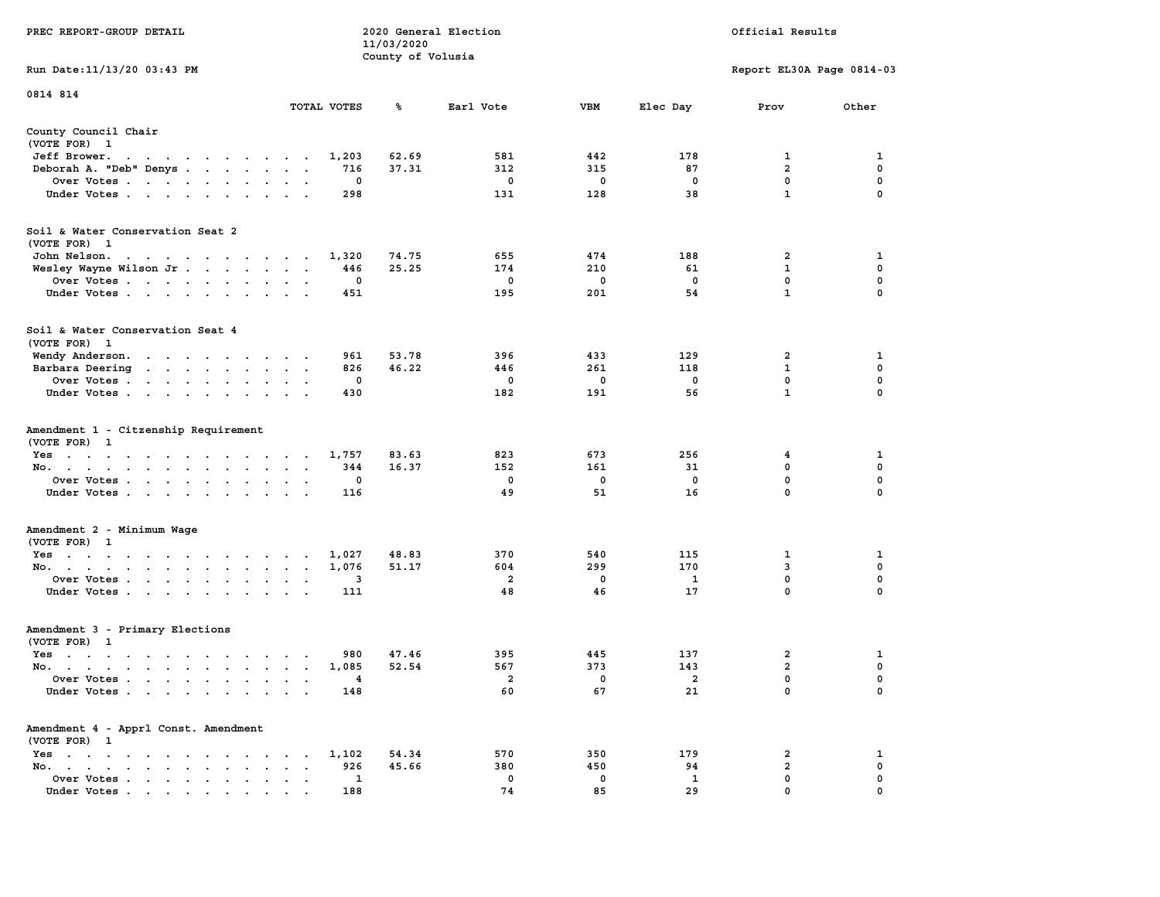|                                                                                                                                                                                                  |                                        | 11/03/2020        |                |             |                |                           |             |
|--------------------------------------------------------------------------------------------------------------------------------------------------------------------------------------------------|----------------------------------------|-------------------|----------------|-------------|----------------|---------------------------|-------------|
|                                                                                                                                                                                                  |                                        | County of Volusia |                |             |                |                           |             |
| Run Date: 11/13/20 03:43 PM                                                                                                                                                                      |                                        |                   |                |             |                | Report EL30A Page 0814-03 |             |
| 0814 814                                                                                                                                                                                         |                                        |                   |                |             |                |                           |             |
|                                                                                                                                                                                                  | TOTAL VOTES                            | ℁                 | Earl Vote      | <b>VBM</b>  | Elec Day       | Prov                      | Other       |
| County Council Chair                                                                                                                                                                             |                                        |                   |                |             |                |                           |             |
| (VOTE FOR) 1                                                                                                                                                                                     |                                        |                   |                |             |                |                           |             |
| Jeff Brower.<br>the contract of the contract of the con-                                                                                                                                         | 1,203                                  | 62.69             | 581            | 442         | 178            | 1                         | 1           |
| Deborah A. "Deb" Denys                                                                                                                                                                           | 716                                    | 37.31             | 312            | 315         | 87             | $\overline{a}$            | $\mathbf 0$ |
| Over Votes                                                                                                                                                                                       | $\mathbf 0$<br>$\cdot$                 |                   | $\mathbf 0$    | $\mathbf 0$ | $\mathbf 0$    | $\mathbf 0$               | $\mathbf 0$ |
| Under Votes                                                                                                                                                                                      | 298                                    |                   | 131            | 128         | 38             | $\mathbf{1}$              | $\mathbf 0$ |
|                                                                                                                                                                                                  |                                        |                   |                |             |                |                           |             |
| Soil & Water Conservation Seat 2<br>(VOTE FOR) 1                                                                                                                                                 |                                        |                   |                |             |                |                           |             |
| John Nelson.<br>design and a series of the control of                                                                                                                                            | 1,320                                  | 74.75             | 655            | 474         | 188            | 2                         | 1           |
| Wesley Wayne Wilson Jr                                                                                                                                                                           | 446                                    | 25.25             | 174            | 210         | 61             | $\mathbf{1}$              | $\mathbf 0$ |
| Over Votes<br>$\sim 100$ km s $^{-1}$                                                                                                                                                            | 0                                      |                   | 0              | $\mathbf 0$ | $\mathbf 0$    | 0                         | $\mathbf 0$ |
|                                                                                                                                                                                                  | 451                                    |                   | 195            | 201         | 54             | $\mathbf{1}$              | $\mathbf 0$ |
| Under Votes                                                                                                                                                                                      |                                        |                   |                |             |                |                           |             |
| Soil & Water Conservation Seat 4                                                                                                                                                                 |                                        |                   |                |             |                |                           |             |
| (VOTE FOR) 1                                                                                                                                                                                     |                                        |                   |                |             |                |                           |             |
| Wendy Anderson.                                                                                                                                                                                  | 961                                    | 53.78             | 396            | 433         | 129            | $\overline{\mathbf{2}}$   | 1           |
| Barbara Deering<br>the contract of the contract of the                                                                                                                                           | 826<br>$\sim$ $\sim$<br>$\bullet$      | 46.22             | 446            | 261         | 118            | $\mathbf{1}$              | $\mathbf 0$ |
| Over Votes                                                                                                                                                                                       | 0                                      |                   | 0              | $\mathbf 0$ | 0              | $\mathbf 0$               | $\mathbf 0$ |
| Under Votes<br><b>San Adams Strategies</b>                                                                                                                                                       | 430                                    |                   | 182            | 191         | 56             | $\mathbf{1}$              | 0           |
|                                                                                                                                                                                                  |                                        |                   |                |             |                |                           |             |
| Amendment 1 - Citzenship Requirement                                                                                                                                                             |                                        |                   |                |             |                |                           |             |
| (VOTE FOR) 1                                                                                                                                                                                     |                                        |                   |                |             |                |                           |             |
| Yes                                                                                                                                                                                              | 1,757                                  | 83.63             | 823            | 673         | 256            | 4                         | 1           |
| No.<br>$\sim$<br>$\sim$ $\sim$                                                                                                                                                                   | 344<br>$\sim$<br>$\bullet$             | 16.37             | 152            | 161         | 31             | $\mathbf 0$               | $\mathbf 0$ |
| Over Votes                                                                                                                                                                                       | $\mathbf 0$                            |                   | $\mathbf 0$    | $\mathbf 0$ | $\mathbf 0$    | $\mathbf 0$               | $\mathbf 0$ |
| Under Votes<br>$\sim$ $\sim$                                                                                                                                                                     | 116                                    |                   | 49             | 51          | 16             | $\mathbf 0$               | 0           |
|                                                                                                                                                                                                  |                                        |                   |                |             |                |                           |             |
| Amendment 2 - Minimum Wage                                                                                                                                                                       |                                        |                   |                |             |                |                           |             |
| (VOTE FOR) 1                                                                                                                                                                                     |                                        |                   |                |             |                |                           |             |
| Yes                                                                                                                                                                                              | 1,027                                  | 48.83             | 370            | 540         | 115            | $\mathbf{1}$              | 1           |
| No.                                                                                                                                                                                              | 1,076                                  | 51.17             | 604            | 299         | 170            | 3                         | $\mathbf 0$ |
| Over Votes<br>$\sim$<br>$\ddot{\phantom{a}}$                                                                                                                                                     | 3<br>$\ddot{\phantom{a}}$<br>$\lambda$ |                   | $\overline{2}$ | $\mathbf 0$ | $\mathbf{1}$   | $\mathbf 0$               | 0           |
| Under Votes                                                                                                                                                                                      | 111                                    |                   | 48             | 46          | 17             | $\mathbf 0$               | 0           |
|                                                                                                                                                                                                  |                                        |                   |                |             |                |                           |             |
| Amendment 3 - Primary Elections                                                                                                                                                                  |                                        |                   |                |             |                |                           |             |
| (VOTE FOR) 1                                                                                                                                                                                     |                                        |                   |                |             |                |                           |             |
| Yes                                                                                                                                                                                              | 980                                    | 47.46             | 395            | 445         | 137            | $\overline{a}$            | 1           |
| No.                                                                                                                                                                                              | 1,085                                  | 52.54             | 567            | 373         | 143            | $\overline{a}$            | $\mathbf 0$ |
| Over Votes<br>$\ddot{\phantom{a}}$<br>$\ddot{\phantom{a}}$                                                                                                                                       | 4<br>$\ddot{\phantom{a}}$<br>$\sim$    |                   | $\overline{a}$ | $\mathbf 0$ | $\overline{a}$ | $\mathbf 0$               | $\mathbf 0$ |
| Under Votes                                                                                                                                                                                      | 148                                    |                   | 60             | 67          | 21             | $\mathbf 0$               | $\mathbf 0$ |
| Amendment 4 - Apprl Const. Amendment                                                                                                                                                             |                                        |                   |                |             |                |                           |             |
| (VOTE FOR) 1                                                                                                                                                                                     |                                        |                   |                |             |                |                           |             |
| Yes<br>$\sim$<br>$\begin{array}{cccccccccccccc} \bullet & \bullet & \bullet & \bullet & \bullet & \bullet & \bullet & \bullet & \bullet & \bullet & \bullet \end{array}$<br>$\ddot{\phantom{0}}$ | 1,102<br>$\sim$ $\sim$                 | 54.34             | 570            | 350         | 179            | $\mathbf{2}$              | 1           |
| No.<br>the contract of the contract of the<br>$\ddot{\phantom{a}}$<br>$\ddot{\phantom{a}}$                                                                                                       | 926<br>$\cdot$<br>$\ddot{\phantom{a}}$ | 45.66             | 380            | 450         | 94             | $\overline{2}$            | $\mathbf 0$ |
| Over Votes<br>$\sim$<br>$\bullet$<br>$\cdot$                                                                                                                                                     | 1<br>$\bullet$<br>$\ddot{\phantom{0}}$ |                   | $\mathbf{0}$   | 0           | 1              | $\mathbf 0$               | $\mathbf 0$ |
| Under Votes<br>$\mathbf{r}$ , and $\mathbf{r}$ , and $\mathbf{r}$ , and $\mathbf{r}$ , and $\mathbf{r}$                                                                                          | 188                                    |                   | 74             | 85          | 29             | $\mathbf 0$               | $\mathbf 0$ |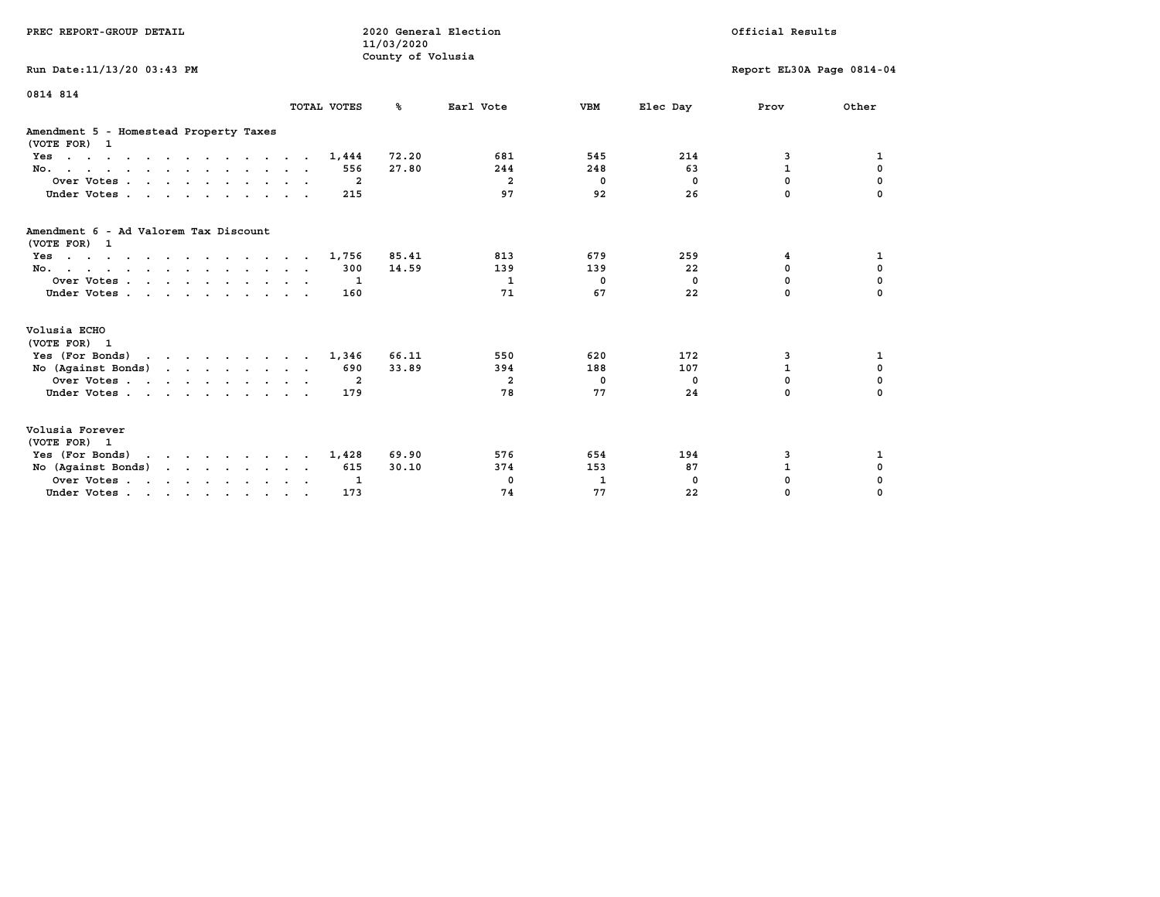| PREC REPORT-GROUP DETAIL                                                                  |                | 11/03/2020<br>County of Volusia | 2020 General Election |              |              | Official Results          |             |
|-------------------------------------------------------------------------------------------|----------------|---------------------------------|-----------------------|--------------|--------------|---------------------------|-------------|
| Run Date: 11/13/20 03:43 PM                                                               |                |                                 |                       |              |              | Report EL30A Page 0814-04 |             |
| 0814 814                                                                                  | TOTAL VOTES    | %ะ                              | Earl Vote             | <b>VBM</b>   | Elec Day     | Prov                      | Other       |
| Amendment 5 - Homestead Property Taxes<br>(VOTE FOR) 1                                    |                |                                 |                       |              |              |                           |             |
| $Yes.$                                                                                    | 1,444          | 72.20                           | 681                   | 545          | 214          | 3                         | 1           |
| No.                                                                                       | 556            | 27.80                           | 244                   | 248          | 63           | $\mathbf{1}$              | 0           |
| Over Votes.                                                                               | $\overline{a}$ |                                 | $\overline{a}$        | $^{\circ}$   | $^{\circ}$   | $\mathbf 0$               | $\mathbf 0$ |
| Under Votes                                                                               | 215            |                                 | 97                    | 92           | 26           | 0                         |             |
| Amendment 6 - Ad Valorem Tax Discount<br>(VOTE FOR) 1                                     |                |                                 |                       |              |              |                           |             |
| $Yes \cdot \cdot \cdot \cdot \cdot \cdot \cdot \cdot \cdot \cdot \cdot \cdot \cdot \cdot$ | 1,756          | 85.41                           | 813                   | 679          | 259          | 4                         | 1           |
| No.                                                                                       | 300            | 14.59                           | 139                   | 139          | 22           | 0                         | $\mathbf 0$ |
| Over Votes                                                                                | 1              |                                 | $\mathbf{1}$          | $\mathbf{0}$ | $\mathbf{0}$ | $\Omega$                  | $\mathbf 0$ |
| Under Votes                                                                               | 160            |                                 | 71                    | 67           | 22           | $\Omega$                  | $\Omega$    |
| Volusia ECHO<br>(VOTE FOR) 1                                                              |                |                                 |                       |              |              |                           |             |
| Yes (For Bonds)                                                                           | 1,346          | 66.11                           | 550                   | 620          | 172          | 3                         | 1           |
| No (Against Bonds)                                                                        | 690            | 33.89                           | 394                   | 188          | 107          | $\mathbf{1}$              | $\mathbf 0$ |
| Over Votes                                                                                | -2             |                                 | $\overline{a}$        | 0            | 0            | $\mathbf 0$               | $\pmb{0}$   |
| Under Votes                                                                               | 179            |                                 | 78                    | 77           | 24           | $\Omega$                  | $\mathbf 0$ |
| Volusia Forever<br>(VOTE FOR) 1                                                           |                |                                 |                       |              |              |                           |             |
| Yes (For Bonds)<br>$\mathbf{r}$                                                           | 1,428          | 69.90                           | 576                   | 654          | 194          | 3                         | 1           |
| No (Against Bonds)                                                                        | 615            | 30.10                           | 374                   | 153          | 87           | $\mathbf{1}$              | 0           |
| Over Votes.                                                                               | 1              |                                 | 0                     | 1            | $\Omega$     | 0                         | 0           |
| Under Votes                                                                               | 173            |                                 | 74                    | 77           | 22           | 0                         | 0           |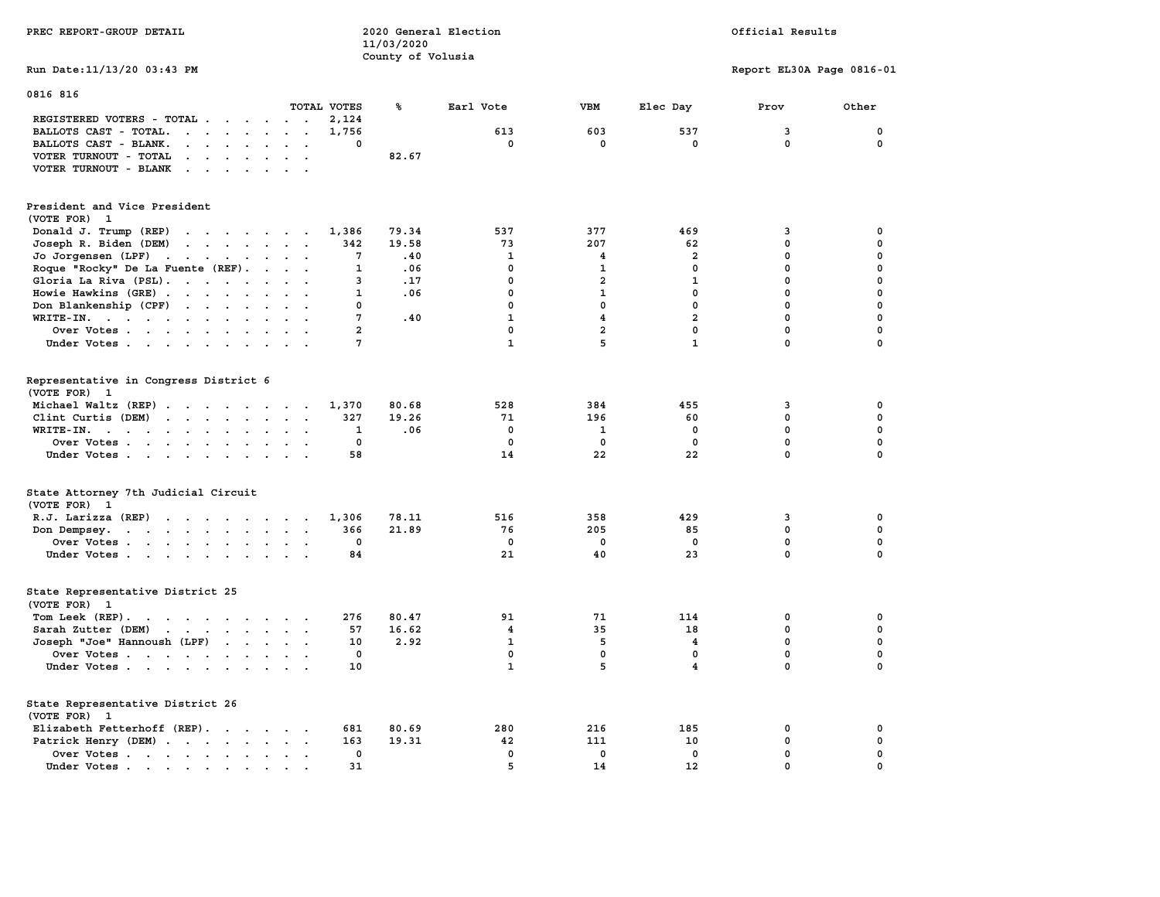| County of Volusia<br>Run Date: 11/13/20 03:43 PM<br>Report EL30A Page 0816-01<br>0816 816<br>TOTAL VOTES<br>℁<br><b>VBM</b><br>Elec Day<br>Other<br>Earl Vote<br>Prov<br>REGISTERED VOTERS - TOTAL<br>2,124<br>BALLOTS CAST - TOTAL.<br>603<br>537<br>3<br>0<br>$\begin{array}{cccccccccccccc} \bullet & \bullet & \bullet & \bullet & \bullet & \bullet & \bullet & \bullet & \bullet & \bullet \end{array}$<br>1,756<br>613<br>$\ddot{\phantom{a}}$<br>$\mathbf{0}$<br>BALLOTS CAST - BLANK.<br>0<br>0<br>0<br>0<br>0<br>$\cdot$ $\cdot$ $\cdot$ $\cdot$ $\cdot$<br>$\ddot{\phantom{0}}$<br>$\ddot{\phantom{a}}$<br>VOTER TURNOUT - TOTAL<br>82.67<br>VOTER TURNOUT - BLANK<br>$\mathbf{r}$ , $\mathbf{r}$ , $\mathbf{r}$ , $\mathbf{r}$<br>President and Vice President<br>(VOTE FOR) 1<br>79.34<br>Donald J. Trump (REP)<br>1,386<br>537<br>377<br>469<br>3<br>0<br>207<br>0<br>$\mathbf 0$<br>Joseph R. Biden (DEM)<br>the contract of the contract of<br>342<br>19.58<br>73<br>62<br>7<br>.40<br>$\mathbf{1}$<br>$\overline{a}$<br>0<br>0<br>Jo Jorgensen $(LPF)$<br>4<br>Roque "Rocky" De La Fuente (REF).<br>.06<br>$\mathbf 0$<br>$\mathbf 0$<br>$\mathbf 0$<br>0<br>$\sim$ $\sim$ $\sim$ $\sim$<br>1<br>$\mathbf{1}$<br>Gloria La Riva (PSL).<br>.17<br>$\mathbf 0$<br>$\overline{a}$<br>$\mathbf{1}$<br>$\mathbf 0$<br>0<br>3<br>$\mathbf 0$<br>0<br>Howie Hawkins (GRE)<br>$\mathbf{1}$<br>.06<br>0<br>$\mathbf{1}$<br>0<br>$\sim$<br>$\ddot{\phantom{a}}$<br>$\ddot{\phantom{0}}$<br>$\sim$<br>$\mathbf 0$<br>$\mathbf 0$<br>$\mathbf 0$<br>0<br>$\mathbf 0$<br>Don Blankenship (CPF)<br>0<br>$\mathbf{1}$<br>$\overline{a}$<br>$\mathbf 0$<br>$\mathbf 0$<br>$WRITE-IN.$<br>7<br>.40<br>$\overline{4}$<br>$\ddot{\phantom{a}}$<br>$\ddot{\phantom{a}}$<br>$\mathbf{r}$<br>$\overline{a}$<br>$\mathbf 0$<br>$\mathbf 0$<br>$\mathbf 0$<br>$\overline{a}$<br>0<br>Over Votes<br>$\mathbf{1}$<br>5<br>$\mathbf{1}$<br>$\mathbf 0$<br>$\mathbf 0$<br>7<br>Under Votes<br>Representative in Congress District 6<br>(VOTE FOR) 1<br>Michael Waltz (REP)<br>80.68<br>528<br>1,370<br>384<br>455<br>3<br>0<br>19.26<br>Clint Curtis (DEM)<br>327<br>71<br>196<br>$\mathbf 0$<br>$\mathbf 0$<br>60<br>$\mathbf 0$<br>$\mathbf 0$<br>.06<br>$\mathbf 0$<br>$\mathbf 0$<br>WRITE-IN.<br>1<br>1<br>0<br>$\pmb{0}$<br>0<br>0<br>0<br>0<br>Over Votes<br>$\bullet$<br>$\bullet$<br>$\mathbf 0$<br>14<br>22<br>22<br>$\Omega$<br>Under Votes<br>58<br>State Attorney 7th Judicial Circuit<br>(VOTE FOR) 1<br>R.J. Larizza (REP)<br>78.11<br>516<br>358<br>429<br>3<br>0<br>1,306<br>76<br>205<br>$\mathbf 0$<br>$\mathbf 0$<br>366<br>21.89<br>85<br>Don Dempsey.<br>the contract of the contract of the contract of the contract of the contract of the contract of the contract of<br>$\mathbf 0$<br>$\mathbf 0$<br>0<br>0<br>0<br>0<br>Over Votes<br>21<br>40<br>23<br>$\Omega$<br>$\Omega$<br>Under Votes<br>84<br>State Representative District 25<br>(VOTE FOR) 1<br>Tom Leek $(REP)$ .<br>276<br>80.47<br>91<br>71<br>114<br>0<br>0<br>Sarah Zutter (DEM)<br>57<br>16.62<br>$\overline{4}$<br>35<br>18<br>0<br>0<br>$\mathbf 0$<br>$\mathbf 0$<br>Joseph "Joe" Hannoush (LPF)<br>10<br>2.92<br>$\mathbf{1}$<br>5<br>$\overline{\mathbf{4}}$<br>$\mathbf 0$<br>0<br>$\mathbf 0$<br>0<br>$\mathbf 0$<br>Over Votes<br>0<br>5<br>$\mathbf{1}$<br>4<br>0<br>$\Omega$<br>Under Votes<br>10<br>State Representative District 26<br>(VOTE FOR) 1<br>Elizabeth Fetterhoff (REP).<br>681<br>80.69<br>280<br>216<br>185<br>0<br>0<br>163<br>19.31<br>42<br>111<br>10<br>$\mathbf 0$<br>$\mathbf 0$<br>Patrick Henry (DEM)<br>$\mathbf 0$<br>$\mathbf 0$<br>$\mathbf 0$<br>$\mathbf 0$<br>$\mathbf 0$<br>$\mathbf 0$<br>Over Votes<br>$\cdot$ .<br>5<br>0<br>14<br>12<br>0<br>Under Votes<br>31<br>$\sim$ | PREC REPORT-GROUP DETAIL | 11/03/2020 | 2020 General Election |  | Official Results |  |
|------------------------------------------------------------------------------------------------------------------------------------------------------------------------------------------------------------------------------------------------------------------------------------------------------------------------------------------------------------------------------------------------------------------------------------------------------------------------------------------------------------------------------------------------------------------------------------------------------------------------------------------------------------------------------------------------------------------------------------------------------------------------------------------------------------------------------------------------------------------------------------------------------------------------------------------------------------------------------------------------------------------------------------------------------------------------------------------------------------------------------------------------------------------------------------------------------------------------------------------------------------------------------------------------------------------------------------------------------------------------------------------------------------------------------------------------------------------------------------------------------------------------------------------------------------------------------------------------------------------------------------------------------------------------------------------------------------------------------------------------------------------------------------------------------------------------------------------------------------------------------------------------------------------------------------------------------------------------------------------------------------------------------------------------------------------------------------------------------------------------------------------------------------------------------------------------------------------------------------------------------------------------------------------------------------------------------------------------------------------------------------------------------------------------------------------------------------------------------------------------------------------------------------------------------------------------------------------------------------------------------------------------------------------------------------------------------------------------------------------------------------------------------------------------------------------------------------------------------------------------------------------------------------------------------------------------------------------------------------------------------------------------------------------------------------------------------------------------------------------------------------------------------------------------------------------------------------------------------------------------------------------------------------------------------------------------------------------------------------------------------------------------------------------------------------------------------------------------------------------------------------------------------------------------------------------------------------------------------------------------------------------------------------------------------------------------------------------------------------------------------------------------------------------------------|--------------------------|------------|-----------------------|--|------------------|--|
|                                                                                                                                                                                                                                                                                                                                                                                                                                                                                                                                                                                                                                                                                                                                                                                                                                                                                                                                                                                                                                                                                                                                                                                                                                                                                                                                                                                                                                                                                                                                                                                                                                                                                                                                                                                                                                                                                                                                                                                                                                                                                                                                                                                                                                                                                                                                                                                                                                                                                                                                                                                                                                                                                                                                                                                                                                                                                                                                                                                                                                                                                                                                                                                                                                                                                                                                                                                                                                                                                                                                                                                                                                                                                                                                                                                                      |                          |            |                       |  |                  |  |
|                                                                                                                                                                                                                                                                                                                                                                                                                                                                                                                                                                                                                                                                                                                                                                                                                                                                                                                                                                                                                                                                                                                                                                                                                                                                                                                                                                                                                                                                                                                                                                                                                                                                                                                                                                                                                                                                                                                                                                                                                                                                                                                                                                                                                                                                                                                                                                                                                                                                                                                                                                                                                                                                                                                                                                                                                                                                                                                                                                                                                                                                                                                                                                                                                                                                                                                                                                                                                                                                                                                                                                                                                                                                                                                                                                                                      |                          |            |                       |  |                  |  |
|                                                                                                                                                                                                                                                                                                                                                                                                                                                                                                                                                                                                                                                                                                                                                                                                                                                                                                                                                                                                                                                                                                                                                                                                                                                                                                                                                                                                                                                                                                                                                                                                                                                                                                                                                                                                                                                                                                                                                                                                                                                                                                                                                                                                                                                                                                                                                                                                                                                                                                                                                                                                                                                                                                                                                                                                                                                                                                                                                                                                                                                                                                                                                                                                                                                                                                                                                                                                                                                                                                                                                                                                                                                                                                                                                                                                      |                          |            |                       |  |                  |  |
|                                                                                                                                                                                                                                                                                                                                                                                                                                                                                                                                                                                                                                                                                                                                                                                                                                                                                                                                                                                                                                                                                                                                                                                                                                                                                                                                                                                                                                                                                                                                                                                                                                                                                                                                                                                                                                                                                                                                                                                                                                                                                                                                                                                                                                                                                                                                                                                                                                                                                                                                                                                                                                                                                                                                                                                                                                                                                                                                                                                                                                                                                                                                                                                                                                                                                                                                                                                                                                                                                                                                                                                                                                                                                                                                                                                                      |                          |            |                       |  |                  |  |
|                                                                                                                                                                                                                                                                                                                                                                                                                                                                                                                                                                                                                                                                                                                                                                                                                                                                                                                                                                                                                                                                                                                                                                                                                                                                                                                                                                                                                                                                                                                                                                                                                                                                                                                                                                                                                                                                                                                                                                                                                                                                                                                                                                                                                                                                                                                                                                                                                                                                                                                                                                                                                                                                                                                                                                                                                                                                                                                                                                                                                                                                                                                                                                                                                                                                                                                                                                                                                                                                                                                                                                                                                                                                                                                                                                                                      |                          |            |                       |  |                  |  |
|                                                                                                                                                                                                                                                                                                                                                                                                                                                                                                                                                                                                                                                                                                                                                                                                                                                                                                                                                                                                                                                                                                                                                                                                                                                                                                                                                                                                                                                                                                                                                                                                                                                                                                                                                                                                                                                                                                                                                                                                                                                                                                                                                                                                                                                                                                                                                                                                                                                                                                                                                                                                                                                                                                                                                                                                                                                                                                                                                                                                                                                                                                                                                                                                                                                                                                                                                                                                                                                                                                                                                                                                                                                                                                                                                                                                      |                          |            |                       |  |                  |  |
|                                                                                                                                                                                                                                                                                                                                                                                                                                                                                                                                                                                                                                                                                                                                                                                                                                                                                                                                                                                                                                                                                                                                                                                                                                                                                                                                                                                                                                                                                                                                                                                                                                                                                                                                                                                                                                                                                                                                                                                                                                                                                                                                                                                                                                                                                                                                                                                                                                                                                                                                                                                                                                                                                                                                                                                                                                                                                                                                                                                                                                                                                                                                                                                                                                                                                                                                                                                                                                                                                                                                                                                                                                                                                                                                                                                                      |                          |            |                       |  |                  |  |
|                                                                                                                                                                                                                                                                                                                                                                                                                                                                                                                                                                                                                                                                                                                                                                                                                                                                                                                                                                                                                                                                                                                                                                                                                                                                                                                                                                                                                                                                                                                                                                                                                                                                                                                                                                                                                                                                                                                                                                                                                                                                                                                                                                                                                                                                                                                                                                                                                                                                                                                                                                                                                                                                                                                                                                                                                                                                                                                                                                                                                                                                                                                                                                                                                                                                                                                                                                                                                                                                                                                                                                                                                                                                                                                                                                                                      |                          |            |                       |  |                  |  |
|                                                                                                                                                                                                                                                                                                                                                                                                                                                                                                                                                                                                                                                                                                                                                                                                                                                                                                                                                                                                                                                                                                                                                                                                                                                                                                                                                                                                                                                                                                                                                                                                                                                                                                                                                                                                                                                                                                                                                                                                                                                                                                                                                                                                                                                                                                                                                                                                                                                                                                                                                                                                                                                                                                                                                                                                                                                                                                                                                                                                                                                                                                                                                                                                                                                                                                                                                                                                                                                                                                                                                                                                                                                                                                                                                                                                      |                          |            |                       |  |                  |  |
|                                                                                                                                                                                                                                                                                                                                                                                                                                                                                                                                                                                                                                                                                                                                                                                                                                                                                                                                                                                                                                                                                                                                                                                                                                                                                                                                                                                                                                                                                                                                                                                                                                                                                                                                                                                                                                                                                                                                                                                                                                                                                                                                                                                                                                                                                                                                                                                                                                                                                                                                                                                                                                                                                                                                                                                                                                                                                                                                                                                                                                                                                                                                                                                                                                                                                                                                                                                                                                                                                                                                                                                                                                                                                                                                                                                                      |                          |            |                       |  |                  |  |
|                                                                                                                                                                                                                                                                                                                                                                                                                                                                                                                                                                                                                                                                                                                                                                                                                                                                                                                                                                                                                                                                                                                                                                                                                                                                                                                                                                                                                                                                                                                                                                                                                                                                                                                                                                                                                                                                                                                                                                                                                                                                                                                                                                                                                                                                                                                                                                                                                                                                                                                                                                                                                                                                                                                                                                                                                                                                                                                                                                                                                                                                                                                                                                                                                                                                                                                                                                                                                                                                                                                                                                                                                                                                                                                                                                                                      |                          |            |                       |  |                  |  |
|                                                                                                                                                                                                                                                                                                                                                                                                                                                                                                                                                                                                                                                                                                                                                                                                                                                                                                                                                                                                                                                                                                                                                                                                                                                                                                                                                                                                                                                                                                                                                                                                                                                                                                                                                                                                                                                                                                                                                                                                                                                                                                                                                                                                                                                                                                                                                                                                                                                                                                                                                                                                                                                                                                                                                                                                                                                                                                                                                                                                                                                                                                                                                                                                                                                                                                                                                                                                                                                                                                                                                                                                                                                                                                                                                                                                      |                          |            |                       |  |                  |  |
|                                                                                                                                                                                                                                                                                                                                                                                                                                                                                                                                                                                                                                                                                                                                                                                                                                                                                                                                                                                                                                                                                                                                                                                                                                                                                                                                                                                                                                                                                                                                                                                                                                                                                                                                                                                                                                                                                                                                                                                                                                                                                                                                                                                                                                                                                                                                                                                                                                                                                                                                                                                                                                                                                                                                                                                                                                                                                                                                                                                                                                                                                                                                                                                                                                                                                                                                                                                                                                                                                                                                                                                                                                                                                                                                                                                                      |                          |            |                       |  |                  |  |
|                                                                                                                                                                                                                                                                                                                                                                                                                                                                                                                                                                                                                                                                                                                                                                                                                                                                                                                                                                                                                                                                                                                                                                                                                                                                                                                                                                                                                                                                                                                                                                                                                                                                                                                                                                                                                                                                                                                                                                                                                                                                                                                                                                                                                                                                                                                                                                                                                                                                                                                                                                                                                                                                                                                                                                                                                                                                                                                                                                                                                                                                                                                                                                                                                                                                                                                                                                                                                                                                                                                                                                                                                                                                                                                                                                                                      |                          |            |                       |  |                  |  |
|                                                                                                                                                                                                                                                                                                                                                                                                                                                                                                                                                                                                                                                                                                                                                                                                                                                                                                                                                                                                                                                                                                                                                                                                                                                                                                                                                                                                                                                                                                                                                                                                                                                                                                                                                                                                                                                                                                                                                                                                                                                                                                                                                                                                                                                                                                                                                                                                                                                                                                                                                                                                                                                                                                                                                                                                                                                                                                                                                                                                                                                                                                                                                                                                                                                                                                                                                                                                                                                                                                                                                                                                                                                                                                                                                                                                      |                          |            |                       |  |                  |  |
|                                                                                                                                                                                                                                                                                                                                                                                                                                                                                                                                                                                                                                                                                                                                                                                                                                                                                                                                                                                                                                                                                                                                                                                                                                                                                                                                                                                                                                                                                                                                                                                                                                                                                                                                                                                                                                                                                                                                                                                                                                                                                                                                                                                                                                                                                                                                                                                                                                                                                                                                                                                                                                                                                                                                                                                                                                                                                                                                                                                                                                                                                                                                                                                                                                                                                                                                                                                                                                                                                                                                                                                                                                                                                                                                                                                                      |                          |            |                       |  |                  |  |
|                                                                                                                                                                                                                                                                                                                                                                                                                                                                                                                                                                                                                                                                                                                                                                                                                                                                                                                                                                                                                                                                                                                                                                                                                                                                                                                                                                                                                                                                                                                                                                                                                                                                                                                                                                                                                                                                                                                                                                                                                                                                                                                                                                                                                                                                                                                                                                                                                                                                                                                                                                                                                                                                                                                                                                                                                                                                                                                                                                                                                                                                                                                                                                                                                                                                                                                                                                                                                                                                                                                                                                                                                                                                                                                                                                                                      |                          |            |                       |  |                  |  |
|                                                                                                                                                                                                                                                                                                                                                                                                                                                                                                                                                                                                                                                                                                                                                                                                                                                                                                                                                                                                                                                                                                                                                                                                                                                                                                                                                                                                                                                                                                                                                                                                                                                                                                                                                                                                                                                                                                                                                                                                                                                                                                                                                                                                                                                                                                                                                                                                                                                                                                                                                                                                                                                                                                                                                                                                                                                                                                                                                                                                                                                                                                                                                                                                                                                                                                                                                                                                                                                                                                                                                                                                                                                                                                                                                                                                      |                          |            |                       |  |                  |  |
|                                                                                                                                                                                                                                                                                                                                                                                                                                                                                                                                                                                                                                                                                                                                                                                                                                                                                                                                                                                                                                                                                                                                                                                                                                                                                                                                                                                                                                                                                                                                                                                                                                                                                                                                                                                                                                                                                                                                                                                                                                                                                                                                                                                                                                                                                                                                                                                                                                                                                                                                                                                                                                                                                                                                                                                                                                                                                                                                                                                                                                                                                                                                                                                                                                                                                                                                                                                                                                                                                                                                                                                                                                                                                                                                                                                                      |                          |            |                       |  |                  |  |
|                                                                                                                                                                                                                                                                                                                                                                                                                                                                                                                                                                                                                                                                                                                                                                                                                                                                                                                                                                                                                                                                                                                                                                                                                                                                                                                                                                                                                                                                                                                                                                                                                                                                                                                                                                                                                                                                                                                                                                                                                                                                                                                                                                                                                                                                                                                                                                                                                                                                                                                                                                                                                                                                                                                                                                                                                                                                                                                                                                                                                                                                                                                                                                                                                                                                                                                                                                                                                                                                                                                                                                                                                                                                                                                                                                                                      |                          |            |                       |  |                  |  |
|                                                                                                                                                                                                                                                                                                                                                                                                                                                                                                                                                                                                                                                                                                                                                                                                                                                                                                                                                                                                                                                                                                                                                                                                                                                                                                                                                                                                                                                                                                                                                                                                                                                                                                                                                                                                                                                                                                                                                                                                                                                                                                                                                                                                                                                                                                                                                                                                                                                                                                                                                                                                                                                                                                                                                                                                                                                                                                                                                                                                                                                                                                                                                                                                                                                                                                                                                                                                                                                                                                                                                                                                                                                                                                                                                                                                      |                          |            |                       |  |                  |  |
|                                                                                                                                                                                                                                                                                                                                                                                                                                                                                                                                                                                                                                                                                                                                                                                                                                                                                                                                                                                                                                                                                                                                                                                                                                                                                                                                                                                                                                                                                                                                                                                                                                                                                                                                                                                                                                                                                                                                                                                                                                                                                                                                                                                                                                                                                                                                                                                                                                                                                                                                                                                                                                                                                                                                                                                                                                                                                                                                                                                                                                                                                                                                                                                                                                                                                                                                                                                                                                                                                                                                                                                                                                                                                                                                                                                                      |                          |            |                       |  |                  |  |
|                                                                                                                                                                                                                                                                                                                                                                                                                                                                                                                                                                                                                                                                                                                                                                                                                                                                                                                                                                                                                                                                                                                                                                                                                                                                                                                                                                                                                                                                                                                                                                                                                                                                                                                                                                                                                                                                                                                                                                                                                                                                                                                                                                                                                                                                                                                                                                                                                                                                                                                                                                                                                                                                                                                                                                                                                                                                                                                                                                                                                                                                                                                                                                                                                                                                                                                                                                                                                                                                                                                                                                                                                                                                                                                                                                                                      |                          |            |                       |  |                  |  |
|                                                                                                                                                                                                                                                                                                                                                                                                                                                                                                                                                                                                                                                                                                                                                                                                                                                                                                                                                                                                                                                                                                                                                                                                                                                                                                                                                                                                                                                                                                                                                                                                                                                                                                                                                                                                                                                                                                                                                                                                                                                                                                                                                                                                                                                                                                                                                                                                                                                                                                                                                                                                                                                                                                                                                                                                                                                                                                                                                                                                                                                                                                                                                                                                                                                                                                                                                                                                                                                                                                                                                                                                                                                                                                                                                                                                      |                          |            |                       |  |                  |  |
|                                                                                                                                                                                                                                                                                                                                                                                                                                                                                                                                                                                                                                                                                                                                                                                                                                                                                                                                                                                                                                                                                                                                                                                                                                                                                                                                                                                                                                                                                                                                                                                                                                                                                                                                                                                                                                                                                                                                                                                                                                                                                                                                                                                                                                                                                                                                                                                                                                                                                                                                                                                                                                                                                                                                                                                                                                                                                                                                                                                                                                                                                                                                                                                                                                                                                                                                                                                                                                                                                                                                                                                                                                                                                                                                                                                                      |                          |            |                       |  |                  |  |
|                                                                                                                                                                                                                                                                                                                                                                                                                                                                                                                                                                                                                                                                                                                                                                                                                                                                                                                                                                                                                                                                                                                                                                                                                                                                                                                                                                                                                                                                                                                                                                                                                                                                                                                                                                                                                                                                                                                                                                                                                                                                                                                                                                                                                                                                                                                                                                                                                                                                                                                                                                                                                                                                                                                                                                                                                                                                                                                                                                                                                                                                                                                                                                                                                                                                                                                                                                                                                                                                                                                                                                                                                                                                                                                                                                                                      |                          |            |                       |  |                  |  |
|                                                                                                                                                                                                                                                                                                                                                                                                                                                                                                                                                                                                                                                                                                                                                                                                                                                                                                                                                                                                                                                                                                                                                                                                                                                                                                                                                                                                                                                                                                                                                                                                                                                                                                                                                                                                                                                                                                                                                                                                                                                                                                                                                                                                                                                                                                                                                                                                                                                                                                                                                                                                                                                                                                                                                                                                                                                                                                                                                                                                                                                                                                                                                                                                                                                                                                                                                                                                                                                                                                                                                                                                                                                                                                                                                                                                      |                          |            |                       |  |                  |  |
|                                                                                                                                                                                                                                                                                                                                                                                                                                                                                                                                                                                                                                                                                                                                                                                                                                                                                                                                                                                                                                                                                                                                                                                                                                                                                                                                                                                                                                                                                                                                                                                                                                                                                                                                                                                                                                                                                                                                                                                                                                                                                                                                                                                                                                                                                                                                                                                                                                                                                                                                                                                                                                                                                                                                                                                                                                                                                                                                                                                                                                                                                                                                                                                                                                                                                                                                                                                                                                                                                                                                                                                                                                                                                                                                                                                                      |                          |            |                       |  |                  |  |
|                                                                                                                                                                                                                                                                                                                                                                                                                                                                                                                                                                                                                                                                                                                                                                                                                                                                                                                                                                                                                                                                                                                                                                                                                                                                                                                                                                                                                                                                                                                                                                                                                                                                                                                                                                                                                                                                                                                                                                                                                                                                                                                                                                                                                                                                                                                                                                                                                                                                                                                                                                                                                                                                                                                                                                                                                                                                                                                                                                                                                                                                                                                                                                                                                                                                                                                                                                                                                                                                                                                                                                                                                                                                                                                                                                                                      |                          |            |                       |  |                  |  |
|                                                                                                                                                                                                                                                                                                                                                                                                                                                                                                                                                                                                                                                                                                                                                                                                                                                                                                                                                                                                                                                                                                                                                                                                                                                                                                                                                                                                                                                                                                                                                                                                                                                                                                                                                                                                                                                                                                                                                                                                                                                                                                                                                                                                                                                                                                                                                                                                                                                                                                                                                                                                                                                                                                                                                                                                                                                                                                                                                                                                                                                                                                                                                                                                                                                                                                                                                                                                                                                                                                                                                                                                                                                                                                                                                                                                      |                          |            |                       |  |                  |  |
|                                                                                                                                                                                                                                                                                                                                                                                                                                                                                                                                                                                                                                                                                                                                                                                                                                                                                                                                                                                                                                                                                                                                                                                                                                                                                                                                                                                                                                                                                                                                                                                                                                                                                                                                                                                                                                                                                                                                                                                                                                                                                                                                                                                                                                                                                                                                                                                                                                                                                                                                                                                                                                                                                                                                                                                                                                                                                                                                                                                                                                                                                                                                                                                                                                                                                                                                                                                                                                                                                                                                                                                                                                                                                                                                                                                                      |                          |            |                       |  |                  |  |
|                                                                                                                                                                                                                                                                                                                                                                                                                                                                                                                                                                                                                                                                                                                                                                                                                                                                                                                                                                                                                                                                                                                                                                                                                                                                                                                                                                                                                                                                                                                                                                                                                                                                                                                                                                                                                                                                                                                                                                                                                                                                                                                                                                                                                                                                                                                                                                                                                                                                                                                                                                                                                                                                                                                                                                                                                                                                                                                                                                                                                                                                                                                                                                                                                                                                                                                                                                                                                                                                                                                                                                                                                                                                                                                                                                                                      |                          |            |                       |  |                  |  |
|                                                                                                                                                                                                                                                                                                                                                                                                                                                                                                                                                                                                                                                                                                                                                                                                                                                                                                                                                                                                                                                                                                                                                                                                                                                                                                                                                                                                                                                                                                                                                                                                                                                                                                                                                                                                                                                                                                                                                                                                                                                                                                                                                                                                                                                                                                                                                                                                                                                                                                                                                                                                                                                                                                                                                                                                                                                                                                                                                                                                                                                                                                                                                                                                                                                                                                                                                                                                                                                                                                                                                                                                                                                                                                                                                                                                      |                          |            |                       |  |                  |  |
|                                                                                                                                                                                                                                                                                                                                                                                                                                                                                                                                                                                                                                                                                                                                                                                                                                                                                                                                                                                                                                                                                                                                                                                                                                                                                                                                                                                                                                                                                                                                                                                                                                                                                                                                                                                                                                                                                                                                                                                                                                                                                                                                                                                                                                                                                                                                                                                                                                                                                                                                                                                                                                                                                                                                                                                                                                                                                                                                                                                                                                                                                                                                                                                                                                                                                                                                                                                                                                                                                                                                                                                                                                                                                                                                                                                                      |                          |            |                       |  |                  |  |
|                                                                                                                                                                                                                                                                                                                                                                                                                                                                                                                                                                                                                                                                                                                                                                                                                                                                                                                                                                                                                                                                                                                                                                                                                                                                                                                                                                                                                                                                                                                                                                                                                                                                                                                                                                                                                                                                                                                                                                                                                                                                                                                                                                                                                                                                                                                                                                                                                                                                                                                                                                                                                                                                                                                                                                                                                                                                                                                                                                                                                                                                                                                                                                                                                                                                                                                                                                                                                                                                                                                                                                                                                                                                                                                                                                                                      |                          |            |                       |  |                  |  |
|                                                                                                                                                                                                                                                                                                                                                                                                                                                                                                                                                                                                                                                                                                                                                                                                                                                                                                                                                                                                                                                                                                                                                                                                                                                                                                                                                                                                                                                                                                                                                                                                                                                                                                                                                                                                                                                                                                                                                                                                                                                                                                                                                                                                                                                                                                                                                                                                                                                                                                                                                                                                                                                                                                                                                                                                                                                                                                                                                                                                                                                                                                                                                                                                                                                                                                                                                                                                                                                                                                                                                                                                                                                                                                                                                                                                      |                          |            |                       |  |                  |  |
|                                                                                                                                                                                                                                                                                                                                                                                                                                                                                                                                                                                                                                                                                                                                                                                                                                                                                                                                                                                                                                                                                                                                                                                                                                                                                                                                                                                                                                                                                                                                                                                                                                                                                                                                                                                                                                                                                                                                                                                                                                                                                                                                                                                                                                                                                                                                                                                                                                                                                                                                                                                                                                                                                                                                                                                                                                                                                                                                                                                                                                                                                                                                                                                                                                                                                                                                                                                                                                                                                                                                                                                                                                                                                                                                                                                                      |                          |            |                       |  |                  |  |
|                                                                                                                                                                                                                                                                                                                                                                                                                                                                                                                                                                                                                                                                                                                                                                                                                                                                                                                                                                                                                                                                                                                                                                                                                                                                                                                                                                                                                                                                                                                                                                                                                                                                                                                                                                                                                                                                                                                                                                                                                                                                                                                                                                                                                                                                                                                                                                                                                                                                                                                                                                                                                                                                                                                                                                                                                                                                                                                                                                                                                                                                                                                                                                                                                                                                                                                                                                                                                                                                                                                                                                                                                                                                                                                                                                                                      |                          |            |                       |  |                  |  |
|                                                                                                                                                                                                                                                                                                                                                                                                                                                                                                                                                                                                                                                                                                                                                                                                                                                                                                                                                                                                                                                                                                                                                                                                                                                                                                                                                                                                                                                                                                                                                                                                                                                                                                                                                                                                                                                                                                                                                                                                                                                                                                                                                                                                                                                                                                                                                                                                                                                                                                                                                                                                                                                                                                                                                                                                                                                                                                                                                                                                                                                                                                                                                                                                                                                                                                                                                                                                                                                                                                                                                                                                                                                                                                                                                                                                      |                          |            |                       |  |                  |  |
|                                                                                                                                                                                                                                                                                                                                                                                                                                                                                                                                                                                                                                                                                                                                                                                                                                                                                                                                                                                                                                                                                                                                                                                                                                                                                                                                                                                                                                                                                                                                                                                                                                                                                                                                                                                                                                                                                                                                                                                                                                                                                                                                                                                                                                                                                                                                                                                                                                                                                                                                                                                                                                                                                                                                                                                                                                                                                                                                                                                                                                                                                                                                                                                                                                                                                                                                                                                                                                                                                                                                                                                                                                                                                                                                                                                                      |                          |            |                       |  |                  |  |
|                                                                                                                                                                                                                                                                                                                                                                                                                                                                                                                                                                                                                                                                                                                                                                                                                                                                                                                                                                                                                                                                                                                                                                                                                                                                                                                                                                                                                                                                                                                                                                                                                                                                                                                                                                                                                                                                                                                                                                                                                                                                                                                                                                                                                                                                                                                                                                                                                                                                                                                                                                                                                                                                                                                                                                                                                                                                                                                                                                                                                                                                                                                                                                                                                                                                                                                                                                                                                                                                                                                                                                                                                                                                                                                                                                                                      |                          |            |                       |  |                  |  |
|                                                                                                                                                                                                                                                                                                                                                                                                                                                                                                                                                                                                                                                                                                                                                                                                                                                                                                                                                                                                                                                                                                                                                                                                                                                                                                                                                                                                                                                                                                                                                                                                                                                                                                                                                                                                                                                                                                                                                                                                                                                                                                                                                                                                                                                                                                                                                                                                                                                                                                                                                                                                                                                                                                                                                                                                                                                                                                                                                                                                                                                                                                                                                                                                                                                                                                                                                                                                                                                                                                                                                                                                                                                                                                                                                                                                      |                          |            |                       |  |                  |  |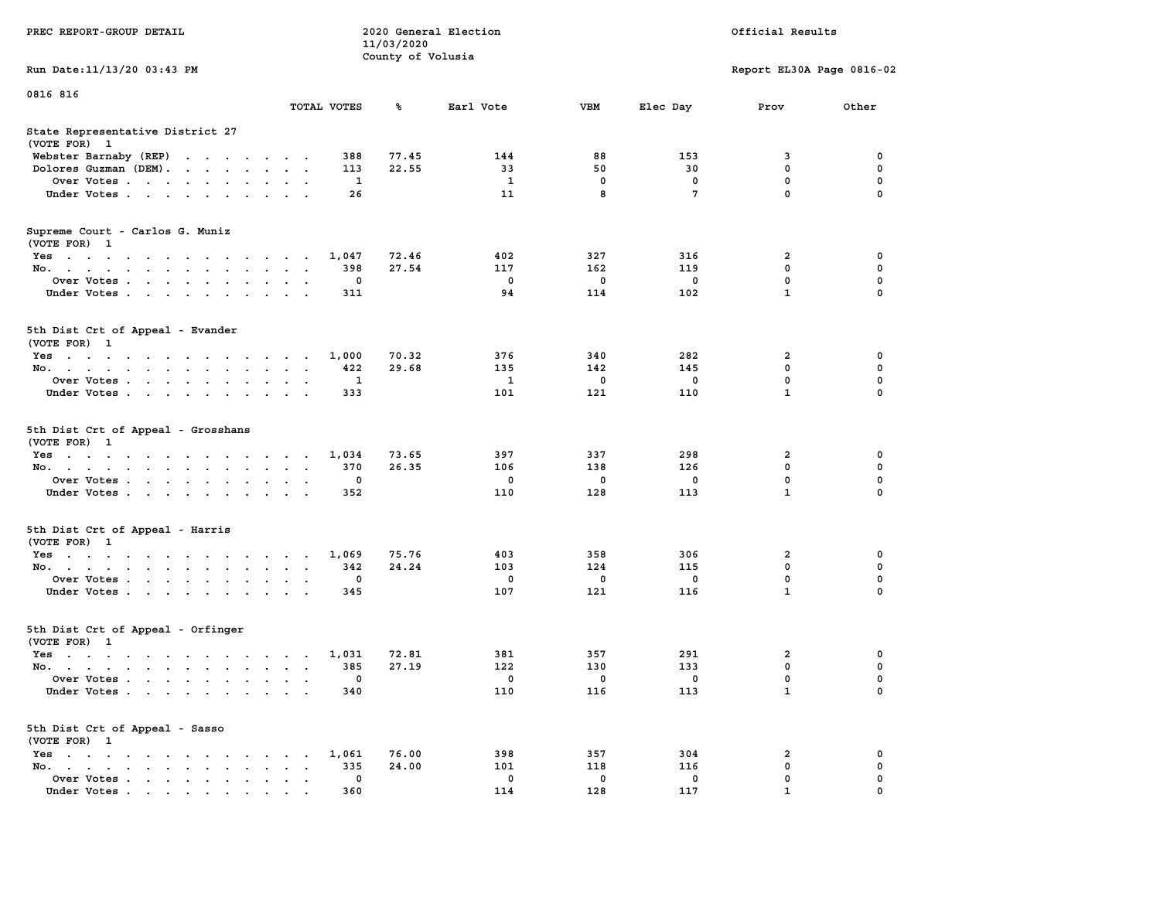|                                                                          |                                                             | 11/03/2020        |              |             |              |                           |             |
|--------------------------------------------------------------------------|-------------------------------------------------------------|-------------------|--------------|-------------|--------------|---------------------------|-------------|
|                                                                          |                                                             | County of Volusia |              |             |              |                           |             |
| Run Date: 11/13/20 03:43 PM                                              |                                                             |                   |              |             |              | Report EL30A Page 0816-02 |             |
| 0816 816                                                                 |                                                             |                   |              |             |              |                           |             |
|                                                                          | TOTAL VOTES                                                 | ℁                 | Earl Vote    | <b>VBM</b>  | Elec Day     | Prov                      | Other       |
| State Representative District 27                                         |                                                             |                   |              |             |              |                           |             |
| (VOTE FOR) 1                                                             |                                                             |                   |              |             |              |                           |             |
| Webster Barnaby (REP)<br>the contract of the contract of the             | 388                                                         | 77.45             | 144          | 88          | 153          | 3                         | 0           |
| Dolores Guzman (DEM).<br>the contract of the contract of the contract of | 113                                                         | 22.55             | 33           | 50          | 30           | 0                         | 0           |
| Over Votes                                                               | 1                                                           |                   | $\mathbf{1}$ | 0           | 0            | $\mathbf 0$               | $\mathbf 0$ |
| Under Votes                                                              | 26                                                          |                   | 11           | 8           | 7            | $\mathbf 0$               | $\mathbf 0$ |
|                                                                          |                                                             |                   |              |             |              |                           |             |
| Supreme Court - Carlos G. Muniz                                          |                                                             |                   |              |             |              |                           |             |
| (VOTE FOR) 1                                                             |                                                             |                   |              |             |              |                           |             |
| Yes                                                                      | 1,047                                                       | 72.46             | 402          | 327         | 316          | 2                         | 0           |
| No.<br>$\ddot{\phantom{a}}$<br>$\sim$                                    | 398<br>$\sim$                                               | 27.54             | 117          | 162         | 119          | $\mathbf 0$               | $\mathbf 0$ |
| Over Votes<br>$\ddot{\phantom{a}}$<br>$\ddot{\phantom{a}}$               | $\mathbf 0$                                                 |                   | $\mathbf 0$  | 0           | $\mathbf 0$  | $\pmb{0}$                 | $\mathbf 0$ |
| Under Votes                                                              | 311                                                         |                   | 94           | 114         | 102          | $\mathbf{1}$              | $\Omega$    |
|                                                                          |                                                             |                   |              |             |              |                           |             |
| 5th Dist Crt of Appeal - Evander                                         |                                                             |                   |              |             |              |                           |             |
| (VOTE FOR) 1                                                             |                                                             |                   |              |             |              |                           |             |
| Yes                                                                      | 1,000<br>$\blacksquare$ .                                   | 70.32             | 376          | 340         | 282          | $\overline{\mathbf{2}}$   | 0           |
| No.<br>$\ddot{\phantom{a}}$<br>$\cdot$                                   | 422<br>$\ddot{\phantom{a}}$<br>$\mathbf{r}$                 | 29.68             | 135          | 142         | 145          | $\mathbf 0$               | $\mathbf 0$ |
| Over Votes                                                               | $\mathbf{1}$<br>$\cdot$ $\cdot$                             |                   | $\mathbf{1}$ | $\mathbf 0$ | $\mathbf 0$  | $\mathbf 0$               | 0           |
| Under Votes<br>$\ddot{\phantom{a}}$<br>$\cdot$                           | 333                                                         |                   | 101          | 121         | 110          | $\mathbf{1}$              | 0           |
|                                                                          |                                                             |                   |              |             |              |                           |             |
| 5th Dist Crt of Appeal - Grosshans<br>(VOTE FOR) 1                       |                                                             |                   |              |             |              |                           |             |
| Yes                                                                      | 1,034                                                       | 73.65             | 397          | 337         | 298          | 2                         | 0           |
| No.<br>$\sim$ 100 $\sim$<br>$\ddot{\phantom{a}}$                         | 370<br>$\bullet$<br>$\ddot{\phantom{0}}$<br>$\blacksquare$  | 26.35             | 106          | 138         | 126          | $\mathbf 0$               | $\mathbf 0$ |
| Over Votes                                                               | $\mathbf{0}$<br>$\sim$                                      |                   | $^{\circ}$   | $\mathbf 0$ | $\mathbf{0}$ | $\mathbf 0$               | $\mathbf 0$ |
| Under Votes<br>$\ddot{\phantom{a}}$                                      | 352<br>$\ddot{\phantom{a}}$<br>$\ddot{\phantom{a}}$         |                   | 110          | 128         | 113          | $\mathbf{1}$              | $\mathbf 0$ |
|                                                                          |                                                             |                   |              |             |              |                           |             |
| 5th Dist Crt of Appeal - Harris                                          |                                                             |                   |              |             |              |                           |             |
| (VOTE FOR) 1                                                             |                                                             |                   |              |             |              |                           |             |
| Yes                                                                      | 1,069                                                       | 75.76             | 403          | 358         | 306          | $\overline{a}$            | $\mathbf 0$ |
| No.                                                                      | 342<br>$\sim$ $\sim$ $\sim$ $\sim$ $\sim$                   | 24.24             | 103          | 124         | 115          | $\mathbf 0$               | $\mathbf 0$ |
| Over Votes<br>$\cdot$<br>$\bullet$                                       | 0<br>$\overline{a}$<br>$\sim$                               |                   | 0            | 0           | 0            | 0                         | 0           |
| Under Votes                                                              | 345                                                         |                   | 107          | 121         | 116          | 1                         | $\Omega$    |
|                                                                          |                                                             |                   |              |             |              |                           |             |
| 5th Dist Crt of Appeal - Orfinger                                        |                                                             |                   |              |             |              |                           |             |
| (VOTE FOR) 1                                                             |                                                             |                   |              |             |              |                           |             |
| $Yes \cdot \cdot \cdot \cdot \cdot \cdot \cdot \cdot \cdot$              | 1,031<br>$\cdot$ $\cdot$ $\cdot$ $\cdot$                    | 72.81             | 381          | 357         | 291          | $\overline{\mathbf{2}}$   | 0           |
| No.<br>$\bullet$                                                         | 385<br>$\sim$                                               | 27.19             | 122          | 130         | 133          | $\mathbf 0$               | $\mathbf 0$ |
| Over Votes<br>$\ddot{\phantom{0}}$<br>$\ddot{\phantom{a}}$               | 0<br>$\ddot{\phantom{a}}$<br>$\ddot{\phantom{a}}$           |                   | $\mathbf 0$  | $\mathbf 0$ | $\mathbf 0$  | $\mathbf 0$               | $\mathbf 0$ |
| Under Votes                                                              | 340                                                         |                   | 110          | 116         | 113          | $\mathbf{1}$              | $\Omega$    |
|                                                                          |                                                             |                   |              |             |              |                           |             |
| 5th Dist Crt of Appeal - Sasso<br>(VOTE FOR) 1                           |                                                             |                   |              |             |              |                           |             |
| Yes                                                                      | 1,061                                                       | 76.00             | 398          | 357         | 304          | 2                         | 0           |
| No.<br>the contract of the contract of<br>$\cdot$<br>$\sim$              | 335                                                         | 24.00             | 101          | 118         | 116          | 0                         | 0           |
| Over Votes<br>$\ddot{\phantom{a}}$<br>$\ddot{\phantom{a}}$               | $\mathbf 0$<br>$\ddot{\phantom{a}}$<br>$\ddot{\phantom{1}}$ |                   | $\mathbf 0$  | $\mathbf 0$ | $\mathbf 0$  | $\mathbf 0$               | 0           |
| Under Votes                                                              | 360                                                         |                   | 114          | 128         | 117          | $\mathbf{1}$              | $\mathbf 0$ |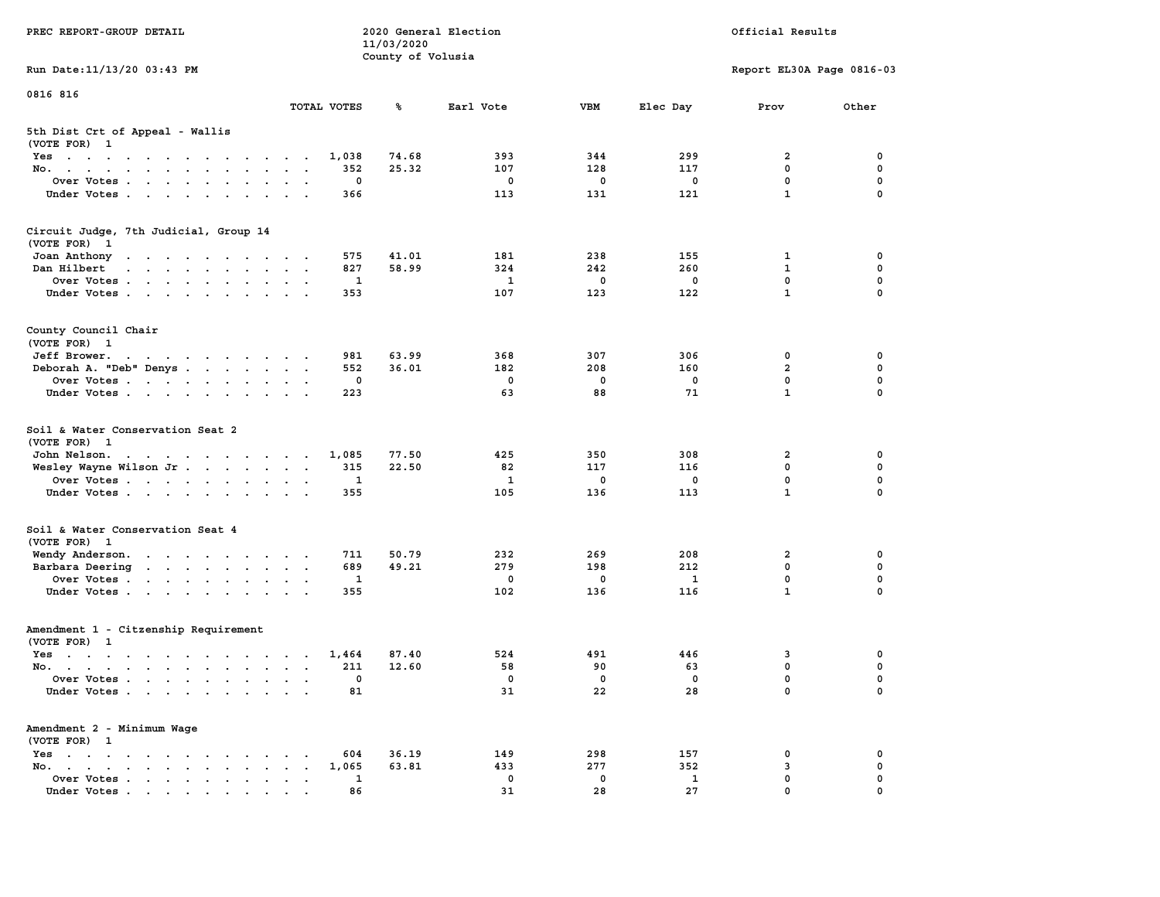| PREC REPORT-GROUP DETAIL                                                                                                        |                                                                 | 11/03/2020        | 2020 General Election |             |              | Official Results          |             |
|---------------------------------------------------------------------------------------------------------------------------------|-----------------------------------------------------------------|-------------------|-----------------------|-------------|--------------|---------------------------|-------------|
| Run Date: 11/13/20 03:43 PM                                                                                                     |                                                                 | County of Volusia |                       |             |              | Report EL30A Page 0816-03 |             |
| 0816 816                                                                                                                        |                                                                 |                   |                       |             |              |                           |             |
|                                                                                                                                 | TOTAL VOTES                                                     | ℁                 | Earl Vote             | <b>VBM</b>  | Elec Day     | Prov                      | Other       |
| 5th Dist Crt of Appeal - Wallis<br>(VOTE FOR) 1                                                                                 |                                                                 |                   |                       |             |              |                           |             |
| Yes                                                                                                                             | 1,038                                                           | 74.68             | 393                   | 344         | 299          | 2                         | 0           |
| No.                                                                                                                             | 352                                                             | 25.32             | 107                   | 128         | 117          | $\mathbf 0$               | $\mathbf 0$ |
| Over Votes.                                                                                                                     | 0                                                               |                   | 0                     | 0           | 0            | $\mathbf 0$               | 0           |
| Under Votes                                                                                                                     | 366                                                             |                   | 113                   | 131         | 121          | $\mathbf{1}$              | $\mathbf 0$ |
| Circuit Judge, 7th Judicial, Group 14<br>(VOTE FOR) 1                                                                           |                                                                 |                   |                       |             |              |                           |             |
| Joan Anthony                                                                                                                    | 575                                                             | 41.01             | 181                   | 238         | 155          | 1                         | 0           |
| Dan Hilbert<br>the contract of the contract of the contract of the contract of the contract of the contract of the contract of  | 827                                                             | 58.99             | 324                   | 242         | 260          | $\mathbf{1}$              | 0           |
| Over Votes                                                                                                                      | 1                                                               |                   | 1                     | 0           | $\mathbf 0$  | $\mathbf 0$               | $\mathbf 0$ |
| Under Votes                                                                                                                     | 353                                                             |                   | 107                   | 123         | 122          | $\mathbf{1}$              | $\Omega$    |
| County Council Chair<br>(VOTE FOR) 1                                                                                            |                                                                 |                   |                       |             |              |                           |             |
| the contract of the contract of the contract of the contract of the contract of the contract of the contract of<br>Jeff Brower. | 981                                                             | 63.99             | 368                   | 307         | 306          | 0                         | 0           |
| Deborah A. "Deb" Denys                                                                                                          | 552                                                             | 36.01             | 182                   | 208         | 160          | $\overline{a}$            | 0           |
| Over Votes                                                                                                                      | 0                                                               |                   | $\Omega$              | $\mathbf 0$ | $\mathbf 0$  | $\mathbf{0}$              | $\mathbf 0$ |
| Under Votes                                                                                                                     | 223                                                             |                   | 63                    | 88          | 71           | $\mathbf{1}$              | $\mathbf 0$ |
| Soil & Water Conservation Seat 2<br>(VOTE FOR) 1                                                                                |                                                                 |                   |                       |             |              |                           |             |
| John Nelson.<br>the contract of the contract of the con-                                                                        | 1,085                                                           | 77.50             | 425                   | 350         | 308          | 2                         | 0           |
| Wesley Wayne Wilson Jr                                                                                                          | 315                                                             | 22.50             | 82                    | 117         | 116          | 0                         | $\mathbf 0$ |
| Over Votes                                                                                                                      | 1                                                               |                   | 1                     | 0           | 0            | $\mathbf 0$               | $\mathbf 0$ |
| Under Votes                                                                                                                     | 355                                                             |                   | 105                   | 136         | 113          | $\mathbf{1}$              | $\Omega$    |
| Soil & Water Conservation Seat 4<br>(VOTE FOR) 1                                                                                |                                                                 |                   |                       |             |              |                           |             |
| Wendy Anderson.                                                                                                                 | 711                                                             | 50.79             | 232                   | 269         | 208          | 2                         | 0           |
| Barbara Deering                                                                                                                 | 689                                                             | 49.21             | 279                   | 198         | 212          | 0                         | 0           |
| Over Votes                                                                                                                      | 1                                                               |                   | $\mathbf 0$           | 0           | 1            | $\mathbf 0$               | 0           |
| Under Votes                                                                                                                     | 355                                                             |                   | 102                   | 136         | 116          | $\mathbf{1}$              | $\Omega$    |
| Amendment 1 - Citzenship Requirement<br>(VOTE FOR) 1                                                                            |                                                                 |                   |                       |             |              |                           |             |
| $Yes.$                                                                                                                          | 1,464                                                           | 87.40             | 524                   | 491         | 446          | 3                         | 0           |
| No.                                                                                                                             | 211                                                             | 12.60             | 58                    | 90          | 63           | $\mathbf 0$               | 0           |
| Over Votes                                                                                                                      | 0                                                               |                   | $\mathbf 0$           | $\mathbf 0$ | 0            | 0                         | $\mathbf 0$ |
| Under Votes                                                                                                                     | 81                                                              |                   | 31                    | 22          | 28           | 0                         | 0           |
| Amendment 2 - Minimum Wage<br>(VOTE FOR) 1                                                                                      |                                                                 |                   |                       |             |              |                           |             |
| Yes<br><b>Contract Contract Contract</b>                                                                                        | 604                                                             | 36.19             | 149                   | 298         | 157          | 0                         | 0           |
| No.<br>$\sim$                                                                                                                   | 1,065<br>$\ddot{\phantom{a}}$<br>$\ddot{\phantom{a}}$<br>$\,$ . | 63.81             | 433                   | 277         | 352          | 3                         | 0           |
| Over Votes.                                                                                                                     | 1                                                               |                   | 0                     | 0           | $\mathbf{1}$ | 0                         | 0           |
| Under Votes                                                                                                                     | 86                                                              |                   | 31                    | 28          | 27           | $\Omega$                  |             |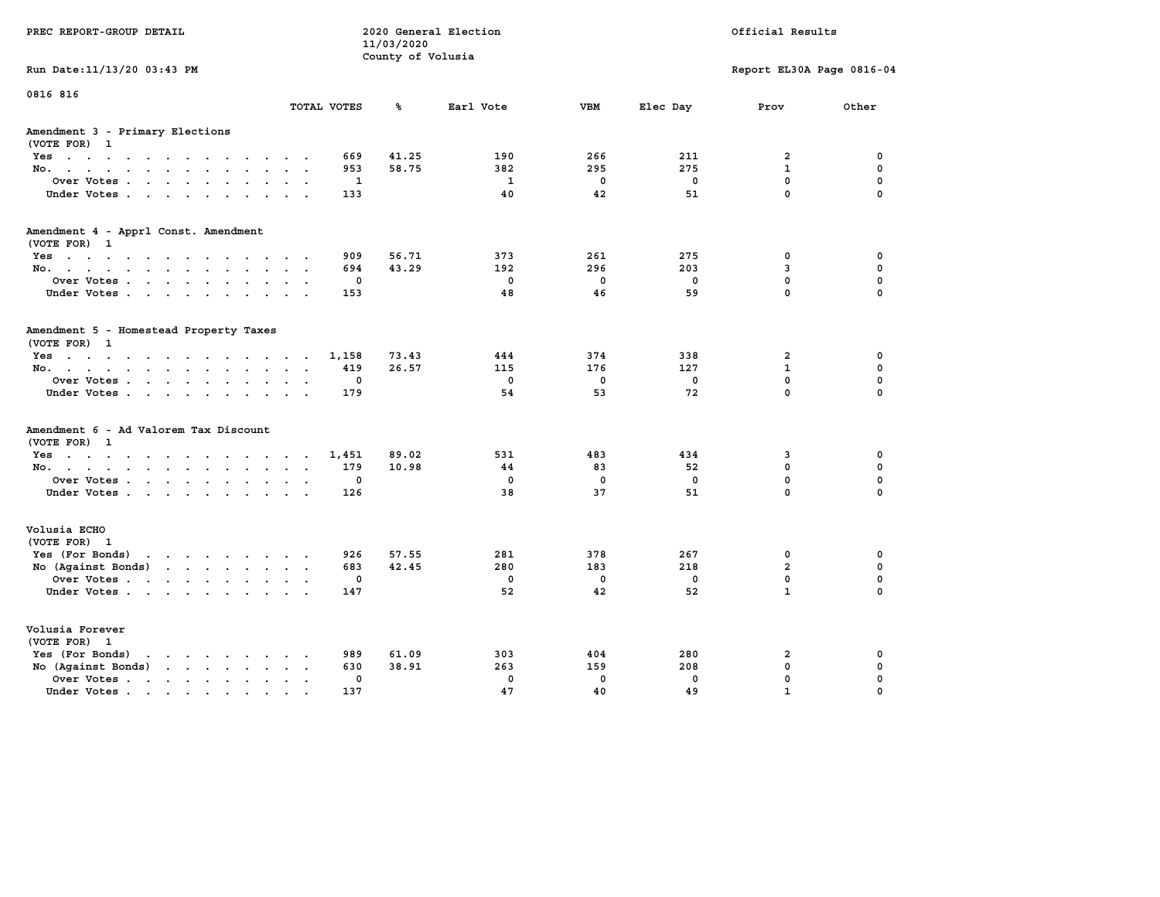| PREC REPORT-GROUP DETAIL                                                                                                                                                                                                                                |                                         | 11/03/2020<br>County of Volusia | 2020 General Election |              | Official Results |                            |               |  |
|---------------------------------------------------------------------------------------------------------------------------------------------------------------------------------------------------------------------------------------------------------|-----------------------------------------|---------------------------------|-----------------------|--------------|------------------|----------------------------|---------------|--|
| Run Date: 11/13/20 03:43 PM                                                                                                                                                                                                                             |                                         |                                 |                       |              |                  | Report EL30A Page 0816-04  |               |  |
| 0816 816                                                                                                                                                                                                                                                | TOTAL VOTES                             | ℁                               | Earl Vote             | <b>VBM</b>   | Elec Day         | Prov                       | Other         |  |
| Amendment 3 - Primary Elections<br>(VOTE FOR) 1                                                                                                                                                                                                         |                                         |                                 |                       |              |                  |                            |               |  |
| Yes                                                                                                                                                                                                                                                     | 669                                     | 41.25                           | 190                   | 266          | 211              | $\overline{a}$             | 0             |  |
| No.<br>$\ddot{\phantom{0}}$                                                                                                                                                                                                                             | 953                                     | 58.75                           | 382                   | 295          | 275              | $\mathbf{1}$               | $\mathbf 0$   |  |
| Over Votes<br>$\sim$<br>Under Votes                                                                                                                                                                                                                     | 1<br>$\ddot{\phantom{a}}$<br>133        |                                 | 1<br>40               | 0<br>42      | 0<br>51          | $\mathbf 0$<br>$\mathbf 0$ | 0<br>$\Omega$ |  |
|                                                                                                                                                                                                                                                         |                                         |                                 |                       |              |                  |                            |               |  |
| Amendment 4 - Apprl Const. Amendment<br>(VOTE FOR) 1                                                                                                                                                                                                    |                                         |                                 |                       |              |                  |                            |               |  |
| Yes                                                                                                                                                                                                                                                     | 909                                     | 56.71                           | 373                   | 261          | 275              | 0                          | 0             |  |
| No.                                                                                                                                                                                                                                                     | 694                                     | 43.29                           | 192                   | 296          | 203              | 3                          | $\mathbf 0$   |  |
| Over Votes<br>$\sim$                                                                                                                                                                                                                                    | 0                                       |                                 | $\mathbf 0$           | $\mathbf 0$  | 0                | 0                          | 0             |  |
| Under Votes                                                                                                                                                                                                                                             | 153                                     |                                 | 48                    | 46           | 59               | 0                          | 0             |  |
| Amendment 5 - Homestead Property Taxes<br>(VOTE FOR) 1                                                                                                                                                                                                  |                                         |                                 |                       |              |                  |                            |               |  |
| Yes                                                                                                                                                                                                                                                     | 1,158                                   | 73.43                           | 444                   | 374          | 338              | $\overline{a}$             | 0             |  |
| No.                                                                                                                                                                                                                                                     | 419<br>i.                               | 26.57                           | 115                   | 176          | 127              | $\mathbf{1}$               | $\mathbf 0$   |  |
| Over Votes<br>$\ddot{\phantom{a}}$                                                                                                                                                                                                                      | 0<br>$\ddot{\phantom{0}}$               |                                 | $\mathbf 0$           | $\mathbf 0$  | 0                | 0                          | 0             |  |
| Under Votes                                                                                                                                                                                                                                             | 179<br>$\sim$ $\sim$                    |                                 | 54                    | 53           | 72               | $\mathbf 0$                | $\Omega$      |  |
| Amendment 6 - Ad Valorem Tax Discount<br>(VOTE FOR) 1                                                                                                                                                                                                   |                                         |                                 |                       |              |                  |                            |               |  |
| Yes                                                                                                                                                                                                                                                     | 1,451                                   | 89.02                           | 531                   | 483          | 434              | 3                          | 0             |  |
| No.<br>$\ddot{\phantom{0}}$                                                                                                                                                                                                                             | 179<br>$\overline{\phantom{a}}$         | 10.98                           | 44                    | 83           | 52               | 0                          | 0             |  |
| Over Votes                                                                                                                                                                                                                                              | 0<br>$\sim$ $\sim$                      |                                 | $\mathbf 0$           | $\mathbf 0$  | 0                | 0                          | 0             |  |
| Under Votes                                                                                                                                                                                                                                             | 126                                     |                                 | 38                    | 37           | 51               | $\mathbf 0$                | $\mathbf 0$   |  |
| Volusia ECHO<br>(VOTE FOR) 1                                                                                                                                                                                                                            |                                         |                                 |                       |              |                  |                            |               |  |
| Yes (For Bonds)<br>$\mathbf{r}$ . The set of the set of the set of the set of the set of the set of the set of the set of the set of the set of the set of the set of the set of the set of the set of the set of the set of the set of the set of t    | 926                                     | 57.55                           | 281                   | 378          | 267              | 0                          | 0             |  |
| No (Against Bonds)<br>$\mathbf{r}$ . The contract of the contract of the contract of the contract of the contract of the contract of the contract of the contract of the contract of the contract of the contract of the contract of the contract of th | 683                                     | 42.45                           | 280                   | 183          | 218              | $\overline{a}$             | $\mathbf 0$   |  |
| Over Votes<br>$\sim$                                                                                                                                                                                                                                    | 0<br>$\ddot{\phantom{a}}$               |                                 | $\mathbf 0$           | $\mathbf 0$  | 0                | $\mathbf 0$                | 0             |  |
| Under Votes                                                                                                                                                                                                                                             | 147<br><b>Contract Contract</b>         |                                 | 52                    | 42           | 52               | $\mathbf{1}$               | $\Omega$      |  |
| Volusia Forever<br>(VOTE FOR) 1                                                                                                                                                                                                                         |                                         |                                 |                       |              |                  |                            |               |  |
| Yes (For Bonds)<br>$\cdots$<br>$\ddot{\phantom{a}}$                                                                                                                                                                                                     | 989                                     | 61.09                           | 303                   | 404          | 280              | $\overline{2}$             | 0             |  |
| No (Against Bonds)<br>$\cdot$ $\cdot$ $\cdot$ $\cdot$ $\cdot$ $\cdot$ $\cdot$                                                                                                                                                                           | 630                                     | 38.91                           | 263                   | 159          | 208              | 0                          | $\mathbf 0$   |  |
| Over Votes .<br>the contract of the state of the<br>$\sim$<br>$\ddot{\phantom{a}}$<br>$\bullet$                                                                                                                                                         | $\mathbf 0$<br>$\overline{\phantom{a}}$ |                                 | $\mathbf 0$           | $\mathbf{0}$ | $\mathbf 0$      | $\mathbf 0$                | $\mathbf 0$   |  |
| Under Votes                                                                                                                                                                                                                                             | 137                                     |                                 | 47                    | 40           | 49               | $\mathbf{1}$               | 0             |  |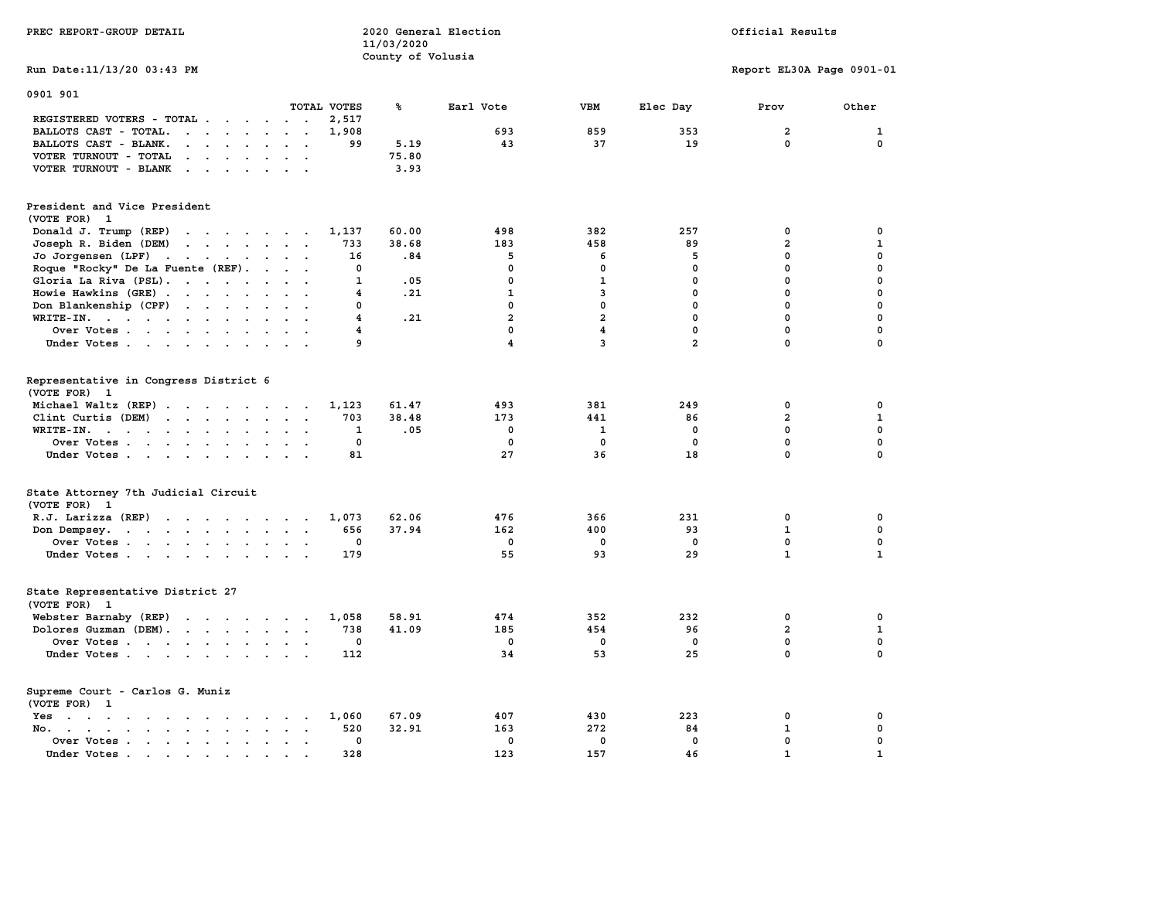| PREC REPORT-GROUP DETAIL                                                                                                                 | 11/03/2020                     | 2020 General Election   | Official Results        |                |                                        |              |
|------------------------------------------------------------------------------------------------------------------------------------------|--------------------------------|-------------------------|-------------------------|----------------|----------------------------------------|--------------|
| Run Date: 11/13/20 03:43 PM                                                                                                              |                                | County of Volusia       |                         |                | Report EL30A Page 0901-01              |              |
| 0901 901                                                                                                                                 |                                |                         |                         |                |                                        |              |
| TOTAL VOTES                                                                                                                              | ℁                              | Earl Vote               | <b>VBM</b>              | Elec Day       | Prov                                   | Other        |
| REGISTERED VOTERS - TOTAL .<br>$\cdots$<br>$\sim$ $\sim$                                                                                 | 2,517                          |                         |                         |                |                                        |              |
| BALLOTS CAST - TOTAL.<br>$\mathbf{L}$ . The set of $\mathbf{L}$<br>$\ddot{\phantom{0}}$<br>$\ddot{\phantom{0}}$                          | 1,908                          | 693                     | 859                     | 353            | $\overline{\mathbf{2}}$<br>$\mathbf 0$ | 1            |
| BALLOTS CAST - BLANK.<br>$\cdot$ $\cdot$ $\cdot$ $\cdot$ $\cdot$<br>$\sim$ $\sim$                                                        | 5.19<br>99                     | 43                      | 37                      | 19             |                                        | 0            |
| VOTER TURNOUT - TOTAL<br>$\sim$ $\sim$ $\sim$<br>$\bullet$<br>$\sim$ $-$<br>$\sim$<br>$\mathbf{r}$                                       | 75.80                          |                         |                         |                |                                        |              |
| VOTER TURNOUT - BLANK<br>$\cdot$ $\cdot$ $\cdot$<br>$\sim$<br>$\sim$                                                                     | 3.93                           |                         |                         |                |                                        |              |
| President and Vice President<br>(VOTE FOR) 1                                                                                             |                                |                         |                         |                |                                        |              |
| Donald J. Trump (REP)<br>$\mathcal{A}=\mathcal{A}=\mathcal{A}=\mathcal{A}=\mathcal{A}=\mathcal{A}=\mathcal{A}$                           | 60.00<br>1,137                 | 498                     | 382                     | 257            | 0                                      | 0            |
| Joseph R. Biden (DEM)<br>$\mathbf{r}$ , and $\mathbf{r}$ , and $\mathbf{r}$ , and $\mathbf{r}$                                           | 733<br>38.68                   | 183                     | 458                     | 89             | $\overline{\mathbf{2}}$                | $\mathbf{1}$ |
| Jo Jorgensen (LPF)<br>$\sim$<br>$\sim$ $\sim$ $\sim$ $\sim$ $\sim$<br>$\sim$<br>$\ddot{\phantom{a}}$                                     | 16                             | 5<br>.84                | 6                       | 5              | $\mathbf 0$                            | $\mathbf 0$  |
| Roque "Rocky" De La Fuente (REF).<br>$\ddot{\phantom{a}}$<br>$\sim$                                                                      | 0                              | 0                       | 0                       | 0              | $\pmb{0}$                              | $\mathbf 0$  |
| Gloria La Riva (PSL)<br>$\sim$                                                                                                           | 1                              | 0<br>.05                | $\mathbf{1}$            | $\mathbf 0$    | $\mathbf 0$                            | $\mathbf 0$  |
| Howie Hawkins (GRE)<br>$\ddot{\phantom{a}}$                                                                                              | 4                              | $\mathbf{1}$<br>.21     | 3                       | $\mathbf 0$    | $\mathbf 0$                            | 0            |
| Don Blankenship (CPF)<br>$\sim$ $\sim$ $\sim$ $\sim$<br>$\sim$                                                                           | 0                              | 0                       | $\mathbf 0$             | $\mathbf 0$    | $\mathbf 0$                            | $\mathbf 0$  |
| WRITE-IN.                                                                                                                                | 4                              | $\overline{a}$<br>.21   | $\overline{a}$          | $\mathbf 0$    | $\mathbf 0$                            | $\mathbf 0$  |
| Over Votes<br>$\sim$ $\sim$                                                                                                              | 4                              | 0                       | $\overline{\mathbf{4}}$ | $\pmb{0}$      | 0                                      | $\mathbf 0$  |
| Under Votes<br>$\sim$                                                                                                                    | 9                              | $\overline{\mathbf{4}}$ | 3                       | $\overline{a}$ | 0                                      | $\Omega$     |
| Representative in Congress District 6<br>(VOTE FOR) 1<br>Michael Waltz (REP)<br>Clint Curtis (DEM)                                       | 61.47<br>1,123<br>703<br>38.48 | 493<br>173              | 381<br>441              | 249<br>86      | 0<br>$\overline{a}$                    | 0<br>1       |
| $\cdot$ $\cdot$ $\cdot$ $\cdot$<br>$\sim$ $\sim$<br>$\ddot{\phantom{a}}$                                                                 | $\mathbf{1}$                   | .05<br>$\mathbf 0$      | $\mathbf{1}$            | 0              | $\mathbf 0$                            | $\mathbf 0$  |
| $WRITE-IN.$<br>$\sim 100$ km s $^{-1}$<br>$\ddot{\phantom{0}}$<br>$\blacksquare$<br>Over Votes.                                          | $\mathbf 0$                    | $\mathbf 0$             | $\mathbf 0$             | $\mathbf 0$    | $\mathbf 0$                            | $\mathbf 0$  |
| $\sim$ $\sim$<br>Under Votes<br>$\sim$<br>$\sim$                                                                                         | 81                             | 27                      | 36                      | 18             | 0                                      | 0            |
| State Attorney 7th Judicial Circuit<br>(VOTE FOR) 1                                                                                      |                                |                         |                         |                |                                        |              |
| R.J. Larizza (REP)<br>$\cdots$                                                                                                           | 1,073<br>62.06                 | 476                     | 366                     | 231            | 0                                      | 0            |
| Don Dempsey.<br>the contract of the contract of the contract of                                                                          | 37.94<br>656                   | 162                     | 400                     | 93             | $\mathbf{1}$                           | $\mathbf 0$  |
| Over Votes<br>$\cdot$ .                                                                                                                  | 0                              | $\mathbf 0$             | $\mathbf 0$             | $\mathbf 0$    | 0                                      | 0            |
| Under Votes                                                                                                                              | 179                            | 55                      | 93                      | 29             | $\mathbf{1}$                           | $\mathbf{1}$ |
| State Representative District 27<br>(VOTE FOR) 1                                                                                         |                                |                         |                         |                |                                        |              |
| Webster Barnaby (REP)<br>the contract of the contract of the contract of the contract of the contract of the contract of the contract of | 58.91<br>1,058                 | 474                     | 352                     | 232            | 0                                      | 0            |
| Dolores Guzman (DEM).<br>$\sim$ $\sim$                                                                                                   | 738<br>41.09                   | 185                     | 454                     | 96             | $\overline{a}$                         | $\mathbf{1}$ |
| Over Votes                                                                                                                               | 0                              | $\mathbf 0$             | $\mathbf 0$             | $\mathbf 0$    | $\pmb{0}$                              | $\mathbf 0$  |
| Under Votes                                                                                                                              | 112                            | 34                      | 53                      | 25             | $\mathbf 0$                            | $\mathbf 0$  |
| Supreme Court - Carlos G. Muniz<br>(VOTE FOR) 1                                                                                          |                                |                         |                         |                |                                        |              |
| Yes<br>the contract of the contract of the contract of the                                                                               | 1,060<br>67.09                 | 407                     | 430                     | 223            | 0                                      | 0            |
| No.<br>$\mathbf{r}$ , $\mathbf{r}$ , $\mathbf{r}$ , $\mathbf{r}$ , $\mathbf{r}$ , $\mathbf{r}$<br>$\ddot{\phantom{a}}$<br>$\sim$         | 520<br>32.91                   | 163                     | 272                     | 84             | 1                                      | 0            |
| Over Votes .<br><b>Contract Contract Contract Contract</b><br>$\bullet$<br>$\bullet$<br>$\bullet$                                        | 0                              | $\mathbf 0$             | $\mathbf 0$             | $\mathbf 0$    | $\mathbf 0$                            | $\mathbf 0$  |
| Under Votes.<br>$\bullet$<br>$\bullet$                                                                                                   | 328                            | 123                     | 157                     | 46             | $\mathbf{1}$                           | $\mathbf{1}$ |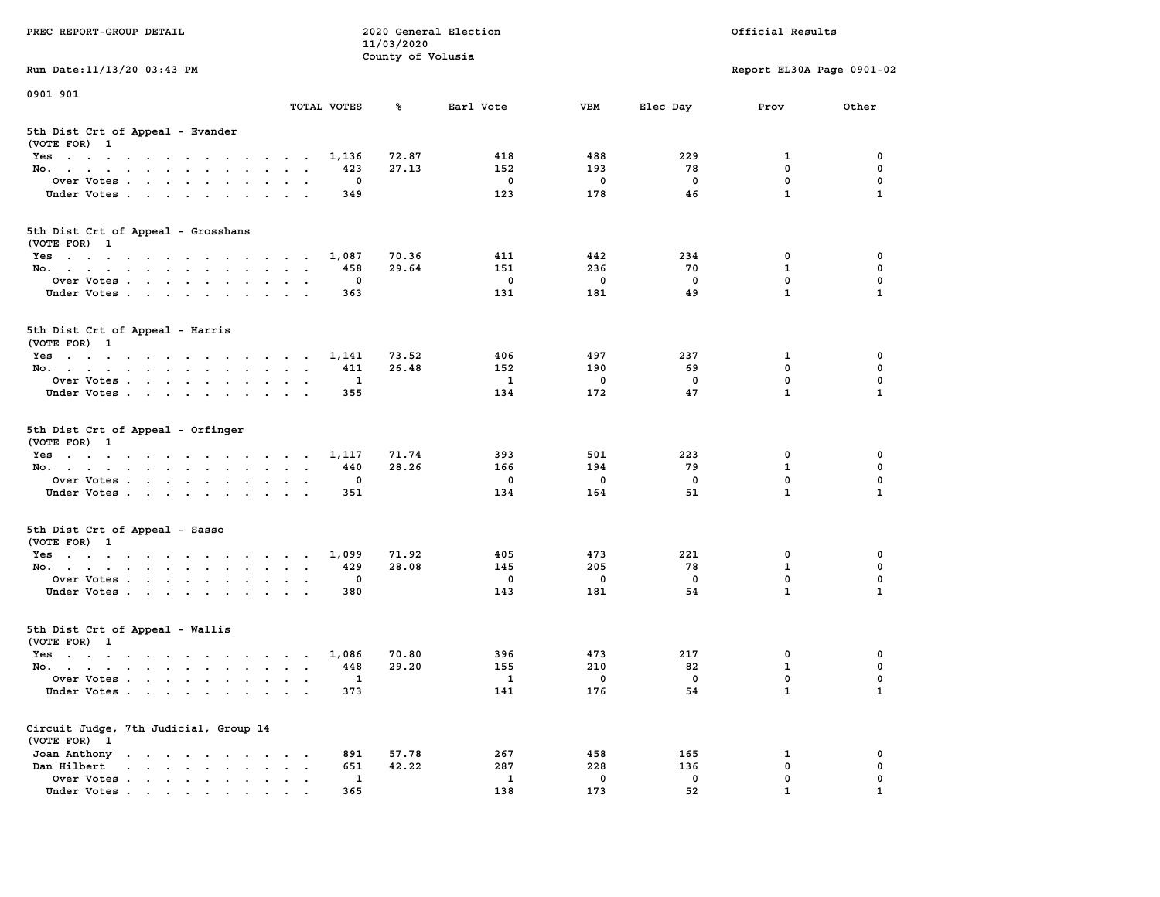| PREC REPORT-GROUP DETAIL                                                                                               |                                                                  | 11/03/2020        | 2020 General Election | Official Results |             |                           |              |
|------------------------------------------------------------------------------------------------------------------------|------------------------------------------------------------------|-------------------|-----------------------|------------------|-------------|---------------------------|--------------|
| Run Date: 11/13/20 03:43 PM                                                                                            |                                                                  | County of Volusia |                       |                  |             | Report EL30A Page 0901-02 |              |
| 0901 901                                                                                                               |                                                                  |                   |                       |                  |             |                           |              |
|                                                                                                                        | TOTAL VOTES                                                      | ℁                 | Earl Vote             | <b>VBM</b>       | Elec Day    | Prov                      | Other        |
| 5th Dist Crt of Appeal - Evander<br>(VOTE FOR) 1                                                                       |                                                                  |                   |                       |                  |             |                           |              |
| Yes                                                                                                                    | 1,136                                                            | 72.87             | 418                   | 488              | 229         | 1                         | 0            |
| No.                                                                                                                    | 423                                                              | 27.13             | 152                   | 193              | 78          | $\mathbf 0$               | 0            |
| Over Votes                                                                                                             | 0                                                                |                   | $\mathbf 0$           | 0                | 0           | $\mathbf 0$               | 0            |
| Under Votes                                                                                                            | 349                                                              |                   | 123                   | 178              | 46          | $\mathbf{1}$              | $\mathbf{1}$ |
| 5th Dist Crt of Appeal - Grosshans<br>(VOTE FOR) 1                                                                     |                                                                  |                   |                       |                  |             |                           |              |
| Yes                                                                                                                    | 1,087                                                            | 70.36             | 411                   | 442              | 234         | 0                         | 0            |
| No.                                                                                                                    | 458                                                              | 29.64             | 151                   | 236              | 70          | $\mathbf{1}$              | 0            |
| Over Votes                                                                                                             | 0                                                                |                   | $\mathbf 0$           | $\mathbf 0$      | $\mathbf 0$ | 0                         | $\mathbf 0$  |
| Under Votes                                                                                                            | 363                                                              |                   | 131                   | 181              | 49          | $\mathbf{1}$              | $\mathbf{1}$ |
| 5th Dist Crt of Appeal - Harris<br>(VOTE FOR) 1                                                                        |                                                                  |                   |                       |                  |             |                           |              |
| Yes                                                                                                                    | 1,141                                                            | 73.52             | 406                   | 497              | 237         | 1                         | 0            |
| No.                                                                                                                    | 411                                                              | 26.48             | 152                   | 190              | 69          | $^{\circ}$                | $\mathbf 0$  |
| Over Votes                                                                                                             | 1                                                                |                   | 1                     | 0                | 0           | $\mathbf{0}$              | 0            |
| Under Votes                                                                                                            | 355                                                              |                   | 134                   | 172              | 47          | $\mathbf{1}$              | $\mathbf{1}$ |
| 5th Dist Crt of Appeal - Orfinger<br>(VOTE FOR) 1                                                                      |                                                                  |                   |                       |                  |             |                           |              |
| Yes                                                                                                                    | 1,117                                                            | 71.74             | 393                   | 501              | 223         | 0                         | 0            |
| No.                                                                                                                    | 440                                                              | 28.26             | 166                   | 194              | 79          | $\mathbf{1}$              | 0            |
| Over Votes                                                                                                             | 0                                                                |                   | 0                     | 0                | 0           | $\mathbf 0$               | 0            |
| Under Votes                                                                                                            | 351                                                              |                   | 134                   | 164              | 51          | $\mathbf{1}$              | $\mathbf{1}$ |
| 5th Dist Crt of Appeal - Sasso<br>(VOTE FOR) 1                                                                         |                                                                  |                   |                       |                  |             |                           |              |
| Yes                                                                                                                    | 1,099                                                            | 71.92             | 405                   | 473              | 221         | 0                         | 0            |
| No.                                                                                                                    | 429                                                              | 28.08             | 145                   | 205              | 78          | $\mathbf{1}$              | 0            |
| Over Votes                                                                                                             | 0                                                                |                   | 0                     | $\mathbf 0$      | 0           | 0                         | 0            |
| Under Votes                                                                                                            | 380                                                              |                   | 143                   | 181              | 54          | $\mathbf{1}$              | $\mathbf{1}$ |
| 5th Dist Crt of Appeal - Wallis<br>(VOTE FOR) 1                                                                        |                                                                  |                   |                       |                  |             |                           |              |
| Yes<br>the contract of the contract of the contract of the contract of the contract of the contract of the contract of | 1,086                                                            | 70.80             | 396                   | 473              | 217         | 0                         | 0            |
| No.                                                                                                                    | 448                                                              | 29.20             | 155                   | 210              | 82          | $\mathbf{1}$              | 0            |
| Over Votes                                                                                                             | $\mathbf{1}$                                                     |                   | $\mathbf{1}$          | $\mathbf{0}$     | 0           | $\mathbf 0$               | 0            |
| Under Votes                                                                                                            | 373                                                              |                   | 141                   | 176              | 54          | $\mathbf{1}$              | $\mathbf{1}$ |
| Circuit Judge, 7th Judicial, Group 14<br>(VOTE FOR) 1                                                                  |                                                                  |                   |                       |                  |             |                           |              |
| Joan Anthony                                                                                                           | 891<br>$\ddot{\phantom{0}}$<br>$\sim$ 100 $\mu$                  | 57.78             | 267                   | 458              | 165         | 1                         | 0            |
| Dan Hilbert<br>$\cdot$ $\cdot$ $\cdot$ $\cdot$ $\cdot$ $\cdot$ $\cdot$ $\cdot$                                         | 651<br>$\ddot{\phantom{a}}$<br>$\bullet$<br>$\ddot{\phantom{1}}$ | 42.22             | 287                   | 228              | 136         | $\mathbf 0$               | 0            |
| Over Votes                                                                                                             | 1                                                                |                   | 1                     | $\mathbf 0$      | 0<br>52     | 0<br>$\mathbf{1}$         | 0            |
| Under Votes                                                                                                            | 365                                                              |                   | 138                   | 173              |             |                           |              |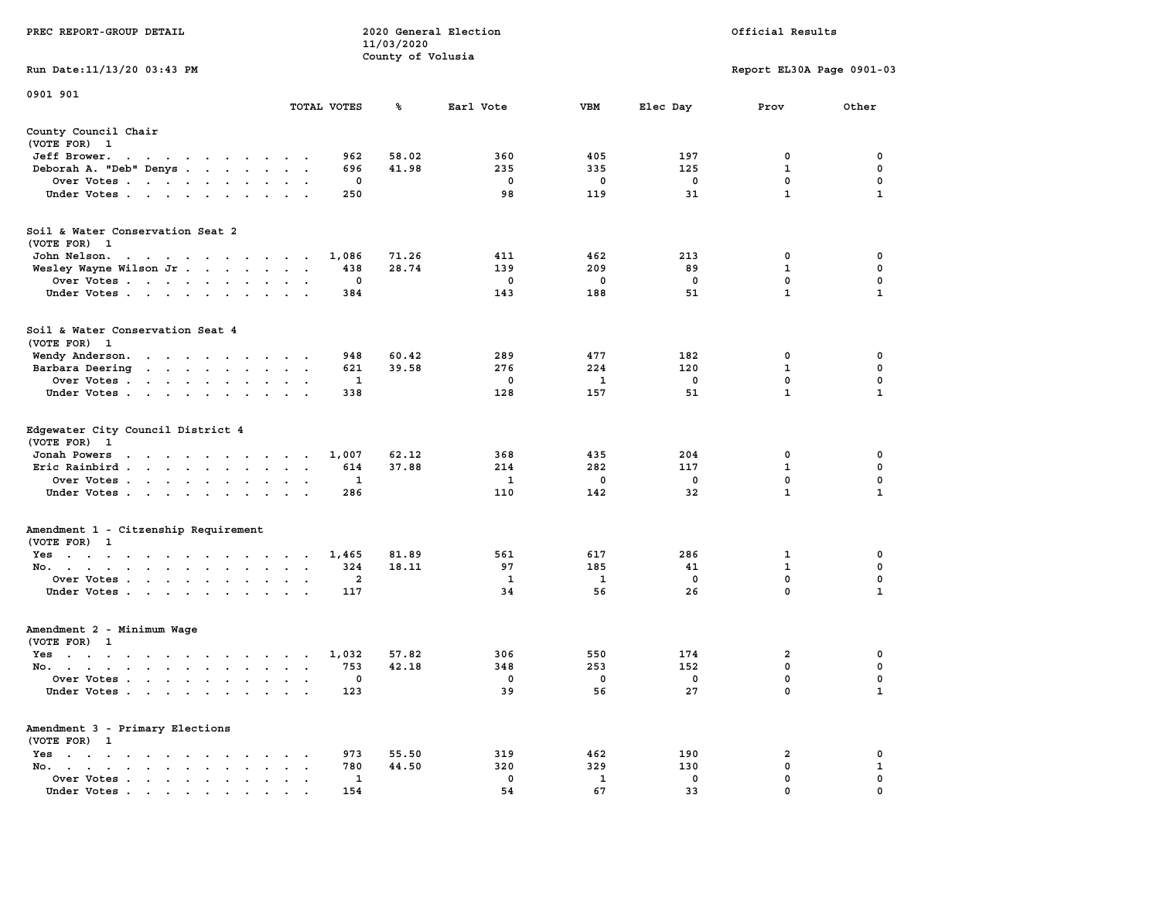| PREC REPORT-GROUP DETAIL                                                                                                                 | 2020 General Election<br>11/03/2020 |            | Official Results |            |                           |                   |
|------------------------------------------------------------------------------------------------------------------------------------------|-------------------------------------|------------|------------------|------------|---------------------------|-------------------|
| Run Date: 11/13/20 03:43 PM                                                                                                              | County of Volusia                   |            |                  |            | Report EL30A Page 0901-03 |                   |
|                                                                                                                                          |                                     |            |                  |            |                           |                   |
| 0901 901<br>TOTAL VOTES                                                                                                                  | ℁                                   | Earl Vote  | VBM              | Elec Day   | Prov                      | Other             |
| County Council Chair<br>(VOTE FOR) 1                                                                                                     |                                     |            |                  |            |                           |                   |
| Jeff Brower.<br>the contract of the contract of the con-                                                                                 | 962<br>58.02                        | 360        | 405              | 197        | 0                         | 0                 |
| Deborah A. "Deb" Denys                                                                                                                   | 41.98<br>696                        | 235        | 335              | 125        | $\mathbf{1}$              | 0                 |
| Over Votes                                                                                                                               | 0                                   | 0          | 0                | 0          | 0                         | 0                 |
| Under Votes                                                                                                                              | 250                                 | 98         | 119              | 31         | $\mathbf{1}$              | $\mathbf{1}$      |
| Soil & Water Conservation Seat 2<br>(VOTE FOR) 1                                                                                         |                                     |            |                  |            |                           |                   |
| John Nelson.<br>1,086<br>the contract of the contract of the contract of the contract of the contract of the contract of the contract of | 71.26                               | 411        | 462              | 213        | 0                         | 0                 |
| Wesley Wayne Wilson Jr                                                                                                                   | 438<br>28.74                        | 139        | 209              | 89         | 1                         | 0                 |
| Over Votes                                                                                                                               | 0                                   | 0          | 0                | 0          | 0                         | 0                 |
| Under Votes                                                                                                                              | 384                                 | 143        | 188              | 51         | 1                         | 1                 |
| Soil & Water Conservation Seat 4<br>(VOTE FOR) 1                                                                                         |                                     |            |                  |            |                           |                   |
| Wendy Anderson.                                                                                                                          | 60.42<br>948                        | 289        | 477              | 182        | 0                         | 0                 |
| Barbara Deering                                                                                                                          | 621<br>39.58                        | 276        | 224              | 120        | 1                         | 0                 |
| Over Votes                                                                                                                               | 1                                   | 0          | 1                | 0          | $\mathbf 0$               | 0                 |
| Under Votes                                                                                                                              | 338                                 | 128        | 157              | 51         | $\mathbf{1}$              | $\mathbf{1}$      |
| Edgewater City Council District 4<br>(VOTE FOR) 1                                                                                        |                                     |            |                  |            |                           |                   |
| Jonah Powers<br>the contract of the contract of the con-<br>1,007                                                                        | 62.12                               | 368        | 435              | 204        | 0                         | 0                 |
| Eric Rainbird                                                                                                                            | 614<br>37.88                        | 214        | 282              | 117        | $\mathbf{1}$              | 0                 |
| Over Votes                                                                                                                               | 1                                   | 1          | 0                | 0          | $\mathbf 0$               | 0                 |
| Under Votes                                                                                                                              | 286                                 | 110        | 142              | 32         | $\mathbf{1}$              | $\mathbf{1}$      |
| Amendment 1 - Citzenship Requirement<br>(VOTE FOR) 1                                                                                     |                                     |            |                  |            |                           |                   |
| Yes<br>1,465                                                                                                                             | 81.89                               | 561        | 617              | 286        | 1                         | 0                 |
| No.                                                                                                                                      | 324<br>18.11                        | 97         | 185              | 41         | 1                         | 0                 |
| Over Votes                                                                                                                               | $\overline{2}$                      | 1          | 1                | 0          | 0                         | 0                 |
| Under Votes                                                                                                                              | 117                                 | 34         | 56               | 26         | $\mathbf 0$               | 1                 |
| Amendment 2 - Minimum Wage<br>(VOTE FOR) 1                                                                                               |                                     |            |                  |            |                           |                   |
| Yes<br>1,032<br>the contract of the contract of the contract of the contract of the contract of the contract of the contract of          | 57.82                               | 306        | 550              | 174        | 2                         | 0                 |
| No.                                                                                                                                      | 42.18<br>753                        | 348        | 253              | 152        | 0                         | 0                 |
| Over Votes                                                                                                                               | 0                                   | 0          | 0                | 0          | $\mathbf 0$               | $\Omega$          |
| Under Votes                                                                                                                              | 123                                 | 39         | 56               | 27         | 0                         | $\mathbf{1}$      |
| Amendment 3 - Primary Elections                                                                                                          |                                     |            |                  |            |                           |                   |
| (VOTE FOR) 1                                                                                                                             |                                     |            |                  |            |                           |                   |
| Yes<br>$\sim$ $\sim$ $\sim$<br>No.<br>$\sim$<br>$\ddot{\phantom{a}}$<br>$\ddot{\phantom{a}}$                                             | 973<br>55.50<br>44.50<br>780        | 319<br>320 | 462<br>329       | 190<br>130 | 2<br>$\mathbf 0$          | 0<br>$\mathbf{1}$ |
| $\cdot$<br>Over Votes<br>$\ddot{\phantom{a}}$                                                                                            | 1                                   | 0          | $\mathbf{1}$     | 0          | 0                         | 0                 |
| Under Votes                                                                                                                              | 154                                 | 54         | 67               | 33         | 0                         | 0                 |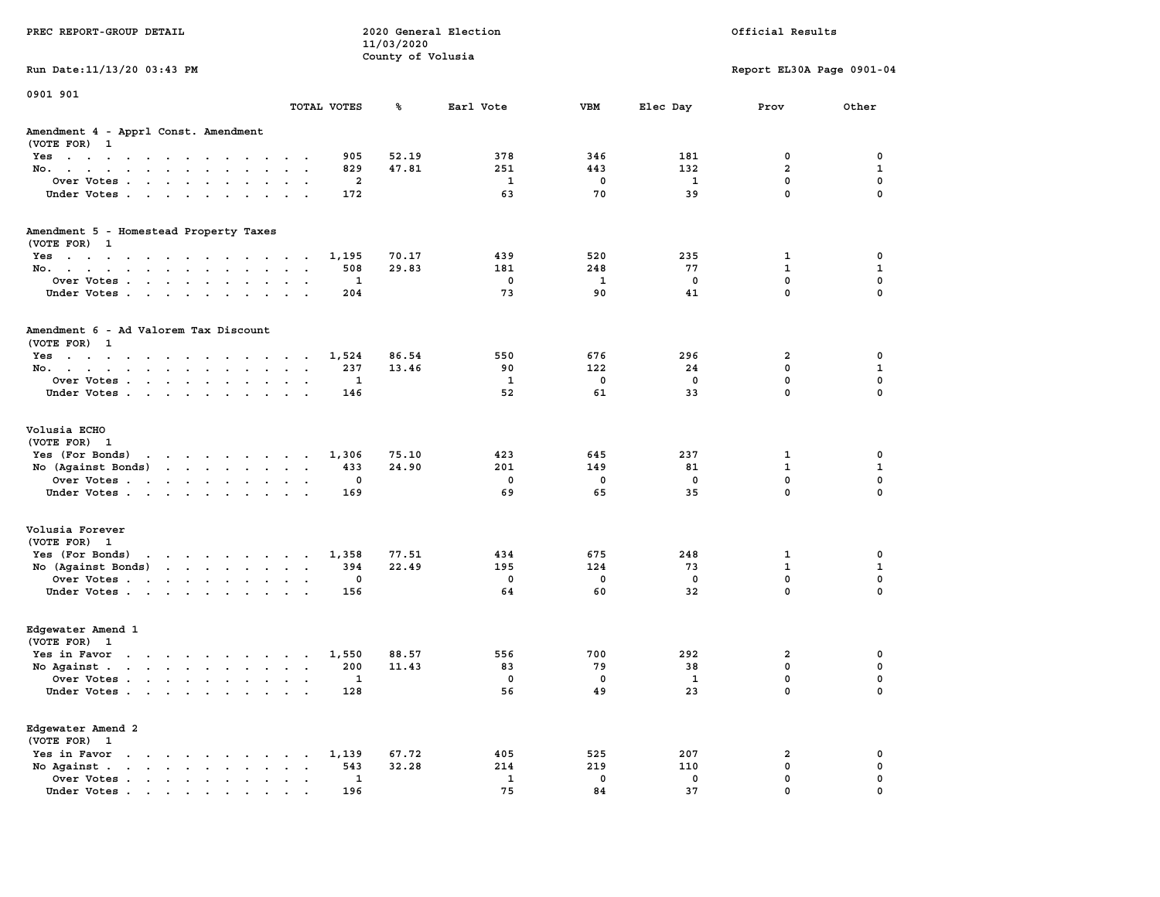|                                                                                                                                                                                                                                          |                                                           | 11/03/2020                     |              |             |              |                               |                             |
|------------------------------------------------------------------------------------------------------------------------------------------------------------------------------------------------------------------------------------------|-----------------------------------------------------------|--------------------------------|--------------|-------------|--------------|-------------------------------|-----------------------------|
| Run Date: 11/13/20 03:43 PM                                                                                                                                                                                                              |                                                           | County of Volusia              |              |             |              | Report EL30A Page 0901-04     |                             |
|                                                                                                                                                                                                                                          |                                                           |                                |              |             |              |                               |                             |
| 0901 901                                                                                                                                                                                                                                 | TOTAL VOTES                                               | ℁                              | Earl Vote    | <b>VBM</b>  | Elec Day     | Prov                          | Other                       |
| Amendment 4 - Apprl Const. Amendment                                                                                                                                                                                                     |                                                           |                                |              |             |              |                               |                             |
| (VOTE FOR) 1                                                                                                                                                                                                                             |                                                           |                                |              |             |              |                               |                             |
| $Yes \t . \t . \t .$<br>$\sim$<br>$\sim$<br>$\sim$<br>$\sim$ $\sim$<br>$\sim$                                                                                                                                                            | $\overline{\phantom{a}}$<br>$\sim$ $\sim$                 | 52.19<br>905                   | 378          | 346         | 181          | 0                             | 0                           |
| No.<br>$\mathbf{r}$ . The contract of the contract of the contract of the contract of the contract of the contract of the contract of the contract of the contract of the contract of the contract of the contract of the contract of th | $\sim$<br>$\sim$<br>$\cdot$                               | 829<br>47.81                   | 251          | 443         | 132          | $\overline{a}$                | $\mathbf{1}$                |
| Over Votes                                                                                                                                                                                                                               |                                                           | 2                              | 1            | 0           | 1            | 0                             | 0                           |
| Under Votes                                                                                                                                                                                                                              |                                                           | 172                            | 63           | 70          | 39           | $\mathbf 0$                   | $\mathbf 0$                 |
| Amendment 5 - Homestead Property Taxes                                                                                                                                                                                                   |                                                           |                                |              |             |              |                               |                             |
| (VOTE FOR) 1                                                                                                                                                                                                                             |                                                           |                                |              |             |              |                               |                             |
| Yes                                                                                                                                                                                                                                      |                                                           | 1,195<br>70.17                 | 439          | 520         | 235          | 1                             | 0                           |
| No.                                                                                                                                                                                                                                      | $\sim$                                                    | 29.83<br>508                   | 181          | 248         | 77           | $\mathbf{1}$                  | $\mathbf{1}$                |
| Over Votes                                                                                                                                                                                                                               | $\sim$ $\sim$                                             | $\mathbf{1}$                   | $^{\circ}$   | 1           | $\mathbf{0}$ | $\mathbf{0}$                  | $\mathbf 0$                 |
| Under Votes<br>$\sim$                                                                                                                                                                                                                    | $\ddot{\phantom{0}}$<br>$\sim$ $ \sim$                    | 204                            | 73           | 90          | 41           | $\mathbf 0$                   | $\mathbf 0$                 |
| Amendment 6 - Ad Valorem Tax Discount                                                                                                                                                                                                    |                                                           |                                |              |             |              |                               |                             |
| (VOTE FOR) 1                                                                                                                                                                                                                             |                                                           |                                |              |             |              |                               |                             |
| Yes                                                                                                                                                                                                                                      | $\sim$ $\sim$                                             | 1,524<br>86.54                 | 550<br>90    | 676<br>122  | 296<br>24    | $\overline{2}$<br>$\mathbf 0$ | 0<br>$\mathbf 1$            |
| No.                                                                                                                                                                                                                                      |                                                           | 237<br>13.46<br>$\mathbf{1}$   | $\mathbf{1}$ | $\mathbf 0$ | $\mathbf 0$  | $\mathbf 0$                   | $\mathbf 0$                 |
| Over Votes<br>$\sim$<br>Under Votes                                                                                                                                                                                                      | $\sim$<br>$\sim$<br>$\ddot{\phantom{a}}$                  | 146                            | 52           | 61          | 33           | $\mathbf 0$                   | $\Omega$                    |
|                                                                                                                                                                                                                                          |                                                           |                                |              |             |              |                               |                             |
| Volusia ECHO                                                                                                                                                                                                                             |                                                           |                                |              |             |              |                               |                             |
| (VOTE FOR) 1                                                                                                                                                                                                                             |                                                           |                                |              |             |              |                               |                             |
| Yes (For Bonds)                                                                                                                                                                                                                          |                                                           | 75.10<br>1,306<br>24.90<br>433 | 423<br>201   | 645<br>149  | 237<br>81    | $\mathbf{1}$<br>$\mathbf{1}$  | $\mathbf 0$<br>$\mathbf{1}$ |
| No (Against Bonds)<br>Over Votes.                                                                                                                                                                                                        | $\ddot{\phantom{0}}$                                      | $\mathbf 0$                    | $\mathbf 0$  | $\mathbf 0$ | $\mathbf 0$  | $\mathbf 0$                   | $\mathbf 0$                 |
| Under Votes                                                                                                                                                                                                                              | $\sim$ $\sim$<br>$\ddot{\phantom{a}}$                     | 169                            | 69           | 65          | 35           | $\mathbf{0}$                  | $\mathbf{0}$                |
|                                                                                                                                                                                                                                          |                                                           |                                |              |             |              |                               |                             |
| Volusia Forever                                                                                                                                                                                                                          |                                                           |                                |              |             |              |                               |                             |
| (VOTE FOR) 1                                                                                                                                                                                                                             |                                                           |                                | 434          | 675         | 248          |                               | 0                           |
| Yes (For Bonds)<br>the contract of the contract of the contract of the contract of the contract of the contract of the contract of<br>No (Against Bonds)                                                                                 |                                                           | 77.51<br>1,358<br>394<br>22.49 | 195          | 124         | 73           | 1<br>$\mathbf{1}$             | $\mathbf{1}$                |
| Over Votes                                                                                                                                                                                                                               | $\ddot{\phantom{0}}$<br>$\sim$ $\sim$<br>$\sim$           | 0                              | $^{\circ}$   | $\mathbf 0$ | $\mathbf{0}$ | $\mathbf{0}$                  | $\mathbf 0$                 |
| Under Votes                                                                                                                                                                                                                              | $\ddot{\phantom{0}}$<br>$\ddot{\phantom{a}}$              | 156                            | 64           | 60          | 32           | $\mathbf 0$                   | $\mathbf 0$                 |
|                                                                                                                                                                                                                                          |                                                           |                                |              |             |              |                               |                             |
| Edgewater Amend 1                                                                                                                                                                                                                        |                                                           |                                |              |             |              |                               |                             |
| (VOTE FOR) 1                                                                                                                                                                                                                             |                                                           |                                |              |             |              |                               |                             |
| Yes in Favor<br>the contract of the contract of the contract of                                                                                                                                                                          |                                                           | 1,550<br>88.57                 | 556          | 700         | 292          | $\mathbf{2}$                  | 0                           |
| No Against                                                                                                                                                                                                                               |                                                           | 200<br>11.43                   | 83           | 79          | 38           | 0                             | 0                           |
| Over Votes                                                                                                                                                                                                                               | $\sim$<br>$\cdot$ .<br>$\bullet$                          | 1                              | 0            | 0           | 1            | 0                             | 0                           |
| Under Votes                                                                                                                                                                                                                              |                                                           | 128                            | 56           | 49          | 23           | $\mathbf 0$                   | $\mathbf 0$                 |
| Edgewater Amend 2                                                                                                                                                                                                                        |                                                           |                                |              |             |              |                               |                             |
| (VOTE FOR) 1                                                                                                                                                                                                                             |                                                           |                                |              |             |              |                               |                             |
| Yes in Favor<br>$\sim$<br>the contract of the contract of                                                                                                                                                                                | $\bullet$<br>$\ddot{\phantom{a}}$                         | 67.72<br>1,139                 | 405          | 525         | 207          | 2                             | 0                           |
| No Against.<br>$\mathbf{u} = \mathbf{u} + \mathbf{u} + \mathbf{u} + \mathbf{u} + \mathbf{u} + \mathbf{u}$<br>$\sim$ 100 $\pm$                                                                                                            | $\bullet$<br>$\bullet$                                    | 543<br>32.28                   | 214          | 219         | 110          | $\mathbf 0$                   | $\mathbf 0$                 |
| Over Votes<br>$\blacksquare$                                                                                                                                                                                                             | $\bullet$<br>$\ddot{\phantom{a}}$<br>$\ddot{\phantom{1}}$ | 1                              | 1            | $\mathbf 0$ | 0            | $\mathbf 0$                   | $\mathbf 0$                 |
| Under Votes                                                                                                                                                                                                                              |                                                           | 196                            | 75           | 84          | 37           | $\mathbf 0$                   | $\mathbf 0$                 |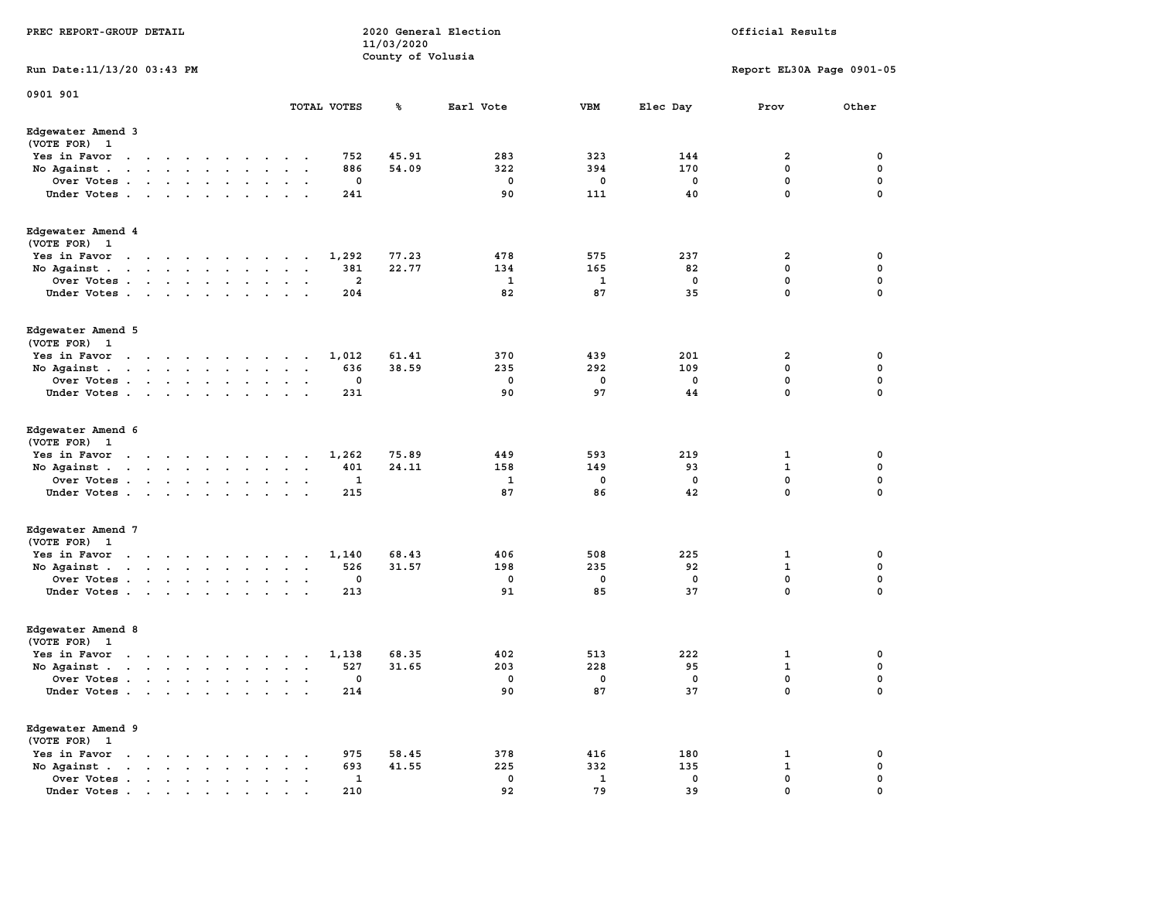| PREC REPORT-GROUP DETAIL                                                                                                                                                                                                                          |                             |                      |                      |                      |                     | 11/03/2020        | 2020 General Election |                    |             | Official Results          |       |
|---------------------------------------------------------------------------------------------------------------------------------------------------------------------------------------------------------------------------------------------------|-----------------------------|----------------------|----------------------|----------------------|---------------------|-------------------|-----------------------|--------------------|-------------|---------------------------|-------|
| Run Date: 11/13/20 03:43 PM                                                                                                                                                                                                                       |                             |                      |                      |                      |                     | County of Volusia |                       |                    |             | Report EL30A Page 0901-05 |       |
| 0901 901                                                                                                                                                                                                                                          |                             |                      |                      |                      | TOTAL VOTES         | ℁                 | Earl Vote             | VBM                | Elec Day    | Prov                      | Other |
| Edgewater Amend 3<br>(VOTE FOR) 1                                                                                                                                                                                                                 |                             |                      |                      |                      |                     |                   |                       |                    |             |                           |       |
| Yes in Favor<br>the contract of the contract of the                                                                                                                                                                                               |                             |                      | $\sim$               |                      | 752                 | 45.91             | 283                   | 323                | 144         | 2                         | 0     |
| No Against.<br>the contract of the contract of the contract of                                                                                                                                                                                    |                             | $\sim$ $\sim$        |                      |                      | 886                 | 54.09             | 322                   | 394                | 170         | 0                         | 0     |
| Over Votes                                                                                                                                                                                                                                        |                             |                      |                      |                      | 0                   |                   | 0                     | 0                  | 0           | 0                         | 0     |
| Under Votes                                                                                                                                                                                                                                       |                             |                      | $\cdot$ .            | $\cdot$              | 241                 |                   | 90                    | 111                | 40          | 0                         | 0     |
| Edgewater Amend 4<br>(VOTE FOR) 1                                                                                                                                                                                                                 |                             |                      |                      |                      |                     |                   |                       |                    |             |                           |       |
| Yes in Favor<br>the contract of the contract of the con-                                                                                                                                                                                          |                             |                      |                      |                      | 1,292               | 77.23             | 478                   | 575                | 237         | 2                         | 0     |
| No Against                                                                                                                                                                                                                                        |                             | $\ddot{\phantom{a}}$ | $\cdot$              | $\cdot$              | 381                 | 22.77             | 134                   | 165                | 82          | 0                         | 0     |
| Over Votes                                                                                                                                                                                                                                        |                             |                      | $\bullet$            | $\sim$               | 2                   |                   | 1                     | 1                  | 0           | 0                         | 0     |
| Under Votes                                                                                                                                                                                                                                       |                             |                      |                      | $\sim$               | 204                 |                   | 82                    | 87                 | 35          | 0                         | 0     |
| Edgewater Amend 5<br>(VOTE FOR) 1                                                                                                                                                                                                                 |                             |                      |                      |                      |                     |                   |                       |                    |             |                           |       |
| Yes in Favor<br>$\ddot{\phantom{a}}$<br>$\cdots$                                                                                                                                                                                                  | $\sim$                      | $\cdot$              |                      |                      | 1,012               | 61.41             | 370                   | 439                | 201         | 2                         | 0     |
| No Against                                                                                                                                                                                                                                        |                             |                      | $\ddotsc$            |                      | 636                 | 38.59             | 235                   | 292                | 109         | 0                         | 0     |
| Over Votes                                                                                                                                                                                                                                        |                             |                      |                      | $\ddot{\phantom{a}}$ | 0                   |                   | $\mathbf 0$           | 0                  | 0           | 0                         | 0     |
| Under Votes                                                                                                                                                                                                                                       | $\sim$ $\sim$ $\sim$ $\sim$ |                      |                      |                      | 231                 |                   | 90                    | 97                 | 44          | 0                         | 0     |
| Edgewater Amend 6<br>(VOTE FOR) 1                                                                                                                                                                                                                 |                             |                      |                      |                      |                     |                   |                       |                    |             |                           |       |
| Yes in Favor<br>the contract of the contract of the con-                                                                                                                                                                                          |                             |                      |                      |                      | 1,262               | 75.89             | 449                   | 593                | 219         | 1                         | 0     |
| No Against.<br>the contract of the contract of the                                                                                                                                                                                                |                             |                      | $\bullet$            | $\bullet$            | 401                 | 24.11             | 158                   | 149                | 93          | 1                         | 0     |
| Over Votes                                                                                                                                                                                                                                        |                             |                      | $\ddot{\phantom{0}}$ |                      | 1                   |                   | 1                     | 0                  | 0           | 0                         | 0     |
| Under Votes                                                                                                                                                                                                                                       |                             |                      | $\cdot$ $\cdot$      |                      | 215                 |                   | 87                    | 86                 | 42          | 0                         | 0     |
| Edgewater Amend 7<br>(VOTE FOR) 1                                                                                                                                                                                                                 |                             |                      |                      |                      |                     |                   |                       |                    |             |                           |       |
| Yes in Favor<br>the contract of the contract of the con-                                                                                                                                                                                          |                             |                      |                      |                      | 1,140               | 68.43             | 406                   | 508                | 225         | 1                         | 0     |
| No Against.<br>the contract of the contract of the                                                                                                                                                                                                |                             |                      | $\ddot{\phantom{0}}$ | $\cdot$              | 526                 | 31.57             | 198                   | 235                | 92          | $\mathbf 1$               | 0     |
| Over Votes                                                                                                                                                                                                                                        |                             |                      | $\sim$ $\sim$        |                      | 0                   |                   | 0                     | 0                  | 0           | 0                         | 0     |
| Under Votes                                                                                                                                                                                                                                       |                             |                      | $\sim$               | $\sim$               | 213                 |                   | 91                    | 85                 | 37          | 0                         | 0     |
| Edgewater Amend 8<br>(VOTE FOR) 1                                                                                                                                                                                                                 |                             |                      |                      |                      |                     |                   |                       |                    |             |                           |       |
| Yes in Favor<br>$\mathbf{r}$ . The contract of the contract of the contract of the contract of the contract of the contract of the contract of the contract of the contract of the contract of the contract of the contract of the contract of th | $\blacksquare$ .            |                      |                      |                      | 1,138               | 68.35             | 402                   | 513                | 222         | 1                         | 0     |
| No Against                                                                                                                                                                                                                                        |                             |                      | $\bullet$ .          | $\,$ .               | 527                 | 31.65             | 203                   | 228                | 95          | $\mathbf 1$               | 0     |
| Over Votes                                                                                                                                                                                                                                        |                             |                      |                      |                      | 0                   |                   | 0                     | 0                  | $\mathbf 0$ | 0                         | 0     |
| Under Votes                                                                                                                                                                                                                                       |                             |                      | $\sim$ $\sim$        |                      | 214                 |                   | 90                    | 87                 | 37          | 0                         | 0     |
| Edgewater Amend 9<br>(VOTE FOR) 1                                                                                                                                                                                                                 |                             |                      |                      |                      |                     |                   |                       |                    |             |                           |       |
| Yes in Favor<br>$\mathbf{r}$ . The set of $\mathbf{r}$                                                                                                                                                                                            |                             |                      |                      |                      | 975                 | 58.45             | 378                   | 416                | 180         | 1                         | 0     |
| No Against.<br>$\mathbf{r}$ . The set of the set of the set of the set of the set of the set of the set of the set of the set of the set of the set of the set of the set of the set of the set of the set of the set of the set of the set of t  | $\ddot{\phantom{a}}$        |                      |                      |                      | 693                 | 41.55             | 225                   | 332                | 135         | $\mathbf{1}$              | 0     |
| Over Votes .<br>$\mathbf{r}$ , and $\mathbf{r}$ , and $\mathbf{r}$<br>Under Votes                                                                                                                                                                 |                             |                      |                      |                      | $\mathbf{1}$<br>210 |                   | $\mathbf 0$<br>92     | $\mathbf{1}$<br>79 | 0<br>39     | 0<br>$\Omega$             | 0     |
|                                                                                                                                                                                                                                                   |                             |                      |                      |                      |                     |                   |                       |                    |             |                           |       |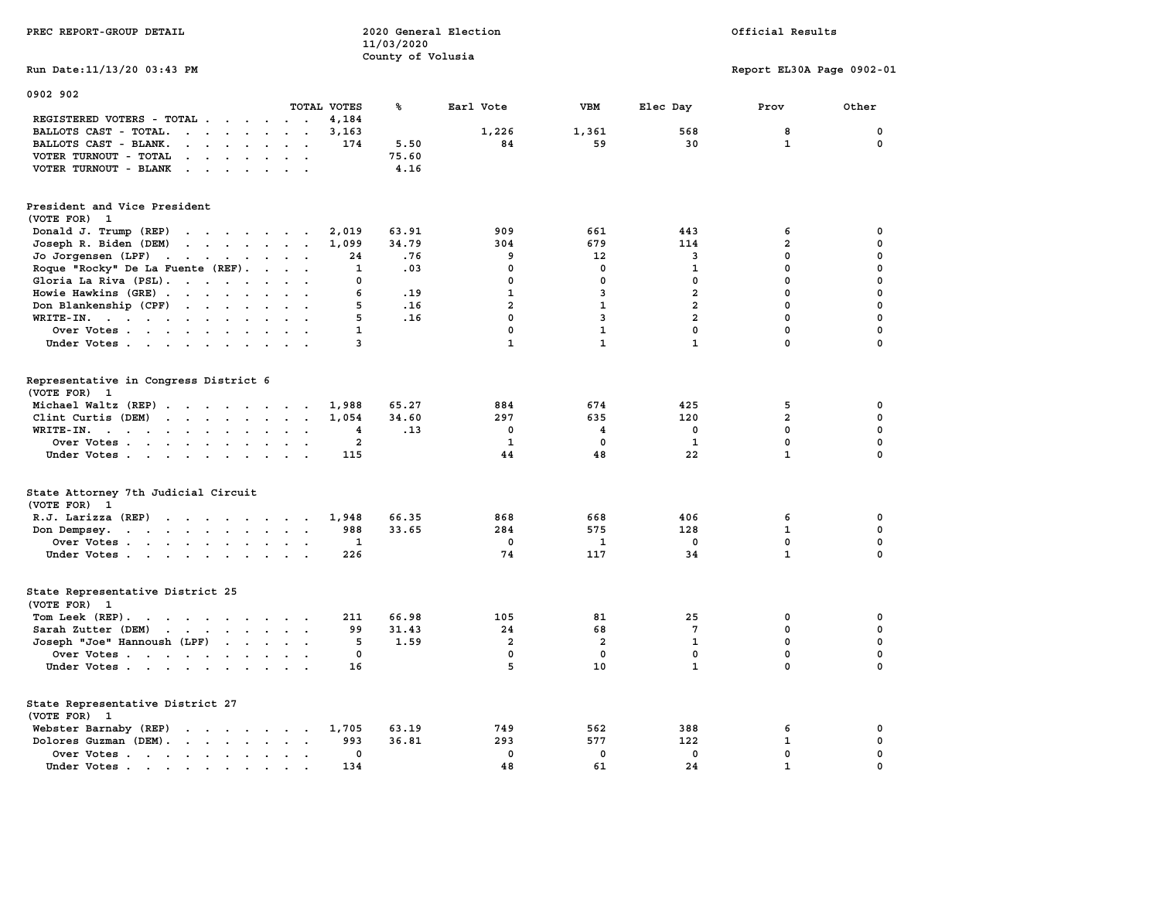| PREC REPORT-GROUP DETAIL                                                                           |                               | 2020 General Election<br>11/03/2020 |                         |                | Official Results        |                           |              |  |
|----------------------------------------------------------------------------------------------------|-------------------------------|-------------------------------------|-------------------------|----------------|-------------------------|---------------------------|--------------|--|
| Run Date: 11/13/20 03:43 PM                                                                        |                               | County of Volusia                   |                         |                |                         | Report EL30A Page 0902-01 |              |  |
| 0902 902                                                                                           | TOTAL VOTES                   | ℁                                   | Earl Vote               | <b>VBM</b>     | Elec Day                | Prov                      | Other        |  |
| REGISTERED VOTERS - TOTAL                                                                          | 4,184                         |                                     |                         |                |                         |                           |              |  |
| BALLOTS CAST - TOTAL.<br>$\mathbf{r}$                                                              | 3,163                         |                                     | 1,226                   | 1,361          | 568                     | 8                         | 0            |  |
| BALLOTS CAST - BLANK.<br>$\cdots$<br>$\bullet$                                                     | 174                           | 5.50                                | 84                      | 59             | 30                      | $\mathbf{1}$              | 0            |  |
| VOTER TURNOUT - TOTAL<br>$\mathcal{A}$ , and $\mathcal{A}$ , and $\mathcal{A}$ , and $\mathcal{A}$ |                               | 75.60                               |                         |                |                         |                           |              |  |
| VOTER TURNOUT - BLANK                                                                              |                               | 4.16                                |                         |                |                         |                           |              |  |
|                                                                                                    |                               |                                     |                         |                |                         |                           |              |  |
| President and Vice President<br>(VOTE FOR) 1                                                       |                               |                                     |                         |                |                         |                           |              |  |
| Donald J. Trump (REP)                                                                              | 2,019                         | 63.91                               | 909                     | 661            | 443                     | 6                         | 0            |  |
| Joseph R. Biden (DEM)                                                                              | 1,099                         | 34.79                               | 304                     | 679            | 114                     | $\overline{a}$            | 0            |  |
| Jo Jorgensen (LPF)                                                                                 | 24                            | .76                                 | 9                       | 12             | 3                       | 0                         | 0            |  |
| Roque "Rocky" De La Fuente (REF).                                                                  | 1                             | .03                                 | 0                       | 0              | 1                       | $\mathbf 0$               | 0            |  |
| Gloria La Riva (PSL).                                                                              | 0                             |                                     | $\mathbf 0$             | $\mathbf 0$    | $\mathbf 0$             | $\mathbf 0$               | 0            |  |
| Howie Hawkins (GRE)                                                                                | 6                             | .19                                 | $\mathbf{1}$            | 3              | $\overline{\mathbf{2}}$ | $\mathbf 0$               | 0            |  |
| Don Blankenship (CPF)                                                                              | 5                             | .16                                 | $\overline{\mathbf{2}}$ | $\mathbf{1}$   | $\overline{a}$          | $\mathbf 0$               | 0            |  |
| WRITE-IN.<br>$\cdot$ $\cdot$                                                                       | 5                             | .16                                 | $\mathbf{0}$            | 3              | $\overline{2}$          | 0                         | $\mathbf 0$  |  |
| Over Votes                                                                                         | $\mathbf{1}$                  |                                     | $\mathbf 0$             | $\mathbf{1}$   | $\mathbf 0$             | $\mathbf 0$               | $\mathbf 0$  |  |
| Under Votes                                                                                        | 3                             |                                     | $\mathbf{1}$            | $\mathbf{1}$   | $\mathbf{1}$            | 0                         | $\mathbf 0$  |  |
|                                                                                                    |                               |                                     |                         |                |                         |                           |              |  |
| Representative in Congress District 6<br>(VOTE FOR) 1                                              |                               |                                     |                         |                |                         |                           |              |  |
| Michael Waltz (REP)                                                                                | 1,988                         | 65.27                               | 884                     | 674            | 425                     | 5                         | 0            |  |
| Clint Curtis (DEM)                                                                                 | 1,054                         | 34.60                               | 297                     | 635            | 120                     | $\overline{a}$            | 0            |  |
| WRITE-IN.<br>the contract of the contract of the contract of                                       | 4                             | .13                                 | $\mathbf{0}$            | 4              | $\mathbf{0}$            | $\Omega$                  | $\mathbf 0$  |  |
| Over Votes<br>$\sim$                                                                               | $\overline{a}$                |                                     | $\mathbf{1}$            | $\mathbf 0$    | $\mathbf{1}$            | $\mathbf 0$               | $\mathbf 0$  |  |
| Under Votes                                                                                        | 115                           |                                     | 44                      | 48             | 22                      | $\mathbf{1}$              | $\mathbf{0}$ |  |
|                                                                                                    |                               |                                     |                         |                |                         |                           |              |  |
| State Attorney 7th Judicial Circuit<br>(VOTE FOR) 1                                                |                               |                                     |                         |                |                         |                           |              |  |
| $R.J.$ Larizza $(REP)$                                                                             | 1,948<br>$\ddot{\phantom{a}}$ | 66.35                               | 868                     | 668            | 406                     | 6                         | 0            |  |
| Don Dempsey.<br>the contract of the contract of the contract of                                    | 988                           | 33.65                               | 284                     | 575            | 128                     | $\mathbf{1}$              | 0            |  |
| Over Votes                                                                                         | 1                             |                                     | 0                       | 1              | $^{\circ}$              | $\mathbf 0$               | 0            |  |
| Under Votes                                                                                        | 226                           |                                     | 74                      | 117            | 34                      | $\mathbf{1}$              | $\mathbf{0}$ |  |
| State Representative District 25                                                                   |                               |                                     |                         |                |                         |                           |              |  |
| (VOTE FOR) 1                                                                                       |                               |                                     |                         |                |                         |                           |              |  |
| Tom Leek (REP).                                                                                    | 211                           | 66.98                               | 105                     | 81             | 25                      | 0                         | 0            |  |
| Sarah Zutter (DEM)                                                                                 | 99                            | 31.43                               | 24                      | 68             | $7\phantom{.0}$         | 0                         | 0            |  |
|                                                                                                    | 5                             | 1.59                                | $\overline{a}$          | $\overline{a}$ | $\mathbf{1}$            | 0                         | 0            |  |
| Joseph "Joe" Hannoush (LPF)                                                                        | 0                             |                                     | 0                       | 0              | $\mathbf 0$             | $\mathbf 0$               | 0            |  |
| Over Votes                                                                                         |                               |                                     |                         |                |                         |                           |              |  |
| Under Votes                                                                                        | 16                            |                                     | 5                       | 10             | $\mathbf{1}$            | 0                         | 0            |  |
| State Representative District 27                                                                   |                               |                                     |                         |                |                         |                           |              |  |
| (VOTE FOR) 1                                                                                       |                               |                                     |                         |                |                         |                           |              |  |
| Webster Barnaby (REP)                                                                              | 1,705                         | 63.19                               | 749                     | 562            | 388                     | 6                         | 0            |  |
| Dolores Guzman (DEM).                                                                              | 993                           | 36.81                               | 293                     | 577            | 122                     | $\mathbf{1}$              | 0            |  |
| Over Votes                                                                                         | 0                             |                                     | $\mathbf 0$             | $\mathbf 0$    | $\mathbf 0$             | 0                         | 0            |  |
| Under Votes                                                                                        | 134                           |                                     | 48                      | 61             | 24                      | $\mathbf{1}$              | 0            |  |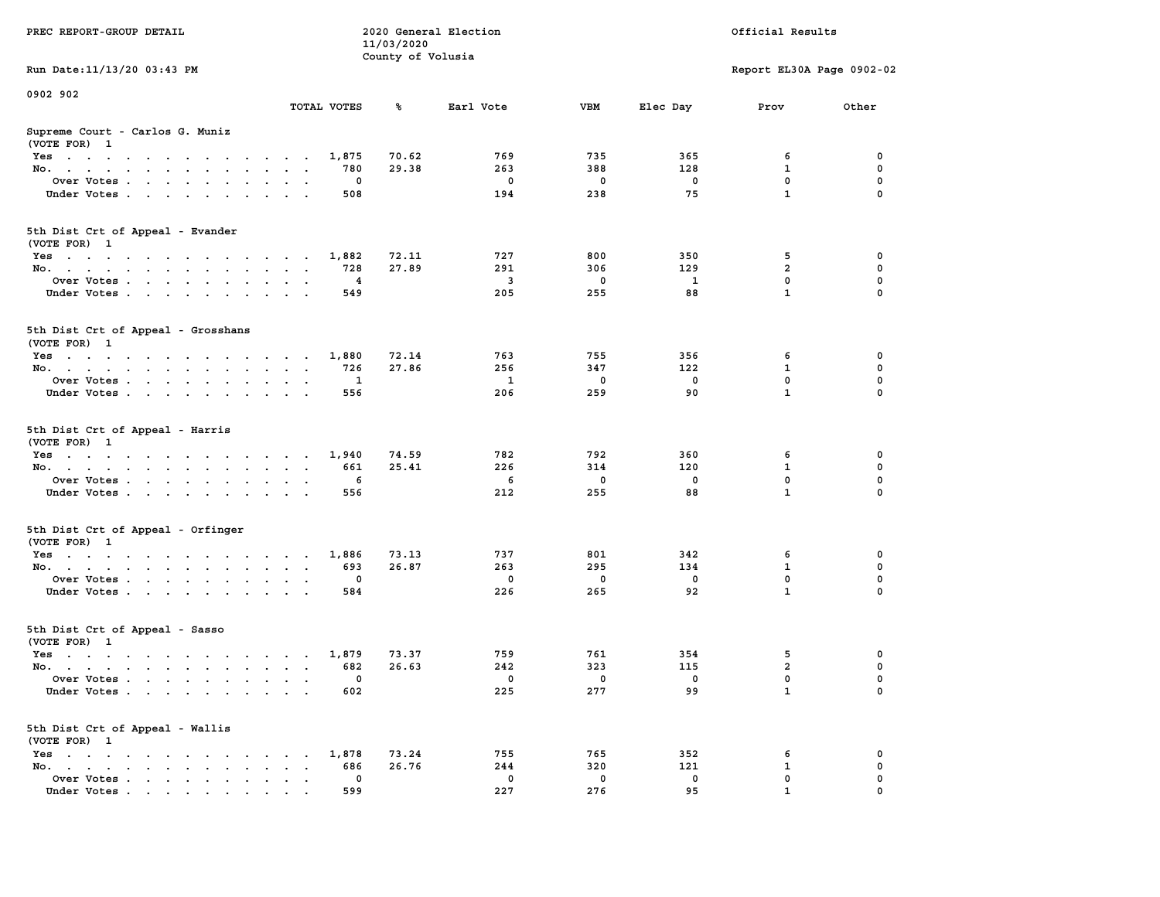|                                                                                          |                                                                             | 11/03/2020        |             |              |              |                           |                  |
|------------------------------------------------------------------------------------------|-----------------------------------------------------------------------------|-------------------|-------------|--------------|--------------|---------------------------|------------------|
|                                                                                          |                                                                             | County of Volusia |             |              |              |                           |                  |
| Run Date: 11/13/20 03:43 PM                                                              |                                                                             |                   |             |              |              | Report EL30A Page 0902-02 |                  |
|                                                                                          |                                                                             |                   |             |              |              |                           |                  |
| 0902 902                                                                                 |                                                                             |                   |             |              |              |                           |                  |
|                                                                                          | TOTAL VOTES                                                                 | ℁                 | Earl Vote   | <b>VBM</b>   | Elec Day     | Prov                      | Other            |
| Supreme Court - Carlos G. Muniz                                                          |                                                                             |                   |             |              |              |                           |                  |
| (VOTE FOR) 1                                                                             |                                                                             |                   |             |              |              |                           |                  |
| Yes                                                                                      | 1,875                                                                       | 70.62             | 769         | 735          | 365          | 6                         | 0                |
| No.<br><b>Sales Advised Service</b><br>$\mathbf{r}$                                      | 780<br>$\overline{a}$                                                       | 29.38             | 263         | 388          | 128          | 1                         | 0                |
| Over Votes                                                                               | 0<br>$\sim$                                                                 |                   | $\mathbf 0$ | $\mathbf{o}$ | $\mathbf 0$  | $\mathbf 0$               | $\mathbf 0$      |
| Under Votes<br>$\sim$ $\sim$ $\sim$                                                      | 508                                                                         |                   | 194         | 238          | 75           | $\mathbf{1}$              | $\Omega$         |
|                                                                                          |                                                                             |                   |             |              |              |                           |                  |
|                                                                                          |                                                                             |                   |             |              |              |                           |                  |
| 5th Dist Crt of Appeal - Evander                                                         |                                                                             |                   |             |              |              |                           |                  |
| (VOTE FOR) 1                                                                             |                                                                             |                   |             |              |              |                           |                  |
| Yes                                                                                      | 1,882                                                                       | 72.11             | 727         | 800          | 350          | 5                         | $\mathbf 0$      |
| No.                                                                                      | 728                                                                         | 27.89             | 291         | 306          | 129          | $\overline{a}$            | $\mathbf 0$      |
| Over Votes                                                                               | $\overline{4}$                                                              |                   | 3           | $\mathbf 0$  | $\mathbf{1}$ | $\mathbf{0}$              | $\mathbf 0$      |
| Under Votes                                                                              | 549                                                                         |                   | 205         | 255          | 88           | $\mathbf{1}$              | $\Omega$         |
|                                                                                          |                                                                             |                   |             |              |              |                           |                  |
| 5th Dist Crt of Appeal - Grosshans                                                       |                                                                             |                   |             |              |              |                           |                  |
| (VOTE FOR) 1                                                                             |                                                                             |                   |             |              |              |                           |                  |
| Yes                                                                                      | 1,880                                                                       | 72.14             | 763         | 755          | 356          | 6                         | 0                |
| No.                                                                                      | 726                                                                         | 27.86             | 256         | 347          | 122          | 1                         | $\mathbf 0$      |
| Over Votes<br>$\ddot{\phantom{a}}$                                                       | $\mathbf{1}$<br>$\cdot$                                                     |                   | 1           | 0            | 0            | 0                         | $\mathbf 0$      |
|                                                                                          | 556                                                                         |                   | 206         | 259          | 90           | $\mathbf{1}$              | $\Omega$         |
| Under Votes                                                                              |                                                                             |                   |             |              |              |                           |                  |
| 5th Dist Crt of Appeal - Harris                                                          |                                                                             |                   |             |              |              |                           |                  |
| (VOTE FOR) 1                                                                             |                                                                             |                   |             |              |              |                           |                  |
| Yes                                                                                      | 1,940                                                                       | 74.59             | 782         | 792          | 360          | 6                         | 0                |
| No.<br>$\mathbf{r}$                                                                      | 661<br>$\bullet$<br>$\sim$<br>$\sim$                                        | 25.41             | 226         | 314          | 120          | 1                         | $\mathbf 0$      |
| Over Votes                                                                               | 6                                                                           |                   | 6           | 0            | $\mathbf 0$  | $\mathbf 0$               | $\mathbf 0$      |
| Under Votes                                                                              | 556<br>$\sim$ $\sim$ $\sim$                                                 |                   | 212         | 255          | 88           | $\mathbf{1}$              | $\mathbf 0$      |
|                                                                                          |                                                                             |                   |             |              |              |                           |                  |
| 5th Dist Crt of Appeal - Orfinger                                                        |                                                                             |                   |             |              |              |                           |                  |
| (VOTE FOR) 1                                                                             |                                                                             |                   |             |              |              |                           |                  |
| Yes                                                                                      | 1,886                                                                       | 73.13             | 737         | 801          | 342          | 6                         | $\mathbf 0$      |
| No.<br>$\ddot{\phantom{a}}$                                                              | 693<br>$\ddot{\phantom{a}}$<br>$\ddot{\phantom{0}}$<br>$\ddot{\phantom{a}}$ | 26.87             | 263         | 295          | 134          | $\mathbf{1}$              | $\mathbf 0$      |
| Over Votes                                                                               | $\mathbf 0$<br>$\ddot{\phantom{a}}$                                         |                   | $^{\circ}$  | $\mathbf 0$  | $\mathbf 0$  | $\mathbf 0$               | $\mathbf 0$      |
| Under Votes<br>$\cdot$                                                                   | 584<br>$\sim$<br>$\cdot$                                                    |                   | 226         | 265          | 92           | $\mathbf{1}$              | $\Omega$         |
|                                                                                          |                                                                             |                   |             |              |              |                           |                  |
| 5th Dist Crt of Appeal - Sasso                                                           |                                                                             |                   |             |              |              |                           |                  |
| (VOTE FOR) 1                                                                             |                                                                             |                   |             |              |              |                           |                  |
| Yes                                                                                      | 1,879                                                                       | 73.37             | 759         | 761          | 354          | 5                         | 0                |
| No.                                                                                      | 682                                                                         | 26.63             | 242         | 323          | 115          | $\overline{\mathbf{2}}$   | 0                |
| Over Votes<br>$\ddot{\phantom{a}}$                                                       | 0<br>$\ddot{\phantom{a}}$<br>$\ddot{\phantom{a}}$<br>$\cdot$                |                   | $\mathbf 0$ | 0            | 0            | $\mathbf 0$               | $\mathbf 0$      |
| Under Votes                                                                              | 602                                                                         |                   | 225         | 277          | 99           | $\mathbf{1}$              | 0                |
|                                                                                          |                                                                             |                   |             |              |              |                           |                  |
| 5th Dist Crt of Appeal - Wallis                                                          |                                                                             |                   |             |              |              |                           |                  |
| (VOTE FOR) 1                                                                             |                                                                             |                   |             |              |              |                           |                  |
| $Yes \t . \t .$<br>the contract of the contract of the contract of                       | 1,878<br>686                                                                | 73.24<br>26.76    | 755<br>244  | 765<br>320   | 352<br>121   | 6                         | 0<br>$\mathbf 0$ |
| No.<br>the contract of the contract of the con-<br>$\ddot{\phantom{a}}$                  | $\cdot$<br>$\cdot$ $\cdot$<br>$\mathbf{0}$                                  |                   | $^{\circ}$  | 0            | 0            | 1<br>$\mathbf 0$          | $\mathbf 0$      |
| Over Votes<br>$\sim$<br>$\ddot{\phantom{a}}$<br>Under Votes                              | $\blacksquare$<br>$\bullet$<br>$\blacksquare$<br>599                        |                   | 227         | 276          | 95           | $\mathbf{1}$              | $\mathbf 0$      |
| $\mathbf{r}$ , and $\mathbf{r}$ , and $\mathbf{r}$ , and $\mathbf{r}$ , and $\mathbf{r}$ |                                                                             |                   |             |              |              |                           |                  |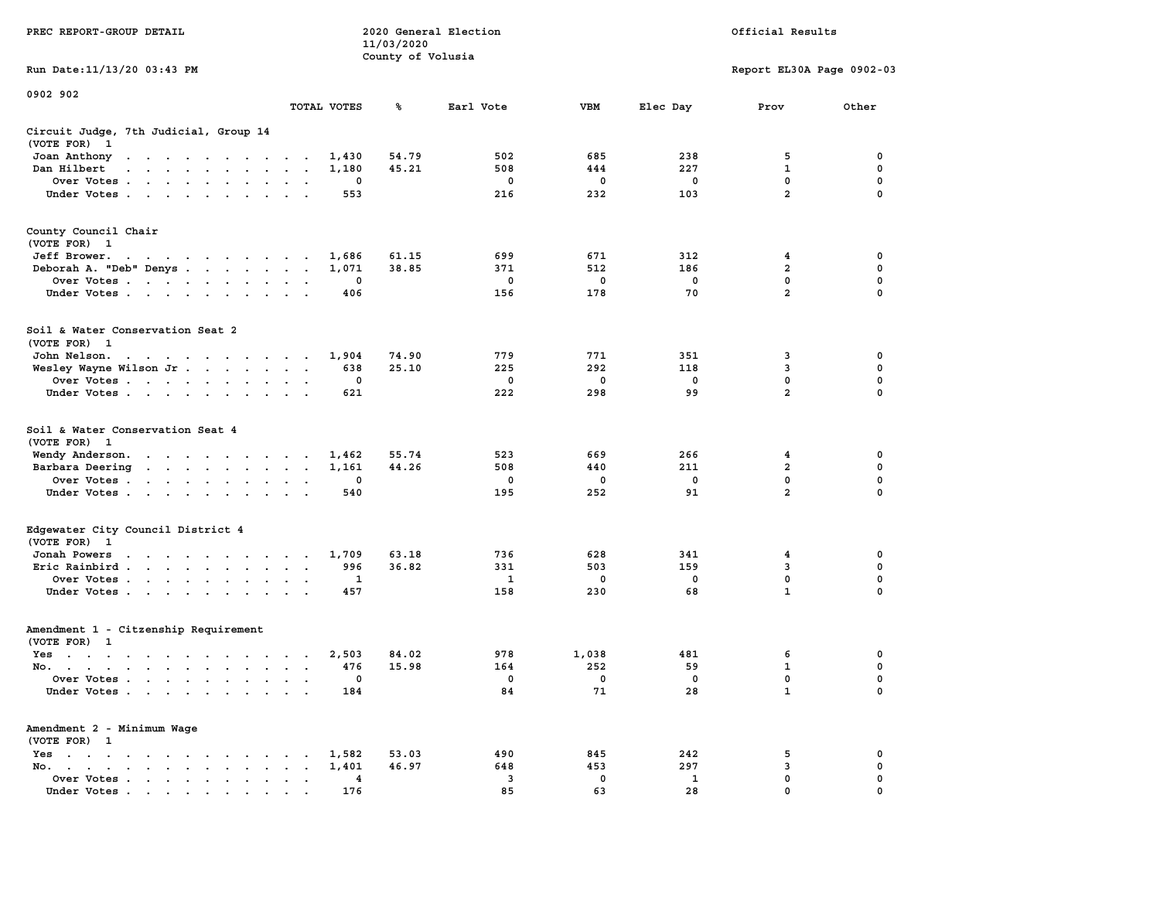|                                                                                                                                                                                                                                                |                                                                  | 11/03/2020        |              |              |              |                           |                  |
|------------------------------------------------------------------------------------------------------------------------------------------------------------------------------------------------------------------------------------------------|------------------------------------------------------------------|-------------------|--------------|--------------|--------------|---------------------------|------------------|
|                                                                                                                                                                                                                                                |                                                                  | County of Volusia |              |              |              |                           |                  |
| Run Date: 11/13/20 03:43 PM                                                                                                                                                                                                                    |                                                                  |                   |              |              |              | Report EL30A Page 0902-03 |                  |
| 0902 902                                                                                                                                                                                                                                       |                                                                  |                   |              |              |              |                           |                  |
|                                                                                                                                                                                                                                                | TOTAL VOTES                                                      | ℁                 | Earl Vote    | <b>VBM</b>   | Elec Day     | Prov                      | Other            |
| Circuit Judge, 7th Judicial, Group 14                                                                                                                                                                                                          |                                                                  |                   |              |              |              |                           |                  |
| (VOTE FOR)<br>$\mathbf{1}$                                                                                                                                                                                                                     |                                                                  |                   |              |              |              |                           |                  |
| Joan Anthony<br>the contract of the contract of the contract of the contract of the contract of the contract of the contract of the contract of the contract of the contract of the contract of the contract of the contract of the contract o | 1,430<br>$\bullet$                                               | 54.79             | 502          | 685          | 238          | 5                         | 0                |
| Dan Hilbert<br>$\ddot{\phantom{a}}$<br>$\cdot$ $\cdot$ $\cdot$<br>$\sim$<br>$\overline{a}$                                                                                                                                                     | 1,180<br>$\sim$<br>$\sim$<br>$\sim$                              | 45.21             | 508          | 444          | 227          | $\mathbf{1}$              | 0                |
| Over Votes .<br>$\ddot{\phantom{a}}$<br>$\sim$ $\sim$ $\sim$ $\sim$ $\sim$ $\sim$<br>$\ddot{\phantom{a}}$                                                                                                                                      | 0<br>$\mathbf{r}$<br>$\ddot{\phantom{a}}$                        |                   | $\mathbf 0$  | $\mathbf 0$  | $\mathbf 0$  | 0                         | 0                |
| Under Votes<br>$\ddot{\phantom{0}}$                                                                                                                                                                                                            | 553<br>$\ddot{\phantom{a}}$<br>$\overline{\phantom{a}}$          |                   | 216          | 232          | 103          | $\overline{a}$            | $\mathbf 0$      |
| County Council Chair                                                                                                                                                                                                                           |                                                                  |                   |              |              |              |                           |                  |
| (VOTE FOR) 1                                                                                                                                                                                                                                   |                                                                  |                   |              |              |              |                           |                  |
| Jeff Brower.                                                                                                                                                                                                                                   | 1,686                                                            | 61.15             | 699          | 671          | 312          | 4                         | 0                |
| and a series of the contract of                                                                                                                                                                                                                |                                                                  | 38.85             |              | 512          | 186          | $\overline{\mathbf{2}}$   | 0                |
| Deborah A. "Deb" Denys.<br>$\cdots$                                                                                                                                                                                                            | 1,071<br>$\bullet$<br>$\sim$                                     |                   | 371          |              |              |                           |                  |
| Over Votes<br>$\sim$<br>$\bullet$<br>$\bullet$<br>$\blacksquare$<br>$\mathbf{r}$                                                                                                                                                               | 0<br>$\overline{\phantom{a}}$<br>$\overline{\phantom{a}}$        |                   | 0            | 0            | 0            | 0<br>$\overline{a}$       | 0<br>$\mathbf 0$ |
| Under Votes<br>$\sim$<br>$\ddot{\phantom{a}}$<br>$\sim$<br>$\ddot{\phantom{a}}$                                                                                                                                                                | 406                                                              |                   | 156          | 178          | 70           |                           |                  |
| Soil & Water Conservation Seat 2                                                                                                                                                                                                               |                                                                  |                   |              |              |              |                           |                  |
| (VOTE FOR) 1                                                                                                                                                                                                                                   |                                                                  |                   |              |              |              |                           |                  |
| John Nelson.<br>$\mathcal{A}=\mathcal{A}=\mathcal{A}=\mathcal{A}=\mathcal{A}=\mathcal{A}=\mathcal{A}$ .<br>$\ddot{\phantom{0}}$                                                                                                                | 1,904<br>$\ddot{\phantom{a}}$<br>$\sim$                          | 74.90             | 779          | 771          | 351          | 3                         | 0                |
| Wesley Wayne Wilson Jr<br>$\ddot{\phantom{0}}$                                                                                                                                                                                                 | 638<br>$\bullet$<br>$\bullet$<br>$\bullet$                       | 25.10             | 225          | 292          | 118          | 3                         | 0                |
| Over Votes<br>$\sim$<br>$\ddot{\phantom{0}}$                                                                                                                                                                                                   | 0<br>$\bullet$<br>$\ddot{\phantom{a}}$                           |                   | 0            | 0            | $\mathbf 0$  | 0                         | 0                |
| Under Votes<br>$\sim$<br>$\bullet$<br>$\,$ .                                                                                                                                                                                                   | 621<br>$\mathbf{r}$<br>$\ddot{\phantom{a}}$                      |                   | 222          | 298          | 99           | $\overline{\mathbf{2}}$   | $\mathbf 0$      |
| Soil & Water Conservation Seat 4<br>(VOTE FOR)<br>$\mathbf{1}$                                                                                                                                                                                 |                                                                  |                   |              |              |              |                           |                  |
| Wendy Anderson.<br>and a series of the control of the series of                                                                                                                                                                                | 1,462                                                            | 55.74             | 523          | 669          | 266          | 4                         | 0                |
| Barbara Deering<br>$\ddot{\phantom{a}}$<br>$\ddot{\phantom{0}}$<br>$\mathcal{L}^{\text{max}}$ , and $\mathcal{L}^{\text{max}}$<br>$\cdot$                                                                                                      | 1,161<br>$\ddot{\phantom{0}}$<br>$\bullet$<br>$\bullet$          | 44.26             | 508          | 440          | 211          | $\overline{\mathbf{2}}$   | 0                |
| Over Votes .<br>the contract of the contract of the                                                                                                                                                                                            | 0<br>$\cdot$                                                     |                   | 0            | 0            | $\mathbf 0$  | $\mathbf 0$               | $\pmb{0}$        |
| Under Votes.<br>$\sim 100$ km s $^{-1}$<br>$\bullet$<br>$\ddot{\phantom{a}}$<br>$\bullet$<br>$\ddot{\phantom{a}}$                                                                                                                              | 540                                                              |                   | 195          | 252          | 91           | $\overline{a}$            | 0                |
| Edgewater City Council District 4                                                                                                                                                                                                              |                                                                  |                   |              |              |              |                           |                  |
| (VOTE FOR) 1                                                                                                                                                                                                                                   |                                                                  |                   |              |              |              |                           |                  |
| Jonah Powers<br>$\blacksquare$<br>$\cdots$<br>$\sim$ $\sim$ $\sim$ $\sim$ $\sim$<br>$\sim$                                                                                                                                                     | 1,709<br>$\sim$ $\sim$ $\sim$                                    | 63.18             | 736          | 628          | 341          | 4                         | 0                |
| Eric Rainbird.<br>$\mathcal{A}=\mathcal{A}=\mathcal{A}=\mathcal{A}$ .<br>$\ddot{\phantom{0}}$<br>$\blacksquare$                                                                                                                                | 996<br>$\ddot{\phantom{0}}$<br>$\bullet$<br>$\ddot{\phantom{a}}$ | 36.82             | 331          | 503          | 159          | 3                         | 0                |
| Over Votes .<br>$\sim$ $\sim$<br>$\ddot{\phantom{a}}$<br>$\bullet$<br>$\cdot$<br>$\bullet$                                                                                                                                                     | 1<br>$\cdot$<br>$\bullet$                                        |                   | $\mathbf{1}$ | 0            | $\mathbf 0$  | 0                         | 0                |
| Under Votes<br>$\ddot{\phantom{a}}$<br>$\ddot{\phantom{a}}$                                                                                                                                                                                    | 457<br>$\ddot{\phantom{a}}$<br>$\ddot{\phantom{a}}$              |                   | 158          | 230          | 68           | $\mathbf{1}$              | 0                |
| Amendment 1 - Citzenship Requirement                                                                                                                                                                                                           |                                                                  |                   |              |              |              |                           |                  |
| (VOTE FOR) 1                                                                                                                                                                                                                                   |                                                                  |                   |              |              |              |                           |                  |
| $Yes \t . \t .$<br>$\bullet$<br>$\cdot$<br>$\sim$<br>$\cdot$ $\cdot$ $\cdot$<br>$\cdot$                                                                                                                                                        | 2,503<br>$\cdot$<br>$\cdot$<br>$\overline{\phantom{a}}$          | 84.02             | 978          | 1,038        | 481          | 6                         | 0                |
| No.<br>$\sim$<br>$\cdot$ $\cdot$<br>$\cdot$                                                                                                                                                                                                    | 476<br>$\overline{\phantom{a}}$                                  | 15.98             | 164          | 252          | 59           | 1                         | $\mathbf 0$      |
| Over Votes .<br>$\sim$<br>$\ddot{\phantom{a}}$<br>$\ddot{\phantom{a}}$<br>$\ddot{\phantom{a}}$<br>$\ddot{\phantom{a}}$<br>$\ddot{\phantom{a}}$                                                                                                 | 0<br>$\ddot{\phantom{a}}$<br>$\cdot$                             |                   | $\mathbf 0$  | $\mathbf{o}$ | $\mathbf 0$  | 0                         | $\mathbf 0$      |
| Under Votes<br>$\ddot{\phantom{1}}$<br>$\ddot{\phantom{a}}$                                                                                                                                                                                    | 184<br>$\ddot{\phantom{a}}$                                      |                   | 84           | 71           | 28           | $\mathbf{1}$              | $\mathbf 0$      |
| Amendment 2 - Minimum Wage                                                                                                                                                                                                                     |                                                                  |                   |              |              |              |                           |                  |
| (VOTE FOR) 1                                                                                                                                                                                                                                   |                                                                  |                   |              |              |              |                           |                  |
| Yes<br>$\ddot{\phantom{1}}$<br>$\ddot{\phantom{a}}$<br>$\ddot{\phantom{a}}$<br>$\blacksquare$ .<br>$\bullet$<br>$\bullet$<br>$\cdot$<br>$\sim$                                                                                                 | 1,582                                                            | 53.03             | 490          | 845          | 242          | 5                         | 0                |
| No.<br>$\ddot{\phantom{a}}$<br>$\sim$ $\sim$ $\sim$<br>$\sim$<br>$\bullet$<br>$\blacksquare$                                                                                                                                                   | 1,401<br>$\bullet$<br>$\cdot$                                    | 46.97             | 648          | 453          | 297          | 3                         | $\mathbf 0$      |
| Over Votes .<br>$\sim 100$ km s $^{-1}$<br>$\sim$ $\sim$<br>$\blacksquare$ .<br>$\bullet$                                                                                                                                                      | 4<br>$\bullet$<br>$\bullet$<br>$\ddot{\phantom{0}}$              |                   | 3            | $\mathbf 0$  | $\mathbf{1}$ | 0                         | 0                |
| Under Votes<br>the contract of the contract of the contract of the contract of the contract of the contract of the contract of                                                                                                                 | 176                                                              |                   | 85           | 63           | 28           | $\mathbf{0}$              | $\mathbf 0$      |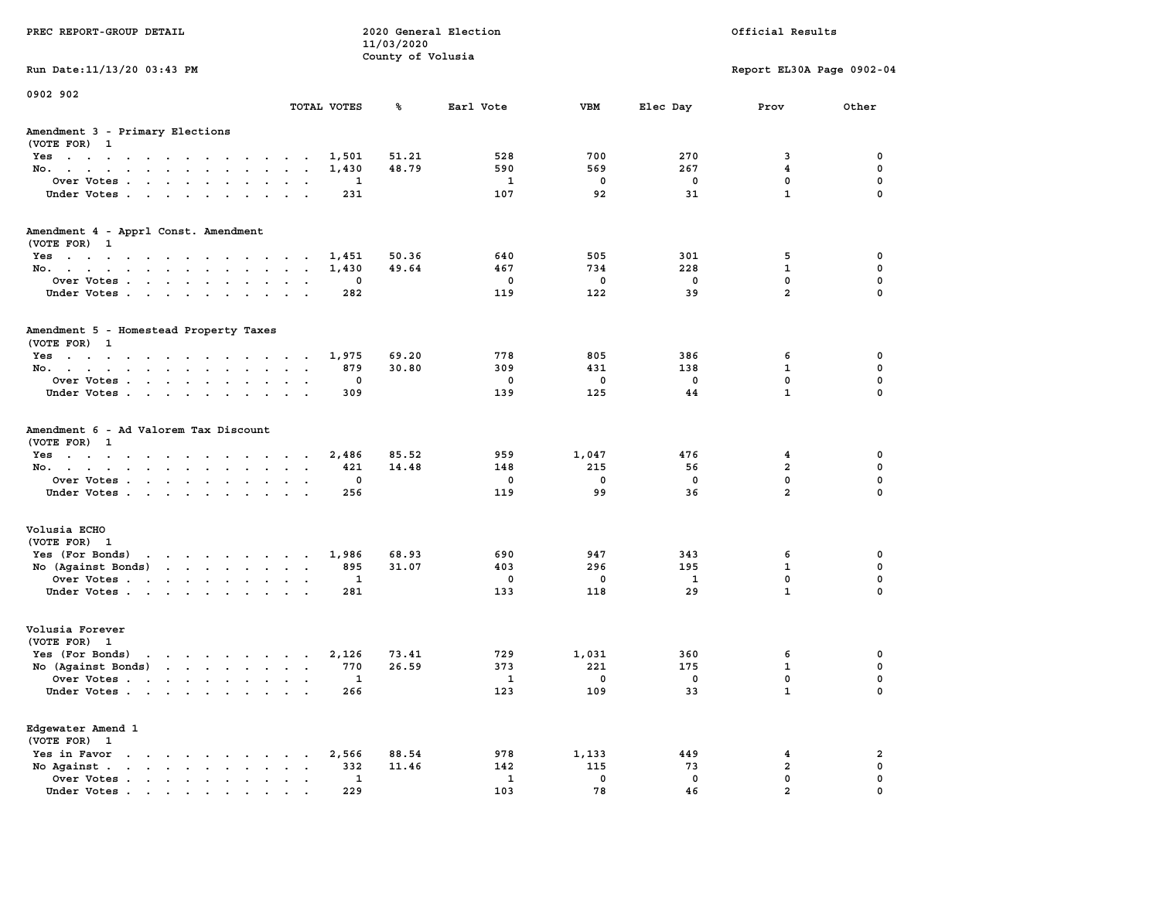| PREC REPORT-GROUP DETAIL                                                                                                           |                          | 11/03/2020          | 2020 General Election |          |            | Official Results             |                  |
|------------------------------------------------------------------------------------------------------------------------------------|--------------------------|---------------------|-----------------------|----------|------------|------------------------------|------------------|
| Run Date: 11/13/20 03:43 PM                                                                                                        |                          | County of Volusia   |                       |          |            | Report EL30A Page 0902-04    |                  |
| 0902 902                                                                                                                           |                          |                     |                       |          |            |                              |                  |
|                                                                                                                                    | TOTAL VOTES              | ℁                   | Earl Vote             | VBM      | Elec Day   | Prov                         | Other            |
| Amendment 3 - Primary Elections<br>(VOTE FOR) 1                                                                                    |                          |                     |                       |          |            |                              |                  |
| Yes                                                                                                                                | 1,501                    | 51.21               | 528                   | 700      | 270        | 3                            | 0                |
| No.                                                                                                                                | 1,430                    | 48.79               | 590                   | 569      | 267        | $\overline{\mathbf{4}}$<br>0 | 0<br>0           |
| Over Votes<br>Under Votes                                                                                                          | $\sim$ $\sim$            | 1<br>231            | 1<br>107              | 0<br>92  | 0<br>31    | $\mathbf{1}$                 | $\Omega$         |
| Amendment 4 - Apprl Const. Amendment<br>(VOTE FOR) 1                                                                               |                          |                     |                       |          |            |                              |                  |
| Yes                                                                                                                                | 1,451                    | 50.36               | 640                   | 505      | 301        | 5                            | 0                |
| No.                                                                                                                                | 1,430                    | 49.64               | 467                   | 734      | 228        | 1                            | 0                |
| Over Votes                                                                                                                         |                          | 0                   | 0                     | 0        | 0          | 0                            | 0                |
| Under Votes                                                                                                                        |                          | 282                 | 119                   | 122      | 39         | $\overline{a}$               | 0                |
| Amendment 5 - Homestead Property Taxes<br>(VOTE FOR) 1                                                                             |                          |                     |                       |          |            |                              |                  |
| Yes                                                                                                                                | 1,975                    | 69.20               | 778                   | 805      | 386        | 6                            | 0                |
| No.                                                                                                                                | $\sim$ $\sim$            | 30.80<br>879        | 309                   | 431      | 138        | 1                            | 0                |
| Over Votes                                                                                                                         | $\cdot$                  | 0                   | 0                     | 0        | $^{\circ}$ | 0                            | 0                |
| Under Votes                                                                                                                        | $\overline{\phantom{a}}$ | 309                 | 139                   | 125      | 44         | $\mathbf{1}$                 | 0                |
| Amendment 6 - Ad Valorem Tax Discount<br>(VOTE FOR) 1                                                                              |                          |                     |                       |          |            |                              |                  |
| Yes                                                                                                                                | 2,486                    | 85.52               | 959                   | 1,047    | 476        | 4                            | 0                |
| No.                                                                                                                                | $\sim$ $\sim$            | 14.48<br>421<br>0   | 148                   | 215      | 56<br>0    | $\overline{a}$<br>0          | $\mathbf 0$<br>0 |
| Over Votes<br>Under Votes                                                                                                          |                          | 256                 | 0<br>119              | 0<br>99  | 36         | $\overline{a}$               | $\Omega$         |
|                                                                                                                                    |                          |                     |                       |          |            |                              |                  |
| Volusia ECHO<br>(VOTE FOR) 1                                                                                                       |                          |                     |                       |          |            |                              |                  |
| Yes (For Bonds)<br>the contract of the contract of the contract of the contract of the contract of the contract of the contract of | 1,986                    | 68.93               | 690                   | 947      | 343        | 6                            | 0                |
| No (Against Bonds)                                                                                                                 |                          | 31.07<br>895<br>1   | 403<br>0              | 296<br>0 | 195<br>1   | 1<br>0                       | 0<br>0           |
| Over Votes<br>Under Votes                                                                                                          |                          | 281                 | 133                   | 118      | 29         | $\mathbf{1}$                 | 0                |
| Volusia Forever<br>(VOTE FOR) 1                                                                                                    |                          |                     |                       |          |            |                              |                  |
| Yes (For Bonds)                                                                                                                    | 2,126                    | 73.41               | 729                   | 1,031    | 360        | 6                            | 0                |
| No (Against Bonds)                                                                                                                 |                          | 26.59<br>770        | 373                   | 221      | 175        | 1                            | 0                |
| Over Votes<br>the contract of the contract of the contract of the contract of the contract of the contract of the contract of      |                          | 1                   | 1                     | 0        | $^{\circ}$ | 0                            | 0                |
| Under Votes                                                                                                                        |                          | 266                 | 123                   | 109      | 33         | $\mathbf{1}$                 | 0                |
| Edgewater Amend 1<br>(VOTE FOR) 1                                                                                                  |                          |                     |                       |          |            |                              |                  |
| Yes in Favor<br>$\cdots$                                                                                                           | 2,566                    | 88.54               | 978                   | 1,133    | 449        | 4                            | $\overline{a}$   |
| No Against.<br>$\mathbf{r}$ , $\mathbf{r}$ , $\mathbf{r}$ , $\mathbf{r}$<br>$\ddot{\phantom{a}}$<br>$\sim$<br>$\bullet$            |                          | 332<br>11.46        | 142                   | 115      | 73         | $\overline{\mathbf{2}}$      | 0                |
| Over Votes .<br>$\cdot$ $\cdot$ $\cdot$ $\cdot$ $\cdot$ $\cdot$ $\cdot$<br>Under Votes                                             |                          | $\mathbf{1}$<br>229 | $\mathbf{1}$<br>103   | 0<br>78  | 0<br>46    | 0<br>$\overline{a}$          | 0<br>$\Omega$    |
|                                                                                                                                    |                          |                     |                       |          |            |                              |                  |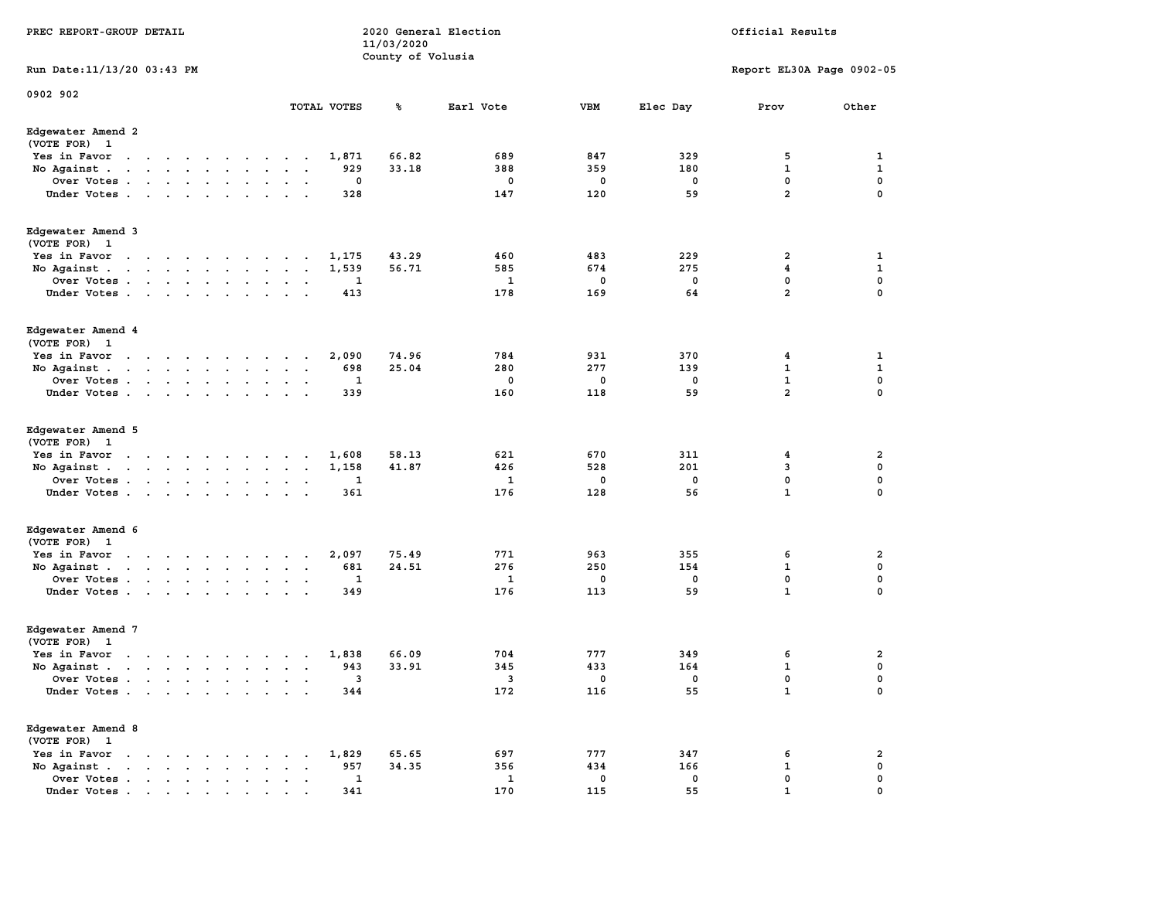| PREC REPORT-GROUP DETAIL                       |                                                                                                                                                                                                                                    |  |                      |               |                | 11/03/2020<br>County of Volusia | 2020 General Election |             |             | Official Results          |                         |
|------------------------------------------------|------------------------------------------------------------------------------------------------------------------------------------------------------------------------------------------------------------------------------------|--|----------------------|---------------|----------------|---------------------------------|-----------------------|-------------|-------------|---------------------------|-------------------------|
| Run Date: 11/13/20 03:43 PM                    |                                                                                                                                                                                                                                    |  |                      |               |                |                                 |                       |             |             | Report EL30A Page 0902-05 |                         |
| 0902 902                                       |                                                                                                                                                                                                                                    |  |                      |               | TOTAL VOTES    | ℁                               | Earl Vote             | VBM         | Elec Day    | Prov                      | Other                   |
| Edgewater Amend 2                              |                                                                                                                                                                                                                                    |  |                      |               |                |                                 |                       |             |             |                           |                         |
| (VOTE FOR) 1                                   |                                                                                                                                                                                                                                    |  |                      |               |                |                                 |                       |             |             |                           |                         |
| Yes in Favor                                   | the contract of the contract of the contract of the contract of the contract of the contract of the contract of                                                                                                                    |  |                      |               | 1,871          | 66.82                           | 689                   | 847         | 329         | 5                         | 1                       |
| No Against.                                    | $\mathbf{r}$ . The set of the set of the set of the set of the set of the set of the set of the set of the set of the set of the set of the set of the set of the set of the set of the set of the set of the set of the set of t  |  | $\ddot{\phantom{a}}$ |               | 929            | 33.18                           | 388                   | 359         | 180         | $\mathbf 1$               | 1                       |
| Over Votes                                     |                                                                                                                                                                                                                                    |  |                      |               | 0              |                                 | 0                     | 0           | 0           | 0                         | 0                       |
| Under Votes                                    |                                                                                                                                                                                                                                    |  |                      |               | 328            |                                 | 147                   | 120         | 59          | $\overline{a}$            | $\mathbf 0$             |
| Edgewater Amend 3<br>(VOTE FOR) 1              |                                                                                                                                                                                                                                    |  |                      |               |                |                                 |                       |             |             |                           |                         |
| Yes in Favor                                   | the contract of the contract of the con-                                                                                                                                                                                           |  |                      |               | 1,175          | 43.29                           | 460                   | 483         | 229         | $\overline{\mathbf{2}}$   | 1                       |
| No Against.                                    |                                                                                                                                                                                                                                    |  |                      | $\sim$        | 1,539          | 56.71                           | 585                   | 674         | 275         | $\overline{\mathbf{4}}$   | $\mathbf{1}$            |
| Over Votes                                     |                                                                                                                                                                                                                                    |  |                      |               | -1             |                                 | 1                     | 0           | 0           | 0                         | 0                       |
| Under Votes                                    |                                                                                                                                                                                                                                    |  |                      |               | 413            |                                 | 178                   | 169         | 64          | $\overline{a}$            | $\mathbf 0$             |
| Edgewater Amend 4<br>(VOTE FOR) 1              |                                                                                                                                                                                                                                    |  |                      |               |                |                                 |                       |             |             |                           |                         |
| Yes in Favor                                   | the contract of the contract of the contract of the contract of the contract of the contract of the contract of the contract of the contract of the contract of the contract of the contract of the contract of the contract o     |  | $\ddot{\phantom{1}}$ |               | 2,090          | 74.96                           | 784                   | 931         | 370         | 4                         | 1                       |
| No Against.                                    | the contract of the contract of the contract of the contract of the contract of the contract of the contract of                                                                                                                    |  |                      | $\sim$ $\sim$ | 698            | 25.04                           | 280                   | 277         | 139         | $\mathbf 1$               | 1                       |
| Over Votes                                     |                                                                                                                                                                                                                                    |  |                      |               | 1              |                                 | 0                     | 0           | 0           | ${\bf 1}$                 | 0                       |
| Under Votes                                    |                                                                                                                                                                                                                                    |  |                      |               | 339            |                                 | 160                   | 118         | 59          | $\overline{a}$            | 0                       |
| Edgewater Amend 5                              |                                                                                                                                                                                                                                    |  |                      |               |                |                                 |                       |             |             |                           |                         |
| (VOTE FOR) 1                                   |                                                                                                                                                                                                                                    |  |                      |               |                |                                 | 621                   | 670         |             |                           | 2                       |
| Yes in Favor<br>No Against.                    | the contract of the contract of the contract of the contract of the contract of the contract of the contract of<br>the contract of the contract of the                                                                             |  |                      | $\sim$        | 1,608<br>1,158 | 58.13<br>41.87                  | 426                   | 528         | 311<br>201  | 4<br>3                    | 0                       |
| Over Votes                                     |                                                                                                                                                                                                                                    |  |                      |               | 1              |                                 | 1                     | 0           | 0           | 0                         | 0                       |
| Under Votes                                    |                                                                                                                                                                                                                                    |  |                      |               | 361            |                                 | 176                   | 128         | 56          | $\mathbf{1}$              | $\mathbf 0$             |
|                                                |                                                                                                                                                                                                                                    |  |                      |               |                |                                 |                       |             |             |                           |                         |
| Edgewater Amend 6<br>(VOTE FOR) 1              |                                                                                                                                                                                                                                    |  |                      |               |                |                                 |                       |             |             |                           |                         |
| Yes in Favor                                   | the contract of the contract of the contract of                                                                                                                                                                                    |  |                      |               | 2,097          | 75.49                           | 771                   | 963         | 355         | 6                         | 2                       |
| No Against $\cdots$ $\cdots$ $\cdots$ $\cdots$ |                                                                                                                                                                                                                                    |  |                      |               | 681            | 24.51                           | 276                   | 250         | 154         | $\mathbf 1$               | 0                       |
| Over Votes                                     |                                                                                                                                                                                                                                    |  |                      |               | 1              |                                 | 1                     | 0           | 0           | 0                         | 0                       |
| Under Votes                                    |                                                                                                                                                                                                                                    |  |                      |               | 349            |                                 | 176                   | 113         | 59          | $\mathbf{1}$              | $\mathbf 0$             |
| Edgewater Amend 7<br>(VOTE FOR) 1              |                                                                                                                                                                                                                                    |  |                      |               |                |                                 |                       |             |             |                           |                         |
| Yes in Favor                                   | the contract of the contract of the contract of the contract of the contract of the contract of the contract of                                                                                                                    |  |                      | $\cdot$       | 1,838          | 66.09                           | 704                   | 777         | 349         | 6                         | 2                       |
| No Against.                                    |                                                                                                                                                                                                                                    |  |                      |               | 943            | 33.91                           | 345                   | 433         | 164         | $\mathbf{1}$              | 0                       |
| Over Votes                                     |                                                                                                                                                                                                                                    |  |                      |               | 3              |                                 | 3                     | $\mathbf 0$ | $\mathbf 0$ | $\mathbf 0$               | $\mathbf 0$             |
| Under Votes                                    |                                                                                                                                                                                                                                    |  |                      |               | 344            |                                 | 172                   | 116         | 55          | $\mathbf{1}$              | 0                       |
| Edgewater Amend 8<br>(VOTE FOR) 1              |                                                                                                                                                                                                                                    |  |                      |               |                |                                 |                       |             |             |                           |                         |
| Yes in Favor                                   | $\mathbf{r}$ . The set of the set of the set of the set of the set of the set of the set of the set of the set of the set of the set of the set of the set of the set of the set of the set of the set of the set of the set of t  |  | $\sim$               |               | 1,829          | 65.65                           | 697                   | 777         | 347         | 6                         | $\overline{\mathbf{2}}$ |
| No Against.                                    | the contract of the contract of the contract of the contract of the contract of the contract of the contract of                                                                                                                    |  |                      |               | 957            | 34.35                           | 356                   | 434         | 166         | $\mathbf 1$               | $\mathbf 0$             |
| Over Votes .                                   | $\mathcal{A}$ . The set of the set of the set of the set of the set of the set of the set of the set of the set of the set of the set of the set of the set of the set of the set of the set of the set of the set of the set of t |  |                      |               | 1              |                                 | $\mathbf{1}$          | $\mathbf 0$ | $\mathbf 0$ | 0                         | 0                       |
| Under Votes                                    |                                                                                                                                                                                                                                    |  |                      |               | 341            |                                 | 170                   | 115         | 55          |                           | $\Omega$                |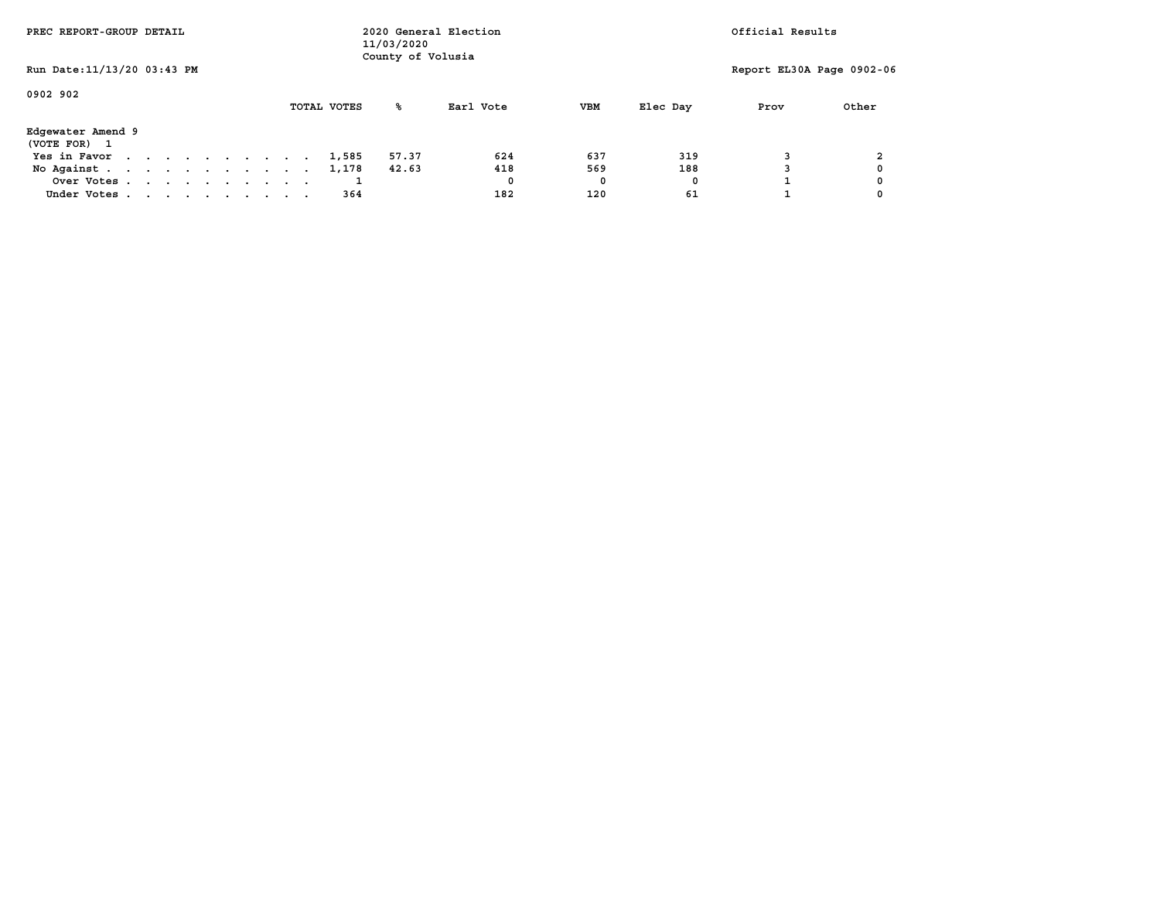| PREC REPORT-GROUP DETAIL                                                                                 |  |  | 2020 General Election<br>11/03/2020<br>County of Volusia |  |  |             |       |           |            | Official Results |                           |       |  |  |
|----------------------------------------------------------------------------------------------------------|--|--|----------------------------------------------------------|--|--|-------------|-------|-----------|------------|------------------|---------------------------|-------|--|--|
| Run Date: 11/13/20 03:43 PM                                                                              |  |  |                                                          |  |  |             |       |           |            |                  | Report EL30A Page 0902-06 |       |  |  |
| 0902 902                                                                                                 |  |  |                                                          |  |  | TOTAL VOTES | ‱     | Earl Vote | <b>VBM</b> | Elec Day         | Prov                      | Other |  |  |
| Edgewater Amend 9<br>(VOTE FOR) 1                                                                        |  |  |                                                          |  |  |             |       |           |            |                  |                           |       |  |  |
| Yes in Favor<br>$\mathbf{r}$ , and $\mathbf{r}$ , and $\mathbf{r}$ , and $\mathbf{r}$ , and $\mathbf{r}$ |  |  |                                                          |  |  | 1,585       | 57.37 | 624       | 637        | 319              |                           |       |  |  |
| No Against                                                                                               |  |  |                                                          |  |  | 1,178       | 42.63 | 418       | 569        | 188              |                           |       |  |  |
| Over Votes                                                                                               |  |  |                                                          |  |  |             |       | 0         | 0          | 0                |                           |       |  |  |
| Under Votes                                                                                              |  |  |                                                          |  |  | 364         |       | 182       | 120        | 61               |                           |       |  |  |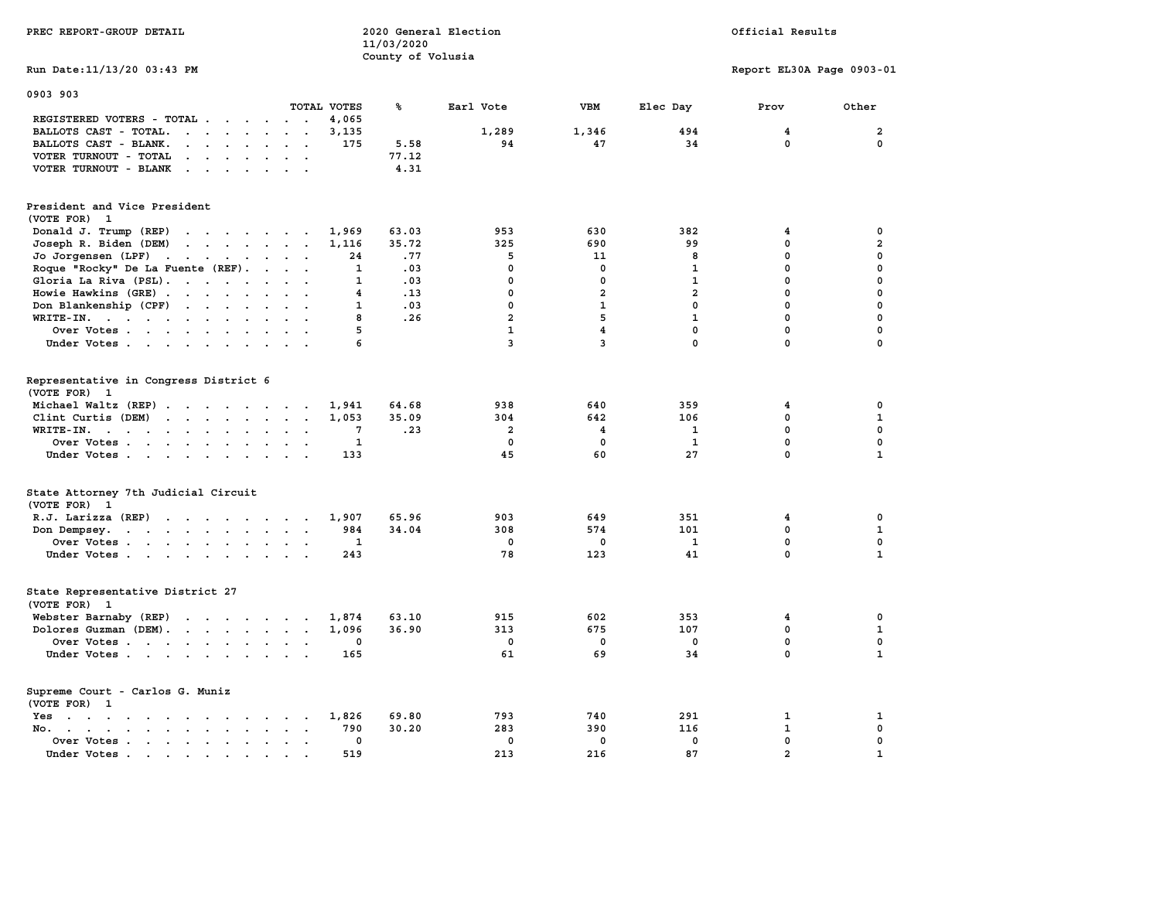| PREC REPORT-GROUP DETAIL                                                                                                                                                                                                                                   |                           | 11/03/2020        | 2020 General Election   |                         |                     | Official Results          |                         |
|------------------------------------------------------------------------------------------------------------------------------------------------------------------------------------------------------------------------------------------------------------|---------------------------|-------------------|-------------------------|-------------------------|---------------------|---------------------------|-------------------------|
| Run Date: 11/13/20 03:43 PM                                                                                                                                                                                                                                |                           | County of Volusia |                         |                         |                     |                           |                         |
|                                                                                                                                                                                                                                                            |                           |                   |                         |                         |                     | Report EL30A Page 0903-01 |                         |
| 0903 903                                                                                                                                                                                                                                                   |                           |                   |                         |                         |                     |                           |                         |
|                                                                                                                                                                                                                                                            | TOTAL VOTES               | ℁                 | Earl Vote               | <b>VBM</b>              | Elec Day            | Prov                      | Other                   |
| REGISTERED VOTERS - TOTAL .<br>$\cdots$                                                                                                                                                                                                                    | 4,065                     |                   |                         |                         |                     |                           |                         |
| BALLOTS CAST - TOTAL.<br>$\mathbf{r}$ . The set of the set of the set of the set of the set of the set of the set of the set of the set of the set of the set of the set of the set of the set of the set of the set of the set of the set of the set of t | 3,135                     |                   | 1,289                   | 1,346                   | 494                 | 4                         | $\overline{\mathbf{2}}$ |
| BALLOTS CAST - BLANK.<br>$\mathbf{r}$ , $\mathbf{r}$ , $\mathbf{r}$ , $\mathbf{r}$ , $\mathbf{r}$ , $\mathbf{r}$                                                                                                                                           | 175                       | 5.58              | 94                      | 47                      | 34                  | 0                         | 0                       |
| VOTER TURNOUT - TOTAL<br>$\mathbf{r}$ , and $\mathbf{r}$ , and $\mathbf{r}$ , and $\mathbf{r}$                                                                                                                                                             |                           | 77.12             |                         |                         |                     |                           |                         |
| VOTER TURNOUT - BLANK                                                                                                                                                                                                                                      |                           | 4.31              |                         |                         |                     |                           |                         |
| President and Vice President<br>(VOTE FOR) 1                                                                                                                                                                                                               |                           |                   |                         |                         |                     |                           |                         |
| Donald J. Trump (REP)                                                                                                                                                                                                                                      | 1,969                     | 63.03             | 953                     | 630                     | 382                 | 4                         | 0                       |
| Joseph R. Biden (DEM)                                                                                                                                                                                                                                      | 1,116                     | 35.72             | 325                     | 690                     | 99                  | 0                         | $\overline{a}$          |
| Jo Jorgensen (LPF)                                                                                                                                                                                                                                         | 24                        | .77               | 5                       | 11                      | 8                   | 0                         | 0                       |
| Roque "Rocky" De La Fuente (REF).                                                                                                                                                                                                                          | 1                         | .03               | $\mathbf 0$             | $\mathbf 0$             | $\mathbf{1}$        | 0                         | 0                       |
| Gloria La Riva (PSL).                                                                                                                                                                                                                                      | $\mathbf{1}$              | .03               | 0                       | $\mathbf 0$             | $\mathbf{1}$        | $\mathbf 0$               | 0                       |
| Howie Hawkins (GRE)                                                                                                                                                                                                                                        | $\overline{4}$            | .13               | $\mathbf 0$             | $\overline{\mathbf{2}}$ | $\overline{a}$      | 0                         | 0                       |
| Don Blankenship (CPF)                                                                                                                                                                                                                                      | 1                         | .03               | $\mathbf 0$             | $\mathbf{1}$            | $\mathbf{0}$        | $\mathbf 0$               | 0                       |
| WRITE-IN.                                                                                                                                                                                                                                                  | 8                         | .26               | $\overline{a}$          | 5                       | $\mathbf{1}$        | $\mathbf 0$               | 0                       |
| Over Votes.                                                                                                                                                                                                                                                | 5                         |                   | $\mathbf{1}$            | $\overline{\mathbf{4}}$ | $\mathbf 0$         | 0                         | 0                       |
| Under Votes                                                                                                                                                                                                                                                | 6                         |                   | 3                       | 3                       | $\mathbf{0}$        | 0                         | 0                       |
| Representative in Congress District 6<br>(VOTE FOR) 1<br>Michael Waltz (REP)                                                                                                                                                                               | 1,941                     | 64.68             | 938                     | 640                     | 359                 | 4                         | 0                       |
| Clint Curtis (DEM)                                                                                                                                                                                                                                         | 1,053                     | 35.09             | 304                     | 642                     | 106                 | $\mathbf 0$               | $\mathbf{1}$            |
| WRITE-IN.<br>the contract of the contract of the                                                                                                                                                                                                           | 7<br>$\sim$<br>$\sim$     | .23               | $\overline{\mathbf{2}}$ | 4                       | 1                   | 0                         | 0                       |
| Over Votes                                                                                                                                                                                                                                                 | $\mathbf{1}$              |                   | $\mathbf 0$             | $\mathbf{0}$            | $\mathbf{1}$        | $\mathbf 0$               | $\mathbf{0}$            |
| Under Votes                                                                                                                                                                                                                                                | 133<br>$\sim$             |                   | 45                      | 60                      | 27                  | 0                         | $\mathbf{1}$            |
| State Attorney 7th Judicial Circuit<br>(VOTE FOR) 1                                                                                                                                                                                                        |                           |                   |                         |                         |                     |                           |                         |
| R.J. Larizza (REP)                                                                                                                                                                                                                                         | 1,907                     | 65.96             | 903                     | 649                     | 351                 | 4                         | 0                       |
| Don Dempsey.<br>the contract of the contract of the contract of                                                                                                                                                                                            | 984<br>$\mathbf{1}$       | 34.04             | 308<br>$\mathbf 0$      | 574<br>$\mathbf 0$      | 101<br>$\mathbf{1}$ | 0<br>0                    | $\mathbf{1}$<br>0       |
| Over Votes                                                                                                                                                                                                                                                 | 243                       |                   | 78                      | 123                     | 41                  | 0                         | $\mathbf{1}$            |
| Under Votes                                                                                                                                                                                                                                                |                           |                   |                         |                         |                     |                           |                         |
| State Representative District 27<br>(VOTE FOR) 1                                                                                                                                                                                                           |                           |                   |                         |                         |                     |                           |                         |
| Webster Barnaby (REP)                                                                                                                                                                                                                                      | 1,874<br>$\sim$           | 63.10             | 915                     | 602                     | 353                 | 4                         | 0                       |
| Dolores Guzman (DEM).                                                                                                                                                                                                                                      | 1,096                     | 36.90             | 313                     | 675                     | 107                 | $\mathbf 0$               | $\mathbf{1}$            |
| Over Votes                                                                                                                                                                                                                                                 | 0                         |                   | $\mathbf 0$             | $\mathbf 0$             | $\mathbf 0$         | 0                         | 0                       |
| Under Votes                                                                                                                                                                                                                                                | 165                       |                   | 61                      | 69                      | 34                  | $\mathbf 0$               | $\mathbf{1}$            |
| Supreme Court - Carlos G. Muniz<br>(VOTE FOR) 1                                                                                                                                                                                                            |                           |                   |                         |                         |                     |                           |                         |
| Yes                                                                                                                                                                                                                                                        | 1,826                     | 69.80             | 793                     | 740                     | 291                 | $\mathbf{1}$              | 1                       |
| No.                                                                                                                                                                                                                                                        | 790                       | 30.20             | 283                     | 390                     | 116                 | 1                         | 0                       |
| Over Votes                                                                                                                                                                                                                                                 | 0<br>$\sim$ $\sim$ $\sim$ |                   | $\mathbf{0}$            | $\mathbf 0$             | $\mathbf{0}$        | 0                         | $\mathbf 0$             |
| Under Votes<br>$\ddot{\phantom{0}}$<br>$\overline{\phantom{a}}$                                                                                                                                                                                            | 519                       |                   | 213                     | 216                     | 87                  | $\overline{a}$            | $\mathbf{1}$            |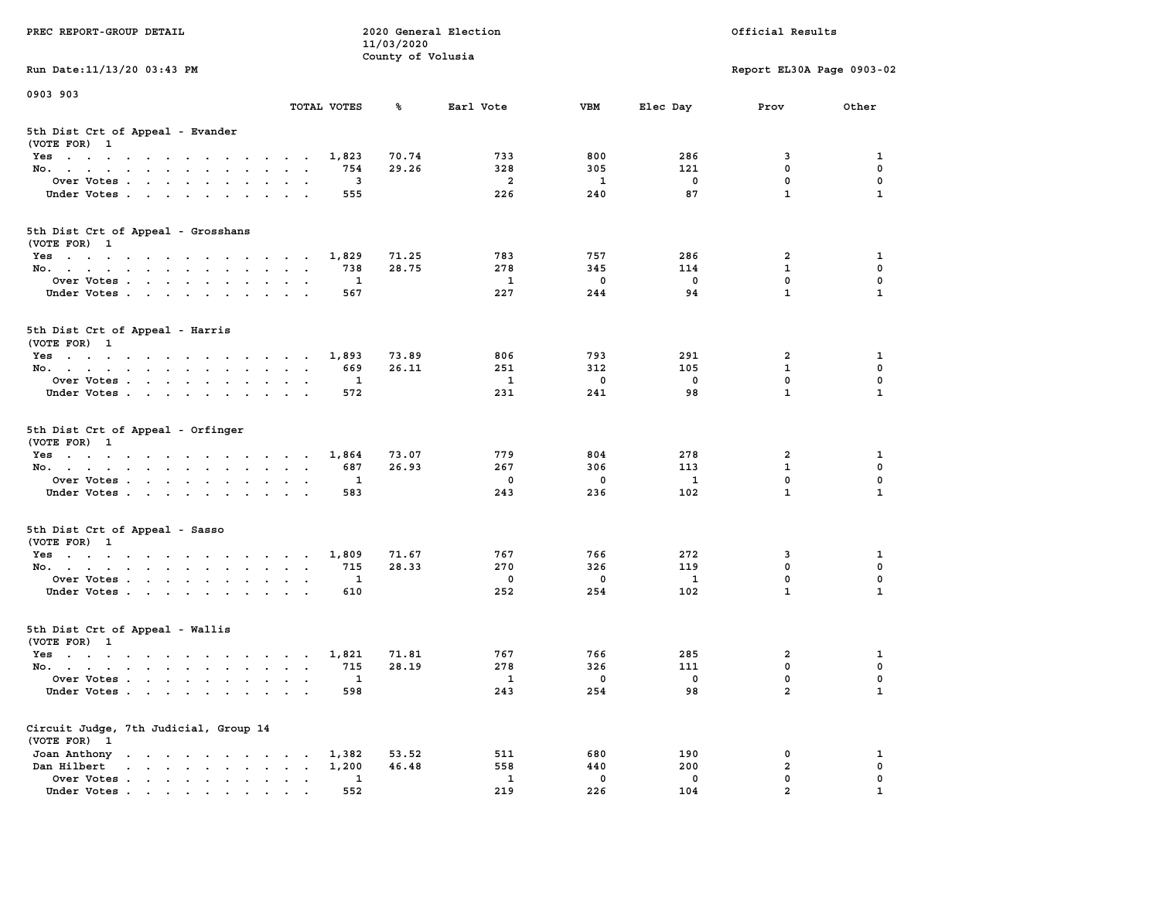| PREC REPORT-GROUP DETAIL                                                                                               |                                            | 11/03/2020        | 2020 General Election |             |             | Official Results          |              |
|------------------------------------------------------------------------------------------------------------------------|--------------------------------------------|-------------------|-----------------------|-------------|-------------|---------------------------|--------------|
| Run Date: 11/13/20 03:43 PM                                                                                            |                                            | County of Volusia |                       |             |             | Report EL30A Page 0903-02 |              |
| 0903 903                                                                                                               |                                            |                   |                       |             |             |                           |              |
|                                                                                                                        | TOTAL VOTES                                | ℁                 | Earl Vote             | <b>VBM</b>  | Elec Day    | Prov                      | Other        |
| 5th Dist Crt of Appeal - Evander<br>(VOTE FOR) 1                                                                       |                                            |                   |                       |             |             |                           |              |
| Yes                                                                                                                    | 1,823                                      | 70.74             | 733                   | 800         | 286         | 3                         | 1            |
| No.                                                                                                                    | 754                                        | 29.26             | 328                   | 305         | 121         | $\mathbf 0$               | $\mathbf 0$  |
| Over Votes                                                                                                             | 3                                          |                   | $\overline{a}$        | 1           | 0           | $\mathbf 0$               | 0            |
| Under Votes                                                                                                            | 555                                        |                   | 226                   | 240         | 87          | $\mathbf{1}$              | $\mathbf{1}$ |
| 5th Dist Crt of Appeal - Grosshans<br>(VOTE FOR) 1                                                                     |                                            |                   |                       |             |             |                           |              |
| Yes                                                                                                                    | 1,829                                      | 71.25             | 783                   | 757         | 286         | 2                         | 1            |
| No.                                                                                                                    | 738                                        | 28.75             | 278                   | 345         | 114         | $\mathbf{1}$              | 0            |
| Over Votes                                                                                                             | 1                                          |                   | 1                     | $\mathbf 0$ | $\mathbf 0$ | 0                         | $\mathbf 0$  |
| Under Votes                                                                                                            | 567                                        |                   | 227                   | 244         | 94          | 1                         | 1            |
| 5th Dist Crt of Appeal - Harris<br>(VOTE FOR) 1                                                                        |                                            |                   |                       |             |             |                           |              |
| Yes                                                                                                                    | 1,893                                      | 73.89             | 806                   | 793         | 291         | $\mathbf{2}$              | 1            |
| No.                                                                                                                    | 669                                        | 26.11             | 251                   | 312         | 105         | $\mathbf{1}$              | $\mathbf 0$  |
| Over Votes                                                                                                             | 1                                          |                   | 1                     | 0           | $\mathbf 0$ | $\mathbf{0}$              | 0            |
| Under Votes                                                                                                            | 572                                        |                   | 231                   | 241         | 98          | $\mathbf{1}$              | $\mathbf{1}$ |
| 5th Dist Crt of Appeal - Orfinger<br>(VOTE FOR) 1                                                                      |                                            |                   |                       |             |             |                           |              |
| Yes                                                                                                                    | 1,864                                      | 73.07             | 779                   | 804         | 278         | 2                         | 1            |
| No.                                                                                                                    | 687                                        | 26.93             | 267                   | 306         | 113         | $\mathbf{1}$              | 0            |
| Over Votes                                                                                                             | 1                                          |                   | 0                     | 0           | 1           | $\mathbf 0$               | 0            |
| Under Votes                                                                                                            | 583                                        |                   | 243                   | 236         | 102         | $\mathbf{1}$              | $\mathbf{1}$ |
| 5th Dist Crt of Appeal - Sasso<br>(VOTE FOR) 1                                                                         |                                            |                   |                       |             |             |                           |              |
| Yes                                                                                                                    | 1,809                                      | 71.67             | 767                   | 766         | 272         | 3                         | 1            |
| No.                                                                                                                    | 715                                        | 28.33             | 270                   | 326         | 119         | $\mathbf 0$               | 0            |
| Over Votes                                                                                                             | 1                                          |                   | 0                     | 0           | 1           | $\mathbf 0$               | 0            |
| Under Votes                                                                                                            | 610                                        |                   | 252                   | 254         | 102         | $\mathbf{1}$              | $\mathbf{1}$ |
| 5th Dist Crt of Appeal - Wallis<br>(VOTE FOR) 1                                                                        |                                            |                   |                       |             |             |                           |              |
| Yes<br>the contract of the contract of the contract of the contract of the contract of the contract of the contract of | 1,821                                      | 71.81             | 767                   | 766         | 285         | 2                         | 1            |
| No.                                                                                                                    | 715                                        | 28.19             | 278                   | 326         | 111         | $\mathbf 0$               | 0            |
| Over Votes                                                                                                             | 1                                          |                   | $\mathbf{1}$          | 0           | 0           | $\mathbf 0$               | 0            |
| Under Votes                                                                                                            | 598                                        |                   | 243                   | 254         | 98          | $\mathbf{2}$              | $\mathbf{1}$ |
| Circuit Judge, 7th Judicial, Group 14<br>(VOTE FOR) 1                                                                  |                                            |                   |                       |             |             |                           |              |
| Joan Anthony                                                                                                           | 1,382                                      | 53.52             | 511                   | 680         | 190         | 0                         | 1            |
| Dan Hilbert<br>$\mathbf{r}$ , $\mathbf{r}$ , $\mathbf{r}$ , $\mathbf{r}$ , $\mathbf{r}$ , $\mathbf{r}$                 | 1,200<br>$\ddot{\phantom{a}}$<br>$\bullet$ | 46.48             | 558                   | 440         | 200         | $\overline{a}$            | 0            |
| Over Votes                                                                                                             | 1                                          |                   | 1                     | $\mathbf 0$ | 0           | $\mathbf 0$               | 0            |
| Under Votes                                                                                                            | 552                                        |                   | 219                   | 226         | 104         | $\overline{a}$            | 1            |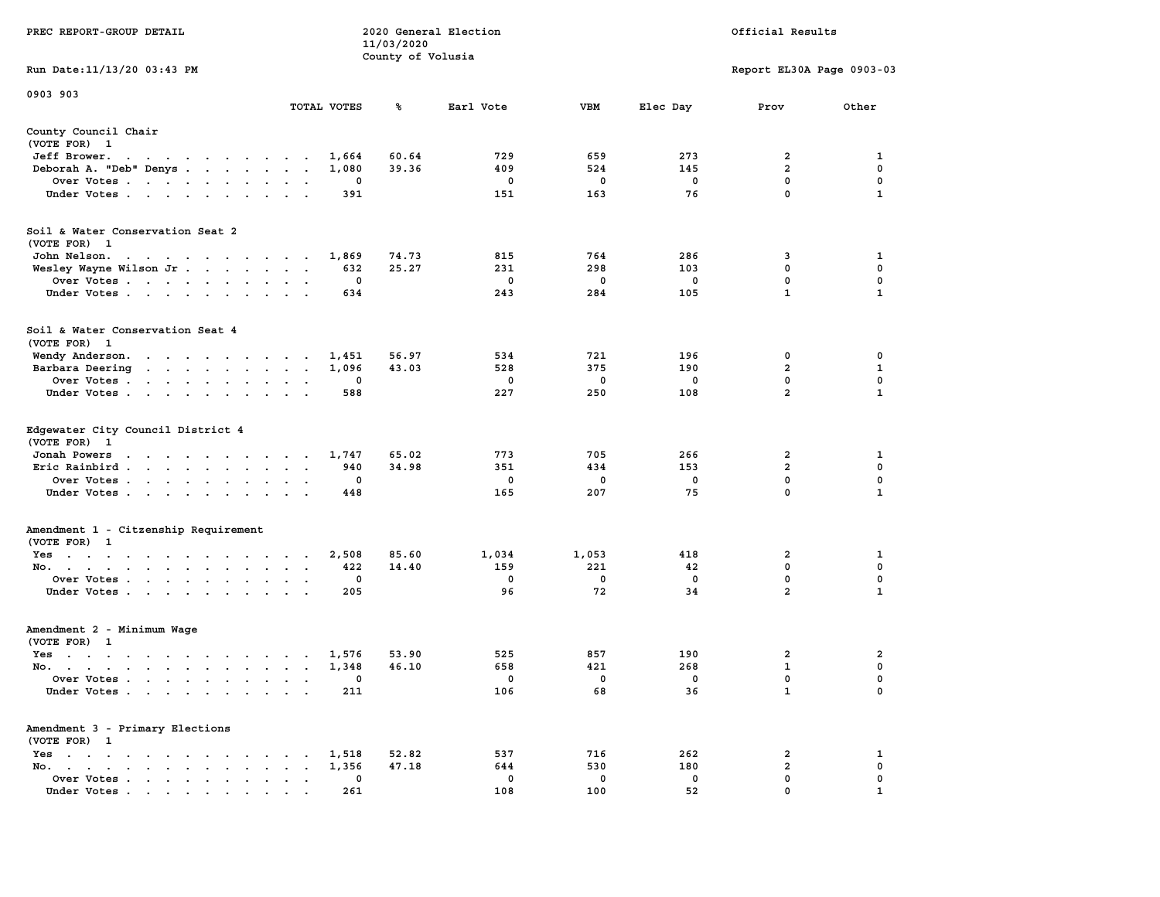|                                                                                                                                                                                                                                                                    |                                                                               | 11/03/2020        |           |             |             |                           |                  |
|--------------------------------------------------------------------------------------------------------------------------------------------------------------------------------------------------------------------------------------------------------------------|-------------------------------------------------------------------------------|-------------------|-----------|-------------|-------------|---------------------------|------------------|
| Run Date:11/13/20 03:43 PM                                                                                                                                                                                                                                         |                                                                               | County of Volusia |           |             |             | Report EL30A Page 0903-03 |                  |
|                                                                                                                                                                                                                                                                    |                                                                               |                   |           |             |             |                           |                  |
| 0903 903                                                                                                                                                                                                                                                           | TOTAL VOTES                                                                   | %                 | Earl Vote | <b>VBM</b>  | Elec Day    | Prov                      | Other            |
| County Council Chair                                                                                                                                                                                                                                               |                                                                               |                   |           |             |             |                           |                  |
| (VOTE FOR) 1                                                                                                                                                                                                                                                       |                                                                               |                   |           |             |             |                           |                  |
| Jeff Brower.<br>$\sim$ $\sim$<br>$\mathbf{r}$ . The contract of the contract of the contract of the contract of the contract of the contract of the contract of the contract of the contract of the contract of the contract of the contract of the contract of th | 1,664                                                                         | 60.64             | 729       | 659         | 273         | $\mathbf{2}$              | 1                |
| Deborah A. "Deb" Denys                                                                                                                                                                                                                                             | 1,080<br>$\ddot{\phantom{a}}$                                                 | 39.36             | 409       | 524         | 145         | $\overline{a}$            | $\pmb{0}$        |
| Over Votes                                                                                                                                                                                                                                                         | 0<br>$\bullet$                                                                |                   | 0         | 0           | $\mathbf 0$ | $\mathbf 0$               | 0                |
| Under Votes<br>$\ddot{\phantom{0}}$                                                                                                                                                                                                                                | 391<br>$\bullet$                                                              |                   | 151       | 163         | 76          | $\mathbf 0$               | $\mathbf{1}$     |
| Soil & Water Conservation Seat 2                                                                                                                                                                                                                                   |                                                                               |                   |           |             |             |                           |                  |
| (VOTE FOR) 1                                                                                                                                                                                                                                                       |                                                                               |                   |           |             |             |                           |                  |
| John Nelson.<br>$\mathcal{A}=\mathcal{A}=\mathcal{A}=\mathcal{A}=\mathcal{A}=\mathcal{A}=\mathcal{A}=\mathcal{A}=\mathcal{A}$                                                                                                                                      | 1,869                                                                         | 74.73             | 815       | 764         | 286         | 3                         | 1                |
| Wesley Wayne Wilson Jr                                                                                                                                                                                                                                             | 632<br>$\sim$<br>$\sim$<br>$\sim$                                             | 25.27             | 231       | 298         | 103         | 0                         | 0                |
| Over Votes<br>$\ddot{\phantom{a}}$                                                                                                                                                                                                                                 | 0<br>$\cdot$                                                                  |                   | 0         | 0           | 0           | 0                         | $\mathbf 0$      |
| Under Votes<br>$\ddot{\phantom{a}}$                                                                                                                                                                                                                                | 634<br>$\ddot{\phantom{a}}$                                                   |                   | 243       | 284         | 105         | $\mathbf{1}$              | $\mathbf{1}$     |
| Soil & Water Conservation Seat 4                                                                                                                                                                                                                                   |                                                                               |                   |           |             |             |                           |                  |
| (VOTE FOR) 1                                                                                                                                                                                                                                                       |                                                                               |                   |           |             |             |                           |                  |
| Wendy Anderson.                                                                                                                                                                                                                                                    | 1,451<br>$\sim$                                                               | 56.97             | 534       | 721         | 196         | 0                         | 0                |
| Barbara Deering<br>and the contract of the state of the                                                                                                                                                                                                            | 1,096<br>$\bullet$<br>$\bullet$                                               | 43.03             | 528       | 375         | 190         | $\overline{2}$            | $\mathbf{1}$     |
| Over Votes.<br>$\mathbf{r}$ , $\mathbf{r}$ , $\mathbf{r}$ , $\mathbf{r}$<br>$\ddot{\phantom{0}}$<br>$\ddot{\phantom{a}}$                                                                                                                                           | 0                                                                             |                   | 0         | $\mathbf 0$ | $\mathbf 0$ | $\mathbf 0$               | 0                |
| Under Votes<br>$\ddot{\phantom{1}}$                                                                                                                                                                                                                                | 588                                                                           |                   | 227       | 250         | 108         | $\overline{2}$            | $\mathbf{1}$     |
| Edgewater City Council District 4<br>(VOTE FOR)<br>- 1                                                                                                                                                                                                             |                                                                               |                   |           |             |             |                           |                  |
| Jonah Powers<br>$\mathcal{A}=\mathcal{A}=\mathcal{A}=\mathcal{A}=\mathcal{A}=\mathcal{A}$                                                                                                                                                                          | 1,747<br>$\sim$ $\sim$ $\sim$ $\sim$ $\sim$                                   | 65.02             | 773       | 705         | 266         | $\overline{2}$            | 1                |
| Eric Rainbird<br>$\ddot{\phantom{0}}$<br>$\ddot{\phantom{a}}$<br>$\mathbf{r}$<br>$\ddot{\phantom{a}}$                                                                                                                                                              | 940<br>$\ddot{\phantom{a}}$<br>$\ddot{\phantom{a}}$<br>$\ddot{\phantom{a}}$   | 34.98             | 351       | 434         | 153         | $\overline{a}$            | $\mathbf 0$      |
| Over Votes<br>$\sim$                                                                                                                                                                                                                                               | $\mathbf 0$<br>$\mathbf{r}$<br>$\ddot{\phantom{a}}$                           |                   | 0         | 0           | $\mathbf 0$ | $\mathbf 0$               | $\mathbf 0$      |
| Under Votes<br>$\cdot$<br>$\cdot$                                                                                                                                                                                                                                  | 448                                                                           |                   | 165       | 207         | 75          | $\mathbf 0$               | $\mathbf{1}$     |
| Amendment 1 - Citzenship Requirement                                                                                                                                                                                                                               |                                                                               |                   |           |             |             |                           |                  |
| (VOTE FOR) 1                                                                                                                                                                                                                                                       |                                                                               |                   |           |             |             |                           |                  |
| $Yes \t . \t .$<br>the company of the company of the<br>$\sim$ 100 $\pm$ 100 $\pm$                                                                                                                                                                                 | 2,508<br>$\bullet$                                                            | 85.60             | 1,034     | 1,053       | 418         | $\overline{\mathbf{2}}$   | 1                |
| No.<br>$\blacksquare$ .<br>$\bullet$                                                                                                                                                                                                                               | 422<br>$\bullet$<br>$\bullet$<br>$\ddot{\phantom{a}}$                         | 14.40             | 159       | 221         | 42          | 0<br>$\mathbf 0$          | 0<br>$\mathbf 0$ |
| Over Votes<br>$\cdot$<br>$\cdot$                                                                                                                                                                                                                                   | 0                                                                             |                   | 0         | 0           | $^{\circ}$  | $\overline{2}$            |                  |
| Under Votes<br>$\blacksquare$<br>$\overline{\phantom{a}}$                                                                                                                                                                                                          | 205<br>$\ddot{\phantom{a}}$                                                   |                   | 96        | 72          | 34          |                           | 1                |
| Amendment 2 - Minimum Wage                                                                                                                                                                                                                                         |                                                                               |                   |           |             |             |                           |                  |
| (VOTE FOR) 1                                                                                                                                                                                                                                                       |                                                                               |                   |           |             |             |                           |                  |
| $Yes \t . \t .$<br>$\sim$ $\sim$ $\sim$<br>$\sim$ $\sim$ $\sim$ $\sim$                                                                                                                                                                                             | 1,576<br>$\cdot$<br>$\cdot$<br>$\overline{\phantom{a}}$                       | 53.90             | 525       | 857         | 190         | $\overline{a}$            | $\mathbf{2}$     |
| No.<br>$\cdot$ $\cdot$<br>$\cdot$                                                                                                                                                                                                                                  | 1,348<br>$\ddot{\phantom{a}}$<br>$\ddot{\phantom{a}}$<br>$\ddot{\phantom{a}}$ | 46.10             | 658       | 421         | 268         | $\mathbf 1$               | 0                |
| Over Votes .<br>$\sim$<br>$\ddot{\phantom{a}}$<br>$\sim$<br>$\ddot{\phantom{a}}$<br>$\ddot{\phantom{a}}$<br>$\cdot$                                                                                                                                                | 0<br>$\cdot$<br>$\ddot{\phantom{a}}$<br>$\cdot$                               |                   | 0         | 0           | 0           | $\mathbf 0$               | $\mathbf 0$      |
| Under Votes<br>$\sim$                                                                                                                                                                                                                                              | 211<br>$\sim$<br>$\cdot$                                                      |                   | 106       | 68          | 36          | $\mathbf 1$               | 0                |
| Amendment 3 - Primary Elections<br>(VOTE FOR) 1                                                                                                                                                                                                                    |                                                                               |                   |           |             |             |                           |                  |
| $Yes \t . \t .$<br>$\bullet$<br>$\sim$<br>$\ddot{\phantom{0}}$<br>$\bullet$<br>$\sim$<br>$\bullet$<br>$\cdot$                                                                                                                                                      | 1,518<br>$\bullet$                                                            | 52.82             | 537       | 716         | 262         | 2                         | 1                |
| No.<br>$\bullet$ .<br><br><br><br><br><br><br><br><br><br><br><br><br><br><br><br>$\mathbf{r} = \mathbf{r}$<br>$\bullet$<br>$\cdot$                                                                                                                                | 1,356<br>$\bullet$                                                            | 47.18             | 644       | 530         | 180         | $\mathbf{2}$              | 0                |
| Over Votes<br>$\blacksquare$ .<br>$\bullet$                                                                                                                                                                                                                        | 0<br>$\ddot{\phantom{0}}$<br>$\ddot{\phantom{a}}$<br>$\ddot{\phantom{a}}$     |                   | 0         | 0           | 0           | $\mathbf{0}$              | $\mathbf 0$      |
| Under Votes                                                                                                                                                                                                                                                        | 261                                                                           |                   | 108       | 100         | 52          | $\mathbf{0}$              | 1                |

**PREC REPORT-GROUP DETAIL 2020 General Election Official Results**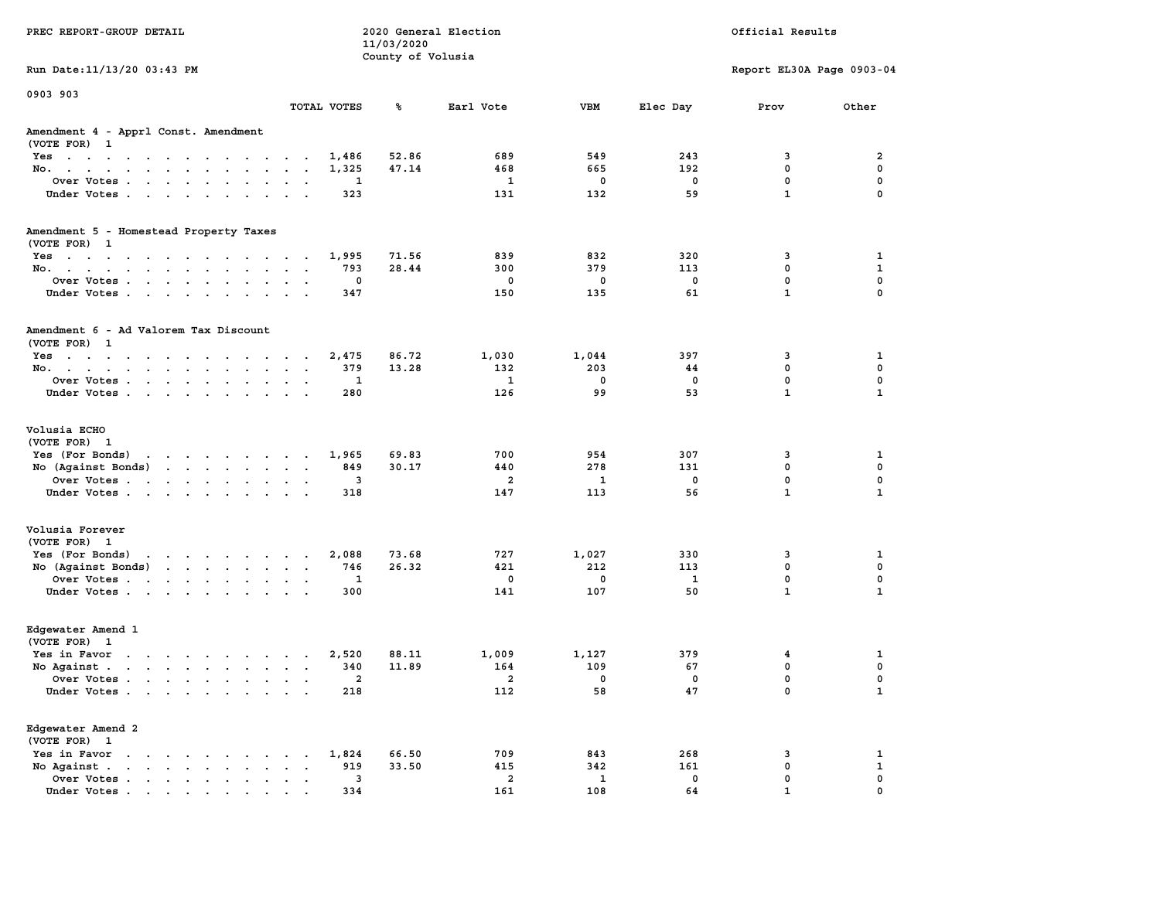| PREC REPORT-GROUP DETAIL                                                                                                           |                         | 11/03/2020<br>County of Volusia | 2020 General Election   |              |            | Official Results           |                   |
|------------------------------------------------------------------------------------------------------------------------------------|-------------------------|---------------------------------|-------------------------|--------------|------------|----------------------------|-------------------|
| Run Date: 11/13/20 03:43 PM                                                                                                        |                         |                                 |                         |              |            | Report EL30A Page 0903-04  |                   |
| 0903 903                                                                                                                           | TOTAL VOTES             | ጜ                               | Earl Vote               | VBM          | Elec Day   | Prov                       | Other             |
|                                                                                                                                    |                         |                                 |                         |              |            |                            |                   |
| Amendment 4 - Apprl Const. Amendment<br>(VOTE FOR) 1                                                                               |                         |                                 |                         |              |            |                            |                   |
| Yes                                                                                                                                | 1,486                   | 52.86                           | 689                     | 549          | 243        | 3                          | 2                 |
| No.                                                                                                                                | 1,325                   | 47.14                           | 468                     | 665          | 192        | $\mathbf 0$                | 0                 |
| Over Votes                                                                                                                         | 1                       |                                 | 1                       | 0            | 0          | $\mathbf 0$                | $\mathbf 0$       |
| Under Votes                                                                                                                        | 323                     |                                 | 131                     | 132          | 59         | $\mathbf{1}$               | $\mathbf 0$       |
| Amendment 5 - Homestead Property Taxes                                                                                             |                         |                                 |                         |              |            |                            |                   |
| (VOTE FOR) 1                                                                                                                       |                         |                                 |                         |              |            |                            |                   |
| Yes<br>No.                                                                                                                         | 1,995<br>793            | 71.56<br>28.44                  | 839<br>300              | 832<br>379   | 320<br>113 | 3<br>$\mathbf 0$           | 1<br>$\mathbf{1}$ |
| Over Votes                                                                                                                         | 0                       |                                 | $\mathbf 0$             | 0            | 0          | $\mathbf 0$                | 0                 |
| Under Votes                                                                                                                        | 347                     |                                 | 150                     | 135          | 61         | $\mathbf{1}$               | $\mathbf 0$       |
| Amendment 6 - Ad Valorem Tax Discount<br>(VOTE FOR) 1                                                                              |                         |                                 |                         |              |            |                            |                   |
| Yes                                                                                                                                | 2,475                   | 86.72                           | 1,030                   | 1,044        | 397        | 3                          | 1                 |
| No.                                                                                                                                | 379                     | 13.28                           | 132                     | 203          | 44         | 0                          | 0                 |
| Over Votes                                                                                                                         | 1                       |                                 | 1                       | $^{\circ}$   | 0          | $\mathbf 0$                | $\mathbf 0$       |
| Under Votes                                                                                                                        | 280                     |                                 | 126                     | 99           | 53         | $\mathbf{1}$               | $\mathbf{1}$      |
| Volusia ECHO<br>(VOTE FOR) 1                                                                                                       |                         |                                 |                         |              |            |                            |                   |
| Yes (For Bonds) $\cdots$ $\cdots$ $\cdots$ $\cdots$                                                                                | 1,965                   | 69.83                           | 700                     | 954          | 307        | 3                          | 1                 |
| No (Against Bonds)                                                                                                                 | 849                     | 30.17                           | 440                     | 278          | 131        | $\mathbf 0$                | 0                 |
| Over Votes                                                                                                                         | 3                       |                                 | 2                       | 1            | 0          | $\mathbf 0$                | $\mathbf 0$       |
| Under Votes                                                                                                                        | 318                     |                                 | 147                     | 113          | 56         | $\mathbf{1}$               | $\mathbf{1}$      |
| Volusia Forever                                                                                                                    |                         |                                 |                         |              |            |                            |                   |
| (VOTE FOR) 1                                                                                                                       |                         |                                 |                         |              |            |                            |                   |
| Yes (For Bonds)<br>the contract of the contract of the contract of the contract of the contract of the contract of the contract of | 2,088                   | 73.68                           | 727                     | 1,027        | 330        | 3                          | 1                 |
| No (Against Bonds)                                                                                                                 | 746                     | 26.32                           | 421<br>$\mathbf 0$      | 212          | 113        | $\mathbf 0$<br>$\mathbf 0$ | 0<br>0            |
| Over Votes                                                                                                                         | 1<br>300                |                                 | 141                     | 0<br>107     | 1<br>50    | $\mathbf{1}$               | $\mathbf{1}$      |
| Under Votes                                                                                                                        |                         |                                 |                         |              |            |                            |                   |
| Edgewater Amend 1<br>(VOTE FOR) 1                                                                                                  |                         |                                 |                         |              |            |                            |                   |
| Yes in Favor                                                                                                                       | 2,520                   | 88.11                           | 1,009                   | 1,127        | 379        | 4                          | 1                 |
| No Against $\cdots$ $\cdots$ $\cdots$ $\cdots$                                                                                     | 340                     | 11.89                           | 164                     | 109          | 67         | $\mathbf 0$                | 0                 |
| Over Votes                                                                                                                         | 2                       |                                 | $\overline{\mathbf{2}}$ | 0            | 0          | $\mathbf 0$                | $\mathbf 0$       |
| Under Votes                                                                                                                        | 218                     |                                 | 112                     | 58           | 47         | 0                          | $\mathbf{1}$      |
| Edgewater Amend 2<br>(VOTE FOR) 1                                                                                                  |                         |                                 |                         |              |            |                            |                   |
| Yes in Favor                                                                                                                       | 1,824                   | 66.50                           | 709                     | 843          | 268        | 3                          | 1                 |
| No Against.<br>$\ddot{\phantom{a}}$                                                                                                | 919                     | 33.50                           | 415                     | 342          | 161        | $\mathbf 0$                | $\mathbf{1}$      |
| Over Votes                                                                                                                         | $\overline{\mathbf{3}}$ |                                 | $\overline{a}$          | $\mathbf{1}$ | 0          | 0                          | 0                 |
| Under Votes                                                                                                                        | 334                     |                                 | 161                     | 108          | 64         | $\mathbf{1}$               | $\Omega$          |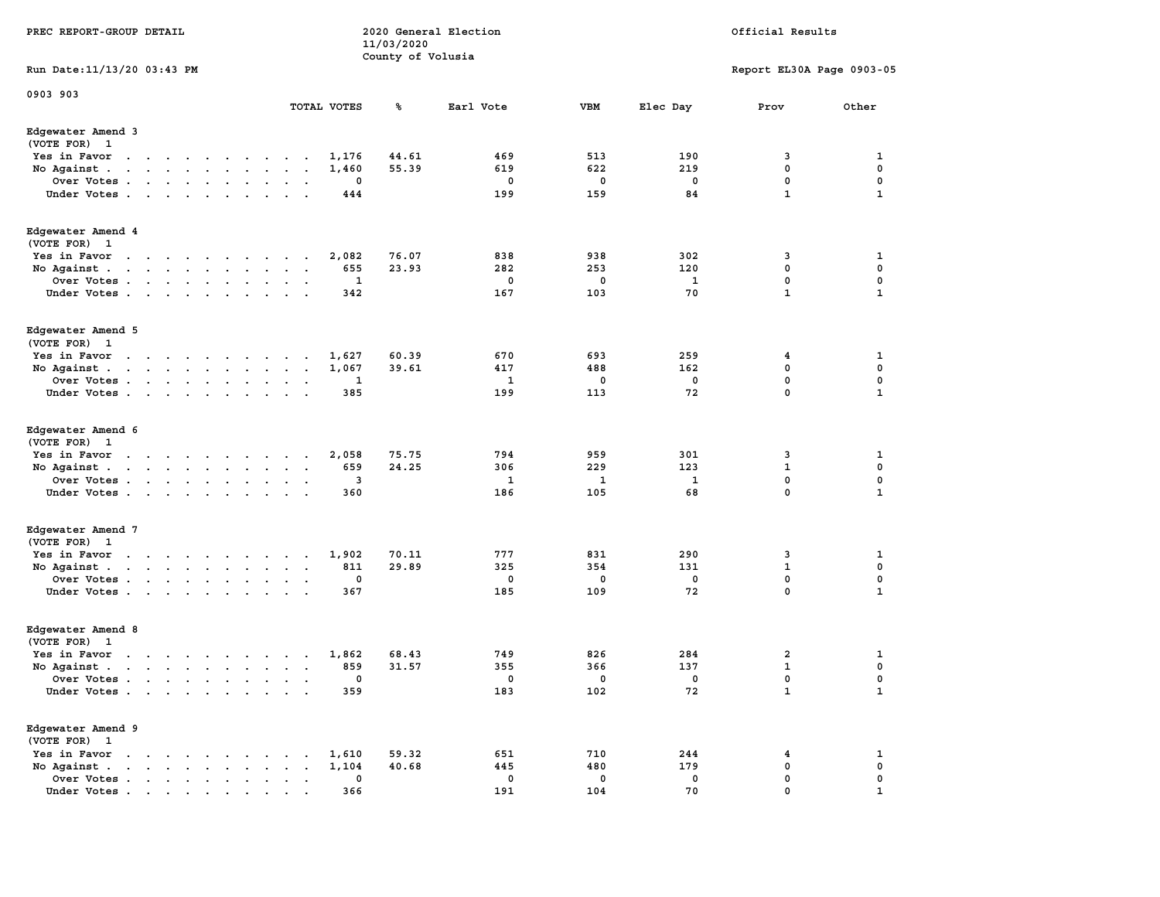| PREC REPORT-GROUP DETAIL                                                                                                                                                                                                                                      | 11/03/2020<br>County of Volusia | 2020 General Election |             |          | Official Results          |              |
|---------------------------------------------------------------------------------------------------------------------------------------------------------------------------------------------------------------------------------------------------------------|---------------------------------|-----------------------|-------------|----------|---------------------------|--------------|
| Run Date: 11/13/20 03:43 PM                                                                                                                                                                                                                                   |                                 |                       |             |          | Report EL30A Page 0903-05 |              |
| 0903 903<br>TOTAL VOTES                                                                                                                                                                                                                                       | ℁                               | Earl Vote             | <b>VBM</b>  | Elec Day | Prov                      | Other        |
| Edgewater Amend 3<br>(VOTE FOR) 1                                                                                                                                                                                                                             |                                 |                       |             |          |                           |              |
| Yes in Favor<br>the contract of the contract of the<br>$\ddot{\phantom{0}}$<br>$\sim$                                                                                                                                                                         | 44.61<br>1,176                  | 469                   | 513         | 190      | 3                         | 1            |
| No Against.<br>the contract of the contract of the contract of the<br>$\blacksquare$ .<br>$\bullet$<br>$\,$ .                                                                                                                                                 | 55.39<br>1,460                  | 619                   | 622         | 219      | $\mathbf 0$               | $\mathbf 0$  |
| Over Votes.<br>and a series of the series<br>$\cdot$                                                                                                                                                                                                          | 0                               | 0                     | 0           | 0        | 0                         | 0            |
| Under Votes<br>$\sim$                                                                                                                                                                                                                                         | 444                             | 199                   | 159         | 84       | $\mathbf{1}$              | $\mathbf{1}$ |
| Edgewater Amend 4<br>(VOTE FOR) 1                                                                                                                                                                                                                             |                                 |                       |             |          |                           |              |
| Yes in Favor<br>the contract of the contract of the contract of the contract of the contract of the contract of the contract of<br>$\sim$ $\sim$<br>$\ddot{\phantom{1}}$                                                                                      | 76.07<br>2,082                  | 838                   | 938         | 302      | 3                         | 1            |
| No Against.<br>the contract of the contract of<br>$\ddot{\phantom{0}}$<br>$\cdot$<br>$\,$ .                                                                                                                                                                   | 655<br>23.93                    | 282                   | 253         | 120      | 0                         | 0            |
| Over Votes<br>$\cdot$<br>$\cdot$ $\cdot$                                                                                                                                                                                                                      | 1                               | 0                     | $\mathbf 0$ | 1        | $\mathbf 0$               | 0            |
| Under Votes                                                                                                                                                                                                                                                   | 342                             | 167                   | 103         | 70       | $\mathbf{1}$              | 1            |
| Edgewater Amend 5<br>(VOTE FOR) 1                                                                                                                                                                                                                             |                                 |                       |             |          |                           |              |
| Yes in Favor.<br>the contract of the contract of<br>$\sim$<br>$\cdot$                                                                                                                                                                                         | 1,627<br>60.39                  | 670                   | 693         | 259      | 4                         | 1            |
| No Against.<br>$\cdots$<br>$\sim$ $\sim$                                                                                                                                                                                                                      | 39.61<br>1,067                  | 417                   | 488         | 162      | 0                         | 0            |
| Over Votes.<br>$\mathbf{a}$ . The contribution of the contribution of the contribution of the contribution of the contribution of the contribution of the contribution of the contribution of the contribution of the contribution of the contri<br>$\cdot$   | 1                               | 1                     | 0           | 0        | $\mathbf 0$               | 0            |
| Under Votes<br>$\sim$                                                                                                                                                                                                                                         | 385                             | 199                   | 113         | 72       | 0                         | $\mathbf{1}$ |
| Edgewater Amend 6<br>(VOTE FOR) 1                                                                                                                                                                                                                             |                                 |                       |             |          |                           |              |
| Yes in Favor<br>the contract of the contract of the<br>$\sim$                                                                                                                                                                                                 | 2,058<br>75.75                  | 794                   | 959         | 301      | 3                         | 1            |
| No Against.<br>. The contract of the contract of the contract of $\mathcal{A}$<br>$\langle \cdot \rangle$<br>$\bullet$ .<br><br><br>$\bullet$                                                                                                                 | 659<br>24.25                    | 306                   | 229         | 123      | $\mathbf 1$               | 0            |
| Over Votes.<br>the contract of the contract of<br>$\ddot{\phantom{1}}$                                                                                                                                                                                        | 3                               | 1                     | 1           | 1        | 0                         | 0            |
| Under Votes<br>$\sim$                                                                                                                                                                                                                                         | 360                             | 186                   | 105         | 68       | 0                         | $\mathbf{1}$ |
| Edgewater Amend 7<br>(VOTE FOR) 1                                                                                                                                                                                                                             |                                 |                       |             |          |                           |              |
| Yes in Favor<br>$\sim 100$<br>$\ddot{\phantom{a}}$                                                                                                                                                                                                            | 70.11<br>1,902                  | 777                   | 831         | 290      | 3                         | 1            |
| No Against.<br>the contract of the contract of<br>$\bullet$<br>$\cdot$<br>$\cdot$                                                                                                                                                                             | 811<br>29.89                    | 325                   | 354         | 131      | $\mathbf 1$               | 0            |
| Over Votes.<br>the contract of the contract of the<br>$\cdot$<br>$\bullet$ .                                                                                                                                                                                  | 0                               | 0                     | 0           | 0        | 0<br>$\mathbf 0$          | 0            |
| Under Votes                                                                                                                                                                                                                                                   | 367                             | 185                   | 109         | 72       |                           | 1            |
| Edgewater Amend 8<br>(VOTE FOR) 1                                                                                                                                                                                                                             |                                 |                       |             |          |                           |              |
| Yes in Favor<br>the contract of the contract of the contract of the contract of the contract of the contract of the contract of the contract of the contract of the contract of the contract of the contract of the contract of the contract o                | 1,862<br>68.43                  | 749                   | 826         | 284      | 2                         | 1            |
| No Against.<br>$\mathbf{r}$ . The set of the set of the set of the set of the set of the set of the set of the set of the set of the set of the set of the set of the set of the set of the set of the set of the set of the set of the set of t<br>$\bullet$ | 859<br>31.57                    | 355                   | 366         | 137      | $\mathbf{1}$              | 0            |
| Over Votes                                                                                                                                                                                                                                                    | 0                               | 0                     | 0           | 0        | 0                         | 0            |
| Under Votes.<br>$\cdot$ $\cdot$ $\cdot$ $\cdot$ $\cdot$ $\cdot$ $\cdot$                                                                                                                                                                                       | 359                             | 183                   | 102         | 72       | $\mathbf{1}$              | $\mathbf{1}$ |
| Edgewater Amend 9<br>(VOTE FOR) 1                                                                                                                                                                                                                             |                                 |                       |             |          |                           |              |
| Yes in Favor<br>$\ddot{\phantom{1}}$<br>$\sim$<br>$\sim$ $\sim$<br>$\sim$                                                                                                                                                                                     | 1,610<br>59.32                  | 651                   | 710         | 244      | 4                         | 1            |
| No Against.<br><b>Contract Contract</b><br>$\ddot{\phantom{a}}$<br>$\ddot{\phantom{0}}$<br>$\bullet$                                                                                                                                                          | 1,104<br>40.68                  | 445                   | 480         | 179      | 0                         | 0            |
| Over Votes .<br>$\mathbf{r} = \mathbf{r} + \mathbf{r} + \mathbf{r}$<br>Under Votes                                                                                                                                                                            | 0<br>366                        | $\mathbf 0$<br>191    | 0<br>104    | 0<br>70  | 0<br>0                    | 0            |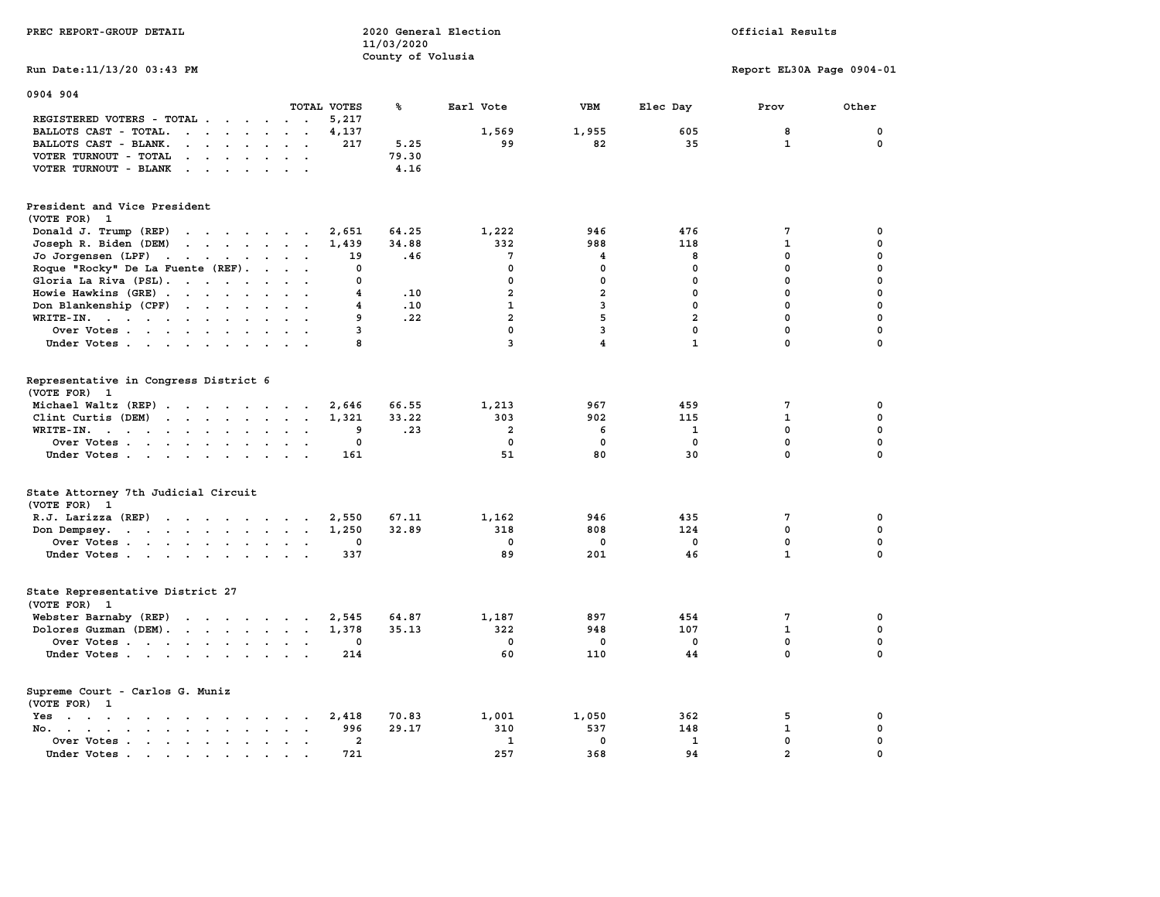| PREC REPORT-GROUP DETAIL                                                                                                                                                                                                                                   |                                                       | 11/03/2020            | 2020 General Election          |                         |                            | Official Results          |                       |
|------------------------------------------------------------------------------------------------------------------------------------------------------------------------------------------------------------------------------------------------------------|-------------------------------------------------------|-----------------------|--------------------------------|-------------------------|----------------------------|---------------------------|-----------------------|
| Run Date: 11/13/20 03:43 PM                                                                                                                                                                                                                                |                                                       | County of Volusia     |                                |                         |                            |                           |                       |
|                                                                                                                                                                                                                                                            |                                                       |                       |                                |                         |                            | Report EL30A Page 0904-01 |                       |
| 0904 904                                                                                                                                                                                                                                                   |                                                       |                       |                                |                         |                            |                           |                       |
|                                                                                                                                                                                                                                                            | TOTAL VOTES                                           | ℁                     | Earl Vote                      | <b>VBM</b>              | Elec Day                   | Prov                      | Other                 |
| REGISTERED VOTERS - TOTAL .<br>$\cdots$                                                                                                                                                                                                                    | 5,217                                                 |                       |                                |                         |                            |                           |                       |
| BALLOTS CAST - TOTAL.<br>$\mathbf{r}$ . The set of the set of the set of the set of the set of the set of the set of the set of the set of the set of the set of the set of the set of the set of the set of the set of the set of the set of the set of t | 4,137                                                 |                       | 1,569                          | 1,955                   | 605                        | 8                         | 0                     |
| BALLOTS CAST - BLANK.<br>$\mathbf{r}$ , $\mathbf{r}$ , $\mathbf{r}$ , $\mathbf{r}$ , $\mathbf{r}$ , $\mathbf{r}$                                                                                                                                           | 217                                                   | 5.25                  | 99                             | 82                      | 35                         | $\mathbf{1}$              | 0                     |
| VOTER TURNOUT - TOTAL<br>the contract of the contract of the                                                                                                                                                                                               |                                                       | 79.30                 |                                |                         |                            |                           |                       |
| VOTER TURNOUT - BLANK                                                                                                                                                                                                                                      |                                                       | 4.16                  |                                |                         |                            |                           |                       |
| President and Vice President<br>(VOTE FOR) 1                                                                                                                                                                                                               |                                                       |                       |                                |                         |                            |                           |                       |
| Donald J. Trump (REP)                                                                                                                                                                                                                                      | 2,651                                                 | 64.25                 | 1,222                          | 946                     | 476                        | 7                         | 0                     |
| Joseph R. Biden (DEM)                                                                                                                                                                                                                                      | 1,439                                                 | 34.88                 | 332                            | 988                     | 118                        | $\mathbf{1}$              | 0                     |
| Jo Jorgensen (LPF)                                                                                                                                                                                                                                         | 19                                                    | .46                   | 7                              | 4                       | 8                          | 0                         | 0                     |
| Roque "Rocky" De La Fuente (REF).                                                                                                                                                                                                                          | 0                                                     |                       | $\mathbf 0$                    | $\mathbf 0$             | $\mathbf 0$                | 0                         | 0                     |
| Gloria La Riva (PSL).                                                                                                                                                                                                                                      | 0                                                     |                       | $\mathbf 0$                    | $\mathbf 0$             | 0                          | $\mathbf 0$               | 0                     |
| Howie Hawkins (GRE)                                                                                                                                                                                                                                        | $\overline{4}$                                        | .10                   | $\overline{a}$                 | $\overline{\mathbf{2}}$ | $\mathbf 0$                | 0                         | 0                     |
| Don Blankenship (CPF)                                                                                                                                                                                                                                      | 4                                                     | .10                   | $\mathbf{1}$                   | 3                       | $\mathbf 0$                | $\mathbf 0$               | 0                     |
| WRITE-IN.                                                                                                                                                                                                                                                  | 9                                                     | .22                   | $\overline{a}$                 | 5                       | $\overline{a}$             | $\mathbf 0$               | 0                     |
| Over Votes.                                                                                                                                                                                                                                                | 3                                                     |                       | $\mathbf 0$                    | $\overline{\mathbf{3}}$ | $\mathbf 0$                | 0                         | 0                     |
| Under Votes                                                                                                                                                                                                                                                | 8                                                     |                       | 3                              | 4                       | $\mathbf{1}$               | 0                         | 0                     |
| Representative in Congress District 6<br>(VOTE FOR) 1<br>Michael Waltz (REP)<br>Clint Curtis (DEM)<br>WRITE-IN.<br>the contract of the contract of the                                                                                                     | 2,646<br>1,321<br>9<br>$\ddot{\phantom{a}}$<br>$\sim$ | 66.55<br>33.22<br>.23 | 1,213<br>303<br>$\overline{a}$ | 967<br>902<br>6         | 459<br>115<br>$\mathbf{1}$ | 7<br>$\mathbf{1}$<br>0    | 0<br>0<br>$\mathbf 0$ |
| Over Votes                                                                                                                                                                                                                                                 | $\mathbf 0$                                           |                       | $\mathbf 0$                    | $\mathbf{0}$            | $\mathbf{0}$               | $\mathbf 0$               | $\mathbf{0}$          |
| Under Votes                                                                                                                                                                                                                                                | 161                                                   |                       | 51                             | 80                      | 30                         | 0                         | $\mathbf 0$           |
| State Attorney 7th Judicial Circuit<br>(VOTE FOR) 1                                                                                                                                                                                                        |                                                       |                       |                                |                         |                            |                           |                       |
| R.J. Larizza (REP)                                                                                                                                                                                                                                         | 2,550<br>$\overline{\phantom{a}}$                     | 67.11                 | 1,162                          | 946                     | 435                        | 7                         | 0                     |
| Don Dempsey.<br>the contract of the contract of the contract of                                                                                                                                                                                            | 1,250                                                 | 32.89                 | 318                            | 808                     | 124                        | 0                         | $\mathbf 0$           |
| Over Votes                                                                                                                                                                                                                                                 | 0                                                     |                       | $\mathbf 0$                    | $\mathbf 0$             | $\mathbf 0$                | 0                         | 0                     |
| Under Votes                                                                                                                                                                                                                                                | 337                                                   |                       | 89                             | 201                     | 46                         | $\mathbf{1}$              | 0                     |
| State Representative District 27<br>(VOTE FOR) 1                                                                                                                                                                                                           |                                                       |                       |                                |                         |                            |                           |                       |
| Webster Barnaby (REP)                                                                                                                                                                                                                                      | 2,545<br>$\sim$                                       | 64.87                 | 1,187                          | 897                     | 454                        | 7                         | 0                     |
| Dolores Guzman (DEM).                                                                                                                                                                                                                                      | 1,378                                                 | 35.13                 | 322                            | 948                     | 107                        | $\mathbf{1}$              | 0                     |
| Over Votes                                                                                                                                                                                                                                                 | 0                                                     |                       | $\mathbf 0$                    | 0                       | $\mathbf 0$                | $\mathbf 0$               | 0                     |
| Under Votes                                                                                                                                                                                                                                                | 214                                                   |                       | 60                             | 110                     | 44                         | $\mathbf 0$               | $\mathbf{0}$          |
| Supreme Court - Carlos G. Muniz<br>(VOTE FOR) 1                                                                                                                                                                                                            |                                                       |                       |                                |                         |                            |                           |                       |
| Yes                                                                                                                                                                                                                                                        | 2,418                                                 | 70.83                 | 1,001                          | 1,050                   | 362                        | 5                         | 0                     |
| No.                                                                                                                                                                                                                                                        | 996                                                   | 29.17                 | 310                            | 537                     | 148                        | $\mathbf{1}$              | 0                     |
| Over Votes                                                                                                                                                                                                                                                 | $\overline{2}$<br>$\sim$ $\sim$ $\sim$                |                       | $\mathbf{1}$                   | $\mathbf 0$             | $\mathbf{1}$               | 0                         | $\mathbf 0$           |
| Under Votes<br>$\sim$<br>$\overline{\phantom{a}}$                                                                                                                                                                                                          | 721                                                   |                       | 257                            | 368                     | 94                         | $\overline{a}$            | 0                     |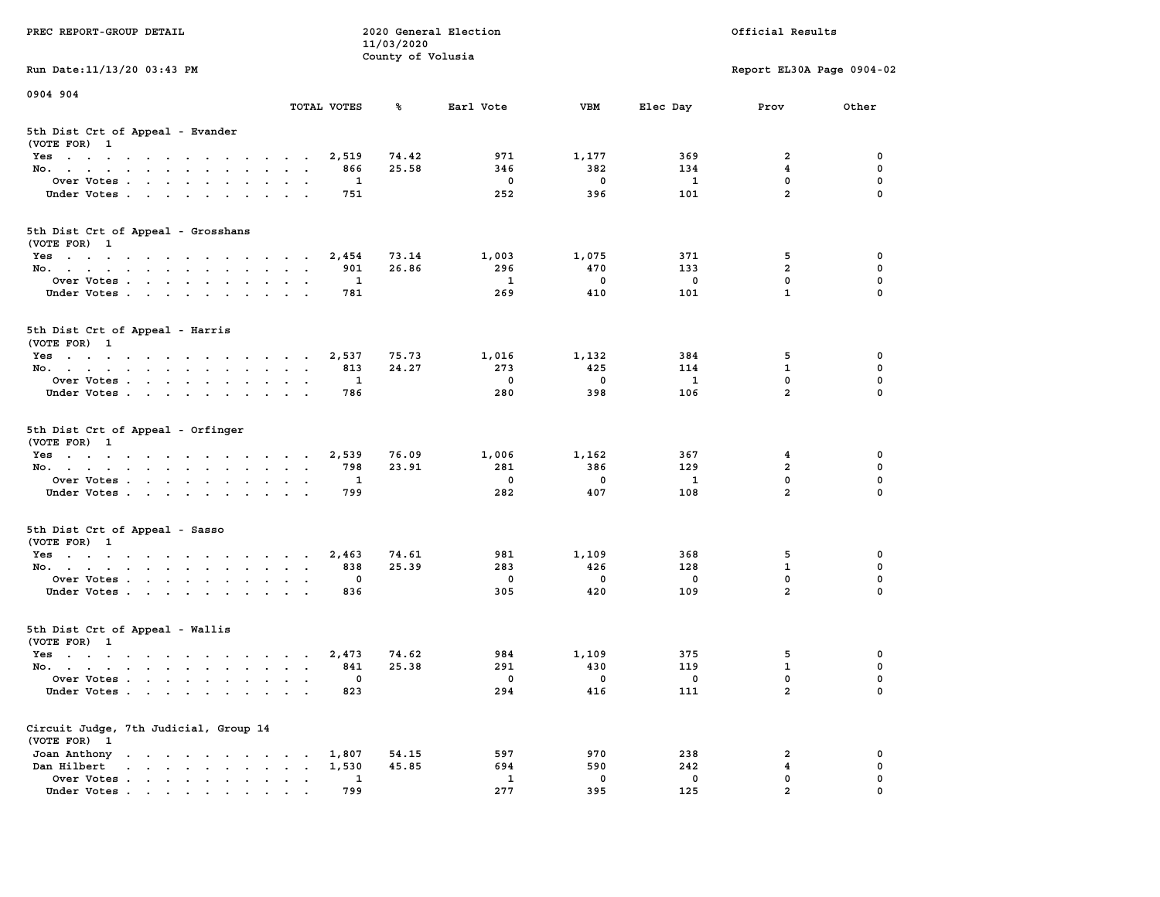| PREC REPORT-GROUP DETAIL                                                                                |                     | 11/03/2020<br>County of Volusia | 2020 General Election   |                         |                | Official Results          |             |
|---------------------------------------------------------------------------------------------------------|---------------------|---------------------------------|-------------------------|-------------------------|----------------|---------------------------|-------------|
| Run Date: 11/13/20 03:43 PM                                                                             |                     |                                 |                         |                         |                | Report EL30A Page 0904-02 |             |
| 0904 904                                                                                                |                     |                                 |                         |                         |                |                           |             |
|                                                                                                         | TOTAL VOTES         | ℁                               | Earl Vote               | <b>VBM</b>              | Elec Day       | Prov                      | Other       |
| 5th Dist Crt of Appeal - Evander<br>(VOTE FOR) 1                                                        |                     |                                 |                         |                         |                |                           |             |
| Yes                                                                                                     | 2,519               | 74.42                           | 971                     | 1,177                   | 369            | 2                         | 0           |
| No.                                                                                                     | 866                 | 25.58                           | 346                     | 382                     | 134            | $\overline{4}$            | 0           |
| Over Votes                                                                                              | $\mathbf{1}$        |                                 | $\Omega$                | $\mathbf{0}$            | $\mathbf{1}$   | 0                         | 0           |
| Under Votes                                                                                             | 751                 |                                 | 252                     | 396                     | 101            | $\overline{a}$            | $\mathbf 0$ |
| 5th Dist Crt of Appeal - Grosshans<br>(VOTE FOR) 1                                                      |                     |                                 |                         |                         |                |                           |             |
| Yes                                                                                                     | 2,454               | 73.14                           | 1,003                   | 1,075                   | 371            | 5                         | 0           |
| No.                                                                                                     | 901                 | 26.86                           | 296                     | 470                     | 133            | $\overline{a}$            | 0           |
| Over Votes                                                                                              | $\overline{1}$      |                                 | $\mathbf{1}$            | $\mathbf{0}$            | $\mathbf 0$    | $\mathbf 0$               | 0           |
| Under Votes                                                                                             | 781                 |                                 | 269                     | 410                     | 101            | $\mathbf{1}$              | $\mathbf 0$ |
| 5th Dist Crt of Appeal - Harris<br>(VOTE FOR) 1                                                         |                     |                                 |                         |                         |                |                           |             |
| Yes                                                                                                     | 2,537               | 75.73                           | 1,016                   | 1,132                   | 384            | 5                         | 0           |
| No.                                                                                                     | 813                 | 24.27                           | 273                     | 425                     | 114            | $\mathbf{1}$              | 0           |
| Over Votes                                                                                              | 1                   |                                 | $^{\circ}$              | $\Omega$                | $\mathbf{1}$   | $\mathbf 0$               | 0           |
| Under Votes                                                                                             | 786                 |                                 | 280                     | 398                     | 106            | $\overline{a}$            | $\mathbf 0$ |
| 5th Dist Crt of Appeal - Orfinger<br>(VOTE FOR) 1                                                       |                     |                                 |                         |                         |                |                           |             |
| Yes                                                                                                     | 2,539               | 76.09                           | 1,006                   | 1,162                   | 367<br>129     | 4<br>$\overline{a}$       | 0           |
| No.                                                                                                     | 798<br><sup>1</sup> | 23.91                           | 281<br>$^{\circ}$       | 386<br>$^{\circ}$       | $\mathbf{1}$   | 0                         | 0<br>0      |
| Over Votes<br>Under Votes                                                                               | 799                 |                                 | 282                     | 407                     | 108            | $\overline{a}$            | $\mathbf 0$ |
|                                                                                                         |                     |                                 |                         |                         |                |                           |             |
| 5th Dist Crt of Appeal - Sasso<br>(VOTE FOR) 1                                                          |                     |                                 |                         |                         |                |                           |             |
| Yes                                                                                                     | 2,463               | 74.61                           | 981                     | 1,109                   | 368            | 5                         | 0           |
| No.                                                                                                     | 838                 | 25.39                           | 283                     | 426                     | 128            | $\mathbf{1}$              | 0           |
| Over Votes                                                                                              | 0                   |                                 | $\overline{\mathbf{0}}$ | $\overline{\mathbf{0}}$ | 0              | 0                         | 0           |
| Under Votes                                                                                             | 836                 |                                 | 305                     | 420                     | 109            | $\overline{a}$            | $\mathbf 0$ |
| 5th Dist Crt of Appeal - Wallis<br>(VOTE FOR) 1                                                         |                     |                                 |                         |                         |                |                           |             |
| Yes                                                                                                     | 2,473               | 74.62                           | 984                     | 1,109                   | 375            | 5                         | 0           |
| No.                                                                                                     | 841                 | 25.38                           | 291                     | 430                     | 119            | $\mathbf{1}$              | 0           |
| Over Votes                                                                                              | $\sim$ 0            |                                 | $\overline{0}$          | $\overline{0}$          | $\overline{0}$ | $\Omega$                  | $\Omega$    |
| Under Votes                                                                                             | 823                 |                                 | 294                     | 416                     | 111            | $\mathbf{2}$              | 0           |
| Circuit Judge, 7th Judicial, Group 14<br>(VOTE FOR) 1                                                   |                     |                                 |                         |                         |                |                           |             |
| Joan Anthony                                                                                            | 1,807               | 54.15                           | 597                     | 970                     | 238            | 2                         | 0           |
| Dan Hilbert<br>$\mathbf{r}$ , and $\mathbf{r}$ , and $\mathbf{r}$ , and $\mathbf{r}$ , and $\mathbf{r}$ | 1,530               | 45.85                           | 694                     | 590                     | 242            | 4                         | 0           |
| Over Votes                                                                                              | 1                   |                                 | 1                       | 0                       | 0              | 0                         | 0           |
| Under Votes.                                                                                            | 799                 |                                 | 277                     | 395                     | 125            | $\overline{2}$            |             |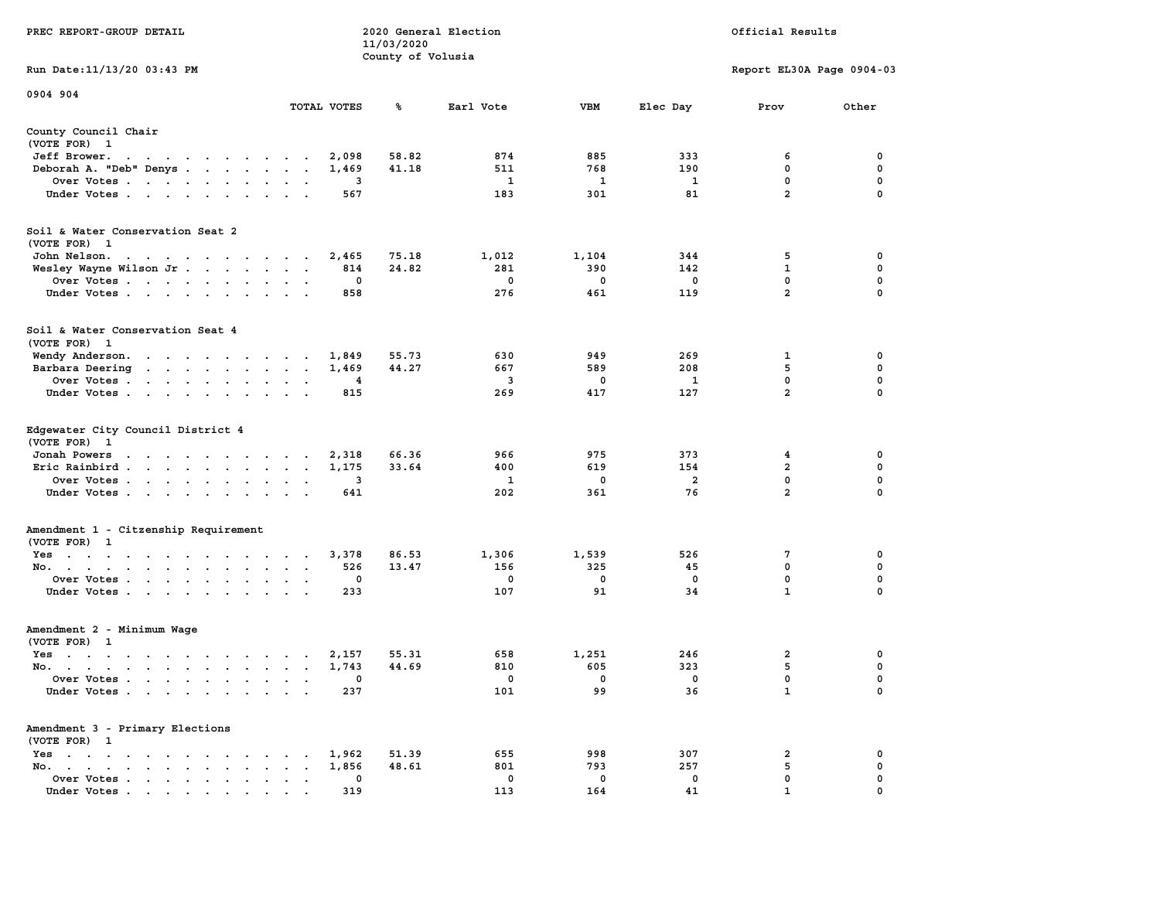| PREC REPORT-GROUP DETAIL                                                                                                        |                                                       | 11/03/2020        | 2020 General Election |             |             | Official Results          |             |
|---------------------------------------------------------------------------------------------------------------------------------|-------------------------------------------------------|-------------------|-----------------------|-------------|-------------|---------------------------|-------------|
|                                                                                                                                 |                                                       | County of Volusia |                       |             |             |                           |             |
| Run Date: 11/13/20 03:43 PM                                                                                                     |                                                       |                   |                       |             |             | Report EL30A Page 0904-03 |             |
| 0904 904                                                                                                                        |                                                       |                   |                       |             |             |                           |             |
|                                                                                                                                 | TOTAL VOTES                                           | ℁                 | Earl Vote             | VBM         | Elec Day    | Prov                      | Other       |
| County Council Chair<br>(VOTE FOR) 1                                                                                            |                                                       |                   |                       |             |             |                           |             |
| Jeff Brower.<br>the contract of the contract of the con-                                                                        | 2,098                                                 | 58.82             | 874                   | 885         | 333         | 6                         | 0           |
| Deborah A. "Deb" Denys                                                                                                          | 1,469                                                 | 41.18             | 511                   | 768         | 190         | $\mathbf 0$               | 0           |
| Over Votes                                                                                                                      | 3                                                     |                   | 1                     | 1           | 1           | 0                         | 0           |
| Under Votes                                                                                                                     | 567                                                   |                   | 183                   | 301         | 81          | $\overline{a}$            | $\Omega$    |
| Soil & Water Conservation Seat 2<br>(VOTE FOR) 1                                                                                |                                                       |                   |                       |             |             |                           |             |
| John Nelson.<br>the contract of the contract of the contract of the contract of the contract of the contract of the contract of | 2,465                                                 | 75.18             | 1,012                 | 1,104       | 344         | 5                         | 0           |
| Wesley Wayne Wilson Jr                                                                                                          | 814                                                   | 24.82             | 281                   | 390         | 142         | 1                         | 0           |
| Over Votes                                                                                                                      | 0                                                     |                   | $\mathbf 0$           | $\mathbf 0$ | $\mathbf 0$ | 0                         | $\mathbf 0$ |
| Under Votes                                                                                                                     | 858                                                   |                   | 276                   | 461         | 119         | $\overline{2}$            | 0           |
| Soil & Water Conservation Seat 4<br>(VOTE FOR) 1                                                                                |                                                       |                   |                       |             |             |                           |             |
| Wendy Anderson.                                                                                                                 | 1,849                                                 | 55.73             | 630                   | 949         | 269         | 1                         | 0           |
| Barbara Deering                                                                                                                 | 1,469                                                 | 44.27             | 667                   | 589         | 208         | 5                         | $\mathbf 0$ |
| Over Votes                                                                                                                      | 4                                                     |                   | 3                     | 0           | 1           | $\mathbf{0}$              | 0           |
| Under Votes                                                                                                                     | 815                                                   |                   | 269                   | 417         | 127         | $\overline{a}$            | 0           |
| Edgewater City Council District 4<br>(VOTE FOR) 1<br>Jonah Powers<br>the contract of the contract of the con-                   | 2,318                                                 | 66.36             | 966                   | 975         | 373         | 4                         | 0           |
| Eric Rainbird                                                                                                                   | 1,175                                                 | 33.64             | 400                   | 619         | 154         | $\mathbf{2}$              | 0           |
| Over Votes                                                                                                                      | 3                                                     |                   | 1                     | 0           | 2           | 0                         | 0           |
| Under Votes                                                                                                                     | 641                                                   |                   | 202                   | 361         | 76          | $\overline{a}$            | $\Omega$    |
| Amendment 1 - Citzenship Requirement                                                                                            |                                                       |                   |                       |             |             |                           |             |
| (VOTE FOR) 1                                                                                                                    |                                                       |                   |                       |             |             |                           |             |
| Yes                                                                                                                             | 3,378                                                 | 86.53             | 1,306                 | 1,539       | 526         | 7                         | 0           |
| No.                                                                                                                             | 526                                                   | 13.47             | 156                   | 325         | 45          | 0                         | 0           |
| Over Votes                                                                                                                      | 0                                                     |                   | 0                     | $\mathbf 0$ | 0           | $\mathbf 0$               | $\mathbf 0$ |
| Under Votes                                                                                                                     | 233                                                   |                   | 107                   | 91          | 34          | $\mathbf{1}$              | 0           |
| Amendment 2 - Minimum Wage<br>(VOTE FOR) 1                                                                                      |                                                       |                   |                       |             |             |                           |             |
| Yes<br>the contract of the contract of the contract of the contract of the contract of the contract of the contract of          | 2,157                                                 | 55.31             | 658                   | 1,251       | 246         | 2                         | 0           |
| No.                                                                                                                             | 1,743                                                 | 44.69             | 810                   | 605         | 323         | 5                         | 0           |
| Over Votes $\ldots$ $\ldots$ $\ldots$ $\ldots$                                                                                  | 0                                                     |                   | 0                     | 0           | 0           | $\mathbf{0}$              | $\Omega$    |
| Under Votes                                                                                                                     | 237                                                   |                   | 101                   | 99          | 36          | $\mathbf{1}$              | 0           |
| Amendment 3 - Primary Elections<br>(VOTE FOR) 1                                                                                 |                                                       |                   |                       |             |             |                           |             |
| $Yes \cdot \cdot \cdot \cdot \cdot \cdot \cdot \cdot$                                                                           | 1,962                                                 | 51.39             | 655                   | 998         | 307         | 2                         | 0           |
| No.<br>$\bullet$                                                                                                                | 1,856<br>$\ddot{\phantom{a}}$<br>$\ddot{\phantom{0}}$ | 48.61             | 801                   | 793         | 257         | 5                         | 0           |
| Over Votes                                                                                                                      | 0                                                     |                   | 0                     | 0           | 0           | 0                         | 0           |
| Under Votes                                                                                                                     | 319                                                   |                   | 113                   | 164         | 41          | 1                         |             |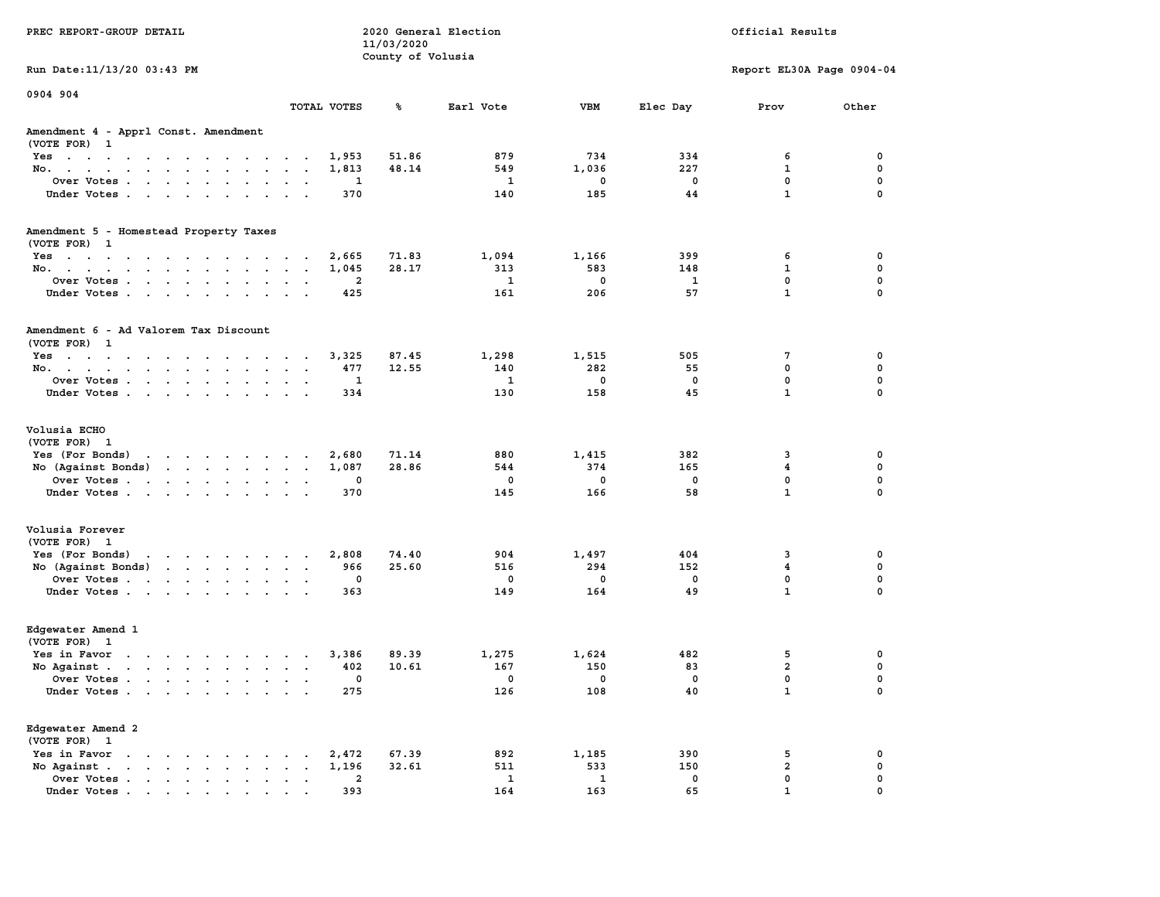| PREC REPORT-GROUP DETAIL                                                                                                                                                    |                             | 11/03/2020<br>County of Volusia | 2020 General Election |                |                         | Official Results          |                  |
|-----------------------------------------------------------------------------------------------------------------------------------------------------------------------------|-----------------------------|---------------------------------|-----------------------|----------------|-------------------------|---------------------------|------------------|
| Run Date: 11/13/20 03:43 PM                                                                                                                                                 |                             |                                 |                       |                |                         | Report EL30A Page 0904-04 |                  |
| 0904 904                                                                                                                                                                    | TOTAL VOTES                 | ℁                               | Earl Vote             | <b>VBM</b>     | Elec Day                | Prov                      | Other            |
| Amendment 4 - Apprl Const. Amendment<br>(VOTE FOR) 1                                                                                                                        |                             |                                 |                       |                |                         |                           |                  |
| Yes                                                                                                                                                                         | 1,953                       | 51.86                           | 879                   | 734            | 334                     | 6                         | 0                |
| No.                                                                                                                                                                         | 1,813                       | 48.14                           | 549                   | 1,036          | 227                     | 1                         | 0                |
| Over Votes                                                                                                                                                                  | 1<br>$\sim$ $\sim$          |                                 | 1                     | 0              | 0                       | 0                         | 0                |
| Under Votes                                                                                                                                                                 | 370                         |                                 | 140                   | 185            | 44                      | $\mathbf{1}$              | $\mathbf 0$      |
| Amendment 5 - Homestead Property Taxes<br>(VOTE FOR) 1                                                                                                                      |                             |                                 |                       |                |                         |                           |                  |
| Yes                                                                                                                                                                         | 2,665                       | 71.83                           | 1,094                 | 1,166          | 399                     | 6                         | 0                |
| No.                                                                                                                                                                         | 1,045<br>$\sim$ $\sim$      | 28.17                           | 313                   | 583            | 148                     | $\mathbf 1$               | $\mathbf 0$      |
| Over Votes                                                                                                                                                                  | 2<br>$\sim$ $\sim$          |                                 | 1                     | $\mathbf 0$    | 1                       | 0                         | 0                |
| Under Votes                                                                                                                                                                 | 425                         |                                 | 161                   | 206            | 57                      | $\mathbf{1}$              | 0                |
| Amendment 6 - Ad Valorem Tax Discount<br>(VOTE FOR) 1                                                                                                                       |                             |                                 |                       |                |                         |                           |                  |
| Yes                                                                                                                                                                         | 3,325                       | 87.45                           | 1,298                 | 1,515          | 505                     | 7                         | 0                |
| No.                                                                                                                                                                         | 477                         | 12.55                           | 140                   | 282            | 55                      | 0                         | 0                |
| Over Votes                                                                                                                                                                  | 1                           |                                 | 1                     | 0              | 0                       | 0                         | 0                |
| Under Votes                                                                                                                                                                 | 334                         |                                 | 130                   | 158            | 45                      | $\mathbf{1}$              | $\mathbf 0$      |
| Volusia ECHO<br>(VOTE FOR) 1                                                                                                                                                |                             |                                 |                       |                |                         |                           |                  |
| Yes (For Bonds)<br>the contract of the contract of the                                                                                                                      | 2,680                       | 71.14                           | 880                   | 1,415          | 382                     | 3                         | 0                |
| No (Against Bonds)                                                                                                                                                          | 1,087                       | 28.86                           | 544                   | 374            | 165                     | 4                         | 0                |
| Over Votes                                                                                                                                                                  | 0<br>$\sim$ $\sim$          |                                 | 0                     | 0              | 0                       | $\mathbf 0$               | 0                |
| Under Votes                                                                                                                                                                 | 370                         |                                 | 145                   | 166            | 58                      | $\mathbf{1}$              | 0                |
| Volusia Forever<br>(VOTE FOR) 1                                                                                                                                             |                             |                                 |                       |                |                         |                           |                  |
| Yes (For Bonds)<br>the contract of the contract of the contract of the contract of the contract of the contract of the contract of                                          | 2,808                       | 74.40                           | 904                   | 1,497          | 404                     | 3                         | 0                |
| No (Against Bonds)                                                                                                                                                          | 966<br>$\ddot{\phantom{1}}$ | 25.60                           | 516                   | 294            | 152                     | 4                         | $\mathbf 0$      |
| Over Votes                                                                                                                                                                  | 0<br>$\ddot{\phantom{1}}$   |                                 | 0                     | 0              | 0                       | 0                         | 0                |
| Under Votes                                                                                                                                                                 | 363                         |                                 | 149                   | 164            | 49                      | $\mathbf{1}$              | $\Omega$         |
| Edgewater Amend 1                                                                                                                                                           |                             |                                 |                       |                |                         |                           |                  |
| (VOTE FOR) 1                                                                                                                                                                |                             |                                 | 1,275                 |                |                         |                           |                  |
| Yes in Favor<br>No Against $\cdots$ $\cdots$ $\cdots$ $\cdots$                                                                                                              | 3,386<br>402                | 89.39<br>10.61                  | 167                   | 1,624<br>150   | 482<br>83               | 5<br>2                    | 0<br>$\mathbf 0$ |
| Over Votes .                                                                                                                                                                | $\Omega$                    |                                 | 0                     | $\overline{0}$ | $\overline{\mathbf{0}}$ | 0                         | 0                |
| Under Votes                                                                                                                                                                 | 275                         |                                 | 126                   | 108            | 40                      | $\mathbf{1}$              | 0                |
| Edgewater Amend 2                                                                                                                                                           |                             |                                 |                       |                |                         |                           |                  |
| (VOTE FOR) 1                                                                                                                                                                |                             |                                 |                       |                |                         |                           |                  |
| Yes in Favor                                                                                                                                                                | 2,472                       | 67.39                           | 892                   | 1,185<br>533   | 390                     | 5<br>2                    | 0<br>0           |
| No Against.<br>$\cdot$ $\cdot$ $\cdot$ $\cdot$ $\cdot$ $\cdot$ $\cdot$<br>$\sim$<br>Over Votes.<br>$\mathbf{r}$ , $\mathbf{r}$ , $\mathbf{r}$ , $\mathbf{r}$ , $\mathbf{r}$ | 1,196<br>2                  | 32.61                           | 511<br>$\mathbf{1}$   | $\mathbf{1}$   | 150<br>0                | 0                         | 0                |
| Under Votes.                                                                                                                                                                | 393                         |                                 | 164                   | 163            | 65                      | $\mathbf{1}$              |                  |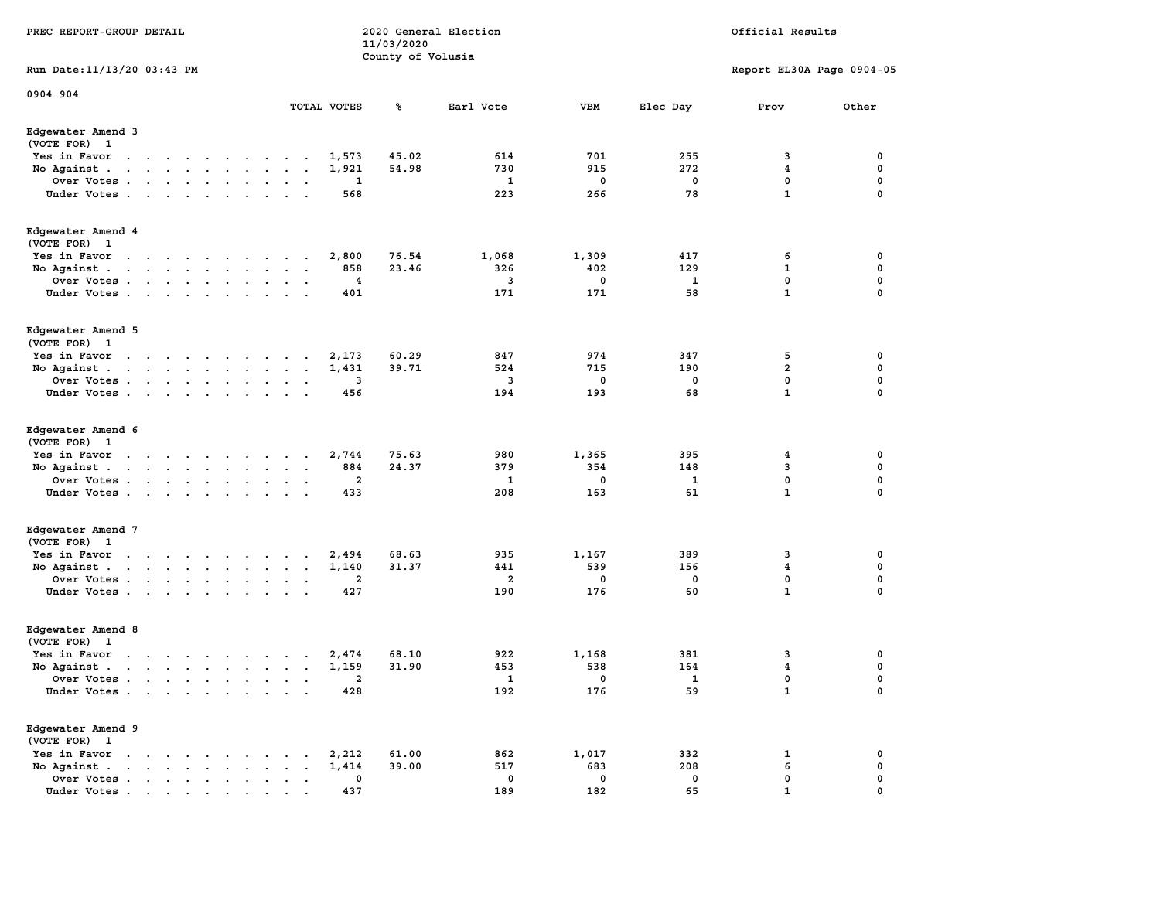| PREC REPORT-GROUP DETAIL          |                      |  |                                                 |                                                                                                                                                                                                                                   |                      |                                                                                                                                                                                                                                   |                          |             | 11/03/2020        | 2020 General Election   |             |              | Official Results          |             |
|-----------------------------------|----------------------|--|-------------------------------------------------|-----------------------------------------------------------------------------------------------------------------------------------------------------------------------------------------------------------------------------------|----------------------|-----------------------------------------------------------------------------------------------------------------------------------------------------------------------------------------------------------------------------------|--------------------------|-------------|-------------------|-------------------------|-------------|--------------|---------------------------|-------------|
| Run Date: 11/13/20 03:43 PM       |                      |  |                                                 |                                                                                                                                                                                                                                   |                      |                                                                                                                                                                                                                                   |                          |             | County of Volusia |                         |             |              | Report EL30A Page 0904-05 |             |
| 0904 904                          |                      |  |                                                 |                                                                                                                                                                                                                                   |                      |                                                                                                                                                                                                                                   |                          | TOTAL VOTES | ℁                 | Earl Vote               | <b>VBM</b>  | Elec Day     | Prov                      | Other       |
| Edgewater Amend 3<br>(VOTE FOR) 1 |                      |  |                                                 |                                                                                                                                                                                                                                   |                      |                                                                                                                                                                                                                                   |                          |             |                   |                         |             |              |                           |             |
| Yes in Favor                      |                      |  |                                                 | the contract of the contract of the                                                                                                                                                                                               |                      | $\ddot{\phantom{0}}$                                                                                                                                                                                                              | $\ddot{\phantom{0}}$     | 1,573       | 45.02             | 614                     | 701         | 255          | 3                         | 0           |
| No Against.                       |                      |  |                                                 | $\mathbf{r}$ . The set of the set of the set of the set of the set of the set of the set of the set of the set of the set of the set of the set of the set of the set of the set of the set of the set of the set of the set of t |                      | $\sim$                                                                                                                                                                                                                            | $\ddot{\phantom{1}}$     | 1,921       | 54.98             | 730                     | 915         | 272          | 4                         | 0           |
| Over Votes                        |                      |  |                                                 |                                                                                                                                                                                                                                   |                      | $\sim$                                                                                                                                                                                                                            | $\cdot$                  | 1           |                   | 1                       | 0           | 0            | 0                         | 0           |
| Under Votes                       |                      |  |                                                 |                                                                                                                                                                                                                                   |                      | $\sim$ $\sim$                                                                                                                                                                                                                     |                          | 568         |                   | 223                     | 266         | 78           | $\mathbf{1}$              | 0           |
| Edgewater Amend 4<br>(VOTE FOR) 1 |                      |  |                                                 |                                                                                                                                                                                                                                   |                      |                                                                                                                                                                                                                                   |                          |             |                   |                         |             |              |                           |             |
| Yes in Favor                      |                      |  |                                                 |                                                                                                                                                                                                                                   |                      | $\sim$ $\sim$                                                                                                                                                                                                                     |                          | 2,800       | 76.54             | 1,068                   | 1,309       | 417          | 6                         | 0           |
| No Against.                       |                      |  |                                                 | the contract of the contract of                                                                                                                                                                                                   |                      |                                                                                                                                                                                                                                   |                          | 858         | 23.46             | 326                     | 402         | 129          | 1                         | 0           |
| Over Votes                        |                      |  |                                                 |                                                                                                                                                                                                                                   |                      | $\ddotsc$                                                                                                                                                                                                                         |                          | 4           |                   | 3                       | 0           | 1            | 0                         | 0           |
| Under Votes                       |                      |  |                                                 |                                                                                                                                                                                                                                   | $\sim$               |                                                                                                                                                                                                                                   |                          | 401         |                   | 171                     | 171         | 58           | $\mathbf{1}$              | 0           |
| Edgewater Amend 5<br>(VOTE FOR) 1 |                      |  |                                                 |                                                                                                                                                                                                                                   |                      |                                                                                                                                                                                                                                   |                          |             |                   |                         |             |              |                           |             |
| Yes in Favor                      |                      |  |                                                 | $\mathbf{r}$ . The contract of the contract of the contract of the contract of the contract of the contract of the contract of the contract of the contract of the contract of the contract of the contract of the contract of th | $\sim$               |                                                                                                                                                                                                                                   |                          | 2,173       | 60.29             | 847                     | 974         | 347          | 5                         | 0           |
| No Against.                       |                      |  |                                                 | the contract of the contract of the                                                                                                                                                                                               | $\ddot{\phantom{a}}$ | $\ddot{\phantom{0}}$                                                                                                                                                                                                              | $\blacksquare$           | 1,431       | 39.71             | 524                     | 715         | 190          | $\mathbf{2}$              | 0           |
| Over Votes                        |                      |  |                                                 |                                                                                                                                                                                                                                   | $\bullet$            |                                                                                                                                                                                                                                   |                          | 3           |                   | 3                       | 0           | 0            | 0                         | 0           |
| Under Votes                       |                      |  |                                                 |                                                                                                                                                                                                                                   |                      | $\sim$ $\sim$                                                                                                                                                                                                                     |                          | 456         |                   | 194                     | 193         | 68           | $\mathbf{1}$              | $\mathbf 0$ |
| Edgewater Amend 6<br>(VOTE FOR) 1 |                      |  |                                                 |                                                                                                                                                                                                                                   |                      |                                                                                                                                                                                                                                   |                          |             |                   |                         |             |              |                           |             |
| Yes in Favor                      |                      |  |                                                 | the contract of the contract of the                                                                                                                                                                                               |                      | $\cdot$                                                                                                                                                                                                                           | $\overline{\phantom{a}}$ | 2,744       | 75.63             | 980                     | 1,365       | 395          | 4                         | 0           |
| No Against.                       |                      |  |                                                 | the contract of the contract of the                                                                                                                                                                                               | $\ddot{\phantom{a}}$ | $\cdot$                                                                                                                                                                                                                           | $\cdot$                  | 884         | 24.37             | 379                     | 354         | 148          | 3                         | 0           |
| Over Votes                        |                      |  |                                                 |                                                                                                                                                                                                                                   |                      | $\sim$                                                                                                                                                                                                                            |                          | 2           |                   | 1                       | 0           | 1            | 0                         | 0           |
| Under Votes                       |                      |  |                                                 |                                                                                                                                                                                                                                   |                      | $\cdot$ $\cdot$                                                                                                                                                                                                                   |                          | 433         |                   | 208                     | 163         | 61           | $\mathbf{1}$              | 0           |
| Edgewater Amend 7<br>(VOTE FOR) 1 |                      |  |                                                 |                                                                                                                                                                                                                                   |                      |                                                                                                                                                                                                                                   |                          |             |                   |                         |             |              |                           |             |
| Yes in Favor                      |                      |  |                                                 |                                                                                                                                                                                                                                   |                      | $\mathbf{r}$ . The contribution of the contribution of the contribution of the contribution of the contribution of the contribution of the contribution of the contribution of the contribution of the contribution of the contri |                          | 2,494       | 68.63             | 935                     | 1,167       | 389          | 3                         | 0           |
| No Against.                       |                      |  |                                                 | the contract of the contract of the                                                                                                                                                                                               |                      | $\mathbf{a} = \mathbf{a}$                                                                                                                                                                                                         |                          | 1,140       | 31.37             | 441                     | 539         | 156          | 4                         | 0           |
| Over Votes                        |                      |  |                                                 |                                                                                                                                                                                                                                   |                      | $\ddot{\phantom{a}}$                                                                                                                                                                                                              | $\overline{\phantom{a}}$ | 2           |                   | $\overline{\mathbf{2}}$ | 0           | 0            | 0                         | 0           |
| Under Votes                       |                      |  |                                                 |                                                                                                                                                                                                                                   |                      |                                                                                                                                                                                                                                   |                          | 427         |                   | 190                     | 176         | 60           | $\mathbf{1}$              | 0           |
| Edgewater Amend 8<br>(VOTE FOR) 1 |                      |  |                                                 |                                                                                                                                                                                                                                   |                      |                                                                                                                                                                                                                                   |                          |             |                   |                         |             |              |                           |             |
| Yes in Favor                      |                      |  |                                                 | $\mathbf{r}$ . The set of the set of the set of the set of the set of the set of the set of the set of the set of the set of the set of the set of the set of the set of the set of the set of the set of the set of the set of t |                      |                                                                                                                                                                                                                                   |                          | 2,474       | 68.10             | 922                     | 1,168       | 381          | 3                         | 0           |
| No Against.                       |                      |  |                                                 | the contract of the contract of the                                                                                                                                                                                               |                      | $\bullet$                                                                                                                                                                                                                         | $\ddot{\phantom{0}}$     | 1,159       | 31.90             | 453                     | 538         | 164          | 4                         | 0           |
| Over Votes                        |                      |  |                                                 |                                                                                                                                                                                                                                   |                      |                                                                                                                                                                                                                                   |                          |             |                   | 1                       | 0           | $\mathbf{1}$ | 0                         | 0           |
| Under Votes                       |                      |  |                                                 |                                                                                                                                                                                                                                   |                      |                                                                                                                                                                                                                                   |                          | 428         |                   | 192                     | 176         | 59           | ${\bf 1}$                 | 0           |
| Edgewater Amend 9<br>(VOTE FOR) 1 |                      |  |                                                 |                                                                                                                                                                                                                                   |                      |                                                                                                                                                                                                                                   |                          |             |                   |                         |             |              |                           |             |
| Yes in Favor<br>$\sim$            |                      |  | $\cdots$                                        |                                                                                                                                                                                                                                   |                      |                                                                                                                                                                                                                                   |                          | 2,212       | 61.00             | 862                     | 1,017       | 332          | 1                         | 0           |
| No Against.                       | $\ddot{\phantom{a}}$ |  | $\cdot$ $\cdot$ $\cdot$ $\cdot$                 |                                                                                                                                                                                                                                   |                      |                                                                                                                                                                                                                                   |                          | 1,414       | 39.00             | 517                     | 683         | 208          | 6                         | 0           |
| Over Votes.                       |                      |  | $\cdot$ $\cdot$ $\cdot$ $\cdot$ $\cdot$ $\cdot$ |                                                                                                                                                                                                                                   |                      |                                                                                                                                                                                                                                   |                          | 0           |                   | $\mathbf 0$             | $\mathbf 0$ | 0            | 0                         | 0           |
| Under Votes                       |                      |  |                                                 |                                                                                                                                                                                                                                   |                      |                                                                                                                                                                                                                                   |                          | 437         |                   | 189                     | 182         | 65           |                           |             |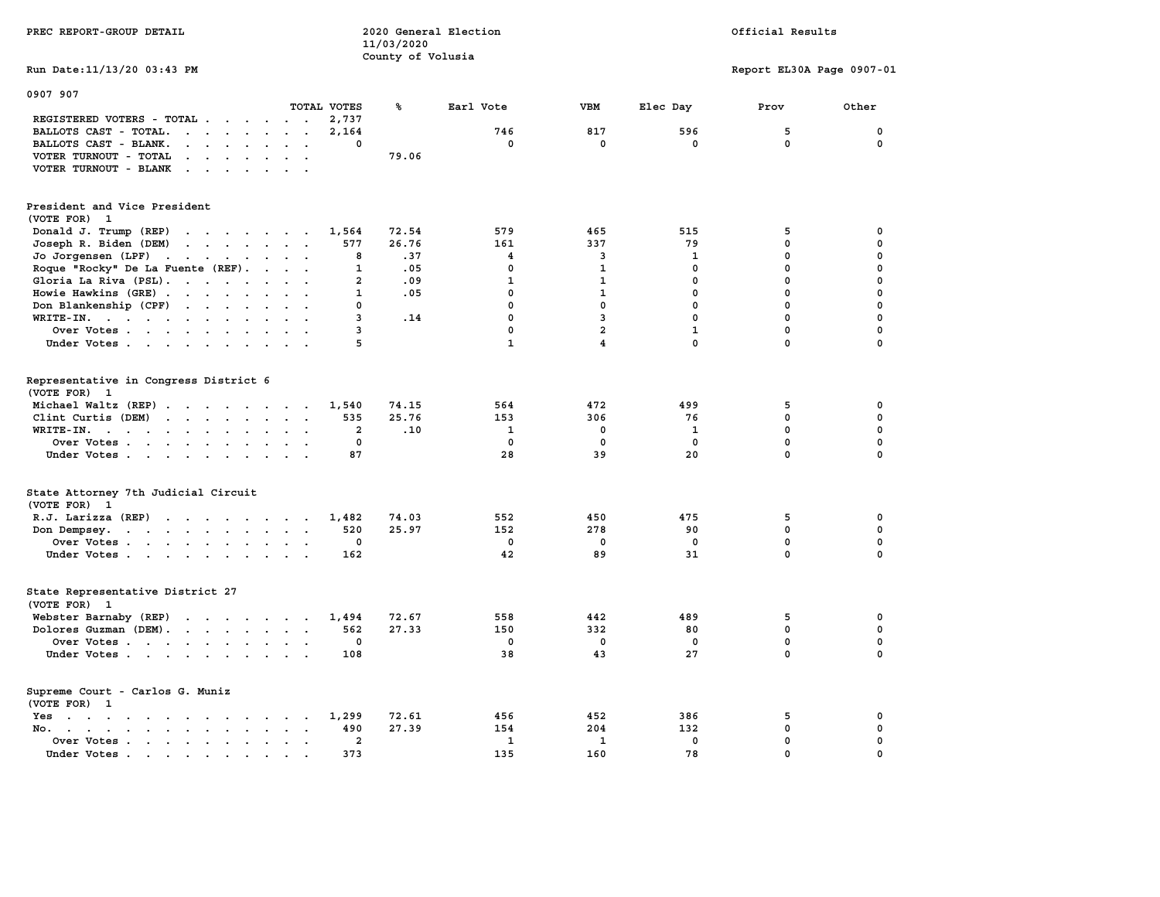| PREC REPORT-GROUP DETAIL                                                                                                                                                                                                                                                |                                           | 11/03/2020            | 2020 General Election                            |                                              |                                                 | Official Results                                     |                                                                         |
|-------------------------------------------------------------------------------------------------------------------------------------------------------------------------------------------------------------------------------------------------------------------------|-------------------------------------------|-----------------------|--------------------------------------------------|----------------------------------------------|-------------------------------------------------|------------------------------------------------------|-------------------------------------------------------------------------|
| Run Date: 11/13/20 03:43 PM                                                                                                                                                                                                                                             |                                           | County of Volusia     |                                                  |                                              |                                                 | Report EL30A Page 0907-01                            |                                                                         |
|                                                                                                                                                                                                                                                                         |                                           |                       |                                                  |                                              |                                                 |                                                      |                                                                         |
| 0907 907                                                                                                                                                                                                                                                                | TOTAL VOTES                               | ℁                     | Earl Vote                                        | <b>VBM</b>                                   | Elec Day                                        | Prov                                                 | Other                                                                   |
| REGISTERED VOTERS - TOTAL                                                                                                                                                                                                                                               | 2,737                                     |                       |                                                  |                                              |                                                 |                                                      |                                                                         |
| BALLOTS CAST - TOTAL.<br>$\cdots$                                                                                                                                                                                                                                       | 2,164                                     |                       | 746                                              | 817                                          | 596                                             | 5                                                    | 0                                                                       |
| BALLOTS CAST - BLANK.<br>$\mathbf{r}$ . The set of the set of the set of the set of the set of the set of the set of the set of the set of the set of the set of the set of the set of the set of the set of the set of the set of the set of the set of t              | 0                                         |                       | $\mathbf 0$                                      | $\mathbf 0$                                  | $\mathbf 0$                                     | $\mathbf 0$                                          | $\mathbf 0$                                                             |
| VOTER TURNOUT - TOTAL<br>$\cdots$                                                                                                                                                                                                                                       |                                           | 79.06                 |                                                  |                                              |                                                 |                                                      |                                                                         |
| VOTER TURNOUT - BLANK                                                                                                                                                                                                                                                   |                                           |                       |                                                  |                                              |                                                 |                                                      |                                                                         |
| President and Vice President<br>(VOTE FOR) 1                                                                                                                                                                                                                            |                                           |                       |                                                  |                                              |                                                 |                                                      |                                                                         |
| Donald J. Trump (REP)<br>the contract of the contract of the                                                                                                                                                                                                            | 1,564                                     | 72.54                 | 579                                              | 465                                          | 515                                             | 5                                                    | $\mathbf 0$                                                             |
| $\mathcal{A}$ . The set of the set of the set of the set of the set of the set of the set of the set of the set of the set of the set of the set of the set of the set of the set of the set of the set of the set of the set of t<br>Joseph R. Biden (DEM)             | 577                                       | 26.76                 | 161                                              | 337                                          | 79                                              | 0                                                    | $\mathbf 0$                                                             |
| Jo Jorgensen (LPF)                                                                                                                                                                                                                                                      | 8                                         | .37                   | $\overline{\mathbf{4}}$                          | 3                                            | 1                                               | $\mathbf 0$                                          | $\mathbf 0$                                                             |
| Roque "Rocky" De La Fuente (REF).                                                                                                                                                                                                                                       | 1                                         | .05                   | $\mathbf 0$                                      | $\mathbf{1}$                                 | $\mathbf{0}$                                    | 0                                                    | $\mathbf 0$                                                             |
| Gloria La Riva (PSL).                                                                                                                                                                                                                                                   | $\overline{a}$                            | .09                   | $\mathbf{1}$                                     | $\mathbf{1}$                                 | 0                                               | 0                                                    | $\mathbf 0$                                                             |
| Howie Hawkins (GRE)                                                                                                                                                                                                                                                     | 1                                         | .05                   | $\mathbf 0$                                      | $\mathbf{1}$                                 | 0                                               | 0                                                    | $\mathbf 0$                                                             |
| Don Blankenship (CPF)                                                                                                                                                                                                                                                   | $\mathbf 0$                               |                       | $\mathbf 0$                                      | $\mathbf 0$                                  | $\mathbf 0$                                     | 0                                                    | $\mathbf 0$                                                             |
| WRITE-IN.<br>$\cdot$ $\cdot$ $\cdot$                                                                                                                                                                                                                                    | 3                                         | .14                   | $\mathbf 0$                                      | 3                                            | $\mathbf 0$                                     | $\mathbf 0$                                          | $\mathbf 0$                                                             |
| Over Votes                                                                                                                                                                                                                                                              | 3                                         |                       | $\mathbf 0$                                      | $\overline{a}$                               | $\mathbf{1}$                                    | $\mathbf 0$                                          | $\mathbf 0$                                                             |
| Under Votes                                                                                                                                                                                                                                                             | 5                                         |                       | $\mathbf{1}$                                     | 4                                            | $\Omega$                                        | 0                                                    | $\Omega$                                                                |
| Representative in Congress District 6<br>(VOTE FOR) 1<br>Michael Waltz (REP)<br>Clint Curtis (DEM)<br>WRITE-IN.<br>$\ddot{\phantom{1}}$<br>Over Votes<br>Under Votes                                                                                                    | 1,540<br>535<br>$\overline{a}$<br>0<br>87 | 74.15<br>25.76<br>.10 | 564<br>153<br>$\mathbf{1}$<br>$\mathbf{0}$<br>28 | 472<br>306<br>$\pmb{0}$<br>$\mathbf 0$<br>39 | 499<br>76<br>$\mathbf{1}$<br>$\mathbf{0}$<br>20 | 5<br>$\mathbf 0$<br>$\mathbf 0$<br>$\mathbf{0}$<br>0 | $\mathbf 0$<br>$\mathbf 0$<br>$\mathbf 0$<br>$\mathbf 0$<br>$\mathbf 0$ |
| State Attorney 7th Judicial Circuit<br>(VOTE FOR) 1                                                                                                                                                                                                                     |                                           |                       |                                                  |                                              |                                                 |                                                      |                                                                         |
| R.J. Larizza (REP)                                                                                                                                                                                                                                                      | 1,482                                     | 74.03                 | 552                                              | 450                                          | 475                                             | 5                                                    | 0                                                                       |
| Don Dempsey.                                                                                                                                                                                                                                                            | 520                                       | 25.97                 | 152                                              | 278                                          | 90                                              | $\mathbf 0$                                          | $\mathbf 0$                                                             |
| Over Votes                                                                                                                                                                                                                                                              | 0                                         |                       | $^{\circ}$                                       | 0                                            | 0                                               | $\mathbf 0$                                          | $\mathbf 0$                                                             |
| Under Votes                                                                                                                                                                                                                                                             | 162                                       |                       | 42                                               | 89                                           | 31                                              | $\Omega$                                             | $\Omega$                                                                |
| State Representative District 27<br>(VOTE FOR) 1                                                                                                                                                                                                                        |                                           |                       |                                                  |                                              |                                                 |                                                      |                                                                         |
| Webster Barnaby (REP)                                                                                                                                                                                                                                                   | 1,494                                     | 72.67                 | 558                                              | 442                                          | 489                                             | 5                                                    | 0                                                                       |
| Dolores Guzman (DEM).                                                                                                                                                                                                                                                   | 562                                       | 27.33                 | 150                                              | 332                                          | 80                                              | 0                                                    | $\mathbf 0$                                                             |
| Over Votes                                                                                                                                                                                                                                                              | 0                                         |                       | 0                                                | $\mathbf 0$                                  | 0                                               | $\mathbf 0$                                          | $\mathbf 0$                                                             |
| Under Votes                                                                                                                                                                                                                                                             | 108                                       |                       | 38                                               | 43                                           | 27                                              | $\mathbf 0$                                          | $\Omega$                                                                |
| Supreme Court - Carlos G. Muniz<br>(VOTE FOR) 1                                                                                                                                                                                                                         |                                           |                       |                                                  |                                              |                                                 |                                                      |                                                                         |
| Yes                                                                                                                                                                                                                                                                     | 1,299                                     | 72.61                 | 456                                              | 452                                          | 386                                             | 5                                                    | 0                                                                       |
| $No.$<br>$\mathbf{r}$ . The contract of the contract of the contract of the contract of the contract of the contract of the contract of the contract of the contract of the contract of the contract of the contract of the contract of th<br>$\cdot$ $\cdot$<br>$\sim$ | 490                                       | 27.39                 | 154                                              | 204                                          | 132                                             | $\mathbf 0$                                          | $\mathbf 0$                                                             |
| Over Votes<br>$\mathbf{a} = \mathbf{a}$<br>$\sim$                                                                                                                                                                                                                       | $\overline{a}$                            |                       | $\mathbf{1}$                                     | $\mathbf{1}$                                 | $\mathbf 0$                                     | $\mathbf 0$                                          | $\mathbf 0$                                                             |
| Under Votes.<br>the contract of the contract of the contract of the contract of the contract of the contract of the contract of<br>$\bullet$                                                                                                                            | 373                                       |                       | 135                                              | 160                                          | 78                                              | $\mathbf 0$                                          | $\mathbf 0$                                                             |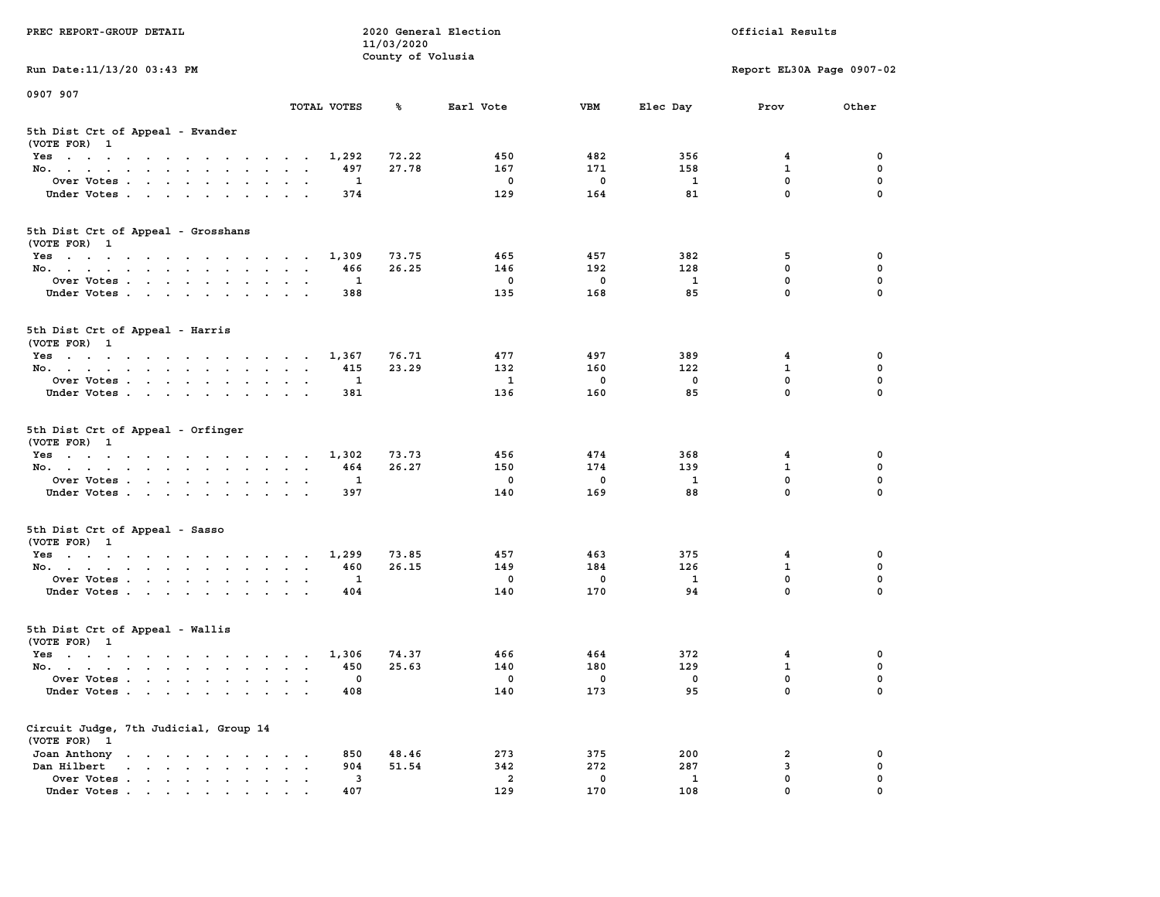| PREC REPORT-GROUP DETAIL                                                                                               |                                                                             | 11/03/2020        | 2020 General Election |             |              | Official Results          |             |
|------------------------------------------------------------------------------------------------------------------------|-----------------------------------------------------------------------------|-------------------|-----------------------|-------------|--------------|---------------------------|-------------|
| Run Date: 11/13/20 03:43 PM                                                                                            |                                                                             | County of Volusia |                       |             |              | Report EL30A Page 0907-02 |             |
|                                                                                                                        |                                                                             |                   |                       |             |              |                           |             |
| 0907 907                                                                                                               | TOTAL VOTES                                                                 | ጜ                 | Earl Vote             | VBM         | Elec Day     | Prov                      | Other       |
| 5th Dist Crt of Appeal - Evander<br>(VOTE FOR) 1                                                                       |                                                                             |                   |                       |             |              |                           |             |
| Yes                                                                                                                    | 1,292                                                                       | 72.22             | 450                   | 482         | 356          | 4                         | 0           |
| No.                                                                                                                    | 497                                                                         | 27.78             | 167                   | 171         | 158          | $\mathbf{1}$              | $\mathbf 0$ |
| Over Votes                                                                                                             | 1                                                                           |                   | 0                     | $\mathbf 0$ | $\mathbf{1}$ | $\mathbf 0$               | 0           |
| Under Votes                                                                                                            | 374                                                                         |                   | 129                   | 164         | 81           | $\mathbf 0$               | $\Omega$    |
| 5th Dist Crt of Appeal - Grosshans<br>(VOTE FOR) 1                                                                     |                                                                             |                   |                       |             |              |                           |             |
| Yes                                                                                                                    | 1,309                                                                       | 73.75             | 465                   | 457         | 382          | 5                         | 0           |
| No.                                                                                                                    | 466                                                                         | 26.25             | 146                   | 192         | 128          | $\mathbf 0$               | 0           |
| Over Votes                                                                                                             | 1                                                                           |                   | 0                     | $\mathbf 0$ | 1            | $\mathbf 0$               | $\mathbf 0$ |
| Under Votes                                                                                                            | 388                                                                         |                   | 135                   | 168         | 85           | $\mathbf{0}$              | 0           |
| 5th Dist Crt of Appeal - Harris<br>(VOTE FOR) 1                                                                        |                                                                             |                   |                       |             |              |                           |             |
| Yes                                                                                                                    | 1,367                                                                       | 76.71             | 477                   | 497         | 389          | 4                         | 0           |
| No.                                                                                                                    | 415                                                                         | 23.29             | 132                   | 160         | 122          | 1                         | 0           |
| Over Votes                                                                                                             | 1                                                                           |                   | 1                     | $\mathbf 0$ | 0            | $\mathbf 0$               | 0           |
| Under Votes                                                                                                            | 381                                                                         |                   | 136                   | 160         | 85           | $\mathbf 0$               | 0           |
| 5th Dist Crt of Appeal - Orfinger<br>(VOTE FOR) 1                                                                      |                                                                             |                   |                       |             |              |                           |             |
| Yes                                                                                                                    | 1,302                                                                       | 73.73             | 456                   | 474         | 368          | 4                         | 0           |
| No.                                                                                                                    | 464                                                                         | 26.27             | 150                   | 174         | 139          | $\mathbf 1$               | 0           |
| Over Votes                                                                                                             | 1                                                                           |                   | 0                     | $\mathbf 0$ | 1            | 0                         | 0           |
| Under Votes                                                                                                            | 397                                                                         |                   | 140                   | 169         | 88           | $\mathbf 0$               | $\Omega$    |
| 5th Dist Crt of Appeal - Sasso<br>(VOTE FOR) 1                                                                         |                                                                             |                   |                       |             |              |                           |             |
| Yes                                                                                                                    | 1,299                                                                       | 73.85             | 457                   | 463         | 375          | 4                         | 0           |
| No.                                                                                                                    | 460                                                                         | 26.15             | 149                   | 184         | 126          | 1                         | 0           |
| Over Votes                                                                                                             | 1                                                                           |                   | 0                     | $\mathbf 0$ | $\mathbf{1}$ | 0                         | $\mathbf 0$ |
| Under Votes                                                                                                            | 404                                                                         |                   | 140                   | 170         | 94           | $\mathbf{0}$              | $\Omega$    |
| 5th Dist Crt of Appeal - Wallis<br>(VOTE FOR) 1                                                                        |                                                                             |                   |                       |             |              |                           |             |
| Yes<br>the contract of the contract of the contract of the contract of the contract of the contract of the contract of | 1,306                                                                       | 74.37             | 466                   | 464         | 372          | 4                         | 0           |
| No.                                                                                                                    | 450                                                                         | 25.63             | 140                   | 180         | 129          | $\mathbf{1}$              | $\mathbf 0$ |
| Over Votes                                                                                                             | 0                                                                           |                   | 0                     | 0           | 0            | $\mathbf{0}$              | 0           |
| Under Votes                                                                                                            | 408                                                                         |                   | 140                   | 173         | 95           | 0                         | 0           |
| Circuit Judge, 7th Judicial, Group 14<br>(VOTE FOR) 1                                                                  |                                                                             |                   |                       |             |              |                           |             |
| Joan Anthony<br>the contract of the contract of the contract of                                                        | 850<br>$\cdot$<br>$\cdot$                                                   | 48.46             | 273                   | 375         | 200          | 2                         | 0           |
| Dan Hilbert<br>$\mathbf{r}$ , and $\mathbf{r}$ , and $\mathbf{r}$ , and $\mathbf{r}$<br>$\bullet$                      | 904<br>$\ddot{\phantom{a}}$<br>$\ddot{\phantom{a}}$<br>$\ddot{\phantom{a}}$ | 51.54             | 342                   | 272         | 287          | 3                         | 0           |
| Over Votes.<br>$\mathbf{r}$ , $\mathbf{r}$ , $\mathbf{r}$ , $\mathbf{r}$ , $\mathbf{r}$                                | 3                                                                           |                   | 2                     | 0           | 1            | 0                         | 0           |
| Under Votes                                                                                                            | 407                                                                         |                   | 129                   | 170         | 108          | $\mathbf{0}$              | 0           |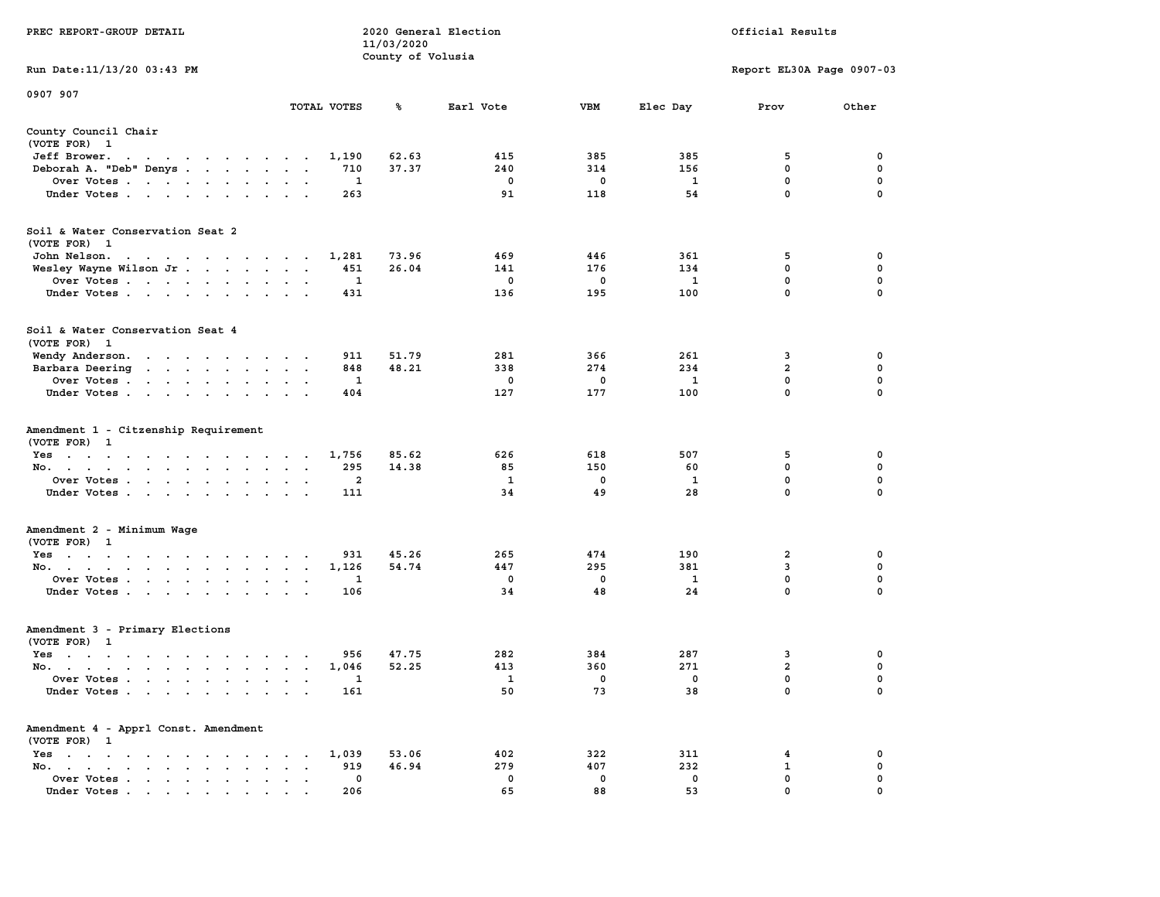|                                                                                                                                                                                                                                                   | 11/03/2020                                                |                   |              |            |              |                           |             |  |  |
|---------------------------------------------------------------------------------------------------------------------------------------------------------------------------------------------------------------------------------------------------|-----------------------------------------------------------|-------------------|--------------|------------|--------------|---------------------------|-------------|--|--|
|                                                                                                                                                                                                                                                   |                                                           | County of Volusia |              |            |              | Report EL30A Page 0907-03 |             |  |  |
| Run Date:11/13/20 03:43 PM                                                                                                                                                                                                                        |                                                           |                   |              |            |              |                           |             |  |  |
| 0907 907                                                                                                                                                                                                                                          |                                                           |                   |              |            |              |                           |             |  |  |
|                                                                                                                                                                                                                                                   | TOTAL VOTES                                               | ℁                 | Earl Vote    | <b>VBM</b> | Elec Day     | Prov                      | Other       |  |  |
| County Council Chair<br>(VOTE FOR) 1                                                                                                                                                                                                              |                                                           |                   |              |            |              |                           |             |  |  |
| Jeff Brower.<br>$\ddot{\phantom{0}}$<br>$\mathcal{A}=\mathcal{A}=\mathcal{A}=\mathcal{A}=\mathcal{A}=\mathcal{A}$<br>$\sim$<br>$\ddot{\phantom{0}}$                                                                                               | 1,190<br>$\overline{\phantom{a}}$                         | 62.63             | 415          | 385        | 385          | 5                         | 0           |  |  |
| Deborah A. "Deb" Denys                                                                                                                                                                                                                            | 710<br>$\overline{\phantom{a}}$<br>$\ddot{\phantom{a}}$   | 37.37             | 240          | 314        | 156          | $\mathbf 0$               | $\mathbf 0$ |  |  |
| Over Votes                                                                                                                                                                                                                                        | 1<br>$\sim$<br>$\bullet$                                  |                   | 0            | 0          | 1            | 0                         | 0           |  |  |
| Under Votes                                                                                                                                                                                                                                       | 263<br>$\sim$<br>$\cdot$ $\cdot$                          |                   | 91           | 118        | 54           | 0                         | 0           |  |  |
| Soil & Water Conservation Seat 2                                                                                                                                                                                                                  |                                                           |                   |              |            |              |                           |             |  |  |
| (VOTE FOR) 1                                                                                                                                                                                                                                      |                                                           |                   |              |            |              |                           |             |  |  |
| John Nelson.<br>the contract of the contract of the con-                                                                                                                                                                                          | 1,281                                                     | 73.96             | 469          | 446        | 361          | 5                         | 0           |  |  |
| Wesley Wayne Wilson Jr                                                                                                                                                                                                                            | 451                                                       | 26.04             | 141          | 176        | 134          | 0                         | 0           |  |  |
| Over Votes                                                                                                                                                                                                                                        | $\mathbf{1}$<br>$\ddot{\phantom{a}}$<br>$\bullet$         |                   | 0            | 0          | 1            | $\mathbf{0}$              | 0           |  |  |
| Under Votes<br>$\ddot{\phantom{0}}$                                                                                                                                                                                                               | 431<br>$\bullet$<br>$\bullet$<br>$\overline{\phantom{a}}$ |                   | 136          | 195        | 100          | $\mathbf 0$               | 0           |  |  |
|                                                                                                                                                                                                                                                   |                                                           |                   |              |            |              |                           |             |  |  |
| Soil & Water Conservation Seat 4<br>(VOTE FOR) 1                                                                                                                                                                                                  |                                                           |                   |              |            |              |                           |             |  |  |
| Wendy Anderson.<br>the contract of the contract of the contract of the contract of the contract of the contract of the contract of the contract of the contract of the contract of the contract of the contract of the contract of the contract o | 911                                                       | 51.79             | 281          | 366        | 261          | 3                         | 0           |  |  |
| Barbara Deering<br>$\cdots$<br>$\ddot{\phantom{a}}$                                                                                                                                                                                               | 848<br>$\sim$<br>$\mathbf{r}$<br>$\sim$                   | 48.21             | 338          | 274        | 234          | $\overline{2}$            | $\mathbf 0$ |  |  |
| Over Votes.<br>$\sim$ $\sim$ $\sim$ $\sim$<br>$\ddot{\phantom{a}}$<br>$\cdot$                                                                                                                                                                     | $\mathbf{1}$                                              |                   | $\mathbf 0$  | 0          | $\mathbf{1}$ | $\mathbf 0$               | $\mathbf 0$ |  |  |
| Under Votes<br>$\ddot{\phantom{a}}$                                                                                                                                                                                                               | 404<br>$\cdot$                                            |                   | 127          | 177        | 100          | $\mathbf{0}$              | $\mathbf 0$ |  |  |
|                                                                                                                                                                                                                                                   |                                                           |                   |              |            |              |                           |             |  |  |
| Amendment 1 - Citzenship Requirement<br>(VOTE FOR) 1                                                                                                                                                                                              |                                                           |                   |              |            |              |                           |             |  |  |
| $Yes \t . \t .$<br>$\mathcal{L}(\mathcal{A})$ , and $\mathcal{L}(\mathcal{A})$ , and $\mathcal{L}(\mathcal{A})$<br>$\sim$                                                                                                                         | 1,756<br>$\sim$ $\sim$                                    | 85.62             | 626          | 618        | 507          | 5                         | 0           |  |  |
| No.<br>$\sim$<br>$\sim$<br>$\ddot{\phantom{a}}$<br>$\cdot$                                                                                                                                                                                        | 295<br>$\cdot$<br>$\cdot$<br>$\cdot$                      | 14.38             | 85           | 150        | 60           | 0                         | $\mathbf 0$ |  |  |
| Over Votes                                                                                                                                                                                                                                        | $\overline{a}$<br>$\mathbf{r}$<br>$\bullet$               |                   | $\mathbf{1}$ | 0          | $\mathbf{1}$ | $\mathbf 0$               | $\mathbf 0$ |  |  |
| Under Votes<br>$\cdot$                                                                                                                                                                                                                            | 111<br>$\cdot$<br>$\ddot{\phantom{a}}$                    |                   | 34           | 49         | 28           | 0                         | 0           |  |  |
|                                                                                                                                                                                                                                                   |                                                           |                   |              |            |              |                           |             |  |  |
| Amendment 2 - Minimum Wage<br>(VOTE FOR) 1                                                                                                                                                                                                        |                                                           |                   |              |            |              |                           |             |  |  |
| $Yes \t . \t .$<br>the contract of the contract of<br>$\sim$                                                                                                                                                                                      | 931                                                       | 45.26             | 265          | 474        | 190          | 2                         | 0           |  |  |
| No.<br>$\ddot{\phantom{0}}$<br>$\bullet$                                                                                                                                                                                                          | 1,126<br>$\cdot$                                          | 54.74             | 447          | 295        | 381          | 3                         | $\pmb{0}$   |  |  |
| Over Votes<br>$\blacksquare$                                                                                                                                                                                                                      | $\bullet$<br>$\blacksquare$<br>1                          |                   | 0            | 0          | 1            | $\mathbf 0$               | $\mathbf 0$ |  |  |
| Under Votes<br>$\sim 10^{-1}$ and $\sim 10^{-1}$<br>$\blacksquare$ .<br>$\bullet$                                                                                                                                                                 | 106                                                       |                   | 34           | 48         | 24           | $\mathbf 0$               | 0           |  |  |
|                                                                                                                                                                                                                                                   |                                                           |                   |              |            |              |                           |             |  |  |
| Amendment 3 - Primary Elections                                                                                                                                                                                                                   |                                                           |                   |              |            |              |                           |             |  |  |
| (VOTE FOR) 1                                                                                                                                                                                                                                      |                                                           |                   |              |            |              |                           |             |  |  |
| $Yes \t . \t .$<br>$\mathcal{A}(\mathcal{A})$ , and $\mathcal{A}(\mathcal{A})$ , and<br>$\sim$ $\sim$ $\sim$ $\sim$ $\sim$<br>$\sim$ 100 $\mu$                                                                                                    | 956<br>$\sim$<br>$\lambda$                                | 47.75             | 282          | 384        | 287          | 3                         | 0           |  |  |
| No.<br>$\sim$                                                                                                                                                                                                                                     | 1,046<br>$\sim$<br>$\sim$<br>$\sim$                       | 52.25             | 413          | 360        | 271          | $\overline{\mathbf{2}}$   | 0           |  |  |
| Over Votes.<br>$\mathbf{r}$ . The set of $\mathbf{r}$<br>$\bullet$<br>$\ddot{\phantom{a}}$<br>$\ddot{\phantom{a}}$<br>$\bullet$                                                                                                                   | 1<br>$\ddot{\phantom{a}}$<br>$\cdot$<br>$\cdot$           |                   | 1            | 0          | 0            | 0                         | 0           |  |  |
| Under Votes<br>$\sim$                                                                                                                                                                                                                             | 161<br>$\sim$ $\sim$<br>$\ddot{\phantom{a}}$              |                   | 50           | 73         | 38           | 0                         | $\mathbf 0$ |  |  |
| Amendment 4 - Apprl Const. Amendment                                                                                                                                                                                                              |                                                           |                   |              |            |              |                           |             |  |  |
| (VOTE FOR) 1                                                                                                                                                                                                                                      |                                                           |                   |              |            |              |                           |             |  |  |
| $Yes \t . \t .$<br>$\bullet$<br>$\bullet$<br>$\cdot$<br>$\ddot{\phantom{a}}$<br>$\bullet$<br>$\sim$<br>$\cdot$                                                                                                                                    | 1,039<br>$\cdot$                                          | 53.06             | 402          | 322        | 311          | 4                         | 0           |  |  |
| No.<br>$\begin{array}{cccccccccccccc} \bullet & \bullet & \bullet & \bullet & \bullet & \bullet & \bullet & \bullet \end{array}$<br>$\bullet$<br>$\sim$ $\sim$                                                                                    | 919<br>$\cdot$                                            | 46.94             | 279          | 407        | 232          | 1                         | $\mathbf 0$ |  |  |
| Over Votes<br>$\blacksquare$ .<br>$\ddot{\phantom{a}}$                                                                                                                                                                                            | 0<br>$\cdot$<br>$\cdot$                                   |                   | 0            | 0          | 0            | $\mathbf 0$               | $\mathbf 0$ |  |  |
| Under Votes.                                                                                                                                                                                                                                      | 206                                                       |                   | 65           | 88         | 53           | $\mathbf{0}$              | $\mathbf 0$ |  |  |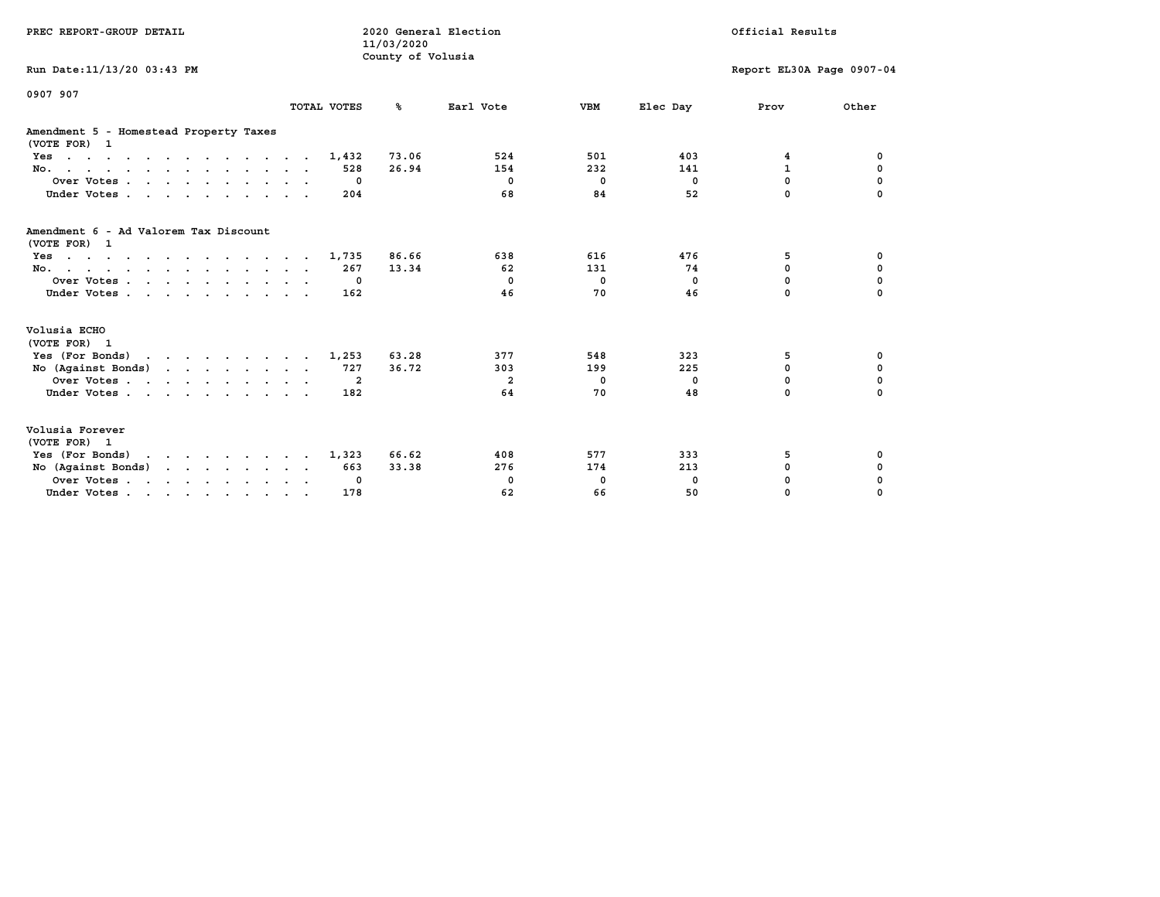| PREC REPORT-GROUP DETAIL                                                                                                                                                                                                                             |             | 2020 General Election<br>11/03/2020<br>County of Volusia |                |              | Official Results |                           |             |  |
|------------------------------------------------------------------------------------------------------------------------------------------------------------------------------------------------------------------------------------------------------|-------------|----------------------------------------------------------|----------------|--------------|------------------|---------------------------|-------------|--|
| Run Date: 11/13/20 03:43 PM                                                                                                                                                                                                                          |             |                                                          |                |              |                  | Report EL30A Page 0907-04 |             |  |
| 0907 907                                                                                                                                                                                                                                             | TOTAL VOTES | %ะ                                                       | Earl Vote      | <b>VBM</b>   | Elec Day         | Prov                      | Other       |  |
| Amendment 5 - Homestead Property Taxes<br>(VOTE FOR) 1                                                                                                                                                                                               |             |                                                          |                |              |                  |                           |             |  |
| $Yes \cdot \cdot \cdot \cdot \cdot \cdot \cdot \cdot \cdot \cdot \cdot \cdot \cdot \cdot$                                                                                                                                                            | 1,432       | 73.06                                                    | 524            | 501          | 403              | 4                         | 0           |  |
| No.                                                                                                                                                                                                                                                  | 528         | 26.94                                                    | 154            | 232          | 141              | $\mathbf{1}$              | 0           |  |
| Over Votes.                                                                                                                                                                                                                                          | 0           |                                                          | $^{\circ}$     | $\mathbf{0}$ | $^{\circ}$       | 0                         | 0           |  |
| Under Votes                                                                                                                                                                                                                                          | 204         |                                                          | 68             | 84           | 52               | 0                         |             |  |
| Amendment 6 - Ad Valorem Tax Discount<br>(VOTE FOR) 1                                                                                                                                                                                                |             |                                                          |                |              |                  |                           |             |  |
| $Yes \cdot \cdot \cdot \cdot \cdot \cdot \cdot \cdot \cdot \cdot \cdot \cdot \cdot \cdot$                                                                                                                                                            | 1,735       | 86.66                                                    | 638            | 616          | 476              | 5                         | 0           |  |
| No.                                                                                                                                                                                                                                                  | 267         | 13.34                                                    | 62             | 131          | 74               | $\Omega$                  | $\mathbf 0$ |  |
| Over Votes                                                                                                                                                                                                                                           | 0           |                                                          | $^{\circ}$     | $\mathbf{0}$ | $\Omega$         | $\Omega$                  | $\mathbf 0$ |  |
| Under Votes                                                                                                                                                                                                                                          | 162         |                                                          | 46             | 70           | 46               | $\Omega$                  | $\Omega$    |  |
| Volusia ECHO<br>(VOTE FOR) 1                                                                                                                                                                                                                         |             |                                                          |                |              |                  |                           |             |  |
| Yes (For Bonds)                                                                                                                                                                                                                                      | 1,253       | 63.28                                                    | 377            | 548          | 323              | 5                         | 0           |  |
| No (Against Bonds)                                                                                                                                                                                                                                   | 727         | 36.72                                                    | 303            | 199          | 225              | $\mathbf 0$               | $\mathbf 0$ |  |
| Over Votes                                                                                                                                                                                                                                           | -2          |                                                          | $\overline{2}$ | 0            | 0                | $\mathbf 0$               | $\mathbf 0$ |  |
| Under Votes                                                                                                                                                                                                                                          | 182         |                                                          | 64             | 70           | 48               | $\Omega$                  | $\Omega$    |  |
| Volusia Forever<br>(VOTE FOR) 1                                                                                                                                                                                                                      |             |                                                          |                |              |                  |                           |             |  |
| Yes (For Bonds)<br>$\mathbf{r}$ . The set of the set of the set of the set of the set of the set of the set of the set of the set of the set of the set of the set of the set of the set of the set of the set of the set of the set of the set of t | 1,323       | 66.62                                                    | 408            | 577          | 333              | 5                         | 0           |  |
| No $(Against Bonds)$                                                                                                                                                                                                                                 | 663         | 33.38                                                    | 276            | 174          | 213              | $\mathbf 0$               | 0           |  |
| Over Votes.                                                                                                                                                                                                                                          | 0           |                                                          | 0              | 0            | 0                | $\mathbf 0$               | 0           |  |
| Under Votes                                                                                                                                                                                                                                          | 178         |                                                          | 62             | 66           | 50               | 0                         | 0           |  |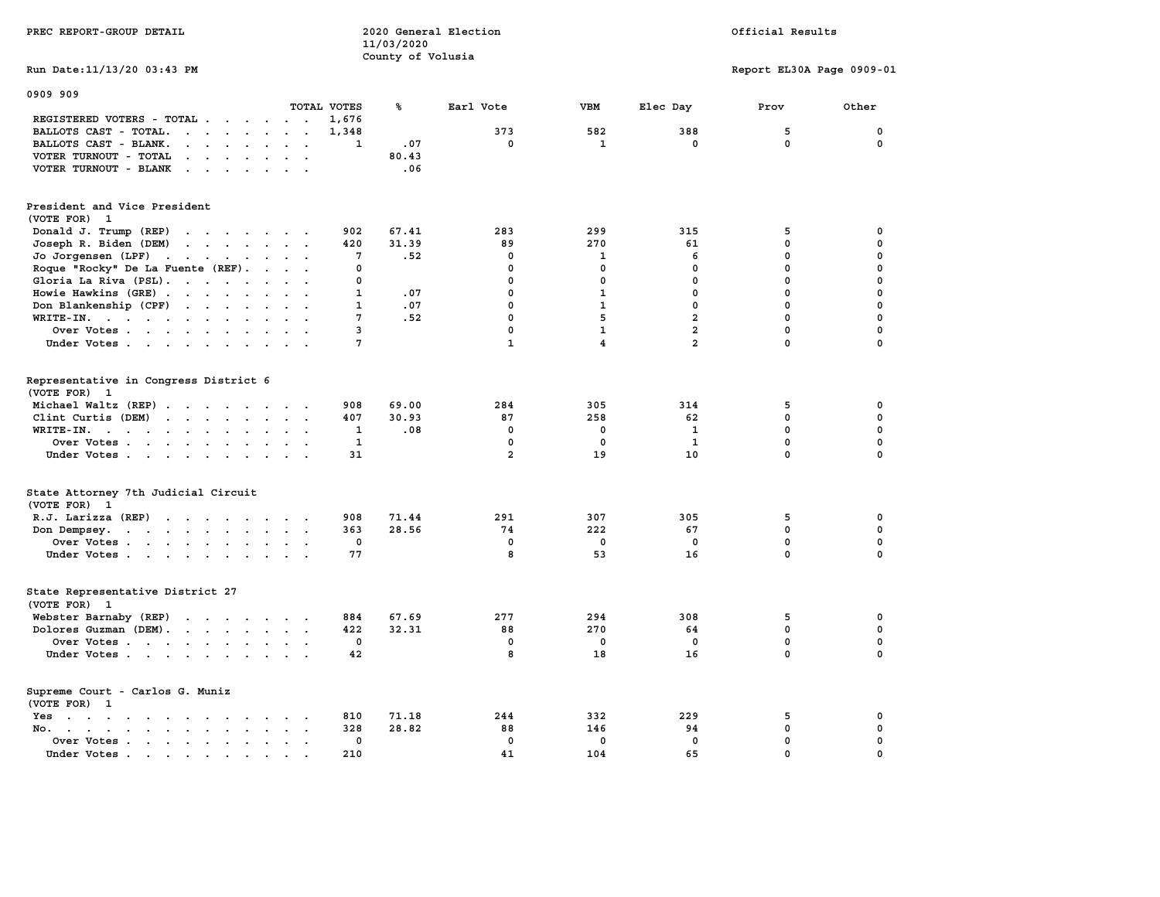|                                                                                                                                                                                                                                                      |                | 11/03/2020        |                |                |                |                           |              |
|------------------------------------------------------------------------------------------------------------------------------------------------------------------------------------------------------------------------------------------------------|----------------|-------------------|----------------|----------------|----------------|---------------------------|--------------|
|                                                                                                                                                                                                                                                      |                | County of Volusia |                |                |                |                           |              |
| Run Date: 11/13/20 03:43 PM                                                                                                                                                                                                                          |                |                   |                |                |                | Report EL30A Page 0909-01 |              |
| 0909 909                                                                                                                                                                                                                                             |                |                   |                |                |                |                           |              |
|                                                                                                                                                                                                                                                      | TOTAL VOTES    | ℁                 | Earl Vote      | <b>VBM</b>     | Elec Day       | Prov                      | Other        |
| REGISTERED VOTERS - TOTAL<br>$\overline{a}$                                                                                                                                                                                                          | 1,676          |                   |                |                |                |                           |              |
| BALLOTS CAST - TOTAL.<br>$\cdot$ $\cdot$ $\cdot$ $\cdot$ $\cdot$ $\cdot$ $\cdot$ $\cdot$                                                                                                                                                             | 1,348          |                   | 373            | 582            | 388            | 5                         | 0            |
| BALLOTS CAST - BLANK.<br>$\sim$<br>$\ddot{\phantom{0}}$<br>$\sim$<br>$\sim$                                                                                                                                                                          | 1              | .07               | $\mathbf 0$    | $\mathbf{1}$   | $\mathbf 0$    | $\mathbf 0$               | $\mathbf 0$  |
| VOTER TURNOUT - TOTAL<br>$\sim$ $\sim$ $\sim$ $\sim$ $\sim$<br>$\ddot{\phantom{a}}$<br>$\sim$<br>$\sim$ $\sim$                                                                                                                                       |                | 80.43             |                |                |                |                           |              |
| VOTER TURNOUT - BLANK<br><b>Carl Carl</b><br>$\bullet$ .<br><br><br><br><br><br><br><br><br><br><br><br><br>$\sim$                                                                                                                                   |                | .06               |                |                |                |                           |              |
|                                                                                                                                                                                                                                                      |                |                   |                |                |                |                           |              |
| President and Vice President                                                                                                                                                                                                                         |                |                   |                |                |                |                           |              |
| (VOTE FOR) 1                                                                                                                                                                                                                                         |                |                   |                |                |                |                           |              |
| Donald J. Trump (REP)                                                                                                                                                                                                                                | 902            | 67.41             | 283            | 299            | 315            | 5                         | 0            |
| Joseph R. Biden (DEM)<br>$\mathbf{r}$ , $\mathbf{r}$ , $\mathbf{r}$ , $\mathbf{r}$ , $\mathbf{r}$                                                                                                                                                    | 420            | 31.39             | 89             | 270            | 61             | 0                         | 0            |
| Jo Jorgensen (LPF)<br>$\begin{array}{cccccccccccccc} \bullet & \bullet & \bullet & \bullet & \bullet & \bullet & \bullet & \bullet & \bullet & \bullet \end{array}$<br>$\ddot{\phantom{0}}$                                                          | 7              | .52               | 0              | 1              | 6              | 0                         | 0            |
| Roque "Rocky" De La Fuente (REF).<br>$\sim$<br>$\sim$ $\sim$                                                                                                                                                                                         | $\mathbf 0$    |                   | $\mathbf 0$    | $\mathbf 0$    | $\mathbf 0$    | 0                         | 0            |
| Gloria La Riva (PSL).<br>$\sim$<br>$\sim$<br>$\sim$                                                                                                                                                                                                  | 0              |                   | $\mathbf 0$    | 0              | 0              | 0                         | $\mathbf 0$  |
| Howie Hawkins (GRE)<br>$\ddot{\phantom{a}}$                                                                                                                                                                                                          | 1              | .07               | $\mathbf 0$    | $\mathbf{1}$   | $\mathbf 0$    | 0                         | 0            |
| Don Blankenship (CPF)<br>$\cdots$<br>$\sim$ $\sim$ $\sim$                                                                                                                                                                                            | 1              | .07               | $\mathbf 0$    | $\mathbf{1}$   | $\mathbf 0$    | 0                         | $\mathbf 0$  |
| WRITE-IN.<br>$\ddot{\phantom{a}}$<br>$\sim$                                                                                                                                                                                                          | 7              | .52               | $\mathbf 0$    | 5              | $\overline{a}$ | 0                         | $\Omega$     |
| Over Votes<br>$\sim$ $\sim$                                                                                                                                                                                                                          | $\overline{3}$ |                   | $\mathbf 0$    | $\mathbf{1}$   | $\overline{a}$ | 0                         | $\mathbf{0}$ |
| Under Votes<br>$\sim$                                                                                                                                                                                                                                | 7              |                   | $\mathbf{1}$   | $\overline{4}$ | $\overline{a}$ | $\Omega$                  | $\Omega$     |
|                                                                                                                                                                                                                                                      |                |                   |                |                |                |                           |              |
| Representative in Congress District 6                                                                                                                                                                                                                |                |                   |                |                |                |                           |              |
| (VOTE FOR)<br>$\mathbf{1}$                                                                                                                                                                                                                           |                |                   |                |                |                |                           |              |
| Michael Waltz (REP)                                                                                                                                                                                                                                  | 908            | 69.00             | 284            | 305            | 314            | 5                         | $\mathbf 0$  |
| Clint Curtis (DEM)                                                                                                                                                                                                                                   | 407            | 30.93             | 87             | 258            | 62             | $\mathbf 0$               | $\mathbf{0}$ |
| WRITE-IN.<br>$\mathbf{r}$ , and $\mathbf{r}$ , and $\mathbf{r}$ , and $\mathbf{r}$<br>$\ddot{\phantom{a}}$                                                                                                                                           | $\mathbf{1}$   | .08               | $\mathbf 0$    | $\mathbf{0}$   | $\mathbf{1}$   | $\mathbf 0$               | $\mathbf{0}$ |
| Over Votes<br>$\sim$ 100 $\mu$<br>$\ddot{\phantom{a}}$                                                                                                                                                                                               | $\mathbf{1}$   |                   | $\pmb{0}$      | 0              | $\mathbf{1}$   | 0                         | $\pmb{0}$    |
| Under Votes<br>$\cdot$ .                                                                                                                                                                                                                             | 31             |                   | $\overline{a}$ | 19             | 10             | 0                         | 0            |
| State Attorney 7th Judicial Circuit                                                                                                                                                                                                                  |                |                   |                |                |                |                           |              |
| (VOTE FOR)<br>1                                                                                                                                                                                                                                      |                |                   |                |                |                |                           |              |
| R.J. Larizza (REP)<br>the contract of the contract of the contract of the contract of the contract of the contract of the contract of the contract of the contract of the contract of the contract of the contract of the contract of the contract o | 908            | 71.44             | 291            | 307            | 305            | 5                         | 0            |
| Don Dempsey.<br>$\cdot$ $\cdot$<br>$\sim$<br>$\sim$ $\sim$<br>$\ddot{\phantom{a}}$<br>$\ddot{\phantom{a}}$<br>$\sim$                                                                                                                                 | 363            | 28.56             | 74             | 222            | 67             | 0                         | $\mathbf 0$  |
| Over Votes                                                                                                                                                                                                                                           | 0              |                   | 0              | 0              | 0              | 0                         | $\mathbf 0$  |
| Under Votes                                                                                                                                                                                                                                          | 77             |                   | 8              | 53             | 16             | 0                         | $\Omega$     |
|                                                                                                                                                                                                                                                      |                |                   |                |                |                |                           |              |
| State Representative District 27                                                                                                                                                                                                                     |                |                   |                |                |                |                           |              |
| (VOTE FOR) 1                                                                                                                                                                                                                                         |                |                   |                |                |                |                           |              |
| Webster Barnaby (REP)<br>$\mathbf{L}$<br>$\cdots$                                                                                                                                                                                                    | 884            | 67.69             | 277            | 294            | 308            | 5                         | 0            |
| Dolores Guzman (DEM).<br>$\cdots$                                                                                                                                                                                                                    | 422            | 32.31             | 88             | 270            | 64             | 0                         | $\mathbf 0$  |
| Over Votes<br>$\ddot{\phantom{a}}$                                                                                                                                                                                                                   | $\mathbf 0$    |                   | $\mathbf 0$    | $\mathbf{0}$   | $\mathbf{0}$   | 0                         | $\mathbf{0}$ |
| Under Votes                                                                                                                                                                                                                                          | 42             |                   | 8              | 18             | 16             | 0                         | $\Omega$     |
| Supreme Court - Carlos G. Muniz                                                                                                                                                                                                                      |                |                   |                |                |                |                           |              |
| (VOTE FOR)<br>1                                                                                                                                                                                                                                      |                |                   |                |                |                |                           |              |
| Yes<br>the contract of the contract of the contract of the contract of the contract of the contract of the contract of                                                                                                                               | 810            | 71.18             | 244            | 332            | 229            | 5                         | 0            |
| No.<br>$\ddot{\phantom{a}}$<br>$\ddot{\phantom{a}}$<br>$\ddot{\phantom{a}}$<br>$\bullet$                                                                                                                                                             | 328            | 28.82             | 88             | 146            | 94             | 0                         | 0            |
| Over Votes<br>$\ddot{\phantom{a}}$                                                                                                                                                                                                                   | $\mathbf 0$    |                   | $\mathbf 0$    | $\mathbf 0$    | $\mathbf 0$    | 0                         | 0            |
| Under Votes                                                                                                                                                                                                                                          | 210            |                   | 41             | 104            | 65             | $\mathbf 0$               | $\mathbf 0$  |
|                                                                                                                                                                                                                                                      |                |                   |                |                |                |                           |              |

**PREC REPORT-GROUP DETAIL 2020 General Election Official Results**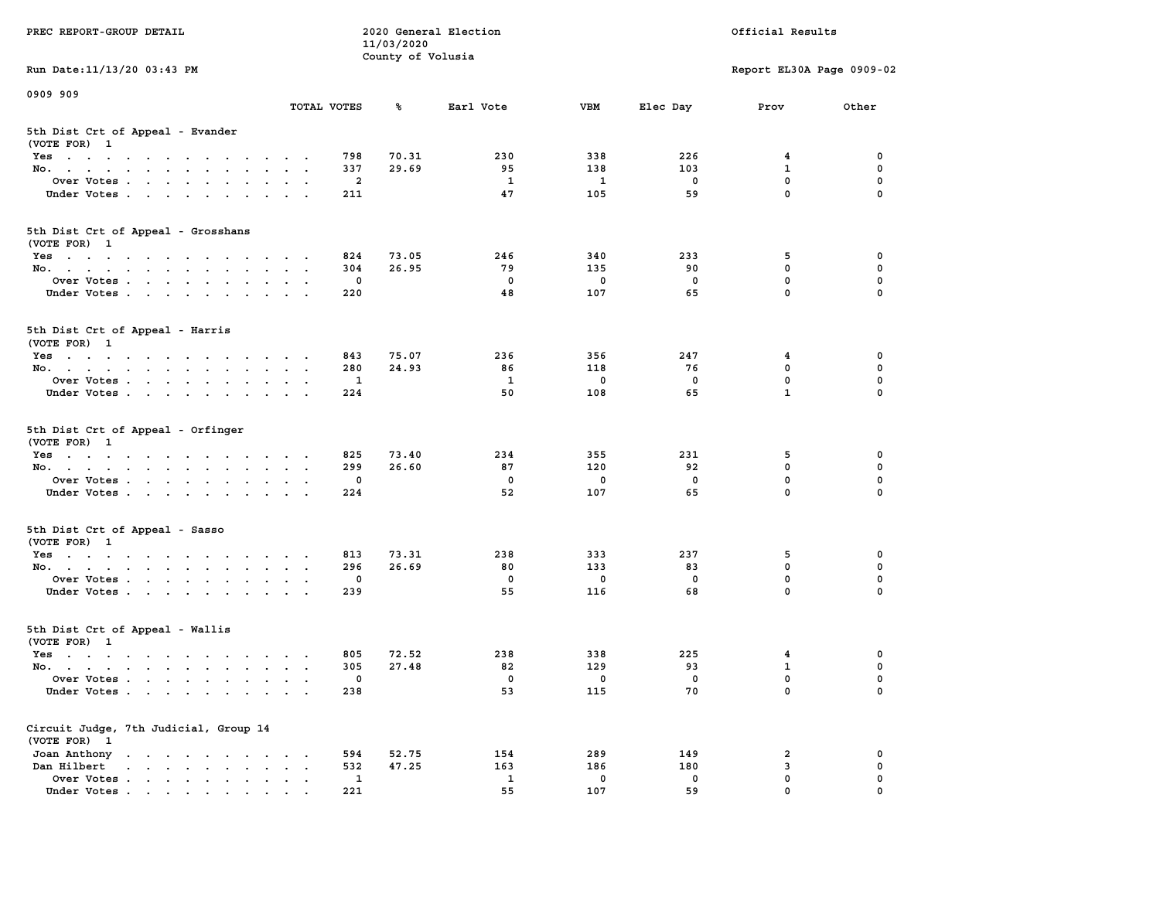| PREC REPORT-GROUP DETAIL                                                                                               |                      | 11/03/2020                   | 2020 General Election | Official Results |             |                           |          |
|------------------------------------------------------------------------------------------------------------------------|----------------------|------------------------------|-----------------------|------------------|-------------|---------------------------|----------|
| Run Date: 11/13/20 03:43 PM                                                                                            |                      | County of Volusia            |                       |                  |             | Report EL30A Page 0909-02 |          |
| 0909 909                                                                                                               |                      |                              |                       |                  |             |                           |          |
|                                                                                                                        | TOTAL VOTES          | ℁                            | Earl Vote             | <b>VBM</b>       | Elec Day    | Prov                      | Other    |
| 5th Dist Crt of Appeal - Evander<br>(VOTE FOR) 1                                                                       |                      |                              |                       |                  |             |                           |          |
| Yes                                                                                                                    |                      | 798<br>70.31                 | 230                   | 338              | 226         | 4                         | 0        |
| No.                                                                                                                    |                      | 337<br>29.69                 | 95                    | 138              | 103         | $\mathbf{1}$              | 0        |
| Over Votes                                                                                                             |                      | 2                            | 1                     | 1                | 0           | $\mathbf 0$               | 0        |
| Under Votes                                                                                                            |                      | 211                          | 47                    | 105              | 59          | $\mathbf 0$               | $\Omega$ |
| 5th Dist Crt of Appeal - Grosshans<br>(VOTE FOR) 1                                                                     |                      |                              |                       |                  |             |                           |          |
| Yes                                                                                                                    |                      | 824<br>73.05                 | 246                   | 340              | 233         | 5                         | 0        |
| No.                                                                                                                    |                      | 304<br>26.95                 | 79                    | 135              | 90          | $\mathbf 0$               | 0        |
| Over Votes                                                                                                             |                      | 0                            | $\mathbf 0$           | $\mathbf 0$      | $\mathbf 0$ | $\mathbf 0$               | 0        |
| Under Votes                                                                                                            |                      | 220                          | 48                    | 107              | 65          | $\mathbf 0$               | 0        |
| 5th Dist Crt of Appeal - Harris<br>(VOTE FOR) 1                                                                        |                      |                              |                       |                  |             |                           |          |
| Yes                                                                                                                    |                      | 75.07<br>843                 | 236                   | 356              | 247         | 4                         | 0        |
| No.                                                                                                                    |                      | 280<br>24.93                 | 86                    | 118              | 76          | 0                         | 0        |
| Over Votes                                                                                                             |                      | 1                            | 1                     | 0                | 0           | $\mathbf 0$               | 0        |
| Under Votes                                                                                                            |                      | 224                          | 50                    | 108              | 65          | $\mathbf{1}$              | 0        |
| 5th Dist Crt of Appeal - Orfinger<br>(VOTE FOR) 1                                                                      |                      |                              |                       |                  |             |                           |          |
| Yes<br>No.                                                                                                             |                      | 825<br>73.40<br>299<br>26.60 | 234<br>87             | 355<br>120       | 231<br>92   | 5<br>$\mathbf 0$          | 0<br>0   |
| Over Votes                                                                                                             |                      | 0                            | 0                     | 0                | 0           | $\mathbf 0$               | 0        |
| Under Votes                                                                                                            |                      | 224                          | 52                    | 107              | 65          | $\mathbf 0$               | $\Omega$ |
| 5th Dist Crt of Appeal - Sasso                                                                                         |                      |                              |                       |                  |             |                           |          |
| (VOTE FOR) 1                                                                                                           |                      |                              |                       |                  |             |                           |          |
| Yes                                                                                                                    |                      | 813<br>73.31                 | 238                   | 333              | 237         | 5                         | 0        |
| No.                                                                                                                    |                      | 296<br>26.69                 | 80                    | 133              | 83          | $\mathbf 0$               | 0        |
| Over Votes                                                                                                             |                      | 0                            | $\mathbf 0$           | $\mathbf 0$      | 0           | $\mathbf 0$               | 0        |
| Under Votes                                                                                                            |                      | 239                          | 55                    | 116              | 68          | $\mathbf 0$               | $\Omega$ |
| 5th Dist Crt of Appeal - Wallis<br>(VOTE FOR) 1                                                                        |                      |                              |                       |                  |             |                           |          |
| Yes<br>the contract of the contract of the contract of the contract of the contract of the contract of the contract of |                      | 72.52<br>805                 | 238                   | 338              | 225         | 4                         | 0        |
| No.                                                                                                                    |                      | 27.48<br>305                 | 82                    | 129              | 93          | $\mathbf{1}$              | 0        |
| Over Votes                                                                                                             |                      | 0                            | 0                     | 0                | 0           | $\mathbf 0$               | 0        |
| Under Votes                                                                                                            |                      | 238                          | 53                    | 115              | 70          | 0                         | 0        |
| Circuit Judge, 7th Judicial, Group 14<br>(VOTE FOR) 1                                                                  |                      |                              |                       |                  |             |                           |          |
| Joan Anthony                                                                                                           |                      | 594<br>52.75                 | 154                   | 289              | 149         | 2                         | 0        |
| Dan Hilbert<br>$\cdot$ $\cdot$ $\cdot$ $\cdot$ $\cdot$ $\cdot$ $\cdot$ $\cdot$<br>$\ddot{\phantom{a}}$                 | $\cdot$<br>$\bullet$ | 532<br>47.25                 | 163                   | 186              | 180         | 3                         | 0        |
| Over Votes                                                                                                             |                      | $\mathbf{1}$                 | $\mathbf{1}$          | 0                | 0           | $\mathbf 0$               | 0        |
| Under Votes.                                                                                                           |                      | 221                          | 55                    | 107              | 59          | $\Omega$                  |          |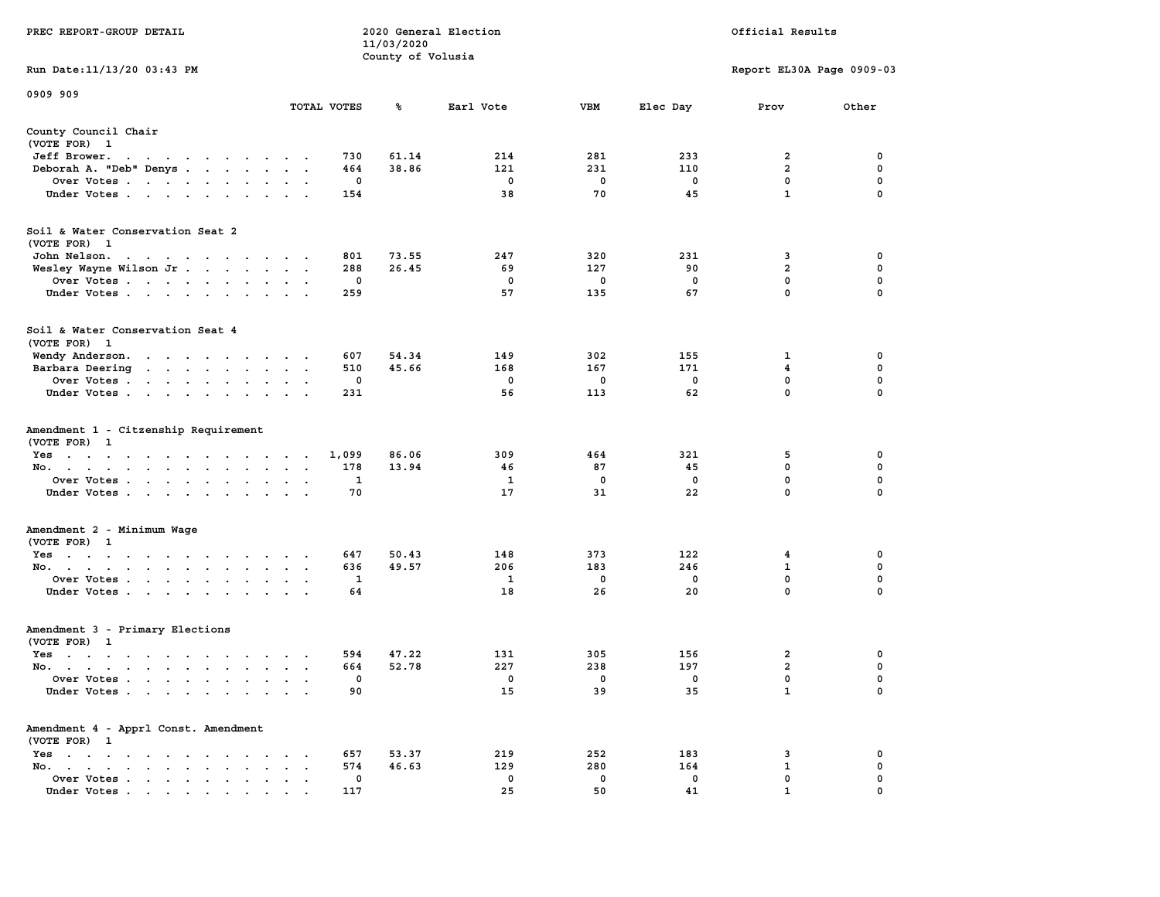| PREC REPORT-GROUP DETAIL                                                                                                        |             |       | 11/03/2020        | 2020 General Election | Official Results |             |                           |             |  |  |
|---------------------------------------------------------------------------------------------------------------------------------|-------------|-------|-------------------|-----------------------|------------------|-------------|---------------------------|-------------|--|--|
|                                                                                                                                 |             |       | County of Volusia |                       |                  |             |                           |             |  |  |
| Run Date: 11/13/20 03:43 PM                                                                                                     |             |       |                   |                       |                  |             | Report EL30A Page 0909-03 |             |  |  |
| 0909 909                                                                                                                        |             |       |                   |                       |                  |             |                           |             |  |  |
|                                                                                                                                 | TOTAL VOTES |       | ℁                 | Earl Vote             | VBM              | Elec Day    | Prov                      | Other       |  |  |
| County Council Chair<br>(VOTE FOR) 1                                                                                            |             |       |                   |                       |                  |             |                           |             |  |  |
| Jeff Brower.<br>the contract of the contract of the con-                                                                        |             | 730   | 61.14             | 214                   | 281              | 233         | 2                         | 0           |  |  |
| Deborah A. "Deb" Denys                                                                                                          |             | 464   | 38.86             | 121                   | 231              | 110         | $\overline{a}$            | 0           |  |  |
| Over Votes                                                                                                                      |             | 0     |                   | 0                     | 0                | 0           | 0                         | 0           |  |  |
| Under Votes                                                                                                                     |             | 154   |                   | 38                    | 70               | 45          | $\mathbf{1}$              | $\Omega$    |  |  |
| Soil & Water Conservation Seat 2<br>(VOTE FOR) 1                                                                                |             |       |                   |                       |                  |             |                           |             |  |  |
| John Nelson.<br>the contract of the contract of the contract of the contract of the contract of the contract of the contract of |             | 801   | 73.55             | 247                   | 320              | 231         | 3                         | 0           |  |  |
| Wesley Wayne Wilson Jr                                                                                                          |             | 288   | 26.45             | 69                    | 127              | 90          | $\overline{a}$            | 0           |  |  |
| Over Votes                                                                                                                      |             | 0     |                   | 0                     | 0                | $\mathbf 0$ | $\mathbf 0$               | $\mathbf 0$ |  |  |
| Under Votes                                                                                                                     |             | 259   |                   | 57                    | 135              | 67          | $\mathbf{0}$              | 0           |  |  |
| Soil & Water Conservation Seat 4<br>(VOTE FOR) 1                                                                                |             |       |                   |                       |                  |             |                           |             |  |  |
| Wendy Anderson.                                                                                                                 |             | 607   | 54.34             | 149                   | 302              | 155         | 1                         | 0           |  |  |
| Barbara Deering                                                                                                                 |             | 510   | 45.66             | 168                   | 167              | 171         | 4                         | 0           |  |  |
| Over Votes                                                                                                                      |             | 0     |                   | $^{\circ}$            | 0                | $\mathbf 0$ | $\mathbf{0}$              | 0           |  |  |
| Under Votes                                                                                                                     |             | 231   |                   | 56                    | 113              | 62          | $\mathbf 0$               | 0           |  |  |
| Amendment 1 - Citzenship Requirement<br>(VOTE FOR) 1                                                                            |             |       |                   |                       |                  |             |                           |             |  |  |
| Yes                                                                                                                             |             | 1,099 | 86.06             | 309                   | 464              | 321         | 5                         | 0           |  |  |
| No.                                                                                                                             |             | 178   | 13.94             | 46                    | 87               | 45          | $\mathbf 0$               | 0           |  |  |
| Over Votes                                                                                                                      |             | 1     |                   | 1                     | 0                | 0           | 0                         | 0           |  |  |
| Under Votes                                                                                                                     |             | 70    |                   | 17                    | 31               | 22          | $\mathbf{0}$              | $\Omega$    |  |  |
| Amendment 2 - Minimum Wage                                                                                                      |             |       |                   |                       |                  |             |                           |             |  |  |
| (VOTE FOR) 1                                                                                                                    |             |       |                   |                       |                  |             |                           |             |  |  |
| Yes                                                                                                                             |             | 647   | 50.43             | 148                   | 373              | 122         | 4                         | 0           |  |  |
| No.                                                                                                                             |             | 636   | 49.57             | 206                   | 183              | 246         | 1                         | 0           |  |  |
| Over Votes                                                                                                                      |             | 1     |                   | $\mathbf{1}$          | $\mathbf 0$      | 0           | 0                         | $\mathbf 0$ |  |  |
| Under Votes                                                                                                                     |             | 64    |                   | 18                    | 26               | 20          | $\mathbf{0}$              | 0           |  |  |
| Amendment 3 - Primary Elections<br>(VOTE FOR) 1                                                                                 |             |       |                   |                       |                  |             |                           |             |  |  |
| Yes<br>the contract of the contract of the contract of the contract of the contract of the contract of the contract of          |             | 594   | 47.22             | 131                   | 305              | 156         | 2                         | 0           |  |  |
| No.                                                                                                                             |             | 664   | 52.78             | 227                   | 238              | 197         | $\overline{\mathbf{2}}$   | 0           |  |  |
| Over Votes.                                                                                                                     |             | 0     |                   | 0                     | 0                | 0           | $\mathbf{0}$              | $\Omega$    |  |  |
| Under Votes                                                                                                                     |             | 90    |                   | 15                    | 39               | 35          | 1                         | 0           |  |  |
| Amendment 4 - Apprl Const. Amendment<br>(VOTE FOR) 1                                                                            |             |       |                   |                       |                  |             |                           |             |  |  |
| $Yes \cdot \cdot \cdot \cdot \cdot \cdot \cdot$                                                                                 |             | 657   | 53.37             | 219                   | 252              | 183         | 3                         | 0           |  |  |
| No.<br>$\ddot{\phantom{a}}$<br>$\ddot{\phantom{a}}$                                                                             |             | 574   | 46.63             | 129                   | 280              | 164         | 1                         | 0           |  |  |
| Over Votes                                                                                                                      |             | 0     |                   | 0                     | 0                | 0           | 0                         | 0           |  |  |
| Under Votes                                                                                                                     |             | 117   |                   | 25                    | 50               | 41          | 1                         |             |  |  |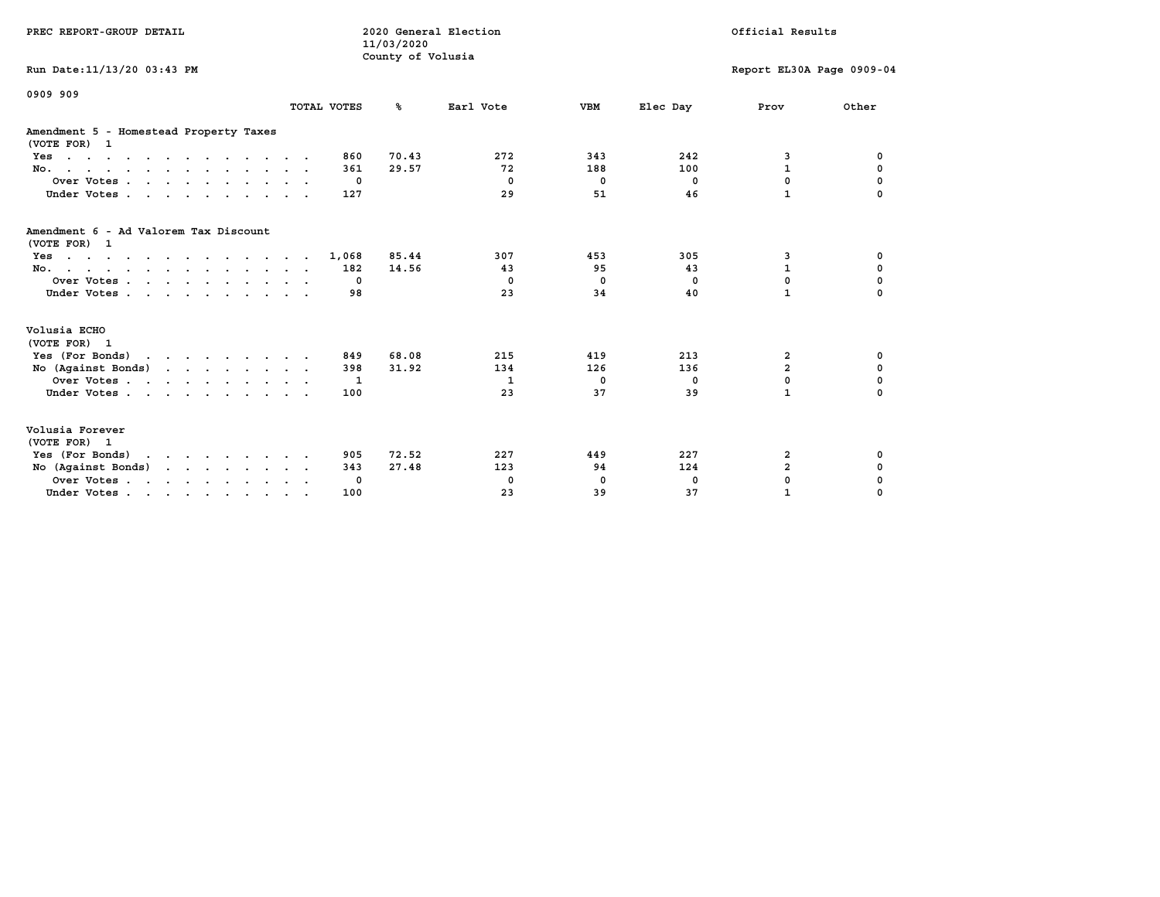| PREC REPORT-GROUP DETAIL                                                                                                                                                                |              | 2020 General Election<br>11/03/2020<br>County of Volusia |                               | Official Results                |                               |                                                  |                                             |
|-----------------------------------------------------------------------------------------------------------------------------------------------------------------------------------------|--------------|----------------------------------------------------------|-------------------------------|---------------------------------|-------------------------------|--------------------------------------------------|---------------------------------------------|
| Run Date: 11/13/20 03:43 PM                                                                                                                                                             |              |                                                          |                               |                                 |                               | Report EL30A Page 0909-04                        |                                             |
| 0909 909                                                                                                                                                                                | TOTAL VOTES  | °≈                                                       | Earl Vote                     | <b>VBM</b>                      | Elec Day                      | Prov                                             | Other                                       |
|                                                                                                                                                                                         |              |                                                          |                               |                                 |                               |                                                  |                                             |
| Amendment 5 - Homestead Property Taxes<br>(VOTE FOR) 1                                                                                                                                  |              |                                                          |                               |                                 |                               |                                                  |                                             |
| Yes                                                                                                                                                                                     | 860          | 70.43                                                    | 272                           | 343                             | 242                           | 3                                                | 0                                           |
| No.                                                                                                                                                                                     | 361          | 29.57                                                    | 72                            | 188                             | 100                           | $\mathbf{1}$                                     | $\mathbf 0$                                 |
| Over Votes                                                                                                                                                                              |              | 0                                                        | $^{\circ}$                    | 0                               | $^{\circ}$                    | 0                                                | 0                                           |
| Under Votes                                                                                                                                                                             | 127          |                                                          | 29                            | 51                              | 46                            | $\mathbf{1}$                                     |                                             |
| Amendment 6 - Ad Valorem Tax Discount<br>(VOTE FOR) 1<br>$Yes \cdot \cdot \cdot \cdot \cdot \cdot \cdot \cdot \cdot \cdot \cdot \cdot \cdot \cdot$<br>No.<br>Over Votes.<br>Under Votes | 1,068<br>182 | 85.44<br>14.56<br>0<br>98                                | 307<br>43<br>$^{\circ}$<br>23 | 453<br>95<br>$\mathbf{0}$<br>34 | 305<br>43<br>$^{\circ}$<br>40 | 3<br>$\mathbf{1}$<br>$\mathbf 0$<br>$\mathbf{1}$ | 0<br>$\mathbf 0$<br>$\mathbf 0$<br>$\Omega$ |
| Volusia ECHO<br>(VOTE FOR) 1                                                                                                                                                            |              |                                                          |                               |                                 |                               |                                                  |                                             |
| Yes (For Bonds)                                                                                                                                                                         | 849          | 68.08                                                    | 215                           | 419                             | 213                           | 2                                                | 0                                           |
| No (Against Bonds)                                                                                                                                                                      | 398          | 31.92                                                    | 134                           | 126                             | 136                           | $\overline{2}$                                   | $\mathbf 0$                                 |
| Over Votes                                                                                                                                                                              |              | -1                                                       | 1                             | $^{\circ}$                      | 0                             | 0                                                | 0                                           |
| Under Votes                                                                                                                                                                             | 100          |                                                          | 23                            | 37                              | 39                            | $\mathbf{1}$                                     | $\Omega$                                    |
| Volusia Forever<br>(VOTE FOR) 1                                                                                                                                                         |              |                                                          |                               |                                 |                               |                                                  |                                             |
| Yes (For Bonds)                                                                                                                                                                         | 905          | 72.52                                                    | 227                           | 449                             | 227                           | 2                                                | 0                                           |
| No (Against Bonds)                                                                                                                                                                      | 343          | 27.48                                                    | 123                           | 94                              | 124                           | $\overline{a}$                                   | 0                                           |
| Over Votes                                                                                                                                                                              |              | 0                                                        | 0                             | 0                               | 0                             | $\mathbf 0$                                      | 0                                           |
| Under Votes                                                                                                                                                                             | 100          |                                                          | 23                            | 39                              | 37                            | $\mathbf{1}$                                     | $\Omega$                                    |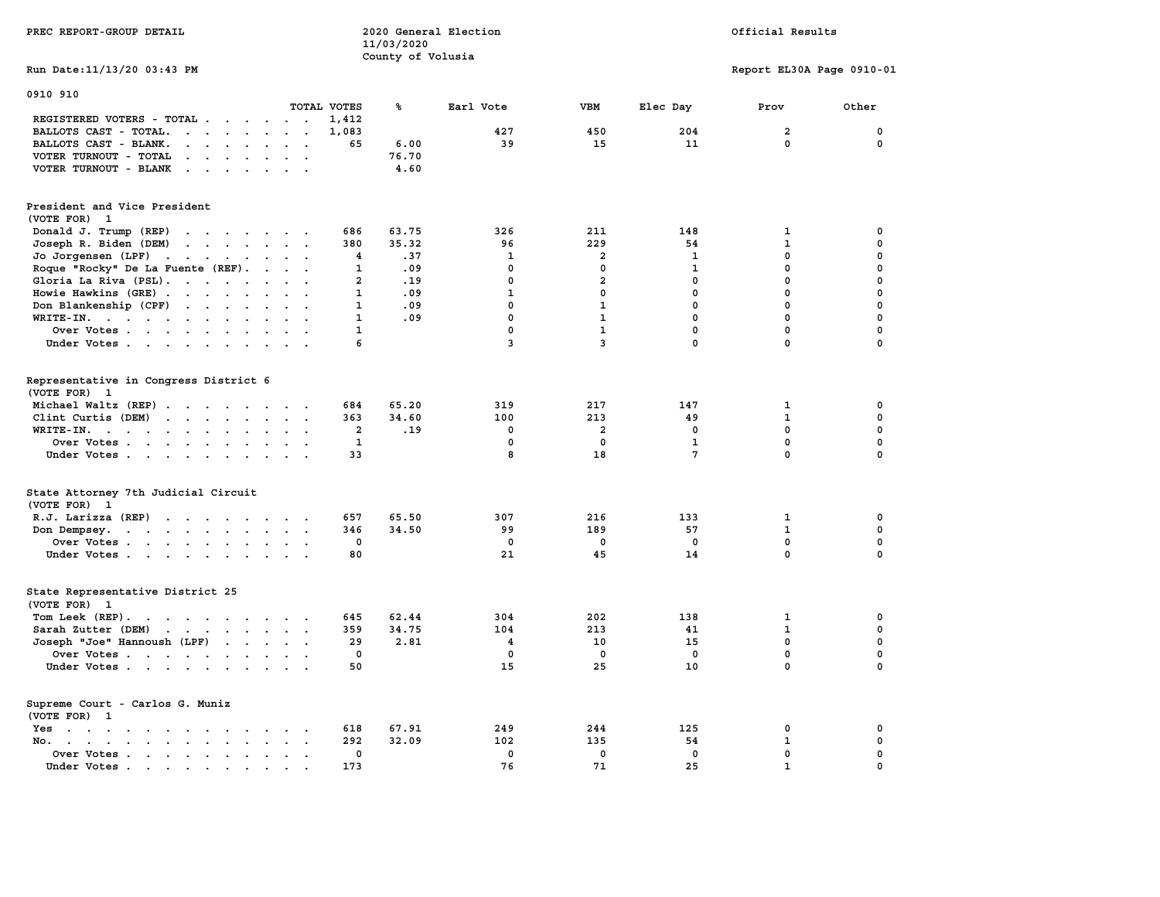| PREC REPORT-GROUP DETAIL                                                                                                                                                                                                                                   |                                      | 11/03/2020        | 2020 General Election |                         | Official Results |                           |             |  |  |
|------------------------------------------------------------------------------------------------------------------------------------------------------------------------------------------------------------------------------------------------------------|--------------------------------------|-------------------|-----------------------|-------------------------|------------------|---------------------------|-------------|--|--|
| Run Date: 11/13/20 03:43 PM                                                                                                                                                                                                                                |                                      | County of Volusia |                       |                         |                  | Report EL30A Page 0910-01 |             |  |  |
| 0910 910                                                                                                                                                                                                                                                   | TOTAL VOTES                          | ℁                 | Earl Vote             | <b>VBM</b>              | Elec Day         | Prov                      | Other       |  |  |
| REGISTERED VOTERS - TOTAL                                                                                                                                                                                                                                  | 1,412                                |                   |                       |                         |                  |                           |             |  |  |
| BALLOTS CAST - TOTAL.<br>$\cdot$                                                                                                                                                                                                                           | 1,083                                |                   | 427                   | 450                     | 204              | $\overline{a}$            | 0           |  |  |
| BALLOTS CAST - BLANK.<br>$\begin{array}{cccccccccccccc} \bullet & \bullet & \bullet & \bullet & \bullet & \bullet & \bullet & \bullet \end{array}$                                                                                                         | 65<br>$\cdot$ $\cdot$                | 6.00              | 39                    | 15                      | 11               | $\mathbf{0}$              | 0           |  |  |
| VOTER TURNOUT - TOTAL<br>$\mathbf{r}$                                                                                                                                                                                                                      |                                      | 76.70             |                       |                         |                  |                           |             |  |  |
| VOTER TURNOUT - BLANK<br>$\mathbf{r}$ . The contract of the contract of the contract of the contract of the contract of the contract of the contract of the contract of the contract of the contract of the contract of the contract of the contract of th |                                      | 4.60              |                       |                         |                  |                           |             |  |  |
| President and Vice President<br>(VOTE FOR) 1                                                                                                                                                                                                               |                                      |                   |                       |                         |                  |                           |             |  |  |
| Donald J. Trump (REP)<br>and the contract of the contract of the contract of the contract of the contract of                                                                                                                                               | 686                                  | 63.75             | 326                   | 211                     | 148              | $\mathbf{1}$              | 0           |  |  |
| Joseph R. Biden (DEM)<br>the contract of the contract of the contract of the contract of the contract of                                                                                                                                                   | 380                                  | 35.32             | 96                    | 229                     | 54               | $\mathbf{1}$              | 0           |  |  |
| Jo Jorgensen (LPF)                                                                                                                                                                                                                                         | 4                                    | .37               | 1                     | $\overline{\mathbf{2}}$ | 1                | $\mathbf 0$               | 0           |  |  |
| Roque "Rocky" De La Fuente (REF).                                                                                                                                                                                                                          | 1                                    | .09               | $^{\circ}$            | 0                       | 1                | $\mathbf 0$               | 0           |  |  |
| Gloria La Riva (PSL).                                                                                                                                                                                                                                      | $\overline{a}$                       | .19               | $\mathbf 0$           | $\overline{a}$          | 0                | $\mathbf 0$               | $\mathbf 0$ |  |  |
| Howie Hawkins (GRE)                                                                                                                                                                                                                                        | $\sim$ $\sim$<br>$\mathbf{1}$        | .09               | $\mathbf{1}$          | 0                       | $\mathbf 0$      | 0                         | 0           |  |  |
| Don Blankenship (CPF)                                                                                                                                                                                                                                      | $\mathbf{1}$                         | .09               | $\mathbf{0}$          | $\mathbf{1}$            | 0                | 0                         | 0           |  |  |
| WRITE-IN.                                                                                                                                                                                                                                                  | $\mathbf{1}$<br>$\ddot{\phantom{a}}$ | .09               | $\mathbf{0}$          | $\mathbf{1}$            | 0                | $\mathbf 0$               | 0           |  |  |
| Over Votes                                                                                                                                                                                                                                                 | $\mathbf{1}$                         |                   | $\mathbf 0$           | $\mathbf{1}$            | $\mathbf 0$      | $\mathbf 0$               | $\mathbf 0$ |  |  |
| Under Votes<br>$\sim$ $\sim$                                                                                                                                                                                                                               | 6                                    |                   | 3                     | 3                       | $\mathbf 0$      | $\mathbf 0$               | $\mathbf 0$ |  |  |
|                                                                                                                                                                                                                                                            |                                      |                   |                       |                         |                  |                           |             |  |  |
| Representative in Congress District 6<br>(VOTE FOR) 1                                                                                                                                                                                                      |                                      |                   |                       |                         |                  |                           |             |  |  |
| Michael Waltz (REP)                                                                                                                                                                                                                                        | 684                                  | 65.20             | 319                   | 217                     | 147              | 1                         | 0           |  |  |
| Clint Curtis (DEM)                                                                                                                                                                                                                                         | 363                                  | 34.60             | 100                   | 213                     | 49               | $\mathbf{1}$              | 0           |  |  |
| WRITE-IN.<br>the contract of the contract of the contract of                                                                                                                                                                                               | $\overline{a}$                       | .19               | $\mathbf{0}$          | $\overline{a}$          | $\Omega$         | $\mathbf{0}$              | 0           |  |  |
| Over Votes                                                                                                                                                                                                                                                 | $\mathbf{1}$<br>$\sim$               |                   | $\mathbf 0$           | $\mathbf 0$             | $\mathbf{1}$     | $\mathbf 0$               | 0           |  |  |
| Under Votes                                                                                                                                                                                                                                                | 33<br>$\cdots$                       |                   | 8                     | 18                      | $7\phantom{.0}$  | $\mathbf{0}$              | $\mathbf 0$ |  |  |
|                                                                                                                                                                                                                                                            |                                      |                   |                       |                         |                  |                           |             |  |  |
| State Attorney 7th Judicial Circuit<br>(VOTE FOR) 1                                                                                                                                                                                                        |                                      |                   |                       |                         |                  |                           |             |  |  |
| R.J. Larizza (REP)                                                                                                                                                                                                                                         | 657<br>$\cdots$                      | 65.50             | 307                   | 216                     | 133              | $\mathbf{1}$              | 0           |  |  |
| Don Dempsey.                                                                                                                                                                                                                                               | 346                                  | 34.50             | 99                    | 189                     | 57               | $\mathbf{1}$              | 0           |  |  |
| Over Votes                                                                                                                                                                                                                                                 | 0                                    |                   | $^{\circ}$            | 0                       | $^{\circ}$       | $\mathbf 0$               | 0           |  |  |
| Under Votes                                                                                                                                                                                                                                                | 80                                   |                   | 21                    | 45                      | 14               | $\mathbf{0}$              | $\mathbf 0$ |  |  |
| State Representative District 25<br>(VOTE FOR) 1                                                                                                                                                                                                           |                                      |                   |                       |                         |                  |                           |             |  |  |
| Tom Leek (REP).                                                                                                                                                                                                                                            | 645                                  | 62.44             | 304                   | 202                     | 138              | $\mathbf{1}$              | 0           |  |  |
| Sarah Zutter (DEM)<br>the contract of the contract of the contract of the contract of the contract of                                                                                                                                                      | 359                                  | 34.75             | 104                   | 213                     | 41               | $\mathbf{1}$              | 0           |  |  |
| Joseph "Joe" Hannoush (LPF)                                                                                                                                                                                                                                | 29                                   | 2.81              | $\overline{4}$        | 10                      | 15               | $\mathbf 0$               | 0           |  |  |
| Over Votes                                                                                                                                                                                                                                                 | 0                                    |                   | 0                     | 0                       | $\mathbf 0$      | $\mathbf 0$               | 0           |  |  |
| Under Votes                                                                                                                                                                                                                                                | 50                                   |                   | 15                    | 25                      | 10               | $\mathbf 0$               | $\mathbf 0$ |  |  |
| Supreme Court - Carlos G. Muniz<br>(VOTE FOR) 1                                                                                                                                                                                                            |                                      |                   |                       |                         |                  |                           |             |  |  |
| Yes                                                                                                                                                                                                                                                        | 618                                  | 67.91             | 249                   | 244                     | 125              | 0                         | 0           |  |  |
| No.                                                                                                                                                                                                                                                        | 292                                  | 32.09             | 102                   | 135                     | 54               | $\mathbf{1}$              | 0           |  |  |
| Over Votes                                                                                                                                                                                                                                                 | $\mathbf 0$<br>$\cdot$               |                   | $\mathbf 0$           | 0                       | $\mathbf 0$      | 0                         | 0           |  |  |
| Under Votes                                                                                                                                                                                                                                                | 173<br>$\sim$ $\sim$                 |                   | 76                    | 71                      | 25               | $\mathbf{1}$              | 0           |  |  |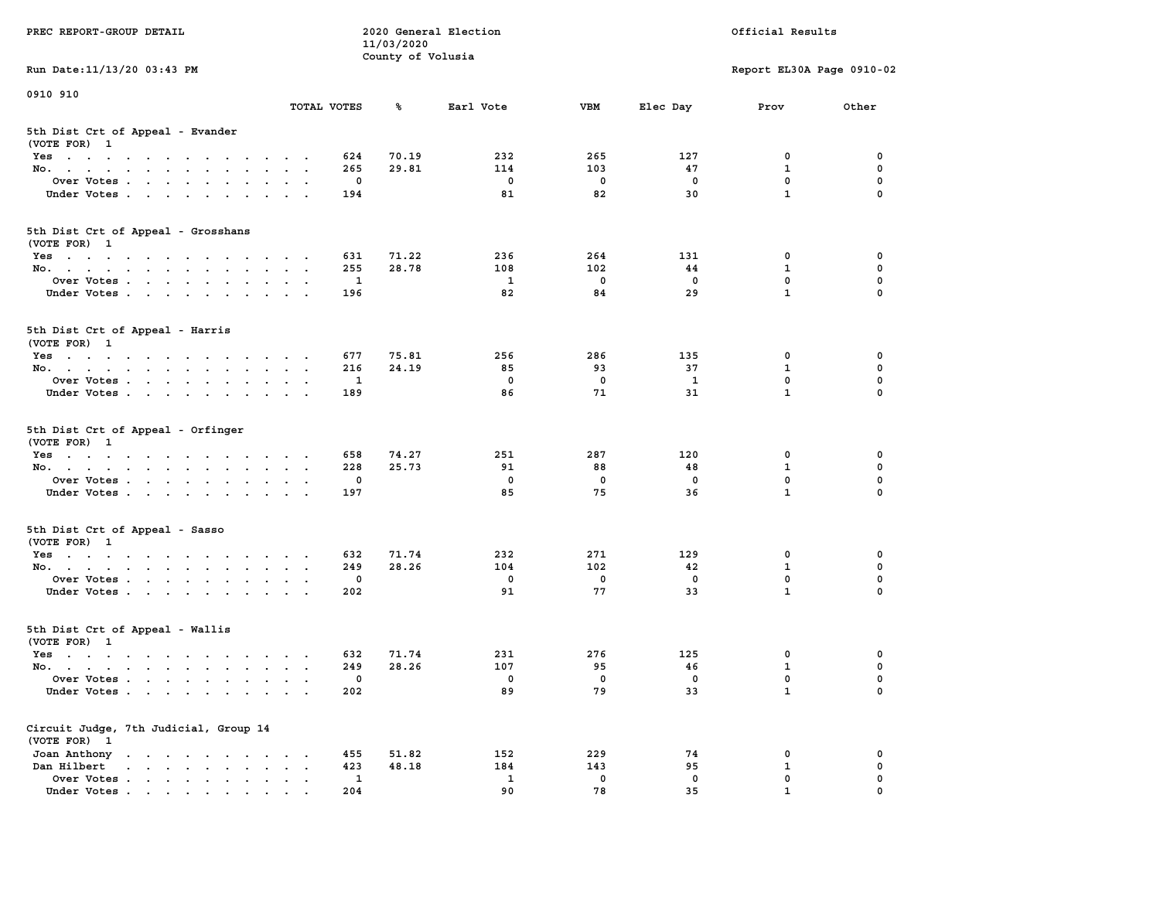| PREC REPORT-GROUP DETAIL                                                                                                                                                                                                                          |                                                           |              | 11/03/2020        | 2020 General Election |                   | Official Results          |              |             |
|---------------------------------------------------------------------------------------------------------------------------------------------------------------------------------------------------------------------------------------------------|-----------------------------------------------------------|--------------|-------------------|-----------------------|-------------------|---------------------------|--------------|-------------|
|                                                                                                                                                                                                                                                   |                                                           |              | County of Volusia |                       |                   |                           |              |             |
| Run Date: 11/13/20 03:43 PM                                                                                                                                                                                                                       |                                                           |              |                   |                       |                   | Report EL30A Page 0910-02 |              |             |
| 0910 910                                                                                                                                                                                                                                          |                                                           |              |                   |                       |                   |                           |              |             |
|                                                                                                                                                                                                                                                   | TOTAL VOTES                                               |              | ጜ                 | Earl Vote             | VBM               | Elec Day                  | Prov         | Other       |
| 5th Dist Crt of Appeal - Evander<br>(VOTE FOR) 1                                                                                                                                                                                                  |                                                           |              |                   |                       |                   |                           |              |             |
| Yes                                                                                                                                                                                                                                               |                                                           | 624          | 70.19             | 232                   | 265               | 127                       | 0            | 0           |
| No.                                                                                                                                                                                                                                               |                                                           | 265          | 29.81             | 114                   | 103               | 47                        | $\mathbf{1}$ | $\mathbf 0$ |
| Over Votes                                                                                                                                                                                                                                        |                                                           | 0            |                   | 0                     | $\mathbf 0$       | 0                         | 0            | 0           |
| Under Votes                                                                                                                                                                                                                                       |                                                           | 194          |                   | 81                    | 82                | 30                        | $\mathbf{1}$ | $\Omega$    |
| 5th Dist Crt of Appeal - Grosshans<br>(VOTE FOR) 1                                                                                                                                                                                                |                                                           |              |                   |                       |                   |                           |              |             |
| Yes                                                                                                                                                                                                                                               |                                                           | 631          | 71.22             | 236                   | 264               | 131                       | 0            | 0           |
| No.                                                                                                                                                                                                                                               |                                                           | 255          | 28.78             | 108                   | 102               | 44                        | 1            | 0           |
| Over Votes                                                                                                                                                                                                                                        |                                                           | 1            |                   | $\mathbf{1}$          | $\mathbf 0$       | $\mathbf 0$               | 0            | $\mathbf 0$ |
| Under Votes                                                                                                                                                                                                                                       |                                                           | 196          |                   | 82                    | 84                | 29                        | $\mathbf{1}$ | 0           |
| 5th Dist Crt of Appeal - Harris<br>(VOTE FOR) 1                                                                                                                                                                                                   |                                                           |              |                   |                       |                   |                           |              |             |
| Yes                                                                                                                                                                                                                                               |                                                           | 677          | 75.81             | 256                   | 286               | 135                       | 0            | 0           |
| No.                                                                                                                                                                                                                                               |                                                           | 216          | 24.19             | 85                    | 93                | 37                        | 1            | 0           |
| Over Votes                                                                                                                                                                                                                                        | $\,$ .                                                    | 1            |                   | $^{\circ}$            | $\mathbf 0$       | 1                         | $\mathbf{0}$ | 0           |
| Under Votes                                                                                                                                                                                                                                       |                                                           | 189          |                   | 86                    | 71                | 31                        | $\mathbf{1}$ | 0           |
|                                                                                                                                                                                                                                                   |                                                           |              |                   |                       |                   |                           |              |             |
| 5th Dist Crt of Appeal - Orfinger<br>(VOTE FOR) 1                                                                                                                                                                                                 |                                                           |              |                   |                       |                   |                           |              |             |
| Yes                                                                                                                                                                                                                                               |                                                           | 658          | 74.27             | 251                   | 287               | 120                       | 0            | 0           |
| No.                                                                                                                                                                                                                                               |                                                           | 228          | 25.73             | 91                    | 88                | 48                        | $\mathbf 1$  | 0           |
| Over Votes                                                                                                                                                                                                                                        |                                                           | 0            |                   | 0                     | 0                 | 0                         | 0            | 0           |
| Under Votes                                                                                                                                                                                                                                       |                                                           | 197          |                   | 85                    | 75                | 36                        | $\mathbf{1}$ | $\Omega$    |
| 5th Dist Crt of Appeal - Sasso                                                                                                                                                                                                                    |                                                           |              |                   |                       |                   |                           |              |             |
| (VOTE FOR) 1                                                                                                                                                                                                                                      |                                                           |              |                   |                       |                   |                           |              |             |
| Yes                                                                                                                                                                                                                                               |                                                           | 632          | 71.74             | 232                   | 271               | 129                       | 0            | 0           |
| No.                                                                                                                                                                                                                                               |                                                           | 249<br>0     | 28.26             | 104<br>0              | 102               | 42<br>$\mathbf 0$         | 1<br>0       | 0<br>0      |
| Over Votes                                                                                                                                                                                                                                        |                                                           |              |                   | 91                    | $\mathbf 0$<br>77 | 33                        | $\mathbf{1}$ | $\Omega$    |
| Under Votes                                                                                                                                                                                                                                       |                                                           | 202          |                   |                       |                   |                           |              |             |
| 5th Dist Crt of Appeal - Wallis<br>(VOTE FOR) 1                                                                                                                                                                                                   |                                                           |              |                   |                       |                   |                           |              |             |
| Yes<br>the contract of the contract of the contract of the contract of the contract of the contract of the contract of                                                                                                                            |                                                           | 632          | 71.74             | 231                   | 276               | 125                       | 0            | 0           |
| No.                                                                                                                                                                                                                                               |                                                           | 249          | 28.26             | 107                   | 95                | 46                        | $\mathbf{1}$ | 0           |
| Over Votes                                                                                                                                                                                                                                        |                                                           | $\mathbf{0}$ |                   | 0                     | 0                 | 0                         | $\mathbf{0}$ | 0           |
| Under Votes                                                                                                                                                                                                                                       |                                                           | 202          |                   | 89                    | 79                | 33                        | $\mathbf{1}$ | 0           |
| Circuit Judge, 7th Judicial, Group 14<br>(VOTE FOR) 1                                                                                                                                                                                             |                                                           |              |                   |                       |                   |                           |              |             |
| Joan Anthony<br>$\mathbf{r}$ . The set of the set of the set of the set of the set of the set of the set of the set of the set of the set of the set of the set of the set of the set of the set of the set of the set of the set of the set of t | $\cdot$                                                   | 455          | 51.82             | 152                   | 229               | 74                        | 0            | 0           |
| Dan Hilbert<br>$\mathbf{r}$ , and $\mathbf{r}$ , and $\mathbf{r}$ , and $\mathbf{r}$<br>$\sim$                                                                                                                                                    | $\ddot{\phantom{a}}$<br>$\ddot{\phantom{a}}$<br>$\bullet$ | 423          | 48.18             | 184                   | 143               | 95                        | 1            | 0           |
| Over Votes.<br>$\mathbf{r}$                                                                                                                                                                                                                       |                                                           | 1            |                   | 1                     | 0                 | 0                         | 0            | 0           |
| Under Votes                                                                                                                                                                                                                                       |                                                           | 204          |                   | 90                    | 78                | 35                        | 1            |             |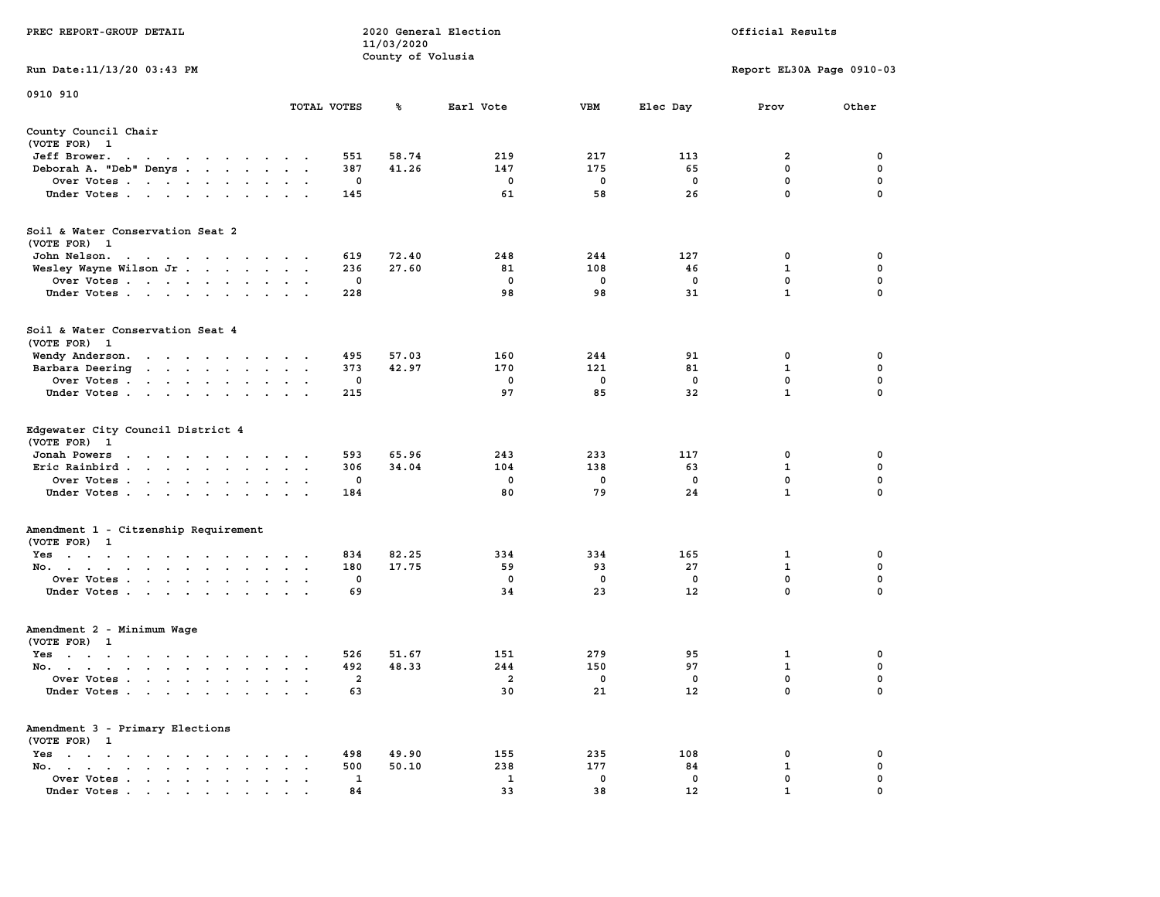| PREC REPORT-GROUP DETAIL                                                                                                                                                                                                                             |               |             | 2020 General Election<br>11/03/2020<br>County of Volusia | Official Results  |         |          |                           |          |
|------------------------------------------------------------------------------------------------------------------------------------------------------------------------------------------------------------------------------------------------------|---------------|-------------|----------------------------------------------------------|-------------------|---------|----------|---------------------------|----------|
| Run Date: 11/13/20 03:43 PM                                                                                                                                                                                                                          |               |             |                                                          |                   |         |          | Report EL30A Page 0910-03 |          |
| 0910 910                                                                                                                                                                                                                                             |               |             |                                                          |                   |         |          |                           |          |
|                                                                                                                                                                                                                                                      | TOTAL VOTES   |             | ጜ                                                        | Earl Vote         | VBM     | Elec Day | Prov                      | Other    |
| County Council Chair<br>(VOTE FOR) 1                                                                                                                                                                                                                 |               |             |                                                          |                   |         |          |                           |          |
| Jeff Brower.<br>the contract of the contract of the con-                                                                                                                                                                                             |               | 551         | 58.74                                                    | 219               | 217     | 113      | 2                         | 0        |
| Deborah A. "Deb" Denys                                                                                                                                                                                                                               |               | 387         | 41.26                                                    | 147               | 175     | 65       | $\mathbf 0$               | 0        |
| Over Votes                                                                                                                                                                                                                                           |               | 0           |                                                          | 0                 | 0       | 0        | 0                         | 0        |
| Under Votes                                                                                                                                                                                                                                          | $\sim$ $\sim$ | 145         |                                                          | 61                | 58      | 26       | $\mathbf 0$               | $\Omega$ |
| Soil & Water Conservation Seat 2<br>(VOTE FOR) 1                                                                                                                                                                                                     |               |             |                                                          |                   |         |          |                           |          |
| John Nelson.<br>the contract of the contract of the contract of the contract of the contract of the contract of the contract of                                                                                                                      |               | 619         | 72.40                                                    | 248               | 244     | 127      | 0                         | 0        |
| Wesley Wayne Wilson Jr                                                                                                                                                                                                                               |               | 236         | 27.60                                                    | 81                | 108     | 46       | 1                         | 0        |
| Over Votes                                                                                                                                                                                                                                           |               | 0           |                                                          | 0                 | 0       | 0        | $\mathbf 0$               | 0        |
| Under Votes                                                                                                                                                                                                                                          |               | 228         |                                                          | 98                | 98      | 31       | $\mathbf{1}$              | 0        |
| Soil & Water Conservation Seat 4<br>(VOTE FOR) 1                                                                                                                                                                                                     |               |             |                                                          |                   |         |          |                           |          |
| Wendy Anderson.<br>the contract of the contract of the con-                                                                                                                                                                                          |               | 495         | 57.03                                                    | 160               | 244     | 91       | 0                         | 0        |
| Barbara Deering<br>$\mathbf{r}$ . The contract of the contract of the contract of the contract of the contract of the contract of the contract of the contract of the contract of the contract of the contract of the contract of the contract of th | $\sim$        | 373         | 42.97                                                    | 170               | 121     | 81       | 1                         | 0        |
| Over Votes.<br>the contract of the contract of the                                                                                                                                                                                                   | $\bullet$     | 0           |                                                          | 0                 | 0       | 0        | $\mathbf 0$               | 0        |
| Under Votes                                                                                                                                                                                                                                          |               | 215         |                                                          | 97                | 85      | 32       | $\mathbf{1}$              | 0        |
| Edgewater City Council District 4<br>(VOTE FOR) 1<br>Jonah Powers<br>the contract of the contract of the con-                                                                                                                                        |               | 593         | 65.96                                                    | 243               | 233     | 117      | 0                         | 0        |
| Eric Rainbird                                                                                                                                                                                                                                        | $\ddotsc$     | 306         | 34.04                                                    | 104               | 138     | 63       | $\mathbf 1$               | 0        |
| Over Votes                                                                                                                                                                                                                                           |               | 0           |                                                          | 0                 | 0       | 0        | 0                         | 0        |
| Under Votes                                                                                                                                                                                                                                          |               | 184         |                                                          | 80                | 79      | 24       | $\mathbf{1}$              | 0        |
| Amendment 1 - Citzenship Requirement                                                                                                                                                                                                                 |               |             |                                                          |                   |         |          |                           |          |
| (VOTE FOR) 1                                                                                                                                                                                                                                         |               |             |                                                          |                   |         |          |                           |          |
| Yes                                                                                                                                                                                                                                                  |               | 834         | 82.25                                                    | 334               | 334     | 165      | 1                         | 0        |
| No.                                                                                                                                                                                                                                                  | $\cdot$ .     | 180         | 17.75                                                    | 59                | 93      | 27       | 1                         | 0        |
| Over Votes<br>Under Votes                                                                                                                                                                                                                            |               | 0<br>69     |                                                          | $\mathbf 0$<br>34 | 0<br>23 | 0<br>12  | 0<br>$\mathbf 0$          | 0<br>0   |
| Amendment 2 - Minimum Wage                                                                                                                                                                                                                           |               |             |                                                          |                   |         |          |                           |          |
| (VOTE FOR) 1                                                                                                                                                                                                                                         |               |             |                                                          |                   |         |          |                           |          |
| Yes<br>$\mathbf{r}$ . The contribution of the contribution of the contribution of the contribution of the contribution of the contribution of the contribution of the contribution of the contribution of the contribution of the contri             |               | 526         | 51.67                                                    | 151               | 279     | 95       | 1                         | 0        |
| No.<br>the contract of the contract of the contract of the contract of the contract of the contract of the contract of                                                                                                                               | $\sim$ $\sim$ | 492         | 48.33                                                    | 244               | 150     | 97       | $\mathbf{1}$              | 0        |
| Over Votes                                                                                                                                                                                                                                           |               | 2           |                                                          | 2                 | 0       | 0        | 0                         | 0        |
| Under Votes                                                                                                                                                                                                                                          |               | 63          |                                                          | 30                | 21      | 12       | 0                         | 0        |
| Amendment 3 - Primary Elections<br>(VOTE FOR) 1                                                                                                                                                                                                      |               |             |                                                          |                   |         |          |                           |          |
| $Yes \cdot \cdot \cdot \cdot \cdot \cdot$<br>$\sim$                                                                                                                                                                                                  |               | 498         | 49.90                                                    | 155               | 235     | 108      | 0                         | 0        |
| No.<br>$\ddot{\phantom{a}}$<br>$\bullet$                                                                                                                                                                                                             |               | 500         | 50.10                                                    | 238               | 177     | 84       | $\mathbf 1$               | 0        |
| Over Votes                                                                                                                                                                                                                                           |               | $\mathbf 1$ |                                                          | $\mathbf{1}$      | 0       | 0        | 0                         | 0        |
| Under Votes                                                                                                                                                                                                                                          |               | 84          |                                                          | 33                | 38      | 12       | 1                         |          |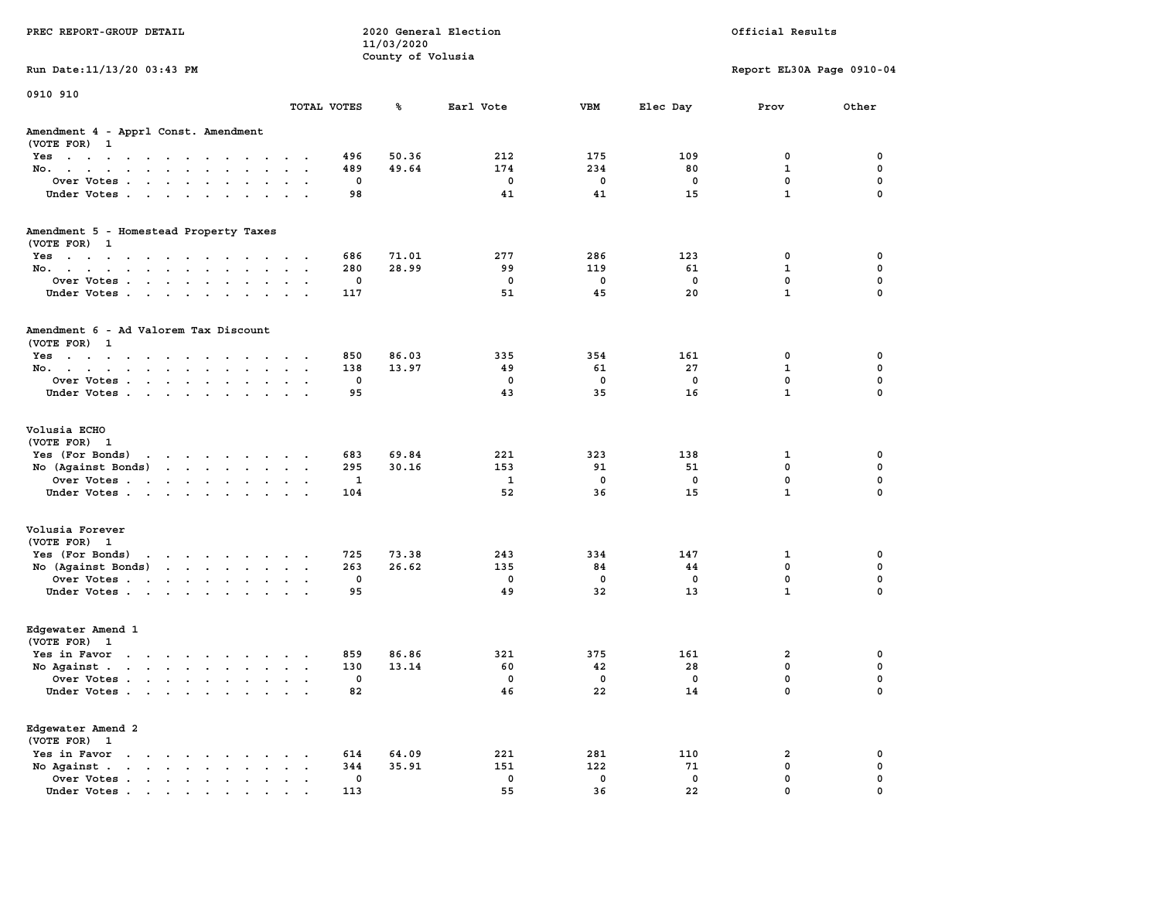| PREC REPORT-GROUP DETAIL                                                                                                           |                      | 2020 General Election<br>11/03/2020 | Official Results   |            |            |                            |               |
|------------------------------------------------------------------------------------------------------------------------------------|----------------------|-------------------------------------|--------------------|------------|------------|----------------------------|---------------|
| Run Date: 11/13/20 03:43 PM                                                                                                        |                      | County of Volusia                   |                    |            |            | Report EL30A Page 0910-04  |               |
| 0910 910                                                                                                                           |                      |                                     |                    |            |            |                            |               |
|                                                                                                                                    | TOTAL VOTES          | ጜ                                   | Earl Vote          | VBM        | Elec Day   | Prov                       | Other         |
| Amendment 4 - Apprl Const. Amendment<br>(VOTE FOR) 1                                                                               |                      |                                     |                    |            |            |                            |               |
| Yes                                                                                                                                |                      | 50.36<br>496                        | 212                | 175        | 109        | 0                          | 0             |
| No.                                                                                                                                |                      | 49.64<br>489                        | 174                | 234        | 80         | $\mathbf{1}$               | $\mathbf 0$   |
| Over Votes                                                                                                                         |                      | 0                                   | 0                  | 0          | 0          | $\mathbf 0$                | 0             |
| Under Votes                                                                                                                        |                      | 98                                  | 41                 | 41         | 15         | $\mathbf{1}$               | $\mathbf 0$   |
| Amendment 5 - Homestead Property Taxes                                                                                             |                      |                                     |                    |            |            |                            |               |
| (VOTE FOR) 1                                                                                                                       |                      | 71.01                               | 277                | 286        | 123        |                            | 0             |
| Yes<br>No.                                                                                                                         |                      | 686<br>280<br>28.99                 | 99                 | 119        | 61         | 0<br>$\mathbf{1}$          | 0             |
| Over Votes                                                                                                                         |                      | 0                                   | 0                  | 0          | 0          | $\mathbf 0$                | $\mathbf 0$   |
| Under Votes                                                                                                                        |                      | 117                                 | 51                 | 45         | 20         | $\mathbf{1}$               | $\Omega$      |
| Amendment 6 - Ad Valorem Tax Discount<br>(VOTE FOR) 1                                                                              |                      |                                     |                    |            |            |                            |               |
| Yes                                                                                                                                |                      | 86.03<br>850                        | 335                | 354        | 161        | 0                          | 0             |
| No.                                                                                                                                |                      | 138<br>13.97                        | 49                 | 61         | 27         | 1                          | 0             |
| Over Votes                                                                                                                         |                      | 0                                   | $\mathbf{0}$       | $^{\circ}$ | $^{\circ}$ | $\mathbf{0}$               | $\mathbf 0$   |
| Under Votes                                                                                                                        |                      | 95                                  | 43                 | 35         | 16         | $\mathbf{1}$               | $\mathbf 0$   |
| Volusia ECHO<br>(VOTE FOR) 1                                                                                                       |                      |                                     |                    |            |            |                            |               |
| Yes (For Bonds) $\cdots$ $\cdots$ $\cdots$ $\cdots$                                                                                |                      | 69.84<br>683                        | 221                | 323        | 138        | 1                          | 0             |
| No (Against Bonds)                                                                                                                 |                      | 30.16<br>295                        | 153                | 91         | 51         | $\mathbf 0$                | $\mathbf 0$   |
| Over Votes                                                                                                                         |                      | 1                                   | 1                  | 0          | 0          | $\mathbf 0$                | 0             |
| Under Votes                                                                                                                        |                      | 104                                 | 52                 | 36         | 15         | $\mathbf{1}$               | $\Omega$      |
| Volusia Forever                                                                                                                    |                      |                                     |                    |            |            |                            |               |
| (VOTE FOR) 1                                                                                                                       |                      |                                     |                    |            |            |                            |               |
| Yes (For Bonds)<br>the contract of the contract of the contract of the contract of the contract of the contract of the contract of |                      | 725<br>73.38                        | 243                | 334        | 147        | 1                          | 0             |
| No (Against Bonds)                                                                                                                 |                      | 263<br>26.62                        | 135<br>$\mathbf 0$ | 84         | 44         | $\mathbf 0$<br>$\mathbf 0$ | 0             |
| Over Votes                                                                                                                         |                      | 0                                   | 49                 | 0<br>32    | 0<br>13    | $\mathbf{1}$               | 0<br>$\Omega$ |
| Under Votes                                                                                                                        |                      | 95                                  |                    |            |            |                            |               |
| Edgewater Amend 1<br>(VOTE FOR) 1                                                                                                  |                      |                                     |                    |            |            |                            |               |
| Yes in Favor                                                                                                                       |                      | 859<br>86.86                        | 321                | 375        | 161        | 2                          | 0             |
| No Against $\cdots$ $\cdots$ $\cdots$ $\cdots$                                                                                     |                      | 130<br>13.14                        | 60                 | 42         | 28         | $\mathbf 0$                | 0             |
| Over Votes                                                                                                                         |                      | 0                                   | 0                  | 0          | 0          | $\mathbf 0$                | $\mathbf 0$   |
| Under Votes                                                                                                                        |                      | 82                                  | 46                 | 22         | 14         | 0                          | 0             |
| Edgewater Amend 2<br>(VOTE FOR) 1                                                                                                  |                      |                                     |                    |            |            |                            |               |
| Yes in Favor                                                                                                                       |                      | 614<br>64.09                        | 221                | 281        | 110        | 2                          | 0             |
| No Against.<br>$\bullet$                                                                                                           | $\ddot{\phantom{a}}$ | 344<br>35.91                        | 151                | 122        | 71         | 0                          | 0             |
| Over Votes                                                                                                                         |                      | 0                                   | 0                  | 0          | 0          | $\mathbf 0$                | 0             |
| Under Votes                                                                                                                        |                      | 113                                 | 55                 | 36         | 22         | $\mathbf{0}$               | $\Omega$      |